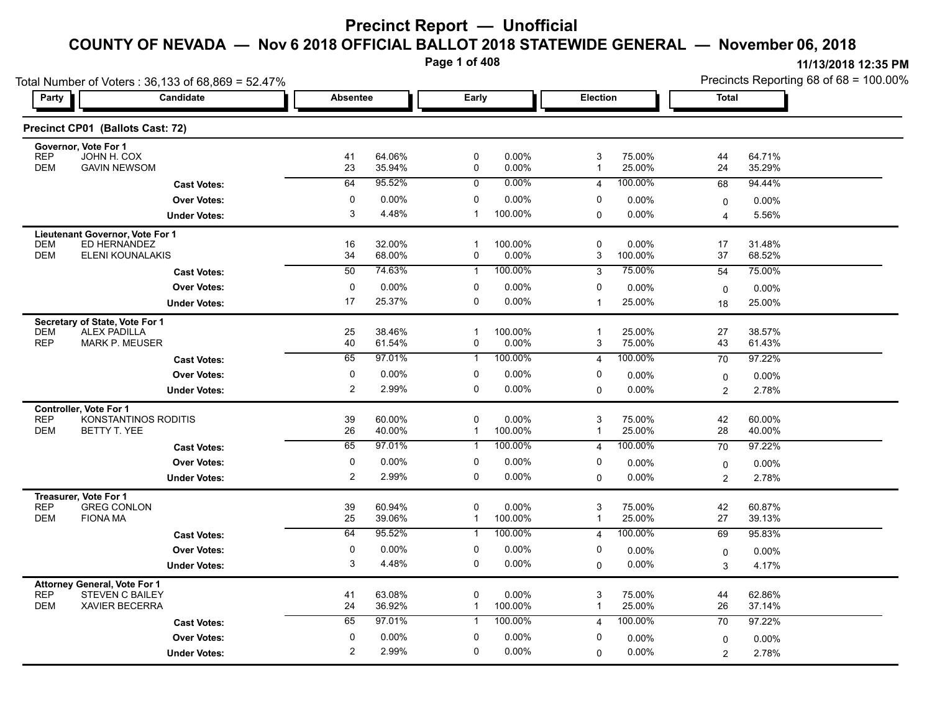**Page 1 of 408**

| Total Number of Voters: 36,133 of 68,869 = 52.47%                           |                                           |                 |                  |                             |                  |                     |                   | Precincts Reporting 68 of 68 = 100.00% |                    |  |
|-----------------------------------------------------------------------------|-------------------------------------------|-----------------|------------------|-----------------------------|------------------|---------------------|-------------------|----------------------------------------|--------------------|--|
| Party<br>Candidate                                                          |                                           | <b>Absentee</b> |                  |                             | Early            |                     | Election          |                                        | Total              |  |
| Precinct CP01 (Ballots Cast: 72)                                            |                                           |                 |                  |                             |                  |                     |                   |                                        |                    |  |
| Governor, Vote For 1<br><b>REP</b><br>JOHN H. COX                           |                                           | 41              | 64.06%           | 0                           | 0.00%            | 3                   | 75.00%            | 44                                     | 64.71%             |  |
| <b>DEM</b><br><b>GAVIN NEWSOM</b>                                           |                                           | 23              | 35.94%           | 0                           | 0.00%            | $\mathbf{1}$        | 25.00%            | 24                                     | 35.29%             |  |
|                                                                             | <b>Cast Votes:</b>                        | 64              | 95.52%           | $\mathbf 0$                 | $0.00\%$         | $\overline{4}$      | 100.00%           | 68                                     | 94.44%             |  |
|                                                                             | <b>Over Votes:</b>                        | 0               | 0.00%            | 0                           | 0.00%            | 0                   | $0.00\%$          | 0                                      | $0.00\%$           |  |
|                                                                             | <b>Under Votes:</b>                       | 3               | 4.48%            | 1                           | 100.00%          | 0                   | $0.00\%$          | 4                                      | 5.56%              |  |
| Lieutenant Governor, Vote For 1                                             |                                           |                 |                  |                             |                  |                     |                   |                                        |                    |  |
| ED HERNANDEZ<br><b>DEM</b><br><b>DEM</b><br>ELENI KOUNALAKIS                |                                           | 16<br>34        | 32.00%<br>68.00% | $\mathbf 1$<br>0            | 100.00%<br>0.00% | 0<br>3              | 0.00%<br>100.00%  | 17<br>37                               | 31.48%<br>68.52%   |  |
|                                                                             | <b>Cast Votes:</b>                        | 50              | 74.63%           | -1                          | 100.00%          | 3                   | 75.00%            | 54                                     | 75.00%             |  |
|                                                                             | <b>Over Votes:</b>                        | 0               | $0.00\%$         | 0                           | 0.00%            | 0                   | $0.00\%$          |                                        |                    |  |
|                                                                             | <b>Under Votes:</b>                       | 17              | 25.37%           | 0                           | 0.00%            | $\mathbf 1$         | 25.00%            | $\mathbf 0$<br>18                      | $0.00\%$<br>25.00% |  |
|                                                                             |                                           |                 |                  |                             |                  |                     |                   |                                        |                    |  |
| Secretary of State, Vote For 1<br><b>DEM</b><br><b>ALEX PADILLA</b>         |                                           | 25              | 38.46%           | $\mathbf{1}$                | 100.00%          | $\overline{1}$      | 25.00%            | 27                                     | 38.57%             |  |
| <b>REP</b><br><b>MARK P. MEUSER</b>                                         |                                           | 40              | 61.54%           | 0                           | 0.00%            | 3                   | 75.00%            | 43                                     | 61.43%             |  |
|                                                                             | <b>Cast Votes:</b>                        | 65              | 97.01%           | $\mathbf{1}$                | 100.00%          | 4                   | 100.00%           | 70                                     | 97.22%             |  |
|                                                                             | <b>Over Votes:</b>                        | 0               | $0.00\%$         | 0                           | 0.00%            | 0                   | $0.00\%$          | $\mathbf 0$                            | $0.00\%$           |  |
|                                                                             | <b>Under Votes:</b>                       | 2               | 2.99%            | 0                           | 0.00%            | $\mathbf{0}$        | 0.00%             | $\overline{2}$                         | 2.78%              |  |
| <b>Controller, Vote For 1</b>                                               |                                           |                 |                  |                             |                  |                     |                   |                                        |                    |  |
| REP<br>KONSTANTINOS RODITIS<br><b>DEM</b><br><b>BETTY T. YEE</b>            |                                           | 39<br>26        | 60.00%<br>40.00% | $\mathbf 0$<br>$\mathbf{1}$ | 0.00%<br>100.00% | 3<br>$\overline{1}$ | 75.00%<br>25.00%  | 42<br>28                               | 60.00%<br>40.00%   |  |
|                                                                             | <b>Cast Votes:</b>                        | 65              | 97.01%           | $\mathbf{1}$                | 100.00%          | $\overline{4}$      | 100.00%           | 70                                     | 97.22%             |  |
|                                                                             |                                           | 0               | $0.00\%$         | 0                           | 0.00%            | 0                   |                   |                                        |                    |  |
|                                                                             | <b>Over Votes:</b><br><b>Under Votes:</b> | $\overline{c}$  | 2.99%            | 0                           | 0.00%            | $\Omega$            | $0.00\%$<br>0.00% | $\mathbf 0$                            | 0.00%<br>2.78%     |  |
|                                                                             |                                           |                 |                  |                             |                  |                     |                   | $\overline{c}$                         |                    |  |
| Treasurer, Vote For 1<br><b>REP</b><br><b>GREG CONLON</b>                   |                                           | 39              | 60.94%           | 0                           | 0.00%            | 3                   | 75.00%            | 42                                     | 60.87%             |  |
| <b>DEM</b><br><b>FIONA MA</b>                                               |                                           | 25              | 39.06%           | $\mathbf{1}$                | 100.00%          | $\overline{1}$      | 25.00%            | 27                                     | 39.13%             |  |
|                                                                             | <b>Cast Votes:</b>                        | 64              | 95.52%           | $\mathbf{1}$                | 100.00%          | $\overline{4}$      | 100.00%           | 69                                     | 95.83%             |  |
|                                                                             | <b>Over Votes:</b>                        | 0               | 0.00%            | 0                           | 0.00%            | 0                   | $0.00\%$          | 0                                      | 0.00%              |  |
|                                                                             | <b>Under Votes:</b>                       | 3               | 4.48%            | 0                           | 0.00%            | $\mathbf 0$         | 0.00%             | 3                                      | 4.17%              |  |
| <b>Attorney General, Vote For 1</b>                                         |                                           |                 |                  |                             |                  |                     |                   |                                        |                    |  |
| <b>REP</b><br><b>STEVEN C BAILEY</b><br><b>DEM</b><br><b>XAVIER BECERRA</b> |                                           | 41<br>24        | 63.08%<br>36.92% | 0                           | 0.00%<br>100.00% | 3<br>$\overline{1}$ | 75.00%<br>25.00%  | 44<br>26                               | 62.86%<br>37.14%   |  |
|                                                                             |                                           | 65              | 97.01%           | $\mathbf{1}$                | 100.00%          |                     | 100.00%           |                                        |                    |  |
|                                                                             | <b>Cast Votes:</b>                        |                 |                  | $\mathbf{1}$                |                  | $\overline{4}$      |                   | 70                                     | 97.22%             |  |
|                                                                             | <b>Over Votes:</b>                        | 0               | $0.00\%$         | 0                           | 0.00%            | 0                   | 0.00%             | 0                                      | $0.00\%$           |  |
|                                                                             | <b>Under Votes:</b>                       | 2               | 2.99%            | $\mathbf{0}$                | 0.00%            | 0                   | $0.00\%$          | $\overline{c}$                         | 2.78%              |  |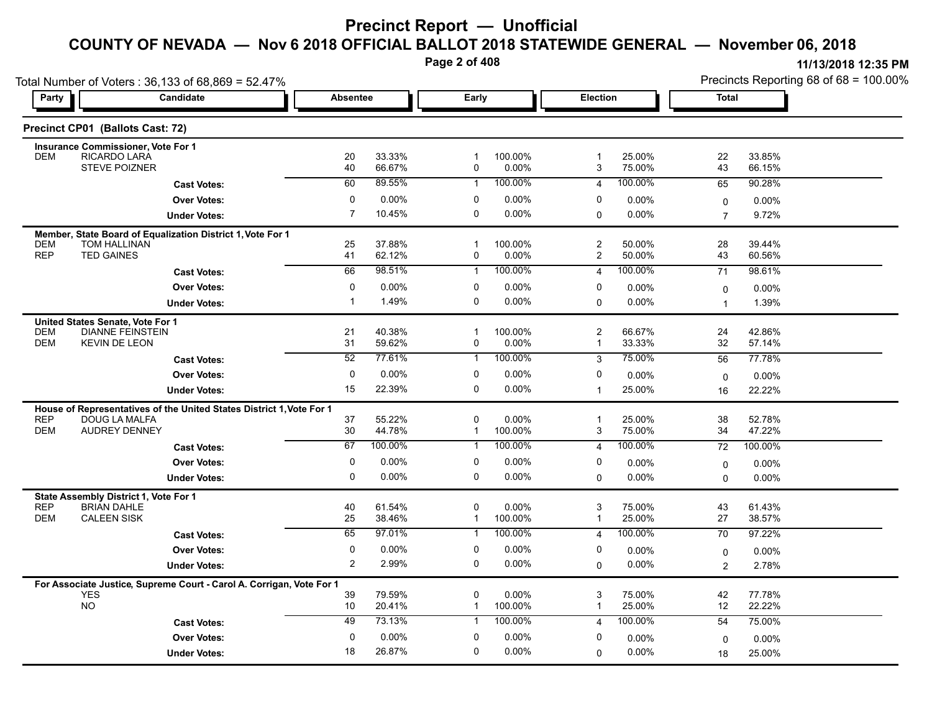**Page 2 of 408**

0.00% 25.00% 18

**11/13/2018 12:35 PM**

| Total Number of Voters: 36,133 of 68,869 = 52.47% |                                                                                       |                 |                  |              |                  |                                           |                  | Precincts Reporting 68 of 68 = 100.00% |                   |  |
|---------------------------------------------------|---------------------------------------------------------------------------------------|-----------------|------------------|--------------|------------------|-------------------------------------------|------------------|----------------------------------------|-------------------|--|
| Party                                             | Candidate                                                                             | <b>Absentee</b> |                  | Early        |                  |                                           | Election         |                                        | <b>Total</b>      |  |
|                                                   | Precinct CP01 (Ballots Cast: 72)                                                      |                 |                  |              |                  |                                           |                  |                                        |                   |  |
|                                                   | <b>Insurance Commissioner, Vote For 1</b>                                             |                 |                  |              |                  |                                           |                  |                                        |                   |  |
| <b>DEM</b>                                        | RICARDO LARA<br><b>STEVE POIZNER</b>                                                  | 20<br>40        | 33.33%<br>66.67% | -1<br>0      | 100.00%<br>0.00% | 1<br>3                                    | 25.00%<br>75.00% | 22<br>43                               | 33.85%<br>66.15%  |  |
|                                                   | <b>Cast Votes:</b>                                                                    | 60              | 89.55%           | $\mathbf{1}$ | 100.00%          | $\overline{4}$                            | 100.00%          | 65                                     | 90.28%            |  |
|                                                   | <b>Over Votes:</b>                                                                    | $\pmb{0}$       | 0.00%            | 0            | 0.00%            | 0                                         | $0.00\%$         | $\mathbf 0$                            | 0.00%             |  |
|                                                   | <b>Under Votes:</b>                                                                   | $\overline{7}$  | 10.45%           | $\mathbf 0$  | 0.00%            | $\Omega$                                  | 0.00%            | $\overline{7}$                         | 9.72%             |  |
|                                                   | Member, State Board of Equalization District 1, Vote For 1                            |                 |                  |              |                  |                                           |                  |                                        |                   |  |
| <b>DEM</b><br><b>REP</b>                          | <b>TOM HALLINAN</b><br><b>TED GAINES</b>                                              | 25<br>41        | 37.88%<br>62.12% | -1<br>0      | 100.00%<br>0.00% | $\overline{\mathbf{c}}$<br>$\overline{c}$ | 50.00%<br>50.00% | 28<br>43                               | 39.44%<br>60.56%  |  |
|                                                   | <b>Cast Votes:</b>                                                                    | 66              | 98.51%           | $\mathbf{1}$ | 100.00%          | $\overline{4}$                            | 100.00%          | 71                                     | 98.61%            |  |
|                                                   | <b>Over Votes:</b>                                                                    | $\mathbf 0$     | 0.00%            | $\mathbf 0$  | 0.00%            | 0                                         | $0.00\%$         | $\mathbf 0$                            | $0.00\%$          |  |
|                                                   | <b>Under Votes:</b>                                                                   | $\mathbf 1$     | 1.49%            | 0            | 0.00%            | $\Omega$                                  | $0.00\%$         | $\overline{1}$                         | 1.39%             |  |
|                                                   | United States Senate, Vote For 1                                                      |                 |                  |              |                  |                                           |                  |                                        |                   |  |
| <b>DEM</b>                                        | <b>DIANNE FEINSTEIN</b>                                                               | 21              | 40.38%           | $\mathbf 1$  | 100.00%          | $\overline{\mathbf{c}}$                   | 66.67%           | 24                                     | 42.86%            |  |
| <b>DEM</b>                                        | <b>KEVIN DE LEON</b>                                                                  | 31              | 59.62%           | 0            | 0.00%            | $\mathbf{1}$                              | 33.33%           | 32                                     | 57.14%            |  |
|                                                   | <b>Cast Votes:</b>                                                                    | 52              | 77.61%           | $\mathbf{1}$ | 100.00%          | 3                                         | 75.00%           | 56                                     | 77.78%            |  |
|                                                   | <b>Over Votes:</b>                                                                    | $\mathbf 0$     | 0.00%<br>22.39%  | 0<br>0       | 0.00%            | 0                                         | $0.00\%$         | 0                                      | 0.00%             |  |
|                                                   | <b>Under Votes:</b>                                                                   | 15              |                  |              | 0.00%            | $\overline{1}$                            | 25.00%           | 16                                     | 22.22%            |  |
| <b>REP</b>                                        | House of Representatives of the United States District 1, Vote For 1<br>DOUG LA MALFA | 37              | 55.22%           | 0            | 0.00%            | $\mathbf 1$                               | 25.00%           | 38                                     | 52.78%            |  |
| <b>DEM</b>                                        | <b>AUDREY DENNEY</b>                                                                  | 30              | 44.78%           | -1           | 100.00%          | 3                                         | 75.00%           | 34                                     | 47.22%            |  |
|                                                   | <b>Cast Votes:</b>                                                                    | 67              | 100.00%          | $\mathbf 1$  | 100.00%          | $\overline{4}$                            | 100.00%          | 72                                     | 100.00%           |  |
|                                                   | <b>Over Votes:</b>                                                                    | 0               | 0.00%            | 0            | 0.00%            | 0                                         | $0.00\%$         | 0                                      | 0.00%             |  |
|                                                   | <b>Under Votes:</b>                                                                   | $\mathbf 0$     | 0.00%            | 0            | 0.00%            | $\Omega$                                  | $0.00\%$         | $\Omega$                               | 0.00%             |  |
|                                                   | State Assembly District 1, Vote For 1                                                 |                 |                  |              |                  |                                           |                  |                                        |                   |  |
| <b>REP</b><br><b>DEM</b>                          | <b>BRIAN DAHLE</b><br><b>CALEEN SISK</b>                                              | 40<br>25        | 61.54%<br>38.46% | 0<br>1       | 0.00%<br>100.00% | 3<br>1                                    | 75.00%<br>25.00% | 43<br>27                               | 61.43%<br>38.57%  |  |
|                                                   | <b>Cast Votes:</b>                                                                    | 65              | 97.01%           | 1            | 100.00%          | $\overline{4}$                            | 100.00%          | 70                                     | 97.22%            |  |
|                                                   | <b>Over Votes:</b>                                                                    | 0               | 0.00%            | 0            | 0.00%            | 0                                         | 0.00%            |                                        |                   |  |
|                                                   | <b>Under Votes:</b>                                                                   | 2               | 2.99%            | 0            | 0.00%            | $\Omega$                                  | $0.00\%$         | $\mathbf 0$<br>$\overline{2}$          | $0.00\%$<br>2.78% |  |
|                                                   |                                                                                       |                 |                  |              |                  |                                           |                  |                                        |                   |  |
| <b>YES</b>                                        | For Associate Justice, Supreme Court - Carol A. Corrigan, Vote For 1                  | 39              | 79.59%           | $\mathbf 0$  | 0.00%            | 3                                         | 75.00%           | 42                                     | 77.78%            |  |
| <b>NO</b>                                         |                                                                                       | 10              | 20.41%           | 1            | 100.00%          | 1                                         | 25.00%           | 12                                     | 22.22%            |  |
|                                                   | <b>Cast Votes:</b>                                                                    | 49              | 73.13%           | 1            | 100.00%          | 4                                         | 100.00%          | 54                                     | 75.00%            |  |
|                                                   | <b>Over Votes:</b>                                                                    | 0               | 0.00%            | 0            | 0.00%            | 0                                         | $0.00\%$         | $\mathbf 0$                            | 0.00%             |  |
|                                                   | <b>Under Votes:</b>                                                                   | 18              | 26.87%           | $\mathbf 0$  | 0.00%            | $\Omega$                                  | $0.00\%$         | 18                                     | 25.00%            |  |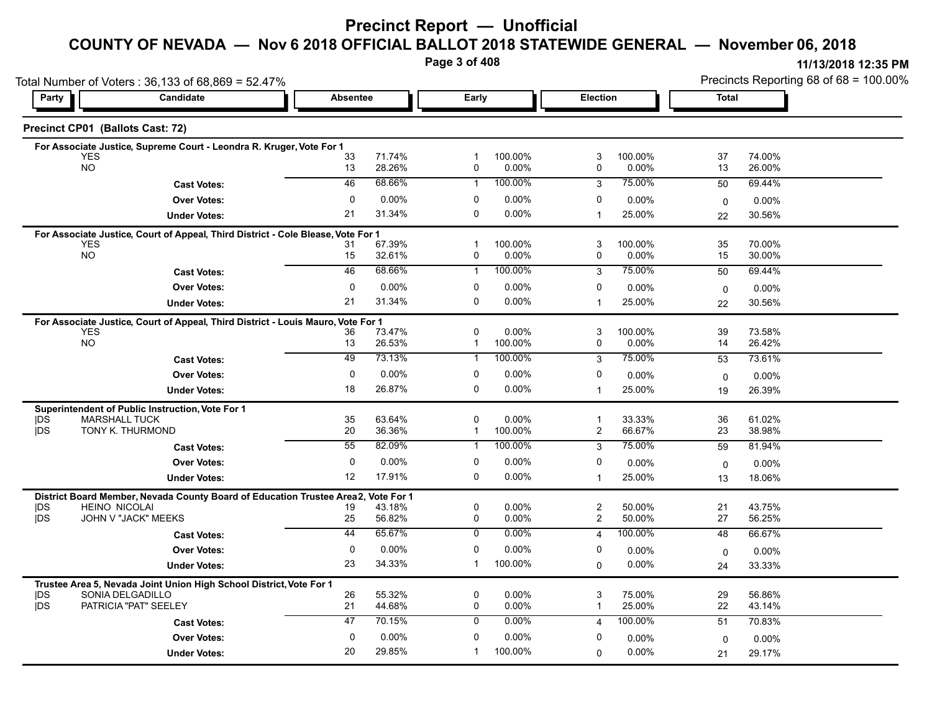# **Precinct Report — Unofficial**

# **COUNTY OF NEVADA — Nov 6 2018 OFFICIAL BALLOT 2018 STATEWIDE GENERAL — November 06, 2018**

**Page 3 of 408**

**11/13/2018 12:35 PM** Precincts Reporting 68 of 68 = 100.00%

|                          | Total Number of Voters: 36,133 of 68,869 = 52.47%                                              |                                             |                      |                             |                     |                         |                  | Precincts Reporting 68 of 68 = 100.00% |                  |  |
|--------------------------|------------------------------------------------------------------------------------------------|---------------------------------------------|----------------------|-----------------------------|---------------------|-------------------------|------------------|----------------------------------------|------------------|--|
| Party                    | Candidate                                                                                      | <b>Election</b><br><b>Absentee</b><br>Early |                      |                             | <b>Total</b>        |                         |                  |                                        |                  |  |
|                          | Precinct CP01 (Ballots Cast: 72)                                                               |                                             |                      |                             |                     |                         |                  |                                        |                  |  |
|                          | For Associate Justice, Supreme Court - Leondra R. Kruger, Vote For 1                           |                                             |                      |                             |                     |                         |                  |                                        |                  |  |
|                          | <b>YES</b><br><b>NO</b>                                                                        | 33<br>13                                    | 71.74%<br>28.26%     | 0                           | 100.00%<br>0.00%    | 3<br>0                  | 100.00%<br>0.00% | 37<br>13                               | 74.00%<br>26.00% |  |
|                          | <b>Cast Votes:</b>                                                                             | 46                                          | 68.66%               | $\mathbf{1}$                | 100.00%             | 3                       | 75.00%           | 50                                     | 69.44%           |  |
|                          | <b>Over Votes:</b>                                                                             | 0                                           | 0.00%                | 0                           | 0.00%               | 0                       | 0.00%            | $\mathbf 0$                            | 0.00%            |  |
|                          | <b>Under Votes:</b>                                                                            | 21                                          | 31.34%               | $\mathbf 0$                 | $0.00\%$            | $\mathbf 1$             | 25.00%           | 22                                     | 30.56%           |  |
|                          | For Associate Justice, Court of Appeal, Third District - Cole Blease, Vote For 1               |                                             |                      |                             |                     |                         |                  |                                        |                  |  |
|                          | <b>YES</b>                                                                                     | 31                                          | 67.39%               | -1                          | 100.00%             | 3                       | 100.00%          | 35                                     | 70.00%           |  |
|                          | <b>NO</b>                                                                                      | 15                                          | 32.61%               | 0                           | 0.00%               | 0                       | 0.00%            | 15                                     | 30.00%           |  |
|                          | <b>Cast Votes:</b>                                                                             | 46                                          | 68.66%               | $\mathbf{1}$                | 100.00%             | 3                       | 75.00%           | 50                                     | 69.44%           |  |
|                          | <b>Over Votes:</b>                                                                             | $\mathbf 0$                                 | 0.00%                | 0                           | 0.00%               | 0                       | 0.00%            | 0                                      | $0.00\%$         |  |
|                          | <b>Under Votes:</b>                                                                            | 21                                          | 31.34%               | $\Omega$                    | $0.00\%$            |                         | 25.00%           | 22                                     | 30.56%           |  |
|                          | For Associate Justice, Court of Appeal, Third District - Louis Mauro, Vote For 1               |                                             |                      |                             |                     |                         |                  |                                        |                  |  |
|                          | <b>YES</b><br><b>NO</b>                                                                        | 36                                          | 73.47%               | 0                           | 0.00%               | 3                       | 100.00%          | 39                                     | 73.58%           |  |
|                          |                                                                                                | 13                                          | 26.53%               | $\mathbf{1}$                | 100.00%             | 0                       | 0.00%            | 14                                     | 26.42%           |  |
|                          | <b>Cast Votes:</b>                                                                             | 49                                          | 73.13%               | $\mathbf{1}$                | 100.00%             | 3                       | 75.00%           | 53                                     | 73.61%           |  |
|                          | <b>Over Votes:</b>                                                                             | 0                                           | 0.00%                | 0                           | 0.00%               | $\mathbf 0$             | 0.00%            | $\mathbf 0$                            | $0.00\%$         |  |
|                          | <b>Under Votes:</b>                                                                            | 18                                          | 26.87%               | $\mathbf 0$                 | $0.00\%$            | $\mathbf{1}$            | 25.00%           | 19                                     | 26.39%           |  |
|                          | Superintendent of Public Instruction, Vote For 1                                               |                                             |                      |                             |                     |                         |                  |                                        |                  |  |
| <b>IDS</b><br><b>IDS</b> | <b>MARSHALL TUCK</b><br>TONY K. THURMOND                                                       | 35<br>20                                    | 63.64%<br>36.36%     | $\mathbf 0$<br>$\mathbf{1}$ | $0.00\%$<br>100.00% | $\mathbf{1}$<br>2       | 33.33%<br>66.67% | 36<br>23                               | 61.02%<br>38.98% |  |
|                          | <b>Cast Votes:</b>                                                                             | 55                                          | 82.09%               | $\mathbf{1}$                | 100.00%             | 3                       | 75.00%           | 59                                     | 81.94%           |  |
|                          | <b>Over Votes:</b>                                                                             | 0                                           | 0.00%                | 0                           | 0.00%               | $\mathbf 0$             | 0.00%            |                                        |                  |  |
|                          |                                                                                                | 12                                          | 17.91%               | $\Omega$                    | 0.00%               | $\mathbf 1$             | 25.00%           | $\mathbf 0$                            | 0.00%            |  |
|                          | <b>Under Votes:</b>                                                                            |                                             |                      |                             |                     |                         |                  | 13                                     | 18.06%           |  |
| <b>IDS</b>               | District Board Member, Nevada County Board of Education Trustee Area2,<br><b>HEINO NICOLAI</b> | 19                                          | Vote For 1<br>43.18% | $\mathbf 0$                 | $0.00\%$            | $\overline{\mathbf{c}}$ | 50.00%           | 21                                     | 43.75%           |  |
| <b>IDS</b>               | JOHN V "JACK" MEEKS                                                                            | 25                                          | 56.82%               | 0                           | $0.00\%$            | 2                       | 50.00%           | 27                                     | 56.25%           |  |
|                          | <b>Cast Votes:</b>                                                                             | 44                                          | 65.67%               | 0                           | $0.00\%$            | 4                       | 100.00%          | 48                                     | 66.67%           |  |
|                          | <b>Over Votes:</b>                                                                             | 0                                           | 0.00%                | 0                           | 0.00%               | $\mathbf 0$             | 0.00%            | $\mathbf 0$                            | 0.00%            |  |
|                          | <b>Under Votes:</b>                                                                            | 23                                          | 34.33%               | $\mathbf{1}$                | 100.00%             | $\Omega$                | 0.00%            | 24                                     | 33.33%           |  |
|                          | Trustee Area 5, Nevada Joint Union High School District, Vote For 1                            |                                             |                      |                             |                     |                         |                  |                                        |                  |  |
| DS                       | SONIA DELGADILLO                                                                               | 26                                          | 55.32%               | 0                           | $0.00\%$            | 3                       | 75.00%           | 29                                     | 56.86%           |  |
| <b>IDS</b>               | PATRICIA "PAT" SEELEY                                                                          | 21                                          | 44.68%               | 0                           | $0.00\%$            | 1                       | 25.00%           | 22                                     | 43.14%           |  |
|                          | <b>Cast Votes:</b>                                                                             | 47                                          | 70.15%               | $\mathbf 0$                 | 0.00%               | 4                       | 100.00%          | 51                                     | 70.83%           |  |
|                          | <b>Over Votes:</b>                                                                             | 0                                           | 0.00%                | $\mathbf 0$                 | 0.00%               | 0                       | 0.00%            | $\mathbf{0}$                           | 0.00%            |  |
|                          | <b>Under Votes:</b>                                                                            | 20                                          | 29.85%               | 1                           | 100.00%             | $\Omega$                | 0.00%            | 21                                     | 29.17%           |  |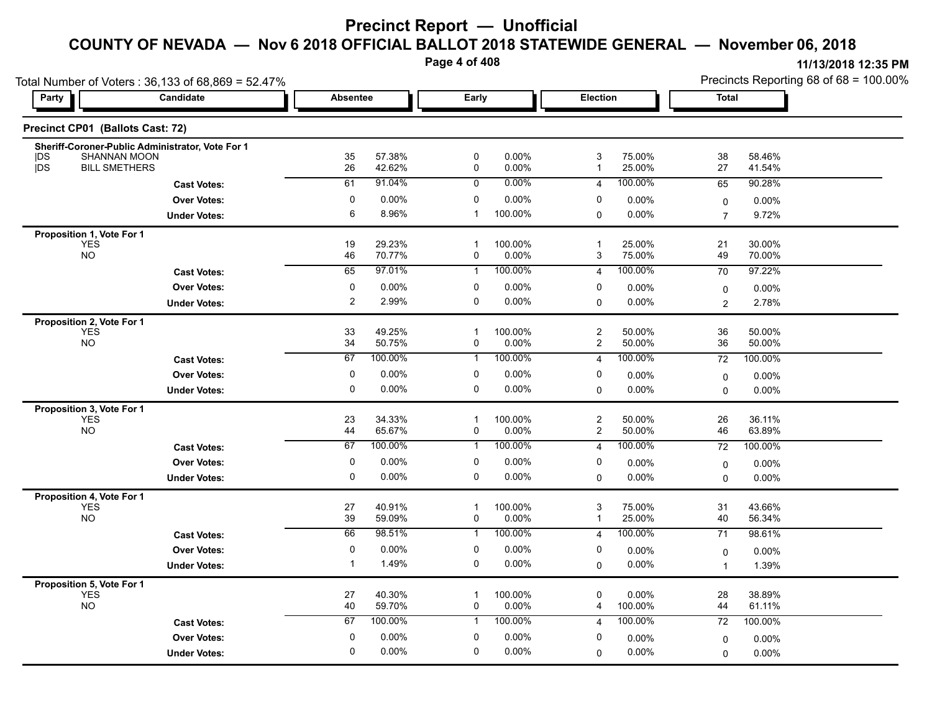**Page 4 of 408**

|                                         | Total Number of Voters: 36,133 of 68,869 = 52.47%                       |              |                  |                           |                  |                                  | Precincts Reporting 68 of 68 = 100.00% |                 |                  |
|-----------------------------------------|-------------------------------------------------------------------------|--------------|------------------|---------------------------|------------------|----------------------------------|----------------------------------------|-----------------|------------------|
| Party                                   | Candidate                                                               | Absentee     |                  |                           | Early            |                                  | <b>Election</b>                        |                 | <b>Total</b>     |
|                                         | Precinct CP01 (Ballots Cast: 72)                                        |              |                  |                           |                  |                                  |                                        |                 |                  |
|                                         | Sheriff-Coroner-Public Administrator, Vote For 1<br><b>SHANNAN MOON</b> |              | 57.38%           | $\mathbf 0$               | 0.00%            | 3                                | 75.00%                                 | 38              | 58.46%           |
| <b>IDS</b><br><b>IDS</b>                | <b>BILL SMETHERS</b>                                                    | 35<br>26     | 42.62%           | $\pmb{0}$                 | 0.00%            | $\mathbf{1}$                     | 25.00%                                 | 27              | 41.54%           |
|                                         | <b>Cast Votes:</b>                                                      | 61           | 91.04%           | 0                         | $0.00\%$         | $\overline{4}$                   | 100.00%                                | 65              | 90.28%           |
|                                         | <b>Over Votes:</b>                                                      | $\mathbf 0$  | 0.00%            | $\mathbf 0$               | 0.00%            | 0                                | $0.00\%$                               | $\mathbf 0$     | 0.00%            |
|                                         | <b>Under Votes:</b>                                                     | 6            | 8.96%            | $\mathbf{1}$              | 100.00%          | 0                                | 0.00%                                  | $\overline{7}$  | 9.72%            |
| Proposition 1, Vote For 1               |                                                                         |              |                  |                           |                  |                                  |                                        |                 |                  |
| <b>YES</b><br>NO <sub>1</sub>           |                                                                         | 19<br>46     | 29.23%<br>70.77% | $\mathbf 1$<br>0          | 100.00%<br>0.00% | $\overline{\mathbf{1}}$<br>3     | 25.00%<br>75.00%                       | 21<br>49        | 30.00%<br>70.00% |
|                                         | <b>Cast Votes:</b>                                                      | 65           | 97.01%           | $\mathbf{1}$              | 100.00%          | $\overline{4}$                   | 100.00%                                | 70              | 97.22%           |
|                                         | <b>Over Votes:</b>                                                      | $\mathbf 0$  | 0.00%            | $\mathbf 0$               | 0.00%            | 0                                | 0.00%                                  |                 | 0.00%            |
|                                         | <b>Under Votes:</b>                                                     | 2            | 2.99%            | 0                         | 0.00%            | $\mathbf 0$                      | $0.00\%$                               | 0<br>2          | 2.78%            |
| Proposition 2, Vote For 1               |                                                                         |              |                  |                           |                  |                                  |                                        |                 |                  |
| <b>YES</b>                              |                                                                         | 33           | 49.25%           | $\mathbf{1}$              | 100.00%          | $\sqrt{2}$                       | 50.00%                                 | 36              | 50.00%           |
| <b>NO</b>                               |                                                                         | 34           | 50.75%           | $\pmb{0}$                 | $0.00\%$         | $\overline{c}$                   | 50.00%                                 | 36              | 50.00%           |
|                                         | <b>Cast Votes:</b>                                                      | 67           | 100.00%          | $\mathbf{1}$              | 100.00%          | $\overline{4}$                   | 100.00%                                | 72              | 100.00%          |
|                                         | <b>Over Votes:</b>                                                      | $\mathbf 0$  | 0.00%            | $\mathbf 0$               | $0.00\%$         | 0                                | 0.00%                                  | 0               | 0.00%            |
|                                         | <b>Under Votes:</b>                                                     | 0            | 0.00%            | 0                         | $0.00\%$         | $\mathbf 0$                      | $0.00\%$                               | $\mathbf{0}$    | 0.00%            |
| Proposition 3, Vote For 1               |                                                                         |              |                  |                           |                  |                                  |                                        |                 |                  |
| <b>YES</b><br><b>NO</b>                 |                                                                         | 23<br>44     | 34.33%<br>65.67% | $\mathbf{1}$<br>$\pmb{0}$ | 100.00%<br>0.00% | $\overline{c}$<br>$\overline{c}$ | 50.00%<br>50.00%                       | 26<br>46        | 36.11%<br>63.89% |
|                                         | <b>Cast Votes:</b>                                                      | 67           | 100.00%          | $\mathbf{1}$              | 100.00%          | $\overline{4}$                   | 100.00%                                | $\overline{72}$ | 100.00%          |
|                                         | <b>Over Votes:</b>                                                      | $\pmb{0}$    | 0.00%            | $\pmb{0}$                 | 0.00%            | $\pmb{0}$                        | $0.00\%$                               | $\mathbf 0$     | 0.00%            |
|                                         | <b>Under Votes:</b>                                                     | $\mathbf 0$  | 0.00%            | 0                         | $0.00\%$         | $\mathbf 0$                      | $0.00\%$                               | $\mathbf{0}$    | 0.00%            |
| Proposition 4, Vote For 1               |                                                                         |              |                  |                           |                  |                                  |                                        |                 |                  |
| <b>YES</b>                              |                                                                         | 27           | 40.91%           | $\mathbf{1}$              | 100.00%          | 3                                | 75.00%                                 | 31              | 43.66%           |
| <b>NO</b>                               |                                                                         | 39           | 59.09%           | $\mathsf{O}$              | 0.00%            | $\mathbf{1}$                     | 25.00%                                 | 40              | 56.34%           |
|                                         | <b>Cast Votes:</b>                                                      | 66           | 98.51%           | $\mathbf{1}$              | 100.00%          | $\overline{4}$                   | 100.00%                                | 71              | 98.61%           |
|                                         | <b>Over Votes:</b>                                                      | $\mathbf 0$  | 0.00%            | 0                         | $0.00\%$         | 0                                | 0.00%                                  | $\mathbf 0$     | 0.00%            |
|                                         | <b>Under Votes:</b>                                                     | $\mathbf{1}$ | 1.49%            | 0                         | $0.00\%$         | $\mathbf 0$                      | $0.00\%$                               | $\mathbf{1}$    | 1.39%            |
| Proposition 5, Vote For 1<br><b>YES</b> |                                                                         | 27           | 40.30%           | $\mathbf{1}$              | 100.00%          | 0                                | $0.00\%$                               | 28              | 38.89%           |
| <b>NO</b>                               |                                                                         | 40           | 59.70%           | 0                         | 0.00%            | 4                                | 100.00%                                | 44              | 61.11%           |
|                                         | <b>Cast Votes:</b>                                                      | 67           | 100.00%          | $\mathbf{1}$              | 100.00%          | $\overline{4}$                   | 100.00%                                | 72              | 100.00%          |
|                                         | <b>Over Votes:</b>                                                      | $\mathbf 0$  | 0.00%            | 0                         | 0.00%            | 0                                | 0.00%                                  | 0               | 0.00%            |
|                                         | <b>Under Votes:</b>                                                     | $\mathbf 0$  | 0.00%            | $\mathbf 0$               | $0.00\%$         | $\mathbf 0$                      | $0.00\%$                               | $\mathbf 0$     | 0.00%            |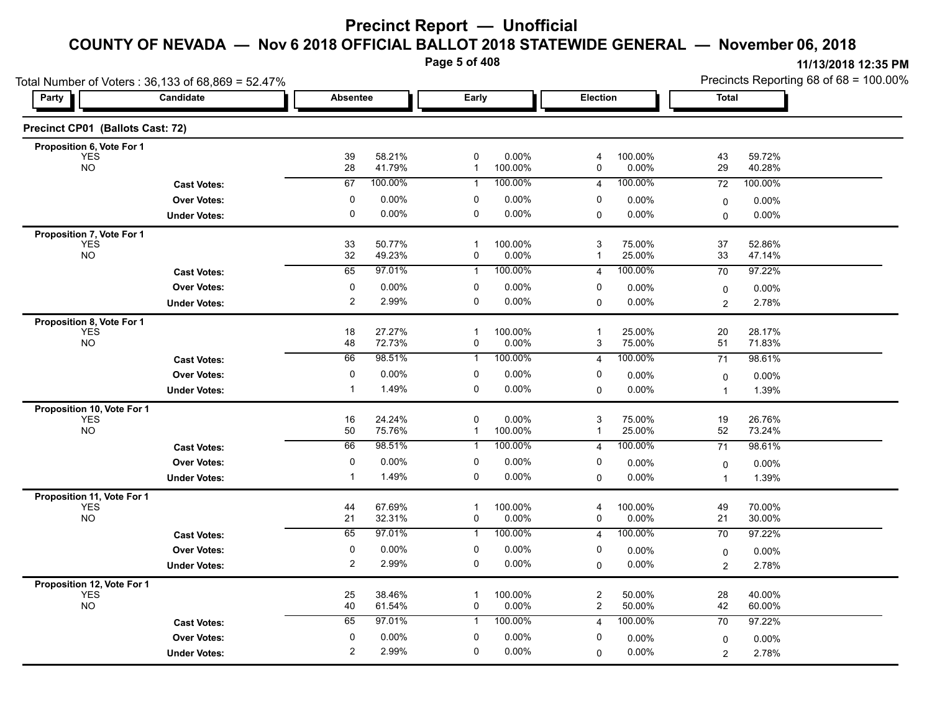**Page 5 of 408**

| Total Number of Voters: 36,133 of 68,869 = 52.47% |                     |                 |                  |                   |                  |                   |                  | Precincts Reporting 68 of 68 = 100.00% |                   |  |
|---------------------------------------------------|---------------------|-----------------|------------------|-------------------|------------------|-------------------|------------------|----------------------------------------|-------------------|--|
| Party                                             | Candidate           | <b>Absentee</b> |                  | Early             |                  | Election          |                  | Total                                  |                   |  |
| Precinct CP01 (Ballots Cast: 72)                  |                     |                 |                  |                   |                  |                   |                  |                                        |                   |  |
| Proposition 6, Vote For 1                         |                     |                 | 58.21%           | $\pmb{0}$         | 0.00%            |                   | 100.00%          | 43                                     | 59.72%            |  |
| <b>YES</b><br><b>NO</b>                           |                     | 39<br>28        | 41.79%           | $\mathbf{1}$      | 100.00%          | 4<br>0            | 0.00%            | 29                                     | 40.28%            |  |
|                                                   | <b>Cast Votes:</b>  | 67              | 100.00%          | 1                 | 100.00%          | $\overline{4}$    | 100.00%          | 72                                     | 100.00%           |  |
|                                                   | <b>Over Votes:</b>  | 0               | 0.00%            | 0                 | 0.00%            | 0                 | 0.00%            | 0                                      | $0.00\%$          |  |
|                                                   | <b>Under Votes:</b> | $\pmb{0}$       | $0.00\%$         | $\pmb{0}$         | 0.00%            | 0                 | 0.00%            | $\Omega$                               | 0.00%             |  |
| Proposition 7, Vote For 1                         |                     |                 |                  |                   |                  |                   |                  |                                        |                   |  |
| <b>YES</b><br><b>NO</b>                           |                     | 33<br>32        | 50.77%<br>49.23% | $\mathbf 1$<br>0  | 100.00%<br>0.00% | 3<br>-1           | 75.00%<br>25.00% | 37<br>33                               | 52.86%<br>47.14%  |  |
|                                                   | <b>Cast Votes:</b>  | 65              | 97.01%           | $\mathbf 1$       | 100.00%          | 4                 | 100.00%          | 70                                     | 97.22%            |  |
|                                                   | <b>Over Votes:</b>  | $\pmb{0}$       | 0.00%            | 0                 | 0.00%            | 0                 | 0.00%            | $\mathbf 0$                            | $0.00\%$          |  |
|                                                   | <b>Under Votes:</b> | $\overline{2}$  | 2.99%            | $\mathbf 0$       | 0.00%            | 0                 | 0.00%            | 2                                      | 2.78%             |  |
| Proposition 8, Vote For 1                         |                     |                 |                  |                   |                  |                   |                  |                                        |                   |  |
| <b>YES</b>                                        |                     | 18              | 27.27%           | $\mathbf 1$       | 100.00%          | $\overline{1}$    | 25.00%           | 20                                     | 28.17%            |  |
| <b>NO</b>                                         |                     | 48              | 72.73%           | 0                 | 0.00%            | 3                 | 75.00%           | 51                                     | 71.83%            |  |
|                                                   | <b>Cast Votes:</b>  | 66              | 98.51%           | 1                 | 100.00%          | $\overline{4}$    | 100.00%          | 71                                     | 98.61%            |  |
|                                                   | <b>Over Votes:</b>  | $\mathbf 0$     | 0.00%            | 0                 | 0.00%            | 0                 | 0.00%            | 0                                      | 0.00%             |  |
|                                                   | <b>Under Votes:</b> | $\mathbf 1$     | 1.49%            | 0                 | 0.00%            | 0                 | 0.00%            | $\overline{1}$                         | 1.39%             |  |
| Proposition 10, Vote For 1                        |                     |                 |                  |                   |                  |                   |                  |                                        |                   |  |
| <b>YES</b><br><b>NO</b>                           |                     | 16<br>50        | 24.24%<br>75.76% | 0<br>$\mathbf{1}$ | 0.00%<br>100.00% | 3<br>$\mathbf{1}$ | 75.00%<br>25.00% | 19<br>52                               | 26.76%<br>73.24%  |  |
|                                                   | <b>Cast Votes:</b>  | 66              | 98.51%           | 1                 | 100.00%          | 4                 | 100.00%          | 71                                     | 98.61%            |  |
|                                                   | <b>Over Votes:</b>  | 0               | 0.00%            | 0                 | 0.00%            | 0                 |                  |                                        |                   |  |
|                                                   | <b>Under Votes:</b> | -1              | 1.49%            | 0                 | 0.00%            | 0                 | 0.00%<br>0.00%   | 0<br>$\overline{1}$                    | $0.00\%$<br>1.39% |  |
|                                                   |                     |                 |                  |                   |                  |                   |                  |                                        |                   |  |
| Proposition 11, Vote For 1<br><b>YES</b>          |                     | 44              | 67.69%           | -1                | 100.00%          | 4                 | 100.00%          | 49                                     | 70.00%            |  |
| <b>NO</b>                                         |                     | 21              | 32.31%           | 0                 | 0.00%            | 0                 | 0.00%            | 21                                     | 30.00%            |  |
|                                                   | <b>Cast Votes:</b>  | 65              | 97.01%           | $\mathbf{1}$      | 100.00%          | $\overline{4}$    | 100.00%          | 70                                     | 97.22%            |  |
|                                                   | <b>Over Votes:</b>  | $\mathbf 0$     | 0.00%            | 0                 | 0.00%            | 0                 | 0.00%            | 0                                      | 0.00%             |  |
|                                                   | <b>Under Votes:</b> | $\overline{2}$  | 2.99%            | 0                 | 0.00%            | $\mathbf 0$       | 0.00%            | $\overline{c}$                         | 2.78%             |  |
| Proposition 12, Vote For 1                        |                     |                 |                  |                   |                  |                   |                  |                                        |                   |  |
| <b>YES</b>                                        |                     | 25              | 38.46%           | -1                | 100.00%          | $\overline{c}$    | 50.00%           | 28                                     | 40.00%            |  |
| <b>NO</b>                                         |                     | 40              | 61.54%           | $\pmb{0}$         | 0.00%            | $\overline{2}$    | 50.00%           | 42                                     | 60.00%            |  |
|                                                   | <b>Cast Votes:</b>  | 65              | 97.01%           | $\mathbf{1}$      | 100.00%          | $\overline{4}$    | 100.00%          | 70                                     | 97.22%            |  |
|                                                   | <b>Over Votes:</b>  | 0               | 0.00%            | 0                 | 0.00%            | 0                 | $0.00\%$         | 0                                      | $0.00\%$          |  |
|                                                   | <b>Under Votes:</b> | $\overline{2}$  | 2.99%            | $\mathbf 0$       | 0.00%            | $\Omega$          | 0.00%            | $\overline{2}$                         | 2.78%             |  |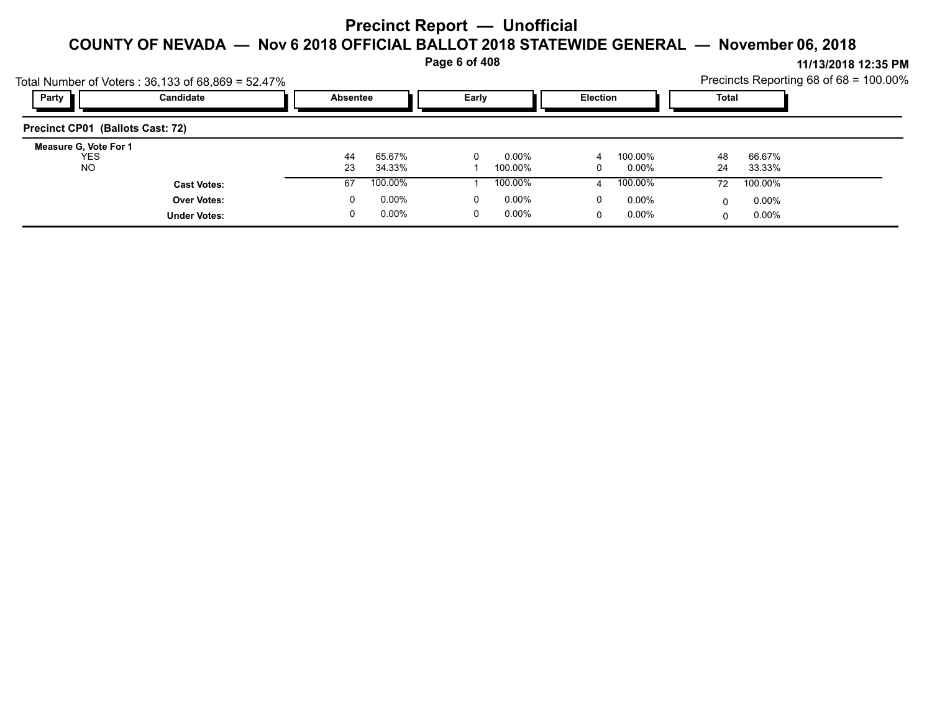**Page 6 of 408**

**11/13/2018 12:35 PM** Precincts Reporting 68 of 68 = 100.00%

|                                     | Total Number of Voters: 36,133 of 68,869 = 52.47% |                                             |          |          |              |   |          |    |          | Precincts Reporting 68 of $68 = 100.00\%$ |
|-------------------------------------|---------------------------------------------------|---------------------------------------------|----------|----------|--------------|---|----------|----|----------|-------------------------------------------|
| Party                               | Candidate                                         | <b>Election</b><br>Early<br><b>Absentee</b> |          |          | <b>Total</b> |   |          |    |          |                                           |
| Precinct CP01 (Ballots Cast: 72)    |                                                   |                                             |          |          |              |   |          |    |          |                                           |
| Measure G, Vote For 1<br><b>YES</b> |                                                   | 44                                          | 65.67%   | $\Omega$ | 0.00%        | 4 | 100.00%  | 48 | 66.67%   |                                           |
| <b>NO</b>                           |                                                   | 23                                          | 34.33%   |          | 100.00%      | 0 | 0.00%    | 24 | 33.33%   |                                           |
|                                     | <b>Cast Votes:</b>                                | 67                                          | 100.00%  |          | 100.00%      | 4 | 100.00%  | 72 | 100.00%  |                                           |
|                                     | <b>Over Votes:</b>                                | 0                                           | $0.00\%$ | 0        | 0.00%        | 0 | 0.00%    |    | $0.00\%$ |                                           |
|                                     | <b>Under Votes:</b>                               | 0                                           | $0.00\%$ | 0        | 0.00%        | 0 | $0.00\%$ |    | 0.00%    |                                           |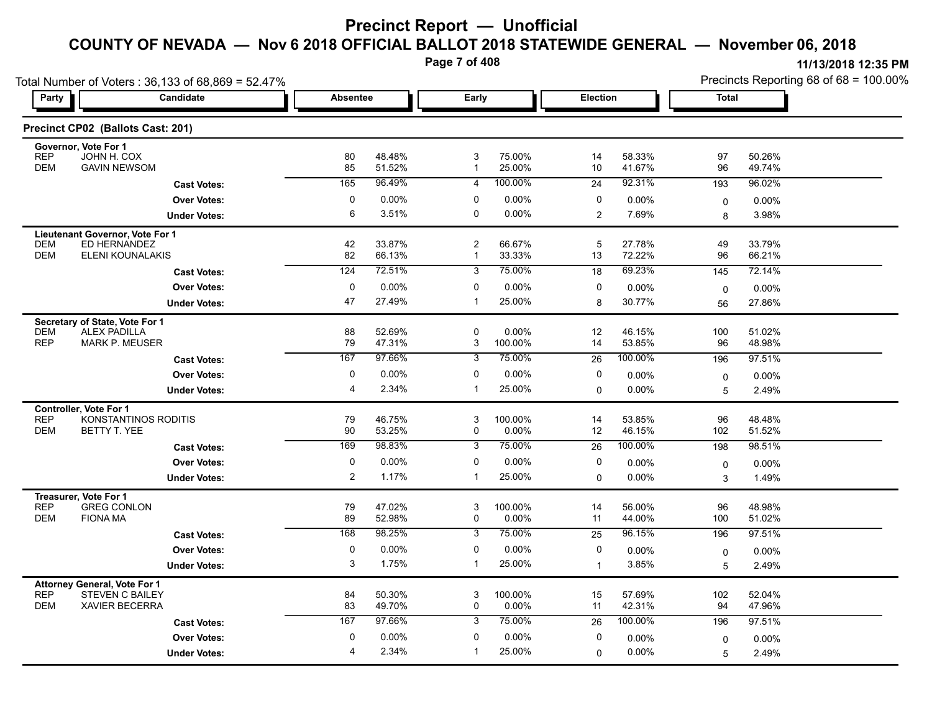**Page 7 of 408**

| Party                    | Candidate                                   | <b>Absentee</b> |                  |                                         | Early             |                | <b>Election</b>   |             | <b>Total</b>     |
|--------------------------|---------------------------------------------|-----------------|------------------|-----------------------------------------|-------------------|----------------|-------------------|-------------|------------------|
|                          |                                             |                 |                  |                                         |                   |                |                   |             |                  |
|                          | Precinct CP02 (Ballots Cast: 201)           |                 |                  |                                         |                   |                |                   |             |                  |
| <b>REP</b>               | Governor, Vote For 1<br>JOHN H. COX         |                 | 48.48%           | 3                                       |                   |                |                   | 97          | 50.26%           |
| <b>DEM</b>               | <b>GAVIN NEWSOM</b>                         | 80<br>85        | 51.52%           | $\mathbf{1}$                            | 75.00%<br>25.00%  | 14<br>10       | 58.33%<br>41.67%  | 96          | 49.74%           |
|                          | <b>Cast Votes:</b>                          | 165             | 96.49%           | 4                                       | 100.00%           | 24             | 92.31%            | 193         | 96.02%           |
|                          | <b>Over Votes:</b>                          | $\mathbf 0$     | 0.00%            | 0                                       | 0.00%             | 0              | 0.00%             | $\mathbf 0$ | 0.00%            |
|                          | <b>Under Votes:</b>                         | 6               | 3.51%            | 0                                       | 0.00%             | $\overline{2}$ | 7.69%             | 8           | 3.98%            |
|                          | Lieutenant Governor, Vote For 1             |                 |                  |                                         |                   |                |                   |             |                  |
| <b>DEM</b><br><b>DEM</b> | ED HERNANDEZ<br>ELENI KOUNALAKIS            | 42<br>82        | 33.87%<br>66.13% | $\overline{\mathbf{c}}$<br>$\mathbf{1}$ | 66.67%<br>33.33%  | 5<br>13        | 27.78%<br>72.22%  | 49<br>96    | 33.79%<br>66.21% |
|                          | <b>Cast Votes:</b>                          | 124             | 72.51%           | $\overline{3}$                          | 75.00%            | 18             | 69.23%            | 145         | 72.14%           |
|                          | <b>Over Votes:</b>                          | $\mathbf 0$     | 0.00%            | 0                                       | 0.00%             | $\mathbf 0$    | 0.00%             | $\mathbf 0$ | 0.00%            |
|                          | <b>Under Votes:</b>                         | 47              | 27.49%           | $\mathbf{1}$                            | 25.00%            | 8              | 30.77%            | 56          | 27.86%           |
|                          | Secretary of State, Vote For 1              |                 |                  |                                         |                   |                |                   |             |                  |
| <b>DEM</b>               | <b>ALEX PADILLA</b>                         | 88              | 52.69%           | 0                                       | 0.00%             | 12             | 46.15%            | 100         | 51.02%           |
| <b>REP</b>               | <b>MARK P. MEUSER</b>                       | 79<br>167       | 47.31%<br>97.66% | 3<br>3                                  | 100.00%<br>75.00% | 14<br>26       | 53.85%<br>100.00% | 96<br>196   | 48.98%<br>97.51% |
|                          | <b>Cast Votes:</b><br><b>Over Votes:</b>    | $\mathbf 0$     | 0.00%            | 0                                       | 0.00%             | 0              | 0.00%             |             |                  |
|                          | <b>Under Votes:</b>                         | 4               | 2.34%            | $\overline{1}$                          | 25.00%            | $\mathbf 0$    | 0.00%             | 0<br>5      | 0.00%<br>2.49%   |
|                          | <b>Controller, Vote For 1</b>               |                 |                  |                                         |                   |                |                   |             |                  |
| <b>REP</b>               | KONSTANTINOS RODITIS                        | 79              | 46.75%           | 3                                       | 100.00%           | 14             | 53.85%            | 96          | 48.48%           |
| <b>DEM</b>               | <b>BETTY T. YEE</b>                         | 90              | 53.25%           | 0                                       | 0.00%             | 12             | 46.15%            | 102         | 51.52%           |
|                          | <b>Cast Votes:</b>                          | 169             | 98.83%           | $\overline{3}$                          | 75.00%            | 26             | 100.00%           | 198         | 98.51%           |
|                          | <b>Over Votes:</b>                          | $\mathbf 0$     | 0.00%            | 0                                       | 0.00%             | $\mathbf 0$    | 0.00%             | $\mathbf 0$ | 0.00%            |
|                          | <b>Under Votes:</b>                         | $\overline{2}$  | 1.17%            | $\mathbf{1}$                            | 25.00%            | $\Omega$       | 0.00%             | 3           | 1.49%            |
| <b>REP</b>               | Treasurer, Vote For 1<br><b>GREG CONLON</b> | 79              | 47.02%           | 3                                       | 100.00%           | 14             | 56.00%            | 96          | 48.98%           |
| <b>DEM</b>               | <b>FIONA MA</b>                             | 89              | 52.98%           | 0                                       | 0.00%             | 11             | 44.00%            | 100         | 51.02%           |
|                          | <b>Cast Votes:</b>                          | 168             | 98.25%           | 3                                       | 75.00%            | 25             | 96.15%            | 196         | 97.51%           |
|                          | <b>Over Votes:</b>                          | $\mathbf 0$     | 0.00%            | 0                                       | 0.00%             | 0              | 0.00%             | $\mathsf 0$ | 0.00%            |
|                          | <b>Under Votes:</b>                         | 3               | 1.75%            | $\mathbf{1}$                            | 25.00%            | $\mathbf{1}$   | 3.85%             | 5           | 2.49%            |
|                          | <b>Attorney General, Vote For 1</b>         |                 |                  |                                         |                   |                |                   |             |                  |
| <b>REP</b><br><b>DEM</b> | <b>STEVEN C BAILEY</b><br>XAVIER BECERRA    | 84<br>83        | 50.30%<br>49.70% | 3<br>0                                  | 100.00%<br>0.00%  | 15<br>11       | 57.69%<br>42.31%  | 102<br>94   | 52.04%<br>47.96% |
|                          | <b>Cast Votes:</b>                          | 167             | 97.66%           | 3                                       | 75.00%            | 26             | 100.00%           | 196         | 97.51%           |
|                          | <b>Over Votes:</b>                          | $\mathbf{0}$    | 0.00%            | $\Omega$                                | 0.00%             | 0              | 0.00%             | $\mathbf 0$ | 0.00%            |
|                          | <b>Under Votes:</b>                         | 4               | 2.34%            | 1                                       | 25.00%            | $\mathbf 0$    | 0.00%             | 5           | 2.49%            |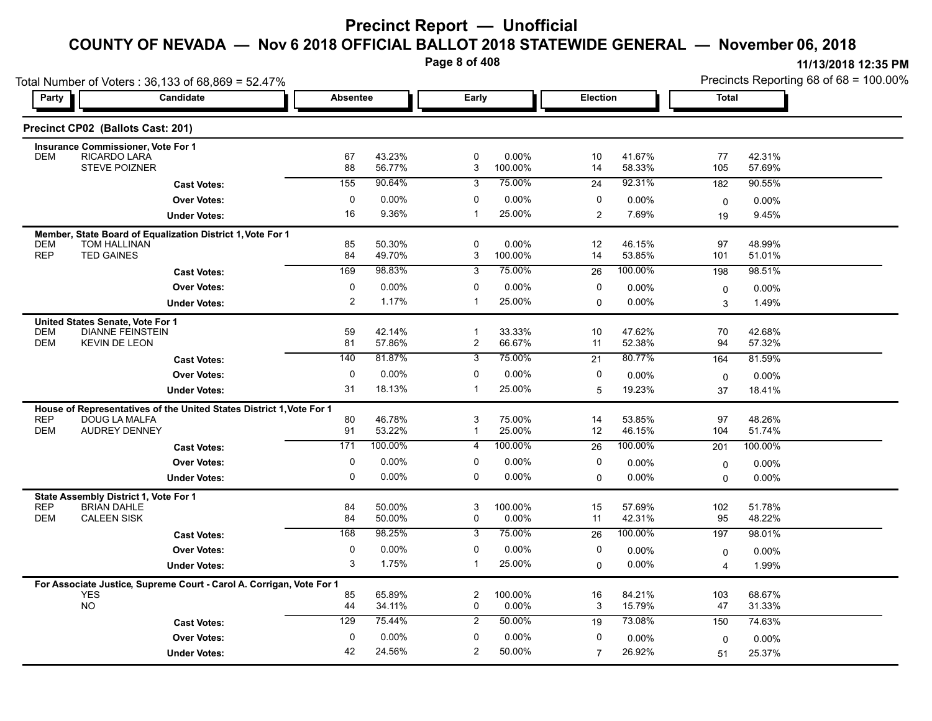**Page 8 of 408**

|                                  | Total Number of Voters: 36,133 of 68,869 = 52.47%                                     |                 |                  |                     |                  |                |                  |                   | Precincts Reporting 68 of 68 = 100.00% |
|----------------------------------|---------------------------------------------------------------------------------------|-----------------|------------------|---------------------|------------------|----------------|------------------|-------------------|----------------------------------------|
| Party                            | Candidate                                                                             | <b>Absentee</b> |                  | Early               |                  | Election       |                  | <b>Total</b>      |                                        |
|                                  | Precinct CP02 (Ballots Cast: 201)                                                     |                 |                  |                     |                  |                |                  |                   |                                        |
| <b>DEM</b>                       | <b>Insurance Commissioner, Vote For 1</b><br>RICARDO LARA                             | 67              | 43.23%           | 0                   | 0.00%            | 10             | 41.67%           | 77                | 42.31%                                 |
|                                  | <b>STEVE POIZNER</b>                                                                  | 88              | 56.77%           | 3                   | 100.00%          | 14             | 58.33%           | 105               | 57.69%                                 |
|                                  | <b>Cast Votes:</b>                                                                    | 155             | 90.64%           | 3                   | 75.00%           | 24             | 92.31%           | 182               | 90.55%                                 |
|                                  | <b>Over Votes:</b>                                                                    | 0               | 0.00%            | $\mathbf 0$         | 0.00%            | 0              | 0.00%            | 0                 | 0.00%                                  |
|                                  | <b>Under Votes:</b>                                                                   | 16              | 9.36%            | $\mathbf{1}$        | 25.00%           | $\overline{2}$ | 7.69%            | 19                | 9.45%                                  |
|                                  | Member, State Board of Equalization District 1, Vote For 1                            |                 |                  |                     |                  |                |                  |                   |                                        |
| DEM<br><b>REP</b>                | TOM HALLINAN<br><b>TED GAINES</b>                                                     | 85<br>84        | 50.30%<br>49.70% | 0<br>3              | 0.00%<br>100.00% | 12<br>14       | 46.15%<br>53.85% | 97<br>101         | 48.99%<br>51.01%                       |
|                                  | <b>Cast Votes:</b>                                                                    | 169             | 98.83%           | 3                   | 75.00%           | 26             | 100.00%          | 198               | 98.51%                                 |
|                                  | <b>Over Votes:</b>                                                                    | $\mathbf 0$     | 0.00%            | $\mathbf 0$         | 0.00%            | $\mathbf 0$    | 0.00%            | 0                 | $0.00\%$                               |
|                                  | <b>Under Votes:</b>                                                                   | $\overline{2}$  | 1.17%            | $\mathbf{1}$        | 25.00%           | $\Omega$       | 0.00%            | 3                 | 1.49%                                  |
| United States Senate, Vote For 1 |                                                                                       |                 |                  |                     |                  |                |                  |                   |                                        |
| DEM                              | <b>DIANNE FEINSTEIN</b>                                                               | 59              | 42.14%           | $\mathbf{1}$        | 33.33%           | 10             | 47.62%           | 70                | 42.68%                                 |
| <b>DEM</b>                       | <b>KEVIN DE LEON</b>                                                                  | 81<br>140       | 57.86%<br>81.87% | $\overline{2}$<br>3 | 66.67%<br>75.00% | 11<br>21       | 52.38%<br>80.77% | 94                | 57.32%<br>81.59%                       |
|                                  | <b>Cast Votes:</b><br><b>Over Votes:</b>                                              | $\mathbf 0$     | 0.00%            | $\mathbf 0$         | 0.00%            | 0              |                  | 164               |                                        |
|                                  | <b>Under Votes:</b>                                                                   | 31              | 18.13%           | $\mathbf{1}$        | 25.00%           | 5              | 0.00%<br>19.23%  | $\mathbf 0$<br>37 | 0.00%<br>18.41%                        |
|                                  |                                                                                       |                 |                  |                     |                  |                |                  |                   |                                        |
| <b>REP</b>                       | House of Representatives of the United States District 1, Vote For 1<br>DOUG LA MALFA | 80              | 46.78%           | 3                   | 75.00%           | 14             | 53.85%           | 97                | 48.26%                                 |
| <b>DEM</b>                       | <b>AUDREY DENNEY</b>                                                                  | 91              | 53.22%           | $\mathbf 1$         | 25.00%           | 12             | 46.15%           | 104               | 51.74%                                 |
|                                  | <b>Cast Votes:</b>                                                                    | 171             | 100.00%          | 4                   | 100.00%          | 26             | 100.00%          | 201               | 100.00%                                |
|                                  | <b>Over Votes:</b>                                                                    | $\mathbf 0$     | 0.00%            | $\mathbf 0$         | 0.00%            | 0              | 0.00%            | 0                 | $0.00\%$                               |
|                                  | <b>Under Votes:</b>                                                                   | $\mathbf 0$     | $0.00\%$         | $\Omega$            | 0.00%            | $\Omega$       | 0.00%            | 0                 | 0.00%                                  |
|                                  | State Assembly District 1, Vote For 1                                                 |                 |                  |                     |                  |                |                  |                   |                                        |
| <b>REP</b><br><b>DEM</b>         | <b>BRIAN DAHLE</b><br><b>CALEEN SISK</b>                                              | 84<br>84        | 50.00%<br>50.00% | 3<br>0              | 100.00%<br>0.00% | 15<br>11       | 57.69%<br>42.31% | 102<br>95         | 51.78%<br>48.22%                       |
|                                  | <b>Cast Votes:</b>                                                                    | 168             | 98.25%           | 3                   | 75.00%           | 26             | 100.00%          | 197               | 98.01%                                 |
|                                  | <b>Over Votes:</b>                                                                    | 0               | 0.00%            | 0                   | 0.00%            | 0              | 0.00%            | 0                 | 0.00%                                  |
|                                  | <b>Under Votes:</b>                                                                   | 3               | 1.75%            | $\mathbf{1}$        | 25.00%           | 0              | $0.00\%$         | 4                 | 1.99%                                  |
|                                  | For Associate Justice, Supreme Court - Carol A. Corrigan, Vote For 1                  |                 |                  |                     |                  |                |                  |                   |                                        |
| <b>YES</b>                       |                                                                                       | 85              | 65.89%           | $\overline{2}$      | 100.00%          | 16             | 84.21%           | 103               | 68.67%                                 |
| NO                               |                                                                                       | 44              | 34.11%           | $\mathbf 0$         | 0.00%            | 3              | 15.79%           | 47                | 31.33%                                 |
|                                  | <b>Cast Votes:</b>                                                                    | 129             | 75.44%           | $\overline{2}$      | 50.00%           | 19             | 73.08%           | 150               | 74.63%                                 |
|                                  | <b>Over Votes:</b>                                                                    | $\mathbf 0$     | 0.00%            | 0                   | 0.00%            | 0              | 0.00%            | $\Omega$          | 0.00%                                  |
|                                  | <b>Under Votes:</b>                                                                   | 42              | 24.56%           | $\overline{2}$      | 50.00%           | $\overline{7}$ | 26.92%           | 51                | 25.37%                                 |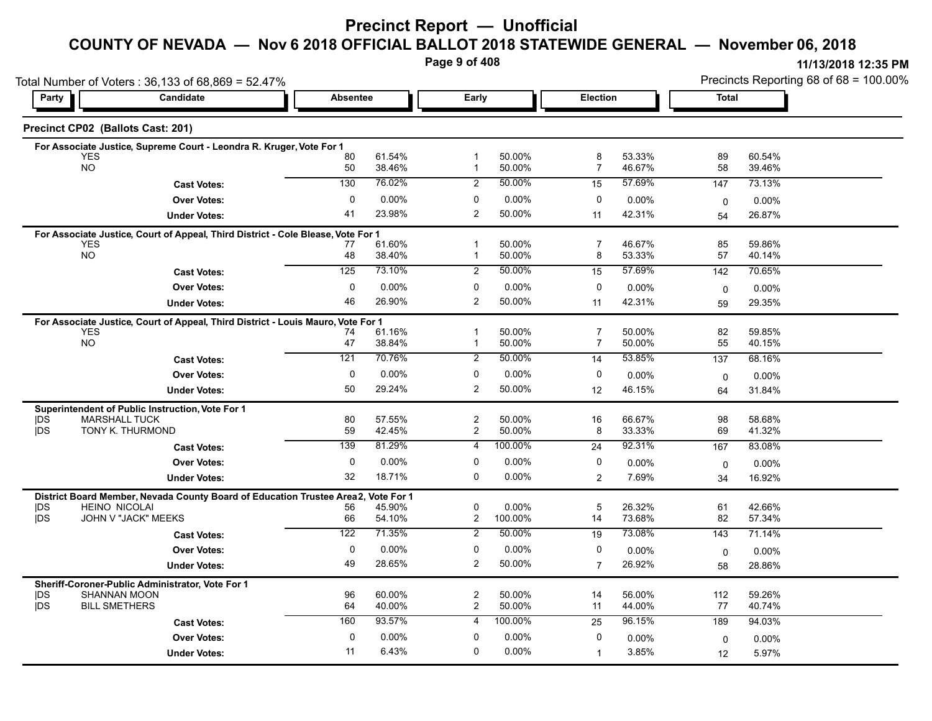# **Precinct Report — Unofficial**

# **COUNTY OF NEVADA — Nov 6 2018 OFFICIAL BALLOT 2018 STATEWIDE GENERAL — November 06, 2018**

**Page 9 of 408**

**11/13/2018 12:35 PM** Precincts Reporting 68 of 68 = 100.00%

| Candidate<br>Early<br>Election<br><b>Total</b><br>Party<br><b>Absentee</b><br>Precinct CP02 (Ballots Cast: 201)<br>For Associate Justice, Supreme Court - Leondra R. Kruger, Vote For 1<br>50.00%<br>53.33%<br><b>YES</b><br>80<br>61.54%<br>8<br>89<br>60.54%<br>-1<br><b>NO</b><br>38.46%<br>50.00%<br>$\overline{7}$<br>46.67%<br>58<br>39.46%<br>50<br>$\mathbf 1$<br>50.00%<br>57.69%<br>130<br>76.02%<br>2<br>147<br>73.13%<br>15<br><b>Cast Votes:</b><br>0.00%<br>0<br>0.00%<br><b>Over Votes:</b><br>$\Omega$<br>0<br>0.00%<br>$0.00\%$<br>0<br>23.98%<br>2<br>50.00%<br>41<br>42.31%<br>11<br>26.87%<br><b>Under Votes:</b><br>54<br><b>YES</b><br>61.60%<br>50.00%<br>7<br>46.67%<br>85<br>59.86%<br>-1<br>77<br><b>NO</b><br>38.40%<br>50.00%<br>53.33%<br>57<br>48<br>8<br>40.14%<br>$\mathbf{1}$<br>50.00%<br>57.69%<br>125<br>73.10%<br>2<br>70.65%<br>15<br>142<br><b>Cast Votes:</b><br>$0.00\%$<br>0<br>0.00%<br>0<br><b>Over Votes:</b><br>0<br>$0.00\%$<br>$0.00\%$<br>0<br>26.90%<br>2<br>50.00%<br>46<br>42.31%<br>11<br>29.35%<br><b>Under Votes:</b><br>59<br><b>YES</b><br>50.00%<br>$\overline{7}$<br>50.00%<br>82<br>59.85%<br>61.16%<br>$\mathbf{1}$<br>74<br>NO<br>47<br>38.84%<br>50.00%<br>50.00%<br>55<br>40.15%<br>$\mathbf{1}$<br>7<br>121<br>70.76%<br>$\overline{2}$<br>50.00%<br>53.85%<br>68.16%<br>14<br>137<br><b>Cast Votes:</b><br><b>Over Votes:</b><br>0<br>0.00%<br>0<br>0.00%<br>0<br>0.00%<br>$0.00\%$<br>0<br>50<br>29.24%<br>$\overline{c}$<br>50.00%<br>46.15%<br>12<br>31.84%<br><b>Under Votes:</b><br>64<br>57.55%<br>$\overline{c}$<br>50.00%<br>66.67%<br>98<br><b>MARSHALL TUCK</b><br>80<br>16<br>58.68%<br><b>IDS</b><br>TONY K. THURMOND<br>59<br>42.45%<br>$\overline{c}$<br>50.00%<br>69<br>41.32%<br>8<br>33.33%<br>81.29%<br>100.00%<br>92.31%<br>139<br>83.08%<br>4<br>167<br>24<br><b>Cast Votes:</b><br>0<br>$0.00\%$<br>0.00%<br>0<br>0<br><b>Over Votes:</b><br>0.00%<br>0.00%<br>$\mathbf 0$<br>18.71%<br>32<br>0<br>0.00%<br>7.69%<br>2<br>16.92%<br><b>Under Votes:</b><br>34<br>Vote For 1<br><b>HEINO NICOLAI</b><br>45.90%<br>$\mathbf 0$<br>0.00%<br>5<br>26.32%<br>61<br>42.66%<br>56<br>JOHN V "JACK" MEEKS<br>54.10%<br>$\overline{c}$<br>100.00%<br>14<br>73.68%<br>82<br>IDS.<br>66<br>57.34%<br>71.35%<br>50.00%<br>73.08%<br>122<br>2<br>19<br>71.14%<br>143<br><b>Cast Votes:</b><br><b>Over Votes:</b><br>0<br>0.00%<br>0<br>0.00%<br>0<br>0.00%<br>$0.00\%$<br>$\mathbf 0$<br>49<br>28.65%<br>2<br>50.00%<br>26.92%<br><b>Under Votes:</b><br>$\overline{7}$<br>28.86%<br>58<br>Sheriff-Coroner-Public Administrator, Vote For 1<br>$\overline{c}$<br><b>SHANNAN MOON</b><br>96<br>60.00%<br>50.00%<br>14<br>56.00%<br>112<br>59.26%<br><b>IDS</b><br><b>BILL SMETHERS</b><br>40.00%<br>$\overline{c}$<br>50.00%<br>44.00%<br>40.74%<br>64<br>11<br>77<br>93.57%<br>160<br>100.00%<br>96.15%<br>4<br>189<br>94.03%<br>25<br><b>Cast Votes:</b><br>0<br>$0.00\%$<br>0<br>0.00%<br>0<br><b>Over Votes:</b><br>$0.00\%$<br>0.00%<br>$\mathbf 0$ | Total Number of Voters: 36,133 of 68,869 = 52.47% |  |  |  | Precincts Reporting 68 of 68 = 100.00% |  |
|-----------------------------------------------------------------------------------------------------------------------------------------------------------------------------------------------------------------------------------------------------------------------------------------------------------------------------------------------------------------------------------------------------------------------------------------------------------------------------------------------------------------------------------------------------------------------------------------------------------------------------------------------------------------------------------------------------------------------------------------------------------------------------------------------------------------------------------------------------------------------------------------------------------------------------------------------------------------------------------------------------------------------------------------------------------------------------------------------------------------------------------------------------------------------------------------------------------------------------------------------------------------------------------------------------------------------------------------------------------------------------------------------------------------------------------------------------------------------------------------------------------------------------------------------------------------------------------------------------------------------------------------------------------------------------------------------------------------------------------------------------------------------------------------------------------------------------------------------------------------------------------------------------------------------------------------------------------------------------------------------------------------------------------------------------------------------------------------------------------------------------------------------------------------------------------------------------------------------------------------------------------------------------------------------------------------------------------------------------------------------------------------------------------------------------------------------------------------------------------------------------------------------------------------------------------------------------------------------------------------------------------------------------------------------------------------------------------------------------------------------------------------------------------------------------------------------------------------------------------------------------------------------------------------------------------------------------------------------------------------------------------------------------------|---------------------------------------------------|--|--|--|----------------------------------------|--|
|                                                                                                                                                                                                                                                                                                                                                                                                                                                                                                                                                                                                                                                                                                                                                                                                                                                                                                                                                                                                                                                                                                                                                                                                                                                                                                                                                                                                                                                                                                                                                                                                                                                                                                                                                                                                                                                                                                                                                                                                                                                                                                                                                                                                                                                                                                                                                                                                                                                                                                                                                                                                                                                                                                                                                                                                                                                                                                                                                                                                                                   |                                                   |  |  |  |                                        |  |
|                                                                                                                                                                                                                                                                                                                                                                                                                                                                                                                                                                                                                                                                                                                                                                                                                                                                                                                                                                                                                                                                                                                                                                                                                                                                                                                                                                                                                                                                                                                                                                                                                                                                                                                                                                                                                                                                                                                                                                                                                                                                                                                                                                                                                                                                                                                                                                                                                                                                                                                                                                                                                                                                                                                                                                                                                                                                                                                                                                                                                                   |                                                   |  |  |  |                                        |  |
|                                                                                                                                                                                                                                                                                                                                                                                                                                                                                                                                                                                                                                                                                                                                                                                                                                                                                                                                                                                                                                                                                                                                                                                                                                                                                                                                                                                                                                                                                                                                                                                                                                                                                                                                                                                                                                                                                                                                                                                                                                                                                                                                                                                                                                                                                                                                                                                                                                                                                                                                                                                                                                                                                                                                                                                                                                                                                                                                                                                                                                   |                                                   |  |  |  |                                        |  |
|                                                                                                                                                                                                                                                                                                                                                                                                                                                                                                                                                                                                                                                                                                                                                                                                                                                                                                                                                                                                                                                                                                                                                                                                                                                                                                                                                                                                                                                                                                                                                                                                                                                                                                                                                                                                                                                                                                                                                                                                                                                                                                                                                                                                                                                                                                                                                                                                                                                                                                                                                                                                                                                                                                                                                                                                                                                                                                                                                                                                                                   |                                                   |  |  |  |                                        |  |
| For Associate Justice, Court of Appeal, Third District - Cole Blease, Vote For 1<br>For Associate Justice, Court of Appeal, Third District - Louis Mauro, Vote For 1<br>Superintendent of Public Instruction, Vote For 1<br> DS<br>District Board Member, Nevada County Board of Education Trustee Area2,<br><b>IDS</b><br><b>IDS</b>                                                                                                                                                                                                                                                                                                                                                                                                                                                                                                                                                                                                                                                                                                                                                                                                                                                                                                                                                                                                                                                                                                                                                                                                                                                                                                                                                                                                                                                                                                                                                                                                                                                                                                                                                                                                                                                                                                                                                                                                                                                                                                                                                                                                                                                                                                                                                                                                                                                                                                                                                                                                                                                                                             |                                                   |  |  |  |                                        |  |
|                                                                                                                                                                                                                                                                                                                                                                                                                                                                                                                                                                                                                                                                                                                                                                                                                                                                                                                                                                                                                                                                                                                                                                                                                                                                                                                                                                                                                                                                                                                                                                                                                                                                                                                                                                                                                                                                                                                                                                                                                                                                                                                                                                                                                                                                                                                                                                                                                                                                                                                                                                                                                                                                                                                                                                                                                                                                                                                                                                                                                                   |                                                   |  |  |  |                                        |  |
|                                                                                                                                                                                                                                                                                                                                                                                                                                                                                                                                                                                                                                                                                                                                                                                                                                                                                                                                                                                                                                                                                                                                                                                                                                                                                                                                                                                                                                                                                                                                                                                                                                                                                                                                                                                                                                                                                                                                                                                                                                                                                                                                                                                                                                                                                                                                                                                                                                                                                                                                                                                                                                                                                                                                                                                                                                                                                                                                                                                                                                   |                                                   |  |  |  |                                        |  |
|                                                                                                                                                                                                                                                                                                                                                                                                                                                                                                                                                                                                                                                                                                                                                                                                                                                                                                                                                                                                                                                                                                                                                                                                                                                                                                                                                                                                                                                                                                                                                                                                                                                                                                                                                                                                                                                                                                                                                                                                                                                                                                                                                                                                                                                                                                                                                                                                                                                                                                                                                                                                                                                                                                                                                                                                                                                                                                                                                                                                                                   |                                                   |  |  |  |                                        |  |
|                                                                                                                                                                                                                                                                                                                                                                                                                                                                                                                                                                                                                                                                                                                                                                                                                                                                                                                                                                                                                                                                                                                                                                                                                                                                                                                                                                                                                                                                                                                                                                                                                                                                                                                                                                                                                                                                                                                                                                                                                                                                                                                                                                                                                                                                                                                                                                                                                                                                                                                                                                                                                                                                                                                                                                                                                                                                                                                                                                                                                                   |                                                   |  |  |  |                                        |  |
|                                                                                                                                                                                                                                                                                                                                                                                                                                                                                                                                                                                                                                                                                                                                                                                                                                                                                                                                                                                                                                                                                                                                                                                                                                                                                                                                                                                                                                                                                                                                                                                                                                                                                                                                                                                                                                                                                                                                                                                                                                                                                                                                                                                                                                                                                                                                                                                                                                                                                                                                                                                                                                                                                                                                                                                                                                                                                                                                                                                                                                   |                                                   |  |  |  |                                        |  |
|                                                                                                                                                                                                                                                                                                                                                                                                                                                                                                                                                                                                                                                                                                                                                                                                                                                                                                                                                                                                                                                                                                                                                                                                                                                                                                                                                                                                                                                                                                                                                                                                                                                                                                                                                                                                                                                                                                                                                                                                                                                                                                                                                                                                                                                                                                                                                                                                                                                                                                                                                                                                                                                                                                                                                                                                                                                                                                                                                                                                                                   |                                                   |  |  |  |                                        |  |
|                                                                                                                                                                                                                                                                                                                                                                                                                                                                                                                                                                                                                                                                                                                                                                                                                                                                                                                                                                                                                                                                                                                                                                                                                                                                                                                                                                                                                                                                                                                                                                                                                                                                                                                                                                                                                                                                                                                                                                                                                                                                                                                                                                                                                                                                                                                                                                                                                                                                                                                                                                                                                                                                                                                                                                                                                                                                                                                                                                                                                                   |                                                   |  |  |  |                                        |  |
|                                                                                                                                                                                                                                                                                                                                                                                                                                                                                                                                                                                                                                                                                                                                                                                                                                                                                                                                                                                                                                                                                                                                                                                                                                                                                                                                                                                                                                                                                                                                                                                                                                                                                                                                                                                                                                                                                                                                                                                                                                                                                                                                                                                                                                                                                                                                                                                                                                                                                                                                                                                                                                                                                                                                                                                                                                                                                                                                                                                                                                   |                                                   |  |  |  |                                        |  |
|                                                                                                                                                                                                                                                                                                                                                                                                                                                                                                                                                                                                                                                                                                                                                                                                                                                                                                                                                                                                                                                                                                                                                                                                                                                                                                                                                                                                                                                                                                                                                                                                                                                                                                                                                                                                                                                                                                                                                                                                                                                                                                                                                                                                                                                                                                                                                                                                                                                                                                                                                                                                                                                                                                                                                                                                                                                                                                                                                                                                                                   |                                                   |  |  |  |                                        |  |
|                                                                                                                                                                                                                                                                                                                                                                                                                                                                                                                                                                                                                                                                                                                                                                                                                                                                                                                                                                                                                                                                                                                                                                                                                                                                                                                                                                                                                                                                                                                                                                                                                                                                                                                                                                                                                                                                                                                                                                                                                                                                                                                                                                                                                                                                                                                                                                                                                                                                                                                                                                                                                                                                                                                                                                                                                                                                                                                                                                                                                                   |                                                   |  |  |  |                                        |  |
|                                                                                                                                                                                                                                                                                                                                                                                                                                                                                                                                                                                                                                                                                                                                                                                                                                                                                                                                                                                                                                                                                                                                                                                                                                                                                                                                                                                                                                                                                                                                                                                                                                                                                                                                                                                                                                                                                                                                                                                                                                                                                                                                                                                                                                                                                                                                                                                                                                                                                                                                                                                                                                                                                                                                                                                                                                                                                                                                                                                                                                   |                                                   |  |  |  |                                        |  |
|                                                                                                                                                                                                                                                                                                                                                                                                                                                                                                                                                                                                                                                                                                                                                                                                                                                                                                                                                                                                                                                                                                                                                                                                                                                                                                                                                                                                                                                                                                                                                                                                                                                                                                                                                                                                                                                                                                                                                                                                                                                                                                                                                                                                                                                                                                                                                                                                                                                                                                                                                                                                                                                                                                                                                                                                                                                                                                                                                                                                                                   |                                                   |  |  |  |                                        |  |
|                                                                                                                                                                                                                                                                                                                                                                                                                                                                                                                                                                                                                                                                                                                                                                                                                                                                                                                                                                                                                                                                                                                                                                                                                                                                                                                                                                                                                                                                                                                                                                                                                                                                                                                                                                                                                                                                                                                                                                                                                                                                                                                                                                                                                                                                                                                                                                                                                                                                                                                                                                                                                                                                                                                                                                                                                                                                                                                                                                                                                                   |                                                   |  |  |  |                                        |  |
|                                                                                                                                                                                                                                                                                                                                                                                                                                                                                                                                                                                                                                                                                                                                                                                                                                                                                                                                                                                                                                                                                                                                                                                                                                                                                                                                                                                                                                                                                                                                                                                                                                                                                                                                                                                                                                                                                                                                                                                                                                                                                                                                                                                                                                                                                                                                                                                                                                                                                                                                                                                                                                                                                                                                                                                                                                                                                                                                                                                                                                   |                                                   |  |  |  |                                        |  |
|                                                                                                                                                                                                                                                                                                                                                                                                                                                                                                                                                                                                                                                                                                                                                                                                                                                                                                                                                                                                                                                                                                                                                                                                                                                                                                                                                                                                                                                                                                                                                                                                                                                                                                                                                                                                                                                                                                                                                                                                                                                                                                                                                                                                                                                                                                                                                                                                                                                                                                                                                                                                                                                                                                                                                                                                                                                                                                                                                                                                                                   |                                                   |  |  |  |                                        |  |
|                                                                                                                                                                                                                                                                                                                                                                                                                                                                                                                                                                                                                                                                                                                                                                                                                                                                                                                                                                                                                                                                                                                                                                                                                                                                                                                                                                                                                                                                                                                                                                                                                                                                                                                                                                                                                                                                                                                                                                                                                                                                                                                                                                                                                                                                                                                                                                                                                                                                                                                                                                                                                                                                                                                                                                                                                                                                                                                                                                                                                                   |                                                   |  |  |  |                                        |  |
|                                                                                                                                                                                                                                                                                                                                                                                                                                                                                                                                                                                                                                                                                                                                                                                                                                                                                                                                                                                                                                                                                                                                                                                                                                                                                                                                                                                                                                                                                                                                                                                                                                                                                                                                                                                                                                                                                                                                                                                                                                                                                                                                                                                                                                                                                                                                                                                                                                                                                                                                                                                                                                                                                                                                                                                                                                                                                                                                                                                                                                   |                                                   |  |  |  |                                        |  |
|                                                                                                                                                                                                                                                                                                                                                                                                                                                                                                                                                                                                                                                                                                                                                                                                                                                                                                                                                                                                                                                                                                                                                                                                                                                                                                                                                                                                                                                                                                                                                                                                                                                                                                                                                                                                                                                                                                                                                                                                                                                                                                                                                                                                                                                                                                                                                                                                                                                                                                                                                                                                                                                                                                                                                                                                                                                                                                                                                                                                                                   |                                                   |  |  |  |                                        |  |
|                                                                                                                                                                                                                                                                                                                                                                                                                                                                                                                                                                                                                                                                                                                                                                                                                                                                                                                                                                                                                                                                                                                                                                                                                                                                                                                                                                                                                                                                                                                                                                                                                                                                                                                                                                                                                                                                                                                                                                                                                                                                                                                                                                                                                                                                                                                                                                                                                                                                                                                                                                                                                                                                                                                                                                                                                                                                                                                                                                                                                                   |                                                   |  |  |  |                                        |  |
|                                                                                                                                                                                                                                                                                                                                                                                                                                                                                                                                                                                                                                                                                                                                                                                                                                                                                                                                                                                                                                                                                                                                                                                                                                                                                                                                                                                                                                                                                                                                                                                                                                                                                                                                                                                                                                                                                                                                                                                                                                                                                                                                                                                                                                                                                                                                                                                                                                                                                                                                                                                                                                                                                                                                                                                                                                                                                                                                                                                                                                   |                                                   |  |  |  |                                        |  |
|                                                                                                                                                                                                                                                                                                                                                                                                                                                                                                                                                                                                                                                                                                                                                                                                                                                                                                                                                                                                                                                                                                                                                                                                                                                                                                                                                                                                                                                                                                                                                                                                                                                                                                                                                                                                                                                                                                                                                                                                                                                                                                                                                                                                                                                                                                                                                                                                                                                                                                                                                                                                                                                                                                                                                                                                                                                                                                                                                                                                                                   |                                                   |  |  |  |                                        |  |
|                                                                                                                                                                                                                                                                                                                                                                                                                                                                                                                                                                                                                                                                                                                                                                                                                                                                                                                                                                                                                                                                                                                                                                                                                                                                                                                                                                                                                                                                                                                                                                                                                                                                                                                                                                                                                                                                                                                                                                                                                                                                                                                                                                                                                                                                                                                                                                                                                                                                                                                                                                                                                                                                                                                                                                                                                                                                                                                                                                                                                                   |                                                   |  |  |  |                                        |  |
|                                                                                                                                                                                                                                                                                                                                                                                                                                                                                                                                                                                                                                                                                                                                                                                                                                                                                                                                                                                                                                                                                                                                                                                                                                                                                                                                                                                                                                                                                                                                                                                                                                                                                                                                                                                                                                                                                                                                                                                                                                                                                                                                                                                                                                                                                                                                                                                                                                                                                                                                                                                                                                                                                                                                                                                                                                                                                                                                                                                                                                   |                                                   |  |  |  |                                        |  |
|                                                                                                                                                                                                                                                                                                                                                                                                                                                                                                                                                                                                                                                                                                                                                                                                                                                                                                                                                                                                                                                                                                                                                                                                                                                                                                                                                                                                                                                                                                                                                                                                                                                                                                                                                                                                                                                                                                                                                                                                                                                                                                                                                                                                                                                                                                                                                                                                                                                                                                                                                                                                                                                                                                                                                                                                                                                                                                                                                                                                                                   |                                                   |  |  |  |                                        |  |
|                                                                                                                                                                                                                                                                                                                                                                                                                                                                                                                                                                                                                                                                                                                                                                                                                                                                                                                                                                                                                                                                                                                                                                                                                                                                                                                                                                                                                                                                                                                                                                                                                                                                                                                                                                                                                                                                                                                                                                                                                                                                                                                                                                                                                                                                                                                                                                                                                                                                                                                                                                                                                                                                                                                                                                                                                                                                                                                                                                                                                                   |                                                   |  |  |  |                                        |  |
|                                                                                                                                                                                                                                                                                                                                                                                                                                                                                                                                                                                                                                                                                                                                                                                                                                                                                                                                                                                                                                                                                                                                                                                                                                                                                                                                                                                                                                                                                                                                                                                                                                                                                                                                                                                                                                                                                                                                                                                                                                                                                                                                                                                                                                                                                                                                                                                                                                                                                                                                                                                                                                                                                                                                                                                                                                                                                                                                                                                                                                   |                                                   |  |  |  |                                        |  |
|                                                                                                                                                                                                                                                                                                                                                                                                                                                                                                                                                                                                                                                                                                                                                                                                                                                                                                                                                                                                                                                                                                                                                                                                                                                                                                                                                                                                                                                                                                                                                                                                                                                                                                                                                                                                                                                                                                                                                                                                                                                                                                                                                                                                                                                                                                                                                                                                                                                                                                                                                                                                                                                                                                                                                                                                                                                                                                                                                                                                                                   |                                                   |  |  |  |                                        |  |
|                                                                                                                                                                                                                                                                                                                                                                                                                                                                                                                                                                                                                                                                                                                                                                                                                                                                                                                                                                                                                                                                                                                                                                                                                                                                                                                                                                                                                                                                                                                                                                                                                                                                                                                                                                                                                                                                                                                                                                                                                                                                                                                                                                                                                                                                                                                                                                                                                                                                                                                                                                                                                                                                                                                                                                                                                                                                                                                                                                                                                                   |                                                   |  |  |  |                                        |  |
|                                                                                                                                                                                                                                                                                                                                                                                                                                                                                                                                                                                                                                                                                                                                                                                                                                                                                                                                                                                                                                                                                                                                                                                                                                                                                                                                                                                                                                                                                                                                                                                                                                                                                                                                                                                                                                                                                                                                                                                                                                                                                                                                                                                                                                                                                                                                                                                                                                                                                                                                                                                                                                                                                                                                                                                                                                                                                                                                                                                                                                   |                                                   |  |  |  |                                        |  |
|                                                                                                                                                                                                                                                                                                                                                                                                                                                                                                                                                                                                                                                                                                                                                                                                                                                                                                                                                                                                                                                                                                                                                                                                                                                                                                                                                                                                                                                                                                                                                                                                                                                                                                                                                                                                                                                                                                                                                                                                                                                                                                                                                                                                                                                                                                                                                                                                                                                                                                                                                                                                                                                                                                                                                                                                                                                                                                                                                                                                                                   |                                                   |  |  |  |                                        |  |
|                                                                                                                                                                                                                                                                                                                                                                                                                                                                                                                                                                                                                                                                                                                                                                                                                                                                                                                                                                                                                                                                                                                                                                                                                                                                                                                                                                                                                                                                                                                                                                                                                                                                                                                                                                                                                                                                                                                                                                                                                                                                                                                                                                                                                                                                                                                                                                                                                                                                                                                                                                                                                                                                                                                                                                                                                                                                                                                                                                                                                                   |                                                   |  |  |  |                                        |  |
| 6.43%<br>0.00%<br>11<br>0<br>3.85%<br>5.97%<br><b>Under Votes:</b><br>1<br>12                                                                                                                                                                                                                                                                                                                                                                                                                                                                                                                                                                                                                                                                                                                                                                                                                                                                                                                                                                                                                                                                                                                                                                                                                                                                                                                                                                                                                                                                                                                                                                                                                                                                                                                                                                                                                                                                                                                                                                                                                                                                                                                                                                                                                                                                                                                                                                                                                                                                                                                                                                                                                                                                                                                                                                                                                                                                                                                                                     |                                                   |  |  |  |                                        |  |
|                                                                                                                                                                                                                                                                                                                                                                                                                                                                                                                                                                                                                                                                                                                                                                                                                                                                                                                                                                                                                                                                                                                                                                                                                                                                                                                                                                                                                                                                                                                                                                                                                                                                                                                                                                                                                                                                                                                                                                                                                                                                                                                                                                                                                                                                                                                                                                                                                                                                                                                                                                                                                                                                                                                                                                                                                                                                                                                                                                                                                                   |                                                   |  |  |  |                                        |  |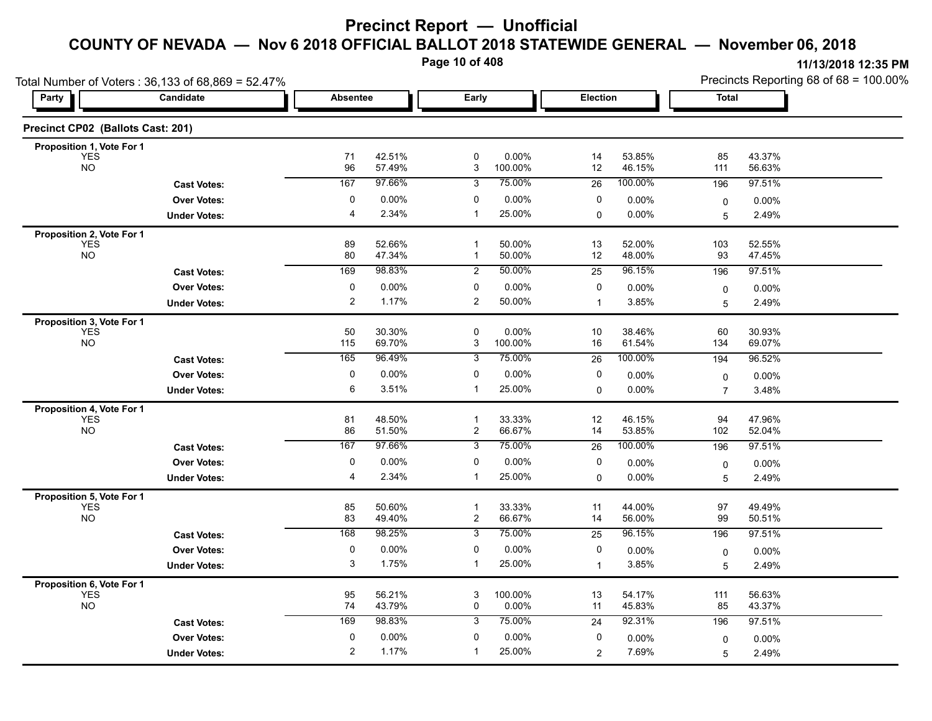**Page 10 of 408**

|                                         | Total Number of Voters: 36,133 of 68,869 = 52.47% |                 |                  |                                |                  | Precincts Reporting 68 of 68 = 100.00% |                  |                |                  |
|-----------------------------------------|---------------------------------------------------|-----------------|------------------|--------------------------------|------------------|----------------------------------------|------------------|----------------|------------------|
| Party                                   | Candidate                                         | <b>Absentee</b> |                  | Early                          |                  | Election                               |                  | <b>Total</b>   |                  |
| Precinct CP02 (Ballots Cast: 201)       |                                                   |                 |                  |                                |                  |                                        |                  |                |                  |
| Proposition 1, Vote For 1               |                                                   |                 |                  |                                |                  |                                        |                  |                |                  |
| <b>YES</b><br><b>NO</b>                 |                                                   | 71<br>96        | 42.51%<br>57.49% | $\mathbf 0$<br>3               | 0.00%<br>100.00% | 14<br>12                               | 53.85%<br>46.15% | 85<br>111      | 43.37%<br>56.63% |
|                                         | <b>Cast Votes:</b>                                | 167             | 97.66%           | 3                              | 75.00%           | 26                                     | 100.00%          | 196            | 97.51%           |
|                                         | <b>Over Votes:</b>                                | 0               | $0.00\%$         | 0                              | 0.00%            | 0                                      | $0.00\%$         | 0              | 0.00%            |
|                                         | <b>Under Votes:</b>                               | 4               | 2.34%            | $\mathbf 1$                    | 25.00%           | 0                                      | $0.00\%$         | 5              | 2.49%            |
| Proposition 2, Vote For 1               |                                                   |                 |                  |                                |                  |                                        |                  |                |                  |
| <b>YES</b><br><b>NO</b>                 |                                                   | 89<br>80        | 52.66%<br>47.34% | $\mathbf 1$<br>$\mathbf{1}$    | 50.00%<br>50.00% | 13<br>12                               | 52.00%<br>48.00% | 103<br>93      | 52.55%<br>47.45% |
|                                         | <b>Cast Votes:</b>                                | 169             | 98.83%           | $\overline{c}$                 | 50.00%           | 25                                     | 96.15%           | 196            | 97.51%           |
|                                         | <b>Over Votes:</b>                                | 0               | $0.00\%$         | 0                              | 0.00%            | 0                                      | 0.00%            | 0              | 0.00%            |
|                                         | <b>Under Votes:</b>                               | 2               | 1.17%            | 2                              | 50.00%           | $\mathbf{1}$                           | 3.85%            | 5              | 2.49%            |
| Proposition 3, Vote For 1               |                                                   |                 |                  |                                |                  |                                        |                  |                |                  |
| <b>YES</b>                              |                                                   | 50              | 30.30%           | $\mathbf 0$                    | 0.00%            | 10                                     | 38.46%           | 60             | 30.93%           |
| <b>NO</b>                               |                                                   | 115             | 69.70%           | 3                              | 100.00%          | 16                                     | 61.54%           | 134            | 69.07%           |
|                                         | <b>Cast Votes:</b>                                | 165             | 96.49%           | 3                              | 75.00%           | $\overline{26}$                        | 100.00%          | 194            | 96.52%           |
|                                         | <b>Over Votes:</b>                                | 0               | 0.00%<br>3.51%   | 0                              | 0.00%            | 0                                      | 0.00%            | 0              | 0.00%            |
|                                         | <b>Under Votes:</b>                               | 6               |                  | 1                              | 25.00%           | 0                                      | 0.00%            | $\overline{7}$ | 3.48%            |
| Proposition 4, Vote For 1<br><b>YES</b> |                                                   | 81              | 48.50%           | $\mathbf{1}$                   | 33.33%           | 12                                     | 46.15%           | 94             | 47.96%           |
| <b>NO</b>                               |                                                   | 86              | 51.50%           | $\overline{c}$                 | 66.67%           | 14                                     | 53.85%           | 102            | 52.04%           |
|                                         | <b>Cast Votes:</b>                                | 167             | 97.66%           | $\overline{3}$                 | 75.00%           | $\overline{26}$                        | 100.00%          | 196            | 97.51%           |
|                                         | <b>Over Votes:</b>                                | 0               | 0.00%            | 0                              | 0.00%            | 0                                      | $0.00\%$         | 0              | $0.00\%$         |
|                                         | <b>Under Votes:</b>                               | 4               | 2.34%            | -1                             | 25.00%           | 0                                      | 0.00%            | 5              | 2.49%            |
| Proposition 5, Vote For 1               |                                                   |                 |                  |                                |                  |                                        |                  |                |                  |
| <b>YES</b><br><b>NO</b>                 |                                                   | 85<br>83        | 50.60%<br>49.40% | $\mathbf{1}$<br>$\overline{c}$ | 33.33%<br>66.67% | 11<br>14                               | 44.00%<br>56.00% | 97<br>99       | 49.49%<br>50.51% |
|                                         | <b>Cast Votes:</b>                                | 168             | 98.25%           | $\overline{3}$                 | 75.00%           | 25                                     | 96.15%           | 196            | 97.51%           |
|                                         | <b>Over Votes:</b>                                | $\mathbf 0$     | $0.00\%$         | $\mathbf 0$                    | 0.00%            | 0                                      | $0.00\%$         |                |                  |
|                                         | <b>Under Votes:</b>                               | 3               | 1.75%            | $\mathbf{1}$                   | 25.00%           | $\mathbf{1}$                           | 3.85%            | 0<br>5         | 0.00%<br>2.49%   |
|                                         |                                                   |                 |                  |                                |                  |                                        |                  |                |                  |
| Proposition 6, Vote For 1<br><b>YES</b> |                                                   | 95              | 56.21%           | 3                              | 100.00%          | 13                                     | 54.17%           | 111            | 56.63%           |
| <b>NO</b>                               |                                                   | 74              | 43.79%           | 0                              | 0.00%            | 11                                     | 45.83%           | 85             | 43.37%           |
|                                         | <b>Cast Votes:</b>                                | 169             | 98.83%           | 3                              | 75.00%           | 24                                     | 92.31%           | 196            | 97.51%           |
|                                         | <b>Over Votes:</b>                                | $\mathbf 0$     | $0.00\%$         | 0                              | 0.00%            | 0                                      | 0.00%            | 0              | 0.00%            |
|                                         | <b>Under Votes:</b>                               | 2               | 1.17%            | $\mathbf 1$                    | 25.00%           | $\overline{c}$                         | 7.69%            | 5              | 2.49%            |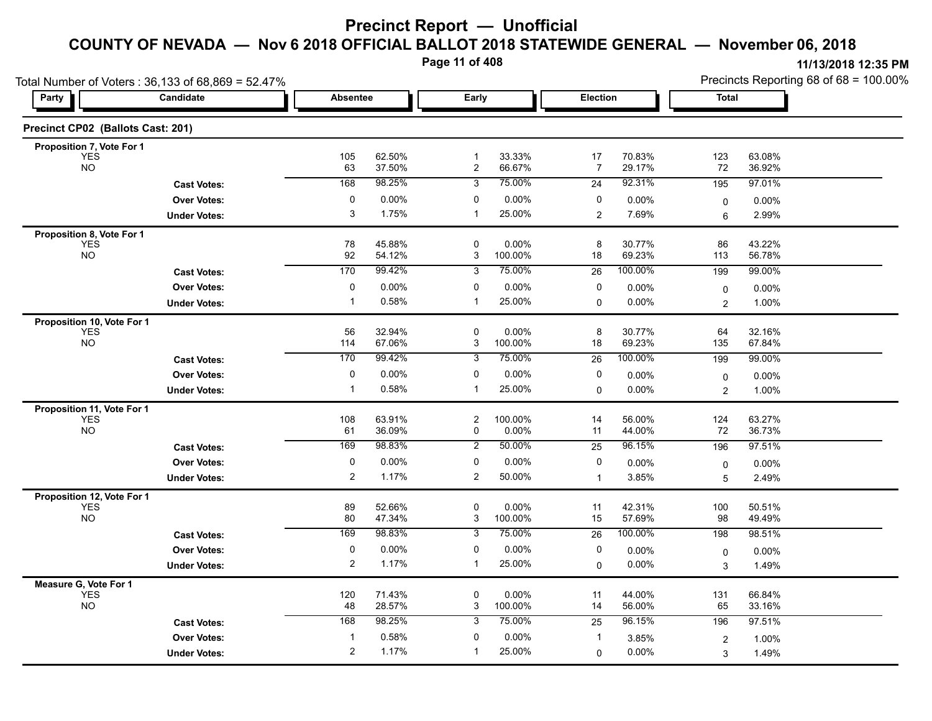**Page 11 of 408**

| Total Number of Voters: 36,133 of 68,869 = 52.47% |                     |                 |                  |                     |                  |                 |                  |                         | Precincts Reporting 68 of 68 = 100.00% |  |  |
|---------------------------------------------------|---------------------|-----------------|------------------|---------------------|------------------|-----------------|------------------|-------------------------|----------------------------------------|--|--|
| <b>Party</b>                                      | Candidate           | <b>Absentee</b> |                  | Early               |                  | <b>Election</b> |                  | <b>Total</b>            |                                        |  |  |
| Precinct CP02 (Ballots Cast: 201)                 |                     |                 |                  |                     |                  |                 |                  |                         |                                        |  |  |
| Proposition 7, Vote For 1<br><b>YES</b>           |                     | 105             | 62.50%           | $\mathbf{1}$        | 33.33%           | 17              | 70.83%           | 123                     | 63.08%                                 |  |  |
| <b>NO</b>                                         |                     | 63              | 37.50%           | $\overline{2}$      | 66.67%           | 7               | 29.17%           | 72                      | 36.92%                                 |  |  |
|                                                   | <b>Cast Votes:</b>  | 168             | 98.25%           | 3                   | 75.00%           | 24              | 92.31%           | 195                     | 97.01%                                 |  |  |
|                                                   | <b>Over Votes:</b>  | 0               | 0.00%            | 0                   | $0.00\%$         | 0               | 0.00%            | $\mathbf 0$             | 0.00%                                  |  |  |
|                                                   | <b>Under Votes:</b> | 3               | 1.75%            | $\mathbf{1}$        | 25.00%           | $\overline{2}$  | 7.69%            | 6                       | 2.99%                                  |  |  |
| Proposition 8, Vote For 1                         |                     |                 |                  |                     |                  |                 |                  |                         |                                        |  |  |
| <b>YES</b><br><b>NO</b>                           |                     | 78<br>92        | 45.88%<br>54.12% | $\mathbf 0$<br>3    | 0.00%<br>100.00% | 8<br>18         | 30.77%<br>69.23% | 86<br>113               | 43.22%<br>56.78%                       |  |  |
|                                                   | <b>Cast Votes:</b>  | 170             | 99.42%           | 3                   | 75.00%           | $\overline{26}$ | 100.00%          | 199                     | 99.00%                                 |  |  |
|                                                   | <b>Over Votes:</b>  | 0               | 0.00%            | 0                   | $0.00\%$         | 0               | 0.00%            | 0                       | 0.00%                                  |  |  |
|                                                   | <b>Under Votes:</b> | -1              | 0.58%            | $\mathbf{1}$        | 25.00%           | 0               | 0.00%            | $\overline{2}$          | 1.00%                                  |  |  |
| Proposition 10, Vote For 1                        |                     |                 |                  |                     |                  |                 |                  |                         |                                        |  |  |
| <b>YES</b>                                        |                     | 56              | 32.94%           | $\mathbf 0$         | 0.00%            | 8               | 30.77%           | 64                      | 32.16%                                 |  |  |
| <b>NO</b>                                         |                     | 114             | 67.06%           | 3                   | 100.00%          | 18              | 69.23%           | 135                     | 67.84%                                 |  |  |
|                                                   | <b>Cast Votes:</b>  | 170             | 99.42%           | 3                   | 75.00%           | 26              | 100.00%          | 199                     | 99.00%                                 |  |  |
|                                                   | <b>Over Votes:</b>  | 0               | 0.00%            | 0                   | 0.00%            | 0               | 0.00%            | 0                       | 0.00%                                  |  |  |
|                                                   | <b>Under Votes:</b> | $\mathbf 1$     | 0.58%            | $\mathbf{1}$        | 25.00%           | 0               | 0.00%            | $\overline{2}$          | 1.00%                                  |  |  |
| Proposition 11, Vote For 1                        |                     |                 |                  |                     |                  |                 |                  |                         |                                        |  |  |
| <b>YES</b><br><b>NO</b>                           |                     | 108<br>61       | 63.91%<br>36.09% | $\overline{c}$<br>0 | 100.00%<br>0.00% | 14<br>11        | 56.00%<br>44.00% | 124<br>72               | 63.27%<br>36.73%                       |  |  |
|                                                   | <b>Cast Votes:</b>  | 169             | 98.83%           | $\overline{2}$      | 50.00%           | $\overline{25}$ | 96.15%           | 196                     | 97.51%                                 |  |  |
|                                                   | <b>Over Votes:</b>  | 0               | 0.00%            | 0                   | 0.00%            | 0               | 0.00%            | 0                       | 0.00%                                  |  |  |
|                                                   | <b>Under Votes:</b> | $\overline{2}$  | 1.17%            | $\overline{c}$      | 50.00%           | $\mathbf 1$     | 3.85%            | 5                       | 2.49%                                  |  |  |
| Proposition 12, Vote For 1                        |                     |                 |                  |                     |                  |                 |                  |                         |                                        |  |  |
| <b>YES</b>                                        |                     | 89              | 52.66%           | $\mathbf 0$         | 0.00%            | 11              | 42.31%           | 100                     | 50.51%                                 |  |  |
| <b>NO</b>                                         |                     | 80              | 47.34%           | 3                   | 100.00%          | 15              | 57.69%           | 98                      | 49.49%                                 |  |  |
|                                                   | <b>Cast Votes:</b>  | 169             | 98.83%           | 3                   | 75.00%           | $\overline{26}$ | 100.00%          | 198                     | 98.51%                                 |  |  |
|                                                   | <b>Over Votes:</b>  | 0               | 0.00%            | $\mathbf 0$         | 0.00%            | 0               | 0.00%            | 0                       | $0.00\%$                               |  |  |
|                                                   | <b>Under Votes:</b> | $\overline{2}$  | 1.17%            | $\mathbf{1}$        | 25.00%           | $\mathbf 0$     | 0.00%            | $\mathsf 3$             | 1.49%                                  |  |  |
| Measure G, Vote For 1                             |                     |                 |                  |                     |                  |                 |                  |                         |                                        |  |  |
| <b>YES</b><br><b>NO</b>                           |                     | 120<br>48       | 71.43%<br>28.57% | $\pmb{0}$<br>3      | 0.00%<br>100.00% | 11<br>14        | 44.00%<br>56.00% | 131<br>65               | 66.84%<br>33.16%                       |  |  |
|                                                   | <b>Cast Votes:</b>  | 168             | 98.25%           | 3                   | 75.00%           | 25              | 96.15%           | 196                     | 97.51%                                 |  |  |
|                                                   | <b>Over Votes:</b>  | $\mathbf{1}$    | 0.58%            | 0                   | 0.00%            | $\mathbf{1}$    |                  |                         |                                        |  |  |
|                                                   |                     | $\overline{2}$  | 1.17%            | -1                  | 25.00%           |                 | 3.85%            | $\overline{\mathbf{c}}$ | 1.00%                                  |  |  |
|                                                   | <b>Under Votes:</b> |                 |                  |                     |                  | 0               | 0.00%            | $\mathsf 3$             | 1.49%                                  |  |  |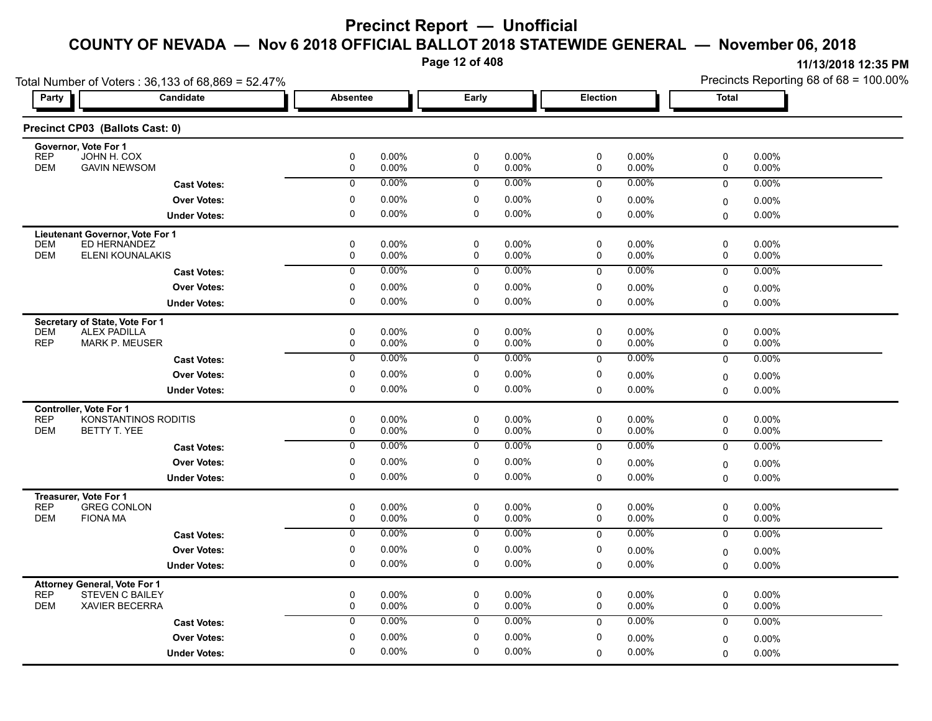**Page 12 of 408**

| Total Number of Voters: 36,133 of 68,869 = 52.47%                   |                      |                     |                |                     |                |             |                | Precincts Reporting 68 of 68 = 100.00% |                |  |
|---------------------------------------------------------------------|----------------------|---------------------|----------------|---------------------|----------------|-------------|----------------|----------------------------------------|----------------|--|
| <b>Party</b>                                                        | Candidate            | <b>Absentee</b>     |                | Early               |                | Election    |                | <b>Total</b>                           |                |  |
| Precinct CP03 (Ballots Cast: 0)                                     |                      |                     |                |                     |                |             |                |                                        |                |  |
| Governor, Vote For 1<br><b>REP</b><br>JOHN H. COX                   |                      | 0                   | 0.00%          | 0                   | 0.00%          | 0           | 0.00%          | 0                                      | 0.00%          |  |
| <b>DEM</b><br><b>GAVIN NEWSOM</b>                                   |                      | 0                   | 0.00%          | 0                   | 0.00%          | 0           | 0.00%          | 0                                      | 0.00%          |  |
|                                                                     | <b>Cast Votes:</b>   | 0                   | 0.00%          | 0                   | $0.00\%$       | 0           | 0.00%          | 0                                      | 0.00%          |  |
|                                                                     | <b>Over Votes:</b>   | 0                   | 0.00%          | 0                   | 0.00%          | 0           | 0.00%          | $\mathbf 0$                            | $0.00\%$       |  |
|                                                                     | <b>Under Votes:</b>  | $\mathbf 0$         | 0.00%          | $\mathbf 0$         | 0.00%          | 0           | 0.00%          | $\Omega$                               | 0.00%          |  |
| Lieutenant Governor, Vote For 1                                     |                      |                     |                |                     |                |             |                |                                        |                |  |
| <b>DEM</b><br>ED HERNANDEZ<br><b>DEM</b>                            |                      | $\mathbf 0$         | 0.00%          | $\mathbf 0$         | $0.00\%$       | 0           | $0.00\%$       | 0                                      | 0.00%          |  |
| ELENI KOUNALAKIS                                                    |                      | 0<br>$\overline{0}$ | 0.00%<br>0.00% | $\mathbf 0$         | 0.00%<br>0.00% | 0           | 0.00%<br>0.00% | 0                                      | 0.00%          |  |
|                                                                     | <b>Cast Votes:</b>   |                     |                | 0                   |                | $\mathbf 0$ |                | $\mathbf 0$                            | 0.00%          |  |
|                                                                     | <b>Over Votes:</b>   | 0<br>$\mathbf 0$    | 0.00%<br>0.00% | 0<br>$\mathbf 0$    | 0.00%<br>0.00% | 0           | 0.00%          | $\mathbf 0$                            | 0.00%          |  |
|                                                                     | <b>Under Votes:</b>  |                     |                |                     |                | 0           | 0.00%          | 0                                      | $0.00\%$       |  |
| Secretary of State, Vote For 1<br><b>DEM</b><br><b>ALEX PADILLA</b> |                      | $\pmb{0}$           | 0.00%          | 0                   | $0.00\%$       | 0           | 0.00%          | 0                                      | 0.00%          |  |
| <b>REP</b><br><b>MARK P. MEUSER</b>                                 |                      | 0                   | 0.00%          | 0                   | 0.00%          | 0           | 0.00%          | 0                                      | 0.00%          |  |
|                                                                     | <b>Cast Votes:</b>   | $\overline{0}$      | $0.00\%$       | 0                   | $0.00\%$       | 0           | 0.00%          | $\mathbf 0$                            | 0.00%          |  |
|                                                                     | <b>Over Votes:</b>   | 0                   | 0.00%          | $\mathbf 0$         | 0.00%          | 0           | 0.00%          | 0                                      | 0.00%          |  |
|                                                                     | <b>Under Votes:</b>  | 0                   | 0.00%          | 0                   | $0.00\%$       | 0           | 0.00%          | $\mathbf 0$                            | $0.00\%$       |  |
| <b>Controller. Vote For 1</b>                                       |                      |                     |                |                     |                |             |                |                                        |                |  |
| <b>REP</b>                                                          | KONSTANTINOS RODITIS | $\pmb{0}$           | 0.00%          | 0                   | 0.00%          | 0           | 0.00%          | 0                                      | 0.00%          |  |
| <b>DEM</b><br>BETTY T. YEE                                          |                      | 0                   | 0.00%          | 0                   | $0.00\%$       | 0           | 0.00%          | 0                                      | 0.00%          |  |
|                                                                     | <b>Cast Votes:</b>   | 0                   | 0.00%          | 0                   | $0.00\%$       | 0           | 0.00%          | $\mathbf 0$                            | 0.00%          |  |
|                                                                     | <b>Over Votes:</b>   | 0                   | 0.00%          | 0                   | 0.00%          | 0           | 0.00%          | $\mathbf 0$                            | 0.00%          |  |
|                                                                     | <b>Under Votes:</b>  | $\mathbf 0$         | 0.00%          | 0                   | 0.00%          | 0           | 0.00%          | $\Omega$                               | 0.00%          |  |
| Treasurer, Vote For 1                                               |                      |                     |                |                     |                |             |                |                                        |                |  |
| <b>REP</b><br><b>GREG CONLON</b><br><b>DEM</b><br><b>FIONA MA</b>   |                      | 0<br>$\pmb{0}$      | 0.00%<br>0.00% | $\pmb{0}$<br>0      | 0.00%<br>0.00% | 0<br>0      | 0.00%<br>0.00% | 0<br>0                                 | 0.00%<br>0.00% |  |
|                                                                     | <b>Cast Votes:</b>   | 0                   | $0.00\%$       | 0                   | $0.00\%$       | 0           | 0.00%          | $\mathbf 0$                            | 0.00%          |  |
|                                                                     | <b>Over Votes:</b>   | $\pmb{0}$           | 0.00%          | 0                   | $0.00\%$       | 0           | 0.00%          | $\mathbf 0$                            | 0.00%          |  |
|                                                                     | <b>Under Votes:</b>  | 0                   | 0.00%          | 0                   | 0.00%          | 0           | 0.00%          | $\Omega$                               | 0.00%          |  |
| <b>Attorney General, Vote For 1</b>                                 |                      |                     |                |                     |                |             |                |                                        |                |  |
| <b>REP</b><br><b>STEVEN C BAILEY</b>                                |                      | $\mathbf 0$         | 0.00%          | 0                   | 0.00%          | $\mathbf 0$ | $0.00\%$       | 0                                      | $0.00\%$       |  |
| <b>DEM</b><br><b>XAVIER BECERRA</b>                                 |                      | 0                   | 0.00%          | $\mathsf{O}\xspace$ | 0.00%          | $\mathbf 0$ | 0.00%          | $\mathbf 0$                            | 0.00%          |  |
|                                                                     | <b>Cast Votes:</b>   | $\mathbf 0$         | 0.00%          | 0                   | $0.00\%$       | $\mathbf 0$ | 0.00%          | 0                                      | $0.00\%$       |  |
|                                                                     | <b>Over Votes:</b>   | 0                   | 0.00%          | $\mathbf 0$         | $0.00\%$       | 0           | 0.00%          | $\mathbf 0$                            | 0.00%          |  |
|                                                                     | <b>Under Votes:</b>  | $\mathbf 0$         | 0.00%          | $\mathbf 0$         | 0.00%          | $\Omega$    | 0.00%          | $\mathbf 0$                            | $0.00\%$       |  |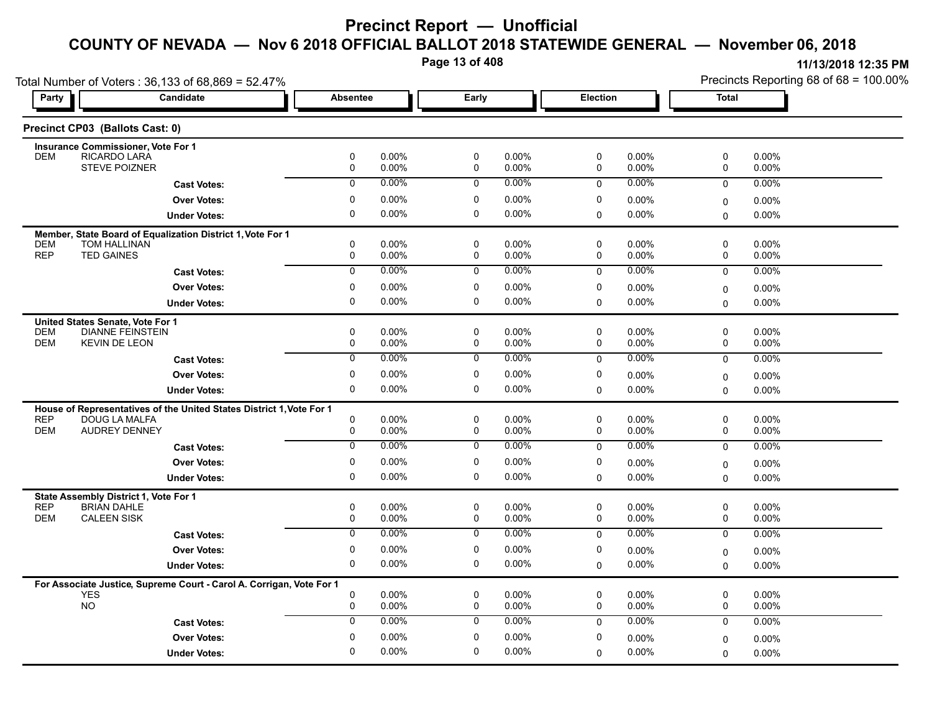**Page 13 of 408**

|                                                | Total Number of Voters: 36,133 of 68,869 = 52.47%                          |                 |                |                            |                |                 |                |              | Precincts Reporting 68 of 68 = 100.00% |
|------------------------------------------------|----------------------------------------------------------------------------|-----------------|----------------|----------------------------|----------------|-----------------|----------------|--------------|----------------------------------------|
| Party                                          | Candidate                                                                  | <b>Absentee</b> |                | Early                      |                | <b>Election</b> |                | <b>Total</b> |                                        |
| Precinct CP03 (Ballots Cast: 0)                |                                                                            |                 |                |                            |                |                 |                |              |                                        |
|                                                | <b>Insurance Commissioner, Vote For 1</b>                                  |                 |                |                            |                |                 |                |              |                                        |
| <b>DEM</b>                                     | RICARDO LARA<br>STEVE POIZNER                                              | 0<br>0          | 0.00%<br>0.00% | $\mathbf 0$<br>$\mathbf 0$ | 0.00%<br>0.00% | 0<br>0          | 0.00%<br>0.00% | 0<br>0       | 0.00%<br>0.00%                         |
|                                                | <b>Cast Votes:</b>                                                         | $\mathbf 0$     | 0.00%          | $\mathbf 0$                | $0.00\%$       | $\mathbf 0$     | $0.00\%$       | 0            | 0.00%                                  |
|                                                | <b>Over Votes:</b>                                                         | 0               | $0.00\%$       | 0                          | 0.00%          | 0               | $0.00\%$       |              |                                        |
|                                                |                                                                            | 0               | 0.00%          | $\mathbf 0$                | $0.00\%$       | $\mathbf 0$     | 0.00%          | 0            | 0.00%                                  |
|                                                | <b>Under Votes:</b>                                                        |                 |                |                            |                |                 |                | 0            | 0.00%                                  |
| <b>DEM</b>                                     | Member, State Board of Equalization District 1, Vote For 1<br>TOM HALLINAN | 0               | 0.00%          | 0                          | 0.00%          | 0               | $0.00\%$       | 0            | 0.00%                                  |
| <b>REP</b><br><b>TED GAINES</b>                |                                                                            | 0               | 0.00%          | $\mathbf 0$                | 0.00%          | $\mathbf 0$     | 0.00%          | 0            | 0.00%                                  |
|                                                | <b>Cast Votes:</b>                                                         | $\overline{0}$  | 0.00%          | $\mathbf 0$                | $0.00\%$       | $\mathbf 0$     | $0.00\%$       | $\mathbf 0$  | 0.00%                                  |
|                                                | <b>Over Votes:</b>                                                         | 0               | 0.00%          | 0                          | 0.00%          | 0               | $0.00\%$       | 0            | 0.00%                                  |
|                                                | <b>Under Votes:</b>                                                        | $\Omega$        | 0.00%          | $\mathbf 0$                | 0.00%          | $\mathbf 0$     | $0.00\%$       | $\Omega$     | 0.00%                                  |
|                                                |                                                                            |                 |                |                            |                |                 |                |              |                                        |
| United States Senate, Vote For 1<br><b>DEM</b> | <b>DIANNE FEINSTEIN</b>                                                    | 0               | 0.00%          | 0                          | 0.00%          | 0               | $0.00\%$       | 0            | 0.00%                                  |
| <b>DEM</b>                                     | <b>KEVIN DE LEON</b>                                                       | 0               | 0.00%          | $\mathbf 0$                | 0.00%          | 0               | 0.00%          | 0            | 0.00%                                  |
|                                                | <b>Cast Votes:</b>                                                         | $\overline{0}$  | 0.00%          | 0                          | 0.00%          | $\mathbf 0$     | $0.00\%$       | $\mathbf 0$  | 0.00%                                  |
|                                                | <b>Over Votes:</b>                                                         | 0               | $0.00\%$       | $\mathbf 0$                | 0.00%          | 0               | $0.00\%$       | 0            | 0.00%                                  |
|                                                | <b>Under Votes:</b>                                                        | 0               | $0.00\%$       | 0                          | $0.00\%$       | 0               | 0.00%          | 0            | $0.00\%$                               |
|                                                | House of Representatives of the United States District 1, Vote For 1       |                 |                |                            |                |                 |                |              |                                        |
| <b>REP</b>                                     | <b>DOUG LA MALFA</b>                                                       | 0               | 0.00%          | $\mathbf 0$                | 0.00%          | 0               | $0.00\%$       | 0            | 0.00%                                  |
| <b>DEM</b>                                     | <b>AUDREY DENNEY</b>                                                       | 0               | 0.00%          | $\mathbf 0$                | 0.00%          | 0               | 0.00%          | 0            | $0.00\%$                               |
|                                                | <b>Cast Votes:</b>                                                         | $\mathbf 0$     | 0.00%          | $\mathbf 0$                | $0.00\%$       | $\mathbf 0$     | $0.00\%$       | $\mathbf 0$  | 0.00%                                  |
|                                                | <b>Over Votes:</b>                                                         | 0               | $0.00\%$       | 0                          | 0.00%          | 0               | $0.00\%$       | 0            | 0.00%                                  |
|                                                | <b>Under Votes:</b>                                                        | 0               | 0.00%          | 0                          | 0.00%          | $\Omega$        | 0.00%          | $\Omega$     | $0.00\%$                               |
|                                                | State Assembly District 1, Vote For 1                                      |                 |                |                            |                |                 |                |              |                                        |
| <b>REP</b>                                     | <b>BRIAN DAHLE</b>                                                         | 0               | $0.00\%$       | $\mathbf 0$                | 0.00%          | 0               | 0.00%          | 0            | 0.00%                                  |
| <b>DEM</b><br><b>CALEEN SISK</b>               |                                                                            | 0               | 0.00%          | $\mathbf 0$                | 0.00%          | 0               | 0.00%          | 0            | 0.00%                                  |
|                                                | <b>Cast Votes:</b>                                                         | 0               | $0.00\%$       | 0                          | 0.00%          | $\mathbf 0$     | $0.00\%$       | $\mathbf 0$  | 0.00%                                  |
|                                                | <b>Over Votes:</b>                                                         | 0               | 0.00%          | 0                          | 0.00%          | 0               | $0.00\%$       | 0            | $0.00\%$                               |
|                                                | <b>Under Votes:</b>                                                        | 0               | 0.00%          | 0                          | 0.00%          | $\mathbf 0$     | $0.00\%$       | 0            | $0.00\%$                               |
|                                                | For Associate Justice, Supreme Court - Carol A. Corrigan, Vote For 1       |                 |                |                            |                |                 |                |              |                                        |
| <b>YES</b>                                     |                                                                            | 0               | 0.00%          | 0                          | 0.00%          | 0               | $0.00\%$       | 0            | 0.00%                                  |
| <b>NO</b>                                      |                                                                            | 0               | 0.00%          | $\mathbf 0$                | 0.00%          | $\mathbf 0$     | 0.00%          | 0            | 0.00%                                  |
|                                                | <b>Cast Votes:</b>                                                         | 0               | 0.00%          | $\mathbf 0$                | $0.00\%$       | $\mathbf 0$     | $0.00\%$       | 0            | $0.00\%$                               |
|                                                | <b>Over Votes:</b>                                                         | 0               | $0.00\%$       | $\mathbf 0$                | 0.00%          | 0               | $0.00\%$       | 0            | 0.00%                                  |
|                                                | <b>Under Votes:</b>                                                        | 0               | 0.00%          | 0                          | 0.00%          | $\Omega$        | 0.00%          | 0            | $0.00\%$                               |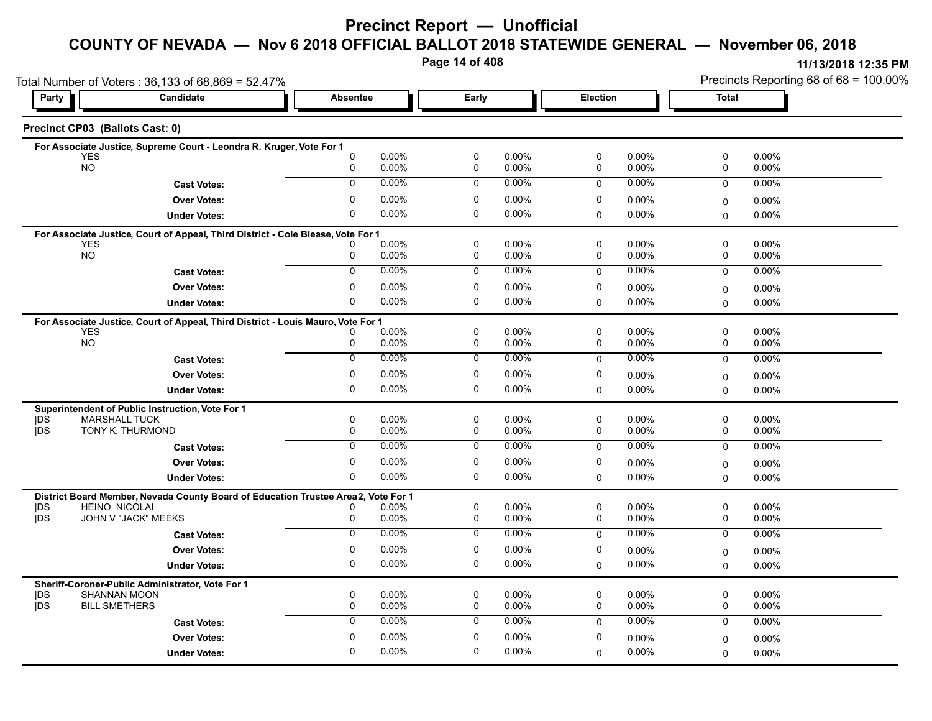**Page 14 of 408**

Precincts Reporting 68 of 68 = 100.00%

|                  | Total Number of Voters: 36,133 of 68,869 = 52.47%                                                         |                  |                   |                  |                      |             |                   |                         | Precincts Reporting 68 of 68 = 100.00% |
|------------------|-----------------------------------------------------------------------------------------------------------|------------------|-------------------|------------------|----------------------|-------------|-------------------|-------------------------|----------------------------------------|
| Party            | Candidate                                                                                                 | <b>Absentee</b>  |                   | Early            |                      | Election    |                   | <b>Total</b>            |                                        |
|                  | Precinct CP03 (Ballots Cast: 0)                                                                           |                  |                   |                  |                      |             |                   |                         |                                        |
|                  | For Associate Justice, Supreme Court - Leondra R. Kruger, Vote For 1                                      |                  |                   |                  |                      |             |                   |                         |                                        |
|                  | <b>YES</b><br><b>NO</b>                                                                                   | $\mathbf 0$<br>0 | 0.00%<br>0.00%    | $\pmb{0}$<br>0   | 0.00%<br>0.00%       | 0<br>0      | 0.00%<br>0.00%    | $\pmb{0}$<br>0          | $0.00\%$<br>0.00%                      |
|                  | <b>Cast Votes:</b>                                                                                        | $\Omega$         | 0.00%             | $\mathbf 0$      | $0.00\%$             | $\Omega$    | 0.00%             | $\Omega$                | 0.00%                                  |
|                  | <b>Over Votes:</b>                                                                                        | $\mathbf 0$      | 0.00%             | 0                | 0.00%                | 0           | $0.00\%$          |                         | 0.00%                                  |
|                  | <b>Under Votes:</b>                                                                                       | $\mathbf 0$      | 0.00%             | $\mathbf 0$      | $0.00\%$             | 0           | $0.00\%$          | 0<br>$\mathbf 0$        | $0.00\%$                               |
|                  |                                                                                                           |                  |                   |                  |                      |             |                   |                         |                                        |
|                  | For Associate Justice, Court of Appeal, Third District - Cole Blease, Vote For 1<br><b>YES</b>            |                  | 0.00%             | 0                | $0.00\%$             | 0           | $0.00\%$          | 0                       | 0.00%                                  |
|                  | <b>NO</b>                                                                                                 | 0                | 0.00%             | 0                | 0.00%                | 0           | 0.00%             | 0                       | 0.00%                                  |
|                  | <b>Cast Votes:</b>                                                                                        | $\overline{0}$   | $0.00\%$          | $\mathbf 0$      | $0.00\%$             | $\mathbf 0$ | $0.00\%$          | 0                       | $0.00\%$                               |
|                  | <b>Over Votes:</b>                                                                                        | 0                | 0.00%             | 0                | 0.00%                | 0           | 0.00%             | 0                       | $0.00\%$                               |
|                  | <b>Under Votes:</b>                                                                                       | $\Omega$         | 0.00%             | $\mathbf 0$      | $0.00\%$             | $\Omega$    | 0.00%             | $\Omega$                | $0.00\%$                               |
|                  | For Associate Justice, Court of Appeal, Third District - Louis Mauro, Vote For 1                          |                  |                   |                  |                      |             |                   |                         |                                        |
|                  | <b>YES</b>                                                                                                |                  | 0.00%             | $\mathbf 0$      | $0.00\%$             | 0           | 0.00%             | $\mathbf 0$             | 0.00%                                  |
|                  | <b>NO</b>                                                                                                 | 0                | 0.00%             | 0                | 0.00%                | 0           | 0.00%             | 0                       | 0.00%                                  |
|                  | <b>Cast Votes:</b>                                                                                        | $\mathbf 0$      | 0.00%             | $\mathbf 0$      | $0.00\%$             | 0           | 0.00%             | 0                       | 0.00%                                  |
|                  | <b>Over Votes:</b>                                                                                        | 0                | 0.00%             | $\mathbf 0$      | 0.00%                | 0           | $0.00\%$          | $\mathbf 0$             | 0.00%                                  |
|                  | <b>Under Votes:</b>                                                                                       | 0                | 0.00%             | 0                | $0.00\%$             | 0           | 0.00%             | $\mathbf 0$             | 0.00%                                  |
|                  | Superintendent of Public Instruction, Vote For 1                                                          |                  |                   |                  |                      |             |                   |                         |                                        |
| DŚ<br><b>IDS</b> | <b>MARSHALL TUCK</b><br>TONY K. THURMOND                                                                  | $\mathbf 0$<br>0 | $0.00\%$<br>0.00% | $\mathbf 0$<br>0 | $0.00\%$<br>$0.00\%$ | 0<br>0      | $0.00\%$<br>0.00% | $\mathbf 0$<br>0        | 0.00%<br>$0.00\%$                      |
|                  | <b>Cast Votes:</b>                                                                                        | $\mathbf{0}$     | 0.00%             | 0                | 0.00%                | $\mathbf 0$ | 0.00%             | $\mathbf 0$             | $0.00\%$                               |
|                  | <b>Over Votes:</b>                                                                                        | 0                | 0.00%             | 0                | 0.00%                | 0           | 0.00%             |                         | $0.00\%$                               |
|                  | <b>Under Votes:</b>                                                                                       | 0                | 0.00%             | 0                | $0.00\%$             | 0           | 0.00%             | $\mathbf 0$<br>$\Omega$ | $0.00\%$                               |
|                  |                                                                                                           |                  |                   |                  |                      |             |                   |                         |                                        |
| <b>IDS</b>       | District Board Member, Nevada County Board of Education Trustee Area2, Vote For 1<br><b>HEINO NICOLAI</b> | 0                | 0.00%             | 0                | $0.00\%$             | 0           | 0.00%             | 0                       | 0.00%                                  |
| <b>jDS</b>       | JOHN V "JACK" MEEKS                                                                                       | 0                | 0.00%             | $\mathbf 0$      | 0.00%                | 0           | 0.00%             | $\mathbf 0$             | 0.00%                                  |
|                  | <b>Cast Votes:</b>                                                                                        | $\overline{0}$   | 0.00%             | 0                | $0.00\%$             | 0           | 0.00%             | $\mathbf 0$             | 0.00%                                  |
|                  | <b>Over Votes:</b>                                                                                        | $\mathbf 0$      | 0.00%             | $\mathbf 0$      | 0.00%                | 0           | 0.00%             | $\mathbf 0$             | $0.00\%$                               |
|                  | <b>Under Votes:</b>                                                                                       | 0                | 0.00%             | 0                | $0.00\%$             | 0           | 0.00%             | $\Omega$                | $0.00\%$                               |
|                  | Sheriff-Coroner-Public Administrator, Vote For 1                                                          |                  |                   |                  |                      |             |                   |                         |                                        |
| DS               | <b>SHANNAN MOON</b>                                                                                       | 0                | 0.00%             | 0                | $0.00\%$             | 0           | 0.00%             | 0                       | $0.00\%$                               |
| <b>IDS</b>       | <b>BILL SMETHERS</b>                                                                                      | $\mathbf 0$      | 0.00%             | $\mathbf 0$      | 0.00%                | 0           | 0.00%             | $\mathbf 0$             | 0.00%                                  |
|                  | <b>Cast Votes:</b>                                                                                        | $\mathbf 0$      | 0.00%             | 0                | $0.00\%$             | $\mathbf 0$ | 0.00%             | $\mathbf 0$             | 0.00%                                  |
|                  | <b>Over Votes:</b>                                                                                        | $\mathbf 0$      | 0.00%             | $\mathbf 0$      | 0.00%                | 0           | 0.00%             | $\mathbf 0$             | $0.00\%$                               |
|                  | <b>Under Votes:</b>                                                                                       | $\mathbf 0$      | 0.00%             | $\mathbf 0$      | $0.00\%$             | $\Omega$    | 0.00%             | $\Omega$                | 0.00%                                  |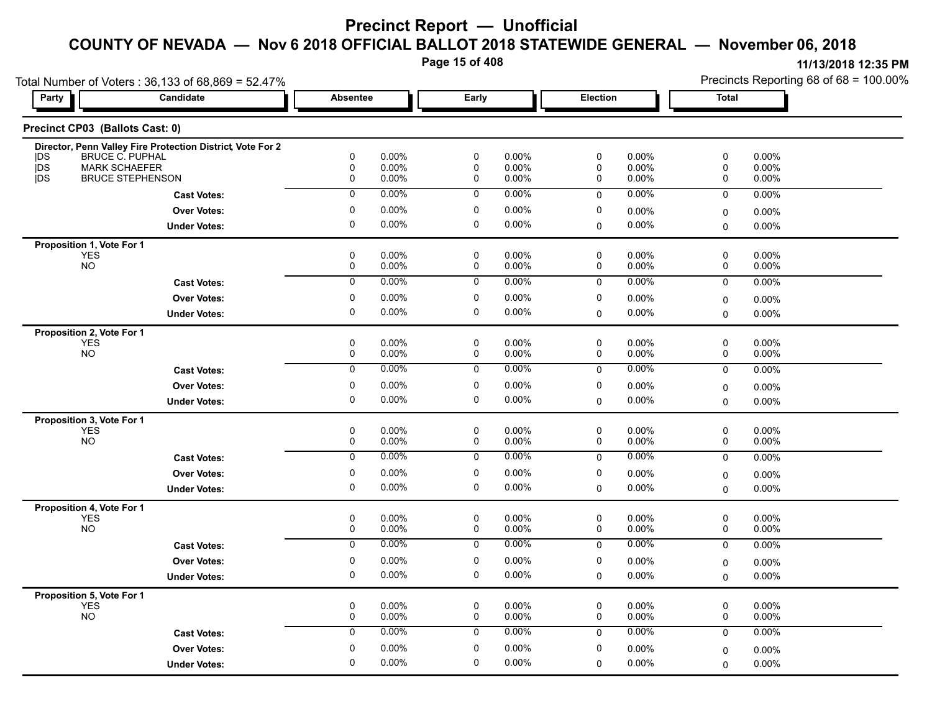**Page 15 of 408**

|                                 | Total Number of Voters: 36,133 of 68,869 = 52.47%          |                        |                |                  |                |                 |                |              | Precincts Reporting 68 of 68 = 100.00% |
|---------------------------------|------------------------------------------------------------|------------------------|----------------|------------------|----------------|-----------------|----------------|--------------|----------------------------------------|
| Party                           | Candidate                                                  | <b>Absentee</b>        |                | Early            |                | <b>Election</b> |                | <b>Total</b> |                                        |
| Precinct CP03 (Ballots Cast: 0) |                                                            |                        |                |                  |                |                 |                |              |                                        |
|                                 | Director, Penn Valley Fire Protection District, Vote For 2 |                        |                |                  |                |                 |                |              |                                        |
| <b>IDS</b><br><b>DS</b>         | BRUCE C. PUPHAL<br><b>MARK SCHAEFER</b>                    | $\pmb{0}$<br>$\pmb{0}$ | 0.00%<br>0.00% | $\pmb{0}$<br>0   | 0.00%<br>0.00% | $\pmb{0}$<br>0  | 0.00%<br>0.00% | 0<br>0       | 0.00%<br>0.00%                         |
| <b>IDS</b>                      | <b>BRUCE STEPHENSON</b>                                    | 0                      | 0.00%          | 0                | 0.00%          | 0               | $0.00\%$       | 0            | 0.00%                                  |
|                                 | <b>Cast Votes:</b>                                         | $\mathbf 0$            | 0.00%          | 0                | $0.00\%$       | $\mathbf 0$     | 0.00%          | $\mathbf 0$  | 0.00%                                  |
|                                 | <b>Over Votes:</b>                                         | $\pmb{0}$              | 0.00%          | $\pmb{0}$        | 0.00%          | 0               |                |              |                                        |
|                                 |                                                            | $\pmb{0}$              |                | $\mathbf 0$      |                |                 | 0.00%          | $\mathbf 0$  | 0.00%                                  |
|                                 | <b>Under Votes:</b>                                        |                        | 0.00%          |                  | 0.00%          | 0               | $0.00\%$       | $\Omega$     | 0.00%                                  |
| Proposition 1, Vote For 1       |                                                            |                        |                |                  |                |                 |                |              |                                        |
| <b>YES</b><br><b>NO</b>         |                                                            | 0<br>0                 | 0.00%<br>0.00% | $\mathbf 0$<br>0 | 0.00%<br>0.00% | 0<br>0          | 0.00%<br>0.00% | 0<br>0       | 0.00%<br>0.00%                         |
|                                 |                                                            |                        |                |                  |                |                 |                |              |                                        |
|                                 | <b>Cast Votes:</b>                                         | $\overline{0}$         | 0.00%          | $\mathbf 0$      | 0.00%          | 0               | 0.00%          | 0            | 0.00%                                  |
|                                 | <b>Over Votes:</b>                                         | 0                      | $0.00\%$       | 0                | 0.00%          | 0               | 0.00%          | 0            | 0.00%                                  |
|                                 | <b>Under Votes:</b>                                        | $\mathbf 0$            | 0.00%          | $\mathbf 0$      | $0.00\%$       | $\Omega$        | 0.00%          | 0            | 0.00%                                  |
| Proposition 2, Vote For 1       |                                                            |                        |                |                  |                |                 |                |              |                                        |
| <b>YES</b>                      |                                                            | 0                      | 0.00%          | 0                | 0.00%          | 0               | 0.00%          | 0            | 0.00%                                  |
| <b>NO</b>                       |                                                            | 0                      | 0.00%          | 0                | 0.00%          | 0               | 0.00%          | 0            | $0.00\%$                               |
|                                 | <b>Cast Votes:</b>                                         | $\overline{0}$         | 0.00%          | $\overline{0}$   | $0.00\%$       | $\pmb{0}$       | $0.00\%$       | 0            | 0.00%                                  |
|                                 | <b>Over Votes:</b>                                         | 0                      | 0.00%          | 0                | $0.00\%$       | 0               | 0.00%          | 0            | 0.00%                                  |
|                                 | <b>Under Votes:</b>                                        | $\mathbf 0$            | 0.00%          | 0                | $0.00\%$       | $\Omega$        | 0.00%          | $\Omega$     | 0.00%                                  |
| Proposition 3, Vote For 1       |                                                            |                        |                |                  |                |                 |                |              |                                        |
| <b>YES</b>                      |                                                            | $\pmb{0}$              | 0.00%          | $\pmb{0}$        | 0.00%          | $\pmb{0}$       | 0.00%          | $\pmb{0}$    | 0.00%                                  |
| <b>NO</b>                       |                                                            | 0                      | 0.00%          | 0                | 0.00%          | 0               | 0.00%          | 0            | 0.00%                                  |
|                                 | <b>Cast Votes:</b>                                         | 0                      | 0.00%          | 0                | $0.00\%$       | 0               | 0.00%          | 0            | 0.00%                                  |
|                                 | <b>Over Votes:</b>                                         | $\mathbf 0$            | 0.00%          | 0                | 0.00%          | 0               | $0.00\%$       | 0            | $0.00\%$                               |
|                                 | <b>Under Votes:</b>                                        | $\pmb{0}$              | 0.00%          | $\mathbf 0$      | $0.00\%$       | $\mathbf 0$     | 0.00%          | $\mathbf 0$  | $0.00\%$                               |
| Proposition 4, Vote For 1       |                                                            |                        |                |                  |                |                 |                |              |                                        |
| <b>YES</b>                      |                                                            | 0                      | 0.00%          | 0                | $0.00\%$       | 0               | 0.00%          | 0            | $0.00\%$                               |
| <b>NO</b>                       |                                                            | 0                      | 0.00%          | 0                | $0.00\%$       | 0               | 0.00%          | 0            | $0.00\%$                               |
|                                 | <b>Cast Votes:</b>                                         | $\overline{0}$         | 0.00%          | $\overline{0}$   | 0.00%          | $\mathbf 0$     | 0.00%          | $\pmb{0}$    | 0.00%                                  |
|                                 | <b>Over Votes:</b>                                         | 0                      | 0.00%          | 0                | 0.00%          | 0               | 0.00%          | 0            | $0.00\%$                               |
|                                 | <b>Under Votes:</b>                                        | $\mathbf 0$            | 0.00%          | 0                | $0.00\%$       | 0               | 0.00%          | $\mathbf 0$  | $0.00\%$                               |
| Proposition 5, Vote For 1       |                                                            |                        |                |                  |                |                 |                |              |                                        |
| <b>YES</b>                      |                                                            | $\pmb{0}$              | 0.00%          | 0                | $0.00\%$       | 0               | 0.00%          | 0            | $0.00\%$                               |
| <b>NO</b>                       |                                                            | 0                      | 0.00%          | 0                | 0.00%          | 0               | 0.00%          | 0            | 0.00%                                  |
|                                 | <b>Cast Votes:</b>                                         | 0                      | 0.00%          | 0                | $0.00\%$       | $\mathbf 0$     | 0.00%          | $\mathbf 0$  | $0.00\%$                               |
|                                 | <b>Over Votes:</b>                                         | $\pmb{0}$              | 0.00%          | $\mathbf 0$      | 0.00%          | 0               | 0.00%          | $\mathbf 0$  | $0.00\%$                               |
|                                 |                                                            | 0                      | $0.00\%$       | 0                | $0.00\%$       |                 | 0.00%          |              |                                        |
|                                 | <b>Under Votes:</b>                                        |                        |                |                  |                | 0               |                | $\mathbf 0$  | 0.00%                                  |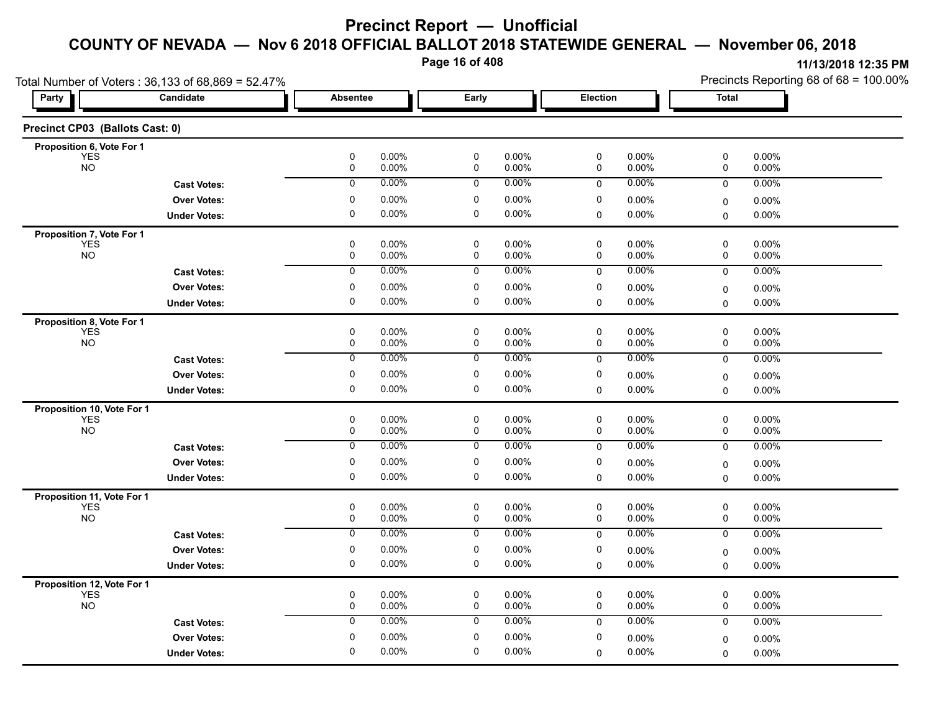**Page 16 of 408**

|                                          | Total Number of Voters: 36,133 of 68,869 = 52.47% |                  |                   |                            |                |             |                   |              | Precincts Reporting 68 of 68 = 100.00% |
|------------------------------------------|---------------------------------------------------|------------------|-------------------|----------------------------|----------------|-------------|-------------------|--------------|----------------------------------------|
| Party                                    | Candidate                                         | Absentee         |                   | Early                      |                | Election    |                   | <b>Total</b> |                                        |
| Precinct CP03 (Ballots Cast: 0)          |                                                   |                  |                   |                            |                |             |                   |              |                                        |
| Proposition 6, Vote For 1                |                                                   |                  |                   |                            |                |             |                   |              |                                        |
| <b>YES</b><br><b>NO</b>                  |                                                   | $\mathbf 0$<br>0 | 0.00%<br>0.00%    | $\mathbf 0$<br>0           | 0.00%<br>0.00% | 0<br>0      | 0.00%<br>0.00%    | 0<br>0       | 0.00%<br>0.00%                         |
|                                          | <b>Cast Votes:</b>                                | $\mathbf 0$      | 0.00%             | $\mathbf 0$                | 0.00%          | 0           | $0.00\%$          | 0            | 0.00%                                  |
|                                          | <b>Over Votes:</b>                                | 0                | 0.00%             | 0                          | 0.00%          | 0           | $0.00\%$          | 0            | $0.00\%$                               |
|                                          | <b>Under Votes:</b>                               | 0                | $0.00\%$          | $\mathbf 0$                | 0.00%          | $\mathbf 0$ | 0.00%             | 0            | 0.00%                                  |
| Proposition 7, Vote For 1                |                                                   |                  |                   |                            |                |             |                   |              |                                        |
| <b>YES</b><br><b>NO</b>                  |                                                   | 0                | 0.00%             | $\mathbf 0$                | 0.00%          | $\mathbf 0$ | 0.00%             | 0            | 0.00%                                  |
|                                          |                                                   | $\pmb{0}$        | 0.00%             | $\pmb{0}$                  | 0.00%          | 0           | 0.00%             | 0            | 0.00%                                  |
|                                          | <b>Cast Votes:</b>                                | $\mathbf 0$      | 0.00%             | $\mathbf 0$                | $0.00\%$       | 0           | 0.00%             | 0            | $0.00\%$                               |
|                                          | <b>Over Votes:</b>                                | 0                | $0.00\%$          | 0                          | 0.00%          | 0           | 0.00%             | 0            | $0.00\%$                               |
|                                          | <b>Under Votes:</b>                               | 0                | $0.00\%$          | 0                          | 0.00%          | 0           | 0.00%             | $\Omega$     | 0.00%                                  |
| Proposition 8, Vote For 1                |                                                   |                  |                   |                            |                |             |                   |              |                                        |
| <b>YES</b><br><b>NO</b>                  |                                                   | $\mathbf 0$<br>0 | 0.00%<br>$0.00\%$ | $\mathbf 0$<br>$\mathbf 0$ | 0.00%<br>0.00% | 0<br>0      | 0.00%<br>$0.00\%$ | 0<br>0       | 0.00%<br>$0.00\%$                      |
|                                          | <b>Cast Votes:</b>                                | 0                | $0.00\%$          | 0                          | 0.00%          | 0           | $0.00\%$          | 0            | 0.00%                                  |
|                                          | <b>Over Votes:</b>                                | 0                | $0.00\%$          | 0                          | 0.00%          | 0           | $0.00\%$          | 0            | $0.00\%$                               |
|                                          | <b>Under Votes:</b>                               | 0                | 0.00%             | 0                          | 0.00%          | $\mathbf 0$ | $0.00\%$          | $\Omega$     | 0.00%                                  |
| Proposition 10, Vote For 1               |                                                   |                  |                   |                            |                |             |                   |              |                                        |
| <b>YES</b>                               |                                                   | $\mathbf 0$      | 0.00%             | $\mathbf 0$                | 0.00%          | 0           | 0.00%             | $\pmb{0}$    | 0.00%                                  |
| <b>NO</b>                                |                                                   | $\mathbf 0$      | 0.00%             | $\mathbf 0$                | 0.00%          | 0           | $0.00\%$          | 0            | 0.00%                                  |
|                                          | <b>Cast Votes:</b>                                | 0                | 0.00%             | 0                          | 0.00%          | $\mathbf 0$ | 0.00%             | 0            | 0.00%                                  |
|                                          | <b>Over Votes:</b>                                | 0                | $0.00\%$          | 0                          | 0.00%          | 0           | $0.00\%$          | 0            | $0.00\%$                               |
|                                          | <b>Under Votes:</b>                               | 0                | 0.00%             | 0                          | 0.00%          | $\mathbf 0$ | $0.00\%$          | 0            | $0.00\%$                               |
| Proposition 11, Vote For 1               |                                                   |                  |                   |                            |                |             |                   |              |                                        |
| <b>YES</b><br><b>NO</b>                  |                                                   | 0<br>$\mathbf 0$ | 0.00%<br>0.00%    | 0<br>$\mathbf 0$           | 0.00%<br>0.00% | 0<br>0      | $0.00\%$<br>0.00% | 0<br>0       | 0.00%<br>0.00%                         |
|                                          | <b>Cast Votes:</b>                                | $\overline{0}$   | 0.00%             | $\overline{0}$             | 0.00%          | $\mathbf 0$ | $0.00\%$          | 0            | 0.00%                                  |
|                                          | <b>Over Votes:</b>                                | 0                | $0.00\%$          | 0                          | 0.00%          | 0           |                   |              |                                        |
|                                          | <b>Under Votes:</b>                               | 0                | $0.00\%$          | 0                          | 0.00%          |             | $0.00\%$<br>0.00% | 0            | 0.00%                                  |
|                                          |                                                   |                  |                   |                            |                | 0           |                   | 0            | $0.00\%$                               |
| Proposition 12, Vote For 1<br><b>YES</b> |                                                   | 0                | 0.00%             | 0                          | 0.00%          | 0           | $0.00\%$          | 0            | 0.00%                                  |
| <b>NO</b>                                |                                                   | $\mathbf 0$      | 0.00%             | $\mathbf 0$                | 0.00%          | $\mathbf 0$ | 0.00%             | 0            | 0.00%                                  |
|                                          | <b>Cast Votes:</b>                                | 0                | 0.00%             | 0                          | 0.00%          | $\mathbf 0$ | 0.00%             | 0            | 0.00%                                  |
|                                          | <b>Over Votes:</b>                                | 0                | $0.00\%$          | 0                          | 0.00%          | 0           | 0.00%             | 0            | 0.00%                                  |
|                                          | <b>Under Votes:</b>                               | 0                | 0.00%             | 0                          | 0.00%          | $\mathbf 0$ | $0.00\%$          | 0            | $0.00\%$                               |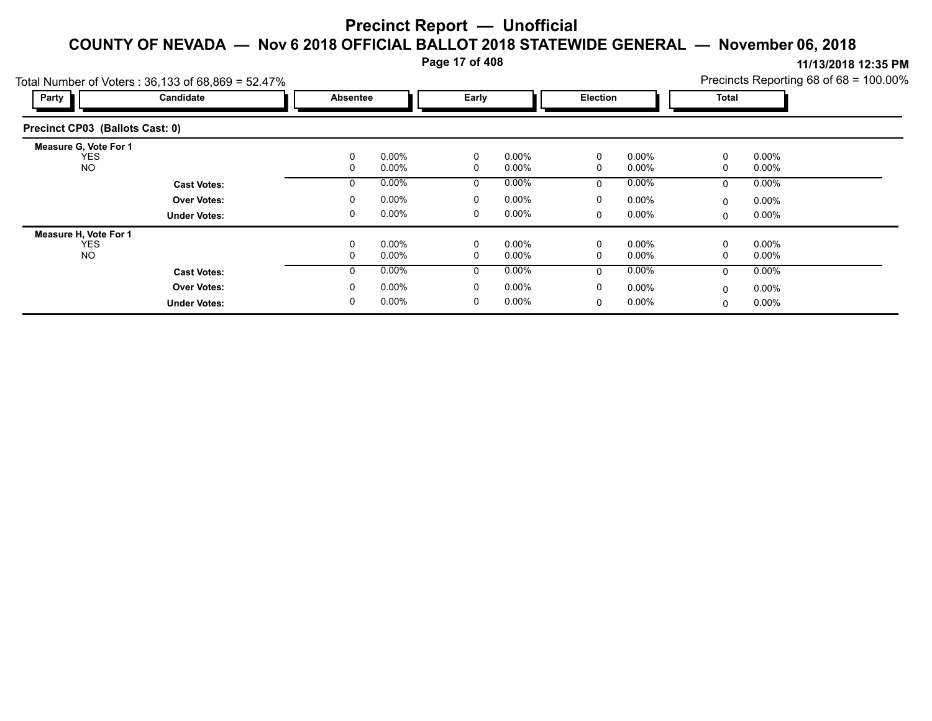**Page 17 of 408**

|                                                   | Total Number of Voters: $36,133$ of $68,869 = 52.47\%$ |          |                      |              |                      |          |                      |              | Precincts Reporting 68 of 68 = 100.00% |  |
|---------------------------------------------------|--------------------------------------------------------|----------|----------------------|--------------|----------------------|----------|----------------------|--------------|----------------------------------------|--|
| Party                                             | Candidate                                              | Absentee |                      | Early        |                      | Election |                      | <b>Total</b> |                                        |  |
| Precinct CP03 (Ballots Cast: 0)                   |                                                        |          |                      |              |                      |          |                      |              |                                        |  |
| <b>Measure G. Vote For 1</b><br>YES.<br><b>NO</b> |                                                        | 0<br>0   | $0.00\%$<br>$0.00\%$ | 0<br>0       | $0.00\%$<br>$0.00\%$ | 0<br>0   | $0.00\%$<br>$0.00\%$ | 0<br>0       | $0.00\%$<br>$0.00\%$                   |  |
|                                                   | <b>Cast Votes:</b>                                     | 0        | 0.00%                | 0            | $0.00\%$             | 0        | $0.00\%$             | 0            | $0.00\%$                               |  |
|                                                   | <b>Over Votes:</b>                                     | 0        | 0.00%                | 0            | $0.00\%$             | 0        | $0.00\%$             | 0            | $0.00\%$                               |  |
|                                                   | <b>Under Votes:</b>                                    | 0        | 0.00%                | 0            | $0.00\%$             | 0        | $0.00\%$             | 0            | $0.00\%$                               |  |
| Measure H, Vote For 1                             |                                                        |          |                      |              |                      |          |                      |              |                                        |  |
| <b>YES</b><br><b>NO</b>                           |                                                        | 0<br>0   | 0.00%<br>$0.00\%$    | 0<br>0       | $0.00\%$<br>$0.00\%$ | 0<br>0   | $0.00\%$<br>$0.00\%$ | 0<br>0       | $0.00\%$<br>$0.00\%$                   |  |
|                                                   | <b>Cast Votes:</b>                                     | 0        | $0.00\%$             | $\mathbf{0}$ | $0.00\%$             | $\Omega$ | $0.00\%$             | $\mathbf{0}$ | $0.00\%$                               |  |
|                                                   | <b>Over Votes:</b>                                     | $\Omega$ | $0.00\%$             | 0            | $0.00\%$             | 0        | $0.00\%$             | 0            | $0.00\%$                               |  |
|                                                   | <b>Under Votes:</b>                                    | 0        | $0.00\%$             | 0            | $0.00\%$             | 0        | $0.00\%$             | 0            | $0.00\%$                               |  |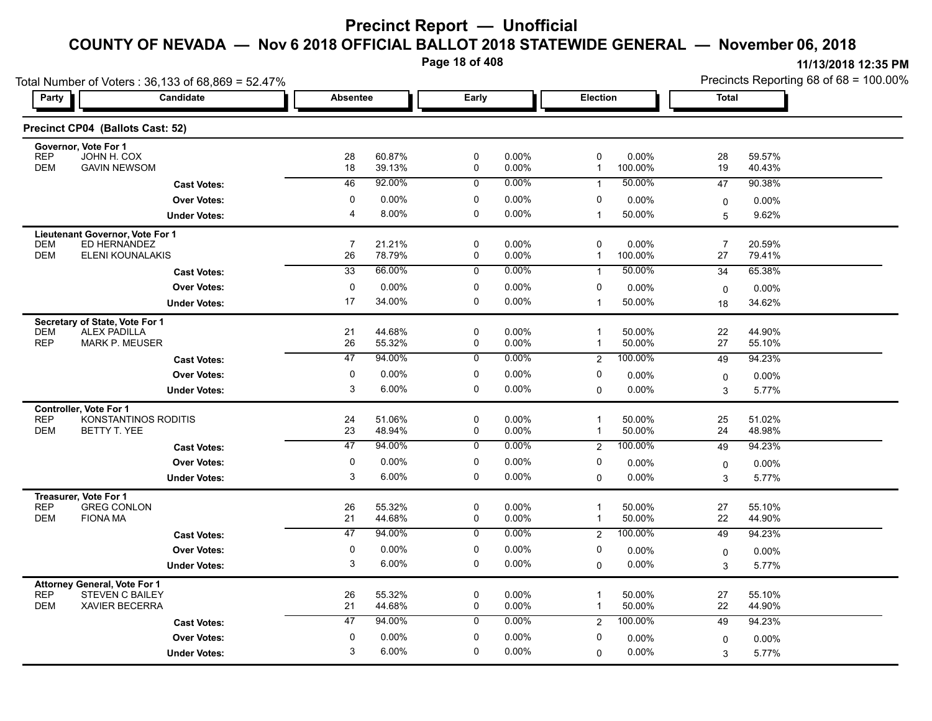**Page 18 of 408**

|                                     | Total Number of Voters: 36,133 of 68,869 = 52.47% |                       |                  |                               |                   |                              |                   |                      | Precincts Reporting 68 of 68 = 100.00% |
|-------------------------------------|---------------------------------------------------|-----------------------|------------------|-------------------------------|-------------------|------------------------------|-------------------|----------------------|----------------------------------------|
| Party                               | <b>Candidate</b>                                  | <b>Absentee</b>       |                  | Early                         |                   | Election                     |                   | <b>Total</b>         |                                        |
|                                     | Precinct CP04 (Ballots Cast: 52)                  |                       |                  |                               |                   |                              |                   |                      |                                        |
| Governor, Vote For 1<br><b>REP</b>  |                                                   |                       | 60.87%           |                               | 0.00%             | 0                            | 0.00%             | 28                   | 59.57%                                 |
| <b>DEM</b>                          | JOHN H. COX<br><b>GAVIN NEWSOM</b>                | 28<br>18              | 39.13%           | $\mathsf 0$<br>$\pmb{0}$      | 0.00%             | $\mathbf{1}$                 | 100.00%           | 19                   | 40.43%                                 |
|                                     | <b>Cast Votes:</b>                                | 46                    | 92.00%           | $\overline{0}$                | $0.00\%$          | $\mathbf{1}$                 | 50.00%            | 47                   | 90.38%                                 |
|                                     | <b>Over Votes:</b>                                | $\mathbf 0$           | 0.00%            | $\mathbf 0$                   | 0.00%             | 0                            | 0.00%             | 0                    | 0.00%                                  |
|                                     | <b>Under Votes:</b>                               | $\overline{4}$        | 8.00%            | 0                             | 0.00%             | $\mathbf{1}$                 | 50.00%            | 5                    | 9.62%                                  |
| Lieutenant Governor, Vote For 1     |                                                   |                       |                  |                               |                   |                              |                   |                      |                                        |
| <b>DEM</b><br><b>DEM</b>            | ED HERNANDEZ<br>ELENI KOUNALAKIS                  | 7<br>26               | 21.21%<br>78.79% | 0<br>$\mathbf 0$              | 0.00%<br>0.00%    | 0<br>1                       | 0.00%<br>100.00%  | $\overline{7}$<br>27 | 20.59%<br>79.41%                       |
|                                     | <b>Cast Votes:</b>                                | $\overline{33}$       | 66.00%           | $\overline{0}$                | $0.00\%$          | $\mathbf{1}$                 | 50.00%            | 34                   | 65.38%                                 |
|                                     | <b>Over Votes:</b>                                | $\mathbf 0$           | 0.00%            | $\mathbf 0$                   | 0.00%             | 0                            | 0.00%             | $\mathbf 0$          | 0.00%                                  |
|                                     | <b>Under Votes:</b>                               | 17                    | 34.00%           | 0                             | 0.00%             | $\mathbf{1}$                 | 50.00%            | 18                   | 34.62%                                 |
| Secretary of State, Vote For 1      |                                                   |                       |                  |                               |                   |                              |                   |                      |                                        |
| <b>DEM</b><br><b>REP</b>            | <b>ALEX PADILLA</b>                               | 21                    | 44.68%           | 0                             | 0.00%             | $\mathbf 1$<br>$\mathbf{1}$  | 50.00%            | 22                   | 44.90%                                 |
|                                     | <b>MARK P. MEUSER</b>                             | 26<br>$\overline{47}$ | 55.32%<br>94.00% | $\mathbf 0$<br>$\overline{0}$ | 0.00%<br>$0.00\%$ | $\overline{2}$               | 50.00%<br>100.00% | 27<br>49             | 55.10%<br>94.23%                       |
|                                     | <b>Cast Votes:</b><br><b>Over Votes:</b>          | 0                     | 0.00%            | $\mathbf 0$                   | 0.00%             | 0                            | 0.00%             |                      |                                        |
|                                     | <b>Under Votes:</b>                               | 3                     | 6.00%            | 0                             | 0.00%             | 0                            | 0.00%             | $\mathbf 0$<br>3     | 0.00%<br>5.77%                         |
| Controller, Vote For 1              |                                                   |                       |                  |                               |                   |                              |                   |                      |                                        |
| <b>REP</b>                          | KONSTANTINOS RODITIS                              | 24                    | 51.06%           | $\mathsf 0$                   | 0.00%             | $\mathbf 1$                  | 50.00%            | 25                   | 51.02%                                 |
| <b>DEM</b>                          | BETTY T. YEE                                      | 23                    | 48.94%           | $\mathbf 0$                   | 0.00%             | $\mathbf{1}$                 | 50.00%            | 24                   | 48.98%                                 |
|                                     | <b>Cast Votes:</b>                                | 47                    | 94.00%           | $\overline{0}$                | 0.00%             | $\overline{2}$               | 100.00%           | 49                   | 94.23%                                 |
|                                     | <b>Over Votes:</b>                                | 0                     | 0.00%            | $\mathbf 0$                   | 0.00%             | 0                            | 0.00%             | 0                    | 0.00%                                  |
|                                     | <b>Under Votes:</b>                               | 3                     | 6.00%            | $\mathbf 0$                   | 0.00%             | $\Omega$                     | 0.00%             | 3                    | 5.77%                                  |
| Treasurer, Vote For 1<br><b>REP</b> | <b>GREG CONLON</b>                                | 26                    | 55.32%           | 0                             | 0.00%             | $\mathbf 1$                  | 50.00%            | 27                   | 55.10%                                 |
| <b>DEM</b><br><b>FIONA MA</b>       |                                                   | 21                    | 44.68%           | $\mathsf{O}$                  | 0.00%             | $\mathbf{1}$                 | 50.00%            | 22                   | 44.90%                                 |
|                                     | <b>Cast Votes:</b>                                | $\overline{47}$       | 94.00%           | $\overline{0}$                | 0.00%             | $\overline{2}$               | 100.00%           | 49                   | 94.23%                                 |
|                                     | <b>Over Votes:</b>                                | 0                     | 0.00%            | $\mathbf 0$                   | 0.00%             | 0                            | 0.00%             | 0                    | 0.00%                                  |
|                                     | <b>Under Votes:</b>                               | 3                     | 6.00%            | 0                             | 0.00%             | 0                            | 0.00%             | 3                    | 5.77%                                  |
| <b>Attorney General, Vote For 1</b> |                                                   |                       |                  |                               |                   |                              |                   |                      |                                        |
| <b>REP</b><br><b>DEM</b>            | <b>STEVEN C BAILEY</b><br><b>XAVIER BECERRA</b>   | 26<br>21              | 55.32%<br>44.68% | 0<br>$\mathsf{O}$             | 0.00%<br>0.00%    | $\mathbf{1}$<br>$\mathbf{1}$ | 50.00%<br>50.00%  | 27<br>22             | 55.10%<br>44.90%                       |
|                                     | <b>Cast Votes:</b>                                | 47                    | 94.00%           | $\mathbf 0$                   | 0.00%             | $\overline{2}$               | 100.00%           | 49                   | 94.23%                                 |
|                                     | <b>Over Votes:</b>                                | 0                     | 0.00%            | $\mathbf 0$                   | 0.00%             | 0                            | 0.00%             |                      |                                        |
|                                     | <b>Under Votes:</b>                               | $\mathsf 3$           | 6.00%            | $\Omega$                      | 0.00%             | 0                            | 0.00%             | $\pmb{0}$<br>3       | 0.00%<br>5.77%                         |
|                                     |                                                   |                       |                  |                               |                   |                              |                   |                      |                                        |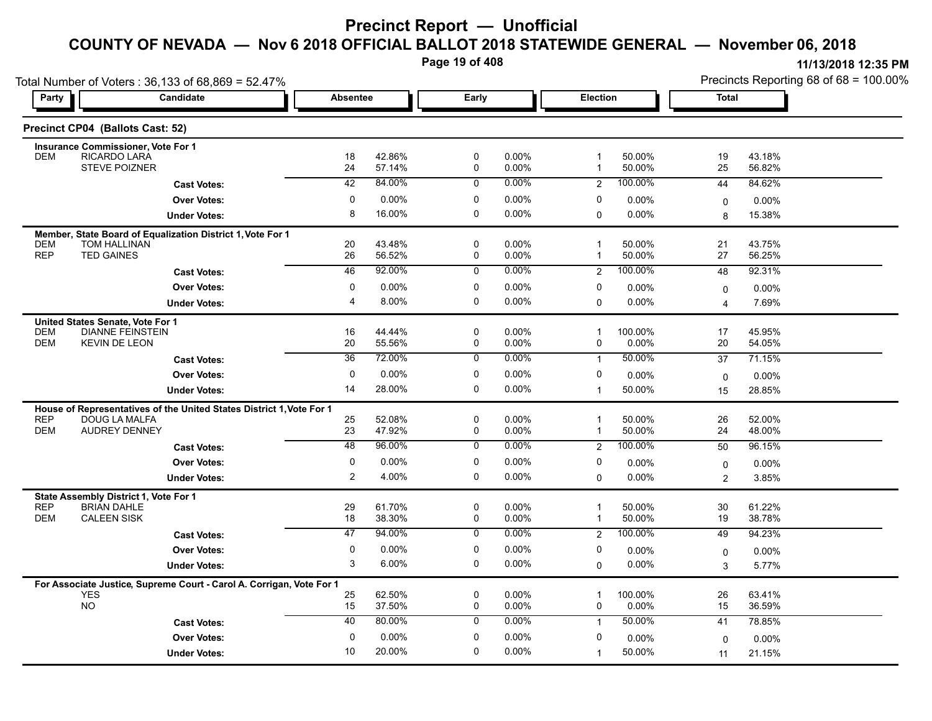**Page 19 of 408**

**11/13/2018 12:35 PM**

| <b>Party</b>             | Candidate                                                                             | <b>Absentee</b> |                  | Early                 |                      | Election            |                     | <b>Total</b>   |                  |
|--------------------------|---------------------------------------------------------------------------------------|-----------------|------------------|-----------------------|----------------------|---------------------|---------------------|----------------|------------------|
|                          | Precinct CP04 (Ballots Cast: 52)                                                      |                 |                  |                       |                      |                     |                     |                |                  |
|                          | Insurance Commissioner, Vote For 1                                                    |                 |                  |                       |                      |                     |                     |                |                  |
| <b>DEM</b>               | RICARDO LARA                                                                          | 18              | 42.86%           | 0                     | $0.00\%$             | $\mathbf 1$         | 50.00%              | 19             | 43.18%           |
|                          | STEVE POIZNER                                                                         | 24              | 57.14%           | 0                     | 0.00%                | $\mathbf{1}$        | 50.00%              | 25             | 56.82%           |
|                          | <b>Cast Votes:</b>                                                                    | 42              | 84.00%           | $\mathbf 0$           | 0.00%                | 2                   | 100.00%             | 44             | 84.62%           |
|                          | <b>Over Votes:</b>                                                                    | 0               | 0.00%            | 0                     | 0.00%                | 0                   | 0.00%               | $\mathbf 0$    | 0.00%            |
|                          | <b>Under Votes:</b>                                                                   | 8               | 16.00%           | $\mathbf 0$           | 0.00%                | $\mathbf 0$         | 0.00%               | 8              | 15.38%           |
|                          | Member, State Board of Equalization District 1, Vote For 1                            |                 |                  |                       |                      |                     |                     |                |                  |
| <b>DEM</b><br><b>REP</b> | <b>TOM HALLINAN</b><br><b>TED GAINES</b>                                              | 20<br>26        | 43.48%<br>56.52% | 0<br>0                | $0.00\%$<br>$0.00\%$ | 1<br>$\overline{1}$ | 50.00%<br>50.00%    | 21<br>27       | 43.75%<br>56.25% |
|                          | <b>Cast Votes:</b>                                                                    | 46              | 92.00%           | $\overline{0}$        | $0.00\%$             | $\overline{2}$      | 100.00%             | 48             | 92.31%           |
|                          | <b>Over Votes:</b>                                                                    | 0               | 0.00%            | 0                     | $0.00\%$             | 0                   |                     |                |                  |
|                          |                                                                                       | $\overline{4}$  | 8.00%            | 0                     | $0.00\%$             |                     | 0.00%<br>0.00%      | $\mathbf 0$    | 0.00%            |
|                          | <b>Under Votes:</b>                                                                   |                 |                  |                       |                      | $\mathbf 0$         |                     | $\overline{4}$ | 7.69%            |
| <b>DEM</b>               | United States Senate, Vote For 1<br><b>DIANNE FEINSTEIN</b>                           | 16              | 44.44%           | 0                     | 0.00%                | 1                   | 100.00%             | 17             | 45.95%           |
| <b>DEM</b>               | <b>KEVIN DE LEON</b>                                                                  | 20              | 55.56%           | 0                     | 0.00%                | 0                   | 0.00%               | 20             | 54.05%           |
|                          | <b>Cast Votes:</b>                                                                    | $\overline{36}$ | 72.00%           | 0                     | $0.00\%$             | $\mathbf{1}$        | 50.00%              | 37             | 71.15%           |
|                          | <b>Over Votes:</b>                                                                    | $\mathbf 0$     | 0.00%            | 0                     | $0.00\%$             | 0                   | 0.00%               | $\mathbf 0$    | 0.00%            |
|                          | <b>Under Votes:</b>                                                                   | 14              | 28.00%           | 0                     | $0.00\%$             | $\overline{1}$      | 50.00%              | 15             | 28.85%           |
|                          |                                                                                       |                 |                  |                       |                      |                     |                     |                |                  |
| <b>REP</b>               | House of Representatives of the United States District 1, Vote For 1<br>DOUG LA MALFA | 25              | 52.08%           | $\mathbf 0$           | $0.00\%$             |                     | 50.00%              | 26             | 52.00%           |
| <b>DEM</b>               | <b>AUDREY DENNEY</b>                                                                  | 23              | 47.92%           | 0                     | 0.00%                | $\mathbf 1$         | 50.00%              | 24             | 48.00%           |
|                          | <b>Cast Votes:</b>                                                                    | 48              | 96.00%           | $\mathbf 0$           | $0.00\%$             | 2                   | 100.00%             | 50             | 96.15%           |
|                          | <b>Over Votes:</b>                                                                    | 0               | 0.00%            | 0                     | $0.00\%$             | 0                   | 0.00%               | $\mathbf 0$    | 0.00%            |
|                          | <b>Under Votes:</b>                                                                   | $\overline{2}$  | 4.00%            | $\mathbf 0$           | $0.00\%$             | $\mathbf 0$         | 0.00%               | 2              | 3.85%            |
|                          | State Assembly District 1, Vote For 1                                                 |                 |                  |                       |                      |                     |                     |                |                  |
| <b>REP</b>               | <b>BRIAN DAHLE</b>                                                                    | 29              | 61.70%           | 0                     | 0.00%                | $\overline{1}$      | 50.00%              | 30             | 61.22%           |
| <b>DEM</b>               | <b>CALEEN SISK</b>                                                                    | 18              | 38.30%           | 0                     | 0.00%                | $\mathbf{1}$        | 50.00%              | 19             | 38.78%           |
|                          | <b>Cast Votes:</b>                                                                    | $\overline{47}$ | 94.00%           | 0                     | $0.00\%$             | 2                   | 100.00%             | 49             | 94.23%           |
|                          | <b>Over Votes:</b>                                                                    | 0               | 0.00%            | $\mathbf 0$           | 0.00%                | 0                   | 0.00%               | $\mathbf 0$    | 0.00%            |
|                          | <b>Under Votes:</b>                                                                   | 3               | 6.00%            | $\mathbf 0$           | $0.00\%$             | $\Omega$            | $0.00\%$            | 3              | 5.77%            |
|                          | For Associate Justice, Supreme Court - Carol A. Corrigan, Vote For 1                  |                 |                  |                       |                      |                     |                     |                |                  |
|                          | <b>YES</b><br><b>NO</b>                                                               | 25<br>15        | 62.50%<br>37.50% | $\pmb{0}$<br>$\Omega$ | 0.00%<br>$0.00\%$    | 1<br>$\mathbf{0}$   | 100.00%<br>$0.00\%$ | 26<br>15       | 63.41%<br>36.59% |

20.00% 10

0 0.00% 0 0.00%

**Under Votes: Over Votes:** 0.00%

**Cast Votes:** 40 80.00% 0 0.00% 1 50.00% 41 78.85%

0.00% 0

1

0.00%

 $0$  0.00%  $0$  0.00%  $0$  0.00%  $0$  0.00%  $0$  0.00%

0.00% 0

50.00% 21.15% 11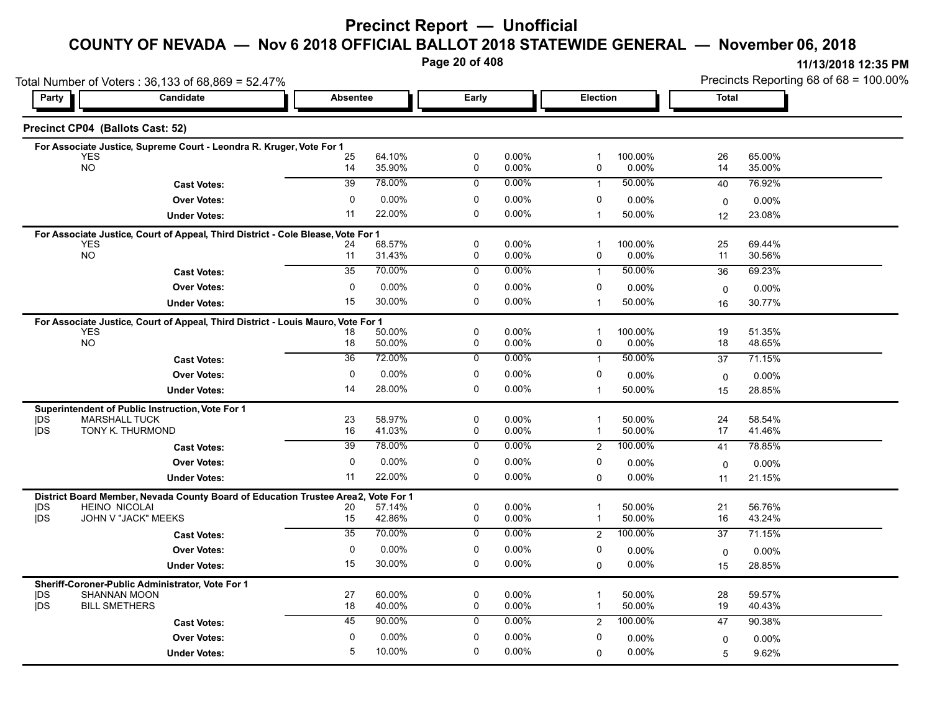# **Precinct Report — Unofficial**

### **COUNTY OF NEVADA — Nov 6 2018 OFFICIAL BALLOT 2018 STATEWIDE GENERAL — November 06, 2018**

**Page 20 of 408**

**11/13/2018 12:35 PM** Precincts Reporting 68 of 68 = 100.00%

| Total Number of Voters: 36,133 of 68,869 = 52.47% |                                                                                                                                                                                                                                                                                                                                           |                                                                                                                                                                                                                                                               |                                                                                                                                                                                                                                                                                                                                                          |                                                                                                                                |                                                                                                                                                          |                                                                                                                                                        |                                                                                                                                                                             | Precincts Reporting 68 of 68 = 100.00%                                                                              |
|---------------------------------------------------|-------------------------------------------------------------------------------------------------------------------------------------------------------------------------------------------------------------------------------------------------------------------------------------------------------------------------------------------|---------------------------------------------------------------------------------------------------------------------------------------------------------------------------------------------------------------------------------------------------------------|----------------------------------------------------------------------------------------------------------------------------------------------------------------------------------------------------------------------------------------------------------------------------------------------------------------------------------------------------------|--------------------------------------------------------------------------------------------------------------------------------|----------------------------------------------------------------------------------------------------------------------------------------------------------|--------------------------------------------------------------------------------------------------------------------------------------------------------|-----------------------------------------------------------------------------------------------------------------------------------------------------------------------------|---------------------------------------------------------------------------------------------------------------------|
| Candidate<br>Party                                |                                                                                                                                                                                                                                                                                                                                           |                                                                                                                                                                                                                                                               | Early                                                                                                                                                                                                                                                                                                                                                    |                                                                                                                                |                                                                                                                                                          |                                                                                                                                                        |                                                                                                                                                                             |                                                                                                                     |
| Precinct CP04 (Ballots Cast: 52)                  |                                                                                                                                                                                                                                                                                                                                           |                                                                                                                                                                                                                                                               |                                                                                                                                                                                                                                                                                                                                                          |                                                                                                                                |                                                                                                                                                          |                                                                                                                                                        |                                                                                                                                                                             |                                                                                                                     |
|                                                   |                                                                                                                                                                                                                                                                                                                                           |                                                                                                                                                                                                                                                               |                                                                                                                                                                                                                                                                                                                                                          |                                                                                                                                |                                                                                                                                                          |                                                                                                                                                        |                                                                                                                                                                             |                                                                                                                     |
| <b>NO</b>                                         | 14                                                                                                                                                                                                                                                                                                                                        | 35.90%                                                                                                                                                                                                                                                        | 0                                                                                                                                                                                                                                                                                                                                                        | 0.00%                                                                                                                          | 0                                                                                                                                                        | 0.00%                                                                                                                                                  | 14                                                                                                                                                                          | 65.00%<br>35.00%                                                                                                    |
| <b>Cast Votes:</b>                                | 39                                                                                                                                                                                                                                                                                                                                        | 78.00%                                                                                                                                                                                                                                                        | 0                                                                                                                                                                                                                                                                                                                                                        | 0.00%                                                                                                                          | $\mathbf{1}$                                                                                                                                             | 50.00%                                                                                                                                                 | 40                                                                                                                                                                          | 76.92%                                                                                                              |
| <b>Over Votes:</b>                                | 0                                                                                                                                                                                                                                                                                                                                         | $0.00\%$                                                                                                                                                                                                                                                      | 0                                                                                                                                                                                                                                                                                                                                                        | $0.00\%$                                                                                                                       | 0                                                                                                                                                        | 0.00%                                                                                                                                                  |                                                                                                                                                                             | $0.00\%$                                                                                                            |
| <b>Under Votes:</b>                               | 11                                                                                                                                                                                                                                                                                                                                        | 22.00%                                                                                                                                                                                                                                                        | 0                                                                                                                                                                                                                                                                                                                                                        | 0.00%                                                                                                                          | $\overline{1}$                                                                                                                                           | 50.00%                                                                                                                                                 | 12                                                                                                                                                                          | 23.08%                                                                                                              |
|                                                   |                                                                                                                                                                                                                                                                                                                                           |                                                                                                                                                                                                                                                               |                                                                                                                                                                                                                                                                                                                                                          |                                                                                                                                |                                                                                                                                                          |                                                                                                                                                        |                                                                                                                                                                             |                                                                                                                     |
| <b>YES</b>                                        | 24                                                                                                                                                                                                                                                                                                                                        | 68.57%                                                                                                                                                                                                                                                        | $\mathbf 0$                                                                                                                                                                                                                                                                                                                                              | 0.00%                                                                                                                          | $\mathbf{1}$                                                                                                                                             | 100.00%                                                                                                                                                | 25                                                                                                                                                                          | 69.44%                                                                                                              |
|                                                   |                                                                                                                                                                                                                                                                                                                                           |                                                                                                                                                                                                                                                               |                                                                                                                                                                                                                                                                                                                                                          |                                                                                                                                |                                                                                                                                                          |                                                                                                                                                        |                                                                                                                                                                             | 30.56%                                                                                                              |
| <b>Cast Votes:</b>                                |                                                                                                                                                                                                                                                                                                                                           |                                                                                                                                                                                                                                                               |                                                                                                                                                                                                                                                                                                                                                          |                                                                                                                                | $\mathbf{1}$                                                                                                                                             |                                                                                                                                                        | 36                                                                                                                                                                          | 69.23%                                                                                                              |
| <b>Over Votes:</b>                                | 0                                                                                                                                                                                                                                                                                                                                         | 0.00%                                                                                                                                                                                                                                                         | 0                                                                                                                                                                                                                                                                                                                                                        | 0.00%                                                                                                                          | 0                                                                                                                                                        | $0.00\%$                                                                                                                                               | $\mathbf 0$                                                                                                                                                                 | 0.00%                                                                                                               |
| <b>Under Votes:</b>                               | 15                                                                                                                                                                                                                                                                                                                                        |                                                                                                                                                                                                                                                               |                                                                                                                                                                                                                                                                                                                                                          |                                                                                                                                | $\mathbf{1}$                                                                                                                                             | 50.00%                                                                                                                                                 | 16                                                                                                                                                                          | 30.77%                                                                                                              |
|                                                   |                                                                                                                                                                                                                                                                                                                                           |                                                                                                                                                                                                                                                               |                                                                                                                                                                                                                                                                                                                                                          |                                                                                                                                |                                                                                                                                                          |                                                                                                                                                        |                                                                                                                                                                             |                                                                                                                     |
|                                                   |                                                                                                                                                                                                                                                                                                                                           |                                                                                                                                                                                                                                                               |                                                                                                                                                                                                                                                                                                                                                          |                                                                                                                                |                                                                                                                                                          |                                                                                                                                                        |                                                                                                                                                                             | 51.35%<br>48.65%                                                                                                    |
|                                                   |                                                                                                                                                                                                                                                                                                                                           |                                                                                                                                                                                                                                                               |                                                                                                                                                                                                                                                                                                                                                          |                                                                                                                                |                                                                                                                                                          |                                                                                                                                                        |                                                                                                                                                                             | 71.15%                                                                                                              |
|                                                   |                                                                                                                                                                                                                                                                                                                                           |                                                                                                                                                                                                                                                               |                                                                                                                                                                                                                                                                                                                                                          |                                                                                                                                |                                                                                                                                                          |                                                                                                                                                        |                                                                                                                                                                             |                                                                                                                     |
|                                                   |                                                                                                                                                                                                                                                                                                                                           |                                                                                                                                                                                                                                                               |                                                                                                                                                                                                                                                                                                                                                          |                                                                                                                                |                                                                                                                                                          |                                                                                                                                                        |                                                                                                                                                                             | 0.00%<br>28.85%                                                                                                     |
|                                                   |                                                                                                                                                                                                                                                                                                                                           |                                                                                                                                                                                                                                                               |                                                                                                                                                                                                                                                                                                                                                          |                                                                                                                                |                                                                                                                                                          |                                                                                                                                                        |                                                                                                                                                                             |                                                                                                                     |
|                                                   |                                                                                                                                                                                                                                                                                                                                           |                                                                                                                                                                                                                                                               |                                                                                                                                                                                                                                                                                                                                                          |                                                                                                                                | 1                                                                                                                                                        |                                                                                                                                                        |                                                                                                                                                                             | 58.54%                                                                                                              |
| TONY K. THURMOND                                  | 16                                                                                                                                                                                                                                                                                                                                        | 41.03%                                                                                                                                                                                                                                                        | $\mathbf 0$                                                                                                                                                                                                                                                                                                                                              | 0.00%                                                                                                                          | $\mathbf{1}$                                                                                                                                             | 50.00%                                                                                                                                                 | 17                                                                                                                                                                          | 41.46%                                                                                                              |
| <b>Cast Votes:</b>                                | 39                                                                                                                                                                                                                                                                                                                                        | 78.00%                                                                                                                                                                                                                                                        | $\mathbf 0$                                                                                                                                                                                                                                                                                                                                              | 0.00%                                                                                                                          | 2                                                                                                                                                        | 100.00%                                                                                                                                                | 41                                                                                                                                                                          | 78.85%                                                                                                              |
| <b>Over Votes:</b>                                | 0                                                                                                                                                                                                                                                                                                                                         | $0.00\%$                                                                                                                                                                                                                                                      | 0                                                                                                                                                                                                                                                                                                                                                        | 0.00%                                                                                                                          | 0                                                                                                                                                        | $0.00\%$                                                                                                                                               | $\mathbf 0$                                                                                                                                                                 | 0.00%                                                                                                               |
| <b>Under Votes:</b>                               | 11                                                                                                                                                                                                                                                                                                                                        | 22.00%                                                                                                                                                                                                                                                        | 0                                                                                                                                                                                                                                                                                                                                                        | 0.00%                                                                                                                          | $\Omega$                                                                                                                                                 | 0.00%                                                                                                                                                  | 11                                                                                                                                                                          | 21.15%                                                                                                              |
|                                                   |                                                                                                                                                                                                                                                                                                                                           | Vote For 1                                                                                                                                                                                                                                                    |                                                                                                                                                                                                                                                                                                                                                          |                                                                                                                                |                                                                                                                                                          |                                                                                                                                                        |                                                                                                                                                                             |                                                                                                                     |
| <b>HEINO NICOLAI</b>                              | 20                                                                                                                                                                                                                                                                                                                                        | 57.14%                                                                                                                                                                                                                                                        | $\mathbf 0$                                                                                                                                                                                                                                                                                                                                              | 0.00%                                                                                                                          | $\overline{1}$                                                                                                                                           | 50.00%                                                                                                                                                 | 21                                                                                                                                                                          | 56.76%                                                                                                              |
|                                                   |                                                                                                                                                                                                                                                                                                                                           |                                                                                                                                                                                                                                                               |                                                                                                                                                                                                                                                                                                                                                          |                                                                                                                                |                                                                                                                                                          |                                                                                                                                                        |                                                                                                                                                                             | 43.24%                                                                                                              |
|                                                   |                                                                                                                                                                                                                                                                                                                                           |                                                                                                                                                                                                                                                               |                                                                                                                                                                                                                                                                                                                                                          |                                                                                                                                |                                                                                                                                                          |                                                                                                                                                        |                                                                                                                                                                             | 71.15%                                                                                                              |
|                                                   |                                                                                                                                                                                                                                                                                                                                           |                                                                                                                                                                                                                                                               |                                                                                                                                                                                                                                                                                                                                                          |                                                                                                                                |                                                                                                                                                          | $0.00\%$                                                                                                                                               | $\mathbf 0$                                                                                                                                                                 | 0.00%                                                                                                               |
| <b>Under Votes:</b>                               |                                                                                                                                                                                                                                                                                                                                           |                                                                                                                                                                                                                                                               |                                                                                                                                                                                                                                                                                                                                                          |                                                                                                                                |                                                                                                                                                          |                                                                                                                                                        | 15                                                                                                                                                                          | 28.85%                                                                                                              |
| Sheriff-Coroner-Public Administrator, Vote For 1  |                                                                                                                                                                                                                                                                                                                                           |                                                                                                                                                                                                                                                               |                                                                                                                                                                                                                                                                                                                                                          |                                                                                                                                |                                                                                                                                                          |                                                                                                                                                        |                                                                                                                                                                             |                                                                                                                     |
|                                                   |                                                                                                                                                                                                                                                                                                                                           |                                                                                                                                                                                                                                                               |                                                                                                                                                                                                                                                                                                                                                          |                                                                                                                                | $\mathbf{1}$                                                                                                                                             |                                                                                                                                                        |                                                                                                                                                                             | 59.57%<br>40.43%                                                                                                    |
|                                                   | 45                                                                                                                                                                                                                                                                                                                                        | 90.00%                                                                                                                                                                                                                                                        | $\mathbf 0$                                                                                                                                                                                                                                                                                                                                              | $0.00\%$                                                                                                                       |                                                                                                                                                          |                                                                                                                                                        |                                                                                                                                                                             | 90.38%                                                                                                              |
| <b>Over Votes:</b>                                | $\mathbf 0$                                                                                                                                                                                                                                                                                                                               | 0.00%                                                                                                                                                                                                                                                         | 0                                                                                                                                                                                                                                                                                                                                                        | 0.00%                                                                                                                          | 0                                                                                                                                                        | $0.00\%$                                                                                                                                               | 0                                                                                                                                                                           | $0.00\%$                                                                                                            |
|                                                   |                                                                                                                                                                                                                                                                                                                                           |                                                                                                                                                                                                                                                               |                                                                                                                                                                                                                                                                                                                                                          |                                                                                                                                |                                                                                                                                                          |                                                                                                                                                        |                                                                                                                                                                             |                                                                                                                     |
|                                                   | <b>YES</b><br><b>NO</b><br><b>YES</b><br><b>NO</b><br><b>Cast Votes:</b><br><b>Over Votes:</b><br><b>Under Votes:</b><br>Superintendent of Public Instruction, Vote For 1<br><b>MARSHALL TUCK</b><br>JOHN V "JACK" MEEKS<br><b>Cast Votes:</b><br><b>Over Votes:</b><br><b>SHANNAN MOON</b><br><b>BILL SMETHERS</b><br><b>Cast Votes:</b> | For Associate Justice, Supreme Court - Leondra R. Kruger, Vote For 1<br>25<br>11<br>35<br>18<br>18<br>$\overline{36}$<br>0<br>14<br>23<br>District Board Member, Nevada County Board of Education Trustee Area2,<br>15<br>35<br>$\mathbf 0$<br>15<br>27<br>18 | <b>Absentee</b><br>64.10%<br>For Associate Justice, Court of Appeal, Third District - Cole Blease, Vote For 1<br>31.43%<br>70.00%<br>30.00%<br>For Associate Justice, Court of Appeal, Third District - Louis Mauro, Vote For 1<br>50.00%<br>50.00%<br>72.00%<br>$0.00\%$<br>28.00%<br>58.97%<br>42.86%<br>70.00%<br>0.00%<br>30.00%<br>60.00%<br>40.00% | 0<br>0<br>$\overline{0}$<br>$\Omega$<br>0<br>0<br>0<br>0<br>0<br>$\mathbf 0$<br>$\mathbf 0$<br>0<br>0<br>0<br>$\mathbf 0$<br>0 | 0.00%<br>0.00%<br>$0.00\%$<br>0.00%<br>0.00%<br>0.00%<br>$0.00\%$<br>0.00%<br>$0.00\%$<br>0.00%<br>0.00%<br>0.00%<br>$0.00\%$<br>0.00%<br>0.00%<br>0.00% | $\mathbf{1}$<br>0<br>$\overline{1}$<br>0<br>$\mathbf{1}$<br>0<br>$\mathbf{1}$<br>$\mathbf 1$<br>$\overline{2}$<br>0<br>$\Omega$<br>$\overline{1}$<br>2 | <b>Election</b><br>100.00%<br>0.00%<br>50.00%<br>100.00%<br>$0.00\%$<br>50.00%<br>0.00%<br>50.00%<br>50.00%<br>50.00%<br>100.00%<br>$0.00\%$<br>50.00%<br>50.00%<br>100.00% | <b>Total</b><br>26<br>$\mathbf 0$<br>11<br>19<br>18<br>37<br>$\mathbf{0}$<br>15<br>24<br>16<br>37<br>28<br>19<br>47 |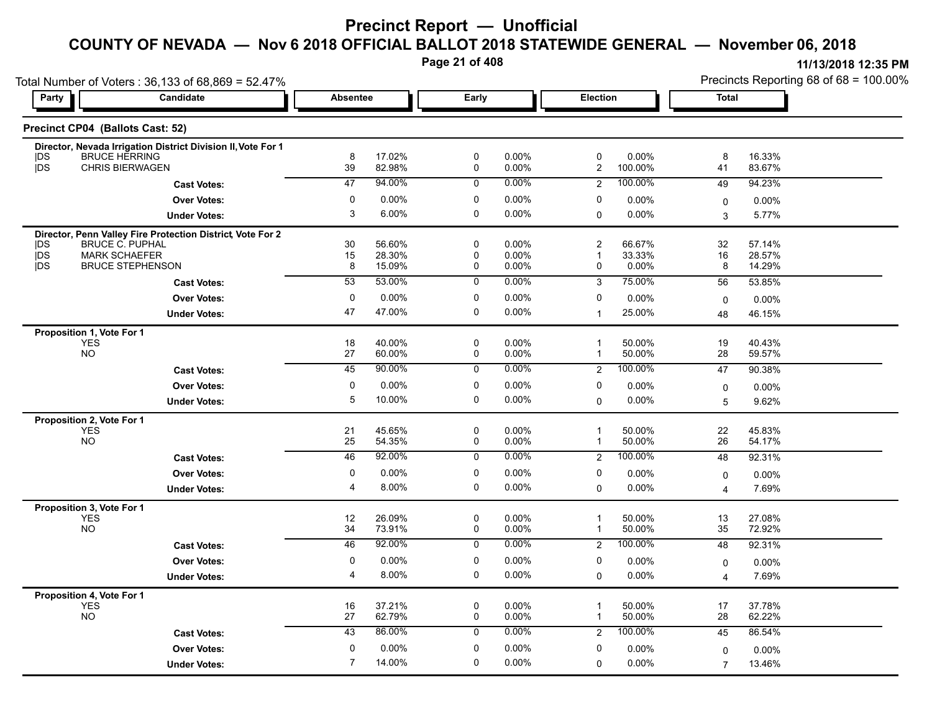**Page 21 of 408**

|                   | Total Number of Voters: 36,133 of 68,869 = 52.47%                                    |                 |                  |                     |                |                                           |                 |                         | Precincts Reporting 68 of 68 = 100.00% |
|-------------------|--------------------------------------------------------------------------------------|-----------------|------------------|---------------------|----------------|-------------------------------------------|-----------------|-------------------------|----------------------------------------|
| Party             | Candidate                                                                            | <b>Absentee</b> |                  | Early               |                | Election                                  |                 | <b>Total</b>            |                                        |
|                   | Precinct CP04 (Ballots Cast: 52)                                                     |                 |                  |                     |                |                                           |                 |                         |                                        |
| <b>IDS</b>        | Director, Nevada Irrigation District Division II, Vote For 1<br><b>BRUCE HERRING</b> | 8               | 17.02%           | 0                   | $0.00\%$       | 0                                         | 0.00%           | 8                       | 16.33%                                 |
| <b>IDS</b>        | <b>CHRIS BIERWAGEN</b>                                                               | 39              | 82.98%           | 0                   | $0.00\%$       | $\mathbf{2}$                              | 100.00%         | 41                      | 83.67%                                 |
|                   | <b>Cast Votes:</b>                                                                   | 47              | 94.00%           | 0                   | $0.00\%$       | $\overline{2}$                            | 100.00%         | 49                      | 94.23%                                 |
|                   | <b>Over Votes:</b>                                                                   | 0               | $0.00\%$         | 0                   | $0.00\%$       | 0                                         | 0.00%           | 0                       | 0.00%                                  |
|                   | <b>Under Votes:</b>                                                                  | 3               | 6.00%            | 0                   | 0.00%          | $\mathbf 0$                               | $0.00\%$        | 3                       | 5.77%                                  |
|                   | Director, Penn Valley Fire Protection District, Vote For 2                           |                 |                  |                     |                |                                           |                 |                         |                                        |
| <b>IDS</b>        | <b>BRUCE C. PUPHAL</b><br><b>MARK SCHAEFER</b>                                       | 30              | 56.60%           | 0<br>0              | 0.00%          | $\overline{\mathbf{c}}$<br>$\overline{1}$ | 66.67%          | 32                      | 57.14%                                 |
| <b>IDS</b><br>jDS | <b>BRUCE STEPHENSON</b>                                                              | 15<br>8         | 28.30%<br>15.09% | 0                   | 0.00%<br>0.00% | 0                                         | 33.33%<br>0.00% | 16<br>8                 | 28.57%<br>14.29%                       |
|                   | <b>Cast Votes:</b>                                                                   | 53              | 53.00%           | 0                   | $0.00\%$       | $\mathsf 3$                               | 75.00%          | 56                      | 53.85%                                 |
|                   | <b>Over Votes:</b>                                                                   | 0               | $0.00\%$         | 0                   | $0.00\%$       | 0                                         | 0.00%           | $\mathbf 0$             | $0.00\%$                               |
|                   | <b>Under Votes:</b>                                                                  | 47              | 47.00%           | 0                   | $0.00\%$       | $\overline{1}$                            | 25.00%          | 48                      | 46.15%                                 |
|                   | Proposition 1, Vote For 1                                                            |                 |                  |                     |                |                                           |                 |                         |                                        |
|                   | <b>YES</b>                                                                           | 18              | 40.00%           | 0                   | $0.00\%$       | $\overline{\mathbf{1}}$                   | 50.00%          | 19                      | 40.43%                                 |
|                   | <b>NO</b>                                                                            | 27              | 60.00%           | 0                   | 0.00%          | $\overline{\mathbf{1}}$                   | 50.00%          | 28                      | 59.57%                                 |
|                   | <b>Cast Votes:</b>                                                                   | 45              | 90.00%           | $\overline{0}$      | $0.00\%$       | $\overline{2}$                            | 100.00%         | 47                      | 90.38%                                 |
|                   | <b>Over Votes:</b>                                                                   | 0               | 0.00%            | 0                   | 0.00%          | 0                                         | 0.00%           | 0                       | 0.00%                                  |
|                   | <b>Under Votes:</b>                                                                  | 5               | 10.00%           | 0                   | $0.00\%$       | $\Omega$                                  | $0.00\%$        | 5                       | 9.62%                                  |
|                   | Proposition 2, Vote For 1<br><b>YES</b>                                              | 21              | 45.65%           | $\mathsf 0$         | 0.00%          | $\overline{1}$                            | 50.00%          | 22                      | 45.83%                                 |
|                   | <b>NO</b>                                                                            | 25              | 54.35%           | 0                   | 0.00%          | $\mathbf{1}$                              | 50.00%          | 26                      | 54.17%                                 |
|                   | <b>Cast Votes:</b>                                                                   | 46              | 92.00%           | $\overline{0}$      | $0.00\%$       | $\overline{2}$                            | 100.00%         | 48                      | 92.31%                                 |
|                   | <b>Over Votes:</b>                                                                   | $\mathbf 0$     | $0.00\%$         | 0                   | $0.00\%$       | 0                                         | $0.00\%$        | 0                       | 0.00%                                  |
|                   | <b>Under Votes:</b>                                                                  | $\overline{4}$  | 8.00%            | 0                   | $0.00\%$       | $\mathbf 0$                               | $0.00\%$        | $\overline{4}$          | 7.69%                                  |
|                   | Proposition 3, Vote For 1                                                            |                 |                  |                     |                |                                           |                 |                         |                                        |
|                   | <b>YES</b>                                                                           | 12              | 26.09%           | 0                   | $0.00\%$       | $\mathbf{1}$                              | 50.00%          | 13                      | 27.08%                                 |
|                   | <b>NO</b>                                                                            | 34              | 73.91%           | 0                   | $0.00\%$       | $\overline{1}$                            | 50.00%          | 35                      | 72.92%                                 |
|                   | <b>Cast Votes:</b>                                                                   | 46              | 92.00%           | 0                   | $0.00\%$       | 2                                         | 100.00%         | 48                      | 92.31%                                 |
|                   | <b>Over Votes:</b>                                                                   | 0               | 0.00%            | 0                   | $0.00\%$       | 0                                         | 0.00%           | $\mathbf 0$             | 0.00%                                  |
|                   | <b>Under Votes:</b>                                                                  | $\overline{4}$  | 8.00%            | 0                   | $0.00\%$       | $\mathbf 0$                               | $0.00\%$        | $\overline{\mathbf{4}}$ | 7.69%                                  |
|                   | Proposition 4, Vote For 1<br><b>YES</b>                                              | 16              | 37.21%           | 0                   | $0.00\%$       | $\overline{\mathbf{1}}$                   | 50.00%          | 17                      | 37.78%                                 |
|                   | <b>NO</b>                                                                            | 27              | 62.79%           | $\mathsf{O}\xspace$ | $0.00\%$       | $\overline{\mathbf{1}}$                   | 50.00%          | 28                      | 62.22%                                 |
|                   | <b>Cast Votes:</b>                                                                   | 43              | 86.00%           | $\mathbf 0$         | $0.00\%$       | $\overline{2}$                            | 100.00%         | 45                      | 86.54%                                 |
|                   | <b>Over Votes:</b>                                                                   | 0               | 0.00%            | 0                   | $0.00\%$       | 0                                         | $0.00\%$        | $\mathbf 0$             | 0.00%                                  |
|                   | <b>Under Votes:</b>                                                                  | $\overline{7}$  | 14.00%           | 0                   | $0.00\%$       | 0                                         | 0.00%           | $\overline{7}$          | 13.46%                                 |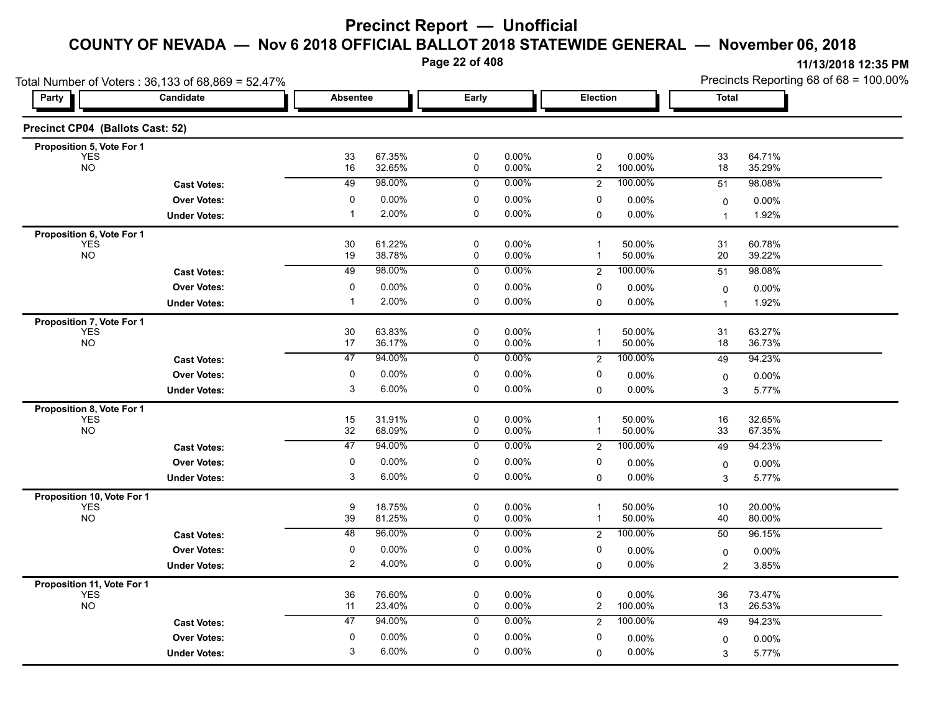**Page 22 of 408**

|                                          | Total Number of Voters: 36,133 of 68,869 = 52.47% |                 |                  |                            |                |                             |                  |                     | Precincts Reporting 68 of 68 = 100.00% |
|------------------------------------------|---------------------------------------------------|-----------------|------------------|----------------------------|----------------|-----------------------------|------------------|---------------------|----------------------------------------|
| Party                                    | Candidate                                         | <b>Absentee</b> |                  | Early                      |                | Election                    |                  | <b>Total</b>        |                                        |
| Precinct CP04 (Ballots Cast: 52)         |                                                   |                 |                  |                            |                |                             |                  |                     |                                        |
| Proposition 5, Vote For 1                |                                                   |                 |                  |                            |                | $\mathbf 0$                 |                  |                     |                                        |
| YES<br><b>NO</b>                         |                                                   | 33<br>16        | 67.35%<br>32.65% | $\mathbf 0$<br>$\mathsf 0$ | 0.00%<br>0.00% | $\overline{c}$              | 0.00%<br>100.00% | 33<br>18            | 64.71%<br>35.29%                       |
|                                          | <b>Cast Votes:</b>                                | 49              | 98.00%           | 0                          | 0.00%          | $\overline{2}$              | 100.00%          | 51                  | 98.08%                                 |
|                                          | <b>Over Votes:</b>                                | 0               | 0.00%            | 0                          | 0.00%          | 0                           | 0.00%            | 0                   | 0.00%                                  |
|                                          | <b>Under Votes:</b>                               | $\mathbf{1}$    | 2.00%            | 0                          | 0.00%          | 0                           | 0.00%            | $\mathbf{1}$        | 1.92%                                  |
| Proposition 6, Vote For 1                |                                                   |                 |                  |                            |                |                             |                  |                     |                                        |
| <b>YES</b><br><b>NO</b>                  |                                                   | 30<br>19        | 61.22%<br>38.78% | 0<br>$\mathbf 0$           | 0.00%<br>0.00% | $\mathbf 1$<br>$\mathbf{1}$ | 50.00%<br>50.00% | 31<br>20            | 60.78%<br>39.22%                       |
|                                          | <b>Cast Votes:</b>                                | 49              | 98.00%           | $\overline{0}$             | 0.00%          | $\overline{c}$              | 100.00%          | 51                  | 98.08%                                 |
|                                          | <b>Over Votes:</b>                                | $\mathbf 0$     | 0.00%            | $\pmb{0}$                  | 0.00%          | 0                           | 0.00%            | 0                   | 0.00%                                  |
|                                          | <b>Under Votes:</b>                               | $\mathbf 1$     | 2.00%            | 0                          | 0.00%          | 0                           | $0.00\%$         | $\mathbf{1}$        | 1.92%                                  |
| Proposition 7, Vote For 1                |                                                   |                 |                  |                            |                |                             |                  |                     |                                        |
| <b>YES</b>                               |                                                   | 30              | 63.83%           | 0                          | 0.00%          | $\mathbf 1$                 | 50.00%           | 31                  | 63.27%                                 |
| <b>NO</b>                                |                                                   | 17              | 36.17%           | $\mathbf 0$                | 0.00%          | $\mathbf 1$                 | 50.00%           | 18                  | 36.73%                                 |
|                                          | <b>Cast Votes:</b>                                | $\overline{47}$ | 94.00%           | $\overline{0}$             | 0.00%          | $\overline{2}$              | 100.00%          | 49                  | 94.23%                                 |
|                                          | <b>Over Votes:</b>                                | 0               | 0.00%            | $\mathbf 0$                | 0.00%          | 0                           | 0.00%            | 0                   | 0.00%                                  |
|                                          | <b>Under Votes:</b>                               | 3               | 6.00%            | $\mathbf 0$                | 0.00%          | 0                           | 0.00%            | 3                   | 5.77%                                  |
| Proposition 8, Vote For 1<br><b>YES</b>  |                                                   | 15              | 31.91%           | $\mathsf 0$                | 0.00%          | $\mathbf{1}$                | 50.00%           | 16                  | 32.65%                                 |
| <b>NO</b>                                |                                                   | 32              | 68.09%           | 0                          | 0.00%          | $\mathbf 1$                 | 50.00%           | 33                  | 67.35%                                 |
|                                          | <b>Cast Votes:</b>                                | 47              | 94.00%           | 0                          | 0.00%          | $\overline{2}$              | 100.00%          | 49                  | 94.23%                                 |
|                                          | <b>Over Votes:</b>                                | 0               | 0.00%            | 0                          | 0.00%          | 0                           | 0.00%            | 0                   | 0.00%                                  |
|                                          | <b>Under Votes:</b>                               | 3               | 6.00%            | 0                          | 0.00%          | $\mathbf 0$                 | 0.00%            | 3                   | 5.77%                                  |
| Proposition 10, Vote For 1               |                                                   |                 |                  |                            |                |                             |                  |                     |                                        |
| <b>YES</b><br>NO                         |                                                   | 9<br>39         | 18.75%<br>81.25% | 0<br>0                     | 0.00%<br>0.00% | $\mathbf{1}$<br>$\mathbf 1$ | 50.00%<br>50.00% | 10<br>40            | 20.00%<br>80.00%                       |
|                                          | <b>Cast Votes:</b>                                | 48              | 96.00%           | $\overline{0}$             | $0.00\%$       | $\overline{2}$              | 100.00%          | 50                  | 96.15%                                 |
|                                          | <b>Over Votes:</b>                                | 0               | 0.00%            | $\mathbf 0$                | 0.00%          | 0                           | $0.00\%$         |                     | 0.00%                                  |
|                                          | <b>Under Votes:</b>                               | $\overline{c}$  | 4.00%            | $\mathbf 0$                | 0.00%          | $\mathbf 0$                 | 0.00%            | 0<br>$\overline{2}$ | 3.85%                                  |
|                                          |                                                   |                 |                  |                            |                |                             |                  |                     |                                        |
| Proposition 11, Vote For 1<br><b>YES</b> |                                                   | 36              | 76.60%           | $\mathsf 0$                | 0.00%          | 0                           | 0.00%            | 36                  | 73.47%                                 |
| <b>NO</b>                                |                                                   | 11              | 23.40%           | 0                          | 0.00%          | $\overline{c}$              | 100.00%          | 13                  | 26.53%                                 |
|                                          | <b>Cast Votes:</b>                                | 47              | 94.00%           | 0                          | 0.00%          | 2                           | 100.00%          | 49                  | 94.23%                                 |
|                                          | <b>Over Votes:</b>                                | 0               | 0.00%            | $\mathbf 0$                | 0.00%          | 0                           | $0.00\%$         | 0                   | 0.00%                                  |
|                                          | <b>Under Votes:</b>                               | 3               | 6.00%            | $\mathbf 0$                | 0.00%          | $\Omega$                    | 0.00%            | 3                   | 5.77%                                  |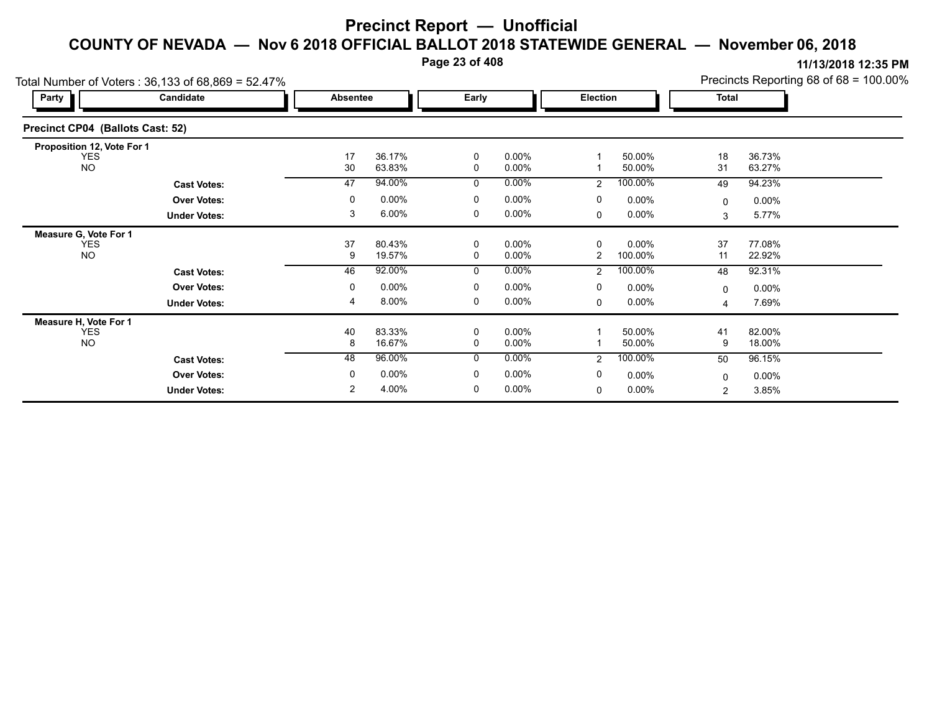**Page 23 of 408**

**11/13/2018 12:35 PM** Precincts Reporting 68 of 68 = 100.00%

|                                  | Total Number of Voters: 36,133 of 68,869 = 52.47% |                 |                  |        |                      |                 |                     |              | Precincts Reporting 68 of 68 = 100.00% |  |
|----------------------------------|---------------------------------------------------|-----------------|------------------|--------|----------------------|-----------------|---------------------|--------------|----------------------------------------|--|
| Party                            | Candidate                                         | <b>Absentee</b> |                  | Early  |                      | <b>Election</b> |                     | <b>Total</b> |                                        |  |
| Precinct CP04 (Ballots Cast: 52) |                                                   |                 |                  |        |                      |                 |                     |              |                                        |  |
| Proposition 12, Vote For 1       |                                                   |                 |                  |        |                      |                 |                     |              |                                        |  |
| YES<br><b>NO</b>                 |                                                   | 17<br>30        | 36.17%<br>63.83% | 0<br>0 | $0.00\%$<br>$0.00\%$ |                 | 50.00%<br>50.00%    | 18<br>31     | 36.73%<br>63.27%                       |  |
|                                  | <b>Cast Votes:</b>                                | 47              | 94.00%           | 0      | $0.00\%$             | $\overline{2}$  | 100.00%             | 49           | 94.23%                                 |  |
|                                  | <b>Over Votes:</b>                                | 0               | 0.00%            | 0      | $0.00\%$             | 0               | $0.00\%$            | 0            | $0.00\%$                               |  |
|                                  | <b>Under Votes:</b>                               | 3               | 6.00%            | 0      | 0.00%                | 0               | $0.00\%$            | 3            | 5.77%                                  |  |
| Measure G, Vote For 1            |                                                   |                 |                  |        |                      |                 |                     |              |                                        |  |
| <b>YES</b><br><b>NO</b>          |                                                   | 37<br>9         | 80.43%<br>19.57% | 0<br>0 | $0.00\%$<br>$0.00\%$ | 0<br>2          | $0.00\%$<br>100.00% | 37<br>11     | 77.08%<br>22.92%                       |  |
|                                  | <b>Cast Votes:</b>                                | 46              | 92.00%           | 0      | $0.00\%$             | $\overline{2}$  | 100.00%             | 48           | 92.31%                                 |  |
|                                  | <b>Over Votes:</b>                                | 0               | $0.00\%$         | 0      | $0.00\%$             | 0               | $0.00\%$            | $\Omega$     | $0.00\%$                               |  |
|                                  | <b>Under Votes:</b>                               | 4               | 8.00%            | 0      | $0.00\%$             | 0               | $0.00\%$            | 4            | 7.69%                                  |  |
| Measure H, Vote For 1            |                                                   |                 |                  |        |                      |                 |                     |              |                                        |  |
| YES<br><b>NO</b>                 |                                                   | 40<br>8         | 83.33%<br>16.67% | 0<br>0 | $0.00\%$<br>$0.00\%$ |                 | 50.00%<br>50.00%    | 41<br>9      | 82.00%<br>18.00%                       |  |
|                                  | <b>Cast Votes:</b>                                | 48              | 96.00%           | 0      | $0.00\%$             | 2               | 100.00%             | 50           | 96.15%                                 |  |
|                                  | <b>Over Votes:</b>                                | 0               | $0.00\%$         | 0      | $0.00\%$             | 0               | $0.00\%$            | 0            | $0.00\%$                               |  |
|                                  | <b>Under Votes:</b>                               | $\overline{2}$  | 4.00%            | 0      | $0.00\%$             | 0               | $0.00\%$            | 2            | 3.85%                                  |  |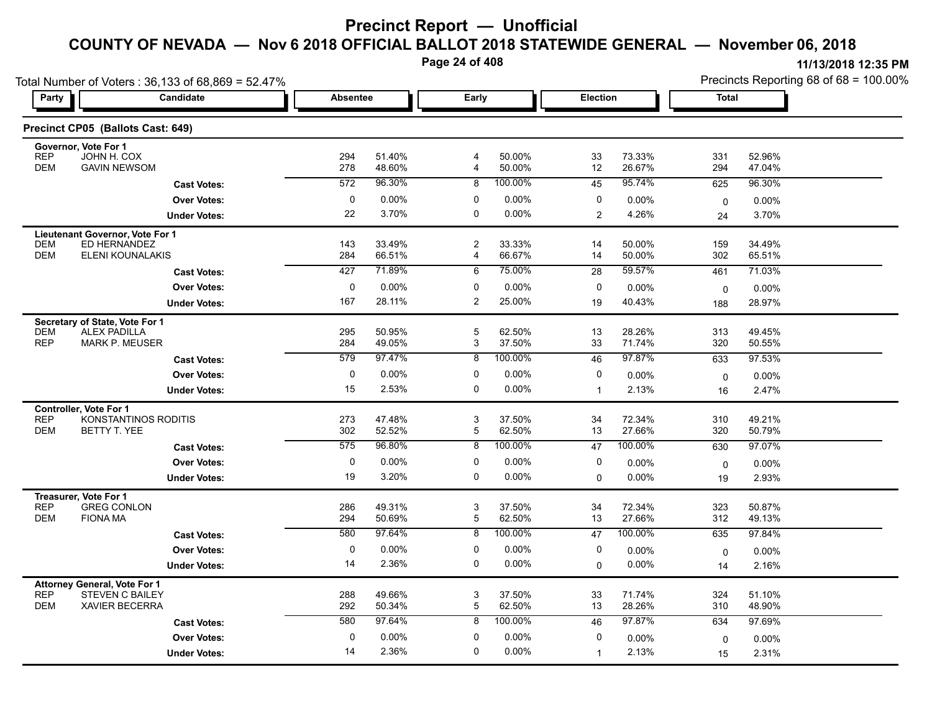**Page 24 of 408**

| Party                    | Total Number of Voters: 36,133 of 68,869 = 52.47%<br>Candidate | Absentee   |                  | Early          |                  | <b>Election</b> |                  | <b>Total</b> | <b>IN I AN AN I AT ALL IN</b><br>Precincts Reporting 68 of 68 = 100.00% |  |
|--------------------------|----------------------------------------------------------------|------------|------------------|----------------|------------------|-----------------|------------------|--------------|-------------------------------------------------------------------------|--|
|                          |                                                                |            |                  |                |                  |                 |                  |              |                                                                         |  |
|                          | Precinct CP05 (Ballots Cast: 649)                              |            |                  |                |                  |                 |                  |              |                                                                         |  |
|                          | Governor, Vote For 1                                           |            |                  |                |                  |                 |                  |              |                                                                         |  |
| <b>REP</b><br><b>DEM</b> | JOHN H. COX<br><b>GAVIN NEWSOM</b>                             | 294<br>278 | 51.40%<br>48.60% | 4              | 50.00%<br>50.00% | 33<br>12        | 73.33%<br>26.67% | 331<br>294   | 52.96%<br>47.04%                                                        |  |
|                          | <b>Cast Votes:</b>                                             | 572        | 96.30%           | 8              | 100.00%          | 45              | 95.74%           | 625          | 96.30%                                                                  |  |
|                          | <b>Over Votes:</b>                                             |            | 0.00%            | 0              | 0.00%            | 0               | $0.00\%$         | $\mathbf 0$  | $0.00\%$                                                                |  |
|                          | <b>Under Votes:</b>                                            | 22         | 3.70%            | 0              | 0.00%            | $\overline{2}$  | 4.26%            | 24           | 3.70%                                                                   |  |
|                          | Lieutenant Governor, Vote For 1                                |            |                  |                |                  |                 |                  |              |                                                                         |  |
| <b>DEM</b>               | ED HERNANDEZ                                                   | 143        | 33.49%           | $\overline{2}$ | 33.33%           | 14              | 50.00%           | 159          | 34.49%                                                                  |  |
| <b>DEM</b>               | ELENI KOUNALAKIS                                               | 284        | 66.51%           | $\overline{4}$ | 66.67%           | 14              | 50.00%           | 302          | 65.51%                                                                  |  |
|                          | <b>Cast Votes:</b>                                             | 427        | 71.89%           | 6              | 75.00%           | 28              | 59.57%           | 461          | 71.03%                                                                  |  |
|                          | <b>Over Votes:</b>                                             | $\Omega$   | 0.00%            | $\Omega$       | 0.00%            | 0               | $0.00\%$         | $\mathbf 0$  | 0.00%                                                                   |  |
|                          | <b>Under Votes:</b>                                            | 167        | 28.11%           | $\overline{2}$ | 25.00%           | 19              | 40.43%           | 188          | 28.97%                                                                  |  |
|                          | Secretary of State, Vote For 1                                 |            |                  |                |                  |                 |                  |              |                                                                         |  |
| <b>DEM</b>               | <b>ALEX PADILLA</b>                                            | 295        | 50.95%           |                | 62.50%           | 13              | 28.26%           | 313          | 49.45%                                                                  |  |
| <b>REP</b>               | <b>MARK P. MEUSER</b>                                          | 284        | 49.05%           | 3              | 37.50%           | 33              | 71.74%           | 320          | 50.55%                                                                  |  |
|                          | <b>Cast Votes:</b>                                             | 579        | 97.47%           | 8              | 100.00%          | 46              | 97.87%           | 633          | 97.53%                                                                  |  |
|                          | <b>Over Votes:</b>                                             | $\Omega$   | 0.00%            | $\Omega$       | $0.00\%$         | 0               | $0.00\%$         | $\mathbf 0$  | $0.00\%$                                                                |  |
|                          | <b>Under Votes:</b>                                            | 15         | 2.53%            | 0              | $0.00\%$         |                 | 2.13%            | 16           | 2.47%                                                                   |  |
|                          | Controller, Vote For 1<br>$- - - - - -$                        |            |                  |                |                  |                 | -----            | $ -$         | $\cdots$                                                                |  |

|            | GASL VOLUS.                         |     |          |   | 100.0070 | ∽        |          | ບບບ          | <u>JI.JU/U</u> |  |
|------------|-------------------------------------|-----|----------|---|----------|----------|----------|--------------|----------------|--|
|            | <b>Over Votes:</b>                  | 0   | $0.00\%$ | 0 | $0.00\%$ | 0        | $0.00\%$ | $\mathbf{0}$ | 0.00%          |  |
|            | <b>Under Votes:</b>                 | 15  | 2.53%    | 0 | $0.00\%$ |          | 2.13%    | 16           | 2.47%          |  |
|            | <b>Controller, Vote For 1</b>       |     |          |   |          |          |          |              |                |  |
| <b>REP</b> | KONSTANTINOS RODITIS                | 273 | 47.48%   | 3 | 37.50%   | 34       | 72.34%   | 310          | 49.21%         |  |
| <b>DEM</b> | BETTY T. YEE                        | 302 | 52.52%   | 5 | 62.50%   | 13       | 27.66%   | 320          | 50.79%         |  |
|            | <b>Cast Votes:</b>                  | 575 | 96.80%   | 8 | 100.00%  | 47       | 100.00%  | 630          | 97.07%         |  |
|            | <b>Over Votes:</b>                  | 0   | $0.00\%$ | 0 | $0.00\%$ | 0        | 0.00%    | $\mathbf{0}$ | $0.00\%$       |  |
|            | <b>Under Votes:</b>                 | 19  | 3.20%    | 0 | $0.00\%$ | 0        | $0.00\%$ | 19           | 2.93%          |  |
|            | Treasurer, Vote For 1               |     |          |   |          |          |          |              |                |  |
| <b>REP</b> | <b>GREG CONLON</b>                  | 286 | 49.31%   | 3 | 37.50%   | 34       | 72.34%   | 323          | 50.87%         |  |
| <b>DEM</b> | <b>FIONA MA</b>                     | 294 | 50.69%   | 5 | 62.50%   | 13       | 27.66%   | 312          | 49.13%         |  |
|            | <b>Cast Votes:</b>                  | 580 | 97.64%   | 8 | 100.00%  | 47       | 100.00%  | 635          | 97.84%         |  |
|            | <b>Over Votes:</b>                  | 0   | $0.00\%$ | 0 | $0.00\%$ | $\Omega$ | 0.00%    | $\mathbf{0}$ | $0.00\%$       |  |
|            | <b>Under Votes:</b>                 | 14  | 2.36%    | 0 | $0.00\%$ | $\Omega$ | $0.00\%$ | 14           | 2.16%          |  |
|            | <b>Attorney General, Vote For 1</b> |     |          |   |          |          |          |              |                |  |
| <b>REP</b> | <b>STEVEN C BAILEY</b>              | 288 | 49.66%   | 3 | 37.50%   | 33       | 71.74%   | 324          | 51.10%         |  |
| <b>DEM</b> | <b>XAVIER BECERRA</b>               | 292 | 50.34%   | 5 | 62.50%   | 13       | 28.26%   | 310          | 48.90%         |  |
|            | <b>Cast Votes:</b>                  | 580 | 97.64%   | 8 | 100.00%  | 46       | 97.87%   | 634          | 97.69%         |  |
|            | <b>Over Votes:</b>                  | 0   | $0.00\%$ | 0 | $0.00\%$ | $\Omega$ | $0.00\%$ | $\mathbf{0}$ | $0.00\%$       |  |
|            | <b>Under Votes:</b>                 | 14  | 2.36%    | 0 | $0.00\%$ |          | 2.13%    | 15           | 2.31%          |  |
|            |                                     |     |          |   |          |          |          |              |                |  |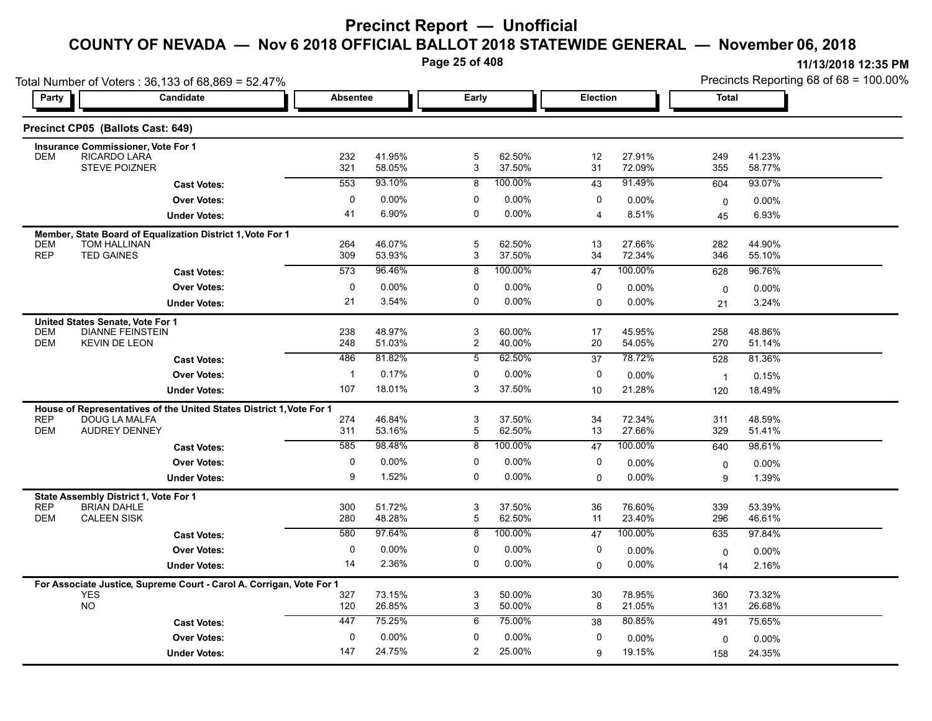**Page 25 of 408**

| 11/13/2018 12:35 PM                    |
|----------------------------------------|
| Precincts Reporting 68 of 68 = 100 00% |

|                                  | Total Number of Voters: 36,133 of 68,869 = 52.47%                                            |                 |                  |                     |                  |             |                  | Precincts Reporting 68 of 68 = 100.00% |                  |  |
|----------------------------------|----------------------------------------------------------------------------------------------|-----------------|------------------|---------------------|------------------|-------------|------------------|----------------------------------------|------------------|--|
| Party                            | <b>Candidate</b>                                                                             | <b>Absentee</b> |                  | Early               |                  | Election    |                  | <b>Total</b>                           |                  |  |
|                                  | Precinct CP05 (Ballots Cast: 649)                                                            |                 |                  |                     |                  |             |                  |                                        |                  |  |
|                                  | <b>Insurance Commissioner, Vote For 1</b>                                                    |                 |                  |                     |                  |             |                  |                                        |                  |  |
| <b>DEM</b>                       | RICARDO LARA<br><b>STEVE POIZNER</b>                                                         | 232<br>321      | 41.95%<br>58.05% | $\mathbf 5$<br>3    | 62.50%<br>37.50% | 12<br>31    | 27.91%<br>72.09% | 249<br>355                             | 41.23%<br>58.77% |  |
|                                  | <b>Cast Votes:</b>                                                                           | 553             | 93.10%           | 8                   | 100.00%          | 43          | 91.49%           | 604                                    | 93.07%           |  |
|                                  | <b>Over Votes:</b>                                                                           | 0               | $0.00\%$         | 0                   | $0.00\%$         | 0           | 0.00%            | $\mathbf 0$                            | 0.00%            |  |
|                                  | <b>Under Votes:</b>                                                                          | 41              | 6.90%            | 0                   | 0.00%            | 4           | 8.51%            | 45                                     | 6.93%            |  |
| <b>DEM</b>                       | Member, State Board of Equalization District 1, Vote For 1<br><b>TOM HALLINAN</b>            | 264             | 46.07%           | 5                   | 62.50%           | 13          | 27.66%           | 282                                    | 44.90%           |  |
| <b>REP</b>                       | <b>TED GAINES</b>                                                                            | 309             | 53.93%           | 3                   | 37.50%           | 34          | 72.34%           | 346                                    | 55.10%           |  |
|                                  | <b>Cast Votes:</b>                                                                           | 573             | 96.46%           | 8                   | 100.00%          | 47          | 100.00%          | 628                                    | 96.76%           |  |
|                                  | <b>Over Votes:</b>                                                                           | 0               | $0.00\%$         | 0                   | $0.00\%$         | 0           | 0.00%            | $\mathbf 0$                            | 0.00%            |  |
|                                  | <b>Under Votes:</b>                                                                          | 21              | 3.54%            | 0                   | 0.00%            | 0           | 0.00%            | 21                                     | 3.24%            |  |
| United States Senate, Vote For 1 |                                                                                              |                 |                  |                     |                  |             |                  |                                        |                  |  |
| <b>DEM</b><br><b>DEM</b>         | <b>DIANNE FEINSTEIN</b><br><b>KEVIN DE LEON</b>                                              | 238<br>248      | 48.97%<br>51.03% | 3<br>$\overline{c}$ | 60.00%<br>40.00% | 17<br>20    | 45.95%<br>54.05% | 258<br>270                             | 48.86%<br>51.14% |  |
|                                  |                                                                                              | 486             | 81.82%           | 5                   | 62.50%           | 37          | 78.72%           | 528                                    | 81.36%           |  |
|                                  | <b>Cast Votes:</b><br><b>Over Votes:</b>                                                     | -1              | 0.17%            | $\mathbf 0$         | 0.00%            | 0           | $0.00\%$         |                                        |                  |  |
|                                  | <b>Under Votes:</b>                                                                          | 107             | 18.01%           | 3                   | 37.50%           | 10          | 21.28%           | $\overline{1}$<br>120                  | 0.15%<br>18.49%  |  |
|                                  |                                                                                              |                 |                  |                     |                  |             |                  |                                        |                  |  |
| <b>REP</b>                       | House of Representatives of the United States District 1, Vote For 1<br><b>DOUG LA MALFA</b> | 274             | 46.84%           | 3                   | 37.50%           | 34          | 72.34%           | 311                                    | 48.59%           |  |
| <b>DEM</b>                       | <b>AUDREY DENNEY</b>                                                                         | 311             | 53.16%           | 5                   | 62.50%           | 13          | 27.66%           | 329                                    | 51.41%           |  |
|                                  | <b>Cast Votes:</b>                                                                           | 585             | 98.48%           | 8                   | 100.00%          | 47          | 100.00%          | 640                                    | 98.61%           |  |
|                                  | <b>Over Votes:</b>                                                                           | 0               | 0.00%            | 0                   | 0.00%            | 0           | 0.00%            | 0                                      | $0.00\%$         |  |
|                                  | <b>Under Votes:</b>                                                                          | 9               | 1.52%            | $\Omega$            | 0.00%            | $\mathbf 0$ | 0.00%            | 9                                      | 1.39%            |  |
|                                  | State Assembly District 1, Vote For 1                                                        |                 |                  |                     |                  |             |                  |                                        |                  |  |
| <b>REP</b><br><b>DEM</b>         | <b>BRIAN DAHLE</b><br><b>CALEEN SISK</b>                                                     | 300<br>280      | 51.72%<br>48.28% | 3<br>5              | 37.50%<br>62.50% | 36<br>11    | 76.60%<br>23.40% | 339<br>296                             | 53.39%<br>46.61% |  |
|                                  | <b>Cast Votes:</b>                                                                           | 580             | 97.64%           | $\overline{8}$      | 100.00%          | 47          | 100.00%          | 635                                    | 97.84%           |  |
|                                  | <b>Over Votes:</b>                                                                           | 0               | 0.00%            | 0                   | 0.00%            | 0           | $0.00\%$         |                                        | $0.00\%$         |  |
|                                  | <b>Under Votes:</b>                                                                          | 14              | 2.36%            | $\mathbf 0$         | 0.00%            | 0           | $0.00\%$         | 0<br>14                                | 2.16%            |  |
|                                  |                                                                                              |                 |                  |                     |                  |             |                  |                                        |                  |  |
| <b>YES</b>                       | For Associate Justice, Supreme Court - Carol A. Corrigan, Vote For 1                         | 327             | 73.15%           | 3                   | 50.00%           | 30          | 78.95%           | 360                                    | 73.32%           |  |
| NO                               |                                                                                              | 120             | 26.85%           | 3                   | 50.00%           | 8           | 21.05%           | 131                                    | 26.68%           |  |
|                                  | <b>Cast Votes:</b>                                                                           | 447             | 75.25%           | 6                   | 75.00%           | 38          | 80.85%           | 491                                    | 75.65%           |  |
|                                  | <b>Over Votes:</b>                                                                           | $\mathbf 0$     | 0.00%            | 0                   | 0.00%            | 0           | $0.00\%$         | 0                                      | $0.00\%$         |  |
|                                  | <b>Under Votes:</b>                                                                          | 147             | 24.75%           | 2                   | 25.00%           | 9           | 19.15%           | 158                                    | 24.35%           |  |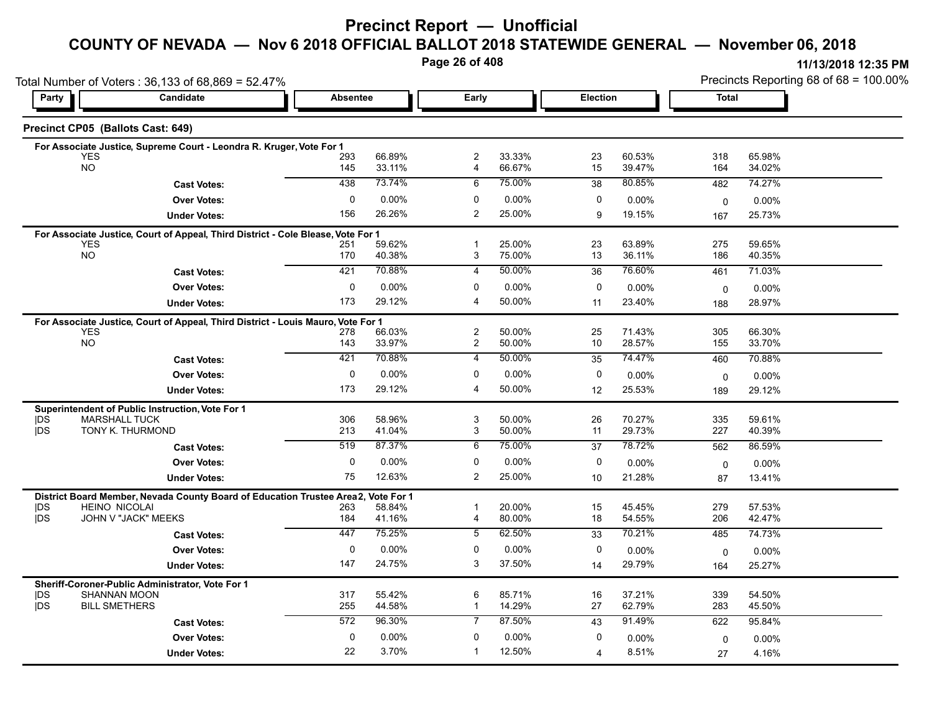**Page 26 of 408**

|                                                                         | Total Number of Voters: 36,133 of 68,869 = 52.47%                                 |                 |                  |                                  |                  |                 |                  | Precincts Reporting 68 of 68 = 100.00% |                    |  |
|-------------------------------------------------------------------------|-----------------------------------------------------------------------------------|-----------------|------------------|----------------------------------|------------------|-----------------|------------------|----------------------------------------|--------------------|--|
| Party                                                                   | Candidate                                                                         | <b>Absentee</b> |                  | Early                            |                  | <b>Election</b> |                  | <b>Total</b>                           |                    |  |
| Precinct CP05 (Ballots Cast: 649)                                       |                                                                                   |                 |                  |                                  |                  |                 |                  |                                        |                    |  |
|                                                                         | For Associate Justice, Supreme Court - Leondra R. Kruger, Vote For 1              |                 |                  |                                  |                  |                 |                  |                                        |                    |  |
| <b>YES</b><br><b>NO</b>                                                 |                                                                                   | 293<br>145      | 66.89%<br>33.11% | $\overline{2}$<br>$\overline{4}$ | 33.33%<br>66.67% | 23<br>15        | 60.53%<br>39.47% | 318<br>164                             | 65.98%<br>34.02%   |  |
|                                                                         | <b>Cast Votes:</b>                                                                | 438             | 73.74%           | 6                                | 75.00%           | 38              | 80.85%           | 482                                    | 74.27%             |  |
|                                                                         | <b>Over Votes:</b>                                                                | $\pmb{0}$       | 0.00%            | $\mathbf 0$                      | 0.00%            | 0               | 0.00%            | 0                                      | 0.00%              |  |
|                                                                         | <b>Under Votes:</b>                                                               | 156             | 26.26%           | 2                                | 25.00%           | 9               | 19.15%           | 167                                    | 25.73%             |  |
|                                                                         | For Associate Justice, Court of Appeal, Third District - Cole Blease, Vote For 1  |                 |                  |                                  |                  |                 |                  |                                        |                    |  |
| <b>YES</b><br><b>NO</b>                                                 |                                                                                   | 251<br>170      | 59.62%<br>40.38% | 3                                | 25.00%<br>75.00% | 23<br>13        | 63.89%<br>36.11% | 275<br>186                             | 59.65%<br>40.35%   |  |
|                                                                         | <b>Cast Votes:</b>                                                                | 421             | 70.88%           | $\overline{4}$                   | 50.00%           | 36              | 76.60%           | 461                                    | 71.03%             |  |
|                                                                         | <b>Over Votes:</b>                                                                | $\mathbf 0$     | 0.00%            | $\mathbf 0$                      | 0.00%            | $\mathbf 0$     | 0.00%            | $\mathbf 0$                            | $0.00\%$           |  |
|                                                                         | <b>Under Votes:</b>                                                               | 173             | 29.12%           | 4                                | 50.00%           | 11              | 23.40%           | 188                                    | 28.97%             |  |
|                                                                         | For Associate Justice, Court of Appeal, Third District - Louis Mauro, Vote For 1  |                 |                  |                                  |                  |                 |                  |                                        |                    |  |
| <b>YES</b><br><b>NO</b>                                                 |                                                                                   | 278<br>143      | 66.03%<br>33.97% | $\overline{2}$<br>$\overline{2}$ | 50.00%<br>50.00% | 25<br>10        | 71.43%<br>28.57% | 305<br>155                             | 66.30%<br>33.70%   |  |
|                                                                         |                                                                                   | 421             | 70.88%           | 4                                | 50.00%           | 35              | 74.47%           | 460                                    | 70.88%             |  |
|                                                                         | <b>Cast Votes:</b><br><b>Over Votes:</b>                                          | 0               | 0.00%            | $\mathbf 0$                      | 0.00%            | 0               | 0.00%            |                                        |                    |  |
|                                                                         | <b>Under Votes:</b>                                                               | 173             | 29.12%           | $\overline{4}$                   | 50.00%           | 12              | 25.53%           | $\Omega$<br>189                        | $0.00\%$<br>29.12% |  |
|                                                                         | Superintendent of Public Instruction, Vote For 1                                  |                 |                  |                                  |                  |                 |                  |                                        |                    |  |
| <b>MARSHALL TUCK</b><br><b>IDS</b>                                      |                                                                                   | 306             | 58.96%           | 3                                | 50.00%           | 26              | 70.27%           | 335                                    | 59.61%             |  |
| <b>IDS</b>                                                              | TONY K. THURMOND                                                                  | 213             | 41.04%           | 3                                | 50.00%           | 11              | 29.73%           | 227                                    | 40.39%             |  |
|                                                                         | <b>Cast Votes:</b>                                                                | 519             | 87 37%           | 6                                | 75.00%           | 37              | 78.72%           | 562                                    | 86.59%             |  |
|                                                                         | <b>Over Votes:</b>                                                                | $\mathbf 0$     | 0.00%            | $\mathbf 0$                      | 0.00%            | 0               | 0.00%            | $\mathbf{0}$                           | 0.00%              |  |
|                                                                         | <b>Under Votes:</b>                                                               | 75              | 12.63%           | $\overline{2}$                   | 25.00%           | 10              | 21.28%           | 87                                     | 13.41%             |  |
|                                                                         | District Board Member, Nevada County Board of Education Trustee Area2, Vote For 1 |                 |                  |                                  |                  |                 |                  |                                        |                    |  |
| <b>IDS</b><br><b>HEINO NICOLAI</b><br><b>IDS</b>                        | JOHN V "JACK" MEEKS                                                               | 263<br>184      | 58.84%<br>41.16% | $\mathbf{1}$<br>4                | 20.00%<br>80.00% | 15<br>18        | 45.45%<br>54.55% | 279<br>206                             | 57.53%<br>42.47%   |  |
|                                                                         | <b>Cast Votes:</b>                                                                | 447             | 75.25%           | $\overline{5}$                   | 62.50%           | 33              | 70.21%           | 485                                    | 74.73%             |  |
|                                                                         | <b>Over Votes:</b>                                                                | $\mathbf 0$     | 0.00%            | $\mathbf 0$                      | 0.00%            | 0               | 0.00%            | 0                                      | $0.00\%$           |  |
|                                                                         | <b>Under Votes:</b>                                                               | 147             | 24.75%           | 3                                | 37.50%           | 14              | 29.79%           | 164                                    | 25.27%             |  |
|                                                                         | Sheriff-Coroner-Public Administrator, Vote For 1                                  |                 |                  |                                  |                  |                 |                  |                                        |                    |  |
| <b>SHANNAN MOON</b><br><b>IDS</b><br><b>IDS</b><br><b>BILL SMETHERS</b> |                                                                                   | 317<br>255      | 55.42%<br>44.58% | 6<br>$\mathbf{1}$                | 85.71%<br>14.29% | 16<br>27        | 37.21%<br>62.79% | 339<br>283                             | 54.50%<br>45.50%   |  |
|                                                                         | <b>Cast Votes:</b>                                                                | 572             | 96.30%           | 7                                | 87.50%           | 43              | 91.49%           | 622                                    | 95.84%             |  |
|                                                                         | <b>Over Votes:</b>                                                                | 0               | $0.00\%$         | 0                                | 0.00%            | $\mathbf 0$     | 0.00%            | 0                                      | 0.00%              |  |
|                                                                         | <b>Under Votes:</b>                                                               | 22              | 3.70%            | $\mathbf{1}$                     | 12.50%           | $\overline{4}$  | 8.51%            | 27                                     | 4.16%              |  |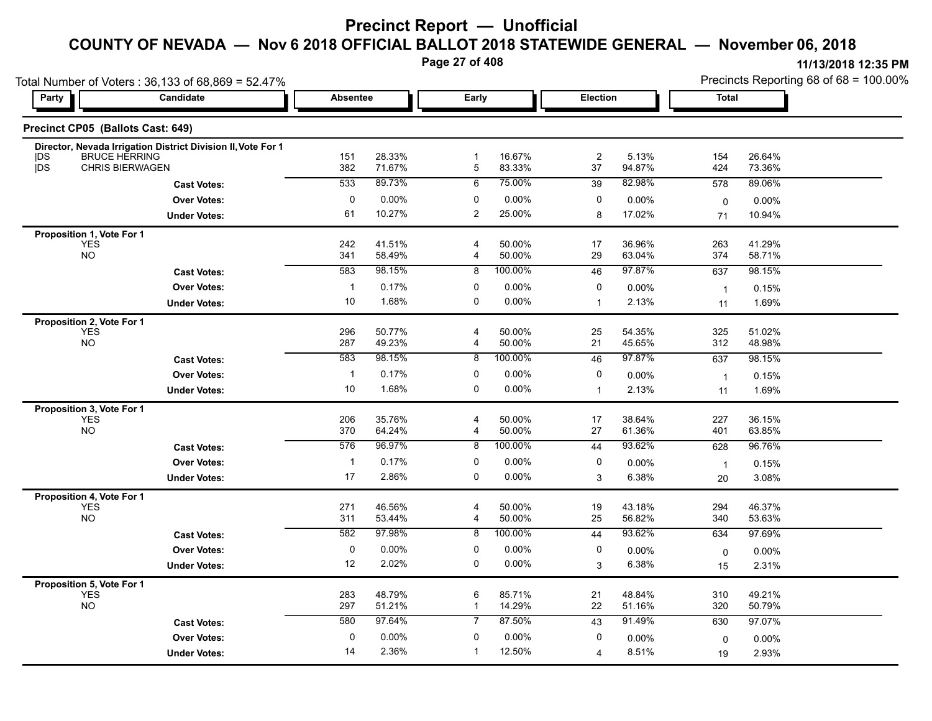**Page 27 of 408**

|                                         | Total Number of Voters: 36,133 of 68,869 = 52.47%                                    |                 |                  |                              |                  |                  |                  |                      | Precincts Reporting 68 of 68 = 100.00% |
|-----------------------------------------|--------------------------------------------------------------------------------------|-----------------|------------------|------------------------------|------------------|------------------|------------------|----------------------|----------------------------------------|
| Party                                   | Candidate                                                                            | <b>Absentee</b> |                  | Early                        |                  | <b>Election</b>  |                  | <b>Total</b>         |                                        |
|                                         | Precinct CP05 (Ballots Cast: 649)                                                    |                 |                  |                              |                  |                  |                  |                      |                                        |
| DS                                      | Director, Nevada Irrigation District Division II, Vote For 1<br><b>BRUCE HERRING</b> | 151             | 28.33%           | $\mathbf 1$                  | 16.67%           | $\boldsymbol{2}$ | 5.13%            | 154                  | 26.64%                                 |
| <b>IDS</b>                              | <b>CHRIS BIERWAGEN</b>                                                               | 382             | 71.67%           | 5                            | 83.33%           | 37               | 94.87%           | 424                  | 73.36%                                 |
|                                         | <b>Cast Votes:</b>                                                                   | 533             | 89.73%           | 6                            | 75.00%           | 39               | 82.98%           | 578                  | 89.06%                                 |
|                                         | <b>Over Votes:</b>                                                                   | 0               | $0.00\%$         | 0                            | 0.00%            | 0                | $0.00\%$         | 0                    | 0.00%                                  |
|                                         | <b>Under Votes:</b>                                                                  | 61              | 10.27%           | $\overline{c}$               | 25.00%           | 8                | 17.02%           | 71                   | 10.94%                                 |
| Proposition 1, Vote For 1               |                                                                                      |                 |                  |                              |                  |                  |                  |                      |                                        |
| <b>YES</b><br><b>NO</b>                 |                                                                                      | 242<br>341      | 41.51%<br>58.49% | $\overline{\mathbf{4}}$<br>4 | 50.00%<br>50.00% | 17<br>29         | 36.96%<br>63.04% | 263<br>374           | 41.29%<br>58.71%                       |
|                                         | <b>Cast Votes:</b>                                                                   | 583             | 98.15%           | 8                            | 100.00%          | 46               | 97.87%           | 637                  | 98.15%                                 |
|                                         | <b>Over Votes:</b>                                                                   | $\mathbf{1}$    | 0.17%            | 0                            | 0.00%            | 0                | 0.00%            | $\overline{1}$       | 0.15%                                  |
|                                         | <b>Under Votes:</b>                                                                  | 10              | 1.68%            | 0                            | 0.00%            | $\overline{1}$   | 2.13%            | 11                   | 1.69%                                  |
| Proposition 2, Vote For 1               |                                                                                      |                 |                  |                              |                  |                  |                  |                      |                                        |
| <b>YES</b>                              |                                                                                      | 296             | 50.77%           | $\overline{\mathbf{4}}$      | 50.00%           | 25               | 54.35%           | 325                  | 51.02%                                 |
| <b>NO</b>                               |                                                                                      | 287             | 49.23%           | 4                            | 50.00%           | 21               | 45.65%           | 312                  | 48.98%                                 |
|                                         | <b>Cast Votes:</b>                                                                   | 583             | 98.15%           | 8                            | 100.00%          | 46               | 97.87%           | 637                  | 98.15%                                 |
|                                         | <b>Over Votes:</b>                                                                   | $\mathbf{1}$    | 0.17%            | 0                            | 0.00%            | 0                | 0.00%            | $\overline{1}$       | 0.15%                                  |
|                                         | <b>Under Votes:</b>                                                                  | 10              | 1.68%            | 0                            | 0.00%            | $\mathbf{1}$     | 2.13%            | 11                   | 1.69%                                  |
| Proposition 3, Vote For 1               |                                                                                      |                 |                  |                              |                  |                  |                  |                      |                                        |
| YES<br><b>NO</b>                        |                                                                                      | 206<br>370      | 35.76%<br>64.24% | $\overline{\mathbf{4}}$<br>4 | 50.00%<br>50.00% | 17<br>27         | 38.64%<br>61.36% | 227<br>401           | 36.15%<br>63.85%                       |
|                                         | <b>Cast Votes:</b>                                                                   | 576             | 96.97%           | 8                            | 100.00%          | 44               | 93.62%           | 628                  | 96.76%                                 |
|                                         | <b>Over Votes:</b>                                                                   | $\mathbf{1}$    | 0.17%            | 0                            | 0.00%            | 0                | 0.00%            |                      |                                        |
|                                         | <b>Under Votes:</b>                                                                  | 17              | 2.86%            | 0                            | 0.00%            | 3                | 6.38%            | $\overline{1}$<br>20 | 0.15%<br>3.08%                         |
|                                         |                                                                                      |                 |                  |                              |                  |                  |                  |                      |                                        |
| Proposition 4, Vote For 1<br><b>YES</b> |                                                                                      | 271             | 46.56%           | $\overline{4}$               | 50.00%           | 19               | 43.18%           | 294                  | 46.37%                                 |
| <b>NO</b>                               |                                                                                      | 311             | 53.44%           | $\overline{4}$               | 50.00%           | 25               | 56.82%           | 340                  | 53.63%                                 |
|                                         | <b>Cast Votes:</b>                                                                   | 582             | 97.98%           | 8                            | 100.00%          | 44               | 93.62%           | 634                  | 97.69%                                 |
|                                         | <b>Over Votes:</b>                                                                   | 0               | 0.00%            | 0                            | 0.00%            | 0                | 0.00%            | 0                    | 0.00%                                  |
|                                         | <b>Under Votes:</b>                                                                  | 12              | 2.02%            | 0                            | 0.00%            | 3                | 6.38%            | 15                   | 2.31%                                  |
| Proposition 5, Vote For 1               |                                                                                      |                 |                  |                              |                  |                  |                  |                      |                                        |
| YES<br><b>NO</b>                        |                                                                                      | 283             | 48.79%           | 6                            | 85.71%           | 21               | 48.84%           | 310                  | 49.21%                                 |
|                                         |                                                                                      | 297             | 51.21%           | $\mathbf{1}$                 | 14.29%           | 22               | 51.16%           | 320                  | 50.79%                                 |
|                                         | <b>Cast Votes:</b>                                                                   | 580             | 97.64%           | $\overline{7}$               | 87.50%           | 43               | 91.49%           | 630                  | 97.07%                                 |
|                                         | <b>Over Votes:</b>                                                                   | 0               | 0.00%            | $\mathbf{0}$                 | 0.00%            | 0                | $0.00\%$         | $\mathbf 0$          | $0.00\%$                               |
|                                         | <b>Under Votes:</b>                                                                  | 14              | 2.36%            | $\mathbf 1$                  | 12.50%           | 4                | 8.51%            | 19                   | 2.93%                                  |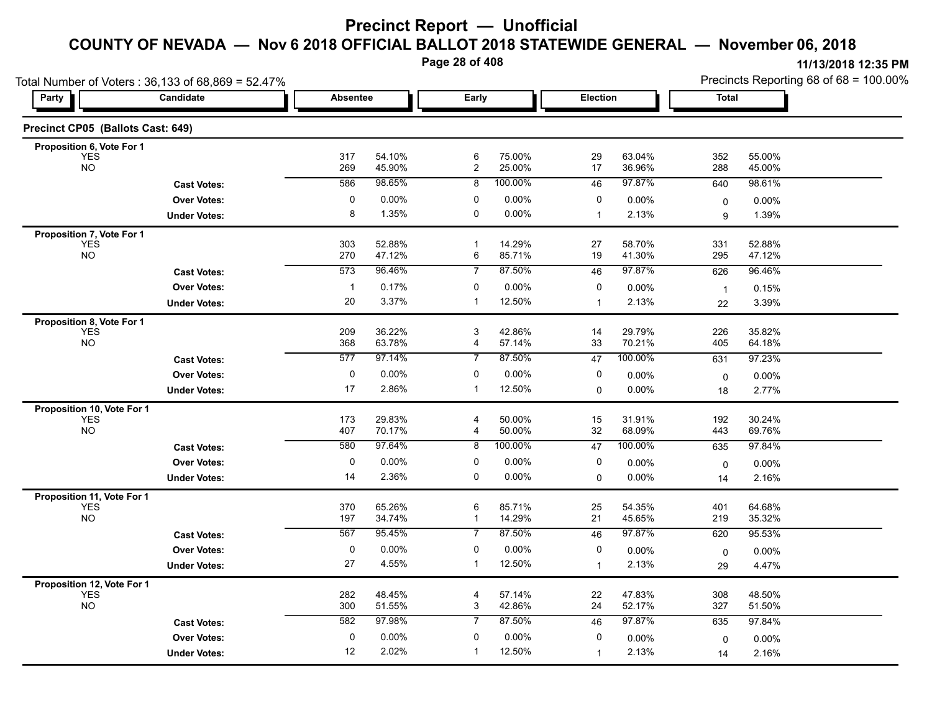**Page 28 of 408**

|                                          | Total Number of Voters: 36,133 of 68,869 = 52.47% |                 |                   |                     |                  |                |                  | Precincts Reporting 68 of 68 = 100.00% |                  |  |
|------------------------------------------|---------------------------------------------------|-----------------|-------------------|---------------------|------------------|----------------|------------------|----------------------------------------|------------------|--|
| Party                                    | Candidate                                         | <b>Absentee</b> |                   | Early               |                  | Election       |                  | Total                                  |                  |  |
| Precinct CP05 (Ballots Cast: 649)        |                                                   |                 |                   |                     |                  |                |                  |                                        |                  |  |
| Proposition 6, Vote For 1                |                                                   |                 |                   |                     |                  |                |                  |                                        |                  |  |
| <b>YES</b><br><b>NO</b>                  |                                                   | 317<br>269      | 54.10%<br>45.90%  | 6<br>$\overline{c}$ | 75.00%<br>25.00% | 29<br>17       | 63.04%<br>36.96% | 352<br>288                             | 55.00%<br>45.00% |  |
|                                          | <b>Cast Votes:</b>                                | 586             | 98.65%            | 8                   | 100.00%          | 46             | 97.87%           | 640                                    | 98.61%           |  |
|                                          | <b>Over Votes:</b>                                | 0               | $0.00\%$          | 0                   | 0.00%            | 0              | 0.00%            | 0                                      | $0.00\%$         |  |
|                                          | <b>Under Votes:</b>                               | 8               | 1.35%             | 0                   | 0.00%            | $\mathbf{1}$   | 2.13%            | 9                                      | 1.39%            |  |
| Proposition 7, Vote For 1                |                                                   |                 |                   |                     |                  |                |                  |                                        |                  |  |
| <b>YES</b><br><b>NO</b>                  |                                                   | 303<br>270      | 52.88%<br>47.12%  | -1<br>6             | 14.29%<br>85.71% | 27<br>19       | 58.70%<br>41.30% | 331<br>295                             | 52.88%<br>47.12% |  |
|                                          | <b>Cast Votes:</b>                                | 573             | 96.46%            | $\overline{7}$      | 87.50%           | 46             | 97.87%           | 626                                    | 96.46%           |  |
|                                          | <b>Over Votes:</b>                                | $\mathbf{1}$    | 0.17%             | 0                   | 0.00%            | 0              | $0.00\%$         | $\overline{1}$                         | 0.15%            |  |
|                                          | <b>Under Votes:</b>                               | 20              | 3.37%             | $\mathbf 1$         | 12.50%           | $\overline{1}$ | 2.13%            | 22                                     | 3.39%            |  |
| Proposition 8, Vote For 1                |                                                   |                 |                   |                     |                  |                |                  |                                        |                  |  |
| <b>YES</b><br><b>NO</b>                  |                                                   | 209<br>368      | 36.22%            | 3                   | 42.86%           | 14<br>33       | 29.79%<br>70.21% | 226                                    | 35.82%           |  |
|                                          |                                                   | 577             | 63.78%<br>97.14%  | 4<br>7              | 57.14%<br>87.50% | 47             | 100.00%          | 405                                    | 64.18%<br>97.23% |  |
|                                          | <b>Cast Votes:</b>                                |                 |                   |                     |                  |                |                  | 631                                    |                  |  |
|                                          | <b>Over Votes:</b>                                | 0<br>17         | $0.00\%$<br>2.86% | 0                   | 0.00%<br>12.50%  | 0              | 0.00%            | $\mathbf 0$                            | $0.00\%$         |  |
|                                          | <b>Under Votes:</b>                               |                 |                   | -1                  |                  | 0              | $0.00\%$         | 18                                     | 2.77%            |  |
| Proposition 10, Vote For 1<br><b>YES</b> |                                                   | 173             | 29.83%            | 4                   | 50.00%           | 15             | 31.91%           | 192                                    | 30.24%           |  |
| <b>NO</b>                                |                                                   | 407             | 70.17%            | 4                   | 50.00%           | 32             | 68.09%           | 443                                    | 69.76%           |  |
|                                          | <b>Cast Votes:</b>                                | 580             | 97.64%            | 8                   | 100.00%          | 47             | 100.00%          | 635                                    | 97.84%           |  |
|                                          | <b>Over Votes:</b>                                | 0               | $0.00\%$          | 0                   | 0.00%            | 0              | $0.00\%$         | 0                                      | $0.00\%$         |  |
|                                          | <b>Under Votes:</b>                               | 14              | 2.36%             | 0                   | 0.00%            | 0              | 0.00%            | 14                                     | 2.16%            |  |
| Proposition 11, Vote For 1               |                                                   |                 |                   |                     |                  |                |                  |                                        |                  |  |
| <b>YES</b>                               |                                                   | 370             | 65.26%            | 6                   | 85.71%           | 25             | 54.35%           | 401                                    | 64.68%           |  |
| <b>NO</b>                                |                                                   | 197<br>567      | 34.74%<br>95.45%  | 1<br>7              | 14.29%<br>87.50% | 21<br>46       | 45.65%<br>97.87% | 219                                    | 35.32%<br>95.53% |  |
|                                          | <b>Cast Votes:</b>                                |                 |                   |                     |                  |                |                  | 620                                    |                  |  |
|                                          | <b>Over Votes:</b>                                | 0<br>27         | $0.00\%$<br>4.55% | 0<br>$\mathbf{1}$   | 0.00%<br>12.50%  | 0              | 0.00%            | $\mathbf 0$                            | 0.00%            |  |
|                                          | <b>Under Votes:</b>                               |                 |                   |                     |                  | $\mathbf{1}$   | 2.13%            | 29                                     | 4.47%            |  |
| Proposition 12, Vote For 1<br><b>YES</b> |                                                   | 282             | 48.45%            | 4                   | 57.14%           | 22             | 47.83%           | 308                                    | 48.50%           |  |
| <b>NO</b>                                |                                                   | 300             | 51.55%            | 3                   | 42.86%           | 24             | 52.17%           | 327                                    | 51.50%           |  |
|                                          | <b>Cast Votes:</b>                                | 582             | 97.98%            | 7                   | 87.50%           | 46             | 97.87%           | 635                                    | 97.84%           |  |
|                                          | <b>Over Votes:</b>                                | 0               | $0.00\%$          | 0                   | 0.00%            | 0              | $0.00\%$         | 0                                      | $0.00\%$         |  |
|                                          | <b>Under Votes:</b>                               | 12              | 2.02%             | -1                  | 12.50%           | $\mathbf{1}$   | 2.13%            | 14                                     | 2.16%            |  |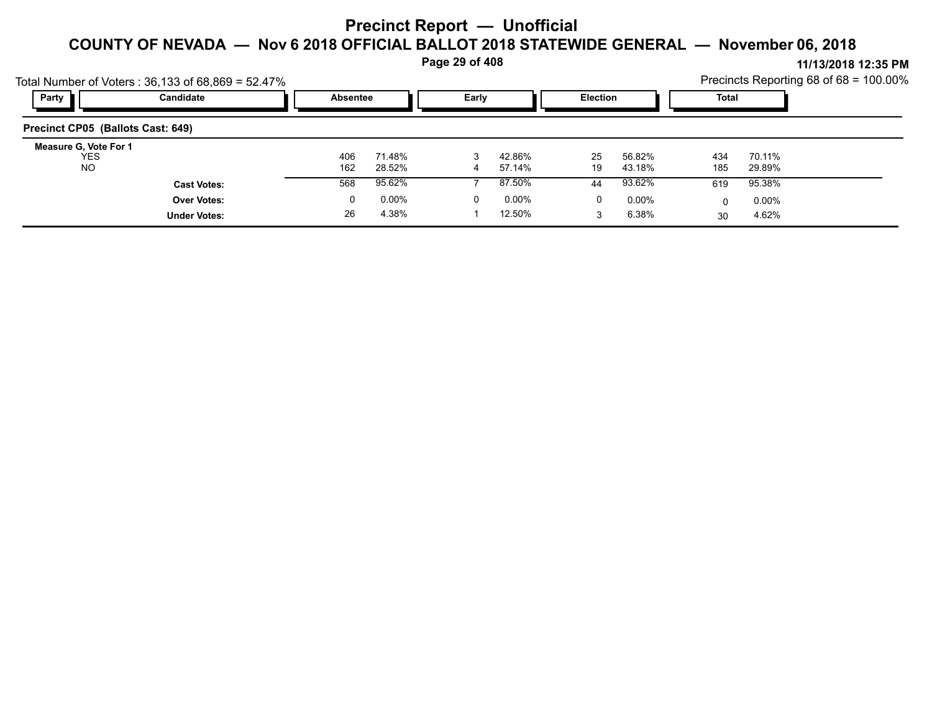**Page 29 of 408**

**11/13/2018 12:35 PM** Precincts Reporting 68 of 68 = 100.00%

| Party                                            | Total Number of Voters: 36,133 of 68,869 = 52.47%<br>Candidate | <b>Absentee</b> |                  | Early |                  | <b>Election</b> |                  | Total      |                  | Precincts Reporting 68 of $68 = 100.00\%$ |
|--------------------------------------------------|----------------------------------------------------------------|-----------------|------------------|-------|------------------|-----------------|------------------|------------|------------------|-------------------------------------------|
| Precinct CP05 (Ballots Cast: 649)                |                                                                |                 |                  |       |                  |                 |                  |            |                  |                                           |
| Measure G, Vote For 1<br><b>YES</b><br><b>NO</b> |                                                                | 406<br>162      | 71.48%<br>28.52% | 4     | 42.86%<br>57.14% | 25<br>19        | 56.82%<br>43.18% | 434<br>185 | 70.11%<br>29.89% |                                           |
|                                                  | <b>Cast Votes:</b>                                             | 568             | 95.62%           |       | 87.50%           | 44              | 93.62%           | 619        | 95.38%           |                                           |
|                                                  | <b>Over Votes:</b>                                             | 0               | $0.00\%$         | 0     | $0.00\%$         | 0               | $0.00\%$         | 0          | $0.00\%$         |                                           |
|                                                  | <b>Under Votes:</b>                                            | 26              | 4.38%            |       | 12.50%           |                 | 6.38%            | 30         | 4.62%            |                                           |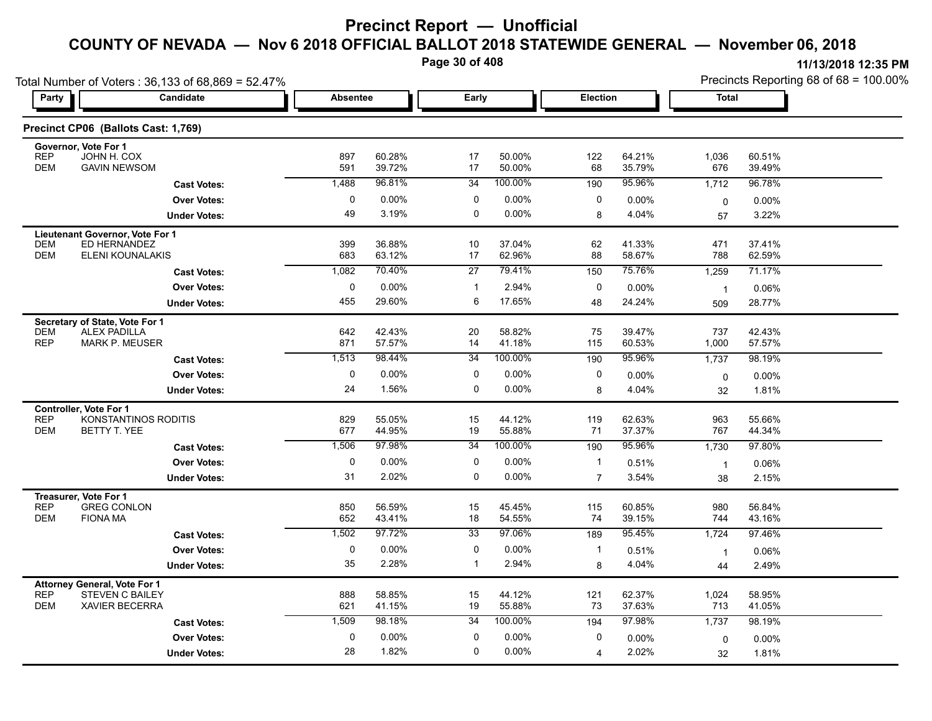**Page 30 of 408**

|                                                                                                                    | Total Number of Voters: 36,133 of 68,869 = 52.47% |                 |                  |                 |                  |                |                  | Precincts Reporting 68 of 68 = 100.00% |                  |  |
|--------------------------------------------------------------------------------------------------------------------|---------------------------------------------------|-----------------|------------------|-----------------|------------------|----------------|------------------|----------------------------------------|------------------|--|
| <b>Party</b>                                                                                                       | Candidate                                         | <b>Absentee</b> |                  | Early           |                  | Election       |                  | <b>Total</b>                           |                  |  |
| Precinct CP06 (Ballots Cast: 1,769)                                                                                |                                                   |                 |                  |                 |                  |                |                  |                                        |                  |  |
| Governor, Vote For 1<br><b>REP</b><br>JOHN H. COX<br><b>DEM</b><br><b>GAVIN NEWSOM</b>                             |                                                   | 897<br>591      | 60.28%<br>39.72% | 17<br>17        | 50.00%<br>50.00% | 122<br>68      | 64.21%<br>35.79% | 1,036<br>676                           | 60.51%<br>39.49% |  |
|                                                                                                                    | <b>Cast Votes:</b>                                | 1,488           | 96.81%           | 34              | 100.00%          | 190            | 95.96%           | 1,712                                  | 96.78%           |  |
|                                                                                                                    | <b>Over Votes:</b>                                | 0               | 0.00%            | 0               | 0.00%            | 0              | 0.00%            | $\mathbf 0$                            | $0.00\%$         |  |
|                                                                                                                    | <b>Under Votes:</b>                               | 49              | 3.19%            | $\mathbf 0$     | 0.00%            | 8              | 4.04%            | 57                                     | 3.22%            |  |
| Lieutenant Governor, Vote For 1<br>ED HERNANDEZ<br>DEM<br><b>DEM</b><br>ELENI KOUNALAKIS                           |                                                   | 399<br>683      | 36.88%<br>63.12% | 10<br>17        | 37.04%<br>62.96% | 62<br>88       | 41.33%<br>58.67% | 471<br>788                             | 37.41%<br>62.59% |  |
|                                                                                                                    | <b>Cast Votes:</b>                                | 1,082           | 70.40%           | $\overline{27}$ | 79.41%           | 150            | 75.76%           | 1,259                                  | 71.17%           |  |
|                                                                                                                    | <b>Over Votes:</b>                                | $\pmb{0}$       | 0.00%            | $\mathbf{1}$    | 2.94%            | 0              | 0.00%            | $\overline{1}$                         | 0.06%            |  |
|                                                                                                                    | <b>Under Votes:</b>                               | 455             | 29.60%           | 6               | 17.65%           | 48             | 24.24%           | 509                                    | 28.77%           |  |
| Secretary of State, Vote For 1<br><b>DEM</b><br><b>ALEX PADILLA</b><br><b>REP</b><br><b>MARK P. MEUSER</b>         |                                                   | 642<br>871      | 42.43%<br>57.57% | 20<br>14        | 58.82%<br>41.18% | 75<br>115      | 39.47%<br>60.53% | 737<br>1,000                           | 42.43%<br>57.57% |  |
|                                                                                                                    | <b>Cast Votes:</b>                                | 1,513           | 98.44%           | $\overline{34}$ | 100.00%          | 190            | 95.96%           | 1,737                                  | 98.19%           |  |
|                                                                                                                    | <b>Over Votes:</b>                                | 0               | 0.00%            | 0               | 0.00%            | 0              | 0.00%            | 0                                      | 0.00%            |  |
|                                                                                                                    | <b>Under Votes:</b>                               | 24              | 1.56%            | 0               | 0.00%            | 8              | 4.04%            | 32                                     | 1.81%            |  |
| <b>Controller. Vote For 1</b><br><b>REP</b><br><b>DEM</b><br>BETTY T. YEE                                          | KONSTANTINOS RODITIS                              | 829<br>677      | 55.05%<br>44.95% | 15<br>19        | 44.12%<br>55.88% | 119<br>71      | 62.63%<br>37.37% | 963<br>767                             | 55.66%<br>44.34% |  |
|                                                                                                                    | <b>Cast Votes:</b>                                | 1,506           | 97 98%           | 34              | 100.00%          | 190            | 95.96%           | 1,730                                  | 97.80%           |  |
|                                                                                                                    | <b>Over Votes:</b>                                | 0               | 0.00%            | 0               | 0.00%            | $\mathbf{1}$   | 0.51%            | $\mathbf{1}$                           | 0.06%            |  |
|                                                                                                                    | <b>Under Votes:</b>                               | 31              | 2.02%            | 0               | 0.00%            | $\overline{7}$ | 3.54%            | 38                                     | 2.15%            |  |
| Treasurer, Vote For 1<br><b>REP</b><br><b>GREG CONLON</b><br><b>DEM</b><br><b>FIONA MA</b>                         |                                                   | 850<br>652      | 56.59%<br>43.41% | 15<br>18        | 45.45%<br>54.55% | 115<br>74      | 60.85%<br>39.15% | 980<br>744                             | 56.84%<br>43.16% |  |
|                                                                                                                    | <b>Cast Votes:</b>                                | 1,502           | 97.72%           | 33              | 97.06%           | 189            | 95.45%           | 1,724                                  | 97.46%           |  |
|                                                                                                                    | <b>Over Votes:</b>                                | $\pmb{0}$       | 0.00%            | 0               | 0.00%            | $\mathbf{1}$   | 0.51%            | $\mathbf{1}$                           | 0.06%            |  |
|                                                                                                                    | <b>Under Votes:</b>                               | 35              | 2.28%            | $\overline{1}$  | 2.94%            | 8              | 4.04%            | 44                                     | 2.49%            |  |
| <b>Attorney General, Vote For 1</b><br><b>REP</b><br><b>STEVEN C BAILEY</b><br><b>DEM</b><br><b>XAVIER BECERRA</b> |                                                   | 888<br>621      | 58.85%<br>41.15% | 15<br>19        | 44.12%<br>55.88% | 121<br>73      | 62.37%<br>37.63% | 1,024<br>713                           | 58.95%<br>41.05% |  |
|                                                                                                                    | <b>Cast Votes:</b>                                | 1,509           | 98.18%           | 34              | 100.00%          | 194            | 97.98%           | 1,737                                  | 98.19%           |  |
|                                                                                                                    | <b>Over Votes:</b>                                | 0               | 0.00%            | 0               | 0.00%            | 0              | 0.00%            | 0                                      | 0.00%            |  |
|                                                                                                                    | <b>Under Votes:</b>                               | 28              | 1.82%            | $\mathbf 0$     | $0.00\%$         | $\overline{4}$ | 2.02%            | 32                                     | 1.81%            |  |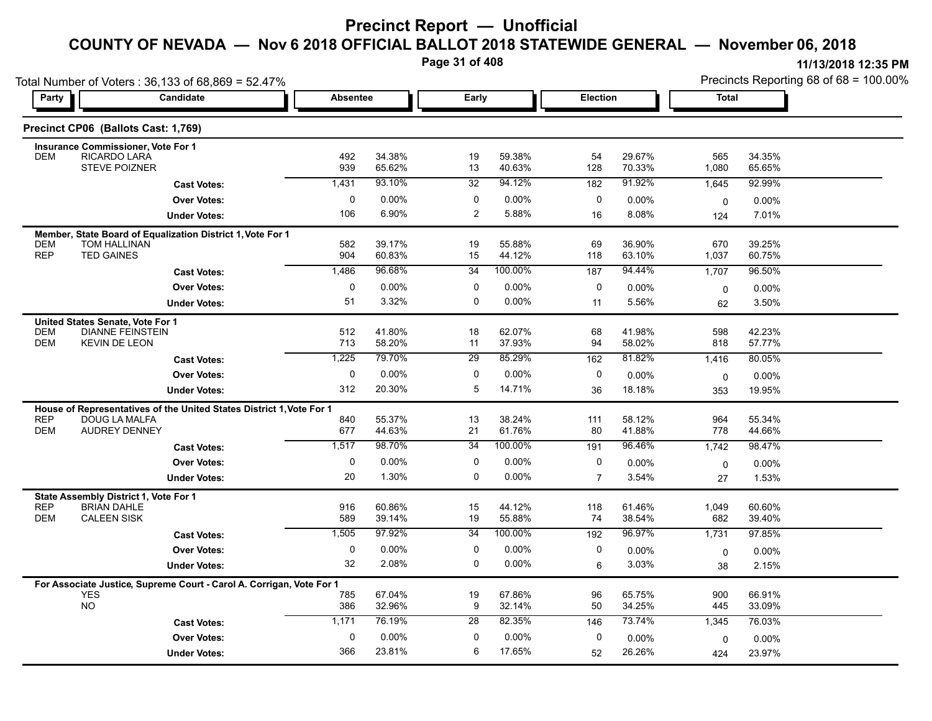**Page 31 of 408**

|                          | Total Number of Voters: 36,133 of 68,869 = 52.47%                    |                 |                  |                 |                   |                 |                  |              | Precincts Reporting 68 of 68 = 100.00% |  |
|--------------------------|----------------------------------------------------------------------|-----------------|------------------|-----------------|-------------------|-----------------|------------------|--------------|----------------------------------------|--|
| Party                    | Candidate                                                            | <b>Absentee</b> |                  | Early           |                   | <b>Election</b> |                  | Total        |                                        |  |
|                          | Precinct CP06 (Ballots Cast: 1,769)                                  |                 |                  |                 |                   |                 |                  |              |                                        |  |
|                          | <b>Insurance Commissioner, Vote For 1</b>                            |                 |                  |                 |                   |                 |                  |              |                                        |  |
| <b>DEM</b>               | RICARDO LARA<br><b>STEVE POIZNER</b>                                 | 492<br>939      | 34.38%<br>65.62% | 19<br>13        | 59.38%<br>40.63%  | 54<br>128       | 29.67%<br>70.33% | 565<br>1,080 | 34.35%<br>65.65%                       |  |
|                          | <b>Cast Votes:</b>                                                   | 1,431           | 93.10%           | 32              | 94.12%            | 182             | 91.92%           | 1,645        | 92.99%                                 |  |
|                          | <b>Over Votes:</b>                                                   | 0               | $0.00\%$         | 0               | 0.00%             | 0               | 0.00%            | $\mathbf 0$  | 0.00%                                  |  |
|                          | <b>Under Votes:</b>                                                  | 106             | 6.90%            | $\overline{2}$  | 5.88%             | 16              | 8.08%            | 124          | 7.01%                                  |  |
|                          | Member, State Board of Equalization District 1, Vote For 1           |                 |                  |                 |                   |                 |                  |              |                                        |  |
| <b>DEM</b>               | <b>TOM HALLINAN</b>                                                  | 582             | 39.17%           | 19              | 55.88%            | 69              | 36.90%           | 670          | 39.25%                                 |  |
| <b>REP</b>               | <b>TED GAINES</b>                                                    | 904             | 60.83%           | 15              | 44.12%            | 118             | 63.10%           | 1,037        | 60.75%                                 |  |
|                          | <b>Cast Votes:</b>                                                   | 1,486           | 96.68%           | 34              | 100.00%           | 187             | 94.44%           | 1,707        | 96.50%                                 |  |
|                          | <b>Over Votes:</b>                                                   | 0               | $0.00\%$         | 0               | $0.00\%$          | 0               | 0.00%            | $\mathbf 0$  | 0.00%                                  |  |
|                          | <b>Under Votes:</b>                                                  | 51              | 3.32%            | 0               | 0.00%             | 11              | 5.56%            | 62           | 3.50%                                  |  |
|                          | United States Senate, Vote For 1                                     |                 |                  |                 |                   |                 |                  |              |                                        |  |
| <b>DEM</b><br><b>DEM</b> | <b>DIANNE FEINSTEIN</b><br><b>KEVIN DE LEON</b>                      | 512<br>713      | 41.80%<br>58.20% | 18<br>11        | 62.07%<br>37.93%  | 68<br>94        | 41.98%<br>58.02% | 598<br>818   | 42.23%<br>57.77%                       |  |
|                          | <b>Cast Votes:</b>                                                   | 1,225           | 79.70%           | $\overline{29}$ | 85.29%            | 162             | 81.82%           | 1,416        | 80.05%                                 |  |
|                          | <b>Over Votes:</b>                                                   | $\mathbf 0$     | 0.00%            | 0               | 0.00%             | 0               | 0.00%            | 0            | 0.00%                                  |  |
|                          | <b>Under Votes:</b>                                                  | 312             | 20.30%           | 5               | 14.71%            | 36              | 18.18%           | 353          | 19.95%                                 |  |
|                          | House of Representatives of the United States District 1, Vote For 1 |                 |                  |                 |                   |                 |                  |              |                                        |  |
| <b>REP</b>               | <b>DOUG LA MALFA</b>                                                 | 840             | 55.37%           | 13              | 38.24%            | 111             | 58.12%           | 964          | 55.34%                                 |  |
| <b>DEM</b>               | <b>AUDREY DENNEY</b>                                                 | 677             | 44.63%           | 21              | 61.76%            | 80              | 41.88%           | 778          | 44.66%                                 |  |
|                          | <b>Cast Votes:</b>                                                   | 1,517           | 98.70%           | 34              | 100.00%           | 191             | 96.46%           | 1,742        | 98.47%                                 |  |
|                          | <b>Over Votes:</b>                                                   | 0               | 0.00%            | 0               | 0.00%             | 0               | $0.00\%$         | 0            | 0.00%                                  |  |
|                          | <b>Under Votes:</b>                                                  | 20              | 1.30%            | 0               | 0.00%             | $\overline{7}$  | 3.54%            | 27           | 1.53%                                  |  |
|                          | State Assembly District 1, Vote For 1                                |                 |                  |                 |                   |                 |                  |              |                                        |  |
| <b>REP</b>               | <b>BRIAN DAHLE</b>                                                   | 916             | 60.86%           | 15              | 44.12%            | 118             | 61.46%           | 1,049        | 60.60%                                 |  |
| <b>DEM</b>               | <b>CALEEN SISK</b>                                                   | 589             | 39.14%<br>97.92% | 19              | 55.88%<br>100.00% | 74              | 38.54%<br>96.97% | 682          | 39.40%                                 |  |
|                          | <b>Cast Votes:</b>                                                   | 1,505           |                  | $\overline{34}$ |                   | 192             |                  | 1,731        | 97.85%                                 |  |
|                          | <b>Over Votes:</b>                                                   | 0               | 0.00%            | 0               | 0.00%             | 0               | 0.00%            | 0            | $0.00\%$                               |  |
|                          | <b>Under Votes:</b>                                                  | 32              | 2.08%            | 0               | 0.00%             | 6               | 3.03%            | 38           | 2.15%                                  |  |
|                          | For Associate Justice, Supreme Court - Carol A. Corrigan, Vote For 1 |                 |                  |                 |                   |                 |                  |              |                                        |  |
|                          | <b>YES</b><br><b>NO</b>                                              | 785<br>386      | 67.04%<br>32.96% | 19<br>9         | 67.86%<br>32.14%  | 96<br>50        | 65.75%<br>34.25% | 900<br>445   | 66.91%<br>33.09%                       |  |
|                          | <b>Cast Votes:</b>                                                   | 1,171           | 76.19%           | 28              | 82.35%            | 146             | 73.74%           | 1,345        | 76.03%                                 |  |
|                          | <b>Over Votes:</b>                                                   | 0               | 0.00%            | $\mathbf 0$     | 0.00%             | 0               | 0.00%            | 0            | 0.00%                                  |  |
|                          | <b>Under Votes:</b>                                                  | 366             | 23.81%           | 6               | 17.65%            | 52              | 26.26%           | 424          | 23.97%                                 |  |
|                          |                                                                      |                 |                  |                 |                   |                 |                  |              |                                        |  |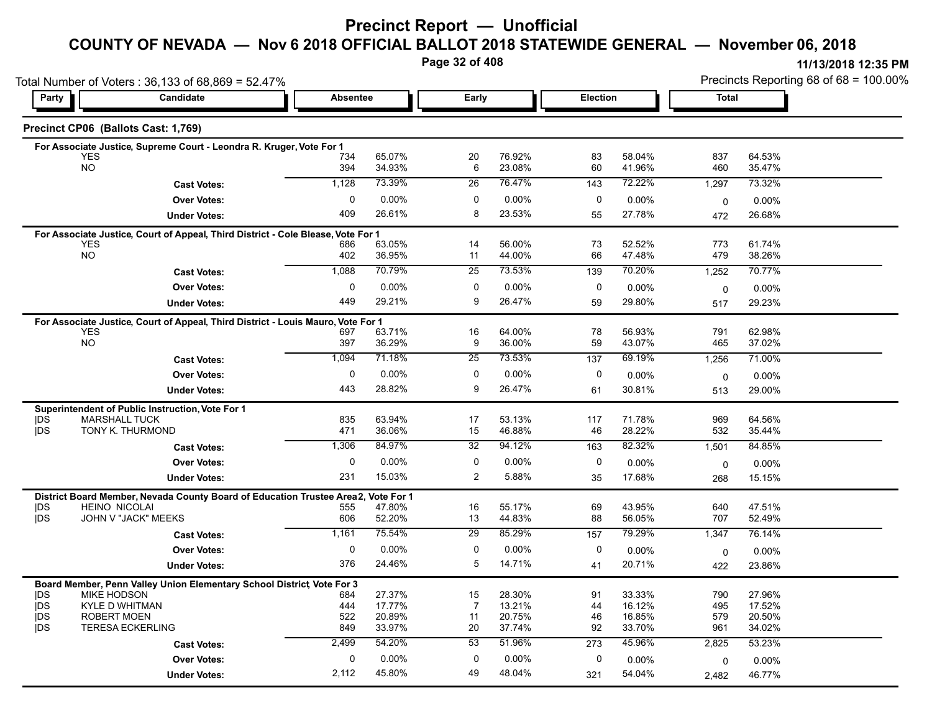# **Precinct Report — Unofficial**

# **COUNTY OF NEVADA — Nov 6 2018 OFFICIAL BALLOT 2018 STATEWIDE GENERAL — November 06, 2018**

**Page 32 of 408**

**11/13/2018 12:35 PM** Precincts Reporting 68 of 68 = 100.00%

|                          | Total Number of Voters: 36,133 of 68,869 = 52.47%                                |                 |                  |                |                  |                 | Precincts Reporting 68 of 68 = 100.00% |             |                  |  |
|--------------------------|----------------------------------------------------------------------------------|-----------------|------------------|----------------|------------------|-----------------|----------------------------------------|-------------|------------------|--|
| Party                    | Candidate                                                                        | <b>Absentee</b> |                  | Early          |                  | <b>Election</b> |                                        | Total       |                  |  |
|                          | Precinct CP06 (Ballots Cast: 1,769)                                              |                 |                  |                |                  |                 |                                        |             |                  |  |
|                          | For Associate Justice, Supreme Court - Leondra R. Kruger, Vote For 1             |                 |                  |                |                  |                 |                                        |             |                  |  |
|                          | <b>YES</b><br><b>NO</b>                                                          | 734<br>394      | 65.07%<br>34.93% | 20<br>6        | 76.92%<br>23.08% | 83<br>60        | 58.04%<br>41.96%                       | 837<br>460  | 64.53%<br>35.47% |  |
|                          |                                                                                  | 1,128           | 73.39%           | 26             | 76.47%           | 143             | 72.22%                                 |             |                  |  |
|                          | <b>Cast Votes:</b>                                                               |                 |                  |                |                  |                 |                                        | 1,297       | 73.32%           |  |
|                          | <b>Over Votes:</b>                                                               | $\mathbf 0$     | $0.00\%$         | 0              | 0.00%            | 0               | 0.00%                                  | $\mathbf 0$ | 0.00%            |  |
|                          | <b>Under Votes:</b>                                                              | 409             | 26.61%           | 8              | 23.53%           | 55              | 27.78%                                 | 472         | 26.68%           |  |
|                          | For Associate Justice, Court of Appeal, Third District - Cole Blease, Vote For 1 |                 |                  |                |                  |                 |                                        |             |                  |  |
|                          | <b>YES</b><br><b>NO</b>                                                          | 686<br>402      | 63.05%<br>36.95% | 14<br>11       | 56.00%<br>44.00% | 73<br>66        | 52.52%<br>47.48%                       | 773<br>479  | 61.74%<br>38.26% |  |
|                          |                                                                                  | 1,088           | 70.79%           | 25             | 73.53%           |                 | 70.20%                                 |             | 70.77%           |  |
|                          | <b>Cast Votes:</b>                                                               |                 |                  |                |                  | 139             |                                        | 1,252       |                  |  |
|                          | <b>Over Votes:</b>                                                               | 0               | $0.00\%$         | 0              | 0.00%            | 0               | 0.00%                                  | 0           | 0.00%            |  |
|                          | <b>Under Votes:</b>                                                              | 449             | 29.21%           | 9              | 26.47%           | 59              | 29.80%                                 | 517         | 29.23%           |  |
|                          | For Associate Justice, Court of Appeal, Third District - Louis Mauro, Vote For 1 |                 |                  |                |                  |                 |                                        |             |                  |  |
|                          | <b>YES</b><br><b>NO</b>                                                          | 697             | 63.71%           | 16             | 64.00%           | 78              | 56.93%                                 | 791         | 62.98%           |  |
|                          |                                                                                  | 397             | 36.29%           | 9              | 36.00%           | 59              | 43.07%                                 | 465         | 37.02%           |  |
|                          | <b>Cast Votes:</b>                                                               | 1,094           | 71.18%           | 25             | 73.53%           | 137             | 69.19%                                 | 1,256       | 71.00%           |  |
|                          | <b>Over Votes:</b>                                                               | 0               | 0.00%            | 0              | 0.00%            | 0               | $0.00\%$                               | 0           | 0.00%            |  |
|                          | <b>Under Votes:</b>                                                              | 443             | 28.82%           | 9              | 26.47%           | 61              | 30.81%                                 | 513         | 29.00%           |  |
|                          | Superintendent of Public Instruction, Vote For 1                                 |                 |                  |                |                  |                 |                                        |             |                  |  |
| <b>IDS</b>               | <b>MARSHALL TUCK</b>                                                             | 835             | 63.94%           | 17             | 53.13%           | 117             | 71.78%                                 | 969         | 64.56%           |  |
| <b>IDS</b>               | TONY K. THURMOND                                                                 | 471             | 36.06%           | 15             | 46.88%           | 46              | 28.22%                                 | 532         | 35.44%           |  |
|                          | <b>Cast Votes:</b>                                                               | 1,306           | 84 97%           | 32             | 94.12%           | 163             | 82.32%                                 | 1,501       | 84.85%           |  |
|                          | <b>Over Votes:</b>                                                               | $\mathbf{0}$    | $0.00\%$         | $\mathbf 0$    | 0.00%            | 0               | 0.00%                                  | 0           | 0.00%            |  |
|                          | <b>Under Votes:</b>                                                              | 231             | 15.03%           | $\overline{2}$ | 5.88%            | 35              | 17.68%                                 | 268         | 15.15%           |  |
|                          | District Board Member, Nevada County Board of Education Trustee Area2,           |                 | Vote For 1       |                |                  |                 |                                        |             |                  |  |
| <b>IDS</b>               | <b>HEINO NICOLAI</b>                                                             | 555             | 47.80%           | 16             | 55.17%           | 69              | 43.95%                                 | 640         | 47.51%           |  |
| <b>IDS</b>               | JOHN V "JACK" MEEKS                                                              | 606             | 52.20%           | 13             | 44.83%           | 88              | 56.05%                                 | 707         | 52.49%           |  |
|                          | <b>Cast Votes:</b>                                                               | 1,161           | 75.54%           | 29             | 85.29%           | 157             | 79.29%                                 | 1,347       | 76.14%           |  |
|                          | <b>Over Votes:</b>                                                               | $\mathbf 0$     | $0.00\%$         | $\pmb{0}$      | 0.00%            | 0               | 0.00%                                  | 0           | 0.00%            |  |
|                          | <b>Under Votes:</b>                                                              | 376             | 24.46%           | 5              | 14.71%           | 41              | 20.71%                                 | 422         | 23.86%           |  |
|                          | Board Member, Penn Valley Union Elementary School District Vote For 3            |                 |                  |                |                  |                 |                                        |             |                  |  |
| <b>IDS</b>               | <b>MIKE HODSON</b>                                                               | 684             | 27.37%           | 15             | 28.30%           | 91              | 33.33%                                 | 790         | 27.96%           |  |
| <b>IDS</b>               | <b>KYLE D WHITMAN</b>                                                            | 444             | 17.77%           | 7              | 13.21%           | 44              | 16.12%                                 | 495         | 17.52%           |  |
| <b>IDS</b><br><b>IDS</b> | <b>ROBERT MOEN</b><br><b>TERESA ECKERLING</b>                                    | 522<br>849      | 20.89%<br>33.97% | 11<br>20       | 20.75%<br>37.74% | 46<br>92        | 16.85%<br>33.70%                       | 579<br>961  | 20.50%<br>34.02% |  |
|                          |                                                                                  |                 | 54.20%           | 53             | 51.96%           |                 | 45.96%                                 |             |                  |  |
|                          | <b>Cast Votes:</b>                                                               | 2,499           |                  |                |                  | 273             |                                        | 2,825       | 53.23%           |  |
|                          | <b>Over Votes:</b>                                                               | 0               | $0.00\%$         | 0              | $0.00\%$         | 0               | $0.00\%$                               | 0           | $0.00\%$         |  |
|                          | <b>Under Votes:</b>                                                              | 2,112           | 45.80%           | 49             | 48.04%           | 321             | 54.04%                                 | 2,482       | 46.77%           |  |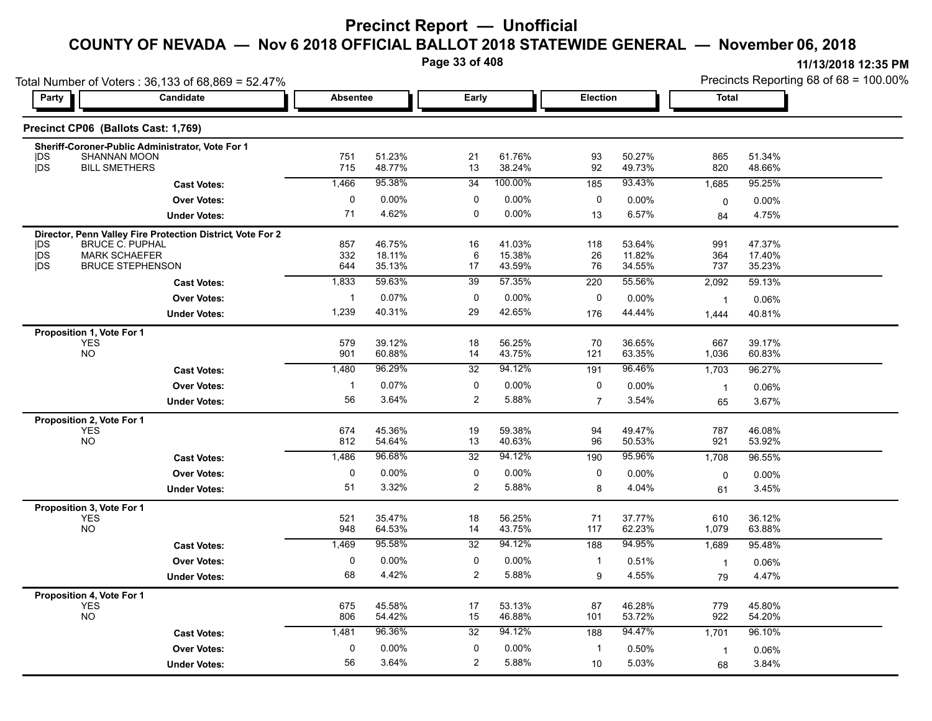**Page 33 of 408**

| Party                                                                                              | Candidate           | <b>Absentee</b> |                  | <b>Early</b>    |                  | Election       |                  | <b>Total</b>   |                  |
|----------------------------------------------------------------------------------------------------|---------------------|-----------------|------------------|-----------------|------------------|----------------|------------------|----------------|------------------|
|                                                                                                    |                     |                 |                  |                 |                  |                |                  |                |                  |
| Precinct CP06 (Ballots Cast: 1,769)                                                                |                     |                 |                  |                 |                  |                |                  |                |                  |
| Sheriff-Coroner-Public Administrator, Vote For 1                                                   |                     |                 |                  |                 |                  |                |                  |                |                  |
| SHANNAN MOON<br><b>IDS</b><br>jDS<br><b>BILL SMETHERS</b>                                          |                     | 751<br>715      | 51.23%<br>48.77% | 21<br>13        | 61.76%<br>38.24% | 93<br>92       | 50.27%<br>49.73% | 865<br>820     | 51.34%<br>48.66% |
|                                                                                                    | <b>Cast Votes:</b>  | 1,466           | 95.38%           | 34              | 100.00%          | 185            | 93.43%           | 1,685          | 95.25%           |
|                                                                                                    | <b>Over Votes:</b>  | 0               | $0.00\%$         | 0               | $0.00\%$         | 0              | 0.00%            | $\mathbf 0$    | 0.00%            |
|                                                                                                    | <b>Under Votes:</b> | 71              | 4.62%            | 0               | 0.00%            | 13             | 6.57%            | 84             | 4.75%            |
|                                                                                                    |                     |                 |                  |                 |                  |                |                  |                |                  |
| Director, Penn Valley Fire Protection District, Vote For 2<br><b>IDS</b><br><b>BRUCE C. PUPHAL</b> |                     | 857             | 46.75%           | 16              | 41.03%           | 118            | 53.64%           | 991            | 47.37%           |
| jDS<br><b>MARK SCHAEFER</b>                                                                        |                     | 332             | 18.11%           | 6               | 15.38%           | 26             | 11.82%           | 364            | 17.40%           |
| <b>IDS</b><br><b>BRUCE STEPHENSON</b>                                                              |                     | 644             | 35.13%           | 17              | 43.59%           | 76             | 34.55%           | 737            | 35.23%           |
|                                                                                                    | <b>Cast Votes:</b>  | 1,833           | 59.63%           | 39              | 57.35%           | 220            | 55.56%           | 2,092          | 59.13%           |
|                                                                                                    | <b>Over Votes:</b>  | $\overline{1}$  | 0.07%            | $\mathbf 0$     | 0.00%            | 0              | 0.00%            | $\mathbf{1}$   | 0.06%            |
|                                                                                                    | <b>Under Votes:</b> | 1,239           | 40.31%           | 29              | 42.65%           | 176            | 44.44%           | 1,444          | 40.81%           |
| Proposition 1, Vote For 1                                                                          |                     |                 |                  |                 |                  |                |                  |                |                  |
| <b>YES</b>                                                                                         |                     | 579             | 39.12%           | 18              | 56.25%           | 70             | 36.65%           | 667            | 39.17%           |
| <b>NO</b>                                                                                          |                     | 901             | 60.88%           | 14              | 43.75%           | 121            | 63.35%           | 1,036          | 60.83%           |
|                                                                                                    | <b>Cast Votes:</b>  | 1,480           | 96.29%           | $\overline{32}$ | 94.12%           | 191            | 96.46%           | 1,703          | 96.27%           |
|                                                                                                    | <b>Over Votes:</b>  | $\overline{1}$  | 0.07%            | 0               | 0.00%            | $\mathbf 0$    | 0.00%            | $\mathbf{1}$   | 0.06%            |
|                                                                                                    | <b>Under Votes:</b> | 56              | 3.64%            | $\overline{2}$  | 5.88%            | $\overline{7}$ | 3.54%            | 65             | 3.67%            |
| Proposition 2, Vote For 1                                                                          |                     |                 |                  |                 |                  |                |                  |                |                  |
| <b>YES</b>                                                                                         |                     | 674             | 45.36%           | 19              | 59.38%           | 94             | 49.47%           | 787            | 46.08%           |
| NO.                                                                                                |                     | 812             | 54.64%           | 13              | 40.63%           | 96             | 50.53%           | 921            | 53.92%           |
|                                                                                                    | <b>Cast Votes:</b>  | 1,486           | 96.68%           | 32              | 94.12%           | 190            | 95.96%           | 1,708          | 96.55%           |
|                                                                                                    | <b>Over Votes:</b>  | 0               | 0.00%            | 0               | 0.00%            | $\mathbf 0$    | $0.00\%$         | $\mathbf 0$    | 0.00%            |
|                                                                                                    | <b>Under Votes:</b> | 51              | 3.32%            | $\overline{2}$  | 5.88%            | 8              | 4.04%            | 61             | 3.45%            |
| Proposition 3, Vote For 1                                                                          |                     |                 |                  |                 |                  |                |                  |                |                  |
| <b>YES</b>                                                                                         |                     | 521             | 35.47%           | 18              | 56.25%           | 71             | 37.77%           | 610            | 36.12%           |
| NO                                                                                                 |                     | 948             | 64.53%           | 14              | 43.75%           | 117            | 62.23%           | 1,079          | 63.88%           |
|                                                                                                    | <b>Cast Votes:</b>  | 1,469           | 95.58%           | 32              | 94.12%           | 188            | 94.95%           | 1,689          | 95.48%           |
|                                                                                                    | <b>Over Votes:</b>  | $\mathbf 0$     | 0.00%            | 0               | 0.00%            | -1             | 0.51%            | $\overline{1}$ | 0.06%            |
|                                                                                                    | <b>Under Votes:</b> | 68              | 4.42%            | $\overline{2}$  | 5.88%            | 9              | 4.55%            | 79             | 4.47%            |
| Proposition 4, Vote For 1                                                                          |                     |                 |                  |                 |                  |                |                  |                |                  |
| YES<br>NO                                                                                          |                     | 675<br>806      | 45.58%<br>54.42% | 17<br>15        | 53.13%<br>46.88% | 87<br>101      | 46.28%<br>53.72% | 779<br>922     | 45.80%<br>54.20% |
|                                                                                                    |                     | 1,481           | 96.36%           | 32              | 94.12%           | 188            | 94.47%           |                | 96.10%           |
|                                                                                                    | <b>Cast Votes:</b>  |                 |                  |                 |                  |                |                  | 1,701          |                  |
|                                                                                                    | <b>Over Votes:</b>  | 0               | 0.00%            | 0               | $0.00\%$         | -1             | 0.50%            | $\mathbf{1}$   | 0.06%            |
|                                                                                                    | <b>Under Votes:</b> | 56              | 3.64%            | $\overline{2}$  | 5.88%            | 10             | 5.03%            | 68             | 3.84%            |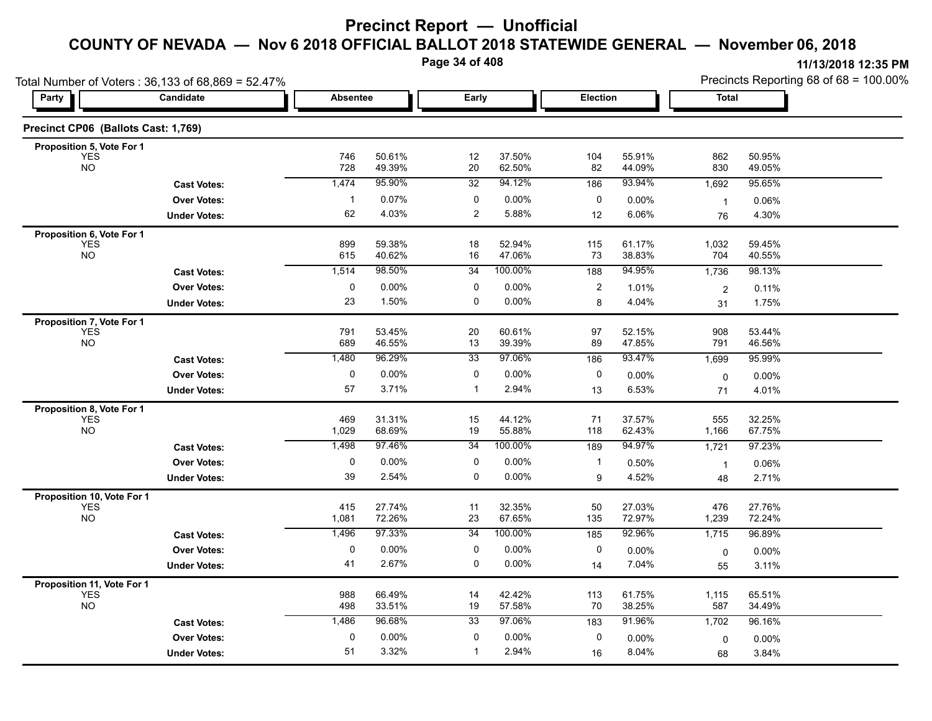**Page 34 of 408**

| Total Number of Voters: 36,133 of 68,869 = 52.47% |                     |              |                  |                | Precincts Reporting 68 of 68 = 100.00% |                |                  |                      |                  |
|---------------------------------------------------|---------------------|--------------|------------------|----------------|----------------------------------------|----------------|------------------|----------------------|------------------|
| Party                                             | Candidate           | Absentee     |                  | Early          |                                        | Election       |                  | Total                |                  |
| Precinct CP06 (Ballots Cast: 1,769)               |                     |              |                  |                |                                        |                |                  |                      |                  |
| Proposition 5, Vote For 1                         |                     |              | 50.61%           | 12             | 37.50%                                 |                | 55.91%           |                      | 50.95%           |
| <b>YES</b><br><b>NO</b>                           |                     | 746<br>728   | 49.39%           | 20             | 62.50%                                 | 104<br>82      | 44.09%           | 862<br>830           | 49.05%           |
|                                                   | <b>Cast Votes:</b>  | 1,474        | 95.90%           | 32             | 94.12%                                 | 186            | 93.94%           | 1,692                | 95.65%           |
|                                                   | <b>Over Votes:</b>  | $\mathbf{1}$ | 0.07%            | 0              | 0.00%                                  | 0              | 0.00%            | $\overline{1}$       | 0.06%            |
|                                                   | <b>Under Votes:</b> | 62           | 4.03%            | $\overline{2}$ | 5.88%                                  | 12             | 6.06%            | 76                   | 4.30%            |
| Proposition 6, Vote For 1                         |                     |              |                  |                |                                        |                |                  |                      |                  |
| YES<br>NO                                         |                     | 899<br>615   | 59.38%<br>40.62% | 18<br>16       | 52.94%<br>47.06%                       | 115<br>73      | 61.17%<br>38.83% | 1,032<br>704         | 59.45%<br>40.55% |
|                                                   | <b>Cast Votes:</b>  | 1,514        | 98.50%           | 34             | 100.00%                                | 188            | 94.95%           | 1,736                | 98.13%           |
|                                                   | <b>Over Votes:</b>  | $\pmb{0}$    | 0.00%            | 0              | 0.00%                                  | $\overline{c}$ | 1.01%            |                      | 0.11%            |
|                                                   | <b>Under Votes:</b> | 23           | 1.50%            | 0              | 0.00%                                  | 8              | 4.04%            | $\overline{c}$<br>31 | 1.75%            |
| Proposition 7, Vote For 1                         |                     |              |                  |                |                                        |                |                  |                      |                  |
| <b>YES</b>                                        |                     | 791          | 53.45%           | 20             | 60.61%                                 | 97             | 52.15%           | 908                  | 53.44%           |
| <b>NO</b>                                         |                     | 689          | 46.55%           | 13             | 39.39%                                 | 89             | 47.85%           | 791                  | 46.56%           |
|                                                   | <b>Cast Votes:</b>  | 1,480        | 96.29%           | 33             | 97.06%                                 | 186            | 93.47%           | 1,699                | 95.99%           |
|                                                   | <b>Over Votes:</b>  | $\pmb{0}$    | 0.00%            | 0              | 0.00%                                  | 0              | 0.00%            | 0                    | $0.00\%$         |
|                                                   | <b>Under Votes:</b> | 57           | 3.71%            | $\mathbf{1}$   | 2.94%                                  | 13             | 6.53%            | 71                   | 4.01%            |
| Proposition 8, Vote For 1                         |                     |              |                  |                |                                        |                |                  |                      |                  |
| <b>YES</b><br><b>NO</b>                           |                     | 469<br>1,029 | 31.31%<br>68.69% | 15<br>19       | 44.12%<br>55.88%                       | 71<br>118      | 37.57%<br>62.43% | 555<br>1,166         | 32.25%<br>67.75% |
|                                                   | <b>Cast Votes:</b>  | 1,498        | 97.46%           | 34             | 100.00%                                | 189            | 94.97%           | 1,721                | 97.23%           |
|                                                   | <b>Over Votes:</b>  | 0            | $0.00\%$         | 0              | 0.00%                                  | $\mathbf 1$    | 0.50%            | $\overline{1}$       | 0.06%            |
|                                                   | <b>Under Votes:</b> | 39           | 2.54%            | 0              | 0.00%                                  | 9              | 4.52%            | 48                   | 2.71%            |
| Proposition 10, Vote For 1                        |                     |              |                  |                |                                        |                |                  |                      |                  |
| <b>YES</b>                                        |                     | 415          | 27.74%           | 11             | 32.35%                                 | 50             | 27.03%           | 476                  | 27.76%           |
| <b>NO</b>                                         |                     | 1,081        | 72.26%           | 23             | 67.65%                                 | 135            | 72.97%           | 1,239                | 72.24%           |
|                                                   | <b>Cast Votes:</b>  | 1,496        | 97.33%           | 34             | 100.00%                                | 185            | 92.96%           | 1,715                | 96.89%           |
|                                                   | <b>Over Votes:</b>  | 0            | 0.00%            | 0              | 0.00%                                  | 0              | $0.00\%$         | 0                    | 0.00%            |
|                                                   | <b>Under Votes:</b> | 41           | 2.67%            | 0              | 0.00%                                  | 14             | 7.04%            | 55                   | 3.11%            |
| Proposition 11, Vote For 1                        |                     |              |                  |                |                                        |                |                  |                      |                  |
| <b>YES</b><br><b>NO</b>                           |                     | 988<br>498   | 66.49%<br>33.51% | 14<br>19       | 42.42%<br>57.58%                       | 113<br>70      | 61.75%<br>38.25% | 1,115<br>587         | 65.51%<br>34.49% |
|                                                   | <b>Cast Votes:</b>  | 1,486        | 96.68%           | 33             | 97.06%                                 | 183            | 91.96%           | 1,702                | 96.16%           |
|                                                   | <b>Over Votes:</b>  | $\mathbf 0$  | 0.00%            | 0              | 0.00%                                  | 0              | $0.00\%$         |                      | 0.00%            |
|                                                   | <b>Under Votes:</b> | 51           | 3.32%            | $\mathbf{1}$   | 2.94%                                  | 16             | 8.04%            | 0<br>68              | 3.84%            |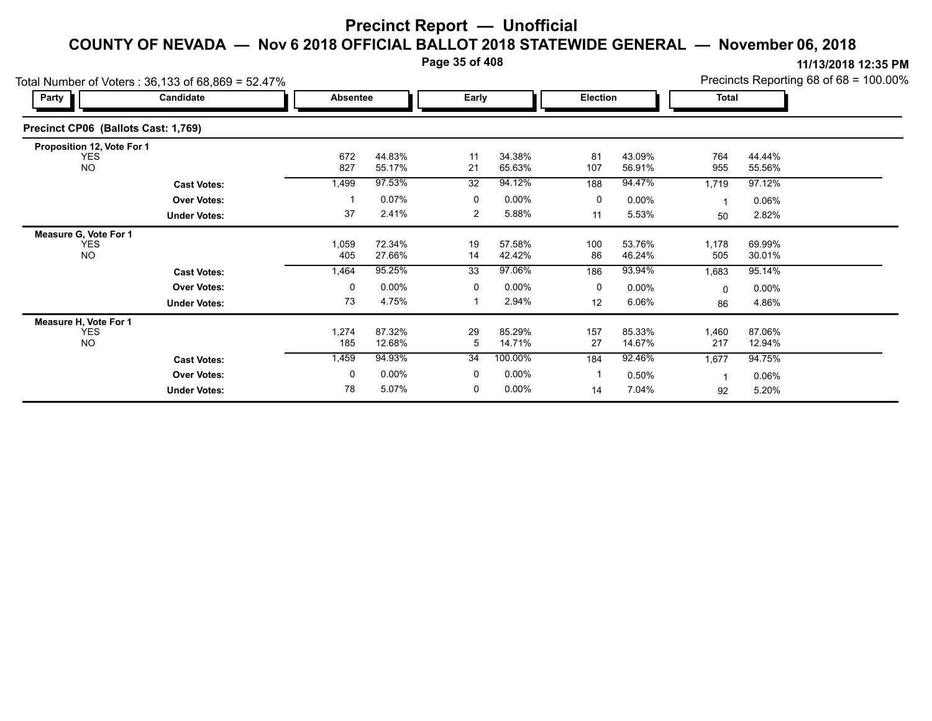**Page 35 of 408**

| Total Number of Voters: 36,133 of 68,869 = 52.47% |                     |              |                  |                |                  |           |                  |                | Precincts Reporting 68 of 68 = 100.00% |  |
|---------------------------------------------------|---------------------|--------------|------------------|----------------|------------------|-----------|------------------|----------------|----------------------------------------|--|
| <b>Party</b>                                      | Candidate           |              | <b>Absentee</b>  |                | Early            |           | <b>Election</b>  |                | <b>Total</b>                           |  |
| Precinct CP06 (Ballots Cast: 1,769)               |                     |              |                  |                |                  |           |                  |                |                                        |  |
| Proposition 12, Vote For 1                        |                     |              |                  |                |                  |           |                  |                |                                        |  |
| <b>YES</b><br><b>NO</b>                           |                     | 672<br>827   | 44.83%<br>55.17% | 11<br>21       | 34.38%<br>65.63% | 81<br>107 | 43.09%<br>56.91% | 764<br>955     | 44.44%<br>55.56%                       |  |
|                                                   | <b>Cast Votes:</b>  | 1,499        | 97.53%           | 32             | 94.12%           | 188       | 94.47%           | 1,719          | 97.12%                                 |  |
|                                                   | <b>Over Votes:</b>  |              | 0.07%            | 0              | $0.00\%$         | 0         | $0.00\%$         | 1              | 0.06%                                  |  |
|                                                   | <b>Under Votes:</b> | 37           | 2.41%            | $\overline{2}$ | 5.88%            | 11        | 5.53%            | 50             | 2.82%                                  |  |
| Measure G, Vote For 1                             |                     |              |                  |                |                  |           |                  |                |                                        |  |
| <b>YES</b><br><b>NO</b>                           |                     | 1,059<br>405 | 72.34%<br>27.66% | 19<br>14       | 57.58%<br>42.42% | 100<br>86 | 53.76%<br>46.24% | 1,178<br>505   | 69.99%<br>30.01%                       |  |
|                                                   | <b>Cast Votes:</b>  | 1,464        | 95.25%           | 33             | 97.06%           | 186       | 93.94%           | 1,683          | 95.14%                                 |  |
|                                                   | <b>Over Votes:</b>  | 0            | 0.00%            | 0              | $0.00\%$         | 0         | $0.00\%$         | $\mathbf 0$    | $0.00\%$                               |  |
|                                                   | <b>Under Votes:</b> | 73           | 4.75%            |                | 2.94%            | 12        | 6.06%            | 86             | 4.86%                                  |  |
| Measure H, Vote For 1                             |                     |              |                  |                |                  |           |                  |                |                                        |  |
| <b>YES</b><br><b>NO</b>                           |                     | 1,274<br>185 | 87.32%<br>12.68% | 29<br>5        | 85.29%<br>14.71% | 157<br>27 | 85.33%<br>14.67% | 1,460<br>217   | 87.06%<br>12.94%                       |  |
|                                                   | <b>Cast Votes:</b>  | 1,459        | 94.93%           | 34             | 100.00%          | 184       | 92.46%           | 1,677          | 94.75%                                 |  |
|                                                   | <b>Over Votes:</b>  | 0            | 0.00%            | 0              | $0.00\%$         |           | 0.50%            | $\overline{1}$ | 0.06%                                  |  |
|                                                   | <b>Under Votes:</b> | 78           | 5.07%            | 0              | 0.00%            | 14        | 7.04%            | 92             | 5.20%                                  |  |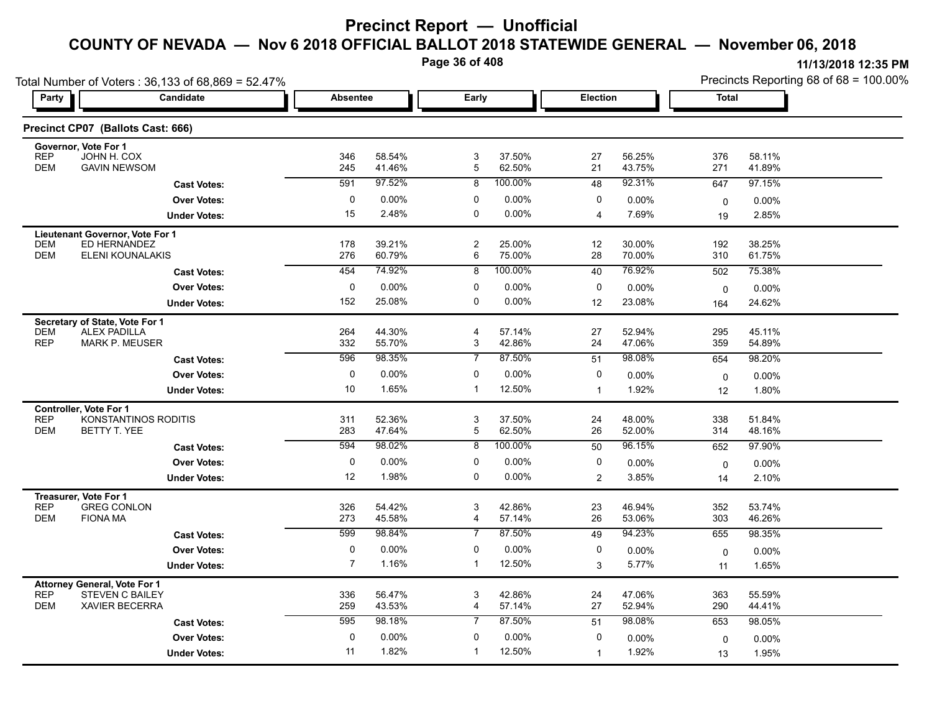**Page 36 of 408**

|                          | Total Number of Voters: 36,133 of 68,869 = 52.47%     |                 | Page 36 of 408   |                     |                  |                |                  |                 | 11/13/2018 12:35 PM<br>Precincts Reporting 68 of 68 = 100.00% |
|--------------------------|-------------------------------------------------------|-----------------|------------------|---------------------|------------------|----------------|------------------|-----------------|---------------------------------------------------------------|
| Party                    | Candidate                                             | <b>Absentee</b> |                  | Early               |                  | Election       |                  | <b>Total</b>    |                                                               |
|                          | Precinct CP07 (Ballots Cast: 666)                     |                 |                  |                     |                  |                |                  |                 |                                                               |
| <b>REP</b>               | Governor, Vote For 1<br>JOHN H. COX                   | 346             | 58.54%           | 3                   | 37.50%           | 27             | 56.25%           | 376             | 58.11%                                                        |
| <b>DEM</b>               | <b>GAVIN NEWSOM</b>                                   | 245             | 41.46%           | 5                   | 62.50%           | 21             | 43.75%           | 271             | 41.89%                                                        |
|                          | <b>Cast Votes:</b>                                    | 591             | 97.52%           | 8                   | 100.00%          | 48             | 92.31%           | 647             | 97.15%                                                        |
|                          | <b>Over Votes:</b>                                    | $\Omega$        | 0.00%            | $\Omega$            | $0.00\%$         | 0              | $0.00\%$         | $\Omega$        | 0.00%                                                         |
|                          | <b>Under Votes:</b>                                   | 15              | 2.48%            | $\Omega$            | $0.00\%$         | $\overline{4}$ | 7.69%            | 19              | 2.85%                                                         |
|                          | Lieutenant Governor, Vote For 1                       |                 |                  |                     |                  |                |                  |                 |                                                               |
| <b>DEM</b><br><b>DEM</b> | ED HERNANDEZ<br>ELENI KOUNALAKIS                      | 178<br>276      | 39.21%<br>60.79% | $\overline{2}$<br>6 | 25.00%<br>75.00% | 12<br>28       | 30.00%<br>70.00% | 192<br>310      | 38.25%<br>61.75%                                              |
|                          | <b>Cast Votes:</b>                                    | 454             | 74.92%           | 8                   | 100.00%          | 40             | 76.92%           | 502             | 75.38%                                                        |
|                          | <b>Over Votes:</b>                                    | $\Omega$        | 0.00%            | $\Omega$            | $0.00\%$         | 0              | $0.00\%$         |                 |                                                               |
|                          | <b>Under Votes:</b>                                   | 152             | 25.08%           | 0                   | 0.00%            | 12             | 23.08%           | $\Omega$<br>164 | $0.00\%$<br>24.62%                                            |
|                          |                                                       |                 |                  |                     |                  |                |                  |                 |                                                               |
| <b>DEM</b>               | Secretary of State, Vote For 1<br><b>ALEX PADILLA</b> | 264             | 44.30%           | 4                   | 57.14%           | 27             | 52.94%           | 295             | 45.11%                                                        |
| <b>REP</b>               | <b>MARK P. MEUSER</b>                                 | 332             | 55.70%           | 3                   | 42.86%           | 24             | 47.06%           | 359             | 54.89%                                                        |
|                          | <b>Cast Votes:</b>                                    | 596             | 98.35%           |                     | 87.50%           | 51             | 98.08%           | 654             | 98.20%                                                        |
|                          | <b>Over Votes:</b>                                    | $\Omega$        | 0.00%            | $\Omega$            | 0.00%            | 0              | $0.00\%$         | $\Omega$        | $0.00\%$                                                      |
|                          | <b>Under Votes:</b>                                   | 10              | 1.65%            |                     | 12.50%           |                | 1.92%            | 12              | 1.80%                                                         |
|                          | <b>Controller, Vote For 1</b>                         |                 |                  |                     |                  |                |                  |                 |                                                               |
| <b>REP</b><br><b>DEM</b> | KONSTANTINOS RODITIS<br>BETTY T. YEE                  | 311<br>283      | 52.36%<br>47.64% | 3<br>5              | 37.50%<br>62.50% | 24<br>26       | 48.00%<br>52.00% | 338<br>314      | 51.84%<br>48.16%                                              |
|                          |                                                       |                 |                  |                     |                  |                |                  |                 |                                                               |

**Secretary of State**<br>DEM **ALEX** F DEM ALEX PADILLA 264 44.30% 4 57.14% 27 52.94% 295 45.11% REP MARK P. MEUSER 332 55.70% 3 42.86% 24 47.06% 359 54.89% **Controller, Vote F<br>REP KONST** REP KONSTANTINOS RODITIS 311 52.36% 3 37.50% 24 48.00% 338 51.84% DEM BETTY T. YEE 283 47.64% 5 62.50% 26 52.00% 314 48.16% **Cast Votes:** 594 98.02% 8 100.00% 50 96.15% 652 97.90% **Under Votes: Over Votes:** 0.00% 1.98% 0 0.00% 0 0.00% 2 0.00% 0  $3.85\%$  and  $14$  2.10% 14 2.10%  $0$  0.00%  $0$  0.00%  $0$  0.00%  $0$  0.00%  $0$  0.00% 12 1.98% 0 0.00% **Treasurer, Vote For 1** REP GREG CONLON 326 54.42% 3 42.86% 23 46.94% 352 53.74% DEM FIONA MA 273 45.58% 4 57.14% 26 53.06% 303 46.26% **Cast Votes:** 599 98.84% 7 87.50% 49 94.23% 655 98.35% **Under Votes: Over Votes:** 0.00% 1.16% 12.50% 1 0.00% 0 0.00% 0 5.77% 1.65% 11 1.65%  $0$  0.00%  $0$  0.00%  $0$  0.00%  $0$  0.00%  $0$  0.00%  $0$  0.00%  $0$  0.00%  $0$  0.00%  $0$  0.00%  $0$  0.00%  $0$  0.00%  $0$  0.00%  $0$  0.00%  $0$  0.00%  $0$  0.00%  $0$  0.00%  $0$  0.00%  $0$  0.00%  $0$  0.00%  $0$  0.00%  $0$  0.00%  $0$  0.00% 7 1.16%  $0.00\%$ 3 5.77% **Attorney General, Vote For 1** REP STEVEN C BAILEY 336 56.47% 3 42.86% 24 47.06% 363 55.59% DEM XAVIER BECERRA 259 43.53% 4 57.14% 27 52.94% 290 44.41% **Cast Votes:** 595 98.18% 7 87.50% 51 98.08% 653 98.05% **Under Votes: Over Votes:** 0.00% 1.82% 12.50% 1 0.00% 0 0.00% 0 1.92% 1.95% 13 1.95%  $0$  0.00%  $0$  0.00%  $0$  0.00%  $0$  0.00%  $0$  0.00% 11 1.82% 0 0.00% 1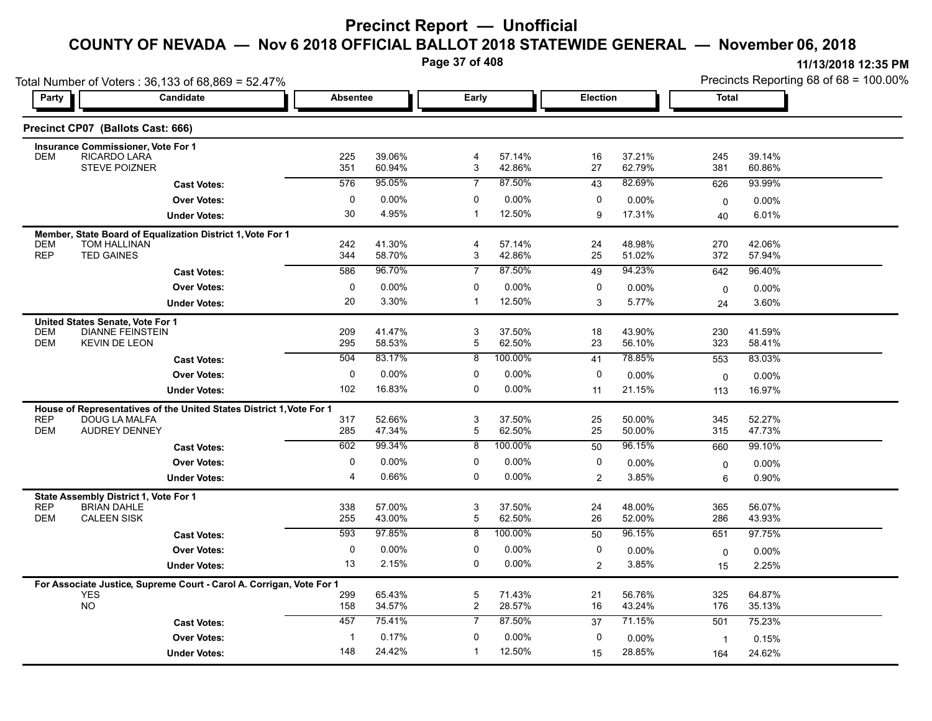**Page 37 of 408**

| 11/13/2018 12:35 PM                       |
|-------------------------------------------|
| Precincts Reporting 68 of 68 = $100.00\%$ |
|                                           |

|                          | Total Number of Voters: 36,133 of 68,869 = 52.47%                                  |                 |                  |                   |                  |                |                  |              | Precincts Reporting 68 of 68 = 100.00% |  |  |
|--------------------------|------------------------------------------------------------------------------------|-----------------|------------------|-------------------|------------------|----------------|------------------|--------------|----------------------------------------|--|--|
| Party                    | Candidate                                                                          | <b>Absentee</b> |                  | Early             |                  |                | Election         |              | <b>Total</b>                           |  |  |
|                          | Precinct CP07 (Ballots Cast: 666)                                                  |                 |                  |                   |                  |                |                  |              |                                        |  |  |
|                          | <b>Insurance Commissioner, Vote For 1</b>                                          |                 |                  |                   |                  |                |                  |              |                                        |  |  |
| <b>DEM</b>               | RICARDO LARA<br><b>STEVE POIZNER</b>                                               | 225<br>351      | 39.06%<br>60.94% | 4<br>3            | 57.14%<br>42.86% | 16<br>27       | 37.21%<br>62.79% | 245<br>381   | 39.14%<br>60.86%                       |  |  |
|                          | <b>Cast Votes:</b>                                                                 | 576             | 95.05%           | $\overline{7}$    | 87.50%           | 43             | 82.69%           | 626          | 93.99%                                 |  |  |
|                          | <b>Over Votes:</b>                                                                 | $\pmb{0}$       | $0.00\%$         | 0                 | 0.00%            | 0              | 0.00%            | 0            | $0.00\%$                               |  |  |
|                          | <b>Under Votes:</b>                                                                | 30              | 4.95%            | $\mathbf{1}$      | 12.50%           | 9              | 17.31%           | 40           | 6.01%                                  |  |  |
|                          | Member, State Board of Equalization District 1, Vote For 1                         |                 |                  |                   |                  |                |                  |              |                                        |  |  |
| <b>DEM</b><br><b>REP</b> | TOM HALLINAN<br><b>TED GAINES</b>                                                  | 242<br>344      | 41.30%<br>58.70% | 4<br>3            | 57.14%<br>42.86% | 24<br>25       | 48.98%<br>51.02% | 270<br>372   | 42.06%<br>57.94%                       |  |  |
|                          |                                                                                    | 586             | 96.70%           | $\overline{7}$    | 87.50%           | 49             | 94.23%           | 642          | 96.40%                                 |  |  |
|                          | <b>Cast Votes:</b>                                                                 |                 |                  |                   |                  |                |                  |              |                                        |  |  |
|                          | <b>Over Votes:</b>                                                                 | 0<br>20         | 0.00%<br>3.30%   | 0<br>$\mathbf{1}$ | 0.00%<br>12.50%  | 0<br>3         | 0.00%<br>5.77%   | $\mathbf 0$  | 0.00%                                  |  |  |
|                          | <b>Under Votes:</b>                                                                |                 |                  |                   |                  |                |                  | 24           | 3.60%                                  |  |  |
| <b>DEM</b>               | United States Senate, Vote For 1<br><b>DIANNE FEINSTEIN</b>                        | 209             | 41.47%           | 3                 | 37.50%           | 18             | 43.90%           | 230          | 41.59%                                 |  |  |
| <b>DEM</b>               | <b>KEVIN DE LEON</b>                                                               | 295             | 58.53%           | 5                 | 62.50%           | 23             | 56.10%           | 323          | 58.41%                                 |  |  |
|                          | <b>Cast Votes:</b>                                                                 | 504             | 83.17%           | 8                 | 100.00%          | 41             | 78.85%           | 553          | 83.03%                                 |  |  |
|                          | <b>Over Votes:</b>                                                                 | 0               | $0.00\%$         | 0                 | 0.00%            | 0              | 0.00%            | $\mathbf 0$  | 0.00%                                  |  |  |
|                          | <b>Under Votes:</b>                                                                | 102             | 16.83%           | 0                 | 0.00%            | 11             | 21.15%           | 113          | 16.97%                                 |  |  |
|                          | House of Representatives of the United States District 1, Vote For 1               |                 |                  |                   |                  |                |                  |              |                                        |  |  |
| <b>REP</b>               | <b>DOUG LA MALFA</b>                                                               | 317             | 52.66%           | 3                 | 37.50%           | 25             | 50.00%           | 345          | 52.27%                                 |  |  |
| <b>DEM</b>               | <b>AUDREY DENNEY</b>                                                               | 285             | 47.34%           | 5                 | 62.50%           | 25             | 50.00%           | 315          | 47.73%                                 |  |  |
|                          | <b>Cast Votes:</b>                                                                 | 602             | 99.34%           | 8                 | 100.00%          | 50             | 96.15%           | 660          | 99.10%                                 |  |  |
|                          | <b>Over Votes:</b>                                                                 | $\pmb{0}$       | 0.00%            | 0                 | 0.00%            | 0              | 0.00%            | 0            | 0.00%                                  |  |  |
|                          | <b>Under Votes:</b>                                                                | $\overline{4}$  | 0.66%            | 0                 | $0.00\%$         | $\overline{2}$ | 3.85%            | 6            | 0.90%                                  |  |  |
|                          | State Assembly District 1, Vote For 1                                              |                 |                  |                   |                  |                |                  |              |                                        |  |  |
| <b>REP</b><br><b>DEM</b> | <b>BRIAN DAHLE</b><br><b>CALEEN SISK</b>                                           | 338<br>255      | 57.00%<br>43.00% | 3<br>5            | 37.50%<br>62.50% | 24<br>26       | 48.00%<br>52.00% | 365<br>286   | 56.07%<br>43.93%                       |  |  |
|                          | <b>Cast Votes:</b>                                                                 | 593             | 97.85%           | $\overline{8}$    | 100.00%          | 50             | 96.15%           | 651          | 97.75%                                 |  |  |
|                          | <b>Over Votes:</b>                                                                 | 0               | 0.00%            | 0                 | 0.00%            | 0              | 0.00%            | $\mathbf 0$  | $0.00\%$                               |  |  |
|                          | <b>Under Votes:</b>                                                                | 13              | 2.15%            | $\mathbf 0$       | $0.00\%$         | $\overline{2}$ | 3.85%            | 15           | 2.25%                                  |  |  |
|                          |                                                                                    |                 |                  |                   |                  |                |                  |              |                                        |  |  |
|                          | For Associate Justice, Supreme Court - Carol A. Corrigan, Vote For 1<br><b>YES</b> | 299             | 65.43%           | 5                 | 71.43%           | 21             | 56.76%           | 325          | 64.87%                                 |  |  |
|                          | <b>NO</b>                                                                          | 158             | 34.57%           | $\overline{2}$    | 28.57%           | 16             | 43.24%           | 176          | 35.13%                                 |  |  |
|                          | <b>Cast Votes:</b>                                                                 | 457             | 75.41%           | $\overline{7}$    | 87.50%           | 37             | 71.15%           | 501          | 75.23%                                 |  |  |
|                          | <b>Over Votes:</b>                                                                 | -1              | 0.17%            | $\Omega$          | 0.00%            | $\mathbf 0$    | 0.00%            | $\mathbf{1}$ | 0.15%                                  |  |  |
|                          | <b>Under Votes:</b>                                                                | 148             | 24.42%           | $\mathbf{1}$      | 12.50%           | 15             | 28.85%           | 164          | 24.62%                                 |  |  |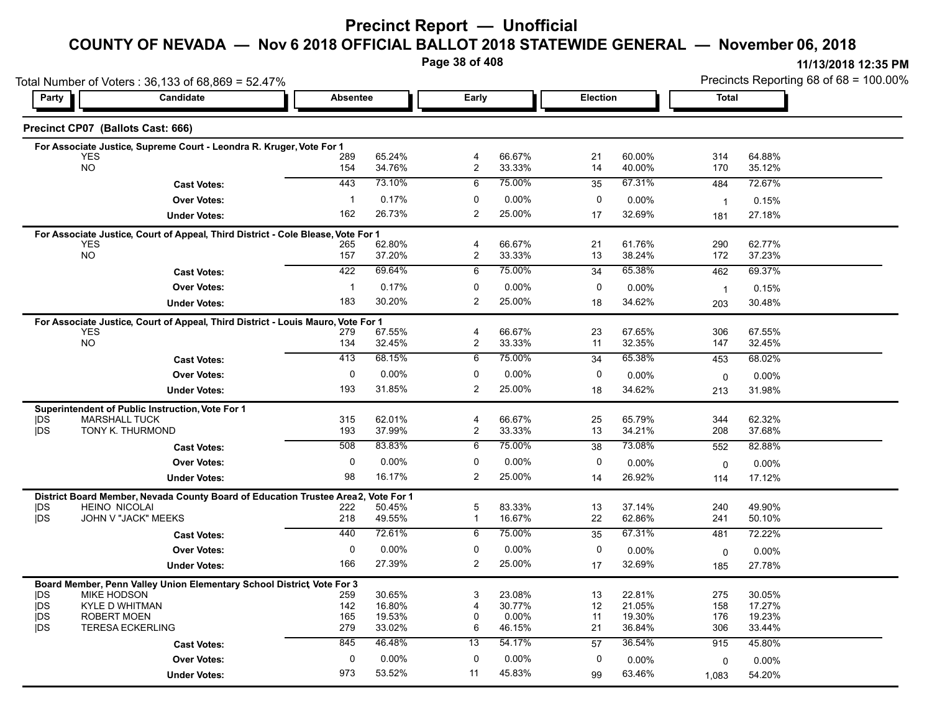### **Precinct Report — Unofficial**

# **COUNTY OF NEVADA — Nov 6 2018 OFFICIAL BALLOT 2018 STATEWIDE GENERAL — November 06, 2018**

**Page 38 of 408**

|                          | Total Number of Voters: 36,133 of 68,869 = 52.47%                                |                 |                  |                     |                  |             | Precincts Reporting 68 of 68 = 100.00% |                |                  |  |
|--------------------------|----------------------------------------------------------------------------------|-----------------|------------------|---------------------|------------------|-------------|----------------------------------------|----------------|------------------|--|
| Party                    | Candidate                                                                        | <b>Absentee</b> |                  | Early               |                  |             | <b>Election</b>                        |                | <b>Total</b>     |  |
|                          | Precinct CP07 (Ballots Cast: 666)                                                |                 |                  |                     |                  |             |                                        |                |                  |  |
|                          | For Associate Justice, Supreme Court - Leondra R. Kruger, Vote For 1             |                 |                  |                     |                  |             |                                        |                |                  |  |
|                          | <b>YES</b><br><b>NO</b>                                                          | 289<br>154      | 65.24%<br>34.76% | 4<br>$\overline{c}$ | 66.67%<br>33.33% | 21<br>14    | 60.00%<br>40.00%                       | 314<br>170     | 64.88%<br>35.12% |  |
|                          |                                                                                  |                 |                  |                     |                  |             |                                        |                |                  |  |
|                          | <b>Cast Votes:</b>                                                               | 443             | 73.10%           | 6                   | 75.00%           | 35          | 67.31%                                 | 484            | 72.67%           |  |
|                          | <b>Over Votes:</b>                                                               | $\mathbf{1}$    | 0.17%            | 0                   | 0.00%            | 0           | $0.00\%$                               | $\overline{1}$ | 0.15%            |  |
|                          | <b>Under Votes:</b>                                                              | 162             | 26.73%           | 2                   | 25.00%           | 17          | 32.69%                                 | 181            | 27.18%           |  |
|                          | For Associate Justice, Court of Appeal, Third District - Cole Blease, Vote For 1 |                 |                  |                     |                  |             |                                        |                |                  |  |
|                          | <b>YES</b><br><b>NO</b>                                                          | 265<br>157      | 62.80%<br>37.20% | 4<br>$\overline{c}$ | 66.67%<br>33.33% | 21<br>13    | 61.76%<br>38.24%                       | 290<br>172     | 62.77%<br>37.23% |  |
|                          | <b>Cast Votes:</b>                                                               | 422             | 69.64%           | 6                   | 75.00%           | 34          | 65.38%                                 | 462            | 69.37%           |  |
|                          |                                                                                  |                 |                  |                     |                  |             |                                        |                |                  |  |
|                          | <b>Over Votes:</b>                                                               | $\mathbf{1}$    | 0.17%            | 0                   | 0.00%            | 0           | 0.00%                                  | $\overline{1}$ | 0.15%            |  |
|                          | <b>Under Votes:</b>                                                              | 183             | 30.20%           | $\overline{2}$      | 25.00%           | 18          | 34.62%                                 | 203            | 30.48%           |  |
|                          | For Associate Justice, Court of Appeal, Third District - Louis Mauro, Vote For 1 |                 |                  |                     |                  |             |                                        |                |                  |  |
|                          | <b>YES</b><br>NO.                                                                | 279<br>134      | 67.55%<br>32.45% | 4<br>2              | 66.67%<br>33.33% | 23<br>11    | 67.65%<br>32.35%                       | 306<br>147     | 67.55%<br>32.45% |  |
|                          |                                                                                  | 413             | 68.15%           | 6                   | 75.00%           | 34          | 65.38%                                 | 453            | 68.02%           |  |
|                          | <b>Cast Votes:</b>                                                               |                 |                  |                     |                  |             |                                        |                |                  |  |
|                          | <b>Over Votes:</b>                                                               | 0               | 0.00%            | 0                   | $0.00\%$         | 0           | $0.00\%$                               | 0              | $0.00\%$         |  |
|                          | <b>Under Votes:</b>                                                              | 193             | 31.85%           | 2                   | 25.00%           | 18          | 34.62%                                 | 213            | 31.98%           |  |
|                          | Superintendent of Public Instruction, Vote For 1                                 |                 |                  |                     |                  |             |                                        |                |                  |  |
| <b>IDS</b><br><b>IDS</b> | <b>MARSHALL TUCK</b><br>TONY K. THURMOND                                         | 315<br>193      | 62.01%<br>37.99% | 4<br>$\overline{c}$ | 66.67%<br>33.33% | 25<br>13    | 65.79%<br>34.21%                       | 344<br>208     | 62.32%<br>37.68% |  |
|                          |                                                                                  | 508             | 83.83%           | 6                   | 75.00%           | 38          | 73.08%                                 | 552            | 82.88%           |  |
|                          | <b>Cast Votes:</b>                                                               |                 |                  |                     |                  |             |                                        |                |                  |  |
|                          | <b>Over Votes:</b>                                                               | $\mathbf{0}$    | $0.00\%$         | $\mathbf 0$         | 0.00%            | $\mathbf 0$ | 0.00%                                  | $\mathbf 0$    | 0.00%            |  |
|                          | <b>Under Votes:</b>                                                              | 98              | 16.17%           | 2                   | 25.00%           | 14          | 26.92%                                 | 114            | 17.12%           |  |
|                          | District Board Member, Nevada County Board of Education Trustee Area2,           |                 | Vote For 1       |                     |                  |             |                                        |                |                  |  |
| <b>IDS</b><br><b>IDS</b> | <b>HEINO NICOLAI</b><br>JOHN V "JACK" MEEKS                                      | 222<br>218      | 50.45%<br>49.55% | 5<br>$\mathbf{1}$   | 83.33%<br>16.67% | 13<br>22    | 37.14%<br>62.86%                       | 240<br>241     | 49.90%<br>50.10% |  |
|                          | <b>Cast Votes:</b>                                                               | 440             | 72.61%           | 6                   | 75.00%           | 35          | 67.31%                                 | 481            | 72.22%           |  |
|                          |                                                                                  |                 |                  |                     |                  |             |                                        |                |                  |  |
|                          | <b>Over Votes:</b>                                                               | 0               | 0.00%            | 0                   | 0.00%            | 0           | 0.00%                                  | 0              | 0.00%            |  |
|                          | <b>Under Votes:</b>                                                              | 166             | 27.39%           | $\overline{c}$      | 25.00%           | 17          | 32.69%                                 | 185            | 27.78%           |  |
|                          | Board Member, Penn Valley Union Elementary School District Vote For 3            |                 |                  |                     |                  |             |                                        |                |                  |  |
| <b>IDS</b><br><b>IDS</b> | MIKE HODSON<br><b>KYLE D WHITMAN</b>                                             | 259<br>142      | 30.65%<br>16.80% | 3<br>$\overline{4}$ | 23.08%<br>30.77% | 13<br>12    | 22.81%<br>21.05%                       | 275<br>158     | 30.05%<br>17.27% |  |
| <b>IDS</b>               | <b>ROBERT MOEN</b>                                                               | 165             | 19.53%           | 0                   | 0.00%            | 11          | 19.30%                                 | 176            | 19.23%           |  |
| <b>IDS</b>               | <b>TERESA ECKERLING</b>                                                          | 279             | 33.02%           | 6                   | 46.15%           | 21          | 36.84%                                 | 306            | 33.44%           |  |
|                          | <b>Cast Votes:</b>                                                               | 845             | 46.48%           | 13                  | 54.17%           | 57          | 36.54%                                 | 915            | 45.80%           |  |
|                          | <b>Over Votes:</b>                                                               | 0               | $0.00\%$         | $\mathbf 0$         | 0.00%            | 0           | $0.00\%$                               | 0              | 0.00%            |  |
|                          | <b>Under Votes:</b>                                                              | 973             | 53.52%           | 11                  | 45.83%           | 99          | 63.46%                                 | 1,083          | 54.20%           |  |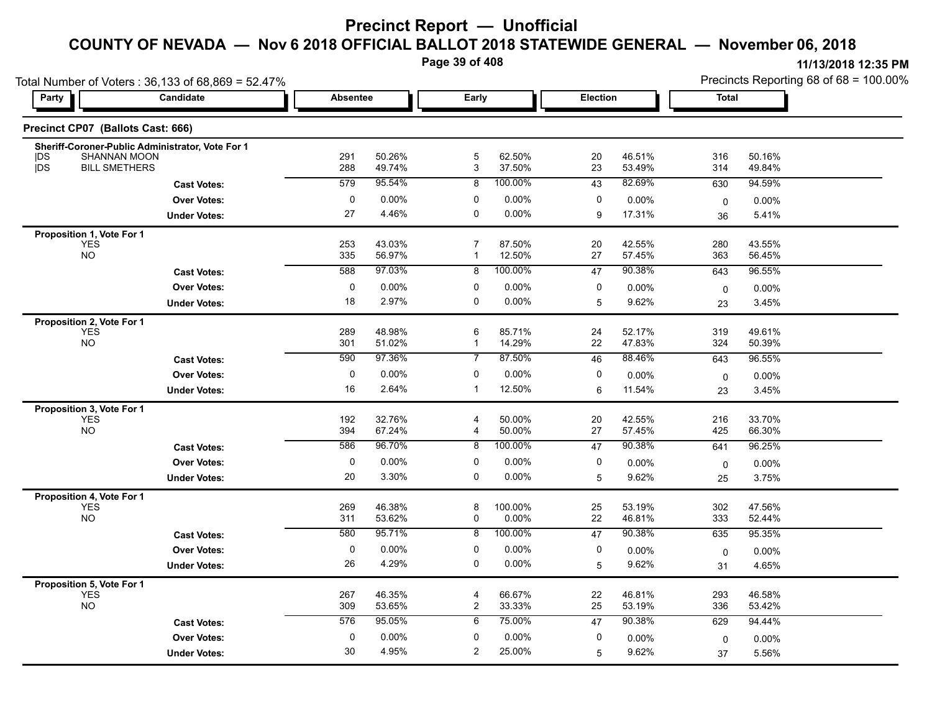**Page 39 of 408**

|                                                      | Total Number of Voters: 36,133 of 68,869 = 52.47% |                 |                  |                      |                   |          |                  | Precincts Reporting 68 of 68 = 100.00% |                  |  |
|------------------------------------------------------|---------------------------------------------------|-----------------|------------------|----------------------|-------------------|----------|------------------|----------------------------------------|------------------|--|
| <b>Party</b>                                         | Candidate                                         | <b>Absentee</b> |                  | Early                |                   | Election |                  | <b>Total</b>                           |                  |  |
| Precinct CP07 (Ballots Cast: 666)                    |                                                   |                 |                  |                      |                   |          |                  |                                        |                  |  |
| SHANNAN MOON<br><b>IDS</b><br>jDS                    | Sheriff-Coroner-Public Administrator, Vote For 1  | 291             | 50.26%           | $\mathbf 5$          | 62.50%            | 20       | 46.51%           | 316                                    | 50.16%           |  |
| <b>BILL SMETHERS</b>                                 |                                                   | 288<br>579      | 49.74%<br>95.54% | 3<br>8               | 37.50%<br>100.00% | 23       | 53.49%<br>82.69% | 314                                    | 49.84%           |  |
|                                                      | <b>Cast Votes:</b>                                |                 |                  |                      |                   | 43       |                  | 630                                    | 94.59%           |  |
|                                                      | <b>Over Votes:</b>                                | 0               | 0.00%            | 0<br>$\mathbf 0$     | 0.00%             | 0        | 0.00%            | $\mathbf 0$                            | $0.00\%$         |  |
|                                                      | <b>Under Votes:</b>                               | 27              | 4.46%            |                      | 0.00%             | 9        | 17.31%           | 36                                     | 5.41%            |  |
| Proposition 1, Vote For 1<br><b>YES</b><br><b>NO</b> |                                                   | 253<br>335      | 43.03%<br>56.97% | $\overline{7}$<br>-1 | 87.50%<br>12.50%  | 20<br>27 | 42.55%<br>57.45% | 280<br>363                             | 43.55%<br>56.45% |  |
|                                                      |                                                   | 588             | 97 03%           |                      | 100.00%           |          | 90.38%           |                                        |                  |  |
|                                                      | <b>Cast Votes:</b>                                |                 |                  | 8                    |                   | 47       |                  | 643                                    | 96.55%           |  |
|                                                      | <b>Over Votes:</b>                                | 0               | 0.00%            | 0                    | 0.00%             | 0        | 0.00%            | 0                                      | 0.00%            |  |
|                                                      | <b>Under Votes:</b>                               | 18              | 2.97%            | $\mathbf 0$          | $0.00\%$          | 5        | 9.62%            | 23                                     | 3.45%            |  |
| Proposition 2, Vote For 1<br><b>YES</b><br><b>NO</b> |                                                   | 289<br>301      | 48.98%<br>51.02% | 6<br>$\mathbf{1}$    | 85.71%<br>14.29%  | 24<br>22 | 52.17%<br>47.83% | 319<br>324                             | 49.61%<br>50.39% |  |
|                                                      | <b>Cast Votes:</b>                                | 590             | 97.36%           | $\overline{7}$       | 87.50%            | 46       | 88.46%           | 643                                    | 96.55%           |  |
|                                                      | <b>Over Votes:</b>                                | $\pmb{0}$       | 0.00%            | 0                    | 0.00%             | 0        | 0.00%            | 0                                      | 0.00%            |  |
|                                                      | <b>Under Votes:</b>                               | 16              | 2.64%            | $\mathbf{1}$         | 12.50%            | 6        | 11.54%           | 23                                     | 3.45%            |  |
|                                                      |                                                   |                 |                  |                      |                   |          |                  |                                        |                  |  |
| Proposition 3, Vote For 1<br><b>YES</b><br><b>NO</b> |                                                   | 192<br>394      | 32.76%<br>67.24% | 4<br>4               | 50.00%<br>50.00%  | 20<br>27 | 42.55%<br>57.45% | 216<br>425                             | 33.70%<br>66.30% |  |
|                                                      | <b>Cast Votes:</b>                                | 586             | 96.70%           | 8                    | 100.00%           | 47       | 90.38%           | 641                                    | 96.25%           |  |
|                                                      | <b>Over Votes:</b>                                | 0               | 0.00%            | 0                    | 0.00%             | 0        | 0.00%            | 0                                      | 0.00%            |  |
|                                                      | <b>Under Votes:</b>                               | 20              | 3.30%            | 0                    | 0.00%             | 5        | 9.62%            | 25                                     | 3.75%            |  |
| Proposition 4, Vote For 1<br><b>YES</b><br><b>NO</b> |                                                   | 269<br>311      | 46.38%<br>53.62% | 8<br>0               | 100.00%<br>0.00%  | 25<br>22 | 53.19%<br>46.81% | 302<br>333                             | 47.56%<br>52.44% |  |
|                                                      | <b>Cast Votes:</b>                                | 580             | 95.71%           | 8                    | 100.00%           | 47       | 90.38%           | 635                                    | 95.35%           |  |
|                                                      | <b>Over Votes:</b>                                | $\pmb{0}$       | 0.00%            | 0                    | 0.00%             | 0        | 0.00%            | 0                                      | 0.00%            |  |
|                                                      | <b>Under Votes:</b>                               | 26              | 4.29%            | 0                    | 0.00%             | 5        | 9.62%            | 31                                     | 4.65%            |  |
| Proposition 5, Vote For 1<br><b>YES</b><br><b>NO</b> |                                                   | 267<br>309      | 46.35%<br>53.65% | 4<br>$\overline{2}$  | 66.67%<br>33.33%  | 22<br>25 | 46.81%<br>53.19% | 293<br>336                             | 46.58%<br>53.42% |  |
|                                                      | <b>Cast Votes:</b>                                | 576             | 95.05%           | 6                    | 75.00%            | 47       | 90.38%           | 629                                    | 94.44%           |  |
|                                                      | <b>Over Votes:</b>                                | 0               | 0.00%            | 0                    | 0.00%             | 0        | 0.00%            | $\mathbf 0$                            | 0.00%            |  |
|                                                      | <b>Under Votes:</b>                               | 30              | 4.95%            | $\overline{2}$       | 25.00%            | 5        | 9.62%            | 37                                     | 5.56%            |  |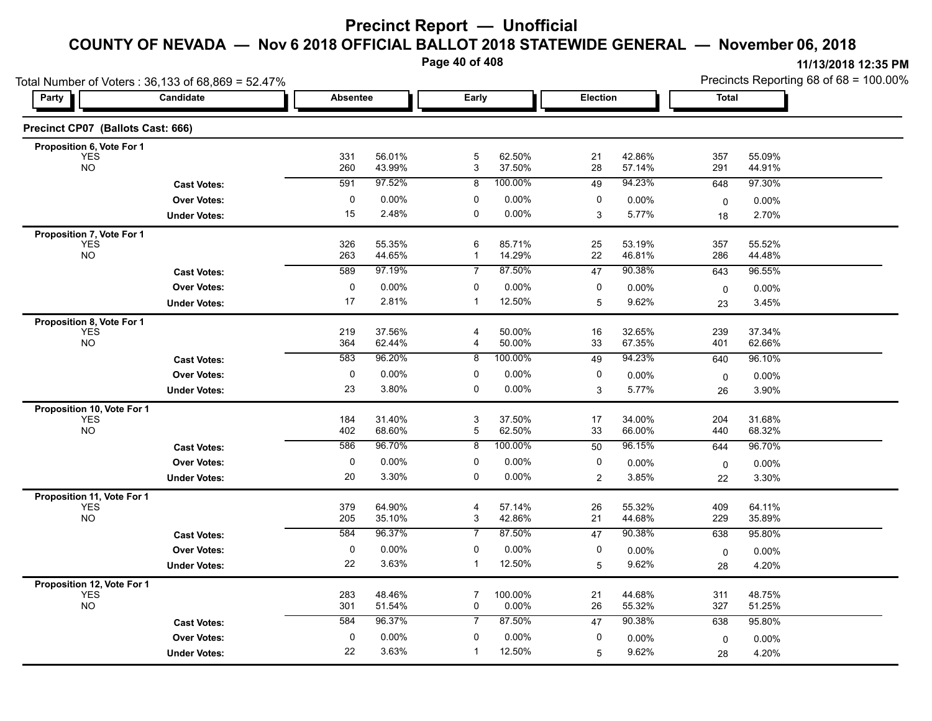**Page 40 of 408**

|                                          | Total Number of Voters: 36,133 of 68,869 = 52.47% |                 |                  |                   |                  |                |                  | Precincts Reporting 68 of 68 = 100.00% |                  |  |
|------------------------------------------|---------------------------------------------------|-----------------|------------------|-------------------|------------------|----------------|------------------|----------------------------------------|------------------|--|
| Party                                    | Candidate                                         | <b>Absentee</b> |                  | Early             |                  |                | Election         |                                        | <b>Total</b>     |  |
| Precinct CP07 (Ballots Cast: 666)        |                                                   |                 |                  |                   |                  |                |                  |                                        |                  |  |
| Proposition 6, Vote For 1                |                                                   |                 |                  |                   |                  |                |                  |                                        |                  |  |
| <b>YES</b><br><b>NO</b>                  |                                                   | 331<br>260      | 56.01%<br>43.99% | $\mathbf 5$<br>3  | 62.50%<br>37.50% | 21<br>28       | 42.86%<br>57.14% | 357<br>291                             | 55.09%<br>44.91% |  |
|                                          | <b>Cast Votes:</b>                                | 591             | 97.52%           | 8                 | 100.00%          | 49             | 94.23%           | 648                                    | 97.30%           |  |
|                                          | <b>Over Votes:</b>                                | $\pmb{0}$       | 0.00%            | 0                 | 0.00%            | 0              | 0.00%            | 0                                      | 0.00%            |  |
|                                          | <b>Under Votes:</b>                               | 15              | 2.48%            | $\mathbf 0$       | 0.00%            | 3              | 5.77%            | 18                                     | 2.70%            |  |
| Proposition 7, Vote For 1                |                                                   |                 |                  |                   |                  |                |                  |                                        |                  |  |
| <b>YES</b><br><b>NO</b>                  |                                                   | 326<br>263      | 55.35%<br>44.65% | 6<br>$\mathbf{1}$ | 85.71%<br>14.29% | 25<br>22       | 53.19%<br>46.81% | 357<br>286                             | 55.52%<br>44.48% |  |
|                                          | <b>Cast Votes:</b>                                | 589             | 97.19%           | $\overline{7}$    | 87.50%           | 47             | 90.38%           | 643                                    | 96.55%           |  |
|                                          | <b>Over Votes:</b>                                | $\pmb{0}$       | 0.00%            | 0                 | 0.00%            | 0              | 0.00%            | $\mathbf 0$                            | 0.00%            |  |
|                                          | <b>Under Votes:</b>                               | 17              | 2.81%            | $\mathbf 1$       | 12.50%           | 5              | 9.62%            | 23                                     | 3.45%            |  |
| Proposition 8, Vote For 1                |                                                   |                 |                  |                   |                  |                |                  |                                        |                  |  |
| <b>YES</b><br><b>NO</b>                  |                                                   | 219<br>364      | 37.56%<br>62.44% | 4<br>4            | 50.00%<br>50.00% | 16<br>33       | 32.65%<br>67.35% | 239<br>401                             | 37.34%<br>62.66% |  |
|                                          | <b>Cast Votes:</b>                                | 583             | 96.20%           | $\overline{8}$    | 100.00%          | 49             | 94.23%           | 640                                    | 96.10%           |  |
|                                          | <b>Over Votes:</b>                                | 0               | 0.00%            | 0                 | 0.00%            | 0              | 0.00%            | $\mathbf 0$                            | $0.00\%$         |  |
|                                          | <b>Under Votes:</b>                               | 23              | 3.80%            | 0                 | $0.00\%$         | 3              | 5.77%            | 26                                     | 3.90%            |  |
| Proposition 10, Vote For 1               |                                                   |                 |                  |                   |                  |                |                  |                                        |                  |  |
| <b>YES</b>                               |                                                   | 184             | 31.40%           | 3                 | 37.50%           | 17             | 34.00%           | 204                                    | 31.68%           |  |
| <b>NO</b>                                |                                                   | 402             | 68.60%           | $\overline{5}$    | 62.50%           | 33             | 66.00%           | 440                                    | 68.32%           |  |
|                                          | <b>Cast Votes:</b>                                | 586             | 96.70%           | 8                 | 100.00%          | 50             | 96.15%           | 644                                    | 96.70%           |  |
|                                          | <b>Over Votes:</b>                                | 0               | 0.00%            | 0                 | 0.00%            | 0              | $0.00\%$         | 0                                      | $0.00\%$         |  |
|                                          | <b>Under Votes:</b>                               | 20              | 3.30%            | $\mathbf 0$       | $0.00\%$         | $\overline{2}$ | 3.85%            | 22                                     | 3.30%            |  |
| Proposition 11, Vote For 1<br><b>YES</b> |                                                   | 379             | 64.90%           | 4                 | 57.14%           | 26             | 55.32%           | 409                                    | 64.11%           |  |
| <b>NO</b>                                |                                                   | 205             | 35.10%           | 3                 | 42.86%           | 21             | 44.68%           | 229                                    | 35.89%           |  |
|                                          | <b>Cast Votes:</b>                                | 584             | 96.37%           | $\overline{7}$    | 87.50%           | 47             | 90.38%           | 638                                    | 95.80%           |  |
|                                          | <b>Over Votes:</b>                                | 0               | 0.00%            | 0                 | 0.00%            | 0              | 0.00%            | 0                                      | $0.00\%$         |  |
|                                          | <b>Under Votes:</b>                               | 22              | 3.63%            | $\mathbf{1}$      | 12.50%           | 5              | 9.62%            | 28                                     | 4.20%            |  |
| Proposition 12, Vote For 1               |                                                   |                 |                  |                   |                  |                |                  |                                        |                  |  |
| <b>YES</b><br><b>NO</b>                  |                                                   | 283<br>301      | 48.46%<br>51.54% | 7<br>0            | 100.00%<br>0.00% | 21<br>26       | 44.68%<br>55.32% | 311<br>327                             | 48.75%<br>51.25% |  |
|                                          | <b>Cast Votes:</b>                                | 584             | 96.37%           | $\overline{7}$    | 87.50%           | 47             | 90.38%           | 638                                    | 95.80%           |  |
|                                          | <b>Over Votes:</b>                                | 0               | 0.00%            | 0                 | 0.00%            | 0              | 0.00%            | 0                                      | 0.00%            |  |
|                                          | <b>Under Votes:</b>                               | 22              | 3.63%            | $\mathbf{1}$      | 12.50%           | 5              | 9.62%            | 28                                     | 4.20%            |  |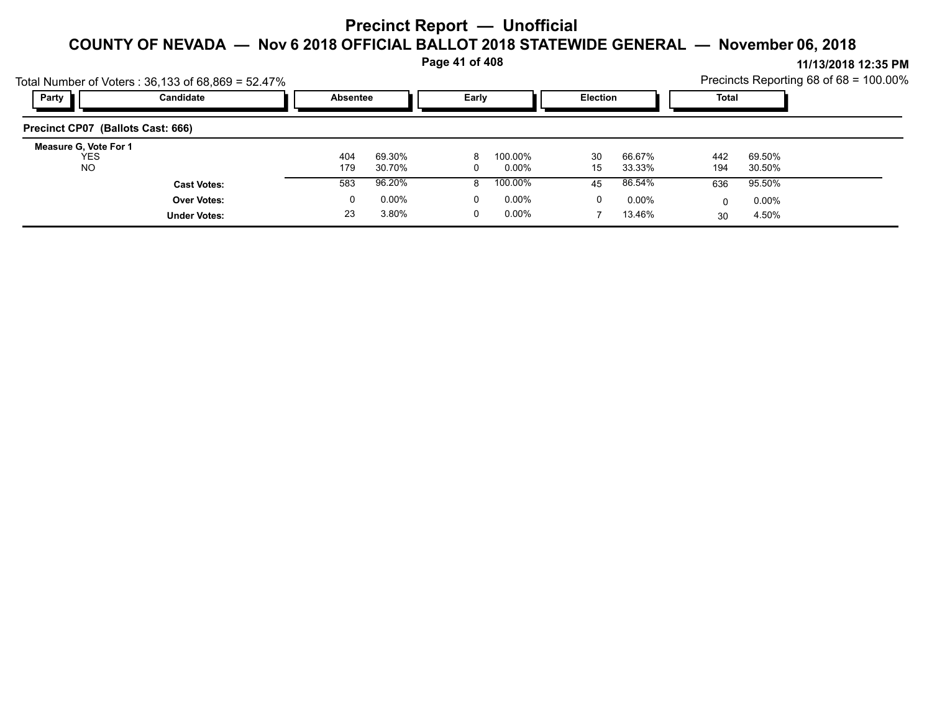**Page 41 of 408**

| Party                             | Total Number of Voters: 36,133 of 68,869 = 52.47%<br>Candidate |     | Early<br><b>Absentee</b> |          |          |    | <b>Election</b> | <b>Total</b> | Precincts Reporting 68 of $68 = 100.00\%$ |  |
|-----------------------------------|----------------------------------------------------------------|-----|--------------------------|----------|----------|----|-----------------|--------------|-------------------------------------------|--|
| Precinct CP07 (Ballots Cast: 666) |                                                                |     |                          |          |          |    |                 |              |                                           |  |
| Measure G, Vote For 1             |                                                                |     |                          |          |          |    |                 |              |                                           |  |
| <b>YES</b>                        |                                                                | 404 | 69.30%                   | 8        | 100.00%  | 30 | 66.67%          | 442          | 69.50%                                    |  |
| NO.                               |                                                                | 179 | 30.70%                   | 0        | 0.00%    | 15 | 33.33%          | 194          | 30.50%                                    |  |
|                                   | <b>Cast Votes:</b>                                             | 583 | 96.20%                   | 8        | 100.00%  | 45 | 86.54%          | 636          | 95.50%                                    |  |
|                                   | <b>Over Votes:</b>                                             | 0   | $0.00\%$                 | $\Omega$ | $0.00\%$ | 0  | $0.00\%$        | 0            | $0.00\%$                                  |  |
|                                   | <b>Under Votes:</b>                                            | 23  | 3.80%                    | 0        | $0.00\%$ |    | 13.46%          | 30           | 4.50%                                     |  |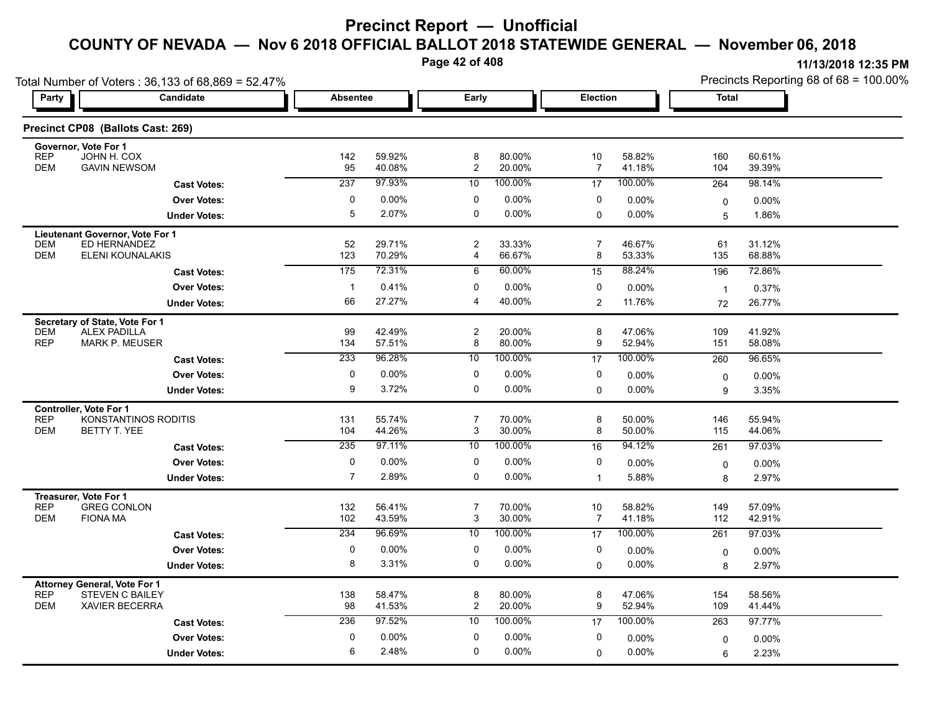**Page 42 of 408**

| Total Number of Voters: 36,133 of 68,869 = 52.47%                                                      |                |                  |                       |                  |                     |                  | Precincts Reporting 68 of 68 = 100.00% |                  |  |
|--------------------------------------------------------------------------------------------------------|----------------|------------------|-----------------------|------------------|---------------------|------------------|----------------------------------------|------------------|--|
| Party<br>Candidate                                                                                     |                | <b>Absentee</b>  |                       | Early            |                     | <b>Election</b>  | Total                                  |                  |  |
| Precinct CP08 (Ballots Cast: 269)                                                                      |                |                  |                       |                  |                     |                  |                                        |                  |  |
| Governor, Vote For 1<br><b>REP</b><br>JOHN H. COX                                                      | 142            | 59.92%           | 8                     | 80.00%           | 10                  | 58.82%           | 160                                    | 60.61%           |  |
| <b>GAVIN NEWSOM</b><br><b>DEM</b>                                                                      | 95             | 40.08%           | $\overline{2}$        | 20.00%           | $\overline{7}$      | 41.18%           | 104                                    | 39.39%           |  |
| <b>Cast Votes:</b>                                                                                     | 237            | 97.93%           | 10                    | 100.00%          | 17                  | 100.00%          | 264                                    | 98.14%           |  |
| <b>Over Votes:</b>                                                                                     | 0              | $0.00\%$         | 0                     | 0.00%            | 0                   | $0.00\%$         | 0                                      | 0.00%            |  |
| <b>Under Votes:</b>                                                                                    | 5              | 2.07%            | 0                     | 0.00%            | $\mathbf 0$         | 0.00%            | 5                                      | 1.86%            |  |
| Lieutenant Governor, Vote For 1<br>ED HERNANDEZ<br><b>DEM</b><br><b>DEM</b><br><b>ELENI KOUNALAKIS</b> | 52<br>123      | 29.71%<br>70.29% | $\boldsymbol{2}$<br>4 | 33.33%<br>66.67% | $\overline{7}$<br>8 | 46.67%<br>53.33% | 61<br>135                              | 31.12%<br>68.88% |  |
| <b>Cast Votes:</b>                                                                                     | 175            | 72.31%           | 6                     | 60.00%           | 15                  | 88.24%           | 196                                    | 72.86%           |  |
| <b>Over Votes:</b>                                                                                     | $\mathbf{1}$   | 0.41%            | 0                     | 0.00%            | 0                   | 0.00%            | $\overline{1}$                         | 0.37%            |  |
| <b>Under Votes:</b>                                                                                    | 66             | 27.27%           | 4                     | 40.00%           | 2                   | 11.76%           | 72                                     | 26.77%           |  |
| Secretary of State, Vote For 1                                                                         |                |                  |                       |                  |                     |                  |                                        |                  |  |
| <b>DEM</b><br><b>ALEX PADILLA</b>                                                                      | 99             | 42.49%           | $\overline{c}$        | 20.00%           | 8                   | 47.06%           | 109                                    | 41.92%           |  |
| <b>REP</b><br><b>MARK P. MEUSER</b>                                                                    | 134            | 57.51%           | 8                     | 80.00%           | 9                   | 52.94%           | 151                                    | 58.08%           |  |
| <b>Cast Votes:</b>                                                                                     | 233            | 96.28%           | 10                    | 100.00%          | 17                  | 100.00%          | 260                                    | 96.65%           |  |
| <b>Over Votes:</b>                                                                                     | 0              | $0.00\%$         | 0                     | 0.00%            | 0                   | 0.00%            | 0                                      | $0.00\%$         |  |
| <b>Under Votes:</b>                                                                                    | 9              | 3.72%            | 0                     | 0.00%            | $\Omega$            | 0.00%            | 9                                      | 3.35%            |  |
| <b>Controller, Vote For 1</b>                                                                          |                |                  |                       |                  |                     |                  |                                        |                  |  |
| <b>REP</b><br>KONSTANTINOS RODITIS                                                                     | 131            | 55.74%           | $\overline{7}$        | 70.00%           | 8                   | 50.00%           | 146                                    | 55.94%           |  |
| <b>DEM</b><br>BETTY T. YEE                                                                             | 104            | 44.26%           | 3                     | 30.00%           | 8                   | 50.00%           | 115                                    | 44.06%           |  |
| <b>Cast Votes:</b>                                                                                     | 235            | 97.11%           | 10                    | 100.00%          | 16                  | 94.12%           | 261                                    | 97.03%           |  |
| <b>Over Votes:</b>                                                                                     | 0              | 0.00%            | 0                     | 0.00%            | 0                   | 0.00%            | 0                                      | $0.00\%$         |  |
| <b>Under Votes:</b>                                                                                    | $\overline{7}$ | 2.89%            | 0                     | 0.00%            | $\mathbf{1}$        | 5.88%            | 8                                      | 2.97%            |  |
| Treasurer, Vote For 1                                                                                  |                |                  |                       |                  |                     |                  |                                        |                  |  |
| <b>REP</b><br><b>GREG CONLON</b>                                                                       | 132            | 56.41%           | $\overline{7}$        | 70.00%           | 10                  | 58.82%           | 149                                    | 57.09%           |  |
| <b>DEM</b><br><b>FIONA MA</b>                                                                          | 102            | 43.59%           | 3                     | 30.00%           | $\overline{7}$      | 41.18%           | 112                                    | 42.91%           |  |
| <b>Cast Votes:</b>                                                                                     | 234            | 96.69%           | 10                    | 100.00%          | 17                  | 100.00%          | 261                                    | 97.03%           |  |
| <b>Over Votes:</b>                                                                                     | 0              | 0.00%            | 0                     | 0.00%            | 0                   | 0.00%            | 0                                      | $0.00\%$         |  |
| <b>Under Votes:</b>                                                                                    | 8              | 3.31%            | 0                     | 0.00%            | $\mathbf 0$         | 0.00%            | 8                                      | 2.97%            |  |
| <b>Attorney General, Vote For 1</b>                                                                    |                |                  |                       |                  |                     |                  |                                        |                  |  |
| <b>REP</b><br><b>STEVEN C BAILEY</b>                                                                   | 138            | 58.47%           | 8                     | 80.00%           | 8                   | 47.06%           | 154                                    | 58.56%           |  |
| <b>DEM</b><br><b>XAVIER BECERRA</b>                                                                    | 98             | 41.53%           | $\overline{c}$        | 20.00%           | 9                   | 52.94%           | 109                                    | 41.44%           |  |
| <b>Cast Votes:</b>                                                                                     | 236            | 97.52%           | 10                    | 100.00%          | 17                  | 100.00%          | 263                                    | 97.77%           |  |
| <b>Over Votes:</b>                                                                                     | 0              | $0.00\%$         | 0                     | 0.00%            | 0                   | 0.00%            | 0                                      | 0.00%            |  |
| <b>Under Votes:</b>                                                                                    | 6              | 2.48%            | $\Omega$              | 0.00%            | $\mathbf 0$         | 0.00%            | 6                                      | 2.23%            |  |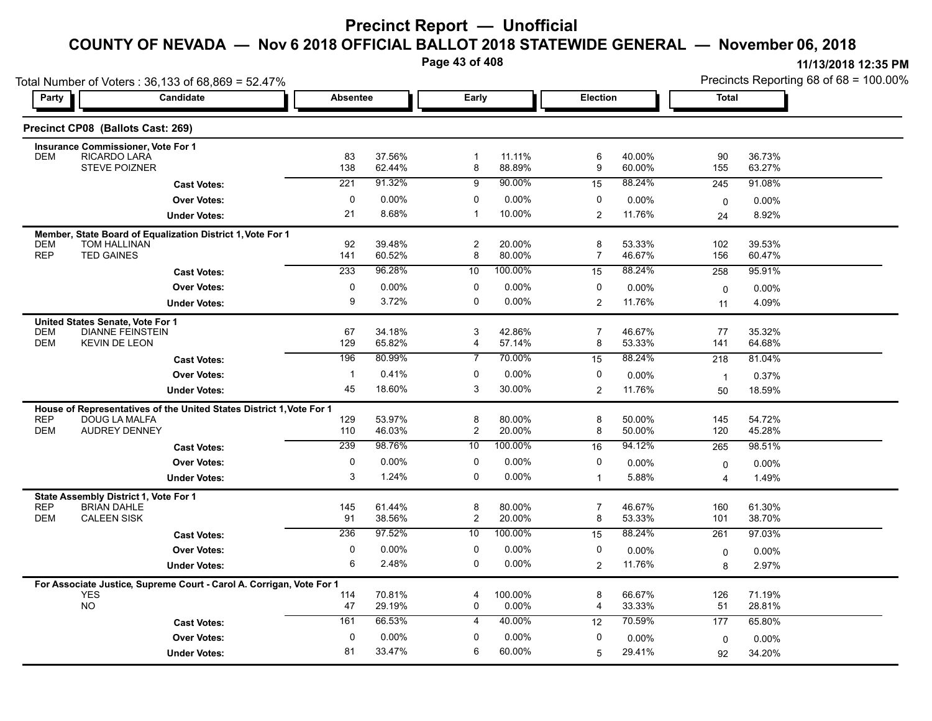**Page 43 of 408**

|            | Total Number of Voters: 36,133 of 68,869 = 52.47%                          |              | Early            |                |                  |                |                    | Precincts Reporting 68 of 68 = 100.00% |                  |  |  |
|------------|----------------------------------------------------------------------------|--------------|------------------|----------------|------------------|----------------|--------------------|----------------------------------------|------------------|--|--|
| Party      | Candidate                                                                  |              | <b>Absentee</b>  |                |                  |                | Election           |                                        | <b>Total</b>     |  |  |
|            | Precinct CP08 (Ballots Cast: 269)                                          |              |                  |                |                  |                |                    |                                        |                  |  |  |
|            | <b>Insurance Commissioner, Vote For 1</b>                                  |              |                  |                |                  |                |                    |                                        |                  |  |  |
| <b>DEM</b> | RICARDO LARA<br><b>STEVE POIZNER</b>                                       | 83<br>138    | 37.56%<br>62.44% | -1<br>8        | 11.11%<br>88.89% | 6<br>9         | 40.00%<br>60.00%   | 90<br>155                              | 36.73%<br>63.27% |  |  |
|            |                                                                            | 221          | 91.32%           | 9              | 90.00%           | 15             | 88.24%             | 245                                    | 91.08%           |  |  |
|            | <b>Cast Votes:</b>                                                         | $\mathbf 0$  | 0.00%            | 0              | 0.00%            | 0              |                    |                                        |                  |  |  |
|            | <b>Over Votes:</b>                                                         | 21           | 8.68%            | -1             | 10.00%           | $\overline{2}$ | $0.00\%$<br>11.76% | 0                                      | 0.00%<br>8.92%   |  |  |
|            | <b>Under Votes:</b>                                                        |              |                  |                |                  |                |                    | 24                                     |                  |  |  |
| <b>DEM</b> | Member, State Board of Equalization District 1, Vote For 1<br>TOM HALLINAN | 92           | 39.48%           | $\overline{c}$ | 20.00%           | 8              | 53.33%             | 102                                    | 39.53%           |  |  |
| <b>REP</b> | <b>TED GAINES</b>                                                          | 141          | 60.52%           | 8              | 80.00%           | $\overline{7}$ | 46.67%             | 156                                    | 60.47%           |  |  |
|            | <b>Cast Votes:</b>                                                         | 233          | 96.28%           | 10             | 100.00%          | 15             | 88.24%             | 258                                    | 95.91%           |  |  |
|            | <b>Over Votes:</b>                                                         | 0            | $0.00\%$         | 0              | 0.00%            | 0              | $0.00\%$           | $\mathbf 0$                            | $0.00\%$         |  |  |
|            | <b>Under Votes:</b>                                                        | 9            | 3.72%            | 0              | 0.00%            | $\overline{2}$ | 11.76%             | 11                                     | 4.09%            |  |  |
|            | United States Senate, Vote For 1                                           |              |                  |                |                  |                |                    |                                        |                  |  |  |
| <b>DEM</b> | <b>DIANNE FEINSTEIN</b>                                                    | 67           | 34.18%           | 3              | 42.86%           | $\overline{7}$ | 46.67%             | 77                                     | 35.32%           |  |  |
| <b>DEM</b> | <b>KEVIN DE LEON</b>                                                       | 129          | 65.82%           | 4              | 57.14%           | 8              | 53.33%             | 141                                    | 64.68%           |  |  |
|            | <b>Cast Votes:</b>                                                         | 196          | 80.99%           | 7              | 70.00%           | 15             | 88.24%             | 218                                    | 81.04%           |  |  |
|            | <b>Over Votes:</b>                                                         | $\mathbf{1}$ | 0.41%            | 0              | 0.00%            | 0              | $0.00\%$           | $\overline{1}$                         | 0.37%            |  |  |
|            | <b>Under Votes:</b>                                                        | 45           | 18.60%           | 3              | 30.00%           | $\overline{2}$ | 11.76%             | 50                                     | 18.59%           |  |  |
|            | House of Representatives of the United States District 1, Vote For 1       |              |                  |                |                  |                |                    |                                        |                  |  |  |
| <b>REP</b> | DOUG LA MALFA                                                              | 129          | 53.97%           | 8              | 80.00%           | 8              | 50.00%             | 145                                    | 54.72%           |  |  |
| <b>DEM</b> | AUDREY DENNEY                                                              | 110          | 46.03%           | $\overline{c}$ | 20.00%           | 8              | 50.00%             | 120                                    | 45.28%           |  |  |
|            | <b>Cast Votes:</b>                                                         | 239          | 98.76%           | 10             | 100.00%          | 16             | 94.12%             | 265                                    | 98.51%           |  |  |
|            | <b>Over Votes:</b>                                                         | 0            | $0.00\%$         | 0              | 0.00%            | 0              | $0.00\%$           | 0                                      | $0.00\%$         |  |  |
|            | <b>Under Votes:</b>                                                        | 3            | 1.24%            | 0              | 0.00%            | $\mathbf{1}$   | 5.88%              | 4                                      | 1.49%            |  |  |
|            | State Assembly District 1, Vote For 1                                      |              |                  |                |                  |                |                    |                                        |                  |  |  |
| <b>REP</b> | <b>BRIAN DAHLE</b>                                                         | 145          | 61.44%           | 8              | 80.00%           | $\overline{7}$ | 46.67%             | 160                                    | 61.30%           |  |  |
| <b>DEM</b> | <b>CALEEN SISK</b>                                                         | 91           | 38.56%           | $\overline{c}$ | 20.00%           | 8              | 53.33%             | 101                                    | 38.70%           |  |  |
|            | <b>Cast Votes:</b>                                                         | 236          | 97.52%           | 10             | 100.00%          | 15             | 88.24%             | 261                                    | 97.03%           |  |  |
|            | <b>Over Votes:</b>                                                         | $\mathbf 0$  | 0.00%            | $\mathbf 0$    | 0.00%            | 0              | $0.00\%$           | 0                                      | 0.00%            |  |  |
|            | <b>Under Votes:</b>                                                        | 6            | 2.48%            | 0              | $0.00\%$         | $\overline{2}$ | 11.76%             | 8                                      | 2.97%            |  |  |
|            | For Associate Justice, Supreme Court - Carol A. Corrigan, Vote For 1       |              |                  |                |                  |                |                    |                                        |                  |  |  |
|            | <b>YES</b>                                                                 | 114          | 70.81%           | 4              | 100.00%          | 8              | 66.67%             | 126                                    | 71.19%           |  |  |
|            | <b>NO</b>                                                                  | 47           | 29.19%           | 0              | 0.00%            | 4              | 33.33%             | 51                                     | 28.81%           |  |  |
|            | <b>Cast Votes:</b>                                                         | 161          | 66.53%           | 4              | 40.00%           | 12             | 70.59%             | 177                                    | 65.80%           |  |  |
|            | <b>Over Votes:</b>                                                         | $\mathbf 0$  | 0.00%            | 0              | 0.00%            | 0              | 0.00%              | 0                                      | $0.00\%$         |  |  |
|            | <b>Under Votes:</b>                                                        | 81           | 33.47%           | 6              | 60.00%           | 5              | 29.41%             | 92                                     | 34.20%           |  |  |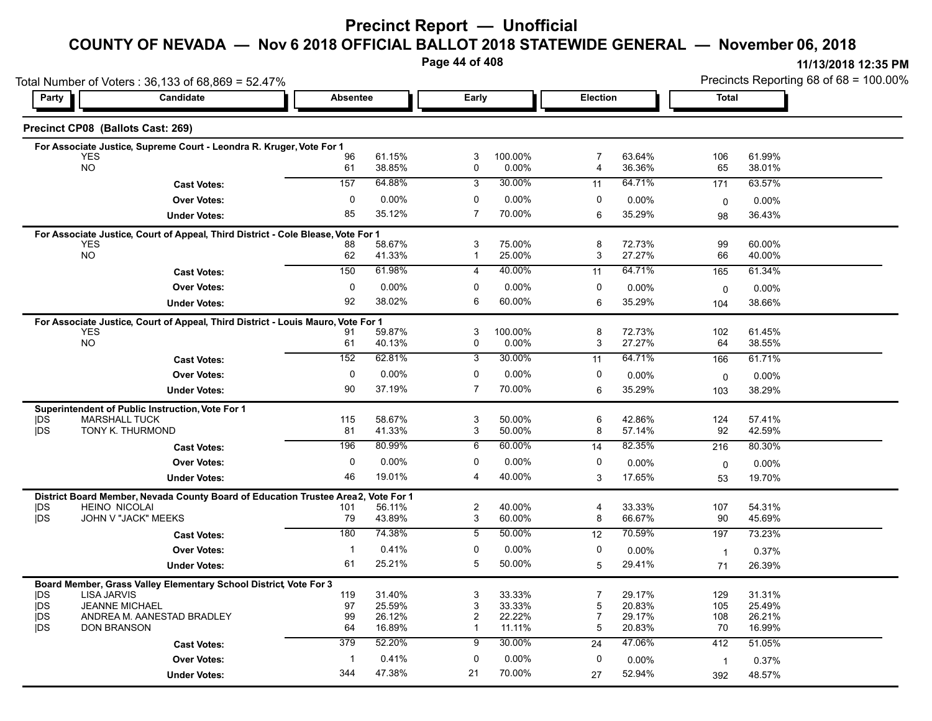## **Precinct Report — Unofficial**

# **COUNTY OF NEVADA — Nov 6 2018 OFFICIAL BALLOT 2018 STATEWIDE GENERAL — November 06, 2018**

**Page 44 of 408**

|                          | Total Number of Voters: 36,133 of 68,869 = 52.47%                                |              |                  |                     |                  |                |                  | Precincts Reporting 68 of 68 = 100.00% |                  |  |
|--------------------------|----------------------------------------------------------------------------------|--------------|------------------|---------------------|------------------|----------------|------------------|----------------------------------------|------------------|--|
| Party                    | Candidate                                                                        | Absentee     |                  | Early               |                  | Election       |                  | Total                                  |                  |  |
|                          | Precinct CP08 (Ballots Cast: 269)                                                |              |                  |                     |                  |                |                  |                                        |                  |  |
|                          | For Associate Justice, Supreme Court - Leondra R. Kruger, Vote For 1             |              |                  |                     |                  |                |                  |                                        |                  |  |
|                          | <b>YES</b><br><b>NO</b>                                                          | 96           | 61.15%           | 3<br>$\mathbf 0$    | 100.00%<br>0.00% | 7<br>4         | 63.64%           | 106<br>65                              | 61.99%           |  |
|                          |                                                                                  | 61           | 38.85%           |                     |                  |                | 36.36%           |                                        | 38.01%           |  |
|                          | <b>Cast Votes:</b>                                                               | 157          | 64.88%           | 3                   | 30.00%           | 11             | 64.71%           | 171                                    | 63.57%           |  |
|                          | <b>Over Votes:</b>                                                               | 0            | 0.00%            | 0                   | 0.00%            | 0              | 0.00%            | $\mathbf 0$                            | $0.00\%$         |  |
|                          | <b>Under Votes:</b>                                                              | 85           | 35.12%           | $\overline{7}$      | 70.00%           | 6              | 35.29%           | 98                                     | 36.43%           |  |
|                          | For Associate Justice, Court of Appeal, Third District - Cole Blease, Vote For 1 |              |                  |                     |                  |                |                  |                                        |                  |  |
|                          | <b>YES</b><br><b>NO</b>                                                          | 88<br>62     | 58.67%<br>41.33% | 3<br>$\mathbf 1$    | 75.00%<br>25.00% | 8<br>3         | 72.73%<br>27.27% | 99<br>66                               | 60.00%<br>40.00% |  |
|                          |                                                                                  | 150          | 61.98%           | 4                   | 40.00%           |                | 64.71%           |                                        | 61.34%           |  |
|                          | <b>Cast Votes:</b>                                                               |              |                  |                     |                  | 11             |                  | 165                                    |                  |  |
|                          | <b>Over Votes:</b>                                                               | 0            | $0.00\%$         | 0                   | 0.00%            | 0              | 0.00%            | 0                                      | $0.00\%$         |  |
|                          | <b>Under Votes:</b>                                                              | 92           | 38.02%           | 6                   | 60.00%           | 6              | 35.29%           | 104                                    | 38.66%           |  |
|                          | For Associate Justice, Court of Appeal, Third District - Louis Mauro, Vote For 1 |              |                  |                     |                  |                |                  |                                        |                  |  |
|                          | <b>YES</b><br>NO                                                                 | 91<br>61     | 59.87%<br>40.13% | 3<br>0              | 100.00%<br>0.00% | 8<br>3         | 72.73%<br>27.27% | 102<br>64                              | 61.45%<br>38.55% |  |
|                          |                                                                                  | 152          | 62.81%           | 3                   | 30.00%           | 11             | 64.71%           | 166                                    | 61.71%           |  |
|                          | <b>Cast Votes:</b>                                                               |              |                  |                     |                  |                |                  |                                        |                  |  |
|                          | <b>Over Votes:</b>                                                               | 0            | 0.00%            | 0                   | 0.00%            | 0              | $0.00\%$         | 0                                      | $0.00\%$         |  |
|                          | <b>Under Votes:</b>                                                              | 90           | 37.19%           | $\overline{7}$      | 70.00%           | 6              | 35.29%           | 103                                    | 38.29%           |  |
|                          | Superintendent of Public Instruction, Vote For 1                                 |              |                  |                     |                  |                |                  |                                        |                  |  |
| <b>IDS</b><br><b>IDS</b> | <b>MARSHALL TUCK</b><br>TONY K. THURMOND                                         | 115<br>81    | 58.67%<br>41.33% | 3<br>3              | 50.00%<br>50.00% | 6<br>8         | 42.86%<br>57.14% | 124<br>92                              | 57.41%<br>42.59% |  |
|                          |                                                                                  |              |                  |                     |                  |                |                  |                                        |                  |  |
|                          | <b>Cast Votes:</b>                                                               | 196          | 80.99%           | $6\overline{6}$     | 60.00%           | 14             | 82.35%           | 216                                    | 80.30%           |  |
|                          | <b>Over Votes:</b>                                                               | $\mathbf{0}$ | $0.00\%$         | 0                   | 0.00%            | 0              | 0.00%            | 0                                      | 0.00%            |  |
|                          | <b>Under Votes:</b>                                                              | 46           | 19.01%           | 4                   | 40.00%           | 3              | 17.65%           | 53                                     | 19.70%           |  |
|                          | District Board Member, Nevada County Board of Education Trustee Area2,           |              | Vote For 1       |                     |                  |                |                  |                                        |                  |  |
| <b>IDS</b><br><b>IDS</b> | <b>HEINO NICOLAI</b><br>JOHN V "JACK" MEEKS                                      | 101<br>79    | 56.11%<br>43.89% | $\overline{c}$<br>3 | 40.00%<br>60.00% | 4<br>8         | 33.33%<br>66.67% | 107<br>90                              | 54.31%<br>45.69% |  |
|                          |                                                                                  | 180          | 74.38%           | 5                   | 50.00%           |                | 70.59%           |                                        |                  |  |
|                          | <b>Cast Votes:</b>                                                               |              |                  |                     |                  | 12             |                  | 197                                    | 73.23%           |  |
|                          | <b>Over Votes:</b>                                                               | $\mathbf 1$  | 0.41%            | 0                   | $0.00\%$         | 0              | $0.00\%$         | $\overline{1}$                         | 0.37%            |  |
|                          | <b>Under Votes:</b>                                                              | 61           | 25.21%           | 5                   | 50.00%           | 5              | 29.41%           | 71                                     | 26.39%           |  |
|                          | Board Member, Grass Valley Elementary School District, Vote For 3                |              |                  |                     |                  |                |                  |                                        |                  |  |
| <b>IDS</b>               | <b>LISA JARVIS</b><br><b>JEANNE MICHAEL</b>                                      | 119<br>97    | 31.40%           | 3                   | 33.33%           | $\overline{7}$ | 29.17%           | 129                                    | 31.31%           |  |
| <b>IDS</b><br><b>IDS</b> | ANDREA M. AANESTAD BRADLEY                                                       | 99           | 25.59%<br>26.12% | 3<br>2              | 33.33%<br>22.22% | 5<br>7         | 20.83%<br>29.17% | 105<br>108                             | 25.49%<br>26.21% |  |
| <b>IDS</b>               | <b>DON BRANSON</b>                                                               | 64           | 16.89%           | $\mathbf{1}$        | 11.11%           | 5              | 20.83%           | 70                                     | 16.99%           |  |
|                          | <b>Cast Votes:</b>                                                               | 379          | 52.20%           | 9                   | 30.00%           | 24             | 47.06%           | 412                                    | 51.05%           |  |
|                          | <b>Over Votes:</b>                                                               | $\mathbf{1}$ | 0.41%            | 0                   | $0.00\%$         | 0              | $0.00\%$         |                                        |                  |  |
|                          |                                                                                  | 344          | 47.38%           | 21                  | 70.00%           |                | 52.94%           | $\overline{1}$                         | 0.37%            |  |
|                          | <b>Under Votes:</b>                                                              |              |                  |                     |                  | 27             |                  | 392                                    | 48.57%           |  |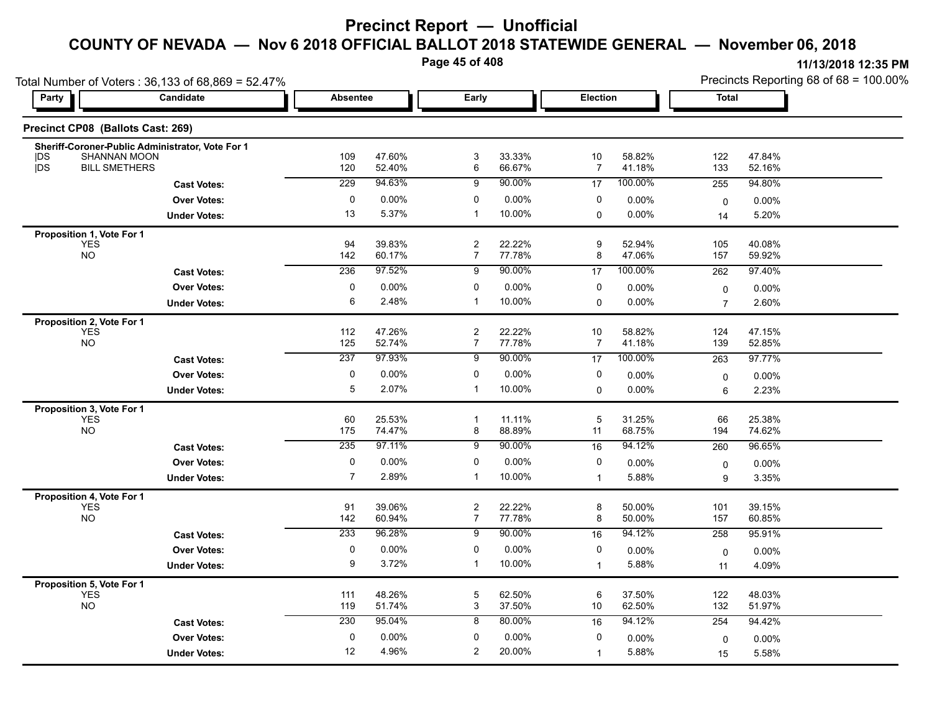**Page 45 of 408**

|                                                      | Total Number of Voters: 36,133 of 68,869 = 52.47% |                 |                  |                                  |                  |                |                   | Precincts Reporting 68 of 68 = 100.00% |                  |  |
|------------------------------------------------------|---------------------------------------------------|-----------------|------------------|----------------------------------|------------------|----------------|-------------------|----------------------------------------|------------------|--|
| Party                                                | Candidate                                         | <b>Absentee</b> |                  | Early                            |                  | Election       |                   | <b>Total</b>                           |                  |  |
| Precinct CP08 (Ballots Cast: 269)                    |                                                   |                 |                  |                                  |                  |                |                   |                                        |                  |  |
| <b>IDS</b><br><b>SHANNAN MOON</b>                    | Sheriff-Coroner-Public Administrator, Vote For 1  | 109             | 47.60%           | 3                                | 33.33%           | 10             | 58.82%            | 122                                    | 47.84%           |  |
| jDS<br><b>BILL SMETHERS</b>                          |                                                   | 120<br>229      | 52.40%<br>94.63% | 6                                | 66.67%           | $\overline{7}$ | 41.18%<br>100.00% | 133                                    | 52.16%           |  |
|                                                      | <b>Cast Votes:</b>                                |                 |                  | 9                                | 90.00%           | 17             |                   | 255                                    | 94.80%           |  |
|                                                      | <b>Over Votes:</b>                                | $\pmb{0}$       | 0.00%            | 0                                | 0.00%            | 0              | 0.00%             | $\mathbf 0$                            | $0.00\%$         |  |
|                                                      | <b>Under Votes:</b>                               | 13              | 5.37%            | $\overline{1}$                   | 10.00%           | 0              | 0.00%             | 14                                     | 5.20%            |  |
| Proposition 1, Vote For 1<br><b>YES</b><br><b>NO</b> |                                                   | 94<br>142       | 39.83%           | $\overline{c}$<br>$\overline{7}$ | 22.22%<br>77.78% | 9<br>8         | 52.94%<br>47.06%  | 105<br>157                             | 40.08%<br>59.92% |  |
|                                                      |                                                   | 236             | 60.17%<br>97.52% |                                  | 90.00%           |                | 100.00%           |                                        |                  |  |
|                                                      | <b>Cast Votes:</b>                                |                 |                  | 9                                |                  | 17             |                   | 262                                    | 97.40%           |  |
|                                                      | <b>Over Votes:</b>                                | $\pmb{0}$       | 0.00%            | 0                                | 0.00%            | 0              | 0.00%             | $\pmb{0}$                              | 0.00%            |  |
|                                                      | <b>Under Votes:</b>                               | 6               | 2.48%            | $\overline{1}$                   | 10.00%           | $\Omega$       | $0.00\%$          | $\overline{7}$                         | 2.60%            |  |
| Proposition 2, Vote For 1<br><b>YES</b><br><b>NO</b> |                                                   | 112<br>125      | 47.26%<br>52.74% | $\overline{c}$<br>$\overline{7}$ | 22.22%<br>77.78% | 10<br>7        | 58.82%<br>41.18%  | 124<br>139                             | 47.15%<br>52.85% |  |
|                                                      | <b>Cast Votes:</b>                                | 237             | 97.93%           | 9                                | 90.00%           | 17             | 100.00%           | 263                                    | 97.77%           |  |
|                                                      | <b>Over Votes:</b>                                | 0               | 0.00%            | 0                                | 0.00%            | 0              | 0.00%             | 0                                      | $0.00\%$         |  |
|                                                      | <b>Under Votes:</b>                               | 5               | 2.07%            | $\mathbf{1}$                     | 10.00%           | 0              | 0.00%             | 6                                      | 2.23%            |  |
| Proposition 3, Vote For 1                            |                                                   |                 |                  |                                  |                  |                |                   |                                        |                  |  |
| <b>YES</b>                                           |                                                   | 60              | 25.53%           | $\overline{1}$                   | 11.11%           | 5              | 31.25%            | 66                                     | 25.38%           |  |
| <b>NO</b>                                            |                                                   | 175             | 74.47%           | 8                                | 88.89%           | 11             | 68.75%            | 194                                    | 74.62%           |  |
|                                                      | <b>Cast Votes:</b>                                | 235             | 97.11%           | 9                                | 90.00%           | 16             | 94.12%            | 260                                    | 96.65%           |  |
|                                                      | <b>Over Votes:</b>                                | 0               | 0.00%            | 0                                | 0.00%            | 0              | 0.00%             | $\mathbf 0$                            | 0.00%            |  |
|                                                      | <b>Under Votes:</b>                               | $\overline{7}$  | 2.89%            | $\mathbf{1}$                     | 10.00%           | $\mathbf 1$    | 5.88%             | 9                                      | 3.35%            |  |
| Proposition 4, Vote For 1                            |                                                   |                 |                  |                                  |                  |                |                   |                                        |                  |  |
| <b>YES</b><br><b>NO</b>                              |                                                   | 91<br>142       | 39.06%<br>60.94% | $\overline{2}$<br>$\overline{7}$ | 22.22%<br>77.78% | 8<br>8         | 50.00%<br>50.00%  | 101<br>157                             | 39.15%<br>60.85% |  |
|                                                      | <b>Cast Votes:</b>                                | 233             | 96.28%           | 9                                | 90.00%           | 16             | 94.12%            | 258                                    | 95.91%           |  |
|                                                      | <b>Over Votes:</b>                                | $\pmb{0}$       | 0.00%            | 0                                | 0.00%            | 0              | 0.00%             | 0                                      | 0.00%            |  |
|                                                      | <b>Under Votes:</b>                               | 9               | 3.72%            | $\mathbf{1}$                     | 10.00%           | $\mathbf 1$    | 5.88%             | 11                                     | 4.09%            |  |
|                                                      |                                                   |                 |                  |                                  |                  |                |                   |                                        |                  |  |
| Proposition 5, Vote For 1<br><b>YES</b><br><b>NO</b> |                                                   | 111<br>119      | 48.26%<br>51.74% | $\overline{5}$<br>3              | 62.50%<br>37.50% | 6<br>10        | 37.50%<br>62.50%  | 122<br>132                             | 48.03%<br>51.97% |  |
|                                                      | <b>Cast Votes:</b>                                | 230             | 95.04%           | 8                                | 80.00%           | 16             | 94.12%            | 254                                    | 94.42%           |  |
|                                                      | <b>Over Votes:</b>                                | 0               | 0.00%            | 0                                | 0.00%            | 0              | 0.00%             | 0                                      | 0.00%            |  |
|                                                      | <b>Under Votes:</b>                               | 12              | 4.96%            | 2                                | 20.00%           | $\mathbf{1}$   | 5.88%             | 15                                     | 5.58%            |  |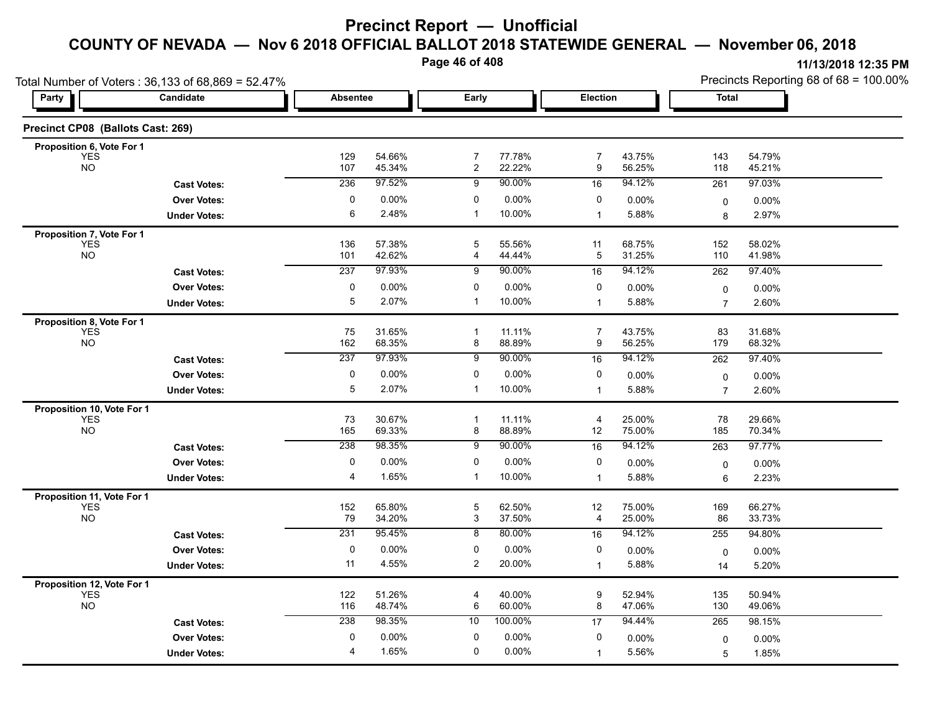**Page 46 of 408**

|                                          | Total Number of Voters: 36,133 of 68,869 = 52.47% |                 |                  |                                  |                  |                |                  | Precincts Reporting 68 of 68 = 100.00% |                   |  |
|------------------------------------------|---------------------------------------------------|-----------------|------------------|----------------------------------|------------------|----------------|------------------|----------------------------------------|-------------------|--|
| <b>Party</b>                             | Candidate                                         | <b>Absentee</b> |                  | Early                            |                  | Election       |                  | <b>Total</b>                           |                   |  |
| Precinct CP08 (Ballots Cast: 269)        |                                                   |                 |                  |                                  |                  |                |                  |                                        |                   |  |
| Proposition 6, Vote For 1                |                                                   |                 |                  |                                  |                  |                |                  |                                        |                   |  |
| <b>YES</b><br><b>NO</b>                  |                                                   | 129<br>107      | 54.66%<br>45.34% | $\overline{7}$<br>$\overline{2}$ | 77.78%<br>22.22% | 7<br>9         | 43.75%<br>56.25% | 143<br>118                             | 54.79%<br>45.21%  |  |
|                                          | <b>Cast Votes:</b>                                | 236             | 97.52%           | 9                                | 90.00%           | 16             | 94.12%           | 261                                    | 97.03%            |  |
|                                          | <b>Over Votes:</b>                                | 0               | 0.00%            | 0                                | 0.00%            | 0              | 0.00%            | $\mathbf 0$                            | $0.00\%$          |  |
|                                          | <b>Under Votes:</b>                               | 6               | 2.48%            | $\overline{1}$                   | 10.00%           | $\mathbf 1$    | 5.88%            | 8                                      | 2.97%             |  |
| Proposition 7, Vote For 1                |                                                   |                 |                  |                                  |                  |                |                  |                                        |                   |  |
| <b>YES</b><br><b>NO</b>                  |                                                   | 136<br>101      | 57.38%<br>42.62% | 5<br>4                           | 55.56%<br>44.44% | 11<br>5        | 68.75%<br>31.25% | 152<br>110                             | 58.02%<br>41.98%  |  |
|                                          | <b>Cast Votes:</b>                                | 237             | 97.93%           | 9                                | 90.00%           | 16             | 94.12%           | 262                                    | 97.40%            |  |
|                                          | <b>Over Votes:</b>                                | 0               | 0.00%            | 0                                | 0.00%            | 0              | 0.00%            |                                        |                   |  |
|                                          | <b>Under Votes:</b>                               | 5               | 2.07%            | $\overline{1}$                   | 10.00%           | 1              | 5.88%            | 0<br>$\overline{7}$                    | $0.00\%$<br>2.60% |  |
|                                          |                                                   |                 |                  |                                  |                  |                |                  |                                        |                   |  |
| Proposition 8, Vote For 1<br><b>YES</b>  |                                                   | 75              | 31.65%           | $\mathbf{1}$                     | 11.11%           | $\overline{7}$ | 43.75%           | 83                                     | 31.68%            |  |
| <b>NO</b>                                |                                                   | 162             | 68.35%           | 8                                | 88.89%           | 9              | 56.25%           | 179                                    | 68.32%            |  |
|                                          | <b>Cast Votes:</b>                                | 237             | 97.93%           | 9                                | 90.00%           | 16             | 94.12%           | 262                                    | 97.40%            |  |
|                                          | <b>Over Votes:</b>                                | 0               | 0.00%            | 0                                | 0.00%            | 0              | 0.00%            | 0                                      | 0.00%             |  |
|                                          | <b>Under Votes:</b>                               | $\overline{5}$  | 2.07%            | $\mathbf{1}$                     | 10.00%           | $\mathbf{1}$   | 5.88%            | $\overline{7}$                         | 2.60%             |  |
| Proposition 10, Vote For 1               |                                                   |                 |                  |                                  |                  |                |                  |                                        |                   |  |
| <b>YES</b><br><b>NO</b>                  |                                                   | 73<br>165       | 30.67%<br>69.33% | -1<br>8                          | 11.11%<br>88.89% | 4<br>12        | 25.00%<br>75.00% | 78<br>185                              | 29.66%<br>70.34%  |  |
|                                          | <b>Cast Votes:</b>                                | 238             | 98.35%           | 9                                | 90.00%           | 16             | 94.12%           | 263                                    | 97.77%            |  |
|                                          | <b>Over Votes:</b>                                | 0               | 0.00%            | 0                                | 0.00%            | 0              | 0.00%            |                                        |                   |  |
|                                          | <b>Under Votes:</b>                               | 4               | 1.65%            | -1                               | 10.00%           | $\mathbf{1}$   | 5.88%            | 0<br>6                                 | 0.00%<br>2.23%    |  |
|                                          |                                                   |                 |                  |                                  |                  |                |                  |                                        |                   |  |
| Proposition 11, Vote For 1<br><b>YES</b> |                                                   | 152             | 65.80%           | 5                                | 62.50%           | 12             | 75.00%           | 169                                    | 66.27%            |  |
| <b>NO</b>                                |                                                   | 79              | 34.20%           | 3                                | 37.50%           | 4              | 25.00%           | 86                                     | 33.73%            |  |
|                                          | <b>Cast Votes:</b>                                | 231             | 95.45%           | 8                                | 80.00%           | 16             | 94.12%           | 255                                    | 94.80%            |  |
|                                          | <b>Over Votes:</b>                                | 0               | 0.00%            | 0                                | $0.00\%$         | 0              | 0.00%            | 0                                      | 0.00%             |  |
|                                          | <b>Under Votes:</b>                               | 11              | 4.55%            | $\overline{c}$                   | 20.00%           | $\mathbf{1}$   | 5.88%            | 14                                     | 5.20%             |  |
| Proposition 12, Vote For 1               |                                                   |                 |                  |                                  |                  |                |                  |                                        |                   |  |
| <b>YES</b>                               |                                                   | 122             | 51.26%           | 4                                | 40.00%           | 9              | 52.94%           | 135                                    | 50.94%            |  |
| <b>NO</b>                                |                                                   | 116             | 48.74%           | 6                                | 60.00%           | 8              | 47.06%           | 130                                    | 49.06%            |  |
|                                          | <b>Cast Votes:</b>                                | 238             | 98.35%           | 10                               | 100.00%          | 17             | 94.44%           | 265                                    | 98.15%            |  |
|                                          | <b>Over Votes:</b>                                | 0               | 0.00%            | 0                                | 0.00%            | 0              | 0.00%            | 0                                      | 0.00%             |  |
|                                          | <b>Under Votes:</b>                               | 4               | 1.65%            | 0                                | 0.00%            | $\mathbf 1$    | 5.56%            | 5                                      | 1.85%             |  |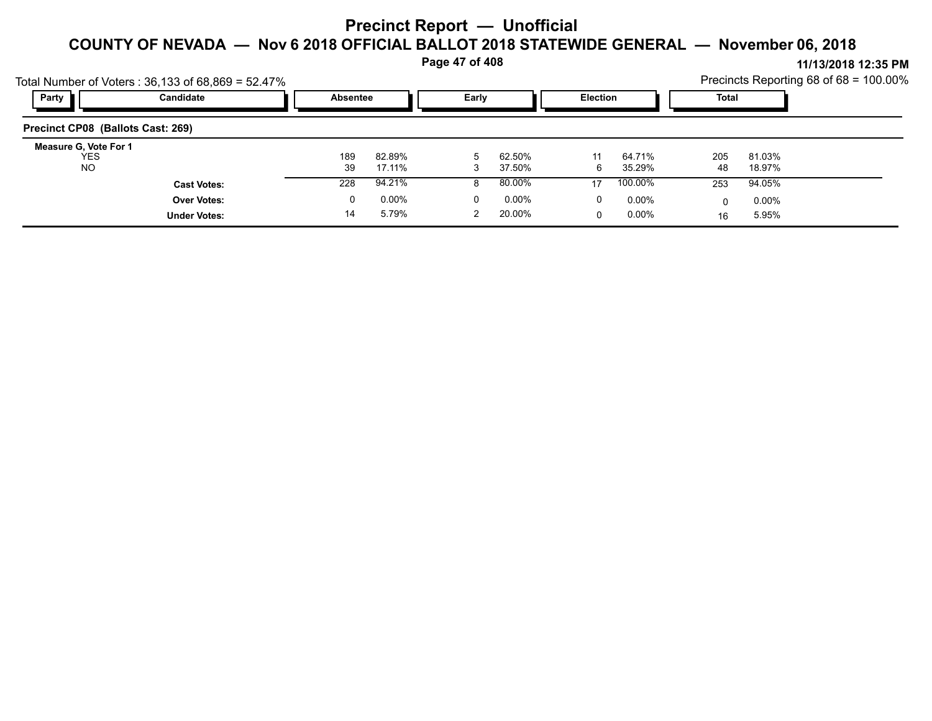**Page 47 of 408**

|                                                  | Total Number of Voters: $36,133$ of $68,869 = 52.47\%$ |           |                   |   |                  |         |                      |           |                   | Precincts Reporting 68 of $68 = 100.00\%$ |
|--------------------------------------------------|--------------------------------------------------------|-----------|-------------------|---|------------------|---------|----------------------|-----------|-------------------|-------------------------------------------|
| Party                                            | Candidate                                              |           | Absentee          |   | Early            |         | Election             |           | Total             |                                           |
| Precinct CP08 (Ballots Cast: 269)                |                                                        |           |                   |   |                  |         |                      |           |                   |                                           |
| Measure G, Vote For 1<br><b>YES</b><br><b>NO</b> |                                                        | 189<br>39 | 82.89%<br>17.11%  |   | 62.50%<br>37.50% | 11<br>6 | 64.71%<br>35.29%     | 205<br>48 | 81.03%<br>18.97%  |                                           |
|                                                  | <b>Cast Votes:</b>                                     | 228       | 94.21%            |   | 80.00%           | 17      | 100.00%              | 253       | 94.05%            |                                           |
|                                                  | <b>Over Votes:</b><br><b>Under Votes:</b>              | 0<br>14   | $0.00\%$<br>5.79% | 0 | 0.00%<br>20.00%  | 0<br>0  | $0.00\%$<br>$0.00\%$ | 16        | $0.00\%$<br>5.95% |                                           |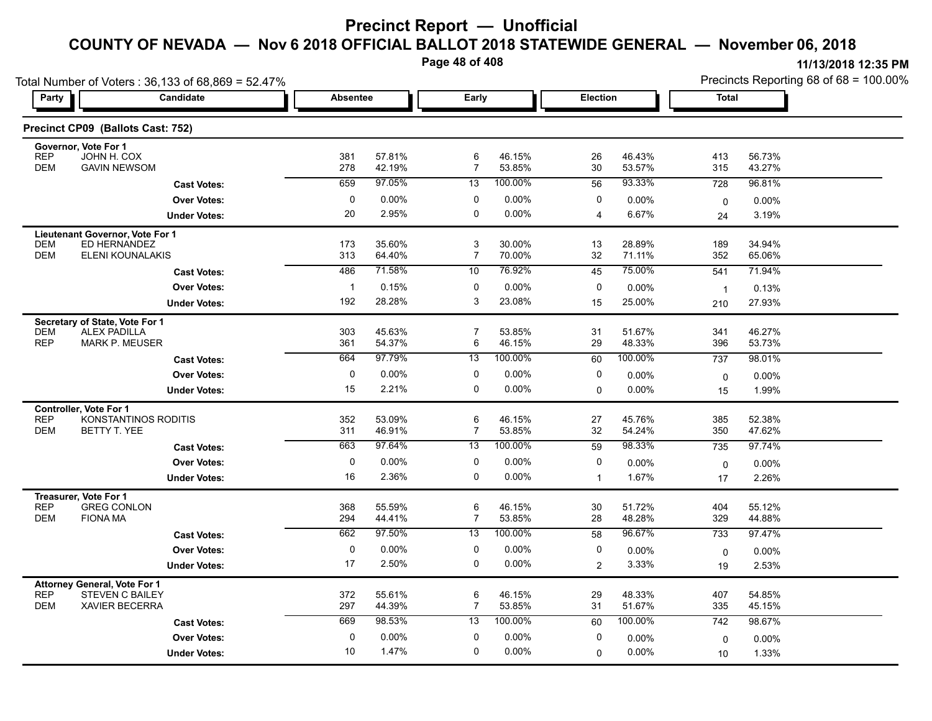**Page 48 of 408**

| Total Number of Voters: 36,133 of 68,869 = 52.47%                                                           |                      |                 |                  |                     |                  |                |                  | Precincts Reporting 68 of 68 = 100.00% |                  |  |  |
|-------------------------------------------------------------------------------------------------------------|----------------------|-----------------|------------------|---------------------|------------------|----------------|------------------|----------------------------------------|------------------|--|--|
| <b>Party</b>                                                                                                | Candidate            | <b>Absentee</b> |                  | Early               |                  | Election       |                  | <b>Total</b>                           |                  |  |  |
| Precinct CP09 (Ballots Cast: 752)                                                                           |                      |                 |                  |                     |                  |                |                  |                                        |                  |  |  |
| Governor, Vote For 1<br><b>REP</b><br>JOHN H. COX<br><b>DEM</b><br><b>GAVIN NEWSOM</b>                      |                      | 381<br>278      | 57.81%<br>42.19% | 6<br>$\overline{7}$ | 46.15%<br>53.85% | 26<br>30       | 46.43%<br>53.57% | 413<br>315                             | 56.73%<br>43.27% |  |  |
|                                                                                                             | <b>Cast Votes:</b>   | 659             | 97.05%           | 13                  | 100.00%          | 56             | 93.33%           | 728                                    | 96.81%           |  |  |
|                                                                                                             | <b>Over Votes:</b>   | $\pmb{0}$       | 0.00%            | 0                   | 0.00%            | 0              | 0.00%            | $\mathbf 0$                            | $0.00\%$         |  |  |
|                                                                                                             | <b>Under Votes:</b>  | 20              | 2.95%            | $\mathbf 0$         | 0.00%            | $\overline{4}$ | 6.67%            | 24                                     | 3.19%            |  |  |
| Lieutenant Governor, Vote For 1<br><b>DEM</b><br>ED HERNANDEZ<br><b>DEM</b>                                 | ELENI KOUNALAKIS     | 173<br>313      | 35.60%<br>64.40% | 3<br>$\overline{7}$ | 30.00%<br>70.00% | 13<br>32       | 28.89%<br>71.11% | 189<br>352                             | 34.94%<br>65.06% |  |  |
|                                                                                                             | <b>Cast Votes:</b>   | 486             | 71.58%           | 10                  | 76.92%           | 45             | 75.00%           | 541                                    | 71.94%           |  |  |
|                                                                                                             | <b>Over Votes:</b>   | $\overline{1}$  | 0.15%            | 0                   | 0.00%            | 0              | 0.00%            | $\overline{1}$                         | 0.13%            |  |  |
|                                                                                                             | <b>Under Votes:</b>  | 192             | 28.28%           | 3                   | 23.08%           | 15             | 25.00%           | 210                                    | 27.93%           |  |  |
| Secretary of State, Vote For 1<br><b>DEM</b><br><b>ALEX PADILLA</b><br><b>REP</b><br><b>MARK P. MEUSER</b>  |                      | 303<br>361      | 45.63%<br>54.37% | $\overline{7}$<br>6 | 53.85%<br>46.15% | 31<br>29       | 51.67%<br>48.33% | 341<br>396                             | 46.27%<br>53.73% |  |  |
|                                                                                                             | <b>Cast Votes:</b>   | 664             | 97.79%           | 13                  | 100.00%          | 60             | 100.00%          | 737                                    | 98.01%           |  |  |
|                                                                                                             | <b>Over Votes:</b>   | 0               | 0.00%            | 0                   | 0.00%            | 0              | 0.00%            | 0                                      | 0.00%            |  |  |
|                                                                                                             | <b>Under Votes:</b>  | 15              | 2.21%            | 0                   | 0.00%            | 0              | 0.00%            | 15                                     | 1.99%            |  |  |
| <b>Controller. Vote For 1</b><br><b>REP</b><br><b>DEM</b><br>BETTY T. YEE                                   | KONSTANTINOS RODITIS | 352<br>311      | 53.09%<br>46.91% | 6<br>$\overline{7}$ | 46.15%<br>53.85% | 27<br>32       | 45.76%<br>54.24% | 385<br>350                             | 52.38%<br>47.62% |  |  |
|                                                                                                             | <b>Cast Votes:</b>   | 663             | 97 64%           | 13                  | 100.00%          | 59             | 98.33%           | 735                                    | 97.74%           |  |  |
|                                                                                                             | <b>Over Votes:</b>   | 0               | 0.00%            | 0                   | $0.00\%$         | 0              | 0.00%            | $\mathbf 0$                            | 0.00%            |  |  |
|                                                                                                             | <b>Under Votes:</b>  | 16              | 2.36%            | $\mathbf 0$         | 0.00%            | $\mathbf{1}$   | 1.67%            | 17                                     | 2.26%            |  |  |
| Treasurer, Vote For 1<br><b>REP</b><br><b>GREG CONLON</b><br><b>DEM</b><br><b>FIONA MA</b>                  |                      | 368<br>294      | 55.59%<br>44.41% | 6<br>$\overline{7}$ | 46.15%<br>53.85% | 30<br>28       | 51.72%<br>48.28% | 404<br>329                             | 55.12%<br>44.88% |  |  |
|                                                                                                             | <b>Cast Votes:</b>   | 662             | 97.50%           | 13                  | 100.00%          | 58             | 96.67%           | 733                                    | 97.47%           |  |  |
|                                                                                                             | <b>Over Votes:</b>   | 0               | 0.00%            | 0                   | 0.00%            | 0              | 0.00%            | $\mathbf 0$                            | 0.00%            |  |  |
|                                                                                                             | <b>Under Votes:</b>  | 17              | 2.50%            | 0                   | 0.00%            | $\overline{2}$ | 3.33%            | 19                                     | 2.53%            |  |  |
| <b>Attorney General, Vote For 1</b><br><b>REP</b><br>STEVEN C BAILEY<br><b>DEM</b><br><b>XAVIER BECERRA</b> |                      | 372<br>297      | 55.61%<br>44.39% | 6<br>$\overline{7}$ | 46.15%<br>53.85% | 29<br>31       | 48.33%<br>51.67% | 407<br>335                             | 54.85%<br>45.15% |  |  |
|                                                                                                             | <b>Cast Votes:</b>   | 669             | 98.53%           | 13                  | 100.00%          | 60             | 100.00%          | 742                                    | 98.67%           |  |  |
|                                                                                                             | <b>Over Votes:</b>   | 0               | 0.00%            | 0                   | 0.00%            | 0              | 0.00%            | $\mathbf 0$                            | 0.00%            |  |  |
|                                                                                                             | <b>Under Votes:</b>  | 10              | 1.47%            | $\mathbf 0$         | $0.00\%$         | $\Omega$       | 0.00%            | 10                                     | 1.33%            |  |  |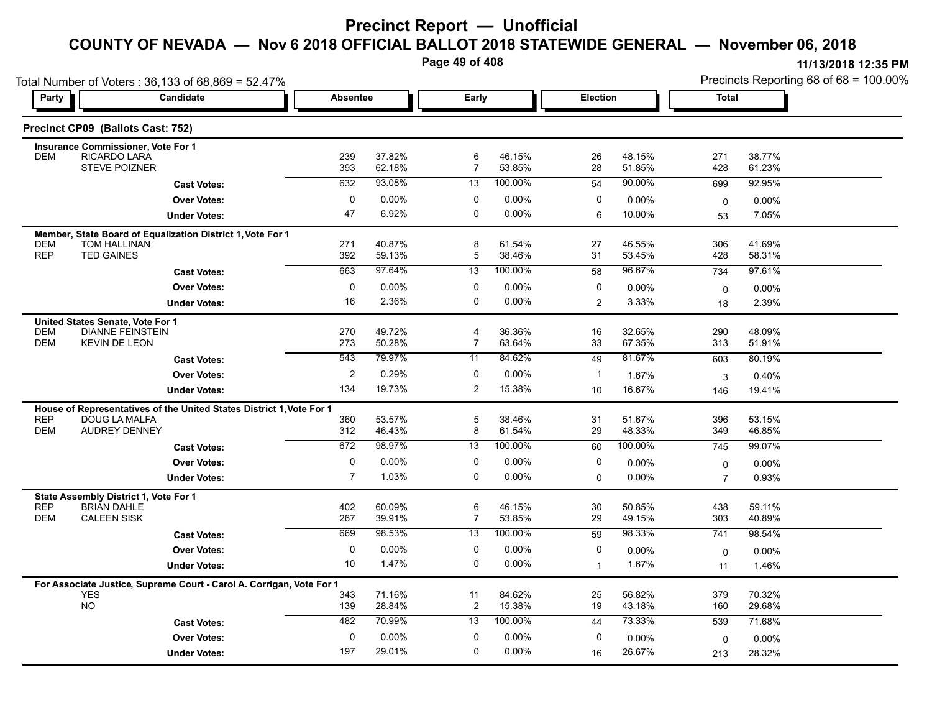**Page 49 of 408**

| Total Number of Voters: 36,133 of 68,869 = 52.47% |                                                                                              |                         |                  |                     |                   |                |                  |                | Precincts Reporting 68 of 68 = 100.00% |
|---------------------------------------------------|----------------------------------------------------------------------------------------------|-------------------------|------------------|---------------------|-------------------|----------------|------------------|----------------|----------------------------------------|
| Party                                             | Candidate                                                                                    | <b>Absentee</b>         |                  | Early               |                   | Election       |                  | Total          |                                        |
|                                                   | Precinct CP09 (Ballots Cast: 752)                                                            |                         |                  |                     |                   |                |                  |                |                                        |
|                                                   | <b>Insurance Commissioner, Vote For 1</b>                                                    |                         |                  |                     |                   |                |                  |                |                                        |
| <b>DEM</b>                                        | RICARDO LARA<br><b>STEVE POIZNER</b>                                                         | 239<br>393              | 37.82%<br>62.18% | 6<br>$\overline{7}$ | 46.15%<br>53.85%  | 26<br>28       | 48.15%<br>51.85% | 271<br>428     | 38.77%<br>61.23%                       |
|                                                   | <b>Cast Votes:</b>                                                                           | 632                     | 93.08%           | 13                  | 100.00%           | 54             | 90.00%           | 699            | 92.95%                                 |
|                                                   | <b>Over Votes:</b>                                                                           | 0                       | $0.00\%$         | 0                   | 0.00%             | 0              | 0.00%            | $\mathbf 0$    | 0.00%                                  |
|                                                   | <b>Under Votes:</b>                                                                          | 47                      | 6.92%            | 0                   | 0.00%             | 6              | 10.00%           | 53             | 7.05%                                  |
|                                                   | Member, State Board of Equalization District 1, Vote For 1                                   |                         |                  |                     |                   |                |                  |                |                                        |
| <b>DEM</b><br><b>REP</b>                          | <b>TOM HALLINAN</b><br><b>TED GAINES</b>                                                     | 271<br>392              | 40.87%<br>59.13% | 8<br>$\overline{5}$ | 61.54%<br>38.46%  | 27<br>31       | 46.55%<br>53.45% | 306<br>428     | 41.69%<br>58.31%                       |
|                                                   | <b>Cast Votes:</b>                                                                           | 663                     | 97 64%           | 13                  | 100.00%           | 58             | 96.67%           | 734            | 97.61%                                 |
|                                                   | <b>Over Votes:</b>                                                                           | 0                       | 0.00%            | 0                   | 0.00%             | 0              | 0.00%            | $\mathbf 0$    | $0.00\%$                               |
|                                                   | <b>Under Votes:</b>                                                                          | 16                      | 2.36%            | 0                   | 0.00%             | $\overline{2}$ | 3.33%            | 18             | 2.39%                                  |
|                                                   | United States Senate, Vote For 1                                                             |                         |                  |                     |                   |                |                  |                |                                        |
| <b>DEM</b>                                        | <b>DIANNE FEINSTEIN</b>                                                                      | 270                     | 49.72%           | 4                   | 36.36%            | 16             | 32.65%           | 290            | 48.09%                                 |
| <b>DEM</b>                                        | <b>KEVIN DE LEON</b>                                                                         | 273                     | 50.28%           | $\overline{7}$      | 63.64%            | 33             | 67.35%           | 313            | 51.91%                                 |
|                                                   | <b>Cast Votes:</b>                                                                           | 543                     | 79.97%           | 11                  | 84.62%            | 49             | 81.67%           | 603            | 80.19%                                 |
|                                                   | <b>Over Votes:</b>                                                                           | $\overline{\mathbf{c}}$ | 0.29%            | 0                   | 0.00%             | $\mathbf{1}$   | 1.67%            | 3              | 0.40%                                  |
|                                                   | <b>Under Votes:</b>                                                                          | 134                     | 19.73%           | 2                   | 15.38%            | 10             | 16.67%           | 146            | 19.41%                                 |
| <b>REP</b>                                        | House of Representatives of the United States District 1, Vote For 1<br><b>DOUG LA MALFA</b> | 360                     | 53.57%           | 5                   | 38.46%            | 31             | 51.67%           | 396            | 53.15%                                 |
| <b>DEM</b>                                        | <b>AUDREY DENNEY</b>                                                                         | 312                     | 46.43%           | 8                   | 61.54%            | 29             | 48.33%           | 349            | 46.85%                                 |
|                                                   | <b>Cast Votes:</b>                                                                           | 672                     | 98.97%           | 13                  | 100.00%           | 60             | 100.00%          | 745            | 99.07%                                 |
|                                                   | <b>Over Votes:</b>                                                                           | 0                       | 0.00%            | 0                   | 0.00%             | 0              | 0.00%            | 0              | 0.00%                                  |
|                                                   | <b>Under Votes:</b>                                                                          | 7                       | 1.03%            | 0                   | 0.00%             | $\Omega$       | $0.00\%$         | $\overline{7}$ | 0.93%                                  |
|                                                   | State Assembly District 1, Vote For 1                                                        |                         |                  |                     |                   |                |                  |                |                                        |
| <b>REP</b>                                        | <b>BRIAN DAHLE</b>                                                                           | 402                     | 60.09%           | 6                   | 46.15%            | 30             | 50.85%           | 438            | 59.11%                                 |
| <b>DEM</b>                                        | <b>CALEEN SISK</b>                                                                           | 267                     | 39.91%<br>98.53% | $\overline{7}$      | 53.85%<br>100.00% | 29             | 49.15%<br>98.33% | 303            | 40.89%                                 |
|                                                   | <b>Cast Votes:</b>                                                                           | 669                     |                  | 13                  |                   | 59             |                  | 741            | 98.54%                                 |
|                                                   | <b>Over Votes:</b>                                                                           | 0<br>10                 | 0.00%<br>1.47%   | 0<br>$\mathbf 0$    | 0.00%<br>0.00%    | 0              | $0.00\%$         | $\mathbf 0$    | $0.00\%$                               |
|                                                   | <b>Under Votes:</b>                                                                          |                         |                  |                     |                   | $\mathbf{1}$   | 1.67%            | 11             | 1.46%                                  |
|                                                   | For Associate Justice, Supreme Court - Carol A. Corrigan, Vote For 1<br><b>YES</b>           | 343                     | 71.16%           | 11                  | 84.62%            | 25             | 56.82%           | 379            | 70.32%                                 |
|                                                   | <b>NO</b>                                                                                    | 139                     | 28.84%           | 2                   | 15.38%            | 19             | 43.18%           | 160            | 29.68%                                 |
|                                                   | <b>Cast Votes:</b>                                                                           | 482                     | 70.99%           | 13                  | 100.00%           | 44             | 73.33%           | 539            | 71.68%                                 |
|                                                   | <b>Over Votes:</b>                                                                           | $\Omega$                | $0.00\%$         | $\Omega$            | 0.00%             | 0              | $0.00\%$         | 0              | $0.00\%$                               |
|                                                   | <b>Under Votes:</b>                                                                          | 197                     | 29.01%           | 0                   | 0.00%             | 16             | 26.67%           | 213            | 28.32%                                 |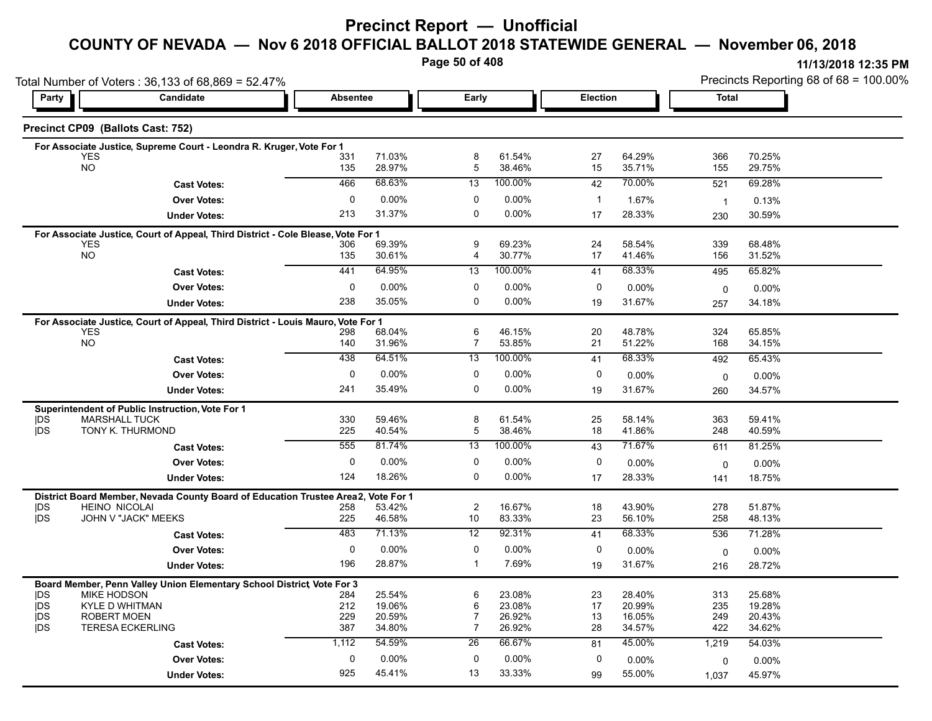### **Precinct Report — Unofficial**

# **COUNTY OF NEVADA — Nov 6 2018 OFFICIAL BALLOT 2018 STATEWIDE GENERAL — November 06, 2018**

**Page 50 of 408**

|                          | Total Number of Voters: 36,133 of 68,869 = 52.47%                                |              |                  |                      |                  |              |                  | Precincts Reporting 68 of 68 = 100.00% |                  |  |  |
|--------------------------|----------------------------------------------------------------------------------|--------------|------------------|----------------------|------------------|--------------|------------------|----------------------------------------|------------------|--|--|
| Party                    | Candidate                                                                        | Absentee     |                  | Early                |                  | Election     |                  |                                        | Total            |  |  |
|                          | Precinct CP09 (Ballots Cast: 752)                                                |              |                  |                      |                  |              |                  |                                        |                  |  |  |
|                          | For Associate Justice, Supreme Court - Leondra R. Kruger, Vote For 1             |              |                  |                      |                  |              |                  |                                        |                  |  |  |
|                          | <b>YES</b>                                                                       | 331          | 71.03%           | 8                    | 61.54%           | 27           | 64.29%           | 366                                    | 70.25%           |  |  |
|                          | <b>NO</b>                                                                        | 135          | 28.97%           | 5                    | 38.46%           | 15           | 35.71%           | 155                                    | 29.75%           |  |  |
|                          | <b>Cast Votes:</b>                                                               | 466          | 68.63%           | 13                   | 100.00%          | 42           | 70.00%           | 521                                    | 69.28%           |  |  |
|                          | <b>Over Votes:</b>                                                               | $\mathbf 0$  | 0.00%            | 0                    | 0.00%            | $\mathbf{1}$ | 1.67%            | $\overline{1}$                         | 0.13%            |  |  |
|                          | <b>Under Votes:</b>                                                              | 213          | 31.37%           | 0                    | 0.00%            | 17           | 28.33%           | 230                                    | 30.59%           |  |  |
|                          | For Associate Justice, Court of Appeal, Third District - Cole Blease, Vote For 1 |              |                  |                      |                  |              |                  |                                        |                  |  |  |
|                          | <b>YES</b><br><b>NO</b>                                                          | 306<br>135   | 69.39%<br>30.61% | 9<br>4               | 69.23%<br>30.77% | 24<br>17     | 58.54%<br>41.46% | 339<br>156                             | 68.48%<br>31.52% |  |  |
|                          |                                                                                  | 441          | 64.95%           |                      | 100.00%          |              | 68.33%           |                                        |                  |  |  |
|                          | <b>Cast Votes:</b>                                                               |              |                  | 13                   |                  | 41           |                  | 495                                    | 65.82%           |  |  |
|                          | <b>Over Votes:</b>                                                               | 0            | $0.00\%$         | 0                    | 0.00%            | 0            | $0.00\%$         | 0                                      | $0.00\%$         |  |  |
|                          | <b>Under Votes:</b>                                                              | 238          | 35.05%           | 0                    | 0.00%            | 19           | 31.67%           | 257                                    | 34.18%           |  |  |
|                          | For Associate Justice, Court of Appeal, Third District - Louis Mauro, Vote For 1 |              |                  |                      |                  |              |                  |                                        |                  |  |  |
|                          | <b>YES</b><br>NO                                                                 | 298<br>140   | 68.04%<br>31.96% | 6<br>$\overline{7}$  | 46.15%<br>53.85% | 20<br>21     | 48.78%<br>51.22% | 324<br>168                             | 65.85%<br>34.15% |  |  |
|                          |                                                                                  | 438          | 64.51%           | 13                   | 100.00%          | 41           | 68.33%           | 492                                    | 65.43%           |  |  |
|                          | <b>Cast Votes:</b>                                                               |              |                  |                      |                  |              |                  |                                        |                  |  |  |
|                          | <b>Over Votes:</b>                                                               | $\mathbf 0$  | 0.00%            | 0                    | 0.00%            | 0            | $0.00\%$         | 0                                      | $0.00\%$         |  |  |
|                          | <b>Under Votes:</b>                                                              | 241          | 35.49%           | $\mathbf 0$          | 0.00%            | 19           | 31.67%           | 260                                    | 34.57%           |  |  |
|                          | Superintendent of Public Instruction, Vote For 1                                 |              |                  |                      |                  |              |                  |                                        |                  |  |  |
| <b>IDS</b><br><b>IDS</b> | <b>MARSHALL TUCK</b><br>TONY K. THURMOND                                         | 330<br>225   | 59.46%<br>40.54% | 8<br>$\mathbf 5$     | 61.54%<br>38.46% | 25<br>18     | 58.14%<br>41.86% | 363<br>248                             | 59.41%<br>40.59% |  |  |
|                          |                                                                                  | 555          | 81.74%           | 13                   | 100.00%          | 43           | 71.67%           | 611                                    | 81.25%           |  |  |
|                          | <b>Cast Votes:</b>                                                               |              |                  |                      |                  |              |                  |                                        |                  |  |  |
|                          | <b>Over Votes:</b>                                                               | $\mathbf{0}$ | $0.00\%$         | 0                    | 0.00%            | 0            | 0.00%            | 0                                      | 0.00%            |  |  |
|                          | <b>Under Votes:</b>                                                              | 124          | 18.26%           | 0                    | $0.00\%$         | 17           | 28.33%           | 141                                    | 18.75%           |  |  |
|                          | District Board Member, Nevada County Board of Education Trustee Area2,           |              | Vote For 1       |                      |                  |              |                  |                                        |                  |  |  |
| <b>IDS</b><br><b>IDS</b> | <b>HEINO NICOLAI</b><br>JOHN V "JACK" MEEKS                                      | 258<br>225   | 53.42%<br>46.58% | $\overline{c}$<br>10 | 16.67%<br>83.33% | 18<br>23     | 43.90%<br>56.10% | 278<br>258                             | 51.87%<br>48.13% |  |  |
|                          | <b>Cast Votes:</b>                                                               | 483          | 71.13%           | 12                   | 92.31%           | 41           | 68.33%           | 536                                    | 71.28%           |  |  |
|                          |                                                                                  |              |                  |                      |                  |              |                  |                                        |                  |  |  |
|                          | <b>Over Votes:</b>                                                               | 0            | 0.00%            | 0                    | 0.00%            | 0            | $0.00\%$         | 0                                      | 0.00%            |  |  |
|                          | <b>Under Votes:</b>                                                              | 196          | 28.87%           | $\mathbf 1$          | 7.69%            | 19           | 31.67%           | 216                                    | 28.72%           |  |  |
|                          | Board Member, Penn Valley Union Elementary School District, Vote For 3           |              |                  |                      |                  |              |                  |                                        |                  |  |  |
| <b>IDS</b><br><b>IDS</b> | MIKE HODSON<br>KYLE D WHITMAN                                                    | 284<br>212   | 25.54%<br>19.06% | 6<br>6               | 23.08%<br>23.08% | 23<br>17     | 28.40%<br>20.99% | 313<br>235                             | 25.68%<br>19.28% |  |  |
| <b>IDS</b>               | <b>ROBERT MOEN</b>                                                               | 229          | 20.59%           | 7                    | 26.92%           | 13           | 16.05%           | 249                                    | 20.43%           |  |  |
| <b>IDS</b>               | <b>TERESA ECKERLING</b>                                                          | 387          | 34.80%           | $\overline{7}$       | 26.92%           | 28           | 34.57%           | 422                                    | 34.62%           |  |  |
|                          | <b>Cast Votes:</b>                                                               | 1,112        | 54.59%           | 26                   | 66.67%           | 81           | 45.00%           | 1,219                                  | 54.03%           |  |  |
|                          | <b>Over Votes:</b>                                                               | 0            | $0.00\%$         | 0                    | 0.00%            | 0            | $0.00\%$         | 0                                      | $0.00\%$         |  |  |
|                          | <b>Under Votes:</b>                                                              | 925          | 45.41%           | 13                   | 33.33%           | 99           | 55.00%           | 1,037                                  | 45.97%           |  |  |
|                          |                                                                                  |              |                  |                      |                  |              |                  |                                        |                  |  |  |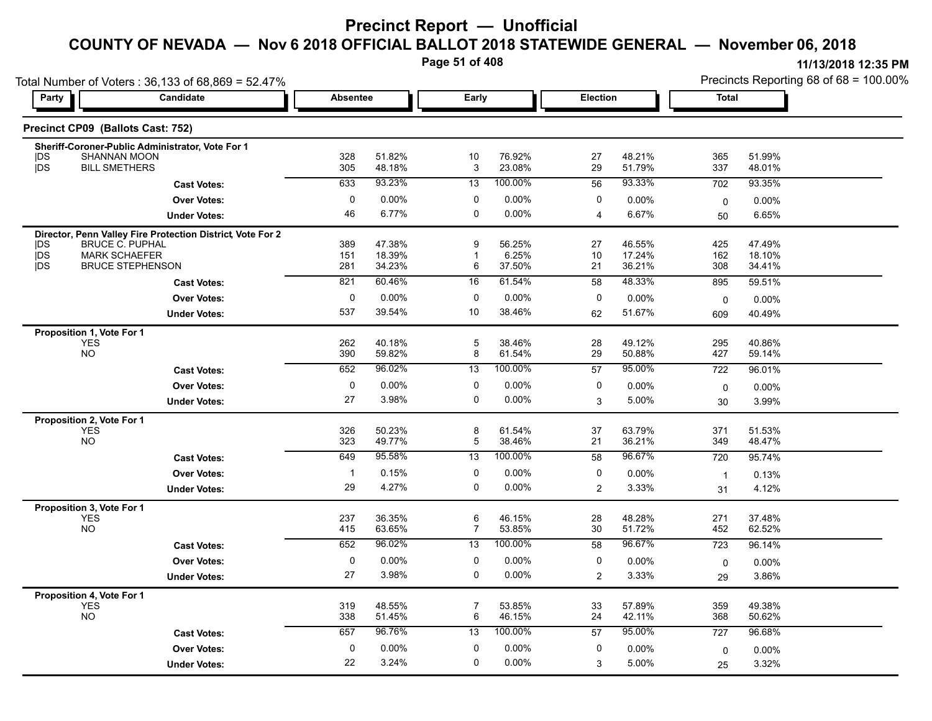**Page 51 of 408**

|                          |                                                                         |                 |                  | Page 51 of 408    |                  |                 |                   |                | 11/13/2018 12:35 PM                    |  |
|--------------------------|-------------------------------------------------------------------------|-----------------|------------------|-------------------|------------------|-----------------|-------------------|----------------|----------------------------------------|--|
| Party                    | Total Number of Voters: 36,133 of 68,869 = 52.47%<br>Candidate          | <b>Absentee</b> |                  | Early             |                  | <b>Election</b> |                   | <b>Total</b>   | Precincts Reporting 68 of 68 = 100.00% |  |
|                          |                                                                         |                 |                  |                   |                  |                 |                   |                |                                        |  |
|                          | Precinct CP09 (Ballots Cast: 752)                                       |                 |                  |                   |                  |                 |                   |                |                                        |  |
|                          | Sheriff-Coroner-Public Administrator, Vote For 1<br><b>SHANNAN MOON</b> | 328             | 51.82%           | 10                | 76.92%           | 27              | 48.21%            | 365            | 51.99%                                 |  |
| <b>IDS</b><br><b>jDS</b> | <b>BILL SMETHERS</b>                                                    | 305             | 48.18%           | 3                 | 23.08%           | 29              | 51.79%            | 337            | 48.01%                                 |  |
|                          | <b>Cast Votes:</b>                                                      | 633             | 93.23%           | 13                | 100.00%          | 56              | 93.33%            | 702            | 93.35%                                 |  |
|                          | <b>Over Votes:</b>                                                      | 0               | 0.00%            | 0                 | $0.00\%$         | 0               | $0.00\%$          | $\mathbf 0$    | 0.00%                                  |  |
|                          | <b>Under Votes:</b>                                                     | 46              | 6.77%            | $\Omega$          | $0.00\%$         | 4               | 6.67%             | 50             | 6.65%                                  |  |
|                          | Director, Penn Valley Fire Protection District, Vote For 2              |                 |                  |                   |                  |                 |                   |                |                                        |  |
| <b>IDS</b><br>jDS        | <b>BRUCE C. PUPHAL</b><br><b>MARK SCHAEFER</b>                          | 389<br>151      | 47.38%<br>18.39% | 9<br>$\mathbf{1}$ | 56.25%<br>6.25%  | 27<br>10        | 46.55%<br>17.24%  | 425<br>162     | 47.49%<br>18.10%                       |  |
| <b>IDS</b>               | <b>BRUCE STEPHENSON</b>                                                 | 281             | 34.23%           | 6                 | 37.50%           | 21              | 36.21%            | 308            | 34.41%                                 |  |
|                          | <b>Cast Votes:</b>                                                      | 821             | 60.46%           | 16                | 61.54%           | 58              | 48.33%            | 895            | 59.51%                                 |  |
|                          | <b>Over Votes:</b>                                                      | $\Omega$        | 0.00%            | 0                 | $0.00\%$         | 0               | $0.00\%$          | $\mathbf 0$    | 0.00%                                  |  |
|                          | <b>Under Votes:</b>                                                     | 537             | 39.54%           | 10                | 38.46%           | 62              | 51.67%            | 609            | 40.49%                                 |  |
|                          | Proposition 1, Vote For 1                                               |                 |                  |                   |                  |                 |                   |                |                                        |  |
|                          | <b>YES</b><br><b>NO</b>                                                 | 262<br>390      | 40.18%<br>59.82% | 5<br>8            | 38.46%<br>61.54% | 28<br>29        | 49.12%<br>50.88%  | 295<br>427     | 40.86%<br>59.14%                       |  |
|                          | <b>Cast Votes:</b>                                                      | 652             | 96.02%           | 13                | 100.00%          | 57              | 95.00%            | 722            | 96.01%                                 |  |
|                          | <b>Over Votes:</b>                                                      | 0               | $0.00\%$         | 0                 | $0.00\%$         | 0               |                   |                |                                        |  |
|                          | <b>Under Votes:</b>                                                     | 27              | 3.98%            | $\mathbf 0$       | $0.00\%$         | 3               | $0.00\%$<br>5.00% | $\mathbf 0$    | 0.00%<br>3.99%                         |  |
|                          |                                                                         |                 |                  |                   |                  |                 |                   | 30             |                                        |  |
|                          | Proposition 2, Vote For 1<br><b>YES</b>                                 | 326             | 50.23%           | 8                 | 61.54%           | 37              | 63.79%            | 371            | 51.53%                                 |  |
|                          | <b>NO</b>                                                               | 323             | 49.77%           | 5                 | 38.46%           | 21              | 36.21%            | 349            | 48.47%                                 |  |
|                          | <b>Cast Votes:</b>                                                      | 649             | 95.58%           | 13                | 100.00%          | 58              | 96.67%            | 720            | 95.74%                                 |  |
|                          | <b>Over Votes:</b>                                                      |                 | 0.15%            | 0                 | 0.00%            | 0               | $0.00\%$          | $\overline{1}$ | 0.13%                                  |  |
|                          | <b>Under Votes:</b>                                                     | 29              | 4.27%            | $\Omega$          | $0.00\%$         | 2               | 3.33%             | 31             | 4.12%                                  |  |
|                          | Proposition 3, Vote For 1<br><b>YES</b>                                 | 237             | 36.35%           | 6                 | 46.15%           | 28              | 48.28%            | 271            | 37.48%                                 |  |

NO 415 63.65% 7 53.85% 30 51.72% 452 62.52%

YES 319 48.55% 7 53.85% 33 57.89% 359 49.38% NO 338 51.45% 6 46.15% 24 42.11% 368 50.62%

0 0.00%

0 0.00%

3.98% 0

3.24% 0

**Under Votes: Over Votes:** 0.00%

**Under Votes: Over Votes:** 0.00%

22 3.24%

**Proposition 4, Vote For 1**

27 3.98%

**Cast Votes:** 652 96.02% 13 100.00% 58 96.67% 723 96.14%

**Cast Votes:** 657 96.76% 13 100.00% 57 95.00% 727 96.68%

0.00% 0 0.00% 2

0.00% 0

3

 $0$  0.00%  $0$  0.00%  $0$  0.00%  $0$  0.00%  $0$  0.00%

0.00%

 $0$  0.00%  $0$  0.00%  $0$  0.00%  $0$  0.00%  $0$  0.00%  $0$  0.00%  $0$  0.00%  $0$  0.00%  $0$  0.00%  $0$  0.00%  $0$  0.00%  $0$  0.00%  $0$  0.00%  $0$  0.00%  $0$  0.00%  $0$  0.00%  $0$  0.00%  $0$  0.00%  $0$  0.00%  $0$  0.00%  $0$  0.00%  $0$  0.00%

0.00% 0

0.00% 0

29 3.86%

25 3.32%

3.33% 3.86%

5.00% 3.32%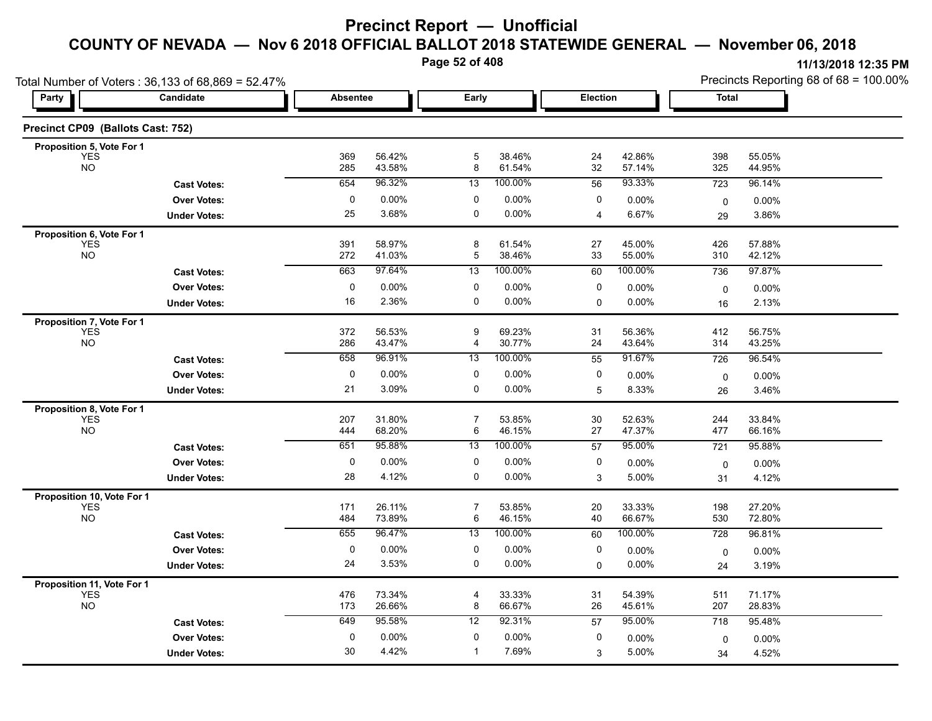**Page 52 of 408**

**Proposition 11, Vote For 1**

**11/13/2018 12:35 PM**

|                                                      | Total Number of Voters: 36,133 of 68,869 = 52.47% |            |                  |                     |                  |                 |                  |              | Precincts Reporting 68 of 68 = 100.00% |  |  |
|------------------------------------------------------|---------------------------------------------------|------------|------------------|---------------------|------------------|-----------------|------------------|--------------|----------------------------------------|--|--|
| Party                                                | Candidate                                         | Absentee   |                  | Early               |                  | <b>Election</b> |                  | <b>Total</b> |                                        |  |  |
| Precinct CP09 (Ballots Cast: 752)                    |                                                   |            |                  |                     |                  |                 |                  |              |                                        |  |  |
| Proposition 5, Vote For 1<br><b>YES</b><br><b>NO</b> |                                                   | 369<br>285 | 56.42%<br>43.58% | 5<br>8              | 38.46%<br>61.54% | 24<br>$32\,$    | 42.86%<br>57.14% | 398<br>325   | 55.05%<br>44.95%                       |  |  |
|                                                      | <b>Cast Votes:</b>                                | 654        | 96.32%           | 13                  | 100.00%          | 56              | 93.33%           | 723          | 96.14%                                 |  |  |
|                                                      | <b>Over Votes:</b>                                | $\Omega$   | 0.00%            | $\mathbf 0$         | $0.00\%$         | $\Omega$        | 0.00%            | 0            | 0.00%                                  |  |  |
|                                                      | <b>Under Votes:</b>                               | 25         | 3.68%            | 0                   | $0.00\%$         |                 | 6.67%            | 29           | 3.86%                                  |  |  |
| Proposition 6, Vote For 1<br><b>YES</b><br><b>NO</b> |                                                   | 391<br>272 | 58.97%<br>41.03% | 8<br>5              | 61.54%<br>38.46% | 27<br>33        | 45.00%<br>55.00% | 426<br>310   | 57.88%<br>42.12%                       |  |  |
|                                                      | <b>Cast Votes:</b>                                | 663        | 97.64%           | 13                  | 100.00%          | 60              | 100.00%          | 736          | 97.87%                                 |  |  |
|                                                      | <b>Over Votes:</b>                                | $\Omega$   | 0.00%            | $\Omega$            | $0.00\%$         | 0               | $0.00\%$         | 0            | 0.00%                                  |  |  |
|                                                      | <b>Under Votes:</b>                               | 16         | 2.36%            | $\Omega$            | $0.00\%$         | $\Omega$        | $0.00\%$         | 16           | 2.13%                                  |  |  |
| Proposition 7, Vote For 1<br><b>YES</b><br><b>NO</b> |                                                   | 372<br>286 | 56.53%<br>43.47% | 9<br>$\overline{4}$ | 69.23%<br>30.77% | 31<br>24        | 56.36%<br>43.64% | 412<br>314   | 56.75%<br>43.25%                       |  |  |
|                                                      | <b>Cast Votes:</b>                                | 658        | 96.91%           | 13                  | 100.00%          | 55              | 91.67%           | 726          | 96.54%                                 |  |  |
|                                                      | <b>Over Votes:</b>                                | 0          | $0.00\%$         | 0                   | $0.00\%$         | 0               | 0.00%            | 0            | 0.00%                                  |  |  |
|                                                      | <b>Under Votes:</b>                               | 21         | 3.09%            | $\Omega$            | $0.00\%$         | 5               | 8.33%            | 26           | 3.46%                                  |  |  |
| Proposition 8, Vote For 1<br><b>YES</b><br><b>NO</b> |                                                   | 207<br>444 | 31.80%<br>68.20% | 7<br>6              | 53.85%<br>46.15% | 30<br>27        | 52.63%<br>47.37% | 244<br>477   | 33.84%<br>66.16%                       |  |  |
|                                                      | <b>Cast Votes:</b>                                | 651        | 95.88%           | 13                  | 100.00%          | 57              | 95.00%           | 721          | 95.88%                                 |  |  |
|                                                      | <b>Over Votes:</b>                                | $\Omega$   | $0.00\%$         | $\Omega$            | $0.00\%$         | 0               | $0.00\%$         | $\mathbf 0$  | 0.00%                                  |  |  |
|                                                      | <b>Under Votes:</b>                               | 28         | 4.12%            | 0                   | $0.00\%$         | 3               | 5.00%            | 31           | 4.12%                                  |  |  |
| Proposition 10, Vote For 1<br>YES <sup>T</sup>       |                                                   | 171<br>484 | 26.11%<br>73.89% | 7<br>6              | 53.85%<br>46.15% | 20<br>40        | 33.33%<br>66.67% | 198<br>530   | 27.20%<br>72.80%                       |  |  |
|                                                      | <b>Cast Votes:</b>                                | 655        | 96.47%           | $\overline{13}$     | 100.00%          | 60              | 100.00%          | 728          | 96.81%                                 |  |  |

3.53% 0

4.42% 1

0 0.00%

YES 476 73.34% 4 33.33% 31 54.39% 511 71.17% NO 173 26.66% 8 66.67% 26 45.61% 207 28.83% 26.83% 207 28.83%

0 0.00%

**Cast Votes:** 649 95.58% 12 92.31% 57 95.00% 718 95.48%

0.00% 0 0.00% 0

0.00% 0

3

 $0$  0.00%  $0$  0.00%  $0$  0.00%  $0$  0.00%  $0$  0.00%  $0$  0.00%  $0$  0.00%  $0$  0.00%  $0$  0.00%  $0$  0.00%  $0$  0.00%  $0$  0.00%  $0$  0.00%  $0$  0.00%  $0$  0.00%  $0$  0.00%  $0$  0.00%  $0$  0.00%  $0$  0.00%  $0$  0.00%  $0$  0.00%  $0$  0.00%

5.00%

 $0$  0.00%  $0$  0.00%  $0$  0.00%  $0$  0.00%  $0$  0.00%

0.00% 0

0.00% 0

24 3.19%

34 4.52%

 $0.00\%$  24 3.19%

 $5.00\%$  34  $4.52\%$ 

**Under Votes: Over Votes:** 0.00%

**Under Votes: Over Votes:** 0.00%

30 4.42%

24 3.53%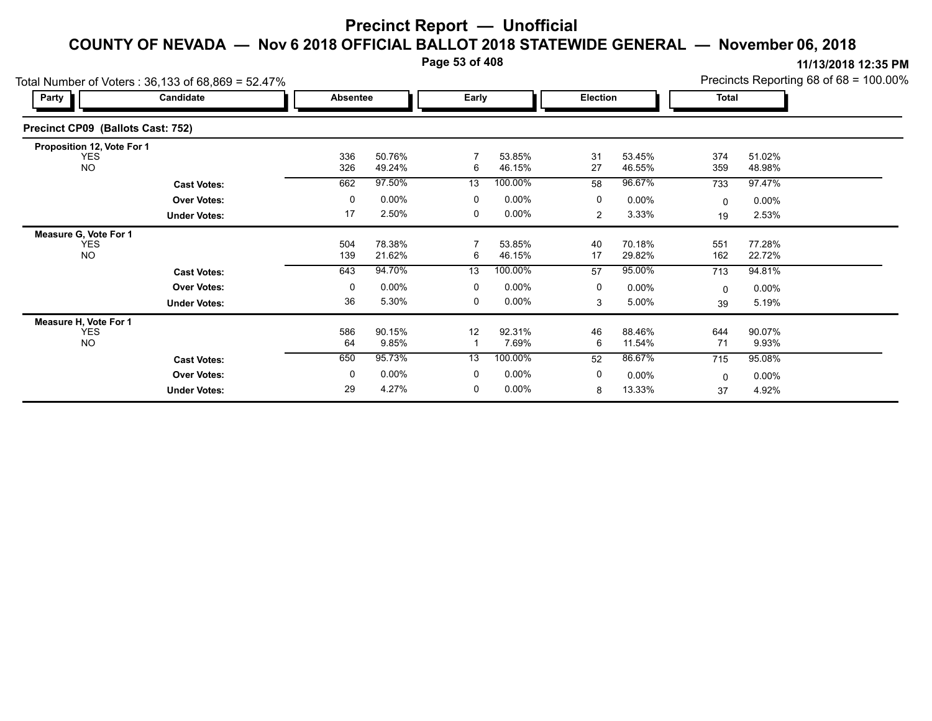**Page 53 of 408**

|                                   | Total Number of Voters: 36,133 of 68,869 = 52.47% |            |                  |       |                  |                 |                  |              |                  | Precincts Reporting 68 of 68 = 100.00% |
|-----------------------------------|---------------------------------------------------|------------|------------------|-------|------------------|-----------------|------------------|--------------|------------------|----------------------------------------|
| Party                             | Candidate                                         | Absentee   |                  | Early |                  | <b>Election</b> |                  | <b>Total</b> |                  |                                        |
| Precinct CP09 (Ballots Cast: 752) |                                                   |            |                  |       |                  |                 |                  |              |                  |                                        |
| Proposition 12, Vote For 1        |                                                   |            |                  |       |                  |                 |                  |              |                  |                                        |
| <b>YES</b><br><b>NO</b>           |                                                   | 336<br>326 | 50.76%<br>49.24% | 6     | 53.85%<br>46.15% | 31<br>27        | 53.45%<br>46.55% | 374<br>359   | 51.02%<br>48.98% |                                        |
|                                   | <b>Cast Votes:</b>                                | 662        | 97.50%           | 13    | 100.00%          | 58              | 96.67%           | 733          | 97.47%           |                                        |
|                                   | <b>Over Votes:</b>                                | 0          | $0.00\%$         | 0     | $0.00\%$         | 0               | $0.00\%$         | 0            | $0.00\%$         |                                        |
|                                   | <b>Under Votes:</b>                               | 17         | 2.50%            | 0     | 0.00%            | 2               | 3.33%            | 19           | 2.53%            |                                        |
| Measure G, Vote For 1             |                                                   |            |                  |       |                  |                 |                  |              |                  |                                        |
| <b>YES</b><br><b>NO</b>           |                                                   | 504<br>139 | 78.38%<br>21.62% | 6     | 53.85%<br>46.15% | 40<br>17        | 70.18%<br>29.82% | 551<br>162   | 77.28%<br>22.72% |                                        |
|                                   | <b>Cast Votes:</b>                                | 643        | 94.70%           | 13    | 100.00%          | 57              | 95.00%           | 713          | 94.81%           |                                        |
|                                   | <b>Over Votes:</b>                                | 0          | $0.00\%$         | 0     | $0.00\%$         | 0               | $0.00\%$         | 0            | $0.00\%$         |                                        |
|                                   | <b>Under Votes:</b>                               | 36         | 5.30%            | 0     | $0.00\%$         | 3               | 5.00%            | 39           | 5.19%            |                                        |
| Measure H, Vote For 1             |                                                   |            |                  |       |                  |                 |                  |              |                  |                                        |
| <b>YES</b><br><b>NO</b>           |                                                   | 586<br>64  | 90.15%<br>9.85%  | 12    | 92.31%<br>7.69%  | 46<br>6         | 88.46%<br>11.54% | 644<br>71    | 90.07%<br>9.93%  |                                        |
|                                   | <b>Cast Votes:</b>                                | 650        | 95.73%           | 13    | 100.00%          | 52              | 86.67%           | 715          | 95.08%           |                                        |
|                                   | <b>Over Votes:</b>                                | 0          | $0.00\%$         | 0     | $0.00\%$         | 0               | $0.00\%$         | $\Omega$     | $0.00\%$         |                                        |
|                                   | <b>Under Votes:</b>                               | 29         | 4.27%            | 0     | $0.00\%$         | 8               | 13.33%           | 37           | 4.92%            |                                        |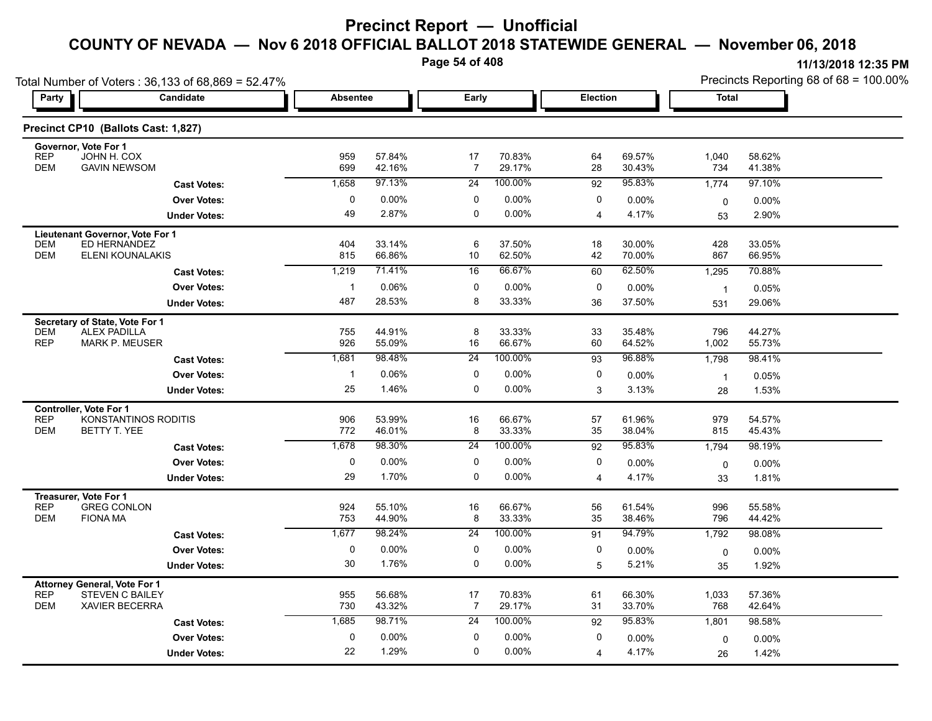**Page 54 of 408**

| Total Number of Voters: 36,133 of 68,869 = 52.47%                                      |                                          |              |                  |                      |                  |                |                  | Precincts Reporting 68 of 68 = 100.00% |                  |  |
|----------------------------------------------------------------------------------------|------------------------------------------|--------------|------------------|----------------------|------------------|----------------|------------------|----------------------------------------|------------------|--|
| Party                                                                                  | Candidate                                |              | <b>Absentee</b>  |                      | Early            |                | Election         | Total                                  |                  |  |
| Precinct CP10 (Ballots Cast: 1,827)                                                    |                                          |              |                  |                      |                  |                |                  |                                        |                  |  |
| Governor, Vote For 1<br><b>REP</b><br>JOHN H. COX<br><b>DEM</b><br><b>GAVIN NEWSOM</b> |                                          | 959<br>699   | 57.84%           | 17<br>$\overline{7}$ | 70.83%<br>29.17% | 64<br>28       | 69.57%           | 1,040                                  | 58.62%           |  |
|                                                                                        |                                          | 1,658        | 42.16%<br>97.13% | 24                   | 100.00%          | 92             | 30.43%<br>95.83% | 734<br>1,774                           | 41.38%<br>97.10% |  |
|                                                                                        | <b>Cast Votes:</b><br><b>Over Votes:</b> | 0            | $0.00\%$         | 0                    | 0.00%            | 0              | 0.00%            |                                        |                  |  |
|                                                                                        | <b>Under Votes:</b>                      | 49           | 2.87%            | 0                    | 0.00%            | $\overline{4}$ | 4.17%            | 0<br>53                                | 0.00%<br>2.90%   |  |
|                                                                                        |                                          |              |                  |                      |                  |                |                  |                                        |                  |  |
| Lieutenant Governor, Vote For 1<br>ED HERNANDEZ<br><b>DEM</b><br><b>DEM</b>            | ELENI KOUNALAKIS                         | 404<br>815   | 33.14%<br>66.86% | 6<br>10              | 37.50%<br>62.50% | 18<br>42       | 30.00%<br>70.00% | 428<br>867                             | 33.05%<br>66.95% |  |
|                                                                                        | <b>Cast Votes:</b>                       | 1,219        | 71.41%           | 16                   | 66.67%           | 60             | 62.50%           | 1,295                                  | 70.88%           |  |
|                                                                                        | <b>Over Votes:</b>                       | $\mathbf{1}$ | 0.06%            | 0                    | 0.00%            | 0              | 0.00%            | $\overline{1}$                         | 0.05%            |  |
|                                                                                        | <b>Under Votes:</b>                      | 487          | 28.53%           | 8                    | 33.33%           | 36             | 37.50%           | 531                                    | 29.06%           |  |
| Secretary of State, Vote For 1                                                         |                                          |              |                  |                      |                  |                |                  |                                        |                  |  |
| <b>DEM</b><br><b>ALEX PADILLA</b>                                                      |                                          | 755          | 44.91%           | 8                    | 33.33%           | 33             | 35.48%           | 796                                    | 44.27%           |  |
| <b>REP</b><br><b>MARK P. MEUSER</b>                                                    |                                          | 926          | 55.09%           | 16                   | 66.67%           | 60             | 64.52%           | 1,002                                  | 55.73%           |  |
|                                                                                        | <b>Cast Votes:</b>                       | 1,681        | 98.48%           | $\overline{24}$      | 100.00%          | 93             | 96.88%           | 1,798                                  | 98.41%           |  |
|                                                                                        | <b>Over Votes:</b>                       | $\mathbf{1}$ | 0.06%            | 0                    | 0.00%            | 0              | 0.00%            | $\overline{1}$                         | 0.05%            |  |
|                                                                                        | <b>Under Votes:</b>                      | 25           | 1.46%            | 0                    | 0.00%            | 3              | 3.13%            | 28                                     | 1.53%            |  |
| Controller, Vote For 1                                                                 |                                          |              |                  |                      |                  |                |                  |                                        |                  |  |
| <b>REP</b>                                                                             | KONSTANTINOS RODITIS                     | 906          | 53.99%           | 16                   | 66.67%           | 57             | 61.96%           | 979                                    | 54.57%           |  |
| <b>DEM</b><br>BETTY T. YEE                                                             |                                          | 772          | 46.01%           | 8                    | 33.33%           | 35             | 38.04%           | 815                                    | 45.43%           |  |
|                                                                                        | <b>Cast Votes:</b>                       | 1,678        | 98.30%           | 24                   | 100.00%          | 92             | 95.83%           | 1,794                                  | 98.19%           |  |
|                                                                                        | <b>Over Votes:</b>                       | 0            | 0.00%            | 0                    | 0.00%            | 0              | $0.00\%$         | 0                                      | $0.00\%$         |  |
|                                                                                        | <b>Under Votes:</b>                      | 29           | 1.70%            | 0                    | 0.00%            | 4              | 4.17%            | 33                                     | 1.81%            |  |
| Treasurer, Vote For 1                                                                  |                                          |              |                  |                      |                  |                |                  |                                        |                  |  |
| <b>REP</b><br><b>GREG CONLON</b><br><b>DEM</b><br><b>FIONA MA</b>                      |                                          | 924          | 55.10%           | 16                   | 66.67%<br>33.33% | 56             | 61.54%           | 996                                    | 55.58%           |  |
|                                                                                        |                                          | 753          | 44.90%<br>98.24% | 8                    | 100.00%          | 35             | 38.46%           | 796                                    | 44.42%           |  |
|                                                                                        | <b>Cast Votes:</b>                       | 1,677        |                  | $\overline{24}$      |                  | 91             | 94.79%           | 1,792                                  | 98.08%           |  |
|                                                                                        | <b>Over Votes:</b>                       | $\mathbf 0$  | 0.00%            | 0                    | 0.00%            | 0              | $0.00\%$         | 0                                      | $0.00\%$         |  |
|                                                                                        | <b>Under Votes:</b>                      | 30           | 1.76%            | 0                    | 0.00%            | 5              | 5.21%            | 35                                     | 1.92%            |  |
| Attorney General, Vote For 1<br><b>REP</b><br><b>STEVEN C BAILEY</b>                   |                                          | 955          | 56.68%           | 17                   | 70.83%           | 61             | 66.30%           | 1,033                                  | 57.36%           |  |
| <b>DEM</b><br><b>XAVIER BECERRA</b>                                                    |                                          | 730          | 43.32%           | $\overline{7}$       | 29.17%           | 31             | 33.70%           | 768                                    | 42.64%           |  |
|                                                                                        | <b>Cast Votes:</b>                       | 1,685        | 98.71%           | 24                   | 100.00%          | 92             | 95.83%           | 1,801                                  | 98.58%           |  |
|                                                                                        | <b>Over Votes:</b>                       | 0            | $0.00\%$         | $\mathbf 0$          | 0.00%            | 0              | 0.00%            | 0                                      | $0.00\%$         |  |
|                                                                                        | <b>Under Votes:</b>                      | 22           | 1.29%            | $\Omega$             | 0.00%            | $\overline{4}$ | 4.17%            | 26                                     | 1.42%            |  |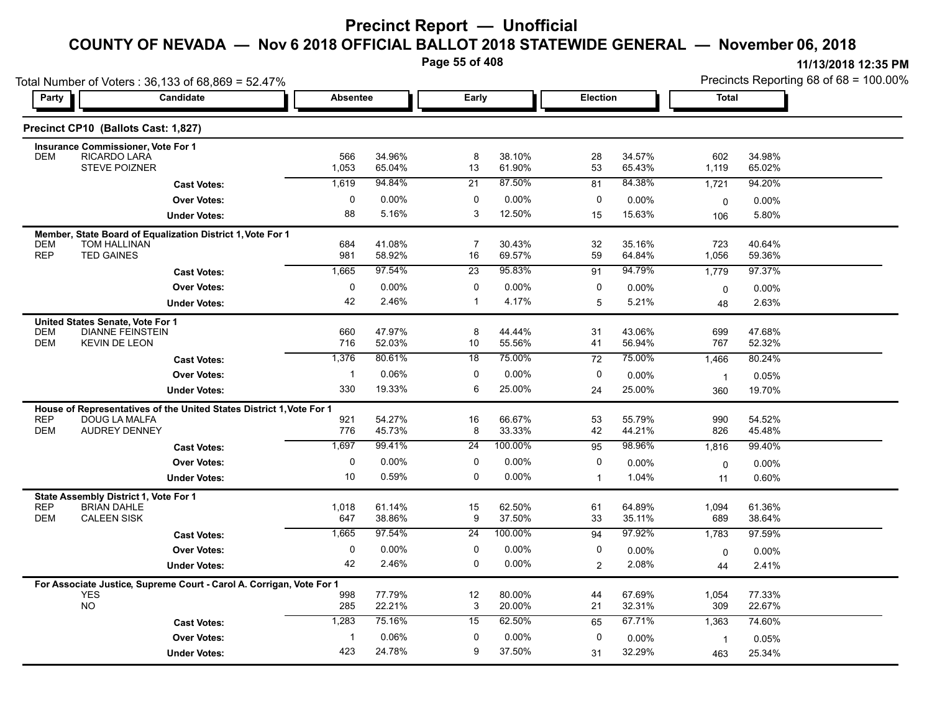**Page 55 of 408**

| Party                    | Total Number of Voters: 36,133 of 68,869 = 52.47%<br><b>Candidate</b>                 | <b>Absentee</b> |                  | Early                 |                  | <b>Election</b> |                  | <b>Total</b>          | Precincts Reporting 68 of 68 = 100.00% |
|--------------------------|---------------------------------------------------------------------------------------|-----------------|------------------|-----------------------|------------------|-----------------|------------------|-----------------------|----------------------------------------|
|                          |                                                                                       |                 |                  |                       |                  |                 |                  |                       |                                        |
|                          | Precinct CP10 (Ballots Cast: 1,827)                                                   |                 |                  |                       |                  |                 |                  |                       |                                        |
|                          | <b>Insurance Commissioner, Vote For 1</b>                                             |                 |                  |                       |                  |                 |                  |                       |                                        |
| <b>DEM</b>               | RICARDO LARA<br>STEVE POIZNER                                                         | 566<br>1,053    | 34.96%<br>65.04% | 8<br>13               | 38.10%<br>61.90% | 28<br>53        | 34.57%<br>65.43% | 602<br>1,119          | 34.98%<br>65.02%                       |
|                          | <b>Cast Votes:</b>                                                                    | 1,619           | 94.84%           | $\overline{21}$       | 87.50%           | 81              | 84.38%           | 1,721                 | 94.20%                                 |
|                          | <b>Over Votes:</b>                                                                    | $\mathbf 0$     | 0.00%            | $\mathbf 0$           | $0.00\%$         | 0               | 0.00%            | 0                     | 0.00%                                  |
|                          | <b>Under Votes:</b>                                                                   | 88              | 5.16%            | 3                     | 12.50%           | 15              | 15.63%           | 106                   | 5.80%                                  |
|                          | Member, State Board of Equalization District 1, Vote For 1                            |                 |                  |                       |                  |                 |                  |                       |                                        |
| DEM<br><b>REP</b>        | TOM HALLINAN<br><b>TED GAINES</b>                                                     | 684<br>981      | 41.08%<br>58.92% | 7<br>16               | 30.43%<br>69.57% | 32<br>59        | 35.16%<br>64.84% | 723<br>1,056          | 40.64%<br>59.36%                       |
|                          | <b>Cast Votes:</b>                                                                    | 1,665           | 97.54%           | $\overline{23}$       | 95.83%           | 91              | 94.79%           | 1,779                 | 97.37%                                 |
|                          | <b>Over Votes:</b>                                                                    | $\mathbf 0$     | 0.00%            | $\mathbf 0$           | $0.00\%$         | 0               | $0.00\%$         | $\mathbf 0$           | 0.00%                                  |
|                          | <b>Under Votes:</b>                                                                   | 42              | 2.46%            | $\mathbf{1}$          | 4.17%            | 5               | 5.21%            | 48                    | 2.63%                                  |
|                          | United States Senate, Vote For 1                                                      |                 |                  |                       |                  |                 |                  |                       |                                        |
| <b>DEM</b>               | <b>DIANNE FEINSTEIN</b>                                                               | 660             | 47.97%           | 8                     | 44.44%           | 31              | 43.06%           | 699                   | 47.68%                                 |
| <b>DEM</b>               | <b>KEVIN DE LEON</b>                                                                  | 716<br>1,376    | 52.03%<br>80.61% | 10<br>$\overline{18}$ | 55.56%<br>75.00% | 41<br>72        | 56.94%<br>75.00% | 767<br>1,466          | 52.32%<br>80.24%                       |
|                          | <b>Cast Votes:</b><br><b>Over Votes:</b>                                              | $\overline{1}$  | 0.06%            | $\mathbf 0$           | 0.00%            | 0               | 0.00%            |                       |                                        |
|                          | <b>Under Votes:</b>                                                                   | 330             | 19.33%           | 6                     | 25.00%           | 24              | 25.00%           | $\overline{1}$<br>360 | 0.05%<br>19.70%                        |
|                          |                                                                                       |                 |                  |                       |                  |                 |                  |                       |                                        |
| <b>REP</b>               | House of Representatives of the United States District 1, Vote For 1<br>DOUG LA MALFA | 921             | 54.27%           | 16                    | 66.67%           | 53              | 55.79%           | 990                   | 54.52%                                 |
| <b>DEM</b>               | <b>AUDREY DENNEY</b>                                                                  | 776             | 45.73%           | 8                     | 33.33%           | 42              | 44.21%           | 826                   | 45.48%                                 |
|                          | <b>Cast Votes:</b>                                                                    | 1,697           | 99.41%           | 24                    | 100.00%          | 95              | 98.96%           | 1,816                 | 99.40%                                 |
|                          | <b>Over Votes:</b>                                                                    | 0               | 0.00%            | 0                     | $0.00\%$         | 0               | 0.00%            | $\mathbf 0$           | 0.00%                                  |
|                          | <b>Under Votes:</b>                                                                   | 10              | 0.59%            | $\mathbf 0$           | $0.00\%$         | $\mathbf{1}$    | 1.04%            | 11                    | 0.60%                                  |
|                          | State Assembly District 1, Vote For 1                                                 |                 |                  |                       |                  |                 |                  |                       |                                        |
| <b>REP</b><br><b>DEM</b> | <b>BRIAN DAHLE</b><br><b>CALEEN SISK</b>                                              | 1,018<br>647    | 61.14%<br>38.86% | 15<br>9               | 62.50%<br>37.50% | 61<br>33        | 64.89%<br>35.11% | 1,094<br>689          | 61.36%<br>38.64%                       |
|                          | <b>Cast Votes:</b>                                                                    | 1,665           | 97.54%           | 24                    | 100.00%          | 94              | 97.92%           | 1,783                 | 97.59%                                 |
|                          | <b>Over Votes:</b>                                                                    | 0               | 0.00%            | $\mathbf 0$           | $0.00\%$         | 0               | 0.00%            | 0                     | 0.00%                                  |
|                          | <b>Under Votes:</b>                                                                   | 42              | 2.46%            | $\mathbf{0}$          | $0.00\%$         | 2               | 2.08%            | 44                    | 2.41%                                  |
|                          | For Associate Justice, Supreme Court - Carol A. Corrigan, Vote For 1                  |                 |                  |                       |                  |                 |                  |                       |                                        |
|                          | <b>YES</b>                                                                            | 998             | 77.79%           | $12$                  | 80.00%           | 44              | 67.69%           | 1,054                 | 77.33%                                 |
|                          | <b>NO</b>                                                                             | 285             | 22.21%           | 3                     | 20.00%           | 21              | 32.31%           | 309                   | 22.67%                                 |
|                          | <b>Cast Votes:</b>                                                                    | 1,283           | 75.16%           | 15                    | 62.50%           | 65              | 67.71%           | 1,363                 | 74.60%                                 |
|                          | <b>Over Votes:</b>                                                                    | $\mathbf{1}$    | 0.06%            | $\mathbf 0$           | 0.00%            | 0               | 0.00%            | -1                    | 0.05%                                  |
|                          | <b>Under Votes:</b>                                                                   | 423             | 24.78%           | 9                     | 37.50%           | 31              | 32.29%           | 463                   | 25.34%                                 |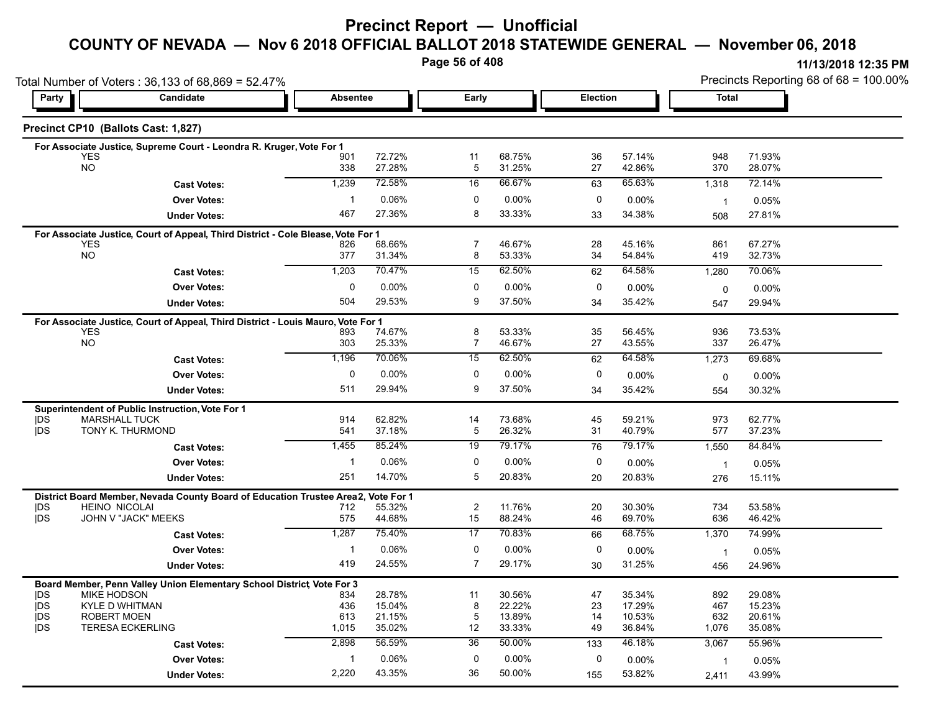## **Precinct Report — Unofficial**

## **COUNTY OF NEVADA — Nov 6 2018 OFFICIAL BALLOT 2018 STATEWIDE GENERAL — November 06, 2018**

**Page 56 of 408**

|                         | Total Number of Voters: 36,133 of 68,869 = 52.47%                                |                 |                  |                 |                  |             |                  | Precincts Reporting 68 of 68 = 100.00% |                  |  |
|-------------------------|----------------------------------------------------------------------------------|-----------------|------------------|-----------------|------------------|-------------|------------------|----------------------------------------|------------------|--|
| Party                   | Candidate                                                                        | <b>Absentee</b> |                  | Early           |                  |             | <b>Election</b>  |                                        | <b>Total</b>     |  |
|                         | Precinct CP10 (Ballots Cast: 1,827)                                              |                 |                  |                 |                  |             |                  |                                        |                  |  |
|                         | For Associate Justice, Supreme Court - Leondra R. Kruger, Vote For 1             |                 |                  |                 |                  |             |                  |                                        |                  |  |
| <b>YES</b><br><b>NO</b> |                                                                                  | 901<br>338      | 72.72%<br>27.28% | 11<br>5         | 68.75%<br>31.25% | 36<br>27    | 57.14%<br>42.86% | 948<br>370                             | 71.93%<br>28.07% |  |
|                         |                                                                                  |                 |                  |                 |                  |             |                  |                                        |                  |  |
|                         | <b>Cast Votes:</b>                                                               | 1,239           | 72.58%           | 16              | 66.67%           | 63          | 65.63%           | 1,318                                  | 72.14%           |  |
|                         | <b>Over Votes:</b>                                                               | $\mathbf 1$     | 0.06%            | $\mathbf 0$     | 0.00%            | $\mathbf 0$ | $0.00\%$         | $\overline{1}$                         | 0.05%            |  |
|                         | <b>Under Votes:</b>                                                              | 467             | 27.36%           | 8               | 33.33%           | 33          | 34.38%           | 508                                    | 27.81%           |  |
|                         | For Associate Justice, Court of Appeal, Third District - Cole Blease, Vote For 1 |                 |                  |                 |                  |             |                  |                                        |                  |  |
| <b>YES</b><br><b>NO</b> |                                                                                  | 826             | 68.66%           | $\overline{7}$  | 46.67%           | 28          | 45.16%           | 861                                    | 67.27%           |  |
|                         |                                                                                  | 377             | 31.34%           | 8               | 53.33%           | 34          | 54.84%           | 419                                    | 32.73%           |  |
|                         | <b>Cast Votes:</b>                                                               | 1,203           | 70.47%           | 15              | 62.50%           | 62          | 64.58%           | 1,280                                  | 70.06%           |  |
|                         | <b>Over Votes:</b>                                                               | $\mathbf 0$     | 0.00%            | $\mathbf{0}$    | 0.00%            | 0           | 0.00%            | 0                                      | 0.00%            |  |
|                         | <b>Under Votes:</b>                                                              | 504             | 29.53%           | 9               | 37.50%           | 34          | 35.42%           | 547                                    | 29.94%           |  |
|                         | For Associate Justice, Court of Appeal, Third District - Louis Mauro, Vote For 1 |                 |                  |                 |                  |             |                  |                                        |                  |  |
| <b>YES</b>              |                                                                                  | 893             | 74.67%           | 8               | 53.33%           | 35          | 56.45%           | 936                                    | 73.53%           |  |
| <b>NO</b>               |                                                                                  | 303             | 25.33%           | 7               | 46.67%           | 27          | 43.55%           | 337                                    | 26.47%           |  |
|                         | <b>Cast Votes:</b>                                                               | 1,196           | 70.06%           | 15              | 62.50%           | 62          | 64.58%           | 1,273                                  | 69.68%           |  |
|                         | <b>Over Votes:</b>                                                               | $\mathbf 0$     | 0.00%            | $\mathbf 0$     | 0.00%            | 0           | $0.00\%$         | 0                                      | 0.00%            |  |
|                         | <b>Under Votes:</b>                                                              | 511             | 29.94%           | 9               | 37.50%           | 34          | 35.42%           | 554                                    | 30.32%           |  |
|                         | Superintendent of Public Instruction, Vote For 1                                 |                 |                  |                 |                  |             |                  |                                        |                  |  |
| <b>IDS</b>              | <b>MARSHALL TUCK</b>                                                             | 914             | 62.82%           | 14              | 73.68%           | 45          | 59.21%           | 973                                    | 62.77%           |  |
| <b>IDS</b>              | TONY K. THURMOND                                                                 | 541             | 37.18%           | 5               | 26.32%           | 31          | 40.79%           | 577                                    | 37.23%           |  |
|                         | <b>Cast Votes:</b>                                                               | 1,455           | 85.24%           | 19              | 79.17%           | 76          | 79.17%           | 1,550                                  | 84.84%           |  |
|                         | <b>Over Votes:</b>                                                               | $\mathbf{1}$    | 0.06%            | 0               | 0.00%            | $\mathbf 0$ | 0.00%            | $\overline{1}$                         | 0.05%            |  |
|                         | <b>Under Votes:</b>                                                              | 251             | 14.70%           | 5               | 20.83%           | 20          | 20.83%           | 276                                    | 15.11%           |  |
|                         | District Board Member, Nevada County Board of Education Trustee Area2,           |                 | Vote For 1       |                 |                  |             |                  |                                        |                  |  |
| <b>IDS</b>              | <b>HEINO NICOLAI</b>                                                             | 712             | 55.32%           | $\overline{c}$  | 11.76%           | 20          | 30.30%           | 734                                    | 53.58%           |  |
| <b>IDS</b>              | JOHN V "JACK" MEEKS                                                              | 575             | 44.68%           | 15              | 88.24%           | 46          | 69.70%           | 636                                    | 46.42%           |  |
|                         | <b>Cast Votes:</b>                                                               | 1,287           | 75.40%           | $\overline{17}$ | 70.83%           | 66          | 68.75%           | 1,370                                  | 74.99%           |  |
|                         | <b>Over Votes:</b>                                                               | $\mathbf 1$     | 0.06%            | $\mathbf 0$     | 0.00%            | $\mathbf 0$ | $0.00\%$         | $\overline{1}$                         | 0.05%            |  |
|                         | <b>Under Votes:</b>                                                              | 419             | 24.55%           | 7               | 29.17%           | 30          | 31.25%           | 456                                    | 24.96%           |  |
|                         | Board Member, Penn Valley Union Elementary School District, Vote For 3           |                 |                  |                 |                  |             |                  |                                        |                  |  |
| DS                      | <b>MIKE HODSON</b>                                                               | 834             | 28.78%           | 11              | 30.56%           | 47          | 35.34%           | 892                                    | 29.08%           |  |
| <b>IDS</b>              | KYLE D WHITMAN                                                                   | 436             | 15.04%           | 8               | 22.22%           | 23          | 17.29%           | 467                                    | 15.23%           |  |
| <b>IDS</b>              | <b>ROBERT MOEN</b>                                                               | 613             | 21.15%           | 5               | 13.89%           | 14          | 10.53%           | 632                                    | 20.61%           |  |
| <b>IDS</b>              | <b>TERESA ECKERLING</b>                                                          | 1,015           | 35.02%           | 12              | 33.33%           | 49          | 36.84%           | 1,076                                  | 35.08%           |  |
|                         | <b>Cast Votes:</b>                                                               | 2,898           | 56.59%           | 36              | 50.00%           | 133         | 46.18%           | 3,067                                  | 55.96%           |  |
|                         | <b>Over Votes:</b>                                                               | 1               | 0.06%            | 0               | 0.00%            | 0           | $0.00\%$         | $\overline{1}$                         | 0.05%            |  |
|                         | <b>Under Votes:</b>                                                              | 2,220           | 43.35%           | 36              | 50.00%           | 155         | 53.82%           | 2,411                                  | 43.99%           |  |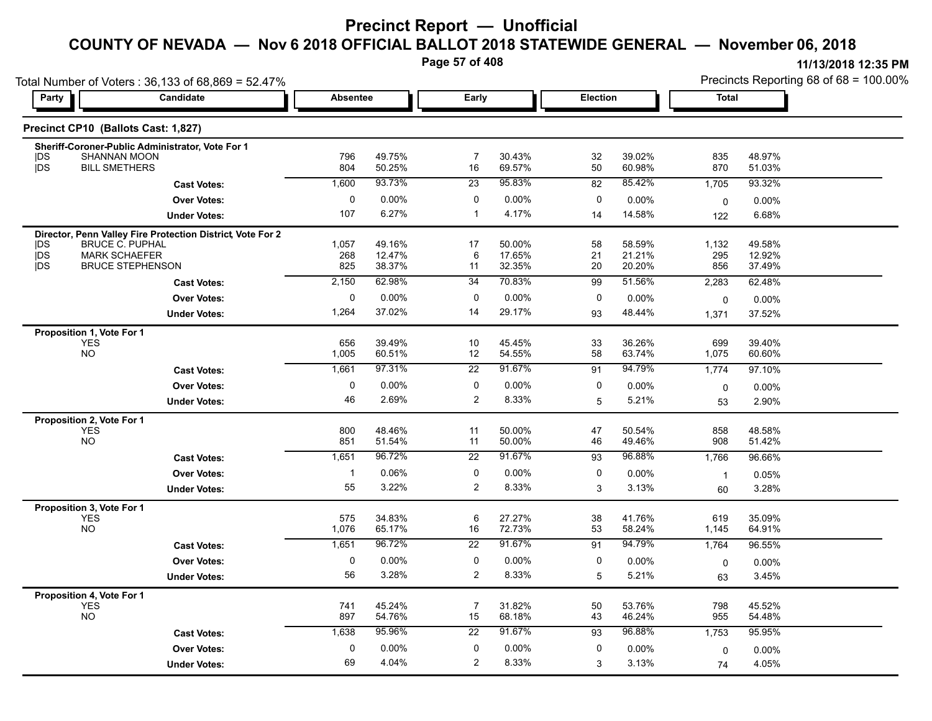**Page 57 of 408**

|                   | Total Number of Voters: 36,133 of 68,869 = 52.47%          |                 |                  |                               |                  |                  |                  | Precincts Reporting 68 of 68 = 100.00% |                  |  |
|-------------------|------------------------------------------------------------|-----------------|------------------|-------------------------------|------------------|------------------|------------------|----------------------------------------|------------------|--|
| Party             | Candidate                                                  | <b>Absentee</b> |                  | Early                         |                  | <b>Election</b>  |                  | <b>Total</b>                           |                  |  |
|                   | Precinct CP10 (Ballots Cast: 1,827)                        |                 |                  |                               |                  |                  |                  |                                        |                  |  |
|                   | Sheriff-Coroner-Public Administrator, Vote For 1           |                 |                  |                               |                  |                  |                  |                                        |                  |  |
| <b>IDS</b><br> DS | <b>SHANNAN MOON</b><br><b>BILL SMETHERS</b>                | 796<br>804      | 49.75%<br>50.25% | $\overline{7}$<br>16          | 30.43%<br>69.57% | 32<br>50         | 39.02%<br>60.98% | 835<br>870                             | 48.97%<br>51.03% |  |
|                   | <b>Cast Votes:</b>                                         | 1,600           | 93.73%           | 23                            | 95.83%           | 82               | 85.42%           | 1,705                                  | 93.32%           |  |
|                   | <b>Over Votes:</b>                                         | 0               | 0.00%            | $\pmb{0}$                     | 0.00%            | $\pmb{0}$        | 0.00%            | 0                                      | 0.00%            |  |
|                   | <b>Under Votes:</b>                                        | 107             | 6.27%            | $\mathbf{1}$                  | 4.17%            | 14               | 14.58%           | 122                                    | 6.68%            |  |
|                   | Director, Penn Valley Fire Protection District, Vote For 2 |                 |                  |                               |                  |                  |                  |                                        |                  |  |
| <b>IDS</b><br>jDS | <b>BRUCE C. PUPHAL</b><br><b>MARK SCHAEFER</b>             | 1,057<br>268    | 49.16%<br>12.47% | 17<br>6                       | 50.00%<br>17.65% | 58<br>21         | 58.59%<br>21.21% | 1,132<br>295                           | 49.58%<br>12.92% |  |
| jDS               | <b>BRUCE STEPHENSON</b>                                    | 825             | 38.37%           | 11                            | 32.35%           | 20               | 20.20%           | 856                                    | 37.49%           |  |
|                   | <b>Cast Votes:</b>                                         | 2,150           | 62.98%           | 34                            | 70.83%           | 99               | 51.56%           | 2,283                                  | 62.48%           |  |
|                   | <b>Over Votes:</b>                                         | 0               | 0.00%            | 0                             | 0.00%            | $\mathbf 0$      | 0.00%            | $\pmb{0}$                              | 0.00%            |  |
|                   | <b>Under Votes:</b>                                        | 1,264           | 37.02%           | 14                            | 29.17%           | 93               | 48.44%           | 1,371                                  | 37.52%           |  |
|                   | Proposition 1, Vote For 1                                  |                 |                  |                               |                  |                  |                  |                                        |                  |  |
|                   | <b>YES</b><br>NO <sub>1</sub>                              | 656<br>1,005    | 39.49%<br>60.51% | 10<br>12                      | 45.45%<br>54.55% | 33<br>58         | 36.26%<br>63.74% | 699<br>1,075                           | 39.40%<br>60.60% |  |
|                   |                                                            | 1,661           | 97.31%           | $\overline{22}$               | 91.67%           | 91               | 94.79%           | 1,774                                  | 97.10%           |  |
|                   | <b>Cast Votes:</b>                                         |                 |                  |                               |                  |                  |                  |                                        |                  |  |
|                   | <b>Over Votes:</b>                                         | 0<br>46         | 0.00%<br>2.69%   | $\mathbf 0$<br>$\overline{2}$ | 0.00%<br>8.33%   | $\mathbf 0$      | 0.00%            | 0                                      | 0.00%            |  |
|                   | <b>Under Votes:</b>                                        |                 |                  |                               |                  | 5                | 5.21%            | 53                                     | 2.90%            |  |
|                   | Proposition 2, Vote For 1<br><b>YES</b>                    | 800             | 48.46%           | 11                            | 50.00%           | 47               | 50.54%           | 858                                    | 48.58%           |  |
|                   | <b>NO</b>                                                  | 851             | 51.54%           | 11                            | 50.00%           | 46               | 49.46%           | 908                                    | 51.42%           |  |
|                   | <b>Cast Votes:</b>                                         | 1,651           | 96.72%           | $\overline{22}$               | 91.67%           | 93               | 96.88%           | 1,766                                  | 96.66%           |  |
|                   | <b>Over Votes:</b>                                         | $\mathbf{1}$    | 0.06%            | 0                             | 0.00%            | 0                | 0.00%            | $\mathbf{1}$                           | 0.05%            |  |
|                   | <b>Under Votes:</b>                                        | 55              | 3.22%            | $\overline{c}$                | 8.33%            | 3                | 3.13%            | 60                                     | 3.28%            |  |
|                   | Proposition 3, Vote For 1                                  |                 |                  |                               |                  |                  |                  |                                        |                  |  |
|                   | <b>YES</b><br><b>NO</b>                                    | 575<br>1,076    | 34.83%<br>65.17% | 6<br>16                       | 27.27%<br>72.73% | 38<br>53         | 41.76%<br>58.24% | 619<br>1,145                           | 35.09%<br>64.91% |  |
|                   |                                                            | 1,651           | 96.72%           | $\overline{22}$               | 91.67%           | 91               | 94.79%           |                                        | 96.55%           |  |
|                   | <b>Cast Votes:</b>                                         | $\mathbf 0$     | 0.00%            | 0                             | 0.00%            | $\boldsymbol{0}$ |                  | 1,764                                  |                  |  |
|                   | <b>Over Votes:</b>                                         | 56              | 3.28%            | $\overline{c}$                | 8.33%            | $\overline{5}$   | 0.00%<br>5.21%   | $\mathbf 0$                            | 0.00%<br>3.45%   |  |
|                   | <b>Under Votes:</b>                                        |                 |                  |                               |                  |                  |                  | 63                                     |                  |  |
|                   | Proposition 4, Vote For 1<br><b>YES</b>                    | 741             | 45.24%           | 7                             | 31.82%           | 50               | 53.76%           | 798                                    | 45.52%           |  |
|                   | <b>NO</b>                                                  | 897             | 54.76%           | 15                            | 68.18%           | 43               | 46.24%           | 955                                    | 54.48%           |  |
|                   | <b>Cast Votes:</b>                                         | 1,638           | 95.96%           | 22                            | 91.67%           | 93               | 96.88%           | 1,753                                  | 95.95%           |  |
|                   | <b>Over Votes:</b>                                         | 0               | 0.00%            | $\pmb{0}$                     | 0.00%            | $\pmb{0}$        | 0.00%            | $\mathbf 0$                            | 0.00%            |  |
|                   | <b>Under Votes:</b>                                        | 69              | 4.04%            | 2                             | 8.33%            | 3                | 3.13%            | 74                                     | 4.05%            |  |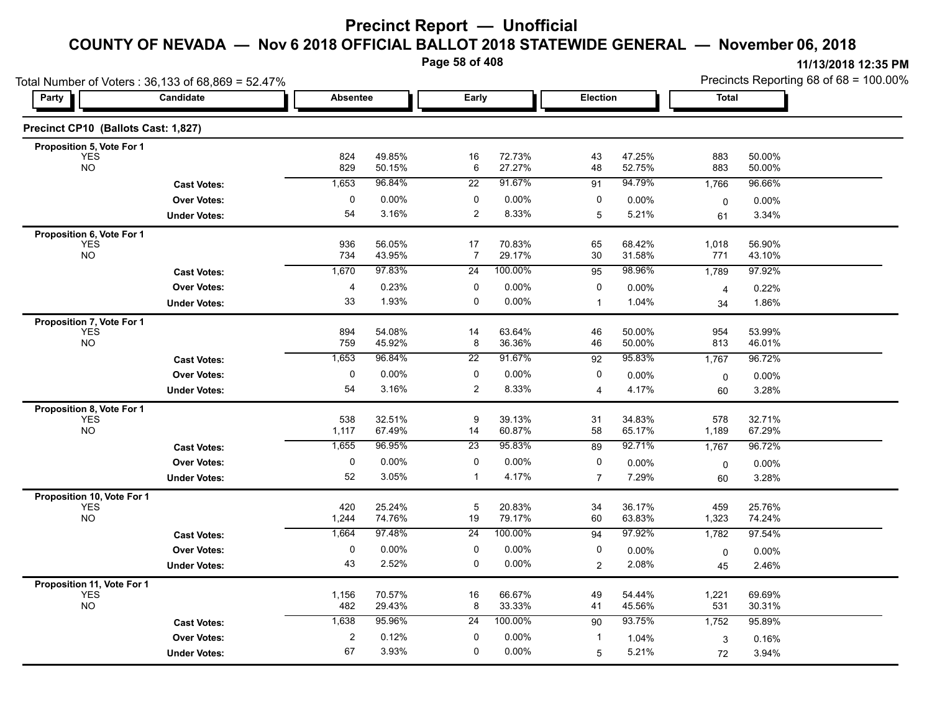**Page 58 of 408**

| Candidate<br>Precinct CP10 (Ballots Cast: 1,827)<br><b>Cast Votes:</b><br><b>Over Votes:</b><br><b>Under Votes:</b><br><b>Cast Votes:</b><br><b>Over Votes:</b><br><b>Under Votes:</b> | <b>Absentee</b><br>824<br>829<br>1,653<br>0<br>54<br>936<br>734<br>1,670                                                           | 49.85%<br>50.15%<br>96.84%<br>$0.00\%$<br>3.16%<br>56.05%<br>43.95%            | Early<br>16<br>6<br>22<br>0<br>$\overline{c}$<br>17                       | 72.73%<br>27.27%<br>91.67%<br>0.00%<br>8.33% | Election<br>43<br>48<br>91<br>0<br>5                                                    | 47.25%<br>52.75%<br>94.79%<br>0.00%<br>5.21% | Total<br>883<br>883<br>1,766<br>$\mathbf 0$<br>61                         | 50.00%<br>50.00%<br>96.66%<br>$0.00\%$<br>3.34%             |
|----------------------------------------------------------------------------------------------------------------------------------------------------------------------------------------|------------------------------------------------------------------------------------------------------------------------------------|--------------------------------------------------------------------------------|---------------------------------------------------------------------------|----------------------------------------------|-----------------------------------------------------------------------------------------|----------------------------------------------|---------------------------------------------------------------------------|-------------------------------------------------------------|
|                                                                                                                                                                                        |                                                                                                                                    |                                                                                |                                                                           |                                              |                                                                                         |                                              |                                                                           |                                                             |
|                                                                                                                                                                                        |                                                                                                                                    |                                                                                |                                                                           |                                              |                                                                                         |                                              |                                                                           |                                                             |
|                                                                                                                                                                                        |                                                                                                                                    |                                                                                |                                                                           |                                              |                                                                                         |                                              |                                                                           |                                                             |
|                                                                                                                                                                                        |                                                                                                                                    |                                                                                |                                                                           |                                              |                                                                                         |                                              |                                                                           |                                                             |
|                                                                                                                                                                                        |                                                                                                                                    |                                                                                |                                                                           |                                              |                                                                                         |                                              |                                                                           |                                                             |
|                                                                                                                                                                                        |                                                                                                                                    |                                                                                |                                                                           |                                              |                                                                                         |                                              |                                                                           |                                                             |
|                                                                                                                                                                                        |                                                                                                                                    |                                                                                |                                                                           |                                              |                                                                                         |                                              |                                                                           |                                                             |
|                                                                                                                                                                                        |                                                                                                                                    |                                                                                |                                                                           |                                              |                                                                                         |                                              |                                                                           |                                                             |
|                                                                                                                                                                                        |                                                                                                                                    |                                                                                | 7                                                                         | 70.83%<br>29.17%                             | 65<br>30                                                                                | 68.42%<br>31.58%                             | 1,018<br>771                                                              | 56.90%<br>43.10%                                            |
|                                                                                                                                                                                        |                                                                                                                                    | 97.83%                                                                         | 24                                                                        | 100.00%                                      | 95                                                                                      | 98.96%                                       | 1,789                                                                     | 97.92%                                                      |
|                                                                                                                                                                                        | 4                                                                                                                                  | 0.23%                                                                          | 0                                                                         | 0.00%                                        | $\pmb{0}$                                                                               | 0.00%                                        | 4                                                                         | 0.22%                                                       |
|                                                                                                                                                                                        | 33                                                                                                                                 | 1.93%                                                                          | 0                                                                         | 0.00%                                        | $\mathbf{1}$                                                                            | 1.04%                                        | 34                                                                        | 1.86%                                                       |
|                                                                                                                                                                                        |                                                                                                                                    |                                                                                |                                                                           |                                              |                                                                                         |                                              |                                                                           |                                                             |
|                                                                                                                                                                                        | 894                                                                                                                                | 54.08%                                                                         | 14                                                                        | 63.64%                                       | 46                                                                                      | 50.00%                                       | 954                                                                       | 53.99%                                                      |
|                                                                                                                                                                                        | 759                                                                                                                                | 45.92%                                                                         | 8                                                                         | 36.36%                                       | 46                                                                                      | 50.00%                                       | 813                                                                       | 46.01%                                                      |
| <b>Cast Votes:</b>                                                                                                                                                                     | 1,653                                                                                                                              | 96.84%                                                                         | 22                                                                        |                                              | 92                                                                                      | 95.83%                                       | 1,767                                                                     | 96.72%                                                      |
| <b>Over Votes:</b>                                                                                                                                                                     | $\mathbf 0$                                                                                                                        | $0.00\%$                                                                       | 0                                                                         | 0.00%                                        | 0                                                                                       | $0.00\%$                                     | 0                                                                         | 0.00%                                                       |
| <b>Under Votes:</b>                                                                                                                                                                    | 54                                                                                                                                 | 3.16%                                                                          | $\overline{c}$                                                            | 8.33%                                        | 4                                                                                       | 4.17%                                        | 60                                                                        | 3.28%                                                       |
|                                                                                                                                                                                        |                                                                                                                                    |                                                                                |                                                                           |                                              |                                                                                         |                                              |                                                                           |                                                             |
|                                                                                                                                                                                        |                                                                                                                                    |                                                                                |                                                                           |                                              |                                                                                         |                                              |                                                                           | 32.71%<br>67.29%                                            |
|                                                                                                                                                                                        |                                                                                                                                    |                                                                                | 23                                                                        |                                              |                                                                                         |                                              |                                                                           | 96.72%                                                      |
|                                                                                                                                                                                        |                                                                                                                                    |                                                                                |                                                                           |                                              |                                                                                         |                                              |                                                                           | $0.00\%$                                                    |
|                                                                                                                                                                                        | 52                                                                                                                                 | 3.05%                                                                          | 1                                                                         | 4.17%                                        | $\overline{7}$                                                                          | 7.29%                                        |                                                                           | 3.28%                                                       |
|                                                                                                                                                                                        |                                                                                                                                    |                                                                                |                                                                           |                                              |                                                                                         |                                              |                                                                           |                                                             |
|                                                                                                                                                                                        | 420                                                                                                                                | 25.24%                                                                         | $\sqrt{5}$                                                                | 20.83%                                       | 34                                                                                      | 36.17%                                       | 459                                                                       | 25.76%                                                      |
|                                                                                                                                                                                        | 1,244                                                                                                                              | 74.76%                                                                         | 19                                                                        | 79.17%                                       | 60                                                                                      | 63.83%                                       | 1,323                                                                     | 74.24%                                                      |
| <b>Cast Votes:</b>                                                                                                                                                                     | 1,664                                                                                                                              | 97.48%                                                                         | 24                                                                        | 100.00%                                      | 94                                                                                      | 97.92%                                       | 1,782                                                                     | 97.54%                                                      |
| <b>Over Votes:</b>                                                                                                                                                                     | $\mathbf 0$                                                                                                                        | $0.00\%$                                                                       | 0                                                                         | 0.00%                                        | 0                                                                                       | 0.00%                                        | 0                                                                         | $0.00\%$                                                    |
| <b>Under Votes:</b>                                                                                                                                                                    | 43                                                                                                                                 | 2.52%                                                                          | 0                                                                         | 0.00%                                        | $\overline{2}$                                                                          | 2.08%                                        | 45                                                                        | 2.46%                                                       |
|                                                                                                                                                                                        |                                                                                                                                    |                                                                                |                                                                           |                                              |                                                                                         |                                              |                                                                           |                                                             |
|                                                                                                                                                                                        | 1,156                                                                                                                              | 70.57%                                                                         | 16                                                                        | 66.67%                                       | 49                                                                                      | 54.44%                                       | 1,221                                                                     | 69.69%<br>30.31%                                            |
|                                                                                                                                                                                        |                                                                                                                                    |                                                                                |                                                                           |                                              |                                                                                         |                                              |                                                                           | 95.89%                                                      |
|                                                                                                                                                                                        |                                                                                                                                    |                                                                                |                                                                           |                                              |                                                                                         |                                              |                                                                           |                                                             |
|                                                                                                                                                                                        |                                                                                                                                    |                                                                                |                                                                           |                                              |                                                                                         |                                              |                                                                           | 0.16%<br>3.94%                                              |
|                                                                                                                                                                                        | <b>Cast Votes:</b><br><b>Over Votes:</b><br><b>Under Votes:</b><br><b>Cast Votes:</b><br><b>Over Votes:</b><br><b>Under Votes:</b> | 538<br>1,117<br>1,655<br>$\mathbf 0$<br>482<br>1,638<br>$\boldsymbol{2}$<br>67 | 32.51%<br>67.49%<br>96.95%<br>0.00%<br>29.43%<br>95.96%<br>0.12%<br>3.93% | 9<br>14<br>0<br>8<br>24<br>0<br>0            | 91.67%<br>39.13%<br>60.87%<br>95.83%<br>$0.00\%$<br>33.33%<br>100.00%<br>0.00%<br>0.00% | 31<br>58<br>89<br>0<br>41<br>90<br>-1<br>5   | 34.83%<br>65.17%<br>92.71%<br>0.00%<br>45.56%<br>93.75%<br>1.04%<br>5.21% | 578<br>1,189<br>1,767<br>0<br>60<br>531<br>1,752<br>3<br>72 |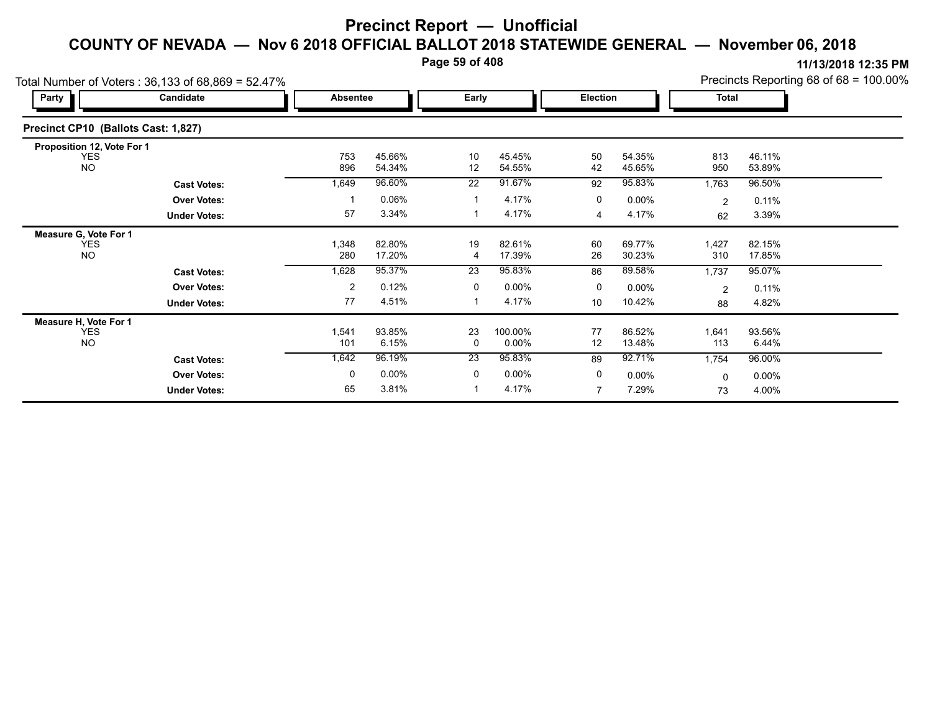**Page 59 of 408**

|                                     | Total Number of Voters: 36,133 of 68,869 = 52.47% |              |                  |                 |                     |                |                  | Precincts Reporting 68 of 68 = 100.00% |                  |  |
|-------------------------------------|---------------------------------------------------|--------------|------------------|-----------------|---------------------|----------------|------------------|----------------------------------------|------------------|--|
| Party                               | Candidate                                         | Absentee     |                  | Early           |                     | Election       |                  | <b>Total</b>                           |                  |  |
| Precinct CP10 (Ballots Cast: 1,827) |                                                   |              |                  |                 |                     |                |                  |                                        |                  |  |
| Proposition 12, Vote For 1          |                                                   |              |                  |                 |                     |                |                  |                                        |                  |  |
| <b>YES</b><br><b>NO</b>             |                                                   | 753<br>896   | 45.66%<br>54.34% | 10<br>12        | 45.45%<br>54.55%    | 50<br>42       | 54.35%<br>45.65% | 813<br>950                             | 46.11%<br>53.89% |  |
|                                     | <b>Cast Votes:</b>                                | 1,649        | 96.60%           | 22              | 91.67%              | 92             | 95.83%           | 1,763                                  | 96.50%           |  |
|                                     | <b>Over Votes:</b>                                |              | 0.06%            |                 | 4.17%               | 0              | $0.00\%$         | $\overline{2}$                         | 0.11%            |  |
|                                     | <b>Under Votes:</b>                               | 57           | 3.34%            |                 | 4.17%               | 4              | 4.17%            | 62                                     | 3.39%            |  |
| Measure G, Vote For 1               |                                                   |              |                  |                 |                     |                |                  |                                        |                  |  |
| <b>YES</b><br><b>NO</b>             |                                                   | 1,348<br>280 | 82.80%<br>17.20% | 19<br>4         | 82.61%<br>17.39%    | 60<br>26       | 69.77%<br>30.23% | 1,427<br>310                           | 82.15%<br>17.85% |  |
|                                     | <b>Cast Votes:</b>                                | 1,628        | 95.37%           | $\overline{23}$ | 95.83%              | 86             | 89.58%           | 1,737                                  | 95.07%           |  |
|                                     | <b>Over Votes:</b>                                | 2            | 0.12%            | 0               | $0.00\%$            | 0              | $0.00\%$         | 2                                      | 0.11%            |  |
|                                     | <b>Under Votes:</b>                               | 77           | 4.51%            |                 | 4.17%               | 10             | 10.42%           | 88                                     | 4.82%            |  |
| Measure H, Vote For 1               |                                                   |              |                  |                 |                     |                |                  |                                        |                  |  |
| <b>YES</b><br><b>NO</b>             |                                                   | 1,541<br>101 | 93.85%<br>6.15%  | 23<br>0         | 100.00%<br>$0.00\%$ | 77<br>12       | 86.52%<br>13.48% | 1,641<br>113                           | 93.56%<br>6.44%  |  |
|                                     | <b>Cast Votes:</b>                                | 1,642        | 96.19%           | 23              | 95.83%              | 89             | 92.71%           | 1,754                                  | 96.00%           |  |
|                                     | <b>Over Votes:</b>                                | 0            | $0.00\%$         | 0               | $0.00\%$            | 0              | $0.00\%$         | $\mathbf 0$                            | $0.00\%$         |  |
|                                     | <b>Under Votes:</b>                               | 65           | 3.81%            |                 | 4.17%               | $\overline{7}$ | 7.29%            | 73                                     | 4.00%            |  |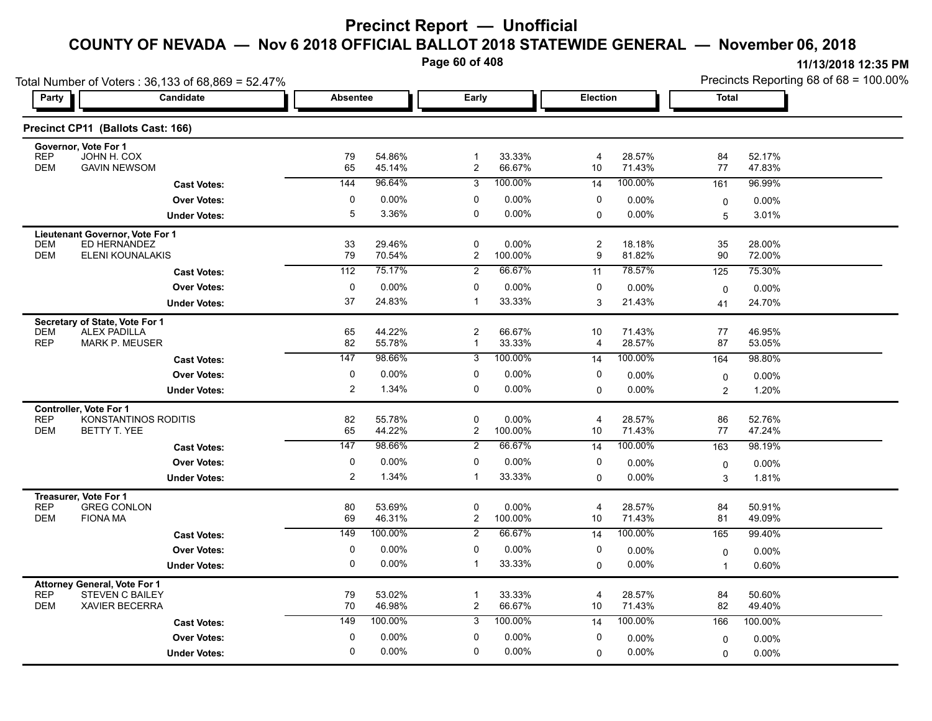**Page 60 of 408**

| Total Number of Voters: 36,133 of 68,869 = 52.47%                   |                     |                  |                   |                   |                |                  | Precincts Reporting 68 of 68 = 100.00% |                  |  |
|---------------------------------------------------------------------|---------------------|------------------|-------------------|-------------------|----------------|------------------|----------------------------------------|------------------|--|
| Party<br>Candidate                                                  | <b>Absentee</b>     |                  |                   | Early<br>Election |                |                  | <b>Total</b>                           |                  |  |
| Precinct CP11 (Ballots Cast: 166)                                   |                     |                  |                   |                   |                |                  |                                        |                  |  |
| Governor, Vote For 1                                                |                     |                  |                   |                   |                |                  |                                        |                  |  |
| <b>REP</b><br>JOHN H. COX<br><b>DEM</b><br><b>GAVIN NEWSOM</b>      | 79<br>65            | 54.86%<br>45.14% | $\mathbf{1}$<br>2 | 33.33%<br>66.67%  | 4<br>10        | 28.57%<br>71.43% | 84<br>77                               | 52.17%<br>47.83% |  |
| <b>Cast Votes:</b>                                                  | 144                 | 96.64%           | 3                 | 100.00%           | 14             | 100.00%          | 161                                    | 96.99%           |  |
| <b>Over Votes:</b>                                                  | 0                   | 0.00%            | 0                 | 0.00%             | 0              | $0.00\%$         | 0                                      | $0.00\%$         |  |
| <b>Under Votes:</b>                                                 | 5                   | 3.36%            | 0                 | 0.00%             | 0              | $0.00\%$         | 5                                      | 3.01%            |  |
| Lieutenant Governor, Vote For 1                                     |                     |                  |                   |                   |                |                  |                                        |                  |  |
| ED HERNANDEZ<br><b>DEM</b>                                          | 33                  | 29.46%           | 0                 | 0.00%             | $\overline{c}$ | 18.18%           | 35                                     | 28.00%           |  |
| <b>DEM</b><br>ELENI KOUNALAKIS                                      | 79                  | 70.54%<br>75.17% | $\overline{2}$    | 100.00%<br>66.67% | 9              | 81.82%<br>78.57% | 90                                     | 72.00%           |  |
| <b>Cast Votes:</b>                                                  | 112                 |                  | $\overline{2}$    |                   | 11             |                  | 125                                    | 75.30%           |  |
| <b>Over Votes:</b>                                                  | 0<br>37             | $0.00\%$         | 0<br>$\mathbf 1$  | 0.00%             | 0              | $0.00\%$         | $\mathbf 0$                            | 0.00%            |  |
| <b>Under Votes:</b>                                                 |                     | 24.83%           |                   | 33.33%            | 3              | 21.43%           | 41                                     | 24.70%           |  |
| Secretary of State, Vote For 1<br><b>DEM</b><br><b>ALEX PADILLA</b> | 65                  | 44.22%           | $\overline{c}$    | 66.67%            | 10             | 71.43%           | 77                                     | 46.95%           |  |
| <b>REP</b><br>MARK P. MEUSER                                        | 82                  | 55.78%           | $\mathbf{1}$      | 33.33%            | 4              | 28.57%           | 87                                     | 53.05%           |  |
| <b>Cast Votes:</b>                                                  | 147                 | 98.66%           | 3                 | 100.00%           | 14             | 100.00%          | 164                                    | 98.80%           |  |
| <b>Over Votes:</b>                                                  | 0                   | 0.00%            | 0                 | 0.00%             | 0              | $0.00\%$         | 0                                      | $0.00\%$         |  |
| <b>Under Votes:</b>                                                 | $\overline{2}$      | 1.34%            | $\mathbf 0$       | 0.00%             | $\Omega$       | $0.00\%$         | $\overline{c}$                         | 1.20%            |  |
| Controller, Vote For 1                                              |                     |                  |                   |                   |                |                  |                                        |                  |  |
| <b>REP</b><br>KONSTANTINOS RODITIS<br><b>DEM</b><br>BETTY T. YEE    | 82<br>65            | 55.78%<br>44.22% | 0<br>2            | 0.00%<br>100.00%  | 4<br>10        | 28.57%<br>71.43% | 86<br>77                               | 52.76%           |  |
|                                                                     | 147                 | 98.66%           | 2                 | 66.67%            |                | 100.00%          |                                        | 47.24%           |  |
| <b>Cast Votes:</b>                                                  |                     |                  |                   |                   | 14             |                  | 163                                    | 98.19%           |  |
| <b>Over Votes:</b>                                                  | 0<br>$\overline{2}$ | 0.00%<br>1.34%   | 0<br>$\mathbf 1$  | 0.00%<br>33.33%   | 0              | 0.00%<br>0.00%   | 0                                      | 0.00%            |  |
| <b>Under Votes:</b>                                                 |                     |                  |                   |                   | $\Omega$       |                  | 3                                      | 1.81%            |  |
| Treasurer, Vote For 1<br><b>REP</b><br><b>GREG CONLON</b>           | 80                  | 53.69%           | 0                 | 0.00%             | 4              | 28.57%           | 84                                     | 50.91%           |  |
| <b>DEM</b><br><b>FIONA MA</b>                                       | 69                  | 46.31%           | $\overline{c}$    | 100.00%           | $10$           | 71.43%           | 81                                     | 49.09%           |  |
| <b>Cast Votes:</b>                                                  | 149                 | 100.00%          | 2                 | 66.67%            | 14             | 100.00%          | 165                                    | 99.40%           |  |
| <b>Over Votes:</b>                                                  | 0                   | 0.00%            | 0                 | 0.00%             | 0              | 0.00%            | $\mathbf 0$                            | 0.00%            |  |
| <b>Under Votes:</b>                                                 | 0                   | $0.00\%$         | $\mathbf{1}$      | 33.33%            | $\Omega$       | 0.00%            | $\overline{1}$                         | 0.60%            |  |
| Attorney General, Vote For 1                                        |                     |                  |                   |                   |                |                  |                                        |                  |  |
| <b>REP</b><br><b>STEVEN C BAILEY</b>                                | 79                  | 53.02%           | $\mathbf{1}$      | 33.33%            | 4              | 28.57%           | 84                                     | 50.60%           |  |
| <b>DEM</b><br><b>XAVIER BECERRA</b>                                 | 70                  | 46.98%           | $\overline{c}$    | 66.67%            | 10             | 71.43%           | 82                                     | 49.40%           |  |
| <b>Cast Votes:</b>                                                  | 149                 | 100.00%          | 3                 | 100.00%           | 14             | 100.00%          | 166                                    | 100.00%          |  |
| <b>Over Votes:</b>                                                  | 0                   | 0.00%            | 0                 | 0.00%             | 0              | $0.00\%$         | $\mathbf 0$                            | 0.00%            |  |
| <b>Under Votes:</b>                                                 | 0                   | $0.00\%$         | 0                 | 0.00%             | $\Omega$       | 0.00%            | 0                                      | 0.00%            |  |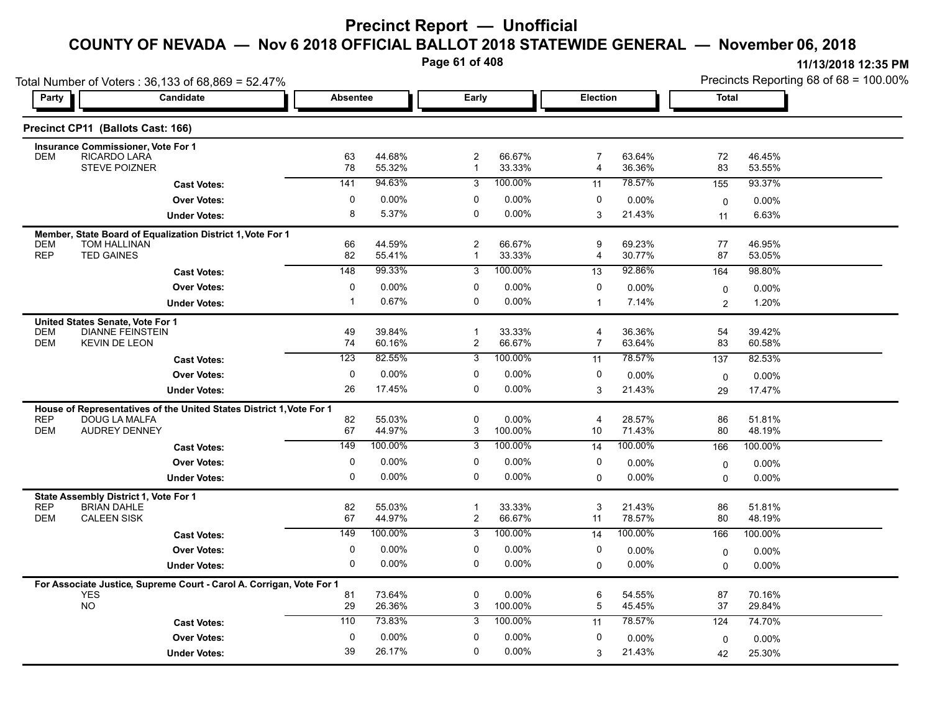**Page 61 of 408**

|                                   | Total Number of Voters: 36,133 of 68,869 = 52.47%                    |             |                  |                                |                     |                     |                  |                | Precincts Reporting 68 of 68 = 100.00% |
|-----------------------------------|----------------------------------------------------------------------|-------------|------------------|--------------------------------|---------------------|---------------------|------------------|----------------|----------------------------------------|
| Party                             | Candidate                                                            |             | <b>Absentee</b>  | Early                          |                     | Election            |                  | <b>Total</b>   |                                        |
| Precinct CP11 (Ballots Cast: 166) |                                                                      |             |                  |                                |                     |                     |                  |                |                                        |
|                                   | <b>Insurance Commissioner, Vote For 1</b>                            |             |                  |                                |                     |                     |                  |                |                                        |
| <b>DEM</b>                        | RICARDO LARA<br><b>STEVE POIZNER</b>                                 | 63<br>78    | 44.68%<br>55.32% | $\overline{c}$<br>$\mathbf{1}$ | 66.67%<br>33.33%    | $\overline{7}$<br>4 | 63.64%<br>36.36% | 72<br>83       | 46.45%<br>53.55%                       |
|                                   | <b>Cast Votes:</b>                                                   | 141         | 94.63%           | 3                              | 100.00%             | 11                  | 78.57%           | 155            | 93.37%                                 |
|                                   | <b>Over Votes:</b>                                                   | 0           | 0.00%            | 0                              | 0.00%               | 0                   | $0.00\%$         | $\mathbf 0$    | 0.00%                                  |
|                                   | <b>Under Votes:</b>                                                  | 8           | 5.37%            | 0                              | $0.00\%$            | 3                   | 21.43%           | 11             | 6.63%                                  |
|                                   | Member, State Board of Equalization District 1, Vote For 1           |             |                  |                                |                     |                     |                  |                |                                        |
| <b>DEM</b>                        | TOM HALLINAN                                                         | 66          | 44.59%           | 2                              | 66.67%              | 9                   | 69.23%           | 77             | 46.95%                                 |
| <b>REP</b><br><b>TED GAINES</b>   |                                                                      | 82          | 55.41%           | 1                              | 33.33%              | 4                   | 30.77%           | 87             | 53.05%                                 |
|                                   | <b>Cast Votes:</b>                                                   | 148         | 99.33%           | 3                              | 100.00%             | 13                  | 92.86%           | 164            | 98.80%                                 |
|                                   | <b>Over Votes:</b>                                                   | 0           | 0.00%            | 0                              | 0.00%               | 0                   | 0.00%            | $\mathbf 0$    | 0.00%                                  |
|                                   | <b>Under Votes:</b>                                                  | -1          | 0.67%            | 0                              | 0.00%               | $\mathbf{1}$        | 7.14%            | $\overline{2}$ | 1.20%                                  |
| United States Senate, Vote For 1  |                                                                      |             |                  |                                |                     |                     |                  |                |                                        |
| <b>DEM</b>                        | <b>DIANNE FEINSTEIN</b>                                              | 49          | 39.84%           | $\mathbf{1}$                   | 33.33%              | 4                   | 36.36%           | 54             | 39.42%                                 |
| <b>DEM</b>                        | <b>KEVIN DE LEON</b>                                                 | 74          | 60.16%           | $\overline{\mathbf{c}}$        | 66.67%              | $\overline{7}$      | 63.64%           | 83             | 60.58%                                 |
|                                   | <b>Cast Votes:</b>                                                   | 123         | 82.55%           | 3                              | 100.00%             | 11                  | 78.57%           | 137            | 82.53%                                 |
|                                   | <b>Over Votes:</b>                                                   | 0           | 0.00%            | $\Omega$                       | 0.00%               | 0                   | $0.00\%$         | $\mathbf 0$    | 0.00%                                  |
|                                   | <b>Under Votes:</b>                                                  | 26          | 17.45%           | 0                              | 0.00%               | 3                   | 21.43%           | 29             | 17.47%                                 |
|                                   | House of Representatives of the United States District 1, Vote For 1 |             |                  | 0                              |                     |                     |                  |                |                                        |
| <b>REP</b><br><b>DEM</b>          | DOUG LA MALFA<br><b>AUDREY DENNEY</b>                                | 82<br>67    | 55.03%<br>44.97% | 3                              | $0.00\%$<br>100.00% | 4<br>10             | 28.57%<br>71.43% | 86<br>80       | 51.81%<br>48.19%                       |
|                                   | <b>Cast Votes:</b>                                                   | 149         | 100.00%          | 3                              | 100.00%             | 14                  | 100.00%          | 166            | 100.00%                                |
|                                   | <b>Over Votes:</b>                                                   | 0           | 0.00%            | 0                              | 0.00%               | 0                   | $0.00\%$         | $\mathbf 0$    | 0.00%                                  |
|                                   | <b>Under Votes:</b>                                                  | $\Omega$    | 0.00%            | 0                              | 0.00%               | $\Omega$            | $0.00\%$         | $\Omega$       | 0.00%                                  |
|                                   | State Assembly District 1, Vote For 1                                |             |                  |                                |                     |                     |                  |                |                                        |
| <b>REP</b>                        | <b>BRIAN DAHLE</b>                                                   | 82          | 55.03%           | $\mathbf 1$                    | 33.33%              | 3                   | 21.43%           | 86             | 51.81%                                 |
| <b>DEM</b><br><b>CALEEN SISK</b>  |                                                                      | 67          | 44.97%           | $\overline{\mathbf{c}}$        | 66.67%              | 11                  | 78.57%           | 80             | 48.19%                                 |
|                                   | <b>Cast Votes:</b>                                                   | 149         | 100.00%          | 3                              | 100.00%             | 14                  | 100.00%          | 166            | 100.00%                                |
|                                   | <b>Over Votes:</b>                                                   | $\Omega$    | 0.00%            | 0                              | $0.00\%$            | 0                   | 0.00%            | $\mathbf 0$    | 0.00%                                  |
|                                   | <b>Under Votes:</b>                                                  | 0           | 0.00%            | 0                              | $0.00\%$            | $\mathbf 0$         | $0.00\%$         | $\Omega$       | 0.00%                                  |
|                                   | For Associate Justice, Supreme Court - Carol A. Corrigan, Vote For 1 |             |                  |                                |                     |                     |                  |                |                                        |
| <b>YES</b>                        |                                                                      | 81          | 73.64%           | 0                              | 0.00%               | 6                   | 54.55%           | 87             | 70.16%                                 |
| <b>NO</b>                         |                                                                      | 29          | 26.36%           | 3                              | 100.00%             | 5                   | 45.45%           | 37             | 29.84%                                 |
|                                   | <b>Cast Votes:</b>                                                   | 110         | 73.83%           | 3                              | 100.00%             | 11                  | 78.57%           | 124            | 74.70%                                 |
|                                   | <b>Over Votes:</b>                                                   | $\mathbf 0$ | 0.00%            | 0                              | 0.00%               | 0                   | $0.00\%$         | $\mathbf 0$    | 0.00%                                  |
|                                   | <b>Under Votes:</b>                                                  | 39          | 26.17%           | 0                              | 0.00%               | 3                   | 21.43%           | 42             | 25.30%                                 |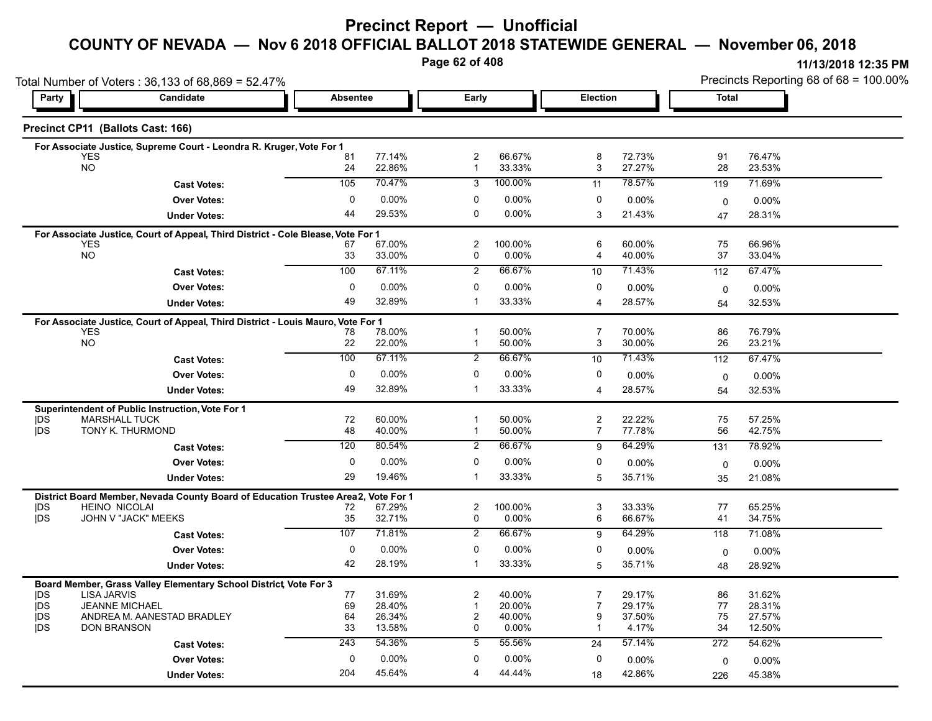**Page 62 of 408**

|                                    | Total Number of Voters: 36,133 of 68,869 = 52.47%                                 |                 |                  |                                |                  |                     |                  | Precincts Reporting 68 of 68 = 100.00% |                  |  |
|------------------------------------|-----------------------------------------------------------------------------------|-----------------|------------------|--------------------------------|------------------|---------------------|------------------|----------------------------------------|------------------|--|
| Party                              | <b>Candidate</b>                                                                  | <b>Absentee</b> |                  | Early                          |                  | <b>Election</b>     |                  | <b>Total</b>                           |                  |  |
| Precinct CP11 (Ballots Cast: 166)  |                                                                                   |                 |                  |                                |                  |                     |                  |                                        |                  |  |
| <b>YES</b>                         | For Associate Justice, Supreme Court - Leondra R. Kruger, Vote For 1              |                 | 77.14%           | $\overline{2}$                 | 66.67%           | 8                   | 72.73%           | 91                                     | 76.47%           |  |
| <b>NO</b>                          |                                                                                   | 81<br>24        | 22.86%           | $\mathbf{1}$                   | 33.33%           | 3                   | 27.27%           | 28                                     | 23.53%           |  |
|                                    | <b>Cast Votes:</b>                                                                | 105             | 70.47%           | 3                              | 100.00%          | 11                  | 78.57%           | 119                                    | 71.69%           |  |
|                                    | <b>Over Votes:</b>                                                                | $\mathbf 0$     | $0.00\%$         | $\mathbf 0$                    | 0.00%            | $\Omega$            | 0.00%            | 0                                      | 0.00%            |  |
|                                    | <b>Under Votes:</b>                                                               | 44              | 29.53%           | $\mathbf 0$                    | $0.00\%$         | 3                   | 21.43%           | 47                                     | 28.31%           |  |
|                                    | For Associate Justice, Court of Appeal, Third District - Cole Blease, Vote For 1  |                 |                  |                                |                  |                     |                  |                                        |                  |  |
| <b>YES</b><br><b>NO</b>            |                                                                                   | 67<br>33        | 67.00%<br>33.00% | $\overline{\mathbf{c}}$<br>0   | 100.00%<br>0.00% | 6<br>4              | 60.00%<br>40.00% | 75<br>37                               | 66.96%<br>33.04% |  |
|                                    | <b>Cast Votes:</b>                                                                | 100             | 67.11%           | $\overline{2}$                 | 66.67%           | 10                  | 71.43%           | 112                                    | 67.47%           |  |
|                                    | <b>Over Votes:</b>                                                                | $\mathbf 0$     | 0.00%            | $\mathbf 0$                    | 0.00%            | $\Omega$            | 0.00%            |                                        |                  |  |
|                                    | <b>Under Votes:</b>                                                               | 49              | 32.89%           | $\overline{1}$                 | 33.33%           | $\overline{4}$      | 28.57%           | $\mathbf 0$<br>54                      | 0.00%<br>32.53%  |  |
|                                    |                                                                                   |                 |                  |                                |                  |                     |                  |                                        |                  |  |
| <b>YES</b>                         | For Associate Justice, Court of Appeal, Third District - Louis Mauro, Vote For 1  | 78              | 78.00%           |                                | 50.00%           | 7                   | 70.00%           | 86                                     | 76.79%           |  |
| <b>NO</b>                          |                                                                                   | 22              | 22.00%           | $\mathbf{1}$                   | 50.00%           | 3                   | 30.00%           | 26                                     | 23.21%           |  |
|                                    | <b>Cast Votes:</b>                                                                | 100             | 67.11%           | $\overline{2}$                 | 66.67%           | 10                  | 71.43%           | 112                                    | 67.47%           |  |
|                                    | <b>Over Votes:</b>                                                                | $\mathbf 0$     | 0.00%            | $\mathbf 0$                    | 0.00%            | 0                   | 0.00%            | $\mathbf 0$                            | 0.00%            |  |
|                                    | <b>Under Votes:</b>                                                               | 49              | 32.89%           | -1                             | 33.33%           | 4                   | 28.57%           | 54                                     | 32.53%           |  |
|                                    | Superintendent of Public Instruction, Vote For 1                                  |                 |                  |                                |                  |                     |                  |                                        |                  |  |
| DŠ<br>jDS                          | <b>MARSHALL TUCK</b><br>TONY K. THURMOND                                          | 72<br>48        | 60.00%<br>40.00% | $\overline{1}$<br>$\mathbf{1}$ | 50.00%<br>50.00% | $\overline{2}$<br>7 | 22.22%<br>77.78% | 75<br>56                               | 57.25%<br>42.75% |  |
|                                    |                                                                                   | 120             | 80.54%           | $\overline{2}$                 | 66.67%           | 9                   | 64.29%           | 131                                    | 78.92%           |  |
|                                    | <b>Cast Votes:</b>                                                                | 0               | 0.00%            | 0                              | 0.00%            | 0                   |                  |                                        |                  |  |
|                                    | <b>Over Votes:</b>                                                                | 29              | 19.46%           | $\overline{1}$                 | 33.33%           | 5                   | 0.00%<br>35.71%  | 0                                      | 0.00%            |  |
|                                    | <b>Under Votes:</b>                                                               |                 |                  |                                |                  |                     |                  | 35                                     | 21.08%           |  |
| <b>HEINO NICOLAI</b><br><b>IDS</b> | District Board Member, Nevada County Board of Education Trustee Area2, Vote For 1 | 72              | 67.29%           | $\overline{2}$                 | 100.00%          | 3                   | 33.33%           | 77                                     | 65.25%           |  |
| <b>IDS</b>                         | JOHN V "JACK" MEEKS                                                               | 35              | 32.71%           | 0                              | 0.00%            | 6                   | 66.67%           | 41                                     | 34.75%           |  |
|                                    | <b>Cast Votes:</b>                                                                | 107             | 71.81%           | $\overline{2}$                 | 66.67%           | 9                   | 64.29%           | 118                                    | 71.08%           |  |
|                                    | <b>Over Votes:</b>                                                                | 0               | 0.00%            | 0                              | 0.00%            | $\Omega$            | $0.00\%$         | $\mathbf 0$                            | 0.00%            |  |
|                                    | <b>Under Votes:</b>                                                               | 42              | 28.19%           | $\mathbf{1}$                   | 33.33%           | 5                   | 35.71%           | 48                                     | 28.92%           |  |
|                                    | Board Member, Grass Valley Elementary School District Vote For 3                  |                 |                  |                                |                  |                     |                  |                                        |                  |  |
| <b>LISA JARVIS</b><br><b>IDS</b>   |                                                                                   | 77              | 31.69%           | $\overline{2}$                 | 40.00%           | 7                   | 29.17%           | 86                                     | 31.62%           |  |
| <b>IDS</b><br><b>IDS</b>           | <b>JEANNE MICHAEL</b><br>ANDREA M. AANESTAD BRADLEY                               | 69<br>64        | 28.40%<br>26.34% | $\mathbf{1}$<br>$\overline{2}$ | 20.00%<br>40.00% | $\overline{7}$<br>9 | 29.17%<br>37.50% | 77<br>75                               | 28.31%<br>27.57% |  |
| <b>IDS</b><br><b>DON BRANSON</b>   |                                                                                   | 33              | 13.58%           | $\mathbf 0$                    | 0.00%            | $\mathbf 1$         | 4.17%            | 34                                     | 12.50%           |  |
|                                    | <b>Cast Votes:</b>                                                                | 243             | 54.36%           | 5                              | 55.56%           | 24                  | 57.14%           | 272                                    | 54.62%           |  |
|                                    | <b>Over Votes:</b>                                                                | 0               | 0.00%            | 0                              | 0.00%            | 0                   | 0.00%            | $\mathbf 0$                            | 0.00%            |  |
|                                    | <b>Under Votes:</b>                                                               | 204             | 45.64%           | $\overline{4}$                 | 44.44%           | 18                  | 42.86%           | 226                                    | 45.38%           |  |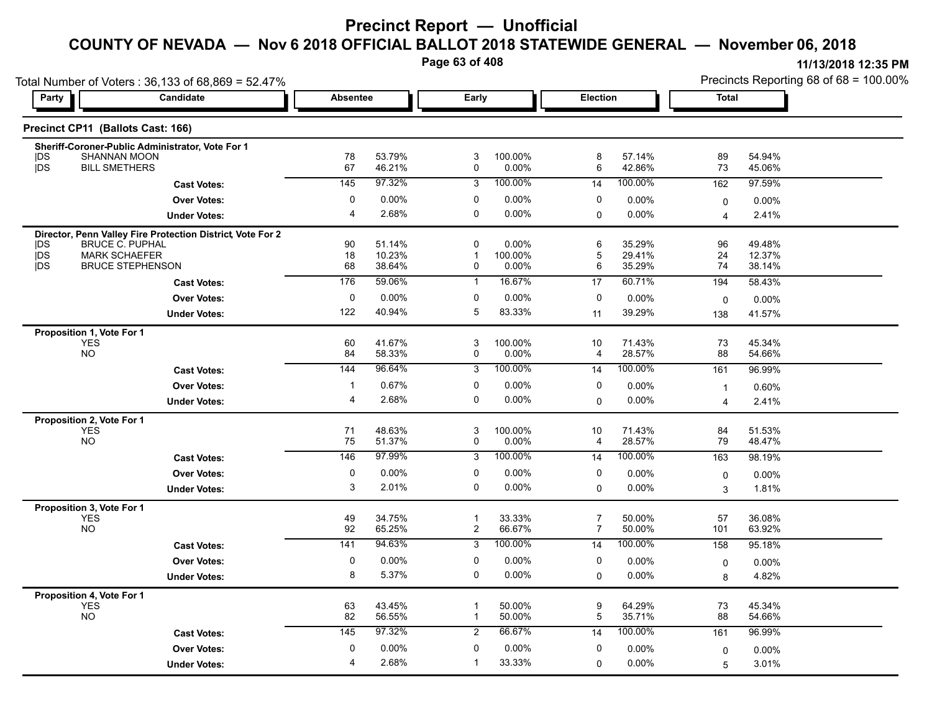**Page 63 of 408**

|                                           | Total Number of Voters: 36,133 of 68,869 = 52.47%          |                 |                  |                |                  |                 |                  |                  | Precincts Reporting 68 of 68 = 100.00% |
|-------------------------------------------|------------------------------------------------------------|-----------------|------------------|----------------|------------------|-----------------|------------------|------------------|----------------------------------------|
| Party                                     | Candidate                                                  | <b>Absentee</b> |                  | Early          |                  | Election        |                  | <b>Total</b>     |                                        |
| Precinct CP11 (Ballots Cast: 166)         |                                                            |                 |                  |                |                  |                 |                  |                  |                                        |
| <b>SHANNAN MOON</b><br> DS                | Sheriff-Coroner-Public Administrator, Vote For 1           | 78              | 53.79%           | 3              | 100.00%          | 8               | 57.14%           | 89               | 54.94%                                 |
| jDS<br><b>BILL SMETHERS</b>               |                                                            | 67              | 46.21%           | 0              | 0.00%            | 6               | 42.86%           | 73               | 45.06%                                 |
|                                           | <b>Cast Votes:</b>                                         | 145             | 97.32%           | 3              | 100.00%          | 14              | 100.00%          | 162              | 97.59%                                 |
|                                           | <b>Over Votes:</b>                                         | 0               | 0.00%            | 0              | 0.00%            | 0               | 0.00%            | 0                | $0.00\%$                               |
|                                           | <b>Under Votes:</b>                                        | $\overline{4}$  | 2.68%            | $\mathbf 0$    | $0.00\%$         | $\Omega$        | 0.00%            | $\overline{4}$   | 2.41%                                  |
|                                           | Director, Penn Valley Fire Protection District, Vote For 2 |                 |                  |                |                  |                 |                  |                  |                                        |
| <b>BRUCE C. PUPHAL</b><br>IDS.            |                                                            | 90              | 51.14%           | $\mathbf 0$    | 0.00%            | 6               | 35.29%           | 96               | 49.48%                                 |
| jDS<br><b>MARK SCHAEFER</b><br><b>jDS</b> | <b>BRUCE STEPHENSON</b>                                    | 18<br>68        | 10.23%<br>38.64% | -1<br>0        | 100.00%<br>0.00% | 5<br>6          | 29.41%<br>35.29% | 24<br>74         | 12.37%<br>38.14%                       |
|                                           | <b>Cast Votes:</b>                                         | 176             | 59.06%           | $\mathbf{1}$   | 16.67%           | 17              | 60.71%           | 194              | 58.43%                                 |
|                                           | <b>Over Votes:</b>                                         | 0               | 0.00%            | 0              | 0.00%            | 0               | 0.00%            | 0                | 0.00%                                  |
|                                           | <b>Under Votes:</b>                                        | 122             | 40.94%           | 5              | 83.33%           | 11              | 39.29%           | 138              | 41.57%                                 |
| Proposition 1, Vote For 1                 |                                                            |                 |                  |                |                  |                 |                  |                  |                                        |
| <b>YES</b>                                |                                                            | 60              | 41.67%           | 3              | 100.00%          | 10              | 71.43%           | 73               | 45.34%                                 |
| <b>NO</b>                                 |                                                            | 84              | 58.33%           | 0              | 0.00%            | 4               | 28.57%           | 88               | 54.66%                                 |
|                                           | <b>Cast Votes:</b>                                         | 144             | 96.64%           | 3              | 100.00%          | 14              | 100.00%          | 161              | 96.99%                                 |
|                                           | <b>Over Votes:</b>                                         | $\mathbf{1}$    | 0.67%            | 0              | 0.00%            | 0               | 0.00%            | $\mathbf{1}$     | 0.60%                                  |
|                                           | <b>Under Votes:</b>                                        | $\overline{4}$  | 2.68%            | $\mathbf 0$    | $0.00\%$         | 0               | 0.00%            | $\overline{4}$   | 2.41%                                  |
| Proposition 2, Vote For 1<br><b>YES</b>   |                                                            | 71              | 48.63%           | 3              | 100.00%          | 10              | 71.43%           | 84               | 51.53%                                 |
| <b>NO</b>                                 |                                                            | 75              | 51.37%           | 0              | 0.00%            | 4               | 28.57%           | 79               | 48.47%                                 |
|                                           | <b>Cast Votes:</b>                                         | 146             | 97.99%           | $\overline{3}$ | 100.00%          | 14              | 100.00%          | 163              | 98.19%                                 |
|                                           | <b>Over Votes:</b>                                         | $\mathbf 0$     | 0.00%            | $\mathbf 0$    | 0.00%            | $\mathbf 0$     | 0.00%            | 0                | 0.00%                                  |
|                                           | <b>Under Votes:</b>                                        | 3               | 2.01%            | $\mathbf 0$    | 0.00%            | 0               | 0.00%            | 3                | 1.81%                                  |
| Proposition 3, Vote For 1                 |                                                            |                 |                  |                |                  |                 |                  |                  |                                        |
| <b>YES</b>                                |                                                            | 49              | 34.75%           | $\overline{1}$ | 33.33%           | $\overline{7}$  | 50.00%           | 57               | 36.08%                                 |
| <b>NO</b>                                 |                                                            | 92              | 65.25%           | $\overline{2}$ | 66.67%           | $\overline{7}$  | 50.00%           | 101              | 63.92%                                 |
|                                           | <b>Cast Votes:</b>                                         | 141             | 94.63%           | $\overline{3}$ | 100.00%          | $\overline{14}$ | 100.00%          | 158              | 95.18%                                 |
|                                           | <b>Over Votes:</b>                                         | 0               | 0.00%            | 0              | 0.00%            | 0               | 0.00%            | 0                | 0.00%                                  |
|                                           | <b>Under Votes:</b>                                        | 8               | 5.37%            | $\mathbf 0$    | $0.00\%$         | 0               | 0.00%            | 8                | 4.82%                                  |
| Proposition 4, Vote For 1                 |                                                            |                 |                  |                |                  |                 |                  |                  |                                        |
| <b>YES</b><br><b>NO</b>                   |                                                            | 63<br>82        | 43.45%<br>56.55% | $\mathbf{1}$   | 50.00%<br>50.00% | 9<br>5          | 64.29%<br>35.71% | 73<br>88         | 45.34%<br>54.66%                       |
|                                           | <b>Cast Votes:</b>                                         | 145             | 97.32%           | $\overline{2}$ | 66.67%           | 14              | 100.00%          | 161              | 96.99%                                 |
|                                           | <b>Over Votes:</b>                                         | 0               | 0.00%            | 0              | 0.00%            | 0               | 0.00%            |                  |                                        |
|                                           | <b>Under Votes:</b>                                        | 4               | 2.68%            | $\mathbf{1}$   | 33.33%           | 0               | 0.00%            | $\mathbf 0$<br>5 | $0.00\%$<br>3.01%                      |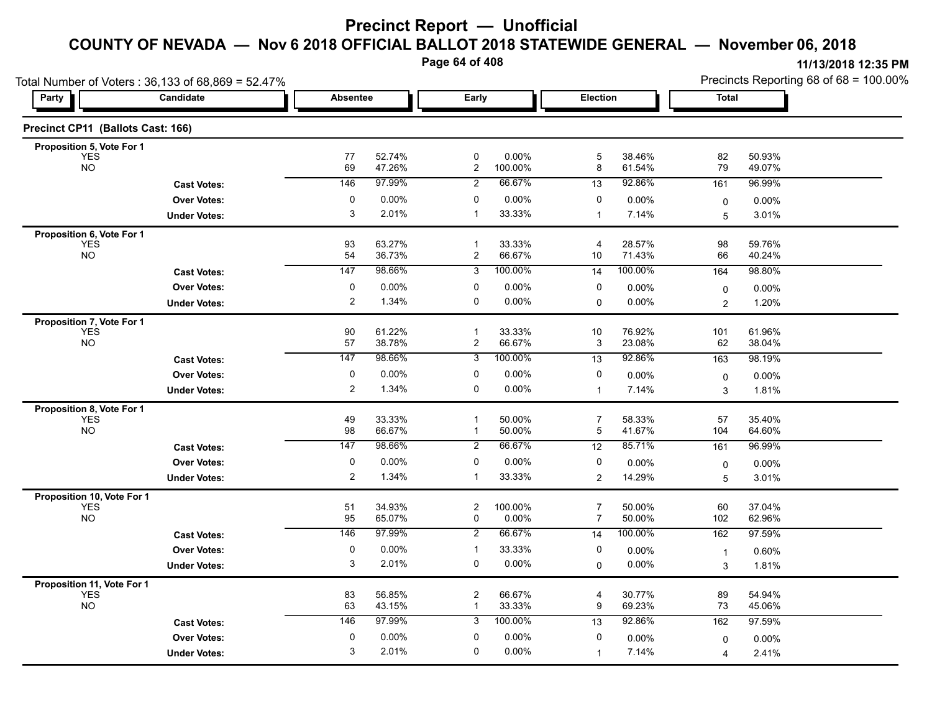**Page 64 of 408**

| Total Number of Voters: 36,133 of 68,869 = 52.47% |                     |                 |                   |                         |                   |                     |                   | Precincts Reporting 68 of 68 = 100.00% |                  |  |
|---------------------------------------------------|---------------------|-----------------|-------------------|-------------------------|-------------------|---------------------|-------------------|----------------------------------------|------------------|--|
| Party                                             | Candidate           | <b>Absentee</b> |                   | Early                   |                   | Election            |                   | Total                                  |                  |  |
| Precinct CP11 (Ballots Cast: 166)                 |                     |                 |                   |                         |                   |                     |                   |                                        |                  |  |
| Proposition 5, Vote For 1                         |                     |                 |                   |                         |                   |                     |                   |                                        |                  |  |
| <b>YES</b><br><b>NO</b>                           |                     | 77<br>69        | 52.74%<br>47.26%  | 0<br>$\overline{a}$     | 0.00%<br>100.00%  | $\mathbf 5$<br>8    | 38.46%<br>61.54%  | 82<br>79                               | 50.93%<br>49.07% |  |
|                                                   | <b>Cast Votes:</b>  | 146             | 97.99%            | $\overline{c}$          | 66.67%            | 13                  | 92.86%            | 161                                    | 96.99%           |  |
|                                                   | <b>Over Votes:</b>  | 0               | $0.00\%$          | 0                       | 0.00%             | 0                   | 0.00%             | 0                                      | 0.00%            |  |
|                                                   | <b>Under Votes:</b> | 3               | 2.01%             | $\mathbf 1$             | 33.33%            | $\mathbf{1}$        | 7.14%             | 5                                      | 3.01%            |  |
| Proposition 6, Vote For 1                         |                     |                 |                   |                         |                   |                     |                   |                                        |                  |  |
| <b>YES</b><br><b>NO</b>                           |                     | 93              | 63.27%            | $\mathbf{1}$            | 33.33%            | 4                   | 28.57%            | 98                                     | 59.76%           |  |
|                                                   |                     | 54<br>147       | 36.73%<br>98.66%  | $\overline{c}$<br>3     | 66.67%<br>100.00% | 10<br>14            | 71.43%<br>100.00% | 66                                     | 40.24%<br>98.80% |  |
|                                                   | <b>Cast Votes:</b>  |                 |                   |                         |                   |                     |                   | 164                                    |                  |  |
|                                                   | <b>Over Votes:</b>  | 0<br>2          | $0.00\%$<br>1.34% | 0<br>0                  | 0.00%<br>0.00%    | 0                   | 0.00%             | 0                                      | $0.00\%$         |  |
|                                                   | <b>Under Votes:</b> |                 |                   |                         |                   | 0                   | 0.00%             | $\overline{2}$                         | 1.20%            |  |
| Proposition 7, Vote For 1<br><b>YES</b>           |                     | 90              | 61.22%            | $\mathbf{1}$            | 33.33%            | 10                  | 76.92%            | 101                                    | 61.96%           |  |
| <b>NO</b>                                         |                     | 57              | 38.78%            | $\overline{\mathbf{c}}$ | 66.67%            | 3                   | 23.08%            | 62                                     | 38.04%           |  |
|                                                   | <b>Cast Votes:</b>  | 147             | 98.66%            | 3                       | 100.00%           | 13                  | 92.86%            | 163                                    | 98.19%           |  |
|                                                   | <b>Over Votes:</b>  | 0               | 0.00%             | 0                       | 0.00%             | 0                   | 0.00%             | 0                                      | 0.00%            |  |
|                                                   | <b>Under Votes:</b> | $\overline{c}$  | 1.34%             | 0                       | 0.00%             | $\mathbf{1}$        | 7.14%             | 3                                      | 1.81%            |  |
| Proposition 8, Vote For 1                         |                     |                 |                   |                         |                   |                     |                   |                                        |                  |  |
| YES<br><b>NO</b>                                  |                     | 49              | 33.33%            | $\mathbf 1$             | 50.00%            | $\overline{7}$      | 58.33%            | 57                                     | 35.40%           |  |
|                                                   |                     | 98              | 66.67%            | $\mathbf{1}$            | 50.00%            | 5                   | 41.67%            | 104                                    | 64.60%           |  |
|                                                   | <b>Cast Votes:</b>  | 147             | 98.66%            | 2                       | 66.67%            | $\overline{12}$     | 85.71%            | 161                                    | 96.99%           |  |
|                                                   | <b>Over Votes:</b>  | 0               | 0.00%             | 0                       | 0.00%             | 0                   | $0.00\%$          | 0                                      | $0.00\%$         |  |
|                                                   | <b>Under Votes:</b> | 2               | 1.34%             | -1                      | 33.33%            | $\overline{2}$      | 14.29%            | 5                                      | 3.01%            |  |
| Proposition 10, Vote For 1                        |                     |                 |                   |                         |                   |                     |                   |                                        |                  |  |
| <b>YES</b><br><b>NO</b>                           |                     | 51<br>95        | 34.93%<br>65.07%  | $\overline{c}$<br>0     | 100.00%<br>0.00%  | 7<br>$\overline{7}$ | 50.00%<br>50.00%  | 60<br>102                              | 37.04%<br>62.96% |  |
|                                                   | <b>Cast Votes:</b>  | 146             | 97.99%            | $\overline{2}$          | 66.67%            | 14                  | 100.00%           | 162                                    | 97.59%           |  |
|                                                   | <b>Over Votes:</b>  | 0               | $0.00\%$          | $\mathbf{1}$            | 33.33%            | 0                   | 0.00%             | $\overline{1}$                         | 0.60%            |  |
|                                                   | <b>Under Votes:</b> | 3               | 2.01%             | 0                       | 0.00%             | $\mathbf 0$         | $0.00\%$          | 3                                      | 1.81%            |  |
| Proposition 11, Vote For 1                        |                     |                 |                   |                         |                   |                     |                   |                                        |                  |  |
| <b>YES</b>                                        |                     | 83              | 56.85%            | $\overline{c}$          | 66.67%            | 4                   | 30.77%            | 89                                     | 54.94%           |  |
| <b>NO</b>                                         |                     | 63              | 43.15%            | $\mathbf{1}$            | 33.33%            | 9                   | 69.23%            | 73                                     | 45.06%           |  |
|                                                   | <b>Cast Votes:</b>  | 146             | 97.99%            | 3                       | 100.00%           | $\overline{13}$     | 92.86%            | 162                                    | 97.59%           |  |
|                                                   | <b>Over Votes:</b>  | 0               | $0.00\%$          | $\mathbf 0$             | 0.00%             | 0                   | 0.00%             | 0                                      | $0.00\%$         |  |
|                                                   | <b>Under Votes:</b> | 3               | 2.01%             | 0                       | 0.00%             | $\mathbf{1}$        | 7.14%             | 4                                      | 2.41%            |  |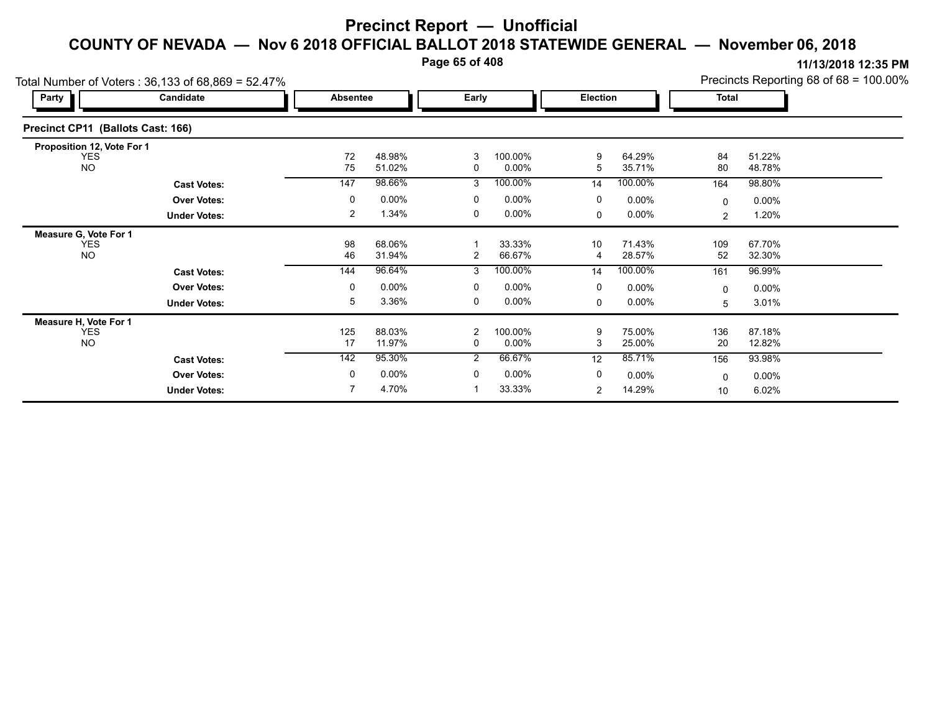**Page 65 of 408**

| Party                             | Total Number of Voters: 36,133 of 68,869 = 52.47%<br>Candidate | Absentee  |                  | Early          |                     | Election             |                  | <b>Total</b> |                  | Precincts Reporting 68 of 68 = 100.00% |
|-----------------------------------|----------------------------------------------------------------|-----------|------------------|----------------|---------------------|----------------------|------------------|--------------|------------------|----------------------------------------|
| Precinct CP11 (Ballots Cast: 166) |                                                                |           |                  |                |                     |                      |                  |              |                  |                                        |
| Proposition 12, Vote For 1        |                                                                |           |                  |                |                     |                      |                  |              |                  |                                        |
| <b>YES</b><br><b>NO</b>           |                                                                | 72<br>75  | 48.98%<br>51.02% | 3<br>0         | 100.00%<br>$0.00\%$ | 9<br>5               | 64.29%<br>35.71% | 84<br>80     | 51.22%<br>48.78% |                                        |
|                                   | <b>Cast Votes:</b>                                             | 147       | 98.66%           | 3              | 100.00%             | 14                   | 100.00%          | 164          | 98.80%           |                                        |
|                                   | <b>Over Votes:</b>                                             | 0         | $0.00\%$         | 0              | $0.00\%$            | 0                    | $0.00\%$         | $\Omega$     | $0.00\%$         |                                        |
|                                   | <b>Under Votes:</b>                                            | 2         | 1.34%            | 0              | $0.00\%$            | $\Omega$             | $0.00\%$         | 2            | 1.20%            |                                        |
| Measure G, Vote For 1             |                                                                |           |                  |                |                     |                      |                  |              |                  |                                        |
| <b>YES</b><br><b>NO</b>           |                                                                | 98<br>46  | 68.06%<br>31.94% | $\overline{2}$ | 33.33%<br>66.67%    | 10<br>$\overline{4}$ | 71.43%<br>28.57% | 109<br>52    | 67.70%<br>32.30% |                                        |
|                                   | <b>Cast Votes:</b>                                             | 144       | 96.64%           | 3              | 100.00%             | 14                   | 100.00%          | 161          | 96.99%           |                                        |
|                                   | <b>Over Votes:</b>                                             | 0         | $0.00\%$         | 0              | $0.00\%$            | 0                    | $0.00\%$         | 0            | $0.00\%$         |                                        |
|                                   | <b>Under Votes:</b>                                            | 5         | 3.36%            | 0              | $0.00\%$            | 0                    | $0.00\%$         | 5            | 3.01%            |                                        |
| Measure H, Vote For 1             |                                                                |           |                  |                |                     |                      |                  |              |                  |                                        |
| <b>YES</b><br><b>NO</b>           |                                                                | 125<br>17 | 88.03%<br>11.97% | 2<br>0         | 100.00%<br>$0.00\%$ | 9<br>3               | 75.00%<br>25.00% | 136<br>20    | 87.18%<br>12.82% |                                        |
|                                   | <b>Cast Votes:</b>                                             | 142       | 95.30%           | $\overline{2}$ | 66.67%              | 12                   | 85.71%           | 156          | 93.98%           |                                        |
|                                   | <b>Over Votes:</b>                                             | 0         | $0.00\%$         | 0              | $0.00\%$            | 0                    | $0.00\%$         | $\Omega$     | $0.00\%$         |                                        |
|                                   | <b>Under Votes:</b>                                            |           | 4.70%            |                | 33.33%              | 2                    | 14.29%           | 10           | 6.02%            |                                        |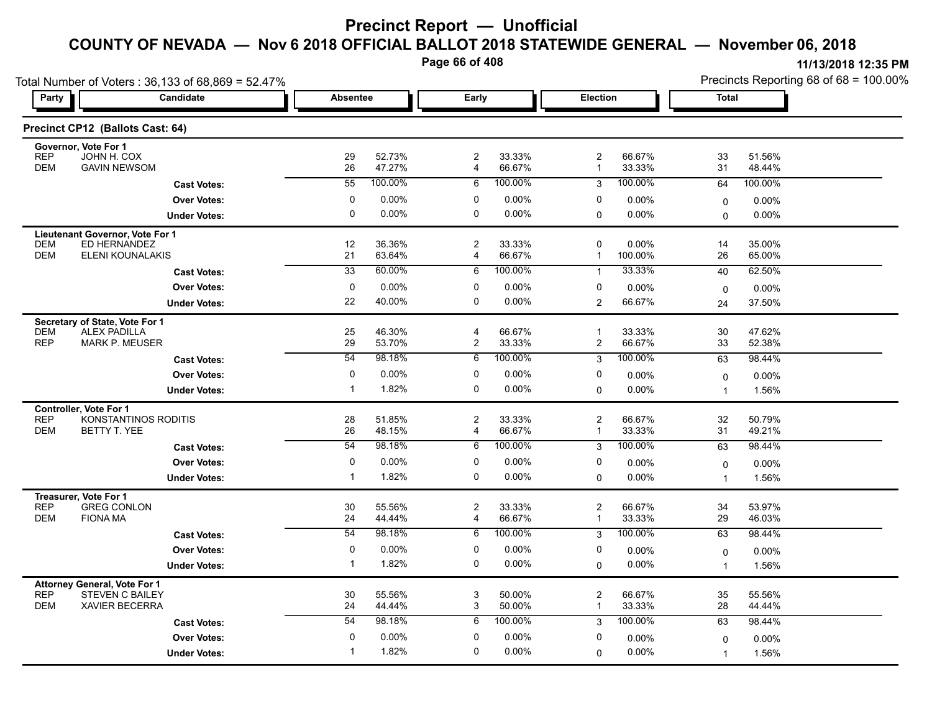**Page 66 of 408**

| Total Number of Voters: 36,133 of 68,869 = 52.47%                           |                     |                 |                  |                              |                  |                                         |                     | Precincts Reporting 68 of 68 = 100.00% |                  |  |
|-----------------------------------------------------------------------------|---------------------|-----------------|------------------|------------------------------|------------------|-----------------------------------------|---------------------|----------------------------------------|------------------|--|
| Party                                                                       | Candidate           | <b>Absentee</b> |                  | Early                        |                  | Election                                |                     | <b>Total</b>                           |                  |  |
| Precinct CP12 (Ballots Cast: 64)                                            |                     |                 |                  |                              |                  |                                         |                     |                                        |                  |  |
| Governor, Vote For 1                                                        |                     |                 |                  |                              |                  |                                         |                     |                                        |                  |  |
| <b>REP</b><br>JOHN H. COX<br><b>GAVIN NEWSOM</b><br><b>DEM</b>              |                     | 29<br>26        | 52.73%<br>47.27% | $\overline{\mathbf{c}}$<br>4 | 33.33%<br>66.67% | 2<br>$\mathbf{1}$                       | 66.67%<br>33.33%    | 33<br>31                               | 51.56%<br>48.44% |  |
|                                                                             | <b>Cast Votes:</b>  | 55              | 100.00%          | 6                            | 100.00%          | 3                                       | 100.00%             | 64                                     | 100.00%          |  |
|                                                                             | <b>Over Votes:</b>  | 0               | 0.00%            | 0                            | 0.00%            | 0                                       | 0.00%               | $\mathbf 0$                            | $0.00\%$         |  |
|                                                                             | <b>Under Votes:</b> | $\mathbf 0$     | 0.00%            | 0                            | 0.00%            | 0                                       | $0.00\%$            | $\mathbf 0$                            | $0.00\%$         |  |
| Lieutenant Governor, Vote For 1                                             |                     |                 |                  |                              |                  |                                         |                     |                                        |                  |  |
| <b>DEM</b><br>ED HERNANDEZ<br><b>DEM</b><br>ELENI KOUNALAKIS                |                     | 12<br>21        | 36.36%<br>63.64% | 2<br>4                       | 33.33%<br>66.67% | 0<br>$\mathbf{1}$                       | $0.00\%$<br>100.00% | 14<br>26                               | 35.00%<br>65.00% |  |
|                                                                             |                     | 33              | 60.00%           | 6                            | 100.00%          | $\mathbf{1}$                            | 33.33%              | 40                                     | 62.50%           |  |
|                                                                             | <b>Cast Votes:</b>  | 0               | 0.00%            | 0                            | 0.00%            |                                         |                     |                                        |                  |  |
|                                                                             | <b>Over Votes:</b>  | 22              | 40.00%           | 0                            | 0.00%            | 0<br>2                                  | $0.00\%$<br>66.67%  | 0                                      | 0.00%            |  |
|                                                                             | <b>Under Votes:</b> |                 |                  |                              |                  |                                         |                     | 24                                     | 37.50%           |  |
| Secretary of State, Vote For 1<br><b>DEM</b><br><b>ALEX PADILLA</b>         |                     | 25              | 46.30%           | 4                            | 66.67%           | $\mathbf{1}$                            | 33.33%              | 30                                     | 47.62%           |  |
| <b>REP</b><br><b>MARK P. MEUSER</b>                                         |                     | 29              | 53.70%           | 2                            | 33.33%           | $\overline{\mathbf{c}}$                 | 66.67%              | 33                                     | 52.38%           |  |
|                                                                             | <b>Cast Votes:</b>  | 54              | 98.18%           | 6                            | 100.00%          | 3                                       | 100.00%             | 63                                     | 98.44%           |  |
|                                                                             | <b>Over Votes:</b>  | 0               | 0.00%            | 0                            | 0.00%            | 0                                       | $0.00\%$            | $\mathbf 0$                            | 0.00%            |  |
|                                                                             | <b>Under Votes:</b> | $\mathbf 1$     | 1.82%            | 0                            | $0.00\%$         | 0                                       | 0.00%               | $\overline{1}$                         | 1.56%            |  |
| <b>Controller, Vote For 1</b>                                               |                     |                 |                  |                              |                  |                                         |                     |                                        |                  |  |
| KONSTANTINOS RODITIS<br><b>REP</b><br><b>DEM</b><br>BETTY T. YEE            |                     | 28<br>26        | 51.85%<br>48.15% | 2                            | 33.33%<br>66.67% | $\overline{\mathbf{c}}$<br>$\mathbf{1}$ | 66.67%<br>33.33%    | 32<br>31                               | 50.79%<br>49.21% |  |
|                                                                             |                     | $\overline{54}$ | 98.18%           | 4<br>6                       | 100.00%          |                                         | 100.00%             |                                        | 98.44%           |  |
|                                                                             | <b>Cast Votes:</b>  |                 |                  |                              |                  | 3                                       |                     | 63                                     |                  |  |
|                                                                             | <b>Over Votes:</b>  | 0               | 0.00%<br>1.82%   | 0<br>0                       | 0.00%<br>0.00%   | 0                                       | 0.00%               | $\Omega$                               | 0.00%            |  |
|                                                                             | <b>Under Votes:</b> | $\mathbf{1}$    |                  |                              |                  | $\Omega$                                | 0.00%               | $\overline{1}$                         | 1.56%            |  |
| Treasurer, Vote For 1<br><b>REP</b><br><b>GREG CONLON</b>                   |                     | 30              | 55.56%           | $\overline{\mathbf{c}}$      | 33.33%           | $\overline{\mathbf{c}}$                 | 66.67%              | 34                                     | 53.97%           |  |
| <b>DEM</b><br><b>FIONA MA</b>                                               |                     | 24              | 44.44%           | $\overline{4}$               | 66.67%           | $\mathbf{1}$                            | 33.33%              | 29                                     | 46.03%           |  |
|                                                                             | <b>Cast Votes:</b>  | 54              | 98.18%           | 6                            | 100.00%          | 3                                       | 100.00%             | 63                                     | 98.44%           |  |
|                                                                             | <b>Over Votes:</b>  | 0               | 0.00%            | 0                            | 0.00%            | 0                                       | $0.00\%$            | $\mathbf 0$                            | 0.00%            |  |
|                                                                             | <b>Under Votes:</b> | $\mathbf{1}$    | 1.82%            | 0                            | 0.00%            | 0                                       | $0.00\%$            | $\overline{1}$                         | 1.56%            |  |
| <b>Attorney General, Vote For 1</b>                                         |                     |                 |                  |                              |                  |                                         |                     |                                        |                  |  |
| <b>REP</b><br><b>STEVEN C BAILEY</b><br><b>DEM</b><br><b>XAVIER BECERRA</b> |                     | 30<br>24        | 55.56%<br>44.44% | 3<br>3                       | 50.00%<br>50.00% | $\overline{c}$<br>$\mathbf 1$           | 66.67%<br>33.33%    | 35<br>28                               | 55.56%           |  |
|                                                                             |                     | $\overline{54}$ |                  |                              | 100.00%          |                                         |                     |                                        | 44.44%           |  |
|                                                                             | <b>Cast Votes:</b>  |                 | 98.18%           | 6                            |                  | 3                                       | 100.00%             | 63                                     | 98.44%           |  |
|                                                                             | <b>Over Votes:</b>  | 0<br>-1         | 0.00%            | 0                            | 0.00%            | 0                                       | 0.00%               | $\Omega$                               | 0.00%            |  |
|                                                                             | <b>Under Votes:</b> |                 | 1.82%            | 0                            | 0.00%            | $\Omega$                                | 0.00%               | $\overline{1}$                         | 1.56%            |  |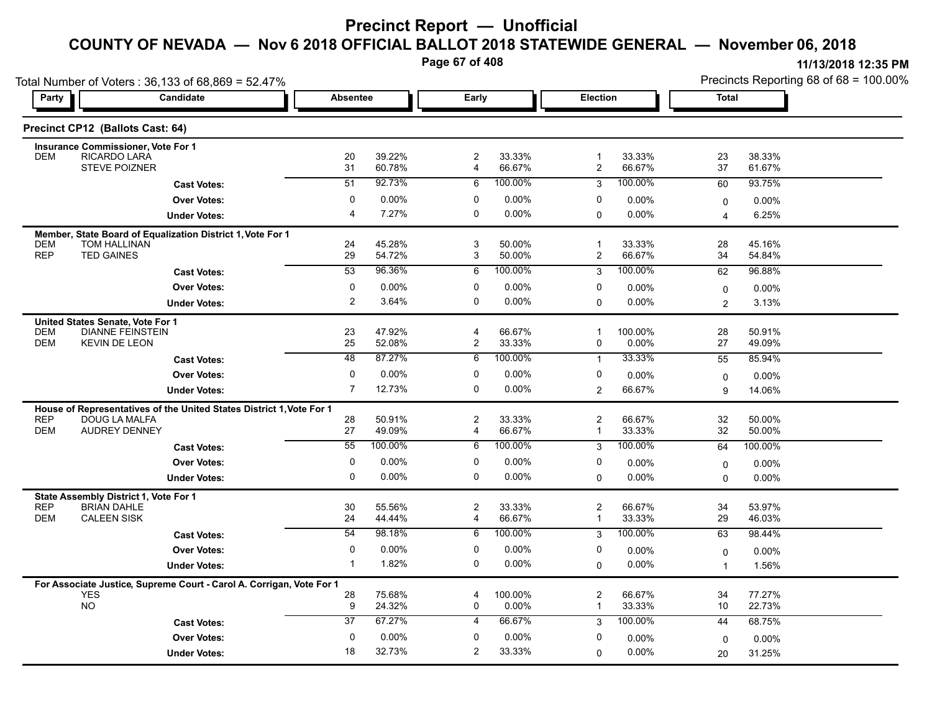**Page 67 of 408**

|                                                                      | Total Number of Voters: 36,133 of 68,869 = 52.47%                                     |                   |                  |                              |                   |                                |                   |                | Precincts Reporting 68 of 68 = 100.00% |
|----------------------------------------------------------------------|---------------------------------------------------------------------------------------|-------------------|------------------|------------------------------|-------------------|--------------------------------|-------------------|----------------|----------------------------------------|
| Party                                                                | Candidate                                                                             | <b>Absentee</b>   |                  | Early                        |                   | Election                       |                   | <b>Total</b>   |                                        |
| Precinct CP12 (Ballots Cast: 64)                                     |                                                                                       |                   |                  |                              |                   |                                |                   |                |                                        |
| <b>Insurance Commissioner, Vote For 1</b>                            |                                                                                       |                   |                  |                              |                   |                                |                   |                |                                        |
| RICARDO LARA<br><b>DEM</b>                                           | <b>STEVE POIZNER</b>                                                                  | 20<br>31          | 39.22%<br>60.78% | $\overline{c}$<br>4          | 33.33%<br>66.67%  | $\mathbf{1}$<br>$\overline{c}$ | 33.33%<br>66.67%  | 23<br>37       | 38.33%<br>61.67%                       |
|                                                                      | <b>Cast Votes:</b>                                                                    | 51                | 92.73%           | 6                            | 100.00%           | 3                              | 100.00%           | 60             | 93.75%                                 |
|                                                                      | <b>Over Votes:</b>                                                                    | $\mathbf 0$       | 0.00%            | 0                            | 0.00%             | 0                              | $0.00\%$          | $\mathbf 0$    | 0.00%                                  |
|                                                                      | <b>Under Votes:</b>                                                                   | 4                 | 7.27%            | 0                            | 0.00%             | 0                              | $0.00\%$          | 4              | 6.25%                                  |
|                                                                      | Member, State Board of Equalization District 1, Vote For 1                            |                   |                  |                              |                   |                                |                   |                |                                        |
| <b>TOM HALLINAN</b><br><b>DEM</b><br><b>REP</b><br><b>TED GAINES</b> |                                                                                       | 24<br>29          | 45.28%<br>54.72% | 3<br>3                       | 50.00%<br>50.00%  | $\mathbf{1}$<br>$\overline{c}$ | 33.33%<br>66.67%  | 28<br>34       | 45.16%<br>54.84%                       |
|                                                                      | <b>Cast Votes:</b>                                                                    | 53                | 96.36%           | 6                            | 100.00%           | 3                              | 100.00%           | 62             | 96.88%                                 |
|                                                                      | <b>Over Votes:</b>                                                                    | 0                 | 0.00%            | 0                            | 0.00%             | 0                              | 0.00%             | $\mathbf 0$    | 0.00%                                  |
|                                                                      | <b>Under Votes:</b>                                                                   | $\overline{2}$    | 3.64%            | 0                            | 0.00%             | $\Omega$                       | 0.00%             | $\overline{2}$ | 3.13%                                  |
| United States Senate, Vote For 1                                     |                                                                                       |                   |                  |                              |                   |                                |                   |                |                                        |
| <b>DEM</b>                                                           | <b>DIANNE FEINSTEIN</b>                                                               | 23                | 47.92%           | $\overline{4}$               | 66.67%            | $\mathbf{1}$                   | 100.00%           | 28             | 50.91%                                 |
| <b>DEM</b><br><b>KEVIN DE LEON</b>                                   |                                                                                       | 25                | 52.08%           | 2                            | 33.33%            | 0                              | $0.00\%$          | 27             | 49.09%                                 |
|                                                                      | <b>Cast Votes:</b>                                                                    | 48                | 87.27%           | 6                            | 100.00%           | $\mathbf{1}$                   | 33.33%            | 55             | 85.94%                                 |
|                                                                      | <b>Over Votes:</b>                                                                    | 0                 | $0.00\%$         | $\Omega$                     | 0.00%             | 0                              | 0.00%             | $\mathbf 0$    | 0.00%                                  |
|                                                                      | <b>Under Votes:</b>                                                                   | $\overline{7}$    | 12.73%           | 0                            | 0.00%             | 2                              | 66.67%            | 9              | 14.06%                                 |
| <b>REP</b>                                                           | House of Representatives of the United States District 1, Vote For 1<br>DOUG LA MALFA | 28                | 50.91%           | $\boldsymbol{2}$             | 33.33%            | $\overline{2}$                 | 66.67%            | $32\,$         | 50.00%                                 |
| <b>DEM</b>                                                           | <b>AUDREY DENNEY</b>                                                                  | 27                | 49.09%           | 4                            | 66.67%            | $\mathbf{1}$                   | 33.33%            | 32             | 50.00%                                 |
|                                                                      | <b>Cast Votes:</b>                                                                    | 55                | 100.00%          | 6                            | 100.00%           | 3                              | 100.00%           | 64             | 100.00%                                |
|                                                                      | <b>Over Votes:</b>                                                                    | 0                 | 0.00%            | 0                            | $0.00\%$          | 0                              | $0.00\%$          | $\mathbf 0$    | 0.00%                                  |
|                                                                      | <b>Under Votes:</b>                                                                   | $\mathbf{0}$      | 0.00%            | $\mathbf{0}$                 | 0.00%             | $\Omega$                       | $0.00\%$          | $\Omega$       | $0.00\%$                               |
| State Assembly District 1, Vote For 1                                |                                                                                       |                   |                  |                              |                   |                                |                   |                |                                        |
| <b>REP</b><br><b>BRIAN DAHLE</b>                                     |                                                                                       | 30                | 55.56%           | $\overline{2}$               | 33.33%            | $\overline{c}$                 | 66.67%            | 34             | 53.97%                                 |
| <b>CALEEN SISK</b><br><b>DEM</b>                                     |                                                                                       | 24<br>54          | 44.44%<br>98.18% | $\overline{\mathbf{4}}$<br>6 | 66.67%<br>100.00% | $\mathbf{1}$                   | 33.33%<br>100.00% | 29             | 46.03%                                 |
|                                                                      | <b>Cast Votes:</b>                                                                    |                   |                  |                              |                   | 3                              |                   | 63             | 98.44%                                 |
|                                                                      | <b>Over Votes:</b>                                                                    | 0<br>$\mathbf{1}$ | 0.00%<br>1.82%   | 0<br>0                       | 0.00%<br>0.00%    | 0<br>$\mathbf 0$               | 0.00%<br>0.00%    | 0              | 0.00%                                  |
|                                                                      | <b>Under Votes:</b>                                                                   |                   |                  |                              |                   |                                |                   | $\overline{1}$ | 1.56%                                  |
| <b>YES</b>                                                           | For Associate Justice, Supreme Court - Carol A. Corrigan, Vote For 1                  | 28                | 75.68%           | 4                            | 100.00%           | $\overline{c}$                 | 66.67%            | 34             | 77.27%                                 |
| <b>NO</b>                                                            |                                                                                       | 9                 | 24.32%           | 0                            | 0.00%             | $\mathbf{1}$                   | 33.33%            | 10             | 22.73%                                 |
|                                                                      | <b>Cast Votes:</b>                                                                    | 37                | 67.27%           | $\overline{4}$               | 66.67%            | 3                              | 100.00%           | 44             | 68.75%                                 |
|                                                                      | <b>Over Votes:</b>                                                                    | 0                 | 0.00%            | 0                            | 0.00%             | 0                              | 0.00%             | $\Omega$       | 0.00%                                  |
|                                                                      | <b>Under Votes:</b>                                                                   | 18                | 32.73%           | 2                            | 33.33%            | 0                              | $0.00\%$          | 20             | 31.25%                                 |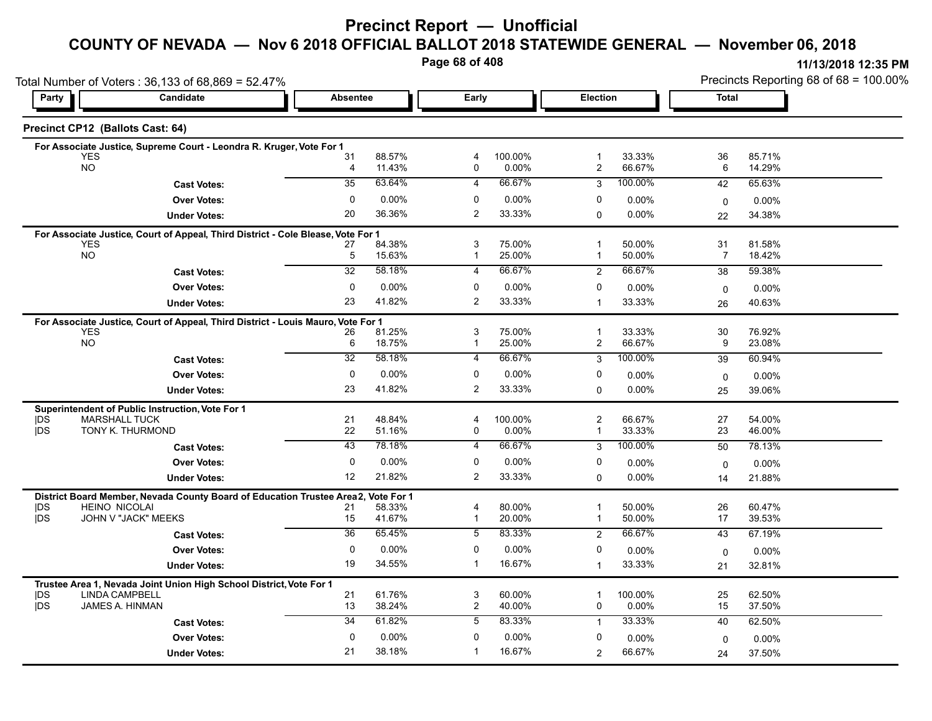### **Precinct Report — Unofficial**

## **COUNTY OF NEVADA — Nov 6 2018 OFFICIAL BALLOT 2018 STATEWIDE GENERAL — November 06, 2018**

**Page 68 of 408**

| Party                              |                                                                                  | Total Number of Voters: 36,133 of 68,869 = 52.47% |                      |                     |                  |                              |                  |                      | Precincts Reporting 68 of 68 = 100.00% |
|------------------------------------|----------------------------------------------------------------------------------|---------------------------------------------------|----------------------|---------------------|------------------|------------------------------|------------------|----------------------|----------------------------------------|
| Candidate                          |                                                                                  | <b>Absentee</b>                                   |                      | Early               |                  | Election                     |                  | <b>Total</b>         |                                        |
| Precinct CP12 (Ballots Cast: 64)   |                                                                                  |                                                   |                      |                     |                  |                              |                  |                      |                                        |
|                                    | For Associate Justice, Supreme Court - Leondra R. Kruger, Vote For 1             |                                                   |                      |                     |                  |                              |                  |                      |                                        |
| <b>YES</b><br><b>NO</b>            |                                                                                  | 31<br>$\overline{4}$                              | 88.57%<br>11.43%     | $\overline{4}$<br>0 | 100.00%<br>0.00% | $\mathbf 1$<br>2             | 33.33%<br>66.67% | 36<br>6              | 85.71%<br>14.29%                       |
|                                    | <b>Cast Votes:</b>                                                               | 35                                                | 63.64%               | $\overline{4}$      | 66.67%           | 3                            | 100.00%          | 42                   | 65.63%                                 |
|                                    |                                                                                  | $\Omega$                                          | $0.00\%$             | 0                   | 0.00%            | 0                            |                  |                      |                                        |
|                                    | <b>Over Votes:</b>                                                               | 20                                                | 36.36%               | 2                   | 33.33%           |                              | $0.00\%$         | 0                    | 0.00%                                  |
|                                    | <b>Under Votes:</b>                                                              |                                                   |                      |                     |                  | $\Omega$                     | 0.00%            | 22                   | 34.38%                                 |
|                                    | For Associate Justice, Court of Appeal, Third District - Cole Blease, Vote For 1 |                                                   |                      |                     |                  |                              |                  |                      |                                        |
| <b>YES</b><br><b>NO</b>            |                                                                                  | 27<br>$5\phantom{.0}$                             | 84.38%<br>15.63%     | 3<br>$\mathbf{1}$   | 75.00%<br>25.00% | $\mathbf{1}$<br>$\mathbf{1}$ | 50.00%<br>50.00% | 31<br>$\overline{7}$ | 81.58%<br>18.42%                       |
|                                    | <b>Cast Votes:</b>                                                               | 32                                                | 58.18%               | 4                   | 66.67%           | 2                            | 66.67%           | 38                   | 59.38%                                 |
|                                    | <b>Over Votes:</b>                                                               | 0                                                 | 0.00%                | 0                   | 0.00%            | 0                            | $0.00\%$         |                      |                                        |
|                                    | <b>Under Votes:</b>                                                              | 23                                                | 41.82%               | 2                   | 33.33%           | $\mathbf{1}$                 | 33.33%           | $\mathbf 0$          | $0.00\%$<br>40.63%                     |
|                                    |                                                                                  |                                                   |                      |                     |                  |                              |                  | 26                   |                                        |
| <b>YES</b>                         | For Associate Justice, Court of Appeal, Third District - Louis Mauro, Vote For 1 | 26                                                | 81.25%               | 3                   | 75.00%           | $\mathbf{1}$                 | 33.33%           | 30                   | 76.92%                                 |
| <b>NO</b>                          |                                                                                  | 6                                                 | 18.75%               | 1                   | 25.00%           | $\overline{c}$               | 66.67%           | 9                    | 23.08%                                 |
|                                    | <b>Cast Votes:</b>                                                               | $\overline{32}$                                   | 58.18%               | 4                   | 66.67%           | 3                            | 100.00%          | 39                   | 60.94%                                 |
|                                    | <b>Over Votes:</b>                                                               | 0                                                 | $0.00\%$             | 0                   | 0.00%            | 0                            | $0.00\%$         | $\mathbf 0$          | $0.00\%$                               |
|                                    | <b>Under Votes:</b>                                                              | 23                                                | 41.82%               | 2                   | 33.33%           | $\Omega$                     | 0.00%            | 25                   | 39.06%                                 |
|                                    |                                                                                  |                                                   |                      |                     |                  |                              |                  |                      |                                        |
| <b>IDS</b><br><b>MARSHALL TUCK</b> | Superintendent of Public Instruction, Vote For 1                                 | 21                                                | 48.84%               | $\overline{4}$      | 100.00%          | $\overline{2}$               | 66.67%           | 27                   | 54.00%                                 |
| <b>IDS</b><br>TONY K. THURMOND     |                                                                                  | 22                                                | 51.16%               | 0                   | 0.00%            | 1                            | 33.33%           | 23                   | 46.00%                                 |
|                                    | <b>Cast Votes:</b>                                                               | 43                                                | 78.18%               | 4                   | 66.67%           | 3                            | 100.00%          | 50                   | 78.13%                                 |
|                                    | <b>Over Votes:</b>                                                               | 0                                                 | $0.00\%$             | 0                   | 0.00%            | 0                            | $0.00\%$         | $\mathbf 0$          | 0.00%                                  |
|                                    | <b>Under Votes:</b>                                                              | 12                                                | 21.82%               | 2                   | 33.33%           | $\Omega$                     | 0.00%            | 14                   | 21.88%                                 |
|                                    |                                                                                  |                                                   |                      |                     |                  |                              |                  |                      |                                        |
| <b>HEINO NICOLAI</b><br><b>IDS</b> | District Board Member, Nevada County Board of Education Trustee Area2,           | 21                                                | Vote For 1<br>58.33% | 4                   | 80.00%           | $\mathbf{1}$                 | 50.00%           | 26                   | 60.47%                                 |
| <b>IDS</b><br>JOHN V "JACK" MEEKS  |                                                                                  | 15                                                | 41.67%               | $\mathbf{1}$        | 20.00%           | $\mathbf{1}$                 | 50.00%           | 17                   | 39.53%                                 |
|                                    | <b>Cast Votes:</b>                                                               | $\overline{36}$                                   | 65.45%               | 5                   | 83.33%           | 2                            | 66.67%           | 43                   | 67.19%                                 |
|                                    | <b>Over Votes:</b>                                                               | $\mathbf 0$                                       | $0.00\%$             | $\mathbf 0$         | 0.00%            | 0                            | $0.00\%$         | $\mathbf 0$          | $0.00\%$                               |
|                                    | <b>Under Votes:</b>                                                              | 19                                                | 34.55%               | $\mathbf{1}$        | 16.67%           | $\mathbf{1}$                 | 33.33%           | 21                   | 32.81%                                 |
|                                    |                                                                                  |                                                   |                      |                     |                  |                              |                  |                      |                                        |
| <b>LINDA CAMPBELL</b><br> DS       | Trustee Area 1, Nevada Joint Union High School District, Vote For 1              | 21                                                | 61.76%               | 3                   | 60.00%           | 1                            | 100.00%          | 25                   | 62.50%                                 |
| <b>IDS</b><br>JAMES A. HINMAN      |                                                                                  | 13                                                | 38.24%               | $\overline{c}$      | 40.00%           | 0                            | 0.00%            | 15                   | 37.50%                                 |
|                                    | <b>Cast Votes:</b>                                                               | 34                                                | 61.82%               | 5                   | 83.33%           | $\mathbf{1}$                 | 33.33%           | 40                   | 62.50%                                 |
|                                    |                                                                                  |                                                   |                      |                     |                  |                              |                  |                      |                                        |
|                                    | <b>Over Votes:</b>                                                               | $\mathbf 0$                                       | $0.00\%$             | $\mathbf{0}$        | 0.00%            | 0                            | $0.00\%$         | 0                    | $0.00\%$                               |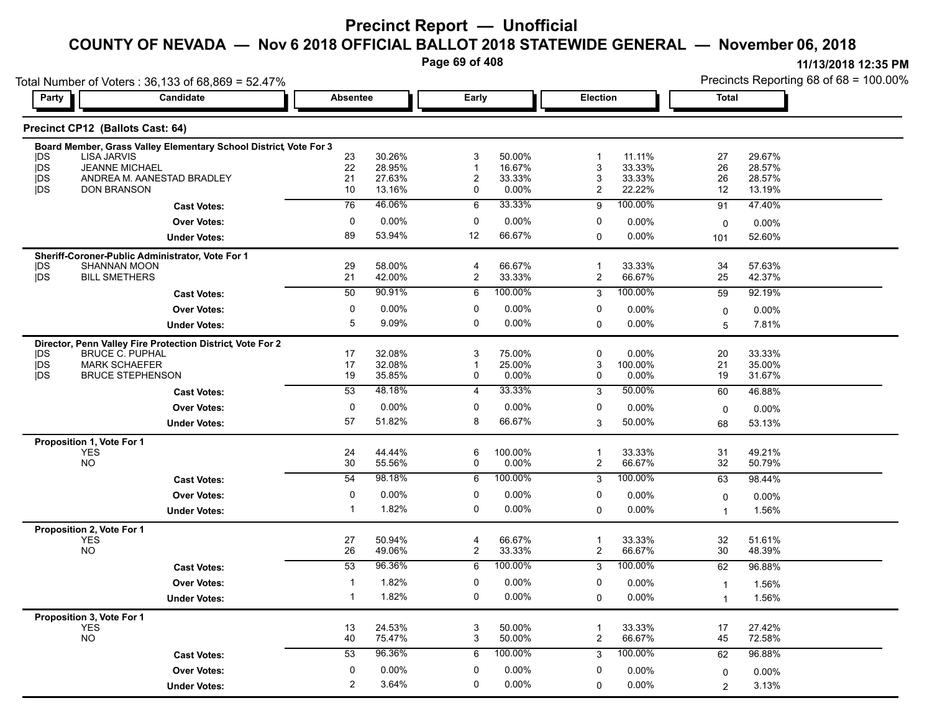**Page 69 of 408**

|                          | Total Number of Voters: 36,133 of 68,869 = 52.47%                 |                |                  |                |                  |                 |                    | Precincts Reporting 68 of 68 = 100.00% |                  |  |
|--------------------------|-------------------------------------------------------------------|----------------|------------------|----------------|------------------|-----------------|--------------------|----------------------------------------|------------------|--|
| Party                    | Candidate                                                         | Absentee       |                  | Early          |                  | <b>Election</b> |                    | <b>Total</b>                           |                  |  |
|                          | Precinct CP12 (Ballots Cast: 64)                                  |                |                  |                |                  |                 |                    |                                        |                  |  |
|                          | Board Member, Grass Valley Elementary School District, Vote For 3 |                |                  |                |                  |                 |                    |                                        |                  |  |
| <b>IDS</b>               | <b>LISA JARVIS</b>                                                | 23             | 30.26%           | 3              | 50.00%           | -1              | 11.11%             | 27                                     | 29.67%           |  |
| <b>IDS</b><br><b>IDS</b> | <b>JEANNE MICHAEL</b><br>ANDREA M. AANESTAD BRADLEY               | 22<br>21       | 28.95%<br>27.63% | 2              | 16.67%<br>33.33% | 3<br>3          | 33.33%<br>33.33%   | 26<br>26                               | 28.57%<br>28.57% |  |
| <b>IDS</b>               | <b>DON BRANSON</b>                                                | 10             | 13.16%           | 0              | 0.00%            | 2               | 22.22%             | 12                                     | 13.19%           |  |
|                          | <b>Cast Votes:</b>                                                | 76             | 46.06%           | 6              | 33.33%           | 9               | 100.00%            | 91                                     | 47.40%           |  |
|                          | <b>Over Votes:</b>                                                | 0              | 0.00%            | 0              | 0.00%            | 0               | $0.00\%$           | 0                                      | 0.00%            |  |
|                          | <b>Under Votes:</b>                                               | 89             | 53.94%           | 12             | 66.67%           | 0               | $0.00\%$           | 101                                    | 52.60%           |  |
|                          | Sheriff-Coroner-Public Administrator, Vote For 1                  |                |                  |                |                  |                 |                    |                                        |                  |  |
| <b>IDS</b>               | <b>SHANNAN MOON</b>                                               | 29             | 58.00%           | 4              | 66.67%           | -1              | 33.33%             | 34                                     | 57.63%           |  |
| <b>IDS</b>               | <b>BILL SMETHERS</b>                                              | 21             | 42.00%           | $\overline{2}$ | 33.33%           | $\overline{c}$  | 66.67%             | 25                                     | 42.37%           |  |
|                          | <b>Cast Votes:</b>                                                | 50             | 90.91%           | 6              | 100.00%          | 3               | 100.00%            | 59                                     | 92.19%           |  |
|                          | <b>Over Votes:</b>                                                | 0              | 0.00%            | 0              | 0.00%            | 0               | 0.00%              | 0                                      | 0.00%            |  |
|                          | <b>Under Votes:</b>                                               | 5              | 9.09%            | 0              | $0.00\%$         | 0               | 0.00%              | 5                                      | 7.81%            |  |
|                          | Director, Penn Valley Fire Protection District, Vote For 2        |                |                  |                |                  |                 |                    |                                        |                  |  |
| <b>IDS</b>               | <b>BRUCE C. PUPHAL</b>                                            | 17             | 32.08%           | 3              | 75.00%           | 0               | 0.00%              | 20                                     | 33.33%           |  |
| <b>IDS</b>               | <b>MARK SCHAEFER</b>                                              | 17             | 32.08%           |                | 25.00%<br>0.00%  | 3<br>0          | 100.00%            | 21                                     | 35.00%           |  |
| <b>IDS</b>               | <b>BRUCE STEPHENSON</b>                                           | 19<br>53       | 35.85%<br>48.18% | 0<br>4         | 33.33%           |                 | $0.00\%$<br>50.00% | 19                                     | 31.67%<br>46.88% |  |
|                          | <b>Cast Votes:</b>                                                |                |                  |                |                  | 3               |                    | 60                                     |                  |  |
|                          | <b>Over Votes:</b>                                                | 0              | 0.00%            | 0              | 0.00%            | 0               | 0.00%              | 0                                      | 0.00%            |  |
|                          | <b>Under Votes:</b>                                               | 57             | 51.82%           | 8              | 66.67%           | 3               | 50.00%             | 68                                     | 53.13%           |  |
|                          | Proposition 1, Vote For 1<br><b>YES</b>                           | 24             | 44.44%           | 6              | 100.00%          |                 | 33.33%             | 31                                     | 49.21%           |  |
|                          | <b>NO</b>                                                         | 30             | 55.56%           | 0              | 0.00%            | $\overline{c}$  | 66.67%             | 32                                     | 50.79%           |  |
|                          | <b>Cast Votes:</b>                                                | 54             | 98.18%           | 6              | 100.00%          | 3               | 100.00%            | 63                                     | 98.44%           |  |
|                          | <b>Over Votes:</b>                                                | 0              | 0.00%            | 0              | $0.00\%$         | 0               | 0.00%              | 0                                      | $0.00\%$         |  |
|                          | <b>Under Votes:</b>                                               | -1             | 1.82%            | 0              | $0.00\%$         | 0               | 0.00%              | $\mathbf 1$                            | 1.56%            |  |
|                          | Proposition 2, Vote For 1                                         |                |                  |                |                  |                 |                    |                                        |                  |  |
|                          | <b>YES</b>                                                        | 27             | 50.94%           | 4              | 66.67%           | $\mathbf 1$     | 33.33%             | 32                                     | 51.61%           |  |
|                          | <b>NO</b>                                                         | 26             | 49.06%           | $\overline{c}$ | 33.33%           | 2               | 66.67%             | 30                                     | 48.39%           |  |
|                          | <b>Cast Votes:</b>                                                | 53             | 96.36%           | 6              | 100.00%          | 3               | 100.00%            | 62                                     | 96.88%           |  |
|                          | <b>Over Votes:</b>                                                | -1             | 1.82%            | 0              | 0.00%            | 0               | $0.00\%$           | 1                                      | 1.56%            |  |
|                          | <b>Under Votes:</b>                                               |                | 1.82%            | 0              | $0.00\%$         | 0               | 0.00%              | 1                                      | 1.56%            |  |
|                          | Proposition 3, Vote For 1                                         |                |                  |                |                  |                 |                    |                                        |                  |  |
|                          | <b>YES</b>                                                        | 13             | 24.53%           | 3              | 50.00%           | 1               | 33.33%             | 17                                     | 27.42%           |  |
|                          | <b>NO</b>                                                         | 40             | 75.47%           | 3              | 50.00%           | $\overline{2}$  | 66.67%             | 45                                     | 72.58%           |  |
|                          | <b>Cast Votes:</b>                                                | 53             | 96.36%           | 6              | 100.00%          | 3               | 100.00%            | 62                                     | 96.88%           |  |
|                          | <b>Over Votes:</b>                                                | 0              | 0.00%            | 0              | 0.00%            | 0               | 0.00%              | 0                                      | $0.00\%$         |  |
|                          | <b>Under Votes:</b>                                               | $\overline{2}$ | 3.64%            | 0              | 0.00%            | 0               | 0.00%              | $\overline{2}$                         | 3.13%            |  |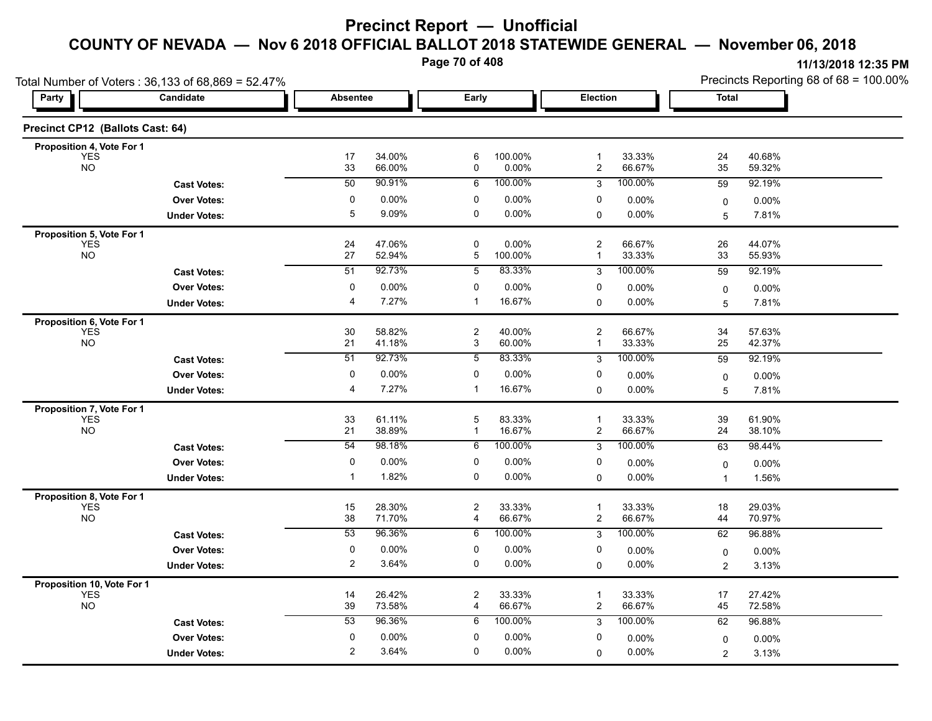**Page 70 of 408**

| Total Number of Voters: 36,133 of 68,869 = 52.47% |                     |                 |                  |                     |                  |                                  |                  | Precincts Reporting 68 of 68 = 100.00% |                  |  |
|---------------------------------------------------|---------------------|-----------------|------------------|---------------------|------------------|----------------------------------|------------------|----------------------------------------|------------------|--|
| Party                                             | Candidate           | <b>Absentee</b> |                  | Early               |                  | Election                         |                  | Total                                  |                  |  |
| Precinct CP12 (Ballots Cast: 64)                  |                     |                 |                  |                     |                  |                                  |                  |                                        |                  |  |
| Proposition 4, Vote For 1                         |                     |                 |                  |                     |                  |                                  |                  |                                        |                  |  |
| <b>YES</b><br><b>NO</b>                           |                     | 17<br>33        | 34.00%<br>66.00% | 6<br>0              | 100.00%<br>0.00% | $\mathbf{1}$<br>$\overline{c}$   | 33.33%<br>66.67% | 24<br>35                               | 40.68%<br>59.32% |  |
|                                                   | <b>Cast Votes:</b>  | $\overline{50}$ | 90.91%           | 6                   | 100.00%          | 3                                | 100.00%          | 59                                     | 92.19%           |  |
|                                                   | <b>Over Votes:</b>  | 0               | $0.00\%$         | 0                   | 0.00%            | 0                                | 0.00%            | 0                                      | $0.00\%$         |  |
|                                                   | <b>Under Votes:</b> | 5               | 9.09%            | $\mathbf 0$         | 0.00%            | 0                                | 0.00%            | 5                                      | 7.81%            |  |
| Proposition 5, Vote For 1                         |                     |                 |                  |                     |                  |                                  |                  |                                        |                  |  |
| YES<br>NO                                         |                     | 24<br>27        | 47.06%<br>52.94% | 0<br>$\mathbf 5$    | 0.00%<br>100.00% | $\overline{2}$<br>$\mathbf{1}$   | 66.67%<br>33.33% | 26<br>33                               | 44.07%<br>55.93% |  |
|                                                   | <b>Cast Votes:</b>  | 51              | 92.73%           | 5                   | 83.33%           | 3                                | 100.00%          | 59                                     | 92.19%           |  |
|                                                   | <b>Over Votes:</b>  | 0               | 0.00%            | 0                   | 0.00%            | 0                                | 0.00%            | 0                                      | 0.00%            |  |
|                                                   | <b>Under Votes:</b> | 4               | 7.27%            | $\mathbf 1$         | 16.67%           | $\Omega$                         | 0.00%            | 5                                      | 7.81%            |  |
| Proposition 6, Vote For 1                         |                     |                 |                  |                     |                  |                                  |                  |                                        |                  |  |
| <b>YES</b>                                        |                     | 30              | 58.82%           | $\overline{c}$      | 40.00%           | $\overline{c}$                   | 66.67%           | 34                                     | 57.63%           |  |
| <b>NO</b>                                         |                     | 21              | 41.18%           | 3                   | 60.00%           | $\mathbf{1}$                     | 33.33%           | 25                                     | 42.37%           |  |
|                                                   | <b>Cast Votes:</b>  | $\overline{51}$ | 92.73%           | $\overline{5}$      | 83.33%           | 3                                | 100.00%          | 59                                     | 92.19%           |  |
|                                                   | <b>Over Votes:</b>  | 0               | $0.00\%$         | 0                   | 0.00%            | 0                                | $0.00\%$         | 0                                      | 0.00%            |  |
|                                                   | <b>Under Votes:</b> | $\overline{4}$  | 7.27%            | $\mathbf{1}$        | 16.67%           | 0                                | 0.00%            | 5                                      | 7.81%            |  |
| Proposition 7, Vote For 1                         |                     |                 |                  |                     |                  |                                  |                  |                                        |                  |  |
| <b>YES</b><br><b>NO</b>                           |                     | 33<br>21        | 61.11%<br>38.89% | 5<br>1              | 83.33%<br>16.67% | $\overline{1}$<br>$\overline{c}$ | 33.33%<br>66.67% | 39<br>24                               | 61.90%<br>38.10% |  |
|                                                   | <b>Cast Votes:</b>  | $\overline{54}$ | 98.18%           | 6                   | 100.00%          | 3                                | 100.00%          | 63                                     | 98.44%           |  |
|                                                   | <b>Over Votes:</b>  | 0               | 0.00%            | 0                   | $0.00\%$         | 0                                | 0.00%            | 0                                      | $0.00\%$         |  |
|                                                   | <b>Under Votes:</b> | $\mathbf 1$     | 1.82%            | 0                   | 0.00%            | $\Omega$                         | 0.00%            | 1                                      | 1.56%            |  |
| Proposition 8, Vote For 1                         |                     |                 |                  |                     |                  |                                  |                  |                                        |                  |  |
| <b>YES</b>                                        |                     | 15              | 28.30%           | $\boldsymbol{2}$    | 33.33%           | $\overline{1}$                   | 33.33%           | 18                                     | 29.03%           |  |
| <b>NO</b>                                         |                     | 38              | 71.70%           | 4                   | 66.67%           | $\overline{c}$                   | 66.67%           | 44                                     | 70.97%           |  |
|                                                   | <b>Cast Votes:</b>  | 53              | 96.36%           | 6                   | 100.00%          | 3                                | 100.00%          | 62                                     | 96.88%           |  |
|                                                   | <b>Over Votes:</b>  | 0               | $0.00\%$         | 0                   | 0.00%            | 0                                | 0.00%            | 0                                      | 0.00%            |  |
|                                                   | <b>Under Votes:</b> | 2               | 3.64%            | 0                   | $0.00\%$         | 0                                | 0.00%            | $\overline{c}$                         | 3.13%            |  |
| Proposition 10, Vote For 1                        |                     |                 |                  |                     |                  |                                  |                  |                                        |                  |  |
| <b>YES</b><br><b>NO</b>                           |                     | 14<br>39        | 26.42%<br>73.58% | $\overline{c}$<br>4 | 33.33%<br>66.67% | 1<br>$\overline{\mathbf{c}}$     | 33.33%<br>66.67% | 17<br>45                               | 27.42%<br>72.58% |  |
|                                                   |                     | 53              | 96.36%           | 6                   | 100.00%          | 3                                | 100.00%          | 62                                     | 96.88%           |  |
|                                                   | <b>Cast Votes:</b>  | 0               | 0.00%            | 0                   | $0.00\%$         | 0                                |                  |                                        |                  |  |
|                                                   | <b>Over Votes:</b>  | 2               | 3.64%            | 0                   | 0.00%            |                                  | 0.00%            | 0                                      | 0.00%            |  |
|                                                   | <b>Under Votes:</b> |                 |                  |                     |                  | $\Omega$                         | 0.00%            | $\overline{c}$                         | 3.13%            |  |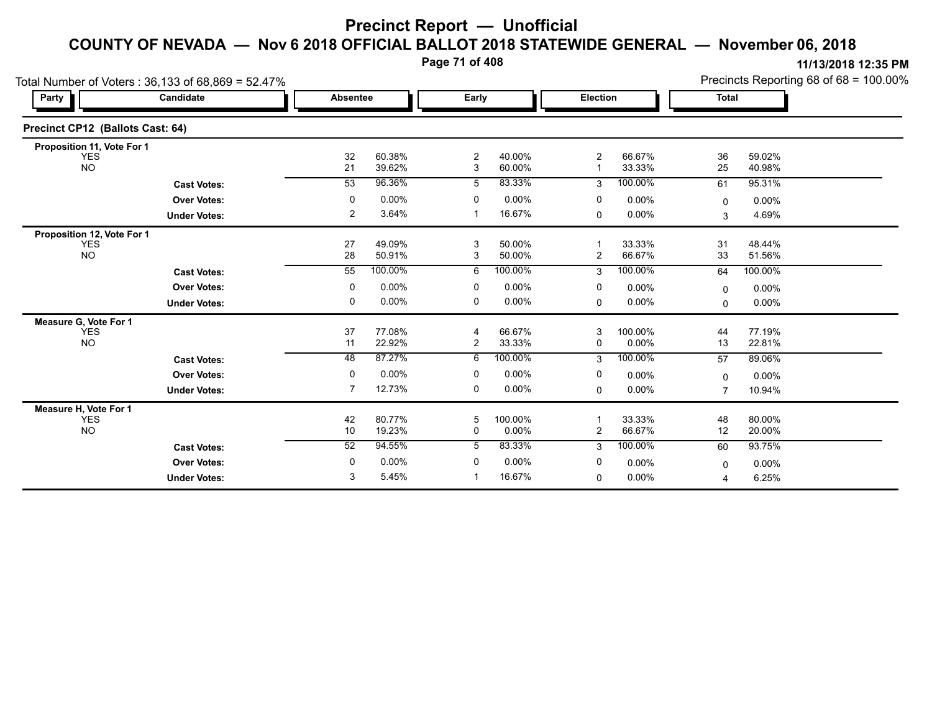**Page 71 of 408**

|                                  | Total Number of Voters: 36,133 of 68,869 = 52.47% |                 |                  |                     |                  |                     |                  |                | Precincts Reporting 68 of 68 = 100.00% |  |
|----------------------------------|---------------------------------------------------|-----------------|------------------|---------------------|------------------|---------------------|------------------|----------------|----------------------------------------|--|
| Party                            | Candidate                                         | <b>Absentee</b> |                  | Early               |                  | Election            |                  | <b>Total</b>   |                                        |  |
| Precinct CP12 (Ballots Cast: 64) |                                                   |                 |                  |                     |                  |                     |                  |                |                                        |  |
| Proposition 11, Vote For 1       |                                                   |                 |                  |                     |                  |                     |                  |                |                                        |  |
| <b>YES</b><br><b>NO</b>          |                                                   | 32<br>21        | 60.38%<br>39.62% | $\overline{c}$<br>3 | 40.00%<br>60.00% | $\overline{2}$<br>1 | 66.67%<br>33.33% | 36<br>25       | 59.02%<br>40.98%                       |  |
|                                  | <b>Cast Votes:</b>                                | 53              | 96.36%           | 5                   | 83.33%           | 3                   | 100.00%          | 61             | 95.31%                                 |  |
|                                  | <b>Over Votes:</b>                                | 0               | 0.00%            | 0                   | 0.00%            | 0                   | $0.00\%$         | $\mathbf{0}$   | $0.00\%$                               |  |
|                                  | <b>Under Votes:</b>                               | 2               | 3.64%            | -1                  | 16.67%           | $\mathbf 0$         | $0.00\%$         | 3              | 4.69%                                  |  |
| Proposition 12, Vote For 1       |                                                   |                 |                  |                     |                  |                     |                  |                |                                        |  |
| <b>YES</b><br><b>NO</b>          |                                                   | 27<br>28        | 49.09%<br>50.91% | 3<br>3              | 50.00%<br>50.00% | $\overline{2}$      | 33.33%<br>66.67% | 31<br>33       | 48.44%<br>51.56%                       |  |
|                                  | <b>Cast Votes:</b>                                | 55              | 100.00%          | 6                   | 100.00%          | 3                   | 100.00%          | 64             | 100.00%                                |  |
|                                  | <b>Over Votes:</b>                                | $\mathbf 0$     | 0.00%            | $\mathbf 0$         | 0.00%            | 0                   | 0.00%            | $\mathbf{0}$   | 0.00%                                  |  |
|                                  | <b>Under Votes:</b>                               | 0               | 0.00%            | 0                   | $0.00\%$         | 0                   | $0.00\%$         | $\mathbf 0$    | $0.00\%$                               |  |
| Measure G, Vote For 1            |                                                   |                 |                  |                     |                  |                     |                  |                |                                        |  |
| <b>YES</b><br><b>NO</b>          |                                                   | 37<br>11        | 77.08%<br>22.92% | 4<br>$\overline{2}$ | 66.67%<br>33.33% | 3<br>$\mathbf 0$    | 100.00%<br>0.00% | 44<br>13       | 77.19%<br>22.81%                       |  |
|                                  | <b>Cast Votes:</b>                                | $\overline{48}$ | 87.27%           | 6                   | 100.00%          | 3                   | 100.00%          | 57             | 89.06%                                 |  |
|                                  | <b>Over Votes:</b>                                | $\Omega$        | 0.00%            | 0                   | 0.00%            | 0                   | 0.00%            | 0              | 0.00%                                  |  |
|                                  | <b>Under Votes:</b>                               | 7               | 12.73%           | 0                   | $0.00\%$         | 0                   | 0.00%            | $\overline{7}$ | 10.94%                                 |  |
| Measure H, Vote For 1            |                                                   |                 |                  |                     |                  |                     |                  |                |                                        |  |
| YES<br><b>NO</b>                 |                                                   | 42<br>10        | 80.77%<br>19.23% | 5<br>0              | 100.00%<br>0.00% | $\overline{2}$      | 33.33%<br>66.67% | 48<br>12       | 80.00%<br>20.00%                       |  |
|                                  | <b>Cast Votes:</b>                                | 52              | 94.55%           | 5                   | 83.33%           | 3                   | 100.00%          | 60             | 93.75%                                 |  |
|                                  | <b>Over Votes:</b>                                | 0               | 0.00%            | 0                   | 0.00%            | 0                   | 0.00%            | 0              | $0.00\%$                               |  |
|                                  | <b>Under Votes:</b>                               | 3               | 5.45%            |                     | 16.67%           | $\mathbf 0$         | 0.00%            | 4              | 6.25%                                  |  |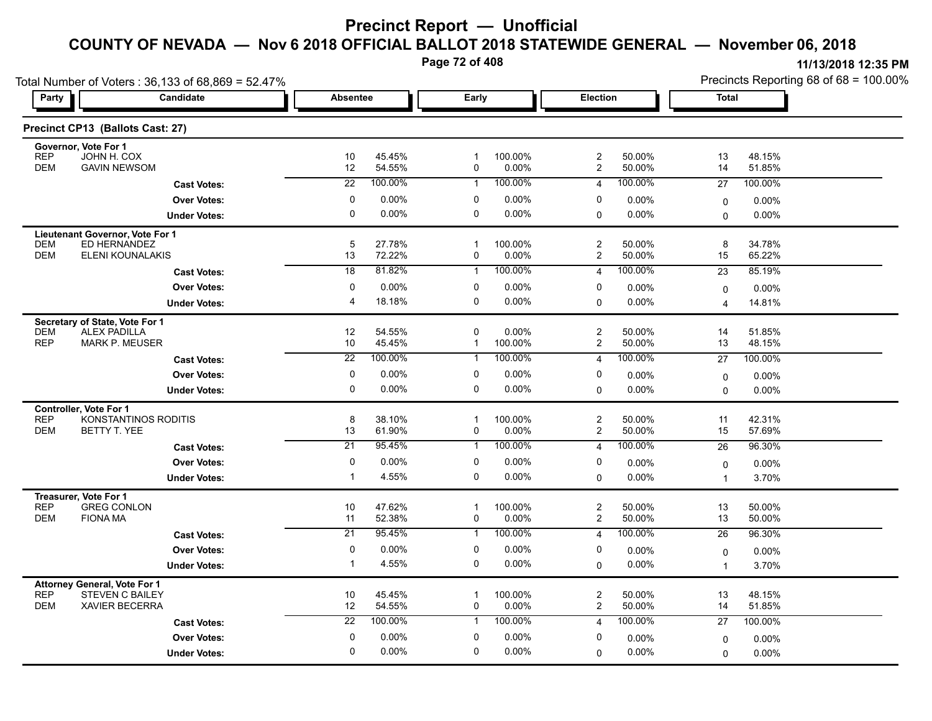**Page 72 of 408**

| Total Number of Voters: 36,133 of 68,869 = 52.47%                                      |                       |                  | ັ     |                     |                 |                  |              | Precincts Reporting 68 of 68 = 100.00% | 111101201012120011 |
|----------------------------------------------------------------------------------------|-----------------------|------------------|-------|---------------------|-----------------|------------------|--------------|----------------------------------------|--------------------|
| Party<br>Candidate                                                                     | Absentee              |                  | Early |                     | <b>Election</b> |                  | <b>Total</b> |                                        |                    |
| Precinct CP13 (Ballots Cast: 27)                                                       |                       |                  |       |                     |                 |                  |              |                                        |                    |
| Governor, Vote For 1<br>JOHN H. COX<br><b>REP</b><br><b>DEM</b><br><b>GAVIN NEWSOM</b> | 10<br>12 <sup>°</sup> | 45.45%<br>54.55% |       | 100.00%<br>$0.00\%$ |                 | 50.00%<br>50.00% | 13<br>14     | 48.15%<br>51.85%                       |                    |
| <b>Cast Votes:</b>                                                                     | 22                    | 100.00%          |       | 100.00%             |                 | 100.00%          | 27           | 100.00%                                |                    |
| <b>Over Votes:</b>                                                                     |                       | $0.00\%$         | 0     | $0.00\%$            | 0               | $0.00\%$         |              | $0.00\%$                               |                    |
| <b>Under Votes:</b>                                                                    |                       | $0.00\%$         | 0     | 0.00%               | 0               | $0.00\%$         | <sup>0</sup> | $0.00\%$                               |                    |

|            | UIIUUI VULUJ.                   |                 |         |              |          |                |          |             | <b>0.000</b> |  |
|------------|---------------------------------|-----------------|---------|--------------|----------|----------------|----------|-------------|--------------|--|
|            | Lieutenant Governor, Vote For 1 |                 |         |              |          |                |          |             |              |  |
| <b>DEM</b> | ED HERNANDEZ                    | 5               | 27.78%  | 1            | 100.00%  | $\overline{2}$ | 50.00%   | 8           | 34.78%       |  |
| <b>DEM</b> | ELENI KOUNALAKIS                | 13              | 72.22%  | 0            | $0.00\%$ | 2              | 50.00%   | 15          | 65.22%       |  |
|            | <b>Cast Votes:</b>              | $\overline{18}$ | 81.82%  | 1            | 100.00%  | 4              | 100.00%  | 23          | 85.19%       |  |
|            | <b>Over Votes:</b>              | 0               | 0.00%   | 0            | 0.00%    | 0              | 0.00%    | $\Omega$    | $0.00\%$     |  |
|            | <b>Under Votes:</b>             | 4               | 18.18%  | 0            | 0.00%    | 0              | 0.00%    | 4           | 14.81%       |  |
|            | Secretary of State, Vote For 1  |                 |         |              |          |                |          |             |              |  |
| <b>DEM</b> | <b>ALEX PADILLA</b>             | 12              | 54.55%  | $\Omega$     | 0.00%    | 2              | 50.00%   | 14          | 51.85%       |  |
| <b>REP</b> | <b>MARK P. MEUSER</b>           | 10              | 45.45%  | 1            | 100.00%  | $\overline{2}$ | 50.00%   | 13          | 48.15%       |  |
|            | <b>Cast Votes:</b>              | $\overline{22}$ | 100.00% | 1            | 100.00%  | 4              | 100.00%  | 27          | 100.00%      |  |
|            | <b>Over Votes:</b>              | $\mathbf 0$     | 0.00%   | 0            | 0.00%    | 0              | 0.00%    | $\Omega$    | 0.00%        |  |
|            | <b>Under Votes:</b>             | 0               | 0.00%   | 0            | 0.00%    | $\Omega$       | $0.00\%$ | $\Omega$    | 0.00%        |  |
|            | <b>Controller, Vote For 1</b>   |                 |         |              |          |                |          |             |              |  |
| <b>REP</b> | <b>KONSTANTINOS RODITIS</b>     | 8               | 38.10%  | $\mathbf{1}$ | 100.00%  | 2              | 50.00%   | 11          | 42.31%       |  |
| <b>DEM</b> | BETTY T. YEE                    | 13              | 61.90%  | 0            | 0.00%    | $\overline{2}$ | 50.00%   | 15          | 57.69%       |  |
|            | <b>Cast Votes:</b>              | 21              | 95.45%  |              | 100.00%  | 4              | 100.00%  | 26          | 96.30%       |  |
|            | <b>Over Votes:</b>              | 0               | 0.00%   | 0            | 0.00%    | 0              | 0.00%    | 0           | 0.00%        |  |
|            | <b>Under Votes:</b>             |                 | 4.55%   | 0            | 0.00%    | $\Omega$       | 0.00%    |             | 3.70%        |  |
|            | <b>Treasurer, Vote For 1</b>    |                 |         |              |          |                |          |             |              |  |
| <b>REP</b> | <b>GREG CONLON</b>              | 10              | 47.62%  |              | 100.00%  | $\overline{c}$ | 50.00%   | 13          | 50.00%       |  |
| <b>DEM</b> | <b>FIONA MA</b>                 | 11              | 52.38%  | 0            | 0.00%    | $\overline{2}$ | 50.00%   | 13          | 50.00%       |  |
|            | <b>Cast Votes:</b>              | $\overline{21}$ | 95.45%  | 1            | 100.00%  | 4              | 100.00%  | 26          | 96.30%       |  |
|            | <b>Over Votes:</b>              | 0               | 0.00%   | 0            | 0.00%    | 0              | 0.00%    | $\Omega$    | 0.00%        |  |
|            | <b>Under Votes:</b>             |                 | 4.55%   | 0            | 0.00%    | 0              | 0.00%    |             | 3.70%        |  |
|            | Attorney General, Vote For 1    |                 |         |              |          |                |          |             |              |  |
| <b>REP</b> | STEVEN C BAILEY                 | 10              | 45.45%  | 1            | 100.00%  | 2              | 50.00%   | 13          | 48.15%       |  |
| <b>DEM</b> | <b>XAVIER BECERRA</b>           | 12              | 54.55%  | 0            | $0.00\%$ | $\overline{2}$ | 50.00%   | 14          | 51.85%       |  |
|            | <b>Cast Votes:</b>              | 22              | 100.00% | 1            | 100.00%  | 4              | 100.00%  | 27          | 100.00%      |  |
|            | <b>Over Votes:</b>              | 0               | 0.00%   | 0            | 0.00%    | 0              | 0.00%    | $\mathbf 0$ | 0.00%        |  |
|            | <b>Under Votes:</b>             | 0               | 0.00%   | 0            | 0.00%    | 0              | 0.00%    | 0           | 0.00%        |  |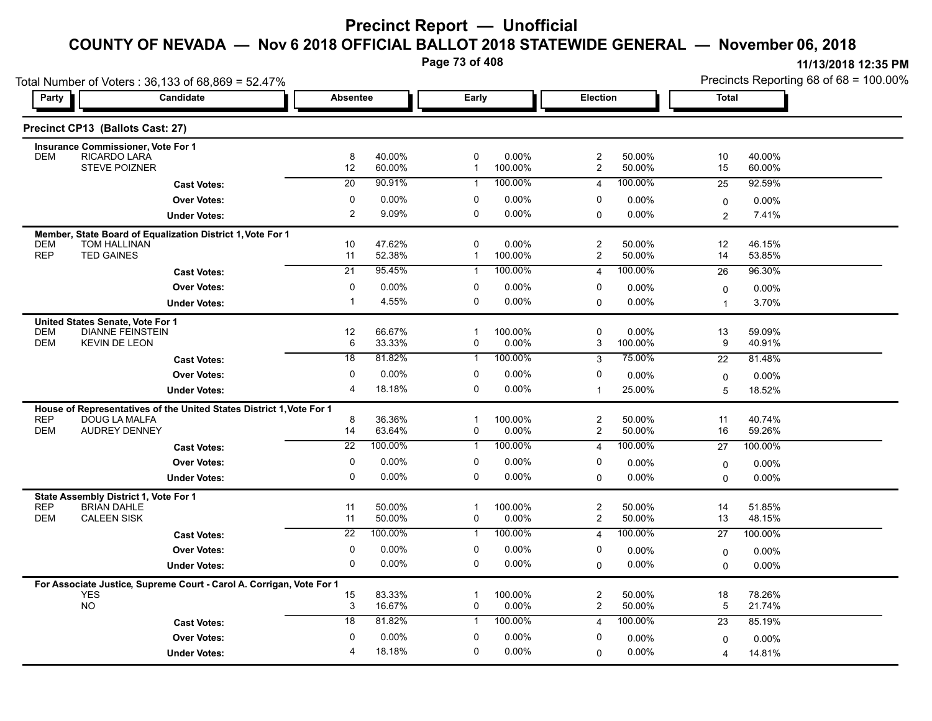**Page 73 of 408**

|                                                                      | Total Number of Voters: 36,133 of 68,869 = 52.47%                    |                 |                  |                   |                  |                                           |                  |                | Precincts Reporting 68 of 68 = 100.00% |
|----------------------------------------------------------------------|----------------------------------------------------------------------|-----------------|------------------|-------------------|------------------|-------------------------------------------|------------------|----------------|----------------------------------------|
| Party                                                                | Candidate                                                            | <b>Absentee</b> |                  | Early             |                  | Election                                  |                  | Total          |                                        |
| Precinct CP13 (Ballots Cast: 27)                                     |                                                                      |                 |                  |                   |                  |                                           |                  |                |                                        |
| Insurance Commissioner, Vote For 1                                   |                                                                      |                 |                  |                   |                  |                                           |                  |                |                                        |
| <b>DEM</b>                                                           | RICARDO LARA<br><b>STEVE POIZNER</b>                                 | 8<br>12         | 40.00%<br>60.00% | 0<br>1            | 0.00%<br>100.00% | $\overline{c}$<br>$\overline{\mathbf{c}}$ | 50.00%<br>50.00% | 10<br>15       | 40.00%<br>60.00%                       |
|                                                                      | <b>Cast Votes:</b>                                                   | 20              | 90.91%           | -1                | 100.00%          | $\overline{4}$                            | 100.00%          | 25             | 92.59%                                 |
|                                                                      | <b>Over Votes:</b>                                                   | 0               | 0.00%            | 0                 | 0.00%            | 0                                         | $0.00\%$         | 0              | $0.00\%$                               |
|                                                                      | <b>Under Votes:</b>                                                  | $\overline{2}$  | 9.09%            | 0                 | 0.00%            | $\Omega$                                  | $0.00\%$         | $\overline{2}$ | 7.41%                                  |
|                                                                      | Member, State Board of Equalization District 1, Vote For 1           |                 |                  |                   |                  |                                           |                  |                |                                        |
| <b>DEM</b>                                                           | TOM HALLINAN                                                         | 10              | 47.62%           | 0                 | 0.00%            | $\overline{c}$                            | 50.00%           | 12             | 46.15%                                 |
| <b>REP</b><br><b>TED GAINES</b>                                      |                                                                      | 11              | 52.38%           | $\mathbf 1$       | 100.00%          | $\overline{c}$                            | 50.00%           | 14             | 53.85%                                 |
|                                                                      | <b>Cast Votes:</b>                                                   | $\overline{21}$ | 95.45%           | $\mathbf{1}$      | 100.00%          | $\overline{4}$                            | 100.00%          | 26             | 96.30%                                 |
|                                                                      | <b>Over Votes:</b>                                                   | $\mathbf 0$     | 0.00%            | 0                 | 0.00%            | 0                                         | $0.00\%$         | $\mathbf 0$    | $0.00\%$                               |
|                                                                      | <b>Under Votes:</b>                                                  | -1              | 4.55%            | 0                 | 0.00%            | $\Omega$                                  | 0.00%            | $\overline{1}$ | 3.70%                                  |
| United States Senate, Vote For 1                                     |                                                                      |                 |                  |                   |                  |                                           |                  |                |                                        |
| <b>DEM</b><br><b>DEM</b>                                             | <b>DIANNE FEINSTEIN</b><br><b>KEVIN DE LEON</b>                      | 12<br>6         | 66.67%<br>33.33% | -1<br>$\mathbf 0$ | 100.00%<br>0.00% | 0<br>3                                    | 0.00%<br>100.00% | 13<br>9        | 59.09%<br>40.91%                       |
|                                                                      | <b>Cast Votes:</b>                                                   | $\overline{18}$ | 81.82%           | $\mathbf{1}$      | 100.00%          | 3                                         | 75.00%           | 22             | 81.48%                                 |
|                                                                      | <b>Over Votes:</b>                                                   | 0               | 0.00%            | $\mathbf 0$       | 0.00%            | 0                                         | 0.00%            | $\mathbf 0$    | 0.00%                                  |
|                                                                      | <b>Under Votes:</b>                                                  | 4               | 18.18%           | $\mathbf 0$       | 0.00%            | $\mathbf{1}$                              | 25.00%           | 5              | 18.52%                                 |
|                                                                      | House of Representatives of the United States District 1, Vote For 1 |                 |                  |                   |                  |                                           |                  |                |                                        |
| <b>REP</b>                                                           | DOUG LA MALFA                                                        | 8               | 36.36%           | -1                | 100.00%          | $\overline{\mathbf{c}}$                   | 50.00%           | 11             | 40.74%                                 |
| <b>DEM</b>                                                           | <b>AUDREY DENNEY</b>                                                 | 14              | 63.64%           | 0                 | 0.00%            | $\overline{c}$                            | 50.00%           | 16             | 59.26%                                 |
|                                                                      | <b>Cast Votes:</b>                                                   | 22              | 100.00%          | $\mathbf{1}$      | 100.00%          | $\overline{4}$                            | 100.00%          | 27             | 100.00%                                |
|                                                                      | <b>Over Votes:</b>                                                   | 0               | $0.00\%$         | 0                 | 0.00%            | 0                                         | $0.00\%$         | 0              | 0.00%                                  |
|                                                                      | <b>Under Votes:</b>                                                  | $\Omega$        | 0.00%            | $\Omega$          | 0.00%            | $\mathbf 0$                               | 0.00%            | $\Omega$       | $0.00\%$                               |
| State Assembly District 1, Vote For 1                                |                                                                      |                 |                  |                   |                  |                                           |                  |                |                                        |
| <b>REP</b><br><b>BRIAN DAHLE</b><br><b>DEM</b><br><b>CALEEN SISK</b> |                                                                      | 11<br>11        | 50.00%<br>50.00% | $\mathbf 1$<br>0  | 100.00%<br>0.00% | 2<br>$\overline{c}$                       | 50.00%<br>50.00% | 14<br>13       | 51.85%<br>48.15%                       |
|                                                                      | <b>Cast Votes:</b>                                                   | $\overline{22}$ | 100.00%          | $\mathbf{1}$      | 100.00%          | 4                                         | 100.00%          | 27             | 100.00%                                |
|                                                                      | <b>Over Votes:</b>                                                   | 0               | 0.00%            | 0                 | 0.00%            | 0                                         | $0.00\%$         | 0              | 0.00%                                  |
|                                                                      | <b>Under Votes:</b>                                                  | $\mathbf 0$     | 0.00%            | $\mathbf 0$       | 0.00%            | $\Omega$                                  | 0.00%            | $\Omega$       | 0.00%                                  |
|                                                                      | For Associate Justice, Supreme Court - Carol A. Corrigan, Vote For 1 |                 |                  |                   |                  |                                           |                  |                |                                        |
| <b>YES</b>                                                           |                                                                      | 15              | 83.33%           | -1                | 100.00%          | $\overline{2}$                            | 50.00%           | 18             | 78.26%                                 |
| <b>NO</b>                                                            |                                                                      | 3               | 16.67%           | 0                 | 0.00%            | $\overline{c}$                            | 50.00%           | 5              | 21.74%                                 |
|                                                                      | <b>Cast Votes:</b>                                                   | 18              | 81.82%           | 1                 | 100.00%          | 4                                         | 100.00%          | 23             | 85.19%                                 |
|                                                                      | <b>Over Votes:</b>                                                   | 0               | 0.00%            | 0                 | 0.00%            | 0                                         | $0.00\%$         | 0              | 0.00%                                  |
|                                                                      | <b>Under Votes:</b>                                                  | $\overline{4}$  | 18.18%           | $\mathbf 0$       | 0.00%            | $\Omega$                                  | 0.00%            | 4              | 14.81%                                 |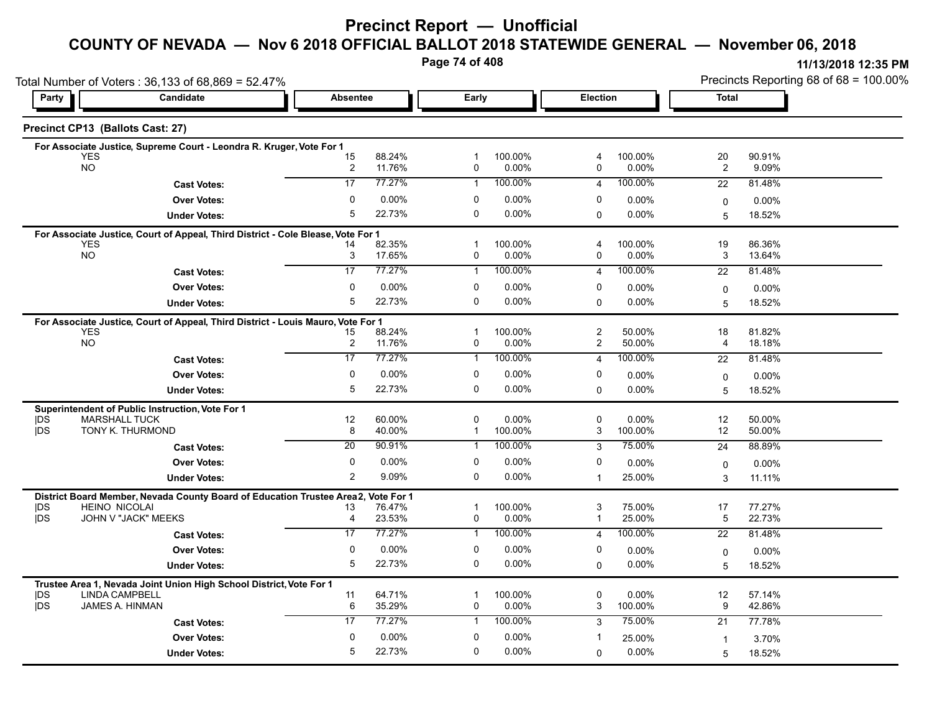#### **COUNTY OF NEVADA — Nov 6 2018 OFFICIAL BALLOT 2018 STATEWIDE GENERAL — November 06, 2018**

**Page 74 of 408**

|                   | Total Number of Voters: 36,133 of 68,869 = 52.47%                                |                               |                  |                   |                  |                         |                     |                      | Precincts Reporting 68 of 68 = 100.00% |
|-------------------|----------------------------------------------------------------------------------|-------------------------------|------------------|-------------------|------------------|-------------------------|---------------------|----------------------|----------------------------------------|
| Party             | Candidate                                                                        | <b>Absentee</b>               |                  | Early             |                  | <b>Election</b>         |                     | <b>Total</b>         |                                        |
|                   | Precinct CP13 (Ballots Cast: 27)                                                 |                               |                  |                   |                  |                         |                     |                      |                                        |
|                   | For Associate Justice, Supreme Court - Leondra R. Kruger, Vote For 1             |                               |                  |                   |                  |                         |                     |                      |                                        |
|                   | <b>YES</b><br><b>NO</b>                                                          | 15                            | 88.24%<br>11.76% | -1<br>0           | 100.00%<br>0.00% | 4<br>0                  | 100.00%<br>0.00%    | 20<br>$\overline{c}$ | 90.91%<br>9.09%                        |
|                   |                                                                                  | $\overline{\mathbf{c}}$<br>17 | 77.27%           | $\mathbf{1}$      | 100.00%          |                         | 100.00%             | 22                   |                                        |
|                   | <b>Cast Votes:</b>                                                               | $\mathbf{0}$                  |                  |                   |                  | $\overline{4}$          |                     |                      | 81.48%                                 |
|                   | <b>Over Votes:</b>                                                               | 5                             | 0.00%            | 0<br>$\Omega$     | 0.00%            | 0                       | $0.00\%$            | 0                    | 0.00%                                  |
|                   | <b>Under Votes:</b>                                                              |                               | 22.73%           |                   | 0.00%            | 0                       | $0.00\%$            | 5                    | 18.52%                                 |
|                   | For Associate Justice, Court of Appeal, Third District - Cole Blease, Vote For 1 |                               |                  |                   |                  |                         |                     |                      |                                        |
|                   | <b>YES</b><br><b>NO</b>                                                          | 14<br>3                       | 82.35%<br>17.65% | $\mathbf{1}$<br>0 | 100.00%<br>0.00% | 4<br>0                  | 100.00%<br>0.00%    | 19<br>3              | 86.36%<br>13.64%                       |
|                   | <b>Cast Votes:</b>                                                               | 17                            | 77.27%           | $\mathbf{1}$      | 100.00%          | $\overline{4}$          | 100.00%             | 22                   | 81.48%                                 |
|                   | <b>Over Votes:</b>                                                               | $\Omega$                      | $0.00\%$         | 0                 | $0.00\%$         | 0                       | $0.00\%$            |                      |                                        |
|                   |                                                                                  | 5                             | 22.73%           | 0                 | 0.00%            | $\Omega$                | $0.00\%$            | 0                    | $0.00\%$                               |
|                   | <b>Under Votes:</b>                                                              |                               |                  |                   |                  |                         |                     | 5                    | 18.52%                                 |
|                   | For Associate Justice, Court of Appeal, Third District - Louis Mauro, Vote For 1 |                               |                  |                   |                  |                         |                     |                      |                                        |
|                   | <b>YES</b><br><b>NO</b>                                                          | 15<br>$\overline{\mathbf{c}}$ | 88.24%<br>11.76% | $\mathbf{1}$<br>0 | 100.00%<br>0.00% | $\overline{c}$<br>2     | 50.00%<br>50.00%    | 18<br>4              | 81.82%<br>18.18%                       |
|                   | <b>Cast Votes:</b>                                                               | 17                            | 77.27%           | $\mathbf{1}$      | 100.00%          | $\overline{4}$          | 100.00%             | 22                   | 81.48%                                 |
|                   |                                                                                  | 0                             | $0.00\%$         | 0                 | 0.00%            | 0                       |                     |                      |                                        |
|                   | <b>Over Votes:</b>                                                               | 5                             | 22.73%           | 0                 | 0.00%            |                         | $0.00\%$            | 0                    | 0.00%                                  |
|                   | <b>Under Votes:</b>                                                              |                               |                  |                   |                  | 0                       | $0.00\%$            | 5                    | 18.52%                                 |
|                   | Superintendent of Public Instruction, Vote For 1                                 |                               |                  |                   |                  |                         |                     |                      |                                        |
| DS<br><b>IDS</b>  | <b>MARSHALL TUCK</b><br>TONY K. THURMOND                                         | 12<br>8                       | 60.00%<br>40.00% | $\mathbf 0$<br>1  | 0.00%<br>100.00% | 0<br>3                  | 0.00%<br>100.00%    | 12<br>12             | 50.00%<br>50.00%                       |
|                   | <b>Cast Votes:</b>                                                               | 20                            | 90.91%           | 1                 | 100.00%          | 3                       | 75.00%              | 24                   | 88.89%                                 |
|                   | <b>Over Votes:</b>                                                               | 0                             | $0.00\%$         | 0                 | 0.00%            | 0                       |                     |                      |                                        |
|                   |                                                                                  | 2                             | 9.09%            | 0                 | 0.00%            |                         | $0.00\%$<br>25.00%  | 0                    | $0.00\%$                               |
|                   | <b>Under Votes:</b>                                                              |                               |                  |                   |                  | $\mathbf{1}$            |                     | 3                    | 11.11%                                 |
|                   | District Board Member, Nevada County Board of Education Trustee Area2,           |                               | Vote For 1       |                   |                  |                         |                     |                      |                                        |
| <b>IDS</b><br>jDS | <b>HEINO NICOLAI</b><br>JOHN V "JACK" MEEKS                                      | 13<br>$\overline{4}$          | 76.47%<br>23.53% | -1<br>0           | 100.00%<br>0.00% | 3<br>1                  | 75.00%<br>25.00%    | 17<br>5              | 77.27%<br>22.73%                       |
|                   | <b>Cast Votes:</b>                                                               | $\overline{17}$               | 77.27%           | $\mathbf{1}$      | 100.00%          | $\overline{\mathbf{4}}$ | 100.00%             | $\overline{22}$      | 81.48%                                 |
|                   | <b>Over Votes:</b>                                                               | $\mathbf 0$                   | 0.00%            | 0                 | 0.00%            | 0                       |                     |                      |                                        |
|                   |                                                                                  | 5                             | 22.73%           | 0                 | $0.00\%$         |                         | $0.00\%$            | 0                    | $0.00\%$                               |
|                   | <b>Under Votes:</b>                                                              |                               |                  |                   |                  | $\mathbf 0$             | 0.00%               | 5                    | 18.52%                                 |
|                   | Trustee Area 1, Nevada Joint Union High School District, Vote For 1              |                               |                  |                   |                  |                         |                     |                      |                                        |
| DS<br><b>IDS</b>  | <b>LINDA CAMPBELL</b><br>JAMES A. HINMAN                                         | 11<br>6                       | 64.71%<br>35.29% | -1<br>0           | 100.00%<br>0.00% | 0<br>3                  | $0.00\%$<br>100.00% | 12<br>9              | 57.14%<br>42.86%                       |
|                   |                                                                                  | 17                            | 77.27%           | $\mathbf{1}$      | 100.00%          | 3                       | 75.00%              | 21                   | 77.78%                                 |
|                   | <b>Cast Votes:</b>                                                               |                               |                  |                   |                  |                         |                     |                      |                                        |
|                   | <b>Over Votes:</b>                                                               | $\mathbf{0}$                  | 0.00%            | 0                 | 0.00%            | -1                      | 25.00%              | $\overline{1}$       | 3.70%                                  |
|                   | <b>Under Votes:</b>                                                              | 5                             | 22.73%           | $\Omega$          | 0.00%            | 0                       | 0.00%               | 5                    | 18.52%                                 |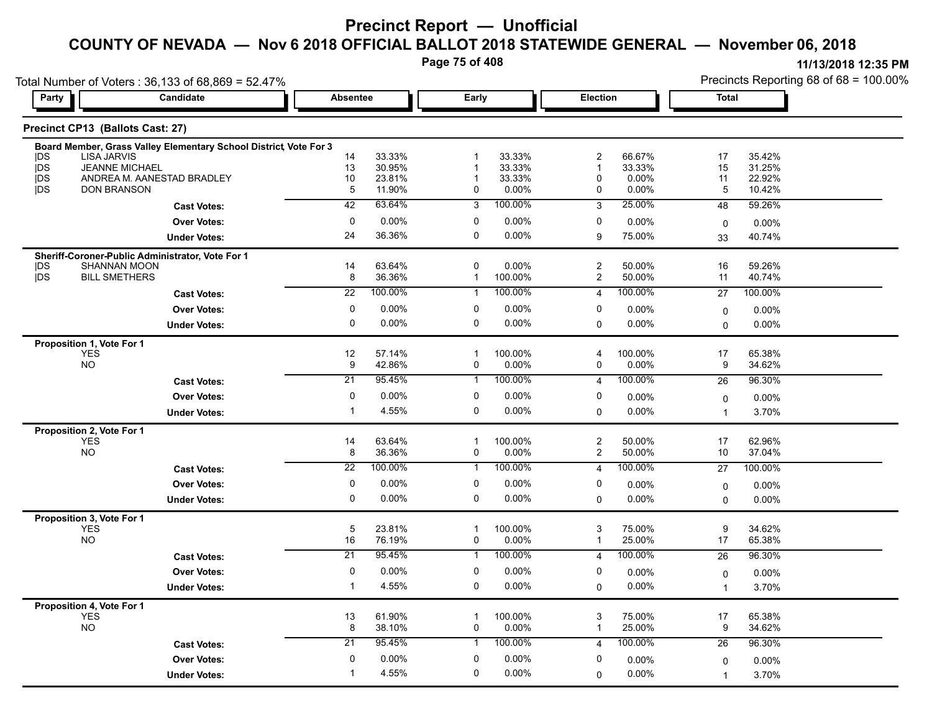**Page 75 of 408**

**11/13/2018 12:35 PM**

Precincts Reporting 68 of 68 = 100.00%

Total Number of Voters : 36,133 of 68,869 = 52.47%

| Party             | Candidate                                                               | <b>Absentee</b> |                  | Early          |                  | <b>Election</b>     |                 | <b>Total</b>   |                  |  |
|-------------------|-------------------------------------------------------------------------|-----------------|------------------|----------------|------------------|---------------------|-----------------|----------------|------------------|--|
|                   | Precinct CP13 (Ballots Cast: 27)                                        |                 |                  |                |                  |                     |                 |                |                  |  |
|                   | Board Member, Grass Valley Elementary School District, Vote For 3       |                 |                  |                |                  |                     |                 |                |                  |  |
| <b>IDS</b>        | <b>LISA JARVIS</b>                                                      | 14              | 33.33%           | 1              | 33.33%           | 2                   | 66.67%          | 17             | 35.42%           |  |
| jDS<br><b>IDS</b> | <b>JEANNE MICHAEL</b><br>ANDREA M. AANESTAD BRADLEY                     | 13<br>$10$      | 30.95%<br>23.81% | 1<br>1         | 33.33%<br>33.33% | $\overline{1}$<br>0 | 33.33%<br>0.00% | 15<br>11       | 31.25%<br>22.92% |  |
| jDS               | <b>DON BRANSON</b>                                                      | 5               | 11.90%           | 0              | $0.00\%$         | 0                   | 0.00%           | 5              | 10.42%           |  |
|                   | <b>Cast Votes:</b>                                                      | 42              | 63.64%           | $\overline{3}$ | 100.00%          | 3                   | 25.00%          | 48             | 59.26%           |  |
|                   | <b>Over Votes:</b>                                                      | $\mathbf 0$     | 0.00%            | 0              | $0.00\%$         | 0                   | 0.00%           | 0              | 0.00%            |  |
|                   | <b>Under Votes:</b>                                                     | 24              | 36.36%           | 0              | $0.00\%$         | 9                   | 75.00%          | 33             | 40.74%           |  |
|                   |                                                                         |                 |                  |                |                  |                     |                 |                |                  |  |
| <b>IDS</b>        | Sheriff-Coroner-Public Administrator, Vote For 1<br><b>SHANNAN MOON</b> | 14              | 63.64%           | 0              | $0.00\%$         | $\overline{c}$      | 50.00%          | 16             | 59.26%           |  |
| jDS               | <b>BILL SMETHERS</b>                                                    | 8               | 36.36%           | $\mathbf{1}$   | 100.00%          | $\mathbf{2}$        | 50.00%          | 11             | 40.74%           |  |
|                   | <b>Cast Votes:</b>                                                      | $\overline{22}$ | 100.00%          | 1              | 100.00%          | 4                   | 100.00%         | 27             | 100.00%          |  |
|                   | <b>Over Votes:</b>                                                      | $\mathbf{0}$    | 0.00%            | 0              | 0.00%            | 0                   | 0.00%           | 0              | 0.00%            |  |
|                   | <b>Under Votes:</b>                                                     | 0               | 0.00%            | 0              | $0.00\%$         | 0                   | 0.00%           | 0              | 0.00%            |  |
|                   |                                                                         |                 |                  |                |                  |                     |                 |                |                  |  |
|                   | Proposition 1, Vote For 1<br><b>YES</b>                                 | 12              | 57.14%           | $\mathbf{1}$   | 100.00%          | 4                   | 100.00%         | 17             | 65.38%           |  |
|                   | <b>NO</b>                                                               | 9               | 42.86%           | 0              | 0.00%            | 0                   | 0.00%           | 9              | 34.62%           |  |
|                   | <b>Cast Votes:</b>                                                      | $\overline{21}$ | 95.45%           | -1             | 100.00%          | $\overline{4}$      | 100.00%         | 26             | 96.30%           |  |
|                   | <b>Over Votes:</b>                                                      | $\mathbf 0$     | 0.00%            | 0              | 0.00%            | 0                   | 0.00%           | 0              | $0.00\%$         |  |
|                   | <b>Under Votes:</b>                                                     | -1              | 4.55%            | 0              | $0.00\%$         | $\Omega$            | 0.00%           | $\mathbf{1}$   | 3.70%            |  |
|                   | Proposition 2, Vote For 1                                               |                 |                  |                |                  |                     |                 |                |                  |  |
|                   | <b>YES</b>                                                              | 14              | 63.64%           | $\mathbf{1}$   | 100.00%          | $\overline{c}$      | 50.00%          | 17             | 62.96%           |  |
|                   | <b>NO</b>                                                               | 8               | 36.36%           | 0              | 0.00%            | $\overline{2}$      | 50.00%          | 10             | 37.04%           |  |
|                   | <b>Cast Votes:</b>                                                      | $\overline{22}$ | 100.00%          | -1             | 100.00%          | $\overline{4}$      | 100.00%         | 27             | 100.00%          |  |
|                   | <b>Over Votes:</b>                                                      | $\Omega$        | 0.00%            | 0              | $0.00\%$         | 0                   | $0.00\%$        | 0              | 0.00%            |  |
|                   | <b>Under Votes:</b>                                                     | 0               | 0.00%            | 0              | 0.00%            | 0                   | $0.00\%$        | 0              | 0.00%            |  |
|                   | Proposition 3, Vote For 1                                               |                 |                  |                |                  |                     |                 |                |                  |  |
|                   | <b>YES</b>                                                              | 5               | 23.81%           | $\mathbf 1$    | 100.00%          | 3                   | 75.00%          | 9              | 34.62%           |  |
|                   | <b>NO</b>                                                               | 16              | 76.19%           | 0              | 0.00%            | $\mathbf{1}$        | 25.00%          | 17             | 65.38%           |  |
|                   | <b>Cast Votes:</b>                                                      | 21              | 95.45%           | 1              | 100.00%          | 4                   | 100.00%         | 26             | 96.30%           |  |
|                   | <b>Over Votes:</b>                                                      | $\mathbf 0$     | 0.00%            | 0              | 0.00%            | 0                   | $0.00\%$        | 0              | 0.00%            |  |
|                   | <b>Under Votes:</b>                                                     | $\mathbf 1$     | 4.55%            | 0              | 0.00%            | 0                   | 0.00%           | $\mathbf{1}$   | 3.70%            |  |
|                   | Proposition 4, Vote For 1                                               |                 |                  |                |                  |                     |                 |                |                  |  |
|                   | <b>YES</b>                                                              | 13              | 61.90%           | $\mathbf{1}$   | 100.00%          | 3                   | 75.00%          | 17             | 65.38%           |  |
|                   | <b>NO</b>                                                               | 8               | 38.10%           | 0              | $0.00\%$         | 1                   | 25.00%          | 9              | 34.62%           |  |
|                   | <b>Cast Votes:</b>                                                      | 21              | 95.45%           | -1             | 100.00%          | 4                   | 100.00%         | 26             | 96.30%           |  |
|                   | <b>Over Votes:</b>                                                      | $\mathbf{0}$    | 0.00%            | 0              | 0.00%            | 0                   | 0.00%           | 0              | 0.00%            |  |
|                   | <b>Under Votes:</b>                                                     | $\mathbf{1}$    | 4.55%            | 0              | $0.00\%$         | $\Omega$            | 0.00%           | $\overline{1}$ | 3.70%            |  |
|                   |                                                                         |                 |                  |                |                  |                     |                 |                |                  |  |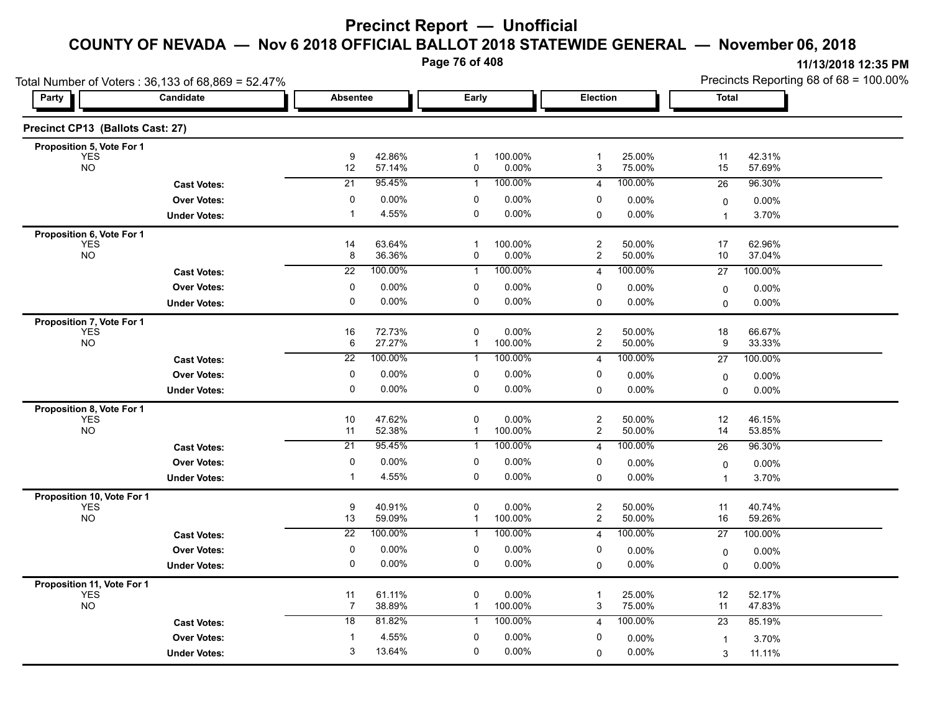**Page 76 of 408**

|                                          | Total Number of Voters: 36,133 of 68,869 = 52.47% |                       |                   |                  |                    |                         |                   |                | Precincts Reporting 68 of 68 = 100.00% |
|------------------------------------------|---------------------------------------------------|-----------------------|-------------------|------------------|--------------------|-------------------------|-------------------|----------------|----------------------------------------|
| Party<br>Candidate                       |                                                   | Absentee              |                   | Early            |                    | Election                |                   | <b>Total</b>   |                                        |
| Precinct CP13 (Ballots Cast: 27)         |                                                   |                       |                   |                  |                    |                         |                   |                |                                        |
| Proposition 5, Vote For 1                |                                                   |                       |                   |                  |                    |                         |                   |                |                                        |
| YES<br><b>NO</b>                         |                                                   | 9<br>12               | 42.86%<br>57.14%  | $\mathbf 1$<br>0 | 100.00%<br>0.00%   | $\mathbf{1}$<br>3       | 25.00%<br>75.00%  | 11<br>15       | 42.31%<br>57.69%                       |
|                                          | <b>Cast Votes:</b>                                | 21                    | 95.45%            | $\mathbf{1}$     | 100.00%            | $\overline{4}$          | 100.00%           | 26             | 96.30%                                 |
|                                          | <b>Over Votes:</b>                                | 0                     | 0.00%             | 0                | 0.00%              | 0                       | $0.00\%$          | $\mathbf 0$    | 0.00%                                  |
|                                          | <b>Under Votes:</b>                               | $\overline{1}$        | 4.55%             | 0                | 0.00%              | 0                       | $0.00\%$          | $\overline{1}$ | 3.70%                                  |
| Proposition 6, Vote For 1                |                                                   |                       |                   |                  |                    |                         |                   |                |                                        |
| <b>YES</b><br><b>NO</b>                  |                                                   | 14<br>8               | 63.64%<br>36.36%  | $\mathbf 1$<br>0 | 100.00%<br>0.00%   | $\overline{2}$<br>2     | 50.00%<br>50.00%  | 17<br>10       | 62.96%<br>37.04%                       |
|                                          | <b>Cast Votes:</b>                                | 22                    | 100.00%           | $\mathbf{1}$     | 100.00%            | 4                       | 100.00%           | 27             | 100.00%                                |
|                                          | <b>Over Votes:</b>                                | 0                     | 0.00%             | 0                | 0.00%              | 0                       | $0.00\%$          | 0              | 0.00%                                  |
|                                          | <b>Under Votes:</b>                               | 0                     | 0.00%             | 0                | 0.00%              | $\Omega$                | 0.00%             | $\mathbf{0}$   | 0.00%                                  |
| Proposition 7, Vote For 1                |                                                   |                       |                   |                  |                    |                         |                   |                |                                        |
| <b>YES</b>                               |                                                   | 16                    | 72.73%            | 0                | 0.00%              | $\boldsymbol{2}$        | 50.00%            | 18             | 66.67%                                 |
| <b>NO</b>                                |                                                   | 6                     | 27.27%            | $\mathbf{1}$     | 100.00%            | $\overline{c}$          | 50.00%            | 9              | 33.33%                                 |
|                                          | <b>Cast Votes:</b>                                | $\overline{22}$       | 100.00%           | 1                | 100.00%            | 4                       | 100.00%           | 27             | 100.00%                                |
|                                          | <b>Over Votes:</b>                                | 0                     | 0.00%             | 0                | 0.00%              | 0                       | $0.00\%$          | 0              | 0.00%                                  |
|                                          | <b>Under Votes:</b>                               | 0                     | $0.00\%$          | 0                | 0.00%              | 0                       | 0.00%             | $\mathbf 0$    | $0.00\%$                               |
| Proposition 8, Vote For 1<br><b>YES</b>  |                                                   | 10                    | 47.62%            | 0                | 0.00%              | $\overline{\mathbf{c}}$ | 50.00%            | 12             | 46.15%                                 |
| <b>NO</b>                                |                                                   | 11                    | 52.38%            | $\mathbf{1}$     | 100.00%            | $\overline{c}$          | 50.00%            | 14             | 53.85%                                 |
|                                          | <b>Cast Votes:</b>                                | 21                    | 95 45%            | 1                | 100.00%            | 4                       | 100.00%           | 26             | 96.30%                                 |
|                                          | <b>Over Votes:</b>                                | 0                     | 0.00%             | 0                | $0.00\%$           | 0                       | 0.00%             | $\mathbf 0$    | $0.00\%$                               |
|                                          | <b>Under Votes:</b>                               | $\mathbf 1$           | 4.55%             | 0                | 0.00%              | $\Omega$                | 0.00%             | $\mathbf{1}$   | 3.70%                                  |
| Proposition 10, Vote For 1               |                                                   |                       |                   |                  |                    |                         |                   |                |                                        |
| <b>YES</b>                               |                                                   | $\boldsymbol{9}$      | 40.91%            | 0                | 0.00%              | $\boldsymbol{2}$        | 50.00%            | 11             | 40.74%                                 |
| <b>NO</b>                                |                                                   | 13<br>$\overline{22}$ | 59.09%<br>100.00% | $\mathbf{1}$     | 100.00%<br>100.00% | $\overline{c}$          | 50.00%<br>100.00% | 16             | 59.26%                                 |
|                                          | <b>Cast Votes:</b>                                |                       |                   | 1                |                    | $\overline{4}$          |                   | 27             | 100.00%                                |
|                                          | <b>Over Votes:</b>                                | 0                     | 0.00%             | 0                | 0.00%              | 0                       | 0.00%             | 0              | $0.00\%$                               |
|                                          | <b>Under Votes:</b>                               | 0                     | 0.00%             | 0                | 0.00%              | 0                       | $0.00\%$          | $\Omega$       | 0.00%                                  |
| Proposition 11, Vote For 1<br><b>YES</b> |                                                   | 11                    | 61.11%            | 0                | 0.00%              | $\overline{1}$          | 25.00%            | 12             | 52.17%                                 |
| <b>NO</b>                                |                                                   | 7                     | 38.89%            | $\mathbf{1}$     | 100.00%            | 3                       | 75.00%            | 11             | 47.83%                                 |
|                                          | <b>Cast Votes:</b>                                | 18                    | 81.82%            | $\mathbf{1}$     | 100.00%            | $\overline{4}$          | 100.00%           | 23             | 85.19%                                 |
|                                          | <b>Over Votes:</b>                                | 1                     | 4.55%             | $\Omega$         | 0.00%              | 0                       | $0.00\%$          | $\overline{1}$ | 3.70%                                  |
|                                          | <b>Under Votes:</b>                               | 3                     | 13.64%            | $\Omega$         | 0.00%              | $\Omega$                | $0.00\%$          | 3              | 11.11%                                 |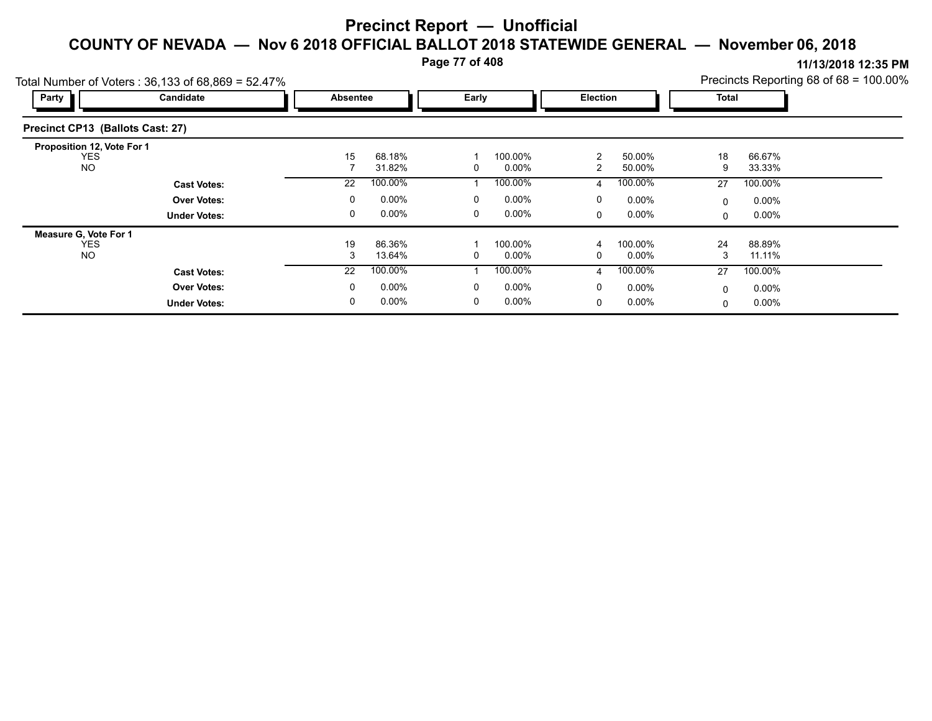**Page 77 of 408**

**11/13/2018 12:35 PM** Precincts Reporting 68 of 68 = 100.00%

| Party                            | $\overline{0}$ otal Number of Voters : 36,133 of 68,869 = 52.47 $\%$<br>Candidate | Absentee |          | Early |          | Election     |          | Total        |          | PTECITICLS REPORTING 60 OF 00 - TOO.00% |
|----------------------------------|-----------------------------------------------------------------------------------|----------|----------|-------|----------|--------------|----------|--------------|----------|-----------------------------------------|
| Precinct CP13 (Ballots Cast: 27) |                                                                                   |          |          |       |          |              |          |              |          |                                         |
| Proposition 12, Vote For 1       |                                                                                   |          |          |       |          |              |          |              |          |                                         |
| <b>YES</b>                       |                                                                                   | 15       | 68.18%   |       | 100.00%  | 2            | 50.00%   | 18           | 66.67%   |                                         |
| <b>NO</b>                        |                                                                                   |          | 31.82%   | 0     | $0.00\%$ | 2            | 50.00%   | 9            | 33.33%   |                                         |
|                                  | <b>Cast Votes:</b>                                                                | 22       | 100.00%  |       | 100.00%  | 4            | 100.00%  | 27           | 100.00%  |                                         |
|                                  | <b>Over Votes:</b>                                                                | 0        | $0.00\%$ | 0     | $0.00\%$ | 0            | $0.00\%$ | $\mathbf{0}$ | $0.00\%$ |                                         |
|                                  | <b>Under Votes:</b>                                                               | 0        | $0.00\%$ | 0     | $0.00\%$ | $\mathbf{0}$ | $0.00\%$ | $\Omega$     | $0.00\%$ |                                         |
| Measure G, Vote For 1            |                                                                                   |          |          |       |          |              |          |              |          |                                         |
| <b>YES</b>                       |                                                                                   | 19       | 86.36%   |       | 100.00%  | 4            | 100.00%  | 24           | 88.89%   |                                         |
| <b>NO</b>                        |                                                                                   | 3        | 13.64%   | 0     | $0.00\%$ | 0            | $0.00\%$ | 3            | 11.11%   |                                         |
|                                  | <b>Cast Votes:</b>                                                                | 22       | 100.00%  |       | 100.00%  | 4            | 100.00%  | 27           | 100.00%  |                                         |
|                                  | <b>Over Votes:</b>                                                                | 0        | $0.00\%$ | 0     | $0.00\%$ | 0            | $0.00\%$ | $\mathbf{0}$ | $0.00\%$ |                                         |
|                                  | <b>Under Votes:</b>                                                               | 0        | $0.00\%$ | 0     | $0.00\%$ | 0            | $0.00\%$ | 0            | $0.00\%$ |                                         |

 $T_{\text{et}}$ l Number of Voters : 36,133 of 68,860 = 53,478/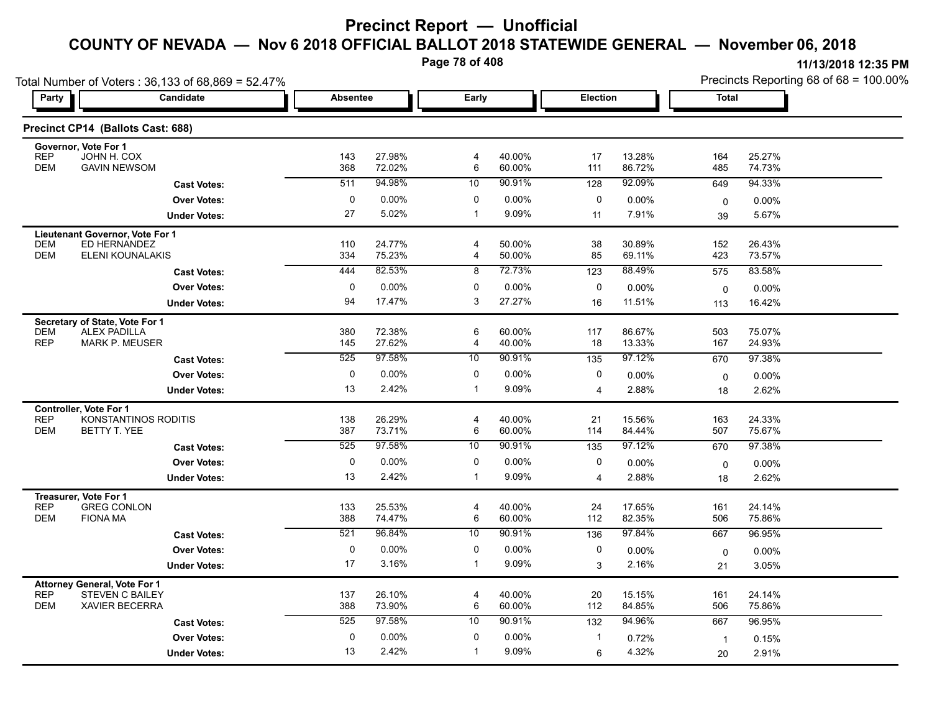**Page 78 of 408**

|                          | Total Number of Voters: 36,133 of 68,869 = 52.47% |                 |                  |                     |                  |                  |                  |                | Precincts Reporting 68 of $68 = 100.00\%$ |
|--------------------------|---------------------------------------------------|-----------------|------------------|---------------------|------------------|------------------|------------------|----------------|-------------------------------------------|
| Party                    | Candidate                                         | <b>Absentee</b> |                  | Early               |                  | Election         |                  | Total          |                                           |
|                          | Precinct CP14 (Ballots Cast: 688)                 |                 |                  |                     |                  |                  |                  |                |                                           |
|                          | Governor, Vote For 1                              |                 |                  |                     |                  |                  |                  |                |                                           |
| <b>REP</b><br><b>DEM</b> | JOHN H. COX<br><b>GAVIN NEWSOM</b>                | 143<br>368      | 27.98%<br>72.02% | 4<br>6              | 40.00%<br>60.00% | 17<br>111        | 13.28%<br>86.72% | 164<br>485     | 25.27%<br>74.73%                          |
|                          | <b>Cast Votes:</b>                                | 511             | 94.98%           | 10                  | 90.91%           | 128              | 92.09%           | 649            | 94.33%                                    |
|                          | <b>Over Votes:</b>                                | $\mathbf 0$     | $0.00\%$         | 0                   | 0.00%            | 0                | 0.00%            | 0              | 0.00%                                     |
|                          | <b>Under Votes:</b>                               | 27              | 5.02%            | $\overline{1}$      | 9.09%            | 11               | 7.91%            | 39             | 5.67%                                     |
|                          | Lieutenant Governor, Vote For 1                   |                 |                  |                     |                  |                  |                  |                |                                           |
| <b>DEM</b>               | ED HERNANDEZ                                      | 110             | 24.77%           | $\overline{4}$      | 50.00%           | 38               | 30.89%           | 152            | 26.43%                                    |
| <b>DEM</b>               | ELENI KOUNALAKIS                                  | 334             | 75.23%           | 4                   | 50.00%           | 85               | 69.11%           | 423            | 73.57%                                    |
|                          | <b>Cast Votes:</b>                                | 444             | 82.53%           | $\overline{8}$      | 72.73%           | 123              | 88.49%           | 575            | 83.58%                                    |
|                          | <b>Over Votes:</b>                                | $\mathbf 0$     | 0.00%            | 0                   | 0.00%            | $\mathbf 0$      | 0.00%            | $\mathbf 0$    | 0.00%                                     |
|                          | <b>Under Votes:</b>                               | 94              | 17.47%           | 3                   | 27.27%           | 16               | 11.51%           | 113            | 16.42%                                    |
|                          | Secretary of State, Vote For 1                    |                 |                  |                     |                  |                  |                  |                |                                           |
| <b>DEM</b><br><b>REP</b> | <b>ALEX PADILLA</b><br><b>MARK P. MEUSER</b>      | 380<br>145      | 72.38%<br>27.62% | 6<br>4              | 60.00%<br>40.00% | 117<br>18        | 86.67%<br>13.33% | 503<br>167     | 75.07%<br>24.93%                          |
|                          | <b>Cast Votes:</b>                                | 525             | 97.58%           | 10                  | 90.91%           | $\overline{135}$ | 97.12%           | 670            | 97.38%                                    |
|                          | <b>Over Votes:</b>                                | $\mathbf 0$     | 0.00%            | 0                   | 0.00%            | $\mathbf 0$      | $0.00\%$         | $\mathsf 0$    | 0.00%                                     |
|                          | <b>Under Votes:</b>                               | 13              | 2.42%            | -1                  | 9.09%            | $\overline{4}$   | 2.88%            | 18             | 2.62%                                     |
|                          | <b>Controller, Vote For 1</b>                     |                 |                  |                     |                  |                  |                  |                |                                           |
| <b>REP</b>               | KONSTANTINOS RODITIS                              | 138             | 26.29%           | $\overline{4}$      | 40.00%           | 21               | 15.56%           | 163            | 24.33%                                    |
| <b>DEM</b>               | BETTY T. YEE                                      | 387             | 73.71%           | 6                   | 60.00%           | 114              | 84.44%           | 507            | 75.67%                                    |
|                          | <b>Cast Votes:</b>                                | 525             | 97.58%           | 10                  | 90.91%           | 135              | 97.12%           | 670            | 97.38%                                    |
|                          | <b>Over Votes:</b>                                | 0               | $0.00\%$         | $\mathbf 0$         | 0.00%            | $\Omega$         | 0.00%            | $\mathbf 0$    | 0.00%                                     |
|                          | <b>Under Votes:</b>                               | 13              | 2.42%            | -1                  | 9.09%            | Δ                | 2.88%            | 18             | 2.62%                                     |
|                          | Treasurer, Vote For 1                             |                 |                  |                     |                  |                  |                  |                |                                           |
| <b>REP</b><br><b>DEM</b> | <b>GREG CONLON</b><br><b>FIONA MA</b>             | 133<br>388      | 25.53%<br>74.47% | $\overline{4}$<br>6 | 40.00%<br>60.00% | 24<br>112        | 17.65%<br>82.35% | 161<br>506     | 24.14%<br>75.86%                          |
|                          | <b>Cast Votes:</b>                                | 521             | 96.84%           | 10                  | 90.91%           | 136              | 97.84%           | 667            | 96.95%                                    |
|                          | <b>Over Votes:</b>                                | 0               | $0.00\%$         | $\mathbf 0$         | 0.00%            | 0                | $0.00\%$         | $\mathsf 0$    | 0.00%                                     |
|                          | <b>Under Votes:</b>                               | 17              | 3.16%            | $\overline{1}$      | 9.09%            | 3                | 2.16%            | 21             | 3.05%                                     |
|                          | <b>Attorney General, Vote For 1</b>               |                 |                  |                     |                  |                  |                  |                |                                           |
| <b>REP</b>               | <b>STEVEN C BAILEY</b>                            | 137             | 26.10%           | 4                   | 40.00%           | 20               | 15.15%           | 161            | 24.14%                                    |
| <b>DEM</b>               | XAVIER BECERRA                                    | 388             | 73.90%           | 6                   | 60.00%           | 112              | 84.85%           | 506            | 75.86%                                    |
|                          | <b>Cast Votes:</b>                                | 525             | 97.58%           | 10                  | 90.91%           | $\overline{132}$ | 94.96%           | 667            | 96.95%                                    |
|                          | <b>Over Votes:</b>                                | 0               | 0.00%            | $\Omega$            | 0.00%            | -1               | 0.72%            | $\overline{1}$ | 0.15%                                     |
|                          | <b>Under Votes:</b>                               | 13              | 2.42%            | $\mathbf{1}$        | 9.09%            | 6                | 4.32%            | 20             | 2.91%                                     |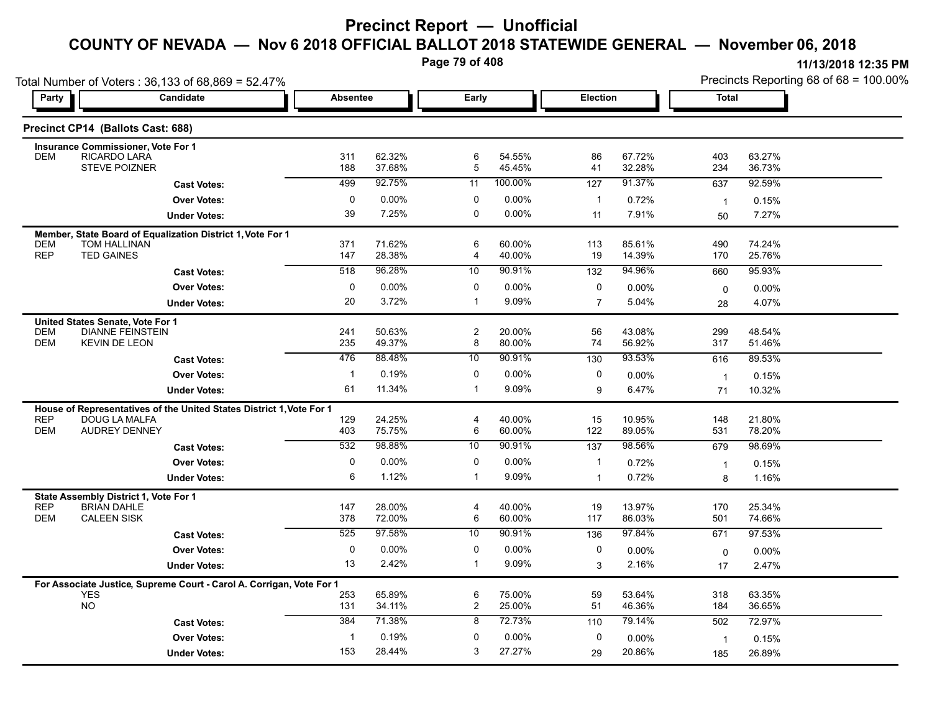**Page 79 of 408**

| 11/13/2018 12:35 PM                       |
|-------------------------------------------|
| Precincts Reporting 68 of $68 = 100.00\%$ |

|                          | Total Number of Voters: 36,133 of 68,869 = 52.47%                    |                 |                   |                     |                  |                                |                  |                | Precincts Reporting 68 of 68 = 100.00% |
|--------------------------|----------------------------------------------------------------------|-----------------|-------------------|---------------------|------------------|--------------------------------|------------------|----------------|----------------------------------------|
| Party                    | Candidate                                                            | <b>Absentee</b> |                   | Early               |                  | Election                       |                  | <b>Total</b>   |                                        |
|                          | Precinct CP14 (Ballots Cast: 688)                                    |                 |                   |                     |                  |                                |                  |                |                                        |
|                          | <b>Insurance Commissioner, Vote For 1</b>                            |                 |                   |                     |                  |                                |                  |                |                                        |
| <b>DEM</b>               | RICARDO LARA<br><b>STEVE POIZNER</b>                                 | 311<br>188      | 62.32%<br>37.68%  | 6<br>$\overline{5}$ | 54.55%<br>45.45% | 86<br>41                       | 67.72%<br>32.28% | 403<br>234     | 63.27%<br>36.73%                       |
|                          | <b>Cast Votes:</b>                                                   | 499             | 92.75%            | 11                  | 100.00%          | 127                            | 91.37%           | 637            | 92.59%                                 |
|                          | <b>Over Votes:</b>                                                   | 0               | $0.00\%$          | 0                   | 0.00%            | 1                              | 0.72%            | $\overline{1}$ | 0.15%                                  |
|                          | <b>Under Votes:</b>                                                  | 39              | 7.25%             | 0                   | 0.00%            | 11                             | 7.91%            | 50             | 7.27%                                  |
|                          | Member, State Board of Equalization District 1, Vote For 1           |                 |                   |                     |                  |                                |                  |                |                                        |
| <b>DEM</b><br><b>REP</b> | <b>TOM HALLINAN</b><br><b>TED GAINES</b>                             | 371<br>147      | 71.62%<br>28.38%  | 6                   | 60.00%<br>40.00% | 113<br>19                      | 85.61%<br>14.39% | 490            | 74.24%                                 |
|                          |                                                                      | 518             | 96.28%            | 4<br>10             | 90.91%           |                                | 94.96%           | 170            | 25.76%<br>95.93%                       |
|                          | <b>Cast Votes:</b>                                                   |                 |                   |                     |                  | 132                            |                  | 660            |                                        |
|                          | <b>Over Votes:</b><br><b>Under Votes:</b>                            | 0<br>20         | $0.00\%$<br>3.72% | 0<br>$\mathbf 1$    | 0.00%<br>9.09%   | 0<br>$\overline{7}$            | 0.00%<br>5.04%   | 0              | $0.00\%$<br>4.07%                      |
|                          |                                                                      |                 |                   |                     |                  |                                |                  | 28             |                                        |
| <b>DEM</b>               | United States Senate, Vote For 1<br><b>DIANNE FEINSTEIN</b>          | 241             | 50.63%            | 2                   | 20.00%           | 56                             | 43.08%           | 299            | 48.54%                                 |
| <b>DEM</b>               | <b>KEVIN DE LEON</b>                                                 | 235             | 49.37%            | 8                   | 80.00%           | 74                             | 56.92%           | 317            | 51.46%                                 |
|                          | <b>Cast Votes:</b>                                                   | 476             | 88.48%            | 10                  | 90.91%           | 130                            | 93.53%           | 616            | 89.53%                                 |
|                          | <b>Over Votes:</b>                                                   | $\mathbf 1$     | 0.19%             | 0                   | $0.00\%$         | 0                              | 0.00%            | $\overline{1}$ | 0.15%                                  |
|                          | <b>Under Votes:</b>                                                  | 61              | 11.34%            | -1                  | 9.09%            | 9                              | 6.47%            | 71             | 10.32%                                 |
|                          | House of Representatives of the United States District 1, Vote For 1 |                 |                   |                     |                  |                                |                  |                |                                        |
| <b>REP</b><br><b>DEM</b> | DOUG LA MALFA<br><b>AUDREY DENNEY</b>                                | 129<br>403      | 24.25%<br>75.75%  | $\overline{4}$<br>6 | 40.00%<br>60.00% | 15<br>122                      | 10.95%<br>89.05% | 148<br>531     | 21.80%<br>78.20%                       |
|                          |                                                                      | 532             | 98.88%            | 10                  | 90.91%           |                                | 98.56%           |                |                                        |
|                          | <b>Cast Votes:</b>                                                   |                 |                   |                     |                  | 137                            |                  | 679            | 98.69%                                 |
|                          | <b>Over Votes:</b>                                                   | 0<br>6          | 0.00%<br>1.12%    | 0<br>$\mathbf{1}$   | 0.00%<br>9.09%   | $\mathbf{1}$<br>$\overline{1}$ | 0.72%<br>0.72%   | $\overline{1}$ | 0.15%                                  |
|                          | <b>Under Votes:</b>                                                  |                 |                   |                     |                  |                                |                  | 8              | 1.16%                                  |
| <b>REP</b>               | State Assembly District 1, Vote For 1<br><b>BRIAN DAHLE</b>          | 147             | 28.00%            | 4                   | 40.00%           | 19                             | 13.97%           | 170            | 25.34%                                 |
| <b>DEM</b>               | <b>CALEEN SISK</b>                                                   | 378             | 72.00%            | 6                   | 60.00%           | 117                            | 86.03%           | 501            | 74.66%                                 |
|                          | <b>Cast Votes:</b>                                                   | 525             | 97.58%            | 10                  | 90.91%           | 136                            | 97.84%           | 671            | 97.53%                                 |
|                          | <b>Over Votes:</b>                                                   | $\mathbf 0$     | 0.00%             | 0                   | 0.00%            | 0                              | 0.00%            | $\mathbf 0$    | $0.00\%$                               |
|                          | <b>Under Votes:</b>                                                  | 13              | 2.42%             | $\mathbf{1}$        | 9.09%            | 3                              | 2.16%            | 17             | 2.47%                                  |
|                          | For Associate Justice, Supreme Court - Carol A. Corrigan, Vote For 1 |                 |                   |                     |                  |                                |                  |                |                                        |
| <b>YES</b>               |                                                                      | 253             | 65.89%            | 6                   | 75.00%           | 59                             | 53.64%           | 318            | 63.35%                                 |
| NO                       |                                                                      | 131             | 34.11%            | $\overline{c}$      | 25.00%           | 51                             | 46.36%           | 184            | 36.65%                                 |
|                          | <b>Cast Votes:</b>                                                   | 384             | 71.38%            | 8                   | 72.73%           | 110                            | 79.14%           | 502            | 72.97%                                 |
|                          | <b>Over Votes:</b>                                                   | $\mathbf 1$     | 0.19%             | $\mathbf 0$         | 0.00%            | 0                              | 0.00%            | $\mathbf 1$    | 0.15%                                  |
|                          | <b>Under Votes:</b>                                                  | 153             | 28.44%            | 3                   | 27.27%           | 29                             | 20.86%           | 185            | 26.89%                                 |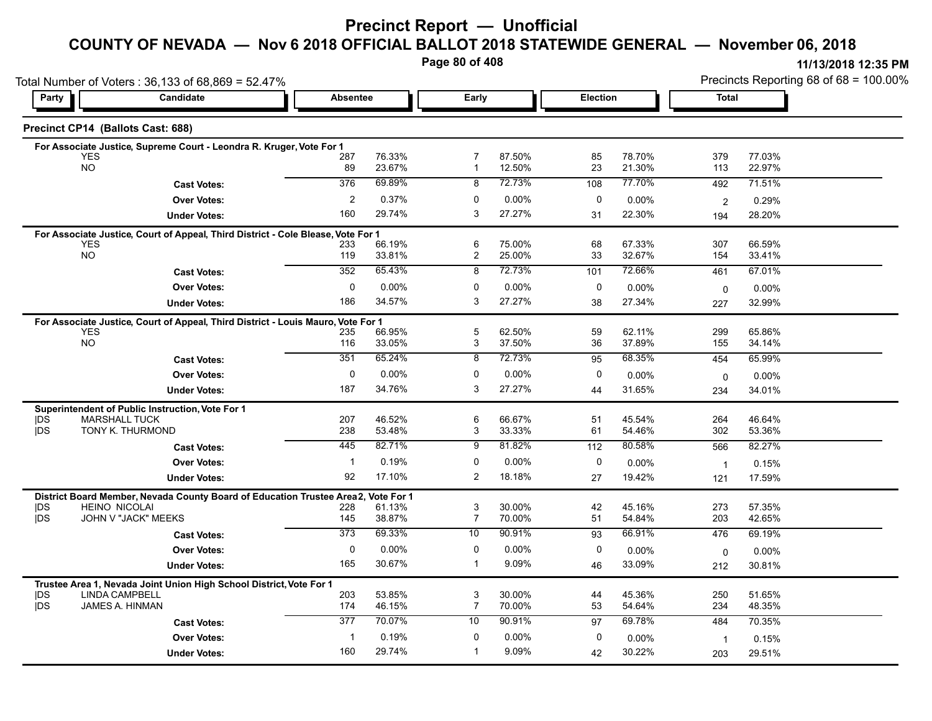#### **COUNTY OF NEVADA — Nov 6 2018 OFFICIAL BALLOT 2018 STATEWIDE GENERAL — November 06, 2018**

**Page 80 of 408**

|                          | Total Number of Voters: 36,133 of 68,869 = 52.47%                                              |                  |                  |                     |                  |          |                  |                         | Precincts Reporting 68 of 68 = 100.00% |
|--------------------------|------------------------------------------------------------------------------------------------|------------------|------------------|---------------------|------------------|----------|------------------|-------------------------|----------------------------------------|
| Party                    | <b>Candidate</b>                                                                               | <b>Absentee</b>  |                  | Early               |                  | Election |                  | <b>Total</b>            |                                        |
|                          | Precinct CP14 (Ballots Cast: 688)                                                              |                  |                  |                     |                  |          |                  |                         |                                        |
|                          | For Associate Justice, Supreme Court - Leondra R. Kruger, Vote For 1                           |                  |                  |                     |                  |          |                  |                         |                                        |
|                          | <b>YES</b><br><b>NO</b>                                                                        | 287<br>89        | 76.33%<br>23.67% | 7<br>$\mathbf{1}$   | 87.50%<br>12.50% | 85<br>23 | 78.70%<br>21.30% | 379<br>113              | 77.03%<br>22.97%                       |
|                          |                                                                                                | 376              | 69.89%           | 8                   | 72.73%           | 108      | 77.70%           | 492                     | 71.51%                                 |
|                          | <b>Cast Votes:</b>                                                                             | $\overline{2}$   | 0.37%            | $\mathbf{0}$        | 0.00%            | 0        |                  |                         |                                        |
|                          | <b>Over Votes:</b>                                                                             |                  | 29.74%           | 3                   | 27.27%           |          | 0.00%            | $\overline{\mathbf{c}}$ | 0.29%                                  |
|                          | <b>Under Votes:</b>                                                                            | 160              |                  |                     |                  | 31       | 22.30%           | 194                     | 28.20%                                 |
|                          | For Associate Justice, Court of Appeal, Third District - Cole Blease, Vote For 1               |                  |                  |                     |                  |          |                  |                         |                                        |
|                          | <b>YES</b><br><b>NO</b>                                                                        | 233<br>119       | 66.19%<br>33.81% | 6<br>$\overline{c}$ | 75.00%<br>25.00% | 68<br>33 | 67.33%<br>32.67% | 307<br>154              | 66.59%<br>33.41%                       |
|                          | <b>Cast Votes:</b>                                                                             | 352              | 65.43%           | 8                   | 72.73%           | 101      | 72.66%           | 461                     | 67.01%                                 |
|                          | <b>Over Votes:</b>                                                                             | 0                | $0.00\%$         | 0                   | 0.00%            | 0        | $0.00\%$         |                         |                                        |
|                          | <b>Under Votes:</b>                                                                            | 186              | 34.57%           | 3                   | 27.27%           | 38       | 27.34%           | $\mathbf 0$             | $0.00\%$<br>32.99%                     |
|                          |                                                                                                |                  |                  |                     |                  |          |                  | 227                     |                                        |
|                          | For Associate Justice, Court of Appeal, Third District - Louis Mauro, Vote For 1<br><b>YES</b> |                  |                  | 5                   | 62.50%           |          | 62.11%           | 299                     | 65.86%                                 |
|                          | <b>NO</b>                                                                                      | 235<br>116       | 66.95%<br>33.05% | 3                   | 37.50%           | 59<br>36 | 37.89%           | 155                     | 34.14%                                 |
|                          | <b>Cast Votes:</b>                                                                             | 351              | 65.24%           | 8                   | 72.73%           | 95       | 68.35%           | 454                     | 65.99%                                 |
|                          | <b>Over Votes:</b>                                                                             | 0                | $0.00\%$         | 0                   | 0.00%            | 0        |                  |                         |                                        |
|                          |                                                                                                | 187              | 34.76%           | 3                   | 27.27%           |          | 0.00%<br>31.65%  | $\mathbf 0$             | 0.00%                                  |
|                          | <b>Under Votes:</b>                                                                            |                  |                  |                     |                  | 44       |                  | 234                     | 34.01%                                 |
| <b>IDS</b>               | Superintendent of Public Instruction, Vote For 1<br><b>MARSHALL TUCK</b>                       | 207              | 46.52%           | 6                   | 66.67%           | 51       | 45.54%           | 264                     | 46.64%                                 |
| <b>IDS</b>               | TONY K. THURMOND                                                                               | 238              | 53.48%           | 3                   | 33.33%           | 61       | 54.46%           | 302                     | 53.36%                                 |
|                          | <b>Cast Votes:</b>                                                                             | 445              | 82.71%           | 9                   | 81.82%           | 112      | 80.58%           | 566                     | 82.27%                                 |
|                          | <b>Over Votes:</b>                                                                             | $\mathbf{1}$     | 0.19%            | 0                   | 0.00%            | 0        | $0.00\%$         |                         |                                        |
|                          |                                                                                                | 92               | 17.10%           | 2                   | 18.18%           | 27       | 19.42%           | $\overline{1}$          | 0.15%                                  |
|                          | <b>Under Votes:</b>                                                                            |                  |                  |                     |                  |          |                  | 121                     | 17.59%                                 |
|                          | District Board Member, Nevada County Board of Education Trustee Area2,<br><b>HEINO NICOLAI</b> |                  | Vote For 1       | 3                   |                  |          | 45.16%           |                         |                                        |
| <b>IDS</b><br><b>IDS</b> | JOHN V "JACK" MEEKS                                                                            | 228<br>145       | 61.13%<br>38.87% | $\overline{7}$      | 30.00%<br>70.00% | 42<br>51 | 54.84%           | 273<br>203              | 57.35%<br>42.65%                       |
|                          | <b>Cast Votes:</b>                                                                             | $\overline{373}$ | 69.33%           | 10                  | 90.91%           | 93       | 66.91%           | 476                     | 69.19%                                 |
|                          | <b>Over Votes:</b>                                                                             | $\mathbf 0$      | 0.00%            | $\mathbf 0$         | 0.00%            | 0        | $0.00\%$         |                         | $0.00\%$                               |
|                          | <b>Under Votes:</b>                                                                            | 165              | 30.67%           | -1                  | 9.09%            | 46       | 33.09%           | 0                       |                                        |
|                          |                                                                                                |                  |                  |                     |                  |          |                  | 212                     | 30.81%                                 |
|                          | Trustee Area 1, Nevada Joint Union High School District, Vote For 1<br><b>LINDA CAMPBELL</b>   |                  |                  |                     | 30.00%           |          | 45.36%           |                         | 51.65%                                 |
| <b>IDS</b><br><b>IDS</b> | JAMES A. HINMAN                                                                                | 203<br>174       | 53.85%<br>46.15% | 3<br>$\overline{7}$ | 70.00%           | 44<br>53 | 54.64%           | 250<br>234              | 48.35%                                 |
|                          | <b>Cast Votes:</b>                                                                             | $\overline{377}$ | 70.07%           | 10                  | 90.91%           | 97       | 69.78%           | 484                     | 70.35%                                 |
|                          |                                                                                                | $\mathbf{1}$     | 0.19%            | 0                   | 0.00%            | 0        |                  |                         |                                        |
|                          | <b>Over Votes:</b>                                                                             |                  |                  | $\mathbf 1$         |                  |          | 0.00%            | $\overline{\mathbf{1}}$ | 0.15%                                  |
|                          | <b>Under Votes:</b>                                                                            | 160              | 29.74%           |                     | 9.09%            | 42       | 30.22%           | 203                     | 29.51%                                 |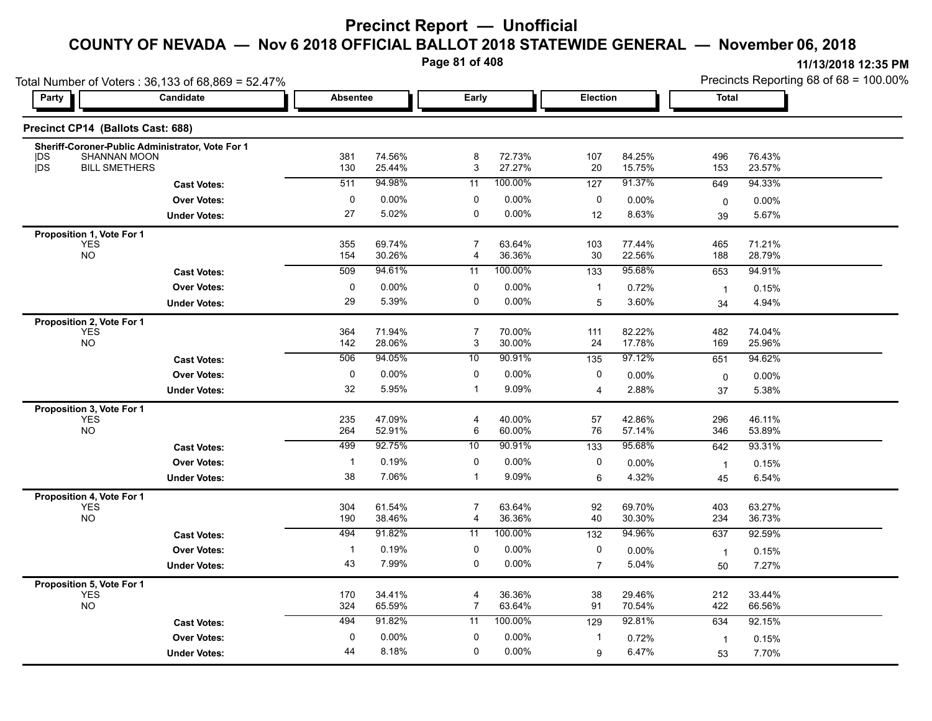**Page 81 of 408**

| 11/13/2018 12:35 PM |  |
|---------------------|--|
|---------------------|--|

Total Number of Voters : 36,133 of 68,869 = 52.47% Precincts Reporting 68 of 68 = 100.00% **Party Candidate Absentee Early Election Total Precinct CP14 (Ballots Cast: 688) Sheriff-Coroner-Public Administrator, Vote For 1** |DS SHANNAN MOON 381 74.56% 8 72.73% 107 84.25% 496 76.43% |DS BILL SMETHERS 130 25.44% 3 27.27% 20 15.75% 153 23.57% **Cast Votes:** 511 94.98% 11 100.00% 127 91.37% 649 94.33% **Under Votes: Over Votes:** 0.00% 5.02% 0 0.00% 0 0.00% 12 0.00% 0 8.63% 39 5.67% 39 5.67%  $0$  0.00%  $0$  0.00%  $0$  0.00%  $0$  0.00%  $0$  0.00% 27 5.02% 0 0.00% **Proposition 1, Vote For 1** YES 355 69.74% 7 63.64% 103 77.44% 465 71.21% NO 154 30.26% 164 36.36% 30 22.56% 188 28.79% 189 22.56% 188 28.79% **Cast Votes:** 509 94.61% 11 100.00% 133 95.68% 653 94.91% **Under Votes: Over Votes:** 0.00% 5.39% 0 0.00% 1 0.00% 5 0.72% 1  $3.60\%$   $34$   $4.94\%$ 34 4.94%  $0$  0.00% 0 0.00% 1 0.72% 1 0.15% 29 5.39% 0 0.00% **Proposition 2, Vote For 1** YES 364 71.94% 7 70.00% 111 82.22% 482 74.04% NO 142 28.06% 3 30.00% 24 17.78% 169 25.96% **Cast Votes:** 506 94.05% 10 90.91% 135 97.12% 651 94.62% **Under Votes: Over Votes:** 0.00% 5.95% 1 0.00% 0 9.09% 4 0.00% 0 2.88% 5.38% 37 5.38%  $0$  0.00%  $0$  0.00%  $0$  0.00%  $0$  0.00%  $0$  0.00% 32 5.95% 0 0.00% **Proposition 3, Vote For 1** YES 235 47.09% 4 40.00% 57 42.86% 296 46.11% NO 264 52.91% 6 60.00% 76 57.14% 346 53.89% **Cast Votes:** 499 92.75% 10 90.91% 133 95.68% 642 93.31% **Under Votes: Over Votes:** 0.19% 7.06% 1 0.00% 0 9.09% 6 0.00% 1 4.32% 6.54% 45 6.54% 1 0.15% 38 0 0.00% **Proposition 4, Vote For 1** YES 304 61.54% 7 63.64% 92 69.70% 403 63.27% NO 190 38.46% 190 38.46% 4 36.36% 40 30.30% 234 36.73% 234 36.73% **Cast Votes:** 494 91.82% 11 100.00% 132 94.96% 637 92.59% **Under Votes: Over Votes:** 0.19% 7.99% 0 0.00% 0 0.00% 7 0.00% 1 5.04% 7.27% 50 7.27% 1 0.15% 43 7.99%  $0.00\%$ **Proposition 5, Vote For 1** YES 170 34.41% 4 36.36% 38 29.46% 212 33.44% NO 324 65.59% 7 63.64% 91 70.54% 422 66.56% **Cast Votes:** 494 91.82% 11 100.00% 129 92.81% 634 92.15% **Under Votes: Over Votes:** 0.00% 8.18% 0 0.00% 1 6.47% 0.72% 1 6.47% 7.70% 53  $0$  0.00% 0 0.00% 1 0.72% 1 0.15% 44 8.18% 0 0.00% 9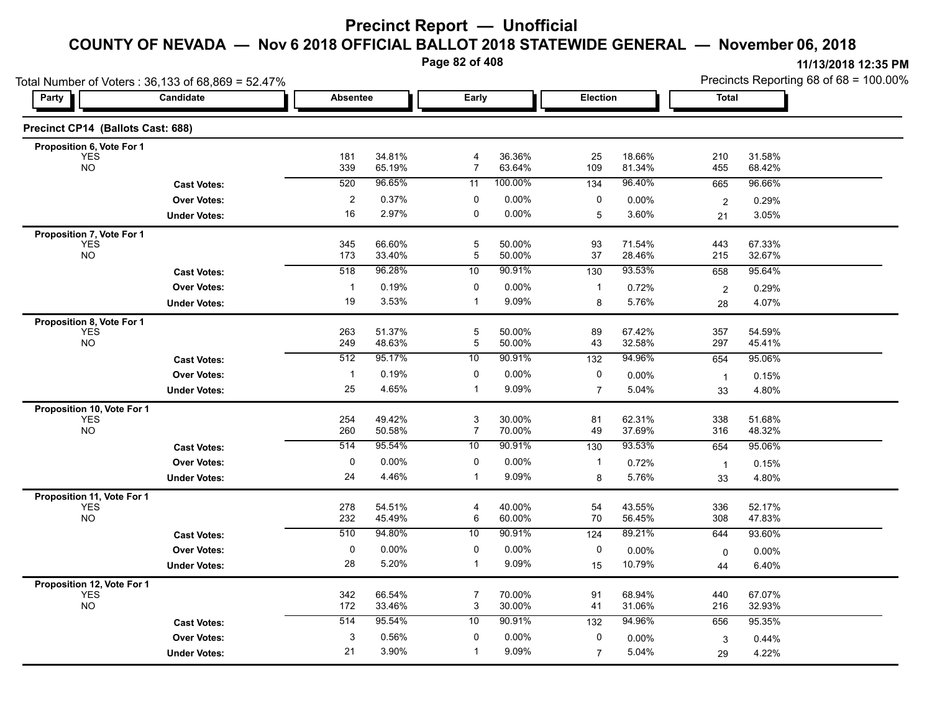**Page 82 of 408**

Total Number of Voters : 36,133 of 68,869 = 52.47%

**Precinct CP14 (Ballots Cast: 688)**

**Proposition 6, Vote For 1**

|                                        | Number of Voters: 36,133 of 68,869 = 52.47% |          |        | Page 82 of 408 |          |                 |          |              |        | 11/13/2018 12:35 PM<br>Precincts Reporting 68 of 68 = 100.00% |
|----------------------------------------|---------------------------------------------|----------|--------|----------------|----------|-----------------|----------|--------------|--------|---------------------------------------------------------------|
| Party                                  | Candidate                                   | Absentee |        | Early          |          | <b>Election</b> |          | <b>Total</b> |        |                                                               |
|                                        | cinct CP14 (Ballots Cast: 688)              |          |        |                |          |                 |          |              |        |                                                               |
| roposition 6, Vote For 1<br><b>YES</b> |                                             | 181      | 34.81% |                | 36.36%   | 25              | 18.66%   | 210          | 31.58% |                                                               |
| <b>NO</b>                              |                                             | 339      | 65.19% |                | 63.64%   | 109             | 81.34%   | 455          | 68.42% |                                                               |
|                                        | <b>Cast Votes:</b>                          | 520      | 96.65% | 11             | 100.00%  | 134             | 96.40%   | 665          | 96.66% |                                                               |
|                                        | <b>Over Votes:</b>                          |          | 0.37%  |                | $0.00\%$ |                 | $0.00\%$ |              | 0.29%  |                                                               |
|                                        | <b>Under Votes:</b>                         | 16       | 2.97%  |                | $0.00\%$ |                 | 3.60%    | 21           | 3.05%  |                                                               |

|                                          | <b>Cast Votes:</b>  | 520          | 96.65%           | 11             | 100.00%          | 134              | 96.40%           | 665            | 96.66%           |  |
|------------------------------------------|---------------------|--------------|------------------|----------------|------------------|------------------|------------------|----------------|------------------|--|
|                                          | <b>Over Votes:</b>  | 2            | 0.37%            | 0              | $0.00\%$         | 0                | 0.00%            | $\overline{2}$ | 0.29%            |  |
|                                          | <b>Under Votes:</b> | 16           | 2.97%            | 0              | 0.00%            | 5                | 3.60%            | 21             | 3.05%            |  |
| Proposition 7, Vote For 1                |                     |              |                  |                |                  |                  |                  |                |                  |  |
| <b>YES</b><br><b>NO</b>                  |                     | 345<br>173   | 66.60%<br>33.40% | 5<br>5         | 50.00%<br>50.00% | 93<br>37         | 71.54%<br>28.46% | 443<br>215     | 67.33%<br>32.67% |  |
|                                          | <b>Cast Votes:</b>  | 518          | 96.28%           | 10             | 90.91%           | $\overline{130}$ | 93.53%           | 658            | 95.64%           |  |
|                                          | <b>Over Votes:</b>  | -1           | 0.19%            | 0              | 0.00%            | $\mathbf{1}$     | 0.72%            |                | 0.29%            |  |
|                                          | <b>Under Votes:</b> | 19           | 3.53%            | $\mathbf 1$    | 9.09%            | 8                | 5.76%            | 2              | 4.07%            |  |
|                                          |                     |              |                  |                |                  |                  |                  | 28             |                  |  |
| Proposition 8, Vote For 1<br><b>YES</b>  |                     | 263          | 51.37%           | 5              | 50.00%           | 89               | 67.42%           | 357            | 54.59%           |  |
| <b>NO</b>                                |                     | 249          | 48.63%           | 5              | 50.00%           | 43               | 32.58%           | 297            | 45.41%           |  |
|                                          | <b>Cast Votes:</b>  | 512          | 95.17%           | 10             | 90.91%           | 132              | 94.96%           | 654            | 95.06%           |  |
|                                          | <b>Over Votes:</b>  | $\mathbf{1}$ | 0.19%            | 0              | 0.00%            | 0                | 0.00%            | $\mathbf{1}$   | 0.15%            |  |
|                                          | <b>Under Votes:</b> | 25           | 4.65%            | 1              | 9.09%            | $\overline{7}$   | 5.04%            | 33             | 4.80%            |  |
| Proposition 10, Vote For 1               |                     |              |                  |                |                  |                  |                  |                |                  |  |
| <b>YES</b>                               |                     | 254          | 49.42%           | 3              | 30.00%           | 81               | 62.31%           | 338            | 51.68%           |  |
| <b>NO</b>                                |                     | 260          | 50.58%           | $\overline{7}$ | 70.00%           | 49               | 37.69%           | 316            | 48.32%           |  |
|                                          | <b>Cast Votes:</b>  | 514          | 95.54%           | 10             | 90.91%           | 130              | 93.53%           | 654            | 95.06%           |  |
|                                          | <b>Over Votes:</b>  | 0            | $0.00\%$         | 0              | 0.00%            | $\mathbf 1$      | 0.72%            | -1             | 0.15%            |  |
|                                          | <b>Under Votes:</b> | 24           | 4.46%            | 1              | 9.09%            | 8                | 5.76%            | 33             | 4.80%            |  |
| Proposition 11, Vote For 1               |                     |              |                  |                |                  |                  |                  |                |                  |  |
| <b>YES</b><br><b>NO</b>                  |                     | 278<br>232   | 54.51%<br>45.49% | 4<br>6         | 40.00%<br>60.00% | 54<br>70         | 43.55%<br>56.45% | 336<br>308     | 52.17%<br>47.83% |  |
|                                          | <b>Cast Votes:</b>  | 510          | 94.80%           | 10             | 90.91%           | 124              | 89.21%           | 644            | 93.60%           |  |
|                                          | <b>Over Votes:</b>  | 0            | $0.00\%$         | 0              | 0.00%            | 0                | 0.00%            |                | 0.00%            |  |
|                                          | <b>Under Votes:</b> | 28           | 5.20%            | 1              | 9.09%            | 15               | 10.79%           | $\Omega$<br>44 | 6.40%            |  |
|                                          |                     |              |                  |                |                  |                  |                  |                |                  |  |
| Proposition 12, Vote For 1<br><b>YES</b> |                     | 342          | 66.54%           | $\overline{7}$ | 70.00%           | 91               | 68.94%           | 440            | 67.07%           |  |
| <b>NO</b>                                |                     | 172          | 33.46%           | 3              | 30.00%           | 41               | 31.06%           | 216            | 32.93%           |  |
|                                          | <b>Cast Votes:</b>  | 514          | 95.54%           | 10             | 90.91%           | 132              | 94.96%           | 656            | 95.35%           |  |
|                                          | <b>Over Votes:</b>  | 3            | 0.56%            | 0              | 0.00%            | 0                | 0.00%            | 3              | 0.44%            |  |
|                                          | <b>Under Votes:</b> | 21           | 3.90%            | 1              | 9.09%            | $\overline{7}$   | 5.04%            | 29             | 4.22%            |  |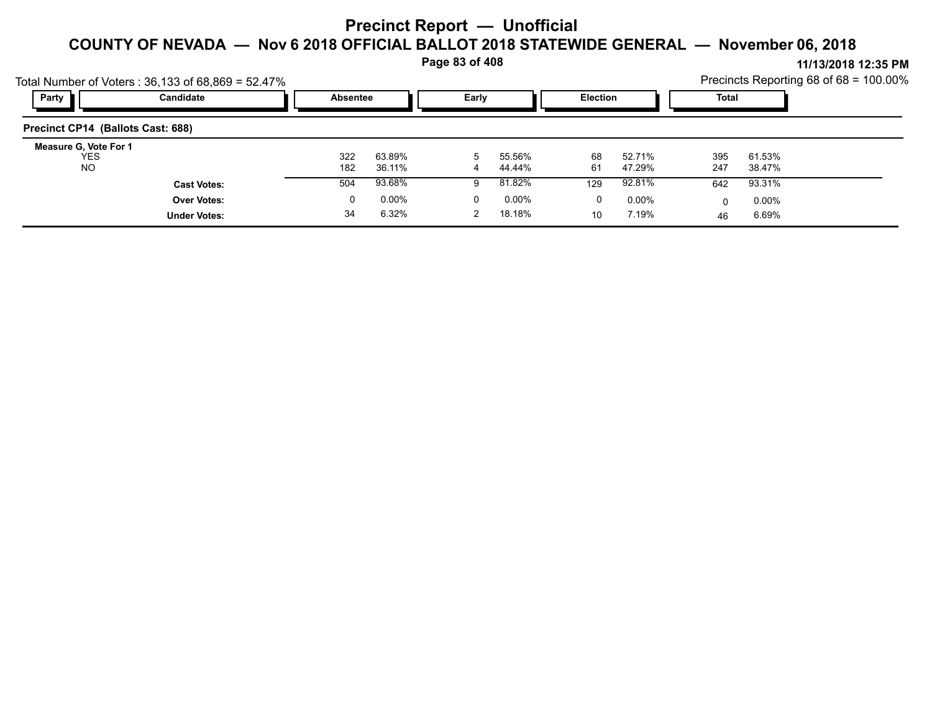**Page 83 of 408**

|                                     | Total Number of Voters: 36,133 of 68,869 = 52.47% |                 |          |          |          |                 |          |              |          | Precincts Reporting 68 of $68 = 100.00\%$ |
|-------------------------------------|---------------------------------------------------|-----------------|----------|----------|----------|-----------------|----------|--------------|----------|-------------------------------------------|
| Party                               | Candidate                                         | <b>Absentee</b> |          | Early    |          | <b>Election</b> |          | <b>Total</b> |          |                                           |
| Precinct CP14 (Ballots Cast: 688)   |                                                   |                 |          |          |          |                 |          |              |          |                                           |
| Measure G, Vote For 1<br><b>YES</b> |                                                   | 322             | 63.89%   | 5        | 55.56%   | 68              | 52.71%   | 395          | 61.53%   |                                           |
| NO.                                 |                                                   | 182             | 36.11%   | 4        | 44.44%   | 61              | 47.29%   | 247          | 38.47%   |                                           |
|                                     | <b>Cast Votes:</b>                                | 504             | 93.68%   | я        | 81.82%   | 129             | 92.81%   | 642          | 93.31%   |                                           |
|                                     | <b>Over Votes:</b>                                | 0               | $0.00\%$ | $\Omega$ | $0.00\%$ | 0               | $0.00\%$ | 0            | $0.00\%$ |                                           |
|                                     | <b>Under Votes:</b>                               | 34              | 6.32%    |          | 18.18%   | 10              | 7.19%    | 46           | 6.69%    |                                           |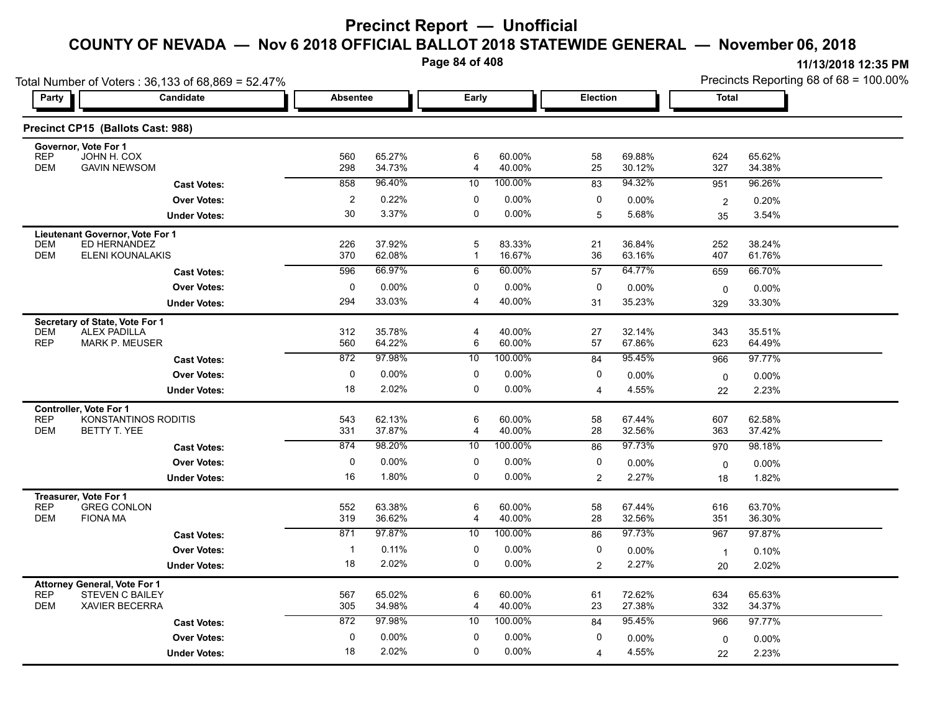**Page 84 of 408**

|                          | Total Number of Voters: 36,133 of 68,869 = 52.47%             |                 |                  |                   |                  |                 |                  |                    |                  | 11/19/4010 14.99 F M<br>Precincts Reporting 68 of 68 = 100.00% |
|--------------------------|---------------------------------------------------------------|-----------------|------------------|-------------------|------------------|-----------------|------------------|--------------------|------------------|----------------------------------------------------------------|
| Party                    | Candidate                                                     | <b>Absentee</b> |                  | Early             |                  | <b>Election</b> |                  | <b>Total</b>       |                  |                                                                |
|                          | Precinct CP15 (Ballots Cast: 988)                             |                 |                  |                   |                  |                 |                  |                    |                  |                                                                |
| <b>REP</b>               | Governor, Vote For 1<br>JOHN H. COX                           | 560             | 65.27%           | 6                 | 60.00%           | 58              | 69.88%           | 624                | 65.62%           |                                                                |
| <b>DEM</b>               | <b>GAVIN NEWSOM</b>                                           | 298             | 34.73%           | 4                 | 40.00%           | 25              | 30.12%           | 327                | 34.38%           |                                                                |
|                          | <b>Cast Votes:</b>                                            | 858             | 96.40%           | 10                | 100.00%          | 83              | 94.32%           | 951                | 96.26%           |                                                                |
|                          | <b>Over Votes:</b>                                            | $\overline{2}$  | 0.22%            | $\mathbf 0$       | $0.00\%$         | 0               | 0.00%            | $\overline{2}$     | 0.20%            |                                                                |
|                          | <b>Under Votes:</b>                                           | 30              | 3.37%            | 0                 | $0.00\%$         | 5               | 5.68%            | 35                 | 3.54%            |                                                                |
|                          | Lieutenant Governor, Vote For 1                               |                 |                  |                   |                  |                 |                  |                    |                  |                                                                |
| <b>DEM</b><br><b>DEM</b> | ED HERNANDEZ<br><b>ELENI KOUNALAKIS</b>                       | 226<br>370      | 37.92%<br>62.08% | 5<br>$\mathbf{1}$ | 83.33%<br>16.67% | 21<br>36        | 36.84%<br>63.16% | 252<br>407         | 38.24%<br>61.76% |                                                                |
|                          | <b>Cast Votes:</b>                                            | 596             | 66.97%           | 6                 | 60.00%           | 57              | 64.77%           | 659                | 66.70%           |                                                                |
|                          | <b>Over Votes:</b>                                            | $\mathbf 0$     | 0.00%            | $\mathbf 0$       | $0.00\%$         | 0               | 0.00%            |                    | $0.00\%$         |                                                                |
|                          | <b>Under Votes:</b>                                           | 294             | 33.03%           | 4                 | 40.00%           | 31              | 35.23%           | 0<br>329           | 33.30%           |                                                                |
|                          | Secretary of State, Vote For 1                                |                 |                  |                   |                  |                 |                  |                    |                  |                                                                |
| <b>DEM</b>               | <b>ALEX PADILLA</b>                                           | 312             | 35.78%           | $\overline{4}$    | 40.00%           | 27              | 32.14%           | 343                | 35.51%           |                                                                |
| <b>REP</b>               | <b>MARK P. MEUSER</b>                                         | 560             | 64.22%           | 6                 | 60.00%           | 57              | 67.86%           | 623                | 64.49%           |                                                                |
|                          | <b>Cast Votes:</b>                                            | 872             | 97.98%           | 10                | 100.00%          | 84              | 95.45%           | 966                | 97.77%           |                                                                |
|                          | <b>Over Votes:</b>                                            | 0               | 0.00%            | 0                 | $0.00\%$         | 0               | 0.00%            | $\mathsf 0$        | 0.00%            |                                                                |
|                          | <b>Under Votes:</b>                                           | 18              | 2.02%            | $\mathbf 0$       | 0.00%            | $\overline{4}$  | 4.55%            | 22                 | 2.23%            |                                                                |
| <b>REP</b>               | <b>Controller, Vote For 1</b><br>KONSTANTINOS RODITIS         | 543             | 62.13%           | 6                 | 60.00%           | 58              | 67.44%           | 607                | 62.58%           |                                                                |
| <b>DEM</b>               | BETTY T. YEE                                                  | 331             | 37.87%           | 4                 | 40.00%           | 28              | 32.56%           | 363                | 37.42%           |                                                                |
|                          | <b>Cast Votes:</b>                                            | 874             | 98.20%           | 10                | 100.00%          | 86              | 97.73%           | 970                | 98.18%           |                                                                |
|                          | <b>Over Votes:</b>                                            | $\mathbf 0$     | 0.00%            | 0                 | $0.00\%$         | $\mathbf 0$     | 0.00%            | 0                  | 0.00%            |                                                                |
|                          | <b>Under Votes:</b>                                           | 16              | 1.80%            | $\mathbf 0$       | $0.00\%$         | $\overline{2}$  | 2.27%            | 18                 | 1.82%            |                                                                |
|                          | Treasurer, Vote For 1                                         |                 |                  |                   |                  |                 |                  |                    |                  |                                                                |
| <b>REP</b><br><b>DEM</b> | <b>GREG CONLON</b><br><b>FIONA MA</b>                         | 552<br>319      | 63.38%<br>36.62% | 6<br>4            | 60.00%<br>40.00% | 58<br>28        | 67.44%<br>32.56% | 616<br>351         | 63.70%<br>36.30% |                                                                |
|                          | <b>Cast Votes:</b>                                            | 871             | 97.87%           | 10                | 100.00%          | 86              | 97.73%           | 967                | 97.87%           |                                                                |
|                          | <b>Over Votes:</b>                                            | $\overline{1}$  | 0.11%            | 0                 | $0.00\%$         | 0               | 0.00%            |                    |                  |                                                                |
|                          | <b>Under Votes:</b>                                           | 18              | 2.02%            | $\mathbf 0$       | $0.00\%$         | 2               | 2.27%            | $\mathbf{1}$<br>20 | 0.10%<br>2.02%   |                                                                |
|                          |                                                               |                 |                  |                   |                  |                 |                  |                    |                  |                                                                |
| <b>REP</b>               | <b>Attorney General, Vote For 1</b><br><b>STEVEN C BAILEY</b> | 567             | 65.02%           | 6                 | 60.00%           | 61              | 72.62%           | 634                | 65.63%           |                                                                |
| <b>DEM</b>               | <b>XAVIER BECERRA</b>                                         | 305             | 34.98%           | 4                 | 40.00%           | 23              | 27.38%           | 332                | 34.37%           |                                                                |
|                          | <b>Cast Votes:</b>                                            | 872             | 97.98%           | 10                | 100.00%          | 84              | 95.45%           | 966                | 97.77%           |                                                                |
|                          | <b>Over Votes:</b>                                            | 0               | 0.00%            | 0                 | $0.00\%$         | 0               | 0.00%            | 0                  | 0.00%            |                                                                |
|                          | <b>Under Votes:</b>                                           | 18              | 2.02%            | $\mathbf 0$       | $0.00\%$         | $\overline{4}$  | 4.55%            | 22                 | 2.23%            |                                                                |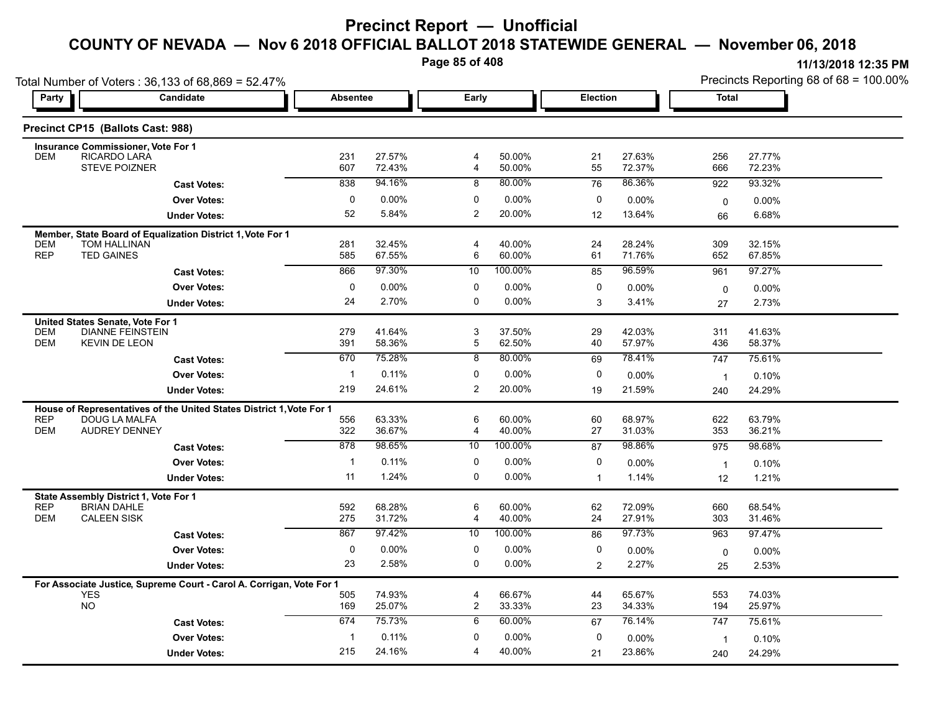**Page 85 of 408**

|                                           | Total Number of Voters: 36,133 of 68,869 = 52.47%                                     |                     |                  |                     |                  |                 |                  |                | Precincts Reporting 68 of 68 = 100.00% |
|-------------------------------------------|---------------------------------------------------------------------------------------|---------------------|------------------|---------------------|------------------|-----------------|------------------|----------------|----------------------------------------|
| Party                                     | Candidate                                                                             | <b>Absentee</b>     |                  | Early               |                  | <b>Election</b> |                  | Total          |                                        |
| Precinct CP15 (Ballots Cast: 988)         |                                                                                       |                     |                  |                     |                  |                 |                  |                |                                        |
| <b>Insurance Commissioner, Vote For 1</b> |                                                                                       |                     |                  |                     |                  |                 |                  |                |                                        |
| <b>RICARDO LARA</b><br><b>DEM</b>         | <b>STEVE POIZNER</b>                                                                  | 231<br>607          | 27.57%<br>72.43% | $\overline{4}$<br>4 | 50.00%<br>50.00% | 21<br>55        | 27.63%<br>72.37% | 256<br>666     | 27.77%<br>72.23%                       |
|                                           | <b>Cast Votes:</b>                                                                    | 838                 | 94.16%           | 8                   | 80.00%           | 76              | 86.36%           | 922            | 93.32%                                 |
|                                           | <b>Over Votes:</b>                                                                    | 0                   | $0.00\%$         | 0                   | $0.00\%$         | 0               | 0.00%            | 0              | 0.00%                                  |
|                                           | <b>Under Votes:</b>                                                                   | 52                  | 5.84%            | 2                   | 20.00%           | 12              | 13.64%           | 66             | 6.68%                                  |
|                                           | Member, State Board of Equalization District 1, Vote For 1                            |                     |                  |                     |                  |                 |                  |                |                                        |
| <b>DEM</b><br>TOM HALLINAN                |                                                                                       | 281                 | 32.45%           | 4                   | 40.00%           | 24              | 28.24%           | 309            | 32.15%                                 |
| <b>REP</b><br><b>TED GAINES</b>           |                                                                                       | 585                 | 67.55%           | 6                   | 60.00%           | 61              | 71.76%           | 652            | 67.85%                                 |
|                                           | <b>Cast Votes:</b>                                                                    | 866                 | 97.30%           | 10                  | 100.00%          | 85              | 96.59%           | 961            | 97.27%                                 |
|                                           | <b>Over Votes:</b>                                                                    | $\mathbf 0$         | 0.00%            | 0                   | 0.00%            | 0               | 0.00%            | 0              | $0.00\%$                               |
|                                           | <b>Under Votes:</b>                                                                   | 24                  | 2.70%            | 0                   | 0.00%            | 3               | 3.41%            | 27             | 2.73%                                  |
| United States Senate, Vote For 1          |                                                                                       |                     |                  |                     |                  |                 |                  |                |                                        |
| <b>DEM</b><br><b>DEM</b>                  | <b>DIANNE FEINSTEIN</b><br><b>KEVIN DE LEON</b>                                       | 279<br>391          | 41.64%<br>58.36% | 3<br>5              | 37.50%<br>62.50% | 29<br>40        | 42.03%<br>57.97% | 311<br>436     | 41.63%<br>58.37%                       |
|                                           |                                                                                       | 670                 | 75.28%           | 8                   | 80.00%           | 69              | 78.41%           | 747            | 75.61%                                 |
|                                           | <b>Cast Votes:</b>                                                                    |                     |                  |                     |                  |                 |                  |                |                                        |
|                                           | <b>Over Votes:</b>                                                                    | $\mathbf{1}$<br>219 | 0.11%<br>24.61%  | 0<br>2              | 0.00%<br>20.00%  | 0               | 0.00%            | $\overline{1}$ | 0.10%                                  |
|                                           | <b>Under Votes:</b>                                                                   |                     |                  |                     |                  | 19              | 21.59%           | 240            | 24.29%                                 |
| <b>REP</b>                                | House of Representatives of the United States District 1, Vote For 1<br>DOUG LA MALFA | 556                 | 63.33%           | 6                   | 60.00%           | 60              | 68.97%           | 622            | 63.79%                                 |
| <b>DEM</b>                                | <b>AUDREY DENNEY</b>                                                                  | 322                 | 36.67%           | 4                   | 40.00%           | 27              | 31.03%           | 353            | 36.21%                                 |
|                                           | <b>Cast Votes:</b>                                                                    | 878                 | 98 65%           | 10                  | 100.00%          | 87              | 98.86%           | 975            | 98.68%                                 |
|                                           | <b>Over Votes:</b>                                                                    | $\mathbf{1}$        | 0.11%            | 0                   | 0.00%            | 0               | 0.00%            | $\overline{1}$ | 0.10%                                  |
|                                           | <b>Under Votes:</b>                                                                   | 11                  | 1.24%            | 0                   | 0.00%            | $\overline{1}$  | 1.14%            | 12             | 1.21%                                  |
| State Assembly District 1, Vote For 1     |                                                                                       |                     |                  |                     |                  |                 |                  |                |                                        |
| <b>REP</b><br><b>BRIAN DAHLE</b>          |                                                                                       | 592                 | 68.28%           | 6                   | 60.00%           | 62              | 72.09%           | 660            | 68.54%                                 |
| <b>DEM</b><br><b>CALEEN SISK</b>          |                                                                                       | 275                 | 31.72%           | 4                   | 40.00%           | 24              | 27.91%           | 303            | 31.46%                                 |
|                                           | <b>Cast Votes:</b>                                                                    | 867                 | 97.42%           | 10                  | 100.00%          | 86              | 97.73%           | 963            | 97.47%                                 |
|                                           | <b>Over Votes:</b>                                                                    | $\mathbf 0$         | $0.00\%$         | 0                   | 0.00%            | 0               | $0.00\%$         | $\mathbf 0$    | 0.00%                                  |
|                                           | <b>Under Votes:</b>                                                                   | 23                  | 2.58%            | 0                   | 0.00%            | $\overline{2}$  | 2.27%            | 25             | 2.53%                                  |
|                                           | For Associate Justice, Supreme Court - Carol A. Corrigan, Vote For 1                  |                     |                  |                     |                  |                 |                  |                |                                        |
| <b>YES</b><br><b>NO</b>                   |                                                                                       | 505                 | 74.93%           | 4                   | 66.67%           | 44              | 65.67%           | 553            | 74.03%                                 |
|                                           |                                                                                       | 169<br>674          | 25.07%<br>75.73% | $\overline{c}$<br>6 | 33.33%<br>60.00% | 23              | 34.33%<br>76.14% | 194            | 25.97%                                 |
|                                           | <b>Cast Votes:</b>                                                                    |                     |                  |                     |                  | 67              |                  | 747            | 75.61%                                 |
|                                           | <b>Over Votes:</b>                                                                    | $\mathbf{1}$        | 0.11%            | 0                   | 0.00%            | 0               | 0.00%            | $\overline{1}$ | 0.10%                                  |
|                                           | <b>Under Votes:</b>                                                                   | 215                 | 24.16%           | 4                   | 40.00%           | 21              | 23.86%           | 240            | 24.29%                                 |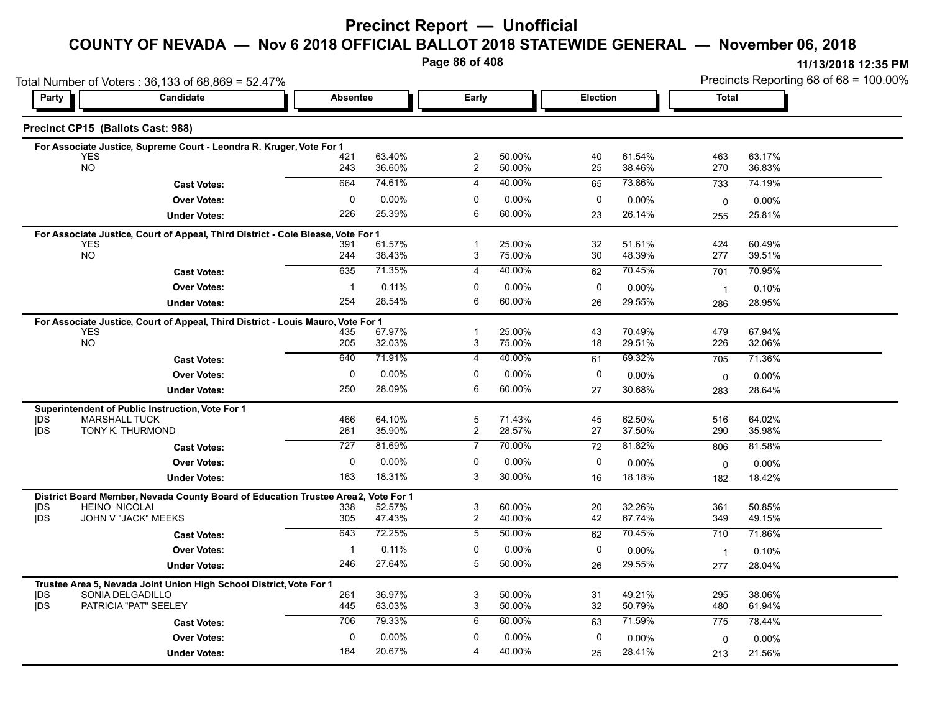#### **COUNTY OF NEVADA — Nov 6 2018 OFFICIAL BALLOT 2018 STATEWIDE GENERAL — November 06, 2018**

**Page 86 of 408**

|                  | Total Number of Voters: 36,133 of 68,869 = 52.47%                                              |                     |                  |                                  |                    |             |                  | Precincts Reporting 68 of 68 = 100.00% |                  |  |
|------------------|------------------------------------------------------------------------------------------------|---------------------|------------------|----------------------------------|--------------------|-------------|------------------|----------------------------------------|------------------|--|
| Party            | Candidate                                                                                      | <b>Absentee</b>     |                  | Early                            |                    | Election    |                  | <b>Total</b>                           |                  |  |
|                  | Precinct CP15 (Ballots Cast: 988)                                                              |                     |                  |                                  |                    |             |                  |                                        |                  |  |
|                  | For Associate Justice, Supreme Court - Leondra R. Kruger, Vote For 1                           |                     |                  |                                  |                    |             |                  |                                        |                  |  |
|                  | <b>YES</b><br>NO                                                                               | 421<br>243          | 63.40%<br>36.60% | $\overline{c}$<br>$\overline{c}$ | 50.00%<br>50.00%   | 40<br>25    | 61.54%<br>38.46% | 463<br>270                             | 63.17%<br>36.83% |  |
|                  | <b>Cast Votes:</b>                                                                             | 664                 | 74.61%           | 4                                | 40.00%             | 65          | 73.86%           | 733                                    | 74.19%           |  |
|                  | <b>Over Votes:</b>                                                                             | $\mathbf 0$         | $0.00\%$         | $\mathbf 0$                      | 0.00%              | 0           | $0.00\%$         | 0                                      | 0.00%            |  |
|                  | <b>Under Votes:</b>                                                                            | 226                 | 25.39%           | 6                                | 60.00%             | 23          | 26.14%           | 255                                    | 25.81%           |  |
|                  | For Associate Justice, Court of Appeal, Third District - Cole Blease, Vote For 1               |                     |                  |                                  |                    |             |                  |                                        |                  |  |
|                  | <b>YES</b><br><b>NO</b>                                                                        | 391                 | 61.57%           | -1                               | 25.00%             | 32          | 51.61%           | 424                                    | 60.49%           |  |
|                  |                                                                                                | 244                 | 38.43%<br>71.35% | 3                                | 75.00%             | 30          | 48.39%           | 277                                    | 39.51%           |  |
|                  | <b>Cast Votes:</b>                                                                             | 635                 |                  | 4                                | 40.00%             | 62          | 70.45%           | 701                                    | 70.95%           |  |
|                  | <b>Over Votes:</b>                                                                             | $\mathbf{1}$<br>254 | 0.11%<br>28.54%  | 0<br>6                           | $0.00\%$<br>60.00% | $\mathbf 0$ | 0.00%            | $\overline{1}$                         | 0.10%            |  |
|                  | <b>Under Votes:</b>                                                                            |                     |                  |                                  |                    | 26          | 29.55%           | 286                                    | 28.95%           |  |
|                  | For Associate Justice, Court of Appeal, Third District - Louis Mauro, Vote For 1<br><b>YES</b> | 435                 | 67.97%           | $\mathbf{1}$                     | 25.00%             | 43          | 70.49%           | 479                                    | 67.94%           |  |
|                  | <b>NO</b>                                                                                      | 205                 | 32.03%           | 3                                | 75.00%             | 18          | 29.51%           | 226                                    | 32.06%           |  |
|                  | <b>Cast Votes:</b>                                                                             | 640                 | 71.91%           | 4                                | 40.00%             | 61          | 69.32%           | 705                                    | 71.36%           |  |
|                  | <b>Over Votes:</b>                                                                             | 0                   | $0.00\%$         | $\mathbf 0$                      | 0.00%              | 0           | $0.00\%$         | $\mathbf 0$                            | 0.00%            |  |
|                  | <b>Under Votes:</b>                                                                            | 250                 | 28.09%           | 6                                | 60.00%             | 27          | 30.68%           | 283                                    | 28.64%           |  |
|                  | Superintendent of Public Instruction, Vote For 1                                               |                     |                  |                                  |                    |             |                  |                                        |                  |  |
| IDS.             | <b>MARSHALL TUCK</b>                                                                           | 466                 | 64.10%           | 5                                | 71.43%             | 45          | 62.50%           | 516                                    | 64.02%           |  |
| <b>IDS</b>       | TONY K. THURMOND                                                                               | 261                 | 35.90%           | $\overline{c}$                   | 28.57%             | 27          | 37.50%           | 290                                    | 35.98%           |  |
|                  | <b>Cast Votes:</b>                                                                             | $\overline{727}$    | 81.69%           | 7                                | 70.00%             | 72          | 81.82%           | 806                                    | 81.58%           |  |
|                  | <b>Over Votes:</b>                                                                             | 0                   | 0.00%            | 0                                | 0.00%              | 0           | 0.00%            | $\mathbf 0$                            | 0.00%            |  |
|                  | <b>Under Votes:</b>                                                                            | 163                 | 18.31%           | 3                                | 30.00%             | 16          | 18.18%           | 182                                    | 18.42%           |  |
|                  | District Board Member, Nevada County Board of Education Trustee Area2,                         |                     | Vote For 1       |                                  |                    |             |                  |                                        |                  |  |
| DS<br><b>IDS</b> | <b>HEINO NICOLAI</b><br>JOHN V "JACK" MEEKS                                                    | 338<br>305          | 52.57%<br>47.43% | 3<br>$\overline{c}$              | 60.00%<br>40.00%   | 20<br>42    | 32.26%<br>67.74% | 361<br>349                             | 50.85%<br>49.15% |  |
|                  | <b>Cast Votes:</b>                                                                             | 643                 | 72.25%           | 5                                | 50.00%             | 62          | 70.45%           | 710                                    | 71.86%           |  |
|                  | <b>Over Votes:</b>                                                                             | -1                  | 0.11%            | 0                                | 0.00%              | 0           | $0.00\%$         | $\overline{1}$                         | 0.10%            |  |
|                  | <b>Under Votes:</b>                                                                            | 246                 | 27.64%           | 5                                | 50.00%             | 26          | 29.55%           | 277                                    | 28.04%           |  |
|                  | Trustee Area 5, Nevada Joint Union High School District, Vote For 1                            |                     |                  |                                  |                    |             |                  |                                        |                  |  |
| <b>IDS</b>       | SONIA DELGADILLO                                                                               | 261                 | 36.97%           | 3                                | 50.00%             | 31          | 49.21%           | 295                                    | 38.06%           |  |
| <b>IDS</b>       | PATRICIA "PAT" SEELEY                                                                          | 445                 | 63.03%           | 3                                | 50.00%             | 32          | 50.79%           | 480                                    | 61.94%           |  |
|                  | <b>Cast Votes:</b>                                                                             | 706                 | 79.33%           | 6                                | 60.00%             | 63          | 71.59%           | 775                                    | 78.44%           |  |
|                  | <b>Over Votes:</b>                                                                             | $\mathbf 0$         | 0.00%            | 0                                | 0.00%              | 0           | 0.00%            | 0                                      | $0.00\%$         |  |
|                  | <b>Under Votes:</b>                                                                            | 184                 | 20.67%           | 4                                | 40.00%             | 25          | 28.41%           | 213                                    | 21.56%           |  |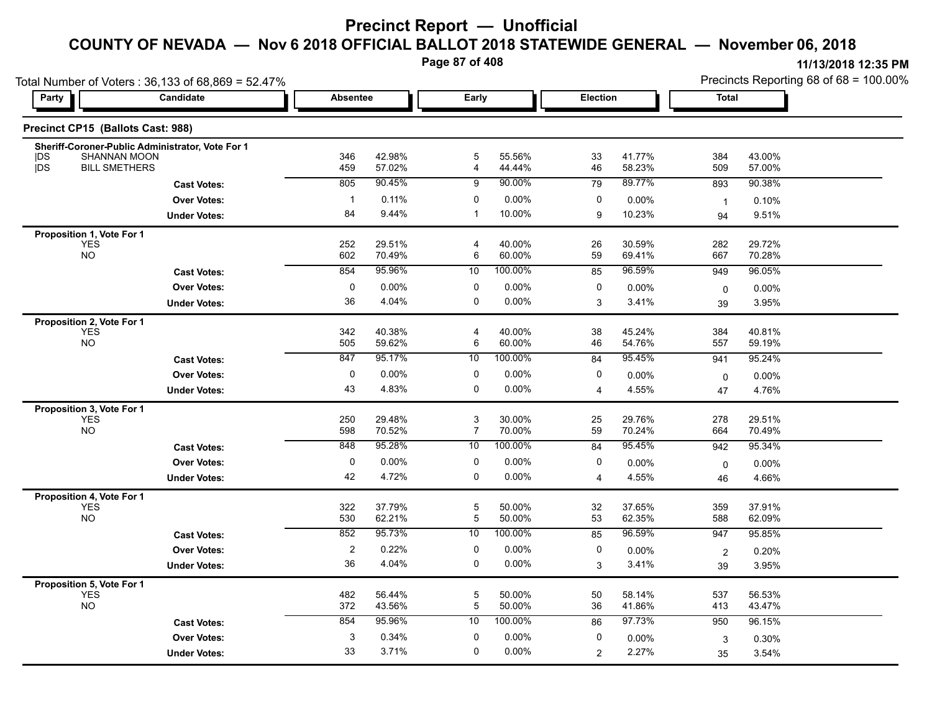**Page 87 of 408**

|                                         | Total Number of Voters: 36,133 of 68,869 = 52.47%                |                 |                  |                                             |                  |                |                  |                | Precincts Reporting 68 of 68 = 100.00% |
|-----------------------------------------|------------------------------------------------------------------|-----------------|------------------|---------------------------------------------|------------------|----------------|------------------|----------------|----------------------------------------|
| Party                                   | Candidate                                                        | <b>Absentee</b> |                  | Early                                       |                  | Election       |                  | <b>Total</b>   |                                        |
|                                         | Precinct CP15 (Ballots Cast: 988)                                |                 |                  |                                             |                  |                |                  |                |                                        |
| <b>IDS</b>                              | Sheriff-Coroner-Public Administrator, Vote For 1<br>SHANNAN MOON | 346             | 42.98%           | 5                                           | 55.56%           | 33             | 41.77%           | 384            | 43.00%                                 |
| <b>IDS</b>                              | <b>BILL SMETHERS</b>                                             | 459             | 57.02%           | 4                                           | 44.44%           | 46             | 58.23%           | 509            | 57.00%                                 |
|                                         | <b>Cast Votes:</b>                                               | 805             | 90.45%           | 9                                           | 90.00%           | 79             | 89.77%           | 893            | 90.38%                                 |
|                                         | <b>Over Votes:</b>                                               | $\mathbf{1}$    | 0.11%            | 0                                           | 0.00%            | 0              | $0.00\%$         | $\overline{1}$ | 0.10%                                  |
|                                         | <b>Under Votes:</b>                                              | 84              | 9.44%            | $\mathbf 1$                                 | 10.00%           | 9              | 10.23%           | 94             | 9.51%                                  |
| Proposition 1, Vote For 1               |                                                                  |                 |                  |                                             |                  |                |                  |                |                                        |
| <b>YES</b><br><b>NO</b>                 |                                                                  | 252<br>602      | 29.51%<br>70.49% | $\overline{\mathbf{4}}$<br>6                | 40.00%<br>60.00% | 26<br>59       | 30.59%<br>69.41% | 282<br>667     | 29.72%<br>70.28%                       |
|                                         | <b>Cast Votes:</b>                                               | 854             | 95.96%           | 10                                          | 100.00%          | 85             | 96.59%           | 949            | 96.05%                                 |
|                                         | <b>Over Votes:</b>                                               | 0               | 0.00%            | 0                                           | 0.00%            | 0              | 0.00%            |                | 0.00%                                  |
|                                         | <b>Under Votes:</b>                                              | 36              | 4.04%            | 0                                           | 0.00%            | 3              | 3.41%            | 0<br>39        | 3.95%                                  |
| Proposition 2, Vote For 1               |                                                                  |                 |                  |                                             |                  |                |                  |                |                                        |
| <b>YES</b>                              |                                                                  | 342             | 40.38%           | $\overline{4}$                              | 40.00%           | 38             | 45.24%           | 384            | 40.81%                                 |
| <b>NO</b>                               |                                                                  | 505             | 59.62%           | 6                                           | 60.00%           | 46             | 54.76%           | 557            | 59.19%                                 |
|                                         | <b>Cast Votes:</b>                                               | 847             | 95.17%           | 10                                          | 100.00%          | 84             | 95.45%           | 941            | 95.24%                                 |
|                                         | <b>Over Votes:</b>                                               | 0               | 0.00%            | 0                                           | 0.00%            | 0              | 0.00%            | 0              | 0.00%                                  |
|                                         | <b>Under Votes:</b>                                              | 43              | 4.83%            | 0                                           | 0.00%            | $\overline{4}$ | 4.55%            | 47             | 4.76%                                  |
| Proposition 3, Vote For 1               |                                                                  |                 |                  |                                             |                  |                |                  |                |                                        |
| YES<br><b>NO</b>                        |                                                                  | 250<br>598      | 29.48%<br>70.52% | $\ensuremath{\mathsf{3}}$<br>$\overline{7}$ | 30.00%<br>70.00% | 25<br>59       | 29.76%<br>70.24% | 278<br>664     | 29.51%<br>70.49%                       |
|                                         | <b>Cast Votes:</b>                                               | 848             | 95.28%           | 10                                          | 100.00%          | 84             | 95.45%           | 942            | 95.34%                                 |
|                                         | <b>Over Votes:</b>                                               | 0               | $0.00\%$         | 0                                           | 0.00%            | 0              |                  |                |                                        |
|                                         | <b>Under Votes:</b>                                              | 42              | 4.72%            | 0                                           | 0.00%            | 4              | 0.00%<br>4.55%   | $\mathbf 0$    | 0.00%<br>4.66%                         |
|                                         |                                                                  |                 |                  |                                             |                  |                |                  | 46             |                                        |
| Proposition 4, Vote For 1<br><b>YES</b> |                                                                  | 322             | 37.79%           | $\mathbf 5$                                 | 50.00%           | 32             | 37.65%           | 359            | 37.91%                                 |
| <b>NO</b>                               |                                                                  | 530             | 62.21%           | 5                                           | 50.00%           | 53             | 62.35%           | 588            | 62.09%                                 |
|                                         | <b>Cast Votes:</b>                                               | 852             | 95.73%           | 10                                          | 100.00%          | 85             | 96.59%           | 947            | 95.85%                                 |
|                                         | <b>Over Votes:</b>                                               | $\sqrt{2}$      | 0.22%            | 0                                           | 0.00%            | 0              | 0.00%            | $\overline{2}$ | 0.20%                                  |
|                                         | <b>Under Votes:</b>                                              | 36              | 4.04%            | 0                                           | 0.00%            | 3              | 3.41%            | 39             | 3.95%                                  |
| Proposition 5, Vote For 1               |                                                                  |                 |                  |                                             |                  |                |                  |                |                                        |
| <b>YES</b><br><b>NO</b>                 |                                                                  | 482             | 56.44%           | $\overline{5}$                              | 50.00%           | 50             | 58.14%           | 537            | 56.53%                                 |
|                                         |                                                                  | 372             | 43.56%           | $\mathbf 5$                                 | 50.00%           | 36             | 41.86%           | 413            | 43.47%                                 |
|                                         | <b>Cast Votes:</b>                                               | 854             | 95.96%           | 10                                          | 100.00%          | 86             | 97.73%           | 950            | 96.15%                                 |
|                                         | <b>Over Votes:</b>                                               | 3               | 0.34%            | 0                                           | 0.00%            | 0              | $0.00\%$         | 3              | 0.30%                                  |
|                                         | <b>Under Votes:</b>                                              | 33              | 3.71%            | 0                                           | 0.00%            | $\overline{2}$ | 2.27%            | 35             | 3.54%                                  |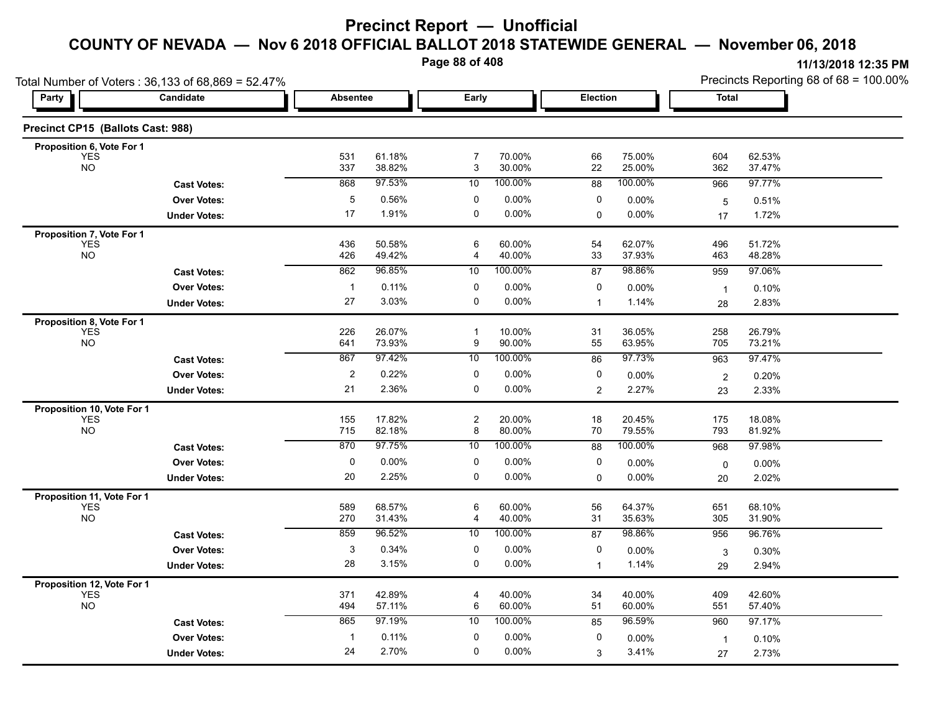**Page 88 of 408**

|                                   | Total Number of Voters: 36,133 of 68,869 = 52.47% |                 |                  |                     |                  |                 |                  |                      | Precincts Reporting 68 of 68 = 100.00% |
|-----------------------------------|---------------------------------------------------|-----------------|------------------|---------------------|------------------|-----------------|------------------|----------------------|----------------------------------------|
| Party                             | Candidate                                         | <b>Absentee</b> |                  | Early               |                  | Election        |                  | Total                |                                        |
| Precinct CP15 (Ballots Cast: 988) |                                                   |                 |                  |                     |                  |                 |                  |                      |                                        |
| Proposition 6, Vote For 1         |                                                   |                 |                  | $\overline{7}$      |                  | 66              |                  |                      |                                        |
| YES<br><b>NO</b>                  |                                                   | 531<br>337      | 61.18%<br>38.82% | 3                   | 70.00%<br>30.00% | 22              | 75.00%<br>25.00% | 604<br>362           | 62.53%<br>37.47%                       |
|                                   | <b>Cast Votes:</b>                                | 868             | 97.53%           | 10                  | 100.00%          | $\overline{88}$ | 100.00%          | 966                  | 97.77%                                 |
|                                   | <b>Over Votes:</b>                                | $\overline{5}$  | 0.56%            | 0                   | $0.00\%$         | 0               | 0.00%            | 5                    | 0.51%                                  |
|                                   | <b>Under Votes:</b>                               | 17              | 1.91%            | $\mathbf 0$         | 0.00%            | 0               | 0.00%            | 17                   | 1.72%                                  |
| Proposition 7, Vote For 1         |                                                   |                 |                  |                     |                  |                 |                  |                      |                                        |
| YES<br>NO                         |                                                   | 436<br>426      | 50.58%<br>49.42% | 6<br>4              | 60.00%<br>40.00% | 54<br>33        | 62.07%<br>37.93% | 496<br>463           | 51.72%<br>48.28%                       |
|                                   | <b>Cast Votes:</b>                                | 862             | 96.85%           | 10                  | 100.00%          | 87              | 98.86%           | 959                  | 97.06%                                 |
|                                   | <b>Over Votes:</b>                                | $\mathbf{1}$    | 0.11%            | 0                   | 0.00%            | 0               | 0.00%            | $\overline{1}$       | 0.10%                                  |
|                                   | <b>Under Votes:</b>                               | 27              | 3.03%            | 0                   | 0.00%            | $\mathbf 1$     | 1.14%            | 28                   | 2.83%                                  |
| Proposition 8, Vote For 1         |                                                   |                 |                  |                     |                  |                 |                  |                      |                                        |
| <b>YES</b>                        |                                                   | 226             | 26.07%           | $\mathbf{1}$        | 10.00%           | 31              | 36.05%           | 258                  | 26.79%                                 |
| <b>NO</b>                         |                                                   | 641             | 73.93%           | 9                   | 90.00%           | 55              | 63.95%           | 705                  | 73.21%                                 |
|                                   | <b>Cast Votes:</b>                                | 867             | 97.42%           | 10                  | 100.00%          | 86              | 97.73%           | 963                  | 97.47%                                 |
|                                   | <b>Over Votes:</b>                                | $\overline{c}$  | 0.22%            | 0                   | 0.00%            | 0               | 0.00%            | $\overline{2}$       | 0.20%                                  |
|                                   | <b>Under Votes:</b>                               | 21              | 2.36%            | 0                   | $0.00\%$         | $\overline{2}$  | 2.27%            | 23                   | 2.33%                                  |
| Proposition 10, Vote For 1        |                                                   |                 |                  |                     |                  |                 |                  |                      |                                        |
| <b>YES</b><br><b>NO</b>           |                                                   | 155<br>715      | 17.82%<br>82.18% | $\overline{c}$<br>8 | 20.00%<br>80.00% | 18<br>70        | 20.45%<br>79.55% | 175<br>793           | 18.08%<br>81.92%                       |
|                                   | <b>Cast Votes:</b>                                | 870             | 97.75%           | 10                  | 100.00%          | 88              | 100.00%          | 968                  | 97.98%                                 |
|                                   | <b>Over Votes:</b>                                | 0               | 0.00%            | 0                   | $0.00\%$         | 0               | 0.00%            | $\mathbf 0$          | $0.00\%$                               |
|                                   | <b>Under Votes:</b>                               | 20              | 2.25%            | 0                   | 0.00%            | $\Omega$        | 0.00%            | 20                   | 2.02%                                  |
| Proposition 11, Vote For 1        |                                                   |                 |                  |                     |                  |                 |                  |                      |                                        |
| <b>YES</b>                        |                                                   | 589             | 68.57%           | $\,6\,$             | 60.00%           | 56              | 64.37%           | 651                  | 68.10%                                 |
| <b>NO</b>                         |                                                   | 270             | 31.43%           | 4                   | 40.00%           | 31              | 35.63%           | 305                  | 31.90%                                 |
|                                   | <b>Cast Votes:</b>                                | 859             | 96.52%           | 10                  | 100.00%          | 87              | 98.86%           | 956                  | 96.76%                                 |
|                                   | <b>Over Votes:</b>                                | 3               | 0.34%            | 0                   | 0.00%            | 0               | 0.00%            | 3                    | 0.30%                                  |
|                                   | <b>Under Votes:</b>                               | 28              | 3.15%            | 0                   | $0.00\%$         | $\mathbf{1}$    | 1.14%            | 29                   | 2.94%                                  |
| Proposition 12, Vote For 1        |                                                   |                 |                  |                     |                  |                 |                  |                      |                                        |
| <b>YES</b><br><b>NO</b>           |                                                   | 371<br>494      | 42.89%<br>57.11% | $\overline{4}$<br>6 | 40.00%<br>60.00% | 34<br>51        | 40.00%<br>60.00% | 409<br>551           | 42.60%<br>57.40%                       |
|                                   | <b>Cast Votes:</b>                                | 865             | 97.19%           | 10                  | 100.00%          | 85              | 96.59%           | 960                  | 97.17%                                 |
|                                   | <b>Over Votes:</b>                                | $\mathbf{1}$    | 0.11%            | 0                   | $0.00\%$         | 0               | 0.00%            |                      |                                        |
|                                   | <b>Under Votes:</b>                               | 24              | 2.70%            | 0                   | 0.00%            | 3               | 3.41%            | $\overline{1}$<br>27 | 0.10%<br>2.73%                         |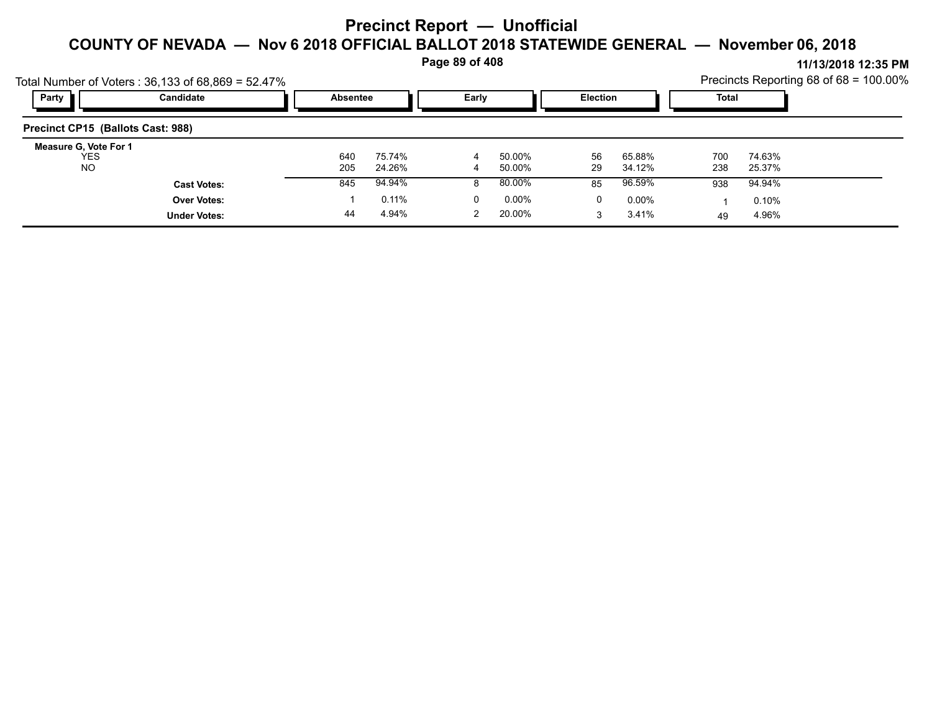**Page 89 of 408**

|                                   |                                                        |                 |        | . .   |                  |          |                  |              |                  | 11/19/491914.99111                     |
|-----------------------------------|--------------------------------------------------------|-----------------|--------|-------|------------------|----------|------------------|--------------|------------------|----------------------------------------|
|                                   | Total Number of Voters: $36,133$ of $68,869 = 52.47\%$ |                 |        |       |                  |          |                  |              |                  | Precincts Reporting 68 of 68 = 100.00% |
| Party                             | Candidate                                              | <b>Absentee</b> |        | Early |                  | Election |                  | <b>Total</b> |                  |                                        |
| Precinct CP15 (Ballots Cast: 988) |                                                        |                 |        |       |                  |          |                  |              |                  |                                        |
| Measure G, Vote For 1             |                                                        |                 | 75.74% |       |                  |          |                  |              |                  |                                        |
| YES<br><b>NO</b>                  |                                                        | 640<br>205      | 24.26% | 4     | 50.00%<br>50.00% | 56<br>29 | 65.88%<br>34.12% | 700<br>238   | 74.63%<br>25.37% |                                        |
|                                   | <b>Cast Votes:</b>                                     | 845             | 94.94% |       | 80.00%           | 85       | 96.59%           | 938          | 94.94%           |                                        |
|                                   | <b>Over Votes:</b>                                     |                 | 0.11%  | 0     | $0.00\%$         | 0        | $0.00\%$         |              | 0.10%            |                                        |
|                                   | <b>Under Votes:</b>                                    | 44              | 4.94%  |       | 20.00%           |          | 3.41%            | 49           | 4.96%            |                                        |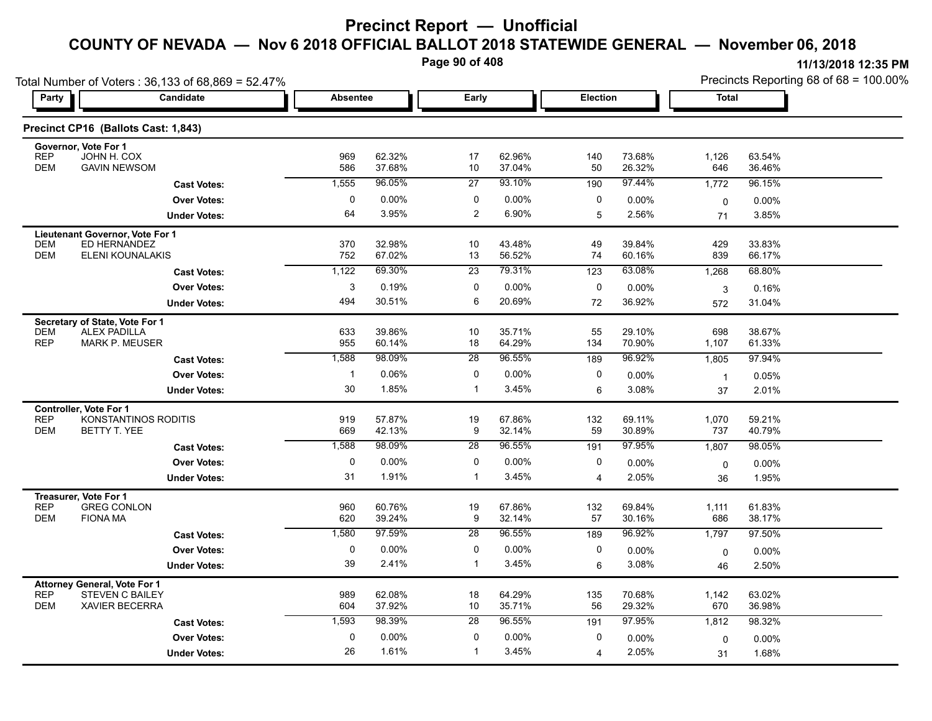**Page 90 of 408**

| Total Number of Voters: 36,133 of 68,869 = 52.47%                                                                  |                      |                 |                  |                 |                  |                |                  | Precincts Reporting 68 of 68 = 100.00% |                  |  |
|--------------------------------------------------------------------------------------------------------------------|----------------------|-----------------|------------------|-----------------|------------------|----------------|------------------|----------------------------------------|------------------|--|
| <b>Party</b>                                                                                                       | Candidate            | <b>Absentee</b> |                  | Early           |                  | Election       |                  | <b>Total</b>                           |                  |  |
| Precinct CP16 (Ballots Cast: 1,843)                                                                                |                      |                 |                  |                 |                  |                |                  |                                        |                  |  |
| Governor, Vote For 1<br><b>REP</b><br>JOHN H. COX<br><b>DEM</b><br><b>GAVIN NEWSOM</b>                             |                      | 969<br>586      | 62.32%<br>37.68% | 17<br>10        | 62.96%<br>37.04% | 140<br>50      | 73.68%<br>26.32% | 1,126<br>646                           | 63.54%<br>36.46% |  |
|                                                                                                                    | <b>Cast Votes:</b>   | 1,555           | 96.05%           | 27              | 93.10%           | 190            | 97.44%           | 1,772                                  | 96.15%           |  |
|                                                                                                                    | <b>Over Votes:</b>   | $\pmb{0}$       | 0.00%            | 0               | 0.00%            | 0              | 0.00%            | $\mathbf 0$                            | $0.00\%$         |  |
|                                                                                                                    | <b>Under Votes:</b>  | 64              | 3.95%            | $\overline{2}$  | 6.90%            | 5              | 2.56%            | 71                                     | 3.85%            |  |
| Lieutenant Governor, Vote For 1<br>ED HERNANDEZ<br>DEM<br><b>DEM</b><br><b>ELENI KOUNALAKIS</b>                    |                      | 370<br>752      | 32.98%<br>67.02% | 10<br>13        | 43.48%<br>56.52% | 49<br>74       | 39.84%<br>60.16% | 429<br>839                             | 33.83%<br>66.17% |  |
|                                                                                                                    | <b>Cast Votes:</b>   | 1,122           | 69.30%           | $\overline{23}$ | 79.31%           | 123            | 63.08%           | 1,268                                  | 68.80%           |  |
|                                                                                                                    | <b>Over Votes:</b>   | 3               | 0.19%            | 0               | 0.00%            | 0              | 0.00%            | 3                                      | 0.16%            |  |
|                                                                                                                    | <b>Under Votes:</b>  | 494             | 30.51%           | 6               | 20.69%           | 72             | 36.92%           | 572                                    | 31.04%           |  |
| Secretary of State, Vote For 1<br><b>DEM</b><br><b>ALEX PADILLA</b><br><b>REP</b><br><b>MARK P. MEUSER</b>         |                      | 633<br>955      | 39.86%<br>60.14% | 10<br>18        | 35.71%<br>64.29% | 55<br>134      | 29.10%<br>70.90% | 698<br>1,107                           | 38.67%<br>61.33% |  |
|                                                                                                                    | <b>Cast Votes:</b>   | 1,588           | 98.09%           | 28              | 96.55%           | 189            | 96.92%           | 1,805                                  | 97.94%           |  |
|                                                                                                                    | <b>Over Votes:</b>   | $\mathbf{1}$    | 0.06%            | 0               | 0.00%            | 0              | 0.00%            | $\mathbf{1}$                           | 0.05%            |  |
|                                                                                                                    | <b>Under Votes:</b>  | 30              | 1.85%            | $\mathbf{1}$    | 3.45%            | 6              | 3.08%            | 37                                     | 2.01%            |  |
| <b>Controller. Vote For 1</b><br><b>REP</b><br><b>DEM</b><br>BETTY T. YEE                                          | KONSTANTINOS RODITIS | 919<br>669      | 57.87%<br>42.13% | 19<br>9         | 67.86%<br>32.14% | 132<br>59      | 69.11%<br>30.89% | 1,070<br>737                           | 59.21%<br>40.79% |  |
|                                                                                                                    | <b>Cast Votes:</b>   | 1,588           | 98.09%           | 28              | 96.55%           | 191            | 97.95%           | 1,807                                  | 98.05%           |  |
|                                                                                                                    | <b>Over Votes:</b>   | 0               | 0.00%            | 0               | $0.00\%$         | 0              | 0.00%            | $\mathbf 0$                            | 0.00%            |  |
|                                                                                                                    | <b>Under Votes:</b>  | 31              | 1.91%            | $\mathbf{1}$    | 3.45%            | 4              | 2.05%            | 36                                     | 1.95%            |  |
| Treasurer, Vote For 1<br><b>REP</b><br><b>GREG CONLON</b><br><b>DEM</b><br><b>FIONA MA</b>                         |                      | 960<br>620      | 60.76%<br>39.24% | 19<br>9         | 67.86%<br>32.14% | 132<br>57      | 69.84%<br>30.16% | 1,111<br>686                           | 61.83%<br>38.17% |  |
|                                                                                                                    | <b>Cast Votes:</b>   | 1,580           | 97.59%           | 28              | 96.55%           | 189            | 96.92%           | 1,797                                  | 97.50%           |  |
|                                                                                                                    | <b>Over Votes:</b>   | $\pmb{0}$       | 0.00%            | 0               | 0.00%            | 0              | 0.00%            | $\mathbf 0$                            | 0.00%            |  |
|                                                                                                                    | <b>Under Votes:</b>  | 39              | 2.41%            | $\overline{1}$  | 3.45%            | 6              | 3.08%            | 46                                     | 2.50%            |  |
| <b>Attorney General, Vote For 1</b><br><b>REP</b><br><b>STEVEN C BAILEY</b><br><b>DEM</b><br><b>XAVIER BECERRA</b> |                      | 989<br>604      | 62.08%<br>37.92% | 18<br>10        | 64.29%<br>35.71% | 135<br>56      | 70.68%<br>29.32% | 1,142<br>670                           | 63.02%<br>36.98% |  |
|                                                                                                                    | <b>Cast Votes:</b>   | 1,593           | 98.39%           | 28              | 96.55%           | 191            | 97.95%           | 1,812                                  | 98.32%           |  |
|                                                                                                                    | <b>Over Votes:</b>   | 0               | 0.00%            | 0               | 0.00%            | 0              | 0.00%            | 0                                      | 0.00%            |  |
|                                                                                                                    | <b>Under Votes:</b>  | 26              | 1.61%            | $\mathbf{1}$    | 3.45%            | $\overline{4}$ | 2.05%            | 31                                     | 1.68%            |  |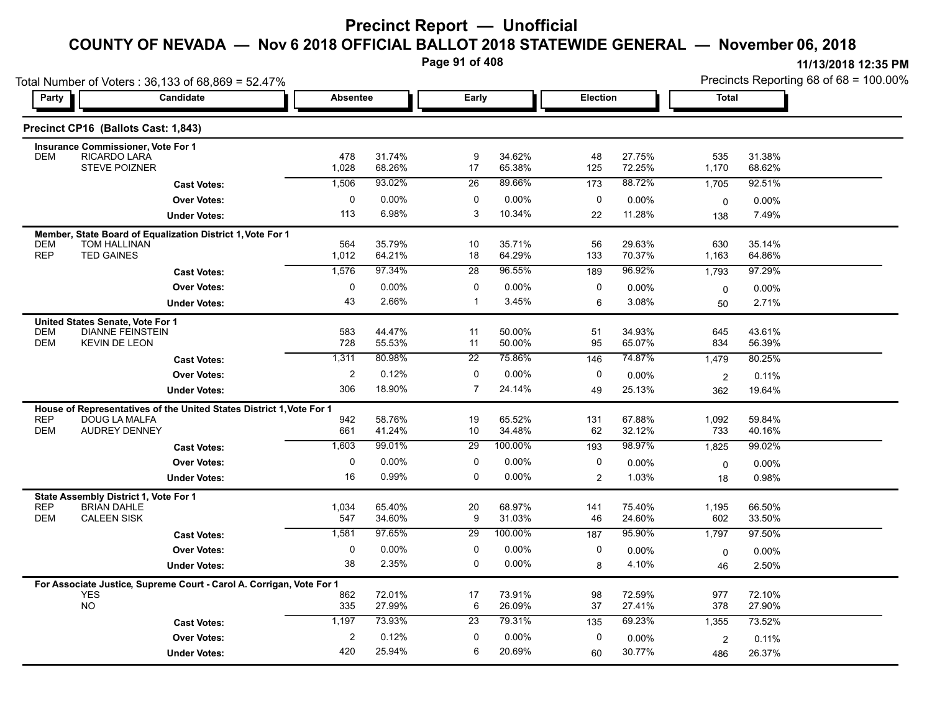**Page 91 of 408**

|                                                                                                               | Total Number of Voters: 36,133 of 68,869 = 52.47%                    |                 |                  |                 |                  |                 |                  |                    |                  | Precincts Reporting 68 of 68 = 100.00% |
|---------------------------------------------------------------------------------------------------------------|----------------------------------------------------------------------|-----------------|------------------|-----------------|------------------|-----------------|------------------|--------------------|------------------|----------------------------------------|
| Party                                                                                                         | Candidate                                                            | <b>Absentee</b> |                  | Early           |                  | <b>Election</b> |                  | <b>Total</b>       |                  |                                        |
|                                                                                                               | Precinct CP16 (Ballots Cast: 1,843)                                  |                 |                  |                 |                  |                 |                  |                    |                  |                                        |
| Insurance Commissioner, Vote For 1<br>RICARDO LARA<br>DEM                                                     | <b>STEVE POIZNER</b>                                                 | 478<br>1,028    | 31.74%<br>68.26% | 9<br>17         | 34.62%<br>65.38% | 48<br>125       | 27.75%<br>72.25% | 535<br>1,170       | 31.38%<br>68.62% |                                        |
|                                                                                                               | <b>Cast Votes:</b>                                                   | 1,506           | 93.02%           | 26              | 89.66%           | 173             | 88.72%           | 1,705              | 92.51%           |                                        |
|                                                                                                               | <b>Over Votes:</b>                                                   | 0               | 0.00%            | 0               | 0.00%            | 0               | 0.00%            |                    |                  |                                        |
|                                                                                                               | <b>Under Votes:</b>                                                  | 113             | 6.98%            | 3               | 10.34%           | 22              | 11.28%           | $\mathbf 0$<br>138 | 0.00%<br>7.49%   |                                        |
|                                                                                                               |                                                                      |                 |                  |                 |                  |                 |                  |                    |                  |                                        |
| <b>DEM</b><br>TOM HALLINAN<br><b>REP</b><br><b>TED GAINES</b>                                                 | Member, State Board of Equalization District 1, Vote For 1           | 564<br>1,012    | 35.79%<br>64.21% | 10<br>18        | 35.71%<br>64.29% | 56<br>133       | 29.63%<br>70.37% | 630<br>1,163       | 35.14%<br>64.86% |                                        |
|                                                                                                               | <b>Cast Votes:</b>                                                   | 1,576           | 97.34%           | 28              | 96.55%           | 189             | 96.92%           | 1,793              | 97.29%           |                                        |
|                                                                                                               | <b>Over Votes:</b>                                                   | 0               | 0.00%            | 0               | 0.00%            | 0               | 0.00%            | $\mathbf 0$        | 0.00%            |                                        |
|                                                                                                               | <b>Under Votes:</b>                                                  | 43              | 2.66%            | $\mathbf{1}$    | 3.45%            | 6               | 3.08%            | 50                 | 2.71%            |                                        |
| United States Senate, Vote For 1<br><b>DEM</b><br><b>DEM</b>                                                  | <b>DIANNE FEINSTEIN</b><br><b>KEVIN DE LEON</b>                      | 583<br>728      | 44.47%<br>55.53% | 11<br>11        | 50.00%<br>50.00% | 51<br>95        | 34.93%<br>65.07% | 645<br>834         | 43.61%<br>56.39% |                                        |
|                                                                                                               | <b>Cast Votes:</b>                                                   | 1,311           | 80.98%           | $\overline{22}$ | 75.86%           | 146             | 74.87%           | 1,479              | 80.25%           |                                        |
|                                                                                                               | <b>Over Votes:</b>                                                   | $\overline{2}$  | 0.12%            | $\mathbf 0$     | 0.00%            | 0               | 0.00%            | $\overline{2}$     | 0.11%            |                                        |
|                                                                                                               | <b>Under Votes:</b>                                                  | 306             | 18.90%           | $\overline{7}$  | 24.14%           | 49              | 25.13%           | 362                | 19.64%           |                                        |
|                                                                                                               | House of Representatives of the United States District 1, Vote For 1 |                 |                  |                 |                  |                 |                  |                    |                  |                                        |
| <b>REP</b><br><b>DEM</b>                                                                                      | DOUG LA MALFA<br><b>AUDREY DENNEY</b>                                | 942<br>661      | 58.76%<br>41.24% | 19<br>10        | 65.52%<br>34.48% | 131<br>62       | 67.88%<br>32.12% | 1,092<br>733       | 59.84%<br>40.16% |                                        |
|                                                                                                               | <b>Cast Votes:</b>                                                   | 1,603           | 99.01%           | 29              | 100.00%          | 193             | 98.97%           | 1,825              | 99.02%           |                                        |
|                                                                                                               | <b>Over Votes:</b>                                                   | 0               | 0.00%            | 0               | 0.00%            | 0               | 0.00%            | 0                  | 0.00%            |                                        |
|                                                                                                               | <b>Under Votes:</b>                                                  | 16              | 0.99%            | $\Omega$        | 0.00%            | $\overline{2}$  | 1.03%            | 18                 | 0.98%            |                                        |
| State Assembly District 1, Vote For 1<br><b>REP</b><br><b>BRIAN DAHLE</b><br><b>CALEEN SISK</b><br><b>DEM</b> |                                                                      | 1,034<br>547    | 65.40%<br>34.60% | 20<br>9         | 68.97%<br>31.03% | 141<br>46       | 75.40%<br>24.60% | 1,195<br>602       | 66.50%<br>33.50% |                                        |
|                                                                                                               | <b>Cast Votes:</b>                                                   | 1,581           | 97.65%           | 29              | 100.00%          | 187             | 95.90%           | 1,797              | 97.50%           |                                        |
|                                                                                                               | <b>Over Votes:</b>                                                   | 0               | 0.00%            | 0               | 0.00%            | 0               | 0.00%            | $\mathbf 0$        | 0.00%            |                                        |
|                                                                                                               | <b>Under Votes:</b>                                                  | 38              | 2.35%            | $\mathbf 0$     | 0.00%            | 8               | 4.10%            | 46                 | 2.50%            |                                        |
| <b>YES</b>                                                                                                    | For Associate Justice, Supreme Court - Carol A. Corrigan, Vote For 1 | 862             | 72.01%           | 17              | 73.91%           | 98              | 72.59%           | 977                | 72.10%           |                                        |
| <b>NO</b>                                                                                                     |                                                                      | 335             | 27.99%           | 6               | 26.09%           | 37              | 27.41%           | 378                | 27.90%           |                                        |
|                                                                                                               | <b>Cast Votes:</b>                                                   | 1,197           | 73.93%           | 23              | 79.31%           | 135             | 69.23%           | 1,355              | 73.52%           |                                        |
|                                                                                                               | <b>Over Votes:</b>                                                   | $\overline{2}$  | 0.12%            | 0               | 0.00%            | 0               | 0.00%            | 2                  | 0.11%            |                                        |
|                                                                                                               | <b>Under Votes:</b>                                                  | 420             | 25.94%           | 6               | 20.69%           | 60              | 30.77%           | 486                | 26.37%           |                                        |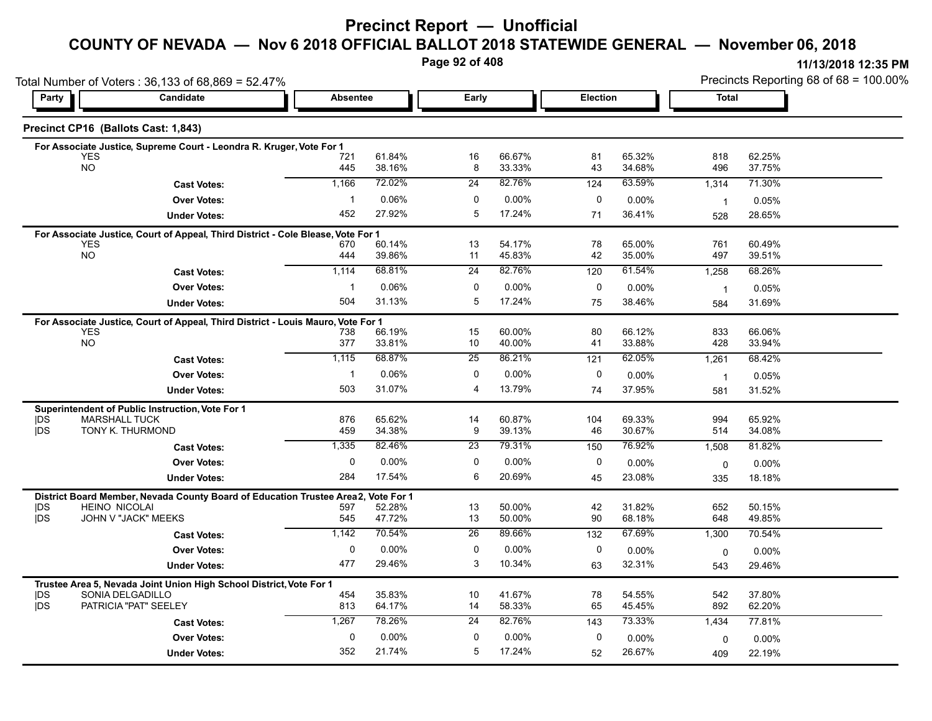## **COUNTY OF NEVADA — Nov 6 2018 OFFICIAL BALLOT 2018 STATEWIDE GENERAL — November 06, 2018**

**Page 92 of 408**

| Total Number of Voters: 36,133 of 68,869 = 52.47% |                                                                                                |                 |                    |                 |                  |                  |                  | Precincts Reporting 68 of 68 = 100.00% |                  |  |
|---------------------------------------------------|------------------------------------------------------------------------------------------------|-----------------|--------------------|-----------------|------------------|------------------|------------------|----------------------------------------|------------------|--|
| Party                                             | Candidate                                                                                      | <b>Absentee</b> |                    | Early           |                  | <b>Election</b>  |                  | <b>Total</b>                           |                  |  |
|                                                   | Precinct CP16 (Ballots Cast: 1,843)                                                            |                 |                    |                 |                  |                  |                  |                                        |                  |  |
|                                                   | For Associate Justice, Supreme Court - Leondra R. Kruger, Vote For 1                           |                 |                    |                 |                  |                  |                  |                                        |                  |  |
|                                                   | <b>YES</b><br><b>NO</b>                                                                        | 721<br>445      | 61.84%<br>38.16%   | 16<br>8         | 66.67%<br>33.33% | 81<br>43         | 65.32%<br>34.68% | 818<br>496                             | 62.25%<br>37.75% |  |
|                                                   | <b>Cast Votes:</b>                                                                             | 1,166           | 72.02%             | 24              | 82.76%           | 124              | 63.59%           | 1,314                                  | 71.30%           |  |
|                                                   | <b>Over Votes:</b>                                                                             | $\mathbf 1$     | 0.06%              | 0               | 0.00%            | 0                | 0.00%            | $\overline{1}$                         | 0.05%            |  |
|                                                   | <b>Under Votes:</b>                                                                            | 452             | 27.92%             | 5               | 17.24%           | 71               | 36.41%           | 528                                    | 28.65%           |  |
|                                                   | For Associate Justice, Court of Appeal, Third District - Cole Blease, Vote For 1               |                 |                    |                 |                  |                  |                  |                                        |                  |  |
|                                                   | <b>YES</b><br><b>NO</b>                                                                        | 670<br>444      | 60.14%<br>39.86%   | 13<br>11        | 54.17%<br>45.83% | 78<br>42         | 65.00%<br>35.00% | 761<br>497                             | 60.49%<br>39.51% |  |
|                                                   |                                                                                                | 1,114           | 68.81%             | $\overline{24}$ | 82.76%           | 120              | 61.54%           | 1,258                                  | 68.26%           |  |
|                                                   | <b>Cast Votes:</b><br><b>Over Votes:</b>                                                       | $\mathbf{1}$    | 0.06%              | 0               | 0.00%            | 0                |                  |                                        |                  |  |
|                                                   | <b>Under Votes:</b>                                                                            | 504             | 31.13%             | 5               | 17.24%           | 75               | 0.00%<br>38.46%  | $\overline{1}$                         | 0.05%<br>31.69%  |  |
|                                                   |                                                                                                |                 |                    |                 |                  |                  |                  | 584                                    |                  |  |
|                                                   | For Associate Justice, Court of Appeal, Third District - Louis Mauro, Vote For 1<br><b>YES</b> | 738             | 66.19%             | 15              | 60.00%           | 80               | 66.12%           | 833                                    | 66.06%           |  |
|                                                   | <b>NO</b>                                                                                      | 377             | 33.81%             | 10              | 40.00%           | 41               | 33.88%           | 428                                    | 33.94%           |  |
|                                                   | <b>Cast Votes:</b>                                                                             | 1,115           | 68.87%             | 25              | 86.21%           | 121              | 62.05%           | 1,261                                  | 68.42%           |  |
|                                                   | <b>Over Votes:</b>                                                                             | $\mathbf{1}$    | 0.06%              | 0               | 0.00%            | 0                | 0.00%            | $\overline{1}$                         | 0.05%            |  |
|                                                   | <b>Under Votes:</b>                                                                            | 503             | 31.07%             | 4               | 13.79%           | 74               | 37.95%           | 581                                    | 31.52%           |  |
|                                                   | Superintendent of Public Instruction, Vote For 1                                               |                 |                    |                 |                  |                  |                  |                                        |                  |  |
| DŚ<br><b>IDS</b>                                  | <b>MARSHALL TUCK</b><br>TONY K. THURMOND                                                       | 876<br>459      | 65.62%             | 14<br>9         | 60.87%<br>39.13% | 104<br>46        | 69.33%<br>30.67% | 994                                    | 65.92%           |  |
|                                                   |                                                                                                |                 | 34.38%             |                 |                  |                  |                  | 514                                    | 34.08%           |  |
|                                                   | <b>Cast Votes:</b>                                                                             | 1,335           | 82.46%             | 23              | 79.31%           | 150              | 76.92%           | 1,508                                  | 81.82%           |  |
|                                                   | <b>Over Votes:</b>                                                                             | $\mathbf{0}$    | $0.00\%$<br>17.54% | 0<br>6          | 0.00%<br>20.69%  | 0                | 0.00%            | $\Omega$                               | 0.00%            |  |
|                                                   | <b>Under Votes:</b>                                                                            | 284             |                    |                 |                  | 45               | 23.08%           | 335                                    | 18.18%           |  |
|                                                   | District Board Member, Nevada County Board of Education Trustee Area2,<br><b>HEINO NICOLAI</b> |                 | Vote For 1         |                 |                  |                  | 31.82%           | 652                                    |                  |  |
| DS<br>jDS                                         | JOHN V "JACK" MEEKS                                                                            | 597<br>545      | 52.28%<br>47.72%   | 13<br>13        | 50.00%<br>50.00% | 42<br>90         | 68.18%           | 648                                    | 50.15%<br>49.85% |  |
|                                                   | <b>Cast Votes:</b>                                                                             | 1,142           | 70.54%             | 26              | 89.66%           | $\overline{132}$ | 67.69%           | 1,300                                  | 70.54%           |  |
|                                                   | <b>Over Votes:</b>                                                                             | $\mathbf 0$     | 0.00%              | 0               | $0.00\%$         | 0                | $0.00\%$         | $\mathbf 0$                            | $0.00\%$         |  |
|                                                   | <b>Under Votes:</b>                                                                            | 477             | 29.46%             | 3               | 10.34%           | 63               | 32.31%           | 543                                    | 29.46%           |  |
|                                                   |                                                                                                |                 |                    |                 |                  |                  |                  |                                        |                  |  |
| <b>IDS</b>                                        | Trustee Area 5, Nevada Joint Union High School District, Vote For 1<br>SONIA DELGADILLO        | 454             | 35.83%             | 10              | 41.67%           | 78               | 54.55%           | 542                                    | 37.80%           |  |
| <b>IDS</b>                                        | PATRICIA "PAT" SEELEY                                                                          | 813             | 64.17%             | 14              | 58.33%           | 65               | 45.45%           | 892                                    | 62.20%           |  |
|                                                   | <b>Cast Votes:</b>                                                                             | 1,267           | 78.26%             | 24              | 82.76%           | 143              | 73.33%           | 1,434                                  | 77.81%           |  |
|                                                   | <b>Over Votes:</b>                                                                             | $\mathbf 0$     | 0.00%              | $\mathbf 0$     | 0.00%            | 0                | 0.00%            | 0                                      | $0.00\%$         |  |
|                                                   | <b>Under Votes:</b>                                                                            | 352             | 21.74%             | 5               | 17.24%           | 52               | 26.67%           | 409                                    | 22.19%           |  |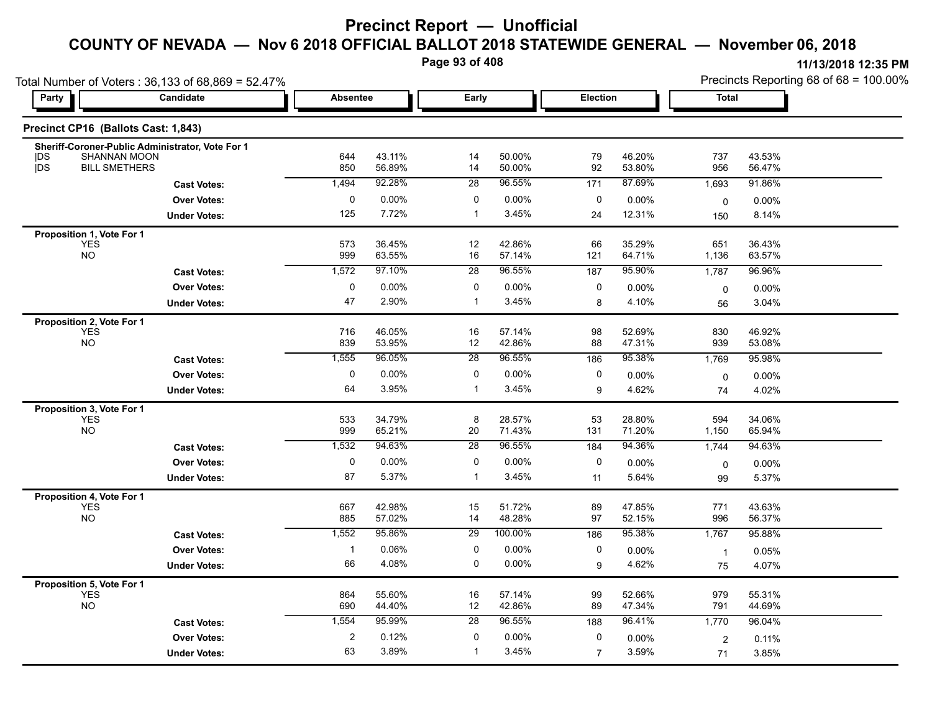**Page 93 of 408**

**11/13/2018 12:35 PM**

|                  | Total Number of Voters: 36,133 of 68,869 = 52.47%                                        |                 |                  |                 |                  |                 |                  |              | Precincts Reporting 68 of 68 = 100.00% |
|------------------|------------------------------------------------------------------------------------------|-----------------|------------------|-----------------|------------------|-----------------|------------------|--------------|----------------------------------------|
| Party            | Candidate                                                                                | <b>Absentee</b> |                  | Early           |                  | <b>Election</b> |                  | <b>Total</b> |                                        |
|                  | Precinct CP16 (Ballots Cast: 1,843)                                                      |                 |                  |                 |                  |                 |                  |              |                                        |
| DS<br><b>jDS</b> | Sheriff-Coroner-Public Administrator, Vote For 1<br>SHANNAN MOON<br><b>BILL SMETHERS</b> | 644<br>850      | 43.11%<br>56.89% | 14<br>14        | 50.00%<br>50.00% | 79<br>92        | 46.20%<br>53.80% | 737<br>956   | 43.53%<br>56.47%                       |
|                  | <b>Cast Votes:</b>                                                                       | 1,494           | 92.28%           | $\overline{28}$ | 96.55%           | 171             | 87.69%           | 1,693        | 91.86%                                 |
|                  | <b>Over Votes:</b>                                                                       | 0               | 0.00%            | 0               | $0.00\%$         | 0               | $0.00\%$         | 0            | 0.00%                                  |
|                  | <b>Under Votes:</b>                                                                      | 125             | 7.72%            |                 | 3.45%            | 24              | 12.31%           | 150          | 8.14%                                  |
|                  | Proposition 1, Vote For 1                                                                |                 |                  |                 |                  |                 |                  |              |                                        |
|                  | YES<br>NO                                                                                | 573<br>999      | 36.45%<br>63.55% | 12<br>16        | 42.86%<br>57.14% | 66<br>121       | 35.29%<br>64.71% | 651<br>1,136 | 36.43%<br>63.57%                       |
|                  | <b>Cast Votes:</b>                                                                       | 1,572           | 97.10%           | $\overline{28}$ | 96.55%           | 187             | 95.90%           | 1,787        | 96.96%                                 |
|                  | <b>Over Votes:</b>                                                                       | $\Omega$        | 0.00%            | 0               | 0.00%            | 0               | 0.00%            | $\mathbf 0$  | 0.00%                                  |
|                  | <b>Under Votes:</b>                                                                      | 47              | 2.90%            | -1              | 3.45%            | 8               | 4.10%            | 56           | 3.04%                                  |
|                  | Proposition 2, Vote For 1<br><b>YES</b><br><b>NO</b>                                     | 716<br>839      | 46.05%<br>53.95% | 16<br>12        | 57.14%<br>42.86% | 98<br>88        | 52.69%<br>47.31% | 830<br>939   | 46.92%<br>53.08%                       |
|                  | <b>Cast Votes:</b>                                                                       | 1,555           | 96.05%           | 28              | 96.55%           | 186             | 95.38%           | 1,769        | 95.98%                                 |
|                  | <b>Over Votes:</b>                                                                       | 0               | $0.00\%$         | 0               | $0.00\%$         | $\mathbf{0}$    | $0.00\%$         | $\mathbf 0$  | 0.00%                                  |
|                  | <b>Under Votes:</b>                                                                      | 64              | 3.95%            |                 | 3.45%            | 9               | 4.62%            | 74           | 4.02%                                  |
|                  | Proposition 3, Vote For 1<br><b>YES</b><br><b>NO</b>                                     | 533<br>999      | 34.79%<br>65.21% | 8<br>20         | 28.57%<br>71.43% | 53<br>131       | 28.80%<br>71.20% | 594<br>1,150 | 34.06%<br>65.94%                       |
|                  | <b>Cast Votes:</b>                                                                       | 1,532           | 94.63%           | 28              | 96.55%           | 184             | 94.36%           | 1,744        | 94.63%                                 |
|                  | <b>Over Votes:</b>                                                                       | 0               | $0.00\%$         | 0               | $0.00\%$         | 0               | 0.00%            | 0            | 0.00%                                  |
|                  | <b>Under Votes:</b>                                                                      | 87              | 5.37%            | -1              | 3.45%            | 11              | 5.64%            | 99           | 5.37%                                  |
|                  | Proposition 4, Vote For 1<br><b>YES</b><br><b>NO</b>                                     | 667<br>885      | 42.98%<br>57.02% | 15<br>14        | 51.72%<br>48.28% | 89<br>97        | 47.85%<br>52.15% | 771<br>996   | 43.63%<br>56.37%                       |
|                  | <b>Cast Votes:</b>                                                                       | 1,552           | 95.86%           | $\overline{29}$ | 100.00%          | 186             | 95.38%           | 1,767        | 95.88%                                 |
|                  | <b>Over Votes:</b>                                                                       |                 | 0.06%            | $\Omega$        | $0.00\%$         | $\mathbf{0}$    | 0.00%            |              | 0.05%                                  |
|                  | <b>Under Votes:</b>                                                                      | 66              | 4.08%            | $\Omega$        | $0.00\%$         | 9               | 4.62%            | 75           | 4.07%                                  |

YES 864 55.60% 16 57.14% 99 52.66% 979 55.31% NO 690 44.40% 12 42.86% 89 47.34% 791 44.69%

0 0.00%

3.89% 1

**Under Votes: Over Votes:** 0.12%

63 3.89%

**Cast Votes:** 1,554 95.99% 28 96.55% 188 96.41% 1,770 96.04%

0.00% 0

7

3.59%

2 0.11%

0.00% 2

71 3.85%

3.59% 3.85%

**Proposition 5, Vote For 1**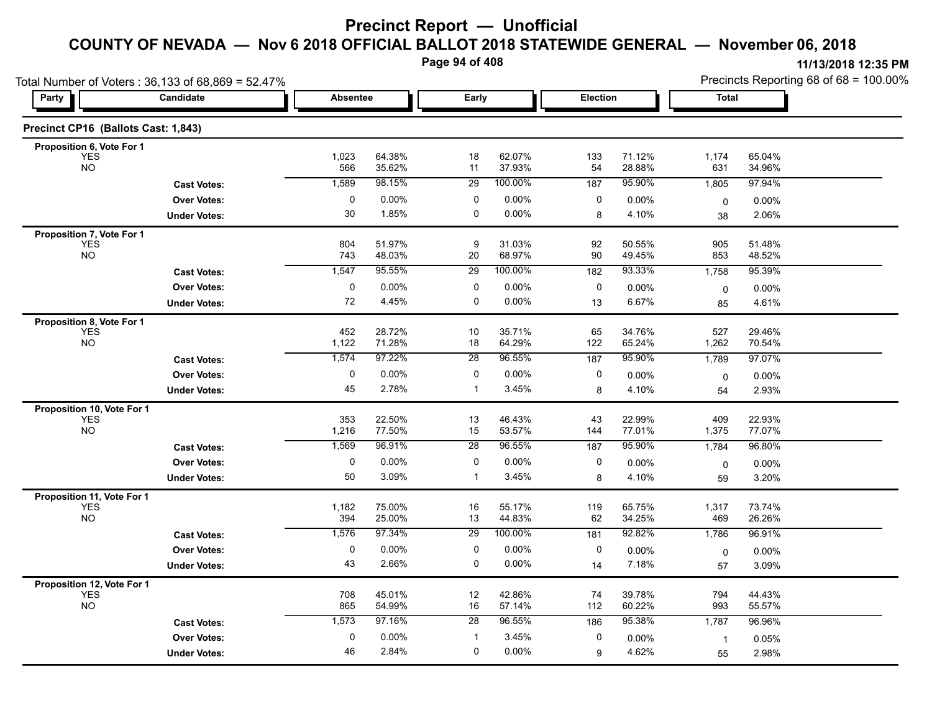**Page 94 of 408**

Precincts Reporting 68 of 68 = 100.00%

|                                     | Total Number of Voters: 36,133 of 68,869 = 52.47% |                                             |                  |                 |                  |           |                  |                | Precincts Reporting 68 of 68 = 100.00% |
|-------------------------------------|---------------------------------------------------|---------------------------------------------|------------------|-----------------|------------------|-----------|------------------|----------------|----------------------------------------|
| Party                               | Candidate                                         | Early<br><b>Election</b><br><b>Absentee</b> |                  |                 | <b>Total</b>     |           |                  |                |                                        |
| Precinct CP16 (Ballots Cast: 1,843) |                                                   |                                             |                  |                 |                  |           |                  |                |                                        |
| Proposition 6, Vote For 1           |                                                   |                                             |                  |                 |                  |           |                  |                |                                        |
| <b>YES</b><br><b>NO</b>             |                                                   | 1,023<br>566                                | 64.38%<br>35.62% | 18<br>11        | 62.07%<br>37.93% | 133<br>54 | 71.12%<br>28.88% | 1,174<br>631   | 65.04%<br>34.96%                       |
|                                     | <b>Cast Votes:</b>                                | 1,589                                       | 98.15%           | 29              | 100.00%          | 187       | 95.90%           | 1,805          | 97.94%                                 |
|                                     | <b>Over Votes:</b>                                | 0                                           | $0.00\%$         | 0               | 0.00%            | 0         | 0.00%            | 0              | $0.00\%$                               |
|                                     | <b>Under Votes:</b>                               | 30                                          | 1.85%            | $\mathbf 0$     | 0.00%            | 8         | 4.10%            | 38             | 2.06%                                  |
| Proposition 7, Vote For 1           |                                                   |                                             |                  |                 |                  |           |                  |                |                                        |
| <b>YES</b><br><b>NO</b>             |                                                   | 804<br>743                                  | 51.97%<br>48.03% | $9\,$<br>20     | 31.03%<br>68.97% | 92<br>90  | 50.55%<br>49.45% | 905<br>853     | 51.48%<br>48.52%                       |
|                                     | <b>Cast Votes:</b>                                | 1,547                                       | 95.55%           | 29              | 100.00%          | 182       | 93.33%           | 1,758          | 95.39%                                 |
|                                     | <b>Over Votes:</b>                                | 0                                           | $0.00\%$         | 0               | 0.00%            | 0         | 0.00%            | $\mathbf 0$    | $0.00\%$                               |
|                                     | <b>Under Votes:</b>                               | 72                                          | 4.45%            | 0               | 0.00%            | 13        | 6.67%            | 85             | 4.61%                                  |
| Proposition 8, Vote For 1           |                                                   |                                             |                  |                 |                  |           |                  |                |                                        |
| <b>YES</b><br><b>NO</b>             |                                                   | 452<br>1,122                                | 28.72%<br>71.28% | 10<br>18        | 35.71%<br>64.29% | 65<br>122 | 34.76%<br>65.24% | 527<br>1,262   | 29.46%<br>70.54%                       |
|                                     | <b>Cast Votes:</b>                                | 1,574                                       | 97.22%           | $\overline{28}$ | 96.55%           | 187       | 95.90%           | 1,789          | 97.07%                                 |
|                                     | <b>Over Votes:</b>                                | 0                                           | $0.00\%$         | 0               | 0.00%            | 0         | 0.00%            | $\mathbf 0$    | 0.00%                                  |
|                                     | <b>Under Votes:</b>                               | 45                                          | 2.78%            | $\mathbf{1}$    | 3.45%            | 8         | 4.10%            | 54             | 2.93%                                  |
| Proposition 10, Vote For 1          |                                                   |                                             |                  |                 |                  |           |                  |                |                                        |
| <b>YES</b><br>NO                    |                                                   | 353<br>1,216                                | 22.50%<br>77.50% | 13<br>15        | 46.43%<br>53.57% | 43<br>144 | 22.99%<br>77.01% | 409<br>1,375   | 22.93%<br>77.07%                       |
|                                     | <b>Cast Votes:</b>                                | 1,569                                       | 96.91%           | 28              | 96.55%           | 187       | 95.90%           | 1,784          | 96.80%                                 |
|                                     | <b>Over Votes:</b>                                | $\mathbf{0}$                                | $0.00\%$         | 0               | 0.00%            | 0         | 0.00%            | 0              | $0.00\%$                               |
|                                     | <b>Under Votes:</b>                               | 50                                          | 3.09%            | $\mathbf{1}$    | 3.45%            | 8         | 4.10%            | 59             | 3.20%                                  |
| Proposition 11, Vote For 1          |                                                   |                                             |                  |                 |                  |           |                  |                |                                        |
| <b>YES</b><br><b>NO</b>             |                                                   | 1,182<br>394                                | 75.00%<br>25.00% | 16<br>13        | 55.17%<br>44.83% | 119<br>62 | 65.75%<br>34.25% | 1,317<br>469   | 73.74%<br>26.26%                       |
|                                     | <b>Cast Votes:</b>                                | 1,576                                       | 97.34%           | $\overline{29}$ | 100.00%          | 181       | 92.82%           | 1,786          | 96.91%                                 |
|                                     | <b>Over Votes:</b>                                | 0                                           | 0.00%            | 0               | 0.00%            | 0         | 0.00%            | 0              | 0.00%                                  |
|                                     | <b>Under Votes:</b>                               | 43                                          | 2.66%            | 0               | 0.00%            | 14        | 7.18%            | 57             | 3.09%                                  |
| Proposition 12, Vote For 1          |                                                   |                                             |                  |                 |                  |           |                  |                |                                        |
| <b>YES</b><br><b>NO</b>             |                                                   | 708<br>865                                  | 45.01%<br>54.99% | 12<br>16        | 42.86%<br>57.14% | 74<br>112 | 39.78%<br>60.22% | 794<br>993     | 44.43%<br>55.57%                       |
|                                     |                                                   | 1,573                                       | 97.16%           | 28              | 96.55%           |           | 95.38%           | 1,787          | 96.96%                                 |
|                                     | <b>Cast Votes:</b>                                | $\mathbf 0$                                 | 0.00%            | $\mathbf{1}$    | 3.45%            | 186<br>0  |                  |                |                                        |
|                                     | <b>Over Votes:</b>                                | 46                                          | 2.84%            | 0               | 0.00%            | 9         | 0.00%<br>4.62%   | $\overline{1}$ | 0.05%                                  |
|                                     | <b>Under Votes:</b>                               |                                             |                  |                 |                  |           |                  | 55             | 2.98%                                  |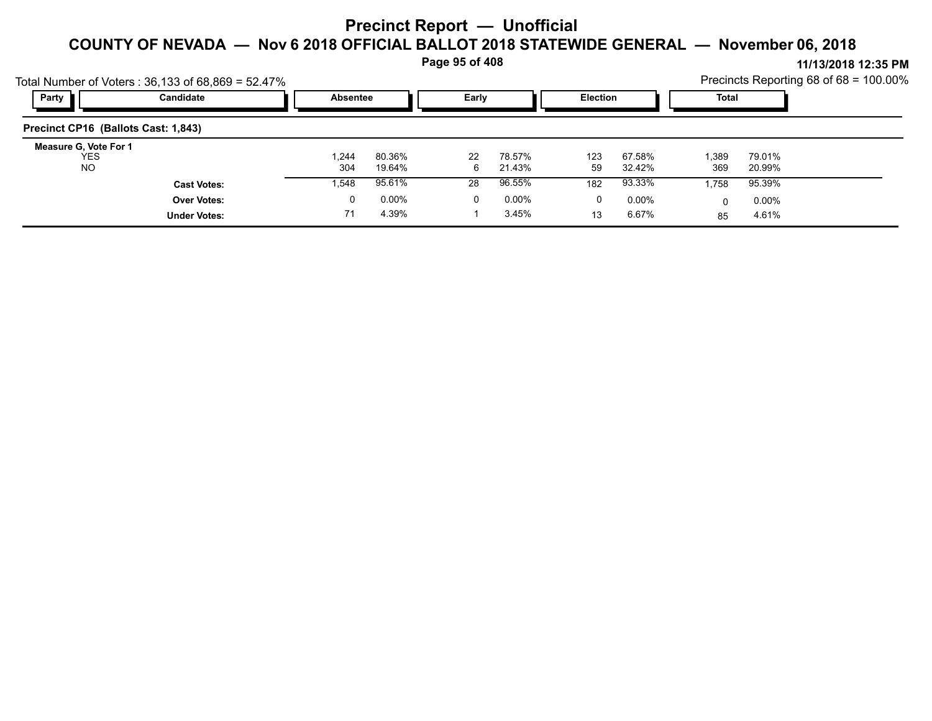**Page 95 of 408**

| Party                               | Total Number of Voters: 36,133 of 68,869 = 52.47%<br>Candidate | Absentee |          | Early |          | Election |          | Total |          | Precincts Reporting 68 of 68 = 100.00% |
|-------------------------------------|----------------------------------------------------------------|----------|----------|-------|----------|----------|----------|-------|----------|----------------------------------------|
|                                     |                                                                |          |          |       |          |          |          |       |          |                                        |
| Precinct CP16 (Ballots Cast: 1,843) |                                                                |          |          |       |          |          |          |       |          |                                        |
| Measure G, Vote For 1<br><b>YES</b> |                                                                | 1.244    | 80.36%   | 22    | 78.57%   | 123      | 67.58%   | 1,389 | 79.01%   |                                        |
| <b>NO</b>                           |                                                                | 304      | 19.64%   | 6     | 21.43%   | 59       | 32.42%   | 369   | 20.99%   |                                        |
|                                     | <b>Cast Votes:</b>                                             | 548. ا   | 95.61%   | 28    | 96.55%   | 182      | 93.33%   | 1,758 | 95.39%   |                                        |
|                                     | <b>Over Votes:</b>                                             | 0        | $0.00\%$ | 0     | $0.00\%$ | 0        | $0.00\%$ |       | $0.00\%$ |                                        |
|                                     | <b>Under Votes:</b>                                            | 71       | 4.39%    |       | 3.45%    | 13       | 6.67%    | 85    | 4.61%    |                                        |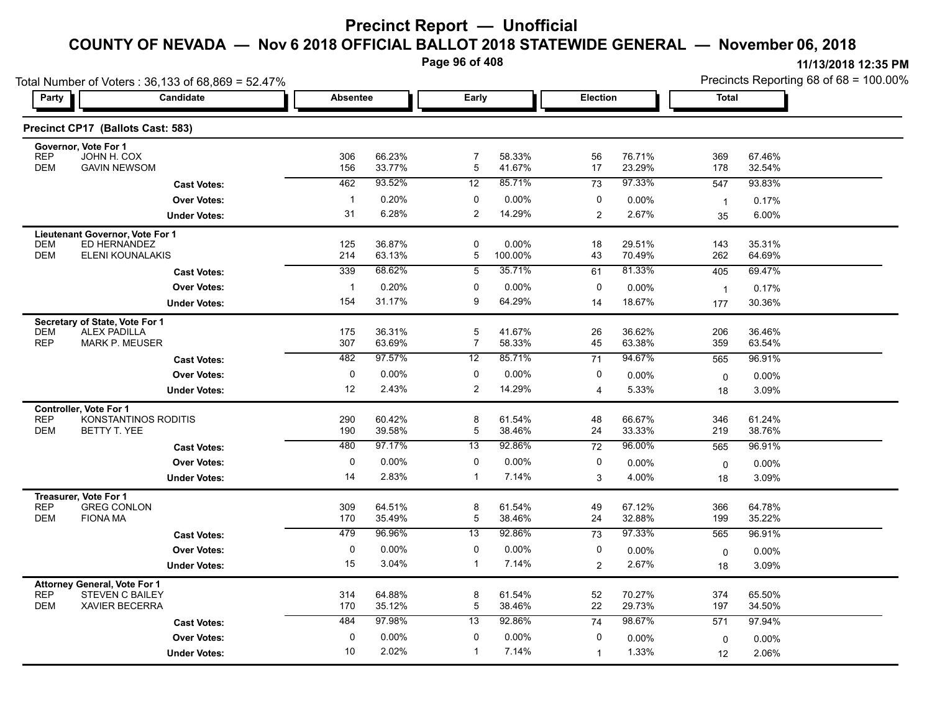**Page 96 of 408**

| 11/13/2018 12:35 PM |  |
|---------------------|--|
|                     |  |

|                                     |                                                                                                                                                                                                                                                                                                                                                                                                                       |                                                                                                                                                                      | Page 96 of 408                                                                                                                                  |                                                                                                                  |                                                                                                                                            |                                                                                                      |                                                                                                                                               | 11/13/2018 12:35 PM                                                                                                  |
|-------------------------------------|-----------------------------------------------------------------------------------------------------------------------------------------------------------------------------------------------------------------------------------------------------------------------------------------------------------------------------------------------------------------------------------------------------------------------|----------------------------------------------------------------------------------------------------------------------------------------------------------------------|-------------------------------------------------------------------------------------------------------------------------------------------------|------------------------------------------------------------------------------------------------------------------|--------------------------------------------------------------------------------------------------------------------------------------------|------------------------------------------------------------------------------------------------------|-----------------------------------------------------------------------------------------------------------------------------------------------|----------------------------------------------------------------------------------------------------------------------|
|                                     |                                                                                                                                                                                                                                                                                                                                                                                                                       |                                                                                                                                                                      |                                                                                                                                                 |                                                                                                                  |                                                                                                                                            |                                                                                                      |                                                                                                                                               | Precincts Reporting 68 of 68 = 100.00%                                                                               |
| Candidate                           |                                                                                                                                                                                                                                                                                                                                                                                                                       |                                                                                                                                                                      |                                                                                                                                                 |                                                                                                                  |                                                                                                                                            |                                                                                                      | <b>Total</b>                                                                                                                                  |                                                                                                                      |
| Precinct CP17 (Ballots Cast: 583)   |                                                                                                                                                                                                                                                                                                                                                                                                                       |                                                                                                                                                                      |                                                                                                                                                 |                                                                                                                  |                                                                                                                                            |                                                                                                      |                                                                                                                                               |                                                                                                                      |
| Governor, Vote For 1                |                                                                                                                                                                                                                                                                                                                                                                                                                       |                                                                                                                                                                      |                                                                                                                                                 |                                                                                                                  |                                                                                                                                            |                                                                                                      |                                                                                                                                               | 67.46%                                                                                                               |
| <b>GAVIN NEWSOM</b>                 | 156                                                                                                                                                                                                                                                                                                                                                                                                                   | 33.77%                                                                                                                                                               | $\overline{5}$                                                                                                                                  | 41.67%                                                                                                           | 17                                                                                                                                         | 23.29%                                                                                               | 178                                                                                                                                           | 32.54%                                                                                                               |
| <b>Cast Votes:</b>                  | 462                                                                                                                                                                                                                                                                                                                                                                                                                   | 93.52%                                                                                                                                                               | 12                                                                                                                                              | 85.71%                                                                                                           | 73                                                                                                                                         | 97.33%                                                                                               | 547                                                                                                                                           | 93.83%                                                                                                               |
| <b>Over Votes:</b>                  | $\mathbf{1}$                                                                                                                                                                                                                                                                                                                                                                                                          | 0.20%                                                                                                                                                                | 0                                                                                                                                               | 0.00%                                                                                                            | $\pmb{0}$                                                                                                                                  | 0.00%                                                                                                | $\overline{1}$                                                                                                                                | 0.17%                                                                                                                |
| <b>Under Votes:</b>                 | 31                                                                                                                                                                                                                                                                                                                                                                                                                    | 6.28%                                                                                                                                                                | $\overline{\mathbf{c}}$                                                                                                                         | 14.29%                                                                                                           | 2                                                                                                                                          | 2.67%                                                                                                | 35                                                                                                                                            | 6.00%                                                                                                                |
| Lieutenant Governor, Vote For 1     |                                                                                                                                                                                                                                                                                                                                                                                                                       |                                                                                                                                                                      |                                                                                                                                                 |                                                                                                                  |                                                                                                                                            |                                                                                                      |                                                                                                                                               |                                                                                                                      |
|                                     | 125                                                                                                                                                                                                                                                                                                                                                                                                                   |                                                                                                                                                                      | 0                                                                                                                                               | $0.00\%$                                                                                                         | 18                                                                                                                                         | 29.51%                                                                                               | 143                                                                                                                                           | 35.31%<br>64.69%                                                                                                     |
|                                     |                                                                                                                                                                                                                                                                                                                                                                                                                       |                                                                                                                                                                      |                                                                                                                                                 |                                                                                                                  |                                                                                                                                            |                                                                                                      |                                                                                                                                               | 69.47%                                                                                                               |
|                                     |                                                                                                                                                                                                                                                                                                                                                                                                                       |                                                                                                                                                                      |                                                                                                                                                 |                                                                                                                  |                                                                                                                                            |                                                                                                      |                                                                                                                                               | 0.17%                                                                                                                |
|                                     | 154                                                                                                                                                                                                                                                                                                                                                                                                                   | 31.17%                                                                                                                                                               | 9                                                                                                                                               | 64.29%                                                                                                           |                                                                                                                                            |                                                                                                      |                                                                                                                                               | 30.36%                                                                                                               |
|                                     |                                                                                                                                                                                                                                                                                                                                                                                                                       |                                                                                                                                                                      |                                                                                                                                                 |                                                                                                                  |                                                                                                                                            |                                                                                                      |                                                                                                                                               |                                                                                                                      |
| <b>ALEX PADILLA</b>                 | 175                                                                                                                                                                                                                                                                                                                                                                                                                   | 36.31%                                                                                                                                                               | 5                                                                                                                                               | 41.67%                                                                                                           | 26                                                                                                                                         | 36.62%                                                                                               | 206                                                                                                                                           | 36.46%                                                                                                               |
| <b>MARK P. MEUSER</b>               | 307                                                                                                                                                                                                                                                                                                                                                                                                                   | 63.69%                                                                                                                                                               | $\overline{7}$                                                                                                                                  | 58.33%                                                                                                           | 45                                                                                                                                         | 63.38%                                                                                               | 359                                                                                                                                           | 63.54%                                                                                                               |
| <b>Cast Votes:</b>                  | 482                                                                                                                                                                                                                                                                                                                                                                                                                   | 97.57%                                                                                                                                                               | $\overline{12}$                                                                                                                                 | 85.71%                                                                                                           | 71                                                                                                                                         | 94.67%                                                                                               | 565                                                                                                                                           | 96.91%                                                                                                               |
| <b>Over Votes:</b>                  | $\mathbf 0$                                                                                                                                                                                                                                                                                                                                                                                                           | 0.00%                                                                                                                                                                | $\mathbf 0$                                                                                                                                     | $0.00\%$                                                                                                         | 0                                                                                                                                          | $0.00\%$                                                                                             | $\mathbf 0$                                                                                                                                   | 0.00%                                                                                                                |
| <b>Under Votes:</b>                 | 12                                                                                                                                                                                                                                                                                                                                                                                                                    | 2.43%                                                                                                                                                                | $\overline{2}$                                                                                                                                  | 14.29%                                                                                                           | $\overline{4}$                                                                                                                             | 5.33%                                                                                                | 18                                                                                                                                            | 3.09%                                                                                                                |
| Controller, Vote For 1              |                                                                                                                                                                                                                                                                                                                                                                                                                       |                                                                                                                                                                      |                                                                                                                                                 |                                                                                                                  |                                                                                                                                            |                                                                                                      |                                                                                                                                               |                                                                                                                      |
|                                     |                                                                                                                                                                                                                                                                                                                                                                                                                       |                                                                                                                                                                      |                                                                                                                                                 |                                                                                                                  |                                                                                                                                            |                                                                                                      |                                                                                                                                               | 61.24%<br>38.76%                                                                                                     |
|                                     |                                                                                                                                                                                                                                                                                                                                                                                                                       |                                                                                                                                                                      |                                                                                                                                                 |                                                                                                                  |                                                                                                                                            |                                                                                                      |                                                                                                                                               | 96.91%                                                                                                               |
|                                     |                                                                                                                                                                                                                                                                                                                                                                                                                       |                                                                                                                                                                      |                                                                                                                                                 |                                                                                                                  |                                                                                                                                            |                                                                                                      |                                                                                                                                               | 0.00%                                                                                                                |
|                                     | 14                                                                                                                                                                                                                                                                                                                                                                                                                    |                                                                                                                                                                      | $\mathbf{1}$                                                                                                                                    | 7.14%                                                                                                            |                                                                                                                                            | 4.00%                                                                                                |                                                                                                                                               | 3.09%                                                                                                                |
|                                     |                                                                                                                                                                                                                                                                                                                                                                                                                       |                                                                                                                                                                      |                                                                                                                                                 |                                                                                                                  |                                                                                                                                            |                                                                                                      |                                                                                                                                               |                                                                                                                      |
| <b>GREG CONLON</b>                  | 309                                                                                                                                                                                                                                                                                                                                                                                                                   | 64.51%                                                                                                                                                               | 8                                                                                                                                               | 61.54%                                                                                                           | 49                                                                                                                                         | 67.12%                                                                                               | 366                                                                                                                                           | 64.78%                                                                                                               |
| <b>FIONA MA</b>                     | 170                                                                                                                                                                                                                                                                                                                                                                                                                   | 35.49%                                                                                                                                                               | $\mathbf 5$                                                                                                                                     | 38.46%                                                                                                           | 24                                                                                                                                         | 32.88%                                                                                               | 199                                                                                                                                           | 35.22%                                                                                                               |
| <b>Cast Votes:</b>                  | 479                                                                                                                                                                                                                                                                                                                                                                                                                   | 96.96%                                                                                                                                                               | 13                                                                                                                                              | 92.86%                                                                                                           | 73                                                                                                                                         | 97.33%                                                                                               | 565                                                                                                                                           | 96.91%                                                                                                               |
| <b>Over Votes:</b>                  | 0                                                                                                                                                                                                                                                                                                                                                                                                                     | 0.00%                                                                                                                                                                | 0                                                                                                                                               | $0.00\%$                                                                                                         | 0                                                                                                                                          | 0.00%                                                                                                | $\mathbf 0$                                                                                                                                   | 0.00%                                                                                                                |
| <b>Under Votes:</b>                 | 15                                                                                                                                                                                                                                                                                                                                                                                                                    | 3.04%                                                                                                                                                                | $\mathbf{1}$                                                                                                                                    | 7.14%                                                                                                            | 2                                                                                                                                          | 2.67%                                                                                                | 18                                                                                                                                            | 3.09%                                                                                                                |
| <b>Attorney General, Vote For 1</b> |                                                                                                                                                                                                                                                                                                                                                                                                                       |                                                                                                                                                                      |                                                                                                                                                 |                                                                                                                  |                                                                                                                                            |                                                                                                      |                                                                                                                                               |                                                                                                                      |
|                                     |                                                                                                                                                                                                                                                                                                                                                                                                                       |                                                                                                                                                                      |                                                                                                                                                 |                                                                                                                  |                                                                                                                                            |                                                                                                      |                                                                                                                                               | 65.50%<br>34.50%                                                                                                     |
|                                     |                                                                                                                                                                                                                                                                                                                                                                                                                       | 97.98%                                                                                                                                                               | 13                                                                                                                                              |                                                                                                                  |                                                                                                                                            | 98.67%                                                                                               |                                                                                                                                               | 97.94%                                                                                                               |
|                                     |                                                                                                                                                                                                                                                                                                                                                                                                                       |                                                                                                                                                                      |                                                                                                                                                 |                                                                                                                  |                                                                                                                                            |                                                                                                      |                                                                                                                                               | 0.00%                                                                                                                |
|                                     |                                                                                                                                                                                                                                                                                                                                                                                                                       |                                                                                                                                                                      |                                                                                                                                                 |                                                                                                                  |                                                                                                                                            |                                                                                                      |                                                                                                                                               | 2.06%                                                                                                                |
|                                     | JOHN H. COX<br>ED HERNANDEZ<br><b>ELENI KOUNALAKIS</b><br><b>Cast Votes:</b><br><b>Over Votes:</b><br><b>Under Votes:</b><br>Secretary of State, Vote For 1<br>KONSTANTINOS RODITIS<br>BETTY T. YEE<br><b>Cast Votes:</b><br><b>Over Votes:</b><br><b>Under Votes:</b><br>Treasurer, Vote For 1<br><b>STEVEN C BAILEY</b><br><b>XAVIER BECERRA</b><br><b>Cast Votes:</b><br><b>Over Votes:</b><br><b>Under Votes:</b> | Total Number of Voters: 36,133 of 68,869 = 52.47%<br>306<br>214<br>339<br>$\overline{1}$<br>290<br>190<br>480<br>$\pmb{0}$<br>314<br>170<br>484<br>$\mathbf 0$<br>10 | Absentee<br>66.23%<br>36.87%<br>63.13%<br>68.62%<br>0.20%<br>60.42%<br>39.58%<br>97.17%<br>0.00%<br>2.83%<br>64.88%<br>35.12%<br>0.00%<br>2.02% | $\overline{7}$<br>5<br>$\overline{5}$<br>$\mathbf 0$<br>8<br>5<br>13<br>$\pmb{0}$<br>8<br>5<br>0<br>$\mathbf{1}$ | Early<br>58.33%<br>100.00%<br>35.71%<br>$0.00\%$<br>61.54%<br>38.46%<br>92.86%<br>0.00%<br>61.54%<br>38.46%<br>92.86%<br>$0.00\%$<br>7.14% | 56<br>43<br>61<br>0<br>14<br>48<br>24<br>72<br>$\pmb{0}$<br>3<br>52<br>22<br>74<br>0<br>$\mathbf{1}$ | <b>Election</b><br>76.71%<br>70.49%<br>81.33%<br>0.00%<br>18.67%<br>66.67%<br>33.33%<br>96.00%<br>0.00%<br>70.27%<br>29.73%<br>0.00%<br>1.33% | 369<br>262<br>405<br>$\overline{1}$<br>177<br>346<br>219<br>565<br>$\mathbf 0$<br>18<br>374<br>197<br>571<br>0<br>12 |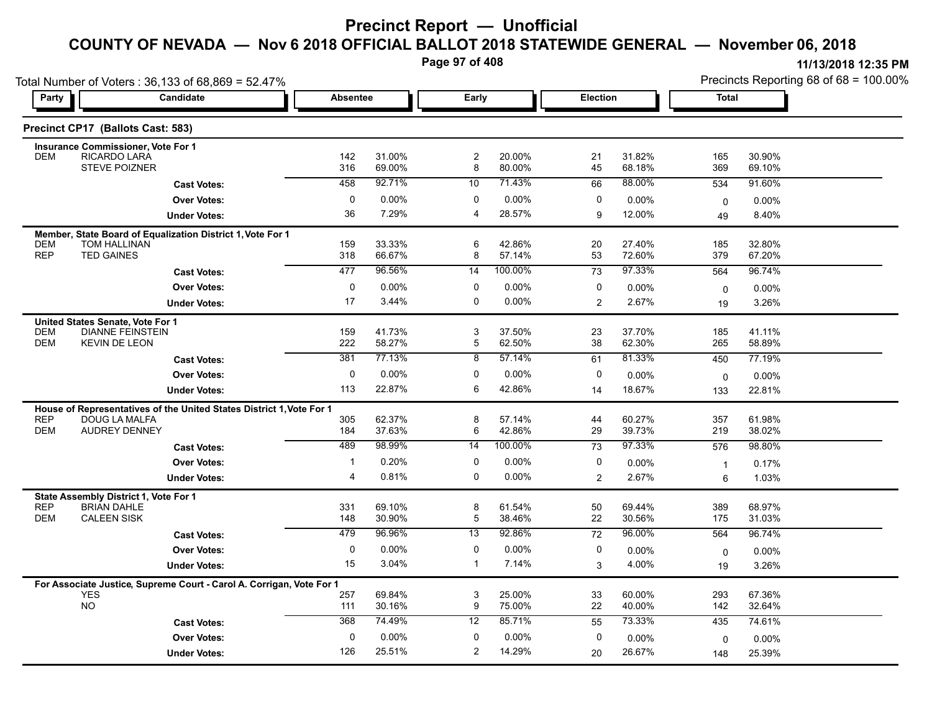**Page 97 of 408**

|                                  | Total Number of Voters: 36,133 of 68,869 = 52.47%                                     |                 |                    |                     |                    |                 |                  |                | Precincts Reporting 68 of 68 = 100.00% |
|----------------------------------|---------------------------------------------------------------------------------------|-----------------|--------------------|---------------------|--------------------|-----------------|------------------|----------------|----------------------------------------|
| Party                            | Candidate                                                                             | <b>Absentee</b> |                    | Early               |                    | <b>Election</b> |                  | Total          |                                        |
|                                  | Precinct CP17 (Ballots Cast: 583)                                                     |                 |                    |                     |                    |                 |                  |                |                                        |
|                                  | <b>Insurance Commissioner, Vote For 1</b>                                             |                 |                    |                     |                    |                 |                  |                |                                        |
| <b>DEM</b>                       | RICARDO LARA<br><b>STEVE POIZNER</b>                                                  | 142<br>316      | 31.00%<br>69.00%   | $\overline{c}$<br>8 | 20.00%<br>80.00%   | 21<br>45        | 31.82%<br>68.18% | 165<br>369     | 30.90%<br>69.10%                       |
|                                  | <b>Cast Votes:</b>                                                                    | 458             | 92.71%             | 10                  | 71.43%             | 66              | 88.00%           | 534            | 91.60%                                 |
|                                  | <b>Over Votes:</b>                                                                    | 0               | $0.00\%$           | 0                   | 0.00%              | 0               | 0.00%            | $\mathbf 0$    | 0.00%                                  |
|                                  | <b>Under Votes:</b>                                                                   | 36              | 7.29%              | 4                   | 28.57%             | 9               | 12.00%           | 49             | 8.40%                                  |
|                                  | Member, State Board of Equalization District 1, Vote For 1                            |                 |                    |                     |                    |                 |                  |                |                                        |
| <b>DEM</b>                       | <b>TOM HALLINAN</b>                                                                   | 159             | 33.33%             | 6                   | 42.86%             | 20              | 27.40%           | 185            | 32.80%                                 |
| <b>REP</b>                       | <b>TED GAINES</b>                                                                     | 318             | 66.67%             | 8                   | 57.14%             | 53              | 72.60%           | 379            | 67.20%                                 |
|                                  | <b>Cast Votes:</b>                                                                    | 477             | 96.56%             | 14                  | 100.00%            | 73              | 97.33%           | 564            | 96.74%                                 |
|                                  | <b>Over Votes:</b>                                                                    | 0               | $0.00\%$           | 0                   | 0.00%              | 0               | $0.00\%$         | $\mathbf 0$    | 0.00%                                  |
|                                  | <b>Under Votes:</b>                                                                   | 17              | 3.44%              | 0                   | 0.00%              | $\overline{2}$  | 2.67%            | 19             | 3.26%                                  |
| United States Senate, Vote For 1 |                                                                                       |                 |                    |                     |                    |                 |                  |                |                                        |
| <b>DEM</b><br><b>DEM</b>         | <b>DIANNE FEINSTEIN</b><br><b>KEVIN DE LEON</b>                                       | 159<br>222      | 41.73%<br>58.27%   | 3<br>5              | 37.50%<br>62.50%   | 23<br>38        | 37.70%<br>62.30% | 185<br>265     | 41.11%<br>58.89%                       |
|                                  |                                                                                       | 381             | 77.13%             | 8                   | 57.14%             | 61              | 81.33%           | 450            | 77.19%                                 |
|                                  | <b>Cast Votes:</b>                                                                    |                 |                    | $\Omega$            |                    | 0               |                  |                |                                        |
|                                  | <b>Over Votes:</b>                                                                    | 0<br>113        | $0.00\%$<br>22.87% | 6                   | $0.00\%$<br>42.86% |                 | 0.00%<br>18.67%  | $\mathbf 0$    | 0.00%                                  |
|                                  | <b>Under Votes:</b>                                                                   |                 |                    |                     |                    | 14              |                  | 133            | 22.81%                                 |
| <b>REP</b>                       | House of Representatives of the United States District 1, Vote For 1<br>DOUG LA MALFA | 305             | 62.37%             | 8                   | 57.14%             | 44              | 60.27%           | 357            | 61.98%                                 |
| <b>DEM</b>                       | <b>AUDREY DENNEY</b>                                                                  | 184             | 37.63%             | 6                   | 42.86%             | 29              | 39.73%           | 219            | 38.02%                                 |
|                                  | <b>Cast Votes:</b>                                                                    | 489             | 98.99%             | 14                  | 100.00%            | 73              | 97.33%           | 576            | 98.80%                                 |
|                                  | <b>Over Votes:</b>                                                                    | -1              | 0.20%              | 0                   | 0.00%              | 0               | 0.00%            | $\overline{1}$ | 0.17%                                  |
|                                  | <b>Under Votes:</b>                                                                   | 4               | 0.81%              | 0                   | 0.00%              | 2               | 2.67%            | 6              | 1.03%                                  |
|                                  | State Assembly District 1, Vote For 1                                                 |                 |                    |                     |                    |                 |                  |                |                                        |
| <b>REP</b>                       | <b>BRIAN DAHLE</b>                                                                    | 331             | 69.10%             | 8                   | 61.54%             | 50              | 69.44%           | 389            | 68.97%                                 |
| <b>DEM</b>                       | <b>CALEEN SISK</b>                                                                    | 148             | 30.90%             | 5                   | 38.46%             | 22              | 30.56%           | 175            | 31.03%                                 |
|                                  | <b>Cast Votes:</b>                                                                    | 479             | 96.96%             | $\overline{13}$     | 92.86%             | $\overline{72}$ | 96.00%           | 564            | 96.74%                                 |
|                                  | <b>Over Votes:</b>                                                                    | 0               | 0.00%              | $\mathbf 0$         | $0.00\%$           | 0               | 0.00%            | $\mathbf 0$    | $0.00\%$                               |
|                                  | <b>Under Votes:</b>                                                                   | 15              | 3.04%              | $\mathbf 1$         | 7.14%              | 3               | 4.00%            | 19             | 3.26%                                  |
|                                  | For Associate Justice, Supreme Court - Carol A. Corrigan, Vote For 1                  |                 |                    |                     |                    |                 |                  |                |                                        |
| <b>YES</b>                       |                                                                                       | 257             | 69.84%             | 3                   | 25.00%             | 33              | 60.00%           | 293            | 67.36%                                 |
| <b>NO</b>                        |                                                                                       | 111             | 30.16%             | 9                   | 75.00%             | 22              | 40.00%           | 142            | 32.64%                                 |
|                                  | <b>Cast Votes:</b>                                                                    | 368             | 74.49%             | 12                  | 85.71%             | 55              | 73.33%           | 435            | 74.61%                                 |
|                                  | <b>Over Votes:</b>                                                                    | $\mathbf 0$     | 0.00%              | 0                   | 0.00%              | $\mathbf 0$     | 0.00%            | 0              | 0.00%                                  |
|                                  | <b>Under Votes:</b>                                                                   | 126             | 25.51%             | 2                   | 14.29%             | 20              | 26.67%           | 148            | 25.39%                                 |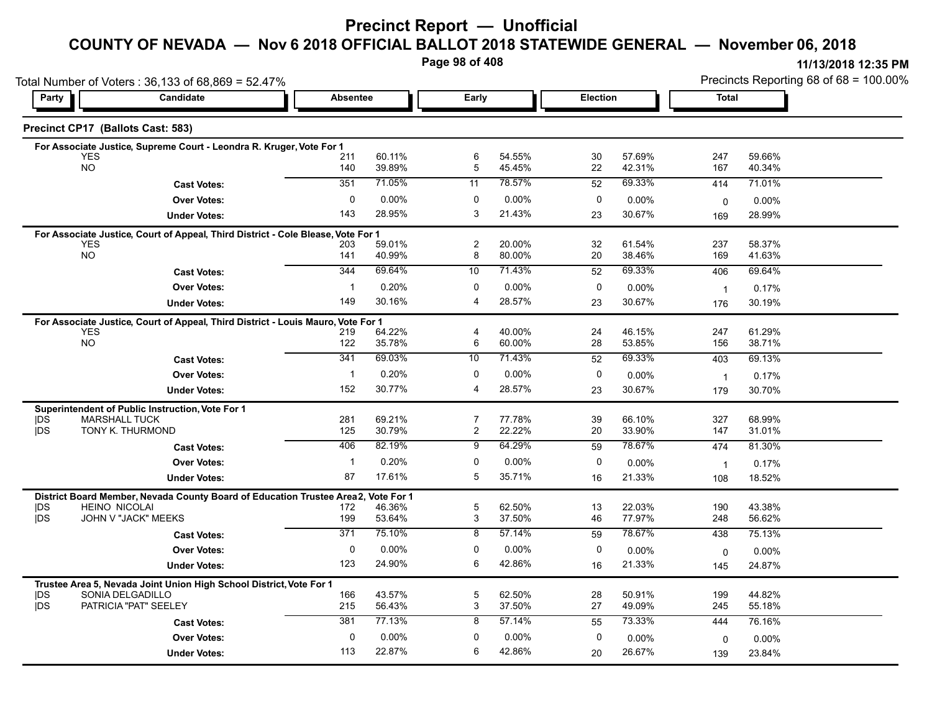#### **COUNTY OF NEVADA — Nov 6 2018 OFFICIAL BALLOT 2018 STATEWIDE GENERAL — November 06, 2018**

**Page 98 of 408**

|                          | Total Number of Voters: 36,133 of 68,869 = 52.47%                                |                 |                  |                                  |                  |             |                    |                | Precincts Reporting 68 of 68 = 100.00% |
|--------------------------|----------------------------------------------------------------------------------|-----------------|------------------|----------------------------------|------------------|-------------|--------------------|----------------|----------------------------------------|
| Party                    | Candidate                                                                        | <b>Absentee</b> |                  | Early                            |                  | Election    |                    | <b>Total</b>   |                                        |
|                          | Precinct CP17 (Ballots Cast: 583)                                                |                 |                  |                                  |                  |             |                    |                |                                        |
|                          | For Associate Justice, Supreme Court - Leondra R. Kruger, Vote For 1             |                 |                  |                                  |                  |             |                    |                |                                        |
| <b>YES</b><br><b>NO</b>  |                                                                                  | 211<br>140      | 60.11%<br>39.89% | 6<br>5                           | 54.55%<br>45.45% | 30<br>22    | 57.69%<br>42.31%   | 247<br>167     | 59.66%<br>40.34%                       |
|                          | <b>Cast Votes:</b>                                                               | 351             | 71.05%           | 11                               | 78.57%           | 52          | 69.33%             | 414            | 71.01%                                 |
|                          | <b>Over Votes:</b>                                                               | $\mathbf 0$     | 0.00%            | 0                                | 0.00%            | 0           | 0.00%              | $\mathbf 0$    | $0.00\%$                               |
|                          | <b>Under Votes:</b>                                                              | 143             | 28.95%           | 3                                | 21.43%           | 23          | 30.67%             | 169            | 28.99%                                 |
|                          | For Associate Justice, Court of Appeal, Third District - Cole Blease, Vote For 1 |                 |                  |                                  |                  |             |                    |                |                                        |
| YES<br><b>NO</b>         |                                                                                  | 203<br>141      | 59.01%<br>40.99% | 2<br>8                           | 20.00%<br>80.00% | 32<br>20    | 61.54%<br>38.46%   | 237<br>169     | 58.37%<br>41.63%                       |
|                          |                                                                                  | 344             | 69.64%           | 10                               | 71.43%           | 52          | 69.33%             | 406            | 69.64%                                 |
|                          | <b>Cast Votes:</b><br><b>Over Votes:</b>                                         | $\mathbf{1}$    | 0.20%            | 0                                | 0.00%            | 0           |                    |                |                                        |
|                          | <b>Under Votes:</b>                                                              | 149             | 30.16%           | $\overline{\mathbf{4}}$          | 28.57%           | 23          | $0.00\%$<br>30.67% | $\overline{1}$ | 0.17%<br>30.19%                        |
|                          |                                                                                  |                 |                  |                                  |                  |             |                    | 176            |                                        |
| <b>YES</b>               | For Associate Justice, Court of Appeal, Third District - Louis Mauro, Vote For 1 | 219             | 64.22%           | $\overline{\mathbf{4}}$          | 40.00%           | 24          | 46.15%             | 247            | 61.29%                                 |
| <b>NO</b>                |                                                                                  | 122             | 35.78%           | 6                                | 60.00%           | 28          | 53.85%             | 156            | 38.71%                                 |
|                          | <b>Cast Votes:</b>                                                               | 341             | 69.03%           | 10                               | 71.43%           | 52          | 69.33%             | 403            | 69.13%                                 |
|                          | <b>Over Votes:</b>                                                               | $\mathbf 1$     | 0.20%            | 0                                | $0.00\%$         | 0           | 0.00%              | $\overline{1}$ | 0.17%                                  |
|                          | <b>Under Votes:</b>                                                              | 152             | 30.77%           | 4                                | 28.57%           | 23          | 30.67%             | 179            | 30.70%                                 |
|                          | Superintendent of Public Instruction, Vote For 1                                 |                 |                  |                                  |                  |             |                    |                |                                        |
| <b>IDS</b><br><b>IDS</b> | <b>MARSHALL TUCK</b><br>TONY K. THURMOND                                         | 281<br>125      | 69.21%<br>30.79% | $\overline{7}$<br>$\overline{c}$ | 77.78%<br>22.22% | 39<br>20    | 66.10%<br>33.90%   | 327<br>147     | 68.99%<br>31.01%                       |
|                          | <b>Cast Votes:</b>                                                               | 406             | 82.19%           | 9                                | 64.29%           | 59          | 78.67%             | 474            | 81.30%                                 |
|                          | <b>Over Votes:</b>                                                               | $\mathbf{1}$    | 0.20%            | 0                                | 0.00%            | 0           | $0.00\%$           | $\overline{1}$ | 0.17%                                  |
|                          | <b>Under Votes:</b>                                                              | 87              | 17.61%           | 5                                | 35.71%           | 16          | 21.33%             | 108            | 18.52%                                 |
|                          | District Board Member, Nevada County Board of Education Trustee Area2,           |                 | Vote For 1       |                                  |                  |             |                    |                |                                        |
| <b>IDS</b>               | <b>HEINO NICOLAI</b>                                                             | 172             | 46.36%           | $\overline{5}$                   | 62.50%           | 13          | 22.03%             | 190            | 43.38%                                 |
| <b>IDS</b>               | JOHN V "JACK" MEEKS                                                              | 199             | 53.64%           | 3                                | 37.50%           | 46          | 77.97%             | 248            | 56.62%                                 |
|                          | <b>Cast Votes:</b>                                                               | 371             | 75.10%           | $\overline{8}$                   | 57.14%           | 59          | 78.67%             | 438            | 75.13%                                 |
|                          | <b>Over Votes:</b>                                                               | 0               | 0.00%            | 0                                | 0.00%            | 0           | 0.00%              | $\mathbf 0$    | $0.00\%$                               |
|                          | <b>Under Votes:</b>                                                              | 123             | 24.90%           | 6                                | 42.86%           | 16          | 21.33%             | 145            | 24.87%                                 |
|                          | Trustee Area 5, Nevada Joint Union High School District, Vote For 1              |                 |                  |                                  |                  |             |                    |                |                                        |
| DS<br><b>IDS</b>         | SONIA DELGADILLO<br>PATRICIA "PAT" SEELEY                                        | 166<br>215      | 43.57%<br>56.43% | 5<br>3                           | 62.50%<br>37.50% | 28<br>27    | 50.91%<br>49.09%   | 199<br>245     | 44.82%<br>55.18%                       |
|                          | <b>Cast Votes:</b>                                                               | 381             | 77.13%           | 8                                | 57.14%           | 55          | 73.33%             | 444            | 76.16%                                 |
|                          | <b>Over Votes:</b>                                                               | $\mathbf{0}$    | 0.00%            | 0                                | 0.00%            | $\mathbf 0$ | 0.00%              | 0              | $0.00\%$                               |
|                          | <b>Under Votes:</b>                                                              | 113             | 22.87%           | 6                                | 42.86%           | 20          | 26.67%             | 139            | 23.84%                                 |
|                          |                                                                                  |                 |                  |                                  |                  |             |                    |                |                                        |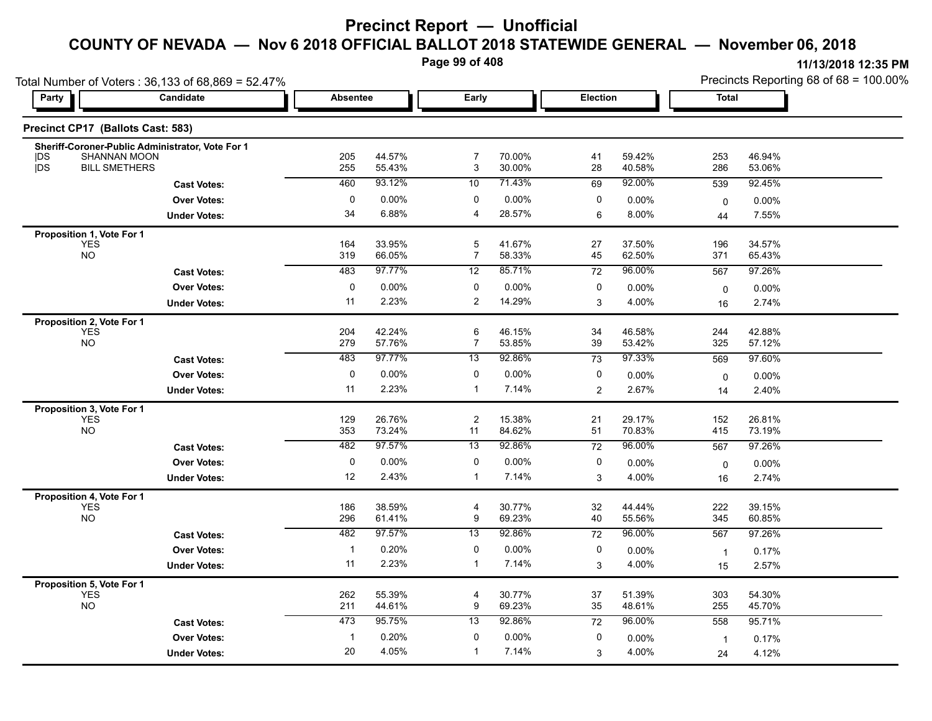**Page 99 of 408**

|                          | Total Number of Voters: 36,133 of 68,869 = 52.47% |                 |                  |                               |                   |                 |                  |                |                   |                                        |  |  |  |  |
|--------------------------|---------------------------------------------------|-----------------|------------------|-------------------------------|-------------------|-----------------|------------------|----------------|-------------------|----------------------------------------|--|--|--|--|
| Party                    | Candidate                                         | <b>Absentee</b> |                  | Early                         |                   | <b>Election</b> |                  | <b>Total</b>   |                   | Precincts Reporting 68 of 68 = 100.00% |  |  |  |  |
|                          | Precinct CP17 (Ballots Cast: 583)                 |                 |                  |                               |                   |                 |                  |                |                   |                                        |  |  |  |  |
|                          | Sheriff-Coroner-Public Administrator, Vote For 1  |                 |                  |                               |                   |                 |                  |                |                   |                                        |  |  |  |  |
| <b>IDS</b><br><b>IDS</b> | <b>SHANNAN MOON</b><br><b>BILL SMETHERS</b>       | 205<br>255      | 44.57%<br>55.43% | $\overline{7}$<br>3           | 70.00%<br>30.00%  | 41<br>28        | 59.42%<br>40.58% | 253<br>286     | 46.94%<br>53.06%  |                                        |  |  |  |  |
|                          | <b>Cast Votes:</b>                                | 460             | 93.12%           | 10                            | 71.43%            | 69              | 92.00%           | 539            | 92.45%            |                                        |  |  |  |  |
|                          | <b>Over Votes:</b>                                | 0               | 0.00%            | 0                             | $0.00\%$          | 0               | 0.00%            | $\mathbf 0$    | 0.00%             |                                        |  |  |  |  |
|                          | <b>Under Votes:</b>                               | 34              | 6.88%            | 4                             | 28.57%            | 6               | 8.00%            | 44             | 7.55%             |                                        |  |  |  |  |
|                          | Proposition 1, Vote For 1                         |                 |                  |                               |                   |                 |                  |                |                   |                                        |  |  |  |  |
|                          | <b>YES</b><br><b>NO</b>                           | 164<br>319      | 33.95%<br>66.05% | $\,$ 5 $\,$<br>$\overline{7}$ | 41.67%<br>58.33%  | 27<br>45        | 37.50%<br>62.50% | 196<br>371     | 34.57%<br>65.43%  |                                        |  |  |  |  |
|                          | <b>Cast Votes:</b>                                | 483             | 97.77%           | 12                            | 85.71%            | 72              | 96.00%           | 567            | 97.26%            |                                        |  |  |  |  |
|                          | <b>Over Votes:</b>                                | $\mathbf 0$     | 0.00%            | $\mathbf 0$                   | $0.00\%$          | 0               | 0.00%            |                |                   |                                        |  |  |  |  |
|                          | <b>Under Votes:</b>                               | 11              | 2.23%            | 2                             | 14.29%            | 3               | 4.00%            | 0<br>16        | $0.00\%$<br>2.74% |                                        |  |  |  |  |
|                          | Proposition 2, Vote For 1                         |                 |                  |                               |                   |                 |                  |                |                   |                                        |  |  |  |  |
|                          | <b>YES</b>                                        | 204             | 42.24%           | 6                             | 46.15%            | 34              | 46.58%           | 244            | 42.88%            |                                        |  |  |  |  |
|                          | <b>NO</b>                                         | 279             | 57.76%           | $\overline{7}$                | 53.85%            | 39              | 53.42%           | 325            | 57.12%            |                                        |  |  |  |  |
|                          | <b>Cast Votes:</b>                                | 483             | 97.77%           | $\overline{13}$               | 92.86%            | 73              | 97.33%           | 569            | 97.60%            |                                        |  |  |  |  |
|                          | <b>Over Votes:</b>                                | $\mathbf 0$     | 0.00%            | 0                             | $0.00\%$          | 0               | 0.00%            | $\mathbf 0$    | 0.00%             |                                        |  |  |  |  |
|                          | <b>Under Votes:</b>                               | 11              | 2.23%            | $\mathbf{1}$                  | 7.14%             | 2               | 2.67%            | 14             | 2.40%             |                                        |  |  |  |  |
|                          | Proposition 3, Vote For 1                         |                 |                  |                               |                   |                 |                  |                |                   |                                        |  |  |  |  |
|                          | <b>YES</b><br><b>NO</b>                           | 129<br>353      | 26.76%<br>73.24% | $\overline{c}$<br>11          | 15.38%<br>84.62%  | 21<br>51        | 29.17%<br>70.83% | 152<br>415     | 26.81%<br>73.19%  |                                        |  |  |  |  |
|                          |                                                   | 482             | 97.57%           | 13                            | 92.86%            | 72              | 96.00%           | 567            | 97.26%            |                                        |  |  |  |  |
|                          | <b>Cast Votes:</b>                                | $\mathbf 0$     |                  | $\mathbf 0$                   |                   |                 |                  |                |                   |                                        |  |  |  |  |
|                          | <b>Over Votes:</b>                                | 12              | 0.00%<br>2.43%   | $\mathbf{1}$                  | $0.00\%$<br>7.14% | 0<br>3          | 0.00%<br>4.00%   | 0              | 0.00%             |                                        |  |  |  |  |
|                          | <b>Under Votes:</b>                               |                 |                  |                               |                   |                 |                  | 16             | 2.74%             |                                        |  |  |  |  |
|                          | Proposition 4, Vote For 1<br><b>YES</b>           | 186             | 38.59%           | 4                             | 30.77%            | 32              | 44.44%           | 222            | 39.15%            |                                        |  |  |  |  |
|                          | <b>NO</b>                                         | 296             | 61.41%           | 9                             | 69.23%            | 40              | 55.56%           | 345            | 60.85%            |                                        |  |  |  |  |
|                          | <b>Cast Votes:</b>                                | 482             | 97.57%           | $\overline{13}$               | 92.86%            | 72              | 96.00%           | 567            | 97.26%            |                                        |  |  |  |  |
|                          | <b>Over Votes:</b>                                | $\mathbf{1}$    | 0.20%            | 0                             | $0.00\%$          | 0               | 0.00%            | $\mathbf{1}$   | 0.17%             |                                        |  |  |  |  |
|                          | <b>Under Votes:</b>                               | 11              | 2.23%            | $\mathbf{1}$                  | 7.14%             | 3               | 4.00%            | 15             | 2.57%             |                                        |  |  |  |  |
|                          | Proposition 5, Vote For 1                         |                 |                  |                               |                   |                 |                  |                |                   |                                        |  |  |  |  |
|                          | <b>YES</b>                                        | 262             | 55.39%           | $\overline{4}$                | 30.77%            | 37              | 51.39%           | 303            | 54.30%            |                                        |  |  |  |  |
|                          | <b>NO</b>                                         | 211             | 44.61%           | 9                             | 69.23%            | 35              | 48.61%           | 255            | 45.70%            |                                        |  |  |  |  |
|                          | <b>Cast Votes:</b>                                | 473             | 95.75%           | 13                            | 92.86%            | 72              | 96.00%           | 558            | 95.71%            |                                        |  |  |  |  |
|                          | <b>Over Votes:</b>                                | $\mathbf{1}$    | 0.20%            | 0                             | $0.00\%$          | 0               | 0.00%            | $\overline{1}$ | 0.17%             |                                        |  |  |  |  |
|                          | <b>Under Votes:</b>                               | 20              | 4.05%            | $\mathbf{1}$                  | 7.14%             | 3               | 4.00%            | 24             | 4.12%             |                                        |  |  |  |  |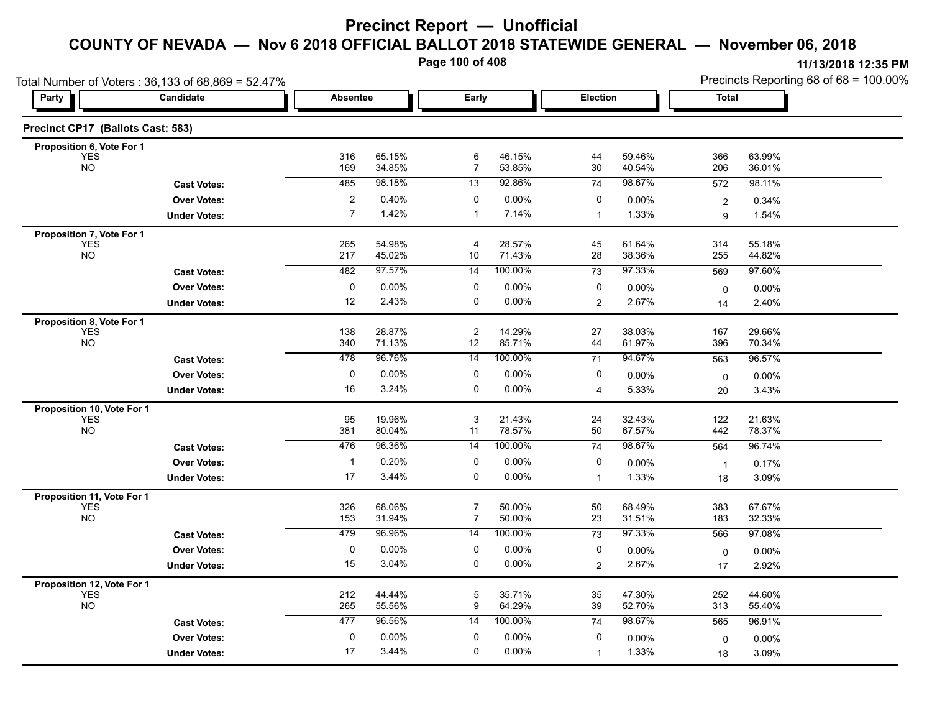**Page 100 of 408**

|                                          | Total Number of Voters: 36,133 of 68,869 = 52.47% |                         |                  |                     |                   |                 | Precincts Reporting 68 of 68 = 100.00% |                |                  |
|------------------------------------------|---------------------------------------------------|-------------------------|------------------|---------------------|-------------------|-----------------|----------------------------------------|----------------|------------------|
| <b>Party</b>                             | Candidate                                         | <b>Absentee</b>         |                  | Early               |                   | <b>Election</b> |                                        | <b>Total</b>   |                  |
| Precinct CP17 (Ballots Cast: 583)        |                                                   |                         |                  |                     |                   |                 |                                        |                |                  |
| Proposition 6, Vote For 1                |                                                   |                         |                  |                     |                   |                 |                                        |                |                  |
| <b>YES</b><br><b>NO</b>                  |                                                   | 316<br>169              | 65.15%<br>34.85% | 6<br>$\overline{7}$ | 46.15%<br>53.85%  | 44<br>30        | 59.46%<br>40.54%                       | 366<br>206     | 63.99%<br>36.01% |
|                                          | <b>Cast Votes:</b>                                | 485                     | 98.18%           | 13                  | 92.86%            | 74              | 98.67%                                 | 572            | 98.11%           |
|                                          | <b>Over Votes:</b>                                | $\overline{\mathbf{c}}$ | 0.40%            | 0                   | 0.00%             | 0               | 0.00%                                  | $\overline{c}$ | 0.34%            |
|                                          | <b>Under Votes:</b>                               | $\overline{7}$          | 1.42%            | 1                   | 7.14%             | $\mathbf{1}$    | 1.33%                                  | 9              | 1.54%            |
| Proposition 7, Vote For 1                |                                                   |                         |                  |                     |                   |                 |                                        |                |                  |
| <b>YES</b><br><b>NO</b>                  |                                                   | 265<br>217              | 54.98%<br>45.02% | 4<br>10             | 28.57%<br>71.43%  | 45<br>28        | 61.64%<br>38.36%                       | 314<br>255     | 55.18%<br>44.82% |
|                                          |                                                   | 482                     | 97.57%           | 14                  | 100.00%           | 73              | 97.33%                                 | 569            | 97.60%           |
|                                          | <b>Cast Votes:</b><br><b>Over Votes:</b>          | 0                       | 0.00%            | 0                   | 0.00%             | 0               |                                        |                |                  |
|                                          |                                                   | 12                      | 2.43%            | 0                   | 0.00%             | $\overline{2}$  | 0.00%<br>2.67%                         | 0              | 0.00%            |
|                                          | <b>Under Votes:</b>                               |                         |                  |                     |                   |                 |                                        | 14             | 2.40%            |
| Proposition 8, Vote For 1<br><b>YES</b>  |                                                   | 138                     | 28.87%           | $\overline{c}$      | 14.29%            | 27              | 38.03%                                 | 167            | 29.66%           |
| <b>NO</b>                                |                                                   | 340                     | 71.13%           | 12                  | 85.71%            | 44              | 61.97%                                 | 396            | 70.34%           |
|                                          | <b>Cast Votes:</b>                                | 478                     | 96.76%           | $\overline{14}$     | 100.00%           | 71              | 94.67%                                 | 563            | 96.57%           |
|                                          | <b>Over Votes:</b>                                | 0                       | 0.00%            | 0                   | 0.00%             | 0               | 0.00%                                  | 0              | 0.00%            |
|                                          | <b>Under Votes:</b>                               | 16                      | 3.24%            | 0                   | $0.00\%$          | $\overline{4}$  | 5.33%                                  | 20             | 3.43%            |
| Proposition 10, Vote For 1               |                                                   |                         |                  |                     |                   |                 |                                        |                |                  |
| <b>YES</b><br><b>NO</b>                  |                                                   | 95<br>381               | 19.96%<br>80.04% | 3<br>11             | 21.43%<br>78.57%  | 24<br>50        | 32.43%<br>67.57%                       | 122<br>442     | 21.63%<br>78.37% |
|                                          |                                                   | 476                     | 96.36%           | 14                  | 100.00%           | 74              | 98.67%                                 | 564            | 96.74%           |
|                                          | <b>Cast Votes:</b>                                | $\mathbf{1}$            | 0.20%            | 0                   |                   | 0               |                                        |                |                  |
|                                          | <b>Over Votes:</b>                                | 17                      | 3.44%            | $\mathbf 0$         | 0.00%<br>$0.00\%$ |                 | 0.00%<br>1.33%                         | $\mathbf{1}$   | 0.17%            |
|                                          | <b>Under Votes:</b>                               |                         |                  |                     |                   | $\mathbf{1}$    |                                        | 18             | 3.09%            |
| Proposition 11, Vote For 1<br><b>YES</b> |                                                   | 326                     | 68.06%           | 7                   | 50.00%            | 50              | 68.49%                                 | 383            | 67.67%           |
| <b>NO</b>                                |                                                   | 153                     | 31.94%           | $\overline{7}$      | 50.00%            | 23              | 31.51%                                 | 183            | 32.33%           |
|                                          | <b>Cast Votes:</b>                                | 479                     | 96.96%           | $\overline{14}$     | 100.00%           | $\overline{73}$ | 97.33%                                 | 566            | 97.08%           |
|                                          | <b>Over Votes:</b>                                | 0                       | 0.00%            | 0                   | 0.00%             | 0               | 0.00%                                  | 0              | 0.00%            |
|                                          | <b>Under Votes:</b>                               | 15                      | 3.04%            | $\mathbf 0$         | $0.00\%$          | $\overline{2}$  | 2.67%                                  | 17             | 2.92%            |
| Proposition 12, Vote For 1               |                                                   |                         |                  |                     |                   |                 |                                        |                |                  |
| <b>YES</b>                               |                                                   | 212                     | 44.44%           | 5                   | 35.71%            | 35              | 47.30%                                 | 252            | 44.60%           |
| <b>NO</b>                                |                                                   | 265                     | 55.56%           | 9                   | 64.29%            | 39              | 52.70%                                 | 313            | 55.40%           |
|                                          | <b>Cast Votes:</b>                                | 477                     | 96.56%           | 14                  | 100.00%           | 74              | 98.67%                                 | 565            | 96.91%           |
|                                          | <b>Over Votes:</b>                                | 0                       | 0.00%            | 0                   | 0.00%             | 0               | 0.00%                                  | 0              | $0.00\%$         |
|                                          | <b>Under Votes:</b>                               | 17                      | 3.44%            | $\mathbf 0$         | $0.00\%$          | $\mathbf{1}$    | 1.33%                                  | 18             | 3.09%            |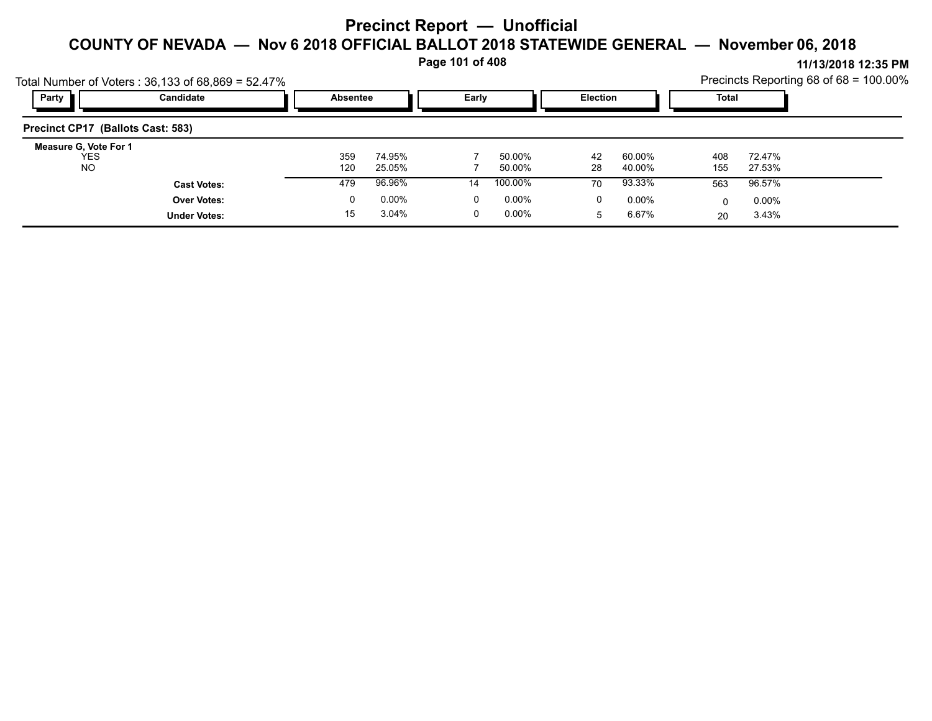**Page 101 of 408**

|                                                  | Total Number of Voters: $36,133$ of $68,869 = 52.47\%$ |            |                  |    |                  |          |                  |            |                  | Precincts Reporting 68 of $68 = 100.00\%$ |
|--------------------------------------------------|--------------------------------------------------------|------------|------------------|----|------------------|----------|------------------|------------|------------------|-------------------------------------------|
| Party                                            | Candidate                                              |            | <b>Absentee</b>  |    | Early            |          | <b>Election</b>  |            | Total            |                                           |
| Precinct CP17 (Ballots Cast: 583)                |                                                        |            |                  |    |                  |          |                  |            |                  |                                           |
| Measure G, Vote For 1<br><b>YES</b><br><b>NO</b> |                                                        | 359<br>120 | 74.95%<br>25.05% |    | 50.00%<br>50.00% | 42<br>28 | 60.00%<br>40.00% | 408<br>155 | 72.47%<br>27.53% |                                           |
|                                                  | <b>Cast Votes:</b>                                     | 479        | 96.96%           | 14 | 100.00%          | 70       | 93.33%           | 563        | 96.57%           |                                           |
|                                                  | <b>Over Votes:</b>                                     | 0          | 0.00%            | 0  | 0.00%            | 0        | $0.00\%$         |            | $0.00\%$         |                                           |
|                                                  | <b>Under Votes:</b>                                    | 15         | 3.04%            |    | 0.00%            | 5        | 6.67%            | 20         | 3.43%            |                                           |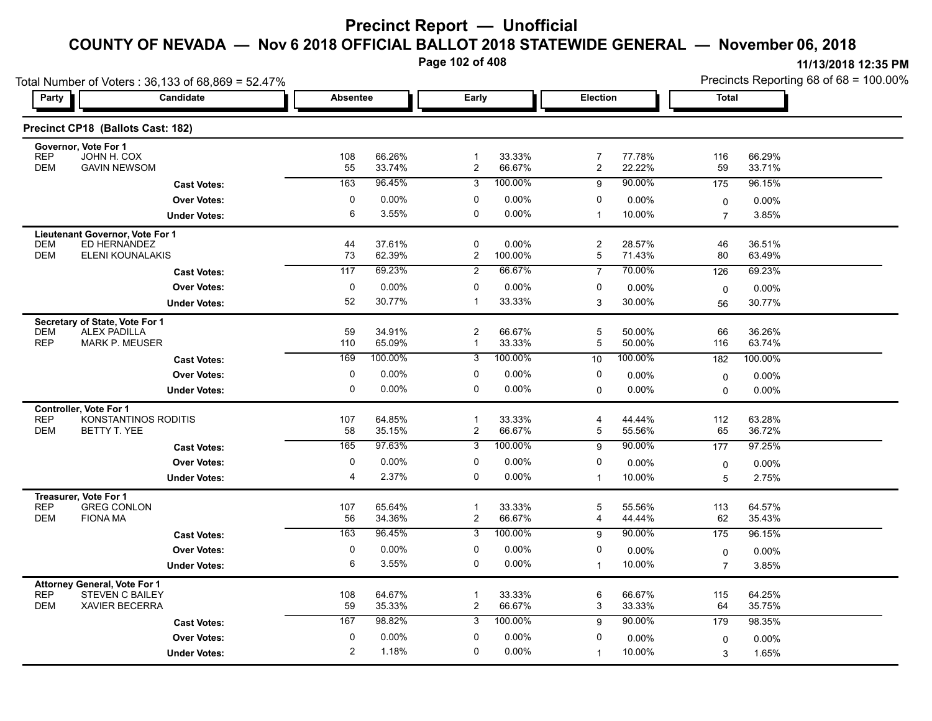**Page 102 of 408**

|                          | Total Number of Voters: 36,133 of 68,869 = 52.47%<br>Early |                |                  | Precincts Reporting 68 of 68 = 100.00% |                  |                                  |                  |                |                  |
|--------------------------|------------------------------------------------------------|----------------|------------------|----------------------------------------|------------------|----------------------------------|------------------|----------------|------------------|
| Party                    | Candidate                                                  |                | <b>Absentee</b>  |                                        |                  | Election                         |                  | <b>Total</b>   |                  |
|                          | Precinct CP18 (Ballots Cast: 182)                          |                |                  |                                        |                  |                                  |                  |                |                  |
|                          | Governor, Vote For 1<br>JOHN H. COX                        |                |                  |                                        |                  |                                  |                  |                |                  |
| <b>REP</b><br><b>DEM</b> | <b>GAVIN NEWSOM</b>                                        | 108<br>55      | 66.26%<br>33.74% | $\mathbf 1$<br>$\boldsymbol{2}$        | 33.33%<br>66.67% | $\overline{7}$<br>$\overline{c}$ | 77.78%<br>22.22% | 116<br>59      | 66.29%<br>33.71% |
|                          | <b>Cast Votes:</b>                                         | 163            | 96.45%           | 3                                      | 100.00%          | 9                                | 90.00%           | 175            | 96.15%           |
|                          | <b>Over Votes:</b>                                         | $\mathbf 0$    | 0.00%            | $\mathbf{0}$                           | 0.00%            | 0                                | $0.00\%$         | 0              | $0.00\%$         |
|                          | <b>Under Votes:</b>                                        | 6              | 3.55%            | 0                                      | 0.00%            | $\mathbf{1}$                     | 10.00%           | $\overline{7}$ | 3.85%            |
|                          | Lieutenant Governor, Vote For 1                            |                |                  |                                        |                  |                                  |                  |                |                  |
| <b>DEM</b><br><b>DEM</b> | ED HERNANDEZ<br><b>ELENI KOUNALAKIS</b>                    | 44<br>73       | 37.61%<br>62.39% | 0<br>$\overline{c}$                    | 0.00%<br>100.00% | $\overline{c}$<br>5              | 28.57%<br>71.43% | 46<br>80       | 36.51%<br>63.49% |
|                          |                                                            | 117            | 69.23%           | $\overline{2}$                         | 66.67%           | $\overline{7}$                   | 70.00%           | 126            | 69.23%           |
|                          | <b>Cast Votes:</b>                                         |                |                  | $\Omega$                               |                  |                                  |                  |                |                  |
|                          | <b>Over Votes:</b>                                         | 0<br>52        | 0.00%<br>30.77%  | $\mathbf 1$                            | 0.00%<br>33.33%  | 0<br>3                           | 0.00%<br>30.00%  | $\mathbf 0$    | $0.00\%$         |
|                          | <b>Under Votes:</b>                                        |                |                  |                                        |                  |                                  |                  | 56             | 30.77%           |
| <b>DEM</b>               | Secretary of State, Vote For 1<br><b>ALEX PADILLA</b>      | 59             | 34.91%           | $\overline{c}$                         | 66.67%           | 5                                | 50.00%           | 66             | 36.26%           |
| <b>REP</b>               | <b>MARK P. MEUSER</b>                                      | 110            | 65.09%           | $\mathbf{1}$                           | 33.33%           | 5                                | 50.00%           | 116            | 63.74%           |
|                          | <b>Cast Votes:</b>                                         | 169            | 100.00%          | 3                                      | 100.00%          | 10                               | 100.00%          | 182            | 100.00%          |
|                          | <b>Over Votes:</b>                                         | 0              | 0.00%            | 0                                      | 0.00%            | 0                                | $0.00\%$         | $\mathbf 0$    | 0.00%            |
|                          | <b>Under Votes:</b>                                        | 0              | 0.00%            | 0                                      | 0.00%            | $\mathbf 0$                      | $0.00\%$         | $\Omega$       | 0.00%            |
|                          | <b>Controller, Vote For 1</b>                              |                |                  |                                        |                  |                                  |                  |                |                  |
| <b>REP</b>               | KONSTANTINOS RODITIS                                       | 107            | 64.85%           | $\mathbf{1}$                           | 33.33%           | $\overline{4}$                   | 44.44%           | 112            | 63.28%           |
| <b>DEM</b>               | BETTY T. YEE                                               | 58             | 35.15%           | 2                                      | 66.67%           | 5                                | 55.56%           | 65             | 36.72%           |
|                          | <b>Cast Votes:</b>                                         | 165            | 97.63%           | 3                                      | 100.00%          | 9                                | 90.00%           | 177            | 97.25%           |
|                          | <b>Over Votes:</b>                                         | $\mathbf 0$    | 0.00%            | 0                                      | 0.00%            | 0                                | 0.00%            | $\mathbf 0$    | $0.00\%$         |
|                          | <b>Under Votes:</b>                                        | 4              | 2.37%            | 0                                      | 0.00%            | $\mathbf{1}$                     | 10.00%           | 5              | 2.75%            |
| <b>REP</b>               | Treasurer, Vote For 1<br><b>GREG CONLON</b>                | 107            | 65.64%           | $\mathbf{1}$                           |                  | 5                                |                  |                |                  |
| <b>DEM</b>               | <b>FIONA MA</b>                                            | 56             | 34.36%           | $\boldsymbol{2}$                       | 33.33%<br>66.67% | 4                                | 55.56%<br>44.44% | 113<br>62      | 64.57%<br>35.43% |
|                          | <b>Cast Votes:</b>                                         | 163            | 96.45%           | $\overline{3}$                         | 100.00%          | 9                                | 90.00%           | 175            | 96.15%           |
|                          | <b>Over Votes:</b>                                         | 0              | 0.00%            | 0                                      | 0.00%            | 0                                | 0.00%            | 0              | $0.00\%$         |
|                          | <b>Under Votes:</b>                                        | 6              | 3.55%            | 0                                      | $0.00\%$         | $\mathbf{1}$                     | 10.00%           | $\overline{7}$ | 3.85%            |
|                          | <b>Attorney General, Vote For 1</b>                        |                |                  |                                        |                  |                                  |                  |                |                  |
| <b>REP</b>               | STEVEN C BAILEY                                            | 108            | 64.67%           | -1                                     | 33.33%           | 6                                | 66.67%           | 115            | 64.25%           |
| <b>DEM</b>               | <b>XAVIER BECERRA</b>                                      | 59             | 35.33%           | $\overline{\mathbf{c}}$                | 66.67%           | 3                                | 33.33%           | 64             | 35.75%           |
|                          | <b>Cast Votes:</b>                                         | 167            | 98.82%           | 3                                      | 100.00%          | 9                                | 90.00%           | 179            | 98.35%           |
|                          | <b>Over Votes:</b>                                         | 0              | 0.00%            | 0                                      | 0.00%            | 0                                | 0.00%            | $\mathbf 0$    | $0.00\%$         |
|                          | <b>Under Votes:</b>                                        | $\overline{c}$ | 1.18%            | $\Omega$                               | 0.00%            | $\mathbf{1}$                     | 10.00%           | 3              | 1.65%            |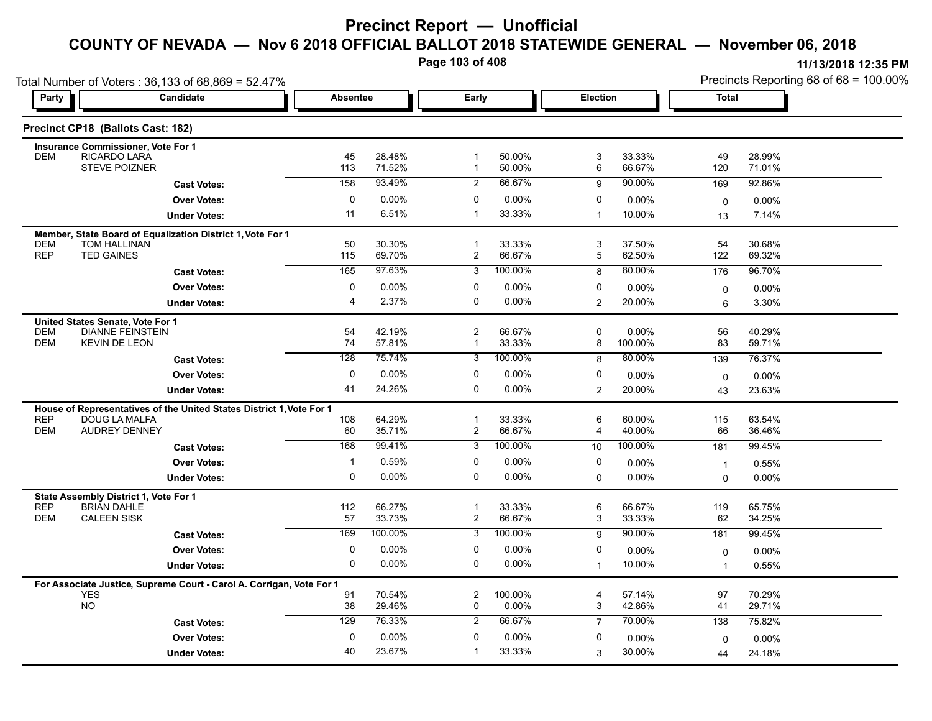**Page 103 of 408**

|                          | Total Number of Voters: 36,133 of 68,869 = 52.47%                                            |                 |                  |                     |                   |                |                  |              | Precincts Reporting 68 of 68 = 100.00% |
|--------------------------|----------------------------------------------------------------------------------------------|-----------------|------------------|---------------------|-------------------|----------------|------------------|--------------|----------------------------------------|
| Party                    | Candidate                                                                                    | <b>Absentee</b> |                  | Early               |                   |                | Election         |              | <b>Total</b>                           |
|                          | Precinct CP18 (Ballots Cast: 182)                                                            |                 |                  |                     |                   |                |                  |              |                                        |
|                          | <b>Insurance Commissioner, Vote For 1</b>                                                    |                 |                  |                     |                   |                |                  |              |                                        |
| <b>DEM</b>               | RICARDO LARA<br><b>STEVE POIZNER</b>                                                         | 45<br>113       | 28.48%<br>71.52% | -1<br>$\mathbf{1}$  | 50.00%<br>50.00%  | 3<br>6         | 33.33%<br>66.67% | 49<br>120    | 28.99%<br>71.01%                       |
|                          | <b>Cast Votes:</b>                                                                           | 158             | 93.49%           | 2                   | 66.67%            | 9              | 90.00%           | 169          | 92.86%                                 |
|                          | <b>Over Votes:</b>                                                                           | 0               | 0.00%            | 0                   | 0.00%             | 0              | 0.00%            | 0            | $0.00\%$                               |
|                          | <b>Under Votes:</b>                                                                          | 11              | 6.51%            | $\mathbf 1$         | 33.33%            | $\overline{1}$ | 10.00%           | 13           | 7.14%                                  |
|                          | Member, State Board of Equalization District 1, Vote For 1                                   |                 |                  |                     |                   |                |                  |              |                                        |
| <b>DEM</b><br><b>REP</b> | TOM HALLINAN<br><b>TED GAINES</b>                                                            | 50<br>115       | 30.30%<br>69.70% | $\mathbf{1}$<br>2   | 33.33%<br>66.67%  | 3<br>5         | 37.50%<br>62.50% | 54<br>122    | 30.68%<br>69.32%                       |
|                          | <b>Cast Votes:</b>                                                                           | 165             | 97 63%           | $\overline{3}$      | 100.00%           | 8              | 80.00%           | 176          | 96.70%                                 |
|                          | <b>Over Votes:</b>                                                                           | $\mathbf 0$     | 0.00%            | 0                   | 0.00%             | 0              | $0.00\%$         | 0            | 0.00%                                  |
|                          | <b>Under Votes:</b>                                                                          | 4               | 2.37%            | $\Omega$            | 0.00%             | 2              | 20.00%           | 6            | 3.30%                                  |
|                          | United States Senate, Vote For 1                                                             |                 |                  |                     |                   |                |                  |              |                                        |
| <b>DEM</b><br><b>DEM</b> | <b>DIANNE FEINSTEIN</b><br><b>KEVIN DE LEON</b>                                              | 54<br>74        | 42.19%<br>57.81% | $\overline{c}$<br>1 | 66.67%<br>33.33%  | 0              | 0.00%<br>100.00% | 56<br>83     | 40.29%<br>59.71%                       |
|                          |                                                                                              | 128             | 75.74%           | $\overline{3}$      | 100.00%           | 8<br>8         | 80.00%           | 139          | 76.37%                                 |
|                          | <b>Cast Votes:</b>                                                                           |                 |                  |                     |                   |                |                  |              |                                        |
|                          | <b>Over Votes:</b>                                                                           | $\mathbf 0$     | $0.00\%$         | 0<br>0              | 0.00%<br>$0.00\%$ | 0              | 0.00%            | 0            | $0.00\%$                               |
|                          | <b>Under Votes:</b>                                                                          | 41              | 24.26%           |                     |                   | $\overline{2}$ | 20.00%           | 43           | 23.63%                                 |
| <b>REP</b>               | House of Representatives of the United States District 1, Vote For 1<br><b>DOUG LA MALFA</b> | 108             | 64.29%           | $\mathbf 1$         | 33.33%            | 6              | 60.00%           | 115          | 63.54%                                 |
| <b>DEM</b>               | <b>AUDREY DENNEY</b>                                                                         | 60              | 35.71%           | $\boldsymbol{2}$    | 66.67%            | 4              | 40.00%           | 66           | 36.46%                                 |
|                          | <b>Cast Votes:</b>                                                                           | 168             | 99.41%           | 3                   | 100.00%           | 10             | 100.00%          | 181          | 99.45%                                 |
|                          | <b>Over Votes:</b>                                                                           | 1               | 0.59%            | 0                   | 0.00%             | 0              | $0.00\%$         | $\mathbf{1}$ | 0.55%                                  |
|                          | <b>Under Votes:</b>                                                                          | 0               | 0.00%            | $\Omega$            | 0.00%             | $\Omega$       | 0.00%            | $\Omega$     | $0.00\%$                               |
|                          | State Assembly District 1, Vote For 1                                                        |                 |                  |                     |                   |                |                  |              |                                        |
| <b>REP</b>               | <b>BRIAN DAHLE</b>                                                                           | 112             | 66.27%           | $\mathbf 1$         | 33.33%            | 6              | 66.67%           | 119          | 65.75%                                 |
| <b>DEM</b>               | <b>CALEEN SISK</b>                                                                           | 57              | 33.73%           | $\overline{2}$      | 66.67%            | 3              | 33.33%           | 62           | 34.25%                                 |
|                          | <b>Cast Votes:</b>                                                                           | 169             | 100.00%          | 3                   | 100.00%           | 9              | 90.00%           | 181          | 99.45%                                 |
|                          | <b>Over Votes:</b>                                                                           | 0               | $0.00\%$         | 0                   | 0.00%             | 0              | $0.00\%$         | 0            | $0.00\%$                               |
|                          | <b>Under Votes:</b>                                                                          | 0               | 0.00%            | $\mathbf 0$         | 0.00%             | $\mathbf{1}$   | 10.00%           | 1            | 0.55%                                  |
|                          | For Associate Justice, Supreme Court - Carol A. Corrigan, Vote For 1                         |                 |                  |                     |                   |                |                  |              |                                        |
|                          | <b>YES</b><br><b>NO</b>                                                                      | 91              | 70.54%           | $\overline{c}$      | 100.00%           | 4              | 57.14%           | 97           | 70.29%                                 |
|                          |                                                                                              | 38              | 29.46%           | 0                   | 0.00%             | 3              | 42.86%           | 41           | 29.71%                                 |
|                          | <b>Cast Votes:</b>                                                                           | 129             | 76.33%           | 2                   | 66.67%            | $\overline{7}$ | 70.00%           | 138          | 75.82%                                 |
|                          | <b>Over Votes:</b>                                                                           | 0               | $0.00\%$         | 0                   | 0.00%             | 0              | 0.00%            | 0            | 0.00%                                  |
|                          | <b>Under Votes:</b>                                                                          | 40              | 23.67%           | -1                  | 33.33%            | 3              | 30.00%           | 44           | 24.18%                                 |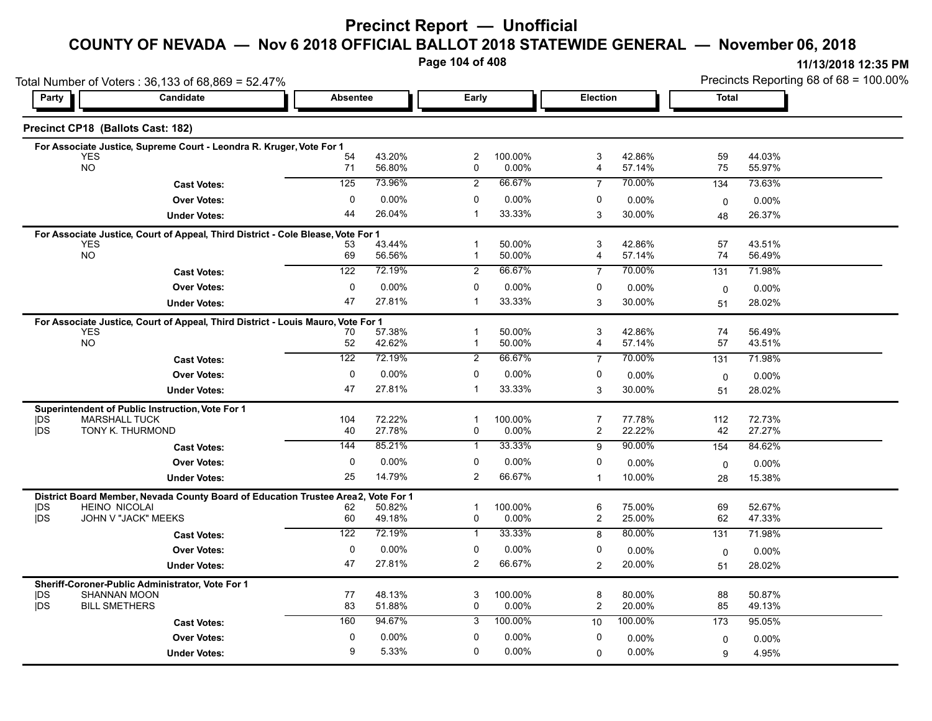#### **COUNTY OF NEVADA — Nov 6 2018 OFFICIAL BALLOT 2018 STATEWIDE GENERAL — November 06, 2018**

**Page 104 of 408**

|                          | Total Number of Voters: 36,133 of 68,869 = 52.47%                                |                 |                    |                              |                  |                                  |                  |              | Precincts Reporting 68 of 68 = 100.00% |  |  |
|--------------------------|----------------------------------------------------------------------------------|-----------------|--------------------|------------------------------|------------------|----------------------------------|------------------|--------------|----------------------------------------|--|--|
| Party                    | Candidate                                                                        | <b>Absentee</b> |                    | Early                        |                  | Election                         |                  | <b>Total</b> |                                        |  |  |
|                          | Precinct CP18 (Ballots Cast: 182)                                                |                 |                    |                              |                  |                                  |                  |              |                                        |  |  |
|                          | For Associate Justice, Supreme Court - Leondra R. Kruger, Vote For 1             |                 |                    |                              |                  |                                  |                  |              |                                        |  |  |
|                          | <b>YES</b><br><b>NO</b>                                                          | 54<br>71        | 43.20%<br>56.80%   | $\overline{\mathbf{c}}$<br>0 | 100.00%<br>0.00% | 3<br>4                           | 42.86%<br>57.14% | 59<br>75     | 44.03%<br>55.97%                       |  |  |
|                          |                                                                                  | 125             | 73.96%             | 2                            | 66.67%           |                                  | 70.00%           |              |                                        |  |  |
|                          | <b>Cast Votes:</b>                                                               |                 |                    |                              |                  | $\overline{7}$                   |                  | 134          | 73.63%                                 |  |  |
|                          | <b>Over Votes:</b>                                                               | $\mathbf{0}$    | 0.00%              | 0                            | 0.00%            | 0                                | $0.00\%$         | 0            | $0.00\%$                               |  |  |
|                          | <b>Under Votes:</b>                                                              | 44              | 26.04%             | -1                           | 33.33%           | 3                                | 30.00%           | 48           | 26.37%                                 |  |  |
|                          | For Associate Justice, Court of Appeal, Third District - Cole Blease, Vote For 1 |                 |                    |                              |                  |                                  |                  |              |                                        |  |  |
|                          | <b>YES</b><br><b>NO</b>                                                          | 53<br>69        | 43.44%<br>56.56%   | $\mathbf 1$<br>$\mathbf 1$   | 50.00%<br>50.00% | 3<br>4                           | 42.86%<br>57.14% | 57<br>74     | 43.51%<br>56.49%                       |  |  |
|                          | <b>Cast Votes:</b>                                                               | 122             | 72.19%             | $\overline{c}$               | 66.67%           | $\overline{7}$                   | 70.00%           | 131          | 71.98%                                 |  |  |
|                          |                                                                                  | 0               |                    |                              |                  |                                  |                  |              |                                        |  |  |
|                          | <b>Over Votes:</b>                                                               | 47              | $0.00\%$<br>27.81% | 0<br>$\mathbf 1$             | 0.00%<br>33.33%  | 0                                | $0.00\%$         | $\mathbf 0$  | $0.00\%$                               |  |  |
|                          | <b>Under Votes:</b>                                                              |                 |                    |                              |                  | 3                                | 30.00%           | 51           | 28.02%                                 |  |  |
|                          | For Associate Justice, Court of Appeal, Third District - Louis Mauro, Vote For 1 |                 |                    |                              |                  |                                  |                  |              |                                        |  |  |
|                          | <b>YES</b><br>NO                                                                 | 70<br>52        | 57.38%<br>42.62%   | $\mathbf{1}$<br>$\mathbf 1$  | 50.00%<br>50.00% | 3<br>4                           | 42.86%<br>57.14% | 74<br>57     | 56.49%<br>43.51%                       |  |  |
|                          |                                                                                  | 122             | 72.19%             | $\overline{c}$               | 66.67%           | $\overline{7}$                   | 70.00%           | 131          | 71.98%                                 |  |  |
|                          | <b>Cast Votes:</b>                                                               |                 |                    |                              |                  |                                  |                  |              |                                        |  |  |
|                          | <b>Over Votes:</b>                                                               | 0               | $0.00\%$           | 0                            | 0.00%            | 0                                | $0.00\%$         | $\mathbf 0$  | 0.00%                                  |  |  |
|                          | <b>Under Votes:</b>                                                              | 47              | 27.81%             | $\mathbf{1}$                 | 33.33%           | 3                                | 30.00%           | 51           | 28.02%                                 |  |  |
|                          | Superintendent of Public Instruction, Vote For 1                                 |                 |                    |                              |                  |                                  |                  |              |                                        |  |  |
| <b>IDS</b><br><b>IDS</b> | <b>MARSHALL TUCK</b><br>TONY K. THURMOND                                         | 104<br>40       | 72.22%<br>27.78%   | $\mathbf 1$<br>0             | 100.00%<br>0.00% | $\overline{7}$<br>$\overline{c}$ | 77.78%<br>22.22% | 112<br>42    | 72.73%<br>27.27%                       |  |  |
|                          |                                                                                  |                 | 85.21%             |                              | 33.33%           |                                  | 90.00%           |              |                                        |  |  |
|                          | <b>Cast Votes:</b>                                                               | 144             |                    | $\mathbf{1}$                 |                  | 9                                |                  | 154          | 84.62%                                 |  |  |
|                          | <b>Over Votes:</b>                                                               | 0               | $0.00\%$           | 0                            | 0.00%            | 0                                | $0.00\%$         | $\Omega$     | $0.00\%$                               |  |  |
|                          | <b>Under Votes:</b>                                                              | 25              | 14.79%             | 2                            | 66.67%           | $\mathbf{1}$                     | 10.00%           | 28           | 15.38%                                 |  |  |
|                          | District Board Member, Nevada County Board of Education Trustee Area2,           |                 | Vote For 1         |                              |                  |                                  |                  |              |                                        |  |  |
| <b>IDS</b><br>jDS        | <b>HEINO NICOLAI</b><br>JOHN V "JACK" MEEKS                                      | 62<br>60        | 50.82%<br>49.18%   | $\mathbf 1$<br>0             | 100.00%<br>0.00% | 6<br>$\overline{c}$              | 75.00%<br>25.00% | 69<br>62     | 52.67%<br>47.33%                       |  |  |
|                          |                                                                                  | 122             | 72.19%             | $\mathbf{1}$                 | 33.33%           |                                  | 80.00%           |              |                                        |  |  |
|                          | <b>Cast Votes:</b>                                                               |                 |                    |                              |                  | 8                                |                  | 131          | 71.98%                                 |  |  |
|                          | <b>Over Votes:</b>                                                               | 0               | 0.00%              | $\mathbf 0$                  | 0.00%            | 0                                | $0.00\%$         | 0            | $0.00\%$                               |  |  |
|                          | <b>Under Votes:</b>                                                              | 47              | 27.81%             | 2                            | 66.67%           | $\overline{2}$                   | 20.00%           | 51           | 28.02%                                 |  |  |
|                          | Sheriff-Coroner-Public Administrator, Vote For 1                                 |                 |                    |                              |                  |                                  |                  |              |                                        |  |  |
| <b>IDS</b>               | <b>SHANNAN MOON</b>                                                              | 77              | 48.13%             | 3                            | 100.00%          | 8                                | 80.00%           | 88           | 50.87%                                 |  |  |
| <b>IDS</b>               | <b>BILL SMETHERS</b>                                                             | 83              | 51.88%             | 0                            | 0.00%            | $\overline{2}$                   | 20.00%           | 85           | 49.13%                                 |  |  |
|                          | <b>Cast Votes:</b>                                                               | 160             | 94.67%             | 3                            | 100.00%          | 10                               | 100.00%          | 173          | 95.05%                                 |  |  |
|                          | <b>Over Votes:</b>                                                               | 0               | 0.00%              | 0                            | 0.00%            | 0                                | $0.00\%$         | 0            | $0.00\%$                               |  |  |
|                          | <b>Under Votes:</b>                                                              | 9               | 5.33%              | $\Omega$                     | 0.00%            | 0                                | 0.00%            | 9            | 4.95%                                  |  |  |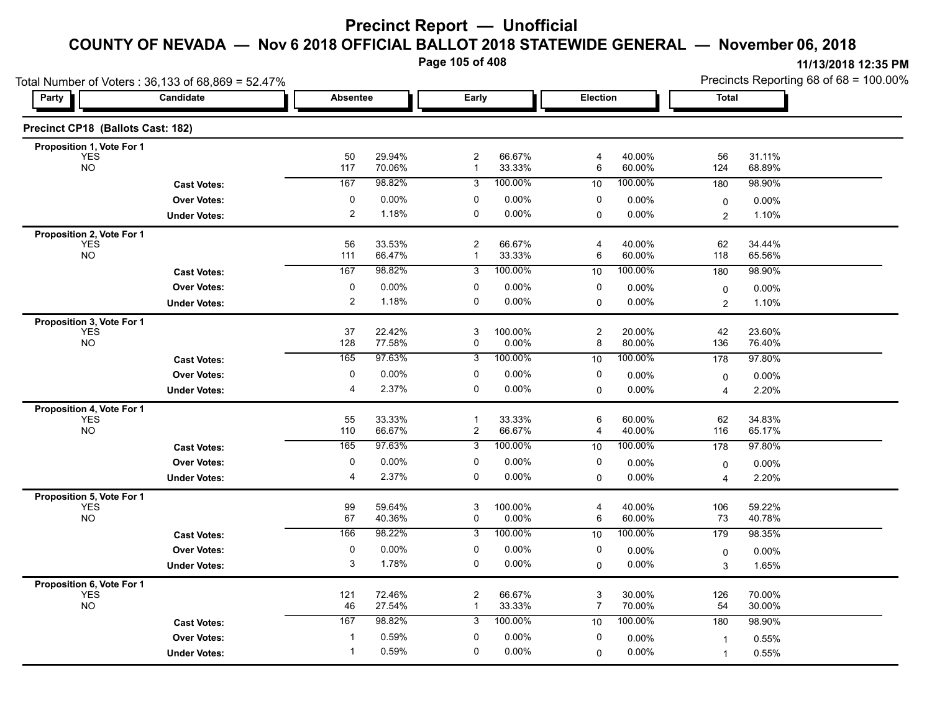**Page 105 of 408**

|                                         | Total Number of Voters: 36,133 of 68,869 = 52.47% |                         |                  |                                |                  |          |                  | Precincts Reporting 68 of 68 = 100.00% |                   |  |
|-----------------------------------------|---------------------------------------------------|-------------------------|------------------|--------------------------------|------------------|----------|------------------|----------------------------------------|-------------------|--|
| Party                                   | Candidate                                         | <b>Absentee</b>         |                  | Early                          |                  | Election |                  | Total                                  |                   |  |
| Precinct CP18 (Ballots Cast: 182)       |                                                   |                         |                  |                                |                  |          |                  |                                        |                   |  |
| Proposition 1, Vote For 1               |                                                   | 50                      | 29.94%           | $\overline{c}$                 | 66.67%           | 4        | 40.00%           | 56                                     | 31.11%            |  |
| YES<br><b>NO</b>                        |                                                   | 117                     | 70.06%           | $\mathbf{1}$                   | 33.33%           | 6        | 60.00%           | 124                                    | 68.89%            |  |
|                                         | <b>Cast Votes:</b>                                | 167                     | 98.82%           | 3                              | 100.00%          | 10       | 100.00%          | 180                                    | 98.90%            |  |
|                                         | <b>Over Votes:</b>                                | 0                       | $0.00\%$         | 0                              | $0.00\%$         | 0        | 0.00%            | 0                                      | $0.00\%$          |  |
|                                         | <b>Under Votes:</b>                               | $\overline{\mathbf{c}}$ | 1.18%            | $\mathbf 0$                    | 0.00%            | 0        | 0.00%            | $\overline{2}$                         | 1.10%             |  |
| Proposition 2, Vote For 1               |                                                   |                         |                  |                                |                  |          |                  |                                        |                   |  |
| YES<br>NO                               |                                                   | 56<br>111               | 33.53%<br>66.47% | 2<br>$\mathbf{1}$              | 66.67%<br>33.33% | 4<br>6   | 40.00%<br>60.00% | 62<br>118                              | 34.44%<br>65.56%  |  |
|                                         | <b>Cast Votes:</b>                                | 167                     | 98.82%           | 3                              | 100.00%          | 10       | 100.00%          | 180                                    | 98.90%            |  |
|                                         | <b>Over Votes:</b>                                | $\pmb{0}$               | 0.00%            | 0                              | 0.00%            | 0        | 0.00%            | 0                                      | 0.00%             |  |
|                                         | <b>Under Votes:</b>                               | $\overline{\mathbf{c}}$ | 1.18%            | 0                              | 0.00%            | $\Omega$ | 0.00%            | 2                                      | 1.10%             |  |
| Proposition 3, Vote For 1               |                                                   |                         |                  |                                |                  |          |                  |                                        |                   |  |
| <b>YES</b>                              |                                                   | 37                      | 22.42%           | 3                              | 100.00%          | 2        | 20.00%           | 42                                     | 23.60%            |  |
| <b>NO</b>                               |                                                   | 128                     | 77.58%           | 0                              | 0.00%            | 8        | 80.00%           | 136                                    | 76.40%            |  |
|                                         | <b>Cast Votes:</b>                                | 165                     | 97.63%           | 3                              | 100.00%          | 10       | 100.00%          | 178                                    | 97.80%            |  |
|                                         | <b>Over Votes:</b>                                | $\mathbf 0$             | $0.00\%$         | 0                              | 0.00%            | 0        | $0.00\%$         | 0                                      | 0.00%             |  |
|                                         | <b>Under Votes:</b>                               | $\overline{4}$          | 2.37%            | 0                              | 0.00%            | 0        | 0.00%            | 4                                      | 2.20%             |  |
| Proposition 4, Vote For 1               |                                                   |                         |                  |                                |                  |          |                  |                                        |                   |  |
| <b>YES</b><br><b>NO</b>                 |                                                   | 55<br>110               | 33.33%<br>66.67% | $\mathbf{1}$<br>$\overline{c}$ | 33.33%<br>66.67% | 6<br>4   | 60.00%<br>40.00% | 62<br>116                              | 34.83%<br>65.17%  |  |
|                                         | <b>Cast Votes:</b>                                | 165                     | 97.63%           | 3                              | 100.00%          | 10       | 100.00%          | 178                                    | 97.80%            |  |
|                                         |                                                   | 0                       | 0.00%            | 0                              | $0.00\%$         | 0        |                  |                                        |                   |  |
|                                         | <b>Over Votes:</b>                                | $\overline{4}$          | 2.37%            | 0                              | 0.00%            | $\Omega$ | 0.00%<br>0.00%   | 0                                      | $0.00\%$<br>2.20% |  |
|                                         | <b>Under Votes:</b>                               |                         |                  |                                |                  |          |                  | 4                                      |                   |  |
| Proposition 5, Vote For 1<br><b>YES</b> |                                                   | 99                      | 59.64%           | 3                              | 100.00%          | 4        | 40.00%           | 106                                    | 59.22%            |  |
| <b>NO</b>                               |                                                   | 67                      | 40.36%           | 0                              | 0.00%            | 6        | 60.00%           | 73                                     | 40.78%            |  |
|                                         | <b>Cast Votes:</b>                                | 166                     | 98.22%           | 3                              | 100.00%          | 10       | 100.00%          | 179                                    | 98.35%            |  |
|                                         | <b>Over Votes:</b>                                | 0                       | $0.00\%$         | 0                              | 0.00%            | 0        | 0.00%            | 0                                      | 0.00%             |  |
|                                         | <b>Under Votes:</b>                               | 3                       | 1.78%            | 0                              | 0.00%            | 0        | 0.00%            | 3                                      | 1.65%             |  |
| Proposition 6, Vote For 1               |                                                   |                         |                  |                                |                  |          |                  |                                        |                   |  |
| YES<br><b>NO</b>                        |                                                   | 121<br>46               | 72.46%<br>27.54% | $\overline{c}$<br>$\mathbf{1}$ | 66.67%<br>33.33% | 3<br>7   | 30.00%<br>70.00% | 126<br>54                              | 70.00%<br>30.00%  |  |
|                                         | <b>Cast Votes:</b>                                | 167                     | 98.82%           | 3                              | 100.00%          | 10       | 100.00%          | 180                                    | 98.90%            |  |
|                                         | <b>Over Votes:</b>                                | 1                       | 0.59%            | 0                              | 0.00%            | 0        | 0.00%            | $\overline{1}$                         | 0.55%             |  |
|                                         | <b>Under Votes:</b>                               | $\mathbf 1$             | 0.59%            | 0                              | 0.00%            | $\Omega$ | 0.00%            | 1                                      | 0.55%             |  |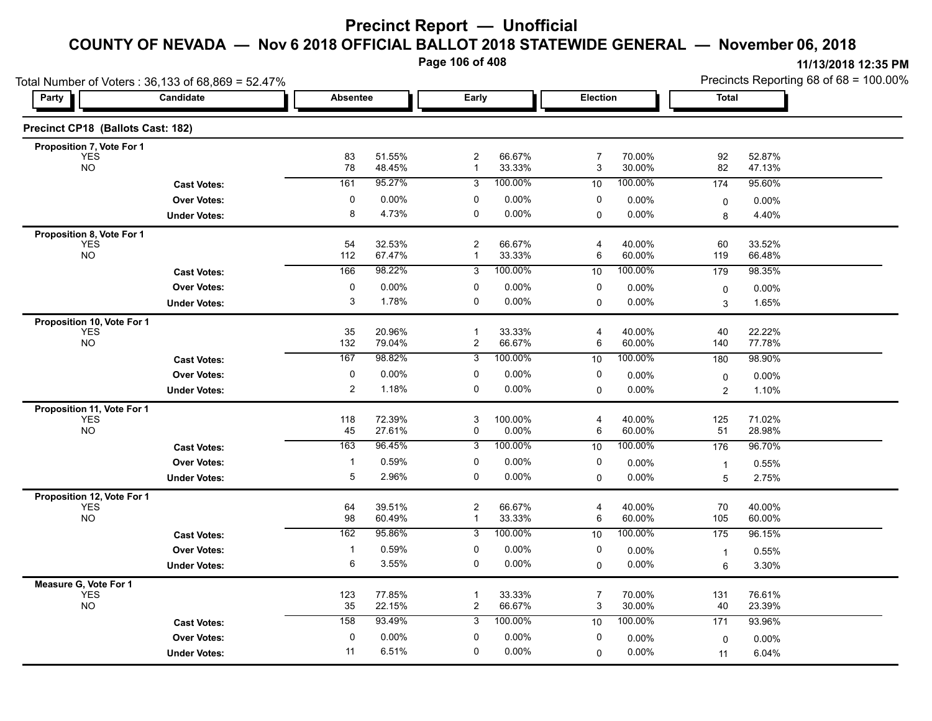**Page 106 of 408**

|                                          | Total Number of Voters: 36,133 of 68,869 = 52.47% |                   |                  |                         |                  |                     |                  | Precincts Reporting 68 of 68 = 100.00% |                  |  |
|------------------------------------------|---------------------------------------------------|-------------------|------------------|-------------------------|------------------|---------------------|------------------|----------------------------------------|------------------|--|
| Party                                    | Candidate                                         | <b>Absentee</b>   |                  | Early                   |                  | Election            |                  | Total                                  |                  |  |
| Precinct CP18 (Ballots Cast: 182)        |                                                   |                   |                  |                         |                  |                     |                  |                                        |                  |  |
| Proposition 7, Vote For 1                |                                                   |                   |                  | $\boldsymbol{2}$        |                  |                     |                  |                                        |                  |  |
| <b>YES</b><br><b>NO</b>                  |                                                   | 83<br>78          | 51.55%<br>48.45% | $\mathbf{1}$            | 66.67%<br>33.33% | 7<br>3              | 70.00%<br>30.00% | 92<br>82                               | 52.87%<br>47.13% |  |
|                                          | <b>Cast Votes:</b>                                | 161               | 95.27%           | 3                       | 100.00%          | 10                  | 100.00%          | 174                                    | 95.60%           |  |
|                                          | <b>Over Votes:</b>                                | 0                 | $0.00\%$         | 0                       | 0.00%            | 0                   | 0.00%            | 0                                      | 0.00%            |  |
|                                          | <b>Under Votes:</b>                               | 8                 | 4.73%            | 0                       | 0.00%            | $\mathbf 0$         | 0.00%            | 8                                      | 4.40%            |  |
| Proposition 8, Vote For 1                |                                                   |                   |                  |                         |                  |                     |                  |                                        |                  |  |
| YES<br>NO                                |                                                   | 54<br>112         | 32.53%<br>67.47% | 2<br>$\mathbf{1}$       | 66.67%<br>33.33% | $\overline{4}$<br>6 | 40.00%<br>60.00% | 60<br>119                              | 33.52%<br>66.48% |  |
|                                          | <b>Cast Votes:</b>                                | 166               | 98.22%           | 3                       | 100.00%          | 10                  | 100.00%          | 179                                    | 98.35%           |  |
|                                          | <b>Over Votes:</b>                                | 0                 | $0.00\%$         | 0                       | 0.00%            | 0                   | 0.00%            |                                        |                  |  |
|                                          | <b>Under Votes:</b>                               | 3                 | 1.78%            | $\mathbf 0$             | 0.00%            | 0                   | $0.00\%$         | $\pmb{0}$<br>3                         | 0.00%<br>1.65%   |  |
|                                          |                                                   |                   |                  |                         |                  |                     |                  |                                        |                  |  |
| Proposition 10, Vote For 1<br><b>YES</b> |                                                   | 35                | 20.96%           | $\mathbf{1}$            | 33.33%           | 4                   | 40.00%           | 40                                     | 22.22%           |  |
| <b>NO</b>                                |                                                   | 132               | 79.04%           | 2                       | 66.67%           | 6                   | 60.00%           | 140                                    | 77.78%           |  |
|                                          | <b>Cast Votes:</b>                                | 167               | 98.82%           | 3                       | 100.00%          | 10                  | 100.00%          | 180                                    | 98.90%           |  |
|                                          | <b>Over Votes:</b>                                | $\mathbf 0$       | 0.00%            | 0                       | 0.00%            | 0                   | 0.00%            | 0                                      | 0.00%            |  |
|                                          | <b>Under Votes:</b>                               | $\overline{c}$    | 1.18%            | 0                       | 0.00%            | $\mathbf 0$         | 0.00%            | $\overline{2}$                         | 1.10%            |  |
| Proposition 11, Vote For 1               |                                                   |                   |                  |                         |                  |                     |                  |                                        |                  |  |
| <b>YES</b><br><b>NO</b>                  |                                                   | 118<br>45         | 72.39%<br>27.61% | 3<br>0                  | 100.00%<br>0.00% | 4<br>6              | 40.00%<br>60.00% | 125<br>51                              | 71.02%<br>28.98% |  |
|                                          |                                                   | 163               | 96.45%           | 3                       | 100.00%          | 10                  | 100.00%          | 176                                    | 96.70%           |  |
|                                          | <b>Cast Votes:</b>                                |                   |                  |                         |                  |                     |                  |                                        |                  |  |
|                                          | <b>Over Votes:</b>                                | $\mathbf{1}$<br>5 | 0.59%<br>2.96%   | 0<br>0                  | 0.00%            | 0                   | $0.00\%$         | $\mathbf{1}$                           | 0.55%            |  |
|                                          | <b>Under Votes:</b>                               |                   |                  |                         | 0.00%            | 0                   | 0.00%            | 5                                      | 2.75%            |  |
| Proposition 12, Vote For 1<br><b>YES</b> |                                                   | 64                | 39.51%           | $\overline{c}$          | 66.67%           | $\overline{4}$      | 40.00%           | 70                                     | 40.00%           |  |
| <b>NO</b>                                |                                                   | 98                | 60.49%           | 1                       | 33.33%           | 6                   | 60.00%           | 105                                    | 60.00%           |  |
|                                          | <b>Cast Votes:</b>                                | 162               | 95.86%           | 3                       | 100.00%          | 10                  | 100.00%          | 175                                    | 96.15%           |  |
|                                          | <b>Over Votes:</b>                                | 1                 | 0.59%            | 0                       | 0.00%            | 0                   | $0.00\%$         | $\overline{1}$                         | 0.55%            |  |
|                                          | <b>Under Votes:</b>                               | 6                 | 3.55%            | 0                       | 0.00%            | 0                   | 0.00%            | 6                                      | 3.30%            |  |
| Measure G, Vote For 1                    |                                                   |                   |                  |                         |                  |                     |                  |                                        |                  |  |
| <b>YES</b>                               |                                                   | 123               | 77.85%           | $\mathbf{1}$            | 33.33%           | $\overline{7}$      | 70.00%           | 131                                    | 76.61%           |  |
| NO                                       |                                                   | 35                | 22.15%           | $\overline{\mathbf{c}}$ | 66.67%           | 3                   | 30.00%           | 40                                     | 23.39%           |  |
|                                          | <b>Cast Votes:</b>                                | 158               | 93.49%           | 3                       | 100.00%          | 10                  | 100.00%          | 171                                    | 93.96%           |  |
|                                          | <b>Over Votes:</b>                                | 0                 | $0.00\%$         | 0                       | 0.00%            | 0                   | 0.00%            | $\mathbf 0$                            | 0.00%            |  |
|                                          | <b>Under Votes:</b>                               | 11                | 6.51%            | 0                       | 0.00%            | 0                   | 0.00%            | 11                                     | 6.04%            |  |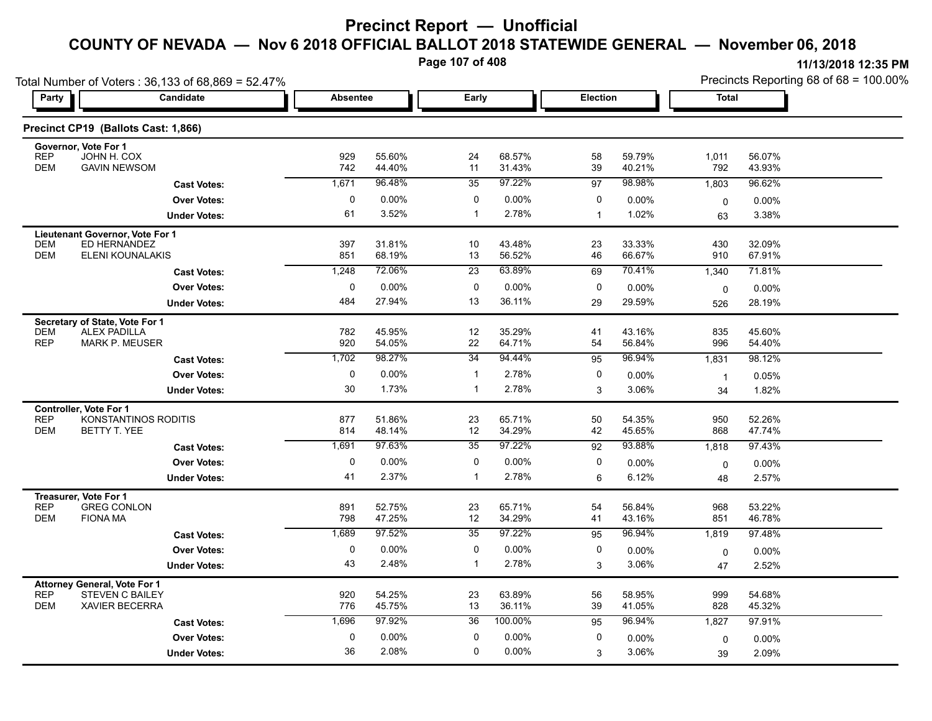## **COUNTY OF NEVADA — Nov 6 2018 OFFICIAL BALLOT 2018 STATEWIDE GENERAL — November 06, 2018**

**Page 107 of 408**

| Total Number of Voters: 36,133 of 68,869 = 52.47%                                                                  |                 |                  |                 |                  |                 |                  | Precincts Reporting 68 of 68 = 100.00% |                  |  |
|--------------------------------------------------------------------------------------------------------------------|-----------------|------------------|-----------------|------------------|-----------------|------------------|----------------------------------------|------------------|--|
| Candidate<br>Party                                                                                                 | <b>Absentee</b> |                  | Early           |                  | Election        |                  | <b>Total</b>                           |                  |  |
| Precinct CP19 (Ballots Cast: 1,866)                                                                                |                 |                  |                 |                  |                 |                  |                                        |                  |  |
| Governor, Vote For 1<br>JOHN H. COX<br><b>REP</b><br><b>GAVIN NEWSOM</b><br><b>DEM</b>                             | 929<br>742      | 55.60%<br>44.40% | 24<br>11        | 68.57%<br>31.43% | 58<br>39        | 59.79%<br>40.21% | 1,011<br>792                           | 56.07%<br>43.93% |  |
| <b>Cast Votes:</b>                                                                                                 | 1,671           | 96.48%           | 35              | 97.22%           | $\overline{97}$ | 98.98%           | 1,803                                  | 96.62%           |  |
| <b>Over Votes:</b>                                                                                                 | 0               | $0.00\%$         | 0               | 0.00%            | 0               | 0.00%            |                                        | 0.00%            |  |
| <b>Under Votes:</b>                                                                                                | 61              | 3.52%            | $\mathbf{1}$    | 2.78%            | $\mathbf{1}$    | 1.02%            | 0<br>63                                | 3.38%            |  |
|                                                                                                                    |                 |                  |                 |                  |                 |                  |                                        |                  |  |
| Lieutenant Governor, Vote For 1<br>ED HERNANDEZ<br><b>DEM</b><br><b>DEM</b><br><b>ELENI KOUNALAKIS</b>             | 397<br>851      | 31.81%<br>68.19% | 10<br>13        | 43.48%<br>56.52% | 23<br>46        | 33.33%<br>66.67% | 430<br>910                             | 32.09%<br>67.91% |  |
| <b>Cast Votes:</b>                                                                                                 | 1,248           | 72.06%           | $\overline{23}$ | 63.89%           | 69              | 70.41%           | 1,340                                  | 71.81%           |  |
| <b>Over Votes:</b>                                                                                                 | 0               | $0.00\%$         | 0               | 0.00%            | 0               | 0.00%            | 0                                      | $0.00\%$         |  |
| <b>Under Votes:</b>                                                                                                | 484             | 27.94%           | 13              | 36.11%           | 29              | 29.59%           | 526                                    | 28.19%           |  |
| Secretary of State, Vote For 1<br><b>DEM</b><br><b>ALEX PADILLA</b><br><b>REP</b><br><b>MARK P. MEUSER</b>         | 782<br>920      | 45.95%<br>54.05% | 12<br>22        | 35.29%<br>64.71% | 41<br>54        | 43.16%<br>56.84% | 835<br>996                             | 45.60%<br>54.40% |  |
| <b>Cast Votes:</b>                                                                                                 | 1,702           | 98.27%           | $\overline{34}$ | 94.44%           | 95              | 96.94%           | 1,831                                  | 98.12%           |  |
| <b>Over Votes:</b>                                                                                                 | $\mathbf 0$     | 0.00%            | $\mathbf 1$     | 2.78%            | 0               | 0.00%            | $\overline{1}$                         | 0.05%            |  |
| <b>Under Votes:</b>                                                                                                | 30              | 1.73%            | $\mathbf 1$     | 2.78%            | 3               | 3.06%            | 34                                     | 1.82%            |  |
| <b>Controller, Vote For 1</b><br>KONSTANTINOS RODITIS<br><b>REP</b><br><b>DEM</b><br>BETTY T. YEE                  | 877<br>814      | 51.86%<br>48.14% | 23<br>12        | 65.71%<br>34.29% | 50<br>42        | 54.35%<br>45.65% | 950<br>868                             | 52.26%<br>47.74% |  |
| <b>Cast Votes:</b>                                                                                                 | 1,691           | 97.63%           | 35              | 97.22%           | 92              | 93.88%           | 1,818                                  | 97.43%           |  |
| <b>Over Votes:</b>                                                                                                 | 0               | 0.00%            | 0               | 0.00%            | 0               | $0.00\%$         | 0                                      | 0.00%            |  |
| <b>Under Votes:</b>                                                                                                | 41              | 2.37%            | 1               | 2.78%            | 6               | 6.12%            | 48                                     | 2.57%            |  |
| Treasurer, Vote For 1<br><b>REP</b><br><b>GREG CONLON</b><br><b>DEM</b><br><b>FIONA MA</b>                         | 891<br>798      | 52.75%<br>47.25% | 23<br>12        | 65.71%<br>34.29% | 54<br>41        | 56.84%<br>43.16% | 968<br>851                             | 53.22%<br>46.78% |  |
| <b>Cast Votes:</b>                                                                                                 | 1,689           | 97.52%           | 35              | 97.22%           | 95              | 96.94%           | 1,819                                  | 97.48%           |  |
| <b>Over Votes:</b>                                                                                                 | 0               | 0.00%            | 0               | 0.00%            | 0               | 0.00%            | $\mathbf 0$                            | 0.00%            |  |
| <b>Under Votes:</b>                                                                                                | 43              | 2.48%            | $\mathbf{1}$    | 2.78%            | 3               | 3.06%            | 47                                     | 2.52%            |  |
| <b>Attorney General, Vote For 1</b><br><b>REP</b><br><b>STEVEN C BAILEY</b><br><b>DEM</b><br><b>XAVIER BECERRA</b> | 920<br>776      | 54.25%<br>45.75% | 23<br>13        | 63.89%<br>36.11% | 56<br>39        | 58.95%<br>41.05% | 999<br>828                             | 54.68%<br>45.32% |  |
| <b>Cast Votes:</b>                                                                                                 | 1,696           | 97.92%           | 36              | 100.00%          | 95              | 96.94%           | 1,827                                  | 97.91%           |  |
| <b>Over Votes:</b>                                                                                                 | $\mathbf 0$     | $0.00\%$         | $\mathbf 0$     | 0.00%            | 0               | 0.00%            | 0                                      | 0.00%            |  |
| <b>Under Votes:</b>                                                                                                | 36              | 2.08%            | 0               | 0.00%            | 3               | 3.06%            | 39                                     | 2.09%            |  |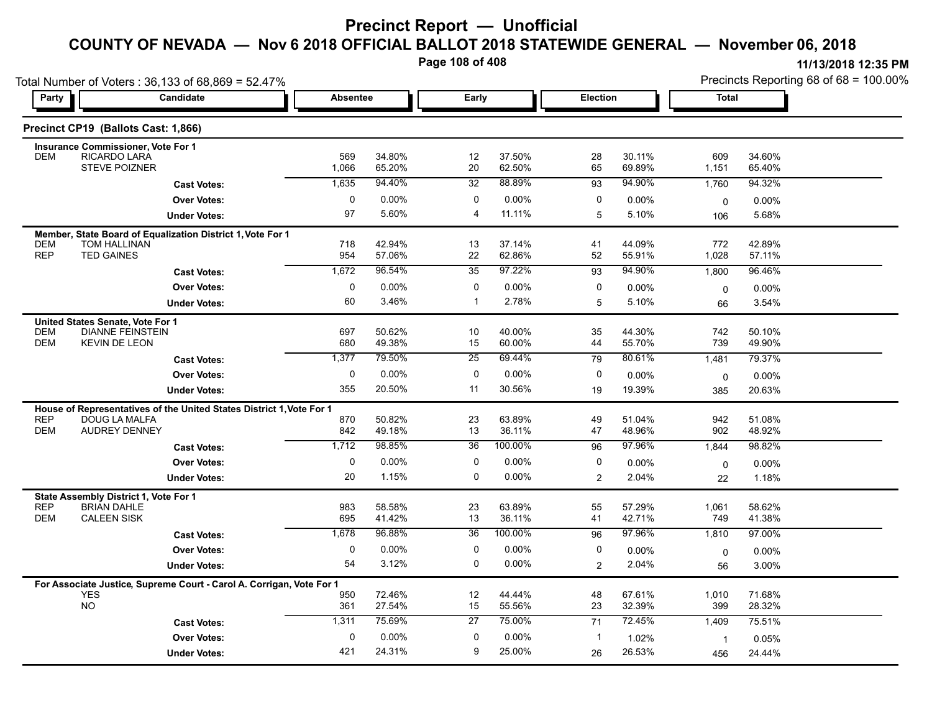## **COUNTY OF NEVADA — Nov 6 2018 OFFICIAL BALLOT 2018 STATEWIDE GENERAL — November 06, 2018**

**Page 108 of 408**

|                          | Total Number of Voters: 36,133 of 68,869 = 52.47%<br>Candidate                        | Absentee     |                  |                       |                  | Election     |                    | <b>Total</b>       | Precincts Reporting 68 of 68 = 100.00% |
|--------------------------|---------------------------------------------------------------------------------------|--------------|------------------|-----------------------|------------------|--------------|--------------------|--------------------|----------------------------------------|
| Party                    |                                                                                       |              |                  | Early                 |                  |              |                    |                    |                                        |
|                          | Precinct CP19 (Ballots Cast: 1,866)                                                   |              |                  |                       |                  |              |                    |                    |                                        |
| <b>DEM</b>               | <b>Insurance Commissioner, Vote For 1</b><br>RICARDO LARA                             |              |                  | 12                    | 37.50%           |              | 30.11%             | 609                | 34.60%                                 |
|                          | <b>STEVE POIZNER</b>                                                                  | 569<br>1,066 | 34.80%<br>65.20% | 20                    | 62.50%           | 28<br>65     | 69.89%             | 1,151              | 65.40%                                 |
|                          | <b>Cast Votes:</b>                                                                    | 1,635        | 94.40%           | 32                    | 88.89%           | 93           | 94.90%             | 1,760              | 94.32%                                 |
|                          | <b>Over Votes:</b>                                                                    | 0            | 0.00%            | 0                     | 0.00%            | 0            | 0.00%              | $\mathbf 0$        | 0.00%                                  |
|                          | <b>Under Votes:</b>                                                                   | 97           | 5.60%            | $\overline{4}$        | 11.11%           | 5            | 5.10%              | 106                | 5.68%                                  |
|                          | Member, State Board of Equalization District 1, Vote For 1                            |              |                  |                       |                  |              |                    |                    |                                        |
| <b>DEM</b><br><b>REP</b> | TOM HALLINAN<br><b>TED GAINES</b>                                                     | 718<br>954   | 42.94%<br>57.06% | 13<br>22              | 37.14%<br>62.86% | 41<br>52     | 44.09%<br>55.91%   | 772<br>1,028       | 42.89%<br>57.11%                       |
|                          | <b>Cast Votes:</b>                                                                    | 1,672        | 96.54%           | $\overline{35}$       | 97.22%           | 93           | 94.90%             | 1,800              | 96.46%                                 |
|                          | <b>Over Votes:</b>                                                                    | $\mathbf 0$  | 0.00%            | $\mathbf 0$           | 0.00%            | $\mathbf 0$  | $0.00\%$           | 0                  | 0.00%                                  |
|                          | <b>Under Votes:</b>                                                                   | 60           | 3.46%            | $\mathbf{1}$          | 2.78%            | 5            | 5.10%              | 66                 | 3.54%                                  |
|                          | United States Senate, Vote For 1                                                      |              |                  |                       |                  |              |                    |                    |                                        |
| <b>DEM</b>               | <b>DIANNE FEINSTEIN</b>                                                               | 697          | 50.62%           | 10                    | 40.00%           | 35           | 44.30%             | 742                | 50.10%                                 |
| <b>DEM</b>               | <b>KEVIN DE LEON</b>                                                                  | 680<br>1,377 | 49.38%<br>79.50% | 15<br>$\overline{25}$ | 60.00%<br>69.44% | 44<br>79     | 55.70%<br>80.61%   | 739                | 49.90%<br>79.37%                       |
|                          | <b>Cast Votes:</b><br><b>Over Votes:</b>                                              | $\mathbf 0$  | 0.00%            | $\mathbf 0$           | 0.00%            | $\mathbf 0$  |                    | 1,481              |                                        |
|                          | <b>Under Votes:</b>                                                                   | 355          | 20.50%           | 11                    | 30.56%           | 19           | $0.00\%$<br>19.39% | $\mathbf 0$<br>385 | 0.00%<br>20.63%                        |
|                          |                                                                                       |              |                  |                       |                  |              |                    |                    |                                        |
| <b>REP</b>               | House of Representatives of the United States District 1, Vote For 1<br>DOUG LA MALFA | 870          | 50.82%           | 23                    | 63.89%           | 49           | 51.04%             | 942                | 51.08%                                 |
| DEM                      | <b>AUDREY DENNEY</b>                                                                  | 842          | 49.18%           | 13                    | 36.11%           | 47           | 48.96%             | 902                | 48.92%                                 |
|                          | <b>Cast Votes:</b>                                                                    | 1,712        | 98.85%           | 36                    | 100.00%          | 96           | 97.96%             | 1,844              | 98.82%                                 |
|                          | <b>Over Votes:</b>                                                                    | $\mathbf 0$  | 0.00%            | $\mathbf 0$           | 0.00%            | $\mathbf 0$  | $0.00\%$           | 0                  | 0.00%                                  |
|                          | <b>Under Votes:</b>                                                                   | 20           | 1.15%            | $\mathbf 0$           | 0.00%            | 2            | 2.04%              | 22                 | 1.18%                                  |
|                          | State Assembly District 1, Vote For 1                                                 |              |                  |                       |                  |              |                    |                    |                                        |
| <b>REP</b><br>DEM        | <b>BRIAN DAHLE</b><br><b>CALEEN SISK</b>                                              | 983<br>695   | 58.58%<br>41.42% | 23<br>13              | 63.89%<br>36.11% | 55<br>41     | 57.29%<br>42.71%   | 1,061<br>749       | 58.62%<br>41.38%                       |
|                          | <b>Cast Votes:</b>                                                                    | 1,678        | 96.88%           | $\overline{36}$       | 100.00%          | 96           | 97.96%             | 1,810              | 97.00%                                 |
|                          | <b>Over Votes:</b>                                                                    | 0            | 0.00%            | 0                     | 0.00%            | 0            | 0.00%              | 0                  | 0.00%                                  |
|                          | <b>Under Votes:</b>                                                                   | 54           | 3.12%            | $\mathbf 0$           | $0.00\%$         | 2            | 2.04%              | 56                 | 3.00%                                  |
|                          | For Associate Justice, Supreme Court - Carol A. Corrigan, Vote For 1                  |              |                  |                       |                  |              |                    |                    |                                        |
| <b>YES</b>               |                                                                                       | 950          | 72.46%           | 12                    | 44.44%           | 48           | 67.61%             | 1,010              | 71.68%                                 |
| <b>NO</b>                |                                                                                       | 361          | 27.54%           | 15                    | 55.56%           | 23           | 32.39%             | 399                | 28.32%                                 |
|                          | <b>Cast Votes:</b>                                                                    | 1,311        | 75.69%           | 27                    | 75.00%           | 71           | 72.45%             | 1,409              | 75.51%                                 |
|                          | <b>Over Votes:</b>                                                                    | $\mathbf 0$  | 0.00%            | 0                     | 0.00%            | $\mathbf{1}$ | 1.02%              | $\mathbf{1}$       | 0.05%                                  |
|                          | <b>Under Votes:</b>                                                                   | 421          | 24.31%           | 9                     | 25.00%           | 26           | 26.53%             | 456                | 24.44%                                 |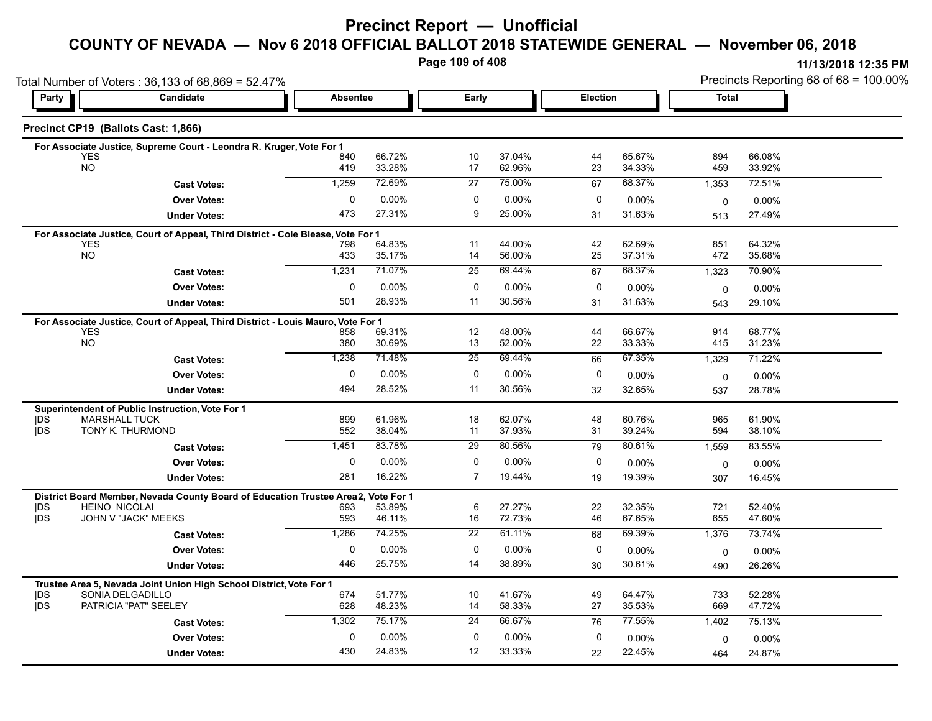## **Precinct Report — Unofficial**

#### **COUNTY OF NEVADA — Nov 6 2018 OFFICIAL BALLOT 2018 STATEWIDE GENERAL — November 06, 2018**

**Page 109 of 408**

|                   | Total Number of Voters: 36,133 of 68,869 = 52.47%                                              |                 |                  |                 |                  |          |                  |              | Precincts Reporting 68 of 68 = 100.00% |  |  |
|-------------------|------------------------------------------------------------------------------------------------|-----------------|------------------|-----------------|------------------|----------|------------------|--------------|----------------------------------------|--|--|
| Party             | Candidate                                                                                      | <b>Absentee</b> |                  | Early           |                  | Election |                  | <b>Total</b> |                                        |  |  |
|                   | Precinct CP19 (Ballots Cast: 1,866)                                                            |                 |                  |                 |                  |          |                  |              |                                        |  |  |
|                   | For Associate Justice, Supreme Court - Leondra R. Kruger, Vote For 1                           |                 |                  |                 |                  |          |                  |              |                                        |  |  |
|                   | <b>YES</b><br><b>NO</b>                                                                        | 840<br>419      | 66.72%<br>33.28% | 10<br>17        | 37.04%<br>62.96% | 44       | 65.67%<br>34.33% | 894<br>459   | 66.08%<br>33.92%                       |  |  |
|                   |                                                                                                |                 |                  |                 |                  | 23       |                  |              |                                        |  |  |
|                   | <b>Cast Votes:</b>                                                                             | 1,259           | 72.69%           | 27              | 75.00%           | 67       | 68.37%           | 1,353        | 72.51%                                 |  |  |
|                   | <b>Over Votes:</b>                                                                             | $\mathbf{0}$    | 0.00%            | 0<br>9          | 0.00%            | 0        | 0.00%            | 0            | 0.00%                                  |  |  |
|                   | <b>Under Votes:</b>                                                                            | 473             | 27.31%           |                 | 25.00%           | 31       | 31.63%           | 513          | 27.49%                                 |  |  |
|                   | For Associate Justice, Court of Appeal, Third District - Cole Blease, Vote For 1               |                 |                  |                 |                  |          |                  |              |                                        |  |  |
|                   | <b>YES</b><br><b>NO</b>                                                                        | 798<br>433      | 64.83%<br>35.17% | 11<br>14        | 44.00%<br>56.00% | 42<br>25 | 62.69%<br>37.31% | 851<br>472   | 64.32%<br>35.68%                       |  |  |
|                   | <b>Cast Votes:</b>                                                                             | 1,231           | 71.07%           | 25              | 69.44%           | 67       | 68.37%           | 1,323        | 70.90%                                 |  |  |
|                   | <b>Over Votes:</b>                                                                             | 0               | $0.00\%$         | 0               | 0.00%            | 0        | $0.00\%$         | $\mathbf 0$  | $0.00\%$                               |  |  |
|                   | <b>Under Votes:</b>                                                                            | 501             | 28.93%           | 11              | 30.56%           | 31       | 31.63%           | 543          | 29.10%                                 |  |  |
|                   |                                                                                                |                 |                  |                 |                  |          |                  |              |                                        |  |  |
|                   | For Associate Justice, Court of Appeal, Third District - Louis Mauro, Vote For 1<br><b>YES</b> | 858             | 69.31%           | 12              | 48.00%           | 44       | 66.67%           | 914          | 68.77%                                 |  |  |
|                   | NO                                                                                             | 380             | 30.69%           | 13              | 52.00%           | 22       | 33.33%           | 415          | 31.23%                                 |  |  |
|                   | <b>Cast Votes:</b>                                                                             | 1,238           | 71.48%           | 25              | 69.44%           | 66       | 67.35%           | 1,329        | 71.22%                                 |  |  |
|                   | <b>Over Votes:</b>                                                                             | 0               | $0.00\%$         | 0               | 0.00%            | 0        | 0.00%            | $\mathbf 0$  | 0.00%                                  |  |  |
|                   | <b>Under Votes:</b>                                                                            | 494             | 28.52%           | 11              | 30.56%           | 32       | 32.65%           | 537          | 28.78%                                 |  |  |
|                   | Superintendent of Public Instruction, Vote For 1                                               |                 |                  |                 |                  |          |                  |              |                                        |  |  |
| DS                | <b>MARSHALL TUCK</b>                                                                           | 899             | 61.96%           | 18              | 62.07%           | 48       | 60.76%           | 965          | 61.90%                                 |  |  |
| <b>IDS</b>        | TONY K. THURMOND                                                                               | 552             | 38.04%           | 11              | 37.93%           | 31       | 39.24%           | 594          | 38.10%                                 |  |  |
|                   | <b>Cast Votes:</b>                                                                             | 1,451           | 83.78%           | 29              | 80.56%           | 79       | 80.61%           | 1,559        | 83.55%                                 |  |  |
|                   | <b>Over Votes:</b>                                                                             | $\mathbf 0$     | $0.00\%$         | 0               | 0.00%            | 0        | $0.00\%$         | 0            | $0.00\%$                               |  |  |
|                   | <b>Under Votes:</b>                                                                            | 281             | 16.22%           | $\overline{7}$  | 19.44%           | 19       | 19.39%           | 307          | 16.45%                                 |  |  |
|                   | District Board Member, Nevada County Board of Education Trustee Area2,                         |                 | Vote For 1       |                 |                  |          |                  |              |                                        |  |  |
| <b>IDS</b><br>jDS | <b>HEINO NICOLAI</b><br>JOHN V "JACK" MEEKS                                                    | 693<br>593      | 53.89%<br>46.11% | 6<br>16         | 27.27%<br>72.73% | 22<br>46 | 32.35%<br>67.65% | 721<br>655   | 52.40%<br>47.60%                       |  |  |
|                   | <b>Cast Votes:</b>                                                                             | 1,286           | 74.25%           | $\overline{22}$ | 61.11%           | 68       | 69.39%           | 1,376        | 73.74%                                 |  |  |
|                   | <b>Over Votes:</b>                                                                             | $\mathbf 0$     | 0.00%            | $\mathbf 0$     | 0.00%            | 0        |                  |              |                                        |  |  |
|                   |                                                                                                | 446             | 25.75%           | 14              | 38.89%           |          | $0.00\%$         | 0            | $0.00\%$                               |  |  |
|                   | <b>Under Votes:</b>                                                                            |                 |                  |                 |                  | 30       | 30.61%           | 490          | 26.26%                                 |  |  |
|                   | Trustee Area 5, Nevada Joint Union High School District, Vote For 1<br>SONIA DELGADILLO        |                 |                  |                 | 41.67%           |          | 64.47%           |              | 52.28%                                 |  |  |
| DS<br><b>IDS</b>  | PATRICIA "PAT" SEELEY                                                                          | 674<br>628      | 51.77%<br>48.23% | 10<br>14        | 58.33%           | 49<br>27 | 35.53%           | 733<br>669   | 47.72%                                 |  |  |
|                   | <b>Cast Votes:</b>                                                                             | 1,302           | 75.17%           | 24              | 66.67%           | 76       | 77.55%           | 1,402        | 75.13%                                 |  |  |
|                   | <b>Over Votes:</b>                                                                             | $\mathbf 0$     | 0.00%            | $\mathbf 0$     | 0.00%            | 0        | 0.00%            |              |                                        |  |  |
|                   |                                                                                                | 430             | 24.83%           | 12              | 33.33%           | 22       | 22.45%           | 0            | $0.00\%$<br>24.87%                     |  |  |
|                   | <b>Under Votes:</b>                                                                            |                 |                  |                 |                  |          |                  | 464          |                                        |  |  |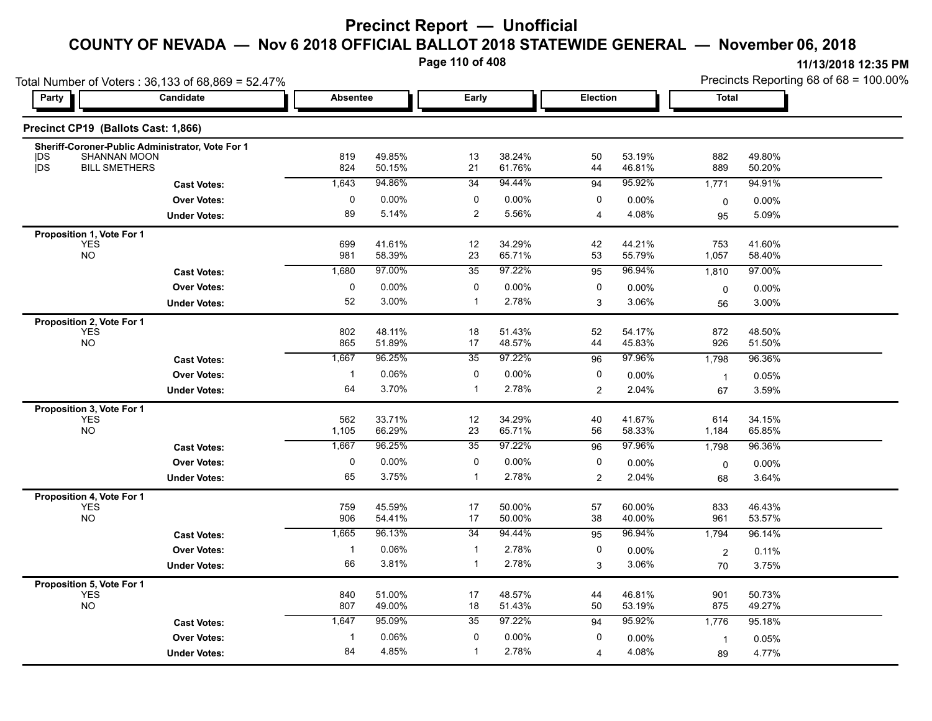**Page 110 of 408**

|                                         | Total Number of Voters: 36,133 of 68,869 = 52.47% |                 |                  |                |                  |                       |                  | Precincts Reporting 68 of 68 = 100.00% |                  |  |
|-----------------------------------------|---------------------------------------------------|-----------------|------------------|----------------|------------------|-----------------------|------------------|----------------------------------------|------------------|--|
| <b>Party</b>                            | Candidate                                         | <b>Absentee</b> |                  | Early          |                  | Election              |                  | <b>Total</b>                           |                  |  |
| Precinct CP19 (Ballots Cast: 1,866)     |                                                   |                 |                  |                |                  |                       |                  |                                        |                  |  |
| <b>SHANNAN MOON</b><br> DS              | Sheriff-Coroner-Public Administrator, Vote For 1  | 819             | 49.85%           | 13             | 38.24%           | 50                    | 53.19%           | 882                                    | 49.80%           |  |
| DS<br><b>BILL SMETHERS</b>              |                                                   | 824             | 50.15%           | 21             | 61.76%           | 44                    | 46.81%           | 889                                    | 50.20%           |  |
|                                         | <b>Cast Votes:</b>                                | 1,643           | 94.86%           | 34             | 94.44%           | 94                    | 95.92%           | 1,771                                  | 94.91%           |  |
|                                         | <b>Over Votes:</b>                                | 0               | 0.00%            | 0              | 0.00%            | 0                     | 0.00%            | $\mathbf 0$                            | $0.00\%$         |  |
|                                         | <b>Under Votes:</b>                               | 89              | 5.14%            | $\overline{2}$ | 5.56%            | $\boldsymbol{\Delta}$ | 4.08%            | 95                                     | 5.09%            |  |
| Proposition 1, Vote For 1               |                                                   |                 |                  |                |                  |                       |                  |                                        |                  |  |
| <b>YES</b><br><b>NO</b>                 |                                                   | 699             | 41.61%           | 12             | 34.29%           | 42                    | 44.21%           | 753                                    | 41.60%           |  |
|                                         |                                                   | 981             | 58.39%           | 23             | 65.71%           | 53                    | 55.79%           | 1,057                                  | 58.40%           |  |
|                                         | <b>Cast Votes:</b>                                | 1,680           | 97.00%           | 35             | 97.22%           | 95                    | 96.94%           | 1,810                                  | 97.00%           |  |
|                                         | <b>Over Votes:</b>                                | $\pmb{0}$       | 0.00%            | 0              | 0.00%            | 0                     | 0.00%            | $\mathsf 0$                            | $0.00\%$         |  |
|                                         | <b>Under Votes:</b>                               | 52              | 3.00%            | $\mathbf{1}$   | 2.78%            | 3                     | 3.06%            | 56                                     | 3.00%            |  |
| Proposition 2, Vote For 1               |                                                   |                 |                  |                |                  |                       |                  |                                        |                  |  |
| <b>YES</b><br><b>NO</b>                 |                                                   | 802<br>865      | 48.11%<br>51.89% | 18<br>17       | 51.43%<br>48.57% | 52<br>44              | 54.17%<br>45.83% | 872<br>926                             | 48.50%<br>51.50% |  |
|                                         | <b>Cast Votes:</b>                                | 1,667           | 96.25%           | 35             | 97.22%           | 96                    | 97.96%           | 1,798                                  | 96.36%           |  |
|                                         | <b>Over Votes:</b>                                | $\mathbf{1}$    | 0.06%            | 0              | 0.00%            | 0                     | 0.00%            |                                        |                  |  |
|                                         |                                                   | 64              | 3.70%            | $\overline{1}$ | 2.78%            |                       | 2.04%            | $\mathbf{1}$                           | 0.05%            |  |
|                                         | <b>Under Votes:</b>                               |                 |                  |                |                  | 2                     |                  | 67                                     | 3.59%            |  |
| Proposition 3, Vote For 1<br><b>YES</b> |                                                   | 562             | 33.71%           | 12             | 34.29%           | 40                    | 41.67%           | 614                                    | 34.15%           |  |
| <b>NO</b>                               |                                                   | 1,105           | 66.29%           | 23             | 65.71%           | 56                    | 58.33%           | 1,184                                  | 65.85%           |  |
|                                         | <b>Cast Votes:</b>                                | 1,667           | 96.25%           | 35             | 97.22%           | 96                    | 97.96%           | 1,798                                  | 96.36%           |  |
|                                         | <b>Over Votes:</b>                                | $\pmb{0}$       | 0.00%            | 0              | 0.00%            | 0                     | 0.00%            | $\mathbf 0$                            | 0.00%            |  |
|                                         | <b>Under Votes:</b>                               | 65              | 3.75%            | $\overline{1}$ | 2.78%            | $\overline{2}$        | 2.04%            | 68                                     | 3.64%            |  |
|                                         |                                                   |                 |                  |                |                  |                       |                  |                                        |                  |  |
| Proposition 4, Vote For 1<br><b>YES</b> |                                                   | 759             | 45.59%           | 17             | 50.00%           | 57                    | 60.00%           | 833                                    | 46.43%           |  |
| <b>NO</b>                               |                                                   | 906             | 54.41%           | 17             | 50.00%           | 38                    | 40.00%           | 961                                    | 53.57%           |  |
|                                         | <b>Cast Votes:</b>                                | 1,665           | 96.13%           | 34             | 94.44%           | 95                    | 96.94%           | 1,794                                  | 96.14%           |  |
|                                         | <b>Over Votes:</b>                                | -1              | 0.06%            | $\mathbf{1}$   | 2.78%            | 0                     | 0.00%            | $\boldsymbol{2}$                       | 0.11%            |  |
|                                         | <b>Under Votes:</b>                               | 66              | 3.81%            | $\mathbf{1}$   | 2.78%            | 3                     | 3.06%            | 70                                     | 3.75%            |  |
| Proposition 5, Vote For 1               |                                                   |                 |                  |                |                  |                       |                  |                                        |                  |  |
| <b>YES</b>                              |                                                   | 840             | 51.00%           | 17             | 48.57%           | 44                    | 46.81%           | 901                                    | 50.73%           |  |
| <b>NO</b>                               |                                                   | 807             | 49.00%           | 18             | 51.43%           | 50                    | 53.19%           | 875                                    | 49.27%           |  |
|                                         | <b>Cast Votes:</b>                                | 1,647           | 95.09%           | 35             | 97.22%           | 94                    | 95.92%           | 1,776                                  | 95.18%           |  |
|                                         | <b>Over Votes:</b>                                | -1              | 0.06%            | 0              | 0.00%            | 0                     | 0.00%            | $\mathbf{1}$                           | 0.05%            |  |
|                                         | <b>Under Votes:</b>                               | 84              | 4.85%            | $\mathbf{1}$   | 2.78%            | $\overline{4}$        | 4.08%            | 89                                     | 4.77%            |  |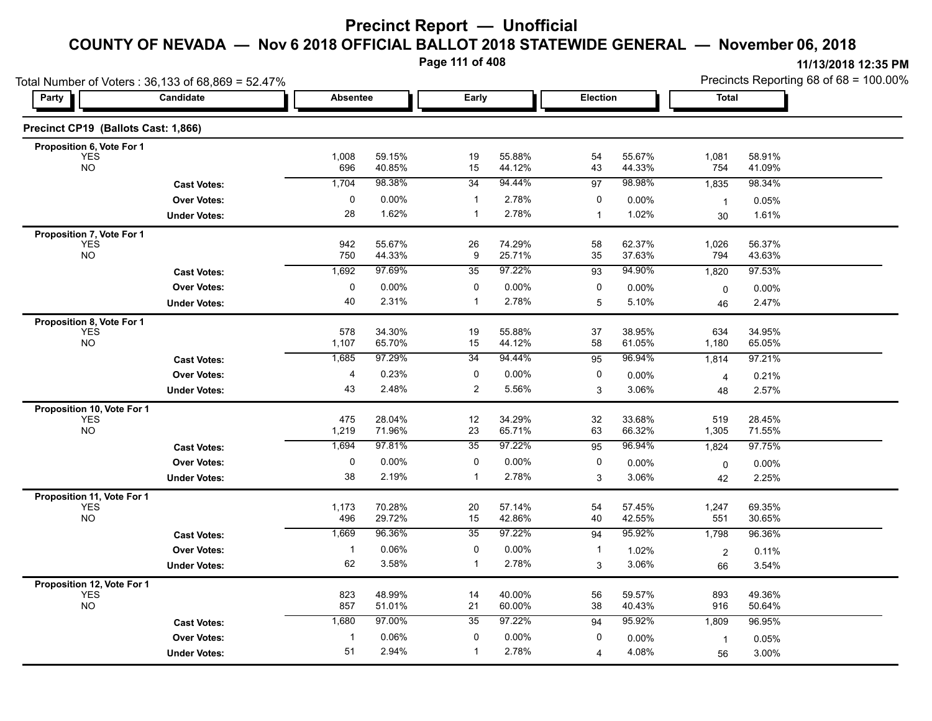**Page 111 of 408**

| Total Number of Voters: 36,133 of 68,869 = 52.47% |                     |              |                  |                 |                  |                 |                  | Precincts Reporting 68 of 68 = 100.00% |                  |  |
|---------------------------------------------------|---------------------|--------------|------------------|-----------------|------------------|-----------------|------------------|----------------------------------------|------------------|--|
| Party                                             | Candidate           |              | <b>Absentee</b>  |                 | Early            |                 | Election         |                                        | Total            |  |
| Precinct CP19 (Ballots Cast: 1,866)               |                     |              |                  |                 |                  |                 |                  |                                        |                  |  |
| Proposition 6, Vote For 1                         |                     |              |                  |                 |                  |                 |                  |                                        |                  |  |
| <b>YES</b><br><b>NO</b>                           |                     | 1,008<br>696 | 59.15%<br>40.85% | 19<br>15        | 55.88%<br>44.12% | 54<br>43        | 55.67%<br>44.33% | 1,081<br>754                           | 58.91%<br>41.09% |  |
|                                                   | <b>Cast Votes:</b>  | 1,704        | 98.38%           | 34              | 94.44%           | $\overline{97}$ | 98.98%           | 1,835                                  | 98.34%           |  |
|                                                   | <b>Over Votes:</b>  | $\mathbf 0$  | $0.00\%$         | 1               | 2.78%            | 0               | 0.00%            | $\overline{1}$                         | 0.05%            |  |
|                                                   | <b>Under Votes:</b> | 28           | 1.62%            | $\mathbf{1}$    | 2.78%            | $\mathbf{1}$    | 1.02%            | 30                                     | 1.61%            |  |
| Proposition 7, Vote For 1                         |                     |              |                  |                 |                  |                 |                  |                                        |                  |  |
| <b>YES</b><br><b>NO</b>                           |                     | 942<br>750   | 55.67%<br>44.33% | 26<br>9         | 74.29%<br>25.71% | 58<br>35        | 62.37%<br>37.63% | 1,026<br>794                           | 56.37%<br>43.63% |  |
|                                                   | <b>Cast Votes:</b>  | 1,692        | 97.69%           | 35              | 97.22%           | 93              | 94.90%           | 1,820                                  | 97.53%           |  |
|                                                   | <b>Over Votes:</b>  | $\mathbf 0$  | 0.00%            | 0               | 0.00%            | 0               | 0.00%            | 0                                      | $0.00\%$         |  |
|                                                   | <b>Under Votes:</b> | 40           | 2.31%            | $\mathbf 1$     | 2.78%            | 5               | 5.10%            | 46                                     | 2.47%            |  |
| Proposition 8, Vote For 1                         |                     |              |                  |                 |                  |                 |                  |                                        |                  |  |
| <b>YES</b>                                        |                     | 578          | 34.30%           | 19              | 55.88%           | 37              | 38.95%           | 634                                    | 34.95%           |  |
| <b>NO</b>                                         |                     | 1,107        | 65.70%           | 15              | 44.12%           | 58              | 61.05%           | 1,180                                  | 65.05%           |  |
|                                                   | <b>Cast Votes:</b>  | 1,685        | 97.29%           | $\overline{34}$ | 94.44%           | 95              | 96.94%           | 1,814                                  | 97.21%           |  |
|                                                   | <b>Over Votes:</b>  | 4            | 0.23%            | 0               | 0.00%            | 0               | 0.00%            | 4                                      | 0.21%            |  |
|                                                   | <b>Under Votes:</b> | 43           | 2.48%            | 2               | 5.56%            | 3               | 3.06%            | 48                                     | 2.57%            |  |
| Proposition 10, Vote For 1<br><b>YES</b>          |                     | 475          | 28.04%           | 12              | 34.29%           | 32              | 33.68%           | 519                                    | 28.45%           |  |
| <b>NO</b>                                         |                     | 1,219        | 71.96%           | 23              | 65.71%           | 63              | 66.32%           | 1,305                                  | 71.55%           |  |
|                                                   | <b>Cast Votes:</b>  | 1,694        | 97.81%           | 35              | 97.22%           | 95              | 96.94%           | 1,824                                  | 97.75%           |  |
|                                                   | <b>Over Votes:</b>  | $\pmb{0}$    | $0.00\%$         | 0               | 0.00%            | 0               | 0.00%            | 0                                      | $0.00\%$         |  |
|                                                   | <b>Under Votes:</b> | 38           | 2.19%            | -1              | 2.78%            | 3               | 3.06%            | 42                                     | 2.25%            |  |
| Proposition 11, Vote For 1                        |                     |              |                  |                 |                  |                 |                  |                                        |                  |  |
| <b>YES</b>                                        |                     | 1,173        | 70.28%           | 20              | 57.14%           | 54              | 57.45%           | 1,247                                  | 69.35%           |  |
| <b>NO</b>                                         |                     | 496          | 29.72%<br>96.36% | 15              | 42.86%<br>97.22% | 40              | 42.55%           | 551                                    | 30.65%           |  |
|                                                   | <b>Cast Votes:</b>  | 1,669        |                  | 35              |                  | 94              | 95.92%           | 1,798                                  | 96.36%           |  |
|                                                   | <b>Over Votes:</b>  | $\mathbf{1}$ | 0.06%            | 0               | 0.00%            | $\mathbf 1$     | 1.02%            | $\overline{2}$                         | 0.11%            |  |
|                                                   | <b>Under Votes:</b> | 62           | 3.58%            | $\mathbf{1}$    | 2.78%            | 3               | 3.06%            | 66                                     | 3.54%            |  |
| Proposition 12, Vote For 1<br><b>YES</b>          |                     | 823          | 48.99%           | 14              | 40.00%           | 56              | 59.57%           | 893                                    | 49.36%           |  |
| NO                                                |                     | 857          | 51.01%           | 21              | 60.00%           | 38              | 40.43%           | 916                                    | 50.64%           |  |
|                                                   | <b>Cast Votes:</b>  | 1,680        | 97.00%           | $\overline{35}$ | 97.22%           | 94              | 95.92%           | 1,809                                  | 96.95%           |  |
|                                                   | <b>Over Votes:</b>  | $\mathbf{1}$ | 0.06%            | 0               | 0.00%            | 0               | 0.00%            | $\overline{1}$                         | 0.05%            |  |
|                                                   | <b>Under Votes:</b> | 51           | 2.94%            | $\mathbf 1$     | 2.78%            | 4               | 4.08%            | 56                                     | 3.00%            |  |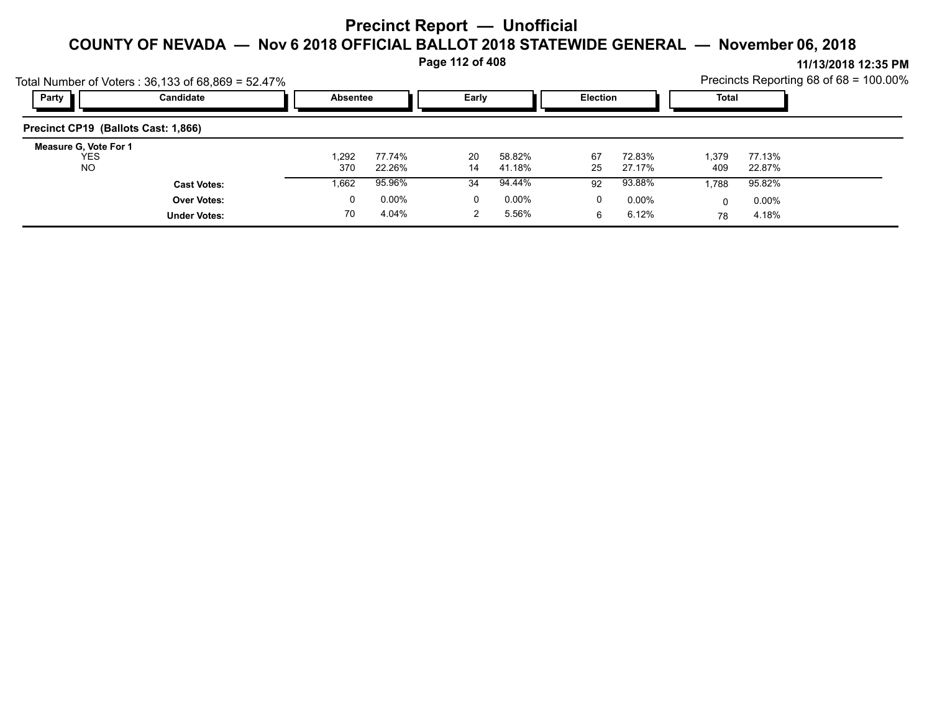**Page 112 of 408**

|                                           | Total Number of Voters: $36,133$ of $68,869 = 52.47\%$ |                 |                  |          |                  |                 |                  |              |                  | Precincts Reporting 68 of 68 = 100.00% |
|-------------------------------------------|--------------------------------------------------------|-----------------|------------------|----------|------------------|-----------------|------------------|--------------|------------------|----------------------------------------|
| Party                                     | Candidate                                              | <b>Absentee</b> |                  | Early    |                  | <b>Election</b> |                  | Total        |                  |                                        |
| Precinct CP19 (Ballots Cast: 1,866)       |                                                        |                 |                  |          |                  |                 |                  |              |                  |                                        |
| Measure G, Vote For 1<br>YES<br><b>NO</b> |                                                        | 1.292<br>370    | 77.74%<br>22.26% | 20<br>14 | 58.82%<br>41.18% | 67<br>25        | 72.83%<br>27.17% | 1,379<br>409 | 77.13%<br>22.87% |                                        |
|                                           | <b>Cast Votes:</b>                                     | 1,662           | 95.96%           | 34       | 94.44%           | 92              | 93.88%           | 1.788        | 95.82%           |                                        |
|                                           | <b>Over Votes:</b>                                     | 0               | $0.00\%$         | 0        | $0.00\%$         | 0               | $0.00\%$         | 0            | $0.00\%$         |                                        |
|                                           | <b>Under Votes:</b>                                    | 70              | 4.04%            |          | 5.56%            | 6               | 6.12%            | 78           | 4.18%            |                                        |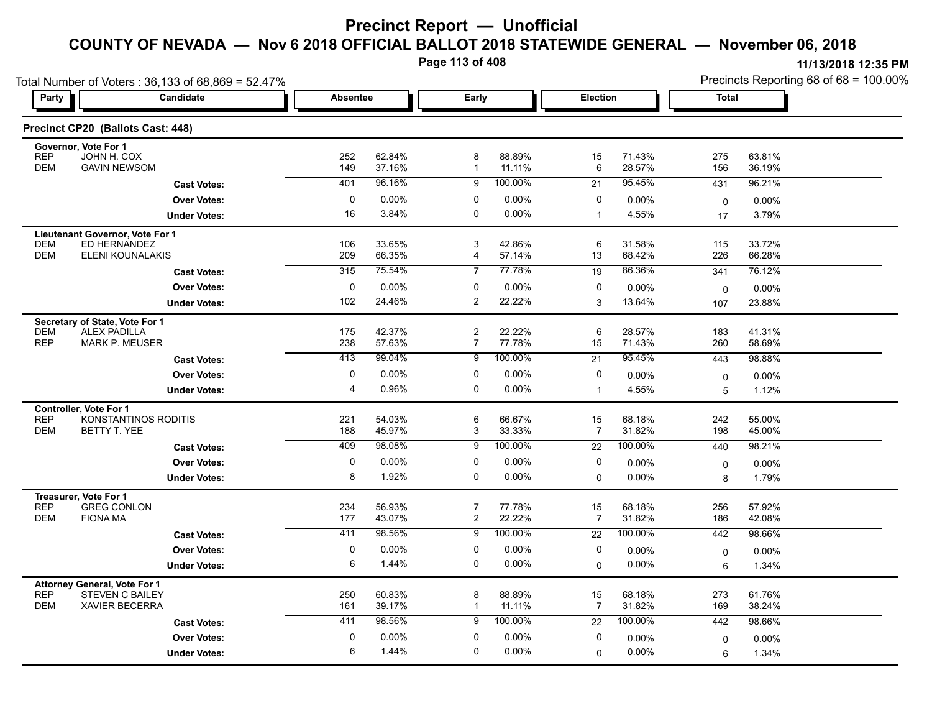**Page 113 of 408**

|                                                                                                                    | Total Number of Voters: 36,133 of 68,869 = 52.47% |                 |                  |                                  |                  |                      |                  |              | Precincts Reporting 68 of 68 = 100.00% |  |  |
|--------------------------------------------------------------------------------------------------------------------|---------------------------------------------------|-----------------|------------------|----------------------------------|------------------|----------------------|------------------|--------------|----------------------------------------|--|--|
| <b>Party</b>                                                                                                       | Candidate                                         | <b>Absentee</b> |                  | Early                            |                  | Election             |                  | <b>Total</b> |                                        |  |  |
| Precinct CP20 (Ballots Cast: 448)                                                                                  |                                                   |                 |                  |                                  |                  |                      |                  |              |                                        |  |  |
| Governor, Vote For 1<br><b>REP</b><br>JOHN H. COX<br><b>DEM</b><br><b>GAVIN NEWSOM</b>                             |                                                   | 252<br>149      | 62.84%<br>37.16% | 8<br>$\mathbf{1}$                | 88.89%<br>11.11% | 15<br>6              | 71.43%<br>28.57% | 275<br>156   | 63.81%<br>36.19%                       |  |  |
|                                                                                                                    | <b>Cast Votes:</b>                                | 401             | 96.16%           | 9                                | 100.00%          | $\overline{21}$      | 95.45%           | 431          | 96.21%                                 |  |  |
|                                                                                                                    | <b>Over Votes:</b>                                | 0               | 0.00%            | 0                                | 0.00%            | 0                    | 0.00%            | 0            | 0.00%                                  |  |  |
|                                                                                                                    | <b>Under Votes:</b>                               | 16              | 3.84%            | 0                                | $0.00\%$         | $\mathbf{1}$         | 4.55%            | 17           | 3.79%                                  |  |  |
| Lieutenant Governor, Vote For 1<br>ED HERNANDEZ<br><b>DEM</b>                                                      |                                                   | 106             | 33.65%           | 3                                | 42.86%           | 6                    | 31.58%           | 115          | 33.72%                                 |  |  |
| <b>DEM</b><br><b>ELENI KOUNALAKIS</b>                                                                              |                                                   | 209             | 66.35%           | 4                                | 57.14%           | 13                   | 68.42%           | 226          | 66.28%                                 |  |  |
|                                                                                                                    | <b>Cast Votes:</b>                                | 315             | 75.54%           | 7                                | 77.78%           | 19                   | 86.36%           | 341          | 76.12%                                 |  |  |
|                                                                                                                    | <b>Over Votes:</b>                                | 0               | 0.00%            | 0                                | 0.00%            | 0                    | 0.00%            | $\mathbf 0$  | 0.00%                                  |  |  |
|                                                                                                                    | <b>Under Votes:</b>                               | 102             | 24.46%           | 2                                | 22.22%           | 3                    | 13.64%           | 107          | 23.88%                                 |  |  |
| Secretary of State, Vote For 1<br><b>DEM</b><br><b>ALEX PADILLA</b><br><b>REP</b><br><b>MARK P. MEUSER</b>         |                                                   | 175<br>238      | 42.37%<br>57.63% | $\overline{2}$<br>$\overline{7}$ | 22.22%<br>77.78% | 6<br>15              | 28.57%<br>71.43% | 183<br>260   | 41.31%<br>58.69%                       |  |  |
|                                                                                                                    | <b>Cast Votes:</b>                                | 413             | 99.04%           | 9                                | 100.00%          | 21                   | 95.45%           | 443          | 98.88%                                 |  |  |
|                                                                                                                    | <b>Over Votes:</b>                                | 0               | 0.00%            | 0                                | 0.00%            | 0                    | 0.00%            | 0            | 0.00%                                  |  |  |
|                                                                                                                    | <b>Under Votes:</b>                               | $\overline{4}$  | 0.96%            | $\mathbf 0$                      | 0.00%            | $\mathbf{1}$         | 4.55%            | 5            | 1.12%                                  |  |  |
| <b>Controller, Vote For 1</b><br><b>REP</b><br><b>DEM</b><br>BETTY T. YEE                                          | KONSTANTINOS RODITIS                              | 221<br>188      | 54.03%<br>45.97% | 6<br>3                           | 66.67%<br>33.33% | 15<br>$\overline{7}$ | 68.18%<br>31.82% | 242<br>198   | 55.00%<br>45.00%                       |  |  |
|                                                                                                                    | <b>Cast Votes:</b>                                | 409             | 98.08%           | 9                                | 100.00%          | 22                   | 100.00%          | 440          | 98.21%                                 |  |  |
|                                                                                                                    | <b>Over Votes:</b>                                | 0               | 0.00%            | 0                                | 0.00%            | 0                    | 0.00%            | 0            | 0.00%                                  |  |  |
|                                                                                                                    | <b>Under Votes:</b>                               | 8               | 1.92%            | $\Omega$                         | 0.00%            | $\Omega$             | 0.00%            | 8            | 1.79%                                  |  |  |
| Treasurer, Vote For 1<br><b>REP</b><br><b>GREG CONLON</b><br><b>DEM</b><br><b>FIONA MA</b>                         |                                                   | 234<br>177      | 56.93%<br>43.07% | $\overline{7}$<br>$\overline{2}$ | 77.78%<br>22.22% | 15<br>7              | 68.18%<br>31.82% | 256<br>186   | 57.92%<br>42.08%                       |  |  |
|                                                                                                                    | <b>Cast Votes:</b>                                | 411             | 98.56%           | 9                                | 100.00%          | 22                   | 100.00%          | 442          | 98.66%                                 |  |  |
|                                                                                                                    | <b>Over Votes:</b>                                | 0               | 0.00%            | 0                                | 0.00%            | 0                    | 0.00%            | $\mathbf 0$  | 0.00%                                  |  |  |
|                                                                                                                    | <b>Under Votes:</b>                               | 6               | 1.44%            | $\mathbf 0$                      | $0.00\%$         | $\Omega$             | 0.00%            | 6            | 1.34%                                  |  |  |
| <b>Attorney General, Vote For 1</b><br><b>REP</b><br><b>STEVEN C BAILEY</b><br><b>DEM</b><br><b>XAVIER BECERRA</b> |                                                   | 250<br>161      | 60.83%<br>39.17% | 8<br>$\mathbf{1}$                | 88.89%<br>11.11% | 15<br>7              | 68.18%<br>31.82% | 273<br>169   | 61.76%<br>38.24%                       |  |  |
|                                                                                                                    | <b>Cast Votes:</b>                                | 411             | 98.56%           | 9                                | 100.00%          | 22                   | 100.00%          | 442          | 98.66%                                 |  |  |
|                                                                                                                    | <b>Over Votes:</b>                                | 0               | 0.00%            | 0                                | 0.00%            | 0                    | 0.00%            | 0            | 0.00%                                  |  |  |
|                                                                                                                    | <b>Under Votes:</b>                               | 6               | 1.44%            | 0                                | 0.00%            | 0                    | 0.00%            | 6            | 1.34%                                  |  |  |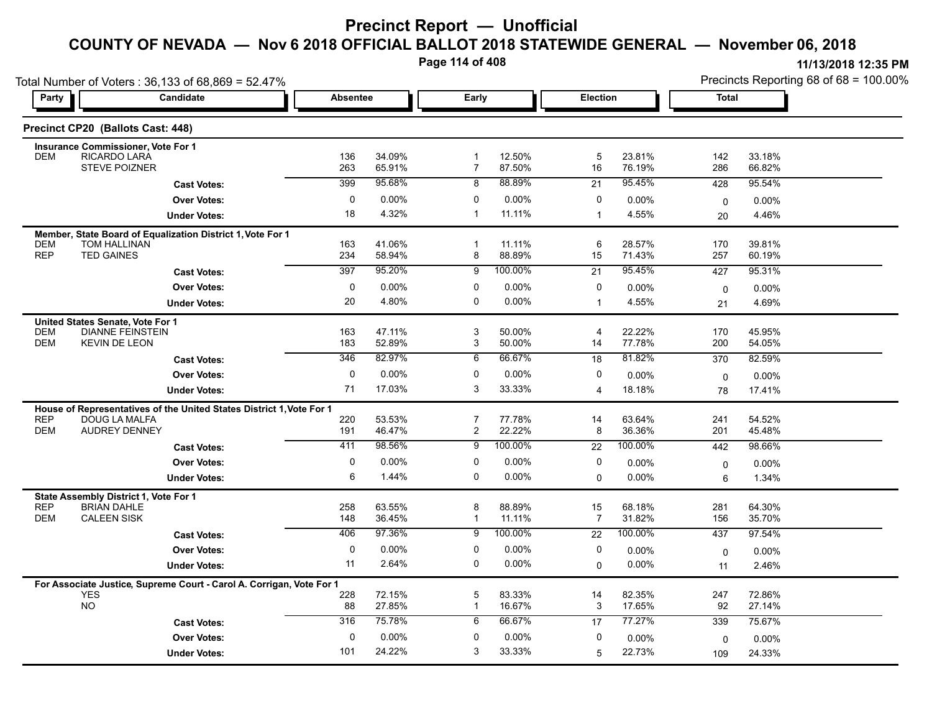Total Number of Voters : 36,133 of 68,869 = 52.47%

| Page 114 of 408 |          |       | 11/13/2018 12:35 PM                       |
|-----------------|----------|-------|-------------------------------------------|
|                 |          |       | Precincts Reporting 68 of $68 = 100.00\%$ |
| Earlv           | Election | Total |                                           |

| Precinct CP20 (Ballots Cast: 448)<br><b>Insurance Commissioner, Vote For 1</b><br><b>RICARDO LARA</b><br>34.09%<br>12.50%<br>5<br>23.81%<br><b>DEM</b><br>136<br>$\overline{1}$<br>142<br>33.18%<br><b>STEVE POIZNER</b><br>263<br>65.91%<br>$\overline{7}$<br>87.50%<br>16<br>76.19%<br>286<br>66.82%<br>95.68%<br>88.89%<br>95.45%<br>399<br>8<br>95.54%<br>21<br>428<br><b>Cast Votes:</b><br>$\mathbf 0$<br>0.00%<br>$\mathbf 0$<br>0.00%<br>0<br><b>Over Votes:</b><br>0.00%<br>0.00%<br>$\mathbf 0$<br>18<br>4.32%<br>$\mathbf{1}$<br>11.11%<br>4.55%<br>$\mathbf{1}$<br>4.46%<br><b>Under Votes:</b><br>20<br>Member, State Board of Equalization District 1, Vote For 1<br><b>DEM</b><br>TOM HALLINAN<br>41.06%<br>11.11%<br>6<br>28.57%<br>39.81%<br>163<br>1<br>170<br><b>REP</b><br><b>TED GAINES</b><br>58.94%<br>8<br>88.89%<br>15<br>71.43%<br>257<br>234<br>60.19%<br>95.20%<br>100.00%<br>95.45%<br>397<br>$\overline{9}$<br>95.31%<br>21<br>427<br><b>Cast Votes:</b><br>$\mathbf 0$<br>$0.00\%$<br>0<br>$0.00\%$<br>0<br><b>Over Votes:</b><br>0.00%<br>0.00%<br>0<br>20<br>4.80%<br>0<br>$0.00\%$<br>4.55%<br><b>Under Votes:</b><br>$\mathbf{1}$<br>4.69%<br>21<br>United States Senate, Vote For 1<br>3<br>22.22%<br><b>DEM</b><br><b>DIANNE FEINSTEIN</b><br>163<br>47.11%<br>50.00%<br>170<br>45.95%<br>4<br><b>DEM</b><br>52.89%<br>3<br>77.78%<br>200<br><b>KEVIN DE LEON</b><br>183<br>50.00%<br>14<br>54.05%<br>82.97%<br>81.82%<br>346<br>6<br>66.67%<br>82.59%<br>18<br>370<br><b>Cast Votes:</b><br>$\mathbf 0$<br>0.00%<br>$0.00\%$<br>0<br><b>Over Votes:</b><br>0<br>0.00%<br>$\Omega$<br>0.00%<br>71<br>17.03%<br>3<br>33.33%<br>18.18%<br><b>Under Votes:</b><br>4<br>17.41%<br>78<br>House of Representatives of the United States District 1, Vote For 1<br><b>REP</b><br><b>DOUG LA MALFA</b><br>220<br>53.53%<br>$\overline{7}$<br>77.78%<br>14<br>63.64%<br>241<br>54.52%<br>8<br><b>DEM</b><br><b>AUDREY DENNEY</b><br>191<br>46.47%<br>$\overline{c}$<br>22.22%<br>36.36%<br>201<br>45.48%<br>98.56%<br>100.00%<br>100.00%<br>411<br>9<br>22<br>442<br>98.66%<br><b>Cast Votes:</b><br>0.00%<br>$0.00\%$<br>$\mathbf 0$<br>$\mathbf 0$<br>0<br><b>Over Votes:</b><br>0.00%<br>0.00%<br>$\mathbf 0$<br>1.44%<br>0<br>$0.00\%$<br>6<br>$0.00\%$<br>$\Omega$<br><b>Under Votes:</b><br>6<br>1.34%<br>State Assembly District 1, Vote For 1<br><b>REP</b><br><b>BRIAN DAHLE</b><br>258<br>63.55%<br>8<br>88.89%<br>68.18%<br>15<br>281<br>64.30%<br><b>CALEEN SISK</b><br>36.45%<br>$\overline{7}$<br><b>DEM</b><br>148<br>$\mathbf{1}$<br>11.11%<br>31.82%<br>156<br>35.70%<br>97.36%<br>100.00%<br>406<br>100.00%<br>9<br>22<br>437<br>97.54%<br><b>Cast Votes:</b><br>$\mathbf 0$<br>0.00%<br>0<br>$0.00\%$<br>0<br><b>Over Votes:</b><br>$0.00\%$<br>$0.00\%$<br>0<br>11<br>2.64%<br>0<br>$0.00\%$<br>0.00%<br><b>Under Votes:</b><br>0<br>2.46%<br>11<br>For Associate Justice, Supreme Court - Carol A. Corrigan, Vote For 1<br><b>YES</b><br>72.15%<br>5<br>83.33%<br>14<br>82.35%<br>247<br>72.86%<br>228<br><b>NO</b><br>88<br>27.85%<br>$\mathbf 1$<br>16.67%<br>3<br>17.65%<br>92<br>27.14%<br>75.78%<br>66.67%<br>77.27%<br>316<br>6<br>339<br>75.67%<br>17<br><b>Cast Votes:</b><br>$\mathbf 0$<br>0.00%<br>0<br>0.00%<br>0<br><b>Over Votes:</b><br>0.00%<br>$0.00\%$<br>$\mathbf 0$<br>24.22%<br>101<br>3<br>33.33%<br>22.73%<br>5 | Party | Candidate           | <b>Absentee</b> | Early | Election | <b>Total</b> |        |  |
|-----------------------------------------------------------------------------------------------------------------------------------------------------------------------------------------------------------------------------------------------------------------------------------------------------------------------------------------------------------------------------------------------------------------------------------------------------------------------------------------------------------------------------------------------------------------------------------------------------------------------------------------------------------------------------------------------------------------------------------------------------------------------------------------------------------------------------------------------------------------------------------------------------------------------------------------------------------------------------------------------------------------------------------------------------------------------------------------------------------------------------------------------------------------------------------------------------------------------------------------------------------------------------------------------------------------------------------------------------------------------------------------------------------------------------------------------------------------------------------------------------------------------------------------------------------------------------------------------------------------------------------------------------------------------------------------------------------------------------------------------------------------------------------------------------------------------------------------------------------------------------------------------------------------------------------------------------------------------------------------------------------------------------------------------------------------------------------------------------------------------------------------------------------------------------------------------------------------------------------------------------------------------------------------------------------------------------------------------------------------------------------------------------------------------------------------------------------------------------------------------------------------------------------------------------------------------------------------------------------------------------------------------------------------------------------------------------------------------------------------------------------------------------------------------------------------------------------------------------------------------------------------------------------------------------------------------------------------------------------------------------------------------------------------------------------------------------------------------------------------------------------------------------------------------------------------------------------------------------------------------------------------------------------------------------------------------------------------------------------------------------------------|-------|---------------------|-----------------|-------|----------|--------------|--------|--|
|                                                                                                                                                                                                                                                                                                                                                                                                                                                                                                                                                                                                                                                                                                                                                                                                                                                                                                                                                                                                                                                                                                                                                                                                                                                                                                                                                                                                                                                                                                                                                                                                                                                                                                                                                                                                                                                                                                                                                                                                                                                                                                                                                                                                                                                                                                                                                                                                                                                                                                                                                                                                                                                                                                                                                                                                                                                                                                                                                                                                                                                                                                                                                                                                                                                                                                                                                                                         |       |                     |                 |       |          |              |        |  |
|                                                                                                                                                                                                                                                                                                                                                                                                                                                                                                                                                                                                                                                                                                                                                                                                                                                                                                                                                                                                                                                                                                                                                                                                                                                                                                                                                                                                                                                                                                                                                                                                                                                                                                                                                                                                                                                                                                                                                                                                                                                                                                                                                                                                                                                                                                                                                                                                                                                                                                                                                                                                                                                                                                                                                                                                                                                                                                                                                                                                                                                                                                                                                                                                                                                                                                                                                                                         |       |                     |                 |       |          |              |        |  |
|                                                                                                                                                                                                                                                                                                                                                                                                                                                                                                                                                                                                                                                                                                                                                                                                                                                                                                                                                                                                                                                                                                                                                                                                                                                                                                                                                                                                                                                                                                                                                                                                                                                                                                                                                                                                                                                                                                                                                                                                                                                                                                                                                                                                                                                                                                                                                                                                                                                                                                                                                                                                                                                                                                                                                                                                                                                                                                                                                                                                                                                                                                                                                                                                                                                                                                                                                                                         |       |                     |                 |       |          |              |        |  |
|                                                                                                                                                                                                                                                                                                                                                                                                                                                                                                                                                                                                                                                                                                                                                                                                                                                                                                                                                                                                                                                                                                                                                                                                                                                                                                                                                                                                                                                                                                                                                                                                                                                                                                                                                                                                                                                                                                                                                                                                                                                                                                                                                                                                                                                                                                                                                                                                                                                                                                                                                                                                                                                                                                                                                                                                                                                                                                                                                                                                                                                                                                                                                                                                                                                                                                                                                                                         |       |                     |                 |       |          |              |        |  |
|                                                                                                                                                                                                                                                                                                                                                                                                                                                                                                                                                                                                                                                                                                                                                                                                                                                                                                                                                                                                                                                                                                                                                                                                                                                                                                                                                                                                                                                                                                                                                                                                                                                                                                                                                                                                                                                                                                                                                                                                                                                                                                                                                                                                                                                                                                                                                                                                                                                                                                                                                                                                                                                                                                                                                                                                                                                                                                                                                                                                                                                                                                                                                                                                                                                                                                                                                                                         |       |                     |                 |       |          |              |        |  |
|                                                                                                                                                                                                                                                                                                                                                                                                                                                                                                                                                                                                                                                                                                                                                                                                                                                                                                                                                                                                                                                                                                                                                                                                                                                                                                                                                                                                                                                                                                                                                                                                                                                                                                                                                                                                                                                                                                                                                                                                                                                                                                                                                                                                                                                                                                                                                                                                                                                                                                                                                                                                                                                                                                                                                                                                                                                                                                                                                                                                                                                                                                                                                                                                                                                                                                                                                                                         |       |                     |                 |       |          |              |        |  |
|                                                                                                                                                                                                                                                                                                                                                                                                                                                                                                                                                                                                                                                                                                                                                                                                                                                                                                                                                                                                                                                                                                                                                                                                                                                                                                                                                                                                                                                                                                                                                                                                                                                                                                                                                                                                                                                                                                                                                                                                                                                                                                                                                                                                                                                                                                                                                                                                                                                                                                                                                                                                                                                                                                                                                                                                                                                                                                                                                                                                                                                                                                                                                                                                                                                                                                                                                                                         |       |                     |                 |       |          |              |        |  |
|                                                                                                                                                                                                                                                                                                                                                                                                                                                                                                                                                                                                                                                                                                                                                                                                                                                                                                                                                                                                                                                                                                                                                                                                                                                                                                                                                                                                                                                                                                                                                                                                                                                                                                                                                                                                                                                                                                                                                                                                                                                                                                                                                                                                                                                                                                                                                                                                                                                                                                                                                                                                                                                                                                                                                                                                                                                                                                                                                                                                                                                                                                                                                                                                                                                                                                                                                                                         |       |                     |                 |       |          |              |        |  |
|                                                                                                                                                                                                                                                                                                                                                                                                                                                                                                                                                                                                                                                                                                                                                                                                                                                                                                                                                                                                                                                                                                                                                                                                                                                                                                                                                                                                                                                                                                                                                                                                                                                                                                                                                                                                                                                                                                                                                                                                                                                                                                                                                                                                                                                                                                                                                                                                                                                                                                                                                                                                                                                                                                                                                                                                                                                                                                                                                                                                                                                                                                                                                                                                                                                                                                                                                                                         |       |                     |                 |       |          |              |        |  |
|                                                                                                                                                                                                                                                                                                                                                                                                                                                                                                                                                                                                                                                                                                                                                                                                                                                                                                                                                                                                                                                                                                                                                                                                                                                                                                                                                                                                                                                                                                                                                                                                                                                                                                                                                                                                                                                                                                                                                                                                                                                                                                                                                                                                                                                                                                                                                                                                                                                                                                                                                                                                                                                                                                                                                                                                                                                                                                                                                                                                                                                                                                                                                                                                                                                                                                                                                                                         |       |                     |                 |       |          |              |        |  |
|                                                                                                                                                                                                                                                                                                                                                                                                                                                                                                                                                                                                                                                                                                                                                                                                                                                                                                                                                                                                                                                                                                                                                                                                                                                                                                                                                                                                                                                                                                                                                                                                                                                                                                                                                                                                                                                                                                                                                                                                                                                                                                                                                                                                                                                                                                                                                                                                                                                                                                                                                                                                                                                                                                                                                                                                                                                                                                                                                                                                                                                                                                                                                                                                                                                                                                                                                                                         |       |                     |                 |       |          |              |        |  |
|                                                                                                                                                                                                                                                                                                                                                                                                                                                                                                                                                                                                                                                                                                                                                                                                                                                                                                                                                                                                                                                                                                                                                                                                                                                                                                                                                                                                                                                                                                                                                                                                                                                                                                                                                                                                                                                                                                                                                                                                                                                                                                                                                                                                                                                                                                                                                                                                                                                                                                                                                                                                                                                                                                                                                                                                                                                                                                                                                                                                                                                                                                                                                                                                                                                                                                                                                                                         |       |                     |                 |       |          |              |        |  |
|                                                                                                                                                                                                                                                                                                                                                                                                                                                                                                                                                                                                                                                                                                                                                                                                                                                                                                                                                                                                                                                                                                                                                                                                                                                                                                                                                                                                                                                                                                                                                                                                                                                                                                                                                                                                                                                                                                                                                                                                                                                                                                                                                                                                                                                                                                                                                                                                                                                                                                                                                                                                                                                                                                                                                                                                                                                                                                                                                                                                                                                                                                                                                                                                                                                                                                                                                                                         |       |                     |                 |       |          |              |        |  |
|                                                                                                                                                                                                                                                                                                                                                                                                                                                                                                                                                                                                                                                                                                                                                                                                                                                                                                                                                                                                                                                                                                                                                                                                                                                                                                                                                                                                                                                                                                                                                                                                                                                                                                                                                                                                                                                                                                                                                                                                                                                                                                                                                                                                                                                                                                                                                                                                                                                                                                                                                                                                                                                                                                                                                                                                                                                                                                                                                                                                                                                                                                                                                                                                                                                                                                                                                                                         |       |                     |                 |       |          |              |        |  |
|                                                                                                                                                                                                                                                                                                                                                                                                                                                                                                                                                                                                                                                                                                                                                                                                                                                                                                                                                                                                                                                                                                                                                                                                                                                                                                                                                                                                                                                                                                                                                                                                                                                                                                                                                                                                                                                                                                                                                                                                                                                                                                                                                                                                                                                                                                                                                                                                                                                                                                                                                                                                                                                                                                                                                                                                                                                                                                                                                                                                                                                                                                                                                                                                                                                                                                                                                                                         |       |                     |                 |       |          |              |        |  |
|                                                                                                                                                                                                                                                                                                                                                                                                                                                                                                                                                                                                                                                                                                                                                                                                                                                                                                                                                                                                                                                                                                                                                                                                                                                                                                                                                                                                                                                                                                                                                                                                                                                                                                                                                                                                                                                                                                                                                                                                                                                                                                                                                                                                                                                                                                                                                                                                                                                                                                                                                                                                                                                                                                                                                                                                                                                                                                                                                                                                                                                                                                                                                                                                                                                                                                                                                                                         |       |                     |                 |       |          |              |        |  |
|                                                                                                                                                                                                                                                                                                                                                                                                                                                                                                                                                                                                                                                                                                                                                                                                                                                                                                                                                                                                                                                                                                                                                                                                                                                                                                                                                                                                                                                                                                                                                                                                                                                                                                                                                                                                                                                                                                                                                                                                                                                                                                                                                                                                                                                                                                                                                                                                                                                                                                                                                                                                                                                                                                                                                                                                                                                                                                                                                                                                                                                                                                                                                                                                                                                                                                                                                                                         |       |                     |                 |       |          |              |        |  |
|                                                                                                                                                                                                                                                                                                                                                                                                                                                                                                                                                                                                                                                                                                                                                                                                                                                                                                                                                                                                                                                                                                                                                                                                                                                                                                                                                                                                                                                                                                                                                                                                                                                                                                                                                                                                                                                                                                                                                                                                                                                                                                                                                                                                                                                                                                                                                                                                                                                                                                                                                                                                                                                                                                                                                                                                                                                                                                                                                                                                                                                                                                                                                                                                                                                                                                                                                                                         |       |                     |                 |       |          |              |        |  |
|                                                                                                                                                                                                                                                                                                                                                                                                                                                                                                                                                                                                                                                                                                                                                                                                                                                                                                                                                                                                                                                                                                                                                                                                                                                                                                                                                                                                                                                                                                                                                                                                                                                                                                                                                                                                                                                                                                                                                                                                                                                                                                                                                                                                                                                                                                                                                                                                                                                                                                                                                                                                                                                                                                                                                                                                                                                                                                                                                                                                                                                                                                                                                                                                                                                                                                                                                                                         |       |                     |                 |       |          |              |        |  |
|                                                                                                                                                                                                                                                                                                                                                                                                                                                                                                                                                                                                                                                                                                                                                                                                                                                                                                                                                                                                                                                                                                                                                                                                                                                                                                                                                                                                                                                                                                                                                                                                                                                                                                                                                                                                                                                                                                                                                                                                                                                                                                                                                                                                                                                                                                                                                                                                                                                                                                                                                                                                                                                                                                                                                                                                                                                                                                                                                                                                                                                                                                                                                                                                                                                                                                                                                                                         |       |                     |                 |       |          |              |        |  |
|                                                                                                                                                                                                                                                                                                                                                                                                                                                                                                                                                                                                                                                                                                                                                                                                                                                                                                                                                                                                                                                                                                                                                                                                                                                                                                                                                                                                                                                                                                                                                                                                                                                                                                                                                                                                                                                                                                                                                                                                                                                                                                                                                                                                                                                                                                                                                                                                                                                                                                                                                                                                                                                                                                                                                                                                                                                                                                                                                                                                                                                                                                                                                                                                                                                                                                                                                                                         |       |                     |                 |       |          |              |        |  |
|                                                                                                                                                                                                                                                                                                                                                                                                                                                                                                                                                                                                                                                                                                                                                                                                                                                                                                                                                                                                                                                                                                                                                                                                                                                                                                                                                                                                                                                                                                                                                                                                                                                                                                                                                                                                                                                                                                                                                                                                                                                                                                                                                                                                                                                                                                                                                                                                                                                                                                                                                                                                                                                                                                                                                                                                                                                                                                                                                                                                                                                                                                                                                                                                                                                                                                                                                                                         |       |                     |                 |       |          |              |        |  |
|                                                                                                                                                                                                                                                                                                                                                                                                                                                                                                                                                                                                                                                                                                                                                                                                                                                                                                                                                                                                                                                                                                                                                                                                                                                                                                                                                                                                                                                                                                                                                                                                                                                                                                                                                                                                                                                                                                                                                                                                                                                                                                                                                                                                                                                                                                                                                                                                                                                                                                                                                                                                                                                                                                                                                                                                                                                                                                                                                                                                                                                                                                                                                                                                                                                                                                                                                                                         |       |                     |                 |       |          |              |        |  |
|                                                                                                                                                                                                                                                                                                                                                                                                                                                                                                                                                                                                                                                                                                                                                                                                                                                                                                                                                                                                                                                                                                                                                                                                                                                                                                                                                                                                                                                                                                                                                                                                                                                                                                                                                                                                                                                                                                                                                                                                                                                                                                                                                                                                                                                                                                                                                                                                                                                                                                                                                                                                                                                                                                                                                                                                                                                                                                                                                                                                                                                                                                                                                                                                                                                                                                                                                                                         |       |                     |                 |       |          |              |        |  |
|                                                                                                                                                                                                                                                                                                                                                                                                                                                                                                                                                                                                                                                                                                                                                                                                                                                                                                                                                                                                                                                                                                                                                                                                                                                                                                                                                                                                                                                                                                                                                                                                                                                                                                                                                                                                                                                                                                                                                                                                                                                                                                                                                                                                                                                                                                                                                                                                                                                                                                                                                                                                                                                                                                                                                                                                                                                                                                                                                                                                                                                                                                                                                                                                                                                                                                                                                                                         |       |                     |                 |       |          |              |        |  |
|                                                                                                                                                                                                                                                                                                                                                                                                                                                                                                                                                                                                                                                                                                                                                                                                                                                                                                                                                                                                                                                                                                                                                                                                                                                                                                                                                                                                                                                                                                                                                                                                                                                                                                                                                                                                                                                                                                                                                                                                                                                                                                                                                                                                                                                                                                                                                                                                                                                                                                                                                                                                                                                                                                                                                                                                                                                                                                                                                                                                                                                                                                                                                                                                                                                                                                                                                                                         |       |                     |                 |       |          |              |        |  |
|                                                                                                                                                                                                                                                                                                                                                                                                                                                                                                                                                                                                                                                                                                                                                                                                                                                                                                                                                                                                                                                                                                                                                                                                                                                                                                                                                                                                                                                                                                                                                                                                                                                                                                                                                                                                                                                                                                                                                                                                                                                                                                                                                                                                                                                                                                                                                                                                                                                                                                                                                                                                                                                                                                                                                                                                                                                                                                                                                                                                                                                                                                                                                                                                                                                                                                                                                                                         |       |                     |                 |       |          |              |        |  |
|                                                                                                                                                                                                                                                                                                                                                                                                                                                                                                                                                                                                                                                                                                                                                                                                                                                                                                                                                                                                                                                                                                                                                                                                                                                                                                                                                                                                                                                                                                                                                                                                                                                                                                                                                                                                                                                                                                                                                                                                                                                                                                                                                                                                                                                                                                                                                                                                                                                                                                                                                                                                                                                                                                                                                                                                                                                                                                                                                                                                                                                                                                                                                                                                                                                                                                                                                                                         |       | <b>Under Votes:</b> |                 |       |          | 109          | 24.33% |  |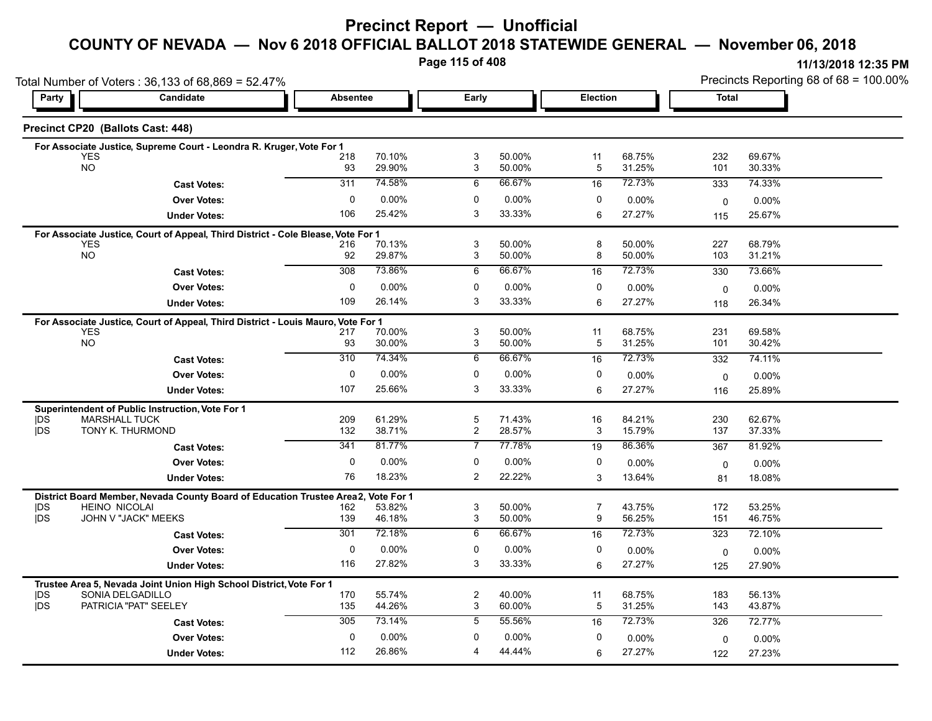# **Precinct Report — Unofficial**

#### **COUNTY OF NEVADA — Nov 6 2018 OFFICIAL BALLOT 2018 STATEWIDE GENERAL — November 06, 2018**

**Page 115 of 408**

|                   | Total Number of Voters: 36,133 of 68,869 = 52.47%                                              |                 |                  |                     |                  |                |                  |              | Precincts Reporting 68 of 68 = 100.00% |  |  |
|-------------------|------------------------------------------------------------------------------------------------|-----------------|------------------|---------------------|------------------|----------------|------------------|--------------|----------------------------------------|--|--|
| Party             | Candidate                                                                                      | <b>Absentee</b> |                  | Early               |                  | Election       |                  | <b>Total</b> |                                        |  |  |
|                   | Precinct CP20 (Ballots Cast: 448)                                                              |                 |                  |                     |                  |                |                  |              |                                        |  |  |
|                   | For Associate Justice, Supreme Court - Leondra R. Kruger, Vote For 1                           |                 |                  |                     |                  |                |                  |              |                                        |  |  |
|                   | <b>YES</b><br><b>NO</b>                                                                        | 218<br>93       | 70.10%<br>29.90% | 3<br>3              | 50.00%<br>50.00% | 11<br>5        | 68.75%<br>31.25% | 232<br>101   | 69.67%<br>30.33%                       |  |  |
|                   | <b>Cast Votes:</b>                                                                             | 311             | 74.58%           | 6                   | 66.67%           | 16             | 72.73%           | 333          | 74.33%                                 |  |  |
|                   |                                                                                                | $\mathbf 0$     | 0.00%            | 0                   | 0.00%            | 0              |                  |              |                                        |  |  |
|                   | <b>Over Votes:</b>                                                                             | 106             | 25.42%           | 3                   | 33.33%           |                | 0.00%<br>27.27%  | 0            | 0.00%                                  |  |  |
|                   | <b>Under Votes:</b>                                                                            |                 |                  |                     |                  | 6              |                  | 115          | 25.67%                                 |  |  |
|                   | For Associate Justice, Court of Appeal, Third District - Cole Blease, Vote For 1<br><b>YES</b> | 216             | 70.13%           | 3                   | 50.00%           | 8              | 50.00%           | 227          | 68.79%                                 |  |  |
|                   | <b>NO</b>                                                                                      | 92              | 29.87%           | 3                   | 50.00%           | 8              | 50.00%           | 103          | 31.21%                                 |  |  |
|                   | <b>Cast Votes:</b>                                                                             | 308             | 73.86%           | 6                   | 66.67%           | 16             | 72.73%           | 330          | 73.66%                                 |  |  |
|                   | <b>Over Votes:</b>                                                                             | 0               | $0.00\%$         | 0                   | 0.00%            | 0              | $0.00\%$         | $\mathbf 0$  | $0.00\%$                               |  |  |
|                   | <b>Under Votes:</b>                                                                            | 109             | 26.14%           | 3                   | 33.33%           | 6              | 27.27%           | 118          | 26.34%                                 |  |  |
|                   |                                                                                                |                 |                  |                     |                  |                |                  |              |                                        |  |  |
|                   | For Associate Justice, Court of Appeal, Third District - Louis Mauro, Vote For 1<br><b>YES</b> | 217             | 70.00%           | 3                   | 50.00%           | 11             | 68.75%           | 231          | 69.58%                                 |  |  |
|                   | <b>NO</b>                                                                                      | 93              | 30.00%           | 3                   | 50.00%           | 5              | 31.25%           | 101          | 30.42%                                 |  |  |
|                   | <b>Cast Votes:</b>                                                                             | 310             | 74.34%           | 6                   | 66.67%           | 16             | 72.73%           | 332          | 74.11%                                 |  |  |
|                   | <b>Over Votes:</b>                                                                             | 0               | $0.00\%$         | 0                   | 0.00%            | 0              | 0.00%            | $\mathbf 0$  | 0.00%                                  |  |  |
|                   | <b>Under Votes:</b>                                                                            | 107             | 25.66%           | 3                   | 33.33%           | 6              | 27.27%           | 116          | 25.89%                                 |  |  |
|                   | Superintendent of Public Instruction, Vote For 1                                               |                 |                  |                     |                  |                |                  |              |                                        |  |  |
| <b>IDS</b>        | <b>MARSHALL TUCK</b>                                                                           | 209             | 61.29%           | 5                   | 71.43%           | 16             | 84.21%           | 230          | 62.67%                                 |  |  |
| <b>IDS</b>        | TONY K. THURMOND                                                                               | 132             | 38.71%           | $\overline{c}$      | 28.57%           | 3              | 15.79%           | 137          | 37.33%                                 |  |  |
|                   | <b>Cast Votes:</b>                                                                             | 341             | 81.77%           | $\overline{7}$      | 77.78%           | 19             | 86.36%           | 367          | 81.92%                                 |  |  |
|                   | <b>Over Votes:</b>                                                                             | 0               | $0.00\%$         | 0                   | 0.00%            | 0              | $0.00\%$         | $\Omega$     | $0.00\%$                               |  |  |
|                   | <b>Under Votes:</b>                                                                            | 76              | 18.23%           | 2                   | 22.22%           | 3              | 13.64%           | 81           | 18.08%                                 |  |  |
|                   | District Board Member, Nevada County Board of Education Trustee Area2,                         |                 | Vote For 1       |                     |                  |                |                  |              |                                        |  |  |
| <b>IDS</b><br>jDS | <b>HEINO NICOLAI</b><br>JOHN V "JACK" MEEKS                                                    | 162             | 53.82%           | 3                   | 50.00%           | $\overline{7}$ | 43.75%           | 172          | 53.25%                                 |  |  |
|                   |                                                                                                | 139<br>301      | 46.18%<br>72.18% | 3<br>$\overline{6}$ | 50.00%<br>66.67% | 9              | 56.25%<br>72.73% | 151          | 46.75%                                 |  |  |
|                   | <b>Cast Votes:</b>                                                                             |                 |                  |                     |                  | 16             |                  | 323          | 72.10%                                 |  |  |
|                   | <b>Over Votes:</b>                                                                             | $\mathbf 0$     | 0.00%            | $\mathbf 0$         | 0.00%            | 0              | 0.00%            | 0            | $0.00\%$                               |  |  |
|                   | <b>Under Votes:</b>                                                                            | 116             | 27.82%           | 3                   | 33.33%           | 6              | 27.27%           | 125          | 27.90%                                 |  |  |
|                   | Trustee Area 5, Nevada Joint Union High School District, Vote For 1                            |                 |                  |                     |                  |                |                  |              |                                        |  |  |
| DS<br><b>IDS</b>  | SONIA DELGADILLO<br>PATRICIA "PAT" SEELEY                                                      | 170<br>135      | 55.74%<br>44.26% | $\overline{c}$<br>3 | 40.00%<br>60.00% | 11<br>5        | 68.75%<br>31.25% | 183<br>143   | 56.13%<br>43.87%                       |  |  |
|                   |                                                                                                | 305             | 73.14%           | 5                   | 55.56%           | 16             | 72.73%           | 326          | 72.77%                                 |  |  |
|                   | <b>Cast Votes:</b>                                                                             |                 |                  |                     |                  |                |                  |              |                                        |  |  |
|                   | <b>Over Votes:</b>                                                                             | $\mathbf 0$     | 0.00%            | 0                   | 0.00%            | 0              | $0.00\%$         | 0            | $0.00\%$                               |  |  |
|                   | <b>Under Votes:</b>                                                                            | 112             | 26.86%           | 4                   | 44.44%           | 6              | 27.27%           | 122          | 27.23%                                 |  |  |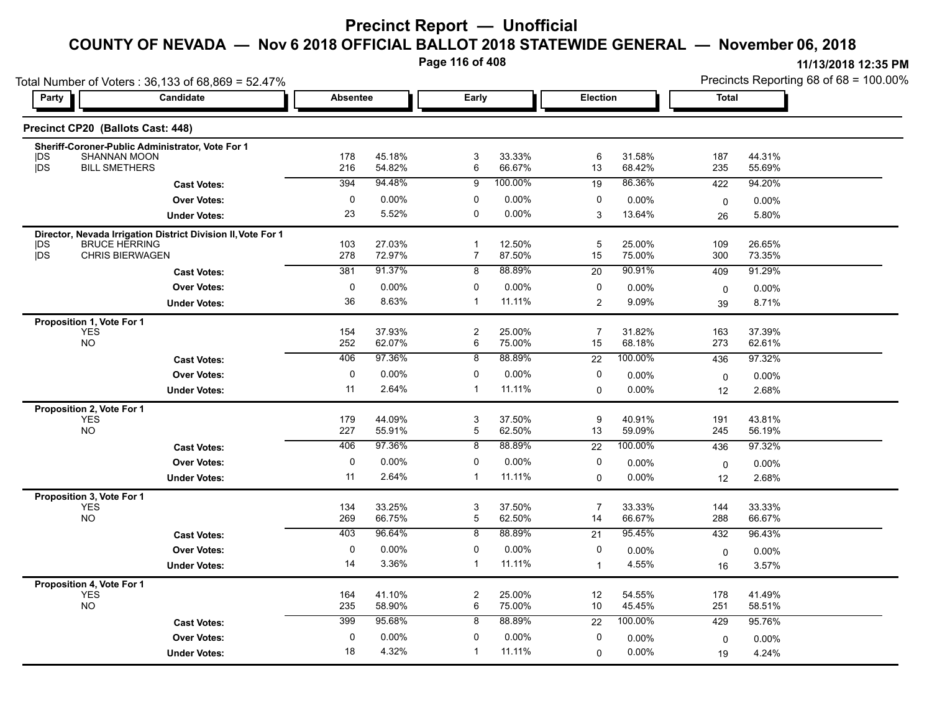**Page 116 of 408**

| Party                    | Total Number of Voters: 36,133 of 68,869 = 52.47%<br><b>Candidate</b> | <b>Absentee</b> |                  | Early                          |                  | <b>Election</b> |                  | <b>Total</b> |                  |
|--------------------------|-----------------------------------------------------------------------|-----------------|------------------|--------------------------------|------------------|-----------------|------------------|--------------|------------------|
|                          |                                                                       |                 |                  |                                |                  |                 |                  |              |                  |
|                          | Precinct CP20 (Ballots Cast: 448)                                     |                 |                  |                                |                  |                 |                  |              |                  |
|                          | Sheriff-Coroner-Public Administrator, Vote For 1                      |                 |                  |                                |                  |                 |                  |              |                  |
| <b>IDS</b><br><b>IDS</b> | <b>SHANNAN MOON</b><br><b>BILL SMETHERS</b>                           | 178<br>216      | 45.18%<br>54.82% | 3<br>6                         | 33.33%<br>66.67% | 6<br>13         | 31.58%<br>68.42% | 187<br>235   | 44.31%<br>55.69% |
|                          | <b>Cast Votes:</b>                                                    | 394             | 94.48%           | 9                              | 100.00%          | 19              | 86.36%           | 422          | 94.20%           |
|                          | <b>Over Votes:</b>                                                    | 0               | 0.00%            | 0                              | $0.00\%$         | 0               | 0.00%            | $\mathbf 0$  | 0.00%            |
|                          | <b>Under Votes:</b>                                                   | 23              | 5.52%            | $\mathbf 0$                    | $0.00\%$         | 3               | 13.64%           | 26           | 5.80%            |
|                          | Director, Nevada Irrigation District Division II, Vote For 1          |                 |                  |                                |                  |                 |                  |              |                  |
| <b>IDS</b><br>jDS        | <b>BRUCE HERRING</b><br>CHRIS BIERWAGEN                               | 103<br>278      | 27.03%<br>72.97% | $\mathbf 1$<br>$\overline{7}$  | 12.50%<br>87.50% | 5<br>15         | 25.00%<br>75.00% | 109<br>300   | 26.65%<br>73.35% |
|                          | <b>Cast Votes:</b>                                                    | 381             | 91.37%           | 8                              | 88.89%           | 20              | 90.91%           | 409          | 91.29%           |
|                          | <b>Over Votes:</b>                                                    | 0               | 0.00%            | 0                              | $0.00\%$         | 0               | 0.00%            |              |                  |
|                          | <b>Under Votes:</b>                                                   | 36              | 8.63%            | $\mathbf{1}$                   | 11.11%           | 2               | 9.09%            | 0<br>39      | 0.00%<br>8.71%   |
|                          |                                                                       |                 |                  |                                |                  |                 |                  |              |                  |
|                          | Proposition 1, Vote For 1<br><b>YES</b>                               | 154             | 37.93%           | $\boldsymbol{2}$               | 25.00%           | $\overline{7}$  | 31.82%           | 163          | 37.39%           |
|                          | <b>NO</b>                                                             | 252             | 62.07%           | 6                              | 75.00%           | 15              | 68.18%           | 273          | 62.61%           |
|                          | <b>Cast Votes:</b>                                                    | 406             | 97.36%           | $\overline{8}$                 | 88.89%           | $\overline{22}$ | 100.00%          | 436          | 97.32%           |
|                          | <b>Over Votes:</b>                                                    | $\mathbf 0$     | 0.00%            | 0                              | $0.00\%$         | 0               | 0.00%            | 0            | 0.00%            |
|                          | <b>Under Votes:</b>                                                   | 11              | 2.64%            | $\mathbf{1}$                   | 11.11%           | $\mathbf 0$     | $0.00\%$         | 12           | 2.68%            |
|                          | Proposition 2, Vote For 1                                             |                 |                  |                                |                  |                 |                  |              |                  |
|                          | <b>YES</b><br><b>NO</b>                                               | 179<br>227      | 44.09%<br>55.91% | $\ensuremath{\mathsf{3}}$<br>5 | 37.50%<br>62.50% | 9<br>13         | 40.91%<br>59.09% | 191<br>245   | 43.81%<br>56.19% |
|                          | <b>Cast Votes:</b>                                                    | 406             | 97.36%           | 8                              | 88.89%           | 22              | 100.00%          | 436          | 97.32%           |
|                          | <b>Over Votes:</b>                                                    | $\mathbf 0$     | 0.00%            | 0                              | $0.00\%$         | 0               | 0.00%            |              |                  |
|                          | <b>Under Votes:</b>                                                   | 11              | 2.64%            | $\mathbf{1}$                   | 11.11%           | $\mathbf 0$     | $0.00\%$         | 0<br>12      | 0.00%<br>2.68%   |
|                          |                                                                       |                 |                  |                                |                  |                 |                  |              |                  |
|                          | Proposition 3, Vote For 1<br><b>YES</b>                               | 134             | 33.25%           | 3                              | 37.50%           | 7               | 33.33%           | 144          | 33.33%           |
|                          | <b>NO</b>                                                             | 269             | 66.75%           | $\mathbf 5$                    | 62.50%           | 14              | 66.67%           | 288          | 66.67%           |
|                          | <b>Cast Votes:</b>                                                    | 403             | 96.64%           | $\overline{8}$                 | 88.89%           | $\overline{21}$ | 95.45%           | 432          | 96.43%           |
|                          | <b>Over Votes:</b>                                                    | $\pmb{0}$       | 0.00%            | 0                              | 0.00%            | 0               | 0.00%            | $\mathbf 0$  | 0.00%            |
|                          | <b>Under Votes:</b>                                                   | 14              | 3.36%            | $\mathbf{1}$                   | 11.11%           | $\mathbf{1}$    | 4.55%            | 16           | 3.57%            |
|                          | Proposition 4, Vote For 1                                             |                 |                  |                                |                  |                 |                  |              |                  |
|                          | <b>YES</b><br><b>NO</b>                                               | 164<br>235      | 41.10%<br>58.90% | $\overline{c}$<br>6            | 25.00%<br>75.00% | 12<br>10        | 54.55%<br>45.45% | 178<br>251   | 41.49%<br>58.51% |
|                          |                                                                       | 399             | 95.68%           | 8                              | 88.89%           |                 | 100.00%          | 429          | 95.76%           |
|                          | <b>Cast Votes:</b>                                                    | 0               | 0.00%            | 0                              | $0.00\%$         | 22<br>0         |                  |              |                  |
|                          | <b>Over Votes:</b><br><b>Under Votes:</b>                             | 18              | 4.32%            | $\mathbf{1}$                   | 11.11%           |                 | 0.00%<br>0.00%   | $\mathbf 0$  | 0.00%<br>4.24%   |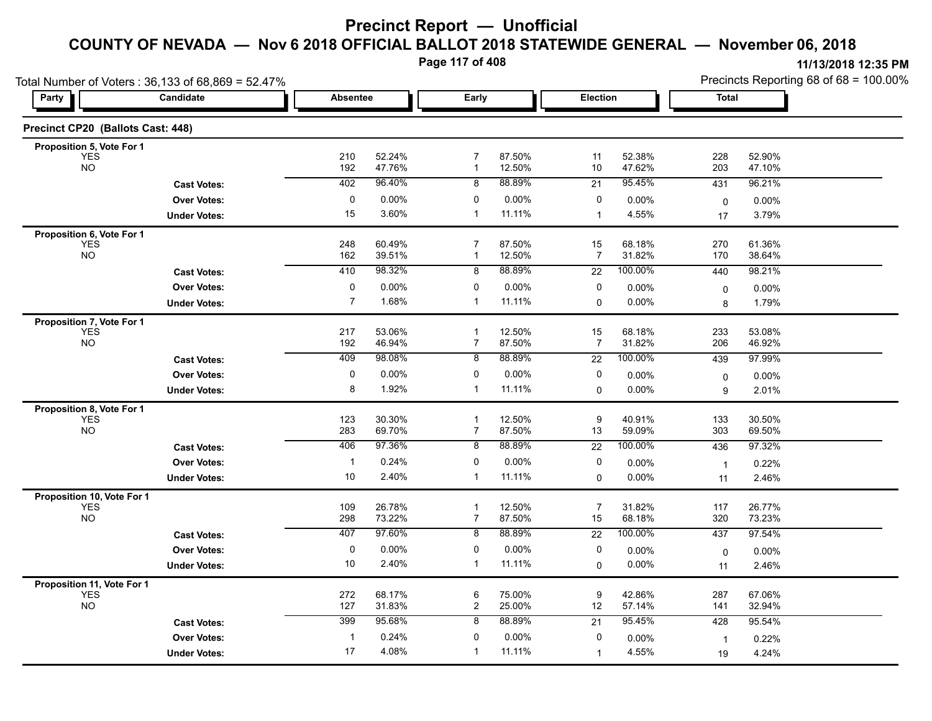**Page 117 of 408**

|                                   | Total Number of Voters: 36,133 of 68,869 = 52.47% |                 |                  |                                |                  |                      | Precincts Reporting 68 of 68 = 100.00% |                      |                  |
|-----------------------------------|---------------------------------------------------|-----------------|------------------|--------------------------------|------------------|----------------------|----------------------------------------|----------------------|------------------|
| Party                             | Candidate                                         | <b>Absentee</b> |                  | Early                          |                  | Election             |                                        | <b>Total</b>         |                  |
| Precinct CP20 (Ballots Cast: 448) |                                                   |                 |                  |                                |                  |                      |                                        |                      |                  |
| Proposition 5, Vote For 1         |                                                   |                 |                  |                                |                  |                      |                                        |                      |                  |
| <b>YES</b><br><b>NO</b>           |                                                   | 210<br>192      | 52.24%<br>47.76% | $\overline{7}$<br>$\mathbf{1}$ | 87.50%<br>12.50% | 11<br>10             | 52.38%<br>47.62%                       | 228<br>203           | 52.90%<br>47.10% |
|                                   | <b>Cast Votes:</b>                                | 402             | 96.40%           | 8                              | 88.89%           | 21                   | 95.45%                                 | 431                  | 96.21%           |
|                                   | <b>Over Votes:</b>                                | 0               | $0.00\%$         | 0                              | 0.00%            | 0                    | $0.00\%$                               | $\mathbf 0$          | 0.00%            |
|                                   | <b>Under Votes:</b>                               | 15              | 3.60%            | $\mathbf 1$                    | 11.11%           | $\mathbf 1$          | 4.55%                                  | 17                   | 3.79%            |
| Proposition 6, Vote For 1         |                                                   |                 |                  |                                |                  |                      |                                        |                      |                  |
| <b>YES</b><br><b>NO</b>           |                                                   | 248<br>162      | 60.49%<br>39.51% | $\overline{7}$<br>$\mathbf{1}$ | 87.50%<br>12.50% | 15<br>7              | 68.18%<br>31.82%                       | 270<br>170           | 61.36%<br>38.64% |
|                                   | <b>Cast Votes:</b>                                | 410             | 98.32%           | 8                              | 88.89%           | 22                   | 100.00%                                | 440                  | 98.21%           |
|                                   | <b>Over Votes:</b>                                | 0               | $0.00\%$         | 0                              | 0.00%            | 0                    | 0.00%                                  | 0                    | 0.00%            |
|                                   | <b>Under Votes:</b>                               | $\overline{7}$  | 1.68%            | $\mathbf 1$                    | 11.11%           | $\Omega$             | 0.00%                                  | 8                    | 1.79%            |
| Proposition 7, Vote For 1         |                                                   |                 |                  |                                |                  |                      |                                        |                      |                  |
| <b>YES</b><br><b>NO</b>           |                                                   | 217<br>192      | 53.06%<br>46.94% | $\mathbf 1$<br>$\overline{7}$  | 12.50%<br>87.50% | 15<br>$\overline{7}$ | 68.18%<br>31.82%                       | 233<br>206           | 53.08%<br>46.92% |
|                                   | <b>Cast Votes:</b>                                | 409             | 98.08%           | 8                              | 88.89%           | $\overline{22}$      | 100.00%                                | 439                  | 97.99%           |
|                                   | <b>Over Votes:</b>                                | 0               | 0.00%            | 0                              | 0.00%            | 0                    | 0.00%                                  | 0                    | 0.00%            |
|                                   | <b>Under Votes:</b>                               | 8               | 1.92%            | 1                              | 11.11%           | 0                    | 0.00%                                  | 9                    | 2.01%            |
| Proposition 8, Vote For 1         |                                                   |                 |                  |                                |                  |                      |                                        |                      |                  |
| <b>YES</b><br><b>NO</b>           |                                                   | 123<br>283      | 30.30%<br>69.70% | $\mathbf{1}$<br>$\overline{7}$ | 12.50%<br>87.50% | 9<br>13              | 40.91%<br>59.09%                       | 133<br>303           | 30.50%<br>69.50% |
|                                   | <b>Cast Votes:</b>                                | 406             | 97.36%           | 8                              | 88.89%           | $\overline{22}$      | 100.00%                                | 436                  | 97.32%           |
|                                   | <b>Over Votes:</b>                                | $\mathbf{1}$    | 0.24%            | 0                              | 0.00%            | 0                    | $0.00\%$                               | $\overline{1}$       | 0.22%            |
|                                   | <b>Under Votes:</b>                               | 10              | 2.40%            | 1                              | 11.11%           | 0                    | 0.00%                                  | 11                   | 2.46%            |
| Proposition 10, Vote For 1        |                                                   |                 |                  |                                |                  |                      |                                        |                      |                  |
| <b>YES</b><br><b>NO</b>           |                                                   | 109<br>298      | 26.78%<br>73.22% | $\mathbf 1$<br>$\overline{7}$  | 12.50%<br>87.50% | $\overline{7}$<br>15 | 31.82%<br>68.18%                       | 117<br>320           | 26.77%<br>73.23% |
|                                   | <b>Cast Votes:</b>                                | 407             | 97.60%           | 8                              | 88.89%           | 22                   | 100.00%                                | 437                  | 97.54%           |
|                                   | <b>Over Votes:</b>                                | $\mathbf 0$     | $0.00\%$         | 0                              | 0.00%            | 0                    | $0.00\%$                               | 0                    | 0.00%            |
|                                   | <b>Under Votes:</b>                               | 10              | 2.40%            | 1                              | 11.11%           | $\mathbf 0$          | 0.00%                                  | 11                   | 2.46%            |
| Proposition 11, Vote For 1        |                                                   |                 |                  |                                |                  |                      |                                        |                      |                  |
| <b>YES</b><br><b>NO</b>           |                                                   | 272<br>127      | 68.17%<br>31.83% | 6<br>$\overline{2}$            | 75.00%<br>25.00% | 9<br>12              | 42.86%<br>57.14%                       | 287<br>141           | 67.06%<br>32.94% |
|                                   | <b>Cast Votes:</b>                                | 399             | 95.68%           | 8                              | 88.89%           | 21                   | 95.45%                                 | 428                  | 95.54%           |
|                                   | <b>Over Votes:</b>                                | $\mathbf{1}$    | 0.24%            | 0                              | 0.00%            | 0                    | 0.00%                                  |                      | 0.22%            |
|                                   | <b>Under Votes:</b>                               | 17              | 4.08%            | $\mathbf{1}$                   | 11.11%           | $\mathbf 1$          | 4.55%                                  | $\overline{1}$<br>19 | 4.24%            |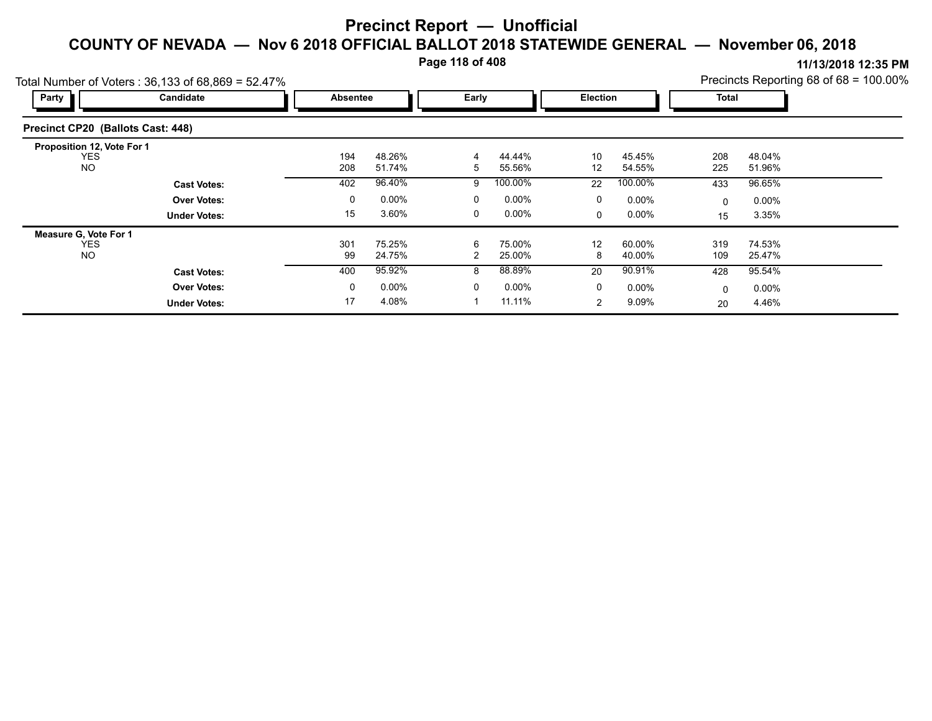**Page 118 of 408**

|                                   | Precincts Reporting 68 of 68 = 100.00%<br>Total Number of Voters: 36,133 of 68,869 = 52.47% |  |              |          |                |          |                 |          |              |          |  |  |  |
|-----------------------------------|---------------------------------------------------------------------------------------------|--|--------------|----------|----------------|----------|-----------------|----------|--------------|----------|--|--|--|
| Party                             | Candidate                                                                                   |  | Absentee     |          | Early          |          | <b>Election</b> |          | <b>Total</b> |          |  |  |  |
| Precinct CP20 (Ballots Cast: 448) |                                                                                             |  |              |          |                |          |                 |          |              |          |  |  |  |
| Proposition 12, Vote For 1        |                                                                                             |  |              |          |                |          |                 |          |              |          |  |  |  |
| <b>YES</b>                        |                                                                                             |  | 194          | 48.26%   | 4              | 44.44%   | 10              | 45.45%   | 208          | 48.04%   |  |  |  |
| <b>NO</b>                         |                                                                                             |  | 208          | 51.74%   | 5              | 55.56%   | 12              | 54.55%   | 225          | 51.96%   |  |  |  |
|                                   | <b>Cast Votes:</b>                                                                          |  | 402          | 96.40%   | 9              | 100.00%  | 22              | 100.00%  | 433          | 96.65%   |  |  |  |
|                                   | <b>Over Votes:</b>                                                                          |  | 0            | $0.00\%$ | 0              | $0.00\%$ | 0               | $0.00\%$ | $\Omega$     | $0.00\%$ |  |  |  |
|                                   | <b>Under Votes:</b>                                                                         |  | 15           | 3.60%    | 0              | $0.00\%$ | $\mathbf{0}$    | $0.00\%$ | 15           | 3.35%    |  |  |  |
| <b>Measure G. Vote For 1</b>      |                                                                                             |  |              |          |                |          |                 |          |              |          |  |  |  |
| <b>YES</b>                        |                                                                                             |  | 301          | 75.25%   | 6              | 75.00%   | 12              | 60.00%   | 319          | 74.53%   |  |  |  |
| <b>NO</b>                         |                                                                                             |  | 99           | 24.75%   | $\overline{2}$ | 25.00%   | 8               | 40.00%   | 109          | 25.47%   |  |  |  |
|                                   | <b>Cast Votes:</b>                                                                          |  | 400          | 95.92%   | 8              | 88.89%   | 20              | 90.91%   | 428          | 95.54%   |  |  |  |
|                                   | <b>Over Votes:</b>                                                                          |  | $\mathbf{0}$ | $0.00\%$ | 0              | $0.00\%$ | 0               | $0.00\%$ | $\Omega$     | $0.00\%$ |  |  |  |
|                                   | <b>Under Votes:</b>                                                                         |  | 17           | 4.08%    |                | 11.11%   | 2               | 9.09%    | 20           | 4.46%    |  |  |  |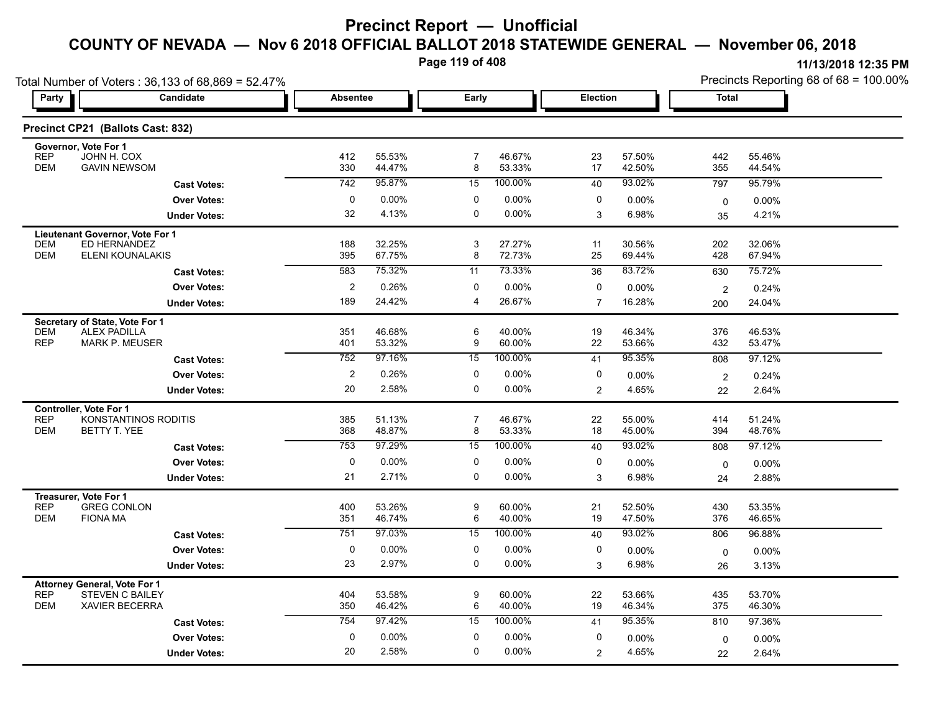**Page 119 of 408**

|                                                                                                                    | Total Number of Voters: 36,133 of 68,869 = 52.47% |                 |                  |                       |                  |                |                  | Precincts Reporting 68 of 68 = 100.00% |                  |  |
|--------------------------------------------------------------------------------------------------------------------|---------------------------------------------------|-----------------|------------------|-----------------------|------------------|----------------|------------------|----------------------------------------|------------------|--|
| <b>Party</b>                                                                                                       | Candidate                                         | <b>Absentee</b> |                  | Early                 |                  | Election       |                  | <b>Total</b>                           |                  |  |
| Precinct CP21 (Ballots Cast: 832)                                                                                  |                                                   |                 |                  |                       |                  |                |                  |                                        |                  |  |
| Governor, Vote For 1<br><b>REP</b><br>JOHN H. COX<br><b>DEM</b><br><b>GAVIN NEWSOM</b>                             |                                                   | 412<br>330      | 55.53%<br>44 47% | $\overline{7}$<br>8   | 46.67%<br>53.33% | 23<br>17       | 57.50%<br>42.50% | 442<br>355                             | 55.46%<br>44.54% |  |
|                                                                                                                    | <b>Cast Votes:</b>                                | 742             | 95.87%           | 15                    | 100.00%          | 40             | 93.02%           | 797                                    | 95.79%           |  |
|                                                                                                                    | <b>Over Votes:</b>                                | 0               | 0.00%            | 0                     | 0.00%            | 0              | 0.00%            | $\mathbf 0$                            | $0.00\%$         |  |
|                                                                                                                    | <b>Under Votes:</b>                               | 32              | 4.13%            | $\mathbf 0$           | 0.00%            | 3              | 6.98%            | 35                                     | 4.21%            |  |
| Lieutenant Governor, Vote For 1<br><b>DEM</b><br>ED HERNANDEZ                                                      |                                                   | 188             | 32.25%           | 3                     | 27.27%           | 11             | 30.56%           | 202                                    | 32.06%           |  |
| <b>DEM</b><br><b>ELENI KOUNALAKIS</b>                                                                              |                                                   | 395             | 67.75%           | 8                     | 72.73%           | 25             | 69.44%           | 428                                    | 67.94%           |  |
|                                                                                                                    | <b>Cast Votes:</b>                                | 583             | 75.32%           | 11                    | 73.33%           | 36             | 83.72%           | 630                                    | 75.72%           |  |
|                                                                                                                    | <b>Over Votes:</b>                                | $\overline{c}$  | 0.26%            | 0                     | 0.00%            | 0              | 0.00%            | $\overline{2}$                         | 0.24%            |  |
|                                                                                                                    | <b>Under Votes:</b>                               | 189             | 24.42%           | $\overline{4}$        | 26.67%           | $\overline{7}$ | 16.28%           | 200                                    | 24.04%           |  |
| Secretary of State, Vote For 1<br><b>DEM</b><br><b>ALEX PADILLA</b><br><b>REP</b><br><b>MARK P. MEUSER</b>         |                                                   | 351<br>401      | 46.68%<br>53.32% | 6<br>9                | 40.00%<br>60.00% | 19<br>22       | 46.34%<br>53.66% | 376<br>432                             | 46.53%<br>53.47% |  |
|                                                                                                                    | <b>Cast Votes:</b>                                | 752             | 97.16%           | 15                    | 100.00%          | 41             | 95.35%           | 808                                    | 97.12%           |  |
|                                                                                                                    | <b>Over Votes:</b>                                | $\overline{c}$  | 0.26%            | 0                     | 0.00%            | 0              | 0.00%            | $\boldsymbol{2}$                       | 0.24%            |  |
|                                                                                                                    | <b>Under Votes:</b>                               | 20              | 2.58%            | $\mathbf 0$           | 0.00%            | $\overline{2}$ | 4.65%            | 22                                     | 2.64%            |  |
| <b>Controller. Vote For 1</b><br><b>REP</b><br><b>DEM</b><br>BETTY T. YEE                                          | KONSTANTINOS RODITIS                              | 385<br>368      | 51.13%<br>48.87% | $\overline{7}$<br>8   | 46.67%<br>53.33% | 22<br>18       | 55.00%<br>45.00% | 414<br>394                             | 51.24%<br>48.76% |  |
|                                                                                                                    | <b>Cast Votes:</b>                                | 753             | 97.29%           | 15                    | 100.00%          | 40             | 93.02%           | 808                                    | 97.12%           |  |
|                                                                                                                    | <b>Over Votes:</b>                                | 0               | 0.00%            | 0                     | 0.00%            | 0              | 0.00%            | $\mathbf 0$                            | $0.00\%$         |  |
|                                                                                                                    | <b>Under Votes:</b>                               | 21              | 2.71%            | $\mathbf 0$           | 0.00%            | 3              | 6.98%            | 24                                     | 2.88%            |  |
| Treasurer, Vote For 1<br><b>REP</b><br><b>GREG CONLON</b><br><b>DEM</b><br><b>FIONA MA</b>                         |                                                   | 400<br>351      | 53.26%<br>46.74% | $\boldsymbol{9}$<br>6 | 60.00%<br>40.00% | 21<br>19       | 52.50%<br>47.50% | 430<br>376                             | 53.35%<br>46.65% |  |
|                                                                                                                    | <b>Cast Votes:</b>                                | 751             | 97.03%           | 15                    | 100.00%          | 40             | 93.02%           | 806                                    | 96.88%           |  |
|                                                                                                                    | <b>Over Votes:</b>                                | 0               | 0.00%            | 0                     | 0.00%            | 0              | 0.00%            | 0                                      | 0.00%            |  |
|                                                                                                                    | <b>Under Votes:</b>                               | 23              | 2.97%            | 0                     | 0.00%            | 3              | 6.98%            | 26                                     | 3.13%            |  |
| <b>Attorney General, Vote For 1</b><br><b>REP</b><br><b>STEVEN C BAILEY</b><br><b>DEM</b><br><b>XAVIER BECERRA</b> |                                                   | 404<br>350      | 53.58%<br>46.42% | 9<br>6                | 60.00%<br>40.00% | 22<br>19       | 53.66%<br>46.34% | 435<br>375                             | 53.70%<br>46.30% |  |
|                                                                                                                    | <b>Cast Votes:</b>                                | 754             | 97.42%           | 15                    | 100.00%          | 41             | 95.35%           | 810                                    | 97.36%           |  |
|                                                                                                                    | <b>Over Votes:</b>                                | 0               | 0.00%            | 0                     | 0.00%            | 0              | 0.00%            | $\mathbf 0$                            | 0.00%            |  |
|                                                                                                                    | <b>Under Votes:</b>                               | 20              | 2.58%            | $\mathbf 0$           | 0.00%            | $\overline{2}$ | 4.65%            | 22                                     | 2.64%            |  |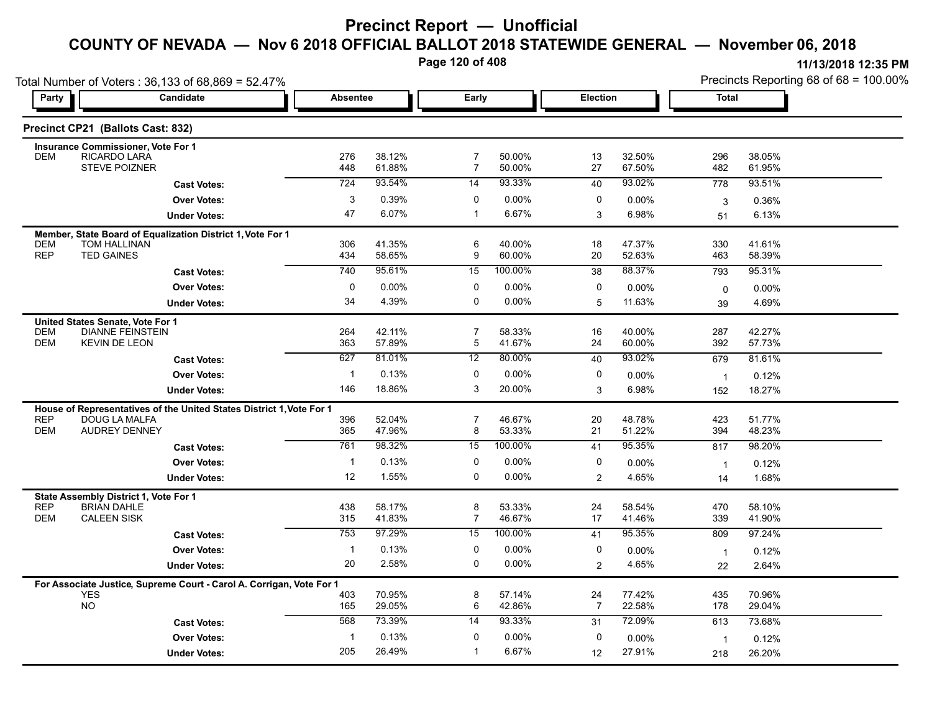**Page 120 of 408**

**11/13/2018 12:35 PM**

|                          | Total Number of Voters: 36,133 of 68,869 = 52.47%<br>Candidate       | <b>Absentee</b> |                  | Early                            |                  | Election |                  | Precincts Reporting 68 of 68 = 100.00%<br><b>Total</b> |                  |  |
|--------------------------|----------------------------------------------------------------------|-----------------|------------------|----------------------------------|------------------|----------|------------------|--------------------------------------------------------|------------------|--|
| Party                    |                                                                      |                 |                  |                                  |                  |          |                  |                                                        |                  |  |
|                          | Precinct CP21 (Ballots Cast: 832)                                    |                 |                  |                                  |                  |          |                  |                                                        |                  |  |
|                          | <b>Insurance Commissioner, Vote For 1</b>                            |                 |                  |                                  |                  |          |                  |                                                        |                  |  |
| <b>DEM</b>               | RICARDO LARA<br><b>STEVE POIZNER</b>                                 | 276<br>448      | 38.12%<br>61.88% | $\overline{7}$<br>$\overline{7}$ | 50.00%<br>50.00% | 13<br>27 | 32.50%<br>67.50% | 296<br>482                                             | 38.05%<br>61.95% |  |
|                          | <b>Cast Votes:</b>                                                   | 724             | 93.54%           | $\overline{14}$                  | 93.33%           | 40       | 93.02%           | 778                                                    | 93.51%           |  |
|                          | <b>Over Votes:</b>                                                   | $\sqrt{3}$      | 0.39%            | 0                                | 0.00%            | 0        | $0.00\%$         | 3                                                      | 0.36%            |  |
|                          | <b>Under Votes:</b>                                                  | 47              | 6.07%            | $\mathbf{1}$                     | 6.67%            | 3        | 6.98%            | 51                                                     | 6.13%            |  |
|                          | Member, State Board of Equalization District 1, Vote For 1           |                 |                  |                                  |                  |          |                  |                                                        |                  |  |
| <b>DEM</b><br><b>REP</b> | TOM HALLINAN<br><b>TED GAINES</b>                                    | 306<br>434      | 41.35%<br>58.65% | 6<br>9                           | 40.00%<br>60.00% | 18<br>20 | 47.37%<br>52.63% | 330<br>463                                             | 41.61%<br>58.39% |  |
|                          | <b>Cast Votes:</b>                                                   | 740             | 95.61%           | $\overline{15}$                  | 100.00%          | 38       | 88.37%           | 793                                                    | 95.31%           |  |
|                          | <b>Over Votes:</b>                                                   | $\mathbf 0$     | 0.00%            | 0                                | $0.00\%$         | 0        | 0.00%            |                                                        | 0.00%            |  |
|                          | <b>Under Votes:</b>                                                  | 34              | 4.39%            | $\mathbf 0$                      | $0.00\%$         | 5        | 11.63%           | 0<br>39                                                | 4.69%            |  |
|                          |                                                                      |                 |                  |                                  |                  |          |                  |                                                        |                  |  |
| <b>DEM</b>               | United States Senate, Vote For 1<br><b>DIANNE FEINSTEIN</b>          | 264             | 42.11%           | $\overline{7}$                   | 58.33%           | 16       | 40.00%           | 287                                                    | 42.27%           |  |
| <b>DEM</b>               | <b>KEVIN DE LEON</b>                                                 | 363             | 57.89%           | 5                                | 41.67%           | 24       | 60.00%           | 392                                                    | 57.73%           |  |
|                          | <b>Cast Votes:</b>                                                   | 627             | 81.01%           | 12                               | 80.00%           | 40       | 93.02%           | 679                                                    | 81.61%           |  |
|                          | <b>Over Votes:</b>                                                   | $\mathbf{1}$    | 0.13%            | 0                                | $0.00\%$         | 0        | 0.00%            | $\overline{1}$                                         | 0.12%            |  |
|                          | <b>Under Votes:</b>                                                  | 146             | 18.86%           | 3                                | 20.00%           | 3        | 6.98%            | 152                                                    | 18.27%           |  |
|                          | House of Representatives of the United States District 1, Vote For 1 |                 |                  |                                  |                  |          |                  |                                                        |                  |  |
| <b>REP</b><br><b>DEM</b> | DOUG LA MALFA<br>AUDREY DENNEY                                       | 396<br>365      | 52.04%<br>47.96% | $\overline{7}$<br>8              | 46.67%<br>53.33% | 20<br>21 | 48.78%<br>51.22% | 423<br>394                                             | 51.77%<br>48.23% |  |
|                          | <b>Cast Votes:</b>                                                   | 761             | 98.32%           | 15                               | 100.00%          | 41       | 95.35%           | 817                                                    | 98.20%           |  |
|                          | <b>Over Votes:</b>                                                   | $\mathbf{1}$    | 0.13%            | 0                                | $0.00\%$         | 0        | 0.00%            |                                                        |                  |  |
|                          | <b>Under Votes:</b>                                                  | 12              | 1.55%            | $\mathbf 0$                      | $0.00\%$         | 2        | 4.65%            | $\overline{1}$<br>14                                   | 0.12%<br>1.68%   |  |
|                          |                                                                      |                 |                  |                                  |                  |          |                  |                                                        |                  |  |
| <b>REP</b>               | State Assembly District 1, Vote For 1<br><b>BRIAN DAHLE</b>          | 438             | 58.17%           | 8                                | 53.33%           | 24       | 58.54%           | 470                                                    | 58.10%           |  |
| <b>DEM</b>               | <b>CALEEN SISK</b>                                                   | 315             | 41.83%           | $\overline{7}$                   | 46.67%           | 17       | 41.46%           | 339                                                    | 41.90%           |  |
|                          | <b>Cast Votes:</b>                                                   | 753             | 97.29%           | 15                               | 100.00%          | 41       | 95.35%           | 809                                                    | 97.24%           |  |
|                          | <b>Over Votes:</b>                                                   | $\mathbf{1}$    | 0.13%            | 0                                | $0.00\%$         | 0        | 0.00%            | $\overline{1}$                                         | 0.12%            |  |
|                          | <b>Under Votes:</b>                                                  | 20              | 2.58%            | $\mathbf 0$                      | $0.00\%$         | 2        | 4.65%            | 22                                                     | 2.64%            |  |
|                          | For Associate Justice, Supreme Court - Carol A. Corrigan, Vote For 1 |                 |                  |                                  |                  |          |                  |                                                        |                  |  |
|                          | <b>YES</b><br><b>NO</b>                                              | 403             | 70.95%           | 8                                | 57.14%           | 24       | 77.42%           | 435                                                    | 70.96%           |  |

26.49% 205

0 0.00% 1 6.67%

**Under Votes: Over Votes:** 0.13%

**Cast Votes:** 568 73.39% 14 93.33% 72.09% 613 73.68% 568 73.39%

0.00% 0

12

27.91%

1 0.12%

0.00% 1

27.91% 26.20% 218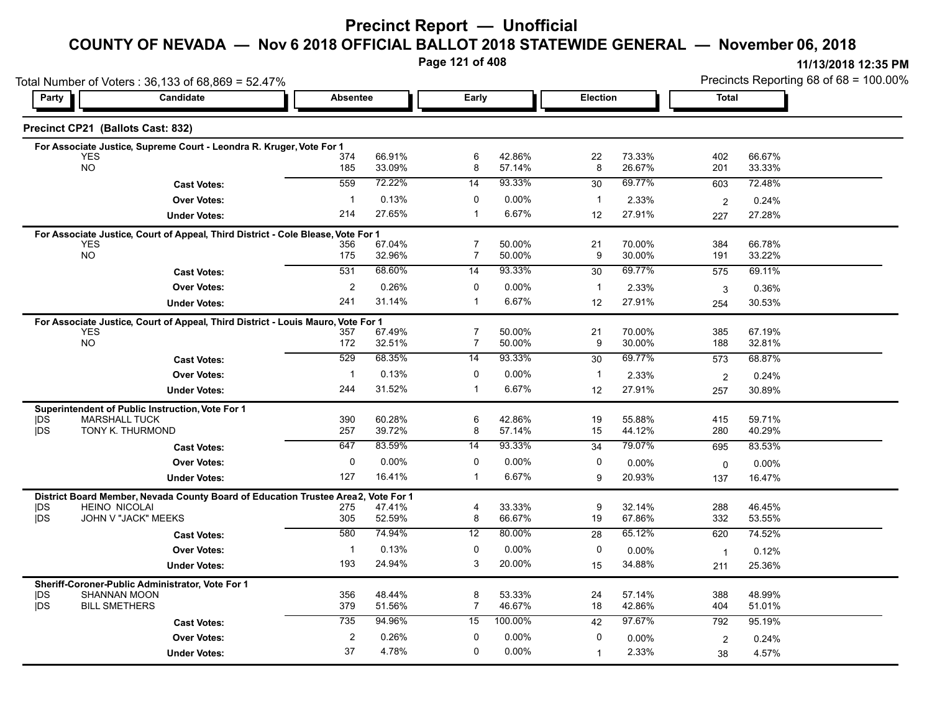**Page 121 of 408**

|                         | Total Number of Voters: 36,133 of 68,869 = 52.47%                                |                       |                  |                                  |                  |                    |                  | Precincts Reporting 68 of 68 = 100.00% |                  |  |
|-------------------------|----------------------------------------------------------------------------------|-----------------------|------------------|----------------------------------|------------------|--------------------|------------------|----------------------------------------|------------------|--|
| Party                   | <b>Candidate</b><br><b>Absentee</b><br>Early                                     |                       |                  | Election                         |                  | Total              |                  |                                        |                  |  |
|                         | Precinct CP21 (Ballots Cast: 832)                                                |                       |                  |                                  |                  |                    |                  |                                        |                  |  |
|                         | For Associate Justice, Supreme Court - Leondra R. Kruger, Vote For 1             |                       |                  |                                  |                  |                    |                  |                                        |                  |  |
| YES<br><b>NO</b>        |                                                                                  | 374<br>185            | 66.91%<br>33.09% | 6<br>8                           | 42.86%<br>57.14% | 22<br>8            | 73.33%<br>26.67% | 402<br>201                             | 66.67%<br>33.33% |  |
|                         | <b>Cast Votes:</b>                                                               | 559                   | 72.22%           | 14                               | 93.33%           | 30                 | 69.77%           | 603                                    | 72.48%           |  |
|                         | <b>Over Votes:</b>                                                               | $\mathbf{1}$          | 0.13%            | 0                                | 0.00%            | $\mathbf{1}$       | 2.33%            | $\overline{2}$                         | 0.24%            |  |
|                         | <b>Under Votes:</b>                                                              | 214                   | 27.65%           | $\mathbf 1$                      | 6.67%            | 12                 | 27.91%           | 227                                    | 27.28%           |  |
|                         | For Associate Justice, Court of Appeal, Third District - Cole Blease, Vote For 1 |                       |                  |                                  |                  |                    |                  |                                        |                  |  |
| <b>YES</b><br><b>NO</b> |                                                                                  | 356<br>175            | 67.04%<br>32.96% | $\overline{7}$<br>$\overline{7}$ | 50.00%<br>50.00% | 21<br>9            | 70.00%<br>30.00% | 384<br>191                             | 66.78%<br>33.22% |  |
|                         | <b>Cast Votes:</b>                                                               | 531                   | 68.60%           | 14                               | 93.33%           | 30                 | 69.77%           | 575                                    | 69.11%           |  |
|                         | <b>Over Votes:</b>                                                               |                       | 0.26%            | 0                                | 0.00%            |                    |                  |                                        |                  |  |
|                         | <b>Under Votes:</b>                                                              | $\overline{c}$<br>241 | 31.14%           | $\mathbf 1$                      | 6.67%            | $\mathbf{1}$<br>12 | 2.33%<br>27.91%  | 3                                      | 0.36%            |  |
|                         |                                                                                  |                       |                  |                                  |                  |                    |                  | 254                                    | 30.53%           |  |
| <b>YES</b>              | For Associate Justice, Court of Appeal, Third District - Louis Mauro, Vote For 1 | 357                   | 67.49%           | $\overline{7}$                   | 50.00%           | 21                 | 70.00%           | 385                                    | 67.19%           |  |
| <b>NO</b>               |                                                                                  | 172                   | 32.51%           | $\overline{7}$                   | 50.00%           | 9                  | 30.00%           | 188                                    | 32.81%           |  |
|                         | <b>Cast Votes:</b>                                                               | 529                   | 68 35%           | 14                               | 93.33%           | 30                 | 69.77%           | 573                                    | 68.87%           |  |
|                         | <b>Over Votes:</b>                                                               | $\mathbf{1}$          | 0.13%            | 0                                | 0.00%            | $\mathbf{1}$       | 2.33%            | $\overline{2}$                         | 0.24%            |  |
|                         | <b>Under Votes:</b>                                                              | 244                   | 31.52%           | $\mathbf 1$                      | 6.67%            | 12                 | 27.91%           | 257                                    | 30.89%           |  |
|                         | Superintendent of Public Instruction, Vote For 1                                 |                       |                  |                                  |                  |                    |                  |                                        |                  |  |
| <b>IDS</b>              | <b>MARSHALL TUCK</b>                                                             | 390                   | 60.28%           | 6                                | 42.86%           | 19                 | 55.88%           | 415                                    | 59.71%           |  |
| <b>IDS</b>              | TONY K. THURMOND                                                                 | 257                   | 39.72%           | 8                                | 57.14%           | 15                 | 44.12%           | 280                                    | 40.29%           |  |
|                         | <b>Cast Votes:</b>                                                               | 647                   | 83.59%           | 14                               | 93.33%           | 34                 | 79.07%           | 695                                    | 83.53%           |  |
|                         | <b>Over Votes:</b>                                                               | 0                     | $0.00\%$         | 0                                | 0.00%            | 0                  | 0.00%            | $\mathbf 0$                            | 0.00%            |  |
|                         | <b>Under Votes:</b>                                                              | 127                   | 16.41%           | $\mathbf 1$                      | 6.67%            | 9                  | 20.93%           | 137                                    | 16.47%           |  |
|                         | District Board Member, Nevada County Board of Education Trustee Area2,           |                       | Vote For 1       |                                  |                  |                    |                  |                                        |                  |  |
| DS<br><b>IDS</b>        | <b>HEINO NICOLAI</b><br>JOHN V "JACK" MEEKS                                      | 275<br>305            | 47.41%<br>52.59% | $\overline{4}$<br>8              | 33.33%<br>66.67% | 9<br>19            | 32.14%<br>67.86% | 288<br>332                             | 46.45%<br>53.55% |  |
|                         | <b>Cast Votes:</b>                                                               | 580                   | 74.94%           | 12                               | 80.00%           | 28                 | 65.12%           | 620                                    | 74.52%           |  |
|                         |                                                                                  |                       |                  | 0                                |                  | 0                  |                  |                                        |                  |  |
|                         | <b>Over Votes:</b>                                                               | $\mathbf{1}$<br>193   | 0.13%<br>24.94%  | 3                                | 0.00%<br>20.00%  |                    | $0.00\%$         | $\overline{1}$                         | 0.12%            |  |
|                         | <b>Under Votes:</b>                                                              |                       |                  |                                  |                  | 15                 | 34.88%           | 211                                    | 25.36%           |  |
| <b>IDS</b>              | Sheriff-Coroner-Public Administrator, Vote For 1<br><b>SHANNAN MOON</b>          | 356                   | 48.44%           | 8                                | 53.33%           | 24                 | 57.14%           | 388                                    | 48.99%           |  |
| <b>IDS</b>              | <b>BILL SMETHERS</b>                                                             | 379                   | 51.56%           | $\overline{7}$                   | 46.67%           | 18                 | 42.86%           | 404                                    | 51.01%           |  |
|                         | <b>Cast Votes:</b>                                                               | 735                   | 94.96%           | 15                               | 100.00%          | 42                 | 97.67%           | 792                                    | 95.19%           |  |
|                         | <b>Over Votes:</b>                                                               | $\overline{c}$        | 0.26%            | 0                                | 0.00%            | 0                  | $0.00\%$         | 2                                      | 0.24%            |  |
|                         | <b>Under Votes:</b>                                                              | 37                    | 4.78%            | $\mathbf{0}$                     | 0.00%            | $\mathbf 1$        | 2.33%            | 38                                     | 4.57%            |  |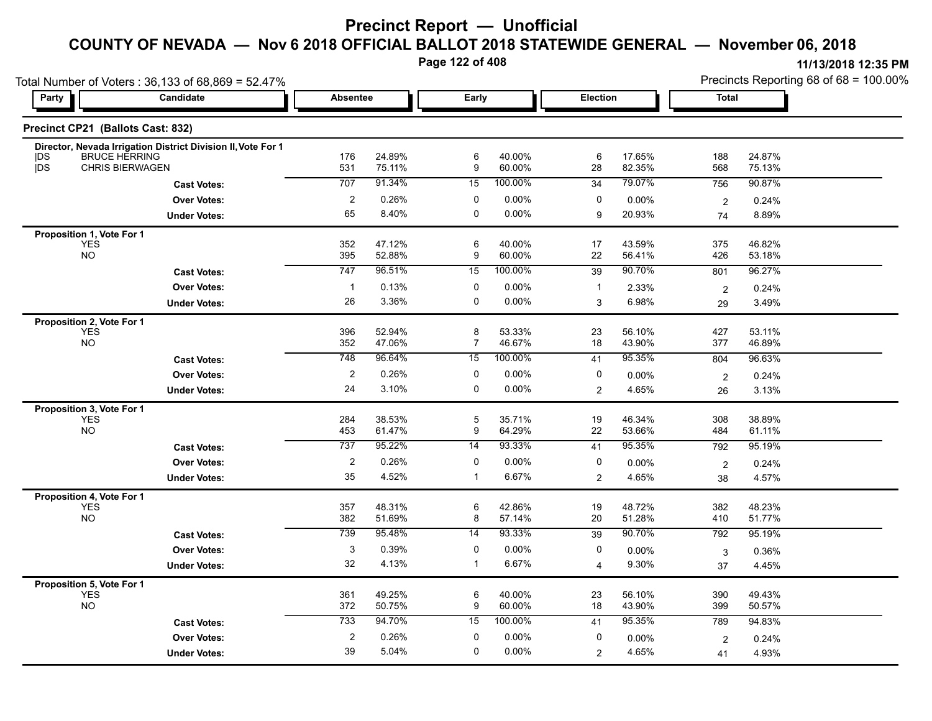**Page 122 of 408**

Precincts Reporting 68 of 68 = 100.00%

| Total Number of Voters: 36,133 of 68,869 = 52.47%                         |                                                              |                         |                  |                  |                   |                 | Precincts Reporting 68 of 68 = 100.00% |                  |                  |
|---------------------------------------------------------------------------|--------------------------------------------------------------|-------------------------|------------------|------------------|-------------------|-----------------|----------------------------------------|------------------|------------------|
| Party                                                                     | Candidate                                                    | <b>Absentee</b>         |                  | Early            |                   | <b>Election</b> |                                        | <b>Total</b>     |                  |
| Precinct CP21 (Ballots Cast: 832)                                         |                                                              |                         |                  |                  |                   |                 |                                        |                  |                  |
|                                                                           | Director, Nevada Irrigation District Division II, Vote For 1 |                         |                  |                  |                   |                 |                                        |                  |                  |
| <b>BRUCE HERRING</b><br><b>IDS</b><br><b>DS</b><br><b>CHRIS BIERWAGEN</b> |                                                              | 176<br>531              | 24.89%<br>75.11% | 6<br>9           | 40.00%<br>60.00%  | 6<br>28         | 17.65%<br>82.35%                       | 188<br>568       | 24.87%<br>75.13% |
|                                                                           |                                                              | 707                     | 91.34%           | 15               | 100.00%           | 34              | 79.07%                                 | 756              | 90.87%           |
|                                                                           | <b>Cast Votes:</b>                                           | $\overline{2}$          | 0.26%            | 0                |                   | 0               |                                        |                  |                  |
|                                                                           | <b>Over Votes:</b>                                           | 65                      | 8.40%            | $\mathbf 0$      | 0.00%<br>$0.00\%$ |                 | $0.00\%$                               | $\overline{c}$   | 0.24%            |
|                                                                           | <b>Under Votes:</b>                                          |                         |                  |                  |                   | 9               | 20.93%                                 | 74               | 8.89%            |
| Proposition 1, Vote For 1                                                 |                                                              |                         |                  |                  |                   |                 |                                        |                  |                  |
| <b>YES</b><br><b>NO</b>                                                   |                                                              | 352<br>395              | 47.12%<br>52.88% | 6<br>9           | 40.00%<br>60.00%  | 17<br>22        | 43.59%<br>56.41%                       | 375<br>426       | 46.82%<br>53.18% |
|                                                                           | <b>Cast Votes:</b>                                           | 747                     | 96.51%           | 15               | 100.00%           | 39              | 90.70%                                 | 801              | 96.27%           |
|                                                                           | <b>Over Votes:</b>                                           | $\mathbf{1}$            | 0.13%            | 0                | 0.00%             | $\mathbf{1}$    | 2.33%                                  |                  | 0.24%            |
|                                                                           | <b>Under Votes:</b>                                          | 26                      | 3.36%            | $\mathbf 0$      | $0.00\%$          | 3               | 6.98%                                  | $\sqrt{2}$<br>29 | 3.49%            |
|                                                                           |                                                              |                         |                  |                  |                   |                 |                                        |                  |                  |
| Proposition 2, Vote For 1<br><b>YES</b>                                   |                                                              | 396                     | 52.94%           | $\bf 8$          | 53.33%            | 23              | 56.10%                                 | 427              | 53.11%           |
| <b>NO</b>                                                                 |                                                              | 352                     | 47.06%           | $\overline{7}$   | 46.67%            | 18              | 43.90%                                 | 377              | 46.89%           |
|                                                                           | <b>Cast Votes:</b>                                           | 748                     | 96.64%           | 15               | 100.00%           | 41              | 95.35%                                 | 804              | 96.63%           |
|                                                                           | <b>Over Votes:</b>                                           | $\overline{2}$          | 0.26%            | 0                | 0.00%             | 0               | 0.00%                                  | $\overline{c}$   | 0.24%            |
|                                                                           | <b>Under Votes:</b>                                          | 24                      | 3.10%            | $\mathbf 0$      | $0.00\%$          | $\overline{2}$  | 4.65%                                  | 26               | 3.13%            |
| Proposition 3, Vote For 1                                                 |                                                              |                         |                  |                  |                   |                 |                                        |                  |                  |
| <b>YES</b>                                                                |                                                              | 284                     | 38.53%           | $\overline{5}$   | 35.71%            | 19              | 46.34%                                 | 308              | 38.89%           |
| <b>NO</b>                                                                 |                                                              | 453                     | 61.47%           | $\boldsymbol{9}$ | 64.29%            | 22              | 53.66%                                 | 484              | 61.11%           |
|                                                                           | <b>Cast Votes:</b>                                           | 737                     | 95.22%           | 14               | 93.33%            | 41              | 95.35%                                 | 792              | 95.19%           |
|                                                                           | <b>Over Votes:</b>                                           | $\overline{2}$          | 0.26%            | 0                | 0.00%             | 0               | 0.00%                                  | $\overline{2}$   | 0.24%            |
|                                                                           | <b>Under Votes:</b>                                          | 35                      | 4.52%            | $\mathbf{1}$     | 6.67%             | $\overline{2}$  | 4.65%                                  | 38               | 4.57%            |
| Proposition 4, Vote For 1                                                 |                                                              |                         |                  |                  |                   |                 |                                        |                  |                  |
| <b>YES</b>                                                                |                                                              | 357                     | 48.31%           | 6                | 42.86%            | 19              | 48.72%                                 | 382              | 48.23%           |
| <b>NO</b>                                                                 |                                                              | 382                     | 51.69%           | 8                | 57.14%            | 20              | 51.28%                                 | 410              | 51.77%           |
|                                                                           | <b>Cast Votes:</b>                                           | 739                     | 95.48%           | 14               | 93.33%            | 39              | 90.70%                                 | 792              | 95.19%           |
|                                                                           | <b>Over Votes:</b>                                           | 3                       | 0.39%            | 0                | $0.00\%$          | 0               | 0.00%                                  | 3                | 0.36%            |
|                                                                           | <b>Under Votes:</b>                                          | 32                      | 4.13%            | $\mathbf{1}$     | 6.67%             | $\overline{4}$  | 9.30%                                  | 37               | 4.45%            |
| Proposition 5, Vote For 1                                                 |                                                              |                         |                  |                  |                   |                 |                                        |                  |                  |
| <b>YES</b>                                                                |                                                              | 361                     | 49.25%           | 6                | 40.00%            | 23              | 56.10%                                 | 390              | 49.43%           |
| <b>NO</b>                                                                 |                                                              | 372                     | 50.75%           | 9                | 60.00%            | 18              | 43.90%                                 | 399              | 50.57%           |
|                                                                           | <b>Cast Votes:</b>                                           | 733                     | 94.70%           | 15               | 100.00%           | 41              | 95.35%                                 | 789              | 94.83%           |
|                                                                           | <b>Over Votes:</b>                                           | $\overline{\mathbf{c}}$ | 0.26%            | 0                | 0.00%             | 0               | 0.00%                                  | $\overline{2}$   | 0.24%            |
|                                                                           | <b>Under Votes:</b>                                          | 39                      | 5.04%            | $\mathbf 0$      | 0.00%             | $\overline{2}$  | 4.65%                                  | 41               | 4.93%            |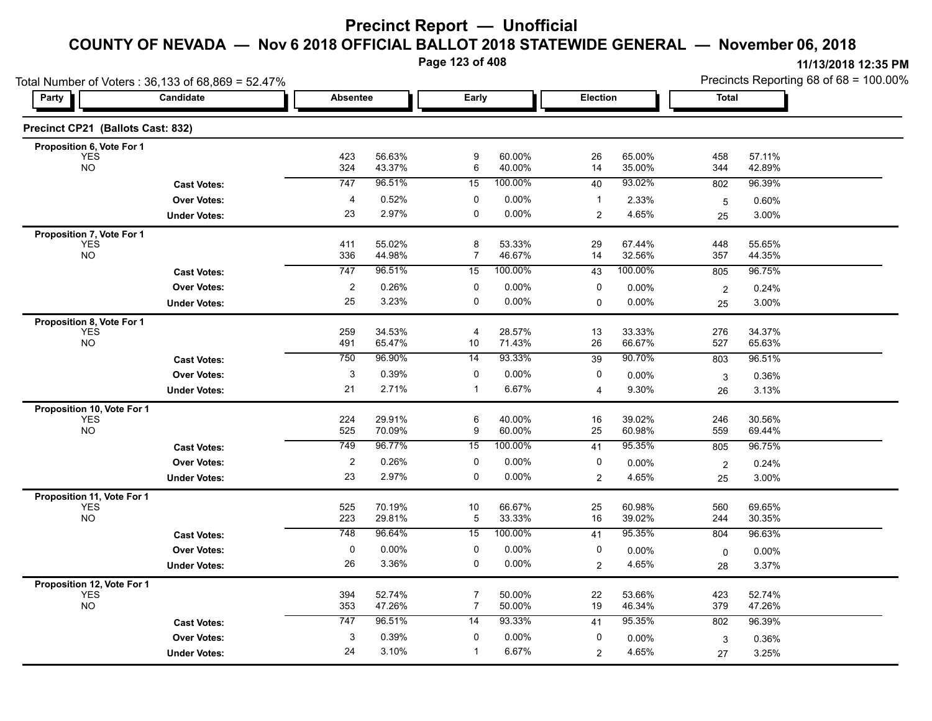**Page 123 of 408**

|                                   | Total Number of Voters: 36,133 of 68,869 = 52.47% |                  |                  |                                  |                  |                |                  | Precincts Reporting 68 of 68 = 100.00% |                  |  |
|-----------------------------------|---------------------------------------------------|------------------|------------------|----------------------------------|------------------|----------------|------------------|----------------------------------------|------------------|--|
| Party                             | Candidate                                         | <b>Absentee</b>  |                  | Early                            |                  | Election       |                  | <b>Total</b>                           |                  |  |
| Precinct CP21 (Ballots Cast: 832) |                                                   |                  |                  |                                  |                  |                |                  |                                        |                  |  |
| Proposition 6, Vote For 1         |                                                   | 423              | 56.63%           | $\boldsymbol{9}$                 | 60.00%           | 26             | 65.00%           | 458                                    | 57.11%           |  |
| <b>YES</b><br><b>NO</b>           |                                                   | 324              | 43.37%           | 6                                | 40.00%           | 14             | 35.00%           | 344                                    | 42.89%           |  |
|                                   | <b>Cast Votes:</b>                                | 747              | 96.51%           | 15                               | 100.00%          | 40             | 93.02%           | 802                                    | 96.39%           |  |
|                                   | <b>Over Votes:</b>                                | 4                | 0.52%            | 0                                | 0.00%            | $\mathbf{1}$   | 2.33%            | $\overline{5}$                         | 0.60%            |  |
|                                   | <b>Under Votes:</b>                               | 23               | 2.97%            | $\mathbf 0$                      | 0.00%            | 2              | 4.65%            | 25                                     | 3.00%            |  |
| Proposition 7, Vote For 1         |                                                   |                  |                  |                                  |                  |                |                  |                                        |                  |  |
| <b>YES</b><br><b>NO</b>           |                                                   | 411<br>336       | 55.02%<br>44.98% | 8<br>$\overline{7}$              | 53.33%<br>46.67% | 29<br>14       | 67.44%<br>32.56% | 448<br>357                             | 55.65%<br>44.35% |  |
|                                   | <b>Cast Votes:</b>                                | 747              | 96.51%           | 15                               | 100.00%          | 43             | 100.00%          | 805                                    | 96.75%           |  |
|                                   | <b>Over Votes:</b>                                | $\boldsymbol{2}$ | 0.26%            | 0                                | 0.00%            | 0              | 0.00%            | $\overline{2}$                         | 0.24%            |  |
|                                   | <b>Under Votes:</b>                               | 25               | 3.23%            | $\mathbf 0$                      | $0.00\%$         | 0              | 0.00%            | 25                                     | 3.00%            |  |
| Proposition 8, Vote For 1         |                                                   |                  |                  |                                  |                  |                |                  |                                        |                  |  |
| <b>YES</b>                        |                                                   | 259              | 34.53%           | 4                                | 28.57%           | 13             | 33.33%           | 276                                    | 34.37%           |  |
| <b>NO</b>                         |                                                   | 491              | 65.47%           | 10                               | 71.43%           | 26             | 66.67%           | 527                                    | 65.63%           |  |
|                                   | <b>Cast Votes:</b>                                | 750              | 96.90%           | 14                               | 93.33%           | 39             | 90.70%           | 803                                    | 96.51%           |  |
|                                   | <b>Over Votes:</b>                                | 3                | 0.39%            | 0                                | $0.00\%$         | 0              | 0.00%            | 3                                      | 0.36%            |  |
|                                   | <b>Under Votes:</b>                               | 21               | 2.71%            | $\mathbf{1}$                     | 6.67%            | 4              | 9.30%            | 26                                     | 3.13%            |  |
| Proposition 10, Vote For 1        |                                                   |                  |                  |                                  |                  |                |                  |                                        |                  |  |
| <b>YES</b><br><b>NO</b>           |                                                   | 224<br>525       | 29.91%<br>70.09% | 6<br>9                           | 40.00%<br>60.00% | 16<br>25       | 39.02%<br>60.98% | 246<br>559                             | 30.56%<br>69.44% |  |
|                                   | <b>Cast Votes:</b>                                | 749              | 96.77%           | 15                               | 100.00%          | 41             | 95.35%           | 805                                    | 96.75%           |  |
|                                   | <b>Over Votes:</b>                                | $\overline{2}$   | 0.26%            | 0                                | 0.00%            | 0              | 0.00%            | $\overline{2}$                         | 0.24%            |  |
|                                   | <b>Under Votes:</b>                               | 23               | 2.97%            | 0                                | 0.00%            | $\overline{2}$ | 4.65%            | 25                                     | 3.00%            |  |
| Proposition 11, Vote For 1        |                                                   |                  |                  |                                  |                  |                |                  |                                        |                  |  |
| <b>YES</b>                        |                                                   | 525              | 70.19%           | 10                               | 66.67%           | 25             | 60.98%           | 560                                    | 69.65%           |  |
| <b>NO</b>                         |                                                   | 223              | 29.81%           | $\overline{5}$                   | 33.33%           | 16             | 39.02%           | 244                                    | 30.35%           |  |
|                                   | <b>Cast Votes:</b>                                | 748              | 96.64%           | 15                               | 100.00%          | 41             | 95.35%           | 804                                    | 96.63%           |  |
|                                   | <b>Over Votes:</b>                                | $\pmb{0}$        | 0.00%            | 0                                | $0.00\%$         | 0              | 0.00%            | 0                                      | 0.00%            |  |
|                                   | <b>Under Votes:</b>                               | 26               | 3.36%            | 0                                | 0.00%            | $\overline{2}$ | 4.65%            | 28                                     | 3.37%            |  |
| Proposition 12, Vote For 1        |                                                   |                  |                  |                                  |                  |                |                  |                                        |                  |  |
| <b>YES</b><br><b>NO</b>           |                                                   | 394<br>353       | 52.74%<br>47.26% | $\overline{7}$<br>$\overline{7}$ | 50.00%<br>50.00% | 22<br>19       | 53.66%<br>46.34% | 423<br>379                             | 52.74%<br>47.26% |  |
|                                   | <b>Cast Votes:</b>                                | 747              | 96.51%           | 14                               | 93.33%           | 41             | 95.35%           | 802                                    | 96.39%           |  |
|                                   | <b>Over Votes:</b>                                | 3                | 0.39%            | 0                                | 0.00%            | 0              | 0.00%            |                                        |                  |  |
|                                   |                                                   | 24               | 3.10%            |                                  | 6.67%            |                | 4.65%            | 3                                      | 0.36%<br>3.25%   |  |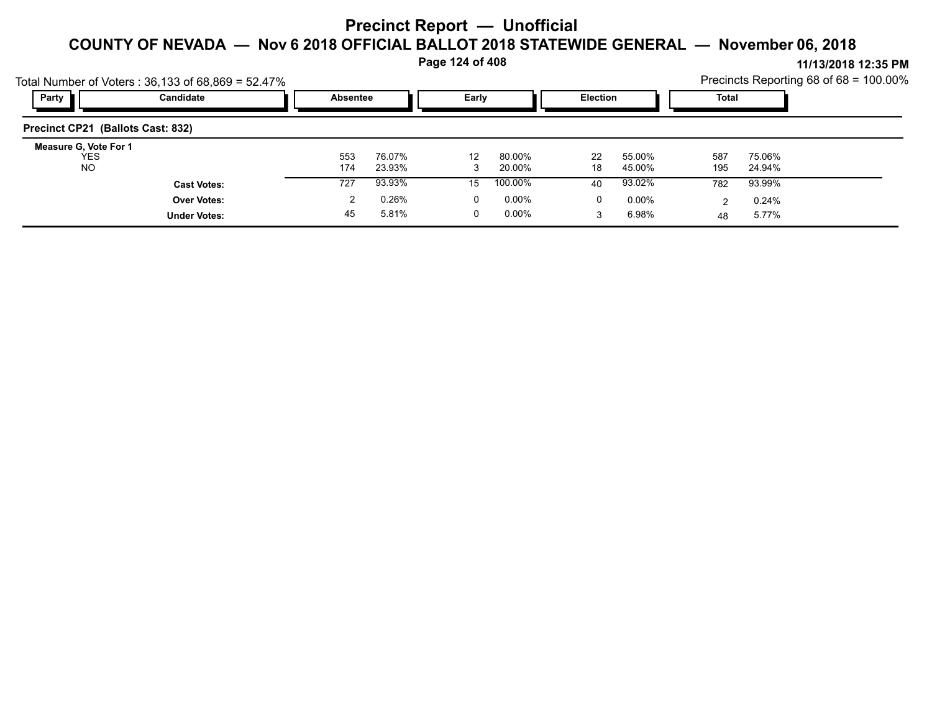**Page 124 of 408**

|                                           | Total Number of Voters: $36,133$ of $68,869 = 52.47\%$ |                 |                  |       |                  |                 |                  |            |                  | Precincts Reporting 68 of 68 = 100.00% |
|-------------------------------------------|--------------------------------------------------------|-----------------|------------------|-------|------------------|-----------------|------------------|------------|------------------|----------------------------------------|
| Party                                     | Candidate                                              | <b>Absentee</b> |                  | Early |                  | <b>Election</b> |                  | Total      |                  |                                        |
| Precinct CP21 (Ballots Cast: 832)         |                                                        |                 |                  |       |                  |                 |                  |            |                  |                                        |
| Measure G, Vote For 1<br>YES<br><b>NO</b> |                                                        | 553<br>174      | 76.07%<br>23.93% | 12    | 80.00%<br>20.00% | 22<br>18        | 55.00%<br>45.00% | 587<br>195 | 75.06%<br>24.94% |                                        |
|                                           | <b>Cast Votes:</b>                                     | 727             | 93.93%           | 15    | 100.00%          | 40              | 93.02%           | 782        | 93.99%           |                                        |
|                                           | <b>Over Votes:</b>                                     |                 | 0.26%            | 0     | $0.00\%$         | 0               | $0.00\%$         | າ          | 0.24%            |                                        |
|                                           | <b>Under Votes:</b>                                    | 45              | 5.81%            |       | $0.00\%$         |                 | 6.98%            | 48         | 5.77%            |                                        |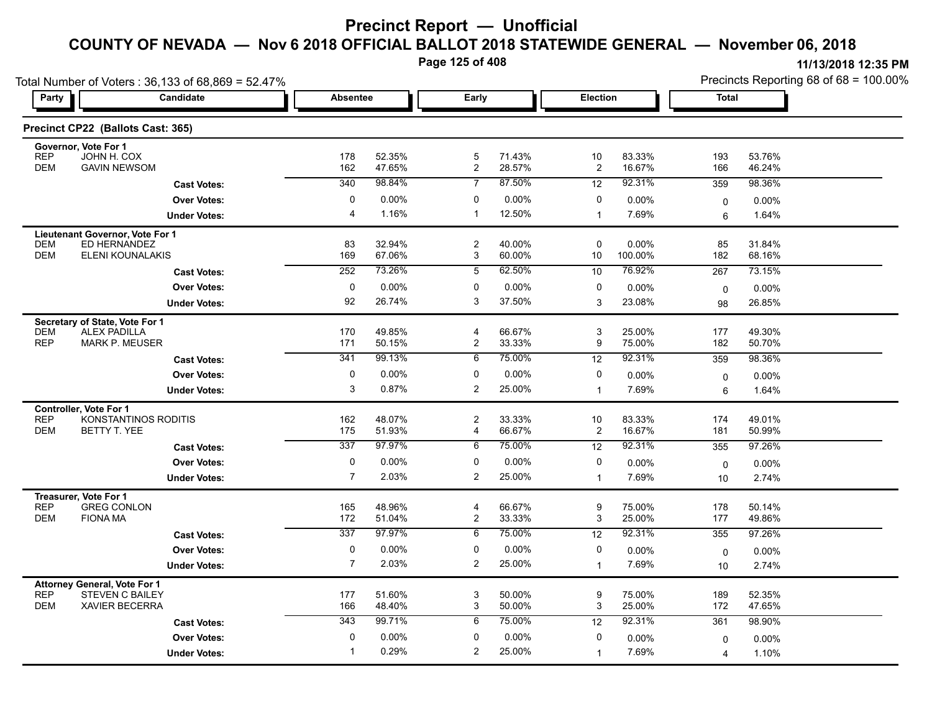**Page 125 of 408**

| Total Number of Voters: 36,133 of 68,869 = 52.47%                                                                  |                      |                           |                  |                                  |                  |                      |                  | Precincts Reporting 68 of 68 = 100.00% |                  |  |
|--------------------------------------------------------------------------------------------------------------------|----------------------|---------------------------|------------------|----------------------------------|------------------|----------------------|------------------|----------------------------------------|------------------|--|
| <b>Party</b>                                                                                                       | Candidate            | <b>Absentee</b>           |                  | Early                            |                  | <b>Election</b>      |                  | <b>Total</b>                           |                  |  |
| Precinct CP22 (Ballots Cast: 365)                                                                                  |                      |                           |                  |                                  |                  |                      |                  |                                        |                  |  |
| Governor, Vote For 1<br><b>REP</b><br>JOHN H. COX                                                                  |                      | 178                       | 52.35%           | $\mathbf 5$                      | 71.43%           | 10                   | 83.33%           | 193                                    | 53.76%           |  |
| <b>GAVIN NEWSOM</b><br><b>DEM</b>                                                                                  |                      | 162                       | 47.65%           | $\overline{2}$                   | 28.57%           | $\overline{c}$       | 16.67%           | 166                                    | 46.24%           |  |
|                                                                                                                    | <b>Cast Votes:</b>   | 340                       | 98.84%           | $\overline{7}$                   | 87.50%           | 12                   | 92.31%           | 359                                    | 98.36%           |  |
|                                                                                                                    | <b>Over Votes:</b>   | 0                         | 0.00%            | 0                                | 0.00%            | 0                    | 0.00%            | $\mathbf 0$                            | $0.00\%$         |  |
|                                                                                                                    | <b>Under Votes:</b>  | $\overline{4}$            | 1.16%            | $\mathbf{1}$                     | 12.50%           | $\mathbf 1$          | 7.69%            | 6                                      | 1.64%            |  |
| Lieutenant Governor, Vote For 1<br><b>DEM</b><br>ED HERNANDEZ<br><b>DEM</b><br><b>ELENI KOUNALAKIS</b>             |                      | 83<br>169                 | 32.94%<br>67.06% | $\overline{2}$<br>3              | 40.00%<br>60.00% | 0<br>10              | 0.00%<br>100.00% | 85<br>182                              | 31.84%<br>68.16% |  |
|                                                                                                                    | <b>Cast Votes:</b>   | 252                       | 73.26%           | 5                                | 62.50%           | 10                   | 76.92%           | 267                                    | 73.15%           |  |
|                                                                                                                    | <b>Over Votes:</b>   | 0                         | 0.00%            | 0                                | 0.00%            | 0                    | 0.00%            | $\mathbf 0$                            | 0.00%            |  |
|                                                                                                                    | <b>Under Votes:</b>  | 92                        | 26.74%           | 3                                | 37.50%           | 3                    | 23.08%           | 98                                     | 26.85%           |  |
| Secretary of State, Vote For 1<br><b>ALEX PADILLA</b><br><b>DEM</b><br><b>REP</b><br><b>MARK P. MEUSER</b>         |                      | 170<br>171                | 49.85%<br>50.15% | 4<br>$\overline{2}$              | 66.67%<br>33.33% | 3<br>9               | 25.00%<br>75.00% | 177<br>182                             | 49.30%<br>50.70% |  |
|                                                                                                                    | <b>Cast Votes:</b>   | 341                       | 99.13%           | 6                                | 75.00%           | $\overline{12}$      | 92.31%           | 359                                    | 98.36%           |  |
|                                                                                                                    | <b>Over Votes:</b>   | 0                         | 0.00%            | 0                                | 0.00%            | 0                    | 0.00%            | $\mathbf 0$                            | $0.00\%$         |  |
|                                                                                                                    | <b>Under Votes:</b>  | $\ensuremath{\mathsf{3}}$ | 0.87%            | $\overline{2}$                   | 25.00%           | $\mathbf 1$          | 7.69%            | 6                                      | 1.64%            |  |
| <b>Controller, Vote For 1</b><br><b>REP</b><br><b>DEM</b><br>BETTY T. YEE                                          | KONSTANTINOS RODITIS | 162<br>175                | 48.07%<br>51.93% | $\overline{2}$<br>4              | 33.33%<br>66.67% | 10<br>$\overline{c}$ | 83.33%<br>16.67% | 174<br>181                             | 49.01%<br>50.99% |  |
|                                                                                                                    | <b>Cast Votes:</b>   | 337                       | 97.97%           | 6                                | 75.00%           | 12                   | 92.31%           | 355                                    | 97.26%           |  |
|                                                                                                                    | <b>Over Votes:</b>   | $\pmb{0}$                 | 0.00%            | 0                                | 0.00%            | 0                    | 0.00%            | $\mathbf 0$                            | $0.00\%$         |  |
|                                                                                                                    | <b>Under Votes:</b>  | $\overline{7}$            | 2.03%            | 2                                | 25.00%           | $\mathbf 1$          | 7.69%            | 10                                     | 2.74%            |  |
| Treasurer, Vote For 1<br><b>REP</b><br><b>GREG CONLON</b><br><b>DEM</b><br><b>FIONA MA</b>                         |                      | 165<br>172                | 48.96%<br>51.04% | $\overline{4}$<br>$\overline{2}$ | 66.67%<br>33.33% | 9<br>3               | 75.00%<br>25.00% | 178<br>177                             | 50.14%<br>49.86% |  |
|                                                                                                                    | <b>Cast Votes:</b>   | 337                       | 97.97%           | 6                                | 75.00%           | 12                   | 92.31%           | 355                                    | 97.26%           |  |
|                                                                                                                    | <b>Over Votes:</b>   | $\pmb{0}$                 | 0.00%            | 0                                | 0.00%            | 0                    | 0.00%            | $\mathsf 0$                            | 0.00%            |  |
|                                                                                                                    | <b>Under Votes:</b>  | $\overline{7}$            | 2.03%            | $\overline{c}$                   | 25.00%           | $\mathbf{1}$         | 7.69%            | 10                                     | 2.74%            |  |
| <b>Attorney General, Vote For 1</b><br><b>REP</b><br><b>STEVEN C BAILEY</b><br><b>DEM</b><br><b>XAVIER BECERRA</b> |                      | 177<br>166                | 51.60%<br>48.40% | 3<br>3                           | 50.00%<br>50.00% | 9<br>3               | 75.00%<br>25.00% | 189<br>172                             | 52.35%<br>47.65% |  |
|                                                                                                                    | <b>Cast Votes:</b>   | 343                       | 99.71%           | 6                                | 75.00%           | 12                   | 92.31%           | 361                                    | 98.90%           |  |
|                                                                                                                    | <b>Over Votes:</b>   | 0                         | 0.00%            | 0                                | 0.00%            | 0                    | 0.00%            | $\mathbf{0}$                           | 0.00%            |  |
|                                                                                                                    | <b>Under Votes:</b>  |                           | 0.29%            | $\overline{2}$                   | 25.00%           | $\mathbf{1}$         | 7.69%            | 4                                      | 1.10%            |  |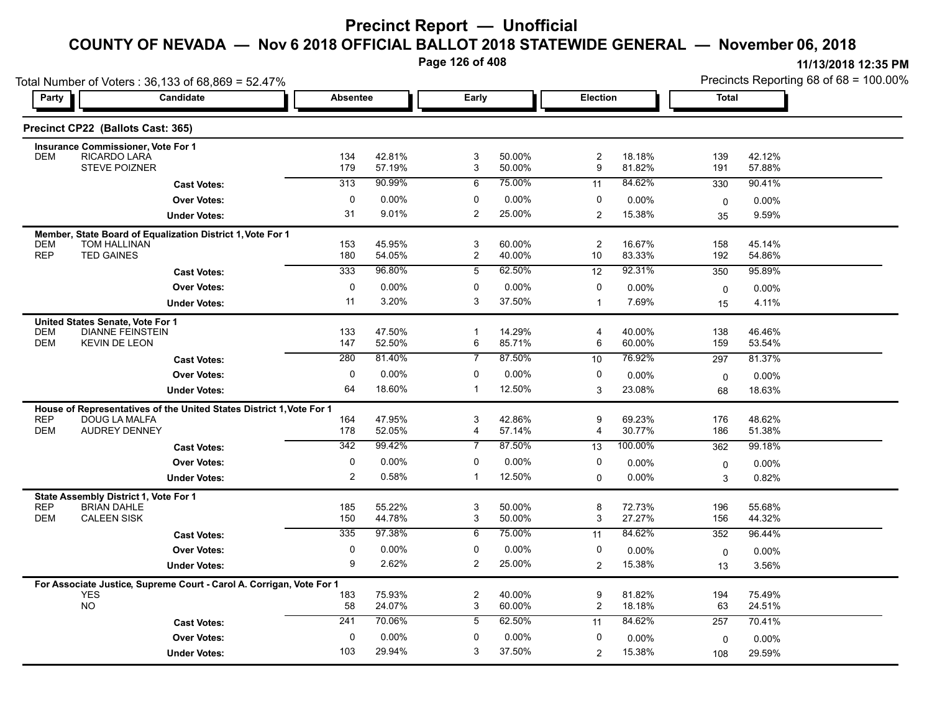**Page 126 of 408**

|                                                                                                               | Total Number of Voters: 36,133 of 68,869 = 52.47%                    |             |                  |                     |                  |                      |                  |             | Precincts Reporting 68 of 68 = 100.00% |
|---------------------------------------------------------------------------------------------------------------|----------------------------------------------------------------------|-------------|------------------|---------------------|------------------|----------------------|------------------|-------------|----------------------------------------|
| Party                                                                                                         | Candidate                                                            |             | <b>Absentee</b>  |                     | Early            | <b>Election</b>      |                  | Total       |                                        |
| Precinct CP22 (Ballots Cast: 365)                                                                             |                                                                      |             |                  |                     |                  |                      |                  |             |                                        |
| <b>Insurance Commissioner, Vote For 1</b><br>RICARDO LARA<br><b>DEM</b>                                       |                                                                      | 134         | 42.81%           | 3                   | 50.00%           | $\overline{c}$       | 18.18%           | 139         | 42.12%                                 |
|                                                                                                               | <b>STEVE POIZNER</b>                                                 | 179         | 57.19%           | 3                   | 50.00%           | 9                    | 81.82%           | 191         | 57.88%                                 |
|                                                                                                               | <b>Cast Votes:</b>                                                   | 313         | 90.99%           | 6                   | 75.00%           | 11                   | 84.62%           | 330         | 90.41%                                 |
|                                                                                                               | <b>Over Votes:</b>                                                   | 0           | 0.00%            | 0                   | 0.00%            | 0                    | $0.00\%$         | 0           | 0.00%                                  |
|                                                                                                               | <b>Under Votes:</b>                                                  | 31          | 9.01%            | $\overline{c}$      | 25.00%           | $\overline{2}$       | 15.38%           | 35          | 9.59%                                  |
| <b>TOM HALLINAN</b><br><b>DEM</b><br><b>REP</b><br><b>TED GAINES</b>                                          | Member, State Board of Equalization District 1, Vote For 1           | 153<br>180  | 45.95%<br>54.05% | 3<br>$\overline{c}$ | 60.00%<br>40.00% | $\overline{c}$<br>10 | 16.67%<br>83.33% | 158<br>192  | 45.14%<br>54.86%                       |
|                                                                                                               |                                                                      | 333         | 96.80%           | 5                   | 62.50%           | 12                   | 92.31%           |             | 95.89%                                 |
|                                                                                                               | <b>Cast Votes:</b>                                                   |             |                  |                     |                  |                      |                  | 350         |                                        |
|                                                                                                               | <b>Over Votes:</b>                                                   | 0<br>11     | 0.00%<br>3.20%   | 0<br>3              | 0.00%<br>37.50%  | 0                    | 0.00%            | 0           | 0.00%                                  |
|                                                                                                               | <b>Under Votes:</b>                                                  |             |                  |                     |                  | $\mathbf 1$          | 7.69%            | 15          | 4.11%                                  |
| United States Senate, Vote For 1<br><b>DEM</b><br><b>DEM</b><br><b>KEVIN DE LEON</b>                          | <b>DIANNE FEINSTEIN</b>                                              | 133<br>147  | 47.50%<br>52.50% | $\mathbf{1}$<br>6   | 14.29%<br>85.71% | 4<br>6               | 40.00%<br>60.00% | 138<br>159  | 46.46%<br>53.54%                       |
|                                                                                                               | <b>Cast Votes:</b>                                                   | 280         | 81.40%           | $\overline{7}$      | 87.50%           | 10                   | 76.92%           | 297         | 81.37%                                 |
|                                                                                                               | <b>Over Votes:</b>                                                   | 0           | 0.00%            | $\mathbf{0}$        | 0.00%            | 0                    | 0.00%            | $\mathbf 0$ | 0.00%                                  |
|                                                                                                               | <b>Under Votes:</b>                                                  | 64          | 18.60%           | $\mathbf 1$         | 12.50%           | 3                    | 23.08%           | 68          | 18.63%                                 |
|                                                                                                               | House of Representatives of the United States District 1, Vote For 1 |             |                  |                     |                  |                      |                  |             |                                        |
| <b>REP</b><br><b>DEM</b>                                                                                      | <b>DOUG LA MALFA</b><br><b>AUDREY DENNEY</b>                         | 164<br>178  | 47.95%<br>52.05% | 3<br>4              | 42.86%<br>57.14% | 9<br>4               | 69.23%<br>30.77% | 176<br>186  | 48.62%<br>51.38%                       |
|                                                                                                               | <b>Cast Votes:</b>                                                   | 342         | 99.42%           | $\overline{7}$      | 87.50%           | 13                   | 100.00%          | 362         | 99.18%                                 |
|                                                                                                               | <b>Over Votes:</b>                                                   | 0           | 0.00%            | 0                   | 0.00%            | 0                    | $0.00\%$         | 0           | $0.00\%$                               |
|                                                                                                               | <b>Under Votes:</b>                                                  | 2           | 0.58%            | -1                  | 12.50%           | 0                    | $0.00\%$         | 3           | 0.82%                                  |
| State Assembly District 1, Vote For 1<br><b>REP</b><br><b>BRIAN DAHLE</b><br><b>CALEEN SISK</b><br><b>DEM</b> |                                                                      | 185<br>150  | 55.22%<br>44.78% | 3<br>3              | 50.00%<br>50.00% | 8<br>3               | 72.73%<br>27.27% | 196<br>156  | 55.68%<br>44.32%                       |
|                                                                                                               | <b>Cast Votes:</b>                                                   | 335         | 97.38%           | 6                   | 75.00%           | 11                   | 84.62%           | 352         | 96.44%                                 |
|                                                                                                               | <b>Over Votes:</b>                                                   | $\mathbf 0$ | 0.00%            | 0                   | 0.00%            | 0                    | 0.00%            | 0           | 0.00%                                  |
|                                                                                                               | <b>Under Votes:</b>                                                  | 9           | 2.62%            | 2                   | 25.00%           | $\overline{c}$       | 15.38%           | 13          | 3.56%                                  |
|                                                                                                               | For Associate Justice, Supreme Court - Carol A. Corrigan, Vote For 1 |             |                  |                     |                  |                      |                  |             |                                        |
| <b>YES</b><br><b>NO</b>                                                                                       |                                                                      | 183<br>58   | 75.93%<br>24.07% | $\overline{c}$<br>3 | 40.00%<br>60.00% | 9<br>$\overline{c}$  | 81.82%<br>18.18% | 194<br>63   | 75.49%<br>24.51%                       |
|                                                                                                               | <b>Cast Votes:</b>                                                   | 241         | 70.06%           | 5                   | 62.50%           | 11                   | 84.62%           | 257         | 70.41%                                 |
|                                                                                                               | <b>Over Votes:</b>                                                   | 0           | 0.00%            | 0                   | 0.00%            | 0                    | 0.00%            | 0           | $0.00\%$                               |
|                                                                                                               | <b>Under Votes:</b>                                                  | 103         | 29.94%           | 3                   | 37.50%           | $\overline{2}$       | 15.38%           | 108         | 29.59%                                 |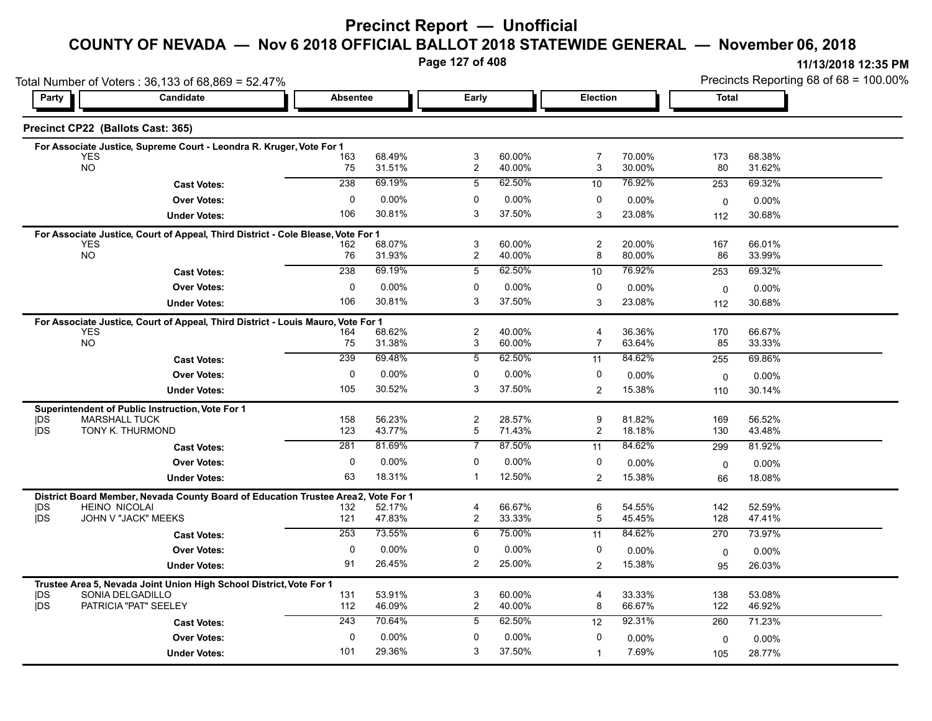#### **Precinct Report — Unofficial**

#### **COUNTY OF NEVADA — Nov 6 2018 OFFICIAL BALLOT 2018 STATEWIDE GENERAL — November 06, 2018**

**Page 127 of 408**

|                          | Total Number of Voters: 36,133 of 68,869 = 52.47%                                |                 |                  |                     |                  |                     |                  | Precincts Reporting 68 of 68 = 100.00% |                  |  |
|--------------------------|----------------------------------------------------------------------------------|-----------------|------------------|---------------------|------------------|---------------------|------------------|----------------------------------------|------------------|--|
| Party                    | Candidate                                                                        | <b>Absentee</b> |                  | Early               |                  |                     | Election         |                                        | <b>Total</b>     |  |
|                          | Precinct CP22 (Ballots Cast: 365)                                                |                 |                  |                     |                  |                     |                  |                                        |                  |  |
|                          | For Associate Justice, Supreme Court - Leondra R. Kruger, Vote For 1             |                 |                  |                     |                  |                     |                  |                                        |                  |  |
|                          | <b>YES</b><br><b>NO</b>                                                          | 163<br>75       | 68.49%<br>31.51% | 3<br>$\overline{c}$ | 60.00%<br>40.00% | 7<br>3              | 70.00%<br>30.00% | 173<br>80                              | 68.38%<br>31.62% |  |
|                          |                                                                                  |                 |                  |                     |                  |                     |                  |                                        |                  |  |
|                          | <b>Cast Votes:</b>                                                               | 238             | 69.19%           | 5                   | 62.50%           | 10                  | 76.92%           | 253                                    | 69.32%           |  |
|                          | <b>Over Votes:</b>                                                               | $\Omega$        | $0.00\%$         | 0                   | 0.00%            | 0                   | 0.00%            | $\mathbf 0$                            | 0.00%            |  |
|                          | <b>Under Votes:</b>                                                              | 106             | 30.81%           | 3                   | 37.50%           | 3                   | 23.08%           | 112                                    | 30.68%           |  |
|                          | For Associate Justice, Court of Appeal, Third District - Cole Blease, Vote For 1 |                 |                  |                     |                  |                     |                  |                                        |                  |  |
|                          | <b>YES</b><br>NO                                                                 | 162<br>76       | 68.07%<br>31.93% | 3<br>$\overline{c}$ | 60.00%<br>40.00% | $\overline{c}$<br>8 | 20.00%<br>80.00% | 167<br>86                              | 66.01%<br>33.99% |  |
|                          | <b>Cast Votes:</b>                                                               | 238             | 69.19%           | $\overline{5}$      | 62.50%           | 10                  | 76.92%           | 253                                    | 69.32%           |  |
|                          |                                                                                  |                 |                  |                     |                  |                     |                  |                                        |                  |  |
|                          | <b>Over Votes:</b>                                                               | 0               | $0.00\%$         | 0<br>3              | 0.00%            | 0                   | 0.00%            | $\mathbf 0$                            | $0.00\%$         |  |
|                          | <b>Under Votes:</b>                                                              | 106             | 30.81%           |                     | 37.50%           | 3                   | 23.08%           | 112                                    | 30.68%           |  |
|                          | For Associate Justice, Court of Appeal, Third District - Louis Mauro, Vote For 1 |                 |                  |                     |                  |                     |                  |                                        |                  |  |
|                          | <b>YES</b><br><b>NO</b>                                                          | 164<br>75       | 68.62%<br>31.38% | $\overline{2}$<br>3 | 40.00%<br>60.00% | 4<br>7              | 36.36%<br>63.64% | 170<br>85                              | 66.67%<br>33.33% |  |
|                          |                                                                                  | 239             | 69.48%           | 5                   | 62.50%           |                     | 84.62%           | 255                                    | 69.86%           |  |
|                          | <b>Cast Votes:</b>                                                               |                 |                  |                     |                  | 11                  |                  |                                        |                  |  |
|                          | <b>Over Votes:</b>                                                               | 0               | 0.00%            | 0                   | 0.00%            | 0                   | 0.00%            | 0                                      | 0.00%            |  |
|                          | <b>Under Votes:</b>                                                              | 105             | 30.52%           | 3                   | 37.50%           | $\overline{2}$      | 15.38%           | 110                                    | 30.14%           |  |
|                          | Superintendent of Public Instruction, Vote For 1                                 |                 |                  |                     |                  |                     |                  |                                        |                  |  |
| DS<br><b>IDS</b>         | <b>MARSHALL TUCK</b><br>TONY K. THURMOND                                         | 158<br>123      | 56.23%<br>43.77% | $\overline{c}$<br>5 | 28.57%<br>71.43% | 9<br>$\overline{2}$ | 81.82%<br>18.18% | 169<br>130                             | 56.52%<br>43.48% |  |
|                          |                                                                                  | 281             | 81.69%           | 7                   | 87.50%           |                     | 84.62%           |                                        |                  |  |
|                          | <b>Cast Votes:</b>                                                               |                 |                  |                     |                  | 11                  |                  | 299                                    | 81.92%           |  |
|                          | <b>Over Votes:</b>                                                               | $\Omega$        | 0.00%            | $\Omega$            | $0.00\%$         | 0                   | 0.00%            | $\mathbf 0$                            | $0.00\%$         |  |
|                          | <b>Under Votes:</b>                                                              | 63              | 18.31%           | $\mathbf 1$         | 12.50%           | $\overline{2}$      | 15.38%           | 66                                     | 18.08%           |  |
|                          | District Board Member, Nevada County Board of Education Trustee Area2,           |                 | Vote For 1       |                     |                  |                     |                  |                                        |                  |  |
| <b>IDS</b><br><b>IDS</b> | <b>HEINO NICOLAI</b><br>JOHN V "JACK" MEEKS                                      | 132<br>121      | 52.17%<br>47.83% | 4<br>2              | 66.67%<br>33.33% | 6<br>5              | 54.55%<br>45.45% | 142<br>128                             | 52.59%<br>47.41% |  |
|                          |                                                                                  | 253             | 73.55%           | 6                   | 75.00%           |                     | 84.62%           |                                        | 73.97%           |  |
|                          | <b>Cast Votes:</b>                                                               |                 |                  |                     |                  | 11                  |                  | 270                                    |                  |  |
|                          | <b>Over Votes:</b>                                                               | 0               | 0.00%            | 0                   | 0.00%            | 0                   | $0.00\%$         | $\mathbf 0$                            | 0.00%            |  |
|                          | <b>Under Votes:</b>                                                              | 91              | 26.45%           | 2                   | 25.00%           | $\overline{c}$      | 15.38%           | 95                                     | 26.03%           |  |
|                          | Trustee Area 5, Nevada Joint Union High School District, Vote For 1              |                 |                  |                     |                  |                     |                  |                                        |                  |  |
| <b>IDS</b><br><b>IDS</b> | SONIA DELGADILLO                                                                 | 131             | 53.91%           | 3                   | 60.00%           | 4                   | 33.33%           | 138                                    | 53.08%           |  |
|                          | PATRICIA "PAT" SEELEY                                                            | 112             | 46.09%           | $\overline{c}$      | 40.00%           | 8                   | 66.67%           | 122                                    | 46.92%           |  |
|                          | <b>Cast Votes:</b>                                                               | 243             | 70.64%           | 5                   | 62.50%           | 12                  | 92.31%           | 260                                    | 71.23%           |  |
|                          | <b>Over Votes:</b>                                                               | $\mathbf 0$     | 0.00%            | $\mathbf{0}$        | 0.00%            | 0                   | 0.00%            | 0                                      | $0.00\%$         |  |
|                          | <b>Under Votes:</b>                                                              | 101             | 29.36%           | 3                   | 37.50%           | $\mathbf{1}$        | 7.69%            | 105                                    | 28.77%           |  |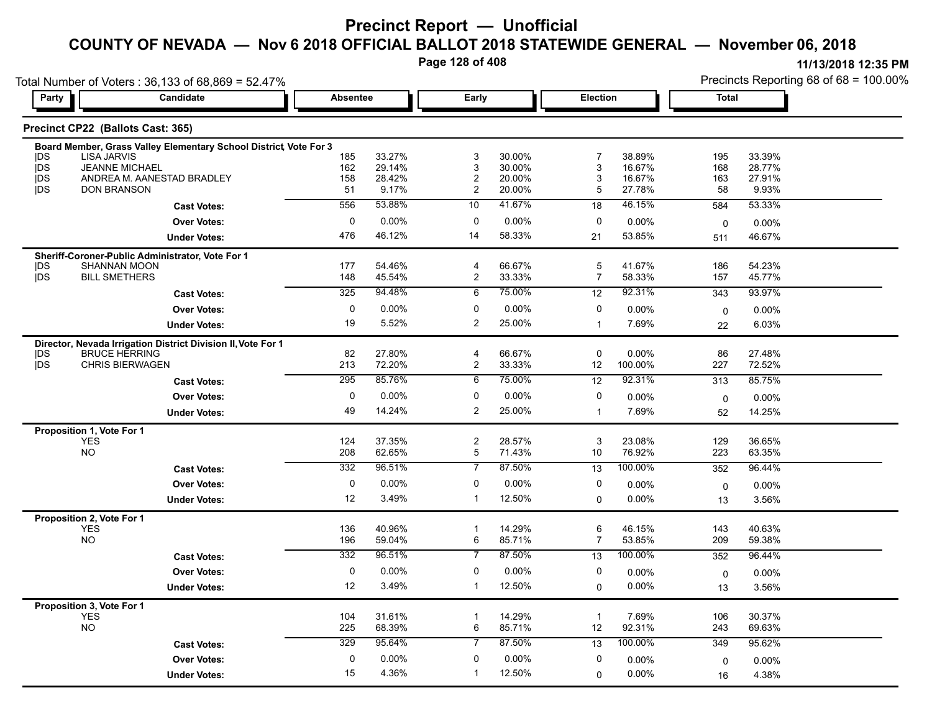**Page 128 of 408**

|                          | Total Number of Voters: 36,133 of 68,869 = 52.47%                 |                 |                  |                              |                  |                    |                  | Precincts Reporting 68 of 68 = 100.00% |                  |
|--------------------------|-------------------------------------------------------------------|-----------------|------------------|------------------------------|------------------|--------------------|------------------|----------------------------------------|------------------|
| Party                    | <b>Candidate</b>                                                  | <b>Absentee</b> |                  | Early                        |                  | Election           |                  | Total                                  |                  |
|                          | Precinct CP22 (Ballots Cast: 365)                                 |                 |                  |                              |                  |                    |                  |                                        |                  |
|                          | Board Member, Grass Valley Elementary School District, Vote For 3 |                 |                  |                              |                  |                    |                  |                                        |                  |
| DS                       | <b>LISA JARVIS</b>                                                | 185             | 33.27%           | 3                            | 30.00%           | 7                  | 38.89%           | 195                                    | 33.39%           |
| <b>IDS</b><br><b>IDS</b> | <b>JEANNE MICHAEL</b><br>ANDREA M. AANESTAD BRADLEY               | 162<br>158      | 29.14%<br>28.42% | 3<br>$\overline{\mathbf{c}}$ | 30.00%<br>20.00% | 3<br>3             | 16.67%<br>16.67% | 168<br>163                             | 28.77%<br>27.91% |
| <b>IDS</b>               | <b>DON BRANSON</b>                                                | 51              | 9.17%            | 2                            | 20.00%           | 5                  | 27.78%           | 58                                     | 9.93%            |
|                          | <b>Cast Votes:</b>                                                | 556             | 53.88%           | 10                           | 41.67%           | 18                 | 46.15%           | 584                                    | 53.33%           |
|                          | <b>Over Votes:</b>                                                | 0               | $0.00\%$         | 0                            | 0.00%            | 0                  | 0.00%            | 0                                      | 0.00%            |
|                          | <b>Under Votes:</b>                                               | 476             | 46.12%           | 14                           | 58.33%           | 21                 | 53.85%           | 511                                    | 46.67%           |
|                          | Sheriff-Coroner-Public Administrator, Vote For 1                  |                 |                  |                              |                  |                    |                  |                                        |                  |
| <b>IDS</b>               | SHANNAN MOON                                                      | 177             | 54.46%           | 4                            | 66.67%           | 5                  | 41.67%           | 186                                    | 54.23%           |
| <b>IDS</b>               | <b>BILL SMETHERS</b>                                              | 148             | 45.54%           | $\overline{c}$               | 33.33%           | 7                  | 58.33%           | 157                                    | 45.77%           |
|                          | <b>Cast Votes:</b>                                                | 325             | 94.48%           | 6                            | 75.00%           | 12                 | 92.31%           | 343                                    | 93.97%           |
|                          | <b>Over Votes:</b>                                                | 0               | $0.00\%$         | 0                            | 0.00%            | 0                  | 0.00%            | 0                                      | 0.00%            |
|                          | <b>Under Votes:</b>                                               | 19              | 5.52%            | 2                            | 25.00%           | $\overline{1}$     | 7.69%            | 22                                     | 6.03%            |
|                          | Director, Nevada Irrigation District Division II, Vote For 1      |                 |                  |                              |                  |                    |                  |                                        |                  |
| DS<br><b>IDS</b>         | <b>BRUCE HERRING</b><br><b>CHRIS BIERWAGEN</b>                    | 82<br>213       | 27.80%<br>72.20% | 4<br>$\overline{c}$          | 66.67%<br>33.33% | 0<br>12            | 0.00%<br>100.00% | 86<br>227                              | 27.48%<br>72.52% |
|                          |                                                                   | 295             | 85.76%           | $6\phantom{1}$               | 75.00%           |                    | 92.31%           |                                        |                  |
|                          | <b>Cast Votes:</b>                                                |                 |                  |                              |                  | 12                 |                  | 313                                    | 85.75%           |
|                          | <b>Over Votes:</b>                                                | $\mathbf 0$     | 0.00%            | $\mathbf 0$                  | 0.00%            | 0                  | 0.00%            | 0                                      | 0.00%            |
|                          | <b>Under Votes:</b>                                               | 49              | 14.24%           | $\overline{2}$               | 25.00%           | $\mathbf{1}$       | 7.69%            | 52                                     | 14.25%           |
|                          | Proposition 1, Vote For 1<br><b>YES</b>                           | 124             | 37.35%           | $\overline{\mathbf{c}}$      | 28.57%           | 3                  | 23.08%           | 129                                    | 36.65%           |
|                          | <b>NO</b>                                                         | 208             | 62.65%           | 5                            | 71.43%           | 10                 | 76.92%           | 223                                    | 63.35%           |
|                          | <b>Cast Votes:</b>                                                | 332             | 96.51%           | $\overline{7}$               | 87.50%           | 13                 | 100.00%          | 352                                    | 96.44%           |
|                          | <b>Over Votes:</b>                                                | $\pmb{0}$       | 0.00%            | $\mathbf 0$                  | 0.00%            | 0                  | $0.00\%$         | 0                                      | 0.00%            |
|                          | <b>Under Votes:</b>                                               | 12              | 3.49%            | $\mathbf{1}$                 | 12.50%           | 0                  | 0.00%            | 13                                     | 3.56%            |
|                          | Proposition 2, Vote For 1                                         |                 |                  |                              |                  |                    |                  |                                        |                  |
|                          | <b>YES</b>                                                        | 136             | 40.96%           | $\mathbf{1}$                 | 14.29%           | 6                  | 46.15%           | 143                                    | 40.63%           |
|                          | <b>NO</b>                                                         | 196             | 59.04%           | 6                            | 85.71%           | 7                  | 53.85%           | 209                                    | 59.38%           |
|                          | <b>Cast Votes:</b>                                                | 332             | 96.51%           | 7                            | 87.50%           | 13                 | 100.00%          | 352                                    | 96.44%           |
|                          | <b>Over Votes:</b>                                                | $\pmb{0}$       | $0.00\%$         | 0                            | 0.00%            | 0                  | $0.00\%$         | 0                                      | $0.00\%$         |
|                          | <b>Under Votes:</b>                                               | 12              | 3.49%            | $\mathbf 1$                  | 12.50%           | $\Omega$           | 0.00%            | 13                                     | 3.56%            |
|                          | Proposition 3, Vote For 1                                         |                 |                  |                              |                  |                    |                  |                                        |                  |
|                          | <b>YES</b><br><b>NO</b>                                           | 104<br>225      | 31.61%<br>68.39% | $\mathbf{1}$<br>6            | 14.29%<br>85.71% | $\mathbf{1}$<br>12 | 7.69%<br>92.31%  | 106<br>243                             | 30.37%<br>69.63% |
|                          | <b>Cast Votes:</b>                                                | 329             | 95.64%           | 7                            | 87.50%           | 13                 | 100.00%          | 349                                    | 95.62%           |
|                          | <b>Over Votes:</b>                                                | 0               | $0.00\%$         | $\Omega$                     | $0.00\%$         | 0                  | $0.00\%$         |                                        | 0.00%            |
|                          | <b>Under Votes:</b>                                               | 15              | 4.36%            | $\mathbf{1}$                 | 12.50%           | 0                  | $0.00\%$         | 0                                      |                  |
|                          |                                                                   |                 |                  |                              |                  |                    |                  | 16                                     | 4.38%            |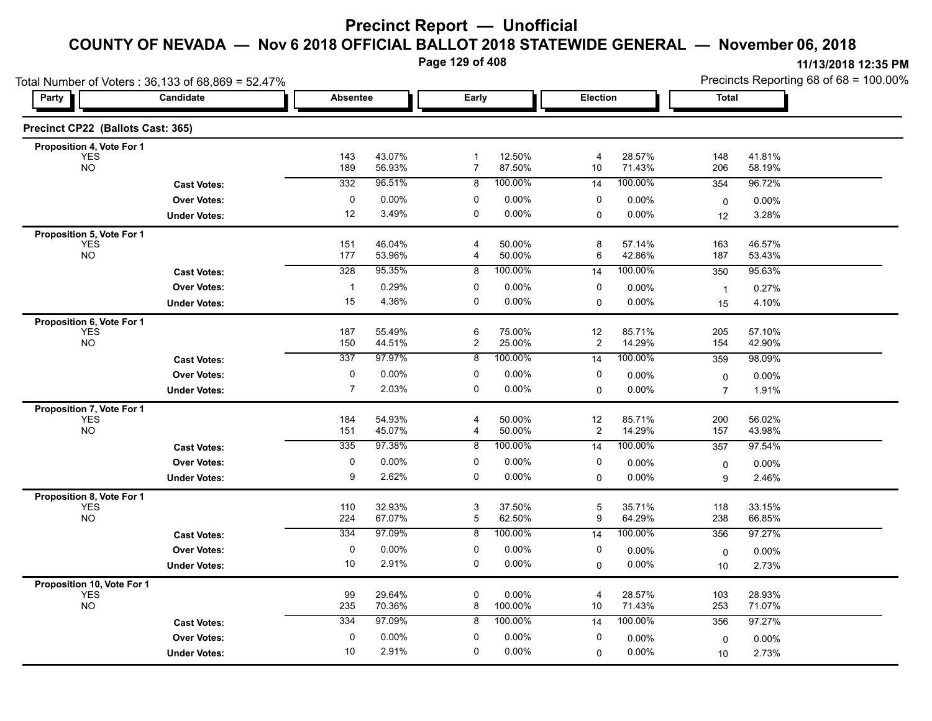**Page 129 of 408**

|                                         | Total Number of Voters: 36,133 of 68,869 = 52.47% |                 |                  |                                |                  |                         |                  | Precincts Reporting 68 of 68 = 100.00% |                   |  |
|-----------------------------------------|---------------------------------------------------|-----------------|------------------|--------------------------------|------------------|-------------------------|------------------|----------------------------------------|-------------------|--|
| Party                                   | Candidate                                         | <b>Absentee</b> |                  | Early                          |                  | <b>Election</b>         |                  | Total                                  |                   |  |
| Precinct CP22 (Ballots Cast: 365)       |                                                   |                 |                  |                                |                  |                         |                  |                                        |                   |  |
| Proposition 4, Vote For 1               |                                                   |                 |                  |                                |                  |                         |                  |                                        |                   |  |
| <b>YES</b><br><b>NO</b>                 |                                                   | 143<br>189      | 43.07%<br>56.93% | $\mathbf{1}$<br>$\overline{7}$ | 12.50%<br>87.50% | 4<br>$10$               | 28.57%<br>71.43% | 148<br>206                             | 41.81%<br>58.19%  |  |
|                                         | <b>Cast Votes:</b>                                | 332             | 96.51%           | 8                              | 100.00%          | 14                      | 100.00%          | 354                                    | 96.72%            |  |
|                                         | <b>Over Votes:</b>                                | 0               | $0.00\%$         | 0                              | $0.00\%$         | 0                       | 0.00%            | $\mathbf 0$                            | $0.00\%$          |  |
|                                         | <b>Under Votes:</b>                               | 12              | 3.49%            | 0                              | $0.00\%$         | 0                       | 0.00%            | 12                                     | 3.28%             |  |
| Proposition 5, Vote For 1               |                                                   |                 |                  |                                |                  |                         |                  |                                        |                   |  |
| <b>YES</b><br><b>NO</b>                 |                                                   | 151<br>177      | 46.04%<br>53.96% | 4<br>4                         | 50.00%<br>50.00% | 8<br>6                  | 57.14%<br>42.86% | 163<br>187                             | 46.57%<br>53.43%  |  |
|                                         | <b>Cast Votes:</b>                                | 328             | 95.35%           | 8                              | 100.00%          | 14                      | 100.00%          | 350                                    | 95.63%            |  |
|                                         | <b>Over Votes:</b>                                | $\mathbf{1}$    | 0.29%            | 0                              | 0.00%            | 0                       | 0.00%            | $\overline{1}$                         | 0.27%             |  |
|                                         | <b>Under Votes:</b>                               | 15              | 4.36%            | $\mathbf 0$                    | 0.00%            | 0                       | $0.00\%$         | 15                                     | 4.10%             |  |
| Proposition 6, Vote For 1               |                                                   |                 |                  |                                |                  |                         |                  |                                        |                   |  |
| <b>YES</b>                              |                                                   | 187             | 55.49%           | 6                              | 75.00%           | 12                      | 85.71%           | 205                                    | 57.10%            |  |
| <b>NO</b>                               |                                                   | 150             | 44.51%           | $\boldsymbol{2}$               | 25.00%           | $\overline{\mathbf{c}}$ | 14.29%           | 154                                    | 42.90%            |  |
|                                         | <b>Cast Votes:</b>                                | 337             | 97.97%           | 8                              | 100.00%          | 14                      | 100.00%          | 359                                    | 98.09%            |  |
|                                         | <b>Over Votes:</b>                                | 0               | $0.00\%$         | 0                              | 0.00%            | 0                       | $0.00\%$         | 0                                      | 0.00%             |  |
|                                         | <b>Under Votes:</b>                               | $\overline{7}$  | 2.03%            | 0                              | $0.00\%$         | 0                       | 0.00%            | $\overline{7}$                         | 1.91%             |  |
| Proposition 7, Vote For 1               |                                                   |                 |                  |                                |                  |                         |                  |                                        |                   |  |
| <b>YES</b><br><b>NO</b>                 |                                                   | 184<br>151      | 54.93%<br>45.07% | 4<br>4                         | 50.00%<br>50.00% | 12<br>$\overline{c}$    | 85.71%<br>14.29% | 200<br>157                             | 56.02%<br>43.98%  |  |
|                                         | <b>Cast Votes:</b>                                | 335             | 97.38%           | 8                              | 100.00%          | 14                      | 100.00%          | 357                                    | 97.54%            |  |
|                                         | <b>Over Votes:</b>                                | 0               | $0.00\%$         | 0                              | 0.00%            | 0                       | $0.00\%$         |                                        |                   |  |
|                                         | <b>Under Votes:</b>                               | 9               | 2.62%            | 0                              | 0.00%            | $\mathbf{0}$            | $0.00\%$         | 0<br>9                                 | $0.00\%$<br>2.46% |  |
|                                         |                                                   |                 |                  |                                |                  |                         |                  |                                        |                   |  |
| Proposition 8, Vote For 1<br><b>YES</b> |                                                   | 110             | 32.93%           | 3                              | 37.50%           | $\mathbf 5$             | 35.71%           | 118                                    | 33.15%            |  |
| <b>NO</b>                               |                                                   | 224             | 67.07%           | 5                              | 62.50%           | 9                       | 64.29%           | 238                                    | 66.85%            |  |
|                                         | <b>Cast Votes:</b>                                | 334             | 97.09%           | 8                              | 100.00%          | 14                      | 100.00%          | 356                                    | 97.27%            |  |
|                                         | <b>Over Votes:</b>                                | 0               | $0.00\%$         | 0                              | 0.00%            | 0                       | $0.00\%$         | $\mathbf 0$                            | 0.00%             |  |
|                                         | <b>Under Votes:</b>                               | 10              | 2.91%            | 0                              | 0.00%            | 0                       | $0.00\%$         | 10                                     | 2.73%             |  |
| Proposition 10, Vote For 1              |                                                   |                 |                  |                                |                  |                         |                  |                                        |                   |  |
| <b>YES</b><br><b>NO</b>                 |                                                   | 99              | 29.64%<br>70.36% | 0<br>8                         | 0.00%<br>100.00% | 4<br>10                 | 28.57%<br>71.43% | 103                                    | 28.93%            |  |
|                                         |                                                   | 235             | 97.09%           |                                |                  |                         |                  | 253                                    | 71.07%            |  |
|                                         | <b>Cast Votes:</b>                                | 334             |                  | 8                              | 100.00%          | 14                      | 100.00%          | 356                                    | 97.27%            |  |
|                                         | <b>Over Votes:</b>                                | $\mathbf 0$     | $0.00\%$         | 0                              | 0.00%            | 0                       | $0.00\%$         | 0                                      | 0.00%             |  |
|                                         | <b>Under Votes:</b>                               | 10              | 2.91%            | 0                              | 0.00%            | $\Omega$                | 0.00%            | 10                                     | 2.73%             |  |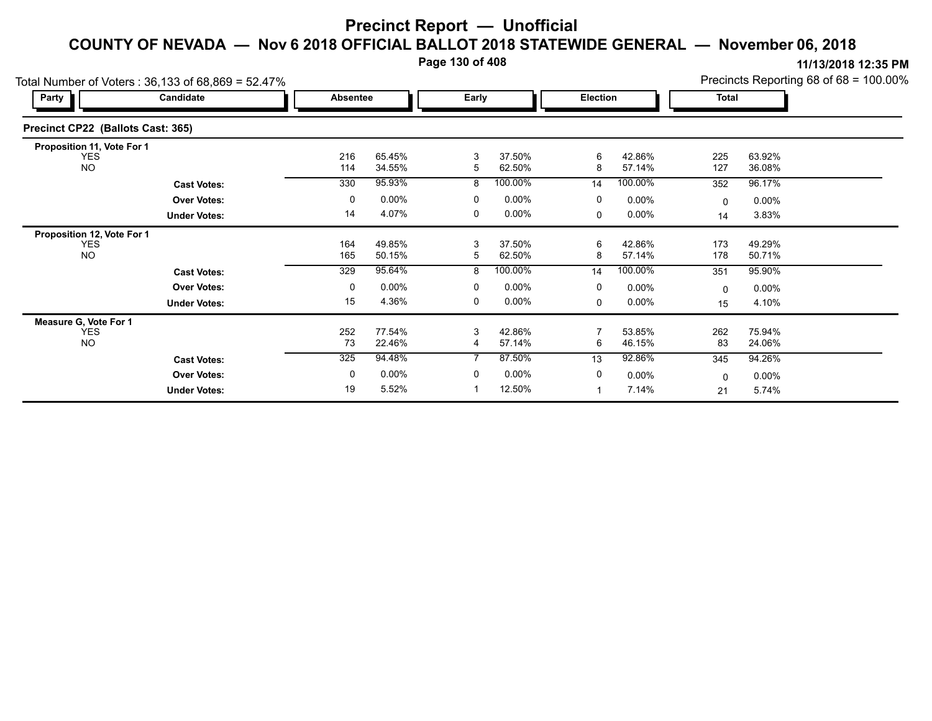**Page 130 of 408**

**11/13/2018 12:35 PM**

|                                   | Total Number of Voters: 36,133 of 68,869 = 52.47% | Precincts Reporting 68 of 68 = 100.00%<br><b>Total</b> |          |        |          |        |          |            |          |
|-----------------------------------|---------------------------------------------------|--------------------------------------------------------|----------|--------|----------|--------|----------|------------|----------|
| Party                             | Candidate                                         |                                                        | Absentee |        | Early    |        | Election |            |          |
| Precinct CP22 (Ballots Cast: 365) |                                                   |                                                        |          |        |          |        |          |            |          |
| Proposition 11, Vote For 1        |                                                   |                                                        |          |        |          |        |          |            |          |
| <b>YES</b><br><b>NO</b>           |                                                   | 216<br>114                                             | 65.45%   | 3<br>5 | 37.50%   | 6<br>8 | 42.86%   | 225<br>127 | 63.92%   |
|                                   |                                                   |                                                        | 34.55%   |        | 62.50%   |        | 57.14%   |            | 36.08%   |
|                                   | <b>Cast Votes:</b>                                | 330                                                    | 95.93%   | 8      | 100.00%  | 14     | 100.00%  | 352        | 96.17%   |
|                                   | <b>Over Votes:</b>                                | 0                                                      | $0.00\%$ | 0      | $0.00\%$ | 0      | $0.00\%$ | $\Omega$   | $0.00\%$ |
|                                   | <b>Under Votes:</b>                               | 14                                                     | 4.07%    | 0      | $0.00\%$ | 0      | $0.00\%$ | 14         | 3.83%    |
| Proposition 12, Vote For 1        |                                                   |                                                        |          |        |          |        |          |            |          |
| <b>YES</b>                        |                                                   | 164                                                    | 49.85%   | 3      | 37.50%   | 6      | 42.86%   | 173        | 49.29%   |
| <b>NO</b>                         |                                                   | 165                                                    | 50.15%   | 5      | 62.50%   | 8      | 57.14%   | 178        | 50.71%   |
|                                   | <b>Cast Votes:</b>                                | 329                                                    | 95.64%   | 8      | 100.00%  | 14     | 100.00%  | 351        | 95.90%   |
|                                   | <b>Over Votes:</b>                                | 0                                                      | $0.00\%$ | 0      | $0.00\%$ | 0      | $0.00\%$ | 0          | $0.00\%$ |
|                                   | <b>Under Votes:</b>                               | 15                                                     | 4.36%    | 0      | $0.00\%$ | 0      | $0.00\%$ | 15         | 4.10%    |
| Measure G, Vote For 1             |                                                   |                                                        |          |        |          |        |          |            |          |
| <b>YES</b>                        |                                                   | 252                                                    | 77.54%   | 3      | 42.86%   |        | 53.85%   | 262        | 75.94%   |
| <b>NO</b>                         |                                                   | 73                                                     | 22.46%   | 4      | 57.14%   | 6      | 46.15%   | 83         | 24.06%   |
|                                   | <b>Cast Votes:</b>                                | 325                                                    | 94.48%   |        | 87.50%   | 13     | 92.86%   | 345        | 94.26%   |
|                                   | <b>Over Votes:</b>                                | 0                                                      | $0.00\%$ | 0      | $0.00\%$ | 0      | $0.00\%$ | $\Omega$   | $0.00\%$ |
|                                   | <b>Under Votes:</b>                               | 19                                                     | 5.52%    |        | 12.50%   |        | 7.14%    | 21         | 5.74%    |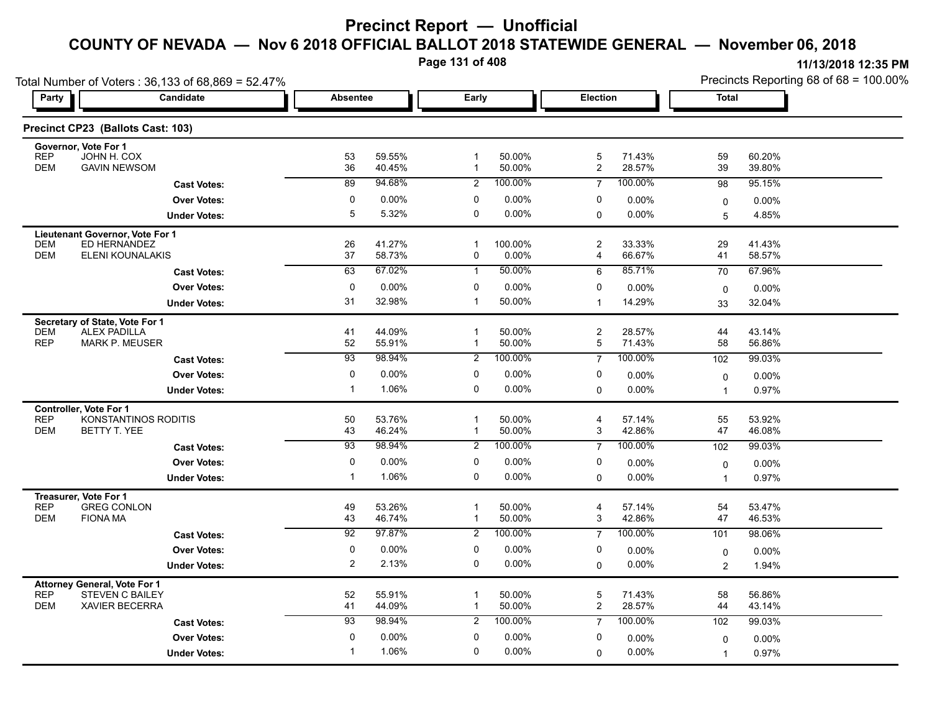**Page 131 of 408**

|                                                              | Total Number of Voters: 36,133 of 68,869 = 52.47% |                 |                  |                     |                  |                         |                  | Precincts Reporting 68 of 68 = 100.00% |                  |  |
|--------------------------------------------------------------|---------------------------------------------------|-----------------|------------------|---------------------|------------------|-------------------------|------------------|----------------------------------------|------------------|--|
| <b>Party</b>                                                 | Candidate                                         | <b>Absentee</b> |                  | Early               |                  | Election                |                  | <b>Total</b>                           |                  |  |
| Precinct CP23 (Ballots Cast: 103)                            |                                                   |                 |                  |                     |                  |                         |                  |                                        |                  |  |
| Governor, Vote For 1<br><b>REP</b><br>JOHN H. COX            |                                                   | 53              | 59.55%           | $\mathbf{1}$        | 50.00%           | 5                       | 71.43%           | 59                                     | 60.20%           |  |
| <b>DEM</b><br><b>GAVIN NEWSOM</b>                            |                                                   | 36              | 40 45%           | $\mathbf{1}$        | 50.00%           | $\overline{\mathbf{c}}$ | 28.57%           | 39                                     | 39.80%           |  |
|                                                              | <b>Cast Votes:</b>                                | 89              | 94.68%           | $\overline{2}$      | 100.00%          | $\overline{7}$          | 100.00%          | 98                                     | 95.15%           |  |
|                                                              | <b>Over Votes:</b>                                | $\pmb{0}$       | 0.00%            | 0                   | 0.00%            | 0                       | 0.00%            | $\mathbf 0$                            | 0.00%            |  |
|                                                              | <b>Under Votes:</b>                               | $\overline{5}$  | 5.32%            | $\mathbf 0$         | 0.00%            | 0                       | $0.00\%$         | 5                                      | 4.85%            |  |
| Lieutenant Governor, Vote For 1                              |                                                   |                 |                  |                     |                  |                         |                  |                                        |                  |  |
| ED HERNANDEZ<br><b>DEM</b><br><b>DEM</b>                     | ELENI KOUNALAKIS                                  | 26<br>37        | 41.27%<br>58.73% | $\overline{1}$<br>0 | 100.00%<br>0.00% | 2<br>4                  | 33.33%<br>66.67% | 29<br>41                               | 41.43%<br>58.57% |  |
|                                                              | <b>Cast Votes:</b>                                | 63              | 67.02%           | $\mathbf{1}$        | 50.00%           | 6                       | 85.71%           | 70                                     | 67.96%           |  |
|                                                              |                                                   | 0               |                  | 0                   |                  |                         |                  |                                        |                  |  |
|                                                              | <b>Over Votes:</b>                                | 31              | 0.00%<br>32.98%  | $\mathbf{1}$        | 0.00%<br>50.00%  | 0<br>$\mathbf 1$        | 0.00%<br>14.29%  | $\mathbf 0$                            | 0.00%            |  |
|                                                              | <b>Under Votes:</b>                               |                 |                  |                     |                  |                         |                  | 33                                     | 32.04%           |  |
| Secretary of State, Vote For 1<br>ALEX PADILLA<br><b>DEM</b> |                                                   | 41              | 44.09%           | $\overline{1}$      | 50.00%           | $\overline{c}$          | 28.57%           | 44                                     | 43.14%           |  |
| <b>REP</b><br><b>MARK P. MEUSER</b>                          |                                                   | 52              | 55.91%           | $\mathbf{1}$        | 50.00%           | 5                       | 71.43%           | 58                                     | 56.86%           |  |
|                                                              | <b>Cast Votes:</b>                                | $\overline{93}$ | 98.94%           | $\overline{2}$      | 100.00%          | $\overline{7}$          | 100.00%          | 102                                    | 99.03%           |  |
|                                                              | <b>Over Votes:</b>                                | 0               | 0.00%            | 0                   | 0.00%            | 0                       | 0.00%            | $\mathbf 0$                            | 0.00%            |  |
|                                                              | <b>Under Votes:</b>                               | $\mathbf 1$     | 1.06%            | 0                   | 0.00%            | 0                       | 0.00%            | $\mathbf{1}$                           | 0.97%            |  |
| <b>Controller, Vote For 1</b>                                |                                                   |                 |                  |                     |                  |                         |                  |                                        |                  |  |
| <b>REP</b><br><b>DEM</b><br>BETTY T. YEE                     | KONSTANTINOS RODITIS                              | 50<br>43        | 53.76%<br>46.24% | $\mathbf{1}$        | 50.00%<br>50.00% | $\overline{4}$<br>3     | 57.14%<br>42.86% | 55<br>47                               | 53.92%<br>46.08% |  |
|                                                              | <b>Cast Votes:</b>                                | 93              | 98.94%           | $\overline{2}$      | 100.00%          | $\overline{7}$          | 100.00%          | 102                                    | 99.03%           |  |
|                                                              |                                                   | 0               | 0.00%            | 0                   | 0.00%            | 0                       |                  |                                        |                  |  |
|                                                              | <b>Over Votes:</b>                                | $\mathbf{1}$    | 1.06%            | 0                   | $0.00\%$         | $\Omega$                | 0.00%<br>0.00%   | $\mathbf 0$<br>$\mathbf{1}$            | 0.00%<br>0.97%   |  |
|                                                              | <b>Under Votes:</b>                               |                 |                  |                     |                  |                         |                  |                                        |                  |  |
| Treasurer, Vote For 1<br><b>REP</b><br><b>GREG CONLON</b>    |                                                   | 49              | 53.26%           | -1                  | 50.00%           | 4                       | 57.14%           | 54                                     | 53.47%           |  |
| <b>DEM</b><br><b>FIONA MA</b>                                |                                                   | 43              | 46.74%           | $\mathbf{1}$        | 50.00%           | 3                       | 42.86%           | 47                                     | 46.53%           |  |
|                                                              | <b>Cast Votes:</b>                                | 92              | 97.87%           | $\overline{2}$      | 100.00%          | $\overline{7}$          | 100.00%          | 101                                    | 98.06%           |  |
|                                                              | <b>Over Votes:</b>                                | $\pmb{0}$       | 0.00%            | $\mathbf 0$         | 0.00%            | 0                       | 0.00%            | 0                                      | $0.00\%$         |  |
|                                                              | <b>Under Votes:</b>                               | $\overline{2}$  | 2.13%            | 0                   | $0.00\%$         | 0                       | 0.00%            | $\overline{2}$                         | 1.94%            |  |
| <b>Attorney General, Vote For 1</b>                          |                                                   |                 |                  |                     |                  |                         |                  |                                        |                  |  |
| <b>REP</b><br><b>STEVEN C BAILEY</b>                         |                                                   | 52              | 55.91%           | -1                  | 50.00%           | 5                       | 71.43%           | 58                                     | 56.86%           |  |
| <b>XAVIER BECERRA</b><br><b>DEM</b>                          |                                                   | 41              | 44.09%           | $\mathbf{1}$        | 50.00%           | $\overline{\mathbf{c}}$ | 28.57%           | 44                                     | 43.14%           |  |
|                                                              | <b>Cast Votes:</b>                                | 93              | 98.94%           | $\overline{2}$      | 100.00%          | $\overline{7}$          | 100.00%          | 102                                    | 99.03%           |  |
|                                                              | <b>Over Votes:</b>                                | $\mathbf 0$     | 0.00%            | $\mathbf 0$         | 0.00%            | 0                       | 0.00%            | 0                                      | $0.00\%$         |  |
|                                                              | <b>Under Votes:</b>                               | -1              | 1.06%            | $\mathbf 0$         | $0.00\%$         | 0                       | 0.00%            | $\mathbf{1}$                           | 0.97%            |  |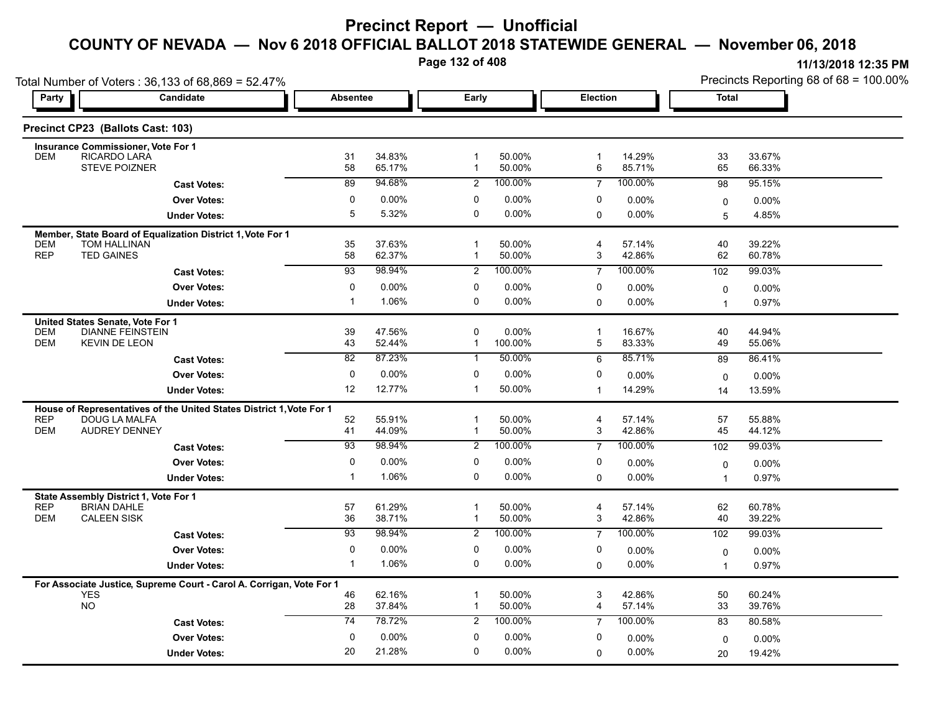**Page 132 of 408**

| Total Number of Voters: 36,133 of 68,869 = 52.47% |                                                                                       |                 |                    |                              |                     |                              |                  | Precincts Reporting 68 of 68 = 100.00% |                  |  |
|---------------------------------------------------|---------------------------------------------------------------------------------------|-----------------|--------------------|------------------------------|---------------------|------------------------------|------------------|----------------------------------------|------------------|--|
| Party                                             | Candidate                                                                             | <b>Absentee</b> |                    | Early                        |                     | Election                     |                  | <b>Total</b>                           |                  |  |
|                                                   | Precinct CP23 (Ballots Cast: 103)                                                     |                 |                    |                              |                     |                              |                  |                                        |                  |  |
|                                                   | <b>Insurance Commissioner, Vote For 1</b>                                             |                 |                    |                              |                     |                              |                  |                                        |                  |  |
| <b>DEM</b>                                        | RICARDO LARA<br><b>STEVE POIZNER</b>                                                  | 31<br>58        | 34.83%<br>65.17%   | $\mathbf{1}$<br>$\mathbf{1}$ | 50.00%<br>50.00%    | $\overline{\mathbf{1}}$<br>6 | 14.29%<br>85.71% | 33<br>65                               | 33.67%<br>66.33% |  |
|                                                   | <b>Cast Votes:</b>                                                                    | $\overline{89}$ | 94.68%             | $\overline{2}$               | 100.00%             | $\overline{7}$               | 100.00%          | 98                                     | 95.15%           |  |
|                                                   | <b>Over Votes:</b>                                                                    | 0               | $0.00\%$           | 0                            | $0.00\%$            | 0                            | 0.00%            | 0                                      | 0.00%            |  |
|                                                   | <b>Under Votes:</b>                                                                   | 5               | 5.32%              | 0                            | $0.00\%$            | $\mathbf 0$                  | $0.00\%$         | 5                                      | 4.85%            |  |
|                                                   | Member, State Board of Equalization District 1, Vote For 1                            |                 |                    |                              |                     |                              |                  |                                        |                  |  |
| <b>DEM</b>                                        | <b>TOM HALLINAN</b>                                                                   | 35              | 37.63%             | $\mathbf{1}$                 | 50.00%              | 4                            | 57.14%           | 40                                     | 39.22%           |  |
| <b>REP</b>                                        | <b>TED GAINES</b>                                                                     | 58              | 62.37%             | 1                            | 50.00%              | 3                            | 42.86%           | 62                                     | 60.78%           |  |
|                                                   | <b>Cast Votes:</b>                                                                    | $\overline{93}$ | 98.94%             | $\overline{2}$               | 100.00%             | $\overline{7}$               | 100.00%          | 102                                    | 99.03%           |  |
|                                                   | <b>Over Votes:</b>                                                                    | 0               | $0.00\%$           | 0                            | $0.00\%$            | 0                            | $0.00\%$         | $\mathbf 0$                            | $0.00\%$         |  |
|                                                   | <b>Under Votes:</b>                                                                   | -1              | 1.06%              | 0                            | $0.00\%$            | $\Omega$                     | 0.00%            | $\overline{1}$                         | 0.97%            |  |
| United States Senate, Vote For 1                  |                                                                                       |                 |                    |                              |                     |                              |                  |                                        |                  |  |
| <b>DEM</b><br><b>DEM</b>                          | <b>DIANNE FEINSTEIN</b><br><b>KEVIN DE LEON</b>                                       | 39<br>43        | 47.56%<br>52.44%   | 0<br>$\mathbf{1}$            | $0.00\%$<br>100.00% | $\overline{1}$<br>5          | 16.67%<br>83.33% | 40<br>49                               | 44.94%<br>55.06% |  |
|                                                   |                                                                                       | $\overline{82}$ | 87.23%             | $\mathbf{1}$                 | 50.00%              | 6                            | 85.71%           | 89                                     | 86.41%           |  |
|                                                   | <b>Cast Votes:</b>                                                                    |                 |                    | 0                            |                     |                              |                  |                                        |                  |  |
|                                                   | <b>Over Votes:</b>                                                                    | 0               | $0.00\%$<br>12.77% | $\mathbf{1}$                 | $0.00\%$            | 0                            | 0.00%            | $\mathbf 0$                            | $0.00\%$         |  |
|                                                   | <b>Under Votes:</b>                                                                   | 12              |                    |                              | 50.00%              | $\mathbf{1}$                 | 14.29%           | 14                                     | 13.59%           |  |
| <b>REP</b>                                        | House of Representatives of the United States District 1, Vote For 1<br>DOUG LA MALFA |                 | 55.91%             | $\mathbf 1$                  | 50.00%              | 4                            | 57.14%           | 57                                     | 55.88%           |  |
| <b>DEM</b>                                        | <b>AUDREY DENNEY</b>                                                                  | 52<br>41        | 44.09%             | $\mathbf{1}$                 | 50.00%              | 3                            | 42.86%           | 45                                     | 44.12%           |  |
|                                                   | <b>Cast Votes:</b>                                                                    | 93              | 98.94%             | $\overline{2}$               | 100.00%             | $\overline{7}$               | 100.00%          | 102                                    | 99.03%           |  |
|                                                   | <b>Over Votes:</b>                                                                    | $\mathbf 0$     | $0.00\%$           | 0                            | $0.00\%$            | 0                            | $0.00\%$         | $\mathbf 0$                            | $0.00\%$         |  |
|                                                   | <b>Under Votes:</b>                                                                   | $\overline{1}$  | 1.06%              | 0                            | $0.00\%$            | 0                            | $0.00\%$         | $\overline{1}$                         | 0.97%            |  |
|                                                   |                                                                                       |                 |                    |                              |                     |                              |                  |                                        |                  |  |
| <b>REP</b>                                        | State Assembly District 1, Vote For 1<br><b>BRIAN DAHLE</b>                           | 57              | 61.29%             | 1                            | 50.00%              | 4                            | 57.14%           | 62                                     | 60.78%           |  |
| <b>DEM</b>                                        | <b>CALEEN SISK</b>                                                                    | 36              | 38.71%             | $\mathbf 1$                  | 50.00%              | 3                            | 42.86%           | 40                                     | 39.22%           |  |
|                                                   | <b>Cast Votes:</b>                                                                    | 93              | 98.94%             | $\overline{2}$               | 100.00%             | $\overline{7}$               | 100.00%          | 102                                    | 99.03%           |  |
|                                                   | <b>Over Votes:</b>                                                                    | 0               | 0.00%              | 0                            | $0.00\%$            | 0                            | 0.00%            | $\mathbf 0$                            | $0.00\%$         |  |
|                                                   | <b>Under Votes:</b>                                                                   | $\overline{1}$  | 1.06%              | 0                            | $0.00\%$            | $\mathbf 0$                  | $0.00\%$         | $\overline{1}$                         | 0.97%            |  |
|                                                   | For Associate Justice, Supreme Court - Carol A. Corrigan, Vote For 1                  |                 |                    |                              |                     |                              |                  |                                        |                  |  |
| <b>YES</b>                                        |                                                                                       | 46              | 62.16%             | 1                            | 50.00%              | 3                            | 42.86%           | 50                                     | 60.24%           |  |
| <b>NO</b>                                         |                                                                                       | 28              | 37.84%             | $\mathbf{1}$                 | 50.00%              | 4                            | 57.14%           | 33                                     | 39.76%           |  |
|                                                   | <b>Cast Votes:</b>                                                                    | $\overline{74}$ | 78.72%             | 2                            | 100.00%             | $\overline{7}$               | 100.00%          | 83                                     | 80.58%           |  |
|                                                   | <b>Over Votes:</b>                                                                    | $\mathbf 0$     | $0.00\%$           | 0                            | $0.00\%$            | 0                            | 0.00%            | $\mathbf 0$                            | $0.00\%$         |  |
|                                                   | <b>Under Votes:</b>                                                                   | 20              | 21.28%             | 0                            | $0.00\%$            | 0                            | $0.00\%$         | 20                                     | 19.42%           |  |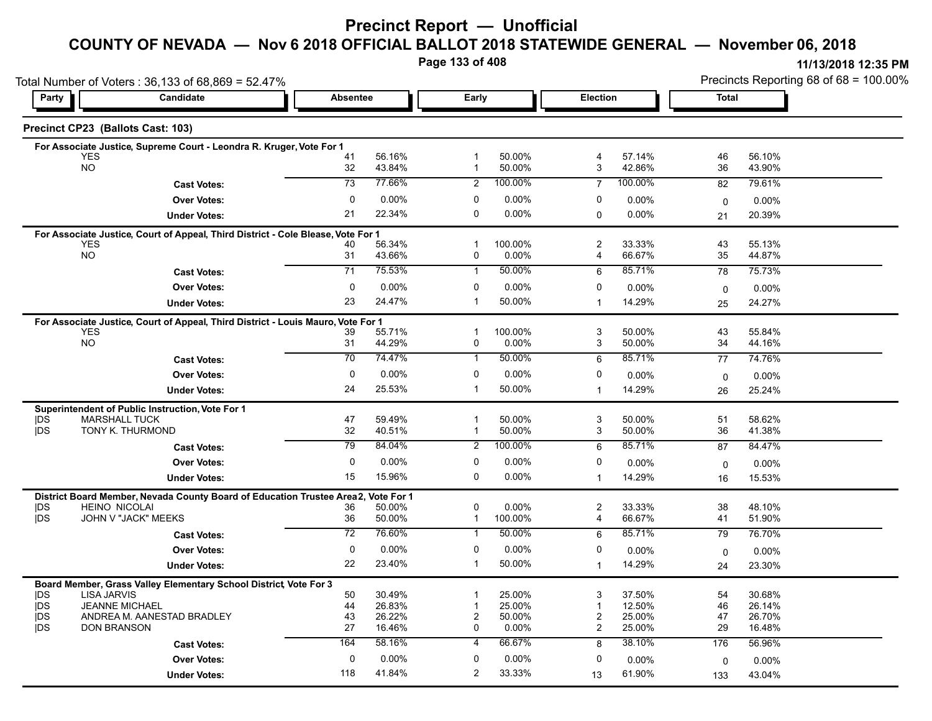# **Precinct Report — Unofficial**

#### **COUNTY OF NEVADA — Nov 6 2018 OFFICIAL BALLOT 2018 STATEWIDE GENERAL — November 06, 2018**

**Page 133 of 408**

|                               | Total Number of Voters: 36,133 of 68,869 = 52.47%                                 |                 |                  |                |                  |                     |                    | Precincts Reporting 68 of 68 = 100.00% |                  |  |
|-------------------------------|-----------------------------------------------------------------------------------|-----------------|------------------|----------------|------------------|---------------------|--------------------|----------------------------------------|------------------|--|
| Party                         | Candidate                                                                         | <b>Absentee</b> |                  | <b>Early</b>   |                  | Election            |                    | <b>Total</b>                           |                  |  |
|                               | Precinct CP23 (Ballots Cast: 103)                                                 |                 |                  |                |                  |                     |                    |                                        |                  |  |
|                               | For Associate Justice, Supreme Court - Leondra R. Kruger, Vote For 1              |                 |                  |                |                  |                     |                    |                                        |                  |  |
|                               | <b>YES</b><br><b>NO</b>                                                           | 41<br>32        | 56.16%<br>43.84% | $\mathbf{1}$   | 50.00%<br>50.00% | 4<br>3              | 57.14%<br>42.86%   | 46<br>36                               | 56.10%<br>43.90% |  |
|                               |                                                                                   | $\overline{73}$ | 77.66%           |                | 100.00%          |                     | 100.00%            |                                        |                  |  |
|                               | <b>Cast Votes:</b>                                                                |                 |                  | $\overline{2}$ |                  | $\overline{7}$      |                    | 82                                     | 79.61%           |  |
|                               | <b>Over Votes:</b>                                                                | 0               | 0.00%            | 0              | 0.00%            | 0                   | 0.00%              | $\mathbf 0$                            | 0.00%            |  |
|                               | <b>Under Votes:</b>                                                               | 21              | 22.34%           | 0              | 0.00%            | $\Omega$            | 0.00%              | 21                                     | 20.39%           |  |
|                               | For Associate Justice, Court of Appeal, Third District - Cole Blease, Vote For 1  |                 |                  |                |                  |                     |                    |                                        |                  |  |
|                               | <b>YES</b><br><b>NO</b>                                                           | 40<br>31        | 56.34%<br>43.66% | 0              | 100.00%<br>0.00% | $\overline{2}$<br>4 | 33.33%<br>66.67%   | 43<br>35                               | 55.13%<br>44.87% |  |
|                               | <b>Cast Votes:</b>                                                                | 71              | 75.53%           | $\mathbf{1}$   | 50.00%           | 6                   | 85.71%             | 78                                     | 75.73%           |  |
|                               | <b>Over Votes:</b>                                                                | 0               | 0.00%            | 0              | 0.00%            | 0                   |                    |                                        |                  |  |
|                               |                                                                                   | 23              | 24.47%           | $\overline{1}$ | 50.00%           | $\mathbf{1}$        | $0.00\%$<br>14.29% | $\mathbf 0$                            | 0.00%            |  |
|                               | <b>Under Votes:</b>                                                               |                 |                  |                |                  |                     |                    | 25                                     | 24.27%           |  |
|                               | For Associate Justice, Court of Appeal, Third District - Louis Mauro, Vote For 1  |                 |                  | -1             |                  |                     |                    |                                        |                  |  |
|                               | <b>YES</b><br><b>NO</b>                                                           | 39<br>31        | 55.71%<br>44.29% | 0              | 100.00%<br>0.00% | 3<br>3              | 50.00%<br>50.00%   | 43<br>34                               | 55.84%<br>44.16% |  |
|                               | <b>Cast Votes:</b>                                                                | $\overline{70}$ | 74.47%           | $\mathbf{1}$   | 50.00%           | 6                   | 85.71%             | 77                                     | 74.76%           |  |
|                               | <b>Over Votes:</b>                                                                | $\mathbf 0$     | 0.00%            | $\mathbf 0$    | $0.00\%$         | $\mathbf 0$         | 0.00%              |                                        | 0.00%            |  |
|                               | <b>Under Votes:</b>                                                               | 24              | 25.53%           | -1             | 50.00%           | $\overline{1}$      | 14.29%             | $\mathbf 0$<br>26                      | 25.24%           |  |
|                               |                                                                                   |                 |                  |                |                  |                     |                    |                                        |                  |  |
| <b>IDS</b>                    | Superintendent of Public Instruction, Vote For 1<br><b>MARSHALL TUCK</b>          | 47              | 59.49%           | 1              | 50.00%           | 3                   | 50.00%             | 51                                     | 58.62%           |  |
| <b>jDS</b>                    | TONY K. THURMOND                                                                  | 32              | 40.51%           | $\mathbf{1}$   | 50.00%           | 3                   | 50.00%             | 36                                     | 41.38%           |  |
|                               | <b>Cast Votes:</b>                                                                | 79              | 84.04%           | $\overline{2}$ | 100.00%          | 6                   | 85.71%             | 87                                     | 84.47%           |  |
|                               | <b>Over Votes:</b>                                                                | $\mathbf 0$     | 0.00%            | $\mathbf 0$    | 0.00%            | $\Omega$            | 0.00%              | 0                                      | 0.00%            |  |
|                               | <b>Under Votes:</b>                                                               | 15              | 15.96%           | $\Omega$       | $0.00\%$         | $\mathbf 1$         | 14.29%             | 16                                     | 15.53%           |  |
|                               | District Board Member, Nevada County Board of Education Trustee Area2, Vote For 1 |                 |                  |                |                  |                     |                    |                                        |                  |  |
| DS                            | <b>HEINO NICOLAI</b>                                                              | 36              | 50.00%           | 0              | $0.00\%$         | 2                   | 33.33%             | 38                                     | 48.10%           |  |
| <b>IDS</b>                    | JOHN V "JACK" MEEKS                                                               | 36              | 50.00%           | $\mathbf{1}$   | 100.00%          | $\overline{4}$      | 66.67%             | 41                                     | 51.90%           |  |
|                               | <b>Cast Votes:</b>                                                                | $\overline{72}$ | 76.60%           | $\mathbf{1}$   | 50.00%           | 6                   | 85.71%             | 79                                     | 76.70%           |  |
|                               | <b>Over Votes:</b>                                                                | 0               | 0.00%            | $\mathbf 0$    | 0.00%            | $\Omega$            | 0.00%              | $\mathbf 0$                            | 0.00%            |  |
|                               | <b>Under Votes:</b>                                                               | 22              | 23.40%           | $\mathbf{1}$   | 50.00%           | $\mathbf 1$         | 14.29%             | 24                                     | 23.30%           |  |
|                               | Board Member, Grass Valley Elementary School District, Vote For 3                 |                 |                  |                |                  |                     |                    |                                        |                  |  |
| DS                            | <b>LISA JARVIS</b>                                                                | 50              | 30.49%           |                | 25.00%           | 3                   | 37.50%             | 54                                     | 30.68%           |  |
| <b>IDS</b>                    | <b>JEANNE MICHAEL</b>                                                             | 44              | 26.83%           |                | 25.00%           | 1                   | 12.50%             | 46                                     | 26.14%           |  |
| <b>IDS</b><br>j <sub>DS</sub> | ANDREA M. AANESTAD BRADLEY<br><b>DON BRANSON</b>                                  | 43<br>27        | 26.22%<br>16.46% | 2<br>0         | 50.00%<br>0.00%  | 2<br>2              | 25.00%<br>25.00%   | 47<br>29                               | 26.70%<br>16.48% |  |
|                               | <b>Cast Votes:</b>                                                                | 164             | 58.16%           | 4              | 66.67%           | 8                   | 38.10%             | 176                                    | 56.96%           |  |
|                               | <b>Over Votes:</b>                                                                | 0               | 0.00%            | 0              | 0.00%            | 0                   | 0.00%              | $\mathbf 0$                            | $0.00\%$         |  |
|                               | <b>Under Votes:</b>                                                               | 118             | 41.84%           | $\overline{2}$ | 33.33%           | 13                  | 61.90%             |                                        | 43.04%           |  |
|                               |                                                                                   |                 |                  |                |                  |                     |                    | 133                                    |                  |  |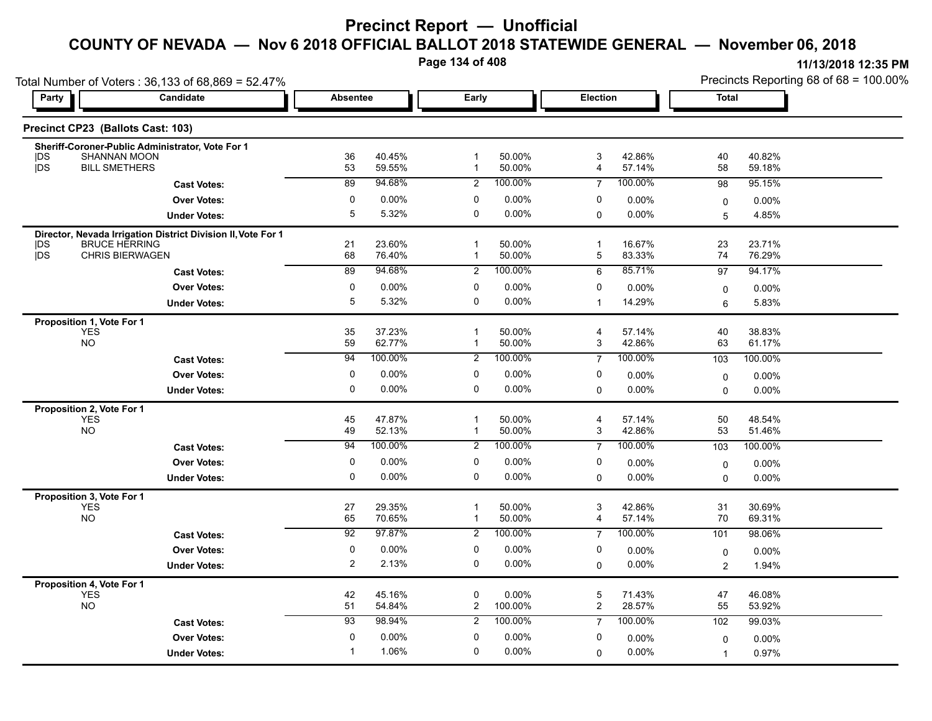**Page 134 of 408**

|                                         | Total Number of Voters: 36,133 of 68,869 = 52.47%                                    |                     |                  |                             |                  |                |                  | Precincts Reporting 68 of 68 = 100.00% |                  |  |
|-----------------------------------------|--------------------------------------------------------------------------------------|---------------------|------------------|-----------------------------|------------------|----------------|------------------|----------------------------------------|------------------|--|
| Party                                   | <b>Candidate</b>                                                                     | <b>Absentee</b>     |                  | Early                       |                  | Election       |                  | <b>Total</b>                           |                  |  |
| Precinct CP23 (Ballots Cast: 103)       |                                                                                      |                     |                  |                             |                  |                |                  |                                        |                  |  |
|                                         | Sheriff-Coroner-Public Administrator, Vote For 1                                     |                     |                  |                             |                  |                |                  |                                        |                  |  |
| <b>IDS</b><br>jDS                       | SHANNAN MOON<br><b>BILL SMETHERS</b>                                                 | 36<br>53            | 40.45%<br>59.55% | $\mathbf 1$<br>1            | 50.00%<br>50.00% | 3<br>4         | 42.86%<br>57.14% | 40<br>58                               | 40.82%<br>59.18% |  |
|                                         | <b>Cast Votes:</b>                                                                   | $\overline{89}$     | 94.68%           | 2                           | 100.00%          | $\overline{7}$ | 100.00%          | 98                                     | 95.15%           |  |
|                                         | <b>Over Votes:</b>                                                                   | 0                   | 0.00%            | 0                           | 0.00%            | 0              | $0.00\%$         | $\mathbf 0$                            | 0.00%            |  |
|                                         | <b>Under Votes:</b>                                                                  | 5                   | 5.32%            | 0                           | 0.00%            | $\mathbf 0$    | $0.00\%$         | 5                                      | 4.85%            |  |
|                                         |                                                                                      |                     |                  |                             |                  |                |                  |                                        |                  |  |
| DS                                      | Director, Nevada Irrigation District Division II, Vote For 1<br><b>BRUCE HERRING</b> | 21                  | 23.60%           | 1                           | 50.00%           | $\mathbf{1}$   | 16.67%           | 23                                     | 23.71%           |  |
| jDS                                     | <b>CHRIS BIERWAGEN</b>                                                               | 68                  | 76.40%           | 1                           | 50.00%           | 5              | 83.33%           | 74                                     | 76.29%           |  |
|                                         | <b>Cast Votes:</b>                                                                   | 89                  | 94.68%           | $\overline{2}$              | 100.00%          | 6              | 85.71%           | 97                                     | 94.17%           |  |
|                                         | <b>Over Votes:</b>                                                                   | 0                   | $0.00\%$         | 0                           | 0.00%            | 0              | 0.00%            | $\mathbf 0$                            | $0.00\%$         |  |
|                                         | <b>Under Votes:</b>                                                                  | 5                   | 5.32%            | 0                           | 0.00%            | $\mathbf{1}$   | 14.29%           | 6                                      | 5.83%            |  |
| Proposition 1, Vote For 1               |                                                                                      |                     |                  |                             |                  |                |                  |                                        |                  |  |
| <b>YES</b>                              |                                                                                      | 35                  | 37.23%           | $\mathbf 1$                 | 50.00%           | 4              | 57.14%           | 40                                     | 38.83%           |  |
| <b>NO</b>                               |                                                                                      | 59                  | 62.77%           | $\mathbf{1}$                | 50.00%           | 3              | 42.86%           | 63                                     | 61.17%           |  |
|                                         | <b>Cast Votes:</b>                                                                   | 94                  | 100.00%          | $\overline{2}$              | 100.00%          | $\overline{7}$ | 100.00%          | 103                                    | 100.00%          |  |
|                                         | <b>Over Votes:</b>                                                                   | 0                   | 0.00%            | 0                           | 0.00%            | 0              | 0.00%            | 0                                      | 0.00%            |  |
|                                         | <b>Under Votes:</b>                                                                  | 0                   | 0.00%            | 0                           | 0.00%            | 0              | 0.00%            | $\Omega$                               | 0.00%            |  |
| Proposition 2, Vote For 1               |                                                                                      |                     |                  |                             |                  |                |                  |                                        |                  |  |
| <b>YES</b>                              |                                                                                      | 45                  | 47.87%           | $\overline{1}$              | 50.00%           | $\overline{4}$ | 57.14%           | 50                                     | 48.54%           |  |
| <b>NO</b>                               |                                                                                      | 49                  | 52.13%           | $\mathbf{1}$                | 50.00%           | 3              | 42.86%           | 53                                     | 51.46%           |  |
|                                         | <b>Cast Votes:</b>                                                                   | 94                  | 100.00%          | $\overline{2}$              | 100.00%          | $\overline{7}$ | 100.00%          | 103                                    | 100.00%          |  |
|                                         | <b>Over Votes:</b>                                                                   | 0                   | 0.00%            | 0                           | 0.00%            | 0              | $0.00\%$         | $\mathbf 0$                            | 0.00%            |  |
|                                         | <b>Under Votes:</b>                                                                  | 0                   | 0.00%            | 0                           | $0.00\%$         | 0              | 0.00%            | 0                                      | $0.00\%$         |  |
| Proposition 3, Vote For 1               |                                                                                      |                     |                  |                             |                  |                |                  |                                        |                  |  |
| <b>YES</b><br><b>NO</b>                 |                                                                                      | 27<br>65            | 29.35%<br>70.65% | $\mathbf 1$<br>$\mathbf{1}$ | 50.00%<br>50.00% | 3<br>4         | 42.86%<br>57.14% | 31<br>70                               | 30.69%<br>69.31% |  |
|                                         | <b>Cast Votes:</b>                                                                   | 92                  | 97.87%           | 2                           | 100.00%          | $\overline{7}$ | 100.00%          | 101                                    | 98.06%           |  |
|                                         |                                                                                      |                     |                  |                             |                  |                |                  |                                        |                  |  |
|                                         | <b>Over Votes:</b>                                                                   | 0<br>$\overline{2}$ | 0.00%<br>2.13%   | 0<br>0                      | 0.00%<br>0.00%   | 0              | $0.00\%$         | $\mathbf 0$                            | 0.00%            |  |
|                                         | <b>Under Votes:</b>                                                                  |                     |                  |                             |                  | $\Omega$       | $0.00\%$         | $\overline{c}$                         | 1.94%            |  |
| Proposition 4, Vote For 1<br><b>YES</b> |                                                                                      |                     | 45.16%           | 0                           |                  | 5              |                  |                                        | 46.08%           |  |
| <b>NO</b>                               |                                                                                      | 42<br>51            | 54.84%           | 2                           | 0.00%<br>100.00% | $\overline{c}$ | 71.43%<br>28.57% | 47<br>55                               | 53.92%           |  |
|                                         | <b>Cast Votes:</b>                                                                   | 93                  | 98.94%           | 2                           | 100.00%          | $\overline{7}$ | 100.00%          | 102                                    | 99.03%           |  |
|                                         | <b>Over Votes:</b>                                                                   | 0                   | 0.00%            | $\mathbf{0}$                | 0.00%            | 0              | $0.00\%$         | $\mathbf 0$                            | 0.00%            |  |
|                                         | <b>Under Votes:</b>                                                                  | -1                  | 1.06%            | $\Omega$                    | $0.00\%$         | $\Omega$       | $0.00\%$         | $\overline{1}$                         | 0.97%            |  |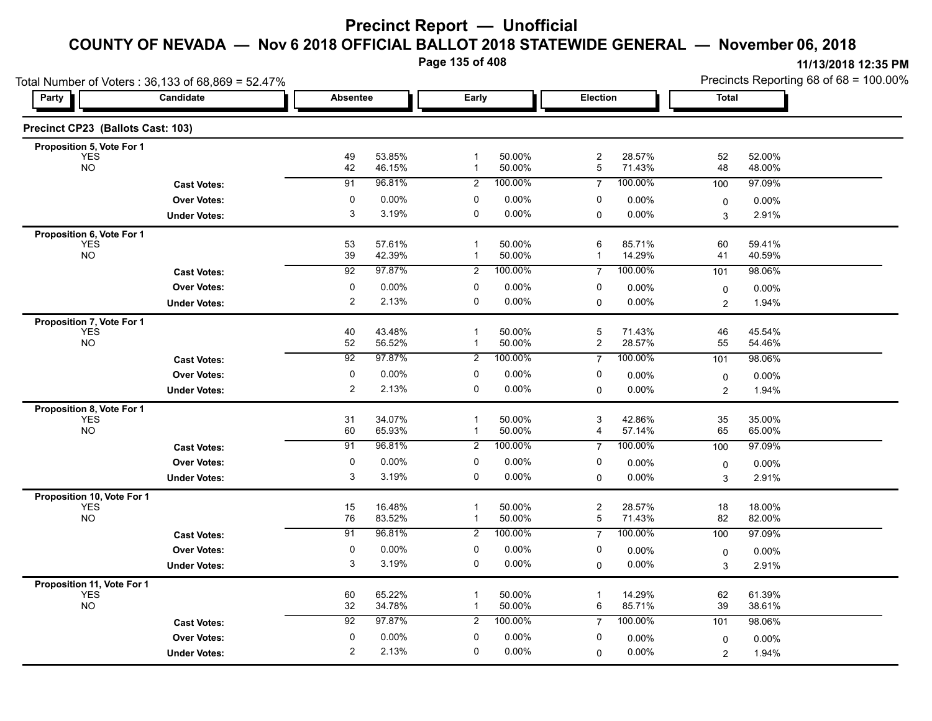**Page 135 of 408**

| Total Number of Voters: 36,133 of 68,869 = 52.47% |                     |                 |                  |                              |                   |                              |                   | Precincts Reporting 68 of 68 = 100.00% |                   |  |
|---------------------------------------------------|---------------------|-----------------|------------------|------------------------------|-------------------|------------------------------|-------------------|----------------------------------------|-------------------|--|
| Party                                             | <b>Candidate</b>    | <b>Absentee</b> |                  | Early                        |                   | Election                     |                   | Total                                  |                   |  |
| Precinct CP23 (Ballots Cast: 103)                 |                     |                 |                  |                              |                   |                              |                   |                                        |                   |  |
| Proposition 5, Vote For 1                         |                     |                 |                  |                              |                   |                              |                   |                                        |                   |  |
| YES<br><b>NO</b>                                  |                     | 49<br>42        | 53.85%<br>46.15% | $\mathbf{1}$<br>$\mathbf{1}$ | 50.00%<br>50.00%  | $\overline{\mathbf{c}}$<br>5 | 28.57%<br>71.43%  | 52<br>48                               | 52.00%<br>48.00%  |  |
|                                                   | <b>Cast Votes:</b>  | $\overline{91}$ | 96.81%           | $\overline{2}$               | 100.00%           | $\overline{7}$               | 100.00%           | 100                                    | 97.09%            |  |
|                                                   | <b>Over Votes:</b>  | 0               | $0.00\%$         | 0                            | 0.00%             | 0                            | $0.00\%$          | 0                                      | 0.00%             |  |
|                                                   | <b>Under Votes:</b> | 3               | 3.19%            | 0                            | $0.00\%$          | 0                            | $0.00\%$          | 3                                      | 2.91%             |  |
| Proposition 6, Vote For 1                         |                     |                 |                  |                              |                   |                              |                   |                                        |                   |  |
| <b>YES</b><br><b>NO</b>                           |                     | 53              | 57.61%           | $\mathbf 1$                  | 50.00%            | 6                            | 85.71%            | 60                                     | 59.41%            |  |
|                                                   |                     | 39              | 42.39%<br>97.87% | 1                            | 50.00%<br>100.00% | $\mathbf{1}$                 | 14.29%<br>100.00% | 41                                     | 40.59%            |  |
|                                                   | <b>Cast Votes:</b>  | 92              |                  | 2                            |                   | $\overline{7}$               |                   | 101                                    | 98.06%            |  |
|                                                   | <b>Over Votes:</b>  | 0               | $0.00\%$         | 0<br>0                       | 0.00%             | 0                            | 0.00%             | 0                                      | $0.00\%$          |  |
|                                                   | <b>Under Votes:</b> | 2               | 2.13%            |                              | 0.00%             | $\Omega$                     | $0.00\%$          | $\overline{2}$                         | 1.94%             |  |
| Proposition 7, Vote For 1<br><b>YES</b>           |                     |                 | 43.48%           | $\mathbf{1}$                 | 50.00%            | 5                            | 71.43%            | 46                                     | 45.54%            |  |
| <b>NO</b>                                         |                     | 40<br>52        | 56.52%           | $\mathbf 1$                  | 50.00%            | $\overline{c}$               | 28.57%            | 55                                     | 54.46%            |  |
|                                                   | <b>Cast Votes:</b>  | 92              | 97.87%           | $\overline{c}$               | 100.00%           | $\overline{7}$               | 100.00%           | 101                                    | 98.06%            |  |
|                                                   | <b>Over Votes:</b>  | 0               | $0.00\%$         | 0                            | 0.00%             | 0                            | $0.00\%$          | 0                                      | 0.00%             |  |
|                                                   | <b>Under Votes:</b> | 2               | 2.13%            | 0                            | 0.00%             | $\mathbf 0$                  | $0.00\%$          | $\overline{2}$                         | 1.94%             |  |
| Proposition 8, Vote For 1                         |                     |                 |                  |                              |                   |                              |                   |                                        |                   |  |
| <b>YES</b>                                        |                     | 31              | 34.07%           | $\mathbf 1$                  | 50.00%            | 3                            | 42.86%            | 35                                     | 35.00%            |  |
| <b>NO</b>                                         |                     | 60              | 65.93%           | $\mathbf 1$                  | 50.00%            | 4                            | 57.14%            | 65                                     | 65.00%            |  |
|                                                   | <b>Cast Votes:</b>  | 91              | 96.81%           | $\overline{2}$               | 100.00%           | $\overline{7}$               | 100.00%           | 100                                    | 97.09%            |  |
|                                                   | <b>Over Votes:</b>  | $\mathbf 0$     | 0.00%            | 0                            | 0.00%             | 0                            | 0.00%             | 0                                      | $0.00\%$          |  |
|                                                   | <b>Under Votes:</b> | 3               | 3.19%            | 0                            | 0.00%             | $\mathbf 0$                  | 0.00%             | 3                                      | 2.91%             |  |
| Proposition 10, Vote For 1                        |                     |                 |                  |                              |                   |                              |                   |                                        |                   |  |
| <b>YES</b><br><b>NO</b>                           |                     | 15<br>76        | 16.48%<br>83.52% | $\mathbf 1$<br>$\mathbf{1}$  | 50.00%<br>50.00%  | $\overline{\mathbf{c}}$<br>5 | 28.57%<br>71.43%  | 18<br>82                               | 18.00%<br>82.00%  |  |
|                                                   | <b>Cast Votes:</b>  | 91              | 96.81%           | $\overline{2}$               | 100.00%           | $\overline{7}$               | 100.00%           | 100                                    | 97.09%            |  |
|                                                   | <b>Over Votes:</b>  | 0               | $0.00\%$         | 0                            | $0.00\%$          | 0                            | $0.00\%$          |                                        |                   |  |
|                                                   | <b>Under Votes:</b> | 3               | 3.19%            | $\mathbf 0$                  | 0.00%             | $\mathbf 0$                  | 0.00%             | 0<br>3                                 | $0.00\%$<br>2.91% |  |
|                                                   |                     |                 |                  |                              |                   |                              |                   |                                        |                   |  |
| <b>Proposition 11, Vote For 1</b><br>YES          |                     | 60              | 65.22%           | $\mathbf{1}$                 | 50.00%            | $\mathbf{1}$                 | 14.29%            | 62                                     | 61.39%            |  |
| NO                                                |                     | 32              | 34.78%           | $\mathbf{1}$                 | 50.00%            | 6                            | 85.71%            | 39                                     | 38.61%            |  |
|                                                   | <b>Cast Votes:</b>  | 92              | 97.87%           | $\overline{c}$               | 100.00%           | $\overline{7}$               | 100.00%           | 101                                    | 98.06%            |  |
|                                                   | <b>Over Votes:</b>  | $\mathbf 0$     | $0.00\%$         | 0                            | 0.00%             | 0                            | $0.00\%$          | 0                                      | 0.00%             |  |
|                                                   | <b>Under Votes:</b> | 2               | 2.13%            | 0                            | $0.00\%$          | 0                            | 0.00%             | $\overline{2}$                         | 1.94%             |  |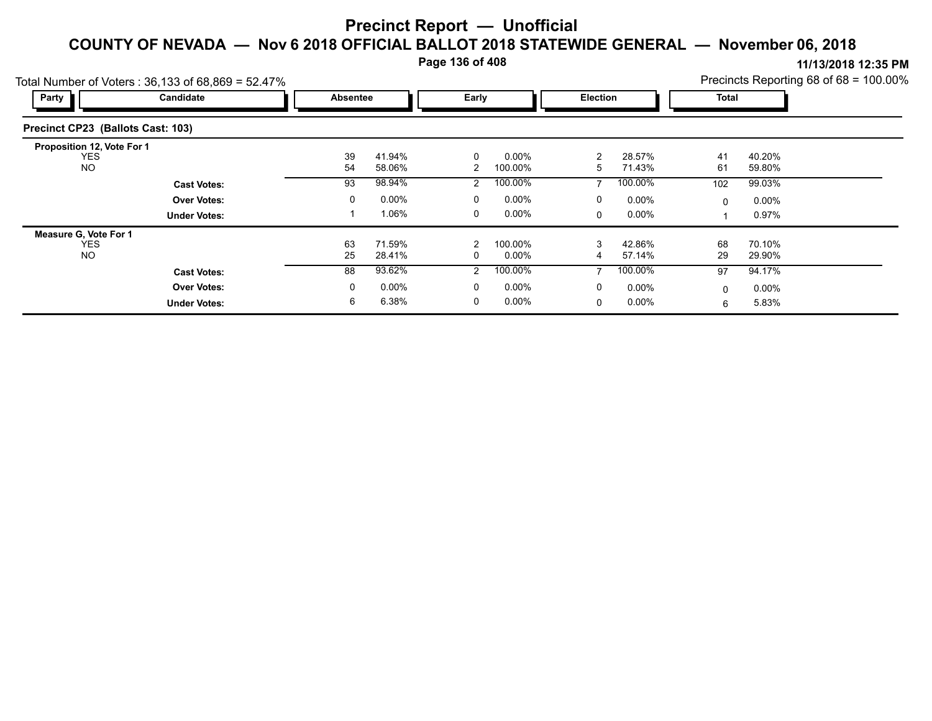**Page 136 of 408**

|                                                         | Total Number of Voters: $36,133$ of $68,869 = 52.47\%$ |          |                  |                |                     |        |                  |          |                  | Precincts Reporting 68 of 68 = 100.00% |
|---------------------------------------------------------|--------------------------------------------------------|----------|------------------|----------------|---------------------|--------|------------------|----------|------------------|----------------------------------------|
| Party                                                   | Candidate                                              | Absentee |                  | Early          |                     |        | <b>Election</b>  |          | <b>Total</b>     |                                        |
| Precinct CP23 (Ballots Cast: 103)                       |                                                        |          |                  |                |                     |        |                  |          |                  |                                        |
| Proposition 12, Vote For 1<br><b>YES</b><br><b>NO</b>   |                                                        | 39<br>54 | 41.94%<br>58.06% | 0<br>2         | $0.00\%$<br>100.00% | 2<br>5 | 28.57%<br>71.43% | 41<br>61 | 40.20%<br>59.80% |                                        |
|                                                         | <b>Cast Votes:</b>                                     | 93       | 98.94%           | 2              | 100.00%             |        | 100.00%          | 102      | 99.03%           |                                        |
|                                                         | <b>Over Votes:</b>                                     | 0        | 0.00%            | 0              | $0.00\%$            | 0      | $0.00\%$         | 0        | $0.00\%$         |                                        |
|                                                         | <b>Under Votes:</b>                                    |          | 1.06%            | 0              | $0.00\%$            | 0      | $0.00\%$         |          | 0.97%            |                                        |
| <b>Measure G. Vote For 1</b><br><b>YES</b><br><b>NO</b> |                                                        | 63<br>25 | 71.59%<br>28.41% | 2<br>0         | 100.00%<br>$0.00\%$ | 3<br>4 | 42.86%<br>57.14% | 68<br>29 | 70.10%<br>29.90% |                                        |
|                                                         | <b>Cast Votes:</b>                                     | 88       | 93.62%           | $\overline{2}$ | 100.00%             | 7      | 100.00%          | 97       | 94.17%           |                                        |
|                                                         | <b>Over Votes:</b>                                     | 0        | $0.00\%$         | 0              | $0.00\%$            | 0      | $0.00\%$         | 0        | $0.00\%$         |                                        |
|                                                         | <b>Under Votes:</b>                                    | 6        | 6.38%            | 0              | 0.00%               | 0      | $0.00\%$         | 6        | 5.83%            |                                        |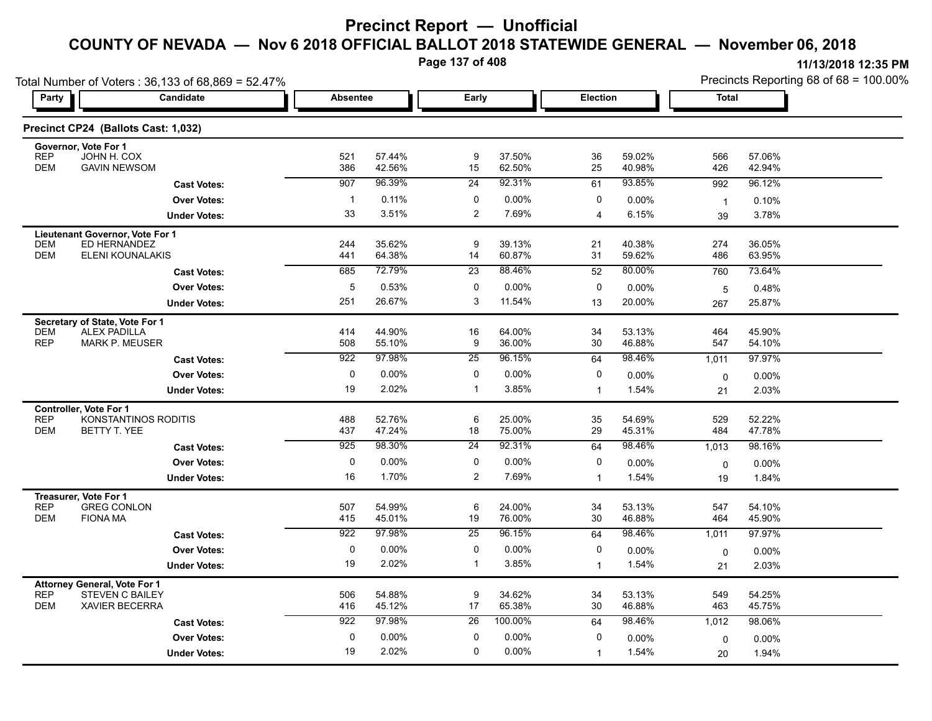**Page 137 of 408**

| Total Number of Voters: 36,133 of 68,869 = 52.47% |                                                 |                 |                  |                       |                  |                |                  | Precincts Reporting 68 of 68 = 100.00% |                   |  |
|---------------------------------------------------|-------------------------------------------------|-----------------|------------------|-----------------------|------------------|----------------|------------------|----------------------------------------|-------------------|--|
| Party                                             | Candidate                                       | <b>Absentee</b> |                  | Early                 |                  | Election       |                  | <b>Total</b>                           |                   |  |
|                                                   | Precinct CP24 (Ballots Cast: 1,032)             |                 |                  |                       |                  |                |                  |                                        |                   |  |
| Governor, Vote For 1<br><b>REP</b>                | JOHN H. COX                                     |                 | 57.44%           |                       | 37.50%           |                | 59.02%           |                                        |                   |  |
| <b>DEM</b>                                        | <b>GAVIN NEWSOM</b>                             | 521<br>386      | 42.56%           | 9<br>15               | 62.50%           | 36<br>25       | 40.98%           | 566<br>426                             | 57.06%<br>42.94%  |  |
|                                                   | <b>Cast Votes:</b>                              | 907             | 96.39%           | 24                    | 92.31%           | 61             | 93.85%           | 992                                    | 96.12%            |  |
|                                                   | <b>Over Votes:</b>                              | $\overline{1}$  | 0.11%            | 0                     | $0.00\%$         | 0              | $0.00\%$         | $\overline{1}$                         | 0.10%             |  |
|                                                   | <b>Under Votes:</b>                             | 33              | 3.51%            | $\overline{c}$        | 7.69%            | 4              | 6.15%            | 39                                     | 3.78%             |  |
|                                                   | Lieutenant Governor, Vote For 1                 |                 |                  |                       |                  |                |                  |                                        |                   |  |
| DEM                                               | ED HERNANDEZ                                    | 244             | 35.62%           | 9                     | 39.13%           | 21             | 40.38%           | 274                                    | 36.05%            |  |
| <b>DEM</b>                                        | ELENI KOUNALAKIS                                | 441             | 64.38%           | 14                    | 60.87%           | 31             | 59.62%           | 486                                    | 63.95%            |  |
|                                                   | <b>Cast Votes:</b>                              | 685             | 72.79%           | $\overline{23}$       | 88.46%           | 52             | 80.00%           | 760                                    | 73.64%            |  |
|                                                   | <b>Over Votes:</b>                              | 5               | 0.53%            | 0                     | $0.00\%$         | 0              | 0.00%            | 5                                      | 0.48%             |  |
|                                                   | <b>Under Votes:</b>                             | 251             | 26.67%           | 3                     | 11.54%           | 13             | 20.00%           | 267                                    | 25.87%            |  |
| Secretary of State, Vote For 1                    |                                                 |                 |                  |                       |                  |                |                  |                                        |                   |  |
| <b>DEM</b><br><b>REP</b>                          | <b>ALEX PADILLA</b><br><b>MARK P. MEUSER</b>    | 414<br>508      | 44.90%<br>55.10% | 16<br>9               | 64.00%<br>36.00% | 34<br>30       | 53.13%<br>46.88% | 464<br>547                             | 45.90%<br>54.10%  |  |
|                                                   | <b>Cast Votes:</b>                              | 922             | 97.98%           | 25                    | 96.15%           | 64             | 98.46%           | 1,011                                  | 97.97%            |  |
|                                                   | <b>Over Votes:</b>                              | 0               | 0.00%            | 0                     | $0.00\%$         | 0              | $0.00\%$         | $\mathbf 0$                            | $0.00\%$          |  |
|                                                   | <b>Under Votes:</b>                             | 19              | 2.02%            | $\mathbf{1}$          | 3.85%            | $\mathbf{1}$   | 1.54%            | 21                                     | 2.03%             |  |
|                                                   |                                                 |                 |                  |                       |                  |                |                  |                                        |                   |  |
| Controller, Vote For 1<br><b>REP</b>              | KONSTANTINOS RODITIS                            | 488             | 52.76%           | 6                     | 25.00%           | 35             | 54.69%           | 529                                    | 52.22%            |  |
| <b>DEM</b>                                        | BETTY T. YEE                                    | 437             | 47.24%           | 18                    | 75.00%           | 29             | 45.31%           | 484                                    | 47.78%            |  |
|                                                   | <b>Cast Votes:</b>                              | 925             | 98.30%           | 24                    | 92.31%           | 64             | 98.46%           | 1,013                                  | 98.16%            |  |
|                                                   | <b>Over Votes:</b>                              | 0               | 0.00%            | 0                     | $0.00\%$         | 0              | 0.00%            | $\mathbf 0$                            | $0.00\%$          |  |
|                                                   | <b>Under Votes:</b>                             | 16              | 1.70%            | $\overline{c}$        | 7.69%            | $\mathbf{1}$   | 1.54%            | 19                                     | 1.84%             |  |
| Treasurer, Vote For 1                             |                                                 |                 |                  |                       |                  |                |                  |                                        |                   |  |
| <b>REP</b><br><b>DEM</b>                          | <b>GREG CONLON</b><br><b>FIONA MA</b>           | 507             | 54.99%           | 6                     | 24.00%<br>76.00% | 34             | 53.13%<br>46.88% | 547                                    | 54.10%            |  |
|                                                   |                                                 | 415<br>922      | 45.01%<br>97.98% | 19<br>$\overline{25}$ | 96.15%           | 30             | 98.46%           | 464                                    | 45.90%            |  |
|                                                   | <b>Cast Votes:</b>                              |                 |                  |                       |                  | 64             |                  | 1,011                                  | 97.97%            |  |
|                                                   | <b>Over Votes:</b>                              | 0               | $0.00\%$         | 0                     | 0.00%            | 0              | 0.00%            | $\mathbf 0$                            | $0.00\%$          |  |
|                                                   | <b>Under Votes:</b>                             | 19              | 2.02%            | $\mathbf{1}$          | 3.85%            | $\overline{1}$ | 1.54%            | 21                                     | 2.03%             |  |
| <b>Attorney General, Vote For 1</b>               |                                                 |                 |                  |                       |                  |                |                  |                                        |                   |  |
| <b>REP</b><br><b>DEM</b>                          | <b>STEVEN C BAILEY</b><br><b>XAVIER BECERRA</b> | 506<br>416      | 54.88%<br>45.12% | 9<br>17               | 34.62%<br>65.38% | 34<br>30       | 53.13%<br>46.88% | 549<br>463                             | 54.25%<br>45.75%  |  |
|                                                   | <b>Cast Votes:</b>                              | 922             | 97.98%           | 26                    | 100.00%          | 64             | 98.46%           | 1,012                                  | 98.06%            |  |
|                                                   | <b>Over Votes:</b>                              | 0               | 0.00%            | 0                     | $0.00\%$         | 0              | 0.00%            |                                        |                   |  |
|                                                   | <b>Under Votes:</b>                             | 19              | 2.02%            | 0                     | 0.00%            | $\overline{1}$ | 1.54%            | $\mathbf 0$                            | $0.00\%$<br>1.94% |  |
|                                                   |                                                 |                 |                  |                       |                  |                |                  | 20                                     |                   |  |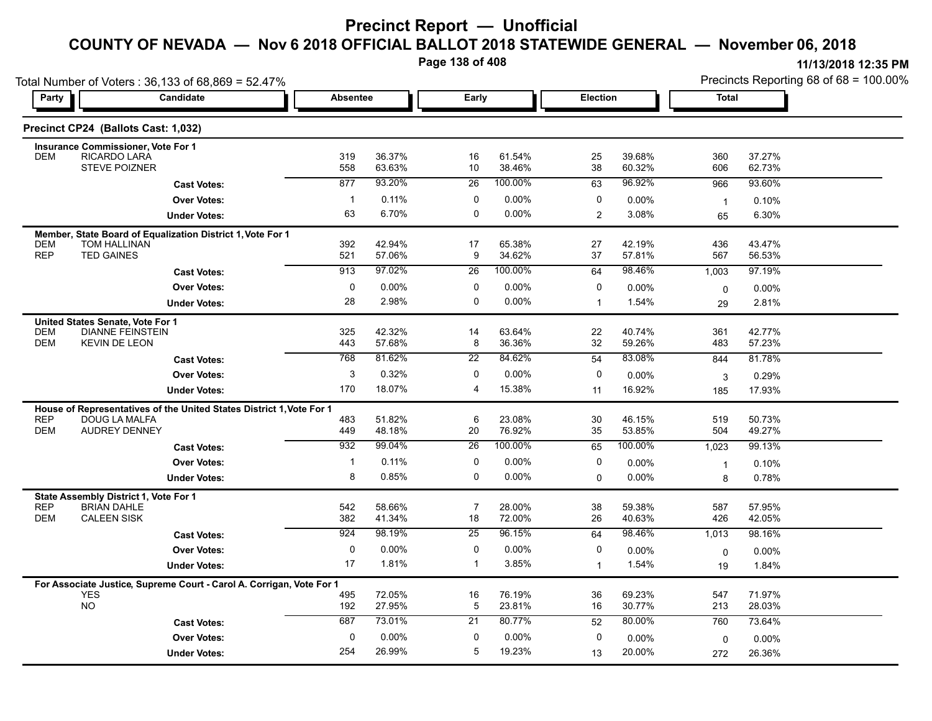**Page 138 of 408**

|                          | Total Number of Voters: 36,133 of 68,869 = 52.47%<br><b>Candidate</b> |              | <b>Absentee</b>  |                 |                  | Election       |                  | <b>Total</b>   | Precincts Reporting 68 of 68 = 100.00% |
|--------------------------|-----------------------------------------------------------------------|--------------|------------------|-----------------|------------------|----------------|------------------|----------------|----------------------------------------|
| Party                    |                                                                       |              |                  | Early           |                  |                |                  |                |                                        |
|                          | Precinct CP24 (Ballots Cast: 1,032)                                   |              |                  |                 |                  |                |                  |                |                                        |
|                          | <b>Insurance Commissioner, Vote For 1</b>                             |              |                  |                 |                  |                |                  |                |                                        |
| <b>DEM</b>               | RICARDO LARA<br><b>STEVE POIZNER</b>                                  | 319<br>558   | 36.37%<br>63.63% | 16<br>10        | 61.54%<br>38.46% | 25<br>38       | 39.68%<br>60.32% | 360<br>606     | 37.27%<br>62.73%                       |
|                          | <b>Cast Votes:</b>                                                    | 877          | 93.20%           | $\overline{26}$ | 100.00%          | 63             | 96.92%           | 966            | 93.60%                                 |
|                          | <b>Over Votes:</b>                                                    | $\mathbf{1}$ | 0.11%            | 0               | $0.00\%$         | 0              | 0.00%            | $\overline{1}$ | 0.10%                                  |
|                          | <b>Under Votes:</b>                                                   | 63           | 6.70%            | $\mathbf 0$     | $0.00\%$         | $\overline{c}$ | 3.08%            | 65             | 6.30%                                  |
|                          | Member, State Board of Equalization District 1, Vote For 1            |              |                  |                 |                  |                |                  |                |                                        |
| <b>DEM</b><br><b>REP</b> | <b>TOM HALLINAN</b><br><b>TED GAINES</b>                              | 392<br>521   | 42.94%<br>57.06% | 17<br>9         | 65.38%<br>34.62% | 27<br>37       | 42.19%<br>57.81% | 436<br>567     | 43.47%<br>56.53%                       |
|                          | <b>Cast Votes:</b>                                                    | 913          | 97.02%           | 26              | 100.00%          | 64             | 98.46%           | 1,003          | 97.19%                                 |
|                          | <b>Over Votes:</b>                                                    | 0            | 0.00%            | 0               | 0.00%            | 0              | 0.00%            | $\mathbf 0$    | 0.00%                                  |
|                          | <b>Under Votes:</b>                                                   | 28           | 2.98%            | $\mathbf 0$     | $0.00\%$         | $\mathbf{1}$   | 1.54%            | 29             | 2.81%                                  |
|                          | United States Senate, Vote For 1                                      |              |                  |                 |                  |                |                  |                |                                        |
| <b>DEM</b><br><b>DEM</b> | <b>DIANNE FEINSTEIN</b><br><b>KEVIN DE LEON</b>                       | 325<br>443   | 42.32%<br>57.68% | 14<br>8         | 63.64%<br>36.36% | 22<br>32       | 40.74%<br>59.26% | 361<br>483     | 42.77%<br>57.23%                       |
|                          | <b>Cast Votes:</b>                                                    | 768          | 81.62%           | $\overline{22}$ | 84.62%           | 54             | 83.08%           | 844            | 81.78%                                 |
|                          | <b>Over Votes:</b>                                                    | 3            | 0.32%            | 0               | $0.00\%$         | 0              | 0.00%            | 3              | 0.29%                                  |
|                          | <b>Under Votes:</b>                                                   | 170          | 18.07%           | $\overline{4}$  | 15.38%           | 11             | 16.92%           | 185            | 17.93%                                 |
|                          | House of Representatives of the United States District 1, Vote For 1  |              |                  |                 |                  |                |                  |                |                                        |
| <b>REP</b>               | <b>DOUG LA MALFA</b>                                                  | 483          | 51.82%           | 6               | 23.08%           | 30             | 46.15%           | 519            | 50.73%                                 |
| <b>DEM</b>               | <b>AUDREY DENNEY</b>                                                  | 449          | 48.18%           | 20              | 76.92%           | 35             | 53.85%           | 504            | 49.27%                                 |
|                          | <b>Cast Votes:</b>                                                    | 932          | 99.04%           | 26              | 100.00%          | 65             | 100.00%          | 1,023          | 99.13%                                 |
|                          | <b>Over Votes:</b>                                                    | $\mathbf{1}$ | 0.11%            | 0               | $0.00\%$         | 0              | 0.00%            | $\mathbf{1}$   | 0.10%                                  |
|                          | <b>Under Votes:</b>                                                   | 8            | 0.85%            | $\mathbf 0$     | 0.00%            | $\mathbf 0$    | 0.00%            | 8              | 0.78%                                  |
| <b>REP</b>               | State Assembly District 1, Vote For 1<br><b>BRIAN DAHLE</b>           | 542          | 58.66%           | $\overline{7}$  | 28.00%           | 38             | 59.38%           | 587            | 57.95%                                 |
| <b>DEM</b>               | <b>CALEEN SISK</b>                                                    | 382          | 41.34%           | 18              | 72.00%           | 26             | 40.63%           | 426            | 42.05%                                 |
|                          | <b>Cast Votes:</b>                                                    | 924          | 98.19%           | $\overline{25}$ | 96.15%           | 64             | 98.46%           | 1,013          | 98.16%                                 |
|                          | <b>Over Votes:</b>                                                    | 0            | 0.00%            | 0               | $0.00\%$         | 0              | 0.00%            | $\mathbf 0$    | 0.00%                                  |
|                          | <b>Under Votes:</b>                                                   | 17           | 1.81%            | $\mathbf{1}$    | 3.85%            | $\mathbf{1}$   | 1.54%            | 19             | 1.84%                                  |
|                          | For Associate Justice, Supreme Court - Carol A. Corrigan, Vote For 1  |              |                  |                 |                  |                |                  |                |                                        |
|                          | <b>YES</b><br><b>NO</b>                                               | 495<br>192   | 72.05%<br>27.95% | 16<br>5         | 76.19%<br>23.81% | 36<br>16       | 69.23%<br>30.77% | 547<br>213     | 71.97%<br>28.03%                       |
|                          | <b>Cast Votes:</b>                                                    | 687          | 73.01%           | 21              | 80.77%           | 52             | 80.00%           | 760            | 73.64%                                 |
|                          | <b>Over Votes:</b>                                                    | 0            | 0.00%            | 0               | $0.00\%$         | 0              | 0.00%            | $\mathbf 0$    | 0.00%                                  |
|                          | <b>Under Votes:</b>                                                   | 254          | 26.99%           | 5               | 19.23%           | 13             | 20.00%           | 272            | 26.36%                                 |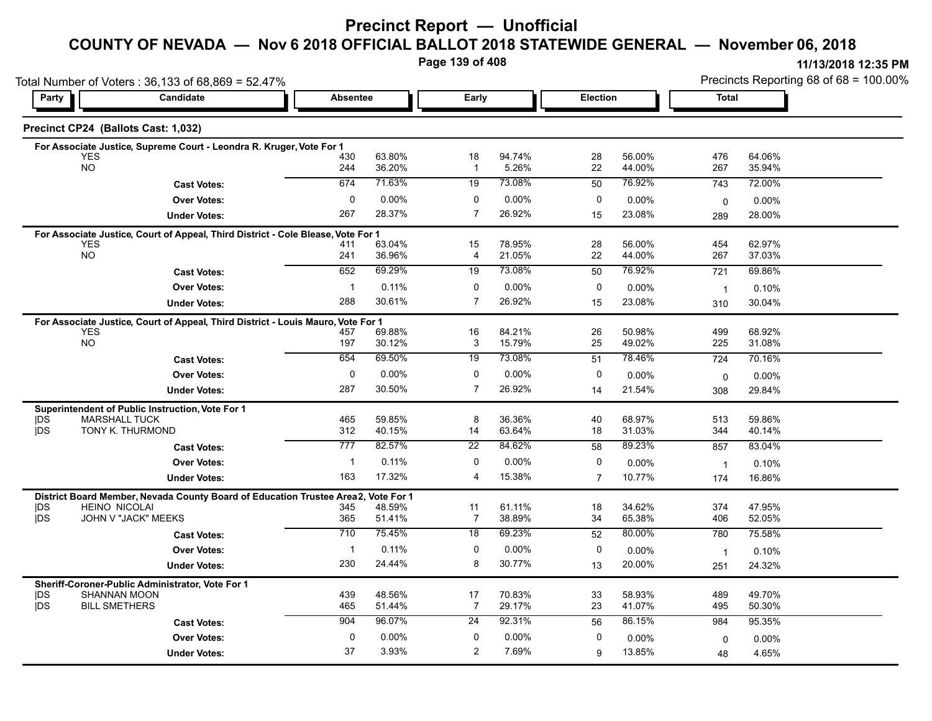# **Precinct Report — Unofficial**

#### **COUNTY OF NEVADA — Nov 6 2018 OFFICIAL BALLOT 2018 STATEWIDE GENERAL — November 06, 2018**

**Page 139 of 408**

|                   | Total Number of Voters: 36,133 of 68,869 = 52.47%                                              |                     |                  |                      |                  |                 | Precincts Reporting 68 of 68 = 100.00% |                |                  |
|-------------------|------------------------------------------------------------------------------------------------|---------------------|------------------|----------------------|------------------|-----------------|----------------------------------------|----------------|------------------|
| Party             | Candidate                                                                                      | <b>Absentee</b>     |                  | Early                |                  | Election        |                                        | Total          |                  |
|                   | Precinct CP24 (Ballots Cast: 1,032)                                                            |                     |                  |                      |                  |                 |                                        |                |                  |
|                   | For Associate Justice, Supreme Court - Leondra R. Kruger, Vote For 1                           |                     |                  |                      |                  |                 |                                        |                |                  |
|                   | <b>YES</b><br><b>NO</b>                                                                        | 430<br>244          | 63.80%<br>36.20% | 18<br>$\mathbf{1}$   | 94.74%<br>5.26%  | 28<br>22        | 56.00%<br>44.00%                       | 476<br>267     | 64.06%<br>35.94% |
|                   | <b>Cast Votes:</b>                                                                             | 674                 | 71.63%           | 19                   | 73.08%           | 50              | 76.92%                                 | 743            | 72.00%           |
|                   | <b>Over Votes:</b>                                                                             | $\mathbf 0$         | 0.00%            | 0                    | 0.00%            | 0               | $0.00\%$                               | 0              | 0.00%            |
|                   | <b>Under Votes:</b>                                                                            | 267                 | 28.37%           | $\overline{7}$       | 26.92%           | 15              | 23.08%                                 | 289            | 28.00%           |
|                   | For Associate Justice, Court of Appeal, Third District - Cole Blease, Vote For 1               |                     |                  |                      |                  |                 |                                        |                |                  |
|                   | <b>YES</b><br><b>NO</b>                                                                        | 411                 | 63.04%           | 15                   | 78.95%           | 28              | 56.00%                                 | 454            | 62.97%           |
|                   |                                                                                                | 241                 | 36.96%<br>69.29% | 4                    | 21.05%           | 22              | 44.00%<br>76.92%                       | 267            | 37.03%           |
|                   | <b>Cast Votes:</b>                                                                             | 652                 |                  | 19                   | 73.08%           | 50              |                                        | 721            | 69.86%           |
|                   | <b>Over Votes:</b>                                                                             | $\mathbf{1}$<br>288 | 0.11%<br>30.61%  | 0<br>$\overline{7}$  | 0.00%<br>26.92%  | 0               | 0.00%                                  | $\overline{1}$ | 0.10%            |
|                   | <b>Under Votes:</b>                                                                            |                     |                  |                      |                  | 15              | 23.08%                                 | 310            | 30.04%           |
|                   | For Associate Justice, Court of Appeal, Third District - Louis Mauro, Vote For 1<br>YES        | 457                 | 69.88%           | 16                   | 84.21%           | 26              | 50.98%                                 | 499            | 68.92%           |
|                   | <b>NO</b>                                                                                      | 197                 | 30.12%           | 3                    | 15.79%           | 25              | 49.02%                                 | 225            | 31.08%           |
|                   | <b>Cast Votes:</b>                                                                             | 654                 | 69.50%           | 19                   | 73.08%           | $\overline{51}$ | 78.46%                                 | 724            | 70.16%           |
|                   | <b>Over Votes:</b>                                                                             | $\mathbf 0$         | 0.00%            | 0                    | 0.00%            | 0               | 0.00%                                  | 0              | 0.00%            |
|                   | <b>Under Votes:</b>                                                                            | 287                 | 30.50%           | $\overline{7}$       | 26.92%           | 14              | 21.54%                                 | 308            | 29.84%           |
|                   | Superintendent of Public Instruction, Vote For 1                                               |                     |                  |                      |                  |                 |                                        |                |                  |
| <b>IDS</b>        | <b>MARSHALL TUCK</b>                                                                           | 465                 | 59.85%           | 8                    | 36.36%           | 40              | 68.97%                                 | 513            | 59.86%           |
| <b>IDS</b>        | TONY K. THURMOND                                                                               | 312                 | 40.15%           | 14                   | 63.64%           | 18              | 31.03%                                 | 344            | 40.14%           |
|                   | <b>Cast Votes:</b>                                                                             | 777                 | 82.57%           | 22                   | 84.62%           | 58              | 89.23%                                 | 857            | 83.04%           |
|                   | <b>Over Votes:</b>                                                                             | $\mathbf{1}$        | 0.11%            | 0                    | 0.00%            | 0               | $0.00\%$                               | $\overline{1}$ | 0.10%            |
|                   | <b>Under Votes:</b>                                                                            | 163                 | 17.32%           | 4                    | 15.38%           | $\overline{7}$  | 10.77%                                 | 174            | 16.86%           |
|                   | District Board Member, Nevada County Board of Education Trustee Area2,<br><b>HEINO NICOLAI</b> |                     | Vote For 1       |                      |                  |                 |                                        | 374            |                  |
| <b>IDS</b><br>jDS | JOHN V "JACK" MEEKS                                                                            | 345<br>365          | 48.59%<br>51.41% | 11<br>$\overline{7}$ | 61.11%<br>38.89% | 18<br>34        | 34.62%<br>65.38%                       | 406            | 47.95%<br>52.05% |
|                   | <b>Cast Votes:</b>                                                                             | 710                 | 75.45%           | 18                   | 69.23%           | 52              | 80.00%                                 | 780            | 75.58%           |
|                   | <b>Over Votes:</b>                                                                             | $\mathbf 1$         | 0.11%            | 0                    | 0.00%            | 0               | $0.00\%$                               | $\overline{1}$ | 0.10%            |
|                   | <b>Under Votes:</b>                                                                            | 230                 | 24.44%           | 8                    | 30.77%           | 13              | 20.00%                                 | 251            | 24.32%           |
|                   | Sheriff-Coroner-Public Administrator, Vote For 1                                               |                     |                  |                      |                  |                 |                                        |                |                  |
| <b>IDS</b>        | <b>SHANNAN MOON</b>                                                                            | 439                 | 48.56%           | 17                   | 70.83%           | 33              | 58.93%                                 | 489            | 49.70%           |
| <b>IDS</b>        | <b>BILL SMETHERS</b>                                                                           | 465                 | 51.44%           | 7                    | 29.17%           | 23              | 41.07%                                 | 495            | 50.30%           |
|                   | <b>Cast Votes:</b>                                                                             | 904                 | 96.07%           | 24                   | 92.31%           | 56              | 86.15%                                 | 984            | 95.35%           |
|                   | <b>Over Votes:</b>                                                                             | 0                   | $0.00\%$         | 0                    | 0.00%            | 0               | 0.00%                                  | 0              | $0.00\%$         |
|                   | <b>Under Votes:</b>                                                                            | 37                  | 3.93%            | 2                    | 7.69%            | 9               | 13.85%                                 | 48             | 4.65%            |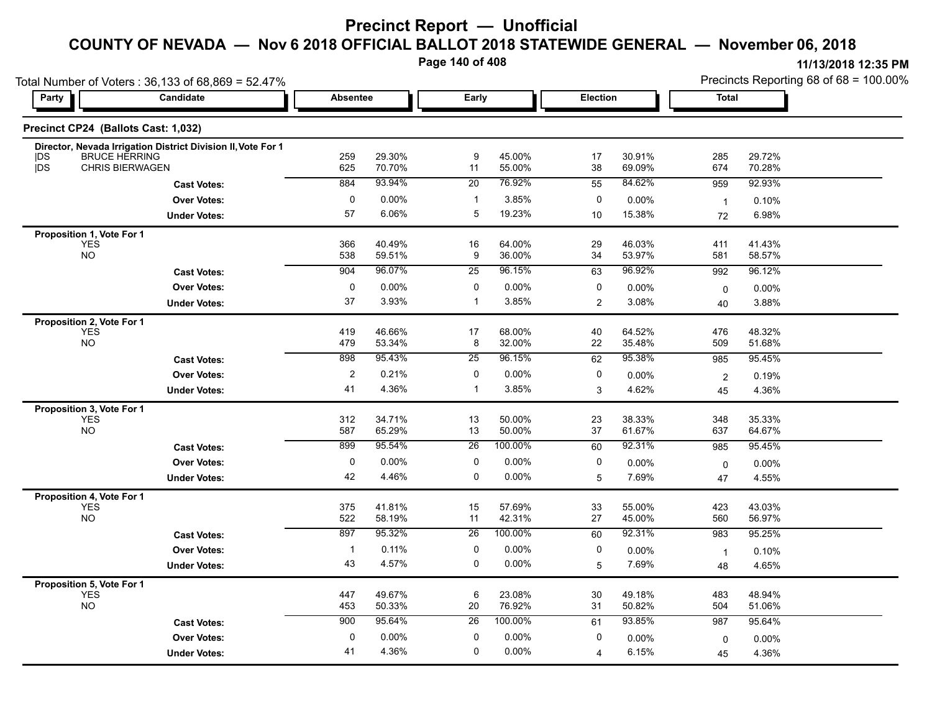# **Precinct Report — Unofficial**

# **COUNTY OF NEVADA — Nov 6 2018 OFFICIAL BALLOT 2018 STATEWIDE GENERAL — November 06, 2018**

**Page 140 of 408**

|                          | Total Number of Voters: 36,133 of 68,869 = 52.47%            |                   |                  |                   |                   |                 | <b>I II I AI ZU I O I ZUJU FINI</b><br>Precincts Reporting 68 of 68 = 100.00% |                |                  |  |
|--------------------------|--------------------------------------------------------------|-------------------|------------------|-------------------|-------------------|-----------------|-------------------------------------------------------------------------------|----------------|------------------|--|
| Party                    | Candidate                                                    | <b>Absentee</b>   |                  | Early             |                   | <b>Election</b> |                                                                               | <b>Total</b>   |                  |  |
|                          | Precinct CP24 (Ballots Cast: 1,032)                          |                   |                  |                   |                   |                 |                                                                               |                |                  |  |
|                          | Director, Nevada Irrigation District Division II, Vote For 1 |                   |                  |                   |                   |                 |                                                                               |                |                  |  |
| <b>IDS</b><br><b>IDS</b> | <b>BRUCE HERRING</b><br><b>CHRIS BIERWAGEN</b>               | 259<br>625        | 29.30%<br>70.70% | 9<br>11           | 45.00%<br>55.00%  | 17<br>38        | 30.91%<br>69.09%                                                              | 285<br>674     | 29.72%<br>70.28% |  |
|                          | <b>Cast Votes:</b>                                           | 884               | 93.94%           | 20                | 76.92%            | 55              | 84.62%                                                                        | 959            | 92.93%           |  |
|                          | <b>Over Votes:</b>                                           | $\mathbf 0$       | 0.00%            | $\mathbf 1$       | 3.85%             | 0               | 0.00%                                                                         | $\mathbf{1}$   | 0.10%            |  |
|                          | <b>Under Votes:</b>                                          | 57                | 6.06%            | 5                 | 19.23%            | 10              | 15.38%                                                                        | 72             | 6.98%            |  |
|                          | Proposition 1, Vote For 1                                    |                   |                  |                   |                   |                 |                                                                               |                |                  |  |
|                          | <b>YES</b><br><b>NO</b>                                      | 366<br>538        | 40.49%<br>59.51% | 16<br>9           | 64.00%<br>36.00%  | 29<br>34        | 46.03%<br>53.97%                                                              | 411<br>581     | 41.43%<br>58.57% |  |
|                          | <b>Cast Votes:</b>                                           | 904               | 96.07%           | $\overline{25}$   | 96.15%            | 63              | 96.92%                                                                        | 992            | 96.12%           |  |
|                          |                                                              |                   |                  |                   |                   |                 |                                                                               |                |                  |  |
|                          | <b>Over Votes:</b>                                           | $\mathbf 0$<br>37 | 0.00%<br>3.93%   | 0<br>$\mathbf{1}$ | $0.00\%$<br>3.85% | 0               | 0.00%                                                                         | 0              | 0.00%            |  |
|                          | <b>Under Votes:</b>                                          |                   |                  |                   |                   | 2               | 3.08%                                                                         | 40             | 3.88%            |  |
|                          | Proposition 2, Vote For 1<br><b>YES</b>                      | 419               | 46.66%           | 17                | 68.00%            | 40              | 64.52%                                                                        | 476            | 48.32%           |  |
|                          | <b>NO</b>                                                    | 479               | 53.34%           | 8                 | 32.00%            | 22              | 35.48%                                                                        | 509            | 51.68%           |  |
|                          | <b>Cast Votes:</b>                                           | 898               | 95.43%           | $\overline{25}$   | 96.15%            | 62              | 95.38%                                                                        | 985            | 95.45%           |  |
|                          | <b>Over Votes:</b>                                           | $\mathbf{2}$      | 0.21%            | 0                 | $0.00\%$          | $\mathbf 0$     | 0.00%                                                                         | $\overline{2}$ | 0.19%            |  |
|                          | <b>Under Votes:</b>                                          | 41                | 4.36%            | $\mathbf{1}$      | 3.85%             | 3               | 4.62%                                                                         | 45             | 4.36%            |  |
|                          | Proposition 3, Vote For 1                                    |                   |                  |                   |                   |                 |                                                                               |                |                  |  |
|                          | <b>YES</b>                                                   | 312               | 34.71%           | 13                | 50.00%            | 23              | 38.33%                                                                        | 348            | 35.33%           |  |
|                          | <b>NO</b>                                                    | 587               | 65.29%           | 13                | 50.00%            | 37              | 61.67%                                                                        | 637            | 64.67%           |  |
|                          | <b>Cast Votes:</b>                                           | 899               | 95.54%           | 26                | 100.00%           | 60              | 92.31%                                                                        | 985            | 95.45%           |  |
|                          | <b>Over Votes:</b>                                           | $\mathbf 0$       | 0.00%            | $\mathbf 0$       | 0.00%             | 0               | $0.00\%$                                                                      | 0              | 0.00%            |  |
|                          | <b>Under Votes:</b>                                          | 42                | 4.46%            | 0                 | $0.00\%$          | 5               | 7.69%                                                                         | 47             | 4.55%            |  |
|                          | Proposition 4, Vote For 1                                    |                   |                  |                   |                   |                 |                                                                               |                |                  |  |
|                          | <b>YES</b><br><b>NO</b>                                      | 375<br>522        | 41.81%<br>58.19% | 15<br>11          | 57.69%<br>42.31%  | 33<br>27        | 55.00%<br>45.00%                                                              | 423<br>560     | 43.03%<br>56.97% |  |
|                          |                                                              | 897               | 95.32%           | $\overline{26}$   | 100.00%           | 60              | 92.31%                                                                        | 983            | 95.25%           |  |
|                          | <b>Cast Votes:</b>                                           |                   |                  |                   |                   |                 |                                                                               |                |                  |  |
|                          | <b>Over Votes:</b>                                           | $\overline{1}$    | 0.11%<br>4.57%   | 0<br>0            | 0.00%             | 0               | 0.00%                                                                         | $\overline{1}$ | 0.10%            |  |
|                          | <b>Under Votes:</b>                                          | 43                |                  |                   | $0.00\%$          | 5               | 7.69%                                                                         | 48             | 4.65%            |  |
|                          | Proposition 5, Vote For 1<br><b>YES</b>                      |                   |                  |                   |                   |                 |                                                                               |                |                  |  |
|                          | <b>NO</b>                                                    | 447<br>453        | 49.67%<br>50.33% | 6<br>20           | 23.08%<br>76.92%  | 30<br>31        | 49.18%<br>50.82%                                                              | 483<br>504     | 48.94%<br>51.06% |  |
|                          | <b>Cast Votes:</b>                                           | 900               | 95.64%           | 26                | 100.00%           | 61              | 93.85%                                                                        | 987            | 95.64%           |  |
|                          | <b>Over Votes:</b>                                           | $\mathbf 0$       | 0.00%            | 0                 | 0.00%             | 0               | 0.00%                                                                         |                | 0.00%            |  |
|                          |                                                              | 41                | 4.36%            | $\mathbf 0$       | 0.00%             | $\overline{4}$  | 6.15%                                                                         | $\mathbf 0$    | 4.36%            |  |
|                          | <b>Under Votes:</b>                                          |                   |                  |                   |                   |                 |                                                                               | 45             |                  |  |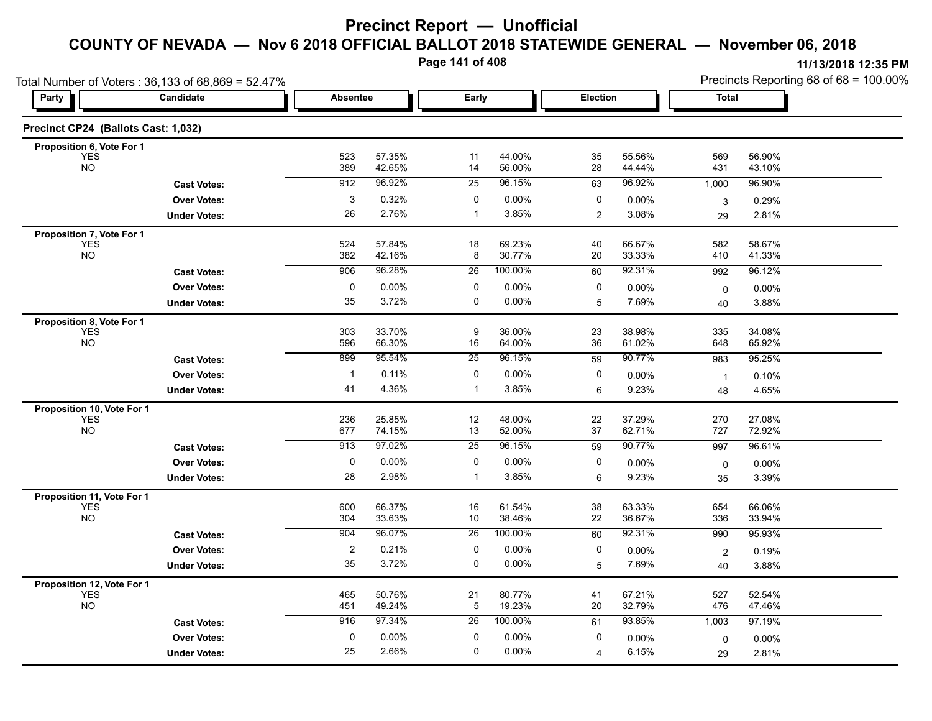**Page 141 of 408**

| Total Number of Voters: 36,133 of 68,869 = 52.47% |                     |                      |                  |                  |                   |                |                  | Precincts Reporting 68 of 68 = 100.00% |                  |
|---------------------------------------------------|---------------------|----------------------|------------------|------------------|-------------------|----------------|------------------|----------------------------------------|------------------|
| Party                                             | Candidate           | <b>Absentee</b>      |                  | Early            |                   | Election       |                  | <b>Total</b>                           |                  |
| Precinct CP24 (Ballots Cast: 1,032)               |                     |                      |                  |                  |                   |                |                  |                                        |                  |
| Proposition 6, Vote For 1                         |                     |                      |                  |                  |                   |                |                  |                                        |                  |
| <b>YES</b><br><b>NO</b>                           |                     | 523<br>389           | 57.35%<br>42.65% | 11<br>14         | 44.00%<br>56.00%  | 35<br>28       | 55.56%<br>44.44% | 569<br>431                             | 56.90%<br>43.10% |
|                                                   | <b>Cast Votes:</b>  | 912                  | 96.92%           | 25               | 96.15%            | 63             | 96.92%           | 1,000                                  | 96.90%           |
|                                                   | <b>Over Votes:</b>  | 3                    | 0.32%            | 0                | 0.00%             | 0              | 0.00%            | 3                                      | 0.29%            |
|                                                   | <b>Under Votes:</b> | 26                   | 2.76%            | $\mathbf{1}$     | 3.85%             | $\overline{2}$ | 3.08%            | 29                                     | 2.81%            |
| Proposition 7, Vote For 1                         |                     |                      |                  |                  |                   |                |                  |                                        |                  |
| <b>YES</b><br><b>NO</b>                           |                     | 524<br>382           | 57.84%<br>42.16% | 18<br>8          | 69.23%<br>30.77%  | 40<br>20       | 66.67%<br>33.33% | 582<br>410                             | 58.67%<br>41.33% |
|                                                   | <b>Cast Votes:</b>  | 906                  | 96.28%           | $\overline{26}$  | 100.00%           | 60             | 92.31%           | 992                                    | 96.12%           |
|                                                   | <b>Over Votes:</b>  | 0                    | 0.00%            | 0                | 0.00%             | 0              | 0.00%            |                                        | 0.00%            |
|                                                   | <b>Under Votes:</b> | 35                   | 3.72%            | 0                | 0.00%             | 5              | 7.69%            | 0<br>40                                | 3.88%            |
| Proposition 8, Vote For 1                         |                     |                      |                  |                  |                   |                |                  |                                        |                  |
| <b>YES</b>                                        |                     | 303                  | 33.70%           | $\boldsymbol{9}$ | 36.00%            | 23             | 38.98%           | 335                                    | 34.08%           |
| <b>NO</b>                                         |                     | 596                  | 66.30%           | 16               | 64.00%            | 36             | 61.02%           | 648                                    | 65.92%           |
|                                                   | <b>Cast Votes:</b>  | 899                  | 95.54%           | 25               | 96.15%            | 59             | 90.77%           | 983                                    | 95.25%           |
|                                                   | <b>Over Votes:</b>  | $\mathbf{1}$         | 0.11%            | 0                | 0.00%             | 0              | 0.00%            | $\mathbf{1}$                           | 0.10%            |
|                                                   | <b>Under Votes:</b> | 41                   | 4.36%            | $\mathbf{1}$     | 3.85%             | 6              | 9.23%            | 48                                     | 4.65%            |
| Proposition 10, Vote For 1                        |                     |                      |                  |                  |                   |                |                  |                                        |                  |
| <b>YES</b><br><b>NO</b>                           |                     | 236<br>677           | 25.85%<br>74.15% | 12<br>13         | 48.00%<br>52.00%  | 22<br>37       | 37.29%<br>62.71% | 270<br>727                             | 27.08%<br>72.92% |
|                                                   | <b>Cast Votes:</b>  | 913                  | 97.02%           | 25               | 96.15%            | 59             | 90.77%           | 997                                    | 96.61%           |
|                                                   | <b>Over Votes:</b>  | $\pmb{0}$            | 0.00%            | 0                | 0.00%             | 0              | 0.00%            | 0                                      | $0.00\%$         |
|                                                   | <b>Under Votes:</b> | 28                   | 2.98%            | $\mathbf{1}$     | 3.85%             | 6              | 9.23%            | 35                                     | 3.39%            |
| Proposition 11, Vote For 1                        |                     |                      |                  |                  |                   |                |                  |                                        |                  |
| <b>YES</b>                                        |                     | 600                  | 66 37%           | 16               | 61.54%            | 38             | 63.33%           | 654                                    | 66.06%           |
| <b>NO</b>                                         |                     | 304<br>904           | 33.63%<br>96.07% | 10               | 38.46%<br>100.00% | 22             | 36.67%<br>92.31% | 336                                    | 33.94%           |
|                                                   | <b>Cast Votes:</b>  |                      |                  | $\overline{26}$  |                   | 60             |                  | 990                                    | 95.93%           |
|                                                   | <b>Over Votes:</b>  | $\overline{c}$<br>35 | 0.21%<br>3.72%   | $\mathbf 0$<br>0 | 0.00%<br>$0.00\%$ | 0              | 0.00%<br>7.69%   | $\overline{2}$                         | 0.19%            |
|                                                   | <b>Under Votes:</b> |                      |                  |                  |                   | 5              |                  | 40                                     | 3.88%            |
| Proposition 12, Vote For 1<br><b>YES</b>          |                     | 465                  | 50.76%           | 21               | 80.77%            | 41             | 67.21%           | 527                                    | 52.54%           |
| <b>NO</b>                                         |                     | 451                  | 49.24%           | $\overline{5}$   | 19.23%            | 20             | 32.79%           | 476                                    | 47.46%           |
|                                                   | <b>Cast Votes:</b>  | 916                  | 97.34%           | 26               | 100.00%           | 61             | 93.85%           | 1,003                                  | 97.19%           |
|                                                   | <b>Over Votes:</b>  | 0                    | 0.00%            | 0                | 0.00%             | 0              | 0.00%            | 0                                      | $0.00\%$         |
|                                                   | <b>Under Votes:</b> | 25                   | 2.66%            | $\mathbf 0$      | $0.00\%$          | $\overline{4}$ | 6.15%            | 29                                     | 2.81%            |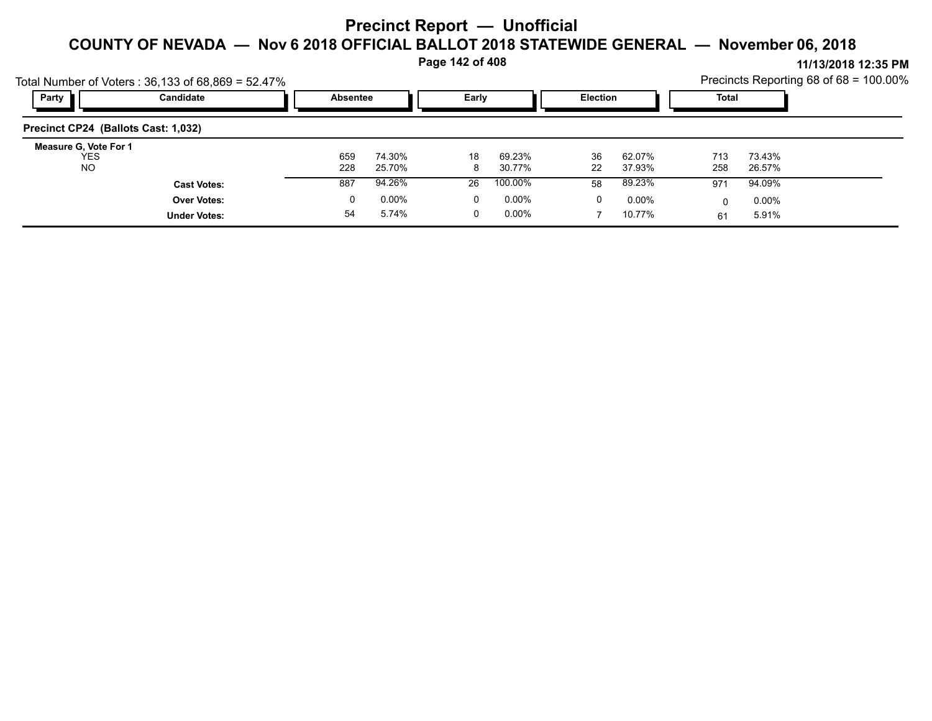**Page 142 of 408**

|                                           | Total Number of Voters: $36,133$ of $68,869 = 52.47\%$ |            |                  |         |                  |                 |                  |              |                  | Precincts Reporting 68 of 68 = 100.00% |
|-------------------------------------------|--------------------------------------------------------|------------|------------------|---------|------------------|-----------------|------------------|--------------|------------------|----------------------------------------|
| Party                                     | Candidate                                              | Absentee   |                  | Early   |                  | <b>Election</b> |                  | <b>Total</b> |                  |                                        |
| Precinct CP24 (Ballots Cast: 1,032)       |                                                        |            |                  |         |                  |                 |                  |              |                  |                                        |
| Measure G, Vote For 1<br>YES<br><b>NO</b> |                                                        | 659<br>228 | 74.30%<br>25.70% | 18<br>8 | 69.23%<br>30.77% | 36<br>22        | 62.07%<br>37.93% | 713<br>258   | 73.43%<br>26.57% |                                        |
|                                           | <b>Cast Votes:</b>                                     | 887        | 94.26%           | 26      | 100.00%          | 58              | 89.23%           | 971          | 94.09%           |                                        |
|                                           | <b>Over Votes:</b>                                     | 0          | $0.00\%$         | 0       | $0.00\%$         | 0               | $0.00\%$         |              | $0.00\%$         |                                        |
|                                           | <b>Under Votes:</b>                                    | 54         | 5.74%            |         | $0.00\%$         |                 | 10.77%           | 61           | 5.91%            |                                        |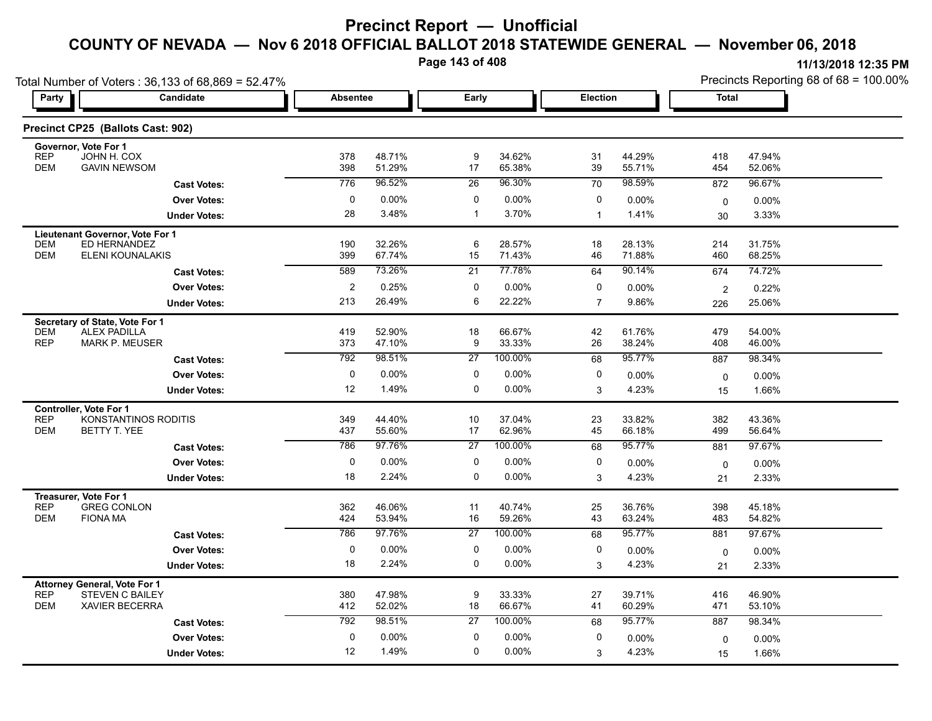**Page 143 of 408**

|                       |                                                                                                                                                                                                                                                                                                                                                                                                                                                                                                                                                                                        |                                                                                                                               |                                                                                                                                                                               |                                                                                |                                                                                                                                                                      |                                                                                                                 | Precincts Reporting 68 of 68 = 100.00%                                                                                                                                        |                                                                                                      |  |
|-----------------------|----------------------------------------------------------------------------------------------------------------------------------------------------------------------------------------------------------------------------------------------------------------------------------------------------------------------------------------------------------------------------------------------------------------------------------------------------------------------------------------------------------------------------------------------------------------------------------------|-------------------------------------------------------------------------------------------------------------------------------|-------------------------------------------------------------------------------------------------------------------------------------------------------------------------------|--------------------------------------------------------------------------------|----------------------------------------------------------------------------------------------------------------------------------------------------------------------|-----------------------------------------------------------------------------------------------------------------|-------------------------------------------------------------------------------------------------------------------------------------------------------------------------------|------------------------------------------------------------------------------------------------------|--|
| <b>Candidate</b>      | <b>Absentee</b>                                                                                                                                                                                                                                                                                                                                                                                                                                                                                                                                                                        |                                                                                                                               | Early                                                                                                                                                                         |                                                                                | Election                                                                                                                                                             |                                                                                                                 | <b>Total</b>                                                                                                                                                                  |                                                                                                      |  |
|                       |                                                                                                                                                                                                                                                                                                                                                                                                                                                                                                                                                                                        |                                                                                                                               |                                                                                                                                                                               |                                                                                |                                                                                                                                                                      |                                                                                                                 |                                                                                                                                                                               |                                                                                                      |  |
|                       |                                                                                                                                                                                                                                                                                                                                                                                                                                                                                                                                                                                        |                                                                                                                               |                                                                                                                                                                               |                                                                                |                                                                                                                                                                      |                                                                                                                 |                                                                                                                                                                               | 47.94%                                                                                               |  |
| <b>GAVIN NEWSOM</b>   | 398                                                                                                                                                                                                                                                                                                                                                                                                                                                                                                                                                                                    | 51.29%                                                                                                                        | 17                                                                                                                                                                            | 65.38%                                                                         | 39                                                                                                                                                                   | 55.71%                                                                                                          | 454                                                                                                                                                                           | 52.06%                                                                                               |  |
| <b>Cast Votes:</b>    | 776                                                                                                                                                                                                                                                                                                                                                                                                                                                                                                                                                                                    | 96.52%                                                                                                                        | 26                                                                                                                                                                            | 96.30%                                                                         | 70                                                                                                                                                                   | 98.59%                                                                                                          | 872                                                                                                                                                                           | 96.67%                                                                                               |  |
| <b>Over Votes:</b>    | 0                                                                                                                                                                                                                                                                                                                                                                                                                                                                                                                                                                                      | $0.00\%$                                                                                                                      | 0                                                                                                                                                                             | 0.00%                                                                          | 0                                                                                                                                                                    | $0.00\%$                                                                                                        | $\mathbf 0$                                                                                                                                                                   | 0.00%                                                                                                |  |
| <b>Under Votes:</b>   | 28                                                                                                                                                                                                                                                                                                                                                                                                                                                                                                                                                                                     | 3.48%                                                                                                                         | $\mathbf{1}$                                                                                                                                                                  | 3.70%                                                                          | $\mathbf{1}$                                                                                                                                                         | 1.41%                                                                                                           | 30                                                                                                                                                                            | 3.33%                                                                                                |  |
|                       |                                                                                                                                                                                                                                                                                                                                                                                                                                                                                                                                                                                        |                                                                                                                               |                                                                                                                                                                               |                                                                                |                                                                                                                                                                      |                                                                                                                 |                                                                                                                                                                               |                                                                                                      |  |
|                       |                                                                                                                                                                                                                                                                                                                                                                                                                                                                                                                                                                                        |                                                                                                                               |                                                                                                                                                                               |                                                                                |                                                                                                                                                                      |                                                                                                                 |                                                                                                                                                                               | 31.75%<br>68.25%                                                                                     |  |
|                       |                                                                                                                                                                                                                                                                                                                                                                                                                                                                                                                                                                                        |                                                                                                                               |                                                                                                                                                                               |                                                                                |                                                                                                                                                                      |                                                                                                                 |                                                                                                                                                                               | 74.72%                                                                                               |  |
|                       |                                                                                                                                                                                                                                                                                                                                                                                                                                                                                                                                                                                        |                                                                                                                               |                                                                                                                                                                               |                                                                                |                                                                                                                                                                      |                                                                                                                 |                                                                                                                                                                               | 0.22%                                                                                                |  |
|                       | 213                                                                                                                                                                                                                                                                                                                                                                                                                                                                                                                                                                                    | 26.49%                                                                                                                        | 6                                                                                                                                                                             | 22.22%                                                                         |                                                                                                                                                                      |                                                                                                                 |                                                                                                                                                                               | 25.06%                                                                                               |  |
|                       |                                                                                                                                                                                                                                                                                                                                                                                                                                                                                                                                                                                        |                                                                                                                               |                                                                                                                                                                               |                                                                                |                                                                                                                                                                      |                                                                                                                 |                                                                                                                                                                               |                                                                                                      |  |
| <b>ALEX PADILLA</b>   | 419                                                                                                                                                                                                                                                                                                                                                                                                                                                                                                                                                                                    | 52.90%                                                                                                                        | 18                                                                                                                                                                            | 66.67%                                                                         | 42                                                                                                                                                                   | 61.76%                                                                                                          | 479                                                                                                                                                                           | 54.00%                                                                                               |  |
| <b>MARK P. MEUSER</b> | 373                                                                                                                                                                                                                                                                                                                                                                                                                                                                                                                                                                                    | 47.10%                                                                                                                        | $9\,$                                                                                                                                                                         | 33.33%                                                                         | 26                                                                                                                                                                   | 38.24%                                                                                                          | 408                                                                                                                                                                           | 46.00%                                                                                               |  |
| <b>Cast Votes:</b>    | 792                                                                                                                                                                                                                                                                                                                                                                                                                                                                                                                                                                                    | 98.51%                                                                                                                        | $\overline{27}$                                                                                                                                                               |                                                                                |                                                                                                                                                                      |                                                                                                                 | 887                                                                                                                                                                           | 98.34%                                                                                               |  |
| <b>Over Votes:</b>    | 0                                                                                                                                                                                                                                                                                                                                                                                                                                                                                                                                                                                      | 0.00%                                                                                                                         | 0                                                                                                                                                                             | 0.00%                                                                          | 0                                                                                                                                                                    | 0.00%                                                                                                           | 0                                                                                                                                                                             | 0.00%                                                                                                |  |
| <b>Under Votes:</b>   | 12                                                                                                                                                                                                                                                                                                                                                                                                                                                                                                                                                                                     |                                                                                                                               | 0                                                                                                                                                                             | 0.00%                                                                          | 3                                                                                                                                                                    | 4.23%                                                                                                           | 15                                                                                                                                                                            | 1.66%                                                                                                |  |
|                       |                                                                                                                                                                                                                                                                                                                                                                                                                                                                                                                                                                                        |                                                                                                                               |                                                                                                                                                                               |                                                                                |                                                                                                                                                                      |                                                                                                                 |                                                                                                                                                                               |                                                                                                      |  |
|                       |                                                                                                                                                                                                                                                                                                                                                                                                                                                                                                                                                                                        |                                                                                                                               |                                                                                                                                                                               |                                                                                |                                                                                                                                                                      |                                                                                                                 |                                                                                                                                                                               | 43.36%<br>56.64%                                                                                     |  |
|                       |                                                                                                                                                                                                                                                                                                                                                                                                                                                                                                                                                                                        |                                                                                                                               |                                                                                                                                                                               |                                                                                |                                                                                                                                                                      |                                                                                                                 |                                                                                                                                                                               | 97.67%                                                                                               |  |
|                       |                                                                                                                                                                                                                                                                                                                                                                                                                                                                                                                                                                                        |                                                                                                                               |                                                                                                                                                                               |                                                                                |                                                                                                                                                                      |                                                                                                                 |                                                                                                                                                                               |                                                                                                      |  |
|                       |                                                                                                                                                                                                                                                                                                                                                                                                                                                                                                                                                                                        |                                                                                                                               |                                                                                                                                                                               |                                                                                |                                                                                                                                                                      |                                                                                                                 |                                                                                                                                                                               | $0.00\%$<br>2.33%                                                                                    |  |
|                       |                                                                                                                                                                                                                                                                                                                                                                                                                                                                                                                                                                                        |                                                                                                                               |                                                                                                                                                                               |                                                                                |                                                                                                                                                                      |                                                                                                                 |                                                                                                                                                                               |                                                                                                      |  |
| <b>GREG CONLON</b>    | 362                                                                                                                                                                                                                                                                                                                                                                                                                                                                                                                                                                                    | 46.06%                                                                                                                        | 11                                                                                                                                                                            | 40.74%                                                                         |                                                                                                                                                                      | 36.76%                                                                                                          | 398                                                                                                                                                                           | 45.18%                                                                                               |  |
| <b>FIONA MA</b>       | 424                                                                                                                                                                                                                                                                                                                                                                                                                                                                                                                                                                                    |                                                                                                                               | 16                                                                                                                                                                            |                                                                                | 43                                                                                                                                                                   |                                                                                                                 | 483                                                                                                                                                                           | 54.82%                                                                                               |  |
| <b>Cast Votes:</b>    | 786                                                                                                                                                                                                                                                                                                                                                                                                                                                                                                                                                                                    |                                                                                                                               | $\overline{27}$                                                                                                                                                               | 100.00%                                                                        | 68                                                                                                                                                                   | 95.77%                                                                                                          | 881                                                                                                                                                                           | 97.67%                                                                                               |  |
| <b>Over Votes:</b>    | 0                                                                                                                                                                                                                                                                                                                                                                                                                                                                                                                                                                                      | $0.00\%$                                                                                                                      | 0                                                                                                                                                                             | 0.00%                                                                          | 0                                                                                                                                                                    | $0.00\%$                                                                                                        | $\mathbf 0$                                                                                                                                                                   | 0.00%                                                                                                |  |
| <b>Under Votes:</b>   | 18                                                                                                                                                                                                                                                                                                                                                                                                                                                                                                                                                                                     | 2.24%                                                                                                                         | 0                                                                                                                                                                             | 0.00%                                                                          | 3                                                                                                                                                                    | 4.23%                                                                                                           | 21                                                                                                                                                                            | 2.33%                                                                                                |  |
|                       |                                                                                                                                                                                                                                                                                                                                                                                                                                                                                                                                                                                        |                                                                                                                               |                                                                                                                                                                               |                                                                                |                                                                                                                                                                      |                                                                                                                 |                                                                                                                                                                               |                                                                                                      |  |
|                       |                                                                                                                                                                                                                                                                                                                                                                                                                                                                                                                                                                                        |                                                                                                                               |                                                                                                                                                                               |                                                                                |                                                                                                                                                                      |                                                                                                                 |                                                                                                                                                                               | 46.90%<br>53.10%                                                                                     |  |
|                       |                                                                                                                                                                                                                                                                                                                                                                                                                                                                                                                                                                                        |                                                                                                                               |                                                                                                                                                                               |                                                                                |                                                                                                                                                                      |                                                                                                                 |                                                                                                                                                                               | 98.34%                                                                                               |  |
|                       |                                                                                                                                                                                                                                                                                                                                                                                                                                                                                                                                                                                        |                                                                                                                               |                                                                                                                                                                               |                                                                                |                                                                                                                                                                      |                                                                                                                 |                                                                                                                                                                               |                                                                                                      |  |
|                       |                                                                                                                                                                                                                                                                                                                                                                                                                                                                                                                                                                                        |                                                                                                                               |                                                                                                                                                                               |                                                                                |                                                                                                                                                                      |                                                                                                                 |                                                                                                                                                                               | 0.00%<br>1.66%                                                                                       |  |
|                       | Precinct CP25 (Ballots Cast: 902)<br>Governor, Vote For 1<br>JOHN H. COX<br>Lieutenant Governor, Vote For 1<br>ED HERNANDEZ<br>ELENI KOUNALAKIS<br><b>Cast Votes:</b><br><b>Over Votes:</b><br><b>Under Votes:</b><br>Secretary of State, Vote For 1<br><b>Controller, Vote For 1</b><br>KONSTANTINOS RODITIS<br>BETTY T. YEE<br><b>Cast Votes:</b><br><b>Over Votes:</b><br><b>Under Votes:</b><br>Treasurer, Vote For 1<br><b>Attorney General, Vote For 1</b><br><b>STEVEN C BAILEY</b><br><b>XAVIER BECERRA</b><br><b>Cast Votes:</b><br><b>Over Votes:</b><br><b>Under Votes:</b> | 378<br>190<br>399<br>589<br>$\overline{\mathbf{c}}$<br>349<br>437<br>786<br>0<br>18<br>380<br>412<br>792<br>$\mathbf 0$<br>12 | 48.71%<br>32.26%<br>67.74%<br>73.26%<br>0.25%<br>1.49%<br>44.40%<br>55.60%<br>97.76%<br>0.00%<br>2.24%<br>53.94%<br>97.76%<br>47.98%<br>52.02%<br>98.51%<br>$0.00\%$<br>1.49% | 9<br>6<br>15<br>21<br>0<br>10<br>17<br>27<br>0<br>0<br>9<br>18<br>27<br>0<br>0 | 34.62%<br>28.57%<br>71.43%<br>77.78%<br>0.00%<br>100.00%<br>37.04%<br>62.96%<br>100.00%<br>0.00%<br>0.00%<br>59.26%<br>33.33%<br>66.67%<br>100.00%<br>0.00%<br>0.00% | 31<br>18<br>46<br>64<br>0<br>$\overline{7}$<br>68<br>23<br>45<br>68<br>0<br>3<br>25<br>27<br>41<br>68<br>0<br>3 | 44.29%<br>28.13%<br>71.88%<br>90.14%<br>0.00%<br>9.86%<br>95.77%<br>33.82%<br>66.18%<br>95.77%<br>$0.00\%$<br>4.23%<br>63.24%<br>39.71%<br>60.29%<br>95.77%<br>0.00%<br>4.23% | 418<br>214<br>460<br>674<br>2<br>226<br>382<br>499<br>881<br>0<br>21<br>416<br>471<br>887<br>0<br>15 |  |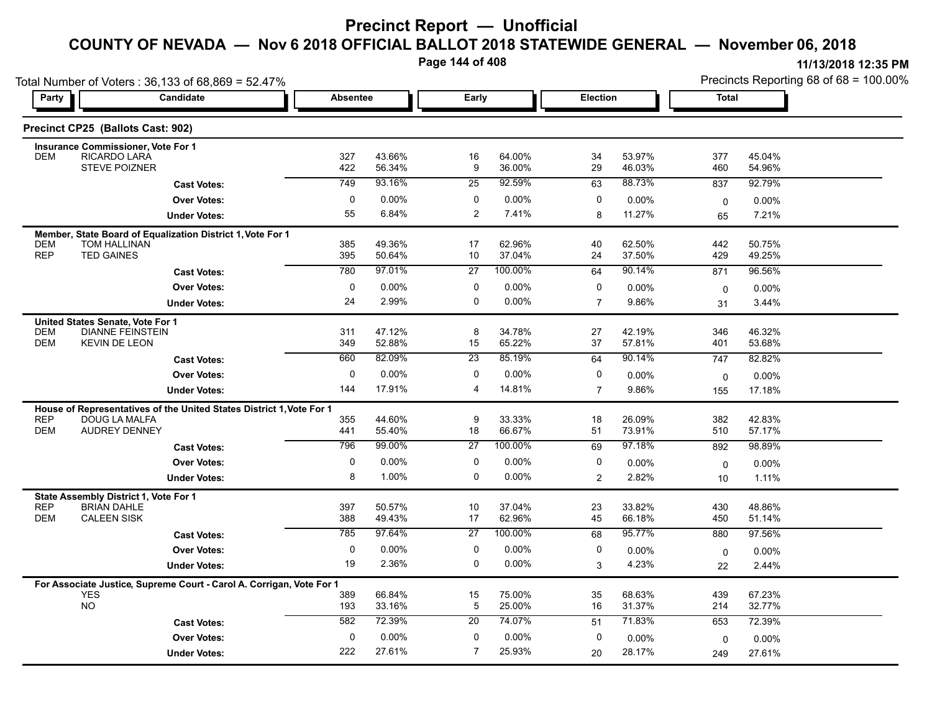**Page 144 of 408**

| Party                    | Total Number of Voters: 36,133 of 68,869 = 52.47%<br><b>Candidate</b>              | <b>Absentee</b> |                  | Early            |                   | Election       |                  | Precincts Reporting 68 of 68 = 100.00%<br><b>Total</b> |                  |  |
|--------------------------|------------------------------------------------------------------------------------|-----------------|------------------|------------------|-------------------|----------------|------------------|--------------------------------------------------------|------------------|--|
|                          |                                                                                    |                 |                  |                  |                   |                |                  |                                                        |                  |  |
|                          | Precinct CP25 (Ballots Cast: 902)                                                  |                 |                  |                  |                   |                |                  |                                                        |                  |  |
|                          | <b>Insurance Commissioner, Vote For 1</b>                                          |                 |                  |                  |                   |                |                  |                                                        |                  |  |
| <b>DEM</b>               | <b>RICARDO LARA</b><br><b>STEVE POIZNER</b>                                        | 327<br>422      | 43.66%<br>56.34% | 16<br>9          | 64.00%<br>36.00%  | 34<br>29       | 53.97%<br>46.03% | 377<br>460                                             | 45.04%<br>54.96% |  |
|                          | <b>Cast Votes:</b>                                                                 | 749             | 93.16%           | $\overline{25}$  | 92.59%            | 63             | 88.73%           | 837                                                    | 92.79%           |  |
|                          | <b>Over Votes:</b>                                                                 | 0               | 0.00%            | 0                | $0.00\%$          | 0              | 0.00%            | 0                                                      | 0.00%            |  |
|                          | <b>Under Votes:</b>                                                                | 55              | 6.84%            | $\overline{c}$   | 7.41%             | 8              | 11.27%           | 65                                                     | 7.21%            |  |
|                          | Member, State Board of Equalization District 1, Vote For 1                         |                 |                  |                  |                   |                |                  |                                                        |                  |  |
| <b>DEM</b><br><b>REP</b> | TOM HALLINAN<br><b>TED GAINES</b>                                                  | 385<br>395      | 49.36%<br>50.64% | 17<br>10         | 62.96%<br>37.04%  | 40<br>24       | 62.50%<br>37.50% | 442<br>429                                             | 50.75%<br>49.25% |  |
|                          | <b>Cast Votes:</b>                                                                 | 780             | 97.01%           | $\overline{27}$  | 100.00%           | 64             | 90.14%           | 871                                                    | 96.56%           |  |
|                          | <b>Over Votes:</b>                                                                 | 0               | 0.00%            | 0                | $0.00\%$          | 0              | 0.00%            | $\mathbf 0$                                            | 0.00%            |  |
|                          | <b>Under Votes:</b>                                                                | 24              | 2.99%            | $\mathbf 0$      | $0.00\%$          | $\overline{7}$ | 9.86%            | 31                                                     | 3.44%            |  |
|                          | United States Senate, Vote For 1                                                   |                 |                  |                  |                   |                |                  |                                                        |                  |  |
| <b>DEM</b><br><b>DEM</b> | <b>DIANNE FEINSTEIN</b>                                                            | 311             | 47.12%           | 8                | 34.78%            | 27             | 42.19%           | 346                                                    | 46.32%           |  |
|                          | <b>KEVIN DE LEON</b>                                                               | 349             | 52.88%           | 15               | 65.22%            | 37             | 57.81%           | 401                                                    | 53.68%           |  |
|                          | <b>Cast Votes:</b>                                                                 | 660             | 82.09%           | $\overline{23}$  | 85.19%            | 64             | 90.14%           | 747                                                    | 82.82%           |  |
|                          | <b>Over Votes:</b>                                                                 | $\mathbf 0$     | 0.00%            | $\mathbf 0$      | 0.00%             | 0              | 0.00%            | $\mathbf 0$                                            | 0.00%            |  |
|                          | <b>Under Votes:</b>                                                                | 144             | 17.91%           | 4                | 14.81%            | $\overline{7}$ | 9.86%            | 155                                                    | 17.18%           |  |
|                          | House of Representatives of the United States District 1, Vote For 1               |                 |                  |                  |                   |                |                  |                                                        |                  |  |
| <b>REP</b><br><b>DEM</b> | DOUG LA MALFA<br><b>AUDREY DENNEY</b>                                              | 355<br>441      | 44.60%<br>55.40% | 9<br>18          | 33.33%<br>66.67%  | 18<br>51       | 26.09%<br>73.91% | 382<br>510                                             | 42.83%<br>57.17% |  |
|                          | <b>Cast Votes:</b>                                                                 | 796             | 99.00%           | 27               | 100.00%           | 69             | 97.18%           | 892                                                    | 98.89%           |  |
|                          | <b>Over Votes:</b>                                                                 | 0               | 0.00%            | 0                | $0.00\%$          | 0              | 0.00%            | $\mathbf 0$                                            | 0.00%            |  |
|                          | <b>Under Votes:</b>                                                                | 8               | 1.00%            | 0                | $0.00\%$          | $\overline{2}$ | 2.82%            | 10                                                     | 1.11%            |  |
|                          | State Assembly District 1, Vote For 1                                              |                 |                  |                  |                   |                |                  |                                                        |                  |  |
| <b>REP</b>               | <b>BRIAN DAHLE</b>                                                                 | 397             | 50.57%           | 10               | 37.04%            | 23             | 33.82%           | 430                                                    | 48.86%           |  |
| <b>DEM</b>               | <b>CALEEN SISK</b>                                                                 | 388             | 49.43%           | 17               | 62.96%            | 45             | 66.18%<br>95.77% | 450                                                    | 51.14%           |  |
|                          | <b>Cast Votes:</b>                                                                 | 785             | 97.64%           | $\overline{27}$  | 100.00%           | 68             |                  | 880                                                    | 97.56%           |  |
|                          | <b>Over Votes:</b>                                                                 | 0<br>19         | 0.00%<br>2.36%   | 0<br>$\mathbf 0$ | 0.00%<br>$0.00\%$ | 0              | 0.00%            | 0                                                      | 0.00%            |  |
|                          | <b>Under Votes:</b>                                                                |                 |                  |                  |                   | 3              | 4.23%            | 22                                                     | 2.44%            |  |
|                          | For Associate Justice, Supreme Court - Carol A. Corrigan, Vote For 1<br><b>YES</b> | 389             | 66.84%           | 15               | 75.00%            | 35             | 68.63%           | 439                                                    | 67.23%           |  |
|                          | <b>NO</b>                                                                          | 193             | 33.16%           | $\mathbf 5$      | 25.00%            | 16             | 31.37%           | 214                                                    | 32.77%           |  |
|                          | <b>Cast Votes:</b>                                                                 | 582             | 72.39%           | 20               | 74.07%            | 51             | 71.83%           | 653                                                    | 72.39%           |  |
|                          | <b>Over Votes:</b>                                                                 | $\mathbf 0$     | 0.00%            | $\mathbf 0$      | $0.00\%$          | 0              | 0.00%            | 0                                                      | 0.00%            |  |
|                          | <b>Under Votes:</b>                                                                | 222             | 27.61%           | $\overline{7}$   | 25.93%            | 20             | 28.17%           | 249                                                    | 27.61%           |  |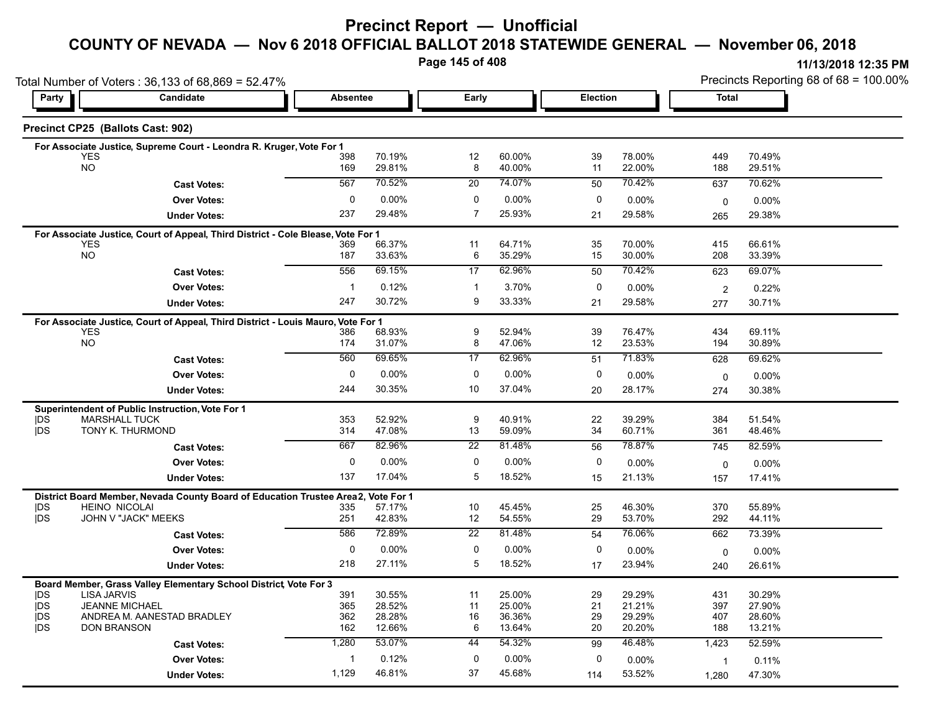#### **Precinct Report — Unofficial**

## **COUNTY OF NEVADA — Nov 6 2018 OFFICIAL BALLOT 2018 STATEWIDE GENERAL — November 06, 2018**

**Page 145 of 408**

|                          | Total Number of Voters: 36,133 of 68,869 = 52.47%                                              |                 |                  |                 |                  |             |                  |                | Precincts Reporting 68 of 68 = 100.00% |  |  |
|--------------------------|------------------------------------------------------------------------------------------------|-----------------|------------------|-----------------|------------------|-------------|------------------|----------------|----------------------------------------|--|--|
| Party                    | Candidate                                                                                      | <b>Absentee</b> |                  | Early           |                  |             | Election         |                | Total                                  |  |  |
|                          | Precinct CP25 (Ballots Cast: 902)                                                              |                 |                  |                 |                  |             |                  |                |                                        |  |  |
|                          | For Associate Justice, Supreme Court - Leondra R. Kruger, Vote For 1                           |                 |                  |                 |                  |             |                  |                |                                        |  |  |
|                          | <b>YES</b><br><b>NO</b>                                                                        | 398<br>169      | 70.19%<br>29.81% | 12<br>8         | 60.00%<br>40.00% | 39<br>11    | 78.00%<br>22.00% | 449<br>188     | 70.49%<br>29.51%                       |  |  |
|                          | <b>Cast Votes:</b>                                                                             | 567             | 70.52%           | 20              | 74.07%           | 50          | 70.42%           | 637            | 70.62%                                 |  |  |
|                          | <b>Over Votes:</b>                                                                             | $\mathbf 0$     | $0.00\%$         | $\mathbf 0$     | 0.00%            | $\mathbf 0$ | 0.00%            | $\mathbf 0$    | 0.00%                                  |  |  |
|                          | <b>Under Votes:</b>                                                                            | 237             | 29.48%           | $\overline{7}$  | 25.93%           | 21          | 29.58%           | 265            | 29.38%                                 |  |  |
|                          | For Associate Justice, Court of Appeal, Third District - Cole Blease, Vote For 1               |                 |                  |                 |                  |             |                  |                |                                        |  |  |
|                          | <b>YES</b><br><b>NO</b>                                                                        | 369<br>187      | 66.37%<br>33.63% | 11<br>6         | 64.71%<br>35.29% | 35<br>15    | 70.00%<br>30.00% | 415<br>208     | 66.61%<br>33.39%                       |  |  |
|                          |                                                                                                | 556             | 69.15%           | 17              | 62.96%           | 50          | 70.42%           |                | 69.07%                                 |  |  |
|                          | <b>Cast Votes:</b>                                                                             | $\mathbf{1}$    | 0.12%            | $\mathbf 1$     | 3.70%            | 0           |                  | 623            |                                        |  |  |
|                          | <b>Over Votes:</b>                                                                             | 247             | 30.72%           | 9               | 33.33%           |             | 0.00%            | $\overline{2}$ | 0.22%                                  |  |  |
|                          | <b>Under Votes:</b>                                                                            |                 |                  |                 |                  | 21          | 29.58%           | 277            | 30.71%                                 |  |  |
|                          | For Associate Justice, Court of Appeal, Third District - Louis Mauro, Vote For 1<br><b>YES</b> | 386             | 68.93%           | 9               | 52.94%           | 39          | 76.47%           | 434            | 69.11%                                 |  |  |
|                          | <b>NO</b>                                                                                      | 174             | 31.07%           | 8               | 47.06%           | 12          | 23.53%           | 194            | 30.89%                                 |  |  |
|                          | <b>Cast Votes:</b>                                                                             | 560             | 69 65%           | 17              | 62.96%           | 51          | 71.83%           | 628            | 69.62%                                 |  |  |
|                          | <b>Over Votes:</b>                                                                             | $\mathbf 0$     | 0.00%            | 0               | 0.00%            | 0           | $0.00\%$         | 0              | 0.00%                                  |  |  |
|                          | <b>Under Votes:</b>                                                                            | 244             | 30.35%           | 10              | 37.04%           | 20          | 28.17%           | 274            | 30.38%                                 |  |  |
|                          | Superintendent of Public Instruction, Vote For 1                                               |                 |                  |                 |                  |             |                  |                |                                        |  |  |
| <b>IDS</b>               | <b>MARSHALL TUCK</b>                                                                           | 353             | 52.92%           | 9               | 40.91%           | 22          | 39.29%           | 384            | 51.54%                                 |  |  |
| <b>IDS</b>               | TONY K. THURMOND                                                                               | 314             | 47.08%           | 13              | 59.09%           | 34          | 60.71%           | 361            | 48.46%                                 |  |  |
|                          | <b>Cast Votes:</b>                                                                             | 667             | 82.96%           | 22              | 81.48%           | 56          | 78.87%           | 745            | 82.59%                                 |  |  |
|                          | <b>Over Votes:</b>                                                                             | $\mathbf 0$     | $0.00\%$         | $\mathbf 0$     | 0.00%            | 0           | $0.00\%$         | 0              | 0.00%                                  |  |  |
|                          | <b>Under Votes:</b>                                                                            | 137             | 17.04%           | 5               | 18.52%           | 15          | 21.13%           | 157            | 17.41%                                 |  |  |
|                          | District Board Member, Nevada County Board of Education Trustee Area2, Vote For 1              |                 |                  |                 |                  |             |                  |                |                                        |  |  |
| <b>IDS</b><br><b>IDS</b> | <b>HEINO NICOLAI</b><br>JOHN V "JACK" MEEKS                                                    | 335<br>251      | 57.17%<br>42.83% | 10<br>12        | 45.45%<br>54.55% | 25<br>29    | 46.30%<br>53.70% | 370<br>292     | 55.89%<br>44.11%                       |  |  |
|                          | <b>Cast Votes:</b>                                                                             | 586             | 72.89%           | $\overline{22}$ | 81.48%           | 54          | 76.06%           | 662            | 73.39%                                 |  |  |
|                          | <b>Over Votes:</b>                                                                             | $\mathbf 0$     | $0.00\%$         | $\mathbf 0$     | 0.00%            | $\mathbf 0$ | 0.00%            | $\mathbf 0$    | 0.00%                                  |  |  |
|                          | <b>Under Votes:</b>                                                                            | 218             | 27.11%           | 5               | 18.52%           | 17          | 23.94%           | 240            | 26.61%                                 |  |  |
|                          |                                                                                                |                 |                  |                 |                  |             |                  |                |                                        |  |  |
| <b>IDS</b>               | Board Member, Grass Valley Elementary School District, Vote For 3<br><b>LISA JARVIS</b>        | 391             | 30.55%           | 11              | 25.00%           | 29          | 29.29%           | 431            | 30.29%                                 |  |  |
| <b>IDS</b>               | <b>JEANNE MICHAEL</b>                                                                          | 365             | 28.52%           | 11              | 25.00%           | 21          | 21.21%           | 397            | 27.90%                                 |  |  |
| <b>IDS</b><br><b>IDS</b> | ANDREA M. AANESTAD BRADLEY<br><b>DON BRANSON</b>                                               | 362<br>162      | 28.28%<br>12.66% | 16<br>6         | 36.36%<br>13.64% | 29<br>20    | 29.29%<br>20.20% | 407<br>188     | 28.60%<br>13.21%                       |  |  |
|                          | <b>Cast Votes:</b>                                                                             | 1,280           | 53.07%           | 44              | 54.32%           | 99          | 46.48%           | 1,423          | 52.59%                                 |  |  |
|                          | <b>Over Votes:</b>                                                                             | 1               | 0.12%            | 0               | 0.00%            | 0           | $0.00\%$         | $\overline{1}$ | 0.11%                                  |  |  |
|                          | <b>Under Votes:</b>                                                                            | 1,129           | 46.81%           | 37              | 45.68%           | 114         | 53.52%           | 1,280          | 47.30%                                 |  |  |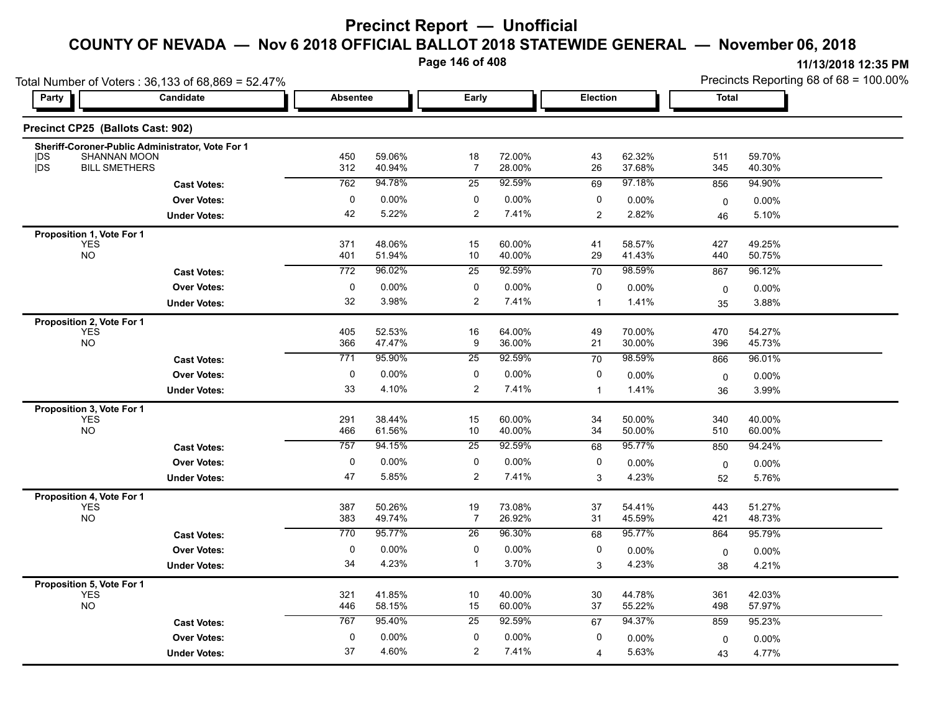**Page 146 of 408**

| 11/13/2018 12:35 PM                       |
|-------------------------------------------|
| Precincts Reporting 68 of 68 = $100,00\%$ |

| Total Number of Voters: 36,133 of 68,869 = 52.47%         |                     |                 |                  |                      |                  |                 | Precincts Reporting 68 of 68 = 100.00% |              |                  |
|-----------------------------------------------------------|---------------------|-----------------|------------------|----------------------|------------------|-----------------|----------------------------------------|--------------|------------------|
| Party                                                     | <b>Candidate</b>    | <b>Absentee</b> |                  | Early                | Election         |                 |                                        | <b>Total</b> |                  |
| Precinct CP25 (Ballots Cast: 902)                         |                     |                 |                  |                      |                  |                 |                                        |              |                  |
| Sheriff-Coroner-Public Administrator, Vote For 1          |                     |                 |                  |                      |                  |                 |                                        |              |                  |
| SHANNAN MOON<br> DS<br><b>IDS</b><br><b>BILL SMETHERS</b> |                     | 450             | 59.06%<br>40.94% | 18<br>$\overline{7}$ | 72.00%<br>28.00% | 43              | 62.32%<br>37.68%                       | 511          | 59.70%           |
|                                                           |                     | 312             |                  |                      |                  | 26              |                                        | 345          | 40.30%           |
|                                                           | <b>Cast Votes:</b>  | 762             | 94.78%           | 25                   | 92.59%           | 69              | 97.18%                                 | 856          | 94.90%           |
|                                                           | <b>Over Votes:</b>  | 0               | $0.00\%$         | 0                    | 0.00%            | 0               | 0.00%                                  | 0            | $0.00\%$         |
|                                                           | <b>Under Votes:</b> | 42              | 5.22%            | $\overline{2}$       | 7.41%            | 2               | 2.82%                                  | 46           | 5.10%            |
| Proposition 1, Vote For 1                                 |                     |                 |                  |                      |                  |                 |                                        |              |                  |
| <b>YES</b><br><b>NO</b>                                   |                     | 371<br>401      | 48.06%<br>51.94% | 15<br>10             | 60.00%<br>40.00% | 41<br>29        | 58.57%<br>41.43%                       | 427<br>440   | 49.25%<br>50.75% |
|                                                           |                     | 772             | 96.02%           | 25                   | 92.59%           |                 | 98.59%                                 |              |                  |
|                                                           | <b>Cast Votes:</b>  |                 |                  |                      |                  | 70              |                                        | 867          | 96.12%           |
|                                                           | <b>Over Votes:</b>  | 0               | $0.00\%$         | 0                    | 0.00%            | 0               | $0.00\%$                               | 0            | $0.00\%$         |
|                                                           | <b>Under Votes:</b> | 32              | 3.98%            | 2                    | 7.41%            | $\mathbf{1}$    | 1.41%                                  | 35           | 3.88%            |
| Proposition 2, Vote For 1                                 |                     |                 |                  |                      |                  |                 |                                        |              |                  |
| <b>YES</b><br><b>NO</b>                                   |                     | 405             | 52.53%           | 16                   | 64.00%           | 49              | 70.00%                                 | 470          | 54.27%           |
|                                                           |                     | 366             | 47.47%           | 9                    | 36.00%           | 21              | 30.00%                                 | 396          | 45.73%           |
|                                                           | <b>Cast Votes:</b>  | 771             | 95.90%           | 25                   | 92.59%           | $\overline{70}$ | 98.59%                                 | 866          | 96.01%           |
|                                                           | <b>Over Votes:</b>  | $\mathbf 0$     | $0.00\%$         | 0                    | 0.00%            | 0               | 0.00%                                  | 0            | $0.00\%$         |
|                                                           | <b>Under Votes:</b> | 33              | 4.10%            | $\overline{c}$       | 7.41%            | $\mathbf{1}$    | 1.41%                                  | 36           | 3.99%            |
| Proposition 3, Vote For 1                                 |                     |                 |                  |                      |                  |                 |                                        |              |                  |
| <b>YES</b>                                                |                     | 291             | 38.44%           | 15                   | 60.00%           | 34              | 50.00%                                 | 340          | 40.00%           |
| NO                                                        |                     | 466             | 61.56%           | 10                   | 40.00%           | 34              | 50.00%                                 | 510          | 60.00%           |
|                                                           | <b>Cast Votes:</b>  | 757             | 94.15%           | 25                   | 92.59%           | 68              | 95.77%                                 | 850          | 94.24%           |
|                                                           | <b>Over Votes:</b>  | 0               | $0.00\%$         | 0                    | 0.00%            | 0               | $0.00\%$                               | 0            | 0.00%            |
|                                                           | <b>Under Votes:</b> | 47              | 5.85%            | 2                    | 7.41%            | 3               | 4.23%                                  | 52           | 5.76%            |
| Proposition 4, Vote For 1                                 |                     |                 |                  |                      |                  |                 |                                        |              |                  |
| <b>YES</b>                                                |                     | 387             | 50.26%           | 19                   | 73.08%           | 37              | 54.41%                                 | 443          | 51.27%           |
| <b>NO</b>                                                 |                     | 383             | 49.74%           | $\overline{7}$       | 26.92%           | 31              | 45.59%                                 | 421          | 48.73%           |
|                                                           | <b>Cast Votes:</b>  | 770             | 95.77%           | 26                   | 96.30%           | 68              | 95.77%                                 | 864          | 95.79%           |
|                                                           | <b>Over Votes:</b>  | 0               | $0.00\%$         | 0                    | 0.00%            | 0               | 0.00%                                  | 0            | $0.00\%$         |
|                                                           | <b>Under Votes:</b> | 34              | 4.23%            | $\mathbf{1}$         | 3.70%            | 3               | 4.23%                                  | 38           | 4.21%            |
|                                                           |                     |                 |                  |                      |                  |                 |                                        |              |                  |
| <b>Proposition 5, Vote For 1</b><br>YES                   |                     | 321             | 41.85%           | 10                   | 40.00%           | 30              | 44.78%                                 | 361          | 42.03%           |
| <b>NO</b>                                                 |                     | 446             | 58.15%           | 15                   | 60.00%           | 37              | 55.22%                                 | 498          | 57.97%           |
|                                                           | <b>Cast Votes:</b>  | 767             | 95.40%           | 25                   | 92.59%           | 67              | 94.37%                                 | 859          | 95.23%           |
|                                                           | <b>Over Votes:</b>  | $\mathbf 0$     | $0.00\%$         | $\mathbf 0$          | 0.00%            | 0               | $0.00\%$                               | 0            | $0.00\%$         |
|                                                           | <b>Under Votes:</b> | 37              | 4.60%            | 2                    | 7.41%            | 4               | 5.63%                                  | 43           | 4.77%            |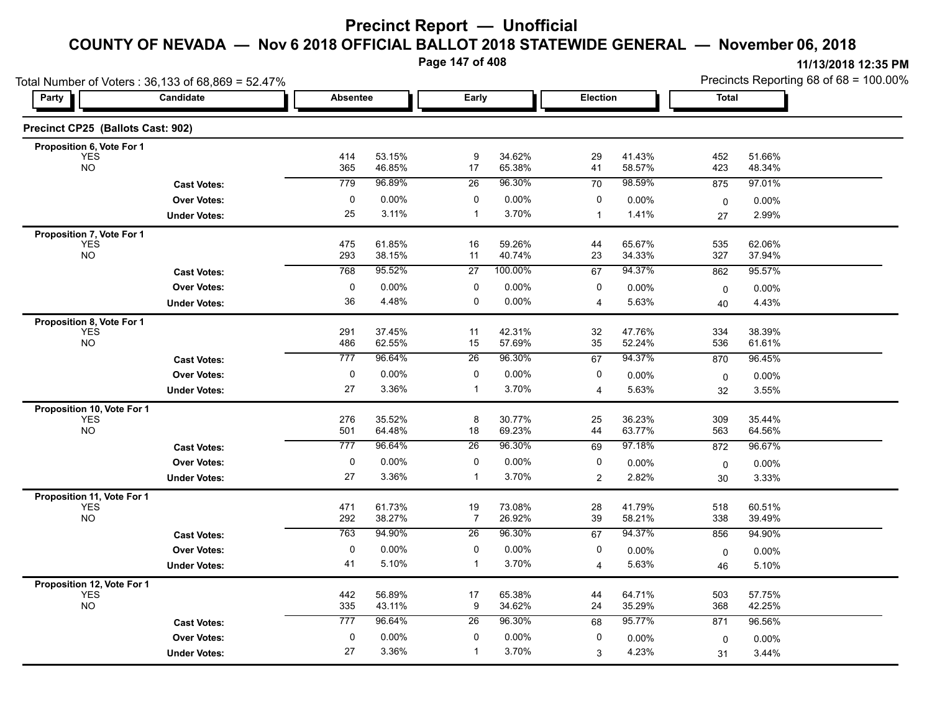**Page 147 of 408**

|                                          | Total Number of Voters: 36,133 of 68,869 = 52.47% |                  |                   |                   |                  |                         |                  | Precincts Reporting 68 of 68 = 100.00% |                  |  |
|------------------------------------------|---------------------------------------------------|------------------|-------------------|-------------------|------------------|-------------------------|------------------|----------------------------------------|------------------|--|
| Party                                    | Candidate                                         | <b>Absentee</b>  |                   | Early             |                  | Election                |                  | Total                                  |                  |  |
| Precinct CP25 (Ballots Cast: 902)        |                                                   |                  |                   |                   |                  |                         |                  |                                        |                  |  |
| Proposition 6, Vote For 1                |                                                   |                  |                   |                   |                  |                         |                  |                                        |                  |  |
| <b>YES</b><br><b>NO</b>                  |                                                   | 414<br>365       | 53.15%<br>46.85%  | 9<br>17           | 34.62%<br>65.38% | 29<br>41                | 41.43%<br>58.57% | 452<br>423                             | 51.66%<br>48.34% |  |
|                                          | <b>Cast Votes:</b>                                | 779              | 96.89%            | 26                | 96.30%           | 70                      | 98.59%           | 875                                    | 97.01%           |  |
|                                          | <b>Over Votes:</b>                                | 0                | $0.00\%$          | $\pmb{0}$         | 0.00%            | 0                       | $0.00\%$         | 0                                      | 0.00%            |  |
|                                          | <b>Under Votes:</b>                               | 25               | 3.11%             | $\mathbf{1}$      | 3.70%            | $\mathbf{1}$            | 1.41%            | 27                                     | 2.99%            |  |
| Proposition 7, Vote For 1                |                                                   |                  |                   |                   |                  |                         |                  |                                        |                  |  |
| <b>YES</b><br><b>NO</b>                  |                                                   | 475<br>293       | 61.85%<br>38.15%  | 16<br>11          | 59.26%<br>40.74% | 44<br>23                | 65.67%<br>34.33% | 535<br>327                             | 62.06%<br>37.94% |  |
|                                          | <b>Cast Votes:</b>                                | 768              | 95.52%            | $\overline{27}$   | 100.00%          | 67                      | 94.37%           | 862                                    | 95.57%           |  |
|                                          | <b>Over Votes:</b>                                | 0                | $0.00\%$          | 0                 | 0.00%            | 0                       | 0.00%            | 0                                      | $0.00\%$         |  |
|                                          | <b>Under Votes:</b>                               | 36               | 4.48%             | 0                 | 0.00%            | 4                       | 5.63%            | 40                                     | 4.43%            |  |
| Proposition 8, Vote For 1                |                                                   |                  |                   |                   |                  |                         |                  |                                        |                  |  |
| <b>YES</b><br><b>NO</b>                  |                                                   | 291<br>486       | 37.45%<br>62.55%  | 11<br>15          | 42.31%<br>57.69% | 32<br>35                | 47.76%<br>52.24% | 334                                    | 38.39%           |  |
|                                          |                                                   | 777              | 96.64%            | $\overline{26}$   | 96.30%           | 67                      | 94.37%           | 536<br>870                             | 61.61%<br>96.45% |  |
|                                          | <b>Cast Votes:</b>                                |                  |                   |                   |                  |                         |                  |                                        |                  |  |
|                                          | <b>Over Votes:</b>                                | 0<br>27          | $0.00\%$<br>3.36% | 0<br>$\mathbf{1}$ | 0.00%<br>3.70%   | 0                       | 0.00%<br>5.63%   | 0                                      | $0.00\%$         |  |
|                                          | <b>Under Votes:</b>                               |                  |                   |                   |                  | 4                       |                  | 32                                     | 3.55%            |  |
| Proposition 10, Vote For 1<br><b>YES</b> |                                                   | 276              | 35.52%            | 8                 | 30.77%           | 25                      | 36.23%           | 309                                    | 35.44%           |  |
| <b>NO</b>                                |                                                   | 501              | 64.48%            | 18                | 69.23%           | 44                      | 63.77%           | 563                                    | 64.56%           |  |
|                                          | <b>Cast Votes:</b>                                | $\overline{777}$ | 96.64%            | 26                | 96.30%           | 69                      | 97.18%           | 872                                    | 96.67%           |  |
|                                          | <b>Over Votes:</b>                                | 0                | $0.00\%$          | 0                 | 0.00%            | 0                       | 0.00%            | 0                                      | $0.00\%$         |  |
|                                          | <b>Under Votes:</b>                               | 27               | 3.36%             | $\mathbf{1}$      | 3.70%            | $\overline{c}$          | 2.82%            | 30                                     | 3.33%            |  |
| Proposition 11, Vote For 1               |                                                   |                  |                   |                   |                  |                         |                  |                                        |                  |  |
| <b>YES</b>                               |                                                   | 471              | 61.73%            | 19                | 73.08%           | 28                      | 41.79%           | 518                                    | 60.51%           |  |
| <b>NO</b>                                |                                                   | 292              | 38.27%            | 7                 | 26.92%           | 39                      | 58.21%           | 338                                    | 39.49%           |  |
|                                          | <b>Cast Votes:</b>                                | 763              | 94.90%            | 26                | 96.30%           | 67                      | 94.37%           | 856                                    | 94.90%           |  |
|                                          | <b>Over Votes:</b>                                | 0                | $0.00\%$          | 0                 | 0.00%            | 0                       | 0.00%            | 0                                      | $0.00\%$         |  |
|                                          | <b>Under Votes:</b>                               | 41               | 5.10%             | $\mathbf{1}$      | 3.70%            | $\overline{\mathbf{4}}$ | 5.63%            | 46                                     | 5.10%            |  |
| Proposition 12, Vote For 1<br><b>YES</b> |                                                   | 442              | 56.89%            | 17                | 65.38%           |                         | 64.71%           | 503                                    | 57.75%           |  |
| <b>NO</b>                                |                                                   | 335              | 43.11%            | 9                 | 34.62%           | 44<br>24                | 35.29%           | 368                                    | 42.25%           |  |
|                                          | <b>Cast Votes:</b>                                | $\overline{777}$ | 96.64%            | 26                | 96.30%           | 68                      | 95.77%           | 871                                    | 96.56%           |  |
|                                          | <b>Over Votes:</b>                                | 0                | 0.00%             | 0                 | 0.00%            | 0                       | 0.00%            | $\mathbf 0$                            | $0.00\%$         |  |
|                                          | <b>Under Votes:</b>                               | 27               | 3.36%             | $\mathbf{1}$      | 3.70%            | 3                       | 4.23%            | 31                                     | 3.44%            |  |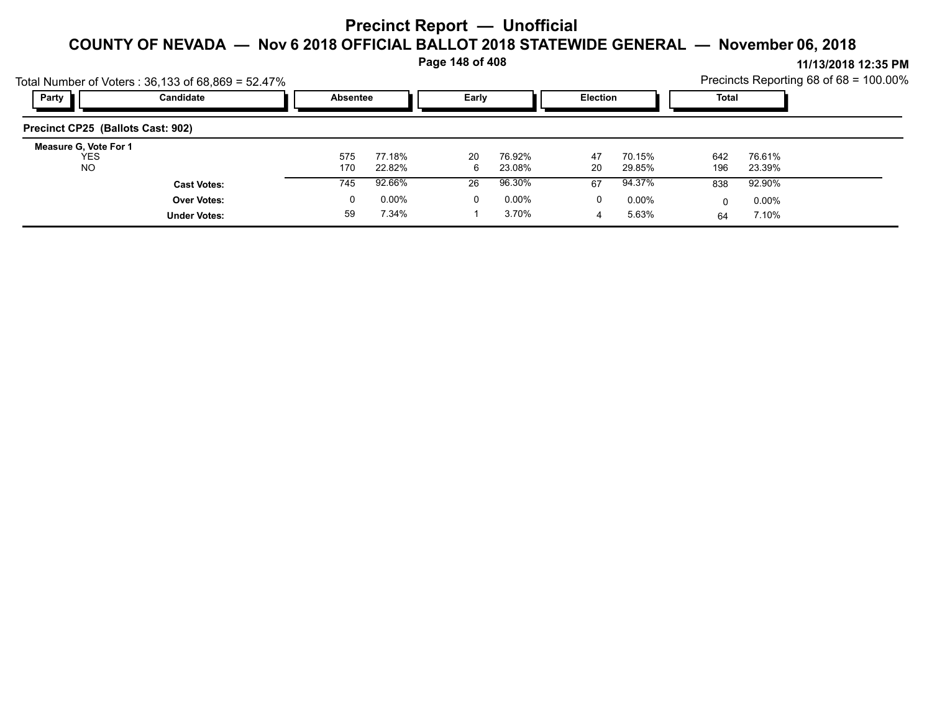**Page 148 of 408**

|                                            | Total Number of Voters: $36,133$ of $68,869 = 52.47\%$ |            |                  |         |                  |                 |                  |            |                  | Precincts Reporting 68 of 68 = 100.00% |
|--------------------------------------------|--------------------------------------------------------|------------|------------------|---------|------------------|-----------------|------------------|------------|------------------|----------------------------------------|
| Party                                      | Candidate                                              | Absentee   |                  | Early   |                  | <b>Election</b> |                  | Total      |                  |                                        |
| Precinct CP25 (Ballots Cast: 902)          |                                                        |            |                  |         |                  |                 |                  |            |                  |                                        |
| Measure G, Vote For 1<br><b>YES</b><br>NO. |                                                        | 575<br>170 | 77.18%<br>22.82% | 20<br>6 | 76.92%<br>23.08% | 47<br>20        | 70.15%<br>29.85% | 642<br>196 | 76.61%<br>23.39% |                                        |
|                                            | <b>Cast Votes:</b>                                     | 745        | 92.66%           | 26      | 96.30%           | 67              | 94.37%           | 838        | 92.90%           |                                        |
|                                            | <b>Over Votes:</b>                                     | 0          | $0.00\%$         | 0       | 0.00%            | 0               | $0.00\%$         |            | $0.00\%$         |                                        |
|                                            | <b>Under Votes:</b>                                    | 59         | 7.34%            |         | 3.70%            |                 | 5.63%            | 64         | 7.10%            |                                        |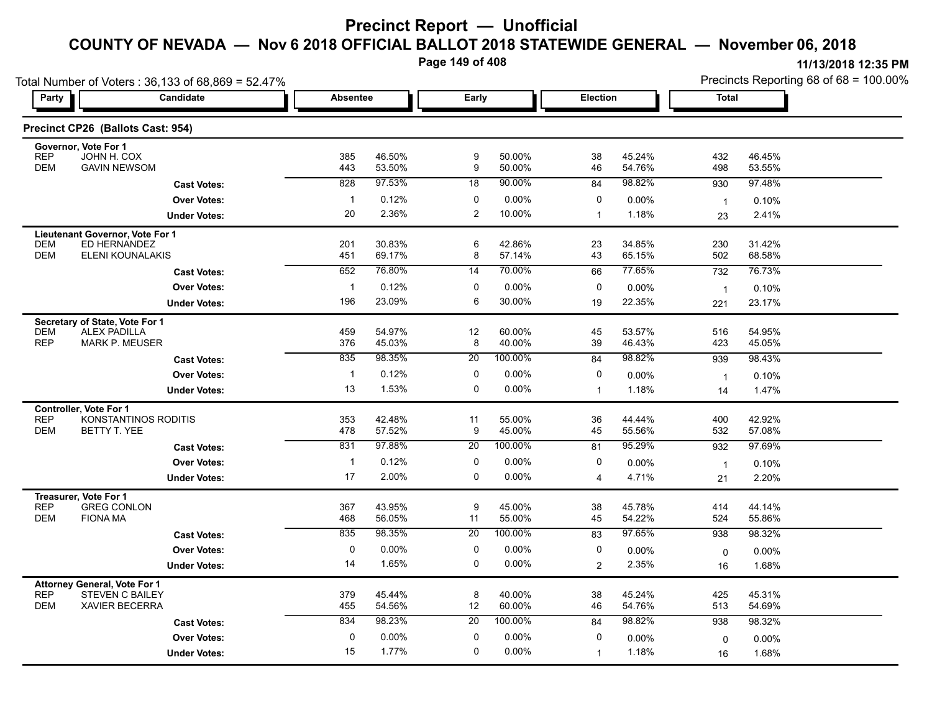**Page 149 of 408**

|                                                   | Total Number of Voters: 36,133 of 68,869 = 52.47% |                 |                  |                  |                  |                |                  | Precincts Reporting 68 of 68 = 100.00% |                  |  |
|---------------------------------------------------|---------------------------------------------------|-----------------|------------------|------------------|------------------|----------------|------------------|----------------------------------------|------------------|--|
| Party                                             | Candidate                                         | <b>Absentee</b> |                  | Early            |                  | Election       |                  | <b>Total</b>                           |                  |  |
|                                                   | Precinct CP26 (Ballots Cast: 954)                 |                 |                  |                  |                  |                |                  |                                        |                  |  |
| Governor, Vote For 1<br><b>REP</b>                | JOHN H. COX                                       | 385             | 46.50%           | 9                | 50.00%           | 38             | 45.24%           | 432                                    | 46.45%           |  |
| <b>DEM</b>                                        | <b>GAVIN NEWSOM</b>                               | 443             | 53.50%           | $\boldsymbol{9}$ | 50.00%           | 46             | 54.76%           | 498                                    | 53.55%           |  |
|                                                   | <b>Cast Votes:</b>                                | 828             | 97.53%           | 18               | 90.00%           | 84             | 98.82%           | 930                                    | 97.48%           |  |
|                                                   | <b>Over Votes:</b>                                | $\mathbf{1}$    | 0.12%            | 0                | 0.00%            | 0              | 0.00%            | $\overline{1}$                         | 0.10%            |  |
|                                                   | <b>Under Votes:</b>                               | 20              | 2.36%            | $\overline{2}$   | 10.00%           | $\mathbf{1}$   | 1.18%            | 23                                     | 2.41%            |  |
| Lieutenant Governor, Vote For 1                   |                                                   |                 |                  |                  |                  |                |                  |                                        |                  |  |
| <b>DEM</b><br><b>DEM</b>                          | ED HERNANDEZ<br>ELENI KOUNALAKIS                  | 201<br>451      | 30.83%<br>69.17% | 6<br>8           | 42.86%<br>57.14% | 23<br>43       | 34.85%<br>65.15% | 230<br>502                             | 31.42%<br>68.58% |  |
|                                                   | <b>Cast Votes:</b>                                | 652             | 76.80%           | 14               | 70.00%           | 66             | 77.65%           | 732                                    | 76.73%           |  |
|                                                   | <b>Over Votes:</b>                                | $\mathbf{1}$    | 0.12%            | 0                | 0.00%            | 0              | 0.00%            | $\mathbf{1}$                           | 0.10%            |  |
|                                                   | <b>Under Votes:</b>                               | 196             | 23.09%           | 6                | 30.00%           | 19             | 22.35%           | 221                                    | 23.17%           |  |
| Secretary of State, Vote For 1                    |                                                   |                 |                  |                  |                  |                |                  |                                        |                  |  |
| <b>DEM</b>                                        | <b>ALEX PADILLA</b>                               | 459             | 54.97%           | 12               | 60.00%           | 45             | 53.57%           | 516                                    | 54.95%           |  |
| <b>REP</b>                                        | <b>MARK P. MEUSER</b>                             | 376             | 45.03%           | 8                | 40.00%           | 39             | 46.43%           | 423                                    | 45.05%           |  |
|                                                   | <b>Cast Votes:</b>                                | 835             | 98.35%           | 20               | 100.00%          | 84             | 98.82%           | 939                                    | 98.43%           |  |
|                                                   | <b>Over Votes:</b>                                | $\overline{1}$  | 0.12%            | $\mathbf 0$      | 0.00%            | 0              | 0.00%            | $\mathbf{1}$                           | 0.10%            |  |
|                                                   | <b>Under Votes:</b>                               | 13              | 1.53%            | $\mathbf 0$      | 0.00%            | $\mathbf{1}$   | 1.18%            | 14                                     | 1.47%            |  |
| <b>Controller, Vote For 1</b><br><b>REP</b>       | KONSTANTINOS RODITIS                              | 353             | 42.48%           | 11               | 55.00%           | 36             | 44.44%           | 400                                    | 42.92%           |  |
| <b>DEM</b>                                        | <b>BETTY T. YEE</b>                               | 478             | 57.52%           | 9                | 45.00%           | 45             | 55.56%           | 532                                    | 57.08%           |  |
|                                                   | <b>Cast Votes:</b>                                | 831             | 97.88%           | 20               | 100.00%          | 81             | 95.29%           | 932                                    | 97.69%           |  |
|                                                   | <b>Over Votes:</b>                                | $\mathbf{1}$    | 0.12%            | 0                | 0.00%            | 0              | 0.00%            | $\mathbf{1}$                           | 0.10%            |  |
|                                                   | <b>Under Votes:</b>                               | 17              | 2.00%            | $\mathbf 0$      | 0.00%            | 4              | 4.71%            | 21                                     | 2.20%            |  |
| Treasurer, Vote For 1                             |                                                   |                 |                  |                  |                  |                |                  |                                        |                  |  |
| <b>REP</b><br>DEM<br><b>FIONA MA</b>              | <b>GREG CONLON</b>                                | 367<br>468      | 43.95%<br>56.05% | 9<br>11          | 45.00%<br>55.00% | 38<br>45       | 45.78%<br>54.22% | 414<br>524                             | 44.14%<br>55.86% |  |
|                                                   | <b>Cast Votes:</b>                                | 835             | 98.35%           | 20               | 100.00%          | 83             | 97.65%           | 938                                    | 98.32%           |  |
|                                                   | <b>Over Votes:</b>                                | $\mathbf 0$     | 0.00%            | 0                | 0.00%            | 0              | $0.00\%$         |                                        | 0.00%            |  |
|                                                   | <b>Under Votes:</b>                               | 14              | 1.65%            | $\mathbf{0}$     | 0.00%            | $\overline{2}$ | 2.35%            | 0<br>16                                | 1.68%            |  |
|                                                   |                                                   |                 |                  |                  |                  |                |                  |                                        |                  |  |
| <b>Attorney General, Vote For 1</b><br><b>REP</b> | <b>STEVEN C BAILEY</b>                            | 379             | 45.44%           | 8                | 40.00%           | 38             | 45.24%           | 425                                    | 45.31%           |  |
| <b>DEM</b>                                        | XAVIER BECERRA                                    | 455             | 54.56%           | 12               | 60.00%           | 46             | 54.76%           | 513                                    | 54.69%           |  |
|                                                   | <b>Cast Votes:</b>                                | 834             | 98.23%           | 20               | 100.00%          | 84             | 98.82%           | 938                                    | 98.32%           |  |
|                                                   | <b>Over Votes:</b>                                | $\mathbf 0$     | 0.00%            | 0                | 0.00%            | $\mathbf 0$    | 0.00%            | $\mathbf 0$                            | 0.00%            |  |
|                                                   | <b>Under Votes:</b>                               | 15              | 1.77%            | $\mathbf 0$      | 0.00%            | $\mathbf 1$    | 1.18%            | 16                                     | 1.68%            |  |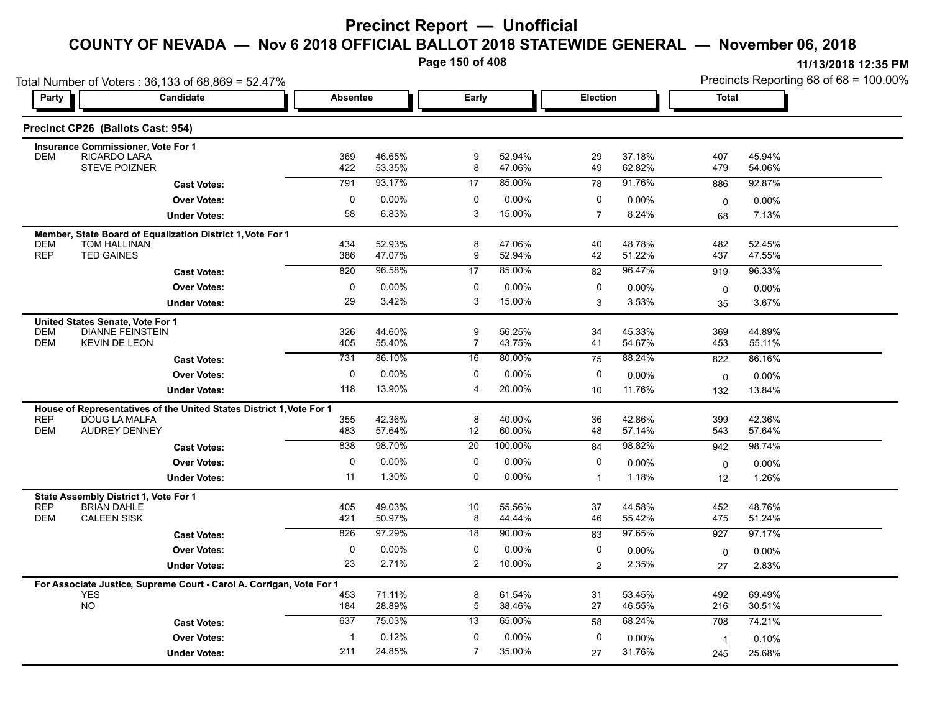**Page 150 of 408**

| Party                    | Total Number of Voters: 36,133 of 68,869 = 52.47%<br>Candidate       |                | <b>Absentee</b>  |                     | Early            |                | Election         |                    | Precincts Reporting 68 of 68 = 100.00% |
|--------------------------|----------------------------------------------------------------------|----------------|------------------|---------------------|------------------|----------------|------------------|--------------------|----------------------------------------|
|                          |                                                                      |                |                  |                     |                  |                |                  | <b>Total</b>       |                                        |
|                          | Precinct CP26 (Ballots Cast: 954)                                    |                |                  |                     |                  |                |                  |                    |                                        |
| <b>DEM</b>               | <b>Insurance Commissioner, Vote For 1</b><br>RICARDO LARA            | 369            | 46.65%           | 9                   | 52.94%           | 29             | 37.18%           | 407                | 45.94%                                 |
|                          | <b>STEVE POIZNER</b>                                                 | 422            | 53.35%           | 8                   | 47.06%           | 49             | 62.82%           | 479                | 54.06%                                 |
|                          | <b>Cast Votes:</b>                                                   | 791            | 93.17%           | 17                  | 85.00%           | 78             | 91.76%           | 886                | 92.87%                                 |
|                          | <b>Over Votes:</b>                                                   | 0              | 0.00%            | 0                   | 0.00%            | 0              | 0.00%            | $\mathbf 0$        | 0.00%                                  |
|                          | <b>Under Votes:</b>                                                  | 58             | 6.83%            | 3                   | 15.00%           | $\overline{7}$ | 8.24%            | 68                 | 7.13%                                  |
|                          | Member, State Board of Equalization District 1, Vote For 1           |                |                  |                     |                  |                |                  |                    |                                        |
| DEM<br><b>REP</b>        | TOM HALLINAN<br><b>TED GAINES</b>                                    | 434<br>386     | 52.93%<br>47.07% | 8<br>9              | 47.06%<br>52.94% | 40<br>42       | 48.78%<br>51.22% | 482<br>437         | 52.45%<br>47.55%                       |
|                          | <b>Cast Votes:</b>                                                   | 820            | 96.58%           | 17                  | 85.00%           | 82             | 96.47%           | 919                | 96.33%                                 |
|                          | <b>Over Votes:</b>                                                   | $\mathbf 0$    | 0.00%            | $\mathbf 0$         | 0.00%            | $\mathbf 0$    | $0.00\%$         | $\mathbf 0$        | 0.00%                                  |
|                          | <b>Under Votes:</b>                                                  | 29             | 3.42%            | 3                   | 15.00%           | 3              | 3.53%            | 35                 | 3.67%                                  |
|                          | United States Senate, Vote For 1                                     |                |                  |                     |                  |                |                  |                    |                                        |
| <b>DEM</b><br><b>DEM</b> | <b>DIANNE FEINSTEIN</b><br><b>KEVIN DE LEON</b>                      | 326            | 44.60%<br>55.40% | 9<br>$\overline{7}$ | 56.25%<br>43.75% | 34<br>41       | 45.33%<br>54.67% | 369                | 44.89%                                 |
|                          |                                                                      | 405<br>731     | 86.10%           | 16                  | 80.00%           | 75             | 88.24%           | 453<br>822         | 55.11%<br>86.16%                       |
|                          | <b>Cast Votes:</b><br><b>Over Votes:</b>                             | $\mathbf 0$    | 0.00%            | $\mathbf 0$         | 0.00%            | $\mathbf 0$    | $0.00\%$         |                    |                                        |
|                          | <b>Under Votes:</b>                                                  | 118            | 13.90%           | $\overline{4}$      | 20.00%           | 10             | 11.76%           | $\mathbf 0$<br>132 | 0.00%<br>13.84%                        |
|                          | House of Representatives of the United States District 1, Vote For 1 |                |                  |                     |                  |                |                  |                    |                                        |
| <b>REP</b>               | DOUG LA MALFA                                                        | 355            | 42.36%           | 8                   | 40.00%           | 36             | 42.86%           | 399                | 42.36%                                 |
| DEM                      | <b>AUDREY DENNEY</b>                                                 | 483            | 57.64%           | 12                  | 60.00%           | 48             | 57.14%           | 543                | 57.64%                                 |
|                          | <b>Cast Votes:</b>                                                   | 838            | 98.70%           | 20                  | 100.00%          | 84             | 98.82%           | 942                | 98.74%                                 |
|                          | <b>Over Votes:</b>                                                   | $\mathbf 0$    | 0.00%            | $\mathbf 0$         | 0.00%            | $\mathbf 0$    | $0.00\%$         | 0                  | 0.00%                                  |
|                          | <b>Under Votes:</b>                                                  | 11             | 1.30%            | $\mathbf 0$         | 0.00%            | $\mathbf{1}$   | 1.18%            | 12                 | 1.26%                                  |
| <b>REP</b>               | State Assembly District 1, Vote For 1<br><b>BRIAN DAHLE</b>          |                | 49.03%           |                     |                  |                | 44.58%           |                    | 48.76%                                 |
| DEM                      | <b>CALEEN SISK</b>                                                   | 405<br>421     | 50.97%           | 10<br>8             | 55.56%<br>44.44% | 37<br>46       | 55.42%           | 452<br>475         | 51.24%                                 |
|                          | <b>Cast Votes:</b>                                                   | 826            | 97.29%           | $\overline{18}$     | 90.00%           | 83             | 97.65%           | 927                | 97.17%                                 |
|                          | <b>Over Votes:</b>                                                   | 0              | 0.00%            | $\mathbf 0$         | 0.00%            | 0              | 0.00%            | 0                  | 0.00%                                  |
|                          | <b>Under Votes:</b>                                                  | 23             | 2.71%            | $\overline{2}$      | 10.00%           | 2              | 2.35%            | 27                 | 2.83%                                  |
|                          | For Associate Justice, Supreme Court - Carol A. Corrigan, Vote For 1 |                |                  |                     |                  |                |                  |                    |                                        |
| <b>YES</b><br><b>NO</b>  |                                                                      | 453<br>184     | 71.11%<br>28.89% | 8<br>5              | 61.54%<br>38.46% | 31<br>27       | 53.45%<br>46.55% | 492<br>216         | 69.49%<br>30.51%                       |
|                          | <b>Cast Votes:</b>                                                   | 637            | 75.03%           | 13                  | 65.00%           | 58             | 68.24%           | 708                | 74.21%                                 |
|                          | <b>Over Votes:</b>                                                   | $\overline{1}$ | 0.12%            | 0                   | 0.00%            | 0              | 0.00%            |                    | 0.10%                                  |
|                          | <b>Under Votes:</b>                                                  | 211            | 24.85%           | $\overline{7}$      | 35.00%           |                | 31.76%           | $\mathbf{1}$       |                                        |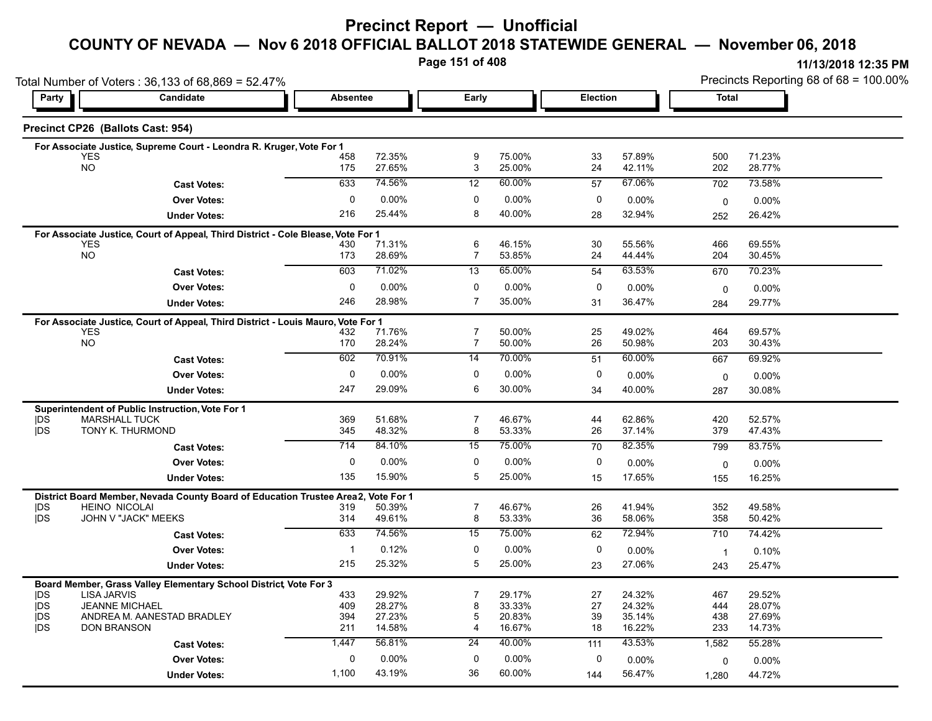**Page 151 of 408**

|                          | Total Number of Voters: 36,133 of 68,869 = 52.47%                                |                     |                  |                                  |                    |          |                  | Precincts Reporting 68 of 68 = 100.00% |                  |  |
|--------------------------|----------------------------------------------------------------------------------|---------------------|------------------|----------------------------------|--------------------|----------|------------------|----------------------------------------|------------------|--|
| Party                    | Candidate                                                                        | Absentee            |                  | Early                            |                    |          | <b>Election</b>  |                                        | Total            |  |
|                          | Precinct CP26 (Ballots Cast: 954)                                                |                     |                  |                                  |                    |          |                  |                                        |                  |  |
|                          | For Associate Justice, Supreme Court - Leondra R. Kruger, Vote For 1             |                     |                  |                                  |                    |          |                  |                                        |                  |  |
|                          | <b>YES</b><br><b>NO</b>                                                          | 458<br>175          | 72.35%<br>27.65% | 9<br>3                           | 75.00%<br>25.00%   | 33<br>24 | 57.89%<br>42.11% | 500<br>202                             | 71.23%<br>28.77% |  |
|                          |                                                                                  |                     |                  |                                  |                    |          |                  |                                        |                  |  |
|                          | <b>Cast Votes:</b>                                                               | 633                 | 74.56%           | 12                               | 60.00%             | 57       | 67.06%           | 702                                    | 73.58%           |  |
|                          | <b>Over Votes:</b>                                                               | 0                   | $0.00\%$         | 0                                | $0.00\%$           | 0        | $0.00\%$         | 0                                      | 0.00%            |  |
|                          | <b>Under Votes:</b>                                                              | 216                 | 25.44%           | 8                                | 40.00%             | 28       | 32.94%           | 252                                    | 26.42%           |  |
|                          | For Associate Justice, Court of Appeal, Third District - Cole Blease, Vote For 1 |                     |                  |                                  |                    |          |                  |                                        |                  |  |
|                          | <b>YES</b><br><b>NO</b>                                                          | 430<br>173          | 71.31%<br>28.69% | 6<br>7                           | 46.15%<br>53.85%   | 30<br>24 | 55.56%<br>44.44% | 466<br>204                             | 69.55%<br>30.45% |  |
|                          |                                                                                  | 603                 | 71.02%           | 13                               | 65.00%             |          | 63.53%           |                                        | 70.23%           |  |
|                          | <b>Cast Votes:</b>                                                               |                     |                  |                                  |                    | 54       |                  | 670                                    |                  |  |
|                          | <b>Over Votes:</b>                                                               | $\mathbf 0$         | $0.00\%$         | 0                                | 0.00%              | 0        | $0.00\%$         | 0                                      | 0.00%            |  |
|                          | <b>Under Votes:</b>                                                              | 246                 | 28.98%           | $\overline{7}$                   | 35.00%             | 31       | 36.47%           | 284                                    | 29.77%           |  |
|                          | For Associate Justice, Court of Appeal, Third District - Louis Mauro, Vote For 1 |                     |                  |                                  |                    |          |                  |                                        |                  |  |
|                          | <b>YES</b><br><b>NO</b>                                                          | 432<br>170          | 71.76%<br>28.24% | $\overline{7}$<br>$\overline{7}$ | 50.00%<br>50.00%   | 25<br>26 | 49.02%<br>50.98% | 464<br>203                             | 69.57%<br>30.43% |  |
|                          |                                                                                  | 602                 | 70.91%           | $\overline{14}$                  | 70.00%             | 51       | 60.00%           | 667                                    | 69.92%           |  |
|                          | <b>Cast Votes:</b>                                                               |                     |                  |                                  |                    |          |                  |                                        |                  |  |
|                          | <b>Over Votes:</b>                                                               | 0                   | $0.00\%$         | 0                                | 0.00%              | 0        | 0.00%            | 0                                      | $0.00\%$         |  |
|                          | <b>Under Votes:</b>                                                              | 247                 | 29.09%           | 6                                | 30.00%             | 34       | 40.00%           | 287                                    | 30.08%           |  |
|                          | Superintendent of Public Instruction, Vote For 1                                 |                     |                  |                                  |                    |          |                  |                                        |                  |  |
| <b>IDS</b><br><b>IDS</b> | <b>MARSHALL TUCK</b><br>TONY K. THURMOND                                         | 369<br>345          | 51.68%<br>48.32% | $\overline{7}$<br>8              | 46.67%<br>53.33%   | 44<br>26 | 62.86%<br>37.14% | 420<br>379                             | 52.57%<br>47.43% |  |
|                          |                                                                                  | 714                 | 84.10%           | 15                               | 75.00%             | 70       | 82.35%           | 799                                    | 83.75%           |  |
|                          | <b>Cast Votes:</b>                                                               |                     |                  |                                  |                    |          |                  |                                        |                  |  |
|                          | <b>Over Votes:</b>                                                               | $\mathbf 0$         | 0.00%            | 0                                | 0.00%              | 0        | $0.00\%$         | 0                                      | 0.00%            |  |
|                          | <b>Under Votes:</b>                                                              | 135                 | 15.90%           | 5                                | 25.00%             | 15       | 17.65%           | 155                                    | 16.25%           |  |
|                          | District Board Member, Nevada County Board of Education Trustee Area2,           |                     | Vote For 1       |                                  |                    |          |                  |                                        |                  |  |
| <b>IDS</b><br><b>IDS</b> | <b>HEINO NICOLAI</b><br>JOHN V "JACK" MEEKS                                      | 319<br>314          | 50.39%<br>49.61% | $\overline{7}$<br>8              | 46.67%<br>53.33%   | 26<br>36 | 41.94%<br>58.06% | 352<br>358                             | 49.58%<br>50.42% |  |
|                          | <b>Cast Votes:</b>                                                               | 633                 | 74.56%           | 15                               | 75.00%             | 62       | 72.94%           | 710                                    | 74.42%           |  |
|                          |                                                                                  |                     |                  |                                  |                    |          |                  |                                        |                  |  |
|                          | <b>Over Votes:</b>                                                               | $\mathbf{1}$<br>215 | 0.12%<br>25.32%  | 0<br>5                           | $0.00\%$<br>25.00% | 0        | $0.00\%$         | $\overline{1}$                         | 0.10%            |  |
|                          | <b>Under Votes:</b>                                                              |                     |                  |                                  |                    | 23       | 27.06%           | 243                                    | 25.47%           |  |
|                          | Board Member, Grass Valley Elementary School District, Vote For 3                |                     |                  |                                  |                    |          |                  |                                        |                  |  |
| <b>IDS</b><br><b>IDS</b> | <b>LISA JARVIS</b><br><b>JEANNE MICHAEL</b>                                      | 433<br>409          | 29.92%<br>28.27% | $\overline{7}$<br>8              | 29.17%<br>33.33%   | 27<br>27 | 24.32%<br>24.32% | 467<br>444                             | 29.52%<br>28.07% |  |
| <b>IDS</b>               | ANDREA M. AANESTAD BRADLEY                                                       | 394                 | 27.23%           | 5                                | 20.83%             | 39       | 35.14%           | 438                                    | 27.69%           |  |
| <b>IDS</b>               | <b>DON BRANSON</b>                                                               | 211                 | 14.58%           | 4                                | 16.67%             | 18       | 16.22%           | 233                                    | 14.73%           |  |
|                          | <b>Cast Votes:</b>                                                               | 1,447               | 56.81%           | $\overline{24}$                  | 40.00%             | 111      | 43.53%           | 1,582                                  | 55.28%           |  |
|                          | <b>Over Votes:</b>                                                               | $\mathbf 0$         | 0.00%            | $\mathbf 0$                      | 0.00%              | 0        | 0.00%            | 0                                      | 0.00%            |  |
|                          | <b>Under Votes:</b>                                                              | 1,100               | 43.19%           | 36                               | 60.00%             | 144      | 56.47%           | 1,280                                  | 44.72%           |  |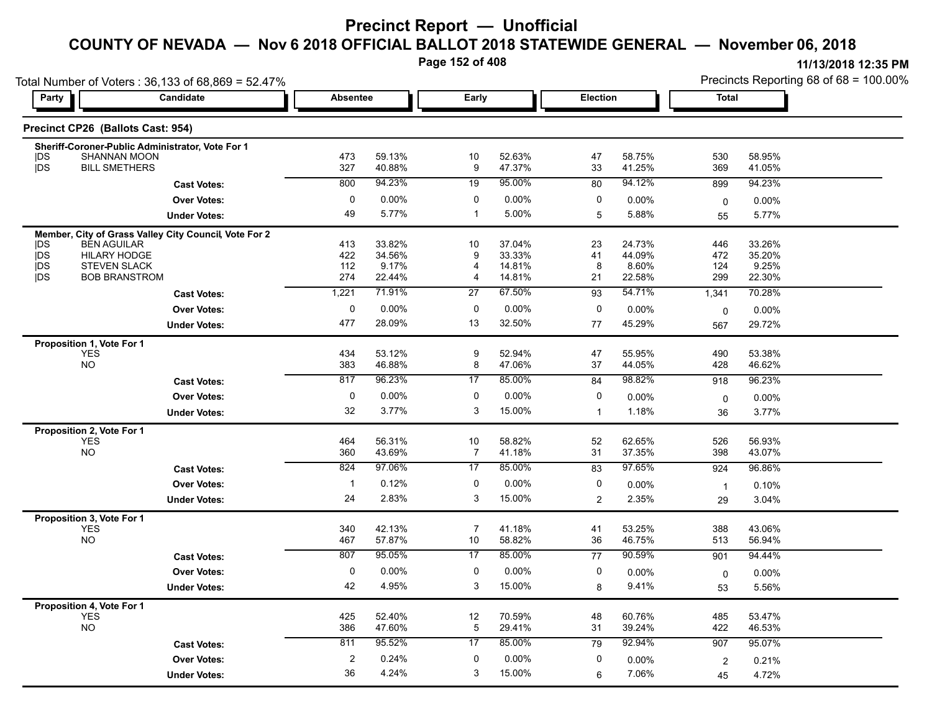**Page 152 of 408**

| Total Number of Voters: 36,133 of 68,869 = 52.47% |                                           |                                                       |                         |                  |                  |                  |              |                  | Precincts Reporting 68 of 68 = 100.00% |                  |
|---------------------------------------------------|-------------------------------------------|-------------------------------------------------------|-------------------------|------------------|------------------|------------------|--------------|------------------|----------------------------------------|------------------|
| Party                                             |                                           | Candidate                                             |                         | <b>Absentee</b>  |                  | Early            |              | Election         | Total                                  |                  |
|                                                   | Precinct CP26 (Ballots Cast: 954)         |                                                       |                         |                  |                  |                  |              |                  |                                        |                  |
|                                                   |                                           | Sheriff-Coroner-Public Administrator, Vote For 1      |                         |                  |                  |                  |              |                  |                                        |                  |
| DS                                                | <b>SHANNAN MOON</b>                       |                                                       | 473                     | 59.13%           | 10               | 52.63%           | 47           | 58.75%           | 530                                    | 58.95%           |
| <b>IDS</b>                                        | <b>BILL SMETHERS</b>                      |                                                       | 327                     | 40.88%           | 9                | 47.37%           | 33           | 41.25%           | 369                                    | 41.05%           |
|                                                   |                                           | <b>Cast Votes:</b>                                    | 800                     | 94.23%           | 19               | 95.00%           | 80           | 94.12%           | 899                                    | 94.23%           |
|                                                   |                                           | <b>Over Votes:</b>                                    | 0                       | $0.00\%$         | 0                | 0.00%            | 0            | 0.00%            | $\mathbf 0$                            | 0.00%            |
|                                                   |                                           | <b>Under Votes:</b>                                   | 49                      | 5.77%            | $\mathbf{1}$     | 5.00%            | 5            | 5.88%            | 55                                     | 5.77%            |
|                                                   |                                           | Member, City of Grass Valley City Council, Vote For 2 |                         |                  |                  |                  |              |                  |                                        |                  |
| <b>IDS</b><br>jDS                                 | <b>BEN AGUILAR</b><br><b>HILARY HODGE</b> |                                                       | 413<br>422              | 33.82%<br>34.56% | 10<br>9          | 37.04%<br>33.33% | 23<br>41     | 24.73%<br>44.09% | 446<br>472                             | 33.26%<br>35.20% |
| <b>IDS</b>                                        | <b>STEVEN SLACK</b>                       |                                                       | 112                     | 9.17%            | 4                | 14.81%           | 8            | 8.60%            | 124                                    | 9.25%            |
| <b>IDS</b>                                        | <b>BOB BRANSTROM</b>                      |                                                       | 274                     | 22.44%           | 4                | 14.81%           | 21           | 22.58%           | 299                                    | 22.30%           |
|                                                   |                                           | <b>Cast Votes:</b>                                    | 1,221                   | 71.91%           | 27               | 67.50%           | 93           | 54.71%           | 1,341                                  | 70.28%           |
|                                                   |                                           | <b>Over Votes:</b>                                    | 0                       | $0.00\%$         | 0                | 0.00%            | 0            | 0.00%            | 0                                      | 0.00%            |
|                                                   |                                           | <b>Under Votes:</b>                                   | 477                     | 28.09%           | 13               | 32.50%           | 77           | 45.29%           | 567                                    | 29.72%           |
|                                                   | Proposition 1, Vote For 1                 |                                                       |                         |                  |                  |                  |              |                  |                                        |                  |
|                                                   | YES                                       |                                                       | 434                     | 53.12%           | $\boldsymbol{9}$ | 52.94%           | 47           | 55.95%           | 490                                    | 53.38%           |
|                                                   | <b>NO</b>                                 |                                                       | 383                     | 46.88%           | 8                | 47.06%           | 37           | 44.05%           | 428                                    | 46.62%           |
|                                                   |                                           | <b>Cast Votes:</b>                                    | 817                     | 96.23%           | 17               | 85.00%           | 84           | 98.82%           | 918                                    | 96.23%           |
|                                                   |                                           | <b>Over Votes:</b>                                    | 0                       | 0.00%            | 0                | 0.00%            | 0            | 0.00%            | 0                                      | 0.00%            |
|                                                   |                                           | <b>Under Votes:</b>                                   | 32                      | 3.77%            | 3                | 15.00%           | $\mathbf{1}$ | 1.18%            | 36                                     | 3.77%            |
|                                                   | Proposition 2, Vote For 1                 |                                                       |                         |                  |                  |                  |              |                  |                                        |                  |
|                                                   | <b>YES</b>                                |                                                       | 464                     | 56.31%           | 10               | 58.82%           | 52           | 62.65%           | 526                                    | 56.93%           |
|                                                   | NO                                        |                                                       | 360                     | 43.69%           | 7                | 41.18%           | 31           | 37.35%           | 398                                    | 43.07%           |
|                                                   |                                           | <b>Cast Votes:</b>                                    | 824                     | 97.06%           | 17               | 85.00%           | 83           | 97.65%           | 924                                    | 96.86%           |
|                                                   |                                           | <b>Over Votes:</b>                                    | $\mathbf{1}$            | 0.12%            | 0                | $0.00\%$         | 0            | $0.00\%$         | $\overline{1}$                         | 0.10%            |
|                                                   |                                           | <b>Under Votes:</b>                                   | 24                      | 2.83%            | 3                | 15.00%           | 2            | 2.35%            | 29                                     | 3.04%            |
|                                                   | Proposition 3, Vote For 1                 |                                                       |                         |                  |                  |                  |              |                  |                                        |                  |
|                                                   | <b>YES</b>                                |                                                       | 340                     | 42.13%           | $\overline{7}$   | 41.18%           | 41           | 53.25%           | 388                                    | 43.06%           |
|                                                   | <b>NO</b>                                 |                                                       | 467                     | 57.87%           | 10               | 58.82%           | 36           | 46.75%           | 513                                    | 56.94%           |
|                                                   |                                           | <b>Cast Votes:</b>                                    | 807                     | 95.05%           | 17               | 85.00%           | 77           | 90.59%           | 901                                    | 94.44%           |
|                                                   |                                           | <b>Over Votes:</b>                                    | 0                       | $0.00\%$         | 0                | $0.00\%$         | 0            | 0.00%            | 0                                      | $0.00\%$         |
|                                                   |                                           | <b>Under Votes:</b>                                   | 42                      | 4.95%            | 3                | 15.00%           | 8            | 9.41%            | 53                                     | 5.56%            |
|                                                   | Proposition 4, Vote For 1                 |                                                       |                         |                  |                  |                  |              |                  |                                        |                  |
|                                                   | <b>YES</b>                                |                                                       | 425                     | 52.40%           | 12               | 70.59%           | 48           | 60.76%           | 485                                    | 53.47%           |
|                                                   | <b>NO</b>                                 |                                                       | 386                     | 47.60%           | 5                | 29.41%           | 31           | 39.24%           | 422                                    | 46.53%           |
|                                                   |                                           | <b>Cast Votes:</b>                                    | 811                     | 95.52%           | 17               | 85.00%           | 79           | 92.94%           | 907                                    | 95.07%           |
|                                                   |                                           | <b>Over Votes:</b>                                    | $\overline{\mathbf{c}}$ | 0.24%            | 0                | $0.00\%$         | 0            | 0.00%            | $\overline{c}$                         | 0.21%            |
|                                                   |                                           | <b>Under Votes:</b>                                   | 36                      | 4.24%            | 3                | 15.00%           | 6            | 7.06%            | 45                                     | 4.72%            |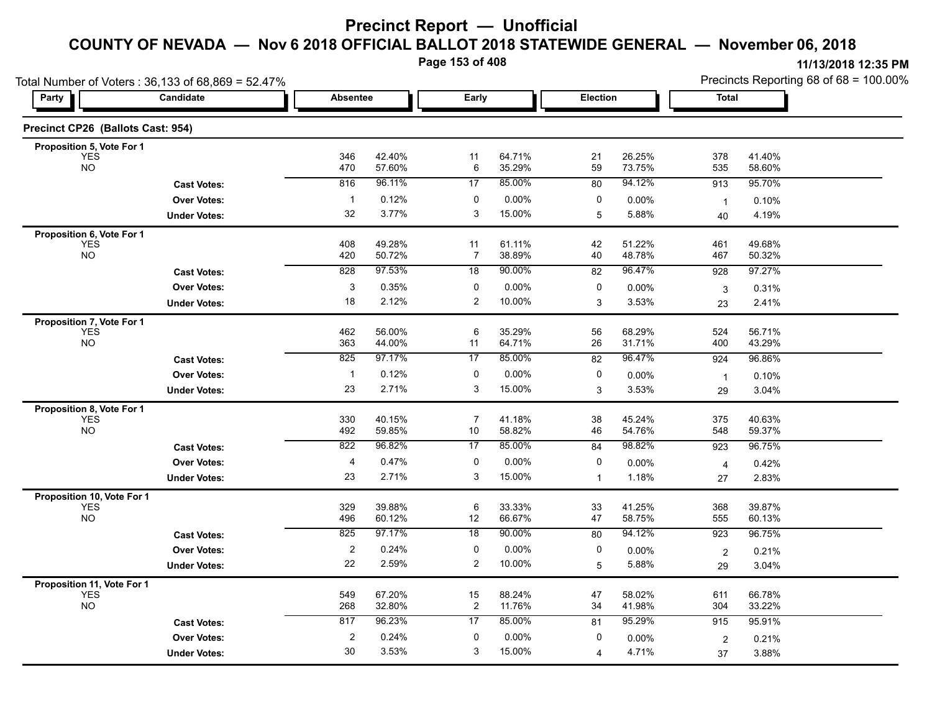**Page 153 of 408**

|                                   | Total Number of Voters: 36,133 of 68,869 = 52.47% |                         |                  |                           |                  |          |                  | Precincts Reporting 68 of 68 = 100.00% |                  |  |
|-----------------------------------|---------------------------------------------------|-------------------------|------------------|---------------------------|------------------|----------|------------------|----------------------------------------|------------------|--|
| Party                             | Candidate                                         | <b>Absentee</b>         |                  | Early                     |                  | Election |                  | <b>Total</b>                           |                  |  |
| Precinct CP26 (Ballots Cast: 954) |                                                   |                         |                  |                           |                  |          |                  |                                        |                  |  |
| Proposition 5, Vote For 1         |                                                   |                         |                  |                           |                  |          |                  |                                        |                  |  |
| <b>YES</b><br><b>NO</b>           |                                                   | 346<br>470              | 42.40%<br>57.60% | 11<br>6                   | 64.71%<br>35.29% | 21<br>59 | 26.25%<br>73.75% | 378<br>535                             | 41.40%<br>58.60% |  |
|                                   | <b>Cast Votes:</b>                                | 816                     | 96.11%           | 17                        | 85.00%           | 80       | 94.12%           | 913                                    | 95.70%           |  |
|                                   | <b>Over Votes:</b>                                | $\mathbf{1}$            | 0.12%            | 0                         | 0.00%            | 0        | 0.00%            | $\mathbf{1}$                           | 0.10%            |  |
|                                   | <b>Under Votes:</b>                               | 32                      | 3.77%            | $\ensuremath{\mathsf{3}}$ | 15.00%           | 5        | 5.88%            | 40                                     | 4.19%            |  |
| Proposition 6, Vote For 1         |                                                   |                         |                  |                           |                  |          |                  |                                        |                  |  |
| <b>YES</b><br><b>NO</b>           |                                                   | 408<br>420              | 49.28%<br>50.72% | 11<br>7                   | 61.11%<br>38.89% | 42<br>40 | 51.22%<br>48.78% | 461<br>467                             | 49.68%<br>50.32% |  |
|                                   | <b>Cast Votes:</b>                                | 828                     | 97.53%           | 18                        | 90.00%           | 82       | 96.47%           | 928                                    | 97.27%           |  |
|                                   | <b>Over Votes:</b>                                | 3                       | 0.35%            | 0                         | 0.00%            | 0        | 0.00%            |                                        |                  |  |
|                                   | <b>Under Votes:</b>                               | 18                      | 2.12%            | $\overline{2}$            | 10.00%           | 3        | 3.53%            | 3<br>23                                | 0.31%<br>2.41%   |  |
| Proposition 7, Vote For 1         |                                                   |                         |                  |                           |                  |          |                  |                                        |                  |  |
| <b>YES</b>                        |                                                   | 462                     | 56.00%           | 6                         | 35.29%           | 56       | 68.29%           | 524                                    | 56.71%           |  |
| <b>NO</b>                         |                                                   | 363                     | 44.00%           | 11                        | 64.71%           | 26       | 31.71%           | 400                                    | 43.29%           |  |
|                                   | <b>Cast Votes:</b>                                | 825                     | 97.17%           | 17                        | 85.00%           | 82       | 96.47%           | 924                                    | 96.86%           |  |
|                                   | <b>Over Votes:</b>                                | $\overline{1}$          | 0.12%            | 0                         | 0.00%            | 0        | 0.00%            | $\mathbf{1}$                           | 0.10%            |  |
|                                   | <b>Under Votes:</b>                               | 23                      | 2.71%            | 3                         | 15.00%           | 3        | 3.53%            | 29                                     | 3.04%            |  |
| Proposition 8, Vote For 1         |                                                   |                         |                  |                           |                  |          |                  |                                        |                  |  |
| <b>YES</b><br><b>NO</b>           |                                                   | 330<br>492              | 40.15%<br>59.85% | $\overline{7}$<br>10      | 41.18%<br>58.82% | 38<br>46 | 45.24%<br>54.76% | 375<br>548                             | 40.63%<br>59.37% |  |
|                                   | <b>Cast Votes:</b>                                | 822                     | 96.82%           | 17                        | 85.00%           | 84       | 98.82%           | 923                                    | 96.75%           |  |
|                                   | <b>Over Votes:</b>                                | 4                       | 0.47%            | 0                         | 0.00%            | 0        | 0.00%            | $\overline{4}$                         | 0.42%            |  |
|                                   | <b>Under Votes:</b>                               | 23                      | 2.71%            | 3                         | 15.00%           | 1        | 1.18%            | 27                                     | 2.83%            |  |
| Proposition 10, Vote For 1        |                                                   |                         |                  |                           |                  |          |                  |                                        |                  |  |
| <b>YES</b>                        |                                                   | 329                     | 39.88%           | $\,6\,$                   | 33.33%           | 33       | 41.25%           | 368                                    | 39.87%           |  |
| <b>NO</b>                         |                                                   | 496                     | 60.12%           | 12                        | 66.67%           | 47       | 58.75%           | 555                                    | 60.13%           |  |
|                                   | <b>Cast Votes:</b>                                | 825                     | 97.17%           | 18                        | 90.00%           | 80       | 94.12%           | 923                                    | 96.75%           |  |
|                                   | <b>Over Votes:</b>                                | $\overline{\mathbf{c}}$ | 0.24%            | 0                         | 0.00%            | 0        | 0.00%            | $\overline{2}$                         | 0.21%            |  |
|                                   | <b>Under Votes:</b>                               | 22                      | 2.59%            | $\overline{2}$            | 10.00%           | 5        | 5.88%            | 29                                     | 3.04%            |  |
| Proposition 11, Vote For 1        |                                                   |                         |                  |                           |                  |          |                  |                                        |                  |  |
| <b>YES</b><br><b>NO</b>           |                                                   | 549<br>268              | 67.20%<br>32.80% | 15<br>$\overline{c}$      | 88.24%<br>11.76% | 47<br>34 | 58.02%<br>41.98% | 611<br>304                             | 66.78%<br>33.22% |  |
|                                   | <b>Cast Votes:</b>                                | 817                     | 96.23%           | 17                        | 85.00%           | 81       | 95.29%           | 915                                    | 95.91%           |  |
|                                   | <b>Over Votes:</b>                                | $\boldsymbol{2}$        | 0.24%            | 0                         | 0.00%            | 0        | 0.00%            | $\overline{2}$                         | 0.21%            |  |
|                                   | <b>Under Votes:</b>                               | 30                      | 3.53%            | 3                         | 15.00%           | 4        | 4.71%            | 37                                     | 3.88%            |  |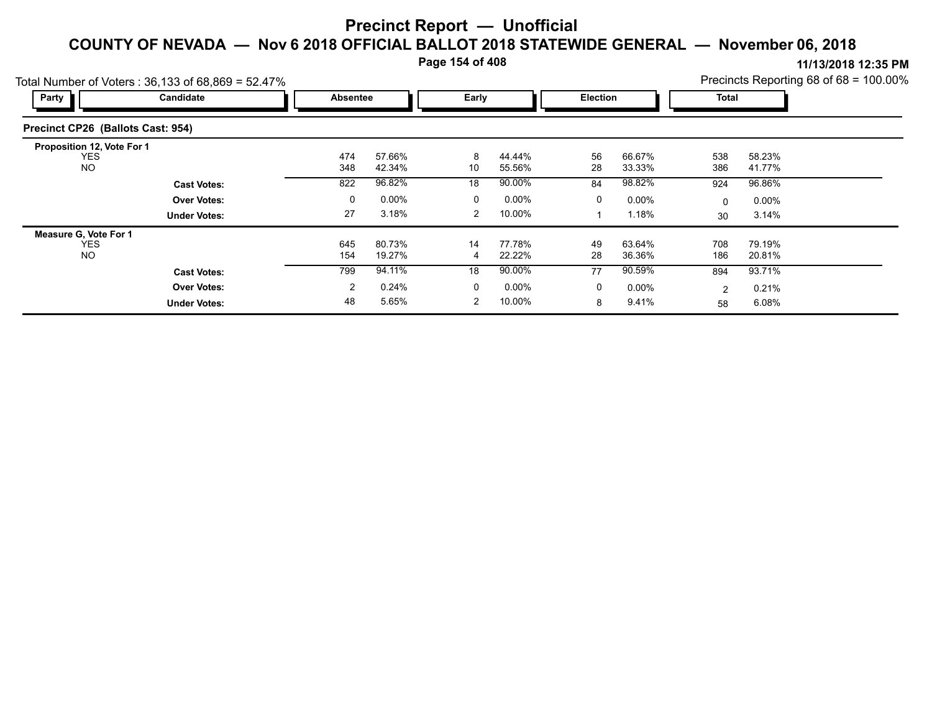**Page 154 of 408**

|                                   | Total Number of Voters: 36,133 of 68,869 = 52.47% |                 | Precincts Reporting 68 of 68 = 100.00% |              |                  |                 |                  |              |                  |  |
|-----------------------------------|---------------------------------------------------|-----------------|----------------------------------------|--------------|------------------|-----------------|------------------|--------------|------------------|--|
| <b>Party</b>                      | Candidate                                         | <b>Absentee</b> |                                        | Early        |                  | <b>Election</b> |                  | <b>Total</b> |                  |  |
| Precinct CP26 (Ballots Cast: 954) |                                                   |                 |                                        |              |                  |                 |                  |              |                  |  |
| Proposition 12, Vote For 1        |                                                   |                 |                                        |              |                  |                 |                  |              |                  |  |
| <b>YES</b><br><b>NO</b>           |                                                   | 474<br>348      | 57.66%<br>42.34%                       | 8<br>10      | 44.44%<br>55.56% | 56<br>28        | 66.67%<br>33.33% | 538<br>386   | 58.23%<br>41.77% |  |
|                                   | <b>Cast Votes:</b>                                | 822             | 96.82%                                 | 18           | 90.00%           | 84              | 98.82%           | 924          | 96.86%           |  |
|                                   | <b>Over Votes:</b>                                | 0               | 0.00%                                  | $\mathbf{0}$ | $0.00\%$         | 0               | $0.00\%$         | 0            | $0.00\%$         |  |
|                                   | <b>Under Votes:</b>                               | 27              | 3.18%                                  | 2            | 10.00%           |                 | 1.18%            | 30           | 3.14%            |  |
| Measure G, Vote For 1             |                                                   |                 |                                        |              |                  |                 |                  |              |                  |  |
| YES<br><b>NO</b>                  |                                                   | 645<br>154      | 80.73%<br>19.27%                       | 14<br>4      | 77.78%<br>22.22% | 49<br>28        | 63.64%<br>36.36% | 708<br>186   | 79.19%<br>20.81% |  |
|                                   | <b>Cast Votes:</b>                                | 799             | 94.11%                                 | 18           | 90.00%           | 77              | 90.59%           | 894          | 93.71%           |  |
|                                   | <b>Over Votes:</b>                                | 2               | 0.24%                                  | $\mathbf{0}$ | $0.00\%$         | 0               | $0.00\%$         | 2            | 0.21%            |  |
|                                   | <b>Under Votes:</b>                               | 48              | 5.65%                                  | 2            | 10.00%           | 8               | 9.41%            | 58           | 6.08%            |  |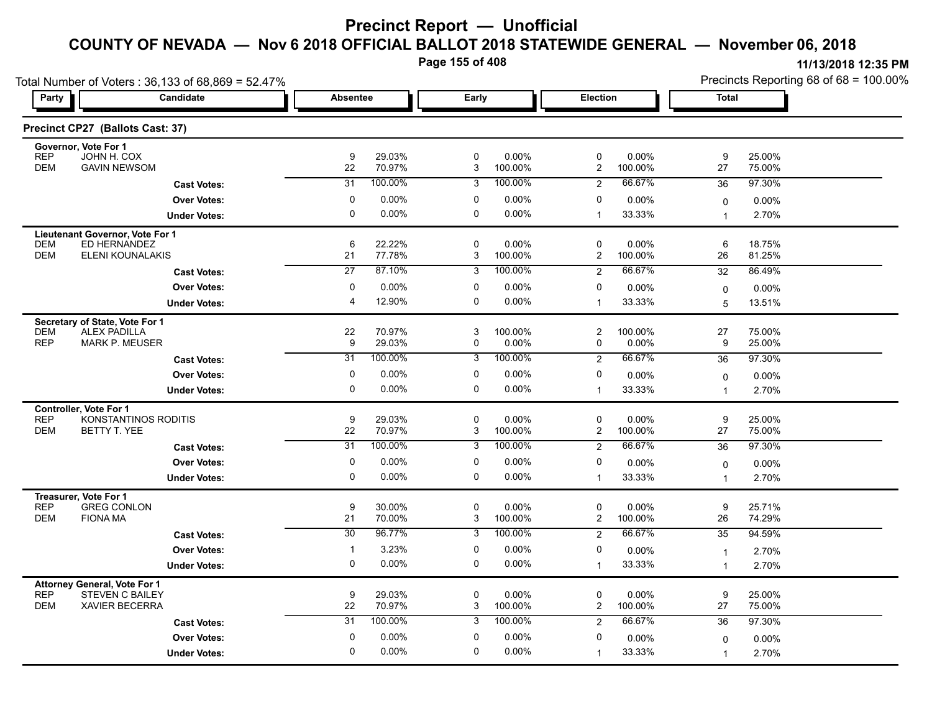**Page 155 of 408**

| Total Number of Voters: 36,133 of 68,869 = 52.47%                   |                 |                   |                  |                  |                         |                    | Precincts Reporting 68 of 68 = 100.00% |                  |  |
|---------------------------------------------------------------------|-----------------|-------------------|------------------|------------------|-------------------------|--------------------|----------------------------------------|------------------|--|
| Party<br>Candidate                                                  |                 | <b>Absentee</b>   |                  | Early            | Election                |                    | <b>Total</b>                           |                  |  |
| Precinct CP27 (Ballots Cast: 37)                                    |                 |                   |                  |                  |                         |                    |                                        |                  |  |
| Governor, Vote For 1<br><b>REP</b><br>JOHN H. COX                   | 9               | 29.03%            | $\mathbf 0$      | 0.00%            | 0                       | $0.00\%$           | 9                                      | 25.00%           |  |
| <b>DEM</b><br><b>GAVIN NEWSOM</b>                                   | 22              | 70.97%            | 3                | 100.00%          | $\overline{2}$          | 100.00%            | 27                                     | 75.00%           |  |
| <b>Cast Votes:</b>                                                  | 31              | 100.00%           | 3                | 100.00%          | $\overline{2}$          | 66.67%             | 36                                     | 97.30%           |  |
| <b>Over Votes:</b>                                                  | 0               | $0.00\%$          | 0                | 0.00%            | 0                       | 0.00%              | 0                                      | $0.00\%$         |  |
| <b>Under Votes:</b>                                                 | 0               | 0.00%             | 0                | 0.00%            | $\mathbf{1}$            | 33.33%             | 1                                      | 2.70%            |  |
| Lieutenant Governor, Vote For 1                                     |                 |                   |                  |                  |                         |                    |                                        |                  |  |
| ED HERNANDEZ<br><b>DEM</b><br><b>DEM</b><br><b>ELENI KOUNALAKIS</b> | 6<br>21         | 22.22%<br>77.78%  | $\mathbf 0$<br>3 | 0.00%<br>100.00% | $\mathbf 0$<br>2        | 0.00%<br>100.00%   | 6<br>26                                | 18.75%<br>81.25% |  |
| <b>Cast Votes:</b>                                                  | $\overline{27}$ | 87.10%            | $\overline{3}$   | 100.00%          | $\overline{2}$          | 66.67%             | 32                                     | 86.49%           |  |
| <b>Over Votes:</b>                                                  | 0               | 0.00%             | 0                | 0.00%            | 0                       |                    |                                        |                  |  |
| <b>Under Votes:</b>                                                 | 4               | 12.90%            | $\Omega$         | 0.00%            | $\mathbf{1}$            | $0.00\%$<br>33.33% | 0<br>5                                 | 0.00%<br>13.51%  |  |
|                                                                     |                 |                   |                  |                  |                         |                    |                                        |                  |  |
| Secretary of State, Vote For 1<br><b>DEM</b><br><b>ALEX PADILLA</b> | 22              | 70.97%            | 3                | 100.00%          | $\overline{\mathbf{c}}$ | 100.00%            | 27                                     | 75.00%           |  |
| <b>REP</b><br><b>MARK P. MEUSER</b>                                 | 9               | 29.03%            | 0                | 0.00%            | 0                       | $0.00\%$           | 9                                      | 25.00%           |  |
| <b>Cast Votes:</b>                                                  | $\overline{31}$ | 100.00%           | 3                | 100.00%          | $\overline{2}$          | 66.67%             | 36                                     | 97.30%           |  |
| <b>Over Votes:</b>                                                  | 0               | $0.00\%$          | 0                | 0.00%            | 0                       | 0.00%              | 0                                      | 0.00%            |  |
| <b>Under Votes:</b>                                                 | 0               | 0.00%             | 0                | $0.00\%$         | $\mathbf{1}$            | 33.33%             | 1                                      | 2.70%            |  |
| <b>Controller, Vote For 1</b>                                       |                 |                   |                  |                  |                         |                    |                                        |                  |  |
| <b>REP</b><br>KONSTANTINOS RODITIS<br><b>DEM</b><br>BETTY T. YEE    | 9<br>22         | 29.03%<br>70.97%  | $\mathbf 0$<br>3 | 0.00%<br>100.00% | 0<br>$\overline{c}$     | 0.00%<br>100.00%   | 9<br>27                                | 25.00%<br>75.00% |  |
|                                                                     | 31              | 100.00%           | 3                | 100.00%          |                         | 66.67%             | 36                                     | 97.30%           |  |
| <b>Cast Votes:</b>                                                  |                 |                   |                  |                  | $\overline{2}$<br>0     |                    |                                        |                  |  |
| <b>Over Votes:</b>                                                  | 0<br>0          | $0.00\%$<br>0.00% | 0<br>0           | 0.00%<br>0.00%   | $\mathbf{1}$            | 0.00%<br>33.33%    | 0                                      | 0.00%            |  |
| <b>Under Votes:</b>                                                 |                 |                   |                  |                  |                         |                    | 1                                      | 2.70%            |  |
| Treasurer, Vote For 1<br><b>GREG CONLON</b><br><b>REP</b>           | 9               | 30.00%            | $\mathbf 0$      | 0.00%            | 0                       | $0.00\%$           | 9                                      | 25.71%           |  |
| <b>DEM</b><br><b>FIONA MA</b>                                       | 21              | 70.00%            | 3                | 100.00%          | $\overline{c}$          | 100.00%            | 26                                     | 74.29%           |  |
| <b>Cast Votes:</b>                                                  | $\overline{30}$ | 96.77%            | 3                | 100.00%          | $\overline{c}$          | 66.67%             | 35                                     | 94.59%           |  |
| <b>Over Votes:</b>                                                  | $\mathbf{1}$    | 3.23%             | 0                | $0.00\%$         | 0                       | $0.00\%$           | $\overline{1}$                         | 2.70%            |  |
| <b>Under Votes:</b>                                                 | 0               | $0.00\%$          | 0                | 0.00%            | $\mathbf{1}$            | 33.33%             | $\overline{1}$                         | 2.70%            |  |
| <b>Attorney General, Vote For 1</b>                                 |                 |                   |                  |                  |                         |                    |                                        |                  |  |
| <b>REP</b><br><b>STEVEN C BAILEY</b>                                | 9               | 29.03%            | $\mathbf 0$      | 0.00%            | 0                       | 0.00%              | 9                                      | 25.00%           |  |
| <b>DEM</b><br><b>XAVIER BECERRA</b>                                 | 22              | 70.97%            | 3                | 100.00%          | $\overline{c}$          | 100.00%            | 27                                     | 75.00%           |  |
| <b>Cast Votes:</b>                                                  | $\overline{31}$ | 100.00%           | 3                | 100.00%          | $\overline{2}$          | 66.67%             | 36                                     | 97.30%           |  |
| <b>Over Votes:</b>                                                  | $\mathbf 0$     | 0.00%             | 0                | 0.00%            | 0                       | 0.00%              | 0                                      | $0.00\%$         |  |
| <b>Under Votes:</b>                                                 | 0               | $0.00\%$          | $\Omega$         | 0.00%            | $\overline{1}$          | 33.33%             | $\overline{1}$                         | 2.70%            |  |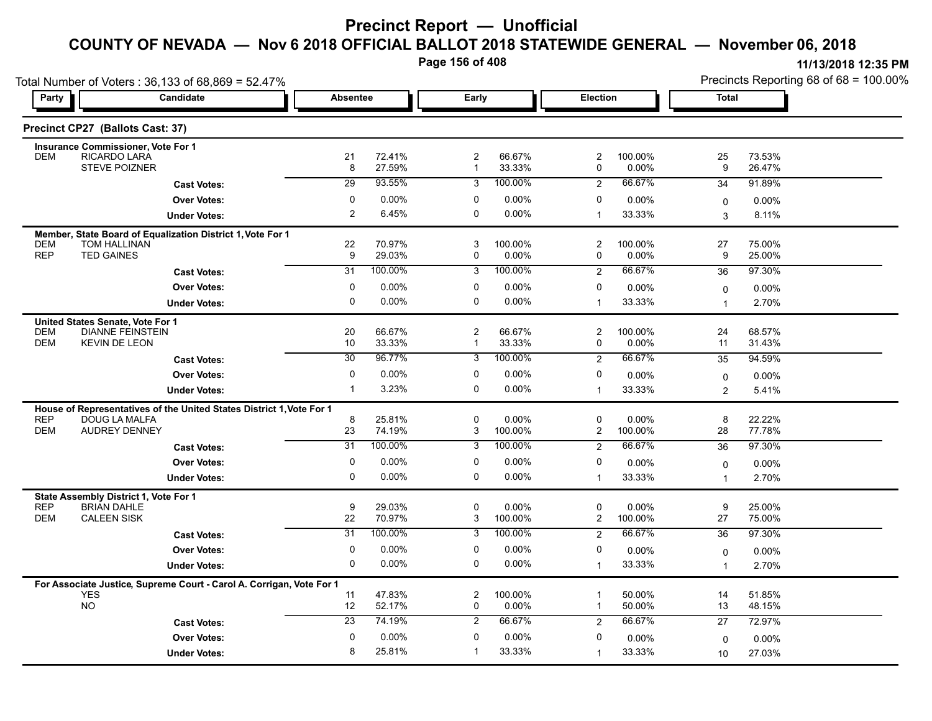**Page 156 of 408**

|                                  | Total Number of Voters: 36,133 of 68,869 = 52.47%                                 |                 |                  |                              |                     |                         |                  | Precincts Reporting 68 of 68 = 100.00% |                   |  |
|----------------------------------|-----------------------------------------------------------------------------------|-----------------|------------------|------------------------------|---------------------|-------------------------|------------------|----------------------------------------|-------------------|--|
| Party                            | Candidate                                                                         | <b>Absentee</b> |                  |                              | Early               |                         | Election         | <b>Total</b>                           |                   |  |
| Precinct CP27 (Ballots Cast: 37) |                                                                                   |                 |                  |                              |                     |                         |                  |                                        |                   |  |
|                                  | <b>Insurance Commissioner, Vote For 1</b>                                         |                 |                  |                              |                     |                         |                  |                                        |                   |  |
| <b>DEM</b>                       | RICARDO LARA<br><b>STEVE POIZNER</b>                                              | 21<br>8         | 72.41%<br>27.59% | $\mathbf{2}$<br>$\mathbf{1}$ | 66.67%<br>33.33%    | 2<br>0                  | 100.00%<br>0.00% | 25<br>9                                | 73.53%<br>26.47%  |  |
|                                  | <b>Cast Votes:</b>                                                                | 29              | 93.55%           | 3                            | 100.00%             | 2                       | 66.67%           | 34                                     | 91.89%            |  |
|                                  | <b>Over Votes:</b>                                                                | $\mathbf 0$     | $0.00\%$         | 0                            | $0.00\%$            | 0                       | 0.00%            | 0                                      | 0.00%             |  |
|                                  | <b>Under Votes:</b>                                                               | 2               | 6.45%            | 0                            | 0.00%               | $\overline{1}$          | 33.33%           | 3                                      | 8.11%             |  |
|                                  |                                                                                   |                 |                  |                              |                     |                         |                  |                                        |                   |  |
| <b>DEM</b>                       | Member, State Board of Equalization District 1, Vote For 1<br><b>TOM HALLINAN</b> | 22              | 70.97%           | 3                            | 100.00%             | 2                       | 100.00%          | 27                                     | 75.00%            |  |
| <b>REP</b><br><b>TED GAINES</b>  |                                                                                   | 9               | 29.03%           | 0                            | 0.00%               | 0                       | 0.00%            | 9                                      | 25.00%            |  |
|                                  | <b>Cast Votes:</b>                                                                | 31              | 100.00%          | 3                            | 100.00%             | $\overline{2}$          | 66.67%           | 36                                     | 97.30%            |  |
|                                  | <b>Over Votes:</b>                                                                | 0               | $0.00\%$         | 0                            | $0.00\%$            | 0                       | $0.00\%$         | $\mathbf 0$                            | $0.00\%$          |  |
|                                  | <b>Under Votes:</b>                                                               | 0               | 0.00%            | 0                            | $0.00\%$            | $\mathbf{1}$            | 33.33%           | 1                                      | 2.70%             |  |
| United States Senate, Vote For 1 |                                                                                   |                 |                  |                              |                     |                         |                  |                                        |                   |  |
| <b>DEM</b>                       | <b>DIANNE FEINSTEIN</b>                                                           | 20              | 66.67%           | $\overline{\mathbf{c}}$      | 66.67%              | $\overline{\mathbf{c}}$ | 100.00%          | 24                                     | 68.57%            |  |
| <b>DEM</b>                       | <b>KEVIN DE LEON</b>                                                              | 10              | 33.33%           | $\mathbf{1}$                 | 33.33%              | 0                       | $0.00\%$         | 11                                     | 31.43%            |  |
|                                  | <b>Cast Votes:</b>                                                                | $\overline{30}$ | 96.77%           | 3                            | 100.00%             | 2                       | 66.67%           | 35                                     | 94.59%            |  |
|                                  | <b>Over Votes:</b>                                                                | 0               | $0.00\%$         | 0                            | $0.00\%$            | 0                       | 0.00%            | $\mathbf 0$                            | $0.00\%$          |  |
|                                  | <b>Under Votes:</b>                                                               | $\mathbf{1}$    | 3.23%            | 0                            | $0.00\%$            | $\mathbf{1}$            | 33.33%           | 2                                      | 5.41%             |  |
|                                  | House of Representatives of the United States District 1, Vote For 1              |                 |                  |                              |                     |                         |                  |                                        |                   |  |
| <b>REP</b><br><b>DEM</b>         | DOUG LA MALFA<br><b>AUDREY DENNEY</b>                                             | 8<br>23         | 25.81%<br>74.19% | 0<br>3                       | $0.00\%$<br>100.00% | 0<br>$\overline{2}$     | 0.00%<br>100.00% | 8<br>28                                | 22.22%<br>77.78%  |  |
|                                  | <b>Cast Votes:</b>                                                                | 31              | 100.00%          | 3                            | 100.00%             | $\overline{2}$          | 66.67%           | 36                                     | 97.30%            |  |
|                                  | <b>Over Votes:</b>                                                                | 0               | $0.00\%$         | 0                            | $0.00\%$            | 0                       | 0.00%            |                                        |                   |  |
|                                  | <b>Under Votes:</b>                                                               | $\mathbf{0}$    | 0.00%            | 0                            | $0.00\%$            | $\mathbf{1}$            | 33.33%           | $\mathbf 0$<br>1                       | $0.00\%$<br>2.70% |  |
|                                  |                                                                                   |                 |                  |                              |                     |                         |                  |                                        |                   |  |
| <b>REP</b>                       | State Assembly District 1, Vote For 1<br><b>BRIAN DAHLE</b>                       | 9               | 29.03%           | 0                            | 0.00%               | 0                       | 0.00%            | 9                                      | 25.00%            |  |
| <b>DEM</b>                       | <b>CALEEN SISK</b>                                                                | 22              | 70.97%           | $\mathsf 3$                  | 100.00%             | $\overline{a}$          | 100.00%          | 27                                     | 75.00%            |  |
|                                  | <b>Cast Votes:</b>                                                                | $\overline{31}$ | 100.00%          | $\overline{3}$               | 100.00%             | $\overline{2}$          | 66.67%           | 36                                     | 97.30%            |  |
|                                  | <b>Over Votes:</b>                                                                | 0               | $0.00\%$         | 0                            | $0.00\%$            | 0                       | 0.00%            | $\mathbf 0$                            | $0.00\%$          |  |
|                                  | <b>Under Votes:</b>                                                               | 0               | $0.00\%$         | 0                            | $0.00\%$            | $\mathbf{1}$            | 33.33%           | $\overline{1}$                         | 2.70%             |  |
|                                  | For Associate Justice, Supreme Court - Carol A. Corrigan, Vote For 1              |                 |                  |                              |                     |                         |                  |                                        |                   |  |
| <b>YES</b>                       |                                                                                   | 11              | 47.83%           | 2                            | 100.00%             | -1                      | 50.00%           | 14                                     | 51.85%            |  |
| <b>NO</b>                        |                                                                                   | 12              | 52.17%           | 0                            | 0.00%               | $\overline{1}$          | 50.00%           | 13                                     | 48.15%            |  |
|                                  | <b>Cast Votes:</b>                                                                | $\overline{23}$ | 74.19%           | 2                            | 66.67%              | $\overline{2}$          | 66.67%           | 27                                     | 72.97%            |  |
|                                  | <b>Over Votes:</b>                                                                | $\mathbf 0$     | $0.00\%$         | 0                            | $0.00\%$            | 0                       | 0.00%            | $\mathbf 0$                            | $0.00\%$          |  |
|                                  | <b>Under Votes:</b>                                                               | 8               | 25.81%           | $\mathbf{1}$                 | 33.33%              | $\overline{1}$          | 33.33%           | 10                                     | 27.03%            |  |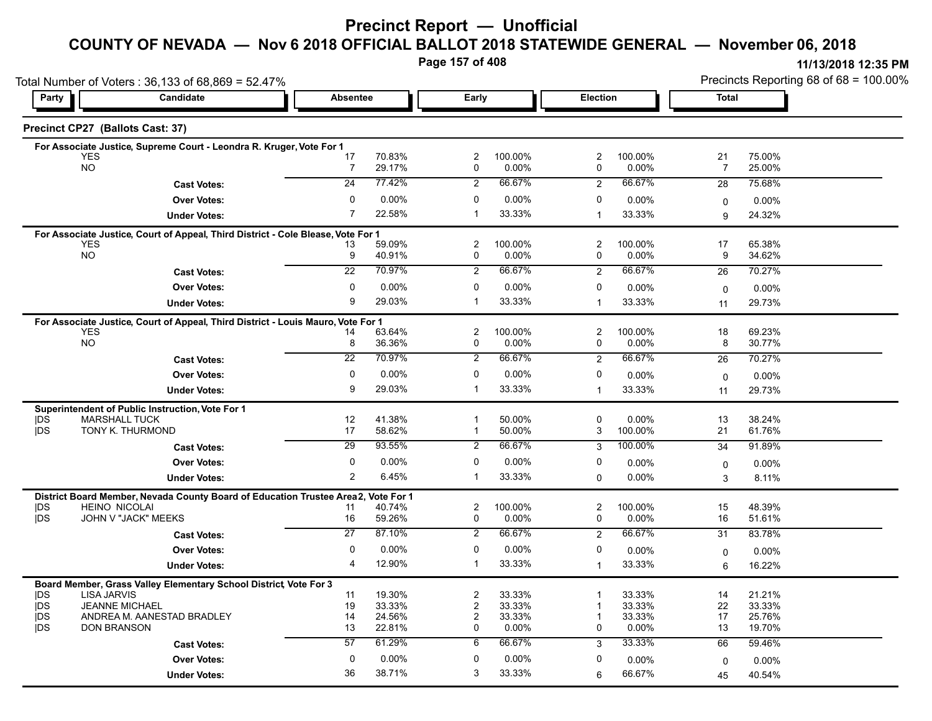### **Precinct Report — Unofficial**

#### **COUNTY OF NEVADA — Nov 6 2018 OFFICIAL BALLOT 2018 STATEWIDE GENERAL — November 06, 2018**

**Page 157 of 408**

|                         | Total Number of Voters: 36,133 of 68,869 = 52.47%                                              |                 |                  |                     |                  |                     |                  | Precincts Reporting 68 of 68 = 100.00% |                  |  |
|-------------------------|------------------------------------------------------------------------------------------------|-----------------|------------------|---------------------|------------------|---------------------|------------------|----------------------------------------|------------------|--|
| Party                   | Candidate                                                                                      | <b>Absentee</b> |                  |                     | Early            |                     | Election         |                                        | <b>Total</b>     |  |
|                         | Precinct CP27 (Ballots Cast: 37)                                                               |                 |                  |                     |                  |                     |                  |                                        |                  |  |
|                         | For Associate Justice, Supreme Court - Leondra R. Kruger, Vote For 1                           |                 |                  |                     |                  |                     |                  |                                        |                  |  |
|                         | <b>YES</b><br><b>NO</b>                                                                        | 17<br>7         | 70.83%<br>29.17% | 2<br>0              | 100.00%<br>0.00% | $\overline{2}$<br>0 | 100.00%<br>0.00% | 21<br>$\overline{7}$                   | 75.00%           |  |
|                         |                                                                                                |                 |                  |                     |                  |                     |                  |                                        | 25.00%           |  |
|                         | <b>Cast Votes:</b>                                                                             | 24              | 77.42%           | $\overline{2}$      | 66.67%           | $\overline{c}$      | 66.67%           | 28                                     | 75.68%           |  |
|                         | <b>Over Votes:</b>                                                                             | 0               | 0.00%            | 0                   | $0.00\%$         | 0                   | 0.00%            | $\mathbf 0$                            | 0.00%            |  |
|                         | <b>Under Votes:</b>                                                                            | 7               | 22.58%           | -1                  | 33.33%           | $\mathbf{1}$        | 33.33%           | 9                                      | 24.32%           |  |
|                         | For Associate Justice, Court of Appeal, Third District - Cole Blease, Vote For 1               |                 |                  |                     |                  |                     |                  |                                        |                  |  |
|                         | <b>YES</b><br><b>NO</b>                                                                        | 13<br>9         | 59.09%<br>40.91% | $\overline{2}$<br>0 | 100.00%<br>0.00% | 2<br>0              | 100.00%<br>0.00% | 17<br>9                                | 65.38%<br>34.62% |  |
|                         | <b>Cast Votes:</b>                                                                             | 22              | 70.97%           | $\overline{2}$      | 66.67%           | 2                   | 66.67%           | 26                                     | 70.27%           |  |
|                         | <b>Over Votes:</b>                                                                             | 0               | 0.00%            | 0                   | 0.00%            | 0                   |                  |                                        |                  |  |
|                         |                                                                                                | 9               | 29.03%           | $\mathbf{1}$        | 33.33%           |                     | 0.00%            | $\mathbf 0$                            | 0.00%            |  |
|                         | <b>Under Votes:</b>                                                                            |                 |                  |                     |                  | $\mathbf 1$         | 33.33%           | 11                                     | 29.73%           |  |
|                         | For Associate Justice, Court of Appeal, Third District - Louis Mauro, Vote For 1<br><b>YES</b> |                 | 63.64%           |                     | 100.00%          |                     | 100.00%          |                                        | 69.23%           |  |
|                         | <b>NO</b>                                                                                      | 14<br>8         | 36.36%           | $\overline{2}$<br>0 | $0.00\%$         | 2<br>0              | 0.00%            | 18<br>8                                | 30.77%           |  |
|                         | <b>Cast Votes:</b>                                                                             | $\overline{22}$ | 70.97%           | $\overline{2}$      | 66.67%           | $\overline{2}$      | 66.67%           | 26                                     | 70.27%           |  |
|                         | <b>Over Votes:</b>                                                                             | 0               | 0.00%            | 0                   | 0.00%            | 0                   | 0.00%            | $\mathbf 0$                            | 0.00%            |  |
|                         | <b>Under Votes:</b>                                                                            | 9               | 29.03%           | $\mathbf{1}$        | 33.33%           | $\mathbf{1}$        | 33.33%           | 11                                     | 29.73%           |  |
|                         | Superintendent of Public Instruction, Vote For 1                                               |                 |                  |                     |                  |                     |                  |                                        |                  |  |
| IDS.                    | <b>MARSHALL TUCK</b>                                                                           | 12              | 41.38%           | -1                  | 50.00%           | 0                   | 0.00%            | 13                                     | 38.24%           |  |
| <b>DS</b>               | <b>TONY K. THURMOND</b>                                                                        | 17              | 58.62%           | $\overline{1}$      | 50.00%           | 3                   | 100.00%          | 21                                     | 61.76%           |  |
|                         | <b>Cast Votes:</b>                                                                             | 29              | 93.55%           | $\overline{2}$      | 66.67%           | 3                   | 100.00%          | 34                                     | 91.89%           |  |
|                         | <b>Over Votes:</b>                                                                             | 0               | 0.00%            | $\mathbf 0$         | 0.00%            | 0                   | 0.00%            | $\mathbf 0$                            | $0.00\%$         |  |
|                         | <b>Under Votes:</b>                                                                            | $\overline{2}$  | 6.45%            | $\mathbf{1}$        | 33.33%           | $\Omega$            | 0.00%            | 3                                      | 8.11%            |  |
|                         | District Board Member, Nevada County Board of Education Trustee Area2,                         |                 | Vote For 1       |                     |                  |                     |                  |                                        |                  |  |
| <b>IDS</b>              | <b>HEINO NICOLAI</b>                                                                           | 11              | 40.74%           | $\overline{2}$      | 100.00%          | $\overline{2}$      | 100.00%          | 15                                     | 48.39%           |  |
| jDS                     | JOHN V "JACK" MEEKS                                                                            | 16              | 59.26%           | 0                   | 0.00%            | 0                   | 0.00%            | 16                                     | 51.61%           |  |
|                         | <b>Cast Votes:</b>                                                                             | $\overline{27}$ | 87.10%           | $\overline{2}$      | 66.67%           | $\overline{2}$      | 66.67%           | 31                                     | 83.78%           |  |
|                         | <b>Over Votes:</b>                                                                             | 0               | 0.00%            | 0                   | $0.00\%$         | 0                   | 0.00%            | $\mathbf 0$                            | 0.00%            |  |
|                         | <b>Under Votes:</b>                                                                            | $\overline{4}$  | 12.90%           | $\mathbf{1}$        | 33.33%           | $\mathbf 1$         | 33.33%           | 6                                      | 16.22%           |  |
|                         | Board Member, Grass Valley Elementary School District, Vote For 3                              |                 |                  |                     |                  |                     |                  |                                        |                  |  |
| <b>IDS</b>              | <b>LISA JARVIS</b>                                                                             | 11              | 19.30%           | $\overline{2}$      | 33.33%           |                     | 33.33%           | 14                                     | 21.21%           |  |
| <b>DS</b><br><b>IDS</b> | <b>JEANNE MICHAEL</b><br>ANDREA M. AANESTAD BRADLEY                                            | 19<br>14        | 33.33%<br>24.56% | $\overline{c}$<br>2 | 33.33%<br>33.33% | 1                   | 33.33%<br>33.33% | 22<br>17                               | 33.33%<br>25.76% |  |
| <b>IDS</b>              | <b>DON BRANSON</b>                                                                             | 13              | 22.81%           | 0                   | $0.00\%$         | 0                   | 0.00%            | 13                                     | 19.70%           |  |
|                         | <b>Cast Votes:</b>                                                                             | 57              | 61.29%           | 6                   | 66.67%           | 3                   | 33.33%           | 66                                     | 59.46%           |  |
|                         | <b>Over Votes:</b>                                                                             | 0               | 0.00%            | $\mathbf 0$         | 0.00%            | 0                   | 0.00%            | 0                                      | $0.00\%$         |  |
|                         | <b>Under Votes:</b>                                                                            | 36              | 38.71%           | 3                   | 33.33%           | 6                   | 66.67%           |                                        | 40.54%           |  |
|                         |                                                                                                |                 |                  |                     |                  |                     |                  | 45                                     |                  |  |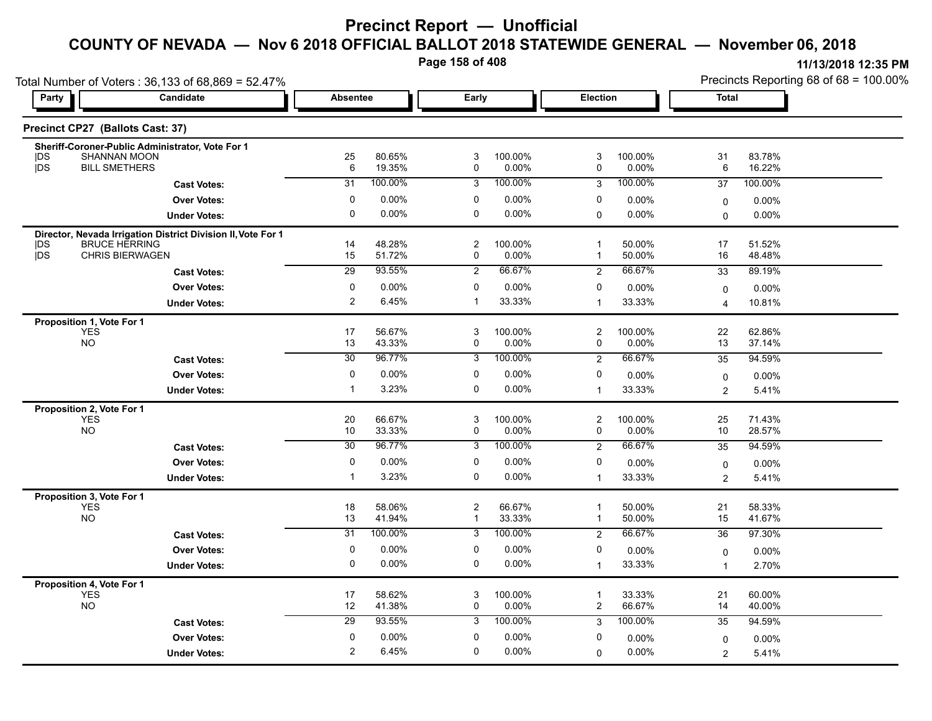**Page 158 of 408**

|                                                              | Total Number of Voters: 36,133 of 68,869 = 52.47%            |                 |                  |                                 |                  |                      |                  | Precincts Reporting 68 of 68 = 100.00% |                  |  |
|--------------------------------------------------------------|--------------------------------------------------------------|-----------------|------------------|---------------------------------|------------------|----------------------|------------------|----------------------------------------|------------------|--|
| Party                                                        | Candidate                                                    | <b>Absentee</b> |                  | Early                           |                  | Election             |                  | Total                                  |                  |  |
| Precinct CP27 (Ballots Cast: 37)                             |                                                              |                 |                  |                                 |                  |                      |                  |                                        |                  |  |
| DS                                                           | Sheriff-Coroner-Public Administrator, Vote For 1             |                 |                  |                                 |                  |                      |                  |                                        |                  |  |
| SHANNAN MOON<br>jDS<br><b>BILL SMETHERS</b>                  |                                                              | 25<br>6         | 80.65%<br>19.35% | 3<br>0                          | 100.00%<br>0.00% | 3<br>0               | 100.00%<br>0.00% | 31<br>6                                | 83.78%<br>16.22% |  |
|                                                              | <b>Cast Votes:</b>                                           | 31              | 100.00%          | 3                               | 100.00%          | 3                    | 100.00%          | 37                                     | 100.00%          |  |
|                                                              | <b>Over Votes:</b>                                           | 0               | 0.00%            | 0                               | 0.00%            | 0                    | 0.00%            | $\mathbf 0$                            | 0.00%            |  |
|                                                              | <b>Under Votes:</b>                                          | $\mathbf 0$     | 0.00%            | 0                               | 0.00%            | $\mathbf 0$          | 0.00%            | $\Omega$                               | $0.00\%$         |  |
|                                                              | Director, Nevada Irrigation District Division II, Vote For 1 |                 |                  |                                 |                  |                      |                  |                                        |                  |  |
| <b>BRUCE HERRING</b><br> DS<br>jDS<br><b>CHRIS BIERWAGEN</b> |                                                              | 14              | 48.28%           | $\overline{2}$                  | 100.00%          | $\overline{1}$<br>-1 | 50.00%           | 17                                     | 51.52%           |  |
|                                                              |                                                              | 15              | 51.72%<br>93.55% | 0                               | 0.00%<br>66.67%  |                      | 50.00%<br>66.67% | 16                                     | 48.48%           |  |
|                                                              | <b>Cast Votes:</b>                                           | 29              |                  | $\overline{2}$                  |                  | $\overline{2}$       |                  | 33                                     | 89.19%           |  |
|                                                              | <b>Over Votes:</b>                                           | 0               | 0.00%            | 0<br>-1                         | 0.00%            | 0                    | 0.00%            | $\mathbf 0$                            | $0.00\%$         |  |
|                                                              | <b>Under Votes:</b>                                          | $\overline{2}$  | 6.45%            |                                 | 33.33%           | -1                   | 33.33%           | 4                                      | 10.81%           |  |
| Proposition 1, Vote For 1<br><b>YES</b>                      |                                                              | 17              | 56.67%           | 3                               | 100.00%          | $\overline{c}$       | 100.00%          | 22                                     | 62.86%           |  |
| <b>NO</b>                                                    |                                                              | 13              | 43.33%           | 0                               | 0.00%            | 0                    | 0.00%            | 13                                     | 37.14%           |  |
|                                                              | <b>Cast Votes:</b>                                           | $\overline{30}$ | 96.77%           | 3                               | 100.00%          | $\overline{2}$       | 66.67%           | 35                                     | 94.59%           |  |
|                                                              | <b>Over Votes:</b>                                           | 0               | 0.00%            | 0                               | 0.00%            | 0                    | $0.00\%$         | 0                                      | 0.00%            |  |
|                                                              | <b>Under Votes:</b>                                          | $\mathbf 1$     | 3.23%            | 0                               | 0.00%            | $\mathbf{1}$         | 33.33%           | $\overline{2}$                         | 5.41%            |  |
| Proposition 2, Vote For 1                                    |                                                              |                 |                  |                                 |                  |                      |                  |                                        |                  |  |
| <b>YES</b>                                                   |                                                              | 20              | 66.67%           | 3                               | 100.00%          | $\overline{c}$       | 100.00%          | 25                                     | 71.43%           |  |
| <b>NO</b>                                                    |                                                              | 10              | 33.33%           | 0                               | 0.00%            | 0                    | 0.00%            | 10                                     | 28.57%           |  |
|                                                              | <b>Cast Votes:</b>                                           | 30              | 96.77%           | 3                               | 100.00%          | $\overline{2}$       | 66.67%           | 35                                     | 94.59%           |  |
|                                                              | <b>Over Votes:</b>                                           | 0               | 0.00%            | 0                               | 0.00%            | 0                    | 0.00%            | 0                                      | 0.00%            |  |
|                                                              | <b>Under Votes:</b>                                          | $\mathbf 1$     | 3.23%            | $\mathbf 0$                     | 0.00%            | $\mathbf 1$          | 33.33%           | 2                                      | 5.41%            |  |
| Proposition 3, Vote For 1                                    |                                                              |                 |                  |                                 |                  |                      |                  |                                        |                  |  |
| <b>YES</b><br><b>NO</b>                                      |                                                              | 18<br>13        | 58.06%<br>41.94% | $\boldsymbol{2}$<br>$\mathbf 1$ | 66.67%<br>33.33% | -1<br>$\mathbf{1}$   | 50.00%<br>50.00% | 21<br>15                               | 58.33%<br>41.67% |  |
|                                                              | <b>Cast Votes:</b>                                           | $\overline{31}$ | 100.00%          | 3                               | 100.00%          | $\overline{2}$       | 66.67%           | 36                                     | 97.30%           |  |
|                                                              | <b>Over Votes:</b>                                           | 0               | 0.00%            | 0                               | 0.00%            | 0                    | 0.00%            | 0                                      | 0.00%            |  |
|                                                              | <b>Under Votes:</b>                                          | 0               | 0.00%            | 0                               | 0.00%            | $\mathbf{1}$         | 33.33%           | $\overline{1}$                         | 2.70%            |  |
| Proposition 4, Vote For 1                                    |                                                              |                 |                  |                                 |                  |                      |                  |                                        |                  |  |
| <b>YES</b><br><b>NO</b>                                      |                                                              | 17<br>12        | 58.62%<br>41.38% | 3<br>0                          | 100.00%<br>0.00% | 1<br>$\overline{c}$  | 33.33%<br>66.67% | 21<br>14                               | 60.00%<br>40.00% |  |
|                                                              | <b>Cast Votes:</b>                                           | 29              | 93.55%           | 3                               | 100.00%          | 3                    | 100.00%          | 35                                     | 94.59%           |  |
|                                                              | <b>Over Votes:</b>                                           | 0               | 0.00%            | 0                               | 0.00%            | 0                    | $0.00\%$         | $\mathbf 0$                            | $0.00\%$         |  |
|                                                              | <b>Under Votes:</b>                                          | $\overline{2}$  | 6.45%            | 0                               | 0.00%            | $\Omega$             | 0.00%            | $\overline{c}$                         | 5.41%            |  |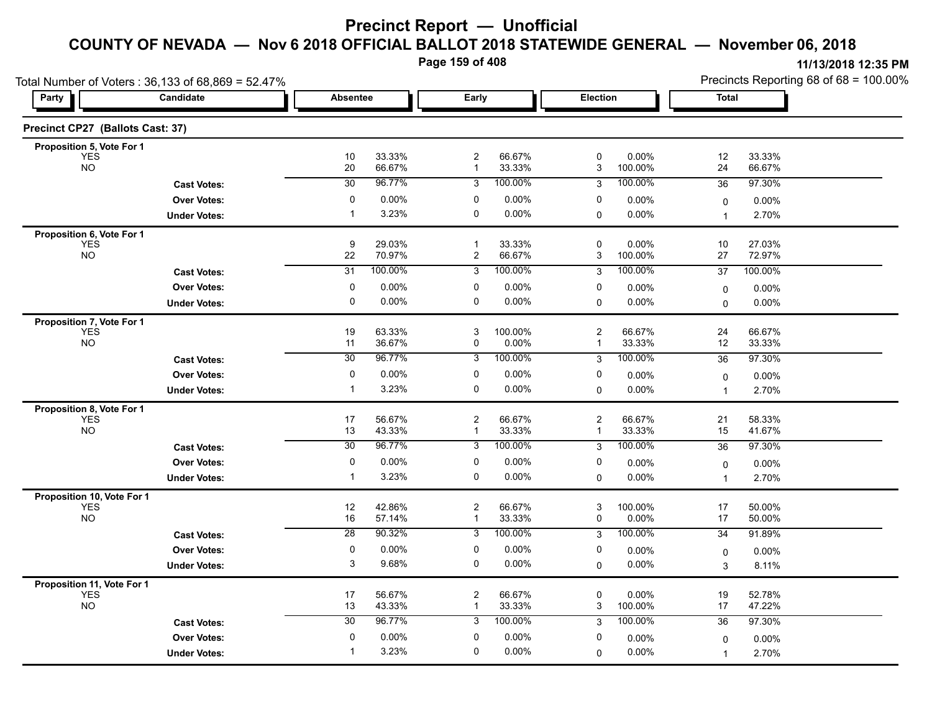**Page 159 of 408**

|                                          | Total Number of Voters: 36,133 of 68,869 = 52.47% |                       |                  |                                |                   |                  |                      | Precincts Reporting 68 of 68 = 100.00% |                   |  |
|------------------------------------------|---------------------------------------------------|-----------------------|------------------|--------------------------------|-------------------|------------------|----------------------|----------------------------------------|-------------------|--|
| Party                                    | Candidate                                         | <b>Absentee</b>       |                  | Early                          |                   | Election         |                      | Total                                  |                   |  |
| Precinct CP27 (Ballots Cast: 37)         |                                                   |                       |                  |                                |                   |                  |                      |                                        |                   |  |
| Proposition 5, Vote For 1                |                                                   |                       |                  |                                |                   |                  |                      |                                        |                   |  |
| <b>YES</b><br><b>NO</b>                  |                                                   | 10<br>20              | 33.33%<br>66.67% | $\overline{c}$<br>1            | 66.67%<br>33.33%  | 0<br>3           | 0.00%<br>100.00%     | 12<br>24                               | 33.33%<br>66.67%  |  |
|                                          | <b>Cast Votes:</b>                                | $\overline{30}$       | 96.77%           | 3                              | 100.00%           | 3                | 100.00%              | 36                                     | 97.30%            |  |
|                                          | <b>Over Votes:</b>                                | 0                     | 0.00%            | 0                              | 0.00%             | 0                | 0.00%                | $\mathbf 0$                            | 0.00%             |  |
|                                          | <b>Under Votes:</b>                               | $\mathbf 1$           | 3.23%            | 0                              | 0.00%             | 0                | $0.00\%$             | $\overline{1}$                         | 2.70%             |  |
| Proposition 6, Vote For 1                |                                                   |                       |                  |                                |                   |                  |                      |                                        |                   |  |
| <b>YES</b><br><b>NO</b>                  |                                                   | 9<br>22               | 29.03%<br>70.97% | $\mathbf{1}$<br>$\overline{c}$ | 33.33%<br>66.67%  | 0<br>3           | 0.00%<br>100.00%     | 10<br>27                               | 27.03%<br>72.97%  |  |
|                                          | <b>Cast Votes:</b>                                | 31                    | 100.00%          | 3                              | 100.00%           | 3                | 100.00%              | 37                                     | 100.00%           |  |
|                                          | <b>Over Votes:</b>                                | 0                     | 0.00%            | 0                              | 0.00%             | 0                | 0.00%                | 0                                      | $0.00\%$          |  |
|                                          | <b>Under Votes:</b>                               | $\mathbf 0$           | 0.00%            | 0                              | 0.00%             | 0                | $0.00\%$             | $\Omega$                               | 0.00%             |  |
| Proposition 7, Vote For 1                |                                                   |                       |                  |                                |                   |                  |                      |                                        |                   |  |
| <b>YES</b>                               |                                                   | 19                    | 63.33%           | 3                              | 100.00%           | $\overline{c}$   | 66.67%               | 24                                     | 66.67%            |  |
| <b>NO</b>                                |                                                   | 11<br>$\overline{30}$ | 36.67%<br>96.77% | 0                              | 0.00%<br>100.00%  | 1                | 33.33%               | 12                                     | 33.33%            |  |
|                                          | <b>Cast Votes:</b>                                |                       |                  | 3                              |                   | 3                | 100.00%              | 36                                     | 97.30%            |  |
|                                          | <b>Over Votes:</b>                                | 0                     | 0.00%            | 0                              | 0.00%             | 0                | 0.00%                | $\mathbf 0$                            | 0.00%             |  |
|                                          | <b>Under Votes:</b>                               | -1                    | 3.23%            | 0                              | 0.00%             | 0                | 0.00%                | $\overline{1}$                         | 2.70%             |  |
| Proposition 8, Vote For 1<br><b>YES</b>  |                                                   | 17                    | 56.67%           | $\overline{c}$                 | 66.67%            | $\boldsymbol{2}$ | 66.67%               | 21                                     | 58.33%            |  |
| <b>NO</b>                                |                                                   | 13                    | 43.33%           | 1                              | 33.33%            | $\mathbf{1}$     | 33.33%               | 15                                     | 41.67%            |  |
|                                          | <b>Cast Votes:</b>                                | 30                    | 96.77%           | 3                              | 100.00%           | 3                | 100.00%              | 36                                     | 97.30%            |  |
|                                          | <b>Over Votes:</b>                                | 0                     | 0.00%            | 0                              | 0.00%             | 0                | 0.00%                | 0                                      | 0.00%             |  |
|                                          | <b>Under Votes:</b>                               | $\mathbf 1$           | 3.23%            | $\mathbf 0$                    | 0.00%             | $\Omega$         | $0.00\%$             | 1                                      | 2.70%             |  |
| Proposition 10, Vote For 1               |                                                   |                       |                  |                                |                   |                  |                      |                                        |                   |  |
| <b>YES</b>                               |                                                   | 12                    | 42.86%           | $\overline{c}$                 | 66.67%            | 3                | 100.00%              | 17                                     | 50.00%            |  |
| <b>NO</b>                                |                                                   | 16<br>$\overline{28}$ | 57.14%<br>90.32% | -1<br>3                        | 33.33%<br>100.00% | 0<br>3           | 0.00%<br>100.00%     | 17<br>34                               | 50.00%<br>91.89%  |  |
|                                          | <b>Cast Votes:</b>                                |                       |                  |                                |                   |                  |                      |                                        |                   |  |
|                                          | <b>Over Votes:</b><br><b>Under Votes:</b>         | 0<br>3                | 0.00%<br>9.68%   | 0<br>0                         | 0.00%<br>0.00%    | 0<br>0           | $0.00\%$<br>$0.00\%$ | $\mathbf 0$                            | $0.00\%$<br>8.11% |  |
|                                          |                                                   |                       |                  |                                |                   |                  |                      | 3                                      |                   |  |
| Proposition 11, Vote For 1<br><b>YES</b> |                                                   | 17                    | 56.67%           | $\overline{c}$                 | 66.67%            | 0                | $0.00\%$             | 19                                     | 52.78%            |  |
| <b>NO</b>                                |                                                   | 13                    | 43.33%           | -1                             | 33.33%            | 3                | 100.00%              | 17                                     | 47.22%            |  |
|                                          | <b>Cast Votes:</b>                                | 30                    | 96.77%           | 3                              | 100.00%           | 3                | 100.00%              | 36                                     | 97.30%            |  |
|                                          | <b>Over Votes:</b>                                | 0                     | 0.00%            | 0                              | 0.00%             | 0                | $0.00\%$             | 0                                      | 0.00%             |  |
|                                          | <b>Under Votes:</b>                               | -1                    | 3.23%            | $\mathbf 0$                    | 0.00%             | $\Omega$         | 0.00%                | $\overline{1}$                         | 2.70%             |  |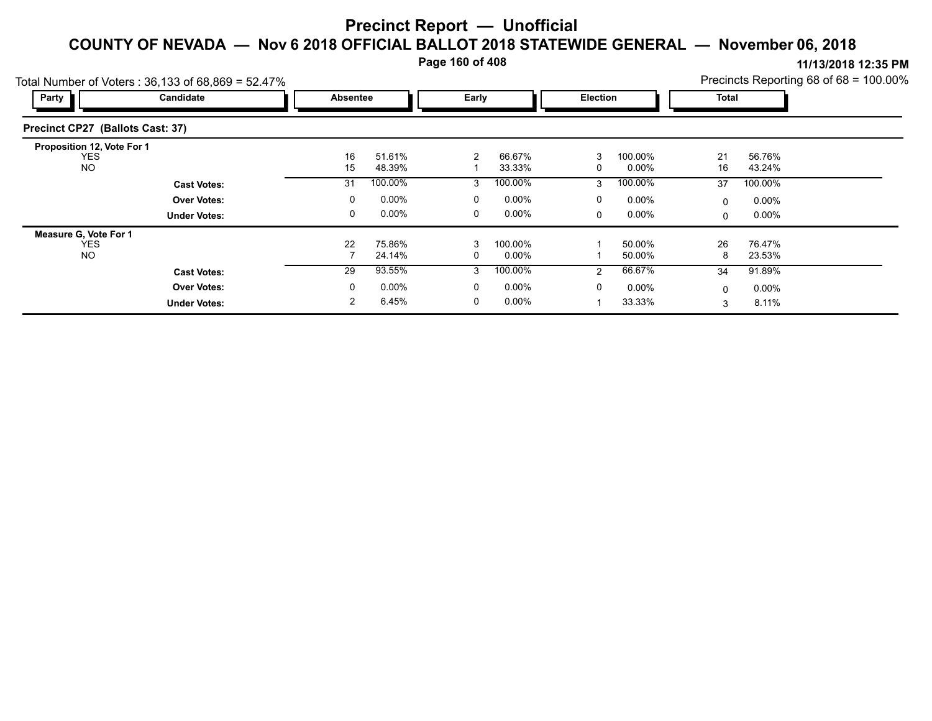**Page 160 of 408**

|                                          | Total Number of Voters: 36,133 of 68,869 = 52.47% |                                             |                  |        |                  |   |                  |              |                  | Precincts Reporting 68 of 68 = 100.00% |
|------------------------------------------|---------------------------------------------------|---------------------------------------------|------------------|--------|------------------|---|------------------|--------------|------------------|----------------------------------------|
| Party                                    | Candidate                                         | Early<br><b>Election</b><br><b>Absentee</b> |                  |        | Total            |   |                  |              |                  |                                        |
| Precinct CP27 (Ballots Cast: 37)         |                                                   |                                             |                  |        |                  |   |                  |              |                  |                                        |
| Proposition 12, Vote For 1<br><b>YES</b> |                                                   | 16                                          | 51.61%           | 2      | 66.67%           | 3 | 100.00%          | 21           | 56.76%           |                                        |
| <b>NO</b>                                |                                                   | 15                                          | 48.39%           |        | 33.33%           | 0 | $0.00\%$         | 16           | 43.24%           |                                        |
|                                          | <b>Cast Votes:</b>                                | 31                                          | 100.00%          | 3      | 100.00%          | 3 | 100.00%          | 37           | 100.00%          |                                        |
|                                          | <b>Over Votes:</b>                                | 0                                           | $0.00\%$         | 0      | 0.00%            | 0 | $0.00\%$         | $\mathbf 0$  | $0.00\%$         |                                        |
|                                          | <b>Under Votes:</b>                               | 0                                           | $0.00\%$         | 0      | $0.00\%$         | 0 | $0.00\%$         | 0            | $0.00\%$         |                                        |
| <b>Measure G. Vote For 1</b>             |                                                   |                                             |                  |        |                  |   |                  |              |                  |                                        |
| <b>YES</b><br><b>NO</b>                  |                                                   | 22                                          | 75.86%<br>24.14% | 3<br>0 | 100.00%<br>0.00% |   | 50.00%<br>50.00% | 26<br>8      | 76.47%<br>23.53% |                                        |
|                                          | <b>Cast Votes:</b>                                | 29                                          | 93.55%           | 3      | 100.00%          | 2 | 66.67%           | 34           | 91.89%           |                                        |
|                                          | <b>Over Votes:</b>                                | 0                                           | $0.00\%$         | 0      | $0.00\%$         | 0 | $0.00\%$         | $\mathbf{0}$ | $0.00\%$         |                                        |
|                                          | <b>Under Votes:</b>                               | 2                                           | 6.45%            | 0      | $0.00\%$         |   | 33.33%           | 3            | 8.11%            |                                        |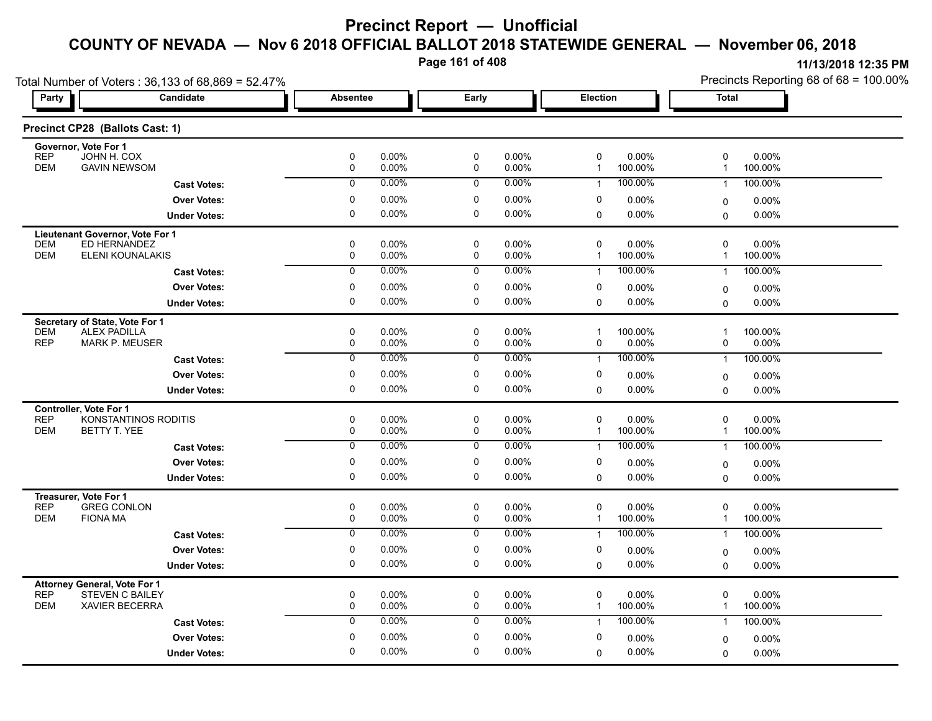**Page 161 of 408**

| Total Number of Voters: 36,133 of 68,869 = 52.47%                   |                      |                         |                         | Precincts Reporting 68 of 68 = 100.00% |  |  |
|---------------------------------------------------------------------|----------------------|-------------------------|-------------------------|----------------------------------------|--|--|
| <b>Candidate</b><br>Party                                           | Absentee             | Early                   | Election                | <b>Total</b>                           |  |  |
| Precinct CP28 (Ballots Cast: 1)                                     |                      |                         |                         |                                        |  |  |
| Governor, Vote For 1<br><b>REP</b><br>JOHN H. COX                   | $\pmb{0}$<br>0.00%   | $\pmb{0}$<br>0.00%      | 0<br>0.00%              | 0<br>0.00%                             |  |  |
| <b>DEM</b>                                                          | $\pmb{0}$            | $\pmb{0}$               | 100.00%                 | $\overline{1}$                         |  |  |
| <b>GAVIN NEWSOM</b>                                                 | 0.00%                | 0.00%                   | $\mathbf{1}$            | 100.00%                                |  |  |
| <b>Cast Votes:</b>                                                  | 0.00%                | 0.00%                   | 100.00%                 | 100.00%                                |  |  |
|                                                                     | $\mathbf 0$          | 0                       | $\mathbf{1}$            | $\overline{1}$                         |  |  |
| <b>Over Votes:</b>                                                  | 0                    | 0                       | 0                       | 0.00%                                  |  |  |
|                                                                     | 0.00%                | 0.00%                   | $0.00\%$                | 0                                      |  |  |
| <b>Under Votes:</b>                                                 | $\mathbf 0$          | $\pmb{0}$               | 0.00%                   | $\mathbf 0$                            |  |  |
|                                                                     | 0.00%                | 0.00%                   | $\Omega$                | $0.00\%$                               |  |  |
| Lieutenant Governor, Vote For 1                                     |                      |                         |                         |                                        |  |  |
| ED HERNANDEZ                                                        | $\mathbf 0$          | 0                       | $\mathbf 0$             | 0                                      |  |  |
| <b>DEM</b>                                                          | 0.00%                | 0.00%                   | $0.00\%$                | $0.00\%$                               |  |  |
| <b>DEM</b>                                                          | 0.00%                | 0.00%                   | 100.00%                 | 100.00%                                |  |  |
| ELENI KOUNALAKIS                                                    | 0                    | 0                       | 1                       | $\mathbf{1}$                           |  |  |
| <b>Cast Votes:</b>                                                  | 0.00%                | 0.00%                   | 100.00%                 | 100.00%                                |  |  |
|                                                                     | $\overline{0}$       | $\overline{0}$          | $\mathbf{1}$            | $\overline{1}$                         |  |  |
| <b>Over Votes:</b>                                                  | 0<br>0.00%           | $\pmb{0}$<br>0.00%      | 0<br>0.00%              |                                        |  |  |
| <b>Under Votes:</b>                                                 | $\Omega$<br>0.00%    | $\mathbf 0$<br>$0.00\%$ | $0.00\%$<br>$\Omega$    | $0.00\%$<br>0<br>0.00%<br>$\Omega$     |  |  |
|                                                                     |                      |                         |                         |                                        |  |  |
| Secretary of State, Vote For 1<br><b>ALEX PADILLA</b><br><b>DEM</b> | 0<br>0.00%           | $\pmb{0}$<br>0.00%      | 100.00%<br>$\mathbf{1}$ | 100.00%<br>$\overline{\mathbf{1}}$     |  |  |
| <b>REP</b>                                                          | 0                    | 0                       | 0.00%                   | 0                                      |  |  |
| <b>MARK P. MEUSER</b>                                               | 0.00%                | 0.00%                   | 0                       | 0.00%                                  |  |  |
| <b>Cast Votes:</b>                                                  | 0                    | 0                       | 100.00%                 | 100.00%                                |  |  |
|                                                                     | 0.00%                | 0.00%                   | $\mathbf{1}$            | $\overline{1}$                         |  |  |
| <b>Over Votes:</b>                                                  | 0                    | 0                       | 0                       | $0.00\%$                               |  |  |
|                                                                     | 0.00%                | 0.00%                   | 0.00%                   | 0                                      |  |  |
| <b>Under Votes:</b>                                                 | $\pmb{0}$            | $\pmb{0}$               | 0.00%                   | 0.00%                                  |  |  |
|                                                                     | 0.00%                | 0.00%                   | $\mathbf 0$             | $\Omega$                               |  |  |
| Controller, Vote For 1                                              |                      |                         |                         |                                        |  |  |
| <b>REP</b>                                                          | 0                    | $\pmb{0}$               | $\mathbf 0$             | 0                                      |  |  |
| KONSTANTINOS RODITIS                                                | 0.00%                | 0.00%                   | 0.00%                   | 0.00%                                  |  |  |
| <b>DEM</b>                                                          | $\pmb{0}$            | 0                       | 100.00%                 | 100.00%                                |  |  |
| BETTY T. YEE                                                        | 0.00%                | 0.00%                   | 1                       | $\overline{\mathbf{1}}$                |  |  |
| <b>Cast Votes:</b>                                                  | 0.00%                | 0.00%                   | 100.00%                 | 100.00%                                |  |  |
|                                                                     | $\overline{0}$       | $\overline{0}$          | $\mathbf{1}$            | $\overline{1}$                         |  |  |
| <b>Over Votes:</b>                                                  | 0.00%<br>0           | 0.00%<br>0              | 0<br>0.00%              |                                        |  |  |
|                                                                     | $\mathbf 0$<br>0.00% | $\mathbf 0$<br>0.00%    | 0.00%                   | $0.00\%$<br>0                          |  |  |
| <b>Under Votes:</b>                                                 |                      |                         | 0                       | 0.00%<br>$\Omega$                      |  |  |
| Treasurer, Vote For 1<br><b>REP</b><br><b>GREG CONLON</b>           | $\pmb{0}$<br>0.00%   | $\pmb{0}$<br>0.00%      | 0<br>0.00%              | 0<br>0.00%                             |  |  |
| <b>FIONA MA</b>                                                     | 0                    | 0                       | $\mathbf{1}$            | $\mathbf{1}$                           |  |  |
| <b>DEM</b>                                                          | 0.00%                | 0.00%                   | 100.00%                 | 100.00%                                |  |  |
| <b>Cast Votes:</b>                                                  | 0.00%                | 0.00%                   | 100.00%                 | 100.00%                                |  |  |
|                                                                     | $\mathbf 0$          | 0                       | $\mathbf{1}$            | $\overline{1}$                         |  |  |
| <b>Over Votes:</b>                                                  | 0.00%                | 0                       | 0                       | 0.00%                                  |  |  |
|                                                                     | 0                    | 0.00%                   | $0.00\%$                | 0                                      |  |  |
| <b>Under Votes:</b>                                                 | 0.00%                | 0                       | 0.00%                   | $0.00\%$                               |  |  |
|                                                                     | 0                    | 0.00%                   | $\mathbf 0$             | $\Omega$                               |  |  |
| <b>Attorney General, Vote For 1</b>                                 |                      |                         |                         |                                        |  |  |
| <b>REP</b>                                                          | $\pmb{0}$            | $\pmb{0}$               | 0                       | 0                                      |  |  |
| <b>STEVEN C BAILEY</b>                                              | 0.00%                | 0.00%                   | $0.00\%$                | 0.00%                                  |  |  |
| <b>DEM</b>                                                          | 0                    | 0                       | 100.00%                 | $\overline{1}$                         |  |  |
| <b>XAVIER BECERRA</b>                                               | 0.00%                | $0.00\%$                | $\mathbf{1}$            | 100.00%                                |  |  |
| <b>Cast Votes:</b>                                                  | 0.00%                | 0.00%                   | 100.00%                 | 100.00%                                |  |  |
|                                                                     | $\mathbf 0$          | 0                       | $\mathbf{1}$            | $\mathbf{1}$                           |  |  |
| <b>Over Votes:</b>                                                  | $\pmb{0}$            | $\pmb{0}$               | 0                       | 0.00%                                  |  |  |
|                                                                     | 0.00%                | 0.00%                   | $0.00\%$                | $\Omega$                               |  |  |
| <b>Under Votes:</b>                                                 | 0.00%                | 0.00%                   | 0.00%                   | $0.00\%$                               |  |  |
|                                                                     | 0                    | 0                       | $\mathbf 0$             | 0                                      |  |  |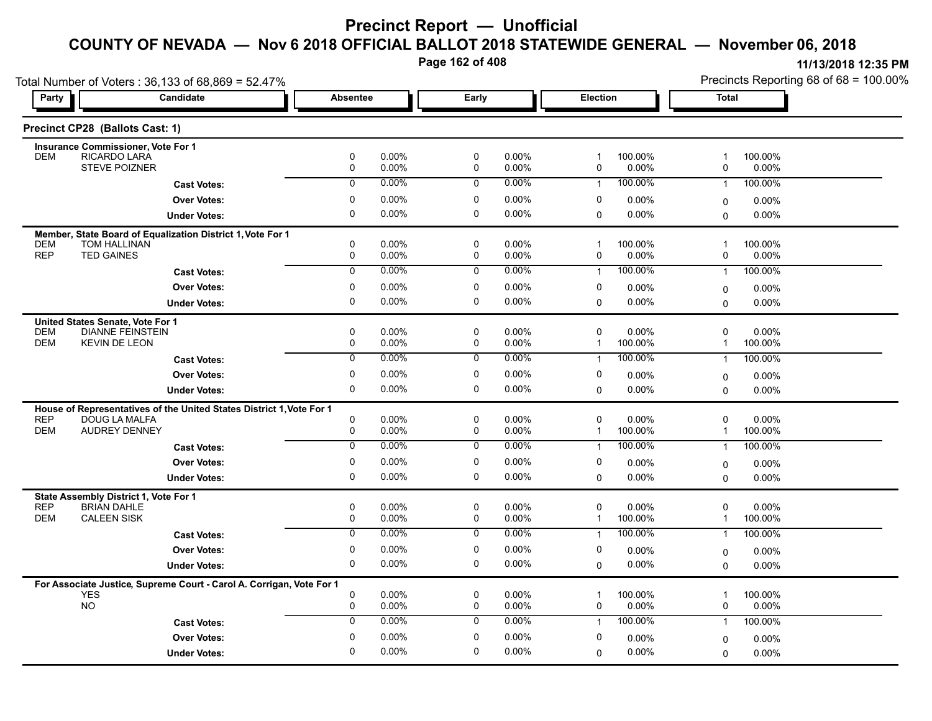**Page 162 of 408**

|                                                                             | Total Number of Voters: 36,133 of 68,869 = 52.47%                    |                          |                |                          |                |                             |                     | Precincts Reporting 68 of 68 = 100.00% |                     |  |  |
|-----------------------------------------------------------------------------|----------------------------------------------------------------------|--------------------------|----------------|--------------------------|----------------|-----------------------------|---------------------|----------------------------------------|---------------------|--|--|
| Party                                                                       | Candidate                                                            | <b>Absentee</b>          |                | Early                    |                | Election                    |                     | Total                                  |                     |  |  |
| Precinct CP28 (Ballots Cast: 1)                                             |                                                                      |                          |                |                          |                |                             |                     |                                        |                     |  |  |
| <b>Insurance Commissioner, Vote For 1</b>                                   |                                                                      |                          |                |                          |                |                             |                     |                                        |                     |  |  |
| RICARDO LARA<br><b>DEM</b><br>STEVE POIZNER                                 |                                                                      | 0<br>0                   | 0.00%<br>0.00% | $\pmb{0}$<br>0           | 0.00%<br>0.00% | $\mathbf{1}$<br>0           | 100.00%<br>0.00%    | $\overline{1}$<br>0                    | 100.00%<br>$0.00\%$ |  |  |
|                                                                             | <b>Cast Votes:</b>                                                   | $\overline{0}$           | 0.00%          | $\mathbf 0$              | 0.00%          | $\mathbf{1}$                | 100.00%             | $\mathbf{1}$                           | 100.00%             |  |  |
|                                                                             | <b>Over Votes:</b>                                                   | $\mathbf 0$              | 0.00%          | $\pmb{0}$                | 0.00%          | 0                           | 0.00%               | 0                                      | $0.00\%$            |  |  |
|                                                                             | <b>Under Votes:</b>                                                  | $\mathbf 0$              | 0.00%          | $\mathbf 0$              | 0.00%          | $\Omega$                    | $0.00\%$            | $\Omega$                               | 0.00%               |  |  |
|                                                                             | Member, State Board of Equalization District 1, Vote For 1           |                          |                |                          |                |                             |                     |                                        |                     |  |  |
| <b>TOM HALLINAN</b><br><b>DEM</b><br><b>REP</b>                             |                                                                      | $\pmb{0}$                | 0.00%          | 0                        | 0.00%          | 1                           | 100.00%             | $\overline{1}$                         | 100.00%             |  |  |
| <b>TED GAINES</b>                                                           |                                                                      | 0                        | 0.00%          | 0                        | 0.00%          | 0                           | 0.00%               | 0                                      | $0.00\%$            |  |  |
|                                                                             | <b>Cast Votes:</b>                                                   | $\mathbf{0}$             | 0.00%          | 0                        | 0.00%          | $\mathbf{1}$                | 100.00%             | $\overline{1}$                         | 100.00%             |  |  |
|                                                                             | <b>Over Votes:</b>                                                   | 0                        | 0.00%          | 0                        | 0.00%          | 0                           | $0.00\%$            | 0                                      | $0.00\%$            |  |  |
|                                                                             | <b>Under Votes:</b>                                                  | $\mathbf 0$              | 0.00%          | 0                        | 0.00%          | $\Omega$                    | $0.00\%$            | $\Omega$                               | 0.00%               |  |  |
| United States Senate, Vote For 1                                            |                                                                      |                          |                |                          |                |                             |                     |                                        |                     |  |  |
| <b>DEM</b><br><b>DIANNE FEINSTEIN</b><br><b>DEM</b><br><b>KEVIN DE LEON</b> |                                                                      | $\mathbf 0$<br>$\pmb{0}$ | 0.00%<br>0.00% | $\mathbf 0$<br>$\pmb{0}$ | 0.00%<br>0.00% | $\mathbf 0$<br>$\mathbf{1}$ | $0.00\%$<br>100.00% | 0<br>$\overline{1}$                    | $0.00\%$<br>100.00% |  |  |
|                                                                             | <b>Cast Votes:</b>                                                   | 0                        | 0.00%          | 0                        | 0.00%          | $\mathbf{1}$                | 100.00%             | $\mathbf{1}$                           | 100.00%             |  |  |
|                                                                             | <b>Over Votes:</b>                                                   | 0                        | 0.00%          | 0                        | 0.00%          | 0                           | $0.00\%$            | 0                                      | $0.00\%$            |  |  |
|                                                                             | <b>Under Votes:</b>                                                  | $\mathbf 0$              | 0.00%          | 0                        | 0.00%          | $\mathbf 0$                 | $0.00\%$            | 0                                      | $0.00\%$            |  |  |
|                                                                             |                                                                      |                          |                |                          |                |                             |                     |                                        |                     |  |  |
| <b>REP</b><br>DOUG LA MALFA                                                 | House of Representatives of the United States District 1, Vote For 1 | 0                        | 0.00%          | 0                        | 0.00%          | $\mathbf 0$                 | $0.00\%$            | 0                                      | $0.00\%$            |  |  |
| <b>DEM</b><br><b>AUDREY DENNEY</b>                                          |                                                                      | $\mathbf 0$              | 0.00%          | 0                        | 0.00%          | 1                           | 100.00%             | $\overline{\mathbf{1}}$                | 100.00%             |  |  |
|                                                                             | <b>Cast Votes:</b>                                                   | $\overline{0}$           | 0.00%          | $\mathbf 0$              | 0.00%          | $\mathbf{1}$                | 100.00%             | $\overline{1}$                         | 100.00%             |  |  |
|                                                                             | <b>Over Votes:</b>                                                   | 0                        | 0.00%          | 0                        | 0.00%          | 0                           | $0.00\%$            | 0                                      | 0.00%               |  |  |
|                                                                             | <b>Under Votes:</b>                                                  | $\Omega$                 | 0.00%          | 0                        | 0.00%          | $\Omega$                    | $0.00\%$            | $\Omega$                               | 0.00%               |  |  |
| State Assembly District 1, Vote For 1                                       |                                                                      |                          |                |                          |                |                             |                     |                                        |                     |  |  |
| <b>REP</b><br><b>BRIAN DAHLE</b>                                            |                                                                      | $\mathbf 0$              | 0.00%          | $\pmb{0}$                | 0.00%          | $\mathbf 0$                 | 0.00%               | 0                                      | 0.00%               |  |  |
| <b>DEM</b><br><b>CALEEN SISK</b>                                            |                                                                      | 0                        | 0.00%          | 0                        | 0.00%          | $\mathbf{1}$                | 100.00%             | $\mathbf{1}$                           | 100.00%             |  |  |
|                                                                             | <b>Cast Votes:</b>                                                   | $\overline{0}$           | 0.00%          | 0                        | $0.00\%$       | $\mathbf{1}$                | 100.00%             | $\overline{1}$                         | 100.00%             |  |  |
|                                                                             | <b>Over Votes:</b>                                                   | 0                        | 0.00%          | 0                        | 0.00%          | 0                           | $0.00\%$            | 0                                      | $0.00\%$            |  |  |
|                                                                             | <b>Under Votes:</b>                                                  | 0                        | 0.00%          | 0                        | 0.00%          | $\mathbf 0$                 | 0.00%               | $\Omega$                               | $0.00\%$            |  |  |
|                                                                             | For Associate Justice, Supreme Court - Carol A. Corrigan, Vote For 1 |                          |                |                          |                |                             |                     |                                        |                     |  |  |
| <b>YES</b><br><b>NO</b>                                                     |                                                                      | $\pmb{0}$<br>0           | 0.00%<br>0.00% | $\pmb{0}$<br>0           | 0.00%<br>0.00% | 1<br>0                      | 100.00%<br>$0.00\%$ | $\overline{1}$<br>0                    | 100.00%<br>0.00%    |  |  |
|                                                                             | <b>Cast Votes:</b>                                                   | $\mathbf 0$              | 0.00%          | 0                        | 0.00%          | $\mathbf{1}$                | 100.00%             | $\overline{1}$                         | 100.00%             |  |  |
|                                                                             | <b>Over Votes:</b>                                                   | 0                        | 0.00%          | 0                        | 0.00%          | 0                           |                     |                                        |                     |  |  |
|                                                                             |                                                                      | 0                        | 0.00%          | $\mathbf 0$              | 0.00%          |                             | 0.00%               | 0                                      | 0.00%               |  |  |
|                                                                             | <b>Under Votes:</b>                                                  |                          |                |                          |                | $\Omega$                    | $0.00\%$            | $\Omega$                               | 0.00%               |  |  |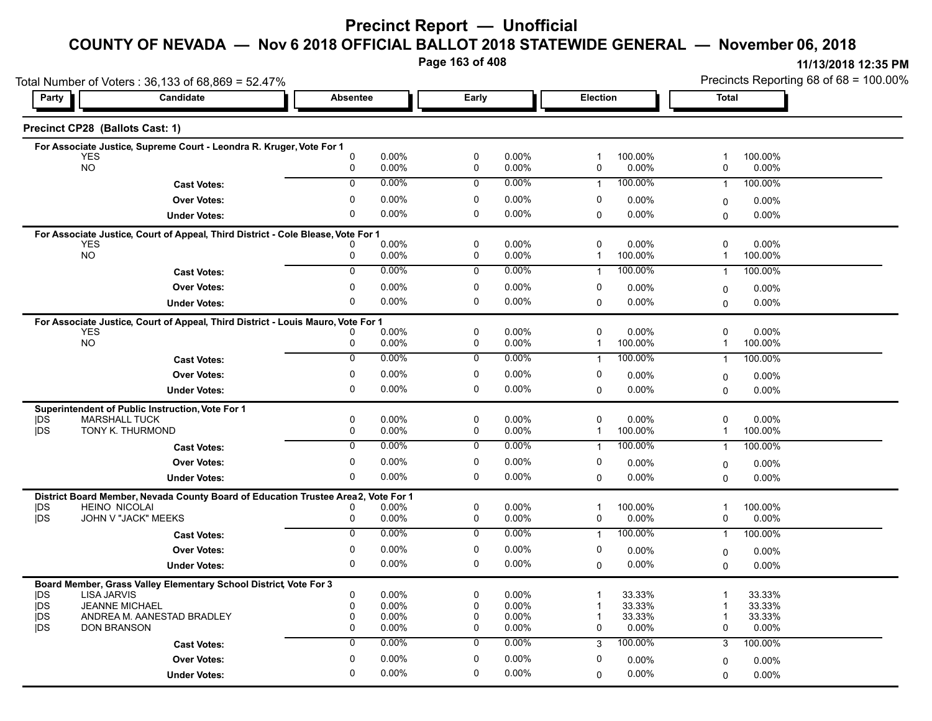### **Precinct Report — Unofficial**

## **COUNTY OF NEVADA — Nov 6 2018 OFFICIAL BALLOT 2018 STATEWIDE GENERAL — November 06, 2018**

**Page 163 of 408**

|                          | Total Number of Voters: 36,133 of 68,869 = 52.47%                                 |                            |                |                            |                |                   |                     | Precincts Reporting 68 of 68 = 100.00% |                    |  |
|--------------------------|-----------------------------------------------------------------------------------|----------------------------|----------------|----------------------------|----------------|-------------------|---------------------|----------------------------------------|--------------------|--|
| Party                    | Candidate                                                                         | <b>Absentee</b>            |                | <b>Early</b>               |                | Election          |                     | <b>Total</b>                           |                    |  |
|                          | Precinct CP28 (Ballots Cast: 1)                                                   |                            |                |                            |                |                   |                     |                                        |                    |  |
|                          | For Associate Justice, Supreme Court - Leondra R. Kruger, Vote For 1              |                            |                |                            |                |                   |                     |                                        |                    |  |
| YES<br><b>NO</b>         |                                                                                   | 0<br>0                     | 0.00%<br>0.00% | 0<br>0                     | 0.00%<br>0.00% | $\mathbf{1}$<br>0 | 100.00%<br>0.00%    | 1<br>0                                 | 100.00%<br>0.00%   |  |
|                          |                                                                                   | $\mathbf 0$                | 0.00%          | 0                          | 0.00%          |                   | 100.00%             |                                        |                    |  |
|                          | <b>Cast Votes:</b>                                                                |                            |                |                            |                | $\mathbf{1}$      |                     | $\overline{1}$                         | 100.00%            |  |
|                          | <b>Over Votes:</b>                                                                | $\pmb{0}$                  | 0.00%          | $\pmb{0}$                  | 0.00%          | 0                 | 0.00%               | 0                                      | 0.00%              |  |
|                          | <b>Under Votes:</b>                                                               | 0                          | 0.00%          | 0                          | 0.00%          | $\Omega$          | $0.00\%$            | 0                                      | $0.00\%$           |  |
|                          | For Associate Justice, Court of Appeal, Third District - Cole Blease, Vote For 1  |                            |                |                            |                |                   |                     |                                        |                    |  |
| <b>YES</b><br><b>NO</b>  |                                                                                   | 0                          | 0.00%<br>0.00% | $\pmb{0}$<br>0             | 0.00%<br>0.00% | 0<br>$\mathbf{1}$ | $0.00\%$<br>100.00% | 0<br>$\mathbf{1}$                      | 0.00%<br>100.00%   |  |
|                          |                                                                                   | 0                          | 0.00%          | 0                          | 0.00%          | $\mathbf{1}$      | 100.00%             |                                        |                    |  |
|                          | <b>Cast Votes:</b>                                                                |                            |                |                            |                |                   |                     | $\overline{1}$                         | 100.00%            |  |
|                          | <b>Over Votes:</b>                                                                | 0                          | 0.00%          | 0                          | 0.00%          | 0                 | 0.00%               | 0                                      | 0.00%              |  |
|                          | <b>Under Votes:</b>                                                               | $\mathbf 0$                | 0.00%          | 0                          | 0.00%          | $\Omega$          | $0.00\%$            | 0                                      | 0.00%              |  |
|                          | For Associate Justice, Court of Appeal, Third District - Louis Mauro, Vote For 1  |                            |                |                            |                |                   |                     |                                        |                    |  |
| <b>YES</b>               |                                                                                   | 0                          | 0.00%          | 0                          | 0.00%          | 0                 | 0.00%               | 0                                      | 0.00%              |  |
| <b>NO</b>                |                                                                                   | 0                          | 0.00%          | 0                          | 0.00%          | 1                 | 100.00%             | $\mathbf{1}$                           | 100.00%            |  |
|                          | <b>Cast Votes:</b>                                                                | $\overline{0}$             | 0.00%          | $\mathbf 0$                | $0.00\%$       | $\mathbf{1}$      | 100.00%             | $\mathbf{1}$                           | 100.00%            |  |
|                          | <b>Over Votes:</b>                                                                | $\mathbf 0$                | $0.00\%$       | 0                          | 0.00%          | 0                 | $0.00\%$            | 0                                      | 0.00%              |  |
|                          | <b>Under Votes:</b>                                                               | $\mathbf 0$                | 0.00%          | 0                          | 0.00%          | $\Omega$          | $0.00\%$            | $\Omega$                               | 0.00%              |  |
|                          | Superintendent of Public Instruction, Vote For 1                                  |                            |                |                            |                |                   |                     |                                        |                    |  |
| DS                       | <b>MARSHALL TUCK</b>                                                              | $\mathbf 0$                | 0.00%          | $\pmb{0}$                  | 0.00%          | $\mathbf 0$       | 0.00%               | 0                                      | 0.00%              |  |
| jDS                      | TONY K. THURMOND                                                                  | 0                          | 0.00%          | 0                          | 0.00%          | $\mathbf{1}$      | 100.00%             | $\mathbf{1}$                           | 100.00%            |  |
|                          | <b>Cast Votes:</b>                                                                | $\overline{0}$             | 0.00%          | $\overline{0}$             | 0.00%          | $\mathbf{1}$      | 100.00%             | $\mathbf{1}$                           | 100.00%            |  |
|                          | <b>Over Votes:</b>                                                                | $\mathbf 0$                | 0.00%          | $\mathbf 0$                | 0.00%          | $\mathbf 0$       | 0.00%               | 0                                      | 0.00%              |  |
|                          | <b>Under Votes:</b>                                                               | $\mathbf 0$                | 0.00%          | 0                          | 0.00%          | $\Omega$          | 0.00%               | $\Omega$                               | $0.00\%$           |  |
|                          | District Board Member, Nevada County Board of Education Trustee Area2, Vote For 1 |                            |                |                            |                |                   |                     |                                        |                    |  |
| DS                       | <b>HEINO NICOLAI</b>                                                              |                            | 0.00%          | 0                          | 0.00%          | 1                 | 100.00%             | 1                                      | 100.00%            |  |
| jDS                      | JOHN V "JACK" MEEKS                                                               | $\mathbf 0$                | 0.00%          | $\mathbf 0$                | 0.00%          | $\mathbf 0$       | 0.00%               | 0                                      | $0.00\%$           |  |
|                          | <b>Cast Votes:</b>                                                                | $\overline{0}$             | 0.00%          | 0                          | $0.00\%$       | $\mathbf{1}$      | 100.00%             | $\overline{1}$                         | 100.00%            |  |
|                          | <b>Over Votes:</b>                                                                | $\mathbf 0$                | 0.00%          | 0                          | 0.00%          | 0                 | 0.00%               | 0                                      | 0.00%              |  |
|                          | <b>Under Votes:</b>                                                               | $\mathbf 0$                | 0.00%          | $\mathbf 0$                | 0.00%          | $\Omega$          | 0.00%               | $\Omega$                               | $0.00\%$           |  |
|                          | Board Member, Grass Valley Elementary School District, Vote For 3                 |                            |                |                            |                |                   |                     |                                        |                    |  |
| <b>IDS</b>               | <b>LISA JARVIS</b>                                                                | $\mathbf 0$                | 0.00%          | $\mathbf 0$                | 0.00%          | 1                 | 33.33%              | 1                                      | 33.33%             |  |
| <b>IDS</b>               | <b>JEANNE MICHAEL</b>                                                             | 0                          | 0.00%          | 0                          | 0.00%          | 1                 | 33.33%              | 1                                      | 33.33%             |  |
| <b>IDS</b><br><b>IDS</b> | ANDREA M. AANESTAD BRADLEY<br><b>DON BRANSON</b>                                  | $\mathbf 0$<br>$\mathbf 0$ | 0.00%<br>0.00% | $\mathbf 0$<br>$\mathbf 0$ | 0.00%<br>0.00% | -1<br>0           | 33.33%<br>$0.00\%$  | -1<br>0                                | 33.33%<br>$0.00\%$ |  |
|                          |                                                                                   | $\mathbf 0$                | 0.00%          | $\mathbf 0$                | 0.00%          |                   | 100.00%             |                                        |                    |  |
|                          | <b>Cast Votes:</b>                                                                |                            |                |                            |                | 3                 |                     | 3                                      | 100.00%            |  |
|                          | <b>Over Votes:</b>                                                                | $\mathbf 0$                | 0.00%          | 0                          | 0.00%          | 0                 | 0.00%               | 0                                      | 0.00%              |  |
|                          | <b>Under Votes:</b>                                                               | $\Omega$                   | 0.00%          | $\mathbf 0$                | 0.00%          | $\Omega$          | 0.00%               | 0                                      | $0.00\%$           |  |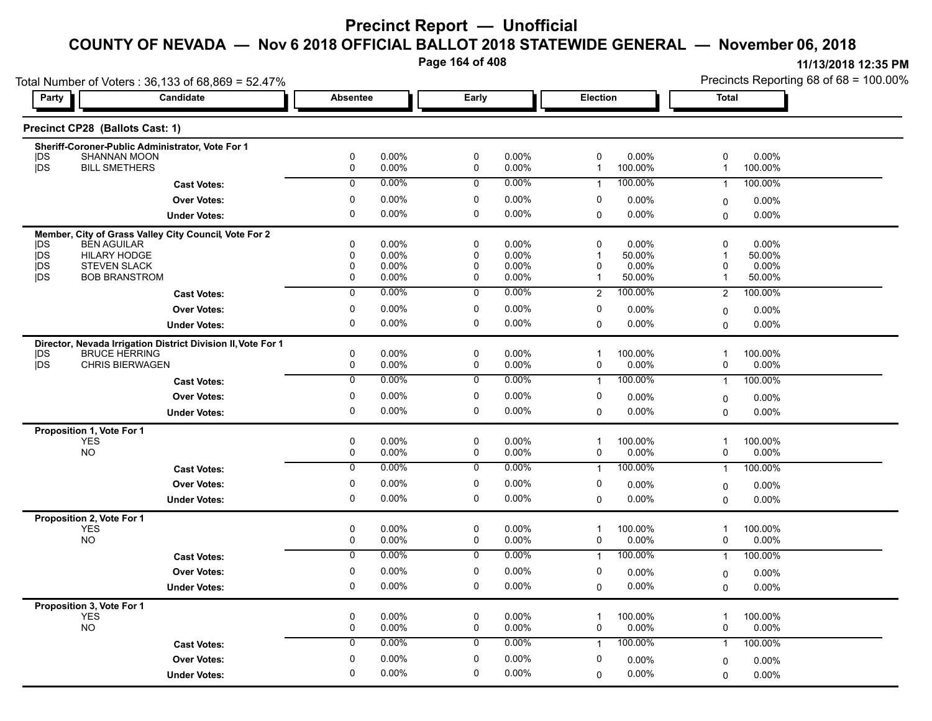**Page 164 of 408**

|                                         | Total Number of Voters: 36,133 of 68,869 = 52.47%                           |                 |                   |                |                |                   |                     | Precincts Reporting 68 of 68 = 100.00% |                  |  |
|-----------------------------------------|-----------------------------------------------------------------------------|-----------------|-------------------|----------------|----------------|-------------------|---------------------|----------------------------------------|------------------|--|
| Party                                   | Candidate                                                                   | <b>Absentee</b> |                   | Early          |                |                   | <b>Election</b>     |                                        | <b>Total</b>     |  |
|                                         | Precinct CP28 (Ballots Cast: 1)                                             |                 |                   |                |                |                   |                     |                                        |                  |  |
|                                         | Sheriff-Coroner-Public Administrator, Vote For 1                            |                 |                   |                |                |                   |                     |                                        |                  |  |
| DS<br>jDS                               | <b>SHANNAN MOON</b><br><b>BILL SMETHERS</b>                                 | 0<br>0          | $0.00\%$<br>0.00% | 0<br>0         | 0.00%<br>0.00% | 0<br>$\mathbf{1}$ | $0.00\%$            | 0<br>$\overline{1}$                    | 0.00%            |  |
|                                         |                                                                             |                 |                   |                |                |                   | 100.00%             |                                        | 100.00%          |  |
|                                         | <b>Cast Votes:</b>                                                          | $\mathbf 0$     | 0.00%             | $\mathbf 0$    | 0.00%          | $\mathbf{1}$      | 100.00%             | $\overline{1}$                         | 100.00%          |  |
|                                         | <b>Over Votes:</b>                                                          | 0               | $0.00\%$          | 0              | 0.00%          | 0                 | 0.00%               | $\mathbf 0$                            | $0.00\%$         |  |
|                                         | <b>Under Votes:</b>                                                         | 0               | 0.00%             | 0              | 0.00%          | $\mathbf 0$       | $0.00\%$            | 0                                      | 0.00%            |  |
|                                         | Member, City of Grass Valley City Council, Vote For 2<br><b>BEN AGUILAR</b> | $\Omega$        | 0.00%             | $\mathbf 0$    | 0.00%          | 0                 | 0.00%               | $\mathbf 0$                            | 0.00%            |  |
| <b>IDS</b><br>jDS                       | HILARY HODGE                                                                | 0               | $0.00\%$          | 0              | 0.00%          | $\mathbf{1}$      | 50.00%              | 1                                      | 50.00%           |  |
| <b>IDS</b>                              | <b>STEVEN SLACK</b>                                                         | $\Omega$        | $0.00\%$          | 0              | 0.00%          | 0                 | 0.00%               | 0                                      | 0.00%            |  |
| <b>IDS</b>                              | <b>BOB BRANSTROM</b>                                                        | 0               | 0.00%             | 0              | 0.00%          | $\mathbf{1}$      | 50.00%              | $\overline{1}$                         | 50.00%           |  |
|                                         | <b>Cast Votes:</b>                                                          | $\overline{0}$  | 0.00%             | $\overline{0}$ | 0.00%          | $\overline{2}$    | 100.00%             | $\overline{2}$                         | 100.00%          |  |
|                                         | <b>Over Votes:</b>                                                          | 0               | $0.00\%$          | 0              | 0.00%          | 0                 | 0.00%               | 0                                      | 0.00%            |  |
|                                         | <b>Under Votes:</b>                                                         | 0               | 0.00%             | 0              | 0.00%          | 0                 | $0.00\%$            | $\Omega$                               | 0.00%            |  |
|                                         | Director, Nevada Irrigation District Division II, Vote For 1                |                 |                   |                |                |                   |                     |                                        |                  |  |
| DS                                      | <b>BRUCE HERRING</b>                                                        | 0               | 0.00%             | 0              | 0.00%          | $\mathbf{1}$      | 100.00%             | $\mathbf 1$                            | 100.00%          |  |
| <b>IDS</b>                              | <b>CHRIS BIERWAGEN</b>                                                      | 0               | $0.00\%$          | 0              | 0.00%          | 0                 | $0.00\%$            | 0                                      | 0.00%            |  |
|                                         | <b>Cast Votes:</b>                                                          | $\overline{0}$  | 0.00%             | $\overline{0}$ | 0.00%          | $\mathbf{1}$      | 100.00%             | $\overline{1}$                         | 100.00%          |  |
|                                         | <b>Over Votes:</b>                                                          | 0               | 0.00%             | 0              | 0.00%          | 0                 | $0.00\%$            | $\mathbf 0$                            | 0.00%            |  |
|                                         | <b>Under Votes:</b>                                                         | 0               | 0.00%             | 0              | 0.00%          | $\Omega$          | $0.00\%$            | $\mathbf 0$                            | $0.00\%$         |  |
| Proposition 1, Vote For 1               |                                                                             |                 |                   |                |                |                   |                     |                                        |                  |  |
| <b>YES</b><br><b>NO</b>                 |                                                                             | 0<br>0          | 0.00%<br>0.00%    | 0<br>0         | 0.00%<br>0.00% | $\mathbf{1}$<br>0 | 100.00%<br>$0.00\%$ | $\overline{1}$<br>0                    | 100.00%<br>0.00% |  |
|                                         |                                                                             | $\overline{0}$  | 0.00%             | $\overline{0}$ | $0.00\%$       |                   | 100.00%             |                                        |                  |  |
|                                         | <b>Cast Votes:</b>                                                          |                 |                   |                |                | $\mathbf{1}$      |                     | $\overline{1}$                         | 100.00%          |  |
|                                         | <b>Over Votes:</b>                                                          | 0               | $0.00\%$          | 0              | 0.00%          | 0                 | $0.00\%$            | $\mathbf 0$                            | 0.00%            |  |
|                                         | <b>Under Votes:</b>                                                         | 0               | 0.00%             | 0              | 0.00%          | 0                 | $0.00\%$            | $\Omega$                               | 0.00%            |  |
| Proposition 2, Vote For 1               |                                                                             |                 |                   |                |                |                   |                     |                                        |                  |  |
| YES<br><b>NO</b>                        |                                                                             | 0<br>0          | 0.00%<br>0.00%    | 0<br>0         | 0.00%<br>0.00% | $\mathbf{1}$<br>0 | 100.00%<br>$0.00\%$ | 1<br>0                                 | 100.00%<br>0.00% |  |
|                                         |                                                                             | $\overline{0}$  | 0.00%             | $\overline{0}$ | 0.00%          | $\mathbf{1}$      | 100.00%             | $\overline{1}$                         | 100.00%          |  |
|                                         | <b>Cast Votes:</b>                                                          |                 |                   |                |                |                   |                     |                                        |                  |  |
|                                         | <b>Over Votes:</b>                                                          | $\pmb{0}$       | 0.00%             | $\pmb{0}$      | 0.00%          | 0                 | $0.00\%$            | 0                                      | 0.00%            |  |
|                                         | <b>Under Votes:</b>                                                         | 0               | 0.00%             | 0              | 0.00%          | $\Omega$          | $0.00\%$            | $\Omega$                               | 0.00%            |  |
| Proposition 3, Vote For 1<br><b>YES</b> |                                                                             | 0               | 0.00%             | $\pmb{0}$      | 0.00%          | $\mathbf{1}$      | 100.00%             | $\overline{1}$                         | 100.00%          |  |
| <b>NO</b>                               |                                                                             | 0               | 0.00%             | 0              | 0.00%          | 0                 | 0.00%               | 0                                      | 0.00%            |  |
|                                         | <b>Cast Votes:</b>                                                          | $\mathbf 0$     | $0.00\%$          | 0              | 0.00%          | $\mathbf{1}$      | 100.00%             | $\mathbf{1}$                           | 100.00%          |  |
|                                         | <b>Over Votes:</b>                                                          | $\mathbf 0$     | $0.00\%$          | 0              | 0.00%          | 0                 | 0.00%               |                                        | 0.00%            |  |
|                                         |                                                                             | $\Omega$        | 0.00%             | 0              | 0.00%          |                   | $0.00\%$            | 0                                      |                  |  |
|                                         | <b>Under Votes:</b>                                                         |                 |                   |                |                | 0                 |                     | 0                                      | 0.00%            |  |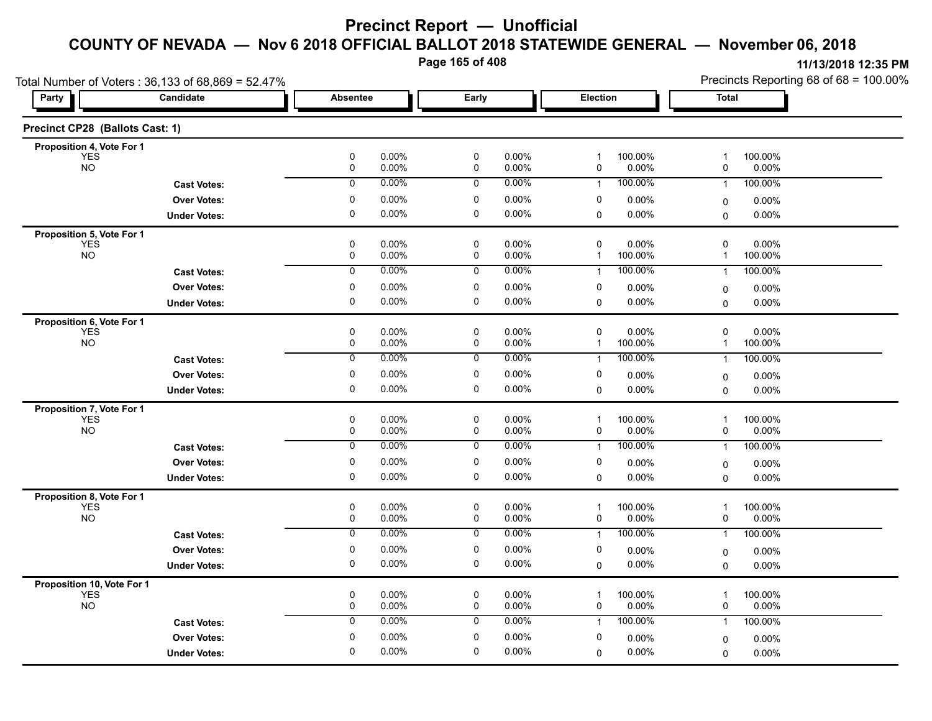**Page 165 of 408**

|                                          | Total Number of Voters: 36,133 of 68,869 = 52.47% |                                  |                |                |                                       |                                                   | Precincts Reporting 68 of 68 = 100.00% |  |  |
|------------------------------------------|---------------------------------------------------|----------------------------------|----------------|----------------|---------------------------------------|---------------------------------------------------|----------------------------------------|--|--|
| Party                                    | Candidate                                         | <b>Absentee</b>                  | Early          |                | Election                              | <b>Total</b>                                      |                                        |  |  |
| Precinct CP28 (Ballots Cast: 1)          |                                                   |                                  |                |                |                                       |                                                   |                                        |  |  |
| Proposition 4, Vote For 1                |                                                   |                                  |                |                |                                       |                                                   |                                        |  |  |
| YES<br><b>NO</b>                         |                                                   | $\pmb{0}$<br>0.00%<br>0.00%<br>0 | $\pmb{0}$<br>0 | 0.00%<br>0.00% | 100.00%<br>$\mathbf{1}$<br>0.00%<br>0 | 100.00%<br>$\overline{1}$<br>0.00%<br>0           |                                        |  |  |
|                                          | <b>Cast Votes:</b>                                | 0.00%<br>0                       | 0              | 0.00%          | 100.00%<br>$\mathbf{1}$               | 100.00%<br>$\overline{1}$                         |                                        |  |  |
|                                          | <b>Over Votes:</b>                                | 0<br>0.00%                       | 0              | 0.00%          | 0<br>$0.00\%$                         | 0.00%<br>$\mathbf 0$                              |                                        |  |  |
|                                          | <b>Under Votes:</b>                               | $\mathbf 0$<br>$0.00\%$          | $\pmb{0}$      | 0.00%          | $0.00\%$<br>0                         | $0.00\%$<br>0                                     |                                        |  |  |
| Proposition 5, Vote For 1                |                                                   |                                  |                |                |                                       |                                                   |                                        |  |  |
| YES<br>NO                                |                                                   | 0<br>$0.00\%$<br>0<br>0.00%      | 0<br>0         | 0.00%<br>0.00% | 0.00%<br>0<br>100.00%<br>$\mathbf{1}$ | 0.00%<br>$\mathbf 0$<br>100.00%<br>$\overline{1}$ |                                        |  |  |
|                                          | <b>Cast Votes:</b>                                | 0.00%<br>$\overline{0}$          | 0              | 0.00%          | 100.00%<br>$\mathbf{1}$               | 100.00%<br>$\overline{1}$                         |                                        |  |  |
|                                          | <b>Over Votes:</b>                                | 0.00%<br>0                       | $\pmb{0}$      | 0.00%          | 0<br>$0.00\%$                         | 0.00%<br>0                                        |                                        |  |  |
|                                          | <b>Under Votes:</b>                               | 0<br>0.00%                       | 0              | 0.00%          | $0.00\%$<br>$\Omega$                  | 0.00%<br>0                                        |                                        |  |  |
| Proposition 6, Vote For 1                |                                                   |                                  |                |                |                                       |                                                   |                                        |  |  |
| <b>YES</b>                               |                                                   | 0<br>0.00%                       | $\mathbf 0$    | 0.00%          | 0<br>$0.00\%$                         | $\mathbf 0$<br>$0.00\%$                           |                                        |  |  |
| <b>NO</b>                                |                                                   | 0<br>0.00%                       | 0              | 0.00%          | 100.00%<br>$\mathbf{1}$               | 100.00%<br>$\mathbf 1$                            |                                        |  |  |
|                                          | <b>Cast Votes:</b>                                | 0.00%<br>0                       | 0              | 0.00%          | 100.00%<br>$\mathbf{1}$               | 100.00%<br>$\overline{1}$                         |                                        |  |  |
|                                          | <b>Over Votes:</b>                                | 0<br>0.00%                       | 0              | 0.00%          | 0<br>$0.00\%$                         | 0.00%<br>0                                        |                                        |  |  |
|                                          | <b>Under Votes:</b>                               | 0<br>$0.00\%$                    | $\mathbf 0$    | $0.00\%$       | 0.00%<br>0                            | $0.00\%$<br>0                                     |                                        |  |  |
| Proposition 7, Vote For 1<br><b>YES</b>  |                                                   | 0<br>$0.00\%$                    | 0              | 0.00%          | 100.00%<br>$\mathbf{1}$               | 100.00%<br>$\overline{1}$                         |                                        |  |  |
| <b>NO</b>                                |                                                   | 0<br>0.00%                       | 0              | 0.00%          | $0.00\%$<br>0                         | $0.00\%$<br>0                                     |                                        |  |  |
|                                          | <b>Cast Votes:</b>                                | 0.00%<br>$\mathbf 0$             | 0              | 0.00%          | 100.00%<br>$\mathbf{1}$               | 100.00%<br>$\overline{1}$                         |                                        |  |  |
|                                          | <b>Over Votes:</b>                                | $0.00\%$<br>0                    | 0              | 0.00%          | 0<br>0.00%                            | $0.00\%$<br>$\mathbf 0$                           |                                        |  |  |
|                                          | <b>Under Votes:</b>                               | 0<br>0.00%                       | 0              | 0.00%          | 0.00%<br>0                            | 0.00%<br>$\Omega$                                 |                                        |  |  |
| Proposition 8, Vote For 1                |                                                   |                                  |                |                |                                       |                                                   |                                        |  |  |
| <b>YES</b>                               |                                                   | 0<br>0.00%                       | $\pmb{0}$      | 0.00%          | 100.00%<br>$\mathbf 1$                | 100.00%<br>$\overline{1}$                         |                                        |  |  |
| <b>NO</b>                                |                                                   | 0<br>0.00%<br>$0.00\%$           | 0              | 0.00%<br>0.00% | 0<br>$0.00\%$<br>100.00%              | 0<br>$0.00\%$                                     |                                        |  |  |
|                                          | <b>Cast Votes:</b>                                | 0                                | 0              |                | $\mathbf{1}$                          | 100.00%<br>$\overline{1}$                         |                                        |  |  |
|                                          | <b>Over Votes:</b>                                | 0<br>0.00%                       | 0              | 0.00%          | 0<br>0.00%                            | $0.00\%$<br>0                                     |                                        |  |  |
|                                          | <b>Under Votes:</b>                               | 0.00%<br>0                       | 0              | 0.00%          | $0.00\%$<br>0                         | 0.00%<br>$\mathbf 0$                              |                                        |  |  |
| Proposition 10, Vote For 1<br><b>YES</b> |                                                   | 0<br>0.00%                       | 0              | 0.00%          | 100.00%<br>$\overline{1}$             | 100.00%<br>1                                      |                                        |  |  |
| <b>NO</b>                                |                                                   | 0<br>0.00%                       | 0              | 0.00%          | 0<br>$0.00\%$                         | 0<br>$0.00\%$                                     |                                        |  |  |
|                                          | <b>Cast Votes:</b>                                | 0.00%<br>0                       | 0              | 0.00%          | 100.00%<br>$\mathbf{1}$               | 100.00%<br>$\overline{1}$                         |                                        |  |  |
|                                          | <b>Over Votes:</b>                                | $0.00\%$<br>0                    | 0              | 0.00%          | 0<br>$0.00\%$                         | 0.00%<br>$\mathbf 0$                              |                                        |  |  |
|                                          | <b>Under Votes:</b>                               | 0.00%<br>$\Omega$                | 0              | 0.00%          | $0.00\%$<br>$\Omega$                  | 0.00%<br>$\Omega$                                 |                                        |  |  |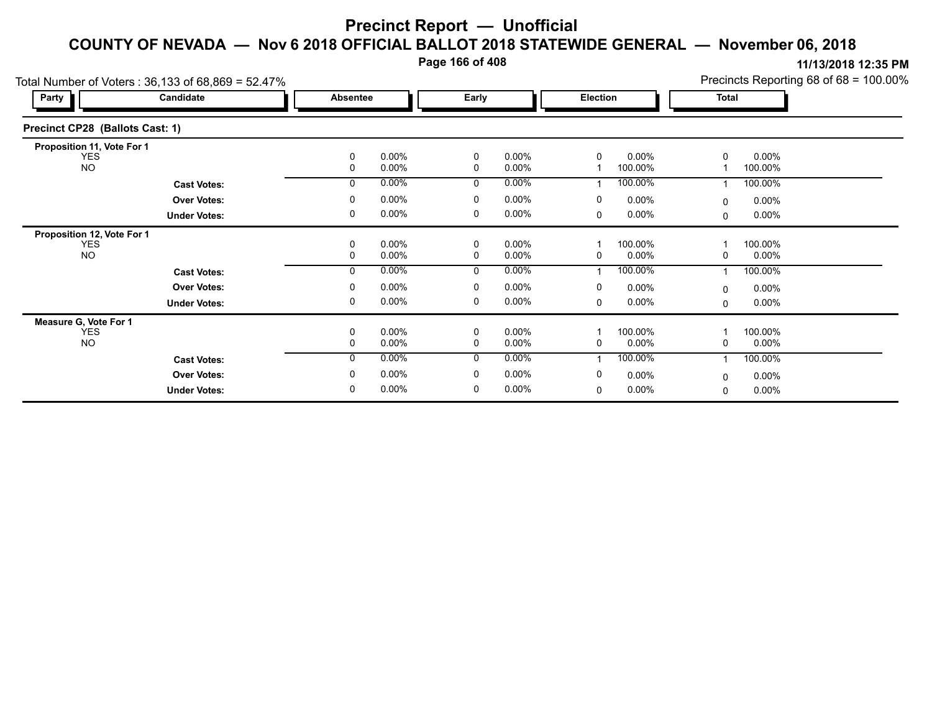**Page 166 of 408**

|                                 | Total Number of Voters: 36,133 of 68,869 = 52.47% |               |                      |                      |                      |          |                     |              |                     | Precincts Reporting 68 of 68 = 100.00% |
|---------------------------------|---------------------------------------------------|---------------|----------------------|----------------------|----------------------|----------|---------------------|--------------|---------------------|----------------------------------------|
| Party                           | Candidate                                         | Absentee      |                      | Early                |                      | Election |                     | <b>Total</b> |                     |                                        |
| Precinct CP28 (Ballots Cast: 1) |                                                   |               |                      |                      |                      |          |                     |              |                     |                                        |
| Proposition 11, Vote For 1      |                                                   |               |                      |                      |                      |          |                     |              |                     |                                        |
| YES.<br><b>NO</b>               |                                                   | 0<br>0        | $0.00\%$<br>$0.00\%$ | 0<br>0               | $0.00\%$<br>$0.00\%$ | 0        | $0.00\%$<br>100.00% | 0            | $0.00\%$<br>100.00% |                                        |
|                                 | <b>Cast Votes:</b>                                | 0             | $0.00\%$             | 0                    | $0.00\%$             |          | 100.00%             |              | 100.00%             |                                        |
|                                 | <b>Over Votes:</b>                                | $\Omega$      | $0.00\%$             | 0                    | $0.00\%$             | 0        | $0.00\%$            | $\Omega$     | $0.00\%$            |                                        |
|                                 | <b>Under Votes:</b>                               | 0             | $0.00\%$             | 0                    | $0.00\%$             | 0        | $0.00\%$            | 0            | $0.00\%$            |                                        |
| Proposition 12, Vote For 1      |                                                   |               |                      |                      |                      |          |                     |              |                     |                                        |
| YES<br><b>NO</b>                |                                                   | 0<br>$\Omega$ | 0.00%<br>$0.00\%$    | $\Omega$<br>$\Omega$ | $0.00\%$<br>$0.00\%$ | 0        | 100.00%<br>$0.00\%$ | 0            | 100.00%<br>$0.00\%$ |                                        |
|                                 | <b>Cast Votes:</b>                                | $\Omega$      | $0.00\%$             | $\Omega$             | $0.00\%$             |          | 100.00%             |              | 100.00%             |                                        |
|                                 | <b>Over Votes:</b>                                | $\Omega$      | $0.00\%$             | $\mathbf 0$          | 0.00%                | 0        | $0.00\%$            | $\Omega$     | $0.00\%$            |                                        |
|                                 | <b>Under Votes:</b>                               | 0             | $0.00\%$             | 0                    | $0.00\%$             | 0        | $0.00\%$            | 0            | $0.00\%$            |                                        |
| Measure G, Vote For 1           |                                                   |               |                      |                      |                      |          |                     |              |                     |                                        |
| <b>YES</b><br><b>NO</b>         |                                                   | 0<br>0        | $0.00\%$<br>$0.00\%$ | 0<br>0               | 0.00%<br>$0.00\%$    | 0        | 100.00%<br>$0.00\%$ | 0            | 100.00%<br>$0.00\%$ |                                        |
|                                 | <b>Cast Votes:</b>                                | 0             | $0.00\%$             | 0                    | 0.00%                |          | 100.00%             |              | 100.00%             |                                        |
|                                 | <b>Over Votes:</b>                                | $\Omega$      | $0.00\%$             | 0                    | $0.00\%$             | 0        | $0.00\%$            | 0            | $0.00\%$            |                                        |
|                                 | <b>Under Votes:</b>                               | 0             | $0.00\%$             | 0                    | 0.00%                | $\Omega$ | $0.00\%$            | 0            | $0.00\%$            |                                        |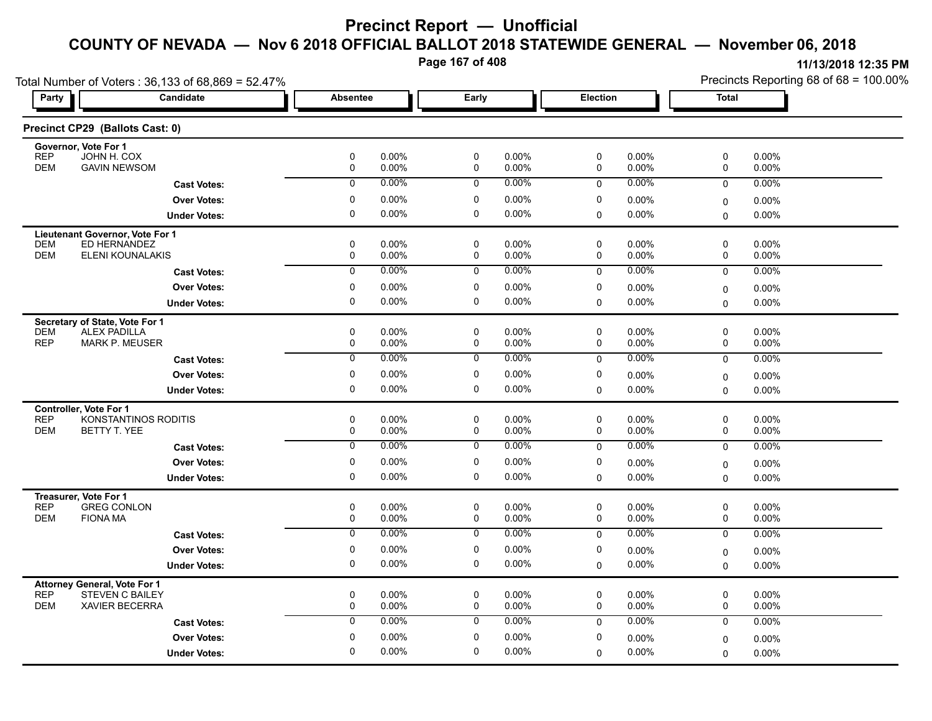**Page 167 of 408**

|                                                                             | Total Number of Voters: 36,133 of 68,869 = 52.47% |                 |                |                     |                   |             |                | Precincts Reporting 68 of 68 = 100.00% |                |  |
|-----------------------------------------------------------------------------|---------------------------------------------------|-----------------|----------------|---------------------|-------------------|-------------|----------------|----------------------------------------|----------------|--|
| <b>Party</b>                                                                | Candidate                                         | <b>Absentee</b> |                | Early               |                   | Election    |                | <b>Total</b>                           |                |  |
| Precinct CP29 (Ballots Cast: 0)                                             |                                                   |                 |                |                     |                   |             |                |                                        |                |  |
| Governor, Vote For 1<br><b>REP</b><br>JOHN H. COX                           |                                                   | 0               | 0.00%          | 0                   | 0.00%             | 0           | 0.00%          | 0                                      | 0.00%          |  |
| <b>DEM</b><br><b>GAVIN NEWSOM</b>                                           |                                                   | 0               | 0.00%          | 0                   | 0.00%             | 0           | 0.00%          | 0                                      | 0.00%          |  |
|                                                                             | <b>Cast Votes:</b>                                | 0               | 0.00%          | 0                   | $0.00\%$          | 0           | 0.00%          | 0                                      | 0.00%          |  |
|                                                                             | <b>Over Votes:</b>                                | 0               | 0.00%          | 0                   | 0.00%             | 0           | 0.00%          | $\mathbf 0$                            | $0.00\%$       |  |
|                                                                             | <b>Under Votes:</b>                               | $\mathbf 0$     | 0.00%          | $\mathbf 0$         | 0.00%             | 0           | 0.00%          | $\Omega$                               | 0.00%          |  |
| Lieutenant Governor, Vote For 1                                             |                                                   |                 |                |                     |                   |             |                |                                        |                |  |
| <b>DEM</b><br>ED HERNANDEZ<br><b>DEM</b>                                    |                                                   | $\mathbf 0$     | 0.00%          | $\mathbf 0$         | $0.00\%$          | 0           | $0.00\%$       | 0                                      | 0.00%          |  |
|                                                                             | ELENI KOUNALAKIS                                  | 0               | 0.00%<br>0.00% | $\mathbf 0$         | 0.00%<br>0.00%    | 0           | 0.00%<br>0.00% | 0                                      | 0.00%          |  |
|                                                                             | <b>Cast Votes:</b>                                | $\overline{0}$  |                | 0                   |                   | $\mathbf 0$ |                | $\mathbf 0$                            | 0.00%          |  |
|                                                                             | <b>Over Votes:</b>                                | 0               | 0.00%          | 0                   | 0.00%             | 0           | 0.00%          | $\mathbf 0$                            | 0.00%          |  |
|                                                                             | <b>Under Votes:</b>                               | $\mathbf 0$     | 0.00%          | $\mathbf 0$         | 0.00%             | 0           | 0.00%          | 0                                      | $0.00\%$       |  |
| Secretary of State, Vote For 1                                              |                                                   |                 |                |                     |                   |             |                |                                        |                |  |
| <b>ALEX PADILLA</b><br><b>DEM</b><br><b>REP</b><br><b>MARK P. MEUSER</b>    |                                                   | $\pmb{0}$<br>0  | 0.00%<br>0.00% | 0<br>0              | $0.00\%$<br>0.00% | 0<br>0      | 0.00%<br>0.00% | 0<br>0                                 | 0.00%<br>0.00% |  |
|                                                                             | <b>Cast Votes:</b>                                | $\overline{0}$  | $0.00\%$       | 0                   | $0.00\%$          | 0           | 0.00%          | $\mathbf 0$                            | 0.00%          |  |
|                                                                             | <b>Over Votes:</b>                                | 0               | 0.00%          | $\mathbf 0$         | 0.00%             | 0           | 0.00%          | 0                                      | 0.00%          |  |
|                                                                             | <b>Under Votes:</b>                               | 0               | 0.00%          | 0                   | $0.00\%$          | 0           | 0.00%          | $\mathbf 0$                            | $0.00\%$       |  |
| <b>Controller. Vote For 1</b>                                               |                                                   |                 |                |                     |                   |             |                |                                        |                |  |
| <b>REP</b>                                                                  | KONSTANTINOS RODITIS                              | $\pmb{0}$       | 0.00%          | 0                   | 0.00%             | 0           | 0.00%          | 0                                      | 0.00%          |  |
| <b>DEM</b><br>BETTY T. YEE                                                  |                                                   | 0               | 0.00%          | 0                   | $0.00\%$          | 0           | 0.00%          | 0                                      | 0.00%          |  |
|                                                                             | <b>Cast Votes:</b>                                | 0               | 0.00%          | 0                   | $0.00\%$          | 0           | 0.00%          | $\mathbf 0$                            | 0.00%          |  |
|                                                                             | <b>Over Votes:</b>                                | 0               | 0.00%          | 0                   | 0.00%             | 0           | 0.00%          | $\mathbf 0$                            | 0.00%          |  |
|                                                                             | <b>Under Votes:</b>                               | $\mathbf 0$     | 0.00%          | 0                   | 0.00%             | 0           | 0.00%          | $\Omega$                               | 0.00%          |  |
| Treasurer, Vote For 1                                                       |                                                   |                 |                |                     |                   |             |                |                                        |                |  |
| <b>REP</b><br><b>GREG CONLON</b><br><b>DEM</b><br><b>FIONA MA</b>           |                                                   | 0<br>$\pmb{0}$  | 0.00%<br>0.00% | $\pmb{0}$<br>0      | 0.00%<br>0.00%    | 0<br>0      | 0.00%<br>0.00% | 0<br>0                                 | 0.00%<br>0.00% |  |
|                                                                             | <b>Cast Votes:</b>                                | 0               | $0.00\%$       | 0                   | $0.00\%$          | 0           | 0.00%          | $\mathbf 0$                            | 0.00%          |  |
|                                                                             | <b>Over Votes:</b>                                | $\pmb{0}$       | 0.00%          | 0                   | $0.00\%$          | 0           |                |                                        |                |  |
|                                                                             | <b>Under Votes:</b>                               | 0               | 0.00%          | 0                   | 0.00%             | 0           | 0.00%<br>0.00% | $\mathbf 0$<br>$\Omega$                | 0.00%<br>0.00% |  |
|                                                                             |                                                   |                 |                |                     |                   |             |                |                                        |                |  |
| <b>Attorney General, Vote For 1</b><br><b>REP</b><br><b>STEVEN C BAILEY</b> |                                                   | $\mathbf 0$     | 0.00%          | 0                   | 0.00%             | $\mathbf 0$ | $0.00\%$       | 0                                      | $0.00\%$       |  |
| <b>DEM</b><br><b>XAVIER BECERRA</b>                                         |                                                   | 0               | 0.00%          | $\mathsf{O}\xspace$ | 0.00%             | $\mathbf 0$ | 0.00%          | $\mathbf 0$                            | 0.00%          |  |
|                                                                             | <b>Cast Votes:</b>                                | $\mathbf 0$     | 0.00%          | 0                   | $0.00\%$          | $\mathbf 0$ | 0.00%          | 0                                      | $0.00\%$       |  |
|                                                                             | <b>Over Votes:</b>                                | 0               | 0.00%          | $\mathbf 0$         | $0.00\%$          | 0           | 0.00%          | $\mathbf 0$                            | 0.00%          |  |
|                                                                             | <b>Under Votes:</b>                               | $\mathbf 0$     | 0.00%          | $\mathbf 0$         | 0.00%             | $\Omega$    | 0.00%          | $\mathbf 0$                            | $0.00\%$       |  |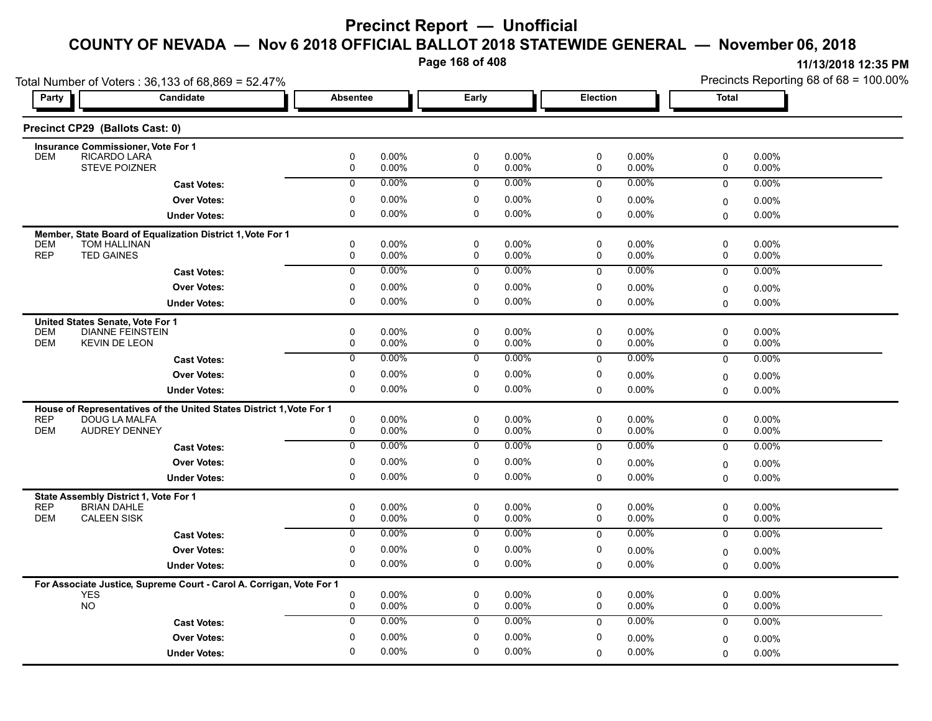**Page 168 of 408**

|                                                                      | Total Number of Voters: 36,133 of 68,869 = 52.47%                    |                 |                |                          |                   |                |                | Precincts Reporting 68 of 68 = 100.00% |                   |  |
|----------------------------------------------------------------------|----------------------------------------------------------------------|-----------------|----------------|--------------------------|-------------------|----------------|----------------|----------------------------------------|-------------------|--|
| <b>Party</b>                                                         | Candidate                                                            | <b>Absentee</b> |                | Early                    |                   | Election       |                | <b>Total</b>                           |                   |  |
| Precinct CP29 (Ballots Cast: 0)                                      |                                                                      |                 |                |                          |                   |                |                |                                        |                   |  |
| Insurance Commissioner, Vote For 1                                   |                                                                      |                 |                |                          |                   |                |                |                                        |                   |  |
| RICARDO LARÁ<br><b>DEM</b><br><b>STEVE POIZNER</b>                   |                                                                      | $\pmb{0}$<br>0  | 0.00%<br>0.00% | $\pmb{0}$<br>$\mathbf 0$ | 0.00%<br>0.00%    | $\pmb{0}$<br>0 | 0.00%<br>0.00% | 0<br>0                                 | 0.00%<br>0.00%    |  |
|                                                                      | <b>Cast Votes:</b>                                                   | $\mathbf 0$     | 0.00%          | 0                        | 0.00%             | $\mathbf 0$    | 0.00%          | $\mathbf 0$                            | 0.00%             |  |
|                                                                      | <b>Over Votes:</b>                                                   | 0               | 0.00%          | 0                        | $0.00\%$          | 0              | 0.00%          | 0                                      | 0.00%             |  |
|                                                                      | <b>Under Votes:</b>                                                  | $\Omega$        | 0.00%          | $\mathbf 0$              | 0.00%             | 0              | 0.00%          | $\mathbf 0$                            | 0.00%             |  |
|                                                                      |                                                                      |                 |                |                          |                   |                |                |                                        |                   |  |
| <b>DEM</b><br>TOM HALLINAN                                           | Member, State Board of Equalization District 1, Vote For 1           | 0               | 0.00%          | 0                        | $0.00\%$          | 0              | 0.00%          | 0                                      | $0.00\%$          |  |
| <b>REP</b><br><b>TED GAINES</b>                                      |                                                                      | 0               | 0.00%          | 0                        | 0.00%             | 0              | 0.00%          | 0                                      | 0.00%             |  |
|                                                                      | <b>Cast Votes:</b>                                                   | $\overline{0}$  | 0.00%          | $\overline{0}$           | $0.00\%$          | 0              | 0.00%          | $\mathbf 0$                            | 0.00%             |  |
|                                                                      | <b>Over Votes:</b>                                                   | $\pmb{0}$       | 0.00%          | $\pmb{0}$                | 0.00%             | 0              | 0.00%          | $\mathbf 0$                            | 0.00%             |  |
|                                                                      | <b>Under Votes:</b>                                                  | $\mathbf 0$     | 0.00%          | $\mathbf 0$              | 0.00%             | $\Omega$       | 0.00%          | $\Omega$                               | 0.00%             |  |
| United States Senate, Vote For 1                                     |                                                                      |                 |                |                          |                   |                |                |                                        |                   |  |
| <b>DEM</b><br><b>DIANNE FEINSTEIN</b>                                |                                                                      | $\mathbf 0$     | 0.00%          | $\mathbf 0$              | 0.00%             | 0              | $0.00\%$       | 0                                      | 0.00%             |  |
| <b>DEM</b><br><b>KEVIN DE LEON</b>                                   |                                                                      | 0               | 0.00%          | 0                        | 0.00%             | 0              | 0.00%          | 0                                      | 0.00%             |  |
|                                                                      | <b>Cast Votes:</b>                                                   | 0               | $0.00\%$       | 0                        | 0.00%             | $\mathbf 0$    | 0.00%          | $\mathbf 0$                            | 0.00%             |  |
|                                                                      | <b>Over Votes:</b>                                                   | 0               | 0.00%          | 0                        | 0.00%             | 0              | 0.00%          | $\pmb{0}$                              | 0.00%             |  |
|                                                                      | <b>Under Votes:</b>                                                  | $\mathbf 0$     | 0.00%          | $\mathbf 0$              | $0.00\%$          | 0              | 0.00%          | $\mathbf 0$                            | 0.00%             |  |
|                                                                      | House of Representatives of the United States District 1, Vote For 1 |                 |                |                          |                   |                |                |                                        |                   |  |
| <b>REP</b><br>DOUG LA MALFA                                          |                                                                      | 0               | 0.00%          | 0                        | $0.00\%$          | 0              | 0.00%          | 0                                      | 0.00%             |  |
| <b>DEM</b><br><b>AUDREY DENNEY</b>                                   |                                                                      | 0               | 0.00%          | 0                        | $0.00\%$          | 0              | 0.00%          | 0                                      | 0.00%             |  |
|                                                                      | <b>Cast Votes:</b>                                                   | $\mathbf 0$     | 0.00%          | 0                        | $0.00\%$          | 0              | $0.00\%$       | 0                                      | 0.00%             |  |
|                                                                      | <b>Over Votes:</b>                                                   | 0               | 0.00%          | 0                        | 0.00%             | 0              | 0.00%          | $\mathbf 0$                            | $0.00\%$          |  |
|                                                                      | <b>Under Votes:</b>                                                  | $\mathbf 0$     | 0.00%          | $\mathbf 0$              | $0.00\%$          | $\Omega$       | 0.00%          | $\Omega$                               | 0.00%             |  |
| State Assembly District 1, Vote For 1                                |                                                                      |                 |                |                          |                   |                |                |                                        |                   |  |
| <b>REP</b><br><b>BRIAN DAHLE</b><br><b>DEM</b><br><b>CALEEN SISK</b> |                                                                      | $\pmb{0}$<br>0  | 0.00%<br>0.00% | $\pmb{0}$<br>0           | $0.00\%$<br>0.00% | 0<br>0         | 0.00%<br>0.00% | $\pmb{0}$<br>0                         | 0.00%<br>$0.00\%$ |  |
|                                                                      | <b>Cast Votes:</b>                                                   | 0               | 0.00%          | 0                        | 0.00%             | $\mathbf 0$    | 0.00%          | $\mathbf 0$                            | 0.00%             |  |
|                                                                      | <b>Over Votes:</b>                                                   | 0               | 0.00%          | 0                        | $0.00\%$          | 0              | 0.00%          |                                        |                   |  |
|                                                                      | <b>Under Votes:</b>                                                  | $\mathbf 0$     | 0.00%          | 0                        | 0.00%             | 0              | 0.00%          | $\Omega$<br>$\Omega$                   | 0.00%<br>$0.00\%$ |  |
|                                                                      |                                                                      |                 |                |                          |                   |                |                |                                        |                   |  |
| <b>YES</b>                                                           | For Associate Justice, Supreme Court - Carol A. Corrigan, Vote For 1 | 0               | 0.00%          | 0                        | $0.00\%$          | 0              | 0.00%          | 0                                      | $0.00\%$          |  |
| <b>NO</b>                                                            |                                                                      | 0               | 0.00%          | $\mathbf 0$              | $0.00\%$          | 0              | 0.00%          | 0                                      | 0.00%             |  |
|                                                                      | <b>Cast Votes:</b>                                                   | $\mathbf{0}$    | 0.00%          | 0                        | 0.00%             | $\mathbf 0$    | 0.00%          | $\mathbf 0$                            | 0.00%             |  |
|                                                                      | <b>Over Votes:</b>                                                   | 0               | 0.00%          | 0                        | 0.00%             | 0              | 0.00%          | $\mathbf 0$                            | 0.00%             |  |
|                                                                      | <b>Under Votes:</b>                                                  | $\mathbf 0$     | 0.00%          | $\mathbf 0$              | 0.00%             | $\Omega$       | 0.00%          | $\Omega$                               | 0.00%             |  |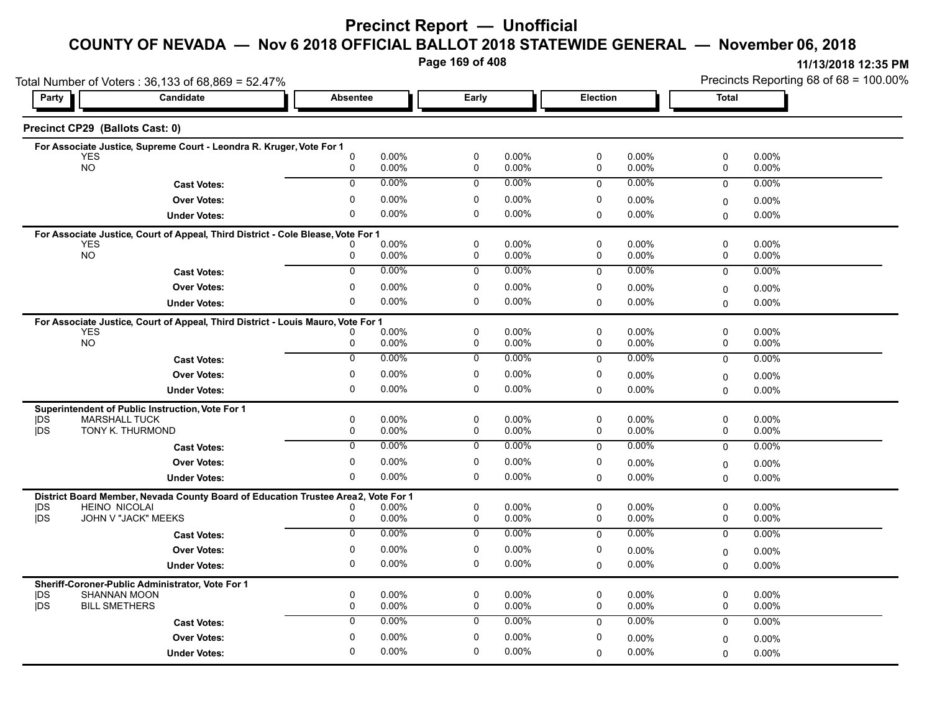# **Precinct Report — Unofficial**

#### **COUNTY OF NEVADA — Nov 6 2018 OFFICIAL BALLOT 2018 STATEWIDE GENERAL — November 06, 2018**

**Page 169 of 408**

|                          |                                                 | Total Number of Voters: 36,133 of 68,869 = 52.47%                                 |                             |                      |                  |                      |                  |                      | Precincts Reporting 68 of 68 = 100.00% |                   |  |
|--------------------------|-------------------------------------------------|-----------------------------------------------------------------------------------|-----------------------------|----------------------|------------------|----------------------|------------------|----------------------|----------------------------------------|-------------------|--|
| Party                    | Candidate                                       |                                                                                   | <b>Absentee</b>             |                      | Early            |                      | Election         |                      | <b>Total</b>                           |                   |  |
|                          | Precinct CP29 (Ballots Cast: 0)                 |                                                                                   |                             |                      |                  |                      |                  |                      |                                        |                   |  |
|                          |                                                 | For Associate Justice, Supreme Court - Leondra R. Kruger, Vote For 1              |                             |                      |                  |                      |                  |                      |                                        |                   |  |
|                          | YES<br><b>NO</b>                                |                                                                                   | $\mathbf 0$<br>0            | $0.00\%$<br>0.00%    | 0<br>0           | $0.00\%$<br>$0.00\%$ | 0<br>0           | $0.00\%$<br>0.00%    | 0<br>0                                 | 0.00%<br>0.00%    |  |
|                          |                                                 | <b>Cast Votes:</b>                                                                | $\Omega$                    | $0.00\%$             | $\mathbf 0$      | $0.00\%$             | $\mathbf{0}$     | $0.00\%$             | $\mathbf 0$                            | 0.00%             |  |
|                          |                                                 | <b>Over Votes:</b>                                                                | $\mathbf 0$                 | $0.00\%$             | 0                | $0.00\%$             | 0                | $0.00\%$             | $\mathbf 0$                            | $0.00\%$          |  |
|                          |                                                 | <b>Under Votes:</b>                                                               | 0                           | $0.00\%$             | 0                | $0.00\%$             | $\mathbf 0$      | $0.00\%$             | $\Omega$                               | 0.00%             |  |
|                          |                                                 | For Associate Justice, Court of Appeal, Third District - Cole Blease, Vote For 1  |                             |                      |                  |                      |                  |                      |                                        |                   |  |
|                          | <b>YES</b>                                      |                                                                                   | 0                           | $0.00\%$             | 0                | $0.00\%$             | $\mathbf 0$      | $0.00\%$             | $\mathbf 0$                            | 0.00%             |  |
|                          | <b>NO</b>                                       |                                                                                   | 0                           | 0.00%                | $\mathbf 0$      | $0.00\%$             | $\mathbf 0$      | 0.00%                | $\mathbf 0$                            | $0.00\%$          |  |
|                          |                                                 | <b>Cast Votes:</b>                                                                | $\overline{0}$              | 0.00%                | $\overline{0}$   | $0.00\%$             | $\Omega$         | 0.00%                | $\mathbf 0$                            | 0.00%             |  |
|                          |                                                 | <b>Over Votes:</b>                                                                | $\mathbf 0$                 | $0.00\%$             | 0                | $0.00\%$             | 0                | $0.00\%$             | $\mathbf 0$                            | $0.00\%$          |  |
|                          |                                                 | <b>Under Votes:</b>                                                               | 0                           | $0.00\%$             | $\Omega$         | $0.00\%$             | 0                | 0.00%                | $\Omega$                               | 0.00%             |  |
|                          |                                                 | For Associate Justice, Court of Appeal, Third District - Louis Mauro, Vote For 1  |                             |                      |                  |                      |                  |                      |                                        |                   |  |
|                          | <b>YES</b>                                      |                                                                                   |                             | $0.00\%$             | 0                | 0.00%                | 0                | $0.00\%$             | $\mathbf 0$                            | 0.00%             |  |
|                          | <b>NO</b>                                       |                                                                                   | 0                           | $0.00\%$             | 0                | $0.00\%$             | 0                | $0.00\%$             | 0                                      | 0.00%             |  |
|                          |                                                 | <b>Cast Votes:</b>                                                                | $\mathbf 0$                 | $0.00\%$             | $\mathbf 0$      | $0.00\%$             | $\mathbf 0$      | $0.00\%$             | $\mathbf 0$                            | 0.00%             |  |
|                          |                                                 | <b>Over Votes:</b>                                                                | $\mathbf 0$                 | $0.00\%$             | 0                | $0.00\%$             | 0                | 0.00%                | $\mathbf 0$                            | $0.00\%$          |  |
|                          |                                                 | <b>Under Votes:</b>                                                               | 0                           | $0.00\%$             | 0                | $0.00\%$             | $\mathbf 0$      | $0.00\%$             | $\Omega$                               | 0.00%             |  |
|                          |                                                 | Superintendent of Public Instruction, Vote For 1                                  |                             |                      |                  |                      |                  |                      |                                        |                   |  |
| <b>IDS</b><br>jDS        | <b>MARSHALL TUCK</b><br><b>TONY K. THURMOND</b> |                                                                                   | 0<br>$\mathbf 0$            | $0.00\%$<br>$0.00\%$ | 0<br>$\mathbf 0$ | $0.00\%$<br>$0.00\%$ | 0<br>$\mathbf 0$ | $0.00\%$<br>$0.00\%$ | 0<br>$\mathbf 0$                       | 0.00%<br>$0.00\%$ |  |
|                          |                                                 |                                                                                   | $\overline{0}$              | $0.00\%$             | $\overline{0}$   | $0.00\%$             | $\Omega$         | $0.00\%$             | $\mathbf 0$                            | 0.00%             |  |
|                          |                                                 | <b>Cast Votes:</b>                                                                |                             |                      |                  |                      |                  |                      |                                        |                   |  |
|                          |                                                 | <b>Over Votes:</b>                                                                | $\mathbf 0$<br>$\mathbf{0}$ | $0.00\%$             | 0<br>0           | $0.00\%$             | 0                | $0.00\%$             | $\mathbf 0$                            | $0.00\%$          |  |
|                          |                                                 | <b>Under Votes:</b>                                                               |                             | $0.00\%$             |                  | $0.00\%$             | $\mathbf 0$      | $0.00\%$             | $\Omega$                               | 0.00%             |  |
|                          |                                                 | District Board Member, Nevada County Board of Education Trustee Area2, Vote For 1 |                             |                      |                  |                      |                  |                      |                                        |                   |  |
| <b>IDS</b><br><b>IDS</b> | <b>HEINO NICOLAI</b>                            | JOHN V "JACK" MEEKS                                                               | 0<br>0                      | $0.00\%$<br>$0.00\%$ | 0<br>$\mathbf 0$ | $0.00\%$<br>$0.00\%$ | 0<br>$\mathbf 0$ | $0.00\%$<br>$0.00\%$ | 0<br>$\mathbf 0$                       | 0.00%<br>$0.00\%$ |  |
|                          |                                                 | <b>Cast Votes:</b>                                                                | $\overline{0}$              | $0.00\%$             | $\overline{0}$   | $0.00\%$             | $\Omega$         | 0.00%                | $\mathbf 0$                            | 0.00%             |  |
|                          |                                                 | <b>Over Votes:</b>                                                                | $\mathbf 0$                 | 0.00%                | 0                | $0.00\%$             | 0                | 0.00%                | $\mathbf 0$                            | $0.00\%$          |  |
|                          |                                                 | <b>Under Votes:</b>                                                               | 0                           | $0.00\%$             | 0                | $0.00\%$             | $\mathbf 0$      | $0.00\%$             | $\mathbf{0}$                           | 0.00%             |  |
|                          |                                                 |                                                                                   |                             |                      |                  |                      |                  |                      |                                        |                   |  |
| <b>IDS</b>               | <b>SHANNAN MOON</b>                             | Sheriff-Coroner-Public Administrator, Vote For 1                                  | $\mathbf 0$                 | 0.00%                | 0                | $0.00\%$             | 0                | $0.00\%$             | 0                                      | 0.00%             |  |
| jDS                      | <b>BILL SMETHERS</b>                            |                                                                                   | $\mathbf 0$                 | $0.00\%$             | $\mathbf 0$      | $0.00\%$             | $\mathbf 0$      | $0.00\%$             | $\mathbf 0$                            | 0.00%             |  |
|                          |                                                 | <b>Cast Votes:</b>                                                                | $\mathbf 0$                 | $0.00\%$             | $\mathbf 0$      | $0.00\%$             | $\Omega$         | 0.00%                | $\mathbf 0$                            | 0.00%             |  |
|                          |                                                 | <b>Over Votes:</b>                                                                | $\mathbf 0$                 | $0.00\%$             | 0                | $0.00\%$             | $\mathbf 0$      | 0.00%                | $\mathbf 0$                            | $0.00\%$          |  |
|                          |                                                 | <b>Under Votes:</b>                                                               | $\mathbf{0}$                | $0.00\%$             | $\Omega$         | $0.00\%$             | 0                | $0.00\%$             | $\Omega$                               | 0.00%             |  |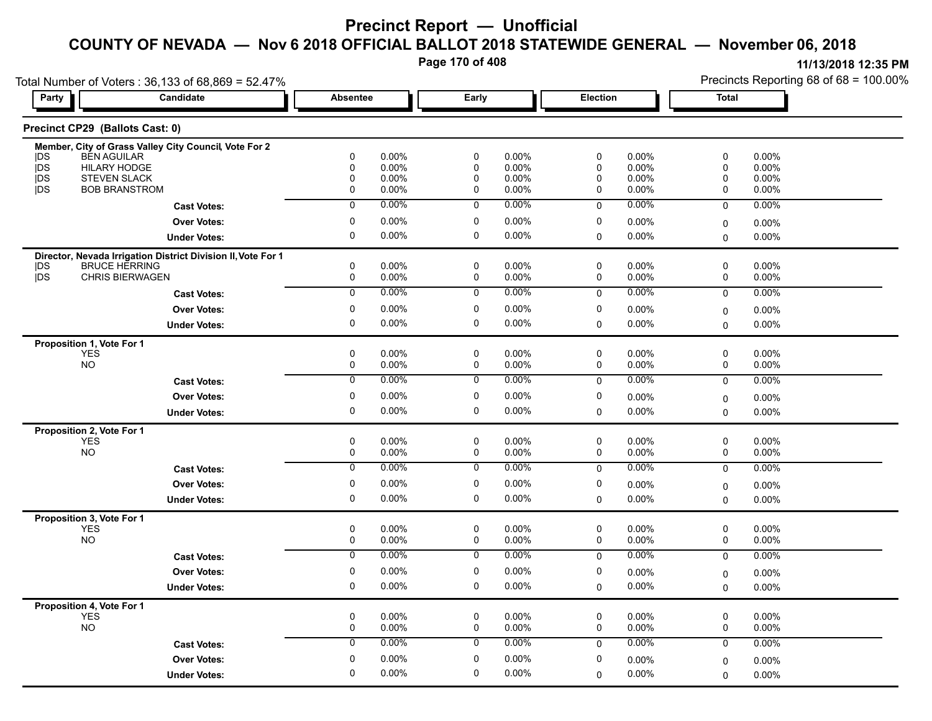**Page 170 of 408**

|                                         | Total Number of Voters: 36,133 of 68,869 = 52.47%<br><b>Candidate</b> |                            |                |                        |                |                            |                   |              | Precincts Reporting 68 of 68 = 100.00% |
|-----------------------------------------|-----------------------------------------------------------------------|----------------------------|----------------|------------------------|----------------|----------------------------|-------------------|--------------|----------------------------------------|
| Party                                   |                                                                       | <b>Absentee</b>            |                | Early                  |                | Election                   |                   | <b>Total</b> |                                        |
| Precinct CP29 (Ballots Cast: 0)         |                                                                       |                            |                |                        |                |                            |                   |              |                                        |
|                                         | Member, City of Grass Valley City Council, Vote For 2                 |                            |                |                        |                |                            |                   |              |                                        |
| <b>BEN AGUILAR</b><br><b>IDS</b><br>jDS | <b>HILARY HODGE</b>                                                   | $\mathbf 0$<br>$\mathsf 0$ | 0.00%<br>0.00% | $\pmb{0}$<br>$\pmb{0}$ | 0.00%<br>0.00% | $\mathbf{0}$<br>0          | 0.00%<br>0.00%    | 0<br>0       | 0.00%<br>0.00%                         |
| <b>IDS</b>                              | <b>STEVEN SLACK</b>                                                   | $\mathbf 0$                | 0.00%          | $\mathbf 0$            | 0.00%          | 0                          | 0.00%             | 0            | 0.00%                                  |
| <b>IDS</b>                              | <b>BOB BRANSTROM</b>                                                  | 0                          | 0.00%          | 0                      | 0.00%          | 0                          | 0.00%             | 0            | 0.00%                                  |
|                                         | <b>Cast Votes:</b>                                                    | $\overline{0}$             | 0.00%          | $\overline{0}$         | $0.00\%$       | $\mathbf 0$                | 0.00%             | $\mathbf 0$  | 0.00%                                  |
|                                         | <b>Over Votes:</b>                                                    | $\mathbf 0$                | 0.00%          | $\mathbf 0$            | 0.00%          | 0                          | 0.00%             | 0            | 0.00%                                  |
|                                         | <b>Under Votes:</b>                                                   | $\mathbf 0$                | 0.00%          | $\mathbf 0$            | $0.00\%$       | $\mathbf 0$                | 0.00%             | $\mathbf 0$  | 0.00%                                  |
|                                         | Director, Nevada Irrigation District Division II, Vote For 1          |                            |                |                        |                |                            |                   |              |                                        |
| <b>IDS</b>                              | <b>BRUCE HERRING</b>                                                  | 0                          | 0.00%          | $\mathsf 0$            | 0.00%          | 0                          | $0.00\%$          | 0            | 0.00%                                  |
| jDS                                     | CHRIS BIERWAGEN                                                       | $\mathsf{O}$               | 0.00%          | $\mathsf{O}$           | 0.00%          | $\mathbf 0$                | 0.00%             | 0            | 0.00%                                  |
|                                         | <b>Cast Votes:</b>                                                    | $\overline{0}$             | 0.00%          | $\overline{0}$         | 0.00%          | $\pmb{0}$                  | 0.00%             | $\pmb{0}$    | 0.00%                                  |
|                                         | <b>Over Votes:</b>                                                    | $\mathbf 0$                | 0.00%          | $\pmb{0}$              | 0.00%          | 0                          | 0.00%             | 0            | 0.00%                                  |
|                                         | <b>Under Votes:</b>                                                   | 0                          | 0.00%          | 0                      | 0.00%          | 0                          | 0.00%             | $\Omega$     | $0.00\%$                               |
| Proposition 1, Vote For 1               |                                                                       |                            |                |                        |                |                            |                   |              |                                        |
| YES                                     |                                                                       | 0                          | 0.00%          | 0                      | 0.00%          | $\mathbf 0$                | 0.00%             | 0            | 0.00%                                  |
| <b>NO</b>                               |                                                                       | $\mathsf{O}$               | 0.00%          | $\mathsf 0$            | 0.00%          | 0                          | 0.00%             | 0            | 0.00%                                  |
|                                         | <b>Cast Votes:</b>                                                    | $\mathbf 0$                | 0.00%          | $\mathsf 0$            | 0.00%          | $\mathbf 0$                | 0.00%             | 0            | 0.00%                                  |
|                                         | <b>Over Votes:</b>                                                    | $\mathbf 0$                | 0.00%          | $\pmb{0}$              | 0.00%          | 0                          | 0.00%             | 0            | 0.00%                                  |
|                                         | <b>Under Votes:</b>                                                   | $\mathbf 0$                | 0.00%          | $\mathbf 0$            | 0.00%          | $\mathbf 0$                | 0.00%             | 0            | 0.00%                                  |
| Proposition 2, Vote For 1               |                                                                       |                            |                |                        |                |                            |                   |              |                                        |
| <b>YES</b><br>NO                        |                                                                       | $\mathbf 0$                | 0.00%          | $\mathbf 0$            | 0.00%          | $\mathbf 0$<br>0           | 0.00%             | 0<br>0       | 0.00%                                  |
|                                         |                                                                       | 0                          | 0.00%          | 0                      | 0.00%          |                            | 0.00%             |              | 0.00%                                  |
|                                         | <b>Cast Votes:</b>                                                    | $\overline{0}$             | 0.00%          | $\overline{0}$         | 0.00%          | $\mathbf 0$                | 0.00%             | $\pmb{0}$    | 0.00%                                  |
|                                         | <b>Over Votes:</b>                                                    | $\mathbf 0$                | 0.00%          | $\mathbf 0$            | 0.00%          | 0                          | $0.00\%$          | $\pmb{0}$    | 0.00%                                  |
|                                         | <b>Under Votes:</b>                                                   | $\mathbf 0$                | 0.00%          | $\mathbf 0$            | 0.00%          | 0                          | 0.00%             | $\pmb{0}$    | 0.00%                                  |
| Proposition 3, Vote For 1               |                                                                       |                            |                |                        |                |                            |                   |              |                                        |
| <b>YES</b><br><b>NO</b>                 |                                                                       | 0<br>$\mathsf{O}$          | 0.00%<br>0.00% | 0<br>$\mathsf 0$       | 0.00%<br>0.00% | $\mathbf 0$<br>$\mathbf 0$ | $0.00\%$<br>0.00% | 0<br>0       | 0.00%<br>0.00%                         |
|                                         |                                                                       | 0                          | 0.00%          | 0                      | 0.00%          | $\mathbf 0$                | 0.00%             | $\mathbf 0$  |                                        |
|                                         | <b>Cast Votes:</b>                                                    |                            |                |                        |                |                            |                   |              | 0.00%                                  |
|                                         | <b>Over Votes:</b>                                                    | 0<br>$\mathbf 0$           | 0.00%<br>0.00% | 0<br>$\mathbf 0$       | 0.00%<br>0.00% | 0                          | 0.00%             | 0            | 0.00%                                  |
|                                         | <b>Under Votes:</b>                                                   |                            |                |                        |                | 0                          | 0.00%             | $\Omega$     | 0.00%                                  |
| Proposition 4, Vote For 1<br><b>YES</b> |                                                                       | 0                          | 0.00%          | 0                      | 0.00%          | $\mathbf 0$                | 0.00%             | 0            | 0.00%                                  |
| <b>NO</b>                               |                                                                       | 0                          | 0.00%          | 0                      | 0.00%          | 0                          | 0.00%             | 0            | 0.00%                                  |
|                                         | <b>Cast Votes:</b>                                                    | $\overline{0}$             | 0.00%          | $\overline{0}$         | 0.00%          | $\mathbf 0$                | 0.00%             | 0            | 0.00%                                  |
|                                         | <b>Over Votes:</b>                                                    | $\mathbf 0$                | 0.00%          | $\mathbf 0$            | 0.00%          | 0                          | 0.00%             | 0            | 0.00%                                  |
|                                         |                                                                       |                            |                |                        |                |                            |                   |              |                                        |
|                                         | <b>Under Votes:</b>                                                   | $\mathbf 0$                | 0.00%          | $\mathbf 0$            | 0.00%          | 0                          | 0.00%             | $\Omega$     | 0.00%                                  |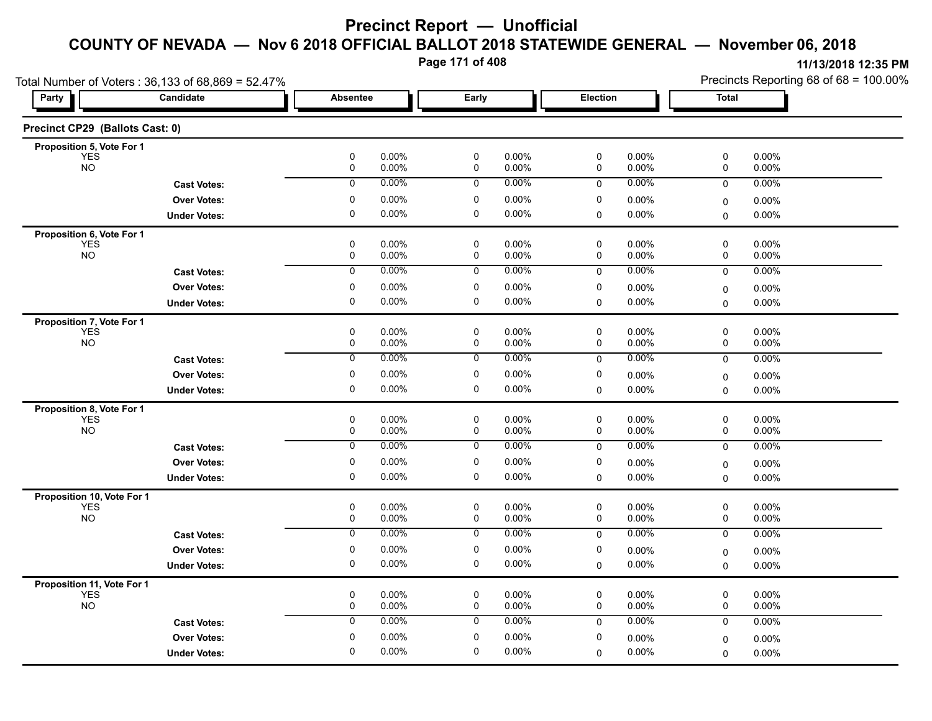**Page 171 of 408**

|                                          | Total Number of Voters: 36,133 of 68,869 = 52.47% |                        |                |                        |                   |                 |                | Precincts Reporting 68 of 68 = 100.00% |                   |  |
|------------------------------------------|---------------------------------------------------|------------------------|----------------|------------------------|-------------------|-----------------|----------------|----------------------------------------|-------------------|--|
| Party                                    | Candidate                                         | <b>Absentee</b>        |                | Early                  |                   | <b>Election</b> |                | <b>Total</b>                           |                   |  |
| Precinct CP29 (Ballots Cast: 0)          |                                                   |                        |                |                        |                   |                 |                |                                        |                   |  |
| Proposition 5, Vote For 1                |                                                   |                        |                |                        |                   |                 |                |                                        |                   |  |
| <b>YES</b><br><b>NO</b>                  |                                                   | 0<br>0                 | 0.00%<br>0.00% | $\pmb{0}$<br>0         | 0.00%<br>0.00%    | 0<br>0          | 0.00%<br>0.00% | 0<br>0                                 | 0.00%<br>$0.00\%$ |  |
|                                          | <b>Cast Votes:</b>                                | 0                      | 0.00%          | 0                      | 0.00%             | $\mathbf 0$     | 0.00%          | $\mathbf 0$                            | 0.00%             |  |
|                                          | <b>Over Votes:</b>                                | 0                      | 0.00%          | 0                      | 0.00%             | 0               | 0.00%          | 0                                      | $0.00\%$          |  |
|                                          | <b>Under Votes:</b>                               | $\mathbf 0$            | $0.00\%$       | $\mathbf 0$            | $0.00\%$          | 0               | 0.00%          | $\mathbf 0$                            | $0.00\%$          |  |
| Proposition 6, Vote For 1                |                                                   |                        |                |                        |                   |                 |                |                                        |                   |  |
| <b>YES</b><br>NO <sub>1</sub>            |                                                   | 0<br>0                 | 0.00%<br>0.00% | 0<br>0                 | $0.00\%$<br>0.00% | 0<br>0          | 0.00%<br>0.00% | 0<br>0                                 | $0.00\%$<br>0.00% |  |
|                                          |                                                   | 0                      | 0.00%          | 0                      | 0.00%             |                 | 0.00%          |                                        | 0.00%             |  |
|                                          | <b>Cast Votes:</b>                                |                        |                |                        |                   | $\mathbf 0$     |                | $\mathbf 0$                            |                   |  |
|                                          | <b>Over Votes:</b>                                | 0<br>$\mathbf 0$       | 0.00%<br>0.00% | 0<br>$\mathbf 0$       | 0.00%<br>0.00%    | 0               | 0.00%          | 0                                      | 0.00%             |  |
|                                          | <b>Under Votes:</b>                               |                        |                |                        |                   | 0               | $0.00\%$       | 0                                      | 0.00%             |  |
| Proposition 7, Vote For 1<br><b>YES</b>  |                                                   | 0                      | 0.00%          | 0                      | $0.00\%$          | 0               | 0.00%          | 0                                      | 0.00%             |  |
| <b>NO</b>                                |                                                   | 0                      | 0.00%          | 0                      | $0.00\%$          | 0               | 0.00%          | 0                                      | 0.00%             |  |
|                                          | <b>Cast Votes:</b>                                | 0                      | 0.00%          | 0                      | 0.00%             | 0               | 0.00%          | 0                                      | 0.00%             |  |
|                                          | <b>Over Votes:</b>                                | 0                      | 0.00%          | 0                      | $0.00\%$          | 0               | 0.00%          | 0                                      | 0.00%             |  |
|                                          | <b>Under Votes:</b>                               | $\pmb{0}$              | $0.00\%$       | 0                      | $0.00\%$          | 0               | 0.00%          | 0                                      | $0.00\%$          |  |
| Proposition 8, Vote For 1                |                                                   |                        |                |                        |                   |                 |                |                                        |                   |  |
| <b>YES</b><br><b>NO</b>                  |                                                   | 0                      | 0.00%          | $\pmb{0}$              | $0.00\%$          | 0               | 0.00%          | 0                                      | 0.00%             |  |
|                                          |                                                   | 0                      | 0.00%          | 0                      | $0.00\%$          | 0               | 0.00%          | 0                                      | $0.00\%$          |  |
|                                          | <b>Cast Votes:</b>                                | 0                      | 0.00%          | 0                      | 0.00%             | $\mathbf 0$     | 0.00%          | 0                                      | 0.00%             |  |
|                                          | <b>Over Votes:</b>                                | 0                      | 0.00%          | 0                      | $0.00\%$          | 0               | 0.00%          | 0                                      | 0.00%             |  |
|                                          | <b>Under Votes:</b>                               | $\mathbf 0$            | 0.00%          | $\mathbf 0$            | 0.00%             | 0               | 0.00%          | $\mathbf 0$                            | $0.00\%$          |  |
| Proposition 10, Vote For 1               |                                                   |                        |                |                        |                   |                 |                |                                        |                   |  |
| <b>YES</b><br><b>NO</b>                  |                                                   | $\pmb{0}$<br>$\pmb{0}$ | 0.00%<br>0.00% | $\pmb{0}$<br>$\pmb{0}$ | $0.00\%$<br>0.00% | $\pmb{0}$<br>0  | 0.00%<br>0.00% | 0<br>0                                 | 0.00%<br>0.00%    |  |
|                                          | <b>Cast Votes:</b>                                | 0                      | 0.00%          | 0                      | $0.00\%$          | 0               | 0.00%          | $\mathbf 0$                            | 0.00%             |  |
|                                          | <b>Over Votes:</b>                                | $\pmb{0}$              | 0.00%          | 0                      | $0.00\%$          | 0               | 0.00%          | $\mathbf 0$                            | 0.00%             |  |
|                                          | <b>Under Votes:</b>                               | $\pmb{0}$              | 0.00%          | 0                      | 0.00%             | 0               | $0.00\%$       | $\mathbf 0$                            | $0.00\%$          |  |
|                                          |                                                   |                        |                |                        |                   |                 |                |                                        |                   |  |
| Proposition 11, Vote For 1<br><b>YES</b> |                                                   | 0                      | 0.00%          | 0                      | 0.00%             | 0               | 0.00%          | 0                                      | 0.00%             |  |
| <b>NO</b>                                |                                                   | 0                      | 0.00%          | $\pmb{0}$              | 0.00%             | 0               | 0.00%          | $\mathbf 0$                            | 0.00%             |  |
|                                          | <b>Cast Votes:</b>                                | $\pmb{0}$              | 0.00%          | 0                      | $0.00\%$          | $\mathbf 0$     | 0.00%          | 0                                      | $0.00\%$          |  |
|                                          | <b>Over Votes:</b>                                | 0                      | 0.00%          | $\mathbf 0$            | $0.00\%$          | 0               | 0.00%          | 0                                      | 0.00%             |  |
|                                          | <b>Under Votes:</b>                               | $\mathbf 0$            | 0.00%          | $\mathbf 0$            | $0.00\%$          | $\Omega$        | 0.00%          | $\mathbf 0$                            | $0.00\%$          |  |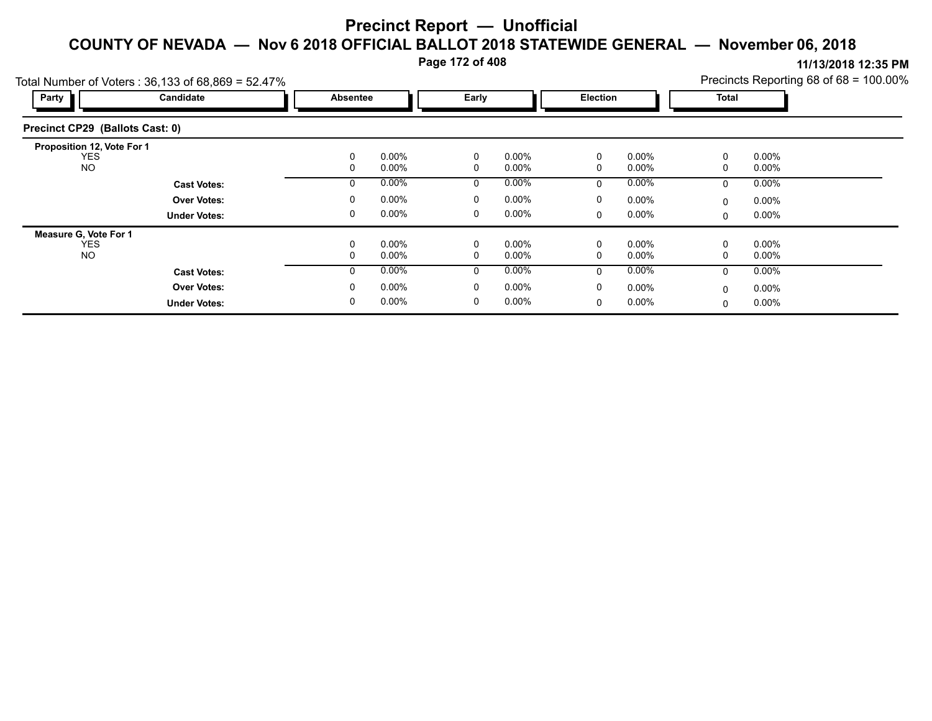**Page 172 of 408**

|                                 | Total Number of Voters: $36,133$ of $68,869 = 52.47\%$ | Precincts Reporting 68 of $68 = 100.00\%$ |                 |              |          |              |                 |          |          |  |
|---------------------------------|--------------------------------------------------------|-------------------------------------------|-----------------|--------------|----------|--------------|-----------------|----------|----------|--|
| Party                           | Candidate                                              |                                           | <b>Absentee</b> |              |          |              | <b>Election</b> |          | Total    |  |
| Precinct CP29 (Ballots Cast: 0) |                                                        |                                           |                 |              |          |              |                 |          |          |  |
| Proposition 12, Vote For 1      |                                                        |                                           |                 |              |          |              |                 |          |          |  |
| <b>YES</b>                      |                                                        | 0                                         | $0.00\%$        | 0            | $0.00\%$ | $\mathbf{0}$ | $0.00\%$        | 0        | $0.00\%$ |  |
| <b>NO</b>                       |                                                        | 0                                         | $0.00\%$        | 0            | $0.00\%$ | $\Omega$     | 0.00%           | 0        | $0.00\%$ |  |
|                                 | <b>Cast Votes:</b>                                     | 0                                         | $0.00\%$        | 0            | $0.00\%$ | $\Omega$     | $0.00\%$        | 0        | $0.00\%$ |  |
|                                 | <b>Over Votes:</b>                                     | 0                                         | $0.00\%$        | 0            | $0.00\%$ | 0            | $0.00\%$        | $\Omega$ | $0.00\%$ |  |
|                                 | <b>Under Votes:</b>                                    | 0                                         | $0.00\%$        | 0            | $0.00\%$ | $\Omega$     | $0.00\%$        | 0        | $0.00\%$ |  |
| Measure G, Vote For 1           |                                                        |                                           |                 |              |          |              |                 |          |          |  |
| <b>YES</b>                      |                                                        | 0                                         | $0.00\%$        | 0            | $0.00\%$ | 0            | $0.00\%$        | 0        | $0.00\%$ |  |
| NO.                             |                                                        | 0                                         | $0.00\%$        | 0            | $0.00\%$ | $\Omega$     | $0.00\%$        | 0        | $0.00\%$ |  |
|                                 | <b>Cast Votes:</b>                                     | $\Omega$                                  | $0.00\%$        | $\mathbf{0}$ | $0.00\%$ | $\Omega$     | $0.00\%$        | $\Omega$ | $0.00\%$ |  |
|                                 | <b>Over Votes:</b>                                     | 0                                         | $0.00\%$        | 0            | $0.00\%$ | $\mathbf{0}$ | $0.00\%$        | $\Omega$ | $0.00\%$ |  |
|                                 | <b>Under Votes:</b>                                    | 0                                         | $0.00\%$        | 0            | $0.00\%$ | $\Omega$     | $0.00\%$        | 0        | 0.00%    |  |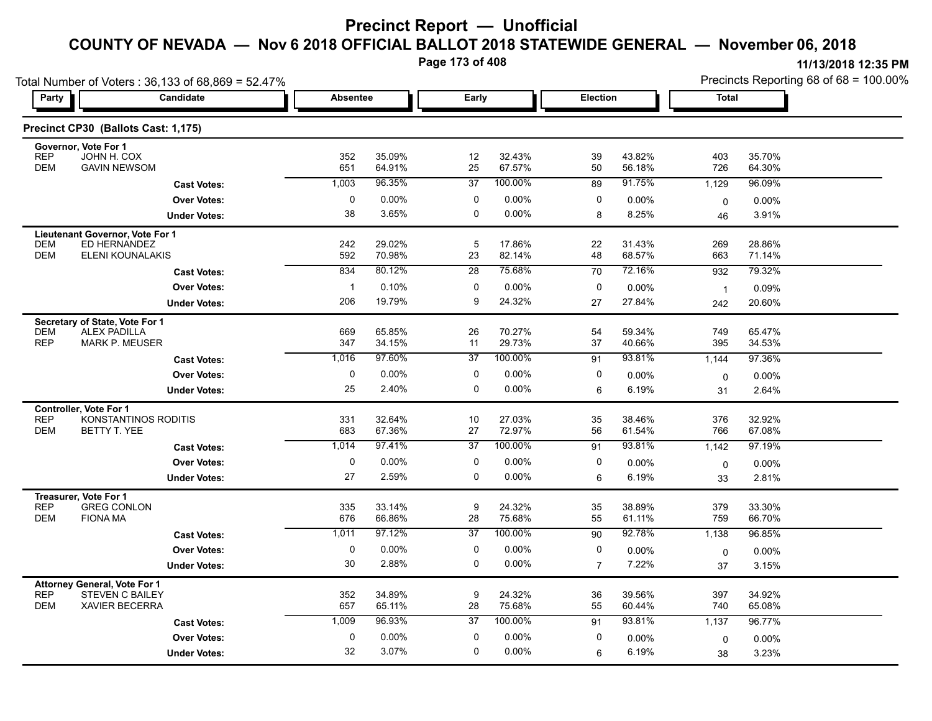**Page 173 of 408**

| Total Number of Voters: 36,133 of 68,869 = 52.47%                                                                  |                      |              |                  |                 |                  |                | Precincts Reporting 68 of 68 = 100.00% |                |                  |  |
|--------------------------------------------------------------------------------------------------------------------|----------------------|--------------|------------------|-----------------|------------------|----------------|----------------------------------------|----------------|------------------|--|
| Party                                                                                                              | Candidate            |              | <b>Absentee</b>  | Early           |                  | Election       |                                        | Total          |                  |  |
| Precinct CP30 (Ballots Cast: 1,175)                                                                                |                      |              |                  |                 |                  |                |                                        |                |                  |  |
| Governor, Vote For 1<br><b>REP</b><br>JOHN H. COX<br><b>GAVIN NEWSOM</b><br><b>DEM</b>                             |                      | 352<br>651   | 35.09%<br>64.91% | 12<br>25        | 32.43%<br>67.57% | 39<br>50       | 43.82%<br>56.18%                       | 403<br>726     | 35.70%<br>64.30% |  |
|                                                                                                                    | <b>Cast Votes:</b>   | 1,003        | 96.35%           | 37              | 100.00%          | 89             | 91.75%                                 | 1,129          | 96.09%           |  |
|                                                                                                                    | <b>Over Votes:</b>   | 0            | $0.00\%$         | 0               | 0.00%            | 0              | 0.00%                                  | 0              | 0.00%            |  |
|                                                                                                                    | <b>Under Votes:</b>  | 38           | 3.65%            | 0               | 0.00%            | 8              | 8.25%                                  | 46             | 3.91%            |  |
| Lieutenant Governor, Vote For 1<br>ED HERNANDEZ<br><b>DEM</b><br><b>DEM</b><br>ELENI KOUNALAKIS                    |                      | 242<br>592   | 29.02%<br>70.98% | 5<br>23         | 17.86%<br>82.14% | 22<br>48       | 31.43%<br>68.57%                       | 269<br>663     | 28.86%<br>71.14% |  |
|                                                                                                                    | <b>Cast Votes:</b>   | 834          | 80.12%           | 28              | 75.68%           | 70             | 72.16%                                 | 932            | 79.32%           |  |
|                                                                                                                    | <b>Over Votes:</b>   | $\mathbf{1}$ | 0.10%            | 0               | 0.00%            | 0              | 0.00%                                  | $\overline{1}$ | 0.09%            |  |
|                                                                                                                    | <b>Under Votes:</b>  | 206          | 19.79%           | 9               | 24.32%           | 27             | 27.84%                                 | 242            | 20.60%           |  |
| Secretary of State, Vote For 1                                                                                     |                      |              |                  |                 |                  |                |                                        |                |                  |  |
| <b>DEM</b><br><b>ALEX PADILLA</b><br><b>REP</b><br><b>MARK P. MEUSER</b>                                           |                      | 669<br>347   | 65.85%<br>34.15% | 26<br>11        | 70.27%<br>29.73% | 54<br>37       | 59.34%<br>40.66%                       | 749<br>395     | 65.47%<br>34.53% |  |
|                                                                                                                    | <b>Cast Votes:</b>   | 1,016        | 97.60%           | $\overline{37}$ | 100.00%          | 91             | 93.81%                                 | 1,144          | 97.36%           |  |
|                                                                                                                    | <b>Over Votes:</b>   | 0            | 0.00%            | 0               | 0.00%            | 0              | 0.00%                                  | 0              | 0.00%            |  |
|                                                                                                                    | <b>Under Votes:</b>  | 25           | 2.40%            | 0               | 0.00%            | 6              | 6.19%                                  | 31             | 2.64%            |  |
| Controller, Vote For 1<br><b>REP</b><br><b>DEM</b><br>BETTY T. YEE                                                 | KONSTANTINOS RODITIS | 331<br>683   | 32.64%<br>67.36% | 10<br>27        | 27.03%<br>72.97% | 35<br>56       | 38.46%<br>61.54%                       | 376<br>766     | 32.92%<br>67.08% |  |
|                                                                                                                    | <b>Cast Votes:</b>   | 1,014        | 97.41%           | 37              | 100.00%          | 91             | 93.81%                                 | 1,142          | 97.19%           |  |
|                                                                                                                    | <b>Over Votes:</b>   | 0            | 0.00%            | 0               | 0.00%            | 0              | $0.00\%$                               | 0              | $0.00\%$         |  |
|                                                                                                                    | <b>Under Votes:</b>  | 27           | 2.59%            | 0               | 0.00%            | 6              | 6.19%                                  | 33             | 2.81%            |  |
| Treasurer, Vote For 1<br><b>REP</b><br><b>GREG CONLON</b><br><b>DEM</b><br><b>FIONA MA</b>                         |                      | 335<br>676   | 33.14%<br>66.86% | 9<br>28         | 24.32%<br>75.68% | 35<br>55       | 38.89%<br>61.11%                       | 379<br>759     | 33.30%<br>66.70% |  |
|                                                                                                                    | <b>Cast Votes:</b>   | 1,011        | 97.12%           | $\overline{37}$ | 100.00%          | 90             | 92.78%                                 | 1,138          | 96.85%           |  |
|                                                                                                                    | <b>Over Votes:</b>   | $\mathbf 0$  | 0.00%            | 0               | 0.00%            | 0              | $0.00\%$                               | 0              | $0.00\%$         |  |
|                                                                                                                    | <b>Under Votes:</b>  | 30           | 2.88%            | 0               | 0.00%            | $\overline{7}$ | 7.22%                                  | 37             | 3.15%            |  |
| <b>Attorney General, Vote For 1</b><br><b>REP</b><br><b>STEVEN C BAILEY</b><br><b>DEM</b><br><b>XAVIER BECERRA</b> |                      | 352<br>657   | 34.89%<br>65.11% | 9<br>28         | 24.32%<br>75.68% | 36<br>55       | 39.56%<br>60.44%                       | 397<br>740     | 34.92%<br>65.08% |  |
|                                                                                                                    | <b>Cast Votes:</b>   | 1,009        | 96.93%           | $\overline{37}$ | 100.00%          | 91             | 93.81%                                 | 1,137          | 96.77%           |  |
|                                                                                                                    | <b>Over Votes:</b>   | 0            | 0.00%            | $\mathbf 0$     | 0.00%            | 0              | 0.00%                                  | 0              | $0.00\%$         |  |
|                                                                                                                    | <b>Under Votes:</b>  | 32           | 3.07%            | $\Omega$        | 0.00%            | 6              | 6.19%                                  | 38             | 3.23%            |  |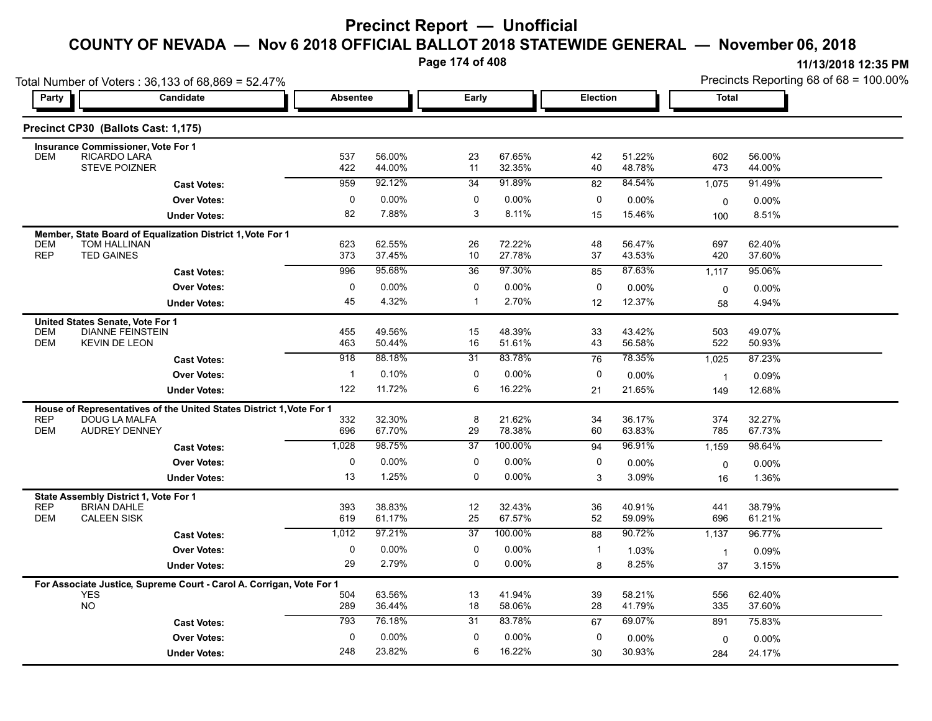**Page 174 of 408**

| Party                    | Total Number of Voters: 36,133 of 68,869 = 52.47%<br><b>Candidate</b>              | <b>Absentee</b> |                  | Early            |                  | <b>Election</b> |                  | <b>Total</b>   | Precincts Reporting 68 of 68 = 100.00% |
|--------------------------|------------------------------------------------------------------------------------|-----------------|------------------|------------------|------------------|-----------------|------------------|----------------|----------------------------------------|
|                          |                                                                                    |                 |                  |                  |                  |                 |                  |                |                                        |
|                          | Precinct CP30 (Ballots Cast: 1,175)                                                |                 |                  |                  |                  |                 |                  |                |                                        |
|                          | <b>Insurance Commissioner, Vote For 1</b>                                          |                 |                  |                  |                  |                 |                  |                |                                        |
| <b>DEM</b>               | <b>RICARDO LARA</b><br><b>STEVE POIZNER</b>                                        | 537<br>422      | 56.00%<br>44.00% | 23<br>11         | 67.65%<br>32.35% | 42<br>40        | 51.22%<br>48.78% | 602<br>473     | 56.00%<br>44.00%                       |
|                          | <b>Cast Votes:</b>                                                                 | 959             | 92.12%           | $\overline{34}$  | 91.89%           | $\overline{82}$ | 84.54%           | 1,075          | 91.49%                                 |
|                          | <b>Over Votes:</b>                                                                 | 0               | 0.00%            | 0                | $0.00\%$         | 0               | 0.00%            | $\mathbf 0$    | 0.00%                                  |
|                          | <b>Under Votes:</b>                                                                | 82              | 7.88%            | 3                | 8.11%            | 15              | 15.46%           | 100            | 8.51%                                  |
|                          | Member, State Board of Equalization District 1, Vote For 1                         |                 |                  |                  |                  |                 |                  |                |                                        |
| <b>DEM</b><br><b>REP</b> | TOM HALLINAN<br><b>TED GAINES</b>                                                  | 623<br>373      | 62.55%<br>37.45% | 26<br>10         | 72.22%<br>27.78% | 48<br>37        | 56.47%<br>43.53% | 697<br>420     | 62.40%<br>37.60%                       |
|                          | <b>Cast Votes:</b>                                                                 | 996             | 95.68%           | 36               | 97.30%           | 85              | 87.63%           | 1,117          | 95.06%                                 |
|                          | <b>Over Votes:</b>                                                                 | $\mathbf 0$     | 0.00%            | $\mathbf 0$      | 0.00%            | 0               | 0.00%            | $\mathbf 0$    | 0.00%                                  |
|                          | <b>Under Votes:</b>                                                                | 45              | 4.32%            | $\mathbf{1}$     | 2.70%            | 12              | 12.37%           | 58             | 4.94%                                  |
|                          | United States Senate, Vote For 1                                                   |                 |                  |                  |                  |                 |                  |                |                                        |
| <b>DEM</b>               | <b>DIANNE FEINSTEIN</b>                                                            | 455             | 49.56%           | 15               | 48.39%           | 33              | 43.42%           | 503            | 49.07%                                 |
| <b>DEM</b>               | <b>KEVIN DE LEON</b>                                                               | 463             | 50.44%           | 16               | 51.61%           | 43              | 56.58%           | 522            | 50.93%                                 |
|                          | <b>Cast Votes:</b>                                                                 | 918             | 88.18%           | $\overline{31}$  | 83.78%           | 76              | 78.35%           | 1,025          | 87.23%                                 |
|                          | <b>Over Votes:</b>                                                                 | $\mathbf{1}$    | 0.10%            | $\mathbf 0$      | $0.00\%$         | 0               | 0.00%            | $\overline{1}$ | 0.09%                                  |
|                          | <b>Under Votes:</b>                                                                | 122             | 11.72%           | 6                | 16.22%           | 21              | 21.65%           | 149            | 12.68%                                 |
|                          | House of Representatives of the United States District 1, Vote For 1               |                 |                  |                  |                  |                 |                  |                |                                        |
| <b>REP</b><br><b>DEM</b> | DOUG LA MALFA<br>AUDREY DENNEY                                                     | 332<br>696      | 32.30%<br>67.70% | 8<br>29          | 21.62%<br>78.38% | 34<br>60        | 36.17%<br>63.83% | 374<br>785     | 32.27%<br>67.73%                       |
|                          | <b>Cast Votes:</b>                                                                 | 1,028           | 98.75%           | $\overline{37}$  | 100.00%          | 94              | 96.91%           | 1,159          | 98.64%                                 |
|                          | <b>Over Votes:</b>                                                                 | $\mathbf 0$     | 0.00%            | $\mathbf 0$      | 0.00%            | $\mathbf 0$     | $0.00\%$         | 0              | 0.00%                                  |
|                          | <b>Under Votes:</b>                                                                | 13              | 1.25%            | 0                | $0.00\%$         | 3               | 3.09%            | 16             | 1.36%                                  |
|                          | State Assembly District 1, Vote For 1                                              |                 |                  |                  |                  |                 |                  |                |                                        |
| <b>REP</b>               | <b>BRIAN DAHLE</b>                                                                 | 393             | 38.83%           | $12\,$           | 32.43%           | 36              | 40.91%           | 441            | 38.79%                                 |
| <b>DEM</b>               | <b>CALEEN SISK</b>                                                                 | 619             | 61.17%           | 25               | 67.57%           | 52              | 59.09%           | 696            | 61.21%                                 |
|                          | <b>Cast Votes:</b>                                                                 | 1,012           | 97.21%           | $\overline{37}$  | 100.00%          | 88              | 90.72%           | 1,137          | 96.77%                                 |
|                          | <b>Over Votes:</b>                                                                 | 0               | 0.00%<br>2.79%   | 0<br>$\mathbf 0$ | $0.00\%$         | $\mathbf{1}$    | 1.03%            | $\overline{1}$ | 0.09%                                  |
|                          | <b>Under Votes:</b>                                                                | 29              |                  |                  | $0.00\%$         | 8               | 8.25%            | 37             | 3.15%                                  |
|                          | For Associate Justice, Supreme Court - Carol A. Corrigan, Vote For 1<br><b>YES</b> | 504             | 63.56%           | 13               | 41.94%           | 39              | 58.21%           | 556            | 62.40%                                 |
|                          | <b>NO</b>                                                                          | 289             | 36.44%           | 18               | 58.06%           | 28              | 41.79%           | 335            | 37.60%                                 |
|                          | <b>Cast Votes:</b>                                                                 | 793             | 76.18%           | 31               | 83.78%           | 67              | 69.07%           | 891            | 75.83%                                 |
|                          | <b>Over Votes:</b>                                                                 | $\mathbf 0$     | 0.00%            | $\mathbf 0$      | $0.00\%$         | 0               | 0.00%            | 0              | 0.00%                                  |
|                          | <b>Under Votes:</b>                                                                | 248             | 23.82%           | 6                | 16.22%           | 30              | 30.93%           | 284            | 24.17%                                 |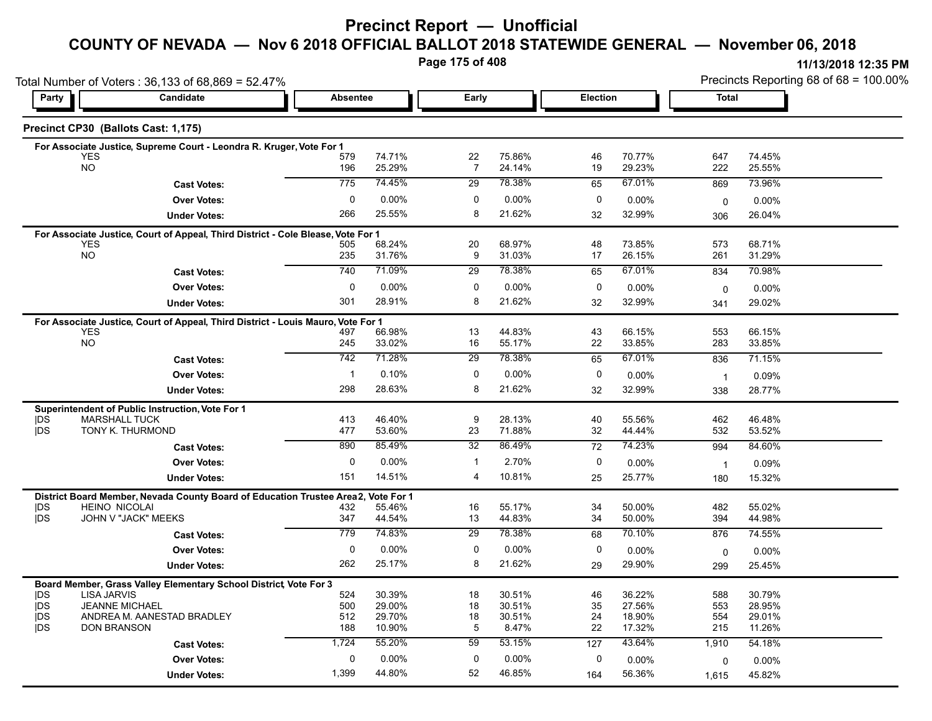**Page 175 of 408**

| Party                    | Candidate                                                                                                 | <b>Absentee</b> |                  | Early                |                  | Election |                  | <b>Total</b>   |                  |
|--------------------------|-----------------------------------------------------------------------------------------------------------|-----------------|------------------|----------------------|------------------|----------|------------------|----------------|------------------|
|                          |                                                                                                           |                 |                  |                      |                  |          |                  |                |                  |
|                          | Precinct CP30 (Ballots Cast: 1,175)                                                                       |                 |                  |                      |                  |          |                  |                |                  |
|                          | For Associate Justice, Supreme Court - Leondra R. Kruger, Vote For 1                                      |                 |                  |                      |                  |          |                  |                |                  |
|                          | <b>YES</b><br><b>NO</b>                                                                                   | 579<br>196      | 74.71%<br>25.29% | 22<br>$\overline{7}$ | 75.86%<br>24.14% | 46<br>19 | 70.77%<br>29.23% | 647<br>222     | 74.45%<br>25.55% |
|                          | <b>Cast Votes:</b>                                                                                        | 775             | 74.45%           | 29                   | 78.38%           | 65       | 67.01%           | 869            | 73.96%           |
|                          | <b>Over Votes:</b>                                                                                        | 0               | 0.00%            | 0                    | 0.00%            | 0        | $0.00\%$         | 0              | 0.00%            |
|                          | <b>Under Votes:</b>                                                                                       | 266             | 25.55%           | 8                    | 21.62%           | 32       | 32.99%           | 306            | 26.04%           |
|                          | For Associate Justice, Court of Appeal, Third District - Cole Blease, Vote For 1                          |                 |                  |                      |                  |          |                  |                |                  |
|                          | <b>YES</b><br><b>NO</b>                                                                                   | 505<br>235      | 68.24%<br>31.76% | 20<br>9              | 68.97%<br>31.03% | 48<br>17 | 73.85%<br>26.15% | 573<br>261     | 68.71%<br>31.29% |
|                          |                                                                                                           | 740             | 71.09%           | 29                   | 78.38%           | 65       | 67.01%           | 834            | 70.98%           |
|                          | <b>Cast Votes:</b><br><b>Over Votes:</b>                                                                  | 0               | 0.00%            | 0                    | $0.00\%$         | 0        |                  |                |                  |
|                          |                                                                                                           | 301             | 28.91%           | 8                    | 21.62%           |          | 0.00%<br>32.99%  | $\mathbf 0$    | $0.00\%$         |
|                          | <b>Under Votes:</b>                                                                                       |                 |                  |                      |                  | 32       |                  | 341            | 29.02%           |
|                          | For Associate Justice, Court of Appeal, Third District - Louis Mauro, Vote For 1<br><b>YES</b>            | 497             | 66.98%           | 13                   | 44.83%           | 43       | 66.15%           | 553            | 66.15%           |
|                          | <b>NO</b>                                                                                                 | 245             | 33.02%           | 16                   | 55.17%           | 22       | 33.85%           | 283            | 33.85%           |
|                          | <b>Cast Votes:</b>                                                                                        | 742             | 71.28%           | $\overline{29}$      | 78.38%           | 65       | 67.01%           | 836            | 71.15%           |
|                          | <b>Over Votes:</b>                                                                                        | $\mathbf{1}$    | 0.10%            | 0                    | 0.00%            | 0        | $0.00\%$         | $\overline{1}$ | 0.09%            |
|                          | <b>Under Votes:</b>                                                                                       | 298             | 28.63%           | 8                    | 21.62%           | 32       | 32.99%           | 338            | 28.77%           |
|                          | Superintendent of Public Instruction, Vote For 1                                                          |                 |                  |                      |                  |          |                  |                |                  |
| <b>IDS</b>               | <b>MARSHALL TUCK</b>                                                                                      | 413             | 46.40%           | 9                    | 28.13%           | 40       | 55.56%           | 462            | 46.48%           |
| <b>IDS</b>               | TONY K. THURMOND                                                                                          | 477             | 53.60%<br>85.49% | 23                   | 71.88%<br>86.49% | 32       | 44.44%           | 532            | 53.52%           |
|                          | <b>Cast Votes:</b>                                                                                        | 890             |                  | 32                   |                  | 72       | 74.23%           | 994            | 84.60%           |
|                          | <b>Over Votes:</b>                                                                                        | 0               | 0.00%            | -1                   | 2.70%            | 0        | 0.00%            | -1             | 0.09%            |
|                          | <b>Under Votes:</b>                                                                                       | 151             | 14.51%           | 4                    | 10.81%           | 25       | 25.77%           | 180            | 15.32%           |
|                          | District Board Member, Nevada County Board of Education Trustee Area2, Vote For 1<br><b>HEINO NICOLAI</b> |                 |                  |                      |                  |          |                  |                |                  |
| <b>IDS</b><br><b>IDS</b> | JOHN V "JACK" MEEKS                                                                                       | 432<br>347      | 55.46%<br>44.54% | 16<br>13             | 55.17%<br>44.83% | 34<br>34 | 50.00%<br>50.00% | 482<br>394     | 55.02%<br>44.98% |
|                          | <b>Cast Votes:</b>                                                                                        | 779             | 74.83%           | $\overline{29}$      | 78.38%           | 68       | 70.10%           | 876            | 74.55%           |
|                          | <b>Over Votes:</b>                                                                                        | 0               | 0.00%            | 0                    | 0.00%            | 0        | 0.00%            | 0              | $0.00\%$         |
|                          | <b>Under Votes:</b>                                                                                       | 262             | 25.17%           | 8                    | 21.62%           | 29       | 29.90%           | 299            | 25.45%           |
|                          | Board Member, Grass Valley Elementary School District Vote For 3                                          |                 |                  |                      |                  |          |                  |                |                  |
| DS                       | <b>LISA JARVIS</b>                                                                                        | 524             | 30.39%           | 18                   | 30.51%           | 46       | 36.22%           | 588            | 30.79%           |
| <b>IDS</b>               | <b>JEANNE MICHAEL</b>                                                                                     | 500             | 29.00%           | 18                   | 30.51%           | 35       | 27.56%           | 553            | 28.95%           |
| <b>IDS</b><br><b>IDS</b> | ANDREA M. AANESTAD BRADLEY<br><b>DON BRANSON</b>                                                          | 512<br>188      | 29.70%<br>10.90% | 18<br>5              | 30.51%<br>8.47%  | 24<br>22 | 18.90%<br>17.32% | 554<br>215     | 29.01%<br>11.26% |
|                          | <b>Cast Votes:</b>                                                                                        | 1,724           | 55.20%           | 59                   | 53.15%           | 127      | 43.64%           | 1,910          | 54.18%           |
|                          | <b>Over Votes:</b>                                                                                        | 0               | 0.00%            | 0                    | $0.00\%$         | 0        | $0.00\%$         | 0              | $0.00\%$         |
|                          |                                                                                                           | 1,399           | 44.80%           | 52                   | 46.85%           |          | 56.36%           |                | 45.82%           |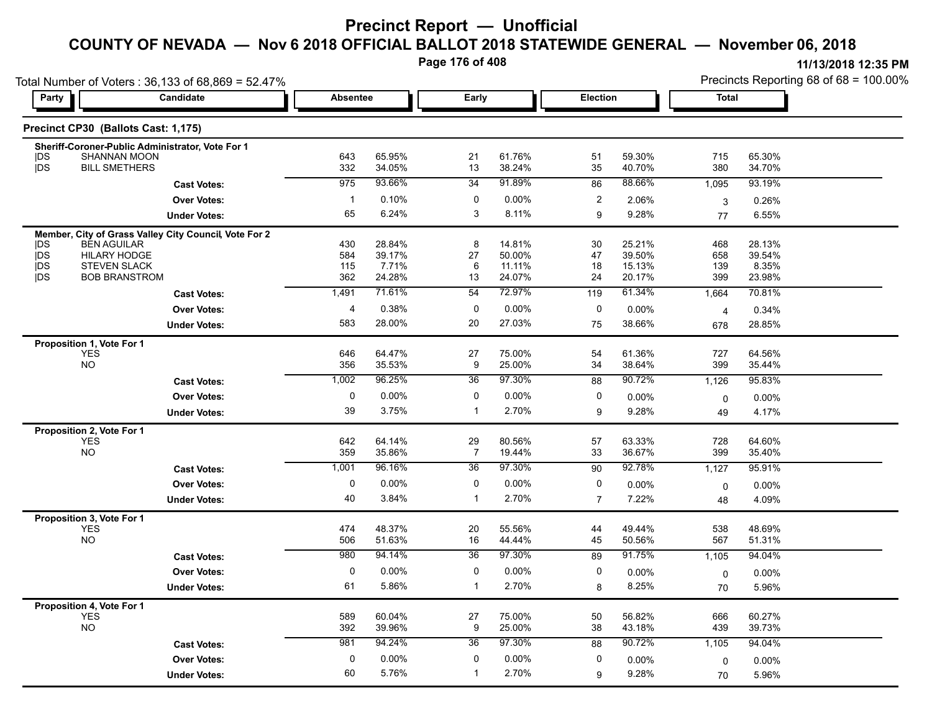**Page 176 of 408**

|            |                                           | Total Number of Voters: 36,133 of 68,869 = 52.47%     |                 |                  |                      |                  |                 |                  | Precincts Reporting 68 of 68 = 100.00% |                  |  |
|------------|-------------------------------------------|-------------------------------------------------------|-----------------|------------------|----------------------|------------------|-----------------|------------------|----------------------------------------|------------------|--|
| Party      | Candidate                                 |                                                       | <b>Absentee</b> |                  | Early                |                  | <b>Election</b> |                  | <b>Total</b>                           |                  |  |
|            | Precinct CP30 (Ballots Cast: 1,175)       |                                                       |                 |                  |                      |                  |                 |                  |                                        |                  |  |
|            |                                           | Sheriff-Coroner-Public Administrator, Vote For 1      |                 |                  |                      |                  |                 |                  |                                        |                  |  |
| DS         | <b>SHANNAN MOON</b>                       |                                                       | 643             | 65.95%           | 21                   | 61.76%           | 51              | 59.30%           | 715                                    | 65.30%           |  |
| <b>jDS</b> | <b>BILL SMETHERS</b>                      |                                                       | 332             | 34.05%           | 13                   | 38.24%           | 35              | 40.70%           | 380                                    | 34.70%           |  |
|            |                                           | <b>Cast Votes:</b>                                    | 975             | 93.66%           | 34                   | 91.89%           | 86              | 88.66%           | 1,095                                  | 93.19%           |  |
|            |                                           | <b>Over Votes:</b>                                    | $\mathbf{1}$    | 0.10%            | 0                    | 0.00%            | $\overline{c}$  | 2.06%            | 3                                      | 0.26%            |  |
|            |                                           | <b>Under Votes:</b>                                   | 65              | 6.24%            | 3                    | 8.11%            | 9               | 9.28%            | 77                                     | 6.55%            |  |
|            |                                           | Member, City of Grass Valley City Council, Vote For 2 |                 |                  |                      |                  |                 |                  |                                        |                  |  |
| DS<br>jDS  | <b>BEN AGUILAR</b><br><b>HILARY HODGE</b> |                                                       | 430<br>584      | 28.84%<br>39.17% | 8<br>27              | 14.81%<br>50.00% | 30<br>47        | 25.21%<br>39.50% | 468<br>658                             | 28.13%<br>39.54% |  |
| <b>IDS</b> | <b>STEVEN SLACK</b>                       |                                                       | 115             | 7.71%            | 6                    | 11.11%           | 18              | 15.13%           | 139                                    | 8.35%            |  |
| <b>IDS</b> | <b>BOB BRANSTROM</b>                      |                                                       | 362             | 24.28%           | 13                   | 24.07%           | 24              | 20.17%           | 399                                    | 23.98%           |  |
|            |                                           | <b>Cast Votes:</b>                                    | 1,491           | 71.61%           | 54                   | 72.97%           | 119             | 61.34%           | 1,664                                  | 70.81%           |  |
|            |                                           | <b>Over Votes:</b>                                    | 4               | 0.38%            | $\mathbf 0$          | 0.00%            | $\pmb{0}$       | 0.00%            | 4                                      | 0.34%            |  |
|            |                                           | <b>Under Votes:</b>                                   | 583             | 28.00%           | 20                   | 27.03%           | 75              | 38.66%           | 678                                    | 28.85%           |  |
|            | Proposition 1, Vote For 1                 |                                                       |                 |                  |                      |                  |                 |                  |                                        |                  |  |
|            | <b>YES</b>                                |                                                       | 646             | 64.47%           | 27                   | 75.00%           | 54              | 61.36%           | 727                                    | 64.56%           |  |
|            | <b>NO</b>                                 |                                                       | 356             | 35.53%           | 9                    | 25.00%           | 34              | 38.64%           | 399                                    | 35.44%           |  |
|            |                                           | <b>Cast Votes:</b>                                    | 1,002           | 96.25%           | 36                   | 97.30%           | 88              | 90.72%           | 1,126                                  | 95.83%           |  |
|            |                                           | <b>Over Votes:</b>                                    | $\pmb{0}$       | 0.00%            | $\mathbf 0$          | 0.00%            | 0               | 0.00%            | 0                                      | 0.00%            |  |
|            |                                           | <b>Under Votes:</b>                                   | 39              | 3.75%            | $\mathbf{1}$         | 2.70%            | 9               | 9.28%            | 49                                     | 4.17%            |  |
|            | Proposition 2, Vote For 1                 |                                                       |                 |                  |                      |                  |                 |                  |                                        |                  |  |
|            | <b>YES</b><br><b>NO</b>                   |                                                       | 642<br>359      | 64.14%<br>35.86% | 29<br>$\overline{7}$ | 80.56%<br>19.44% | 57<br>33        | 63.33%<br>36.67% | 728<br>399                             | 64.60%<br>35.40% |  |
|            |                                           |                                                       | 1,001           | 96.16%           | 36                   | 97.30%           | 90              | 92.78%           |                                        | 95.91%           |  |
|            |                                           | <b>Cast Votes:</b>                                    |                 |                  |                      |                  |                 |                  | 1,127                                  |                  |  |
|            |                                           | <b>Over Votes:</b>                                    | $\pmb{0}$       | 0.00%            | $\pmb{0}$            | 0.00%            | $\pmb{0}$       | 0.00%            | 0                                      | 0.00%            |  |
|            |                                           | <b>Under Votes:</b>                                   | 40              | 3.84%            | $\mathbf{1}$         | 2.70%            | $\overline{7}$  | 7.22%            | 48                                     | 4.09%            |  |
|            | Proposition 3, Vote For 1                 |                                                       |                 |                  |                      |                  |                 |                  |                                        |                  |  |
|            | <b>YES</b><br><b>NO</b>                   |                                                       | 474<br>506      | 48.37%<br>51.63% | 20<br>16             | 55.56%<br>44.44% | 44<br>45        | 49.44%<br>50.56% | 538<br>567                             | 48.69%<br>51.31% |  |
|            |                                           | <b>Cast Votes:</b>                                    | 980             | 94.14%           | 36                   | 97.30%           | 89              | 91.75%           | 1,105                                  | 94.04%           |  |
|            |                                           |                                                       | 0               |                  |                      |                  |                 |                  |                                        |                  |  |
|            |                                           | <b>Over Votes:</b>                                    |                 | 0.00%            | 0<br>$\mathbf{1}$    | 0.00%            | 0               | 0.00%            | 0                                      | 0.00%            |  |
|            |                                           | <b>Under Votes:</b>                                   | 61              | 5.86%            |                      | 2.70%            | 8               | 8.25%            | 70                                     | 5.96%            |  |
|            | Proposition 4, Vote For 1<br><b>YES</b>   |                                                       | 589             | 60.04%           | 27                   | 75.00%           | 50              | 56.82%           | 666                                    | 60.27%           |  |
|            | <b>NO</b>                                 |                                                       | 392             | 39.96%           | 9                    | 25.00%           | 38              | 43.18%           | 439                                    | 39.73%           |  |
|            |                                           | <b>Cast Votes:</b>                                    | 981             | 94.24%           | 36                   | 97.30%           | 88              | 90.72%           | 1,105                                  | 94.04%           |  |
|            |                                           | <b>Over Votes:</b>                                    | 0               | $0.00\%$         | 0                    | 0.00%            | 0               | 0.00%            | 0                                      | 0.00%            |  |
|            |                                           | <b>Under Votes:</b>                                   | 60              | 5.76%            | $\mathbf{1}$         | 2.70%            | 9               | 9.28%            | 70                                     | 5.96%            |  |
|            |                                           |                                                       |                 |                  |                      |                  |                 |                  |                                        |                  |  |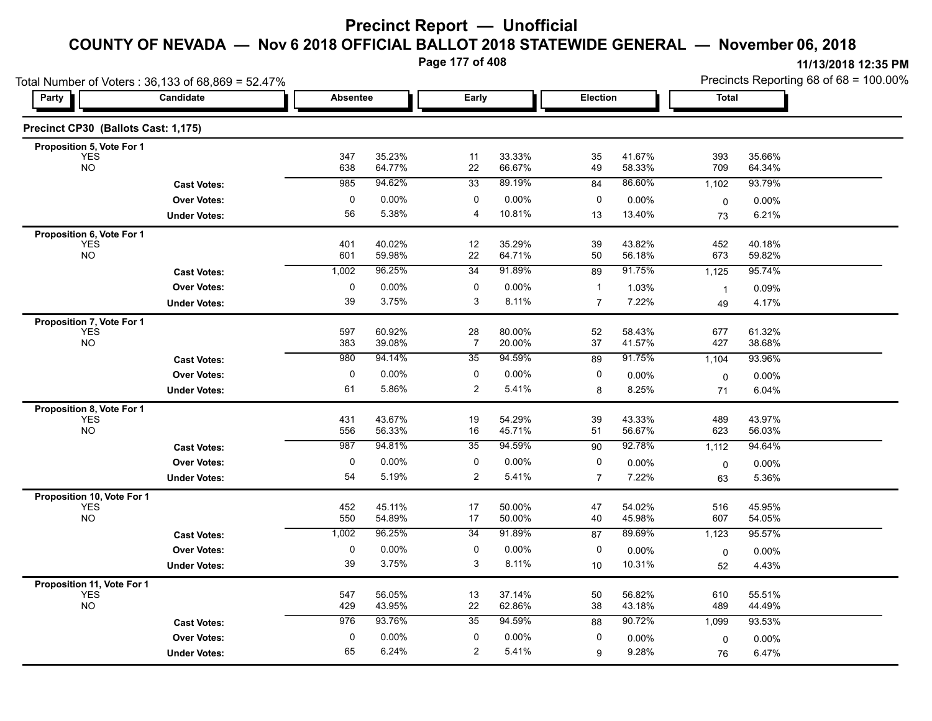**Page 177 of 408**

|                                     | Total Number of Voters: 36,133 of 68,869 = 52.47% |                 |                  |                |                  |                |                  | Precincts Reporting 68 of 68 = 100.00% |                  |  |
|-------------------------------------|---------------------------------------------------|-----------------|------------------|----------------|------------------|----------------|------------------|----------------------------------------|------------------|--|
| Party                               | Candidate                                         | <b>Absentee</b> |                  | Early          |                  | Election       |                  | <b>Total</b>                           |                  |  |
| Precinct CP30 (Ballots Cast: 1,175) |                                                   |                 |                  |                |                  |                |                  |                                        |                  |  |
| Proposition 5, Vote For 1           |                                                   |                 |                  |                |                  |                |                  |                                        |                  |  |
| <b>YES</b><br><b>NO</b>             |                                                   | 347<br>638      | 35.23%<br>64.77% | 11<br>22       | 33.33%<br>66.67% | 35<br>49       | 41.67%<br>58.33% | 393<br>709                             | 35.66%<br>64.34% |  |
|                                     | <b>Cast Votes:</b>                                | 985             | 94.62%           | 33             | 89.19%           | 84             | 86.60%           | 1,102                                  | 93.79%           |  |
|                                     | <b>Over Votes:</b>                                | 0               | 0.00%            | 0              | 0.00%            | 0              | 0.00%            | $\mathbf 0$                            | 0.00%            |  |
|                                     | <b>Under Votes:</b>                               | 56              | 5.38%            | 4              | 10.81%           | 13             | 13.40%           | 73                                     | 6.21%            |  |
| Proposition 6, Vote For 1           |                                                   |                 |                  |                |                  |                |                  |                                        |                  |  |
| <b>YES</b><br><b>NO</b>             |                                                   | 401<br>601      | 40.02%<br>59.98% | 12<br>22       | 35.29%<br>64.71% | 39<br>50       | 43.82%<br>56.18% | 452<br>673                             | 40.18%<br>59.82% |  |
|                                     | <b>Cast Votes:</b>                                | 1,002           | 96.25%           | 34             | 91.89%           | 89             | 91.75%           | 1,125                                  | 95.74%           |  |
|                                     | <b>Over Votes:</b>                                | $\pmb{0}$       | 0.00%            | 0              | 0.00%            | $\mathbf{1}$   | 1.03%            | $\mathbf{1}$                           | 0.09%            |  |
|                                     | <b>Under Votes:</b>                               | 39              | 3.75%            | 3              | 8.11%            | $\overline{7}$ | 7.22%            | 49                                     | 4.17%            |  |
| Proposition 7, Vote For 1           |                                                   |                 |                  |                |                  |                |                  |                                        |                  |  |
| <b>YES</b>                          |                                                   | 597             | 60.92%           | 28             | 80.00%           | 52             | 58.43%           | 677                                    | 61.32%           |  |
| <b>NO</b>                           |                                                   | 383             | 39.08%           | 7              | 20.00%           | 37             | 41.57%           | 427                                    | 38.68%           |  |
|                                     | <b>Cast Votes:</b>                                | 980             | 94.14%           | 35             | 94.59%           | 89             | 91.75%           | 1,104                                  | 93.96%           |  |
|                                     | <b>Over Votes:</b>                                | 0               | 0.00%            | 0              | 0.00%            | 0              | 0.00%            | 0                                      | 0.00%            |  |
|                                     | <b>Under Votes:</b>                               | 61              | 5.86%            | $\overline{c}$ | 5.41%            | 8              | 8.25%            | 71                                     | 6.04%            |  |
| Proposition 8, Vote For 1           |                                                   |                 |                  |                |                  |                |                  |                                        |                  |  |
| <b>YES</b><br><b>NO</b>             |                                                   | 431<br>556      | 43.67%<br>56.33% | 19<br>16       | 54.29%<br>45.71% | 39<br>51       | 43.33%<br>56.67% | 489<br>623                             | 43.97%<br>56.03% |  |
|                                     | <b>Cast Votes:</b>                                | 987             | 94.81%           | 35             | 94.59%           | 90             | 92.78%           | 1,112                                  | 94.64%           |  |
|                                     | <b>Over Votes:</b>                                | 0               | 0.00%            | 0              | $0.00\%$         | 0              | 0.00%            | $\mathbf 0$                            | 0.00%            |  |
|                                     | <b>Under Votes:</b>                               | 54              | 5.19%            | $\overline{2}$ | 5.41%            | $\overline{7}$ | 7.22%            | 63                                     | 5.36%            |  |
| Proposition 10, Vote For 1          |                                                   |                 |                  |                |                  |                |                  |                                        |                  |  |
| <b>YES</b>                          |                                                   | 452             | 45.11%           | 17             | 50.00%           | 47             | 54.02%           | 516                                    | 45.95%           |  |
| <b>NO</b>                           |                                                   | 550             | 54.89%           | 17             | 50.00%           | 40             | 45.98%           | 607                                    | 54.05%           |  |
|                                     | <b>Cast Votes:</b>                                | 1,002           | 96.25%           | 34             | 91.89%           | 87             | 89.69%           | 1,123                                  | 95.57%           |  |
|                                     | <b>Over Votes:</b>                                | $\pmb{0}$       | 0.00%            | $\pmb{0}$      | $0.00\%$         | 0              | 0.00%            | 0                                      | 0.00%            |  |
|                                     | <b>Under Votes:</b>                               | 39              | 3.75%            | 3              | 8.11%            | 10             | 10.31%           | 52                                     | 4.43%            |  |
| Proposition 11, Vote For 1          |                                                   |                 |                  |                |                  |                |                  |                                        |                  |  |
| <b>YES</b><br><b>NO</b>             |                                                   | 547<br>429      | 56.05%<br>43.95% | 13<br>22       | 37.14%<br>62.86% | 50<br>38       | 56.82%<br>43.18% | 610<br>489                             | 55.51%<br>44.49% |  |
|                                     | <b>Cast Votes:</b>                                | 976             | 93.76%           | 35             | 94.59%           | 88             | 90.72%           | 1,099                                  | 93.53%           |  |
|                                     | <b>Over Votes:</b>                                | $\pmb{0}$       | 0.00%            | 0              | 0.00%            | 0              | 0.00%            |                                        | 0.00%            |  |
|                                     |                                                   |                 | 6.24%            |                |                  |                |                  | 0                                      | 6.47%            |  |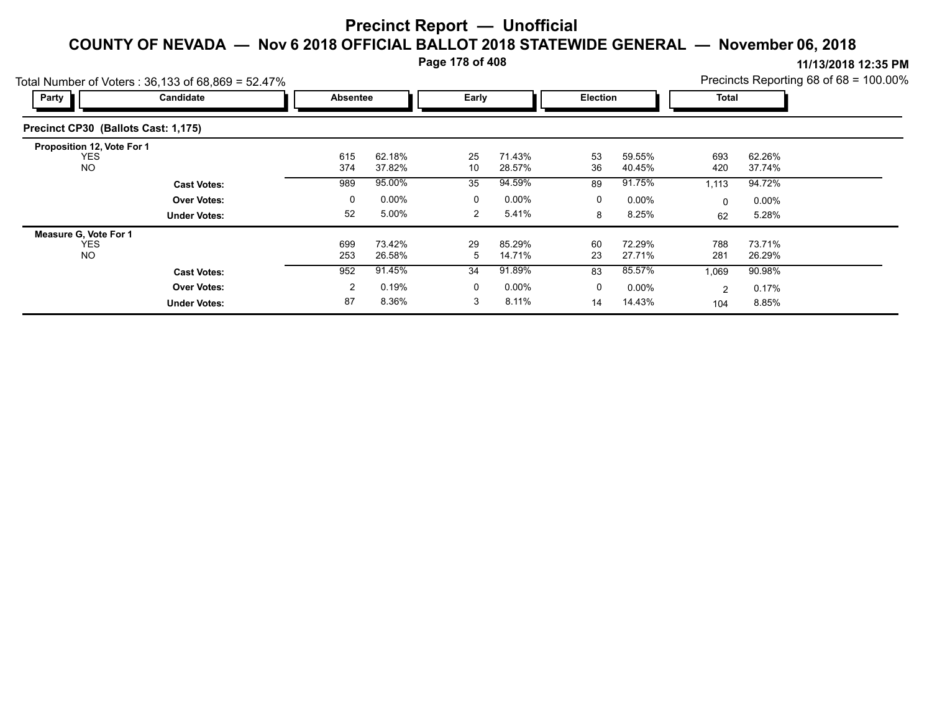**Page 178 of 408**

|                                                       | Total Number of Voters: $36,133$ of $68,869 = 52.47\%$ |  | Precincts Reporting 68 of 68 = 100.00% |                  |                |                  |          |                  |            |                  |  |
|-------------------------------------------------------|--------------------------------------------------------|--|----------------------------------------|------------------|----------------|------------------|----------|------------------|------------|------------------|--|
| Party                                                 | Candidate                                              |  | Absentee                               |                  | Early          |                  |          | <b>Election</b>  |            | <b>Total</b>     |  |
| Precinct CP30 (Ballots Cast: 1,175)                   |                                                        |  |                                        |                  |                |                  |          |                  |            |                  |  |
| Proposition 12, Vote For 1<br><b>YES</b><br><b>NO</b> |                                                        |  | 615<br>374                             | 62.18%<br>37.82% | 25<br>10       | 71.43%<br>28.57% | 53<br>36 | 59.55%<br>40.45% | 693<br>420 | 62.26%<br>37.74% |  |
|                                                       | <b>Cast Votes:</b>                                     |  | 989                                    | 95.00%           | 35             | 94.59%           | 89       | 91.75%           | 1,113      | 94.72%           |  |
|                                                       | <b>Over Votes:</b>                                     |  | 0                                      | 0.00%            | 0              | $0.00\%$         | 0        | $0.00\%$         | 0          | $0.00\%$         |  |
|                                                       | <b>Under Votes:</b>                                    |  | 52                                     | 5.00%            | $\overline{2}$ | 5.41%            | 8        | 8.25%            | 62         | 5.28%            |  |
| <b>Measure G. Vote For 1</b>                          |                                                        |  |                                        |                  |                |                  |          |                  |            |                  |  |
| <b>YES</b><br><b>NO</b>                               |                                                        |  | 699<br>253                             | 73.42%<br>26.58% | 29<br>5        | 85.29%<br>14.71% | 60<br>23 | 72.29%<br>27.71% | 788<br>281 | 73.71%<br>26.29% |  |
|                                                       | <b>Cast Votes:</b>                                     |  | 952                                    | 91.45%           | 34             | 91.89%           | 83       | 85.57%           | 1,069      | 90.98%           |  |
|                                                       | <b>Over Votes:</b>                                     |  | $\overline{2}$                         | 0.19%            | 0              | $0.00\%$         | 0        | $0.00\%$         | 2          | 0.17%            |  |
|                                                       | <b>Under Votes:</b>                                    |  | 87                                     | 8.36%            | 3              | 8.11%            | 14       | 14.43%           | 104        | 8.85%            |  |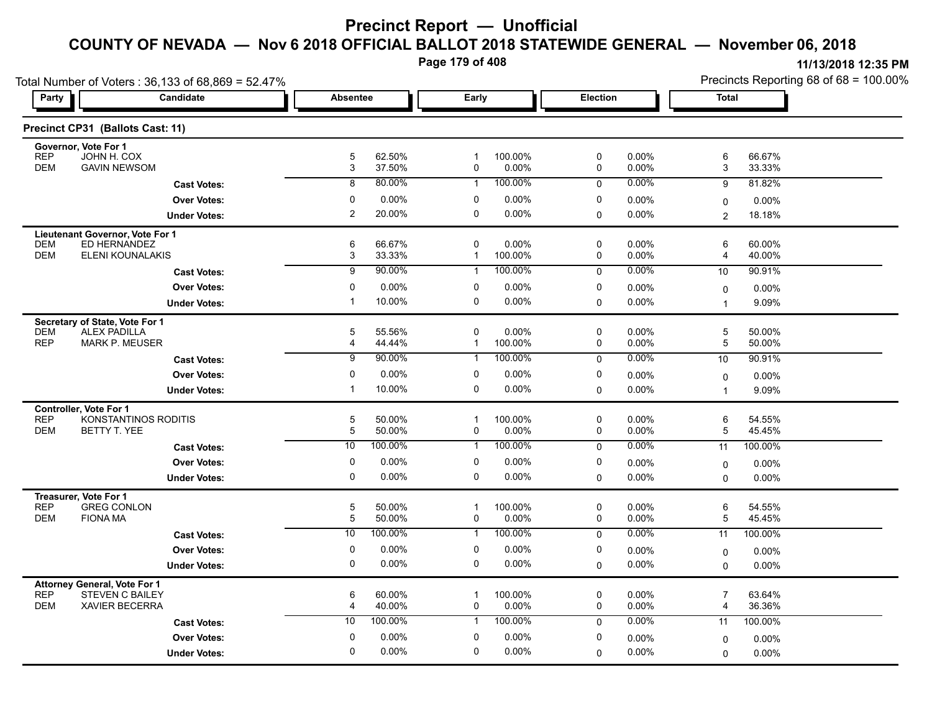**Page 179 of 408**

| Total Number of Voters: 36,133 of 68,869 = 52.47%                 |                |                   |                  |                  |                  |                      |                         | Precincts Reporting 68 of 68 = 100.00% |  |  |
|-------------------------------------------------------------------|----------------|-------------------|------------------|------------------|------------------|----------------------|-------------------------|----------------------------------------|--|--|
| <b>Candidate</b><br>Party                                         | Absentee       |                   | Early            |                  | Election         |                      | <b>Total</b>            |                                        |  |  |
| Precinct CP31 (Ballots Cast: 11)                                  |                |                   |                  |                  |                  |                      |                         |                                        |  |  |
| Governor, Vote For 1                                              |                |                   |                  |                  |                  |                      |                         |                                        |  |  |
| <b>REP</b><br>JOHN H. COX<br><b>DEM</b><br><b>GAVIN NEWSOM</b>    | 5<br>3         | 62.50%<br>37.50%  | -1<br>0          | 100.00%<br>0.00% | 0<br>0           | $0.00\%$<br>0.00%    | 6<br>3                  | 66.67%<br>33.33%                       |  |  |
| <b>Cast Votes:</b>                                                | 8              | 80.00%            | $\mathbf 1$      | 100.00%          | $\mathbf 0$      | $0.00\%$             | 9                       | 81.82%                                 |  |  |
| <b>Over Votes:</b>                                                | 0              | 0.00%             | 0                | 0.00%            | 0                | 0.00%                | 0                       | $0.00\%$                               |  |  |
| <b>Under Votes:</b>                                               | $\overline{2}$ | 20.00%            | 0                | 0.00%            | $\Omega$         | 0.00%                | $\overline{c}$          | 18.18%                                 |  |  |
| Lieutenant Governor, Vote For 1                                   |                |                   |                  |                  |                  |                      |                         |                                        |  |  |
| ED HERNANDEZ<br><b>DEM</b><br><b>DEM</b><br>ELENI KOUNALAKIS      | 6<br>3         | 66.67%<br>33.33%  | 0<br>$\mathbf 1$ | 0.00%<br>100.00% | $\mathbf 0$<br>0 | $0.00\%$<br>$0.00\%$ | 6<br>4                  | 60.00%<br>40.00%                       |  |  |
| <b>Cast Votes:</b>                                                | $\overline{9}$ | 90.00%            | $\mathbf 1$      | 100.00%          | 0                | 0.00%                | 10                      | 90.91%                                 |  |  |
| <b>Over Votes:</b>                                                | $\mathbf 0$    | 0.00%             | 0                | 0.00%            | 0                | 0.00%                | 0                       | 0.00%                                  |  |  |
| <b>Under Votes:</b>                                               | -1             | 10.00%            | $\Omega$         | 0.00%            | $\Omega$         | $0.00\%$             | $\overline{1}$          | 9.09%                                  |  |  |
| Secretary of State, Vote For 1                                    |                |                   |                  |                  |                  |                      |                         |                                        |  |  |
| <b>ALEX PADILLA</b><br><b>DEM</b>                                 | 5              | 55.56%            | $\pmb{0}$        | 0.00%            | 0                | $0.00\%$             | 5                       | 50.00%                                 |  |  |
| <b>REP</b><br><b>MARK P. MEUSER</b>                               | $\overline{4}$ | 44.44%            | $\mathbf{1}$     | 100.00%          | 0                | 0.00%                | 5                       | 50.00%                                 |  |  |
| <b>Cast Votes:</b>                                                | 9              | 90.00%            | 1                | 100.00%          | 0                | 0.00%                | 10                      | 90.91%                                 |  |  |
| <b>Over Votes:</b>                                                | 0              | 0.00%             | 0                | 0.00%            | 0                | 0.00%                | 0                       | $0.00\%$                               |  |  |
| <b>Under Votes:</b>                                               | $\mathbf 1$    | 10.00%            | $\pmb{0}$        | 0.00%            | $\mathbf 0$      | 0.00%                | $\overline{\mathbf{1}}$ | 9.09%                                  |  |  |
| Controller, Vote For 1<br><b>REP</b><br>KONSTANTINOS RODITIS      | 5              | 50.00%            | $\mathbf 1$      | 100.00%          | 0                | $0.00\%$             | 6                       | 54.55%                                 |  |  |
| <b>DEM</b><br>BETTY T. YEE                                        | 5              | 50.00%            | 0                | 0.00%            | 0                | 0.00%                | 5                       | 45.45%                                 |  |  |
| <b>Cast Votes:</b>                                                | 10             | 100.00%           | -1               | 100.00%          | $\mathbf 0$      | 0.00%                | 11                      | 100.00%                                |  |  |
| <b>Over Votes:</b>                                                | 0              | 0.00%             | 0                | 0.00%            | 0                | $0.00\%$             | 0                       | $0.00\%$                               |  |  |
| <b>Under Votes:</b>                                               | $\Omega$       | 0.00%             | $\Omega$         | 0.00%            | 0                | $0.00\%$             | $\Omega$                | 0.00%                                  |  |  |
| Treasurer, Vote For 1                                             |                |                   |                  |                  |                  |                      |                         |                                        |  |  |
| <b>REP</b><br><b>GREG CONLON</b><br><b>FIONA MA</b><br><b>DEM</b> | 5<br>5         | 50.00%            | $\mathbf 1$<br>0 | 100.00%          | 0<br>0           | $0.00\%$             | 6<br>5                  | 54.55%                                 |  |  |
| <b>Cast Votes:</b>                                                | 10             | 50.00%<br>100.00% | $\mathbf{1}$     | 0.00%<br>100.00% | 0                | $0.00\%$<br>$0.00\%$ | 11                      | 45.45%<br>100.00%                      |  |  |
| <b>Over Votes:</b>                                                | 0              | 0.00%             | 0                | 0.00%            | 0                |                      |                         |                                        |  |  |
| <b>Under Votes:</b>                                               | 0              | 0.00%             | 0                | 0.00%            | $\mathbf 0$      | $0.00\%$<br>$0.00\%$ | $\mathbf 0$<br>$\Omega$ | $0.00\%$<br>$0.00\%$                   |  |  |
| <b>Attorney General, Vote For 1</b>                               |                |                   |                  |                  |                  |                      |                         |                                        |  |  |
| <b>REP</b><br><b>STEVEN C BAILEY</b>                              | 6              | 60.00%            | $\mathbf 1$      | 100.00%          | 0                | $0.00\%$             | $\overline{7}$          | 63.64%                                 |  |  |
| <b>DEM</b><br><b>XAVIER BECERRA</b>                               | 4              | 40.00%            | 0                | 0.00%            | 0                | $0.00\%$             | 4                       | 36.36%                                 |  |  |
| <b>Cast Votes:</b>                                                | 10             | 100.00%           | $\mathbf{1}$     | 100.00%          | $\mathbf 0$      | $0.00\%$             | 11                      | 100.00%                                |  |  |
| <b>Over Votes:</b>                                                | $\mathbf 0$    | 0.00%             | $\pmb{0}$        | 0.00%            | 0                | $0.00\%$             | 0                       | 0.00%                                  |  |  |
| <b>Under Votes:</b>                                               | 0              | 0.00%             | 0                | 0.00%            | 0                | $0.00\%$             | 0                       | $0.00\%$                               |  |  |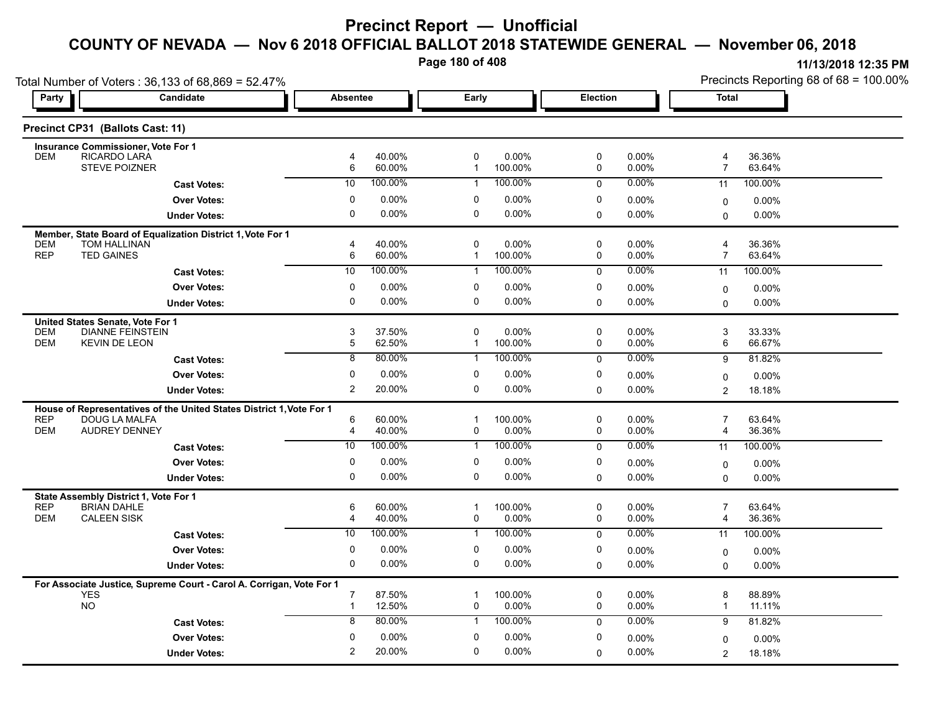**Page 180 of 408**

Precincts Reporting 68 of 68 = 100.00%

| Total Number of Voters: 36,133 of 68,869 = 52.47% |                                                                                       |                |                   |                   |                    |             |                   | Precincts Reporting 68 of 68 = 100.00% |                  |  |
|---------------------------------------------------|---------------------------------------------------------------------------------------|----------------|-------------------|-------------------|--------------------|-------------|-------------------|----------------------------------------|------------------|--|
| Party                                             | Candidate                                                                             | Absentee       |                   | Early             |                    | Election    |                   | Total                                  |                  |  |
|                                                   | Precinct CP31 (Ballots Cast: 11)                                                      |                |                   |                   |                    |             |                   |                                        |                  |  |
|                                                   | Insurance Commissioner, Vote For 1                                                    |                |                   |                   |                    |             |                   |                                        |                  |  |
| <b>DEM</b>                                        | RICARDO LARA<br>STEVE POIZNER                                                         | 4<br>6         | 40.00%<br>60.00%  | 0<br>$\mathbf{1}$ | 0.00%<br>100.00%   | 0<br>0      | 0.00%<br>$0.00\%$ | 4<br>$\overline{7}$                    | 36.36%<br>63.64% |  |
|                                                   | <b>Cast Votes:</b>                                                                    | 10             | 100.00%           | $\mathbf 1$       | 100.00%            | $\mathbf 0$ | $0.00\%$          | 11                                     | 100.00%          |  |
|                                                   | <b>Over Votes:</b>                                                                    | $\mathbf 0$    | 0.00%             | $\mathbf 0$       | 0.00%              | 0           | $0.00\%$          | 0                                      | $0.00\%$         |  |
|                                                   | <b>Under Votes:</b>                                                                   | 0              | $0.00\%$          | $\mathbf 0$       | 0.00%              | $\mathbf 0$ | $0.00\%$          | 0                                      | $0.00\%$         |  |
|                                                   | Member, State Board of Equalization District 1, Vote For 1                            |                |                   |                   |                    |             |                   |                                        |                  |  |
| <b>DEM</b><br><b>REP</b>                          | <b>TOM HALLINAN</b><br><b>TED GAINES</b>                                              | 4              | 40.00%            | 0<br>$\mathbf 1$  | 0.00%              | 0           | $0.00\%$          | 4<br>7                                 | 36.36%           |  |
|                                                   |                                                                                       | 6              | 60.00%<br>100.00% |                   | 100.00%<br>100.00% | 0           | $0.00\%$<br>0.00% |                                        | 63.64%           |  |
|                                                   | <b>Cast Votes:</b>                                                                    | 10             |                   | $\mathbf{1}$      |                    | $\mathbf 0$ |                   | 11                                     | 100.00%          |  |
|                                                   | <b>Over Votes:</b>                                                                    | 0              | 0.00%             | 0<br>$\Omega$     | 0.00%              | 0           | 0.00%             | 0                                      | $0.00\%$         |  |
|                                                   | <b>Under Votes:</b>                                                                   | $\Omega$       | 0.00%             |                   | 0.00%              | $\mathbf 0$ | 0.00%             | $\Omega$                               | 0.00%            |  |
|                                                   | United States Senate, Vote For 1                                                      |                |                   |                   |                    |             |                   |                                        |                  |  |
| <b>DEM</b><br><b>DEM</b>                          | <b>DIANNE FEINSTEIN</b><br><b>KEVIN DE LEON</b>                                       | 3<br>5         | 37.50%<br>62.50%  | 0<br>$\mathbf{1}$ | 0.00%<br>100.00%   | 0<br>0      | 0.00%<br>0.00%    | 3<br>6                                 | 33.33%<br>66.67% |  |
|                                                   | <b>Cast Votes:</b>                                                                    | 8              | 80.00%            | $\mathbf 1$       | 100.00%            | $\mathbf 0$ | $0.00\%$          | 9                                      | 81.82%           |  |
|                                                   | <b>Over Votes:</b>                                                                    | 0              | 0.00%             | 0                 | 0.00%              | 0           | 0.00%             |                                        |                  |  |
|                                                   |                                                                                       | $\overline{2}$ | 20.00%            | 0                 | 0.00%              | $\mathbf 0$ | $0.00\%$          | 0                                      | 0.00%<br>18.18%  |  |
|                                                   | <b>Under Votes:</b>                                                                   |                |                   |                   |                    |             |                   | $\overline{2}$                         |                  |  |
| <b>REP</b>                                        | House of Representatives of the United States District 1, Vote For 1<br>DOUG LA MALFA | 6              | 60.00%            | $\mathbf 1$       | 100.00%            | $\mathbf 0$ | 0.00%             | $\overline{7}$                         | 63.64%           |  |
| <b>DEM</b>                                        | <b>AUDREY DENNEY</b>                                                                  | 4              | 40.00%            | 0                 | 0.00%              | 0           | $0.00\%$          | 4                                      | 36.36%           |  |
|                                                   | <b>Cast Votes:</b>                                                                    | 10             | 100.00%           | 1                 | 100.00%            | $\mathbf 0$ | 0.00%             | 11                                     | 100.00%          |  |
|                                                   | <b>Over Votes:</b>                                                                    | 0              | 0.00%             | 0                 | 0.00%              | 0           | 0.00%             | 0                                      | $0.00\%$         |  |
|                                                   | <b>Under Votes:</b>                                                                   | 0              | 0.00%             | $\mathbf 0$       | 0.00%              | $\Omega$    | $0.00\%$          | $\Omega$                               | $0.00\%$         |  |
|                                                   | State Assembly District 1, Vote For 1                                                 |                |                   |                   |                    |             |                   |                                        |                  |  |
| <b>REP</b>                                        | <b>BRIAN DAHLE</b>                                                                    | 6              | 60.00%            | $\mathbf 1$       | 100.00%            | $\pmb{0}$   | $0.00\%$          | $\overline{7}$                         | 63.64%           |  |
| <b>DEM</b>                                        | <b>CALEEN SISK</b>                                                                    | 4              | 40.00%            | 0                 | 0.00%              | 0           | 0.00%             | 4                                      | 36.36%           |  |
|                                                   | <b>Cast Votes:</b>                                                                    | 10             | 100.00%           | 1                 | 100.00%            | 0           | $0.00\%$          | 11                                     | 100.00%          |  |
|                                                   | <b>Over Votes:</b>                                                                    | 0              | 0.00%             | 0                 | 0.00%              | 0           | $0.00\%$          | 0                                      | 0.00%            |  |
|                                                   | <b>Under Votes:</b>                                                                   | $\pmb{0}$      | 0.00%             | 0                 | 0.00%              | $\mathbf 0$ | 0.00%             | $\Omega$                               | $0.00\%$         |  |
|                                                   | For Associate Justice, Supreme Court - Carol A. Corrigan, Vote For 1                  |                |                   |                   |                    |             |                   |                                        |                  |  |
|                                                   | <b>YES</b>                                                                            | $\overline{7}$ | 87.50%            | $\mathbf 1$       | 100.00%            | 0           | $0.00\%$          | 8                                      | 88.89%           |  |
|                                                   | <b>NO</b>                                                                             | $\mathbf{1}$   | 12.50%            | $\mathbf 0$       | 0.00%              | $\mathbf 0$ | 0.00%             | $\overline{1}$                         | 11.11%           |  |
|                                                   | <b>Cast Votes:</b>                                                                    | 8              | 80.00%            | $\mathbf{1}$      | 100.00%            | $\mathbf 0$ | $0.00\%$          | 9                                      | 81.82%           |  |
|                                                   | <b>Over Votes:</b>                                                                    | 0              | 0.00%             | 0                 | 0.00%              | 0           | $0.00\%$          | $\Omega$                               | 0.00%            |  |
|                                                   | <b>Under Votes:</b>                                                                   | 2              | 20.00%            | 0                 | 0.00%              | 0           | 0.00%             | $\overline{2}$                         | 18.18%           |  |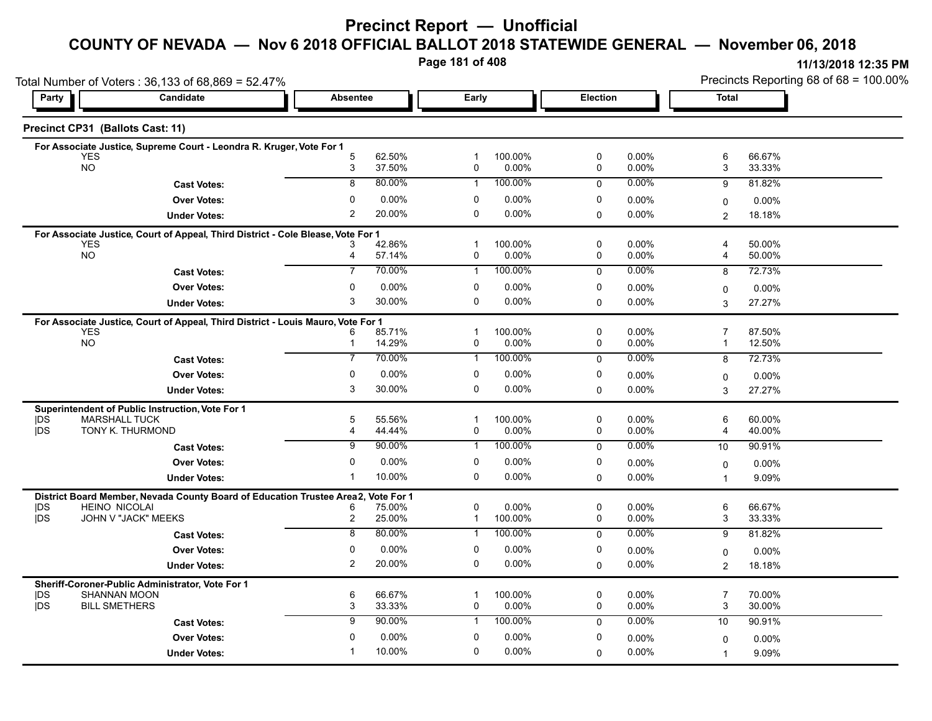# **Precinct Report — Unofficial**

#### **COUNTY OF NEVADA — Nov 6 2018 OFFICIAL BALLOT 2018 STATEWIDE GENERAL — November 06, 2018**

**Page 181 of 408**

|                    | Total Number of Voters: 36,133 of 68,869 = 52.47%                                              |                              |                  |                             |                     |             |                      | Precincts Reporting 68 of 68 = 100.00% |                    |  |
|--------------------|------------------------------------------------------------------------------------------------|------------------------------|------------------|-----------------------------|---------------------|-------------|----------------------|----------------------------------------|--------------------|--|
| Candidate<br>Party |                                                                                                | <b>Absentee</b>              |                  | Early                       |                     | Election    |                      | <b>Total</b>                           |                    |  |
|                    | Precinct CP31 (Ballots Cast: 11)                                                               |                              |                  |                             |                     |             |                      |                                        |                    |  |
|                    | For Associate Justice, Supreme Court - Leondra R. Kruger, Vote For 1                           |                              |                  |                             |                     |             |                      |                                        |                    |  |
|                    | <b>YES</b><br><b>NO</b>                                                                        | 5<br>3                       | 62.50%<br>37.50% | -1<br>0                     | 100.00%<br>0.00%    | 0<br>0      | 0.00%<br>0.00%       | 6<br>3                                 | 66.67%<br>33.33%   |  |
|                    | <b>Cast Votes:</b>                                                                             | 8                            | 80.00%           | $\mathbf{1}$                | 100.00%             | $\mathbf 0$ | 0.00%                | 9                                      | 81.82%             |  |
|                    | <b>Over Votes:</b>                                                                             | $\mathbf{0}$                 | 0.00%            | 0                           | 0.00%               | 0           | 0.00%                |                                        |                    |  |
|                    | <b>Under Votes:</b>                                                                            | $\overline{c}$               | 20.00%           | $\Omega$                    | 0.00%               | $\mathbf 0$ | 0.00%                | 0<br>$\overline{2}$                    | $0.00\%$<br>18.18% |  |
|                    |                                                                                                |                              |                  |                             |                     |             |                      |                                        |                    |  |
|                    | For Associate Justice, Court of Appeal, Third District - Cole Blease, Vote For 1<br><b>YES</b> | 3                            | 42.86%           | $\mathbf{1}$                | 100.00%             | 0           | $0.00\%$             | 4                                      | 50.00%             |  |
|                    | <b>NO</b>                                                                                      | 4                            | 57.14%           | 0                           | 0.00%               | 0           | 0.00%                | 4                                      | 50.00%             |  |
|                    | <b>Cast Votes:</b>                                                                             | $\overline{7}$               | 70.00%           | $\mathbf{1}$                | 100.00%             | $\mathbf 0$ | $0.00\%$             | 8                                      | 72.73%             |  |
|                    | <b>Over Votes:</b>                                                                             | $\Omega$                     | $0.00\%$         | 0                           | 0.00%               | 0           | $0.00\%$             | 0                                      | $0.00\%$           |  |
|                    | <b>Under Votes:</b>                                                                            | 3                            | 30.00%           | $\Omega$                    | 0.00%               | $\Omega$    | $0.00\%$             | 3                                      | 27.27%             |  |
|                    | For Associate Justice, Court of Appeal, Third District - Louis Mauro, Vote For 1               |                              |                  |                             |                     |             |                      |                                        |                    |  |
|                    | <b>YES</b>                                                                                     | 6                            | 85.71%           | $\mathbf{1}$                | 100.00%             | 0           | $0.00\%$             | $\overline{7}$                         | 87.50%             |  |
|                    | NO                                                                                             | $\mathbf{1}$                 | 14.29%           | 0                           | 0.00%               | 0           | 0.00%                | 1                                      | 12.50%             |  |
|                    | <b>Cast Votes:</b>                                                                             | 7                            | 70.00%           | $\mathbf{1}$                | 100.00%             | $\mathbf 0$ | $0.00\%$             | 8                                      | 72.73%             |  |
|                    | <b>Over Votes:</b>                                                                             | 0                            | $0.00\%$         | 0                           | 0.00%               | 0           | 0.00%                | 0                                      | 0.00%              |  |
|                    | <b>Under Votes:</b>                                                                            | 3                            | 30.00%           | 0                           | 0.00%               | 0           | $0.00\%$             | 3                                      | 27.27%             |  |
|                    | Superintendent of Public Instruction, Vote For 1                                               |                              |                  |                             |                     |             |                      |                                        |                    |  |
| DS                 | <b>MARSHALL TUCK</b>                                                                           | 5                            | 55.56%           | $\mathbf{1}$                | 100.00%             | 0           | 0.00%                | 6                                      | 60.00%             |  |
| <b>IDS</b>         | TONY K. THURMOND                                                                               | $\overline{4}$               | 44.44%           | 0                           | 0.00%               | 0           | 0.00%                | 4                                      | 40.00%             |  |
|                    | <b>Cast Votes:</b>                                                                             | 9                            | 90.00%           | 1                           | 100.00%             | $\mathbf 0$ | 0.00%                | 10                                     | 90.91%             |  |
|                    | <b>Over Votes:</b>                                                                             | 0                            | $0.00\%$         | 0                           | 0.00%               | 0           | $0.00\%$             | $\Omega$                               | $0.00\%$           |  |
|                    | <b>Under Votes:</b>                                                                            | -1                           | 10.00%           | 0                           | 0.00%               | $\Omega$    | 0.00%                | 1                                      | 9.09%              |  |
|                    | District Board Member, Nevada County Board of Education Trustee Area2,                         |                              | Vote For 1       |                             |                     |             |                      |                                        |                    |  |
| <b>IDS</b><br>jDS  | <b>HEINO NICOLAI</b><br>JOHN V "JACK" MEEKS                                                    | 6<br>$\overline{\mathbf{c}}$ | 75.00%<br>25.00% | $\mathbf 0$<br>$\mathbf{1}$ | $0.00\%$<br>100.00% | 0<br>0      | $0.00\%$<br>$0.00\%$ | 6<br>3                                 | 66.67%<br>33.33%   |  |
|                    | <b>Cast Votes:</b>                                                                             | $\overline{8}$               | 80.00%           | $\mathbf{1}$                | 100.00%             | $\mathbf 0$ | 0.00%                | 9                                      | 81.82%             |  |
|                    | <b>Over Votes:</b>                                                                             | $\mathbf 0$                  | 0.00%            | 0                           | 0.00%               | 0           | $0.00\%$             |                                        |                    |  |
|                    | <b>Under Votes:</b>                                                                            | 2                            | 20.00%           | 0                           | $0.00\%$            | $\mathbf 0$ | $0.00\%$             | 0<br>$\overline{c}$                    | $0.00\%$<br>18.18% |  |
|                    |                                                                                                |                              |                  |                             |                     |             |                      |                                        |                    |  |
| <b>IDS</b>         | Sheriff-Coroner-Public Administrator, Vote For 1<br><b>SHANNAN MOON</b>                        | 6                            | 66.67%           | -1                          | 100.00%             | $\mathbf 0$ | $0.00\%$             | $\overline{7}$                         | 70.00%             |  |
| <b>IDS</b>         | <b>BILL SMETHERS</b>                                                                           | 3                            | 33.33%           | 0                           | 0.00%               | $\mathbf 0$ | $0.00\%$             | 3                                      | 30.00%             |  |
|                    | <b>Cast Votes:</b>                                                                             | 9                            | 90.00%           | $\mathbf{1}$                | 100.00%             | $\mathbf 0$ | 0.00%                | 10                                     | 90.91%             |  |
|                    | <b>Over Votes:</b>                                                                             | $\mathbf{0}$                 | 0.00%            | 0                           | 0.00%               | 0           | $0.00\%$             | 0                                      | $0.00\%$           |  |
|                    | <b>Under Votes:</b>                                                                            | -1                           | 10.00%           | $\Omega$                    | 0.00%               | 0           | 0.00%                | $\overline{1}$                         | 9.09%              |  |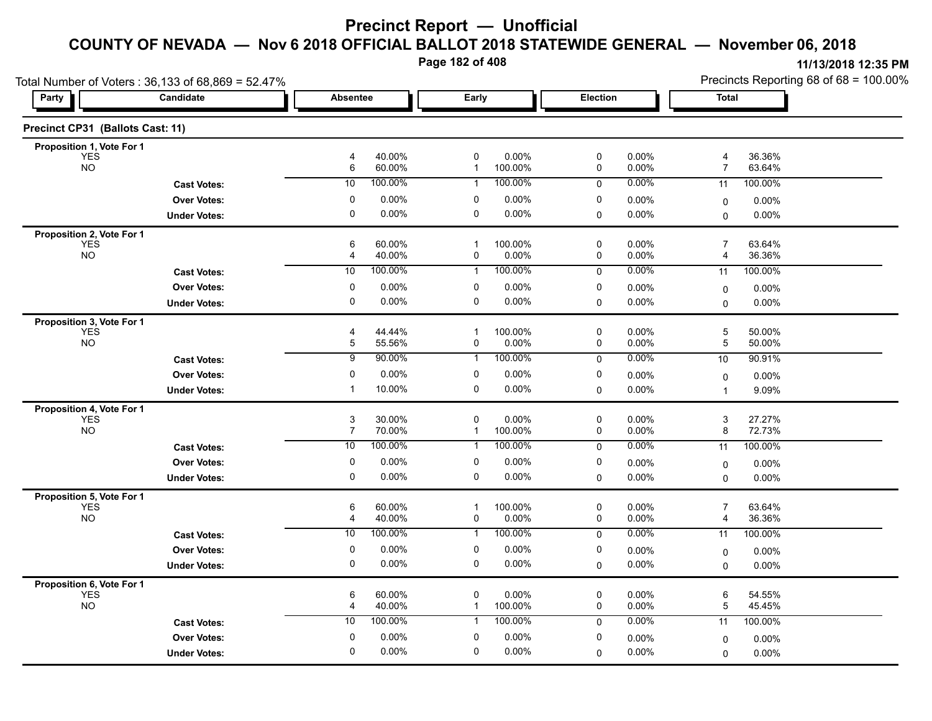**Page 182 of 408**

| Total Number of Voters: 36,133 of 68,869 = 52.47% |                     |                     |                  |                   |                  |                  | Precincts Reporting 68 of 68 = 100.00% |                     |                  |
|---------------------------------------------------|---------------------|---------------------|------------------|-------------------|------------------|------------------|----------------------------------------|---------------------|------------------|
| Party                                             | Candidate           | <b>Absentee</b>     |                  | Early             |                  | Election         |                                        | <b>Total</b>        |                  |
| Precinct CP31 (Ballots Cast: 11)                  |                     |                     |                  |                   |                  |                  |                                        |                     |                  |
| Proposition 1, Vote For 1                         |                     |                     |                  |                   |                  |                  |                                        |                     |                  |
| <b>YES</b><br><b>NO</b>                           |                     | 4<br>6              | 40.00%<br>60.00% | 0<br>$\mathbf{1}$ | 0.00%<br>100.00% | $\mathsf 0$<br>0 | 0.00%<br>0.00%                         | 4<br>$\overline{7}$ | 36.36%<br>63.64% |
|                                                   | <b>Cast Votes:</b>  | 10                  | 100.00%          | $\mathbf{1}$      | 100.00%          | $\mathbf 0$      | 0.00%                                  | $\overline{11}$     | 100.00%          |
|                                                   | <b>Over Votes:</b>  | 0                   | 0.00%            | 0                 | 0.00%            | 0                | 0.00%                                  | 0                   | $0.00\%$         |
|                                                   | <b>Under Votes:</b> | 0                   | 0.00%            | 0                 | 0.00%            | $\mathbf 0$      | 0.00%                                  | 0                   | $0.00\%$         |
| Proposition 2, Vote For 1                         |                     |                     |                  |                   |                  |                  |                                        |                     |                  |
| <b>YES</b><br><b>NO</b>                           |                     | 6<br>4              | 60.00%<br>40.00% | -1<br>0           | 100.00%<br>0.00% | 0<br>0           | 0.00%<br>0.00%                         | $\overline{7}$<br>4 | 63.64%<br>36.36% |
|                                                   | <b>Cast Votes:</b>  | 10                  | 100.00%          | $\overline{1}$    | 100.00%          | $\mathbf 0$      | $0.00\%$                               | 11                  | 100.00%          |
|                                                   | <b>Over Votes:</b>  | 0                   | 0.00%            | 0                 | 0.00%            | 0                | 0.00%                                  | $\mathbf 0$         | $0.00\%$         |
|                                                   | <b>Under Votes:</b> | $\mathbf 0$         | 0.00%            | 0                 | 0.00%            | $\mathbf 0$      | $0.00\%$                               | 0                   | $0.00\%$         |
| Proposition 3, Vote For 1                         |                     |                     |                  |                   |                  |                  |                                        |                     |                  |
| <b>YES</b>                                        |                     | 4                   | 44.44%           | $\mathbf 1$       | 100.00%          | 0                | $0.00\%$                               | 5                   | 50.00%           |
| <b>NO</b>                                         |                     | 5                   | 55.56%           | 0                 | 0.00%            | 0                | 0.00%                                  | 5                   | 50.00%           |
|                                                   | <b>Cast Votes:</b>  | $\overline{9}$      | 90.00%           | $\mathbf 1$       | 100.00%          | 0                | $0.00\%$                               | 10                  | 90.91%           |
|                                                   | <b>Over Votes:</b>  | $\mathbf 0$         | 0.00%            | 0                 | 0.00%            | 0                | 0.00%                                  | 0                   | $0.00\%$         |
|                                                   | <b>Under Votes:</b> | $\mathbf 1$         | 10.00%           | 0                 | 0.00%            | $\mathbf 0$      | 0.00%                                  | 1                   | 9.09%            |
| Proposition 4, Vote For 1                         |                     |                     |                  | $\Omega$          |                  |                  |                                        |                     |                  |
| <b>YES</b><br><b>NO</b>                           |                     | 3<br>$\overline{7}$ | 30.00%<br>70.00% | $\mathbf{1}$      | 0.00%<br>100.00% | $\mathbf 0$<br>0 | 0.00%<br>$0.00\%$                      | 3<br>8              | 27.27%<br>72.73% |
|                                                   | <b>Cast Votes:</b>  | 10                  | 100.00%          | 1                 | 100.00%          | $\mathbf 0$      | 0.00%                                  | 11                  | 100.00%          |
|                                                   | <b>Over Votes:</b>  | 0                   | 0.00%            | 0                 | 0.00%            | 0                | $0.00\%$                               | 0                   | $0.00\%$         |
|                                                   | <b>Under Votes:</b> | $\Omega$            | 0.00%            | 0                 | 0.00%            | 0                | 0.00%                                  | $\Omega$            | 0.00%            |
| Proposition 5, Vote For 1                         |                     |                     |                  |                   |                  |                  |                                        |                     |                  |
| <b>YES</b>                                        |                     | 6                   | 60.00%           | $\mathbf 1$       | 100.00%          | 0                | 0.00%                                  | $\overline{7}$      | 63.64%           |
| <b>NO</b>                                         |                     | 4                   | 40.00%           | 0                 | 0.00%            | 0                | 0.00%                                  | 4                   | 36.36%           |
|                                                   | <b>Cast Votes:</b>  | 10                  | 100.00%          | 1                 | 100.00%          | 0                | 0.00%                                  | 11                  | 100.00%          |
|                                                   | <b>Over Votes:</b>  | 0                   | 0.00%            | 0                 | 0.00%            | 0                | 0.00%                                  | 0                   | $0.00\%$         |
|                                                   | <b>Under Votes:</b> | $\mathbf 0$         | 0.00%            | 0                 | 0.00%            | 0                | 0.00%                                  | 0                   | $0.00\%$         |
| Proposition 6, Vote For 1                         |                     |                     |                  |                   |                  |                  |                                        |                     |                  |
| <b>YES</b><br><b>NO</b>                           |                     | 6<br>4              | 60.00%<br>40.00% | 0<br>$\mathbf{1}$ | 0.00%<br>100.00% | 0<br>0           | 0.00%<br>0.00%                         | 6<br>5              | 54.55%<br>45.45% |
|                                                   | <b>Cast Votes:</b>  | 10                  | 100.00%          | 1                 | 100.00%          | 0                | 0.00%                                  | 11                  | 100.00%          |
|                                                   | <b>Over Votes:</b>  | $\mathbf 0$         | 0.00%            | $\mathbf 0$       | 0.00%            | 0                | 0.00%                                  | 0                   | $0.00\%$         |
|                                                   | <b>Under Votes:</b> | 0                   | 0.00%            | 0                 | 0.00%            | 0                | 0.00%                                  | $\Omega$            | 0.00%            |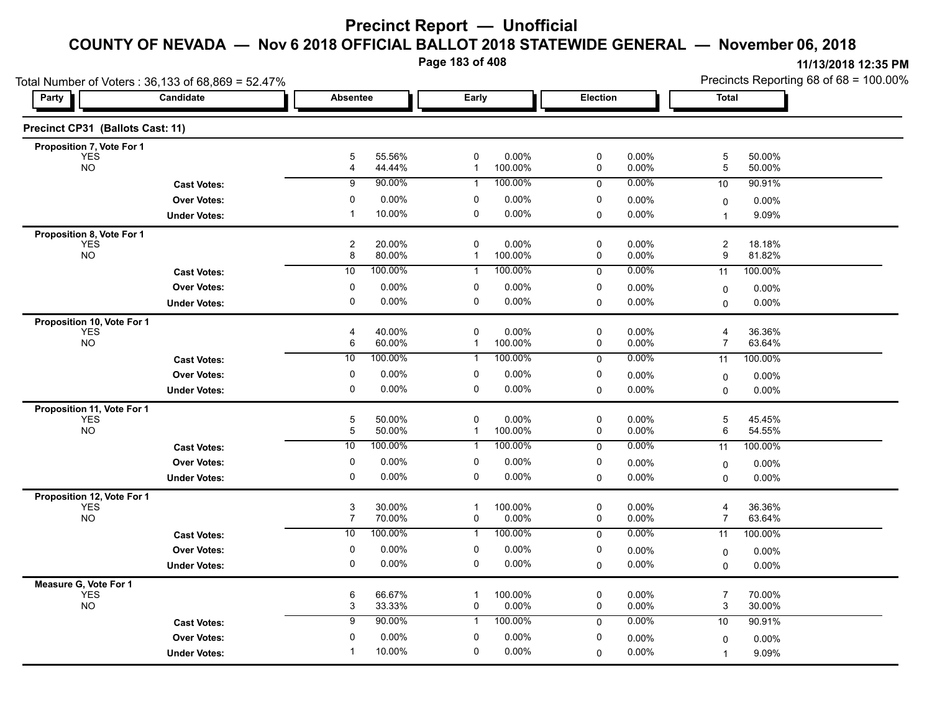**Page 183 of 408**

| Total Number of Voters: 36,133 of 68,869 = 52.47% |                     |                                             |                  |                   |                  |                |                      | Precincts Reporting 68 of 68 = 100.00% |                  |  |
|---------------------------------------------------|---------------------|---------------------------------------------|------------------|-------------------|------------------|----------------|----------------------|----------------------------------------|------------------|--|
| Party                                             | Candidate           |                                             | <b>Absentee</b>  |                   | Early            |                | Election             |                                        | <b>Total</b>     |  |
| Precinct CP31 (Ballots Cast: 11)                  |                     |                                             |                  |                   |                  |                |                      |                                        |                  |  |
| Proposition 7, Vote For 1                         |                     |                                             |                  |                   |                  |                |                      |                                        |                  |  |
| <b>YES</b><br><b>NO</b>                           |                     | 5<br>4                                      | 55.56%<br>44.44% | 0<br>$\mathbf{1}$ | 0.00%<br>100.00% | 0<br>0         | 0.00%<br>$0.00\%$    | 5<br>5                                 | 50.00%<br>50.00% |  |
|                                                   | <b>Cast Votes:</b>  | 9                                           | 90.00%           | $\mathbf{1}$      | 100.00%          | $\mathbf 0$    | 0.00%                | 10                                     | 90.91%           |  |
|                                                   | <b>Over Votes:</b>  | $\mathbf 0$                                 | 0.00%            | 0                 | 0.00%            | 0              | 0.00%                | 0                                      | $0.00\%$         |  |
|                                                   | <b>Under Votes:</b> | $\mathbf 1$                                 | 10.00%           | 0                 | 0.00%            | $\mathbf 0$    | $0.00\%$             | $\overline{1}$                         | 9.09%            |  |
| Proposition 8, Vote For 1                         |                     |                                             |                  |                   |                  |                |                      |                                        |                  |  |
| <b>YES</b><br>NO <sub>1</sub>                     |                     | $\overline{c}$                              | 20.00%           | 0                 | 0.00%            | 0              | $0.00\%$             | $\overline{c}$                         | 18.18%           |  |
|                                                   |                     | 8                                           | 80.00%           | 1                 | 100.00%          | 0              | 0.00%                | 9                                      | 81.82%           |  |
|                                                   | <b>Cast Votes:</b>  | 10                                          | 100.00%          | 1                 | 100.00%          | $\mathbf 0$    | 0.00%                | 11                                     | 100.00%          |  |
|                                                   | <b>Over Votes:</b>  | 0                                           | 0.00%            | 0                 | 0.00%            | 0              | $0.00\%$             | 0                                      | $0.00\%$         |  |
|                                                   | <b>Under Votes:</b> | 0                                           | 0.00%            | 0                 | 0.00%            | 0              | $0.00\%$             | $\Omega$                               | 0.00%            |  |
| Proposition 10, Vote For 1<br><b>YES</b>          |                     | 4                                           | 40.00%           | 0                 | 0.00%            | 0              | $0.00\%$             | 4                                      | 36.36%           |  |
| <b>NO</b>                                         |                     | 6                                           | 60.00%           | 1                 | 100.00%          | 0              | $0.00\%$             | $\overline{7}$                         | 63.64%           |  |
|                                                   | <b>Cast Votes:</b>  | 10                                          | 100.00%          | 1                 | 100.00%          | 0              | $0.00\%$             | 11                                     | 100.00%          |  |
|                                                   | <b>Over Votes:</b>  | $\mathbf 0$                                 | 0.00%            | 0                 | 0.00%            | 0              | $0.00\%$             | 0                                      | $0.00\%$         |  |
|                                                   | <b>Under Votes:</b> | 0                                           | 0.00%            | 0                 | 0.00%            | 0              | $0.00\%$             | $\Omega$                               | 0.00%            |  |
| Proposition 11, Vote For 1                        |                     |                                             |                  |                   |                  |                |                      |                                        |                  |  |
| <b>YES</b>                                        |                     | 5                                           | 50.00%           | 0                 | 0.00%            | 0              | 0.00%                | 5                                      | 45.45%           |  |
| <b>NO</b>                                         |                     | 5                                           | 50.00%           | $\mathbf{1}$      | 100.00%          | 0              | $0.00\%$             | 6                                      | 54.55%           |  |
|                                                   | <b>Cast Votes:</b>  | 10                                          | 100.00%          | 1                 | 100.00%          | 0              | $0.00\%$             | 11                                     | 100.00%          |  |
|                                                   | <b>Over Votes:</b>  | 0                                           | 0.00%            | 0                 | 0.00%            | 0              | $0.00\%$             | $\mathbf 0$                            | $0.00\%$         |  |
|                                                   | <b>Under Votes:</b> | 0                                           | 0.00%            | 0                 | 0.00%            | 0              | 0.00%                | 0                                      | 0.00%            |  |
| Proposition 12, Vote For 1                        |                     |                                             |                  |                   |                  |                |                      |                                        |                  |  |
| <b>YES</b><br><b>NO</b>                           |                     | $\ensuremath{\mathsf{3}}$<br>$\overline{7}$ | 30.00%<br>70.00% | $\mathbf{1}$<br>0 | 100.00%<br>0.00% | $\pmb{0}$<br>0 | 0.00%<br>$0.00\%$    | 4<br>$\overline{7}$                    | 36.36%<br>63.64% |  |
|                                                   | <b>Cast Votes:</b>  | 10                                          | 100.00%          | $\mathbf{1}$      | 100.00%          | 0              | 0.00%                | 11                                     | 100.00%          |  |
|                                                   | <b>Over Votes:</b>  | 0                                           | 0.00%            | 0                 | 0.00%            | 0              | $0.00\%$             | $\mathbf 0$                            | 0.00%            |  |
|                                                   | <b>Under Votes:</b> | 0                                           | 0.00%            | 0                 | 0.00%            | $\mathbf 0$    | $0.00\%$             | $\mathbf 0$                            | 0.00%            |  |
| Measure G, Vote For 1                             |                     |                                             |                  |                   |                  |                |                      |                                        |                  |  |
| <b>YES</b><br><b>NO</b>                           |                     | 6<br>3                                      | 66.67%<br>33.33% | $\mathbf 1$<br>0  | 100.00%<br>0.00% | 0<br>0         | $0.00\%$<br>$0.00\%$ | $\overline{7}$<br>3                    | 70.00%<br>30.00% |  |
|                                                   | <b>Cast Votes:</b>  | 9                                           | 90.00%           | $\mathbf{1}$      | 100.00%          | $\mathbf 0$    | $0.00\%$             | 10                                     | 90.91%           |  |
|                                                   | <b>Over Votes:</b>  | 0                                           | 0.00%            | 0                 | 0.00%            | 0              | $0.00\%$             | 0                                      | 0.00%            |  |
|                                                   | <b>Under Votes:</b> | -1                                          | 10.00%           | 0                 | 0.00%            | 0              | $0.00\%$             | $\overline{1}$                         | 9.09%            |  |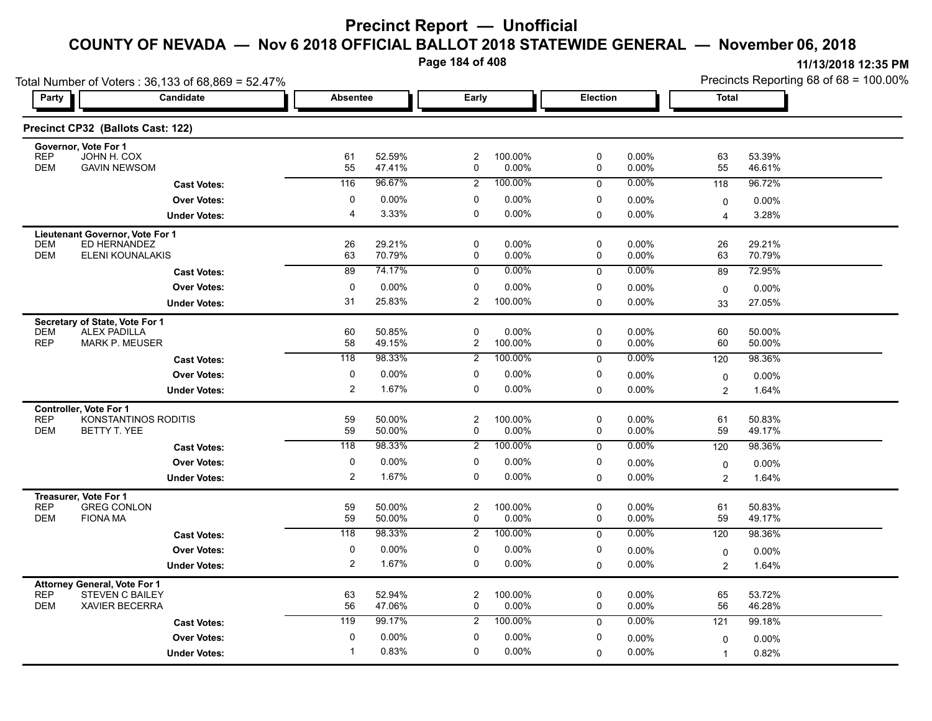**Page 184 of 408**

| Total Number of Voters: 36,133 of 68,869 = 52.47%                           |                      |                         |                  |                         |                   |                  |                   | Precincts Reporting 68 of 68 = 100.00% |                  |  |
|-----------------------------------------------------------------------------|----------------------|-------------------------|------------------|-------------------------|-------------------|------------------|-------------------|----------------------------------------|------------------|--|
| Party                                                                       | Candidate            | <b>Absentee</b>         |                  | Early                   |                   | Election         |                   | Total                                  |                  |  |
| Precinct CP32 (Ballots Cast: 122)                                           |                      |                         |                  |                         |                   |                  |                   |                                        |                  |  |
| Governor, Vote For 1<br><b>REP</b><br>JOHN H. COX                           |                      | 61                      | 52.59%           | $\overline{c}$          | 100.00%           | 0                | $0.00\%$          | 63                                     | 53.39%           |  |
| <b>DEM</b><br><b>GAVIN NEWSOM</b>                                           |                      | 55                      | 47.41%           | 0                       | 0.00%             | 0                | 0.00%             | 55                                     | 46.61%           |  |
|                                                                             | <b>Cast Votes:</b>   | 116                     | 96.67%           | $\overline{2}$          | 100.00%           | $\mathbf 0$      | 0.00%             | 118                                    | 96.72%           |  |
|                                                                             | <b>Over Votes:</b>   | 0                       | $0.00\%$         | 0                       | 0.00%             | 0                | 0.00%             | 0                                      | 0.00%            |  |
|                                                                             | <b>Under Votes:</b>  | $\overline{4}$          | 3.33%            | 0                       | 0.00%             | 0                | 0.00%             | 4                                      | 3.28%            |  |
| Lieutenant Governor, Vote For 1                                             |                      |                         |                  |                         |                   |                  |                   |                                        |                  |  |
| ED HERNANDEZ<br><b>DEM</b><br><b>DEM</b>                                    |                      | 26                      | 29.21%           | $\mathbf 0$             | 0.00%             | $\mathbf 0$      | 0.00%             | 26                                     | 29.21%           |  |
| ELENI KOUNALAKIS                                                            |                      | 63<br>89                | 70.79%<br>74.17% | 0<br>$\mathbf 0$        | 0.00%<br>$0.00\%$ | 0                | 0.00%<br>0.00%    | 63                                     | 70.79%           |  |
|                                                                             | <b>Cast Votes:</b>   |                         |                  |                         |                   | $\mathbf 0$      |                   | 89                                     | 72.95%           |  |
|                                                                             | <b>Over Votes:</b>   | 0<br>31                 | $0.00\%$         | 0                       | 0.00%             | 0                | 0.00%             | $\mathbf 0$                            | $0.00\%$         |  |
|                                                                             | <b>Under Votes:</b>  |                         | 25.83%           | 2                       | 100.00%           | 0                | 0.00%             | 33                                     | 27.05%           |  |
| Secretary of State, Vote For 1<br><b>DEM</b><br><b>ALEX PADILLA</b>         |                      | 60                      | 50.85%           | $\mathbf 0$             | 0.00%             | 0                | 0.00%             | 60                                     | 50.00%           |  |
| <b>REP</b><br><b>MARK P. MEUSER</b>                                         |                      | 58                      | 49.15%           | 2                       | 100.00%           | 0                | 0.00%             | 60                                     | 50.00%           |  |
|                                                                             | <b>Cast Votes:</b>   | $\overline{118}$        | 98.33%           | $\overline{2}$          | 100.00%           | $\mathbf 0$      | $0.00\%$          | 120                                    | 98.36%           |  |
|                                                                             | <b>Over Votes:</b>   | 0                       | 0.00%            | 0                       | 0.00%             | 0                | 0.00%             | 0                                      | 0.00%            |  |
|                                                                             | <b>Under Votes:</b>  | $\overline{\mathbf{c}}$ | 1.67%            | 0                       | 0.00%             | 0                | 0.00%             | $\overline{c}$                         | 1.64%            |  |
| Controller, Vote For 1                                                      |                      |                         |                  |                         |                   |                  |                   |                                        |                  |  |
| <b>REP</b>                                                                  | KONSTANTINOS RODITIS | 59                      | 50.00%           | $\overline{c}$          | 100.00%           | 0                | $0.00\%$          | 61                                     | 50.83%           |  |
| <b>DEM</b><br>BETTY T. YEE                                                  |                      | 59                      | 50.00%           | 0                       | 0.00%             | $\mathbf 0$      | $0.00\%$          | 59                                     | 49.17%           |  |
|                                                                             | <b>Cast Votes:</b>   | 118                     | 98.33%           | $\overline{2}$          | 100.00%           | $\mathbf{0}$     | 0.00%             | 120                                    | 98.36%           |  |
|                                                                             | <b>Over Votes:</b>   | 0                       | 0.00%            | 0                       | 0.00%             | 0                | $0.00\%$          | 0                                      | $0.00\%$         |  |
|                                                                             | <b>Under Votes:</b>  | 2                       | 1.67%            | 0                       | 0.00%             | $\mathbf 0$      | 0.00%             | $\overline{c}$                         | 1.64%            |  |
| Treasurer, Vote For 1                                                       |                      |                         |                  |                         |                   |                  |                   |                                        |                  |  |
| <b>REP</b><br><b>GREG CONLON</b><br><b>DEM</b><br><b>FIONA MA</b>           |                      | 59<br>59                | 50.00%<br>50.00% | $\overline{c}$<br>0     | 100.00%<br>0.00%  | 0<br>$\mathbf 0$ | $0.00\%$<br>0.00% | 61<br>59                               | 50.83%<br>49.17% |  |
|                                                                             | <b>Cast Votes:</b>   | $\overline{118}$        | 98.33%           | $\overline{2}$          | 100.00%           | $\mathbf 0$      | 0.00%             | 120                                    | 98.36%           |  |
|                                                                             | <b>Over Votes:</b>   | 0                       | 0.00%            | 0                       | 0.00%             | 0                | $0.00\%$          |                                        | $0.00\%$         |  |
|                                                                             | <b>Under Votes:</b>  | 2                       | 1.67%            | 0                       | 0.00%             | $\mathbf 0$      | $0.00\%$          | 0<br>$\overline{c}$                    | 1.64%            |  |
|                                                                             |                      |                         |                  |                         |                   |                  |                   |                                        |                  |  |
| <b>Attorney General, Vote For 1</b><br><b>REP</b><br><b>STEVEN C BAILEY</b> |                      | 63                      | 52.94%           | $\overline{\mathbf{c}}$ | 100.00%           | 0                | 0.00%             | 65                                     | 53.72%           |  |
| <b>DEM</b><br><b>XAVIER BECERRA</b>                                         |                      | 56                      | 47.06%           | 0                       | 0.00%             | $\mathbf 0$      | 0.00%             | 56                                     | 46.28%           |  |
|                                                                             | <b>Cast Votes:</b>   | 119                     | 99.17%           | $\overline{2}$          | 100.00%           | $\mathbf{0}$     | 0.00%             | 121                                    | 99.18%           |  |
|                                                                             | <b>Over Votes:</b>   | $\mathbf 0$             | 0.00%            | 0                       | 0.00%             | 0                | 0.00%             | 0                                      | $0.00\%$         |  |
|                                                                             | <b>Under Votes:</b>  | -1                      | 0.83%            | $\Omega$                | 0.00%             | 0                | 0.00%             | $\overline{1}$                         | 0.82%            |  |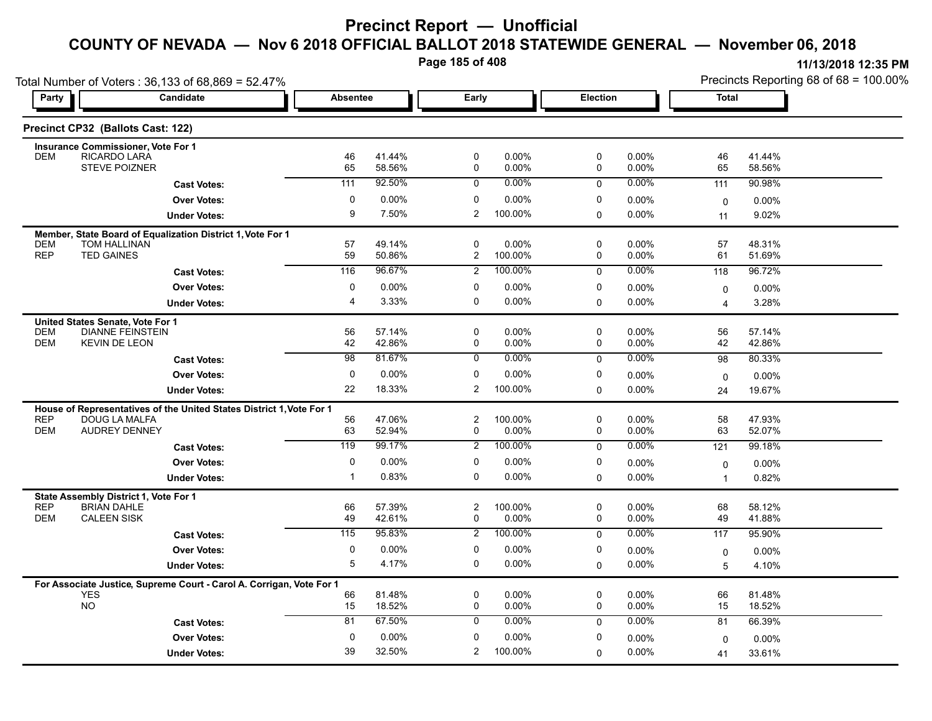**Page 185 of 408**

|                                                                      | Total Number of Voters: 36,133 of 68,869 = 52.47%                    |                 |                  |                     |                  |                 |                | Precincts Reporting 68 of 68 = 100.00% |                  |  |
|----------------------------------------------------------------------|----------------------------------------------------------------------|-----------------|------------------|---------------------|------------------|-----------------|----------------|----------------------------------------|------------------|--|
| Party                                                                | Candidate                                                            | <b>Absentee</b> |                  | Early               |                  | <b>Election</b> |                | <b>Total</b>                           |                  |  |
| Precinct CP32 (Ballots Cast: 122)                                    |                                                                      |                 |                  |                     |                  |                 |                |                                        |                  |  |
| Insurance Commissioner, Vote For 1<br>RICARDO LARA<br><b>DEM</b>     |                                                                      | 46              | 41.44%           | 0                   | 0.00%            | 0               | 0.00%          | 46                                     | 41.44%           |  |
| <b>STEVE POIZNER</b>                                                 |                                                                      | 65              | 58.56%           | 0                   | 0.00%            | 0               | 0.00%          | 65                                     | 58.56%           |  |
|                                                                      | <b>Cast Votes:</b>                                                   | 111             | 92.50%           | 0                   | $0.00\%$         | 0               | 0.00%          | 111                                    | 90.98%           |  |
|                                                                      | <b>Over Votes:</b>                                                   | 0               | 0.00%            | 0                   | 0.00%            | 0               | 0.00%          | $\mathbf 0$                            | 0.00%            |  |
|                                                                      | <b>Under Votes:</b>                                                  | 9               | 7.50%            | $\overline{2}$      | 100.00%          | $\Omega$        | 0.00%          | 11                                     | 9.02%            |  |
| <b>DEM</b><br><b>TOM HALLINAN</b>                                    | Member, State Board of Equalization District 1, Vote For 1           | 57              | 49.14%           | $\mathbf 0$         | 0.00%            | 0               | $0.00\%$       | 57                                     | 48.31%           |  |
| <b>REP</b><br><b>TED GAINES</b>                                      |                                                                      | 59              | 50.86%           | $\overline{2}$      | 100.00%          | 0               | 0.00%          | 61                                     | 51.69%           |  |
|                                                                      | <b>Cast Votes:</b>                                                   | 116             | 96.67%           | $\overline{2}$      | 100.00%          | $\mathbf 0$     | 0.00%          | 118                                    | 96.72%           |  |
|                                                                      | <b>Over Votes:</b>                                                   | 0               | 0.00%            | 0                   | 0.00%            | 0               | 0.00%          | $\mathbf 0$                            | 0.00%            |  |
|                                                                      | <b>Under Votes:</b>                                                  | 4               | 3.33%            | $\mathbf 0$         | 0.00%            | $\Omega$        | 0.00%          | $\overline{4}$                         | 3.28%            |  |
| United States Senate, Vote For 1                                     |                                                                      |                 |                  |                     |                  |                 |                |                                        |                  |  |
| <b>DEM</b>                                                           | <b>DIANNE FEINSTEIN</b>                                              | 56              | 57.14%           | 0                   | $0.00\%$         | 0               | 0.00%          | 56                                     | 57.14%           |  |
| <b>DEM</b><br><b>KEVIN DE LEON</b>                                   |                                                                      | 42              | 42.86%           | 0                   | 0.00%            | 0               | 0.00%          | 42                                     | 42.86%           |  |
|                                                                      | <b>Cast Votes:</b>                                                   | $\overline{98}$ | 81.67%           | 0                   | $0.00\%$         | $\mathbf 0$     | 0.00%          | 98                                     | 80.33%           |  |
|                                                                      | <b>Over Votes:</b>                                                   | 0               | 0.00%            | 0                   | 0.00%            | 0               | 0.00%          | $\mathbf 0$                            | 0.00%            |  |
|                                                                      | <b>Under Votes:</b>                                                  | 22              | 18.33%           | $\overline{2}$      | 100.00%          | 0               | 0.00%          | 24                                     | 19.67%           |  |
|                                                                      | House of Representatives of the United States District 1, Vote For 1 |                 |                  |                     |                  |                 |                |                                        |                  |  |
| <b>REP</b><br>DOUG LA MALFA<br><b>DEM</b><br><b>AUDREY DENNEY</b>    |                                                                      | 56<br>63        | 47.06%<br>52.94% | $\overline{2}$<br>0 | 100.00%<br>0.00% | 0<br>0          | 0.00%<br>0.00% | 58<br>63                               | 47.93%<br>52.07% |  |
|                                                                      |                                                                      | 119             | 99.17%           |                     | 100.00%          |                 | 0.00%          |                                        |                  |  |
|                                                                      | <b>Cast Votes:</b>                                                   |                 |                  | 2                   |                  | 0               |                | 121                                    | 99.18%           |  |
|                                                                      | <b>Over Votes:</b>                                                   | 0               | 0.00%            | 0                   | $0.00\%$         | 0               | 0.00%          | 0                                      | 0.00%            |  |
|                                                                      | <b>Under Votes:</b>                                                  | -1              | 0.83%            | $\mathbf 0$         | 0.00%            | 0               | 0.00%          | $\mathbf{1}$                           | 0.82%            |  |
| State Assembly District 1, Vote For 1                                |                                                                      |                 |                  |                     |                  |                 |                |                                        |                  |  |
| <b>REP</b><br><b>BRIAN DAHLE</b><br><b>DEM</b><br><b>CALEEN SISK</b> |                                                                      | 66<br>49        | 57.39%<br>42.61% | $\overline{2}$<br>0 | 100.00%<br>0.00% | 0<br>0          | 0.00%<br>0.00% | 68<br>49                               | 58.12%<br>41.88% |  |
|                                                                      | <b>Cast Votes:</b>                                                   | 115             | 95.83%           | $\overline{2}$      | 100.00%          | 0               | 0.00%          | 117                                    | 95.90%           |  |
|                                                                      | <b>Over Votes:</b>                                                   | 0               | 0.00%            | 0                   | 0.00%            | 0               | 0.00%          | $\mathbf 0$                            | 0.00%            |  |
|                                                                      | <b>Under Votes:</b>                                                  | $\overline{5}$  | 4.17%            | 0                   | 0.00%            | 0               | 0.00%          | 5                                      | 4.10%            |  |
|                                                                      |                                                                      |                 |                  |                     |                  |                 |                |                                        |                  |  |
| <b>YES</b>                                                           | For Associate Justice, Supreme Court - Carol A. Corrigan, Vote For 1 | 66              | 81.48%           | $\mathbf 0$         | 0.00%            | 0               | $0.00\%$       | 66                                     | 81.48%           |  |
| <b>NO</b>                                                            |                                                                      | 15              | 18.52%           | $\mathbf 0$         | 0.00%            | 0               | 0.00%          | 15                                     | 18.52%           |  |
|                                                                      | <b>Cast Votes:</b>                                                   | 81              | 67.50%           | $\mathbf 0$         | $0.00\%$         | 0               | 0.00%          | 81                                     | 66.39%           |  |
|                                                                      | <b>Over Votes:</b>                                                   | 0               | 0.00%            | $\mathbf 0$         | 0.00%            | 0               | 0.00%          | $\Omega$                               | 0.00%            |  |
|                                                                      | <b>Under Votes:</b>                                                  | 39              | 32.50%           | $\overline{2}$      | 100.00%          | $\Omega$        | 0.00%          | 41                                     | 33.61%           |  |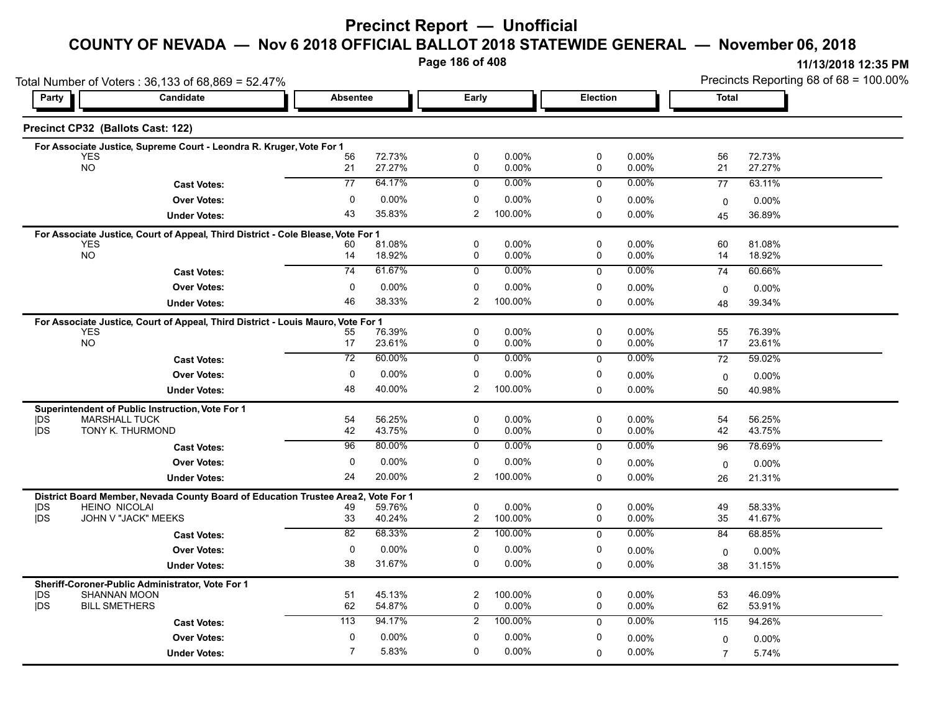# **Precinct Report — Unofficial**

#### **COUNTY OF NEVADA — Nov 6 2018 OFFICIAL BALLOT 2018 STATEWIDE GENERAL — November 06, 2018**

**Page 186 of 408**

|                  | Total Number of Voters: 36,133 of 68,869 = 52.47%                                              |                 |                  |                               |                      |                 |                   |                | Precincts Reporting 68 of 68 = 100.00% |  |  |
|------------------|------------------------------------------------------------------------------------------------|-----------------|------------------|-------------------------------|----------------------|-----------------|-------------------|----------------|----------------------------------------|--|--|
| Party            | Candidate                                                                                      | <b>Absentee</b> |                  | Early                         |                      | <b>Election</b> |                   | <b>Total</b>   |                                        |  |  |
|                  | Precinct CP32 (Ballots Cast: 122)                                                              |                 |                  |                               |                      |                 |                   |                |                                        |  |  |
|                  | For Associate Justice, Supreme Court - Leondra R. Kruger, Vote For 1                           |                 |                  |                               |                      |                 |                   |                |                                        |  |  |
|                  | <b>YES</b><br><b>NO</b>                                                                        | 56<br>21        | 72.73%<br>27.27% | 0<br>0                        | 0.00%<br>0.00%       | 0<br>0          | 0.00%<br>0.00%    | 56<br>21       | 72.73%<br>27.27%                       |  |  |
|                  | <b>Cast Votes:</b>                                                                             | $\overline{77}$ | 64.17%           | $\mathbf 0$                   | 0.00%                | $\Omega$        | 0.00%             | 77             | 63.11%                                 |  |  |
|                  | <b>Over Votes:</b>                                                                             | 0               | 0.00%            | 0                             | 0.00%                | 0               | $0.00\%$          |                | 0.00%                                  |  |  |
|                  | <b>Under Votes:</b>                                                                            | 43              | 35.83%           | $\overline{2}$                | 100.00%              | 0               | $0.00\%$          | 0<br>45        | 36.89%                                 |  |  |
|                  |                                                                                                |                 |                  |                               |                      |                 |                   |                |                                        |  |  |
|                  | For Associate Justice, Court of Appeal, Third District - Cole Blease, Vote For 1<br><b>YES</b> | 60              | 81.08%           | 0                             | 0.00%                | 0               | $0.00\%$          | 60             | 81.08%                                 |  |  |
|                  | <b>NO</b>                                                                                      | 14              | 18.92%           | 0                             | 0.00%                | 0               | 0.00%             | 14             | 18.92%                                 |  |  |
|                  | <b>Cast Votes:</b>                                                                             | $\overline{74}$ | 61.67%           | $\mathbf 0$                   | $0.00\%$             | $\mathbf 0$     | 0.00%             | 74             | 60.66%                                 |  |  |
|                  | <b>Over Votes:</b>                                                                             | $\mathbf 0$     | 0.00%            | 0                             | $0.00\%$             | 0               | 0.00%             | $\mathbf 0$    | $0.00\%$                               |  |  |
|                  | <b>Under Votes:</b>                                                                            | 46              | 38.33%           | $\overline{2}$                | 100.00%              | $\Omega$        | 0.00%             | 48             | 39.34%                                 |  |  |
|                  | For Associate Justice, Court of Appeal, Third District - Louis Mauro, Vote For 1               |                 |                  |                               |                      |                 |                   |                |                                        |  |  |
|                  | <b>YES</b>                                                                                     | 55              | 76.39%           | $\mathbf 0$                   | $0.00\%$             | 0               | $0.00\%$          | 55             | 76.39%                                 |  |  |
|                  | <b>NO</b>                                                                                      | 17              | 23.61%           | 0                             | 0.00%                | 0               | 0.00%             | 17             | 23.61%                                 |  |  |
|                  | <b>Cast Votes:</b>                                                                             | 72              | 60.00%           | 0                             | $0.00\%$             | 0               | 0.00%             | 72             | 59.02%                                 |  |  |
|                  | <b>Over Votes:</b>                                                                             | 0               | 0.00%            | 0                             | 0.00%                | 0               | $0.00\%$          | $\mathbf 0$    | 0.00%                                  |  |  |
|                  | <b>Under Votes:</b>                                                                            | 48              | 40.00%           | $\overline{2}$                | 100.00%              | 0               | 0.00%             | 50             | 40.98%                                 |  |  |
|                  | Superintendent of Public Instruction, Vote For 1                                               |                 |                  |                               |                      |                 |                   |                |                                        |  |  |
| DŚ<br><b>IDS</b> | <b>MARSHALL TUCK</b><br>TONY K. THURMOND                                                       | 54<br>42        | 56.25%<br>43.75% | $\mathbf 0$<br>0              | $0.00\%$<br>$0.00\%$ | 0<br>0          | $0.00\%$<br>0.00% | 54<br>42       | 56.25%<br>43.75%                       |  |  |
|                  | <b>Cast Votes:</b>                                                                             | 96              | 80.00%           | 0                             | 0.00%                | $\mathbf 0$     | 0.00%             | 96             | 78.69%                                 |  |  |
|                  | <b>Over Votes:</b>                                                                             | 0               | 0.00%            | 0                             | $0.00\%$             | 0               | 0.00%             | $\mathbf 0$    | $0.00\%$                               |  |  |
|                  | <b>Under Votes:</b>                                                                            | 24              | 20.00%           | $\overline{2}$                | 100.00%              | 0               | 0.00%             | 26             | 21.31%                                 |  |  |
|                  | District Board Member, Nevada County Board of Education Trustee Area2,                         |                 | Vote For 1       |                               |                      |                 |                   |                |                                        |  |  |
| <b>IDS</b>       | <b>HEINO NICOLAI</b>                                                                           | 49              | 59.76%           | 0                             | 0.00%                | 0               | 0.00%             | 49             | 58.33%                                 |  |  |
| <b>jDS</b>       | JOHN V "JACK" MEEKS                                                                            | 33              | 40.24%           | $\overline{2}$                | 100.00%              | 0               | 0.00%             | 35             | 41.67%                                 |  |  |
|                  | <b>Cast Votes:</b>                                                                             | 82              | 68.33%           | $\overline{2}$                | 100.00%              | 0               | 0.00%             | 84             | 68.85%                                 |  |  |
|                  | <b>Over Votes:</b>                                                                             | $\mathbf 0$     | 0.00%            | $\mathbf 0$                   | 0.00%                | 0               | 0.00%             | $\mathbf 0$    | $0.00\%$                               |  |  |
|                  | <b>Under Votes:</b>                                                                            | 38              | 31.67%           | 0                             | $0.00\%$             | 0               | 0.00%             | 38             | 31.15%                                 |  |  |
|                  | Sheriff-Coroner-Public Administrator, Vote For 1                                               |                 |                  |                               |                      |                 |                   |                |                                        |  |  |
| DS<br><b>jDS</b> | <b>SHANNAN MOON</b>                                                                            | 51              | 45.13%           | $\overline{c}$<br>$\mathbf 0$ | 100.00%              | 0<br>0          | 0.00%             | 53             | 46.09%                                 |  |  |
|                  | <b>BILL SMETHERS</b>                                                                           | 62              | 54.87%           |                               | 0.00%                |                 | 0.00%             | 62             | 53.91%                                 |  |  |
|                  | <b>Cast Votes:</b>                                                                             | 113             | 94.17%           | $\overline{2}$                | 100.00%              | $\mathbf 0$     | 0.00%             | 115            | 94.26%                                 |  |  |
|                  | <b>Over Votes:</b>                                                                             | $\mathbf 0$     | 0.00%            | $\mathbf 0$                   | 0.00%                | 0               | 0.00%             | $\mathbf 0$    | $0.00\%$                               |  |  |
|                  | <b>Under Votes:</b>                                                                            | $\overline{7}$  | 5.83%            | $\mathbf 0$                   | $0.00\%$             | $\Omega$        | 0.00%             | $\overline{7}$ | 5.74%                                  |  |  |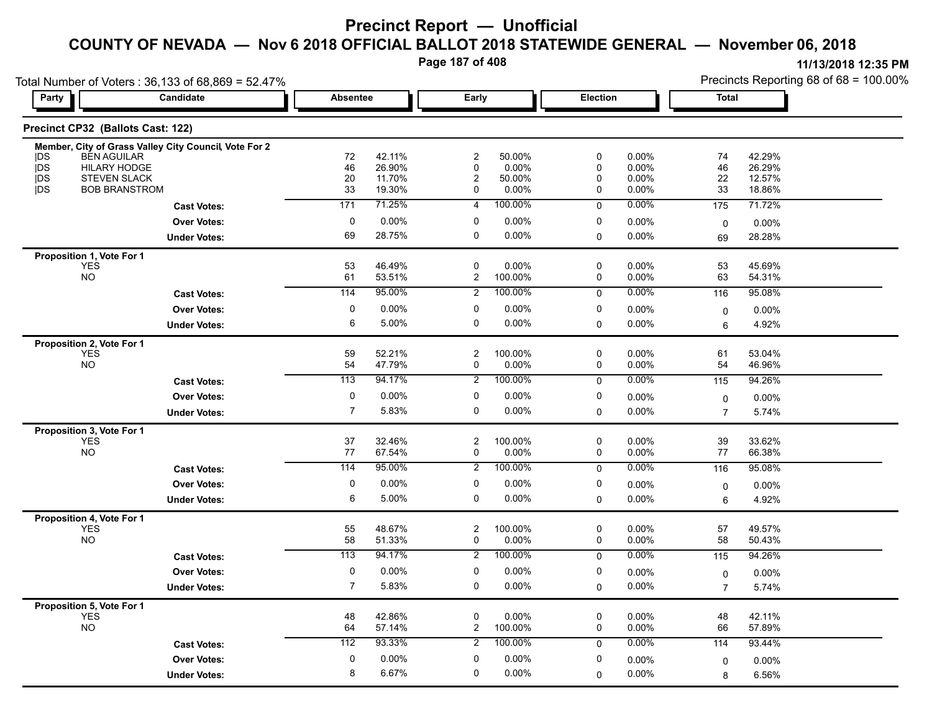**Page 187 of 408**

|                                                                | Total Number of Voters: 36,133 of 68,869 = 52.47%<br>Candidate | <b>Absentee</b> |                  | Early                        |                  | Election                    |                   | <b>Total</b>                | Precincts Reporting 68 of 68 = 100.00% |
|----------------------------------------------------------------|----------------------------------------------------------------|-----------------|------------------|------------------------------|------------------|-----------------------------|-------------------|-----------------------------|----------------------------------------|
| Party                                                          |                                                                |                 |                  |                              |                  |                             |                   |                             |                                        |
| Precinct CP32 (Ballots Cast: 122)                              |                                                                |                 |                  |                              |                  |                             |                   |                             |                                        |
|                                                                | Member, City of Grass Valley City Council, Vote For 2          |                 |                  |                              |                  |                             |                   |                             |                                        |
| <b>IDS</b><br><b>BEN AGUILAR</b><br>jDS<br><b>HILARY HODGE</b> |                                                                | 72<br>46        | 42.11%<br>26.90% | $\overline{c}$<br>0          | 50.00%<br>0.00%  | $\mathbf 0$<br>$\mathbf{0}$ | 0.00%<br>0.00%    | 74<br>46                    | 42.29%<br>26.29%                       |
| <b>IDS</b><br><b>STEVEN SLACK</b>                              |                                                                | 20              | 11.70%           | 2                            | 50.00%           | $\mathbf 0$                 | $0.00\%$          | 22                          | 12.57%                                 |
| <b>IDS</b>                                                     | <b>BOB BRANSTROM</b>                                           | 33              | 19.30%           | 0                            | 0.00%            | 0                           | 0.00%             | 33                          | 18.86%                                 |
|                                                                | <b>Cast Votes:</b>                                             | 171             | 71.25%           | $\overline{4}$               | 100.00%          | $\mathbf 0$                 | 0.00%             | 175                         | 71.72%                                 |
|                                                                | <b>Over Votes:</b>                                             | $\mathbf 0$     | 0.00%            | 0                            | 0.00%            | $\mathbf 0$                 | 0.00%             | $\mathbf 0$                 | 0.00%                                  |
|                                                                | <b>Under Votes:</b>                                            | 69              | 28.75%           | 0                            | 0.00%            | $\mathbf 0$                 | 0.00%             | 69                          | 28.28%                                 |
| Proposition 1, Vote For 1                                      |                                                                |                 |                  |                              |                  |                             |                   |                             |                                        |
| <b>YES</b>                                                     |                                                                | 53              | 46.49%           | 0                            | 0.00%            | $\pmb{0}$                   | 0.00%             | 53                          | 45.69%                                 |
| <b>NO</b>                                                      |                                                                | 61              | 53.51%           | $\overline{a}$               | 100.00%          | $\mathbf 0$                 | $0.00\%$          | 63                          | 54.31%                                 |
|                                                                | <b>Cast Votes:</b>                                             | 114             | 95.00%           | $\overline{2}$               | 100.00%          | $\mathbf 0$                 | 0.00%             | 116                         | 95.08%                                 |
|                                                                | <b>Over Votes:</b>                                             | 0               | 0.00%            | $\mathbf 0$                  | 0.00%            | $\mathbf 0$                 | 0.00%             | 0                           | $0.00\%$                               |
|                                                                | <b>Under Votes:</b>                                            | 6               | 5.00%            | 0                            | 0.00%            | $\mathbf 0$                 | 0.00%             | 6                           | 4.92%                                  |
| Proposition 2, Vote For 1                                      |                                                                |                 |                  |                              |                  |                             |                   |                             |                                        |
| <b>YES</b><br><b>NO</b>                                        |                                                                | 59<br>54        | 52.21%<br>47.79% | $\overline{\mathbf{c}}$<br>0 | 100.00%<br>0.00% | $\pmb{0}$<br>$\pmb{0}$      | $0.00\%$<br>0.00% | 61<br>54                    | 53.04%<br>46.96%                       |
|                                                                | <b>Cast Votes:</b>                                             | 113             | 94.17%           | $\overline{\mathbf{c}}$      | 100.00%          | 0                           | 0.00%             | 115                         | 94.26%                                 |
|                                                                | <b>Over Votes:</b>                                             | $\mathbf 0$     | 0.00%            | 0                            | 0.00%            | 0                           | 0.00%             |                             |                                        |
|                                                                | <b>Under Votes:</b>                                            | $\overline{7}$  | 5.83%            | 0                            | 0.00%            | $\mathbf 0$                 | 0.00%             | $\pmb{0}$<br>$\overline{7}$ | 0.00%<br>5.74%                         |
|                                                                |                                                                |                 |                  |                              |                  |                             |                   |                             |                                        |
| Proposition 3, Vote For 1<br><b>YES</b>                        |                                                                | 37              | 32.46%           | $\overline{\mathbf{c}}$      | 100.00%          | $\pmb{0}$                   | 0.00%             | 39                          | 33.62%                                 |
| <b>NO</b>                                                      |                                                                | 77              | 67.54%           | 0                            | 0.00%            | 0                           | 0.00%             | 77                          | 66.38%                                 |
|                                                                | <b>Cast Votes:</b>                                             | 114             | 95.00%           | $\overline{2}$               | 100.00%          | $\mathbf 0$                 | 0.00%             | 116                         | 95.08%                                 |
|                                                                | <b>Over Votes:</b>                                             | 0               | 0.00%            | 0                            | 0.00%            | $\pmb{0}$                   | $0.00\%$          | 0                           | 0.00%                                  |
|                                                                | <b>Under Votes:</b>                                            | 6               | 5.00%            | 0                            | 0.00%            | $\mathbf 0$                 | 0.00%             | 6                           | 4.92%                                  |
| Proposition 4, Vote For 1                                      |                                                                |                 |                  |                              |                  |                             |                   |                             |                                        |
| YES                                                            |                                                                | 55              | 48.67%           | $\overline{\mathbf{c}}$      | 100.00%          | $\mathbf 0$                 | 0.00%             | 57                          | 49.57%                                 |
| <b>NO</b>                                                      |                                                                | 58              | 51.33%           | 0                            | 0.00%            | 0                           | 0.00%             | 58                          | 50.43%                                 |
|                                                                | <b>Cast Votes:</b>                                             | 113             | 94.17%           | $\overline{2}$               | 100.00%          | $\mathbf 0$                 | 0.00%             | 115                         | 94.26%                                 |
|                                                                | Over Votes:                                                    | 0               | 0.00%            | 0                            | 0.00%            | 0                           | 0.00%             | $\mathbf 0$                 | $0.00\%$                               |
|                                                                | <b>Under Votes:</b>                                            | $\overline{7}$  | 5.83%            | 0                            | 0.00%            | $\Omega$                    | 0.00%             | $\overline{7}$              | 5.74%                                  |
| Proposition 5, Vote For 1                                      |                                                                |                 |                  |                              |                  |                             |                   |                             |                                        |
| <b>YES</b><br><b>NO</b>                                        |                                                                | 48<br>64        | 42.86%<br>57.14% | 0<br>$\overline{c}$          | 0.00%<br>100.00% | $\mathbf 0$<br>0            | 0.00%<br>0.00%    | 48<br>66                    | 42.11%<br>57.89%                       |
|                                                                |                                                                |                 | 93.33%           |                              | 100.00%          |                             | 0.00%             |                             |                                        |
|                                                                | <b>Cast Votes:</b>                                             | 112             |                  | $\overline{2}$               |                  | $\mathbf 0$                 |                   | 114                         | 93.44%                                 |
|                                                                | <b>Over Votes:</b>                                             | 0               | 0.00%            | 0                            | 0.00%            | 0                           | 0.00%             | 0                           | 0.00%                                  |
|                                                                | <b>Under Votes:</b>                                            | 8               | 6.67%            | 0                            | 0.00%            | $\Omega$                    | 0.00%             | 8                           | 6.56%                                  |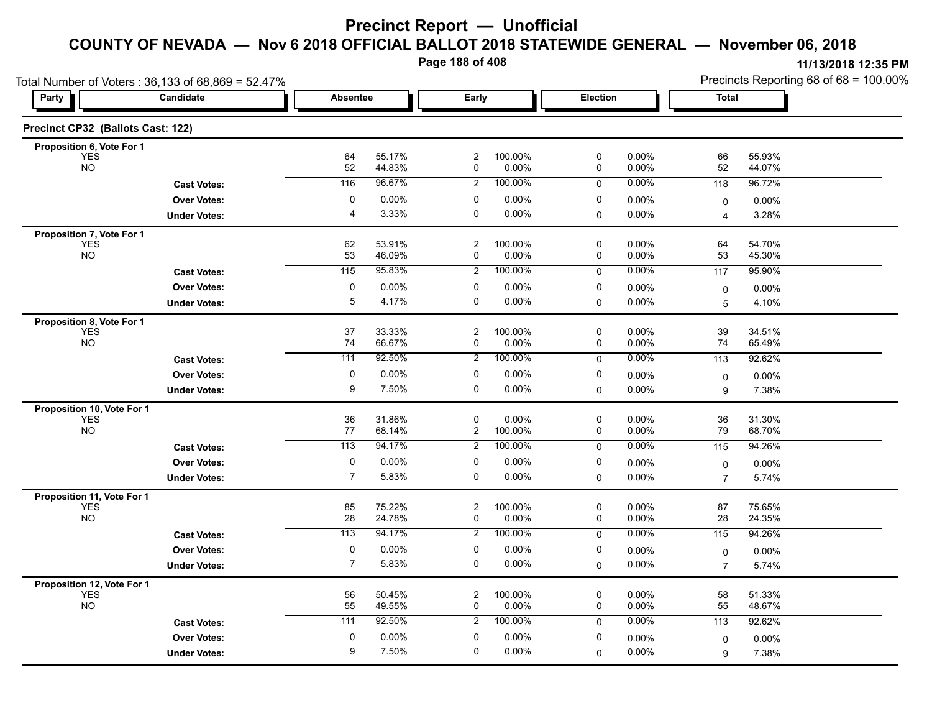**Page 188 of 408**

|                                          | Total Number of Voters: 36,133 of 68,869 = 52.47% |                  |                  |                                        |                  |                  | Precincts Reporting 68 of 68 = 100.00% |                     |                  |
|------------------------------------------|---------------------------------------------------|------------------|------------------|----------------------------------------|------------------|------------------|----------------------------------------|---------------------|------------------|
| Party                                    | Candidate                                         | <b>Absentee</b>  |                  | Early                                  |                  | Election         |                                        | <b>Total</b>        |                  |
| Precinct CP32 (Ballots Cast: 122)        |                                                   |                  |                  |                                        |                  |                  |                                        |                     |                  |
| Proposition 6, Vote For 1                |                                                   |                  |                  |                                        |                  |                  |                                        |                     |                  |
| <b>YES</b><br><b>NO</b>                  |                                                   | 64<br>52         | 55.17%<br>44.83% | $\overline{\mathbf{c}}$<br>$\mathbf 0$ | 100.00%<br>0.00% | 0<br>0           | 0.00%<br>$0.00\%$                      | 66<br>52            | 55.93%<br>44.07% |
|                                          | <b>Cast Votes:</b>                                | 116              | 96.67%           | $\overline{2}$                         | 100.00%          | $\mathbf 0$      | 0.00%                                  | 118                 | 96.72%           |
|                                          | <b>Over Votes:</b>                                | 0                | 0.00%            | $\mathbf 0$                            | 0.00%            | 0                | 0.00%                                  | 0                   | 0.00%            |
|                                          | <b>Under Votes:</b>                               | 4                | 3.33%            | 0                                      | 0.00%            | $\mathbf 0$      | 0.00%                                  | $\overline{4}$      | 3.28%            |
| Proposition 7, Vote For 1                |                                                   |                  |                  |                                        |                  |                  |                                        |                     |                  |
| <b>YES</b><br><b>NO</b>                  |                                                   | 62<br>53         | 53.91%<br>46.09% | $\overline{c}$<br>$\mathbf 0$          | 100.00%<br>0.00% | 0<br>$\mathbf 0$ | $0.00\%$<br>0.00%                      | 64<br>53            | 54.70%<br>45.30% |
|                                          | <b>Cast Votes:</b>                                | 115              | 95.83%           | $\overline{2}$                         | 100.00%          | 0                | 0.00%                                  | 117                 | 95.90%           |
|                                          | <b>Over Votes:</b>                                | 0                | $0.00\%$         | 0                                      | 0.00%            | 0                | $0.00\%$                               | 0                   | 0.00%            |
|                                          | <b>Under Votes:</b>                               | 5                | 4.17%            | 0                                      | 0.00%            | $\mathbf 0$      | 0.00%                                  | 5                   | 4.10%            |
| Proposition 8, Vote For 1                |                                                   |                  |                  |                                        |                  |                  |                                        |                     |                  |
| <b>YES</b>                               |                                                   | 37               | 33.33%           | $\overline{c}$                         | 100.00%          | 0                | 0.00%                                  | 39                  | 34.51%           |
| <b>NO</b>                                |                                                   | 74               | 66.67%           | 0                                      | 0.00%            | 0                | $0.00\%$                               | 74                  | 65.49%           |
|                                          | <b>Cast Votes:</b>                                | 111              | 92.50%           | $\overline{2}$                         | 100.00%          | 0                | 0.00%                                  | 113                 | 92.62%           |
|                                          | <b>Over Votes:</b>                                | $\mathbf 0$      | 0.00%            | $\mathbf 0$                            | 0.00%            | 0                | $0.00\%$                               | 0                   | 0.00%            |
|                                          | <b>Under Votes:</b>                               | 9                | 7.50%            | 0                                      | 0.00%            | $\mathbf 0$      | 0.00%                                  | 9                   | 7.38%            |
| Proposition 10, Vote For 1               |                                                   |                  |                  |                                        |                  |                  |                                        |                     |                  |
| <b>YES</b><br><b>NO</b>                  |                                                   | 36<br>77         | 31.86%<br>68.14% | $\mathbf 0$<br>$\overline{2}$          | 0.00%<br>100.00% | 0<br>$\mathbf 0$ | 0.00%<br>0.00%                         | 36<br>79            | 31.30%<br>68.70% |
|                                          | <b>Cast Votes:</b>                                | 113              | 94.17%           | $\overline{2}$                         | 100.00%          | 0                | $0.00\%$                               | 115                 | 94.26%           |
|                                          | <b>Over Votes:</b>                                | $\pmb{0}$        | $0.00\%$         | 0                                      | 0.00%            | 0                | 0.00%                                  |                     | 0.00%            |
|                                          | <b>Under Votes:</b>                               | $\overline{7}$   | 5.83%            | 0                                      | 0.00%            | $\mathbf 0$      | 0.00%                                  | 0<br>$\overline{7}$ | 5.74%            |
|                                          |                                                   |                  |                  |                                        |                  |                  |                                        |                     |                  |
| Proposition 11, Vote For 1<br><b>YES</b> |                                                   | 85               | 75.22%           | 2                                      | 100.00%          | 0                | 0.00%                                  | 87                  | 75.65%           |
| <b>NO</b>                                |                                                   | 28               | 24.78%           | 0                                      | 0.00%            | 0                | 0.00%                                  | 28                  | 24.35%           |
|                                          | <b>Cast Votes:</b>                                | $\overline{113}$ | 94.17%           | $\overline{2}$                         | 100.00%          | 0                | 0.00%                                  | 115                 | 94.26%           |
|                                          | <b>Over Votes:</b>                                | 0                | 0.00%            | 0                                      | 0.00%            | 0                | $0.00\%$                               | 0                   | 0.00%            |
|                                          | <b>Under Votes:</b>                               | $\overline{7}$   | 5.83%            | 0                                      | 0.00%            | $\mathbf 0$      | 0.00%                                  | $\overline{7}$      | 5.74%            |
| Proposition 12, Vote For 1               |                                                   |                  |                  |                                        |                  |                  |                                        |                     |                  |
| <b>YES</b><br><b>NO</b>                  |                                                   | 56<br>55         | 50.45%<br>49.55% | $\overline{c}$<br>0                    | 100.00%<br>0.00% | 0<br>0           | 0.00%<br>0.00%                         | 58<br>55            | 51.33%<br>48.67% |
|                                          | <b>Cast Votes:</b>                                | 111              | 92.50%           | $\overline{2}$                         | 100.00%          | $\mathbf 0$      | 0.00%                                  | 113                 | 92.62%           |
|                                          |                                                   | $\mathbf 0$      | 0.00%            | $\mathbf 0$                            | 0.00%            | 0                |                                        |                     |                  |
|                                          | Over Votes:                                       |                  |                  |                                        |                  |                  | $0.00\%$                               | 0                   | 0.00%            |
|                                          | <b>Under Votes:</b>                               | 9                | 7.50%            | 0                                      | 0.00%            | 0                | 0.00%                                  | 9                   | 7.38%            |
|                                          |                                                   |                  |                  |                                        |                  |                  |                                        |                     |                  |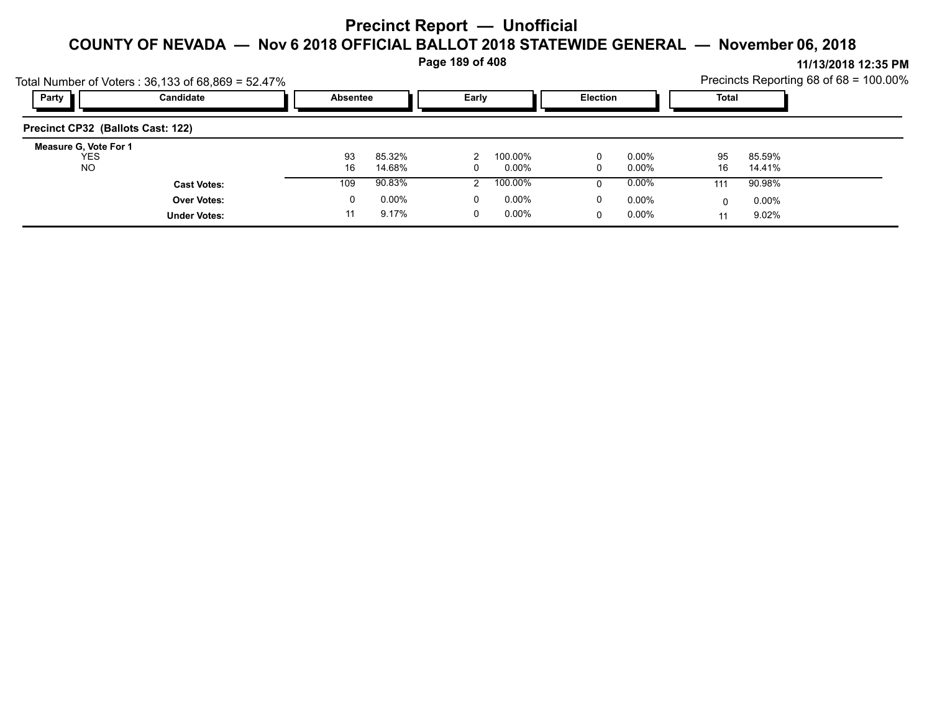**Page 189 of 408**

|                                           | Total Number of Voters: $36,133$ of $68,869 = 52.47\%$ |                 |                  |       |                     |                 |                |          |                  | Precincts Reporting 68 of 68 = 100.00% |
|-------------------------------------------|--------------------------------------------------------|-----------------|------------------|-------|---------------------|-----------------|----------------|----------|------------------|----------------------------------------|
| Party                                     | Candidate                                              | <b>Absentee</b> |                  | Early |                     | <b>Election</b> |                | Total    |                  |                                        |
| Precinct CP32 (Ballots Cast: 122)         |                                                        |                 |                  |       |                     |                 |                |          |                  |                                        |
| Measure G, Vote For 1<br>YES<br><b>NO</b> |                                                        | 93<br>16        | 85.32%<br>14.68% |       | 100.00%<br>$0.00\%$ | 0<br>0          | 0.00%<br>0.00% | 95<br>16 | 85.59%<br>14.41% |                                        |
|                                           | <b>Cast Votes:</b>                                     | 109             | 90.83%           |       | 100.00%             | 0               | $0.00\%$       | 111      | 90.98%           |                                        |
|                                           | <b>Over Votes:</b>                                     | 0               | $0.00\%$         | 0     | $0.00\%$            | 0               | $0.00\%$       | 0        | $0.00\%$         |                                        |
|                                           | <b>Under Votes:</b>                                    |                 | 9.17%            |       | $0.00\%$            | 0               | $0.00\%$       |          | 9.02%            |                                        |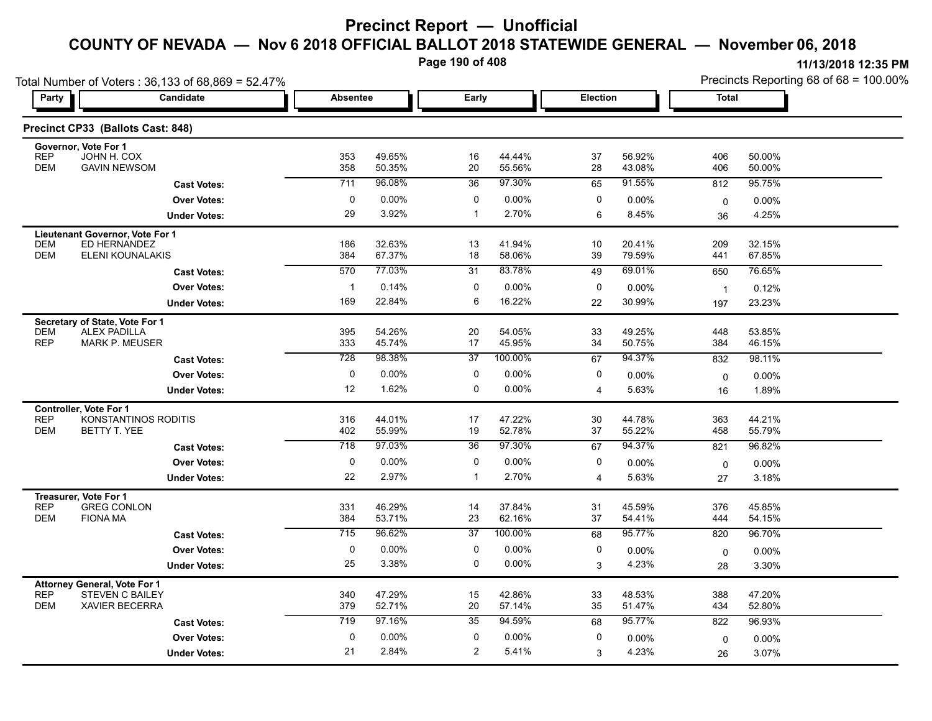**Page 190 of 408**

|                                                                                   | Total Number of Voters: 36,133 of 68,869 = 52.47% |                  |                          |                 |                  |                 |                  | Precincts Reporting 68 of 68 = 100.00% |                  |  |
|-----------------------------------------------------------------------------------|---------------------------------------------------|------------------|--------------------------|-----------------|------------------|-----------------|------------------|----------------------------------------|------------------|--|
| Party                                                                             | Candidate                                         |                  | Early<br><b>Absentee</b> |                 |                  | <b>Election</b> |                  | <b>Total</b>                           |                  |  |
| Precinct CP33 (Ballots Cast: 848)                                                 |                                                   |                  |                          |                 |                  |                 |                  |                                        |                  |  |
| Governor, Vote For 1<br><b>REP</b><br>JOHN H. COX<br><b>DEM</b>                   | <b>GAVIN NEWSOM</b>                               | 353<br>358       | 49.65%<br>50.35%         | 16<br>20        | 44.44%<br>55.56% | 37<br>28        | 56.92%<br>43.08% | 406<br>406                             | 50.00%<br>50.00% |  |
|                                                                                   | <b>Cast Votes:</b>                                | 711              | 96.08%                   | 36              | 97.30%           | 65              | 91.55%           | 812                                    | 95.75%           |  |
|                                                                                   | <b>Over Votes:</b>                                | 0                | $0.00\%$                 | 0               | 0.00%            | 0               | 0.00%            | 0                                      | 0.00%            |  |
|                                                                                   | <b>Under Votes:</b>                               | 29               | 3.92%                    | $\mathbf{1}$    | 2.70%            | 6               | 8.45%            | 36                                     | 4.25%            |  |
| Lieutenant Governor, Vote For 1<br><b>DEM</b><br><b>DEM</b>                       | ED HERNANDEZ<br><b>ELENI KOUNALAKIS</b>           | 186<br>384       | 32.63%<br>67.37%         | 13<br>18        | 41.94%<br>58.06% | 10<br>39        | 20.41%<br>79.59% | 209<br>441                             | 32.15%<br>67.85% |  |
|                                                                                   | <b>Cast Votes:</b>                                | 570              | 77.03%                   | 31              | 83.78%           | 49              | 69.01%           | 650                                    | 76.65%           |  |
|                                                                                   | <b>Over Votes:</b>                                | $\mathbf{1}$     | 0.14%                    | 0               | 0.00%            | 0               | 0.00%            | $\overline{1}$                         | 0.12%            |  |
|                                                                                   | <b>Under Votes:</b>                               | 169              | 22.84%                   | 6               | 16.22%           | 22              | 30.99%           | 197                                    | 23.23%           |  |
| Secretary of State, Vote For 1<br><b>DEM</b><br><b>ALEX PADILLA</b><br><b>REP</b> | <b>MARK P. MEUSER</b>                             | 395<br>333       | 54.26%<br>45.74%         | 20<br>17        | 54.05%<br>45.95% | 33<br>34        | 49.25%<br>50.75% | 448<br>384                             | 53.85%<br>46.15% |  |
|                                                                                   | <b>Cast Votes:</b>                                | 728              | 98.38%                   | $\overline{37}$ | 100.00%          | 67              | 94.37%           | 832                                    | 98.11%           |  |
|                                                                                   | <b>Over Votes:</b>                                | 0                | 0.00%                    | 0               | 0.00%            | 0               | 0.00%            | $\mathbf 0$                            | 0.00%            |  |
|                                                                                   | <b>Under Votes:</b>                               | 12               | 1.62%                    | 0               | 0.00%            | 4               | 5.63%            | 16                                     | 1.89%            |  |
| <b>Controller, Vote For 1</b><br><b>REP</b><br><b>DEM</b><br><b>BETTY T. YEE</b>  | KONSTANTINOS RODITIS                              | 316<br>402       | 44.01%<br>55.99%         | 17<br>19        | 47.22%<br>52.78% | 30<br>37        | 44.78%<br>55.22% | 363<br>458                             | 44.21%<br>55.79% |  |
|                                                                                   | <b>Cast Votes:</b>                                | 718              | 97.03%                   | 36              | 97.30%           | 67              | 94.37%           | 821                                    | 96.82%           |  |
|                                                                                   | <b>Over Votes:</b>                                | 0                | 0.00%                    | 0               | 0.00%            | 0               | 0.00%            | $\mathbf 0$                            | 0.00%            |  |
|                                                                                   | <b>Under Votes:</b>                               | 22               | 2.97%                    | -1              | 2.70%            | 4               | 5.63%            | 27                                     | 3.18%            |  |
| Treasurer, Vote For 1<br><b>REP</b><br><b>DEM</b><br><b>FIONA MA</b>              | <b>GREG CONLON</b>                                | 331<br>384       | 46.29%<br>53.71%         | 14<br>23        | 37.84%<br>62.16% | 31<br>37        | 45.59%<br>54.41% | 376<br>444                             | 45.85%<br>54.15% |  |
|                                                                                   | <b>Cast Votes:</b>                                | $\overline{715}$ | 96.62%                   | $\overline{37}$ | 100.00%          | 68              | 95.77%           | 820                                    | 96.70%           |  |
|                                                                                   | <b>Over Votes:</b>                                | 0                | 0.00%                    | 0               | 0.00%            | 0               | 0.00%            | 0                                      | 0.00%            |  |
|                                                                                   | <b>Under Votes:</b>                               | 25               | 3.38%                    | 0               | 0.00%            | 3               | 4.23%            | 28                                     | 3.30%            |  |
| <b>Attorney General, Vote For 1</b><br><b>REP</b><br><b>DEM</b>                   | <b>STEVEN C BAILEY</b><br>XAVIER BECERRA          | 340<br>379       | 47.29%<br>52.71%         | 15<br>20        | 42.86%<br>57.14% | 33<br>35        | 48.53%<br>51.47% | 388<br>434                             | 47.20%<br>52.80% |  |
|                                                                                   | <b>Cast Votes:</b>                                | 719              | 97.16%                   | 35              | 94.59%           | 68              | 95.77%           | 822                                    | 96.93%           |  |
|                                                                                   | <b>Over Votes:</b>                                | 0                | 0.00%                    | 0               | 0.00%            | 0               | $0.00\%$         | $\mathbf 0$                            | $0.00\%$         |  |
|                                                                                   | <b>Under Votes:</b>                               | 21               | 2.84%                    | 2               | 5.41%            | 3               | 4.23%            | 26                                     | 3.07%            |  |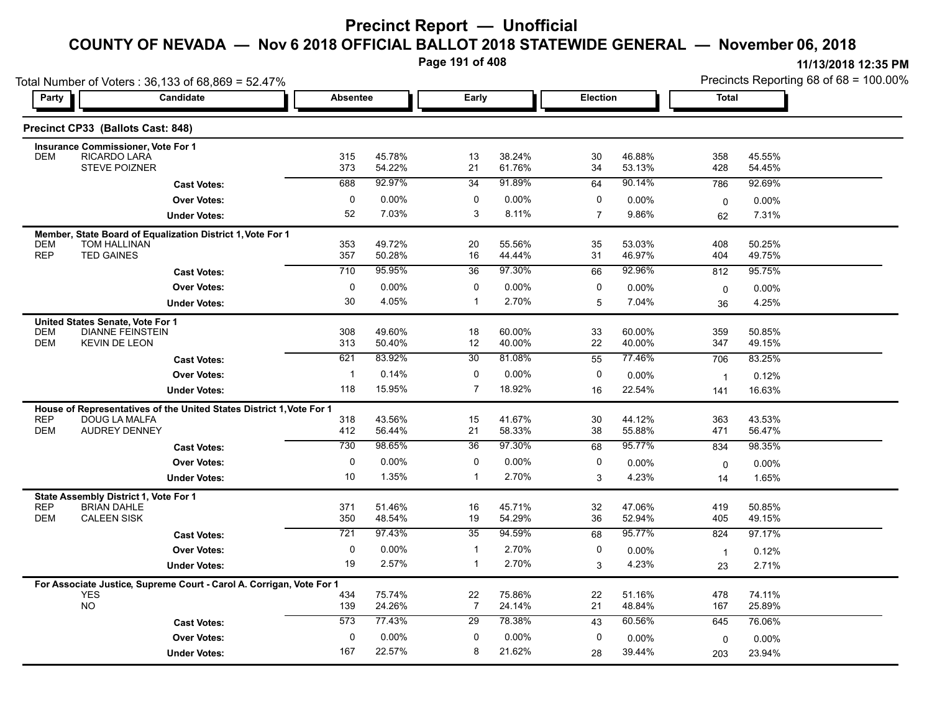**Page 191 of 408**

|                          | Total Number of Voters: 36,133 of 68,869 = 52.47%                                  |                  |                   |                              |                  |                 |                  |                         | Precincts Reporting 68 of 68 = 100.00% |
|--------------------------|------------------------------------------------------------------------------------|------------------|-------------------|------------------------------|------------------|-----------------|------------------|-------------------------|----------------------------------------|
| Party                    | Candidate                                                                          | <b>Absentee</b>  |                   | Early                        |                  | <b>Election</b> |                  | <b>Total</b>            |                                        |
|                          | Precinct CP33 (Ballots Cast: 848)                                                  |                  |                   |                              |                  |                 |                  |                         |                                        |
|                          | <b>Insurance Commissioner, Vote For 1</b>                                          |                  |                   |                              |                  |                 |                  |                         |                                        |
| <b>DEM</b>               | RICARDO LARA<br>STEVE POIZNER                                                      | 315<br>373       | 45.78%<br>54.22%  | 13<br>21                     | 38.24%<br>61.76% | 30<br>34        | 46.88%<br>53.13% | 358<br>428              | 45.55%<br>54.45%                       |
|                          | <b>Cast Votes:</b>                                                                 | 688              | 92.97%            | 34                           | 91.89%           | 64              | 90.14%           | 786                     | 92.69%                                 |
|                          | <b>Over Votes:</b>                                                                 | $\mathbf 0$      | 0.00%             | 0                            | $0.00\%$         | 0               | 0.00%            | 0                       | 0.00%                                  |
|                          | <b>Under Votes:</b>                                                                | 52               | 7.03%             | 3                            | 8.11%            | $\overline{7}$  | 9.86%            | 62                      | 7.31%                                  |
|                          | Member, State Board of Equalization District 1, Vote For 1                         |                  |                   |                              |                  |                 |                  |                         |                                        |
| <b>DEM</b><br><b>REP</b> | TOM HALLINAN<br><b>TED GAINES</b>                                                  | 353<br>357       | 49.72%<br>50.28%  | 20<br>16                     | 55.56%<br>44.44% | 35<br>31        | 53.03%<br>46.97% | 408<br>404              | 50.25%<br>49.75%                       |
|                          | <b>Cast Votes:</b>                                                                 | $\overline{710}$ | 95.95%            | 36                           | 97.30%           | 66              | 92.96%           | 812                     | 95.75%                                 |
|                          | <b>Over Votes:</b>                                                                 | 0                | $0.00\%$          | 0                            | $0.00\%$         | 0               | 0.00%            | $\mathbf 0$             | 0.00%                                  |
|                          | <b>Under Votes:</b>                                                                | 30               | 4.05%             | $\mathbf{1}$                 | 2.70%            | 5               | 7.04%            | 36                      | 4.25%                                  |
|                          | United States Senate, Vote For 1                                                   |                  |                   |                              |                  |                 |                  |                         |                                        |
| DEM<br><b>DEM</b>        | <b>DIANNE FEINSTEIN</b><br><b>KEVIN DE LEON</b>                                    | 308<br>313       | 49.60%<br>50.40%  | 18<br>12                     | 60.00%<br>40.00% | 33<br>22        | 60.00%<br>40.00% | 359<br>347              | 50.85%<br>49.15%                       |
|                          | <b>Cast Votes:</b>                                                                 | 621              | 83.92%            | 30                           | 81.08%           | 55              | 77.46%           | 706                     | 83.25%                                 |
|                          | <b>Over Votes:</b>                                                                 | $\mathbf{1}$     | 0.14%             | 0                            | $0.00\%$         | 0               | 0.00%            | $\overline{\mathbf{1}}$ | 0.12%                                  |
|                          | <b>Under Votes:</b>                                                                | 118              | 15.95%            | $\overline{7}$               | 18.92%           | 16              | 22.54%           | 141                     | 16.63%                                 |
|                          | House of Representatives of the United States District 1, Vote For 1               |                  |                   |                              |                  |                 |                  |                         |                                        |
| <b>REP</b><br><b>DEM</b> | DOUG LA MALFA<br><b>AUDREY DENNEY</b>                                              | 318<br>412       | 43.56%<br>56.44%  | 15<br>21                     | 41.67%<br>58.33% | 30<br>38        | 44.12%<br>55.88% | 363<br>471              | 43.53%<br>56.47%                       |
|                          | <b>Cast Votes:</b>                                                                 | 730              | 98.65%            | 36                           | 97.30%           | 68              | 95.77%           | 834                     | 98.35%                                 |
|                          | <b>Over Votes:</b>                                                                 | 0                | $0.00\%$          | 0                            | $0.00\%$         | 0               | 0.00%            |                         | 0.00%                                  |
|                          | <b>Under Votes:</b>                                                                | 10               | 1.35%             | $\mathbf{1}$                 | 2.70%            | 3               | 4.23%            | $\mathbf 0$<br>14       | 1.65%                                  |
|                          | State Assembly District 1, Vote For 1                                              |                  |                   |                              |                  |                 |                  |                         |                                        |
| <b>REP</b>               | <b>BRIAN DAHLE</b>                                                                 | 371              | 51.46%            | 16                           | 45.71%           | 32              | 47.06%           | 419                     | 50.85%                                 |
| <b>DEM</b>               | <b>CALEEN SISK</b>                                                                 | 350              | 48.54%            | 19                           | 54.29%<br>94.59% | 36              | 52.94%           | 405                     | 49.15%                                 |
|                          | <b>Cast Votes:</b>                                                                 | 721              | 97.43%            | 35                           |                  | 68              | 95.77%           | 824                     | 97.17%                                 |
|                          | <b>Over Votes:</b>                                                                 | 0<br>19          | $0.00\%$<br>2.57% | $\mathbf{1}$<br>$\mathbf{1}$ | 2.70%<br>2.70%   | 0               | 0.00%<br>4.23%   | $\overline{1}$          | 0.12%                                  |
|                          | <b>Under Votes:</b>                                                                |                  |                   |                              |                  | 3               |                  | 23                      | 2.71%                                  |
|                          | For Associate Justice, Supreme Court - Carol A. Corrigan, Vote For 1<br><b>YES</b> | 434              | 75.74%            | 22                           | 75.86%           | 22              | 51.16%           | 478                     | 74.11%                                 |
|                          | <b>NO</b>                                                                          | 139              | 24.26%            | $\overline{7}$               | 24.14%           | 21              | 48.84%           | 167                     | 25.89%                                 |
|                          | <b>Cast Votes:</b>                                                                 | 573              | 77.43%            | 29                           | 78.38%           | 43              | 60.56%           | 645                     | 76.06%                                 |
|                          | <b>Over Votes:</b>                                                                 | 0                | $0.00\%$          | 0                            | 0.00%            | 0               | 0.00%            | 0                       | 0.00%                                  |
|                          | <b>Under Votes:</b>                                                                | 167              | 22.57%            | 8                            | 21.62%           | 28              | 39.44%           | 203                     | 23.94%                                 |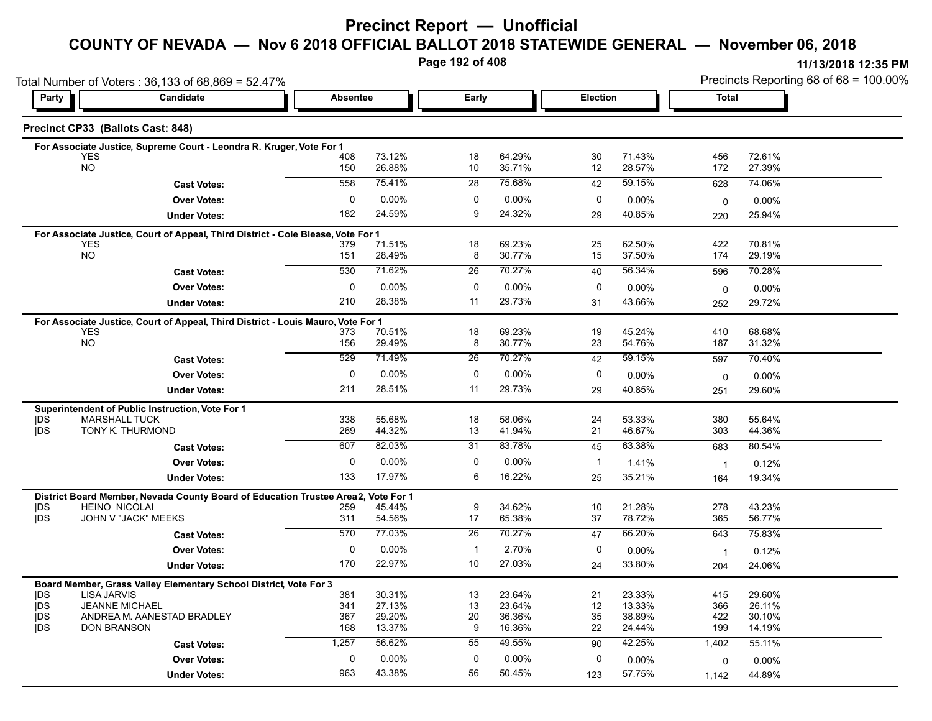#### **Precinct Report — Unofficial**

# **COUNTY OF NEVADA — Nov 6 2018 OFFICIAL BALLOT 2018 STATEWIDE GENERAL — November 06, 2018**

**Page 192 of 408**

|                          | Total Number of Voters: 36,133 of 68,869 = 52.47%                                 |             |                  |                 | Precincts Reporting 68 of 68 = 100.00% |              |                  |                |                  |
|--------------------------|-----------------------------------------------------------------------------------|-------------|------------------|-----------------|----------------------------------------|--------------|------------------|----------------|------------------|
| Party                    | Candidate<br>Absentee                                                             |             |                  | Early           |                                        | Election     |                  | Total          |                  |
|                          | Precinct CP33 (Ballots Cast: 848)                                                 |             |                  |                 |                                        |              |                  |                |                  |
|                          | For Associate Justice, Supreme Court - Leondra R. Kruger, Vote For 1              |             |                  |                 |                                        |              |                  |                |                  |
|                          | <b>YES</b><br><b>NO</b>                                                           | 408         | 73.12%           | 18              | 64.29%                                 | 30           | 71.43%           | 456            | 72.61%           |
|                          |                                                                                   | 150         | 26.88%           | 10              | 35.71%                                 | 12           | 28.57%           | 172            | 27.39%           |
|                          | <b>Cast Votes:</b>                                                                | 558         | 75.41%           | $\overline{28}$ | 75.68%                                 | 42           | 59.15%           | 628            | 74.06%           |
|                          | <b>Over Votes:</b>                                                                | 0           | 0.00%            | 0               | 0.00%                                  | 0            | $0.00\%$         | $\mathbf 0$    | 0.00%            |
|                          | <b>Under Votes:</b>                                                               | 182         | 24.59%           | 9               | 24.32%                                 | 29           | 40.85%           | 220            | 25.94%           |
|                          | For Associate Justice, Court of Appeal, Third District - Cole Blease, Vote For 1  |             |                  |                 |                                        |              |                  |                |                  |
|                          | <b>YES</b><br><b>NO</b>                                                           | 379<br>151  | 71.51%<br>28.49% | 18<br>8         | 69.23%<br>30.77%                       | 25<br>15     | 62.50%<br>37.50% | 422<br>174     | 70.81%<br>29.19% |
|                          |                                                                                   |             | 71.62%           |                 | 70.27%                                 |              | 56.34%           |                |                  |
|                          | <b>Cast Votes:</b>                                                                | 530         |                  | 26              |                                        | 40           |                  | 596            | 70.28%           |
|                          | <b>Over Votes:</b>                                                                | 0           | 0.00%            | 0               | 0.00%                                  | 0            | $0.00\%$         | $\mathbf 0$    | 0.00%            |
|                          | <b>Under Votes:</b>                                                               | 210         | 28.38%           | 11              | 29.73%                                 | 31           | 43.66%           | 252            | 29.72%           |
|                          | For Associate Justice, Court of Appeal, Third District - Louis Mauro, Vote For 1  |             |                  |                 |                                        |              |                  |                |                  |
|                          | <b>YES</b><br><b>NO</b>                                                           | 373<br>156  | 70.51%<br>29.49% | 18<br>8         | 69.23%<br>30.77%                       | 19<br>23     | 45.24%<br>54.76% | 410<br>187     | 68.68%<br>31.32% |
|                          |                                                                                   | 529         | 71.49%           | $\overline{26}$ | 70.27%                                 |              | 59.15%           |                |                  |
|                          | <b>Cast Votes:</b>                                                                |             |                  |                 |                                        | 42           |                  | 597            | 70.40%           |
|                          | <b>Over Votes:</b>                                                                | $\mathbf 0$ | $0.00\%$         | $\mathbf 0$     | 0.00%                                  | 0            | $0.00\%$         | 0              | 0.00%            |
|                          | <b>Under Votes:</b>                                                               | 211         | 28.51%           | 11              | 29.73%                                 | 29           | 40.85%           | 251            | 29.60%           |
|                          | Superintendent of Public Instruction, Vote For 1                                  |             |                  |                 |                                        |              |                  |                |                  |
| <b>IDS</b><br><b>IDS</b> | <b>MARSHALL TUCK</b><br>TONY K. THURMOND                                          | 338<br>269  | 55.68%<br>44.32% | 18<br>13        | 58.06%<br>41.94%                       | 24<br>21     | 53.33%<br>46.67% | 380<br>303     | 55.64%<br>44.36% |
|                          |                                                                                   |             | 82.03%           |                 | 83.78%                                 |              | 63.38%           |                |                  |
|                          | <b>Cast Votes:</b>                                                                | 607         |                  | 31              |                                        | 45           |                  | 683            | 80.54%           |
|                          | <b>Over Votes:</b>                                                                | $\mathbf 0$ | 0.00%            | 0               | 0.00%                                  | $\mathbf{1}$ | 1.41%            | $\overline{1}$ | 0.12%            |
|                          | <b>Under Votes:</b>                                                               | 133         | 17.97%           | 6               | 16.22%                                 | 25           | 35.21%           | 164            | 19.34%           |
|                          | District Board Member, Nevada County Board of Education Trustee Area2, Vote For 1 |             |                  |                 |                                        |              |                  |                |                  |
| DS<br><b>IDS</b>         | <b>HEINO NICOLAI</b><br>JOHN V "JACK" MEEKS                                       | 259<br>311  | 45.44%<br>54.56% | 9<br>17         | 34.62%<br>65.38%                       | 10<br>37     | 21.28%<br>78.72% | 278<br>365     | 43.23%<br>56.77% |
|                          |                                                                                   | 570         | 77.03%           | $\overline{26}$ | 70.27%                                 |              | 66.20%           |                |                  |
|                          | <b>Cast Votes:</b>                                                                |             |                  |                 |                                        | 47           |                  | 643            | 75.83%           |
|                          | <b>Over Votes:</b>                                                                | $\mathbf 0$ | 0.00%            | $\mathbf{1}$    | 2.70%                                  | 0            | 0.00%            | $\overline{1}$ | 0.12%            |
|                          | <b>Under Votes:</b>                                                               | 170         | 22.97%           | 10              | 27.03%                                 | 24           | 33.80%           | 204            | 24.06%           |
|                          | Board Member, Grass Valley Elementary School District, Vote For 3                 |             |                  |                 |                                        |              |                  |                |                  |
| <b>IDS</b><br><b>IDS</b> | <b>LISA JARVIS</b><br><b>JEANNE MICHAEL</b>                                       | 381<br>341  | 30.31%<br>27.13% | 13<br>13        | 23.64%<br>23.64%                       | 21<br>12     | 23.33%<br>13.33% | 415<br>366     | 29.60%<br>26.11% |
| <b>IDS</b>               | ANDREA M. AANESTAD BRADLEY                                                        | 367         | 29.20%           | 20              | 36.36%                                 | 35           | 38.89%           | 422            | 30.10%           |
| <b>IDS</b>               | <b>DON BRANSON</b>                                                                | 168         | 13.37%           | 9               | 16.36%                                 | 22           | 24.44%           | 199            | 14.19%           |
|                          | <b>Cast Votes:</b>                                                                | 1,257       | 56.62%           | 55              | 49.55%                                 | 90           | 42.25%           | 1,402          | 55.11%           |
|                          | <b>Over Votes:</b>                                                                | 0           | $0.00\%$         | 0               | 0.00%                                  | 0            | 0.00%            | 0              | 0.00%            |
|                          | <b>Under Votes:</b>                                                               | 963         | 43.38%           | 56              | 50.45%                                 | 123          | 57.75%           | 1,142          | 44.89%           |
|                          |                                                                                   |             |                  |                 |                                        |              |                  |                |                  |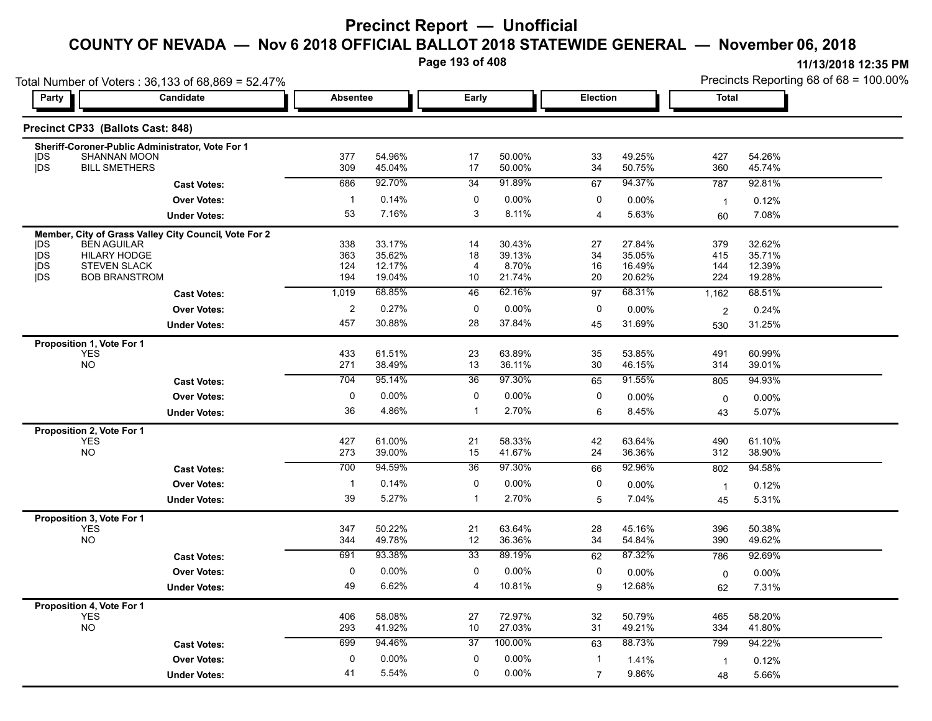**Page 193 of 408**

| Total Number of Voters: 36,133 of 68,869 = 52.47% |                                           |                                                       |                 |                  |                 |                  |                         | Precincts Reporting 68 of 68 = 100.00% |                |                  |
|---------------------------------------------------|-------------------------------------------|-------------------------------------------------------|-----------------|------------------|-----------------|------------------|-------------------------|----------------------------------------|----------------|------------------|
| Party                                             |                                           | <b>Candidate</b>                                      | <b>Absentee</b> |                  | Early           |                  | Election                |                                        | Total          |                  |
|                                                   | Precinct CP33 (Ballots Cast: 848)         |                                                       |                 |                  |                 |                  |                         |                                        |                |                  |
|                                                   |                                           | Sheriff-Coroner-Public Administrator, Vote For 1      |                 |                  |                 |                  |                         |                                        |                |                  |
| DS                                                | <b>SHANNAN MOON</b>                       |                                                       | 377<br>309      | 54.96%           | 17<br>17        | 50.00%           | 33                      | 49.25%                                 | 427            | 54.26%           |
| <b>IDS</b>                                        | <b>BILL SMETHERS</b>                      |                                                       |                 | 45.04%           |                 | 50.00%           | 34                      | 50.75%                                 | 360            | 45.74%           |
|                                                   |                                           | <b>Cast Votes:</b>                                    | 686             | 92.70%           | 34              | 91.89%           | 67                      | 94.37%                                 | 787            | 92.81%           |
|                                                   |                                           | <b>Over Votes:</b>                                    | $\mathbf{1}$    | 0.14%            | 0               | 0.00%            | 0                       | 0.00%                                  | $\overline{1}$ | 0.12%            |
|                                                   |                                           | <b>Under Votes:</b>                                   | 53              | 7.16%            | 3               | 8.11%            | $\overline{\mathbf{4}}$ | 5.63%                                  | 60             | 7.08%            |
|                                                   |                                           | Member, City of Grass Valley City Council, Vote For 2 |                 |                  |                 |                  |                         |                                        |                |                  |
| <b>IDS</b><br>jDS                                 | <b>BEN AGUILAR</b><br><b>HILARY HODGE</b> |                                                       | 338<br>363      | 33.17%<br>35.62% | 14<br>18        | 30.43%<br>39.13% | 27<br>34                | 27.84%<br>35.05%                       | 379<br>415     | 32.62%<br>35.71% |
| <b>IDS</b>                                        | <b>STEVEN SLACK</b>                       |                                                       | 124             | 12.17%           | 4               | 8.70%            | 16                      | 16.49%                                 | 144            | 12.39%           |
| <b>IDS</b>                                        | <b>BOB BRANSTROM</b>                      |                                                       | 194             | 19.04%           | 10              | 21.74%           | 20                      | 20.62%                                 | 224            | 19.28%           |
|                                                   |                                           | <b>Cast Votes:</b>                                    | 1,019           | 68.85%           | 46              | 62.16%           | 97                      | 68.31%                                 | 1,162          | 68.51%           |
|                                                   |                                           | <b>Over Votes:</b>                                    | $\overline{c}$  | 0.27%            | $\mathbf 0$     | 0.00%            | 0                       | 0.00%                                  | $\overline{2}$ | 0.24%            |
|                                                   |                                           | <b>Under Votes:</b>                                   | 457             | 30.88%           | 28              | 37.84%           | 45                      | 31.69%                                 | 530            | 31.25%           |
|                                                   | Proposition 1, Vote For 1                 |                                                       |                 |                  |                 |                  |                         |                                        |                |                  |
|                                                   | YES                                       |                                                       | 433             | 61.51%           | 23              | 63.89%           | 35                      | 53.85%                                 | 491            | 60.99%           |
|                                                   | NO                                        |                                                       | 271             | 38.49%           | 13              | 36.11%           | 30                      | 46.15%                                 | 314            | 39.01%           |
|                                                   |                                           | <b>Cast Votes:</b>                                    | 704             | 95.14%           | 36              | 97.30%           | 65                      | 91.55%                                 | 805            | 94.93%           |
|                                                   |                                           | <b>Over Votes:</b>                                    | $\mathbf 0$     | $0.00\%$         | $\mathbf 0$     | 0.00%            | 0                       | 0.00%                                  | 0              | $0.00\%$         |
|                                                   |                                           | <b>Under Votes:</b>                                   | 36              | 4.86%            | $\mathbf 1$     | 2.70%            | 6                       | 8.45%                                  | 43             | 5.07%            |
|                                                   | Proposition 2, Vote For 1                 |                                                       |                 |                  |                 |                  |                         |                                        |                |                  |
|                                                   | <b>YES</b>                                |                                                       | 427             | 61.00%           | 21              | 58.33%           | 42                      | 63.64%                                 | 490            | 61.10%           |
|                                                   | <b>NO</b>                                 |                                                       | 273             | 39.00%           | 15              | 41.67%           | 24                      | 36.36%                                 | 312            | 38.90%           |
|                                                   |                                           | <b>Cast Votes:</b>                                    | 700             | 94.59%           | $\overline{36}$ | 97.30%           | 66                      | 92.96%                                 | 802            | 94.58%           |
|                                                   |                                           | <b>Over Votes:</b>                                    | $\mathbf{1}$    | 0.14%            | 0               | 0.00%            | 0                       | $0.00\%$                               | $\overline{1}$ | 0.12%            |
|                                                   |                                           | <b>Under Votes:</b>                                   | 39              | 5.27%            | $\mathbf{1}$    | 2.70%            | 5                       | 7.04%                                  | 45             | 5.31%            |
|                                                   | Proposition 3, Vote For 1                 |                                                       |                 |                  |                 |                  |                         |                                        |                |                  |
|                                                   | <b>YES</b>                                |                                                       | 347             | 50.22%           | 21              | 63.64%           | 28                      | 45.16%                                 | 396            | 50.38%           |
|                                                   | <b>NO</b>                                 |                                                       | 344             | 49.78%           | 12              | 36.36%           | 34                      | 54.84%                                 | 390            | 49.62%           |
|                                                   |                                           | <b>Cast Votes:</b>                                    | 691             | 93.38%           | 33              | 89.19%           | 62                      | 87.32%                                 | 786            | 92.69%           |
|                                                   |                                           | <b>Over Votes:</b>                                    | 0               | $0.00\%$         | 0               | $0.00\%$         | 0                       | 0.00%                                  | 0              | 0.00%            |
|                                                   |                                           | <b>Under Votes:</b>                                   | 49              | 6.62%            | 4               | 10.81%           | 9                       | 12.68%                                 | 62             | 7.31%            |
|                                                   | Proposition 4, Vote For 1                 |                                                       |                 |                  |                 |                  |                         |                                        |                |                  |
|                                                   | YES                                       |                                                       | 406             | 58.08%           | 27              | 72.97%           | 32                      | 50.79%                                 | 465            | 58.20%           |
|                                                   | NO.                                       |                                                       | 293             | 41.92%           | 10              | 27.03%           | 31                      | 49.21%                                 | 334            | 41.80%           |
|                                                   |                                           | <b>Cast Votes:</b>                                    | 699             | 94.46%           | $\overline{37}$ | 100.00%          | 63                      | 88.73%                                 | 799            | 94.22%           |
|                                                   |                                           | <b>Over Votes:</b>                                    | $\mathbf{0}$    | $0.00\%$         | $\mathbf 0$     | 0.00%            | $\overline{1}$          | 1.41%                                  | $\overline{1}$ | 0.12%            |
|                                                   |                                           | <b>Under Votes:</b>                                   | 41              | 5.54%            | $\mathbf 0$     | 0.00%            | $\overline{7}$          | 9.86%                                  | 48             | 5.66%            |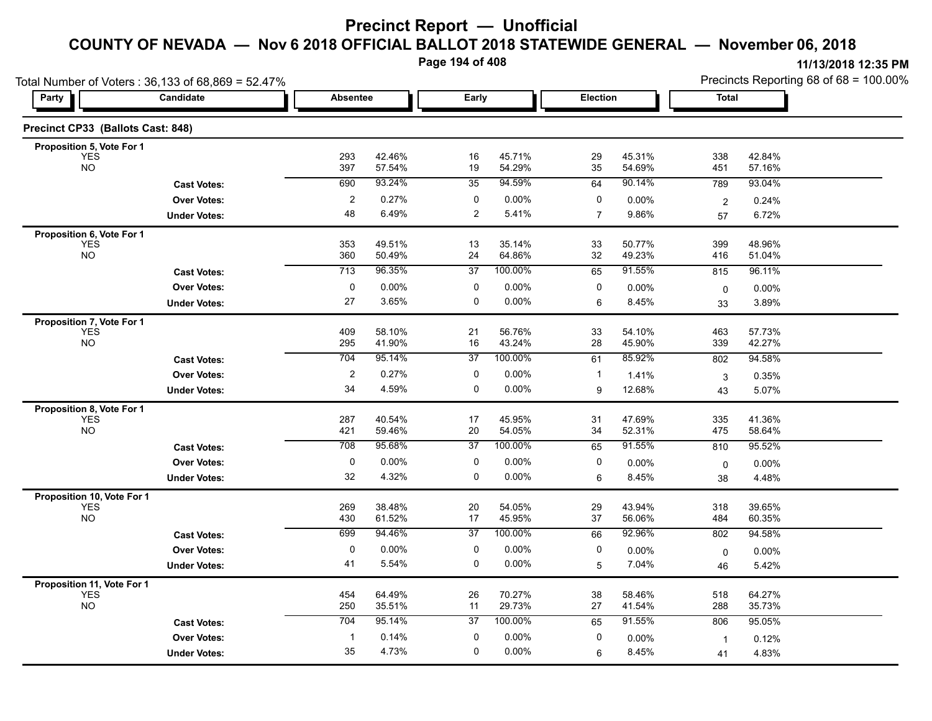**Page 194 of 408**

| Total Number of Voters: 36,133 of 68,869 = 52.47% |                     |                         |                  |                |                  |                |                  | Precincts Reporting 68 of 68 = 100.00% |                  |  |
|---------------------------------------------------|---------------------|-------------------------|------------------|----------------|------------------|----------------|------------------|----------------------------------------|------------------|--|
| Party                                             | Candidate           | <b>Absentee</b>         |                  | Early          |                  | Election       |                  | <b>Total</b>                           |                  |  |
| Precinct CP33 (Ballots Cast: 848)                 |                     |                         |                  |                |                  |                |                  |                                        |                  |  |
| Proposition 5, Vote For 1                         |                     |                         |                  |                |                  |                |                  |                                        |                  |  |
| <b>YES</b><br><b>NO</b>                           |                     | 293<br>397              | 42.46%<br>57.54% | 16<br>19       | 45.71%<br>54.29% | 29<br>35       | 45.31%<br>54.69% | 338<br>451                             | 42.84%<br>57.16% |  |
|                                                   | <b>Cast Votes:</b>  | 690                     | 93.24%           | 35             | 94.59%           | 64             | 90.14%           | 789                                    | 93.04%           |  |
|                                                   | <b>Over Votes:</b>  | $\overline{\mathbf{c}}$ | 0.27%            | 0              | 0.00%            | 0              | 0.00%            | $\overline{2}$                         | 0.24%            |  |
|                                                   | <b>Under Votes:</b> | 48                      | 6.49%            | $\overline{2}$ | 5.41%            | $\overline{7}$ | 9.86%            | 57                                     | 6.72%            |  |
| Proposition 6, Vote For 1                         |                     |                         |                  |                |                  |                |                  |                                        |                  |  |
| <b>YES</b><br><b>NO</b>                           |                     | 353<br>360              | 49.51%<br>50.49% | 13<br>24       | 35.14%<br>64.86% | 33<br>32       | 50.77%<br>49.23% | 399<br>416                             | 48.96%<br>51.04% |  |
|                                                   | <b>Cast Votes:</b>  | 713                     | 96.35%           | 37             | 100.00%          | 65             | 91.55%           | 815                                    | 96.11%           |  |
|                                                   | <b>Over Votes:</b>  | $\pmb{0}$               | 0.00%            | 0              | 0.00%            | 0              | 0.00%            | $\mathbf 0$                            | 0.00%            |  |
|                                                   | <b>Under Votes:</b> | 27                      | 3.65%            | $\mathbf 0$    | 0.00%            | 6              | 8.45%            | 33                                     | 3.89%            |  |
| Proposition 7, Vote For 1                         |                     |                         |                  |                |                  |                |                  |                                        |                  |  |
| <b>YES</b>                                        |                     | 409                     | 58.10%           | 21             | 56.76%           | 33             | 54.10%           | 463                                    | 57.73%           |  |
| <b>NO</b>                                         |                     | 295                     | 41.90%           | 16             | 43.24%           | 28             | 45.90%           | 339                                    | 42.27%           |  |
|                                                   | <b>Cast Votes:</b>  | 704                     | 95.14%           | 37             | 100.00%          | 61             | 85.92%           | 802                                    | 94.58%           |  |
|                                                   | <b>Over Votes:</b>  | $\overline{c}$          | 0.27%            | 0              | 0.00%            | $\mathbf{1}$   | 1.41%            | 3                                      | 0.35%            |  |
|                                                   | <b>Under Votes:</b> | 34                      | 4.59%            | 0              | 0.00%            | 9              | 12.68%           | 43                                     | 5.07%            |  |
| Proposition 8, Vote For 1<br><b>YES</b>           |                     | 287                     | 40.54%           | 17             | 45.95%           |                | 47.69%           | 335                                    | 41.36%           |  |
| <b>NO</b>                                         |                     | 421                     | 59.46%           | 20             | 54.05%           | 31<br>34       | 52.31%           | 475                                    | 58.64%           |  |
|                                                   | <b>Cast Votes:</b>  | 708                     | 95.68%           | 37             | 100.00%          | 65             | 91.55%           | 810                                    | 95.52%           |  |
|                                                   | <b>Over Votes:</b>  | 0                       | 0.00%            | 0              | 0.00%            | 0              | 0.00%            | 0                                      | 0.00%            |  |
|                                                   | <b>Under Votes:</b> | 32                      | 4.32%            | 0              | 0.00%            | 6              | 8.45%            | 38                                     | 4.48%            |  |
| Proposition 10, Vote For 1                        |                     |                         |                  |                |                  |                |                  |                                        |                  |  |
| <b>YES</b>                                        |                     | 269                     | 38.48%           | 20             | 54.05%           | 29             | 43.94%           | 318                                    | 39.65%           |  |
| <b>NO</b>                                         |                     | 430                     | 61.52%           | 17             | 45.95%           | 37             | 56.06%           | 484                                    | 60.35%           |  |
|                                                   | <b>Cast Votes:</b>  | 699                     | 94.46%           | 37             | 100.00%          | 66             | 92.96%           | 802                                    | 94.58%           |  |
|                                                   | <b>Over Votes:</b>  | $\pmb{0}$               | 0.00%            | $\pmb{0}$      | $0.00\%$         | 0              | 0.00%            | 0                                      | 0.00%            |  |
|                                                   | <b>Under Votes:</b> | 41                      | 5.54%            | 0              | $0.00\%$         | 5              | 7.04%            | 46                                     | 5.42%            |  |
| Proposition 11, Vote For 1                        |                     |                         |                  |                |                  |                |                  |                                        |                  |  |
| <b>YES</b><br><b>NO</b>                           |                     | 454<br>250              | 64.49%<br>35.51% | 26<br>11       | 70.27%<br>29.73% | 38<br>27       | 58.46%<br>41.54% | 518<br>288                             | 64.27%<br>35.73% |  |
|                                                   | <b>Cast Votes:</b>  | 704                     | 95.14%           | 37             | 100.00%          | 65             | 91.55%           | 806                                    | 95.05%           |  |
|                                                   | <b>Over Votes:</b>  | $\mathbf{1}$            | 0.14%            | 0              | 0.00%            | 0              | 0.00%            | $\mathbf{1}$                           | 0.12%            |  |
|                                                   | <b>Under Votes:</b> | 35                      | 4.73%            | $\mathbf 0$    | $0.00\%$         | 6              | 8.45%            | 41                                     | 4.83%            |  |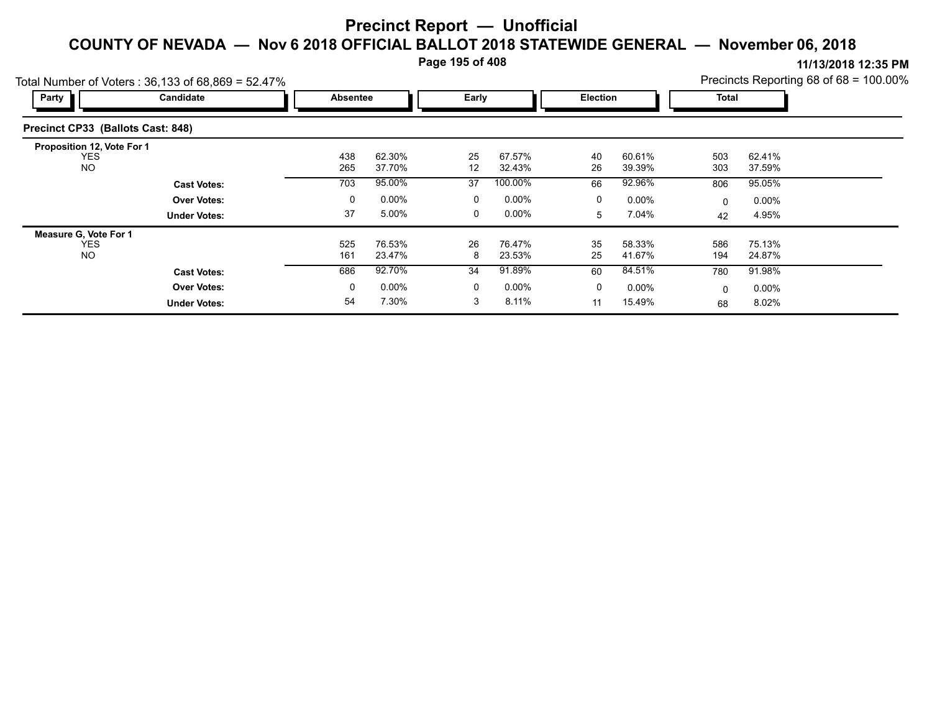**Page 195 of 408**

|                                          | Total Number of Voters: 36,133 of 68,869 = 52.47% |                 |                  |         |                  |          |                  |              |                  | Precincts Reporting 68 of 68 = 100.00% |
|------------------------------------------|---------------------------------------------------|-----------------|------------------|---------|------------------|----------|------------------|--------------|------------------|----------------------------------------|
| Party                                    | Candidate                                         | <b>Absentee</b> |                  | Early   |                  | Election |                  | <b>Total</b> |                  |                                        |
| Precinct CP33 (Ballots Cast: 848)        |                                                   |                 |                  |         |                  |          |                  |              |                  |                                        |
| Proposition 12, Vote For 1<br><b>YES</b> |                                                   | 438             | 62.30%           | 25      | 67.57%           | 40       | 60.61%           | 503          | 62.41%           |                                        |
| <b>NO</b>                                |                                                   | 265             | 37.70%           | 12      | 32.43%           | 26       | 39.39%           | 303          | 37.59%           |                                        |
|                                          | <b>Cast Votes:</b>                                | 703             | 95.00%           | 37      | 100.00%          | 66       | 92.96%           | 806          | 95.05%           |                                        |
|                                          | <b>Over Votes:</b>                                | 0               | $0.00\%$         | 0       | $0.00\%$         | 0        | $0.00\%$         | 0            | $0.00\%$         |                                        |
|                                          | <b>Under Votes:</b>                               | 37              | 5.00%            | 0       | $0.00\%$         | 5        | 7.04%            | 42           | 4.95%            |                                        |
| Measure G, Vote For 1                    |                                                   |                 |                  |         |                  |          |                  |              |                  |                                        |
| <b>YES</b><br><b>NO</b>                  |                                                   | 525<br>161      | 76.53%<br>23.47% | 26<br>8 | 76.47%<br>23.53% | 35<br>25 | 58.33%<br>41.67% | 586<br>194   | 75.13%<br>24.87% |                                        |
|                                          | <b>Cast Votes:</b>                                | 686             | 92.70%           | 34      | 91.89%           | 60       | 84.51%           | 780          | 91.98%           |                                        |
|                                          | <b>Over Votes:</b>                                | 0               | $0.00\%$         | 0       | $0.00\%$         | 0        | $0.00\%$         | 0            | $0.00\%$         |                                        |
|                                          | <b>Under Votes:</b>                               | 54              | 7.30%            | 3       | 8.11%            | 11       | 15.49%           | 68           | 8.02%            |                                        |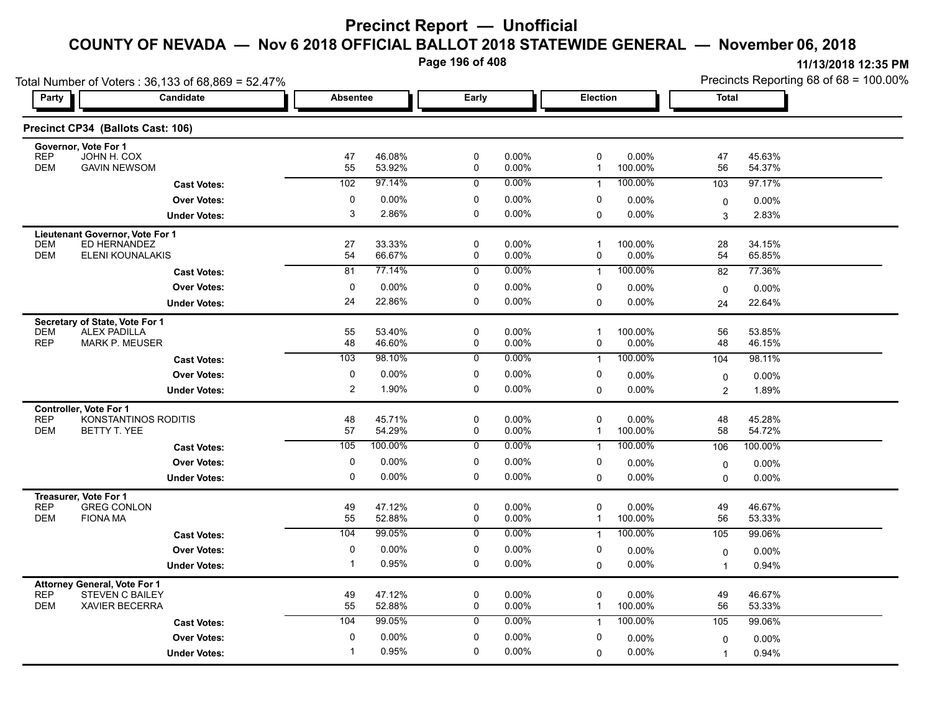**Page 196 of 408**

| Party      | Total Number of Voters: 36,133 of 68,869 = 52.47%<br>Candidate | Absentee       |         | Early       |       | Election |          | <b>Total</b>   | Precincts Reporting 68 of 68 = 100.00% |
|------------|----------------------------------------------------------------|----------------|---------|-------------|-------|----------|----------|----------------|----------------------------------------|
|            | Precinct CP34 (Ballots Cast: 106)                              |                |         |             |       |          |          |                |                                        |
|            | Governor, Vote For 1                                           |                |         |             |       |          |          |                |                                        |
| <b>REP</b> | JOHN H. COX                                                    | 47             | 46.08%  | 0           | 0.00% | 0        | 0.00%    | 47             | 45.63%                                 |
| <b>DEM</b> | <b>GAVIN NEWSOM</b>                                            | 55             | 53.92%  | $\Omega$    | 0.00% |          | 100.00%  | 56             | 54.37%                                 |
|            | <b>Cast Votes:</b>                                             | 102            | 97.14%  | $\Omega$    | 0.00% |          | 100.00%  | 103            | 97.17%                                 |
|            | <b>Over Votes:</b>                                             | $\Omega$       | 0.00%   | $\Omega$    | 0.00% | 0        | 0.00%    | $\mathbf 0$    | 0.00%                                  |
|            | <b>Under Votes:</b>                                            | 3              | 2.86%   | $\Omega$    | 0.00% | 0        | $0.00\%$ | 3              | 2.83%                                  |
|            | Lieutenant Governor, Vote For 1                                |                |         |             |       |          |          |                |                                        |
| <b>DEM</b> | <b>ED HERNANDEZ</b>                                            | 27             | 33.33%  | $\mathbf 0$ | 0.00% |          | 100.00%  | 28             | 34.15%                                 |
| <b>DEM</b> | ELENI KOUNALAKIS                                               | 54             | 66.67%  | $\Omega$    | 0.00% | 0        | $0.00\%$ | 54             | 65.85%                                 |
|            | <b>Cast Votes:</b>                                             | 81             | 77.14%  | $\Omega$    | 0.00% |          | 100.00%  | 82             | 77.36%                                 |
|            | <b>Over Votes:</b>                                             |                | 0.00%   | $\Omega$    | 0.00% | 0        | $0.00\%$ | $\mathbf{0}$   | 0.00%                                  |
|            | <b>Under Votes:</b>                                            | 24             | 22.86%  | $\Omega$    | 0.00% | 0        | 0.00%    | 24             | 22.64%                                 |
|            | Secretary of State, Vote For 1                                 |                |         |             |       |          |          |                |                                        |
| <b>DEM</b> | <b>ALEX PADILLA</b>                                            | 55             | 53.40%  | 0           | 0.00% |          | 100.00%  | 56             | 53.85%                                 |
| <b>REP</b> | <b>MARK P. MEUSER</b>                                          | 48             | 46.60%  | $\mathbf 0$ | 0.00% | 0        | $0.00\%$ | 48             | 46.15%                                 |
|            | <b>Cast Votes:</b>                                             | 103            | 98.10%  | $\Omega$    | 0.00% |          | 100.00%  | 104            | 98.11%                                 |
|            | <b>Over Votes:</b>                                             | $\Omega$       | 0.00%   | $\Omega$    | 0.00% | 0        | 0.00%    | $\mathbf 0$    | 0.00%                                  |
|            | <b>Under Votes:</b>                                            | $\overline{2}$ | 1.90%   | $\Omega$    | 0.00% | 0        | 0.00%    | $\overline{2}$ | 1.89%                                  |
|            | <b>Controller, Vote For 1</b>                                  |                |         |             |       |          |          |                |                                        |
| <b>REP</b> | <b>KONSTANTINOS RODITIS</b>                                    | 48             | 45.71%  | 0           | 0.00% | 0        | $0.00\%$ | 48             | 45.28%                                 |
| <b>DEM</b> | BETTY T. YEE                                                   | 57             | 54.29%  | $\mathbf 0$ | 0.00% |          | 100.00%  | 58             | 54.72%                                 |
|            | <b>Cast Votes:</b>                                             | 105            | 100.00% | $\Omega$    | 0.00% |          | 100.00%  | 106            | 100.00%                                |
|            | <b>Over Votes:</b>                                             | $\Omega$       | 0.00%   | $\Omega$    | 0.00% | 0        | $0.00\%$ | $\Omega$       | 0.00%                                  |

|                          | onuvi vuuvi                                                                            |          |                  |              |                      |              |                     |              | $\cdots$         |  |
|--------------------------|----------------------------------------------------------------------------------------|----------|------------------|--------------|----------------------|--------------|---------------------|--------------|------------------|--|
| <b>REP</b><br><b>DEM</b> | Controller, Vote For 1<br>KONSTANTINOS RODITIS<br>BETTY T. YEE                         | 48<br>57 | 45.71%<br>54.29% | 0<br>0       | $0.00\%$<br>$0.00\%$ | $\mathbf{0}$ | $0.00\%$<br>100.00% | 48<br>58     | 45.28%<br>54.72% |  |
|                          | <b>Cast Votes:</b>                                                                     | 105      | 100.00%          | 0            | 0.00%                |              | 100.00%             | 106          | 100.00%          |  |
|                          | <b>Over Votes:</b>                                                                     | 0        | $0.00\%$         | 0            | $0.00\%$             | 0            | $0.00\%$            | $\mathbf{0}$ | $0.00\%$         |  |
|                          | <b>Under Votes:</b>                                                                    | 0        | $0.00\%$         | 0            | $0.00\%$             | 0            | 0.00%               | 0            | $0.00\%$         |  |
| <b>REP</b><br><b>DEM</b> | Treasurer, Vote For 1<br><b>GREG CONLON</b><br><b>FIONA MA</b>                         | 49<br>55 | 47.12%<br>52.88% | 0<br>0       | $0.00\%$<br>$0.00\%$ | $\Omega$     | $0.00\%$<br>100.00% | 49<br>56     | 46.67%<br>53.33% |  |
|                          | <b>Cast Votes:</b>                                                                     | 104      | 99.05%           | $\mathbf{0}$ | $0.00\%$             |              | 100.00%             | 105          | 99.06%           |  |
|                          | <b>Over Votes:</b>                                                                     | 0        | $0.00\%$         | $\Omega$     | $0.00\%$             | 0            | $0.00\%$            | $\mathbf 0$  | $0.00\%$         |  |
|                          | <b>Under Votes:</b>                                                                    |          | 0.95%            | 0            | $0.00\%$             | 0            | $0.00\%$            |              | 0.94%            |  |
| <b>REP</b><br><b>DEM</b> | <b>Attorney General, Vote For 1</b><br><b>STEVEN C BAILEY</b><br><b>XAVIER BECERRA</b> | 49<br>55 | 47.12%<br>52.88% | 0<br>0       | $0.00\%$<br>$0.00\%$ | 0            | $0.00\%$<br>100.00% | 49<br>56     | 46.67%<br>53.33% |  |
|                          | <b>Cast Votes:</b>                                                                     | 104      | 99.05%           | 0            | $0.00\%$             |              | 100.00%             | 105          | 99.06%           |  |
|                          | <b>Over Votes:</b>                                                                     | 0        | $0.00\%$         | 0            | $0.00\%$             | 0            | $0.00\%$            | $\mathbf{0}$ | $0.00\%$         |  |
|                          | <b>Under Votes:</b>                                                                    |          | 0.95%            | 0            | $0.00\%$             | 0            | $0.00\%$            |              | 0.94%            |  |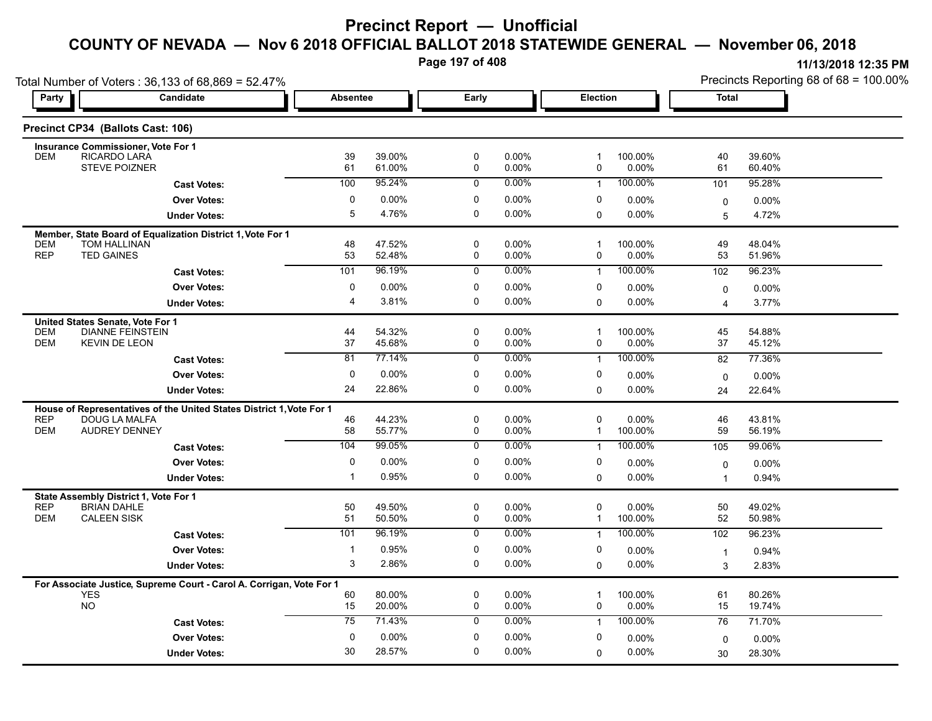**Page 197 of 408**

|                          | Total Number of Voters: 36,133 of 68,869 = 52.47%                                               |                 |                  |                  |                      |                                        |                     | Precincts Reporting 68 of 68 = 100.00% |                  |  |
|--------------------------|-------------------------------------------------------------------------------------------------|-----------------|------------------|------------------|----------------------|----------------------------------------|---------------------|----------------------------------------|------------------|--|
| Party                    | <b>Candidate</b>                                                                                | <b>Absentee</b> |                  | Early            |                      | Election                               |                     | <b>Total</b>                           |                  |  |
|                          | Precinct CP34 (Ballots Cast: 106)                                                               |                 |                  |                  |                      |                                        |                     |                                        |                  |  |
|                          | <b>Insurance Commissioner, Vote For 1</b>                                                       |                 |                  |                  |                      |                                        |                     |                                        |                  |  |
| <b>DEM</b>               | RICARDO LARA<br><b>STEVE POIZNER</b>                                                            | 39<br>61        | 39.00%<br>61.00% | 0<br>0           | $0.00\%$<br>0.00%    | $\overline{1}$<br>0                    | 100.00%<br>$0.00\%$ | 40<br>61                               | 39.60%<br>60.40% |  |
|                          | <b>Cast Votes:</b>                                                                              | 100             | 95.24%           | 0                | $0.00\%$             | $\mathbf{1}$                           | 100.00%             | 101                                    | 95.28%           |  |
|                          | <b>Over Votes:</b>                                                                              | $\mathbf 0$     | $0.00\%$         | 0                | $0.00\%$             | 0                                      | 0.00%               | $\mathbf 0$                            | $0.00\%$         |  |
|                          | <b>Under Votes:</b>                                                                             | 5               | 4.76%            | 0                | $0.00\%$             | $\mathbf 0$                            | 0.00%               | 5                                      | 4.72%            |  |
| <b>DEM</b>               | Member, State Board of Equalization District 1, Vote For 1<br>TOM HALLINAN<br><b>TED GAINES</b> | 48              | 47.52%           | 0                | $0.00\%$             | $\overline{\mathbf{1}}$                | 100.00%             | 49                                     | 48.04%           |  |
| <b>REP</b>               |                                                                                                 | 53<br>101       | 52.48%<br>96.19% | 0<br>0           | $0.00\%$<br>$0.00\%$ | $\mathbf 0$<br>$\mathbf{1}$            | 0.00%<br>100.00%    | 53                                     | 51.96%<br>96.23% |  |
|                          | <b>Cast Votes:</b><br><b>Over Votes:</b>                                                        | 0               | $0.00\%$         | 0                | $0.00\%$             | 0                                      | 0.00%               | 102                                    |                  |  |
|                          | <b>Under Votes:</b>                                                                             | 4               | 3.81%            | 0                | 0.00%                | $\mathbf 0$                            | $0.00\%$            | $\mathbf 0$<br>4                       | 0.00%<br>3.77%   |  |
|                          |                                                                                                 |                 |                  |                  |                      |                                        |                     |                                        |                  |  |
| <b>DEM</b><br><b>DEM</b> | United States Senate, Vote For 1<br><b>DIANNE FEINSTEIN</b><br><b>KEVIN DE LEON</b>             | 44<br>37        | 54.32%<br>45.68% | 0<br>$\mathbf 0$ | $0.00\%$<br>0.00%    | $\overline{1}$<br>0                    | 100.00%<br>$0.00\%$ | 45<br>37                               | 54.88%<br>45.12% |  |
|                          | <b>Cast Votes:</b>                                                                              | 81              | 77.14%           | $\overline{0}$   | $0.00\%$             | $\mathbf{1}$                           | 100.00%             | 82                                     | 77.36%           |  |
|                          | <b>Over Votes:</b>                                                                              | $\mathbf 0$     | 0.00%            | 0                | 0.00%                | 0                                      | 0.00%               | $\mathbf 0$                            | 0.00%            |  |
|                          | <b>Under Votes:</b>                                                                             | 24              | 22.86%           | 0                | $0.00\%$             | $\mathbf 0$                            | $0.00\%$            | 24                                     | 22.64%           |  |
|                          | House of Representatives of the United States District 1, Vote For 1                            |                 |                  |                  |                      |                                        |                     |                                        |                  |  |
| <b>REP</b><br><b>DEM</b> | <b>DOUG LA MALFA</b><br><b>AUDREY DENNEY</b>                                                    | 46<br>58        | 44.23%<br>55.77% | 0<br>$\mathbf 0$ | $0.00\%$<br>$0.00\%$ | 0<br>$\mathbf{1}$                      | 0.00%<br>100.00%    | 46<br>59                               | 43.81%<br>56.19% |  |
|                          | <b>Cast Votes:</b>                                                                              | 104             | 99.05%           | 0                | $0.00\%$             | $\mathbf{1}$                           | 100.00%             | 105                                    | 99.06%           |  |
|                          | <b>Over Votes:</b>                                                                              | 0               | $0.00\%$         | 0                | $0.00\%$             | 0                                      | 0.00%               | 0                                      | 0.00%            |  |
|                          | <b>Under Votes:</b>                                                                             | $\overline{1}$  | 0.95%            | 0                | $0.00\%$             | $\mathbf 0$                            | $0.00\%$            | $\overline{1}$                         | 0.94%            |  |
|                          | State Assembly District 1, Vote For 1                                                           |                 |                  |                  |                      |                                        |                     |                                        |                  |  |
| <b>REP</b><br><b>DEM</b> | <b>BRIAN DAHLE</b><br><b>CALEEN SISK</b>                                                        | 50<br>51        | 49.50%<br>50.50% | 0<br>0           | $0.00\%$<br>0.00%    | 0<br>$\mathbf{1}$                      | 0.00%<br>100.00%    | 50<br>52                               | 49.02%<br>50.98% |  |
|                          | <b>Cast Votes:</b>                                                                              | 101             | 96.19%           | $\overline{0}$   | $0.00\%$             | $\mathbf{1}$                           | 100.00%             | 102                                    | 96.23%           |  |
|                          | <b>Over Votes:</b>                                                                              | $\overline{1}$  | 0.95%            | 0                | $0.00\%$             | 0                                      | 0.00%               | $\overline{1}$                         | 0.94%            |  |
|                          | <b>Under Votes:</b>                                                                             | 3               | 2.86%            | 0                | $0.00\%$             | $\Omega$                               | $0.00\%$            | 3                                      | 2.83%            |  |
|                          | For Associate Justice, Supreme Court - Carol A. Corrigan, Vote For 1                            |                 |                  |                  |                      |                                        |                     |                                        |                  |  |
|                          | <b>YES</b><br><b>NO</b>                                                                         | 60<br>15        | 80.00%<br>20.00% | 0<br>$\mathbf 0$ | $0.00\%$<br>$0.00\%$ | $\overline{\mathbf{1}}$<br>$\mathbf 0$ | 100.00%<br>0.00%    | 61<br>15                               | 80.26%<br>19.74% |  |
|                          | <b>Cast Votes:</b>                                                                              | 75              | 71.43%           | $\mathbf 0$      | $0.00\%$             | $\mathbf{1}$                           | 100.00%             | 76                                     | 71.70%           |  |
|                          | <b>Over Votes:</b>                                                                              | $\mathbf 0$     | $0.00\%$         | 0                | $0.00\%$             | 0                                      | 0.00%               | $\Omega$                               | 0.00%            |  |
|                          | <b>Under Votes:</b>                                                                             | 30              | 28.57%           | 0                | 0.00%                | 0                                      | $0.00\%$            | 30                                     | 28.30%           |  |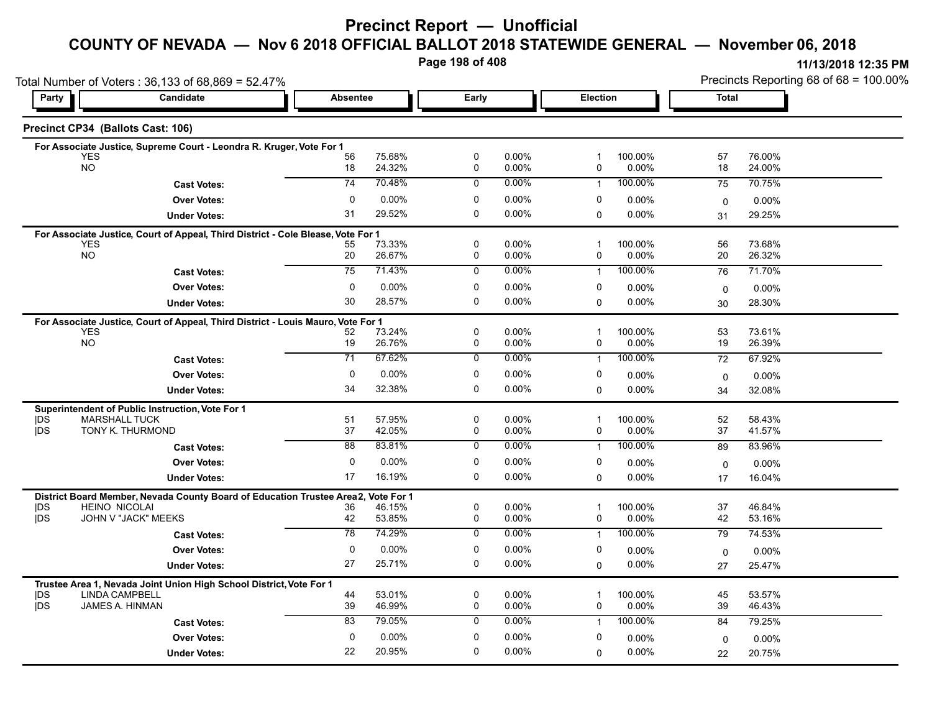# **Precinct Report — Unofficial**

#### **COUNTY OF NEVADA — Nov 6 2018 OFFICIAL BALLOT 2018 STATEWIDE GENERAL — November 06, 2018**

**Page 198 of 408**

| Total Number of Voters: 36,133 of 68,869 = 52.47% |                                                                                       |                 |                  |                            |                |                   |                  | Precincts Reporting 68 of 68 = 100.00% |                  |  |
|---------------------------------------------------|---------------------------------------------------------------------------------------|-----------------|------------------|----------------------------|----------------|-------------------|------------------|----------------------------------------|------------------|--|
| Party                                             | Candidate                                                                             |                 | <b>Absentee</b>  |                            |                |                   | <b>Election</b>  |                                        | <b>Total</b>     |  |
|                                                   | Precinct CP34 (Ballots Cast: 106)                                                     |                 |                  |                            |                |                   |                  |                                        |                  |  |
|                                                   | For Associate Justice, Supreme Court - Leondra R. Kruger, Vote For 1                  |                 |                  |                            |                |                   |                  |                                        |                  |  |
| <b>YES</b><br><b>NO</b>                           |                                                                                       | 56<br>18        | 75.68%<br>24.32% | 0<br>$\mathbf 0$           | 0.00%<br>0.00% | $\mathbf 1$<br>0  | 100.00%<br>0.00% | 57<br>18                               | 76.00%<br>24.00% |  |
|                                                   | <b>Cast Votes:</b>                                                                    | 74              | 70.48%           | $\Omega$                   | $0.00\%$       | $\overline{1}$    | 100.00%          | 75                                     | 70.75%           |  |
|                                                   | <b>Over Votes:</b>                                                                    | $\mathbf{0}$    | 0.00%            | 0                          | 0.00%          | 0                 | $0.00\%$         |                                        | 0.00%            |  |
|                                                   | <b>Under Votes:</b>                                                                   | 31              | 29.52%           | $\Omega$                   | $0.00\%$       | $\Omega$          | $0.00\%$         | 0<br>31                                | 29.25%           |  |
|                                                   |                                                                                       |                 |                  |                            |                |                   |                  |                                        |                  |  |
| <b>YES</b>                                        | For Associate Justice, Court of Appeal, Third District - Cole Blease, Vote For 1      | 55              | 73.33%           | $\mathbf 0$                | 0.00%          | -1                | 100.00%          | 56                                     | 73.68%           |  |
| NO <sub>1</sub>                                   |                                                                                       | 20              | 26.67%           | 0                          | 0.00%          | 0                 | $0.00\%$         | 20                                     | 26.32%           |  |
|                                                   | <b>Cast Votes:</b>                                                                    | 75              | 71.43%           | $\mathbf 0$                | $0.00\%$       | $\mathbf{1}$      | 100.00%          | 76                                     | 71.70%           |  |
|                                                   | <b>Over Votes:</b>                                                                    | 0               | $0.00\%$         | 0                          | 0.00%          | 0                 | $0.00\%$         | $\mathbf 0$                            | 0.00%            |  |
|                                                   | <b>Under Votes:</b>                                                                   | 30              | 28.57%           | 0                          | 0.00%          | $\Omega$          | 0.00%            | 30                                     | 28.30%           |  |
|                                                   | For Associate Justice, Court of Appeal, Third District - Louis Mauro, Vote For 1      |                 |                  |                            |                |                   |                  |                                        |                  |  |
| <b>YES</b>                                        |                                                                                       | 52              | 73.24%           | 0                          | 0.00%          | $\mathbf 1$       | 100.00%          | 53                                     | 73.61%           |  |
| <b>NO</b>                                         |                                                                                       | 19              | 26.76%           | 0                          | 0.00%          | 0                 | 0.00%            | 19                                     | 26.39%           |  |
|                                                   | <b>Cast Votes:</b>                                                                    | $\overline{71}$ | 67.62%           | 0                          | $0.00\%$       | $\mathbf{1}$      | 100.00%          | 72                                     | 67.92%           |  |
|                                                   | <b>Over Votes:</b>                                                                    | 0               | 0.00%            | 0                          | 0.00%          | 0                 | 0.00%            | $\mathbf 0$                            | 0.00%            |  |
|                                                   | <b>Under Votes:</b>                                                                   | 34              | 32.38%           | 0                          | 0.00%          | $\Omega$          | $0.00\%$         | 34                                     | 32.08%           |  |
|                                                   | Superintendent of Public Instruction, Vote For 1                                      |                 |                  |                            |                |                   |                  |                                        |                  |  |
| DŚ                                                | <b>MARSHALL TUCK</b>                                                                  | 51              | 57.95%           | 0                          | 0.00%          | $\mathbf 1$       | 100.00%          | 52                                     | 58.43%           |  |
| <b>IDS</b>                                        | TONY K. THURMOND                                                                      | 37              | 42.05%           | $\mathbf 0$                | 0.00%          | $\mathbf 0$       | $0.00\%$         | 37                                     | 41.57%           |  |
|                                                   | <b>Cast Votes:</b>                                                                    | 88              | 83.81%           | 0                          | 0.00%          | $\mathbf{1}$      | 100.00%          | 89                                     | 83.96%           |  |
|                                                   | <b>Over Votes:</b>                                                                    | $\mathbf 0$     | 0.00%            | $\mathbf 0$                | 0.00%          | 0                 | $0.00\%$         | 0                                      | $0.00\%$         |  |
|                                                   | <b>Under Votes:</b>                                                                   | 17              | 16.19%           | $\Omega$                   | 0.00%          | 0                 | 0.00%            | 17                                     | 16.04%           |  |
|                                                   | District Board Member, Nevada County Board of Education Trustee Area2, Vote For 1     |                 |                  |                            |                |                   |                  |                                        |                  |  |
| <b>IDS</b><br><b>IDS</b>                          | <b>HEINO NICOLAI</b><br>JOHN V "JACK" MEEKS                                           | 36<br>42        | 46.15%<br>53.85% | 0<br>0                     | 0.00%<br>0.00% | $\mathbf{1}$<br>0 | 100.00%<br>0.00% | 37<br>42                               | 46.84%<br>53.16% |  |
|                                                   |                                                                                       | $\overline{78}$ | 74.29%           | $\overline{0}$             | $0.00\%$       | $\mathbf{1}$      | 100.00%          | 79                                     | 74.53%           |  |
|                                                   | <b>Cast Votes:</b>                                                                    |                 |                  |                            |                |                   |                  |                                        |                  |  |
|                                                   | <b>Over Votes:</b>                                                                    | 0<br>27         | 0.00%<br>25.71%  | $\mathbf 0$<br>$\mathbf 0$ | 0.00%<br>0.00% | 0                 | $0.00\%$         | 0                                      | 0.00%            |  |
|                                                   | <b>Under Votes:</b>                                                                   |                 |                  |                            |                | $\Omega$          | $0.00\%$         | 27                                     | 25.47%           |  |
|                                                   | Trustee Area 1, Nevada Joint Union High School District, Vote For 1<br>LINDA CAMPBELL |                 |                  |                            | 0.00%          |                   | 100.00%          |                                        |                  |  |
| DS<br><b>IDS</b>                                  | JAMES A. HINMAN                                                                       | 44<br>39        | 53.01%<br>46.99% | 0<br>0                     | 0.00%          | 1<br>0            | 0.00%            | 45<br>39                               | 53.57%<br>46.43% |  |
|                                                   | <b>Cast Votes:</b>                                                                    | 83              | 79.05%           | $\mathbf 0$                | 0.00%          | $\overline{1}$    | 100.00%          | 84                                     | 79.25%           |  |
|                                                   | <b>Over Votes:</b>                                                                    | $\mathbf 0$     | 0.00%            | 0                          | 0.00%          | 0                 | $0.00\%$         | 0                                      | 0.00%            |  |
|                                                   | <b>Under Votes:</b>                                                                   | 22              | 20.95%           | $\mathbf 0$                | 0.00%          | $\Omega$          | $0.00\%$         | 22                                     | 20.75%           |  |
|                                                   |                                                                                       |                 |                  |                            |                |                   |                  |                                        |                  |  |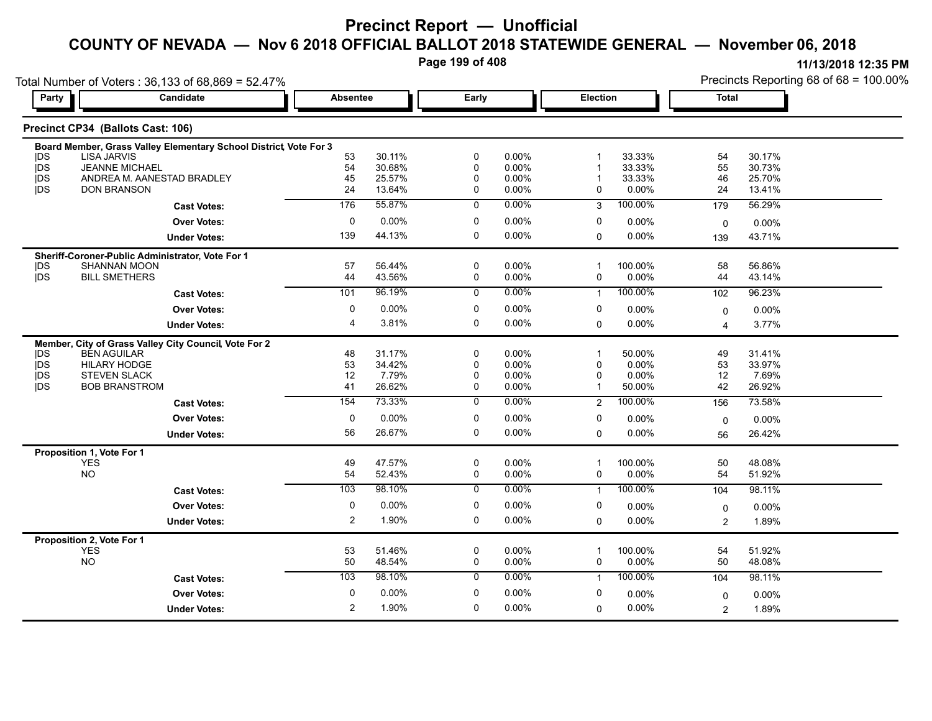**Page 199 of 408**

| <b>Party</b>             | Total Number of Voters: 36,133 of 68,869 = 52.47%<br>Candidate    | <b>Absentee</b> |                  | Early          |                | <b>Election</b> |                  | <b>Total</b>            | Precincts Reporting 68 of 68 = 100.00% |
|--------------------------|-------------------------------------------------------------------|-----------------|------------------|----------------|----------------|-----------------|------------------|-------------------------|----------------------------------------|
|                          |                                                                   |                 |                  |                |                |                 |                  |                         |                                        |
|                          | Precinct CP34 (Ballots Cast: 106)                                 |                 |                  |                |                |                 |                  |                         |                                        |
|                          | Board Member, Grass Valley Elementary School District, Vote For 3 |                 |                  |                |                |                 |                  |                         |                                        |
| <b>IDS</b>               | <b>LISA JARVIS</b>                                                | 53              | 30.11%           | 0              | 0.00%          |                 | 33.33%           | 54                      | 30.17%                                 |
| jDS<br><b>IDS</b>        | <b>JEANNE MICHAEL</b>                                             | 54              | 30.68%           | 0              | 0.00%          |                 | 33.33%           | 55                      | 30.73%                                 |
| j <sub>DS</sub>          | ANDREA M. AANESTAD BRADLEY<br><b>DON BRANSON</b>                  | 45<br>24        | 25.57%<br>13.64% | 0<br>0         | 0.00%<br>0.00% | $\mathbf{0}$    | 33.33%<br>0.00%  | 46<br>24                | 25.70%<br>13.41%                       |
|                          | <b>Cast Votes:</b>                                                | 176             | 55.87%           | $\overline{0}$ | 0.00%          | 3               | 100.00%          | 179                     | 56.29%                                 |
|                          | <b>Over Votes:</b>                                                | $\mathbf 0$     | 0.00%            | 0              | 0.00%          | 0               |                  |                         |                                        |
|                          |                                                                   |                 |                  |                |                |                 | 0.00%            | $\mathbf 0$             | 0.00%                                  |
|                          | <b>Under Votes:</b>                                               | 139             | 44.13%           | $\Omega$       | $0.00\%$       | $\mathbf 0$     | 0.00%            | 139                     | 43.71%                                 |
|                          | Sheriff-Coroner-Public Administrator, Vote For 1                  |                 |                  |                |                |                 |                  |                         |                                        |
| <b>IDS</b><br>jDS        | <b>SHANNAN MOON</b><br><b>BILL SMETHERS</b>                       | 57<br>44        | 56.44%<br>43.56% | 0<br>0         | 0.00%<br>0.00% | $\mathbf 0$     | 100.00%<br>0.00% | 58<br>44                | 56.86%<br>43.14%                       |
|                          |                                                                   | 101             | 96.19%           | $\overline{0}$ | 0.00%          |                 | 100.00%          |                         |                                        |
|                          | <b>Cast Votes:</b>                                                |                 |                  |                |                | $\mathbf{1}$    |                  | 102                     | 96.23%                                 |
|                          | <b>Over Votes:</b>                                                | 0               | 0.00%            | 0              | 0.00%          | 0               | 0.00%            | $\mathbf 0$             | 0.00%                                  |
|                          | <b>Under Votes:</b>                                               | 4               | 3.81%            | 0              | 0.00%          | $\mathbf 0$     | $0.00\%$         | $\overline{\mathbf{4}}$ | 3.77%                                  |
|                          | Member, City of Grass Valley City Council, Vote For 2             |                 |                  |                |                |                 |                  |                         |                                        |
| <b>IDS</b>               | <b>BEN AGUILAR</b>                                                | 48              | 31.17%           | 0              | 0.00%          | $\overline{1}$  | 50.00%           | 49                      | 31.41%                                 |
| <b>IDS</b>               | <b>HILARY HODGE</b>                                               | 53              | 34.42%           | 0              | 0.00%          | $\Omega$        | 0.00%            | 53                      | 33.97%                                 |
| <b>IDS</b><br><b>IDS</b> | <b>STEVEN SLACK</b><br><b>BOB BRANSTROM</b>                       | 12<br>41        | 7.79%<br>26.62%  | 0<br>0         | 0.00%<br>0.00% | $\Omega$        | 0.00%<br>50.00%  | 12<br>42                | 7.69%<br>26.92%                        |
|                          |                                                                   | 154             | 73.33%           | $\mathbf 0$    | 0.00%          |                 | 100.00%          |                         |                                        |
|                          | <b>Cast Votes:</b>                                                |                 |                  |                |                | 2               |                  | 156                     | 73.58%                                 |
|                          | <b>Over Votes:</b>                                                | 0               | 0.00%            | $\mathbf 0$    | 0.00%          | 0               | 0.00%            | 0                       | 0.00%                                  |
|                          | <b>Under Votes:</b>                                               | 56              | 26.67%           | 0              | 0.00%          | $\mathbf 0$     | 0.00%            | 56                      | 26.42%                                 |
|                          | Proposition 1, Vote For 1                                         |                 |                  |                |                |                 |                  |                         |                                        |
|                          | <b>YES</b>                                                        | 49              | 47.57%           | 0              | 0.00%          | -1              | 100.00%          | 50                      | 48.08%                                 |
|                          | <b>NO</b>                                                         | 54              | 52.43%           | 0              | 0.00%          | 0               | 0.00%            | 54                      | 51.92%                                 |
|                          | <b>Cast Votes:</b>                                                | 103             | 98.10%           | 0              | 0.00%          | $\mathbf{1}$    | 100.00%          | 104                     | 98.11%                                 |
|                          | <b>Over Votes:</b>                                                | 0               | 0.00%            | 0              | $0.00\%$       | 0               | 0.00%            | $\mathbf 0$             | 0.00%                                  |
|                          | <b>Under Votes:</b>                                               | 2               | 1.90%            | 0              | 0.00%          | $\mathbf 0$     | 0.00%            | $\overline{c}$          | 1.89%                                  |
|                          | Proposition 2, Vote For 1                                         |                 |                  |                |                |                 |                  |                         |                                        |
|                          | <b>YES</b>                                                        | 53              | 51.46%           | 0              | 0.00%          | -1              | 100.00%          | 54                      | 51.92%                                 |
|                          | NO                                                                | 50              | 48.54%           | 0              | 0.00%          | 0               | 0.00%            | 50                      | 48.08%                                 |
|                          | <b>Cast Votes:</b>                                                | 103             | 98.10%           | $\mathbf 0$    | 0.00%          | $\mathbf{1}$    | 100.00%          | 104                     | 98.11%                                 |
|                          | <b>Over Votes:</b>                                                | 0               | 0.00%            | 0              | 0.00%          | 0               | 0.00%            | $\mathbf 0$             | 0.00%                                  |
|                          | <b>Under Votes:</b>                                               | 2               | 1.90%            | 0              | 0.00%          | $\mathbf 0$     | 0.00%            | $\overline{2}$          | 1.89%                                  |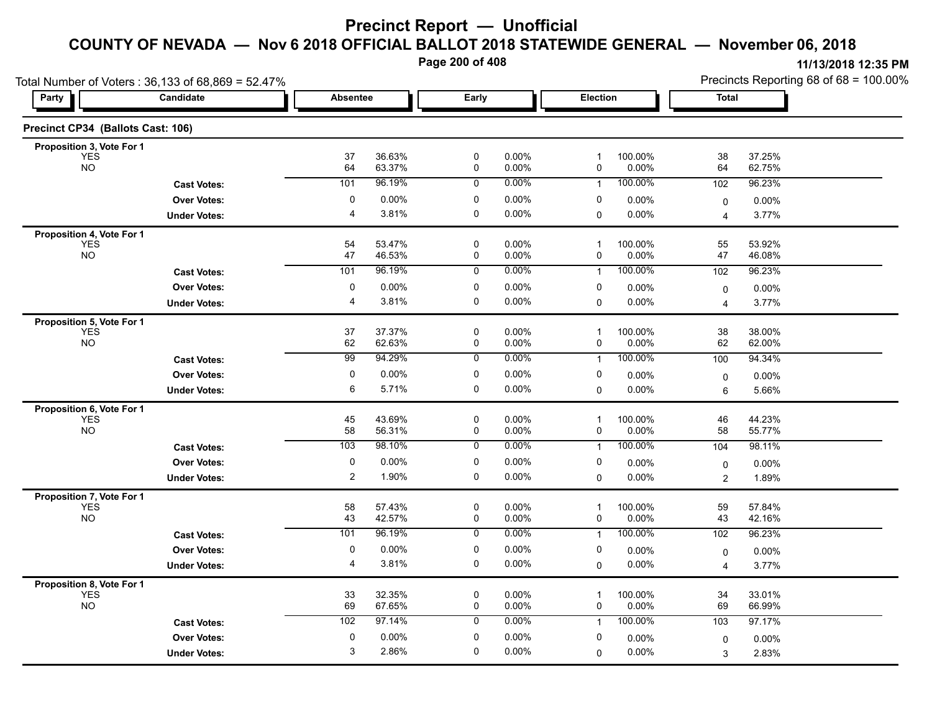**Page 200 of 408**

| Total Number of Voters: 36,133 of 68,869 = 52.47% |                     |                 |                  |                          |                   |                   |                  | Precincts Reporting 68 of 68 = 100.00% |                  |  |
|---------------------------------------------------|---------------------|-----------------|------------------|--------------------------|-------------------|-------------------|------------------|----------------------------------------|------------------|--|
| Party                                             | Candidate           | <b>Absentee</b> |                  | Early                    |                   | Election          |                  | <b>Total</b>                           |                  |  |
| Precinct CP34 (Ballots Cast: 106)                 |                     |                 |                  |                          |                   |                   |                  |                                        |                  |  |
| Proposition 3, Vote For 1                         |                     |                 |                  |                          |                   |                   |                  |                                        |                  |  |
| <b>YES</b><br><b>NO</b>                           |                     | 37<br>64        | 36.63%<br>63.37% | $\mathbf 0$<br>0         | 0.00%<br>0.00%    | 1<br>0            | 100.00%<br>0.00% | 38<br>64                               | 37.25%<br>62.75% |  |
|                                                   | <b>Cast Votes:</b>  | 101             | 96.19%           | 0                        | 0.00%             | $\mathbf{1}$      | 100.00%          | 102                                    | 96.23%           |  |
|                                                   | <b>Over Votes:</b>  | 0               | 0.00%            | 0                        | 0.00%             | 0                 | 0.00%            | $\mathbf 0$                            | $0.00\%$         |  |
|                                                   | <b>Under Votes:</b> | $\overline{4}$  | 3.81%            | $\mathbf 0$              | 0.00%             | $\Omega$          | 0.00%            | 4                                      | 3.77%            |  |
| Proposition 4, Vote For 1                         |                     |                 |                  |                          |                   |                   |                  |                                        |                  |  |
| <b>YES</b><br><b>NO</b>                           |                     | 54<br>47        | 53.47%<br>46.53% | 0<br>0                   | $0.00\%$<br>0.00% | 1<br>0            | 100.00%<br>0.00% | 55<br>47                               | 53.92%<br>46.08% |  |
|                                                   | <b>Cast Votes:</b>  | 101             | 96.19%           | 0                        | 0.00%             | $\mathbf{1}$      | 100.00%          | 102                                    | 96.23%           |  |
|                                                   | <b>Over Votes:</b>  | 0               | 0.00%            | 0                        | 0.00%             | 0                 | 0.00%            |                                        | 0.00%            |  |
|                                                   | <b>Under Votes:</b> | 4               | 3.81%            | 0                        | $0.00\%$          | $\Omega$          | 0.00%            | 0<br>$\overline{4}$                    | 3.77%            |  |
| Proposition 5, Vote For 1                         |                     |                 |                  |                          |                   |                   |                  |                                        |                  |  |
| <b>YES</b>                                        |                     | 37              | 37 37%           | 0                        | $0.00\%$          | $\mathbf{1}$      | 100.00%          | 38                                     | 38.00%           |  |
| <b>NO</b>                                         |                     | 62              | 62.63%           | 0                        | 0.00%             | 0                 | 0.00%            | 62                                     | 62.00%           |  |
|                                                   | <b>Cast Votes:</b>  | 99              | 94.29%           | 0                        | 0.00%             | $\mathbf{1}$      | 100.00%          | 100                                    | 94.34%           |  |
|                                                   | <b>Over Votes:</b>  | 0               | 0.00%            | 0                        | 0.00%             | 0                 | 0.00%            | 0                                      | $0.00\%$         |  |
|                                                   | <b>Under Votes:</b> | 6               | 5.71%            | 0                        | 0.00%             | $\Omega$          | 0.00%            | 6                                      | 5.66%            |  |
| Proposition 6, Vote For 1                         |                     |                 |                  |                          |                   |                   |                  |                                        |                  |  |
| <b>YES</b><br><b>NO</b>                           |                     | 45<br>58        | 43.69%<br>56.31% | $\pmb{0}$<br>0           | 0.00%<br>$0.00\%$ | $\mathbf{1}$<br>0 | 100.00%<br>0.00% | 46<br>58                               | 44.23%<br>55.77% |  |
|                                                   | <b>Cast Votes:</b>  | 103             | 98.10%           | 0                        | 0.00%             | $\mathbf{1}$      | 100.00%          | 104                                    | 98.11%           |  |
|                                                   | <b>Over Votes:</b>  | 0               | 0.00%            | 0                        | $0.00\%$          | 0                 | 0.00%            |                                        | 0.00%            |  |
|                                                   | <b>Under Votes:</b> | $\overline{2}$  | 1.90%            | $\mathbf 0$              | 0.00%             | $\Omega$          | 0.00%            | $\mathbf 0$<br>2                       | 1.89%            |  |
|                                                   |                     |                 |                  |                          |                   |                   |                  |                                        |                  |  |
| Proposition 7, Vote For 1<br><b>YES</b>           |                     | 58              | 57.43%           | $\mathbf 0$              | 0.00%             | 1                 | 100.00%          | 59                                     | 57.84%           |  |
| <b>NO</b>                                         |                     | 43              | 42.57%           | 0                        | 0.00%             | 0                 | 0.00%            | 43                                     | 42.16%           |  |
|                                                   | <b>Cast Votes:</b>  | 101             | 96.19%           | 0                        | $0.00\%$          | $\mathbf 1$       | 100.00%          | 102                                    | 96.23%           |  |
|                                                   | <b>Over Votes:</b>  | 0               | 0.00%            | 0                        | 0.00%             | 0                 | 0.00%            | 0                                      | 0.00%            |  |
|                                                   | <b>Under Votes:</b> | 4               | 3.81%            | 0                        | $0.00\%$          | 0                 | 0.00%            | $\overline{4}$                         | 3.77%            |  |
| Proposition 8, Vote For 1                         |                     |                 |                  |                          |                   |                   |                  |                                        |                  |  |
| <b>YES</b><br><b>NO</b>                           |                     | 33<br>69        | 32.35%<br>67.65% | $\mathbf 0$<br>$\pmb{0}$ | 0.00%<br>$0.00\%$ | 1<br>0            | 100.00%<br>0.00% | 34<br>69                               | 33.01%<br>66.99% |  |
|                                                   |                     | 102             | 97.14%           | 0                        | $0.00\%$          | $\mathbf{1}$      | 100.00%          | 103                                    | 97.17%           |  |
|                                                   | <b>Cast Votes:</b>  |                 |                  |                          |                   |                   |                  |                                        |                  |  |
|                                                   | <b>Over Votes:</b>  | 0<br>3          | 0.00%<br>2.86%   | 0<br>$\mathbf 0$         | $0.00\%$          | 0                 | 0.00%            | $\mathbf 0$                            | 0.00%            |  |
|                                                   | <b>Under Votes:</b> |                 |                  |                          | $0.00\%$          | $\Omega$          | 0.00%            | 3                                      | 2.83%            |  |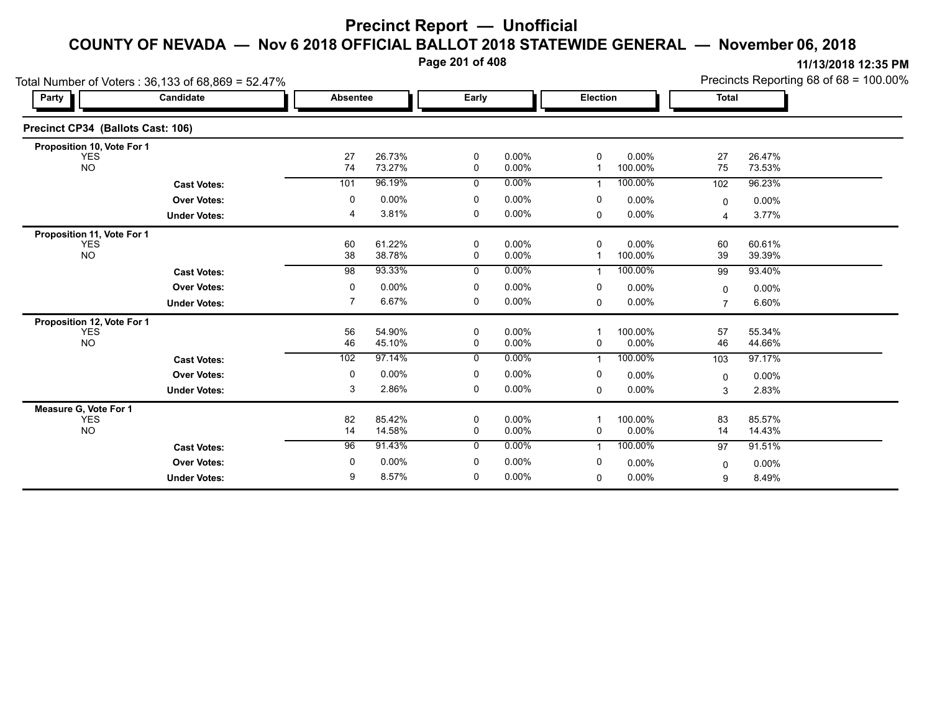**Page 201 of 408**

|                                   | Total Number of Voters: 36,133 of 68,869 = 52.47% | Precincts Reporting 68 of 68 = 100.00% |                  |                  |                      |             |                  |                         |                  |
|-----------------------------------|---------------------------------------------------|----------------------------------------|------------------|------------------|----------------------|-------------|------------------|-------------------------|------------------|
| Party                             | Candidate                                         | <b>Absentee</b>                        |                  | Early            |                      | Election    |                  | <b>Total</b>            |                  |
| Precinct CP34 (Ballots Cast: 106) |                                                   |                                        |                  |                  |                      |             |                  |                         |                  |
| Proposition 10, Vote For 1        |                                                   |                                        |                  |                  |                      |             |                  |                         |                  |
| <b>YES</b><br><b>NO</b>           |                                                   | 27<br>74                               | 26.73%<br>73.27% | 0<br>$\mathbf 0$ | $0.00\%$<br>$0.00\%$ | 0           | 0.00%<br>100.00% | 27<br>75                | 26.47%<br>73.53% |
|                                   | <b>Cast Votes:</b>                                | 101                                    | 96.19%           | 0                | $0.00\%$             |             | 100.00%          | 102                     | 96.23%           |
|                                   | <b>Over Votes:</b>                                | 0                                      | 0.00%            | 0                | 0.00%                | 0           | 0.00%            | 0                       | 0.00%            |
|                                   | <b>Under Votes:</b>                               | 4                                      | 3.81%            | 0                | $0.00\%$             | 0           | 0.00%            | $\overline{\mathbf{4}}$ | 3.77%            |
| Proposition 11, Vote For 1        |                                                   |                                        |                  |                  |                      |             |                  |                         |                  |
| <b>YES</b><br><b>NO</b>           |                                                   | 60<br>38                               | 61.22%<br>38.78% | $\mathbf 0$<br>0 | $0.00\%$<br>$0.00\%$ | $\mathbf 0$ | 0.00%<br>100.00% | 60<br>39                | 60.61%<br>39.39% |
|                                   | <b>Cast Votes:</b>                                | $\overline{98}$                        | 93.33%           | 0                | $0.00\%$             |             | 100.00%          | 99                      | 93.40%           |
|                                   | <b>Over Votes:</b>                                | 0                                      | 0.00%            | 0                | $0.00\%$             | 0           | 0.00%            | $\Omega$                | 0.00%            |
|                                   | <b>Under Votes:</b>                               | 7                                      | 6.67%            | 0                | $0.00\%$             | 0           | 0.00%            | 7                       | 6.60%            |
| Proposition 12, Vote For 1        |                                                   |                                        |                  |                  |                      |             |                  |                         |                  |
| <b>YES</b><br><b>NO</b>           |                                                   | 56<br>46                               | 54.90%<br>45.10% | 0<br>0           | 0.00%<br>0.00%       | 0           | 100.00%<br>0.00% | 57<br>46                | 55.34%<br>44.66% |
|                                   | <b>Cast Votes:</b>                                | 102                                    | 97.14%           | $\mathbf 0$      | $0.00\%$             | 1           | 100.00%          | 103                     | 97.17%           |
|                                   | <b>Over Votes:</b>                                | 0                                      | 0.00%            | $\mathbf 0$      | 0.00%                | 0           | $0.00\%$         | 0                       | 0.00%            |
|                                   | <b>Under Votes:</b>                               | 3                                      | 2.86%            | 0                | $0.00\%$             | 0           | 0.00%            | 3                       | 2.83%            |
| Measure G, Vote For 1             |                                                   |                                        |                  |                  |                      |             |                  |                         |                  |
| <b>YES</b><br><b>NO</b>           |                                                   | 82<br>14                               | 85.42%<br>14.58% | 0<br>0           | 0.00%<br>$0.00\%$    | 0           | 100.00%<br>0.00% | 83<br>14                | 85.57%<br>14.43% |
|                                   | <b>Cast Votes:</b>                                | 96                                     | 91.43%           | $\mathbf{0}$     | $0.00\%$             |             | 100.00%          | 97                      | 91.51%           |
|                                   | <b>Over Votes:</b>                                | 0                                      | 0.00%            | 0                | 0.00%                | 0           | 0.00%            | 0                       | 0.00%            |
|                                   | <b>Under Votes:</b>                               | 9                                      | 8.57%            | 0                | $0.00\%$             | 0           | 0.00%            | 9                       | 8.49%            |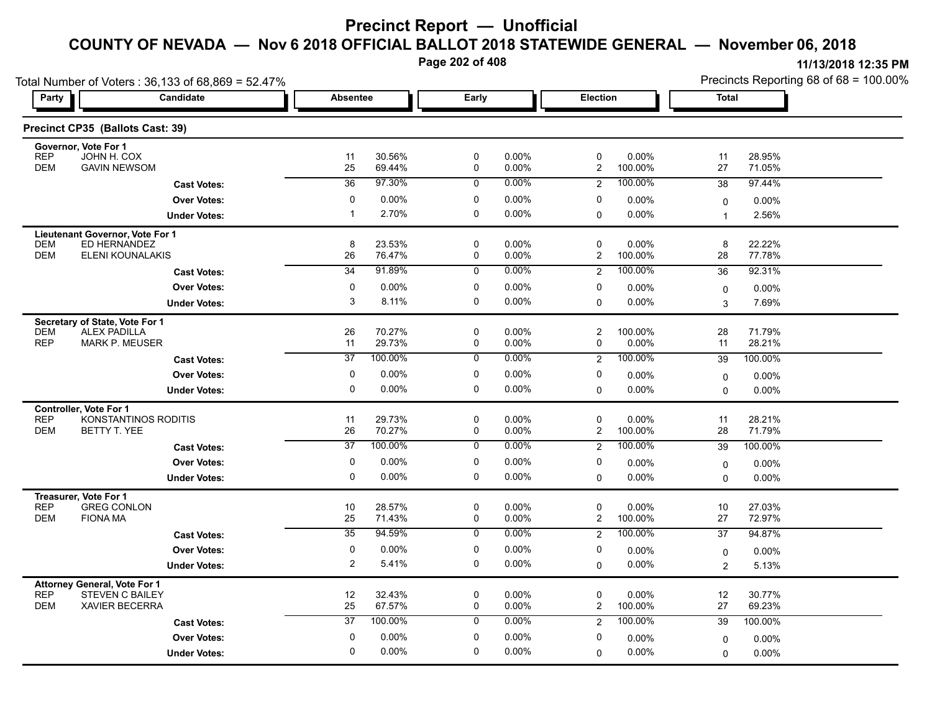**Page 202 of 408**

| Total Number of Voters: 36,133 of 68,869 = 52.47% |                                                 |                 |                  |                  |                      |                               |                      | Precincts Reporting 68 of 68 = 100.00% |                   |  |
|---------------------------------------------------|-------------------------------------------------|-----------------|------------------|------------------|----------------------|-------------------------------|----------------------|----------------------------------------|-------------------|--|
| Party                                             | Candidate                                       |                 | <b>Absentee</b>  |                  | Early                |                               | <b>Election</b>      | <b>Total</b>                           |                   |  |
|                                                   | Precinct CP35 (Ballots Cast: 39)                |                 |                  |                  |                      |                               |                      |                                        |                   |  |
| Governor, Vote For 1<br><b>REP</b>                | JOHN H. COX                                     |                 | 30.56%           | 0                | 0.00%                | $\mathbf 0$                   | 0.00%                | 11                                     | 28.95%            |  |
| <b>DEM</b>                                        | <b>GAVIN NEWSOM</b>                             | 11<br>25        | 69.44%           | 0                | 0.00%                | $\mathbf{2}$                  | 100.00%              | 27                                     | 71.05%            |  |
|                                                   | <b>Cast Votes:</b>                              | $\overline{36}$ | 97.30%           | $\mathbf 0$      | $0.00\%$             | $\overline{2}$                | 100.00%              | 38                                     | 97.44%            |  |
|                                                   | <b>Over Votes:</b>                              | 0               | $0.00\%$         | 0                | 0.00%                | 0                             | 0.00%                | 0                                      | 0.00%             |  |
|                                                   | <b>Under Votes:</b>                             | $\overline{1}$  | 2.70%            | 0                | $0.00\%$             | $\mathbf 0$                   | $0.00\%$             | $\overline{1}$                         | 2.56%             |  |
| <b>Lieutenant Governor, Vote For 1</b>            |                                                 |                 |                  |                  |                      |                               |                      |                                        |                   |  |
| DEM<br><b>DEM</b>                                 | ED HERNANDEZ<br>ELENI KOUNALAKIS                | 8<br>26         | 23.53%<br>76.47% | 0<br>0           | $0.00\%$<br>$0.00\%$ | $\mathbf 0$<br>$\overline{c}$ | 0.00%<br>100.00%     | 8<br>28                                | 22.22%<br>77.78%  |  |
|                                                   | <b>Cast Votes:</b>                              | $\overline{34}$ | 91.89%           | $\mathbf 0$      | $0.00\%$             | 2                             | 100.00%              | 36                                     | 92.31%            |  |
|                                                   | <b>Over Votes:</b>                              | 0               | 0.00%            | 0                | $0.00\%$             | 0                             | 0.00%                |                                        |                   |  |
|                                                   | <b>Under Votes:</b>                             | 3               | 8.11%            | 0                | $0.00\%$             | $\mathbf 0$                   | 0.00%                | 0<br>3                                 | 0.00%<br>7.69%    |  |
| Secretary of State, Vote For 1                    |                                                 |                 |                  |                  |                      |                               |                      |                                        |                   |  |
| <b>DEM</b>                                        | <b>ALEX PADILLA</b>                             | 26              | 70.27%           | 0                | $0.00\%$             | $\overline{c}$                | 100.00%              | 28                                     | 71.79%            |  |
| <b>REP</b>                                        | <b>MARK P. MEUSER</b>                           | 11              | 29.73%           | 0                | $0.00\%$             | 0                             | $0.00\%$             | 11                                     | 28.21%            |  |
|                                                   | <b>Cast Votes:</b>                              | $\overline{37}$ | 100.00%          | 0                | $0.00\%$             | $\overline{2}$                | 100.00%              | 39                                     | 100.00%           |  |
|                                                   | <b>Over Votes:</b>                              | 0               | $0.00\%$         | 0                | $0.00\%$             | 0                             | 0.00%                | $\mathsf{O}$                           | 0.00%             |  |
|                                                   | <b>Under Votes:</b>                             | 0               | 0.00%            | 0                | $0.00\%$             | $\mathbf 0$                   | $0.00\%$             | $\Omega$                               | 0.00%             |  |
| Controller, Vote For 1                            |                                                 |                 |                  |                  |                      |                               |                      |                                        |                   |  |
| <b>REP</b><br><b>DEM</b>                          | KONSTANTINOS RODITIS<br>BETTY T. YEE            | 11<br>26        | 29.73%<br>70.27% | 0<br>0           | $0.00\%$<br>$0.00\%$ | 0<br>$\overline{c}$           | $0.00\%$<br>100.00%  | 11<br>28                               | 28.21%<br>71.79%  |  |
|                                                   | <b>Cast Votes:</b>                              | $\overline{37}$ | 100.00%          | $\mathbf 0$      | $0.00\%$             | 2                             | 100.00%              | 39                                     | 100.00%           |  |
|                                                   | <b>Over Votes:</b>                              | 0               | $0.00\%$         | 0                | $0.00\%$             | 0                             |                      |                                        |                   |  |
|                                                   | <b>Under Votes:</b>                             | 0               | $0.00\%$         | 0                | $0.00\%$             | $\mathbf 0$                   | $0.00\%$<br>$0.00\%$ | 0<br>$\Omega$                          | $0.00\%$<br>0.00% |  |
|                                                   |                                                 |                 |                  |                  |                      |                               |                      |                                        |                   |  |
| Treasurer, Vote For 1<br><b>REP</b>               | <b>GREG CONLON</b>                              | 10              | 28.57%           | 0                | 0.00%                | 0                             | 0.00%                | 10                                     | 27.03%            |  |
| <b>DEM</b><br><b>FIONA MA</b>                     |                                                 | 25              | 71.43%           | $\mathbf 0$      | $0.00\%$             | $\overline{c}$                | 100.00%              | 27                                     | 72.97%            |  |
|                                                   | <b>Cast Votes:</b>                              | $\overline{35}$ | 94.59%           | $\overline{0}$   | 0.00%                | $\overline{2}$                | 100.00%              | 37                                     | 94.87%            |  |
|                                                   | <b>Over Votes:</b>                              | 0               | 0.00%            | 0                | $0.00\%$             | 0                             | 0.00%                | 0                                      | 0.00%             |  |
|                                                   | <b>Under Votes:</b>                             | $\overline{2}$  | 5.41%            | 0                | $0.00\%$             | $\mathbf 0$                   | $0.00\%$             | 2                                      | 5.13%             |  |
| <b>Attorney General, Vote For 1</b>               |                                                 |                 |                  |                  |                      |                               |                      |                                        |                   |  |
| <b>REP</b><br><b>DEM</b>                          | <b>STEVEN C BAILEY</b><br><b>XAVIER BECERRA</b> | 12<br>25        | 32.43%<br>67.57% | 0<br>$\mathbf 0$ | $0.00\%$<br>$0.00\%$ | 0<br>$\overline{2}$           | 0.00%<br>100.00%     | 12<br>27                               | 30.77%<br>69.23%  |  |
|                                                   |                                                 | $\overline{37}$ | 100.00%          | $\mathbf 0$      | $0.00\%$             | 2                             | 100.00%              | 39                                     | 100.00%           |  |
|                                                   | <b>Cast Votes:</b>                              | 0               | $0.00\%$         | 0                | $0.00\%$             | 0                             |                      |                                        |                   |  |
|                                                   | <b>Over Votes:</b>                              | 0               | $0.00\%$         | 0                | $0.00\%$             |                               | 0.00%                | $\mathbf 0$                            | $0.00\%$          |  |
|                                                   | <b>Under Votes:</b>                             |                 |                  |                  |                      | $\mathbf 0$                   | $0.00\%$             | 0                                      | 0.00%             |  |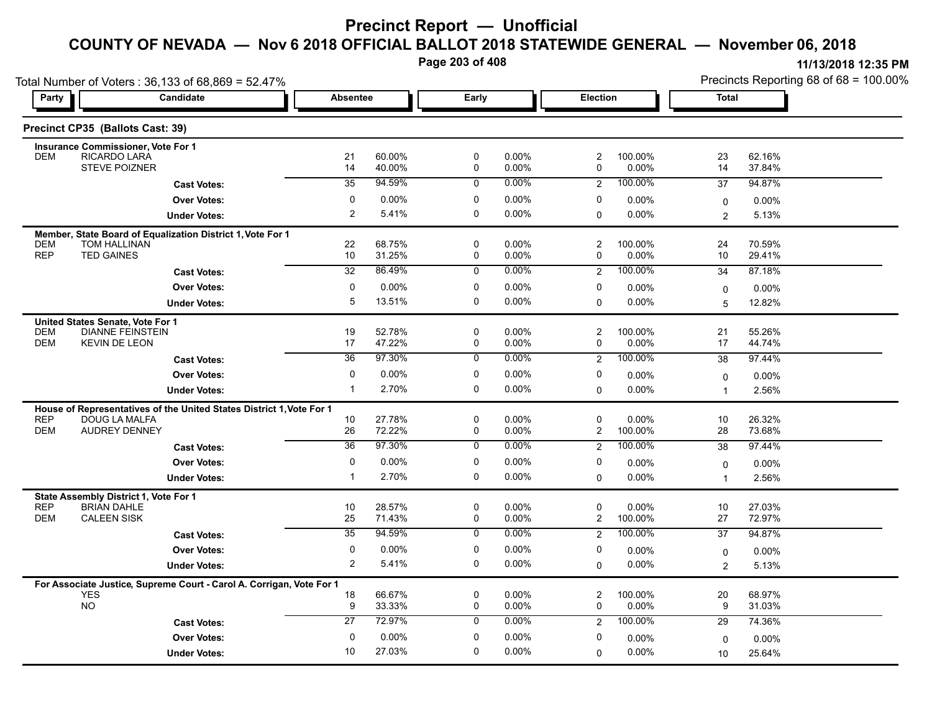**Page 203 of 408**

| Total Number of Voters: 36,133 of 68,869 = 52.47% |                                                                      |                 |                  |                  |                |                              |                     | Precincts Reporting 68 of 68 = 100.00% |                  |  |
|---------------------------------------------------|----------------------------------------------------------------------|-----------------|------------------|------------------|----------------|------------------------------|---------------------|----------------------------------------|------------------|--|
| Party                                             | Candidate                                                            | <b>Absentee</b> |                  | Early            |                |                              | Election            |                                        | <b>Total</b>     |  |
|                                                   | Precinct CP35 (Ballots Cast: 39)                                     |                 |                  |                  |                |                              |                     |                                        |                  |  |
|                                                   | <b>Insurance Commissioner, Vote For 1</b>                            |                 |                  |                  |                |                              |                     |                                        |                  |  |
| <b>DEM</b>                                        | RICARDO LARA<br><b>STEVE POIZNER</b>                                 | 21<br>14        | 60.00%<br>40.00% | $\mathbf 0$<br>0 | 0.00%<br>0.00% | $\overline{\mathbf{c}}$<br>0 | 100.00%<br>$0.00\%$ | 23<br>14                               | 62.16%<br>37.84% |  |
|                                                   | <b>Cast Votes:</b>                                                   | $\overline{35}$ | 94.59%           | $\mathbf 0$      | $0.00\%$       | 2                            | 100.00%             | 37                                     | 94.87%           |  |
|                                                   | <b>Over Votes:</b>                                                   | 0               | 0.00%            | 0                | 0.00%          | 0                            | $0.00\%$            | 0                                      | $0.00\%$         |  |
|                                                   | <b>Under Votes:</b>                                                  | 2               | 5.41%            | 0                | 0.00%          | $\mathbf 0$                  | 0.00%               | $\overline{2}$                         | 5.13%            |  |
|                                                   | Member, State Board of Equalization District 1, Vote For 1           |                 |                  |                  |                |                              |                     |                                        |                  |  |
| <b>DEM</b><br><b>REP</b>                          | <b>TOM HALLINAN</b><br><b>TED GAINES</b>                             | 22<br>10        | 68.75%<br>31.25% | $\mathbf 0$<br>0 | 0.00%<br>0.00% | $\overline{c}$<br>0          | 100.00%<br>$0.00\%$ | 24<br>10                               | 70.59%<br>29.41% |  |
|                                                   | <b>Cast Votes:</b>                                                   | $\overline{32}$ | 86.49%           | $\overline{0}$   | $0.00\%$       | 2                            | 100.00%             | 34                                     | 87.18%           |  |
|                                                   | <b>Over Votes:</b>                                                   | 0               | 0.00%            | 0                | 0.00%          | 0                            | $0.00\%$            | 0                                      | 0.00%            |  |
|                                                   | <b>Under Votes:</b>                                                  | 5               | 13.51%           | $\Omega$         | 0.00%          | $\Omega$                     | $0.00\%$            | 5                                      | 12.82%           |  |
|                                                   | United States Senate, Vote For 1                                     |                 |                  |                  |                |                              |                     |                                        |                  |  |
| <b>DEM</b>                                        | <b>DIANNE FEINSTEIN</b>                                              | 19              | 52.78%           | $\mathbf 0$      | 0.00%          | $\overline{c}$               | 100.00%             | 21                                     | 55.26%           |  |
| <b>DEM</b>                                        | <b>KEVIN DE LEON</b>                                                 | 17              | 47.22%           | 0                | 0.00%          | 0                            | 0.00%               | 17                                     | 44.74%           |  |
|                                                   | <b>Cast Votes:</b>                                                   | 36              | 97.30%           | $\overline{0}$   | 0.00%          | $\overline{2}$               | 100.00%             | 38                                     | 97.44%           |  |
|                                                   | <b>Over Votes:</b>                                                   | 0               | $0.00\%$         | 0                | 0.00%          | 0                            | 0.00%               | 0                                      | $0.00\%$         |  |
|                                                   | <b>Under Votes:</b>                                                  | $\mathbf{1}$    | 2.70%            | 0                | $0.00\%$       | 0                            | 0.00%               | $\overline{1}$                         | 2.56%            |  |
|                                                   | House of Representatives of the United States District 1, Vote For 1 |                 |                  |                  |                |                              |                     |                                        |                  |  |
| <b>REP</b>                                        | DOUG LA MALFA                                                        | 10              | 27.78%           | $\mathbf 0$      | 0.00%          | 0                            | 0.00%               | 10                                     | 26.32%           |  |
| <b>DEM</b>                                        | <b>AUDREY DENNEY</b>                                                 | 26              | 72.22%           | 0                | 0.00%          | $\overline{\mathbf{c}}$      | 100.00%             | 28                                     | 73.68%           |  |
|                                                   | <b>Cast Votes:</b>                                                   | 36              | 97.30%           | 0                | $0.00\%$       | 2                            | 100.00%             | 38                                     | 97.44%           |  |
|                                                   | <b>Over Votes:</b>                                                   | 0               | $0.00\%$         | 0                | 0.00%          | 0                            | $0.00\%$            | 0                                      | $0.00\%$         |  |
|                                                   | <b>Under Votes:</b>                                                  | -1              | 2.70%            | $\mathbf 0$      | 0.00%          | $\Omega$                     | 0.00%               | 1                                      | 2.56%            |  |
|                                                   | State Assembly District 1, Vote For 1                                |                 |                  |                  |                |                              |                     |                                        |                  |  |
| <b>REP</b><br><b>DEM</b>                          | <b>BRIAN DAHLE</b><br><b>CALEEN SISK</b>                             | 10<br>25        | 28.57%<br>71.43% | 0<br>$\mathbf 0$ | 0.00%<br>0.00% | 0<br>$\overline{\mathbf{c}}$ | $0.00\%$<br>100.00% | 10<br>27                               | 27.03%<br>72.97% |  |
|                                                   |                                                                      | 35              | 94.59%           | 0                | 0.00%          |                              | 100.00%             |                                        | 94.87%           |  |
|                                                   | <b>Cast Votes:</b>                                                   |                 |                  |                  |                | $\overline{2}$               |                     | 37                                     |                  |  |
|                                                   | <b>Over Votes:</b>                                                   | 0               | $0.00\%$         | 0                | 0.00%          | 0                            | $0.00\%$            | 0                                      | $0.00\%$         |  |
|                                                   | <b>Under Votes:</b>                                                  | $\overline{c}$  | 5.41%            | $\mathbf 0$      | 0.00%          | $\Omega$                     | 0.00%               | $\overline{2}$                         | 5.13%            |  |
|                                                   | For Associate Justice, Supreme Court - Carol A. Corrigan, Vote For 1 |                 |                  |                  |                |                              |                     |                                        |                  |  |
| <b>YES</b><br><b>NO</b>                           |                                                                      | 18<br>9         | 66.67%<br>33.33% | 0<br>0           | 0.00%<br>0.00% | $\overline{c}$<br>0          | 100.00%<br>0.00%    | 20<br>9                                | 68.97%<br>31.03% |  |
|                                                   | <b>Cast Votes:</b>                                                   | 27              | 72.97%           | 0                | 0.00%          | $\overline{2}$               | 100.00%             | 29                                     | 74.36%           |  |
|                                                   |                                                                      |                 |                  |                  |                |                              |                     |                                        |                  |  |
|                                                   | <b>Over Votes:</b>                                                   | 0               | $0.00\%$         | 0                | 0.00%          | 0                            | $0.00\%$            | 0                                      | 0.00%            |  |
|                                                   | <b>Under Votes:</b>                                                  | 10              | 27.03%           | 0                | 0.00%          | $\Omega$                     | 0.00%               | 10                                     | 25.64%           |  |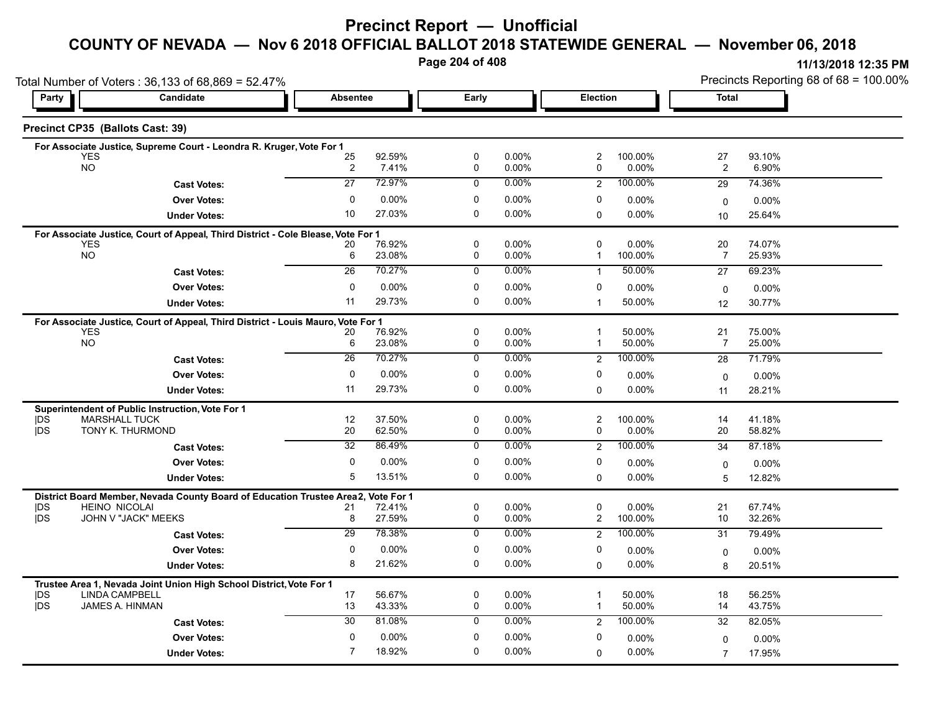# **Precinct Report — Unofficial**

#### **COUNTY OF NEVADA — Nov 6 2018 OFFICIAL BALLOT 2018 STATEWIDE GENERAL — November 06, 2018**

**Page 204 of 408**

| Candidate<br>Election<br><b>Total</b><br>Party<br><b>Absentee</b><br>Early<br>Precinct CP35 (Ballots Cast: 39)<br>For Associate Justice, Supreme Court - Leondra R. Kruger, Vote For 1<br>92.59%<br>0<br>0.00%<br>2<br>100.00%<br>27<br>93.10%<br><b>YES</b><br>25<br><b>NO</b><br>0.00%<br>0.00%<br>$\overline{2}$<br>$\overline{\mathbf{c}}$<br>7.41%<br>0<br>0<br>6.90%<br>$\overline{27}$<br>72.97%<br>$0.00\%$<br>100.00%<br>$\mathbf 0$<br>29<br>$\overline{2}$<br>74.36%<br><b>Cast Votes:</b><br>$\mathbf 0$<br>0.00%<br>0<br>0.00%<br>0<br><b>Over Votes:</b><br>$0.00\%$<br>$0.00\%$<br>0<br>27.03%<br>0<br>10<br>$0.00\%$<br>$\mathbf 0$<br>$0.00\%$<br><b>Under Votes:</b><br>25.64%<br>10<br>For Associate Justice, Court of Appeal, Third District - Cole Blease, Vote For 1<br>76.92%<br>0<br>0.00%<br>$\mathbf 0$<br>$0.00\%$<br>20<br>74.07%<br><b>YES</b><br>20<br><b>NO</b><br>23.08%<br>0.00%<br>6<br>0<br>100.00%<br>$\overline{7}$<br>25.93%<br>$\mathbf{1}$<br>$\overline{26}$<br>70.27%<br>$0.00\%$<br>50.00%<br>$\mathbf 0$<br>69.23%<br>27<br><b>Cast Votes:</b><br>$\mathbf{1}$<br><b>Over Votes:</b><br>0<br>0.00%<br>0<br>0.00%<br>0<br>$0.00\%$<br>$0.00\%$<br>$\mathbf 0$<br>29.73%<br>$\Omega$<br>0.00%<br>11<br>50.00%<br><b>Under Votes:</b><br>$\overline{1}$<br>30.77%<br>12<br>For Associate Justice, Court of Appeal, Third District - Louis Mauro, Vote For 1<br>76.92%<br>0<br>50.00%<br>21<br><b>YES</b><br>$0.00\%$<br>$\mathbf{1}$<br>75.00%<br>20<br><b>NO</b><br>23.08%<br>$\mathbf 0$<br>0.00%<br>50.00%<br>6<br>$\overline{7}$<br>25.00%<br>$\mathbf{1}$<br>26<br>70.27%<br>$\mathbf 0$<br>0.00%<br>100.00%<br>$\overline{2}$<br>71.79%<br>28<br><b>Cast Votes:</b><br>0.00%<br>$\mathbf 0$<br><b>Over Votes:</b><br>$\mathbf 0$<br>0.00%<br>0<br>$0.00\%$<br>0.00%<br>$\mathbf 0$<br>29.73%<br>0<br>11<br>$0.00\%$<br>0.00%<br>0<br>28.21%<br><b>Under Votes:</b><br>11<br>Superintendent of Public Instruction, Vote For 1<br>37.50%<br> DS<br><b>MARSHALL TUCK</b><br>12<br>0<br>0.00%<br>$\overline{c}$<br>100.00%<br>14<br>41.18%<br><b>IDS</b><br>62.50%<br>TONY K. THURMOND<br>20<br>0<br>0.00%<br>0<br>$0.00\%$<br>20<br>58.82%<br>32<br>86.49%<br>0.00%<br>100.00%<br>0<br>$\overline{2}$<br>34<br>87.18%<br><b>Cast Votes:</b><br>0<br>0.00%<br>0<br>0.00%<br>0<br><b>Over Votes:</b><br>$0.00\%$<br>$0.00\%$<br>0<br>13.51%<br>0.00%<br>5<br>0<br>0.00%<br><b>Under Votes:</b><br>$\Omega$<br>12.82%<br>5<br>District Board Member, Nevada County Board of Education Trustee Area2,<br>Vote For 1<br> DS<br><b>HEINO NICOLAI</b><br>72.41%<br>0<br>0.00%<br>0<br>$0.00\%$<br>21<br>67.74%<br>21<br>27.59%<br><b>IDS</b><br>JOHN V "JACK" MEEKS<br>$\mathbf 0$<br>0.00%<br>$\overline{\mathbf{c}}$<br>100.00%<br>10<br>32.26%<br>8<br>$\overline{29}$<br>78.38%<br>0.00%<br>100.00%<br>0<br>$\overline{2}$<br>79.49%<br>31<br><b>Cast Votes:</b><br>0.00%<br>0<br>0<br><b>Over Votes:</b><br>$\Omega$<br>$0.00\%$<br>$0.00\%$<br>$0.00\%$<br>0<br>21.62%<br>8<br>0<br>0.00%<br>$0.00\%$<br>$\Omega$<br><b>Under Votes:</b><br>8<br>20.51%<br>Trustee Area 1, Nevada Joint Union High School District, Vote For 1<br><b>LINDA CAMPBELL</b><br>56.67%<br>0<br>0.00%<br>50.00%<br>18<br>56.25%<br> DS<br>17<br>1<br><b>IDS</b><br>JAMES A. HINMAN<br>13<br>43.33%<br>$\mathbf 0$<br>50.00%<br>0.00%<br>$\mathbf{1}$<br>14<br>43.75%<br>30<br>81.08%<br>0.00%<br>100.00%<br>$\mathbf 0$<br>82.05%<br>$\overline{2}$<br>32<br><b>Cast Votes:</b><br>0<br>0.00%<br>0<br>0.00%<br>0<br><b>Over Votes:</b><br>0.00%<br>$0.00\%$<br>0<br>$\mathbf 0$<br>$\overline{7}$<br>0.00%<br>$0.00\%$<br>$\Omega$ | Total Number of Voters: 36,133 of 68,869 = 52.47% |                     |        |  |  |  |  | Precincts Reporting 68 of 68 = 100.00% |        |  |
|---------------------------------------------------------------------------------------------------------------------------------------------------------------------------------------------------------------------------------------------------------------------------------------------------------------------------------------------------------------------------------------------------------------------------------------------------------------------------------------------------------------------------------------------------------------------------------------------------------------------------------------------------------------------------------------------------------------------------------------------------------------------------------------------------------------------------------------------------------------------------------------------------------------------------------------------------------------------------------------------------------------------------------------------------------------------------------------------------------------------------------------------------------------------------------------------------------------------------------------------------------------------------------------------------------------------------------------------------------------------------------------------------------------------------------------------------------------------------------------------------------------------------------------------------------------------------------------------------------------------------------------------------------------------------------------------------------------------------------------------------------------------------------------------------------------------------------------------------------------------------------------------------------------------------------------------------------------------------------------------------------------------------------------------------------------------------------------------------------------------------------------------------------------------------------------------------------------------------------------------------------------------------------------------------------------------------------------------------------------------------------------------------------------------------------------------------------------------------------------------------------------------------------------------------------------------------------------------------------------------------------------------------------------------------------------------------------------------------------------------------------------------------------------------------------------------------------------------------------------------------------------------------------------------------------------------------------------------------------------------------------------------------------------------------------------------------------------------------------------------------------------------------------------------------------------------------------------------------------------------------------------------------------------------------------------------------------------------------------------------------------------------------------------------------------------------------------------------------------------------------------------------------------------------------------------------------------------------------------------------------------------------------------|---------------------------------------------------|---------------------|--------|--|--|--|--|----------------------------------------|--------|--|
|                                                                                                                                                                                                                                                                                                                                                                                                                                                                                                                                                                                                                                                                                                                                                                                                                                                                                                                                                                                                                                                                                                                                                                                                                                                                                                                                                                                                                                                                                                                                                                                                                                                                                                                                                                                                                                                                                                                                                                                                                                                                                                                                                                                                                                                                                                                                                                                                                                                                                                                                                                                                                                                                                                                                                                                                                                                                                                                                                                                                                                                                                                                                                                                                                                                                                                                                                                                                                                                                                                                                                                                                                                                         |                                                   |                     |        |  |  |  |  |                                        |        |  |
|                                                                                                                                                                                                                                                                                                                                                                                                                                                                                                                                                                                                                                                                                                                                                                                                                                                                                                                                                                                                                                                                                                                                                                                                                                                                                                                                                                                                                                                                                                                                                                                                                                                                                                                                                                                                                                                                                                                                                                                                                                                                                                                                                                                                                                                                                                                                                                                                                                                                                                                                                                                                                                                                                                                                                                                                                                                                                                                                                                                                                                                                                                                                                                                                                                                                                                                                                                                                                                                                                                                                                                                                                                                         |                                                   |                     |        |  |  |  |  |                                        |        |  |
|                                                                                                                                                                                                                                                                                                                                                                                                                                                                                                                                                                                                                                                                                                                                                                                                                                                                                                                                                                                                                                                                                                                                                                                                                                                                                                                                                                                                                                                                                                                                                                                                                                                                                                                                                                                                                                                                                                                                                                                                                                                                                                                                                                                                                                                                                                                                                                                                                                                                                                                                                                                                                                                                                                                                                                                                                                                                                                                                                                                                                                                                                                                                                                                                                                                                                                                                                                                                                                                                                                                                                                                                                                                         |                                                   |                     |        |  |  |  |  |                                        |        |  |
|                                                                                                                                                                                                                                                                                                                                                                                                                                                                                                                                                                                                                                                                                                                                                                                                                                                                                                                                                                                                                                                                                                                                                                                                                                                                                                                                                                                                                                                                                                                                                                                                                                                                                                                                                                                                                                                                                                                                                                                                                                                                                                                                                                                                                                                                                                                                                                                                                                                                                                                                                                                                                                                                                                                                                                                                                                                                                                                                                                                                                                                                                                                                                                                                                                                                                                                                                                                                                                                                                                                                                                                                                                                         |                                                   |                     |        |  |  |  |  |                                        |        |  |
|                                                                                                                                                                                                                                                                                                                                                                                                                                                                                                                                                                                                                                                                                                                                                                                                                                                                                                                                                                                                                                                                                                                                                                                                                                                                                                                                                                                                                                                                                                                                                                                                                                                                                                                                                                                                                                                                                                                                                                                                                                                                                                                                                                                                                                                                                                                                                                                                                                                                                                                                                                                                                                                                                                                                                                                                                                                                                                                                                                                                                                                                                                                                                                                                                                                                                                                                                                                                                                                                                                                                                                                                                                                         |                                                   |                     |        |  |  |  |  |                                        |        |  |
|                                                                                                                                                                                                                                                                                                                                                                                                                                                                                                                                                                                                                                                                                                                                                                                                                                                                                                                                                                                                                                                                                                                                                                                                                                                                                                                                                                                                                                                                                                                                                                                                                                                                                                                                                                                                                                                                                                                                                                                                                                                                                                                                                                                                                                                                                                                                                                                                                                                                                                                                                                                                                                                                                                                                                                                                                                                                                                                                                                                                                                                                                                                                                                                                                                                                                                                                                                                                                                                                                                                                                                                                                                                         |                                                   |                     |        |  |  |  |  |                                        |        |  |
|                                                                                                                                                                                                                                                                                                                                                                                                                                                                                                                                                                                                                                                                                                                                                                                                                                                                                                                                                                                                                                                                                                                                                                                                                                                                                                                                                                                                                                                                                                                                                                                                                                                                                                                                                                                                                                                                                                                                                                                                                                                                                                                                                                                                                                                                                                                                                                                                                                                                                                                                                                                                                                                                                                                                                                                                                                                                                                                                                                                                                                                                                                                                                                                                                                                                                                                                                                                                                                                                                                                                                                                                                                                         |                                                   |                     |        |  |  |  |  |                                        |        |  |
|                                                                                                                                                                                                                                                                                                                                                                                                                                                                                                                                                                                                                                                                                                                                                                                                                                                                                                                                                                                                                                                                                                                                                                                                                                                                                                                                                                                                                                                                                                                                                                                                                                                                                                                                                                                                                                                                                                                                                                                                                                                                                                                                                                                                                                                                                                                                                                                                                                                                                                                                                                                                                                                                                                                                                                                                                                                                                                                                                                                                                                                                                                                                                                                                                                                                                                                                                                                                                                                                                                                                                                                                                                                         |                                                   |                     |        |  |  |  |  |                                        |        |  |
|                                                                                                                                                                                                                                                                                                                                                                                                                                                                                                                                                                                                                                                                                                                                                                                                                                                                                                                                                                                                                                                                                                                                                                                                                                                                                                                                                                                                                                                                                                                                                                                                                                                                                                                                                                                                                                                                                                                                                                                                                                                                                                                                                                                                                                                                                                                                                                                                                                                                                                                                                                                                                                                                                                                                                                                                                                                                                                                                                                                                                                                                                                                                                                                                                                                                                                                                                                                                                                                                                                                                                                                                                                                         |                                                   |                     |        |  |  |  |  |                                        |        |  |
|                                                                                                                                                                                                                                                                                                                                                                                                                                                                                                                                                                                                                                                                                                                                                                                                                                                                                                                                                                                                                                                                                                                                                                                                                                                                                                                                                                                                                                                                                                                                                                                                                                                                                                                                                                                                                                                                                                                                                                                                                                                                                                                                                                                                                                                                                                                                                                                                                                                                                                                                                                                                                                                                                                                                                                                                                                                                                                                                                                                                                                                                                                                                                                                                                                                                                                                                                                                                                                                                                                                                                                                                                                                         |                                                   |                     |        |  |  |  |  |                                        |        |  |
|                                                                                                                                                                                                                                                                                                                                                                                                                                                                                                                                                                                                                                                                                                                                                                                                                                                                                                                                                                                                                                                                                                                                                                                                                                                                                                                                                                                                                                                                                                                                                                                                                                                                                                                                                                                                                                                                                                                                                                                                                                                                                                                                                                                                                                                                                                                                                                                                                                                                                                                                                                                                                                                                                                                                                                                                                                                                                                                                                                                                                                                                                                                                                                                                                                                                                                                                                                                                                                                                                                                                                                                                                                                         |                                                   |                     |        |  |  |  |  |                                        |        |  |
|                                                                                                                                                                                                                                                                                                                                                                                                                                                                                                                                                                                                                                                                                                                                                                                                                                                                                                                                                                                                                                                                                                                                                                                                                                                                                                                                                                                                                                                                                                                                                                                                                                                                                                                                                                                                                                                                                                                                                                                                                                                                                                                                                                                                                                                                                                                                                                                                                                                                                                                                                                                                                                                                                                                                                                                                                                                                                                                                                                                                                                                                                                                                                                                                                                                                                                                                                                                                                                                                                                                                                                                                                                                         |                                                   |                     |        |  |  |  |  |                                        |        |  |
|                                                                                                                                                                                                                                                                                                                                                                                                                                                                                                                                                                                                                                                                                                                                                                                                                                                                                                                                                                                                                                                                                                                                                                                                                                                                                                                                                                                                                                                                                                                                                                                                                                                                                                                                                                                                                                                                                                                                                                                                                                                                                                                                                                                                                                                                                                                                                                                                                                                                                                                                                                                                                                                                                                                                                                                                                                                                                                                                                                                                                                                                                                                                                                                                                                                                                                                                                                                                                                                                                                                                                                                                                                                         |                                                   |                     |        |  |  |  |  |                                        |        |  |
|                                                                                                                                                                                                                                                                                                                                                                                                                                                                                                                                                                                                                                                                                                                                                                                                                                                                                                                                                                                                                                                                                                                                                                                                                                                                                                                                                                                                                                                                                                                                                                                                                                                                                                                                                                                                                                                                                                                                                                                                                                                                                                                                                                                                                                                                                                                                                                                                                                                                                                                                                                                                                                                                                                                                                                                                                                                                                                                                                                                                                                                                                                                                                                                                                                                                                                                                                                                                                                                                                                                                                                                                                                                         |                                                   |                     |        |  |  |  |  |                                        |        |  |
|                                                                                                                                                                                                                                                                                                                                                                                                                                                                                                                                                                                                                                                                                                                                                                                                                                                                                                                                                                                                                                                                                                                                                                                                                                                                                                                                                                                                                                                                                                                                                                                                                                                                                                                                                                                                                                                                                                                                                                                                                                                                                                                                                                                                                                                                                                                                                                                                                                                                                                                                                                                                                                                                                                                                                                                                                                                                                                                                                                                                                                                                                                                                                                                                                                                                                                                                                                                                                                                                                                                                                                                                                                                         |                                                   |                     |        |  |  |  |  |                                        |        |  |
|                                                                                                                                                                                                                                                                                                                                                                                                                                                                                                                                                                                                                                                                                                                                                                                                                                                                                                                                                                                                                                                                                                                                                                                                                                                                                                                                                                                                                                                                                                                                                                                                                                                                                                                                                                                                                                                                                                                                                                                                                                                                                                                                                                                                                                                                                                                                                                                                                                                                                                                                                                                                                                                                                                                                                                                                                                                                                                                                                                                                                                                                                                                                                                                                                                                                                                                                                                                                                                                                                                                                                                                                                                                         |                                                   |                     |        |  |  |  |  |                                        |        |  |
|                                                                                                                                                                                                                                                                                                                                                                                                                                                                                                                                                                                                                                                                                                                                                                                                                                                                                                                                                                                                                                                                                                                                                                                                                                                                                                                                                                                                                                                                                                                                                                                                                                                                                                                                                                                                                                                                                                                                                                                                                                                                                                                                                                                                                                                                                                                                                                                                                                                                                                                                                                                                                                                                                                                                                                                                                                                                                                                                                                                                                                                                                                                                                                                                                                                                                                                                                                                                                                                                                                                                                                                                                                                         |                                                   |                     |        |  |  |  |  |                                        |        |  |
|                                                                                                                                                                                                                                                                                                                                                                                                                                                                                                                                                                                                                                                                                                                                                                                                                                                                                                                                                                                                                                                                                                                                                                                                                                                                                                                                                                                                                                                                                                                                                                                                                                                                                                                                                                                                                                                                                                                                                                                                                                                                                                                                                                                                                                                                                                                                                                                                                                                                                                                                                                                                                                                                                                                                                                                                                                                                                                                                                                                                                                                                                                                                                                                                                                                                                                                                                                                                                                                                                                                                                                                                                                                         |                                                   |                     |        |  |  |  |  |                                        |        |  |
|                                                                                                                                                                                                                                                                                                                                                                                                                                                                                                                                                                                                                                                                                                                                                                                                                                                                                                                                                                                                                                                                                                                                                                                                                                                                                                                                                                                                                                                                                                                                                                                                                                                                                                                                                                                                                                                                                                                                                                                                                                                                                                                                                                                                                                                                                                                                                                                                                                                                                                                                                                                                                                                                                                                                                                                                                                                                                                                                                                                                                                                                                                                                                                                                                                                                                                                                                                                                                                                                                                                                                                                                                                                         |                                                   |                     |        |  |  |  |  |                                        |        |  |
|                                                                                                                                                                                                                                                                                                                                                                                                                                                                                                                                                                                                                                                                                                                                                                                                                                                                                                                                                                                                                                                                                                                                                                                                                                                                                                                                                                                                                                                                                                                                                                                                                                                                                                                                                                                                                                                                                                                                                                                                                                                                                                                                                                                                                                                                                                                                                                                                                                                                                                                                                                                                                                                                                                                                                                                                                                                                                                                                                                                                                                                                                                                                                                                                                                                                                                                                                                                                                                                                                                                                                                                                                                                         |                                                   |                     |        |  |  |  |  |                                        |        |  |
|                                                                                                                                                                                                                                                                                                                                                                                                                                                                                                                                                                                                                                                                                                                                                                                                                                                                                                                                                                                                                                                                                                                                                                                                                                                                                                                                                                                                                                                                                                                                                                                                                                                                                                                                                                                                                                                                                                                                                                                                                                                                                                                                                                                                                                                                                                                                                                                                                                                                                                                                                                                                                                                                                                                                                                                                                                                                                                                                                                                                                                                                                                                                                                                                                                                                                                                                                                                                                                                                                                                                                                                                                                                         |                                                   |                     |        |  |  |  |  |                                        |        |  |
|                                                                                                                                                                                                                                                                                                                                                                                                                                                                                                                                                                                                                                                                                                                                                                                                                                                                                                                                                                                                                                                                                                                                                                                                                                                                                                                                                                                                                                                                                                                                                                                                                                                                                                                                                                                                                                                                                                                                                                                                                                                                                                                                                                                                                                                                                                                                                                                                                                                                                                                                                                                                                                                                                                                                                                                                                                                                                                                                                                                                                                                                                                                                                                                                                                                                                                                                                                                                                                                                                                                                                                                                                                                         |                                                   |                     |        |  |  |  |  |                                        |        |  |
|                                                                                                                                                                                                                                                                                                                                                                                                                                                                                                                                                                                                                                                                                                                                                                                                                                                                                                                                                                                                                                                                                                                                                                                                                                                                                                                                                                                                                                                                                                                                                                                                                                                                                                                                                                                                                                                                                                                                                                                                                                                                                                                                                                                                                                                                                                                                                                                                                                                                                                                                                                                                                                                                                                                                                                                                                                                                                                                                                                                                                                                                                                                                                                                                                                                                                                                                                                                                                                                                                                                                                                                                                                                         |                                                   |                     |        |  |  |  |  |                                        |        |  |
|                                                                                                                                                                                                                                                                                                                                                                                                                                                                                                                                                                                                                                                                                                                                                                                                                                                                                                                                                                                                                                                                                                                                                                                                                                                                                                                                                                                                                                                                                                                                                                                                                                                                                                                                                                                                                                                                                                                                                                                                                                                                                                                                                                                                                                                                                                                                                                                                                                                                                                                                                                                                                                                                                                                                                                                                                                                                                                                                                                                                                                                                                                                                                                                                                                                                                                                                                                                                                                                                                                                                                                                                                                                         |                                                   |                     |        |  |  |  |  |                                        |        |  |
|                                                                                                                                                                                                                                                                                                                                                                                                                                                                                                                                                                                                                                                                                                                                                                                                                                                                                                                                                                                                                                                                                                                                                                                                                                                                                                                                                                                                                                                                                                                                                                                                                                                                                                                                                                                                                                                                                                                                                                                                                                                                                                                                                                                                                                                                                                                                                                                                                                                                                                                                                                                                                                                                                                                                                                                                                                                                                                                                                                                                                                                                                                                                                                                                                                                                                                                                                                                                                                                                                                                                                                                                                                                         |                                                   |                     |        |  |  |  |  |                                        |        |  |
|                                                                                                                                                                                                                                                                                                                                                                                                                                                                                                                                                                                                                                                                                                                                                                                                                                                                                                                                                                                                                                                                                                                                                                                                                                                                                                                                                                                                                                                                                                                                                                                                                                                                                                                                                                                                                                                                                                                                                                                                                                                                                                                                                                                                                                                                                                                                                                                                                                                                                                                                                                                                                                                                                                                                                                                                                                                                                                                                                                                                                                                                                                                                                                                                                                                                                                                                                                                                                                                                                                                                                                                                                                                         |                                                   |                     |        |  |  |  |  |                                        |        |  |
|                                                                                                                                                                                                                                                                                                                                                                                                                                                                                                                                                                                                                                                                                                                                                                                                                                                                                                                                                                                                                                                                                                                                                                                                                                                                                                                                                                                                                                                                                                                                                                                                                                                                                                                                                                                                                                                                                                                                                                                                                                                                                                                                                                                                                                                                                                                                                                                                                                                                                                                                                                                                                                                                                                                                                                                                                                                                                                                                                                                                                                                                                                                                                                                                                                                                                                                                                                                                                                                                                                                                                                                                                                                         |                                                   |                     |        |  |  |  |  |                                        |        |  |
|                                                                                                                                                                                                                                                                                                                                                                                                                                                                                                                                                                                                                                                                                                                                                                                                                                                                                                                                                                                                                                                                                                                                                                                                                                                                                                                                                                                                                                                                                                                                                                                                                                                                                                                                                                                                                                                                                                                                                                                                                                                                                                                                                                                                                                                                                                                                                                                                                                                                                                                                                                                                                                                                                                                                                                                                                                                                                                                                                                                                                                                                                                                                                                                                                                                                                                                                                                                                                                                                                                                                                                                                                                                         |                                                   |                     |        |  |  |  |  |                                        |        |  |
|                                                                                                                                                                                                                                                                                                                                                                                                                                                                                                                                                                                                                                                                                                                                                                                                                                                                                                                                                                                                                                                                                                                                                                                                                                                                                                                                                                                                                                                                                                                                                                                                                                                                                                                                                                                                                                                                                                                                                                                                                                                                                                                                                                                                                                                                                                                                                                                                                                                                                                                                                                                                                                                                                                                                                                                                                                                                                                                                                                                                                                                                                                                                                                                                                                                                                                                                                                                                                                                                                                                                                                                                                                                         |                                                   |                     |        |  |  |  |  |                                        |        |  |
|                                                                                                                                                                                                                                                                                                                                                                                                                                                                                                                                                                                                                                                                                                                                                                                                                                                                                                                                                                                                                                                                                                                                                                                                                                                                                                                                                                                                                                                                                                                                                                                                                                                                                                                                                                                                                                                                                                                                                                                                                                                                                                                                                                                                                                                                                                                                                                                                                                                                                                                                                                                                                                                                                                                                                                                                                                                                                                                                                                                                                                                                                                                                                                                                                                                                                                                                                                                                                                                                                                                                                                                                                                                         |                                                   |                     |        |  |  |  |  |                                        |        |  |
|                                                                                                                                                                                                                                                                                                                                                                                                                                                                                                                                                                                                                                                                                                                                                                                                                                                                                                                                                                                                                                                                                                                                                                                                                                                                                                                                                                                                                                                                                                                                                                                                                                                                                                                                                                                                                                                                                                                                                                                                                                                                                                                                                                                                                                                                                                                                                                                                                                                                                                                                                                                                                                                                                                                                                                                                                                                                                                                                                                                                                                                                                                                                                                                                                                                                                                                                                                                                                                                                                                                                                                                                                                                         |                                                   |                     |        |  |  |  |  |                                        |        |  |
|                                                                                                                                                                                                                                                                                                                                                                                                                                                                                                                                                                                                                                                                                                                                                                                                                                                                                                                                                                                                                                                                                                                                                                                                                                                                                                                                                                                                                                                                                                                                                                                                                                                                                                                                                                                                                                                                                                                                                                                                                                                                                                                                                                                                                                                                                                                                                                                                                                                                                                                                                                                                                                                                                                                                                                                                                                                                                                                                                                                                                                                                                                                                                                                                                                                                                                                                                                                                                                                                                                                                                                                                                                                         |                                                   |                     |        |  |  |  |  |                                        |        |  |
|                                                                                                                                                                                                                                                                                                                                                                                                                                                                                                                                                                                                                                                                                                                                                                                                                                                                                                                                                                                                                                                                                                                                                                                                                                                                                                                                                                                                                                                                                                                                                                                                                                                                                                                                                                                                                                                                                                                                                                                                                                                                                                                                                                                                                                                                                                                                                                                                                                                                                                                                                                                                                                                                                                                                                                                                                                                                                                                                                                                                                                                                                                                                                                                                                                                                                                                                                                                                                                                                                                                                                                                                                                                         |                                                   |                     |        |  |  |  |  |                                        |        |  |
|                                                                                                                                                                                                                                                                                                                                                                                                                                                                                                                                                                                                                                                                                                                                                                                                                                                                                                                                                                                                                                                                                                                                                                                                                                                                                                                                                                                                                                                                                                                                                                                                                                                                                                                                                                                                                                                                                                                                                                                                                                                                                                                                                                                                                                                                                                                                                                                                                                                                                                                                                                                                                                                                                                                                                                                                                                                                                                                                                                                                                                                                                                                                                                                                                                                                                                                                                                                                                                                                                                                                                                                                                                                         |                                                   |                     |        |  |  |  |  |                                        |        |  |
|                                                                                                                                                                                                                                                                                                                                                                                                                                                                                                                                                                                                                                                                                                                                                                                                                                                                                                                                                                                                                                                                                                                                                                                                                                                                                                                                                                                                                                                                                                                                                                                                                                                                                                                                                                                                                                                                                                                                                                                                                                                                                                                                                                                                                                                                                                                                                                                                                                                                                                                                                                                                                                                                                                                                                                                                                                                                                                                                                                                                                                                                                                                                                                                                                                                                                                                                                                                                                                                                                                                                                                                                                                                         |                                                   |                     |        |  |  |  |  |                                        |        |  |
|                                                                                                                                                                                                                                                                                                                                                                                                                                                                                                                                                                                                                                                                                                                                                                                                                                                                                                                                                                                                                                                                                                                                                                                                                                                                                                                                                                                                                                                                                                                                                                                                                                                                                                                                                                                                                                                                                                                                                                                                                                                                                                                                                                                                                                                                                                                                                                                                                                                                                                                                                                                                                                                                                                                                                                                                                                                                                                                                                                                                                                                                                                                                                                                                                                                                                                                                                                                                                                                                                                                                                                                                                                                         |                                                   |                     |        |  |  |  |  |                                        |        |  |
|                                                                                                                                                                                                                                                                                                                                                                                                                                                                                                                                                                                                                                                                                                                                                                                                                                                                                                                                                                                                                                                                                                                                                                                                                                                                                                                                                                                                                                                                                                                                                                                                                                                                                                                                                                                                                                                                                                                                                                                                                                                                                                                                                                                                                                                                                                                                                                                                                                                                                                                                                                                                                                                                                                                                                                                                                                                                                                                                                                                                                                                                                                                                                                                                                                                                                                                                                                                                                                                                                                                                                                                                                                                         |                                                   | <b>Under Votes:</b> | 18.92% |  |  |  |  | $\overline{7}$                         | 17.95% |  |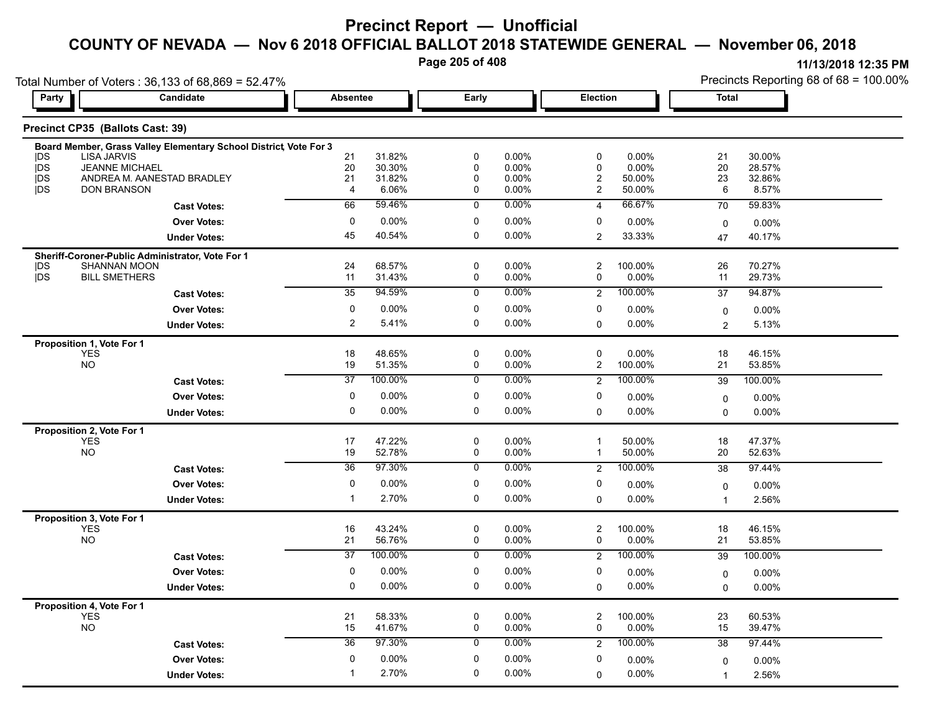**Page 205 of 408**

| Total Number of Voters: 36,133 of 68,869 = 52.47%<br><b>Candidate</b> |                                                                   |                 | <b>Absentee</b>  |                  |                   |                               |                     | Precincts Reporting 68 of 68 = 100.00%<br><b>Total</b> |                  |  |
|-----------------------------------------------------------------------|-------------------------------------------------------------------|-----------------|------------------|------------------|-------------------|-------------------------------|---------------------|--------------------------------------------------------|------------------|--|
| Party                                                                 |                                                                   |                 |                  | Early            |                   | Election                      |                     |                                                        |                  |  |
|                                                                       | Precinct CP35 (Ballots Cast: 39)                                  |                 |                  |                  |                   |                               |                     |                                                        |                  |  |
|                                                                       | Board Member, Grass Valley Elementary School District, Vote For 3 |                 |                  |                  |                   |                               |                     |                                                        |                  |  |
| <b>IDS</b><br><b>IDS</b>                                              | <b>LISA JARVIS</b><br><b>JEANNE MICHAEL</b>                       | 21<br>20        | 31.82%<br>30.30% | $\mathbf 0$<br>0 | 0.00%<br>0.00%    | 0<br>$\mathbf 0$              | 0.00%<br>0.00%      | 21<br>20                                               | 30.00%<br>28.57% |  |
| <b>IDS</b>                                                            | ANDREA M. AANESTAD BRADLEY                                        | 21              | 31.82%           | $\mathbf 0$      | 0.00%             | $\overline{c}$                | 50.00%              | 23                                                     | 32.86%           |  |
| <b>IDS</b>                                                            | <b>DON BRANSON</b>                                                | $\overline{4}$  | 6.06%            | $\mathbf 0$      | 0.00%             | $\overline{2}$                | 50.00%              | 6                                                      | 8.57%            |  |
|                                                                       | <b>Cast Votes:</b>                                                | 66              | 59.46%           | $\overline{0}$   | $0.00\%$          | $\overline{4}$                | 66.67%              | 70                                                     | 59.83%           |  |
|                                                                       | <b>Over Votes:</b>                                                | $\mathbf 0$     | 0.00%            | $\mathbf 0$      | 0.00%             | 0                             | 0.00%               | $\mathbf 0$                                            | 0.00%            |  |
|                                                                       | <b>Under Votes:</b>                                               | 45              | 40.54%           | 0                | $0.00\%$          | 2                             | 33.33%              | 47                                                     | 40.17%           |  |
|                                                                       | Sheriff-Coroner-Public Administrator, Vote For 1                  |                 |                  |                  |                   |                               |                     |                                                        |                  |  |
| <b>IDS</b><br>jDS                                                     | <b>SHANNAN MOON</b><br><b>BILL SMETHERS</b>                       | 24<br>11        | 68.57%           | 0                | 0.00%             | $\overline{c}$<br>$\mathbf 0$ | 100.00%<br>0.00%    | 26<br>11                                               | 70.27%           |  |
|                                                                       |                                                                   | $\overline{35}$ | 31.43%           | $\mathbf 0$      | 0.00%<br>$0.00\%$ |                               |                     |                                                        | 29.73%           |  |
|                                                                       | <b>Cast Votes:</b>                                                |                 | 94.59%           | 0                |                   | $\overline{2}$                | 100.00%             | 37                                                     | 94.87%           |  |
|                                                                       | <b>Over Votes:</b>                                                | 0               | 0.00%            | 0                | $0.00\%$          | 0                             | $0.00\%$            | 0                                                      | 0.00%            |  |
|                                                                       | <b>Under Votes:</b>                                               | $\overline{2}$  | 5.41%            | $\mathbf 0$      | 0.00%             | $\mathbf 0$                   | 0.00%               | $\overline{2}$                                         | 5.13%            |  |
|                                                                       | Proposition 1, Vote For 1                                         |                 |                  |                  |                   |                               |                     |                                                        |                  |  |
|                                                                       | <b>YES</b><br><b>NO</b>                                           | 18<br>19        | 48.65%<br>51.35% | 0<br>0           | $0.00\%$<br>0.00% | $\pmb{0}$<br>$\overline{2}$   | $0.00\%$<br>100.00% | 18<br>21                                               | 46.15%<br>53.85% |  |
|                                                                       | <b>Cast Votes:</b>                                                | $\overline{37}$ | 100.00%          | 0                | $0.00\%$          | $\overline{2}$                | 100.00%             | 39                                                     | 100.00%          |  |
|                                                                       | <b>Over Votes:</b>                                                | $\mathbf 0$     | 0.00%            | 0                | $0.00\%$          | 0                             | 0.00%               |                                                        | 0.00%            |  |
|                                                                       | <b>Under Votes:</b>                                               | $\mathbf 0$     | 0.00%            | 0                | $0.00\%$          | $\mathbf 0$                   | 0.00%               | 0<br>$\Omega$                                          | 0.00%            |  |
|                                                                       | Proposition 2, Vote For 1                                         |                 |                  |                  |                   |                               |                     |                                                        |                  |  |
|                                                                       | <b>YES</b>                                                        | 17              | 47.22%           | 0                | $0.00\%$          | $\mathbf{1}$                  | 50.00%              | 18                                                     | 47.37%           |  |
|                                                                       | <b>NO</b>                                                         | 19              | 52.78%           | $\mathbf 0$      | 0.00%             | $\mathbf{1}$                  | 50.00%              | 20                                                     | 52.63%           |  |
|                                                                       | <b>Cast Votes:</b>                                                | 36              | 97.30%           | $\mathbf 0$      | $0.00\%$          | $\overline{2}$                | 100.00%             | 38                                                     | 97.44%           |  |
|                                                                       | <b>Over Votes:</b>                                                | 0               | 0.00%            | 0                | $0.00\%$          | 0                             | $0.00\%$            | 0                                                      | 0.00%            |  |
|                                                                       | <b>Under Votes:</b>                                               | $\overline{1}$  | 2.70%            | $\mathbf 0$      | $0.00\%$          | $\mathbf 0$                   | 0.00%               | $\mathbf{1}$                                           | 2.56%            |  |
|                                                                       | Proposition 3, Vote For 1                                         |                 |                  |                  |                   |                               |                     |                                                        |                  |  |
|                                                                       | <b>YES</b>                                                        | 16              | 43.24%           | 0                | $0.00\%$          | $\overline{c}$                | 100.00%             | 18                                                     | 46.15%           |  |
|                                                                       | <b>NO</b>                                                         | 21              | 56.76%           | 0                | 0.00%             | 0                             | 0.00%               | 21                                                     | 53.85%           |  |
|                                                                       | <b>Cast Votes:</b>                                                | 37              | 100.00%          | $\overline{0}$   | $0.00\%$          | 2                             | 100.00%             | 39                                                     | 100.00%          |  |
|                                                                       | <b>Over Votes:</b>                                                | $\pmb{0}$       | 0.00%            | $\pmb{0}$        | $0.00\%$          | $\pmb{0}$                     | 0.00%               | $\mathbf 0$                                            | 0.00%            |  |
|                                                                       | <b>Under Votes:</b>                                               | 0               | 0.00%            | 0                | $0.00\%$          | $\mathbf 0$                   | $0.00\%$            | $\mathbf{0}$                                           | 0.00%            |  |
|                                                                       | Proposition 4, Vote For 1                                         |                 |                  |                  |                   |                               |                     |                                                        |                  |  |
|                                                                       | <b>YES</b><br><b>NO</b>                                           | 21<br>15        | 58.33%<br>41.67% | 0<br>0           | 0.00%<br>$0.00\%$ | $\overline{c}$<br>$\mathbf 0$ | 100.00%<br>$0.00\%$ | 23<br>15                                               | 60.53%<br>39.47% |  |
|                                                                       | <b>Cast Votes:</b>                                                | 36              | 97.30%           | 0                | $0.00\%$          | 2                             | 100.00%             | 38                                                     | 97.44%           |  |
|                                                                       |                                                                   |                 |                  |                  |                   |                               |                     |                                                        |                  |  |
|                                                                       | <b>Over Votes:</b>                                                | 0               | 0.00%            | 0                | $0.00\%$          | 0                             | $0.00\%$            | $\mathbf 0$                                            | 0.00%            |  |
|                                                                       | <b>Under Votes:</b>                                               | $\mathbf{1}$    | 2.70%            | $\mathbf 0$      | 0.00%             | $\mathbf 0$                   | 0.00%               |                                                        | 2.56%            |  |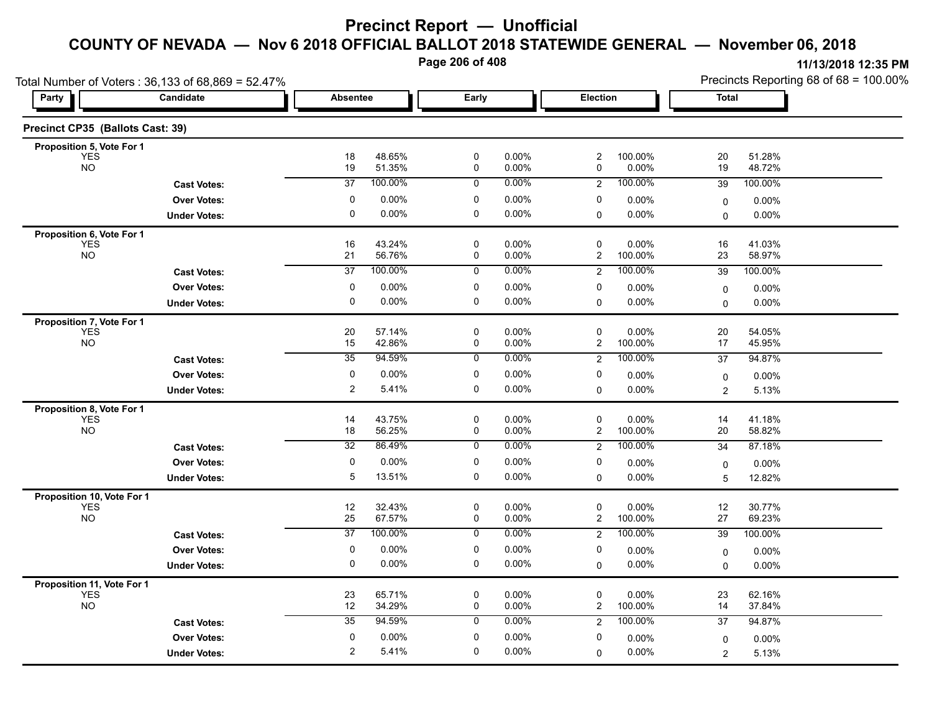**Page 206 of 408**

|                                         | Total Number of Voters: 36,133 of 68,869 = 52.47% |                 |                  |                |                |                              |                  |                     | Precincts Reporting 68 of 68 = 100.00% |
|-----------------------------------------|---------------------------------------------------|-----------------|------------------|----------------|----------------|------------------------------|------------------|---------------------|----------------------------------------|
| Party                                   | Candidate                                         | <b>Absentee</b> |                  | Early          |                | Election                     |                  | <b>Total</b>        |                                        |
| Precinct CP35 (Ballots Cast: 39)        |                                                   |                 |                  |                |                |                              |                  |                     |                                        |
| Proposition 5, Vote For 1               |                                                   |                 |                  |                |                |                              |                  |                     |                                        |
| <b>YES</b><br><b>NO</b>                 |                                                   | 18<br>19        | 48.65%<br>51.35% | $\pmb{0}$<br>0 | 0.00%<br>0.00% | $\overline{c}$<br>0          | 100.00%<br>0.00% | 20<br>19            | 51.28%<br>48.72%                       |
|                                         | <b>Cast Votes:</b>                                | $\overline{37}$ | 100.00%          | $\mathbf 0$    | 0.00%          | $\overline{2}$               | 100.00%          | 39                  | 100.00%                                |
|                                         | <b>Over Votes:</b>                                | 0               | 0.00%            | 0              | 0.00%          | 0                            | 0.00%            | $\mathbf 0$         | $0.00\%$                               |
|                                         | <b>Under Votes:</b>                               | $\mathbf 0$     | 0.00%            | 0              | 0.00%          | $\mathbf 0$                  | 0.00%            | 0                   | 0.00%                                  |
| Proposition 6, Vote For 1               |                                                   |                 |                  |                |                |                              |                  |                     |                                        |
| <b>YES</b><br><b>NO</b>                 |                                                   | 16              | 43.24%           | 0              | 0.00%          | 0                            | 0.00%            | 16                  | 41.03%                                 |
|                                         |                                                   | 21              | 56.76%           | 0              | 0.00%          | $\overline{\mathbf{c}}$      | 100.00%          | 23                  | 58.97%                                 |
|                                         | <b>Cast Votes:</b>                                | $\overline{37}$ | 100.00%          | $\mathbf 0$    | 0.00%          | $\overline{c}$               | 100.00%          | 39                  | 100.00%                                |
|                                         | <b>Over Votes:</b>                                | 0               | 0.00%            | 0              | 0.00%          | 0                            | 0.00%            | 0                   | $0.00\%$                               |
|                                         | <b>Under Votes:</b>                               | $\mathbf 0$     | 0.00%            | 0              | 0.00%          | $\Omega$                     | 0.00%            | 0                   | 0.00%                                  |
| Proposition 7, Vote For 1               |                                                   |                 |                  |                |                |                              |                  |                     |                                        |
| <b>YES</b><br><b>NO</b>                 |                                                   | 20<br>15        | 57.14%<br>42.86% | 0<br>$\pmb{0}$ | 0.00%<br>0.00% | 0<br>$\overline{\mathbf{c}}$ | 0.00%<br>100.00% | 20<br>17            | 54.05%<br>45.95%                       |
|                                         | <b>Cast Votes:</b>                                | $\overline{35}$ | 94.59%           | 0              | 0.00%          | $\overline{c}$               | 100.00%          | 37                  | 94.87%                                 |
|                                         | <b>Over Votes:</b>                                | 0               | 0.00%            | 0              | 0.00%          | 0                            | 0.00%            |                     | $0.00\%$                               |
|                                         | <b>Under Votes:</b>                               | $\overline{c}$  | 5.41%            | $\pmb{0}$      | 0.00%          | $\mathbf 0$                  | 0.00%            | 0<br>$\overline{2}$ | 5.13%                                  |
|                                         |                                                   |                 |                  |                |                |                              |                  |                     |                                        |
| Proposition 8, Vote For 1<br><b>YES</b> |                                                   | 14              | 43.75%           | 0              | 0.00%          | 0                            | 0.00%            | 14                  | 41.18%                                 |
| <b>NO</b>                               |                                                   | 18              | 56.25%           | $\pmb{0}$      | 0.00%          | $\overline{\mathbf{c}}$      | 100.00%          | $20\,$              | 58.82%                                 |
|                                         | <b>Cast Votes:</b>                                | 32              | 86.49%           | 0              | 0.00%          | $\overline{2}$               | 100.00%          | 34                  | 87.18%                                 |
|                                         | <b>Over Votes:</b>                                | 0               | 0.00%            | 0              | 0.00%          | 0                            | $0.00\%$         | 0                   | $0.00\%$                               |
|                                         | <b>Under Votes:</b>                               | 5               | 13.51%           | $\mathbf 0$    | 0.00%          | $\Omega$                     | 0.00%            | 5                   | 12.82%                                 |
| Proposition 10, Vote For 1              |                                                   |                 |                  |                |                |                              |                  |                     |                                        |
| <b>YES</b>                              |                                                   | 12              | 32.43%           | 0              | 0.00%          | 0                            | 0.00%            | 12                  | 30.77%                                 |
| <b>NO</b>                               |                                                   | 25              | 67.57%           | $\pmb{0}$      | 0.00%          | $\overline{c}$               | 100.00%          | 27                  | 69.23%                                 |
|                                         | <b>Cast Votes:</b>                                | $\overline{37}$ | 100.00%          | 0              | 0.00%          | $\overline{2}$               | 100.00%          | 39                  | 100.00%                                |
|                                         | <b>Over Votes:</b>                                | 0               | 0.00%            | 0              | 0.00%          | 0                            | $0.00\%$         | 0                   | $0.00\%$                               |
|                                         | <b>Under Votes:</b>                               | 0               | 0.00%            | $\pmb{0}$      | 0.00%          | $\mathbf 0$                  | 0.00%            | 0                   | 0.00%                                  |
| Proposition 11, Vote For 1              |                                                   |                 |                  |                |                |                              |                  |                     |                                        |
| <b>YES</b><br><b>NO</b>                 |                                                   | 23<br>12        | 65.71%<br>34.29% | 0<br>0         | 0.00%<br>0.00% | 0<br>$\overline{2}$          | 0.00%<br>100.00% | 23<br>14            | 62.16%<br>37.84%                       |
|                                         | <b>Cast Votes:</b>                                | 35              | 94.59%           | 0              | 0.00%          | $\overline{2}$               | 100.00%          | 37                  | 94.87%                                 |
|                                         |                                                   | 0               | 0.00%            | 0              | 0.00%          | 0                            |                  |                     |                                        |
|                                         | <b>Over Votes:</b>                                |                 |                  |                |                |                              | 0.00%            | 0                   | $0.00\%$                               |
|                                         | <b>Under Votes:</b>                               | 2               | 5.41%            | 0              | 0.00%          | $\Omega$                     | 0.00%            | $\overline{2}$      | 5.13%                                  |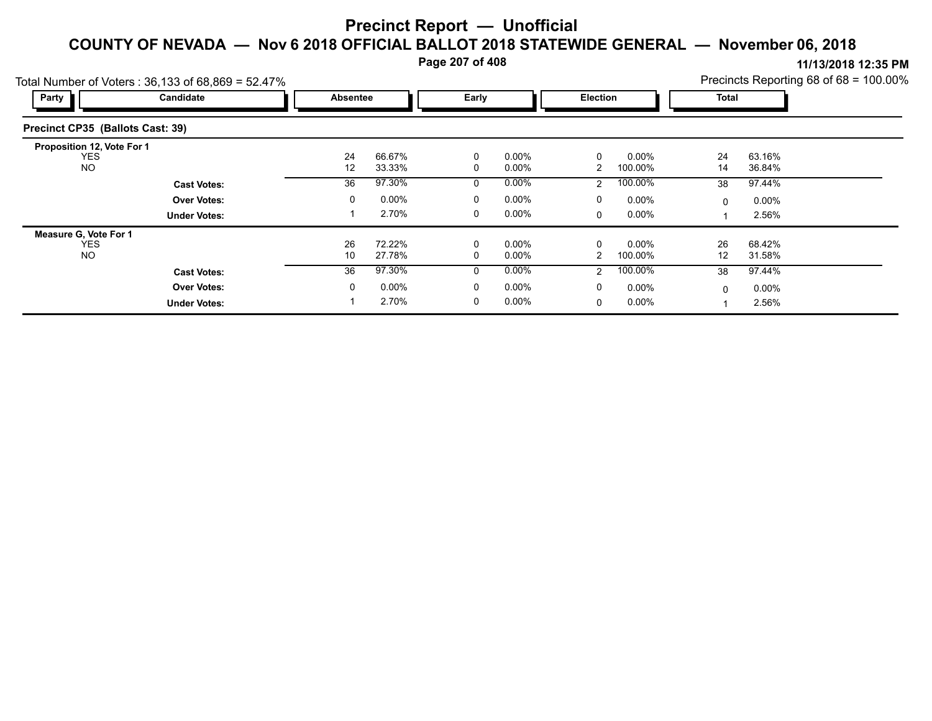**Page 207 of 408**

| Total Number of Voters: 36,133 of 68,869 = 52.47% |                     |              |          |          |          |                 |          |              |          | Precincts Reporting 68 of 68 = 100.00% |
|---------------------------------------------------|---------------------|--------------|----------|----------|----------|-----------------|----------|--------------|----------|----------------------------------------|
| Party                                             | Candidate           | Absentee     |          | Early    |          | <b>Election</b> |          | <b>Total</b> |          |                                        |
| Precinct CP35 (Ballots Cast: 39)                  |                     |              |          |          |          |                 |          |              |          |                                        |
| Proposition 12, Vote For 1                        |                     |              |          |          |          |                 |          |              |          |                                        |
| <b>YES</b>                                        |                     | 24           | 66.67%   | $\Omega$ | $0.00\%$ | $\Omega$        | $0.00\%$ | 24           | 63.16%   |                                        |
| <b>NO</b>                                         |                     | 12           | 33.33%   | 0        | $0.00\%$ |                 | 100.00%  | 14           | 36.84%   |                                        |
|                                                   | <b>Cast Votes:</b>  | 36           | 97.30%   | 0        | $0.00\%$ | 2               | 100.00%  | 38           | 97.44%   |                                        |
|                                                   | <b>Over Votes:</b>  | $\mathbf{0}$ | $0.00\%$ | 0        | $0.00\%$ | 0               | $0.00\%$ | $\mathbf{0}$ | $0.00\%$ |                                        |
|                                                   | <b>Under Votes:</b> |              | 2.70%    | 0        | $0.00\%$ | $\Omega$        | $0.00\%$ |              | 2.56%    |                                        |
| Measure G, Vote For 1                             |                     |              |          |          |          |                 |          |              |          |                                        |
| <b>YES</b>                                        |                     | 26           | 72.22%   | 0        | $0.00\%$ |                 | $0.00\%$ | 26           | 68.42%   |                                        |
| <b>NO</b>                                         |                     | 10           | 27.78%   | $\Omega$ | $0.00\%$ |                 | 100.00%  | 12           | 31.58%   |                                        |
|                                                   | <b>Cast Votes:</b>  | 36           | 97.30%   | $\Omega$ | $0.00\%$ | $\overline{2}$  | 100.00%  | 38           | 97.44%   |                                        |
|                                                   | <b>Over Votes:</b>  | $\mathbf{0}$ | $0.00\%$ | 0        | $0.00\%$ | 0               | $0.00\%$ | $\Omega$     | $0.00\%$ |                                        |
|                                                   | <b>Under Votes:</b> |              | 2.70%    | 0        | $0.00\%$ | 0               | $0.00\%$ |              | 2.56%    |                                        |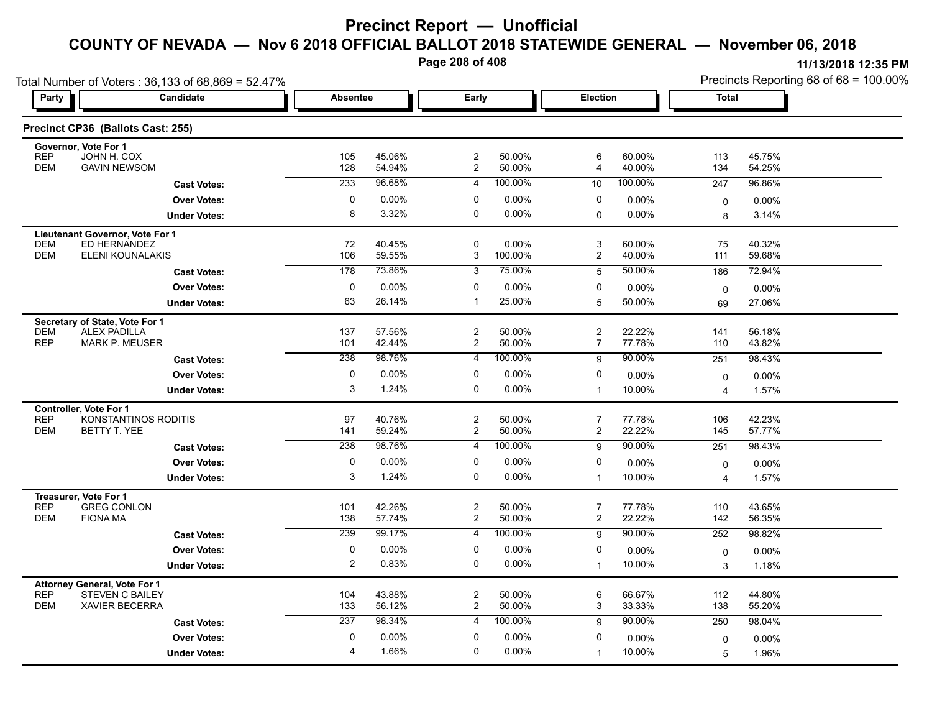**Page 208 of 408**

Total Number of Voters : 36,133 of 68,869 = 52.47%

Precincts Reporting 68 of 68 = 100.00%

| Party                    | <b>Candidate</b>                                      | <b>Absentee</b> |                  | Early                              |                  | Election                         |                  | <b>Total</b>   |                  |  |
|--------------------------|-------------------------------------------------------|-----------------|------------------|------------------------------------|------------------|----------------------------------|------------------|----------------|------------------|--|
|                          | Precinct CP36 (Ballots Cast: 255)                     |                 |                  |                                    |                  |                                  |                  |                |                  |  |
| <b>REP</b>               | Governor, Vote For 1<br>JOHN H. COX                   | 105             | 45.06%           | $\overline{\mathbf{c}}$            | 50.00%           | $\,6$                            | 60.00%           | 113            | 45.75%           |  |
| <b>DEM</b>               | <b>GAVIN NEWSOM</b>                                   | 128             | 54.94%           | $\overline{2}$                     | 50.00%           | $\overline{4}$                   | 40.00%           | 134            | 54.25%           |  |
|                          | <b>Cast Votes:</b>                                    | 233             | 96.68%           | $\overline{4}$                     | 100.00%          | 10                               | 100.00%          | 247            | 96.86%           |  |
|                          | <b>Over Votes:</b>                                    | $\mathbf 0$     | 0.00%            | $\mathbf 0$                        | 0.00%            | 0                                | 0.00%            | $\mathbf 0$    | $0.00\%$         |  |
|                          | <b>Under Votes:</b>                                   | 8               | 3.32%            | $\mathbf 0$                        | $0.00\%$         | $\mathbf 0$                      | $0.00\%$         | 8              | 3.14%            |  |
|                          | Lieutenant Governor, Vote For 1                       |                 |                  |                                    |                  |                                  |                  |                |                  |  |
| <b>DEM</b><br><b>DEM</b> | ED HERNANDEZ<br><b>ELENI KOUNALAKIS</b>               | 72<br>106       | 40.45%<br>59.55% | $\pmb{0}$<br>3                     | 0.00%<br>100.00% | $\sqrt{3}$<br>$\boldsymbol{2}$   | 60.00%<br>40.00% | 75<br>111      | 40.32%<br>59.68% |  |
|                          | <b>Cast Votes:</b>                                    | 178             | 73.86%           | $\overline{3}$                     | 75.00%           | 5                                | 50.00%           | 186            | 72.94%           |  |
|                          | <b>Over Votes:</b>                                    | $\mathbf 0$     | 0.00%            | 0                                  | $0.00\%$         | 0                                | 0.00%            |                | 0.00%            |  |
|                          | <b>Under Votes:</b>                                   | 63              | 26.14%           | $\overline{1}$                     | 25.00%           | $\overline{5}$                   | 50.00%           | 0<br>69        | 27.06%           |  |
|                          |                                                       |                 |                  |                                    |                  |                                  |                  |                |                  |  |
| <b>DEM</b>               | Secretary of State, Vote For 1<br><b>ALEX PADILLA</b> | 137             | 57.56%           | $\overline{c}$                     | 50.00%           | $\boldsymbol{2}$                 | 22.22%           | 141            | 56.18%           |  |
| <b>REP</b>               | <b>MARK P. MEUSER</b>                                 | 101             | 42.44%           | $\overline{c}$                     | 50.00%           | $\overline{7}$                   | 77.78%           | 110            | 43.82%           |  |
|                          | <b>Cast Votes:</b>                                    | 238             | 98.76%           | 4                                  | 100.00%          | 9                                | 90.00%           | 251            | 98.43%           |  |
|                          | <b>Over Votes:</b>                                    | $\pmb{0}$       | 0.00%            | 0                                  | $0.00\%$         | $\mathbf 0$                      | 0.00%            | $\Omega$       | $0.00\%$         |  |
|                          | <b>Under Votes:</b>                                   | 3               | 1.24%            | $\pmb{0}$                          | 0.00%            | $\mathbf{1}$                     | 10.00%           | $\overline{4}$ | 1.57%            |  |
|                          | Controller, Vote For 1                                |                 |                  |                                    |                  |                                  |                  |                |                  |  |
| <b>REP</b><br><b>DEM</b> | KONSTANTINOS RODITIS<br>BETTY T. YEE                  | 97<br>141       | 40.76%<br>59.24% | $\boldsymbol{2}$<br>$\overline{2}$ | 50.00%<br>50.00% | $\overline{7}$<br>$\overline{c}$ | 77.78%<br>22.22% | 106<br>145     | 42.23%<br>57.77% |  |
|                          | <b>Cast Votes:</b>                                    | 238             | 98.76%           | $\overline{4}$                     | 100.00%          | 9                                | 90.00%           | 251            | 98.43%           |  |
|                          |                                                       | $\mathbf 0$     | 0.00%            | $\mathbf 0$                        | 0.00%            | $\mathbf 0$                      |                  |                |                  |  |
|                          | <b>Over Votes:</b>                                    | 3               | 1.24%            | $\mathbf 0$                        | $0.00\%$         | $\overline{1}$                   | 0.00%<br>10.00%  | $\mathbf 0$    | $0.00\%$         |  |
|                          | <b>Under Votes:</b>                                   |                 |                  |                                    |                  |                                  |                  | $\overline{4}$ | 1.57%            |  |
| <b>REP</b>               | Treasurer, Vote For 1<br><b>GREG CONLON</b>           | 101             | 42.26%           | $\overline{c}$                     | 50.00%           | $\overline{7}$                   | 77.78%           | 110            | 43.65%           |  |
| <b>DEM</b>               | <b>FIONA MA</b>                                       | 138             | 57.74%           | $\overline{c}$                     | 50.00%           | $\overline{2}$                   | 22.22%           | 142            | 56.35%           |  |
|                          | <b>Cast Votes:</b>                                    | 239             | 99.17%           | $\overline{4}$                     | 100.00%          | 9                                | 90.00%           | 252            | 98.82%           |  |
|                          | <b>Over Votes:</b>                                    | $\pmb{0}$       | 0.00%            | $\pmb{0}$                          | 0.00%            | $\mathbf 0$                      | 0.00%            | $\mathbf 0$    | $0.00\%$         |  |
|                          | <b>Under Votes:</b>                                   | $\overline{2}$  | 0.83%            | $\mathbf 0$                        | $0.00\%$         | $\overline{1}$                   | 10.00%           | 3              | 1.18%            |  |
|                          | <b>Attorney General, Vote For 1</b>                   |                 |                  |                                    |                  |                                  |                  |                |                  |  |
| <b>REP</b><br><b>DEM</b> | <b>STEVEN C BAILEY</b>                                | 104             | 43.88%           | $\overline{c}$<br>$\overline{2}$   | 50.00%<br>50.00% | $\,6$<br>$\mathbf{3}$            | 66.67%           | 112            | 44.80%           |  |
|                          | <b>XAVIER BECERRA</b>                                 | 133             | 56.12%           |                                    |                  |                                  | 33.33%<br>90.00% | 138            | 55.20%           |  |
|                          | <b>Cast Votes:</b>                                    | 237             | 98.34%           | 4                                  | 100.00%          | 9                                |                  | 250            | 98.04%           |  |
|                          | <b>Over Votes:</b>                                    | 0               | 0.00%            | 0                                  | 0.00%            | 0                                | 0.00%            | $\mathbf 0$    | $0.00\%$         |  |
|                          | <b>Under Votes:</b>                                   | $\overline{4}$  | 1.66%            | 0                                  | 0.00%            | $\overline{1}$                   | 10.00%           | 5              | 1.96%            |  |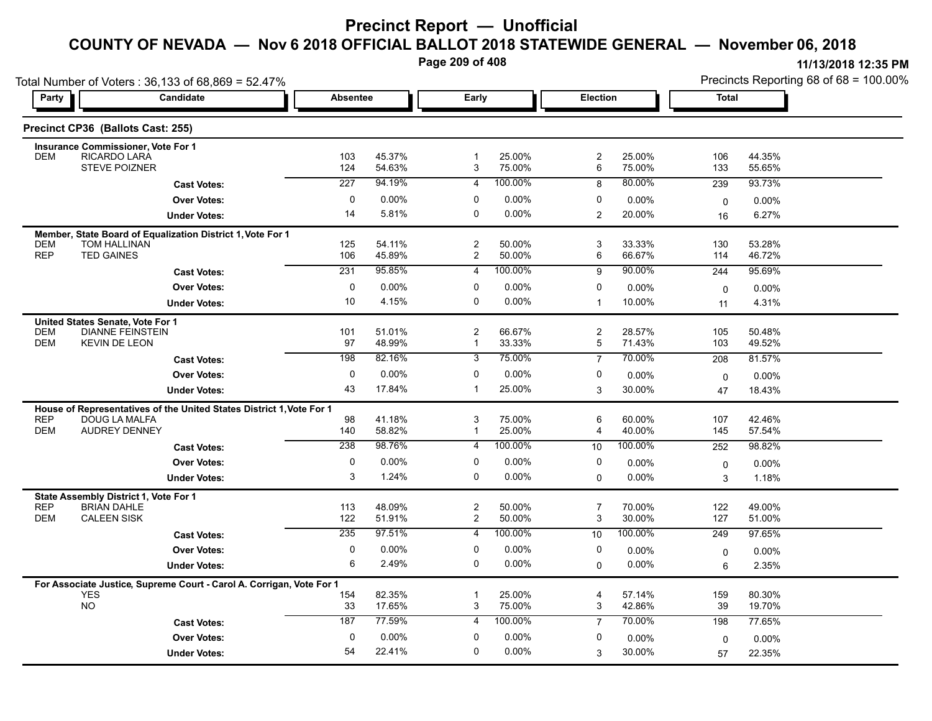**Page 209 of 408**

|                                                                                                               | Total Number of Voters: 36,133 of 68,869 = 52.47%                    |                 |                  |                                  |                  |                     |                  | Precincts Reporting 68 of 68 = 100.00% |                  |  |
|---------------------------------------------------------------------------------------------------------------|----------------------------------------------------------------------|-----------------|------------------|----------------------------------|------------------|---------------------|------------------|----------------------------------------|------------------|--|
| Party                                                                                                         | Candidate                                                            | <b>Absentee</b> |                  | Early                            |                  | Election            |                  | <b>Total</b>                           |                  |  |
| Precinct CP36 (Ballots Cast: 255)                                                                             |                                                                      |                 |                  |                                  |                  |                     |                  |                                        |                  |  |
| Insurance Commissioner, Vote For 1<br>RICARDO LARA<br>DEM<br><b>STEVE POIZNER</b>                             |                                                                      | 103<br>124      | 45.37%<br>54.63% | $\mathbf{1}$<br>3                | 25.00%<br>75.00% | $\overline{c}$<br>6 | 25.00%<br>75.00% | 106<br>133                             | 44.35%<br>55.65% |  |
|                                                                                                               | <b>Cast Votes:</b>                                                   | 227             | 94.19%           | $\overline{4}$                   | 100.00%          | 8                   | 80.00%           | 239                                    | 93.73%           |  |
|                                                                                                               | <b>Over Votes:</b>                                                   | 0               | 0.00%            | 0                                | 0.00%            | 0                   | 0.00%            | $\mathbf 0$                            | 0.00%            |  |
|                                                                                                               | <b>Under Votes:</b>                                                  | 14              | 5.81%            | $\mathbf 0$                      | $0.00\%$         | $\overline{2}$      | 20.00%           | 16                                     | 6.27%            |  |
|                                                                                                               | Member, State Board of Equalization District 1, Vote For 1           |                 |                  |                                  |                  |                     |                  |                                        |                  |  |
| <b>TOM HALLINAN</b><br><b>DEM</b><br><b>REP</b><br><b>TED GAINES</b>                                          |                                                                      | 125<br>106      | 54.11%<br>45.89% | $\overline{2}$<br>$\overline{2}$ | 50.00%<br>50.00% | 3<br>6              | 33.33%<br>66.67% | 130<br>114                             | 53.28%<br>46.72% |  |
|                                                                                                               | <b>Cast Votes:</b>                                                   | 231             | 95.85%           | 4                                | 100.00%          | 9                   | 90.00%           | 244                                    | 95.69%           |  |
|                                                                                                               | <b>Over Votes:</b>                                                   | 0               | 0.00%            | 0                                | 0.00%            | 0                   | 0.00%            | $\mathbf 0$                            | 0.00%            |  |
|                                                                                                               | <b>Under Votes:</b>                                                  | 10              | 4.15%            | $\Omega$                         | 0.00%            | $\mathbf 1$         | 10.00%           | 11                                     | 4.31%            |  |
| United States Senate, Vote For 1<br><b>DEM</b><br><b>DEM</b><br><b>KEVIN DE LEON</b>                          | <b>DIANNE FEINSTEIN</b>                                              | 101<br>97       | 51.01%<br>48.99% | $\overline{2}$<br>$\mathbf{1}$   | 66.67%<br>33.33% | 2<br>5              | 28.57%<br>71.43% | 105<br>103                             | 50.48%<br>49.52% |  |
|                                                                                                               | <b>Cast Votes:</b>                                                   | 198             | 82.16%           | 3                                | 75.00%           | $\overline{7}$      | 70.00%           | 208                                    | 81.57%           |  |
|                                                                                                               | <b>Over Votes:</b>                                                   | $\mathbf 0$     | 0.00%            | $\mathbf 0$                      | 0.00%            | 0                   | $0.00\%$         | $\mathbf 0$                            | 0.00%            |  |
|                                                                                                               | <b>Under Votes:</b>                                                  | 43              | 17.84%           | $\mathbf{1}$                     | 25.00%           | 3                   | 30.00%           | 47                                     | 18.43%           |  |
|                                                                                                               | House of Representatives of the United States District 1, Vote For 1 |                 |                  |                                  |                  |                     |                  |                                        |                  |  |
| <b>REP</b><br>DOUG LA MALFA<br><b>AUDREY DENNEY</b><br><b>DEM</b>                                             |                                                                      | 98<br>140       | 41.18%<br>58.82% | 3<br>$\mathbf{1}$                | 75.00%<br>25.00% | 6<br>4              | 60.00%<br>40.00% | 107<br>145                             | 42.46%<br>57.54% |  |
|                                                                                                               | <b>Cast Votes:</b>                                                   | 238             | 98.76%           | 4                                | 100.00%          | 10                  | 100.00%          | 252                                    | 98.82%           |  |
|                                                                                                               | <b>Over Votes:</b>                                                   | 0               | 0.00%            | 0                                | 0.00%            | 0                   | 0.00%            | 0                                      | 0.00%            |  |
|                                                                                                               | <b>Under Votes:</b>                                                  | 3               | 1.24%            | $\Omega$                         | 0.00%            | $\Omega$            | 0.00%            | 3                                      | 1.18%            |  |
| State Assembly District 1, Vote For 1<br><b>REP</b><br><b>BRIAN DAHLE</b><br><b>CALEEN SISK</b><br><b>DEM</b> |                                                                      | 113<br>122      | 48.09%<br>51.91% | $\overline{c}$<br>$\overline{2}$ | 50.00%<br>50.00% | $\overline{7}$<br>3 | 70.00%<br>30.00% | 122<br>127                             | 49.00%<br>51.00% |  |
|                                                                                                               | <b>Cast Votes:</b>                                                   | 235             | 97.51%           | 4                                | 100.00%          | 10                  | 100.00%          | 249                                    | 97.65%           |  |
|                                                                                                               | <b>Over Votes:</b>                                                   | 0               | 0.00%            | 0                                | 0.00%            | 0                   | 0.00%            | $\mathbf 0$                            | 0.00%            |  |
|                                                                                                               | <b>Under Votes:</b>                                                  | 6               | 2.49%            | $\mathbf 0$                      | 0.00%            | $\Omega$            | 0.00%            | 6                                      | 2.35%            |  |
| <b>YES</b>                                                                                                    | For Associate Justice, Supreme Court - Carol A. Corrigan, Vote For 1 | 154             | 82.35%           |                                  | 25.00%           | 4                   | 57.14%           | 159                                    | 80.30%           |  |
| <b>NO</b>                                                                                                     |                                                                      | 33              | 17.65%           | 3                                | 75.00%           | 3                   | 42.86%           | 39                                     | 19.70%           |  |
|                                                                                                               | <b>Cast Votes:</b>                                                   | 187             | 77.59%           | $\overline{4}$                   | 100.00%          | $\overline{7}$      | 70.00%           | 198                                    | 77.65%           |  |
|                                                                                                               | <b>Over Votes:</b>                                                   | $\mathbf 0$     | 0.00%            | $\mathbf 0$                      | 0.00%            | 0                   | 0.00%            | $\mathbf 0$                            | 0.00%            |  |
|                                                                                                               | <b>Under Votes:</b>                                                  | 54              | 22.41%           | 0                                | 0.00%            | 3                   | 30.00%           | 57                                     | 22.35%           |  |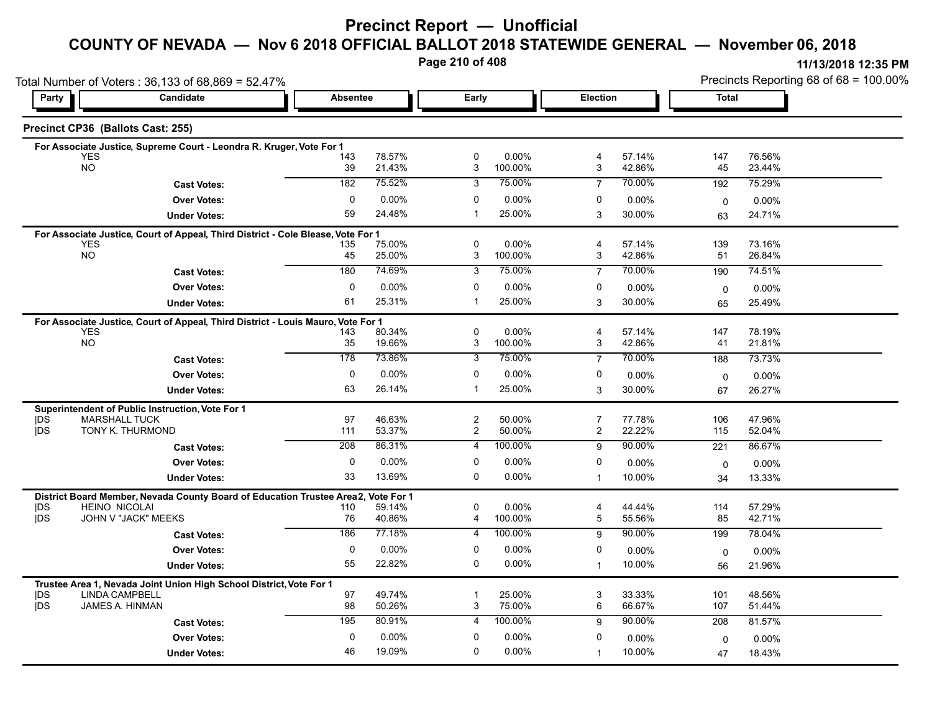# **Precinct Report — Unofficial**

**COUNTY OF NEVADA — Nov 6 2018 OFFICIAL BALLOT 2018 STATEWIDE GENERAL — November 06, 2018**

**Page 210 of 408**

|                          | Total Number of Voters: 36,133 of 68,869 = 52.47%                                              |                 |                  |                                          |                     |                     |                  | Precincts Reporting 68 of 68 = 100.00% |                  |  |
|--------------------------|------------------------------------------------------------------------------------------------|-----------------|------------------|------------------------------------------|---------------------|---------------------|------------------|----------------------------------------|------------------|--|
| Party                    | Candidate                                                                                      | <b>Absentee</b> |                  | Early                                    |                     | Election            |                  | <b>Total</b>                           |                  |  |
|                          | Precinct CP36 (Ballots Cast: 255)                                                              |                 |                  |                                          |                     |                     |                  |                                        |                  |  |
|                          | For Associate Justice, Supreme Court - Leondra R. Kruger, Vote For 1                           |                 |                  |                                          |                     |                     |                  |                                        |                  |  |
|                          | <b>YES</b><br><b>NO</b>                                                                        | 143<br>39       | 78.57%<br>21.43% | $\mathbf 0$<br>$\ensuremath{\mathsf{3}}$ | $0.00\%$<br>100.00% | 4<br>3              | 57.14%<br>42.86% | 147<br>45                              | 76.56%<br>23.44% |  |
|                          | <b>Cast Votes:</b>                                                                             | 182             | 75.52%           | 3                                        | 75.00%              | $\overline{7}$      | 70.00%           | 192                                    | 75.29%           |  |
|                          | <b>Over Votes:</b>                                                                             | $\mathbf 0$     | 0.00%            | $\mathbf 0$                              | 0.00%               | 0                   | 0.00%            |                                        |                  |  |
|                          | <b>Under Votes:</b>                                                                            | 59              | 24.48%           | $\overline{1}$                           | 25.00%              | 3                   | 30.00%           | 0<br>63                                | 0.00%<br>24.71%  |  |
|                          |                                                                                                |                 |                  |                                          |                     |                     |                  |                                        |                  |  |
|                          | For Associate Justice, Court of Appeal, Third District - Cole Blease, Vote For 1<br><b>YES</b> | 135             | 75.00%           | 0                                        | 0.00%               | 4                   | 57.14%           | 139                                    | 73.16%           |  |
|                          | <b>NO</b>                                                                                      | 45              | 25.00%           | 3                                        | 100.00%             | 3                   | 42.86%           | 51                                     | 26.84%           |  |
|                          | <b>Cast Votes:</b>                                                                             | 180             | 74.69%           | 3                                        | 75.00%              | $\overline{7}$      | 70.00%           | 190                                    | 74.51%           |  |
|                          | <b>Over Votes:</b>                                                                             | $\mathbf 0$     | 0.00%            | 0                                        | 0.00%               | 0                   | 0.00%            | $\mathbf 0$                            | $0.00\%$         |  |
|                          | <b>Under Votes:</b>                                                                            | 61              | 25.31%           | $\overline{1}$                           | 25.00%              | 3                   | 30.00%           | 65                                     | 25.49%           |  |
|                          | For Associate Justice, Court of Appeal, Third District - Louis Mauro, Vote For 1               |                 |                  |                                          |                     |                     |                  |                                        |                  |  |
|                          | <b>YES</b>                                                                                     | 143             | 80.34%           | $\mathbf 0$                              | 0.00%               | 4                   | 57.14%           | 147                                    | 78.19%           |  |
|                          | <b>NO</b>                                                                                      | 35              | 19.66%           | 3                                        | 100.00%             | 3                   | 42.86%           | 41                                     | 21.81%           |  |
|                          | <b>Cast Votes:</b>                                                                             | 178             | 73.86%           | 3                                        | 75.00%              | $\overline{7}$      | 70.00%           | 188                                    | 73.73%           |  |
|                          | <b>Over Votes:</b>                                                                             | 0               | 0.00%            | 0                                        | 0.00%               | 0                   | 0.00%            | $\mathbf 0$                            | 0.00%            |  |
|                          | <b>Under Votes:</b>                                                                            | 63              | 26.14%           | $\mathbf{1}$                             | 25.00%              | 3                   | 30.00%           | 67                                     | 26.27%           |  |
|                          | Superintendent of Public Instruction, Vote For 1                                               |                 |                  |                                          |                     |                     |                  |                                        |                  |  |
| <b>IDS</b><br><b>IDS</b> | <b>MARSHALL TUCK</b><br>TONY K. THURMOND                                                       | 97              | 46.63%<br>53.37% | $\overline{c}$<br>$\overline{2}$         | 50.00%<br>50.00%    | $\overline{7}$<br>2 | 77.78%<br>22.22% | 106                                    | 47.96%           |  |
|                          |                                                                                                | 111<br>208      | 86.31%           |                                          | 100.00%             |                     | 90.00%           | 115                                    | 52.04%           |  |
|                          | <b>Cast Votes:</b>                                                                             |                 |                  | 4                                        |                     | 9                   |                  | 221                                    | 86.67%           |  |
|                          | <b>Over Votes:</b>                                                                             | 0               | 0.00%            | 0                                        | 0.00%               | 0                   | 0.00%            | $\mathbf 0$                            | $0.00\%$         |  |
|                          | <b>Under Votes:</b>                                                                            | 33              | 13.69%           | $\mathbf 0$                              | 0.00%               | $\mathbf 1$         | 10.00%           | 34                                     | 13.33%           |  |
|                          | District Board Member, Nevada County Board of Education Trustee Area2,                         |                 | Vote For 1       | $\mathbf 0$                              |                     |                     |                  |                                        |                  |  |
| IDS.<br><b>jDS</b>       | <b>HEINO NICOLAI</b><br>JOHN V "JACK" MEEKS                                                    | 110<br>76       | 59.14%<br>40.86% | 4                                        | 0.00%<br>100.00%    | 4<br>5              | 44.44%<br>55.56% | 114<br>85                              | 57.29%<br>42.71% |  |
|                          | <b>Cast Votes:</b>                                                                             | 186             | 77.18%           | 4                                        | 100.00%             | 9                   | 90.00%           | 199                                    | 78.04%           |  |
|                          | <b>Over Votes:</b>                                                                             | 0               | 0.00%            | 0                                        | $0.00\%$            | 0                   | $0.00\%$         | 0                                      | $0.00\%$         |  |
|                          | <b>Under Votes:</b>                                                                            | 55              | 22.82%           | 0                                        | $0.00\%$            | $\mathbf{1}$        | 10.00%           | 56                                     | 21.96%           |  |
|                          |                                                                                                |                 |                  |                                          |                     |                     |                  |                                        |                  |  |
| DS                       | Trustee Area 1, Nevada Joint Union High School District, Vote For 1<br><b>LINDA CAMPBELL</b>   | 97              | 49.74%           |                                          | 25.00%              | 3                   | 33.33%           | 101                                    | 48.56%           |  |
| <b>DS</b>                | JAMES A. HINMAN                                                                                | 98              | 50.26%           | 3                                        | 75.00%              | 6                   | 66.67%           | 107                                    | 51.44%           |  |
|                          | <b>Cast Votes:</b>                                                                             | 195             | 80.91%           | $\overline{4}$                           | 100.00%             | 9                   | 90.00%           | 208                                    | 81.57%           |  |
|                          | <b>Over Votes:</b>                                                                             | $\mathbf 0$     | 0.00%            | $\mathbf 0$                              | 0.00%               | $\Omega$            | $0.00\%$         | 0                                      | $0.00\%$         |  |
|                          | <b>Under Votes:</b>                                                                            | 46              | 19.09%           | $\Omega$                                 | $0.00\%$            | $\mathbf{1}$        | 10.00%           | 47                                     | 18.43%           |  |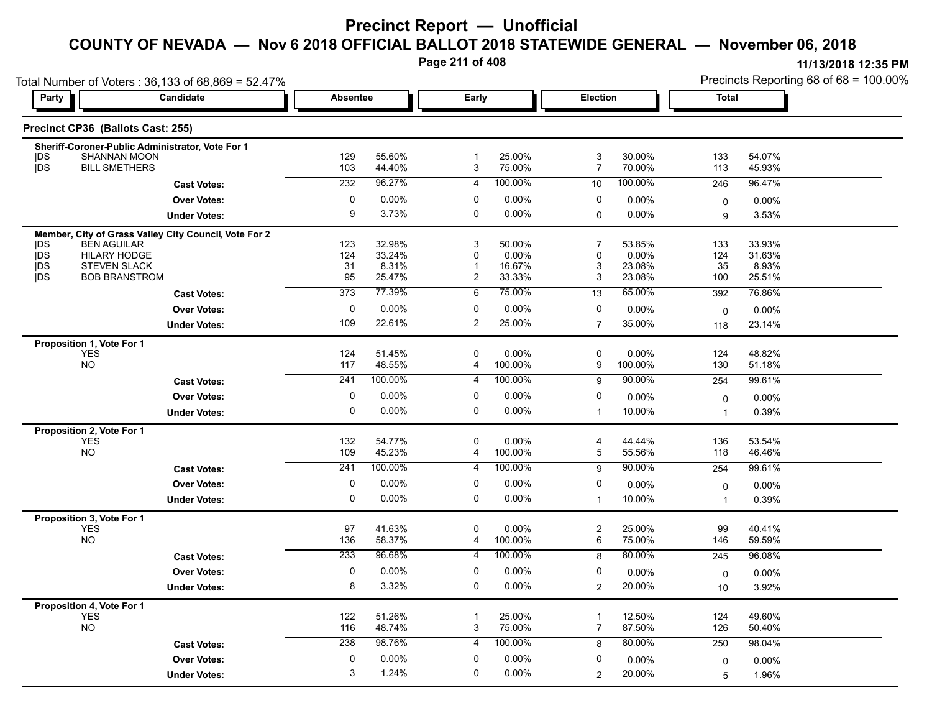**Page 211 of 408**

| Total Number of Voters: 36,133 of 68,869 = 52.47%        |                                                       |                  |                  |                           |                 |                     |                  | Precincts Reporting 68 of 68 = 100.00% |                  |  |
|----------------------------------------------------------|-------------------------------------------------------|------------------|------------------|---------------------------|-----------------|---------------------|------------------|----------------------------------------|------------------|--|
| Party                                                    | Candidate                                             | <b>Absentee</b>  |                  | Early                     |                 | <b>Election</b>     |                  | <b>Total</b>                           |                  |  |
| Precinct CP36 (Ballots Cast: 255)                        |                                                       |                  |                  |                           |                 |                     |                  |                                        |                  |  |
|                                                          | Sheriff-Coroner-Public Administrator, Vote For 1      |                  |                  |                           |                 |                     |                  |                                        |                  |  |
| <b>SHANNAN MOON</b><br> DS<br>DS<br><b>BILL SMETHERS</b> |                                                       | 129              | 55.60%           | -1                        | 25.00%          | 3<br>$\overline{7}$ | 30.00%<br>70.00% | 133                                    | 54.07%           |  |
|                                                          |                                                       | 103              | 44.40%           | 3                         | 75.00%          |                     |                  | 113                                    | 45.93%           |  |
|                                                          | <b>Cast Votes:</b>                                    | 232              | 96.27%           | $\overline{4}$            | 100.00%         | 10                  | 100.00%          | 246                                    | 96.47%           |  |
|                                                          | <b>Over Votes:</b>                                    | $\pmb{0}$        | 0.00%            | $\mathbf 0$               | 0.00%           | 0                   | $0.00\%$         | 0                                      | 0.00%            |  |
|                                                          | <b>Under Votes:</b>                                   | 9                | 3.73%            | $\mathbf 0$               | $0.00\%$        | $\Omega$            | $0.00\%$         | 9                                      | 3.53%            |  |
|                                                          | Member, City of Grass Valley City Council, Vote For 2 |                  |                  |                           |                 |                     |                  |                                        |                  |  |
| <b>BEN AGUILAR</b><br>IDS.<br>jDS<br><b>HILARY HODGE</b> |                                                       | 123<br>124       | 32.98%<br>33.24% | 3<br>$\mathbf{0}$         | 50.00%<br>0.00% | 7<br>$\Omega$       | 53.85%<br>0.00%  | 133<br>124                             | 33.93%<br>31.63% |  |
| <b>IDS</b><br><b>STEVEN SLACK</b>                        |                                                       | 31               | 8.31%            | $\mathbf 1$               | 16.67%          | 3                   | 23.08%           | 35                                     | 8.93%            |  |
| <b>IDS</b><br><b>BOB BRANSTROM</b>                       |                                                       | 95               | 25.47%           | 2                         | 33.33%          | 3                   | 23.08%           | 100                                    | 25.51%           |  |
|                                                          | <b>Cast Votes:</b>                                    | $\overline{373}$ | 77.39%           | 6                         | 75.00%          | 13                  | 65.00%           | 392                                    | 76.86%           |  |
|                                                          | <b>Over Votes:</b>                                    | 0                | 0.00%            | 0                         | 0.00%           | 0                   | 0.00%            | $\mathbf 0$                            | 0.00%            |  |
|                                                          | <b>Under Votes:</b>                                   | 109              | 22.61%           | 2                         | 25.00%          | $\overline{7}$      | 35.00%           | 118                                    | 23.14%           |  |
| Proposition 1, Vote For 1                                |                                                       |                  |                  |                           |                 |                     |                  |                                        |                  |  |
| <b>YES</b>                                               |                                                       | 124              | 51.45%           | $\mathbf 0$               | 0.00%           | 0                   | 0.00%            | 124                                    | 48.82%           |  |
| <b>NO</b>                                                |                                                       | 117              | 48.55%           | 4                         | 100.00%         | 9                   | 100.00%          | 130                                    | 51.18%           |  |
|                                                          | <b>Cast Votes:</b>                                    | 241              | 100.00%          | 4                         | 100.00%         | 9                   | 90.00%           | 254                                    | 99.61%           |  |
|                                                          | <b>Over Votes:</b>                                    | 0                | 0.00%            | 0                         | 0.00%           | 0                   | 0.00%            | 0                                      | 0.00%            |  |
|                                                          | <b>Under Votes:</b>                                   | $\mathbf 0$      | 0.00%            | $\mathbf 0$               | $0.00\%$        | $\mathbf 1$         | 10.00%           | $\mathbf{1}$                           | 0.39%            |  |
| Proposition 2, Vote For 1                                |                                                       |                  |                  |                           |                 |                     |                  |                                        |                  |  |
| <b>YES</b>                                               |                                                       | 132              | 54.77%           | 0                         | 0.00%           | 4                   | 44.44%           | 136                                    | 53.54%           |  |
| <b>NO</b>                                                |                                                       | 109              | 45.23%           | 4                         | 100.00%         | 5                   | 55.56%           | 118                                    | 46.46%           |  |
|                                                          | <b>Cast Votes:</b>                                    | 241              | 100.00%          | $\overline{4}$            | 100.00%         | 9                   | 90.00%           | 254                                    | 99.61%           |  |
|                                                          | <b>Over Votes:</b>                                    | 0                | 0.00%            | 0                         | 0.00%           | 0                   | 0.00%            | 0                                      | 0.00%            |  |
|                                                          | <b>Under Votes:</b>                                   | $\mathbf 0$      | 0.00%            | $\mathbf 0$               | $0.00\%$        | $\mathbf{1}$        | 10.00%           | $\mathbf{1}$                           | 0.39%            |  |
| Proposition 3, Vote For 1                                |                                                       |                  |                  |                           |                 |                     |                  |                                        |                  |  |
| <b>YES</b>                                               |                                                       | 97               | 41.63%           | $\mathbf 0$               | 0.00%           | 2                   | 25.00%           | 99                                     | 40.41%           |  |
| <b>NO</b>                                                |                                                       | 136              | 58.37%           | 4                         | 100.00%         | 6                   | 75.00%           | 146                                    | 59.59%           |  |
|                                                          | <b>Cast Votes:</b>                                    | 233              | 96.68%           | 4                         | 100.00%         | 8                   | 80.00%           | 245                                    | 96.08%           |  |
|                                                          | <b>Over Votes:</b>                                    | 0                | 0.00%            | 0                         | 0.00%           | 0                   | 0.00%            | 0                                      | 0.00%            |  |
|                                                          | <b>Under Votes:</b>                                   | 8                | 3.32%            | 0                         | $0.00\%$        | $\overline{2}$      | 20.00%           | 10                                     | 3.92%            |  |
| Proposition 4, Vote For 1                                |                                                       |                  |                  |                           |                 |                     |                  |                                        |                  |  |
| <b>YES</b>                                               |                                                       | 122              | 51.26%           | $\overline{1}$            | 25.00%          | $\mathbf{1}$        | 12.50%           | 124                                    | 49.60%           |  |
| <b>NO</b>                                                |                                                       | 116              | 48.74%           | $\ensuremath{\mathsf{3}}$ | 75.00%          | $\overline{7}$      | 87.50%           | 126                                    | 50.40%           |  |
|                                                          | <b>Cast Votes:</b>                                    | 238              | 98.76%           | 4                         | 100.00%         | 8                   | 80.00%           | 250                                    | 98.04%           |  |
|                                                          | <b>Over Votes:</b>                                    | 0                | 0.00%            | 0                         | 0.00%           | 0                   | 0.00%            | 0                                      | 0.00%            |  |
|                                                          | <b>Under Votes:</b>                                   | 3                | 1.24%            | $\mathbf 0$               | 0.00%           | $\overline{2}$      | 20.00%           | 5                                      | 1.96%            |  |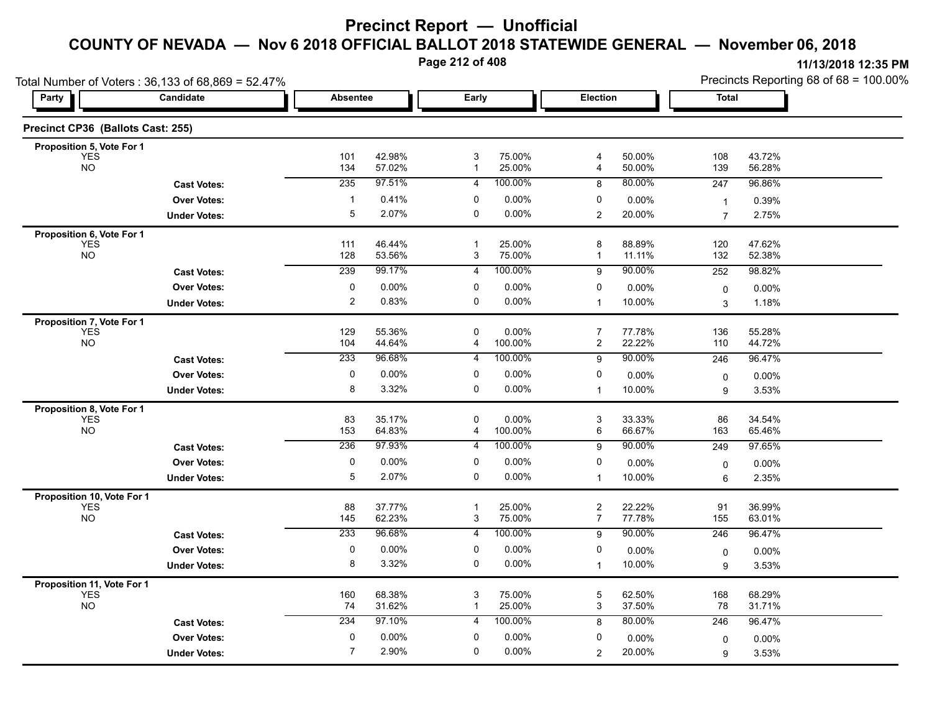**Page 212 of 408**

|                                   | Total Number of Voters: 36,133 of 68,869 = 52.47% |                 |                  |                   |                     |                                  |                  |                  | Precincts Reporting 68 of 68 = 100.00% |
|-----------------------------------|---------------------------------------------------|-----------------|------------------|-------------------|---------------------|----------------------------------|------------------|------------------|----------------------------------------|
| Party                             | Candidate                                         | <b>Absentee</b> |                  | Early             |                     | <b>Election</b>                  |                  | <b>Total</b>     |                                        |
| Precinct CP36 (Ballots Cast: 255) |                                                   |                 |                  |                   |                     |                                  |                  |                  |                                        |
| Proposition 5, Vote For 1         |                                                   |                 |                  |                   |                     |                                  |                  |                  |                                        |
| <b>YES</b><br><b>NO</b>           |                                                   | 101<br>134      | 42.98%<br>57.02% | 3<br>$\mathbf{1}$ | 75.00%<br>25.00%    | $\overline{4}$<br>4              | 50.00%<br>50.00% | 108<br>139       | 43.72%<br>56.28%                       |
|                                   | <b>Cast Votes:</b>                                | 235             | 97.51%           | $\overline{4}$    | 100.00%             | 8                                | 80.00%           | 247              | 96.86%                                 |
|                                   | <b>Over Votes:</b>                                | -1              | 0.41%            | 0                 | 0.00%               | 0                                | 0.00%            | $\mathbf{1}$     | 0.39%                                  |
|                                   | <b>Under Votes:</b>                               | 5               | 2.07%            | 0                 | $0.00\%$            | $\overline{2}$                   | 20.00%           | $\overline{7}$   | 2.75%                                  |
| Proposition 6, Vote For 1         |                                                   |                 |                  |                   |                     |                                  |                  |                  |                                        |
| <b>YES</b><br><b>NO</b>           |                                                   | 111<br>128      | 46.44%<br>53.56% | $\mathbf{1}$<br>3 | 25.00%<br>75.00%    | 8<br>1                           | 88.89%<br>11.11% | 120<br>132       | 47.62%<br>52.38%                       |
|                                   | <b>Cast Votes:</b>                                | 239             | 99.17%           | 4                 | 100.00%             | 9                                | 90.00%           | 252              | 98.82%                                 |
|                                   | <b>Over Votes:</b>                                | $\pmb{0}$       | 0.00%            | 0                 | $0.00\%$            | 0                                | 0.00%            | 0                | 0.00%                                  |
|                                   | <b>Under Votes:</b>                               | $\overline{2}$  | 0.83%            | $\mathbf 0$       | 0.00%               | $\mathbf{1}$                     | 10.00%           | 3                | 1.18%                                  |
| Proposition 7, Vote For 1         |                                                   |                 |                  |                   |                     |                                  |                  |                  |                                        |
| <b>YES</b><br><b>NO</b>           |                                                   | 129<br>104      | 55.36%<br>44.64% | $\mathbf 0$<br>4  | $0.00\%$<br>100.00% | $\overline{7}$<br>2              | 77.78%<br>22.22% | 136<br>110       | 55.28%<br>44.72%                       |
|                                   | <b>Cast Votes:</b>                                | 233             | 96.68%           | 4                 | 100.00%             | 9                                | 90.00%           | 246              | 96.47%                                 |
|                                   | <b>Over Votes:</b>                                | 0               | 0.00%            | 0                 | $0.00\%$            | 0                                | 0.00%            |                  |                                        |
|                                   | <b>Under Votes:</b>                               | 8               | 3.32%            | 0                 | 0.00%               | $\mathbf{1}$                     | 10.00%           | $\mathbf 0$<br>9 | 0.00%<br>3.53%                         |
| Proposition 8, Vote For 1         |                                                   |                 |                  |                   |                     |                                  |                  |                  |                                        |
| <b>YES</b>                        |                                                   | 83              | 35.17%           | $\mathbf 0$       | 0.00%               | 3                                | 33.33%           | 86               | 34.54%                                 |
| <b>NO</b>                         |                                                   | 153             | 64.83%           | 4                 | 100.00%             | 6                                | 66.67%           | 163              | 65.46%                                 |
|                                   | <b>Cast Votes:</b>                                | 236             | 97.93%           | 4                 | 100.00%             | 9                                | 90.00%           | 249              | 97.65%                                 |
|                                   | <b>Over Votes:</b>                                | $\pmb{0}$       | 0.00%            | 0                 | 0.00%               | 0                                | 0.00%            | 0                | 0.00%                                  |
|                                   | <b>Under Votes:</b>                               | 5               | 2.07%            | 0                 | $0.00\%$            | $\mathbf{1}$                     | 10.00%           | 6                | 2.35%                                  |
| Proposition 10, Vote For 1        |                                                   |                 |                  |                   |                     |                                  |                  |                  |                                        |
| <b>YES</b><br><b>NO</b>           |                                                   | 88<br>145       | 37.77%<br>62.23% | -1<br>3           | 25.00%<br>75.00%    | $\overline{c}$<br>$\overline{7}$ | 22.22%<br>77.78% | 91<br>155        | 36.99%<br>63.01%                       |
|                                   | <b>Cast Votes:</b>                                | 233             | 96.68%           | 4                 | 100.00%             | 9                                | 90.00%           | 246              | 96.47%                                 |
|                                   | <b>Over Votes:</b>                                | 0               | 0.00%            | 0                 | 0.00%               | 0                                | 0.00%            | $\mathbf 0$      | $0.00\%$                               |
|                                   | <b>Under Votes:</b>                               | 8               | 3.32%            | 0                 | 0.00%               | $\mathbf{1}$                     | 10.00%           | 9                | 3.53%                                  |
| Proposition 11, Vote For 1        |                                                   |                 |                  |                   |                     |                                  |                  |                  |                                        |
| <b>YES</b><br><b>NO</b>           |                                                   | 160<br>74       | 68.38%<br>31.62% | 3<br>$\mathbf{1}$ | 75.00%<br>25.00%    | 5<br>3                           | 62.50%<br>37.50% | 168<br>78        | 68.29%<br>31.71%                       |
|                                   | <b>Cast Votes:</b>                                | 234             | 97.10%           | $\overline{4}$    | 100.00%             | 8                                | 80.00%           | 246              | 96.47%                                 |
|                                   | <b>Over Votes:</b>                                | 0               | 0.00%            | $\mathbf 0$       | 0.00%               | 0                                | 0.00%            | 0                | 0.00%                                  |
|                                   |                                                   |                 |                  |                   |                     |                                  |                  |                  |                                        |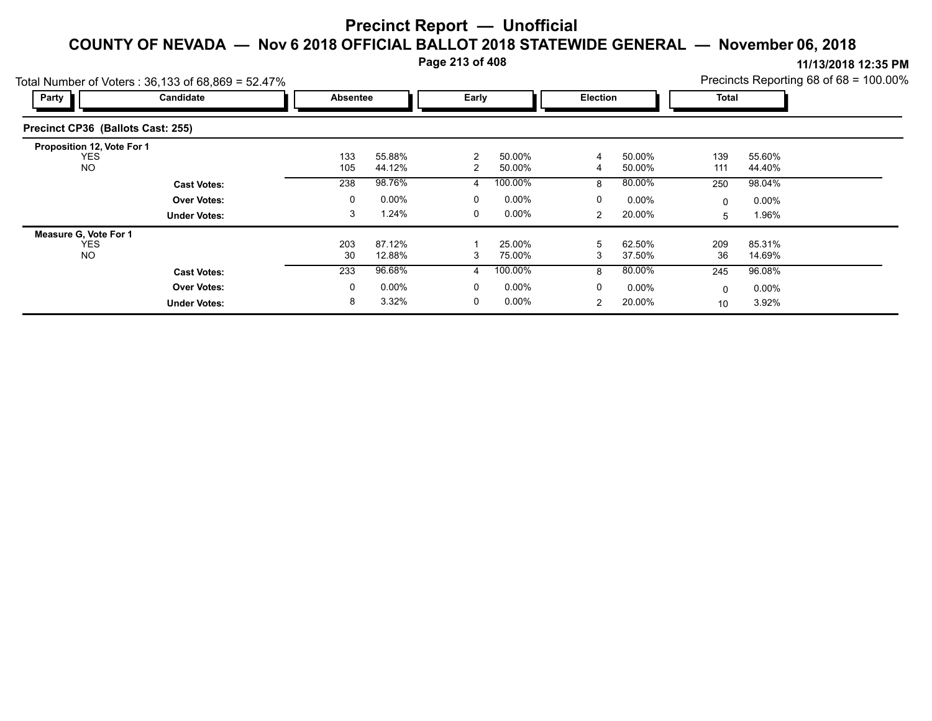**Page 213 of 408**

|                                                       | Total Number of Voters: 36,133 of 68,869 = 52.47% |                 |                  |                     |                  |                 |                  |            |                  | Precincts Reporting 68 of 68 = 100.00% |
|-------------------------------------------------------|---------------------------------------------------|-----------------|------------------|---------------------|------------------|-----------------|------------------|------------|------------------|----------------------------------------|
| Party                                                 | Candidate                                         | <b>Absentee</b> |                  | Early               |                  | <b>Election</b> |                  | Total      |                  |                                        |
| Precinct CP36 (Ballots Cast: 255)                     |                                                   |                 |                  |                     |                  |                 |                  |            |                  |                                        |
| Proposition 12, Vote For 1<br><b>YES</b><br><b>NO</b> |                                                   | 133<br>105      | 55.88%<br>44.12% | 2<br>$\overline{2}$ | 50.00%<br>50.00% | 4<br>4          | 50.00%<br>50.00% | 139<br>111 | 55.60%<br>44.40% |                                        |
|                                                       | <b>Cast Votes:</b>                                | 238             | 98.76%           | 4                   | 100.00%          | 8               | 80.00%           | 250        | 98.04%           |                                        |
|                                                       | <b>Over Votes:</b>                                | 0               | $0.00\%$         | 0                   | $0.00\%$         | 0               | $0.00\%$         | 0          | $0.00\%$         |                                        |
|                                                       | <b>Under Votes:</b>                               | 3               | 1.24%            | 0                   | $0.00\%$         | $\overline{2}$  | 20.00%           | 5          | 1.96%            |                                        |
| Measure G, Vote For 1                                 |                                                   |                 |                  |                     |                  |                 |                  |            |                  |                                        |
| <b>YES</b><br>NO.                                     |                                                   | 203<br>30       | 87.12%<br>12.88% | 3                   | 25.00%<br>75.00% | 5<br>3          | 62.50%<br>37.50% | 209<br>36  | 85.31%<br>14.69% |                                        |
|                                                       | <b>Cast Votes:</b>                                | 233             | 96.68%           | 4                   | 100.00%          | 8               | 80.00%           | 245        | 96.08%           |                                        |
|                                                       | <b>Over Votes:</b>                                | 0               | $0.00\%$         | 0                   | $0.00\%$         | 0               | $0.00\%$         | 0          | $0.00\%$         |                                        |
|                                                       | <b>Under Votes:</b>                               | 8               | 3.32%            | 0                   | $0.00\%$         | $\overline{2}$  | 20.00%           | 10         | 3.92%            |                                        |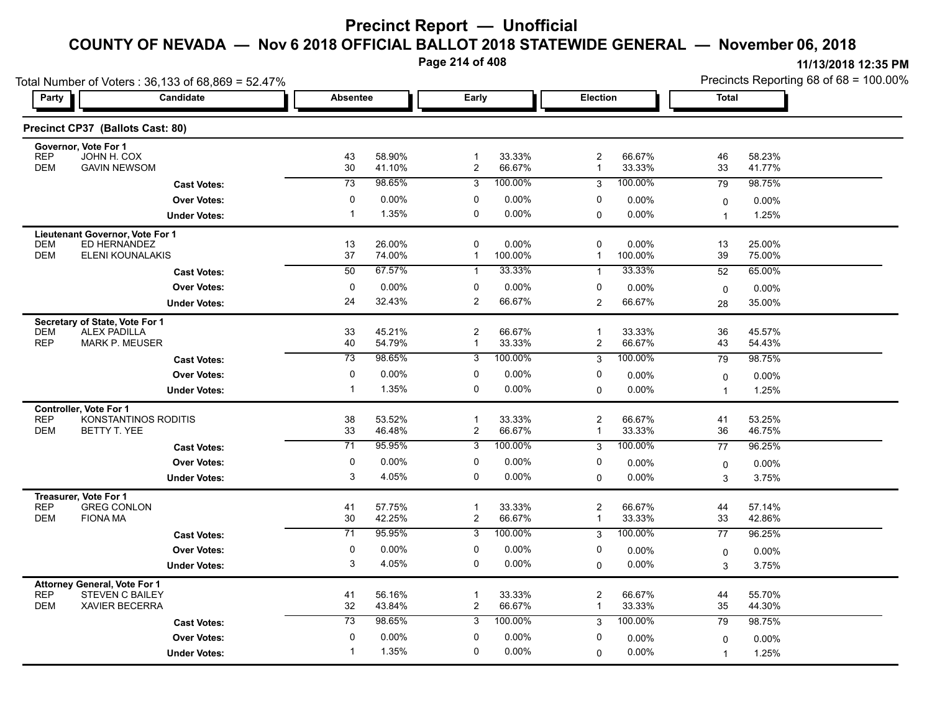**Page 214 of 408**

| Total Number of Voters: 36,133 of 68,869 = 52.47%                   |  |                       |                   |                                |                   |                                         |                     | Precincts Reporting 68 of 68 = 100.00% |                  |  |
|---------------------------------------------------------------------|--|-----------------------|-------------------|--------------------------------|-------------------|-----------------------------------------|---------------------|----------------------------------------|------------------|--|
| Party<br><b>Candidate</b>                                           |  | <b>Absentee</b>       |                   | Early                          |                   | Election                                |                     | <b>Total</b>                           |                  |  |
| Precinct CP37 (Ballots Cast: 80)                                    |  |                       |                   |                                |                   |                                         |                     |                                        |                  |  |
| Governor, Vote For 1<br>REP<br>JOHN H. COX                          |  |                       | 58.90%            | $\mathbf{1}$                   |                   |                                         |                     |                                        |                  |  |
| <b>DEM</b><br><b>GAVIN NEWSOM</b>                                   |  | 43<br>30              | 41.10%            | $\overline{c}$                 | 33.33%<br>66.67%  | $\overline{c}$<br>$\mathbf{1}$          | 66.67%<br>33.33%    | 46<br>33                               | 58.23%<br>41.77% |  |
| <b>Cast Votes:</b>                                                  |  | $\overline{73}$       | 98.65%            | 3                              | 100.00%           | 3                                       | 100.00%             | 79                                     | 98.75%           |  |
| <b>Over Votes:</b>                                                  |  | 0                     | $0.00\%$          | 0                              | 0.00%             | 0                                       | $0.00\%$            | 0                                      | 0.00%            |  |
| <b>Under Votes:</b>                                                 |  | $\mathbf{1}$          | 1.35%             | 0                              | 0.00%             | 0                                       | 0.00%               | 1                                      | 1.25%            |  |
| Lieutenant Governor, Vote For 1                                     |  |                       |                   |                                |                   |                                         |                     |                                        |                  |  |
| ED HERNANDEZ<br><b>DEM</b><br><b>DEM</b><br>ELENI KOUNALAKIS        |  | 13<br>37              | 26.00%<br>74.00%  | 0<br>$\mathbf{1}$              | 0.00%<br>100.00%  | $\mathbf 0$<br>$\mathbf{1}$             | $0.00\%$<br>100.00% | 13<br>39                               | 25.00%<br>75.00% |  |
| <b>Cast Votes:</b>                                                  |  | $\overline{50}$       | 67.57%            | $\mathbf{1}$                   | 33.33%            | $\mathbf{1}$                            | 33.33%              | 52                                     | 65.00%           |  |
| <b>Over Votes:</b>                                                  |  | 0                     | 0.00%             | 0                              | 0.00%             | 0                                       | 0.00%               | $\mathbf 0$                            | $0.00\%$         |  |
| <b>Under Votes:</b>                                                 |  | 24                    | 32.43%            | 2                              | 66.67%            | $\overline{2}$                          | 66.67%              | 28                                     | 35.00%           |  |
| Secretary of State, Vote For 1                                      |  |                       |                   |                                |                   |                                         |                     |                                        |                  |  |
| <b>DEM</b><br><b>ALEX PADILLA</b>                                   |  | 33                    | 45.21%            | $\overline{2}$                 | 66.67%            | $\overline{1}$                          | 33.33%              | 36                                     | 45.57%           |  |
| <b>REP</b><br>MARK P. MEUSER                                        |  | 40<br>$\overline{73}$ | 54.79%<br>98.65%  | $\mathbf 1$                    | 33.33%<br>100.00% | $\overline{c}$                          | 66.67%<br>100.00%   | 43                                     | 54.43%           |  |
| <b>Cast Votes:</b>                                                  |  |                       |                   | $\overline{3}$                 |                   | 3                                       |                     | 79                                     | 98.75%           |  |
| <b>Over Votes:</b>                                                  |  | 0<br>$\mathbf{1}$     | $0.00\%$<br>1.35% | 0<br>0                         | 0.00%<br>0.00%    | 0<br>$\mathbf 0$                        | $0.00\%$<br>0.00%   | 0<br>$\overline{1}$                    | 0.00%<br>1.25%   |  |
| <b>Under Votes:</b>                                                 |  |                       |                   |                                |                   |                                         |                     |                                        |                  |  |
| <b>Controller, Vote For 1</b><br><b>REP</b><br>KONSTANTINOS RODITIS |  | 38                    | 53.52%            | $\mathbf 1$                    | 33.33%            | $\overline{\mathbf{c}}$                 | 66.67%              | 41                                     | 53.25%           |  |
| <b>DEM</b><br>BETTY T. YEE                                          |  | 33                    | 46.48%            | 2                              | 66.67%            | $\mathbf 1$                             | 33.33%              | 36                                     | 46.75%           |  |
| <b>Cast Votes:</b>                                                  |  | 71                    | 95.95%            | 3                              | 100.00%           | 3                                       | 100.00%             | 77                                     | 96.25%           |  |
| <b>Over Votes:</b>                                                  |  | 0                     | 0.00%             | 0                              | 0.00%             | 0                                       | 0.00%               | 0                                      | $0.00\%$         |  |
| <b>Under Votes:</b>                                                 |  | 3                     | 4.05%             | 0                              | 0.00%             | $\mathbf 0$                             | 0.00%               | 3                                      | 3.75%            |  |
| Treasurer, Vote For 1                                               |  |                       |                   |                                |                   |                                         |                     |                                        |                  |  |
| <b>REP</b><br><b>GREG CONLON</b><br><b>DEM</b><br><b>FIONA MA</b>   |  | 41<br>30              | 57.75%<br>42.25%  | $\mathbf{1}$<br>$\overline{c}$ | 33.33%<br>66.67%  | $\overline{\mathbf{c}}$<br>$\mathbf{1}$ | 66.67%<br>33.33%    | 44<br>33                               | 57.14%<br>42.86% |  |
| <b>Cast Votes:</b>                                                  |  | $\overline{71}$       | 95.95%            | $\overline{3}$                 | 100.00%           | 3                                       | 100.00%             | 77                                     | 96.25%           |  |
| <b>Over Votes:</b>                                                  |  | 0                     | $0.00\%$          | 0                              | $0.00\%$          | 0                                       | $0.00\%$            | 0                                      | $0.00\%$         |  |
| <b>Under Votes:</b>                                                 |  | 3                     | 4.05%             | 0                              | 0.00%             | $\Omega$                                | 0.00%               | 3                                      | 3.75%            |  |
| Attorney General, Vote For 1                                        |  |                       |                   |                                |                   |                                         |                     |                                        |                  |  |
| <b>REP</b><br><b>STEVEN C BAILEY</b>                                |  | 41                    | 56.16%            | $\mathbf{1}$                   | 33.33%            | $\overline{c}$                          | 66.67%              | 44                                     | 55.70%           |  |
| <b>DEM</b><br><b>XAVIER BECERRA</b>                                 |  | 32                    | 43.84%            | $\overline{c}$                 | 66.67%            | $\mathbf{1}$                            | 33.33%              | 35                                     | 44.30%           |  |
| <b>Cast Votes:</b>                                                  |  | 73                    | 98.65%            | 3                              | 100.00%           | 3                                       | 100.00%             | 79                                     | 98.75%           |  |
| <b>Over Votes:</b>                                                  |  | $\mathbf 0$           | 0.00%             | 0                              | 0.00%             | 0                                       | $0.00\%$            | 0                                      | 0.00%            |  |
| <b>Under Votes:</b>                                                 |  | $\mathbf 1$           | 1.35%             | 0                              | $0.00\%$          | 0                                       | 0.00%               | 1                                      | 1.25%            |  |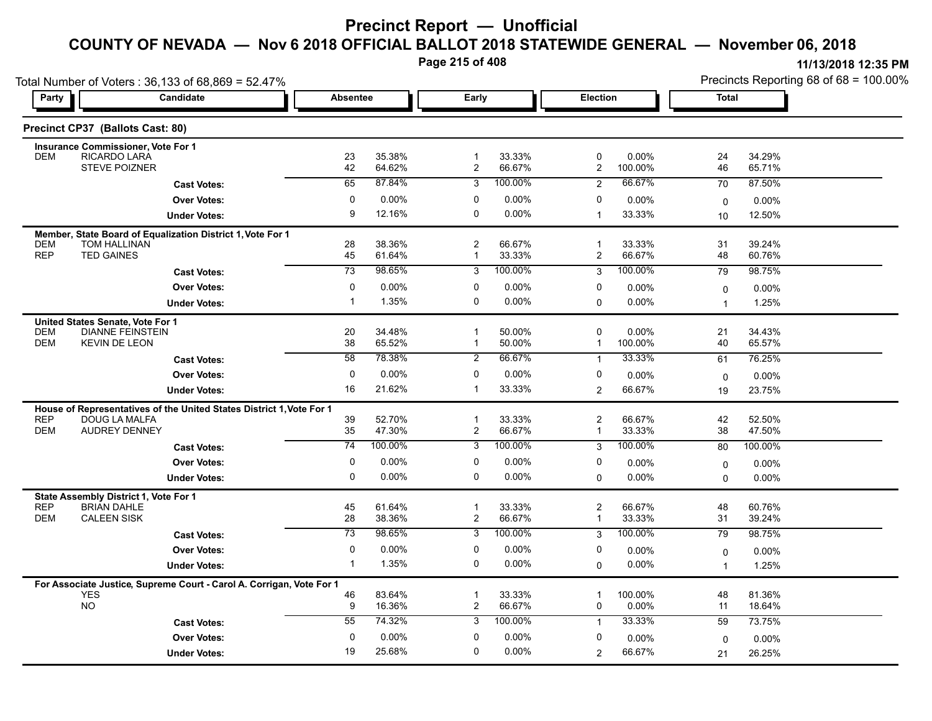**Page 215 of 408**

| Party                    | Total Number of Voters: 36,133 of 68,869 = 52.47%<br><b>Candidate</b>              |                             | Early<br><b>Absentee</b> |                                |                   | <b>Election</b>                  |                     | <b>Total</b>                |                  |  |
|--------------------------|------------------------------------------------------------------------------------|-----------------------------|--------------------------|--------------------------------|-------------------|----------------------------------|---------------------|-----------------------------|------------------|--|
|                          |                                                                                    |                             |                          |                                |                   |                                  |                     |                             |                  |  |
|                          | Precinct CP37 (Ballots Cast: 80)                                                   |                             |                          |                                |                   |                                  |                     |                             |                  |  |
|                          | <b>Insurance Commissioner, Vote For 1</b>                                          |                             |                          |                                |                   |                                  |                     |                             |                  |  |
| <b>DEM</b>               | RICARDO LARA<br>STEVE POIZNER                                                      | 23<br>42                    | 35.38%<br>64.62%         | $\mathbf{1}$<br>$\overline{c}$ | 33.33%<br>66.67%  | 0<br>$\overline{2}$              | 0.00%<br>100.00%    | 24<br>46                    | 34.29%<br>65.71% |  |
|                          | <b>Cast Votes:</b>                                                                 | 65                          | 87.84%                   | 3                              | 100.00%           | $\overline{2}$                   | 66.67%              | 70                          | 87.50%           |  |
|                          | <b>Over Votes:</b>                                                                 | $\mathbf 0$                 | 0.00%                    | $\mathbf 0$                    | 0.00%             | $\mathbf 0$                      | 0.00%               | $\mathbf 0$                 | 0.00%            |  |
|                          | <b>Under Votes:</b>                                                                | 9                           | 12.16%                   | 0                              | $0.00\%$          | $\overline{1}$                   | 33.33%              | 10                          | 12.50%           |  |
|                          | Member, State Board of Equalization District 1, Vote For 1                         |                             |                          |                                |                   |                                  |                     |                             |                  |  |
| DEM<br><b>REP</b>        | TOM HALLINAN<br><b>TED GAINES</b>                                                  | 28<br>45                    | 38.36%<br>61.64%         | 2<br>$\mathbf{1}$              | 66.67%<br>33.33%  | $\mathbf 1$<br>$\overline{c}$    | 33.33%<br>66.67%    | 31<br>48                    | 39.24%<br>60.76% |  |
|                          | <b>Cast Votes:</b>                                                                 | $\overline{73}$             | 98.65%                   | $\overline{3}$                 | 100.00%           | 3                                | 100.00%             | 79                          | 98.75%           |  |
|                          | <b>Over Votes:</b>                                                                 | $\mathbf 0$                 | 0.00%                    | $\mathbf 0$                    | $0.00\%$          | 0                                | $0.00\%$            | $\mathbf 0$                 | 0.00%            |  |
|                          | <b>Under Votes:</b>                                                                | $\overline{1}$              | 1.35%                    | 0                              | $0.00\%$          | $\Omega$                         | 0.00%               | $\overline{1}$              | 1.25%            |  |
|                          | United States Senate, Vote For 1                                                   |                             |                          |                                |                   |                                  |                     |                             |                  |  |
| <b>DEM</b><br><b>DEM</b> | <b>DIANNE FEINSTEIN</b><br><b>KEVIN DE LEON</b>                                    | 20<br>38                    | 34.48%<br>65.52%         | 1<br>$\overline{1}$            | 50.00%<br>50.00%  | 0<br>$\mathbf{1}$                | $0.00\%$<br>100.00% | 21<br>40                    | 34.43%<br>65.57% |  |
|                          | <b>Cast Votes:</b>                                                                 | 58                          | 78.38%                   | $\overline{2}$                 | 66.67%            | $\mathbf{1}$                     | 33.33%              | 61                          | 76.25%           |  |
|                          | <b>Over Votes:</b>                                                                 | $\mathbf 0$                 | 0.00%                    | $\mathbf 0$                    | 0.00%             | 0                                | 0.00%               | $\mathbf 0$                 | 0.00%            |  |
|                          | <b>Under Votes:</b>                                                                | 16                          | 21.62%                   | $\mathbf{1}$                   | 33.33%            | 2                                | 66.67%              | 19                          | 23.75%           |  |
|                          | House of Representatives of the United States District 1, Vote For 1               |                             |                          |                                |                   |                                  |                     |                             |                  |  |
| <b>REP</b><br><b>DEM</b> | <b>DOUG LA MALFA</b><br><b>AUDREY DENNEY</b>                                       | 39<br>35                    | 52.70%<br>47.30%         | -1<br>$\overline{2}$           | 33.33%<br>66.67%  | $\overline{c}$<br>$\overline{1}$ | 66.67%<br>33.33%    | 42<br>38                    | 52.50%<br>47.50% |  |
|                          | <b>Cast Votes:</b>                                                                 | 74                          | 100.00%                  | $\overline{3}$                 | 100.00%           | 3                                | 100.00%             | 80                          | 100.00%          |  |
|                          | <b>Over Votes:</b>                                                                 | $\mathbf 0$                 | 0.00%                    | 0                              | 0.00%             | 0                                | 0.00%               |                             |                  |  |
|                          | <b>Under Votes:</b>                                                                | $\mathbf 0$                 | 0.00%                    | 0                              | $0.00\%$          | $\mathbf 0$                      | 0.00%               | $\mathbf 0$<br>$\mathbf{0}$ | 0.00%<br>0.00%   |  |
|                          | State Assembly District 1, Vote For 1                                              |                             |                          |                                |                   |                                  |                     |                             |                  |  |
| <b>REP</b>               | <b>BRIAN DAHLE</b>                                                                 | 45                          | 61.64%                   | $\mathbf{1}$                   | 33.33%            | $\overline{c}$                   | 66.67%              | 48                          | 60.76%           |  |
| <b>DEM</b>               | <b>CALEEN SISK</b>                                                                 | 28                          | 38.36%                   | $\overline{2}$                 | 66.67%            | $\mathbf{1}$                     | 33.33%              | 31                          | 39.24%           |  |
|                          | <b>Cast Votes:</b>                                                                 | $\overline{73}$             | 98.65%                   | 3                              | 100.00%           | 3                                | 100.00%             | 79                          | 98.75%           |  |
|                          | <b>Over Votes:</b>                                                                 | $\mathbf 0$<br>$\mathbf{1}$ | 0.00%<br>1.35%           | 0<br>0                         | 0.00%<br>$0.00\%$ | 0                                | 0.00%               | 0                           | 0.00%            |  |
|                          | <b>Under Votes:</b>                                                                |                             |                          |                                |                   | $\mathbf 0$                      | $0.00\%$            | $\overline{1}$              | 1.25%            |  |
|                          | For Associate Justice, Supreme Court - Carol A. Corrigan, Vote For 1<br><b>YES</b> | 46                          | 83.64%                   | $\mathbf{1}$                   | 33.33%            | $\mathbf{1}$                     | 100.00%             | 48                          | 81.36%           |  |
|                          | <b>NO</b>                                                                          | 9                           | 16.36%                   | $\overline{2}$                 | 66.67%            | $\mathbf 0$                      | 0.00%               | 11                          | 18.64%           |  |
|                          | <b>Cast Votes:</b>                                                                 | 55                          | 74.32%                   | 3                              | 100.00%           | $\mathbf{1}$                     | 33.33%              | 59                          | 73.75%           |  |
|                          | <b>Over Votes:</b>                                                                 | $\mathbf 0$                 | 0.00%                    | 0                              | 0.00%             | 0                                | 0.00%               | $\Omega$                    | 0.00%            |  |
|                          | <b>Under Votes:</b>                                                                | 19                          | 25.68%                   | 0                              | $0.00\%$          | 2                                | 66.67%              | 21                          | 26.25%           |  |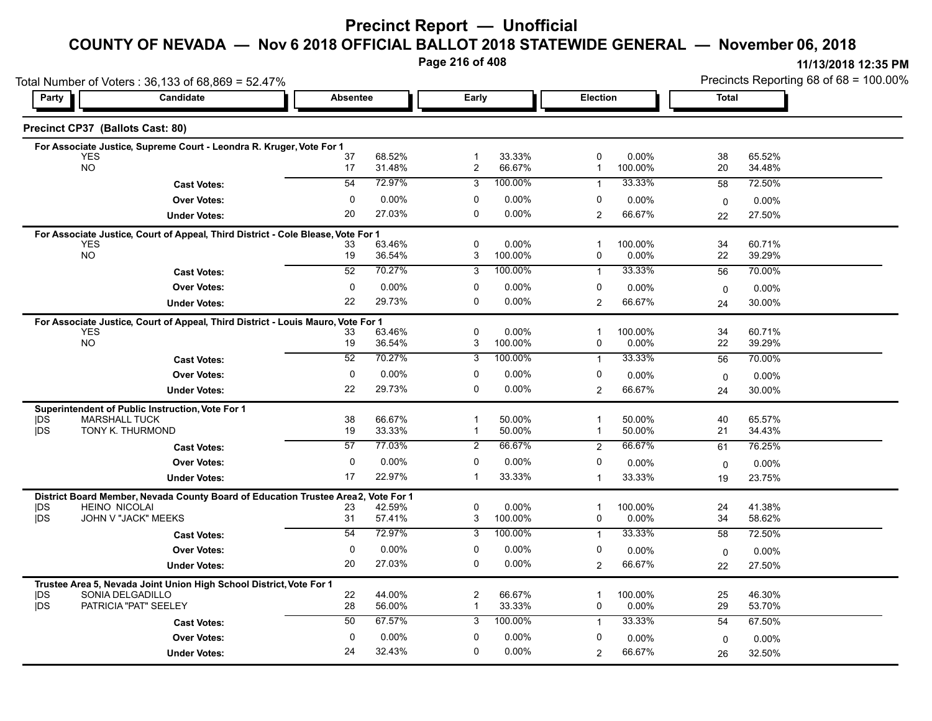**Page 216 of 408**

| Total Number of Voters: 36,133 of 68,869 = 52.47% |                                                                                  |                 |                  |                                  |                     |                                | Precincts Reporting 68 of 68 = 100.00% |                   |                  |
|---------------------------------------------------|----------------------------------------------------------------------------------|-----------------|------------------|----------------------------------|---------------------|--------------------------------|----------------------------------------|-------------------|------------------|
| Party                                             | Candidate                                                                        | <b>Absentee</b> |                  | Early                            |                     |                                | <b>Election</b>                        |                   | <b>Total</b>     |
|                                                   | Precinct CP37 (Ballots Cast: 80)                                                 |                 |                  |                                  |                     |                                |                                        |                   |                  |
|                                                   | For Associate Justice, Supreme Court - Leondra R. Kruger, Vote For 1             |                 |                  |                                  |                     |                                |                                        |                   |                  |
| <b>YES</b><br><b>NO</b>                           |                                                                                  | 37<br>17        | 68.52%<br>31.48% | $\overline{1}$<br>$\overline{2}$ | 33.33%<br>66.67%    | $\mathbf 0$<br>$\mathbf{1}$    | 0.00%<br>100.00%                       | 38<br>20          | 65.52%<br>34.48% |
|                                                   | <b>Cast Votes:</b>                                                               | 54              | 72.97%           | 3                                | 100.00%             | $\mathbf{1}$                   | 33.33%                                 | 58                | 72.50%           |
|                                                   | <b>Over Votes:</b>                                                               | $\mathbf 0$     | 0.00%            | 0                                | $0.00\%$            | 0                              | 0.00%                                  | $\mathbf 0$       | 0.00%            |
|                                                   | <b>Under Votes:</b>                                                              | 20              | 27.03%           | 0                                | $0.00\%$            | 2                              | 66.67%                                 | 22                | 27.50%           |
|                                                   | For Associate Justice, Court of Appeal, Third District - Cole Blease, Vote For 1 |                 |                  |                                  |                     |                                |                                        |                   |                  |
| <b>YES</b><br><b>NO</b>                           |                                                                                  | 33<br>19        | 63.46%<br>36.54% | 0<br>3                           | $0.00\%$<br>100.00% | 1<br>0                         | 100.00%<br>$0.00\%$                    | 34<br>22          | 60.71%<br>39.29% |
|                                                   | <b>Cast Votes:</b>                                                               | 52              | 70.27%           | 3                                | 100.00%             | $\mathbf{1}$                   | 33.33%                                 | 56                | 70.00%           |
|                                                   | <b>Over Votes:</b>                                                               | 0               | 0.00%            | 0                                | $0.00\%$            | 0                              | 0.00%                                  |                   | $0.00\%$         |
|                                                   | <b>Under Votes:</b>                                                              | 22              | 29.73%           | 0                                | $0.00\%$            | 2                              | 66.67%                                 | $\mathbf 0$<br>24 | 30.00%           |
|                                                   | For Associate Justice, Court of Appeal, Third District - Louis Mauro, Vote For 1 |                 |                  |                                  |                     |                                |                                        |                   |                  |
| <b>YES</b>                                        |                                                                                  | 33              | 63.46%           | $\pmb{0}$                        | $0.00\%$            | $\overline{1}$                 | 100.00%                                | 34                | 60.71%           |
| <b>NO</b>                                         |                                                                                  | 19              | 36.54%           | 3                                | 100.00%             | 0                              | 0.00%                                  | 22                | 39.29%           |
|                                                   | <b>Cast Votes:</b>                                                               | 52              | 70.27%           | 3                                | 100.00%             | $\mathbf{1}$                   | 33.33%                                 | 56                | 70.00%           |
|                                                   | <b>Over Votes:</b>                                                               | 0               | 0.00%            | $\mathbf 0$                      | $0.00\%$            | $\mathbf 0$                    | 0.00%                                  | $\mathbf 0$       | 0.00%            |
|                                                   | <b>Under Votes:</b>                                                              | 22              | 29.73%           | 0                                | $0.00\%$            | 2                              | 66.67%                                 | 24                | 30.00%           |
|                                                   | Superintendent of Public Instruction, Vote For 1                                 |                 |                  |                                  |                     |                                |                                        |                   |                  |
| <b>IDS</b><br><b>IDS</b>                          | <b>MARSHALL TUCK</b><br>TONY K. THURMOND                                         | 38<br>19        | 66.67%<br>33.33% | $\mathbf 1$<br>$\mathbf{1}$      | 50.00%<br>50.00%    | $\overline{1}$<br>$\mathbf{1}$ | 50.00%<br>50.00%                       | 40<br>21          | 65.57%           |
|                                                   |                                                                                  |                 |                  |                                  |                     |                                |                                        |                   | 34.43%           |
|                                                   | <b>Cast Votes:</b>                                                               | 57              | 77.03%           | 2                                | 66.67%              | 2                              | 66.67%                                 | 61                | 76.25%           |
|                                                   | <b>Over Votes:</b>                                                               | 0               | 0.00%            | $\mathbf 0$                      | $0.00\%$            | 0                              | 0.00%                                  | $\mathbf 0$       | $0.00\%$         |
|                                                   | <b>Under Votes:</b>                                                              | 17              | 22.97%           | $\mathbf 1$                      | 33.33%              | $\mathbf{1}$                   | 33.33%                                 | 19                | 23.75%           |
|                                                   | District Board Member, Nevada County Board of Education Trustee Area2,           |                 | Vote For 1       |                                  |                     |                                |                                        |                   |                  |
| <b>IDS</b><br><b>IDS</b>                          | <b>HEINO NICOLAI</b><br>JOHN V "JACK" MEEKS                                      | 23<br>31        | 42.59%<br>57.41% | 0<br>3                           | $0.00\%$<br>100.00% | $\mathbf 1$<br>0               | 100.00%<br>0.00%                       | 24<br>34          | 41.38%<br>58.62% |
|                                                   | <b>Cast Votes:</b>                                                               | 54              | 72.97%           | 3                                | 100.00%             | $\mathbf{1}$                   | 33.33%                                 | 58                | 72.50%           |
|                                                   | <b>Over Votes:</b>                                                               | $\mathbf 0$     | 0.00%            | $\mathbf 0$                      | $0.00\%$            | $\mathbf 0$                    | 0.00%                                  | $\mathbf 0$       | 0.00%            |
|                                                   | <b>Under Votes:</b>                                                              | 20              | 27.03%           | 0                                | $0.00\%$            | 2                              | 66.67%                                 | 22                | 27.50%           |
|                                                   | Trustee Area 5, Nevada Joint Union High School District, Vote For 1              |                 |                  |                                  |                     |                                |                                        |                   |                  |
| <b>IDS</b>                                        | SONIA DELGADILLO                                                                 | 22              | 44.00%           | 2                                | 66.67%              | $\mathbf 1$                    | 100.00%                                | 25                | 46.30%           |
| jDS                                               | PATRICIA "PAT" SEELEY                                                            | 28              | 56.00%           | $\mathbf{1}$                     | 33.33%              | $\pmb{0}$                      | $0.00\%$                               | 29                | 53.70%           |
|                                                   | <b>Cast Votes:</b>                                                               | 50              | 67.57%           | 3                                | 100.00%             | $\mathbf{1}$                   | 33.33%                                 | 54                | 67.50%           |
|                                                   | <b>Over Votes:</b>                                                               | $\mathbf 0$     | 0.00%            | $\mathbf 0$                      | $0.00\%$            | 0                              | 0.00%                                  | $\mathbf 0$       | $0.00\%$         |
|                                                   | <b>Under Votes:</b>                                                              | 24              | 32.43%           | 0                                | $0.00\%$            | 2                              | 66.67%                                 | 26                | 32.50%           |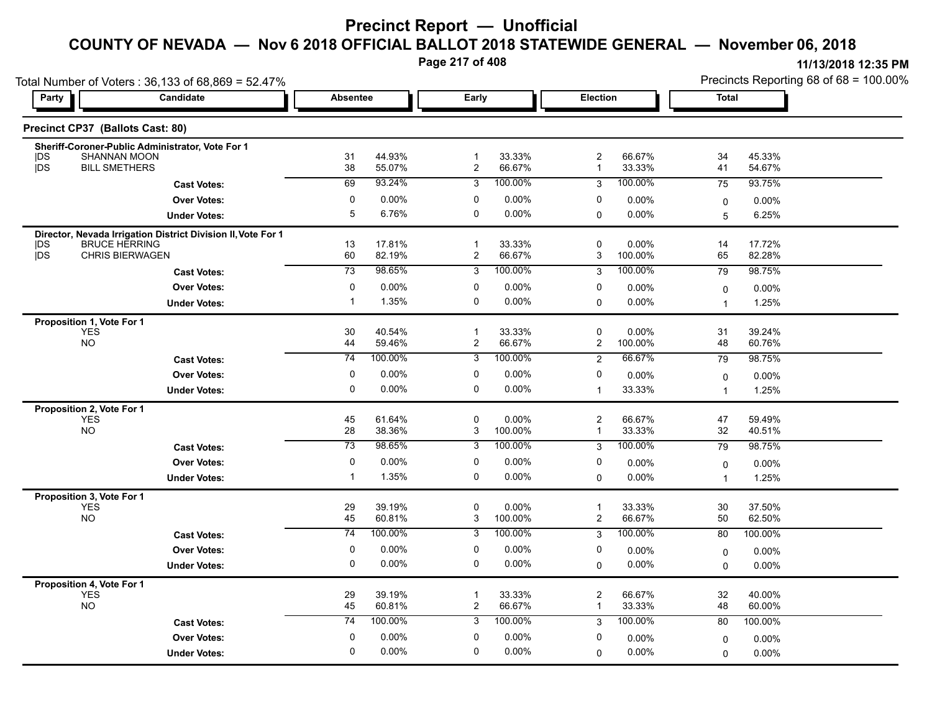**Page 217 of 408**

**11/13/2018 12:35 PM**

|                                         | Total Number of Voters: 36,133 of 68,869 = 52.47%            |                 |                  |                                |                  |                                         |                     | Precincts Reporting 68 of 68 = 100.00% |                  |  |
|-----------------------------------------|--------------------------------------------------------------|-----------------|------------------|--------------------------------|------------------|-----------------------------------------|---------------------|----------------------------------------|------------------|--|
| Party                                   | Candidate                                                    | <b>Absentee</b> |                  | Early                          |                  | Election                                |                     | <b>Total</b>                           |                  |  |
| Precinct CP37 (Ballots Cast: 80)        |                                                              |                 |                  |                                |                  |                                         |                     |                                        |                  |  |
|                                         | Sheriff-Coroner-Public Administrator, Vote For 1             |                 |                  |                                |                  |                                         |                     |                                        |                  |  |
| DS<br><b>IDS</b>                        | SHANNAN MOON<br><b>BILL SMETHERS</b>                         | 31<br>38        | 44.93%<br>55.07% | $\mathbf 1$<br>$\overline{2}$  | 33.33%<br>66.67% | 2<br>$\mathbf{1}$                       | 66.67%<br>33.33%    | 34<br>41                               | 45.33%<br>54.67% |  |
|                                         | <b>Cast Votes:</b>                                           | 69              | 93.24%           | 3                              | 100.00%          | 3                                       | 100.00%             | 75                                     | 93.75%           |  |
|                                         | <b>Over Votes:</b>                                           | 0               | 0.00%            | 0                              | $0.00\%$         | 0                                       | 0.00%               | $\mathbf 0$                            | 0.00%            |  |
|                                         | <b>Under Votes:</b>                                          | 5               | 6.76%            | 0                              | 0.00%            | 0                                       | $0.00\%$            | 5                                      | 6.25%            |  |
|                                         | Director, Nevada Irrigation District Division II, Vote For 1 |                 |                  |                                |                  |                                         |                     |                                        |                  |  |
| <b>IDS</b><br><b>jDS</b>                | <b>BRUCE HERRING</b><br><b>CHRIS BIERWAGEN</b>               | 13<br>60        | 17.81%<br>82.19% | $\mathbf{1}$<br>$\overline{2}$ | 33.33%<br>66.67% | 0<br>3                                  | $0.00\%$<br>100.00% | 14<br>65                               | 17.72%<br>82.28% |  |
|                                         | <b>Cast Votes:</b>                                           | $\overline{73}$ | 98.65%           | 3                              | 100.00%          | 3                                       | 100.00%             | 79                                     | 98.75%           |  |
|                                         | <b>Over Votes:</b>                                           | 0               | $0.00\%$         | 0                              | 0.00%            | 0                                       | $0.00\%$            |                                        |                  |  |
|                                         | <b>Under Votes:</b>                                          | $\mathbf{1}$    | 1.35%            | 0                              | 0.00%            | $\Omega$                                | $0.00\%$            | $\mathbf 0$<br>$\overline{1}$          | 0.00%<br>1.25%   |  |
|                                         |                                                              |                 |                  |                                |                  |                                         |                     |                                        |                  |  |
| Proposition 1, Vote For 1<br><b>YES</b> |                                                              | 30              | 40.54%           | $\mathbf{1}$                   | 33.33%           | $\mathbf 0$                             | $0.00\%$            | 31                                     | 39.24%           |  |
| <b>NO</b>                               |                                                              | 44              | 59.46%           | 2                              | 66.67%           | 2                                       | 100.00%             | 48                                     | 60.76%           |  |
|                                         | <b>Cast Votes:</b>                                           | $\overline{74}$ | 100.00%          | 3                              | 100.00%          | 2                                       | 66.67%              | 79                                     | 98.75%           |  |
|                                         | <b>Over Votes:</b>                                           | $\mathbf 0$     | 0.00%            | 0                              | 0.00%            | 0                                       | 0.00%               | $\mathbf 0$                            | 0.00%            |  |
|                                         | <b>Under Votes:</b>                                          | $\mathbf 0$     | 0.00%            | 0                              | 0.00%            | $\mathbf{1}$                            | 33.33%              | $\overline{1}$                         | 1.25%            |  |
| Proposition 2, Vote For 1               |                                                              |                 |                  |                                |                  |                                         |                     |                                        |                  |  |
| YES<br><b>NO</b>                        |                                                              | 45<br>28        | 61.64%<br>38.36% | 0<br>3                         | 0.00%<br>100.00% | $\overline{\mathbf{c}}$<br>$\mathbf{1}$ | 66.67%<br>33.33%    | 47<br>32                               | 59.49%<br>40.51% |  |
|                                         | <b>Cast Votes:</b>                                           | $\overline{73}$ | 98.65%           | 3                              | 100.00%          | 3                                       | 100.00%             | 79                                     | 98.75%           |  |
|                                         | <b>Over Votes:</b>                                           | $\mathbf 0$     | 0.00%            | 0                              | 0.00%            | 0                                       | $0.00\%$            |                                        |                  |  |
|                                         | <b>Under Votes:</b>                                          | $\mathbf{1}$    | 1.35%            | 0                              | 0.00%            | $\mathbf 0$                             | 0.00%               | $\mathbf 0$<br>$\overline{1}$          | 0.00%<br>1.25%   |  |
| Proposition 3, Vote For 1               |                                                              |                 |                  |                                |                  |                                         |                     |                                        |                  |  |
| <b>YES</b>                              |                                                              | 29              | 39.19%           | 0                              | 0.00%            | 1                                       | 33.33%              | 30                                     | 37.50%           |  |
| <b>NO</b>                               |                                                              | 45              | 60.81%           | 3                              | 100.00%          | $\overline{c}$                          | 66.67%              | 50                                     | 62.50%           |  |
|                                         | <b>Cast Votes:</b>                                           | 74              | 100.00%          | 3                              | 100.00%          | 3                                       | 100.00%             | 80                                     | 100.00%          |  |
|                                         | <b>Over Votes:</b>                                           | 0               | $0.00\%$         | 0                              | 0.00%            | 0                                       | 0.00%               | $\mathbf 0$                            | 0.00%            |  |
|                                         | <b>Under Votes:</b>                                          | $\mathbf 0$     | 0.00%            | 0                              | 0.00%            | $\Omega$                                | $0.00\%$            | $\mathbf{0}$                           | 0.00%            |  |
| Proposition 4, Vote For 1               |                                                              |                 |                  |                                |                  |                                         |                     |                                        |                  |  |
| <b>YES</b><br><b>NO</b>                 |                                                              | 29<br>45        | 39.19%<br>60.81% | -1<br>2                        | 33.33%<br>66.67% | $\overline{c}$<br>$\mathbf 1$           | 66.67%<br>33.33%    | 32<br>48                               | 40.00%<br>60.00% |  |
|                                         | <b>Cast Votes:</b>                                           | 74              | 100.00%          | 3                              | 100.00%          | 3                                       | 100.00%             | 80                                     | 100.00%          |  |
|                                         |                                                              |                 |                  |                                |                  |                                         |                     |                                        |                  |  |

0.00% 0

0 0.00%

0.00% 0

0

0.00%

 $0$  0.00%  $0$  0.00%  $0$  0.00%  $0$  0.00%  $0$  0.00%

0.00% 0

0 0.00%

0.00% 0.00%

**Under Votes: Over Votes:** 0.00%

0 0.00%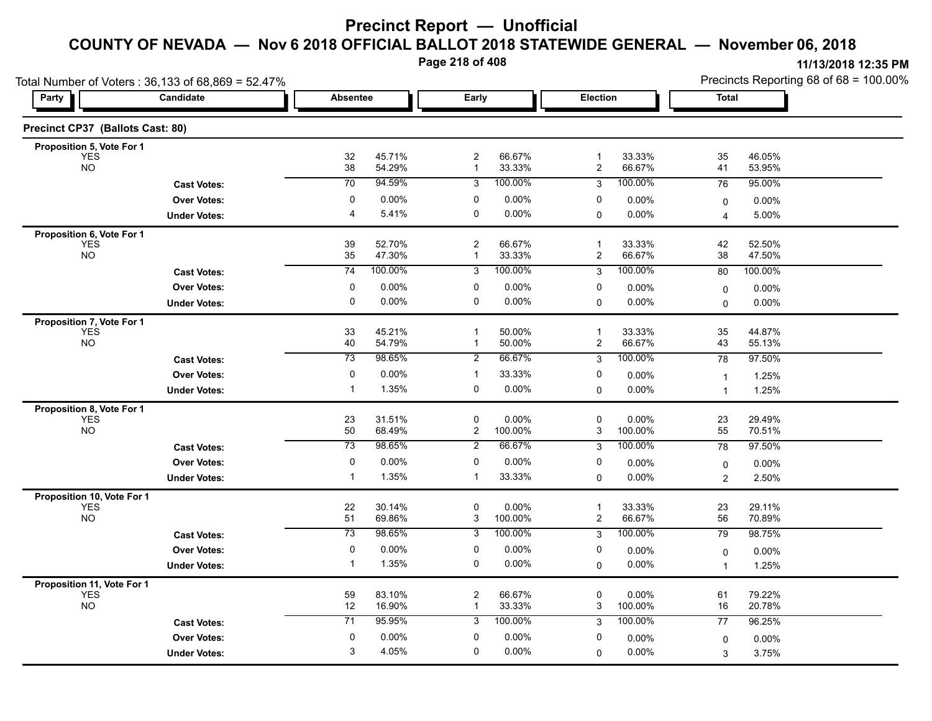**Page 218 of 408**

|                                          | Total Number of Voters: 36,133 of 68,869 = 52.47% |                       |                  |                     |                    |                                |                      | Precincts Reporting 68 of 68 = 100.00% |                   |  |
|------------------------------------------|---------------------------------------------------|-----------------------|------------------|---------------------|--------------------|--------------------------------|----------------------|----------------------------------------|-------------------|--|
| Party                                    | Candidate                                         | <b>Absentee</b>       |                  | Early               |                    | Election                       |                      | Total                                  |                   |  |
| Precinct CP37 (Ballots Cast: 80)         |                                                   |                       |                  |                     |                    |                                |                      |                                        |                   |  |
| Proposition 5, Vote For 1                |                                                   |                       |                  |                     |                    |                                |                      |                                        |                   |  |
| <b>YES</b><br><b>NO</b>                  |                                                   | 32<br>38              | 45.71%<br>54.29% | $\overline{c}$<br>1 | 66.67%<br>33.33%   | $\mathbf{1}$<br>$\overline{c}$ | 33.33%<br>66.67%     | 35<br>41                               | 46.05%<br>53.95%  |  |
|                                          | <b>Cast Votes:</b>                                | $\overline{70}$       | 94.59%           | 3                   | 100.00%            | 3                              | 100.00%              | 76                                     | 95.00%            |  |
|                                          | <b>Over Votes:</b>                                | 0                     | 0.00%            | 0                   | 0.00%              | 0                              | $0.00\%$             | 0                                      | 0.00%             |  |
|                                          | <b>Under Votes:</b>                               | $\overline{4}$        | 5.41%            | $\mathbf 0$         | 0.00%              | 0                              | 0.00%                | $\overline{\mathbf{4}}$                | 5.00%             |  |
| Proposition 6, Vote For 1                |                                                   |                       |                  |                     |                    |                                |                      |                                        |                   |  |
| <b>YES</b><br><b>NO</b>                  |                                                   | 39<br>35              | 52.70%<br>47.30% | $\overline{2}$<br>1 | 66.67%<br>33.33%   | $\mathbf{1}$<br>2              | 33.33%<br>66.67%     | 42<br>38                               | 52.50%<br>47.50%  |  |
|                                          | <b>Cast Votes:</b>                                | 74                    | 100.00%          | 3                   | 100.00%            | 3                              | 100.00%              | 80                                     | 100.00%           |  |
|                                          | <b>Over Votes:</b>                                | 0                     | 0.00%            | 0                   | 0.00%              | 0                              | 0.00%                | 0                                      | 0.00%             |  |
|                                          | <b>Under Votes:</b>                               | $\mathbf 0$           | 0.00%            | $\mathbf 0$         | 0.00%              | $\Omega$                       | 0.00%                | 0                                      | 0.00%             |  |
| Proposition 7, Vote For 1                |                                                   |                       |                  |                     |                    |                                |                      |                                        |                   |  |
| <b>YES</b>                               |                                                   | 33                    | 45.21%           | $\mathbf 1$         | 50.00%             | $\mathbf{1}$                   | 33.33%               | 35                                     | 44.87%            |  |
| <b>NO</b>                                |                                                   | 40                    | 54.79%           | -1                  | 50.00%             | $\overline{c}$                 | 66.67%               | 43                                     | 55.13%            |  |
|                                          | <b>Cast Votes:</b>                                | 73                    | 98.65%           | $\overline{2}$      | 66.67%             | 3                              | 100.00%              | 78                                     | 97.50%            |  |
|                                          | <b>Over Votes:</b>                                | 0                     | 0.00%            | $\mathbf 1$         | 33.33%             | 0                              | 0.00%                | $\overline{\mathbf{1}}$                | 1.25%             |  |
|                                          | <b>Under Votes:</b>                               | -1                    | 1.35%            | $\pmb{0}$           | 0.00%              | 0                              | $0.00\%$             | $\overline{1}$                         | 1.25%             |  |
| Proposition 8, Vote For 1<br><b>YES</b>  |                                                   | 23                    | 31.51%           | 0                   | 0.00%              | 0                              | 0.00%                | 23                                     | 29.49%            |  |
| <b>NO</b>                                |                                                   | 50                    | 68.49%           | $\overline{c}$      | 100.00%            | 3                              | 100.00%              | 55                                     | 70.51%            |  |
|                                          | <b>Cast Votes:</b>                                | 73                    | 98.65%           | $\overline{2}$      | 66.67%             | 3                              | 100.00%              | 78                                     | 97.50%            |  |
|                                          | <b>Over Votes:</b>                                | 0                     | 0.00%            | 0                   | 0.00%              | 0                              | $0.00\%$             | 0                                      | $0.00\%$          |  |
|                                          | <b>Under Votes:</b>                               | $\mathbf 1$           | 1.35%            | -1                  | 33.33%             | 0                              | 0.00%                | $\overline{2}$                         | 2.50%             |  |
| Proposition 10, Vote For 1               |                                                   |                       |                  |                     |                    |                                |                      |                                        |                   |  |
| <b>YES</b><br><b>NO</b>                  |                                                   | 22                    | 30.14%           | 0                   | 0.00%              | $\overline{1}$                 | 33.33%               | 23                                     | 29.11%            |  |
|                                          |                                                   | 51<br>$\overline{73}$ | 69.86%<br>98.65% | 3<br>3              | 100.00%<br>100.00% | 2<br>3                         | 66.67%<br>100.00%    | 56<br>79                               | 70.89%<br>98.75%  |  |
|                                          | <b>Cast Votes:</b><br><b>Over Votes:</b>          | $\mathbf 0$           |                  | 0                   | 0.00%              | 0                              |                      |                                        |                   |  |
|                                          | <b>Under Votes:</b>                               | -1                    | 0.00%<br>1.35%   | 0                   | 0.00%              | $\mathbf 0$                    | $0.00\%$<br>$0.00\%$ | 0<br>$\overline{1}$                    | $0.00\%$<br>1.25% |  |
|                                          |                                                   |                       |                  |                     |                    |                                |                      |                                        |                   |  |
| Proposition 11, Vote For 1<br><b>YES</b> |                                                   | 59                    | 83.10%           | $\overline{c}$      | 66.67%             | 0                              | $0.00\%$             | 61                                     | 79.22%            |  |
| <b>NO</b>                                |                                                   | 12                    | 16.90%           | $\mathbf{1}$        | 33.33%             | 3                              | 100.00%              | 16                                     | 20.78%            |  |
|                                          | <b>Cast Votes:</b>                                | 71                    | 95.95%           | 3                   | 100.00%            | 3                              | 100.00%              | 77                                     | 96.25%            |  |
|                                          | <b>Over Votes:</b>                                | 0                     | 0.00%            | 0                   | 0.00%              | 0                              | $0.00\%$             | $\mathbf 0$                            | $0.00\%$          |  |
|                                          | <b>Under Votes:</b>                               | 3                     | 4.05%            | 0                   | 0.00%              | $\mathbf{0}$                   | $0.00\%$             | 3                                      | 3.75%             |  |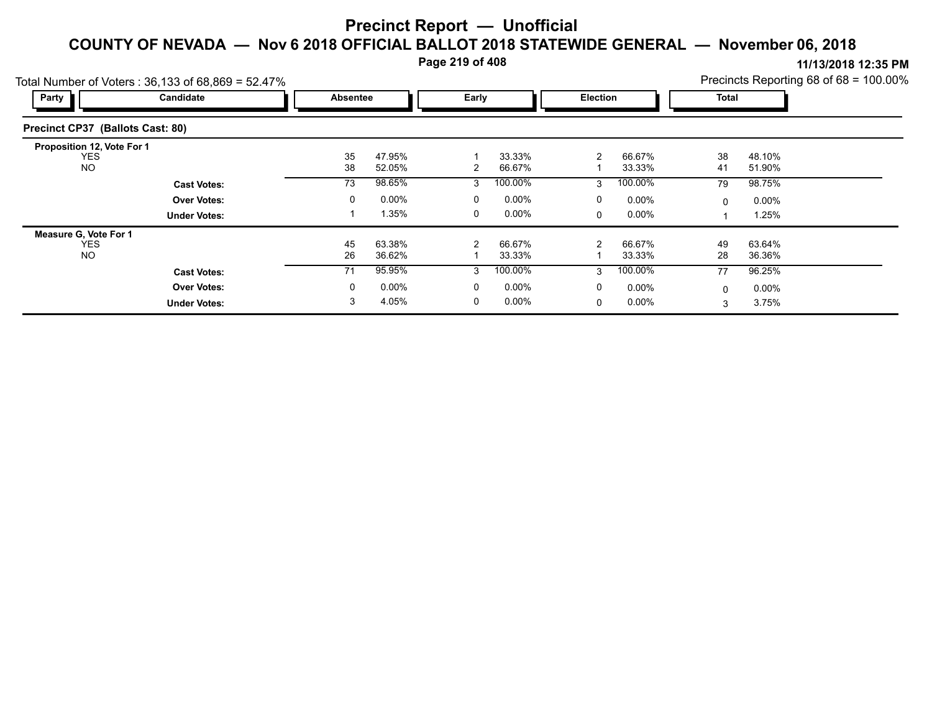**Page 219 of 408**

|                                                                                                           |          | $\cdot$ $\cdot$ |          |          |          |              |          | 111191201012.00111 |  |  |  |  |  |
|-----------------------------------------------------------------------------------------------------------|----------|-----------------|----------|----------|----------|--------------|----------|--------------------|--|--|--|--|--|
| Precincts Reporting 68 of 68 = 100.00%<br>Total Number of Voters: $36,133$ of $68,869 = 52.47\%$<br>Party |          |                 |          |          |          |              |          |                    |  |  |  |  |  |
|                                                                                                           |          |                 |          |          |          |              |          |                    |  |  |  |  |  |
|                                                                                                           |          |                 |          |          |          |              |          |                    |  |  |  |  |  |
|                                                                                                           |          |                 |          |          |          |              |          |                    |  |  |  |  |  |
| 35                                                                                                        | 47.95%   |                 | 33.33%   | 2        | 66.67%   | 38           | 48.10%   |                    |  |  |  |  |  |
| 38                                                                                                        | 52.05%   | 2               | 66.67%   |          | 33.33%   | 41           | 51.90%   |                    |  |  |  |  |  |
| 73                                                                                                        | 98.65%   | 3               | 100.00%  | 3        | 100.00%  | 79           | 98.75%   |                    |  |  |  |  |  |
| 0                                                                                                         | $0.00\%$ | 0               | $0.00\%$ | $\Omega$ | $0.00\%$ | $\mathbf{0}$ | $0.00\%$ |                    |  |  |  |  |  |
|                                                                                                           | 1.35%    | 0               | $0.00\%$ | $\Omega$ | $0.00\%$ |              | 1.25%    |                    |  |  |  |  |  |
|                                                                                                           |          |                 |          |          |          |              |          |                    |  |  |  |  |  |
| 45                                                                                                        | 63.38%   | $\overline{2}$  | 66.67%   | 2        | 66.67%   | 49           | 63.64%   |                    |  |  |  |  |  |
| 26                                                                                                        | 36.62%   |                 | 33.33%   |          | 33.33%   | 28           | 36.36%   |                    |  |  |  |  |  |
| 71                                                                                                        | 95.95%   | 3               | 100.00%  | 3        | 100.00%  | 77           | 96.25%   |                    |  |  |  |  |  |
| 0                                                                                                         | $0.00\%$ | 0               | $0.00\%$ | $\Omega$ | $0.00\%$ | 0            | $0.00\%$ |                    |  |  |  |  |  |
| 3                                                                                                         | 4.05%    | 0               | 0.00%    | $\Omega$ | $0.00\%$ | 3            | 3.75%    |                    |  |  |  |  |  |
|                                                                                                           |          | Absentee        |          | Early    |          | Election     |          | <b>Total</b>       |  |  |  |  |  |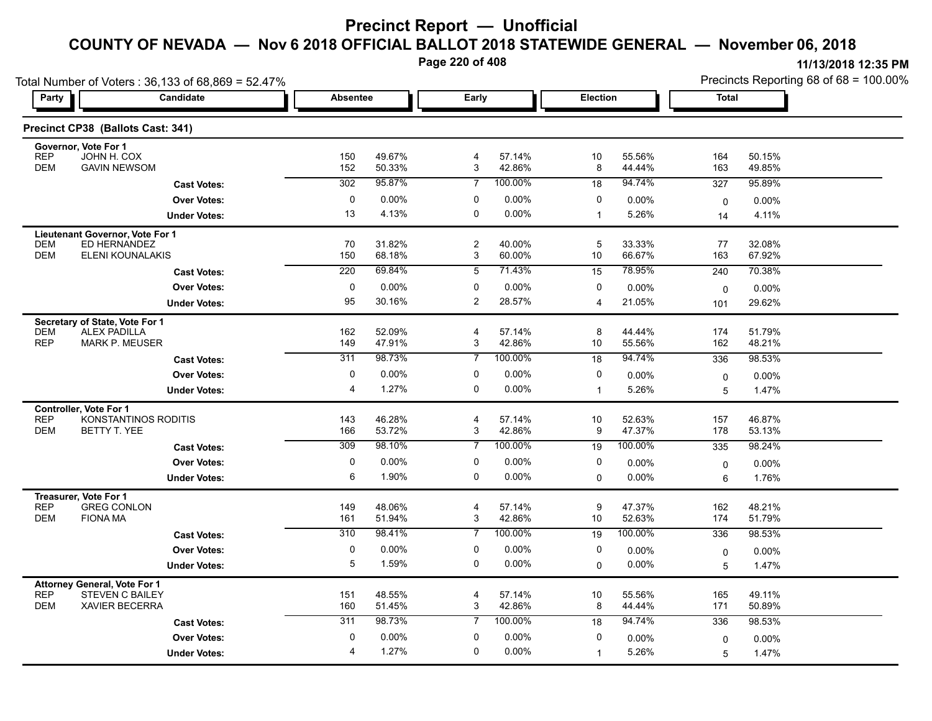**Page 220 of 408**

|                                                                                                                    | Total Number of Voters: 36,133 of 68,869 = 52.47% |                 |                  |                              |                  |                |                  | Precincts Reporting 68 of 68 = 100.00% |                  |  |
|--------------------------------------------------------------------------------------------------------------------|---------------------------------------------------|-----------------|------------------|------------------------------|------------------|----------------|------------------|----------------------------------------|------------------|--|
| <b>Party</b>                                                                                                       | Candidate                                         | <b>Absentee</b> |                  | Early                        |                  | Election       |                  | <b>Total</b>                           |                  |  |
| Precinct CP38 (Ballots Cast: 341)                                                                                  |                                                   |                 |                  |                              |                  |                |                  |                                        |                  |  |
| Governor, Vote For 1<br><b>REP</b><br>JOHN H. COX<br><b>DEM</b><br><b>GAVIN NEWSOM</b>                             |                                                   | 150<br>152      | 49.67%<br>50.33% | 4<br>3                       | 57.14%<br>42.86% | 10<br>8        | 55.56%<br>44.44% | 164<br>163                             | 50.15%<br>49.85% |  |
|                                                                                                                    | <b>Cast Votes:</b>                                | 302             | 95.87%           | $\overline{7}$               | 100.00%          | 18             | 94.74%           | 327                                    | 95.89%           |  |
|                                                                                                                    | <b>Over Votes:</b>                                | 0               | 0.00%            | 0                            | 0.00%            | 0              | 0.00%            | $\mathbf 0$                            | 0.00%            |  |
|                                                                                                                    | <b>Under Votes:</b>                               | 13              | 4.13%            | $\mathbf 0$                  | $0.00\%$         | $\mathbf{1}$   | 5.26%            | 14                                     | 4.11%            |  |
| Lieutenant Governor, Vote For 1<br>ED HERNANDEZ<br><b>DEM</b><br><b>DEM</b>                                        | ELENI KOUNALAKIS                                  | 70<br>150       | 31.82%<br>68.18% | $\overline{2}$<br>3          | 40.00%<br>60.00% | 5<br>10        | 33.33%<br>66.67% | 77<br>163                              | 32.08%<br>67.92% |  |
|                                                                                                                    | <b>Cast Votes:</b>                                | 220             | 69.84%           | $\overline{5}$               | 71.43%           | 15             | 78.95%           | 240                                    | 70.38%           |  |
|                                                                                                                    | <b>Over Votes:</b>                                | 0               | 0.00%            | 0                            | 0.00%            | 0              | 0.00%            | $\mathbf 0$                            | 0.00%            |  |
|                                                                                                                    | <b>Under Votes:</b>                               | 95              | 30.16%           | 2                            | 28.57%           | $\overline{4}$ | 21.05%           | 101                                    | 29.62%           |  |
| Secretary of State, Vote For 1<br><b>DEM</b><br><b>ALEX PADILLA</b><br><b>REP</b><br><b>MARK P. MEUSER</b>         |                                                   | 162<br>149      | 52.09%<br>47.91% | $\overline{4}$<br>3          | 57.14%<br>42.86% | 8<br>10        | 44.44%<br>55.56% | 174<br>162                             | 51.79%<br>48.21% |  |
|                                                                                                                    | <b>Cast Votes:</b>                                | 311             | 98.73%           | $\overline{7}$               | 100.00%          | 18             | 94.74%           | 336                                    | 98.53%           |  |
|                                                                                                                    | <b>Over Votes:</b>                                | 0               | 0.00%            | 0                            | $0.00\%$         | 0              | 0.00%            | 0                                      | 0.00%            |  |
|                                                                                                                    | <b>Under Votes:</b>                               | 4               | 1.27%            | 0                            | 0.00%            | $\mathbf{1}$   | 5.26%            | 5                                      | 1.47%            |  |
| Controller, Vote For 1<br><b>REP</b><br><b>DEM</b><br>BETTY T. YEE                                                 | KONSTANTINOS RODITIS                              | 143<br>166      | 46.28%<br>53.72% | 4<br>3                       | 57.14%<br>42.86% | 10<br>9        | 52.63%<br>47.37% | 157<br>178                             | 46.87%<br>53.13% |  |
|                                                                                                                    | <b>Cast Votes:</b>                                | 309             | 98.10%           | $\overline{7}$               | 100.00%          | 19             | 100.00%          | 335                                    | 98.24%           |  |
|                                                                                                                    | <b>Over Votes:</b>                                | 0               | 0.00%            | 0                            | 0.00%            | 0              | 0.00%            | 0                                      | $0.00\%$         |  |
|                                                                                                                    | <b>Under Votes:</b>                               | 6               | 1.90%            | 0                            | 0.00%            | 0              | 0.00%            | 6                                      | 1.76%            |  |
| Treasurer, Vote For 1<br><b>REP</b><br><b>GREG CONLON</b><br><b>DEM</b><br><b>FIONA MA</b>                         |                                                   | 149<br>161      | 48.06%<br>51.94% | $\overline{4}$<br>$\sqrt{3}$ | 57.14%<br>42.86% | 9<br>10        | 47.37%<br>52.63% | 162<br>174                             | 48.21%<br>51.79% |  |
|                                                                                                                    | <b>Cast Votes:</b>                                | 310             | 98.41%           | $\overline{7}$               | 100.00%          | 19             | 100.00%          | 336                                    | 98.53%           |  |
|                                                                                                                    | <b>Over Votes:</b>                                | $\pmb{0}$       | 0.00%            | $\mathbf 0$                  | 0.00%            | 0              | 0.00%            | 0                                      | $0.00\%$         |  |
|                                                                                                                    | <b>Under Votes:</b>                               | 5               | 1.59%            | 0                            | $0.00\%$         | 0              | 0.00%            | 5                                      | 1.47%            |  |
| <b>Attorney General, Vote For 1</b><br><b>REP</b><br><b>STEVEN C BAILEY</b><br><b>DEM</b><br><b>XAVIER BECERRA</b> |                                                   | 151<br>160      | 48.55%<br>51.45% | 4<br>3                       | 57.14%<br>42.86% | 10<br>8        | 55.56%<br>44.44% | 165<br>171                             | 49.11%<br>50.89% |  |
|                                                                                                                    | <b>Cast Votes:</b>                                | 311             | 98.73%           | $\overline{7}$               | 100.00%          | 18             | 94.74%           | 336                                    | 98.53%           |  |
|                                                                                                                    | <b>Over Votes:</b>                                | $\mathbf 0$     | 0.00%            | $\mathbf 0$                  | 0.00%            | 0              | 0.00%            | 0                                      | $0.00\%$         |  |
|                                                                                                                    | <b>Under Votes:</b>                               | 4               | 1.27%            | $\mathbf 0$                  | $0.00\%$         | $\mathbf{1}$   | 5.26%            | 5                                      | 1.47%            |  |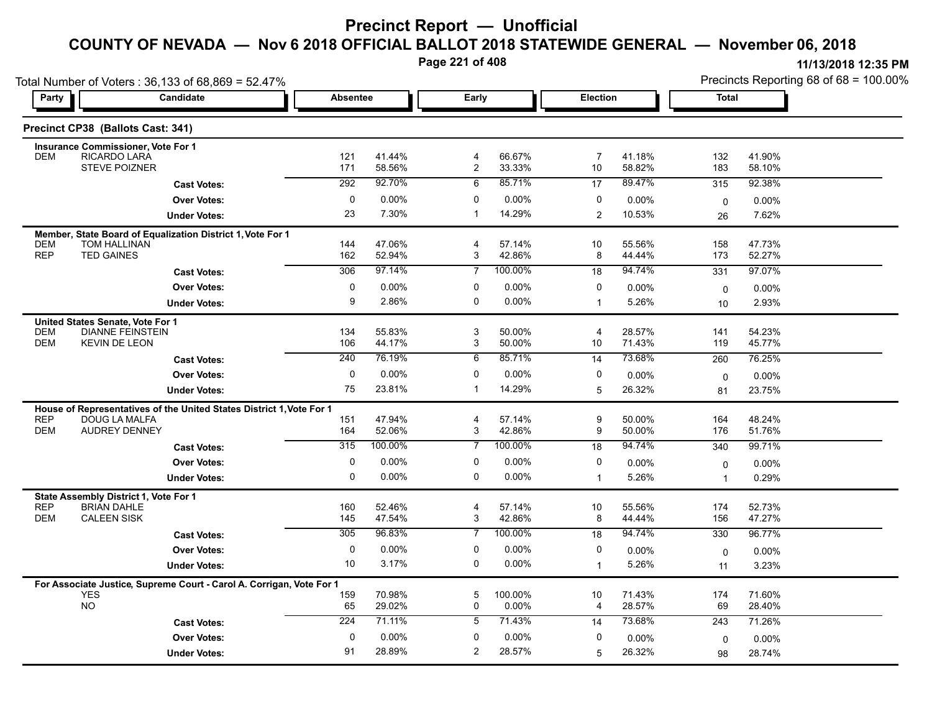**Page 221 of 408**

|                          | Total Number of Voters: 36,133 of 68,869 = 52.47%                                            |                 |                  |                     |                  |                      |                    | Precincts Reporting 68 of 68 = 100.00% |                  |  |
|--------------------------|----------------------------------------------------------------------------------------------|-----------------|------------------|---------------------|------------------|----------------------|--------------------|----------------------------------------|------------------|--|
| Party                    | Candidate                                                                                    | <b>Absentee</b> |                  | Early               |                  | <b>Election</b>      |                    | Total                                  |                  |  |
|                          | Precinct CP38 (Ballots Cast: 341)                                                            |                 |                  |                     |                  |                      |                    |                                        |                  |  |
|                          | Insurance Commissioner, Vote For 1                                                           |                 |                  |                     |                  |                      |                    |                                        |                  |  |
| <b>DEM</b>               | RICARDO LARA<br><b>STEVE POIZNER</b>                                                         | 121<br>171      | 41.44%<br>58.56% | 4<br>$\overline{c}$ | 66.67%<br>33.33% | $\overline{7}$<br>10 | 41.18%<br>58.82%   | 132<br>183                             | 41.90%<br>58.10% |  |
|                          | <b>Cast Votes:</b>                                                                           | 292             | 92.70%           | 6                   | 85.71%           | 17                   | 89.47%             | 315                                    | 92.38%           |  |
|                          | <b>Over Votes:</b>                                                                           | $\mathbf 0$     | 0.00%            | 0                   | 0.00%            | 0                    | 0.00%              | 0                                      | 0.00%            |  |
|                          | <b>Under Votes:</b>                                                                          | 23              | 7.30%            | -1                  | 14.29%           | $\overline{2}$       | 10.53%             | 26                                     | 7.62%            |  |
|                          | Member, State Board of Equalization District 1, Vote For 1                                   |                 |                  |                     |                  |                      |                    |                                        |                  |  |
| <b>DEM</b>               | <b>TOM HALLINAN</b>                                                                          | 144             | 47.06%           | $\overline{4}$      | 57.14%           | 10                   | 55.56%             | 158                                    | 47.73%           |  |
| <b>REP</b>               | <b>TED GAINES</b>                                                                            | 162             | 52.94%           | 3                   | 42.86%           | 8                    | 44.44%             | 173                                    | 52.27%           |  |
|                          | <b>Cast Votes:</b>                                                                           | 306             | 97.14%           | $\overline{7}$      | 100.00%          | 18                   | 94.74%             | 331                                    | 97.07%           |  |
|                          | <b>Over Votes:</b>                                                                           | 0               | 0.00%            | 0                   | 0.00%            | 0                    | $0.00\%$           | $\mathbf 0$                            | 0.00%            |  |
|                          | <b>Under Votes:</b>                                                                          | 9               | 2.86%            | 0                   | 0.00%            | $\mathbf{1}$         | 5.26%              | 10                                     | 2.93%            |  |
|                          | United States Senate, Vote For 1                                                             |                 |                  |                     |                  |                      |                    |                                        |                  |  |
| <b>DEM</b><br><b>DEM</b> | <b>DIANNE FEINSTEIN</b><br><b>KEVIN DE LEON</b>                                              | 134<br>106      | 55.83%<br>44.17% | 3<br>3              | 50.00%<br>50.00% | 4<br>10              | 28.57%<br>71.43%   | 141<br>119                             | 54.23%<br>45.77% |  |
|                          |                                                                                              | 240             | 76.19%           | 6                   | 85.71%           | 14                   | 73.68%             | 260                                    | 76.25%           |  |
|                          | <b>Cast Votes:</b><br><b>Over Votes:</b>                                                     | 0               | 0.00%            | $\mathbf 0$         | 0.00%            | 0                    |                    |                                        |                  |  |
|                          |                                                                                              | 75              | 23.81%           | $\mathbf{1}$        | 14.29%           | 5                    | $0.00\%$<br>26.32% | 0                                      | 0.00%            |  |
|                          | <b>Under Votes:</b>                                                                          |                 |                  |                     |                  |                      |                    | 81                                     | 23.75%           |  |
| <b>REP</b>               | House of Representatives of the United States District 1, Vote For 1<br><b>DOUG LA MALFA</b> | 151             | 47.94%           | 4                   | 57.14%           | 9                    | 50.00%             | 164                                    | 48.24%           |  |
| <b>DEM</b>               | <b>AUDREY DENNEY</b>                                                                         | 164             | 52.06%           | 3                   | 42.86%           | 9                    | 50.00%             | 176                                    | 51.76%           |  |
|                          | <b>Cast Votes:</b>                                                                           | 315             | 100.00%          | $\overline{7}$      | 100.00%          | 18                   | 94.74%             | 340                                    | 99.71%           |  |
|                          | <b>Over Votes:</b>                                                                           | $\mathbf 0$     | $0.00\%$         | 0                   | $0.00\%$         | 0                    | 0.00%              | 0                                      | 0.00%            |  |
|                          | <b>Under Votes:</b>                                                                          | 0               | 0.00%            | 0                   | 0.00%            | $\mathbf{1}$         | 5.26%              | $\overline{1}$                         | 0.29%            |  |
|                          | State Assembly District 1, Vote For 1                                                        |                 |                  |                     |                  |                      |                    |                                        |                  |  |
| <b>REP</b>               | <b>BRIAN DAHLE</b>                                                                           | 160             | 52.46%           | 4                   | 57.14%           | 10                   | 55.56%             | 174                                    | 52.73%           |  |
| <b>DEM</b>               | <b>CALEEN SISK</b>                                                                           | 145             | 47.54%           | 3                   | 42.86%           | 8                    | 44.44%             | 156                                    | 47.27%           |  |
|                          | <b>Cast Votes:</b>                                                                           | 305             | 96.83%           | 7                   | 100.00%          | 18                   | 94.74%             | 330                                    | 96.77%           |  |
|                          | <b>Over Votes:</b>                                                                           | 0               | 0.00%            | 0                   | 0.00%            | 0                    | 0.00%              | 0                                      | 0.00%            |  |
|                          | <b>Under Votes:</b>                                                                          | 10              | 3.17%            | 0                   | $0.00\%$         | $\mathbf{1}$         | 5.26%              | 11                                     | 3.23%            |  |
|                          | For Associate Justice, Supreme Court - Carol A. Corrigan, Vote For 1                         |                 |                  |                     |                  |                      |                    |                                        |                  |  |
|                          | <b>YES</b><br><b>NO</b>                                                                      | 159<br>65       | 70.98%<br>29.02% | $\overline{5}$<br>0 | 100.00%<br>0.00% | 10                   | 71.43%             | 174<br>69                              | 71.60%<br>28.40% |  |
|                          |                                                                                              | 224             | 71.11%           | 5                   | 71.43%           | 4                    | 28.57%<br>73.68%   |                                        |                  |  |
|                          | <b>Cast Votes:</b>                                                                           |                 |                  |                     |                  | 14                   |                    | 243                                    | 71.26%           |  |
|                          | <b>Over Votes:</b>                                                                           | $\Omega$        | $0.00\%$         | $\mathbf{0}$        | $0.00\%$         | 0                    | 0.00%              | 0                                      | 0.00%            |  |
|                          | <b>Under Votes:</b>                                                                          | 91              | 28.89%           | $\overline{2}$      | 28.57%           | 5                    | 26.32%             | 98                                     | 28.74%           |  |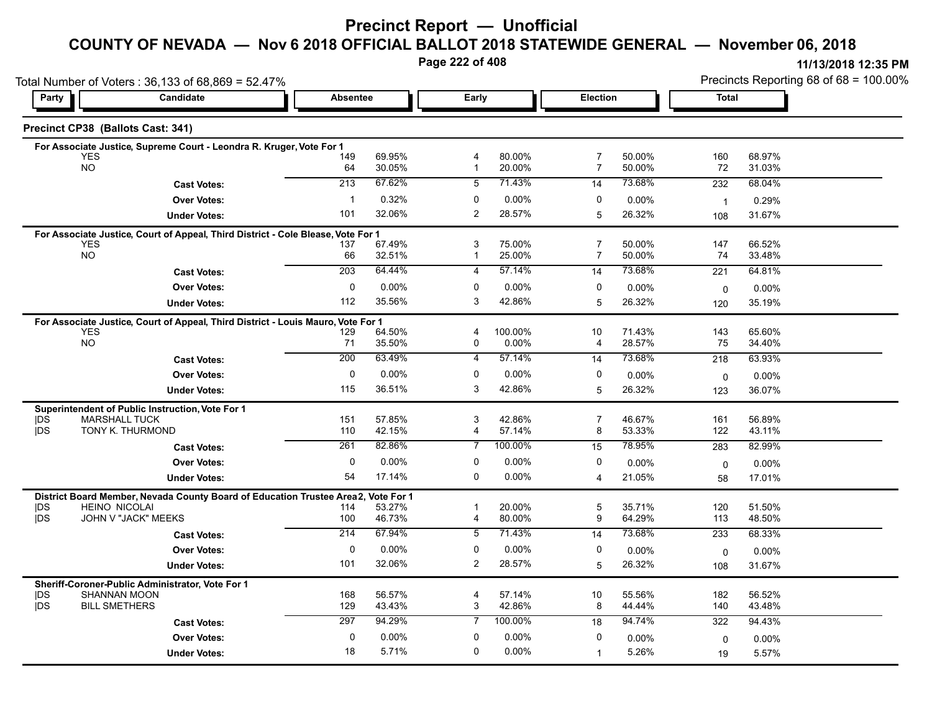# **Precinct Report — Unofficial**

### **COUNTY OF NEVADA — Nov 6 2018 OFFICIAL BALLOT 2018 STATEWIDE GENERAL — November 06, 2018**

**Page 222 of 408**

|                          | Total Number of Voters: 36,133 of 68,869 = 52.47%                                |                  |                    |                               |                  |                     |                  | Precincts Reporting 68 of 68 = 100.00% |                  |  |
|--------------------------|----------------------------------------------------------------------------------|------------------|--------------------|-------------------------------|------------------|---------------------|------------------|----------------------------------------|------------------|--|
| Party                    | <b>Candidate</b>                                                                 | <b>Absentee</b>  | Election<br>Early  |                               |                  | <b>Total</b>        |                  |                                        |                  |  |
|                          | Precinct CP38 (Ballots Cast: 341)                                                |                  |                    |                               |                  |                     |                  |                                        |                  |  |
|                          | For Associate Justice, Supreme Court - Leondra R. Kruger, Vote For 1             |                  |                    |                               |                  |                     |                  |                                        |                  |  |
|                          | <b>YES</b><br><b>NO</b>                                                          | 149              | 69.95%<br>30.05%   | $\overline{4}$<br>$\mathbf 1$ | 80.00%<br>20.00% | 7<br>7              | 50.00%<br>50.00% | 160<br>72                              | 68.97%<br>31.03% |  |
|                          |                                                                                  | 64<br>213        | 67.62%             | 5                             | 71.43%           |                     | 73.68%           |                                        |                  |  |
|                          | <b>Cast Votes:</b>                                                               |                  |                    |                               |                  | 14                  |                  | 232                                    | 68.04%           |  |
|                          | <b>Over Votes:</b>                                                               | $\mathbf 1$      | 0.32%              | 0                             | 0.00%            | 0                   | 0.00%            | $\overline{1}$                         | 0.29%            |  |
|                          | <b>Under Votes:</b>                                                              | 101              | 32.06%             | 2                             | 28.57%           | 5                   | 26.32%           | 108                                    | 31.67%           |  |
|                          | For Associate Justice, Court of Appeal, Third District - Cole Blease, Vote For 1 |                  |                    |                               |                  |                     |                  |                                        |                  |  |
|                          | <b>YES</b><br><b>NO</b>                                                          | 137<br>66        | 67.49%<br>32.51%   | 3<br>1                        | 75.00%<br>25.00% | $\overline{7}$<br>7 | 50.00%<br>50.00% | 147<br>74                              | 66.52%<br>33.48% |  |
|                          | <b>Cast Votes:</b>                                                               | 203              | 64.44%             | 4                             | 57.14%           | 14                  | 73.68%           | 221                                    | 64.81%           |  |
|                          | <b>Over Votes:</b>                                                               | 0                | 0.00%              | 0                             | 0.00%            | 0                   |                  |                                        |                  |  |
|                          |                                                                                  | 112              | 35.56%             | 3                             | 42.86%           |                     | $0.00\%$         | $\mathbf 0$                            | $0.00\%$         |  |
|                          | <b>Under Votes:</b>                                                              |                  |                    |                               |                  | 5                   | 26.32%           | 120                                    | 35.19%           |  |
|                          | For Associate Justice, Court of Appeal, Third District - Louis Mauro, Vote For 1 |                  |                    |                               |                  |                     |                  |                                        |                  |  |
|                          | <b>YES</b><br>NO                                                                 | 129<br>71        | 64.50%<br>35.50%   | 4<br>0                        | 100.00%<br>0.00% | 10<br>4             | 71.43%<br>28.57% | 143<br>75                              | 65.60%<br>34.40% |  |
|                          | <b>Cast Votes:</b>                                                               | $\overline{200}$ | 63.49%             | 4                             | 57.14%           | 14                  | 73.68%           | 218                                    | 63.93%           |  |
|                          |                                                                                  | 0                |                    | 0                             |                  | 0                   |                  |                                        |                  |  |
|                          | <b>Over Votes:</b>                                                               |                  | $0.00\%$<br>36.51% |                               | 0.00%            |                     | 0.00%            | $\mathbf 0$                            | $0.00\%$         |  |
|                          | <b>Under Votes:</b>                                                              | 115              |                    | 3                             | 42.86%           | 5                   | 26.32%           | 123                                    | 36.07%           |  |
|                          | Superintendent of Public Instruction, Vote For 1                                 |                  |                    |                               |                  |                     |                  |                                        |                  |  |
| <b>IDS</b><br><b>IDS</b> | <b>MARSHALL TUCK</b><br>TONY K. THURMOND                                         | 151<br>110       | 57.85%<br>42.15%   | 3<br>4                        | 42.86%<br>57.14% | $\overline{7}$<br>8 | 46.67%<br>53.33% | 161<br>122                             | 56.89%<br>43.11% |  |
|                          | <b>Cast Votes:</b>                                                               | 261              | 82.86%             | $\overline{7}$                | 100.00%          | 15                  | 78.95%           | 283                                    | 82.99%           |  |
|                          |                                                                                  | $\mathbf 0$      |                    | 0                             | 0.00%            | 0                   |                  |                                        |                  |  |
|                          | <b>Over Votes:</b>                                                               |                  | $0.00\%$           | 0                             |                  |                     | 0.00%            | $\mathbf 0$                            | 0.00%            |  |
|                          | <b>Under Votes:</b>                                                              | 54               | 17.14%             |                               | 0.00%            | 4                   | 21.05%           | 58                                     | 17.01%           |  |
|                          | District Board Member, Nevada County Board of Education Trustee Area2,           |                  | Vote For 1         |                               |                  |                     |                  |                                        |                  |  |
| <b>IDS</b><br><b>IDS</b> | <b>HEINO NICOLAI</b><br>JOHN V "JACK" MEEKS                                      | 114<br>100       | 53.27%<br>46.73%   | -1<br>$\overline{4}$          | 20.00%<br>80.00% | 5<br>9              | 35.71%<br>64.29% | 120<br>113                             | 51.50%<br>48.50% |  |
|                          | <b>Cast Votes:</b>                                                               | 214              | 67.94%             | 5                             | 71.43%           | 14                  | 73.68%           | 233                                    | 68.33%           |  |
|                          | <b>Over Votes:</b>                                                               | $\mathbf 0$      | $0.00\%$           | $\mathbf 0$                   | 0.00%            | 0                   |                  |                                        |                  |  |
|                          |                                                                                  | 101              | 32.06%             | 2                             | 28.57%           |                     | $0.00\%$         | $\mathbf 0$                            | $0.00\%$         |  |
|                          | <b>Under Votes:</b>                                                              |                  |                    |                               |                  | 5                   | 26.32%           | 108                                    | 31.67%           |  |
|                          | Sheriff-Coroner-Public Administrator, Vote For 1                                 |                  |                    |                               |                  |                     |                  |                                        |                  |  |
| DS<br><b>IDS</b>         | <b>SHANNAN MOON</b><br><b>BILL SMETHERS</b>                                      | 168<br>129       | 56.57%<br>43.43%   | 4<br>3                        | 57.14%<br>42.86% | 10<br>8             | 55.56%<br>44.44% | 182<br>140                             | 56.52%<br>43.48% |  |
|                          |                                                                                  | 297              | 94.29%             | $\overline{7}$                | 100.00%          |                     | 94.74%           | 322                                    | 94.43%           |  |
|                          | <b>Cast Votes:</b>                                                               |                  |                    |                               |                  | 18                  |                  |                                        |                  |  |
|                          | <b>Over Votes:</b>                                                               | 0                | $0.00\%$           | 0                             | 0.00%            | 0                   | $0.00\%$         | 0                                      | 0.00%            |  |
|                          | <b>Under Votes:</b>                                                              | 18               | 5.71%              | $\mathbf 0$                   | 0.00%            | $\overline{1}$      | 5.26%            | 19                                     | 5.57%            |  |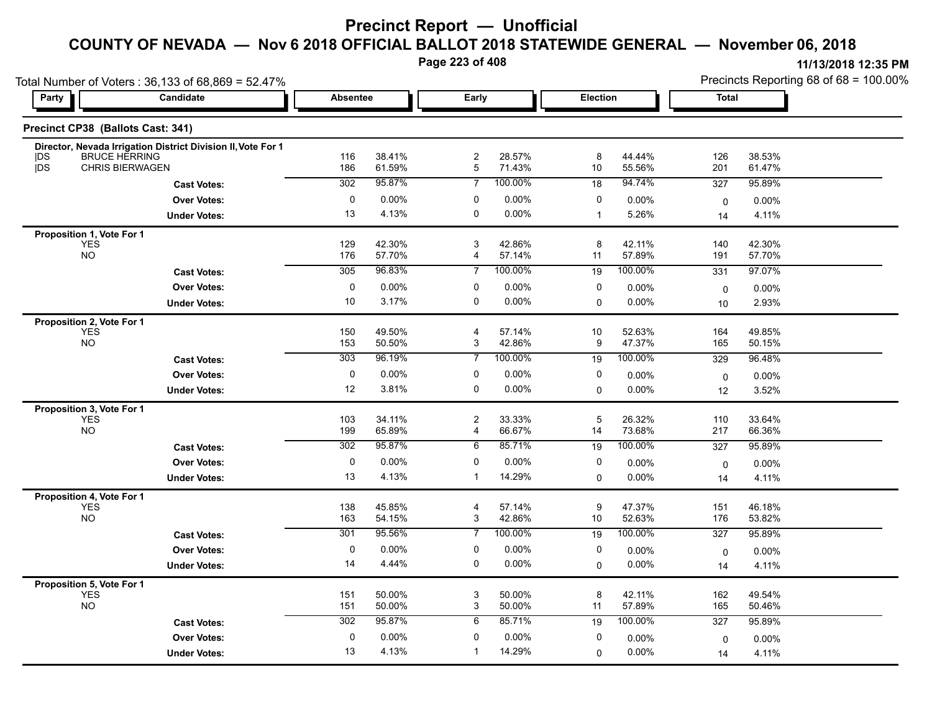# **Precinct Report — Unofficial**

# **COUNTY OF NEVADA — Nov 6 2018 OFFICIAL BALLOT 2018 STATEWIDE GENERAL — November 06, 2018**

**Page 223 of 408**

| Party      | Candidate                                                                            | <b>Absentee</b> |                  | Early          |                  | Election     |                  | <b>Total</b> |                  |
|------------|--------------------------------------------------------------------------------------|-----------------|------------------|----------------|------------------|--------------|------------------|--------------|------------------|
|            |                                                                                      |                 |                  |                |                  |              |                  |              |                  |
|            | Precinct CP38 (Ballots Cast: 341)                                                    |                 |                  |                |                  |              |                  |              |                  |
| <b>IDS</b> | Director, Nevada Irrigation District Division II, Vote For 1<br><b>BRUCE HERRING</b> | 116             | 38.41%           | 2              | 28.57%           | 8            | 44.44%           | 126          | 38.53%           |
| jDS        | <b>CHRIS BIERWAGEN</b>                                                               | 186             | 61.59%           | 5              | 71.43%           | 10           | 55.56%           | 201          | 61.47%           |
|            | <b>Cast Votes:</b>                                                                   | 302             | 95.87%           | 7              | 100.00%          | 18           | 94.74%           | 327          | 95.89%           |
|            | <b>Over Votes:</b>                                                                   | 0               | 0.00%            | 0              | 0.00%            | 0            | 0.00%            | $\mathbf 0$  | 0.00%            |
|            | <b>Under Votes:</b>                                                                  | 13              | 4.13%            | $\mathbf 0$    | $0.00\%$         | $\mathbf{1}$ | 5.26%            | 14           | 4.11%            |
|            | Proposition 1, Vote For 1                                                            |                 |                  |                |                  |              |                  |              |                  |
|            | <b>YES</b><br><b>NO</b>                                                              | 129<br>176      | 42.30%<br>57.70% | 3<br>4         | 42.86%<br>57.14% | 8<br>11      | 42.11%<br>57.89% | 140<br>191   | 42.30%<br>57.70% |
|            | <b>Cast Votes:</b>                                                                   | 305             | 96.83%           | $\overline{7}$ | 100.00%          | 19           | 100.00%          | 331          | 97.07%           |
|            | <b>Over Votes:</b>                                                                   | $\pmb{0}$       | 0.00%            | $\pmb{0}$      | 0.00%            | $\pmb{0}$    | 0.00%            | 0            | 0.00%            |
|            | <b>Under Votes:</b>                                                                  | 10              | 3.17%            | $\mathbf 0$    | $0.00\%$         | $\mathbf 0$  | $0.00\%$         | 10           | 2.93%            |
|            | Proposition 2, Vote For 1                                                            |                 |                  |                |                  |              |                  |              |                  |
|            | <b>YES</b>                                                                           | 150             | 49.50%           | 4              | 57.14%           | 10           | 52.63%           | 164          | 49.85%           |
|            | <b>NO</b>                                                                            | 153             | 50.50%           | 3              | 42.86%           | 9            | 47.37%           | 165          | 50.15%           |
|            | <b>Cast Votes:</b>                                                                   | 303             | 96.19%           | 7              | 100.00%          | 19           | 100.00%          | 329          | 96.48%           |
|            | <b>Over Votes:</b>                                                                   | 0               | 0.00%            | 0              | 0.00%            | 0            | 0.00%            | 0            | 0.00%            |
|            | <b>Under Votes:</b>                                                                  | 12              | 3.81%            | 0              | $0.00\%$         | $\mathbf 0$  | $0.00\%$         | 12           | 3.52%            |
|            | Proposition 3, Vote For 1<br><b>YES</b>                                              | 103             | 34.11%           | 2              | 33.33%           | 5            | 26.32%           | 110          | 33.64%           |
|            | <b>NO</b>                                                                            | 199             | 65.89%           | $\overline{4}$ | 66.67%           | 14           | 73.68%           | 217          | 66.36%           |
|            | <b>Cast Votes:</b>                                                                   | 302             | 95.87%           | 6              | 85.71%           | 19           | 100.00%          | 327          | 95.89%           |
|            | <b>Over Votes:</b>                                                                   | $\mathbf 0$     | 0.00%            | $\mathbf 0$    | 0.00%            | $\mathbf 0$  | 0.00%            | $\mathbf 0$  | 0.00%            |
|            | <b>Under Votes:</b>                                                                  | 13              | 4.13%            | $\mathbf{1}$   | 14.29%           | $\Omega$     | 0.00%            | 14           | 4.11%            |
|            | Proposition 4, Vote For 1                                                            |                 |                  |                |                  |              |                  |              |                  |
|            | <b>YES</b><br><b>NO</b>                                                              | 138<br>163      | 45.85%<br>54.15% | 4<br>3         | 57.14%<br>42.86% | 9<br>10      | 47.37%<br>52.63% | 151<br>176   | 46.18%<br>53.82% |
|            | <b>Cast Votes:</b>                                                                   | 301             | 95.56%           | $\overline{7}$ | 100.00%          | 19           | 100.00%          | 327          | 95.89%           |
|            | <b>Over Votes:</b>                                                                   | $\mathbf 0$     | 0.00%            | 0              | 0.00%            | 0            | 0.00%            |              |                  |
|            | <b>Under Votes:</b>                                                                  | 14              | 4.44%            | 0              | $0.00\%$         | $\mathbf 0$  | 0.00%            | 0            | 0.00%<br>4.11%   |
|            |                                                                                      |                 |                  |                |                  |              |                  | 14           |                  |
|            | Proposition 5, Vote For 1<br><b>YES</b>                                              | 151             | 50.00%           | 3              | 50.00%           | 8            | 42.11%           | 162          | 49.54%           |
|            | <b>NO</b>                                                                            | 151             | 50.00%           | $\mathbf{3}$   | 50.00%           | 11           | 57.89%           | 165          | 50.46%           |
|            | <b>Cast Votes:</b>                                                                   | 302             | 95.87%           | 6              | 85.71%           | 19           | 100.00%          | 327          | 95.89%           |
|            | <b>Over Votes:</b>                                                                   | 0               | 0.00%            | 0              | 0.00%            | 0            | 0.00%            | $\mathbf 0$  | 0.00%            |
|            | <b>Under Votes:</b>                                                                  | 13              | 4.13%            | $\mathbf{1}$   | 14.29%           | 0            | 0.00%            | 14           | 4.11%            |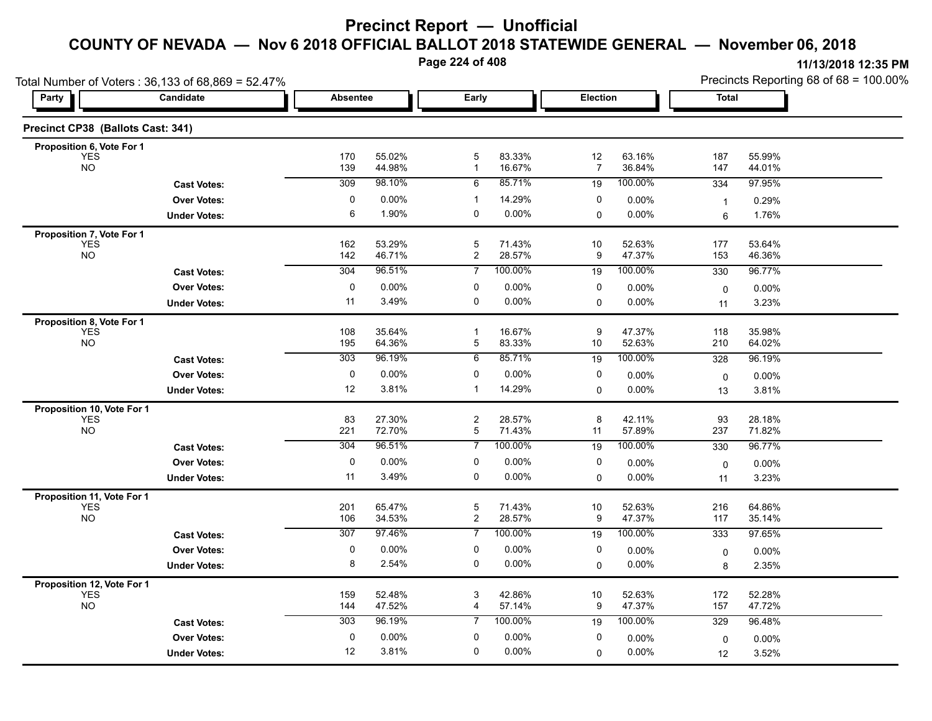**Page 224 of 408**

|                                          | Total Number of Voters: 36,133 of 68,869 = 52.47% |                 |                  |                                  |                      |                      |                   | Precincts Reporting 68 of 68 = 100.00% |                  |  |
|------------------------------------------|---------------------------------------------------|-----------------|------------------|----------------------------------|----------------------|----------------------|-------------------|----------------------------------------|------------------|--|
| Party                                    | Candidate                                         | <b>Absentee</b> |                  | Early                            |                      | Election             |                   | <b>Total</b>                           |                  |  |
| Precinct CP38 (Ballots Cast: 341)        |                                                   |                 |                  |                                  |                      |                      |                   |                                        |                  |  |
| Proposition 6, Vote For 1                |                                                   |                 |                  |                                  |                      |                      |                   |                                        |                  |  |
| <b>YES</b><br><b>NO</b>                  |                                                   | 170<br>139      | 55.02%<br>44.98% | 5<br>$\mathbf{1}$                | 83.33%<br>16.67%     | 12<br>$\overline{7}$ | 63.16%<br>36.84%  | 187<br>147                             | 55.99%<br>44.01% |  |
|                                          | <b>Cast Votes:</b>                                | 309             | 98.10%           | 6                                | 85.71%               | 19                   | 100.00%           | 334                                    | 97.95%           |  |
|                                          | <b>Over Votes:</b>                                | 0               | 0.00%            | $\mathbf{1}$                     | 14.29%               | 0                    | 0.00%             | $\mathbf{1}$                           | 0.29%            |  |
|                                          | <b>Under Votes:</b>                               | 6               | 1.90%            | $\mathbf 0$                      | $0.00\%$             | 0                    | 0.00%             | 6                                      | 1.76%            |  |
| Proposition 7, Vote For 1                |                                                   |                 |                  |                                  |                      |                      |                   |                                        |                  |  |
| <b>YES</b><br><b>NO</b>                  |                                                   | 162<br>142      | 53.29%<br>46.71% | 5<br>$\overline{2}$              | 71.43%<br>28.57%     | 10<br>9              | 52.63%<br>47.37%  | 177<br>153                             | 53.64%<br>46.36% |  |
|                                          | <b>Cast Votes:</b>                                | 304             | 96.51%           | $\overline{7}$                   | 100.00%              | 19                   | 100.00%           | 330                                    | 96.77%           |  |
|                                          | <b>Over Votes:</b>                                | 0               | 0.00%            | 0                                | 0.00%                | 0                    | 0.00%             | $\mathbf 0$                            | 0.00%            |  |
|                                          | <b>Under Votes:</b>                               | 11              | 3.49%            | $\mathbf 0$                      | 0.00%                | $\Omega$             | 0.00%             | 11                                     | 3.23%            |  |
| Proposition 8, Vote For 1                |                                                   |                 |                  |                                  |                      |                      |                   |                                        |                  |  |
| <b>YES</b>                               |                                                   | 108             | 35.64%           | $\overline{1}$                   | 16.67%               | 9                    | 47.37%            | 118                                    | 35.98%           |  |
| <b>NO</b>                                |                                                   | 195             | 64.36%           | 5                                | 83.33%               | 10                   | 52.63%            | 210                                    | 64.02%           |  |
|                                          | <b>Cast Votes:</b>                                | 303             | 96.19%           | 6                                | 85.71%               | 19                   | 100.00%           | 328                                    | 96.19%           |  |
|                                          | <b>Over Votes:</b>                                | 0               | 0.00%            | 0                                | 0.00%                | 0                    | 0.00%             | 0                                      | 0.00%            |  |
|                                          | <b>Under Votes:</b>                               | 12              | 3.81%            | $\mathbf{1}$                     | 14.29%               | 0                    | 0.00%             | 13                                     | 3.81%            |  |
| Proposition 10, Vote For 1<br><b>YES</b> |                                                   | 83              | 27.30%           | $\overline{c}$                   | 28.57%               | 8                    | 42.11%            | 93                                     | 28.18%           |  |
| <b>NO</b>                                |                                                   | 221             | 72.70%           | 5                                | 71.43%               | 11                   | 57.89%            | 237                                    | 71.82%           |  |
|                                          | <b>Cast Votes:</b>                                | 304             | 96.51%           | $\overline{7}$                   | 100.00%              | 19                   | 100.00%           | 330                                    | 96.77%           |  |
|                                          | <b>Over Votes:</b>                                | 0               | 0.00%            | 0                                | $0.00\%$             | 0                    | 0.00%             | $\mathbf 0$                            | 0.00%            |  |
|                                          | <b>Under Votes:</b>                               | 11              | 3.49%            | 0                                | 0.00%                | 0                    | 0.00%             | 11                                     | 3.23%            |  |
| Proposition 11, Vote For 1               |                                                   |                 |                  |                                  |                      |                      |                   |                                        |                  |  |
| <b>YES</b>                               |                                                   | 201             | 65 47%           | 5                                | 71.43%               | 10                   | 52.63%            | 216                                    | 64.86%           |  |
| <b>NO</b>                                |                                                   | 106<br>307      | 34.53%<br>97.46% | $\overline{2}$<br>$\overline{7}$ | 28.57%<br>100.00%    | 9                    | 47.37%<br>100.00% | 117                                    | 35.14%           |  |
|                                          | <b>Cast Votes:</b>                                |                 |                  |                                  |                      | 19                   |                   | $\overline{333}$                       | 97.65%           |  |
|                                          | <b>Over Votes:</b><br><b>Under Votes:</b>         | $\pmb{0}$<br>8  | 0.00%<br>2.54%   | 0<br>0                           | $0.00\%$<br>$0.00\%$ | 0<br>$\mathbf 0$     | 0.00%<br>0.00%    | 0                                      | 0.00%<br>2.35%   |  |
|                                          |                                                   |                 |                  |                                  |                      |                      |                   | 8                                      |                  |  |
| Proposition 12, Vote For 1<br><b>YES</b> |                                                   | 159             | 52.48%           | 3                                | 42.86%               | 10                   | 52.63%            | 172                                    | 52.28%           |  |
| <b>NO</b>                                |                                                   | 144             | 47.52%           | 4                                | 57.14%               | 9                    | 47.37%            | 157                                    | 47.72%           |  |
|                                          | <b>Cast Votes:</b>                                | 303             | 96.19%           | $\overline{7}$                   | 100.00%              | 19                   | 100.00%           | 329                                    | 96.48%           |  |
|                                          | <b>Over Votes:</b>                                | 0               | 0.00%            | 0                                | 0.00%                | 0                    | 0.00%             | 0                                      | 0.00%            |  |
|                                          | <b>Under Votes:</b>                               | 12              | 3.81%            | $\mathbf 0$                      | $0.00\%$             | $\Omega$             | 0.00%             | 12                                     | 3.52%            |  |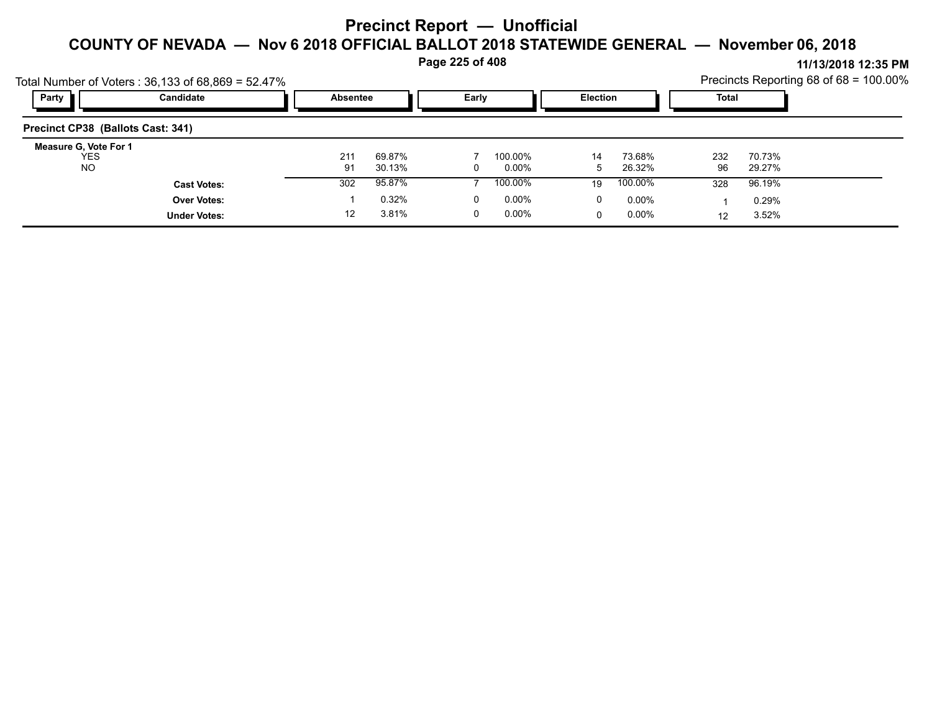**Page 225 of 408**

|                                           | Total Number of Voters: $36,133$ of $68,869 = 52.47\%$ |                 |                  |       |                     |                 |                  |           |                  | Precincts Reporting 68 of 68 = 100.00% |
|-------------------------------------------|--------------------------------------------------------|-----------------|------------------|-------|---------------------|-----------------|------------------|-----------|------------------|----------------------------------------|
| Party                                     | Candidate                                              | <b>Absentee</b> |                  | Early |                     | <b>Election</b> |                  | Total     |                  |                                        |
| Precinct CP38 (Ballots Cast: 341)         |                                                        |                 |                  |       |                     |                 |                  |           |                  |                                        |
| Measure G, Vote For 1<br>YES<br><b>NO</b> |                                                        | 211<br>91       | 69.87%<br>30.13% |       | 100.00%<br>$0.00\%$ | 14<br>b.        | 73.68%<br>26.32% | 232<br>96 | 70.73%<br>29.27% |                                        |
|                                           | <b>Cast Votes:</b>                                     | 302             | 95.87%           |       | 100.00%             | 19              | 100.00%          | 328       | 96.19%           |                                        |
|                                           | <b>Over Votes:</b>                                     |                 | 0.32%            | 0     | $0.00\%$            | 0               | $0.00\%$         |           | 0.29%            |                                        |
|                                           | <b>Under Votes:</b>                                    | 12              | 3.81%            |       | $0.00\%$            | 0               | $0.00\%$         | 12        | 3.52%            |                                        |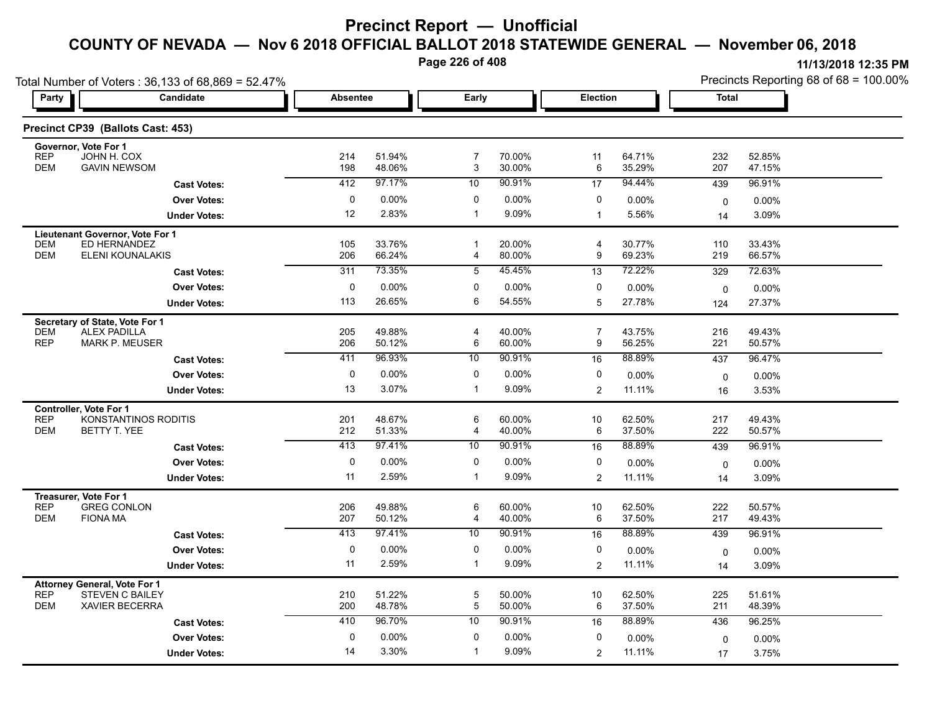**Page 226 of 408**

|                                      | Total Number of Voters: 36,133 of 68,869 = 52.47%             |                  |                   |                   |                   |                |                  | Precincts Reporting 68 of 68 = 100.00% |                  |  |
|--------------------------------------|---------------------------------------------------------------|------------------|-------------------|-------------------|-------------------|----------------|------------------|----------------------------------------|------------------|--|
| Party                                | <b>Candidate</b>                                              | <b>Absentee</b>  |                   | Early             |                   | Election       |                  | <b>Total</b>                           |                  |  |
|                                      | Precinct CP39 (Ballots Cast: 453)                             |                  |                   |                   |                   |                |                  |                                        |                  |  |
| Governor, Vote For 1<br><b>REP</b>   | JOHN H. COX                                                   | 214              | 51.94%            | $\overline{7}$    | 70.00%            | 11             | 64.71%           | 232                                    | 52.85%           |  |
| <b>DEM</b>                           | <b>GAVIN NEWSOM</b>                                           | 198              | 48.06%            | 3                 | 30.00%            | 6              | 35.29%           | 207                                    | 47.15%           |  |
|                                      | <b>Cast Votes:</b>                                            | 412              | 97.17%            | 10                | 90.91%            | 17             | 94.44%           | 439                                    | 96.91%           |  |
|                                      | <b>Over Votes:</b>                                            | 0                | 0.00%             | 0                 | 0.00%             | 0              | 0.00%            | $\mathbf 0$                            | 0.00%            |  |
|                                      | <b>Under Votes:</b>                                           | 12               | 2.83%             | $\mathbf{1}$      | 9.09%             | $\mathbf{1}$   | 5.56%            | 14                                     | 3.09%            |  |
|                                      | Lieutenant Governor, Vote For 1                               |                  |                   |                   |                   |                |                  |                                        |                  |  |
| <b>DEM</b><br><b>DEM</b>             | ED HERNANDEZ<br><b>ELENI KOUNALAKIS</b>                       | 105<br>206       | 33.76%<br>66.24%  | $\mathbf 1$<br>4  | 20.00%<br>80.00%  | 4<br>9         | 30.77%<br>69.23% | 110<br>219                             | 33.43%<br>66.57% |  |
|                                      | <b>Cast Votes:</b>                                            | $\overline{311}$ | 73.35%            | $\overline{5}$    | 45.45%            | 13             | 72.22%           | 329                                    | 72.63%           |  |
|                                      | <b>Over Votes:</b>                                            | 0                | 0.00%             | 0                 | $0.00\%$          | 0              | 0.00%            | $\mathbf 0$                            | $0.00\%$         |  |
|                                      | <b>Under Votes:</b>                                           | 113              | 26.65%            | 6                 | 54.55%            | 5              | 27.78%           | 124                                    | 27.37%           |  |
|                                      | Secretary of State, Vote For 1                                |                  |                   |                   |                   |                |                  |                                        |                  |  |
| <b>DEM</b>                           | <b>ALEX PADILLA</b>                                           | 205              | 49.88%            | 4                 | 40.00%            | $\overline{7}$ | 43.75%           | 216                                    | 49.43%           |  |
| <b>REP</b>                           | <b>MARK P. MEUSER</b>                                         | 206              | 50.12%            | 6                 | 60.00%            | 9              | 56.25%           | 221                                    | 50.57%           |  |
|                                      | <b>Cast Votes:</b>                                            | 411              | 96.93%            | 10                | 90.91%            | 16             | 88.89%           | 437                                    | 96.47%           |  |
|                                      | <b>Over Votes:</b>                                            | 0                | 0.00%             | 0                 | $0.00\%$          | 0              | 0.00%            | $\mathbf 0$                            | 0.00%            |  |
|                                      | <b>Under Votes:</b>                                           | 13               | 3.07%             | 1                 | 9.09%             | $\overline{2}$ | 11.11%           | 16                                     | 3.53%            |  |
| Controller, Vote For 1<br><b>REP</b> | KONSTANTINOS RODITIS                                          | 201              | 48.67%            | 6                 | 60.00%            | 10             | 62.50%           | 217                                    | 49.43%           |  |
| <b>DEM</b>                           | BETTY T. YEE                                                  | 212              | 51.33%            | 4                 | 40.00%            | 6              | 37.50%           | 222                                    | 50.57%           |  |
|                                      | <b>Cast Votes:</b>                                            | 413              | 97.41%            | 10                | 90.91%            | 16             | 88.89%           | 439                                    | 96.91%           |  |
|                                      | <b>Over Votes:</b>                                            | $\pmb{0}$        | 0.00%             | 0                 | 0.00%             | $\pmb{0}$      | 0.00%            | $\mathbf 0$                            | 0.00%            |  |
|                                      | <b>Under Votes:</b>                                           | 11               | 2.59%             | $\mathbf{1}$      | 9.09%             | $\overline{2}$ | 11.11%           | 14                                     | 3.09%            |  |
| Treasurer, Vote For 1                |                                                               |                  |                   |                   |                   |                |                  |                                        |                  |  |
| <b>REP</b>                           | <b>GREG CONLON</b>                                            | 206              | 49.88%            | 6                 | 60.00%            | $10$           | 62.50%           | 222                                    | 50.57%           |  |
| <b>DEM</b>                           | <b>FIONA MA</b>                                               | 207<br>413       | 50.12%<br>97.41%  | 4<br>10           | 40.00%<br>90.91%  | $\,6\,$        | 37.50%<br>88.89% | 217                                    | 49.43%           |  |
|                                      | <b>Cast Votes:</b>                                            |                  |                   |                   |                   | 16             |                  | 439                                    | 96.91%           |  |
|                                      | <b>Over Votes:</b>                                            | 0<br>11          | $0.00\%$<br>2.59% | 0<br>$\mathbf{1}$ | $0.00\%$<br>9.09% | 0              | 0.00%<br>11.11%  | $\mathbf 0$                            | $0.00\%$         |  |
|                                      | <b>Under Votes:</b>                                           |                  |                   |                   |                   | $\overline{a}$ |                  | 14                                     | 3.09%            |  |
| <b>REP</b>                           | <b>Attorney General, Vote For 1</b><br><b>STEVEN C BAILEY</b> | 210              | 51.22%            | 5                 | 50.00%            | $10$           | 62.50%           | 225                                    | 51.61%           |  |
| <b>DEM</b>                           | <b>XAVIER BECERRA</b>                                         | 200              | 48.78%            | 5                 | 50.00%            | 6              | 37.50%           | 211                                    | 48.39%           |  |
|                                      | <b>Cast Votes:</b>                                            | 410              | 96.70%            | 10                | 90.91%            | 16             | 88.89%           | 436                                    | 96.25%           |  |
|                                      | <b>Over Votes:</b>                                            | 0                | 0.00%             | 0                 | $0.00\%$          | 0              | 0.00%            | $\mathbf 0$                            | $0.00\%$         |  |
|                                      | <b>Under Votes:</b>                                           | 14               | 3.30%             | $\mathbf{1}$      | 9.09%             | $\mathbf{2}$   | 11.11%           | 17                                     | 3.75%            |  |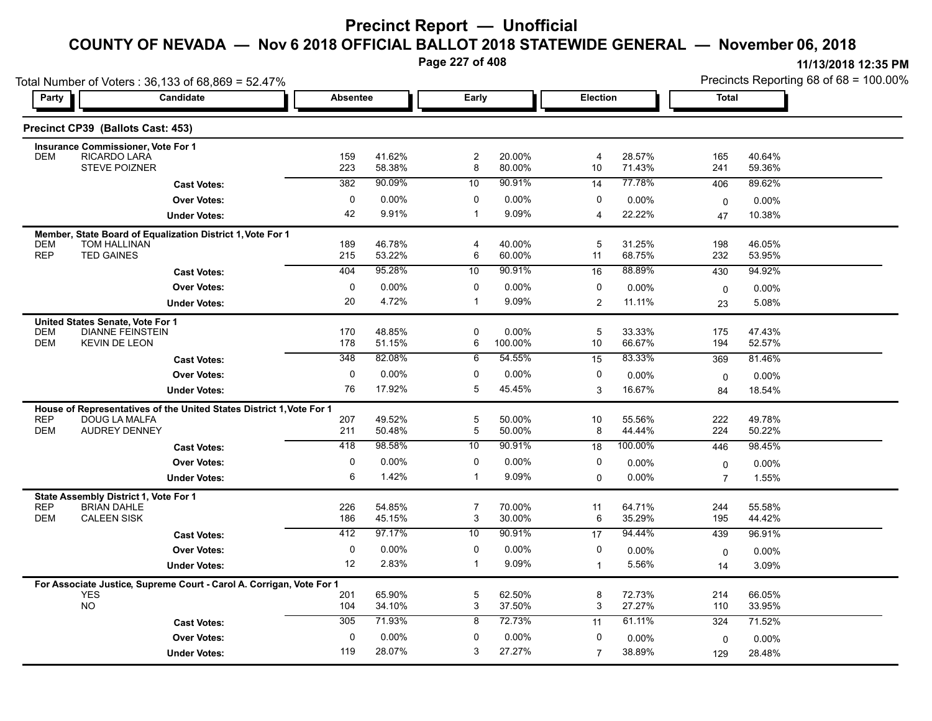**Page 227 of 408**

| Party                    | Total Number of Voters: 36,133 of 68,869 = 52.47%<br>Candidate                     | <b>Absentee</b> |                  | Early               |                  | <b>Election</b>      |                  | Total             |                  |  |
|--------------------------|------------------------------------------------------------------------------------|-----------------|------------------|---------------------|------------------|----------------------|------------------|-------------------|------------------|--|
|                          |                                                                                    |                 |                  |                     |                  |                      |                  |                   |                  |  |
|                          | Precinct CP39 (Ballots Cast: 453)                                                  |                 |                  |                     |                  |                      |                  |                   |                  |  |
|                          | Insurance Commissioner, Vote For 1                                                 |                 |                  |                     |                  |                      |                  |                   |                  |  |
| <b>DEM</b>               | RICARDO LARA<br><b>STEVE POIZNER</b>                                               | 159<br>223      | 41.62%<br>58.38% | $\overline{c}$<br>8 | 20.00%<br>80.00% | $\overline{4}$<br>10 | 28.57%<br>71.43% | 165<br>241        | 40.64%<br>59.36% |  |
|                          | <b>Cast Votes:</b>                                                                 | 382             | 90.09%           | 10                  | 90.91%           | 14                   | 77.78%           | 406               | 89.62%           |  |
|                          | <b>Over Votes:</b>                                                                 | $\mathbf 0$     | 0.00%            | $\mathbf 0$         | 0.00%            | $\mathbf 0$          | 0.00%            | $\mathbf 0$       | 0.00%            |  |
|                          | <b>Under Votes:</b>                                                                | 42              | 9.91%            | $\mathbf{1}$        | 9.09%            | $\overline{4}$       | 22.22%           | 47                | 10.38%           |  |
|                          | Member, State Board of Equalization District 1, Vote For 1                         |                 |                  |                     |                  |                      |                  |                   |                  |  |
| <b>DEM</b><br><b>REP</b> | <b>TOM HALLINAN</b><br><b>TED GAINES</b>                                           | 189<br>215      | 46.78%<br>53.22% | 4<br>6              | 40.00%<br>60.00% | 5<br>11              | 31.25%<br>68.75% | 198<br>232        | 46.05%<br>53.95% |  |
|                          | <b>Cast Votes:</b>                                                                 | 404             | 95.28%           | 10                  | 90.91%           | 16                   | 88.89%           | 430               | 94.92%           |  |
|                          | <b>Over Votes:</b>                                                                 | 0               | 0.00%            | $\mathbf 0$         | $0.00\%$         | 0                    | 0.00%            |                   |                  |  |
|                          | <b>Under Votes:</b>                                                                | 20              | 4.72%            | $\mathbf{1}$        | 9.09%            | 2                    | 11.11%           | $\mathbf 0$<br>23 | 0.00%<br>5.08%   |  |
|                          |                                                                                    |                 |                  |                     |                  |                      |                  |                   |                  |  |
| <b>DEM</b>               | United States Senate, Vote For 1<br><b>DIANNE FEINSTEIN</b>                        | 170             | 48.85%           | 0                   | $0.00\%$         | 5                    | 33.33%           | 175               | 47.43%           |  |
| <b>DEM</b>               | <b>KEVIN DE LEON</b>                                                               | 178             | 51.15%           | 6                   | 100.00%          | 10                   | 66.67%           | 194               | 52.57%           |  |
|                          | <b>Cast Votes:</b>                                                                 | 348             | 82.08%           | 6                   | 54.55%           | 15                   | 83.33%           | 369               | 81.46%           |  |
|                          | <b>Over Votes:</b>                                                                 | $\mathbf 0$     | 0.00%            | 0                   | 0.00%            | 0                    | 0.00%            | 0                 | 0.00%            |  |
|                          | <b>Under Votes:</b>                                                                | 76              | 17.92%           | 5                   | 45.45%           | 3                    | 16.67%           | 84                | 18.54%           |  |
|                          | House of Representatives of the United States District 1, Vote For 1               |                 |                  |                     |                  |                      |                  |                   |                  |  |
| <b>REP</b><br><b>DEM</b> | DOUG LA MALFA<br><b>AUDREY DENNEY</b>                                              | 207<br>211      | 49.52%<br>50.48% | 5<br>5              | 50.00%<br>50.00% | 10<br>8              | 55.56%<br>44.44% | 222<br>224        | 49.78%<br>50.22% |  |
|                          | <b>Cast Votes:</b>                                                                 | 418             | 98.58%           | 10                  | 90.91%           | 18                   | 100.00%          | 446               | 98.45%           |  |
|                          | <b>Over Votes:</b>                                                                 | 0               | 0.00%            | 0                   | $0.00\%$         | 0                    | 0.00%            | 0                 | 0.00%            |  |
|                          | <b>Under Votes:</b>                                                                | 6               | 1.42%            | $\mathbf{1}$        | 9.09%            | $\mathbf 0$          | 0.00%            | $\overline{7}$    | 1.55%            |  |
|                          | State Assembly District 1, Vote For 1                                              |                 |                  |                     |                  |                      |                  |                   |                  |  |
| <b>REP</b>               | <b>BRIAN DAHLE</b>                                                                 | 226             | 54.85%           | $\overline{7}$      | 70.00%           | 11                   | 64.71%           | 244               | 55.58%           |  |
| <b>DEM</b>               | <b>CALEEN SISK</b>                                                                 | 186             | 45.15%           | 3                   | 30.00%           | 6                    | 35.29%           | 195               | 44.42%           |  |
|                          | <b>Cast Votes:</b>                                                                 | 412             | 97.17%           | 10                  | 90.91%           | 17                   | 94.44%           | 439               | 96.91%           |  |
|                          | <b>Over Votes:</b>                                                                 | $\mathbf 0$     | 0.00%            | 0                   | $0.00\%$         | 0                    | $0.00\%$         | 0                 | 0.00%            |  |
|                          | <b>Under Votes:</b>                                                                | 12              | 2.83%            | $\mathbf{1}$        | 9.09%            | $\mathbf{1}$         | 5.56%            | 14                | 3.09%            |  |
|                          | For Associate Justice, Supreme Court - Carol A. Corrigan, Vote For 1<br><b>YES</b> | 201             | 65.90%           | 5                   | 62.50%           | 8                    | 72.73%           | 214               | 66.05%           |  |
|                          | <b>NO</b>                                                                          | 104             | 34.10%           | 3                   | 37.50%           | 3                    | 27.27%           | 110               | 33.95%           |  |
|                          | <b>Cast Votes:</b>                                                                 | 305             | 71.93%           | 8                   | 72.73%           | 11                   | 61.11%           | 324               | 71.52%           |  |
|                          | <b>Over Votes:</b>                                                                 | $\mathbf 0$     | 0.00%            | 0                   | 0.00%            | 0                    | 0.00%            | 0                 | 0.00%            |  |
|                          | <b>Under Votes:</b>                                                                | 119             | 28.07%           | 3                   | 27.27%           | $\overline{7}$       | 38.89%           | 129               | 28.48%           |  |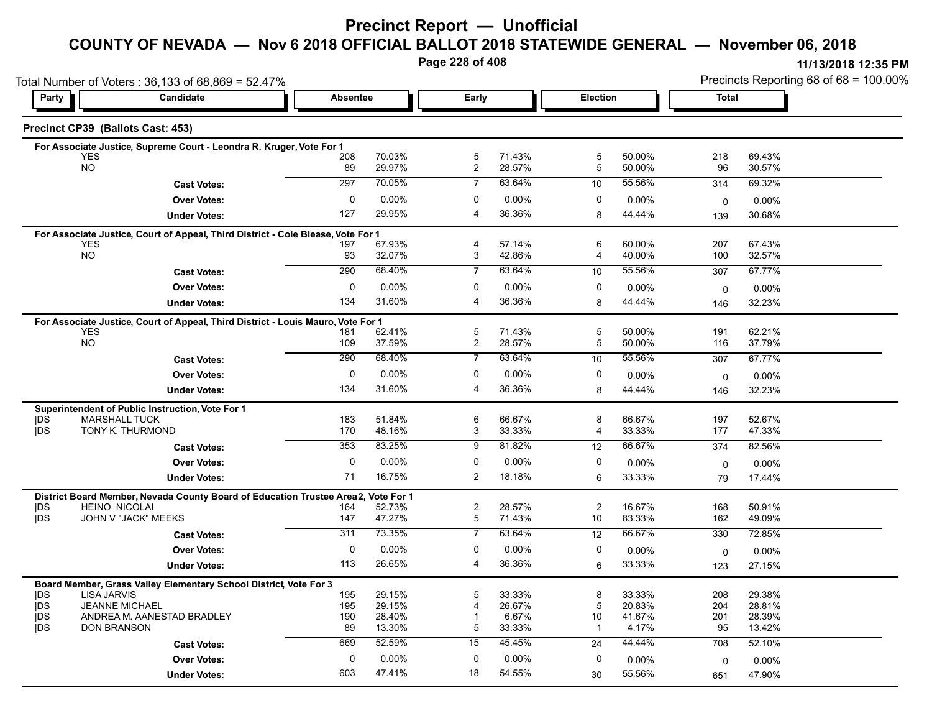### **Precinct Report — Unofficial**

### **COUNTY OF NEVADA — Nov 6 2018 OFFICIAL BALLOT 2018 STATEWIDE GENERAL — November 06, 2018**

**Page 228 of 408**

|                   | Total Number of Voters: 36,133 of 68,869 = 52.47%                                              |                 |                      |                     |                  |                |                  |              | Precincts Reporting 68 of 68 = 100.00% |
|-------------------|------------------------------------------------------------------------------------------------|-----------------|----------------------|---------------------|------------------|----------------|------------------|--------------|----------------------------------------|
| Party             | Candidate                                                                                      | <b>Absentee</b> |                      | <b>Early</b>        |                  | Election       |                  | <b>Total</b> |                                        |
|                   | Precinct CP39 (Ballots Cast: 453)                                                              |                 |                      |                     |                  |                |                  |              |                                        |
|                   | For Associate Justice, Supreme Court - Leondra R. Kruger, Vote For 1                           |                 |                      |                     |                  |                |                  |              |                                        |
|                   | <b>YES</b><br><b>NO</b>                                                                        | 208<br>89       | 70.03%<br>29.97%     | 5<br>$\overline{c}$ | 71.43%<br>28.57% | 5<br>5         | 50.00%<br>50.00% | 218<br>96    | 69.43%<br>30.57%                       |
|                   |                                                                                                |                 | 70.05%               | $\overline{7}$      | 63.64%           |                | 55.56%           |              |                                        |
|                   | <b>Cast Votes:</b>                                                                             | 297             |                      |                     |                  | 10             |                  | 314          | 69.32%                                 |
|                   | <b>Over Votes:</b>                                                                             | 0               | 0.00%                | 0                   | $0.00\%$         | 0              | 0.00%            | $\mathbf 0$  | $0.00\%$                               |
|                   | <b>Under Votes:</b>                                                                            | 127             | 29.95%               | 4                   | 36.36%           | 8              | 44.44%           | 139          | 30.68%                                 |
|                   | For Associate Justice, Court of Appeal, Third District - Cole Blease, Vote For 1               |                 |                      |                     |                  |                |                  |              |                                        |
|                   | <b>YES</b><br><b>NO</b>                                                                        | 197<br>93       | 67.93%<br>32.07%     | 4<br>3              | 57.14%<br>42.86% | 6<br>4         | 60.00%<br>40.00% | 207<br>100   | 67.43%<br>32.57%                       |
|                   | <b>Cast Votes:</b>                                                                             | 290             | 68.40%               | 7                   | 63.64%           | 10             | 55.56%           | 307          | 67.77%                                 |
|                   |                                                                                                | 0               |                      | 0                   |                  | 0              |                  |              |                                        |
|                   | <b>Over Votes:</b>                                                                             | 134             | 0.00%<br>31.60%      | $\overline{4}$      | 0.00%<br>36.36%  |                | 0.00%            | 0            | 0.00%                                  |
|                   | <b>Under Votes:</b>                                                                            |                 |                      |                     |                  | 8              | 44.44%           | 146          | 32.23%                                 |
|                   | For Associate Justice, Court of Appeal, Third District - Louis Mauro, Vote For 1               |                 |                      |                     |                  |                |                  |              |                                        |
|                   | <b>YES</b><br><b>NO</b>                                                                        | 181<br>109      | 62.41%<br>37.59%     | 5<br>$\overline{c}$ | 71.43%<br>28.57% | 5<br>5         | 50.00%<br>50.00% | 191<br>116   | 62.21%<br>37.79%                       |
|                   | <b>Cast Votes:</b>                                                                             | 290             | 68.40%               | $\overline{7}$      | 63.64%           | 10             | 55.56%           | 307          | 67.77%                                 |
|                   | <b>Over Votes:</b>                                                                             | 0               | 0.00%                | 0                   | 0.00%            | 0              | 0.00%            |              |                                        |
|                   |                                                                                                | 134             | 31.60%               | $\overline{4}$      | 36.36%           | 8              | 44.44%           | 0            | $0.00\%$                               |
|                   | <b>Under Votes:</b>                                                                            |                 |                      |                     |                  |                |                  | 146          | 32.23%                                 |
|                   | Superintendent of Public Instruction, Vote For 1                                               |                 | 51.84%               |                     | 66.67%           | 8              | 66.67%           |              | 52.67%                                 |
| <b>IDS</b><br>jDS | <b>MARSHALL TUCK</b><br>TONY K. THURMOND                                                       | 183<br>170      | 48.16%               | 6<br>3              | 33.33%           | 4              | 33.33%           | 197<br>177   | 47.33%                                 |
|                   | <b>Cast Votes:</b>                                                                             | 353             | 83.25%               | 9                   | 81.82%           | 12             | 66.67%           | 374          | 82.56%                                 |
|                   | <b>Over Votes:</b>                                                                             | $\mathbf 0$     | 0.00%                | $\mathbf 0$         | 0.00%            | 0              | 0.00%            |              | 0.00%                                  |
|                   | <b>Under Votes:</b>                                                                            | 71              | 16.75%               | 2                   | 18.18%           | 6              | 33.33%           | 0            | 17.44%                                 |
|                   |                                                                                                |                 |                      |                     |                  |                |                  | 79           |                                        |
|                   | District Board Member, Nevada County Board of Education Trustee Area2,<br><b>HEINO NICOLAI</b> | 164             | Vote For 1<br>52.73% | $\overline{c}$      | 28.57%           | $\overline{2}$ | 16.67%           | 168          | 50.91%                                 |
| DS<br><b>IDS</b>  | JOHN V "JACK" MEEKS                                                                            | 147             | 47.27%               | $\mathbf 5$         | 71.43%           | 10             | 83.33%           | 162          | 49.09%                                 |
|                   | <b>Cast Votes:</b>                                                                             | 311             | 73.35%               | $\overline{7}$      | 63.64%           | 12             | 66.67%           | 330          | 72.85%                                 |
|                   | <b>Over Votes:</b>                                                                             | 0               | 0.00%                | 0                   | 0.00%            | 0              | 0.00%            | 0            | 0.00%                                  |
|                   | <b>Under Votes:</b>                                                                            | 113             | 26.65%               | 4                   | 36.36%           | 6              | 33.33%           | 123          | 27.15%                                 |
|                   |                                                                                                |                 |                      |                     |                  |                |                  |              |                                        |
| DS                | Board Member, Grass Valley Elementary School District, Vote For 3<br><b>LISA JARVIS</b>        | 195             | 29.15%               | 5                   | 33.33%           | 8              | 33.33%           | 208          | 29.38%                                 |
| <b>IDS</b>        | <b>JEANNE MICHAEL</b>                                                                          | 195             | 29.15%               | 4                   | 26.67%           | 5              | 20.83%           | 204          | 28.81%                                 |
| jDS               | ANDREA M. AANESTAD BRADLEY                                                                     | 190             | 28.40%               | -1                  | 6.67%            | 10             | 41.67%           | 201          | 28.39%                                 |
| <b>IDS</b>        | <b>DON BRANSON</b>                                                                             | 89              | 13.30%               | 5                   | 33.33%           | $\mathbf{1}$   | 4.17%            | 95           | 13.42%                                 |
|                   | <b>Cast Votes:</b>                                                                             | 669             | 52.59%               | 15                  | 45.45%           | 24             | 44.44%           | 708          | 52.10%                                 |
|                   | <b>Over Votes:</b>                                                                             | 0               | 0.00%                | 0                   | $0.00\%$         | 0              | 0.00%            | 0            | 0.00%                                  |
|                   | <b>Under Votes:</b>                                                                            | 603             | 47.41%               | 18                  | 54.55%           | 30             | 55.56%           | 651          | 47.90%                                 |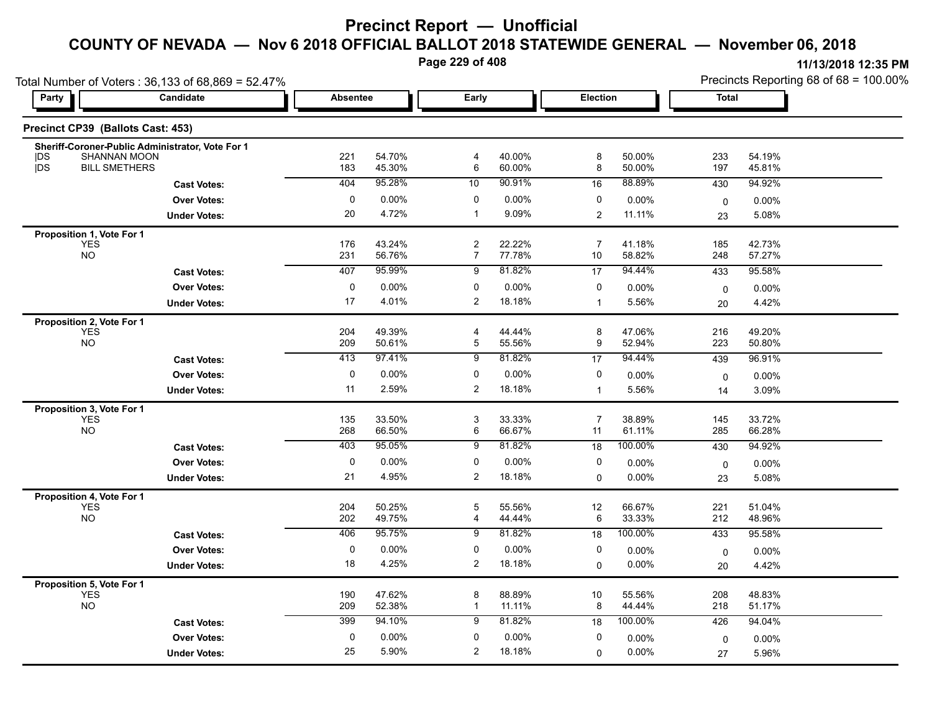**Page 229 of 408**

|                                         | Total Number of Voters: 36,133 of 68,869 = 52.47%                |                 |                  |                                    |                  |                      |                  |              | Precincts Reporting 68 of 68 = 100.00% |
|-----------------------------------------|------------------------------------------------------------------|-----------------|------------------|------------------------------------|------------------|----------------------|------------------|--------------|----------------------------------------|
| Party                                   | Candidate                                                        | <b>Absentee</b> |                  | Early                              |                  | Election             |                  | <b>Total</b> |                                        |
| Precinct CP39 (Ballots Cast: 453)       |                                                                  |                 |                  |                                    |                  |                      |                  |              |                                        |
| <b>IDS</b>                              | Sheriff-Coroner-Public Administrator, Vote For 1<br>SHANNAN MOON | 221             | 54.70%           | $\overline{\mathbf{4}}$            | 40.00%           | 8                    | 50.00%           | 233          | 54.19%                                 |
| <b>IDS</b><br><b>BILL SMETHERS</b>      |                                                                  | 183             | 45.30%           | 6                                  | 60.00%           | 8                    | 50.00%           | 197          | 45.81%                                 |
|                                         | <b>Cast Votes:</b>                                               | 404             | 95.28%           | 10                                 | 90.91%           | 16                   | 88.89%           | 430          | 94.92%                                 |
|                                         | <b>Over Votes:</b>                                               | 0               | $0.00\%$         | 0                                  | 0.00%            | 0                    | $0.00\%$         | 0            | 0.00%                                  |
|                                         | <b>Under Votes:</b>                                              | 20              | 4.72%            | $\mathbf 1$                        | 9.09%            | $\overline{2}$       | 11.11%           | 23           | 5.08%                                  |
| Proposition 1, Vote For 1               |                                                                  |                 |                  |                                    |                  |                      |                  |              |                                        |
| <b>YES</b><br><b>NO</b>                 |                                                                  | 176<br>231      | 43.24%<br>56.76% | $\boldsymbol{2}$<br>$\overline{7}$ | 22.22%<br>77.78% | 7<br>10              | 41.18%<br>58.82% | 185<br>248   | 42.73%<br>57.27%                       |
|                                         | <b>Cast Votes:</b>                                               | 407             | 95.99%           | 9                                  | 81.82%           | 17                   | 94.44%           | 433          | 95.58%                                 |
|                                         | <b>Over Votes:</b>                                               | 0               | 0.00%            | 0                                  | 0.00%            | 0                    | 0.00%            | $\mathbf 0$  | 0.00%                                  |
|                                         | <b>Under Votes:</b>                                              | 17              | 4.01%            | 2                                  | 18.18%           | $\overline{1}$       | 5.56%            | 20           | 4.42%                                  |
| Proposition 2, Vote For 1               |                                                                  |                 |                  |                                    |                  |                      |                  |              |                                        |
| <b>YES</b>                              |                                                                  | 204             | 49.39%           | $\overline{4}$                     | 44.44%           | 8                    | 47.06%           | 216          | 49.20%                                 |
| <b>NO</b>                               |                                                                  | 209             | 50.61%           | 5                                  | 55.56%           | 9                    | 52.94%           | 223          | 50.80%                                 |
|                                         | <b>Cast Votes:</b>                                               | 413             | 97.41%           | 9                                  | 81.82%           | 17                   | 94.44%           | 439          | 96.91%                                 |
|                                         | <b>Over Votes:</b>                                               | 0               | 0.00%            | 0                                  | 0.00%            | 0                    | 0.00%            | 0            | 0.00%                                  |
|                                         | <b>Under Votes:</b>                                              | 11              | 2.59%            | $\overline{c}$                     | 18.18%           | $\mathbf{1}$         | 5.56%            | 14           | 3.09%                                  |
| Proposition 3, Vote For 1               |                                                                  |                 |                  |                                    |                  |                      |                  |              |                                        |
| <b>YES</b><br><b>NO</b>                 |                                                                  | 135<br>268      | 33.50%<br>66.50% | 3<br>6                             | 33.33%<br>66.67% | $\overline{7}$<br>11 | 38.89%<br>61.11% | 145<br>285   | 33.72%<br>66.28%                       |
|                                         |                                                                  | 403             | 95.05%           | 9                                  | 81.82%           | 18                   | 100.00%          | 430          | 94.92%                                 |
|                                         | <b>Cast Votes:</b>                                               |                 |                  |                                    |                  |                      |                  |              |                                        |
|                                         | <b>Over Votes:</b>                                               | 0               | $0.00\%$         | 0                                  | 0.00%            | 0                    | 0.00%            | $\mathbf 0$  | 0.00%                                  |
|                                         | <b>Under Votes:</b>                                              | 21              | 4.95%            | $\overline{c}$                     | 18.18%           | 0                    | 0.00%            | 23           | 5.08%                                  |
| Proposition 4, Vote For 1<br><b>YES</b> |                                                                  | 204             | 50.25%           | $\overline{5}$                     | 55.56%           | 12                   | 66.67%           | 221          | 51.04%                                 |
| <b>NO</b>                               |                                                                  | 202             | 49.75%           | $\overline{4}$                     | 44.44%           | 6                    | 33.33%           | 212          | 48.96%                                 |
|                                         | <b>Cast Votes:</b>                                               | 406             | 95.75%           | 9                                  | 81.82%           | 18                   | 100.00%          | 433          | 95.58%                                 |
|                                         | <b>Over Votes:</b>                                               | 0               | 0.00%            | 0                                  | 0.00%            | 0                    | 0.00%            | 0            | 0.00%                                  |
|                                         | <b>Under Votes:</b>                                              | 18              | 4.25%            | $\overline{c}$                     | 18.18%           | 0                    | 0.00%            | 20           | 4.42%                                  |
| Proposition 5, Vote For 1               |                                                                  |                 |                  |                                    |                  |                      |                  |              |                                        |
| <b>YES</b><br><b>NO</b>                 |                                                                  | 190<br>209      | 47.62%<br>52.38% | 8<br>$\mathbf{1}$                  | 88.89%<br>11.11% | 10<br>8              | 55.56%<br>44.44% | 208<br>218   | 48.83%<br>51.17%                       |
|                                         | <b>Cast Votes:</b>                                               | 399             | 94.10%           | 9                                  | 81.82%           | 18                   | 100.00%          | 426          | 94.04%                                 |
|                                         | <b>Over Votes:</b>                                               | 0               | $0.00\%$         | 0                                  | 0.00%            | 0                    | $0.00\%$         | $\mathbf 0$  | $0.00\%$                               |
|                                         | <b>Under Votes:</b>                                              | 25              | 5.90%            | 2                                  | 18.18%           | $\Omega$             | 0.00%            | 27           | 5.96%                                  |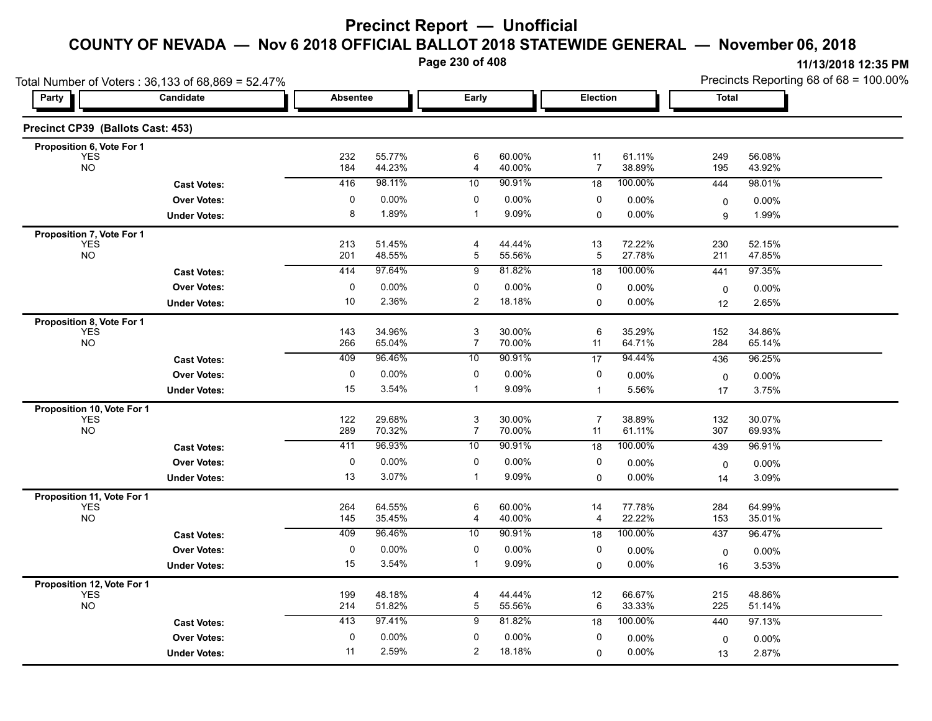**Page 230 of 408**

|                                          | Total Number of Voters: 36,133 of 68,869 = 52.47% |                 |                  |                                             |                  |                      |                  |                   | Precincts Reporting 68 of 68 = 100.00% |
|------------------------------------------|---------------------------------------------------|-----------------|------------------|---------------------------------------------|------------------|----------------------|------------------|-------------------|----------------------------------------|
| Party                                    | Candidate                                         | <b>Absentee</b> |                  | Early                                       |                  | Election             |                  | Total             |                                        |
| Precinct CP39 (Ballots Cast: 453)        |                                                   |                 |                  |                                             |                  |                      |                  |                   |                                        |
| Proposition 6, Vote For 1                |                                                   |                 |                  |                                             |                  |                      |                  |                   |                                        |
| <b>YES</b><br><b>NO</b>                  |                                                   | 232<br>184      | 55.77%<br>44.23% | 6<br>4                                      | 60.00%<br>40.00% | 11<br>$\overline{7}$ | 61.11%<br>38.89% | 249<br>195        | 56.08%<br>43.92%                       |
|                                          | <b>Cast Votes:</b>                                | 416             | 98.11%           | 10                                          | 90.91%           | 18                   | 100.00%          | 444               | 98.01%                                 |
|                                          | <b>Over Votes:</b>                                | 0               | $0.00\%$         | 0                                           | 0.00%            | 0                    | 0.00%            | 0                 | $0.00\%$                               |
|                                          | <b>Under Votes:</b>                               | 8               | 1.89%            | $\mathbf{1}$                                | 9.09%            | 0                    | $0.00\%$         | 9                 | 1.99%                                  |
| Proposition 7, Vote For 1                |                                                   |                 |                  |                                             |                  |                      |                  |                   |                                        |
| YES<br>NO                                |                                                   | 213<br>201      | 51.45%<br>48.55% | 4<br>$\mathbf 5$                            | 44.44%<br>55.56% | 13<br>5              | 72.22%<br>27.78% | 230<br>211        | 52.15%<br>47.85%                       |
|                                          | <b>Cast Votes:</b>                                | 414             | 97.64%           | 9                                           | 81.82%           | 18                   | 100.00%          | 441               | 97.35%                                 |
|                                          | <b>Over Votes:</b>                                | $\mathbf 0$     | 0.00%            | 0                                           | 0.00%            | 0                    | $0.00\%$         | 0                 | 0.00%                                  |
|                                          | <b>Under Votes:</b>                               | 10              | 2.36%            | $\overline{c}$                              | 18.18%           | 0                    | 0.00%            | 12                | 2.65%                                  |
| Proposition 8, Vote For 1                |                                                   |                 |                  |                                             |                  |                      |                  |                   |                                        |
| <b>YES</b>                               |                                                   | 143             | 34.96%           | 3                                           | 30.00%           | 6                    | 35.29%           | 152               | 34.86%                                 |
| <b>NO</b>                                |                                                   | 266             | 65.04%           | $\overline{7}$                              | 70.00%           | 11                   | 64.71%           | 284               | 65.14%                                 |
|                                          | <b>Cast Votes:</b>                                | 409             | 96.46%           | 10                                          | 90.91%           | 17                   | 94.44%           | 436               | 96.25%                                 |
|                                          | <b>Over Votes:</b>                                | 0               | 0.00%            | 0                                           | 0.00%            | 0                    | 0.00%            | 0                 | $0.00\%$                               |
|                                          | <b>Under Votes:</b>                               | 15              | 3.54%            | $\mathbf{1}$                                | 9.09%            | $\mathbf{1}$         | 5.56%            | 17                | 3.75%                                  |
| Proposition 10, Vote For 1               |                                                   |                 |                  |                                             |                  |                      |                  |                   |                                        |
| <b>YES</b><br><b>NO</b>                  |                                                   | 122<br>289      | 29.68%<br>70.32% | $\ensuremath{\mathsf{3}}$<br>$\overline{7}$ | 30.00%<br>70.00% | $\overline{7}$<br>11 | 38.89%<br>61.11% | 132<br>307        | 30.07%<br>69.93%                       |
|                                          | <b>Cast Votes:</b>                                | 411             | 96.93%           | 10                                          | 90.91%           | 18                   | 100.00%          | 439               | 96.91%                                 |
|                                          | <b>Over Votes:</b>                                | 0               | $0.00\%$         | 0                                           | 0.00%            | 0                    | 0.00%            |                   | $0.00\%$                               |
|                                          | <b>Under Votes:</b>                               | 13              | 3.07%            | -1                                          | 9.09%            | 0                    | 0.00%            | $\mathbf 0$<br>14 | 3.09%                                  |
|                                          |                                                   |                 |                  |                                             |                  |                      |                  |                   |                                        |
| Proposition 11, Vote For 1<br><b>YES</b> |                                                   | 264             | 64.55%           | 6                                           | 60.00%           | 14                   | 77.78%           | 284               | 64.99%                                 |
| <b>NO</b>                                |                                                   | 145             | 35.45%           | 4                                           | 40.00%           | 4                    | 22.22%           | 153               | 35.01%                                 |
|                                          | <b>Cast Votes:</b>                                | 409             | 96.46%           | 10                                          | 90.91%           | 18                   | 100.00%          | 437               | 96.47%                                 |
|                                          | <b>Over Votes:</b>                                | 0               | 0.00%            | 0                                           | 0.00%            | 0                    | 0.00%            | 0                 | 0.00%                                  |
|                                          | <b>Under Votes:</b>                               | 15              | 3.54%            | $\mathbf{1}$                                | 9.09%            | $\mathbf 0$          | 0.00%            | 16                | 3.53%                                  |
| Proposition 12, Vote For 1               |                                                   |                 |                  |                                             |                  |                      |                  |                   |                                        |
| <b>YES</b><br><b>NO</b>                  |                                                   | 199<br>214      | 48.18%<br>51.82% | $\overline{4}$<br>$\overline{5}$            | 44.44%<br>55.56% | 12<br>6              | 66.67%<br>33.33% | 215<br>225        | 48.86%<br>51.14%                       |
|                                          |                                                   | 413             | 97.41%           | 9                                           | 81.82%           |                      | 100.00%          |                   |                                        |
|                                          | <b>Cast Votes:</b>                                |                 |                  |                                             |                  | 18                   |                  | 440               | 97.13%                                 |
|                                          | <b>Over Votes:</b>                                | $\mathbf 0$     | $0.00\%$         | 0                                           | 0.00%            | 0                    | 0.00%            | $\mathbf 0$       | 0.00%                                  |
|                                          | <b>Under Votes:</b>                               | 11              | 2.59%            | 2                                           | 18.18%           | $\Omega$             | 0.00%            | 13                | 2.87%                                  |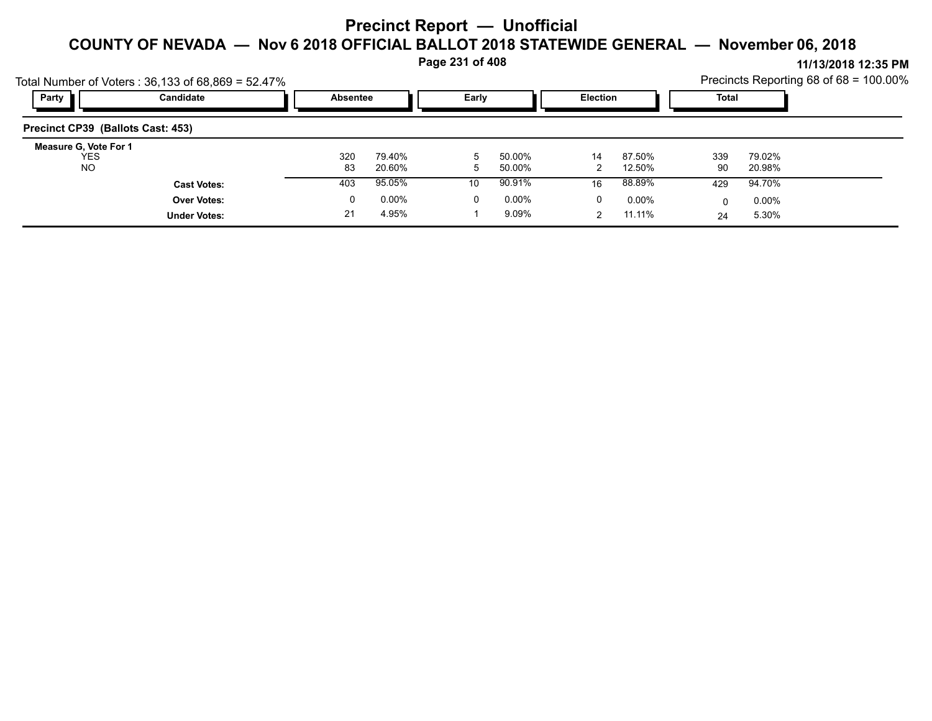**Page 231 of 408**

|                                           | Total Number of Voters: $36,133$ of $68,869 = 52.47\%$ |                 |                  |       |                  |                 |                  |           |                  | Precincts Reporting 68 of 68 = 100.00% |
|-------------------------------------------|--------------------------------------------------------|-----------------|------------------|-------|------------------|-----------------|------------------|-----------|------------------|----------------------------------------|
| Party                                     | Candidate                                              | <b>Absentee</b> |                  | Early |                  | <b>Election</b> |                  | Total     |                  |                                        |
| Precinct CP39 (Ballots Cast: 453)         |                                                        |                 |                  |       |                  |                 |                  |           |                  |                                        |
| Measure G, Vote For 1<br>YES<br><b>NO</b> |                                                        | 320<br>83       | 79.40%<br>20.60% | 5     | 50.00%<br>50.00% | 14              | 87.50%<br>12.50% | 339<br>90 | 79.02%<br>20.98% |                                        |
|                                           | <b>Cast Votes:</b>                                     | 403             | 95.05%           | 10    | 90.91%           | 16              | 88.89%           | 429       | 94.70%           |                                        |
|                                           | <b>Over Votes:</b>                                     | 0               | $0.00\%$         | 0     | $0.00\%$         | 0               | $0.00\%$         |           | $0.00\%$         |                                        |
|                                           | <b>Under Votes:</b>                                    | 21              | 4.95%            |       | 9.09%            |                 | 11.11%           | 24        | 5.30%            |                                        |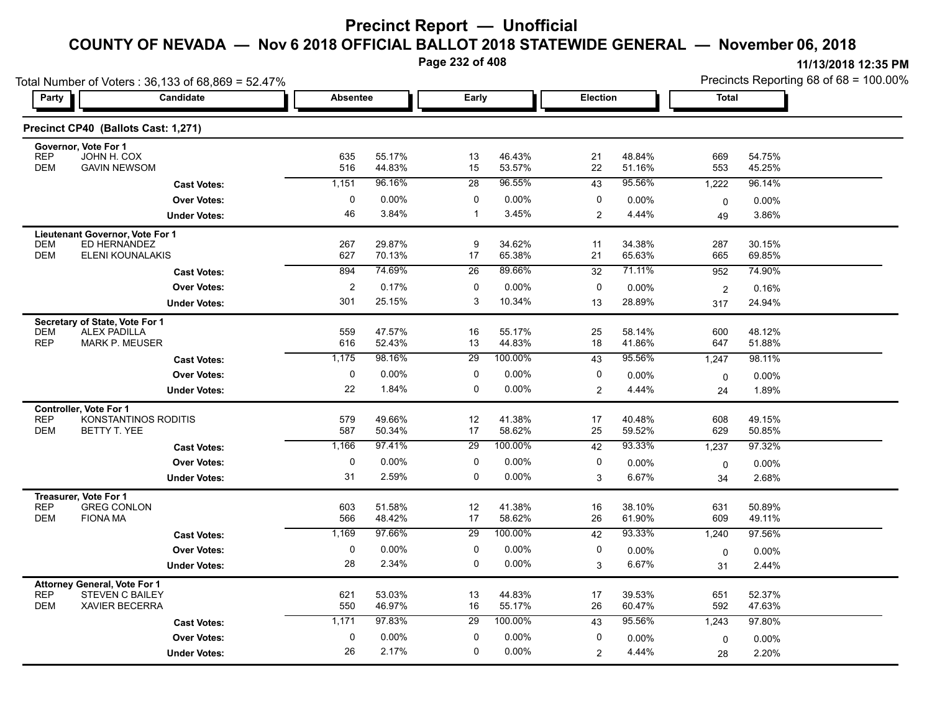**Page 232 of 408**

|                                                                 | Total Number of Voters: 36,133 of 68,869 = 52.47%                   |                 |                  |                  |                   |                |                  | Precincts Reporting 68 of 68 = 100.00% |                   |  |
|-----------------------------------------------------------------|---------------------------------------------------------------------|-----------------|------------------|------------------|-------------------|----------------|------------------|----------------------------------------|-------------------|--|
| Party                                                           | Candidate                                                           | <b>Absentee</b> |                  | Early            |                   | Election       |                  | Total                                  |                   |  |
|                                                                 | Precinct CP40 (Ballots Cast: 1,271)                                 |                 |                  |                  |                   |                |                  |                                        |                   |  |
| Governor, Vote For 1<br><b>REP</b>                              | JOHN H. COX                                                         | 635             | 55.17%           | 13               | 46.43%            | 21             | 48.84%           | 669                                    | 54.75%            |  |
| <b>DEM</b>                                                      | <b>GAVIN NEWSOM</b>                                                 | 516             | 44.83%           | 15               | 53.57%            | 22             | 51.16%           | 553                                    | 45.25%            |  |
|                                                                 | <b>Cast Votes:</b>                                                  | 1,151           | 96.16%           | 28               | 96.55%            | 43             | 95.56%           | 1,222                                  | 96.14%            |  |
|                                                                 | <b>Over Votes:</b>                                                  | 0               | $0.00\%$         | 0                | 0.00%             | 0              | 0.00%            | $\mathbf 0$                            | 0.00%             |  |
|                                                                 | <b>Under Votes:</b>                                                 | 46              | 3.84%            | $\mathbf{1}$     | 3.45%             | $\overline{2}$ | 4.44%            | 49                                     | 3.86%             |  |
| <b>DEM</b><br><b>DEM</b>                                        | Lieutenant Governor, Vote For 1<br>ED HERNANDEZ<br>ELENI KOUNALAKIS | 267<br>627      | 29.87%<br>70.13% | 9<br>17          | 34.62%<br>65.38%  | 11<br>21       | 34.38%<br>65.63% | 287<br>665                             | 30.15%<br>69.85%  |  |
|                                                                 |                                                                     | 894             | 74.69%           | $\overline{26}$  | 89.66%            | 32             | 71.11%           | 952                                    | 74.90%            |  |
|                                                                 | <b>Cast Votes:</b>                                                  | $\overline{c}$  | 0.17%            |                  |                   |                |                  |                                        |                   |  |
|                                                                 | <b>Over Votes:</b>                                                  | 301             | 25.15%           | 0<br>3           | 0.00%<br>10.34%   | 0              | 0.00%            | $\overline{2}$                         | 0.16%             |  |
|                                                                 | <b>Under Votes:</b>                                                 |                 |                  |                  |                   | 13             | 28.89%           | 317                                    | 24.94%            |  |
| Secretary of State, Vote For 1<br><b>DEM</b><br><b>REP</b>      | <b>ALEX PADILLA</b><br><b>MARK P. MEUSER</b>                        | 559<br>616      | 47.57%<br>52.43% | 16<br>13         | 55.17%<br>44.83%  | 25<br>18       | 58.14%<br>41.86% | 600<br>647                             | 48.12%<br>51.88%  |  |
|                                                                 | <b>Cast Votes:</b>                                                  | 1,175           | 98.16%           | 29               | 100.00%           | 43             | 95.56%           | 1,247                                  | 98.11%            |  |
|                                                                 | <b>Over Votes:</b>                                                  | 0               | $0.00\%$         | 0                | 0.00%             | 0              | $0.00\%$         | $\mathbf 0$                            | 0.00%             |  |
|                                                                 | <b>Under Votes:</b>                                                 | 22              | 1.84%            | 0                | 0.00%             | $\overline{c}$ | 4.44%            | 24                                     | 1.89%             |  |
| <b>Controller, Vote For 1</b>                                   |                                                                     |                 |                  |                  |                   |                |                  |                                        |                   |  |
| <b>REP</b><br><b>DEM</b>                                        | KONSTANTINOS RODITIS<br>BETTY T. YEE                                | 579<br>587      | 49.66%<br>50.34% | 12<br>17         | 41.38%<br>58.62%  | 17<br>25       | 40.48%<br>59.52% | 608<br>629                             | 49.15%<br>50.85%  |  |
|                                                                 | <b>Cast Votes:</b>                                                  | 1,166           | 97.41%           | 29               | 100.00%           | 42             | 93.33%           | 1,237                                  | 97.32%            |  |
|                                                                 | <b>Over Votes:</b>                                                  | 0               | 0.00%            | 0                | 0.00%             | 0              | $0.00\%$         | 0                                      | $0.00\%$          |  |
|                                                                 | <b>Under Votes:</b>                                                 | 31              | 2.59%            | 0                | 0.00%             | 3              | 6.67%            | 34                                     | 2.68%             |  |
| Treasurer, Vote For 1                                           |                                                                     |                 |                  |                  |                   |                |                  |                                        |                   |  |
| <b>REP</b><br><b>DEM</b>                                        | <b>GREG CONLON</b><br><b>FIONA MA</b>                               | 603             | 51.58%           | 12<br>17         | 41.38%            | 16             | 38.10%<br>61.90% | 631                                    | 50.89%            |  |
|                                                                 |                                                                     | 566<br>1,169    | 48.42%<br>97.66% | $\overline{29}$  | 58.62%<br>100.00% | 26             | 93.33%           | 609                                    | 49.11%            |  |
|                                                                 | <b>Cast Votes:</b>                                                  |                 |                  |                  |                   | 42             |                  | 1,240                                  | 97.56%            |  |
|                                                                 | <b>Over Votes:</b>                                                  | $\mathbf 0$     | 0.00%            | 0<br>$\mathbf 0$ | 0.00%             | 0              | 0.00%            | $\mathbf 0$                            | 0.00%             |  |
|                                                                 | <b>Under Votes:</b>                                                 | 28              | 2.34%            |                  | 0.00%             | 3              | 6.67%            | 31                                     | 2.44%             |  |
| <b>Attorney General, Vote For 1</b><br><b>REP</b><br><b>DEM</b> | <b>STEVEN C BAILEY</b><br><b>XAVIER BECERRA</b>                     | 621<br>550      | 53.03%<br>46.97% | 13<br>16         | 44.83%<br>55.17%  | 17<br>26       | 39.53%<br>60.47% | 651<br>592                             | 52.37%<br>47.63%  |  |
|                                                                 | <b>Cast Votes:</b>                                                  | 1,171           | 97.83%           | 29               | 100.00%           | 43             | 95.56%           | 1,243                                  | 97.80%            |  |
|                                                                 | <b>Over Votes:</b>                                                  | $\Omega$        | $0.00\%$         | $\Omega$         | 0.00%             | 0              | $0.00\%$         |                                        |                   |  |
|                                                                 | <b>Under Votes:</b>                                                 | 26              | 2.17%            | 0                | 0.00%             | 2              | 4.44%            | 0<br>28                                | $0.00\%$<br>2.20% |  |
|                                                                 |                                                                     |                 |                  |                  |                   |                |                  |                                        |                   |  |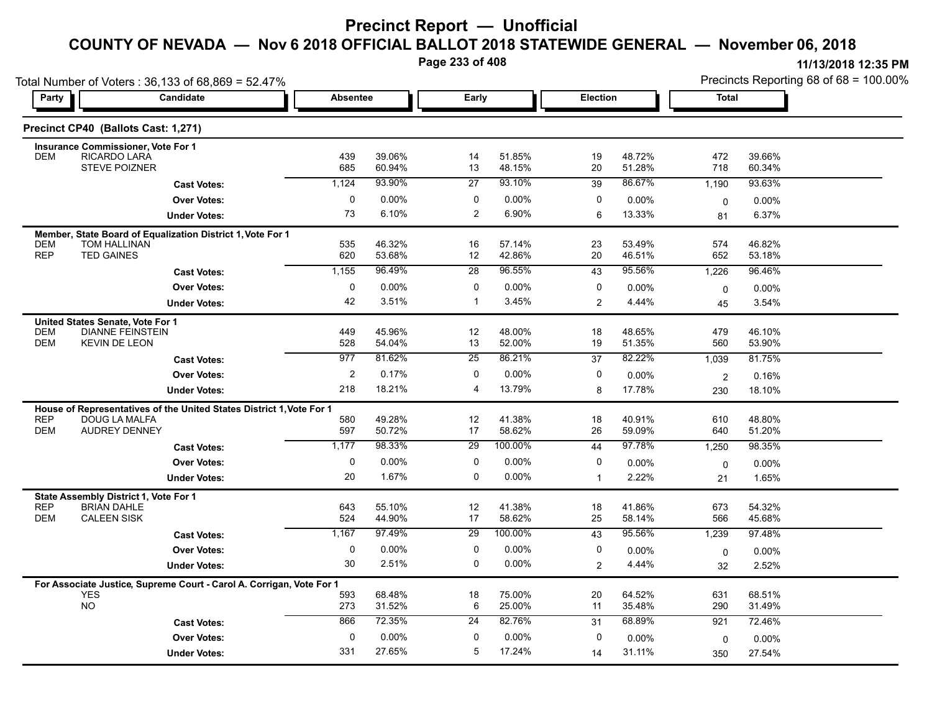**Page 233 of 408**

|                          | Total Number of Voters: 36,133 of 68,869 = 52.47%                                  |                 |                  | Precincts Reporting 68 of 68 = 100.00% |                  |                |                  |                |                  |
|--------------------------|------------------------------------------------------------------------------------|-----------------|------------------|----------------------------------------|------------------|----------------|------------------|----------------|------------------|
| Party                    | Candidate                                                                          | <b>Absentee</b> |                  | Early                                  |                  | Election       |                  | <b>Total</b>   |                  |
|                          | Precinct CP40 (Ballots Cast: 1,271)                                                |                 |                  |                                        |                  |                |                  |                |                  |
|                          | <b>Insurance Commissioner, Vote For 1</b>                                          |                 |                  |                                        |                  |                |                  |                |                  |
| <b>DEM</b>               | <b>RICARDO LARA</b><br><b>STEVE POIZNER</b>                                        | 439<br>685      | 39.06%<br>60.94% | 14<br>13                               | 51.85%<br>48.15% | 19<br>20       | 48.72%<br>51.28% | 472<br>718     | 39.66%<br>60.34% |
|                          | <b>Cast Votes:</b>                                                                 | 1,124           | 93.90%           | $\overline{27}$                        | 93.10%           | 39             | 86.67%           | 1,190          | 93.63%           |
|                          | <b>Over Votes:</b>                                                                 | 0               | 0.00%            | 0                                      | 0.00%            | 0              | 0.00%            | 0              | 0.00%            |
|                          | <b>Under Votes:</b>                                                                | 73              | 6.10%            | 2                                      | 6.90%            | 6              | 13.33%           | 81             | 6.37%            |
|                          | Member, State Board of Equalization District 1, Vote For 1                         |                 |                  |                                        |                  |                |                  |                |                  |
| <b>DEM</b>               | TOM HALLINAN                                                                       | 535             | 46.32%           | 16                                     | 57.14%           | 23             | 53.49%           | 574            | 46.82%           |
| <b>REP</b>               | <b>TED GAINES</b>                                                                  | 620             | 53.68%           | 12                                     | 42.86%           | 20             | 46.51%           | 652            | 53.18%           |
|                          | <b>Cast Votes:</b>                                                                 | 1,155           | 96.49%           | 28                                     | 96.55%           | 43             | 95.56%           | 1,226          | 96.46%           |
|                          | <b>Over Votes:</b>                                                                 | 0               | $0.00\%$         | 0                                      | 0.00%            | 0              | $0.00\%$         | 0              | 0.00%            |
|                          | <b>Under Votes:</b>                                                                | 42              | 3.51%            | -1                                     | 3.45%            | $\overline{2}$ | 4.44%            | 45             | 3.54%            |
|                          | United States Senate, Vote For 1                                                   |                 |                  |                                        |                  |                |                  |                |                  |
| <b>DEM</b><br><b>DEM</b> | <b>DIANNE FEINSTEIN</b><br><b>KEVIN DE LEON</b>                                    | 449<br>528      | 45.96%<br>54.04% | 12<br>13                               | 48.00%<br>52.00% | 18<br>19       | 48.65%<br>51.35% | 479<br>560     | 46.10%<br>53.90% |
|                          | <b>Cast Votes:</b>                                                                 | 977             | 81.62%           | 25                                     | 86.21%           | 37             | 82.22%           | 1,039          | 81.75%           |
|                          | <b>Over Votes:</b>                                                                 | 2               | 0.17%            | 0                                      | 0.00%            | 0              | 0.00%            | $\overline{2}$ | 0.16%            |
|                          | <b>Under Votes:</b>                                                                | 218             | 18.21%           | 4                                      | 13.79%           | 8              | 17.78%           | 230            | 18.10%           |
|                          | House of Representatives of the United States District 1, Vote For 1               |                 |                  |                                        |                  |                |                  |                |                  |
| <b>REP</b>               | DOUG LA MALFA                                                                      | 580             | 49.28%           | 12                                     | 41.38%           | 18             | 40.91%           | 610            | 48.80%           |
| <b>DEM</b>               | <b>AUDREY DENNEY</b>                                                               | 597             | 50.72%           | 17                                     | 58.62%           | 26             | 59.09%           | 640            | 51.20%           |
|                          | <b>Cast Votes:</b>                                                                 | 1,177           | 98.33%           | 29                                     | 100.00%          | 44             | 97.78%           | 1,250          | 98.35%           |
|                          | <b>Over Votes:</b>                                                                 | 0               | 0.00%            | 0                                      | 0.00%            | 0              | $0.00\%$         | $\mathbf 0$    | $0.00\%$         |
|                          | <b>Under Votes:</b>                                                                | 20              | 1.67%            | 0                                      | 0.00%            | $\overline{1}$ | 2.22%            | 21             | 1.65%            |
|                          | State Assembly District 1, Vote For 1                                              |                 |                  |                                        |                  |                |                  |                |                  |
| <b>REP</b><br><b>DEM</b> | <b>BRIAN DAHLE</b><br><b>CALEEN SISK</b>                                           | 643<br>524      | 55.10%<br>44.90% | 12<br>17                               | 41.38%<br>58.62% | 18<br>25       | 41.86%<br>58.14% | 673<br>566     | 54.32%<br>45.68% |
|                          | <b>Cast Votes:</b>                                                                 | 1,167           | 97.49%           | $\overline{29}$                        | 100.00%          | 43             | 95.56%           | 1,239          | 97.48%           |
|                          | <b>Over Votes:</b>                                                                 | 0               | $0.00\%$         | 0                                      | 0.00%            | 0              |                  |                |                  |
|                          |                                                                                    | 30              | 2.51%            | 0                                      | 0.00%            | 2              | 0.00%<br>4.44%   | $\mathbf 0$    | $0.00\%$         |
|                          | <b>Under Votes:</b>                                                                |                 |                  |                                        |                  |                |                  | 32             | 2.52%            |
|                          | For Associate Justice, Supreme Court - Carol A. Corrigan, Vote For 1<br><b>YES</b> | 593             | 68.48%           | 18                                     | 75.00%           | 20             | 64.52%           | 631            | 68.51%           |
|                          | <b>NO</b>                                                                          | 273             | 31.52%           | 6                                      | 25.00%           | 11             | 35.48%           | 290            | 31.49%           |
|                          | <b>Cast Votes:</b>                                                                 | 866             | 72.35%           | 24                                     | 82.76%           | 31             | 68.89%           | 921            | 72.46%           |
|                          |                                                                                    |                 |                  |                                        |                  |                |                  |                |                  |
|                          | <b>Over Votes:</b>                                                                 | $\mathbf 0$     | 0.00%            | 0                                      | 0.00%            | $\mathbf 0$    | 0.00%            | 0              | 0.00%            |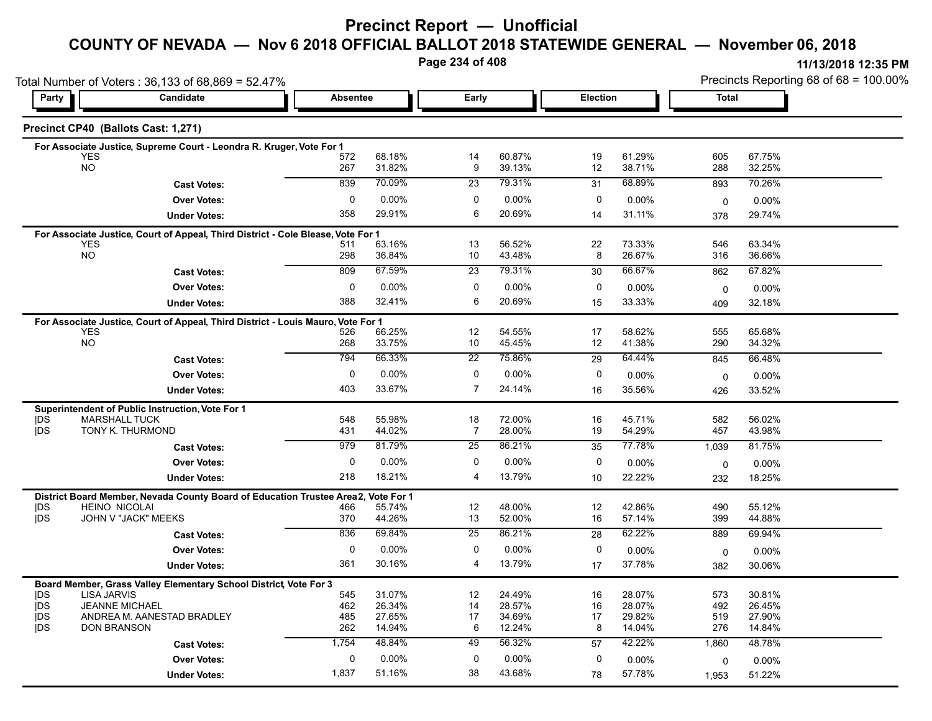# **Precinct Report — Unofficial**

# **COUNTY OF NEVADA — Nov 6 2018 OFFICIAL BALLOT 2018 STATEWIDE GENERAL — November 06, 2018**

**Page 234 of 408**

|                          | Total Number of Voters: 36,133 of 68,869 = 52.47%                                |                 |                  |                 |                  | Precincts Reporting 68 of 68 = 100.00% |                  |              |                  |
|--------------------------|----------------------------------------------------------------------------------|-----------------|------------------|-----------------|------------------|----------------------------------------|------------------|--------------|------------------|
| Party                    | Candidate                                                                        | <b>Absentee</b> |                  | Early           |                  | Election                               |                  | <b>Total</b> |                  |
|                          | Precinct CP40 (Ballots Cast: 1,271)                                              |                 |                  |                 |                  |                                        |                  |              |                  |
|                          | For Associate Justice, Supreme Court - Leondra R. Kruger, Vote For 1             |                 |                  |                 |                  |                                        |                  |              |                  |
|                          | <b>YES</b><br><b>NO</b>                                                          | 572<br>267      | 68.18%<br>31.82% | 14<br>9         | 60.87%<br>39.13% | 19<br>12                               | 61.29%<br>38.71% | 605<br>288   | 67.75%<br>32.25% |
|                          |                                                                                  | 839             | 70.09%           | 23              | 79.31%           |                                        | 68.89%           |              |                  |
|                          | <b>Cast Votes:</b>                                                               |                 |                  |                 |                  | 31                                     |                  | 893          | 70.26%           |
|                          | <b>Over Votes:</b>                                                               | 0               | $0.00\%$         | $\mathbf 0$     | 0.00%            | 0                                      | 0.00%            | $\mathbf 0$  | 0.00%            |
|                          | <b>Under Votes:</b>                                                              | 358             | 29.91%           | 6               | 20.69%           | 14                                     | 31.11%           | 378          | 29.74%           |
|                          | For Associate Justice, Court of Appeal, Third District - Cole Blease, Vote For 1 |                 |                  |                 |                  |                                        |                  |              |                  |
|                          | <b>YES</b><br><b>NO</b>                                                          | 511<br>298      | 63.16%<br>36.84% | 13<br>10        | 56.52%<br>43.48% | 22<br>8                                | 73.33%<br>26.67% | 546<br>316   | 63.34%<br>36.66% |
|                          | <b>Cast Votes:</b>                                                               | 809             | 67.59%           | 23              | 79.31%           | 30                                     | 66.67%           | 862          | 67.82%           |
|                          |                                                                                  |                 |                  |                 |                  |                                        |                  |              |                  |
|                          | <b>Over Votes:</b>                                                               | 0               | $0.00\%$         | 0               | $0.00\%$         | 0                                      | $0.00\%$         | 0            | 0.00%            |
|                          | <b>Under Votes:</b>                                                              | 388             | 32.41%           | 6               | 20.69%           | 15                                     | 33.33%           | 409          | 32.18%           |
|                          | For Associate Justice, Court of Appeal, Third District - Louis Mauro, Vote For 1 |                 |                  |                 |                  |                                        |                  |              |                  |
|                          | <b>YES</b><br><b>NO</b>                                                          | 526<br>268      | 66.25%<br>33.75% | 12<br>10        | 54.55%<br>45.45% | 17<br>12                               | 58.62%<br>41.38% | 555<br>290   | 65.68%<br>34.32% |
|                          |                                                                                  | 794             | 66.33%           | $\overline{22}$ | 75.86%           |                                        | 64.44%           |              |                  |
|                          | <b>Cast Votes:</b>                                                               |                 |                  |                 |                  | 29                                     |                  | 845          | 66.48%           |
|                          | <b>Over Votes:</b>                                                               | $\mathbf 0$     | $0.00\%$         | $\mathbf 0$     | 0.00%            | 0                                      | 0.00%            | 0            | 0.00%            |
|                          | <b>Under Votes:</b>                                                              | 403             | 33.67%           | $\overline{7}$  | 24.14%           | 16                                     | 35.56%           | 426          | 33.52%           |
|                          | Superintendent of Public Instruction, Vote For 1                                 |                 |                  |                 |                  |                                        |                  |              |                  |
| <b>IDS</b><br><b>IDS</b> | <b>MARSHALL TUCK</b><br>TONY K. THURMOND                                         | 548             | 55.98%           | 18              | 72.00%<br>28.00% | 16<br>19                               | 45.71%<br>54.29% | 582          | 56.02%           |
|                          |                                                                                  | 431             | 44.02%           | 7               |                  |                                        |                  | 457          | 43.98%           |
|                          | <b>Cast Votes:</b>                                                               | 979             | 81.79%           | 25              | 86.21%           | 35                                     | 77.78%           | 1,039        | 81.75%           |
|                          | <b>Over Votes:</b>                                                               | $\mathbf 0$     | $0.00\%$         | $\mathbf 0$     | 0.00%            | 0                                      | $0.00\%$         | 0            | 0.00%            |
|                          | <b>Under Votes:</b>                                                              | 218             | 18.21%           | 4               | 13.79%           | 10                                     | 22.22%           | 232          | 18.25%           |
|                          | District Board Member, Nevada County Board of Education Trustee Area2,           |                 | Vote For 1       |                 |                  |                                        |                  |              |                  |
| <b>IDS</b><br>jDS        | <b>HEINO NICOLAI</b>                                                             | 466             | 55.74%           | 12              | 48.00%           | 12                                     | 42.86%           | 490          | 55.12%           |
|                          | JOHN V "JACK" MEEKS                                                              | 370             | 44.26%           | 13              | 52.00%           | 16                                     | 57.14%           | 399          | 44.88%           |
|                          | <b>Cast Votes:</b>                                                               | 836             | 69.84%           | $\overline{25}$ | 86.21%           | 28                                     | 62.22%           | 889          | 69.94%           |
|                          | <b>Over Votes:</b>                                                               | $\mathbf 0$     | 0.00%            | $\mathbf 0$     | 0.00%            | 0                                      | 0.00%            | 0            | 0.00%            |
|                          | <b>Under Votes:</b>                                                              | 361             | 30.16%           | 4               | 13.79%           | 17                                     | 37.78%           | 382          | 30.06%           |
|                          | Board Member, Grass Valley Elementary School District, Vote For 3                |                 |                  |                 |                  |                                        |                  |              |                  |
| <b>IDS</b>               | <b>LISA JARVIS</b>                                                               | 545             | 31.07%           | 12              | 24.49%           | 16                                     | 28.07%           | 573          | 30.81%           |
| <b>IDS</b>               | <b>JEANNE MICHAEL</b><br>ANDREA M. AANESTAD BRADLEY                              | 462<br>485      | 26.34%<br>27.65% | 14<br>17        | 28.57%<br>34.69% | 16<br>17                               | 28.07%<br>29.82% | 492<br>519   | 26.45%<br>27.90% |
| <b>IDS</b><br><b>IDS</b> | <b>DON BRANSON</b>                                                               | 262             | 14.94%           | 6               | 12.24%           | 8                                      | 14.04%           | 276          | 14.84%           |
|                          | <b>Cast Votes:</b>                                                               | 1,754           | 48.84%           | 49              | 56.32%           | 57                                     | 42.22%           | 1,860        | 48.78%           |
|                          | <b>Over Votes:</b>                                                               | $\mathbf 0$     | 0.00%            | $\mathbf 0$     | 0.00%            | 0                                      | 0.00%            |              |                  |
|                          |                                                                                  | 1,837           | 51.16%           | 38              | 43.68%           |                                        | 57.78%           | 0            | 0.00%            |
|                          | <b>Under Votes:</b>                                                              |                 |                  |                 |                  | 78                                     |                  | 1,953        | 51.22%           |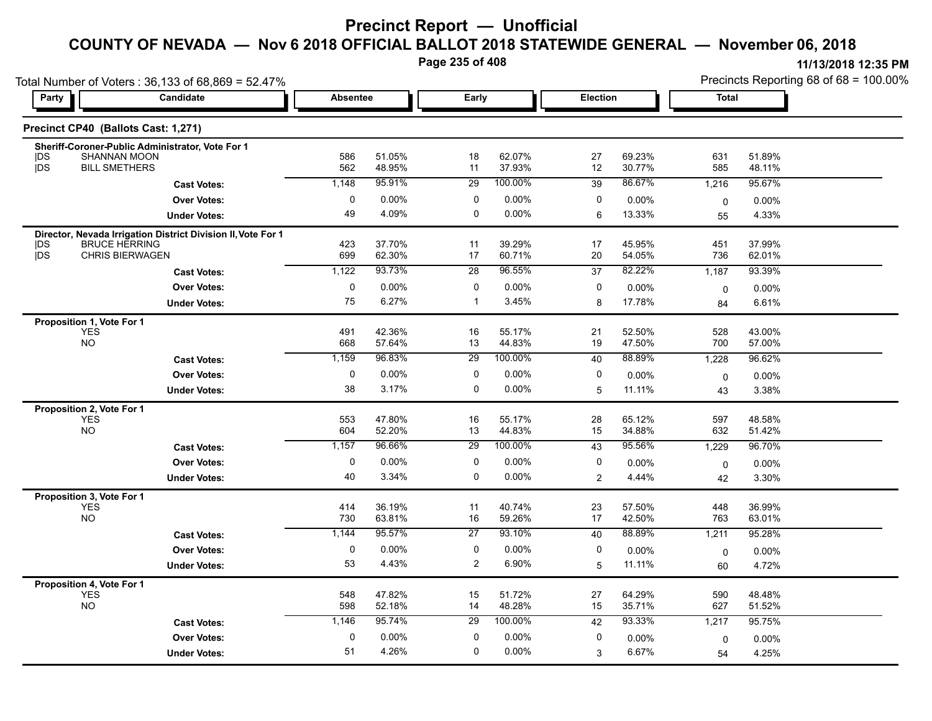# **Precinct Report — Unofficial**

# **COUNTY OF NEVADA — Nov 6 2018 OFFICIAL BALLOT 2018 STATEWIDE GENERAL — November 06, 2018**

**Page 235 of 408**

|                                                      | Total Number of Voters: 36,133 of 68,869 = 52.47%                                    |                 |                  |                 |                  |          |                  |             | Precincts Reporting 68 of 68 = 100.00% |
|------------------------------------------------------|--------------------------------------------------------------------------------------|-----------------|------------------|-----------------|------------------|----------|------------------|-------------|----------------------------------------|
| Party                                                | Candidate                                                                            | <b>Absentee</b> |                  | Early           |                  | Election |                  | Total       |                                        |
| Precinct CP40 (Ballots Cast: 1,271)                  |                                                                                      |                 |                  |                 |                  |          |                  |             |                                        |
| <b>IDS</b>                                           | Sheriff-Coroner-Public Administrator, Vote For 1<br><b>SHANNAN MOON</b>              | 586             | 51.05%           | 18              | 62.07%           | 27       | 69.23%           | 631         | 51.89%                                 |
| <b>jDS</b>                                           | <b>BILL SMETHERS</b>                                                                 | 562             | 48.95%           | 11              | 37.93%           | 12       | 30.77%           | 585         | 48.11%                                 |
|                                                      | <b>Cast Votes:</b>                                                                   | 1,148           | 95.91%           | 29              | 100.00%          | 39       | 86.67%           | 1,216       | 95.67%                                 |
|                                                      | <b>Over Votes:</b>                                                                   | 0               | $0.00\%$         | 0               | 0.00%            | 0        | 0.00%            | $\mathbf 0$ | $0.00\%$                               |
|                                                      | <b>Under Votes:</b>                                                                  | 49              | 4.09%            | $\mathbf 0$     | 0.00%            | 6        | 13.33%           | 55          | 4.33%                                  |
| DS                                                   | Director, Nevada Irrigation District Division II, Vote For 1<br><b>BRUCE HERRING</b> | 423             | 37.70%           | 11              | 39.29%           | 17       | 45.95%           | 451         | 37.99%                                 |
| jDS                                                  | <b>CHRIS BIERWAGEN</b>                                                               | 699             | 62.30%           | 17              | 60.71%           | 20       | 54.05%           | 736         | 62.01%                                 |
|                                                      | <b>Cast Votes:</b>                                                                   | 1,122           | 93.73%           | 28              | 96.55%           | 37       | 82.22%           | 1,187       | 93.39%                                 |
|                                                      | <b>Over Votes:</b>                                                                   | $\pmb{0}$       | 0.00%            | 0               | 0.00%            | 0        | 0.00%            | $\mathbf 0$ | 0.00%                                  |
|                                                      | <b>Under Votes:</b>                                                                  | 75              | 6.27%            | $\mathbf{1}$    | 3.45%            | 8        | 17.78%           | 84          | 6.61%                                  |
| Proposition 1, Vote For 1<br><b>YES</b><br><b>NO</b> |                                                                                      | 491<br>668      | 42.36%<br>57.64% | 16<br>13        | 55.17%<br>44.83% | 21<br>19 | 52.50%<br>47.50% | 528<br>700  | 43.00%<br>57.00%                       |
|                                                      | <b>Cast Votes:</b>                                                                   | 1,159           | 96.83%           | 29              | 100.00%          | 40       | 88.89%           | 1,228       | 96.62%                                 |
|                                                      | <b>Over Votes:</b>                                                                   | $\mathbf 0$     | $0.00\%$         | 0               | 0.00%            | 0        | $0.00\%$         |             | 0.00%                                  |
|                                                      | <b>Under Votes:</b>                                                                  | 38              | 3.17%            | 0               | $0.00\%$         | 5        | 11.11%           | 0<br>43     | 3.38%                                  |
|                                                      |                                                                                      |                 |                  |                 |                  |          |                  |             |                                        |
| Proposition 2, Vote For 1<br><b>YES</b><br><b>NO</b> |                                                                                      | 553<br>604      | 47.80%<br>52.20% | 16<br>13        | 55.17%<br>44.83% | 28<br>15 | 65.12%<br>34.88% | 597<br>632  | 48.58%<br>51.42%                       |
|                                                      | <b>Cast Votes:</b>                                                                   | 1,157           | 96.66%           | 29              | 100.00%          | 43       | 95.56%           | 1,229       | 96.70%                                 |
|                                                      | <b>Over Votes:</b>                                                                   | 0               | 0.00%            | 0               | $0.00\%$         | 0        | 0.00%            | 0           | $0.00\%$                               |
|                                                      | <b>Under Votes:</b>                                                                  | 40              | 3.34%            | 0               | 0.00%            | 2        | 4.44%            | 42          | 3.30%                                  |
| Proposition 3, Vote For 1<br><b>YES</b><br><b>NO</b> |                                                                                      | 414<br>730      | 36.19%<br>63.81% | 11<br>16        | 40.74%<br>59.26% | 23<br>17 | 57.50%<br>42.50% | 448<br>763  | 36.99%<br>63.01%                       |
|                                                      | <b>Cast Votes:</b>                                                                   | 1,144           | 95.57%           | $\overline{27}$ | 93.10%           | 40       | 88.89%           | 1,211       | 95.28%                                 |
|                                                      | <b>Over Votes:</b>                                                                   | $\mathbf 0$     | 0.00%            | 0               | 0.00%            | 0        |                  |             |                                        |
|                                                      |                                                                                      | 53              | 4.43%            | $\overline{c}$  | 6.90%            |          | 0.00%<br>11.11%  | 0           | 0.00%                                  |
|                                                      | <b>Under Votes:</b>                                                                  |                 |                  |                 |                  | 5        |                  | 60          | 4.72%                                  |
| Proposition 4, Vote For 1<br><b>YES</b><br><b>NO</b> |                                                                                      | 548<br>598      | 47.82%<br>52.18% | 15<br>14        | 51.72%<br>48.28% | 27<br>15 | 64.29%<br>35.71% | 590<br>627  | 48.48%<br>51.52%                       |
|                                                      | <b>Cast Votes:</b>                                                                   | 1,146           | 95.74%           | 29              | 100.00%          | 42       | 93.33%           | 1,217       | 95.75%                                 |
|                                                      | <b>Over Votes:</b>                                                                   | 0               | $0.00\%$         | 0               | 0.00%            | 0        | 0.00%            | 0           | 0.00%                                  |
|                                                      | <b>Under Votes:</b>                                                                  | 51              | 4.26%            | 0               | 0.00%            | 3        | 6.67%            | 54          | 4.25%                                  |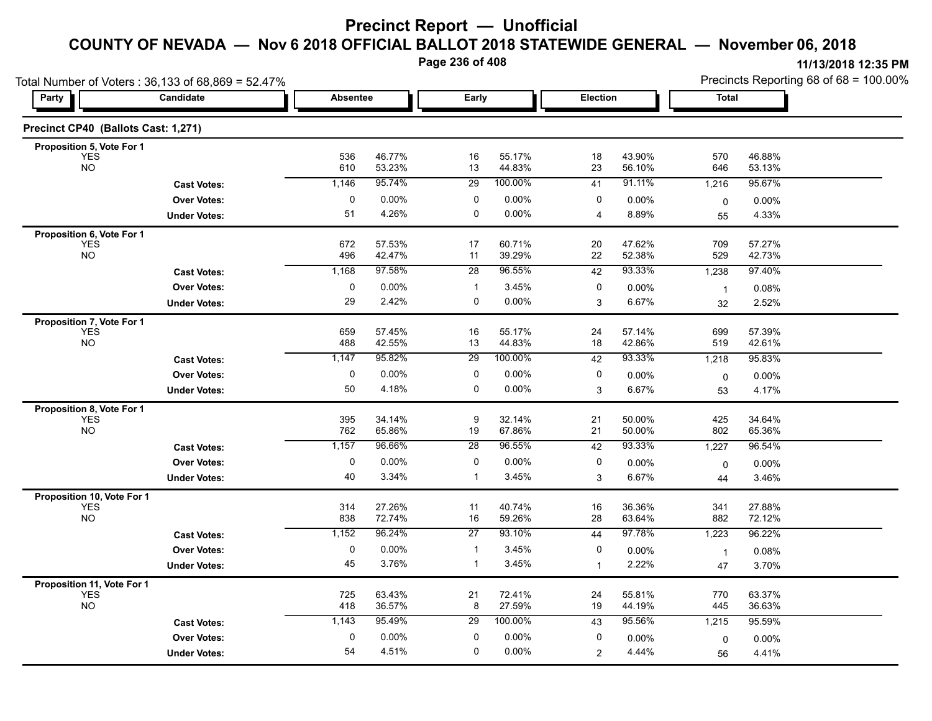**Page 236 of 408**

|                                          | Total Number of Voters: 36,133 of 68,869 = 52.47% |                 |                  | Precincts Reporting 68 of 68 = 100.00% |                  |                |                  |                      |                  |
|------------------------------------------|---------------------------------------------------|-----------------|------------------|----------------------------------------|------------------|----------------|------------------|----------------------|------------------|
| Party                                    | Candidate                                         | <b>Absentee</b> |                  | Early                                  |                  | Election       |                  | Total                |                  |
| Precinct CP40 (Ballots Cast: 1,271)      |                                                   |                 |                  |                                        |                  |                |                  |                      |                  |
| Proposition 5, Vote For 1                |                                                   |                 |                  |                                        |                  |                |                  |                      |                  |
| <b>YES</b><br><b>NO</b>                  |                                                   | 536<br>610      | 46.77%<br>53.23% | 16<br>13                               | 55.17%<br>44.83% | 18<br>23       | 43.90%<br>56.10% | 570<br>646           | 46.88%<br>53.13% |
|                                          | <b>Cast Votes:</b>                                | 1,146           | 95.74%           | 29                                     | 100.00%          | 41             | 91.11%           | 1,216                | 95.67%           |
|                                          | <b>Over Votes:</b>                                | 0               | $0.00\%$         | 0                                      | 0.00%            | 0              | 0.00%            | 0                    | 0.00%            |
|                                          | <b>Under Votes:</b>                               | 51              | 4.26%            | 0                                      | 0.00%            | $\overline{4}$ | 8.89%            | 55                   | 4.33%            |
| Proposition 6, Vote For 1                |                                                   |                 |                  |                                        |                  |                |                  |                      |                  |
| <b>YES</b><br><b>NO</b>                  |                                                   | 672<br>496      | 57.53%<br>42.47% | 17<br>11                               | 60.71%<br>39.29% | 20<br>22       | 47.62%<br>52.38% | 709<br>529           | 57.27%<br>42.73% |
|                                          | <b>Cast Votes:</b>                                | 1,168           | 97.58%           | 28                                     | 96.55%           | 42             | 93.33%           | 1,238                | 97.40%           |
|                                          | <b>Over Votes:</b>                                | 0               | 0.00%            | $\mathbf{1}$                           | 3.45%            | 0              | 0.00%            | $\overline{1}$       | 0.08%            |
|                                          | <b>Under Votes:</b>                               | 29              | 2.42%            | 0                                      | $0.00\%$         | 3              | 6.67%            | 32                   | 2.52%            |
| Proposition 7, Vote For 1                |                                                   |                 |                  |                                        |                  |                |                  |                      |                  |
| <b>YES</b>                               |                                                   | 659             | 57.45%           | 16                                     | 55.17%           | 24             | 57.14%           | 699                  | 57.39%           |
| <b>NO</b>                                |                                                   | 488             | 42.55%           | 13                                     | 44.83%           | 18             | 42.86%           | 519                  | 42.61%           |
|                                          | <b>Cast Votes:</b>                                | 1,147           | 95.82%           | $\overline{29}$                        | 100.00%          | 42             | 93.33%           | 1,218                | 95.83%           |
|                                          | <b>Over Votes:</b>                                | 0               | $0.00\%$         | 0                                      | 0.00%            | 0              | 0.00%            | 0                    | 0.00%            |
|                                          | <b>Under Votes:</b>                               | 50              | 4.18%            | 0                                      | 0.00%            | 3              | 6.67%            | 53                   | 4.17%            |
| Proposition 8, Vote For 1<br><b>YES</b>  |                                                   | 395             | 34.14%           | 9                                      | 32.14%           | 21             | 50.00%           | 425                  | 34.64%           |
| <b>NO</b>                                |                                                   | 762             | 65.86%           | 19                                     | 67.86%           | 21             | 50.00%           | 802                  | 65.36%           |
|                                          | <b>Cast Votes:</b>                                | 1,157           | 96.66%           | 28                                     | 96.55%           | 42             | 93.33%           | 1,227                | 96.54%           |
|                                          | <b>Over Votes:</b>                                | 0               | 0.00%            | 0                                      | 0.00%            | 0              | $0.00\%$         | 0                    | $0.00\%$         |
|                                          | <b>Under Votes:</b>                               | 40              | 3.34%            | 1                                      | 3.45%            | 3              | 6.67%            | 44                   | 3.46%            |
| Proposition 10, Vote For 1               |                                                   |                 |                  |                                        |                  |                |                  |                      |                  |
| <b>YES</b><br><b>NO</b>                  |                                                   | 314<br>838      | 27.26%<br>72.74% | 11<br>16                               | 40.74%<br>59.26% | 16<br>28       | 36.36%<br>63.64% | 341<br>882           | 27.88%<br>72.12% |
|                                          | <b>Cast Votes:</b>                                | 1,152           | 96.24%           | $\overline{27}$                        | 93.10%           | 44             | 97.78%           | 1,223                | 96.22%           |
|                                          | <b>Over Votes:</b>                                | $\mathbf 0$     | $0.00\%$         | $\mathbf{1}$                           | 3.45%            | 0              | 0.00%            |                      |                  |
|                                          | <b>Under Votes:</b>                               | 45              | 3.76%            | $\mathbf{1}$                           | 3.45%            | $\mathbf{1}$   | 2.22%            | $\overline{1}$<br>47 | 0.08%<br>3.70%   |
|                                          |                                                   |                 |                  |                                        |                  |                |                  |                      |                  |
| Proposition 11, Vote For 1<br><b>YES</b> |                                                   | 725             | 63.43%           | 21                                     | 72.41%           | 24             | 55.81%           | 770                  | 63.37%           |
| <b>NO</b>                                |                                                   | 418             | 36.57%           | 8                                      | 27.59%           | 19             | 44.19%           | 445                  | 36.63%           |
|                                          | <b>Cast Votes:</b>                                | 1,143           | 95.49%           | 29                                     | 100.00%          | 43             | 95.56%           | 1,215                | 95.59%           |
|                                          | <b>Over Votes:</b>                                | 0               | $0.00\%$         | $\mathbf 0$                            | 0.00%            | 0              | 0.00%            | 0                    | $0.00\%$         |
|                                          | <b>Under Votes:</b>                               | 54              | 4.51%            | 0                                      | 0.00%            | $\overline{2}$ | 4.44%            | 56                   | 4.41%            |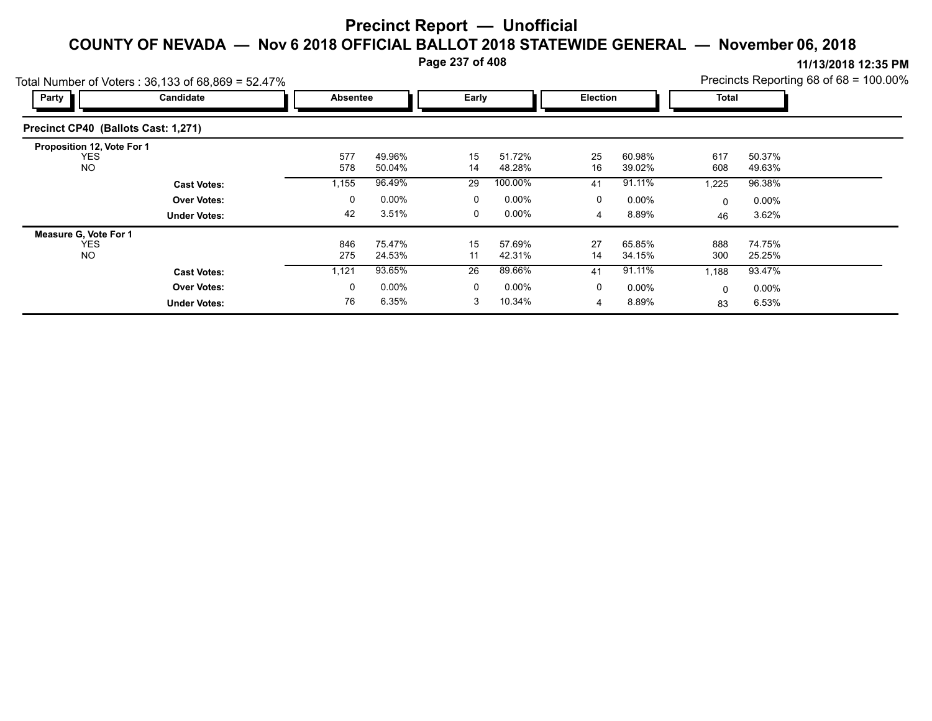**Page 237 of 408**

| Total Number of Voters: 36,133 of 68,869 = 52.47%     |                     |                 |                  |          |                  |             |                  |            |                  | Precincts Reporting 68 of 68 = 100.00% |
|-------------------------------------------------------|---------------------|-----------------|------------------|----------|------------------|-------------|------------------|------------|------------------|----------------------------------------|
| Party                                                 | Candidate           | <b>Absentee</b> |                  | Early    |                  | Election    |                  | Total      |                  |                                        |
| Precinct CP40 (Ballots Cast: 1,271)                   |                     |                 |                  |          |                  |             |                  |            |                  |                                        |
| Proposition 12, Vote For 1<br><b>YES</b><br><b>NO</b> |                     | 577<br>578      | 49.96%<br>50.04% | 15<br>14 | 51.72%<br>48.28% | 25<br>16    | 60.98%<br>39.02% | 617<br>608 | 50.37%<br>49.63% |                                        |
|                                                       | <b>Cast Votes:</b>  | 1,155           | 96.49%           | 29       | 100.00%          | 41          | 91.11%           | 1,225      | 96.38%           |                                        |
|                                                       | <b>Over Votes:</b>  | 0               | $0.00\%$         | 0        | $0.00\%$         | $\mathbf 0$ | $0.00\%$         | 0          | $0.00\%$         |                                        |
|                                                       | <b>Under Votes:</b> | 42              | 3.51%            | 0        | $0.00\%$         | 4           | 8.89%            | 46         | 3.62%            |                                        |
| Measure G, Vote For 1                                 |                     |                 |                  |          |                  |             |                  |            |                  |                                        |
| <b>YES</b><br>NO.                                     |                     | 846<br>275      | 75.47%<br>24.53% | 15<br>11 | 57.69%<br>42.31% | 27<br>14    | 65.85%<br>34.15% | 888<br>300 | 74.75%<br>25.25% |                                        |
|                                                       | <b>Cast Votes:</b>  | 1,121           | 93.65%           | 26       | 89.66%           | 41          | 91.11%           | 1,188      | 93.47%           |                                        |
|                                                       | <b>Over Votes:</b>  | 0               | $0.00\%$         | 0        | $0.00\%$         | $\mathbf 0$ | $0.00\%$         | 0          | $0.00\%$         |                                        |
|                                                       | <b>Under Votes:</b> | 76              | 6.35%            | 3        | 10.34%           | 4           | 8.89%            | 83         | 6.53%            |                                        |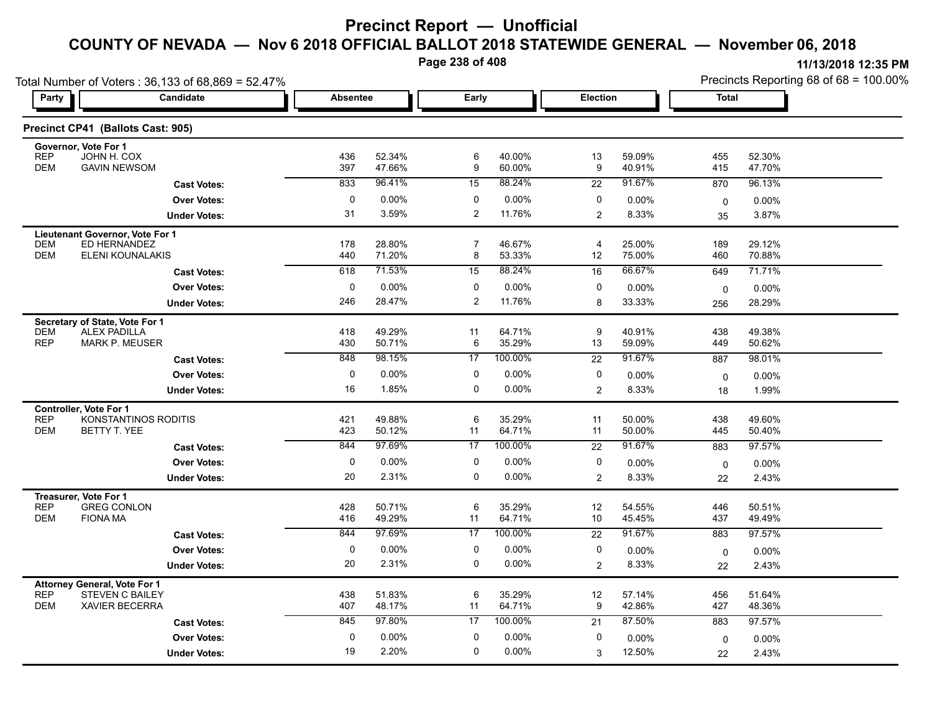**Page 238 of 408**

|                                                                                                                    | Total Number of Voters: 36,133 of 68,869 = 52.47% |                 |                  |                     |                  | Precincts Reporting 68 of 68 = 100.00% |                  |              |                  |
|--------------------------------------------------------------------------------------------------------------------|---------------------------------------------------|-----------------|------------------|---------------------|------------------|----------------------------------------|------------------|--------------|------------------|
| <b>Party</b>                                                                                                       | Candidate                                         | <b>Absentee</b> |                  | Early               |                  | Election                               |                  | <b>Total</b> |                  |
| Precinct CP41 (Ballots Cast: 905)                                                                                  |                                                   |                 |                  |                     |                  |                                        |                  |              |                  |
| Governor, Vote For 1<br><b>REP</b><br>JOHN H. COX<br><b>DEM</b><br><b>GAVIN NEWSOM</b>                             |                                                   | 436<br>397      | 52.34%<br>47.66% | 6<br>9              | 40.00%<br>60.00% | 13<br>9                                | 59.09%<br>40.91% | 455<br>415   | 52.30%<br>47.70% |
|                                                                                                                    | <b>Cast Votes:</b>                                | 833             | 96.41%           | 15                  | 88.24%           | 22                                     | 91.67%           | 870          | 96.13%           |
|                                                                                                                    | <b>Over Votes:</b>                                | 0               | 0.00%            | 0                   | 0.00%            | 0                                      | 0.00%            | $\mathbf 0$  | $0.00\%$         |
|                                                                                                                    | <b>Under Votes:</b>                               | 31              | 3.59%            | $\overline{2}$      | 11.76%           | $\overline{2}$                         | 8.33%            | 35           | 3.87%            |
| Lieutenant Governor, Vote For 1<br>ED HERNANDEZ<br>DEM<br><b>DEM</b>                                               | ELENI KOUNALAKIS                                  | 178<br>440      | 28.80%<br>71.20% | $\overline{7}$<br>8 | 46.67%<br>53.33% | $\overline{4}$<br>12                   | 25.00%<br>75.00% | 189<br>460   | 29.12%<br>70.88% |
|                                                                                                                    | <b>Cast Votes:</b>                                | 618             | 71.53%           | 15                  | 88.24%           | 16                                     | 66.67%           | 649          | 71.71%           |
|                                                                                                                    | <b>Over Votes:</b>                                | 0               | 0.00%            | 0                   | 0.00%            | 0                                      | 0.00%            | $\mathbf 0$  | 0.00%            |
|                                                                                                                    | <b>Under Votes:</b>                               | 246             | 28.47%           | $\overline{2}$      | 11.76%           | 8                                      | 33.33%           | 256          | 28.29%           |
| Secretary of State, Vote For 1<br><b>DEM</b><br><b>ALEX PADILLA</b><br><b>REP</b><br><b>MARK P. MEUSER</b>         |                                                   | 418<br>430      | 49.29%<br>50.71% | 11<br>6             | 64.71%<br>35.29% | 9<br>13                                | 40.91%<br>59.09% | 438<br>449   | 49.38%<br>50.62% |
|                                                                                                                    | <b>Cast Votes:</b>                                | 848             | 98 15%           | 17                  | 100.00%          | 22                                     | 91.67%           | 887          | 98.01%           |
|                                                                                                                    | <b>Over Votes:</b>                                | 0               | 0.00%            | 0                   | 0.00%            | 0                                      | 0.00%            | 0            | 0.00%            |
|                                                                                                                    | <b>Under Votes:</b>                               | 16              | 1.85%            | 0                   | 0.00%            | 2                                      | 8.33%            | 18           | 1.99%            |
| <b>Controller. Vote For 1</b><br><b>REP</b><br><b>DEM</b><br>BETTY T. YEE                                          | KONSTANTINOS RODITIS                              | 421<br>423      | 49.88%<br>50.12% | 6<br>11             | 35.29%<br>64.71% | 11<br>11                               | 50.00%<br>50.00% | 438<br>445   | 49.60%<br>50.40% |
|                                                                                                                    | <b>Cast Votes:</b>                                | 844             | 97 69%           | 17                  | 100.00%          | 22                                     | 91.67%           | 883          | 97.57%           |
|                                                                                                                    | <b>Over Votes:</b>                                | 0               | 0.00%            | 0                   | $0.00\%$         | 0                                      | 0.00%            | $\mathbf 0$  | 0.00%            |
|                                                                                                                    | <b>Under Votes:</b>                               | 20              | 2.31%            | $\mathbf 0$         | 0.00%            | 2                                      | 8.33%            | 22           | 2.43%            |
| Treasurer, Vote For 1<br><b>REP</b><br><b>GREG CONLON</b><br><b>DEM</b><br><b>FIONA MA</b>                         |                                                   | 428<br>416      | 50.71%<br>49.29% | 6<br>11             | 35.29%<br>64.71% | 12<br>10                               | 54.55%<br>45.45% | 446<br>437   | 50.51%<br>49.49% |
|                                                                                                                    | <b>Cast Votes:</b>                                | 844             | 97.69%           | 17                  | 100.00%          | $\overline{22}$                        | 91.67%           | 883          | 97.57%           |
|                                                                                                                    | <b>Over Votes:</b>                                | 0               | 0.00%            | 0                   | 0.00%            | 0                                      | 0.00%            | $\mathbf 0$  | 0.00%            |
|                                                                                                                    | <b>Under Votes:</b>                               | 20              | 2.31%            | 0                   | 0.00%            | $\overline{2}$                         | 8.33%            | 22           | 2.43%            |
| <b>Attorney General, Vote For 1</b><br><b>REP</b><br><b>STEVEN C BAILEY</b><br><b>DEM</b><br><b>XAVIER BECERRA</b> |                                                   | 438<br>407      | 51.83%<br>48.17% | 6<br>11             | 35.29%<br>64.71% | 12<br>9                                | 57.14%<br>42.86% | 456<br>427   | 51.64%<br>48.36% |
|                                                                                                                    | <b>Cast Votes:</b>                                | 845             | 97.80%           | 17                  | 100.00%          | 21                                     | 87.50%           | 883          | 97.57%           |
|                                                                                                                    | <b>Over Votes:</b>                                | 0               | 0.00%            | 0                   | 0.00%            | 0                                      | 0.00%            | 0            | 0.00%            |
|                                                                                                                    | <b>Under Votes:</b>                               | 19              | 2.20%            | $\mathbf 0$         | $0.00\%$         | 3                                      | 12.50%           | 22           | 2.43%            |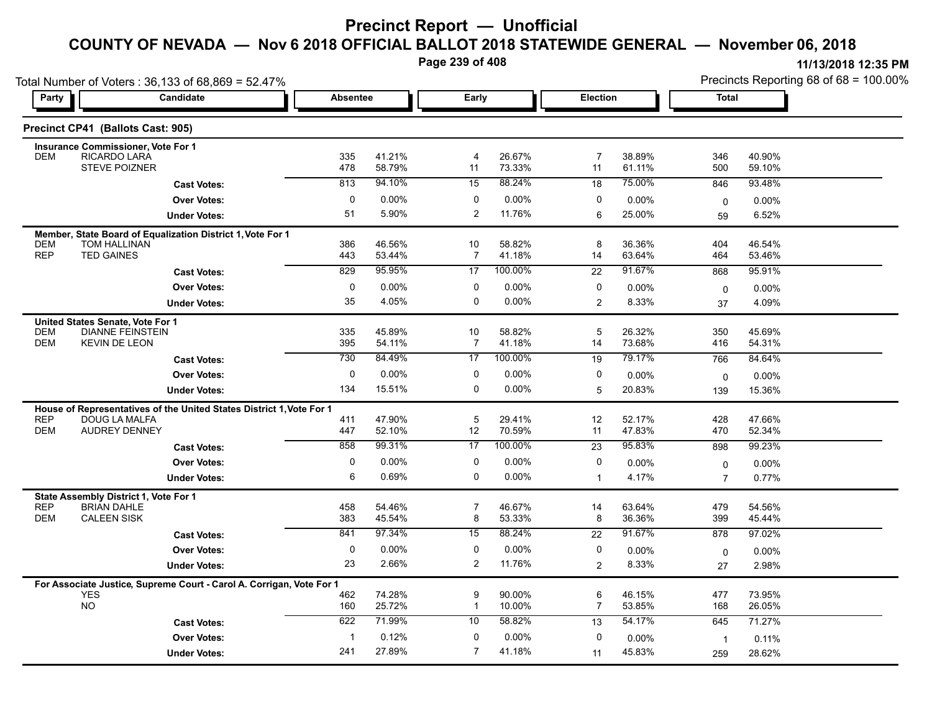**Page 239 of 408**

|                          | Total Number of Voters: 36,133 of 68,869 = 52.47%                                  |                 |                  |                      |                  |                 | Precincts Reporting 68 of $68 = 100.00\%$ |                   |                  |  |  |  |
|--------------------------|------------------------------------------------------------------------------------|-----------------|------------------|----------------------|------------------|-----------------|-------------------------------------------|-------------------|------------------|--|--|--|
| Party                    | Candidate                                                                          | <b>Absentee</b> |                  | Early                |                  | <b>Election</b> |                                           | <b>Total</b>      |                  |  |  |  |
|                          | Precinct CP41 (Ballots Cast: 905)                                                  |                 |                  |                      |                  |                 |                                           |                   |                  |  |  |  |
|                          | Insurance Commissioner, Vote For 1                                                 |                 |                  |                      |                  |                 |                                           |                   |                  |  |  |  |
| <b>DEM</b>               | RICARDO LARÁ<br>STEVE POIZNER                                                      | 335<br>478      | 41.21%<br>58.79% | $\overline{4}$<br>11 | 26.67%<br>73.33% | 7<br>11         | 38.89%<br>61.11%                          | 346<br>500        | 40.90%<br>59.10% |  |  |  |
|                          | <b>Cast Votes:</b>                                                                 | 813             | 94.10%           | 15                   | 88.24%           | 18              | 75.00%                                    | 846               | 93.48%           |  |  |  |
|                          | <b>Over Votes:</b>                                                                 | $\mathbf 0$     | 0.00%            | 0                    | $0.00\%$         | $\mathbf 0$     | 0.00%                                     | 0                 | 0.00%            |  |  |  |
|                          | <b>Under Votes:</b>                                                                | 51              | 5.90%            | $\overline{2}$       | 11.76%           | 6               | 25.00%                                    | 59                | 6.52%            |  |  |  |
|                          | Member, State Board of Equalization District 1, Vote For 1                         |                 |                  |                      |                  |                 |                                           |                   |                  |  |  |  |
| DEM                      | TOM HALLINAN                                                                       | 386             | 46.56%           | 10                   | 58.82%           | 8               | 36.36%                                    | 404               | 46.54%           |  |  |  |
| <b>REP</b>               | <b>TED GAINES</b>                                                                  | 443             | 53.44%           | 7                    | 41.18%           | 14              | 63.64%                                    | 464               | 53.46%           |  |  |  |
|                          | <b>Cast Votes:</b>                                                                 | 829             | 95.95%           | 17                   | 100.00%          | 22              | 91.67%                                    | 868               | 95.91%           |  |  |  |
|                          | <b>Over Votes:</b>                                                                 | 0               | 0.00%            | 0                    | $0.00\%$         | $\Omega$        | $0.00\%$                                  | $\mathbf 0$       | 0.00%            |  |  |  |
|                          | <b>Under Votes:</b>                                                                | 35              | 4.05%            | $\Omega$             | $0.00\%$         | $\overline{2}$  | 8.33%                                     | 37                | 4.09%            |  |  |  |
|                          | United States Senate, Vote For 1                                                   |                 |                  |                      |                  |                 |                                           |                   |                  |  |  |  |
| <b>DEM</b><br><b>DEM</b> | <b>DIANNE FEINSTEIN</b><br><b>KEVIN DE LEON</b>                                    | 335<br>395      | 45.89%<br>54.11% | 10<br>$\overline{7}$ | 58.82%<br>41.18% | 5<br>14         | 26.32%<br>73.68%                          | 350<br>416        | 45.69%<br>54.31% |  |  |  |
|                          | <b>Cast Votes:</b>                                                                 | 730             | 84.49%           | 17                   | 100.00%          | 19              | 79.17%                                    | 766               | 84.64%           |  |  |  |
|                          | <b>Over Votes:</b>                                                                 | $\mathbf 0$     | 0.00%            | $\mathbf 0$          | $0.00\%$         | $\Omega$        | 0.00%                                     | $\mathbf 0$       | 0.00%            |  |  |  |
|                          | <b>Under Votes:</b>                                                                | 134             | 15.51%           | $\Omega$             | 0.00%            | 5               | 20.83%                                    | 139               | 15.36%           |  |  |  |
|                          | House of Representatives of the United States District 1, Vote For 1               |                 |                  |                      |                  |                 |                                           |                   |                  |  |  |  |
| <b>REP</b>               | DOUG LA MALFA                                                                      | 411             | 47.90%           | 5                    | 29.41%           | 12              | 52.17%                                    | 428               | 47.66%           |  |  |  |
| <b>DEM</b>               | <b>AUDREY DENNEY</b>                                                               | 447             | 52.10%           | 12                   | 70.59%           | 11              | 47.83%                                    | 470               | 52.34%           |  |  |  |
|                          | <b>Cast Votes:</b>                                                                 | 858             | 99.31%           | 17                   | 100.00%          | 23              | 95.83%                                    | 898               | 99.23%           |  |  |  |
|                          | <b>Over Votes:</b>                                                                 | $\Omega$        | $0.00\%$         | $\Omega$             | 0.00%            | $\Omega$        | 0.00%                                     | $\mathbf 0$       | 0.00%            |  |  |  |
|                          | <b>Under Votes:</b>                                                                | 6               | 0.69%            | $\Omega$             | 0.00%            |                 | 4.17%                                     | $\overline{7}$    | 0.77%            |  |  |  |
|                          | State Assembly District 1, Vote For 1                                              |                 |                  |                      |                  |                 |                                           |                   |                  |  |  |  |
| <b>REP</b><br><b>DEM</b> | <b>BRIAN DAHLE</b><br><b>CALEEN SISK</b>                                           | 458<br>383      | 54.46%<br>45.54% | $\overline{7}$<br>8  | 46.67%<br>53.33% | 14<br>8         | 63.64%<br>36.36%                          | 479<br>399        | 54.56%<br>45.44% |  |  |  |
|                          | <b>Cast Votes:</b>                                                                 | 841             | 97.34%           | 15                   | 88.24%           | $\overline{22}$ | 91.67%                                    | 878               | 97.02%           |  |  |  |
|                          | <b>Over Votes:</b>                                                                 | 0               | $0.00\%$         | $\mathbf 0$          | 0.00%            | 0               | 0.00%                                     |                   | 0.00%            |  |  |  |
|                          | <b>Under Votes:</b>                                                                | 23              | 2.66%            | $\overline{2}$       | 11.76%           | 2               | 8.33%                                     | $\mathbf 0$<br>27 | 2.98%            |  |  |  |
|                          |                                                                                    |                 |                  |                      |                  |                 |                                           |                   |                  |  |  |  |
|                          | For Associate Justice, Supreme Court - Carol A. Corrigan, Vote For 1<br><b>YES</b> | 462             | 74.28%           | 9                    | 90.00%           | 6               | 46.15%                                    | 477               | 73.95%           |  |  |  |
|                          | <b>NO</b>                                                                          | 160             | 25.72%           | $\mathbf 1$          | 10.00%           | $\overline{7}$  | 53.85%                                    | 168               | 26.05%           |  |  |  |
|                          | <b>Cast Votes:</b>                                                                 | 622             | 71.99%           | 10                   | 58.82%           | 13              | 54.17%                                    | 645               | 71.27%           |  |  |  |
|                          | <b>Over Votes:</b>                                                                 |                 | 0.12%            | 0                    | 0.00%            | 0               | 0.00%                                     | - 1               | 0.11%            |  |  |  |
|                          | <b>Under Votes:</b>                                                                | 241             | 27.89%           | $\overline{7}$       | 41.18%           | 11              | 45.83%                                    | 259               | 28.62%           |  |  |  |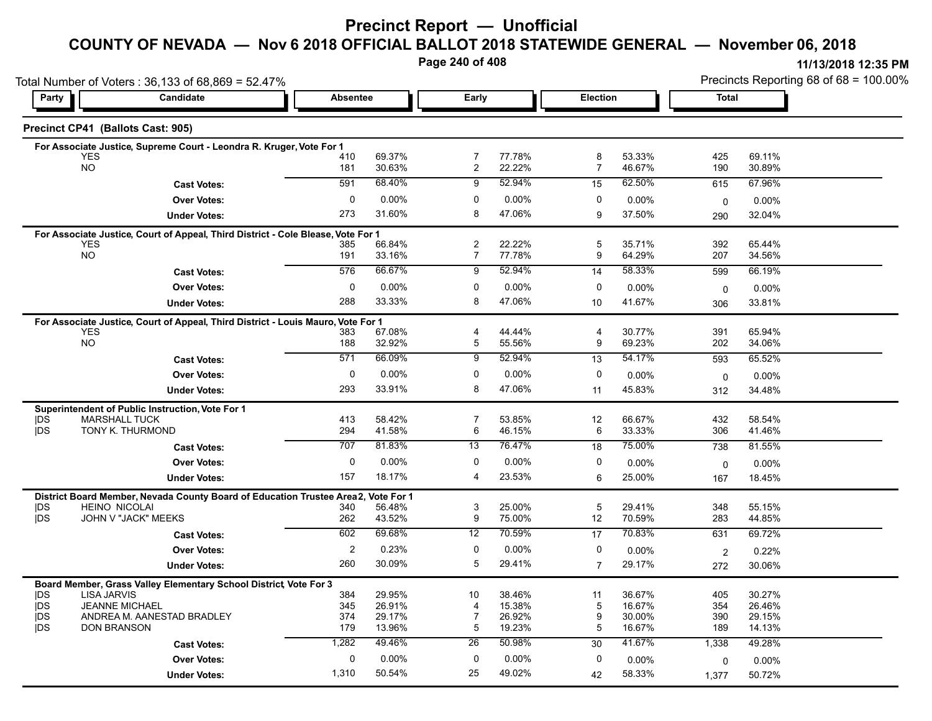### **Precinct Report — Unofficial**

### **COUNTY OF NEVADA — Nov 6 2018 OFFICIAL BALLOT 2018 STATEWIDE GENERAL — November 06, 2018**

**Page 240 of 408**

|                          | Total Number of Voters: 36,133 of 68,869 = 52.47%                                              |                 |                  |                                  |                  |                 |                  | Precincts Reporting 68 of 68 = 100.00% |                  |  |
|--------------------------|------------------------------------------------------------------------------------------------|-----------------|------------------|----------------------------------|------------------|-----------------|------------------|----------------------------------------|------------------|--|
| Party                    | Candidate                                                                                      | <b>Absentee</b> |                  | Early                            |                  | <b>Election</b> |                  | Total                                  |                  |  |
|                          | Precinct CP41 (Ballots Cast: 905)                                                              |                 |                  |                                  |                  |                 |                  |                                        |                  |  |
|                          | For Associate Justice, Supreme Court - Leondra R. Kruger, Vote For 1                           |                 |                  |                                  |                  |                 |                  |                                        |                  |  |
|                          | <b>YES</b><br><b>NO</b>                                                                        | 410<br>181      | 69.37%<br>30.63% | 7<br>$\overline{c}$              | 77.78%<br>22.22% | 8<br>7          | 53.33%<br>46.67% | 425<br>190                             | 69.11%<br>30.89% |  |
|                          |                                                                                                | 591             | 68.40%           | 9                                | 52.94%           |                 | 62.50%           |                                        | 67.96%           |  |
|                          | <b>Cast Votes:</b>                                                                             |                 |                  |                                  |                  | 15              |                  | 615                                    |                  |  |
|                          | <b>Over Votes:</b>                                                                             | 0               | $0.00\%$         | 0<br>8                           | 0.00%            | 0               | $0.00\%$         | $\mathbf 0$                            | 0.00%            |  |
|                          | <b>Under Votes:</b>                                                                            | 273             | 31.60%           |                                  | 47.06%           | 9               | 37.50%           | 290                                    | 32.04%           |  |
|                          | For Associate Justice, Court of Appeal, Third District - Cole Blease, Vote For 1               |                 |                  |                                  |                  |                 |                  |                                        |                  |  |
|                          | <b>YES</b><br><b>NO</b>                                                                        | 385<br>191      | 66.84%<br>33.16% | $\overline{c}$<br>$\overline{7}$ | 22.22%<br>77.78% | 5<br>9          | 35.71%<br>64.29% | 392<br>207                             | 65.44%<br>34.56% |  |
|                          | <b>Cast Votes:</b>                                                                             | 576             | 66.67%           | 9                                | 52.94%           | 14              | 58.33%           | 599                                    | 66.19%           |  |
|                          | <b>Over Votes:</b>                                                                             | $\mathbf 0$     | $0.00\%$         | 0                                | 0.00%            | 0               | 0.00%            |                                        |                  |  |
|                          |                                                                                                | 288             | 33.33%           | 8                                | 47.06%           | 10              | 41.67%           | $\mathbf 0$                            | 0.00%            |  |
|                          | <b>Under Votes:</b>                                                                            |                 |                  |                                  |                  |                 |                  | 306                                    | 33.81%           |  |
|                          | For Associate Justice, Court of Appeal, Third District - Louis Mauro, Vote For 1<br><b>YES</b> | 383             | 67.08%           | 4                                | 44.44%           | 4               | 30.77%           | 391                                    | 65.94%           |  |
|                          | NO.                                                                                            | 188             | 32.92%           | $\overline{5}$                   | 55.56%           | 9               | 69.23%           | 202                                    | 34.06%           |  |
|                          | <b>Cast Votes:</b>                                                                             | 571             | 66.09%           | 9                                | 52.94%           | 13              | 54.17%           | 593                                    | 65.52%           |  |
|                          | <b>Over Votes:</b>                                                                             | 0               | 0.00%            | 0                                | $0.00\%$         | 0               | $0.00\%$         | 0                                      | $0.00\%$         |  |
|                          | <b>Under Votes:</b>                                                                            | 293             | 33.91%           | 8                                | 47.06%           | 11              | 45.83%           | 312                                    | 34.48%           |  |
|                          | Superintendent of Public Instruction, Vote For 1                                               |                 |                  |                                  |                  |                 |                  |                                        |                  |  |
| <b>IDS</b>               | <b>MARSHALL TUCK</b>                                                                           | 413             | 58.42%           | $\overline{7}$                   | 53.85%           | 12              | 66.67%           | 432                                    | 58.54%           |  |
| <b>IDS</b>               | TONY K. THURMOND                                                                               | 294             | 41.58%           | 6                                | 46.15%           | 6               | 33.33%           | 306                                    | 41.46%           |  |
|                          | <b>Cast Votes:</b>                                                                             | 707             | 81.83%           | 13                               | 76.47%           | 18              | 75.00%           | 738                                    | 81.55%           |  |
|                          | <b>Over Votes:</b>                                                                             | $\mathbf{0}$    | $0.00\%$         | $\mathbf 0$                      | 0.00%            | 0               | 0.00%            | $\mathbf 0$                            | 0.00%            |  |
|                          | <b>Under Votes:</b>                                                                            | 157             | 18.17%           | 4                                | 23.53%           | 6               | 25.00%           | 167                                    | 18.45%           |  |
|                          | District Board Member, Nevada County Board of Education Trustee Area2,                         |                 | Vote For 1       |                                  |                  |                 |                  |                                        |                  |  |
| <b>IDS</b>               | <b>HEINO NICOLAI</b>                                                                           | 340             | 56.48%           | 3                                | 25.00%           | 5               | 29.41%           | 348                                    | 55.15%           |  |
| <b>IDS</b>               | JOHN V "JACK" MEEKS                                                                            | 262             | 43.52%           | 9                                | 75.00%           | 12              | 70.59%           | 283                                    | 44.85%           |  |
|                          | <b>Cast Votes:</b>                                                                             | 602             | 69.68%           | 12                               | 70.59%           | 17              | 70.83%           | 631                                    | 69.72%           |  |
|                          | <b>Over Votes:</b>                                                                             | 2               | 0.23%            | 0                                | 0.00%            | 0               | 0.00%            | 2                                      | 0.22%            |  |
|                          | <b>Under Votes:</b>                                                                            | 260             | 30.09%           | 5                                | 29.41%           | $\overline{7}$  | 29.17%           | 272                                    | 30.06%           |  |
|                          | Board Member, Grass Valley Elementary School District, Vote For 3                              |                 |                  |                                  |                  |                 |                  |                                        |                  |  |
| <b>IDS</b>               | <b>LISA JARVIS</b><br><b>JEANNE MICHAEL</b>                                                    | 384             | 29.95%           | 10                               | 38.46%           | 11              | 36.67%           | 405                                    | 30.27%           |  |
| <b>IDS</b><br><b>IDS</b> | ANDREA M. AANESTAD BRADLEY                                                                     | 345<br>374      | 26.91%<br>29.17% | 4<br>$\overline{7}$              | 15.38%<br>26.92% | 5<br>9          | 16.67%<br>30.00% | 354<br>390                             | 26.46%<br>29.15% |  |
| <b>IDS</b>               | <b>DON BRANSON</b>                                                                             | 179             | 13.96%           | 5                                | 19.23%           | 5               | 16.67%           | 189                                    | 14.13%           |  |
|                          | <b>Cast Votes:</b>                                                                             | 1,282           | 49.46%           | 26                               | 50.98%           | 30              | 41.67%           | 1,338                                  | 49.28%           |  |
|                          | <b>Over Votes:</b>                                                                             | $\mathbf{0}$    | 0.00%            | $\mathbf 0$                      | 0.00%            | 0               | 0.00%            | 0                                      | 0.00%            |  |
|                          | <b>Under Votes:</b>                                                                            | 1,310           | 50.54%           | 25                               | 49.02%           | 42              | 58.33%           | 1,377                                  | 50.72%           |  |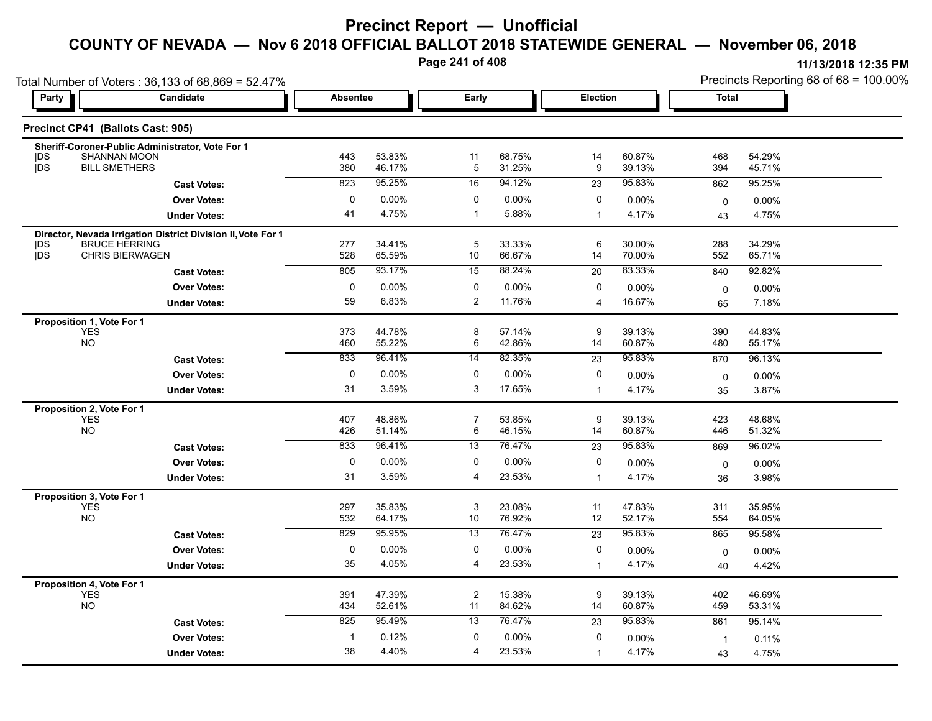**Page 241 of 408**

|                                                                                                                             | Total Number of Voters: $36,133$ of $68,869 = 52.47\%$ |            |                  |       |                  |                 |                  |            | Precincts Reporting 68 of 68 = 100.00% |  |  |
|-----------------------------------------------------------------------------------------------------------------------------|--------------------------------------------------------|------------|------------------|-------|------------------|-----------------|------------------|------------|----------------------------------------|--|--|
| Party                                                                                                                       | Candidate                                              | Absentee   |                  | Early |                  | <b>Election</b> |                  | Total      |                                        |  |  |
| Precinct CP41 (Ballots Cast: 905)                                                                                           |                                                        |            |                  |       |                  |                 |                  |            |                                        |  |  |
| Sheriff-Coroner-Public Administrator, Vote For 1<br><b>SHANNAN MOON</b><br><b>IDS</b><br><b>IDS</b><br><b>BILL SMETHERS</b> |                                                        | 443<br>380 | 53.83%<br>46.17% | 11    | 68.75%<br>31.25% | 14<br>9         | 60.87%<br>39.13% | 468<br>394 | 54.29%<br>45.71%                       |  |  |
|                                                                                                                             | <b>Cast Votes:</b>                                     | 823        | 95.25%           | 16    | 94.12%           | 23              | 95.83%           | 862        | 95.25%                                 |  |  |
|                                                                                                                             | <b>Over Votes:</b>                                     |            | $0.00\%$         |       | $0.00\%$         |                 | $0.00\%$         | $\Omega$   | $0.00\%$                               |  |  |
|                                                                                                                             | <b>Under Votes:</b>                                    | 41         | 4.75%            |       | 5.88%            |                 | 4.17%            | 43         | 4.75%                                  |  |  |

| <b>Under Votes:</b>                                                                                                                 | 41                           | 4.75%                                        | 1                                    | 5.88%                                            |                                                 | 4.17%                                        | 43                           | 4.75%                                        |  |
|-------------------------------------------------------------------------------------------------------------------------------------|------------------------------|----------------------------------------------|--------------------------------------|--------------------------------------------------|-------------------------------------------------|----------------------------------------------|------------------------------|----------------------------------------------|--|
| Director, Nevada Irrigation District Division II, Vote For 1<br><b>IDS</b><br><b>BRUCE HERRING</b><br>jDS<br><b>CHRIS BIERWAGEN</b> | 277<br>528                   | 34.41%<br>65.59%                             | 5<br>10                              | 33.33%<br>66.67%                                 | 6<br>14                                         | 30.00%<br>70.00%                             | 288<br>552                   | 34.29%<br>65.71%                             |  |
| <b>Cast Votes:</b>                                                                                                                  | 805                          | 93.17%                                       | 15                                   | 88.24%                                           | 20                                              | 83.33%                                       | 840                          | 92.82%                                       |  |
| <b>Over Votes:</b>                                                                                                                  | 0                            | 0.00%                                        | 0                                    | 0.00%                                            | 0                                               | 0.00%                                        | $\mathbf 0$                  | 0.00%                                        |  |
| <b>Under Votes:</b>                                                                                                                 | 59                           | 6.83%                                        | $\overline{2}$                       | 11.76%                                           | 4                                               | 16.67%                                       | 65                           | 7.18%                                        |  |
| Proposition 1, Vote For 1<br><b>YES</b><br><b>NO</b><br><b>Cast Votes:</b>                                                          | 373<br>460<br>833            | 44.78%<br>55.22%<br>96.41%                   | 8<br>6<br>$\overline{14}$            | 57.14%<br>42.86%<br>82.35%                       | 9<br>14<br>23                                   | 39.13%<br>60.87%<br>95.83%                   | 390<br>480<br>870            | 44.83%<br>55.17%<br>96.13%                   |  |
| <b>Over Votes:</b>                                                                                                                  | $\mathbf 0$                  | $0.00\%$                                     | 0                                    | $0.00\%$                                         | 0                                               | 0.00%                                        | $\Omega$                     | 0.00%                                        |  |
| <b>Under Votes:</b>                                                                                                                 | 31                           | 3.59%                                        | 3                                    | 17.65%                                           | $\mathbf 1$                                     | 4.17%                                        | 35                           | 3.87%                                        |  |
| Proposition 2, Vote For 1<br><b>YES</b><br><b>NO</b><br><b>Cast Votes:</b>                                                          | 407<br>426<br>833            | 48.86%<br>51.14%<br>96.41%                   | 7<br>6<br>13                         | 53.85%<br>46.15%<br>76.47%                       | 9<br>14<br>23                                   | 39.13%<br>60.87%<br>95.83%                   | 423<br>446<br>869            | 48.68%<br>51.32%<br>96.02%                   |  |
| <b>Over Votes:</b>                                                                                                                  | 0                            | $0.00\%$                                     | 0                                    | 0.00%                                            | 0                                               | 0.00%                                        | $\mathbf 0$                  | 0.00%                                        |  |
| <b>Under Votes:</b>                                                                                                                 | 31                           | 3.59%                                        | 4                                    | 23.53%                                           | $\mathbf 1$                                     | 4.17%                                        | 36                           | 3.98%                                        |  |
| Proposition 3, Vote For 1<br><b>YES</b><br><b>NO</b><br><b>Cast Votes:</b><br><b>Over Votes:</b><br><b>Under Votes:</b>             | 297<br>532<br>829<br>0<br>35 | 35.83%<br>64.17%<br>95.95%<br>0.00%<br>4.05% | 3<br>10<br>$\overline{13}$<br>0<br>4 | 23.08%<br>76.92%<br>76.47%<br>$0.00\%$<br>23.53% | 11<br>12<br>$\overline{23}$<br>0<br>$\mathbf 1$ | 47.83%<br>52.17%<br>95.83%<br>0.00%<br>4.17% | 311<br>554<br>865<br>0<br>40 | 35.95%<br>64.05%<br>95.58%<br>0.00%<br>4.42% |  |
| Proposition 4, Vote For 1<br><b>YES</b><br>NO                                                                                       | 391<br>434                   | 47.39%<br>52.61%                             | $\overline{2}$<br>11                 | 15.38%<br>84.62%                                 | 9<br>14                                         | 39.13%<br>60.87%                             | 402<br>459                   | 46.69%<br>53.31%                             |  |
| <b>Cast Votes:</b>                                                                                                                  | 825                          | 95.49%                                       | $\overline{13}$                      | 76.47%                                           | 23                                              | 95.83%                                       | 861                          | 95.14%                                       |  |
| <b>Over Votes:</b>                                                                                                                  |                              | 0.12%                                        | 0                                    | 0.00%                                            | 0                                               | 0.00%                                        | $\mathbf 1$                  | 0.11%                                        |  |
| <b>Under Votes:</b>                                                                                                                 | 38                           | 4.40%                                        | 4                                    | 23.53%                                           | 1                                               | 4.17%                                        | 43                           | 4.75%                                        |  |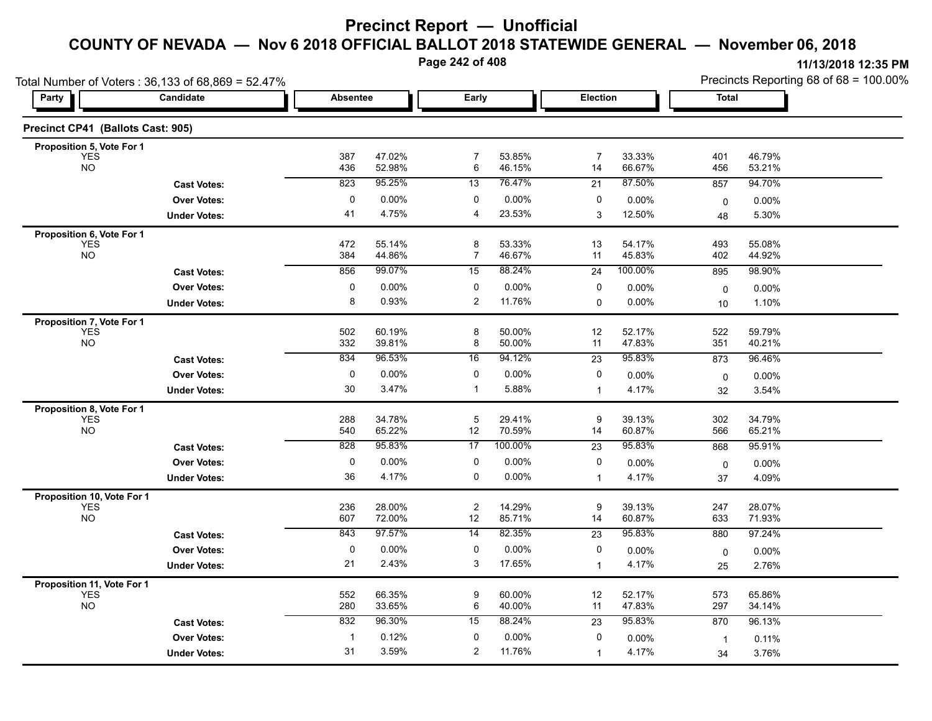**Page 242 of 408**

**11/13/2018 12:35 PM**

| Party                          | Number of Voters: 36,133 of 68,869 = 52.47%<br>Candidate | <b>Absentee</b> |                  | Early |                  | <b>Election</b> |                  | Total      | Precincts Reporting 68 of 68 = 100.00% |  |
|--------------------------------|----------------------------------------------------------|-----------------|------------------|-------|------------------|-----------------|------------------|------------|----------------------------------------|--|
| cinct CP41 (Ballots Cast: 905) |                                                          |                 |                  |       |                  |                 |                  |            |                                        |  |
| roposition 5, Vote For 1       |                                                          |                 |                  |       |                  |                 |                  |            |                                        |  |
| <b>YES</b><br><b>NO</b>        |                                                          | 387<br>436      | 47.02%<br>52.98% | 6     | 53.85%<br>46.15% | 14              | 33.33%<br>66.67% | 401<br>456 | 46.79%<br>53.21%                       |  |
|                                | <b>Cast Votes:</b>                                       | 823             | 95.25%           | 13    | 76.47%           | 21              | 87.50%           | 857        | 94.70%                                 |  |
|                                | <b>Over Votes:</b>                                       | $\mathbf{0}$    | $0.00\%$         | 0     | $0.00\%$         | 0               | $0.00\%$         |            | $0.00\%$                               |  |
|                                | <b>Under Votes:</b>                                      | 41              | 4.75%            | 4     | 23.53%           | 3               | 12.50%           | 48         | 5.30%                                  |  |
| roposition 6, Vote For 1       |                                                          |                 |                  |       |                  |                 |                  |            |                                        |  |
| <b>YES</b>                     |                                                          | 472             | 55.14%           |       | 53.33%           | 13              | 54.17%           | 493        | 55.08%                                 |  |
| <b>NO</b>                      |                                                          | 384             | 44.86%           |       | 46.67%           | 11              | 45.83%           | 402        | 44.92%                                 |  |
|                                | <b>Cast Votes:</b>                                       | 856             | 99.07%           | 15    | 88.24%           | 24              | 100.00%          | 895        | 98.90%                                 |  |
|                                | <b>Over Votes:</b>                                       | 0               | 0.00%            |       | $0.00\%$         |                 | $0.00\%$         |            | $0.00\%$                               |  |
|                                |                                                          |                 |                  |       |                  |                 |                  |            |                                        |  |

**Cast Votes:** 832 96.30% 15 88.24% 23 95.83% 870 96.13%

0.00% 0

1

4.17%

1 0.12% 0 0.00% 0 0.00% 1 0.11%

0.00% 1

3.76%

4.17% 3.76%

| 387 | 47.02%                          | 7                                                        | 53.85%                                      | 7                                                        | 33.33%              | 401                                                      | 46.79%                                 |                                                          |
|-----|---------------------------------|----------------------------------------------------------|---------------------------------------------|----------------------------------------------------------|---------------------|----------------------------------------------------------|----------------------------------------|----------------------------------------------------------|
|     |                                 |                                                          |                                             |                                                          |                     |                                                          |                                        |                                                          |
| 823 |                                 | 13                                                       |                                             | 21                                                       |                     |                                                          |                                        |                                                          |
| 0   | 0.00%                           | 0                                                        | 0.00%                                       | 0                                                        | $0.00\%$            | 0                                                        | 0.00%                                  |                                                          |
| 41  | 4.75%                           | 4                                                        | 23.53%                                      | 3                                                        | 12.50%              | 48                                                       | 5.30%                                  |                                                          |
|     |                                 |                                                          |                                             |                                                          |                     |                                                          |                                        |                                                          |
| 384 | 44.86%                          | 7                                                        | 46.67%                                      | 11                                                       | 45.83%              | 402                                                      | 44.92%                                 |                                                          |
| 856 | 99.07%                          | 15                                                       | 88.24%                                      | 24                                                       | 100.00%             | 895                                                      | 98.90%                                 |                                                          |
| 0   | 0.00%                           | 0                                                        | 0.00%                                       | 0                                                        | 0.00%               | 0                                                        | 0.00%                                  |                                                          |
| 8   | 0.93%                           | 2                                                        | 11.76%                                      | 0                                                        | 0.00%               | 10                                                       | 1.10%                                  |                                                          |
|     |                                 |                                                          |                                             |                                                          |                     |                                                          |                                        |                                                          |
| 332 | 39.81%                          | 8                                                        | 50.00%                                      | 11                                                       | 47.83%              | 351                                                      | 40.21%                                 |                                                          |
| 834 | 96.53%                          | 16                                                       | 94.12%                                      | $\overline{23}$                                          | 95.83%              | 873                                                      | 96.46%                                 |                                                          |
| 0   | 0.00%                           | 0                                                        | 0.00%                                       | 0                                                        | 0.00%               | 0                                                        | 0.00%                                  |                                                          |
| 30  | 3.47%                           | 1                                                        | 5.88%                                       | $\overline{1}$                                           | 4.17%               | 32                                                       | 3.54%                                  |                                                          |
|     |                                 |                                                          |                                             |                                                          |                     |                                                          |                                        |                                                          |
| 540 | 65.22%                          | 12                                                       | 70.59%                                      | 14                                                       | 60.87%              | 566                                                      | 65.21%                                 |                                                          |
| 828 | 95.83%                          | 17                                                       | 100.00%                                     | 23                                                       | 95.83%              | 868                                                      | 95.91%                                 |                                                          |
| 0   | 0.00%                           | 0                                                        | 0.00%                                       | 0                                                        | 0.00%               | 0                                                        | 0.00%                                  |                                                          |
| 36  | 4.17%                           | 0                                                        | 0.00%                                       | $\overline{\mathbf{1}}$                                  | 4.17%               | 37                                                       | 4.09%                                  |                                                          |
|     |                                 |                                                          |                                             |                                                          |                     |                                                          |                                        |                                                          |
| 607 | 72.00%                          | 12                                                       | 85.71%                                      | 9<br>14                                                  | 60.87%              | 633                                                      | 71.93%                                 |                                                          |
| 843 | 97.57%                          | 14                                                       | 82.35%                                      | 23                                                       | 95.83%              | 880                                                      | 97.24%                                 |                                                          |
| 0   | 0.00%                           | 0                                                        | 0.00%                                       | 0                                                        | 0.00%               | $\mathbf 0$                                              | $0.00\%$                               |                                                          |
| 21  | 2.43%                           | 3                                                        | 17.65%                                      | $\overline{1}$                                           | 4.17%               | 25                                                       | 2.76%                                  |                                                          |
|     |                                 |                                                          |                                             |                                                          |                     |                                                          |                                        |                                                          |
| 552 | 66.35%                          | 9                                                        | 60.00%                                      | 12                                                       | 52.17%              | 573                                                      | 65.86%                                 |                                                          |
|     | 436<br>472<br>502<br>288<br>236 | 52.98%<br>95.25%<br>55.14%<br>60.19%<br>34.78%<br>28.00% | 6<br>8<br>8<br>5<br>$\overline{\mathbf{c}}$ | 46.15%<br>76.47%<br>53.33%<br>50.00%<br>29.41%<br>14.29% | 14<br>13<br>12<br>9 | 66.67%<br>87.50%<br>54.17%<br>52.17%<br>39.13%<br>39.13% | 456<br>857<br>493<br>522<br>302<br>247 | 53.21%<br>94.70%<br>55.08%<br>59.79%<br>34.79%<br>28.07% |

3.59% 2

0 0.00%

**Under Votes: Over Votes:** 0.12%

31 3.59%

Total Number of Voters : 36,133 of 68,8

**Precinct CP41 (Ballots Cast: 905)**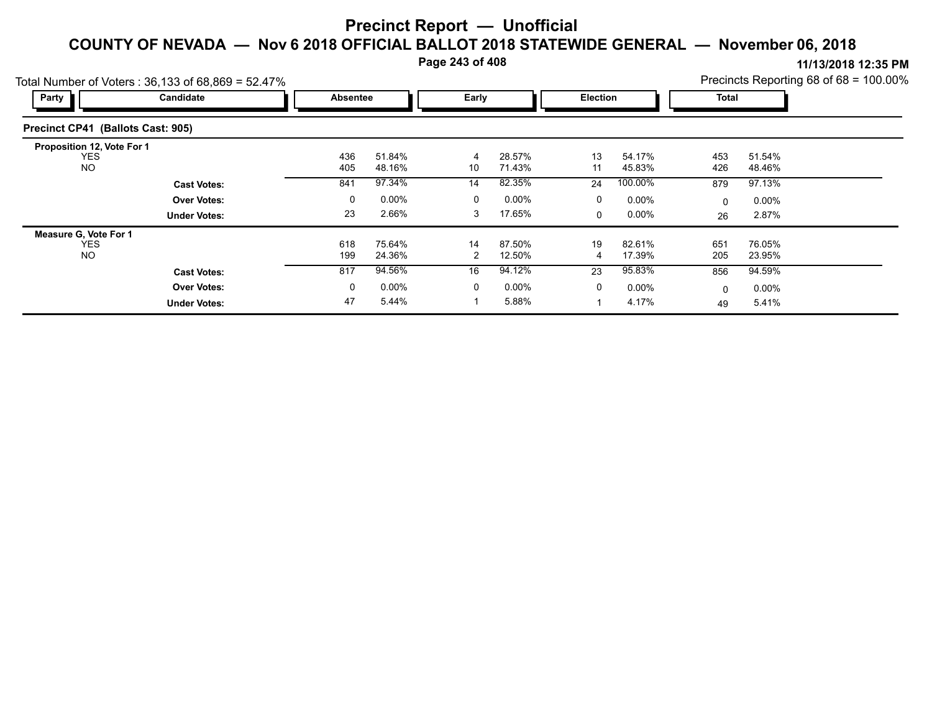**Page 243 of 408**

| Total Number of Voters: 36,133 of 68,869 = 52.47% |                     |                 |                  | Precincts Reporting 68 of 68 = 100.00% |                  |          |                  |              |                  |  |
|---------------------------------------------------|---------------------|-----------------|------------------|----------------------------------------|------------------|----------|------------------|--------------|------------------|--|
| Party                                             | Candidate           | <b>Absentee</b> |                  | Early                                  |                  | Election |                  | <b>Total</b> |                  |  |
| Precinct CP41 (Ballots Cast: 905)                 |                     |                 |                  |                                        |                  |          |                  |              |                  |  |
| Proposition 12, Vote For 1                        |                     |                 |                  |                                        |                  |          |                  |              |                  |  |
| <b>YES</b><br><b>NO</b>                           |                     | 436<br>405      | 51.84%<br>48.16% | 4<br>10                                | 28.57%<br>71.43% | 13<br>11 | 54.17%<br>45.83% | 453<br>426   | 51.54%<br>48.46% |  |
|                                                   | <b>Cast Votes:</b>  | 841             | 97.34%           | 14                                     | 82.35%           | 24       | 100.00%          | 879          | 97.13%           |  |
|                                                   | <b>Over Votes:</b>  | 0               | $0.00\%$         | 0                                      | $0.00\%$         | 0        | $0.00\%$         | $\mathbf{0}$ | $0.00\%$         |  |
|                                                   | <b>Under Votes:</b> | 23              | 2.66%            | 3                                      | 17.65%           | $\Omega$ | $0.00\%$         | 26           | 2.87%            |  |
| Measure G, Vote For 1                             |                     |                 |                  |                                        |                  |          |                  |              |                  |  |
| <b>YES</b><br><b>NO</b>                           |                     | 618<br>199      | 75.64%<br>24.36% | 14<br>2                                | 87.50%<br>12.50% | 19<br>4  | 82.61%<br>17.39% | 651<br>205   | 76.05%<br>23.95% |  |
|                                                   | <b>Cast Votes:</b>  | 817             | 94.56%           | 16                                     | 94.12%           | 23       | 95.83%           | 856          | 94.59%           |  |
|                                                   | <b>Over Votes:</b>  | 0               | $0.00\%$         | 0                                      | $0.00\%$         | $\Omega$ | $0.00\%$         | 0            | $0.00\%$         |  |
|                                                   | <b>Under Votes:</b> | 47              | 5.44%            |                                        | 5.88%            |          | 4.17%            | 49           | 5.41%            |  |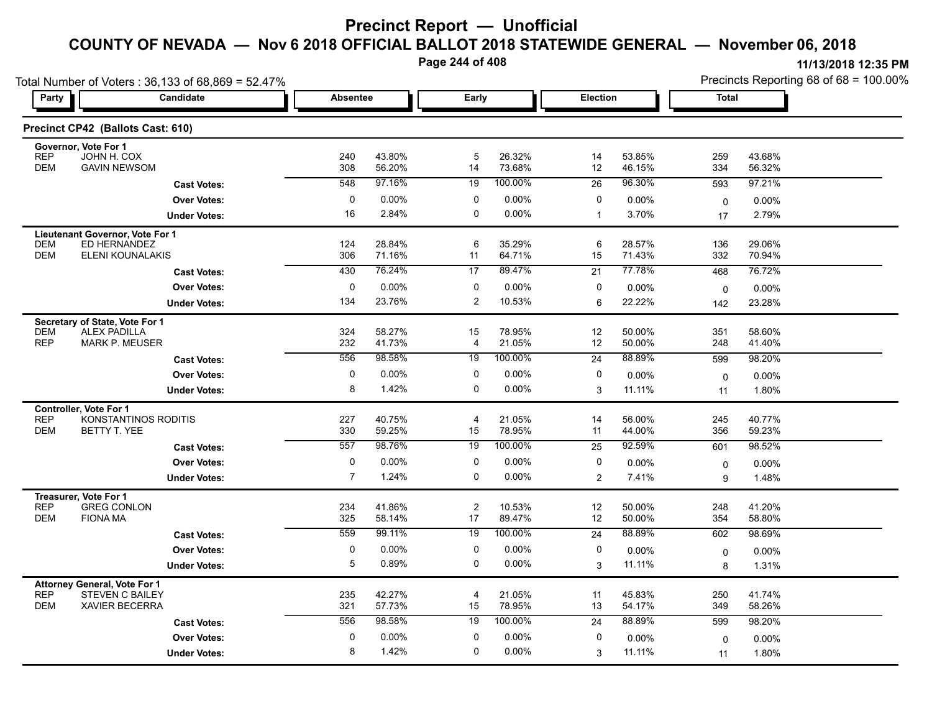**Page 244 of 408**

|                                                                                                                    | Total Number of Voters: 36,133 of 68,869 = 52.47% |                 |                  |                      |                  |                |                  | Precincts Reporting 68 of 68 = 100.00% |                  |  |
|--------------------------------------------------------------------------------------------------------------------|---------------------------------------------------|-----------------|------------------|----------------------|------------------|----------------|------------------|----------------------------------------|------------------|--|
| <b>Party</b>                                                                                                       | Candidate                                         | <b>Absentee</b> |                  | Early                |                  | Election       |                  | <b>Total</b>                           |                  |  |
| Precinct CP42 (Ballots Cast: 610)                                                                                  |                                                   |                 |                  |                      |                  |                |                  |                                        |                  |  |
| Governor, Vote For 1<br><b>REP</b><br>JOHN H. COX<br><b>DEM</b><br><b>GAVIN NEWSOM</b>                             |                                                   | 240<br>308      | 43.80%<br>56.20% | 5<br>14              | 26.32%<br>73.68% | 14<br>12       | 53.85%<br>46.15% | 259<br>334                             | 43.68%<br>56.32% |  |
|                                                                                                                    | <b>Cast Votes:</b>                                | 548             | 97.16%           | 19                   | 100.00%          | 26             | 96.30%           | 593                                    | 97.21%           |  |
|                                                                                                                    | <b>Over Votes:</b>                                | $\pmb{0}$       | 0.00%            | 0                    | 0.00%            | 0              | 0.00%            | $\mathbf 0$                            | $0.00\%$         |  |
|                                                                                                                    | <b>Under Votes:</b>                               | 16              | 2.84%            | $\mathbf 0$          | 0.00%            | $\mathbf 1$    | 3.70%            | 17                                     | 2.79%            |  |
| Lieutenant Governor, Vote For 1<br><b>DEM</b><br>ED HERNANDEZ<br><b>DEM</b><br><b>ELENI KOUNALAKIS</b>             |                                                   | 124<br>306      | 28.84%<br>71.16% | 6<br>11              | 35.29%<br>64.71% | 6<br>15        | 28.57%<br>71.43% | 136<br>332                             | 29.06%<br>70.94% |  |
|                                                                                                                    | <b>Cast Votes:</b>                                | 430             | 76.24%           | 17                   | 89.47%           | 21             | 77.78%           | 468                                    | 76.72%           |  |
|                                                                                                                    | <b>Over Votes:</b>                                | 0               | 0.00%            | 0                    | 0.00%            | 0              | 0.00%            | 0                                      | 0.00%            |  |
|                                                                                                                    | <b>Under Votes:</b>                               | 134             | 23.76%           | $\overline{2}$       | 10.53%           | 6              | 22.22%           | 142                                    | 23.28%           |  |
| Secretary of State, Vote For 1<br><b>ALEX PADILLA</b><br><b>DEM</b><br><b>REP</b><br><b>MARK P. MEUSER</b>         |                                                   | 324<br>232      | 58.27%<br>41.73% | 15<br>4              | 78.95%<br>21.05% | 12<br>12       | 50.00%<br>50.00% | 351<br>248                             | 58.60%<br>41.40% |  |
|                                                                                                                    | <b>Cast Votes:</b>                                | 556             | 98.58%           | 19                   | 100.00%          | 24             | 88.89%           | 599                                    | 98.20%           |  |
|                                                                                                                    | <b>Over Votes:</b>                                | 0               | 0.00%            | 0                    | 0.00%            | 0              | 0.00%            | $\mathbf 0$                            | 0.00%            |  |
|                                                                                                                    | <b>Under Votes:</b>                               | 8               | 1.42%            | 0                    | 0.00%            | 3              | 11.11%           | 11                                     | 1.80%            |  |
| <b>Controller, Vote For 1</b><br><b>REP</b><br><b>DEM</b><br>BETTY T. YEE                                          | KONSTANTINOS RODITIS                              | 227<br>330      | 40.75%<br>59.25% | $\overline{4}$<br>15 | 21.05%<br>78.95% | 14<br>11       | 56.00%<br>44.00% | 245<br>356                             | 40.77%<br>59.23% |  |
|                                                                                                                    | <b>Cast Votes:</b>                                | 557             | 98.76%           | 19                   | 100.00%          | 25             | 92.59%           | 601                                    | 98.52%           |  |
|                                                                                                                    | <b>Over Votes:</b>                                | 0               | 0.00%            | 0                    | 0.00%            | 0              | 0.00%            | $\mathbf 0$                            | 0.00%            |  |
|                                                                                                                    | <b>Under Votes:</b>                               | $\overline{7}$  | 1.24%            | $\mathbf 0$          | 0.00%            | $\overline{2}$ | 7.41%            | 9                                      | 1.48%            |  |
| Treasurer, Vote For 1<br><b>REP</b><br><b>GREG CONLON</b><br><b>DEM</b><br><b>FIONA MA</b>                         |                                                   | 234<br>325      | 41.86%<br>58.14% | $\overline{c}$<br>17 | 10.53%<br>89.47% | 12<br>12       | 50.00%<br>50.00% | 248<br>354                             | 41.20%<br>58.80% |  |
|                                                                                                                    | <b>Cast Votes:</b>                                | 559             | 99.11%           | 19                   | 100.00%          | 24             | 88.89%           | 602                                    | 98.69%           |  |
|                                                                                                                    | <b>Over Votes:</b>                                | 0               | 0.00%            | 0                    | 0.00%            | 0              | 0.00%            | 0                                      | 0.00%            |  |
|                                                                                                                    | <b>Under Votes:</b>                               | 5               | 0.89%            | 0                    | 0.00%            | 3              | 11.11%           | 8                                      | 1.31%            |  |
| <b>Attorney General, Vote For 1</b><br><b>REP</b><br><b>STEVEN C BAILEY</b><br><b>DEM</b><br><b>XAVIER BECERRA</b> |                                                   | 235<br>321      | 42.27%<br>57.73% | $\overline{4}$<br>15 | 21.05%<br>78.95% | 11<br>13       | 45.83%<br>54.17% | 250<br>349                             | 41.74%<br>58.26% |  |
|                                                                                                                    | <b>Cast Votes:</b>                                | 556             | 98.58%           | 19                   | 100.00%          | 24             | 88.89%           | 599                                    | 98.20%           |  |
|                                                                                                                    | <b>Over Votes:</b>                                | $\pmb{0}$       | 0.00%            | 0                    | 0.00%            | 0              | 0.00%            | $\mathbf 0$                            | 0.00%            |  |
|                                                                                                                    | <b>Under Votes:</b>                               | 8               | 1.42%            | 0                    | 0.00%            | 3              | 11.11%           | 11                                     | 1.80%            |  |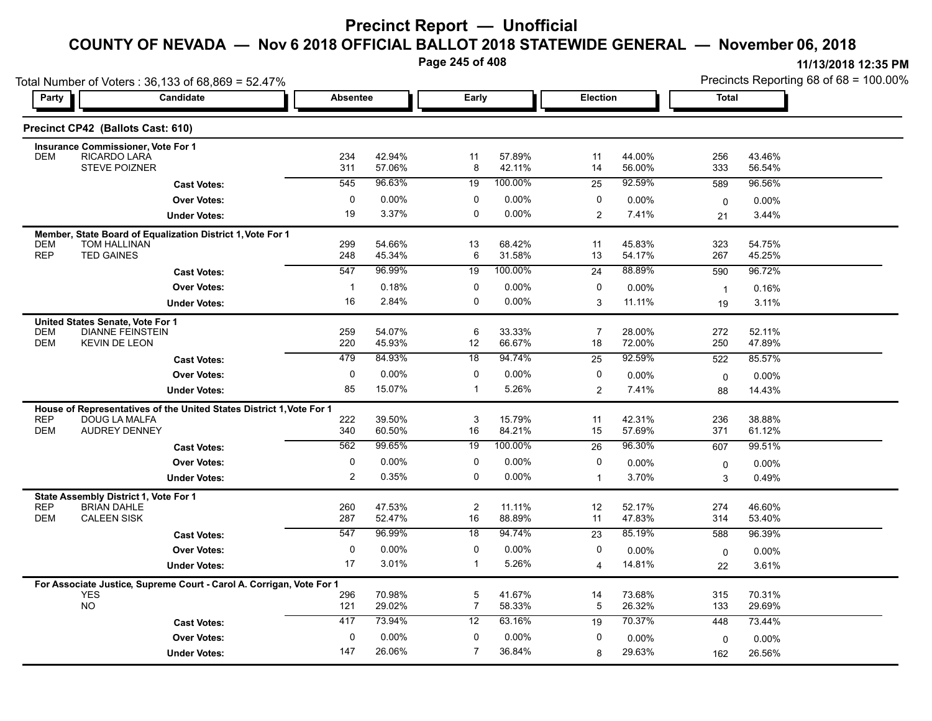**Page 245 of 408**

|                                                                      | Total Number of Voters: 36,133 of 68,869 = 52.47%                    |                    |                  |                      |                  |                         |                  |                | Precincts Reporting 68 of 68 = 100.00% |
|----------------------------------------------------------------------|----------------------------------------------------------------------|--------------------|------------------|----------------------|------------------|-------------------------|------------------|----------------|----------------------------------------|
| Party                                                                | Candidate                                                            | <b>Absentee</b>    |                  | Early                |                  | Election                |                  | Total          |                                        |
| Precinct CP42 (Ballots Cast: 610)                                    |                                                                      |                    |                  |                      |                  |                         |                  |                |                                        |
| <b>Insurance Commissioner, Vote For 1</b>                            |                                                                      |                    |                  |                      |                  |                         |                  |                |                                        |
| <b>DEM</b>                                                           | RICARDO LARA<br><b>STEVE POIZNER</b>                                 | 234<br>311         | 42.94%<br>57.06% | 11<br>8              | 57.89%<br>42.11% | 11<br>14                | 44.00%<br>56.00% | 256<br>333     | 43.46%<br>56.54%                       |
|                                                                      | <b>Cast Votes:</b>                                                   | 545                | 96.63%           | 19                   | 100.00%          | 25                      | 92.59%           | 589            | 96.56%                                 |
|                                                                      | <b>Over Votes:</b>                                                   | 0                  | $0.00\%$         | 0                    | 0.00%            | 0                       | 0.00%            | $\mathbf 0$    | 0.00%                                  |
|                                                                      | <b>Under Votes:</b>                                                  | 19                 | 3.37%            | 0                    | $0.00\%$         | $\overline{2}$          | 7.41%            | 21             | 3.44%                                  |
|                                                                      | Member, State Board of Equalization District 1, Vote For 1           |                    |                  |                      |                  |                         |                  |                |                                        |
| <b>DEM</b><br><b>REP</b>                                             | <b>TOM HALLINAN</b>                                                  | 299                | 54.66%           | 13                   | 68.42%           | 11                      | 45.83%           | 323            | 54.75%                                 |
| <b>TED GAINES</b>                                                    |                                                                      | 248                | 45.34%           | 6                    | 31.58%           | 13                      | 54.17%           | 267            | 45.25%                                 |
|                                                                      | <b>Cast Votes:</b>                                                   | 547                | 96.99%           | 19                   | 100.00%          | 24                      | 88.89%           | 590            | 96.72%                                 |
|                                                                      | <b>Over Votes:</b>                                                   | $\mathbf{1}$<br>16 | 0.18%            | 0<br>0               | 0.00%            | 0                       | 0.00%            | $\overline{1}$ | 0.16%                                  |
|                                                                      | <b>Under Votes:</b>                                                  |                    | 2.84%            |                      | 0.00%            | 3                       | 11.11%           | 19             | 3.11%                                  |
| United States Senate, Vote For 1<br><b>DEM</b>                       | <b>DIANNE FEINSTEIN</b>                                              | 259                | 54.07%           | 6                    | 33.33%           | $\overline{7}$          | 28.00%           | 272            | 52.11%                                 |
| <b>DEM</b>                                                           | <b>KEVIN DE LEON</b>                                                 | 220                | 45.93%           | 12                   | 66.67%           | 18                      | 72.00%           | 250            | 47.89%                                 |
|                                                                      | <b>Cast Votes:</b>                                                   | 479                | 84.93%           | 18                   | 94.74%           | 25                      | 92.59%           | 522            | 85.57%                                 |
|                                                                      | <b>Over Votes:</b>                                                   | 0                  | $0.00\%$         | 0                    | 0.00%            | 0                       | 0.00%            | $\mathbf 0$    | 0.00%                                  |
|                                                                      | <b>Under Votes:</b>                                                  | 85                 | 15.07%           | $\mathbf{1}$         | 5.26%            | 2                       | 7.41%            | 88             | 14.43%                                 |
|                                                                      | House of Representatives of the United States District 1, Vote For 1 |                    |                  |                      |                  |                         |                  |                |                                        |
| <b>REP</b>                                                           | DOUG LA MALFA                                                        | 222                | 39.50%           | 3                    | 15.79%           | 11                      | 42.31%           | 236            | 38.88%                                 |
| <b>DEM</b>                                                           | <b>AUDREY DENNEY</b>                                                 | 340                | 60.50%           | 16                   | 84.21%           | 15                      | 57.69%           | 371            | 61.12%                                 |
|                                                                      | <b>Cast Votes:</b>                                                   | 562                | 99.65%           | 19                   | 100.00%          | 26                      | 96.30%           | 607            | 99.51%                                 |
|                                                                      | <b>Over Votes:</b>                                                   | 0                  | $0.00\%$         | 0                    | 0.00%            | 0                       | 0.00%            | 0              | 0.00%                                  |
|                                                                      | <b>Under Votes:</b>                                                  | 2                  | 0.35%            | 0                    | 0.00%            | $\mathbf{1}$            | 3.70%            | 3              | 0.49%                                  |
| State Assembly District 1, Vote For 1                                |                                                                      |                    |                  |                      |                  |                         |                  |                |                                        |
| <b>REP</b><br><b>BRIAN DAHLE</b><br><b>DEM</b><br><b>CALEEN SISK</b> |                                                                      | 260<br>287         | 47.53%<br>52.47% | $\overline{2}$<br>16 | 11.11%<br>88.89% | 12<br>11                | 52.17%<br>47.83% | 274<br>314     | 46.60%<br>53.40%                       |
|                                                                      | <b>Cast Votes:</b>                                                   | 547                | 96.99%           | $\overline{18}$      | 94.74%           | $\overline{23}$         | 85.19%           | 588            | 96.39%                                 |
|                                                                      | <b>Over Votes:</b>                                                   | 0                  | 0.00%            | $\mathbf 0$          | $0.00\%$         | 0                       | 0.00%            | $\mathbf 0$    | $0.00\%$                               |
|                                                                      | <b>Under Votes:</b>                                                  | 17                 | 3.01%            | $\mathbf 1$          | 5.26%            | $\overline{\mathbf{4}}$ | 14.81%           | 22             | 3.61%                                  |
|                                                                      |                                                                      |                    |                  |                      |                  |                         |                  |                |                                        |
| <b>YES</b>                                                           | For Associate Justice, Supreme Court - Carol A. Corrigan, Vote For 1 | 296                | 70.98%           | $\overline{5}$       | 41.67%           | 14                      | 73.68%           | 315            | 70.31%                                 |
| <b>NO</b>                                                            |                                                                      | 121                | 29.02%           | $\overline{7}$       | 58.33%           | 5                       | 26.32%           | 133            | 29.69%                                 |
|                                                                      | <b>Cast Votes:</b>                                                   | 417                | 73.94%           | 12                   | 63.16%           | 19                      | 70.37%           | 448            | 73.44%                                 |
|                                                                      | <b>Over Votes:</b>                                                   | 0                  | 0.00%            | 0                    | 0.00%            | 0                       | 0.00%            | 0              | 0.00%                                  |
|                                                                      | <b>Under Votes:</b>                                                  | 147                | 26.06%           | $\overline{7}$       | 36.84%           | 8                       | 29.63%           | 162            | 26.56%                                 |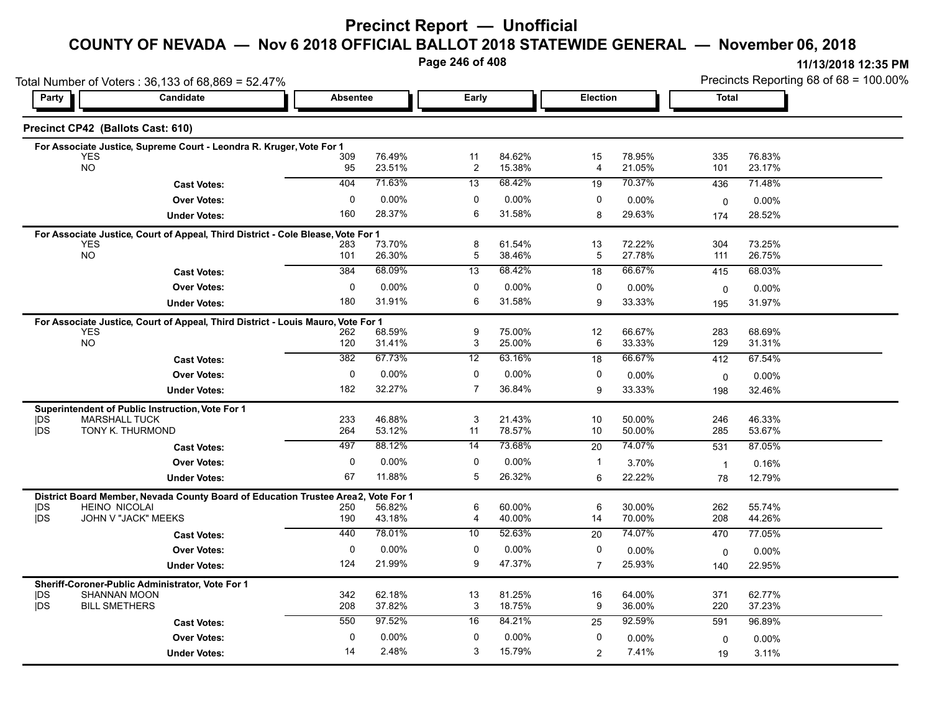### **Precinct Report — Unofficial**

### **COUNTY OF NEVADA — Nov 6 2018 OFFICIAL BALLOT 2018 STATEWIDE GENERAL — November 06, 2018**

**Page 246 of 408**

|            | Total Number of Voters: 36,133 of 68,869 = 52.47%                                              |              |                  |                               |                  |                      |                  | Precincts Reporting 68 of 68 = 100.00% |                  |  |  |
|------------|------------------------------------------------------------------------------------------------|--------------|------------------|-------------------------------|------------------|----------------------|------------------|----------------------------------------|------------------|--|--|
| Party      | <b>Candidate</b>                                                                               |              | <b>Absentee</b>  |                               | Early            |                      | Election         |                                        | <b>Total</b>     |  |  |
|            | Precinct CP42 (Ballots Cast: 610)                                                              |              |                  |                               |                  |                      |                  |                                        |                  |  |  |
|            | For Associate Justice, Supreme Court - Leondra R. Kruger, Vote For 1                           |              |                  |                               |                  |                      |                  |                                        |                  |  |  |
|            | <b>YES</b><br><b>NO</b>                                                                        | 309<br>95    | 76.49%<br>23.51% | 11<br>$\overline{\mathbf{c}}$ | 84.62%<br>15.38% | 15<br>$\overline{4}$ | 78.95%<br>21.05% | 335<br>101                             | 76.83%<br>23.17% |  |  |
|            |                                                                                                | 404          | 71.63%           | 13                            | 68.42%           | 19                   | 70.37%           | 436                                    | 71.48%           |  |  |
|            | <b>Cast Votes:</b>                                                                             | $\mathbf 0$  | 0.00%            | 0                             | 0.00%            | 0                    |                  |                                        |                  |  |  |
|            | <b>Over Votes:</b>                                                                             | 160          | 28.37%           | 6                             | 31.58%           |                      | 0.00%            | 0                                      | $0.00\%$         |  |  |
|            | <b>Under Votes:</b>                                                                            |              |                  |                               |                  | 8                    | 29.63%           | 174                                    | 28.52%           |  |  |
|            | For Associate Justice, Court of Appeal, Third District - Cole Blease, Vote For 1<br><b>YES</b> |              | 73.70%           |                               | 61.54%           |                      | 72.22%           | 304                                    | 73.25%           |  |  |
|            | <b>NO</b>                                                                                      | 283<br>101   | 26.30%           | 8<br>5                        | 38.46%           | 13<br>5              | 27.78%           | 111                                    | 26.75%           |  |  |
|            | <b>Cast Votes:</b>                                                                             | 384          | 68.09%           | 13                            | 68.42%           | 18                   | 66.67%           | 415                                    | 68.03%           |  |  |
|            | <b>Over Votes:</b>                                                                             | 0            | $0.00\%$         | 0                             | 0.00%            | 0                    | $0.00\%$         | $\mathbf 0$                            | $0.00\%$         |  |  |
|            | <b>Under Votes:</b>                                                                            | 180          | 31.91%           | 6                             | 31.58%           | 9                    | 33.33%           | 195                                    | 31.97%           |  |  |
|            |                                                                                                |              |                  |                               |                  |                      |                  |                                        |                  |  |  |
|            | For Associate Justice, Court of Appeal, Third District - Louis Mauro, Vote For 1<br><b>YES</b> | 262          | 68.59%           | 9                             | 75.00%           | 12                   | 66.67%           | 283                                    | 68.69%           |  |  |
|            | NO                                                                                             | 120          | 31.41%           | 3                             | 25.00%           | 6                    | 33.33%           | 129                                    | 31.31%           |  |  |
|            | <b>Cast Votes:</b>                                                                             | 382          | 67.73%           | 12                            | 63.16%           | 18                   | 66.67%           | 412                                    | 67.54%           |  |  |
|            | <b>Over Votes:</b>                                                                             | 0            | $0.00\%$         | 0                             | 0.00%            | 0                    | $0.00\%$         | $\mathbf 0$                            | 0.00%            |  |  |
|            | <b>Under Votes:</b>                                                                            | 182          | 32.27%           | $\overline{7}$                | 36.84%           | 9                    | 33.33%           | 198                                    | 32.46%           |  |  |
|            |                                                                                                |              |                  |                               |                  |                      |                  |                                        |                  |  |  |
| <b>IDS</b> | Superintendent of Public Instruction, Vote For 1<br><b>MARSHALL TUCK</b>                       | 233          | 46.88%           | 3                             | 21.43%           | 10                   | 50.00%           | 246                                    | 46.33%           |  |  |
| <b>IDS</b> | TONY K. THURMOND                                                                               | 264          | 53.12%           | 11                            | 78.57%           | 10                   | 50.00%           | 285                                    | 53.67%           |  |  |
|            | <b>Cast Votes:</b>                                                                             | 497          | 88.12%           | 14                            | 73.68%           | 20                   | 74.07%           | 531                                    | 87.05%           |  |  |
|            | <b>Over Votes:</b>                                                                             | 0            | $0.00\%$         | 0                             | 0.00%            | $\mathbf{1}$         | 3.70%            | $\overline{1}$                         | 0.16%            |  |  |
|            | <b>Under Votes:</b>                                                                            | 67           | 11.88%           | 5                             | 26.32%           | 6                    | 22.22%           | 78                                     | 12.79%           |  |  |
|            | District Board Member, Nevada County Board of Education Trustee Area2,                         |              | Vote For 1       |                               |                  |                      |                  |                                        |                  |  |  |
| <b>IDS</b> | <b>HEINO NICOLAI</b>                                                                           | 250          | 56.82%           | 6                             | 60.00%           | 6                    | 30.00%           | 262                                    | 55.74%           |  |  |
| jDS        | JOHN V "JACK" MEEKS                                                                            | 190          | 43.18%           | 4                             | 40.00%           | 14                   | 70.00%           | 208                                    | 44.26%           |  |  |
|            | <b>Cast Votes:</b>                                                                             | 440          | 78.01%           | 10                            | 52.63%           | 20                   | 74.07%           | 470                                    | 77.05%           |  |  |
|            | <b>Over Votes:</b>                                                                             | $\mathbf 0$  | 0.00%            | $\mathbf 0$                   | 0.00%            | 0                    | 0.00%            | 0                                      | $0.00\%$         |  |  |
|            | <b>Under Votes:</b>                                                                            | 124          | 21.99%           | 9                             | 47.37%           | $\overline{7}$       | 25.93%           | 140                                    | 22.95%           |  |  |
|            | Sheriff-Coroner-Public Administrator, Vote For 1                                               |              |                  |                               |                  |                      |                  |                                        |                  |  |  |
| <b>IDS</b> | <b>SHANNAN MOON</b>                                                                            | 342          | 62.18%           | 13                            | 81.25%           | 16                   | 64.00%           | 371                                    | 62.77%           |  |  |
| <b>IDS</b> | <b>BILL SMETHERS</b>                                                                           | 208          | 37.82%           | 3                             | 18.75%           | 9                    | 36.00%           | 220                                    | 37.23%           |  |  |
|            | <b>Cast Votes:</b>                                                                             | 550          | 97.52%           | 16                            | 84.21%           | 25                   | 92.59%           | 591                                    | 96.89%           |  |  |
|            | <b>Over Votes:</b>                                                                             | $\mathbf{0}$ | 0.00%            | $\mathbf 0$                   | 0.00%            | 0                    | $0.00\%$         | 0                                      | $0.00\%$         |  |  |
|            | <b>Under Votes:</b>                                                                            | 14           | 2.48%            | 3                             | 15.79%           | $\overline{2}$       | 7.41%            | 19                                     | 3.11%            |  |  |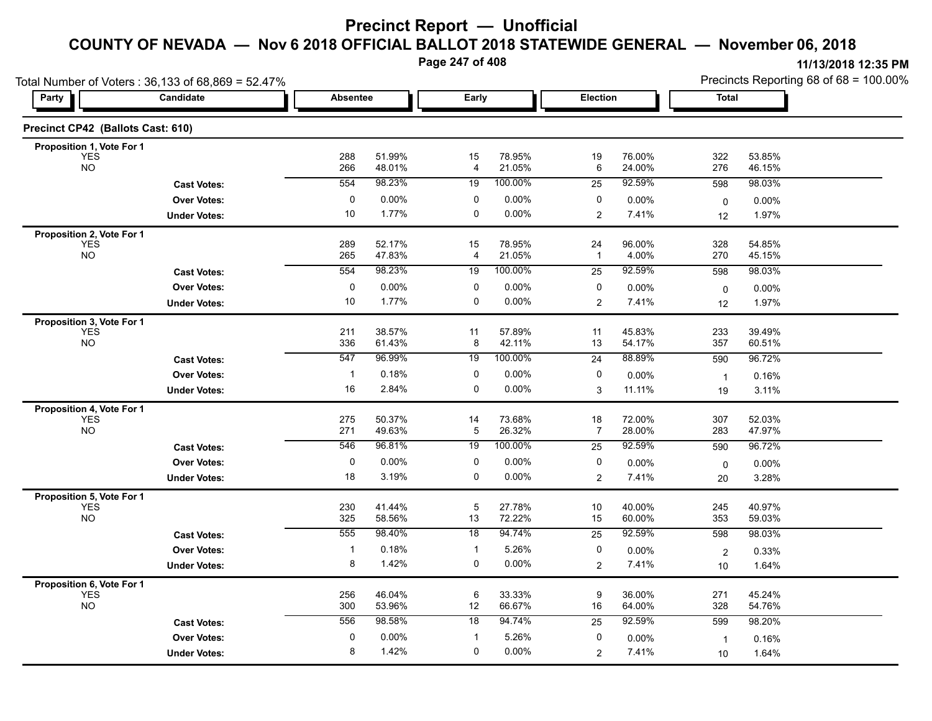**Page 247 of 408**

|                                   | Total Number of Voters: 36,133 of 68,869 = 52.47% |                 |                  |                      |                  |                      |                  |                    | Precincts Reporting 68 of 68 = 100.00% |
|-----------------------------------|---------------------------------------------------|-----------------|------------------|----------------------|------------------|----------------------|------------------|--------------------|----------------------------------------|
| Party                             | Candidate                                         | <b>Absentee</b> |                  | Early                |                  | Election             |                  | <b>Total</b>       |                                        |
| Precinct CP42 (Ballots Cast: 610) |                                                   |                 |                  |                      |                  |                      |                  |                    |                                        |
| Proposition 1, Vote For 1         |                                                   |                 |                  |                      |                  |                      |                  |                    |                                        |
| <b>YES</b><br><b>NO</b>           |                                                   | 288<br>266      | 51.99%<br>48.01% | 15<br>4              | 78.95%<br>21.05% | 19<br>6              | 76.00%<br>24.00% | 322<br>276         | 53.85%<br>46.15%                       |
|                                   | <b>Cast Votes:</b>                                | 554             | 98.23%           | 19                   | 100.00%          | 25                   | 92.59%           | 598                | 98.03%                                 |
|                                   | <b>Over Votes:</b>                                | 0               | 0.00%            | 0                    | 0.00%            | 0                    | 0.00%            | $\mathbf 0$        | $0.00\%$                               |
|                                   | <b>Under Votes:</b>                               | 10              | 1.77%            | $\mathbf 0$          | 0.00%            | 2                    | 7.41%            | 12                 | 1.97%                                  |
| Proposition 2, Vote For 1         |                                                   |                 |                  |                      |                  |                      |                  |                    |                                        |
| <b>YES</b><br><b>NO</b>           |                                                   | 289<br>265      | 52.17%<br>47.83% | 15<br>4              | 78.95%<br>21.05% | 24<br>$\overline{1}$ | 96.00%<br>4.00%  | 328<br>270         | 54.85%<br>45.15%                       |
|                                   | <b>Cast Votes:</b>                                | 554             | 98.23%           | 19                   | 100.00%          | 25                   | 92.59%           | 598                | 98.03%                                 |
|                                   | <b>Over Votes:</b>                                | $\pmb{0}$       | 0.00%            | 0                    | 0.00%            | 0                    | 0.00%            | $\mathbf 0$        | 0.00%                                  |
|                                   | <b>Under Votes:</b>                               | 10              | 1.77%            | $\mathbf 0$          | 0.00%            | $\overline{2}$       | 7.41%            | 12                 | 1.97%                                  |
| Proposition 3, Vote For 1         |                                                   |                 |                  |                      |                  |                      |                  |                    |                                        |
| <b>YES</b>                        |                                                   | 211             | 38.57%           | 11                   | 57.89%           | 11                   | 45.83%           | 233                | 39.49%                                 |
| <b>NO</b>                         |                                                   | 336             | 61.43%           | 8                    | 42.11%           | 13                   | 54.17%           | 357                | 60.51%                                 |
|                                   | <b>Cast Votes:</b>                                | 547             | 96.99%           | 19                   | 100.00%          | 24                   | 88.89%           | 590                | 96.72%                                 |
|                                   | <b>Over Votes:</b>                                | -1              | 0.18%            | 0                    | 0.00%            | 0                    | 0.00%            | $\mathbf{1}$       | 0.16%                                  |
|                                   | <b>Under Votes:</b>                               | 16              | 2.84%            | 0                    | 0.00%            | 3                    | 11.11%           | 19                 | 3.11%                                  |
| Proposition 4, Vote For 1         |                                                   |                 |                  |                      |                  |                      |                  |                    |                                        |
| <b>YES</b><br><b>NO</b>           |                                                   | 275<br>271      | 50.37%<br>49.63% | 14<br>$\overline{5}$ | 73.68%<br>26.32% | 18<br>7              | 72.00%<br>28.00% | 307<br>283         | 52.03%<br>47.97%                       |
|                                   | <b>Cast Votes:</b>                                | 546             | 96.81%           | 19                   | 100.00%          | 25                   | 92.59%           | 590                | 96.72%                                 |
|                                   | <b>Over Votes:</b>                                | 0               | 0.00%            | 0                    | 0.00%            | 0                    | 0.00%            |                    | 0.00%                                  |
|                                   | <b>Under Votes:</b>                               | 18              | 3.19%            | $\mathbf 0$          | 0.00%            | $\overline{2}$       | 7.41%            | 0<br>20            | 3.28%                                  |
| Proposition 5, Vote For 1         |                                                   |                 |                  |                      |                  |                      |                  |                    |                                        |
| <b>YES</b>                        |                                                   | 230             | 41.44%           | $\overline{5}$       | 27.78%           | 10                   | 40.00%           | 245                | 40.97%                                 |
| <b>NO</b>                         |                                                   | 325             | 58.56%           | 13                   | 72.22%           | 15                   | 60.00%           | 353                | 59.03%                                 |
|                                   | <b>Cast Votes:</b>                                | 555             | 98.40%           | 18                   | 94.74%           | $\overline{25}$      | 92.59%           | 598                | 98.03%                                 |
|                                   | <b>Over Votes:</b>                                | $\mathbf{1}$    | 0.18%            | $\mathbf{1}$         | 5.26%            | 0                    | 0.00%            | $\overline{2}$     | 0.33%                                  |
|                                   | <b>Under Votes:</b>                               | 8               | 1.42%            | $\pmb{0}$            | 0.00%            | $\overline{2}$       | 7.41%            | 10                 | 1.64%                                  |
| Proposition 6, Vote For 1         |                                                   |                 |                  |                      |                  |                      |                  |                    |                                        |
| <b>YES</b><br><b>NO</b>           |                                                   | 256<br>300      | 46.04%<br>53.96% | 6<br>12              | 33.33%<br>66.67% | 9<br>16              | 36.00%<br>64.00% | 271<br>328         | 45.24%<br>54.76%                       |
|                                   | <b>Cast Votes:</b>                                | 556             | 98.58%           | 18                   | 94.74%           | 25                   | 92.59%           | 599                | 98.20%                                 |
|                                   | <b>Over Votes:</b>                                | 0               | 0.00%            | $\mathbf{1}$         | 5.26%            | 0                    | 0.00%            |                    | 0.16%                                  |
|                                   | <b>Under Votes:</b>                               | 8               | 1.42%            | 0                    | 0.00%            | $\overline{2}$       | 7.41%            | $\mathbf{1}$<br>10 | 1.64%                                  |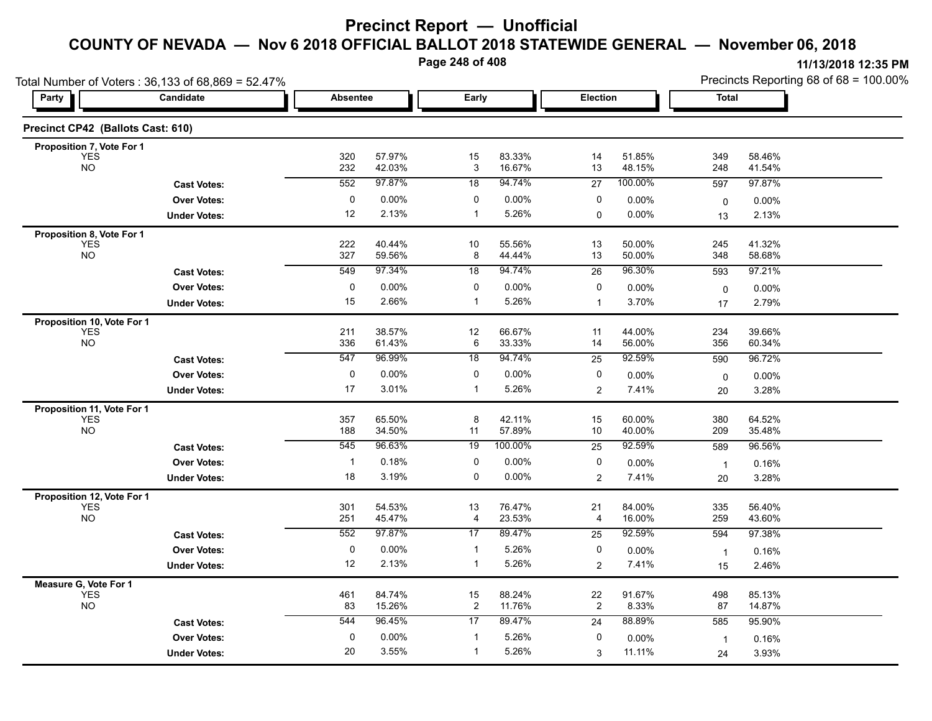**Page 248 of 408**

|                                          | Total Number of Voters: 36,133 of 68,869 = 52.47% |                 |                  |                      |                  |                      |                  | Precincts Reporting 68 of 68 = 100.00% |                  |  |
|------------------------------------------|---------------------------------------------------|-----------------|------------------|----------------------|------------------|----------------------|------------------|----------------------------------------|------------------|--|
| Party                                    | Candidate                                         | <b>Absentee</b> |                  | Early                |                  | <b>Election</b>      |                  | <b>Total</b>                           |                  |  |
| Precinct CP42 (Ballots Cast: 610)        |                                                   |                 |                  |                      |                  |                      |                  |                                        |                  |  |
| Proposition 7, Vote For 1                |                                                   |                 |                  |                      |                  |                      |                  |                                        |                  |  |
| <b>YES</b><br><b>NO</b>                  |                                                   | 320<br>232      | 57.97%<br>42.03% | 15<br>3              | 83.33%<br>16.67% | 14<br>13             | 51.85%<br>48.15% | 349<br>248                             | 58.46%<br>41.54% |  |
|                                          | <b>Cast Votes:</b>                                | 552             | 97.87%           | 18                   | 94.74%           | 27                   | 100.00%          | 597                                    | 97.87%           |  |
|                                          | <b>Over Votes:</b>                                | 0               | 0.00%            | 0                    | $0.00\%$         | 0                    | 0.00%            | $\mathbf 0$                            | 0.00%            |  |
|                                          | <b>Under Votes:</b>                               | 12              | 2.13%            | $\mathbf{1}$         | 5.26%            | 0                    | 0.00%            | 13                                     | 2.13%            |  |
| Proposition 8, Vote For 1                |                                                   |                 |                  |                      |                  |                      |                  |                                        |                  |  |
| <b>YES</b><br><b>NO</b>                  |                                                   | 222<br>327      | 40.44%<br>59.56% | 10<br>8              | 55.56%<br>44.44% | 13<br>13             | 50.00%<br>50.00% | 245<br>348                             | 41.32%<br>58.68% |  |
|                                          | <b>Cast Votes:</b>                                | 549             | 97.34%           | 18                   | 94.74%           | 26                   | 96.30%           | 593                                    | 97.21%           |  |
|                                          | <b>Over Votes:</b>                                | 0               | 0.00%            | 0                    | 0.00%            | 0                    | 0.00%            | 0                                      | 0.00%            |  |
|                                          | <b>Under Votes:</b>                               | 15              | 2.66%            | $\mathbf{1}$         | 5.26%            | $\mathbf 1$          | 3.70%            | 17                                     | 2.79%            |  |
| Proposition 10, Vote For 1               |                                                   |                 |                  |                      |                  |                      |                  |                                        |                  |  |
| <b>YES</b><br><b>NO</b>                  |                                                   | 211             | 38.57%           | 12                   | 66.67%           | 11                   | 44.00%           | 234                                    | 39.66%           |  |
|                                          |                                                   | 336<br>547      | 61.43%<br>96.99% | 6<br>18              | 33.33%<br>94.74% | 14                   | 56.00%<br>92.59% | 356                                    | 60.34%           |  |
|                                          | <b>Cast Votes:</b>                                |                 |                  |                      |                  | 25                   |                  | 590                                    | 96.72%           |  |
|                                          | <b>Over Votes:</b>                                | $\pmb{0}$<br>17 | 0.00%<br>3.01%   | 0<br>$\mathbf{1}$    | 0.00%<br>5.26%   | 0<br>$\overline{2}$  | 0.00%<br>7.41%   | 0                                      | 0.00%<br>3.28%   |  |
|                                          | <b>Under Votes:</b>                               |                 |                  |                      |                  |                      |                  | 20                                     |                  |  |
| Proposition 11, Vote For 1<br><b>YES</b> |                                                   | 357             | 65.50%           | 8                    | 42.11%           | 15                   | 60.00%           | 380                                    | 64.52%           |  |
| <b>NO</b>                                |                                                   | 188             | 34.50%           | 11                   | 57.89%           | 10                   | 40.00%           | 209                                    | 35.48%           |  |
|                                          | <b>Cast Votes:</b>                                | 545             | 96.63%           | 19                   | 100.00%          | 25                   | 92.59%           | 589                                    | 96.56%           |  |
|                                          | <b>Over Votes:</b>                                | $\overline{1}$  | 0.18%            | 0                    | 0.00%            | 0                    | 0.00%            | $\mathbf{1}$                           | 0.16%            |  |
|                                          | <b>Under Votes:</b>                               | 18              | 3.19%            | $\mathbf 0$          | $0.00\%$         | 2                    | 7.41%            | 20                                     | 3.28%            |  |
| Proposition 12, Vote For 1               |                                                   |                 |                  |                      |                  |                      |                  |                                        |                  |  |
| <b>YES</b><br><b>NO</b>                  |                                                   | 301<br>251      | 54.53%<br>45.47% | 13<br>4              | 76.47%<br>23.53% | 21<br>4              | 84.00%<br>16.00% | 335<br>259                             | 56.40%<br>43.60% |  |
|                                          | <b>Cast Votes:</b>                                | 552             | 97.87%           | 17                   | 89.47%           | 25                   | 92.59%           | 594                                    | 97.38%           |  |
|                                          | <b>Over Votes:</b>                                | $\pmb{0}$       | 0.00%            | $\mathbf{1}$         | 5.26%            | 0                    | 0.00%            | $\mathbf{1}$                           | 0.16%            |  |
|                                          | <b>Under Votes:</b>                               | 12              | 2.13%            | $\mathbf{1}$         | 5.26%            | 2                    | 7.41%            | 15                                     | 2.46%            |  |
| Measure G, Vote For 1                    |                                                   |                 |                  |                      |                  |                      |                  |                                        |                  |  |
| <b>YES</b><br><b>NO</b>                  |                                                   | 461<br>83       | 84.74%<br>15.26% | 15<br>$\overline{c}$ | 88.24%<br>11.76% | 22<br>$\overline{2}$ | 91.67%<br>8.33%  | 498<br>87                              | 85.13%<br>14.87% |  |
|                                          |                                                   |                 |                  |                      |                  |                      |                  |                                        |                  |  |
|                                          | <b>Cast Votes:</b>                                | 544             | 96.45%           | 17                   | 89.47%           | 24                   | 88.89%           | 585                                    | 95.90%           |  |

3.55% 1

1 5.26%

5.26% 0

3

11.11%

 $0$  0.00%  $1$  5.26%  $0$  0.00%  $1$  0.16%

0.00% 1

24 3.93%

11.11% 3.93%

**Under Votes: Over Votes:** 0.00%

20 3.55%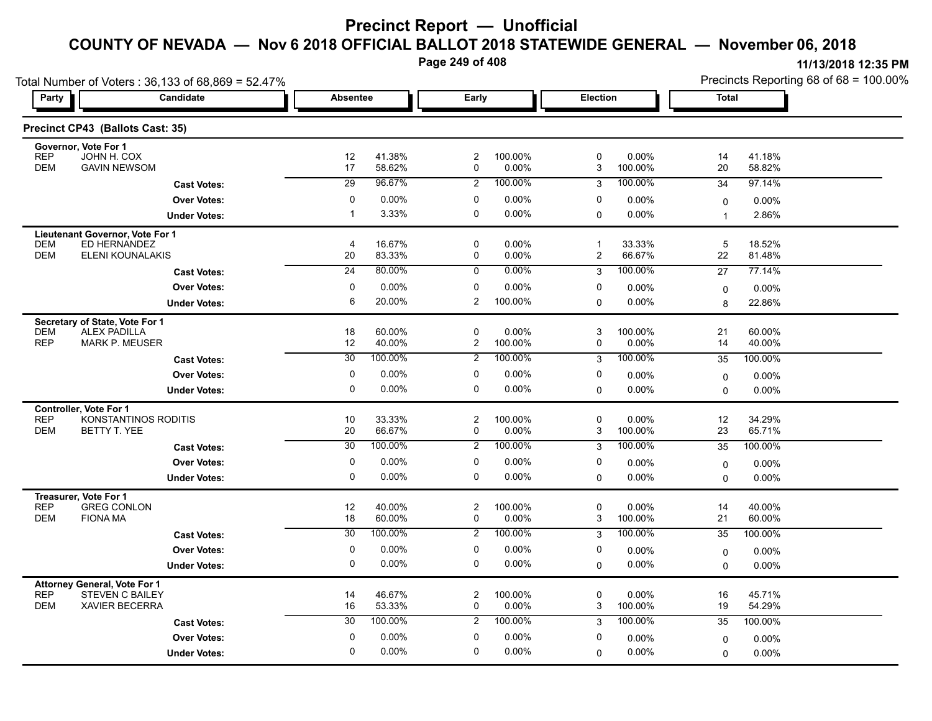**Page 249 of 408**

|                                      | Total Number of Voters: 36,133 of 68,869 = 52.47% |                 |                   |                         |                   |                         |                   | Precincts Reporting 68 of 68 = 100.00% |                  |  |
|--------------------------------------|---------------------------------------------------|-----------------|-------------------|-------------------------|-------------------|-------------------------|-------------------|----------------------------------------|------------------|--|
| Party                                | Candidate                                         |                 | <b>Absentee</b>   |                         | Early<br>Election |                         |                   | <b>Total</b>                           |                  |  |
|                                      | Precinct CP43 (Ballots Cast: 35)                  |                 |                   |                         |                   |                         |                   |                                        |                  |  |
| Governor, Vote For 1<br><b>REP</b>   | JOHN H. COX                                       | 12              | 41.38%            | $\boldsymbol{2}$        | 100.00%           | 0                       | $0.00\%$          | 14                                     | 41.18%           |  |
| <b>DEM</b>                           | <b>GAVIN NEWSOM</b>                               | 17              | 58.62%            | 0                       | 0.00%             | 3                       | 100.00%           | 20                                     | 58.82%           |  |
|                                      | <b>Cast Votes:</b>                                | 29              | 96.67%            | 2                       | 100.00%           | 3                       | 100.00%           | 34                                     | 97.14%           |  |
|                                      | <b>Over Votes:</b>                                | 0               | $0.00\%$          | 0                       | 0.00%             | 0                       | $0.00\%$          | 0                                      | $0.00\%$         |  |
|                                      | <b>Under Votes:</b>                               | $\mathbf{1}$    | 3.33%             | 0                       | 0.00%             | 0                       | $0.00\%$          | $\overline{1}$                         | 2.86%            |  |
|                                      | Lieutenant Governor, Vote For 1                   |                 |                   |                         |                   |                         |                   |                                        |                  |  |
| <b>DEM</b><br><b>DEM</b>             | ED HERNANDEZ                                      | 4               | 16.67%            | 0                       | 0.00%             | $\mathbf{1}$            | 33.33%            | 5                                      | 18.52%           |  |
|                                      | ELENI KOUNALAKIS                                  | 20              | 83.33%<br>80.00%  | 0                       | 0.00%<br>$0.00\%$ | $\overline{\mathbf{c}}$ | 66.67%<br>100.00% | 22                                     | 81.48%           |  |
|                                      | <b>Cast Votes:</b>                                | $\overline{24}$ |                   | $\mathbf 0$             |                   | 3                       |                   | 27                                     | 77.14%           |  |
|                                      | <b>Over Votes:</b>                                | $\mathbf 0$     | 0.00%             | 0                       | 0.00%             | 0                       | $0.00\%$          | 0                                      | 0.00%            |  |
|                                      | <b>Under Votes:</b>                               | 6               | 20.00%            | $\overline{2}$          | 100.00%           | $\Omega$                | 0.00%             | 8                                      | 22.86%           |  |
| Secretary of State, Vote For 1       |                                                   |                 |                   |                         |                   |                         |                   |                                        |                  |  |
| <b>DEM</b><br><b>REP</b>             | <b>ALEX PADILLA</b><br><b>MARK P. MEUSER</b>      | 18<br>12        | 60.00%<br>40.00%  | 0<br>$\overline{2}$     | 0.00%<br>100.00%  | 3<br>0                  | 100.00%<br>0.00%  | 21<br>14                               | 60.00%<br>40.00% |  |
|                                      | <b>Cast Votes:</b>                                | 30              | 100.00%           | $\overline{2}$          | 100.00%           | 3                       | 100.00%           | 35                                     | 100.00%          |  |
|                                      |                                                   | 0               |                   | 0                       |                   |                         |                   |                                        |                  |  |
|                                      | <b>Over Votes:</b>                                | 0               | $0.00\%$<br>0.00% | 0                       | 0.00%<br>0.00%    | 0                       | 0.00%<br>$0.00\%$ | 0                                      | $0.00\%$         |  |
|                                      | <b>Under Votes:</b>                               |                 |                   |                         |                   | $\mathbf 0$             |                   | $\Omega$                               | 0.00%            |  |
| Controller, Vote For 1<br><b>REP</b> | KONSTANTINOS RODITIS                              | 10              | 33.33%            | $\overline{c}$          | 100.00%           | 0                       | 0.00%             | 12                                     | 34.29%           |  |
| <b>DEM</b>                           | BETTY T. YEE                                      | 20              | 66.67%            | 0                       | 0.00%             | 3                       | 100.00%           | 23                                     | 65.71%           |  |
|                                      | <b>Cast Votes:</b>                                | $\overline{30}$ | 100.00%           | $\overline{2}$          | 100.00%           | 3                       | 100.00%           | 35                                     | 100.00%          |  |
|                                      | <b>Over Votes:</b>                                | 0               | $0.00\%$          | 0                       | 0.00%             | 0                       | $0.00\%$          | 0                                      | $0.00\%$         |  |
|                                      | <b>Under Votes:</b>                               | 0               | 0.00%             | 0                       | 0.00%             | $\Omega$                | $0.00\%$          | $\Omega$                               | 0.00%            |  |
|                                      |                                                   |                 |                   |                         |                   |                         |                   |                                        |                  |  |
| Treasurer, Vote For 1<br><b>REP</b>  | <b>GREG CONLON</b>                                | 12              | 40.00%            | $\overline{\mathbf{c}}$ | 100.00%           | 0                       | $0.00\%$          | 14                                     | 40.00%           |  |
| <b>DEM</b>                           | <b>FIONA MA</b>                                   | 18              | 60.00%            | 0                       | 0.00%             | 3                       | 100.00%           | 21                                     | 60.00%           |  |
|                                      | <b>Cast Votes:</b>                                | 30              | 100.00%           | 2                       | 100.00%           | 3                       | 100.00%           | 35                                     | 100.00%          |  |
|                                      | <b>Over Votes:</b>                                | 0               | 0.00%             | 0                       | 0.00%             | 0                       | 0.00%             | 0                                      | 0.00%            |  |
|                                      | <b>Under Votes:</b>                               | 0               | $0.00\%$          | 0                       | $0.00\%$          | 0                       | $0.00\%$          | $\Omega$                               | 0.00%            |  |
| <b>Attorney General, Vote For 1</b>  |                                                   |                 |                   |                         |                   |                         |                   |                                        |                  |  |
| <b>REP</b>                           | <b>STEVEN C BAILEY</b>                            | 14              | 46.67%            | $\overline{\mathbf{c}}$ | 100.00%           | 0                       | $0.00\%$          | 16                                     | 45.71%           |  |
| <b>DEM</b>                           | <b>XAVIER BECERRA</b>                             | 16              | 53.33%            | 0                       | 0.00%             | 3                       | 100.00%           | 19                                     | 54.29%           |  |
|                                      | <b>Cast Votes:</b>                                | 30              | 100.00%           | $\overline{2}$          | 100.00%           | 3                       | 100.00%           | 35                                     | 100.00%          |  |
|                                      | <b>Over Votes:</b>                                | 0               | 0.00%             | 0                       | 0.00%             | 0                       | $0.00\%$          | $\mathbf 0$                            | 0.00%            |  |
|                                      | <b>Under Votes:</b>                               | $\Omega$        | 0.00%             | $\mathbf{0}$            | 0.00%             | $\Omega$                | $0.00\%$          | 0                                      | 0.00%            |  |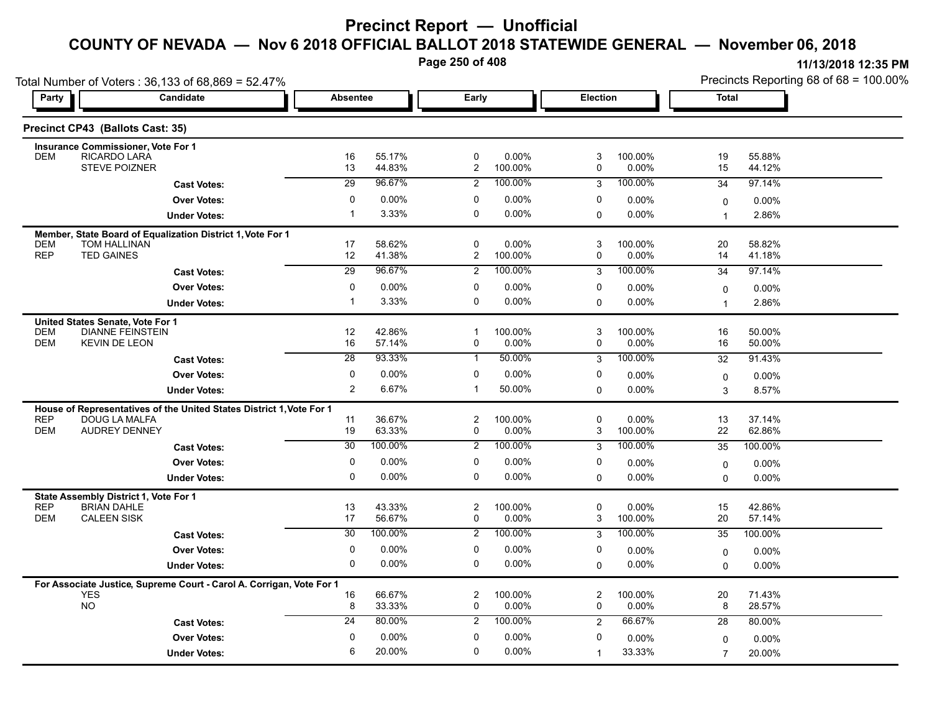**Page 250 of 408**

| Party                    | Total Number of Voters: 36,133 of 68,869 = 52.47%<br><b>Candidate</b> |                 | Early<br><b>Absentee</b> |                               | <b>Election</b>  |                                          |                     | Precincts Reporting 68 of 68 = 100.00%<br><b>Total</b> |                  |  |
|--------------------------|-----------------------------------------------------------------------|-----------------|--------------------------|-------------------------------|------------------|------------------------------------------|---------------------|--------------------------------------------------------|------------------|--|
|                          |                                                                       |                 |                          |                               |                  |                                          |                     |                                                        |                  |  |
|                          | Precinct CP43 (Ballots Cast: 35)                                      |                 |                          |                               |                  |                                          |                     |                                                        |                  |  |
|                          | <b>Insurance Commissioner, Vote For 1</b>                             |                 |                          |                               |                  |                                          |                     |                                                        |                  |  |
| <b>DEM</b>               | RICARDO LARA<br><b>STEVE POIZNER</b>                                  | 16<br>13        | 55.17%<br>44.83%         | $\mathbf 0$<br>$\overline{2}$ | 0.00%<br>100.00% | 3<br>$\mathbf 0$                         | 100.00%<br>0.00%    | 19<br>15                                               | 55.88%<br>44.12% |  |
|                          | <b>Cast Votes:</b>                                                    | 29              | 96.67%                   | $\overline{2}$                | 100.00%          | 3                                        | 100.00%             | 34                                                     | 97.14%           |  |
|                          | <b>Over Votes:</b>                                                    | $\mathbf 0$     | 0.00%                    | 0                             | $0.00\%$         | 0                                        | $0.00\%$            | $\mathbf 0$                                            | 0.00%            |  |
|                          | <b>Under Votes:</b>                                                   | $\overline{1}$  | 3.33%                    | 0                             | $0.00\%$         | $\Omega$                                 | 0.00%               | $\mathbf{1}$                                           | 2.86%            |  |
|                          | Member, State Board of Equalization District 1, Vote For 1            |                 |                          |                               |                  |                                          |                     |                                                        |                  |  |
| <b>DEM</b><br><b>REP</b> | TOM HALLINAN<br><b>TED GAINES</b>                                     | 17<br>12        | 58.62%<br>41.38%         | 0<br>$\overline{2}$           | 0.00%<br>100.00% | 3<br>$\mathbf 0$                         | 100.00%<br>0.00%    | 20<br>14                                               | 58.82%<br>41.18% |  |
|                          | <b>Cast Votes:</b>                                                    | $\overline{29}$ | 96.67%                   | $\overline{2}$                | 100.00%          | 3                                        | 100.00%             | 34                                                     | 97.14%           |  |
|                          | <b>Over Votes:</b>                                                    | $\mathbf 0$     | 0.00%                    | 0                             | $0.00\%$         | 0                                        | 0.00%               | $\mathbf 0$                                            | 0.00%            |  |
|                          | <b>Under Votes:</b>                                                   | $\overline{1}$  | 3.33%                    | 0                             | $0.00\%$         | $\mathbf 0$                              | 0.00%               | $\mathbf{1}$                                           | 2.86%            |  |
|                          | United States Senate, Vote For 1                                      |                 |                          |                               |                  |                                          |                     |                                                        |                  |  |
| <b>DEM</b><br><b>DEM</b> | <b>DIANNE FEINSTEIN</b><br><b>KEVIN DE LEON</b>                       | 12<br>16        | 42.86%<br>57.14%         | $\mathbf{1}$<br>0             | 100.00%<br>0.00% | $\ensuremath{\mathsf{3}}$<br>$\mathbf 0$ | 100.00%<br>0.00%    | 16<br>16                                               | 50.00%<br>50.00% |  |
|                          | <b>Cast Votes:</b>                                                    | $\overline{28}$ | 93.33%                   | $\mathbf{1}$                  | 50.00%           | 3                                        | 100.00%             | 32                                                     | 91.43%           |  |
|                          | <b>Over Votes:</b>                                                    | 0               | 0.00%                    | 0                             | 0.00%            | 0                                        | 0.00%               |                                                        | 0.00%            |  |
|                          | <b>Under Votes:</b>                                                   | $\overline{2}$  | 6.67%                    | $\mathbf{1}$                  | 50.00%           | $\mathbf 0$                              | 0.00%               | $\mathbf 0$<br>3                                       | 8.57%            |  |
|                          | House of Representatives of the United States District 1, Vote For 1  |                 |                          |                               |                  |                                          |                     |                                                        |                  |  |
| <b>REP</b>               | <b>DOUG LA MALFA</b>                                                  | 11              | 36.67%                   | $\overline{\mathbf{c}}$       | 100.00%          | $\pmb{0}$                                | 0.00%               | 13                                                     | 37.14%           |  |
| <b>DEM</b>               | <b>AUDREY DENNEY</b>                                                  | 19              | 63.33%                   | 0                             | 0.00%            | 3                                        | 100.00%             | 22                                                     | 62.86%           |  |
|                          | <b>Cast Votes:</b>                                                    | 30              | 100.00%                  | $\overline{2}$                | 100.00%          | 3                                        | 100.00%             | 35                                                     | 100.00%          |  |
|                          | <b>Over Votes:</b>                                                    | $\mathbf 0$     | 0.00%                    | 0                             | $0.00\%$         | 0                                        | $0.00\%$            | $\mathbf 0$                                            | 0.00%            |  |
|                          | <b>Under Votes:</b>                                                   | $\mathbf 0$     | 0.00%                    | $\mathbf 0$                   | 0.00%            | $\mathbf 0$                              | 0.00%               | $\mathbf 0$                                            | 0.00%            |  |
|                          | State Assembly District 1, Vote For 1                                 |                 |                          |                               |                  |                                          |                     |                                                        |                  |  |
| <b>REP</b><br><b>DEM</b> | <b>BRIAN DAHLE</b><br><b>CALEEN SISK</b>                              | 13<br>17        | 43.33%<br>56.67%         | $\overline{\mathbf{c}}$<br>0  | 100.00%<br>0.00% | $\pmb{0}$<br>$\ensuremath{\mathsf{3}}$   | $0.00\%$<br>100.00% | 15<br>20                                               | 42.86%<br>57.14% |  |
|                          | <b>Cast Votes:</b>                                                    | 30              | 100.00%                  | $\overline{2}$                | 100.00%          | 3                                        | 100.00%             | 35                                                     | 100.00%          |  |
|                          | <b>Over Votes:</b>                                                    | 0               | 0.00%                    | 0                             | 0.00%            | 0                                        | 0.00%               | $\mathbf 0$                                            | 0.00%            |  |
|                          | <b>Under Votes:</b>                                                   | $\mathbf 0$     | 0.00%                    | $\mathbf 0$                   | $0.00\%$         | $\mathbf 0$                              | $0.00\%$            | $\mathbf{0}$                                           | $0.00\%$         |  |
|                          | For Associate Justice, Supreme Court - Carol A. Corrigan, Vote For 1  |                 |                          |                               |                  |                                          |                     |                                                        |                  |  |
|                          | <b>YES</b><br><b>NO</b>                                               | 16<br>8         | 66.67%<br>33.33%         | 2<br>0                        | 100.00%<br>0.00% | $\overline{c}$<br>$\mathbf 0$            | 100.00%<br>0.00%    | 20<br>8                                                | 71.43%<br>28.57% |  |
|                          | <b>Cast Votes:</b>                                                    | 24              | 80.00%                   | $\overline{2}$                | 100.00%          | 2                                        | 66.67%              | 28                                                     | 80.00%           |  |
|                          | <b>Over Votes:</b>                                                    | $\mathbf 0$     | 0.00%                    | 0                             | 0.00%            | 0                                        | 0.00%               |                                                        | 0.00%            |  |
|                          | <b>Under Votes:</b>                                                   | 6               | 20.00%                   | $\mathbf 0$                   | 0.00%            | $\mathbf{1}$                             | 33.33%              | $\Omega$<br>$\overline{7}$                             | 20.00%           |  |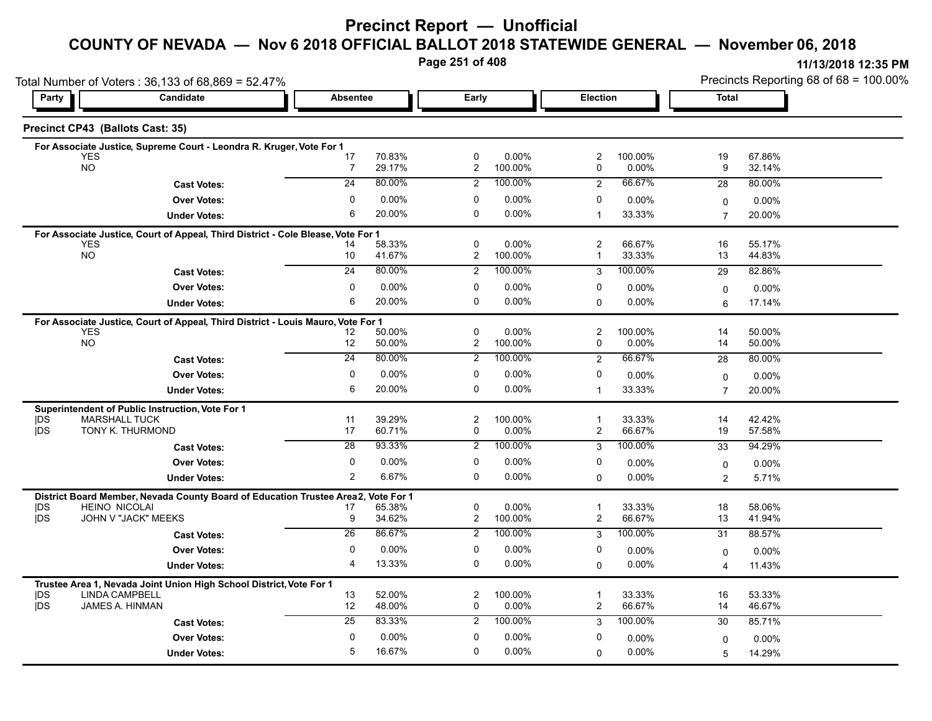**Page 251 of 408**

| Total Number of Voters: 36,133 of 68,869 = 52.47% |                                                                                   |                       |                  |                               |                     |                              | Precincts Reporting 68 of 68 = 100.00% |                         |                  |  |
|---------------------------------------------------|-----------------------------------------------------------------------------------|-----------------------|------------------|-------------------------------|---------------------|------------------------------|----------------------------------------|-------------------------|------------------|--|
| Party                                             | Candidate                                                                         |                       | <b>Absentee</b>  |                               | Early               |                              | Election                               |                         | <b>Total</b>     |  |
| Precinct CP43 (Ballots Cast: 35)                  |                                                                                   |                       |                  |                               |                     |                              |                                        |                         |                  |  |
|                                                   | For Associate Justice, Supreme Court - Leondra R. Kruger, Vote For 1              |                       |                  |                               |                     |                              |                                        |                         |                  |  |
| <b>YES</b><br><b>NO</b>                           |                                                                                   | 17<br>$\overline{7}$  | 70.83%<br>29.17% | $\mathbf 0$<br>$\overline{2}$ | 0.00%<br>100.00%    | $\overline{\mathbf{c}}$<br>0 | 100.00%<br>0.00%                       | 19<br>9                 | 67.86%<br>32.14% |  |
|                                                   | <b>Cast Votes:</b>                                                                | 24                    | 80.00%           | $\overline{2}$                | 100.00%             | 2                            | 66.67%                                 | 28                      | 80.00%           |  |
|                                                   | <b>Over Votes:</b>                                                                | 0                     | 0.00%            | 0                             | 0.00%               | 0                            | 0.00%                                  | $\Omega$                | 0.00%            |  |
|                                                   | <b>Under Votes:</b>                                                               | 6                     | 20.00%           | $\mathbf 0$                   | $0.00\%$            | $\mathbf{1}$                 | 33.33%                                 | $\overline{7}$          | 20.00%           |  |
|                                                   | For Associate Justice, Court of Appeal, Third District - Cole Blease, Vote For 1  |                       |                  |                               |                     |                              |                                        |                         |                  |  |
| <b>YES</b><br><b>NO</b>                           |                                                                                   | 14                    | 58.33%           | $\mathbf 0$                   | $0.00\%$            | $\overline{2}$<br>1          | 66.67%                                 | 16                      | 55.17%           |  |
|                                                   |                                                                                   | 10<br>$\overline{24}$ | 41.67%<br>80.00% | $\overline{2}$                | 100.00%<br>100.00%  |                              | 33.33%<br>100.00%                      | 13                      | 44.83%           |  |
|                                                   | <b>Cast Votes:</b>                                                                |                       |                  | $\overline{2}$                |                     | 3                            |                                        | 29                      | 82.86%           |  |
|                                                   | <b>Over Votes:</b>                                                                | 0<br>6                | 0.00%<br>20.00%  | 0<br>$\mathbf 0$              | 0.00%<br>$0.00\%$   | 0                            | 0.00%                                  | $\mathbf 0$             | 0.00%            |  |
|                                                   | <b>Under Votes:</b>                                                               |                       |                  |                               |                     | $\Omega$                     | 0.00%                                  | 6                       | 17.14%           |  |
| <b>YES</b>                                        | For Associate Justice, Court of Appeal, Third District - Louis Mauro, Vote For 1  | 12                    | 50.00%           | $\mathbf 0$                   | 0.00%               | $\overline{2}$               | 100.00%                                | 14                      | 50.00%           |  |
| <b>NO</b>                                         |                                                                                   | 12 <sup>°</sup>       | 50.00%           | $\overline{2}$                | 100.00%             | 0                            | 0.00%                                  | 14                      | 50.00%           |  |
|                                                   | <b>Cast Votes:</b>                                                                | $\overline{24}$       | 80.00%           | $\overline{2}$                | 100.00%             | 2                            | 66.67%                                 | 28                      | 80.00%           |  |
|                                                   | <b>Over Votes:</b>                                                                | 0                     | 0.00%            | 0                             | 0.00%               | 0                            | 0.00%                                  | 0                       | 0.00%            |  |
|                                                   | <b>Under Votes:</b>                                                               | 6                     | 20.00%           | $\mathbf 0$                   | 0.00%               | $\mathbf 1$                  | 33.33%                                 | $\overline{7}$          | 20.00%           |  |
|                                                   | Superintendent of Public Instruction, Vote For 1                                  |                       |                  |                               |                     |                              |                                        |                         |                  |  |
| <b>IDS</b>                                        | <b>MARSHALL TUCK</b>                                                              | 11                    | 39.29%           | $\overline{2}$                | 100.00%             | 1                            | 33.33%                                 | 14                      | 42.42%           |  |
| jDS                                               | TONY K. THURMOND                                                                  | 17                    | 60.71%           | 0                             | 0.00%               | 2                            | 66.67%                                 | 19                      | 57.58%           |  |
|                                                   | <b>Cast Votes:</b>                                                                | 28                    | 93.33%           | $\overline{2}$                | 100.00%             | 3                            | 100.00%                                | 33                      | 94.29%           |  |
|                                                   | <b>Over Votes:</b>                                                                | 0                     | 0.00%            | 0                             | 0.00%               | 0                            | 0.00%                                  | 0                       | 0.00%            |  |
|                                                   | <b>Under Votes:</b>                                                               | $\overline{2}$        | 6.67%            | $\mathbf 0$                   | $0.00\%$            | $\Omega$                     | 0.00%                                  | 2                       | 5.71%            |  |
|                                                   | District Board Member, Nevada County Board of Education Trustee Area2, Vote For 1 |                       |                  |                               |                     |                              |                                        |                         |                  |  |
| <b>IDS</b><br><b>IDS</b>                          | <b>HEINO NICOLAI</b><br>JOHN V "JACK" MEEKS                                       | 17<br>9               | 65.38%<br>34.62% | $\pmb{0}$<br>$\overline{2}$   | $0.00\%$<br>100.00% | 1<br>2                       | 33.33%<br>66.67%                       | 18<br>13                | 58.06%<br>41.94% |  |
|                                                   | <b>Cast Votes:</b>                                                                | $\overline{26}$       | 86.67%           | 2                             | 100.00%             | 3                            | 100.00%                                | 31                      | 88.57%           |  |
|                                                   | <b>Over Votes:</b>                                                                | 0                     | 0.00%            | 0                             | 0.00%               | 0                            | 0.00%                                  | $\Omega$                | 0.00%            |  |
|                                                   | <b>Under Votes:</b>                                                               | $\overline{4}$        | 13.33%           | 0                             | 0.00%               | 0                            | 0.00%                                  | $\overline{\mathbf{4}}$ | 11.43%           |  |
|                                                   | Trustee Area 1, Nevada Joint Union High School District, Vote For 1               |                       |                  |                               |                     |                              |                                        |                         |                  |  |
| <b>IDS</b>                                        | <b>LINDA CAMPBELL</b>                                                             | 13                    | 52.00%           | $\overline{c}$                | 100.00%             | $\mathbf 1$                  | 33.33%                                 | 16                      | 53.33%           |  |
| <b>IDS</b>                                        | JAMES A. HINMAN                                                                   | 12                    | 48.00%           | 0                             | 0.00%               | 2                            | 66.67%                                 | 14                      | 46.67%           |  |
|                                                   | <b>Cast Votes:</b>                                                                | 25                    | 83.33%           | 2                             | 100.00%             | 3                            | 100.00%                                | 30                      | 85.71%           |  |
|                                                   | <b>Over Votes:</b>                                                                | 0                     | $0.00\%$         | 0                             | 0.00%               | $\mathbf 0$                  | 0.00%                                  | $\Omega$                | 0.00%            |  |
|                                                   | <b>Under Votes:</b>                                                               | 5                     | 16.67%           | 0                             | 0.00%               | $\Omega$                     | 0.00%                                  | 5                       | 14.29%           |  |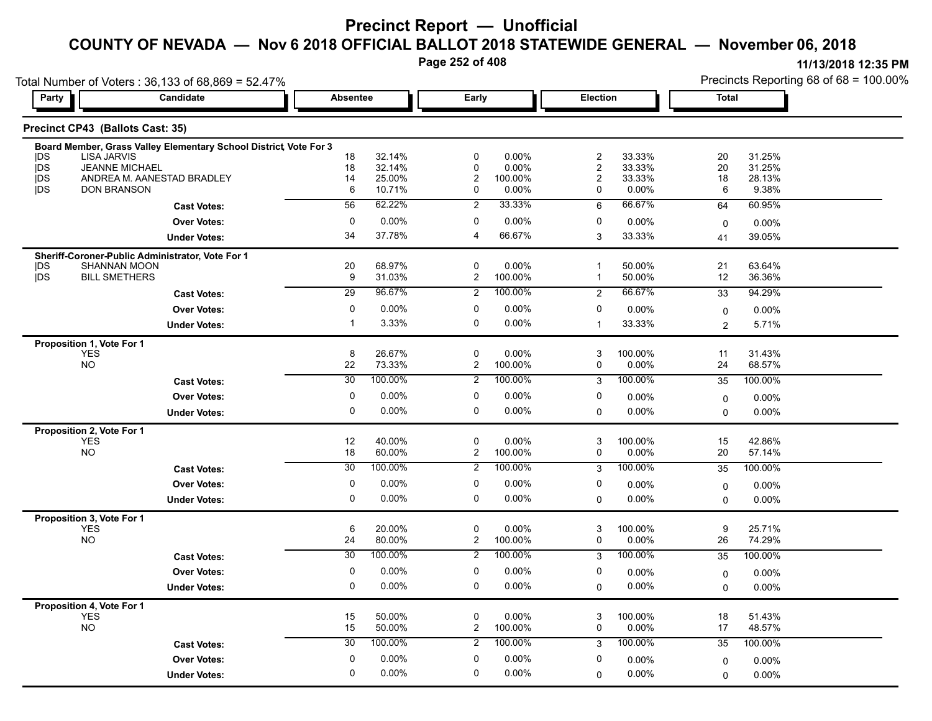**Page 252 of 408**

|                           | Total Number of Voters: 36,133 of 68,869 = 52.47%                 |                  |                  |                                        |                  |                                    |                   | Precincts Reporting 68 of 68 = 100.00% |                  |  |
|---------------------------|-------------------------------------------------------------------|------------------|------------------|----------------------------------------|------------------|------------------------------------|-------------------|----------------------------------------|------------------|--|
| <b>Candidate</b><br>Party |                                                                   | <b>Absentee</b>  |                  | Early                                  |                  | Election                           |                   | <b>Total</b>                           |                  |  |
|                           | Precinct CP43 (Ballots Cast: 35)                                  |                  |                  |                                        |                  |                                    |                   |                                        |                  |  |
|                           | Board Member, Grass Valley Elementary School District, Vote For 3 |                  |                  |                                        |                  |                                    |                   |                                        |                  |  |
| <b>IDS</b>                | <b>LISA JARVIS</b>                                                | 18               | 32.14%           | $\mathbf 0$                            | 0.00%            | $\sqrt{2}$                         | 33.33%            | 20                                     | 31.25%           |  |
| jDS<br><b>IDS</b>         | <b>JEANNE MICHAEL</b><br>ANDREA M. AANESTAD BRADLEY               | 18<br>14         | 32.14%<br>25.00% | $\mathbf 0$<br>$\overline{\mathbf{c}}$ | 0.00%<br>100.00% | $\boldsymbol{2}$<br>$\overline{c}$ | 33.33%<br>33.33%  | 20<br>18                               | 31.25%<br>28.13% |  |
| DS                        | <b>DON BRANSON</b>                                                | 6                | 10.71%           | 0                                      | $0.00\%$         | 0                                  | 0.00%             | 6                                      | 9.38%            |  |
|                           | <b>Cast Votes:</b>                                                | 56               | 62.22%           | $\overline{2}$                         | 33.33%           | 6                                  | 66.67%            | 64                                     | 60.95%           |  |
|                           | <b>Over Votes:</b>                                                | $\mathbf 0$      | 0.00%            | 0                                      | 0.00%            | 0                                  | 0.00%             | $\mathbf 0$                            | 0.00%            |  |
|                           | <b>Under Votes:</b>                                               | 34               | 37.78%           | $\overline{4}$                         | 66.67%           | 3                                  | 33.33%            | 41                                     | 39.05%           |  |
|                           | Sheriff-Coroner-Public Administrator, Vote For 1                  |                  |                  |                                        |                  |                                    |                   |                                        |                  |  |
| <b>IDS</b>                | <b>SHANNAN MOON</b>                                               | 20               | 68.97%           | $\mathbf 0$                            | $0.00\%$         | $\overline{1}$                     | 50.00%            | 21                                     | 63.64%           |  |
| <b>IDS</b>                | <b>BILL SMETHERS</b>                                              | $\boldsymbol{9}$ | 31.03%           | $\overline{c}$                         | 100.00%          | $\mathbf{1}$                       | 50.00%            | 12                                     | 36.36%           |  |
|                           | <b>Cast Votes:</b>                                                | $\overline{29}$  | 96.67%           | $\overline{2}$                         | 100.00%          | $\overline{2}$                     | 66.67%            | 33                                     | 94.29%           |  |
|                           | <b>Over Votes:</b>                                                | 0                | 0.00%            | 0                                      | 0.00%            | 0                                  | 0.00%             | 0                                      | 0.00%            |  |
|                           | <b>Under Votes:</b>                                               | $\mathbf{1}$     | 3.33%            | $\mathbf 0$                            | 0.00%            | $\mathbf{1}$                       | 33.33%            | 2                                      | 5.71%            |  |
|                           | Proposition 1, Vote For 1                                         |                  |                  |                                        |                  |                                    |                   |                                        |                  |  |
|                           | <b>YES</b><br><b>NO</b>                                           | 8<br>22          | 26.67%<br>73.33% | 0<br>$\overline{2}$                    | 0.00%<br>100.00% | 3<br>$\mathbf 0$                   | 100.00%<br>0.00%  | 11<br>24                               | 31.43%<br>68.57% |  |
|                           |                                                                   | 30               | 100.00%          | $\overline{2}$                         | 100.00%          | 3                                  | 100.00%           | 35                                     | 100.00%          |  |
|                           | <b>Cast Votes:</b>                                                | $\mathbf 0$      |                  |                                        |                  |                                    |                   |                                        |                  |  |
|                           | <b>Over Votes:</b>                                                |                  | 0.00%            | $\mathbf 0$                            | $0.00\%$         | 0                                  | $0.00\%$          | 0                                      | 0.00%            |  |
|                           | <b>Under Votes:</b>                                               | 0                | 0.00%            | 0                                      | $0.00\%$         | $\mathbf 0$                        | 0.00%             | $\mathbf 0$                            | 0.00%            |  |
|                           | Proposition 2, Vote For 1                                         |                  |                  |                                        |                  |                                    |                   |                                        |                  |  |
|                           | <b>YES</b><br><b>NO</b>                                           | 12<br>18         | 40.00%<br>60.00% | 0<br>$\overline{2}$                    | 0.00%<br>100.00% | 3<br>$\mathbf 0$                   | 100.00%<br>0.00%  | 15<br>20                               | 42.86%<br>57.14% |  |
|                           | <b>Cast Votes:</b>                                                | $\overline{30}$  | 100.00%          | $\overline{2}$                         | 100.00%          | 3                                  | 100.00%           | 35                                     | 100.00%          |  |
|                           | <b>Over Votes:</b>                                                | $\pmb{0}$        | 0.00%            | $\pmb{0}$                              | $0.00\%$         | $\pmb{0}$                          |                   |                                        |                  |  |
|                           |                                                                   | 0                | 0.00%            | 0                                      | $0.00\%$         | $\Omega$                           | 0.00%<br>$0.00\%$ | $\mathbf 0$                            | 0.00%            |  |
|                           | <b>Under Votes:</b>                                               |                  |                  |                                        |                  |                                    |                   | $\mathbf 0$                            | 0.00%            |  |
|                           | Proposition 3, Vote For 1<br>YES                                  |                  |                  |                                        |                  |                                    | 100.00%           |                                        |                  |  |
|                           | <b>NO</b>                                                         | $\,6\,$<br>24    | 20.00%<br>80.00% | $\pmb{0}$<br>$\overline{2}$            | 0.00%<br>100.00% | $\ensuremath{\mathsf{3}}$<br>0     | $0.00\%$          | $\boldsymbol{9}$<br>26                 | 25.71%<br>74.29% |  |
|                           | <b>Cast Votes:</b>                                                | $\overline{30}$  | 100.00%          | $\overline{2}$                         | 100.00%          | 3                                  | 100.00%           | 35                                     | 100.00%          |  |
|                           | <b>Over Votes:</b>                                                | $\mathbf 0$      | 0.00%            | 0                                      | 0.00%            | 0                                  | $0.00\%$          |                                        | 0.00%            |  |
|                           | <b>Under Votes:</b>                                               | $\mathbf 0$      | 0.00%            | $\mathbf 0$                            | $0.00\%$         | $\mathbf 0$                        | $0.00\%$          | $\mathbf 0$<br>$\mathbf{0}$            | 0.00%            |  |
|                           |                                                                   |                  |                  |                                        |                  |                                    |                   |                                        |                  |  |
|                           | Proposition 4, Vote For 1<br><b>YES</b>                           | 15               | 50.00%           | $\pmb{0}$                              | 0.00%            | $\sqrt{3}$                         | 100.00%           | 18                                     | 51.43%           |  |
|                           | <b>NO</b>                                                         | 15               | 50.00%           | $\overline{2}$                         | 100.00%          | 0                                  | 0.00%             | 17                                     | 48.57%           |  |
|                           | <b>Cast Votes:</b>                                                | $\overline{30}$  | 100.00%          | $\overline{2}$                         | 100.00%          | 3                                  | 100.00%           | 35                                     | 100.00%          |  |
|                           | <b>Over Votes:</b>                                                | $\mathbf 0$      | 0.00%            | $\mathbf 0$                            | 0.00%            | $\mathbf 0$                        | $0.00\%$          |                                        |                  |  |
|                           |                                                                   | $\mathbf 0$      | 0.00%            | 0                                      | 0.00%            | $\mathbf 0$                        | 0.00%             | $\pmb{0}$                              | 0.00%            |  |
|                           | <b>Under Votes:</b>                                               |                  |                  |                                        |                  |                                    |                   | $\mathbf 0$                            | 0.00%            |  |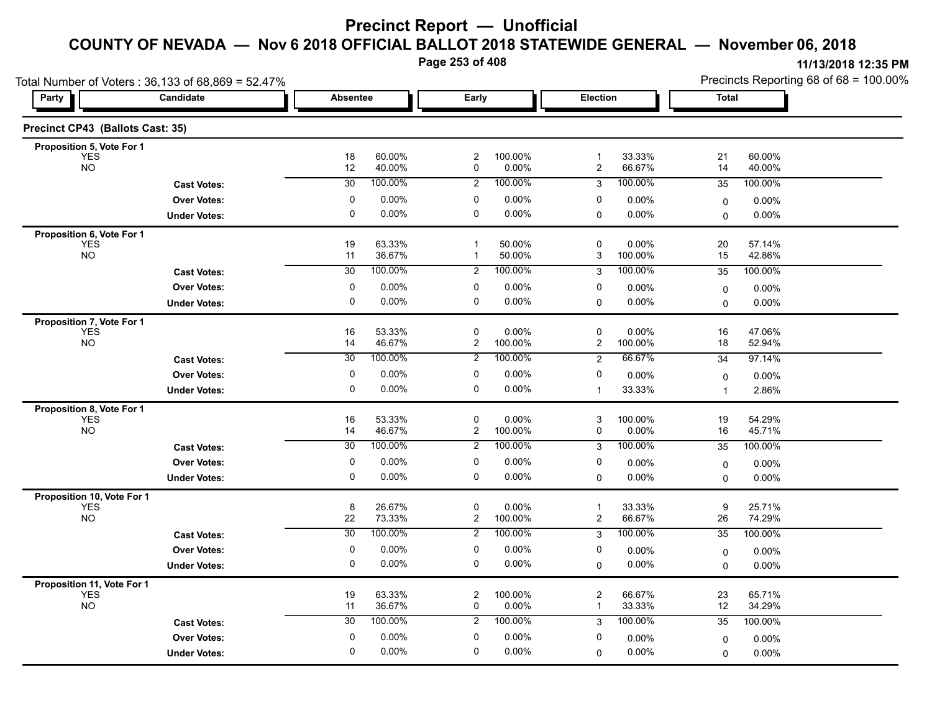**Page 253 of 408**

|                                         | Total Number of Voters: 36,133 of 68,869 = 52.47% |                 |                  |                               |                  |                                |                  | Precincts Reporting 68 of 68 = 100.00% |                  |  |
|-----------------------------------------|---------------------------------------------------|-----------------|------------------|-------------------------------|------------------|--------------------------------|------------------|----------------------------------------|------------------|--|
| Party                                   | Candidate                                         | <b>Absentee</b> |                  | Early                         |                  | Election                       |                  | Total                                  |                  |  |
| Precinct CP43 (Ballots Cast: 35)        |                                                   |                 |                  |                               |                  |                                |                  |                                        |                  |  |
| Proposition 5, Vote For 1               |                                                   |                 |                  |                               |                  |                                |                  |                                        |                  |  |
| <b>YES</b><br><b>NO</b>                 |                                                   | 18<br>12        | 60.00%<br>40.00% | $\overline{2}$<br>0           | 100.00%<br>0.00% | $\mathbf{1}$<br>$\overline{c}$ | 33.33%<br>66.67% | 21<br>14                               | 60.00%<br>40.00% |  |
|                                         | <b>Cast Votes:</b>                                | $\overline{30}$ | 100.00%          | $\overline{2}$                | 100.00%          | 3                              | 100.00%          | 35                                     | 100.00%          |  |
|                                         | <b>Over Votes:</b>                                | 0               | 0.00%            | 0                             | 0.00%            | 0                              | 0.00%            | 0                                      | $0.00\%$         |  |
|                                         | <b>Under Votes:</b>                               | $\pmb{0}$       | 0.00%            | $\pmb{0}$                     | 0.00%            | $\mathbf 0$                    | 0.00%            | $\Omega$                               | 0.00%            |  |
| Proposition 6, Vote For 1               |                                                   |                 |                  |                               |                  |                                |                  |                                        |                  |  |
| <b>YES</b><br><b>NO</b>                 |                                                   | 19<br>11        | 63.33%<br>36.67% | $\mathbf 1$<br>-1             | 50.00%<br>50.00% | $\mathbf 0$<br>3               | 0.00%<br>100.00% | 20<br>15                               | 57.14%<br>42.86% |  |
|                                         | <b>Cast Votes:</b>                                | 30              | 100.00%          | $\overline{2}$                | 100.00%          | 3                              | 100.00%          | 35                                     | 100.00%          |  |
|                                         | <b>Over Votes:</b>                                | 0               | 0.00%            | 0                             | 0.00%            | 0                              | $0.00\%$         | $\mathbf 0$                            | $0.00\%$         |  |
|                                         | <b>Under Votes:</b>                               | $\mathbf 0$     | 0.00%            | 0                             | 0.00%            | 0                              | 0.00%            | 0                                      | $0.00\%$         |  |
| Proposition 7, Vote For 1               |                                                   |                 |                  |                               |                  |                                |                  |                                        |                  |  |
| <b>YES</b>                              |                                                   | 16              | 53.33%           | $\pmb{0}$                     | 0.00%            | 0                              | 0.00%            | 16                                     | 47.06%           |  |
| <b>NO</b>                               |                                                   | 14              | 46.67%           | $\overline{c}$                | 100.00%          | 2                              | 100.00%          | 18                                     | 52.94%           |  |
|                                         | <b>Cast Votes:</b>                                | $\overline{30}$ | 100.00%          | $\overline{2}$                | 100.00%          | $\overline{2}$                 | 66.67%           | 34                                     | 97.14%           |  |
|                                         | <b>Over Votes:</b>                                | 0               | 0.00%            | 0                             | 0.00%            | 0                              | 0.00%            | 0                                      | 0.00%            |  |
|                                         | <b>Under Votes:</b>                               | 0               | 0.00%            | 0                             | 0.00%            | $\mathbf{1}$                   | 33.33%           | $\overline{1}$                         | 2.86%            |  |
| Proposition 8, Vote For 1<br><b>YES</b> |                                                   | 16              | 53.33%           | $\pmb{0}$                     | 0.00%            | 3                              | 100.00%          | 19                                     | 54.29%           |  |
| <b>NO</b>                               |                                                   | 14              | 46.67%           | $\mathbf{2}$                  | 100.00%          | 0                              | 0.00%            | 16                                     | 45.71%           |  |
|                                         | <b>Cast Votes:</b>                                | 30              | 100.00%          | 2                             | 100.00%          | 3                              | 100.00%          | 35                                     | 100.00%          |  |
|                                         | <b>Over Votes:</b>                                | 0               | 0.00%            | 0                             | 0.00%            | 0                              | 0.00%            | $\mathbf 0$                            | $0.00\%$         |  |
|                                         | <b>Under Votes:</b>                               | 0               | 0.00%            | 0                             | 0.00%            | 0                              | 0.00%            | $\Omega$                               | $0.00\%$         |  |
| Proposition 10, Vote For 1              |                                                   |                 |                  |                               |                  |                                |                  |                                        |                  |  |
| <b>YES</b>                              |                                                   | 8               | 26.67%           | 0                             | 0.00%            | $\overline{1}$                 | 33.33%           | 9                                      | 25.71%           |  |
| <b>NO</b>                               |                                                   | 22              | 73.33%           | $\overline{c}$                | 100.00%          | $\overline{\mathbf{c}}$        | 66.67%           | 26                                     | 74.29%           |  |
|                                         | <b>Cast Votes:</b>                                | $\overline{30}$ | 100.00%          | 2                             | 100.00%          | 3                              | 100.00%          | 35                                     | 100.00%          |  |
|                                         | <b>Over Votes:</b>                                | $\pmb{0}$       | 0.00%            | 0                             | 0.00%            | 0                              | $0.00\%$         | $\mathbf 0$                            | $0.00\%$         |  |
|                                         | <b>Under Votes:</b>                               | 0               | 0.00%            | 0                             | 0.00%            | $\mathbf 0$                    | 0.00%            | $\Omega$                               | $0.00\%$         |  |
| Proposition 11, Vote For 1              |                                                   |                 |                  |                               |                  |                                |                  |                                        |                  |  |
| <b>YES</b><br><b>NO</b>                 |                                                   | 19<br>11        | 63.33%<br>36.67% | $\overline{c}$<br>$\mathbf 0$ | 100.00%<br>0.00% | $\overline{2}$<br>$\mathbf{1}$ | 66.67%<br>33.33% | 23<br>12                               | 65.71%<br>34.29% |  |
|                                         | <b>Cast Votes:</b>                                | 30              | 100.00%          | $\overline{2}$                | 100.00%          | 3                              | 100.00%          | 35                                     | 100.00%          |  |
|                                         | <b>Over Votes:</b>                                | 0               | 0.00%            | 0                             | 0.00%            | 0                              | $0.00\%$         | 0                                      | 0.00%            |  |
|                                         | <b>Under Votes:</b>                               | $\mathbf 0$     | 0.00%            | $\mathbf 0$                   | 0.00%            | $\Omega$                       | 0.00%            | 0                                      | $0.00\%$         |  |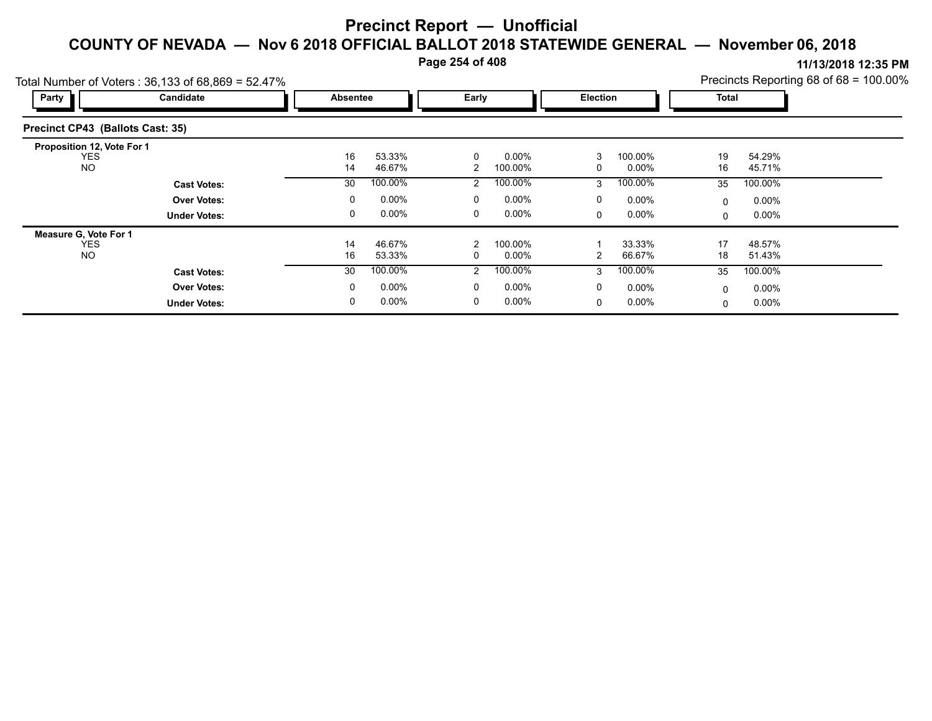**Page 254 of 408**

| Total Number of Voters: 36,133 of 68,869 = 52.47%     |                     |                 |                  |       |                     |                 |                  |             |                  | Precincts Reporting 68 of 68 = 100.00% |
|-------------------------------------------------------|---------------------|-----------------|------------------|-------|---------------------|-----------------|------------------|-------------|------------------|----------------------------------------|
| Party                                                 | Candidate           | <b>Absentee</b> |                  | Early |                     | <b>Election</b> |                  | Total       |                  |                                        |
| Precinct CP43 (Ballots Cast: 35)                      |                     |                 |                  |       |                     |                 |                  |             |                  |                                        |
| Proposition 12, Vote For 1<br><b>YES</b><br><b>NO</b> |                     | 16<br>14        | 53.33%<br>46.67% | 2     | $0.00\%$<br>100.00% |                 | 100.00%<br>0.00% | 19<br>16    | 54.29%<br>45.71% |                                        |
|                                                       | <b>Cast Votes:</b>  | 30              | 100.00%          | 2     | 100.00%             | 3               | 100.00%          | 35          | 100.00%          |                                        |
|                                                       | <b>Over Votes:</b>  | $\mathbf{0}$    | $0.00\%$         | 0     | $0.00\%$            | 0               | $0.00\%$         | $\mathbf 0$ | 0.00%            |                                        |
|                                                       | <b>Under Votes:</b> | 0               | $0.00\%$         | 0     | $0.00\%$            | 0               | $0.00\%$         | $\mathbf 0$ | 0.00%            |                                        |
| Measure G, Vote For 1                                 |                     |                 |                  |       |                     |                 |                  |             |                  |                                        |
| <b>YES</b>                                            |                     | 14              | 46.67%           | 2     | 100.00%             |                 | 33.33%           | 17          | 48.57%           |                                        |
| <b>NO</b>                                             |                     | 16              | 53.33%           |       | $0.00\%$            |                 | 66.67%           | 18          | 51.43%           |                                        |
|                                                       | <b>Cast Votes:</b>  | 30              | 100.00%          | 2     | 100.00%             | $\mathcal{R}$   | 100.00%          | 35          | 100.00%          |                                        |
|                                                       | <b>Over Votes:</b>  | 0               | $0.00\%$         | 0     | $0.00\%$            | $\Omega$        | $0.00\%$         | $\mathbf 0$ | 0.00%            |                                        |
|                                                       | <b>Under Votes:</b> |                 | $0.00\%$         |       | $0.00\%$            | 0               | $0.00\%$         | 0           | 0.00%            |                                        |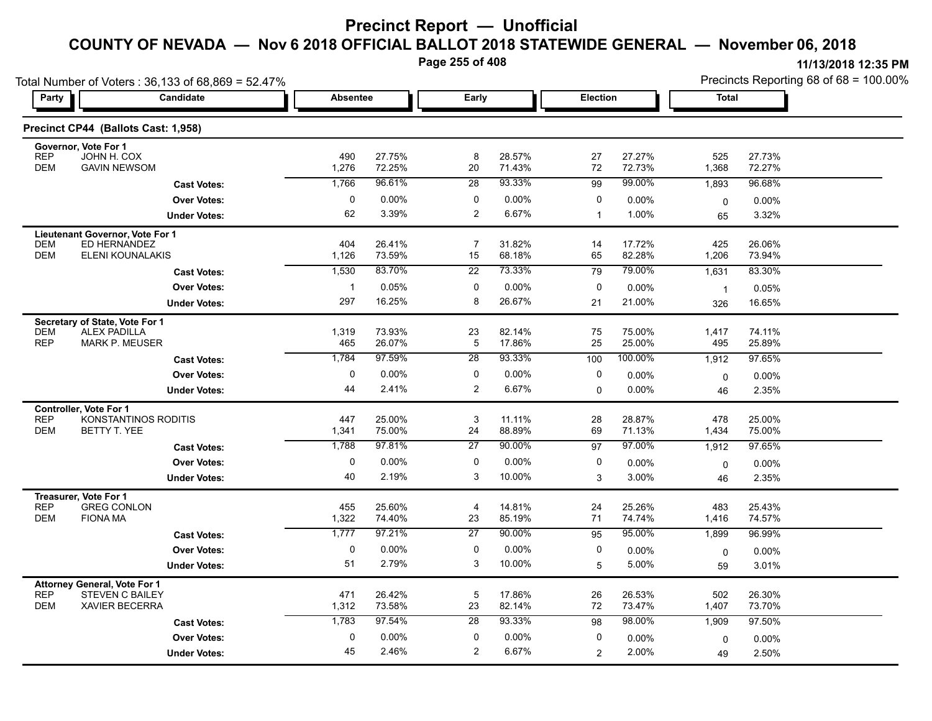**Page 255 of 408**

**11/13/2018 12:35 PM**

|                          | Total Number of Voters: 36,133 of 68,869 = 52.47% |              |                  |                      |                    |             |                  |                         | Precincts Reporting 68 of 68 = 100.00% |  |  |  |
|--------------------------|---------------------------------------------------|--------------|------------------|----------------------|--------------------|-------------|------------------|-------------------------|----------------------------------------|--|--|--|
| Party                    | Candidate                                         |              | <b>Absentee</b>  |                      | Early              |             | Election         |                         | <b>Total</b>                           |  |  |  |
|                          | Precinct CP44 (Ballots Cast: 1,958)               |              |                  |                      |                    |             |                  |                         |                                        |  |  |  |
|                          | Governor, Vote For 1                              |              |                  |                      |                    |             |                  |                         |                                        |  |  |  |
| <b>REP</b>               | JOHN H. COX                                       | 490          | 27.75%           | 8                    | 28.57%             | 27          | 27.27%           | 525                     | 27.73%                                 |  |  |  |
| <b>DEM</b>               | <b>GAVIN NEWSOM</b>                               | 1,276        | 72.25%           | 20                   | 71.43%             | 72          | 72.73%           | 1,368                   | 72.27%                                 |  |  |  |
|                          | <b>Cast Votes:</b>                                | 1,766        | 96.61%           | 28                   | 93.33%             | 99          | 99.00%           | 1,893                   | 96.68%                                 |  |  |  |
|                          | <b>Over Votes:</b>                                | 0            | 0.00%            | 0                    | $0.00\%$           | 0           | 0.00%            | 0                       | 0.00%                                  |  |  |  |
|                          | <b>Under Votes:</b>                               | 62           | 3.39%            | $\overline{2}$       | 6.67%              | $\mathbf 1$ | 1.00%            | 65                      | 3.32%                                  |  |  |  |
|                          | Lieutenant Governor, Vote For 1                   |              |                  |                      |                    |             |                  |                         |                                        |  |  |  |
| <b>DEM</b>               | ED HERNANDEZ                                      | 404          | 26.41%           | 7                    | 31.82%             | 14          | 17.72%           | 425                     | 26.06%                                 |  |  |  |
| <b>DEM</b>               | ELENI KOUNALAKIS                                  | 1,126        | 73.59%           | 15                   | 68.18%             | 65          | 82.28%           | 1,206                   | 73.94%                                 |  |  |  |
|                          | <b>Cast Votes:</b>                                | 1,530        | 83.70%           | $\overline{22}$      | 73.33%             | 79          | 79.00%           | 1,631                   | 83.30%                                 |  |  |  |
|                          | <b>Over Votes:</b>                                |              | 0.05%            | 0                    | 0.00%              | 0           | 0.00%            | $\overline{\mathbf{1}}$ | 0.05%                                  |  |  |  |
|                          | <b>Under Votes:</b>                               | 297          | 16.25%           | 8                    | 26.67%             | 21          | 21.00%           | 326                     | 16.65%                                 |  |  |  |
|                          | Secretary of State, Vote For 1                    |              |                  |                      |                    |             |                  |                         |                                        |  |  |  |
| <b>DEM</b><br><b>REP</b> | <b>ALEX PADILLA</b>                               | 1,319<br>465 | 73.93%<br>26.07% | 23                   | 82.14%<br>17.86%   | 75          | 75.00%<br>25.00% | 1,417                   | 74.11%<br>25.89%                       |  |  |  |
|                          | MARK P. MEUSER                                    |              |                  | 5                    |                    | 25          |                  | 495                     |                                        |  |  |  |
|                          | <b>Cast Votes:</b>                                | 1,784        | 97.59%           | $\overline{28}$      | 93.33%             | 100         | 100.00%          | 1,912                   | 97.65%                                 |  |  |  |
|                          | <b>Over Votes:</b>                                | $\Omega$     | 0.00%            | $\mathbf{0}$         | $0.00\%$           | $\Omega$    | 0.00%            | $\mathbf 0$             | 0.00%                                  |  |  |  |
|                          | <b>Under Votes:</b>                               | 44           | 2.41%            | $\overline{c}$       | 6.67%              | $\Omega$    | $0.00\%$         | 46                      | 2.35%                                  |  |  |  |
|                          | Controller, Vote For 1                            |              |                  |                      |                    |             |                  |                         |                                        |  |  |  |
| <b>REP</b><br><b>DEM</b> | KONSTANTINOS RODITIS<br>BETTY T. YEE              | 447<br>1,341 | 25.00%<br>75.00% | 3<br>24              | 11.11%<br>88.89%   | 28<br>69    | 28.87%<br>71.13% | 478<br>1,434            | 25.00%<br>75.00%                       |  |  |  |
|                          | <b>Cast Votes:</b>                                | 1,788        | 97.81%           | 27                   | 90.00%             | 97          | 97.00%           | 1,912                   | 97.65%                                 |  |  |  |
|                          |                                                   | $\Omega$     | 0.00%            | 0                    |                    | $\Omega$    |                  |                         |                                        |  |  |  |
|                          | <b>Over Votes:</b>                                |              | 2.19%            | 3                    | $0.00\%$<br>10.00% |             | 0.00%            | $\mathbf 0$             | 0.00%                                  |  |  |  |
|                          | <b>Under Votes:</b>                               | 40           |                  |                      |                    | 3           | 3.00%            | 46                      | 2.35%                                  |  |  |  |
|                          | Treasurer, Vote For 1                             |              |                  |                      |                    |             |                  |                         |                                        |  |  |  |
| <b>REP</b><br><b>DEM</b> | <b>GREG CONLON</b><br><b>FIONA MA</b>             | 455<br>1,322 | 25.60%<br>74.40% | $\overline{4}$<br>23 | 14.81%<br>85.19%   | 24<br>71    | 25.26%<br>74.74% | 483<br>1,416            | 25.43%<br>74.57%                       |  |  |  |
|                          | <b>Cast Votes:</b>                                | 1,777        | 97.21%           | 27                   | 90.00%             | 95          | 95.00%           | 1,899                   | 96.99%                                 |  |  |  |
|                          |                                                   | 0            |                  | 0                    |                    |             |                  |                         |                                        |  |  |  |
|                          | <b>Over Votes:</b>                                | 51           | 0.00%<br>2.79%   | 3                    | $0.00\%$<br>10.00% | 0           | $0.00\%$         | 0                       | 0.00%                                  |  |  |  |
|                          | <b>Under Votes:</b>                               |              |                  |                      |                    | 5           | 5.00%            | 59                      | 3.01%                                  |  |  |  |
| <b>REP</b>               | <b>Attorney General, Vote For 1</b>               | 471          | 26.42%           | 5                    |                    | 26          |                  |                         |                                        |  |  |  |
|                          | <b>STEVEN C BAILEY</b>                            |              |                  |                      | 17.86%             |             | 26.53%           | 502                     | 26.30%                                 |  |  |  |

DEM XAVIER BECERRA 1,312 73.58% 23 82.14% 72 73.47% 1,407 73.70%

0 0.00%

2.46% 2

**Under Votes: Over Votes:** 0.00%

45 2.46%

**Cast Votes:** 1,783 97.54% 28 93.33% 98 98.00% 1,909 97.50%

0.00% 0

2

2.00%

 $0$  0.00%  $0$  0.00%  $0$  0.00%  $0$  0.00%  $0$  0.00%

0.00% 0

49 2.50%

2.00% 2.50%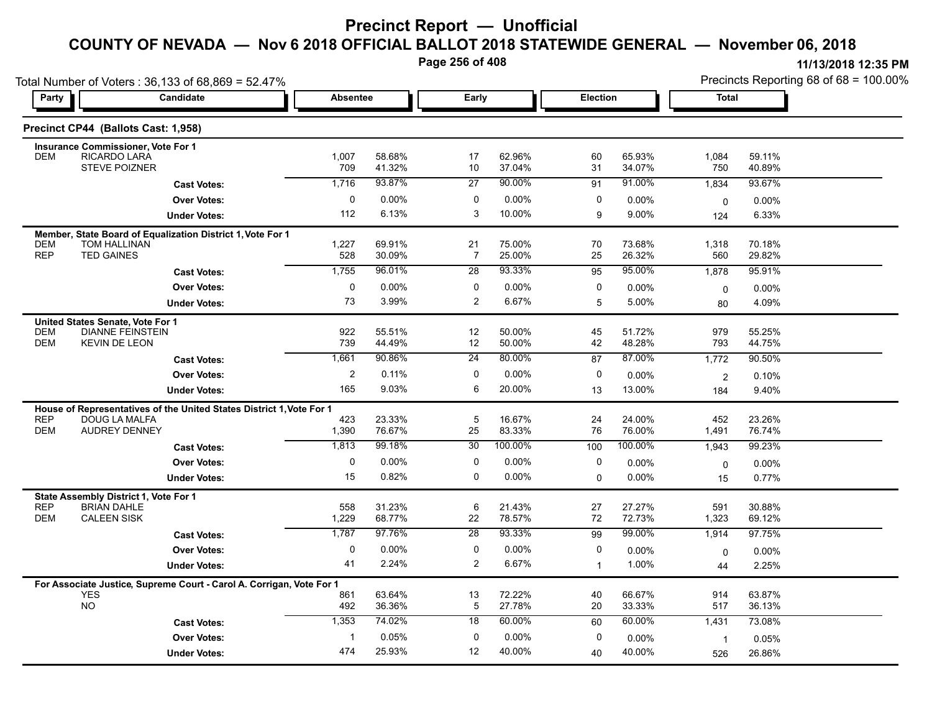**Page 256 of 408**

|                          | Total Number of Voters: 36,133 of 68,869 = 52.47%                                     |                 |                  |                       |                  |                 |                  |                | Precincts Reporting 68 of 68 = 100.00% |
|--------------------------|---------------------------------------------------------------------------------------|-----------------|------------------|-----------------------|------------------|-----------------|------------------|----------------|----------------------------------------|
| Party                    | <b>Candidate</b>                                                                      | <b>Absentee</b> |                  | Early                 |                  | <b>Election</b> |                  | <b>Total</b>   |                                        |
|                          | Precinct CP44 (Ballots Cast: 1,958)                                                   |                 |                  |                       |                  |                 |                  |                |                                        |
| <b>DEM</b>               | <b>Insurance Commissioner, Vote For 1</b><br>RICARDO LARA                             |                 | 58.68%           | 17                    | 62.96%           | 60              | 65.93%           |                | 59.11%                                 |
|                          | <b>STEVE POIZNER</b>                                                                  | 1,007<br>709    | 41.32%           | 10                    | 37.04%           | 31              | 34.07%           | 1,084<br>750   | 40.89%                                 |
|                          | <b>Cast Votes:</b>                                                                    | 1,716           | 93.87%           | 27                    | 90.00%           | 91              | 91.00%           | 1,834          | 93.67%                                 |
|                          | <b>Over Votes:</b>                                                                    | 0               | 0.00%            | 0                     | 0.00%            | 0               | 0.00%            | $\mathbf 0$    | 0.00%                                  |
|                          | <b>Under Votes:</b>                                                                   | 112             | 6.13%            | 3                     | 10.00%           | 9               | 9.00%            | 124            | 6.33%                                  |
|                          | Member, State Board of Equalization District 1, Vote For 1                            |                 |                  |                       |                  |                 |                  |                |                                        |
| <b>DEM</b><br><b>REP</b> | TOM HALLINAN<br><b>TED GAINES</b>                                                     | 1,227<br>528    | 69.91%<br>30.09% | 21<br>$\overline{7}$  | 75.00%<br>25.00% | 70<br>25        | 73.68%<br>26.32% | 1,318<br>560   | 70.18%<br>29.82%                       |
|                          | <b>Cast Votes:</b>                                                                    | 1,755           | 96.01%           | 28                    | 93.33%           | 95              | 95.00%           | 1,878          | 95.91%                                 |
|                          | <b>Over Votes:</b>                                                                    | $\mathbf 0$     | 0.00%            | $\mathbf 0$           | 0.00%            | 0               | $0.00\%$         | 0              | 0.00%                                  |
|                          | <b>Under Votes:</b>                                                                   | 73              | 3.99%            | $\overline{c}$        | 6.67%            | 5               | 5.00%            | 80             | 4.09%                                  |
|                          | United States Senate, Vote For 1                                                      |                 |                  |                       |                  |                 |                  |                |                                        |
| <b>DEM</b>               | <b>DIANNE FEINSTEIN</b>                                                               | 922             | 55.51%           | 12                    | 50.00%           | 45              | 51.72%           | 979            | 55.25%                                 |
| DEM                      | <b>KEVIN DE LEON</b>                                                                  | 739             | 44.49%           | 12                    | 50.00%           | 42              | 48.28%           | 793            | 44.75%                                 |
|                          | <b>Cast Votes:</b>                                                                    | 1,661           | 90.86%           | 24                    | 80.00%           | 87              | 87.00%           | 1,772          | 90.50%                                 |
|                          | <b>Over Votes:</b>                                                                    | $\overline{2}$  | 0.11%            | 0                     | 0.00%            | 0               | 0.00%            | $\overline{2}$ | 0.10%                                  |
|                          | <b>Under Votes:</b>                                                                   | 165             | 9.03%            | 6                     | 20.00%           | 13              | 13.00%           | 184            | 9.40%                                  |
| <b>REP</b>               | House of Representatives of the United States District 1, Vote For 1<br>DOUG LA MALFA | 423             | 23.33%           | 5                     | 16.67%           | 24              | 24.00%           | 452            | 23.26%                                 |
| <b>DEM</b>               | <b>AUDREY DENNEY</b>                                                                  | 1,390           | 76.67%           | 25                    | 83.33%           | 76              | 76.00%           | 1,491          | 76.74%                                 |
|                          | <b>Cast Votes:</b>                                                                    | 1,813           | 99.18%           | 30 <sup>2</sup>       | 100.00%          | 100             | 100.00%          | 1,943          | 99.23%                                 |
|                          | <b>Over Votes:</b>                                                                    | 0               | 0.00%            | 0                     | 0.00%            | 0               | $0.00\%$         | 0              | 0.00%                                  |
|                          | <b>Under Votes:</b>                                                                   | 15              | 0.82%            | $\mathbf 0$           | 0.00%            | $\Omega$        | 0.00%            | 15             | 0.77%                                  |
|                          | State Assembly District 1, Vote For 1                                                 |                 |                  |                       |                  |                 |                  |                |                                        |
| <b>REP</b><br><b>DEM</b> | <b>BRIAN DAHLE</b><br><b>CALEEN SISK</b>                                              | 558             | 31.23%           | 6                     | 21.43%           | 27<br>72        | 27.27%<br>72.73% | 591            | 30.88%                                 |
|                          |                                                                                       | 1,229<br>1,787  | 68.77%<br>97.76% | 22<br>$\overline{28}$ | 78.57%<br>93.33% | 99              | 99.00%           | 1,323          | 69.12%<br>97.75%                       |
|                          | <b>Cast Votes:</b><br><b>Over Votes:</b>                                              | 0               | 0.00%            | 0                     | 0.00%            | 0               |                  | 1,914          |                                        |
|                          | <b>Under Votes:</b>                                                                   | 41              | 2.24%            | $\overline{2}$        | 6.67%            | $\mathbf{1}$    | 0.00%<br>1.00%   | 0              | $0.00\%$<br>2.25%                      |
|                          |                                                                                       |                 |                  |                       |                  |                 |                  | 44             |                                        |
|                          | For Associate Justice, Supreme Court - Carol A. Corrigan, Vote For 1<br><b>YES</b>    | 861             | 63.64%           | 13                    | 72.22%           | 40              | 66.67%           | 914            | 63.87%                                 |
|                          | <b>NO</b>                                                                             | 492             | 36.36%           | $\overline{5}$        | 27.78%           | 20              | 33.33%           | 517            | 36.13%                                 |
|                          | <b>Cast Votes:</b>                                                                    | 1,353           | 74.02%           | 18                    | 60.00%           | 60              | 60.00%           | 1,431          | 73.08%                                 |
|                          | <b>Over Votes:</b>                                                                    | -1              | 0.05%            | 0                     | 0.00%            | 0               | $0.00\%$         | $\mathbf{1}$   | 0.05%                                  |
|                          | <b>Under Votes:</b>                                                                   | 474             | 25.93%           | 12                    | 40.00%           | 40              | 40.00%           | 526            | 26.86%                                 |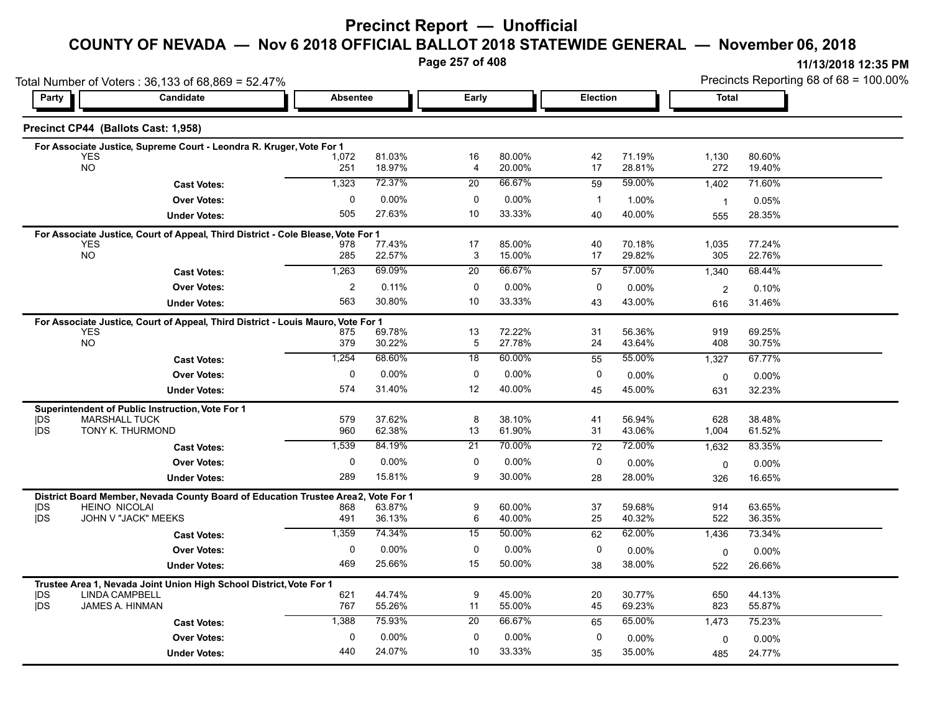### **Precinct Report — Unofficial**

### **COUNTY OF NEVADA — Nov 6 2018 OFFICIAL BALLOT 2018 STATEWIDE GENERAL — November 06, 2018**

**Page 257 of 408**

**11/13/2018 12:35 PM** Precincts Reporting 68 of 68 = 100.00%

|                          | Total Number of Voters: 36,133 of 68,869 = 52.47%                                |                 |                  |                      |                  |          |                  |                | Precincts Reporting 68 of 68 = 100.00% |
|--------------------------|----------------------------------------------------------------------------------|-----------------|------------------|----------------------|------------------|----------|------------------|----------------|----------------------------------------|
| Party                    | <b>Candidate</b>                                                                 | <b>Absentee</b> |                  | Early                |                  | Election |                  | <b>Total</b>   |                                        |
|                          | Precinct CP44 (Ballots Cast: 1,958)                                              |                 |                  |                      |                  |          |                  |                |                                        |
|                          | For Associate Justice, Supreme Court - Leondra R. Kruger, Vote For 1             |                 |                  |                      |                  |          |                  |                |                                        |
|                          | <b>YES</b><br><b>NO</b>                                                          | 1,072           | 81.03%<br>18.97% | 16<br>4              | 80.00%<br>20.00% | 42<br>17 | 71.19%<br>28.81% | 1,130<br>272   | 80.60%<br>19.40%                       |
|                          |                                                                                  | 251             |                  |                      |                  |          |                  |                |                                        |
|                          | <b>Cast Votes:</b>                                                               | 1,323           | 72.37%           | 20                   | 66.67%           | 59       | 59.00%           | 1,402          | 71.60%                                 |
|                          | <b>Over Votes:</b>                                                               | $\mathbf 0$     | 0.00%            | 0                    | 0.00%            | -1       | 1.00%            | $\overline{1}$ | 0.05%                                  |
|                          | <b>Under Votes:</b>                                                              | 505             | 27.63%           | 10                   | 33.33%           | 40       | 40.00%           | 555            | 28.35%                                 |
|                          | For Associate Justice, Court of Appeal, Third District - Cole Blease, Vote For 1 |                 |                  |                      |                  |          |                  |                |                                        |
|                          | <b>YES</b><br><b>NO</b>                                                          | 978<br>285      | 77.43%<br>22.57% | 17<br>3              | 85.00%<br>15.00% | 40<br>17 | 70.18%<br>29.82% | 1,035<br>305   | 77.24%<br>22.76%                       |
|                          |                                                                                  | 1,263           | 69.09%           | $\overline{20}$      | 66.67%           | 57       | 57.00%           | 1,340          | 68.44%                                 |
|                          | <b>Cast Votes:</b>                                                               |                 |                  |                      |                  |          |                  |                |                                        |
|                          | <b>Over Votes:</b>                                                               | 2               | 0.11%            | 0                    | $0.00\%$         | 0        | $0.00\%$         | $\overline{2}$ | 0.10%                                  |
|                          | <b>Under Votes:</b>                                                              | 563             | 30.80%           | 10                   | 33.33%           | 43       | 43.00%           | 616            | 31.46%                                 |
|                          | For Associate Justice, Court of Appeal, Third District - Louis Mauro, Vote For 1 |                 |                  |                      |                  |          |                  |                |                                        |
|                          | <b>YES</b><br>NO                                                                 | 875<br>379      | 69.78%<br>30.22% | 13<br>$\overline{5}$ | 72.22%<br>27.78% | 31<br>24 | 56.36%<br>43.64% | 919<br>408     | 69.25%<br>30.75%                       |
|                          |                                                                                  | 1,254           | 68.60%           |                      |                  |          |                  |                |                                        |
|                          | <b>Cast Votes:</b>                                                               |                 |                  | 18                   | 60.00%           | 55       | 55.00%           | 1,327          | 67.77%                                 |
|                          | <b>Over Votes:</b>                                                               | 0               | $0.00\%$         | 0                    | 0.00%            | 0        | 0.00%            | 0              | 0.00%                                  |
|                          | <b>Under Votes:</b>                                                              | 574             | 31.40%           | 12                   | 40.00%           | 45       | 45.00%           | 631            | 32.23%                                 |
|                          | Superintendent of Public Instruction, Vote For 1                                 |                 |                  |                      |                  |          |                  |                |                                        |
| <b>IDS</b><br><b>IDS</b> | <b>MARSHALL TUCK</b>                                                             | 579<br>960      | 37.62%           | 8                    | 38.10%<br>61.90% | 41<br>31 | 56.94%           | 628            | 38.48%                                 |
|                          | TONY K. THURMOND                                                                 |                 | 62.38%           | 13                   |                  |          | 43.06%           | 1,004          | 61.52%                                 |
|                          | <b>Cast Votes:</b>                                                               | 1,539           | 84.19%           | 21                   | 70.00%           | 72       | 72.00%           | 1,632          | 83.35%                                 |
|                          | <b>Over Votes:</b>                                                               | $\mathbf 0$     | $0.00\%$         | 0                    | 0.00%            | 0        | $0.00\%$         | 0              | $0.00\%$                               |
|                          | <b>Under Votes:</b>                                                              | 289             | 15.81%           | 9                    | 30.00%           | 28       | 28.00%           | 326            | 16.65%                                 |
|                          | District Board Member, Nevada County Board of Education Trustee Area2,           |                 | Vote For 1       |                      |                  |          |                  |                |                                        |
| <b>IDS</b>               | <b>HEINO NICOLAI</b>                                                             | 868             | 63.87%           | 9                    | 60.00%           | 37       | 59.68%           | 914            | 63.65%                                 |
| jDS                      | JOHN V "JACK" MEEKS                                                              | 491             | 36.13%           | 6                    | 40.00%           | 25       | 40.32%           | 522            | 36.35%                                 |
|                          | <b>Cast Votes:</b>                                                               | 1,359           | 74.34%           | 15                   | 50.00%           | 62       | 62.00%           | 1,436          | 73.34%                                 |
|                          | <b>Over Votes:</b>                                                               | $\mathbf 0$     | 0.00%            | $\mathbf 0$          | 0.00%            | 0        | $0.00\%$         | 0              | $0.00\%$                               |
|                          | <b>Under Votes:</b>                                                              | 469             | 25.66%           | 15                   | 50.00%           | 38       | 38.00%           | 522            | 26.66%                                 |
|                          | Trustee Area 1, Nevada Joint Union High School District, Vote For 1              |                 |                  |                      |                  |          |                  |                |                                        |
| <b>IDS</b>               | <b>LINDA CAMPBELL</b>                                                            | 621             | 44.74%           | 9                    | 45.00%           | 20       | 30.77%           | 650            | 44.13%                                 |
| <b>IDS</b>               | JAMES A. HINMAN                                                                  | 767             | 55.26%           | 11                   | 55.00%           | 45       | 69.23%           | 823            | 55.87%                                 |
|                          | <b>Cast Votes:</b>                                                               | 1,388           | 75.93%           | 20                   | 66.67%           | 65       | 65.00%           | 1,473          | 75.23%                                 |
|                          | <b>Over Votes:</b>                                                               | $\mathbf{0}$    | 0.00%            | $\mathbf 0$          | 0.00%            | 0        | 0.00%            | 0              | $0.00\%$                               |
|                          | <b>Under Votes:</b>                                                              | 440             | 24.07%           | 10                   | 33.33%           | 35       | 35.00%           | 485            | 24.77%                                 |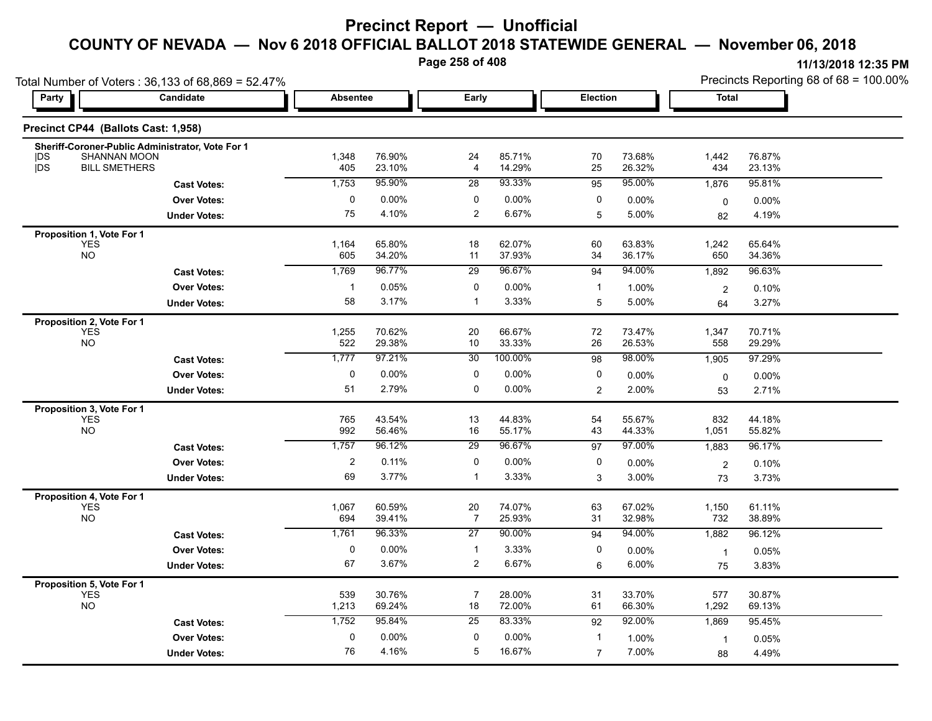**Page 258 of 408**

|                                         | Total Number of Voters: 36,133 of 68,869 = 52.47% |                 |                  |                      |                  |                |                  | Precincts Reporting 68 of 68 = 100.00% |                  |  |  |
|-----------------------------------------|---------------------------------------------------|-----------------|------------------|----------------------|------------------|----------------|------------------|----------------------------------------|------------------|--|--|
| <b>Party</b>                            | Candidate                                         | <b>Absentee</b> |                  | Early                |                  | Election       |                  | <b>Total</b>                           |                  |  |  |
| Precinct CP44 (Ballots Cast: 1,958)     |                                                   |                 |                  |                      |                  |                |                  |                                        |                  |  |  |
| <b>SHANNAN MOON</b><br> DS              | Sheriff-Coroner-Public Administrator, Vote For 1  | 1,348           | 76.90%           | 24                   | 85.71%           | 70             | 73.68%           | 1,442                                  | 76.87%           |  |  |
| DS<br><b>BILL SMETHERS</b>              |                                                   | 405             | 23.10%           | $\overline{4}$       | 14.29%           | 25             | 26.32%           | 434                                    | 23.13%           |  |  |
|                                         | <b>Cast Votes:</b>                                | 1,753           | 95.90%           | 28                   | 93.33%           | 95             | 95.00%           | 1,876                                  | 95.81%           |  |  |
|                                         | <b>Over Votes:</b>                                | 0               | 0.00%            | 0                    | 0.00%            | 0              | 0.00%            | $\mathbf 0$                            | $0.00\%$         |  |  |
|                                         | <b>Under Votes:</b>                               | 75              | 4.10%            | $\overline{2}$       | 6.67%            | 5              | 5.00%            | 82                                     | 4.19%            |  |  |
| Proposition 1, Vote For 1               |                                                   |                 |                  |                      |                  |                |                  |                                        |                  |  |  |
| <b>YES</b><br><b>NO</b>                 |                                                   | 1,164<br>605    | 65.80%<br>34.20% | 18<br>11             | 62.07%<br>37.93% | 60<br>34       | 63.83%<br>36.17% | 1,242<br>650                           | 65.64%<br>34.36% |  |  |
|                                         | <b>Cast Votes:</b>                                | 1,769           | 96.77%           | 29                   | 96.67%           | 94             | 94.00%           | 1,892                                  | 96.63%           |  |  |
|                                         | <b>Over Votes:</b>                                | $\mathbf{1}$    | 0.05%            | 0                    | 0.00%            | $\mathbf{1}$   | 1.00%            |                                        |                  |  |  |
|                                         | <b>Under Votes:</b>                               | 58              | 3.17%            | $\mathbf{1}$         | 3.33%            | 5              | 5.00%            | $\overline{c}$<br>64                   | 0.10%<br>3.27%   |  |  |
|                                         |                                                   |                 |                  |                      |                  |                |                  |                                        |                  |  |  |
| Proposition 2, Vote For 1<br><b>YES</b> |                                                   | 1,255           | 70.62%           | 20                   | 66.67%           | 72             | 73.47%           | 1,347                                  | 70.71%           |  |  |
| <b>NO</b>                               |                                                   | 522             | 29.38%           | 10                   | 33.33%           | 26             | 26.53%           | 558                                    | 29.29%           |  |  |
|                                         | <b>Cast Votes:</b>                                | 1,777           | 97.21%           | 30                   | 100.00%          | 98             | 98.00%           | 1,905                                  | 97.29%           |  |  |
|                                         | <b>Over Votes:</b>                                | 0               | 0.00%            | 0                    | 0.00%            | 0              | 0.00%            | $\mathbf 0$                            | $0.00\%$         |  |  |
|                                         | <b>Under Votes:</b>                               | 51              | 2.79%            | $\pmb{0}$            | 0.00%            | 2              | 2.00%            | 53                                     | 2.71%            |  |  |
| Proposition 3, Vote For 1               |                                                   |                 |                  |                      |                  |                |                  |                                        |                  |  |  |
| <b>YES</b>                              |                                                   | 765             | 43.54%           | 13                   | 44.83%           | 54             | 55.67%           | 832                                    | 44.18%           |  |  |
| <b>NO</b>                               |                                                   | 992             | 56.46%           | 16                   | 55.17%           | 43             | 44.33%           | 1,051                                  | 55.82%           |  |  |
|                                         | <b>Cast Votes:</b>                                | 1,757           | 96.12%           | 29                   | 96.67%           | 97             | 97.00%           | 1,883                                  | 96.17%           |  |  |
|                                         | <b>Over Votes:</b>                                | $\overline{2}$  | 0.11%            | 0                    | 0.00%            | 0              | 0.00%            | $\boldsymbol{2}$                       | 0.10%            |  |  |
|                                         | <b>Under Votes:</b>                               | 69              | 3.77%            | $\overline{1}$       | 3.33%            | 3              | 3.00%            | 73                                     | 3.73%            |  |  |
| Proposition 4, Vote For 1               |                                                   |                 |                  |                      |                  |                |                  |                                        |                  |  |  |
| <b>YES</b><br><b>NO</b>                 |                                                   | 1,067           | 60.59%           | 20                   | 74.07%           | 63             | 67.02%           | 1,150                                  | 61.11%           |  |  |
|                                         |                                                   | 694             | 39.41%           | $\overline{7}$       | 25.93%           | 31             | 32.98%           | 732                                    | 38.89%           |  |  |
|                                         | <b>Cast Votes:</b>                                | 1,761           | 96.33%           | 27                   | 90.00%           | 94             | 94.00%           | 1,882                                  | 96.12%           |  |  |
|                                         | <b>Over Votes:</b>                                | 0               | 0.00%            | $\mathbf{1}$         | 3.33%            | 0              | 0.00%            | $\overline{1}$                         | 0.05%            |  |  |
|                                         | <b>Under Votes:</b>                               | 67              | 3.67%            | $\overline{2}$       | 6.67%            | 6              | 6.00%            | 75                                     | 3.83%            |  |  |
| Proposition 5, Vote For 1               |                                                   |                 |                  |                      |                  |                |                  |                                        |                  |  |  |
| <b>YES</b><br><b>NO</b>                 |                                                   | 539<br>1,213    | 30.76%<br>69.24% | $\overline{7}$<br>18 | 28.00%<br>72.00% | 31<br>61       | 33.70%<br>66.30% | 577<br>1,292                           | 30.87%<br>69.13% |  |  |
|                                         | <b>Cast Votes:</b>                                | 1,752           | 95.84%           | 25                   | 83.33%           | 92             | 92.00%           | 1,869                                  | 95.45%           |  |  |
|                                         | <b>Over Votes:</b>                                | 0               | 0.00%            | 0                    | 0.00%            | $\mathbf{1}$   | 1.00%            |                                        |                  |  |  |
|                                         | <b>Under Votes:</b>                               | 76              | 4.16%            | 5                    | 16.67%           | $\overline{7}$ | 7.00%            | $\mathbf{1}$<br>88                     | 0.05%<br>4.49%   |  |  |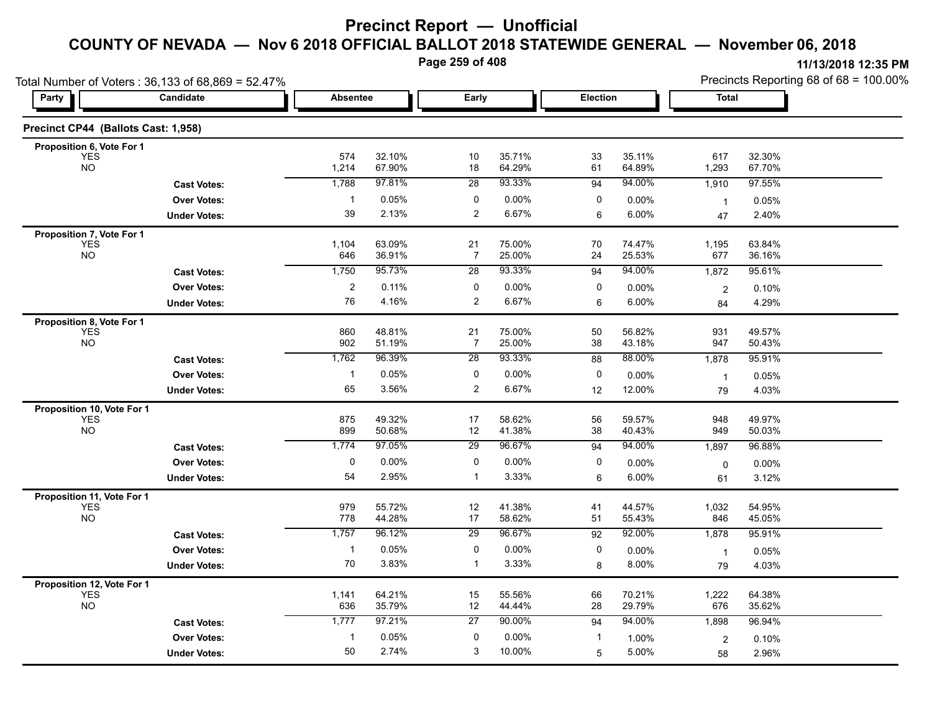**Page 259 of 408**

| Total Number of Voters: 36,133 of 68,869 = 52.47% |                     |                 |                  |                             |                  |             | Precincts Reporting 68 of 68 = 100.00% |                |                  |
|---------------------------------------------------|---------------------|-----------------|------------------|-----------------------------|------------------|-------------|----------------------------------------|----------------|------------------|
| Party                                             | Candidate           | <b>Absentee</b> |                  | Early                       |                  | Election    |                                        | Total          |                  |
| Precinct CP44 (Ballots Cast: 1,958)               |                     |                 |                  |                             |                  |             |                                        |                |                  |
| Proposition 6, Vote For 1                         |                     |                 |                  |                             |                  |             |                                        |                |                  |
| YES<br><b>NO</b>                                  |                     | 574<br>1,214    | 32.10%<br>67.90% | 10<br>18                    | 35.71%<br>64.29% | 33<br>61    | 35.11%<br>64.89%                       | 617<br>1,293   | 32.30%<br>67.70% |
|                                                   | <b>Cast Votes:</b>  | 1,788           | 97.81%           | 28                          | 93.33%           | 94          | 94.00%                                 | 1,910          | 97.55%           |
|                                                   | <b>Over Votes:</b>  |                 | 0.05%            | 0                           | 0.00%            | 0           | 0.00%                                  |                |                  |
|                                                   |                     | 39              | 2.13%            | $\overline{a}$              | 6.67%            | 6           | 6.00%                                  | $\overline{1}$ | 0.05%<br>2.40%   |
|                                                   | <b>Under Votes:</b> |                 |                  |                             |                  |             |                                        | 47             |                  |
| Proposition 7, Vote For 1                         |                     | 1,104           | 63.09%           | 21                          | 75.00%           | 70          | 74.47%                                 | 1,195          | 63.84%           |
| YES<br>NO                                         |                     | 646             | 36.91%           | $\overline{7}$              | 25.00%           | 24          | 25.53%                                 | 677            | 36.16%           |
|                                                   | <b>Cast Votes:</b>  | 1,750           | 95.73%           | $\overline{28}$             | 93.33%           | 94          | 94.00%                                 | 1,872          | 95.61%           |
|                                                   | <b>Over Votes:</b>  | $\overline{a}$  | 0.11%            | 0                           | $0.00\%$         | 0           | 0.00%                                  | $\mathbf 2$    | 0.10%            |
|                                                   | <b>Under Votes:</b> | 76              | 4.16%            | $\overline{a}$              | 6.67%            | 6           | 6.00%                                  | 84             | 4.29%            |
| Proposition 8, Vote For 1                         |                     |                 |                  |                             |                  |             |                                        |                |                  |
| <b>YES</b>                                        |                     | 860             | 48.81%           | 21                          | 75.00%           | 50          | 56.82%                                 | 931            | 49.57%           |
| <b>NO</b>                                         |                     | 902             | 51.19%           | $\overline{7}$              | 25.00%           | 38          | 43.18%                                 | 947            | 50.43%           |
|                                                   | <b>Cast Votes:</b>  | 1,762           | 96.39%           | 28                          | 93.33%           | 88          | 88.00%                                 | 1,878          | 95.91%           |
|                                                   | <b>Over Votes:</b>  |                 | 0.05%            | $\mathbf 0$                 | 0.00%            | $\mathbf 0$ | $0.00\%$                               | $\overline{1}$ | 0.05%            |
|                                                   | <b>Under Votes:</b> | 65              | 3.56%            | $\overline{a}$              | 6.67%            | 12          | 12.00%                                 | 79             | 4.03%            |
| Proposition 10, Vote For 1                        |                     |                 |                  |                             |                  |             |                                        |                |                  |
| <b>YES</b><br><b>NO</b>                           |                     | 875             | 49.32%           | 17                          | 58.62%           | 56          | 59.57%                                 | 948            | 49.97%           |
|                                                   |                     | 899             | 50.68%<br>97.05% | 12                          | 41.38%<br>96.67% | 38          | 40.43%<br>94.00%                       | 949            | 50.03%           |
|                                                   | <b>Cast Votes:</b>  | 1,774           |                  | 29                          |                  | 94          |                                        | 1,897          | 96.88%           |
|                                                   | <b>Over Votes:</b>  | $\mathbf 0$     | $0.00\%$         | $\mathbf 0$<br>$\mathbf{1}$ | 0.00%            | 0           | 0.00%                                  | $\mathbf 0$    | 0.00%            |
|                                                   | <b>Under Votes:</b> | 54              | 2.95%            |                             | 3.33%            | 6           | 6.00%                                  | 61             | 3.12%            |
| Proposition 11, Vote For 1                        |                     | 979             |                  |                             |                  |             |                                        |                | 54.95%           |
| <b>YES</b><br><b>NO</b>                           |                     | 778             | 55.72%<br>44.28% | 12<br>17                    | 41.38%<br>58.62% | 41<br>51    | 44.57%<br>55.43%                       | 1,032<br>846   | 45.05%           |
|                                                   | <b>Cast Votes:</b>  | 1,757           | 96.12%           | $\overline{29}$             | 96.67%           | 92          | 92.00%                                 | 1,878          | 95.91%           |
|                                                   | <b>Over Votes:</b>  | -1              | 0.05%            | $\mathbf 0$                 | 0.00%            | 0           | 0.00%                                  | $\mathbf{1}$   | 0.05%            |
|                                                   | <b>Under Votes:</b> | 70              | 3.83%            | $\mathbf{1}$                | 3.33%            | 8           | 8.00%                                  | 79             | 4.03%            |
| Proposition 12, Vote For 1                        |                     |                 |                  |                             |                  |             |                                        |                |                  |
| YES<br>NO                                         |                     | 1,141           | 64.21%           | 15                          | 55.56%           | 66          | 70.21%                                 | 1,222          | 64.38%           |
|                                                   |                     | 636             | 35.79%           | 12                          | 44.44%           | 28          | 29.79%                                 | 676            | 35.62%           |
|                                                   | <b>Cast Votes:</b>  | 1,777           | 97.21%           | 27                          | 90.00%           | 94          | 94.00%                                 | 1,898          | 96.94%           |
|                                                   | <b>Over Votes:</b>  | -1              | 0.05%            | $\Omega$                    | $0.00\%$         |             | 1.00%                                  | $\sqrt{2}$     | 0.10%            |
|                                                   | <b>Under Votes:</b> | 50              | 2.74%            | 3                           | 10.00%           | 5           | 5.00%                                  | 58             | 2.96%            |
|                                                   |                     |                 |                  |                             |                  |             |                                        |                |                  |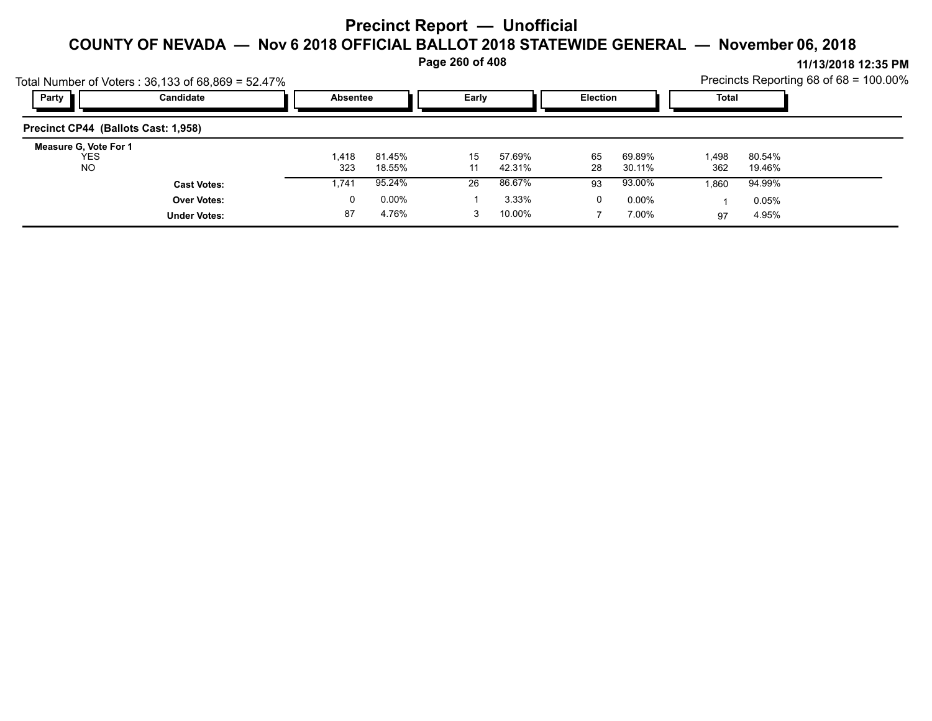**Page 260 of 408**

|                                     | Total Number of Voters: $36,133$ of $68,869 = 52.47\%$ |                 |          | . .   |        |                 |          |       |        | . <del>. .</del><br>Precincts Reporting 68 of 68 = 100.00% |
|-------------------------------------|--------------------------------------------------------|-----------------|----------|-------|--------|-----------------|----------|-------|--------|------------------------------------------------------------|
| Party                               | Candidate                                              | <b>Absentee</b> |          | Early |        | <b>Election</b> |          | Total |        |                                                            |
| Precinct CP44 (Ballots Cast: 1,958) |                                                        |                 |          |       |        |                 |          |       |        |                                                            |
| Measure G, Vote For 1<br><b>YES</b> |                                                        | 1,418           | 81.45%   | 15    | 57.69% | 65              | 69.89%   | 1,498 | 80.54% |                                                            |
| NO.                                 |                                                        | 323             | 18.55%   | 11    | 42.31% | 28              | 30.11%   | 362   | 19.46% |                                                            |
|                                     | <b>Cast Votes:</b>                                     | 1,741           | 95.24%   | 26    | 86.67% | 93              | 93.00%   | 1,860 | 94.99% |                                                            |
|                                     | <b>Over Votes:</b>                                     | 0               | $0.00\%$ |       | 3.33%  | 0               | $0.00\%$ |       | 0.05%  |                                                            |
|                                     | <b>Under Votes:</b>                                    | 87              | 4.76%    | 3     | 10.00% |                 | 7.00%    | 97    | 4.95%  |                                                            |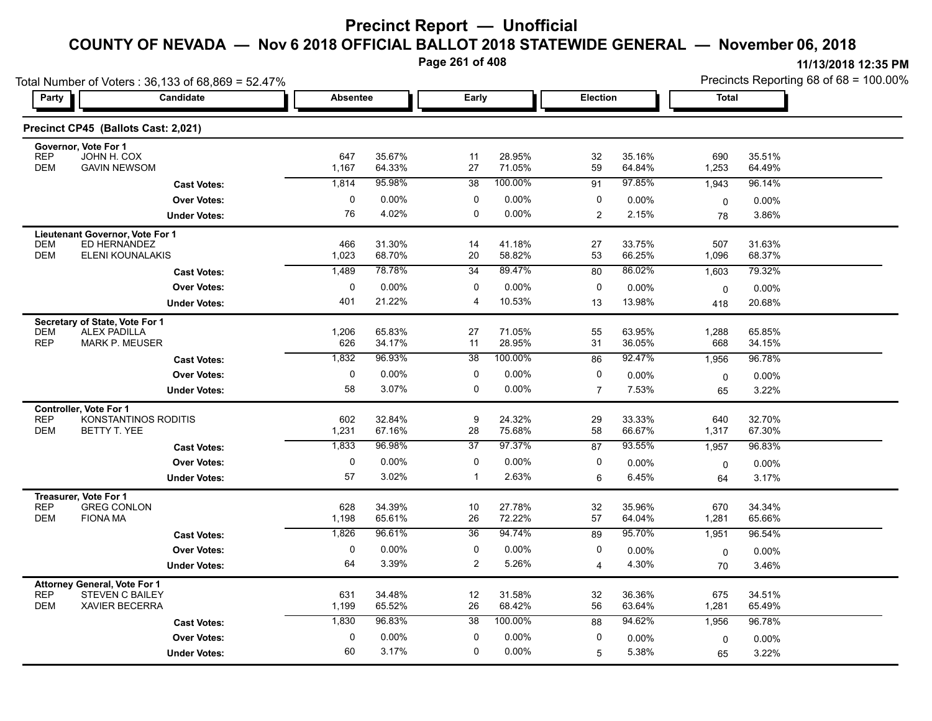**Page 261 of 408**

|                                                   | Total Number of Voters: 36,133 of 68,869 = 52.47% |                 |                  |                 |                  |                |                  | Precincts Reporting 68 of 68 = 100.00% |                   |  |
|---------------------------------------------------|---------------------------------------------------|-----------------|------------------|-----------------|------------------|----------------|------------------|----------------------------------------|-------------------|--|
| Party                                             | Candidate                                         | <b>Absentee</b> |                  | Early           |                  | Election       |                  | <b>Total</b>                           |                   |  |
|                                                   | Precinct CP45 (Ballots Cast: 2,021)               |                 |                  |                 |                  |                |                  |                                        |                   |  |
| Governor, Vote For 1<br><b>REP</b>                | JOHN H. COX                                       | 647             | 35.67%           | 11              | 28.95%           | 32             | 35.16%           | 690                                    | 35.51%            |  |
| <b>DEM</b>                                        | <b>GAVIN NEWSOM</b>                               | 1,167           | 64.33%           | 27              | 71.05%           | 59             | 64.84%           | 1,253                                  | 64.49%            |  |
|                                                   | <b>Cast Votes:</b>                                | 1,814           | 95.98%           | 38              | 100.00%          | 91             | 97.85%           | 1,943                                  | 96.14%            |  |
|                                                   | <b>Over Votes:</b>                                | 0               | $0.00\%$         | 0               | $0.00\%$         | 0              | 0.00%            | $\mathbf 0$                            | $0.00\%$          |  |
|                                                   | <b>Under Votes:</b>                               | 76              | 4.02%            | 0               | $0.00\%$         | $\overline{2}$ | 2.15%            | 78                                     | 3.86%             |  |
|                                                   | Lieutenant Governor, Vote For 1                   |                 |                  |                 |                  |                |                  |                                        |                   |  |
| <b>DEM</b><br><b>DEM</b>                          | ED HERNANDEZ<br>ELENI KOUNALAKIS                  | 466<br>1,023    | 31.30%<br>68.70% | 14<br>20        | 41.18%<br>58.82% | 27<br>53       | 33.75%<br>66.25% | 507<br>1,096                           | 31.63%<br>68.37%  |  |
|                                                   | <b>Cast Votes:</b>                                | 1,489           | 78.78%           | 34              | 89.47%           | 80             | 86.02%           | 1,603                                  | 79.32%            |  |
|                                                   | <b>Over Votes:</b>                                | 0               | $0.00\%$         | 0               | $0.00\%$         | 0              | 0.00%            | $\mathbf 0$                            | $0.00\%$          |  |
|                                                   | <b>Under Votes:</b>                               | 401             | 21.22%           | 4               | 10.53%           | 13             | 13.98%           | 418                                    | 20.68%            |  |
| Secretary of State, Vote For 1                    |                                                   |                 |                  |                 |                  |                |                  |                                        |                   |  |
| <b>DEM</b>                                        | <b>ALEX PADILLA</b>                               | 1,206           | 65.83%           | 27              | 71.05%           | 55             | 63.95%           | 1,288                                  | 65.85%            |  |
| <b>REP</b>                                        | <b>MARK P. MEUSER</b>                             | 626             | 34.17%           | 11              | 28.95%           | 31             | 36.05%           | 668                                    | 34.15%            |  |
|                                                   | <b>Cast Votes:</b>                                | 1,832           | 96.93%           | $\overline{38}$ | 100.00%          | 86             | 92.47%           | 1,956                                  | 96.78%            |  |
|                                                   | <b>Over Votes:</b>                                | 0               | 0.00%            | $\mathbf 0$     | 0.00%            | 0              | 0.00%            | 0                                      | 0.00%             |  |
|                                                   | <b>Under Votes:</b>                               | 58              | 3.07%            | 0               | $0.00\%$         | $\overline{7}$ | 7.53%            | 65                                     | 3.22%             |  |
| <b>Controller. Vote For 1</b><br><b>REP</b>       | KONSTANTINOS RODITIS                              | 602             | 32.84%           | 9               | 24.32%           | 29             | 33.33%           | 640                                    | 32.70%            |  |
| <b>DEM</b>                                        | BETTY T. YEE                                      | 1,231           | 67.16%           | 28              | 75.68%           | 58             | 66.67%           | 1,317                                  | 67.30%            |  |
|                                                   | <b>Cast Votes:</b>                                | 1,833           | 96.98%           | $\overline{37}$ | 97.37%           | 87             | 93.55%           | 1,957                                  | 96.83%            |  |
|                                                   | <b>Over Votes:</b>                                | 0               | 0.00%            | $\pmb{0}$       | 0.00%            | 0              | 0.00%            | $\mathbf 0$                            | 0.00%             |  |
|                                                   | <b>Under Votes:</b>                               | 57              | 3.02%            | $\mathbf{1}$    | 2.63%            | 6              | 6.45%            | 64                                     | 3.17%             |  |
| Treasurer, Vote For 1                             |                                                   |                 |                  |                 |                  |                |                  |                                        |                   |  |
| <b>REP</b><br><b>DEM</b>                          | <b>GREG CONLON</b><br><b>FIONA MA</b>             | 628<br>1,198    | 34.39%<br>65.61% | 10<br>26        | 27.78%<br>72.22% | $32\,$<br>57   | 35.96%<br>64.04% | 670<br>1,281                           | 34.34%<br>65.66%  |  |
|                                                   | <b>Cast Votes:</b>                                | 1,826           | 96.61%           | $\overline{36}$ | 94.74%           | 89             | 95.70%           | 1,951                                  | 96.54%            |  |
|                                                   | <b>Over Votes:</b>                                | 0               | $0.00\%$         | 0               | $0.00\%$         | 0              | 0.00%            |                                        |                   |  |
|                                                   | <b>Under Votes:</b>                               | 64              | 3.39%            | $\overline{c}$  | 5.26%            | $\overline{4}$ | 4.30%            | $\mathbf 0$<br>70                      | $0.00\%$<br>3.46% |  |
|                                                   |                                                   |                 |                  |                 |                  |                |                  |                                        |                   |  |
| <b>Attorney General, Vote For 1</b><br><b>REP</b> | <b>STEVEN C BAILEY</b>                            | 631             | 34.48%           | 12              | 31.58%           | 32             | 36.36%           | 675                                    | 34.51%            |  |
| <b>DEM</b>                                        | <b>XAVIER BECERRA</b>                             | 1,199           | 65.52%           | 26              | 68.42%           | 56             | 63.64%           | 1,281                                  | 65.49%            |  |
|                                                   | <b>Cast Votes:</b>                                | 1,830           | 96.83%           | 38              | 100.00%          | 88             | 94.62%           | 1,956                                  | 96.78%            |  |
|                                                   | <b>Over Votes:</b>                                | $\mathbf 0$     | 0.00%            | 0               | 0.00%            | 0              | 0.00%            | 0                                      | 0.00%             |  |
|                                                   | <b>Under Votes:</b>                               | 60              | 3.17%            | 0               | $0.00\%$         | 5              | 5.38%            | 65                                     | 3.22%             |  |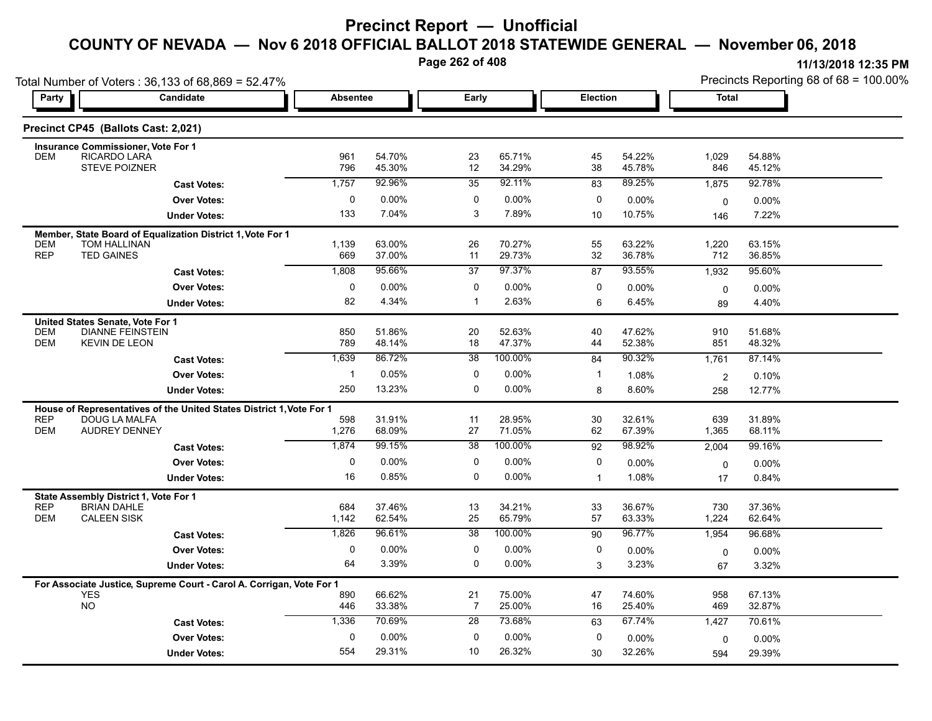**Page 262 of 408**

Total Number of Voters : 36,133 of 68,869 = 52.47%

Precincts Reporting 68 of 68 = 100.00%

| Party                    |                                                             | <b>Candidate</b>                                                     | <b>Absentee</b> |                  | Early                |                  | Election     |                  | <b>Total</b>      |                  |  |
|--------------------------|-------------------------------------------------------------|----------------------------------------------------------------------|-----------------|------------------|----------------------|------------------|--------------|------------------|-------------------|------------------|--|
|                          | Precinct CP45 (Ballots Cast: 2,021)                         |                                                                      |                 |                  |                      |                  |              |                  |                   |                  |  |
| <b>DEM</b>               | Insurance Commissioner, Vote For 1<br>RICARDO LARA          |                                                                      | 961             | 54.70%           | 23                   | 65.71%           | 45           | 54.22%           | 1,029             | 54.88%           |  |
|                          | <b>STEVE POIZNER</b>                                        |                                                                      | 796             | 45.30%           | 12                   | 34.29%           | 38           | 45.78%           | 846               | 45.12%           |  |
|                          |                                                             | <b>Cast Votes:</b>                                                   | 1,757           | 92.96%           | $\overline{35}$      | 92.11%           | 83           | 89.25%           | 1,875             | 92.78%           |  |
|                          |                                                             | <b>Over Votes:</b>                                                   | 0               | 0.00%            | $\mathbf 0$          | 0.00%            | $\mathbf 0$  | 0.00%            | $\mathbf 0$       | 0.00%            |  |
|                          |                                                             | <b>Under Votes:</b>                                                  | 133             | 7.04%            | 3                    | 7.89%            | 10           | 10.75%           | 146               | 7.22%            |  |
|                          |                                                             | Member, State Board of Equalization District 1, Vote For 1           |                 |                  |                      |                  |              |                  |                   |                  |  |
| <b>DEM</b><br><b>REP</b> | <b>TOM HALLINAN</b><br><b>TED GAINES</b>                    |                                                                      | 1,139<br>669    | 63.00%<br>37.00% | 26<br>11             | 70.27%<br>29.73% | 55<br>32     | 63.22%<br>36.78% | 1,220<br>712      | 63.15%<br>36.85% |  |
|                          |                                                             | <b>Cast Votes:</b>                                                   | 1,808           | 95.66%           | $\overline{37}$      | 97.37%           | 87           | 93.55%           | 1,932             | 95.60%           |  |
|                          |                                                             | <b>Over Votes:</b>                                                   | $\mathbf 0$     | $0.00\%$         | $\mathbf 0$          | $0.00\%$         | $\mathbf 0$  | 0.00%            |                   | 0.00%            |  |
|                          |                                                             | <b>Under Votes:</b>                                                  | 82              | 4.34%            | $\mathbf{1}$         | 2.63%            | 6            | 6.45%            | $\mathbf 0$<br>89 | 4.40%            |  |
|                          | United States Senate, Vote For 1                            |                                                                      |                 |                  |                      |                  |              |                  |                   |                  |  |
| <b>DEM</b>               | <b>DIANNE FEINSTEIN</b>                                     |                                                                      | 850             | 51.86%           | 20                   | 52.63%           | 40           | 47.62%           | 910               | 51.68%           |  |
| <b>DEM</b>               | <b>KEVIN DE LEON</b>                                        |                                                                      | 789             | 48.14%           | 18                   | 47.37%           | 44           | 52.38%           | 851               | 48.32%           |  |
|                          |                                                             | <b>Cast Votes:</b>                                                   | 1,639           | 86.72%           | $\overline{38}$      | 100.00%          | 84           | 90.32%           | 1.761             | 87.14%           |  |
|                          |                                                             | <b>Over Votes:</b>                                                   | $\mathbf{1}$    | 0.05%            | $\mathbf 0$          | $0.00\%$         | $\mathbf{1}$ | 1.08%            | $\overline{2}$    | 0.10%            |  |
|                          |                                                             | <b>Under Votes:</b>                                                  | 250             | 13.23%           | $\mathbf 0$          | 0.00%            | 8            | 8.60%            | 258               | 12.77%           |  |
|                          |                                                             | House of Representatives of the United States District 1, Vote For 1 |                 |                  |                      |                  |              |                  |                   |                  |  |
| <b>REP</b><br><b>DEM</b> | DOUG LA MALFA<br><b>AUDREY DENNEY</b>                       |                                                                      | 598<br>1,276    | 31.91%<br>68.09% | 11<br>27             | 28.95%<br>71.05% | 30<br>62     | 32.61%<br>67.39% | 639<br>1,365      | 31.89%<br>68.11% |  |
|                          |                                                             |                                                                      | 1,874           | 99 15%           | 38                   | 100.00%          | 92           | 98.92%           | 2,004             | 99.16%           |  |
|                          |                                                             | <b>Cast Votes:</b>                                                   | 0               | 0.00%            | $\mathbf 0$          | 0.00%            | 0            |                  |                   |                  |  |
|                          |                                                             | <b>Over Votes:</b>                                                   | 16              | 0.85%            | $\mathbf 0$          | $0.00\%$         |              | 0.00%<br>1.08%   | $\mathbf 0$       | 0.00%            |  |
|                          |                                                             | <b>Under Votes:</b>                                                  |                 |                  |                      |                  | $\mathbf{1}$ |                  | 17                | 0.84%            |  |
| <b>REP</b>               | State Assembly District 1, Vote For 1<br><b>BRIAN DAHLE</b> |                                                                      | 684             | 37.46%           | 13                   | 34.21%           | 33           | 36.67%           | 730               | 37.36%           |  |
| <b>DEM</b>               | <b>CALEEN SISK</b>                                          |                                                                      | 1,142           | 62.54%           | 25                   | 65.79%           | 57           | 63.33%           | 1,224             | 62.64%           |  |
|                          |                                                             | <b>Cast Votes:</b>                                                   | 1,826           | 96.61%           | $\overline{38}$      | 100.00%          | 90           | 96.77%           | 1,954             | 96.68%           |  |
|                          |                                                             | <b>Over Votes:</b>                                                   | $\mathbf 0$     | $0.00\%$         | $\mathbf 0$          | $0.00\%$         | $\mathbf 0$  | 0.00%            | $\mathbf 0$       | 0.00%            |  |
|                          |                                                             | <b>Under Votes:</b>                                                  | 64              | 3.39%            | 0                    | 0.00%            | 3            | 3.23%            | 67                | 3.32%            |  |
|                          |                                                             | For Associate Justice, Supreme Court - Carol A. Corrigan, Vote For 1 |                 |                  |                      |                  |              |                  |                   |                  |  |
|                          | <b>YES</b><br><b>NO</b>                                     |                                                                      | 890             | 66.62%           | 21<br>$\overline{7}$ | 75.00%           | 47           | 74.60%           | 958               | 67.13%           |  |
|                          |                                                             |                                                                      | 446             | 33.38%<br>70.69% | 28                   | 25.00%<br>73.68% | 16           | 25.40%<br>67.74% | 469               | 32.87%           |  |
|                          |                                                             | <b>Cast Votes:</b>                                                   | 1,336           |                  |                      |                  | 63           |                  | 1,427             | 70.61%           |  |
|                          |                                                             | <b>Over Votes:</b>                                                   | $\mathbf 0$     | 0.00%            | $\mathbf 0$          | 0.00%            | $\mathbf 0$  | $0.00\%$         | $\Omega$          | 0.00%            |  |
|                          |                                                             | <b>Under Votes:</b>                                                  | 554             | 29.31%           | 10                   | 26.32%           | 30           | 32.26%           | 594               | 29.39%           |  |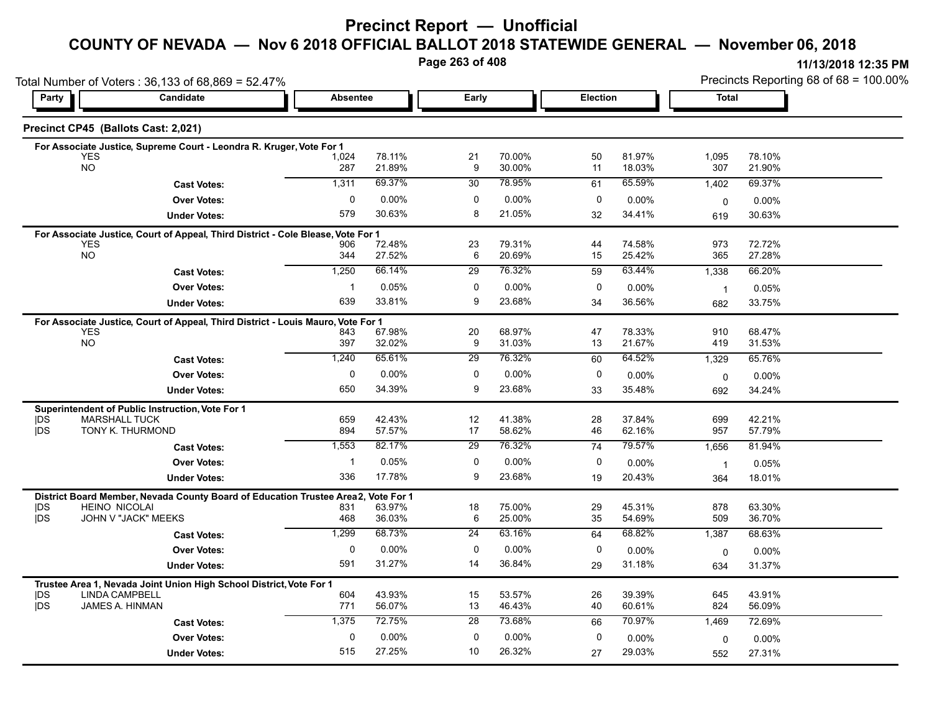# **Precinct Report — Unofficial**

# **COUNTY OF NEVADA — Nov 6 2018 OFFICIAL BALLOT 2018 STATEWIDE GENERAL — November 06, 2018**

**Page 263 of 408**

| Total Number of Voters: 36,133 of 68,869 = 52.47% |                                                                                              |                 |                  |                 |                  |          |                  |                    | Precincts Reporting 68 of 68 = 100.00% |  |  |  |
|---------------------------------------------------|----------------------------------------------------------------------------------------------|-----------------|------------------|-----------------|------------------|----------|------------------|--------------------|----------------------------------------|--|--|--|
| Party                                             | Candidate                                                                                    | <b>Absentee</b> |                  | Early           |                  | Election |                  | Total              |                                        |  |  |  |
|                                                   | Precinct CP45 (Ballots Cast: 2,021)                                                          |                 |                  |                 |                  |          |                  |                    |                                        |  |  |  |
|                                                   | For Associate Justice, Supreme Court - Leondra R. Kruger, Vote For 1                         |                 |                  |                 |                  |          |                  |                    |                                        |  |  |  |
|                                                   | <b>YES</b>                                                                                   | 1,024           | 78.11%           | 21              | 70.00%           | 50       | 81.97%           | 1,095              | 78.10%                                 |  |  |  |
|                                                   | <b>NO</b>                                                                                    | 287             | 21.89%           | 9               | 30.00%           | 11       | 18.03%           | 307                | 21.90%                                 |  |  |  |
|                                                   | <b>Cast Votes:</b>                                                                           | 1,311           | 69.37%           | 30              | 78.95%           | 61       | 65.59%           | 1,402              | 69.37%                                 |  |  |  |
|                                                   | <b>Over Votes:</b>                                                                           | 0               | 0.00%            | $\mathbf{0}$    | 0.00%            | 0        | 0.00%            | 0                  | 0.00%                                  |  |  |  |
|                                                   | <b>Under Votes:</b>                                                                          | 579             | 30.63%           | 8               | 21.05%           | 32       | 34.41%           | 619                | 30.63%                                 |  |  |  |
|                                                   | For Associate Justice, Court of Appeal, Third District - Cole Blease, Vote For 1             |                 |                  |                 |                  |          |                  |                    |                                        |  |  |  |
|                                                   | <b>YES</b><br><b>NO</b>                                                                      | 906             | 72.48%           | 23              | 79.31%           | 44       | 74.58%           | 973                | 72.72%                                 |  |  |  |
|                                                   |                                                                                              | 344             | 27.52%           | 6               | 20.69%           | 15       | 25.42%           | 365                | 27.28%                                 |  |  |  |
|                                                   | <b>Cast Votes:</b>                                                                           | 1,250           | 66.14%           | $\overline{29}$ | 76.32%           | 59       | 63.44%           | 1,338              | 66.20%                                 |  |  |  |
|                                                   | <b>Over Votes:</b>                                                                           | -1              | 0.05%            | 0               | 0.00%            | 0        | 0.00%            | $\overline{1}$     | 0.05%                                  |  |  |  |
|                                                   | <b>Under Votes:</b>                                                                          | 639             | 33.81%           | 9               | 23.68%           | 34       | 36.56%           | 682                | 33.75%                                 |  |  |  |
|                                                   | For Associate Justice, Court of Appeal, Third District - Louis Mauro, Vote For 1             |                 |                  |                 |                  |          |                  |                    |                                        |  |  |  |
|                                                   | <b>YES</b><br><b>NO</b>                                                                      | 843<br>397      | 67.98%<br>32.02% | 20<br>9         | 68.97%<br>31.03% | 47<br>13 | 78.33%<br>21.67% | 910<br>419         | 68.47%<br>31.53%                       |  |  |  |
|                                                   |                                                                                              |                 |                  |                 |                  |          |                  |                    |                                        |  |  |  |
|                                                   | <b>Cast Votes:</b>                                                                           | 1,240           | 65.61%           | 29              | 76.32%           | 60       | 64.52%           | 1,329              | 65.76%                                 |  |  |  |
|                                                   | <b>Over Votes:</b>                                                                           | 0               | 0.00%            | 0               | 0.00%            | 0        | $0.00\%$         | $\mathbf 0$        | 0.00%                                  |  |  |  |
|                                                   | <b>Under Votes:</b>                                                                          | 650             | 34.39%           | 9               | 23.68%           | 33       | 35.48%           | 692                | 34.24%                                 |  |  |  |
|                                                   | Superintendent of Public Instruction, Vote For 1                                             |                 |                  |                 |                  |          |                  |                    |                                        |  |  |  |
| <b>IDS</b><br><b>IDS</b>                          | <b>MARSHALL TUCK</b><br>TONY K. THURMOND                                                     | 659<br>894      | 42.43%<br>57.57% | 12<br>17        | 41.38%<br>58.62% | 28<br>46 | 37.84%<br>62.16% | 699<br>957         | 42.21%<br>57.79%                       |  |  |  |
|                                                   | <b>Cast Votes:</b>                                                                           | 1,553           | 82.17%           | 29              | 76.32%           | 74       | 79.57%           | 1,656              | 81.94%                                 |  |  |  |
|                                                   |                                                                                              |                 |                  |                 |                  |          |                  |                    |                                        |  |  |  |
|                                                   | <b>Over Votes:</b>                                                                           |                 | 0.05%            | $\Omega$        | 0.00%            | $\Omega$ | $0.00\%$         | $\overline{1}$     | 0.05%                                  |  |  |  |
|                                                   | <b>Under Votes:</b>                                                                          | 336             | 17.78%           | 9               | 23.68%           | 19       | 20.43%           | 364                | 18.01%                                 |  |  |  |
|                                                   | District Board Member, Nevada County Board of Education Trustee Area2, Vote For 1            |                 |                  |                 |                  |          |                  |                    |                                        |  |  |  |
| DS<br>jDS                                         | <b>HEINO NICOLAI</b><br>JOHN V "JACK" MEEKS                                                  | 831<br>468      | 63.97%<br>36.03% | 18<br>6         | 75.00%<br>25.00% | 29<br>35 | 45.31%<br>54.69% | 878<br>509         | 63.30%<br>36.70%                       |  |  |  |
|                                                   | <b>Cast Votes:</b>                                                                           | 1,299           | 68.73%           | $\overline{24}$ | 63.16%           | 64       | 68.82%           | 1,387              | 68.63%                                 |  |  |  |
|                                                   | <b>Over Votes:</b>                                                                           | $\mathbf 0$     | $0.00\%$         | $\Omega$        | 0.00%            | $\Omega$ | 0.00%            |                    | 0.00%                                  |  |  |  |
|                                                   | <b>Under Votes:</b>                                                                          | 591             | 31.27%           | 14              | 36.84%           | 29       | 31.18%           | $\mathbf 0$<br>634 | 31.37%                                 |  |  |  |
|                                                   |                                                                                              |                 |                  |                 |                  |          |                  |                    |                                        |  |  |  |
| <b>IDS</b>                                        | Trustee Area 1, Nevada Joint Union High School District, Vote For 1<br><b>LINDA CAMPBELL</b> | 604             | 43.93%           | 15              | 53.57%           | 26       | 39.39%           | 645                | 43.91%                                 |  |  |  |
| jDS                                               | JAMES A. HINMAN                                                                              | 771             | 56.07%           | 13              | 46.43%           | 40       | 60.61%           | 824                | 56.09%                                 |  |  |  |
|                                                   | <b>Cast Votes:</b>                                                                           | 1,375           | 72.75%           | 28              | 73.68%           | 66       | 70.97%           | 1,469              | 72.69%                                 |  |  |  |
|                                                   | <b>Over Votes:</b>                                                                           | $\Omega$        | $0.00\%$         | $\Omega$        | $0.00\%$         | $\Omega$ | 0.00%            | $\mathbf 0$        | 0.00%                                  |  |  |  |
|                                                   | <b>Under Votes:</b>                                                                          | 515             | 27.25%           | 10              | 26.32%           | 27       | 29.03%           | 552                | 27.31%                                 |  |  |  |
|                                                   |                                                                                              |                 |                  |                 |                  |          |                  |                    |                                        |  |  |  |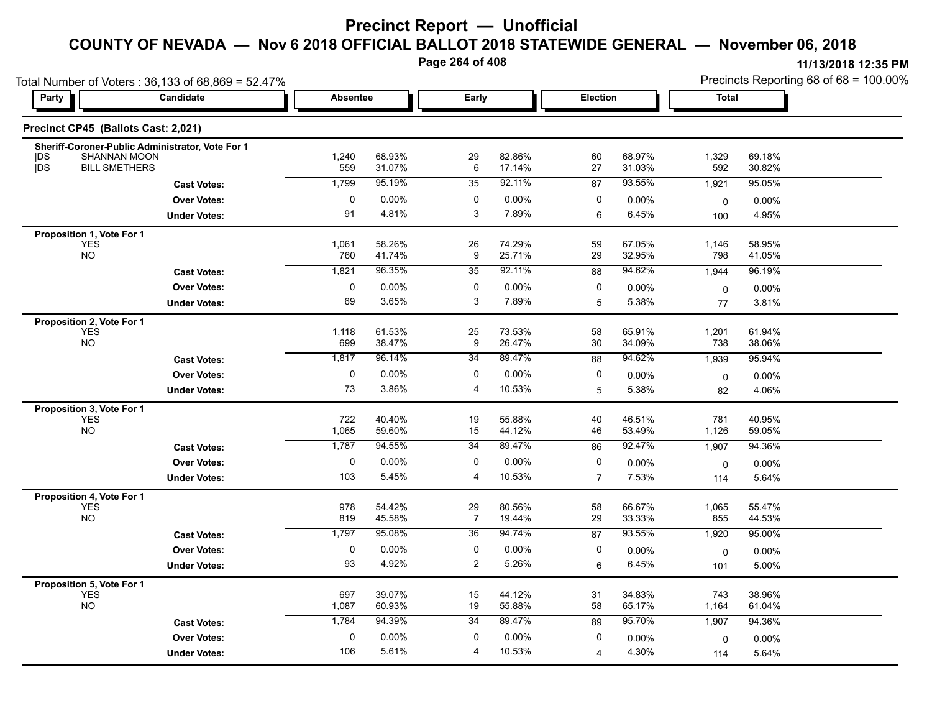**Page 264 of 408**

| Total Number of Voters: 36,133 of 68,869 = 52.47%    |                                                                                          |                 |                  |                         |                  |                 |                  | Precincts Reporting 68 of 68 = 100.00% |                  |  |
|------------------------------------------------------|------------------------------------------------------------------------------------------|-----------------|------------------|-------------------------|------------------|-----------------|------------------|----------------------------------------|------------------|--|
| Party                                                | Candidate                                                                                | <b>Absentee</b> |                  | Early                   |                  | Election        |                  | Total                                  |                  |  |
|                                                      | Precinct CP45 (Ballots Cast: 2,021)                                                      |                 |                  |                         |                  |                 |                  |                                        |                  |  |
| <b>IDS</b><br><b>jDS</b>                             | Sheriff-Coroner-Public Administrator, Vote For 1<br>SHANNAN MOON<br><b>BILL SMETHERS</b> | 1,240<br>559    | 68.93%<br>31.07% | 29<br>6                 | 82.86%<br>17.14% | 60<br>27        | 68.97%<br>31.03% | 1,329<br>592                           | 69.18%<br>30.82% |  |
|                                                      | <b>Cast Votes:</b>                                                                       | 1,799           | 95.19%           | 35                      | 92.11%           | $\overline{87}$ | 93.55%           | 1,921                                  | 95.05%           |  |
|                                                      | <b>Over Votes:</b>                                                                       | 0               | $0.00\%$         | 0                       | 0.00%            | 0               | 0.00%            | $\mathbf 0$                            | 0.00%            |  |
|                                                      | <b>Under Votes:</b>                                                                      | 91              | 4.81%            | 3                       | 7.89%            | 6               | 6.45%            | 100                                    | 4.95%            |  |
| Proposition 1, Vote For 1                            |                                                                                          |                 |                  |                         |                  |                 |                  |                                        |                  |  |
| YES<br>NO                                            |                                                                                          | 1,061<br>760    | 58.26%<br>41.74% | 26<br>9                 | 74.29%<br>25.71% | 59<br>29        | 67.05%<br>32.95% | 1,146<br>798                           | 58.95%<br>41.05% |  |
|                                                      | <b>Cast Votes:</b>                                                                       | 1,821           | 96.35%           | 35                      | 92.11%           | 88              | 94.62%           | 1,944                                  | 96.19%           |  |
|                                                      | <b>Over Votes:</b>                                                                       | $\pmb{0}$       | 0.00%            | $\pmb{0}$               | 0.00%            | 0               | 0.00%            | 0                                      | 0.00%            |  |
|                                                      | <b>Under Votes:</b>                                                                      | 69              | 3.65%            | 3                       | 7.89%            | 5               | 5.38%            | 77                                     | 3.81%            |  |
| Proposition 2, Vote For 1<br><b>YES</b><br><b>NO</b> |                                                                                          | 1,118<br>699    | 61.53%<br>38.47% | 25<br>9                 | 73.53%<br>26.47% | 58<br>30        | 65.91%<br>34.09% | 1,201<br>738                           | 61.94%<br>38.06% |  |
|                                                      | <b>Cast Votes:</b>                                                                       | 1,817           | 96.14%           | 34                      | 89.47%           | 88              | 94.62%           | 1,939                                  | 95.94%           |  |
|                                                      | <b>Over Votes:</b>                                                                       | 0               | $0.00\%$         | 0                       | 0.00%            | 0               | 0.00%            | 0                                      | 0.00%            |  |
|                                                      | <b>Under Votes:</b>                                                                      | 73              | 3.86%            | 4                       | 10.53%           | 5               | 5.38%            | 82                                     | 4.06%            |  |
| Proposition 3, Vote For 1<br><b>YES</b><br><b>NO</b> |                                                                                          | 722<br>1,065    | 40.40%<br>59.60% | 19<br>15                | 55.88%<br>44.12% | 40<br>46        | 46.51%<br>53.49% | 781<br>1,126                           | 40.95%<br>59.05% |  |
|                                                      | <b>Cast Votes:</b>                                                                       | 1,787           | 94.55%           | 34                      | 89.47%           | 86              | 92.47%           | 1,907                                  | 94.36%           |  |
|                                                      | <b>Over Votes:</b>                                                                       | $\mathbf 0$     | 0.00%            | 0                       | $0.00\%$         | 0               | 0.00%            | 0                                      | $0.00\%$         |  |
|                                                      | <b>Under Votes:</b>                                                                      | 103             | 5.45%            | 4                       | 10.53%           | $\overline{7}$  | 7.53%            | 114                                    | 5.64%            |  |
| Proposition 4, Vote For 1<br><b>YES</b><br><b>NO</b> |                                                                                          | 978<br>819      | 54.42%<br>45.58% | 29<br>$\overline{7}$    | 80.56%<br>19.44% | 58<br>29        | 66.67%<br>33.33% | 1,065<br>855                           | 55.47%<br>44.53% |  |
|                                                      | <b>Cast Votes:</b>                                                                       | 1,797           | 95.08%           | 36                      | 94.74%           | 87              | 93.55%           | 1,920                                  | 95.00%           |  |
|                                                      | <b>Over Votes:</b>                                                                       | 0               | $0.00\%$         | 0                       | 0.00%            | 0               | 0.00%            | 0                                      | 0.00%            |  |
|                                                      | <b>Under Votes:</b>                                                                      | 93              | 4.92%            | $\overline{\mathbf{c}}$ | 5.26%            | 6               | 6.45%            | 101                                    | 5.00%            |  |
| Proposition 5, Vote For 1<br>YES<br><b>NO</b>        |                                                                                          | 697<br>1,087    | 39.07%<br>60.93% | 15<br>19                | 44.12%<br>55.88% | 31<br>58        | 34.83%<br>65.17% | 743<br>1,164                           | 38.96%<br>61.04% |  |
|                                                      | <b>Cast Votes:</b>                                                                       | 1,784           | 94.39%           | 34                      | 89.47%           | 89              | 95.70%           | 1,907                                  | 94.36%           |  |
|                                                      | <b>Over Votes:</b>                                                                       | 0               | 0.00%            | 0                       | 0.00%            | 0               | $0.00\%$         | 0                                      | 0.00%            |  |
|                                                      | <b>Under Votes:</b>                                                                      | 106             | 5.61%            | 4                       | 10.53%           | 4               | 4.30%            | 114                                    | 5.64%            |  |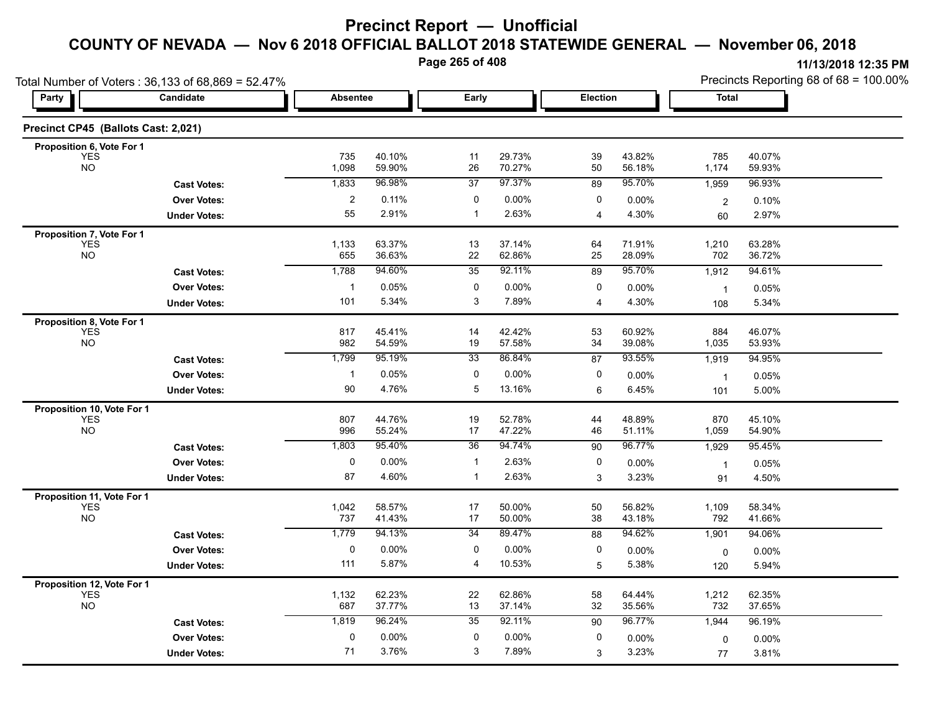**Page 265 of 408**

**11/13/2018 12:35 PM** Precincts Reporting 68 of 68 = 100.00%

|                                     | Total Number of Voters: 36,133 of 68,869 = 52.47%        |                |                  |                 |                  |                |                  | Precincts Reporting 68 of 68 = 100.00% |                  |  |
|-------------------------------------|----------------------------------------------------------|----------------|------------------|-----------------|------------------|----------------|------------------|----------------------------------------|------------------|--|
| Party                               | Candidate<br>Early<br><b>Election</b><br><b>Absentee</b> |                |                  | <b>Total</b>    |                  |                |                  |                                        |                  |  |
| Precinct CP45 (Ballots Cast: 2,021) |                                                          |                |                  |                 |                  |                |                  |                                        |                  |  |
| Proposition 6, Vote For 1           |                                                          |                |                  |                 |                  |                |                  |                                        |                  |  |
| <b>YES</b><br><b>NO</b>             |                                                          | 735<br>1,098   | 40.10%<br>59.90% | 11<br>26        | 29.73%<br>70.27% | 39<br>50       | 43.82%<br>56.18% | 785<br>1,174                           | 40.07%<br>59.93% |  |
|                                     | <b>Cast Votes:</b>                                       | 1,833          | 96.98%           | 37              | 97.37%           | 89             | 95.70%           | 1,959                                  | 96.93%           |  |
|                                     | <b>Over Votes:</b>                                       | $\overline{2}$ | 0.11%            | 0               | 0.00%            | 0              | 0.00%            | $\overline{c}$                         | 0.10%            |  |
|                                     | <b>Under Votes:</b>                                      | 55             | 2.91%            | $\mathbf{1}$    | 2.63%            | $\overline{4}$ | 4.30%            | 60                                     | 2.97%            |  |
| Proposition 7, Vote For 1           |                                                          |                |                  |                 |                  |                |                  |                                        |                  |  |
| <b>YES</b><br>NO                    |                                                          | 1,133<br>655   | 63.37%<br>36.63% | 13<br>22        | 37.14%<br>62.86% | 64<br>25       | 71.91%<br>28.09% | 1,210<br>702                           | 63.28%<br>36.72% |  |
|                                     | <b>Cast Votes:</b>                                       | 1,788          | 94.60%           | 35              | 92.11%           | 89             | 95.70%           | 1,912                                  | 94.61%           |  |
|                                     | <b>Over Votes:</b>                                       | $\mathbf{1}$   | 0.05%            | 0               | 0.00%            | 0              | $0.00\%$         | $\mathbf{1}$                           | 0.05%            |  |
|                                     | <b>Under Votes:</b>                                      | 101            | 5.34%            | 3               | 7.89%            | $\overline{4}$ | 4.30%            | 108                                    | 5.34%            |  |
| Proposition 8, Vote For 1           |                                                          |                |                  |                 |                  |                |                  |                                        |                  |  |
| <b>YES</b><br><b>NO</b>             |                                                          | 817<br>982     | 45.41%<br>54.59% | 14<br>19        | 42.42%<br>57.58% | 53<br>34       | 60.92%<br>39.08% | 884<br>1,035                           | 46.07%<br>53.93% |  |
|                                     | <b>Cast Votes:</b>                                       | 1,799          | 95.19%           | $\overline{33}$ | 86.84%           | 87             | 93.55%           | 1,919                                  | 94.95%           |  |
|                                     | <b>Over Votes:</b>                                       | -1             | 0.05%            | 0               | $0.00\%$         | 0              | $0.00\%$         | $\mathbf{1}$                           | 0.05%            |  |
|                                     | <b>Under Votes:</b>                                      | 90             | 4.76%            | 5               | 13.16%           | 6              | 6.45%            | 101                                    | 5.00%            |  |
| Proposition 10, Vote For 1          |                                                          |                |                  |                 |                  |                |                  |                                        |                  |  |
| <b>YES</b><br><b>NO</b>             |                                                          | 807<br>996     | 44.76%<br>55.24% | 19<br>17        | 52.78%<br>47.22% | 44<br>46       | 48.89%<br>51.11% | 870<br>1,059                           | 45.10%<br>54.90% |  |
|                                     | <b>Cast Votes:</b>                                       | 1,803          | 95.40%           | 36              | 94.74%           | 90             | 96.77%           | 1,929                                  | 95.45%           |  |
|                                     | <b>Over Votes:</b>                                       | $\pmb{0}$      | 0.00%            | $\mathbf{1}$    | 2.63%            | 0              | 0.00%            |                                        |                  |  |
|                                     | <b>Under Votes:</b>                                      | 87             | 4.60%            | $\mathbf{1}$    | 2.63%            | 3              | 3.23%            | $\mathbf{1}$<br>91                     | 0.05%<br>4.50%   |  |
| Proposition 11, Vote For 1          |                                                          |                |                  |                 |                  |                |                  |                                        |                  |  |
| <b>YES</b><br><b>NO</b>             |                                                          | 1,042<br>737   | 58.57%<br>41.43% | 17<br>17        | 50.00%<br>50.00% | 50<br>38       | 56.82%<br>43.18% | 1,109<br>792                           | 58.34%<br>41.66% |  |
|                                     | <b>Cast Votes:</b>                                       | 1,779          | 94.13%           | 34              | 89.47%           | 88             | 94.62%           | 1,901                                  | 94.06%           |  |
|                                     | <b>Over Votes:</b>                                       | $\pmb{0}$      | 0.00%            | 0               | 0.00%            | 0              | 0.00%            |                                        | 0.00%            |  |
|                                     | <b>Under Votes:</b>                                      | 111            | 5.87%            | $\overline{4}$  | 10.53%           | 5              | 5.38%            | 0<br>120                               | 5.94%            |  |
| Proposition 12, Vote For 1          |                                                          |                |                  |                 |                  |                |                  |                                        |                  |  |
| <b>YES</b><br><b>NO</b>             |                                                          | 1,132<br>687   | 62.23%<br>37.77% | 22<br>13        | 62.86%<br>37.14% | 58<br>32       | 64.44%<br>35.56% | 1,212<br>732                           | 62.35%<br>37.65% |  |
|                                     | <b>Cast Votes:</b>                                       | 1,819          | 96.24%           | 35              | 92.11%           | 90             | 96.77%           | 1,944                                  | 96.19%           |  |
|                                     | <b>Over Votes:</b>                                       | $\pmb{0}$      | 0.00%            | 0               | 0.00%            | 0              | 0.00%            | 0                                      | $0.00\%$         |  |
|                                     | <b>Under Votes:</b>                                      | 71             | 3.76%            | 3               | 7.89%            | 3              | 3.23%            | 77                                     | 3.81%            |  |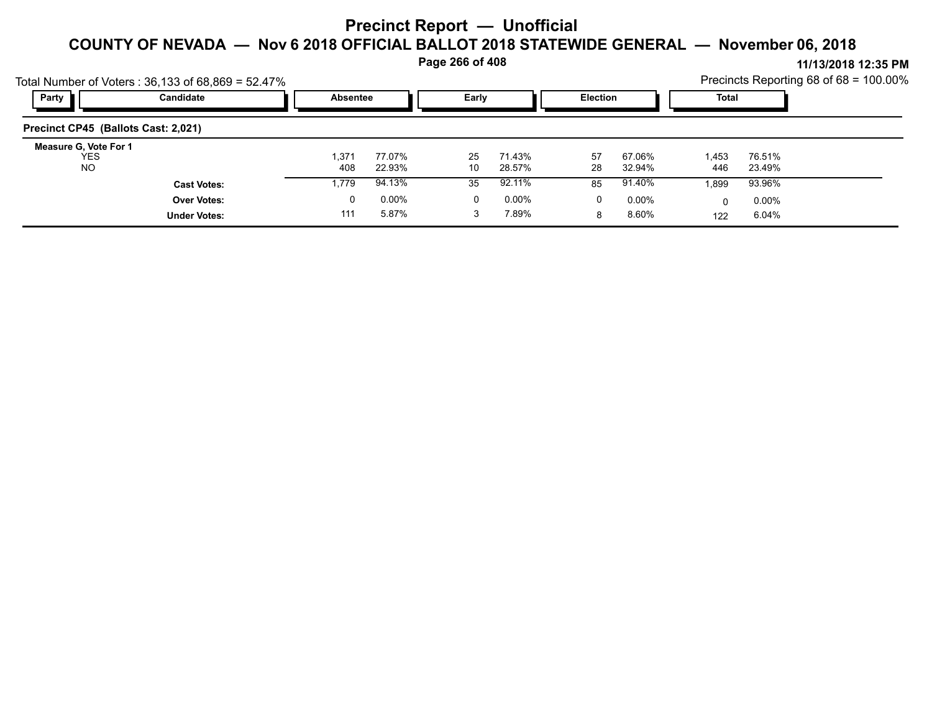**Page 266 of 408**

**11/13/2018 12:35 PM** Precincts Reporting 68 of 68 = 100.00%

|                                                  | Total Number of Voters: 36,133 of 68,869 = 52.47% |                 |                  |          |                  |          |                   |              |                   | Precincts Reporting 68 of 68 = 100.00% |
|--------------------------------------------------|---------------------------------------------------|-----------------|------------------|----------|------------------|----------|-------------------|--------------|-------------------|----------------------------------------|
| Party                                            | Candidate                                         | <b>Absentee</b> |                  | Early    |                  | Election |                   | Total        |                   |                                        |
| Precinct CP45 (Ballots Cast: 2,021)              |                                                   |                 |                  |          |                  |          |                   |              |                   |                                        |
| Measure G, Vote For 1<br><b>YES</b><br><b>NO</b> |                                                   | 1,371<br>408    | 77.07%<br>22.93% | 25<br>10 | 71.43%<br>28.57% | 57<br>28 | 67.06%<br>32.94%  | 1.453<br>446 | 76.51%<br>23.49%  |                                        |
|                                                  | <b>Cast Votes:</b>                                | 1,779           | 94.13%           | 35       | 92.11%           | 85       | 91.40%            | 1.899        | 93.96%            |                                        |
|                                                  | <b>Over Votes:</b><br><b>Under Votes:</b>         | 0<br>111        | 0.00%<br>5.87%   |          | 0.00%<br>7.89%   | 0<br>8   | $0.00\%$<br>8.60% | 122          | $0.00\%$<br>6.04% |                                        |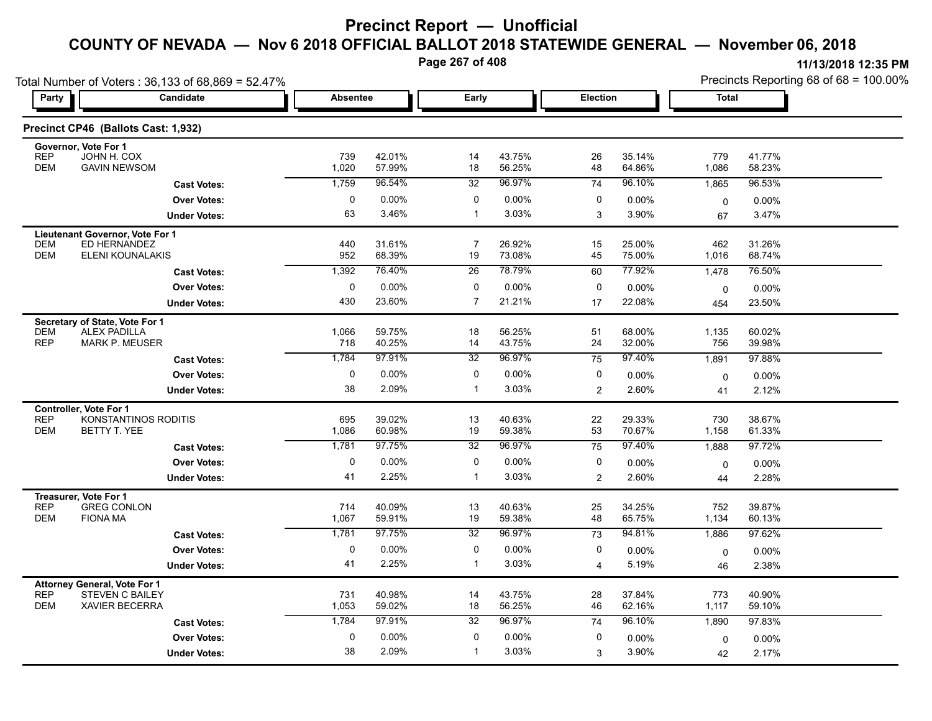**Page 267 of 408**

| Total Number of Voters: 36,133 of 68,869 = 52.47%                                                           |                     |              |                  |                      |                  |                 |                  | Precincts Reporting 68 of 68 = 100.00% |                  |  |
|-------------------------------------------------------------------------------------------------------------|---------------------|--------------|------------------|----------------------|------------------|-----------------|------------------|----------------------------------------|------------------|--|
| Party                                                                                                       | Candidate           |              | Absentee         | Early                |                  | Election        |                  | Total                                  |                  |  |
| Precinct CP46 (Ballots Cast: 1,932)                                                                         |                     |              |                  |                      |                  |                 |                  |                                        |                  |  |
| Governor, Vote For 1<br><b>REP</b><br>JOHN H. COX<br><b>DEM</b><br><b>GAVIN NEWSOM</b>                      |                     | 739<br>1,020 | 42.01%<br>57.99% | 14<br>18             | 43.75%<br>56.25% | 26<br>48        | 35.14%<br>64.86% | 779<br>1,086                           | 41.77%<br>58.23% |  |
|                                                                                                             | <b>Cast Votes:</b>  | 1,759        | 96.54%           | 32                   | 96.97%           | $\overline{74}$ | 96.10%           | 1,865                                  | 96.53%           |  |
|                                                                                                             | <b>Over Votes:</b>  | 0            | $0.00\%$         | 0                    | 0.00%            | 0               | 0.00%            | 0                                      | 0.00%            |  |
|                                                                                                             | <b>Under Votes:</b> | 63           | 3.46%            | $\mathbf{1}$         | 3.03%            | 3               | 3.90%            | 67                                     | 3.47%            |  |
| Lieutenant Governor, Vote For 1<br>ED HERNANDEZ<br><b>DEM</b><br><b>DEM</b><br>ELENI KOUNALAKIS             |                     | 440<br>952   | 31.61%<br>68.39% | $\overline{7}$<br>19 | 26.92%<br>73.08% | 15<br>45        | 25.00%<br>75.00% | 462<br>1,016                           | 31.26%<br>68.74% |  |
|                                                                                                             | <b>Cast Votes:</b>  | 1,392        | 76.40%           | $\overline{26}$      | 78.79%           | 60              | 77.92%           | 1,478                                  | 76.50%           |  |
|                                                                                                             | <b>Over Votes:</b>  | $\mathbf 0$  | 0.00%            | 0                    | 0.00%            | 0               | 0.00%            | 0                                      | $0.00\%$         |  |
|                                                                                                             | <b>Under Votes:</b> | 430          | 23.60%           | $\overline{7}$       | 21.21%           | 17              | 22.08%           | 454                                    | 23.50%           |  |
| Secretary of State, Vote For 1                                                                              |                     |              |                  |                      |                  |                 |                  |                                        |                  |  |
| <b>DEM</b><br><b>ALEX PADILLA</b><br><b>REP</b><br><b>MARK P. MEUSER</b>                                    |                     | 1,066<br>718 | 59.75%<br>40.25% | 18<br>14             | 56.25%<br>43.75% | 51<br>24        | 68.00%<br>32.00% | 1,135<br>756                           | 60.02%<br>39.98% |  |
|                                                                                                             | <b>Cast Votes:</b>  | 1,784        | 97.91%           | 32                   | 96.97%           | 75              | 97.40%           | 1,891                                  | 97.88%           |  |
|                                                                                                             | <b>Over Votes:</b>  | 0            | 0.00%            | 0                    | 0.00%            | 0               | 0.00%            | 0                                      | 0.00%            |  |
|                                                                                                             | <b>Under Votes:</b> | 38           | 2.09%            | $\mathbf{1}$         | 3.03%            | $\overline{2}$  | 2.60%            | 41                                     | 2.12%            |  |
| Controller, Vote For 1<br><b>REP</b><br>KONSTANTINOS RODITIS<br><b>DEM</b><br>BETTY T. YEE                  |                     | 695<br>1,086 | 39.02%<br>60.98% | 13<br>19             | 40.63%<br>59.38% | 22<br>53        | 29.33%<br>70.67% | 730<br>1,158                           | 38.67%<br>61.33% |  |
|                                                                                                             | <b>Cast Votes:</b>  | 1,781        | 97.75%           | 32                   | 96.97%           | 75              | 97.40%           | 1,888                                  | 97.72%           |  |
|                                                                                                             | <b>Over Votes:</b>  | 0            | 0.00%            | 0                    | 0.00%            | 0               | $0.00\%$         | 0                                      | 0.00%            |  |
|                                                                                                             | <b>Under Votes:</b> | 41           | 2.25%            | $\mathbf{1}$         | 3.03%            | $\overline{2}$  | 2.60%            | 44                                     | 2.28%            |  |
| Treasurer, Vote For 1<br><b>REP</b><br><b>GREG CONLON</b><br><b>DEM</b><br><b>FIONA MA</b>                  |                     | 714<br>1,067 | 40.09%<br>59.91% | 13<br>19             | 40.63%<br>59.38% | 25<br>48        | 34.25%<br>65.75% | 752<br>1,134                           | 39.87%<br>60.13% |  |
|                                                                                                             | <b>Cast Votes:</b>  | 1,781        | 97.75%           | $\overline{32}$      | 96.97%           | $\overline{73}$ | 94.81%           | 1,886                                  | 97.62%           |  |
|                                                                                                             | <b>Over Votes:</b>  | 0            | 0.00%            | $\mathbf 0$          | 0.00%            | 0               | $0.00\%$         | 0                                      | $0.00\%$         |  |
|                                                                                                             | <b>Under Votes:</b> | 41           | 2.25%            | $\mathbf{1}$         | 3.03%            | $\overline{4}$  | 5.19%            | 46                                     | 2.38%            |  |
| Attorney General, Vote For 1<br><b>REP</b><br><b>STEVEN C BAILEY</b><br><b>DEM</b><br><b>XAVIER BECERRA</b> |                     | 731<br>1,053 | 40.98%<br>59.02% | 14<br>18             | 43.75%<br>56.25% | 28<br>46        | 37.84%<br>62.16% | 773<br>1,117                           | 40.90%<br>59.10% |  |
|                                                                                                             | <b>Cast Votes:</b>  | 1,784        | 97.91%           | 32                   | 96.97%           | 74              | 96.10%           | 1,890                                  | 97.83%           |  |
|                                                                                                             | <b>Over Votes:</b>  | 0            | $0.00\%$         | $\mathbf 0$          | 0.00%            | 0               | 0.00%            | 0                                      | $0.00\%$         |  |
|                                                                                                             | <b>Under Votes:</b> | 38           | 2.09%            | $\mathbf 1$          | 3.03%            | 3               | 3.90%            | 42                                     | 2.17%            |  |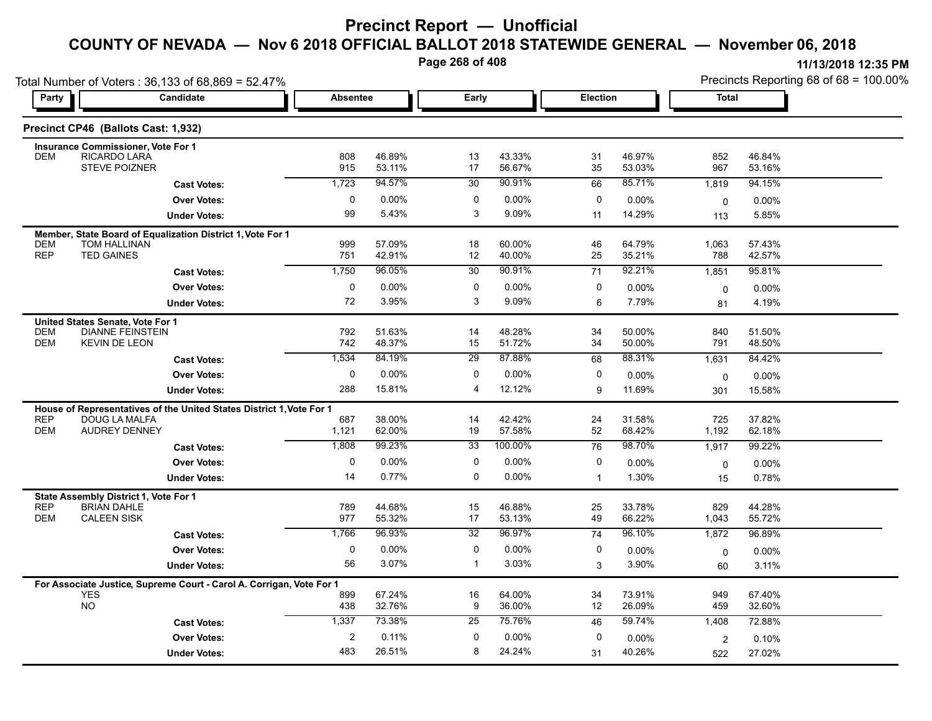**Page 268 of 408**

|                          | Total Number of Voters: 36,133 of 68,869 = 52.47%                                   |                 |                   |                 |                   |              |                  | Precincts Reporting 68 of 68 = 100.00% |                  |  |
|--------------------------|-------------------------------------------------------------------------------------|-----------------|-------------------|-----------------|-------------------|--------------|------------------|----------------------------------------|------------------|--|
| Party                    | Candidate                                                                           | <b>Absentee</b> |                   | Early           |                   | Election     |                  | <b>Total</b>                           |                  |  |
|                          | Precinct CP46 (Ballots Cast: 1,932)                                                 |                 |                   |                 |                   |              |                  |                                        |                  |  |
|                          | <b>Insurance Commissioner, Vote For 1</b>                                           |                 |                   |                 |                   |              |                  |                                        |                  |  |
| <b>DEM</b>               | RICARDO LARA<br><b>STEVE POIZNER</b>                                                | 808<br>915      | 46.89%<br>53.11%  | 13<br>17        | 43.33%<br>56.67%  | 31<br>35     | 46.97%<br>53.03% | 852<br>967                             | 46.84%<br>53.16% |  |
|                          | <b>Cast Votes:</b>                                                                  | 1,723           | 94.57%            | 30              | 90.91%            | 66           | 85.71%           | 1,819                                  | 94.15%           |  |
|                          | <b>Over Votes:</b>                                                                  | 0               | $0.00\%$          | 0               | 0.00%             | 0            | 0.00%            | $\mathbf 0$                            | 0.00%            |  |
|                          | <b>Under Votes:</b>                                                                 | 99              | 5.43%             | 3               | 9.09%             | 11           | 14.29%           | 113                                    | 5.85%            |  |
| <b>DEM</b>               | Member, State Board of Equalization District 1, Vote For 1<br><b>TOM HALLINAN</b>   | 999             | 57.09%            | 18              | 60.00%            | 46           | 64.79%           | 1,063                                  | 57.43%           |  |
| <b>REP</b>               | <b>TED GAINES</b>                                                                   | 751             | 42.91%            | 12              | 40.00%            | 25           | 35.21%           | 788                                    | 42.57%           |  |
|                          | <b>Cast Votes:</b>                                                                  | 1,750           | 96.05%            | 30              | 90.91%            | 71           | 92.21%           | 1,851                                  | 95.81%           |  |
|                          | <b>Over Votes:</b>                                                                  | 0<br>72         | $0.00\%$<br>3.95% | 0<br>3          | $0.00\%$<br>9.09% | 0            | $0.00\%$         | $\mathbf 0$                            | $0.00\%$         |  |
|                          | <b>Under Votes:</b>                                                                 |                 |                   |                 |                   | 6            | 7.79%            | 81                                     | 4.19%            |  |
| <b>DEM</b><br><b>DEM</b> | United States Senate, Vote For 1<br><b>DIANNE FEINSTEIN</b><br><b>KEVIN DE LEON</b> | 792<br>742      | 51.63%<br>48.37%  | 14<br>15        | 48.28%<br>51.72%  | 34<br>34     | 50.00%<br>50.00% | 840<br>791                             | 51.50%<br>48.50% |  |
|                          | <b>Cast Votes:</b>                                                                  | 1,534           | 84.19%            | $\overline{29}$ | 87.88%            | 68           | 88.31%           | 1,631                                  | 84.42%           |  |
|                          | <b>Over Votes:</b>                                                                  | 0               | 0.00%             | 0               | 0.00%             | 0            | 0.00%            | 0                                      | 0.00%            |  |
|                          | <b>Under Votes:</b>                                                                 | 288             | 15.81%            | 4               | 12.12%            | 9            | 11.69%           | 301                                    | 15.58%           |  |
|                          | House of Representatives of the United States District 1, Vote For 1                |                 |                   |                 |                   |              |                  |                                        |                  |  |
| <b>REP</b><br><b>DEM</b> | <b>DOUG LA MALFA</b><br><b>AUDREY DENNEY</b>                                        | 687<br>1,121    | 38.00%<br>62.00%  | 14<br>19        | 42.42%<br>57.58%  | 24<br>52     | 31.58%<br>68.42% | 725<br>1,192                           | 37.82%<br>62.18% |  |
|                          | <b>Cast Votes:</b>                                                                  | 1,808           | 99.23%            | 33              | 100.00%           | 76           | 98.70%           | 1,917                                  | 99.22%           |  |
|                          | <b>Over Votes:</b>                                                                  | 0               | 0.00%             | 0               | $0.00\%$          | 0            | 0.00%            | $\mathbf 0$                            | $0.00\%$         |  |
|                          | <b>Under Votes:</b>                                                                 | 14              | 0.77%             | 0               | $0.00\%$          | $\mathbf{1}$ | 1.30%            | 15                                     | 0.78%            |  |
| <b>REP</b><br><b>DEM</b> | State Assembly District 1, Vote For 1<br><b>BRIAN DAHLE</b><br><b>CALEEN SISK</b>   | 789<br>977      | 44.68%<br>55.32%  | 15<br>17        | 46.88%<br>53.13%  | 25<br>49     | 33.78%<br>66.22% | 829<br>1,043                           | 44.28%<br>55.72% |  |
|                          | <b>Cast Votes:</b>                                                                  | 1,766           | 96.93%            | $\overline{32}$ | 96.97%            | 74           | 96.10%           | 1,872                                  | 96.89%           |  |
|                          | <b>Over Votes:</b>                                                                  | 0               | 0.00%             | 0               | $0.00\%$          | 0            | 0.00%            | $\mathbf 0$                            | 0.00%            |  |
|                          | <b>Under Votes:</b>                                                                 | 56              | 3.07%             | $\mathbf{1}$    | 3.03%             | 3            | 3.90%            | 60                                     | 3.11%            |  |
|                          | For Associate Justice, Supreme Court - Carol A. Corrigan, Vote For 1                |                 |                   |                 |                   |              |                  |                                        |                  |  |
|                          | <b>YES</b><br><b>NO</b>                                                             | 899<br>438      | 67.24%<br>32.76%  | 16<br>9         | 64.00%<br>36.00%  | 34<br>12     | 73.91%<br>26.09% | 949<br>459                             | 67.40%<br>32.60% |  |
|                          | <b>Cast Votes:</b>                                                                  | 1,337           | 73.38%            | 25              | 75.76%            | 46           | 59.74%           | 1,408                                  | 72.88%           |  |
|                          | <b>Over Votes:</b>                                                                  | 2               | 0.11%             | 0               | $0.00\%$          | 0            | 0.00%            | $\overline{c}$                         | 0.10%            |  |
|                          | <b>Under Votes:</b>                                                                 | 483             | 26.51%            | 8               | 24.24%            | 31           | 40.26%           | 522                                    | 27.02%           |  |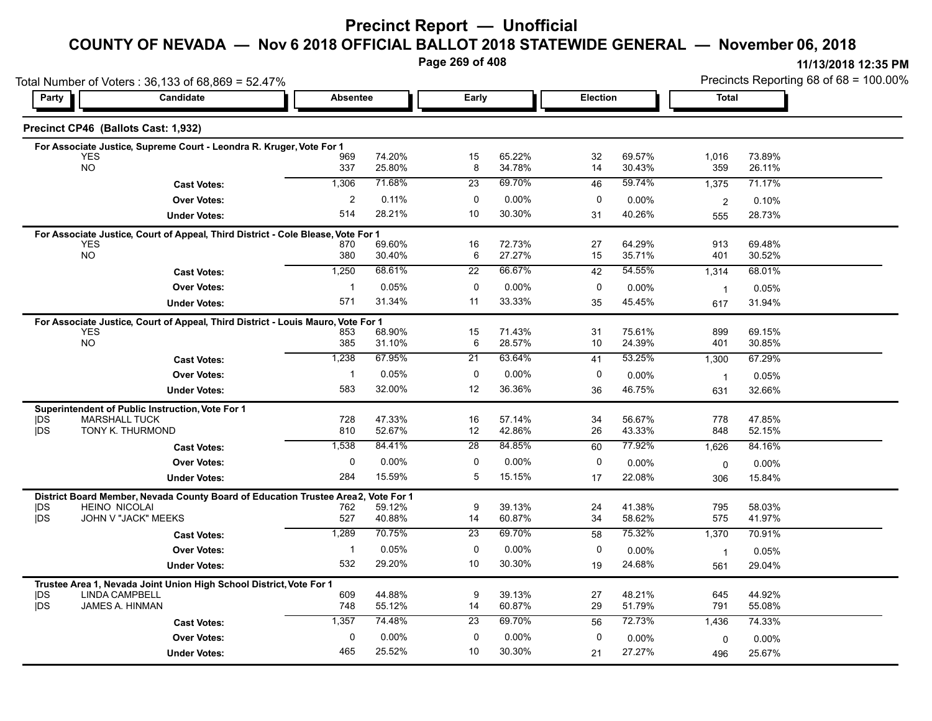# **Precinct Report — Unofficial**

### **COUNTY OF NEVADA — Nov 6 2018 OFFICIAL BALLOT 2018 STATEWIDE GENERAL — November 06, 2018**

**Page 269 of 408**

**11/13/2018 12:35 PM** Precincts Reporting 68 of 68 = 100.00%

| Candidate<br>Election<br><b>Total</b><br><b>Absentee</b><br>Early<br>Party  <br>Precinct CP46 (Ballots Cast: 1,932)<br>For Associate Justice, Supreme Court - Leondra R. Kruger, Vote For 1<br>65.22%<br><b>YES</b><br>74.20%<br>15<br>32<br>69.57%<br>1,016<br>73.89%<br>969<br><b>NO</b><br>337<br>25.80%<br>8<br>34.78%<br>14<br>30.43%<br>359<br>26.11%<br>71.68%<br>69.70%<br>59.74%<br>1,306<br>23<br>1,375<br>71.17%<br>46<br><b>Cast Votes:</b><br>$\overline{\mathbf{c}}$<br>0.11%<br>0<br>0.00%<br>0<br><b>Over Votes:</b><br>0.00%<br>0.10%<br>$\overline{2}$<br>514<br>28.21%<br>10<br>30.30%<br>40.26%<br>31<br>28.73%<br><b>Under Votes:</b><br>555<br>For Associate Justice, Court of Appeal, Third District - Cole Blease, Vote For 1<br>69.60%<br>72.73%<br>64.29%<br><b>YES</b><br>16<br>27<br>913<br>69.48%<br>870<br><b>NO</b><br>30.40%<br>27.27%<br>15<br>35.71%<br>380<br>6<br>401<br>30.52%<br>68.61%<br>54.55%<br>1,250<br>66.67%<br>22<br>68.01%<br>42<br><b>Cast Votes:</b><br>1,314<br>0.05%<br>$\mathbf 0$<br>0.00%<br>0<br><b>Over Votes:</b><br>$\mathbf{1}$<br>0.00%<br>0.05%<br>$\overline{1}$<br>571<br>31.34%<br>11<br>33.33%<br>45.45%<br><b>Under Votes:</b><br>35<br>31.94%<br>617<br>For Associate Justice, Court of Appeal, Third District - Louis Mauro, Vote For 1<br><b>YES</b><br>68.90%<br>15<br>71.43%<br>31<br>75.61%<br>899<br>69.15%<br>853<br><b>NO</b><br>385<br>31.10%<br>6<br>28.57%<br>10<br>24.39%<br>401<br>30.85%<br>53.25%<br>1,238<br>67.95%<br>21<br>63.64%<br>67.29%<br>41<br><b>Cast Votes:</b><br>1,300<br>0.05%<br><b>Over Votes:</b><br>0<br>$0.00\%$<br>0<br>$\mathbf 1$<br>0.00%<br>0.05%<br>$\overline{1}$<br>583<br>32.00%<br>36.36%<br>12<br>46.75%<br>36<br>32.66%<br><b>Under Votes:</b><br>631<br>Superintendent of Public Instruction, Vote For 1<br><b>IDS</b><br><b>MARSHALL TUCK</b><br>728<br>47.33%<br>16<br>57.14%<br>34<br>56.67%<br>778<br>47.85%<br><b>IDS</b><br>TONY K. THURMOND<br>810<br>52.67%<br>12<br>42.86%<br>26<br>43.33%<br>848<br>52.15%<br>84.41%<br>84.85%<br>77.92%<br>1,538<br>28<br>60<br>1,626<br>84.16%<br><b>Cast Votes:</b><br>0<br>0.00%<br>0<br>0.00%<br>0<br><b>Over Votes:</b><br>0.00%<br>$0.00\%$<br>$\Omega$<br>15.59%<br>284<br>5<br>15.15%<br>22.08%<br>17<br>15.84%<br><b>Under Votes:</b><br>306<br>District Board Member, Nevada County Board of Education Trustee Area2,<br>Vote For 1<br>9<br>39.13%<br>41.38%<br><b>HEINO NICOLAI</b><br>59.12%<br>24<br>795<br>58.03%<br> DS<br>762<br><b>IDS</b><br>JOHN V "JACK" MEEKS<br>40.88%<br>34<br>527<br>14<br>60.87%<br>58.62%<br>575<br>41.97%<br>1,289<br>70.75%<br>69.70%<br>75.32%<br>$\overline{23}$<br>70.91%<br>58<br>1,370<br><b>Cast Votes:</b><br>$\mathbf 0$<br><b>Over Votes:</b><br>0.05%<br>0.00%<br>0<br>$\mathbf{1}$<br>0.00%<br>0.05%<br>$\overline{1}$<br>29.20%<br>532<br>10<br>30.30%<br>24.68%<br><b>Under Votes:</b><br>19<br>29.04%<br>561<br>Trustee Area 1, Nevada Joint Union High School District, Vote For 1<br><b>IDS</b><br><b>LINDA CAMPBELL</b><br>609<br>44.88%<br>9<br>39.13%<br>27<br>48.21%<br>645<br>44.92%<br><b>IDS</b><br>JAMES A. HINMAN<br>748<br>55.12%<br>14<br>60.87%<br>29<br>51.79%<br>791<br>55.08%<br>74.48%<br>69.70%<br>72.73%<br>1,357<br>23<br>56<br>1,436<br>74.33%<br><b>Cast Votes:</b><br>$0.00\%$<br>$\mathbf 0$<br>0.00%<br>0<br>0<br><b>Over Votes:</b><br>$0.00\%$<br>$0.00\%$<br>0<br>465<br>25.52%<br>10<br>30.30%<br>27.27% |                     | Total Number of Voters: 36,133 of 68,869 = 52.47% |  | Precincts Reporting 68 of 68 = 100.00% |    |     |        |
|----------------------------------------------------------------------------------------------------------------------------------------------------------------------------------------------------------------------------------------------------------------------------------------------------------------------------------------------------------------------------------------------------------------------------------------------------------------------------------------------------------------------------------------------------------------------------------------------------------------------------------------------------------------------------------------------------------------------------------------------------------------------------------------------------------------------------------------------------------------------------------------------------------------------------------------------------------------------------------------------------------------------------------------------------------------------------------------------------------------------------------------------------------------------------------------------------------------------------------------------------------------------------------------------------------------------------------------------------------------------------------------------------------------------------------------------------------------------------------------------------------------------------------------------------------------------------------------------------------------------------------------------------------------------------------------------------------------------------------------------------------------------------------------------------------------------------------------------------------------------------------------------------------------------------------------------------------------------------------------------------------------------------------------------------------------------------------------------------------------------------------------------------------------------------------------------------------------------------------------------------------------------------------------------------------------------------------------------------------------------------------------------------------------------------------------------------------------------------------------------------------------------------------------------------------------------------------------------------------------------------------------------------------------------------------------------------------------------------------------------------------------------------------------------------------------------------------------------------------------------------------------------------------------------------------------------------------------------------------------------------------------------------------------------------------------------------------------------------------------------------------------------------------------------------------------------------------------------------------------------------------------------------------------------------------------------------------------------------------------------------------------------------------------------------------------------------------------|---------------------|---------------------------------------------------|--|----------------------------------------|----|-----|--------|
|                                                                                                                                                                                                                                                                                                                                                                                                                                                                                                                                                                                                                                                                                                                                                                                                                                                                                                                                                                                                                                                                                                                                                                                                                                                                                                                                                                                                                                                                                                                                                                                                                                                                                                                                                                                                                                                                                                                                                                                                                                                                                                                                                                                                                                                                                                                                                                                                                                                                                                                                                                                                                                                                                                                                                                                                                                                                                                                                                                                                                                                                                                                                                                                                                                                                                                                                                                                                                                                                |                     |                                                   |  |                                        |    |     |        |
|                                                                                                                                                                                                                                                                                                                                                                                                                                                                                                                                                                                                                                                                                                                                                                                                                                                                                                                                                                                                                                                                                                                                                                                                                                                                                                                                                                                                                                                                                                                                                                                                                                                                                                                                                                                                                                                                                                                                                                                                                                                                                                                                                                                                                                                                                                                                                                                                                                                                                                                                                                                                                                                                                                                                                                                                                                                                                                                                                                                                                                                                                                                                                                                                                                                                                                                                                                                                                                                                |                     |                                                   |  |                                        |    |     |        |
|                                                                                                                                                                                                                                                                                                                                                                                                                                                                                                                                                                                                                                                                                                                                                                                                                                                                                                                                                                                                                                                                                                                                                                                                                                                                                                                                                                                                                                                                                                                                                                                                                                                                                                                                                                                                                                                                                                                                                                                                                                                                                                                                                                                                                                                                                                                                                                                                                                                                                                                                                                                                                                                                                                                                                                                                                                                                                                                                                                                                                                                                                                                                                                                                                                                                                                                                                                                                                                                                |                     |                                                   |  |                                        |    |     |        |
|                                                                                                                                                                                                                                                                                                                                                                                                                                                                                                                                                                                                                                                                                                                                                                                                                                                                                                                                                                                                                                                                                                                                                                                                                                                                                                                                                                                                                                                                                                                                                                                                                                                                                                                                                                                                                                                                                                                                                                                                                                                                                                                                                                                                                                                                                                                                                                                                                                                                                                                                                                                                                                                                                                                                                                                                                                                                                                                                                                                                                                                                                                                                                                                                                                                                                                                                                                                                                                                                |                     |                                                   |  |                                        |    |     |        |
|                                                                                                                                                                                                                                                                                                                                                                                                                                                                                                                                                                                                                                                                                                                                                                                                                                                                                                                                                                                                                                                                                                                                                                                                                                                                                                                                                                                                                                                                                                                                                                                                                                                                                                                                                                                                                                                                                                                                                                                                                                                                                                                                                                                                                                                                                                                                                                                                                                                                                                                                                                                                                                                                                                                                                                                                                                                                                                                                                                                                                                                                                                                                                                                                                                                                                                                                                                                                                                                                |                     |                                                   |  |                                        |    |     |        |
|                                                                                                                                                                                                                                                                                                                                                                                                                                                                                                                                                                                                                                                                                                                                                                                                                                                                                                                                                                                                                                                                                                                                                                                                                                                                                                                                                                                                                                                                                                                                                                                                                                                                                                                                                                                                                                                                                                                                                                                                                                                                                                                                                                                                                                                                                                                                                                                                                                                                                                                                                                                                                                                                                                                                                                                                                                                                                                                                                                                                                                                                                                                                                                                                                                                                                                                                                                                                                                                                |                     |                                                   |  |                                        |    |     |        |
|                                                                                                                                                                                                                                                                                                                                                                                                                                                                                                                                                                                                                                                                                                                                                                                                                                                                                                                                                                                                                                                                                                                                                                                                                                                                                                                                                                                                                                                                                                                                                                                                                                                                                                                                                                                                                                                                                                                                                                                                                                                                                                                                                                                                                                                                                                                                                                                                                                                                                                                                                                                                                                                                                                                                                                                                                                                                                                                                                                                                                                                                                                                                                                                                                                                                                                                                                                                                                                                                |                     |                                                   |  |                                        |    |     |        |
|                                                                                                                                                                                                                                                                                                                                                                                                                                                                                                                                                                                                                                                                                                                                                                                                                                                                                                                                                                                                                                                                                                                                                                                                                                                                                                                                                                                                                                                                                                                                                                                                                                                                                                                                                                                                                                                                                                                                                                                                                                                                                                                                                                                                                                                                                                                                                                                                                                                                                                                                                                                                                                                                                                                                                                                                                                                                                                                                                                                                                                                                                                                                                                                                                                                                                                                                                                                                                                                                |                     |                                                   |  |                                        |    |     |        |
|                                                                                                                                                                                                                                                                                                                                                                                                                                                                                                                                                                                                                                                                                                                                                                                                                                                                                                                                                                                                                                                                                                                                                                                                                                                                                                                                                                                                                                                                                                                                                                                                                                                                                                                                                                                                                                                                                                                                                                                                                                                                                                                                                                                                                                                                                                                                                                                                                                                                                                                                                                                                                                                                                                                                                                                                                                                                                                                                                                                                                                                                                                                                                                                                                                                                                                                                                                                                                                                                |                     |                                                   |  |                                        |    |     |        |
|                                                                                                                                                                                                                                                                                                                                                                                                                                                                                                                                                                                                                                                                                                                                                                                                                                                                                                                                                                                                                                                                                                                                                                                                                                                                                                                                                                                                                                                                                                                                                                                                                                                                                                                                                                                                                                                                                                                                                                                                                                                                                                                                                                                                                                                                                                                                                                                                                                                                                                                                                                                                                                                                                                                                                                                                                                                                                                                                                                                                                                                                                                                                                                                                                                                                                                                                                                                                                                                                |                     |                                                   |  |                                        |    |     |        |
|                                                                                                                                                                                                                                                                                                                                                                                                                                                                                                                                                                                                                                                                                                                                                                                                                                                                                                                                                                                                                                                                                                                                                                                                                                                                                                                                                                                                                                                                                                                                                                                                                                                                                                                                                                                                                                                                                                                                                                                                                                                                                                                                                                                                                                                                                                                                                                                                                                                                                                                                                                                                                                                                                                                                                                                                                                                                                                                                                                                                                                                                                                                                                                                                                                                                                                                                                                                                                                                                |                     |                                                   |  |                                        |    |     |        |
|                                                                                                                                                                                                                                                                                                                                                                                                                                                                                                                                                                                                                                                                                                                                                                                                                                                                                                                                                                                                                                                                                                                                                                                                                                                                                                                                                                                                                                                                                                                                                                                                                                                                                                                                                                                                                                                                                                                                                                                                                                                                                                                                                                                                                                                                                                                                                                                                                                                                                                                                                                                                                                                                                                                                                                                                                                                                                                                                                                                                                                                                                                                                                                                                                                                                                                                                                                                                                                                                |                     |                                                   |  |                                        |    |     |        |
|                                                                                                                                                                                                                                                                                                                                                                                                                                                                                                                                                                                                                                                                                                                                                                                                                                                                                                                                                                                                                                                                                                                                                                                                                                                                                                                                                                                                                                                                                                                                                                                                                                                                                                                                                                                                                                                                                                                                                                                                                                                                                                                                                                                                                                                                                                                                                                                                                                                                                                                                                                                                                                                                                                                                                                                                                                                                                                                                                                                                                                                                                                                                                                                                                                                                                                                                                                                                                                                                |                     |                                                   |  |                                        |    |     |        |
|                                                                                                                                                                                                                                                                                                                                                                                                                                                                                                                                                                                                                                                                                                                                                                                                                                                                                                                                                                                                                                                                                                                                                                                                                                                                                                                                                                                                                                                                                                                                                                                                                                                                                                                                                                                                                                                                                                                                                                                                                                                                                                                                                                                                                                                                                                                                                                                                                                                                                                                                                                                                                                                                                                                                                                                                                                                                                                                                                                                                                                                                                                                                                                                                                                                                                                                                                                                                                                                                |                     |                                                   |  |                                        |    |     |        |
|                                                                                                                                                                                                                                                                                                                                                                                                                                                                                                                                                                                                                                                                                                                                                                                                                                                                                                                                                                                                                                                                                                                                                                                                                                                                                                                                                                                                                                                                                                                                                                                                                                                                                                                                                                                                                                                                                                                                                                                                                                                                                                                                                                                                                                                                                                                                                                                                                                                                                                                                                                                                                                                                                                                                                                                                                                                                                                                                                                                                                                                                                                                                                                                                                                                                                                                                                                                                                                                                |                     |                                                   |  |                                        |    |     |        |
|                                                                                                                                                                                                                                                                                                                                                                                                                                                                                                                                                                                                                                                                                                                                                                                                                                                                                                                                                                                                                                                                                                                                                                                                                                                                                                                                                                                                                                                                                                                                                                                                                                                                                                                                                                                                                                                                                                                                                                                                                                                                                                                                                                                                                                                                                                                                                                                                                                                                                                                                                                                                                                                                                                                                                                                                                                                                                                                                                                                                                                                                                                                                                                                                                                                                                                                                                                                                                                                                |                     |                                                   |  |                                        |    |     |        |
|                                                                                                                                                                                                                                                                                                                                                                                                                                                                                                                                                                                                                                                                                                                                                                                                                                                                                                                                                                                                                                                                                                                                                                                                                                                                                                                                                                                                                                                                                                                                                                                                                                                                                                                                                                                                                                                                                                                                                                                                                                                                                                                                                                                                                                                                                                                                                                                                                                                                                                                                                                                                                                                                                                                                                                                                                                                                                                                                                                                                                                                                                                                                                                                                                                                                                                                                                                                                                                                                |                     |                                                   |  |                                        |    |     |        |
|                                                                                                                                                                                                                                                                                                                                                                                                                                                                                                                                                                                                                                                                                                                                                                                                                                                                                                                                                                                                                                                                                                                                                                                                                                                                                                                                                                                                                                                                                                                                                                                                                                                                                                                                                                                                                                                                                                                                                                                                                                                                                                                                                                                                                                                                                                                                                                                                                                                                                                                                                                                                                                                                                                                                                                                                                                                                                                                                                                                                                                                                                                                                                                                                                                                                                                                                                                                                                                                                |                     |                                                   |  |                                        |    |     |        |
|                                                                                                                                                                                                                                                                                                                                                                                                                                                                                                                                                                                                                                                                                                                                                                                                                                                                                                                                                                                                                                                                                                                                                                                                                                                                                                                                                                                                                                                                                                                                                                                                                                                                                                                                                                                                                                                                                                                                                                                                                                                                                                                                                                                                                                                                                                                                                                                                                                                                                                                                                                                                                                                                                                                                                                                                                                                                                                                                                                                                                                                                                                                                                                                                                                                                                                                                                                                                                                                                |                     |                                                   |  |                                        |    |     |        |
|                                                                                                                                                                                                                                                                                                                                                                                                                                                                                                                                                                                                                                                                                                                                                                                                                                                                                                                                                                                                                                                                                                                                                                                                                                                                                                                                                                                                                                                                                                                                                                                                                                                                                                                                                                                                                                                                                                                                                                                                                                                                                                                                                                                                                                                                                                                                                                                                                                                                                                                                                                                                                                                                                                                                                                                                                                                                                                                                                                                                                                                                                                                                                                                                                                                                                                                                                                                                                                                                |                     |                                                   |  |                                        |    |     |        |
|                                                                                                                                                                                                                                                                                                                                                                                                                                                                                                                                                                                                                                                                                                                                                                                                                                                                                                                                                                                                                                                                                                                                                                                                                                                                                                                                                                                                                                                                                                                                                                                                                                                                                                                                                                                                                                                                                                                                                                                                                                                                                                                                                                                                                                                                                                                                                                                                                                                                                                                                                                                                                                                                                                                                                                                                                                                                                                                                                                                                                                                                                                                                                                                                                                                                                                                                                                                                                                                                |                     |                                                   |  |                                        |    |     |        |
|                                                                                                                                                                                                                                                                                                                                                                                                                                                                                                                                                                                                                                                                                                                                                                                                                                                                                                                                                                                                                                                                                                                                                                                                                                                                                                                                                                                                                                                                                                                                                                                                                                                                                                                                                                                                                                                                                                                                                                                                                                                                                                                                                                                                                                                                                                                                                                                                                                                                                                                                                                                                                                                                                                                                                                                                                                                                                                                                                                                                                                                                                                                                                                                                                                                                                                                                                                                                                                                                |                     |                                                   |  |                                        |    |     |        |
|                                                                                                                                                                                                                                                                                                                                                                                                                                                                                                                                                                                                                                                                                                                                                                                                                                                                                                                                                                                                                                                                                                                                                                                                                                                                                                                                                                                                                                                                                                                                                                                                                                                                                                                                                                                                                                                                                                                                                                                                                                                                                                                                                                                                                                                                                                                                                                                                                                                                                                                                                                                                                                                                                                                                                                                                                                                                                                                                                                                                                                                                                                                                                                                                                                                                                                                                                                                                                                                                |                     |                                                   |  |                                        |    |     |        |
|                                                                                                                                                                                                                                                                                                                                                                                                                                                                                                                                                                                                                                                                                                                                                                                                                                                                                                                                                                                                                                                                                                                                                                                                                                                                                                                                                                                                                                                                                                                                                                                                                                                                                                                                                                                                                                                                                                                                                                                                                                                                                                                                                                                                                                                                                                                                                                                                                                                                                                                                                                                                                                                                                                                                                                                                                                                                                                                                                                                                                                                                                                                                                                                                                                                                                                                                                                                                                                                                |                     |                                                   |  |                                        |    |     |        |
|                                                                                                                                                                                                                                                                                                                                                                                                                                                                                                                                                                                                                                                                                                                                                                                                                                                                                                                                                                                                                                                                                                                                                                                                                                                                                                                                                                                                                                                                                                                                                                                                                                                                                                                                                                                                                                                                                                                                                                                                                                                                                                                                                                                                                                                                                                                                                                                                                                                                                                                                                                                                                                                                                                                                                                                                                                                                                                                                                                                                                                                                                                                                                                                                                                                                                                                                                                                                                                                                |                     |                                                   |  |                                        |    |     |        |
|                                                                                                                                                                                                                                                                                                                                                                                                                                                                                                                                                                                                                                                                                                                                                                                                                                                                                                                                                                                                                                                                                                                                                                                                                                                                                                                                                                                                                                                                                                                                                                                                                                                                                                                                                                                                                                                                                                                                                                                                                                                                                                                                                                                                                                                                                                                                                                                                                                                                                                                                                                                                                                                                                                                                                                                                                                                                                                                                                                                                                                                                                                                                                                                                                                                                                                                                                                                                                                                                |                     |                                                   |  |                                        |    |     |        |
|                                                                                                                                                                                                                                                                                                                                                                                                                                                                                                                                                                                                                                                                                                                                                                                                                                                                                                                                                                                                                                                                                                                                                                                                                                                                                                                                                                                                                                                                                                                                                                                                                                                                                                                                                                                                                                                                                                                                                                                                                                                                                                                                                                                                                                                                                                                                                                                                                                                                                                                                                                                                                                                                                                                                                                                                                                                                                                                                                                                                                                                                                                                                                                                                                                                                                                                                                                                                                                                                |                     |                                                   |  |                                        |    |     |        |
|                                                                                                                                                                                                                                                                                                                                                                                                                                                                                                                                                                                                                                                                                                                                                                                                                                                                                                                                                                                                                                                                                                                                                                                                                                                                                                                                                                                                                                                                                                                                                                                                                                                                                                                                                                                                                                                                                                                                                                                                                                                                                                                                                                                                                                                                                                                                                                                                                                                                                                                                                                                                                                                                                                                                                                                                                                                                                                                                                                                                                                                                                                                                                                                                                                                                                                                                                                                                                                                                |                     |                                                   |  |                                        |    |     |        |
|                                                                                                                                                                                                                                                                                                                                                                                                                                                                                                                                                                                                                                                                                                                                                                                                                                                                                                                                                                                                                                                                                                                                                                                                                                                                                                                                                                                                                                                                                                                                                                                                                                                                                                                                                                                                                                                                                                                                                                                                                                                                                                                                                                                                                                                                                                                                                                                                                                                                                                                                                                                                                                                                                                                                                                                                                                                                                                                                                                                                                                                                                                                                                                                                                                                                                                                                                                                                                                                                |                     |                                                   |  |                                        |    |     |        |
|                                                                                                                                                                                                                                                                                                                                                                                                                                                                                                                                                                                                                                                                                                                                                                                                                                                                                                                                                                                                                                                                                                                                                                                                                                                                                                                                                                                                                                                                                                                                                                                                                                                                                                                                                                                                                                                                                                                                                                                                                                                                                                                                                                                                                                                                                                                                                                                                                                                                                                                                                                                                                                                                                                                                                                                                                                                                                                                                                                                                                                                                                                                                                                                                                                                                                                                                                                                                                                                                |                     |                                                   |  |                                        |    |     |        |
|                                                                                                                                                                                                                                                                                                                                                                                                                                                                                                                                                                                                                                                                                                                                                                                                                                                                                                                                                                                                                                                                                                                                                                                                                                                                                                                                                                                                                                                                                                                                                                                                                                                                                                                                                                                                                                                                                                                                                                                                                                                                                                                                                                                                                                                                                                                                                                                                                                                                                                                                                                                                                                                                                                                                                                                                                                                                                                                                                                                                                                                                                                                                                                                                                                                                                                                                                                                                                                                                |                     |                                                   |  |                                        |    |     |        |
|                                                                                                                                                                                                                                                                                                                                                                                                                                                                                                                                                                                                                                                                                                                                                                                                                                                                                                                                                                                                                                                                                                                                                                                                                                                                                                                                                                                                                                                                                                                                                                                                                                                                                                                                                                                                                                                                                                                                                                                                                                                                                                                                                                                                                                                                                                                                                                                                                                                                                                                                                                                                                                                                                                                                                                                                                                                                                                                                                                                                                                                                                                                                                                                                                                                                                                                                                                                                                                                                |                     |                                                   |  |                                        |    |     |        |
|                                                                                                                                                                                                                                                                                                                                                                                                                                                                                                                                                                                                                                                                                                                                                                                                                                                                                                                                                                                                                                                                                                                                                                                                                                                                                                                                                                                                                                                                                                                                                                                                                                                                                                                                                                                                                                                                                                                                                                                                                                                                                                                                                                                                                                                                                                                                                                                                                                                                                                                                                                                                                                                                                                                                                                                                                                                                                                                                                                                                                                                                                                                                                                                                                                                                                                                                                                                                                                                                |                     |                                                   |  |                                        |    |     |        |
|                                                                                                                                                                                                                                                                                                                                                                                                                                                                                                                                                                                                                                                                                                                                                                                                                                                                                                                                                                                                                                                                                                                                                                                                                                                                                                                                                                                                                                                                                                                                                                                                                                                                                                                                                                                                                                                                                                                                                                                                                                                                                                                                                                                                                                                                                                                                                                                                                                                                                                                                                                                                                                                                                                                                                                                                                                                                                                                                                                                                                                                                                                                                                                                                                                                                                                                                                                                                                                                                |                     |                                                   |  |                                        |    |     |        |
|                                                                                                                                                                                                                                                                                                                                                                                                                                                                                                                                                                                                                                                                                                                                                                                                                                                                                                                                                                                                                                                                                                                                                                                                                                                                                                                                                                                                                                                                                                                                                                                                                                                                                                                                                                                                                                                                                                                                                                                                                                                                                                                                                                                                                                                                                                                                                                                                                                                                                                                                                                                                                                                                                                                                                                                                                                                                                                                                                                                                                                                                                                                                                                                                                                                                                                                                                                                                                                                                |                     |                                                   |  |                                        |    |     |        |
|                                                                                                                                                                                                                                                                                                                                                                                                                                                                                                                                                                                                                                                                                                                                                                                                                                                                                                                                                                                                                                                                                                                                                                                                                                                                                                                                                                                                                                                                                                                                                                                                                                                                                                                                                                                                                                                                                                                                                                                                                                                                                                                                                                                                                                                                                                                                                                                                                                                                                                                                                                                                                                                                                                                                                                                                                                                                                                                                                                                                                                                                                                                                                                                                                                                                                                                                                                                                                                                                |                     |                                                   |  |                                        |    |     |        |
|                                                                                                                                                                                                                                                                                                                                                                                                                                                                                                                                                                                                                                                                                                                                                                                                                                                                                                                                                                                                                                                                                                                                                                                                                                                                                                                                                                                                                                                                                                                                                                                                                                                                                                                                                                                                                                                                                                                                                                                                                                                                                                                                                                                                                                                                                                                                                                                                                                                                                                                                                                                                                                                                                                                                                                                                                                                                                                                                                                                                                                                                                                                                                                                                                                                                                                                                                                                                                                                                |                     |                                                   |  |                                        |    |     |        |
|                                                                                                                                                                                                                                                                                                                                                                                                                                                                                                                                                                                                                                                                                                                                                                                                                                                                                                                                                                                                                                                                                                                                                                                                                                                                                                                                                                                                                                                                                                                                                                                                                                                                                                                                                                                                                                                                                                                                                                                                                                                                                                                                                                                                                                                                                                                                                                                                                                                                                                                                                                                                                                                                                                                                                                                                                                                                                                                                                                                                                                                                                                                                                                                                                                                                                                                                                                                                                                                                | <b>Under Votes:</b> |                                                   |  |                                        | 21 | 496 | 25.67% |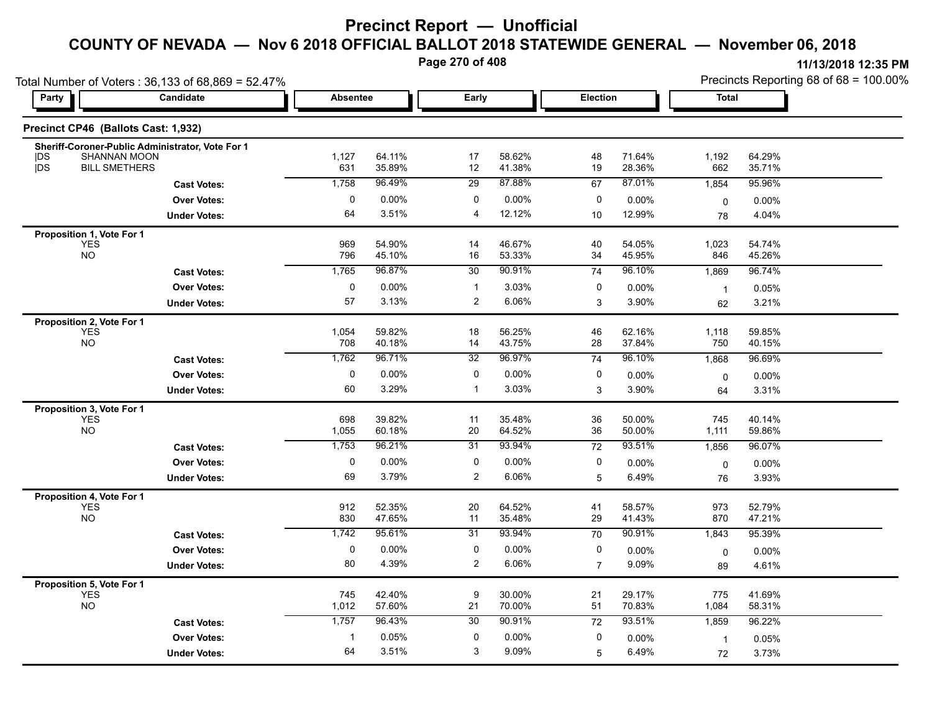**Page 270 of 408**

|                                                      | Total Number of Voters: 36,133 of 68,869 = 52.47% |                 |                  |                 |                  |                 |                  | Precincts Reporting 68 of 68 = 100.00% |                  |  |
|------------------------------------------------------|---------------------------------------------------|-----------------|------------------|-----------------|------------------|-----------------|------------------|----------------------------------------|------------------|--|
| <b>Party</b>                                         | Candidate                                         | <b>Absentee</b> |                  | Early           |                  | Election        |                  | <b>Total</b>                           |                  |  |
| Precinct CP46 (Ballots Cast: 1,932)                  |                                                   |                 |                  |                 |                  |                 |                  |                                        |                  |  |
| <b>SHANNAN MOON</b><br> DS                           | Sheriff-Coroner-Public Administrator, Vote For 1  | 1,127           | 64.11%           | 17              | 58.62%           | 48              | 71.64%           | 1,192                                  | 64.29%           |  |
| DS<br><b>BILL SMETHERS</b>                           |                                                   | 631             | 35.89%           | 12              | 41.38%           | 19              | 28.36%           | 662                                    | 35.71%           |  |
|                                                      | <b>Cast Votes:</b>                                | 1,758           | 96.49%           | 29              | 87.88%           | 67              | 87.01%           | 1,854                                  | 95.96%           |  |
|                                                      | <b>Over Votes:</b>                                | 0               | 0.00%            | 0               | 0.00%            | 0               | 0.00%            | $\mathbf 0$                            | $0.00\%$         |  |
|                                                      | <b>Under Votes:</b>                               | 64              | 3.51%            | 4               | 12.12%           | 10              | 12.99%           | 78                                     | 4.04%            |  |
| Proposition 1, Vote For 1                            |                                                   |                 |                  |                 |                  |                 |                  |                                        |                  |  |
| YES<br><b>NO</b>                                     |                                                   | 969<br>796      | 54.90%<br>45.10% | 14<br>16        | 46.67%<br>53.33% | 40<br>34        | 54.05%<br>45.95% | 1,023<br>846                           | 54.74%<br>45.26% |  |
|                                                      | <b>Cast Votes:</b>                                | 1,765           | 96.87%           | 30              | 90.91%           | $\overline{74}$ | 96.10%           | 1,869                                  | 96.74%           |  |
|                                                      | <b>Over Votes:</b>                                | $\pmb{0}$       | 0.00%            | $\mathbf{1}$    | 3.03%            | 0               | 0.00%            |                                        |                  |  |
|                                                      | <b>Under Votes:</b>                               | 57              | 3.13%            | $\overline{2}$  | 6.06%            | 3               | 3.90%            | $\mathbf{1}$<br>62                     | 0.05%<br>3.21%   |  |
|                                                      |                                                   |                 |                  |                 |                  |                 |                  |                                        |                  |  |
| Proposition 2, Vote For 1<br><b>YES</b><br><b>NO</b> |                                                   | 1,054<br>708    | 59.82%<br>40.18% | 18<br>14        | 56.25%<br>43.75% | 46<br>28        | 62.16%<br>37.84% | 1,118<br>750                           | 59.85%<br>40.15% |  |
|                                                      | <b>Cast Votes:</b>                                | 1,762           | 96.71%           | $\overline{32}$ | 96.97%           | 74              | 96.10%           | 1,868                                  | 96.69%           |  |
|                                                      | <b>Over Votes:</b>                                | $\pmb{0}$       | 0.00%            | 0               | 0.00%            | 0               |                  |                                        |                  |  |
|                                                      |                                                   | 60              | 3.29%            | $\mathbf{1}$    | 3.03%            | 3               | 0.00%<br>3.90%   | 0                                      | $0.00\%$         |  |
|                                                      | <b>Under Votes:</b>                               |                 |                  |                 |                  |                 |                  | 64                                     | 3.31%            |  |
| Proposition 3, Vote For 1<br><b>YES</b>              |                                                   | 698             | 39.82%           | 11              | 35.48%           | 36              | 50.00%           | 745                                    | 40.14%           |  |
| <b>NO</b>                                            |                                                   | 1,055           | 60.18%           | 20              | 64.52%           | 36              | 50.00%           | 1,111                                  | 59.86%           |  |
|                                                      | <b>Cast Votes:</b>                                | 1,753           | 96.21%           | 31              | 93.94%           | 72              | 93.51%           | 1,856                                  | 96.07%           |  |
|                                                      | <b>Over Votes:</b>                                | $\pmb{0}$       | 0.00%            | 0               | 0.00%            | 0               | 0.00%            | 0                                      | $0.00\%$         |  |
|                                                      | <b>Under Votes:</b>                               | 69              | 3.79%            | $\overline{2}$  | 6.06%            | 5               | 6.49%            | 76                                     | 3.93%            |  |
| Proposition 4, Vote For 1                            |                                                   |                 |                  |                 |                  |                 |                  |                                        |                  |  |
| <b>YES</b>                                           |                                                   | 912             | 52.35%           | 20              | 64.52%           | 41              | 58.57%           | 973                                    | 52.79%           |  |
| <b>NO</b>                                            |                                                   | 830             | 47.65%           | 11              | 35.48%           | 29              | 41.43%           | 870                                    | 47.21%           |  |
|                                                      | <b>Cast Votes:</b>                                | 1,742           | 95 61%           | 31              | 93.94%           | 70              | 90.91%           | 1,843                                  | 95.39%           |  |
|                                                      | <b>Over Votes:</b>                                | $\pmb{0}$       | 0.00%            | 0               | 0.00%            | 0               | 0.00%            | 0                                      | $0.00\%$         |  |
|                                                      | <b>Under Votes:</b>                               | 80              | 4.39%            | $\overline{2}$  | 6.06%            | $\overline{7}$  | 9.09%            | 89                                     | 4.61%            |  |
| Proposition 5, Vote For 1                            |                                                   |                 |                  |                 |                  |                 |                  |                                        |                  |  |
| <b>YES</b><br><b>NO</b>                              |                                                   | 745<br>1,012    | 42.40%<br>57.60% | 9<br>21         | 30.00%<br>70.00% | 21<br>51        | 29.17%<br>70.83% | 775<br>1,084                           | 41.69%<br>58.31% |  |
|                                                      | <b>Cast Votes:</b>                                | 1,757           | 96.43%           | 30              | 90.91%           | 72              | 93.51%           | 1,859                                  | 96.22%           |  |
|                                                      | <b>Over Votes:</b>                                | $\mathbf{1}$    | 0.05%            | 0               | 0.00%            | 0               | 0.00%            | $\mathbf{1}$                           | 0.05%            |  |
|                                                      | <b>Under Votes:</b>                               | 64              | 3.51%            | 3               | 9.09%            | 5               | 6.49%            | 72                                     | 3.73%            |  |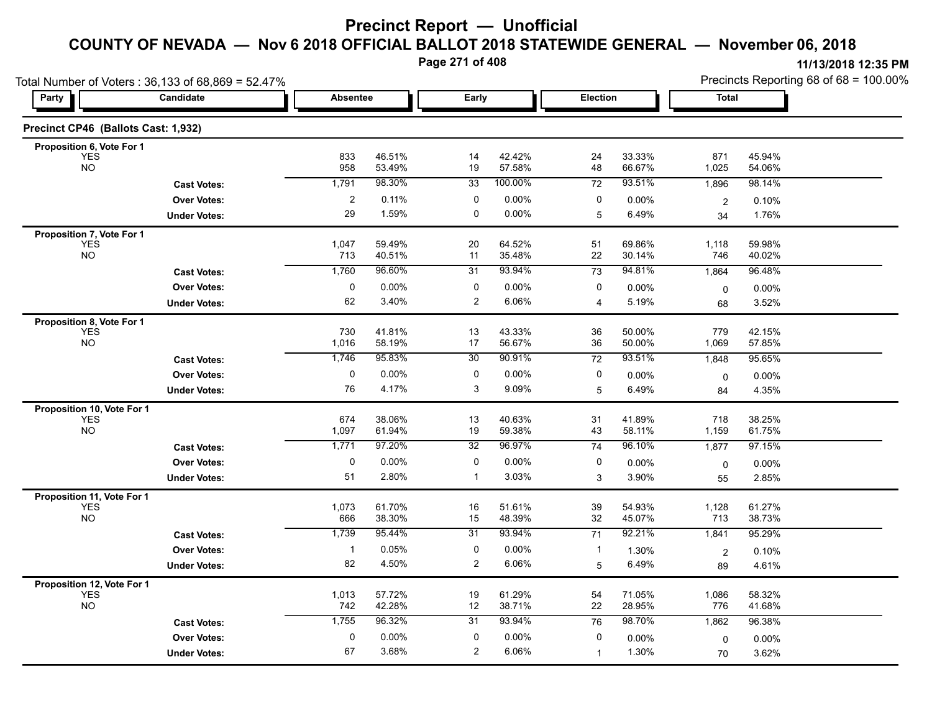**Page 271 of 408**

| Total Number of Voters: 36,133 of 68,869 = 52.47% |                     |                         |                  |                 |                  |                 |                  | Precincts Reporting 68 of 68 = 100.00% |                   |  |
|---------------------------------------------------|---------------------|-------------------------|------------------|-----------------|------------------|-----------------|------------------|----------------------------------------|-------------------|--|
| Party                                             | <b>Candidate</b>    | <b>Absentee</b>         |                  | Early           |                  | Election        |                  | Total                                  |                   |  |
| Precinct CP46 (Ballots Cast: 1,932)               |                     |                         |                  |                 |                  |                 |                  |                                        |                   |  |
| Proposition 6, Vote For 1                         |                     |                         |                  |                 |                  |                 |                  |                                        |                   |  |
| <b>YES</b><br><b>NO</b>                           |                     | 833<br>958              | 46.51%<br>53.49% | 14<br>19        | 42.42%<br>57.58% | 24<br>48        | 33.33%<br>66.67% | 871<br>1,025                           | 45.94%<br>54.06%  |  |
|                                                   | <b>Cast Votes:</b>  | 1,791                   | 98.30%           | $\overline{33}$ | 100.00%          | 72              | 93.51%           | 1,896                                  | 98.14%            |  |
|                                                   | <b>Over Votes:</b>  | $\overline{\mathbf{c}}$ | 0.11%            | 0               | 0.00%            | 0               | 0.00%            | $\overline{c}$                         | 0.10%             |  |
|                                                   | <b>Under Votes:</b> | 29                      | 1.59%            | 0               | 0.00%            | 5               | 6.49%            | 34                                     | 1.76%             |  |
| Proposition 7, Vote For 1                         |                     | 1,047                   | 59.49%           | 20              | 64.52%           | 51              | 69.86%           | 1,118                                  | 59.98%            |  |
| YES<br>NO                                         |                     | 713                     | 40.51%           | 11              | 35.48%           | 22              | 30.14%           | 746                                    | 40.02%            |  |
|                                                   | <b>Cast Votes:</b>  | 1,760                   | 96.60%           | 31              | 93.94%           | 73              | 94.81%           | 1,864                                  | 96.48%            |  |
|                                                   | <b>Over Votes:</b>  | 0                       | 0.00%            | 0               | 0.00%            | 0               | $0.00\%$         | 0                                      | 0.00%             |  |
|                                                   | <b>Under Votes:</b> | 62                      | 3.40%            | 2               | 6.06%            | 4               | 5.19%            | 68                                     | 3.52%             |  |
| Proposition 8, Vote For 1                         |                     |                         |                  |                 |                  |                 |                  |                                        |                   |  |
| <b>YES</b><br><b>NO</b>                           |                     | 730<br>1,016            | 41.81%<br>58.19% | 13<br>17        | 43.33%<br>56.67% | 36<br>36        | 50.00%<br>50.00% | 779<br>1,069                           | 42.15%<br>57.85%  |  |
|                                                   | <b>Cast Votes:</b>  | 1,746                   | 95.83%           | 30              | 90.91%           | $\overline{72}$ | 93.51%           | 1,848                                  | 95.65%            |  |
|                                                   | <b>Over Votes:</b>  | 0                       | $0.00\%$         | 0               | 0.00%            | 0               |                  |                                        |                   |  |
|                                                   | <b>Under Votes:</b> | 76                      | 4.17%            | 3               | 9.09%            | 5               | 0.00%<br>6.49%   | 0                                      | $0.00\%$<br>4.35% |  |
|                                                   |                     |                         |                  |                 |                  |                 |                  | 84                                     |                   |  |
| Proposition 10, Vote For 1<br><b>YES</b>          |                     | 674                     | 38.06%           | 13              | 40.63%           | 31              | 41.89%           | 718                                    | 38.25%            |  |
| <b>NO</b>                                         |                     | 1,097                   | 61.94%           | 19              | 59.38%           | 43              | 58.11%           | 1,159                                  | 61.75%            |  |
|                                                   | <b>Cast Votes:</b>  | 1,771                   | 97.20%           | 32              | 96.97%           | 74              | 96.10%           | 1,877                                  | 97.15%            |  |
|                                                   | <b>Over Votes:</b>  | 0                       | $0.00\%$         | 0               | 0.00%            | 0               | $0.00\%$         | 0                                      | $0.00\%$          |  |
|                                                   | <b>Under Votes:</b> | 51                      | 2.80%            | $\mathbf{1}$    | 3.03%            | 3               | 3.90%            | 55                                     | 2.85%             |  |
| Proposition 11, Vote For 1                        |                     |                         |                  |                 |                  |                 |                  |                                        |                   |  |
| <b>YES</b><br><b>NO</b>                           |                     | 1,073<br>666            | 61.70%<br>38.30% | 16<br>15        | 51.61%<br>48.39% | 39<br>32        | 54.93%<br>45.07% | 1,128<br>713                           | 61.27%<br>38.73%  |  |
|                                                   | <b>Cast Votes:</b>  | 1,739                   | 95.44%           | $\overline{31}$ | 93.94%           | $\overline{71}$ | 92.21%           | 1,841                                  | 95.29%            |  |
|                                                   | <b>Over Votes:</b>  | $\mathbf{1}$            | 0.05%            | 0               | 0.00%            | $\mathbf{1}$    | 1.30%            |                                        |                   |  |
|                                                   | <b>Under Votes:</b> | 82                      | 4.50%            | $\overline{c}$  | 6.06%            | 5               | 6.49%            | $\overline{c}$<br>89                   | 0.10%<br>4.61%    |  |
|                                                   |                     |                         |                  |                 |                  |                 |                  |                                        |                   |  |
| Proposition 12, Vote For 1<br><b>YES</b>          |                     | 1,013                   | 57.72%           | 19              | 61.29%           | 54              | 71.05%           | 1,086                                  | 58.32%            |  |
| NO                                                |                     | 742                     | 42.28%           | 12              | 38.71%           | 22              | 28.95%           | 776                                    | 41.68%            |  |
|                                                   | <b>Cast Votes:</b>  | 1,755                   | 96.32%           | 31              | 93.94%           | 76              | 98.70%           | 1,862                                  | 96.38%            |  |
|                                                   | <b>Over Votes:</b>  | $\mathbf 0$             | 0.00%            | 0               | 0.00%            | 0               | 0.00%            | 0                                      | $0.00\%$          |  |
|                                                   | <b>Under Votes:</b> | 67                      | 3.68%            | $\overline{2}$  | 6.06%            | $\mathbf{1}$    | 1.30%            | 70                                     | 3.62%             |  |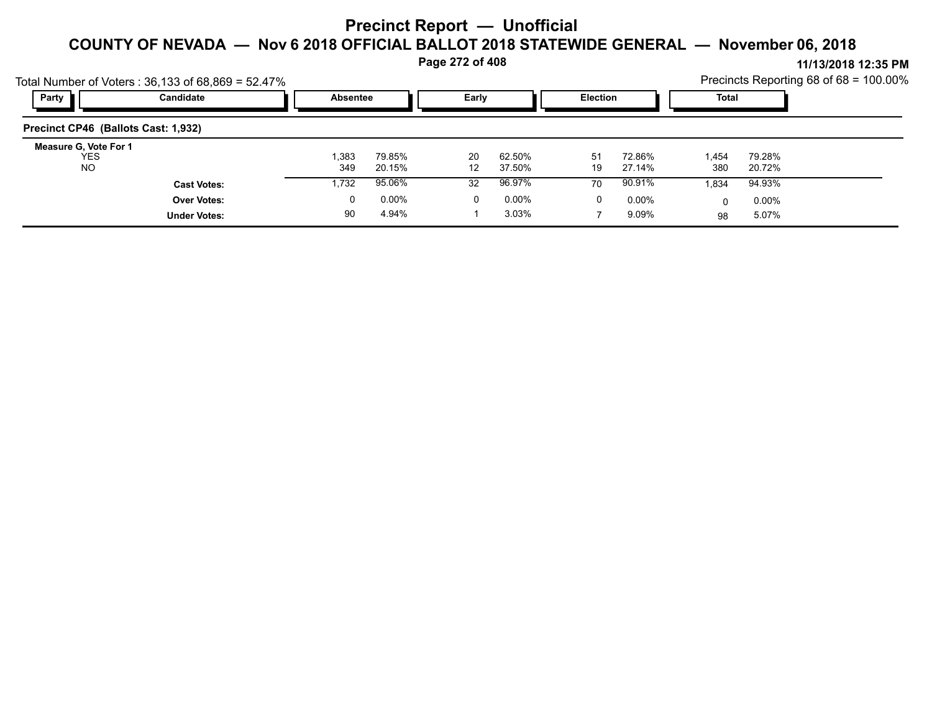#### **Page 272 of 408**

**11/13/2018 12:35 PM** Precincts Reporting 68 of 68 = 100.00%

|                                                  | Total Number of Voters: 36,133 of 68,869 = 52.47% |                 |                  |                         |                  |                 |                  |              |                  | Precincts Reporting 68 of $68 = 100.00\%$ |
|--------------------------------------------------|---------------------------------------------------|-----------------|------------------|-------------------------|------------------|-----------------|------------------|--------------|------------------|-------------------------------------------|
| Party                                            | Candidate                                         | <b>Absentee</b> |                  | Early                   |                  | <b>Election</b> |                  | Total        |                  |                                           |
| Precinct CP46 (Ballots Cast: 1,932)              |                                                   |                 |                  |                         |                  |                 |                  |              |                  |                                           |
| Measure G, Vote For 1<br><b>YES</b><br><b>NO</b> |                                                   | 1,383<br>349    | 79.85%<br>20.15% | 20<br>$12 \overline{ }$ | 62.50%<br>37.50% | 51<br>19        | 72.86%<br>27.14% | 1,454<br>380 | 79.28%<br>20.72% |                                           |
|                                                  | <b>Cast Votes:</b>                                | 1,732           | 95.06%           | 32                      | 96.97%           | 70              | 90.91%           | 1.834        | 94.93%           |                                           |
|                                                  | <b>Over Votes:</b>                                | 0               | $0.00\%$         | 0                       | $0.00\%$         | 0               | $0.00\%$         |              | $0.00\%$         |                                           |
|                                                  | <b>Under Votes:</b>                               | 90              | 4.94%            |                         | 3.03%            |                 | 9.09%            | 98           | 5.07%            |                                           |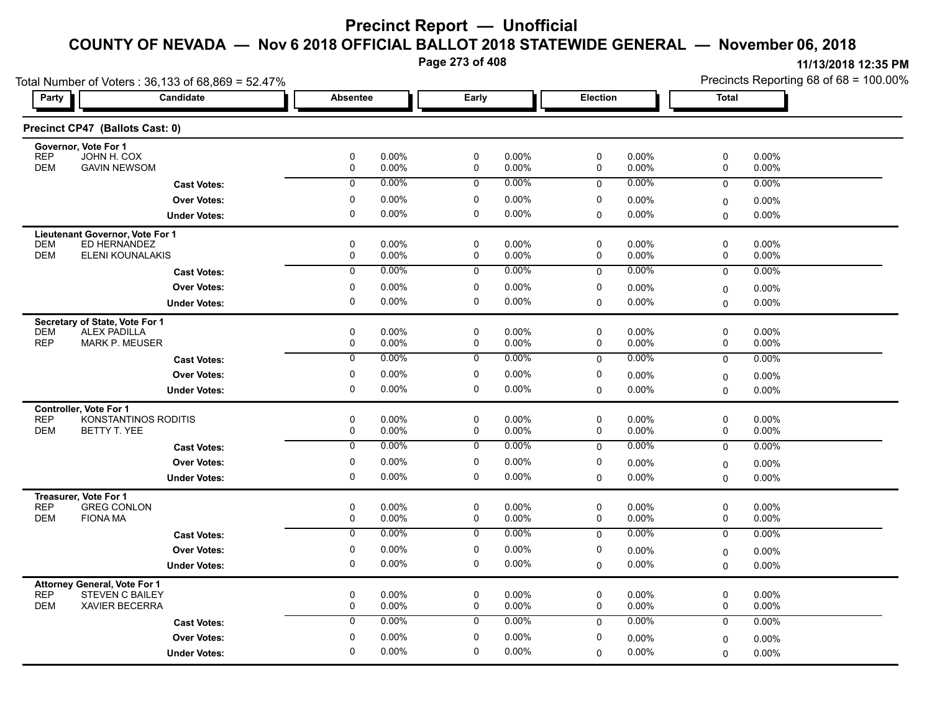**Page 273 of 408**

| Total Number of Voters: 36,133 of 68,869 = 52.47% |                        |                  |                   |                            |                |             |                   | Precincts Reporting 68 of 68 = 100.00% |                |  |
|---------------------------------------------------|------------------------|------------------|-------------------|----------------------------|----------------|-------------|-------------------|----------------------------------------|----------------|--|
| Party                                             | Candidate              | Absentee         |                   | Early                      |                | Election    |                   | Total                                  |                |  |
| Precinct CP47 (Ballots Cast: 0)                   |                        |                  |                   |                            |                |             |                   |                                        |                |  |
| Governor, Vote For 1<br><b>REP</b><br>JOHN H. COX |                        | $\mathbf 0$      | 0.00%             | $\mathbf 0$                | 0.00%          | 0           | 0.00%             | 0                                      | 0.00%          |  |
| <b>DEM</b><br><b>GAVIN NEWSOM</b>                 |                        | 0                | 0.00%             | 0                          | 0.00%          | 0           | 0.00%             | 0                                      | 0.00%          |  |
|                                                   | <b>Cast Votes:</b>     | $\mathbf 0$      | 0.00%             | $\mathbf 0$                | $0.00\%$       | 0           | $0.00\%$          | 0                                      | 0.00%          |  |
|                                                   | <b>Over Votes:</b>     | 0                | 0.00%             | 0                          | 0.00%          | 0           | 0.00%             | 0                                      | 0.00%          |  |
|                                                   | <b>Under Votes:</b>    | 0                | $0.00\%$          | $\mathbf 0$                | 0.00%          | $\mathbf 0$ | 0.00%             | 0                                      | 0.00%          |  |
| Lieutenant Governor, Vote For 1                   |                        |                  |                   |                            |                |             |                   |                                        |                |  |
| ED HERNANDEZ<br><b>DEM</b>                        |                        | 0                | 0.00%             | $\mathbf 0$                | 0.00%          | $\mathbf 0$ | 0.00%             | 0                                      | 0.00%          |  |
| <b>DEM</b>                                        | ELENI KOUNALAKIS       | 0                | 0.00%             | 0                          | 0.00%          | 0           | 0.00%             | 0                                      | 0.00%          |  |
|                                                   | <b>Cast Votes:</b>     | $\Omega$         | 0.00%             | $\mathbf 0$                | $0.00\%$       | 0           | 0.00%             | 0                                      | 0.00%          |  |
|                                                   | <b>Over Votes:</b>     | 0                | $0.00\%$          | 0                          | 0.00%          | 0           | 0.00%             | 0                                      | $0.00\%$       |  |
|                                                   | <b>Under Votes:</b>    | 0                | $0.00\%$          | 0                          | 0.00%          | $\Omega$    | 0.00%             | $\Omega$                               | $0.00\%$       |  |
| Secretary of State, Vote For 1                    |                        |                  |                   |                            |                |             |                   |                                        |                |  |
| <b>DEM</b><br><b>ALEX PADILLA</b><br><b>REP</b>   |                        | $\mathbf 0$      | 0.00%             | $\mathbf 0$                | 0.00%          | 0           | 0.00%             | 0                                      | 0.00%          |  |
|                                                   | <b>MARK P. MEUSER</b>  | 0                | 0.00%<br>0.00%    | $\mathbf 0$                | 0.00%<br>0.00% | 0           | $0.00\%$          | 0                                      | $0.00\%$       |  |
|                                                   | <b>Cast Votes:</b>     | 0                |                   | 0                          |                | 0           | 0.00%             | 0                                      | 0.00%          |  |
|                                                   | <b>Over Votes:</b>     | 0                | $0.00\%$          | 0                          | 0.00%          | 0           | 0.00%             | 0                                      | 0.00%          |  |
|                                                   | <b>Under Votes:</b>    | 0                | 0.00%             | 0                          | 0.00%          | $\mathbf 0$ | 0.00%             | $\Omega$                               | $0.00\%$       |  |
| <b>Controller, Vote For 1</b>                     |                        |                  |                   |                            |                |             |                   |                                        |                |  |
| REP<br><b>DEM</b><br>BETTY T. YEE                 | KONSTANTINOS RODITIS   | 0<br>$\mathbf 0$ | 0.00%<br>0.00%    | $\mathbf 0$<br>$\mathbf 0$ | 0.00%<br>0.00% | 0<br>0      | 0.00%<br>0.00%    | $\pmb{0}$<br>0                         | 0.00%<br>0.00% |  |
|                                                   | <b>Cast Votes:</b>     | $\mathbf 0$      | 0.00%             | 0                          | 0.00%          | $\mathbf 0$ | 0.00%             | $\mathbf 0$                            | 0.00%          |  |
|                                                   |                        |                  |                   | 0                          |                | 0           |                   |                                        |                |  |
|                                                   | <b>Over Votes:</b>     | 0<br>0           | $0.00\%$<br>0.00% | 0                          | 0.00%<br>0.00% |             | 0.00%             | 0                                      | 0.00%          |  |
|                                                   | <b>Under Votes:</b>    |                  |                   |                            |                | $\Omega$    | $0.00\%$          | $\Omega$                               | $0.00\%$       |  |
| Treasurer, Vote For 1<br><b>GREG CONLON</b>       |                        |                  |                   |                            |                |             |                   |                                        |                |  |
| <b>REP</b><br><b>DEM</b><br><b>FIONA MA</b>       |                        | 0<br>$\mathbf 0$ | 0.00%<br>0.00%    | 0<br>$\mathbf 0$           | 0.00%<br>0.00% | 0<br>0      | $0.00\%$<br>0.00% | 0<br>0                                 | 0.00%<br>0.00% |  |
|                                                   | <b>Cast Votes:</b>     | $\overline{0}$   | 0.00%             | $\overline{0}$             | 0.00%          | $\mathbf 0$ | 0.00%             | 0                                      | 0.00%          |  |
|                                                   | <b>Over Votes:</b>     | 0                | 0.00%             | $\mathbf 0$                | 0.00%          | 0           | $0.00\%$          |                                        | 0.00%          |  |
|                                                   | <b>Under Votes:</b>    | 0                | 0.00%             | 0                          | 0.00%          | $\mathbf 0$ | 0.00%             | 0<br>0                                 | $0.00\%$       |  |
|                                                   |                        |                  |                   |                            |                |             |                   |                                        |                |  |
| <b>Attorney General, Vote For 1</b><br><b>REP</b> | <b>STEVEN C BAILEY</b> | 0                | 0.00%             | 0                          | 0.00%          | 0           | $0.00\%$          | 0                                      | 0.00%          |  |
| <b>DEM</b>                                        | <b>XAVIER BECERRA</b>  | $\mathbf 0$      | 0.00%             | $\mathbf 0$                | 0.00%          | $\mathbf 0$ | 0.00%             | 0                                      | 0.00%          |  |
|                                                   | <b>Cast Votes:</b>     | $\mathbf 0$      | 0.00%             | 0                          | 0.00%          | $\mathbf 0$ | 0.00%             | 0                                      | $0.00\%$       |  |
|                                                   | <b>Over Votes:</b>     | 0                | $0.00\%$          | 0                          | 0.00%          | 0           | 0.00%             | 0                                      | 0.00%          |  |
|                                                   | <b>Under Votes:</b>    | $\Omega$         | 0.00%             | 0                          | 0.00%          | $\mathbf 0$ | 0.00%             | 0                                      | $0.00\%$       |  |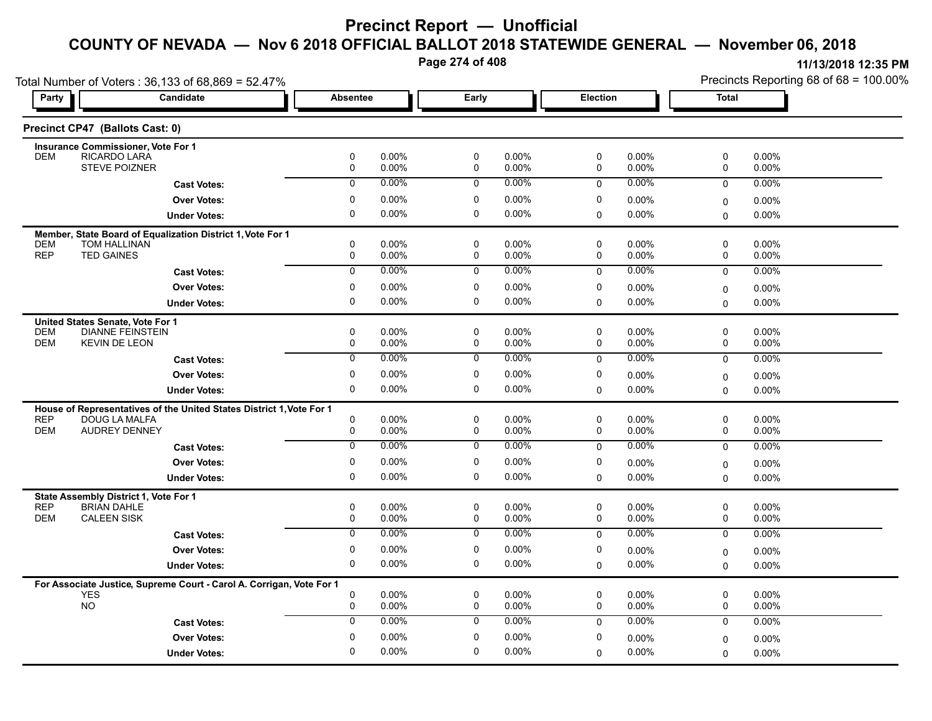**Page 274 of 408**

| Total Number of Voters: 36,133 of 68,869 = 52.47% |                                                                                       |                  |                   |                            |                |             |                   | Precincts Reporting 68 of 68 = 100.00% |                |  |
|---------------------------------------------------|---------------------------------------------------------------------------------------|------------------|-------------------|----------------------------|----------------|-------------|-------------------|----------------------------------------|----------------|--|
| Party                                             | Candidate                                                                             | Absentee         |                   | Early                      |                | Election    |                   | Total                                  |                |  |
|                                                   | Precinct CP47 (Ballots Cast: 0)                                                       |                  |                   |                            |                |             |                   |                                        |                |  |
|                                                   | Insurance Commissioner, Vote For 1                                                    |                  |                   |                            |                |             |                   |                                        |                |  |
| <b>DEM</b>                                        | RICARDO LARA<br><b>STEVE POIZNER</b>                                                  | 0<br>0           | 0.00%<br>0.00%    | 0<br>$\mathbf 0$           | 0.00%<br>0.00% | 0<br>0      | 0.00%<br>0.00%    | 0<br>0                                 | 0.00%<br>0.00% |  |
|                                                   | <b>Cast Votes:</b>                                                                    | $\mathbf 0$      | 0.00%             | $\mathbf 0$                | 0.00%          | $\mathbf 0$ | $0.00\%$          | $\mathbf 0$                            | 0.00%          |  |
|                                                   |                                                                                       | 0                | 0.00%             | 0                          | 0.00%          | 0           |                   |                                        |                |  |
|                                                   | <b>Over Votes:</b>                                                                    | 0                | 0.00%             | $\mathbf 0$                | 0.00%          |             | 0.00%             | 0                                      | 0.00%          |  |
|                                                   | <b>Under Votes:</b>                                                                   |                  |                   |                            |                | 0           | 0.00%             | 0                                      | 0.00%          |  |
|                                                   | Member, State Board of Equalization District 1, Vote For 1                            |                  |                   |                            |                |             |                   |                                        |                |  |
| <b>DEM</b><br><b>REP</b>                          | <b>TOM HALLINAN</b><br><b>TED GAINES</b>                                              | 0<br>0           | 0.00%<br>0.00%    | $\mathbf 0$<br>$\mathbf 0$ | 0.00%<br>0.00% | 0<br>0      | $0.00\%$<br>0.00% | 0<br>0                                 | 0.00%<br>0.00% |  |
|                                                   | <b>Cast Votes:</b>                                                                    | $\overline{0}$   | 0.00%             | 0                          | 0.00%          | $\mathbf 0$ | 0.00%             | $\mathbf 0$                            | 0.00%          |  |
|                                                   | <b>Over Votes:</b>                                                                    | 0                | $0.00\%$          | 0                          | 0.00%          | 0           | $0.00\%$          |                                        |                |  |
|                                                   |                                                                                       | 0                | 0.00%             | 0                          | 0.00%          | $\Omega$    | 0.00%             | 0                                      | 0.00%          |  |
|                                                   | <b>Under Votes:</b>                                                                   |                  |                   |                            |                |             |                   | $\Omega$                               | $0.00\%$       |  |
|                                                   | United States Senate, Vote For 1                                                      |                  |                   | $\mathbf 0$                | 0.00%          | $\mathbf 0$ |                   | $\mathbf 0$                            | $0.00\%$       |  |
| <b>DEM</b><br><b>DEM</b>                          | <b>DIANNE FEINSTEIN</b><br><b>KEVIN DE LEON</b>                                       | 0<br>$\mathbf 0$ | $0.00\%$<br>0.00% | $\mathbf 0$                | 0.00%          | 0           | 0.00%<br>0.00%    | 0                                      | 0.00%          |  |
|                                                   | <b>Cast Votes:</b>                                                                    | 0                | $0.00\%$          | 0                          | 0.00%          | $\mathbf 0$ | 0.00%             | $\mathbf 0$                            | 0.00%          |  |
|                                                   | <b>Over Votes:</b>                                                                    | 0                | 0.00%             | 0                          | 0.00%          | 0           | $0.00\%$          |                                        |                |  |
|                                                   |                                                                                       | 0                | 0.00%             | 0                          | 0.00%          | $\mathbf 0$ | $0.00\%$          | 0<br>$\mathbf 0$                       | 0.00%<br>0.00% |  |
|                                                   | <b>Under Votes:</b>                                                                   |                  |                   |                            |                |             |                   |                                        |                |  |
| <b>REP</b>                                        | House of Representatives of the United States District 1, Vote For 1<br>DOUG LA MALFA | 0                | $0.00\%$          | $\mathbf 0$                | $0.00\%$       | $\mathbf 0$ | $0.00\%$          | 0                                      | 0.00%          |  |
| <b>DEM</b>                                        | <b>AUDREY DENNEY</b>                                                                  | 0                | 0.00%             | $\mathbf 0$                | 0.00%          | 0           | 0.00%             | 0                                      | 0.00%          |  |
|                                                   | <b>Cast Votes:</b>                                                                    | $\overline{0}$   | 0.00%             | $\overline{0}$             | 0.00%          | $\mathbf 0$ | 0.00%             | 0                                      | $0.00\%$       |  |
|                                                   | <b>Over Votes:</b>                                                                    | 0                | $0.00\%$          | 0                          | 0.00%          | 0           | 0.00%             | 0                                      | 0.00%          |  |
|                                                   | <b>Under Votes:</b>                                                                   | 0                | $0.00\%$          | 0                          | 0.00%          | $\Omega$    | $0.00\%$          | $\Omega$                               | 0.00%          |  |
|                                                   |                                                                                       |                  |                   |                            |                |             |                   |                                        |                |  |
| <b>REP</b>                                        | State Assembly District 1, Vote For 1<br><b>BRIAN DAHLE</b>                           | 0                | $0.00\%$          | $\mathbf 0$                | 0.00%          | $\mathbf 0$ | $0.00\%$          | 0                                      | 0.00%          |  |
| <b>DEM</b>                                        | <b>CALEEN SISK</b>                                                                    | $\mathbf 0$      | 0.00%             | $\mathbf 0$                | 0.00%          | 0           | 0.00%             | 0                                      | 0.00%          |  |
|                                                   | <b>Cast Votes:</b>                                                                    | $\overline{0}$   | 0.00%             | $\overline{0}$             | $0.00\%$       | $\mathbf 0$ | 0.00%             | $\mathbf 0$                            | 0.00%          |  |
|                                                   | <b>Over Votes:</b>                                                                    | 0                | $0.00\%$          | $\mathbf 0$                | $0.00\%$       | $\mathbf 0$ | $0.00\%$          | 0                                      | 0.00%          |  |
|                                                   | <b>Under Votes:</b>                                                                   | 0                | $0.00\%$          | 0                          | 0.00%          | $\mathbf 0$ | 0.00%             | $\Omega$                               | $0.00\%$       |  |
|                                                   |                                                                                       |                  |                   |                            |                |             |                   |                                        |                |  |
|                                                   | For Associate Justice, Supreme Court - Carol A. Corrigan, Vote For 1<br><b>YES</b>    | 0                | 0.00%             | 0                          | 0.00%          | 0           | $0.00\%$          | 0                                      | 0.00%          |  |
|                                                   | <b>NO</b>                                                                             | 0                | 0.00%             | 0                          | 0.00%          | 0           | $0.00\%$          | 0                                      | 0.00%          |  |
|                                                   | <b>Cast Votes:</b>                                                                    | $\mathbf 0$      | 0.00%             | $\mathbf 0$                | $0.00\%$       | $\Omega$    | 0.00%             | $\mathbf 0$                            | 0.00%          |  |
|                                                   | <b>Over Votes:</b>                                                                    | 0                | 0.00%             | $\mathbf 0$                | 0.00%          | 0           | $0.00\%$          | 0                                      | 0.00%          |  |
|                                                   | <b>Under Votes:</b>                                                                   | 0                | $0.00\%$          | 0                          | 0.00%          | 0           | $0.00\%$          | $\Omega$                               | 0.00%          |  |
|                                                   |                                                                                       |                  |                   |                            |                |             |                   |                                        |                |  |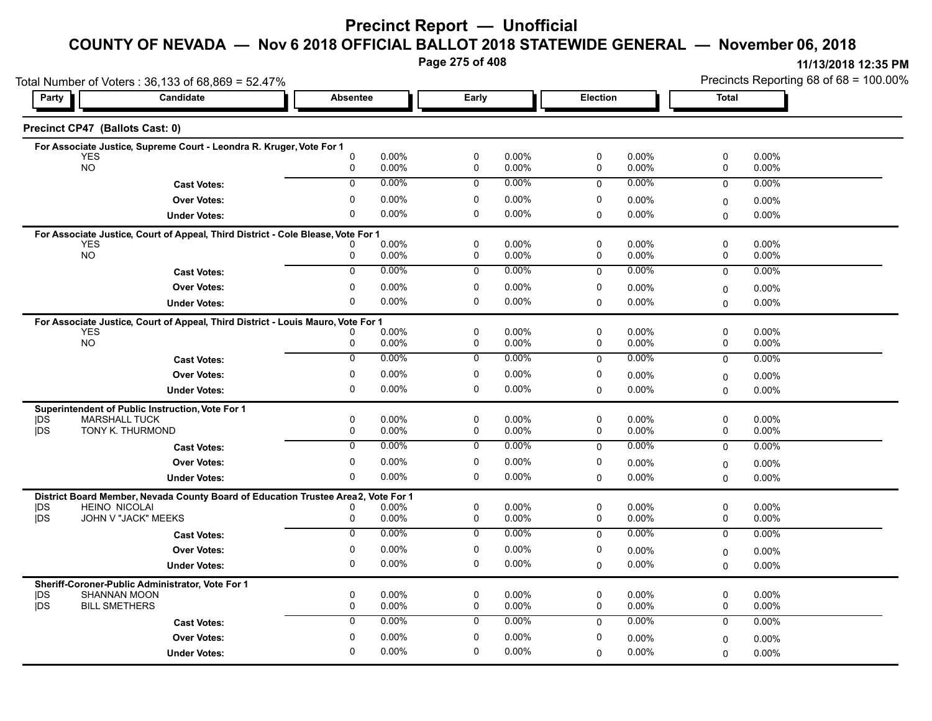**Page 275 of 408**

|                                 | Total Number of Voters: 36,133 of 68,869 = 52.47%                                 |                   |                      |                            |                |                          |                   | Precincts Reporting 68 of 68 = 100.00% |                   |  |
|---------------------------------|-----------------------------------------------------------------------------------|-------------------|----------------------|----------------------------|----------------|--------------------------|-------------------|----------------------------------------|-------------------|--|
| Party                           | Candidate                                                                         | <b>Absentee</b>   |                      | Early                      |                | <b>Election</b>          |                   | <b>Total</b>                           |                   |  |
| Precinct CP47 (Ballots Cast: 0) |                                                                                   |                   |                      |                            |                |                          |                   |                                        |                   |  |
|                                 | For Associate Justice, Supreme Court - Leondra R. Kruger, Vote For 1              |                   |                      |                            |                |                          |                   |                                        |                   |  |
| YES<br><b>NO</b>                |                                                                                   | $\mathbf{0}$<br>0 | 0.00%<br>0.00%       | $\pmb{0}$<br>$\mathbf 0$   | 0.00%<br>0.00% | $\pmb{0}$<br>$\mathbf 0$ | 0.00%<br>0.00%    | 0<br>0                                 | 0.00%<br>0.00%    |  |
|                                 | <b>Cast Votes:</b>                                                                | 0                 | 0.00%                | $\mathbf 0$                | $0.00\%$       | $\mathbf 0$              | 0.00%             | $\mathbf 0$                            | 0.00%             |  |
|                                 | <b>Over Votes:</b>                                                                | 0                 | 0.00%                | 0                          | 0.00%          | 0                        | 0.00%             | 0                                      | $0.00\%$          |  |
|                                 | <b>Under Votes:</b>                                                               | 0                 | 0.00%                | 0                          | 0.00%          | 0                        | $0.00\%$          | $\Omega$                               | 0.00%             |  |
|                                 | For Associate Justice, Court of Appeal, Third District - Cole Blease, Vote For 1  |                   |                      |                            |                |                          |                   |                                        |                   |  |
| <b>YES</b><br><b>NO</b>         |                                                                                   | 0                 | $0.00\%$<br>$0.00\%$ | $\mathbf 0$<br>$\mathbf 0$ | 0.00%<br>0.00% | 0<br>0                   | $0.00\%$<br>0.00% | 0<br>0                                 | 0.00%<br>$0.00\%$ |  |
|                                 | <b>Cast Votes:</b>                                                                | $\overline{0}$    | $0.00\%$             | $\mathbf 0$                | $0.00\%$       | $\mathbf{0}$             | $0.00\%$          | 0                                      | 0.00%             |  |
|                                 | <b>Over Votes:</b>                                                                | 0                 | $0.00\%$             | 0                          | 0.00%          | 0                        | $0.00\%$          |                                        |                   |  |
|                                 | <b>Under Votes:</b>                                                               | 0                 | 0.00%                | 0                          | 0.00%          | $\Omega$                 | 0.00%             | 0<br>$\Omega$                          | 0.00%<br>$0.00\%$ |  |
|                                 |                                                                                   |                   |                      |                            |                |                          |                   |                                        |                   |  |
| <b>YES</b>                      | For Associate Justice, Court of Appeal, Third District - Louis Mauro, Vote For 1  |                   | 0.00%                | $\mathbf 0$                | 0.00%          | 0                        | 0.00%             | 0                                      | 0.00%             |  |
| <b>NO</b>                       |                                                                                   | 0                 | $0.00\%$             | 0                          | 0.00%          | 0                        | 0.00%             | 0                                      | $0.00\%$          |  |
|                                 | <b>Cast Votes:</b>                                                                | $\overline{0}$    | 0.00%                | $\overline{0}$             | 0.00%          | 0                        | 0.00%             | $\mathbf 0$                            | 0.00%             |  |
|                                 | <b>Over Votes:</b>                                                                | 0                 | $0.00\%$             | 0                          | 0.00%          | 0                        | $0.00\%$          | 0                                      | 0.00%             |  |
|                                 | <b>Under Votes:</b>                                                               | 0                 | 0.00%                | 0                          | 0.00%          | 0                        | 0.00%             | 0                                      | $0.00\%$          |  |
|                                 | Superintendent of Public Instruction, Vote For 1                                  |                   |                      |                            |                |                          |                   |                                        |                   |  |
| <b>IDS</b>                      | <b>MARSHALL TUCK</b>                                                              | 0                 | $0.00\%$             | $\mathbf 0$                | 0.00%          | 0                        | 0.00%             | 0                                      | 0.00%             |  |
| <b>IDS</b>                      | TONY K. THURMOND                                                                  | 0                 | 0.00%                | 0                          | 0.00%          | 0                        | $0.00\%$          | 0                                      | $0.00\%$          |  |
|                                 | <b>Cast Votes:</b>                                                                | $\mathbf 0$       | 0.00%                | 0                          | 0.00%          | $\mathbf 0$              | $0.00\%$          | $\mathbf 0$                            | $0.00\%$          |  |
|                                 | <b>Over Votes:</b>                                                                | 0                 | $0.00\%$             | 0                          | 0.00%          | 0                        | $0.00\%$          | 0                                      | 0.00%             |  |
|                                 | <b>Under Votes:</b>                                                               | 0                 | $0.00\%$             | $\mathbf{0}$               | 0.00%          | 0                        | 0.00%             | $\Omega$                               | $0.00\%$          |  |
|                                 | District Board Member, Nevada County Board of Education Trustee Area2, Vote For 1 |                   |                      |                            |                |                          |                   |                                        |                   |  |
| DS<br><b>IDS</b>                | <b>HEINO NICOLAI</b><br>JOHN V "JACK" MEEKS                                       | 0<br>0            | 0.00%<br>0.00%       | $\mathbf 0$<br>0           | 0.00%<br>0.00% | $\mathbf 0$<br>0         | 0.00%<br>0.00%    | 0<br>0                                 | 0.00%<br>$0.00\%$ |  |
|                                 | <b>Cast Votes:</b>                                                                | 0                 | $0.00\%$             | 0                          | $0.00\%$       | $\mathbf 0$              | $0.00\%$          | $\mathbf 0$                            | $0.00\%$          |  |
|                                 | <b>Over Votes:</b>                                                                | 0                 | 0.00%                | 0                          | 0.00%          | 0                        | 0.00%             |                                        |                   |  |
|                                 | <b>Under Votes:</b>                                                               | 0                 | $0.00\%$             | 0                          | 0.00%          | 0                        | 0.00%             | 0<br>$\Omega$                          | 0.00%<br>$0.00\%$ |  |
|                                 |                                                                                   |                   |                      |                            |                |                          |                   |                                        |                   |  |
| <b>IDS</b>                      | Sheriff-Coroner-Public Administrator, Vote For 1<br>SHANNAN MOON                  | 0                 | $0.00\%$             | $\mathbf 0$                | 0.00%          | $\mathbf 0$              | $0.00\%$          | 0                                      | 0.00%             |  |
| <b>IDS</b>                      | <b>BILL SMETHERS</b>                                                              | 0                 | 0.00%                | $\mathbf 0$                | 0.00%          | $\mathbf 0$              | 0.00%             | 0                                      | 0.00%             |  |
|                                 | <b>Cast Votes:</b>                                                                | $\mathbf 0$       | 0.00%                | $\mathbf 0$                | 0.00%          | $\mathbf{0}$             | $0.00\%$          | $\mathbf 0$                            | 0.00%             |  |
|                                 | <b>Over Votes:</b>                                                                | 0                 | 0.00%                | 0                          | 0.00%          | 0                        | 0.00%             | 0                                      | 0.00%             |  |
|                                 | <b>Under Votes:</b>                                                               | 0                 | 0.00%                | 0                          | 0.00%          | $\Omega$                 | 0.00%             | $\Omega$                               | $0.00\%$          |  |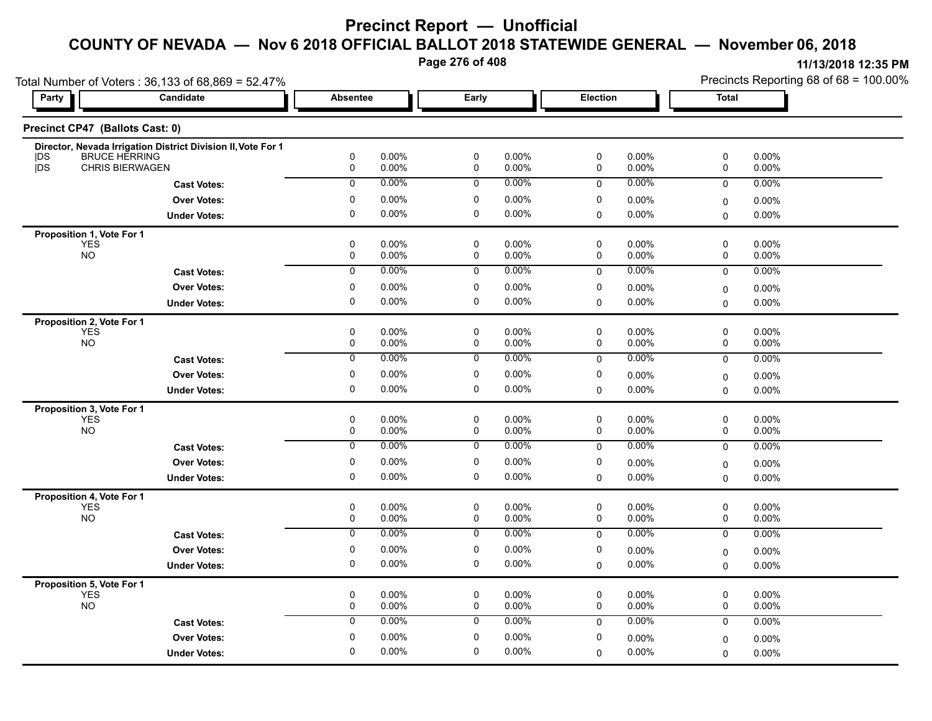**Page 276 of 408**

| Total Number of Voters: 36,133 of 68,869 = 52.47% |                                                              |                 |                |                |                   |                |                | Precincts Reporting 68 of 68 = 100.00% |                |  |
|---------------------------------------------------|--------------------------------------------------------------|-----------------|----------------|----------------|-------------------|----------------|----------------|----------------------------------------|----------------|--|
| <b>Party</b>                                      | Candidate                                                    | <b>Absentee</b> |                | Early          |                   | Election       |                | <b>Total</b>                           |                |  |
| Precinct CP47 (Ballots Cast: 0)                   |                                                              |                 |                |                |                   |                |                |                                        |                |  |
|                                                   | Director, Nevada Irrigation District Division II, Vote For 1 |                 |                |                |                   |                |                |                                        |                |  |
| <b>BRUCE HERRING</b><br> DS<br>jDS                | <b>CHRIS BIERWAGEN</b>                                       | $\pmb{0}$<br>0  | 0.00%<br>0.00% | $\pmb{0}$<br>0 | 0.00%<br>0.00%    | $\pmb{0}$<br>0 | 0.00%<br>0.00% | $\pmb{0}$<br>0                         | 0.00%<br>0.00% |  |
|                                                   | <b>Cast Votes:</b>                                           | 0               | 0.00%          | 0              | 0.00%             | $\mathbf 0$    | 0.00%          | 0                                      | 0.00%          |  |
|                                                   | <b>Over Votes:</b>                                           | 0               | 0.00%          | 0              | $0.00\%$          | 0              | 0.00%          | 0                                      | 0.00%          |  |
|                                                   | <b>Under Votes:</b>                                          | $\mathbf 0$     | 0.00%          | $\mathbf 0$    | 0.00%             | 0              | 0.00%          | $\mathbf 0$                            | 0.00%          |  |
|                                                   |                                                              |                 |                |                |                   |                |                |                                        |                |  |
| Proposition 1, Vote For 1<br><b>YES</b>           |                                                              | 0               | 0.00%          | 0              | $0.00\%$          | 0              | 0.00%          | 0                                      | $0.00\%$       |  |
| <b>NO</b>                                         |                                                              | 0               | 0.00%          | 0              | 0.00%             | 0              | 0.00%          | 0                                      | 0.00%          |  |
|                                                   | <b>Cast Votes:</b>                                           | $\overline{0}$  | 0.00%          | $\overline{0}$ | $0.00\%$          | 0              | 0.00%          | 0                                      | 0.00%          |  |
|                                                   | <b>Over Votes:</b>                                           | $\pmb{0}$       | 0.00%          | $\pmb{0}$      | 0.00%             | 0              | 0.00%          | 0                                      | 0.00%          |  |
|                                                   | <b>Under Votes:</b>                                          | $\mathbf 0$     | 0.00%          | $\mathbf 0$    | 0.00%             | $\Omega$       | 0.00%          | $\Omega$                               | 0.00%          |  |
| Proposition 2, Vote For 1                         |                                                              |                 |                |                |                   |                |                |                                        |                |  |
| <b>YES</b>                                        |                                                              | $\mathbf 0$     | 0.00%          | $\mathbf 0$    | $0.00\%$          | 0              | 0.00%          | 0                                      | 0.00%          |  |
| <b>NO</b>                                         |                                                              | 0               | 0.00%          | 0              | 0.00%             | 0              | 0.00%          | 0                                      | 0.00%          |  |
|                                                   | <b>Cast Votes:</b>                                           | 0               | 0.00%          | 0              | 0.00%             | 0              | 0.00%          | 0                                      | 0.00%          |  |
|                                                   | <b>Over Votes:</b>                                           | 0               | 0.00%          | 0              | $0.00\%$          | 0              | 0.00%          | $\pmb{0}$                              | 0.00%          |  |
|                                                   | <b>Under Votes:</b>                                          | $\mathbf 0$     | 0.00%          | $\mathbf 0$    | $0.00\%$          | 0              | 0.00%          | $\mathbf 0$                            | 0.00%          |  |
| Proposition 3, Vote For 1                         |                                                              |                 |                |                |                   |                |                |                                        |                |  |
| <b>YES</b><br><b>NO</b>                           |                                                              | $\pmb{0}$<br>0  | 0.00%<br>0.00% | 0<br>0         | 0.00%<br>$0.00\%$ | 0<br>0         | 0.00%<br>0.00% | 0<br>0                                 | 0.00%<br>0.00% |  |
|                                                   | <b>Cast Votes:</b>                                           | $\mathbf 0$     | 0.00%          | 0              | $0.00\%$          | 0              | 0.00%          | 0                                      | 0.00%          |  |
|                                                   |                                                              | 0               | 0.00%          | 0              | 0.00%             | 0              |                |                                        |                |  |
|                                                   | <b>Over Votes:</b>                                           | $\mathbf 0$     | 0.00%          | 0              | $0.00\%$          | $\Omega$       | 0.00%<br>0.00% | $\mathbf 0$                            | $0.00\%$       |  |
|                                                   | <b>Under Votes:</b>                                          |                 |                |                |                   |                |                | $\Omega$                               | 0.00%          |  |
| Proposition 4, Vote For 1<br><b>YES</b>           |                                                              | $\pmb{0}$       | 0.00%          | $\pmb{0}$      | $0.00\%$          | $\mathsf 0$    | 0.00%          | $\mathsf 0$                            | 0.00%          |  |
| <b>NO</b>                                         |                                                              | 0               | 0.00%          | 0              | $0.00\%$          | 0              | 0.00%          | 0                                      | 0.00%          |  |
|                                                   | <b>Cast Votes:</b>                                           | 0               | $0.00\%$       | 0              | $0.00\%$          | 0              | 0.00%          | $\mathbf 0$                            | 0.00%          |  |
|                                                   | <b>Over Votes:</b>                                           | 0               | 0.00%          | 0              | $0.00\%$          | 0              | 0.00%          | 0                                      | 0.00%          |  |
|                                                   | <b>Under Votes:</b>                                          | $\mathbf 0$     | 0.00%          | 0              | 0.00%             | 0              | 0.00%          | $\mathbf 0$                            | $0.00\%$       |  |
|                                                   |                                                              |                 |                |                |                   |                |                |                                        |                |  |
| Proposition 5, Vote For 1<br>YES                  |                                                              | $\pmb{0}$       | 0.00%          | $\mathbf 0$    | $0.00\%$          | 0              | 0.00%          | 0                                      | 0.00%          |  |
| <b>NO</b>                                         |                                                              | 0               | 0.00%          | 0              | $0.00\%$          | 0              | 0.00%          | 0                                      | 0.00%          |  |
|                                                   | <b>Cast Votes:</b>                                           | 0               | 0.00%          | 0              | 0.00%             | 0              | 0.00%          | 0                                      | $0.00\%$       |  |
|                                                   | <b>Over Votes:</b>                                           | 0               | 0.00%          | $\pmb{0}$      | 0.00%             | 0              | 0.00%          | $\mathbf 0$                            | 0.00%          |  |
|                                                   | <b>Under Votes:</b>                                          | $\mathbf 0$     | 0.00%          | $\mathbf 0$    | 0.00%             | $\Omega$       | 0.00%          | $\Omega$                               | 0.00%          |  |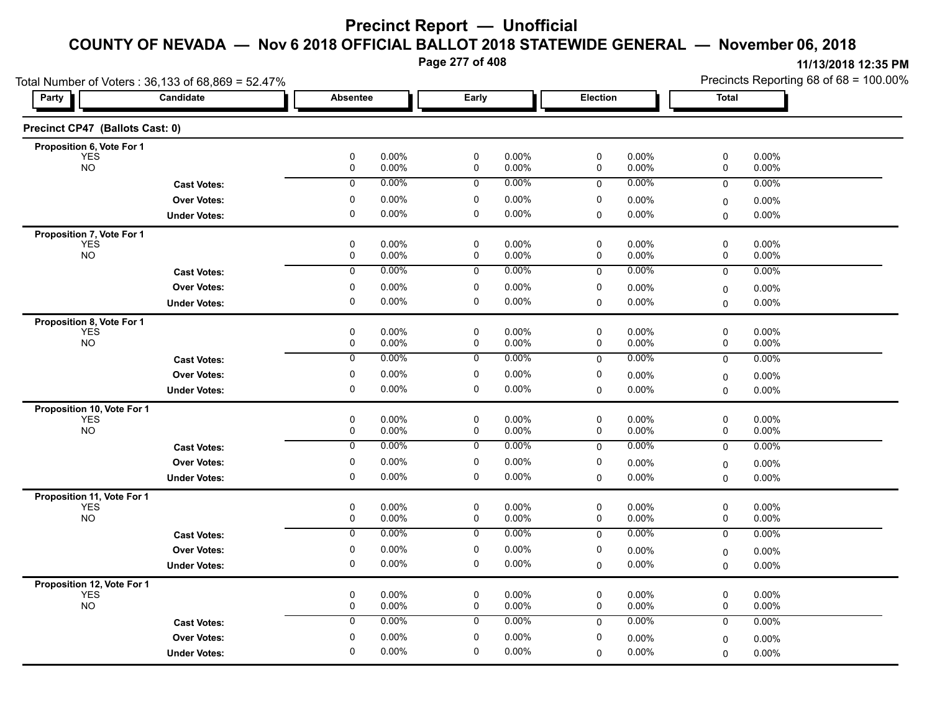**Page 277 of 408**

|                                          | Total Number of Voters: 36,133 of 68,869 = 52.47% |                             |                |                            |                |                            |                | Precincts Reporting 68 of 68 = 100.00% |                |
|------------------------------------------|---------------------------------------------------|-----------------------------|----------------|----------------------------|----------------|----------------------------|----------------|----------------------------------------|----------------|
| Party                                    | Candidate                                         | Absentee                    |                | Early                      |                | Election                   |                | <b>Total</b>                           |                |
| Precinct CP47 (Ballots Cast: 0)          |                                                   |                             |                |                            |                |                            |                |                                        |                |
| Proposition 6, Vote For 1                |                                                   |                             |                |                            |                |                            |                |                                        |                |
| <b>YES</b><br><b>NO</b>                  |                                                   | $\mathbf 0$<br>$\pmb{0}$    | 0.00%<br>0.00% | $\mathsf 0$<br>$\mathsf 0$ | 0.00%<br>0.00% | $\mathbf 0$<br>$\pmb{0}$   | 0.00%<br>0.00% | $\pmb{0}$<br>0                         | 0.00%<br>0.00% |
|                                          | <b>Cast Votes:</b>                                | $\overline{0}$              | 0.00%          | 0                          | 0.00%          | $\mathbf 0$                | 0.00%          | 0                                      | 0.00%          |
|                                          | <b>Over Votes:</b>                                | 0                           | 0.00%          | 0                          | 0.00%          | 0                          | 0.00%          | 0                                      | 0.00%          |
|                                          | <b>Under Votes:</b>                               | 0                           | 0.00%          | 0                          | 0.00%          | 0                          | 0.00%          | $\Omega$                               | 0.00%          |
| Proposition 7, Vote For 1                |                                                   |                             |                |                            |                |                            |                |                                        |                |
| <b>YES</b><br><b>NO</b>                  |                                                   | $\mathbf 0$<br>$\mathbf 0$  | 0.00%<br>0.00% | $\pmb{0}$<br>$\mathbf 0$   | 0.00%<br>0.00% | $\pmb{0}$<br>$\mathbf 0$   | 0.00%<br>0.00% | 0<br>0                                 | 0.00%<br>0.00% |
|                                          | <b>Cast Votes:</b>                                | 0                           | 0.00%          | 0                          | 0.00%          | $\mathbf 0$                | 0.00%          | $\mathbf 0$                            | 0.00%          |
|                                          | <b>Over Votes:</b>                                | 0                           | 0.00%          | 0                          | 0.00%          | 0                          | 0.00%          |                                        | 0.00%          |
|                                          | <b>Under Votes:</b>                               | 0                           | 0.00%          | 0                          | 0.00%          | $\mathbf 0$                | 0.00%          | 0<br>$\mathbf 0$                       | 0.00%          |
| Proposition 8, Vote For 1                |                                                   |                             |                |                            |                |                            |                |                                        |                |
| <b>YES</b>                               |                                                   | $\mathbf 0$                 | 0.00%          | $\mathbf 0$                | 0.00%          | $\pmb{0}$                  | 0.00%          | $\pmb{0}$                              | 0.00%          |
| <b>NO</b>                                |                                                   | $\pmb{0}$                   | 0.00%          | $\mathbf 0$                | 0.00%          | $\mathbf 0$                | 0.00%          | 0                                      | 0.00%          |
|                                          | <b>Cast Votes:</b>                                | 0                           | 0.00%          | 0                          | 0.00%          | $\mathbf 0$                | 0.00%          | $\mathbf 0$                            | 0.00%          |
|                                          | <b>Over Votes:</b>                                | 0                           | 0.00%          | 0                          | 0.00%          | 0                          | 0.00%          | $\mathbf 0$                            | 0.00%          |
|                                          | <b>Under Votes:</b>                               | $\mathbf 0$                 | 0.00%          | $\mathbf 0$                | 0.00%          | 0                          | $0.00\%$       | $\mathbf 0$                            | 0.00%          |
| Proposition 10, Vote For 1               |                                                   |                             |                |                            |                |                            |                |                                        |                |
| <b>YES</b><br><b>NO</b>                  |                                                   | $\mathbf 0$<br>$\mathsf{O}$ | 0.00%<br>0.00% | $\mathbf 0$<br>$\mathsf 0$ | 0.00%<br>0.00% | $\mathbf 0$<br>$\mathbf 0$ | 0.00%<br>0.00% | 0<br>0                                 | 0.00%<br>0.00% |
|                                          | <b>Cast Votes:</b>                                | $\overline{0}$              | 0.00%          | $\mathbf 0$                | $0.00\%$       | 0                          | 0.00%          | $\overline{0}$                         | 0.00%          |
|                                          | <b>Over Votes:</b>                                | $\pmb{0}$                   | 0.00%          | $\pmb{0}$                  | 0.00%          | $\pmb{0}$                  | $0.00\%$       |                                        |                |
|                                          | <b>Under Votes:</b>                               | 0                           | 0.00%          | 0                          | 0.00%          | $\mathbf 0$                | 0.00%          | 0<br>$\mathbf 0$                       | 0.00%<br>0.00% |
|                                          |                                                   |                             |                |                            |                |                            |                |                                        |                |
| Proposition 11, Vote For 1<br><b>YES</b> |                                                   | 0                           | 0.00%          | 0                          | 0.00%          | 0                          | 0.00%          | 0                                      | 0.00%          |
| <b>NO</b>                                |                                                   | $\mathsf 0$                 | 0.00%          | $\mathsf{O}\xspace$        | 0.00%          | $\pmb{0}$                  | 0.00%          | 0                                      | 0.00%          |
|                                          | <b>Cast Votes:</b>                                | $\overline{0}$              | 0.00%          | $\overline{0}$             | 0.00%          | $\mathbf 0$                | 0.00%          | $\mathbf 0$                            | 0.00%          |
|                                          | <b>Over Votes:</b>                                | $\mathbf 0$                 | 0.00%          | $\mathbf 0$                | 0.00%          | $\mathbf 0$                | 0.00%          | 0                                      | 0.00%          |
|                                          | <b>Under Votes:</b>                               | 0                           | 0.00%          | 0                          | 0.00%          | $\mathbf 0$                | 0.00%          | $\mathbf 0$                            | 0.00%          |
| Proposition 12, Vote For 1               |                                                   |                             |                |                            |                |                            |                |                                        |                |
| <b>YES</b><br><b>NO</b>                  |                                                   | $\pmb{0}$<br>$\mathsf{O}$   | 0.00%<br>0.00% | $\mathsf 0$<br>$\mathbf 0$ | 0.00%<br>0.00% | $\mathbf 0$<br>$\mathbf 0$ | 0.00%<br>0.00% | 0<br>0                                 | 0.00%<br>0.00% |
|                                          |                                                   | $\mathbf 0$                 | 0.00%          | $\mathbf 0$                | 0.00%          |                            | 0.00%          |                                        |                |
|                                          | <b>Cast Votes:</b>                                |                             |                |                            |                | $\mathbf 0$                |                | $\mathbf 0$                            | 0.00%          |
|                                          | <b>Over Votes:</b>                                | 0                           | 0.00%          | 0                          | 0.00%          | 0                          | 0.00%          | 0                                      | 0.00%          |
|                                          | <b>Under Votes:</b>                               | $\mathbf 0$                 | 0.00%          | $\mathbf 0$                | 0.00%          | 0                          | 0.00%          | 0                                      | 0.00%          |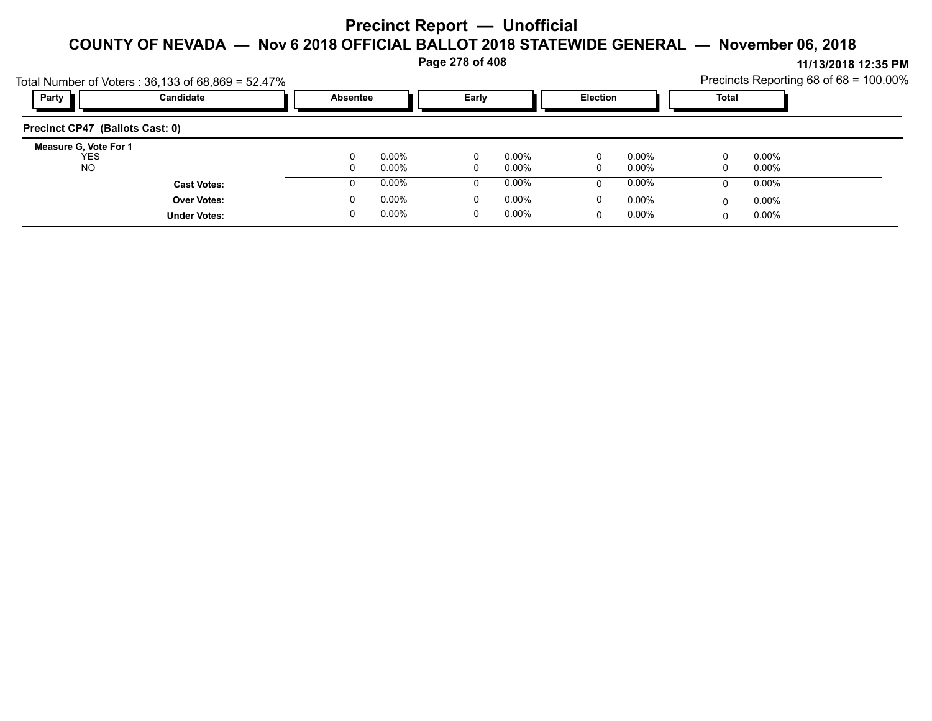**Page 278 of 408**

|                                 |                                                   |                 |          | .     |          |                 |          |              | 11/19/491914.99111                     |
|---------------------------------|---------------------------------------------------|-----------------|----------|-------|----------|-----------------|----------|--------------|----------------------------------------|
|                                 | Total Number of Voters: 36,133 of 68,869 = 52.47% |                 |          |       |          |                 |          |              | Precincts Reporting 68 of 68 = 100.00% |
| Party                           | Candidate                                         | <b>Absentee</b> |          | Early |          | <b>Election</b> |          | <b>Total</b> |                                        |
| Precinct CP47 (Ballots Cast: 0) |                                                   |                 |          |       |          |                 |          |              |                                        |
| Measure G, Vote For 1           |                                                   |                 |          |       |          |                 |          |              |                                        |
| <b>YES</b>                      |                                                   |                 | $0.00\%$ | 0     | $0.00\%$ |                 | $0.00\%$ | $\mathbf{0}$ | $0.00\%$                               |
| <b>NO</b>                       |                                                   |                 | $0.00\%$ | 0     | $0.00\%$ | 0               | $0.00\%$ | 0            | 0.00%                                  |
|                                 | <b>Cast Votes:</b>                                |                 | $0.00\%$ |       | $0.00\%$ |                 | $0.00\%$ | 0            | $0.00\%$                               |
|                                 | <b>Over Votes:</b>                                |                 | $0.00\%$ | 0     | $0.00\%$ | 0               | $0.00\%$ | 0            | $0.00\%$                               |
|                                 | <b>Under Votes:</b>                               |                 | $0.00\%$ | 0     | $0.00\%$ |                 | $0.00\%$ | $\Omega$     | $0.00\%$                               |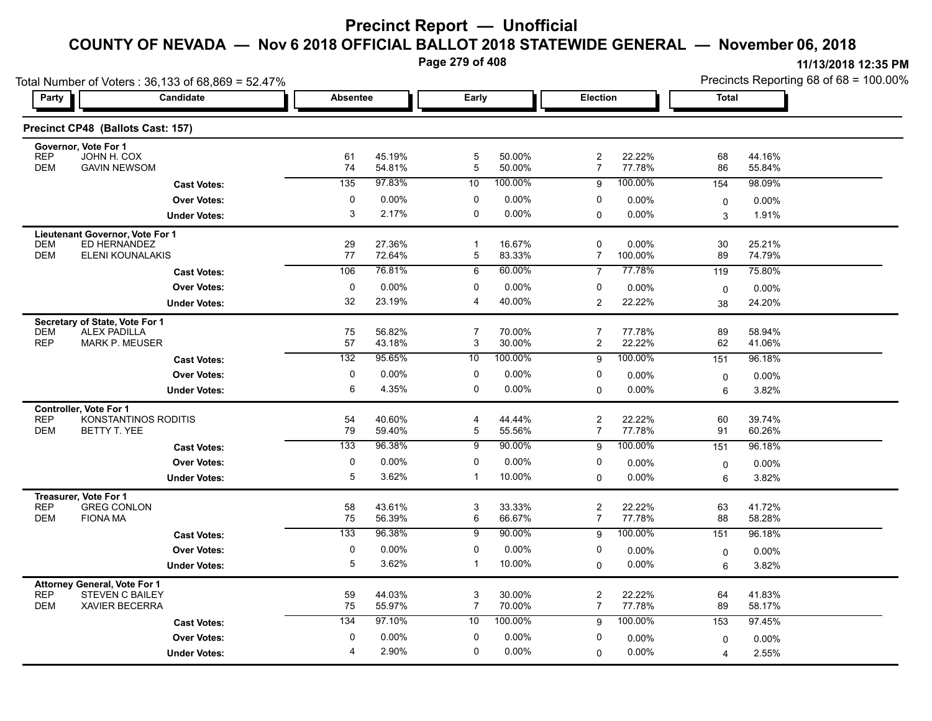**Page 279 of 408**

| Total Number of Voters: 36,133 of 68,869 = 52.47%                   |                      |                 |                  |                |                  |                     |                  | Precincts Reporting 68 of 68 = 100.00% |                  |  |
|---------------------------------------------------------------------|----------------------|-----------------|------------------|----------------|------------------|---------------------|------------------|----------------------------------------|------------------|--|
| <b>Party</b>                                                        | Candidate            | <b>Absentee</b> |                  | Early          |                  | <b>Election</b>     |                  | <b>Total</b>                           |                  |  |
| Precinct CP48 (Ballots Cast: 157)                                   |                      |                 |                  |                |                  |                     |                  |                                        |                  |  |
| Governor, Vote For 1<br><b>REP</b><br>JOHN H. COX                   |                      | 61              | 45.19%           | $\mathbf 5$    | 50.00%           | $\overline{c}$      | 22.22%           | 68                                     | 44.16%           |  |
| <b>GAVIN NEWSOM</b><br><b>DEM</b>                                   |                      | 74              | 54.81%           | $\overline{5}$ | 50.00%           | 7                   | 77.78%           | 86                                     | 55.84%           |  |
|                                                                     | <b>Cast Votes:</b>   | 135             | 97.83%           | 10             | 100.00%          | 9                   | 100.00%          | 154                                    | 98.09%           |  |
|                                                                     | <b>Over Votes:</b>   | 0               | 0.00%            | 0              | 0.00%            | 0                   | 0.00%            | $\mathbf 0$                            | $0.00\%$         |  |
|                                                                     | <b>Under Votes:</b>  | 3               | 2.17%            | $\mathbf 0$    | $0.00\%$         | 0                   | 0.00%            | 3                                      | 1.91%            |  |
| Lieutenant Governor, Vote For 1<br><b>DEM</b><br>ED HERNANDEZ       |                      | 29              | 27.36%           | $\mathbf{1}$   | 16.67%           | 0                   | 0.00%            | 30                                     | 25.21%           |  |
| <b>DEM</b><br>ELENI KOUNALAKIS                                      |                      | 77              | 72.64%           | 5              | 83.33%           | 7                   | 100.00%          | 89                                     | 74.79%           |  |
|                                                                     | <b>Cast Votes:</b>   | 106             | 76.81%           | 6              | 60.00%           | $\overline{7}$      | 77.78%           | 119                                    | 75.80%           |  |
|                                                                     | <b>Over Votes:</b>   | 0               | 0.00%            | 0              | 0.00%            | 0                   | 0.00%            | $\mathbf 0$                            | 0.00%            |  |
|                                                                     | <b>Under Votes:</b>  | 32              | 23.19%           | $\overline{4}$ | 40.00%           | 2                   | 22.22%           | 38                                     | 24.20%           |  |
| Secretary of State, Vote For 1<br><b>ALEX PADILLA</b><br><b>DEM</b> |                      | 75              | 56.82%           | $\overline{7}$ | 70.00%           | $\overline{7}$      | 77.78%           | 89                                     | 58.94%           |  |
| <b>REP</b><br><b>MARK P. MEUSER</b>                                 |                      | 57              | 43.18%           | 3              | 30.00%           | 2                   | 22.22%           | 62                                     | 41.06%           |  |
|                                                                     | <b>Cast Votes:</b>   | 132             | 95.65%           | 10             | 100.00%          | 9                   | 100.00%          | 151                                    | 96.18%           |  |
|                                                                     | <b>Over Votes:</b>   | 0               | 0.00%            | 0              | 0.00%            | 0                   | 0.00%            | $\mathbf 0$                            | $0.00\%$         |  |
|                                                                     | <b>Under Votes:</b>  | 6               | 4.35%            | $\mathbf 0$    | 0.00%            | 0                   | 0.00%            | 6                                      | 3.82%            |  |
| <b>Controller, Vote For 1</b><br><b>REP</b>                         | KONSTANTINOS RODITIS | 54              | 40.60%           | 4              | 44.44%           | $\overline{2}$      | 22.22%           | 60                                     | 39.74%           |  |
| <b>DEM</b><br>BETTY T. YEE                                          |                      | 79              | 59.40%           | 5              | 55.56%           | $\overline{7}$      | 77.78%           | 91                                     | 60.26%           |  |
|                                                                     | <b>Cast Votes:</b>   | 133             | 96.38%           | 9              | 90.00%           | 9                   | 100.00%          | 151                                    | 96.18%           |  |
|                                                                     | <b>Over Votes:</b>   | 0               | 0.00%            | 0              | 0.00%            | 0                   | 0.00%            | $\mathbf 0$                            | $0.00\%$         |  |
|                                                                     | <b>Under Votes:</b>  | 5               | 3.62%            | $\overline{1}$ | 10.00%           | $\Omega$            | 0.00%            | 6                                      | 3.82%            |  |
| Treasurer, Vote For 1                                               |                      |                 |                  |                |                  |                     |                  |                                        |                  |  |
| <b>REP</b><br><b>GREG CONLON</b><br><b>DEM</b><br><b>FIONA MA</b>   |                      | 58<br>75        | 43.61%<br>56.39% | 3<br>6         | 33.33%<br>66.67% | $\overline{2}$<br>7 | 22.22%<br>77.78% | 63<br>88                               | 41.72%<br>58.28% |  |
|                                                                     | <b>Cast Votes:</b>   | 133             | 96.38%           | 9              | 90.00%           | 9                   | 100.00%          | 151                                    | 96.18%           |  |
|                                                                     | <b>Over Votes:</b>   | 0               | 0.00%            | 0              | 0.00%            | 0                   | 0.00%            | $\pmb{0}$                              | 0.00%            |  |
|                                                                     | <b>Under Votes:</b>  | 5               | 3.62%            | $\overline{1}$ | 10.00%           | 0                   | $0.00\%$         | 6                                      | 3.82%            |  |
| <b>Attorney General, Vote For 1</b>                                 |                      |                 |                  |                |                  |                     |                  |                                        |                  |  |
| <b>REP</b><br><b>STEVEN C BAILEY</b>                                |                      | 59              | 44.03%           | 3              | 30.00%           | $\overline{2}$      | 22.22%           | 64                                     | 41.83%           |  |
| <b>DEM</b><br><b>XAVIER BECERRA</b>                                 |                      | 75              | 55.97%           | $\overline{7}$ | 70.00%           | 7                   | 77.78%           | 89                                     | 58.17%           |  |
|                                                                     | <b>Cast Votes:</b>   | 134             | 97.10%           | 10             | 100.00%          | 9                   | 100.00%          | 153                                    | 97.45%           |  |
|                                                                     | <b>Over Votes:</b>   | 0               | 0.00%            | 0              | 0.00%            | 0                   | 0.00%            | $\mathbf{0}$                           | 0.00%            |  |
|                                                                     | <b>Under Votes:</b>  | 4               | 2.90%            | $\Omega$       | $0.00\%$         | 0                   | 0.00%            | 4                                      | 2.55%            |  |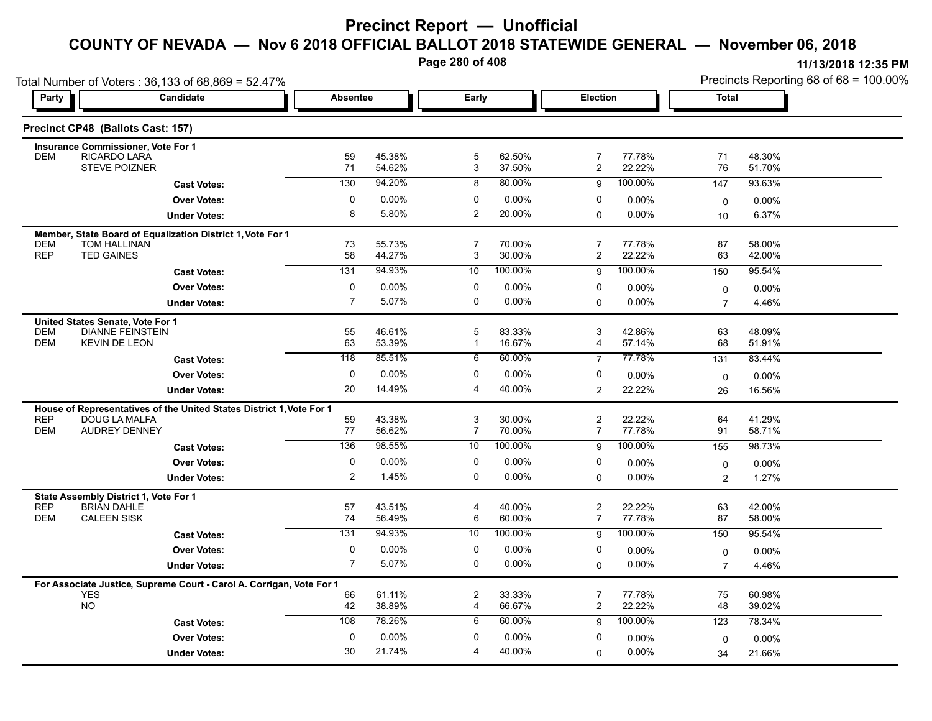**Page 280 of 408**

|                                                                                      | Total Number of Voters: 36,133 of 68,869 = 52.47%                    |                  |                  |                     |                  |                                  |                  | Precincts Reporting 68 of 68 = 100.00% |                  |  |
|--------------------------------------------------------------------------------------|----------------------------------------------------------------------|------------------|------------------|---------------------|------------------|----------------------------------|------------------|----------------------------------------|------------------|--|
| Party                                                                                | Candidate                                                            | <b>Absentee</b>  |                  | Early               |                  | Election                         |                  | <b>Total</b>                           |                  |  |
| Precinct CP48 (Ballots Cast: 157)                                                    |                                                                      |                  |                  |                     |                  |                                  |                  |                                        |                  |  |
| <b>Insurance Commissioner, Vote For 1</b><br>RICARDO LARA<br><b>DEM</b>              |                                                                      | 59               | 45.38%           | 5                   | 62.50%           | $\overline{7}$                   | 77.78%           | 71                                     | 48.30%           |  |
| STEVE POIZNER                                                                        |                                                                      | 71               | 54.62%           | 3                   | 37.50%           | $\overline{\mathbf{c}}$          | 22.22%           | 76                                     | 51.70%           |  |
|                                                                                      | <b>Cast Votes:</b>                                                   | 130              | 94.20%           | 8                   | 80.00%           | 9                                | 100.00%          | 147                                    | 93.63%           |  |
|                                                                                      | <b>Over Votes:</b>                                                   | 0                | 0.00%            | 0                   | 0.00%            | 0                                | 0.00%            | $\mathbf 0$                            | 0.00%            |  |
|                                                                                      | <b>Under Votes:</b>                                                  | 8                | 5.80%            | $\overline{2}$      | 20.00%           | $\Omega$                         | $0.00\%$         | 10                                     | 6.37%            |  |
| <b>TOM HALLINAN</b><br><b>DEM</b>                                                    | Member, State Board of Equalization District 1, Vote For 1           | 73               | 55.73%           | 7                   | 70.00%           | $\overline{7}$                   | 77.78%           | 87                                     | 58.00%           |  |
| <b>REP</b><br><b>TED GAINES</b>                                                      |                                                                      | 58               | 44.27%           | $\sqrt{3}$          | 30.00%           | 2                                | 22.22%           | 63                                     | 42.00%           |  |
|                                                                                      | <b>Cast Votes:</b>                                                   | 131              | 94.93%           | 10                  | 100.00%          | 9                                | 100.00%          | 150                                    | 95.54%           |  |
|                                                                                      | <b>Over Votes:</b>                                                   | $\pmb{0}$        | 0.00%            | $\mathbf 0$         | 0.00%            | 0                                | 0.00%            | 0                                      | $0.00\%$         |  |
|                                                                                      | <b>Under Votes:</b>                                                  | $\overline{7}$   | 5.07%            | 0                   | $0.00\%$         | $\Omega$                         | 0.00%            | $\overline{7}$                         | 4.46%            |  |
| United States Senate, Vote For 1<br><b>DEM</b><br><b>DEM</b><br><b>KEVIN DE LEON</b> | <b>DIANNE FEINSTEIN</b>                                              | 55<br>63         | 46.61%<br>53.39% | 5<br>$\mathbf{1}$   | 83.33%<br>16.67% | 3<br>4                           | 42.86%<br>57.14% | 63<br>68                               | 48.09%<br>51.91% |  |
|                                                                                      | <b>Cast Votes:</b>                                                   | $\overline{118}$ | 85.51%           | 6                   | 60.00%           | $\overline{7}$                   | 77.78%           | 131                                    | 83.44%           |  |
|                                                                                      | <b>Over Votes:</b>                                                   | 0                | 0.00%            | $\mathbf 0$         | 0.00%            | 0                                | 0.00%            | $\mathbf 0$                            | 0.00%            |  |
|                                                                                      | <b>Under Votes:</b>                                                  | 20               | 14.49%           | $\overline{4}$      | 40.00%           | $\overline{2}$                   | 22.22%           | 26                                     | 16.56%           |  |
|                                                                                      | House of Representatives of the United States District 1, Vote For 1 |                  |                  |                     |                  |                                  |                  |                                        |                  |  |
| <b>REP</b><br><b>DOUG LA MALFA</b><br><b>DEM</b>                                     | <b>AUDREY DENNEY</b>                                                 | 59<br>77         | 43.38%<br>56.62% | 3<br>$\overline{7}$ | 30.00%<br>70.00% | $\overline{2}$<br>$\overline{7}$ | 22.22%<br>77.78% | 64<br>91                               | 41.29%<br>58.71% |  |
|                                                                                      | <b>Cast Votes:</b>                                                   | 136              | 98.55%           | 10                  | 100.00%          | 9                                | 100.00%          | 155                                    | 98.73%           |  |
|                                                                                      | <b>Over Votes:</b>                                                   | 0                | 0.00%            | 0                   | 0.00%            | 0                                | 0.00%            | $\mathbf 0$                            | 0.00%            |  |
|                                                                                      | <b>Under Votes:</b>                                                  | $\overline{2}$   | 1.45%            | $\mathbf 0$         | $0.00\%$         | $\Omega$                         | 0.00%            | $\overline{2}$                         | 1.27%            |  |
| State Assembly District 1, Vote For 1                                                |                                                                      |                  |                  |                     |                  |                                  |                  |                                        |                  |  |
| <b>REP</b><br><b>BRIAN DAHLE</b><br><b>CALEEN SISK</b><br><b>DEM</b>                 |                                                                      | 57<br>74         | 43.51%<br>56.49% | 4<br>$\,6\,$        | 40.00%<br>60.00% | 2<br>$\overline{7}$              | 22.22%<br>77.78% | 63<br>87                               | 42.00%<br>58.00% |  |
|                                                                                      | <b>Cast Votes:</b>                                                   | 131              | 94.93%           | 10                  | 100.00%          | 9                                | 100.00%          | 150                                    | 95.54%           |  |
|                                                                                      | <b>Over Votes:</b>                                                   | 0                | 0.00%            | $\mathbf 0$         | 0.00%            | 0                                | 0.00%            | 0                                      | 0.00%            |  |
|                                                                                      | <b>Under Votes:</b>                                                  | $\overline{7}$   | 5.07%            | $\mathbf 0$         | $0.00\%$         | $\Omega$                         | 0.00%            | $\overline{7}$                         | 4.46%            |  |
|                                                                                      | For Associate Justice, Supreme Court - Carol A. Corrigan, Vote For 1 |                  |                  |                     |                  |                                  |                  |                                        |                  |  |
| <b>YES</b><br><b>NO</b>                                                              |                                                                      | 66<br>42         | 61.11%<br>38.89% | 2<br>$\overline{4}$ | 33.33%<br>66.67% | 7<br>$\overline{2}$              | 77.78%<br>22.22% | 75<br>48                               | 60.98%<br>39.02% |  |
|                                                                                      | <b>Cast Votes:</b>                                                   | 108              | 78.26%           | 6                   | 60.00%           | 9                                | 100.00%          | 123                                    | 78.34%           |  |
|                                                                                      | <b>Over Votes:</b>                                                   | $\mathbf 0$      | 0.00%            | $\mathbf 0$         | 0.00%            | 0                                | 0.00%            | $\Omega$                               | $0.00\%$         |  |
|                                                                                      | <b>Under Votes:</b>                                                  | 30               | 21.74%           | $\overline{4}$      | 40.00%           | 0                                | $0.00\%$         | 34                                     | 21.66%           |  |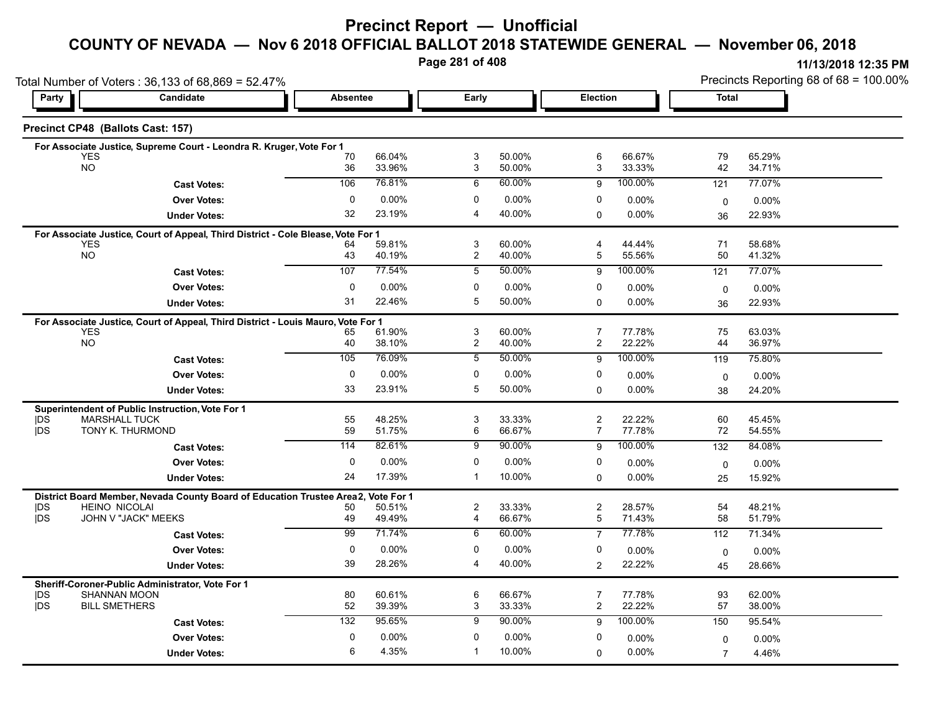**Page 281 of 408**

|            |                                                                                                |                 |                  | . ago zo . or <del>.</del> oo |                  |                | TI/T3/ZUTO TZ:35 PIVI |                |                                        |  |
|------------|------------------------------------------------------------------------------------------------|-----------------|------------------|-------------------------------|------------------|----------------|-----------------------|----------------|----------------------------------------|--|
|            | Total Number of Voters: 36,133 of 68,869 = 52.47%                                              |                 |                  |                               |                  |                |                       |                | Precincts Reporting 68 of 68 = 100.00% |  |
| Party      | Candidate                                                                                      | <b>Absentee</b> |                  | Early                         |                  | Election       |                       | <b>Total</b>   |                                        |  |
|            | Precinct CP48 (Ballots Cast: 157)                                                              |                 |                  |                               |                  |                |                       |                |                                        |  |
|            | For Associate Justice, Supreme Court - Leondra R. Kruger, Vote For 1                           |                 |                  |                               |                  |                |                       |                |                                        |  |
|            | <b>YES</b><br><b>NO</b>                                                                        | 70<br>36        | 66.04%<br>33.96% | 3<br>3                        | 50.00%<br>50.00% | 6<br>3         | 66.67%<br>33.33%      | 79<br>42       | 65.29%<br>34.71%                       |  |
|            |                                                                                                | 106             | 76.81%           | 6                             | 60.00%           | 9              | 100.00%               | 121            | 77.07%                                 |  |
|            | <b>Cast Votes:</b>                                                                             | $\mathbf 0$     | 0.00%            | $\mathbf 0$                   | $0.00\%$         | $\mathbf 0$    |                       |                |                                        |  |
|            | <b>Over Votes:</b>                                                                             | 32              | 23.19%           | 4                             | 40.00%           |                | 0.00%<br>0.00%        | $\mathbf 0$    | 0.00%                                  |  |
|            | <b>Under Votes:</b>                                                                            |                 |                  |                               |                  | $\Omega$       |                       | 36             | 22.93%                                 |  |
|            | For Associate Justice, Court of Appeal, Third District - Cole Blease, Vote For 1               |                 |                  |                               |                  |                |                       |                |                                        |  |
|            | <b>YES</b><br><b>NO</b>                                                                        | 64<br>43        | 59.81%<br>40.19% | 3<br>$\overline{c}$           | 60.00%<br>40.00% | 4<br>5         | 44.44%<br>55.56%      | 71<br>50       | 58.68%<br>41.32%                       |  |
|            | <b>Cast Votes:</b>                                                                             | 107             | 77.54%           | 5                             | 50.00%           | 9              | 100.00%               | 121            | 77.07%                                 |  |
|            | <b>Over Votes:</b>                                                                             | $\mathbf 0$     | 0.00%            | $\mathbf 0$                   | $0.00\%$         | $\mathbf 0$    | 0.00%                 |                |                                        |  |
|            | <b>Under Votes:</b>                                                                            | 31              | 22.46%           | 5                             | 50.00%           | $\mathbf 0$    | 0.00%                 | $\mathbf 0$    | 0.00%<br>22.93%                        |  |
|            |                                                                                                |                 |                  |                               |                  |                |                       | 36             |                                        |  |
|            | For Associate Justice, Court of Appeal, Third District - Louis Mauro, Vote For 1<br><b>YES</b> | 65              | 61.90%           | 3                             | 60.00%           | 7              | 77.78%                | 75             | 63.03%                                 |  |
|            | <b>NO</b>                                                                                      | 40              | 38.10%           | $\overline{c}$                | 40.00%           | $\overline{2}$ | 22.22%                | 44             | 36.97%                                 |  |
|            | <b>Cast Votes:</b>                                                                             | 105             | 76.09%           | 5                             | 50.00%           | 9              | 100.00%               | 119            | 75.80%                                 |  |
|            | <b>Over Votes:</b>                                                                             | $\mathbf 0$     | 0.00%            | $\mathbf 0$                   | 0.00%            | 0              | 0.00%                 | $\mathbf 0$    | 0.00%                                  |  |
|            | <b>Under Votes:</b>                                                                            | 33              | 23.91%           | 5                             | 50.00%           | $\Omega$       | $0.00\%$              | 38             | 24.20%                                 |  |
|            |                                                                                                |                 |                  |                               |                  |                |                       |                |                                        |  |
| <b>IDS</b> | Superintendent of Public Instruction, Vote For 1<br><b>MARSHALL TUCK</b>                       | 55              | 48.25%           | 3                             | 33.33%           | $\overline{c}$ | 22.22%                | 60             | 45.45%                                 |  |
| jDS        | TONY K. THURMOND                                                                               | 59              | 51.75%           | 6                             | 66.67%           | $\overline{7}$ | 77.78%                | 72             | 54.55%                                 |  |
|            | <b>Cast Votes:</b>                                                                             | 114             | 82.61%           | 9                             | 90.00%           | 9              | 100.00%               | 132            | 84.08%                                 |  |
|            | <b>Over Votes:</b>                                                                             | $\mathbf 0$     | 0.00%            | $\mathbf 0$                   | $0.00\%$         | $\mathbf 0$    | 0.00%                 | $\mathbf 0$    | 0.00%                                  |  |
|            | <b>Under Votes:</b>                                                                            | 24              | 17.39%           | $\mathbf{1}$                  | 10.00%           | $\Omega$       | 0.00%                 | 25             | 15.92%                                 |  |
|            | District Board Member, Nevada County Board of Education Trustee Area2, Vote For 1              |                 |                  |                               |                  |                |                       |                |                                        |  |
| <b>IDS</b> | <b>HEINO NICOLAI</b>                                                                           | 50              | 50.51%           | 2                             | 33.33%           | $\overline{c}$ | 28.57%                | 54             | 48.21%                                 |  |
| <b>jDS</b> | JOHN V "JACK" MEEKS                                                                            | 49              | 49.49%           | $\overline{4}$                | 66.67%           | $\overline{5}$ | 71.43%                | 58             | 51.79%                                 |  |
|            | <b>Cast Votes:</b>                                                                             | 99              | 71.74%           | 6                             | 60.00%           | $\overline{7}$ | 77.78%                | 112            | 71.34%                                 |  |
|            | <b>Over Votes:</b>                                                                             | 0               | 0.00%            | $\mathbf 0$                   | $0.00\%$         | 0              | 0.00%                 | 0              | 0.00%                                  |  |
|            | <b>Under Votes:</b>                                                                            | 39              | 28.26%           | 4                             | 40.00%           | 2              | 22.22%                | 45             | 28.66%                                 |  |
|            | Sheriff-Coroner-Public Administrator, Vote For 1                                               |                 |                  |                               |                  |                |                       |                |                                        |  |
| <b>IDS</b> | <b>SHANNAN MOON</b>                                                                            | 80              | 60.61%           | 6                             | 66.67%           | 7              | 77.78%                | 93             | 62.00%                                 |  |
| <b>DS</b>  | <b>BILL SMETHERS</b>                                                                           | 52              | 39.39%           | 3                             | 33.33%           | $\overline{2}$ | 22.22%                | 57             | 38.00%                                 |  |
|            | <b>Cast Votes:</b>                                                                             | 132             | 95.65%           | 9                             | 90.00%           | 9              | 100.00%               | 150            | 95.54%                                 |  |
|            | <b>Over Votes:</b>                                                                             | 0               | 0.00%            | $\mathbf 0$                   | $0.00\%$         | 0              | $0.00\%$              | $\Omega$       | 0.00%                                  |  |
|            | <b>Under Votes:</b>                                                                            | 6               | 4.35%            | $\mathbf{1}$                  | 10.00%           | $\mathbf{0}$   | 0.00%                 | $\overline{7}$ | 4.46%                                  |  |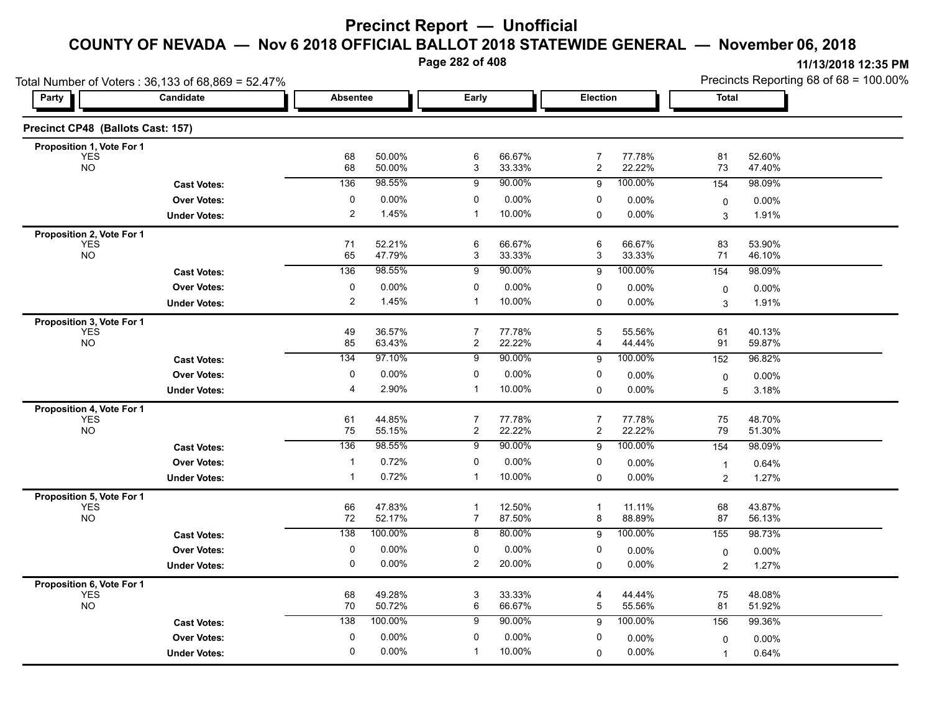**Page 282 of 408**

|                                         | Total Number of Voters: 36,133 of 68,869 = 52.47% |                 |                  |                           |                  |                              |                  |                | Precincts Reporting 68 of 68 = 100.00% |
|-----------------------------------------|---------------------------------------------------|-----------------|------------------|---------------------------|------------------|------------------------------|------------------|----------------|----------------------------------------|
| <b>Party</b>                            | Candidate                                         | <b>Absentee</b> |                  | Early                     |                  | Election                     |                  | <b>Total</b>   |                                        |
| Precinct CP48 (Ballots Cast: 157)       |                                                   |                 |                  |                           |                  |                              |                  |                |                                        |
| Proposition 1, Vote For 1               |                                                   |                 |                  |                           |                  |                              |                  |                |                                        |
| <b>YES</b><br><b>NO</b>                 |                                                   | 68<br>68        | 50.00%<br>50.00% | $\,6\,$<br>3              | 66.67%<br>33.33% | 7<br>$\overline{\mathbf{c}}$ | 77.78%<br>22.22% | 81<br>73       | 52.60%<br>47.40%                       |
|                                         | <b>Cast Votes:</b>                                | 136             | 98.55%           | 9                         | 90.00%           | 9                            | 100.00%          | 154            | 98.09%                                 |
|                                         | <b>Over Votes:</b>                                | 0               | 0.00%            | 0                         | 0.00%            | 0                            | 0.00%            | 0              | 0.00%                                  |
|                                         | <b>Under Votes:</b>                               | $\overline{2}$  | 1.45%            | $\overline{1}$            | 10.00%           | 0                            | 0.00%            | 3              | 1.91%                                  |
| Proposition 2, Vote For 1               |                                                   |                 |                  |                           |                  |                              |                  |                |                                        |
| <b>YES</b><br>NO <sub>1</sub>           |                                                   | 71<br>65        | 52.21%<br>47.79% | 6                         | 66.67%<br>33.33% | 6                            | 66.67%<br>33.33% | 83             | 53.90%                                 |
|                                         |                                                   |                 |                  | 3                         |                  | 3                            |                  | 71             | 46.10%                                 |
|                                         | <b>Cast Votes:</b>                                | 136             | 98.55%           | 9                         | 90.00%           | 9                            | 100.00%          | 154            | 98.09%                                 |
|                                         | <b>Over Votes:</b>                                | $\pmb{0}$       | 0.00%            | 0                         | 0.00%            | 0                            | 0.00%            | $\mathbf 0$    | 0.00%                                  |
|                                         | <b>Under Votes:</b>                               | $\overline{2}$  | 1.45%            | $\overline{1}$            | 10.00%           | 0                            | $0.00\%$         | 3              | 1.91%                                  |
| Proposition 3, Vote For 1               |                                                   |                 | 36.57%           | $\overline{7}$            |                  | 5                            |                  | 61             | 40.13%                                 |
| <b>YES</b><br><b>NO</b>                 |                                                   | 49<br>85        | 63.43%           | $\overline{2}$            | 77.78%<br>22.22% | 4                            | 55.56%<br>44.44% | 91             | 59.87%                                 |
|                                         | <b>Cast Votes:</b>                                | 134             | 97.10%           | 9                         | 90.00%           | 9                            | 100.00%          | 152            | 96.82%                                 |
|                                         | <b>Over Votes:</b>                                | 0               | 0.00%            | 0                         | 0.00%            | 0                            | $0.00\%$         | 0              | 0.00%                                  |
|                                         | <b>Under Votes:</b>                               | $\overline{4}$  | 2.90%            | $\mathbf{1}$              | 10.00%           | 0                            | 0.00%            | 5              | 3.18%                                  |
| Proposition 4, Vote For 1               |                                                   |                 |                  |                           |                  |                              |                  |                |                                        |
| <b>YES</b>                              |                                                   | 61              | 44.85%           | 7                         | 77.78%           | $\overline{7}$               | 77.78%           | 75             | 48.70%                                 |
| <b>NO</b>                               |                                                   | 75              | 55.15%           | $\overline{2}$            | 22.22%           | 2                            | 22.22%           | 79             | 51.30%                                 |
|                                         | <b>Cast Votes:</b>                                | 136             | 98.55%           | 9                         | 90.00%           | 9                            | 100.00%          | 154            | 98.09%                                 |
|                                         | <b>Over Votes:</b>                                | -1              | 0.72%            | 0                         | 0.00%            | 0                            | 0.00%            | $\mathbf{1}$   | 0.64%                                  |
|                                         | <b>Under Votes:</b>                               | $\mathbf 1$     | 0.72%            | $\mathbf 1$               | 10.00%           | 0                            | 0.00%            | 2              | 1.27%                                  |
| Proposition 5, Vote For 1               |                                                   |                 |                  |                           |                  |                              |                  |                |                                        |
| <b>YES</b><br><b>NO</b>                 |                                                   | 66<br>$72\,$    | 47.83%<br>52.17% | $\mathbf{1}$<br>7         | 12.50%<br>87.50% | $\mathbf{1}$<br>8            | 11.11%<br>88.89% | 68<br>87       | 43.87%<br>56.13%                       |
|                                         | <b>Cast Votes:</b>                                | 138             | 100.00%          | 8                         | 80.00%           | 9                            | 100.00%          | 155            | 98.73%                                 |
|                                         | <b>Over Votes:</b>                                | 0               | 0.00%            | 0                         | $0.00\%$         | 0                            |                  |                |                                        |
|                                         |                                                   | $\mathbf 0$     | 0.00%            | $\overline{2}$            | 20.00%           |                              | 0.00%<br>0.00%   | $\mathbf 0$    | 0.00%                                  |
|                                         | <b>Under Votes:</b>                               |                 |                  |                           |                  | 0                            |                  | $\overline{2}$ | 1.27%                                  |
| Proposition 6, Vote For 1<br><b>YES</b> |                                                   | 68              | 49.28%           | $\ensuremath{\mathsf{3}}$ | 33.33%           | 4                            | 44.44%           | 75             | 48.08%                                 |
| <b>NO</b>                               |                                                   | 70              | 50.72%           | 6                         | 66.67%           | 5                            | 55.56%           | 81             | 51.92%                                 |
|                                         | <b>Cast Votes:</b>                                | 138             | 100.00%          | 9                         | 90.00%           | 9                            | 100.00%          | 156            | 99.36%                                 |
|                                         | <b>Over Votes:</b>                                | 0               | 0.00%            | 0                         | $0.00\%$         | 0                            | 0.00%            | 0              | 0.00%                                  |
|                                         | <b>Under Votes:</b>                               | 0               | 0.00%            | $\mathbf{1}$              | 10.00%           | 0                            | 0.00%            | 1              | 0.64%                                  |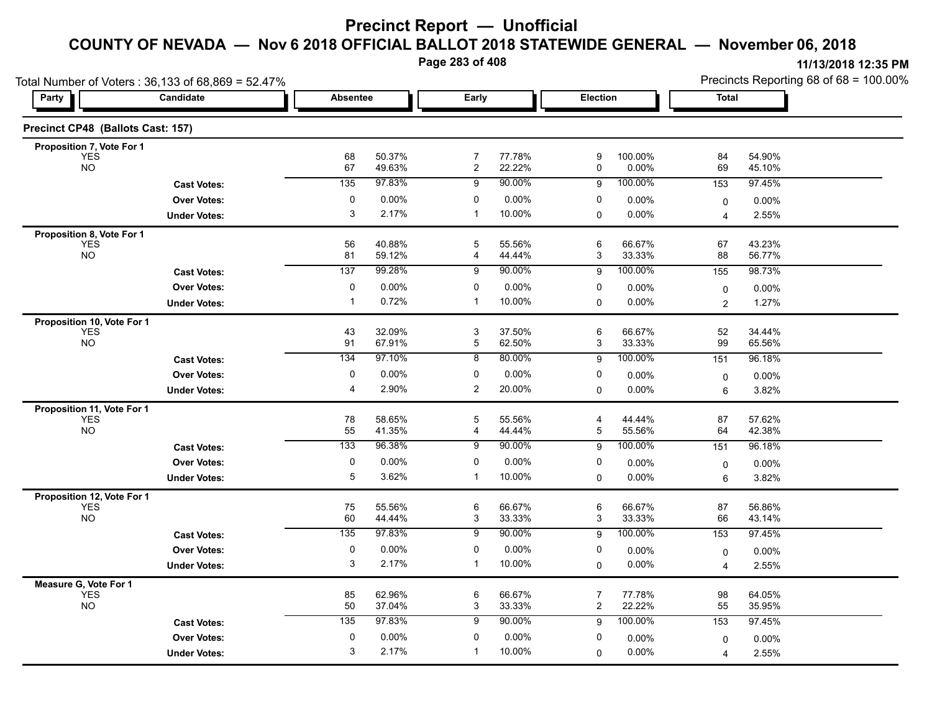**Page 283 of 408**

| Total Number of Voters: 36,133 of 68,869 = 52.47% |                     |                 |                  |                     |                  |                     |                  | Precincts Reporting 68 of 68 = 100.00% |                  |  |
|---------------------------------------------------|---------------------|-----------------|------------------|---------------------|------------------|---------------------|------------------|----------------------------------------|------------------|--|
| Party                                             | Candidate           | <b>Absentee</b> |                  | Early               |                  | Election            |                  | <b>Total</b>                           |                  |  |
| Precinct CP48 (Ballots Cast: 157)                 |                     |                 |                  |                     |                  |                     |                  |                                        |                  |  |
| Proposition 7, Vote For 1                         |                     |                 | 50.37%           |                     |                  |                     |                  |                                        |                  |  |
| <b>YES</b><br><b>NO</b>                           |                     | 68<br>67        | 49.63%           | 7<br>$\overline{2}$ | 77.78%<br>22.22% | 9<br>0              | 100.00%<br>0.00% | 84<br>69                               | 54.90%<br>45.10% |  |
|                                                   | <b>Cast Votes:</b>  | 135             | 97.83%           | 9                   | 90.00%           | 9                   | 100.00%          | 153                                    | 97.45%           |  |
|                                                   | <b>Over Votes:</b>  | 0               | 0.00%            | 0                   | 0.00%            | 0                   | 0.00%            | 0                                      | 0.00%            |  |
|                                                   | <b>Under Votes:</b> | 3               | 2.17%            | $\overline{1}$      | 10.00%           | 0                   | 0.00%            | $\overline{4}$                         | 2.55%            |  |
| Proposition 8, Vote For 1                         |                     |                 |                  |                     |                  |                     |                  |                                        |                  |  |
| <b>YES</b><br>NO <sub>1</sub>                     |                     | 56              | 40.88%           | 5                   | 55.56%           | 6                   | 66.67%           | 67                                     | 43.23%           |  |
|                                                   |                     | 81              | 59.12%           | 4                   | 44.44%           | 3                   | 33.33%           | 88                                     | 56.77%           |  |
|                                                   | <b>Cast Votes:</b>  | 137             | 99.28%           | 9                   | 90.00%           | 9                   | 100.00%          | 155                                    | 98.73%           |  |
|                                                   | <b>Over Votes:</b>  | $\pmb{0}$       | 0.00%            | 0                   | 0.00%            | 0                   | 0.00%            | $\mathbf 0$                            | 0.00%            |  |
|                                                   | <b>Under Votes:</b> |                 | 0.72%            | $\overline{1}$      | 10.00%           | 0                   | $0.00\%$         | $\overline{2}$                         | 1.27%            |  |
| Proposition 10, Vote For 1                        |                     |                 |                  |                     |                  |                     |                  |                                        |                  |  |
| <b>YES</b><br><b>NO</b>                           |                     | 43<br>91        | 32.09%<br>67.91% | 3<br>5              | 37.50%<br>62.50% | 6<br>3              | 66.67%<br>33.33% | 52<br>99                               | 34.44%<br>65.56% |  |
|                                                   | <b>Cast Votes:</b>  | 134             | 97.10%           | 8                   | 80.00%           | 9                   | 100.00%          | 151                                    | 96.18%           |  |
|                                                   | <b>Over Votes:</b>  | 0               | 0.00%            | $\mathbf 0$         | 0.00%            | 0                   | $0.00\%$         | 0                                      | 0.00%            |  |
|                                                   | <b>Under Votes:</b> | $\overline{4}$  | 2.90%            | $\overline{2}$      | 20.00%           | 0                   | 0.00%            | 6                                      | 3.82%            |  |
|                                                   |                     |                 |                  |                     |                  |                     |                  |                                        |                  |  |
| Proposition 11, Vote For 1<br><b>YES</b>          |                     | 78              | 58.65%           | 5                   | 55.56%           | 4                   | 44.44%           | 87                                     | 57.62%           |  |
| <b>NO</b>                                         |                     | 55              | 41.35%           | 4                   | 44.44%           | 5                   | 55.56%           | 64                                     | 42.38%           |  |
|                                                   | <b>Cast Votes:</b>  | 133             | 96.38%           | 9                   | 90.00%           | 9                   | 100.00%          | 151                                    | 96.18%           |  |
|                                                   | <b>Over Votes:</b>  | $\pmb{0}$       | 0.00%            | 0                   | 0.00%            | 0                   | 0.00%            | 0                                      | 0.00%            |  |
|                                                   | <b>Under Votes:</b> | 5               | 3.62%            | $\mathbf 1$         | 10.00%           | 0                   | 0.00%            | 6                                      | 3.82%            |  |
| Proposition 12, Vote For 1                        |                     |                 |                  |                     |                  |                     |                  |                                        |                  |  |
| <b>YES</b>                                        |                     | 75              | 55.56%           | 6                   | 66.67%           | 6                   | 66.67%           | 87                                     | 56.86%           |  |
| <b>NO</b>                                         |                     | 60              | 44.44%           | 3                   | 33.33%           | 3                   | 33.33%           | 66                                     | 43.14%           |  |
|                                                   | <b>Cast Votes:</b>  | 135             | 97.83%           | 9                   | 90.00%           | 9                   | 100.00%          | 153                                    | 97.45%           |  |
|                                                   | <b>Over Votes:</b>  | 0               | 0.00%            | 0                   | $0.00\%$         | 0                   | 0.00%            | $\mathbf 0$                            | 0.00%            |  |
|                                                   | <b>Under Votes:</b> | 3               | 2.17%            | $\mathbf{1}$        | 10.00%           | $\Omega$            | 0.00%            | $\overline{4}$                         | 2.55%            |  |
| Measure G, Vote For 1                             |                     |                 |                  |                     |                  |                     |                  |                                        |                  |  |
| <b>YES</b><br><b>NO</b>                           |                     | 85<br>50        | 62.96%<br>37.04% | 6<br>3              | 66.67%<br>33.33% | $\overline{7}$<br>2 | 77.78%<br>22.22% | 98<br>55                               | 64.05%<br>35.95% |  |
|                                                   |                     | 135             | 97.83%           | 9                   | 90.00%           |                     | 100.00%          | 153                                    |                  |  |
|                                                   | <b>Cast Votes:</b>  |                 |                  |                     |                  | 9                   |                  |                                        | 97.45%           |  |
|                                                   | <b>Over Votes:</b>  | 0               | 0.00%            | 0                   | $0.00\%$         | 0                   | 0.00%            | 0                                      | 0.00%            |  |
|                                                   | <b>Under Votes:</b> | 3               | 2.17%            | $\mathbf{1}$        | 10.00%           | 0                   | 0.00%            | 4                                      | 2.55%            |  |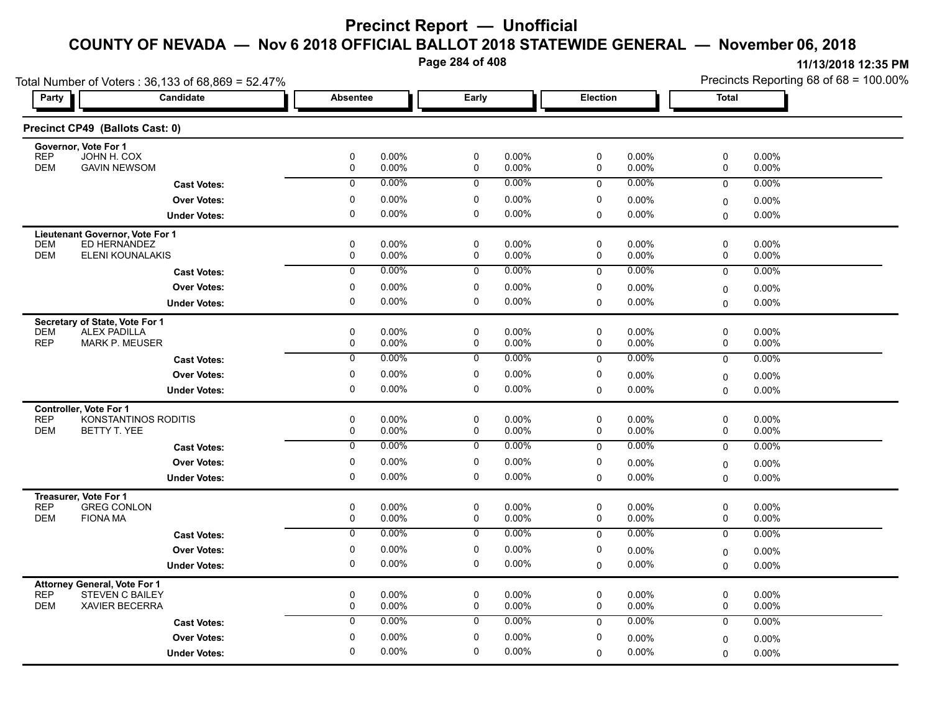**Page 284 of 408**

| Party                    | Total Number of Voters: 36,133 of 68,869 = 52.47%<br><b>Candidate</b> | Absentee                   |                | Early                      |                   | <b>Election</b>          |                | <b>Total</b>             |                |
|--------------------------|-----------------------------------------------------------------------|----------------------------|----------------|----------------------------|-------------------|--------------------------|----------------|--------------------------|----------------|
|                          |                                                                       |                            |                |                            |                   |                          |                |                          |                |
|                          | Precinct CP49 (Ballots Cast: 0)                                       |                            |                |                            |                   |                          |                |                          |                |
|                          | Governor, Vote For 1                                                  |                            |                |                            |                   |                          |                |                          |                |
| <b>REP</b><br><b>DEM</b> | JOHN H. COX<br><b>GAVIN NEWSOM</b>                                    | $\pmb{0}$<br>$\mathsf 0$   | 0.00%<br>0.00% | 0<br>$\mathbf 0$           | 0.00%<br>0.00%    | $\pmb{0}$<br>$\mathsf 0$ | 0.00%<br>0.00% | 0<br>$\mathsf{O}\xspace$ | 0.00%<br>0.00% |
|                          | <b>Cast Votes:</b>                                                    | $\overline{0}$             | 0.00%          | $\overline{0}$             | 0.00%             | $\mathbf 0$              | 0.00%          | $\mathbf 0$              | 0.00%          |
|                          | <b>Over Votes:</b>                                                    | $\mathbf 0$                | 0.00%          | $\mathbf 0$                | $0.00\%$          | $\mathbf 0$              | 0.00%          | 0                        | 0.00%          |
|                          | <b>Under Votes:</b>                                                   | $\mathbf 0$                | 0.00%          | $\mathbf 0$                | $0.00\%$          | $\mathbf 0$              | $0.00\%$       | 0                        | $0.00\%$       |
|                          | Lieutenant Governor, Vote For 1                                       |                            |                |                            |                   |                          |                |                          |                |
| <b>DEM</b><br><b>DEM</b> | ED HERNANDEZ<br>ELENI KOUNALAKIS                                      | $\mathbf 0$<br>0           | 0.00%<br>0.00% | $\mathbf 0$<br>$\mathbf 0$ | $0.00\%$<br>0.00% | 0<br>$\mathbf 0$         | 0.00%<br>0.00% | 0<br>0                   | 0.00%<br>0.00% |
|                          | <b>Cast Votes:</b>                                                    | $\overline{0}$             | 0.00%          | $\overline{0}$             | $0.00\%$          | $\mathbf 0$              | $0.00\%$       | $\mathbf 0$              | 0.00%          |
|                          | <b>Over Votes:</b>                                                    | 0                          | 0.00%          | 0                          | $0.00\%$          | 0                        | $0.00\%$       |                          | 0.00%          |
|                          | <b>Under Votes:</b>                                                   | $\mathbf 0$                | 0.00%          | $\mathbf 0$                | $0.00\%$          | $\Omega$                 | 0.00%          | $\mathbf 0$<br>0         | $0.00\%$       |
|                          | Secretary of State, Vote For 1                                        |                            |                |                            |                   |                          |                |                          |                |
| <b>DEM</b>               | <b>ALEX PADILLA</b>                                                   | 0                          | 0.00%          | 0                          | $0.00\%$          | 0                        | $0.00\%$       | 0                        | 0.00%          |
| <b>REP</b>               | <b>MARK P. MEUSER</b>                                                 | 0                          | 0.00%          | 0                          | 0.00%             | $\mathbf 0$              | 0.00%          | $\mathsf 0$              | 0.00%          |
|                          | <b>Cast Votes:</b>                                                    | $\overline{0}$             | 0.00%          | $\overline{0}$             | $0.00\%$          | $\mathbf 0$              | $0.00\%$       | $\mathbf 0$              | 0.00%          |
|                          | <b>Over Votes:</b>                                                    | $\mathbf 0$                | 0.00%          | $\mathbf 0$                | 0.00%             | $\mathbf 0$              | 0.00%          | 0                        | 0.00%          |
|                          | <b>Under Votes:</b>                                                   | $\pmb{0}$                  | 0.00%          | 0                          | $0.00\%$          | $\mathbf 0$              | $0.00\%$       | $\Omega$                 | 0.00%          |
|                          | Controller, Vote For 1                                                |                            |                |                            |                   |                          |                |                          |                |
| <b>REP</b><br><b>DEM</b> | KONSTANTINOS RODITIS<br>BETTY T. YEE                                  | $\mathbf 0$<br>$\mathbf 0$ | 0.00%<br>0.00% | 0<br>$\mathbf 0$           | 0.00%<br>0.00%    | 0<br>$\mathbf 0$         | 0.00%<br>0.00% | 0<br>0                   | 0.00%<br>0.00% |
|                          | <b>Cast Votes:</b>                                                    | $\overline{0}$             | 0.00%          | $\overline{0}$             | $0.00\%$          | $\mathbf 0$              | 0.00%          | $\mathsf{O}$             | 0.00%          |
|                          | <b>Over Votes:</b>                                                    | 0                          | 0.00%          | $\mathbf 0$                | $0.00\%$          | 0                        | $0.00\%$       | $\mathbf 0$              | 0.00%          |
|                          | <b>Under Votes:</b>                                                   | $\mathbf 0$                | 0.00%          | $\mathbf 0$                | $0.00\%$          | $\mathbf 0$              | $0.00\%$       | $\mathbf 0$              | $0.00\%$       |
|                          | Treasurer, Vote For 1                                                 |                            |                |                            |                   |                          |                |                          |                |
| <b>REP</b>               | <b>GREG CONLON</b>                                                    | $\pmb{0}$                  | 0.00%          | 0                          | $0.00\%$          | 0                        | 0.00%          | 0                        | 0.00%          |
| <b>DEM</b>               | <b>FIONA MA</b>                                                       | $\pmb{0}$                  | 0.00%          | 0                          | 0.00%             | $\mathbf 0$              | 0.00%          | 0                        | 0.00%          |
|                          | <b>Cast Votes:</b>                                                    | $\overline{0}$             | 0.00%          | $\overline{0}$             | 0.00%             | $\mathbf 0$              | 0.00%          | $\mathsf{O}$             | 0.00%          |
|                          | <b>Over Votes:</b>                                                    | $\pmb{0}$                  | 0.00%          | $\mathbf 0$                | 0.00%             | 0                        | $0.00\%$       | 0                        | 0.00%          |
|                          | <b>Under Votes:</b>                                                   | $\mathbf 0$                | $0.00\%$       | $\mathbf 0$                | $0.00\%$          | $\Omega$                 | 0.00%          | 0                        | $0.00\%$       |
| <b>REP</b>               | Attorney General, Vote For 1<br>STEVEN C BAILEY                       | 0                          | 0.00%          | 0                          | $0.00\%$          | 0                        | 0.00%          | 0                        | 0.00%          |
| <b>DEM</b>               | XAVIER BECERRA                                                        | $\pmb{0}$                  | 0.00%          | 0                          | $0.00\%$          | 0                        | 0.00%          | 0                        | 0.00%          |
|                          | <b>Cast Votes:</b>                                                    | $\mathbf 0$                | 0.00%          | $\mathbf 0$                | $0.00\%$          | $\Omega$                 | $0.00\%$       | $\mathbf 0$              | 0.00%          |
|                          | <b>Over Votes:</b>                                                    | $\mathbf 0$                | $0.00\%$       | $\mathbf 0$                | $0.00\%$          | $\mathbf 0$              | 0.00%          | 0                        | 0.00%          |
|                          | <b>Under Votes:</b>                                                   | $\mathbf 0$                | 0.00%          | 0                          | $0.00\%$          | $\mathbf 0$              | 0.00%          | $\Omega$                 | 0.00%          |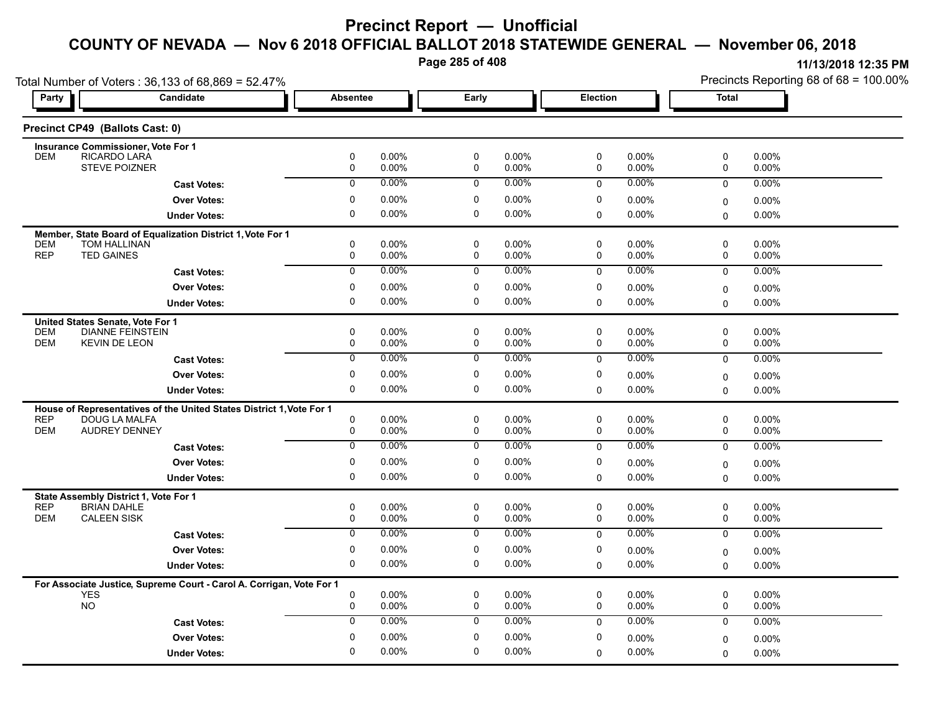**Page 285 of 408**

| Total Number of Voters: 36,133 of 68,869 = 52.47%                    |                                                                      |                 |                |                          |                      |                 |                | Precincts Reporting 68 of 68 = 100.00% |                |  |
|----------------------------------------------------------------------|----------------------------------------------------------------------|-----------------|----------------|--------------------------|----------------------|-----------------|----------------|----------------------------------------|----------------|--|
| <b>Party</b>                                                         | Candidate                                                            | <b>Absentee</b> |                | Early                    |                      | <b>Election</b> |                | <b>Total</b>                           |                |  |
| Precinct CP49 (Ballots Cast: 0)                                      |                                                                      |                 |                |                          |                      |                 |                |                                        |                |  |
| Insurance Commissioner, Vote For 1                                   |                                                                      |                 |                |                          |                      |                 |                |                                        |                |  |
| RICARDO LARÁ<br><b>DEM</b><br><b>STEVE POIZNER</b>                   |                                                                      | $\pmb{0}$<br>0  | 0.00%<br>0.00% | $\pmb{0}$<br>$\mathbf 0$ | 0.00%<br>0.00%       | $\pmb{0}$<br>0  | 0.00%<br>0.00% | 0<br>0                                 | 0.00%<br>0.00% |  |
|                                                                      | <b>Cast Votes:</b>                                                   | $\mathbf 0$     | 0.00%          | 0                        | 0.00%                | $\mathbf 0$     | 0.00%          | $\mathbf 0$                            | 0.00%          |  |
|                                                                      | <b>Over Votes:</b>                                                   | 0               | 0.00%          | 0                        | $0.00\%$             | 0               | 0.00%          | 0                                      | 0.00%          |  |
|                                                                      | <b>Under Votes:</b>                                                  | $\Omega$        | 0.00%          | $\mathbf 0$              | 0.00%                | 0               | 0.00%          | $\mathbf 0$                            | 0.00%          |  |
|                                                                      |                                                                      |                 |                |                          |                      |                 |                |                                        |                |  |
| <b>DEM</b><br>TOM HALLINAN                                           | Member, State Board of Equalization District 1, Vote For 1           | 0               | 0.00%          | 0                        | $0.00\%$             | 0               | 0.00%          | 0                                      | $0.00\%$       |  |
| <b>REP</b><br><b>TED GAINES</b>                                      |                                                                      | 0               | 0.00%          | 0                        | 0.00%                | 0               | 0.00%          | 0                                      | 0.00%          |  |
|                                                                      | <b>Cast Votes:</b>                                                   | $\overline{0}$  | 0.00%          | $\overline{0}$           | $0.00\%$             | 0               | 0.00%          | $\mathbf 0$                            | 0.00%          |  |
|                                                                      | <b>Over Votes:</b>                                                   | $\pmb{0}$       | 0.00%          | $\pmb{0}$                | 0.00%                | 0               | 0.00%          | $\mathbf 0$                            | 0.00%          |  |
|                                                                      | <b>Under Votes:</b>                                                  | $\mathbf 0$     | 0.00%          | $\mathbf 0$              | 0.00%                | $\Omega$        | 0.00%          | $\Omega$                               | 0.00%          |  |
| United States Senate, Vote For 1                                     |                                                                      |                 |                |                          |                      |                 |                |                                        |                |  |
| <b>DEM</b>                                                           | <b>DIANNE FEINSTEIN</b>                                              | $\mathbf 0$     | 0.00%          | $\mathbf 0$              | 0.00%                | 0               | $0.00\%$       | 0                                      | $0.00\%$       |  |
| <b>DEM</b><br><b>KEVIN DE LEON</b>                                   |                                                                      | 0               | 0.00%          | 0                        | 0.00%                | 0               | 0.00%          | 0                                      | 0.00%          |  |
|                                                                      | <b>Cast Votes:</b>                                                   | 0               | $0.00\%$       | 0                        | 0.00%                | $\mathbf 0$     | 0.00%          | $\mathbf 0$                            | 0.00%          |  |
|                                                                      | <b>Over Votes:</b>                                                   | 0               | 0.00%          | 0                        | 0.00%                | 0               | 0.00%          | $\pmb{0}$                              | 0.00%          |  |
|                                                                      | <b>Under Votes:</b>                                                  | $\mathbf 0$     | 0.00%          | $\mathbf 0$              | $0.00\%$             | 0               | 0.00%          | $\mathbf 0$                            | 0.00%          |  |
|                                                                      | House of Representatives of the United States District 1, Vote For 1 |                 |                |                          |                      |                 |                |                                        |                |  |
| <b>REP</b><br>DOUG LA MALFA<br><b>DEM</b><br><b>AUDREY DENNEY</b>    |                                                                      | 0<br>0          | 0.00%<br>0.00% | 0<br>0                   | $0.00\%$<br>$0.00\%$ | 0<br>0          | 0.00%<br>0.00% | 0<br>0                                 | 0.00%<br>0.00% |  |
|                                                                      |                                                                      | $\mathbf 0$     | 0.00%          |                          | $0.00\%$             |                 | $0.00\%$       |                                        |                |  |
|                                                                      | <b>Cast Votes:</b>                                                   |                 |                | 0                        |                      | 0               |                | 0                                      | 0.00%          |  |
|                                                                      | <b>Over Votes:</b>                                                   | 0               | 0.00%          | 0                        | 0.00%                | 0               | 0.00%          | $\mathbf 0$                            | $0.00\%$       |  |
|                                                                      | <b>Under Votes:</b>                                                  | $\mathbf 0$     | 0.00%          | $\mathbf 0$              | $0.00\%$             | $\Omega$        | 0.00%          | $\Omega$                               | 0.00%          |  |
| State Assembly District 1, Vote For 1                                |                                                                      |                 |                |                          |                      |                 |                |                                        |                |  |
| <b>REP</b><br><b>BRIAN DAHLE</b><br><b>DEM</b><br><b>CALEEN SISK</b> |                                                                      | $\pmb{0}$<br>0  | 0.00%<br>0.00% | $\pmb{0}$<br>0           | $0.00\%$<br>0.00%    | 0<br>0          | 0.00%<br>0.00% | $\pmb{0}$<br>0                         | 0.00%<br>0.00% |  |
|                                                                      | <b>Cast Votes:</b>                                                   | 0               | 0.00%          | 0                        | $0.00\%$             | $\mathbf 0$     | 0.00%          | $\mathbf 0$                            | 0.00%          |  |
|                                                                      | <b>Over Votes:</b>                                                   | 0               | 0.00%          | 0                        | $0.00\%$             | 0               | 0.00%          | $\Omega$                               | 0.00%          |  |
|                                                                      | <b>Under Votes:</b>                                                  | $\mathbf 0$     | 0.00%          | 0                        | 0.00%                | 0               | 0.00%          | $\Omega$                               | $0.00\%$       |  |
|                                                                      |                                                                      |                 |                |                          |                      |                 |                |                                        |                |  |
| <b>YES</b>                                                           | For Associate Justice, Supreme Court - Carol A. Corrigan, Vote For 1 | 0               | 0.00%          | 0                        | $0.00\%$             | 0               | 0.00%          | 0                                      | $0.00\%$       |  |
| <b>NO</b>                                                            |                                                                      | 0               | 0.00%          | $\mathbf 0$              | $0.00\%$             | 0               | 0.00%          | 0                                      | 0.00%          |  |
|                                                                      | <b>Cast Votes:</b>                                                   | $\mathbf{0}$    | 0.00%          | 0                        | 0.00%                | $\mathbf 0$     | 0.00%          | $\mathbf 0$                            | 0.00%          |  |
|                                                                      | <b>Over Votes:</b>                                                   | 0               | 0.00%          | 0                        | 0.00%                | 0               | 0.00%          | $\mathbf 0$                            | 0.00%          |  |
|                                                                      | <b>Under Votes:</b>                                                  | $\mathbf 0$     | 0.00%          | $\mathbf 0$              | 0.00%                | $\Omega$        | 0.00%          | $\Omega$                               | 0.00%          |  |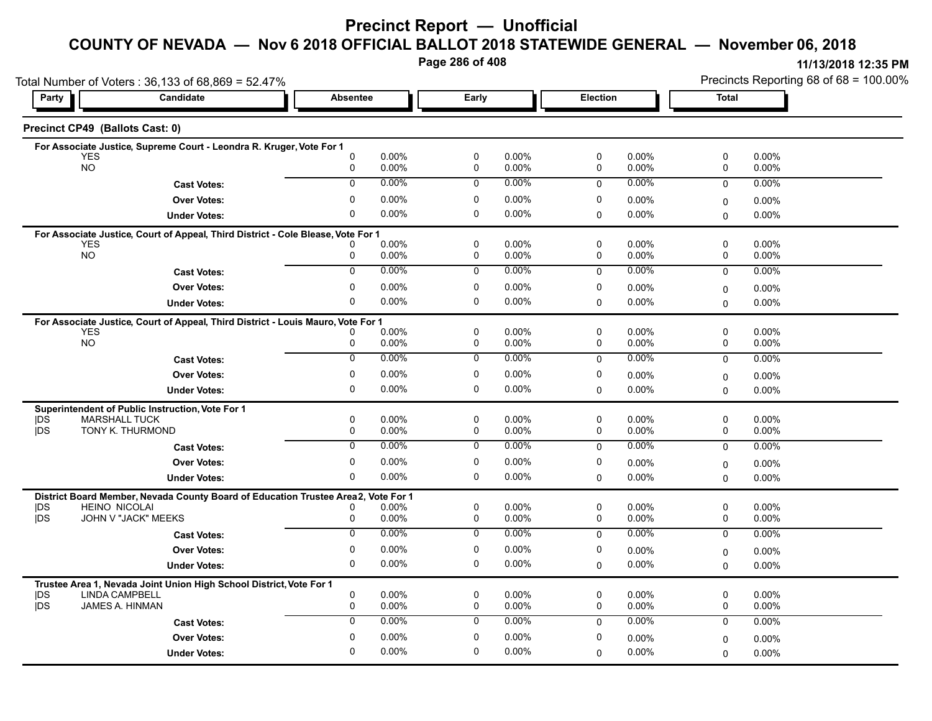# **Precinct Report — Unofficial**

# **COUNTY OF NEVADA — Nov 6 2018 OFFICIAL BALLOT 2018 STATEWIDE GENERAL — November 06, 2018**

**Page 286 of 408**

**11/13/2018 12:35 PM** Precincts Reporting 68 of 68 = 100.00%

| Total Number of Voters: 36,133 of 68,869 = 52.47% |                                                                                                           |                     |                   |                  |                      |                  |                      | Precincts Reporting 68 of 68 = 100.00% |                   |
|---------------------------------------------------|-----------------------------------------------------------------------------------------------------------|---------------------|-------------------|------------------|----------------------|------------------|----------------------|----------------------------------------|-------------------|
| Party                                             | Candidate                                                                                                 | <b>Absentee</b>     |                   | Early            |                      | <b>Election</b>  |                      | Total                                  |                   |
| Precinct CP49 (Ballots Cast: 0)                   |                                                                                                           |                     |                   |                  |                      |                  |                      |                                        |                   |
|                                                   | For Associate Justice, Supreme Court - Leondra R. Kruger, Vote For 1                                      |                     |                   |                  |                      |                  |                      |                                        |                   |
| YES<br><b>NO</b>                                  |                                                                                                           | 0<br>0              | 0.00%<br>0.00%    | 0<br>0           | 0.00%<br>0.00%       | $\mathbf 0$<br>0 | 0.00%<br>0.00%       | 0<br>0                                 | 0.00%<br>0.00%    |
|                                                   | <b>Cast Votes:</b>                                                                                        | $\Omega$            | $0.00\%$          | 0                | $0.00\%$             | $\mathbf 0$      | $0.00\%$             | $\mathbf 0$                            | 0.00%             |
|                                                   | <b>Over Votes:</b>                                                                                        | 0                   | 0.00%             | 0                | 0.00%                | 0                | $0.00\%$             | 0                                      | $0.00\%$          |
|                                                   | <b>Under Votes:</b>                                                                                       | 0                   | $0.00\%$          | 0                | $0.00\%$             | $\mathbf 0$      | $0.00\%$             | $\Omega$                               | 0.00%             |
|                                                   | For Associate Justice, Court of Appeal, Third District - Cole Blease, Vote For 1                          |                     |                   |                  |                      |                  |                      |                                        |                   |
| <b>YES</b><br><b>NO</b>                           |                                                                                                           |                     | 0.00%             | 0                | 0.00%                | 0<br>$\mathbf 0$ | $0.00\%$             | $\mathbf 0$                            | 0.00%             |
|                                                   |                                                                                                           | 0<br>$\overline{0}$ | 0.00%<br>$0.00\%$ | 0<br>0           | 0.00%<br>0.00%       |                  | $0.00\%$<br>$0.00\%$ | 0                                      | $0.00\%$          |
|                                                   | <b>Cast Votes:</b>                                                                                        |                     |                   |                  |                      | $\mathbf 0$      |                      | $\mathbf 0$                            | 0.00%             |
|                                                   | <b>Over Votes:</b>                                                                                        | 0<br>0              | $0.00\%$<br>0.00% | 0<br>0           | $0.00\%$<br>0.00%    | 0                | $0.00\%$<br>$0.00\%$ | $\Omega$                               | $0.00\%$          |
|                                                   | <b>Under Votes:</b>                                                                                       |                     |                   |                  |                      | $\Omega$         |                      | $\Omega$                               | $0.00\%$          |
| <b>YES</b>                                        | For Associate Justice, Court of Appeal, Third District - Louis Mauro, Vote For 1                          |                     | $0.00\%$          | 0                | $0.00\%$             | $\mathbf 0$      | 0.00%                | 0                                      | $0.00\%$          |
| <b>NO</b>                                         |                                                                                                           | 0                   | 0.00%             | $\mathbf 0$      | 0.00%                | 0                | 0.00%                | 0                                      | 0.00%             |
|                                                   | <b>Cast Votes:</b>                                                                                        | 0                   | 0.00%             | 0                | 0.00%                | 0                | $0.00\%$             | $\Omega$                               | 0.00%             |
|                                                   | <b>Over Votes:</b>                                                                                        | 0                   | 0.00%             | 0                | 0.00%                | 0                | $0.00\%$             | 0                                      | $0.00\%$          |
|                                                   | <b>Under Votes:</b>                                                                                       | 0                   | $0.00\%$          | 0                | $0.00\%$             | $\mathbf 0$      | $0.00\%$             | $\Omega$                               | 0.00%             |
|                                                   | Superintendent of Public Instruction, Vote For 1                                                          |                     |                   |                  |                      |                  |                      |                                        |                   |
| DS<br><b>IDS</b>                                  | <b>MARSHALL TUCK</b><br>TONY K. THURMOND                                                                  | 0                   | $0.00\%$<br>0.00% | 0<br>$\mathbf 0$ | $0.00\%$<br>0.00%    | 0<br>$\mathbf 0$ | $0.00\%$<br>0.00%    | 0<br>0                                 | $0.00\%$<br>0.00% |
|                                                   |                                                                                                           | 0<br>$\overline{0}$ | $0.00\%$          | $\overline{0}$   | 0.00%                |                  | $0.00\%$             | $\overline{0}$                         |                   |
|                                                   | <b>Cast Votes:</b>                                                                                        |                     |                   |                  |                      | $\Omega$         |                      |                                        | 0.00%             |
|                                                   | <b>Over Votes:</b>                                                                                        | 0<br>$\Omega$       | $0.00\%$<br>0.00% | 0<br>0           | $0.00\%$<br>$0.00\%$ | 0                | $0.00\%$<br>$0.00\%$ | $\Omega$                               | $0.00\%$          |
|                                                   | <b>Under Votes:</b>                                                                                       |                     |                   |                  |                      | $\Omega$         |                      | $\Omega$                               | 0.00%             |
| DS                                                | District Board Member, Nevada County Board of Education Trustee Area2, Vote For 1<br><b>HEINO NICOLAI</b> |                     | $0.00\%$          | 0                | $0.00\%$             | 0                | $0.00\%$             | 0                                      | 0.00%             |
| <b>IDS</b>                                        | JOHN V "JACK" MEEKS                                                                                       | 0                   | 0.00%             | 0                | $0.00\%$             | 0                | $0.00\%$             | 0                                      | $0.00\%$          |
|                                                   | <b>Cast Votes:</b>                                                                                        | $\overline{0}$      | 0.00%             | $\overline{0}$   | 0.00%                | $\Omega$         | $0.00\%$             | $\Omega$                               | 0.00%             |
|                                                   | <b>Over Votes:</b>                                                                                        | 0                   | 0.00%             | $\mathbf 0$      | 0.00%                | 0                | $0.00\%$             | 0                                      | $0.00\%$          |
|                                                   | <b>Under Votes:</b>                                                                                       | $\mathbf 0$         | $0.00\%$          | 0                | 0.00%                | $\mathbf 0$      | $0.00\%$             | $\Omega$                               | $0.00\%$          |
|                                                   | Trustee Area 1, Nevada Joint Union High School District, Vote For 1                                       |                     |                   |                  |                      |                  |                      |                                        |                   |
| DS                                                | LINDA CAMPBELL                                                                                            | 0                   | $0.00\%$          | 0                | 0.00%                | 0                | $0.00\%$             | 0                                      | 0.00%             |
| <b>IDS</b>                                        | JAMES A. HINMAN                                                                                           | 0                   | 0.00%             | 0                | 0.00%                | 0                | 0.00%                | 0                                      | $0.00\%$          |
|                                                   | <b>Cast Votes:</b>                                                                                        | 0                   | $0.00\%$          | $\mathbf 0$      | 0.00%                | $\Omega$         | $0.00\%$             | $\mathbf 0$                            | 0.00%             |
|                                                   | <b>Over Votes:</b>                                                                                        | $\Omega$            | $0.00\%$          | 0                | $0.00\%$             | 0                | $0.00\%$             | 0                                      | $0.00\%$          |
|                                                   | <b>Under Votes:</b>                                                                                       | $\Omega$            | 0.00%             | 0                | $0.00\%$             | $\Omega$         | 0.00%                | $\Omega$                               | $0.00\%$          |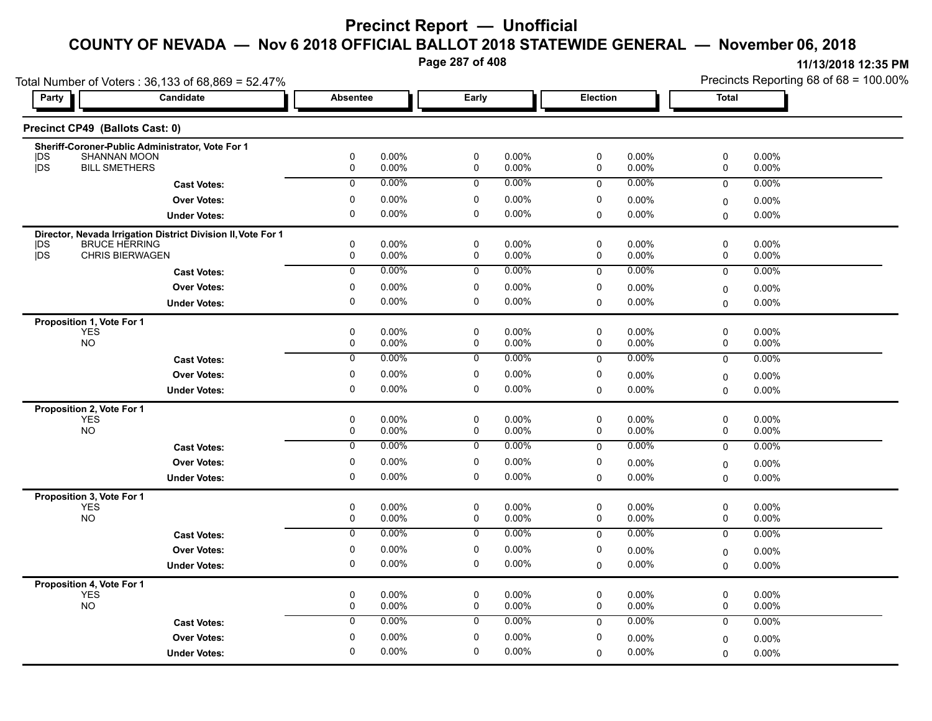# **Precinct Report — Unofficial**

**COUNTY OF NEVADA — Nov 6 2018 OFFICIAL BALLOT 2018 STATEWIDE GENERAL — November 06, 2018**

**Page 287 of 408**

**11/13/2018 12:35 PM** Precincts Reporting 68 of 68 = 100.00%

| Total Number of Voters: 36,133 of 68,869 = 52.47%                |                     |                  |                   |                            |                |             |                      |              | Precincts Reporting 68 of 68 = 100.00% |  |  |
|------------------------------------------------------------------|---------------------|------------------|-------------------|----------------------------|----------------|-------------|----------------------|--------------|----------------------------------------|--|--|
| Party                                                            | Candidate           | <b>Absentee</b>  |                   | Early                      |                |             | Election             | <b>Total</b> |                                        |  |  |
| Precinct CP49 (Ballots Cast: 0)                                  |                     |                  |                   |                            |                |             |                      |              |                                        |  |  |
| Sheriff-Coroner-Public Administrator, Vote For 1                 |                     |                  |                   |                            |                |             |                      |              |                                        |  |  |
| <b>SHANNAN MOON</b><br> DS<br><b>IDS</b><br><b>BILL SMETHERS</b> |                     | 0<br>0           | 0.00%<br>$0.00\%$ | 0<br>0                     | 0.00%<br>0.00% | 0<br>0      | 0.00%<br>$0.00\%$    | 0<br>0       | 0.00%<br>$0.00\%$                      |  |  |
|                                                                  |                     | $\mathbf 0$      | 0.00%             | $\mathbf 0$                | $0.00\%$       | $\Omega$    | $0.00\%$             | $\mathbf 0$  | 0.00%                                  |  |  |
|                                                                  | <b>Cast Votes:</b>  |                  |                   |                            |                |             |                      |              |                                        |  |  |
|                                                                  | <b>Over Votes:</b>  | 0                | 0.00%             | 0                          | 0.00%          | 0           | 0.00%                | 0            | $0.00\%$                               |  |  |
|                                                                  | <b>Under Votes:</b> | 0                | $0.00\%$          | $\mathbf 0$                | 0.00%          | $\mathbf 0$ | $0.00\%$             | 0            | $0.00\%$                               |  |  |
| Director, Nevada Irrigation District Division II, Vote For 1     |                     |                  |                   |                            |                |             |                      |              |                                        |  |  |
| <b>BRUCE HERRING</b><br> DS<br>jDS<br><b>CHRIS BIERWAGEN</b>     |                     | 0<br>$\mathbf 0$ | 0.00%<br>0.00%    | $\mathbf 0$<br>$\mathbf 0$ | 0.00%<br>0.00% | 0<br>0      | 0.00%<br>0.00%       | 0<br>0       | $0.00\%$<br>0.00%                      |  |  |
|                                                                  | <b>Cast Votes:</b>  | $\overline{0}$   | 0.00%             | $\overline{0}$             | $0.00\%$       | $\mathbf 0$ | 0.00%                | $\mathbf 0$  | 0.00%                                  |  |  |
|                                                                  |                     | 0                |                   |                            |                |             |                      |              |                                        |  |  |
|                                                                  | <b>Over Votes:</b>  | 0                | $0.00\%$<br>0.00% | 0<br>$\mathbf 0$           | 0.00%<br>0.00% | 0           | $0.00\%$             | 0            | 0.00%                                  |  |  |
|                                                                  | <b>Under Votes:</b> |                  |                   |                            |                | $\Omega$    | 0.00%                | 0            | $0.00\%$                               |  |  |
| Proposition 1, Vote For 1                                        |                     |                  |                   |                            |                |             |                      |              |                                        |  |  |
| <b>YES</b><br><b>NO</b>                                          |                     | 0<br>0           | $0.00\%$<br>0.00% | 0<br>0                     | 0.00%<br>0.00% | 0<br>0      | $0.00\%$<br>0.00%    | 0<br>0       | $0.00\%$<br>0.00%                      |  |  |
|                                                                  | <b>Cast Votes:</b>  | $\overline{0}$   | $0.00\%$          | $\overline{0}$             | 0.00%          | 0           | 0.00%                | 0            | 0.00%                                  |  |  |
|                                                                  |                     |                  |                   |                            |                |             |                      |              |                                        |  |  |
|                                                                  | <b>Over Votes:</b>  | 0                | $0.00\%$          | 0                          | $0.00\%$       | 0           | 0.00%                | 0            | $0.00\%$                               |  |  |
|                                                                  | <b>Under Votes:</b> | 0                | $0.00\%$          | $\mathbf 0$                | 0.00%          | $\mathbf 0$ | 0.00%                | $\Omega$     | $0.00\%$                               |  |  |
| Proposition 2, Vote For 1                                        |                     |                  |                   |                            |                |             |                      |              |                                        |  |  |
| <b>YES</b><br><b>NO</b>                                          |                     | $\mathbf 0$<br>0 | 0.00%<br>0.00%    | $\mathbf 0$<br>0           | 0.00%<br>0.00% | 0<br>0      | 0.00%<br>0.00%       | 0<br>0       | $0.00\%$<br>0.00%                      |  |  |
|                                                                  |                     | $\mathbf 0$      | 0.00%             | $\mathbf 0$                | $0.00\%$       |             | $0.00\%$             |              | 0.00%                                  |  |  |
|                                                                  | <b>Cast Votes:</b>  |                  |                   |                            |                | 0           |                      | 0            |                                        |  |  |
|                                                                  | <b>Over Votes:</b>  | 0                | 0.00%             | 0                          | 0.00%          | 0           | $0.00\%$             | 0            | $0.00\%$                               |  |  |
|                                                                  | <b>Under Votes:</b> | 0                | $0.00\%$          | 0                          | 0.00%          | 0           | $0.00\%$             | $\Omega$     | 0.00%                                  |  |  |
| Proposition 3, Vote For 1                                        |                     |                  |                   |                            |                |             |                      |              |                                        |  |  |
| <b>YES</b><br><b>NO</b>                                          |                     | 0<br>0           | 0.00%<br>$0.00\%$ | $\mathbf 0$<br>0           | 0.00%<br>0.00% | 0<br>0      | $0.00\%$<br>$0.00\%$ | 0<br>0       | 0.00%<br>$0.00\%$                      |  |  |
|                                                                  |                     |                  | 0.00%             |                            | 0.00%          |             |                      |              |                                        |  |  |
|                                                                  | <b>Cast Votes:</b>  | $\overline{0}$   |                   | $\overline{0}$             |                | $\mathbf 0$ | $0.00\%$             | 0            | 0.00%                                  |  |  |
|                                                                  | <b>Over Votes:</b>  | 0                | $0.00\%$          | 0                          | 0.00%          | 0           | $0.00\%$             | 0            | $0.00\%$                               |  |  |
|                                                                  | <b>Under Votes:</b> | 0                | $0.00\%$          | $\mathbf 0$                | $0.00\%$       | 0           | $0.00\%$             | 0            | $0.00\%$                               |  |  |
| Proposition 4, Vote For 1                                        |                     |                  |                   |                            |                |             |                      |              |                                        |  |  |
| <b>YES</b><br><b>NO</b>                                          |                     | 0                | $0.00\%$          | 0                          | 0.00%          | 0           | 0.00%                | 0            | $0.00\%$                               |  |  |
|                                                                  |                     | $\mathbf 0$      | 0.00%             | $\mathbf 0$                | 0.00%          | 0           | $0.00\%$             | 0            | 0.00%                                  |  |  |
|                                                                  | <b>Cast Votes:</b>  | 0                | $0.00\%$          | 0                          | 0.00%          | $\mathbf 0$ | 0.00%                | $\mathbf 0$  | $0.00\%$                               |  |  |
|                                                                  | <b>Over Votes:</b>  | 0                | $0.00\%$          | 0                          | 0.00%          | 0           | 0.00%                | 0            | $0.00\%$                               |  |  |
|                                                                  | <b>Under Votes:</b> | $\mathbf{0}$     | 0.00%             | 0                          | 0.00%          | $\Omega$    | 0.00%                | 0            | $0.00\%$                               |  |  |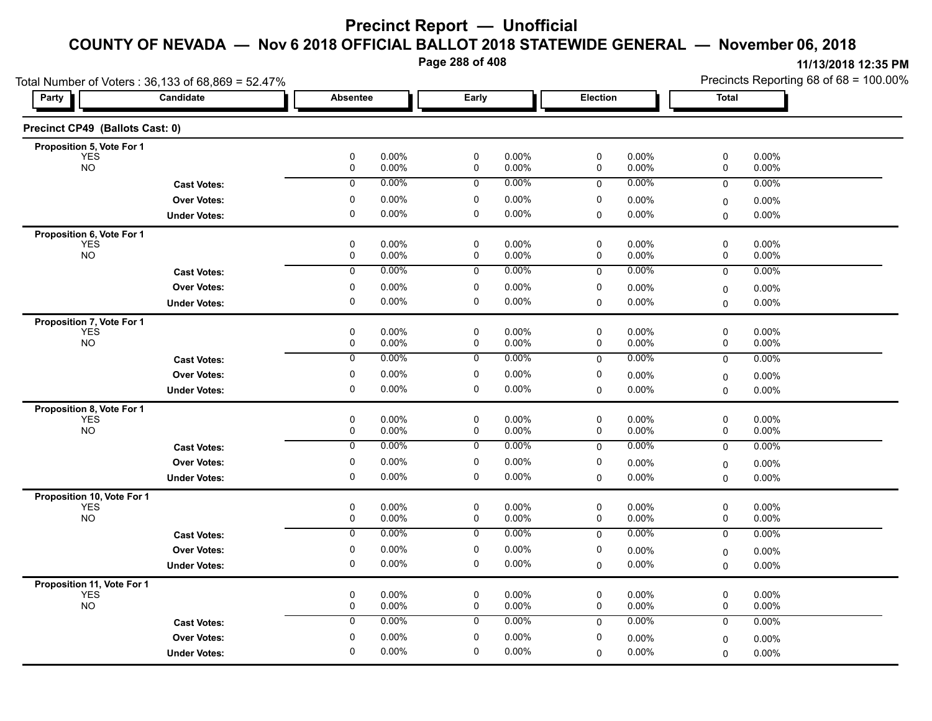**Page 288 of 408**

| Total Number of Voters: 36,133 of 68,869 = 52.47% |                     |                        |                                          |                      |                        |                | Precincts Reporting 68 of 68 = 100.00% |                   |  |
|---------------------------------------------------|---------------------|------------------------|------------------------------------------|----------------------|------------------------|----------------|----------------------------------------|-------------------|--|
| <b>Party</b>                                      | Candidate           | <b>Absentee</b>        | Early                                    |                      | Election               |                | <b>Total</b>                           |                   |  |
| Precinct CP49 (Ballots Cast: 0)                   |                     |                        |                                          |                      |                        |                |                                        |                   |  |
| Proposition 5, Vote For 1                         |                     |                        |                                          |                      |                        |                |                                        |                   |  |
| <b>YES</b><br><b>NO</b>                           |                     | $\pmb{0}$<br>$\pmb{0}$ | 0.00%<br>$\pmb{0}$<br>0.00%<br>$\pmb{0}$ | 0.00%<br>0.00%       | $\pmb{0}$<br>$\pmb{0}$ | 0.00%<br>0.00% | $\pmb{0}$<br>0                         | 0.00%<br>0.00%    |  |
|                                                   | <b>Cast Votes:</b>  | $\mathbf 0$            | 0.00%<br>0                               | 0.00%                | $\mathbf 0$            | 0.00%          | $\mathbf 0$                            | 0.00%             |  |
|                                                   | <b>Over Votes:</b>  | 0                      | 0.00%<br>0                               | $0.00\%$             | 0                      | 0.00%          | 0                                      | $0.00\%$          |  |
|                                                   | <b>Under Votes:</b> | 0                      | 0<br>0.00%                               | $0.00\%$             | 0                      | 0.00%          | $\mathbf 0$                            | 0.00%             |  |
| Proposition 6, Vote For 1                         |                     |                        |                                          |                      |                        |                |                                        |                   |  |
| <b>YES</b>                                        |                     | 0                      | 0.00%<br>0                               | $0.00\%$             | 0                      | 0.00%          | 0                                      | $0.00\%$          |  |
| NO <sub>1</sub>                                   |                     | 0                      | 0.00%<br>0                               | 0.00%                | 0                      | 0.00%          | 0                                      | 0.00%             |  |
|                                                   | <b>Cast Votes:</b>  | $\mathbf 0$            | 0.00%<br>0                               | 0.00%                | $\mathbf 0$            | 0.00%          | $\mathbf 0$                            | 0.00%             |  |
|                                                   | <b>Over Votes:</b>  | 0                      | 0.00%<br>0                               | 0.00%                | 0                      | 0.00%          | 0                                      | 0.00%             |  |
|                                                   | <b>Under Votes:</b> | $\Omega$               | 0.00%<br>0                               | $0.00\%$             | 0                      | 0.00%          | $\Omega$                               | 0.00%             |  |
| Proposition 7, Vote For 1                         |                     |                        |                                          |                      |                        |                |                                        |                   |  |
| <b>YES</b>                                        |                     | 0                      | 0.00%<br>0                               | 0.00%                | 0                      | 0.00%          | 0                                      | 0.00%             |  |
| <b>NO</b>                                         |                     | 0                      | 0.00%<br>0                               | 0.00%                | 0                      | 0.00%          | 0                                      | 0.00%             |  |
|                                                   | <b>Cast Votes:</b>  | 0                      | 0.00%<br>0                               | $0.00\%$             | 0                      | 0.00%          | 0                                      | 0.00%             |  |
|                                                   | <b>Over Votes:</b>  | 0                      | 0.00%<br>0                               | 0.00%                | 0                      | 0.00%          | $\mathbf 0$                            | 0.00%             |  |
|                                                   | <b>Under Votes:</b> | $\pmb{0}$              | 0.00%<br>$\pmb{0}$                       | 0.00%                | 0                      | $0.00\%$       | 0                                      | 0.00%             |  |
| Proposition 8, Vote For 1                         |                     |                        |                                          |                      |                        |                |                                        |                   |  |
| <b>YES</b><br><b>NO</b>                           |                     | 0<br>0                 | 0<br>0.00%<br>0.00%<br>0                 | $0.00\%$<br>0.00%    | 0<br>0                 | 0.00%<br>0.00% | 0<br>0                                 | 0.00%<br>0.00%    |  |
|                                                   |                     |                        | 0.00%                                    | 0.00%                |                        | 0.00%          |                                        |                   |  |
|                                                   | <b>Cast Votes:</b>  | 0                      | 0                                        |                      | 0                      |                | 0                                      | 0.00%             |  |
|                                                   | <b>Over Votes:</b>  | $\pmb{0}$              | 0.00%<br>0                               | 0.00%                | 0                      | 0.00%          | $\mathbf 0$                            | 0.00%             |  |
|                                                   | <b>Under Votes:</b> | $\mathbf 0$            | $\mathbf 0$<br>0.00%                     | $0.00\%$             | $\Omega$               | 0.00%          | 0                                      | 0.00%             |  |
| Proposition 10, Vote For 1                        |                     |                        |                                          |                      |                        |                |                                        |                   |  |
| <b>YES</b><br><b>NO</b>                           |                     | 0<br>0                 | 0<br>0.00%<br>0.00%<br>0                 | $0.00\%$<br>$0.00\%$ | 0<br>0                 | 0.00%<br>0.00% | 0<br>0                                 | 0.00%<br>0.00%    |  |
|                                                   | <b>Cast Votes:</b>  | $\overline{0}$         | 0.00%<br>0                               | 0.00%                | 0                      | 0.00%          | 0                                      | 0.00%             |  |
|                                                   | <b>Over Votes:</b>  | 0                      | 0.00%<br>0                               | 0.00%                | 0                      | 0.00%          |                                        |                   |  |
|                                                   | <b>Under Votes:</b> | 0                      | 0.00%<br>0                               | $0.00\%$             | 0                      | 0.00%          | 0                                      | $0.00\%$<br>0.00% |  |
|                                                   |                     |                        |                                          |                      |                        |                | $\Omega$                               |                   |  |
| Proposition 11, Vote For 1<br><b>YES</b>          |                     | 0                      | 0.00%<br>0                               | $0.00\%$             | 0                      | 0.00%          | 0                                      | 0.00%             |  |
| <b>NO</b>                                         |                     | 0                      | $0.00\%$<br>0                            | 0.00%                | 0                      | 0.00%          | 0                                      | 0.00%             |  |
|                                                   | <b>Cast Votes:</b>  | 0                      | 0.00%<br>0                               | 0.00%                | $\mathbf 0$            | 0.00%          | 0                                      | 0.00%             |  |
|                                                   | <b>Over Votes:</b>  | 0                      | 0.00%<br>0                               | $0.00\%$             | 0                      | 0.00%          | 0                                      | $0.00\%$          |  |
|                                                   | <b>Under Votes:</b> | 0                      | 0.00%<br>0                               | $0.00\%$             | 0                      | 0.00%          | $\Omega$                               | $0.00\%$          |  |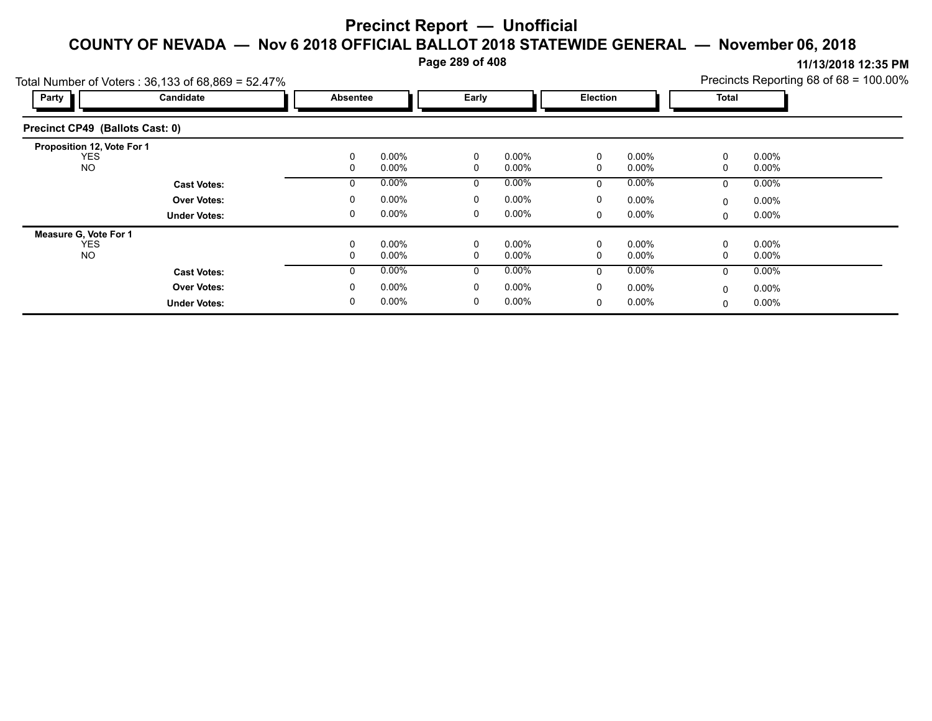**Page 289 of 408**

|                                 | Total Number of Voters: $36,133$ of $68,869 = 52.47\%$ |          |          |              |          |          |          |              | Precincts Reporting 68 of 68 = 100.00% |  |
|---------------------------------|--------------------------------------------------------|----------|----------|--------------|----------|----------|----------|--------------|----------------------------------------|--|
| Party                           | Candidate                                              | Absentee |          | Early        |          | Election |          | <b>Total</b> |                                        |  |
| Precinct CP49 (Ballots Cast: 0) |                                                        |          |          |              |          |          |          |              |                                        |  |
| Proposition 12, Vote For 1      |                                                        |          |          |              |          |          |          |              |                                        |  |
| <b>YES</b>                      |                                                        | 0        | $0.00\%$ | 0            | $0.00\%$ | 0        | $0.00\%$ | 0            | $0.00\%$                               |  |
| <b>NO</b>                       |                                                        | 0        | $0.00\%$ | 0            | $0.00\%$ | 0        | $0.00\%$ | 0            | $0.00\%$                               |  |
|                                 | <b>Cast Votes:</b>                                     | 0        | 0.00%    | 0            | $0.00\%$ | 0        | $0.00\%$ | 0            | $0.00\%$                               |  |
|                                 | <b>Over Votes:</b>                                     | 0        | 0.00%    | 0            | $0.00\%$ | 0        | $0.00\%$ | 0            | $0.00\%$                               |  |
|                                 | <b>Under Votes:</b>                                    | 0        | 0.00%    | 0            | $0.00\%$ | 0        | $0.00\%$ | 0            | $0.00\%$                               |  |
| <b>Measure G. Vote For 1</b>    |                                                        |          |          |              |          |          |          |              |                                        |  |
| <b>YES</b>                      |                                                        | 0        | 0.00%    | 0            | $0.00\%$ | 0        | $0.00\%$ | 0            | $0.00\%$                               |  |
| <b>NO</b>                       |                                                        | 0        | $0.00\%$ | 0            | $0.00\%$ | 0        | $0.00\%$ | 0            | $0.00\%$                               |  |
|                                 | <b>Cast Votes:</b>                                     | $\Omega$ | $0.00\%$ | $\mathbf{0}$ | $0.00\%$ | $\Omega$ | $0.00\%$ | $\mathbf{0}$ | $0.00\%$                               |  |
|                                 | <b>Over Votes:</b>                                     | $\Omega$ | $0.00\%$ | 0            | $0.00\%$ | 0        | $0.00\%$ | 0            | $0.00\%$                               |  |
|                                 | <b>Under Votes:</b>                                    | 0        | $0.00\%$ | 0            | $0.00\%$ | 0        | $0.00\%$ | 0            | $0.00\%$                               |  |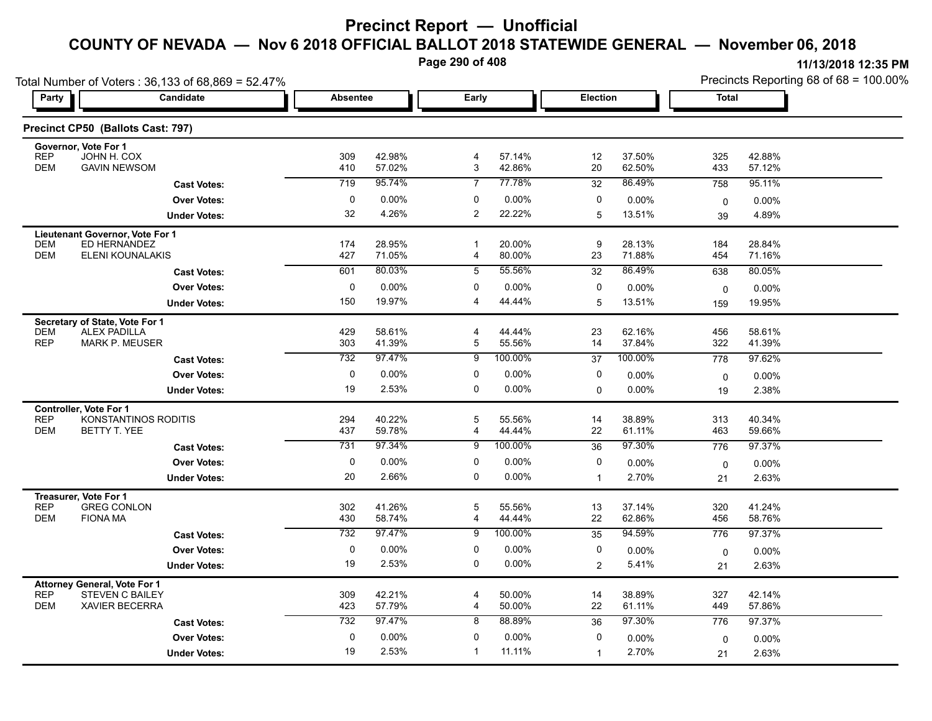**Page 290 of 408**

|                                                   | Total Number of Voters: 36,133 of 68,869 = 52.47% |                 |                  |                           |                  |                |                  | Precincts Reporting 68 of 68 = 100.00% |                    |  |
|---------------------------------------------------|---------------------------------------------------|-----------------|------------------|---------------------------|------------------|----------------|------------------|----------------------------------------|--------------------|--|
| Party                                             | Candidate                                         | <b>Absentee</b> |                  | Early                     |                  | Election       |                  | <b>Total</b>                           |                    |  |
|                                                   | Precinct CP50 (Ballots Cast: 797)                 |                 |                  |                           |                  |                |                  |                                        |                    |  |
| Governor, Vote For 1<br>JOHN H. COX<br><b>REP</b> |                                                   | 309             | 42.98%           | 4                         | 57.14%           | 12             | 37.50%           | 325                                    | 42.88%             |  |
| <b>DEM</b>                                        | <b>GAVIN NEWSOM</b>                               | 410             | 57.02%           | $\ensuremath{\mathsf{3}}$ | 42.86%           | 20             | 62.50%           | 433                                    | 57.12%             |  |
|                                                   | <b>Cast Votes:</b>                                | 719             | 95.74%           | $\overline{7}$            | 77.78%           | 32             | 86.49%           | 758                                    | 95.11%             |  |
|                                                   | <b>Over Votes:</b>                                | 0               | 0.00%            | 0                         | 0.00%            | 0              | 0.00%            | 0                                      | 0.00%              |  |
|                                                   | <b>Under Votes:</b>                               | 32              | 4.26%            | 2                         | 22.22%           | 5              | 13.51%           | 39                                     | 4.89%              |  |
| Lieutenant Governor, Vote For 1                   |                                                   |                 |                  |                           |                  |                |                  |                                        |                    |  |
| <b>DEM</b><br><b>DEM</b>                          | ED HERNANDEZ<br>ELENI KOUNALAKIS                  | 174<br>427      | 28.95%<br>71.05% | -1<br>4                   | 20.00%<br>80.00% | 9<br>23        | 28.13%<br>71.88% | 184<br>454                             | 28.84%<br>71.16%   |  |
|                                                   | <b>Cast Votes:</b>                                | 601             | 80.03%           | 5                         | 55.56%           | 32             | 86.49%           | 638                                    | 80.05%             |  |
|                                                   | <b>Over Votes:</b>                                | $\pmb{0}$       | 0.00%            | 0                         | 0.00%            | 0              |                  |                                        |                    |  |
|                                                   | <b>Under Votes:</b>                               | 150             | 19.97%           | $\overline{4}$            | 44.44%           | 5              | 0.00%<br>13.51%  | 0<br>159                               | $0.00\%$<br>19.95% |  |
|                                                   |                                                   |                 |                  |                           |                  |                |                  |                                        |                    |  |
| Secretary of State, Vote For 1<br><b>DEM</b>      | <b>ALEX PADILLA</b>                               | 429             | 58.61%           | 4                         | 44.44%           | 23             | 62.16%           | 456                                    | 58.61%             |  |
| <b>REP</b>                                        | <b>MARK P. MEUSER</b>                             | 303             | 41.39%           | 5                         | 55.56%           | 14             | 37.84%           | 322                                    | 41.39%             |  |
|                                                   | <b>Cast Votes:</b>                                | 732             | 97.47%           | 9                         | 100.00%          | 37             | 100.00%          | 778                                    | 97.62%             |  |
|                                                   | <b>Over Votes:</b>                                | 0               | 0.00%            | 0                         | 0.00%            | 0              | 0.00%            | 0                                      | 0.00%              |  |
|                                                   | <b>Under Votes:</b>                               | 19              | 2.53%            | 0                         | 0.00%            | 0              | 0.00%            | 19                                     | 2.38%              |  |
| <b>Controller, Vote For 1</b>                     |                                                   |                 |                  |                           |                  |                |                  |                                        |                    |  |
| <b>REP</b><br><b>DEM</b>                          | KONSTANTINOS RODITIS<br>BETTY T. YEE              | 294<br>437      | 40.22%<br>59.78% | 5<br>4                    | 55.56%<br>44.44% | 14<br>22       | 38.89%<br>61.11% | 313<br>463                             | 40.34%<br>59.66%   |  |
|                                                   | <b>Cast Votes:</b>                                | 731             | 97.34%           | 9                         | 100.00%          | 36             | 97.30%           | 776                                    | 97.37%             |  |
|                                                   | <b>Over Votes:</b>                                | 0               | 0.00%            | 0                         | $0.00\%$         | 0              | 0.00%            |                                        |                    |  |
|                                                   | <b>Under Votes:</b>                               | 20              | 2.66%            | 0                         | 0.00%            | $\mathbf{1}$   | 2.70%            | $\mathbf 0$<br>21                      | $0.00\%$<br>2.63%  |  |
|                                                   |                                                   |                 |                  |                           |                  |                |                  |                                        |                    |  |
| Treasurer, Vote For 1<br><b>REP</b>               | <b>GREG CONLON</b>                                | 302             | 41.26%           | 5                         | 55.56%           | 13             | 37.14%           | 320                                    | 41.24%             |  |
| <b>DEM</b><br><b>FIONA MA</b>                     |                                                   | 430             | 58.74%           | $\overline{4}$            | 44.44%           | 22             | 62.86%           | 456                                    | 58.76%             |  |
|                                                   | <b>Cast Votes:</b>                                | 732             | 97.47%           | 9                         | 100.00%          | 35             | 94.59%           | 776                                    | 97.37%             |  |
|                                                   | <b>Over Votes:</b>                                | 0               | 0.00%            | 0                         | 0.00%            | 0              | 0.00%            | 0                                      | $0.00\%$           |  |
|                                                   | <b>Under Votes:</b>                               | 19              | 2.53%            | 0                         | $0.00\%$         | $\overline{2}$ | 5.41%            | 21                                     | 2.63%              |  |
| <b>Attorney General, Vote For 1</b>               |                                                   |                 |                  |                           |                  |                |                  |                                        |                    |  |
| <b>REP</b><br><b>DEM</b>                          | <b>STEVEN C BAILEY</b><br><b>XAVIER BECERRA</b>   | 309<br>423      | 42.21%<br>57.79% | 4<br>4                    | 50.00%<br>50.00% | 14<br>22       | 38.89%<br>61.11% | 327<br>449                             | 42.14%<br>57.86%   |  |
|                                                   | <b>Cast Votes:</b>                                | 732             | 97.47%           | 8                         | 88.89%           | 36             | 97.30%           | 776                                    | 97.37%             |  |
|                                                   |                                                   | $\mathbf 0$     | 0.00%            | $\mathbf 0$               | 0.00%            | 0              |                  |                                        |                    |  |
|                                                   | <b>Over Votes:</b>                                | 19              | 2.53%            | $\overline{1}$            | 11.11%           | $\mathbf{1}$   | 0.00%<br>2.70%   | $\mathbf 0$                            | $0.00\%$<br>2.63%  |  |
|                                                   | <b>Under Votes:</b>                               |                 |                  |                           |                  |                |                  | 21                                     |                    |  |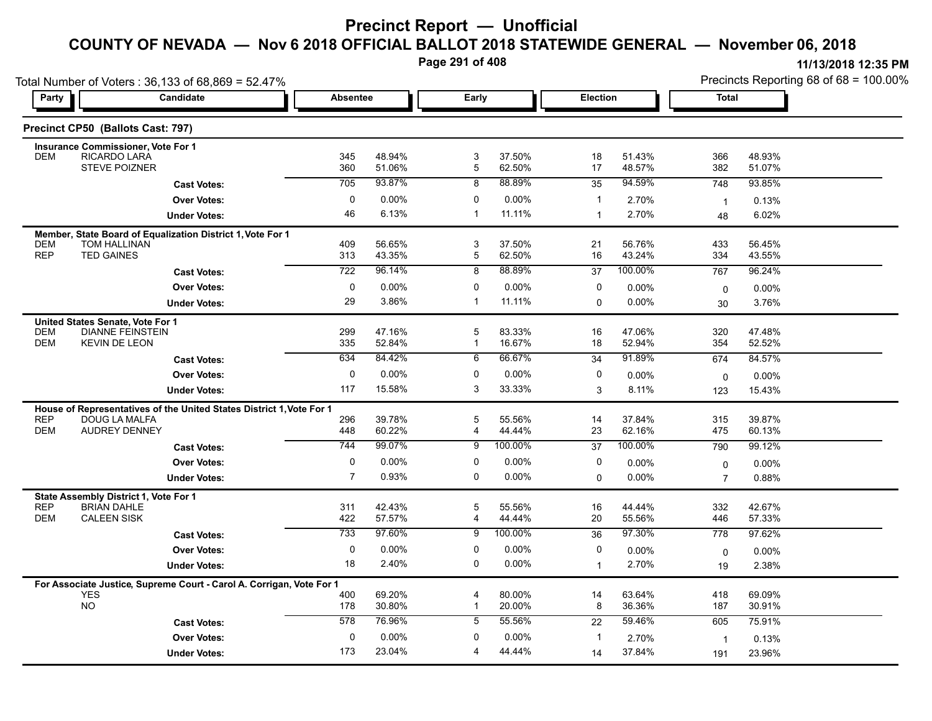**Page 291 of 408**

|                          | Total Number of Voters: 36,133 of 68,869 = 52.47%                                   |                  |                  |                                |                  |                 |                  | Precincts Reporting 68 of 68 = 100.00% |                  |  |
|--------------------------|-------------------------------------------------------------------------------------|------------------|------------------|--------------------------------|------------------|-----------------|------------------|----------------------------------------|------------------|--|
| Party                    | Candidate                                                                           | <b>Absentee</b>  |                  | Early                          |                  | <b>Election</b> |                  | <b>Total</b>                           |                  |  |
|                          | Precinct CP50 (Ballots Cast: 797)                                                   |                  |                  |                                |                  |                 |                  |                                        |                  |  |
|                          | <b>Insurance Commissioner, Vote For 1</b>                                           |                  |                  |                                |                  |                 |                  |                                        |                  |  |
| <b>DEM</b>               | <b>RICARDO LARA</b><br><b>STEVE POIZNER</b>                                         | 345<br>360       | 48.94%<br>51.06% | 3<br>5                         | 37.50%<br>62.50% | 18<br>17        | 51.43%<br>48.57% | 366<br>382                             | 48.93%<br>51.07% |  |
|                          | <b>Cast Votes:</b>                                                                  | 705              | 93.87%           | 8                              | 88.89%           | 35              | 94.59%           | 748                                    | 93.85%           |  |
|                          | <b>Over Votes:</b>                                                                  | 0                | $0.00\%$         | 0                              | $0.00\%$         | $\mathbf{1}$    | 2.70%            | $\overline{1}$                         | 0.13%            |  |
|                          | <b>Under Votes:</b>                                                                 | 46               | 6.13%            | $\mathbf{1}$                   | 11.11%           | $\mathbf{1}$    | 2.70%            | 48                                     | 6.02%            |  |
| <b>DEM</b>               | Member, State Board of Equalization District 1, Vote For 1<br>TOM HALLINAN          | 409              | 56.65%           | 3                              | 37.50%           | 21              | 56.76%           | 433                                    | 56.45%           |  |
| <b>REP</b>               | <b>TED GAINES</b>                                                                   | 313              | 43.35%           | 5                              | 62.50%           | 16              | 43.24%           | 334                                    | 43.55%           |  |
|                          | <b>Cast Votes:</b>                                                                  | 722              | 96.14%           | 8                              | 88.89%           | 37              | 100.00%          | 767                                    | 96.24%           |  |
|                          | <b>Over Votes:</b>                                                                  | $\mathbf 0$      | $0.00\%$         | 0                              | $0.00\%$         | 0               | 0.00%            | 0                                      | 0.00%            |  |
|                          | <b>Under Votes:</b>                                                                 | 29               | 3.86%            | 1                              | 11.11%           | 0               | $0.00\%$         | 30                                     | 3.76%            |  |
| <b>DEM</b><br><b>DEM</b> | United States Senate, Vote For 1<br><b>DIANNE FEINSTEIN</b><br><b>KEVIN DE LEON</b> | 299<br>335       | 47.16%<br>52.84% | 5<br>$\mathbf{1}$              | 83.33%<br>16.67% | 16<br>18        | 47.06%<br>52.94% | 320<br>354                             | 47.48%<br>52.52% |  |
|                          | <b>Cast Votes:</b>                                                                  | 634              | 84.42%           | 6                              | 66.67%           | 34              | 91.89%           | 674                                    | 84.57%           |  |
|                          | <b>Over Votes:</b>                                                                  | 0                | $0.00\%$         | $\mathbf{0}$                   | $0.00\%$         | 0               | 0.00%            | $\mathbf{0}$                           | 0.00%            |  |
|                          | <b>Under Votes:</b>                                                                 | 117              | 15.58%           | 3                              | 33.33%           | 3               | 8.11%            | 123                                    | 15.43%           |  |
|                          | House of Representatives of the United States District 1, Vote For 1                |                  |                  |                                |                  |                 |                  |                                        |                  |  |
| <b>REP</b><br><b>DEM</b> | <b>DOUG LA MALFA</b><br><b>AUDREY DENNEY</b>                                        | 296<br>448       | 39.78%<br>60.22% | 5<br>4                         | 55.56%<br>44.44% | 14<br>23        | 37.84%<br>62.16% | 315<br>475                             | 39.87%<br>60.13% |  |
|                          | <b>Cast Votes:</b>                                                                  | 744              | 99.07%           | 9                              | 100.00%          | 37              | 100.00%          | 790                                    | 99.12%           |  |
|                          | <b>Over Votes:</b>                                                                  | 0                | $0.00\%$         | 0                              | $0.00\%$         | 0               | 0.00%            | 0                                      | $0.00\%$         |  |
|                          | <b>Under Votes:</b>                                                                 | $\overline{7}$   | 0.93%            | $\Omega$                       | $0.00\%$         | 0               | $0.00\%$         | $\overline{7}$                         | 0.88%            |  |
|                          | State Assembly District 1, Vote For 1                                               |                  |                  |                                |                  |                 |                  |                                        |                  |  |
| <b>REP</b><br><b>DEM</b> | <b>BRIAN DAHLE</b><br><b>CALEEN SISK</b>                                            | 311<br>422       | 42.43%<br>57.57% | 5<br>$\overline{4}$            | 55.56%<br>44.44% | 16<br>$20\,$    | 44.44%<br>55.56% | 332<br>446                             | 42.67%<br>57.33% |  |
|                          | <b>Cast Votes:</b>                                                                  | 733              | 97.60%           | 9                              | 100.00%          | 36              | 97.30%           | 778                                    | 97.62%           |  |
|                          | <b>Over Votes:</b>                                                                  | $\mathbf 0$      | $0.00\%$         | $\mathbf 0$                    | 0.00%            | 0               | 0.00%            | 0                                      | $0.00\%$         |  |
|                          | <b>Under Votes:</b>                                                                 | 18               | 2.40%            | 0                              | 0.00%            | $\mathbf{1}$    | 2.70%            | 19                                     | 2.38%            |  |
|                          | For Associate Justice, Supreme Court - Carol A. Corrigan, Vote For 1                |                  |                  |                                |                  |                 |                  |                                        |                  |  |
|                          | <b>YES</b><br>NO.                                                                   | 400<br>178       | 69.20%<br>30.80% | $\overline{4}$<br>$\mathbf{1}$ | 80.00%<br>20.00% | 14<br>8         | 63.64%<br>36.36% | 418<br>187                             | 69.09%<br>30.91% |  |
|                          | <b>Cast Votes:</b>                                                                  | $\overline{578}$ | 76.96%           | 5                              | 55.56%           | 22              | 59.46%           | 605                                    | 75.91%           |  |
|                          | <b>Over Votes:</b>                                                                  | 0                | $0.00\%$         | $\mathbf{0}$                   | $0.00\%$         | $\mathbf{1}$    | 2.70%            | $\overline{\mathbf{1}}$                | 0.13%            |  |
|                          | <b>Under Votes:</b>                                                                 | 173              | 23.04%           | 4                              | 44.44%           | 14              | 37.84%           | 191                                    | 23.96%           |  |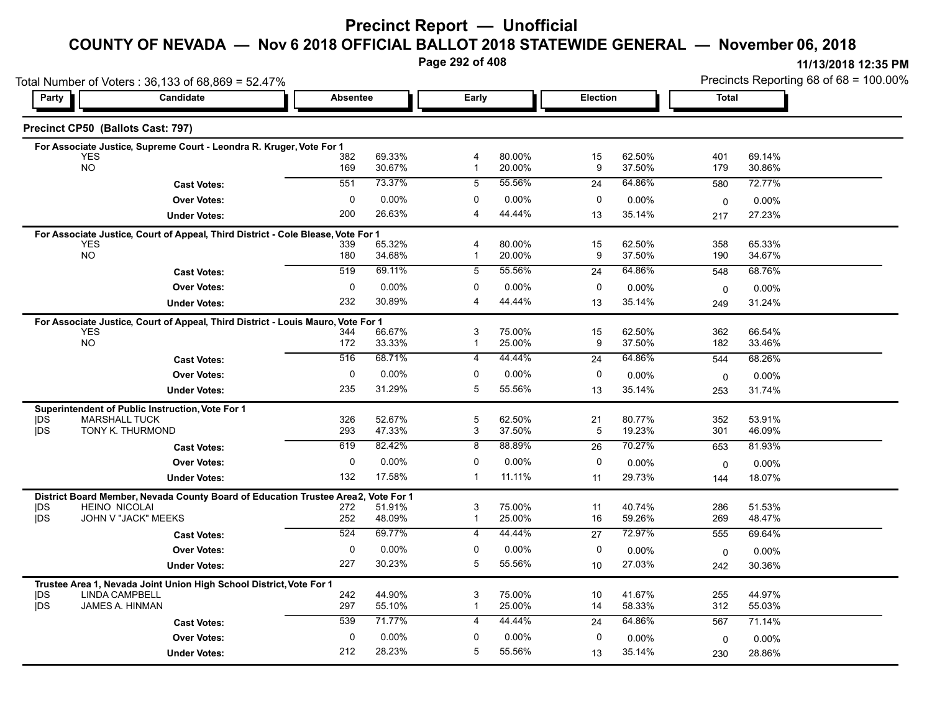### **Precinct Report — Unofficial**

#### **COUNTY OF NEVADA — Nov 6 2018 OFFICIAL BALLOT 2018 STATEWIDE GENERAL — November 06, 2018**

**Page 292 of 408**

|                          | Total Number of Voters: 36,133 of 68,869 = 52.47%                                              |                 |                  |                                |                  |                 |                  |              | Precincts Reporting 68 of 68 = 100.00% |  |  |
|--------------------------|------------------------------------------------------------------------------------------------|-----------------|------------------|--------------------------------|------------------|-----------------|------------------|--------------|----------------------------------------|--|--|
| Party                    | Candidate                                                                                      | <b>Absentee</b> |                  | Early                          |                  | <b>Election</b> |                  | <b>Total</b> |                                        |  |  |
|                          | Precinct CP50 (Ballots Cast: 797)                                                              |                 |                  |                                |                  |                 |                  |              |                                        |  |  |
|                          | For Associate Justice, Supreme Court - Leondra R. Kruger, Vote For 1                           |                 |                  |                                |                  |                 |                  |              |                                        |  |  |
|                          | <b>YES</b><br><b>NO</b>                                                                        | 382<br>169      | 69.33%<br>30.67% | $\overline{4}$<br>$\mathbf{1}$ | 80.00%<br>20.00% | 15<br>9         | 62.50%<br>37.50% | 401<br>179   | 69.14%<br>30.86%                       |  |  |
|                          | <b>Cast Votes:</b>                                                                             | 551             | 73.37%           | 5                              | 55.56%           | 24              | 64.86%           | 580          | 72.77%                                 |  |  |
|                          | <b>Over Votes:</b>                                                                             | $\mathbf 0$     | 0.00%            | $\mathbf{0}$                   | 0.00%            | 0               | $0.00\%$         |              |                                        |  |  |
|                          | <b>Under Votes:</b>                                                                            | 200             | 26.63%           | $\overline{\mathbf{4}}$        | 44.44%           | 13              | 35.14%           | 0<br>217     | 0.00%<br>27.23%                        |  |  |
|                          |                                                                                                |                 |                  |                                |                  |                 |                  |              |                                        |  |  |
|                          | For Associate Justice, Court of Appeal, Third District - Cole Blease, Vote For 1<br><b>YES</b> | 339             | 65.32%           | 4                              | 80.00%           | 15              | 62.50%           | 358          | 65.33%                                 |  |  |
|                          | <b>NO</b>                                                                                      | 180             | 34.68%           | -1                             | 20.00%           | 9               | 37.50%           | 190          | 34.67%                                 |  |  |
|                          | <b>Cast Votes:</b>                                                                             | 519             | 69.11%           | 5                              | 55.56%           | 24              | 64.86%           | 548          | 68.76%                                 |  |  |
|                          | <b>Over Votes:</b>                                                                             | 0               | $0.00\%$         | $\Omega$                       | 0.00%            | 0               | $0.00\%$         | $\mathbf 0$  | $0.00\%$                               |  |  |
|                          | <b>Under Votes:</b>                                                                            | 232             | 30.89%           | $\overline{4}$                 | 44.44%           | 13              | 35.14%           | 249          | 31.24%                                 |  |  |
|                          | For Associate Justice, Court of Appeal, Third District - Louis Mauro, Vote For 1               |                 |                  |                                |                  |                 |                  |              |                                        |  |  |
|                          | <b>YES</b>                                                                                     | 344             | 66.67%           | 3                              | 75.00%           | 15              | 62.50%           | 362          | 66.54%                                 |  |  |
|                          | <b>NO</b>                                                                                      | 172             | 33.33%           | $\mathbf 1$                    | 25.00%           | 9               | 37.50%           | 182          | 33.46%                                 |  |  |
|                          | <b>Cast Votes:</b>                                                                             | 516             | 68.71%           | 4                              | 44.44%           | 24              | 64.86%           | 544          | 68.26%                                 |  |  |
|                          | <b>Over Votes:</b>                                                                             | 0               | $0.00\%$         | 0                              | 0.00%            | 0               | $0.00\%$         | $\mathbf 0$  | 0.00%                                  |  |  |
|                          | <b>Under Votes:</b>                                                                            | 235             | 31.29%           | 5                              | 55.56%           | 13              | 35.14%           | 253          | 31.74%                                 |  |  |
|                          | Superintendent of Public Instruction, Vote For 1                                               |                 |                  |                                |                  |                 |                  |              |                                        |  |  |
| <b>IDS</b>               | <b>MARSHALL TUCK</b>                                                                           | 326             | 52.67%           | 5                              | 62.50%           | 21              | 80.77%           | 352          | 53.91%                                 |  |  |
| <b>IDS</b>               | TONY K. THURMOND                                                                               | 293             | 47.33%           | 3                              | 37.50%           | 5               | 19.23%           | 301          | 46.09%                                 |  |  |
|                          | <b>Cast Votes:</b>                                                                             | 619             | 82.42%           | 8                              | 88.89%           | 26              | 70.27%           | 653          | 81.93%                                 |  |  |
|                          | <b>Over Votes:</b>                                                                             | $\mathbf 0$     | $0.00\%$         | 0                              | 0.00%            | 0               | $0.00\%$         | $\mathbf 0$  | $0.00\%$                               |  |  |
|                          | <b>Under Votes:</b>                                                                            | 132             | 17.58%           | -1                             | 11.11%           | 11              | 29.73%           | 144          | 18.07%                                 |  |  |
|                          | District Board Member, Nevada County Board of Education Trustee Area2,                         |                 | Vote For 1       |                                |                  |                 |                  |              |                                        |  |  |
| <b>IDS</b><br><b>IDS</b> | <b>HEINO NICOLAI</b><br>JOHN V "JACK" MEEKS                                                    | 272<br>252      | 51.91%<br>48.09% | 3<br>$\mathbf{1}$              | 75.00%<br>25.00% | 11<br>16        | 40.74%<br>59.26% | 286<br>269   | 51.53%<br>48.47%                       |  |  |
|                          | <b>Cast Votes:</b>                                                                             | 524             | 69.77%           | 4                              | 44.44%           | $\overline{27}$ | 72.97%           | 555          | 69.64%                                 |  |  |
|                          | <b>Over Votes:</b>                                                                             | $\mathbf 0$     | 0.00%            | $\mathbf 0$                    | 0.00%            | 0               | 0.00%            |              | $0.00\%$                               |  |  |
|                          | <b>Under Votes:</b>                                                                            | 227             | 30.23%           | 5                              | 55.56%           | 10              | 27.03%           | 0<br>242     | 30.36%                                 |  |  |
|                          |                                                                                                |                 |                  |                                |                  |                 |                  |              |                                        |  |  |
| <b>IDS</b>               | Trustee Area 1, Nevada Joint Union High School District, Vote For 1<br><b>LINDA CAMPBELL</b>   | 242             | 44.90%           | 3                              | 75.00%           | 10              | 41.67%           | 255          | 44.97%                                 |  |  |
| <b>IDS</b>               | JAMES A. HINMAN                                                                                | 297             | 55.10%           | $\mathbf{1}$                   | 25.00%           | 14              | 58.33%           | 312          | 55.03%                                 |  |  |
|                          | <b>Cast Votes:</b>                                                                             | 539             | 71.77%           | 4                              | 44.44%           | 24              | 64.86%           | 567          | 71.14%                                 |  |  |
|                          | <b>Over Votes:</b>                                                                             | 0               | 0.00%            | 0                              | 0.00%            | 0               | 0.00%            | 0            | $0.00\%$                               |  |  |
|                          | <b>Under Votes:</b>                                                                            | 212             | 28.23%           | 5                              | 55.56%           | 13              | 35.14%           | 230          | 28.86%                                 |  |  |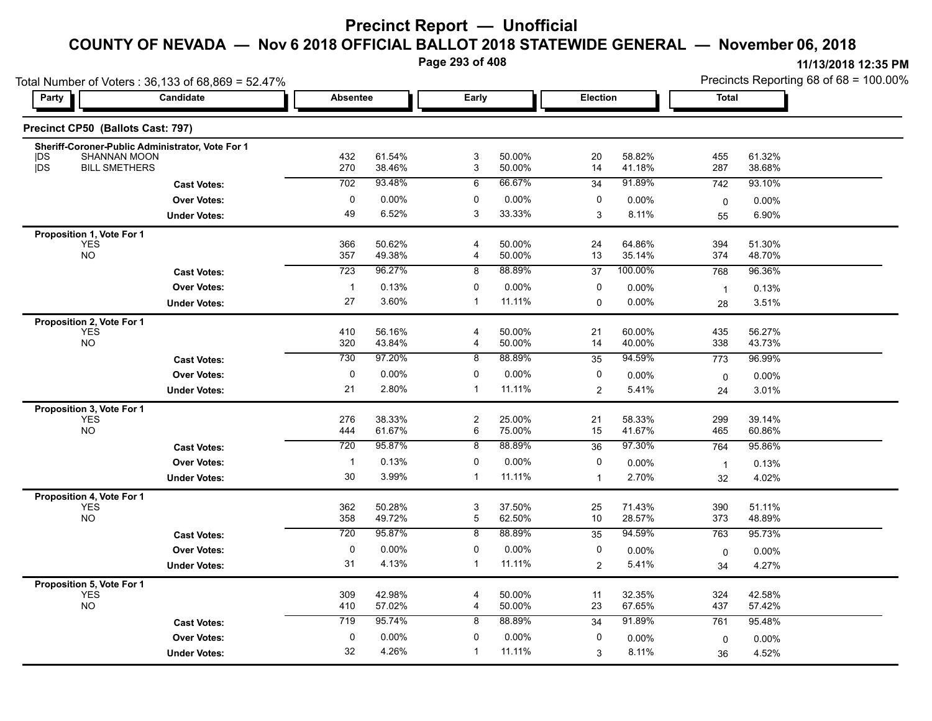**Page 293 of 408**

|                                   | Total Number of Voters: 36,133 of 68,869 = 52.47% |                 | Precincts Reporting 68 of 68 = 100.00% |                           |                  |              |                  |              |                  |
|-----------------------------------|---------------------------------------------------|-----------------|----------------------------------------|---------------------------|------------------|--------------|------------------|--------------|------------------|
| <b>Party</b>                      | Candidate                                         | <b>Absentee</b> |                                        | Early                     |                  | Election     |                  | <b>Total</b> |                  |
| Precinct CP50 (Ballots Cast: 797) |                                                   |                 |                                        |                           |                  |              |                  |              |                  |
|                                   | Sheriff-Coroner-Public Administrator, Vote For 1  |                 |                                        |                           |                  |              |                  |              |                  |
| SHANNAN MOON<br> DS<br><b>jDS</b> |                                                   | 432<br>270      | 61.54%                                 | $\ensuremath{\mathsf{3}}$ | 50.00%           | 20           | 58.82%           | 455          | 61.32%           |
| <b>BILL SMETHERS</b>              |                                                   |                 | 38.46%                                 | 3                         | 50.00%           | 14           | 41.18%           | 287          | 38.68%           |
|                                   | <b>Cast Votes:</b>                                | 702             | 93.48%                                 | 6                         | 66.67%           | 34           | 91.89%           | 742          | 93.10%           |
|                                   | <b>Over Votes:</b>                                | 0               | 0.00%                                  | 0                         | 0.00%            | 0            | 0.00%            | 0            | $0.00\%$         |
|                                   | <b>Under Votes:</b>                               | 49              | 6.52%                                  | 3                         | 33.33%           | 3            | 8.11%            | 55           | 6.90%            |
| Proposition 1, Vote For 1         |                                                   |                 |                                        |                           |                  |              |                  |              |                  |
| <b>YES</b><br><b>NO</b>           |                                                   | 366<br>357      | 50.62%<br>49.38%                       | 4                         | 50.00%<br>50.00% | 24<br>13     | 64.86%<br>35.14% | 394<br>374   | 51.30%<br>48.70% |
|                                   |                                                   |                 |                                        | 4                         |                  |              |                  |              |                  |
|                                   | <b>Cast Votes:</b>                                | 723             | 96.27%                                 | 8                         | 88.89%           | 37           | 100.00%          | 768          | 96.36%           |
|                                   | <b>Over Votes:</b>                                | $\mathbf{1}$    | 0.13%                                  | 0                         | 0.00%            | 0            | 0.00%            | $\mathbf{1}$ | 0.13%            |
|                                   | <b>Under Votes:</b>                               | 27              | 3.60%                                  | $\mathbf{1}$              | 11.11%           | $\Omega$     | 0.00%            | 28           | 3.51%            |
| Proposition 2, Vote For 1         |                                                   |                 |                                        |                           |                  |              |                  |              |                  |
| <b>YES</b>                        |                                                   | 410             | 56.16%                                 | 4                         | 50.00%           | 21           | 60.00%           | 435          | 56.27%           |
| <b>NO</b>                         |                                                   | 320             | 43.84%                                 | 4                         | 50.00%           | 14           | 40.00%           | 338          | 43.73%           |
|                                   | <b>Cast Votes:</b>                                | 730             | 97.20%                                 | 8                         | 88.89%           | 35           | 94.59%           | 773          | 96.99%           |
|                                   | <b>Over Votes:</b>                                | 0               | 0.00%                                  | 0                         | 0.00%            | 0            | 0.00%            | 0            | $0.00\%$         |
|                                   | <b>Under Votes:</b>                               | 21              | 2.80%                                  | $\overline{1}$            | 11.11%           | 2            | 5.41%            | 24           | 3.01%            |
| Proposition 3, Vote For 1         |                                                   |                 |                                        |                           |                  |              |                  |              |                  |
| <b>YES</b>                        |                                                   | 276             | 38.33%                                 | $\overline{c}$            | 25.00%           | 21           | 58.33%           | 299          | 39.14%           |
| <b>NO</b>                         |                                                   | 444             | 61.67%                                 | 6                         | 75.00%           | 15           | 41.67%           | 465          | 60.86%           |
|                                   | <b>Cast Votes:</b>                                | 720             | 95.87%                                 | 8                         | 88.89%           | 36           | 97.30%           | 764          | 95.86%           |
|                                   | <b>Over Votes:</b>                                | $\mathbf{1}$    | 0.13%                                  | 0                         | 0.00%            | 0            | 0.00%            | $\mathbf{1}$ | 0.13%            |
|                                   | <b>Under Votes:</b>                               | 30              | 3.99%                                  | $\mathbf{1}$              | 11.11%           | $\mathbf{1}$ | 2.70%            | 32           | 4.02%            |
| Proposition 4, Vote For 1         |                                                   |                 |                                        |                           |                  |              |                  |              |                  |
| <b>YES</b>                        |                                                   | 362             | 50.28%                                 | 3                         | 37.50%           | 25           | 71.43%           | 390          | 51.11%           |
| <b>NO</b>                         |                                                   | 358             | 49.72%                                 | $\mathbf 5$               | 62.50%           | 10           | 28.57%           | 373          | 48.89%           |
|                                   | <b>Cast Votes:</b>                                | 720             | 95.87%                                 | 8                         | 88.89%           | 35           | 94.59%           | 763          | 95.73%           |
|                                   | <b>Over Votes:</b>                                | 0               | 0.00%                                  | 0                         | $0.00\%$         | 0            | 0.00%            | 0            | $0.00\%$         |
|                                   | <b>Under Votes:</b>                               | 31              | 4.13%                                  | $\mathbf{1}$              | 11.11%           | 2            | 5.41%            | 34           | 4.27%            |
| Proposition 5, Vote For 1         |                                                   |                 |                                        |                           |                  |              |                  |              |                  |
| <b>YES</b>                        |                                                   | 309             | 42.98%                                 | $\overline{4}$            | 50.00%           | 11           | 32.35%           | 324          | 42.58%           |
| <b>NO</b>                         |                                                   | 410             | 57.02%                                 | 4                         | 50.00%           | 23           | 67.65%           | 437          | 57.42%           |
|                                   | <b>Cast Votes:</b>                                | 719             | 95.74%                                 | 8                         | 88.89%           | 34           | 91.89%           | 761          | 95.48%           |
|                                   | <b>Over Votes:</b>                                | $\pmb{0}$       | 0.00%                                  | 0                         | 0.00%            | 0            | 0.00%            | $\mathbf 0$  | 0.00%            |
|                                   | <b>Under Votes:</b>                               | 32              | 4.26%                                  | -1                        | 11.11%           | 3            | 8.11%            | 36           | 4.52%            |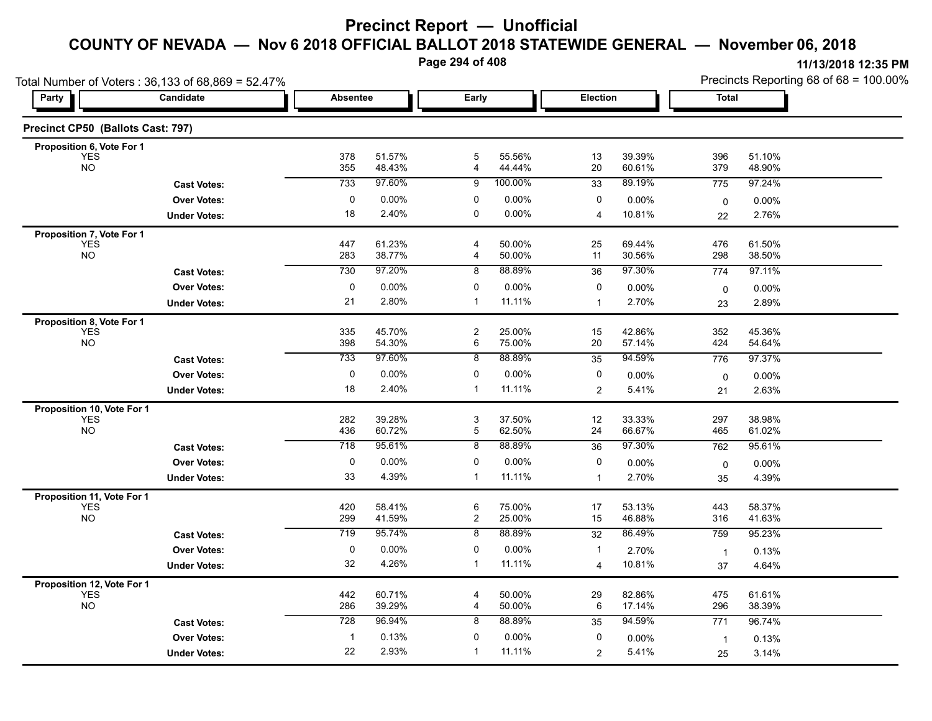**Page 294 of 408**

|                                          | Total Number of Voters: 36,133 of 68,869 = 52.47% |                 |                  |                     |                    |                   |                    | Precincts Reporting 68 of 68 = 100.00% |                  |  |  |  |  |
|------------------------------------------|---------------------------------------------------|-----------------|------------------|---------------------|--------------------|-------------------|--------------------|----------------------------------------|------------------|--|--|--|--|
| Party                                    | Candidate                                         | <b>Absentee</b> |                  | Early               |                    | Election          |                    | Total                                  |                  |  |  |  |  |
| Precinct CP50 (Ballots Cast: 797)        |                                                   |                 |                  |                     |                    |                   |                    |                                        |                  |  |  |  |  |
| Proposition 6, Vote For 1                |                                                   |                 |                  |                     |                    |                   |                    |                                        |                  |  |  |  |  |
| YES<br><b>NO</b>                         |                                                   | 378<br>355      | 51.57%<br>48.43% | 5<br>$\overline{4}$ | 55.56%<br>44.44%   | 13<br>20          | 39.39%<br>60.61%   | 396<br>379                             | 51.10%<br>48.90% |  |  |  |  |
|                                          | <b>Cast Votes:</b>                                | 733             | 97.60%           | 9                   | 100.00%            | 33                | 89.19%             | 775                                    | 97.24%           |  |  |  |  |
|                                          |                                                   | 0               | $0.00\%$         | 0                   | $0.00\%$           | 0                 |                    |                                        |                  |  |  |  |  |
|                                          | <b>Over Votes:</b>                                |                 | 2.40%            | 0                   | $0.00\%$           |                   | $0.00\%$<br>10.81% | $\mathsf{O}$                           | 0.00%            |  |  |  |  |
|                                          | <b>Under Votes:</b>                               | 18              |                  |                     |                    | $\overline{4}$    |                    | 22                                     | 2.76%            |  |  |  |  |
| Proposition 7, Vote For 1                |                                                   |                 | 61.23%           | $\overline{4}$      |                    |                   | 69.44%             |                                        | 61.50%           |  |  |  |  |
| YES<br>NO                                |                                                   | 447<br>283      | 38.77%           | 4                   | 50.00%<br>50.00%   | 25<br>11          | 30.56%             | 476<br>298                             | 38.50%           |  |  |  |  |
|                                          | <b>Cast Votes:</b>                                | 730             | 97.20%           | 8                   | 88.89%             | 36                | 97.30%             | 774                                    | 97.11%           |  |  |  |  |
|                                          | <b>Over Votes:</b>                                | 0               | $0.00\%$         | 0                   | 0.00%              | 0                 | 0.00%              |                                        | 0.00%            |  |  |  |  |
|                                          | <b>Under Votes:</b>                               | 21              | 2.80%            | $\mathbf{1}$        | 11.11%             | -1                | 2.70%              | $\pmb{0}$<br>23                        | 2.89%            |  |  |  |  |
|                                          |                                                   |                 |                  |                     |                    |                   |                    |                                        |                  |  |  |  |  |
| Proposition 8, Vote For 1<br><b>YES</b>  |                                                   | 335             | 45.70%           | $\overline{c}$      | 25.00%             | 15                | 42.86%             | 352                                    | 45.36%           |  |  |  |  |
| <b>NO</b>                                |                                                   | 398             | 54.30%           | 6                   | 75.00%             | 20                | 57.14%             | 424                                    | 54.64%           |  |  |  |  |
|                                          | <b>Cast Votes:</b>                                | 733             | 97.60%           | 8                   | 88.89%             | $\overline{35}$   | 94.59%             | 776                                    | 97.37%           |  |  |  |  |
|                                          | <b>Over Votes:</b>                                | 0               | 0.00%            | 0                   | $0.00\%$           | 0                 | 0.00%              | $\mathsf 0$                            | 0.00%            |  |  |  |  |
|                                          | <b>Under Votes:</b>                               | 18              | 2.40%            | $\mathbf{1}$        | 11.11%             | $\overline{2}$    | 5.41%              | 21                                     | 2.63%            |  |  |  |  |
| Proposition 10, Vote For 1               |                                                   |                 |                  |                     |                    |                   |                    |                                        |                  |  |  |  |  |
| YES<br>NO                                |                                                   | 282             | 39.28%           | 3                   | 37.50%             | 12                | 33.33%             | 297                                    | 38.98%           |  |  |  |  |
|                                          |                                                   | 436             | 60.72%           | 5                   | 62.50%             | 24                | 66.67%             | 465                                    | 61.02%           |  |  |  |  |
|                                          | <b>Cast Votes:</b>                                | 718             | 95.61%           | 8                   | 88.89%             | 36                | 97.30%             | 762                                    | 95.61%           |  |  |  |  |
|                                          | <b>Over Votes:</b>                                | 0               | 0.00%            | 0                   | $0.00\%$           | 0                 | $0.00\%$           | $\mathsf 0$                            | 0.00%            |  |  |  |  |
|                                          | <b>Under Votes:</b>                               | 33              | 4.39%            | $\mathbf 1$         | 11.11%             | $\mathbf 1$       | 2.70%              | 35                                     | 4.39%            |  |  |  |  |
| Proposition 11, Vote For 1               |                                                   |                 |                  |                     |                    |                   |                    |                                        |                  |  |  |  |  |
| <b>YES</b>                               |                                                   | 420             | 58.41%           | 6                   | 75.00%             | 17                | 53.13%             | 443                                    | 58.37%           |  |  |  |  |
| $NO$                                     |                                                   | 299             | 41.59%           | $\overline{a}$      | 25.00%             | 15                | 46.88%             | 316                                    | 41.63%           |  |  |  |  |
|                                          | <b>Cast Votes:</b>                                | 719             | 95.74%           | 8                   | 88.89%             | 32                | 86.49%             | 759                                    | 95.23%           |  |  |  |  |
|                                          | <b>Over Votes:</b>                                | 0               | $0.00\%$         | 0                   | $0.00\%$           |                   | 2.70%              | $\overline{1}$                         | 0.13%            |  |  |  |  |
|                                          | <b>Under Votes:</b>                               | 32              | 4.26%            | $\mathbf{1}$        | 11.11%             | $\overline{4}$    | 10.81%             | 37                                     | 4.64%            |  |  |  |  |
| <b>Proposition 12, Vote For 1</b><br>YES |                                                   |                 |                  |                     |                    |                   |                    |                                        |                  |  |  |  |  |
| <b>NO</b>                                |                                                   | 442<br>286      | 60.71%<br>39.29% | $\overline{4}$<br>4 | 50.00%<br>50.00%   | 29<br>6           | 82.86%<br>17.14%   | 475<br>296                             | 61.61%<br>38.39% |  |  |  |  |
|                                          |                                                   | 728             | 96.94%           | 8                   | 88.89%             |                   | 94.59%             | 771                                    | 96.74%           |  |  |  |  |
|                                          | <b>Cast Votes:</b>                                |                 | 0.13%            | $\mathbf 0$         |                    | 35<br>$\mathbf 0$ |                    |                                        |                  |  |  |  |  |
|                                          | Over Votes:                                       | 22              | 2.93%            | -1                  | $0.00\%$<br>11.11% |                   | 0.00%              | $\overline{1}$                         | 0.13%            |  |  |  |  |
|                                          | <b>Under Votes:</b>                               |                 |                  |                     |                    | $\overline{2}$    | 5.41%              | 25                                     | 3.14%            |  |  |  |  |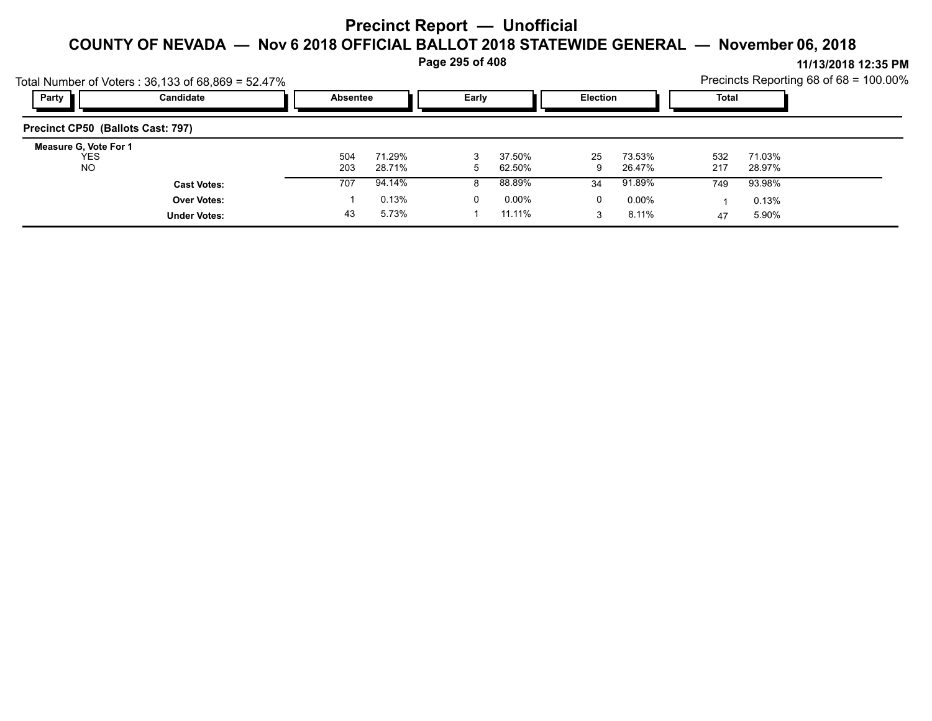#### **Page 295 of 408**

|                                   | Total Number of Voters: 36,133 of 68,869 = 52.47% |                 |                  |       |                  |          |                  |            |                  | Precincts Reporting 68 of $68 = 100.00\%$ |
|-----------------------------------|---------------------------------------------------|-----------------|------------------|-------|------------------|----------|------------------|------------|------------------|-------------------------------------------|
| Party                             | Candidate                                         | <b>Absentee</b> |                  | Early |                  | Election |                  | Total      |                  |                                           |
| Precinct CP50 (Ballots Cast: 797) |                                                   |                 |                  |       |                  |          |                  |            |                  |                                           |
| <b>Measure G. Vote For 1</b>      |                                                   |                 |                  |       |                  |          |                  |            |                  |                                           |
| <b>YES</b><br>NO                  |                                                   | 504<br>203      | 71.29%<br>28.71% | 5     | 37.50%<br>62.50% | 25<br>9  | 73.53%<br>26.47% | 532<br>217 | 71.03%<br>28.97% |                                           |
|                                   | <b>Cast Votes:</b>                                | 707             | 94.14%           |       | 88.89%           | 34       | 91.89%           | 749        | 93.98%           |                                           |
|                                   | <b>Over Votes:</b>                                |                 | 0.13%            | 0     | 0.00%            | 0        | $0.00\%$         |            | 0.13%            |                                           |
|                                   | <b>Under Votes:</b>                               | 43              | 5.73%            |       | 11.11%           |          | 8.11%            | 47         | 5.90%            |                                           |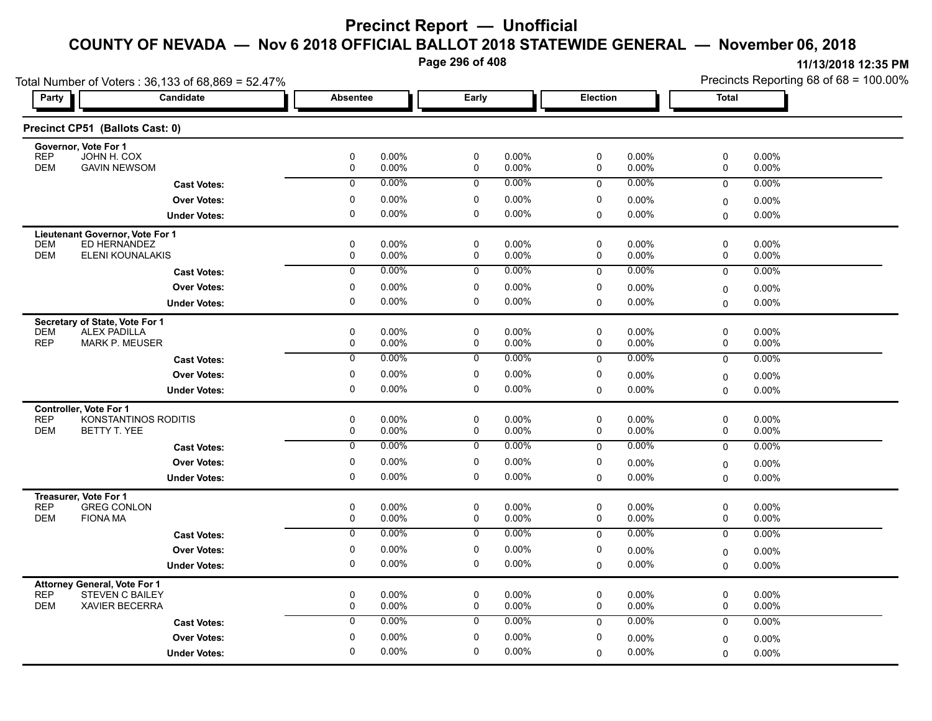**Page 296 of 408**

|                                                                             | Total Number of Voters: 36,133 of 68,869 = 52.47% |                 |                |                     |                   |             |                | Precincts Reporting 68 of 68 = 100.00% |                |  |
|-----------------------------------------------------------------------------|---------------------------------------------------|-----------------|----------------|---------------------|-------------------|-------------|----------------|----------------------------------------|----------------|--|
| <b>Party</b>                                                                | Candidate                                         | <b>Absentee</b> |                | Early               |                   | Election    |                | <b>Total</b>                           |                |  |
| Precinct CP51 (Ballots Cast: 0)                                             |                                                   |                 |                |                     |                   |             |                |                                        |                |  |
| Governor, Vote For 1<br><b>REP</b><br>JOHN H. COX                           |                                                   | 0               | 0.00%          | 0                   | 0.00%             | 0           | 0.00%          | 0                                      | 0.00%          |  |
| <b>DEM</b><br><b>GAVIN NEWSOM</b>                                           |                                                   | 0               | 0.00%          | 0                   | 0.00%             | 0           | 0.00%          | 0                                      | 0.00%          |  |
|                                                                             | <b>Cast Votes:</b>                                | 0               | 0.00%          | 0                   | $0.00\%$          | 0           | 0.00%          | 0                                      | 0.00%          |  |
|                                                                             | <b>Over Votes:</b>                                | $\pmb{0}$       | 0.00%          | 0                   | 0.00%             | 0           | 0.00%          | $\mathbf 0$                            | $0.00\%$       |  |
|                                                                             | <b>Under Votes:</b>                               | $\mathbf 0$     | 0.00%          | $\mathbf 0$         | 0.00%             | 0           | 0.00%          | $\Omega$                               | 0.00%          |  |
| Lieutenant Governor, Vote For 1                                             |                                                   |                 |                |                     |                   |             |                |                                        |                |  |
| <b>DEM</b><br>ED HERNANDEZ<br><b>DEM</b>                                    |                                                   | $\mathbf 0$     | 0.00%          | $\mathbf 0$         | $0.00\%$          | 0           | $0.00\%$       | 0                                      | 0.00%          |  |
|                                                                             | ELENI KOUNALAKIS                                  | 0               | 0.00%<br>0.00% | $\mathbf 0$         | 0.00%<br>0.00%    | 0           | 0.00%<br>0.00% | 0                                      | 0.00%          |  |
|                                                                             | <b>Cast Votes:</b>                                | $\overline{0}$  |                | 0                   |                   | $\mathbf 0$ |                | $\mathbf 0$                            | 0.00%          |  |
|                                                                             | <b>Over Votes:</b>                                | $\pmb{0}$       | 0.00%          | 0                   | 0.00%             | 0           | 0.00%          | $\mathbf 0$                            | 0.00%          |  |
|                                                                             | <b>Under Votes:</b>                               | $\mathbf 0$     | 0.00%          | $\mathbf 0$         | 0.00%             | 0           | 0.00%          | $\Omega$                               | $0.00\%$       |  |
| Secretary of State, Vote For 1<br><b>ALEX PADILLA</b>                       |                                                   | $\pmb{0}$       |                | 0                   |                   | 0           |                | 0                                      |                |  |
| <b>DEM</b><br><b>REP</b><br><b>MARK P. MEUSER</b>                           |                                                   | 0               | 0.00%<br>0.00% | 0                   | $0.00\%$<br>0.00% | 0           | 0.00%<br>0.00% | 0                                      | 0.00%<br>0.00% |  |
|                                                                             | <b>Cast Votes:</b>                                | $\overline{0}$  | $0.00\%$       | 0                   | $0.00\%$          | 0           | 0.00%          | $\mathbf 0$                            | 0.00%          |  |
|                                                                             | <b>Over Votes:</b>                                | 0               | 0.00%          | $\mathbf 0$         | 0.00%             | 0           | 0.00%          | 0                                      | 0.00%          |  |
|                                                                             | <b>Under Votes:</b>                               | 0               | 0.00%          | 0                   | $0.00\%$          | 0           | 0.00%          | $\mathbf 0$                            | $0.00\%$       |  |
| <b>Controller. Vote For 1</b>                                               |                                                   |                 |                |                     |                   |             |                |                                        |                |  |
| <b>REP</b>                                                                  | KONSTANTINOS RODITIS                              | $\pmb{0}$       | 0.00%          | 0                   | 0.00%             | 0           | 0.00%          | 0                                      | 0.00%          |  |
| <b>DEM</b><br>BETTY T. YEE                                                  |                                                   | 0               | 0.00%          | 0                   | $0.00\%$          | 0           | 0.00%          | 0                                      | 0.00%          |  |
|                                                                             | <b>Cast Votes:</b>                                | 0               | 0.00%          | 0                   | $0.00\%$          | 0           | 0.00%          | $\mathbf 0$                            | 0.00%          |  |
|                                                                             | <b>Over Votes:</b>                                | 0               | 0.00%          | 0                   | 0.00%             | 0           | 0.00%          | $\mathbf 0$                            | 0.00%          |  |
|                                                                             | <b>Under Votes:</b>                               | $\mathbf 0$     | 0.00%          | 0                   | 0.00%             | 0           | 0.00%          | $\Omega$                               | 0.00%          |  |
| Treasurer, Vote For 1                                                       |                                                   |                 |                |                     |                   |             |                |                                        |                |  |
| <b>REP</b><br><b>GREG CONLON</b><br><b>DEM</b><br><b>FIONA MA</b>           |                                                   | 0<br>$\pmb{0}$  | 0.00%<br>0.00% | $\pmb{0}$<br>0      | 0.00%<br>0.00%    | 0<br>0      | 0.00%<br>0.00% | 0<br>0                                 | 0.00%<br>0.00% |  |
|                                                                             | <b>Cast Votes:</b>                                | 0               | $0.00\%$       | 0                   | $0.00\%$          | 0           | 0.00%          | $\mathbf 0$                            | 0.00%          |  |
|                                                                             | <b>Over Votes:</b>                                | $\pmb{0}$       | 0.00%          | 0                   | $0.00\%$          | 0           |                |                                        |                |  |
|                                                                             | <b>Under Votes:</b>                               | 0               | 0.00%          | 0                   | 0.00%             | 0           | 0.00%<br>0.00% | $\mathbf 0$<br>$\Omega$                | 0.00%<br>0.00% |  |
|                                                                             |                                                   |                 |                |                     |                   |             |                |                                        |                |  |
| <b>Attorney General, Vote For 1</b><br><b>REP</b><br><b>STEVEN C BAILEY</b> |                                                   | $\mathbf 0$     | 0.00%          | 0                   | 0.00%             | $\mathbf 0$ | $0.00\%$       | 0                                      | $0.00\%$       |  |
| <b>DEM</b><br><b>XAVIER BECERRA</b>                                         |                                                   | 0               | 0.00%          | $\mathsf{O}\xspace$ | 0.00%             | $\mathbf 0$ | 0.00%          | $\mathbf 0$                            | 0.00%          |  |
|                                                                             | <b>Cast Votes:</b>                                | $\mathbf 0$     | 0.00%          | 0                   | $0.00\%$          | $\mathbf 0$ | 0.00%          | 0                                      | $0.00\%$       |  |
|                                                                             | <b>Over Votes:</b>                                | 0               | 0.00%          | $\mathbf 0$         | $0.00\%$          | 0           | 0.00%          | $\mathbf 0$                            | 0.00%          |  |
|                                                                             | <b>Under Votes:</b>                               | $\mathbf 0$     | 0.00%          | $\mathbf 0$         | 0.00%             | $\Omega$    | 0.00%          | $\mathbf 0$                            | $0.00\%$       |  |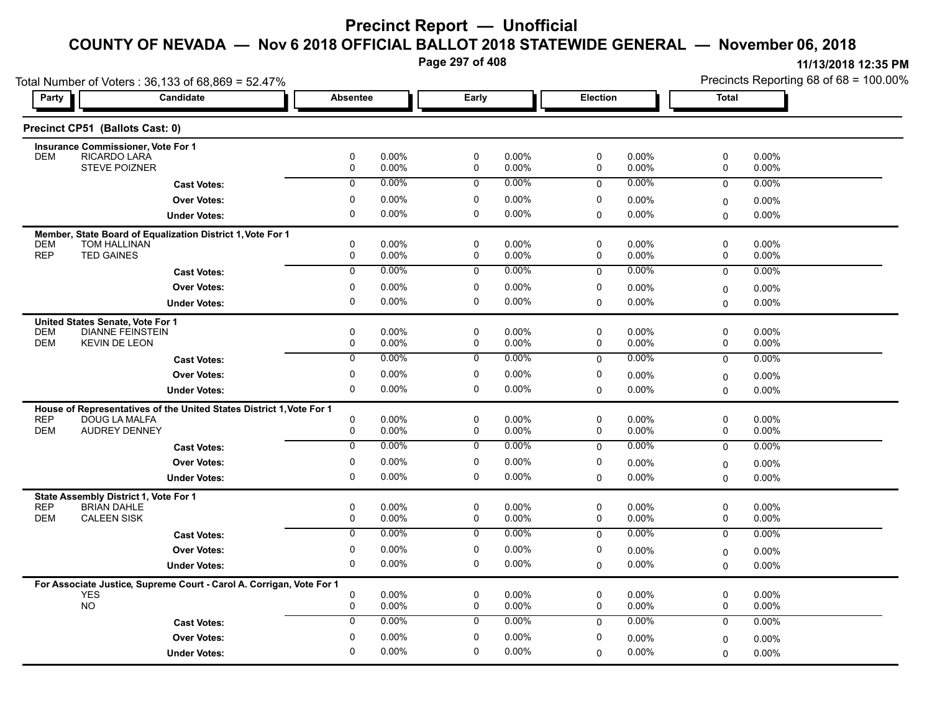**Page 297 of 408**

|                                                                      | Total Number of Voters: 36,133 of 68,869 = 52.47%                                     |                  |                   |                            |                |                  |                   | Precincts Reporting 68 of 68 = 100.00% |                   |  |
|----------------------------------------------------------------------|---------------------------------------------------------------------------------------|------------------|-------------------|----------------------------|----------------|------------------|-------------------|----------------------------------------|-------------------|--|
| Party                                                                | Candidate                                                                             | <b>Absentee</b>  |                   | Early                      |                | Election         |                   | Total                                  |                   |  |
| Precinct CP51 (Ballots Cast: 0)                                      |                                                                                       |                  |                   |                            |                |                  |                   |                                        |                   |  |
| <b>Insurance Commissioner, Vote For 1</b>                            |                                                                                       |                  |                   |                            |                |                  |                   |                                        |                   |  |
| <b>DEM</b>                                                           | RICARDO LARA<br><b>STEVE POIZNER</b>                                                  | 0<br>0           | 0.00%<br>0.00%    | $\mathbf 0$<br>0           | 0.00%<br>0.00% | 0<br>0           | 0.00%<br>0.00%    | 0<br>0                                 | 0.00%<br>0.00%    |  |
|                                                                      | <b>Cast Votes:</b>                                                                    | $\mathbf 0$      | 0.00%             | $\mathbf 0$                | $0.00\%$       | 0                | $0.00\%$          | 0                                      | 0.00%             |  |
|                                                                      |                                                                                       | 0                | 0.00%             | 0                          | 0.00%          | 0                |                   |                                        |                   |  |
|                                                                      | <b>Over Votes:</b>                                                                    | 0                | $0.00\%$          | $\mathbf 0$                | 0.00%          |                  | 0.00%<br>0.00%    | 0                                      | 0.00%             |  |
|                                                                      | <b>Under Votes:</b>                                                                   |                  |                   |                            |                | 0                |                   | 0                                      | 0.00%             |  |
|                                                                      | Member, State Board of Equalization District 1, Vote For 1                            |                  |                   |                            |                |                  |                   |                                        |                   |  |
| <b>DEM</b><br><b>REP</b><br><b>TED GAINES</b>                        | <b>TOM HALLINAN</b>                                                                   | 0<br>0           | 0.00%<br>0.00%    | $\mathbf 0$<br>$\mathbf 0$ | 0.00%<br>0.00% | $\mathbf 0$<br>0 | 0.00%<br>0.00%    | 0<br>0                                 | 0.00%<br>0.00%    |  |
|                                                                      | <b>Cast Votes:</b>                                                                    | $\Omega$         | 0.00%             | $\mathbf 0$                | $0.00\%$       | $\mathbf 0$      | 0.00%             | 0                                      | $0.00\%$          |  |
|                                                                      | <b>Over Votes:</b>                                                                    | 0                | $0.00\%$          | 0                          | 0.00%          | 0                | 0.00%             |                                        |                   |  |
|                                                                      | <b>Under Votes:</b>                                                                   | 0                | $0.00\%$          | 0                          | 0.00%          | $\Omega$         | $0.00\%$          | 0                                      | 0.00%<br>0.00%    |  |
|                                                                      |                                                                                       |                  |                   |                            |                |                  |                   | $\Omega$                               |                   |  |
| United States Senate, Vote For 1                                     | <b>DIANNE FEINSTEIN</b>                                                               |                  | $0.00\%$          | $\mathbf 0$                | 0.00%          | $\mathbf 0$      |                   |                                        |                   |  |
| <b>DEM</b><br><b>DEM</b>                                             | <b>KEVIN DE LEON</b>                                                                  | 0<br>0           | 0.00%             | $\mathbf 0$                | 0.00%          | 0                | 0.00%<br>0.00%    | 0<br>0                                 | 0.00%<br>$0.00\%$ |  |
|                                                                      | <b>Cast Votes:</b>                                                                    | 0                | $0.00\%$          | 0                          | 0.00%          | 0                | 0.00%             | 0                                      | 0.00%             |  |
|                                                                      | <b>Over Votes:</b>                                                                    | 0                | $0.00\%$          | 0                          | 0.00%          | 0                | $0.00\%$          |                                        |                   |  |
|                                                                      |                                                                                       | 0                | 0.00%             | 0                          | 0.00%          | 0                | 0.00%             | 0                                      | 0.00%             |  |
|                                                                      | <b>Under Votes:</b>                                                                   |                  |                   |                            |                |                  |                   | $\Omega$                               | 0.00%             |  |
| <b>REP</b>                                                           | House of Representatives of the United States District 1, Vote For 1<br>DOUG LA MALFA | 0                |                   | $\mathbf 0$                | 0.00%          | $\mathbf 0$      | 0.00%             | $\pmb{0}$                              | 0.00%             |  |
| <b>DEM</b>                                                           | <b>AUDREY DENNEY</b>                                                                  | 0                | $0.00\%$<br>0.00% | $\mathbf 0$                | 0.00%          | $\mathbf 0$      | $0.00\%$          | 0                                      | 0.00%             |  |
|                                                                      | <b>Cast Votes:</b>                                                                    | $\mathbf 0$      | 0.00%             | $\mathbf 0$                | 0.00%          | $\mathbf 0$      | 0.00%             | $\mathbf 0$                            | 0.00%             |  |
|                                                                      | <b>Over Votes:</b>                                                                    | 0                | 0.00%             | 0                          | $0.00\%$       | 0                |                   |                                        |                   |  |
|                                                                      |                                                                                       | 0                | 0.00%             | 0                          | 0.00%          | $\Omega$         | 0.00%<br>$0.00\%$ | 0                                      | 0.00%             |  |
|                                                                      | <b>Under Votes:</b>                                                                   |                  |                   |                            |                |                  |                   | $\Omega$                               | $0.00\%$          |  |
|                                                                      | State Assembly District 1, Vote For 1                                                 |                  |                   |                            |                |                  |                   |                                        |                   |  |
| <b>REP</b><br><b>BRIAN DAHLE</b><br><b>CALEEN SISK</b><br><b>DEM</b> |                                                                                       | 0<br>$\mathbf 0$ | 0.00%<br>0.00%    | 0<br>$\mathbf 0$           | 0.00%<br>0.00% | 0<br>0           | $0.00\%$<br>0.00% | 0<br>0                                 | 0.00%<br>0.00%    |  |
|                                                                      | <b>Cast Votes:</b>                                                                    | $\overline{0}$   | 0.00%             | $\overline{0}$             | 0.00%          | $\mathbf 0$      | 0.00%             | $\mathbf 0$                            | $0.00\%$          |  |
|                                                                      | <b>Over Votes:</b>                                                                    | 0                | $0.00\%$          | $\mathbf 0$                | 0.00%          | 0                | $0.00\%$          |                                        |                   |  |
|                                                                      |                                                                                       | 0                | 0.00%             | 0                          | 0.00%          |                  | 0.00%             | 0                                      | 0.00%             |  |
|                                                                      | <b>Under Votes:</b>                                                                   |                  |                   |                            |                | $\mathbf 0$      |                   | 0                                      | $0.00\%$          |  |
|                                                                      | For Associate Justice, Supreme Court - Carol A. Corrigan, Vote For 1                  |                  |                   |                            |                |                  |                   |                                        |                   |  |
| <b>YES</b><br><b>NO</b>                                              |                                                                                       | 0<br>$\mathbf 0$ | 0.00%<br>0.00%    | 0<br>$\mathbf 0$           | 0.00%<br>0.00% | 0<br>$\mathbf 0$ | $0.00\%$<br>0.00% | 0<br>0                                 | 0.00%<br>0.00%    |  |
|                                                                      | <b>Cast Votes:</b>                                                                    | $\mathbf 0$      | 0.00%             | $\mathbf 0$                | $0.00\%$       | $\mathbf{0}$     | $0.00\%$          | $\mathbf 0$                            | 0.00%             |  |
|                                                                      |                                                                                       | 0                | $0.00\%$          | 0                          | 0.00%          | 0                |                   |                                        |                   |  |
|                                                                      | <b>Over Votes:</b>                                                                    |                  |                   |                            |                |                  | 0.00%             | 0                                      | $0.00\%$          |  |
|                                                                      | <b>Under Votes:</b>                                                                   | $\Omega$         | 0.00%             | 0                          | 0.00%          | 0                | 0.00%             | 0                                      | $0.00\%$          |  |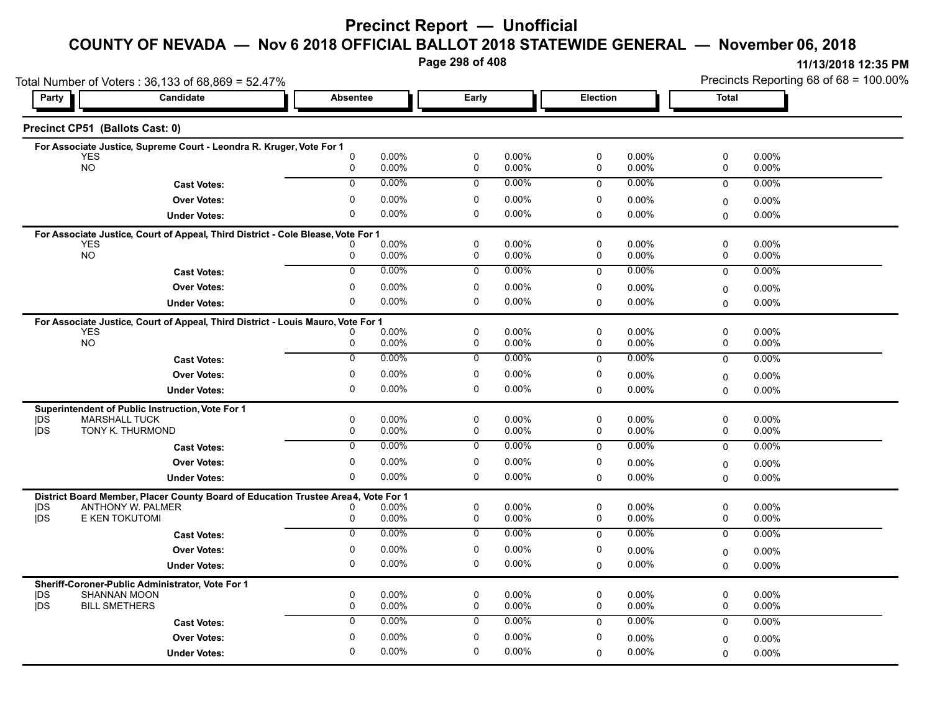### **Precinct Report — Unofficial**

# **COUNTY OF NEVADA — Nov 6 2018 OFFICIAL BALLOT 2018 STATEWIDE GENERAL — November 06, 2018**

**Page 298 of 408**

|                          | Total Number of Voters: 36,133 of 68,869 = 52.47%                                 |                 |                   |                            | Precincts Reporting 68 of 68 = 100.00% |                 |                   |              |                   |
|--------------------------|-----------------------------------------------------------------------------------|-----------------|-------------------|----------------------------|----------------------------------------|-----------------|-------------------|--------------|-------------------|
| Party                    | Candidate                                                                         | <b>Absentee</b> |                   | Early                      |                                        | <b>Election</b> |                   | <b>Total</b> |                   |
|                          | Precinct CP51 (Ballots Cast: 0)                                                   |                 |                   |                            |                                        |                 |                   |              |                   |
|                          | For Associate Justice, Supreme Court - Leondra R. Kruger, Vote For 1              |                 |                   |                            |                                        |                 |                   |              |                   |
| <b>YES</b><br><b>NO</b>  |                                                                                   | 0<br>0          | 0.00%<br>0.00%    | $\mathbf 0$<br>$\mathbf 0$ | 0.00%<br>0.00%                         | 0<br>0          | 0.00%<br>0.00%    | 0<br>0       | 0.00%<br>0.00%    |
|                          | <b>Cast Votes:</b>                                                                | $\Omega$        | $0.00\%$          | $\Omega$                   | $0.00\%$                               | $\mathbf 0$     | $0.00\%$          | 0            | 0.00%             |
|                          | <b>Over Votes:</b>                                                                | $\mathbf{0}$    | 0.00%             | $\mathbf 0$                | 0.00%                                  | 0               | $0.00\%$          |              |                   |
|                          |                                                                                   | $\Omega$        | 0.00%             | 0                          | $0.00\%$                               | $\Omega$        | $0.00\%$          | 0            | 0.00%<br>0.00%    |
|                          | <b>Under Votes:</b>                                                               |                 |                   |                            |                                        |                 |                   | 0            |                   |
| <b>YES</b>               | For Associate Justice, Court of Appeal, Third District - Cole Blease, Vote For 1  |                 | 0.00%             | $\mathbf 0$                | 0.00%                                  | 0               | 0.00%             | 0            | 0.00%             |
| NO <sub>1</sub>          |                                                                                   | 0               | $0.00\%$          | 0                          | 0.00%                                  | $\mathbf 0$     | $0.00\%$          | 0            | $0.00\%$          |
|                          | <b>Cast Votes:</b>                                                                | $\overline{0}$  | 0.00%             | $\mathbf 0$                | $0.00\%$                               | $\mathbf 0$     | $0.00\%$          | $\mathbf 0$  | 0.00%             |
|                          | <b>Over Votes:</b>                                                                | 0               | $0.00\%$          | 0                          | 0.00%                                  | 0               | 0.00%             | 0            | 0.00%             |
|                          | <b>Under Votes:</b>                                                               | 0               | 0.00%             | $\mathbf 0$                | 0.00%                                  | $\Omega$        | 0.00%             | $\Omega$     | 0.00%             |
|                          | For Associate Justice, Court of Appeal, Third District - Louis Mauro, Vote For 1  |                 |                   |                            |                                        |                 |                   |              |                   |
| <b>YES</b>               |                                                                                   |                 | $0.00\%$          | 0                          | 0.00%                                  | $\mathbf 0$     | $0.00\%$          | 0            | $0.00\%$          |
| <b>NO</b>                |                                                                                   | 0               | $0.00\%$          | $\mathbf 0$                | 0.00%                                  | 0               | $0.00\%$          | 0            | $0.00\%$          |
|                          | <b>Cast Votes:</b>                                                                | $\overline{0}$  | 0.00%             | 0                          | 0.00%                                  | $\mathbf 0$     | $0.00\%$          | $\mathbf 0$  | $0.00\%$          |
|                          | <b>Over Votes:</b>                                                                | 0               | 0.00%             | 0                          | 0.00%                                  | 0               | 0.00%             | $\Omega$     | 0.00%             |
|                          | <b>Under Votes:</b>                                                               | 0               | 0.00%             | 0                          | 0.00%                                  | $\mathbf 0$     | 0.00%             | $\Omega$     | $0.00\%$          |
|                          | Superintendent of Public Instruction, Vote For 1                                  |                 |                   |                            |                                        |                 |                   |              |                   |
| DS                       | <b>MARSHALL TUCK</b>                                                              | 0               | 0.00%             | $\mathbf 0$                | 0.00%                                  | 0               | $0.00\%$          | 0            | 0.00%             |
| <b>jDS</b>               | TONY K. THURMOND                                                                  | 0               | 0.00%             | $\mathbf 0$                | 0.00%                                  | $\mathbf 0$     | $0.00\%$          | 0            | $0.00\%$          |
|                          | <b>Cast Votes:</b>                                                                | $\overline{0}$  | 0.00%             | 0                          | 0.00%                                  | $\mathbf 0$     | $0.00\%$          | 0            | 0.00%             |
|                          | <b>Over Votes:</b>                                                                | 0               | 0.00%             | $\mathbf 0$                | 0.00%                                  | 0               | $0.00\%$          | 0            | $0.00\%$          |
|                          | <b>Under Votes:</b>                                                               | $\Omega$        | $0.00\%$          | 0                          | 0.00%                                  | $\mathbf 0$     | 0.00%             | $\Omega$     | 0.00%             |
|                          | District Board Member, Placer County Board of Education Trustee Area4, Vote For 1 |                 |                   |                            |                                        |                 |                   |              |                   |
| <b>IDS</b><br><b>IDS</b> | <b>ANTHONY W. PALMER</b><br>E KEN TOKUTOMI                                        | 0               | $0.00\%$<br>0.00% | 0<br>$\mathsf 0$           | 0.00%<br>0.00%                         | 0<br>0          | $0.00\%$<br>0.00% | 0<br>0       | $0.00\%$<br>0.00% |
|                          |                                                                                   | $\overline{0}$  | 0.00%             | $\overline{0}$             | $0.00\%$                               |                 | 0.00%             |              | 0.00%             |
|                          | <b>Cast Votes:</b>                                                                |                 |                   |                            |                                        | $\Omega$        |                   | $\mathbf 0$  |                   |
|                          | <b>Over Votes:</b>                                                                | 0               | 0.00%             | $\mathbf 0$                | 0.00%                                  | 0               | $0.00\%$          | 0            | $0.00\%$          |
|                          | <b>Under Votes:</b>                                                               | 0               | 0.00%             | $\mathbf 0$                | 0.00%                                  | $\Omega$        | 0.00%             | $\Omega$     | $0.00\%$          |
|                          | Sheriff-Coroner-Public Administrator, Vote For 1                                  |                 |                   |                            |                                        |                 |                   |              |                   |
| DS<br><b>IDS</b>         | <b>SHANNAN MOON</b><br><b>BILL SMETHERS</b>                                       | 0<br>0          | 0.00%<br>0.00%    | 0<br>0                     | 0.00%<br>0.00%                         | 0<br>0          | 0.00%<br>0.00%    | 0<br>0       | 0.00%<br>0.00%    |
|                          |                                                                                   | $\Omega$        | 0.00%             | $\mathbf 0$                | 0.00%                                  | $\mathbf 0$     | $0.00\%$          | 0            | 0.00%             |
|                          | <b>Cast Votes:</b>                                                                | $\mathbf{0}$    |                   | 0                          |                                        |                 |                   |              |                   |
|                          | <b>Over Votes:</b>                                                                | $\Omega$        | 0.00%             | $\mathbf 0$                | 0.00%                                  | 0               | $0.00\%$          | 0            | $0.00\%$          |
|                          | <b>Under Votes:</b>                                                               |                 | 0.00%             |                            | 0.00%                                  | $\Omega$        | $0.00\%$          | 0            | 0.00%             |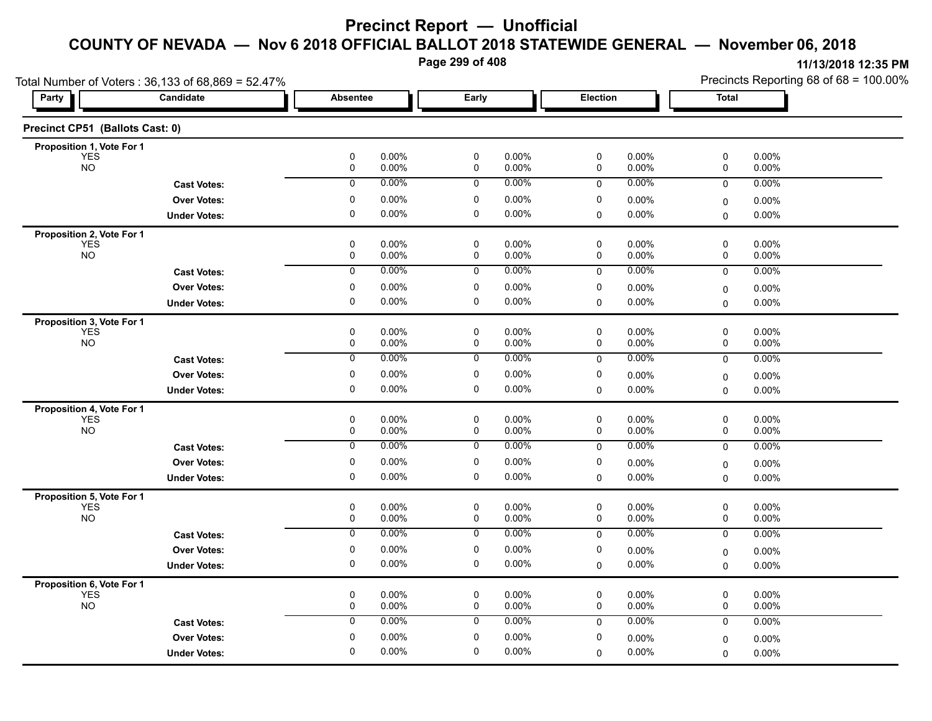**Page 299 of 408**

| Total Number of Voters: 36,133 of 68,869 = 52.47% | Precincts Reporting 68 of 68 = 100.00%                                                                                                                                         |                                                                                                                                                                                                                                               |                                                                                      |                                                                                                                                                                                                                                                                                                                                                                                                                                                                                                                                         |
|---------------------------------------------------|--------------------------------------------------------------------------------------------------------------------------------------------------------------------------------|-----------------------------------------------------------------------------------------------------------------------------------------------------------------------------------------------------------------------------------------------|--------------------------------------------------------------------------------------|-----------------------------------------------------------------------------------------------------------------------------------------------------------------------------------------------------------------------------------------------------------------------------------------------------------------------------------------------------------------------------------------------------------------------------------------------------------------------------------------------------------------------------------------|
| Candidate                                         | <b>Absentee</b>                                                                                                                                                                | Early                                                                                                                                                                                                                                         | Election                                                                             | <b>Total</b>                                                                                                                                                                                                                                                                                                                                                                                                                                                                                                                            |
| Precinct CP51 (Ballots Cast: 0)                   |                                                                                                                                                                                |                                                                                                                                                                                                                                               |                                                                                      |                                                                                                                                                                                                                                                                                                                                                                                                                                                                                                                                         |
| Proposition 1, Vote For 1                         |                                                                                                                                                                                |                                                                                                                                                                                                                                               |                                                                                      |                                                                                                                                                                                                                                                                                                                                                                                                                                                                                                                                         |
|                                                   | 0.00%<br>0                                                                                                                                                                     | 0                                                                                                                                                                                                                                             | 0.00%<br>0                                                                           | 0<br>0.00%<br>0.00%<br>0                                                                                                                                                                                                                                                                                                                                                                                                                                                                                                                |
| <b>Cast Votes:</b>                                | 0.00%<br>$\pmb{0}$                                                                                                                                                             | $\mathbf 0$                                                                                                                                                                                                                                   | 0.00%<br>$\mathbf 0$                                                                 | 0<br>0.00%                                                                                                                                                                                                                                                                                                                                                                                                                                                                                                                              |
| <b>Over Votes:</b>                                | 0<br>0.00%                                                                                                                                                                     | 0                                                                                                                                                                                                                                             | 0<br>0.00%                                                                           | 0.00%<br>0                                                                                                                                                                                                                                                                                                                                                                                                                                                                                                                              |
| <b>Under Votes:</b>                               | 0<br>$0.00\%$                                                                                                                                                                  | 0                                                                                                                                                                                                                                             | 0.00%<br>$\mathbf 0$                                                                 | 0.00%<br>$\mathbf 0$                                                                                                                                                                                                                                                                                                                                                                                                                                                                                                                    |
| Proposition 2, Vote For 1                         |                                                                                                                                                                                |                                                                                                                                                                                                                                               |                                                                                      |                                                                                                                                                                                                                                                                                                                                                                                                                                                                                                                                         |
|                                                   | $\pmb{0}$<br>0.00%                                                                                                                                                             | 0                                                                                                                                                                                                                                             | 0<br>0.00%                                                                           | 0<br>0.00%<br>0.00%<br>0                                                                                                                                                                                                                                                                                                                                                                                                                                                                                                                |
|                                                   |                                                                                                                                                                                |                                                                                                                                                                                                                                               |                                                                                      | 0.00%                                                                                                                                                                                                                                                                                                                                                                                                                                                                                                                                   |
|                                                   |                                                                                                                                                                                |                                                                                                                                                                                                                                               |                                                                                      | $\mathbf 0$                                                                                                                                                                                                                                                                                                                                                                                                                                                                                                                             |
|                                                   |                                                                                                                                                                                |                                                                                                                                                                                                                                               |                                                                                      | $0.00\%$<br>0                                                                                                                                                                                                                                                                                                                                                                                                                                                                                                                           |
|                                                   |                                                                                                                                                                                |                                                                                                                                                                                                                                               |                                                                                      | $0.00\%$<br>$\mathbf 0$                                                                                                                                                                                                                                                                                                                                                                                                                                                                                                                 |
| Proposition 3, Vote For 1                         |                                                                                                                                                                                |                                                                                                                                                                                                                                               |                                                                                      | 0<br>0.00%                                                                                                                                                                                                                                                                                                                                                                                                                                                                                                                              |
|                                                   | 0<br>0.00%                                                                                                                                                                     | 0                                                                                                                                                                                                                                             | 0.00%<br>0                                                                           | 0<br>0.00%                                                                                                                                                                                                                                                                                                                                                                                                                                                                                                                              |
| <b>Cast Votes:</b>                                | 0.00%<br>0                                                                                                                                                                     | 0                                                                                                                                                                                                                                             | 0.00%<br>0                                                                           | 0.00%<br>$\mathbf 0$                                                                                                                                                                                                                                                                                                                                                                                                                                                                                                                    |
|                                                   |                                                                                                                                                                                |                                                                                                                                                                                                                                               |                                                                                      | $0.00\%$<br>0                                                                                                                                                                                                                                                                                                                                                                                                                                                                                                                           |
|                                                   | $\pmb{0}$<br>0.00%                                                                                                                                                             | 0                                                                                                                                                                                                                                             | 0.00%<br>0                                                                           | $0.00\%$<br>0                                                                                                                                                                                                                                                                                                                                                                                                                                                                                                                           |
|                                                   |                                                                                                                                                                                |                                                                                                                                                                                                                                               |                                                                                      |                                                                                                                                                                                                                                                                                                                                                                                                                                                                                                                                         |
|                                                   | $\pmb{0}$<br>0.00%                                                                                                                                                             | $\pmb{0}$                                                                                                                                                                                                                                     | $\pmb{0}$<br>0.00%                                                                   | $\pmb{0}$<br>$0.00\%$                                                                                                                                                                                                                                                                                                                                                                                                                                                                                                                   |
|                                                   | 0<br>0.00%                                                                                                                                                                     | 0                                                                                                                                                                                                                                             | 0.00%<br>0                                                                           | 0<br>0.00%                                                                                                                                                                                                                                                                                                                                                                                                                                                                                                                              |
| <b>Cast Votes:</b>                                | 0.00%<br>$\overline{0}$                                                                                                                                                        | 0                                                                                                                                                                                                                                             | 0.00%<br>0                                                                           | $\mathbf 0$<br>0.00%                                                                                                                                                                                                                                                                                                                                                                                                                                                                                                                    |
| <b>Over Votes:</b>                                | 0<br>0.00%                                                                                                                                                                     | 0                                                                                                                                                                                                                                             | 0<br>0.00%                                                                           | $0.00\%$<br>0                                                                                                                                                                                                                                                                                                                                                                                                                                                                                                                           |
| <b>Under Votes:</b>                               | $\mathbf 0$<br>0.00%                                                                                                                                                           | 0                                                                                                                                                                                                                                             | 0.00%<br>$\Omega$                                                                    | 0.00%<br>$\Omega$                                                                                                                                                                                                                                                                                                                                                                                                                                                                                                                       |
| Proposition 5, Vote For 1                         |                                                                                                                                                                                |                                                                                                                                                                                                                                               |                                                                                      |                                                                                                                                                                                                                                                                                                                                                                                                                                                                                                                                         |
|                                                   | 0<br>0.00%                                                                                                                                                                     | 0                                                                                                                                                                                                                                             | 0<br>$0.00\%$                                                                        | 0<br>0.00%                                                                                                                                                                                                                                                                                                                                                                                                                                                                                                                              |
|                                                   |                                                                                                                                                                                |                                                                                                                                                                                                                                               |                                                                                      | 0<br>0.00%                                                                                                                                                                                                                                                                                                                                                                                                                                                                                                                              |
|                                                   |                                                                                                                                                                                |                                                                                                                                                                                                                                               |                                                                                      | 0.00%<br>$\mathbf 0$                                                                                                                                                                                                                                                                                                                                                                                                                                                                                                                    |
| <b>Over Votes:</b>                                | 0<br>0.00%                                                                                                                                                                     | 0                                                                                                                                                                                                                                             | 0<br>$0.00\%$                                                                        | 0.00%<br>0                                                                                                                                                                                                                                                                                                                                                                                                                                                                                                                              |
| <b>Under Votes:</b>                               |                                                                                                                                                                                |                                                                                                                                                                                                                                               | 0.00%<br>$\mathbf 0$                                                                 | 0.00%<br>$\mathbf 0$                                                                                                                                                                                                                                                                                                                                                                                                                                                                                                                    |
| Proposition 6, Vote For 1                         |                                                                                                                                                                                |                                                                                                                                                                                                                                               |                                                                                      |                                                                                                                                                                                                                                                                                                                                                                                                                                                                                                                                         |
|                                                   |                                                                                                                                                                                |                                                                                                                                                                                                                                               |                                                                                      | 0<br>0.00%<br>0<br>0.00%                                                                                                                                                                                                                                                                                                                                                                                                                                                                                                                |
|                                                   |                                                                                                                                                                                |                                                                                                                                                                                                                                               |                                                                                      | 0.00%<br>0                                                                                                                                                                                                                                                                                                                                                                                                                                                                                                                              |
|                                                   |                                                                                                                                                                                |                                                                                                                                                                                                                                               |                                                                                      |                                                                                                                                                                                                                                                                                                                                                                                                                                                                                                                                         |
|                                                   |                                                                                                                                                                                |                                                                                                                                                                                                                                               |                                                                                      | 0.00%<br>0                                                                                                                                                                                                                                                                                                                                                                                                                                                                                                                              |
| Proposition 4, Vote For 1                         | <b>Cast Votes:</b><br><b>Over Votes:</b><br><b>Under Votes:</b><br><b>Over Votes:</b><br><b>Under Votes:</b><br><b>Cast Votes:</b><br><b>Cast Votes:</b><br><b>Over Votes:</b> | $\pmb{0}$<br>0.00%<br>0.00%<br>0<br>$\overline{0}$<br>0.00%<br>0<br>0.00%<br>$\mathbf 0$<br>0.00%<br>0<br>0.00%<br>0<br>0.00%<br>0<br>0.00%<br>$0.00\%$<br>0<br>$\pmb{0}$<br>0.00%<br>0<br>$0.00\%$<br>0.00%<br>0<br>0.00%<br>0<br>0<br>0.00% | $\pmb{0}$<br>0<br>0<br>0<br>$\mathbf 0$<br>0<br>0<br>0<br>0<br>0<br>0<br>0<br>0<br>0 | $0.00\%$<br>$\pmb{0}$<br>0.00%<br>0.00%<br>0.00%<br>$0.00\%$<br>$0.00\%$<br>$0.00\%$<br>0.00%<br>0.00%<br>0<br>0.00%<br>0.00%<br>$\mathbf 0$<br>0.00%<br>0<br>0.00%<br>$0.00\%$<br>0.00%<br>0<br>0.00%<br>0<br>0.00%<br>0.00%<br>$0.00\%$<br>0<br>0.00%<br>0.00%<br>$0.00\%$<br>0.00%<br>0.00%<br>$0.00\%$<br>0.00%<br>$0.00\%$<br>$0.00\%$<br>0.00%<br>0.00%<br>0<br>$0.00\%$<br>0.00%<br>$\mathbf 0$<br>0.00%<br>$0.00\%$<br>0.00%<br>0<br>$0.00\%$<br>0.00%<br>0.00%<br>0<br>$0.00\%$<br>0.00%<br>$\mathbf 0$<br>0.00%<br>0<br>0.00% |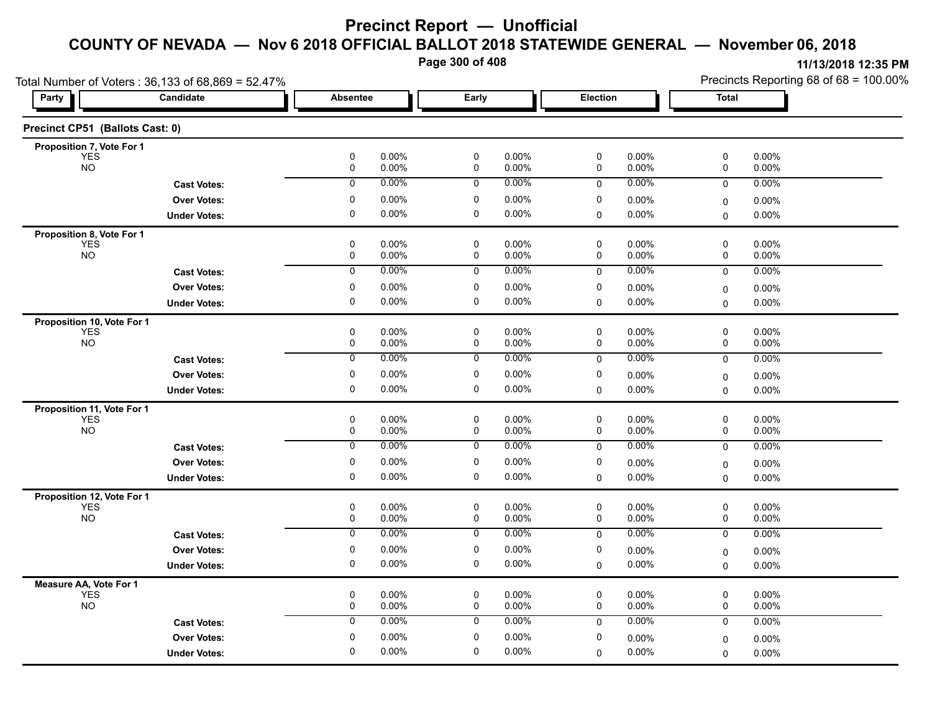**Page 300 of 408**

|                                          | Total Number of Voters: 36,133 of 68,869 = 52.47% |                  |                |                  |                   |                  |                | Precincts Reporting 68 of 68 = 100.00% |                   |  |
|------------------------------------------|---------------------------------------------------|------------------|----------------|------------------|-------------------|------------------|----------------|----------------------------------------|-------------------|--|
| Party                                    | Candidate                                         | <b>Absentee</b>  |                | Early            |                   | Election         |                | <b>Total</b>                           |                   |  |
| Precinct CP51 (Ballots Cast: 0)          |                                                   |                  |                |                  |                   |                  |                |                                        |                   |  |
| Proposition 7, Vote For 1                |                                                   |                  |                |                  |                   |                  |                |                                        |                   |  |
| <b>YES</b><br><b>NO</b>                  |                                                   | 0<br>$\pmb{0}$   | 0.00%<br>0.00% | 0<br>0           | 0.00%<br>0.00%    | 0<br>0           | 0.00%<br>0.00% | 0<br>0                                 | 0.00%<br>0.00%    |  |
|                                          | <b>Cast Votes:</b>                                | 0                | 0.00%          | 0                | $0.00\%$          | 0                | 0.00%          | 0                                      | 0.00%             |  |
|                                          | <b>Over Votes:</b>                                | 0                | 0.00%          | 0                | 0.00%             | 0                | 0.00%          | 0                                      | $0.00\%$          |  |
|                                          | <b>Under Votes:</b>                               | $\pmb{0}$        | 0.00%          | 0                | 0.00%             | 0                | 0.00%          | 0                                      | 0.00%             |  |
| Proposition 8, Vote For 1                |                                                   |                  |                |                  |                   |                  |                |                                        |                   |  |
| <b>YES</b><br><b>NO</b>                  |                                                   | $\mathbf 0$<br>0 | 0.00%<br>0.00% | $\mathbf 0$<br>0 | $0.00\%$<br>0.00% | $\mathbf 0$<br>0 | 0.00%<br>0.00% | 0<br>0                                 | 0.00%<br>0.00%    |  |
|                                          |                                                   | 0                | 0.00%          | 0                | 0.00%             | 0                | 0.00%          | 0                                      | 0.00%             |  |
|                                          | <b>Cast Votes:</b>                                |                  | 0.00%          |                  | 0.00%             |                  |                |                                        |                   |  |
|                                          | <b>Over Votes:</b>                                | 0<br>$\mathbf 0$ | $0.00\%$       | 0<br>$\mathbf 0$ | 0.00%             | 0<br>0           | 0.00%<br>0.00% | $\mathbf 0$                            | 0.00%             |  |
|                                          | <b>Under Votes:</b>                               |                  |                |                  |                   |                  |                | 0                                      | $0.00\%$          |  |
| Proposition 10, Vote For 1<br><b>YES</b> |                                                   | 0                | 0.00%          | 0                | $0.00\%$          | 0                | 0.00%          | 0                                      | 0.00%             |  |
| <b>NO</b>                                |                                                   | 0                | 0.00%          | 0                | $0.00\%$          | 0                | 0.00%          | 0                                      | 0.00%             |  |
|                                          | <b>Cast Votes:</b>                                | 0                | 0.00%          | 0                | 0.00%             | 0                | 0.00%          | 0                                      | 0.00%             |  |
|                                          | <b>Over Votes:</b>                                | 0                | 0.00%          | 0                | $0.00\%$          | 0                | 0.00%          | 0                                      | 0.00%             |  |
|                                          | <b>Under Votes:</b>                               | 0                | 0.00%          | 0                | $0.00\%$          | 0                | 0.00%          | $\mathbf 0$                            | $0.00\%$          |  |
| Proposition 11, Vote For 1               |                                                   |                  |                |                  |                   |                  |                |                                        |                   |  |
| <b>YES</b><br><b>NO</b>                  |                                                   | $\pmb{0}$<br>0   | 0.00%<br>0.00% | 0<br>0           | 0.00%<br>$0.00\%$ | 0<br>0           | 0.00%<br>0.00% | 0<br>0                                 | 0.00%<br>0.00%    |  |
|                                          | <b>Cast Votes:</b>                                | 0                | 0.00%          | 0                | $0.00\%$          | 0                | 0.00%          | $\mathbf 0$                            | 0.00%             |  |
|                                          | <b>Over Votes:</b>                                | 0                | 0.00%          | 0                | $0.00\%$          | 0                | 0.00%          |                                        |                   |  |
|                                          | <b>Under Votes:</b>                               | 0                | 0.00%          | 0                | $0.00\%$          | 0                | 0.00%          | $\mathbf 0$<br>$\Omega$                | 0.00%<br>$0.00\%$ |  |
|                                          |                                                   |                  |                |                  |                   |                  |                |                                        |                   |  |
| Proposition 12, Vote For 1<br><b>YES</b> |                                                   | $\pmb{0}$        | 0.00%          | $\pmb{0}$        | 0.00%             | 0                | 0.00%          | 0                                      | 0.00%             |  |
| <b>NO</b>                                |                                                   | 0                | 0.00%          | $\pmb{0}$        | $0.00\%$          | 0                | 0.00%          | 0                                      | 0.00%             |  |
|                                          | <b>Cast Votes:</b>                                | 0                | 0.00%          | 0                | 0.00%             | 0                | 0.00%          | 0                                      | $0.00\%$          |  |
|                                          | <b>Over Votes:</b>                                | $\pmb{0}$        | 0.00%          | 0                | $0.00\%$          | 0                | 0.00%          | $\mathbf 0$                            | 0.00%             |  |
|                                          | <b>Under Votes:</b>                               | 0                | 0.00%          | 0                | $0.00\%$          | $\mathbf 0$      | 0.00%          | $\Omega$                               | 0.00%             |  |
| Measure AA, Vote For 1                   |                                                   |                  |                |                  |                   |                  |                |                                        |                   |  |
| <b>YES</b><br><b>NO</b>                  |                                                   | $\mathbf 0$<br>0 | 0.00%<br>0.00% | 0<br>$\mathbf 0$ | 0.00%<br>0.00%    | 0<br>0           | $0.00\%$       | 0<br>$\mathbf 0$                       | 0.00%             |  |
|                                          |                                                   | 0                | 0.00%          | 0                | $0.00\%$          |                  | 0.00%<br>0.00% |                                        | 0.00%             |  |
|                                          | <b>Cast Votes:</b>                                |                  |                | $\mathbf 0$      |                   | $\mathbf 0$      |                | 0                                      | $0.00\%$          |  |
|                                          | <b>Over Votes:</b>                                | 0<br>$\mathbf 0$ | 0.00%          | $\mathbf 0$      | $0.00\%$          | 0                | 0.00%          | $\mathbf 0$                            | 0.00%             |  |
|                                          | <b>Under Votes:</b>                               |                  | 0.00%          |                  | $0.00\%$          | $\Omega$         | 0.00%          | $\mathbf 0$                            | $0.00\%$          |  |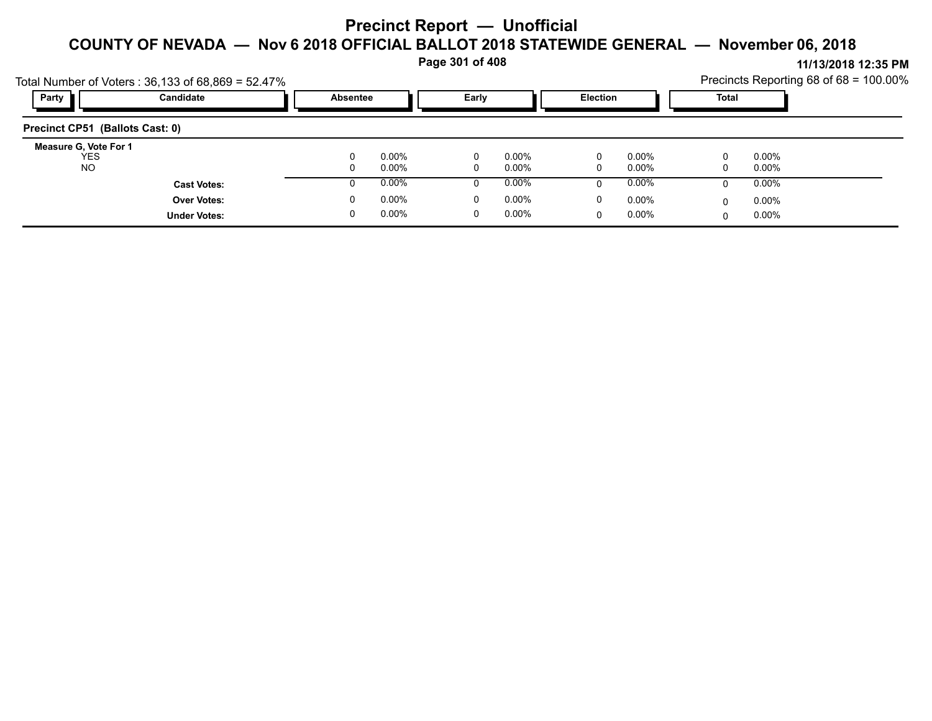**Page 301 of 408**

|                                            | Total Number of Voters: $36,133$ of $68,869 = 52.47\%$ |               |                   |  |                   |        |                   |   |                   | Precincts Reporting 68 of 68 = 100.00% |
|--------------------------------------------|--------------------------------------------------------|---------------|-------------------|--|-------------------|--------|-------------------|---|-------------------|----------------------------------------|
| Party                                      | Candidate                                              |               | <b>Absentee</b>   |  | Early             |        | <b>Election</b>   |   | Total             |                                        |
| Precinct CP51 (Ballots Cast: 0)            |                                                        |               |                   |  |                   |        |                   |   |                   |                                        |
| Measure G, Vote For 1<br><b>YES</b><br>NO. |                                                        | $\Omega$<br>0 | $0.00\%$<br>0.00% |  | $0.00\%$<br>0.00% | 0<br>0 | $0.00\%$<br>0.00% |   | $0.00\%$<br>0.00% |                                        |
|                                            | <b>Cast Votes:</b>                                     |               | $0.00\%$          |  | $0.00\%$          | 0      | $0.00\%$          | Ü | 0.00%             |                                        |
|                                            | <b>Over Votes:</b>                                     | 0             | $0.00\%$          |  | $0.00\%$          | 0      | $0.00\%$          |   | $0.00\%$          |                                        |
|                                            | <b>Under Votes:</b>                                    | 0             | $0.00\%$          |  | $0.00\%$          | 0      | $0.00\%$          |   | $0.00\%$          |                                        |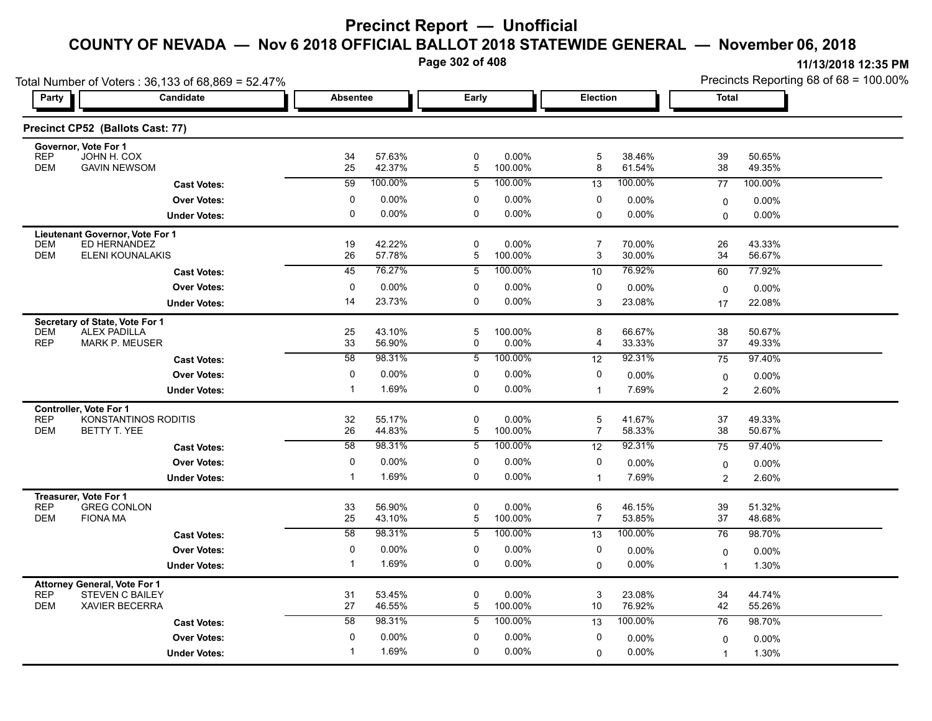**Page 302 of 408**

|                                     | Total Number of Voters: 36,133 of 68,869 = 52.47% |                 |                  |             |                     |                     |                  | Precincts Reporting 68 of 68 = 100.00% |                  |  |
|-------------------------------------|---------------------------------------------------|-----------------|------------------|-------------|---------------------|---------------------|------------------|----------------------------------------|------------------|--|
| Party                               | Candidate                                         | <b>Absentee</b> |                  | Early       |                     | Election            |                  | <b>Total</b>                           |                  |  |
|                                     | Precinct CP52 (Ballots Cast: 77)                  |                 |                  |             |                     |                     |                  |                                        |                  |  |
| Governor, Vote For 1<br><b>REP</b>  | JOHN H. COX                                       | 34              | 57.63%           | $\pmb{0}$   | 0.00%               | 5                   | 38.46%           | 39                                     | 50.65%           |  |
| <b>DEM</b>                          | <b>GAVIN NEWSOM</b>                               | 25              | 42.37%           | 5           | 100.00%             | 8                   | 61.54%           | 38                                     | 49.35%           |  |
|                                     | <b>Cast Votes:</b>                                | $\overline{59}$ | 100.00%          | 5           | 100.00%             | 13                  | 100.00%          | 77                                     | 100.00%          |  |
|                                     | <b>Over Votes:</b>                                | 0               | $0.00\%$         | 0           | $0.00\%$            | 0                   | 0.00%            | $\mathbf 0$                            | 0.00%            |  |
|                                     | <b>Under Votes:</b>                               | 0               | 0.00%            | 0           | $0.00\%$            | $\mathbf 0$         | 0.00%            | $\Omega$                               | $0.00\%$         |  |
| Lieutenant Governor, Vote For 1     |                                                   |                 |                  |             |                     |                     |                  |                                        |                  |  |
| <b>DEM</b><br><b>DEM</b>            | ED HERNANDEZ<br><b>ELENI KOUNALAKIS</b>           | 19<br>26        | 42.22%<br>57.78% | 0<br>5      | 0.00%<br>100.00%    | $\overline{7}$<br>3 | 70.00%<br>30.00% | 26<br>34                               | 43.33%<br>56.67% |  |
|                                     | <b>Cast Votes:</b>                                | 45              | 76.27%           | 5           | 100.00%             | 10                  | 76.92%           | 60                                     | 77.92%           |  |
|                                     | <b>Over Votes:</b>                                | 0               | $0.00\%$         | 0           | $0.00\%$            | 0                   | $0.00\%$         |                                        |                  |  |
|                                     | <b>Under Votes:</b>                               | 14              | 23.73%           | $\mathbf 0$ | 0.00%               | 3                   | 23.08%           | $\mathbf 0$<br>17                      | 0.00%<br>22.08%  |  |
| Secretary of State, Vote For 1      |                                                   |                 |                  |             |                     |                     |                  |                                        |                  |  |
| <b>DEM</b>                          | <b>ALEX PADILLA</b>                               | 25              | 43.10%           | 5           | 100.00%             | 8                   | 66.67%           | 38                                     | 50.67%           |  |
| <b>REP</b>                          | <b>MARK P. MEUSER</b>                             | 33              | 56.90%           | 0           | 0.00%               | $\overline{4}$      | 33.33%           | 37                                     | 49.33%           |  |
|                                     | <b>Cast Votes:</b>                                | 58              | 98.31%           | 5           | 100.00%             | 12                  | 92.31%           | $\overline{75}$                        | 97.40%           |  |
|                                     | <b>Over Votes:</b>                                | 0               | 0.00%            | $\pmb{0}$   | $0.00\%$            | 0                   | 0.00%            | 0                                      | 0.00%            |  |
|                                     | <b>Under Votes:</b>                               | $\mathbf{1}$    | 1.69%            | 0           | 0.00%               | $\mathbf{1}$        | 7.69%            | 2                                      | 2.60%            |  |
| Controller, Vote For 1              |                                                   |                 |                  |             |                     |                     |                  |                                        |                  |  |
| <b>REP</b><br><b>DEM</b>            | KONSTANTINOS RODITIS<br>BETTY T. YEE              | 32<br>26        | 55.17%<br>44.83% | 0<br>5      | 0.00%<br>100.00%    | 5<br>$\overline{7}$ | 41.67%<br>58.33% | 37<br>38                               | 49.33%<br>50.67% |  |
|                                     | <b>Cast Votes:</b>                                | $\overline{58}$ | 98.31%           | 5           | 100.00%             | 12                  | 92.31%           | 75                                     | 97.40%           |  |
|                                     | <b>Over Votes:</b>                                | 0               | 0.00%            | 0           | $0.00\%$            | 0                   | 0.00%            | $\mathbf 0$                            | 0.00%            |  |
|                                     | <b>Under Votes:</b>                               | $\mathbf{1}$    | 1.69%            | $\mathbf 0$ | $0.00\%$            | $\mathbf{1}$        | 7.69%            | 2                                      | 2.60%            |  |
| Treasurer, Vote For 1               |                                                   |                 |                  |             |                     |                     |                  |                                        |                  |  |
| <b>REP</b>                          | <b>GREG CONLON</b>                                | 33              | 56.90%           | $\pmb{0}$   | 0.00%               | 6                   | 46.15%           | 39                                     | 51.32%           |  |
| <b>DEM</b><br><b>FIONA MA</b>       |                                                   | 25              | 43.10%           | 5           | 100.00%             | $\overline{7}$      | 53.85%           | 37                                     | 48.68%           |  |
|                                     | <b>Cast Votes:</b>                                | 58              | 98.31%           | 5           | 100.00%             | 13                  | 100.00%          | 76                                     | 98.70%           |  |
|                                     | <b>Over Votes:</b>                                | 0               | 0.00%            | 0           | $0.00\%$            | 0                   | 0.00%            | $\mathbf 0$                            | 0.00%            |  |
|                                     | <b>Under Votes:</b>                               | $\mathbf{1}$    | 1.69%            | $\mathbf 0$ | $0.00\%$            | $\Omega$            | $0.00\%$         | $\mathbf{1}$                           | 1.30%            |  |
| <b>Attorney General, Vote For 1</b> |                                                   |                 |                  |             |                     |                     |                  |                                        |                  |  |
| <b>REP</b><br><b>DEM</b>            | <b>STEVEN C BAILEY</b><br>XAVIER BECERRA          | 31<br>27        | 53.45%<br>46.55% | 0<br>5      | $0.00\%$<br>100.00% | 3<br>10             | 23.08%<br>76.92% | 34<br>42                               | 44.74%<br>55.26% |  |
|                                     | <b>Cast Votes:</b>                                | 58              | 98.31%           | 5           | 100.00%             | 13                  | 100.00%          | 76                                     | 98.70%           |  |
|                                     | <b>Over Votes:</b>                                | $\mathbf 0$     | 0.00%            | $\mathbf 0$ | $0.00\%$            | 0                   | $0.00\%$         | 0                                      | 0.00%            |  |
|                                     | <b>Under Votes:</b>                               | $\mathbf{1}$    | 1.69%            | $\Omega$    | $0.00\%$            | 0                   | 0.00%            | $\mathbf{1}$                           | 1.30%            |  |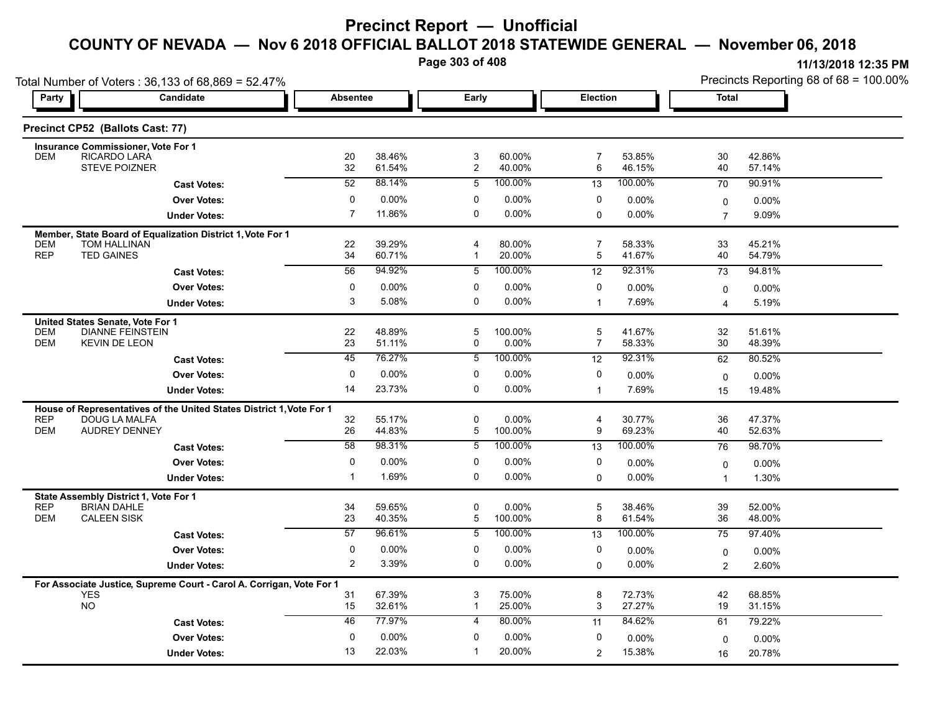**Page 303 of 408**

|                          | Total Number of Voters: 36,133 of 68,869 = 52.47%                          |                 |                  |                       |                     |                     |                  | Precincts Reporting 68 of 68 = 100.00% |                  |  |
|--------------------------|----------------------------------------------------------------------------|-----------------|------------------|-----------------------|---------------------|---------------------|------------------|----------------------------------------|------------------|--|
| Party                    | Candidate                                                                  | <b>Absentee</b> |                  | Early                 |                     | <b>Election</b>     |                  | Total                                  |                  |  |
|                          | Precinct CP52 (Ballots Cast: 77)                                           |                 |                  |                       |                     |                     |                  |                                        |                  |  |
|                          | <b>Insurance Commissioner, Vote For 1</b>                                  |                 |                  |                       |                     |                     |                  |                                        |                  |  |
| <b>DEM</b>               | RICARDO LARA<br><b>STEVE POIZNER</b>                                       | 20<br>32        | 38.46%<br>61.54% | 3<br>$\boldsymbol{2}$ | 60.00%<br>40.00%    | $\overline{7}$<br>6 | 53.85%<br>46.15% | 30<br>40                               | 42.86%<br>57.14% |  |
|                          | <b>Cast Votes:</b>                                                         | $\overline{52}$ | 88.14%           | 5                     | 100.00%             | $\overline{13}$     | 100.00%          | 70                                     | 90.91%           |  |
|                          | <b>Over Votes:</b>                                                         | 0               | 0.00%            | 0                     | $0.00\%$            | 0                   | $0.00\%$         |                                        | 0.00%            |  |
|                          | <b>Under Votes:</b>                                                        | $\overline{7}$  | 11.86%           | $\Omega$              | $0.00\%$            | 0                   | $0.00\%$         | $\mathbf 0$<br>$\overline{7}$          | 9.09%            |  |
|                          |                                                                            |                 |                  |                       |                     |                     |                  |                                        |                  |  |
| <b>DEM</b>               | Member, State Board of Equalization District 1, Vote For 1<br>TOM HALLINAN | 22              | 39.29%           | 4                     | 80.00%              | $\overline{7}$      | 58.33%           | 33                                     | 45.21%           |  |
| <b>REP</b>               | <b>TED GAINES</b>                                                          | 34              | 60.71%           | -1                    | 20.00%              | 5                   | 41.67%           | 40                                     | 54.79%           |  |
|                          | <b>Cast Votes:</b>                                                         | 56              | 94.92%           | 5                     | 100.00%             | 12                  | 92.31%           | 73                                     | 94.81%           |  |
|                          | <b>Over Votes:</b>                                                         | 0               | $0.00\%$         | 0                     | $0.00\%$            | 0                   | 0.00%            | 0                                      | 0.00%            |  |
|                          | <b>Under Votes:</b>                                                        | 3               | 5.08%            | 0                     | $0.00\%$            | $\mathbf{1}$        | 7.69%            | $\overline{\mathbf{A}}$                | 5.19%            |  |
|                          | United States Senate, Vote For 1                                           |                 |                  |                       |                     |                     |                  |                                        |                  |  |
| <b>DEM</b>               | <b>DIANNE FEINSTEIN</b>                                                    | 22              | 48.89%           | 5                     | 100.00%             | $\mathbf 5$         | 41.67%           | 32                                     | 51.61%           |  |
| <b>DEM</b>               | <b>KEVIN DE LEON</b>                                                       | 23              | 51.11%           | 0                     | $0.00\%$            | $\overline{7}$      | 58.33%           | 30                                     | 48.39%           |  |
|                          | <b>Cast Votes:</b>                                                         | 45              | 76.27%           | 5                     | 100.00%             | 12                  | 92.31%           | 62                                     | 80.52%           |  |
|                          | <b>Over Votes:</b>                                                         | 0               | $0.00\%$         | $\Omega$              | 0.00%               | 0                   | $0.00\%$         | $\mathbf 0$                            | $0.00\%$         |  |
|                          | <b>Under Votes:</b>                                                        | 14              | 23.73%           | 0                     | 0.00%               | $\mathbf{1}$        | 7.69%            | 15                                     | 19.48%           |  |
|                          | House of Representatives of the United States District 1, Vote For 1       |                 |                  |                       |                     |                     |                  |                                        |                  |  |
| <b>REP</b>               | <b>DOUG LA MALFA</b>                                                       | 32              | 55.17%           | 0                     | 0.00%               | $\overline{4}$      | 30.77%           | 36                                     | 47.37%           |  |
| <b>DEM</b>               | <b>AUDREY DENNEY</b>                                                       | 26              | 44.83%           | 5                     | 100.00%             | 9                   | 69.23%           | 40                                     | 52.63%           |  |
|                          | <b>Cast Votes:</b>                                                         | 58              | 98.31%           | 5                     | 100.00%             | 13                  | 100.00%          | 76                                     | 98.70%           |  |
|                          | <b>Over Votes:</b>                                                         | 0               | $0.00\%$         | 0                     | $0.00\%$            | 0                   | 0.00%            | $\mathbf 0$                            | $0.00\%$         |  |
|                          | <b>Under Votes:</b>                                                        | $\mathbf{1}$    | 1.69%            | $\Omega$              | $0.00\%$            | $\Omega$            | $0.00\%$         | -1                                     | 1.30%            |  |
|                          | State Assembly District 1, Vote For 1                                      |                 |                  |                       |                     |                     |                  |                                        |                  |  |
| <b>REP</b><br><b>DEM</b> | <b>BRIAN DAHLE</b><br><b>CALEEN SISK</b>                                   | 34<br>23        | 59.65%<br>40.35% | 0<br>5                | $0.00\%$<br>100.00% | 5<br>8              | 38.46%<br>61.54% | 39<br>36                               | 52.00%<br>48.00% |  |
|                          |                                                                            | $\overline{57}$ | 96.61%           | 5                     | 100.00%             | $\overline{13}$     | 100.00%          | 75                                     | 97.40%           |  |
|                          | <b>Cast Votes:</b>                                                         |                 |                  |                       |                     |                     |                  |                                        |                  |  |
|                          | <b>Over Votes:</b>                                                         | 0               | 0.00%            | 0                     | $0.00\%$            | 0                   | 0.00%            | $\mathbf 0$                            | 0.00%            |  |
|                          | <b>Under Votes:</b>                                                        | 2               | 3.39%            | 0                     | $0.00\%$            | $\mathbf 0$         | $0.00\%$         | $\overline{c}$                         | 2.60%            |  |
|                          | For Associate Justice, Supreme Court - Carol A. Corrigan, Vote For 1       |                 |                  |                       |                     |                     |                  |                                        |                  |  |
| <b>NO</b>                | <b>YES</b>                                                                 | 31<br>15        | 67.39%<br>32.61% | 3<br>$\mathbf{1}$     | 75.00%<br>25.00%    | 8<br>3              | 72.73%<br>27.27% | 42<br>19                               | 68.85%<br>31.15% |  |
|                          | <b>Cast Votes:</b>                                                         | 46              | 77.97%           | 4                     | 80.00%              | 11                  | 84.62%           | 61                                     | 79.22%           |  |
|                          | <b>Over Votes:</b>                                                         | $\mathbf 0$     | 0.00%            | $\mathbf 0$           | 0.00%               | 0                   | $0.00\%$         |                                        |                  |  |
|                          | <b>Under Votes:</b>                                                        | 13              | 22.03%           | -1                    | 20.00%              | 2                   | 15.38%           | $\mathbf 0$                            | 0.00%<br>20.78%  |  |
|                          |                                                                            |                 |                  |                       |                     |                     |                  | 16                                     |                  |  |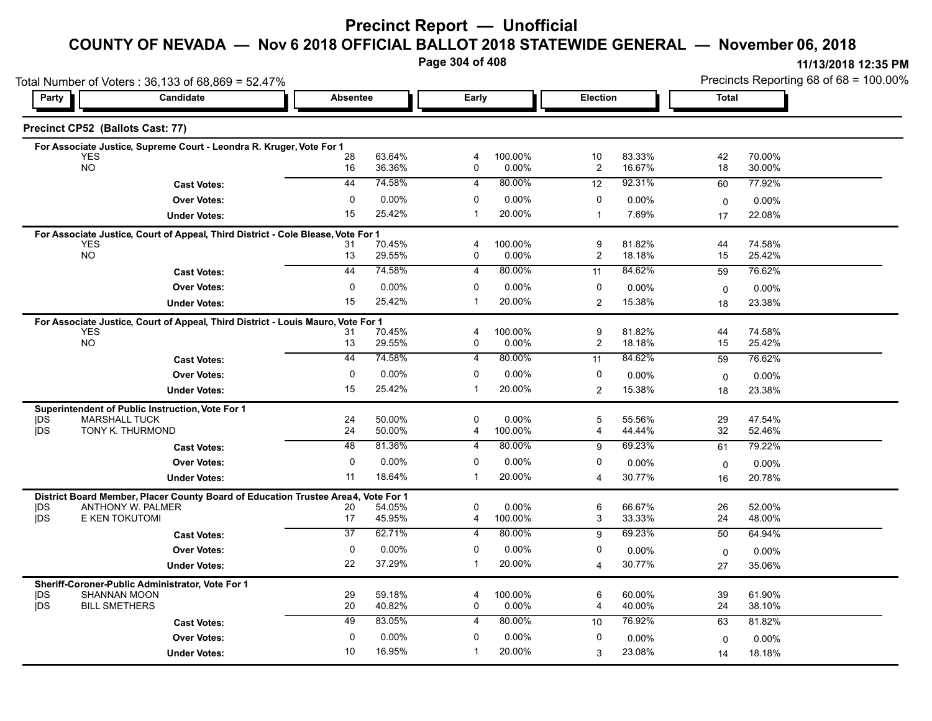### **Precinct Report — Unofficial**

### **COUNTY OF NEVADA — Nov 6 2018 OFFICIAL BALLOT 2018 STATEWIDE GENERAL — November 06, 2018**

**Page 304 of 408**

|                         | Total Number of Voters: 36,133 of 68,869 = 52.47%                                                      |                   |                    |                   |                     |                       |                  | Precincts Reporting 68 of 68 = 100.00% |                  |  |
|-------------------------|--------------------------------------------------------------------------------------------------------|-------------------|--------------------|-------------------|---------------------|-----------------------|------------------|----------------------------------------|------------------|--|
| Party                   | Candidate                                                                                              | <b>Absentee</b>   |                    | Early             |                     | Election              |                  | <b>Total</b>                           |                  |  |
|                         | Precinct CP52 (Ballots Cast: 77)                                                                       |                   |                    |                   |                     |                       |                  |                                        |                  |  |
|                         | For Associate Justice, Supreme Court - Leondra R. Kruger, Vote For 1                                   |                   |                    |                   |                     |                       |                  |                                        |                  |  |
| <b>YES</b><br><b>NO</b> |                                                                                                        | 28<br>16          | 63.64%<br>36.36%   | 4<br>$\mathbf 0$  | 100.00%<br>0.00%    | 10<br>$\overline{c}$  | 83.33%<br>16.67% | 42<br>18                               | 70.00%<br>30.00% |  |
|                         | <b>Cast Votes:</b>                                                                                     | 44                | 74.58%             | $\overline{4}$    | 80.00%              | 12                    | 92.31%           | 60                                     | 77.92%           |  |
|                         | <b>Over Votes:</b>                                                                                     | 0                 | 0.00%              | $\mathbf 0$       | $0.00\%$            | 0                     | $0.00\%$         | 0                                      | 0.00%            |  |
|                         | <b>Under Votes:</b>                                                                                    | 15                | 25.42%             | $\mathbf 1$       | 20.00%              | $\mathbf{1}$          | 7.69%            | 17                                     | 22.08%           |  |
|                         | For Associate Justice, Court of Appeal, Third District - Cole Blease, Vote For 1                       |                   |                    |                   |                     |                       |                  |                                        |                  |  |
| <b>YES</b><br><b>NO</b> |                                                                                                        | 31                | 70 45%             | 4                 | 100.00%             | 9                     | 81.82%           | 44                                     | 74.58%           |  |
|                         |                                                                                                        | 13<br>44          | 29.55%<br>74.58%   | 0                 | 0.00%<br>80.00%     | 2                     | 18.18%           | 15                                     | 25.42%           |  |
|                         | <b>Cast Votes:</b>                                                                                     |                   |                    | $\overline{4}$    |                     | 11                    | 84.62%           | 59                                     | 76.62%           |  |
|                         | <b>Over Votes:</b>                                                                                     | 0<br>15           | 0.00%<br>25.42%    | 0                 | 0.00%<br>20.00%     | 0                     | 0.00%            | $\Omega$                               | 0.00%            |  |
|                         | <b>Under Votes:</b>                                                                                    |                   |                    |                   |                     | $\overline{2}$        | 15.38%           | 18                                     | 23.38%           |  |
| <b>YES</b>              | For Associate Justice, Court of Appeal, Third District - Louis Mauro, Vote For 1                       | 31                | 70.45%             | 4                 | 100.00%             | 9                     | 81.82%           | 44                                     | 74.58%           |  |
| <b>NO</b>               |                                                                                                        | 13                | 29.55%             | 0                 | $0.00\%$            | 2                     | 18.18%           | 15                                     | 25.42%           |  |
|                         | <b>Cast Votes:</b>                                                                                     | 44                | 74.58%             | 4                 | 80.00%              | 11                    | 84.62%           | 59                                     | 76.62%           |  |
|                         | <b>Over Votes:</b>                                                                                     | 0                 | 0.00%              | 0                 | $0.00\%$            | 0                     | 0.00%            | $\mathbf{0}$                           | 0.00%            |  |
|                         | <b>Under Votes:</b>                                                                                    | 15                | 25.42%             | -1                | 20.00%              | $\overline{2}$        | 15.38%           | 18                                     | 23.38%           |  |
|                         | Superintendent of Public Instruction, Vote For 1                                                       |                   |                    |                   |                     |                       |                  |                                        |                  |  |
| DŚ<br><b>IDS</b>        | <b>MARSHALL TUCK</b><br>TONY K. THURMOND                                                               | 24<br>24          | 50.00%<br>50.00%   | 0<br>4            | $0.00\%$<br>100.00% | 5<br>$\overline{4}$   | 55.56%<br>44.44% | 29<br>32                               | 47.54%<br>52.46% |  |
|                         |                                                                                                        | 48                | 81.36%             | 4                 | 80.00%              |                       | 69.23%           |                                        |                  |  |
|                         | <b>Cast Votes:</b>                                                                                     |                   |                    |                   |                     | 9                     |                  | 61                                     | 79.22%           |  |
|                         | <b>Over Votes:</b>                                                                                     | $\mathbf 0$<br>11 | $0.00\%$<br>18.64% | $\mathbf 0$<br>-1 | $0.00\%$<br>20.00%  | 0                     | $0.00\%$         | 0                                      | $0.00\%$         |  |
|                         | <b>Under Votes:</b>                                                                                    |                   |                    |                   |                     | $\boldsymbol{\Delta}$ | 30.77%           | 16                                     | 20.78%           |  |
| <b>IDS</b>              | District Board Member, Placer County Board of Education Trustee Area4, Vote For 1<br>ANTHONY W. PALMER | 20                | 54.05%             | 0                 | $0.00\%$            | 6                     | 66.67%           | 26                                     | 52.00%           |  |
| <b>jDS</b>              | E KEN TOKUTOMI                                                                                         | 17                | 45.95%             | 4                 | 100.00%             | 3                     | 33.33%           | 24                                     | 48.00%           |  |
|                         | <b>Cast Votes:</b>                                                                                     | $\overline{37}$   | 62.71%             | $\overline{4}$    | 80.00%              | 9                     | 69.23%           | 50                                     | 64.94%           |  |
|                         | <b>Over Votes:</b>                                                                                     | 0                 | 0.00%              | $\mathbf 0$       | 0.00%               | 0                     | 0.00%            | $\mathbf 0$                            | 0.00%            |  |
|                         | <b>Under Votes:</b>                                                                                    | 22                | 37.29%             | $\mathbf{1}$      | 20.00%              | $\overline{4}$        | 30.77%           | 27                                     | 35.06%           |  |
|                         | Sheriff-Coroner-Public Administrator, Vote For 1                                                       |                   |                    |                   |                     |                       |                  |                                        |                  |  |
| DS                      | SHANNAN MOON                                                                                           | 29                | 59.18%             | 4                 | 100.00%             | 6                     | 60.00%           | 39                                     | 61.90%           |  |
| <b>IDS</b>              | <b>BILL SMETHERS</b>                                                                                   | 20                | 40.82%             | 0                 | 0.00%               | 4                     | 40.00%           | 24                                     | 38.10%           |  |
|                         | <b>Cast Votes:</b>                                                                                     | 49                | 83.05%             | $\overline{4}$    | 80.00%              | 10                    | 76.92%           | 63                                     | 81.82%           |  |
|                         | <b>Over Votes:</b>                                                                                     | $\mathbf 0$       | 0.00%              | $\mathbf 0$       | 0.00%               | 0                     | $0.00\%$         | 0                                      | 0.00%            |  |
|                         | <b>Under Votes:</b>                                                                                    | 10                | 16.95%             | -1                | 20.00%              | 3                     | 23.08%           | 14                                     | 18.18%           |  |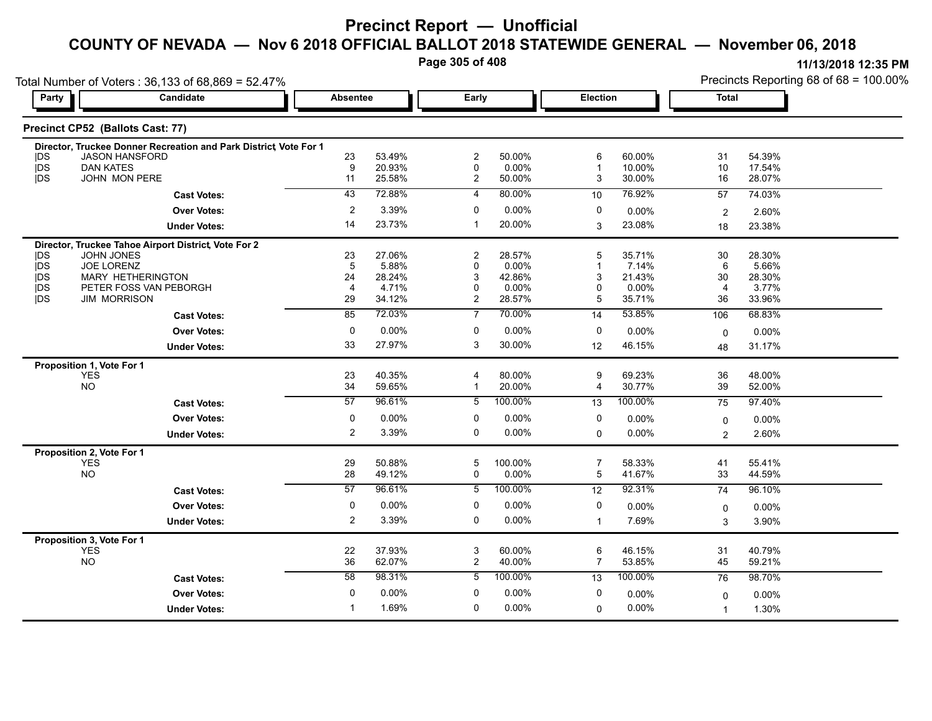**Page 305 of 408**

| Party                    | Total Number of Voters: 36,133 of 68,869 = 52.47%<br>Candidate   | <b>Absentee</b>        |                  | Early               |                    | Election                |                  | <b>Total</b>         |                  |  |
|--------------------------|------------------------------------------------------------------|------------------------|------------------|---------------------|--------------------|-------------------------|------------------|----------------------|------------------|--|
|                          |                                                                  |                        |                  |                     |                    |                         |                  |                      |                  |  |
|                          | Precinct CP52 (Ballots Cast: 77)                                 |                        |                  |                     |                    |                         |                  |                      |                  |  |
|                          | Director, Truckee Donner Recreation and Park District Vote For 1 |                        |                  |                     |                    |                         |                  |                      |                  |  |
| <b>IDS</b>               | <b>JASON HANSFORD</b>                                            | 23                     | 53.49%           | $\overline{c}$      | 50.00%             | 6<br>$\overline{1}$     | 60.00%           | 31                   | 54.39%           |  |
| <b>IDS</b><br><b>IDS</b> | <b>DAN KATES</b><br>JOHN MON PERE                                | $\boldsymbol{9}$<br>11 | 20.93%<br>25.58% | 0<br>$\overline{2}$ | $0.00\%$<br>50.00% | 3                       | 10.00%<br>30.00% | 10<br>16             | 17.54%<br>28.07% |  |
|                          |                                                                  | $\overline{43}$        | 72.88%           | 4                   | 80.00%             | 10                      | 76.92%           |                      | 74.03%           |  |
|                          | <b>Cast Votes:</b>                                               |                        |                  |                     |                    |                         |                  | 57                   |                  |  |
|                          | <b>Over Votes:</b>                                               | $\overline{2}$         | 3.39%            | 0                   | 0.00%              | 0                       | 0.00%            | $\overline{2}$       | 2.60%            |  |
|                          | <b>Under Votes:</b>                                              | 14                     | 23.73%           | $\mathbf 1$         | 20.00%             | 3                       | 23.08%           | 18                   | 23.38%           |  |
|                          | Director, Truckee Tahoe Airport District, Vote For 2             |                        |                  |                     |                    |                         |                  |                      |                  |  |
| <b>IDS</b>               | <b>JOHN JONES</b>                                                | 23                     | 27.06%           | 2                   | 28.57%             | 5                       | 35.71%           | 30                   | 28.30%           |  |
| jDS<br>jDS               | <b>JOE LORENZ</b>                                                | 5                      | 5.88%            | 0                   | 0.00%              | $\overline{1}$          | 7.14%            | 6                    | 5.66%            |  |
| jDS                      | MARY HETHERINGTON<br>PETER FOSS VAN PEBORGH                      | 24<br>$\overline{4}$   | 28.24%<br>4.71%  | 3<br>0              | 42.86%<br>0.00%    | 3<br>$\mathbf 0$        | 21.43%<br>0.00%  | 30<br>$\overline{4}$ | 28.30%<br>3.77%  |  |
| <b>IDS</b>               | <b>JIM MORRISON</b>                                              | 29                     | 34.12%           | $\overline{c}$      | 28.57%             | 5                       | 35.71%           | 36                   | 33.96%           |  |
|                          | <b>Cast Votes:</b>                                               | 85                     | 72.03%           | $\overline{7}$      | 70.00%             | 14                      | 53.85%           | 106                  | 68.83%           |  |
|                          | <b>Over Votes:</b>                                               | $\mathbf 0$            | 0.00%            | $\mathbf 0$         | $0.00\%$           | 0                       | 0.00%            |                      |                  |  |
|                          |                                                                  | 33                     | 27.97%           | 3                   | 30.00%             |                         | 46.15%           | $\Omega$             | 0.00%            |  |
|                          | <b>Under Votes:</b>                                              |                        |                  |                     |                    | 12                      |                  | 48                   | 31.17%           |  |
|                          | Proposition 1, Vote For 1<br><b>YES</b>                          | 23                     | 40.35%           | 4                   | 80.00%             | 9                       | 69.23%           | 36                   | 48.00%           |  |
|                          | <b>NO</b>                                                        | 34                     | 59.65%           | $\mathbf{1}$        | 20.00%             | $\overline{\mathbf{4}}$ | 30.77%           | 39                   | 52.00%           |  |
|                          | <b>Cast Votes:</b>                                               | 57                     | 96.61%           | $\overline{5}$      | 100.00%            | 13                      | 100.00%          | 75                   | 97.40%           |  |
|                          |                                                                  | $\mathbf 0$            | 0.00%            | 0                   | $0.00\%$           | 0                       |                  |                      |                  |  |
|                          | <b>Over Votes:</b>                                               |                        |                  |                     |                    |                         | $0.00\%$         | $\mathbf 0$          | 0.00%            |  |
|                          | <b>Under Votes:</b>                                              | $\overline{2}$         | 3.39%            | 0                   | $0.00\%$           | $\mathbf 0$             | 0.00%            | $\overline{2}$       | 2.60%            |  |
|                          | Proposition 2, Vote For 1                                        |                        |                  |                     |                    |                         |                  |                      |                  |  |
|                          | <b>YES</b><br><b>NO</b>                                          | 29<br>28               | 50.88%<br>49.12% | 5<br>0              | 100.00%<br>0.00%   | $\overline{7}$<br>5     | 58.33%<br>41.67% | 41<br>33             | 55.41%<br>44.59% |  |
|                          |                                                                  | 57                     | 96.61%           | 5                   | 100.00%            |                         | 92.31%           |                      | 96.10%           |  |
|                          | <b>Cast Votes:</b>                                               |                        |                  |                     |                    | 12                      |                  | 74                   |                  |  |
|                          | <b>Over Votes:</b>                                               | 0                      | 0.00%            | 0                   | $0.00\%$           | 0                       | $0.00\%$         | $\mathbf 0$          | 0.00%            |  |
|                          | <b>Under Votes:</b>                                              | $\overline{2}$         | 3.39%            | $\mathbf 0$         | $0.00\%$           | $\mathbf{1}$            | 7.69%            | 3                    | 3.90%            |  |
|                          | Proposition 3, Vote For 1                                        |                        |                  |                     |                    |                         |                  |                      |                  |  |
|                          | <b>YES</b><br><b>NO</b>                                          | 22<br>36               | 37.93%<br>62.07% | 3                   | 60.00%<br>40.00%   | 6<br>$\overline{7}$     | 46.15%<br>53.85% | 31<br>45             | 40.79%<br>59.21% |  |
|                          |                                                                  |                        |                  | $\overline{c}$      |                    |                         |                  |                      |                  |  |
|                          | <b>Cast Votes:</b>                                               | 58                     | 98.31%           | 5                   | 100.00%            | 13                      | 100.00%          | 76                   | 98.70%           |  |
|                          | <b>Over Votes:</b>                                               | $\mathbf 0$            | 0.00%            | 0                   | 0.00%              | 0                       | 0.00%            | $\mathbf 0$          | 0.00%            |  |
|                          | <b>Under Votes:</b>                                              | $\mathbf{1}$           | 1.69%            | $\mathbf 0$         | $0.00\%$           | $\mathbf 0$             | 0.00%            | $\overline{1}$       | 1.30%            |  |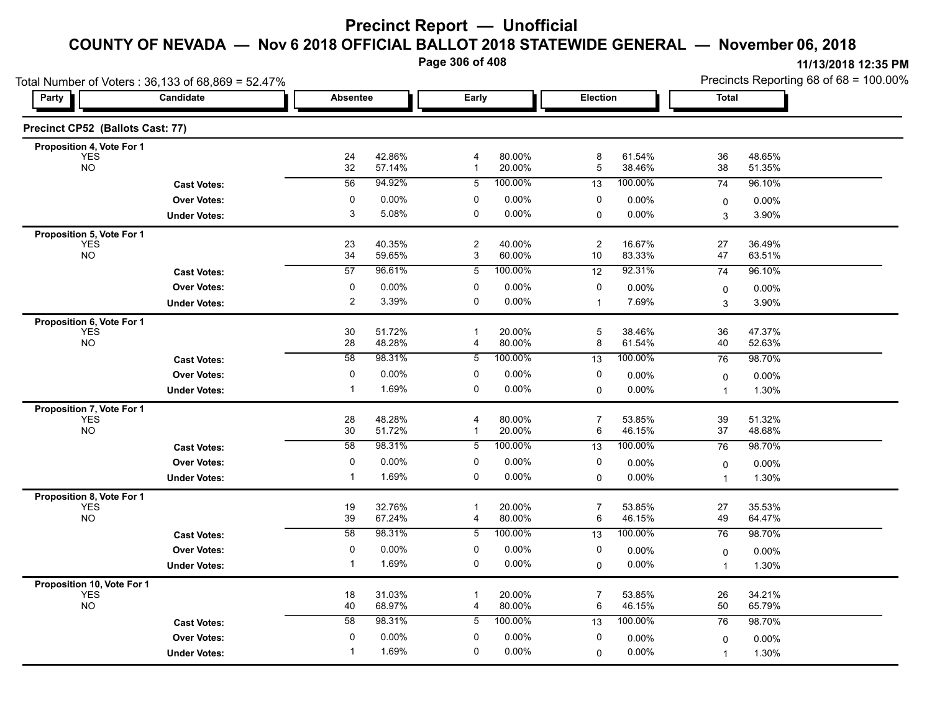**Page 306 of 408**

|                                  | Total Number of Voters: 36,133 of 68,869 = 52.47% |                       |                  |                     |                  |                     |                  | Precincts Reporting 68 of 68 = 100.00% |                  |  |
|----------------------------------|---------------------------------------------------|-----------------------|------------------|---------------------|------------------|---------------------|------------------|----------------------------------------|------------------|--|
| Party                            | Candidate                                         | <b>Absentee</b>       |                  | Early               |                  | Election            |                  | <b>Total</b>                           |                  |  |
| Precinct CP52 (Ballots Cast: 77) |                                                   |                       |                  |                     |                  |                     |                  |                                        |                  |  |
| Proposition 4, Vote For 1        |                                                   |                       |                  |                     |                  |                     |                  |                                        |                  |  |
| <b>YES</b><br><b>NO</b>          |                                                   | 24<br>32              | 42.86%<br>57.14% | 4<br>$\mathbf{1}$   | 80.00%<br>20.00% | 8<br>5              | 61.54%<br>38.46% | 36<br>38                               | 48.65%<br>51.35% |  |
|                                  | <b>Cast Votes:</b>                                | 56                    | 94.92%           | 5                   | 100.00%          | 13                  | 100.00%          | 74                                     | 96.10%           |  |
|                                  | <b>Over Votes:</b>                                | 0                     | 0.00%            | 0                   | 0.00%            | 0                   | 0.00%            | $\mathbf 0$                            | $0.00\%$         |  |
|                                  | <b>Under Votes:</b>                               | 3                     | 5.08%            | $\mathbf 0$         | $0.00\%$         | 0                   | 0.00%            | 3                                      | 3.90%            |  |
| Proposition 5, Vote For 1        |                                                   |                       |                  |                     |                  |                     |                  |                                        |                  |  |
| <b>YES</b><br><b>NO</b>          |                                                   | 23                    | 40.35%           | $\overline{2}$      | 40.00%<br>60.00% | $\overline{c}$      | 16.67%           | 27                                     | 36.49%           |  |
|                                  |                                                   | 34<br>$\overline{57}$ | 59.65%<br>96.61% | 3                   | 100.00%          | 10                  | 83.33%<br>92.31% | 47                                     | 63.51%           |  |
|                                  | <b>Cast Votes:</b>                                |                       |                  | 5                   |                  | 12                  |                  | 74                                     | 96.10%           |  |
|                                  | <b>Over Votes:</b>                                | $\pmb{0}$<br>2        | 0.00%            | 0<br>$\mathbf 0$    | 0.00%            | 0                   | 0.00%            | $\mathbf 0$                            | $0.00\%$         |  |
|                                  | <b>Under Votes:</b>                               |                       | 3.39%            |                     | 0.00%            | $\mathbf 1$         | 7.69%            | 3                                      | 3.90%            |  |
| Proposition 6, Vote For 1        |                                                   |                       |                  | $\mathbf{1}$        |                  | 5                   |                  | 36                                     |                  |  |
| <b>YES</b><br><b>NO</b>          |                                                   | 30<br>28              | 51.72%<br>48.28% | 4                   | 20.00%<br>80.00% | 8                   | 38.46%<br>61.54% | 40                                     | 47.37%<br>52.63% |  |
|                                  | <b>Cast Votes:</b>                                | 58                    | 98.31%           | 5                   | 100.00%          | $\overline{13}$     | 100.00%          | 76                                     | 98.70%           |  |
|                                  | <b>Over Votes:</b>                                | 0                     | 0.00%            | 0                   | 0.00%            | 0                   | 0.00%            | $\mathbf 0$                            | $0.00\%$         |  |
|                                  | <b>Under Votes:</b>                               | $\mathbf 1$           | 1.69%            | $\pmb{0}$           | 0.00%            | 0                   | 0.00%            | $\mathbf 1$                            | 1.30%            |  |
| Proposition 7, Vote For 1        |                                                   |                       |                  |                     |                  |                     |                  |                                        |                  |  |
| <b>YES</b>                       |                                                   | 28                    | 48.28%           | 4                   | 80.00%           | $\overline{7}$      | 53.85%           | 39                                     | 51.32%           |  |
| <b>NO</b>                        |                                                   | 30                    | 51.72%           | -1                  | 20.00%           | 6                   | 46.15%           | 37                                     | 48.68%           |  |
|                                  | <b>Cast Votes:</b>                                | 58                    | 98.31%           | 5                   | 100.00%          | 13                  | 100.00%          | 76                                     | 98.70%           |  |
|                                  | <b>Over Votes:</b>                                | 0                     | 0.00%            | 0                   | 0.00%            | 0                   | 0.00%            | $\mathbf 0$                            | $0.00\%$         |  |
|                                  | <b>Under Votes:</b>                               | -1                    | 1.69%            | $\mathbf 0$         | 0.00%            | 0                   | 0.00%            | $\mathbf{1}$                           | 1.30%            |  |
| Proposition 8, Vote For 1        |                                                   |                       |                  |                     |                  |                     |                  |                                        |                  |  |
| <b>YES</b>                       |                                                   | 19                    | 32.76%           | $\overline{1}$      | 20.00%           | $\overline{7}$      | 53.85%           | 27                                     | 35.53%           |  |
| <b>NO</b>                        |                                                   | 39                    | 67.24%           | 4                   | 80.00%           | 6                   | 46.15%           | 49                                     | 64.47%           |  |
|                                  | <b>Cast Votes:</b>                                | 58                    | 98.31%           | 5                   | 100.00%          | 13                  | 100.00%          | 76                                     | 98.70%           |  |
|                                  | <b>Over Votes:</b>                                | $\pmb{0}$             | 0.00%            | 0                   | 0.00%            | 0                   | 0.00%            | $\pmb{0}$                              | 0.00%            |  |
|                                  | <b>Under Votes:</b>                               | $\mathbf 1$           | 1.69%            | $\mathbf 0$         | 0.00%            | $\mathbf 0$         | $0.00\%$         | $\mathbf 1$                            | 1.30%            |  |
| Proposition 10, Vote For 1       |                                                   |                       |                  |                     |                  |                     |                  |                                        |                  |  |
| <b>YES</b><br><b>NO</b>          |                                                   | 18<br>40              | 31.03%<br>68.97% | $\overline{1}$<br>4 | 20.00%<br>80.00% | $\overline{7}$<br>6 | 53.85%<br>46.15% | 26<br>50                               | 34.21%<br>65.79% |  |
|                                  | <b>Cast Votes:</b>                                | 58                    | 98.31%           | 5                   | 100.00%          | 13                  | 100.00%          | 76                                     | 98.70%           |  |
|                                  | <b>Over Votes:</b>                                | 0                     | 0.00%            | 0                   | 0.00%            | 0                   | 0.00%            |                                        |                  |  |
|                                  | <b>Under Votes:</b>                               | -1                    | 1.69%            | 0                   | $0.00\%$         | 0                   | $0.00\%$         | 0<br>$\mathbf{1}$                      | 0.00%<br>1.30%   |  |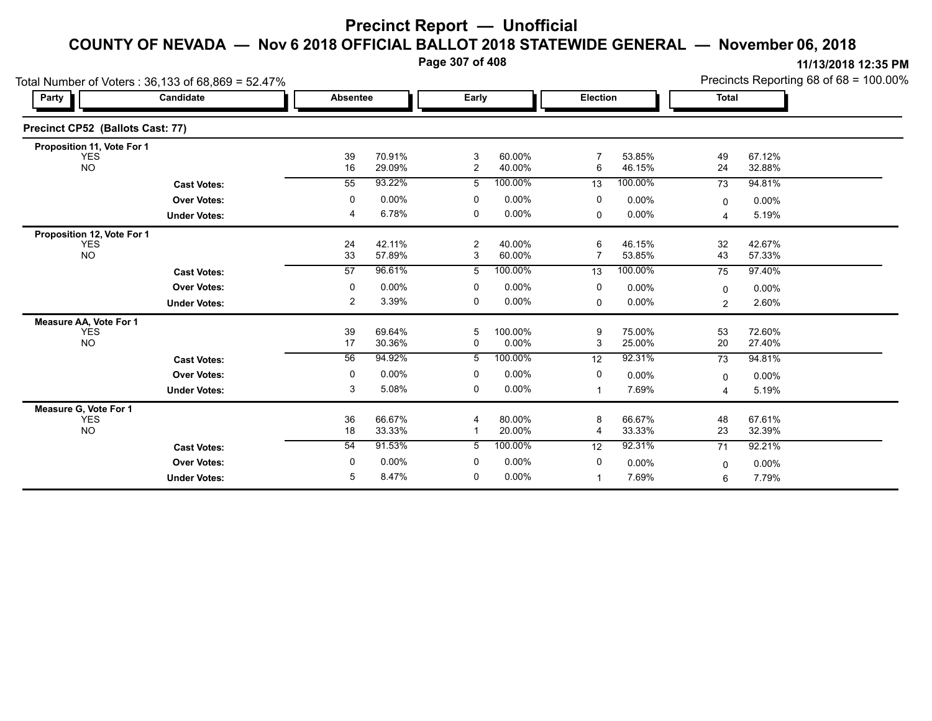**Page 307 of 408**

|                                  | Total Number of Voters: 36,133 of 68,869 = 52.47% |                 |                  |                     |                  |                 |                  | Precincts Reporting 68 of 68 = 100.00% |                  |  |
|----------------------------------|---------------------------------------------------|-----------------|------------------|---------------------|------------------|-----------------|------------------|----------------------------------------|------------------|--|
| Party                            | Candidate                                         | <b>Absentee</b> |                  | Early               |                  | <b>Election</b> |                  | Total                                  |                  |  |
| Precinct CP52 (Ballots Cast: 77) |                                                   |                 |                  |                     |                  |                 |                  |                                        |                  |  |
| Proposition 11, Vote For 1       |                                                   |                 |                  |                     |                  |                 |                  |                                        |                  |  |
| <b>YES</b><br><b>NO</b>          |                                                   | 39<br>16        | 70.91%<br>29.09% | 3<br>$\overline{2}$ | 60.00%<br>40.00% | 7<br>6          | 53.85%<br>46.15% | 49<br>24                               | 67.12%<br>32.88% |  |
|                                  | <b>Cast Votes:</b>                                | 55              | 93.22%           | 5                   | 100.00%          | 13              | 100.00%          | 73                                     | 94.81%           |  |
|                                  | <b>Over Votes:</b>                                | 0               | 0.00%            | 0                   | 0.00%            | 0               | $0.00\%$         | 0                                      | 0.00%            |  |
|                                  | <b>Under Votes:</b>                               | 4               | 6.78%            | 0                   | 0.00%            | $\mathbf 0$     | 0.00%            | 4                                      | 5.19%            |  |
| Proposition 12, Vote For 1       |                                                   |                 |                  |                     |                  |                 |                  |                                        |                  |  |
| <b>YES</b><br><b>NO</b>          |                                                   | 24<br>33        | 42.11%<br>57.89% | $\overline{c}$<br>3 | 40.00%<br>60.00% | 6<br>7          | 46.15%<br>53.85% | 32<br>43                               | 42.67%<br>57.33% |  |
|                                  | <b>Cast Votes:</b>                                | 57              | 96.61%           | 5                   | 100.00%          | 13              | 100.00%          | 75                                     | 97.40%           |  |
|                                  | <b>Over Votes:</b>                                | 0               | $0.00\%$         | 0                   | 0.00%            | 0               | 0.00%            | $\mathbf 0$                            | 0.00%            |  |
|                                  | <b>Under Votes:</b>                               | 2               | 3.39%            | 0                   | 0.00%            | $\Omega$        | $0.00\%$         | $\overline{2}$                         | 2.60%            |  |
| Measure AA, Vote For 1           |                                                   |                 |                  |                     |                  |                 |                  |                                        |                  |  |
| <b>YES</b>                       |                                                   | 39              | 69.64%           | 5                   | 100.00%          | 9               | 75.00%           | 53                                     | 72.60%           |  |
| <b>NO</b>                        |                                                   | 17              | 30.36%           | 0                   | 0.00%            | 3               | 25.00%           | 20                                     | 27.40%           |  |
|                                  | <b>Cast Votes:</b>                                | 56              | 94.92%           | 5                   | 100.00%          | 12              | 92.31%           | 73                                     | 94.81%           |  |
|                                  | <b>Over Votes:</b>                                | 0               | 0.00%            | 0                   | 0.00%            | 0               | $0.00\%$         | $\mathbf 0$                            | 0.00%            |  |
|                                  | <b>Under Votes:</b>                               | 3               | 5.08%            | 0                   | 0.00%            | -1              | 7.69%            | 4                                      | 5.19%            |  |
| Measure G, Vote For 1            |                                                   |                 |                  |                     |                  |                 |                  |                                        |                  |  |
| <b>YES</b><br><b>NO</b>          |                                                   | 36<br>18        | 66.67%<br>33.33% |                     | 80.00%<br>20.00% | 8<br>4          | 66.67%<br>33.33% | 48<br>23                               | 67.61%<br>32.39% |  |
|                                  |                                                   | 54              | 91.53%           | 5                   | 100.00%          |                 | 92.31%           |                                        |                  |  |
|                                  | <b>Cast Votes:</b>                                |                 |                  |                     |                  | 12              |                  | 71                                     | 92.21%           |  |
|                                  | <b>Over Votes:</b>                                | 0               | $0.00\%$         | 0                   | 0.00%            | 0               | 0.00%            | 0                                      | 0.00%            |  |
|                                  | <b>Under Votes:</b>                               | 5               | 8.47%            | 0                   | 0.00%            | $\mathbf{1}$    | 7.69%            | 6                                      | 7.79%            |  |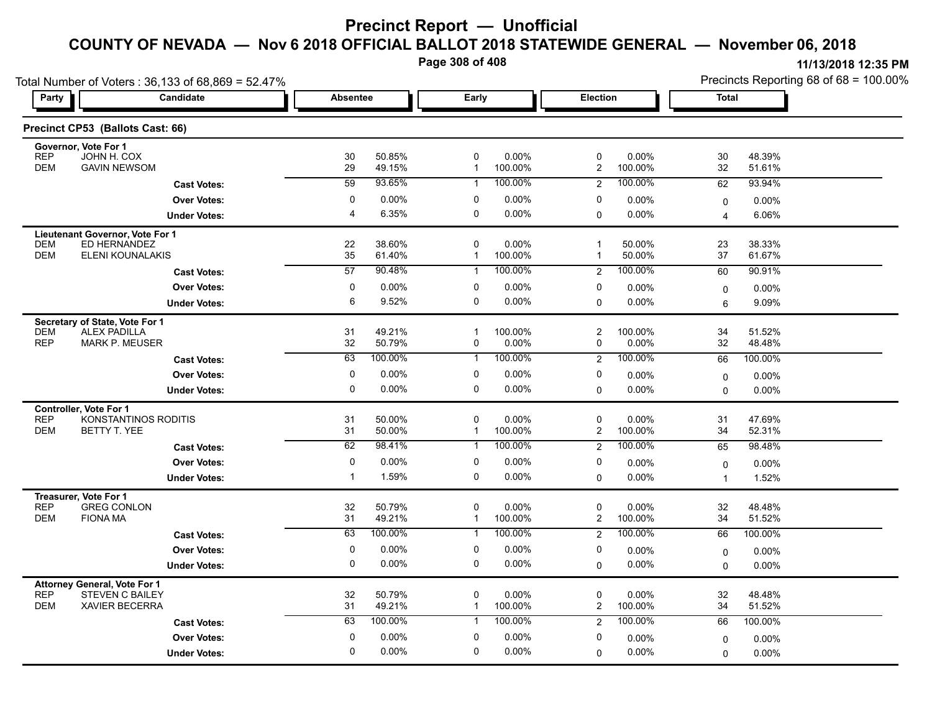**Page 308 of 408**

| Party                    | Total Number of Voters: 36,133 of 68,869 = 52.47%<br><b>Candidate</b> | <b>Absentee</b>  |                   | Early                     |                    | <b>Election</b>             |                    | <b>Total</b>     |                  |  |
|--------------------------|-----------------------------------------------------------------------|------------------|-------------------|---------------------------|--------------------|-----------------------------|--------------------|------------------|------------------|--|
|                          |                                                                       |                  |                   |                           |                    |                             |                    |                  |                  |  |
|                          | Precinct CP53 (Ballots Cast: 66)                                      |                  |                   |                           |                    |                             |                    |                  |                  |  |
|                          | Governor, Vote For 1                                                  |                  |                   |                           |                    |                             |                    |                  |                  |  |
| <b>REP</b><br><b>DEM</b> | JOHN H. COX<br><b>GAVIN NEWSOM</b>                                    | 30<br>29         | 50.85%<br>49.15%  | $\pmb{0}$<br>$\mathbf{1}$ | 0.00%<br>100.00%   | $\pmb{0}$<br>$\overline{2}$ | 0.00%<br>100.00%   | 30<br>32         | 48.39%<br>51.61% |  |
|                          | <b>Cast Votes:</b>                                                    | $\overline{59}$  | 93.65%            | $\mathbf{1}$              | 100.00%            | 2                           | 100.00%            | 62               | 93.94%           |  |
|                          | <b>Over Votes:</b>                                                    | $\mathbf 0$      | 0.00%             | 0                         | $0.00\%$           | 0                           | $0.00\%$           | $\mathbf 0$      | 0.00%            |  |
|                          | <b>Under Votes:</b>                                                   | $\overline{4}$   | 6.35%             | 0                         | $0.00\%$           | $\mathsf 0$                 | 0.00%              | $\overline{4}$   | 6.06%            |  |
|                          | Lieutenant Governor, Vote For 1                                       |                  |                   |                           |                    |                             |                    |                  |                  |  |
| <b>DEM</b><br><b>DEM</b> | ED HERNANDEZ<br>ELENI KOUNALAKIS                                      | 22<br>35         | 38.60%<br>61.40%  | 0<br>$\mathbf{1}$         | 0.00%<br>100.00%   | $\mathbf 1$<br>$\mathbf{1}$ | 50.00%<br>50.00%   | 23<br>37         | 38.33%<br>61.67% |  |
|                          | <b>Cast Votes:</b>                                                    | 57               | 90.48%            | $\mathbf{1}$              | 100.00%            | 2                           | 100.00%            | 60               | 90.91%           |  |
|                          | <b>Over Votes:</b>                                                    | 0                | 0.00%             | 0                         | $0.00\%$           | 0                           | 0.00%              |                  | 0.00%            |  |
|                          | <b>Under Votes:</b>                                                   | 6                | 9.52%             | $\mathbf 0$               | $0.00\%$           | $\mathbf 0$                 | 0.00%              | $\mathbf 0$<br>6 | 9.09%            |  |
|                          | Secretary of State, Vote For 1                                        |                  |                   |                           |                    |                             |                    |                  |                  |  |
| <b>DEM</b>               | <b>ALEX PADILLA</b>                                                   | 31               | 49.21%            | $\mathbf{1}$              | 100.00%            | $\overline{c}$              | 100.00%            | 34               | 51.52%           |  |
| <b>REP</b>               | <b>MARK P. MEUSER</b>                                                 | 32               | 50.79%            | 0                         | 0.00%              | $\mathbf 0$                 | 0.00%              | 32               | 48.48%           |  |
|                          | <b>Cast Votes:</b>                                                    | 63               | 100.00%           | $\mathbf{1}$              | 100.00%            | $\overline{2}$              | 100.00%            | 66               | 100.00%          |  |
|                          | <b>Over Votes:</b>                                                    | $\mathbf 0$      | 0.00%             | 0                         | $0.00\%$           | 0                           | 0.00%              | $\mathbf 0$      | 0.00%            |  |
|                          | <b>Under Votes:</b>                                                   | $\mathbf 0$      | 0.00%             | $\mathbf 0$               | 0.00%              | $\mathbf 0$                 | 0.00%              | $\mathbf 0$      | $0.00\%$         |  |
|                          | Controller, Vote For 1                                                |                  |                   |                           |                    |                             |                    |                  |                  |  |
| <b>REP</b><br><b>DEM</b> | KONSTANTINOS RODITIS<br>BETTY T. YEE                                  | 31<br>31         | 50.00%<br>50.00%  | $\pmb{0}$<br>$\mathbf{1}$ | 0.00%<br>100.00%   | $\pmb{0}$<br>$\overline{2}$ | 0.00%<br>100.00%   | 31<br>34         | 47.69%<br>52.31% |  |
|                          | <b>Cast Votes:</b>                                                    | $\overline{62}$  | 98.41%            | $\mathbf{1}$              | 100.00%            | 2                           | 100.00%            | 65               | 98.48%           |  |
|                          | <b>Over Votes:</b>                                                    | $\mathbf 0$      | 0.00%             | 0                         | $0.00\%$           | 0                           | 0.00%              | $\mathbf 0$      | 0.00%            |  |
|                          | <b>Under Votes:</b>                                                   | $\mathbf{1}$     | 1.59%             | $\mathbf 0$               | 0.00%              | $\mathbf 0$                 | 0.00%              | $\mathbf{1}$     | 1.52%            |  |
|                          | Treasurer, Vote For 1                                                 |                  |                   |                           |                    |                             |                    |                  |                  |  |
| <b>REP</b>               | <b>GREG CONLON</b>                                                    | 32               | 50.79%            | 0                         | 0.00%              | $\pmb{0}$                   | $0.00\%$           | 32               | 48.48%           |  |
| <b>DEM</b>               | <b>FIONA MA</b>                                                       | 31<br>63         | 49.21%<br>100.00% | $\mathbf{1}$              | 100.00%<br>100.00% | $\overline{2}$              | 100.00%<br>100.00% | 34               | 51.52%           |  |
|                          | <b>Cast Votes:</b>                                                    |                  |                   | $\mathbf{1}$              |                    | 2                           |                    | 66               | 100.00%          |  |
|                          | <b>Over Votes:</b>                                                    | 0<br>$\mathbf 0$ | 0.00%<br>0.00%    | 0<br>$\mathbf 0$          | 0.00%<br>$0.00\%$  | 0                           | 0.00%              | $\mathbf 0$      | 0.00%            |  |
|                          | <b>Under Votes:</b>                                                   |                  |                   |                           |                    | $\mathbf 0$                 | $0.00\%$           | $\mathbf 0$      | 0.00%            |  |
| <b>REP</b>               | <b>Attorney General, Vote For 1</b><br><b>STEVEN C BAILEY</b>         | 32               | 50.79%            | 0                         | $0.00\%$           | 0                           | $0.00\%$           | 32               | 48.48%           |  |
| <b>DEM</b>               | <b>XAVIER BECERRA</b>                                                 | 31               | 49.21%            | $\mathbf{1}$              | 100.00%            | $\overline{2}$              | 100.00%            | 34               | 51.52%           |  |
|                          | <b>Cast Votes:</b>                                                    | 63               | 100.00%           | $\mathbf{1}$              | 100.00%            | 2                           | 100.00%            | 66               | 100.00%          |  |
|                          | <b>Over Votes:</b>                                                    | $\mathbf 0$      | 0.00%             | 0                         | 0.00%              | 0                           | 0.00%              | $\mathbf 0$      | 0.00%            |  |
|                          | <b>Under Votes:</b>                                                   | $\mathbf 0$      | 0.00%             | $\mathbf 0$               | 0.00%              | $\mathbf 0$                 | $0.00\%$           | $\mathbf 0$      | 0.00%            |  |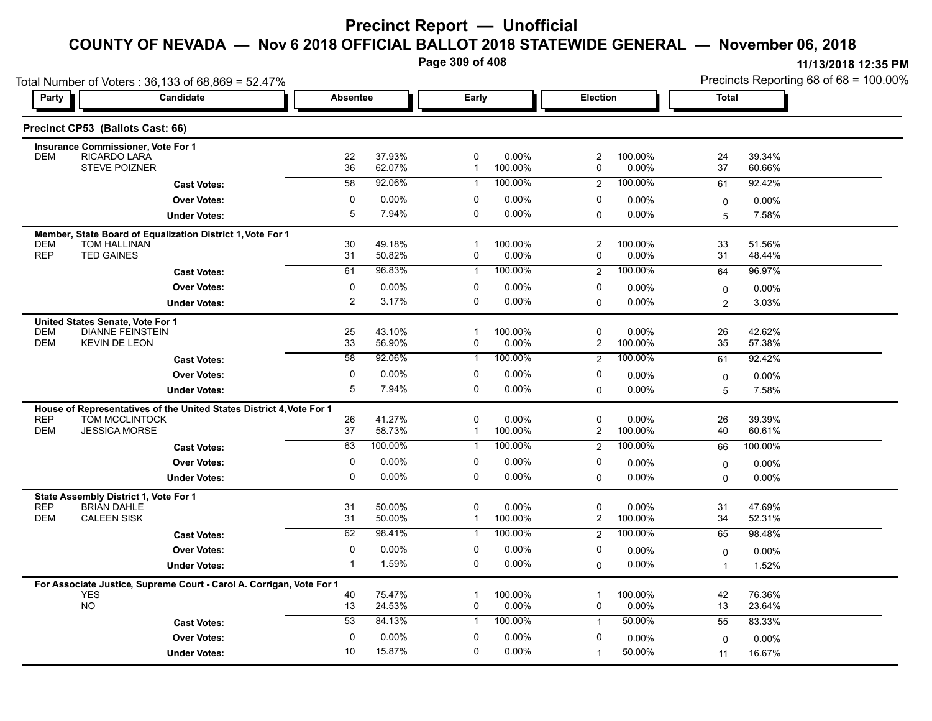**Page 309 of 408**

| Total Number of Voters: 36,133 of 68,869 = 52.47% |                                                                      |                     |                  |                   |                  |                               |                      | Precincts Reporting 68 of 68 = 100.00% |                  |  |
|---------------------------------------------------|----------------------------------------------------------------------|---------------------|------------------|-------------------|------------------|-------------------------------|----------------------|----------------------------------------|------------------|--|
| Party                                             | Candidate                                                            | <b>Absentee</b>     |                  | Early             |                  | Election                      |                      | <b>Total</b>                           |                  |  |
|                                                   | Precinct CP53 (Ballots Cast: 66)                                     |                     |                  |                   |                  |                               |                      |                                        |                  |  |
|                                                   | <b>Insurance Commissioner, Vote For 1</b>                            |                     |                  |                   |                  |                               |                      |                                        |                  |  |
| <b>DEM</b>                                        | RICARDO LARA<br><b>STEVE POIZNER</b>                                 | 22<br>36            | 37.93%<br>62.07% | 0<br>$\mathbf{1}$ | 0.00%<br>100.00% | $\overline{c}$<br>0           | 100.00%<br>$0.00\%$  | 24<br>37                               | 39.34%<br>60.66% |  |
|                                                   | <b>Cast Votes:</b>                                                   | 58                  | 92.06%           | $\mathbf{1}$      | 100.00%          | 2                             | 100.00%              | 61                                     | 92.42%           |  |
|                                                   | <b>Over Votes:</b>                                                   | 0                   | $0.00\%$         | $\Omega$          | 0.00%            | 0                             | $0.00\%$             | 0                                      | 0.00%            |  |
|                                                   | <b>Under Votes:</b>                                                  | 5                   | 7.94%            | 0                 | 0.00%            | $\Omega$                      | $0.00\%$             | 5                                      | 7.58%            |  |
|                                                   | Member, State Board of Equalization District 1, Vote For 1           |                     |                  |                   |                  |                               |                      |                                        |                  |  |
| <b>DEM</b><br><b>REP</b>                          | TOM HALLINAN                                                         | 30                  | 49.18%           | $\mathbf{1}$      | 100.00%          | 2                             | 100.00%              | 33                                     | 51.56%           |  |
|                                                   | <b>TED GAINES</b>                                                    | 31                  | 50.82%<br>96.83% | 0<br>$\mathbf{1}$ | 0.00%<br>100.00% | 0                             | 0.00%                | 31                                     | 48.44%           |  |
|                                                   | <b>Cast Votes:</b>                                                   | 61                  |                  |                   |                  | $\overline{2}$                | 100.00%              | 64                                     | 96.97%           |  |
|                                                   | <b>Over Votes:</b>                                                   | 0<br>$\overline{2}$ | 0.00%            | $\Omega$<br>0     | 0.00%<br>0.00%   | 0                             | 0.00%                | 0                                      | $0.00\%$         |  |
|                                                   | <b>Under Votes:</b>                                                  |                     | 3.17%            |                   |                  | $\Omega$                      | $0.00\%$             | $\overline{2}$                         | 3.03%            |  |
| <b>DEM</b>                                        | United States Senate, Vote For 1<br><b>DIANNE FEINSTEIN</b>          | 25                  | 43.10%           | $\mathbf{1}$      | 100.00%          | 0                             | 0.00%                | 26                                     | 42.62%           |  |
| <b>DEM</b>                                        | <b>KEVIN DE LEON</b>                                                 | 33                  | 56.90%           | 0                 | 0.00%            | $\overline{c}$                | 100.00%              | 35                                     | 57.38%           |  |
|                                                   | <b>Cast Votes:</b>                                                   | 58                  | 92.06%           | 1                 | 100.00%          | $\overline{2}$                | 100.00%              | 61                                     | 92.42%           |  |
|                                                   | <b>Over Votes:</b>                                                   | 0                   | $0.00\%$         | 0                 | 0.00%            | 0                             | 0.00%                | 0                                      | $0.00\%$         |  |
|                                                   | <b>Under Votes:</b>                                                  | 5                   | 7.94%            | 0                 | 0.00%            | 0                             | $0.00\%$             | 5                                      | 7.58%            |  |
|                                                   | House of Representatives of the United States District 4, Vote For 1 |                     |                  |                   |                  |                               |                      |                                        |                  |  |
| <b>REP</b>                                        | TOM MCCLINTOCK                                                       | 26                  | 41.27%           | 0                 | 0.00%            | 0                             | $0.00\%$             | 26                                     | 39.39%           |  |
| <b>DEM</b>                                        | <b>JESSICA MORSE</b>                                                 | 37                  | 58.73%           | 1                 | 100.00%          | $\overline{c}$                | 100.00%              | 40                                     | 60.61%           |  |
|                                                   | <b>Cast Votes:</b>                                                   | 63                  | 100.00%          | $\mathbf{1}$      | 100.00%          | 2                             | 100.00%              | 66                                     | 100.00%          |  |
|                                                   | <b>Over Votes:</b>                                                   | 0                   | 0.00%            | 0                 | 0.00%            | 0                             | $0.00\%$             | $\mathbf 0$                            | 0.00%            |  |
|                                                   | <b>Under Votes:</b>                                                  | 0                   | $0.00\%$         | 0                 | 0.00%            | $\Omega$                      | $0.00\%$             | $\Omega$                               | 0.00%            |  |
|                                                   | State Assembly District 1, Vote For 1                                |                     |                  |                   |                  |                               |                      |                                        |                  |  |
| <b>REP</b><br><b>DEM</b>                          | <b>BRIAN DAHLE</b><br><b>CALEEN SISK</b>                             | 31<br>31            | 50.00%<br>50.00% | 0<br>$\mathbf{1}$ | 0.00%<br>100.00% | $\mathbf 0$<br>$\overline{c}$ | 0.00%<br>100.00%     | 31<br>34                               | 47.69%<br>52.31% |  |
|                                                   | <b>Cast Votes:</b>                                                   | 62                  | 98.41%           | 1                 | 100.00%          | $\overline{2}$                | 100.00%              | 65                                     | 98.48%           |  |
|                                                   | <b>Over Votes:</b>                                                   | 0                   | $0.00\%$         | 0                 | 0.00%            | 0                             |                      |                                        |                  |  |
|                                                   | <b>Under Votes:</b>                                                  | $\mathbf{1}$        | 1.59%            | 0                 | 0.00%            | 0                             | $0.00\%$<br>$0.00\%$ | $\mathbf 0$<br>$\overline{1}$          | 0.00%<br>1.52%   |  |
|                                                   |                                                                      |                     |                  |                   |                  |                               |                      |                                        |                  |  |
| <b>YES</b>                                        | For Associate Justice, Supreme Court - Carol A. Corrigan, Vote For 1 | 40                  | 75.47%           | $\mathbf 1$       | 100.00%          | 1                             | 100.00%              | 42                                     | 76.36%           |  |
| <b>NO</b>                                         |                                                                      | 13                  | 24.53%           | 0                 | 0.00%            | 0                             | $0.00\%$             | 13                                     | 23.64%           |  |
|                                                   | <b>Cast Votes:</b>                                                   | 53                  | 84.13%           | $\mathbf{1}$      | 100.00%          | $\mathbf{1}$                  | 50.00%               | 55                                     | 83.33%           |  |
|                                                   | <b>Over Votes:</b>                                                   | 0                   | 0.00%            | 0                 | 0.00%            | 0                             | 0.00%                | $\Omega$                               | 0.00%            |  |
|                                                   | <b>Under Votes:</b>                                                  | 10                  | 15.87%           | 0                 | 0.00%            | 1                             | 50.00%               | 11                                     | 16.67%           |  |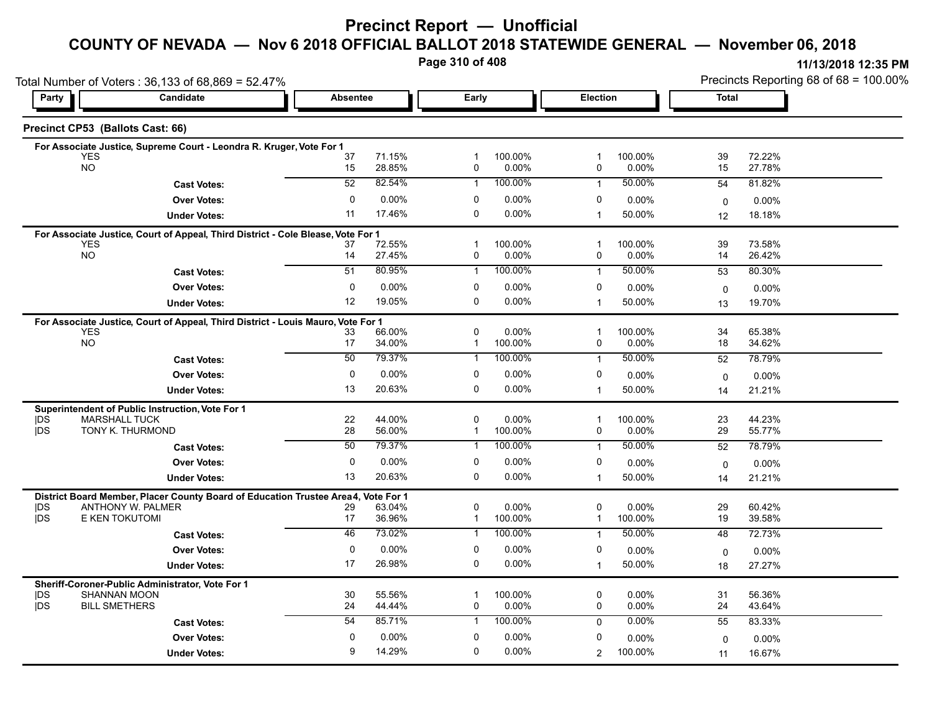# **Precinct Report — Unofficial**

#### **COUNTY OF NEVADA — Nov 6 2018 OFFICIAL BALLOT 2018 STATEWIDE GENERAL — November 06, 2018**

**Page 310 of 408**

| Total Number of Voters: 36,133 of 68,869 = 52.47% |                                                                                                        |                 |                  |                   |                  |                   |                  |              | Precincts Reporting 68 of 68 = 100.00% |  |  |  |
|---------------------------------------------------|--------------------------------------------------------------------------------------------------------|-----------------|------------------|-------------------|------------------|-------------------|------------------|--------------|----------------------------------------|--|--|--|
| Party                                             | Candidate                                                                                              | <b>Absentee</b> |                  | Early             |                  | Election          |                  | <b>Total</b> |                                        |  |  |  |
|                                                   | Precinct CP53 (Ballots Cast: 66)                                                                       |                 |                  |                   |                  |                   |                  |              |                                        |  |  |  |
|                                                   | For Associate Justice, Supreme Court - Leondra R. Kruger, Vote For 1                                   |                 |                  |                   |                  |                   |                  |              |                                        |  |  |  |
|                                                   | <b>YES</b><br><b>NO</b>                                                                                | 37<br>15        | 71.15%<br>28.85% | -1<br>0           | 100.00%<br>0.00% | 1<br>0            | 100.00%<br>0.00% | 39<br>15     | 72.22%<br>27.78%                       |  |  |  |
|                                                   |                                                                                                        | 52              | 82.54%           | $\mathbf{1}$      | 100.00%          |                   | 50.00%           |              |                                        |  |  |  |
|                                                   | <b>Cast Votes:</b>                                                                                     |                 |                  |                   |                  | $\mathbf{1}$      |                  | 54           | 81.82%                                 |  |  |  |
|                                                   | <b>Over Votes:</b>                                                                                     | $\mathbf{0}$    | 0.00%            | 0<br>$\Omega$     | 0.00%            | 0                 | 0.00%            | 0            | 0.00%                                  |  |  |  |
|                                                   | <b>Under Votes:</b>                                                                                    | 11              | 17.46%           |                   | 0.00%            | $\mathbf{1}$      | 50.00%           | 12           | 18.18%                                 |  |  |  |
|                                                   | For Associate Justice, Court of Appeal, Third District - Cole Blease, Vote For 1                       |                 |                  |                   |                  |                   |                  |              |                                        |  |  |  |
|                                                   | <b>YES</b><br><b>NO</b>                                                                                | 37<br>14        | 72.55%<br>27.45% | $\mathbf{1}$<br>0 | 100.00%<br>0.00% | $\mathbf{1}$<br>0 | 100.00%<br>0.00% | 39<br>14     | 73.58%<br>26.42%                       |  |  |  |
|                                                   | <b>Cast Votes:</b>                                                                                     | 51              | 80.95%           | $\mathbf{1}$      | 100.00%          | $\mathbf{1}$      | 50.00%           | 53           | 80.30%                                 |  |  |  |
|                                                   | <b>Over Votes:</b>                                                                                     | 0               | $0.00\%$         | 0                 | 0.00%            | 0                 | $0.00\%$         |              |                                        |  |  |  |
|                                                   |                                                                                                        | 12              | 19.05%           | 0                 | 0.00%            | $\overline{1}$    | 50.00%           | $\mathbf 0$  | $0.00\%$                               |  |  |  |
|                                                   | <b>Under Votes:</b>                                                                                    |                 |                  |                   |                  |                   |                  | 13           | 19.70%                                 |  |  |  |
|                                                   | For Associate Justice, Court of Appeal, Third District - Louis Mauro, Vote For 1<br><b>YES</b>         |                 | 66.00%           | $\mathbf 0$       | 0.00%            | $\mathbf{1}$      | 100.00%          | 34           | 65.38%                                 |  |  |  |
|                                                   | NO                                                                                                     | 33<br>17        | 34.00%           | $\mathbf{1}$      | 100.00%          | 0                 | 0.00%            | 18           | 34.62%                                 |  |  |  |
|                                                   | <b>Cast Votes:</b>                                                                                     | 50              | 79.37%           | 1                 | 100.00%          | $\mathbf{1}$      | 50.00%           | 52           | 78.79%                                 |  |  |  |
|                                                   | <b>Over Votes:</b>                                                                                     | 0               | $0.00\%$         | 0                 | 0.00%            | 0                 |                  |              |                                        |  |  |  |
|                                                   |                                                                                                        | 13              | 20.63%           | 0                 | 0.00%            | $\mathbf 1$       | 0.00%<br>50.00%  | $\mathbf 0$  | 0.00%                                  |  |  |  |
|                                                   | <b>Under Votes:</b>                                                                                    |                 |                  |                   |                  |                   |                  | 14           | 21.21%                                 |  |  |  |
| <b>IDS</b>                                        | Superintendent of Public Instruction, Vote For 1<br><b>MARSHALL TUCK</b>                               | 22              | 44.00%           | $\mathbf 0$       | 0.00%            | $\mathbf{1}$      | 100.00%          | 23           | 44.23%                                 |  |  |  |
| <b>IDS</b>                                        | TONY K. THURMOND                                                                                       | 28              | 56.00%           | 1                 | 100.00%          | 0                 | 0.00%            | 29           | 55.77%                                 |  |  |  |
|                                                   | <b>Cast Votes:</b>                                                                                     | 50              | 79.37%           | 1                 | 100.00%          | $\mathbf{1}$      | 50.00%           | 52           | 78.79%                                 |  |  |  |
|                                                   | <b>Over Votes:</b>                                                                                     | 0               | $0.00\%$         | 0                 | 0.00%            | 0                 | $0.00\%$         | $\Omega$     | $0.00\%$                               |  |  |  |
|                                                   | <b>Under Votes:</b>                                                                                    | 13              | 20.63%           | 0                 | 0.00%            | $\mathbf{1}$      | 50.00%           | 14           | 21.21%                                 |  |  |  |
|                                                   |                                                                                                        |                 |                  |                   |                  |                   |                  |              |                                        |  |  |  |
| <b>IDS</b>                                        | District Board Member, Placer County Board of Education Trustee Area4, Vote For 1<br>ANTHONY W. PALMER | 29              | 63.04%           | $\mathbf 0$       | $0.00\%$         | 0                 | 0.00%            | 29           | 60.42%                                 |  |  |  |
| jDS                                               | E KEN TOKUTOMI                                                                                         | 17              | 36.96%           | $\mathbf{1}$      | 100.00%          | $\mathbf 1$       | 100.00%          | 19           | 39.58%                                 |  |  |  |
|                                                   | <b>Cast Votes:</b>                                                                                     | 46              | 73.02%           | $\mathbf{1}$      | 100.00%          | $\overline{1}$    | 50.00%           | 48           | 72.73%                                 |  |  |  |
|                                                   | <b>Over Votes:</b>                                                                                     | 0               | 0.00%            | 0                 | 0.00%            | 0                 | 0.00%            | $\mathbf 0$  | $0.00\%$                               |  |  |  |
|                                                   | <b>Under Votes:</b>                                                                                    | 17              | 26.98%           | 0                 | $0.00\%$         | $\mathbf{1}$      | 50.00%           | 18           | 27.27%                                 |  |  |  |
|                                                   |                                                                                                        |                 |                  |                   |                  |                   |                  |              |                                        |  |  |  |
| <b>IDS</b>                                        | Sheriff-Coroner-Public Administrator, Vote For 1<br><b>SHANNAN MOON</b>                                | 30              | 55.56%           | -1                | 100.00%          | 0                 | $0.00\%$         | 31           | 56.36%                                 |  |  |  |
| <b>IDS</b>                                        | <b>BILL SMETHERS</b>                                                                                   | 24              | 44.44%           | 0                 | 0.00%            | $\mathbf 0$       | $0.00\%$         | 24           | 43.64%                                 |  |  |  |
|                                                   | <b>Cast Votes:</b>                                                                                     | 54              | 85.71%           | $\mathbf{1}$      | 100.00%          | $\mathbf 0$       | 0.00%            | 55           | 83.33%                                 |  |  |  |
|                                                   | <b>Over Votes:</b>                                                                                     | $\mathbf{0}$    | 0.00%            | 0                 | 0.00%            | 0                 | 0.00%            | $\Omega$     | $0.00\%$                               |  |  |  |
|                                                   | <b>Under Votes:</b>                                                                                    | 9               | 14.29%           | $\Omega$          | 0.00%            | $\overline{2}$    | 100.00%          | 11           | 16.67%                                 |  |  |  |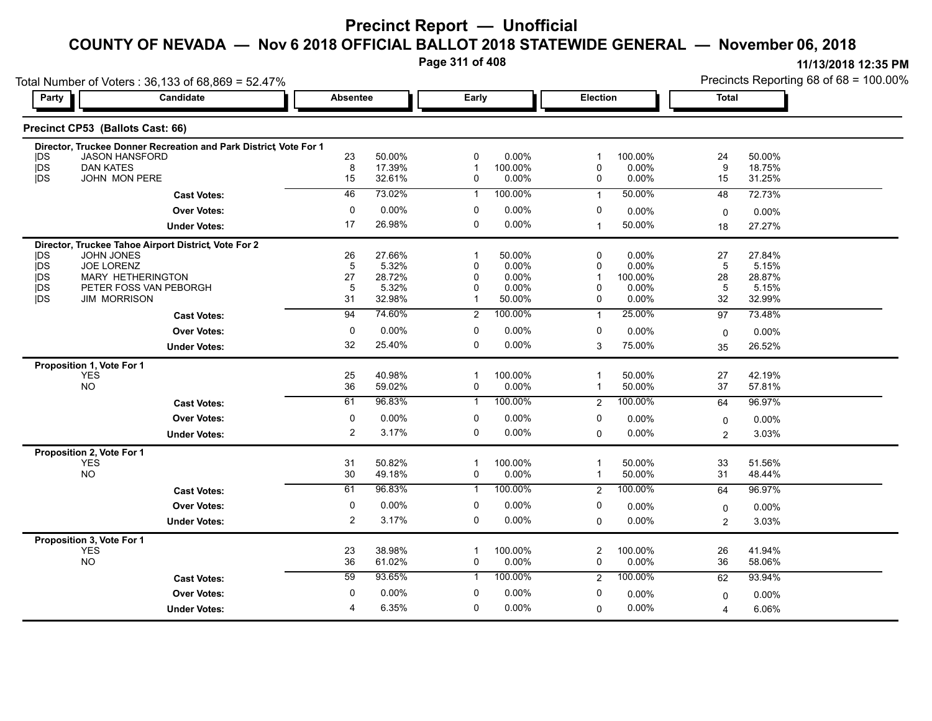**Page 311 of 408**

| Party                    | Candidate                                                        | <b>Absentee</b> |                  | Early                         |                     | <b>Election</b>  |                  | <b>Total</b> |                  |  |  |  |  |  |  |
|--------------------------|------------------------------------------------------------------|-----------------|------------------|-------------------------------|---------------------|------------------|------------------|--------------|------------------|--|--|--|--|--|--|
|                          |                                                                  |                 |                  |                               |                     |                  |                  |              |                  |  |  |  |  |  |  |
|                          | Precinct CP53 (Ballots Cast: 66)                                 |                 |                  |                               |                     |                  |                  |              |                  |  |  |  |  |  |  |
|                          | Director, Truckee Donner Recreation and Park District Vote For 1 |                 |                  |                               |                     |                  |                  |              |                  |  |  |  |  |  |  |
| IDS.                     | <b>JASON HANSFORD</b>                                            | 23              | 50.00%<br>17.39% | 0                             | $0.00\%$            | 1                | 100.00%          | 24           | 50.00%           |  |  |  |  |  |  |
| <b>IDS</b><br><b>IDS</b> | <b>DAN KATES</b><br>JOHN MON PERE                                | 8<br>15         | 32.61%           | $\overline{1}$<br>$\mathbf 0$ | 100.00%<br>$0.00\%$ | $\mathbf 0$<br>0 | 0.00%<br>0.00%   | 9<br>15      | 18.75%<br>31.25% |  |  |  |  |  |  |
|                          |                                                                  | 46              | 73.02%           |                               | 100.00%             |                  | 50.00%           |              |                  |  |  |  |  |  |  |
|                          | <b>Cast Votes:</b>                                               |                 |                  | $\mathbf{1}$                  |                     | $\overline{1}$   |                  | 48           | 72.73%           |  |  |  |  |  |  |
|                          | <b>Over Votes:</b>                                               | 0               | 0.00%            | 0                             | $0.00\%$            | 0                | 0.00%            | $\mathbf 0$  | 0.00%            |  |  |  |  |  |  |
|                          | <b>Under Votes:</b>                                              | 17              | 26.98%           | $\mathbf 0$                   | 0.00%               | $\mathbf{1}$     | 50.00%           | 18           | 27.27%           |  |  |  |  |  |  |
|                          | Director, Truckee Tahoe Airport District, Vote For 2             |                 |                  |                               |                     |                  |                  |              |                  |  |  |  |  |  |  |
| <b>IDS</b>               | <b>JOHN JONES</b>                                                | 26              | 27.66%           | 1                             | 50.00%              | $\Omega$         | 0.00%            | 27           | 27.84%           |  |  |  |  |  |  |
| <b>IDS</b>               | <b>JOE LORENZ</b>                                                | 5               | 5.32%            | $\mathbf 0$                   | 0.00%               | $\Omega$         | 0.00%            | $5\,$        | 5.15%            |  |  |  |  |  |  |
| <b>IDS</b><br>jDS        | <b>MARY HETHERINGTON</b><br>PETER FOSS VAN PEBORGH               | 27<br>5         | 28.72%<br>5.32%  | 0<br>0                        | 0.00%<br>$0.00\%$   | -1<br>$\Omega$   | 100.00%<br>0.00% | 28<br>5      | 28.87%<br>5.15%  |  |  |  |  |  |  |
| <b>IDS</b>               | <b>JIM MORRISON</b>                                              | 31              | 32.98%           | $\mathbf 1$                   | 50.00%              | 0                | 0.00%            | 32           | 32.99%           |  |  |  |  |  |  |
|                          | <b>Cast Votes:</b>                                               | 94              | 74.60%           | $\overline{2}$                | 100.00%             | $\mathbf{1}$     | 25.00%           | 97           | 73.48%           |  |  |  |  |  |  |
|                          | <b>Over Votes:</b>                                               | 0               | 0.00%            | 0                             | $0.00\%$            | 0                | 0.00%            |              | 0.00%            |  |  |  |  |  |  |
|                          | <b>Under Votes:</b>                                              | 32              | 25.40%           | 0                             | $0.00\%$            | 3                | 75.00%           | 0<br>35      | 26.52%           |  |  |  |  |  |  |
|                          |                                                                  |                 |                  |                               |                     |                  |                  |              |                  |  |  |  |  |  |  |
|                          | Proposition 1, Vote For 1<br><b>YES</b>                          | 25              | 40.98%           | $\overline{1}$                | 100.00%             | $\overline{1}$   | 50.00%           | 27           | 42.19%           |  |  |  |  |  |  |
|                          | <b>NO</b>                                                        | 36              | 59.02%           | $\mathbf 0$                   | 0.00%               | $\mathbf{1}$     | 50.00%           | 37           | 57.81%           |  |  |  |  |  |  |
|                          | <b>Cast Votes:</b>                                               | 61              | 96.83%           | $\mathbf{1}$                  | 100.00%             | 2                | 100.00%          | 64           | 96.97%           |  |  |  |  |  |  |
|                          | <b>Over Votes:</b>                                               | $\mathbf 0$     | 0.00%            | $\mathbf 0$                   | $0.00\%$            | 0                | 0.00%            | $\mathbf 0$  | $0.00\%$         |  |  |  |  |  |  |
|                          | <b>Under Votes:</b>                                              | 2               | 3.17%            | $\mathbf 0$                   | $0.00\%$            | $\Omega$         | 0.00%            | 2            | 3.03%            |  |  |  |  |  |  |
|                          |                                                                  |                 |                  |                               |                     |                  |                  |              |                  |  |  |  |  |  |  |
|                          | Proposition 2, Vote For 1<br><b>YES</b>                          | 31              | 50.82%           | $\overline{1}$                | 100.00%             | $\overline{1}$   | 50.00%           | 33           | 51.56%           |  |  |  |  |  |  |
|                          | <b>NO</b>                                                        | 30              | 49.18%           | 0                             | 0.00%               | $\mathbf{1}$     | 50.00%           | 31           | 48.44%           |  |  |  |  |  |  |
|                          | <b>Cast Votes:</b>                                               | 61              | 96.83%           | $\mathbf{1}$                  | 100.00%             | 2                | 100.00%          | 64           | 96.97%           |  |  |  |  |  |  |
|                          | <b>Over Votes:</b>                                               | $\mathbf 0$     | 0.00%            | 0                             | 0.00%               | 0                | 0.00%            | 0            | 0.00%            |  |  |  |  |  |  |
|                          | <b>Under Votes:</b>                                              | $\overline{2}$  | 3.17%            | 0                             | $0.00\%$            | $\mathbf 0$      | 0.00%            | 2            | 3.03%            |  |  |  |  |  |  |
|                          |                                                                  |                 |                  |                               |                     |                  |                  |              |                  |  |  |  |  |  |  |
|                          | Proposition 3, Vote For 1<br><b>YES</b>                          | 23              | 38.98%           | $\overline{1}$                | 100.00%             | $\overline{c}$   | 100.00%          | 26           | 41.94%           |  |  |  |  |  |  |
|                          | <b>NO</b>                                                        | 36              | 61.02%           | $\mathbf 0$                   | 0.00%               | 0                | 0.00%            | 36           | 58.06%           |  |  |  |  |  |  |
|                          | <b>Cast Votes:</b>                                               | 59              | 93.65%           | $\mathbf{1}$                  | 100.00%             | 2                | 100.00%          | 62           | 93.94%           |  |  |  |  |  |  |
|                          | <b>Over Votes:</b>                                               | $\mathbf 0$     | 0.00%            | 0                             | 0.00%               | 0                | $0.00\%$         | $\mathbf 0$  | 0.00%            |  |  |  |  |  |  |
|                          |                                                                  |                 |                  |                               |                     |                  |                  |              |                  |  |  |  |  |  |  |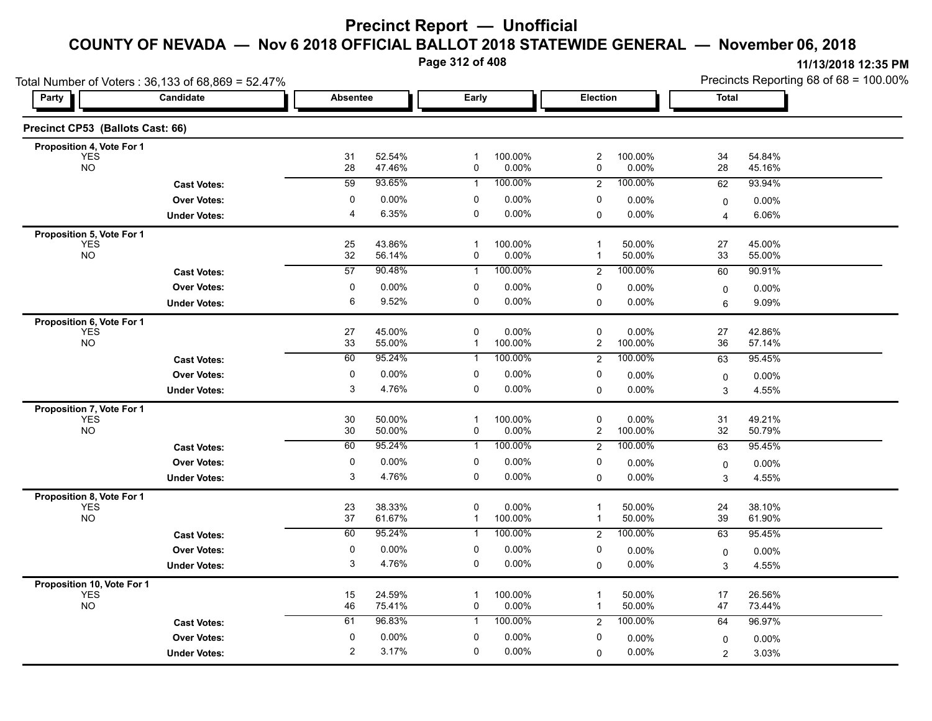**Page 312 of 408**

| Total Number of Voters: 36,133 of 68,869 = 52.47% |                     |                             |                  |                     |                     |                              |                  | Precincts Reporting 68 of 68 = 100.00% |                  |  |
|---------------------------------------------------|---------------------|-----------------------------|------------------|---------------------|---------------------|------------------------------|------------------|----------------------------------------|------------------|--|
| Party                                             | Candidate           | <b>Absentee</b>             |                  | Early               |                     | Election                     |                  | <b>Total</b>                           |                  |  |
| Precinct CP53 (Ballots Cast: 66)                  |                     |                             |                  |                     |                     |                              |                  |                                        |                  |  |
| Proposition 4, Vote For 1                         |                     |                             |                  |                     |                     |                              |                  |                                        |                  |  |
| <b>YES</b><br><b>NO</b>                           |                     | 31<br>28                    | 52.54%<br>47.46% | $\mathbf{1}$<br>0   | 100.00%<br>0.00%    | $\overline{\mathbf{c}}$<br>0 | 100.00%<br>0.00% | 34<br>28                               | 54.84%<br>45.16% |  |
|                                                   | <b>Cast Votes:</b>  | 59                          | 93.65%           | $\mathbf{1}$        | 100.00%             | $\overline{2}$               | 100.00%          | 62                                     | 93.94%           |  |
|                                                   | <b>Over Votes:</b>  | 0                           | 0.00%            | 0                   | 0.00%               | 0                            | 0.00%            | $\mathbf 0$                            | $0.00\%$         |  |
|                                                   | <b>Under Votes:</b> | $\overline{4}$              | 6.35%            | $\mathbf 0$         | 0.00%               | 0                            | 0.00%            | 4                                      | 6.06%            |  |
| Proposition 5, Vote For 1                         |                     |                             |                  |                     |                     |                              |                  |                                        |                  |  |
| <b>YES</b><br><b>NO</b>                           |                     | 25<br>32                    | 43.86%<br>56.14% | $\overline{1}$<br>0 | 100.00%<br>0.00%    | $\mathbf{1}$<br>1            | 50.00%<br>50.00% | 27<br>33                               | 45.00%<br>55.00% |  |
|                                                   | <b>Cast Votes:</b>  | 57                          | 90.48%           | $\mathbf{1}$        | 100.00%             | 2                            | 100.00%          | 60                                     | 90.91%           |  |
|                                                   | <b>Over Votes:</b>  | $\pmb{0}$                   | 0.00%            | 0                   | 0.00%               | 0                            | 0.00%            |                                        |                  |  |
|                                                   | <b>Under Votes:</b> | 6                           | 9.52%            | 0                   | $0.00\%$            | 0                            | 0.00%            | 0<br>6                                 | 0.00%<br>9.09%   |  |
| Proposition 6, Vote For 1                         |                     |                             |                  |                     |                     |                              |                  |                                        |                  |  |
| <b>YES</b>                                        |                     | 27                          | 45.00%           | $\mathbf 0$         | 0.00%               | 0                            | 0.00%            | 27                                     | 42.86%           |  |
| <b>NO</b>                                         |                     | 33                          | 55.00%           | $\mathbf{1}$        | 100.00%             | 2                            | 100.00%          | 36                                     | 57.14%           |  |
|                                                   | <b>Cast Votes:</b>  | 60                          | 95.24%           | $\mathbf{1}$        | 100.00%             | 2                            | 100.00%          | 63                                     | 95.45%           |  |
|                                                   | <b>Over Votes:</b>  | 0                           | 0.00%            | 0                   | 0.00%               | 0                            | 0.00%            | 0                                      | 0.00%            |  |
|                                                   | <b>Under Votes:</b> | 3                           | 4.76%            | 0                   | 0.00%               | $\Omega$                     | 0.00%            | 3                                      | 4.55%            |  |
| Proposition 7, Vote For 1                         |                     |                             |                  |                     |                     |                              |                  |                                        |                  |  |
| <b>YES</b><br><b>NO</b>                           |                     | 30<br>30                    | 50.00%<br>50.00% | $\overline{1}$<br>0 | 100.00%<br>$0.00\%$ | 0<br>2                       | 0.00%<br>100.00% | 31<br>32                               | 49.21%<br>50.79% |  |
|                                                   | <b>Cast Votes:</b>  | 60                          | 95.24%           | $\mathbf{1}$        | 100.00%             | $\overline{2}$               | 100.00%          | 63                                     | 95.45%           |  |
|                                                   | <b>Over Votes:</b>  | 0                           | 0.00%            | 0                   | 0.00%               | 0                            | 0.00%            |                                        |                  |  |
|                                                   | <b>Under Votes:</b> | 3                           | 4.76%            | $\mathbf 0$         | 0.00%               | $\Omega$                     | 0.00%            | $\mathbf 0$<br>3                       | 0.00%<br>4.55%   |  |
|                                                   |                     |                             |                  |                     |                     |                              |                  |                                        |                  |  |
| Proposition 8, Vote For 1<br><b>YES</b>           |                     | 23                          | 38.33%           | $\mathbf 0$         | 0.00%               | $\mathbf 1$                  | 50.00%           | 24                                     | 38.10%           |  |
| <b>NO</b>                                         |                     | 37                          | 61.67%           | $\mathbf{1}$        | 100.00%             | 1                            | 50.00%           | 39                                     | 61.90%           |  |
|                                                   | <b>Cast Votes:</b>  | 60                          | 95.24%           | $\mathbf{1}$        | 100.00%             | $\overline{c}$               | 100.00%          | 63                                     | 95.45%           |  |
|                                                   | <b>Over Votes:</b>  | $\pmb{0}$                   | 0.00%            | 0                   | 0.00%               | 0                            | 0.00%            | 0                                      | 0.00%            |  |
|                                                   | <b>Under Votes:</b> | 3                           | 4.76%            | 0                   | $0.00\%$            | 0                            | $0.00\%$         | 3                                      | 4.55%            |  |
| Proposition 10, Vote For 1                        |                     |                             |                  |                     |                     |                              |                  |                                        |                  |  |
| <b>YES</b><br><b>NO</b>                           |                     | 15<br>46                    | 24.59%<br>75.41% | 0                   | 100.00%<br>$0.00\%$ | 1<br>1                       | 50.00%<br>50.00% | 17<br>47                               | 26.56%<br>73.44% |  |
|                                                   |                     | 61                          | 96.83%           | $\mathbf{1}$        | 100.00%             |                              | 100.00%          | 64                                     | 96.97%           |  |
|                                                   | <b>Cast Votes:</b>  |                             |                  |                     |                     | $\overline{2}$               |                  |                                        |                  |  |
|                                                   | <b>Over Votes:</b>  | $\pmb{0}$<br>$\overline{2}$ | 0.00%<br>3.17%   | 0<br>0              | 0.00%<br>$0.00\%$   | 0                            | 0.00%            | $\mathbf 0$                            | 0.00%            |  |
|                                                   | <b>Under Votes:</b> |                             |                  |                     |                     | 0                            | 0.00%            | $\overline{2}$                         | 3.03%            |  |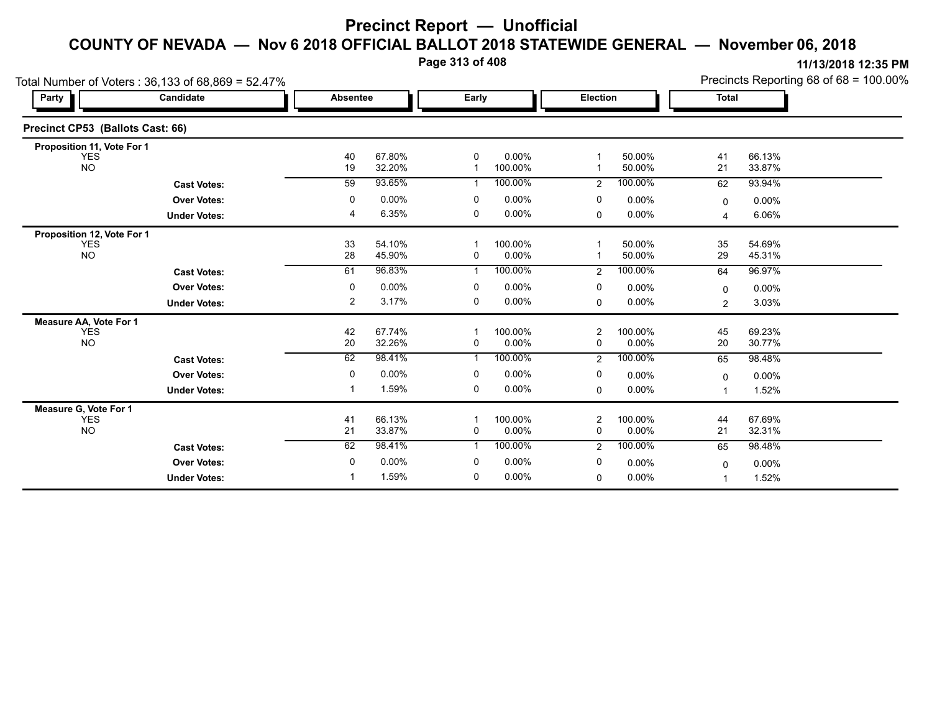**Page 313 of 408**

|                                  | Total Number of Voters: 36,133 of 68,869 = 52.47% |                 |                  |                |                  |                     |                  | Precincts Reporting 68 of 68 = 100.00% |                  |  |
|----------------------------------|---------------------------------------------------|-----------------|------------------|----------------|------------------|---------------------|------------------|----------------------------------------|------------------|--|
| <b>Party</b>                     | Candidate                                         | <b>Absentee</b> |                  | Early          |                  | Election            |                  | <b>Total</b>                           |                  |  |
| Precinct CP53 (Ballots Cast: 66) |                                                   |                 |                  |                |                  |                     |                  |                                        |                  |  |
| Proposition 11, Vote For 1       |                                                   |                 |                  |                |                  |                     |                  |                                        |                  |  |
| <b>YES</b><br><b>NO</b>          |                                                   | 40<br>19        | 67.80%<br>32.20% | $\mathbf 0$    | 0.00%<br>100.00% |                     | 50.00%<br>50.00% | 41<br>21                               | 66.13%<br>33.87% |  |
|                                  | <b>Cast Votes:</b>                                | 59              | 93.65%           |                | 100.00%          | 2                   | 100.00%          | 62                                     | 93.94%           |  |
|                                  | <b>Over Votes:</b>                                | 0               | 0.00%            | 0              | $0.00\%$         | 0                   | 0.00%            | $\Omega$                               | 0.00%            |  |
|                                  | <b>Under Votes:</b>                               | 4               | 6.35%            | 0              | $0.00\%$         | 0                   | 0.00%            | $\overline{\mathbf{4}}$                | 6.06%            |  |
| Proposition 12, Vote For 1       |                                                   |                 |                  |                |                  |                     |                  |                                        |                  |  |
| <b>YES</b><br><b>NO</b>          |                                                   | 33<br>28        | 54.10%<br>45.90% | 0              | 100.00%<br>0.00% |                     | 50.00%<br>50.00% | 35<br>29                               | 54.69%<br>45.31% |  |
|                                  | <b>Cast Votes:</b>                                | 61              | 96.83%           | $\overline{1}$ | 100.00%          | $\overline{2}$      | 100.00%          | 64                                     | 96.97%           |  |
|                                  | <b>Over Votes:</b>                                | 0               | 0.00%            | 0              | $0.00\%$         | 0                   | 0.00%            | $\mathbf{0}$                           | 0.00%            |  |
|                                  | <b>Under Votes:</b>                               | 2               | 3.17%            | 0              | $0.00\%$         | 0                   | 0.00%            | 2                                      | 3.03%            |  |
| Measure AA, Vote For 1           |                                                   |                 |                  |                |                  |                     |                  |                                        |                  |  |
| <b>YES</b><br><b>NO</b>          |                                                   | 42<br>20        | 67.74%<br>32.26% | $\mathbf 0$    | 100.00%<br>0.00% | $\overline{2}$<br>0 | 100.00%<br>0.00% | 45<br>20                               | 69.23%<br>30.77% |  |
|                                  | <b>Cast Votes:</b>                                | 62              | 98.41%           | $\mathbf{1}$   | 100.00%          | $\overline{2}$      | 100.00%          | 65                                     | 98.48%           |  |
|                                  | <b>Over Votes:</b>                                | 0               | 0.00%            | 0              | $0.00\%$         | 0                   | 0.00%            | 0                                      | 0.00%            |  |
|                                  | <b>Under Votes:</b>                               |                 | 1.59%            | 0              | $0.00\%$         | $\mathbf 0$         | 0.00%            | 1                                      | 1.52%            |  |
| Measure G, Vote For 1            |                                                   |                 |                  |                |                  |                     |                  |                                        |                  |  |
| <b>YES</b><br><b>NO</b>          |                                                   | 41<br>21        | 66.13%<br>33.87% | 0              | 100.00%<br>0.00% | 2<br>0              | 100.00%<br>0.00% | 44<br>21                               | 67.69%<br>32.31% |  |
|                                  | <b>Cast Votes:</b>                                | 62              | 98.41%           |                | 100.00%          | $\mathbf{2}$        | 100.00%          | 65                                     | 98.48%           |  |
|                                  | <b>Over Votes:</b>                                | 0               | 0.00%            | 0              | $0.00\%$         | 0                   | 0.00%            | 0                                      | 0.00%            |  |
|                                  | <b>Under Votes:</b>                               |                 | 1.59%            | $\mathbf 0$    | 0.00%            | 0                   | 0.00%            |                                        | 1.52%            |  |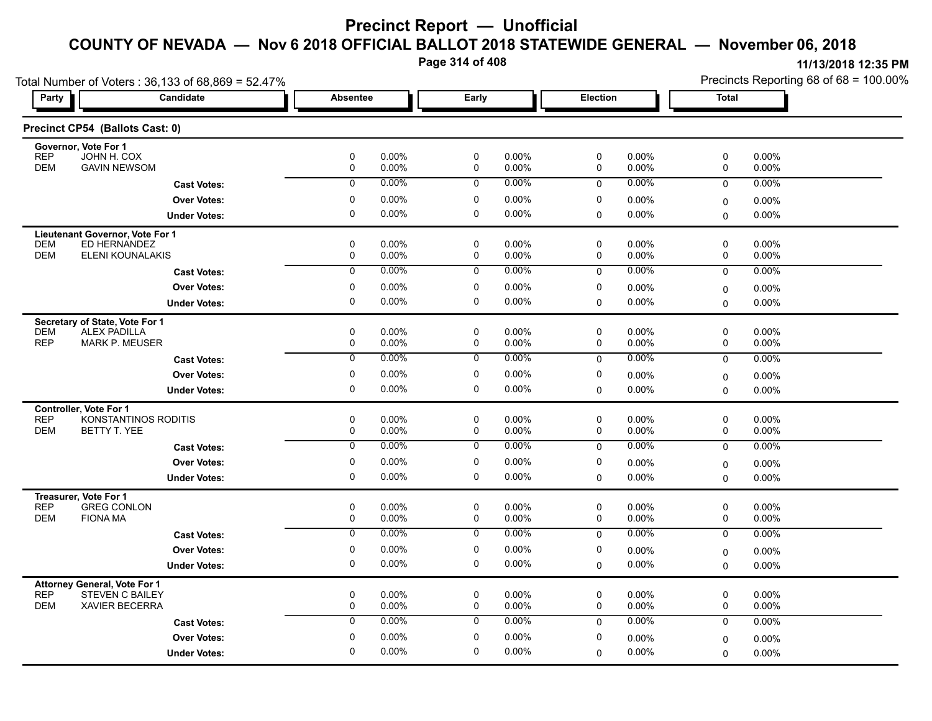**Page 314 of 408**

| Total Number of Voters: 36,133 of 68,869 = 52.47%                        |                                          |                 |                |                |                   |             |                | Precincts Reporting 68 of 68 = 100.00% |                |  |
|--------------------------------------------------------------------------|------------------------------------------|-----------------|----------------|----------------|-------------------|-------------|----------------|----------------------------------------|----------------|--|
| <b>Party</b>                                                             | Candidate                                | <b>Absentee</b> |                | Early          |                   | Election    |                | <b>Total</b>                           |                |  |
| Precinct CP54 (Ballots Cast: 0)                                          |                                          |                 |                |                |                   |             |                |                                        |                |  |
| Governor, Vote For 1<br><b>REP</b><br>JOHN H. COX                        |                                          | 0               | 0.00%          | 0              | 0.00%             | 0           | 0.00%          | 0                                      |                |  |
| <b>DEM</b><br><b>GAVIN NEWSOM</b>                                        |                                          | 0               | 0.00%          | 0              | 0.00%             | 0           | 0.00%          | 0                                      | 0.00%<br>0.00% |  |
|                                                                          | <b>Cast Votes:</b>                       | $\mathbf 0$     | 0.00%          | $\mathbf 0$    | $0.00\%$          | $\mathbf 0$ | 0.00%          | $\mathbf 0$                            | 0.00%          |  |
|                                                                          | <b>Over Votes:</b>                       | 0               | 0.00%          | 0              | 0.00%             | 0           | 0.00%          | 0                                      | 0.00%          |  |
|                                                                          | <b>Under Votes:</b>                      | $\pmb{0}$       | 0.00%          | $\mathbf 0$    | $0.00\%$          | 0           | 0.00%          | $\mathbf 0$                            | 0.00%          |  |
| Lieutenant Governor, Vote For 1                                          |                                          |                 |                |                |                   |             |                |                                        |                |  |
| ED HERNANDEZ<br><b>DEM</b>                                               |                                          | $\pmb{0}$       | 0.00%          | 0              | 0.00%             | 0           | 0.00%          | 0                                      | 0.00%          |  |
| <b>DEM</b>                                                               | ELENI KOUNALAKIS                         | 0               | 0.00%          | 0              | $0.00\%$          | 0           | 0.00%          | 0                                      | 0.00%          |  |
|                                                                          | <b>Cast Votes:</b>                       | $\overline{0}$  | 0.00%          | $\mathbf 0$    | $0.00\%$          | $\mathbf 0$ | 0.00%          | $\mathbf 0$                            | 0.00%          |  |
|                                                                          | <b>Over Votes:</b>                       | 0               | 0.00%          | 0              | 0.00%             | 0           | 0.00%          | 0                                      | 0.00%          |  |
|                                                                          | <b>Under Votes:</b>                      | 0               | 0.00%          | $\mathbf 0$    | $0.00\%$          | $\Omega$    | 0.00%          | $\Omega$                               | 0.00%          |  |
| Secretary of State, Vote For 1                                           |                                          |                 |                |                |                   |             |                |                                        |                |  |
| <b>DEM</b><br><b>ALEX PADILLA</b><br><b>REP</b><br><b>MARK P. MEUSER</b> |                                          | $\pmb{0}$<br>0  | 0.00%<br>0.00% | 0<br>0         | 0.00%<br>$0.00\%$ | 0<br>0      | 0.00%<br>0.00% | 0<br>0                                 | 0.00%<br>0.00% |  |
|                                                                          |                                          | 0               | $0.00\%$       | 0              | 0.00%             | $\mathbf 0$ | 0.00%          | $\mathbf 0$                            | 0.00%          |  |
|                                                                          | <b>Cast Votes:</b><br><b>Over Votes:</b> | 0               | 0.00%          | 0              | 0.00%             | 0           |                |                                        |                |  |
|                                                                          |                                          |                 |                |                |                   |             | 0.00%          | $\mathbf 0$                            | 0.00%          |  |
|                                                                          | <b>Under Votes:</b>                      | 0               | 0.00%          | 0              | $0.00\%$          | 0           | 0.00%          | $\mathbf 0$                            | $0.00\%$       |  |
| Controller, Vote For 1<br><b>REP</b>                                     | KONSTANTINOS RODITIS                     | $\pmb{0}$       | 0.00%          | 0              | $0.00\%$          | 0           | 0.00%          | 0                                      | 0.00%          |  |
| <b>DEM</b><br>BETTY T. YEE                                               |                                          | 0               | 0.00%          | $\mathsf 0$    | $0.00\%$          | $\mathbf 0$ | $0.00\%$       | $\mathbf 0$                            | 0.00%          |  |
|                                                                          | <b>Cast Votes:</b>                       | $\overline{0}$  | 0.00%          | $\overline{0}$ | $0.00\%$          | $\mathbf 0$ | 0.00%          | $\mathbf 0$                            | 0.00%          |  |
|                                                                          | <b>Over Votes:</b>                       | 0               | 0.00%          | $\mathbf 0$    | 0.00%             | 0           | 0.00%          | 0                                      | 0.00%          |  |
|                                                                          | <b>Under Votes:</b>                      | 0               | 0.00%          | $\mathbf 0$    | 0.00%             | 0           | 0.00%          | $\Omega$                               | 0.00%          |  |
|                                                                          |                                          |                 |                |                |                   |             |                |                                        |                |  |
| Treasurer, Vote For 1<br><b>REP</b><br><b>GREG CONLON</b>                |                                          | 0               | 0.00%          | 0              | 0.00%             | 0           | 0.00%          | 0                                      | 0.00%          |  |
| <b>DEM</b><br><b>FIONA MA</b>                                            |                                          | $\pmb{0}$       | 0.00%          | $\mathbf 0$    | 0.00%             | $\mathbf 0$ | 0.00%          | $\mathbf 0$                            | 0.00%          |  |
|                                                                          | <b>Cast Votes:</b>                       | $\overline{0}$  | 0.00%          | $\overline{0}$ | 0.00%             | $\mathbf 0$ | 0.00%          | $\mathbf 0$                            | 0.00%          |  |
|                                                                          | <b>Over Votes:</b>                       | $\pmb{0}$       | 0.00%          | $\mathbf 0$    | 0.00%             | 0           | 0.00%          | 0                                      | $0.00\%$       |  |
|                                                                          | <b>Under Votes:</b>                      | $\mathbf 0$     | 0.00%          | $\mathbf 0$    | $0.00\%$          | 0           | 0.00%          | $\mathbf 0$                            | $0.00\%$       |  |
| <b>Attorney General, Vote For 1</b>                                      |                                          |                 |                |                |                   |             |                |                                        |                |  |
| <b>REP</b><br><b>STEVEN C BAILEY</b>                                     |                                          | 0               | 0.00%          | $\pmb{0}$      | 0.00%             | $\pmb{0}$   | 0.00%          | 0                                      | 0.00%          |  |
| <b>DEM</b><br><b>XAVIER BECERRA</b>                                      |                                          | $\mathbf 0$     | 0.00%          | $\mathbf 0$    | 0.00%             | $\mathbf 0$ | 0.00%          | $\mathbf 0$                            | 0.00%          |  |
|                                                                          | <b>Cast Votes:</b>                       | $\mathbf 0$     | 0.00%          | $\mathbf 0$    | $0.00\%$          | $\Omega$    | 0.00%          | $\mathbf 0$                            | 0.00%          |  |
|                                                                          | <b>Over Votes:</b>                       | $\mathbf 0$     | 0.00%          | $\mathbf 0$    | 0.00%             | $\mathbf 0$ | 0.00%          | $\mathbf 0$                            | $0.00\%$       |  |
|                                                                          | <b>Under Votes:</b>                      | $\Omega$        | 0.00%          | $\mathbf 0$    | $0.00\%$          | 0           | 0.00%          | $\mathbf 0$                            | 0.00%          |  |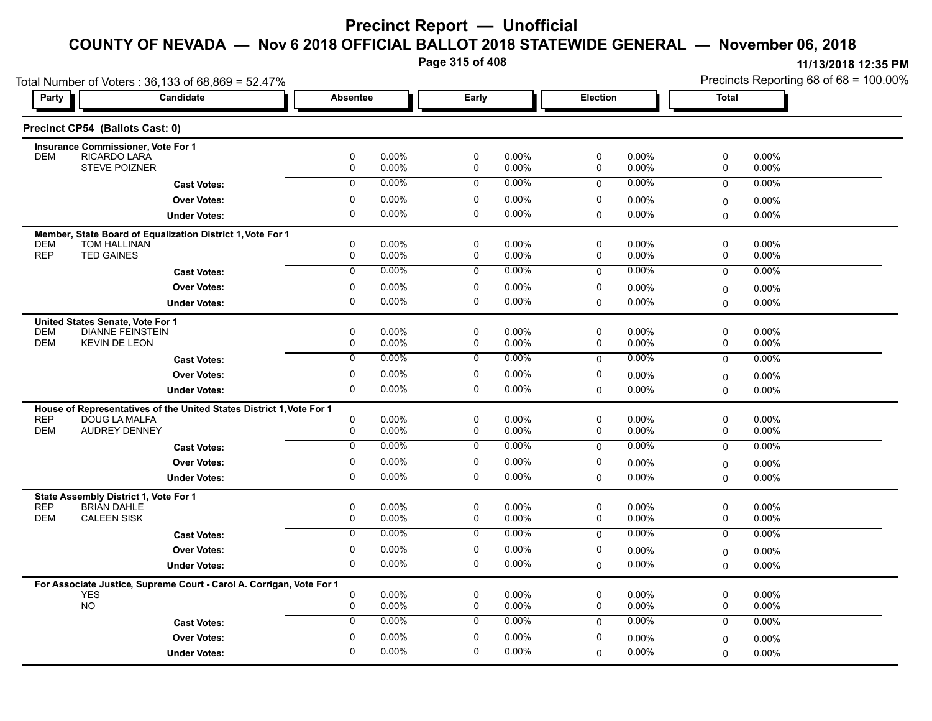**Page 315 of 408**

| Total Number of Voters: 36,133 of 68,869 = 52.47% |                                                                                       |                  |                   |                            |                |             |                   | Precincts Reporting 68 of 68 = 100.00% |                |  |
|---------------------------------------------------|---------------------------------------------------------------------------------------|------------------|-------------------|----------------------------|----------------|-------------|-------------------|----------------------------------------|----------------|--|
| Party                                             | Candidate                                                                             | <b>Absentee</b>  |                   | Early                      |                | Election    |                   | Total                                  |                |  |
|                                                   | Precinct CP54 (Ballots Cast: 0)                                                       |                  |                   |                            |                |             |                   |                                        |                |  |
|                                                   | Insurance Commissioner, Vote For 1                                                    |                  |                   |                            |                |             |                   |                                        |                |  |
| <b>DEM</b>                                        | RICARDO LARA<br><b>STEVE POIZNER</b>                                                  | 0<br>0           | 0.00%<br>0.00%    | 0<br>$\mathbf 0$           | 0.00%<br>0.00% | 0<br>0      | 0.00%<br>0.00%    | 0<br>0                                 | 0.00%<br>0.00% |  |
|                                                   | <b>Cast Votes:</b>                                                                    | $\mathbf 0$      | 0.00%             | $\mathbf 0$                | 0.00%          | $\mathbf 0$ | $0.00\%$          | $\mathbf 0$                            | 0.00%          |  |
|                                                   |                                                                                       | 0                | 0.00%             | 0                          | 0.00%          | 0           |                   |                                        |                |  |
|                                                   | <b>Over Votes:</b>                                                                    | 0                | 0.00%             | $\mathbf 0$                | $0.00\%$       |             | 0.00%             | 0                                      | 0.00%          |  |
|                                                   | <b>Under Votes:</b>                                                                   |                  |                   |                            |                | $\mathbf 0$ | 0.00%             | 0                                      | 0.00%          |  |
|                                                   | Member, State Board of Equalization District 1, Vote For 1                            |                  |                   |                            |                |             |                   |                                        |                |  |
| <b>DEM</b><br><b>REP</b>                          | <b>TOM HALLINAN</b><br><b>TED GAINES</b>                                              | 0<br>0           | 0.00%<br>0.00%    | $\mathbf 0$<br>$\mathbf 0$ | 0.00%<br>0.00% | 0<br>0      | $0.00\%$<br>0.00% | 0<br>0                                 | 0.00%<br>0.00% |  |
|                                                   | <b>Cast Votes:</b>                                                                    | $\overline{0}$   | 0.00%             | 0                          | 0.00%          | $\mathbf 0$ | 0.00%             | $\mathbf 0$                            | 0.00%          |  |
|                                                   | <b>Over Votes:</b>                                                                    | 0                | $0.00\%$          | 0                          | 0.00%          | 0           | $0.00\%$          |                                        |                |  |
|                                                   |                                                                                       | 0                | 0.00%             | 0                          | 0.00%          | $\Omega$    | 0.00%             | 0                                      | 0.00%          |  |
|                                                   | <b>Under Votes:</b>                                                                   |                  |                   |                            |                |             |                   | $\Omega$                               | $0.00\%$       |  |
|                                                   | United States Senate, Vote For 1                                                      |                  |                   | $\mathbf 0$                | 0.00%          | $\mathbf 0$ |                   | $\mathbf 0$                            | $0.00\%$       |  |
| <b>DEM</b><br><b>DEM</b>                          | <b>DIANNE FEINSTEIN</b><br><b>KEVIN DE LEON</b>                                       | 0<br>$\mathbf 0$ | $0.00\%$<br>0.00% | $\mathbf 0$                | 0.00%          | 0           | 0.00%<br>0.00%    | 0                                      | 0.00%          |  |
|                                                   | <b>Cast Votes:</b>                                                                    | 0                | $0.00\%$          | 0                          | 0.00%          | $\mathbf 0$ | 0.00%             | $\mathbf 0$                            | 0.00%          |  |
|                                                   | <b>Over Votes:</b>                                                                    | 0                | 0.00%             | 0                          | 0.00%          | 0           | $0.00\%$          |                                        |                |  |
|                                                   |                                                                                       | 0                | 0.00%             | 0                          | 0.00%          | $\mathbf 0$ | $0.00\%$          | 0<br>$\mathbf 0$                       | 0.00%<br>0.00% |  |
|                                                   | <b>Under Votes:</b>                                                                   |                  |                   |                            |                |             |                   |                                        |                |  |
| <b>REP</b>                                        | House of Representatives of the United States District 1, Vote For 1<br>DOUG LA MALFA | 0                | $0.00\%$          | $\mathbf 0$                | $0.00\%$       | $\mathbf 0$ | $0.00\%$          | 0                                      | 0.00%          |  |
| <b>DEM</b>                                        | <b>AUDREY DENNEY</b>                                                                  | 0                | 0.00%             | $\mathbf 0$                | 0.00%          | 0           | 0.00%             | 0                                      | 0.00%          |  |
|                                                   | <b>Cast Votes:</b>                                                                    | $\overline{0}$   | 0.00%             | $\overline{0}$             | 0.00%          | $\mathbf 0$ | 0.00%             | 0                                      | $0.00\%$       |  |
|                                                   | <b>Over Votes:</b>                                                                    | 0                | $0.00\%$          | 0                          | 0.00%          | 0           | $0.00\%$          | 0                                      | 0.00%          |  |
|                                                   | <b>Under Votes:</b>                                                                   | 0                | $0.00\%$          | 0                          | 0.00%          | $\Omega$    | $0.00\%$          | $\Omega$                               | 0.00%          |  |
|                                                   |                                                                                       |                  |                   |                            |                |             |                   |                                        |                |  |
| <b>REP</b>                                        | State Assembly District 1, Vote For 1<br><b>BRIAN DAHLE</b>                           | 0                | $0.00\%$          | $\mathbf 0$                | 0.00%          | $\mathbf 0$ | $0.00\%$          | 0                                      | 0.00%          |  |
| <b>DEM</b>                                        | <b>CALEEN SISK</b>                                                                    | $\mathbf 0$      | 0.00%             | $\mathbf 0$                | 0.00%          | 0           | 0.00%             | 0                                      | 0.00%          |  |
|                                                   | <b>Cast Votes:</b>                                                                    | $\overline{0}$   | 0.00%             | $\overline{0}$             | $0.00\%$       | $\mathbf 0$ | 0.00%             | $\mathbf 0$                            | 0.00%          |  |
|                                                   | <b>Over Votes:</b>                                                                    | 0                | $0.00\%$          | $\mathbf 0$                | $0.00\%$       | $\mathbf 0$ | $0.00\%$          | 0                                      | 0.00%          |  |
|                                                   | <b>Under Votes:</b>                                                                   | 0                | $0.00\%$          | 0                          | 0.00%          | $\mathbf 0$ | 0.00%             | $\Omega$                               | $0.00\%$       |  |
|                                                   |                                                                                       |                  |                   |                            |                |             |                   |                                        |                |  |
|                                                   | For Associate Justice, Supreme Court - Carol A. Corrigan, Vote For 1<br><b>YES</b>    | 0                | 0.00%             | 0                          | 0.00%          | 0           | $0.00\%$          | 0                                      | 0.00%          |  |
|                                                   | <b>NO</b>                                                                             | 0                | 0.00%             | 0                          | 0.00%          | 0           | $0.00\%$          | 0                                      | 0.00%          |  |
|                                                   | <b>Cast Votes:</b>                                                                    | $\mathbf 0$      | 0.00%             | $\mathbf 0$                | $0.00\%$       | $\Omega$    | $0.00\%$          | $\mathbf 0$                            | 0.00%          |  |
|                                                   | <b>Over Votes:</b>                                                                    | 0                | 0.00%             | $\mathbf 0$                | 0.00%          | 0           | $0.00\%$          | 0                                      | $0.00\%$       |  |
|                                                   | <b>Under Votes:</b>                                                                   | 0                | $0.00\%$          | 0                          | 0.00%          | 0           | $0.00\%$          | $\Omega$                               | 0.00%          |  |
|                                                   |                                                                                       |                  |                   |                            |                |             |                   |                                        |                |  |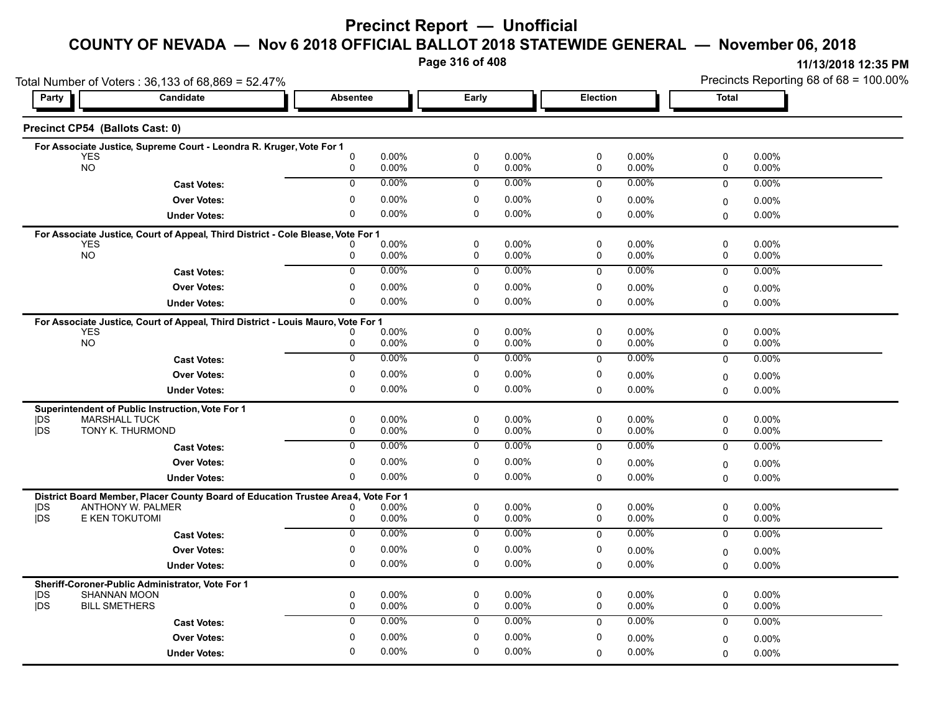**Page 316 of 408**

| Total Number of Voters: 36,133 of 68,869 = 52.47% |                                                                                   |                   |                   |                            |                |                            |                      |               | Precincts Reporting 68 of 68 = 100.00% |
|---------------------------------------------------|-----------------------------------------------------------------------------------|-------------------|-------------------|----------------------------|----------------|----------------------------|----------------------|---------------|----------------------------------------|
| Party                                             | <b>Candidate</b>                                                                  | <b>Absentee</b>   |                   | Early                      |                | Election                   |                      | <b>Total</b>  |                                        |
| Precinct CP54 (Ballots Cast: 0)                   |                                                                                   |                   |                   |                            |                |                            |                      |               |                                        |
|                                                   | For Associate Justice, Supreme Court - Leondra R. Kruger, Vote For 1              |                   |                   |                            |                |                            |                      |               |                                        |
| <b>YES</b><br><b>NO</b>                           |                                                                                   | $\mathbf{0}$<br>0 | $0.00\%$<br>0.00% | $\mathbf 0$<br>$\mathbf 0$ | 0.00%<br>0.00% | 0<br>$\mathbf 0$           | 0.00%<br>0.00%       | 0<br>0        | 0.00%<br>0.00%                         |
|                                                   | <b>Cast Votes:</b>                                                                | 0                 | 0.00%             | $\mathbf 0$                | $0.00\%$       | $\Omega$                   | 0.00%                | $\mathbf 0$   | $0.00\%$                               |
|                                                   | <b>Over Votes:</b>                                                                | 0                 | 0.00%             | $\mathbf 0$                | 0.00%          | $\mathbf 0$                | 0.00%                | 0             | 0.00%                                  |
|                                                   | <b>Under Votes:</b>                                                               | 0                 | 0.00%             | 0                          | 0.00%          | $\mathbf 0$                | $0.00\%$             | 0             | 0.00%                                  |
|                                                   | For Associate Justice, Court of Appeal, Third District - Cole Blease, Vote For 1  |                   |                   |                            |                |                            |                      |               |                                        |
| <b>YES</b><br><b>NO</b>                           |                                                                                   | 0                 | 0.00%<br>0.00%    | $\mathbf 0$<br>$\mathbf 0$ | 0.00%<br>0.00% | 0<br>0                     | $0.00\%$<br>$0.00\%$ | 0<br>0        | 0.00%<br>0.00%                         |
|                                                   | <b>Cast Votes:</b>                                                                | $\overline{0}$    | $0.00\%$          | $\mathbf 0$                | 0.00%          | $\mathbf 0$                | $0.00\%$             | $\mathbf 0$   | 0.00%                                  |
|                                                   | <b>Over Votes:</b>                                                                | 0                 | 0.00%             | $\mathbf 0$                | 0.00%          | 0                          | $0.00\%$             | 0             | 0.00%                                  |
|                                                   | <b>Under Votes:</b>                                                               | 0                 | $0.00\%$          | 0                          | 0.00%          | $\Omega$                   | 0.00%                | $\Omega$      | $0.00\%$                               |
|                                                   | For Associate Justice, Court of Appeal, Third District - Louis Mauro, Vote For 1  |                   |                   |                            |                |                            |                      |               |                                        |
| <b>YES</b>                                        |                                                                                   |                   | 0.00%             | $\mathbf 0$                | 0.00%          | 0                          | 0.00%                | 0             | 0.00%                                  |
| <b>NO</b>                                         |                                                                                   | 0                 | 0.00%             | $\mathbf 0$                | 0.00%          | $\mathbf 0$                | 0.00%                | 0             | 0.00%                                  |
|                                                   | <b>Cast Votes:</b>                                                                | $\overline{0}$    | 0.00%             | $\overline{0}$             | 0.00%          | $\mathbf 0$                | $0.00\%$             | $\mathbf 0$   | $0.00\%$                               |
|                                                   | <b>Over Votes:</b>                                                                | 0                 | $0.00\%$          | $\mathbf 0$                | 0.00%          | $\mathbf 0$                | $0.00\%$             | 0             | 0.00%                                  |
|                                                   | <b>Under Votes:</b>                                                               | 0                 | 0.00%             | 0                          | 0.00%          | $\Omega$                   | $0.00\%$             | 0             | $0.00\%$                               |
|                                                   | Superintendent of Public Instruction, Vote For 1                                  |                   |                   |                            |                |                            |                      |               |                                        |
| <b>IDS</b><br><b>IDS</b>                          | <b>MARSHALL TUCK</b><br>TONY K. THURMOND                                          | 0<br>0            | 0.00%<br>0.00%    | $\mathbf 0$<br>$\mathbf 0$ | 0.00%<br>0.00% | $\mathbf 0$<br>0           | $0.00\%$<br>0.00%    | 0<br>0        | 0.00%<br>$0.00\%$                      |
|                                                   | <b>Cast Votes:</b>                                                                | $\overline{0}$    | 0.00%             | $\overline{0}$             | 0.00%          | $\mathbf 0$                | $0.00\%$             | $\mathbf 0$   | $0.00\%$                               |
|                                                   | <b>Over Votes:</b>                                                                | 0                 | 0.00%             | 0                          | 0.00%          | 0                          | $0.00\%$             | 0             | 0.00%                                  |
|                                                   | <b>Under Votes:</b>                                                               | $\mathbf 0$       | $0.00\%$          | 0                          | 0.00%          | $\Omega$                   | 0.00%                | $\Omega$      | $0.00\%$                               |
|                                                   | District Board Member, Placer County Board of Education Trustee Area4, Vote For 1 |                   |                   |                            |                |                            |                      |               |                                        |
| DS                                                | <b>ANTHONY W. PALMER</b>                                                          | n                 | 0.00%             | 0                          | 0.00%          | 0                          | $0.00\%$             | 0             | 0.00%                                  |
| jDS                                               | E KEN TOKUTOMI                                                                    | 0                 | 0.00%             | $\mathsf 0$                | 0.00%          | $\mathbf 0$                | 0.00%                | 0             | 0.00%                                  |
|                                                   | <b>Cast Votes:</b>                                                                | $\overline{0}$    | 0.00%             | $\overline{0}$             | $0.00\%$       | $\mathbf 0$                | $0.00\%$             | $\mathbf 0$   | 0.00%                                  |
|                                                   | <b>Over Votes:</b>                                                                | 0                 | 0.00%             | 0                          | 0.00%          | 0                          | $0.00\%$             | 0             | 0.00%                                  |
|                                                   | <b>Under Votes:</b>                                                               | 0                 | 0.00%             | 0                          | 0.00%          | $\mathbf 0$                | $0.00\%$             | $\Omega$      | $0.00\%$                               |
|                                                   | Sheriff-Coroner-Public Administrator, Vote For 1                                  |                   |                   |                            |                |                            |                      |               |                                        |
| DS<br><b>IDS</b>                                  | <b>SHANNAN MOON</b><br><b>BILL SMETHERS</b>                                       | 0<br>0            | 0.00%<br>0.00%    | $\mathbf 0$<br>$\mathbf 0$ | 0.00%<br>0.00% | $\mathbf 0$<br>$\mathbf 0$ | $0.00\%$<br>0.00%    | 0<br>0        | 0.00%<br>$0.00\%$                      |
|                                                   | <b>Cast Votes:</b>                                                                | $\mathbf 0$       | 0.00%             | $\mathbf 0$                | 0.00%          | $\Omega$                   | $0.00\%$             | $\mathbf 0$   | 0.00%                                  |
|                                                   | <b>Over Votes:</b>                                                                | 0                 | 0.00%             | 0                          | 0.00%          | 0                          | $0.00\%$             |               | $0.00\%$                               |
|                                                   | <b>Under Votes:</b>                                                               | $\Omega$          | $0.00\%$          | 0                          | 0.00%          | $\Omega$                   | $0.00\%$             | 0<br>$\Omega$ | 0.00%                                  |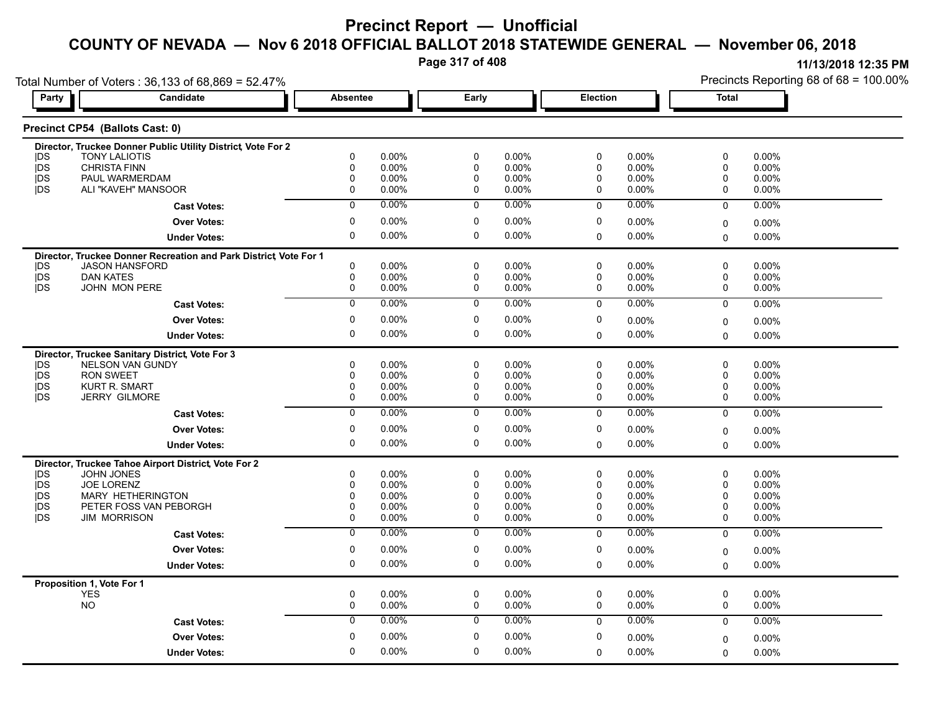**Page 317 of 408**

| Total Number of Voters: 36,133 of 68,869 = 52.47% |                                                                  |                          |                      |                          |                      |                  |                      |             | Precincts Reporting 68 of 68 = 100.00% |
|---------------------------------------------------|------------------------------------------------------------------|--------------------------|----------------------|--------------------------|----------------------|------------------|----------------------|-------------|----------------------------------------|
| Party                                             | Candidate                                                        | <b>Absentee</b>          |                      | Early                    |                      | Election         |                      | Total       |                                        |
|                                                   | Precinct CP54 (Ballots Cast: 0)                                  |                          |                      |                          |                      |                  |                      |             |                                        |
|                                                   | Director, Truckee Donner Public Utility District, Vote For 2     |                          |                      |                          |                      |                  |                      |             |                                        |
| <b>IDS</b>                                        | <b>TONY LALIOTIS</b>                                             | 0                        | 0.00%                | 0                        | $0.00\%$             | 0                | $0.00\%$             | 0           | 0.00%                                  |
| jDS                                               | <b>CHRISTA FINN</b><br>PAUL WARMERDAM                            | $\Omega$<br>$\mathbf{0}$ | 0.00%<br>0.00%       | $\Omega$<br>$\mathbf{0}$ | 0.00%                | $\mathbf 0$<br>0 | 0.00%<br>0.00%       | 0<br>0      | $0.00\%$                               |
| <b>IDS</b><br><b>IDS</b>                          | ALI "KAVEH" MANSOOR                                              | 0                        | 0.00%                | 0                        | $0.00\%$<br>$0.00\%$ | 0                | $0.00\%$             | 0           | 0.00%<br>$0.00\%$                      |
|                                                   |                                                                  | $\overline{0}$           | $0.00\%$             | $\overline{0}$           | 0.00%                | $\Omega$         | $0.00\%$             | $\mathbf 0$ | 0.00%                                  |
|                                                   | <b>Cast Votes:</b>                                               |                          |                      |                          |                      |                  |                      |             |                                        |
|                                                   | <b>Over Votes:</b>                                               | 0                        | 0.00%                | 0                        | 0.00%                | 0                | $0.00\%$             | 0           | $0.00\%$                               |
|                                                   | <b>Under Votes:</b>                                              | $\Omega$                 | 0.00%                | 0                        | $0.00\%$             | $\Omega$         | $0.00\%$             | $\Omega$    | $0.00\%$                               |
|                                                   | Director, Truckee Donner Recreation and Park District Vote For 1 |                          |                      |                          |                      |                  |                      |             |                                        |
| <b>IDS</b>                                        | <b>JASON HANSFORD</b>                                            | 0                        | 0.00%                | 0                        | 0.00%                | 0                | $0.00\%$             | 0           | 0.00%                                  |
| <b>IDS</b>                                        | <b>DAN KATES</b>                                                 | 0                        | $0.00\%$             | 0                        | $0.00\%$             | 0                | $0.00\%$             | 0           | $0.00\%$                               |
| <b>IDS</b>                                        | <b>JOHN MON PERE</b>                                             | 0                        | 0.00%                | 0                        | $0.00\%$             | 0                | 0.00%                | 0           | 0.00%                                  |
|                                                   | <b>Cast Votes:</b>                                               | $\mathbf 0$              | $0.00\%$             | 0                        | 0.00%                | $\mathbf 0$      | $0.00\%$             | $\mathbf 0$ | 0.00%                                  |
|                                                   | <b>Over Votes:</b>                                               | 0                        | $0.00\%$             | 0                        | $0.00\%$             | 0                | $0.00\%$             | $\mathbf 0$ | 0.00%                                  |
|                                                   | <b>Under Votes:</b>                                              | 0                        | 0.00%                | 0                        | 0.00%                | $\Omega$         | $0.00\%$             | $\Omega$    | $0.00\%$                               |
|                                                   | Director, Truckee Sanitary District, Vote For 3                  |                          |                      |                          |                      |                  |                      |             |                                        |
| <b>IDS</b>                                        | <b>NELSON VAN GUNDY</b>                                          | 0                        | 0.00%                | 0                        | 0.00%                | $\mathbf 0$      | 0.00%                | 0           | 0.00%                                  |
| <b>IDS</b>                                        | <b>RON SWEET</b>                                                 | 0                        | $0.00\%$             | 0                        | 0.00%                | 0                | $0.00\%$             | 0           | 0.00%                                  |
| jDS                                               | <b>KURT R. SMART</b>                                             | 0                        | 0.00%                | 0                        | $0.00\%$             | 0                | $0.00\%$             | 0           | $0.00\%$                               |
| <b>IDS</b>                                        | <b>JERRY GILMORE</b>                                             | 0                        | $0.00\%$             | 0                        | $0.00\%$             | 0                | $0.00\%$             | 0           | 0.00%                                  |
|                                                   | <b>Cast Votes:</b>                                               | $\mathbf 0$              | $0.00\%$             | 0                        | $0.00\%$             | $\mathbf 0$      | $0.00\%$             | 0           | $0.00\%$                               |
|                                                   | <b>Over Votes:</b>                                               | 0                        | $0.00\%$             | 0                        | $0.00\%$             | 0                | $0.00\%$             | $\mathbf 0$ | $0.00\%$                               |
|                                                   | <b>Under Votes:</b>                                              | 0                        | $0.00\%$             | 0                        | $0.00\%$             | $\mathbf{0}$     | 0.00%                | $\Omega$    | 0.00%                                  |
|                                                   | Director, Truckee Tahoe Airport District, Vote For 2             |                          |                      |                          |                      |                  |                      |             |                                        |
| DS                                                | <b>JOHN JONES</b>                                                | $\Omega$                 | 0.00%                | $\Omega$                 | 0.00%                | $\mathbf 0$      | 0.00%                | 0           | $0.00\%$                               |
| <b>IDS</b>                                        | <b>JOE LORENZ</b>                                                | 0                        | $0.00\%$             | $\Omega$                 | $0.00\%$             | 0                | $0.00\%$             | 0           | 0.00%                                  |
| <b>IDS</b>                                        | MARY HETHERINGTON                                                | $\Omega$                 | $0.00\%$             | $\Omega$                 | $0.00\%$             | 0                | $0.00\%$             | 0           | $0.00\%$                               |
| <b>IDS</b><br>jDS                                 | PETER FOSS VAN PEBORGH<br><b>JIM MORRISON</b>                    | 0<br>0                   | 0.00%<br>$0.00\%$    | $\mathbf{0}$<br>0        | $0.00\%$<br>$0.00\%$ | 0<br>0           | $0.00\%$<br>$0.00\%$ | 0<br>0      | 0.00%<br>$0.00\%$                      |
|                                                   | <b>Cast Votes:</b>                                               | $\overline{0}$           | 0.00%                | $\overline{0}$           | 0.00%                | $\Omega$         | $0.00\%$             | 0           | 0.00%                                  |
|                                                   | <b>Over Votes:</b>                                               | 0                        | 0.00%                | $\mathbf 0$              | 0.00%                | $\mathbf 0$      | $0.00\%$             |             |                                        |
|                                                   |                                                                  | 0                        | $0.00\%$             | 0                        | $0.00\%$             |                  |                      | 0           | $0.00\%$                               |
|                                                   | <b>Under Votes:</b>                                              |                          |                      |                          |                      | $\mathbf 0$      | $0.00\%$             | $\Omega$    | 0.00%                                  |
|                                                   | Proposition 1, Vote For 1                                        |                          |                      |                          |                      |                  |                      |             |                                        |
|                                                   | <b>YES</b><br><b>NO</b>                                          | 0<br>0                   | $0.00\%$<br>$0.00\%$ | 0<br>0                   | 0.00%<br>0.00%       | 0<br>0           | $0.00\%$<br>$0.00\%$ | 0<br>0      | 0.00%<br>0.00%                         |
|                                                   |                                                                  |                          |                      |                          |                      |                  |                      |             |                                        |
|                                                   | <b>Cast Votes:</b>                                               | $\overline{0}$           | $0.00\%$             | 0                        | 0.00%                | $\Omega$         | $0.00\%$             | $\mathbf 0$ | 0.00%                                  |
|                                                   | <b>Over Votes:</b>                                               | 0                        | $0.00\%$             | 0                        | $0.00\%$             | 0                | 0.00%                | 0           | $0.00\%$                               |
|                                                   | <b>Under Votes:</b>                                              | $\Omega$                 | $0.00\%$             | $\Omega$                 | $0.00\%$             | 0                | $0.00\%$             | $\Omega$    | 0.00%                                  |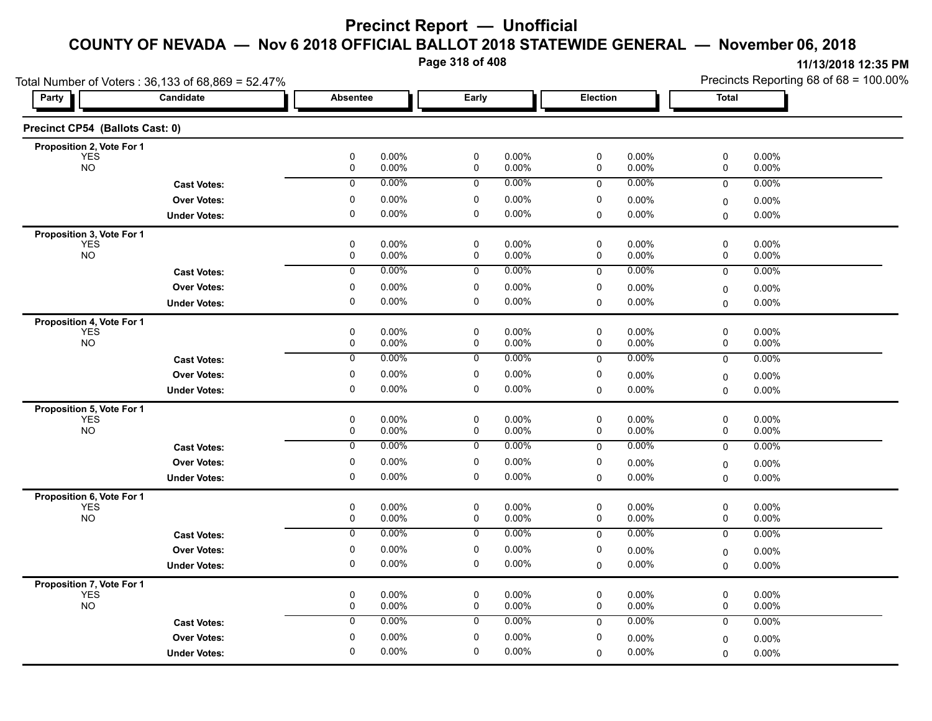**Page 318 of 408**

| Total Number of Voters: 36,133 of 68,869 = 52.47% |                     |                                          |                                     |                                  | Precincts Reporting 68 of 68 = 100.00% |  |  |
|---------------------------------------------------|---------------------|------------------------------------------|-------------------------------------|----------------------------------|----------------------------------------|--|--|
| Party                                             | Candidate           | <b>Absentee</b>                          | Early                               | Election                         | <b>Total</b>                           |  |  |
| Precinct CP54 (Ballots Cast: 0)                   |                     |                                          |                                     |                                  |                                        |  |  |
| Proposition 2, Vote For 1                         |                     |                                          |                                     |                                  |                                        |  |  |
| <b>YES</b><br><b>NO</b>                           |                     | $\pmb{0}$<br>0.00%<br>$\pmb{0}$<br>0.00% | 0<br>0.00%<br>$\pmb{0}$<br>0.00%    | 0.00%<br>0<br>0.00%<br>0         | 0<br>$0.00\%$<br>0.00%<br>0            |  |  |
|                                                   | <b>Cast Votes:</b>  | $\pmb{0}$<br>0.00%                       | $\mathbf 0$<br>$0.00\%$             | 0.00%<br>0                       | 0<br>0.00%                             |  |  |
|                                                   | <b>Over Votes:</b>  | 0<br>0.00%                               | 0<br>$0.00\%$                       | 0<br>0.00%                       | 0.00%<br>0                             |  |  |
|                                                   | <b>Under Votes:</b> | $\mathbf 0$<br>$0.00\%$                  | $\mathbf 0$<br>$0.00\%$             | $\mathbf 0$<br>$0.00\%$          | $\mathbf 0$<br>$0.00\%$                |  |  |
| Proposition 3, Vote For 1                         |                     |                                          |                                     |                                  |                                        |  |  |
| <b>YES</b><br><b>NO</b>                           |                     | 0<br>0.00%<br>0.00%<br>0                 | 0<br>$0.00\%$<br>0.00%<br>0         | 0<br>0.00%<br>0.00%<br>0         | 0<br>0.00%<br>0.00%<br>0               |  |  |
|                                                   | <b>Cast Votes:</b>  | 0.00%<br>$\overline{0}$                  | 0.00%<br>$\overline{0}$             | 0.00%<br>$\mathbf 0$             | 0.00%<br>$\mathbf 0$                   |  |  |
|                                                   | <b>Over Votes:</b>  | 0<br>0.00%                               | $\pmb{0}$<br>0.00%                  | 0<br>0.00%                       | 0.00%<br>0                             |  |  |
|                                                   | <b>Under Votes:</b> | 0<br>0.00%                               | 0<br>$0.00\%$                       | 0.00%<br>$\mathbf 0$             | 0.00%<br>$\Omega$                      |  |  |
| Proposition 4, Vote For 1                         |                     |                                          |                                     |                                  |                                        |  |  |
| <b>YES</b><br><b>NO</b>                           |                     | 0<br>0.00%<br>$\pmb{0}$<br>0.00%         | 0<br>$0.00\%$<br>$\pmb{0}$<br>0.00% | 0<br>0.00%<br>0.00%<br>0         | 0<br>0.00%<br>0<br>0.00%               |  |  |
|                                                   | <b>Cast Votes:</b>  | $\overline{0}$<br>$0.00\%$               | $\overline{0}$<br>$0.00\%$          | 0.00%<br>$\mathbf 0$             | $\mathbf 0$<br>0.00%                   |  |  |
|                                                   | <b>Over Votes:</b>  | $\pmb{0}$<br>$0.00\%$                    | $\pmb{0}$<br>$0.00\%$               | $\pmb{0}$                        |                                        |  |  |
|                                                   |                     | 0<br>0.00%                               | 0<br>$0.00\%$                       | $0.00\%$<br>0.00%<br>$\mathbf 0$ | 0.00%<br>0<br>0.00%<br>$\mathbf 0$     |  |  |
|                                                   | <b>Under Votes:</b> |                                          |                                     |                                  |                                        |  |  |
| <b>Proposition 5, Vote For 1</b><br>YES           |                     | 0<br>0.00%                               | 0<br>$0.00\%$                       | 0<br>0.00%                       | 0<br>$0.00\%$                          |  |  |
| <b>NO</b>                                         |                     | 0.00%<br>0                               | 0.00%<br>0                          | 0<br>0.00%                       | $0.00\%$<br>0                          |  |  |
|                                                   | <b>Cast Votes:</b>  | $\overline{0}$<br>0.00%                  | 0.00%<br>0                          | 0.00%<br>$\mathbf 0$             | 0<br>0.00%                             |  |  |
|                                                   | <b>Over Votes:</b>  | $\pmb{0}$<br>0.00%                       | 0<br>$0.00\%$                       | 0<br>0.00%                       | 0.00%<br>0                             |  |  |
|                                                   | <b>Under Votes:</b> | $\mathbf 0$<br>0.00%                     | $\mathbf 0$<br>$0.00\%$             | $\mathbf 0$<br>$0.00\%$          | $0.00\%$<br>$\Omega$                   |  |  |
| Proposition 6, Vote For 1                         |                     |                                          |                                     |                                  |                                        |  |  |
| <b>YES</b><br><b>NO</b>                           |                     | 0<br>0.00%<br>0.00%<br>0                 | 0<br>0.00%<br>0.00%<br>0            | 0<br>0.00%<br>0.00%<br>0         | 0<br>0.00%<br>0.00%<br>0               |  |  |
|                                                   | <b>Cast Votes:</b>  | 0.00%<br>$\overline{0}$                  | 0.00%<br>$\overline{0}$             | 0.00%<br>$\mathbf 0$             | 0.00%<br>$\mathbf 0$                   |  |  |
|                                                   | <b>Over Votes:</b>  | 0<br>0.00%                               | $\pmb{0}$<br>$0.00\%$               | 0<br>0.00%                       |                                        |  |  |
|                                                   | <b>Under Votes:</b> | 0<br>0.00%                               | 0<br>$0.00\%$                       | 0.00%<br>$\mathbf 0$             | $0.00\%$<br>0<br>0.00%<br>$\mathbf 0$  |  |  |
|                                                   |                     |                                          |                                     |                                  |                                        |  |  |
| Proposition 7, Vote For 1<br>YES                  |                     | $\pmb{0}$<br>0.00%                       | $\pmb{0}$<br>0.00%                  | 0<br>0.00%                       | 0<br>0.00%                             |  |  |
| <b>NO</b>                                         |                     | 0.00%<br>0                               | $0.00\%$<br>0                       | 0.00%<br>0                       | $0.00\%$<br>0                          |  |  |
|                                                   | <b>Cast Votes:</b>  | 0.00%<br>$\pmb{0}$                       | $0.00\%$<br>0                       | 0.00%<br>$\mathbf 0$             | $\mathbf 0$<br>0.00%                   |  |  |
|                                                   | <b>Over Votes:</b>  | 0<br>0.00%                               | $\mathbf 0$<br>$0.00\%$             | 0<br>$0.00\%$                    | 0.00%<br>0                             |  |  |
|                                                   | <b>Under Votes:</b> | $\mathbf 0$<br>0.00%                     | $\mathbf 0$<br>$0.00\%$             | 0.00%<br>$\Omega$                | $0.00\%$<br>$\Omega$                   |  |  |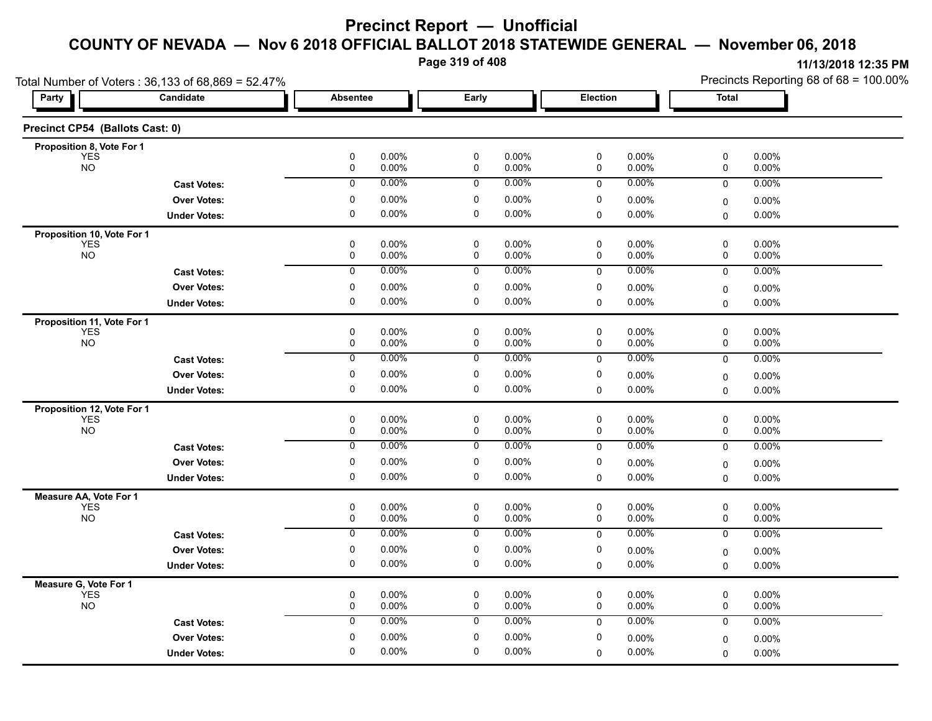**Page 319 of 408**

| Total Number of Voters: 36,133 of 68,869 = 52.47% |                     |                          |                      |                          |                |             |                | Precincts Reporting 68 of 68 = 100.00% |                   |  |
|---------------------------------------------------|---------------------|--------------------------|----------------------|--------------------------|----------------|-------------|----------------|----------------------------------------|-------------------|--|
| Party                                             | Candidate           | <b>Absentee</b>          |                      | Early                    |                | Election    |                | <b>Total</b>                           |                   |  |
| Precinct CP54 (Ballots Cast: 0)                   |                     |                          |                      |                          |                |             |                |                                        |                   |  |
| Proposition 8, Vote For 1                         |                     |                          |                      |                          |                |             |                |                                        |                   |  |
| <b>YES</b><br><b>NO</b>                           |                     | 0<br>$\mathbf 0$         | 0.00%<br>0.00%       | 0<br>$\pmb{0}$           | 0.00%<br>0.00% | 0<br>0      | 0.00%<br>0.00% | 0<br>0                                 | 0.00%<br>0.00%    |  |
|                                                   | <b>Cast Votes:</b>  | $\mathbf 0$              | $0.00\%$             | $\mathbf 0$              | 0.00%          | $\mathbf 0$ | 0.00%          | 0                                      | 0.00%             |  |
|                                                   | <b>Over Votes:</b>  | 0                        | $0.00\%$             | 0                        | 0.00%          | 0           | 0.00%          |                                        | 0.00%             |  |
|                                                   | <b>Under Votes:</b> | 0                        | $0.00\%$             | $\mathbf 0$              | 0.00%          | 0           | 0.00%          | 0<br>0                                 | 0.00%             |  |
|                                                   |                     |                          |                      |                          |                |             |                |                                        |                   |  |
| Proposition 10, Vote For 1<br><b>YES</b>          |                     | 0                        | 0.00%                | $\mathbf 0$              | 0.00%          | 0           | 0.00%          | 0                                      | 0.00%             |  |
| <b>NO</b>                                         |                     | $\mathbf 0$              | 0.00%                | $\mathbf 0$              | 0.00%          | 0           | 0.00%          | 0                                      | 0.00%             |  |
|                                                   | <b>Cast Votes:</b>  | $\overline{0}$           | 0.00%                | 0                        | 0.00%          | 0           | 0.00%          | 0                                      | 0.00%             |  |
|                                                   | <b>Over Votes:</b>  | 0                        | $0.00\%$             | 0                        | 0.00%          | 0           | 0.00%          | 0                                      | $0.00\%$          |  |
|                                                   | <b>Under Votes:</b> | 0                        | $0.00\%$             | 0                        | 0.00%          | $\Omega$    | $0.00\%$       | 0                                      | $0.00\%$          |  |
| Proposition 11, Vote For 1                        |                     |                          |                      |                          |                |             |                |                                        |                   |  |
| <b>YES</b>                                        |                     | 0                        | $0.00\%$             | $\pmb{0}$                | 0.00%          | $\mathsf 0$ | 0.00%          | $\mathsf 0$                            | 0.00%             |  |
| <b>NO</b>                                         |                     | $\mathbf 0$              | 0.00%                | $\mathbf 0$              | 0.00%          | 0           | $0.00\%$       | 0                                      | 0.00%             |  |
|                                                   | <b>Cast Votes:</b>  | 0                        | $0.00\%$             | 0                        | 0.00%          | 0           | 0.00%          | 0                                      | 0.00%             |  |
|                                                   | <b>Over Votes:</b>  | 0                        | $0.00\%$             | 0                        | 0.00%          | 0           | 0.00%          | 0                                      | 0.00%             |  |
|                                                   | <b>Under Votes:</b> | 0                        | 0.00%                | 0                        | 0.00%          | $\mathbf 0$ | 0.00%          | $\mathbf{0}$                           | $0.00\%$          |  |
| Proposition 12, Vote For 1                        |                     |                          |                      |                          |                |             |                |                                        |                   |  |
| YES <sup>"</sup>                                  |                     | $\mathbf 0$              | $0.00\%$             | $\mathbf 0$              | $0.00\%$       | 0           | 0.00%          | 0                                      | 0.00%             |  |
| <b>NO</b>                                         |                     | $\mathbf 0$              | 0.00%                | $\mathbf 0$              | 0.00%          | 0           | 0.00%          | 0                                      | 0.00%             |  |
|                                                   | <b>Cast Votes:</b>  | $\overline{0}$           | 0.00%                | $\overline{0}$           | 0.00%          | 0           | 0.00%          | 0                                      | 0.00%             |  |
|                                                   | <b>Over Votes:</b>  | 0                        | $0.00\%$             | 0                        | 0.00%          | 0           | 0.00%          | 0                                      | 0.00%             |  |
|                                                   | <b>Under Votes:</b> | 0                        | $0.00\%$             | 0                        | 0.00%          | $\mathbf 0$ | 0.00%          | $\Omega$                               | 0.00%             |  |
| Measure AA, Vote For 1                            |                     |                          |                      |                          |                |             |                |                                        |                   |  |
| <b>YES</b><br><b>NO</b>                           |                     | $\mathbf 0$<br>$\pmb{0}$ | 0.00%<br>$0.00\%$    | $\mathbf 0$<br>$\pmb{0}$ | 0.00%<br>0.00% | 0<br>0      | 0.00%<br>0.00% | 0<br>0                                 | 0.00%<br>0.00%    |  |
|                                                   |                     | $\overline{0}$           | 0.00%                | $\overline{0}$           | 0.00%          | $\mathsf 0$ | 0.00%          | 0                                      | 0.00%             |  |
|                                                   | <b>Cast Votes:</b>  |                          |                      |                          |                |             |                |                                        |                   |  |
|                                                   | <b>Over Votes:</b>  | $\mathbf 0$              | 0.00%                | $\mathbf 0$              | $0.00\%$       | 0           | 0.00%          | 0                                      | $0.00\%$          |  |
|                                                   | <b>Under Votes:</b> | 0                        | $0.00\%$             | 0                        | 0.00%          | $\mathbf 0$ | 0.00%          | 0                                      | $0.00\%$          |  |
| Measure G, Vote For 1<br>ÝES                      |                     |                          |                      |                          |                | 0           |                |                                        |                   |  |
| <b>NO</b>                                         |                     | 0<br>0                   | $0.00\%$<br>$0.00\%$ | 0<br>0                   | 0.00%<br>0.00% | 0           | 0.00%<br>0.00% | 0<br>0                                 | 0.00%<br>0.00%    |  |
|                                                   | <b>Cast Votes:</b>  | $\mathbf 0$              | 0.00%                | $\mathbf 0$              | $0.00\%$       | 0           | $0.00\%$       | 0                                      | 0.00%             |  |
|                                                   | <b>Over Votes:</b>  | $\mathbf 0$              | 0.00%                | $\mathbf 0$              | 0.00%          | 0           | 0.00%          |                                        |                   |  |
|                                                   | <b>Under Votes:</b> | 0                        | 0.00%                | $\mathbf 0$              | 0.00%          | $\mathbf 0$ | 0.00%          | 0<br>0                                 | $0.00\%$<br>0.00% |  |
|                                                   |                     |                          |                      |                          |                |             |                |                                        |                   |  |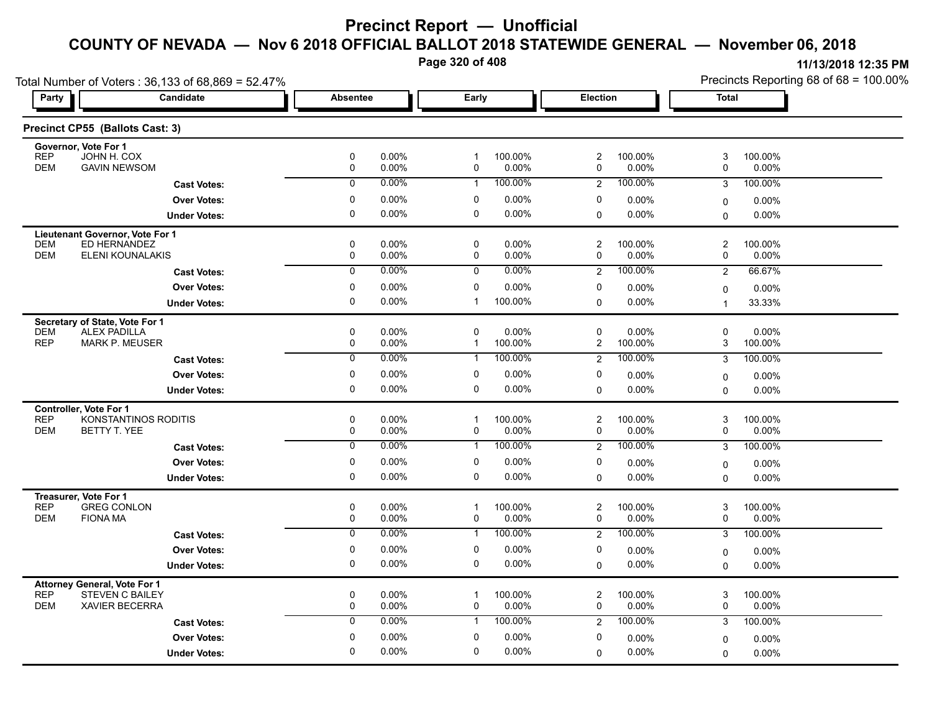**Page 320 of 408**

| Total Number of Voters: 36,133 of 68,869 = 52.47%                    |                     |                     |                   |                             |                  |                              |                     | Precincts Reporting 68 of 68 = 100.00% |                     |  |
|----------------------------------------------------------------------|---------------------|---------------------|-------------------|-----------------------------|------------------|------------------------------|---------------------|----------------------------------------|---------------------|--|
| Party                                                                | Candidate           | Absentee            |                   | Early                       |                  | Election                     |                     | <b>Total</b>                           |                     |  |
| Precinct CP55 (Ballots Cast: 3)                                      |                     |                     |                   |                             |                  |                              |                     |                                        |                     |  |
| Governor, Vote For 1<br><b>REP</b><br>JOHN H. COX                    |                     | 0                   | 0.00%             | $\mathbf 1$                 | 100.00%          | $\overline{c}$               | 100.00%             | 3                                      | 100.00%             |  |
| <b>DEM</b><br><b>GAVIN NEWSOM</b>                                    |                     | 0                   | 0.00%             | 0                           | 0.00%            | 0                            | 0.00%               | 0                                      | 0.00%               |  |
|                                                                      | <b>Cast Votes:</b>  | $\mathbf 0$         | 0.00%             | $\mathbf{1}$                | 100.00%          | $\overline{c}$               | 100.00%             | 3                                      | 100.00%             |  |
|                                                                      | <b>Over Votes:</b>  | 0                   | 0.00%             | 0                           | 0.00%            | 0                            | $0.00\%$            | 0                                      | 0.00%               |  |
|                                                                      | <b>Under Votes:</b> | 0                   | 0.00%             | 0                           | 0.00%            | 0                            | $0.00\%$            | 0                                      | 0.00%               |  |
| Lieutenant Governor, Vote For 1                                      |                     |                     |                   |                             |                  |                              |                     |                                        |                     |  |
| ED HERNANDEZ<br><b>DEM</b><br><b>DEM</b>                             |                     | 0                   | $0.00\%$          | 0                           | 0.00%            | $\overline{\mathbf{c}}$      | 100.00%             | $\overline{c}$                         | 100.00%             |  |
| ELENI KOUNALAKIS                                                     |                     | 0<br>$\overline{0}$ | 0.00%<br>0.00%    | 0                           | 0.00%<br>0.00%   | 0                            | $0.00\%$<br>100.00% | $\mathbf 0$                            | 0.00%               |  |
|                                                                      | <b>Cast Votes:</b>  |                     |                   | $\mathbf 0$                 |                  | 2                            |                     | 2                                      | 66.67%              |  |
|                                                                      | <b>Over Votes:</b>  | 0                   | 0.00%             | 0                           | 0.00%            | 0                            | $0.00\%$            | 0                                      | $0.00\%$            |  |
|                                                                      | <b>Under Votes:</b> | $\mathbf{0}$        | 0.00%             | 1                           | 100.00%          | 0                            | 0.00%               | 1                                      | 33.33%              |  |
| Secretary of State, Vote For 1<br><b>DEM</b><br><b>ALEX PADILLA</b>  |                     | 0                   | 0.00%             | 0                           | 0.00%            | 0                            | 0.00%               | 0                                      | 0.00%               |  |
| <b>REP</b><br><b>MARK P. MEUSER</b>                                  |                     | 0                   | 0.00%             | $\mathbf{1}$                | 100.00%          | 2                            | 100.00%             | 3                                      | 100.00%             |  |
|                                                                      | <b>Cast Votes:</b>  | 0                   | 0.00%             | 1                           | 100.00%          | $\overline{2}$               | 100.00%             | 3                                      | 100.00%             |  |
|                                                                      | <b>Over Votes:</b>  | 0                   | $0.00\%$          | $\mathbf{0}$                | 0.00%            | 0                            | 0.00%               | $\mathbf 0$                            | 0.00%               |  |
|                                                                      | <b>Under Votes:</b> | 0                   | 0.00%             | 0                           | 0.00%            | 0                            | $0.00\%$            | $\Omega$                               | 0.00%               |  |
| Controller, Vote For 1                                               |                     |                     |                   |                             |                  |                              |                     |                                        |                     |  |
| <b>REP</b><br>KONSTANTINOS RODITIS                                   |                     | 0                   | 0.00%             | $\mathbf 1$                 | 100.00%          | $\overline{\mathbf{c}}$      | 100.00%             | 3                                      | 100.00%             |  |
| <b>DEM</b><br>BETTY T. YEE                                           |                     | $\mathbf 0$         | 0.00%             | $\mathbf 0$                 | 0.00%            | 0                            | $0.00\%$            | 0                                      | $0.00\%$            |  |
|                                                                      | <b>Cast Votes:</b>  | $\overline{0}$      | 0.00%             | $\mathbf{1}$                | 100.00%          | $\overline{2}$               | 100.00%             | 3                                      | 100.00%             |  |
|                                                                      | <b>Over Votes:</b>  | 0                   | $0.00\%$          | 0                           | 0.00%            | 0                            | $0.00\%$            | $\mathbf 0$                            | 0.00%               |  |
|                                                                      | <b>Under Votes:</b> | $\Omega$            | 0.00%             | $\Omega$                    | 0.00%            | 0                            | $0.00\%$            | $\Omega$                               | $0.00\%$            |  |
| Treasurer, Vote For 1                                                |                     |                     |                   |                             |                  |                              |                     |                                        |                     |  |
| <b>REP</b><br><b>GREG CONLON</b><br><b>DEM</b><br><b>FIONA MA</b>    |                     | 0<br>$\mathbf 0$    | $0.00\%$<br>0.00% | $\mathbf{1}$<br>$\mathbf 0$ | 100.00%<br>0.00% | $\overline{\mathbf{c}}$<br>0 | 100.00%<br>$0.00\%$ | 3<br>$\mathbf 0$                       | 100.00%<br>$0.00\%$ |  |
|                                                                      | <b>Cast Votes:</b>  | $\overline{0}$      | 0.00%             | $\mathbf{1}$                | 100.00%          | $\overline{2}$               | 100.00%             | 3                                      | 100.00%             |  |
|                                                                      | <b>Over Votes:</b>  | 0                   | $0.00\%$          | 0                           | 0.00%            | 0                            | 0.00%               | $\mathbf 0$                            | $0.00\%$            |  |
|                                                                      | <b>Under Votes:</b> | 0                   | 0.00%             | 0                           | 0.00%            | $\mathbf 0$                  | $0.00\%$            | 0                                      | 0.00%               |  |
|                                                                      |                     |                     |                   |                             |                  |                              |                     |                                        |                     |  |
| Attorney General, Vote For 1<br><b>REP</b><br><b>STEVEN C BAILEY</b> |                     | 0                   | 0.00%             | $\mathbf 1$                 | 100.00%          | $\overline{\mathbf{c}}$      | 100.00%             | 3                                      | 100.00%             |  |
| <b>DEM</b><br><b>XAVIER BECERRA</b>                                  |                     | $\mathbf 0$         | 0.00%             | 0                           | 0.00%            | 0                            | 0.00%               | 0                                      | 0.00%               |  |
|                                                                      | <b>Cast Votes:</b>  | $\mathbf 0$         | 0.00%             | $\mathbf{1}$                | 100.00%          | 2                            | 100.00%             | 3                                      | 100.00%             |  |
|                                                                      | <b>Over Votes:</b>  | $\mathbf 0$         | $0.00\%$          | 0                           | 0.00%            | 0                            | 0.00%               | 0                                      | $0.00\%$            |  |
|                                                                      | <b>Under Votes:</b> | $\Omega$            | 0.00%             | $\mathbf 0$                 | 0.00%            | 0                            | $0.00\%$            | $\mathbf 0$                            | 0.00%               |  |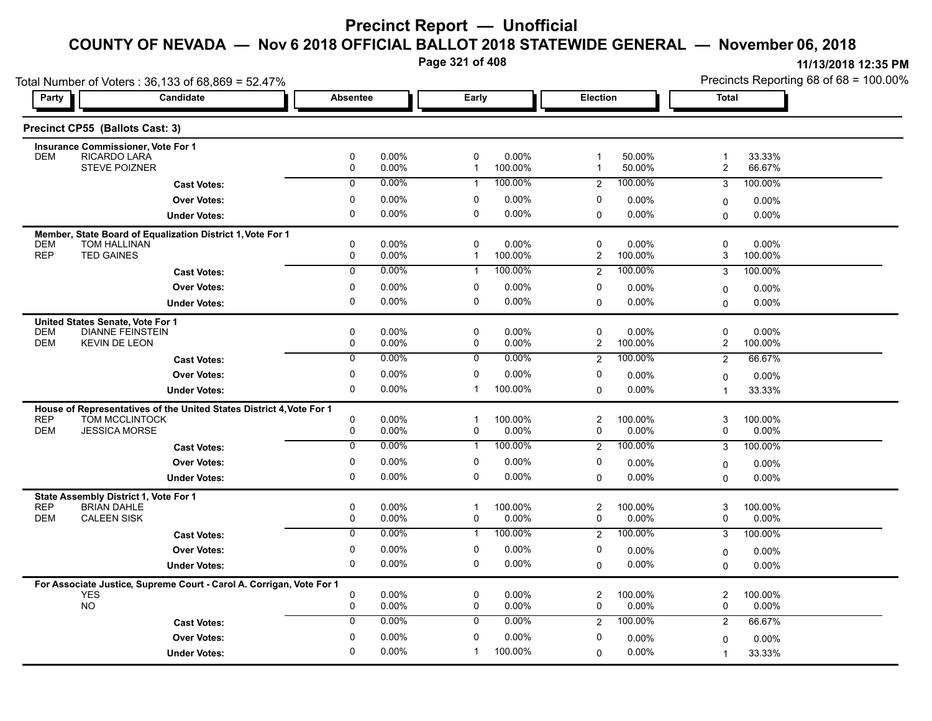**Page 321 of 408**

| Total Number of Voters: 36,133 of 68,869 = 52.47%             |                                                                      |                 |                      |                   |                  |                              |                     | Precincts Reporting 68 of 68 = 100.00% |                  |  |
|---------------------------------------------------------------|----------------------------------------------------------------------|-----------------|----------------------|-------------------|------------------|------------------------------|---------------------|----------------------------------------|------------------|--|
| Party                                                         | Candidate                                                            | <b>Absentee</b> |                      | Early             |                  | <b>Election</b>              |                     | <b>Total</b>                           |                  |  |
| Precinct CP55 (Ballots Cast: 3)                               |                                                                      |                 |                      |                   |                  |                              |                     |                                        |                  |  |
| <b>Insurance Commissioner, Vote For 1</b>                     |                                                                      |                 |                      |                   |                  |                              |                     |                                        |                  |  |
| <b>RICARDO LARA</b><br><b>DEM</b><br><b>STEVE POIZNER</b>     |                                                                      | $\pmb{0}$<br>0  | 0.00%<br>0.00%       | 0<br>$\mathbf{1}$ | 0.00%<br>100.00% | $\mathbf{1}$<br>$\mathbf{1}$ | 50.00%<br>50.00%    | $\overline{1}$                         | 33.33%<br>66.67% |  |
|                                                               |                                                                      |                 |                      |                   |                  |                              |                     | $\overline{c}$                         |                  |  |
|                                                               | <b>Cast Votes:</b>                                                   | $\mathbf 0$     | $0.00\%$             | $\mathbf{1}$      | 100.00%          | 2                            | 100.00%             | 3                                      | 100.00%          |  |
|                                                               | <b>Over Votes:</b>                                                   | 0               | $0.00\%$             | 0                 | 0.00%            | 0                            | $0.00\%$            | $\mathbf 0$                            | 0.00%            |  |
|                                                               | <b>Under Votes:</b>                                                  | $\mathbf 0$     | 0.00%                | 0                 | 0.00%            | 0                            | $0.00\%$            | 0                                      | 0.00%            |  |
|                                                               | Member, State Board of Equalization District 1, Vote For 1           |                 |                      |                   |                  |                              |                     |                                        |                  |  |
| <b>DEM</b><br>TOM HALLINAN<br><b>REP</b><br><b>TED GAINES</b> |                                                                      | 0<br>0          | $0.00\%$<br>$0.00\%$ | 0<br>$\mathbf 1$  | 0.00%<br>100.00% | 0<br>$\overline{c}$          | $0.00\%$<br>100.00% | $\mathbf 0$<br>3                       | 0.00%<br>100.00% |  |
|                                                               |                                                                      | $\overline{0}$  | 0.00%                |                   | 100.00%          |                              | 100.00%             |                                        |                  |  |
|                                                               | <b>Cast Votes:</b>                                                   |                 |                      | 1                 |                  | $\overline{2}$               |                     | 3                                      | 100.00%          |  |
|                                                               | <b>Over Votes:</b>                                                   | 0               | 0.00%                | 0                 | 0.00%            | 0                            | $0.00\%$            | 0                                      | 0.00%            |  |
|                                                               | <b>Under Votes:</b>                                                  | 0               | 0.00%                | 0                 | 0.00%            | $\Omega$                     | $0.00\%$            | $\Omega$                               | 0.00%            |  |
| United States Senate, Vote For 1                              |                                                                      |                 |                      |                   |                  |                              |                     |                                        |                  |  |
| <b>DEM</b>                                                    | <b>DIANNE FEINSTEIN</b>                                              | 0               | $0.00\%$             | 0                 | 0.00%            | 0                            | $0.00\%$            | $\mathbf 0$                            | 0.00%            |  |
| <b>DEM</b><br><b>KEVIN DE LEON</b>                            |                                                                      | 0               | 0.00%                | 0                 | 0.00%            | $\overline{2}$               | 100.00%             | $\overline{c}$                         | 100.00%          |  |
|                                                               | <b>Cast Votes:</b>                                                   | $\mathbf 0$     | 0.00%                | 0                 | 0.00%            | $\overline{2}$               | 100.00%             | $\overline{2}$                         | 66.67%           |  |
|                                                               | <b>Over Votes:</b>                                                   | 0               | 0.00%                | 0                 | 0.00%            | 0                            | $0.00\%$            | $\mathbf 0$                            | 0.00%            |  |
|                                                               | <b>Under Votes:</b>                                                  | 0               | $0.00\%$             | 1                 | 100.00%          | 0                            | 0.00%               | $\overline{1}$                         | 33.33%           |  |
|                                                               | House of Representatives of the United States District 4, Vote For 1 |                 |                      |                   |                  |                              |                     |                                        |                  |  |
| <b>REP</b>                                                    | TOM MCCLINTOCK                                                       | 0               | $0.00\%$             | $\mathbf 1$       | 100.00%          | $\overline{\mathbf{c}}$      | 100.00%             | 3                                      | 100.00%          |  |
| <b>DEM</b><br><b>JESSICA MORSE</b>                            |                                                                      | 0               | 0.00%                | 0                 | 0.00%            | 0                            | $0.00\%$            | 0                                      | $0.00\%$         |  |
|                                                               | <b>Cast Votes:</b>                                                   | $\mathbf 0$     | $0.00\%$             | $\mathbf{1}$      | 100.00%          | $\overline{2}$               | 100.00%             | 3                                      | 100.00%          |  |
|                                                               | <b>Over Votes:</b>                                                   | 0               | 0.00%                | 0                 | $0.00\%$         | 0                            | 0.00%               | $\mathbf 0$                            | 0.00%            |  |
|                                                               | <b>Under Votes:</b>                                                  | 0               | $0.00\%$             | 0                 | 0.00%            | $\Omega$                     | 0.00%               | 0                                      | 0.00%            |  |
| State Assembly District 1, Vote For 1                         |                                                                      |                 |                      |                   |                  |                              |                     |                                        |                  |  |
| <b>REP</b><br><b>BRIAN DAHLE</b>                              |                                                                      | 0               | 0.00%                | 1                 | 100.00%          | $\boldsymbol{2}$             | 100.00%             | 3                                      | 100.00%          |  |
| <b>DEM</b><br><b>CALEEN SISK</b>                              |                                                                      | 0               | 0.00%                | 0                 | 0.00%            | 0                            | $0.00\%$            | 0                                      | 0.00%            |  |
|                                                               | <b>Cast Votes:</b>                                                   | 0               | 0.00%                | $\mathbf{1}$      | 100.00%          | $\overline{2}$               | 100.00%             | 3                                      | 100.00%          |  |
|                                                               | <b>Over Votes:</b>                                                   | 0               | $0.00\%$             | 0                 | 0.00%            | 0                            | 0.00%               | $\Omega$                               | $0.00\%$         |  |
|                                                               | <b>Under Votes:</b>                                                  | 0               | 0.00%                | 0                 | 0.00%            | 0                            | $0.00\%$            | 0                                      | 0.00%            |  |
|                                                               | For Associate Justice, Supreme Court - Carol A. Corrigan, Vote For 1 |                 |                      |                   |                  |                              |                     |                                        |                  |  |
| <b>YES</b>                                                    |                                                                      | 0               | $0.00\%$             | 0                 | 0.00%            | $\overline{c}$               | 100.00%             | $\overline{c}$                         | 100.00%          |  |
| <b>NO</b>                                                     |                                                                      | 0               | $0.00\%$             | 0                 | 0.00%            | 0                            | $0.00\%$            | 0                                      | 0.00%            |  |
|                                                               | <b>Cast Votes:</b>                                                   | $\mathbf{0}$    | 0.00%                | 0                 | 0.00%            | $\overline{2}$               | 100.00%             | $\overline{2}$                         | 66.67%           |  |
|                                                               | <b>Over Votes:</b>                                                   | 0               | 0.00%                | 0                 | 0.00%            | 0                            | $0.00\%$            | $\Omega$                               | 0.00%            |  |
|                                                               | <b>Under Votes:</b>                                                  | $\Omega$        | 0.00%                | 1                 | 100.00%          | $\Omega$                     | $0.00\%$            | 1                                      | 33.33%           |  |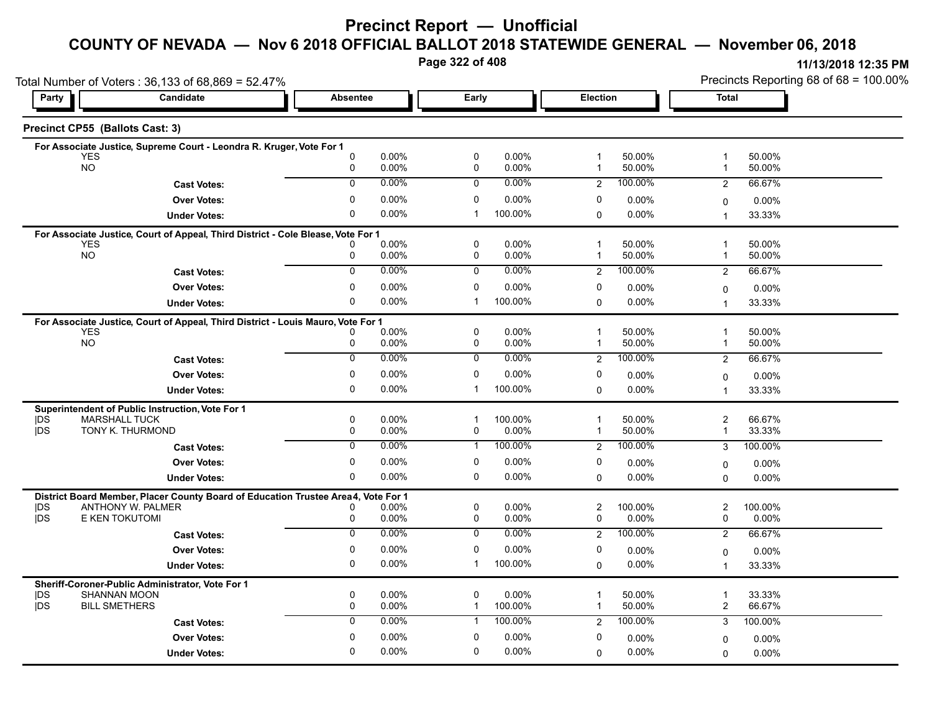# **Precinct Report — Unofficial**

### **COUNTY OF NEVADA — Nov 6 2018 OFFICIAL BALLOT 2018 STATEWIDE GENERAL — November 06, 2018**

**Page 322 of 408**

|                         | Total Number of Voters: 36,133 of 68,869 = 52.47%                                 |                  |                |                            |                  |                              |                  | Precincts Reporting 68 of 68 = 100.00%             |                      |  |
|-------------------------|-----------------------------------------------------------------------------------|------------------|----------------|----------------------------|------------------|------------------------------|------------------|----------------------------------------------------|----------------------|--|
| Party                   | Candidate                                                                         | <b>Absentee</b>  |                | Early                      |                  |                              | Election         |                                                    | Total                |  |
|                         | Precinct CP55 (Ballots Cast: 3)                                                   |                  |                |                            |                  |                              |                  |                                                    |                      |  |
|                         | For Associate Justice, Supreme Court - Leondra R. Kruger, Vote For 1              |                  |                |                            |                  |                              |                  |                                                    |                      |  |
| <b>YES</b><br><b>NO</b> |                                                                                   | $\mathbf 0$<br>0 | 0.00%<br>0.00% | $\pmb{0}$<br>0             | 0.00%<br>0.00%   | $\mathbf 1$<br>$\mathbf 1$   | 50.00%<br>50.00% | $\overline{\mathbf{1}}$<br>1                       | 50.00%<br>50.00%     |  |
|                         | <b>Cast Votes:</b>                                                                | $\mathbf 0$      | 0.00%          | 0                          | 0.00%            | $\overline{2}$               | 100.00%          | $\overline{2}$                                     | 66.67%               |  |
|                         | <b>Over Votes:</b>                                                                | 0                | 0.00%          | 0                          | 0.00%            | 0                            | $0.00\%$         | 0                                                  | 0.00%                |  |
|                         | <b>Under Votes:</b>                                                               | $\mathbf 0$      | 0.00%          | $\mathbf 1$                | 100.00%          | $\Omega$                     | $0.00\%$         | 1                                                  | 33.33%               |  |
|                         | For Associate Justice, Court of Appeal, Third District - Cole Blease, Vote For 1  |                  |                |                            |                  |                              |                  |                                                    |                      |  |
| <b>YES</b>              |                                                                                   |                  | 0.00%          | $\pmb{0}$                  | 0.00%            | $\mathbf{1}$                 | 50.00%           | $\overline{\mathbf{1}}$                            | 50.00%               |  |
| <b>NO</b>               |                                                                                   | 0                | 0.00%          | 0                          | 0.00%            | -1                           | 50.00%           | -1                                                 | 50.00%               |  |
|                         | <b>Cast Votes:</b>                                                                | $\overline{0}$   | 0.00%          | 0                          | $0.00\%$         | 2                            | 100.00%          | $\overline{2}$                                     | 66.67%               |  |
|                         | <b>Over Votes:</b>                                                                | 0                | 0.00%          | 0                          | 0.00%            | 0                            | 0.00%            | 0                                                  | $0.00\%$             |  |
|                         | <b>Under Votes:</b>                                                               | $\mathbf 0$      | 0.00%          | -1                         | 100.00%          | $\Omega$                     | $0.00\%$         | 1                                                  | 33.33%               |  |
|                         | For Associate Justice, Court of Appeal, Third District - Louis Mauro, Vote For 1  |                  |                |                            |                  |                              |                  |                                                    |                      |  |
| <b>YES</b><br><b>NO</b> |                                                                                   | 0                | 0.00%<br>0.00% | $\mathbf 0$<br>0           | 0.00%<br>0.00%   | $\overline{1}$               | 50.00%<br>50.00% | $\overline{1}$<br>-1                               | 50.00%<br>50.00%     |  |
|                         |                                                                                   | 0                | 0.00%          | 0                          | 0.00%            | 1                            | 100.00%          |                                                    |                      |  |
|                         | <b>Cast Votes:</b>                                                                |                  |                |                            |                  | $\overline{2}$               |                  | $\overline{2}$                                     | 66.67%               |  |
|                         | <b>Over Votes:</b>                                                                | 0                | 0.00%          | 0<br>-1                    | 0.00%            | 0                            | 0.00%            | 0                                                  | 0.00%                |  |
|                         | <b>Under Votes:</b>                                                               | 0                | 0.00%          |                            | 100.00%          | 0                            | 0.00%            | $\overline{1}$                                     | 33.33%               |  |
| <b>IDS</b>              | Superintendent of Public Instruction, Vote For 1<br><b>MARSHALL TUCK</b>          | $\mathbf 0$      | 0.00%          |                            | 100.00%          | 1                            | 50.00%           | $\overline{\mathbf{c}}$                            | 66.67%               |  |
| <b>IDS</b>              | TONY K. THURMOND                                                                  | 0                | 0.00%          | 0                          | 0.00%            | $\mathbf{1}$                 | 50.00%           | $\mathbf{1}$                                       | 33.33%               |  |
|                         | <b>Cast Votes:</b>                                                                | $\Omega$         | 0.00%          | $\mathbf{1}$               | 100.00%          | $\overline{2}$               | 100.00%          | 3                                                  | 100.00%              |  |
|                         | <b>Over Votes:</b>                                                                | $\mathbf 0$      | 0.00%          | $\mathbf 0$                | 0.00%            | 0                            | $0.00\%$         | $\Omega$                                           | $0.00\%$             |  |
|                         | <b>Under Votes:</b>                                                               | $\Omega$         | 0.00%          | 0                          | 0.00%            | $\Omega$                     | $0.00\%$         | $\Omega$                                           | $0.00\%$             |  |
|                         | District Board Member, Placer County Board of Education Trustee Area4, Vote For 1 |                  |                |                            |                  |                              |                  |                                                    |                      |  |
| IDS.                    | ANTHONY W. PALMER                                                                 |                  | 0.00%          | $\pmb{0}$                  | 0.00%            | $\overline{2}$               | 100.00%          | $\overline{\mathbf{c}}$                            | 100.00%              |  |
| jDS                     | E KEN TOKUTOMI                                                                    | 0                | 0.00%          | 0                          | 0.00%            | 0                            | $0.00\%$         | 0                                                  | $0.00\%$             |  |
|                         | <b>Cast Votes:</b>                                                                | $\overline{0}$   | 0.00%          | $\overline{0}$             | $0.00\%$         | $\overline{2}$               | 100.00%          | 2                                                  | 66.67%               |  |
|                         | <b>Over Votes:</b>                                                                | $\mathbf 0$      | 0.00%          | 0                          | 0.00%            | 0                            | 0.00%            | $\Omega$                                           | 0.00%                |  |
|                         | <b>Under Votes:</b>                                                               | $\mathbf 0$      | 0.00%          | $\mathbf 1$                | 100.00%          | $\Omega$                     | $0.00\%$         | $\overline{1}$                                     | 33.33%               |  |
|                         | Sheriff-Coroner-Public Administrator, Vote For 1                                  |                  |                |                            |                  |                              |                  |                                                    |                      |  |
| <b>IDS</b><br>jDS       | <b>SHANNAN MOON</b><br><b>BILL SMETHERS</b>                                       | $\mathbf 0$<br>0 | 0.00%<br>0.00% | $\mathbf 0$<br>$\mathbf 1$ | 0.00%<br>100.00% | $\mathbf{1}$<br>$\mathbf{1}$ | 50.00%<br>50.00% | $\overline{\mathbf{1}}$<br>$\overline{\mathbf{c}}$ | 33.33%<br>66.67%     |  |
|                         | <b>Cast Votes:</b>                                                                | $\mathbf 0$      | 0.00%          | $\mathbf 1$                | 100.00%          | $\overline{2}$               | 100.00%          | 3                                                  | 100.00%              |  |
|                         | <b>Over Votes:</b>                                                                | 0                | 0.00%          | $\mathbf 0$                | 0.00%            | 0                            | $0.00\%$         |                                                    |                      |  |
|                         |                                                                                   | $\Omega$         | 0.00%          | $\mathbf 0$                | 0.00%            | $\mathbf 0$                  | 0.00%            | 0                                                  | $0.00\%$<br>$0.00\%$ |  |
|                         | <b>Under Votes:</b>                                                               |                  |                |                            |                  |                              |                  | $\Omega$                                           |                      |  |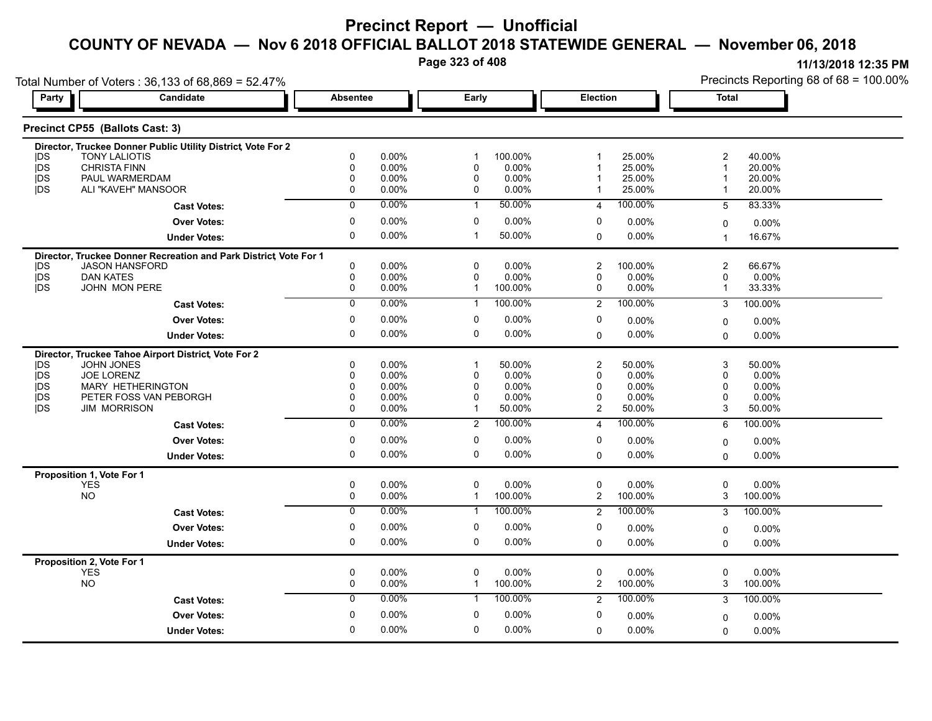**Page 323 of 408**

|                          | Total Number of Voters: 36,133 of 68,869 = 52.47%                |                            |                |                         |                  |                      |                  | Precincts Reporting 68 of 68 = 100.00% |                     |  |
|--------------------------|------------------------------------------------------------------|----------------------------|----------------|-------------------------|------------------|----------------------|------------------|----------------------------------------|---------------------|--|
| Party                    | Candidate                                                        | <b>Absentee</b>            |                | Early                   |                  | Election             |                  | <b>Total</b>                           |                     |  |
|                          | Precinct CP55 (Ballots Cast: 3)                                  |                            |                |                         |                  |                      |                  |                                        |                     |  |
|                          | Director, Truckee Donner Public Utility District, Vote For 2     |                            |                |                         |                  |                      |                  |                                        |                     |  |
| <b>IDS</b>               | <b>TONY LALIOTIS</b><br><b>CHRISTA FINN</b>                      | $\mathbf 0$<br>$\mathbf 0$ | 0.00%<br>0.00% | $\mathbf 1$<br>$\Omega$ | 100.00%<br>0.00% | 1                    | 25.00%<br>25.00% | 2<br>1                                 | 40.00%<br>20.00%    |  |
| <b>IDS</b><br><b>IDS</b> | PAUL WARMERDAM                                                   | $\mathbf 0$                | 0.00%          | $\mathbf 0$             | 0.00%            |                      | 25.00%           | 1                                      | 20.00%              |  |
| <b>IDS</b>               | ALI "KAVEH" MANSOOR                                              | 0                          | 0.00%          | 0                       | 0.00%            |                      | 25.00%           | 1                                      | 20.00%              |  |
|                          | <b>Cast Votes:</b>                                               | $\overline{0}$             | 0.00%          | $\mathbf{1}$            | 50.00%           | 4                    | 100.00%          | 5                                      | 83.33%              |  |
|                          | <b>Over Votes:</b>                                               | 0                          | 0.00%          | 0                       | 0.00%            | 0                    | 0.00%            | 0                                      | 0.00%               |  |
|                          | <b>Under Votes:</b>                                              | $\mathbf 0$                | 0.00%          | $\mathbf{1}$            | 50.00%           | $\Omega$             | 0.00%            | 1                                      | 16.67%              |  |
|                          | Director, Truckee Donner Recreation and Park District Vote For 1 |                            |                |                         |                  |                      |                  |                                        |                     |  |
| <b>IDS</b>               | JASON HANSFORD                                                   | $\mathbf 0$                | 0.00%          | $\mathbf 0$             | 0.00%            | 2                    | 100.00%          | $\overline{\mathbf{c}}$                | 66.67%              |  |
| <b>IDS</b>               | <b>DAN KATES</b>                                                 | 0                          | 0.00%          | 0                       | 0.00%            | $\mathbf 0$          | 0.00%            | 0                                      | $0.00\%$            |  |
| <b>IDS</b>               | JOHN MON PERE                                                    | 0                          | 0.00%          | 1                       | 100.00%          | 0                    | 0.00%            | 1                                      | 33.33%              |  |
|                          | <b>Cast Votes:</b>                                               | $\overline{0}$             | $0.00\%$       | $\mathbf{1}$            | 100.00%          | $\overline{2}$       | 100.00%          | 3                                      | 100.00%             |  |
|                          | <b>Over Votes:</b>                                               | 0                          | 0.00%          | 0                       | 0.00%            | 0                    | 0.00%            | 0                                      | 0.00%               |  |
|                          | <b>Under Votes:</b>                                              | $\mathbf 0$                | $0.00\%$       | $\mathbf 0$             | 0.00%            | $\Omega$             | 0.00%            | $\Omega$                               | 0.00%               |  |
|                          | Director, Truckee Tahoe Airport District, Vote For 2             |                            |                |                         |                  |                      |                  |                                        |                     |  |
| <b>IDS</b>               | JOHN JONES                                                       | 0                          | 0.00%          | $\mathbf{1}$            | 50.00%           | 2                    | 50.00%           | 3                                      | 50.00%              |  |
| <b>IDS</b>               | <b>JOE LORENZ</b>                                                | $\mathbf{0}$               | 0.00%          | 0                       | 0.00%            | $\mathbf 0$          | 0.00%            | 0                                      | 0.00%               |  |
| <b>IDS</b>               | MARY HETHERINGTON                                                | $\Omega$<br>$\mathbf 0$    | 0.00%          | $\mathbf 0$             | 0.00%            | $\Omega$<br>$\Omega$ | 0.00%            | 0                                      | 0.00%               |  |
| <b>IDS</b><br><b>IDS</b> | PETER FOSS VAN PEBORGH<br><b>JIM MORRISON</b>                    | $\mathbf 0$                | 0.00%<br>0.00% | 0<br>$\mathbf 1$        | 0.00%<br>50.00%  | $\overline{2}$       | 0.00%<br>50.00%  | 0<br>3                                 | 0.00%<br>50.00%     |  |
|                          |                                                                  |                            | 0.00%          |                         | 100.00%          |                      |                  |                                        |                     |  |
|                          | <b>Cast Votes:</b>                                               | 0                          |                | $\overline{2}$          |                  | 4                    | 100.00%          | 6                                      | 100.00%             |  |
|                          | <b>Over Votes:</b>                                               | 0                          | 0.00%          | 0                       | 0.00%            | 0                    | 0.00%            | 0                                      | 0.00%               |  |
|                          | <b>Under Votes:</b>                                              | $\mathbf 0$                | 0.00%          | $\mathbf 0$             | 0.00%            | $\Omega$             | 0.00%            | $\Omega$                               | $0.00\%$            |  |
|                          | Proposition 1, Vote For 1                                        |                            | 0.00%          | $\mathbf 0$             | 0.00%            |                      | 0.00%            | 0                                      |                     |  |
|                          | YES<br><b>NO</b>                                                 | 0<br>0                     | 0.00%          | $\mathbf{1}$            | 100.00%          | 0<br>$\mathbf{2}$    | 100.00%          | 3                                      | $0.00\%$<br>100.00% |  |
|                          | <b>Cast Votes:</b>                                               | 0                          | 0.00%          | $\mathbf{1}$            | 100.00%          | 2                    | 100.00%          | 3                                      | 100.00%             |  |
|                          | <b>Over Votes:</b>                                               | $\mathbf 0$                | 0.00%          | $\mathbf 0$             | 0.00%            | 0                    | 0.00%            | 0                                      | 0.00%               |  |
|                          | <b>Under Votes:</b>                                              | $\mathbf 0$                | 0.00%          | $\mathbf 0$             | 0.00%            | 0                    | 0.00%            | $\Omega$                               | 0.00%               |  |
|                          | Proposition 2, Vote For 1                                        |                            |                |                         |                  |                      |                  |                                        |                     |  |
|                          | <b>YES</b>                                                       | $\mathbf 0$                | 0.00%          | $\mathbf 0$             | 0.00%            | 0                    | 0.00%            | 0                                      | $0.00\%$            |  |
|                          | <b>NO</b>                                                        | 0                          | 0.00%          | $\mathbf{1}$            | 100.00%          | 2                    | 100.00%          | 3                                      | 100.00%             |  |
|                          | <b>Cast Votes:</b>                                               | $\mathbf 0$                | 0.00%          | $\mathbf{1}$            | 100.00%          | $\overline{2}$       | 100.00%          | 3                                      | 100.00%             |  |
|                          | <b>Over Votes:</b>                                               | $\mathbf 0$                | 0.00%          | $\mathbf 0$             | 0.00%            | 0                    | 0.00%            | 0                                      | 0.00%               |  |
|                          | <b>Under Votes:</b>                                              | $\mathbf 0$                | $0.00\%$       | $\mathbf 0$             | 0.00%            | $\Omega$             | 0.00%            | 0                                      | 0.00%               |  |
|                          |                                                                  |                            |                |                         |                  |                      |                  |                                        |                     |  |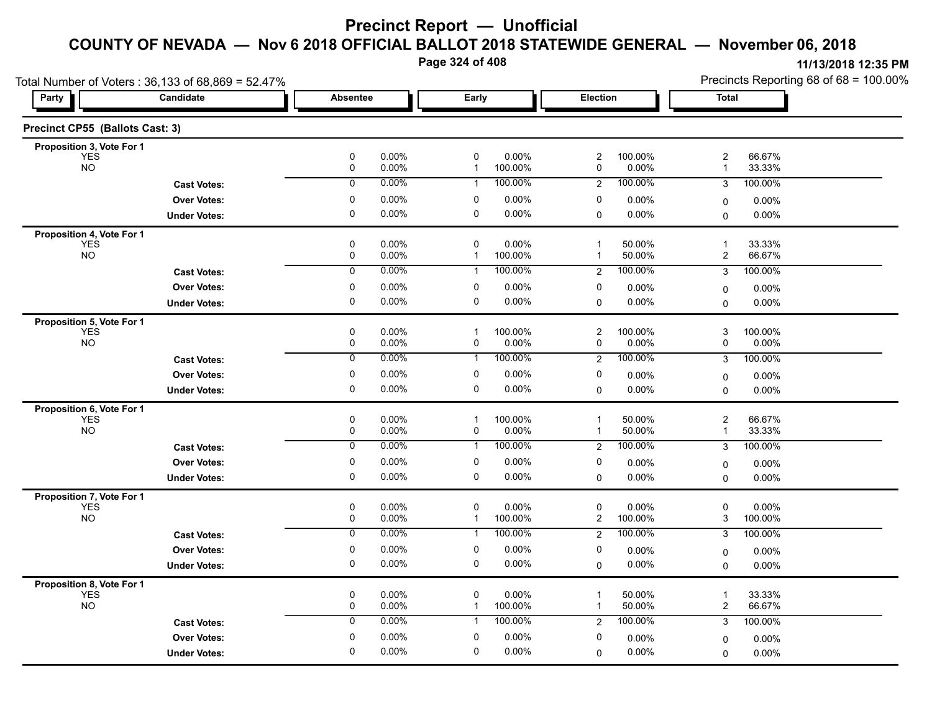**Page 324 of 408**

| Total Number of Voters: 36,133 of 68,869 = 52.47% |                     |                  |                   |                           |                  |                              |                  | Precincts Reporting 68 of 68 = 100.00%    |                  |  |
|---------------------------------------------------|---------------------|------------------|-------------------|---------------------------|------------------|------------------------------|------------------|-------------------------------------------|------------------|--|
| Party                                             | Candidate           | <b>Absentee</b>  | Early             |                           |                  | Election                     |                  | Total                                     |                  |  |
| Precinct CP55 (Ballots Cast: 3)                   |                     |                  |                   |                           |                  |                              |                  |                                           |                  |  |
| Proposition 3, Vote For 1                         |                     |                  |                   |                           |                  |                              |                  |                                           |                  |  |
| <b>YES</b><br><b>NO</b>                           |                     | $\mathbf 0$<br>0 | 0.00%<br>0.00%    | $\pmb{0}$<br>$\mathbf{1}$ | 0.00%<br>100.00% | 2<br>0                       | 100.00%<br>0.00% | $\overline{\mathbf{c}}$<br>$\mathbf{1}$   | 66.67%<br>33.33% |  |
|                                                   | <b>Cast Votes:</b>  | $\mathbf 0$      | 0.00%             | 1                         | 100.00%          | $\overline{2}$               | 100.00%          | 3                                         | 100.00%          |  |
|                                                   | <b>Over Votes:</b>  | 0                | 0.00%             | 0                         | 0.00%            | 0                            | 0.00%            | 0                                         | 0.00%            |  |
|                                                   | <b>Under Votes:</b> | 0                | 0.00%             | $\mathbf 0$               | 0.00%            | 0                            | 0.00%            | 0                                         | $0.00\%$         |  |
| Proposition 4, Vote For 1                         |                     |                  |                   |                           |                  |                              |                  |                                           |                  |  |
| <b>YES</b><br><b>NO</b>                           |                     | $\pmb{0}$<br>0   | 0.00%<br>0.00%    | 0<br>$\mathbf 1$          | 0.00%<br>100.00% | $\mathbf{1}$<br>$\mathbf{1}$ | 50.00%<br>50.00% | $\overline{1}$<br>2                       | 33.33%<br>66.67% |  |
|                                                   | <b>Cast Votes:</b>  | 0                | 0.00%             | 1                         | 100.00%          | $\overline{2}$               | 100.00%          | 3                                         | 100.00%          |  |
|                                                   | <b>Over Votes:</b>  | 0                | 0.00%             | 0                         | 0.00%            | 0                            | 0.00%            |                                           |                  |  |
|                                                   | <b>Under Votes:</b> | $\mathbf 0$      | 0.00%             | $\mathbf 0$               | 0.00%            | $\Omega$                     | 0.00%            | 0<br>0                                    | 0.00%<br>0.00%   |  |
|                                                   |                     |                  |                   |                           |                  |                              |                  |                                           |                  |  |
| Proposition 5, Vote For 1<br><b>YES</b>           |                     | $\mathbf 0$      | 0.00%             | $\mathbf 1$               | 100.00%          | $\overline{c}$               | 100.00%          | 3                                         | 100.00%          |  |
| <b>NO</b>                                         |                     | $\pmb{0}$        | 0.00%             | 0                         | 0.00%            | 0                            | $0.00\%$         | 0                                         | 0.00%            |  |
|                                                   | <b>Cast Votes:</b>  | 0                | 0.00%             | 1                         | 100.00%          | $\overline{2}$               | 100.00%          | 3                                         | 100.00%          |  |
|                                                   | <b>Over Votes:</b>  | 0                | 0.00%             | 0                         | 0.00%            | 0                            | 0.00%            | 0                                         | 0.00%            |  |
|                                                   | <b>Under Votes:</b> | $\pmb{0}$        | 0.00%             | $\pmb{0}$                 | 0.00%            | 0                            | $0.00\%$         | 0                                         | 0.00%            |  |
| Proposition 6, Vote For 1                         |                     |                  |                   |                           |                  |                              |                  |                                           |                  |  |
| <b>YES</b><br><b>NO</b>                           |                     | 0<br>$\pmb{0}$   | 0.00%<br>$0.00\%$ | $\mathbf 1$<br>0          | 100.00%<br>0.00% | $\overline{1}$<br>1          | 50.00%<br>50.00% | 2<br>$\overline{\mathbf{1}}$              | 66.67%<br>33.33% |  |
|                                                   | <b>Cast Votes:</b>  | $\mathbf 0$      | 0.00%             | 1                         | 100.00%          | $\overline{2}$               | 100.00%          | 3                                         | 100.00%          |  |
|                                                   | <b>Over Votes:</b>  | 0                | 0.00%             | 0                         | 0.00%            | 0                            | $0.00\%$         |                                           | $0.00\%$         |  |
|                                                   | <b>Under Votes:</b> | 0                | 0.00%             | 0                         | 0.00%            | 0                            | 0.00%            | 0<br>$\Omega$                             | 0.00%            |  |
| Proposition 7, Vote For 1                         |                     |                  |                   |                           |                  |                              |                  |                                           |                  |  |
| <b>YES</b>                                        |                     | $\pmb{0}$        | 0.00%             | 0                         | 0.00%            | 0                            | $0.00\%$         | 0                                         | 0.00%            |  |
| <b>NO</b>                                         |                     | $\pmb{0}$        | 0.00%             | 1                         | 100.00%          | 2                            | 100.00%          | 3                                         | 100.00%          |  |
|                                                   | <b>Cast Votes:</b>  | 0                | 0.00%             | 1                         | 100.00%          | $\overline{c}$               | 100.00%          | 3                                         | 100.00%          |  |
|                                                   | <b>Over Votes:</b>  | 0                | 0.00%             | 0                         | 0.00%            | 0                            | 0.00%            | 0                                         | 0.00%            |  |
|                                                   | <b>Under Votes:</b> | 0                | 0.00%             | 0                         | 0.00%            | $\mathbf 0$                  | 0.00%            | $\Omega$                                  | $0.00\%$         |  |
| Proposition 8, Vote For 1                         |                     |                  |                   |                           |                  |                              |                  |                                           |                  |  |
| YES<br><b>NO</b>                                  |                     | $\pmb{0}$<br>0   | 0.00%<br>0.00%    | $\pmb{0}$<br>$\mathbf{1}$ | 0.00%<br>100.00% | 1<br>$\mathbf{1}$            | 50.00%<br>50.00% | $\overline{1}$<br>$\overline{\mathbf{c}}$ | 33.33%<br>66.67% |  |
|                                                   | <b>Cast Votes:</b>  | $\mathbf 0$      | 0.00%             | $\mathbf{1}$              | 100.00%          | $\overline{2}$               | 100.00%          | 3                                         | 100.00%          |  |
|                                                   | <b>Over Votes:</b>  | 0                | $0.00\%$          | 0                         | 0.00%            | 0                            | 0.00%            |                                           |                  |  |
|                                                   |                     |                  | 0.00%             |                           | 0.00%            |                              | 0.00%            | 0                                         | 0.00%<br>0.00%   |  |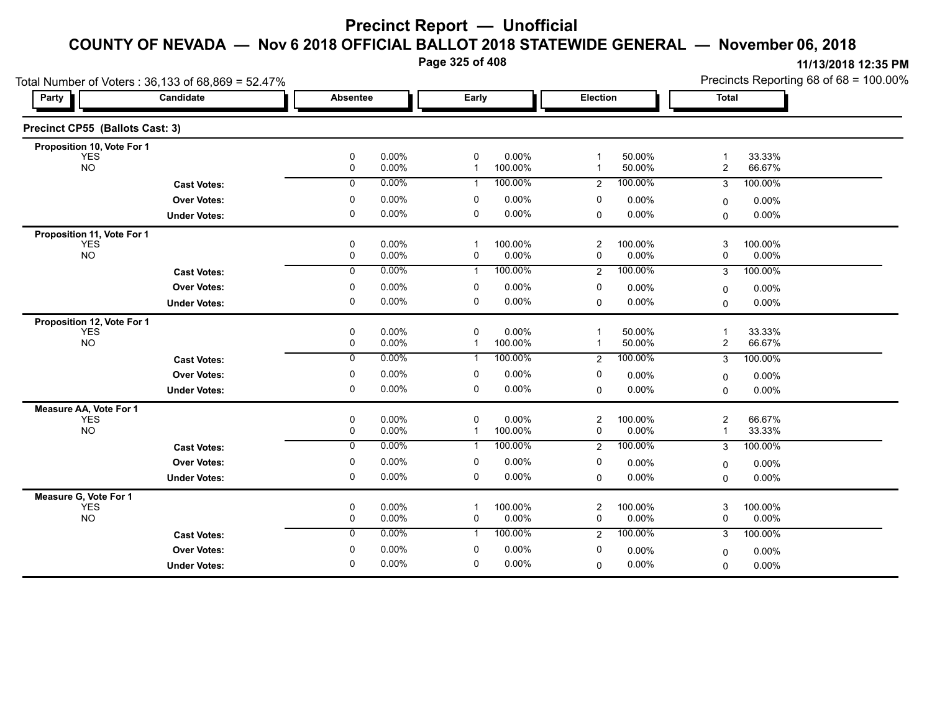**Page 325 of 408**

|                                 | Total Number of Voters: 36,133 of 68,869 = 52.47% |                 |                |                            |                  |                     |                     | Precincts Reporting 68 of 68 = 100.00% |                     |  |
|---------------------------------|---------------------------------------------------|-----------------|----------------|----------------------------|------------------|---------------------|---------------------|----------------------------------------|---------------------|--|
| Party                           | Candidate                                         | <b>Absentee</b> |                | Early                      |                  | <b>Election</b>     |                     | Total                                  |                     |  |
| Precinct CP55 (Ballots Cast: 3) |                                                   |                 |                |                            |                  |                     |                     |                                        |                     |  |
| Proposition 10, Vote For 1      |                                                   |                 |                |                            |                  |                     |                     |                                        |                     |  |
| <b>YES</b><br><b>NO</b>         |                                                   | 0<br>$\pmb{0}$  | 0.00%<br>0.00% | $\mathbf 0$<br>$\mathbf 1$ | 0.00%<br>100.00% | 1<br>1              | 50.00%<br>50.00%    | -1<br>$\overline{\mathbf{c}}$          | 33.33%<br>66.67%    |  |
|                                 | <b>Cast Votes:</b>                                | $\mathbf 0$     | 0.00%          | 1                          | 100.00%          | $\overline{2}$      | 100.00%             | 3                                      | 100.00%             |  |
|                                 | <b>Over Votes:</b>                                | 0               | 0.00%          | 0                          | 0.00%            | 0                   | 0.00%               | 0                                      | $0.00\%$            |  |
|                                 | <b>Under Votes:</b>                               | 0               | 0.00%          | 0                          | 0.00%            | 0                   | 0.00%               | $\Omega$                               | $0.00\%$            |  |
| Proposition 11, Vote For 1      |                                                   |                 |                |                            |                  |                     |                     |                                        |                     |  |
| <b>YES</b><br><b>NO</b>         |                                                   | 0<br>0          | 0.00%<br>0.00% | -1<br>0                    | 100.00%<br>0.00% | $\overline{2}$<br>0 | 100.00%<br>0.00%    | 3<br>0                                 | 100.00%<br>$0.00\%$ |  |
|                                 | <b>Cast Votes:</b>                                | $\overline{0}$  | 0.00%          | $\mathbf{1}$               | 100.00%          | $\overline{2}$      | 100.00%             | 3                                      | 100.00%             |  |
|                                 | <b>Over Votes:</b>                                | 0               | 0.00%          | 0                          | 0.00%            | 0                   | 0.00%               | 0                                      | 0.00%               |  |
|                                 | <b>Under Votes:</b>                               | 0               | 0.00%          | 0                          | 0.00%            | $\mathbf 0$         | 0.00%               | $\Omega$                               | $0.00\%$            |  |
| Proposition 12, Vote For 1      |                                                   |                 |                |                            |                  |                     |                     |                                        |                     |  |
| <b>YES</b><br><b>NO</b>         |                                                   | 0<br>0          | 0.00%<br>0.00% | $\mathbf 0$<br>-1          | 0.00%<br>100.00% | 1<br>1              | 50.00%<br>50.00%    | 1<br>$\overline{\mathbf{c}}$           | 33.33%<br>66.67%    |  |
|                                 | <b>Cast Votes:</b>                                | $\mathbf 0$     | 0.00%          | -1                         | 100.00%          | $\overline{2}$      | 100.00%             | 3                                      | 100.00%             |  |
|                                 | <b>Over Votes:</b>                                | 0               | 0.00%          | 0                          | 0.00%            | 0                   | 0.00%               | 0                                      | $0.00\%$            |  |
|                                 | <b>Under Votes:</b>                               | 0               | 0.00%          | 0                          | 0.00%            | $\Omega$            | 0.00%               | $\Omega$                               | $0.00\%$            |  |
| Measure AA, Vote For 1          |                                                   |                 |                | $\Omega$                   |                  |                     |                     |                                        |                     |  |
| <b>YES</b><br><b>NO</b>         |                                                   | 0<br>0          | 0.00%<br>0.00% | -1                         | 0.00%<br>100.00% | $\overline{c}$<br>0 | 100.00%<br>$0.00\%$ | 2<br>$\overline{\mathbf{1}}$           | 66.67%<br>33.33%    |  |
|                                 | <b>Cast Votes:</b>                                | $\Omega$        | 0.00%          | -1                         | 100.00%          | 2                   | 100.00%             | 3                                      | 100.00%             |  |
|                                 | <b>Over Votes:</b>                                | 0               | 0.00%          | 0                          | 0.00%            | 0                   | 0.00%               | 0                                      | 0.00%               |  |
|                                 | <b>Under Votes:</b>                               | 0               | 0.00%          | 0                          | 0.00%            | $\mathbf 0$         | 0.00%               | 0                                      | $0.00\%$            |  |
| Measure G, Vote For 1           |                                                   |                 |                |                            |                  |                     |                     |                                        |                     |  |
| <b>YES</b><br><b>NO</b>         |                                                   | 0<br>0          | 0.00%<br>0.00% | -1<br>0                    | 100.00%<br>0.00% | $\overline{c}$<br>0 | 100.00%<br>0.00%    | 3<br>0                                 | 100.00%<br>0.00%    |  |
|                                 | <b>Cast Votes:</b>                                | $\mathbf 0$     | 0.00%          | 1                          | 100.00%          | 2                   | 100.00%             | 3                                      | 100.00%             |  |
|                                 | <b>Over Votes:</b>                                | 0               | 0.00%          | 0                          | 0.00%            | 0                   | $0.00\%$            | 0                                      | $0.00\%$            |  |
|                                 | <b>Under Votes:</b>                               | $\mathbf 0$     | 0.00%          | $\mathbf 0$                | 0.00%            | $\Omega$            | 0.00%               | $\Omega$                               | 0.00%               |  |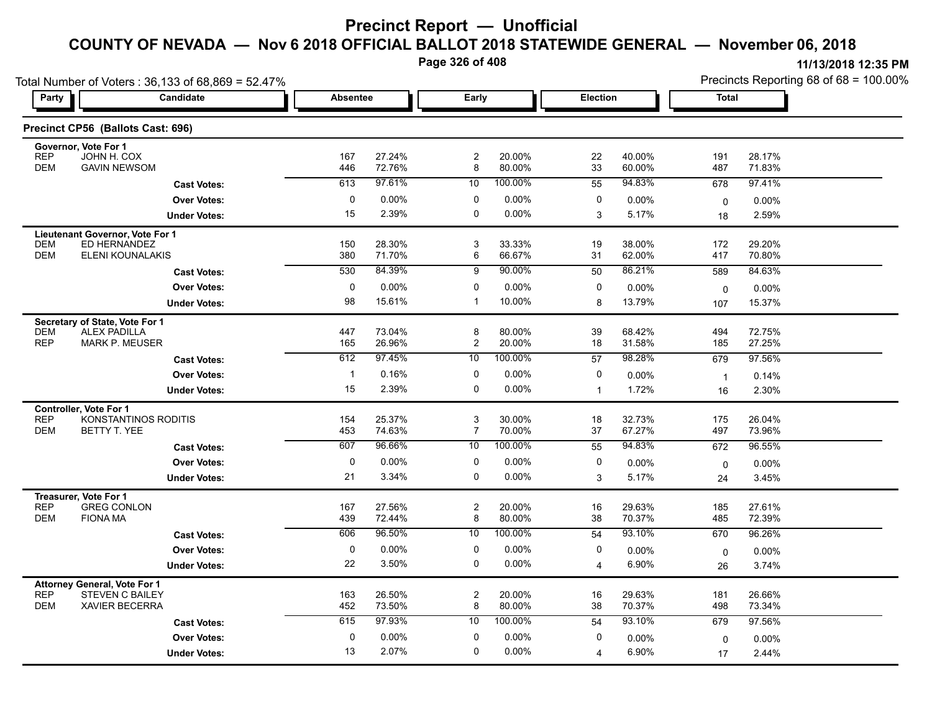**Page 326 of 408**

| 11/13/2018 12:35 PM                       |  |
|-------------------------------------------|--|
| Precincts Reporting 68 of $68 = 100.00\%$ |  |

| Total Number of Voters: 36,133 of 68,869 = 52.47%                           |                 |                  |                                             |                  |                |                  | Precincts Reporting 68 of 68 = 100.00% |                  |  |  |
|-----------------------------------------------------------------------------|-----------------|------------------|---------------------------------------------|------------------|----------------|------------------|----------------------------------------|------------------|--|--|
| Candidate<br>Party                                                          | <b>Absentee</b> |                  | Early                                       |                  | Election       |                  | <b>Total</b>                           |                  |  |  |
| Precinct CP56 (Ballots Cast: 696)                                           |                 |                  |                                             |                  |                |                  |                                        |                  |  |  |
| Governor, Vote For 1<br><b>REP</b><br>JOHN H. COX                           | 167             | 27.24%           | $\overline{c}$                              | 20.00%           | 22             | 40.00%           | 191                                    | 28.17%           |  |  |
| <b>DEM</b><br><b>GAVIN NEWSOM</b>                                           | 446             | 72.76%           | 8                                           | 80.00%           | 33             | 60.00%           | 487                                    | 71.83%           |  |  |
| <b>Cast Votes:</b>                                                          | 613             | 97.61%           | 10                                          | 100.00%          | 55             | 94.83%           | 678                                    | 97.41%           |  |  |
| <b>Over Votes:</b>                                                          | 0               | 0.00%            | 0                                           | 0.00%            | 0              | 0.00%            | 0                                      | $0.00\%$         |  |  |
| <b>Under Votes:</b>                                                         | 15              | 2.39%            | 0                                           | $0.00\%$         | 3              | 5.17%            | 18                                     | 2.59%            |  |  |
| Lieutenant Governor, Vote For 1                                             |                 |                  |                                             |                  |                |                  |                                        |                  |  |  |
| <b>DEM</b><br>ED HERNANDEZ<br><b>DEM</b><br>ELENI KOUNALAKIS                | 150<br>380      | 28.30%<br>71.70% | 3<br>6                                      | 33.33%<br>66.67% | 19<br>31       | 38.00%<br>62.00% | 172<br>417                             | 29.20%<br>70.80% |  |  |
| <b>Cast Votes:</b>                                                          | 530             | 84.39%           | $\overline{9}$                              | 90.00%           | 50             | 86.21%           | 589                                    | 84.63%           |  |  |
| <b>Over Votes:</b>                                                          | $\pmb{0}$       | 0.00%            | 0                                           | 0.00%            | 0              | $0.00\%$         |                                        | 0.00%            |  |  |
| <b>Under Votes:</b>                                                         | 98              | 15.61%           | $\mathbf{1}$                                | 10.00%           | 8              | 13.79%           | 0<br>107                               | 15.37%           |  |  |
| Secretary of State, Vote For 1                                              |                 |                  |                                             |                  |                |                  |                                        |                  |  |  |
| <b>ALEX PADILLA</b><br><b>DEM</b>                                           | 447             | 73.04%           | 8                                           | 80.00%           | 39             | 68.42%           | 494                                    | 72.75%           |  |  |
| <b>MARK P. MEUSER</b><br><b>REP</b>                                         | 165             | 26.96%           | $\overline{c}$                              | 20.00%           | 18             | 31.58%           | 185                                    | 27.25%           |  |  |
| <b>Cast Votes:</b>                                                          | 612             | 97.45%           | 10                                          | 100.00%          | 57             | 98.28%           | 679                                    | 97.56%           |  |  |
| <b>Over Votes:</b>                                                          | -1              | 0.16%            | 0                                           | 0.00%            | 0              | 0.00%            | $\mathbf{1}$                           | 0.14%            |  |  |
| <b>Under Votes:</b>                                                         | 15              | 2.39%            | $\mathbf 0$                                 | $0.00\%$         | $\mathbf{1}$   | 1.72%            | 16                                     | 2.30%            |  |  |
| <b>Controller, Vote For 1</b>                                               |                 |                  |                                             |                  |                |                  |                                        |                  |  |  |
| KONSTANTINOS RODITIS<br><b>REP</b><br><b>DEM</b><br>BETTY T. YEE            | 154<br>453      | 25.37%<br>74.63% | $\ensuremath{\mathsf{3}}$<br>$\overline{7}$ | 30.00%<br>70.00% | 18<br>37       | 32.73%<br>67.27% | 175<br>497                             | 26.04%<br>73.96% |  |  |
| <b>Cast Votes:</b>                                                          | 607             | 96.66%           | 10                                          | 100.00%          | 55             | 94.83%           | 672                                    | 96.55%           |  |  |
| <b>Over Votes:</b>                                                          | 0               | 0.00%            | 0                                           | 0.00%            | 0              | 0.00%            | $\mathbf 0$                            | $0.00\%$         |  |  |
| <b>Under Votes:</b>                                                         | 21              | 3.34%            | $\mathbf 0$                                 | 0.00%            | 3              | 5.17%            | 24                                     | 3.45%            |  |  |
| Treasurer, Vote For 1                                                       |                 |                  |                                             |                  |                |                  |                                        |                  |  |  |
| <b>GREG CONLON</b><br><b>REP</b>                                            | 167             | 27.56%           | $\overline{c}$                              | 20.00%           | 16             | 29.63%           | 185                                    | 27.61%           |  |  |
| <b>DEM</b><br><b>FIONA MA</b>                                               | 439             | 72.44%           | 8                                           | 80.00%           | 38             | 70.37%           | 485                                    | 72.39%           |  |  |
| <b>Cast Votes:</b>                                                          | 606             | 96.50%           | 10                                          | 100.00%          | 54             | 93.10%           | 670                                    | 96.26%           |  |  |
| <b>Over Votes:</b>                                                          | $\pmb{0}$       | 0.00%            | 0                                           | $0.00\%$         | 0              | 0.00%            | 0                                      | 0.00%            |  |  |
| <b>Under Votes:</b>                                                         | 22              | 3.50%            | $\mathbf 0$                                 | 0.00%            | $\overline{4}$ | 6.90%            | 26                                     | 3.74%            |  |  |
| <b>Attorney General, Vote For 1</b><br><b>REP</b><br><b>STEVEN C BAILEY</b> | 163             | 26.50%           | $\boldsymbol{2}$                            | 20.00%           | 16             | 29.63%           | 181                                    | 26.66%           |  |  |
| <b>DEM</b><br><b>XAVIER BECERRA</b>                                         | 452             | 73.50%           | 8                                           | 80.00%           | 38             | 70.37%           | 498                                    | 73.34%           |  |  |
| <b>Cast Votes:</b>                                                          | 615             | 97.93%           | 10                                          | 100.00%          | 54             | 93.10%           | 679                                    | 97.56%           |  |  |
| <b>Over Votes:</b>                                                          | 0               | 0.00%            | 0                                           | 0.00%            | 0              | 0.00%            | $\mathbf 0$                            | 0.00%            |  |  |
| <b>Under Votes:</b>                                                         | 13              | 2.07%            | $\mathbf 0$                                 | 0.00%            | 4              | 6.90%            | 17                                     | 2.44%            |  |  |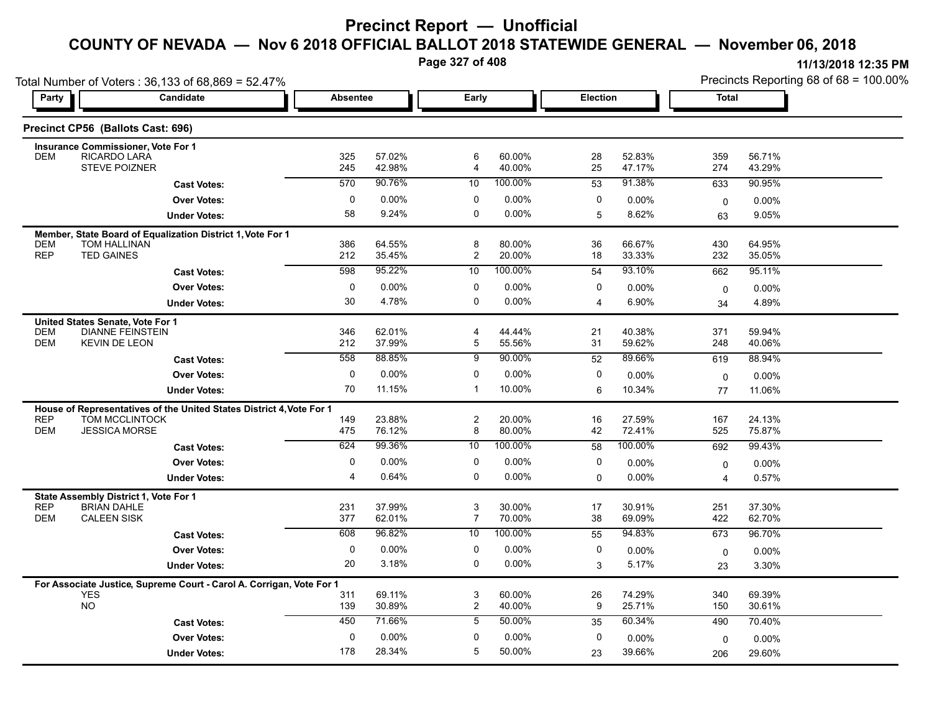**Page 327 of 408**

| Total Number of Voters: 36,133 of 68,869 = 52.47% |                                                                                        |                 |                  |                     |                  |                 |                   | Precincts Reporting 68 of 68 = 100.00% |                  |  |
|---------------------------------------------------|----------------------------------------------------------------------------------------|-----------------|------------------|---------------------|------------------|-----------------|-------------------|----------------------------------------|------------------|--|
| Party                                             | Candidate                                                                              | <b>Absentee</b> |                  | Early               |                  | <b>Election</b> |                   | <b>Total</b>                           |                  |  |
|                                                   | Precinct CP56 (Ballots Cast: 696)                                                      |                 |                  |                     |                  |                 |                   |                                        |                  |  |
|                                                   | <b>Insurance Commissioner, Vote For 1</b>                                              |                 |                  | 6                   |                  |                 |                   |                                        |                  |  |
| <b>DEM</b>                                        | RICARDO LARA<br>STEVE POIZNER                                                          | 325<br>245      | 57.02%<br>42.98% | 4                   | 60.00%<br>40.00% | 28<br>25        | 52.83%<br>47.17%  | 359<br>274                             | 56.71%<br>43.29% |  |
|                                                   | <b>Cast Votes:</b>                                                                     | 570             | 90.76%           | $10$                | 100.00%          | 53              | 91.38%            | 633                                    | 90.95%           |  |
|                                                   | <b>Over Votes:</b>                                                                     | $\mathbf 0$     | 0.00%            | $\mathbf 0$         | 0.00%            | 0               | $0.00\%$          | $\mathbf 0$                            | $0.00\%$         |  |
|                                                   | <b>Under Votes:</b>                                                                    | 58              | 9.24%            | 0                   | $0.00\%$         | 5               | 8.62%             | 63                                     | 9.05%            |  |
|                                                   | Member, State Board of Equalization District 1, Vote For 1                             |                 |                  |                     |                  |                 |                   |                                        |                  |  |
| <b>DEM</b><br><b>REP</b>                          | <b>TOM HALLINAN</b><br><b>TED GAINES</b>                                               | 386<br>212      | 64.55%<br>35.45% | 8<br>$\overline{2}$ | 80.00%<br>20.00% | 36<br>18        | 66.67%<br>33.33%  | 430<br>232                             | 64.95%<br>35.05% |  |
|                                                   | <b>Cast Votes:</b>                                                                     | 598             | 95.22%           | 10                  | 100.00%          | 54              | 93.10%            | 662                                    | 95.11%           |  |
|                                                   | <b>Over Votes:</b>                                                                     | 0               | $0.00\%$         | 0                   | $0.00\%$         | 0               | 0.00%             | $\mathbf 0$                            | $0.00\%$         |  |
|                                                   | <b>Under Votes:</b>                                                                    | 30              | 4.78%            | 0                   | $0.00\%$         | 4               | 6.90%             | 34                                     | 4.89%            |  |
|                                                   | United States Senate, Vote For 1                                                       |                 |                  |                     |                  |                 |                   |                                        |                  |  |
| <b>DEM</b>                                        | <b>DIANNE FEINSTEIN</b>                                                                | 346             | 62.01%           | 4                   | 44.44%           | 21              | 40.38%            | 371                                    | 59.94%           |  |
| <b>DEM</b>                                        | <b>KEVIN DE LEON</b>                                                                   | 212             | 37.99%           | 5                   | 55.56%           | 31              | 59.62%            | 248                                    | 40.06%           |  |
|                                                   | <b>Cast Votes:</b>                                                                     | 558             | 88.85%           | $\overline{9}$      | 90.00%           | 52              | 89.66%            | 619                                    | 88.94%           |  |
|                                                   | <b>Over Votes:</b>                                                                     | $\mathbf 0$     | 0.00%            | 0                   | $0.00\%$         | 0               | 0.00%             | $\mathbf 0$                            | 0.00%            |  |
|                                                   | <b>Under Votes:</b>                                                                    | 70              | 11.15%           | $\mathbf{1}$        | 10.00%           | 6               | 10.34%            | 77                                     | 11.06%           |  |
| <b>REP</b>                                        | House of Representatives of the United States District 4, Vote For 1<br>TOM MCCLINTOCK | 149             | 23.88%           | 2                   | 20.00%           | 16              | 27.59%            | 167                                    | 24.13%           |  |
| <b>DEM</b>                                        | <b>JESSICA MORSE</b>                                                                   | 475             | 76.12%           | 8                   | 80.00%           | 42              | 72.41%            | 525                                    | 75.87%           |  |
|                                                   | <b>Cast Votes:</b>                                                                     | 624             | 99.36%           | 10                  | 100.00%          | 58              | 100.00%           | 692                                    | 99.43%           |  |
|                                                   | <b>Over Votes:</b>                                                                     | 0               | 0.00%            | $\mathbf 0$         | 0.00%            | $\mathbf 0$     | $0.00\%$          | $\mathbf 0$                            | $0.00\%$         |  |
|                                                   | <b>Under Votes:</b>                                                                    | 4               | 0.64%            | 0                   | 0.00%            | $\Omega$        | $0.00\%$          | 4                                      | 0.57%            |  |
|                                                   | State Assembly District 1, Vote For 1                                                  |                 |                  |                     |                  |                 |                   |                                        |                  |  |
| <b>REP</b><br><b>DEM</b>                          | <b>BRIAN DAHLE</b><br><b>CALEEN SISK</b>                                               | 231<br>377      | 37.99%<br>62.01% | 3<br>$\overline{7}$ | 30.00%<br>70.00% | 17<br>38        | 30.91%<br>69.09%  | 251<br>422                             | 37.30%<br>62.70% |  |
|                                                   | <b>Cast Votes:</b>                                                                     | 608             | 96.82%           | $\overline{10}$     | 100.00%          | 55              | 94.83%            | 673                                    | 96.70%           |  |
|                                                   | <b>Over Votes:</b>                                                                     | 0               | 0.00%            | 0                   | $0.00\%$         | 0               |                   |                                        |                  |  |
|                                                   | <b>Under Votes:</b>                                                                    | 20              | 3.18%            | 0                   | $0.00\%$         | 3               | $0.00\%$<br>5.17% | 0<br>23                                | 0.00%<br>3.30%   |  |
|                                                   |                                                                                        |                 |                  |                     |                  |                 |                   |                                        |                  |  |
|                                                   | For Associate Justice, Supreme Court - Carol A. Corrigan, Vote For 1<br><b>YES</b>     | 311             | 69.11%           | 3                   | 60.00%           | 26              | 74.29%            | 340                                    | 69.39%           |  |
|                                                   | NO.                                                                                    | 139             | 30.89%           | $\overline{2}$      | 40.00%           | 9               | 25.71%            | 150                                    | 30.61%           |  |
|                                                   | <b>Cast Votes:</b>                                                                     | 450             | 71.66%           | 5                   | 50.00%           | 35              | 60.34%            | 490                                    | 70.40%           |  |
|                                                   | <b>Over Votes:</b>                                                                     | 0               | $0.00\%$         | $\mathbf{0}$        | $0.00\%$         | 0               | $0.00\%$          | 0                                      | 0.00%            |  |
|                                                   | <b>Under Votes:</b>                                                                    | 178             | 28.34%           | 5                   | 50.00%           | 23              | 39.66%            | 206                                    | 29.60%           |  |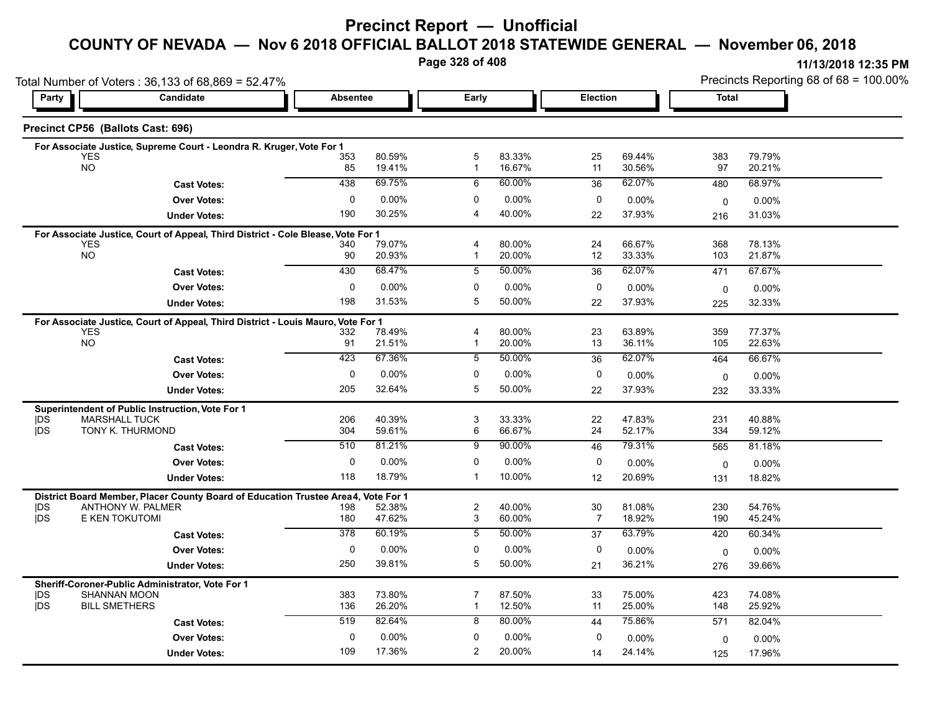# **Precinct Report — Unofficial**

### **COUNTY OF NEVADA — Nov 6 2018 OFFICIAL BALLOT 2018 STATEWIDE GENERAL — November 06, 2018**

**Page 328 of 408**

**11/13/2018 12:35 PM** Precincts Reporting 68 of 68 = 100.00%

|                          | Total Number of Voters: 36,133 of 68,869 = 52.47%                                 |                 |                  |                     |                  |                      |                  | Precincts Reporting 68 of 68 = 100.00% |                  |  |
|--------------------------|-----------------------------------------------------------------------------------|-----------------|------------------|---------------------|------------------|----------------------|------------------|----------------------------------------|------------------|--|
| Party                    | Candidate                                                                         | <b>Absentee</b> |                  | Early               |                  | Election             |                  | <b>Total</b>                           |                  |  |
|                          | Precinct CP56 (Ballots Cast: 696)                                                 |                 |                  |                     |                  |                      |                  |                                        |                  |  |
|                          | For Associate Justice, Supreme Court - Leondra R. Kruger, Vote For 1              |                 |                  |                     |                  |                      |                  |                                        |                  |  |
|                          | <b>YES</b><br><b>NO</b>                                                           | 353<br>85       | 80.59%           | 5                   | 83.33%<br>16.67% | 25                   | 69.44%           | 383<br>97                              | 79.79%           |  |
|                          |                                                                                   |                 | 19.41%           | $\mathbf{1}$        |                  | 11                   | 30.56%           |                                        | 20.21%           |  |
|                          | <b>Cast Votes:</b>                                                                | 438             | 69.75%           | 6                   | 60.00%           | 36                   | 62.07%           | 480                                    | 68.97%           |  |
|                          | <b>Over Votes:</b>                                                                | 0               | $0.00\%$         | $\Omega$            | 0.00%            | 0                    | 0.00%            | 0                                      | 0.00%            |  |
|                          | <b>Under Votes:</b>                                                               | 190             | 30.25%           | 4                   | 40.00%           | 22                   | 37.93%           | 216                                    | 31.03%           |  |
|                          | For Associate Justice, Court of Appeal, Third District - Cole Blease, Vote For 1  |                 |                  |                     |                  |                      |                  |                                        |                  |  |
|                          | <b>YES</b><br><b>NO</b>                                                           | 340<br>90       | 79.07%<br>20.93% | 4<br>1              | 80.00%<br>20.00% | 24<br>12             | 66.67%<br>33.33% | 368<br>103                             | 78.13%<br>21.87% |  |
|                          | <b>Cast Votes:</b>                                                                | 430             | 68.47%           | 5                   | 50.00%           | 36                   | 62.07%           | 471                                    | 67.67%           |  |
|                          |                                                                                   |                 |                  |                     |                  |                      |                  |                                        |                  |  |
|                          | <b>Over Votes:</b>                                                                | 0               | 0.00%            | 0                   | 0.00%            | 0                    | $0.00\%$         | $\mathbf 0$                            | $0.00\%$         |  |
|                          | <b>Under Votes:</b>                                                               | 198             | 31.53%           | 5                   | 50.00%           | 22                   | 37.93%           | 225                                    | 32.33%           |  |
|                          | For Associate Justice, Court of Appeal, Third District - Louis Mauro, Vote For 1  |                 |                  |                     |                  |                      |                  |                                        |                  |  |
|                          | <b>YES</b><br><b>NO</b>                                                           | 332<br>91       | 78.49%<br>21.51% | 4<br>1              | 80.00%<br>20.00% | 23<br>13             | 63.89%<br>36.11% | 359<br>105                             | 77.37%<br>22.63% |  |
|                          |                                                                                   | 423             | 67.36%           | 5                   | 50.00%           | 36                   | 62.07%           | 464                                    | 66.67%           |  |
|                          | <b>Cast Votes:</b>                                                                |                 |                  |                     |                  |                      |                  |                                        |                  |  |
|                          | <b>Over Votes:</b>                                                                | 0               | $0.00\%$         | 0                   | 0.00%            | 0                    | 0.00%            | $\mathbf 0$                            | 0.00%            |  |
|                          | <b>Under Votes:</b>                                                               | 205             | 32.64%           | 5                   | 50.00%           | 22                   | 37.93%           | 232                                    | 33.33%           |  |
|                          | Superintendent of Public Instruction, Vote For 1                                  |                 |                  |                     |                  |                      |                  |                                        |                  |  |
| <b>IDS</b><br><b>IDS</b> | <b>MARSHALL TUCK</b><br>TONY K. THURMOND                                          | 206<br>304      | 40.39%<br>59.61% | 3<br>6              | 33.33%<br>66.67% | 22<br>24             | 47.83%<br>52.17% | 231<br>334                             | 40.88%<br>59.12% |  |
|                          |                                                                                   | 510             | 81.21%           | 9                   | 90.00%           | 46                   | 79.31%           | 565                                    | 81.18%           |  |
|                          | <b>Cast Votes:</b>                                                                |                 |                  |                     |                  |                      |                  |                                        |                  |  |
|                          | <b>Over Votes:</b>                                                                | $\mathbf 0$     | $0.00\%$         | 0                   | 0.00%            | 0                    | 0.00%            | $\mathbf 0$                            | 0.00%            |  |
|                          | <b>Under Votes:</b>                                                               | 118             | 18.79%           | $\mathbf{1}$        | 10.00%           | 12                   | 20.69%           | 131                                    | 18.82%           |  |
|                          | District Board Member, Placer County Board of Education Trustee Area4, Vote For 1 |                 |                  |                     |                  |                      |                  |                                        |                  |  |
| <b>IDS</b><br><b>IDS</b> | ANTHONY W. PALMER<br>E KEN TOKUTOMI                                               | 198<br>180      | 52.38%<br>47.62% | $\overline{c}$<br>3 | 40.00%<br>60.00% | 30<br>$\overline{7}$ | 81.08%<br>18.92% | 230<br>190                             | 54.76%<br>45.24% |  |
|                          |                                                                                   | 378             | 60.19%           | 5                   | 50.00%           | 37                   | 63.79%           | 420                                    | 60.34%           |  |
|                          | <b>Cast Votes:</b>                                                                |                 |                  |                     |                  |                      |                  |                                        |                  |  |
|                          | <b>Over Votes:</b>                                                                | $\mathbf 0$     | $0.00\%$         | $\mathbf 0$         | 0.00%            | 0                    | $0.00\%$         | 0                                      | $0.00\%$         |  |
|                          | <b>Under Votes:</b>                                                               | 250             | 39.81%           | 5                   | 50.00%           | 21                   | 36.21%           | 276                                    | 39.66%           |  |
|                          | Sheriff-Coroner-Public Administrator, Vote For 1                                  |                 |                  |                     |                  |                      |                  |                                        |                  |  |
| DS<br><b>IDS</b>         | <b>SHANNAN MOON</b><br><b>BILL SMETHERS</b>                                       | 383             | 73.80%<br>26.20% | 7<br>$\mathbf{1}$   | 87.50%<br>12.50% | 33<br>11             | 75.00%<br>25.00% | 423                                    | 74.08%           |  |
|                          |                                                                                   | 136             |                  |                     |                  |                      |                  | 148                                    | 25.92%           |  |
|                          | <b>Cast Votes:</b>                                                                | 519             | 82.64%           | 8                   | 80.00%           | 44                   | 75.86%           | 571                                    | 82.04%           |  |
|                          | <b>Over Votes:</b>                                                                | 0               | $0.00\%$         | 0                   | 0.00%            | 0                    | 0.00%            | 0                                      | 0.00%            |  |
|                          | <b>Under Votes:</b>                                                               | 109             | 17.36%           | $\overline{2}$      | 20.00%           | 14                   | 24.14%           | 125                                    | 17.96%           |  |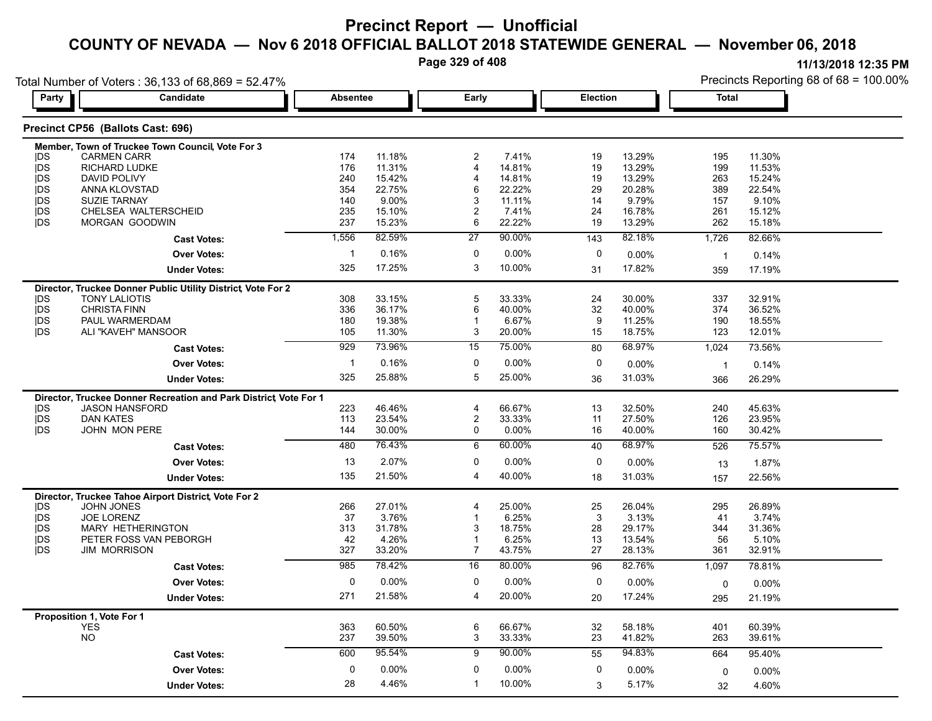**Page 329 of 408**

| Total Number of Voters: 36,133 of 68,869 = 52.47% |                                                                   |             |                  |                         |                 |          |                 | Precincts Reporting 68 of 68 = 100.00% |                 |  |
|---------------------------------------------------|-------------------------------------------------------------------|-------------|------------------|-------------------------|-----------------|----------|-----------------|----------------------------------------|-----------------|--|
| Party                                             | Candidate                                                         |             | <b>Absentee</b>  | Early                   |                 | Election |                 | Total                                  |                 |  |
|                                                   | Precinct CP56 (Ballots Cast: 696)                                 |             |                  |                         |                 |          |                 |                                        |                 |  |
|                                                   | Member, Town of Truckee Town Council, Vote For 3                  |             |                  |                         |                 |          |                 |                                        |                 |  |
| <b>IDS</b>                                        | <b>CARMEN CARR</b>                                                | 174         | 11.18%           | 2                       | 7.41%           | 19       | 13.29%          | 195                                    | 11.30%          |  |
| <b>IDS</b>                                        | <b>RICHARD LUDKE</b>                                              | 176         | 11.31%           | $\overline{\mathbf{4}}$ | 14.81%          | 19       | 13.29%          | 199                                    | 11.53%          |  |
| <b>IDS</b>                                        | DAVID POLIVY                                                      | 240         | 15.42%           |                         | 14.81%          | 19       | 13.29%          | 263                                    | 15.24%          |  |
| <b>IDS</b>                                        | ANNA KLOVSTAD                                                     | 354         | 22.75%           | 6                       | 22.22%          | 29       | 20.28%          | 389                                    | 22.54%          |  |
| <b>IDS</b><br><b>IDS</b>                          | <b>SUZIE TARNAY</b><br>CHELSEA WALTERSCHEID                       | 140<br>235  | 9.00%<br>15.10%  | 3                       | 11.11%<br>7.41% | 14<br>24 | 9.79%<br>16.78% | 157<br>261                             | 9.10%<br>15.12% |  |
| <b>IDS</b>                                        | MORGAN GOODWIN                                                    | 237         | 15.23%           | 6                       | 22.22%          | 19       | 13.29%          | 262                                    | 15.18%          |  |
|                                                   | <b>Cast Votes:</b>                                                | 1,556       | 82.59%           | 27                      | 90.00%          | 143      | 82.18%          | 1,726                                  | 82.66%          |  |
|                                                   | <b>Over Votes:</b>                                                | $\mathbf 1$ | 0.16%            | 0                       | $0.00\%$        | 0        | 0.00%           |                                        |                 |  |
|                                                   |                                                                   |             |                  |                         |                 |          |                 | $\overline{\mathbf{1}}$                | 0.14%           |  |
|                                                   | <b>Under Votes:</b>                                               | 325         | 17.25%           | 3                       | 10.00%          | 31       | 17.82%          | 359                                    | 17.19%          |  |
|                                                   | Director, Truckee Donner Public Utility District, Vote For 2      |             |                  |                         |                 |          |                 |                                        |                 |  |
| <b>IDS</b>                                        | <b>TONY LALIOTIS</b>                                              | 308         | 33.15%           | 5                       | 33.33%          | 24       | 30.00%          | 337                                    | 32.91%          |  |
| <b>IDS</b>                                        | <b>CHRISTA FINN</b>                                               | 336         | 36.17%           | 6                       | 40.00%          | 32       | 40.00%          | 374                                    | 36.52%          |  |
| <b>IDS</b>                                        | PAUL WARMERDAM                                                    | 180         | 19.38%           |                         | 6.67%           | 9        | 11.25%          | 190                                    | 18.55%          |  |
| <b>IDS</b>                                        | ALI "KAVEH" MANSOOR                                               | 105         | 11.30%<br>73.96% | 3                       | 20.00%          | 15       | 18.75%          | 123                                    | 12.01%          |  |
|                                                   | <b>Cast Votes:</b>                                                | 929         |                  | 15                      | 75.00%          | 80       | 68.97%          | 1,024                                  | 73.56%          |  |
|                                                   | <b>Over Votes:</b>                                                | -1          | 0.16%            | 0                       | 0.00%           | 0        | 0.00%           | -1                                     | 0.14%           |  |
|                                                   | <b>Under Votes:</b>                                               | 325         | 25.88%           | 5                       | 25.00%          | 36       | 31.03%          | 366                                    | 26.29%          |  |
|                                                   | Director, Truckee Donner Recreation and Park District, Vote For 1 |             |                  |                         |                 |          |                 |                                        |                 |  |
| <b>IDS</b>                                        | <b>JASON HANSFORD</b>                                             | 223         | 46.46%           | 4                       | 66.67%          | 13       | 32.50%          | 240                                    | 45.63%          |  |
| <b>IDS</b>                                        | <b>DAN KATES</b>                                                  | 113         | 23.54%           | 2                       | 33.33%          | 11       | 27.50%          | 126                                    | 23.95%          |  |
| <b>IDS</b>                                        | JOHN MON PERE                                                     | 144         | 30.00%           | 0                       | 0.00%           | 16       | 40.00%          | 160                                    | 30.42%          |  |
|                                                   | <b>Cast Votes:</b>                                                | 480         | 76.43%           | 6                       | 60.00%          | 40       | 68.97%          | 526                                    | 75.57%          |  |
|                                                   | <b>Over Votes:</b>                                                | 13          | 2.07%            | 0                       | 0.00%           | 0        | 0.00%           | 13                                     | 1.87%           |  |
|                                                   | <b>Under Votes:</b>                                               | 135         | 21.50%           | 4                       | 40.00%          | 18       | 31.03%          | 157                                    | 22.56%          |  |
|                                                   | Director, Truckee Tahoe Airport District, Vote For 2              |             |                  |                         |                 |          |                 |                                        |                 |  |
| <b>IDS</b>                                        | <b>JOHN JONES</b>                                                 | 266         | 27.01%           | 4                       | 25.00%          | 25       | 26.04%          | 295                                    | 26.89%          |  |
| jDS                                               | <b>JOE LORENZ</b>                                                 | 37          | 3.76%            |                         | 6.25%           | 3        | 3.13%           | 41                                     | 3.74%           |  |
| <b>IDS</b>                                        | MARY HETHERINGTON                                                 | 313         | 31.78%           | 3                       | 18.75%          | 28       | 29.17%          | 344                                    | 31.36%          |  |
| <b>IDS</b>                                        | PETER FOSS VAN PEBORGH                                            | 42          | 4.26%            |                         | 6.25%           | 13       | 13.54%          | 56                                     | 5.10%           |  |
| <b>IDS</b>                                        | <b>JIM MORRISON</b>                                               | 327         | 33.20%           | 7                       | 43.75%          | 27       | 28.13%          | 361                                    | 32.91%          |  |
|                                                   | <b>Cast Votes:</b>                                                | 985         | 78.42%           | 16                      | 80.00%          | 96       | 82.76%          | 1,097                                  | 78.81%          |  |
|                                                   | <b>Over Votes:</b>                                                | 0           | 0.00%            | 0                       | 0.00%           | 0        | 0.00%           | 0                                      | 0.00%           |  |
|                                                   | <b>Under Votes:</b>                                               | 271         | 21.58%           | 4                       | 20.00%          | 20       | 17.24%          | 295                                    | 21.19%          |  |
|                                                   | Proposition 1, Vote For 1                                         |             |                  |                         |                 |          |                 |                                        |                 |  |
|                                                   | <b>YES</b>                                                        | 363         | 60.50%           | 6                       | 66.67%          | 32       | 58.18%          | 401                                    | 60.39%          |  |
|                                                   | <b>NO</b>                                                         | 237         | 39.50%           | 3                       | 33.33%          | 23       | 41.82%          | 263                                    | 39.61%          |  |
|                                                   | <b>Cast Votes:</b>                                                | 600         | 95.54%           | 9                       | 90.00%          | 55       | 94.83%          | 664                                    | 95.40%          |  |
|                                                   | <b>Over Votes:</b>                                                | 0           | $0.00\%$         | 0                       | 0.00%           | 0        | 0.00%           | 0                                      | 0.00%           |  |
|                                                   |                                                                   | 28          | 4.46%            | $\mathbf 1$             | 10.00%          | 3        | 5.17%           |                                        |                 |  |
|                                                   | <b>Under Votes:</b>                                               |             |                  |                         |                 |          |                 | 32                                     | 4.60%           |  |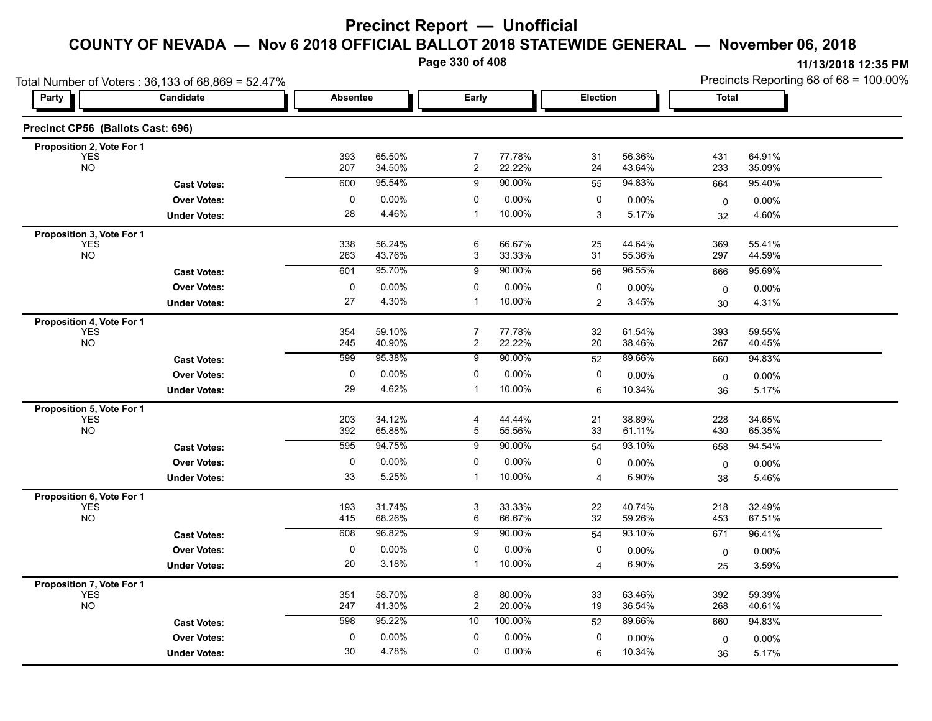**Page 330 of 408**

|                                         | Total Number of Voters: 36,133 of 68,869 = 52.47% |                 |                  |                                  |                  |                 |                  | Precincts Reporting 68 of 68 = 100.00% |                  |  |
|-----------------------------------------|---------------------------------------------------|-----------------|------------------|----------------------------------|------------------|-----------------|------------------|----------------------------------------|------------------|--|
| <b>Party</b>                            | Candidate                                         | <b>Absentee</b> |                  | Early                            |                  | <b>Election</b> |                  | <b>Total</b>                           |                  |  |
| Precinct CP56 (Ballots Cast: 696)       |                                                   |                 |                  |                                  |                  |                 |                  |                                        |                  |  |
| Proposition 2, Vote For 1               |                                                   |                 |                  |                                  |                  |                 |                  |                                        |                  |  |
| <b>YES</b><br><b>NO</b>                 |                                                   | 393<br>207      | 65.50%<br>34.50% | $\overline{7}$<br>$\overline{c}$ | 77.78%<br>22.22% | 31<br>24        | 56.36%<br>43.64% | 431<br>233                             | 64.91%<br>35.09% |  |
|                                         | <b>Cast Votes:</b>                                | 600             | 95.54%           | 9                                | 90.00%           | 55              | 94.83%           | 664                                    | 95.40%           |  |
|                                         | <b>Over Votes:</b>                                | 0               | 0.00%            | 0                                | $0.00\%$         | 0               | 0.00%            | $\mathbf 0$                            | 0.00%            |  |
|                                         | <b>Under Votes:</b>                               | 28              | 4.46%            | $\mathbf{1}$                     | 10.00%           | 3               | 5.17%            | 32                                     | 4.60%            |  |
| Proposition 3, Vote For 1               |                                                   |                 |                  |                                  |                  |                 |                  |                                        |                  |  |
| <b>YES</b><br><b>NO</b>                 |                                                   | 338<br>263      | 56.24%<br>43.76% | 6<br>3                           | 66.67%<br>33.33% | 25<br>31        | 44.64%<br>55.36% | 369<br>297                             | 55.41%<br>44.59% |  |
|                                         | <b>Cast Votes:</b>                                | 601             | 95.70%           | 9                                | 90.00%           | 56              | 96.55%           | 666                                    | 95.69%           |  |
|                                         | <b>Over Votes:</b>                                | 0               | 0.00%            | 0                                | 0.00%            | 0               | 0.00%            |                                        | 0.00%            |  |
|                                         | <b>Under Votes:</b>                               | 27              | 4.30%            | $\mathbf{1}$                     | 10.00%           | 2               | 3.45%            | 0<br>30                                | 4.31%            |  |
| Proposition 4, Vote For 1               |                                                   |                 |                  |                                  |                  |                 |                  |                                        |                  |  |
| <b>YES</b>                              |                                                   | 354             | 59.10%           | $\overline{7}$                   | 77.78%           | $32\,$          | 61.54%           | 393                                    | 59.55%           |  |
| <b>NO</b>                               |                                                   | 245             | 40.90%           | $\overline{2}$                   | 22.22%           | 20              | 38.46%           | 267                                    | 40.45%           |  |
|                                         | <b>Cast Votes:</b>                                | 599             | 95.38%           | 9                                | 90.00%           | 52              | 89.66%           | 660                                    | 94.83%           |  |
|                                         | <b>Over Votes:</b>                                | 0               | 0.00%            | 0                                | 0.00%            | 0               | 0.00%            | 0                                      | 0.00%            |  |
|                                         | <b>Under Votes:</b>                               | 29              | 4.62%            | $\mathbf{1}$                     | 10.00%           | 6               | 10.34%           | 36                                     | 5.17%            |  |
| Proposition 5, Vote For 1               |                                                   |                 |                  |                                  |                  |                 |                  |                                        |                  |  |
| <b>YES</b><br><b>NO</b>                 |                                                   | 203<br>392      | 34.12%<br>65.88% | 4<br>5                           | 44.44%<br>55.56% | 21<br>33        | 38.89%<br>61.11% | 228<br>430                             | 34.65%<br>65.35% |  |
|                                         | <b>Cast Votes:</b>                                | 595             | 94.75%           | 9                                | 90.00%           | 54              | 93.10%           | 658                                    | 94.54%           |  |
|                                         |                                                   | 0               | 0.00%            | 0                                | 0.00%            | 0               |                  |                                        |                  |  |
|                                         | <b>Over Votes:</b>                                | 33              | 5.25%            | $\mathbf{1}$                     | 10.00%           | 4               | 0.00%<br>6.90%   | 0                                      | $0.00\%$         |  |
|                                         | <b>Under Votes:</b>                               |                 |                  |                                  |                  |                 |                  | 38                                     | 5.46%            |  |
| Proposition 6, Vote For 1<br><b>YES</b> |                                                   | 193             | 31.74%           | 3                                | 33.33%           | 22              | 40.74%           | 218                                    | 32.49%           |  |
| <b>NO</b>                               |                                                   | 415             | 68.26%           | 6                                | 66.67%           | 32              | 59.26%           | 453                                    | 67.51%           |  |
|                                         | <b>Cast Votes:</b>                                | 608             | 96.82%           | 9                                | 90.00%           | 54              | 93.10%           | 671                                    | 96.41%           |  |
|                                         | <b>Over Votes:</b>                                | 0               | 0.00%            | $\mathbf 0$                      | 0.00%            | 0               | 0.00%            | 0                                      | $0.00\%$         |  |
|                                         | <b>Under Votes:</b>                               | 20              | 3.18%            | $\mathbf{1}$                     | 10.00%           | $\overline{4}$  | 6.90%            | 25                                     | 3.59%            |  |
| Proposition 7, Vote For 1               |                                                   |                 |                  |                                  |                  |                 |                  |                                        |                  |  |
| <b>YES</b>                              |                                                   | 351             | 58.70%           | $\bf 8$                          | 80.00%           | 33              | 63.46%           | 392                                    | 59.39%           |  |
| <b>NO</b>                               |                                                   | 247             | 41.30%           | $\overline{2}$                   | 20.00%           | 19              | 36.54%           | 268                                    | 40.61%           |  |
|                                         | <b>Cast Votes:</b>                                | 598             | 95.22%           | 10                               | 100.00%          | 52              | 89.66%           | 660                                    | 94.83%           |  |
|                                         | <b>Over Votes:</b>                                | 0               | 0.00%            | 0                                | 0.00%            | 0               | 0.00%            | $\mathbf 0$                            | 0.00%            |  |
|                                         | <b>Under Votes:</b>                               | 30              | 4.78%            | 0                                | $0.00\%$         | 6               | 10.34%           | 36                                     | 5.17%            |  |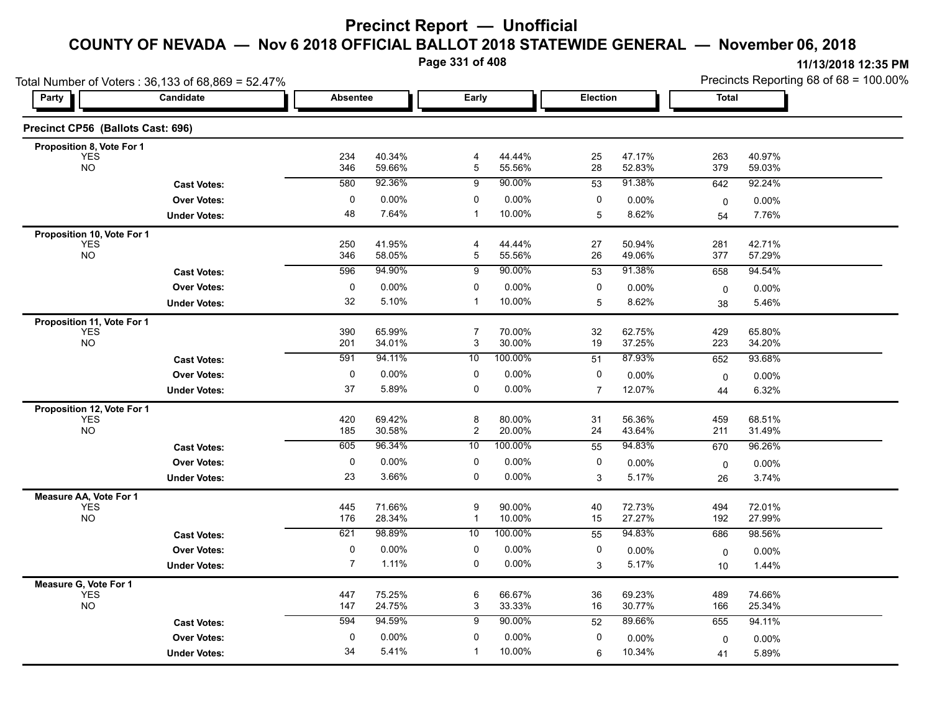**Page 331 of 408**

|                                          | Total Number of Voters: 36,133 of 68,869 = 52.47% |                 |                  |                     |                  |                |                  | Precincts Reporting 68 of 68 = 100.00% |                  |  |
|------------------------------------------|---------------------------------------------------|-----------------|------------------|---------------------|------------------|----------------|------------------|----------------------------------------|------------------|--|
| <b>Party</b>                             | Candidate                                         | <b>Absentee</b> |                  | Early               |                  | Election       |                  | <b>Total</b>                           |                  |  |
| Precinct CP56 (Ballots Cast: 696)        |                                                   |                 |                  |                     |                  |                |                  |                                        |                  |  |
| Proposition 8, Vote For 1                |                                                   |                 | 40.34%           |                     |                  |                |                  |                                        |                  |  |
| <b>YES</b><br><b>NO</b>                  |                                                   | 234<br>346      | 59.66%           | 4<br>5              | 44.44%<br>55.56% | 25<br>28       | 47.17%<br>52.83% | 263<br>379                             | 40.97%<br>59.03% |  |
|                                          | <b>Cast Votes:</b>                                | 580             | 92.36%           | 9                   | 90.00%           | 53             | 91.38%           | 642                                    | 92.24%           |  |
|                                          | <b>Over Votes:</b>                                | 0               | 0.00%            | 0                   | 0.00%            | 0              | 0.00%            | 0                                      | 0.00%            |  |
|                                          | <b>Under Votes:</b>                               | 48              | 7.64%            | $\overline{1}$      | 10.00%           | 5              | 8.62%            | 54                                     | 7.76%            |  |
| Proposition 10, Vote For 1               |                                                   |                 |                  |                     |                  |                |                  |                                        |                  |  |
| <b>YES</b><br>NO <sub>1</sub>            |                                                   | 250<br>346      | 41.95%<br>58.05% | $\overline{4}$<br>5 | 44.44%<br>55.56% | 27<br>26       | 50.94%<br>49.06% | 281<br>377                             | 42.71%<br>57.29% |  |
|                                          |                                                   | 596             | 94.90%           | 9                   | 90.00%           | 53             | 91.38%           |                                        | 94.54%           |  |
|                                          | <b>Cast Votes:</b>                                |                 |                  |                     |                  |                |                  | 658                                    |                  |  |
|                                          | <b>Over Votes:</b>                                | 0<br>32         | 0.00%<br>5.10%   | 0<br>$\overline{1}$ | 0.00%<br>10.00%  | 0<br>5         | 0.00%            | $\mathbf 0$                            | 0.00%            |  |
|                                          | <b>Under Votes:</b>                               |                 |                  |                     |                  |                | 8.62%            | 38                                     | 5.46%            |  |
| Proposition 11, Vote For 1<br><b>YES</b> |                                                   | 390             | 65.99%           | $\overline{7}$      | 70.00%           | 32             | 62.75%           | 429                                    | 65.80%           |  |
| <b>NO</b>                                |                                                   | 201             | 34.01%           | 3                   | 30.00%           | 19             | 37.25%           | 223                                    | 34.20%           |  |
|                                          | <b>Cast Votes:</b>                                | 591             | 94.11%           | 10                  | 100.00%          | 51             | 87.93%           | 652                                    | 93.68%           |  |
|                                          | <b>Over Votes:</b>                                | $\pmb{0}$       | 0.00%            | 0                   | 0.00%            | 0              | 0.00%            | $\mathbf 0$                            | 0.00%            |  |
|                                          | <b>Under Votes:</b>                               | 37              | 5.89%            | $\mathbf 0$         | 0.00%            | $\overline{7}$ | 12.07%           | 44                                     | 6.32%            |  |
| Proposition 12, Vote For 1               |                                                   |                 |                  |                     |                  |                |                  |                                        |                  |  |
| <b>YES</b>                               |                                                   | 420             | 69.42%           | 8                   | 80.00%           | 31             | 56.36%           | 459                                    | 68.51%           |  |
| <b>NO</b>                                |                                                   | 185             | 30.58%           | $\overline{2}$      | 20.00%           | 24             | 43.64%           | 211                                    | 31.49%           |  |
|                                          | <b>Cast Votes:</b>                                | 605             | 96.34%           | 10                  | 100.00%          | 55             | 94.83%           | 670                                    | 96.26%           |  |
|                                          | <b>Over Votes:</b>                                | 0               | 0.00%            | 0                   | 0.00%            | 0              | 0.00%            | 0                                      | 0.00%            |  |
|                                          | <b>Under Votes:</b>                               | 23              | 3.66%            | 0                   | 0.00%            | 3              | 5.17%            | 26                                     | 3.74%            |  |
| Measure AA, Vote For 1                   |                                                   |                 |                  |                     |                  |                |                  |                                        |                  |  |
| <b>YES</b><br><b>NO</b>                  |                                                   | 445<br>176      | 71.66%<br>28.34% | 9<br>$\mathbf{1}$   | 90.00%<br>10.00% | 40<br>15       | 72.73%<br>27.27% | 494<br>192                             | 72.01%<br>27.99% |  |
|                                          | <b>Cast Votes:</b>                                | 621             | 98.89%           | 10                  | 100.00%          | 55             | 94.83%           | 686                                    | 98.56%           |  |
|                                          | <b>Over Votes:</b>                                | 0               | 0.00%            | 0                   | $0.00\%$         | 0              | 0.00%            | $\mathbf 0$                            | 0.00%            |  |
|                                          | <b>Under Votes:</b>                               | $\overline{7}$  | 1.11%            | 0                   | 0.00%            | 3              | 5.17%            | 10                                     | 1.44%            |  |
| Measure G, Vote For 1                    |                                                   |                 |                  |                     |                  |                |                  |                                        |                  |  |
| <b>YES</b>                               |                                                   | 447             | 75.25%           | 6                   | 66.67%           | 36             | 69.23%           | 489                                    | 74.66%           |  |
| <b>NO</b>                                |                                                   | 147             | 24.75%           | 3                   | 33.33%           | 16             | 30.77%           | 166                                    | 25.34%           |  |
|                                          | <b>Cast Votes:</b>                                | 594             | 94.59%           | 9                   | 90.00%           | 52             | 89.66%           | 655                                    | 94.11%           |  |
|                                          | <b>Over Votes:</b>                                | 0               | 0.00%            | 0                   | 0.00%            | 0              | 0.00%            | $\mathbf 0$                            | 0.00%            |  |
|                                          | <b>Under Votes:</b>                               | 34              | 5.41%            | $\mathbf{1}$        | 10.00%           | 6              | 10.34%           | 41                                     | 5.89%            |  |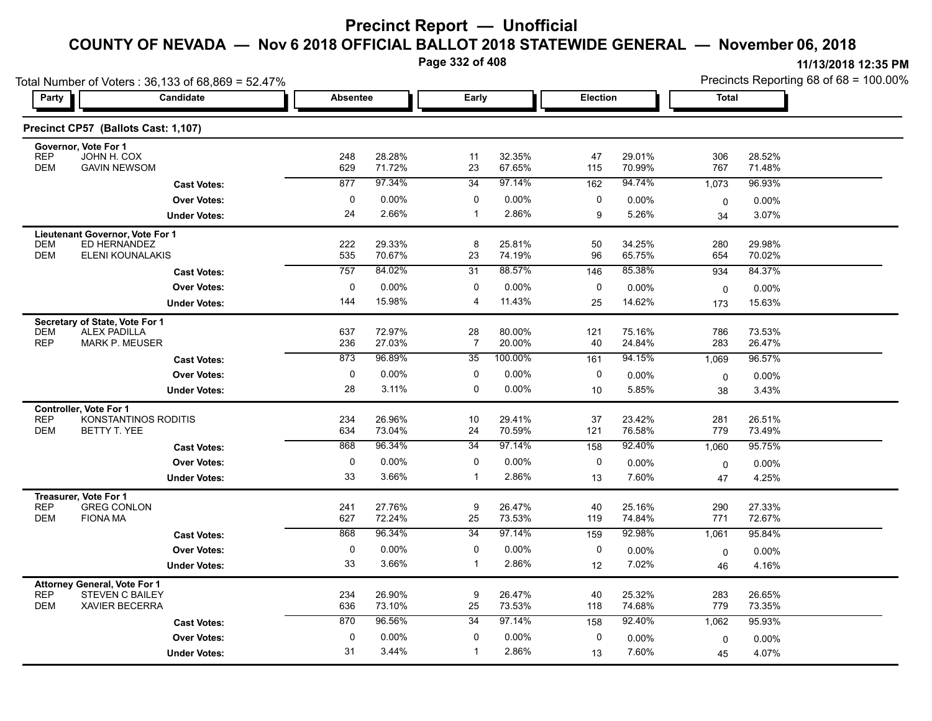**Page 332 of 408**

| Total Number of Voters: 36,133 of 68,869 = 52.47%                        |                 |                  |                      |                  |                 |                  | Precincts Reporting 68 of 68 = 100.00% |                  |  |
|--------------------------------------------------------------------------|-----------------|------------------|----------------------|------------------|-----------------|------------------|----------------------------------------|------------------|--|
| Party  <br><b>Candidate</b>                                              | <b>Absentee</b> |                  | Early                |                  | <b>Election</b> |                  | <b>Total</b>                           |                  |  |
| Precinct CP57 (Ballots Cast: 1,107)                                      |                 |                  |                      |                  |                 |                  |                                        |                  |  |
| Governor, Vote For 1                                                     |                 |                  |                      |                  |                 |                  |                                        |                  |  |
| REP<br>JOHN H. COX<br><b>DEM</b><br><b>GAVIN NEWSOM</b>                  | 248<br>629      | 28.28%<br>71.72% | 11<br>23             | 32.35%<br>67.65% | 47<br>115       | 29.01%<br>70.99% | 306<br>767                             | 28.52%<br>71.48% |  |
| <b>Cast Votes:</b>                                                       | 877             | 97.34%           | 34                   | 97.14%           | 162             | 94.74%           | 1,073                                  | 96.93%           |  |
| <b>Over Votes:</b>                                                       | 0               | $0.00\%$         | 0                    | 0.00%            | 0               | 0.00%            | 0                                      | $0.00\%$         |  |
| <b>Under Votes:</b>                                                      | 24              | 2.66%            | $\mathbf{1}$         | 2.86%            | 9               | 5.26%            | 34                                     | 3.07%            |  |
| Lieutenant Governor, Vote For 1<br>ED HERNANDEZ<br><b>DEM</b>            | 222             | 29.33%           | 8                    | 25.81%           | 50              | 34.25%           | 280                                    | 29.98%           |  |
| <b>DEM</b><br><b>ELENI KOUNALAKIS</b>                                    | 535             | 70.67%           | 23                   | 74.19%           | 96              | 65.75%           | 654                                    | 70.02%           |  |
| <b>Cast Votes:</b>                                                       | 757             | 84.02%           | 31                   | 88.57%           | 146             | 85.38%           | 934                                    | 84.37%           |  |
| <b>Over Votes:</b>                                                       | 0               | $0.00\%$         | 0                    | 0.00%            | 0               | 0.00%            | $\mathbf 0$                            | 0.00%            |  |
| <b>Under Votes:</b>                                                      | 144             | 15.98%           | 4                    | 11.43%           | 25              | 14.62%           | 173                                    | 15.63%           |  |
| Secretary of State, Vote For 1                                           |                 |                  |                      |                  |                 |                  |                                        |                  |  |
| <b>ALEX PADILLA</b><br><b>DEM</b><br><b>REP</b><br><b>MARK P. MEUSER</b> | 637<br>236      | 72.97%<br>27.03% | 28<br>$\overline{7}$ | 80.00%<br>20.00% | 121<br>40       | 75.16%<br>24.84% | 786<br>283                             | 73.53%<br>26.47% |  |
| <b>Cast Votes:</b>                                                       | 873             | 96.89%           | 35                   | 100.00%          | 161             | 94.15%           | 1,069                                  | 96.57%           |  |
| <b>Over Votes:</b>                                                       | 0               | $0.00\%$         | 0                    | 0.00%            | 0               | $0.00\%$         | 0                                      | 0.00%            |  |
| <b>Under Votes:</b>                                                      | 28              | 3.11%            | 0                    | 0.00%            | 10 <sup>1</sup> | 5.85%            | 38                                     | 3.43%            |  |
| Controller, Vote For 1                                                   |                 |                  |                      |                  |                 |                  |                                        |                  |  |
| KONSTANTINOS RODITIS<br><b>REP</b><br><b>DEM</b><br>BETTY T. YEE         | 234<br>634      | 26.96%<br>73.04% | 10<br>24             | 29.41%<br>70.59% | 37<br>121       | 23.42%<br>76.58% | 281<br>779                             | 26.51%<br>73.49% |  |
| <b>Cast Votes:</b>                                                       | 868             | 96.34%           | 34                   | 97.14%           | 158             | 92.40%           | 1,060                                  | 95.75%           |  |
| <b>Over Votes:</b>                                                       | 0               | $0.00\%$         | 0                    | 0.00%            | 0               | 0.00%            | 0                                      | $0.00\%$         |  |
| <b>Under Votes:</b>                                                      | 33              | 3.66%            | $\mathbf{1}$         | 2.86%            | 13              | 7.60%            | 47                                     | 4.25%            |  |
| Treasurer, Vote For 1                                                    |                 |                  |                      |                  |                 |                  |                                        |                  |  |
| <b>REP</b><br><b>GREG CONLON</b><br><b>DEM</b><br><b>FIONA MA</b>        | 241<br>627      | 27.76%<br>72.24% | 9<br>25              | 26.47%<br>73.53% | 40<br>119       | 25.16%<br>74.84% | 290<br>771                             | 27.33%<br>72.67% |  |
| <b>Cast Votes:</b>                                                       | 868             | 96.34%           | $\overline{34}$      | 97.14%           | 159             | 92.98%           | 1,061                                  | 95.84%           |  |
| <b>Over Votes:</b>                                                       | 0               | $0.00\%$         | 0                    | 0.00%            | 0               | $0.00\%$         | 0                                      | 0.00%            |  |
| <b>Under Votes:</b>                                                      | 33              | 3.66%            | $\mathbf{1}$         | 2.86%            | 12              | 7.02%            | 46                                     | 4.16%            |  |
| <b>Attorney General, Vote For 1</b>                                      |                 |                  |                      |                  |                 |                  |                                        |                  |  |
| <b>REP</b><br>STEVEN C BAILEY<br><b>DEM</b><br><b>XAVIER BECERRA</b>     | 234<br>636      | 26.90%<br>73.10% | 9<br>25              | 26.47%<br>73.53% | 40<br>118       | 25.32%<br>74.68% | 283<br>779                             | 26.65%<br>73.35% |  |
| <b>Cast Votes:</b>                                                       | 870             | 96.56%           | 34                   | 97.14%           | 158             | 92.40%           | 1,062                                  | 95.93%           |  |
| <b>Over Votes:</b>                                                       | $\mathbf 0$     | $0.00\%$         | 0                    | 0.00%            | 0               | 0.00%            | 0                                      | $0.00\%$         |  |
| <b>Under Votes:</b>                                                      | 31              | 3.44%            | $\mathbf 1$          | 2.86%            | 13              | 7.60%            | 45                                     | 4.07%            |  |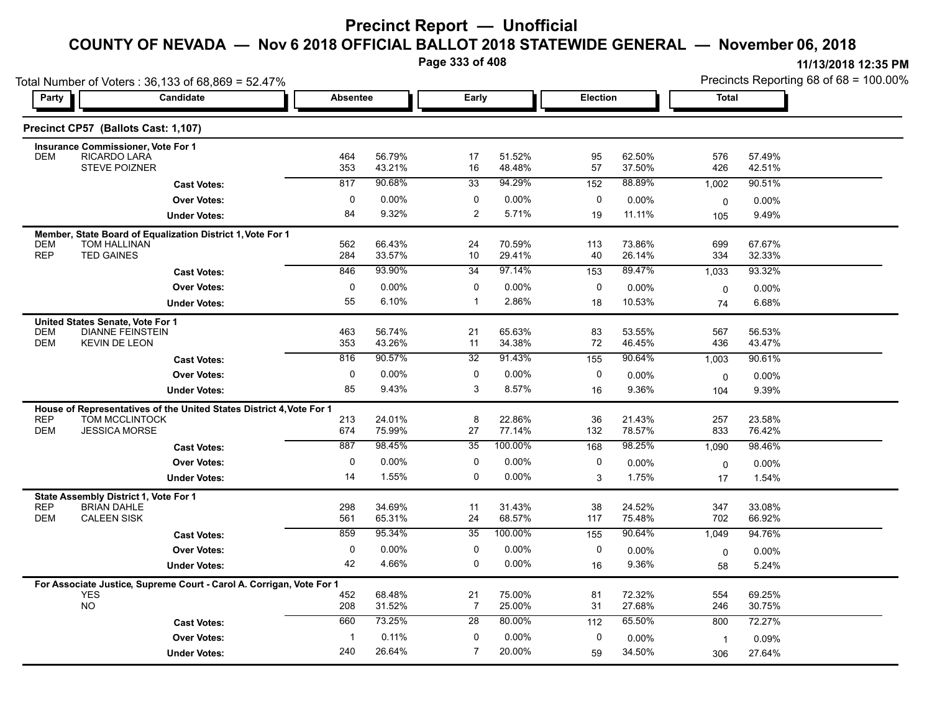**Page 333 of 408**

|                          | Total Number of Voters: 36,133 of 68,869 = 52.47%                                 |                 |                  |                |                  |                  |                  |                | Precincts Reporting 68 of 68 = 100.00% |
|--------------------------|-----------------------------------------------------------------------------------|-----------------|------------------|----------------|------------------|------------------|------------------|----------------|----------------------------------------|
| Party                    | Candidate                                                                         | <b>Absentee</b> |                  | Early          |                  | Election         |                  | Total          |                                        |
|                          | Precinct CP57 (Ballots Cast: 1,107)                                               |                 |                  |                |                  |                  |                  |                |                                        |
|                          | Insurance Commissioner, Vote For 1                                                |                 |                  |                |                  |                  |                  |                |                                        |
| <b>DEM</b>               | RICARDO LARÁ<br><b>STEVE POIZNER</b>                                              | 464<br>353      | 56.79%<br>43.21% | 17<br>16       | 51.52%<br>48.48% | 95<br>57         | 62.50%<br>37.50% | 576<br>426     | 57.49%<br>42.51%                       |
|                          | <b>Cast Votes:</b>                                                                | 817             | 90.68%           | 33             | 94.29%           | 152              | 88.89%           | 1,002          | 90.51%                                 |
|                          | <b>Over Votes:</b>                                                                | $\Omega$        | 0.00%            | $\mathbf 0$    | $0.00\%$         | $\mathbf 0$      | $0.00\%$         | 0              | 0.00%                                  |
|                          | <b>Under Votes:</b>                                                               | 84              | 9.32%            | $\overline{2}$ | 5.71%            | 19               | 11.11%           | 105            | 9.49%                                  |
|                          |                                                                                   |                 |                  |                |                  |                  |                  |                |                                        |
| <b>DEM</b>               | Member, State Board of Equalization District 1, Vote For 1<br><b>TOM HALLINAN</b> | 562             | 66.43%           | 24             | 70.59%           | 113              | 73.86%           | 699            | 67.67%                                 |
| <b>REP</b>               | <b>TED GAINES</b>                                                                 | 284             | 33.57%           | 10             | 29.41%           | 40               | 26.14%           | 334            | 32.33%                                 |
|                          | <b>Cast Votes:</b>                                                                | 846             | 93.90%           | 34             | 97.14%           | 153              | 89.47%           | 1,033          | 93.32%                                 |
|                          | <b>Over Votes:</b>                                                                | 0               | 0.00%            | 0              | 0.00%            | 0                | 0.00%            | 0              | 0.00%                                  |
|                          | <b>Under Votes:</b>                                                               | 55              | 6.10%            | $\mathbf{1}$   | 2.86%            | 18               | 10.53%           | 74             | 6.68%                                  |
|                          | United States Senate, Vote For 1                                                  |                 |                  |                |                  |                  |                  |                |                                        |
| <b>DEM</b>               | <b>DIANNE FEINSTEIN</b>                                                           | 463             | 56.74%           | 21             | 65.63%           | 83               | 53.55%           | 567            | 56.53%                                 |
| <b>DEM</b>               | <b>KEVIN DE LEON</b>                                                              | 353             | 43.26%           | 11             | 34.38%           | 72               | 46.45%           | 436            | 43.47%                                 |
|                          | <b>Cast Votes:</b>                                                                | 816             | 90.57%           | 32             | 91.43%           | $\overline{155}$ | 90.64%           | 1,003          | 90.61%                                 |
|                          | <b>Over Votes:</b>                                                                | 0               | 0.00%            | 0              | $0.00\%$         | $\Omega$         | 0.00%            | $\mathbf 0$    | 0.00%                                  |
|                          | <b>Under Votes:</b>                                                               | 85              | 9.43%            | 3              | 8.57%            | 16               | 9.36%            | 104            | 9.39%                                  |
|                          | House of Representatives of the United States District 4, Vote For 1              |                 |                  |                |                  |                  |                  |                |                                        |
| <b>REP</b><br><b>DEM</b> | TOM MCCLINTOCK<br><b>JESSICA MORSE</b>                                            | 213<br>674      | 24.01%<br>75.99% | 8<br>27        | 22.86%<br>77.14% | 36<br>132        | 21.43%<br>78.57% | 257<br>833     | 23.58%<br>76.42%                       |
|                          |                                                                                   | 887             | 98.45%           | 35             | 100.00%          | 168              | 98.25%           | 1,090          | 98.46%                                 |
|                          | <b>Cast Votes:</b><br><b>Over Votes:</b>                                          | $\mathbf{0}$    | 0.00%            | 0              | 0.00%            | 0                | 0.00%            |                |                                        |
|                          |                                                                                   | 14              | 1.55%            | $\Omega$       | 0.00%            | 3                | 1.75%            | $\mathbf 0$    | 0.00%<br>1.54%                         |
|                          | <b>Under Votes:</b>                                                               |                 |                  |                |                  |                  |                  | 17             |                                        |
| <b>REP</b>               | State Assembly District 1, Vote For 1<br><b>BRIAN DAHLE</b>                       | 298             | 34.69%           | 11             | 31.43%           | 38               | 24.52%           | 347            | 33.08%                                 |
| <b>DEM</b>               | <b>CALEEN SISK</b>                                                                | 561             | 65.31%           | 24             | 68.57%           | 117              | 75.48%           | 702            | 66.92%                                 |
|                          | <b>Cast Votes:</b>                                                                | 859             | 95.34%           | 35             | 100.00%          | 155              | 90.64%           | 1,049          | 94.76%                                 |
|                          | <b>Over Votes:</b>                                                                | $\Omega$        | $0.00\%$         | 0              | $0.00\%$         | 0                | $0.00\%$         | $\mathbf 0$    | 0.00%                                  |
|                          | <b>Under Votes:</b>                                                               | 42              | 4.66%            | $\Omega$       | 0.00%            | 16               | 9.36%            | 58             | 5.24%                                  |
|                          | For Associate Justice, Supreme Court - Carol A. Corrigan, Vote For 1              |                 |                  |                |                  |                  |                  |                |                                        |
|                          | <b>YES</b>                                                                        | 452             | 68.48%           | 21             | 75.00%           | 81               | 72.32%           | 554            | 69.25%                                 |
|                          | <b>NO</b>                                                                         | 208             | 31.52%           | 7              | 25.00%           | 31               | 27.68%           | 246            | 30.75%                                 |
|                          | <b>Cast Votes:</b>                                                                | 660             | 73.25%           | 28             | 80.00%           | 112              | 65.50%           | 800            | 72.27%                                 |
|                          | <b>Over Votes:</b>                                                                |                 | 0.11%            | 0              | 0.00%            | 0                | 0.00%            | $\overline{1}$ | 0.09%                                  |
|                          | <b>Under Votes:</b>                                                               | 240             | 26.64%           | $\overline{7}$ | 20.00%           | 59               | 34.50%           | 306            | 27.64%                                 |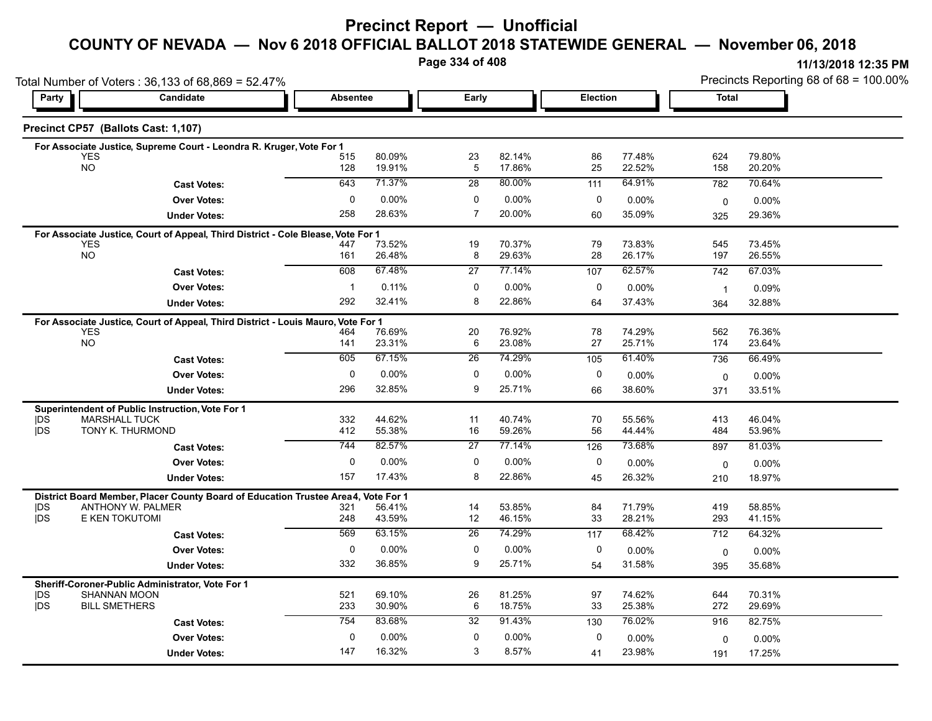# **Precinct Report — Unofficial**

# **COUNTY OF NEVADA — Nov 6 2018 OFFICIAL BALLOT 2018 STATEWIDE GENERAL — November 06, 2018**

**Page 334 of 408**

**11/13/2018 12:35 PM** Precincts Reporting 68 of 68 = 100.00%

| Total Number of Voters: 36,133 of 68,869 = 52.47% |                                                                                                |                 |                  |                      |                  |                 |                    | Precincts Reporting 68 of 68 = 100.00% |                  |  |  |  |
|---------------------------------------------------|------------------------------------------------------------------------------------------------|-----------------|------------------|----------------------|------------------|-----------------|--------------------|----------------------------------------|------------------|--|--|--|
| Party                                             | Candidate                                                                                      | <b>Absentee</b> |                  | Early                |                  | <b>Election</b> |                    | <b>Total</b>                           |                  |  |  |  |
|                                                   | Precinct CP57 (Ballots Cast: 1,107)                                                            |                 |                  |                      |                  |                 |                    |                                        |                  |  |  |  |
|                                                   | For Associate Justice, Supreme Court - Leondra R. Kruger, Vote For 1                           |                 |                  |                      |                  |                 |                    |                                        |                  |  |  |  |
|                                                   | <b>YES</b><br><b>NO</b>                                                                        | 515<br>128      | 80.09%<br>19.91% | 23<br>$\overline{5}$ | 82.14%<br>17.86% | 86<br>25        | 77.48%<br>22.52%   | 624<br>158                             | 79.80%<br>20.20% |  |  |  |
|                                                   |                                                                                                | 643             | 71.37%           | 28                   | 80.00%           |                 | 64.91%             | 782                                    | 70.64%           |  |  |  |
|                                                   | <b>Cast Votes:</b>                                                                             |                 |                  | 0                    |                  | 111             |                    |                                        |                  |  |  |  |
|                                                   | <b>Over Votes:</b>                                                                             | 0               | $0.00\%$         | $\overline{7}$       | 0.00%            | 0               | 0.00%              | 0                                      | 0.00%            |  |  |  |
|                                                   | <b>Under Votes:</b>                                                                            | 258             | 28.63%           |                      | 20.00%           | 60              | 35.09%             | 325                                    | 29.36%           |  |  |  |
|                                                   | For Associate Justice, Court of Appeal, Third District - Cole Blease, Vote For 1               |                 |                  |                      |                  |                 |                    |                                        |                  |  |  |  |
|                                                   | <b>YES</b><br><b>NO</b>                                                                        | 447<br>161      | 73.52%<br>26.48% | 19<br>8              | 70.37%<br>29.63% | 79<br>28        | 73.83%<br>26.17%   | 545<br>197                             | 73.45%<br>26.55% |  |  |  |
|                                                   | <b>Cast Votes:</b>                                                                             | 608             | 67.48%           | 27                   | 77.14%           | 107             | 62.57%             | 742                                    | 67.03%           |  |  |  |
|                                                   | <b>Over Votes:</b>                                                                             | $\mathbf{1}$    | 0.11%            | 0                    | 0.00%            | 0               | $0.00\%$           |                                        |                  |  |  |  |
|                                                   |                                                                                                | 292             | 32.41%           | 8                    | 22.86%           |                 | 37.43%             | $\overline{1}$                         | 0.09%            |  |  |  |
|                                                   | <b>Under Votes:</b>                                                                            |                 |                  |                      |                  | 64              |                    | 364                                    | 32.88%           |  |  |  |
|                                                   | For Associate Justice, Court of Appeal, Third District - Louis Mauro, Vote For 1<br><b>YES</b> |                 | 76.69%           | 20                   | 76.92%           | 78              | 74.29%             | 562                                    | 76.36%           |  |  |  |
|                                                   | <b>NO</b>                                                                                      | 464<br>141      | 23.31%           | 6                    | 23.08%           | 27              | 25.71%             | 174                                    | 23.64%           |  |  |  |
|                                                   | <b>Cast Votes:</b>                                                                             | 605             | 67.15%           | 26                   | 74.29%           | 105             | 61.40%             | 736                                    | 66.49%           |  |  |  |
|                                                   | <b>Over Votes:</b>                                                                             | $\mathbf 0$     | $0.00\%$         | 0                    | 0.00%            | 0               | 0.00%              |                                        |                  |  |  |  |
|                                                   |                                                                                                | 296             | 32.85%           | 9                    | 25.71%           |                 | 38.60%             | $\mathbf 0$                            | 0.00%            |  |  |  |
|                                                   | <b>Under Votes:</b>                                                                            |                 |                  |                      |                  | 66              |                    | 371                                    | 33.51%           |  |  |  |
| <b>IDS</b>                                        | Superintendent of Public Instruction, Vote For 1<br><b>MARSHALL TUCK</b>                       | 332             | 44.62%           | 11                   | 40.74%           | 70              | 55.56%             | 413                                    | 46.04%           |  |  |  |
| <b>IDS</b>                                        | TONY K. THURMOND                                                                               | 412             | 55.38%           | 16                   | 59.26%           | 56              | 44.44%             | 484                                    | 53.96%           |  |  |  |
|                                                   | <b>Cast Votes:</b>                                                                             | 744             | 82.57%           | 27                   | 77.14%           | 126             | 73.68%             | 897                                    | 81.03%           |  |  |  |
|                                                   | <b>Over Votes:</b>                                                                             | $\mathbf 0$     | $0.00\%$         | $\mathbf 0$          | 0.00%            | 0               | 0.00%              |                                        |                  |  |  |  |
|                                                   |                                                                                                | 157             | 17.43%           | 8                    | 22.86%           | 45              | 26.32%             | $\mathbf 0$                            | 0.00%<br>18.97%  |  |  |  |
|                                                   | <b>Under Votes:</b>                                                                            |                 |                  |                      |                  |                 |                    | 210                                    |                  |  |  |  |
|                                                   | District Board Member, Placer County Board of Education Trustee Area4, Vote For 1              |                 |                  |                      |                  |                 |                    |                                        |                  |  |  |  |
| <b>IDS</b><br><b>IDS</b>                          | ANTHONY W. PALMER<br>E KEN TOKUTOMI                                                            | 321<br>248      | 56.41%<br>43.59% | 14<br>12             | 53.85%<br>46.15% | 84<br>33        | 71.79%<br>28.21%   | 419<br>293                             | 58.85%<br>41.15% |  |  |  |
|                                                   | <b>Cast Votes:</b>                                                                             | 569             | 63.15%           | $\overline{26}$      | 74.29%           | 117             | 68.42%             | 712                                    | 64.32%           |  |  |  |
|                                                   | <b>Over Votes:</b>                                                                             | $\mathbf 0$     | 0.00%            | $\mathbf 0$          | 0.00%            | $\mathbf 0$     |                    |                                        |                  |  |  |  |
|                                                   |                                                                                                | 332             | 36.85%           | 9                    | 25.71%           |                 | $0.00\%$           | 0                                      | $0.00\%$         |  |  |  |
|                                                   | <b>Under Votes:</b>                                                                            |                 |                  |                      |                  | 54              | 31.58%             | 395                                    | 35.68%           |  |  |  |
|                                                   | Sheriff-Coroner-Public Administrator, Vote For 1                                               |                 |                  |                      |                  |                 |                    | 644                                    | 70.31%           |  |  |  |
| <b>IDS</b><br><b>IDS</b>                          | <b>SHANNAN MOON</b><br><b>BILL SMETHERS</b>                                                    | 521<br>233      | 69.10%<br>30.90% | 26<br>6              | 81.25%<br>18.75% | 97<br>33        | 74.62%<br>25.38%   | 272                                    | 29.69%           |  |  |  |
|                                                   | <b>Cast Votes:</b>                                                                             | 754             | 83.68%           | 32                   | 91.43%           | 130             | 76.02%             | 916                                    | 82.75%           |  |  |  |
|                                                   | <b>Over Votes:</b>                                                                             | 0               | $0.00\%$         | $\mathbf 0$          | 0.00%            | 0               |                    |                                        |                  |  |  |  |
|                                                   |                                                                                                | 147             | 16.32%           | 3                    | 8.57%            |                 | $0.00\%$<br>23.98% | 0                                      | 0.00%            |  |  |  |
|                                                   | <b>Under Votes:</b>                                                                            |                 |                  |                      |                  | 41              |                    | 191                                    | 17.25%           |  |  |  |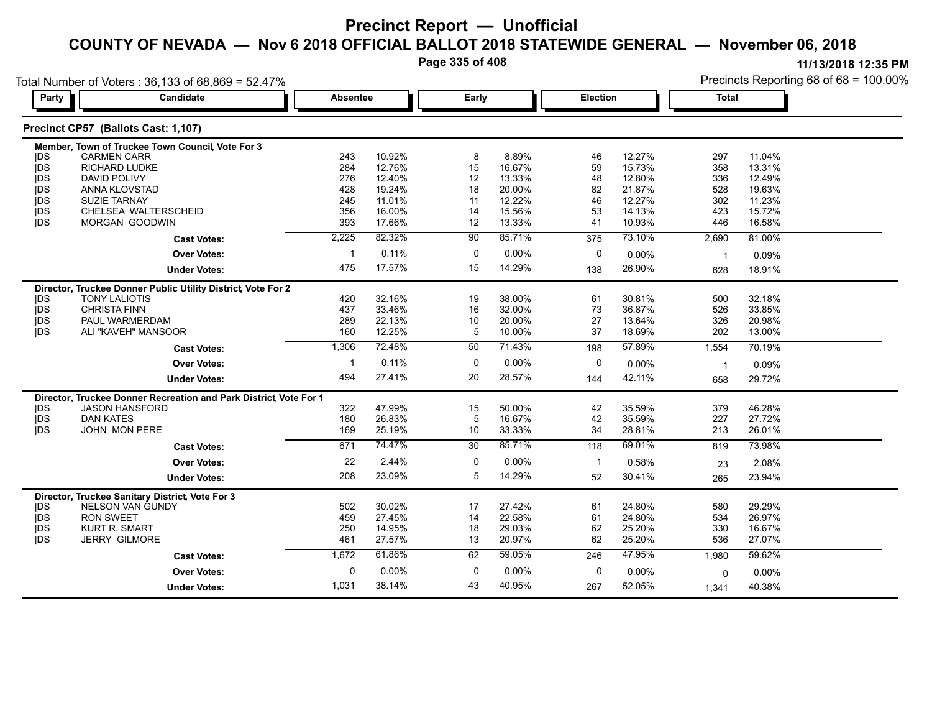**Page 335 of 408**

| Party      | Candidate                                                         | <b>Absentee</b> |        | Early       |        | <b>Election</b> |        | <b>Total</b> |        |
|------------|-------------------------------------------------------------------|-----------------|--------|-------------|--------|-----------------|--------|--------------|--------|
|            |                                                                   |                 |        |             |        |                 |        |              |        |
|            | Precinct CP57 (Ballots Cast: 1,107)                               |                 |        |             |        |                 |        |              |        |
|            | Member, Town of Truckee Town Council, Vote For 3                  |                 |        |             |        |                 |        |              |        |
| <b>IDS</b> | <b>CARMEN CARR</b>                                                | 243             | 10.92% | 8           | 8.89%  | 46              | 12.27% | 297          | 11.04% |
| <b>IDS</b> | RICHARD LUDKE                                                     | 284             | 12.76% | 15          | 16.67% | 59              | 15.73% | 358          | 13.31% |
| <b>IDS</b> | <b>DAVID POLIVY</b>                                               | 276             | 12.40% | 12          | 13.33% | 48              | 12.80% | 336          | 12.49% |
| <b>IDS</b> | ANNA KLOVSTAD                                                     | 428             | 19.24% | 18          | 20.00% | 82              | 21.87% | 528          | 19.63% |
| <b>IDS</b> | <b>SUZIE TARNAY</b>                                               | 245             | 11.01% | 11          | 12.22% | 46              | 12.27% | 302          | 11.23% |
| <b>IDS</b> | CHELSEA WALTERSCHEID                                              | 356             | 16.00% | 14          | 15.56% | 53              | 14.13% | 423          | 15.72% |
| jDS        | MORGAN GOODWIN                                                    | 393             | 17.66% | 12          | 13.33% | 41              | 10.93% | 446          | 16.58% |
|            | <b>Cast Votes:</b>                                                | 2,225           | 82.32% | 90          | 85.71% | 375             | 73.10% | 2,690        | 81.00% |
|            | <b>Over Votes:</b>                                                | -1              | 0.11%  | 0           | 0.00%  | 0               | 0.00%  | $\mathbf{1}$ | 0.09%  |
|            | <b>Under Votes:</b>                                               | 475             | 17.57% | 15          | 14.29% | 138             | 26.90% | 628          | 18.91% |
|            | Director, Truckee Donner Public Utility District, Vote For 2      |                 |        |             |        |                 |        |              |        |
| <b>IDS</b> | <b>TONY LALIOTIS</b>                                              | 420             | 32.16% | 19          | 38.00% | 61              | 30.81% | 500          | 32.18% |
| <b>IDS</b> | <b>CHRISTA FINN</b>                                               | 437             | 33.46% | 16          | 32.00% | 73              | 36.87% | 526          | 33.85% |
| jDS        | PAUL WARMERDAM                                                    | 289             | 22.13% | 10          | 20.00% | 27              | 13.64% | 326          | 20.98% |
| <b>IDS</b> | ALI "KAVEH" MANSOOR                                               | 160             | 12.25% | 5           | 10.00% | 37              | 18.69% | 202          | 13.00% |
|            | <b>Cast Votes:</b>                                                | 1,306           | 72.48% | 50          | 71.43% | 198             | 57.89% | 1,554        | 70.19% |
|            | <b>Over Votes:</b>                                                | -1              | 0.11%  | 0           | 0.00%  | 0               | 0.00%  | $\mathbf{1}$ | 0.09%  |
|            | <b>Under Votes:</b>                                               | 494             | 27.41% | 20          | 28.57% | 144             | 42.11% | 658          | 29.72% |
|            | Director, Truckee Donner Recreation and Park District, Vote For 1 |                 |        |             |        |                 |        |              |        |
| <b>IDS</b> | <b>JASON HANSFORD</b>                                             | 322             | 47.99% | 15          | 50.00% | 42              | 35.59% | 379          | 46.28% |
| jDS        | <b>DAN KATES</b>                                                  | 180             | 26.83% | 5           | 16.67% | 42              | 35.59% | 227          | 27.72% |
| <b>IDS</b> | <b>JOHN MON PERE</b>                                              | 169             | 25.19% | 10          | 33.33% | 34              | 28.81% | 213          | 26.01% |
|            | <b>Cast Votes:</b>                                                | 671             | 74.47% | 30          | 85.71% | 118             | 69.01% | 819          | 73.98% |
|            | <b>Over Votes:</b>                                                | 22              | 2.44%  | 0           | 0.00%  | -1              | 0.58%  | 23           | 2.08%  |
|            | <b>Under Votes:</b>                                               | 208             | 23.09% | 5           | 14.29% | 52              | 30.41% | 265          | 23.94% |
|            | Director, Truckee Sanitary District, Vote For 3                   |                 |        |             |        |                 |        |              |        |
| <b>IDS</b> | NELSON VAN GUNDY                                                  | 502             | 30.02% | 17          | 27.42% | 61              | 24.80% | 580          | 29.29% |
| jDS        | <b>RON SWEET</b>                                                  | 459             | 27.45% | 14          | 22.58% | 61              | 24.80% | 534          | 26.97% |
| <b>IDS</b> | <b>KURT R. SMART</b>                                              | 250             | 14.95% | 18          | 29.03% | 62              | 25.20% | 330          | 16.67% |
| <b>IDS</b> | <b>JERRY GILMORE</b>                                              | 461             | 27.57% | 13          | 20.97% | 62              | 25.20% | 536          | 27.07% |
|            | <b>Cast Votes:</b>                                                | 1,672           | 61.86% | 62          | 59.05% | 246             | 47.95% | 1,980        | 59.62% |
|            | <b>Over Votes:</b>                                                | 0               | 0.00%  | $\mathbf 0$ | 0.00%  | 0               | 0.00%  | 0            | 0.00%  |
|            | <b>Under Votes:</b>                                               | 1,031           | 38.14% | 43          | 40.95% | 267             | 52.05% | 1,341        | 40.38% |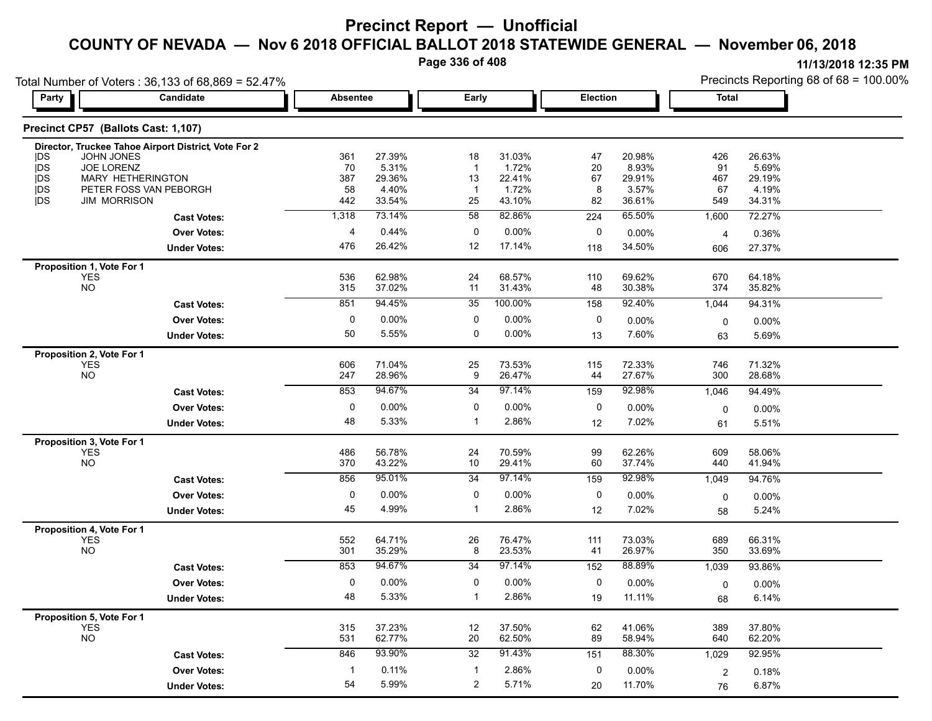**Page 336 of 408**

| Total Number of Voters: 36,133 of 68,869 = 52.47%           |                                                      |                         |                  |                    |                  |           |                  | Precincts Reporting 68 of 68 = 100.00% |                  |  |
|-------------------------------------------------------------|------------------------------------------------------|-------------------------|------------------|--------------------|------------------|-----------|------------------|----------------------------------------|------------------|--|
| Party                                                       | Candidate                                            | <b>Absentee</b>         |                  | Early              |                  | Election  |                  | <b>Total</b>                           |                  |  |
| Precinct CP57 (Ballots Cast: 1,107)                         |                                                      |                         |                  |                    |                  |           |                  |                                        |                  |  |
|                                                             | Director, Truckee Tahoe Airport District, Vote For 2 |                         |                  |                    |                  |           |                  |                                        |                  |  |
| <b>JOHN JONES</b><br><b>IDS</b>                             |                                                      | 361                     | 27.39%           | 18                 | 31.03%           | 47        | 20.98%           | 426                                    | 26.63%           |  |
| JOE LORENZ<br><b>IDS</b><br>MARY HETHERINGTON<br><b>IDS</b> |                                                      | 70<br>387               | 5.31%<br>29.36%  | $\mathbf{1}$<br>13 | 1.72%<br>22.41%  | 20<br>67  | 8.93%<br>29.91%  | 91<br>467                              | 5.69%<br>29.19%  |  |
| <b>jDS</b>                                                  | PETER FOSS VAN PEBORGH                               | 58                      | 4.40%            | $\mathbf{1}$       | 1.72%            | 8         | 3.57%            | 67                                     | 4.19%            |  |
| <b>IDS</b><br><b>JIM MORRISON</b>                           |                                                      | 442                     | 33.54%           | 25                 | 43.10%           | 82        | 36.61%           | 549                                    | 34.31%           |  |
|                                                             | <b>Cast Votes:</b>                                   | 1,318                   | 73.14%           | 58                 | 82.86%           | 224       | 65.50%           | 1,600                                  | 72.27%           |  |
|                                                             | <b>Over Votes:</b>                                   | 4                       | 0.44%            | 0                  | 0.00%            | 0         | 0.00%            | $\overline{4}$                         | 0.36%            |  |
|                                                             | <b>Under Votes:</b>                                  | 476                     | 26.42%           | 12                 | 17.14%           | 118       | 34.50%           | 606                                    | 27.37%           |  |
| Proposition 1, Vote For 1                                   |                                                      |                         |                  |                    |                  |           |                  |                                        |                  |  |
| YES                                                         |                                                      | 536                     | 62.98%           | 24                 | 68.57%           | 110       | 69.62%           | 670                                    | 64.18%           |  |
| <b>NO</b>                                                   |                                                      | 315                     | 37.02%           | 11                 | 31.43%           | 48        | 30.38%           | 374                                    | 35.82%           |  |
|                                                             | <b>Cast Votes:</b>                                   | 851                     | 94.45%           | 35                 | 100.00%          | 158       | 92.40%           | 1,044                                  | 94.31%           |  |
|                                                             | <b>Over Votes:</b>                                   | 0                       | $0.00\%$         | 0                  | 0.00%            | 0         | 0.00%            | $\mathbf 0$                            | 0.00%            |  |
|                                                             | <b>Under Votes:</b>                                  | 50                      | 5.55%            | 0                  | 0.00%            | 13        | 7.60%            | 63                                     | 5.69%            |  |
| Proposition 2, Vote For 1                                   |                                                      |                         |                  |                    |                  |           |                  |                                        |                  |  |
| <b>YES</b><br><b>NO</b>                                     |                                                      | 606<br>247              | 71.04%<br>28.96% | 25<br>9            | 73.53%<br>26.47% | 115<br>44 | 72.33%<br>27.67% | 746<br>300                             | 71.32%<br>28.68% |  |
|                                                             | <b>Cast Votes:</b>                                   | 853                     | 94.67%           | 34                 | 97.14%           | 159       | 92.98%           | 1,046                                  | 94.49%           |  |
|                                                             | <b>Over Votes:</b>                                   | 0                       | $0.00\%$         | 0                  | 0.00%            | 0         |                  |                                        |                  |  |
|                                                             |                                                      |                         | 5.33%            | 1                  | 2.86%            |           | 0.00%            | 0                                      | 0.00%            |  |
|                                                             | <b>Under Votes:</b>                                  | 48                      |                  |                    |                  | 12        | 7.02%            | 61                                     | 5.51%            |  |
| Proposition 3, Vote For 1                                   |                                                      | 486                     | 56.78%           | 24                 | 70.59%           |           | 62.26%           | 609                                    | 58.06%           |  |
| <b>YES</b><br><b>NO</b>                                     |                                                      | 370                     | 43.22%           | 10                 | 29.41%           | 99<br>60  | 37.74%           | 440                                    | 41.94%           |  |
|                                                             | <b>Cast Votes:</b>                                   | 856                     | 95.01%           | 34                 | 97.14%           | 159       | 92.98%           | 1,049                                  | 94.76%           |  |
|                                                             | <b>Over Votes:</b>                                   | 0                       | 0.00%            | 0                  | $0.00\%$         | 0         | 0.00%            |                                        | 0.00%            |  |
|                                                             | <b>Under Votes:</b>                                  | 45                      | 4.99%            | 1                  | 2.86%            | 12        | 7.02%            | 0<br>58                                | 5.24%            |  |
| Proposition 4, Vote For 1                                   |                                                      |                         |                  |                    |                  |           |                  |                                        |                  |  |
| YES                                                         |                                                      | 552                     | 64.71%           | 26                 | 76.47%           | 111       | 73.03%           | 689                                    | 66.31%           |  |
| <b>NO</b>                                                   |                                                      | 301                     | 35.29%           | 8                  | 23.53%           | 41        | 26.97%           | 350                                    | 33.69%           |  |
|                                                             | <b>Cast Votes:</b>                                   | 853                     | 94.67%           | $\overline{34}$    | 97.14%           | 152       | 88.89%           | 1,039                                  | 93.86%           |  |
|                                                             | <b>Over Votes:</b>                                   | 0                       | 0.00%            | 0                  | $0.00\%$         | 0         | 0.00%            | 0                                      | 0.00%            |  |
|                                                             | <b>Under Votes:</b>                                  | 48                      | 5.33%            | 1                  | 2.86%            | 19        | 11.11%           | 68                                     | 6.14%            |  |
| Proposition 5, Vote For 1                                   |                                                      |                         |                  |                    |                  |           |                  |                                        |                  |  |
| <b>YES</b>                                                  |                                                      | 315                     | 37.23%           | 12                 | 37.50%           | 62        | 41.06%           | 389                                    | 37.80%           |  |
| <b>NO</b>                                                   |                                                      | 531                     | 62.77%           | 20                 | 62.50%           | 89        | 58.94%           | 640                                    | 62.20%           |  |
|                                                             | <b>Cast Votes:</b>                                   | 846                     | 93.90%           | 32                 | 91.43%           | 151       | 88.30%           | 1,029                                  | 92.95%           |  |
|                                                             | <b>Over Votes:</b>                                   | $\overline{\mathbf{1}}$ | 0.11%            | $\mathbf{1}$       | 2.86%            | 0         | 0.00%            | 2                                      | 0.18%            |  |
|                                                             | <b>Under Votes:</b>                                  | 54                      | 5.99%            | $\overline{2}$     | 5.71%            | 20        | 11.70%           | 76                                     | 6.87%            |  |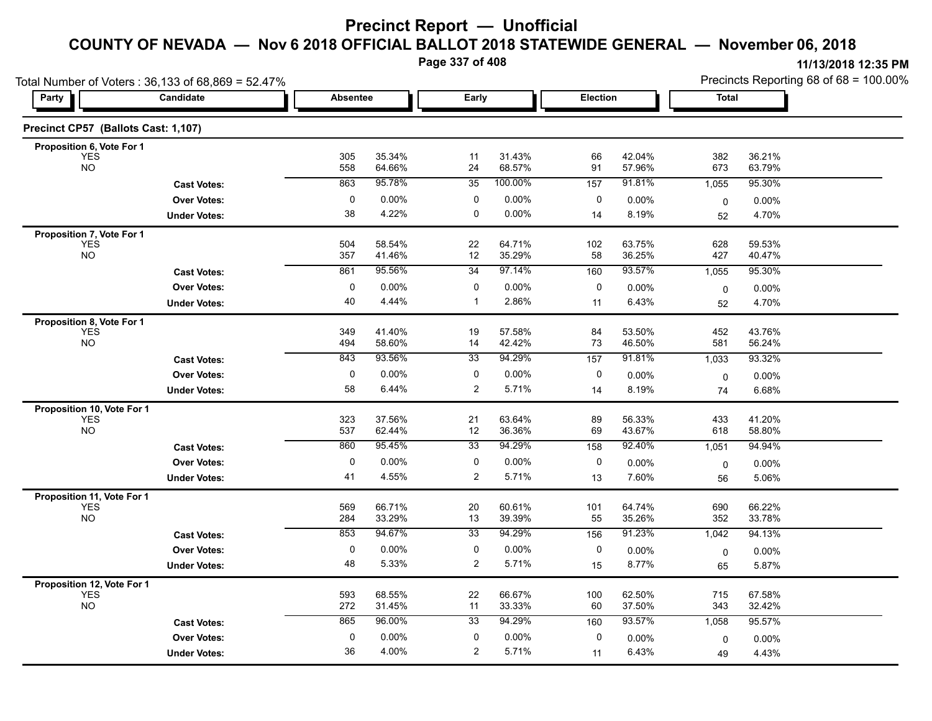**Page 337 of 408**

|                                          | Total Number of Voters: 36,133 of 68,869 = 52.47% |                 |                  |                 |                  |                 |                  | Precincts Reporting 68 of 68 = 100.00% |                   |  |
|------------------------------------------|---------------------------------------------------|-----------------|------------------|-----------------|------------------|-----------------|------------------|----------------------------------------|-------------------|--|
| Party                                    | Candidate                                         | <b>Absentee</b> |                  | Early           |                  | <b>Election</b> |                  | <b>Total</b>                           |                   |  |
| Precinct CP57 (Ballots Cast: 1,107)      |                                                   |                 |                  |                 |                  |                 |                  |                                        |                   |  |
| Proposition 6, Vote For 1                |                                                   |                 |                  |                 |                  |                 |                  |                                        |                   |  |
| <b>YES</b><br><b>NO</b>                  |                                                   | 305<br>558      | 35.34%<br>64.66% | 11<br>24        | 31.43%<br>68.57% | 66<br>91        | 42.04%<br>57.96% | 382<br>673                             | 36.21%<br>63.79%  |  |
|                                          | <b>Cast Votes:</b>                                | 863             | 95.78%           | $\overline{35}$ | 100.00%          | 157             | 91.81%           | 1,055                                  | 95.30%            |  |
|                                          | <b>Over Votes:</b>                                | $\pmb{0}$       | 0.00%            | 0               | 0.00%            | 0               | $0.00\%$         | 0                                      | 0.00%             |  |
|                                          | <b>Under Votes:</b>                               | 38              | 4.22%            | $\mathbf 0$     | $0.00\%$         | 14              | 8.19%            | 52                                     | 4.70%             |  |
| Proposition 7, Vote For 1                |                                                   |                 |                  |                 |                  |                 |                  |                                        |                   |  |
| <b>YES</b><br><b>NO</b>                  |                                                   | 504<br>357      | 58.54%<br>41.46% | 22<br>12        | 64.71%<br>35.29% | 102<br>58       | 63.75%<br>36.25% | 628<br>427                             | 59.53%<br>40.47%  |  |
|                                          | <b>Cast Votes:</b>                                | 861             | 95.56%           | 34              | 97.14%           | 160             | 93.57%           | 1,055                                  | 95.30%            |  |
|                                          | <b>Over Votes:</b>                                | $\pmb{0}$       | 0.00%            | 0               | 0.00%            | 0               | 0.00%            | 0                                      | $0.00\%$          |  |
|                                          | <b>Under Votes:</b>                               | 40              | 4.44%            | $\mathbf{1}$    | 2.86%            | 11              | 6.43%            | 52                                     | 4.70%             |  |
| Proposition 8, Vote For 1                |                                                   |                 |                  |                 |                  |                 |                  |                                        |                   |  |
| <b>YES</b><br><b>NO</b>                  |                                                   | 349<br>494      | 41.40%<br>58.60% | 19<br>14        | 57.58%<br>42.42% | 84<br>73        | 53.50%<br>46.50% | 452<br>581                             | 43.76%<br>56.24%  |  |
|                                          | <b>Cast Votes:</b>                                | 843             | 93.56%           | 33              | 94.29%           | 157             | 91.81%           | 1,033                                  | 93.32%            |  |
|                                          | <b>Over Votes:</b>                                | $\pmb{0}$       | 0.00%            | 0               | $0.00\%$         | 0               | 0.00%            |                                        |                   |  |
|                                          | <b>Under Votes:</b>                               | 58              | 6.44%            | $\overline{2}$  | 5.71%            | 14              | 8.19%            | 0<br>74                                | $0.00\%$<br>6.68% |  |
|                                          |                                                   |                 |                  |                 |                  |                 |                  |                                        |                   |  |
| Proposition 10, Vote For 1<br><b>YES</b> |                                                   | 323             | 37.56%           | 21              | 63.64%           | 89              | 56.33%           | 433                                    | 41.20%            |  |
| <b>NO</b>                                |                                                   | 537             | 62.44%           | 12              | 36.36%           | 69              | 43.67%           | 618                                    | 58.80%            |  |
|                                          | <b>Cast Votes:</b>                                | 860             | 95.45%           | 33              | 94.29%           | 158             | 92.40%           | 1,051                                  | 94.94%            |  |
|                                          | <b>Over Votes:</b>                                | $\pmb{0}$       | 0.00%            | 0               | $0.00\%$         | 0               | 0.00%            | 0                                      | $0.00\%$          |  |
|                                          | <b>Under Votes:</b>                               | 41              | 4.55%            | $\overline{2}$  | 5.71%            | 13              | 7.60%            | 56                                     | 5.06%             |  |
| Proposition 11, Vote For 1               |                                                   |                 |                  |                 |                  |                 |                  |                                        |                   |  |
| <b>YES</b><br><b>NO</b>                  |                                                   | 569<br>284      | 66.71%<br>33.29% | 20<br>13        | 60.61%<br>39.39% | 101<br>55       | 64.74%<br>35.26% | 690<br>352                             | 66.22%<br>33.78%  |  |
|                                          | <b>Cast Votes:</b>                                | 853             | 94.67%           | $\overline{33}$ | 94.29%           | 156             | 91.23%           | 1,042                                  | 94.13%            |  |
|                                          | <b>Over Votes:</b>                                | $\pmb{0}$       | 0.00%            | 0               | 0.00%            | 0               | 0.00%            | 0                                      | $0.00\%$          |  |
|                                          | <b>Under Votes:</b>                               | 48              | 5.33%            | $\overline{2}$  | 5.71%            | 15              | 8.77%            | 65                                     | 5.87%             |  |
| Proposition 12, Vote For 1               |                                                   |                 |                  |                 |                  |                 |                  |                                        |                   |  |
| <b>YES</b><br><b>NO</b>                  |                                                   | 593<br>272      | 68.55%<br>31.45% | 22<br>11        | 66.67%<br>33.33% | 100<br>60       | 62.50%<br>37.50% | 715<br>343                             | 67.58%<br>32.42%  |  |
|                                          | <b>Cast Votes:</b>                                | 865             | 96.00%           | 33              | 94.29%           | 160             | 93.57%           | 1,058                                  | 95.57%            |  |
|                                          | <b>Over Votes:</b>                                | $\pmb{0}$       | 0.00%            | 0               | 0.00%            | 0               | 0.00%            | $\mathbf 0$                            | $0.00\%$          |  |
|                                          | <b>Under Votes:</b>                               | 36              | 4.00%            | $\overline{2}$  | 5.71%            | 11              | 6.43%            | 49                                     | 4.43%             |  |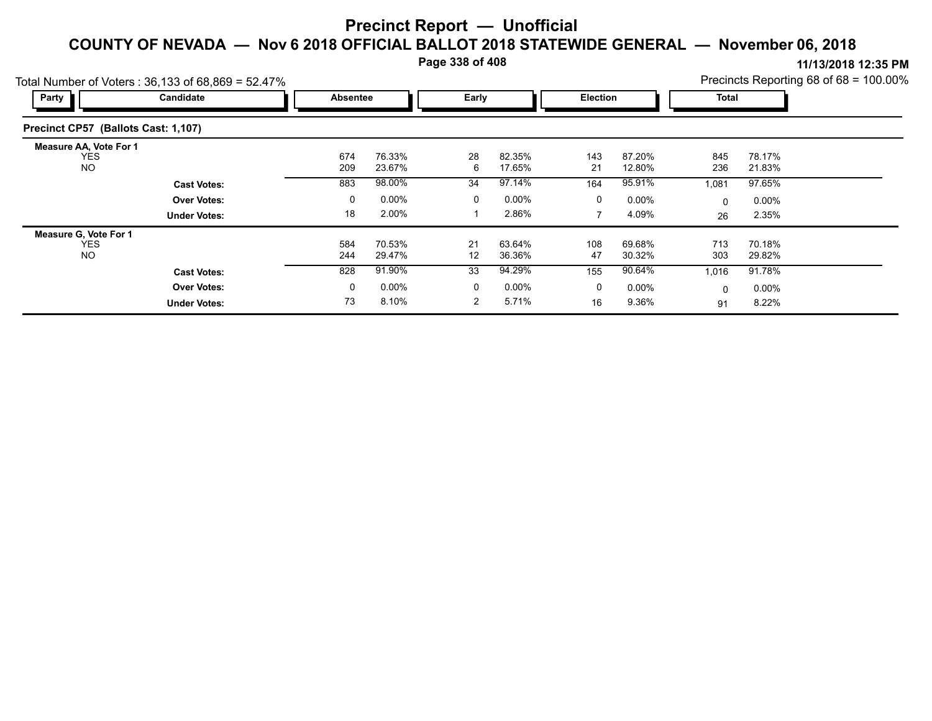**Page 338 of 408**

**11/13/2018 12:35 PM** Precincts Reporting 68 of 68 = 100.00%

| Party                                                    | $\alpha$ Number of Voters : 36, 133 or 68,869 = 52.47%<br>Candidate | Early<br>Absentee |                  |                | Election         |           | <b>Total</b>     |            | $\Gamma$ reciricts Reporting to the top $\sim$ 100.00 % |  |
|----------------------------------------------------------|---------------------------------------------------------------------|-------------------|------------------|----------------|------------------|-----------|------------------|------------|---------------------------------------------------------|--|
| Precinct CP57 (Ballots Cast: 1,107)                      |                                                                     |                   |                  |                |                  |           |                  |            |                                                         |  |
| <b>Measure AA, Vote For 1</b><br><b>YES</b><br><b>NO</b> |                                                                     | 674<br>209        | 76.33%<br>23.67% | 28<br>6        | 82.35%<br>17.65% | 143<br>21 | 87.20%<br>12.80% | 845<br>236 | 78.17%<br>21.83%                                        |  |
|                                                          | <b>Cast Votes:</b>                                                  | 883               | 98.00%           | 34             | 97.14%           | 164       | 95.91%           | 1,081      | 97.65%                                                  |  |
|                                                          | <b>Over Votes:</b>                                                  | 0                 | $0.00\%$         | 0              | $0.00\%$         | 0         | $0.00\%$         | $\Omega$   | $0.00\%$                                                |  |
|                                                          | <b>Under Votes:</b>                                                 | 18                | 2.00%            |                | 2.86%            | 7         | 4.09%            | 26         | 2.35%                                                   |  |
| <b>Measure G. Vote For 1</b>                             |                                                                     |                   |                  |                |                  |           |                  |            |                                                         |  |
| <b>YES</b><br><b>NO</b>                                  |                                                                     | 584<br>244        | 70.53%<br>29.47% | 21<br>12       | 63.64%<br>36.36% | 108<br>47 | 69.68%<br>30.32% | 713<br>303 | 70.18%<br>29.82%                                        |  |
|                                                          | <b>Cast Votes:</b>                                                  | 828               | 91.90%           | 33             | 94.29%           | 155       | 90.64%           | 1,016      | 91.78%                                                  |  |
|                                                          | <b>Over Votes:</b>                                                  | 0                 | $0.00\%$         | 0              | $0.00\%$         | 0         | $0.00\%$         | 0          | $0.00\%$                                                |  |
|                                                          | <b>Under Votes:</b>                                                 | 73                | 8.10%            | $\overline{2}$ | 5.71%            | 16        | 9.36%            | 91         | 8.22%                                                   |  |

Total Number of Voters :  $36,133$  of 68,860 = 52.47%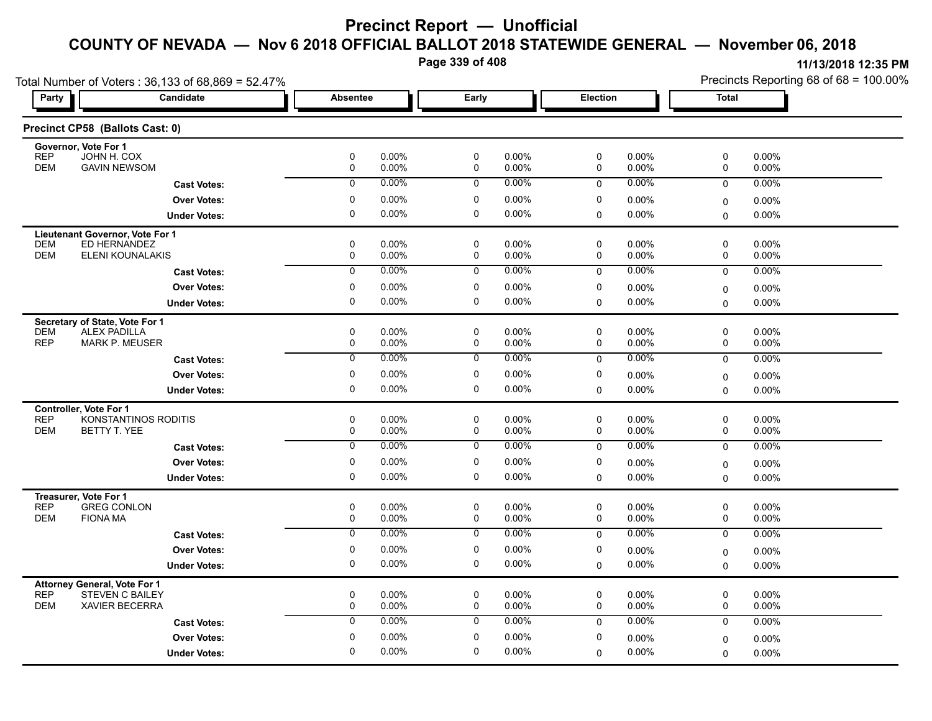**Page 339 of 408**

|                                                                | Total Number of Voters: 36,133 of 68,869 = 52.47% |                  |                   |                  |                |                 |                   | Precincts Reporting 68 of 68 = 100.00% |                |  |
|----------------------------------------------------------------|---------------------------------------------------|------------------|-------------------|------------------|----------------|-----------------|-------------------|----------------------------------------|----------------|--|
| Party                                                          | Candidate                                         | <b>Absentee</b>  |                   | Early            |                | <b>Election</b> |                   | Total                                  |                |  |
| Precinct CP58 (Ballots Cast: 0)                                |                                                   |                  |                   |                  |                |                 |                   |                                        |                |  |
| Governor, Vote For 1                                           |                                                   |                  |                   |                  |                |                 |                   |                                        |                |  |
| <b>REP</b><br>JOHN H. COX<br><b>GAVIN NEWSOM</b><br><b>DEM</b> |                                                   | $\mathbf 0$<br>0 | $0.00\%$<br>0.00% | $\mathbf 0$<br>0 | 0.00%<br>0.00% | 0<br>0          | $0.00\%$<br>0.00% | 0<br>0                                 | 0.00%<br>0.00% |  |
|                                                                | <b>Cast Votes:</b>                                | $\overline{0}$   | 0.00%             | 0                | 0.00%          | $\mathbf 0$     | 0.00%             | 0                                      | 0.00%          |  |
|                                                                | <b>Over Votes:</b>                                | 0                | $0.00\%$          | 0                | $0.00\%$       | 0               | 0.00%             | 0                                      | $0.00\%$       |  |
|                                                                | <b>Under Votes:</b>                               | 0                | 0.00%             | 0                | 0.00%          | $\Omega$        | $0.00\%$          | $\Omega$                               | $0.00\%$       |  |
| Lieutenant Governor, Vote For 1                                |                                                   |                  |                   |                  |                |                 |                   |                                        |                |  |
| ED HERNANDEZ<br><b>DEM</b>                                     |                                                   | 0                | 0.00%             | $\pmb{0}$        | 0.00%          | $\mathsf 0$     | 0.00%             | 0                                      | $0.00\%$       |  |
| <b>DEM</b>                                                     | ELENI KOUNALAKIS                                  | 0                | 0.00%             | 0                | 0.00%          | 0               | 0.00%             | 0                                      | 0.00%          |  |
|                                                                | <b>Cast Votes:</b>                                | $\overline{0}$   | 0.00%             | $\overline{0}$   | $0.00\%$       | $\mathbf 0$     | 0.00%             | $\mathbf 0$                            | 0.00%          |  |
|                                                                | <b>Over Votes:</b>                                | 0                | 0.00%             | 0                | 0.00%          | 0               | 0.00%             | 0                                      | $0.00\%$       |  |
|                                                                | <b>Under Votes:</b>                               | $\Omega$         | 0.00%             | $\mathbf 0$      | 0.00%          | $\mathbf 0$     | 0.00%             | $\Omega$                               | $0.00\%$       |  |
| Secretary of State, Vote For 1                                 |                                                   |                  |                   |                  |                |                 |                   |                                        |                |  |
| <b>ALEX PADILLA</b><br><b>DEM</b>                              |                                                   | 0                | 0.00%             | $\mathbf 0$      | 0.00%          | 0               | $0.00\%$          | 0                                      | 0.00%          |  |
| <b>REP</b><br><b>MARK P. MEUSER</b>                            |                                                   | 0                | 0.00%             | 0                | 0.00%          | 0               | 0.00%             | 0                                      | 0.00%          |  |
|                                                                | <b>Cast Votes:</b>                                | $\overline{0}$   | 0.00%             | 0                | 0.00%          | $\mathbf 0$     | $0.00\%$          | $\mathbf 0$                            | 0.00%          |  |
|                                                                | <b>Over Votes:</b>                                | 0                | 0.00%             | 0                | 0.00%          | 0               | 0.00%             | 0                                      | $0.00\%$       |  |
|                                                                | <b>Under Votes:</b>                               | 0                | $0.00\%$          | $\mathbf 0$      | 0.00%          | $\mathbf 0$     | 0.00%             | 0                                      | 0.00%          |  |
| Controller, Vote For 1                                         |                                                   |                  |                   |                  |                |                 |                   |                                        |                |  |
| <b>REP</b><br><b>DEM</b><br>BETTY T. YEE                       | KONSTANTINOS RODITIS                              | 0<br>0           | 0.00%<br>0.00%    | $\mathbf 0$<br>0 | 0.00%<br>0.00% | 0<br>0          | 0.00%<br>$0.00\%$ | 0<br>0                                 | 0.00%<br>0.00% |  |
|                                                                | <b>Cast Votes:</b>                                | $\overline{0}$   | 0.00%             | 0                | 0.00%          | $\mathbf 0$     | 0.00%             | 0                                      | 0.00%          |  |
|                                                                | <b>Over Votes:</b>                                | 0                | $0.00\%$          | 0                | 0.00%          | 0               |                   |                                        |                |  |
|                                                                |                                                   | 0                | 0.00%             | 0                | 0.00%          | $\Omega$        | 0.00%<br>$0.00\%$ | 0                                      | 0.00%<br>0.00% |  |
|                                                                | <b>Under Votes:</b>                               |                  |                   |                  |                |                 |                   | 0                                      |                |  |
| Treasurer, Vote For 1<br><b>REP</b><br><b>GREG CONLON</b>      |                                                   | 0                | 0.00%             | $\mathbf 0$      | 0.00%          | 0               | $0.00\%$          | 0                                      | 0.00%          |  |
| <b>DEM</b><br><b>FIONA MA</b>                                  |                                                   | 0                | 0.00%             | $\mathbf 0$      | 0.00%          | 0               | 0.00%             | 0                                      | 0.00%          |  |
|                                                                | <b>Cast Votes:</b>                                | $\overline{0}$   | 0.00%             | 0                | $0.00\%$       | $\mathbf 0$     | $0.00\%$          | $\mathbf 0$                            | 0.00%          |  |
|                                                                | <b>Over Votes:</b>                                | 0                | $0.00\%$          | 0                | 0.00%          | 0               | 0.00%             | 0                                      | $0.00\%$       |  |
|                                                                | <b>Under Votes:</b>                               | 0                | $0.00\%$          | 0                | 0.00%          | 0               | $0.00\%$          | 0                                      | $0.00\%$       |  |
| <b>Attorney General, Vote For 1</b>                            |                                                   |                  |                   |                  |                |                 |                   |                                        |                |  |
| <b>REP</b><br><b>STEVEN C BAILEY</b>                           |                                                   | $\mathbf 0$      | 0.00%             | $\mathbf 0$      | 0.00%          | 0               | 0.00%             | 0                                      | 0.00%          |  |
| <b>DEM</b><br><b>XAVIER BECERRA</b>                            |                                                   | 0                | $0.00\%$          | 0                | 0.00%          | 0               | $0.00\%$          | 0                                      | $0.00\%$       |  |
|                                                                | <b>Cast Votes:</b>                                | 0                | 0.00%             | 0                | $0.00\%$       | $\mathbf 0$     | $0.00\%$          | 0                                      | $0.00\%$       |  |
|                                                                | <b>Over Votes:</b>                                | 0                | $0.00\%$          | 0                | $0.00\%$       | 0               | $0.00\%$          | 0                                      | 0.00%          |  |
|                                                                | <b>Under Votes:</b>                               | 0                | 0.00%             | 0                | 0.00%          | $\Omega$        | $0.00\%$          | $\Omega$                               | 0.00%          |  |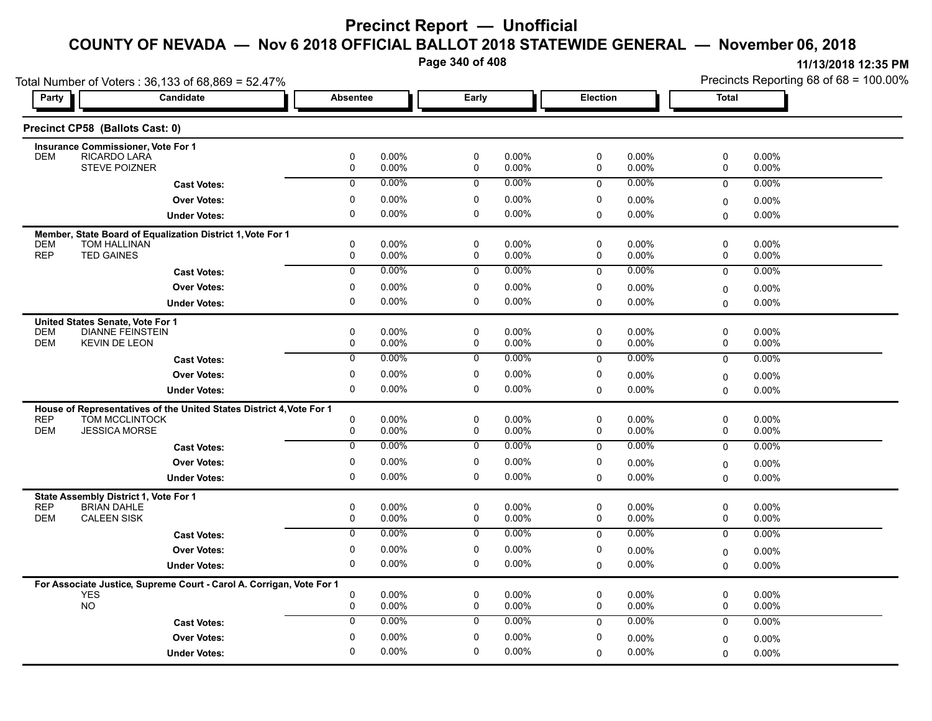**Page 340 of 408**

Precincts Reporting 68 of 68 = 100.00%

**11/13/2018 12:35 PM**

Total Number of Voters : 36,133 of 68,869 = 52.47%

| Party                    |                                          | Candidate                                                            | Absentee                   |                   | Early          |                | Election         |                   | <b>Total</b>     |                |  |
|--------------------------|------------------------------------------|----------------------------------------------------------------------|----------------------------|-------------------|----------------|----------------|------------------|-------------------|------------------|----------------|--|
|                          | Precinct CP58 (Ballots Cast: 0)          |                                                                      |                            |                   |                |                |                  |                   |                  |                |  |
|                          | Insurance Commissioner, Vote For 1       |                                                                      |                            |                   |                |                |                  |                   |                  |                |  |
| <b>DEM</b>               | RICARDO LARA<br><b>STEVE POIZNER</b>     |                                                                      | $\pmb{0}$<br>$\mathsf{O}$  | 0.00%<br>0.00%    | 0<br>0         | 0.00%<br>0.00% | $\pmb{0}$<br>0   | 0.00%<br>0.00%    | 0<br>0           | 0.00%<br>0.00% |  |
|                          |                                          | <b>Cast Votes:</b>                                                   | $\mathbf{0}$               | $0.00\%$          | 0              | 0.00%          | $\Omega$         | $0.00\%$          | $\mathbf{0}$     | 0.00%          |  |
|                          |                                          | <b>Over Votes:</b>                                                   | $\mathbf 0$                | 0.00%             | 0              | $0.00\%$       | 0                | $0.00\%$          |                  | $0.00\%$       |  |
|                          |                                          | <b>Under Votes:</b>                                                  | $\mathbf 0$                | $0.00\%$          | 0              | 0.00%          | 0                | 0.00%             | 0<br>$\Omega$    | $0.00\%$       |  |
|                          |                                          |                                                                      |                            |                   |                |                |                  |                   |                  |                |  |
| <b>DEM</b>               | <b>TOM HALLINAN</b>                      | Member, State Board of Equalization District 1, Vote For 1           | 0                          | $0.00\%$          | 0              | $0.00\%$       | 0                | $0.00\%$          | $\mathbf 0$      | 0.00%          |  |
| <b>REP</b>               | <b>TED GAINES</b>                        |                                                                      | $\mathsf 0$                | 0.00%             | 0              | 0.00%          | $\pmb{0}$        | 0.00%             | 0                | 0.00%          |  |
|                          |                                          | <b>Cast Votes:</b>                                                   | $\overline{0}$             | $0.00\%$          | $\overline{0}$ | 0.00%          | $\mathbf 0$      | 0.00%             | $\mathbf 0$      | 0.00%          |  |
|                          |                                          | <b>Over Votes:</b>                                                   | $\mathbf 0$                | 0.00%             | 0              | 0.00%          | $\pmb{0}$        | 0.00%             | $\Omega$         | 0.00%          |  |
|                          |                                          | <b>Under Votes:</b>                                                  | 0                          | 0.00%             | 0              | $0.00\%$       | $\mathbf 0$      | 0.00%             | $\Omega$         | 0.00%          |  |
|                          | United States Senate, Vote For 1         |                                                                      |                            |                   |                |                |                  |                   |                  |                |  |
| <b>DEM</b>               | <b>DIANNE FEINSTEIN</b>                  |                                                                      | $\mathbf 0$                | $0.00\%$          | 0              | $0.00\%$       | $\pmb{0}$        | $0.00\%$          | 0                | $0.00\%$       |  |
| <b>DEM</b>               | <b>KEVIN DE LEON</b>                     |                                                                      | $\mathbf 0$                | $0.00\%$          | 0              | 0.00%          | $\mathbf 0$      | $0.00\%$          | $\mathbf 0$      | $0.00\%$       |  |
|                          |                                          | <b>Cast Votes:</b>                                                   | $\overline{0}$             | 0.00%             | $\overline{0}$ | 0.00%          | $\mathbf 0$      | 0.00%             | $\mathbf{0}$     | 0.00%          |  |
|                          |                                          | <b>Over Votes:</b>                                                   | $\mathbf 0$                | 0.00%             | 0              | 0.00%          | 0                | 0.00%             | $\Omega$         | $0.00\%$       |  |
|                          |                                          | <b>Under Votes:</b>                                                  | $\mathbf 0$                | $0.00\%$          | 0              | $0.00\%$       | $\mathbf 0$      | 0.00%             | $\mathbf{0}$     | 0.00%          |  |
|                          |                                          | House of Representatives of the United States District 4, Vote For 1 |                            |                   |                |                |                  |                   |                  |                |  |
| <b>REP</b>               | TOM MCCLINTOCK                           |                                                                      | $\mathsf 0$                | 0.00%             | 0              | 0.00%          | $\pmb{0}$        | 0.00%             | $\pmb{0}$        | 0.00%          |  |
| <b>DEM</b>               | <b>JESSICA MORSE</b>                     |                                                                      | $\mathsf{O}$               | 0.00%             | 0              | 0.00%          | 0                | 0.00%             | 0                | 0.00%          |  |
|                          |                                          | <b>Cast Votes:</b>                                                   | $\overline{0}$             | $0.00\%$          | $\overline{0}$ | 0.00%          | $\mathbf 0$      | $0.00\%$          | $\mathbf{0}$     | 0.00%          |  |
|                          |                                          | <b>Over Votes:</b>                                                   | $\mathbf 0$                | 0.00%             | 0              | $0.00\%$       | 0                | $0.00\%$          | 0                | 0.00%          |  |
|                          |                                          | <b>Under Votes:</b>                                                  | $\mathbf 0$                | 0.00%             | 0              | 0.00%          | $\Omega$         | 0.00%             | $\Omega$         | 0.00%          |  |
|                          | State Assembly District 1, Vote For 1    |                                                                      |                            |                   |                |                |                  |                   |                  |                |  |
| <b>REP</b><br><b>DEM</b> | <b>BRIAN DAHLE</b><br><b>CALEEN SISK</b> |                                                                      | $\mathbf 0$<br>0           | 0.00%<br>$0.00\%$ | 0<br>0         | 0.00%<br>0.00% | 0<br>$\mathbf 0$ | 0.00%<br>$0.00\%$ | 0<br>$\mathbf 0$ | 0.00%<br>0.00% |  |
|                          |                                          |                                                                      | $\overline{0}$             | $0.00\%$          | $\overline{0}$ | $0.00\%$       | $\mathbf 0$      | 0.00%             | $\mathbf 0$      | 0.00%          |  |
|                          |                                          | <b>Cast Votes:</b>                                                   |                            |                   |                |                |                  |                   |                  |                |  |
|                          |                                          | <b>Over Votes:</b>                                                   | $\mathbf 0$<br>$\mathbf 0$ | 0.00%             | 0<br>0         | 0.00%          | 0                | 0.00%             | 0                | 0.00%          |  |
|                          |                                          | <b>Under Votes:</b>                                                  |                            | $0.00\%$          |                | $0.00\%$       | $\Omega$         | $0.00\%$          | $\mathbf{0}$     | 0.00%          |  |
|                          |                                          | For Associate Justice, Supreme Court - Carol A. Corrigan, Vote For 1 |                            |                   |                |                |                  |                   |                  |                |  |
|                          | <b>YES</b><br><b>NO</b>                  |                                                                      | $\mathbf 0$<br>0           | 0.00%<br>0.00%    | 0<br>0         | 0.00%<br>0.00% | 0<br>0           | 0.00%<br>0.00%    | $\mathbf 0$<br>0 | 0.00%<br>0.00% |  |
|                          |                                          | <b>Cast Votes:</b>                                                   | $\mathbf{0}$               | $0.00\%$          | 0              | 0.00%          | $\Omega$         | 0.00%             | $\Omega$         | $0.00\%$       |  |
|                          |                                          | <b>Over Votes:</b>                                                   | $\mathbf 0$                | 0.00%             | 0              | $0.00\%$       | $\mathbf 0$      | $0.00\%$          |                  |                |  |
|                          |                                          |                                                                      | $\mathbf 0$                | 0.00%             | 0              | $0.00\%$       | $\Omega$         | 0.00%             | 0                | 0.00%<br>0.00% |  |
|                          |                                          | <b>Under Votes:</b>                                                  |                            |                   |                |                |                  |                   | $\Omega$         |                |  |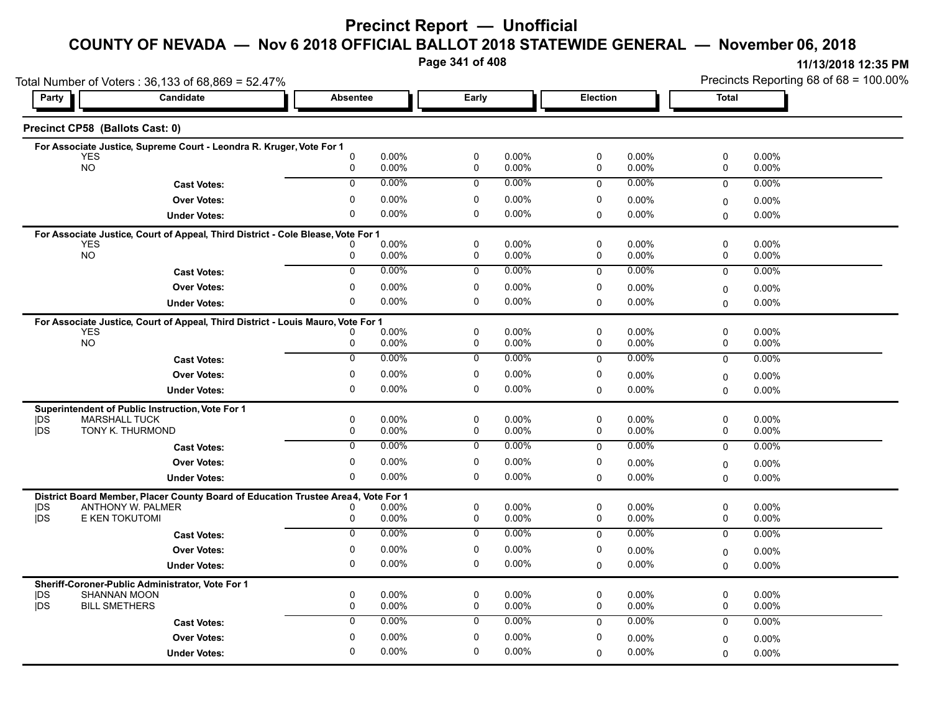**Page 341 of 408**

**11/13/2018 12:35 PM**

|            | Total Number of Voters: 36,133 of 68,869 = 52.47%                                 |                          |                          |                 | Precincts Reporting 68 of 68 = 100.00% |                       |  |
|------------|-----------------------------------------------------------------------------------|--------------------------|--------------------------|-----------------|----------------------------------------|-----------------------|--|
| Party      | Candidate                                                                         | <b>Absentee</b>          | Early                    | <b>Election</b> |                                        | <b>Total</b>          |  |
|            | Precinct CP58 (Ballots Cast: 0)                                                   |                          |                          |                 |                                        |                       |  |
|            | For Associate Justice, Supreme Court - Leondra R. Kruger, Vote For 1              |                          |                          |                 |                                        |                       |  |
|            | <b>YES</b>                                                                        | $0.00\%$<br>0            | 0.00%<br>0               | 0               | $0.00\%$                               | 0.00%<br>0            |  |
|            | <b>NO</b>                                                                         | $0.00\%$<br>0            | 0<br>0.00%               | $\mathsf{O}$    | $0.00\%$                               | $\mathsf{O}$<br>0.00% |  |
|            | <b>Cast Votes:</b>                                                                | $0.00\%$<br>$\mathbf{0}$ | 0.00%<br>$\mathsf{O}$    | $\mathbf 0$     | 0.00%                                  | 0.00%<br>$\mathbf 0$  |  |
|            | <b>Over Votes:</b>                                                                | 0.00%<br>$\Omega$        | $0.00\%$<br>$\mathbf{0}$ | $\Omega$        | 0.00%                                  | 0.00%<br>0            |  |
|            | <b>Under Votes:</b>                                                               | $0.00\%$<br>$\Omega$     | $\Omega$<br>$0.00\%$     | $\Omega$        | $0.00\%$                               | 0.00%<br>0            |  |
|            | For Associate Justice, Court of Appeal, Third District - Cole Blease, Vote For 1  |                          |                          |                 |                                        |                       |  |
|            | <b>YES</b>                                                                        | $0.00\%$                 | $\Omega$<br>$0.00\%$     | $\Omega$        | 0.00%                                  | $\mathsf 0$<br>0.00%  |  |
|            | <b>NO</b>                                                                         | $0.00\%$<br>0            | $\mathsf{O}$<br>0.00%    | 0               | $0.00\%$                               | $\mathsf{O}$<br>0.00% |  |
|            | <b>Cast Votes:</b>                                                                | 0.00%<br>$\overline{0}$  | 0.00%<br>$\mathbf 0$     | $\mathbf 0$     | 0.00%                                  | 0.00%<br>$\mathsf{O}$ |  |
|            | <b>Over Votes:</b>                                                                | $0.00\%$<br>$\Omega$     | $0.00\%$<br>0            | 0               | 0.00%                                  | 0.00%<br>0            |  |
|            | <b>Under Votes:</b>                                                               | $0.00\%$<br>$\Omega$     | $\Omega$<br>$0.00\%$     | $\mathbf{0}$    | $0.00\%$                               | 0.00%<br>$\mathbf 0$  |  |
|            | For Associate Justice, Court of Appeal, Third District - Louis Mauro, Vote For 1  |                          |                          |                 |                                        |                       |  |
|            | <b>YES</b>                                                                        | $0.00\%$                 | $\Omega$<br>$0.00\%$     | $\mathbf 0$     | 0.00%                                  | $\mathbf 0$<br>0.00%  |  |
|            | <b>NO</b>                                                                         | $0.00\%$<br>$\Omega$     | $\mathbf 0$<br>$0.00\%$  | $\mathbf 0$     | $0.00\%$                               | $\mathsf{O}$<br>0.00% |  |
|            | <b>Cast Votes:</b>                                                                | 0<br>$0.00\%$            | 0<br>0.00%               | $\mathbf 0$     | $0.00\%$                               | 0.00%<br>0            |  |
|            | <b>Over Votes:</b>                                                                | $0.00\%$<br>$\Omega$     | 0.00%<br>$\Omega$        | $\Omega$        | 0.00%                                  | 0.00%<br>$\mathbf 0$  |  |
|            | <b>Under Votes:</b>                                                               | $0.00\%$<br>$\Omega$     | $\Omega$<br>$0.00\%$     | $\Omega$        | $0.00\%$                               | 0.00%<br>$\mathbf 0$  |  |
|            | Superintendent of Public Instruction, Vote For 1                                  |                          |                          |                 |                                        |                       |  |
| DS         | <b>MARSHALL TUCK</b>                                                              | $0.00\%$<br>0            | 0.00%<br>0               | 0               | 0.00%                                  | 0.00%<br>$\mathbf 0$  |  |
| <b>jDS</b> | TONY K. THURMOND                                                                  | $0.00\%$<br>0            | 0.00%<br>0               | 0               | $0.00\%$                               | 0.00%<br>0            |  |
|            | <b>Cast Votes:</b>                                                                | $0.00\%$<br>$\mathbf 0$  | 0.00%<br>$\mathbf 0$     | $\Omega$        | 0.00%                                  | 0.00%<br>$\mathsf{O}$ |  |
|            | <b>Over Votes:</b>                                                                | $0.00\%$<br>0            | 0.00%<br>$\Omega$        | $\Omega$        | $0.00\%$                               | 0.00%<br>$\mathbf 0$  |  |
|            | <b>Under Votes:</b>                                                               | $\Omega$<br>$0.00\%$     | $\mathbf 0$<br>0.00%     | $\Omega$        | $0.00\%$                               | 0.00%<br>$\Omega$     |  |
|            | District Board Member, Placer County Board of Education Trustee Area4, Vote For 1 |                          |                          |                 |                                        |                       |  |
| DS         | ANTHONY W. PALMER                                                                 | $0.00\%$                 | 0.00%<br>0               | 0               | 0.00%                                  | $\mathbf 0$<br>0.00%  |  |
| DS         | E KEN TOKUTOMI                                                                    | 0.00%<br>0               | 0.00%<br>0               | 0               | $0.00\%$                               | 0.00%<br>0            |  |
|            | <b>Cast Votes:</b>                                                                | $0.00\%$<br>$\Omega$     | $0.00\%$<br>$\mathbf 0$  | $\mathbf 0$     | 0.00%                                  | 0.00%<br>0            |  |
|            | <b>Over Votes:</b>                                                                | $0.00\%$<br>0            | $0.00\%$<br>$\Omega$     | $\Omega$        | 0.00%                                  | 0.00%<br>$\mathbf 0$  |  |
|            | <b>Under Votes:</b>                                                               | $0.00\%$<br>$\Omega$     | $\mathbf 0$<br>$0.00\%$  | $\Omega$        | $0.00\%$                               | 0.00%<br>$\mathbf 0$  |  |
|            | Sheriff-Coroner-Public Administrator, Vote For 1                                  |                          |                          |                 |                                        |                       |  |
| DS         | SHANNAN MOON                                                                      | 0.00%<br>0               | 0<br>$0.00\%$            | $\Omega$        | $0.00\%$                               | 0.00%<br>$\mathbf 0$  |  |
| jDS        | <b>BILL SMETHERS</b>                                                              | $0.00\%$<br>0            | 0.00%<br>0               | $\mathbf 0$     | 0.00%                                  | 0.00%<br>0            |  |
|            | <b>Cast Votes:</b>                                                                | 0.00%<br>$\Omega$        | 0.00%<br>$\mathbf 0$     | $\Omega$        | $0.00\%$                               | 0.00%<br>$\mathbf 0$  |  |

0.00% 0

0 0.00%

0.00% 0

0

0.00%

 $0$  0.00%  $0$  0.00%  $0$  0.00%  $0$  0.00%  $0$  0.00%

0.00% 0

0 0.00%

0.00% 0.00%

**Under Votes: Over Votes:** 0.00%

0 0.00%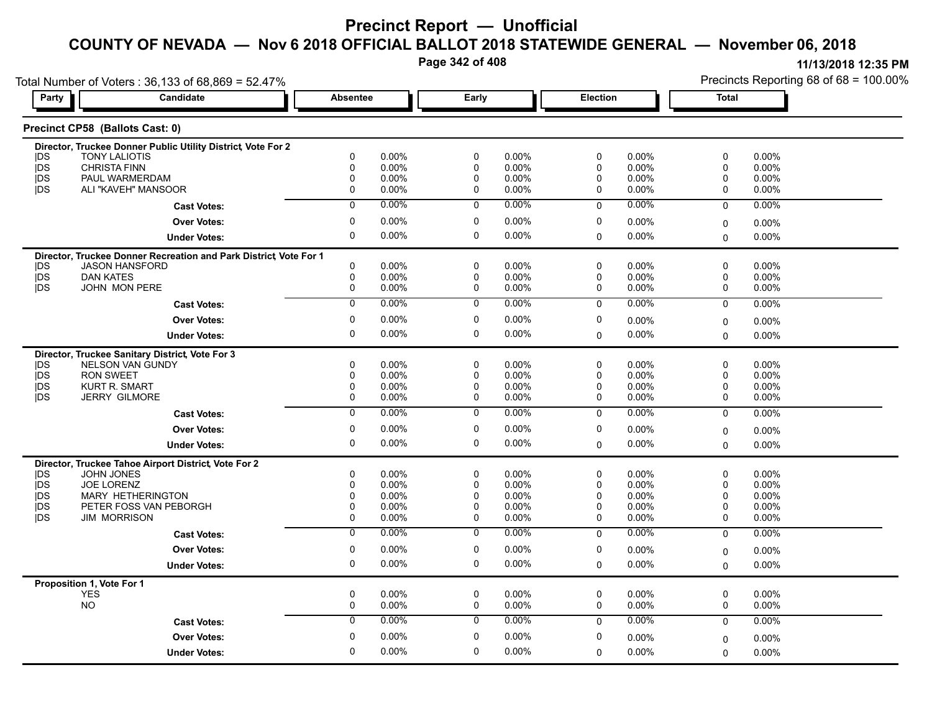**Page 342 of 408**

| Party                         | Candidate                                                                                  | Absentee                   |                | Early            |                | <b>Election</b> |                | <b>Total</b>   |                |
|-------------------------------|--------------------------------------------------------------------------------------------|----------------------------|----------------|------------------|----------------|-----------------|----------------|----------------|----------------|
|                               |                                                                                            |                            |                |                  |                |                 |                |                |                |
|                               | Precinct CP58 (Ballots Cast: 0)                                                            |                            |                |                  |                |                 |                |                |                |
|                               | Director, Truckee Donner Public Utility District, Vote For 2                               |                            |                |                  |                |                 |                |                |                |
| <b>IDS</b>                    | <b>TONY LALIOTIS</b>                                                                       | 0                          | 0.00%          | $\pmb{0}$        | 0.00%          | $\mathbf 0$     | 0.00%          | 0              | 0.00%          |
| jDS<br><b>IDS</b>             | <b>CHRISTA FINN</b><br>PAUL WARMERDAM                                                      | 0<br>$\mathbf 0$           | 0.00%<br>0.00% | 0<br>0           | 0.00%<br>0.00% | 0<br>0          | 0.00%<br>0.00% | 0<br>0         | 0.00%<br>0.00% |
| <b>IDS</b>                    | ALI "KAVEH" MANSOOR                                                                        | $\mathbf 0$                | 0.00%          | $\mathbf 0$      | 0.00%          | 0               | 0.00%          | 0              | 0.00%          |
|                               | <b>Cast Votes:</b>                                                                         | $\mathbf 0$                | 0.00%          | 0                | 0.00%          | $\mathbf 0$     | 0.00%          | $\mathbf 0$    | 0.00%          |
|                               | <b>Over Votes:</b>                                                                         | 0                          | 0.00%          | 0                | 0.00%          | 0               | 0.00%          |                |                |
|                               |                                                                                            | $\mathbf 0$                | 0.00%          | $\mathbf 0$      | 0.00%          |                 |                | $\mathbf 0$    | 0.00%          |
|                               | <b>Under Votes:</b>                                                                        |                            |                |                  |                | 0               | $0.00\%$       | $\mathbf 0$    | 0.00%          |
| <b>IDS</b>                    | Director, Truckee Donner Recreation and Park District, Vote For 1<br><b>JASON HANSFORD</b> | 0                          | 0.00%          | 0                | 0.00%          | 0               | 0.00%          | 0              | 0.00%          |
| <b>IDS</b>                    | <b>DAN KATES</b>                                                                           | $\mathsf{O}$               | 0.00%          | $\mathbf 0$      | 0.00%          | 0               | 0.00%          | 0              | 0.00%          |
| j <sub>DS</sub>               | JOHN MON PERE                                                                              | 0                          | 0.00%          | $\mathbf 0$      | 0.00%          | 0               | 0.00%          | $\mathbf 0$    | 0.00%          |
|                               | <b>Cast Votes:</b>                                                                         | $\overline{0}$             | 0.00%          | $\overline{0}$   | $0.00\%$       | $\Omega$        | $0.00\%$       | $\mathbf{0}$   | 0.00%          |
|                               | <b>Over Votes:</b>                                                                         | 0                          | 0.00%          | 0                | 0.00%          | 0               | 0.00%          |                |                |
|                               |                                                                                            | $\mathbf 0$                |                | $\mathbf 0$      |                |                 |                | 0              | 0.00%          |
|                               | <b>Under Votes:</b>                                                                        |                            | 0.00%          |                  | 0.00%          | $\Omega$        | 0.00%          | $\mathbf{0}$   | 0.00%          |
|                               | Director, Truckee Sanitary District, Vote For 3                                            |                            |                |                  |                |                 |                |                |                |
| <b>IDS</b>                    | NELSON VAN GUNDY                                                                           | $\mathbf 0$                | 0.00%          | $\mathbf 0$      | 0.00%          | 0               | $0.00\%$       | $\mathbf 0$    | 0.00%          |
| <b>IDS</b><br>jDS             | <b>RON SWEET</b><br><b>KURT R. SMART</b>                                                   | $\mathbf 0$<br>0           | 0.00%<br>0.00% | $\mathbf 0$<br>0 | 0.00%<br>0.00% | 0<br>0          | 0.00%<br>0.00% | 0<br>0         | 0.00%<br>0.00% |
| jDS                           | <b>JERRY GILMORE</b>                                                                       | 0                          | 0.00%          | 0                | 0.00%          | 0               | 0.00%          | 0              | 0.00%          |
|                               |                                                                                            | $\overline{0}$             | 0.00%          | $\overline{0}$   | 0.00%          | $\mathbf 0$     | 0.00%          | $\overline{0}$ | 0.00%          |
|                               | <b>Cast Votes:</b>                                                                         | $\mathbf 0$                | 0.00%          | $\mathbf 0$      | 0.00%          | $\mathbf 0$     |                |                |                |
|                               | <b>Over Votes:</b>                                                                         |                            |                |                  |                |                 | 0.00%          | 0              | $0.00\%$       |
|                               | <b>Under Votes:</b>                                                                        | $\mathbf 0$                | 0.00%          | $\mathbf 0$      | 0.00%          | $\Omega$        | 0.00%          | $\mathbf 0$    | 0.00%          |
|                               | Director, Truckee Tahoe Airport District, Vote For 2                                       |                            |                |                  |                |                 |                |                |                |
| <b>IDS</b>                    | <b>JOHN JONES</b>                                                                          | 0                          | 0.00%          | 0                | 0.00%          | 0               | 0.00%          | 0              | 0.00%          |
| j <sub>DS</sub><br><b>IDS</b> | <b>JOE LORENZ</b><br><b>MARY HETHERINGTON</b>                                              | $\mathbf 0$<br>$\mathbf 0$ | 0.00%<br>0.00% | $\mathbf 0$<br>0 | 0.00%<br>0.00% | 0<br>0          | 0.00%<br>0.00% | 0<br>0         | 0.00%<br>0.00% |
| <b>IDS</b>                    | PETER FOSS VAN PEBORGH                                                                     | 0                          | 0.00%          | 0                | 0.00%          | 0               | 0.00%          | 0              | 0.00%          |
| <b>IDS</b>                    | <b>JIM MORRISON</b>                                                                        | $\mathbf 0$                | 0.00%          | $\mathbf 0$      | 0.00%          | 0               | $0.00\%$       | 0              | 0.00%          |
|                               | <b>Cast Votes:</b>                                                                         | $\overline{0}$             | 0.00%          | $\overline{0}$   | 0.00%          | $\Omega$        | $0.00\%$       | $\Omega$       | 0.00%          |
|                               | <b>Over Votes:</b>                                                                         | $\mathbf 0$                | 0.00%          | $\mathbf 0$      | 0.00%          | 0               | 0.00%          | 0              | 0.00%          |
|                               | <b>Under Votes:</b>                                                                        | $\mathbf 0$                | 0.00%          | $\mathbf 0$      | 0.00%          | $\mathbf 0$     | 0.00%          | $\Omega$       | $0.00\%$       |
|                               |                                                                                            |                            |                |                  |                |                 |                |                |                |
|                               | Proposition 1, Vote For 1<br>YES                                                           | 0                          | 0.00%          | 0                | 0.00%          | 0               | 0.00%          | 0              | 0.00%          |
|                               | <b>NO</b>                                                                                  | $\mathbf 0$                | 0.00%          | $\mathbf 0$      | 0.00%          | 0               | 0.00%          | $\mathbf 0$    | 0.00%          |
|                               | <b>Cast Votes:</b>                                                                         | $\overline{0}$             | $0.00\%$       | $\overline{0}$   | $0.00\%$       | $\Omega$        | 0.00%          | $\mathbf 0$    | 0.00%          |
|                               | <b>Over Votes:</b>                                                                         | $\mathbf 0$                | 0.00%          | $\mathbf 0$      | 0.00%          | 0               | $0.00\%$       | 0              | 0.00%          |
|                               |                                                                                            | $\mathbf 0$                | 0.00%          | $\mathbf 0$      | 0.00%          | $\Omega$        | 0.00%          |                | 0.00%          |
|                               | <b>Under Votes:</b>                                                                        |                            |                |                  |                |                 |                | $\mathbf 0$    |                |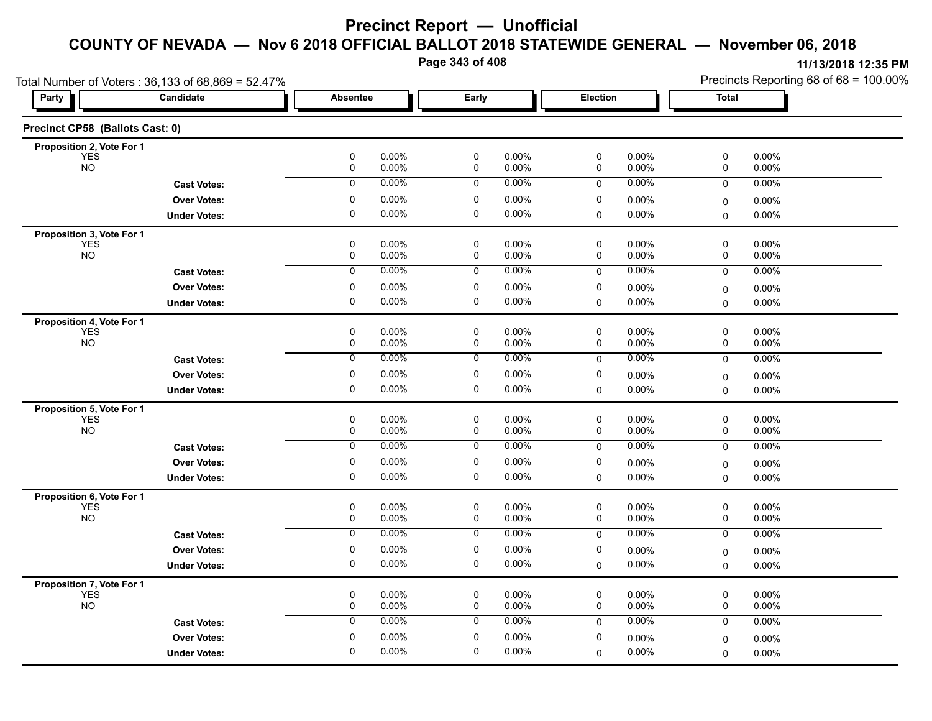**Page 343 of 408**

|                                         | Total Number of Voters: 36,133 of 68,869 = 52.47% |                        |                |                |                |                |                | Precincts Reporting 68 of 68 = 100.00% |                   |  |
|-----------------------------------------|---------------------------------------------------|------------------------|----------------|----------------|----------------|----------------|----------------|----------------------------------------|-------------------|--|
| Party                                   | Candidate                                         | <b>Absentee</b>        |                | Early          |                | Election       |                | <b>Total</b>                           |                   |  |
| Precinct CP58 (Ballots Cast: 0)         |                                                   |                        |                |                |                |                |                |                                        |                   |  |
| Proposition 2, Vote For 1               |                                                   |                        |                |                |                |                |                |                                        |                   |  |
| <b>YES</b><br><b>NO</b>                 |                                                   | 0<br>$\pmb{0}$         | 0.00%<br>0.00% | 0<br>$\pmb{0}$ | 0.00%<br>0.00% | 0<br>$\pmb{0}$ | 0.00%<br>0.00% | 0<br>0                                 | 0.00%<br>0.00%    |  |
|                                         | <b>Cast Votes:</b>                                | 0                      | 0.00%          | 0              | 0.00%          | 0              | 0.00%          | 0                                      | 0.00%             |  |
|                                         | <b>Over Votes:</b>                                | 0                      | 0.00%          | $\mathbf 0$    | 0.00%          | 0              | 0.00%          | 0                                      | 0.00%             |  |
|                                         | <b>Under Votes:</b>                               | 0                      | 0.00%          | 0              | $0.00\%$       | 0              | 0.00%          | $\mathbf 0$                            | 0.00%             |  |
| Proposition 3, Vote For 1               |                                                   |                        |                |                |                |                |                |                                        |                   |  |
| <b>YES</b>                              |                                                   | $\pmb{0}$              | 0.00%          | 0              | 0.00%          | 0              | 0.00%          | 0                                      | 0.00%             |  |
| <b>NO</b>                               |                                                   | 0                      | 0.00%          | 0              | $0.00\%$       | 0              | 0.00%          | 0                                      | $0.00\%$          |  |
|                                         | <b>Cast Votes:</b>                                | 0                      | 0.00%          | 0              | 0.00%          | $\mathbf 0$    | 0.00%          | $\mathbf 0$                            | 0.00%             |  |
|                                         | <b>Over Votes:</b>                                | 0                      | 0.00%          | 0              | $0.00\%$       | 0              | 0.00%          | 0                                      | 0.00%             |  |
|                                         | <b>Under Votes:</b>                               | $\mathbf 0$            | 0.00%          | 0              | 0.00%          | $\Omega$       | 0.00%          | $\mathbf 0$                            | $0.00\%$          |  |
| Proposition 4, Vote For 1               |                                                   |                        |                |                |                |                |                |                                        |                   |  |
| <b>YES</b><br><b>NO</b>                 |                                                   | $\pmb{0}$<br>$\pmb{0}$ | 0.00%<br>0.00% | $\pmb{0}$<br>0 | 0.00%<br>0.00% | 0<br>0         | 0.00%<br>0.00% | 0<br>0                                 | 0.00%<br>0.00%    |  |
|                                         | <b>Cast Votes:</b>                                | 0                      | 0.00%          | 0              | 0.00%          | 0              | 0.00%          | 0                                      | 0.00%             |  |
|                                         | <b>Over Votes:</b>                                | $\pmb{0}$              | 0.00%          | $\mathbf 0$    | 0.00%          | 0              | 0.00%          |                                        |                   |  |
|                                         | <b>Under Votes:</b>                               | 0                      | 0.00%          | 0              | $0.00\%$       | 0              | 0.00%          | 0<br>$\mathbf 0$                       | 0.00%<br>0.00%    |  |
|                                         |                                                   |                        |                |                |                |                |                |                                        |                   |  |
| Proposition 5, Vote For 1<br><b>YES</b> |                                                   | 0                      | 0.00%          | 0              | 0.00%          | 0              | 0.00%          | 0                                      | 0.00%             |  |
| <b>NO</b>                               |                                                   | 0                      | 0.00%          | 0              | 0.00%          | 0              | 0.00%          | 0                                      | 0.00%             |  |
|                                         | <b>Cast Votes:</b>                                | $\overline{0}$         | 0.00%          | $\overline{0}$ | 0.00%          | $\mathbf 0$    | 0.00%          | 0                                      | 0.00%             |  |
|                                         | <b>Over Votes:</b>                                | 0                      | 0.00%          | 0              | 0.00%          | 0              | 0.00%          | $\mathbf 0$                            | $0.00\%$          |  |
|                                         | <b>Under Votes:</b>                               | $\mathbf 0$            | 0.00%          | 0              | $0.00\%$       | 0              | 0.00%          | $\Omega$                               | 0.00%             |  |
| Proposition 6, Vote For 1               |                                                   |                        |                |                |                |                |                |                                        |                   |  |
| <b>YES</b>                              |                                                   | 0                      | 0.00%          | 0              | 0.00%          | 0              | 0.00%          | 0                                      | 0.00%             |  |
| <b>NO</b>                               |                                                   | 0                      | 0.00%          | 0              | 0.00%          | 0              | 0.00%          | 0                                      | 0.00%             |  |
|                                         | <b>Cast Votes:</b>                                | $\overline{0}$         | 0.00%          | $\overline{0}$ | 0.00%          | 0              | 0.00%          | 0                                      | 0.00%             |  |
|                                         | <b>Over Votes:</b>                                | $\pmb{0}$              | 0.00%          | $\mathbf 0$    | 0.00%          | 0              | $0.00\%$       | 0                                      | 0.00%             |  |
|                                         | <b>Under Votes:</b>                               | $\mathbf 0$            | 0.00%          | $\mathbf 0$    | $0.00\%$       | $\mathbf 0$    | 0.00%          | $\mathbf 0$                            | 0.00%             |  |
| Proposition 7, Vote For 1               |                                                   |                        |                |                |                |                |                |                                        |                   |  |
| <b>YES</b><br><b>NO</b>                 |                                                   | 0<br>0                 | 0.00%<br>0.00% | $\pmb{0}$<br>0 | 0.00%<br>0.00% | 0<br>0         | 0.00%<br>0.00% | 0<br>0                                 | 0.00%<br>$0.00\%$ |  |
|                                         | <b>Cast Votes:</b>                                | 0                      | 0.00%          | 0              | 0.00%          | $\mathbf 0$    | 0.00%          | 0                                      | 0.00%             |  |
|                                         | <b>Over Votes:</b>                                | 0                      | 0.00%          | 0              | 0.00%          | 0              |                |                                        |                   |  |
|                                         |                                                   | $\mathbf 0$            | 0.00%          | $\mathbf 0$    | 0.00%          | 0              | 0.00%<br>0.00% | 0                                      | 0.00%             |  |
|                                         | <b>Under Votes:</b>                               |                        |                |                |                |                |                | $\Omega$                               | 0.00%             |  |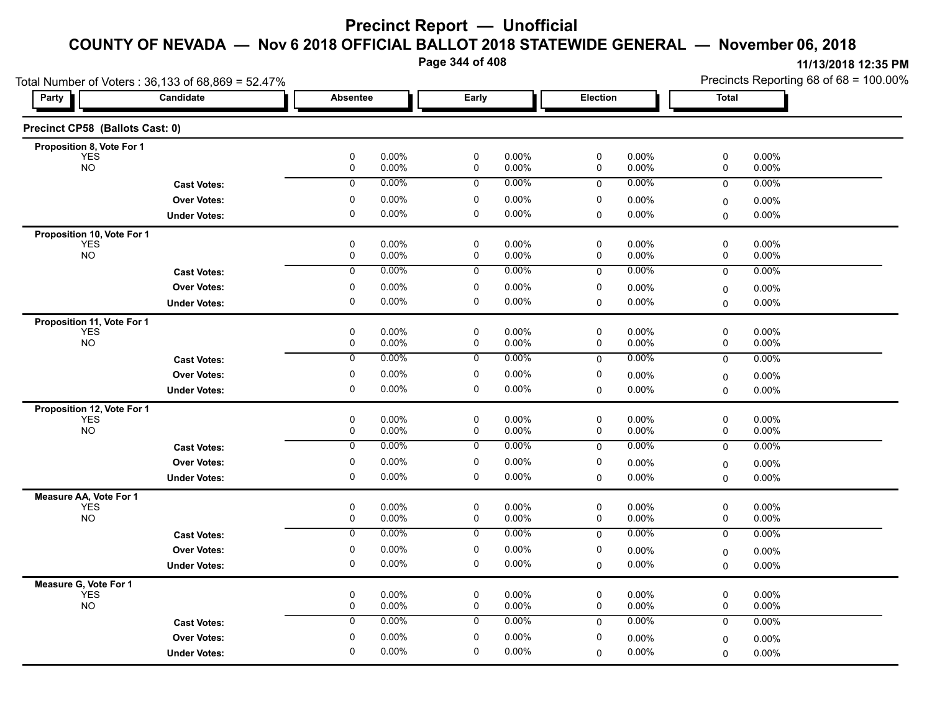**Page 344 of 408**

|                                 | Total Number of Voters: 36,133 of 68,869 = 52.47% |                 |                                  |                   |                 |                   | Precincts Reporting 68 of 68 = 100.00% |                |  |
|---------------------------------|---------------------------------------------------|-----------------|----------------------------------|-------------------|-----------------|-------------------|----------------------------------------|----------------|--|
| Party                           | Candidate                                         | <b>Absentee</b> | Early                            |                   | <b>Election</b> |                   | <b>Total</b>                           |                |  |
| Precinct CP58 (Ballots Cast: 0) |                                                   |                 |                                  |                   |                 |                   |                                        |                |  |
| Proposition 8, Vote For 1       |                                                   |                 |                                  |                   |                 |                   |                                        |                |  |
| <b>YES</b><br><b>NO</b>         |                                                   | $\pmb{0}$<br>0  | 0.00%<br>$\pmb{0}$<br>0.00%<br>0 | 0.00%<br>0.00%    | $\pmb{0}$<br>0  | 0.00%<br>0.00%    | 0<br>0                                 | 0.00%<br>0.00% |  |
|                                 | <b>Cast Votes:</b>                                | $\overline{0}$  | 0.00%<br>0                       | $0.00\%$          | 0               | 0.00%             | $\overline{0}$                         | 0.00%          |  |
|                                 | <b>Over Votes:</b>                                | 0               | $\mathbf 0$<br>0.00%             | 0.00%             | 0               | 0.00%             | 0                                      | $0.00\%$       |  |
|                                 | <b>Under Votes:</b>                               | 0               | 0.00%<br>0                       | $0.00\%$          | 0               | 0.00%             | $\mathbf 0$                            | 0.00%          |  |
| Proposition 10, Vote For 1      |                                                   |                 |                                  |                   |                 |                   |                                        |                |  |
| <b>YES</b><br><b>NO</b>         |                                                   | 0               | 0.00%<br>$\mathbf 0$             | 0.00%             | 0               | 0.00%             | 0                                      | 0.00%          |  |
|                                 |                                                   | 0               | 0.00%<br>0                       | 0.00%             | 0               | 0.00%             | 0                                      | 0.00%          |  |
|                                 | <b>Cast Votes:</b>                                | 0               | 0.00%<br>0                       | 0.00%             | 0               | 0.00%             | 0                                      | $0.00\%$       |  |
|                                 | <b>Over Votes:</b>                                | 0               | 0.00%<br>0                       | 0.00%             | 0               | 0.00%             | 0                                      | $0.00\%$       |  |
|                                 | <b>Under Votes:</b>                               | $\mathbf 0$     | $\mathbf 0$<br>0.00%             | $0.00\%$          | $\Omega$        | 0.00%             | 0                                      | 0.00%          |  |
| Proposition 11, Vote For 1      |                                                   |                 |                                  |                   |                 |                   |                                        |                |  |
| <b>YES</b><br><b>NO</b>         |                                                   | 0<br>$\pmb{0}$  | 0.00%<br>0<br>0.00%<br>$\pmb{0}$ | $0.00\%$<br>0.00% | 0<br>0          | $0.00\%$<br>0.00% | 0<br>0                                 | 0.00%<br>0.00% |  |
|                                 | <b>Cast Votes:</b>                                | 0               | 0.00%<br>0                       | $0.00\%$          | 0               | 0.00%             | 0                                      | 0.00%          |  |
|                                 | <b>Over Votes:</b>                                | $\pmb{0}$       | 0.00%<br>0                       | 0.00%             | 0               | 0.00%             | $\mathbf 0$                            | 0.00%          |  |
|                                 | <b>Under Votes:</b>                               | $\pmb{0}$       | 0<br>$0.00\%$                    | 0.00%             | 0               | 0.00%             | 0                                      | 0.00%          |  |
| Proposition 12, Vote For 1      |                                                   |                 |                                  |                   |                 |                   |                                        |                |  |
| <b>YES</b>                      |                                                   | 0               | 0.00%<br>0                       | $0.00\%$          | 0               | 0.00%             | 0                                      | $0.00\%$       |  |
| <b>NO</b>                       |                                                   | 0               | 0.00%<br>0                       | $0.00\%$          | 0               | 0.00%             | 0                                      | $0.00\%$       |  |
|                                 | <b>Cast Votes:</b>                                | 0               | 0.00%<br>0                       | $0.00\%$          | 0               | 0.00%             | $\mathbf 0$                            | 0.00%          |  |
|                                 | <b>Over Votes:</b>                                | 0               | 0.00%<br>0                       | 0.00%             | 0               | 0.00%             | 0                                      | 0.00%          |  |
|                                 | <b>Under Votes:</b>                               | 0               | 0.00%<br>0                       | $0.00\%$          | 0               | 0.00%             | 0                                      | 0.00%          |  |
| Measure AA, Vote For 1          |                                                   |                 |                                  |                   |                 |                   |                                        |                |  |
| <b>YES</b><br><b>NO</b>         |                                                   | $\pmb{0}$<br>0  | 0.00%<br>0<br>0.00%<br>0         | 0.00%<br>0.00%    | 0<br>0          | 0.00%<br>0.00%    | 0<br>0                                 | 0.00%<br>0.00% |  |
|                                 | <b>Cast Votes:</b>                                | 0               | 0.00%<br>0                       | 0.00%             | 0               | 0.00%             | 0                                      | $0.00\%$       |  |
|                                 | <b>Over Votes:</b>                                | 0               | 0.00%<br>0                       | 0.00%             | 0               | 0.00%             | $\mathbf 0$                            | 0.00%          |  |
|                                 | <b>Under Votes:</b>                               | 0               | 0.00%<br>0                       | $0.00\%$          | 0               | 0.00%             | $\Omega$                               | $0.00\%$       |  |
| Measure G, Vote For 1           |                                                   |                 |                                  |                   |                 |                   |                                        |                |  |
| <b>YES</b>                      |                                                   | $\pmb{0}$       | $\pmb{0}$<br>0.00%               | 0.00%             | 0               | 0.00%             | $\pmb{0}$                              | 0.00%          |  |
| <b>NO</b>                       |                                                   | 0               | 0<br>0.00%                       | $0.00\%$          | 0               | 0.00%             | 0                                      | 0.00%          |  |
|                                 | <b>Cast Votes:</b>                                | 0               | 0.00%<br>0                       | 0.00%             | 0               | 0.00%             | 0                                      | 0.00%          |  |
|                                 | <b>Over Votes:</b>                                | 0               | 0.00%<br>0                       | $0.00\%$          | 0               | 0.00%             | $\mathbf 0$                            | 0.00%          |  |
|                                 | <b>Under Votes:</b>                               | $\mathbf 0$     | 0.00%<br>0                       | 0.00%             | 0               | 0.00%             | $\Omega$                               | 0.00%          |  |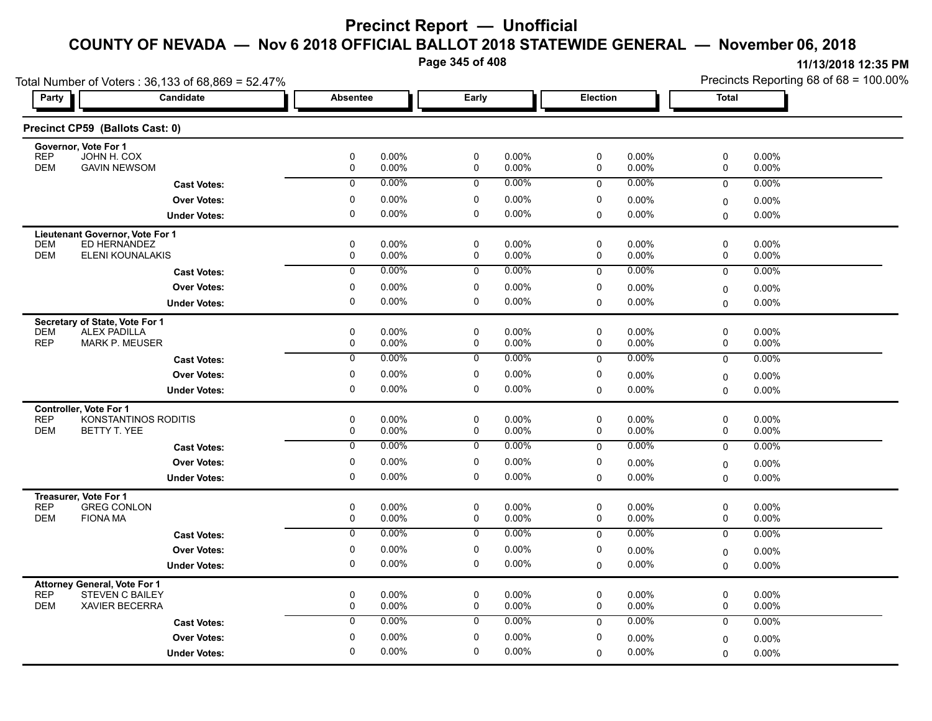**Page 345 of 408**

|                                                   | Total Number of Voters: 36,133 of 68,869 = 52.47% |                  |                   |                            |                |                  |                   | Precincts Reporting 68 of 68 = 100.00% |                |  |
|---------------------------------------------------|---------------------------------------------------|------------------|-------------------|----------------------------|----------------|------------------|-------------------|----------------------------------------|----------------|--|
| Party                                             | Candidate                                         | <b>Absentee</b>  |                   | Early                      |                | Election         |                   | Total                                  |                |  |
| Precinct CP59 (Ballots Cast: 0)                   |                                                   |                  |                   |                            |                |                  |                   |                                        |                |  |
| Governor, Vote For 1<br>JOHN H. COX<br><b>REP</b> |                                                   | 0                | $0.00\%$          | $\mathbf 0$                | 0.00%          | $\mathbf 0$      | 0.00%             | 0                                      | 0.00%          |  |
| <b>DEM</b>                                        | <b>GAVIN NEWSOM</b>                               | $\pmb{0}$        | 0.00%             | $\mathbf 0$                | 0.00%          | 0                | 0.00%             | 0                                      | 0.00%          |  |
|                                                   | <b>Cast Votes:</b>                                | $\mathbf 0$      | $0.00\%$          | $\mathbf 0$                | 0.00%          | $\mathbf 0$      | $0.00\%$          | 0                                      | 0.00%          |  |
|                                                   | <b>Over Votes:</b>                                | 0                | $0.00\%$          | 0                          | 0.00%          | 0                | $0.00\%$          | 0                                      | 0.00%          |  |
|                                                   | <b>Under Votes:</b>                               | 0                | $0.00\%$          | 0                          | 0.00%          | $\mathbf 0$      | $0.00\%$          | 0                                      | 0.00%          |  |
| Lieutenant Governor, Vote For 1                   |                                                   |                  |                   |                            |                |                  |                   |                                        |                |  |
| <b>DEM</b>                                        | ED HERNANDEZ                                      | 0                | 0.00%             | $\mathbf 0$                | 0.00%          | $\mathbf 0$      | 0.00%             | 0                                      | 0.00%          |  |
| <b>DEM</b>                                        | ELENI KOUNALAKIS                                  | 0                | $0.00\%$          | 0                          | 0.00%          | 0                | $0.00\%$          | 0                                      | $0.00\%$       |  |
|                                                   | <b>Cast Votes:</b>                                | $\overline{0}$   | 0.00%             | $\overline{0}$             | $0.00\%$       | $\mathbf 0$      | 0.00%             | $\mathbf 0$                            | 0.00%          |  |
|                                                   | <b>Over Votes:</b>                                | 0                | 0.00%             | 0                          | 0.00%          | 0                | 0.00%             | 0                                      | 0.00%          |  |
|                                                   | <b>Under Votes:</b>                               | $\Omega$         | $0.00\%$          | 0                          | 0.00%          | 0                | $0.00\%$          | $\Omega$                               | $0.00\%$       |  |
| Secretary of State, Vote For 1                    |                                                   |                  |                   |                            |                |                  |                   |                                        |                |  |
| <b>ALEX PADILLA</b><br><b>DEM</b><br><b>REP</b>   | <b>MARK P. MEUSER</b>                             | 0<br>$\mathbf 0$ | $0.00\%$<br>0.00% | $\mathbf 0$<br>$\pmb{0}$   | 0.00%<br>0.00% | 0<br>0           | $0.00\%$<br>0.00% | 0<br>0                                 | 0.00%<br>0.00% |  |
|                                                   | <b>Cast Votes:</b>                                | 0                | 0.00%             | 0                          | 0.00%          | $\mathbf 0$      | 0.00%             | 0                                      | 0.00%          |  |
|                                                   | <b>Over Votes:</b>                                | 0                | 0.00%             | 0                          | 0.00%          | 0                | $0.00\%$          | 0                                      | 0.00%          |  |
|                                                   | <b>Under Votes:</b>                               | 0                | $0.00\%$          | 0                          | 0.00%          | $\mathbf 0$      | $0.00\%$          | $\Omega$                               | $0.00\%$       |  |
|                                                   |                                                   |                  |                   |                            |                |                  |                   |                                        |                |  |
| <b>Controller, Vote For 1</b><br><b>REP</b>       | KONSTANTINOS RODITIS                              | $\mathbf 0$      | $0.00\%$          | $\mathbf 0$                | 0.00%          | $\mathbf 0$      | $0.00\%$          | 0                                      | 0.00%          |  |
| <b>DEM</b><br>BETTY T. YEE                        |                                                   | $\mathbf 0$      | 0.00%             | $\mathbf 0$                | 0.00%          | 0                | 0.00%             | 0                                      | 0.00%          |  |
|                                                   | <b>Cast Votes:</b>                                | $\overline{0}$   | 0.00%             | $\mathbf 0$                | $0.00\%$       | $\mathbf 0$      | 0.00%             | 0                                      | 0.00%          |  |
|                                                   | <b>Over Votes:</b>                                | 0                | 0.00%             | $\mathbf 0$                | 0.00%          | 0                | $0.00\%$          | 0                                      | $0.00\%$       |  |
|                                                   | <b>Under Votes:</b>                               | 0                | $0.00\%$          | 0                          | 0.00%          | $\mathbf 0$      | $0.00\%$          | $\Omega$                               | $0.00\%$       |  |
| Treasurer, Vote For 1                             |                                                   |                  |                   |                            |                |                  |                   |                                        |                |  |
| <b>REP</b>                                        | <b>GREG CONLON</b>                                | 0                | $0.00\%$          | 0                          | 0.00%          | 0                | $0.00\%$          | 0                                      | $0.00\%$       |  |
| <b>DEM</b><br><b>FIONA MA</b>                     |                                                   | 0                | 0.00%             | 0                          | 0.00%          | $\mathbf 0$      | $0.00\%$          | 0                                      | 0.00%          |  |
|                                                   | <b>Cast Votes:</b>                                | $\overline{0}$   | 0.00%             | $\overline{0}$             | 0.00%          | $\mathbf 0$      | 0.00%             | $\mathbf 0$                            | 0.00%          |  |
|                                                   | <b>Over Votes:</b>                                | 0                | 0.00%             | $\mathbf 0$                | 0.00%          | 0                | $0.00\%$          | 0                                      | 0.00%          |  |
|                                                   | <b>Under Votes:</b>                               | $\mathbf 0$      | 0.00%             | $\mathbf 0$                | 0.00%          | $\Omega$         | $0.00\%$          | 0                                      | $0.00\%$       |  |
| <b>Attorney General, Vote For 1</b>               |                                                   |                  |                   |                            |                |                  |                   |                                        |                |  |
| <b>REP</b><br><b>DEM</b>                          | <b>STEVEN C BAILEY</b><br><b>XAVIER BECERRA</b>   | 0<br>0           | $0.00\%$<br>0.00% | $\mathbf 0$<br>$\mathbf 0$ | 0.00%<br>0.00% | $\mathbf 0$<br>0 | 0.00%<br>0.00%    | 0<br>0                                 | 0.00%<br>0.00% |  |
|                                                   | <b>Cast Votes:</b>                                | $\mathbf 0$      | 0.00%             | 0                          | 0.00%          | $\mathbf 0$      | 0.00%             | 0                                      | 0.00%          |  |
|                                                   | <b>Over Votes:</b>                                | $\Omega$         | $0.00\%$          | 0                          | 0.00%          | 0                | 0.00%             | 0                                      | $0.00\%$       |  |
|                                                   | <b>Under Votes:</b>                               | 0                | 0.00%             | 0                          | 0.00%          | $\mathbf 0$      | 0.00%             | $\Omega$                               | $0.00\%$       |  |
|                                                   |                                                   |                  |                   |                            |                |                  |                   |                                        |                |  |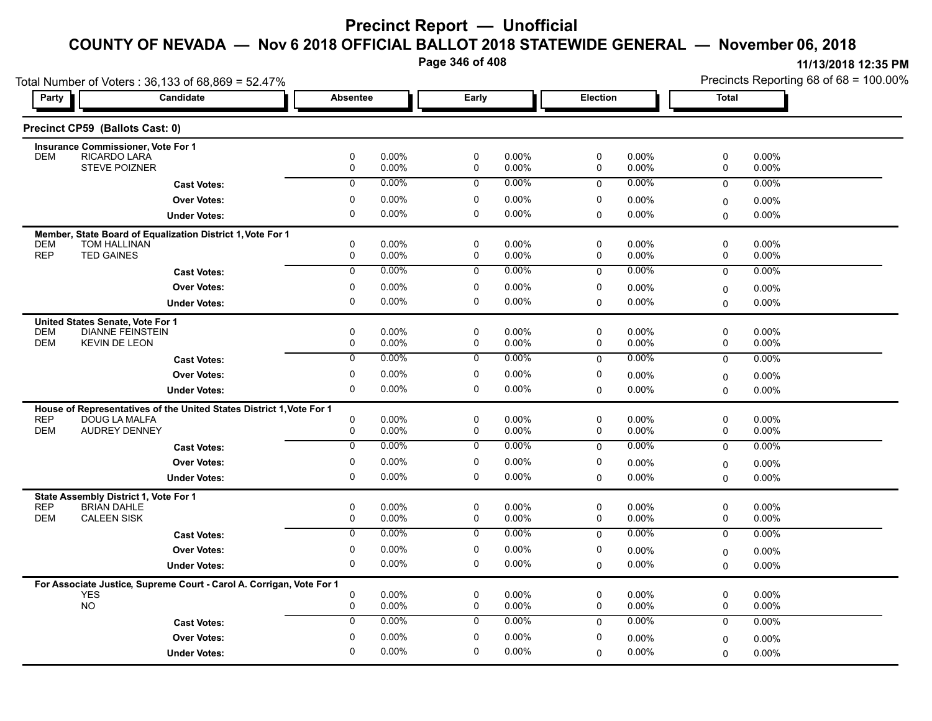**Page 346 of 408**

| Total Number of Voters: 36,133 of 68,869 = 52.47% |                                                                      |                 |                   |                  |                |                            |                | Precincts Reporting 68 of 68 = 100.00% |                |  |
|---------------------------------------------------|----------------------------------------------------------------------|-----------------|-------------------|------------------|----------------|----------------------------|----------------|----------------------------------------|----------------|--|
| Party                                             | Candidate                                                            | <b>Absentee</b> |                   | Early            |                | Election                   |                | Total                                  |                |  |
| Precinct CP59 (Ballots Cast: 0)                   |                                                                      |                 |                   |                  |                |                            |                |                                        |                |  |
|                                                   | <b>Insurance Commissioner, Vote For 1</b>                            |                 |                   |                  |                |                            |                |                                        |                |  |
| <b>DEM</b>                                        | RICARDO LARA<br><b>STEVE POIZNER</b>                                 | 0<br>0          | 0.00%<br>0.00%    | 0<br>0           | 0.00%<br>0.00% | 0<br>0                     | 0.00%<br>0.00% | 0<br>0                                 | 0.00%<br>0.00% |  |
|                                                   |                                                                      | $\mathbf 0$     | 0.00%             | $\mathbf 0$      | $0.00\%$       |                            | $0.00\%$       |                                        |                |  |
|                                                   | <b>Cast Votes:</b>                                                   |                 |                   |                  |                | $\mathbf 0$                |                | $\mathbf 0$                            | 0.00%          |  |
|                                                   | <b>Over Votes:</b>                                                   | 0               | 0.00%             | 0                | 0.00%          | 0                          | $0.00\%$       | 0                                      | 0.00%          |  |
|                                                   | <b>Under Votes:</b>                                                  | 0               | $0.00\%$          | 0                | 0.00%          | 0                          | 0.00%          | 0                                      | 0.00%          |  |
|                                                   | Member, State Board of Equalization District 1, Vote For 1           |                 |                   |                  |                |                            |                |                                        |                |  |
| <b>DEM</b><br><b>REP</b><br><b>TED GAINES</b>     | <b>TOM HALLINAN</b>                                                  | 0<br>0          | 0.00%<br>$0.00\%$ | $\mathbf 0$<br>0 | 0.00%<br>0.00% | $\mathbf 0$<br>$\mathbf 0$ | 0.00%<br>0.00% | 0<br>0                                 | 0.00%<br>0.00% |  |
|                                                   |                                                                      | $\overline{0}$  | 0.00%             | $\overline{0}$   | $0.00\%$       |                            | 0.00%          |                                        | 0.00%          |  |
|                                                   | <b>Cast Votes:</b>                                                   |                 |                   |                  |                | $\mathbf 0$                |                | 0                                      |                |  |
|                                                   | <b>Over Votes:</b>                                                   | 0               | 0.00%             | 0                | 0.00%          | 0                          | 0.00%          | 0                                      | 0.00%          |  |
|                                                   | <b>Under Votes:</b>                                                  | $\Omega$        | $0.00\%$          | 0                | 0.00%          | 0                          | 0.00%          | $\Omega$                               | $0.00\%$       |  |
| United States Senate, Vote For 1                  |                                                                      |                 |                   |                  |                |                            |                |                                        |                |  |
| <b>DEM</b>                                        | <b>DIANNE FEINSTEIN</b>                                              | 0               | 0.00%             | $\mathbf 0$      | 0.00%          | 0                          | 0.00%          | 0                                      | 0.00%          |  |
| <b>DEM</b>                                        | <b>KEVIN DE LEON</b>                                                 | 0               | $0.00\%$          | 0                | 0.00%          | 0                          | 0.00%          | 0                                      | 0.00%          |  |
|                                                   | <b>Cast Votes:</b>                                                   | $\mathbf 0$     | 0.00%             | $\mathbf 0$      | $0.00\%$       | $\mathbf 0$                | $0.00\%$       | $\mathbf 0$                            | $0.00\%$       |  |
|                                                   | <b>Over Votes:</b>                                                   | 0               | 0.00%             | 0                | 0.00%          | 0                          | 0.00%          | 0                                      | 0.00%          |  |
|                                                   | <b>Under Votes:</b>                                                  | 0               | $0.00\%$          | 0                | 0.00%          | $\mathbf 0$                | 0.00%          | $\Omega$                               | $0.00\%$       |  |
|                                                   | House of Representatives of the United States District 1, Vote For 1 |                 |                   |                  |                |                            |                |                                        |                |  |
| <b>REP</b>                                        | DOUG LA MALFA                                                        | 0               | 0.00%             | $\mathbf 0$      | 0.00%          | 0                          | $0.00\%$       | 0                                      | 0.00%          |  |
| <b>DEM</b>                                        | <b>AUDREY DENNEY</b>                                                 | 0               | $0.00\%$          | $\mathbf 0$      | 0.00%          | $\mathbf 0$                | $0.00\%$       | 0                                      | 0.00%          |  |
|                                                   | <b>Cast Votes:</b>                                                   | $\overline{0}$  | 0.00%             | $\overline{0}$   | $0.00\%$       | $\Omega$                   | $0.00\%$       | $\mathbf 0$                            | 0.00%          |  |
|                                                   | <b>Over Votes:</b>                                                   | 0               | 0.00%             | 0                | 0.00%          | 0                          | $0.00\%$       | 0                                      | 0.00%          |  |
|                                                   | <b>Under Votes:</b>                                                  | $\Omega$        | $0.00\%$          | 0                | 0.00%          | $\mathbf 0$                | 0.00%          | $\Omega$                               | $0.00\%$       |  |
|                                                   | State Assembly District 1, Vote For 1                                |                 |                   |                  |                |                            |                |                                        |                |  |
| <b>REP</b><br><b>BRIAN DAHLE</b>                  |                                                                      | 0               | $0.00\%$          | $\mathbf 0$      | 0.00%          | 0                          | $0.00\%$       | 0                                      | 0.00%          |  |
| <b>DEM</b><br><b>CALEEN SISK</b>                  |                                                                      | $\mathbf 0$     | $0.00\%$          | $\mathbf 0$      | 0.00%          | $\mathbf 0$                | 0.00%          | 0                                      | 0.00%          |  |
|                                                   | <b>Cast Votes:</b>                                                   | $\overline{0}$  | 0.00%             | $\overline{0}$   | $0.00\%$       | $\mathbf 0$                | $0.00\%$       | $\mathbf 0$                            | $0.00\%$       |  |
|                                                   | <b>Over Votes:</b>                                                   | 0               | 0.00%             | $\mathbf 0$      | 0.00%          | 0                          | 0.00%          | 0                                      | 0.00%          |  |
|                                                   | <b>Under Votes:</b>                                                  | 0               | $0.00\%$          | 0                | $0.00\%$       | $\mathbf 0$                | $0.00\%$       | $\Omega$                               | $0.00\%$       |  |
|                                                   | For Associate Justice, Supreme Court - Carol A. Corrigan, Vote For 1 |                 |                   |                  |                |                            |                |                                        |                |  |
| <b>YES</b>                                        |                                                                      | 0               | 0.00%             | $\mathbf 0$      | 0.00%          | 0                          | 0.00%          | 0                                      | 0.00%          |  |
| <b>NO</b>                                         |                                                                      | $\mathbf 0$     | $0.00\%$          | $\mathbf 0$      | 0.00%          | $\mathbf 0$                | $0.00\%$       | 0                                      | 0.00%          |  |
|                                                   | <b>Cast Votes:</b>                                                   | $\mathbf 0$     | 0.00%             | $\mathbf 0$      | $0.00\%$       | $\mathbf{0}$               | 0.00%          | $\mathbf 0$                            | 0.00%          |  |
|                                                   | <b>Over Votes:</b>                                                   | 0               | 0.00%             | $\mathbf 0$      | 0.00%          | 0                          | $0.00\%$       | 0                                      | $0.00\%$       |  |
|                                                   | <b>Under Votes:</b>                                                  | $\Omega$        | $0.00\%$          | $\Omega$         | 0.00%          | 0                          | 0.00%          | $\Omega$                               | 0.00%          |  |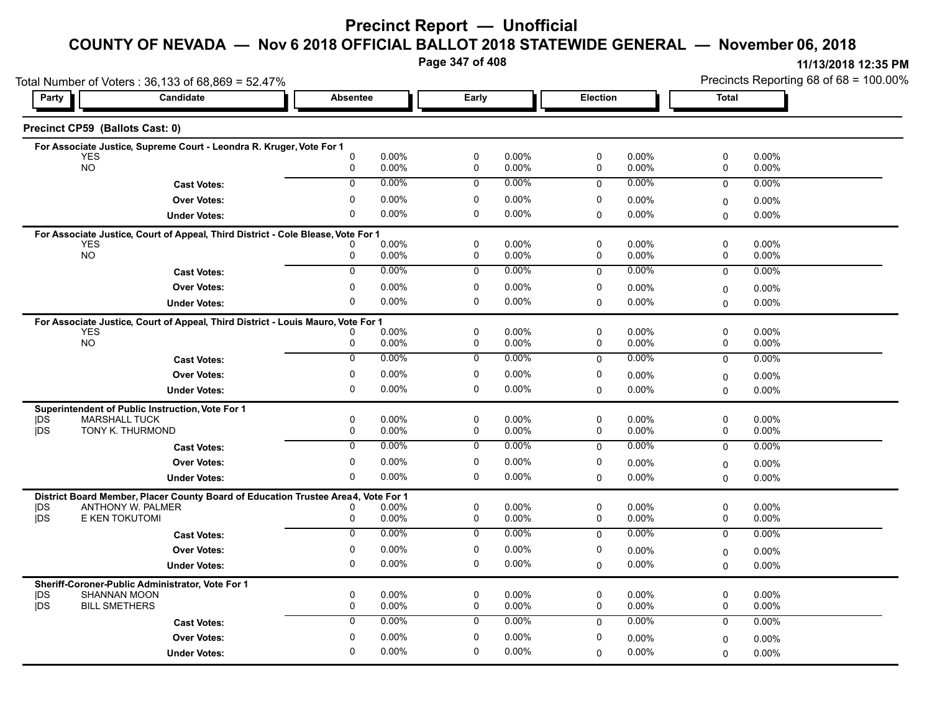# **Precinct Report — Unofficial**

### **COUNTY OF NEVADA — Nov 6 2018 OFFICIAL BALLOT 2018 STATEWIDE GENERAL — November 06, 2018**

**Page 347 of 408**

**11/13/2018 12:35 PM** Precincts Reporting 68 of 68 = 100.00%

|            | Total Number of Voters: 36,133 of 68,869 = 52.47%                                              |                          |                   |                            |                |             | Precincts Reporting 68 of 68 = 100.00% |               |                      |  |
|------------|------------------------------------------------------------------------------------------------|--------------------------|-------------------|----------------------------|----------------|-------------|----------------------------------------|---------------|----------------------|--|
| Party      | Candidate                                                                                      | <b>Absentee</b>          |                   | Early                      |                |             | <b>Election</b>                        |               | <b>Total</b>         |  |
|            | Precinct CP59 (Ballots Cast: 0)                                                                |                          |                   |                            |                |             |                                        |               |                      |  |
|            | For Associate Justice, Supreme Court - Leondra R. Kruger, Vote For 1                           |                          |                   |                            |                |             |                                        |               |                      |  |
|            | <b>YES</b><br><b>NO</b>                                                                        | $\mathbf{0}$<br>0        | $0.00\%$<br>0.00% | 0<br>0                     | 0.00%<br>0.00% | 0<br>0      | 0.00%<br>0.00%                         | 0<br>0        | $0.00\%$<br>0.00%    |  |
|            |                                                                                                | $\Omega$                 | $0.00\%$          | $\Omega$                   | 0.00%          |             | 0.00%                                  |               |                      |  |
|            | <b>Cast Votes:</b>                                                                             |                          |                   |                            |                | $\Omega$    |                                        | $\mathbf 0$   | 0.00%                |  |
|            | <b>Over Votes:</b>                                                                             | $\mathbf{0}$<br>$\Omega$ | 0.00%             | 0                          | 0.00%          | 0           | 0.00%                                  | 0             | $0.00\%$             |  |
|            | <b>Under Votes:</b>                                                                            |                          | $0.00\%$          | $\mathbf 0$                | 0.00%          | $\mathbf 0$ | 0.00%                                  | $\Omega$      | 0.00%                |  |
|            | For Associate Justice, Court of Appeal, Third District - Cole Blease, Vote For 1               |                          |                   |                            |                |             |                                        |               |                      |  |
|            | <b>YES</b><br><b>NO</b>                                                                        | 0                        | $0.00\%$<br>0.00% | $\mathbf 0$<br>$\mathbf 0$ | 0.00%<br>0.00% | 0<br>0      | $0.00\%$<br>0.00%                      | 0<br>0        | 0.00%<br>$0.00\%$    |  |
|            | <b>Cast Votes:</b>                                                                             | $\overline{0}$           | $0.00\%$          | $\overline{0}$             | 0.00%          | $\mathbf 0$ | $0.00\%$                               | $\mathbf 0$   | 0.00%                |  |
|            | <b>Over Votes:</b>                                                                             | 0                        | $0.00\%$          | 0                          | 0.00%          | 0           | $0.00\%$                               |               |                      |  |
|            | <b>Under Votes:</b>                                                                            | 0                        | 0.00%             | 0                          | 0.00%          | $\Omega$    | 0.00%                                  | 0<br>$\Omega$ | $0.00\%$<br>$0.00\%$ |  |
|            |                                                                                                |                          |                   |                            |                |             |                                        |               |                      |  |
|            | For Associate Justice, Court of Appeal, Third District - Louis Mauro, Vote For 1<br><b>YES</b> |                          | 0.00%             | $\mathbf 0$                | 0.00%          | 0           | $0.00\%$                               | 0             | 0.00%                |  |
|            | <b>NO</b>                                                                                      | 0                        | $0.00\%$          | 0                          | 0.00%          | 0           | 0.00%                                  | 0             | 0.00%                |  |
|            | <b>Cast Votes:</b>                                                                             | 0                        | 0.00%             | 0                          | 0.00%          | $\mathbf 0$ | $0.00\%$                               | $\mathbf 0$   | 0.00%                |  |
|            | <b>Over Votes:</b>                                                                             | 0                        | 0.00%             | 0                          | 0.00%          | 0           | 0.00%                                  | 0             | 0.00%                |  |
|            | <b>Under Votes:</b>                                                                            | 0                        | $0.00\%$          | $\mathbf 0$                | 0.00%          | $\mathbf 0$ | $0.00\%$                               | $\Omega$      | $0.00\%$             |  |
|            |                                                                                                |                          |                   |                            |                |             |                                        |               |                      |  |
| DS         | Superintendent of Public Instruction, Vote For 1<br><b>MARSHALL TUCK</b>                       | 0                        | 0.00%             | $\mathbf 0$                | 0.00%          | 0           | 0.00%                                  | 0             | 0.00%                |  |
| <b>IDS</b> | TONY K. THURMOND                                                                               | 0                        | $0.00\%$          | 0                          | 0.00%          | 0           | 0.00%                                  | 0             | $0.00\%$             |  |
|            | <b>Cast Votes:</b>                                                                             | $\overline{0}$           | 0.00%             | $\mathbf 0$                | $0.00\%$       | $\mathbf 0$ | $0.00\%$                               | 0             | $0.00\%$             |  |
|            | <b>Over Votes:</b>                                                                             | 0                        | $0.00\%$          | 0                          | 0.00%          | 0           | $0.00\%$                               | $\Omega$      | $0.00\%$             |  |
|            | <b>Under Votes:</b>                                                                            | 0                        | 0.00%             | 0                          | 0.00%          | $\Omega$    | 0.00%                                  | $\Omega$      | $0.00\%$             |  |
|            | District Board Member, Placer County Board of Education Trustee Area4, Vote For 1              |                          |                   |                            |                |             |                                        |               |                      |  |
| <b>IDS</b> | ANTHONY W. PALMER                                                                              | 0                        | 0.00%             | $\mathbf 0$                | $0.00\%$       | $\mathbf 0$ | $0.00\%$                               | 0             | 0.00%                |  |
| jDS        | E KEN TOKUTOMI                                                                                 | 0                        | 0.00%             | $\pmb{0}$                  | 0.00%          | 0           | $0.00\%$                               | 0             | $0.00\%$             |  |
|            | <b>Cast Votes:</b>                                                                             | $\overline{0}$           | 0.00%             | $\overline{0}$             | $0.00\%$       | $\mathbf 0$ | 0.00%                                  | $\mathbf 0$   | $0.00\%$             |  |
|            | <b>Over Votes:</b>                                                                             | 0                        | 0.00%             | $\mathbf 0$                | 0.00%          | 0           | $0.00\%$                               | 0             | $0.00\%$             |  |
|            | <b>Under Votes:</b>                                                                            | 0                        | 0.00%             | 0                          | 0.00%          | $\mathbf 0$ | 0.00%                                  | $\Omega$      | $0.00\%$             |  |
|            | Sheriff-Coroner-Public Administrator, Vote For 1                                               |                          |                   |                            |                |             |                                        |               |                      |  |
| <b>IDS</b> | <b>SHANNAN MOON</b>                                                                            | 0                        | $0.00\%$          | 0                          | 0.00%          | $\mathbf 0$ | $0.00\%$                               | 0             | $0.00\%$             |  |
| <b>IDS</b> | <b>BILL SMETHERS</b>                                                                           | 0                        | 0.00%             | $\mathbf 0$                | 0.00%          | $\mathbf 0$ | 0.00%                                  | 0             | $0.00\%$             |  |
|            | <b>Cast Votes:</b>                                                                             | 0                        | 0.00%             | $\mathbf 0$                | 0.00%          | $\mathbf 0$ | $0.00\%$                               | 0             | $0.00\%$             |  |
|            | <b>Over Votes:</b>                                                                             | 0                        | 0.00%             | $\mathbf 0$                | 0.00%          | 0           | $0.00\%$                               | 0             | $0.00\%$             |  |
|            | <b>Under Votes:</b>                                                                            | $\Omega$                 | 0.00%             | $\Omega$                   | 0.00%          | 0           | $0.00\%$                               | $\Omega$      | $0.00\%$             |  |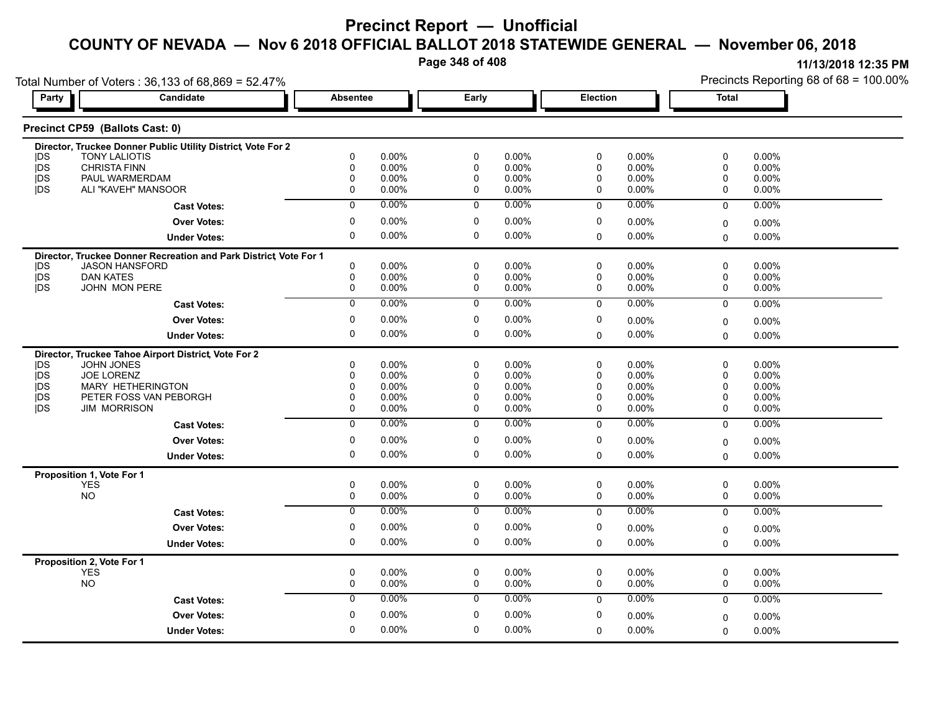**Page 348 of 408**

|                          | Total Number of Voters: 36,133 of 68,869 = 52.47%                                         |                         |                   |                |                      |                  |                 |             | Precincts Reporting 68 of 68 = 100.00% |
|--------------------------|-------------------------------------------------------------------------------------------|-------------------------|-------------------|----------------|----------------------|------------------|-----------------|-------------|----------------------------------------|
| Party                    | <b>Candidate</b>                                                                          |                         | <b>Absentee</b>   |                | Early                |                  | <b>Election</b> |             |                                        |
|                          | Precinct CP59 (Ballots Cast: 0)                                                           |                         |                   |                |                      |                  |                 |             |                                        |
|                          | Director, Truckee Donner Public Utility District, Vote For 2                              |                         |                   |                |                      |                  |                 |             |                                        |
| <b>IDS</b>               | <b>TONY LALIOTIS</b>                                                                      | 0                       | 0.00%             | 0              | 0.00%                | 0                | 0.00%           | 0           | 0.00%                                  |
| jDS<br><b>IDS</b>        | <b>CHRISTA FINN</b><br>PAUL WARMERDAM                                                     | $\mathbf 0$<br>$\Omega$ | 0.00%<br>$0.00\%$ | 0<br>0         | $0.00\%$<br>$0.00\%$ | 0<br>$\mathbf 0$ | 0.00%<br>0.00%  | 0<br>0      | 0.00%<br>0.00%                         |
| <b>IDS</b>               | ALI "KAVEH" MANSOOR                                                                       | 0                       | $0.00\%$          | 0              | $0.00\%$             | 0                | 0.00%           | $\mathbf 0$ | 0.00%                                  |
|                          | <b>Cast Votes:</b>                                                                        | $\overline{0}$          | 0.00%             | $\mathbf 0$    | $0.00\%$             | $\Omega$         | $0.00\%$        | $\Omega$    | 0.00%                                  |
|                          | <b>Over Votes:</b>                                                                        | 0                       | $0.00\%$          | 0              | $0.00\%$             | 0                | 0.00%           | $\mathbf 0$ | 0.00%                                  |
|                          | <b>Under Votes:</b>                                                                       | $\mathbf 0$             | $0.00\%$          | 0              | $0.00\%$             | $\Omega$         | $0.00\%$        | $\Omega$    | 0.00%                                  |
|                          |                                                                                           |                         |                   |                |                      |                  |                 |             |                                        |
|                          | Director, Truckee Donner Recreation and Park District Vote For 1<br><b>JASON HANSFORD</b> | $\mathbf 0$             | 0.00%             | 0              | $0.00\%$             | 0                | 0.00%           | 0           | 0.00%                                  |
| <b>IDS</b><br><b>IDS</b> | <b>DAN KATES</b>                                                                          | $\mathbf 0$             | 0.00%             | 0              | $0.00\%$             | 0                | 0.00%           | 0           | 0.00%                                  |
| <b>IDS</b>               | JOHN MON PERE                                                                             | 0                       | 0.00%             | 0              | 0.00%                | 0                | 0.00%           | $\mathbf 0$ | 0.00%                                  |
|                          | <b>Cast Votes:</b>                                                                        | $\overline{0}$          | 0.00%             | $\overline{0}$ | 0.00%                | $\Omega$         | 0.00%           | $\Omega$    | 0.00%                                  |
|                          |                                                                                           | $\mathbf 0$             | 0.00%             | 0              | 0.00%                |                  |                 |             |                                        |
|                          | <b>Over Votes:</b>                                                                        |                         |                   |                |                      | 0                | 0.00%           | $\mathbf 0$ | 0.00%                                  |
|                          | <b>Under Votes:</b>                                                                       | $\mathbf 0$             | $0.00\%$          | 0              | $0.00\%$             | $\mathbf{0}$     | 0.00%           | $\Omega$    | 0.00%                                  |
|                          | Director, Truckee Tahoe Airport District, Vote For 2                                      |                         |                   |                |                      |                  |                 |             |                                        |
| <b>IDS</b>               | JOHN JONES                                                                                | $\mathbf{0}$            | 0.00%             | 0              | 0.00%                | 0                | 0.00%           | 0           | 0.00%                                  |
| <b>IDS</b>               | <b>JOE LORENZ</b>                                                                         | $\Omega$                | $0.00\%$          | 0              | 0.00%                | $\Omega$         | 0.00%           | 0           | 0.00%                                  |
| <b>IDS</b>               | <b>MARY HETHERINGTON</b>                                                                  | 0                       | $0.00\%$          | $\mathbf 0$    | $0.00\%$             | $\Omega$         | 0.00%           | 0           | $0.00\%$                               |
| <b>IDS</b>               | PETER FOSS VAN PEBORGH                                                                    | 0                       | 0.00%             | 0              | $0.00\%$             | 0                | 0.00%           | 0           | 0.00%                                  |
| <b>IDS</b>               | <b>JIM MORRISON</b>                                                                       | $\mathbf 0$             | $0.00\%$          | 0              | 0.00%                | $\mathbf 0$      | 0.00%           | 0           | 0.00%                                  |
|                          | <b>Cast Votes:</b>                                                                        | $\overline{0}$          | 0.00%             | $\overline{0}$ | $0.00\%$             | $\Omega$         | 0.00%           | $\Omega$    | 0.00%                                  |
|                          | <b>Over Votes:</b>                                                                        | $\mathbf 0$             | $0.00\%$          | 0              | $0.00\%$             | 0                | 0.00%           | $\mathbf 0$ | 0.00%                                  |
|                          | <b>Under Votes:</b>                                                                       | $\mathbf 0$             | $0.00\%$          | 0              | $0.00\%$             | $\Omega$         | 0.00%           | $\Omega$    | $0.00\%$                               |
|                          | Proposition 1, Vote For 1                                                                 |                         |                   |                |                      |                  |                 |             |                                        |
|                          | <b>YES</b>                                                                                | 0                       | 0.00%             | 0              | 0.00%                | 0                | 0.00%           | 0           | 0.00%                                  |
|                          | <b>NO</b>                                                                                 | 0                       | 0.00%             | 0              | 0.00%                | 0                | 0.00%           | 0           | 0.00%                                  |
|                          | <b>Cast Votes:</b>                                                                        | $\mathbf 0$             | 0.00%             | 0              | $0.00\%$             | $\mathbf 0$      | 0.00%           | $\mathbf 0$ | 0.00%                                  |
|                          | <b>Over Votes:</b>                                                                        | 0                       | 0.00%             | 0              | $0.00\%$             | 0                | 0.00%           | $\mathbf 0$ | 0.00%                                  |
|                          | <b>Under Votes:</b>                                                                       | $\mathbf 0$             | $0.00\%$          | 0              | $0.00\%$             | $\mathbf{0}$     | 0.00%           | $\mathbf 0$ | 0.00%                                  |
|                          | Proposition 2, Vote For 1                                                                 |                         |                   |                |                      |                  |                 |             |                                        |
|                          | <b>YES</b>                                                                                | $\mathbf 0$             | $0.00\%$          | 0              | $0.00\%$             | 0                | $0.00\%$        | 0           | $0.00\%$                               |
|                          | <b>NO</b>                                                                                 | $\mathsf{O}$            | 0.00%             | 0              | $0.00\%$             | 0                | $0.00\%$        | 0           | 0.00%                                  |
|                          | <b>Cast Votes:</b>                                                                        | $\mathbf 0$             | $0.00\%$          | 0              | $0.00\%$             | $\Omega$         | $0.00\%$        | $\mathbf 0$ | 0.00%                                  |
|                          | <b>Over Votes:</b>                                                                        | $\mathbf 0$             | $0.00\%$          | 0              | $0.00\%$             | $\mathbf 0$      | 0.00%           | 0           | $0.00\%$                               |
|                          | <b>Under Votes:</b>                                                                       | $\Omega$                | 0.00%             | $\Omega$       | $0.00\%$             | 0                | $0.00\%$        | $\Omega$    | 0.00%                                  |
|                          |                                                                                           |                         |                   |                |                      |                  |                 |             |                                        |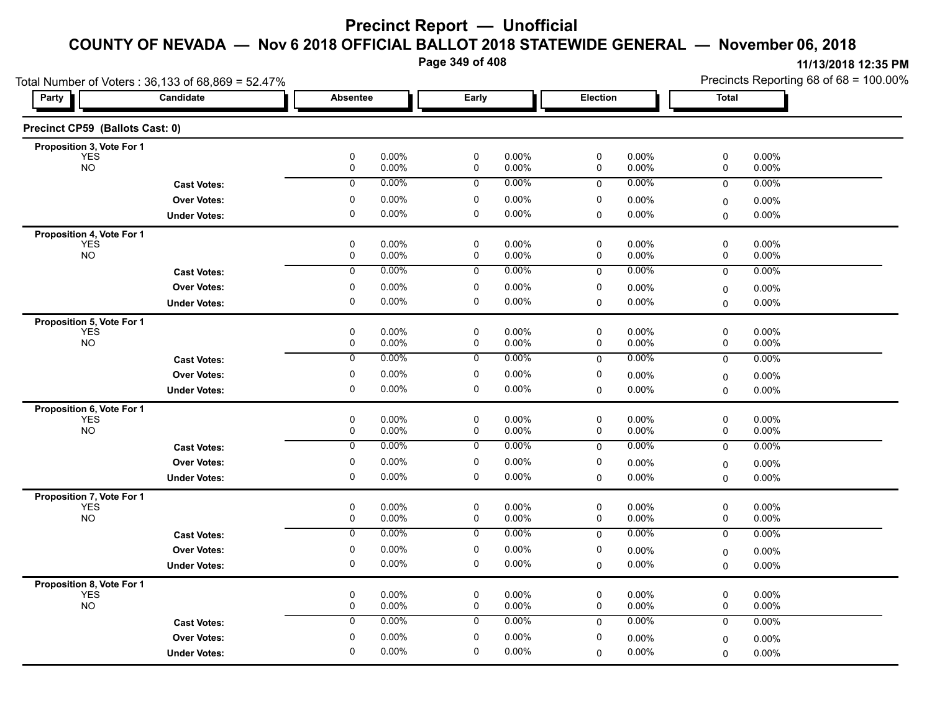**Page 349 of 408**

| Party                           | Total Number of Voters: 36,133 of 68,869 = 52.47%<br>Candidate | Absentee                         |                | Early                              |                | <b>Election</b>  |                | <b>Total</b>     | Precincts Reporting 68 of 68 = 100.00% |
|---------------------------------|----------------------------------------------------------------|----------------------------------|----------------|------------------------------------|----------------|------------------|----------------|------------------|----------------------------------------|
|                                 |                                                                |                                  |                |                                    |                |                  |                |                  |                                        |
| Precinct CP59 (Ballots Cast: 0) |                                                                |                                  |                |                                    |                |                  |                |                  |                                        |
| Proposition 3, Vote For 1       |                                                                | $\pmb{0}$                        | 0.00%          |                                    | 0.00%          | $\mathbf 0$      | 0.00%          | $\mathsf 0$      | 0.00%                                  |
| <b>YES</b><br><b>NO</b>         |                                                                | $\mathsf{O}$                     | 0.00%          | $\pmb{0}$<br>$\mathsf{O}$          | 0.00%          | $\pmb{0}$        | 0.00%          | 0                | 0.00%                                  |
|                                 | <b>Cast Votes:</b>                                             | $\overline{0}$                   | 0.00%          | $\overline{0}$                     | $0.00\%$       | 0                | 0.00%          | $\mathsf 0$      | 0.00%                                  |
|                                 | <b>Over Votes:</b>                                             | $\mathbf 0$                      | 0.00%          | $\mathbf 0$                        | 0.00%          | $\mathbf 0$      | 0.00%          | 0                | 0.00%                                  |
|                                 | <b>Under Votes:</b>                                            | $\mathbf 0$                      | 0.00%          | $\mathbf 0$                        | 0.00%          | 0                | 0.00%          | 0                | 0.00%                                  |
| Proposition 4, Vote For 1       |                                                                |                                  |                |                                    |                |                  |                |                  |                                        |
| <b>YES</b><br>NO <sub>1</sub>   |                                                                | $\mathbf 0$<br>0                 | 0.00%<br>0.00% | $\mathbf 0$<br>0                   | 0.00%<br>0.00% | $\mathbf 0$<br>0 | 0.00%<br>0.00% | 0<br>0           | 0.00%<br>0.00%                         |
|                                 | <b>Cast Votes:</b>                                             | $\overline{0}$                   | 0.00%          | $\overline{0}$                     | 0.00%          | $\mathbf 0$      | 0.00%          | $\mathbf 0$      | 0.00%                                  |
|                                 | <b>Over Votes:</b>                                             | 0                                | 0.00%          | $\mathbf 0$                        | 0.00%          | 0                | 0.00%          | 0                | 0.00%                                  |
|                                 | <b>Under Votes:</b>                                            | 0                                | 0.00%          | 0                                  | 0.00%          | 0                | 0.00%          | $\mathbf 0$      | 0.00%                                  |
| Proposition 5, Vote For 1       |                                                                |                                  |                |                                    |                |                  |                |                  |                                        |
| <b>YES</b><br><b>NO</b>         |                                                                | 0<br>0                           | 0.00%<br>0.00% | $\mathsf 0$<br>0                   | 0.00%<br>0.00% | 0<br>0           | 0.00%<br>0.00% | 0<br>$\mathsf 0$ | 0.00%<br>0.00%                         |
|                                 | <b>Cast Votes:</b>                                             | $\overline{0}$                   | 0.00%          | $\overline{0}$                     | 0.00%          | 0                | 0.00%          | $\mathbf 0$      | 0.00%                                  |
|                                 | <b>Over Votes:</b>                                             | 0                                | 0.00%          | 0                                  | 0.00%          | 0                | 0.00%          | 0                | 0.00%                                  |
|                                 | <b>Under Votes:</b>                                            | $\mathbf 0$                      | 0.00%          | $\pmb{0}$                          | 0.00%          | $\mathbf 0$      | 0.00%          | $\mathbf 0$      | 0.00%                                  |
| Proposition 6, Vote For 1       |                                                                |                                  |                |                                    |                |                  |                |                  |                                        |
| <b>YES</b>                      |                                                                | $\pmb{0}$                        | 0.00%          | $\pmb{0}$                          | 0.00%          | $\mathbf 0$      | 0.00%          | 0                | 0.00%                                  |
| <b>NO</b>                       |                                                                | $\mathsf{O}$                     | 0.00%          | $\mathsf{O}$                       | 0.00%          | $\mathbf 0$      | 0.00%          | 0                | 0.00%                                  |
|                                 | <b>Cast Votes:</b>                                             | $\overline{0}$                   | 0.00%          | $\overline{0}$                     | 0.00%          | $\mathbf 0$      | 0.00%          | $\mathbf 0$      | 0.00%                                  |
|                                 | <b>Over Votes:</b>                                             | $\mathbf 0$                      | 0.00%          | $\mathbf 0$                        | 0.00%          | $\mathbf 0$      | 0.00%          | 0                | 0.00%                                  |
|                                 | <b>Under Votes:</b>                                            | 0                                | 0.00%          | 0                                  | 0.00%          | 0                | 0.00%          | $\mathbf 0$      | 0.00%                                  |
| Proposition 7, Vote For 1       |                                                                |                                  |                |                                    |                |                  |                |                  |                                        |
| <b>YES</b><br><b>NO</b>         |                                                                | $\pmb{0}$<br>$\mathsf{O}\xspace$ | 0.00%<br>0.00% | $\mathsf 0$<br>$\mathsf{O}\xspace$ | 0.00%<br>0.00% | $\pmb{0}$<br>0   | 0.00%<br>0.00% | 0<br>0           | 0.00%<br>0.00%                         |
|                                 | <b>Cast Votes:</b>                                             | $\overline{0}$                   | 0.00%          | $\overline{0}$                     | 0.00%          | $\mathbf 0$      | 0.00%          | 0                | 0.00%                                  |
|                                 | <b>Over Votes:</b>                                             | 0                                | 0.00%          | 0                                  | 0.00%          | 0                | 0.00%          | $\pmb{0}$        | 0.00%                                  |
|                                 | <b>Under Votes:</b>                                            | $\mathbf 0$                      | 0.00%          | $\pmb{0}$                          | $0.00\%$       | $\mathbf 0$      | 0.00%          | $\mathbf 0$      | 0.00%                                  |
| Proposition 8, Vote For 1       |                                                                |                                  |                |                                    |                |                  |                |                  |                                        |
| YES                             |                                                                | $\pmb{0}$                        | 0.00%          | $\mathsf 0$                        | 0.00%          | $\pmb{0}$        | 0.00%          | 0                | 0.00%                                  |
| <b>NO</b>                       |                                                                | $\mathsf{O}$                     | 0.00%          | $\mathsf{O}$                       | 0.00%          | $\mathbf 0$      | 0.00%          | $\mathbf 0$      | 0.00%                                  |
|                                 | <b>Cast Votes:</b>                                             | $\mathbf 0$                      | 0.00%          | $\mathbf 0$                        | 0.00%          | $\mathbf 0$      | 0.00%          | $\mathbf 0$      | 0.00%                                  |
|                                 | <b>Over Votes:</b>                                             | $\mathbf 0$                      | 0.00%          | $\mathbf 0$                        | 0.00%          | $\mathbf 0$      | 0.00%          | 0                | 0.00%                                  |
|                                 | <b>Under Votes:</b>                                            | $\mathbf 0$                      | 0.00%          | $\mathbf 0$                        | 0.00%          | $\Omega$         | 0.00%          | 0                | 0.00%                                  |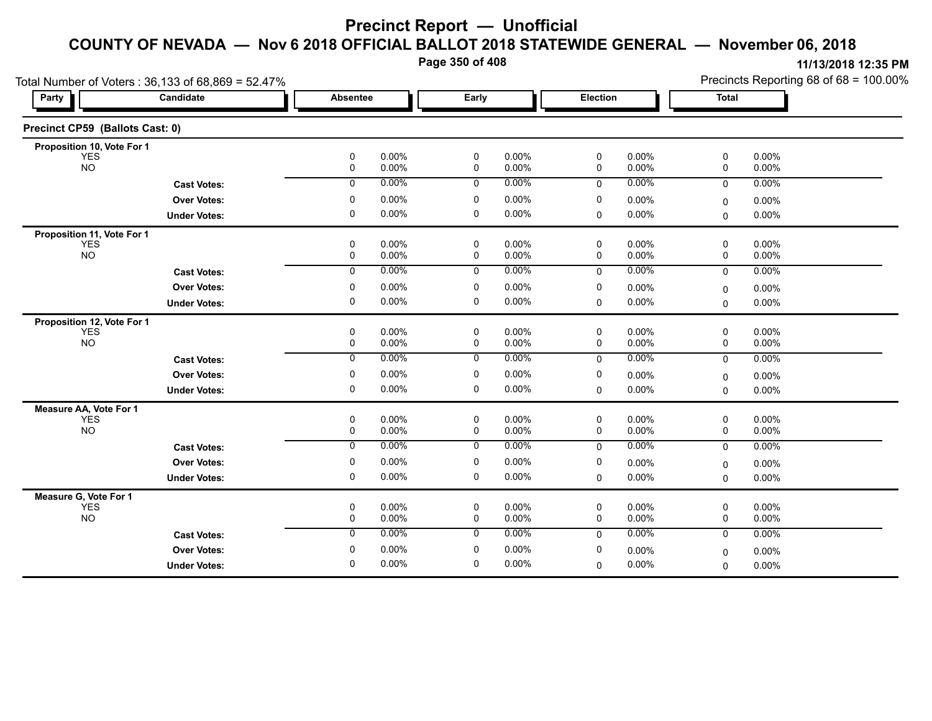**Page 350 of 408**

|                                      | Total Number of Voters: 36,133 of 68,869 = 52.47% |                            |                |                            |                |                            |                 | Precincts Reporting 68 of 68 = 100.00% |                   |  |
|--------------------------------------|---------------------------------------------------|----------------------------|----------------|----------------------------|----------------|----------------------------|-----------------|----------------------------------------|-------------------|--|
| <b>Party</b>                         | Candidate                                         |                            | Absentee       |                            | Early          |                            | <b>Election</b> |                                        | <b>Total</b>      |  |
| Precinct CP59 (Ballots Cast: 0)      |                                                   |                            |                |                            |                |                            |                 |                                        |                   |  |
| Proposition 10, Vote For 1           |                                                   |                            |                |                            |                |                            |                 |                                        |                   |  |
| <b>YES</b><br><b>NO</b>              |                                                   | 0<br>$\mathbf 0$           | 0.00%<br>0.00% | 0<br>$\mathbf 0$           | 0.00%<br>0.00% | 0<br>$\mathbf 0$           | 0.00%<br>0.00%  | 0<br>0                                 | $0.00\%$<br>0.00% |  |
|                                      | <b>Cast Votes:</b>                                | $\mathbf 0$                | 0.00%          | $\mathbf 0$                | 0.00%          | $\Omega$                   | 0.00%           | $\mathbf 0$                            | 0.00%             |  |
|                                      | <b>Over Votes:</b>                                | 0                          | 0.00%          | 0                          | 0.00%          | 0                          | 0.00%           | $\Omega$                               | 0.00%             |  |
|                                      | <b>Under Votes:</b>                               | 0                          | 0.00%          | $\mathbf 0$                | 0.00%          | 0                          | $0.00\%$        | $\Omega$                               | 0.00%             |  |
| Proposition 11, Vote For 1           |                                                   |                            |                |                            |                |                            |                 |                                        |                   |  |
| <b>YES</b><br><b>NO</b>              |                                                   | 0<br>0                     | 0.00%<br>0.00% | 0<br>0                     | 0.00%<br>0.00% | 0<br>0                     | 0.00%<br>0.00%  | 0<br>0                                 | 0.00%<br>0.00%    |  |
|                                      | <b>Cast Votes:</b>                                | $\overline{0}$             | 0.00%          | $\overline{0}$             | 0.00%          | $\mathbf{0}$               | 0.00%           | $\Omega$                               | 0.00%             |  |
|                                      |                                                   |                            |                |                            |                |                            |                 |                                        |                   |  |
|                                      | <b>Over Votes:</b>                                | 0                          | 0.00%          | 0                          | 0.00%          | 0                          | 0.00%           | 0                                      | 0.00%             |  |
|                                      | <b>Under Votes:</b>                               | 0                          | 0.00%          | 0                          | 0.00%          | 0                          | 0.00%           | 0                                      | 0.00%             |  |
| Proposition 12, Vote For 1           |                                                   |                            |                |                            |                |                            |                 |                                        |                   |  |
| <b>YES</b><br><b>NO</b>              |                                                   | $\mathbf 0$<br>$\mathbf 0$ | 0.00%<br>0.00% | $\mathbf 0$<br>$\mathbf 0$ | 0.00%<br>0.00% | $\mathbf 0$<br>$\mathbf 0$ | 0.00%<br>0.00%  | 0<br>$\mathbf 0$                       | 0.00%<br>0.00%    |  |
|                                      | <b>Cast Votes:</b>                                | $\mathbf 0$                | 0.00%          | $\mathbf 0$                | 0.00%          | $\mathbf 0$                | 0.00%           | $\mathbf 0$                            | 0.00%             |  |
|                                      | <b>Over Votes:</b>                                | 0                          | 0.00%          | 0                          | 0.00%          | 0                          | 0.00%           |                                        | 0.00%             |  |
|                                      | <b>Under Votes:</b>                               | 0                          | 0.00%          | 0                          | 0.00%          | 0                          | 0.00%           | 0<br>$\Omega$                          | 0.00%             |  |
|                                      |                                                   |                            |                |                            |                |                            |                 |                                        |                   |  |
| Measure AA, Vote For 1<br><b>YES</b> |                                                   | $\mathbf 0$                | 0.00%          | $\mathbf 0$                | 0.00%          | 0                          | 0.00%           | 0                                      | 0.00%             |  |
| <b>NO</b>                            |                                                   | 0                          | 0.00%          | 0                          | 0.00%          | 0                          | 0.00%           | $\mathbf 0$                            | 0.00%             |  |
|                                      | <b>Cast Votes:</b>                                | 0                          | 0.00%          | $\mathbf 0$                | 0.00%          | $\mathbf 0$                | 0.00%           | $\mathbf 0$                            | 0.00%             |  |
|                                      | <b>Over Votes:</b>                                | 0                          | 0.00%          | 0                          | 0.00%          | 0                          | 0.00%           | 0                                      | 0.00%             |  |
|                                      | <b>Under Votes:</b>                               | 0                          | 0.00%          | 0                          | 0.00%          | $\mathbf 0$                | 0.00%           | $\Omega$                               | 0.00%             |  |
| Measure G, Vote For 1                |                                                   |                            |                |                            |                |                            |                 |                                        |                   |  |
| <b>YES</b>                           |                                                   | $\mathbf 0$                | 0.00%          | $\mathbf 0$                | 0.00%          | $\mathbf 0$                | 0.00%           | 0                                      | 0.00%             |  |
| <b>NO</b>                            |                                                   | 0                          | 0.00%          | 0                          | 0.00%          | 0                          | 0.00%           | 0                                      | 0.00%             |  |
|                                      | <b>Cast Votes:</b>                                | 0                          | 0.00%          | 0                          | 0.00%          | $\mathbf 0$                | 0.00%           | $\mathbf 0$                            | 0.00%             |  |
|                                      | <b>Over Votes:</b>                                | 0                          | 0.00%          | 0                          | 0.00%          | 0                          | 0.00%           | $\Omega$                               | $0.00\%$          |  |
|                                      | <b>Under Votes:</b>                               | $\mathbf 0$                | 0.00%          | $\mathbf 0$                | 0.00%          | $\Omega$                   | 0.00%           | $\Omega$                               | 0.00%             |  |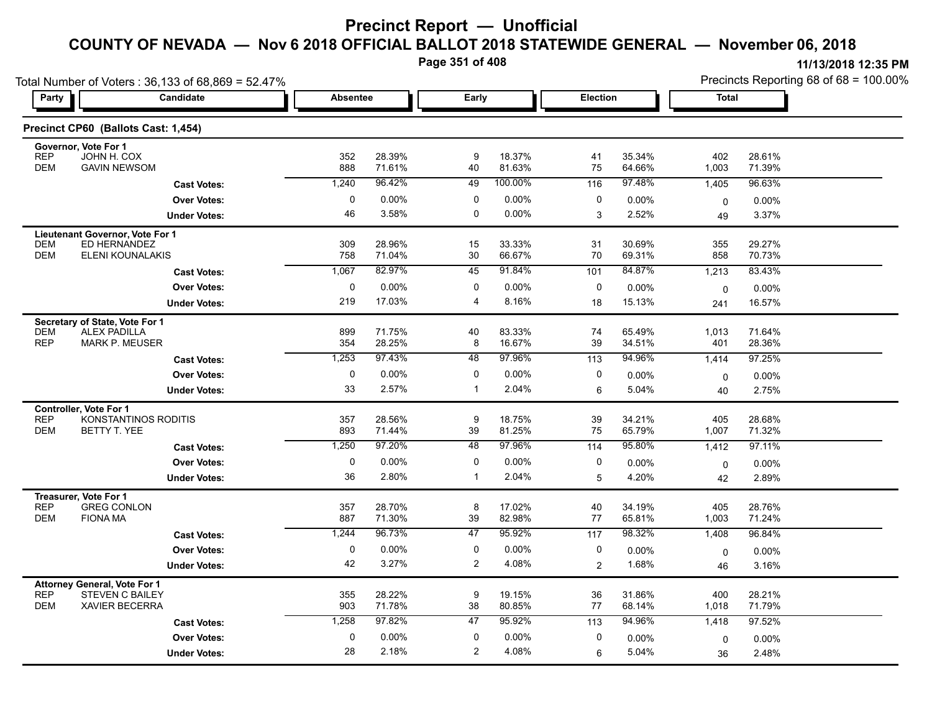**Page 351 of 408**

|                                                                                   | Total Number of Voters: 36,133 of 68,869 = 52.47% |                 |                  |          |                  |                 |                  | Precincts Reporting 68 of 68 = 100.00% |                    |  |
|-----------------------------------------------------------------------------------|---------------------------------------------------|-----------------|------------------|----------|------------------|-----------------|------------------|----------------------------------------|--------------------|--|
| Party                                                                             | Candidate                                         | <b>Absentee</b> |                  | Early    |                  | <b>Election</b> |                  | Total                                  |                    |  |
|                                                                                   | Precinct CP60 (Ballots Cast: 1,454)               |                 |                  |          |                  |                 |                  |                                        |                    |  |
| Governor, Vote For 1<br><b>REP</b><br>JOHN H. COX<br><b>DEM</b>                   | <b>GAVIN NEWSOM</b>                               | 352<br>888      | 28.39%<br>71.61% | 9<br>40  | 18.37%<br>81.63% | 41<br>75        | 35.34%<br>64.66% | 402<br>1,003                           | 28.61%<br>71.39%   |  |
|                                                                                   | <b>Cast Votes:</b>                                | 1,240           | 96.42%           | 49       | 100.00%          | 116             | 97.48%           | 1,405                                  | 96.63%             |  |
|                                                                                   | <b>Over Votes:</b>                                | 0               | 0.00%            | 0        | $0.00\%$         | 0               | $0.00\%$         | 0                                      | $0.00\%$           |  |
|                                                                                   | <b>Under Votes:</b>                               | 46              | 3.58%            | 0        | $0.00\%$         | 3               | 2.52%            | 49                                     | 3.37%              |  |
| <b>Lieutenant Governor, Vote For 1</b><br><b>DEM</b><br><b>DEM</b>                | ED HERNANDEZ                                      | 309             | 28.96%           | 15       | 33.33%           | 31              | 30.69%           | 355                                    | 29.27%             |  |
|                                                                                   | ELENI KOUNALAKIS                                  | 758<br>1,067    | 71.04%<br>82.97% | 30<br>45 | 66.67%<br>91.84% | 70              | 69.31%<br>84.87% | 858                                    | 70.73%<br>83.43%   |  |
|                                                                                   | <b>Cast Votes:</b>                                | 0               | 0.00%            | 0        | $0.00\%$         | 101<br>0        |                  | 1,213                                  |                    |  |
|                                                                                   | <b>Over Votes:</b><br><b>Under Votes:</b>         | 219             | 17.03%           | 4        | 8.16%            | 18              | 0.00%<br>15.13%  | $\mathbf 0$<br>241                     | $0.00\%$<br>16.57% |  |
|                                                                                   |                                                   |                 |                  |          |                  |                 |                  |                                        |                    |  |
| Secretary of State, Vote For 1<br><b>DEM</b><br><b>ALEX PADILLA</b><br><b>REP</b> | <b>MARK P. MEUSER</b>                             | 899<br>354      | 71.75%<br>28.25% | 40<br>8  | 83.33%<br>16.67% | 74<br>39        | 65.49%<br>34.51% | 1,013<br>401                           | 71.64%<br>28.36%   |  |
|                                                                                   | <b>Cast Votes:</b>                                | 1,253           | 97.43%           | 48       | 97.96%           | 113             | 94.96%           | 1,414                                  | 97.25%             |  |
|                                                                                   | <b>Over Votes:</b>                                | 0               | 0.00%            | 0        | $0.00\%$         | 0               | 0.00%            | 0                                      | $0.00\%$           |  |
|                                                                                   | <b>Under Votes:</b>                               | 33              | 2.57%            | 1        | 2.04%            | 6               | 5.04%            | 40                                     | 2.75%              |  |
| Controller, Vote For 1<br><b>REP</b><br><b>DEM</b><br>BETTY T. YEE                | KONSTANTINOS RODITIS                              | 357<br>893      | 28.56%<br>71.44% | 9<br>39  | 18.75%<br>81.25% | 39<br>75        | 34.21%<br>65.79% | 405<br>1,007                           | 28.68%<br>71.32%   |  |
|                                                                                   | <b>Cast Votes:</b>                                | 1,250           | 97.20%           | 48       | 97.96%           | 114             | 95.80%           | 1,412                                  | 97.11%             |  |
|                                                                                   | <b>Over Votes:</b>                                | 0               | $0.00\%$         | 0        | $0.00\%$         | 0               | $0.00\%$         | 0                                      | $0.00\%$           |  |
|                                                                                   | <b>Under Votes:</b>                               | 36              | 2.80%            | 1        | 2.04%            | 5               | 4.20%            | 42                                     | 2.89%              |  |
| Treasurer, Vote For 1<br><b>REP</b><br><b>DEM</b><br><b>FIONA MA</b>              | <b>GREG CONLON</b>                                | 357<br>887      | 28.70%<br>71.30% | 8<br>39  | 17.02%<br>82.98% | 40<br>77        | 34.19%<br>65.81% | 405<br>1,003                           | 28.76%<br>71.24%   |  |
|                                                                                   | <b>Cast Votes:</b>                                | 1,244           | 96.73%           | 47       | 95.92%           | 117             | 98.32%           | 1,408                                  | 96.84%             |  |
|                                                                                   | <b>Over Votes:</b>                                | 0               | 0.00%            | 0        | $0.00\%$         | 0               | 0.00%            | 0                                      | $0.00\%$           |  |
|                                                                                   | <b>Under Votes:</b>                               | 42              | 3.27%            | 2        | 4.08%            | $\overline{c}$  | 1.68%            | 46                                     | 3.16%              |  |
| <b>Attorney General, Vote For 1</b><br><b>REP</b><br><b>DEM</b>                   | <b>STEVEN C BAILEY</b><br><b>XAVIER BECERRA</b>   | 355<br>903      | 28.22%<br>71.78% | 9<br>38  | 19.15%<br>80.85% | 36<br>77        | 31.86%<br>68.14% | 400<br>1,018                           | 28.21%<br>71.79%   |  |
|                                                                                   | <b>Cast Votes:</b>                                | 1,258           | 97.82%           | 47       | 95.92%           | 113             | 94.96%           | 1,418                                  | 97.52%             |  |
|                                                                                   | <b>Over Votes:</b>                                | 0               | $0.00\%$         | 0        | $0.00\%$         | 0               | 0.00%            | $\mathbf 0$                            | $0.00\%$           |  |
|                                                                                   | <b>Under Votes:</b>                               | 28              | 2.18%            | 2        | 4.08%            | 6               | 5.04%            | 36                                     | 2.48%              |  |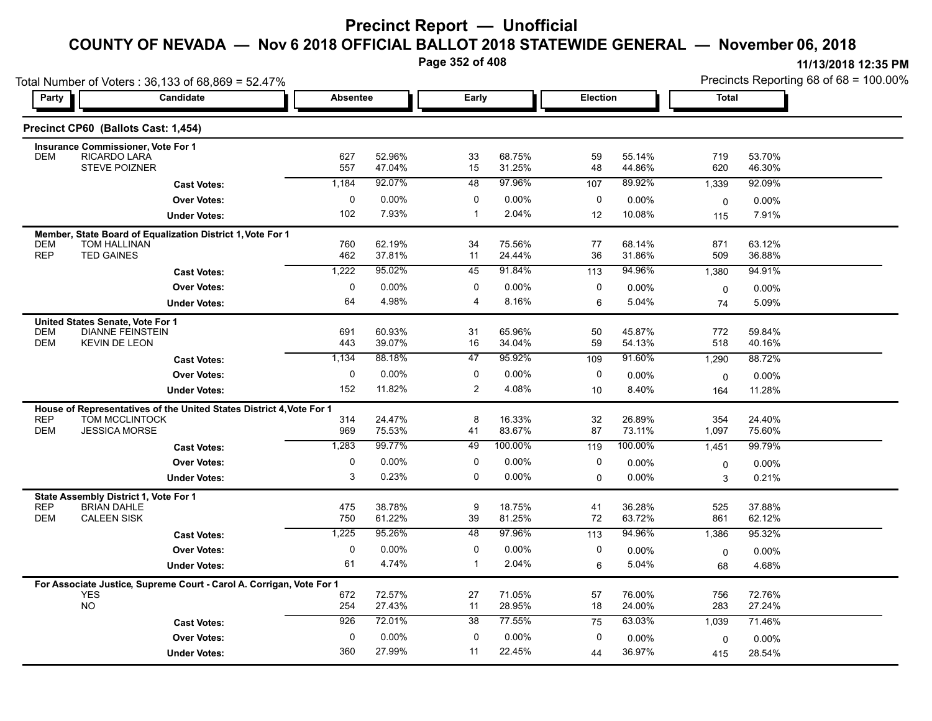**Page 352 of 408**

**11/13/2018 12:35 PM** Precincts Reporting 68 of 68 = 100.00%

| Total Number of Voters: 36,133 of 68,869 = 52.47% |                                                                                                 |                 |                  |                |                  |                 |                  | Precincts Reporting 68 of 68 = 100.00% |                  |  |  |
|---------------------------------------------------|-------------------------------------------------------------------------------------------------|-----------------|------------------|----------------|------------------|-----------------|------------------|----------------------------------------|------------------|--|--|
| Party                                             | <b>Candidate</b>                                                                                | <b>Absentee</b> |                  | Early          |                  | <b>Election</b> |                  | <b>Total</b>                           |                  |  |  |
|                                                   | Precinct CP60 (Ballots Cast: 1,454)                                                             |                 |                  |                |                  |                 |                  |                                        |                  |  |  |
|                                                   | <b>Insurance Commissioner, Vote For 1</b>                                                       |                 |                  |                |                  |                 |                  |                                        |                  |  |  |
| <b>DEM</b>                                        | RICARDO LARA<br><b>STEVE POIZNER</b>                                                            | 627<br>557      | 52.96%<br>47.04% | 33<br>15       | 68.75%<br>31.25% | 59<br>48        | 55.14%<br>44.86% | 719<br>620                             | 53.70%<br>46.30% |  |  |
|                                                   | <b>Cast Votes:</b>                                                                              | 1,184           | 92.07%           | 48             | 97.96%           | 107             | 89.92%           | 1,339                                  | 92.09%           |  |  |
|                                                   | <b>Over Votes:</b>                                                                              | 0               | $0.00\%$         | 0              | 0.00%            | 0               | 0.00%            | 0                                      | $0.00\%$         |  |  |
|                                                   | <b>Under Votes:</b>                                                                             | 102             | 7.93%            | $\mathbf{1}$   | 2.04%            | 12              | 10.08%           | 115                                    | 7.91%            |  |  |
|                                                   | Member, State Board of Equalization District 1, Vote For 1                                      |                 |                  |                |                  |                 |                  |                                        |                  |  |  |
| <b>DEM</b><br><b>REP</b>                          | <b>TOM HALLINAN</b><br><b>TED GAINES</b>                                                        | 760<br>462      | 62.19%<br>37.81% | 34<br>11       | 75.56%<br>24.44% | 77<br>36        | 68.14%<br>31.86% | 871<br>509                             | 63.12%<br>36.88% |  |  |
|                                                   | <b>Cast Votes:</b>                                                                              | 1,222           | 95.02%           | 45             | 91.84%           | 113             | 94.96%           | 1,380                                  | 94.91%           |  |  |
|                                                   | <b>Over Votes:</b>                                                                              | 0               | 0.00%            | 0              | 0.00%            | 0               | $0.00\%$         | 0                                      | $0.00\%$         |  |  |
|                                                   | <b>Under Votes:</b>                                                                             | 64              | 4.98%            | 4              | 8.16%            | 6               | 5.04%            | 74                                     | 5.09%            |  |  |
|                                                   | United States Senate, Vote For 1                                                                |                 |                  |                |                  |                 |                  |                                        |                  |  |  |
| <b>DEM</b><br><b>DEM</b>                          | <b>DIANNE FEINSTEIN</b><br><b>KEVIN DE LEON</b>                                                 | 691<br>443      | 60.93%<br>39.07% | 31<br>16       | 65.96%<br>34.04% | 50<br>59        | 45.87%<br>54.13% | 772<br>518                             | 59.84%<br>40.16% |  |  |
|                                                   | <b>Cast Votes:</b>                                                                              | 1,134           | 88.18%           | 47             | 95.92%           | 109             | 91.60%           | 1,290                                  | 88.72%           |  |  |
|                                                   | <b>Over Votes:</b>                                                                              | 0               | $0.00\%$         | 0              | 0.00%            | 0               | 0.00%            | 0                                      | $0.00\%$         |  |  |
|                                                   | <b>Under Votes:</b>                                                                             | 152             | 11.82%           | $\overline{2}$ | 4.08%            | 10              | 8.40%            | 164                                    | 11.28%           |  |  |
|                                                   | House of Representatives of the United States District 4, Vote For 1                            |                 |                  |                |                  |                 |                  |                                        |                  |  |  |
| <b>REP</b>                                        | <b>TOM MCCLINTOCK</b>                                                                           | 314             | 24.47%           | 8              | 16.33%           | 32              | 26.89%           | 354                                    | 24.40%           |  |  |
| <b>DEM</b>                                        | <b>JESSICA MORSE</b>                                                                            | 969             | 75.53%           | 41             | 83.67%           | 87              | 73.11%           | 1,097                                  | 75.60%           |  |  |
|                                                   | <b>Cast Votes:</b>                                                                              | 1,283           | 99.77%           | 49             | 100.00%          | 119             | 100.00%          | 1,451                                  | 99.79%           |  |  |
|                                                   | <b>Over Votes:</b>                                                                              | 0               | 0.00%            | 0              | 0.00%            | 0               | $0.00\%$         | 0                                      | 0.00%            |  |  |
|                                                   | <b>Under Votes:</b>                                                                             | 3               | 0.23%            | 0              | $0.00\%$         | 0               | 0.00%            | 3                                      | 0.21%            |  |  |
|                                                   | State Assembly District 1, Vote For 1                                                           |                 |                  |                |                  |                 |                  |                                        |                  |  |  |
| <b>REP</b><br><b>DEM</b>                          | <b>BRIAN DAHLE</b><br><b>CALEEN SISK</b>                                                        | 475<br>750      | 38.78%<br>61.22% | 9<br>39        | 18.75%<br>81.25% | 41<br>72        | 36.28%<br>63.72% | 525<br>861                             | 37.88%<br>62.12% |  |  |
|                                                   | <b>Cast Votes:</b>                                                                              | 1,225           | 95.26%           | 48             | 97.96%           | 113             | 94.96%           | 1,386                                  | 95.32%           |  |  |
|                                                   | <b>Over Votes:</b>                                                                              | 0               | $0.00\%$         | 0              | 0.00%            | 0               | 0.00%            |                                        | 0.00%            |  |  |
|                                                   | <b>Under Votes:</b>                                                                             | 61              | 4.74%            | $\mathbf{1}$   | 2.04%            | 6               | 5.04%            | $\mathbf 0$<br>68                      | 4.68%            |  |  |
|                                                   |                                                                                                 |                 |                  |                |                  |                 |                  |                                        |                  |  |  |
|                                                   | For Associate Justice, Supreme Court - Carol A. Corrigan, Vote For 1<br><b>YES</b><br><b>NO</b> | 672             | 72.57%           | 27             | 71.05%           | 57              | 76.00%           | 756                                    | 72.76%           |  |  |
|                                                   |                                                                                                 | 254             | 27.43%           | 11             | 28.95%           | 18              | 24.00%           | 283                                    | 27.24%           |  |  |
|                                                   | <b>Cast Votes:</b>                                                                              | 926             | 72.01%           | 38             | 77.55%           | 75              | 63.03%           | 1,039                                  | 71.46%           |  |  |
|                                                   | <b>Over Votes:</b>                                                                              | 0               | 0.00%            | 0              | 0.00%            | 0               | $0.00\%$         | 0                                      | 0.00%            |  |  |
|                                                   | <b>Under Votes:</b>                                                                             | 360             | 27.99%           | 11             | 22.45%           | 44              | 36.97%           | 415                                    | 28.54%           |  |  |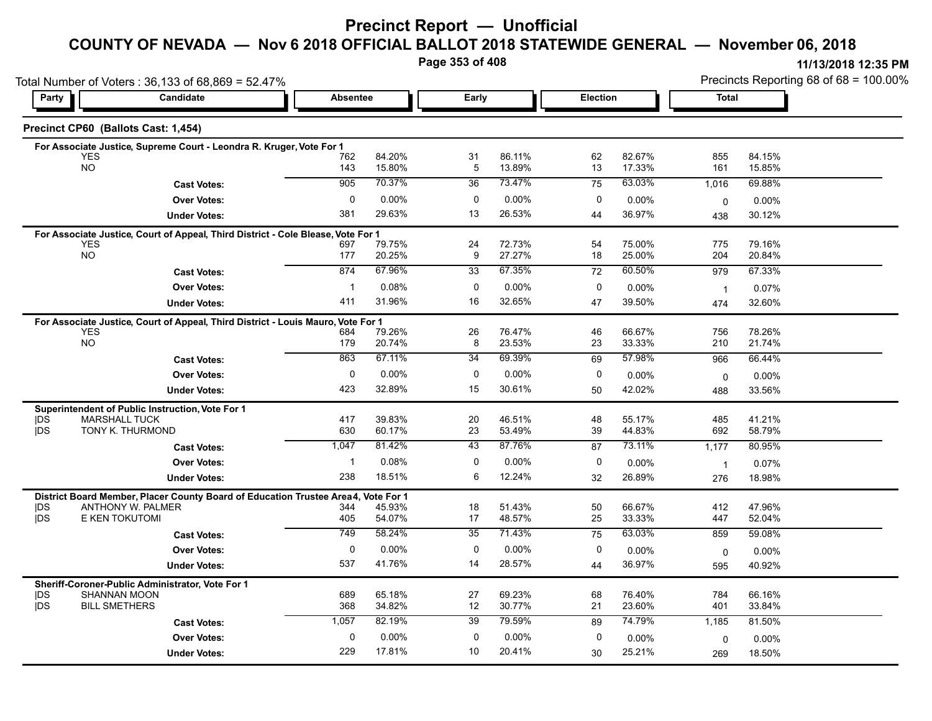### **Precinct Report — Unofficial**

# **COUNTY OF NEVADA — Nov 6 2018 OFFICIAL BALLOT 2018 STATEWIDE GENERAL — November 06, 2018**

**Page 353 of 408**

**11/13/2018 12:35 PM** Precincts Reporting 68 of 68 = 100.00%

|                          | Total Number of Voters: 36,133 of 68,869 = 52.47%                                 |              |                  |                      |                  |                 |                  | Precincts Reporting 68 of 68 = 100.00% |                  |  |  |
|--------------------------|-----------------------------------------------------------------------------------|--------------|------------------|----------------------|------------------|-----------------|------------------|----------------------------------------|------------------|--|--|
| Party                    | Candidate                                                                         |              | <b>Absentee</b>  |                      | Early            | <b>Election</b> |                  | <b>Total</b>                           |                  |  |  |
|                          | Precinct CP60 (Ballots Cast: 1,454)                                               |              |                  |                      |                  |                 |                  |                                        |                  |  |  |
|                          | For Associate Justice, Supreme Court - Leondra R. Kruger, Vote For 1              |              |                  |                      |                  |                 |                  |                                        |                  |  |  |
|                          | <b>YES</b><br><b>NO</b>                                                           | 762<br>143   | 84.20%<br>15.80% | 31<br>$\overline{5}$ | 86.11%<br>13.89% | 62<br>13        | 82.67%<br>17.33% | 855<br>161                             | 84.15%<br>15.85% |  |  |
|                          |                                                                                   | 905          | 70.37%           | 36                   | 73.47%           |                 | 63.03%           |                                        |                  |  |  |
|                          | <b>Cast Votes:</b>                                                                |              |                  |                      |                  | 75              |                  | 1,016                                  | 69.88%           |  |  |
|                          | <b>Over Votes:</b>                                                                | $\mathbf 0$  | 0.00%            | 0                    | 0.00%            | 0               | 0.00%            | 0                                      | 0.00%            |  |  |
|                          | <b>Under Votes:</b>                                                               | 381          | 29.63%           | 13                   | 26.53%           | 44              | 36.97%           | 438                                    | 30.12%           |  |  |
|                          | For Associate Justice, Court of Appeal, Third District - Cole Blease, Vote For 1  |              |                  |                      |                  |                 |                  |                                        |                  |  |  |
|                          | <b>YES</b><br><b>NO</b>                                                           | 697<br>177   | 79.75%<br>20.25% | 24<br>9              | 72.73%<br>27.27% | 54<br>18        | 75.00%<br>25.00% | 775<br>204                             | 79.16%<br>20.84% |  |  |
|                          | <b>Cast Votes:</b>                                                                | 874          | 67.96%           | 33                   | 67.35%           | 72              | 60.50%           | 979                                    | 67.33%           |  |  |
|                          | <b>Over Votes:</b>                                                                | $\mathbf{1}$ | 0.08%            | 0                    | 0.00%            | $\mathbf 0$     |                  |                                        |                  |  |  |
|                          |                                                                                   | 411          | 31.96%           | 16                   | 32.65%           |                 | 0.00%            | $\overline{1}$                         | 0.07%            |  |  |
|                          | <b>Under Votes:</b>                                                               |              |                  |                      |                  | 47              | 39.50%           | 474                                    | 32.60%           |  |  |
|                          | For Associate Justice, Court of Appeal, Third District - Louis Mauro, Vote For 1  |              |                  |                      |                  |                 |                  |                                        |                  |  |  |
|                          | <b>YES</b><br><b>NO</b>                                                           | 684<br>179   | 79.26%<br>20.74% | 26<br>8              | 76.47%<br>23.53% | 46<br>23        | 66.67%<br>33.33% | 756<br>210                             | 78.26%<br>21.74% |  |  |
|                          | <b>Cast Votes:</b>                                                                | 863          | 67.11%           | 34                   | 69.39%           | 69              | 57.98%           | 966                                    | 66.44%           |  |  |
|                          |                                                                                   |              |                  |                      |                  |                 |                  |                                        |                  |  |  |
|                          | <b>Over Votes:</b>                                                                | 0            | 0.00%            | 0                    | $0.00\%$         | 0               | $0.00\%$         | 0                                      | $0.00\%$         |  |  |
|                          | <b>Under Votes:</b>                                                               | 423          | 32.89%           | 15                   | 30.61%           | 50              | 42.02%           | 488                                    | 33.56%           |  |  |
|                          | Superintendent of Public Instruction, Vote For 1                                  |              |                  |                      |                  |                 |                  |                                        |                  |  |  |
| DŚ<br><b>IDS</b>         | <b>MARSHALL TUCK</b><br>TONY K. THURMOND                                          | 417<br>630   | 39.83%<br>60.17% | 20<br>23             | 46.51%<br>53.49% | 48<br>39        | 55.17%<br>44.83% | 485<br>692                             | 41.21%<br>58.79% |  |  |
|                          |                                                                                   | 1,047        | 81.42%           | 43                   | 87.76%           |                 | 73.11%           |                                        |                  |  |  |
|                          | <b>Cast Votes:</b>                                                                |              |                  |                      |                  | 87              |                  | 1,177                                  | 80.95%           |  |  |
|                          | <b>Over Votes:</b>                                                                | $\mathbf{1}$ | 0.08%            | 0                    | 0.00%            | 0               | 0.00%            | $\overline{1}$                         | 0.07%            |  |  |
|                          | <b>Under Votes:</b>                                                               | 238          | 18.51%           | 6                    | 12.24%           | 32              | 26.89%           | 276                                    | 18.98%           |  |  |
|                          | District Board Member, Placer County Board of Education Trustee Area4, Vote For 1 |              |                  |                      |                  |                 |                  |                                        |                  |  |  |
| DS<br><b>jDS</b>         | <b>ANTHONY W. PALMER</b><br>E KEN TOKUTOMI                                        | 344<br>405   | 45.93%<br>54.07% | 18<br>17             | 51.43%<br>48.57% | 50<br>25        | 66.67%<br>33.33% | 412<br>447                             | 47.96%<br>52.04% |  |  |
|                          |                                                                                   | 749          | 58.24%           | $\overline{35}$      | 71.43%           | 75              | 63.03%           | 859                                    | 59.08%           |  |  |
|                          | <b>Cast Votes:</b>                                                                |              |                  |                      |                  |                 |                  |                                        |                  |  |  |
|                          | <b>Over Votes:</b>                                                                | $\mathbf 0$  | 0.00%            | 0                    | 0.00%            | 0               | 0.00%            | $\mathbf 0$                            | 0.00%            |  |  |
|                          | <b>Under Votes:</b>                                                               | 537          | 41.76%           | 14                   | 28.57%           | 44              | 36.97%           | 595                                    | 40.92%           |  |  |
|                          | Sheriff-Coroner-Public Administrator, Vote For 1                                  |              |                  |                      |                  |                 |                  |                                        |                  |  |  |
| <b>IDS</b><br><b>IDS</b> | <b>SHANNAN MOON</b><br><b>BILL SMETHERS</b>                                       | 689<br>368   | 65.18%<br>34.82% | 27<br>12             | 69.23%<br>30.77% | 68<br>21        | 76.40%<br>23.60% | 784<br>401                             | 66.16%<br>33.84% |  |  |
|                          |                                                                                   | 1,057        | 82.19%           | 39                   | 79.59%           |                 | 74.79%           |                                        |                  |  |  |
|                          | <b>Cast Votes:</b>                                                                |              |                  |                      |                  | 89              |                  | 1,185                                  | 81.50%           |  |  |
|                          | <b>Over Votes:</b>                                                                | $\mathbf 0$  | $0.00\%$         | $\mathbf 0$          | 0.00%            | 0               | $0.00\%$         | 0                                      | 0.00%            |  |  |
|                          | <b>Under Votes:</b>                                                               | 229          | 17.81%           | 10                   | 20.41%           | 30              | 25.21%           | 269                                    | 18.50%           |  |  |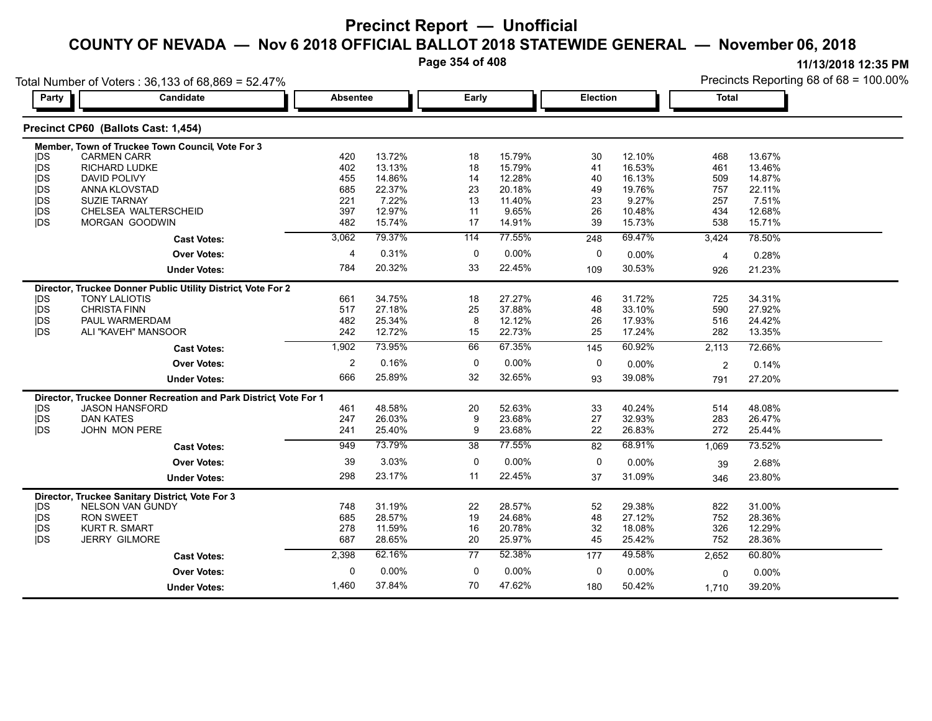**Page 354 of 408**

| Party      | Candidate                                                        | <b>Absentee</b>         |        | Early       |        | <b>Election</b> |          | <b>Total</b>   |        |
|------------|------------------------------------------------------------------|-------------------------|--------|-------------|--------|-----------------|----------|----------------|--------|
|            |                                                                  |                         |        |             |        |                 |          |                |        |
|            | Precinct CP60 (Ballots Cast: 1,454)                              |                         |        |             |        |                 |          |                |        |
|            | Member, Town of Truckee Town Council, Vote For 3                 |                         |        |             |        |                 |          |                |        |
| <b>IDS</b> | <b>CARMEN CARR</b>                                               | 420                     | 13.72% | 18          | 15.79% | 30              | 12.10%   | 468            | 13.67% |
| <b>IDS</b> | <b>RICHARD LUDKE</b>                                             | 402                     | 13.13% | 18          | 15.79% | 41              | 16.53%   | 461            | 13.46% |
| <b>IDS</b> | <b>DAVID POLIVY</b>                                              | 455                     | 14.86% | 14          | 12.28% | 40              | 16.13%   | 509            | 14.87% |
| <b>IDS</b> | ANNA KLOVSTAD                                                    | 685                     | 22.37% | 23          | 20.18% | 49              | 19.76%   | 757            | 22.11% |
| <b>IDS</b> | <b>SUZIE TARNAY</b>                                              | 221                     | 7.22%  | 13          | 11.40% | 23              | 9.27%    | 257            | 7.51%  |
| <b>IDS</b> | CHELSEA WALTERSCHEID                                             | 397                     | 12.97% | 11          | 9.65%  | 26              | 10.48%   | 434            | 12.68% |
| jDS        | MORGAN GOODWIN                                                   | 482                     | 15.74% | 17          | 14.91% | 39              | 15.73%   | 538            | 15.71% |
|            | <b>Cast Votes:</b>                                               | 3,062                   | 79.37% | 114         | 77.55% | 248             | 69.47%   | 3,424          | 78.50% |
|            | <b>Over Votes:</b>                                               | $\overline{4}$          | 0.31%  | $\mathbf 0$ | 0.00%  | $\mathbf 0$     | 0.00%    | $\overline{4}$ | 0.28%  |
|            | <b>Under Votes:</b>                                              | 784                     | 20.32% | 33          | 22.45% | 109             | 30.53%   | 926            | 21.23% |
|            | Director, Truckee Donner Public Utility District, Vote For 2     |                         |        |             |        |                 |          |                |        |
| <b>IDS</b> | <b>TONY LALIOTIS</b>                                             | 661                     | 34.75% | 18          | 27.27% | 46              | 31.72%   | 725            | 34.31% |
| <b>IDS</b> | <b>CHRISTA FINN</b>                                              | 517                     | 27.18% | 25          | 37.88% | 48              | 33.10%   | 590            | 27.92% |
| jDS        | PAUL WARMERDAM                                                   | 482                     | 25.34% | 8           | 12.12% | 26              | 17.93%   | 516            | 24.42% |
| <b>IDS</b> | ALI "KAVEH" MANSOOR                                              | 242                     | 12.72% | 15          | 22.73% | 25              | 17.24%   | 282            | 13.35% |
|            | <b>Cast Votes:</b>                                               | 1,902                   | 73.95% | 66          | 67.35% | 145             | 60.92%   | 2,113          | 72.66% |
|            | <b>Over Votes:</b>                                               | $\overline{\mathbf{c}}$ | 0.16%  | 0           | 0.00%  | 0               | 0.00%    | $\overline{2}$ | 0.14%  |
|            | <b>Under Votes:</b>                                              | 666                     | 25.89% | 32          | 32.65% | 93              | 39.08%   | 791            | 27.20% |
|            | Director, Truckee Donner Recreation and Park District Vote For 1 |                         |        |             |        |                 |          |                |        |
| <b>IDS</b> | <b>JASON HANSFORD</b>                                            | 461                     | 48.58% | 20          | 52.63% | 33              | 40.24%   | 514            | 48.08% |
| jDS        | <b>DAN KATES</b>                                                 | 247                     | 26.03% | 9           | 23.68% | 27              | 32.93%   | 283            | 26.47% |
| <b>IDS</b> | JOHN MON PERE                                                    | 241                     | 25.40% | 9           | 23.68% | 22              | 26.83%   | 272            | 25.44% |
|            | <b>Cast Votes:</b>                                               | 949                     | 73.79% | 38          | 77.55% | 82              | 68.91%   | 1,069          | 73.52% |
|            | <b>Over Votes:</b>                                               | 39                      | 3.03%  | 0           | 0.00%  | 0               | 0.00%    | 39             | 2.68%  |
|            | <b>Under Votes:</b>                                              | 298                     | 23.17% | 11          | 22.45% | 37              | 31.09%   | 346            | 23.80% |
|            | Director, Truckee Sanitary District, Vote For 3                  |                         |        |             |        |                 |          |                |        |
| <b>IDS</b> | <b>NELSON VAN GUNDY</b>                                          | 748                     | 31.19% | 22          | 28.57% | 52              | 29.38%   | 822            | 31.00% |
| jDS        | <b>RON SWEET</b>                                                 | 685                     | 28.57% | 19          | 24.68% | 48              | 27.12%   | 752            | 28.36% |
| <b>IDS</b> | <b>KURT R. SMART</b>                                             | 278                     | 11.59% | 16          | 20.78% | 32              | 18.08%   | 326            | 12.29% |
| <b>IDS</b> | <b>JERRY GILMORE</b>                                             | 687                     | 28.65% | 20          | 25.97% | 45              | 25.42%   | 752            | 28.36% |
|            | <b>Cast Votes:</b>                                               | 2,398                   | 62.16% | 77          | 52.38% | 177             | 49.58%   | 2,652          | 60.80% |
|            | <b>Over Votes:</b>                                               | 0                       | 0.00%  | $\mathbf 0$ | 0.00%  | 0               | $0.00\%$ | 0              | 0.00%  |
|            | <b>Under Votes:</b>                                              | 1,460                   | 37.84% | 70          | 47.62% | 180             | 50.42%   | 1,710          | 39.20% |
|            |                                                                  |                         |        |             |        |                 |          |                |        |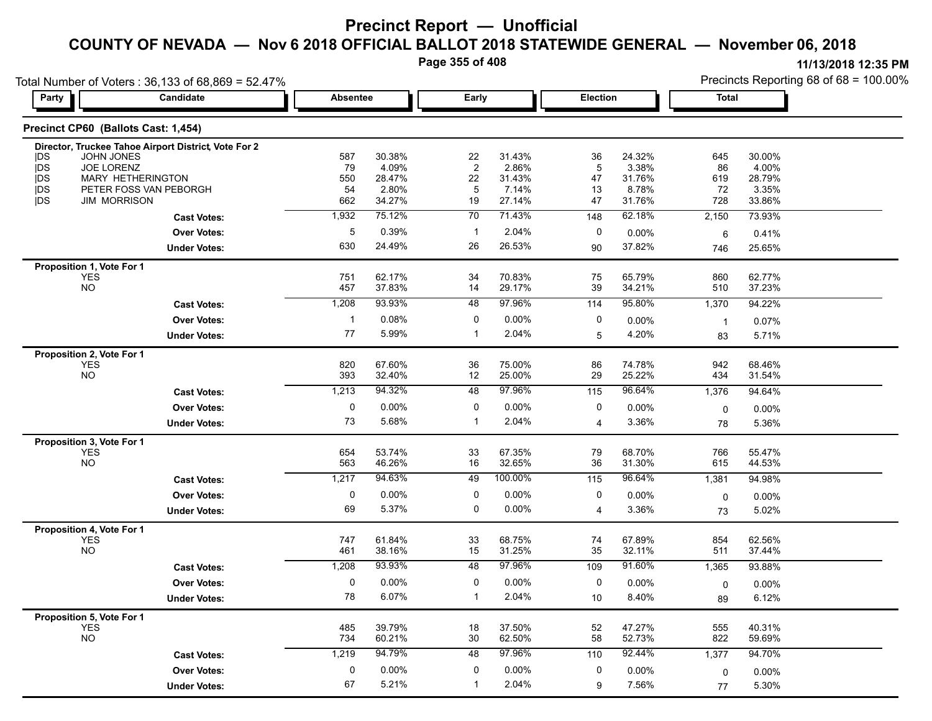**Page 355 of 408**

| Total Number of Voters: 36,133 of 68,869 = 52.47% |                                                      |                 |                  |                |                  |          |                  | Precincts Reporting 68 of 68 = 100.00% |                  |  |
|---------------------------------------------------|------------------------------------------------------|-----------------|------------------|----------------|------------------|----------|------------------|----------------------------------------|------------------|--|
| Party                                             | Candidate                                            | <b>Absentee</b> |                  | Early          |                  |          | Election         | <b>Total</b>                           |                  |  |
|                                                   | Precinct CP60 (Ballots Cast: 1,454)                  |                 |                  |                |                  |          |                  |                                        |                  |  |
|                                                   | Director, Truckee Tahoe Airport District, Vote For 2 |                 |                  |                |                  |          |                  |                                        |                  |  |
| <b>IDS</b>                                        | <b>JOHN JONES</b>                                    | 587             | 30.38%           | 22             | 31.43%           | 36       | 24.32%           | 645                                    | 30.00%           |  |
| <b>IDS</b>                                        | JOE LORENZ                                           | 79              | 4.09%            | $\overline{c}$ | 2.86%            | 5        | 3.38%            | 86                                     | 4.00%            |  |
| <b>IDS</b><br><b>jDS</b>                          | MARY HETHERINGTON<br>PETER FOSS VAN PEBORGH          | 550<br>54       | 28.47%<br>2.80%  | 22<br>5        | 31.43%<br>7.14%  | 47<br>13 | 31.76%<br>8.78%  | 619<br>72                              | 28.79%<br>3.35%  |  |
| <b>IDS</b>                                        | <b>JIM MORRISON</b>                                  | 662             | 34.27%           | 19             | 27.14%           | 47       | 31.76%           | 728                                    | 33.86%           |  |
|                                                   | <b>Cast Votes:</b>                                   | 1,932           | 75.12%           | 70             | 71.43%           | 148      | 62.18%           | 2,150                                  | 73.93%           |  |
|                                                   | <b>Over Votes:</b>                                   | 5               | 0.39%            | $\mathbf{1}$   | 2.04%            | 0        | 0.00%            | 6                                      | 0.41%            |  |
|                                                   | <b>Under Votes:</b>                                  | 630             | 24.49%           | 26             | 26.53%           | 90       | 37.82%           | 746                                    | 25.65%           |  |
| Proposition 1, Vote For 1                         |                                                      |                 |                  |                |                  |          |                  |                                        |                  |  |
| YES                                               |                                                      | 751             | 62.17%           | 34             | 70.83%           | 75       | 65.79%           | 860                                    | 62.77%           |  |
| <b>NO</b>                                         |                                                      | 457             | 37.83%           | 14             | 29.17%           | 39       | 34.21%           | 510                                    | 37.23%           |  |
|                                                   | <b>Cast Votes:</b>                                   | 1,208           | 93.93%           | 48             | 97.96%           | 114      | 95.80%           | 1,370                                  | 94.22%           |  |
|                                                   | <b>Over Votes:</b>                                   | -1              | 0.08%            | 0              | 0.00%            | 0        | 0.00%            | $\overline{1}$                         | 0.07%            |  |
|                                                   | <b>Under Votes:</b>                                  | 77              | 5.99%            | 1              | 2.04%            | 5        | 4.20%            | 83                                     | 5.71%            |  |
| Proposition 2, Vote For 1                         |                                                      |                 |                  |                |                  |          |                  |                                        |                  |  |
| <b>YES</b><br><b>NO</b>                           |                                                      | 820<br>393      | 67.60%<br>32.40% | 36<br>12       | 75.00%<br>25.00% | 86<br>29 | 74.78%<br>25.22% | 942<br>434                             | 68.46%<br>31.54% |  |
|                                                   | <b>Cast Votes:</b>                                   | 1,213           | 94.32%           | 48             | 97.96%           | 115      | 96.64%           | 1,376                                  | 94.64%           |  |
|                                                   |                                                      |                 |                  |                |                  |          |                  |                                        |                  |  |
|                                                   | <b>Over Votes:</b>                                   | 0               | $0.00\%$         | 0              | 0.00%            | 0        | $0.00\%$         | $\mathbf 0$                            | 0.00%            |  |
|                                                   | <b>Under Votes:</b>                                  | 73              | 5.68%            | 1              | 2.04%            | 4        | 3.36%            | 78                                     | 5.36%            |  |
| Proposition 3, Vote For 1                         |                                                      |                 |                  |                |                  |          |                  |                                        |                  |  |
| <b>YES</b><br><b>NO</b>                           |                                                      | 654<br>563      | 53.74%<br>46.26% | 33<br>16       | 67.35%<br>32.65% | 79<br>36 | 68.70%<br>31.30% | 766<br>615                             | 55.47%<br>44.53% |  |
|                                                   | <b>Cast Votes:</b>                                   | 1,217           | 94.63%           | 49             | 100.00%          | 115      | 96.64%           | 1,381                                  | 94.98%           |  |
|                                                   | <b>Over Votes:</b>                                   | 0               | 0.00%            | 0              | $0.00\%$         | 0        | 0.00%            |                                        |                  |  |
|                                                   |                                                      | 69              | 5.37%            | 0              | 0.00%            |          | 3.36%            | 0                                      | 0.00%            |  |
|                                                   | <b>Under Votes:</b>                                  |                 |                  |                |                  | 4        |                  | 73                                     | 5.02%            |  |
| Proposition 4, Vote For 1                         |                                                      |                 |                  |                |                  |          |                  |                                        |                  |  |
| YES<br><b>NO</b>                                  |                                                      | 747<br>461      | 61.84%<br>38.16% | 33<br>15       | 68.75%<br>31.25% | 74<br>35 | 67.89%<br>32.11% | 854<br>511                             | 62.56%<br>37.44% |  |
|                                                   | <b>Cast Votes:</b>                                   | 1,208           | 93.93%           | 48             | 97.96%           | 109      | 91.60%           | 1,365                                  | 93.88%           |  |
|                                                   | <b>Over Votes:</b>                                   | 0               | 0.00%            | 0              | $0.00\%$         | 0        | 0.00%            |                                        | 0.00%            |  |
|                                                   |                                                      | 78              | 6.07%            | 1              | 2.04%            |          | 8.40%            | 0                                      | 6.12%            |  |
|                                                   | <b>Under Votes:</b>                                  |                 |                  |                |                  | 10       |                  | 89                                     |                  |  |
| Proposition 5, Vote For 1<br><b>YES</b>           |                                                      | 485             | 39.79%           | 18             | 37.50%           | 52       | 47.27%           | 555                                    | 40.31%           |  |
| <b>NO</b>                                         |                                                      | 734             | 60.21%           | 30             | 62.50%           | 58       | 52.73%           | 822                                    | 59.69%           |  |
|                                                   | <b>Cast Votes:</b>                                   | 1,219           | 94.79%           | 48             | 97.96%           | 110      | 92.44%           | 1,377                                  | 94.70%           |  |
|                                                   | <b>Over Votes:</b>                                   | 0               | $0.00\%$         | 0              | $0.00\%$         | 0        | 0.00%            |                                        | 0.00%            |  |
|                                                   |                                                      | 67              | 5.21%            | $\mathbf{1}$   | 2.04%            | 9        | 7.56%            | $\mathbf 0$                            |                  |  |
|                                                   | <b>Under Votes:</b>                                  |                 |                  |                |                  |          |                  | 77                                     | 5.30%            |  |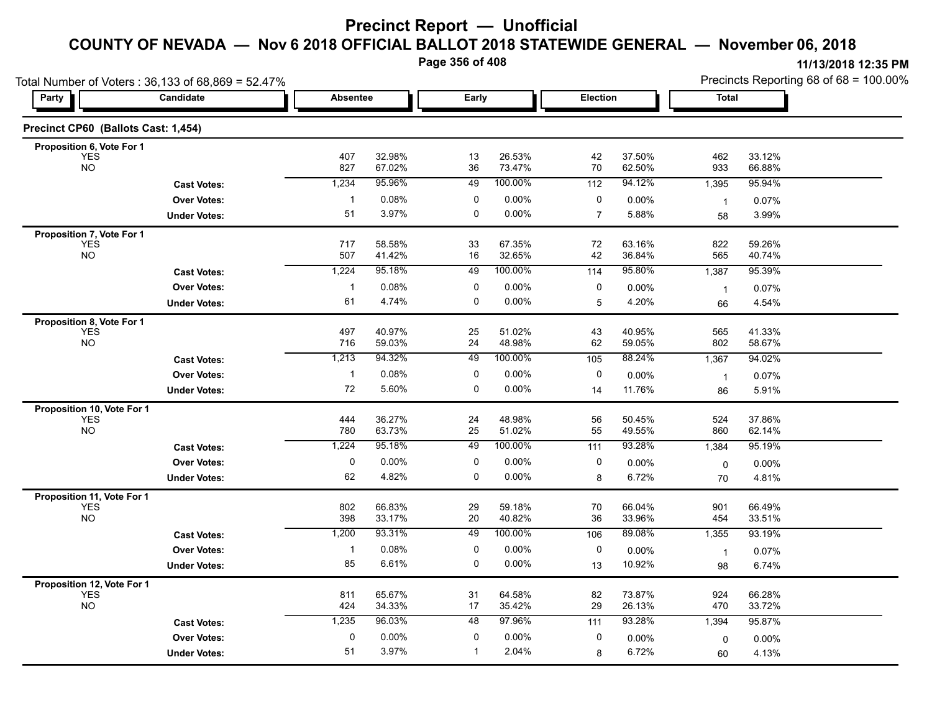**Page 356 of 408**

|                                                       | Total Number of Voters: 36,133 of 68,869 = 52.47% |                 |                  |              |                  |                |                  | Precincts Reporting 68 of 68 = 100.00% |                  |  |
|-------------------------------------------------------|---------------------------------------------------|-----------------|------------------|--------------|------------------|----------------|------------------|----------------------------------------|------------------|--|
| Party                                                 | Candidate                                         | <b>Absentee</b> |                  | Early        |                  | Election       |                  | Total                                  |                  |  |
| Precinct CP60 (Ballots Cast: 1,454)                   |                                                   |                 |                  |              |                  |                |                  |                                        |                  |  |
| Proposition 6, Vote For 1                             |                                                   |                 |                  |              |                  |                |                  |                                        |                  |  |
| <b>YES</b><br><b>NO</b>                               |                                                   | 407<br>827      | 32.98%<br>67.02% | 13<br>36     | 26.53%<br>73.47% | 42<br>70       | 37.50%<br>62.50% | 462<br>933                             | 33.12%<br>66.88% |  |
|                                                       | <b>Cast Votes:</b>                                | 1,234           | 95.96%           | 49           | 100.00%          | 112            | 94.12%           | 1,395                                  | 95.94%           |  |
|                                                       | <b>Over Votes:</b>                                | $\mathbf{1}$    | 0.08%            | 0            | 0.00%            | 0              | $0.00\%$         | $\overline{1}$                         | 0.07%            |  |
|                                                       | <b>Under Votes:</b>                               | 51              | 3.97%            | 0            | 0.00%            | $\overline{7}$ | 5.88%            | 58                                     | 3.99%            |  |
| Proposition 7, Vote For 1                             |                                                   |                 |                  |              |                  |                |                  |                                        |                  |  |
| <b>YES</b><br><b>NO</b>                               |                                                   | 717<br>507      | 58.58%<br>41.42% | 33<br>16     | 67.35%<br>32.65% | 72<br>42       | 63.16%<br>36.84% | 822<br>565                             | 59.26%<br>40.74% |  |
|                                                       | <b>Cast Votes:</b>                                | 1,224           | 95.18%           | 49           | 100.00%          | 114            | 95.80%           | 1,387                                  | 95.39%           |  |
|                                                       | <b>Over Votes:</b>                                | $\mathbf{1}$    | 0.08%            | 0            | 0.00%            | 0              | $0.00\%$         | $\overline{1}$                         | 0.07%            |  |
|                                                       | <b>Under Votes:</b>                               | 61              | 4.74%            | 0            | 0.00%            | 5              | 4.20%            | 66                                     | 4.54%            |  |
| Proposition 8, Vote For 1<br><b>YES</b>               |                                                   | 497             | 40.97%           | 25           | 51.02%           | 43             | 40.95%           | 565                                    | 41.33%           |  |
| <b>NO</b>                                             |                                                   | 716             | 59.03%           | 24           | 48.98%           | 62             | 59.05%           | 802                                    | 58.67%           |  |
|                                                       | <b>Cast Votes:</b>                                | 1,213           | 94.32%           | 49           | 100.00%          | 105            | 88.24%           | 1,367                                  | 94.02%           |  |
|                                                       | <b>Over Votes:</b>                                | $\mathbf{1}$    | 0.08%            | 0            | 0.00%            | 0              | 0.00%            | $\overline{1}$                         | 0.07%            |  |
|                                                       | <b>Under Votes:</b>                               | 72              | 5.60%            | $\mathbf 0$  | 0.00%            | 14             | 11.76%           | 86                                     | 5.91%            |  |
| Proposition 10, Vote For 1<br><b>YES</b><br><b>NO</b> |                                                   | 444<br>780      | 36.27%<br>63.73% | 24<br>25     | 48.98%<br>51.02% | 56<br>55       | 50.45%<br>49.55% | 524<br>860                             | 37.86%<br>62.14% |  |
|                                                       | <b>Cast Votes:</b>                                | 1,224           | 95.18%           | 49           | 100.00%          | 111            | 93.28%           | 1,384                                  | 95.19%           |  |
|                                                       | <b>Over Votes:</b>                                | 0               | $0.00\%$         | 0            | 0.00%            | 0              | 0.00%            | 0                                      | $0.00\%$         |  |
|                                                       | <b>Under Votes:</b>                               | 62              | 4.82%            | $\mathbf 0$  | $0.00\%$         | 8              | 6.72%            | 70                                     | 4.81%            |  |
| Proposition 11, Vote For 1                            |                                                   |                 |                  |              |                  |                |                  |                                        |                  |  |
| <b>YES</b><br><b>NO</b>                               |                                                   | 802<br>398      | 66.83%<br>33.17% | 29<br>$20\,$ | 59.18%<br>40.82% | 70<br>36       | 66.04%<br>33.96% | 901<br>454                             | 66.49%<br>33.51% |  |
|                                                       | <b>Cast Votes:</b>                                | 1,200           | 93.31%           | 49           | 100.00%          | 106            | 89.08%           | 1,355                                  | 93.19%           |  |
|                                                       | <b>Over Votes:</b>                                | $\mathbf{1}$    | 0.08%            | 0            | $0.00\%$         | 0              | 0.00%            | $\overline{1}$                         | 0.07%            |  |
|                                                       | <b>Under Votes:</b>                               | 85              | 6.61%            | 0            | $0.00\%$         | 13             | 10.92%           | 98                                     | 6.74%            |  |
| Proposition 12, Vote For 1                            |                                                   |                 |                  |              |                  |                |                  |                                        |                  |  |
| <b>YES</b><br><b>NO</b>                               |                                                   | 811<br>424      | 65.67%<br>34.33% | 31<br>17     | 64.58%<br>35.42% | 82<br>29       | 73.87%<br>26.13% | 924<br>470                             | 66.28%<br>33.72% |  |
|                                                       | <b>Cast Votes:</b>                                | 1,235           | 96.03%           | 48           | 97.96%           | 111            | 93.28%           | 1,394                                  | 95.87%           |  |
|                                                       | <b>Over Votes:</b>                                | $\mathbf 0$     | 0.00%            | 0            | 0.00%            | 0              | 0.00%            | 0                                      | 0.00%            |  |
|                                                       | <b>Under Votes:</b>                               | 51              | 3.97%            | $\mathbf{1}$ | 2.04%            | 8              | 6.72%            | 60                                     | 4.13%            |  |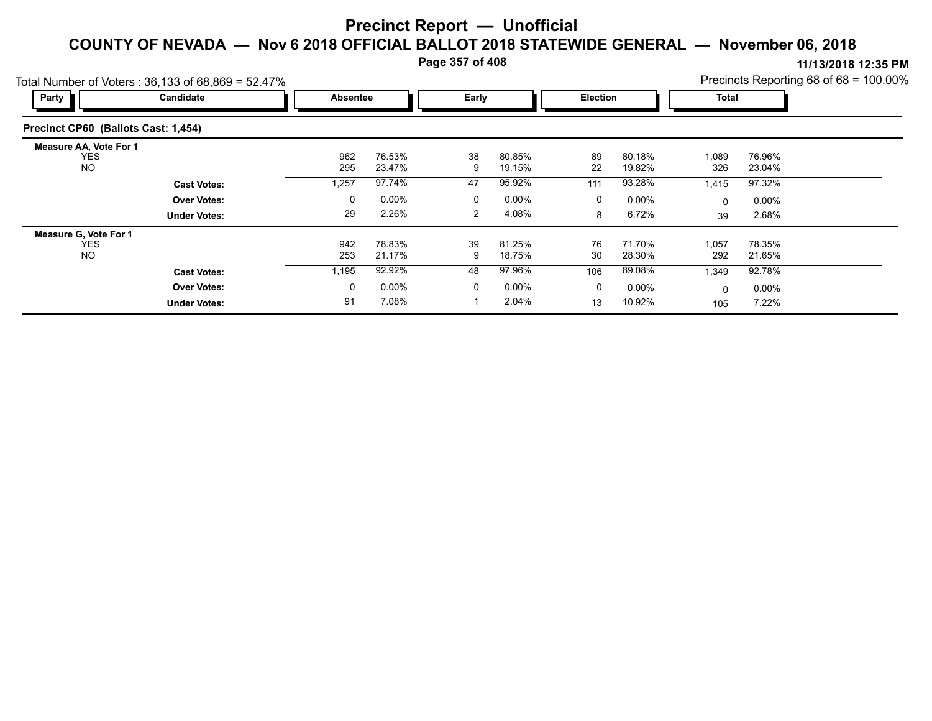**Page 357 of 408**

| Total Number of Voters: 36,133 of 68,869 = 52.47%        |                     | Precincts Reporting 68 of 68 = 100.00% |                  |         |                  |              |                  |              |                  |  |
|----------------------------------------------------------|---------------------|----------------------------------------|------------------|---------|------------------|--------------|------------------|--------------|------------------|--|
| Party                                                    | Candidate           | <b>Absentee</b>                        |                  | Early   |                  | Election     |                  | Total        |                  |  |
| Precinct CP60 (Ballots Cast: 1,454)                      |                     |                                        |                  |         |                  |              |                  |              |                  |  |
| <b>Measure AA, Vote For 1</b><br><b>YES</b><br><b>NO</b> |                     | 962<br>295                             | 76.53%<br>23.47% | 38<br>9 | 80.85%<br>19.15% | 89<br>22     | 80.18%<br>19.82% | 1,089<br>326 | 76.96%<br>23.04% |  |
|                                                          | <b>Cast Votes:</b>  | 1,257                                  | 97.74%           | 47      | 95.92%           | 111          | 93.28%           | 1,415        | 97.32%           |  |
|                                                          | <b>Over Votes:</b>  | 0                                      | $0.00\%$         | 0       | $0.00\%$         | 0            | $0.00\%$         | $\mathbf{0}$ | $0.00\%$         |  |
|                                                          | <b>Under Votes:</b> | 29                                     | 2.26%            | 2       | 4.08%            | 8            | 6.72%            | 39           | 2.68%            |  |
| Measure G, Vote For 1                                    |                     |                                        |                  |         |                  |              |                  |              |                  |  |
| <b>YES</b><br><b>NO</b>                                  |                     | 942<br>253                             | 78.83%<br>21.17% | 39<br>9 | 81.25%<br>18.75% | 76<br>30     | 71.70%<br>28.30% | 1,057<br>292 | 78.35%<br>21.65% |  |
|                                                          | <b>Cast Votes:</b>  | 1,195                                  | 92.92%           | 48      | 97.96%           | 106          | 89.08%           | 1,349        | 92.78%           |  |
|                                                          | <b>Over Votes:</b>  | 0                                      | $0.00\%$         | 0       | $0.00\%$         | $\mathbf{0}$ | $0.00\%$         | $\mathbf{0}$ | $0.00\%$         |  |
|                                                          | <b>Under Votes:</b> | 91                                     | 7.08%            |         | 2.04%            | 13           | 10.92%           | 105          | 7.22%            |  |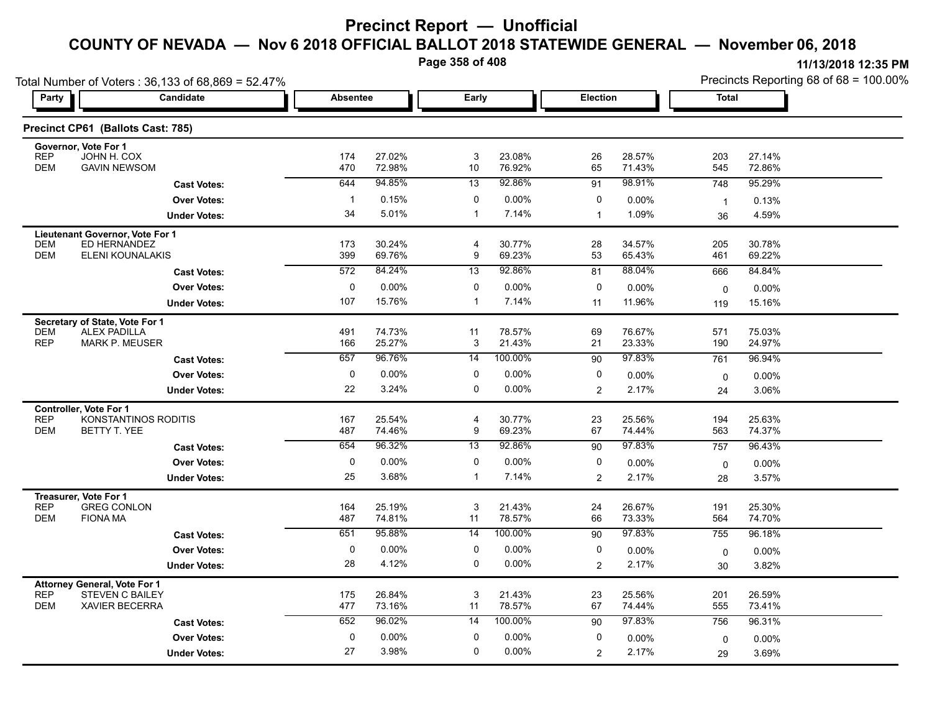**Page 358 of 408**

| Total Number of Voters: 36,133 of 68,869 = 52.47%                                                          |                      |                 |                  |                     |                  |                |                  | Precincts Reporting 68 of 68 = 100.00% |                  |  |
|------------------------------------------------------------------------------------------------------------|----------------------|-----------------|------------------|---------------------|------------------|----------------|------------------|----------------------------------------|------------------|--|
| Party                                                                                                      | Candidate            | <b>Absentee</b> |                  | Early               |                  | Election       |                  | Total                                  |                  |  |
| Precinct CP61 (Ballots Cast: 785)                                                                          |                      |                 |                  |                     |                  |                |                  |                                        |                  |  |
| Governor, Vote For 1<br><b>REP</b><br>JOHN H. COX                                                          |                      | 174             | 27.02%           | 3                   | 23.08%           | 26             | 28.57%           | 203                                    | 27.14%           |  |
| <b>GAVIN NEWSOM</b><br><b>DEM</b>                                                                          |                      | 470             | 72.98%           | 10                  | 76.92%           | 65             | 71.43%           | 545                                    | 72.86%           |  |
|                                                                                                            | <b>Cast Votes:</b>   | 644             | 94.85%           | 13                  | 92.86%           | 91             | 98.91%           | 748                                    | 95.29%           |  |
|                                                                                                            | <b>Over Votes:</b>   | $\mathbf{1}$    | 0.15%            | 0                   | 0.00%            | 0              | $0.00\%$         | $\overline{1}$                         | 0.13%            |  |
|                                                                                                            | <b>Under Votes:</b>  | 34              | 5.01%            | $\mathbf{1}$        | 7.14%            | $\overline{1}$ | 1.09%            | 36                                     | 4.59%            |  |
| Lieutenant Governor, Vote For 1<br>ED HERNANDEZ<br><b>DEM</b><br><b>DEM</b><br>ELENI KOUNALAKIS            |                      | 173<br>399      | 30.24%<br>69.76% | 4<br>9              | 30.77%<br>69.23% | 28<br>53       | 34.57%<br>65.43% | 205<br>461                             | 30.78%<br>69.22% |  |
|                                                                                                            | <b>Cast Votes:</b>   | 572             | 84.24%           | 13                  | 92.86%           | 81             | 88.04%           | 666                                    | 84.84%           |  |
|                                                                                                            | <b>Over Votes:</b>   | $\mathbf 0$     | 0.00%            | 0                   | 0.00%            | 0              | 0.00%            | $\mathbf 0$                            | 0.00%            |  |
|                                                                                                            | <b>Under Votes:</b>  | 107             | 15.76%           | 1                   | 7.14%            | 11             | 11.96%           | 119                                    | 15.16%           |  |
|                                                                                                            |                      |                 |                  |                     |                  |                |                  |                                        |                  |  |
| Secretary of State, Vote For 1<br><b>DEM</b><br><b>ALEX PADILLA</b><br><b>REP</b><br><b>MARK P. MEUSER</b> |                      | 491<br>166      | 74.73%<br>25.27% | 11<br>3             | 78.57%<br>21.43% | 69<br>21       | 76.67%<br>23.33% | 571<br>190                             | 75.03%<br>24.97% |  |
|                                                                                                            | <b>Cast Votes:</b>   | 657             | 96.76%           | 14                  | 100.00%          | 90             | 97.83%           | 761                                    | 96.94%           |  |
|                                                                                                            | <b>Over Votes:</b>   | 0               | 0.00%            | 0                   | 0.00%            | 0              | 0.00%            | 0                                      | 0.00%            |  |
|                                                                                                            | <b>Under Votes:</b>  | 22              | 3.24%            | 0                   | 0.00%            | $\overline{2}$ | 2.17%            | 24                                     | 3.06%            |  |
| Controller, Vote For 1                                                                                     |                      |                 |                  |                     |                  |                |                  |                                        |                  |  |
| <b>REP</b><br><b>DEM</b><br>BETTY T. YEE                                                                   | KONSTANTINOS RODITIS | 167<br>487      | 25.54%<br>74.46% | $\overline{4}$<br>9 | 30.77%<br>69.23% | 23<br>67       | 25.56%<br>74.44% | 194<br>563                             | 25.63%<br>74.37% |  |
|                                                                                                            | <b>Cast Votes:</b>   | 654             | 96.32%           | 13                  | 92.86%           | 90             | 97.83%           | 757                                    | 96.43%           |  |
|                                                                                                            | <b>Over Votes:</b>   | 0               | 0.00%            | 0                   | 0.00%            | 0              | $0.00\%$         | 0                                      | $0.00\%$         |  |
|                                                                                                            | <b>Under Votes:</b>  | 25              | 3.68%            | 1                   | 7.14%            | $\overline{2}$ | 2.17%            | 28                                     | 3.57%            |  |
| Treasurer, Vote For 1<br><b>REP</b><br><b>GREG CONLON</b><br><b>DEM</b><br><b>FIONA MA</b>                 |                      | 164<br>487      | 25.19%<br>74.81% | 3<br>11             | 21.43%<br>78.57% | 24<br>66       | 26.67%<br>73.33% | 191<br>564                             | 25.30%<br>74.70% |  |
|                                                                                                            | <b>Cast Votes:</b>   | 651             | 95.88%           | 14                  | 100.00%          | 90             | 97.83%           | 755                                    | 96.18%           |  |
|                                                                                                            | <b>Over Votes:</b>   | 0               | 0.00%            | 0                   | 0.00%            | 0              | $0.00\%$         | 0                                      | $0.00\%$         |  |
|                                                                                                            | <b>Under Votes:</b>  | 28              | 4.12%            | 0                   | $0.00\%$         | $\overline{c}$ | 2.17%            | 30                                     | 3.82%            |  |
| <b>Attorney General, Vote For 1</b>                                                                        |                      |                 |                  |                     |                  |                |                  |                                        |                  |  |
| <b>REP</b><br><b>STEVEN C BAILEY</b><br><b>DEM</b><br><b>XAVIER BECERRA</b>                                |                      | 175<br>477      | 26.84%<br>73.16% | 3<br>11             | 21.43%<br>78.57% | 23<br>67       | 25.56%<br>74.44% | 201<br>555                             | 26.59%<br>73.41% |  |
|                                                                                                            | <b>Cast Votes:</b>   | 652             | 96.02%           | 14                  | 100.00%          | 90             | 97.83%           | 756                                    | 96.31%           |  |
|                                                                                                            | <b>Over Votes:</b>   | 0               | $0.00\%$         | $\mathbf 0$         | 0.00%            | 0              | 0.00%            | 0                                      | $0.00\%$         |  |
|                                                                                                            | <b>Under Votes:</b>  | 27              | 3.98%            | $\Omega$            | 0.00%            | $\overline{2}$ | 2.17%            | 29                                     | 3.69%            |  |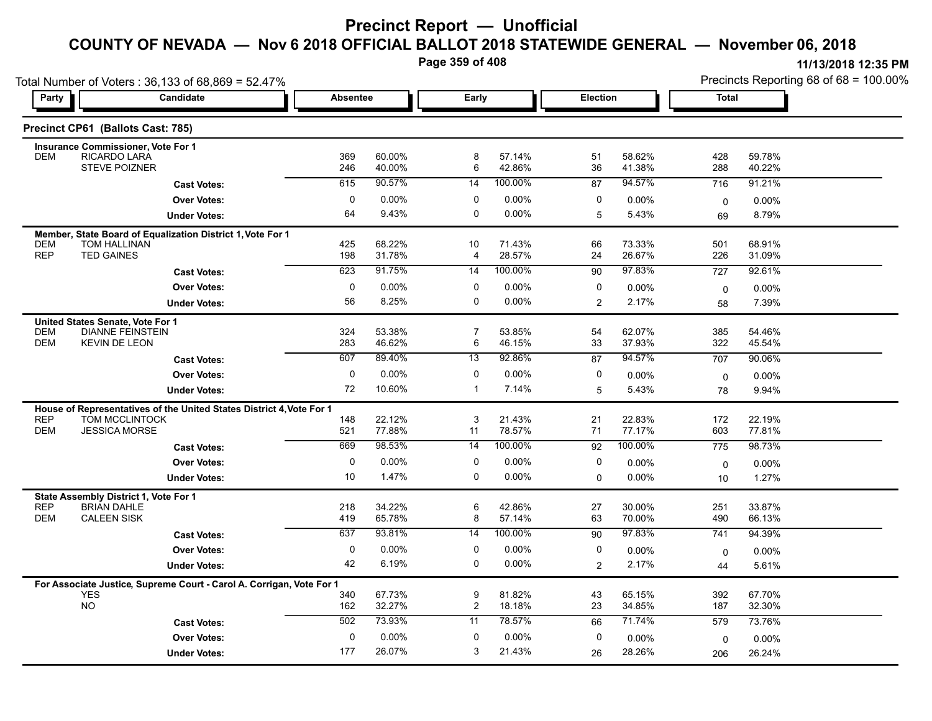**Page 359 of 408**

**11/13/2018 12:35 PM** Precincts Reporting 68 of 68 = 100.00% **Party Candidate Absentee Early Election Total** L.

| Total Number of Voters: 36,133 of 68,869 = 52.47%                           |                     |                 |                  |                     |                  |                | Precincts Reporting 68 of 68 = 100.00% |            |                    |  |
|-----------------------------------------------------------------------------|---------------------|-----------------|------------------|---------------------|------------------|----------------|----------------------------------------|------------|--------------------|--|
| Candidate<br>Party                                                          |                     | <b>Absentee</b> |                  | Early               |                  |                | Election                               |            | <b>Total</b>       |  |
| Precinct CP61 (Ballots Cast: 785)                                           |                     |                 |                  |                     |                  |                |                                        |            |                    |  |
| <b>Insurance Commissioner, Vote For 1</b>                                   |                     |                 |                  |                     |                  |                |                                        |            |                    |  |
| RICARDO LARA<br><b>DEM</b><br><b>STEVE POIZNER</b>                          |                     | 369<br>246      | 60.00%<br>40.00% | 8<br>6              | 57.14%<br>42.86% | 51<br>36       | 58.62%<br>41.38%                       | 428<br>288 | 59.78%<br>40.22%   |  |
|                                                                             | <b>Cast Votes:</b>  | 615             | 90.57%           | 14                  | 100.00%          | 87             | 94.57%                                 | 716        | 91.21%             |  |
|                                                                             | <b>Over Votes:</b>  | 0               | 0.00%            | $\mathbf 0$         | 0.00%            | 0              | 0.00%                                  | 0          | $0.00\%$           |  |
|                                                                             | <b>Under Votes:</b> | 64              | 9.43%            | $\mathbf 0$         | $0.00\%$         | 5              | 5.43%                                  | 69         | 8.79%              |  |
| Member, State Board of Equalization District 1, Vote For 1                  |                     |                 |                  |                     |                  |                |                                        |            |                    |  |
| <b>DEM</b><br>TOM HALLINAN<br><b>REP</b><br><b>TED GAINES</b>               |                     | 425<br>198      | 68.22%<br>31.78% | 10<br>4             | 71.43%<br>28.57% | 66<br>24       | 73.33%<br>26.67%                       | 501<br>226 | 68.91%<br>31.09%   |  |
|                                                                             | <b>Cast Votes:</b>  | 623             | 91.75%           | 14                  | 100.00%          | 90             | 97.83%                                 | 727        | 92.61%             |  |
|                                                                             | <b>Over Votes:</b>  | 0               | 0.00%            | 0                   | 0.00%            | 0              | 0.00%                                  | 0          | $0.00\%$           |  |
|                                                                             | <b>Under Votes:</b> | 56              | 8.25%            | 0                   | $0.00\%$         | $\overline{2}$ | 2.17%                                  | 58         | 7.39%              |  |
| United States Senate, Vote For 1                                            |                     |                 |                  |                     |                  |                |                                        |            |                    |  |
| <b>DIANNE FEINSTEIN</b><br><b>DEM</b><br><b>DEM</b><br><b>KEVIN DE LEON</b> |                     | 324<br>283      | 53.38%<br>46.62% | $\overline{7}$<br>6 | 53.85%<br>46.15% | 54<br>33       | 62.07%<br>37.93%                       | 385<br>322 | 54.46%<br>45.54%   |  |
|                                                                             | <b>Cast Votes:</b>  | 607             | 89.40%           | 13                  | 92.86%           | 87             | 94.57%                                 | 707        | 90.06%             |  |
|                                                                             | <b>Over Votes:</b>  | 0               | 0.00%            | 0                   | 0.00%            | 0              | 0.00%                                  | 0          | $0.00\%$           |  |
|                                                                             | <b>Under Votes:</b> | 72              | 10.60%           | $\mathbf{1}$        | 7.14%            | 5              | 5.43%                                  | 78         | 9.94%              |  |
| House of Representatives of the United States District 4, Vote For 1        |                     |                 |                  |                     |                  |                |                                        |            |                    |  |
| <b>REP</b><br>TOM MCCLINTOCK<br><b>DEM</b><br><b>JESSICA MORSE</b>          |                     | 148<br>521      | 22.12%<br>77.88% | 3<br>11             | 21.43%<br>78.57% | 21<br>71       | 22.83%<br>77.17%                       | 172<br>603 | 22.19%<br>77.81%   |  |
|                                                                             | <b>Cast Votes:</b>  | 669             | 98.53%           | 14                  | 100.00%          | 92             | 100.00%                                | 775        | 98.73%             |  |
|                                                                             | <b>Over Votes:</b>  | 0               | 0.00%            | 0                   | 0.00%            | 0              | 0.00%                                  |            |                    |  |
|                                                                             | <b>Under Votes:</b> | 10              | 1.47%            | $\mathbf 0$         | $0.00\%$         | $\Omega$       | 0.00%                                  | 0<br>10    | $0.00\%$<br>1.27%  |  |
|                                                                             |                     |                 |                  |                     |                  |                |                                        |            |                    |  |
| State Assembly District 1, Vote For 1<br><b>REP</b><br><b>BRIAN DAHLE</b>   |                     | 218             | 34.22%           | 6                   | 42.86%           | 27             | 30.00%                                 | 251        | 33.87%             |  |
| <b>DEM</b><br><b>CALEEN SISK</b>                                            |                     | 419             | 65.78%           | 8                   | 57.14%           | 63             | 70.00%                                 | 490        | 66.13%             |  |
|                                                                             | <b>Cast Votes:</b>  | 637             | 93.81%           | 14                  | 100.00%          | 90             | 97.83%                                 | 741        | 94.39%             |  |
|                                                                             | <b>Over Votes:</b>  | 0               | 0.00%            | 0                   | $0.00\%$         | 0              | 0.00%                                  | 0          | 0.00%              |  |
|                                                                             | <b>Under Votes:</b> | 42              | 6.19%            | 0                   | $0.00\%$         | $\overline{2}$ | 2.17%                                  | 44         | 5.61%              |  |
| For Associate Justice, Supreme Court - Carol A. Corrigan, Vote For 1        |                     |                 |                  |                     |                  |                |                                        |            |                    |  |
| <b>YES</b><br><b>NO</b>                                                     |                     | 340<br>162      | 67.73%<br>32.27% | 9<br>$\overline{2}$ | 81.82%<br>18.18% | 43<br>23       | 65.15%<br>34.85%                       | 392<br>187 | 67.70%<br>32.30%   |  |
|                                                                             | <b>Cast Votes:</b>  | 502             | 73.93%           | 11                  | 78.57%           | 66             | 71.74%                                 | 579        | 73.76%             |  |
|                                                                             | <b>Over Votes:</b>  | 0               | 0.00%            | 0                   | 0.00%            | 0              | 0.00%                                  |            |                    |  |
|                                                                             | <b>Under Votes:</b> | 177             | 26.07%           | 3                   | 21.43%           | 26             | 28.26%                                 | 0<br>206   | $0.00\%$<br>26.24% |  |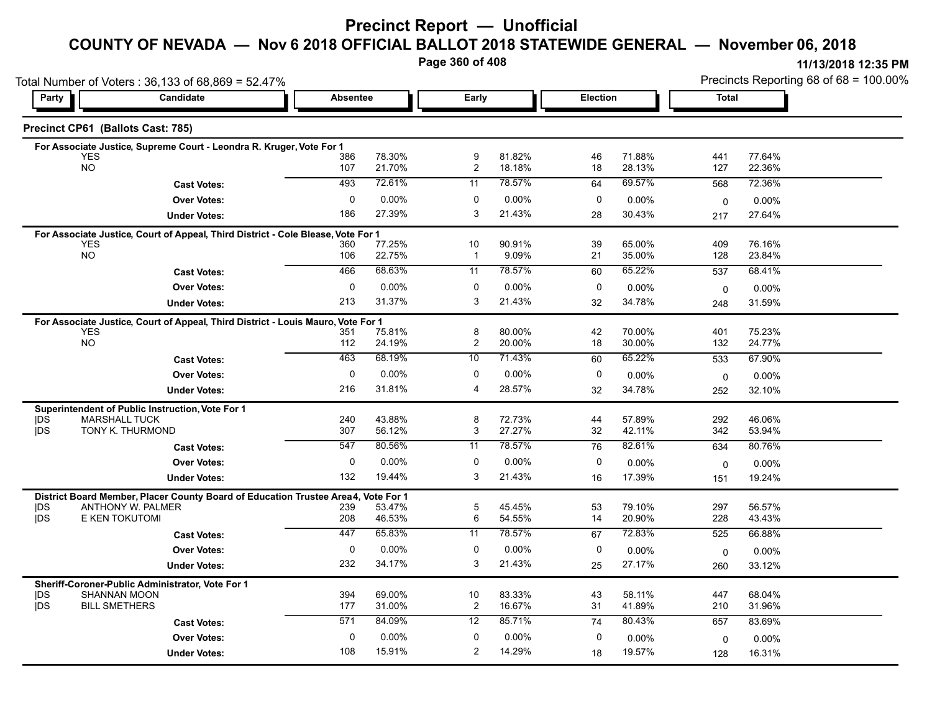# **Precinct Report — Unofficial**

# **COUNTY OF NEVADA — Nov 6 2018 OFFICIAL BALLOT 2018 STATEWIDE GENERAL — November 06, 2018**

**Page 360 of 408**

**11/13/2018 12:35 PM** Precincts Reporting 68 of 68 = 100.00%

| Total Number of Voters: 36,133 of 68,869 = 52.47% |                                                                                   |                 |                  |                       |                  |          | Precincts Reporting 68 of 68 = 100.00% |             |                  |  |
|---------------------------------------------------|-----------------------------------------------------------------------------------|-----------------|------------------|-----------------------|------------------|----------|----------------------------------------|-------------|------------------|--|
| Candidate<br>Party                                |                                                                                   | <b>Absentee</b> |                  | Early                 |                  |          | <b>Election</b>                        |             | <b>Total</b>     |  |
|                                                   | Precinct CP61 (Ballots Cast: 785)                                                 |                 |                  |                       |                  |          |                                        |             |                  |  |
|                                                   | For Associate Justice, Supreme Court - Leondra R. Kruger, Vote For 1              |                 |                  |                       |                  |          |                                        |             |                  |  |
|                                                   | <b>YES</b><br><b>NO</b>                                                           | 386<br>107      | 78.30%<br>21.70% | 9<br>$\boldsymbol{2}$ | 81.82%<br>18.18% | 46<br>18 | 71.88%<br>28.13%                       | 441<br>127  | 77.64%<br>22.36% |  |
|                                                   |                                                                                   |                 |                  |                       |                  |          |                                        |             |                  |  |
|                                                   | <b>Cast Votes:</b>                                                                | 493             | 72.61%           | 11                    | 78.57%           | 64       | 69.57%                                 | 568         | 72.36%           |  |
|                                                   | <b>Over Votes:</b>                                                                | 0               | $0.00\%$         | 0                     | 0.00%            | 0        | $0.00\%$                               | 0           | $0.00\%$         |  |
|                                                   | <b>Under Votes:</b>                                                               | 186             | 27.39%           | 3                     | 21.43%           | 28       | 30.43%                                 | 217         | 27.64%           |  |
|                                                   | For Associate Justice, Court of Appeal, Third District - Cole Blease, Vote For 1  |                 |                  |                       |                  |          |                                        |             |                  |  |
|                                                   | <b>YES</b><br>NO                                                                  | 360<br>106      | 77.25%<br>22.75% | 10<br>$\mathbf{1}$    | 90.91%<br>9.09%  | 39<br>21 | 65.00%<br>35.00%                       | 409<br>128  | 76.16%<br>23.84% |  |
|                                                   | <b>Cast Votes:</b>                                                                | 466             | 68.63%           | 11                    | 78.57%           | 60       | 65.22%                                 | 537         | 68.41%           |  |
|                                                   |                                                                                   |                 |                  |                       |                  |          |                                        |             |                  |  |
|                                                   | <b>Over Votes:</b>                                                                | 0               | 0.00%            | 0<br>3                | 0.00%            | 0        | 0.00%                                  | 0           | $0.00\%$         |  |
|                                                   | <b>Under Votes:</b>                                                               | 213             | 31.37%           |                       | 21.43%           | 32       | 34.78%                                 | 248         | 31.59%           |  |
|                                                   | For Associate Justice, Court of Appeal, Third District - Louis Mauro, Vote For 1  |                 |                  |                       |                  |          |                                        |             |                  |  |
|                                                   | <b>YES</b><br><b>NO</b>                                                           | 351<br>112      | 75.81%<br>24.19% | 8<br>$\overline{c}$   | 80.00%<br>20.00% | 42<br>18 | 70.00%<br>30.00%                       | 401<br>132  | 75.23%<br>24.77% |  |
|                                                   |                                                                                   | 463             | 68.19%           | 10                    | 71.43%           |          | 65.22%                                 |             | 67.90%           |  |
|                                                   | <b>Cast Votes:</b>                                                                |                 |                  |                       |                  | 60       |                                        | 533         |                  |  |
|                                                   | <b>Over Votes:</b>                                                                | 0               | $0.00\%$         | 0                     | 0.00%            | 0        | 0.00%                                  | 0           | $0.00\%$         |  |
|                                                   | <b>Under Votes:</b>                                                               | 216             | 31.81%           | 4                     | 28.57%           | 32       | 34.78%                                 | 252         | 32.10%           |  |
|                                                   | Superintendent of Public Instruction, Vote For 1                                  |                 |                  |                       |                  |          |                                        |             |                  |  |
| <b>IDS</b><br><b>IDS</b>                          | <b>MARSHALL TUCK</b><br>TONY K. THURMOND                                          | 240<br>307      | 43.88%<br>56.12% | 8<br>3                | 72.73%<br>27.27% | 44<br>32 | 57.89%<br>42.11%                       | 292<br>342  | 46.06%<br>53.94% |  |
|                                                   |                                                                                   | 547             | 80.56%           |                       | 78.57%           |          | 82.61%                                 |             |                  |  |
|                                                   | <b>Cast Votes:</b>                                                                |                 |                  | 11                    |                  | 76       |                                        | 634         | 80.76%           |  |
|                                                   | <b>Over Votes:</b>                                                                | $\mathbf 0$     | 0.00%            | 0                     | 0.00%            | 0        | $0.00\%$                               | 0           | 0.00%            |  |
|                                                   | <b>Under Votes:</b>                                                               | 132             | 19.44%           | 3                     | 21.43%           | 16       | 17.39%                                 | 151         | 19.24%           |  |
|                                                   | District Board Member, Placer County Board of Education Trustee Area4, Vote For 1 |                 |                  |                       |                  |          |                                        |             |                  |  |
| DS<br><b>IDS</b>                                  | ANTHONY W. PALMER<br>E KEN TOKUTOMI                                               | 239<br>208      | 53.47%<br>46.53% | $\mathbf 5$<br>6      | 45.45%<br>54.55% | 53<br>14 | 79.10%<br>20.90%                       | 297<br>228  | 56.57%<br>43.43% |  |
|                                                   |                                                                                   | 447             | 65.83%           | 11                    | 78.57%           |          | 72.83%                                 |             |                  |  |
|                                                   | <b>Cast Votes:</b>                                                                |                 |                  |                       |                  | 67       |                                        | 525         | 66.88%           |  |
|                                                   | <b>Over Votes:</b>                                                                | 0               | $0.00\%$         | $\Omega$              | 0.00%            | 0        | 0.00%                                  | $\mathbf 0$ | 0.00%            |  |
|                                                   | <b>Under Votes:</b>                                                               | 232             | 34.17%           | 3                     | 21.43%           | 25       | 27.17%                                 | 260         | 33.12%           |  |
|                                                   | Sheriff-Coroner-Public Administrator, Vote For 1                                  |                 |                  |                       |                  |          |                                        |             |                  |  |
| DS<br><b>IDS</b>                                  | <b>SHANNAN MOON</b><br><b>BILL SMETHERS</b>                                       | 394             | 69.00%           | 10                    | 83.33%           | 43       | 58.11%                                 | 447         | 68.04%           |  |
|                                                   |                                                                                   | 177             | 31.00%           | $\overline{c}$        | 16.67%           | 31       | 41.89%                                 | 210         | 31.96%           |  |
|                                                   | <b>Cast Votes:</b>                                                                | 571             | 84.09%           | 12                    | 85.71%           | 74       | 80.43%                                 | 657         | 83.69%           |  |
|                                                   | <b>Over Votes:</b>                                                                | $\mathbf 0$     | $0.00\%$         | $\mathbf 0$           | 0.00%            | 0        | $0.00\%$                               | 0           | 0.00%            |  |
|                                                   | <b>Under Votes:</b>                                                               | 108             | 15.91%           | 2                     | 14.29%           | 18       | 19.57%                                 | 128         | 16.31%           |  |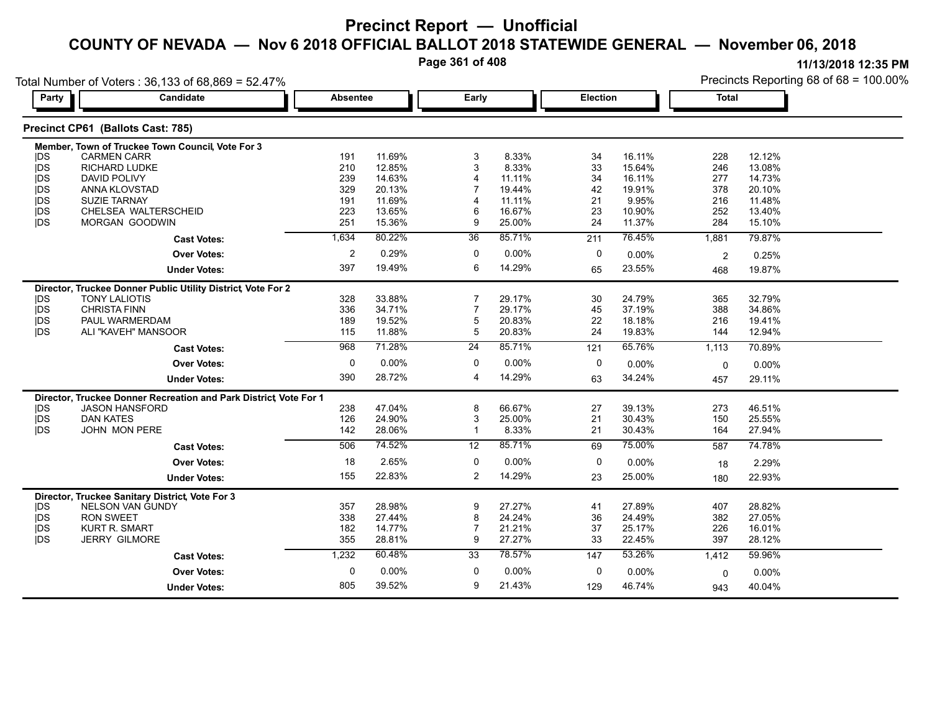**Page 361 of 408**

|            | Total Number of Voters: 36,133 of 68,869 = 52.47%                |                 |        |                 |        |             |          |              | Precincts Reporting 68 of 68 = 100.00% |
|------------|------------------------------------------------------------------|-----------------|--------|-----------------|--------|-------------|----------|--------------|----------------------------------------|
| Party      | Candidate                                                        | <b>Absentee</b> |        | Early           |        | Election    |          | <b>Total</b> |                                        |
|            | Precinct CP61 (Ballots Cast: 785)                                |                 |        |                 |        |             |          |              |                                        |
|            | Member, Town of Truckee Town Council, Vote For 3                 |                 |        |                 |        |             |          |              |                                        |
| <b>IDS</b> | <b>CARMEN CARR</b>                                               | 191             | 11.69% | 3               | 8.33%  | 34          | 16.11%   | 228          | 12.12%                                 |
| <b>IDS</b> | RICHARD LUDKE                                                    | 210             | 12.85% | 3               | 8.33%  | 33          | 15.64%   | 246          | 13.08%                                 |
| <b>IDS</b> | <b>DAVID POLIVY</b>                                              | 239             | 14.63% |                 | 11.11% | 34          | 16.11%   | 277          | 14.73%                                 |
| <b>IDS</b> | ANNA KLOVSTAD                                                    | 329             | 20.13% |                 | 19.44% | 42          | 19.91%   | 378          | 20.10%                                 |
| <b>IDS</b> | <b>SUZIE TARNAY</b>                                              | 191             | 11.69% |                 | 11.11% | 21          | 9.95%    | 216          | 11.48%                                 |
| <b>IDS</b> | CHELSEA WALTERSCHEID                                             | 223             | 13.65% | 6               | 16.67% | 23          | 10.90%   | 252          | 13.40%                                 |
| jDS        | MORGAN GOODWIN                                                   | 251             | 15.36% | 9               | 25.00% | 24          | 11.37%   | 284          | 15.10%                                 |
|            | <b>Cast Votes:</b>                                               | 1,634           | 80.22% | 36              | 85.71% | 211         | 76.45%   | 1,881        | 79.87%                                 |
|            | <b>Over Votes:</b>                                               | $\overline{2}$  | 0.29%  | $\mathbf 0$     | 0.00%  | $\mathbf 0$ | 0.00%    | 2            | 0.25%                                  |
|            | <b>Under Votes:</b>                                              | 397             | 19.49% | 6               | 14.29% | 65          | 23.55%   | 468          | 19.87%                                 |
|            | Director, Truckee Donner Public Utility District, Vote For 2     |                 |        |                 |        |             |          |              |                                        |
| <b>IDS</b> | <b>TONY LALIOTIS</b>                                             | 328             | 33.88% | 7               | 29.17% | 30          | 24.79%   | 365          | 32.79%                                 |
| <b>IDS</b> | <b>CHRISTA FINN</b>                                              | 336             | 34.71% | $\overline{7}$  | 29.17% | 45          | 37.19%   | 388          | 34.86%                                 |
| jDS        | PAUL WARMERDAM                                                   | 189             | 19.52% | 5               | 20.83% | 22          | 18.18%   | 216          | 19.41%                                 |
| <b>IDS</b> | ALI "KAVEH" MANSOOR                                              | 115             | 11.88% | 5               | 20.83% | 24          | 19.83%   | 144          | 12.94%                                 |
|            | <b>Cast Votes:</b>                                               | 968             | 71.28% | 24              | 85.71% | 121         | 65.76%   | 1,113        | 70.89%                                 |
|            | <b>Over Votes:</b>                                               | 0               | 0.00%  | 0               | 0.00%  | 0           | $0.00\%$ | $\Omega$     | 0.00%                                  |
|            | <b>Under Votes:</b>                                              | 390             | 28.72% | 4               | 14.29% | 63          | 34.24%   | 457          | 29.11%                                 |
|            | Director, Truckee Donner Recreation and Park District Vote For 1 |                 |        |                 |        |             |          |              |                                        |
| <b>IDS</b> | <b>JASON HANSFORD</b>                                            | 238             | 47.04% | 8               | 66.67% | 27          | 39.13%   | 273          | 46.51%                                 |
| <b>IDS</b> | <b>DAN KATES</b>                                                 | 126             | 24.90% | 3               | 25.00% | 21          | 30.43%   | 150          | 25.55%                                 |
| <b>IDS</b> | <b>JOHN MON PERE</b>                                             | 142             | 28.06% | $\mathbf 1$     | 8.33%  | 21          | 30.43%   | 164          | 27.94%                                 |
|            | <b>Cast Votes:</b>                                               | 506             | 74.52% | $\overline{12}$ | 85.71% | 69          | 75.00%   | 587          | 74.78%                                 |
|            | <b>Over Votes:</b>                                               | 18              | 2.65%  | 0               | 0.00%  | 0           | 0.00%    | 18           | 2.29%                                  |
|            | <b>Under Votes:</b>                                              | 155             | 22.83% | $\overline{2}$  | 14.29% | 23          | 25.00%   | 180          | 22.93%                                 |
|            | Director, Truckee Sanitary District, Vote For 3                  |                 |        |                 |        |             |          |              |                                        |
| <b>IDS</b> | <b>NELSON VAN GUNDY</b>                                          | 357             | 28.98% | 9               | 27.27% | 41          | 27.89%   | 407          | 28.82%                                 |
| <b>IDS</b> | <b>RON SWEET</b>                                                 | 338             | 27.44% | 8               | 24.24% | 36          | 24.49%   | 382          | 27.05%                                 |
| <b>IDS</b> | <b>KURT R. SMART</b>                                             | 182             | 14.77% |                 | 21.21% | 37          | 25.17%   | 226          | 16.01%                                 |
| <b>IDS</b> | <b>JERRY GILMORE</b>                                             | 355             | 28.81% | 9               | 27.27% | 33          | 22.45%   | 397          | 28.12%                                 |
|            | <b>Cast Votes:</b>                                               | 1,232           | 60.48% | 33              | 78.57% | 147         | 53.26%   | 1,412        | 59.96%                                 |
|            | <b>Over Votes:</b>                                               | $\mathbf 0$     | 0.00%  | 0               | 0.00%  | 0           | 0.00%    | 0            | 0.00%                                  |
|            | <b>Under Votes:</b>                                              | 805             | 39.52% | 9               | 21.43% | 129         | 46.74%   | 943          | 40.04%                                 |
|            |                                                                  |                 |        |                 |        |             |          |              |                                        |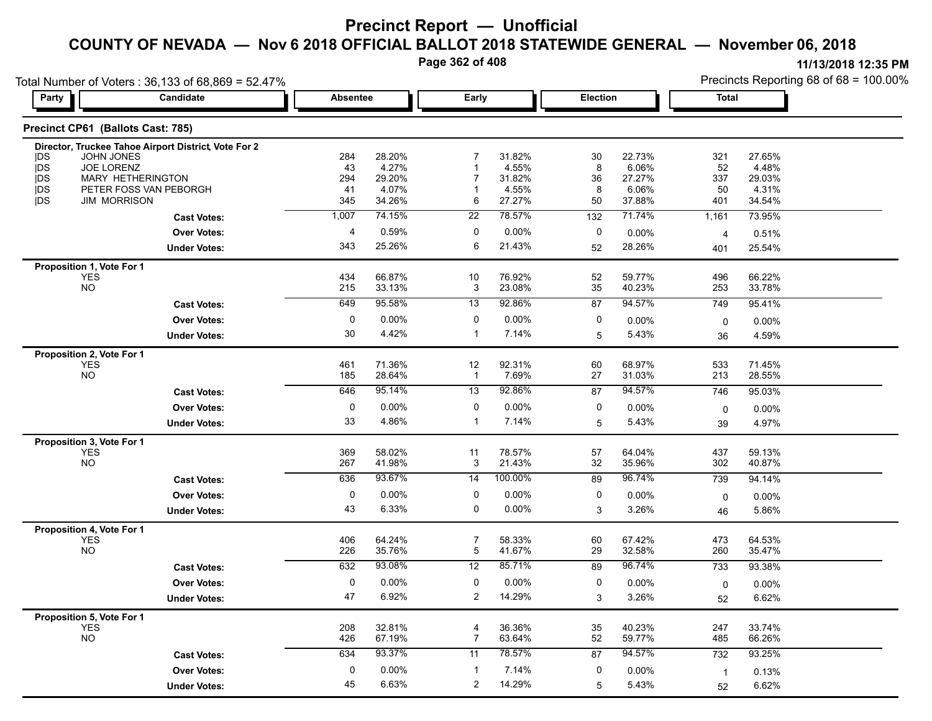**Page 362 of 408**

|                  | Total Number of Voters: 36,133 of 68,869 = 52.47%    |                 |                 |                 |                 |                 |                 |                | Precincts Reporting 68 of 68 = 100.00% |
|------------------|------------------------------------------------------|-----------------|-----------------|-----------------|-----------------|-----------------|-----------------|----------------|----------------------------------------|
| Party            | Candidate                                            | <b>Absentee</b> |                 | Early           |                 | <b>Election</b> |                 | <b>Total</b>   |                                        |
|                  | Precinct CP61 (Ballots Cast: 785)                    |                 |                 |                 |                 |                 |                 |                |                                        |
|                  | Director, Truckee Tahoe Airport District, Vote For 2 |                 |                 |                 |                 |                 |                 |                |                                        |
| <b>IDS</b>       | JOHN JONES                                           | 284             | 28.20%          |                 | 31.82%          | 30              | 22.73%          | 321            | 27.65%                                 |
| jDS              | JOE LORENZ                                           | 43              | 4.27%           |                 | 4.55%           | 8               | 6.06%           | 52             | 4.48%                                  |
| <b>jDS</b><br>DS | MARY HETHERINGTON<br>PETER FOSS VAN PEBORGH          | 294<br>41       | 29.20%<br>4.07% |                 | 31.82%<br>4.55% | 36<br>8         | 27.27%<br>6.06% | 337<br>50      | 29.03%<br>4.31%                        |
| jDS              | <b>JIM MORRISON</b>                                  | 345             | 34.26%          | 6               | 27.27%          | 50              | 37.88%          | 401            | 34.54%                                 |
|                  | <b>Cast Votes:</b>                                   | 1,007           | 74.15%          | 22              | 78.57%          | 132             | 71.74%          | 1,161          | 73.95%                                 |
|                  | <b>Over Votes:</b>                                   | $\overline{4}$  | 0.59%           | 0               | $0.00\%$        | 0               | $0.00\%$        | 4              | 0.51%                                  |
|                  | <b>Under Votes:</b>                                  | 343             | 25.26%          | 6               | 21.43%          | 52              | 28.26%          | 401            | 25.54%                                 |
|                  | Proposition 1, Vote For 1                            |                 |                 |                 |                 |                 |                 |                |                                        |
|                  | <b>YES</b>                                           | 434             | 66.87%          | 10              | 76.92%          | 52              | 59.77%          | 496            | 66.22%                                 |
|                  | NO                                                   | 215             | 33.13%          | 3               | 23.08%          | 35              | 40.23%          | 253            | 33.78%                                 |
|                  | <b>Cast Votes:</b>                                   | 649             | 95.58%          | $\overline{13}$ | 92.86%          | 87              | 94.57%          | 749            | 95.41%                                 |
|                  | Over Votes:                                          | 0               | $0.00\%$        | $\mathbf{0}$    | 0.00%           | 0               | 0.00%           | 0              | 0.00%                                  |
|                  | <b>Under Votes:</b>                                  | 30              | 4.42%           | $\mathbf{1}$    | 7.14%           | 5               | 5.43%           | 36             | 4.59%                                  |
|                  | Proposition 2, Vote For 1                            |                 |                 |                 |                 |                 |                 |                |                                        |
|                  | <b>YES</b>                                           | 461             | 71.36%          | 12              | 92.31%          | 60              | 68.97%          | 533            | 71.45%                                 |
|                  | <b>NO</b>                                            | 185             | 28.64%          | $\overline{1}$  | 7.69%           | $27\,$          | 31.03%          | 213            | 28.55%                                 |
|                  | <b>Cast Votes:</b>                                   | 646             | 95.14%          | 13              | 92.86%          | 87              | 94.57%          | 746            | 95.03%                                 |
|                  | <b>Over Votes:</b>                                   | 0               | $0.00\%$        | $\mathbf 0$     | $0.00\%$        | 0               | 0.00%           | $\mathsf{O}$   | 0.00%                                  |
|                  | <b>Under Votes:</b>                                  | 33              | 4.86%           | $\mathbf{1}$    | 7.14%           | 5               | 5.43%           | 39             | 4.97%                                  |
|                  | Proposition 3, Vote For 1                            |                 |                 |                 |                 |                 |                 |                |                                        |
|                  | <b>YES</b>                                           | 369             | 58.02%          | 11              | 78.57%          | 57              | 64.04%          | 437            | 59.13%                                 |
|                  | <b>NO</b>                                            | 267             | 41.98%          | 3               | 21.43%          | 32              | 35.96%          | 302            | 40.87%                                 |
|                  | <b>Cast Votes:</b>                                   | 636             | 93.67%          | 14              | 100.00%         | 89              | 96.74%          | 739            | 94.14%                                 |
|                  | Over Votes:                                          | 0               | $0.00\%$        | 0               | 0.00%           | 0               | $0.00\%$        | $\mathbf 0$    | 0.00%                                  |
|                  | <b>Under Votes:</b>                                  | 43              | 6.33%           | 0               | 0.00%           | 3               | 3.26%           | 46             | 5.86%                                  |
|                  | Proposition 4, Vote For 1                            |                 |                 |                 |                 |                 |                 |                |                                        |
|                  | <b>YES</b>                                           | 406             | 64.24%          | $\overline{7}$  | 58.33%          | 60              | 67.42%          | 473            | 64.53%                                 |
|                  | $NO$                                                 | 226             | 35.76%          | 5               | 41.67%          | 29              | 32.58%          | 260            | 35.47%                                 |
|                  | <b>Cast Votes:</b>                                   | 632             | 93.08%          | 12              | 85.71%          | 89              | 96.74%          | 733            | 93.38%                                 |
|                  | <b>Over Votes:</b>                                   | 0               | $0.00\%$        | 0               | $0.00\%$        | 0               | 0.00%           | 0              | 0.00%                                  |
|                  | <b>Under Votes:</b>                                  | 47              | 6.92%           | $\overline{a}$  | 14.29%          | 3               | 3.26%           | 52             | 6.62%                                  |
|                  | Proposition 5, Vote For 1                            |                 |                 |                 |                 |                 |                 |                |                                        |
|                  | <b>YES</b>                                           | 208             | 32.81%          | 4               | 36.36%          | $35\,$          | 40.23%          | 247            | 33.74%                                 |
|                  | <b>NO</b>                                            | 426             | 67.19%          | $\overline{7}$  | 63.64%          | 52              | 59.77%          | 485            | 66.26%                                 |
|                  | <b>Cast Votes:</b>                                   | 634             | 93.37%          | 11              | 78.57%          | 87              | 94.57%          | 732            | 93.25%                                 |
|                  | <b>Over Votes:</b>                                   | 0               | 0.00%           | -1              | 7.14%           | 0               | $0.00\%$        | $\overline{1}$ | 0.13%                                  |
|                  | <b>Under Votes:</b>                                  | 45              | 6.63%           | $\overline{2}$  | 14.29%          | 5               | 5.43%           | 52             | 6.62%                                  |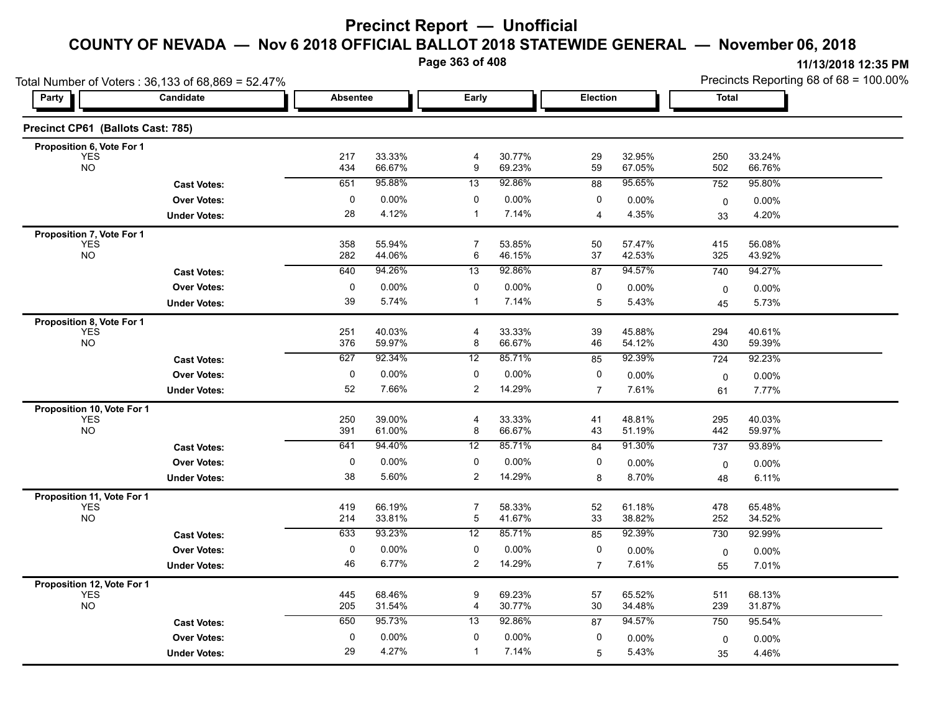**Page 363 of 408**

|                                   | Total Number of Voters: 36,133 of 68,869 = 52.47% |            |                  |                     |                  |                |                  | Precincts Reporting 68 of 68 = 100.00% |                  |  |
|-----------------------------------|---------------------------------------------------|------------|------------------|---------------------|------------------|----------------|------------------|----------------------------------------|------------------|--|
| Party                             | Candidate                                         |            | <b>Absentee</b>  |                     | Early            | Election       |                  | <b>Total</b>                           |                  |  |
| Precinct CP61 (Ballots Cast: 785) |                                                   |            |                  |                     |                  |                |                  |                                        |                  |  |
| Proposition 6, Vote For 1         |                                                   |            |                  |                     |                  |                |                  |                                        |                  |  |
| <b>YES</b><br><b>NO</b>           |                                                   | 217<br>434 | 33.33%<br>66.67% | 4<br>9              | 30.77%<br>69.23% | 29<br>59       | 32.95%<br>67.05% | 250<br>502                             | 33.24%<br>66.76% |  |
|                                   | <b>Cast Votes:</b>                                | 651        | 95.88%           | 13                  | 92.86%           | 88             | 95.65%           | 752                                    | 95.80%           |  |
|                                   | <b>Over Votes:</b>                                | 0          | 0.00%            | 0                   | 0.00%            | 0              | 0.00%            | $\mathbf 0$                            | $0.00\%$         |  |
|                                   | <b>Under Votes:</b>                               | 28         | 4.12%            | $\mathbf{1}$        | 7.14%            | $\overline{4}$ | 4.35%            | 33                                     | 4.20%            |  |
| Proposition 7, Vote For 1         |                                                   |            |                  |                     |                  |                |                  |                                        |                  |  |
| <b>YES</b><br><b>NO</b>           |                                                   | 358<br>282 | 55.94%<br>44.06% | $\overline{7}$<br>6 | 53.85%<br>46.15% | 50<br>37       | 57.47%<br>42.53% | 415<br>325                             | 56.08%<br>43.92% |  |
|                                   | <b>Cast Votes:</b>                                | 640        | 94.26%           | 13                  | 92.86%           | 87             | 94.57%           | 740                                    | 94.27%           |  |
|                                   | <b>Over Votes:</b>                                | $\pmb{0}$  | 0.00%            | 0                   | 0.00%            | 0              | 0.00%            | $\pmb{0}$                              | 0.00%            |  |
|                                   | <b>Under Votes:</b>                               | 39         | 5.74%            | $\mathbf{1}$        | 7.14%            | 5              | 5.43%            | 45                                     | 5.73%            |  |
| Proposition 8, Vote For 1         |                                                   |            |                  |                     |                  |                |                  |                                        |                  |  |
| <b>YES</b>                        |                                                   | 251        | 40.03%           | $\overline{4}$      | 33.33%           | 39             | 45.88%           | 294                                    | 40.61%           |  |
| <b>NO</b>                         |                                                   | 376        | 59.97%           | 8                   | 66.67%           | 46             | 54.12%           | 430                                    | 59.39%           |  |
|                                   | <b>Cast Votes:</b>                                | 627        | 92.34%           | 12                  | 85.71%           | 85             | 92.39%           | 724                                    | 92.23%           |  |
|                                   | <b>Over Votes:</b>                                | 0          | 0.00%            | 0                   | 0.00%            | 0              | 0.00%            | 0                                      | 0.00%            |  |
|                                   | <b>Under Votes:</b>                               | 52         | 7.66%            | $\overline{2}$      | 14.29%           | $\overline{7}$ | 7.61%            | 61                                     | 7.77%            |  |
| Proposition 10, Vote For 1        |                                                   |            |                  |                     |                  |                |                  |                                        |                  |  |
| <b>YES</b><br><b>NO</b>           |                                                   | 250<br>391 | 39.00%<br>61.00% | $\overline{4}$<br>8 | 33.33%<br>66.67% | 41<br>43       | 48.81%<br>51.19% | 295<br>442                             | 40.03%<br>59.97% |  |
|                                   | <b>Cast Votes:</b>                                | 641        | 94.40%           | 12                  | 85.71%           | 84             | 91.30%           | 737                                    | 93.89%           |  |
|                                   | <b>Over Votes:</b>                                | 0          | 0.00%            | 0                   | $0.00\%$         | 0              | 0.00%            |                                        | 0.00%            |  |
|                                   | <b>Under Votes:</b>                               | 38         | 5.60%            | $\overline{2}$      | 14.29%           | 8              | 8.70%            | $\mathbf 0$<br>48                      | 6.11%            |  |
| Proposition 11, Vote For 1        |                                                   |            |                  |                     |                  |                |                  |                                        |                  |  |
| <b>YES</b>                        |                                                   | 419        | 66.19%           | $\overline{7}$      | 58.33%           | 52             | 61.18%           | 478                                    | 65.48%           |  |
| <b>NO</b>                         |                                                   | 214        | 33.81%           | 5                   | 41.67%           | 33             | 38.82%           | 252                                    | 34.52%           |  |
|                                   | <b>Cast Votes:</b>                                | 633        | 93.23%           | 12                  | 85.71%           | 85             | 92.39%           | 730                                    | 92.99%           |  |
|                                   | <b>Over Votes:</b>                                | $\pmb{0}$  | 0.00%            | 0                   | 0.00%            | 0              | 0.00%            | $\mathbf 0$                            | 0.00%            |  |
|                                   | <b>Under Votes:</b>                               | 46         | 6.77%            | $\overline{2}$      | 14.29%           | $\overline{7}$ | 7.61%            | 55                                     | 7.01%            |  |
| Proposition 12, Vote For 1        |                                                   |            |                  |                     |                  |                |                  |                                        |                  |  |
| <b>YES</b><br><b>NO</b>           |                                                   | 445<br>205 | 68.46%<br>31.54% | 9<br>$\overline{4}$ | 69.23%<br>30.77% | 57<br>30       | 65.52%<br>34.48% | 511<br>239                             | 68.13%<br>31.87% |  |
|                                   | <b>Cast Votes:</b>                                | 650        | 95.73%           | 13                  | 92.86%           | 87             | 94.57%           | 750                                    | 95.54%           |  |
|                                   | <b>Over Votes:</b>                                | 0          | 0.00%            | 0                   | 0.00%            | 0              | 0.00%            |                                        |                  |  |
|                                   |                                                   | 29         | 4.27%            | $\mathbf{1}$        | 7.14%            |                |                  | 0                                      | 0.00%            |  |
|                                   | <b>Under Votes:</b>                               |            |                  |                     |                  | 5              | 5.43%            | 35                                     | 4.46%            |  |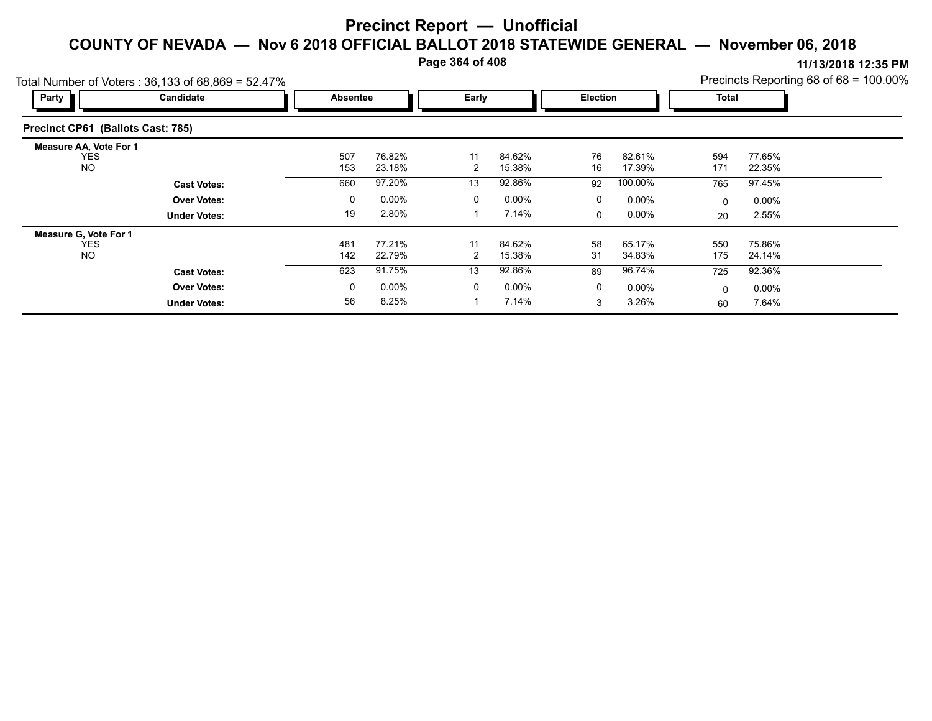**Page 364 of 408**

|                                                          | Total Number of Voters: 36,133 of 68,869 = 52.47% |                 |                  |         |                  |                 |                  |              |                  | Precincts Reporting 68 of 68 = 100.00% |
|----------------------------------------------------------|---------------------------------------------------|-----------------|------------------|---------|------------------|-----------------|------------------|--------------|------------------|----------------------------------------|
| Party                                                    | Candidate                                         | <b>Absentee</b> |                  | Early   |                  | <b>Election</b> |                  | <b>Total</b> |                  |                                        |
| Precinct CP61 (Ballots Cast: 785)                        |                                                   |                 |                  |         |                  |                 |                  |              |                  |                                        |
| <b>Measure AA, Vote For 1</b><br><b>YES</b><br><b>NO</b> |                                                   | 507<br>153      | 76.82%<br>23.18% | 11<br>2 | 84.62%<br>15.38% | 76<br>16        | 82.61%<br>17.39% | 594<br>171   | 77.65%<br>22.35% |                                        |
|                                                          | <b>Cast Votes:</b>                                | 660             | 97.20%           | 13      | 92.86%           | 92              | 100.00%          | 765          | 97.45%           |                                        |
|                                                          | <b>Over Votes:</b>                                | 0               | $0.00\%$         | 0       | $0.00\%$         | 0               | $0.00\%$         | 0            | $0.00\%$         |                                        |
|                                                          | <b>Under Votes:</b>                               | 19              | 2.80%            |         | 7.14%            | $\Omega$        | $0.00\%$         | 20           | 2.55%            |                                        |
| Measure G, Vote For 1                                    |                                                   |                 |                  |         |                  |                 |                  |              |                  |                                        |
| <b>YES</b><br><b>NO</b>                                  |                                                   | 481<br>142      | 77.21%<br>22.79% | 11<br>2 | 84.62%<br>15.38% | 58<br>31        | 65.17%<br>34.83% | 550<br>175   | 75.86%<br>24.14% |                                        |
|                                                          | <b>Cast Votes:</b>                                | 623             | 91.75%           | 13      | 92.86%           | 89              | 96.74%           | 725          | 92.36%           |                                        |
|                                                          | <b>Over Votes:</b>                                | 0               | $0.00\%$         | 0       | $0.00\%$         | 0               | $0.00\%$         | 0            | $0.00\%$         |                                        |
|                                                          | <b>Under Votes:</b>                               | 56              | 8.25%            |         | 7.14%            | 3               | 3.26%            | 60           | 7.64%            |                                        |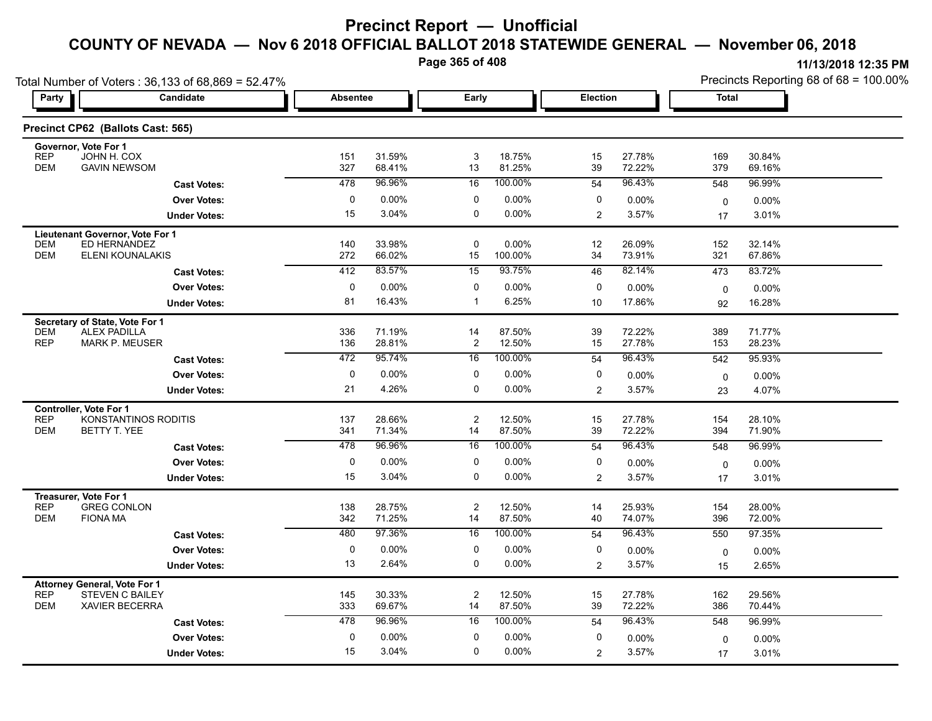**Page 365 of 408**

| Total Number of Voters: 36,133 of 68,869 = 52.47%                   |                     |             |                  |                               |                  |                |                   | Precincts Reporting 68 of 68 = 100.00% |                  |  |  |
|---------------------------------------------------------------------|---------------------|-------------|------------------|-------------------------------|------------------|----------------|-------------------|----------------------------------------|------------------|--|--|
| Party                                                               | <b>Candidate</b>    |             | <b>Absentee</b>  |                               | Early            |                | Election          | <b>Total</b>                           |                  |  |  |
| Precinct CP62 (Ballots Cast: 565)                                   |                     |             |                  |                               |                  |                |                   |                                        |                  |  |  |
| Governor, Vote For 1<br><b>REP</b><br>JOHN H. COX                   |                     | 151         | 31.59%           | 3                             | 18.75%           | 15             | 27.78%            | 169                                    | 30.84%           |  |  |
| <b>DEM</b><br><b>GAVIN NEWSOM</b>                                   |                     | 327         | 68.41%           | 13                            | 81.25%           | 39             | 72.22%            | 379                                    | 69.16%           |  |  |
|                                                                     | <b>Cast Votes:</b>  | 478         | 96.96%           | 16                            | 100.00%          | 54             | 96.43%            | 548                                    | 96.99%           |  |  |
|                                                                     | <b>Over Votes:</b>  | 0           | 0.00%            | 0                             | 0.00%            | 0              | 0.00%             | 0                                      | $0.00\%$         |  |  |
|                                                                     | <b>Under Votes:</b> | 15          | 3.04%            | 0                             | 0.00%            | 2              | 3.57%             | 17                                     | 3.01%            |  |  |
| Lieutenant Governor, Vote For 1                                     |                     |             |                  |                               |                  |                |                   |                                        |                  |  |  |
| ED HERNANDEZ<br><b>DEM</b><br><b>DEM</b><br><b>ELENI KOUNALAKIS</b> |                     | 140<br>272  | 33.98%<br>66.02% | $\mathbf 0$<br>15             | 0.00%<br>100.00% | 12<br>34       | 26.09%<br>73.91%  | 152<br>321                             | 32.14%<br>67.86% |  |  |
|                                                                     | <b>Cast Votes:</b>  | 412         | 83.57%           | 15                            | 93.75%           | 46             | 82.14%            | 473                                    | 83.72%           |  |  |
|                                                                     | <b>Over Votes:</b>  | 0           | 0.00%            | 0                             | 0.00%            | 0              | $0.00\%$          |                                        | 0.00%            |  |  |
|                                                                     | <b>Under Votes:</b> | 81          | 16.43%           | -1                            | 6.25%            | 10             | 17.86%            | 0<br>92                                | 16.28%           |  |  |
|                                                                     |                     |             |                  |                               |                  |                |                   |                                        |                  |  |  |
| Secretary of State, Vote For 1<br><b>DEM</b><br><b>ALEX PADILLA</b> |                     | 336         | 71.19%           | 14                            | 87.50%           | 39             | 72.22%            | 389                                    | 71.77%           |  |  |
| <b>REP</b><br><b>MARK P. MEUSER</b>                                 |                     | 136         | 28.81%           | $\overline{c}$                | 12.50%           | 15             | 27.78%            | 153                                    | 28.23%           |  |  |
|                                                                     | <b>Cast Votes:</b>  | 472         | 95.74%           | 16                            | 100.00%          | 54             | 96.43%            | 542                                    | 95.93%           |  |  |
|                                                                     | <b>Over Votes:</b>  | 0           | $0.00\%$         | 0                             | $0.00\%$         | 0              | 0.00%             | $\mathbf 0$                            | $0.00\%$         |  |  |
|                                                                     | <b>Under Votes:</b> | 21          | 4.26%            | 0                             | 0.00%            | 2              | 3.57%             | 23                                     | 4.07%            |  |  |
| Controller, Vote For 1                                              |                     |             |                  |                               |                  |                |                   |                                        |                  |  |  |
| <b>REP</b><br>KONSTANTINOS RODITIS<br><b>DEM</b><br>BETTY T. YEE    |                     | 137<br>341  | 28.66%<br>71.34% | $\overline{\mathbf{c}}$<br>14 | 12.50%<br>87.50% | 15<br>39       | 27.78%<br>72.22%  | 154<br>394                             | 28.10%<br>71.90% |  |  |
|                                                                     |                     | 478         | 96.96%           | 16                            | 100.00%          | 54             | 96.43%            | 548                                    | 96.99%           |  |  |
|                                                                     | <b>Cast Votes:</b>  |             |                  |                               |                  |                |                   |                                        |                  |  |  |
|                                                                     | <b>Over Votes:</b>  | 0<br>15     | 0.00%<br>3.04%   | 0<br>0                        | 0.00%<br>0.00%   | 0              | $0.00\%$<br>3.57% | 0                                      | $0.00\%$         |  |  |
|                                                                     | <b>Under Votes:</b> |             |                  |                               |                  | $\overline{2}$ |                   | 17                                     | 3.01%            |  |  |
| Treasurer, Vote For 1<br><b>REP</b><br><b>GREG CONLON</b>           |                     | 138         | 28.75%           | $\overline{c}$                | 12.50%           | 14             | 25.93%            | 154                                    | 28.00%           |  |  |
| <b>DEM</b><br><b>FIONA MA</b>                                       |                     | 342         | 71.25%           | 14                            | 87.50%           | 40             | 74.07%            | 396                                    | 72.00%           |  |  |
|                                                                     | <b>Cast Votes:</b>  | 480         | 97.36%           | 16                            | 100.00%          | 54             | 96.43%            | 550                                    | 97.35%           |  |  |
|                                                                     | <b>Over Votes:</b>  | 0           | $0.00\%$         | 0                             | 0.00%            | 0              | $0.00\%$          | $\mathbf 0$                            | 0.00%            |  |  |
|                                                                     | <b>Under Votes:</b> | 13          | 2.64%            | 0                             | 0.00%            | $\overline{2}$ | 3.57%             | 15                                     | 2.65%            |  |  |
| <b>Attorney General, Vote For 1</b>                                 |                     |             |                  |                               |                  |                |                   |                                        |                  |  |  |
| <b>REP</b><br><b>STEVEN C BAILEY</b>                                |                     | 145         | 30.33%           | 2                             | 12.50%           | 15             | 27.78%            | 162                                    | 29.56%           |  |  |
| <b>DEM</b><br><b>XAVIER BECERRA</b>                                 |                     | 333         | 69.67%           | 14                            | 87.50%           | 39             | 72.22%            | 386                                    | 70.44%           |  |  |
|                                                                     | <b>Cast Votes:</b>  | 478         | 96.96%           | 16                            | 100.00%          | 54             | 96.43%            | 548                                    | 96.99%           |  |  |
|                                                                     | <b>Over Votes:</b>  | $\mathbf 0$ | 0.00%            | $\mathbf 0$                   | 0.00%            | $\mathbf 0$    | 0.00%             | 0                                      | $0.00\%$         |  |  |
|                                                                     | <b>Under Votes:</b> | 15          | 3.04%            | 0                             | 0.00%            | 2              | 3.57%             | 17                                     | 3.01%            |  |  |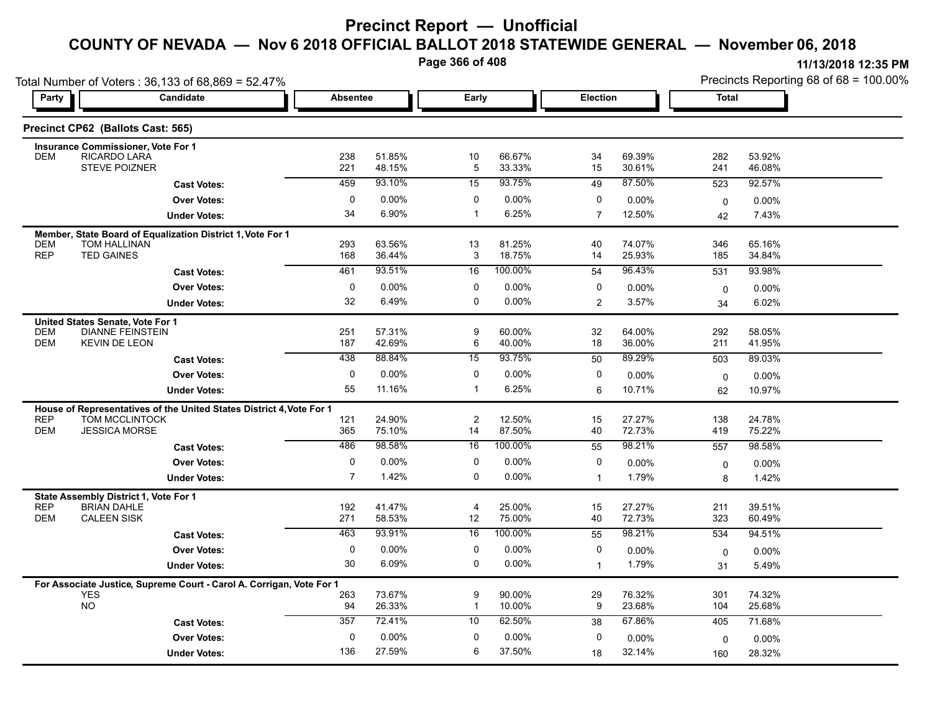**Page 366 of 408**

|                          | Total Number of Voters: 36,133 of 68,869 = 52.47%                    |                             |                  |                   |                      | Precincts Reporting 68 of 68 = 100.00% |                  |              |                  |  |
|--------------------------|----------------------------------------------------------------------|-----------------------------|------------------|-------------------|----------------------|----------------------------------------|------------------|--------------|------------------|--|
| Party                    | Candidate                                                            | <b>Absentee</b>             |                  | Early             |                      |                                        | <b>Election</b>  | <b>Total</b> |                  |  |
|                          | Precinct CP62 (Ballots Cast: 565)                                    |                             |                  |                   |                      |                                        |                  |              |                  |  |
| <b>DEM</b>               | Insurance Commissioner, Vote For 1<br>RICARDO LARA                   | 238                         | 51.85%           | 10                | 66.67%               | 34                                     | 69.39%           | 282          | 53.92%           |  |
|                          | <b>STEVE POIZNER</b>                                                 | 221                         | 48.15%           | $\overline{5}$    | 33.33%               | 15                                     | 30.61%           | 241          | 46.08%           |  |
|                          | <b>Cast Votes:</b>                                                   | 459                         | 93.10%           | 15                | 93.75%               | 49                                     | 87.50%           | 523          | 92.57%           |  |
|                          | <b>Over Votes:</b>                                                   | $\mathbf 0$                 | 0.00%            | $\mathbf 0$       | $0.00\%$             | 0                                      | 0.00%            | 0            | 0.00%            |  |
|                          | <b>Under Votes:</b>                                                  | 34                          | 6.90%            | $\mathbf{1}$      | 6.25%                | $\overline{7}$                         | 12.50%           | 42           | 7.43%            |  |
|                          | Member, State Board of Equalization District 1, Vote For 1           |                             |                  |                   |                      |                                        |                  |              |                  |  |
| <b>DEM</b><br><b>REP</b> | <b>TOM HALLINAN</b><br><b>TED GAINES</b>                             | 293<br>168                  | 63.56%<br>36.44% | 13<br>3           | 81.25%<br>18.75%     | 40<br>14                               | 74.07%<br>25.93% | 346<br>185   | 65.16%<br>34.84% |  |
|                          | <b>Cast Votes:</b>                                                   | 461                         | 93.51%           | 16                | 100.00%              | 54                                     | 96.43%           | 531          | 93.98%           |  |
|                          | <b>Over Votes:</b>                                                   | 0                           | 0.00%            | 0                 | $0.00\%$             | 0                                      | 0.00%            | $\mathbf 0$  | 0.00%            |  |
|                          | <b>Under Votes:</b>                                                  | 32                          | 6.49%            | $\mathbf 0$       | $0.00\%$             | 2                                      | 3.57%            | 34           | 6.02%            |  |
|                          | United States Senate, Vote For 1                                     |                             |                  |                   |                      |                                        |                  |              |                  |  |
| <b>DEM</b><br><b>DEM</b> | <b>DIANNE FEINSTEIN</b><br><b>KEVIN DE LEON</b>                      | 251<br>187                  | 57.31%<br>42.69% | 9<br>6            | 60.00%<br>40.00%     | 32<br>18                               | 64.00%<br>36.00% | 292<br>211   | 58.05%<br>41.95% |  |
|                          | <b>Cast Votes:</b>                                                   | 438                         | 88.84%           | $\overline{15}$   | 93.75%               | 50                                     | 89.29%           | 503          | 89.03%           |  |
|                          | <b>Over Votes:</b>                                                   | 0                           | 0.00%            | $\mathbf 0$       | $0.00\%$             | 0                                      | 0.00%            | 0            | 0.00%            |  |
|                          | <b>Under Votes:</b>                                                  | 55                          | 11.16%           | $\mathbf{1}$      | 6.25%                | 6                                      | 10.71%           | 62           | 10.97%           |  |
|                          | House of Representatives of the United States District 4, Vote For 1 |                             |                  |                   |                      |                                        |                  |              |                  |  |
| <b>REP</b>               | <b>TOM MCCLINTOCK</b>                                                | 121                         | 24.90%           | $\overline{c}$    | 12.50%               | 15                                     | 27.27%           | 138          | 24.78%           |  |
| <b>DEM</b>               | <b>JESSICA MORSE</b>                                                 | 365                         | 75.10%<br>98.58% | 14                | 87.50%<br>100.00%    | 40                                     | 72.73%           | 419          | 75.22%           |  |
|                          | <b>Cast Votes:</b>                                                   | 486                         |                  | 16                |                      | 55                                     | 98.21%           | 557          | 98.58%           |  |
|                          | <b>Over Votes:</b>                                                   | $\pmb{0}$<br>$\overline{7}$ | 0.00%<br>1.42%   | 0<br>$\mathbf 0$  | $0.00\%$<br>$0.00\%$ | 0<br>$\mathbf{1}$                      | 0.00%<br>1.79%   | $\mathbf 0$  | 0.00%<br>1.42%   |  |
|                          | <b>Under Votes:</b>                                                  |                             |                  |                   |                      |                                        |                  | 8            |                  |  |
| <b>REP</b>               | State Assembly District 1, Vote For 1<br><b>BRIAN DAHLE</b>          | 192                         | 41.47%           | $\overline{4}$    | 25.00%               | 15                                     | 27.27%           | 211          | 39.51%           |  |
| <b>DEM</b>               | <b>CALEEN SISK</b>                                                   | 271                         | 58.53%           | 12                | 75.00%               | 40                                     | 72.73%           | 323          | 60.49%           |  |
|                          | <b>Cast Votes:</b>                                                   | 463                         | 93.91%           | $\overline{16}$   | 100.00%              | 55                                     | 98.21%           | 534          | 94.51%           |  |
|                          | <b>Over Votes:</b>                                                   | $\mathbf 0$                 | 0.00%            | $\mathbf 0$       | 0.00%                | $\mathbf 0$                            | 0.00%            | 0            | 0.00%            |  |
|                          | <b>Under Votes:</b>                                                  | 30                          | 6.09%            | $\mathbf 0$       | $0.00\%$             | $\mathbf{1}$                           | 1.79%            | 31           | 5.49%            |  |
|                          | For Associate Justice, Supreme Court - Carol A. Corrigan, Vote For 1 |                             |                  |                   |                      |                                        |                  |              |                  |  |
|                          | <b>YES</b><br><b>NO</b>                                              | 263<br>94                   | 73.67%<br>26.33% | 9<br>$\mathbf{1}$ | 90.00%<br>10.00%     | 29<br>9                                | 76.32%<br>23.68% | 301<br>104   | 74.32%<br>25.68% |  |
|                          | <b>Cast Votes:</b>                                                   | 357                         | 72.41%           | 10                | 62.50%               | 38                                     | 67.86%           | 405          | 71.68%           |  |
|                          | <b>Over Votes:</b>                                                   | 0                           | 0.00%            | 0                 | $0.00\%$             | 0                                      | 0.00%            | 0            | 0.00%            |  |
|                          | <b>Under Votes:</b>                                                  | 136                         | 27.59%           | 6                 | 37.50%               | 18                                     | 32.14%           | 160          | 28.32%           |  |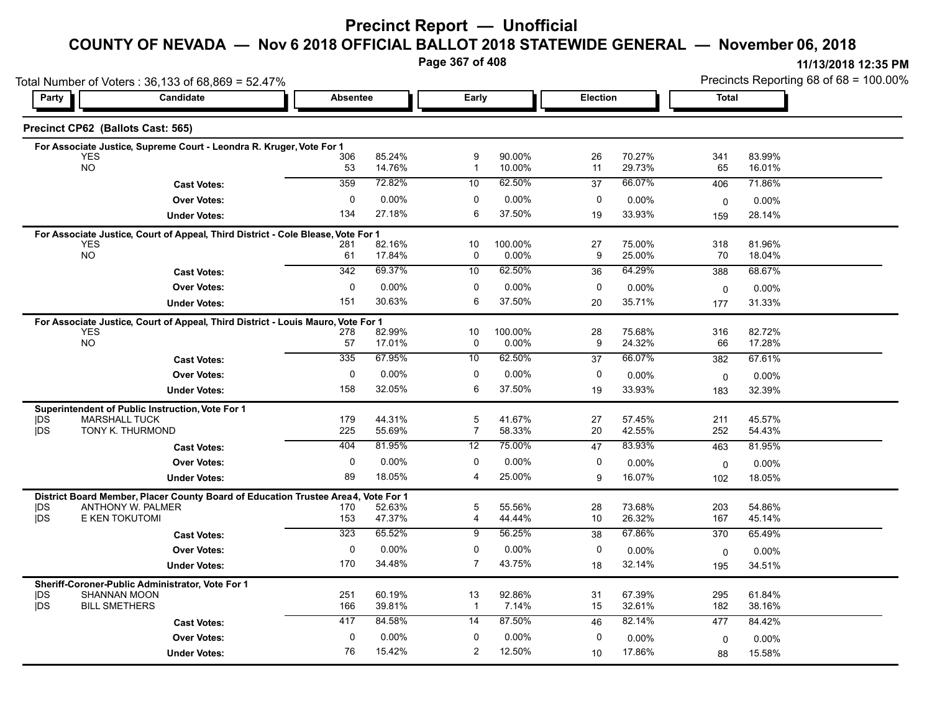## **Precinct Report — Unofficial**

### **COUNTY OF NEVADA — Nov 6 2018 OFFICIAL BALLOT 2018 STATEWIDE GENERAL — November 06, 2018**

**Page 367 of 408**

**11/13/2018 12:35 PM** Precincts Reporting 68 of 68 = 100.00%

|                  | Total Number of Voters: 36,133 of 68,869 = 52.47%                                              |                 |                  |                     |                  |             | Precincts Reporting 68 of 68 = 100.00% |                    |                    |  |  |
|------------------|------------------------------------------------------------------------------------------------|-----------------|------------------|---------------------|------------------|-------------|----------------------------------------|--------------------|--------------------|--|--|
| Party            | <b>Candidate</b>                                                                               | <b>Absentee</b> |                  | Early               |                  | Election    |                                        | <b>Total</b>       |                    |  |  |
|                  | Precinct CP62 (Ballots Cast: 565)                                                              |                 |                  |                     |                  |             |                                        |                    |                    |  |  |
|                  | For Associate Justice, Supreme Court - Leondra R. Kruger, Vote For 1                           |                 |                  |                     |                  |             |                                        |                    |                    |  |  |
|                  | <b>YES</b><br><b>NO</b>                                                                        | 306<br>53       | 85.24%<br>14.76% | 9<br>$\overline{1}$ | 90.00%<br>10.00% | 26<br>11    | 70.27%<br>29.73%                       | 341<br>65          | 83.99%<br>16.01%   |  |  |
|                  | <b>Cast Votes:</b>                                                                             | 359             | 72.82%           | 10                  | 62.50%           | 37          | 66.07%                                 | 406                | 71.86%             |  |  |
|                  |                                                                                                | 0               | 0.00%            | 0                   | 0.00%            | $\mathbf 0$ |                                        |                    |                    |  |  |
|                  | <b>Over Votes:</b>                                                                             | 134             | 27.18%           | 6                   | 37.50%           | 19          | $0.00\%$<br>33.93%                     | 0                  | $0.00\%$<br>28.14% |  |  |
|                  | <b>Under Votes:</b>                                                                            |                 |                  |                     |                  |             |                                        | 159                |                    |  |  |
|                  | For Associate Justice, Court of Appeal, Third District - Cole Blease, Vote For 1<br><b>YES</b> | 281             | 82.16%           | 10                  | 100.00%          | 27          | 75.00%                                 | 318                | 81.96%             |  |  |
|                  | <b>NO</b>                                                                                      | 61              | 17.84%           | 0                   | 0.00%            | 9           | 25.00%                                 | 70                 | 18.04%             |  |  |
|                  | <b>Cast Votes:</b>                                                                             | 342             | 69.37%           | 10                  | 62.50%           | 36          | 64.29%                                 | 388                | 68.67%             |  |  |
|                  | <b>Over Votes:</b>                                                                             | 0               | 0.00%            | 0                   | 0.00%            | 0           | 0.00%                                  | $\mathbf 0$        | $0.00\%$           |  |  |
|                  | <b>Under Votes:</b>                                                                            | 151             | 30.63%           | 6                   | 37.50%           | 20          | 35.71%                                 | 177                | 31.33%             |  |  |
|                  | For Associate Justice, Court of Appeal, Third District - Louis Mauro, Vote For 1               |                 |                  |                     |                  |             |                                        |                    |                    |  |  |
|                  | <b>YES</b>                                                                                     | 278             | 82.99%           | 10                  | 100.00%          | 28          | 75.68%                                 | 316                | 82.72%             |  |  |
|                  | <b>NO</b>                                                                                      | 57              | 17.01%           | 0                   | 0.00%            | 9           | 24.32%                                 | 66                 | 17.28%             |  |  |
|                  | <b>Cast Votes:</b>                                                                             | 335             | 67.95%           | 10                  | 62.50%           | 37          | 66.07%                                 | 382                | 67.61%             |  |  |
|                  | <b>Over Votes:</b>                                                                             | 0               | 0.00%            | 0                   | 0.00%            | 0           | $0.00\%$                               | $\mathbf 0$        | 0.00%              |  |  |
|                  | <b>Under Votes:</b>                                                                            | 158             | 32.05%           | 6                   | 37.50%           | 19          | 33.93%                                 | 183                | 32.39%             |  |  |
|                  | Superintendent of Public Instruction, Vote For 1                                               |                 |                  |                     |                  |             |                                        |                    |                    |  |  |
| DŚ               | <b>MARSHALL TUCK</b>                                                                           | 179             | 44.31%           | $\sqrt{5}$          | 41.67%           | 27          | 57.45%                                 | 211                | 45.57%             |  |  |
| <b>IDS</b>       | TONY K. THURMOND                                                                               | 225             | 55.69%           | $\overline{7}$      | 58.33%           | 20          | 42.55%                                 | 252                | 54.43%             |  |  |
|                  | <b>Cast Votes:</b>                                                                             | 404             | 81.95%           | 12                  | 75.00%           | 47          | 83.93%                                 | 463                | 81.95%             |  |  |
|                  | <b>Over Votes:</b>                                                                             | 0               | 0.00%            | 0                   | $0.00\%$         | 0           | 0.00%                                  | $\mathbf 0$        | $0.00\%$           |  |  |
|                  | <b>Under Votes:</b>                                                                            | 89              | 18.05%           | 4                   | 25.00%           | 9           | 16.07%                                 | 102                | 18.05%             |  |  |
|                  | District Board Member, Placer County Board of Education Trustee Area4, Vote For 1              |                 |                  |                     |                  |             |                                        |                    |                    |  |  |
| DS<br><b>IDS</b> | ANTHONY W. PALMER<br>E KEN TOKUTOMI                                                            | 170<br>153      | 52.63%<br>47.37% | 5<br>$\overline{4}$ | 55.56%<br>44.44% | 28<br>10    | 73.68%<br>26.32%                       | 203<br>167         | 54.86%<br>45.14%   |  |  |
|                  | <b>Cast Votes:</b>                                                                             | 323             | 65.52%           | 9                   | 56.25%           | 38          | 67.86%                                 | 370                | 65.49%             |  |  |
|                  | <b>Over Votes:</b>                                                                             | $\mathbf 0$     | 0.00%            | $\mathbf 0$         | 0.00%            | 0           | 0.00%                                  |                    | $0.00\%$           |  |  |
|                  | <b>Under Votes:</b>                                                                            | 170             | 34.48%           | $\overline{7}$      | 43.75%           | 18          | 32.14%                                 | $\mathbf 0$<br>195 | 34.51%             |  |  |
|                  |                                                                                                |                 |                  |                     |                  |             |                                        |                    |                    |  |  |
| DS               | Sheriff-Coroner-Public Administrator, Vote For 1<br><b>SHANNAN MOON</b>                        | 251             | 60.19%           | 13                  | 92.86%           | 31          | 67.39%                                 | 295                | 61.84%             |  |  |
| <b>DS</b>        | <b>BILL SMETHERS</b>                                                                           | 166             | 39.81%           | $\mathbf{1}$        | 7.14%            | 15          | 32.61%                                 | 182                | 38.16%             |  |  |
|                  | <b>Cast Votes:</b>                                                                             | 417             | 84.58%           | 14                  | 87.50%           | 46          | 82.14%                                 | 477                | 84.42%             |  |  |
|                  | <b>Over Votes:</b>                                                                             | 0               | 0.00%            | $\mathbf 0$         | 0.00%            | $\Omega$    | 0.00%                                  | $\mathbf 0$        | $0.00\%$           |  |  |
|                  |                                                                                                | 76              | 15.42%           | $\overline{2}$      | 12.50%           | 10          | 17.86%                                 | 88                 | 15.58%             |  |  |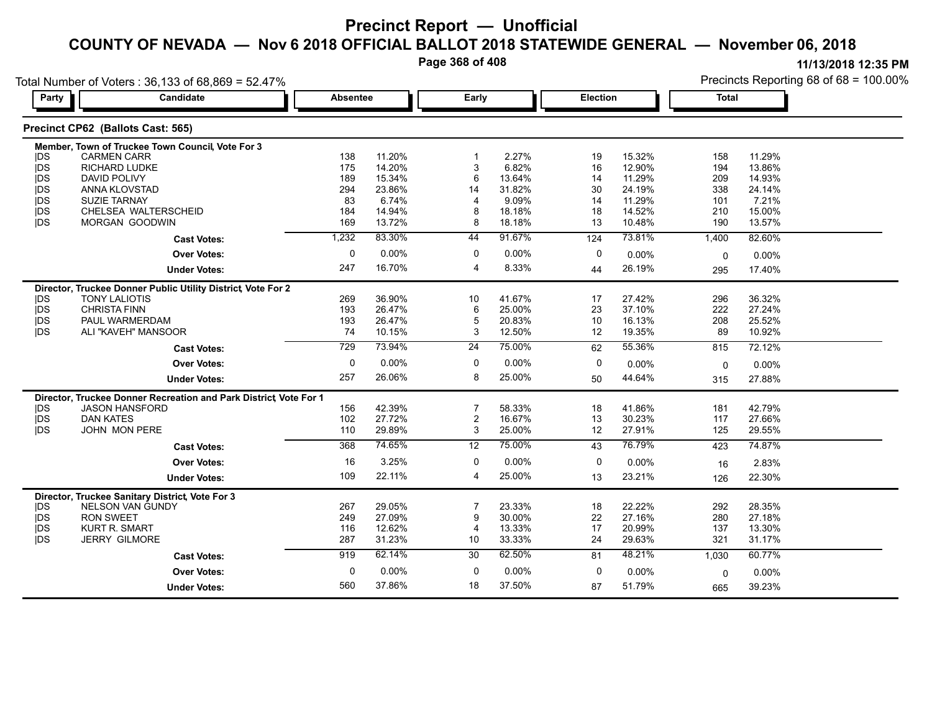**Page 368 of 408**

|            | Total Number of Voters: 36,133 of 68,869 = 52.47%<br>Candidate   |                  |        |                 |        |          |          |              | Precincts Reporting 68 of 68 = 100.00% |
|------------|------------------------------------------------------------------|------------------|--------|-----------------|--------|----------|----------|--------------|----------------------------------------|
| Party      |                                                                  | <b>Absentee</b>  |        | Early           |        | Election |          | <b>Total</b> |                                        |
|            | Precinct CP62 (Ballots Cast: 565)                                |                  |        |                 |        |          |          |              |                                        |
|            | Member, Town of Truckee Town Council, Vote For 3                 |                  |        |                 |        |          |          |              |                                        |
| <b>IDS</b> | <b>CARMEN CARR</b>                                               | 138              | 11.20% |                 | 2.27%  | 19       | 15.32%   | 158          | 11.29%                                 |
| <b>IDS</b> | RICHARD LUDKE                                                    | 175              | 14.20% | 3               | 6.82%  | 16       | 12.90%   | 194          | 13.86%                                 |
| <b>IDS</b> | DAVID POLIVY                                                     | 189              | 15.34% | 6               | 13.64% | 14       | 11.29%   | 209          | 14.93%                                 |
| jds        | ANNA KLOVSTAD                                                    | 294              | 23.86% | 14              | 31.82% | 30       | 24.19%   | 338          | 24.14%                                 |
| <b>IDS</b> | <b>SUZIE TARNAY</b>                                              | 83               | 6.74%  | 4               | 9.09%  | 14       | 11.29%   | 101          | 7.21%                                  |
| <b>IDS</b> | CHELSEA WALTERSCHEID                                             | 184              | 14.94% | 8               | 18.18% | 18       | 14.52%   | 210          | 15.00%                                 |
| jDS        | MORGAN GOODWIN                                                   | 169              | 13.72% | 8               | 18.18% | 13       | 10.48%   | 190          | 13.57%                                 |
|            | <b>Cast Votes:</b>                                               | 1,232            | 83.30% | 44              | 91.67% | 124      | 73.81%   | 1,400        | 82.60%                                 |
|            | <b>Over Votes:</b>                                               | $\mathbf 0$      | 0.00%  | $\mathbf 0$     | 0.00%  | 0        | $0.00\%$ | $\Omega$     | 0.00%                                  |
|            | <b>Under Votes:</b>                                              | 247              | 16.70% | $\overline{4}$  | 8.33%  | 44       | 26.19%   | 295          | 17.40%                                 |
|            | Director, Truckee Donner Public Utility District, Vote For 2     |                  |        |                 |        |          |          |              |                                        |
| <b>IDS</b> | <b>TONY LALIOTIS</b>                                             | 269              | 36.90% | 10              | 41.67% | 17       | 27.42%   | 296          | 36.32%                                 |
| <b>IDS</b> | <b>CHRISTA FINN</b>                                              | 193              | 26.47% | 6               | 25.00% | 23       | 37.10%   | 222          | 27.24%                                 |
| <b>IDS</b> | PAUL WARMERDAM                                                   | 193              | 26.47% | 5               | 20.83% | 10       | 16.13%   | 208          | 25.52%                                 |
| <b>IDS</b> | ALI "KAVEH" MANSOOR                                              | 74               | 10.15% | 3               | 12.50% | 12       | 19.35%   | 89           | 10.92%                                 |
|            | <b>Cast Votes:</b>                                               | $\overline{729}$ | 73.94% | 24              | 75.00% | 62       | 55.36%   | 815          | 72.12%                                 |
|            | <b>Over Votes:</b>                                               | 0                | 0.00%  | 0               | 0.00%  | 0        | $0.00\%$ | $\Omega$     | 0.00%                                  |
|            | <b>Under Votes:</b>                                              | 257              | 26.06% | 8               | 25.00% | 50       | 44.64%   | 315          | 27.88%                                 |
|            | Director, Truckee Donner Recreation and Park District Vote For 1 |                  |        |                 |        |          |          |              |                                        |
| <b>IDS</b> | <b>JASON HANSFORD</b>                                            | 156              | 42.39% | 7               | 58.33% | 18       | 41.86%   | 181          | 42.79%                                 |
| <b>IDS</b> | <b>DAN KATES</b>                                                 | 102              | 27.72% | $\overline{2}$  | 16.67% | 13       | 30.23%   | 117          | 27.66%                                 |
| <b>IDS</b> | <b>JOHN MON PERE</b>                                             | 110              | 29.89% | 3               | 25.00% | 12       | 27.91%   | 125          | 29.55%                                 |
|            | <b>Cast Votes:</b>                                               | 368              | 74.65% | 12              | 75.00% | 43       | 76.79%   | 423          | 74.87%                                 |
|            | <b>Over Votes:</b>                                               | 16               | 3.25%  | 0               | 0.00%  | 0        | $0.00\%$ | 16           | 2.83%                                  |
|            | <b>Under Votes:</b>                                              | 109              | 22.11% | 4               | 25.00% | 13       | 23.21%   | 126          | 22.30%                                 |
|            | Director, Truckee Sanitary District, Vote For 3                  |                  |        |                 |        |          |          |              |                                        |
| <b>IDS</b> | <b>NELSON VAN GUNDY</b>                                          | 267              | 29.05% |                 | 23.33% | 18       | 22.22%   | 292          | 28.35%                                 |
| jDS        | <b>RON SWEET</b>                                                 | 249              | 27.09% | 9               | 30.00% | 22       | 27.16%   | 280          | 27.18%                                 |
| <b>IDS</b> | <b>KURT R. SMART</b>                                             | 116              | 12.62% | $\overline{4}$  | 13.33% | 17       | 20.99%   | 137          | 13.30%                                 |
| <b>IDS</b> | <b>JERRY GILMORE</b>                                             | 287              | 31.23% | 10              | 33.33% | 24       | 29.63%   | 321          | 31.17%                                 |
|            | <b>Cast Votes:</b>                                               | 919              | 62.14% | $\overline{30}$ | 62.50% | 81       | 48.21%   | 1,030        | 60.77%                                 |
|            | <b>Over Votes:</b>                                               | 0                | 0.00%  | 0               | 0.00%  | 0        | 0.00%    | 0            | 0.00%                                  |
|            | <b>Under Votes:</b>                                              | 560              | 37.86% | 18              | 37.50% | 87       | 51.79%   | 665          | 39.23%                                 |
|            |                                                                  |                  |        |                 |        |          |          |              |                                        |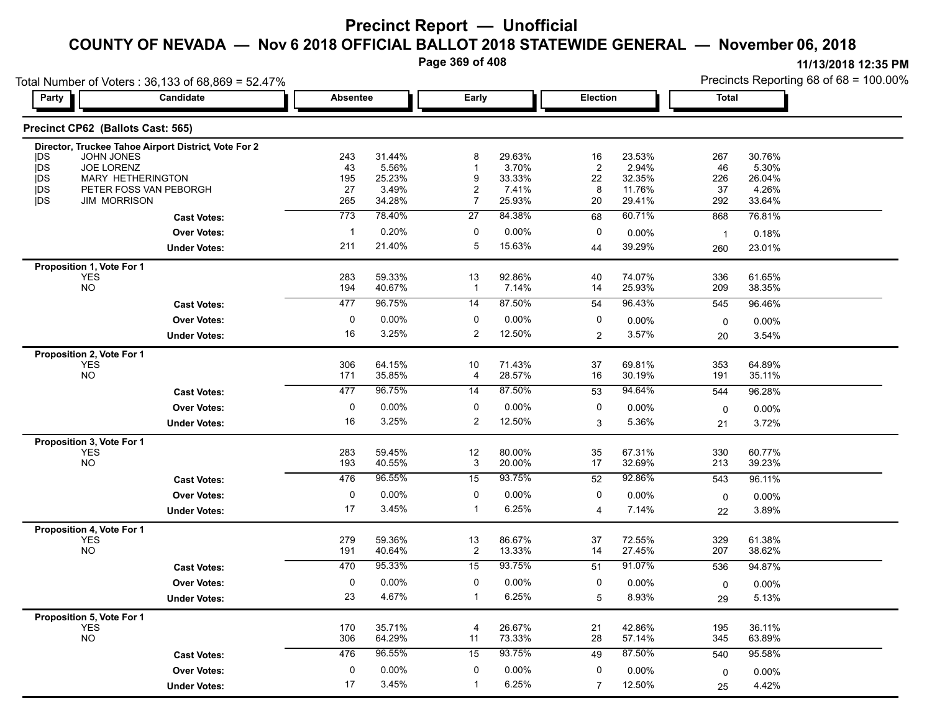**Page 369 of 408**

**11/13/2018 12:35 PM**

Precincts Reporting 68 of 68 = 100.00%

| Party                    | Candidate                                            | <b>Absentee</b> |                  | Early                |                  |                      | <b>Election</b>  |                | <b>Total</b>     |  |
|--------------------------|------------------------------------------------------|-----------------|------------------|----------------------|------------------|----------------------|------------------|----------------|------------------|--|
|                          | Precinct CP62 (Ballots Cast: 565)                    |                 |                  |                      |                  |                      |                  |                |                  |  |
|                          | Director, Truckee Tahoe Airport District, Vote For 2 |                 |                  |                      |                  |                      |                  |                |                  |  |
| <b>IDS</b>               | JOHN JONES                                           | 243             | 31.44%           | 8                    | 29.63%           | 16                   | 23.53%           | 267            | 30.76%           |  |
| <b>IDS</b><br><b>IDS</b> | <b>JOE LORENZ</b><br><b>MARY HETHERINGTON</b>        | 43<br>195       | 5.56%<br>25.23%  | $\mathbf{1}$<br>9    | 3.70%<br>33.33%  | $\overline{2}$<br>22 | 2.94%<br>32.35%  | 46<br>226      | 5.30%<br>26.04%  |  |
| <b>IDS</b>               | PETER FOSS VAN PEBORGH                               | 27              | 3.49%            | $\overline{c}$       | 7.41%            | 8                    | 11.76%           | 37             | 4.26%            |  |
| <b>IDS</b>               | <b>JIM MORRISON</b>                                  | 265             | 34.28%           | $\overline{7}$       | 25.93%           | 20                   | 29.41%           | 292            | 33.64%           |  |
|                          | <b>Cast Votes:</b>                                   | 773             | 78.40%           | 27                   | 84.38%           | 68                   | 60.71%           | 868            | 76.81%           |  |
|                          | <b>Over Votes:</b>                                   | $\mathbf{1}$    | 0.20%            | 0                    | $0.00\%$         | 0                    | 0.00%            | $\overline{1}$ | 0.18%            |  |
|                          | <b>Under Votes:</b>                                  | 211             | 21.40%           | 5                    | 15.63%           | 44                   | 39.29%           | 260            | 23.01%           |  |
|                          | Proposition 1, Vote For 1                            |                 |                  |                      |                  |                      |                  |                |                  |  |
|                          | <b>YES</b>                                           | 283             | 59.33%           | 13                   | 92.86%           | 40                   | 74.07%           | 336            | 61.65%           |  |
|                          | <b>NO</b>                                            | 194             | 40.67%           | $\mathbf{1}$         | 7.14%            | 14                   | 25.93%           | 209            | 38.35%           |  |
|                          | <b>Cast Votes:</b>                                   | 477             | 96.75%           | 14                   | 87.50%           | 54                   | 96.43%           | 545            | 96.46%           |  |
|                          | <b>Over Votes:</b>                                   | 0               | 0.00%            | 0                    | 0.00%            | 0                    | 0.00%            | $\mathbf 0$    | 0.00%            |  |
|                          | <b>Under Votes:</b>                                  | 16              | 3.25%            | $\overline{2}$       | 12.50%           | 2                    | 3.57%            | 20             | 3.54%            |  |
|                          | Proposition 2, Vote For 1                            |                 |                  |                      |                  |                      |                  |                |                  |  |
|                          | <b>YES</b>                                           | 306             | 64.15%           | 10                   | 71.43%           | 37                   | 69.81%           | 353            | 64.89%           |  |
|                          | <b>NO</b>                                            | 171             | 35.85%           | $\overline{4}$       | 28.57%           | 16                   | 30.19%           | 191            | 35.11%           |  |
|                          | <b>Cast Votes:</b>                                   | 477             | 96.75%           | 14                   | 87.50%           | 53                   | 94.64%           | 544            | 96.28%           |  |
|                          | <b>Over Votes:</b>                                   | $\pmb{0}$       | $0.00\%$         | $\mathbf 0$          | $0.00\%$         | $\pmb{0}$            | 0.00%            | $\mathbf 0$    | 0.00%            |  |
|                          | <b>Under Votes:</b>                                  | 16              | 3.25%            | $\overline{2}$       | 12.50%           | 3                    | 5.36%            | 21             | 3.72%            |  |
|                          | Proposition 3, Vote For 1                            |                 |                  |                      |                  |                      |                  |                |                  |  |
|                          | <b>YES</b><br><b>NO</b>                              | 283<br>193      | 59.45%<br>40.55% | 12<br>3              | 80.00%<br>20.00% | 35<br>17             | 67.31%<br>32.69% | 330<br>213     | 60.77%<br>39.23% |  |
|                          |                                                      |                 | 96.55%           |                      |                  |                      |                  |                |                  |  |
|                          | <b>Cast Votes:</b>                                   | 476             |                  | 15                   | 93.75%           | 52                   | 92.86%           | 543            | 96.11%           |  |
|                          | <b>Over Votes:</b>                                   | 0               | 0.00%            | 0                    | 0.00%            | 0                    | 0.00%            | $\mathbf 0$    | 0.00%            |  |
|                          | <b>Under Votes:</b>                                  | 17              | 3.45%            | $\mathbf{1}$         | 6.25%            | $\overline{4}$       | 7.14%            | 22             | 3.89%            |  |
|                          | Proposition 4, Vote For 1                            |                 |                  |                      |                  |                      |                  |                |                  |  |
|                          | <b>YES</b><br><b>NO</b>                              | 279<br>191      | 59.36%<br>40.64% | 13<br>$\overline{2}$ | 86.67%<br>13.33% | 37<br>14             | 72.55%<br>27.45% | 329<br>207     | 61.38%<br>38.62% |  |
|                          |                                                      | 470             | 95.33%           | 15                   | 93.75%           |                      | 91.07%           |                |                  |  |
|                          | <b>Cast Votes:</b>                                   |                 |                  |                      |                  | 51                   |                  | 536            | 94.87%           |  |
|                          | <b>Over Votes:</b>                                   | 0<br>23         | 0.00%            | 0<br>$\mathbf{1}$    | 0.00%            | 0                    | 0.00%            | $\mathbf 0$    | 0.00%            |  |
|                          | <b>Under Votes:</b>                                  |                 | 4.67%            |                      | 6.25%            | 5                    | 8.93%            | 29             | 5.13%            |  |
|                          | Proposition 5, Vote For 1                            |                 |                  |                      |                  |                      |                  |                |                  |  |
|                          | <b>YES</b><br><b>NO</b>                              | 170<br>306      | 35.71%<br>64.29% | 4<br>11              | 26.67%<br>73.33% | 21<br>28             | 42.86%<br>57.14% | 195<br>345     | 36.11%<br>63.89% |  |
|                          | <b>Cast Votes:</b>                                   | 476             | 96.55%           | 15                   | 93.75%           | 49                   | 87.50%           | 540            | 95.58%           |  |
|                          | <b>Over Votes:</b>                                   | 0               | $0.00\%$         | 0                    | $0.00\%$         | 0                    | 0.00%            | $\mathbf 0$    | 0.00%            |  |
|                          | <b>Under Votes:</b>                                  | 17              | 3.45%            | $\mathbf{1}$         | 6.25%            | $\overline{7}$       | 12.50%           |                | 4.42%            |  |
|                          |                                                      |                 |                  |                      |                  |                      |                  | 25             |                  |  |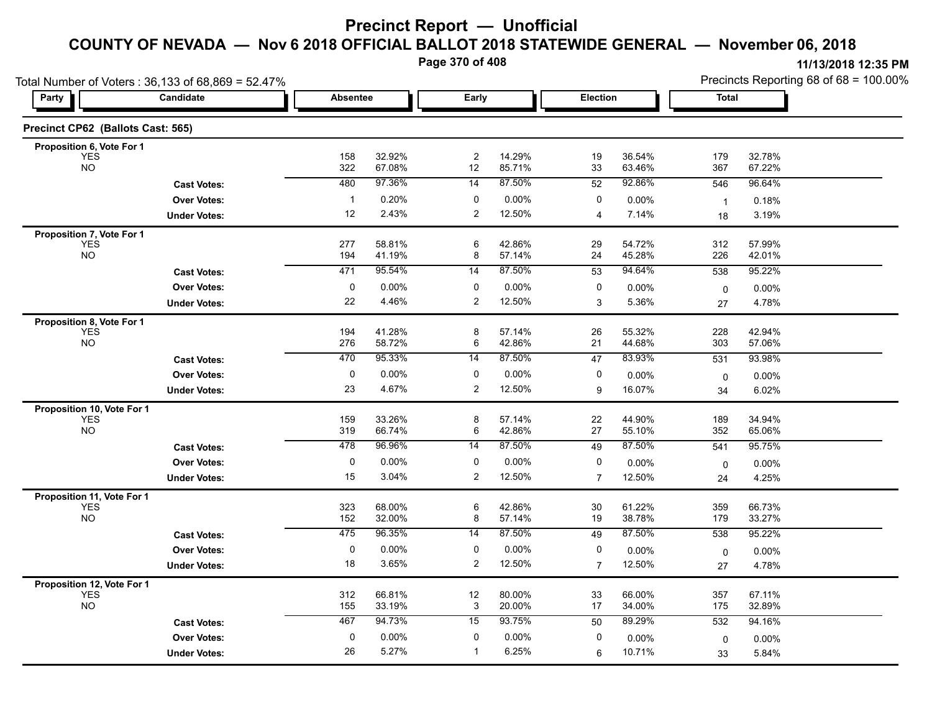**Page 370 of 408**

|                                   | Total Number of Voters: 36,133 of 68,869 = 52.47% |                 |                  |                      |                  |                |                  | Precincts Reporting 68 of 68 = 100.00% |                  |  |
|-----------------------------------|---------------------------------------------------|-----------------|------------------|----------------------|------------------|----------------|------------------|----------------------------------------|------------------|--|
| <b>Party</b>                      | Candidate                                         | <b>Absentee</b> |                  | Early                |                  | Election       |                  | <b>Total</b>                           |                  |  |
| Precinct CP62 (Ballots Cast: 565) |                                                   |                 |                  |                      |                  |                |                  |                                        |                  |  |
| Proposition 6, Vote For 1         |                                                   |                 |                  |                      |                  |                |                  |                                        |                  |  |
| <b>YES</b><br><b>NO</b>           |                                                   | 158<br>322      | 32.92%<br>67 08% | $\overline{c}$<br>12 | 14.29%<br>85.71% | 19<br>33       | 36.54%<br>63.46% | 179<br>367                             | 32.78%<br>67.22% |  |
|                                   | <b>Cast Votes:</b>                                | 480             | 97.36%           | 14                   | 87.50%           | 52             | 92.86%           | 546                                    | 96.64%           |  |
|                                   | <b>Over Votes:</b>                                | $\mathbf{1}$    | 0.20%            | 0                    | 0.00%            | 0              | 0.00%            | $\mathbf{1}$                           | 0.18%            |  |
|                                   | <b>Under Votes:</b>                               | 12              | 2.43%            | $\overline{2}$       | 12.50%           | $\overline{4}$ | 7.14%            | 18                                     | 3.19%            |  |
| Proposition 7, Vote For 1         |                                                   |                 |                  |                      |                  |                |                  |                                        |                  |  |
| <b>YES</b><br>NO <sub>1</sub>     |                                                   | 277<br>194      | 58.81%<br>41.19% | 6<br>8               | 42.86%<br>57.14% | 29<br>24       | 54.72%<br>45.28% | 312<br>226                             | 57.99%<br>42.01% |  |
|                                   | <b>Cast Votes:</b>                                | 471             | 95.54%           | 14                   | 87.50%           | 53             | 94.64%           | 538                                    | 95.22%           |  |
|                                   | <b>Over Votes:</b>                                | 0               | 0.00%            | 0                    | 0.00%            | 0              | 0.00%            | $\mathbf 0$                            | 0.00%            |  |
|                                   | <b>Under Votes:</b>                               | 22              | 4.46%            | $\overline{2}$       | 12.50%           | 3              | 5.36%            | 27                                     | 4.78%            |  |
| Proposition 8, Vote For 1         |                                                   |                 |                  |                      |                  |                |                  |                                        |                  |  |
| <b>YES</b>                        |                                                   | 194             | 41.28%           | 8                    | 57.14%           | 26             | 55.32%           | 228                                    | 42.94%           |  |
| <b>NO</b>                         |                                                   | 276             | 58.72%           | 6                    | 42.86%           | 21             | 44.68%           | 303                                    | 57.06%           |  |
|                                   | <b>Cast Votes:</b>                                | 470             | 95.33%           | 14                   | 87.50%           | 47             | 83.93%           | 531                                    | 93.98%           |  |
|                                   | <b>Over Votes:</b>                                | 0               | 0.00%            | 0                    | 0.00%            | 0              | $0.00\%$         | 0                                      | 0.00%            |  |
|                                   | <b>Under Votes:</b>                               | 23              | 4.67%            | $\overline{2}$       | 12.50%           | 9              | 16.07%           | 34                                     | 6.02%            |  |
| Proposition 10, Vote For 1        |                                                   |                 |                  |                      |                  |                |                  |                                        |                  |  |
| <b>YES</b><br><b>NO</b>           |                                                   | 159<br>319      | 33.26%<br>66.74% | 8<br>6               | 57.14%<br>42.86% | 22<br>27       | 44.90%<br>55.10% | 189<br>352                             | 34.94%<br>65.06% |  |
|                                   | <b>Cast Votes:</b>                                | 478             | 96.96%           | 14                   | 87.50%           | 49             | 87.50%           | 541                                    | 95.75%           |  |
|                                   | <b>Over Votes:</b>                                | 0               | 0.00%            | 0                    | 0.00%            | 0              | 0.00%            |                                        | 0.00%            |  |
|                                   | <b>Under Votes:</b>                               | 15              | 3.04%            | $\overline{2}$       | 12.50%           | $\overline{7}$ | 12.50%           | 0<br>24                                | 4.25%            |  |
| Proposition 11, Vote For 1        |                                                   |                 |                  |                      |                  |                |                  |                                        |                  |  |
| <b>YES</b>                        |                                                   | 323             | 68.00%           | 6                    | 42.86%           | 30             | 61.22%           | 359                                    | 66.73%           |  |
| <b>NO</b>                         |                                                   | 152             | 32.00%           | 8                    | 57.14%           | 19             | 38.78%           | 179                                    | 33.27%           |  |
|                                   | <b>Cast Votes:</b>                                | 475             | 96.35%           | 14                   | 87.50%           | 49             | 87.50%           | 538                                    | 95.22%           |  |
|                                   | <b>Over Votes:</b>                                | 0               | 0.00%            | 0                    | 0.00%            | 0              | 0.00%            | $\mathbf 0$                            | 0.00%            |  |
|                                   | <b>Under Votes:</b>                               | 18              | 3.65%            | $\overline{2}$       | 12.50%           | $\overline{7}$ | 12.50%           | 27                                     | 4.78%            |  |
| Proposition 12, Vote For 1        |                                                   |                 |                  |                      |                  |                |                  |                                        |                  |  |
| <b>YES</b><br><b>NO</b>           |                                                   | 312<br>155      | 66.81%<br>33.19% | 12<br>3              | 80.00%<br>20.00% | 33<br>17       | 66.00%<br>34.00% | 357<br>175                             | 67.11%<br>32.89% |  |
|                                   | <b>Cast Votes:</b>                                | 467             | 94.73%           | 15                   | 93.75%           | 50             | 89.29%           | 532                                    | 94.16%           |  |
|                                   | <b>Over Votes:</b>                                | 0               | 0.00%            | 0                    | 0.00%            | 0              |                  |                                        |                  |  |
|                                   | <b>Under Votes:</b>                               | 26              | 5.27%            | $\mathbf{1}$         | 6.25%            | 6              | 0.00%<br>10.71%  | $\mathbf 0$<br>33                      | 0.00%<br>5.84%   |  |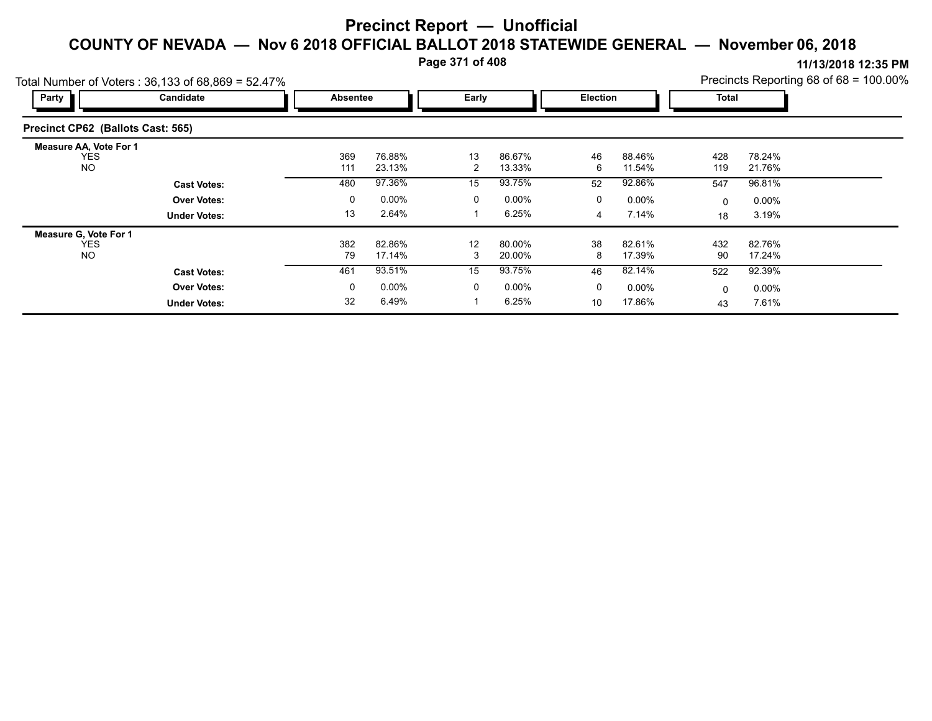**Page 371 of 408**

**11/13/2018 12:35 PM** Precincts Reporting 68 of 68 = 100.00%

| Party                                              | $O(d)$ Number of Voters : 30, 133 OF 08,809 = 52.47 %<br>Candidate |  | Absentee   |                  |         | Early            |         | Election         |            | <b>FIGUILUS INGUULTILY OU UI UU - 100.007</b><br>Total |  |
|----------------------------------------------------|--------------------------------------------------------------------|--|------------|------------------|---------|------------------|---------|------------------|------------|--------------------------------------------------------|--|
| Precinct CP62 (Ballots Cast: 565)                  |                                                                    |  |            |                  |         |                  |         |                  |            |                                                        |  |
| <b>Measure AA, Vote For 1</b><br><b>YES</b><br>NO. |                                                                    |  | 369<br>111 | 76.88%<br>23.13% | 13<br>2 | 86.67%<br>13.33% | 46<br>6 | 88.46%<br>11.54% | 428<br>119 | 78.24%<br>21.76%                                       |  |
|                                                    | <b>Cast Votes:</b>                                                 |  | 480        | 97.36%           | 15      | 93.75%           | 52      | 92.86%           | 547        | 96.81%                                                 |  |
|                                                    | <b>Over Votes:</b>                                                 |  | 0          | $0.00\%$         | 0       | $0.00\%$         | 0       | $0.00\%$         | $\Omega$   | $0.00\%$                                               |  |
|                                                    | <b>Under Votes:</b>                                                |  | 13         | 2.64%            |         | 6.25%            | 4       | 7.14%            | 18         | 3.19%                                                  |  |
| <b>Measure G. Vote For 1</b>                       |                                                                    |  |            |                  |         |                  |         |                  |            |                                                        |  |
| <b>YES</b><br><b>NO</b>                            |                                                                    |  | 382<br>79  | 82.86%<br>17.14% | 12<br>3 | 80.00%<br>20.00% | 38<br>8 | 82.61%<br>17.39% | 432<br>90  | 82.76%<br>17.24%                                       |  |
|                                                    | <b>Cast Votes:</b>                                                 |  | 461        | 93.51%           | 15      | 93.75%           | 46      | 82.14%           | 522        | 92.39%                                                 |  |
|                                                    | <b>Over Votes:</b>                                                 |  | 0          | $0.00\%$         | 0       | $0.00\%$         | 0       | $0.00\%$         | 0          | $0.00\%$                                               |  |
|                                                    | <b>Under Votes:</b>                                                |  | 32         | 6.49%            |         | 6.25%            | 10      | 17.86%           | 43         | 7.61%                                                  |  |

Total Number of Voters :  $36,133$  of 68,869 = 52.47%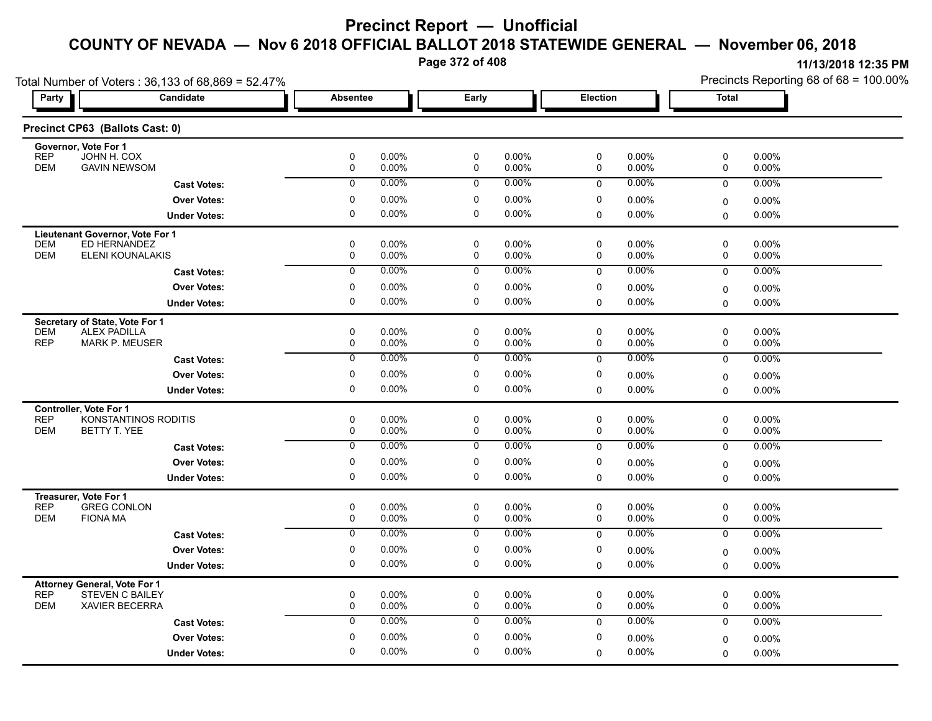**Page 372 of 408**

| Total Number of Voters: 36,133 of 68,869 = 52.47%                           |                      |                  |                |                            |                |                  |                   | Precincts Reporting 68 of 68 = 100.00% |                   |  |  |
|-----------------------------------------------------------------------------|----------------------|------------------|----------------|----------------------------|----------------|------------------|-------------------|----------------------------------------|-------------------|--|--|
| Party                                                                       | Candidate            | <b>Absentee</b>  |                | Early                      |                | Election         |                   | Total                                  |                   |  |  |
| Precinct CP63 (Ballots Cast: 0)                                             |                      |                  |                |                            |                |                  |                   |                                        |                   |  |  |
| Governor, Vote For 1<br><b>REP</b><br>JOHN H. COX                           |                      | $\mathbf 0$      | 0.00%          | $\mathbf 0$                | 0.00%          | 0                | 0.00%             | 0                                      | 0.00%             |  |  |
| <b>DEM</b><br><b>GAVIN NEWSOM</b>                                           |                      | 0                | 0.00%          | 0                          | 0.00%          | 0                | 0.00%             | 0                                      | 0.00%             |  |  |
|                                                                             | <b>Cast Votes:</b>   | $\mathbf 0$      | 0.00%          | $\mathbf 0$                | $0.00\%$       | 0                | $0.00\%$          | 0                                      | 0.00%             |  |  |
|                                                                             | <b>Over Votes:</b>   | 0                | 0.00%          | 0                          | 0.00%          | 0                | 0.00%             | 0                                      | 0.00%             |  |  |
|                                                                             | <b>Under Votes:</b>  | 0                | $0.00\%$       | $\mathbf 0$                | 0.00%          | $\mathbf 0$      | 0.00%             | 0                                      | 0.00%             |  |  |
| Lieutenant Governor, Vote For 1                                             |                      |                  |                |                            |                |                  |                   |                                        |                   |  |  |
| ED HERNANDEZ<br><b>DEM</b>                                                  |                      | 0                | 0.00%          | $\mathbf 0$                | 0.00%          | $\mathbf 0$      | 0.00%             | 0                                      | 0.00%             |  |  |
| <b>DEM</b><br>ELENI KOUNALAKIS                                              |                      | 0                | 0.00%          | 0                          | 0.00%          | 0                | $0.00\%$          | 0                                      | 0.00%             |  |  |
|                                                                             | <b>Cast Votes:</b>   | $\Omega$         | 0.00%          | $\mathbf 0$                | $0.00\%$       | 0                | 0.00%             | 0                                      | 0.00%             |  |  |
|                                                                             | <b>Over Votes:</b>   | 0                | $0.00\%$       | 0                          | 0.00%          | 0                | 0.00%             | 0                                      | $0.00\%$          |  |  |
|                                                                             | <b>Under Votes:</b>  | 0                | $0.00\%$       | 0                          | 0.00%          | $\Omega$         | 0.00%             | $\Omega$                               | 0.00%             |  |  |
| Secretary of State, Vote For 1                                              |                      |                  |                |                            |                |                  |                   |                                        |                   |  |  |
| <b>DEM</b><br><b>ALEX PADILLA</b><br><b>REP</b><br><b>MARK P. MEUSER</b>    |                      | $\mathbf 0$<br>0 | 0.00%<br>0.00% | $\mathbf 0$<br>$\mathbf 0$ | 0.00%<br>0.00% | 0<br>0           | 0.00%<br>$0.00\%$ | 0<br>0                                 | 0.00%<br>$0.00\%$ |  |  |
|                                                                             | <b>Cast Votes:</b>   | 0                | 0.00%          | 0                          | 0.00%          | 0                | 0.00%             | 0                                      | 0.00%             |  |  |
|                                                                             | <b>Over Votes:</b>   | 0                | $0.00\%$       | 0                          | 0.00%          | 0                | 0.00%             |                                        |                   |  |  |
|                                                                             |                      | 0                | 0.00%          | 0                          | 0.00%          | $\mathbf 0$      | 0.00%             | 0                                      | 0.00%<br>0.00%    |  |  |
|                                                                             | <b>Under Votes:</b>  |                  |                |                            |                |                  |                   | $\Omega$                               |                   |  |  |
| <b>Controller, Vote For 1</b><br>REP                                        | KONSTANTINOS RODITIS | 0                | 0.00%          | $\mathbf 0$                | 0.00%          | 0                | 0.00%             | $\pmb{0}$                              | 0.00%             |  |  |
| <b>DEM</b><br>BETTY T. YEE                                                  |                      | $\mathbf 0$      | 0.00%          | $\mathbf 0$                | 0.00%          | 0                | 0.00%             | 0                                      | 0.00%             |  |  |
|                                                                             | <b>Cast Votes:</b>   | $\mathbf 0$      | 0.00%          | 0                          | 0.00%          | $\mathbf 0$      | 0.00%             | $\mathbf 0$                            | 0.00%             |  |  |
|                                                                             | <b>Over Votes:</b>   | 0                | $0.00\%$       | 0                          | 0.00%          | 0                | $0.00\%$          | 0                                      | 0.00%             |  |  |
|                                                                             | <b>Under Votes:</b>  | 0                | 0.00%          | 0                          | 0.00%          | $\Omega$         | $0.00\%$          | $\Omega$                               | $0.00\%$          |  |  |
| Treasurer, Vote For 1                                                       |                      |                  |                |                            |                |                  |                   |                                        |                   |  |  |
| <b>GREG CONLON</b><br><b>REP</b>                                            |                      | 0                | 0.00%          | 0                          | 0.00%          | 0                | $0.00\%$          | 0                                      | 0.00%             |  |  |
| <b>DEM</b><br><b>FIONA MA</b>                                               |                      | $\mathbf 0$      | 0.00%          | $\mathbf 0$                | 0.00%          | 0                | 0.00%             | 0                                      | 0.00%             |  |  |
|                                                                             | <b>Cast Votes:</b>   | $\overline{0}$   | 0.00%          | $\overline{0}$             | 0.00%          | $\mathbf 0$      | 0.00%             | 0                                      | $0.00\%$          |  |  |
|                                                                             | <b>Over Votes:</b>   | 0                | 0.00%          | $\mathbf 0$                | 0.00%          | 0                | $0.00\%$          | 0                                      | 0.00%             |  |  |
|                                                                             | <b>Under Votes:</b>  | 0                | 0.00%          | 0                          | 0.00%          | $\mathbf 0$      | 0.00%             | 0                                      | $0.00\%$          |  |  |
| <b>Attorney General, Vote For 1</b>                                         |                      |                  |                |                            |                |                  |                   |                                        |                   |  |  |
| <b>REP</b><br><b>STEVEN C BAILEY</b><br><b>DEM</b><br><b>XAVIER BECERRA</b> |                      | 0<br>$\mathbf 0$ | 0.00%<br>0.00% | 0<br>$\mathbf 0$           | 0.00%<br>0.00% | 0<br>$\mathbf 0$ | $0.00\%$<br>0.00% | 0<br>0                                 | 0.00%             |  |  |
|                                                                             |                      |                  | 0.00%          |                            | 0.00%          |                  | $0.00\%$          |                                        | 0.00%             |  |  |
|                                                                             | <b>Cast Votes:</b>   | $\mathbf 0$      |                | 0                          |                | $\mathbf 0$      |                   | 0                                      | $0.00\%$          |  |  |
|                                                                             | <b>Over Votes:</b>   | 0                | $0.00\%$       | 0                          | 0.00%          | 0                | 0.00%             | 0                                      | 0.00%             |  |  |
|                                                                             | <b>Under Votes:</b>  | $\Omega$         | 0.00%          | 0                          | 0.00%          | $\mathbf 0$      | $0.00\%$          | 0                                      | $0.00\%$          |  |  |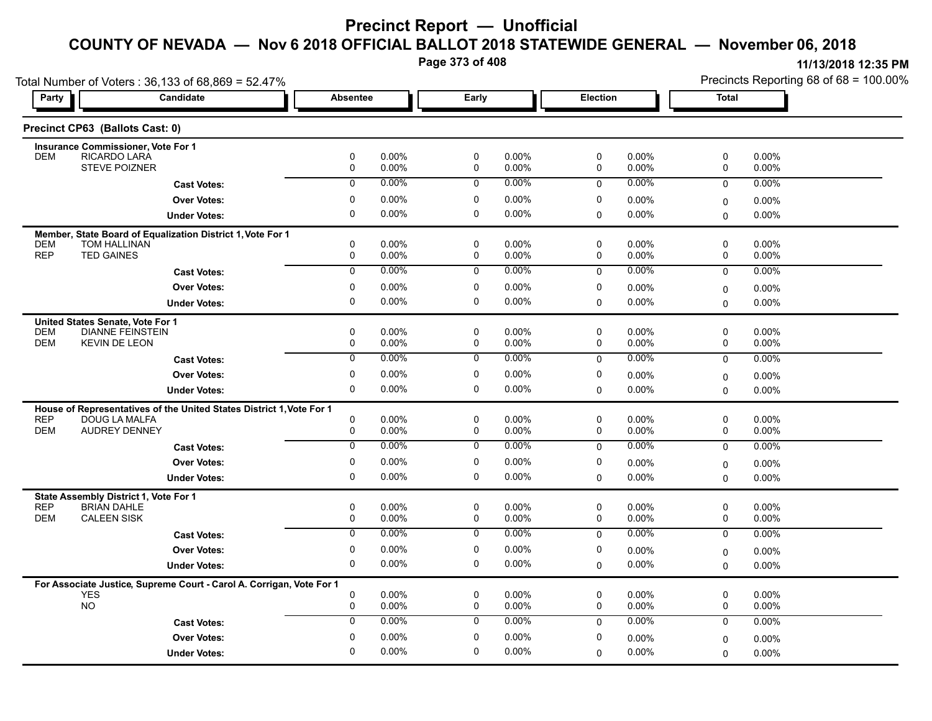**Page 373 of 408**

**11/13/2018 12:35 PM** Precincts Reporting 68 of 68 = 100.00%

| Total Number of Voters: 36,133 of 68,869 = 52.47% |                                                                                       |                  |                   |                  |                          |              |                      | Precincts Reporting 68 of 68 = 100.00% |                      |  |
|---------------------------------------------------|---------------------------------------------------------------------------------------|------------------|-------------------|------------------|--------------------------|--------------|----------------------|----------------------------------------|----------------------|--|
| Party                                             | <b>Candidate</b>                                                                      |                  | <b>Absentee</b>   |                  | Early<br><b>Election</b> |              |                      | <b>Total</b>                           |                      |  |
|                                                   | Precinct CP63 (Ballots Cast: 0)                                                       |                  |                   |                  |                          |              |                      |                                        |                      |  |
|                                                   | <b>Insurance Commissioner, Vote For 1</b>                                             |                  |                   |                  |                          |              |                      |                                        |                      |  |
| <b>DEM</b>                                        | RICARDO LARA<br><b>STEVE POIZNER</b>                                                  | 0<br>0           | 0.00%<br>0.00%    | 0<br>$\mathbf 0$ | 0.00%<br>0.00%           | 0<br>0       | 0.00%<br>0.00%       | 0<br>0                                 | 0.00%<br>0.00%       |  |
|                                                   |                                                                                       | 0                | 0.00%             | $\mathbf 0$      | 0.00%                    |              | $0.00\%$             | $\mathbf 0$                            |                      |  |
|                                                   | <b>Cast Votes:</b>                                                                    |                  |                   |                  |                          | $\Omega$     |                      |                                        | 0.00%                |  |
|                                                   | <b>Over Votes:</b>                                                                    | 0<br>0           | $0.00\%$          | 0                | 0.00%                    | 0            | $0.00\%$             | 0                                      | 0.00%                |  |
|                                                   | <b>Under Votes:</b>                                                                   |                  | 0.00%             | $\mathbf 0$      | 0.00%                    | $\mathbf 0$  | $0.00\%$             | $\Omega$                               | $0.00\%$             |  |
|                                                   | Member, State Board of Equalization District 1, Vote For 1                            |                  |                   |                  |                          |              |                      |                                        |                      |  |
| <b>DEM</b><br><b>REP</b>                          | <b>TOM HALLINAN</b><br><b>TED GAINES</b>                                              | $\mathbf 0$<br>0 | $0.00\%$<br>0.00% | $\mathbf 0$<br>0 | 0.00%<br>0.00%           | 0<br>0       | $0.00\%$<br>$0.00\%$ | 0<br>0                                 | 0.00%<br>$0.00\%$    |  |
|                                                   | <b>Cast Votes:</b>                                                                    | $\overline{0}$   | 0.00%             | $\overline{0}$   | $0.00\%$                 | $\mathbf 0$  | 0.00%                | $\mathbf 0$                            | 0.00%                |  |
|                                                   | <b>Over Votes:</b>                                                                    | 0                | $0.00\%$          | 0                | 0.00%                    | 0            | 0.00%                |                                        |                      |  |
|                                                   | <b>Under Votes:</b>                                                                   | 0                | 0.00%             | $\mathbf 0$      | 0.00%                    | $\Omega$     | 0.00%                | 0                                      | $0.00\%$<br>$0.00\%$ |  |
|                                                   |                                                                                       |                  |                   |                  |                          |              |                      | 0                                      |                      |  |
| <b>DEM</b>                                        | United States Senate, Vote For 1<br><b>DIANNE FEINSTEIN</b>                           | 0                | 0.00%             | $\mathbf 0$      | 0.00%                    | 0            | 0.00%                | 0                                      | 0.00%                |  |
| <b>DEM</b>                                        | <b>KEVIN DE LEON</b>                                                                  | 0                | 0.00%             | 0                | 0.00%                    | 0            | 0.00%                | 0                                      | 0.00%                |  |
|                                                   | <b>Cast Votes:</b>                                                                    | $\overline{0}$   | 0.00%             | $\overline{0}$   | $0.00\%$                 | 0            | $0.00\%$             | 0                                      | 0.00%                |  |
|                                                   | <b>Over Votes:</b>                                                                    | 0                | 0.00%             | 0                | 0.00%                    | 0            | 0.00%                |                                        |                      |  |
|                                                   |                                                                                       | 0                | $0.00\%$          | 0                | 0.00%                    | $\mathbf 0$  | $0.00\%$             | 0                                      | 0.00%<br>0.00%       |  |
|                                                   | <b>Under Votes:</b>                                                                   |                  |                   |                  |                          |              |                      | 0                                      |                      |  |
| <b>REP</b>                                        | House of Representatives of the United States District 1, Vote For 1<br>DOUG LA MALFA | 0                | 0.00%             | 0                | 0.00%                    | 0            | $0.00\%$             | 0                                      | $0.00\%$             |  |
| <b>DEM</b>                                        | <b>AUDREY DENNEY</b>                                                                  | 0                | 0.00%             | $\mathbf 0$      | 0.00%                    | 0            | 0.00%                | 0                                      | 0.00%                |  |
|                                                   | <b>Cast Votes:</b>                                                                    | $\overline{0}$   | 0.00%             | 0                | 0.00%                    | $\mathbf 0$  | $0.00\%$             | 0                                      | 0.00%                |  |
|                                                   | <b>Over Votes:</b>                                                                    | 0                | 0.00%             | 0                | 0.00%                    | 0            | 0.00%                |                                        |                      |  |
|                                                   | <b>Under Votes:</b>                                                                   | 0                | 0.00%             | 0                | 0.00%                    | $\Omega$     | 0.00%                | 0<br>$\Omega$                          | $0.00\%$<br>$0.00\%$ |  |
|                                                   |                                                                                       |                  |                   |                  |                          |              |                      |                                        |                      |  |
| <b>REP</b>                                        | State Assembly District 1, Vote For 1<br><b>BRIAN DAHLE</b>                           | 0                | 0.00%             | $\mathbf 0$      | 0.00%                    | 0            | $0.00\%$             | 0                                      | 0.00%                |  |
| <b>DEM</b>                                        | <b>CALEEN SISK</b>                                                                    | 0                | $0.00\%$          | 0                | 0.00%                    | $\mathbf 0$  | 0.00%                | 0                                      | 0.00%                |  |
|                                                   | <b>Cast Votes:</b>                                                                    | 0                | $0.00\%$          | 0                | 0.00%                    | $\mathbf 0$  | 0.00%                | $\mathbf 0$                            | 0.00%                |  |
|                                                   | <b>Over Votes:</b>                                                                    | 0                | 0.00%             | 0                | 0.00%                    | 0            | $0.00\%$             |                                        | 0.00%                |  |
|                                                   | <b>Under Votes:</b>                                                                   | 0                | 0.00%             | 0                | 0.00%                    | $\mathbf 0$  | $0.00\%$             | 0<br>0                                 | $0.00\%$             |  |
|                                                   |                                                                                       |                  |                   |                  |                          |              |                      |                                        |                      |  |
| <b>YES</b>                                        | For Associate Justice, Supreme Court - Carol A. Corrigan, Vote For 1                  | 0                | 0.00%             | $\mathbf 0$      | 0.00%                    | 0            | 0.00%                | 0                                      | 0.00%                |  |
| <b>NO</b>                                         |                                                                                       | 0                | $0.00\%$          | $\mathbf 0$      | 0.00%                    | 0            | 0.00%                | 0                                      | 0.00%                |  |
|                                                   | <b>Cast Votes:</b>                                                                    | $\mathbf 0$      | 0.00%             | $\mathbf 0$      | $0.00\%$                 | $\mathbf{0}$ | $0.00\%$             | $\mathbf 0$                            | $0.00\%$             |  |
|                                                   | <b>Over Votes:</b>                                                                    | 0                | 0.00%             | $\mathbf 0$      | 0.00%                    | 0            | 0.00%                |                                        |                      |  |
|                                                   |                                                                                       | $\Omega$         | $0.00\%$          | $\Omega$         | 0.00%                    |              |                      | 0                                      | $0.00\%$             |  |
|                                                   | <b>Under Votes:</b>                                                                   |                  |                   |                  |                          | 0            | 0.00%                | 0                                      | $0.00\%$             |  |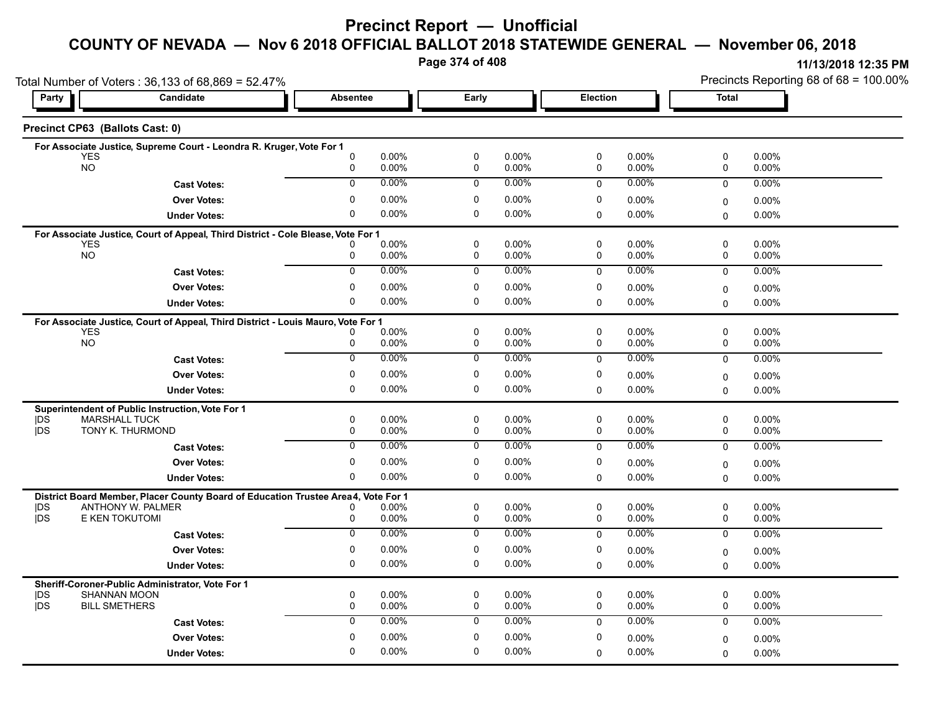**Page 374 of 408**

|                         | Total Number of Voters: 36,133 of 68,869 = 52.47%                                 |                 |                |                            |                |                  |                   | Precincts Reporting 68 of 68 = 100.00% |                   |  |
|-------------------------|-----------------------------------------------------------------------------------|-----------------|----------------|----------------------------|----------------|------------------|-------------------|----------------------------------------|-------------------|--|
| Party                   | Candidate                                                                         | <b>Absentee</b> |                | Early                      |                | <b>Election</b>  |                   | Total                                  |                   |  |
|                         | Precinct CP63 (Ballots Cast: 0)                                                   |                 |                |                            |                |                  |                   |                                        |                   |  |
|                         | For Associate Justice, Supreme Court - Leondra R. Kruger, Vote For 1              |                 |                |                            |                |                  |                   |                                        |                   |  |
| YES<br><b>NO</b>        |                                                                                   | 0<br>0          | 0.00%<br>0.00% | $\mathbf 0$<br>0           | 0.00%<br>0.00% | 0<br>0           | 0.00%<br>0.00%    | 0<br>0                                 | 0.00%<br>0.00%    |  |
|                         | <b>Cast Votes:</b>                                                                | $\mathbf 0$     | 0.00%          | $\mathbf 0$                | $0.00\%$       | $\mathbf 0$      | $0.00\%$          | 0                                      | 0.00%             |  |
|                         | <b>Over Votes:</b>                                                                | 0               | 0.00%          | 0                          | 0.00%          | 0                | 0.00%             | 0                                      | 0.00%             |  |
|                         | <b>Under Votes:</b>                                                               | 0               | $0.00\%$       | $\mathbf 0$                | 0.00%          | 0                | $0.00\%$          | $\Omega$                               | 0.00%             |  |
|                         | For Associate Justice, Court of Appeal, Third District - Cole Blease, Vote For 1  |                 |                |                            |                |                  |                   |                                        |                   |  |
| <b>YES</b>              |                                                                                   | 0               | 0.00%          | $\mathbf 0$                | 0.00%          | $\mathbf 0$      | 0.00%             | 0                                      | 0.00%             |  |
| <b>NO</b>               |                                                                                   | 0               | 0.00%          | $\mathbf 0$                | 0.00%          | 0                | 0.00%             | 0                                      | 0.00%             |  |
|                         | <b>Cast Votes:</b>                                                                | $\Omega$        | 0.00%          | $\mathbf 0$                | $0.00\%$       | $\mathbf 0$      | $0.00\%$          | 0                                      | $0.00\%$          |  |
|                         | <b>Over Votes:</b>                                                                | 0               | $0.00\%$       | 0                          | 0.00%          | 0                | 0.00%             | 0                                      | $0.00\%$          |  |
|                         | <b>Under Votes:</b>                                                               | 0               | $0.00\%$       | 0                          | 0.00%          | $\Omega$         | $0.00\%$          | $\Omega$                               | 0.00%             |  |
|                         | For Associate Justice, Court of Appeal, Third District - Louis Mauro, Vote For 1  |                 |                |                            |                |                  |                   |                                        |                   |  |
| <b>YES</b><br><b>NO</b> |                                                                                   | 0               | 0.00%<br>0.00% | $\mathbf 0$<br>$\mathbf 0$ | 0.00%<br>0.00% | $\mathbf 0$<br>0 | 0.00%<br>0.00%    | 0<br>0                                 | 0.00%<br>$0.00\%$ |  |
|                         | <b>Cast Votes:</b>                                                                | 0               | 0.00%          | 0                          | 0.00%          | 0                | 0.00%             | $\mathbf 0$                            | 0.00%             |  |
|                         | <b>Over Votes:</b>                                                                | 0               | $0.00\%$       | 0                          | 0.00%          | 0                | $0.00\%$          | 0                                      | 0.00%             |  |
|                         | <b>Under Votes:</b>                                                               | 0               | 0.00%          | 0                          | 0.00%          | $\Omega$         | 0.00%             | $\Omega$                               | 0.00%             |  |
|                         | Superintendent of Public Instruction, Vote For 1                                  |                 |                |                            |                |                  |                   |                                        |                   |  |
| DS                      | <b>MARSHALL TUCK</b>                                                              | 0               | 0.00%          | $\mathbf 0$                | 0.00%          | $\mathbf 0$      | 0.00%             | $\pmb{0}$                              | 0.00%             |  |
| <b>IDS</b>              | TONY K. THURMOND                                                                  | 0               | $0.00\%$       | $\mathbf 0$                | 0.00%          | $\mathbf 0$      | $0.00\%$          | 0                                      | 0.00%             |  |
|                         | <b>Cast Votes:</b>                                                                | $\mathbf 0$     | 0.00%          | $\mathbf 0$                | 0.00%          | $\mathbf{0}$     | 0.00%             | $\mathbf 0$                            | 0.00%             |  |
|                         | <b>Over Votes:</b>                                                                | 0               | $0.00\%$       | 0                          | 0.00%          | 0                | 0.00%             | 0                                      | 0.00%             |  |
|                         | <b>Under Votes:</b>                                                               | 0               | 0.00%          | 0                          | 0.00%          | $\Omega$         | $0.00\%$          | $\Omega$                               | $0.00\%$          |  |
|                         | District Board Member, Placer County Board of Education Trustee Area4, Vote For 1 |                 |                |                            |                |                  |                   |                                        |                   |  |
| DS<br><b>jDS</b>        | <b>ANTHONY W. PALMER</b><br>E KEN TOKUTOMI                                        | n<br>0          | 0.00%<br>0.00% | 0<br>$\mathbf 0$           | 0.00%<br>0.00% | 0<br>$\mathbf 0$ | $0.00\%$<br>0.00% | 0<br>0                                 | 0.00%<br>0.00%    |  |
|                         | <b>Cast Votes:</b>                                                                | $\overline{0}$  | 0.00%          | $\overline{0}$             | 0.00%          | $\mathbf 0$      | 0.00%             | $\mathbf 0$                            | 0.00%             |  |
|                         | <b>Over Votes:</b>                                                                | 0               | 0.00%          | $\mathbf 0$                | 0.00%          | 0                | $0.00\%$          |                                        | 0.00%             |  |
|                         | <b>Under Votes:</b>                                                               | 0               | 0.00%          | 0                          | 0.00%          | $\mathbf 0$      | 0.00%             | 0<br>0                                 | $0.00\%$          |  |
|                         |                                                                                   |                 |                |                            |                |                  |                   |                                        |                   |  |
| <b>IDS</b>              | Sheriff-Coroner-Public Administrator, Vote For 1<br><b>SHANNAN MOON</b>           | 0               | 0.00%          | 0                          | 0.00%          | 0                | $0.00\%$          | 0                                      | 0.00%             |  |
| <b>IDS</b>              | <b>BILL SMETHERS</b>                                                              | 0               | 0.00%          | $\mathbf 0$                | 0.00%          | $\mathbf 0$      | 0.00%             | 0                                      | 0.00%             |  |
|                         | <b>Cast Votes:</b>                                                                | $\mathbf 0$     | 0.00%          | $\mathbf 0$                | $0.00\%$       | $\mathbf{0}$     | 0.00%             | $\mathbf 0$                            | 0.00%             |  |
|                         | <b>Over Votes:</b>                                                                | 0               | 0.00%          | 0                          | 0.00%          | 0                | 0.00%             | $\Omega$                               | 0.00%             |  |
|                         | <b>Under Votes:</b>                                                               | $\Omega$        | 0.00%          | $\mathbf{0}$               | 0.00%          | 0                | $0.00\%$          | 0                                      | $0.00\%$          |  |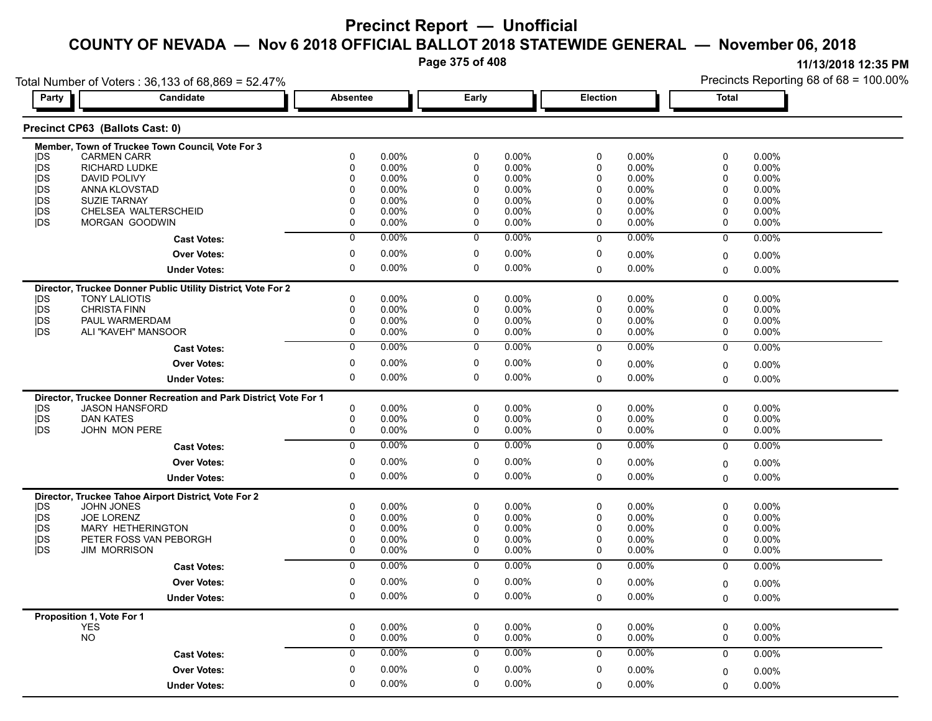**Page 375 of 408**

**11/13/2018 12:35 PM**

Precincts Reporting 68 of 68 = 100.00%

Total Number of Voters : 36,133 of 68,869 = 52.47%

| Party      | Candidate                                                        | <b>Absentee</b> |          | Early          |          |             | Election | <b>Total</b> |          |  |
|------------|------------------------------------------------------------------|-----------------|----------|----------------|----------|-------------|----------|--------------|----------|--|
|            | Precinct CP63 (Ballots Cast: 0)                                  |                 |          |                |          |             |          |              |          |  |
|            | Member, Town of Truckee Town Council, Vote For 3                 |                 |          |                |          |             |          |              |          |  |
| <b>IDS</b> | <b>CARMEN CARR</b>                                               | 0               | $0.00\%$ | $\pmb{0}$      | 0.00%    | $\pmb{0}$   | 0.00%    | $\pmb{0}$    | 0.00%    |  |
| jDS        | <b>RICHARD LUDKE</b>                                             | 0               | 0.00%    | $\mathbf 0$    | 0.00%    | $\mathbf 0$ | 0.00%    | 0            | 0.00%    |  |
| jDS        | <b>DAVID POLIVY</b>                                              | $\Omega$        | 0.00%    | $\Omega$       | 0.00%    | $\mathbf 0$ | 0.00%    | 0            | 0.00%    |  |
| jDS        | ANNA KLOVSTAD                                                    | $\mathbf 0$     | $0.00\%$ | $\mathbf 0$    | $0.00\%$ | $\mathbf 0$ | $0.00\%$ | 0            | 0.00%    |  |
| jDS        | <b>SUZIE TARNAY</b>                                              | 0               | 0.00%    | $\mathbf 0$    | 0.00%    | $\mathbf 0$ | 0.00%    | $\mathbf{0}$ | 0.00%    |  |
| <b>IDS</b> | CHELSEA WALTERSCHEID                                             | $\mathbf{0}$    | $0.00\%$ | $\mathbf 0$    | $0.00\%$ | $\mathbf 0$ | $0.00\%$ | $\mathbf 0$  | 0.00%    |  |
| <b>IDS</b> | MORGAN GOODWIN                                                   | 0               | 0.00%    | 0              | 0.00%    | 0           | 0.00%    | 0            | 0.00%    |  |
|            | <b>Cast Votes:</b>                                               | $\overline{0}$  | $0.00\%$ | $\overline{0}$ | $0.00\%$ | $\Omega$    | $0.00\%$ | $\mathbf 0$  | 0.00%    |  |
|            | <b>Over Votes:</b>                                               | 0               | $0.00\%$ | $\pmb{0}$      | $0.00\%$ | 0           | 0.00%    | 0            | 0.00%    |  |
|            | <b>Under Votes:</b>                                              | 0               | 0.00%    | $\pmb{0}$      | $0.00\%$ | $\Omega$    | $0.00\%$ | $\mathbf{0}$ | 0.00%    |  |
|            | Director, Truckee Donner Public Utility District, Vote For 2     |                 |          |                |          |             |          |              |          |  |
| <b>IDS</b> | <b>TONY LALIOTIS</b>                                             | 0               | $0.00\%$ | $\mathbf 0$    | 0.00%    | $\mathbf 0$ | 0.00%    | $\mathbf 0$  | 0.00%    |  |
| jDS        | <b>CHRISTA FINN</b>                                              | 0               | 0.00%    | $\mathbf 0$    | 0.00%    | $\pmb{0}$   | 0.00%    | $\mathbf 0$  | 0.00%    |  |
| jDS        | PAUL WARMERDAM                                                   | 0               | $0.00\%$ | $\mathbf 0$    | 0.00%    | $\mathbf 0$ | 0.00%    | 0            | 0.00%    |  |
| <b>IDS</b> | ALI "KAVEH" MANSOOR                                              | $\Omega$        | 0.00%    | $\Omega$       | 0.00%    | $\Omega$    | 0.00%    | $\mathbf 0$  | 0.00%    |  |
|            | <b>Cast Votes:</b>                                               | $\mathbf 0$     | 0.00%    | 0              | 0.00%    | $\mathbf 0$ | 0.00%    | $\mathbf 0$  | 0.00%    |  |
|            | <b>Over Votes:</b>                                               | $\mathbf 0$     | $0.00\%$ | $\mathbf 0$    | 0.00%    | $\pmb{0}$   | 0.00%    |              | 0.00%    |  |
|            |                                                                  | 0               | 0.00%    | $\mathbf 0$    | 0.00%    | $\mathbf 0$ | 0.00%    | $\mathbf 0$  | 0.00%    |  |
|            | <b>Under Votes:</b>                                              |                 |          |                |          |             |          | $\Omega$     |          |  |
|            | Director, Truckee Donner Recreation and Park District Vote For 1 |                 |          |                |          |             |          |              |          |  |
| <b>IDS</b> | <b>JASON HANSFORD</b>                                            | 0               | $0.00\%$ | $\mathbf 0$    | 0.00%    | $\mathbf 0$ | 0.00%    | $\mathbf 0$  | $0.00\%$ |  |
| jDS        | <b>DAN KATES</b>                                                 | 0               | 0.00%    | $\mathbf 0$    | 0.00%    | $\mathbf 0$ | 0.00%    | 0            | 0.00%    |  |
| <b>IDS</b> | <b>JOHN MON PERE</b>                                             | $\mathbf 0$     | $0.00\%$ | $\mathbf 0$    | $0.00\%$ | $\mathbf 0$ | 0.00%    | $\mathbf 0$  | 0.00%    |  |
|            | <b>Cast Votes:</b>                                               | $\overline{0}$  | 0.00%    | $\overline{0}$ | 0.00%    | $\mathbf 0$ | 0.00%    | $\mathbf 0$  | 0.00%    |  |
|            | <b>Over Votes:</b>                                               | 0               | 0.00%    | $\mathbf 0$    | 0.00%    | 0           | 0.00%    | $\mathbf 0$  | 0.00%    |  |
|            | <b>Under Votes:</b>                                              | 0               | 0.00%    | $\mathbf 0$    | 0.00%    | $\Omega$    | $0.00\%$ | $\mathbf 0$  | 0.00%    |  |
|            | Director, Truckee Tahoe Airport District, Vote For 2             |                 |          |                |          |             |          |              |          |  |
| <b>IDS</b> | <b>JOHN JONES</b>                                                | 0               | $0.00\%$ | 0              | $0.00\%$ | 0           | 0.00%    | 0            | 0.00%    |  |
| jDS        | JOE LORENZ                                                       | $\mathbf 0$     | 0.00%    | $\mathbf 0$    | 0.00%    | $\mathbf 0$ | 0.00%    | $\mathbf 0$  | 0.00%    |  |
| <b>IDS</b> | <b>MARY HETHERINGTON</b>                                         | 0               | 0.00%    | 0              | 0.00%    | 0           | 0.00%    | 0            | 0.00%    |  |
| <b>IDS</b> | PETER FOSS VAN PEBORGH                                           | 0               | $0.00\%$ | $\mathbf 0$    | $0.00\%$ | $\mathbf 0$ | $0.00\%$ | 0            | 0.00%    |  |
| <b>IDS</b> | <b>JIM MORRISON</b>                                              | $\mathbf 0$     | 0.00%    | $\mathbf 0$    | 0.00%    | $\mathbf 0$ | 0.00%    | $\mathbf 0$  | 0.00%    |  |
|            | <b>Cast Votes:</b>                                               | $\overline{0}$  | $0.00\%$ | $\overline{0}$ | $0.00\%$ | $\mathbf 0$ | $0.00\%$ | $\mathbf 0$  | 0.00%    |  |
|            | <b>Over Votes:</b>                                               | 0               | 0.00%    | $\mathbf 0$    | 0.00%    | 0           | 0.00%    | $\mathbf 0$  | 0.00%    |  |
|            | <b>Under Votes:</b>                                              | $\mathbf 0$     | 0.00%    | $\mathbf 0$    | 0.00%    | $\Omega$    | 0.00%    | $\Omega$     | 0.00%    |  |
|            |                                                                  |                 |          |                |          |             |          |              |          |  |
|            | Proposition 1, Vote For 1<br><b>YES</b>                          | 0               | $0.00\%$ | $\pmb{0}$      | $0.00\%$ | $\pmb{0}$   | $0.00\%$ | $\mathbf 0$  | 0.00%    |  |
|            | <b>NO</b>                                                        | 0               | 0.00%    | $\pmb{0}$      | 0.00%    | $\pmb{0}$   | 0.00%    | 0            | 0.00%    |  |
|            | <b>Cast Votes:</b>                                               | 0               | 0.00%    | 0              | $0.00\%$ | $\mathbf 0$ | 0.00%    | $\mathbf 0$  | 0.00%    |  |
|            |                                                                  |                 |          | $\mathbf 0$    |          | $\mathbf 0$ |          |              |          |  |
|            | <b>Over Votes:</b>                                               | 0               | $0.00\%$ |                | 0.00%    |             | 0.00%    | $\mathbf 0$  | 0.00%    |  |
|            | <b>Under Votes:</b>                                              | 0               | 0.00%    | $\mathbf 0$    | 0.00%    | $\Omega$    | $0.00\%$ | $\Omega$     | 0.00%    |  |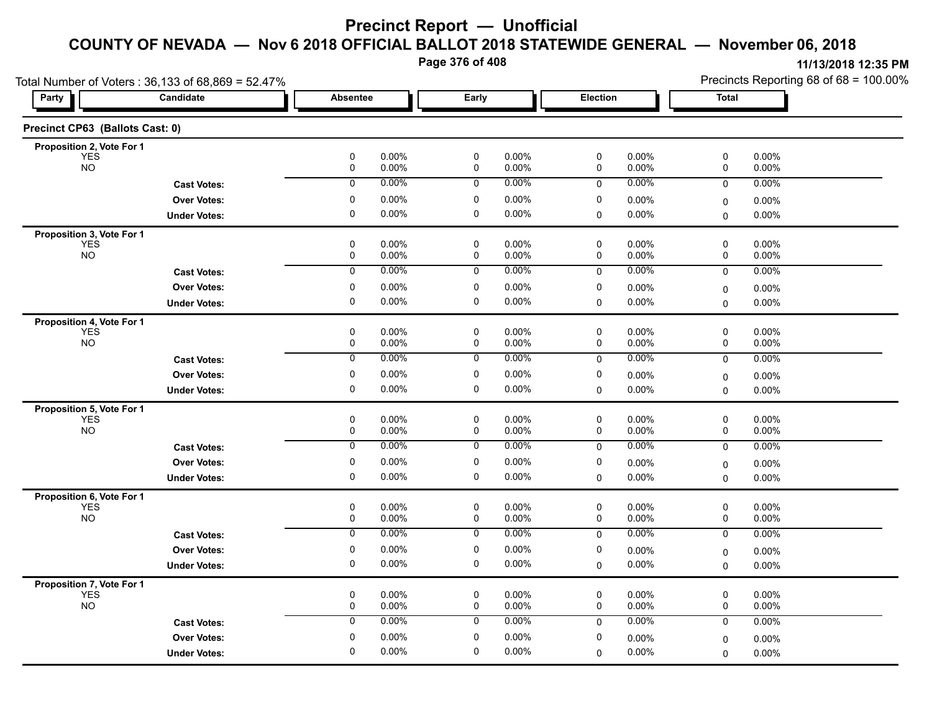**Page 376 of 408**

|                                         | Total Number of Voters: 36,133 of 68,869 = 52.47% |                                  |                |                      |                  |                | Precincts Reporting 68 of 68 = 100.00% |                      |  |  |
|-----------------------------------------|---------------------------------------------------|----------------------------------|----------------|----------------------|------------------|----------------|----------------------------------------|----------------------|--|--|
| Party                                   | Candidate                                         | <b>Absentee</b>                  | Early          |                      | <b>Election</b>  |                | <b>Total</b>                           |                      |  |  |
| Precinct CP63 (Ballots Cast: 0)         |                                                   |                                  |                |                      |                  |                |                                        |                      |  |  |
| Proposition 2, Vote For 1               |                                                   |                                  |                |                      |                  |                |                                        |                      |  |  |
| <b>YES</b><br><b>NO</b>                 |                                                   | $\pmb{0}$<br>0.00%<br>0.00%<br>0 | $\pmb{0}$<br>0 | 0.00%<br>0.00%       | $\pmb{0}$<br>0   | 0.00%<br>0.00% | 0<br>0                                 | 0.00%<br>0.00%       |  |  |
|                                         | <b>Cast Votes:</b>                                | 0.00%<br>0                       | 0              | 0.00%                | 0                | 0.00%          | 0                                      | 0.00%                |  |  |
|                                         | <b>Over Votes:</b>                                | $\pmb{0}$<br>0.00%               | $\pmb{0}$      | 0.00%                | $\pmb{0}$        | 0.00%          | 0                                      | $0.00\%$             |  |  |
|                                         | <b>Under Votes:</b>                               | 0<br>0.00%                       | 0              | $0.00\%$             | $\mathbf 0$      | 0.00%          | 0                                      | 0.00%                |  |  |
| Proposition 3, Vote For 1               |                                                   |                                  |                |                      |                  |                |                                        |                      |  |  |
| <b>YES</b><br><b>NO</b>                 |                                                   | 0<br>0.00%<br>0.00%<br>0         | 0<br>0         | $0.00\%$<br>0.00%    | $\mathsf 0$<br>0 | 0.00%<br>0.00% | 0<br>0                                 | $0.00\%$<br>0.00%    |  |  |
|                                         | <b>Cast Votes:</b>                                | 0.00%<br>$\overline{0}$          | 0              | 0.00%                | $\mathbf 0$      | 0.00%          | $\mathbf 0$                            | 0.00%                |  |  |
|                                         | <b>Over Votes:</b>                                | 0<br>0.00%                       | 0              | 0.00%                | 0                | 0.00%          |                                        |                      |  |  |
|                                         | <b>Under Votes:</b>                               | $\mathbf 0$<br>0.00%             | $\mathbf 0$    | $0.00\%$             | 0                | 0.00%          | 0<br>0                                 | $0.00\%$<br>$0.00\%$ |  |  |
|                                         |                                                   |                                  |                |                      |                  |                |                                        |                      |  |  |
| Proposition 4, Vote For 1<br><b>YES</b> |                                                   | 0<br>0.00%                       | 0              | $0.00\%$             | 0                | 0.00%          | 0                                      | 0.00%                |  |  |
| <b>NO</b>                               |                                                   | 0<br>0.00%                       | 0              | 0.00%                | 0                | 0.00%          | 0                                      | 0.00%                |  |  |
|                                         | <b>Cast Votes:</b>                                | 0<br>0.00%                       | 0              | $0.00\%$             | $\mathbf 0$      | 0.00%          | $\mathbf 0$                            | 0.00%                |  |  |
|                                         | <b>Over Votes:</b>                                | 0<br>0.00%                       | 0              | 0.00%                | 0                | 0.00%          | 0                                      | 0.00%                |  |  |
|                                         | <b>Under Votes:</b>                               | $\pmb{0}$<br>0.00%               | 0              | $0.00\%$             | $\mathbf 0$      | 0.00%          | $\mathbf 0$                            | 0.00%                |  |  |
| Proposition 5, Vote For 1               |                                                   |                                  |                |                      |                  |                |                                        |                      |  |  |
| <b>YES</b><br><b>NO</b>                 |                                                   | 0<br>0.00%<br>$\pmb{0}$<br>0.00% | 0<br>0         | 0.00%<br>0.00%       | 0<br>0           | 0.00%<br>0.00% | 0<br>0                                 | 0.00%<br>0.00%       |  |  |
|                                         | <b>Cast Votes:</b>                                | 0.00%<br>0                       | 0              | 0.00%                | 0                | 0.00%          | 0                                      | 0.00%                |  |  |
|                                         |                                                   | 0.00%<br>0                       | 0              | 0.00%                | 0                |                |                                        |                      |  |  |
|                                         | <b>Over Votes:</b>                                | $\mathbf 0$<br>0.00%             | $\mathbf 0$    | $0.00\%$             | $\Omega$         | 0.00%<br>0.00% | $\mathbf 0$                            | 0.00%                |  |  |
|                                         | <b>Under Votes:</b>                               |                                  |                |                      |                  |                | 0                                      | 0.00%                |  |  |
| Proposition 6, Vote For 1<br><b>YES</b> |                                                   | 0<br>0.00%                       | $\pmb{0}$      | $0.00\%$             | 0                | 0.00%          | 0                                      | 0.00%                |  |  |
| <b>NO</b>                               |                                                   | 0<br>0.00%                       | 0              | 0.00%                | 0                | 0.00%          | 0                                      | 0.00%                |  |  |
|                                         | <b>Cast Votes:</b>                                | 0.00%<br>0                       | 0              | $0.00\%$             | 0                | 0.00%          | 0                                      | 0.00%                |  |  |
|                                         | <b>Over Votes:</b>                                | 0<br>0.00%                       | 0              | $0.00\%$             | 0                | 0.00%          | 0                                      | $0.00\%$             |  |  |
|                                         | <b>Under Votes:</b>                               | $\mathbf 0$<br>0.00%             | 0              | $0.00\%$             | 0                | 0.00%          | $\mathbf 0$                            | $0.00\%$             |  |  |
| Proposition 7, Vote For 1               |                                                   |                                  |                |                      |                  |                |                                        |                      |  |  |
| <b>YES</b>                              |                                                   | $\pmb{0}$<br>0.00%               | 0              | 0.00%                | 0                | 0.00%          | 0                                      | 0.00%                |  |  |
| <b>NO</b>                               |                                                   | 0<br>0.00%<br>0.00%              | 0              | $0.00\%$<br>$0.00\%$ | 0                | 0.00%<br>0.00% | 0                                      | $0.00\%$             |  |  |
|                                         | <b>Cast Votes:</b>                                | 0                                | 0              |                      | 0                |                | 0                                      | 0.00%                |  |  |
|                                         | <b>Over Votes:</b>                                | 0<br>0.00%                       | 0              | 0.00%                | 0                | 0.00%          | $\mathbf 0$                            | 0.00%                |  |  |
|                                         | <b>Under Votes:</b>                               | 0.00%<br>0                       | 0              | $0.00\%$             | 0                | 0.00%          | $\Omega$                               | 0.00%                |  |  |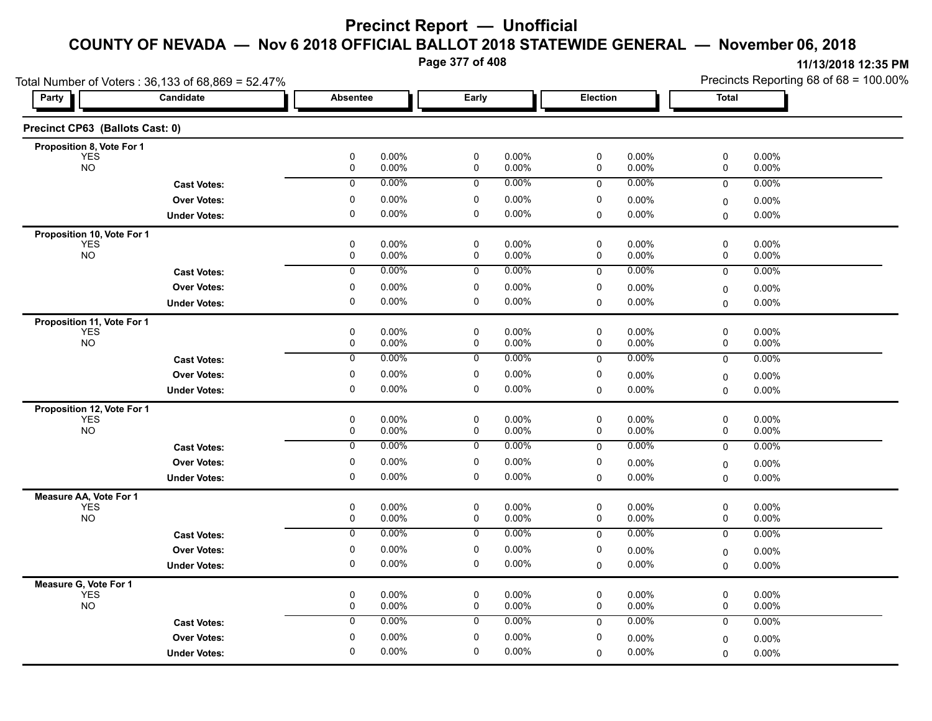**Page 377 of 408**

| Candidate                       |                                                                                                                                                                                                              |                                                                                                                                                        |                                                                                                                                                                      |                                                                                                                                           |                                                                                                                                                             |                                                                                                            |                                                                                                                                                       |                                                                      |
|---------------------------------|--------------------------------------------------------------------------------------------------------------------------------------------------------------------------------------------------------------|--------------------------------------------------------------------------------------------------------------------------------------------------------|----------------------------------------------------------------------------------------------------------------------------------------------------------------------|-------------------------------------------------------------------------------------------------------------------------------------------|-------------------------------------------------------------------------------------------------------------------------------------------------------------|------------------------------------------------------------------------------------------------------------|-------------------------------------------------------------------------------------------------------------------------------------------------------|----------------------------------------------------------------------|
|                                 | <b>Absentee</b>                                                                                                                                                                                              |                                                                                                                                                        | Early                                                                                                                                                                |                                                                                                                                           | Election                                                                                                                                                    |                                                                                                            | <b>Total</b>                                                                                                                                          |                                                                      |
| Precinct CP63 (Ballots Cast: 0) |                                                                                                                                                                                                              |                                                                                                                                                        |                                                                                                                                                                      |                                                                                                                                           |                                                                                                                                                             |                                                                                                            |                                                                                                                                                       |                                                                      |
| Proposition 8, Vote For 1       |                                                                                                                                                                                                              |                                                                                                                                                        |                                                                                                                                                                      |                                                                                                                                           |                                                                                                                                                             |                                                                                                            |                                                                                                                                                       |                                                                      |
|                                 | $\mathbf 0$                                                                                                                                                                                                  |                                                                                                                                                        | $\mathbf 0$                                                                                                                                                          |                                                                                                                                           | 0                                                                                                                                                           |                                                                                                            | 0                                                                                                                                                     | 0.00%<br>0.00%                                                       |
|                                 | $\mathbf 0$                                                                                                                                                                                                  | $0.00\%$                                                                                                                                               | $\mathbf 0$                                                                                                                                                          | 0.00%                                                                                                                                     | $\mathbf 0$                                                                                                                                                 | $0.00\%$                                                                                                   | 0                                                                                                                                                     | 0.00%                                                                |
|                                 | 0                                                                                                                                                                                                            |                                                                                                                                                        |                                                                                                                                                                      |                                                                                                                                           |                                                                                                                                                             |                                                                                                            |                                                                                                                                                       | 0.00%                                                                |
| <b>Under Votes:</b>             | 0                                                                                                                                                                                                            | $0.00\%$                                                                                                                                               | $\mathbf 0$                                                                                                                                                          | 0.00%                                                                                                                                     | 0                                                                                                                                                           | $0.00\%$                                                                                                   |                                                                                                                                                       | 0.00%                                                                |
|                                 |                                                                                                                                                                                                              |                                                                                                                                                        |                                                                                                                                                                      |                                                                                                                                           |                                                                                                                                                             |                                                                                                            |                                                                                                                                                       |                                                                      |
|                                 | 0                                                                                                                                                                                                            | 0.00%                                                                                                                                                  | $\mathbf 0$                                                                                                                                                          | 0.00%                                                                                                                                     | 0                                                                                                                                                           | $0.00\%$                                                                                                   | 0                                                                                                                                                     | 0.00%                                                                |
|                                 | $\mathbf 0$                                                                                                                                                                                                  | 0.00%                                                                                                                                                  | $\mathbf 0$                                                                                                                                                          | 0.00%                                                                                                                                     | 0                                                                                                                                                           | 0.00%                                                                                                      | 0                                                                                                                                                     | 0.00%                                                                |
| <b>Cast Votes:</b>              | $\overline{0}$                                                                                                                                                                                               | 0.00%                                                                                                                                                  | 0                                                                                                                                                                    | 0.00%                                                                                                                                     | 0                                                                                                                                                           | 0.00%                                                                                                      | 0                                                                                                                                                     | 0.00%                                                                |
| <b>Over Votes:</b>              | 0                                                                                                                                                                                                            | $0.00\%$                                                                                                                                               | 0                                                                                                                                                                    | 0.00%                                                                                                                                     | 0                                                                                                                                                           | $0.00\%$                                                                                                   | 0                                                                                                                                                     | $0.00\%$                                                             |
| <b>Under Votes:</b>             | 0                                                                                                                                                                                                            | $0.00\%$                                                                                                                                               | 0                                                                                                                                                                    | 0.00%                                                                                                                                     | $\Omega$                                                                                                                                                    | 0.00%                                                                                                      | 0                                                                                                                                                     | $0.00\%$                                                             |
| Proposition 11, Vote For 1      |                                                                                                                                                                                                              |                                                                                                                                                        |                                                                                                                                                                      |                                                                                                                                           |                                                                                                                                                             |                                                                                                            |                                                                                                                                                       |                                                                      |
|                                 | 0                                                                                                                                                                                                            | $0.00\%$                                                                                                                                               | $\pmb{0}$                                                                                                                                                            | 0.00%                                                                                                                                     | $\mathsf 0$                                                                                                                                                 | $0.00\%$                                                                                                   | $\pmb{0}$                                                                                                                                             | 0.00%                                                                |
|                                 |                                                                                                                                                                                                              |                                                                                                                                                        |                                                                                                                                                                      |                                                                                                                                           |                                                                                                                                                             |                                                                                                            |                                                                                                                                                       | 0.00%                                                                |
| <b>Cast Votes:</b>              |                                                                                                                                                                                                              |                                                                                                                                                        |                                                                                                                                                                      |                                                                                                                                           |                                                                                                                                                             |                                                                                                            | 0                                                                                                                                                     | 0.00%                                                                |
| <b>Over Votes:</b>              | 0                                                                                                                                                                                                            | $0.00\%$                                                                                                                                               | 0                                                                                                                                                                    | 0.00%                                                                                                                                     | 0                                                                                                                                                           | 0.00%                                                                                                      | 0                                                                                                                                                     | 0.00%                                                                |
| <b>Under Votes:</b>             | 0                                                                                                                                                                                                            |                                                                                                                                                        | 0                                                                                                                                                                    |                                                                                                                                           | $\mathbf 0$                                                                                                                                                 | 0.00%                                                                                                      | $\mathbf 0$                                                                                                                                           | $0.00\%$                                                             |
| Proposition 12, Vote For 1      |                                                                                                                                                                                                              |                                                                                                                                                        |                                                                                                                                                                      |                                                                                                                                           |                                                                                                                                                             |                                                                                                            |                                                                                                                                                       |                                                                      |
|                                 |                                                                                                                                                                                                              |                                                                                                                                                        |                                                                                                                                                                      |                                                                                                                                           |                                                                                                                                                             |                                                                                                            |                                                                                                                                                       | 0.00%<br>0.00%                                                       |
|                                 |                                                                                                                                                                                                              |                                                                                                                                                        |                                                                                                                                                                      |                                                                                                                                           |                                                                                                                                                             |                                                                                                            |                                                                                                                                                       | 0.00%                                                                |
|                                 |                                                                                                                                                                                                              |                                                                                                                                                        |                                                                                                                                                                      |                                                                                                                                           |                                                                                                                                                             |                                                                                                            |                                                                                                                                                       |                                                                      |
|                                 |                                                                                                                                                                                                              |                                                                                                                                                        |                                                                                                                                                                      |                                                                                                                                           |                                                                                                                                                             |                                                                                                            | 0                                                                                                                                                     | 0.00%                                                                |
|                                 |                                                                                                                                                                                                              |                                                                                                                                                        |                                                                                                                                                                      |                                                                                                                                           |                                                                                                                                                             |                                                                                                            |                                                                                                                                                       | 0.00%                                                                |
|                                 |                                                                                                                                                                                                              |                                                                                                                                                        |                                                                                                                                                                      |                                                                                                                                           |                                                                                                                                                             |                                                                                                            |                                                                                                                                                       |                                                                      |
|                                 |                                                                                                                                                                                                              |                                                                                                                                                        |                                                                                                                                                                      |                                                                                                                                           | 0                                                                                                                                                           |                                                                                                            | 0                                                                                                                                                     | 0.00%<br>0.00%                                                       |
|                                 |                                                                                                                                                                                                              | 0.00%                                                                                                                                                  | $\overline{0}$                                                                                                                                                       |                                                                                                                                           |                                                                                                                                                             |                                                                                                            |                                                                                                                                                       | 0.00%                                                                |
|                                 |                                                                                                                                                                                                              |                                                                                                                                                        |                                                                                                                                                                      |                                                                                                                                           |                                                                                                                                                             |                                                                                                            |                                                                                                                                                       |                                                                      |
|                                 |                                                                                                                                                                                                              |                                                                                                                                                        |                                                                                                                                                                      |                                                                                                                                           |                                                                                                                                                             |                                                                                                            |                                                                                                                                                       | $0.00\%$<br>$0.00\%$                                                 |
|                                 |                                                                                                                                                                                                              |                                                                                                                                                        |                                                                                                                                                                      |                                                                                                                                           |                                                                                                                                                             |                                                                                                            |                                                                                                                                                       |                                                                      |
|                                 |                                                                                                                                                                                                              |                                                                                                                                                        |                                                                                                                                                                      |                                                                                                                                           |                                                                                                                                                             |                                                                                                            |                                                                                                                                                       | 0.00%                                                                |
|                                 | 0                                                                                                                                                                                                            | $0.00\%$                                                                                                                                               | 0                                                                                                                                                                    | 0.00%                                                                                                                                     | 0                                                                                                                                                           | 0.00%                                                                                                      | 0                                                                                                                                                     | 0.00%                                                                |
| <b>Cast Votes:</b>              | $\mathbf 0$                                                                                                                                                                                                  | 0.00%                                                                                                                                                  | $\mathbf 0$                                                                                                                                                          | $0.00\%$                                                                                                                                  | 0                                                                                                                                                           | $0.00\%$                                                                                                   | 0                                                                                                                                                     | 0.00%                                                                |
|                                 |                                                                                                                                                                                                              |                                                                                                                                                        |                                                                                                                                                                      |                                                                                                                                           |                                                                                                                                                             |                                                                                                            |                                                                                                                                                       | $0.00\%$                                                             |
| <b>Over Votes:</b>              | $\mathbf 0$                                                                                                                                                                                                  | 0.00%                                                                                                                                                  | $\mathbf 0$                                                                                                                                                          | 0.00%                                                                                                                                     | 0                                                                                                                                                           | 0.00%                                                                                                      | 0                                                                                                                                                     |                                                                      |
|                                 | <b>Cast Votes:</b><br><b>Over Votes:</b><br>Proposition 10, Vote For 1<br><b>Cast Votes:</b><br><b>Over Votes:</b><br><b>Under Votes:</b><br><b>Cast Votes:</b><br><b>Over Votes:</b><br><b>Under Votes:</b> | 0<br>$\mathbf 0$<br>0<br>$\mathbf 0$<br>$\mathbf 0$<br>$\overline{0}$<br>0<br>0<br>$\mathbf 0$<br>$\pmb{0}$<br>$\overline{0}$<br>$\mathbf 0$<br>0<br>0 | 0.00%<br>0.00%<br>$0.00\%$<br>0.00%<br>$0.00\%$<br>0.00%<br>$0.00\%$<br>0.00%<br>0.00%<br>$0.00\%$<br>$0.00\%$<br>$0.00\%$<br>0.00%<br>0.00%<br>$0.00\%$<br>$0.00\%$ | 0<br>0<br>$\mathbf 0$<br>0<br>$\mathbf 0$<br>$\mathbf 0$<br>$\overline{0}$<br>0<br>0<br>$\mathbf 0$<br>$\pmb{0}$<br>$\mathbf 0$<br>0<br>0 | 0.00%<br>0.00%<br>0.00%<br>0.00%<br>0.00%<br>0.00%<br>$0.00\%$<br>0.00%<br>0.00%<br>0.00%<br>0.00%<br>0.00%<br>0.00%<br>0.00%<br>$0.00\%$<br>0.00%<br>0.00% | 0<br>0<br>0<br>0<br>0<br>0<br>$\mathbf 0$<br>0<br>$\mathbf 0$<br>0<br>$\mathsf 0$<br>0<br>$\mathbf 0$<br>0 | $0.00\%$<br>0.00%<br>$0.00\%$<br>$0.00\%$<br>0.00%<br>0.00%<br>0.00%<br>0.00%<br>0.00%<br>0.00%<br>0.00%<br>0.00%<br>0.00%<br>0.00%<br>0.00%<br>0.00% | 0<br>0<br>0<br>0<br>0<br>0<br>0<br>$\Omega$<br>0<br>0<br>0<br>0<br>0 |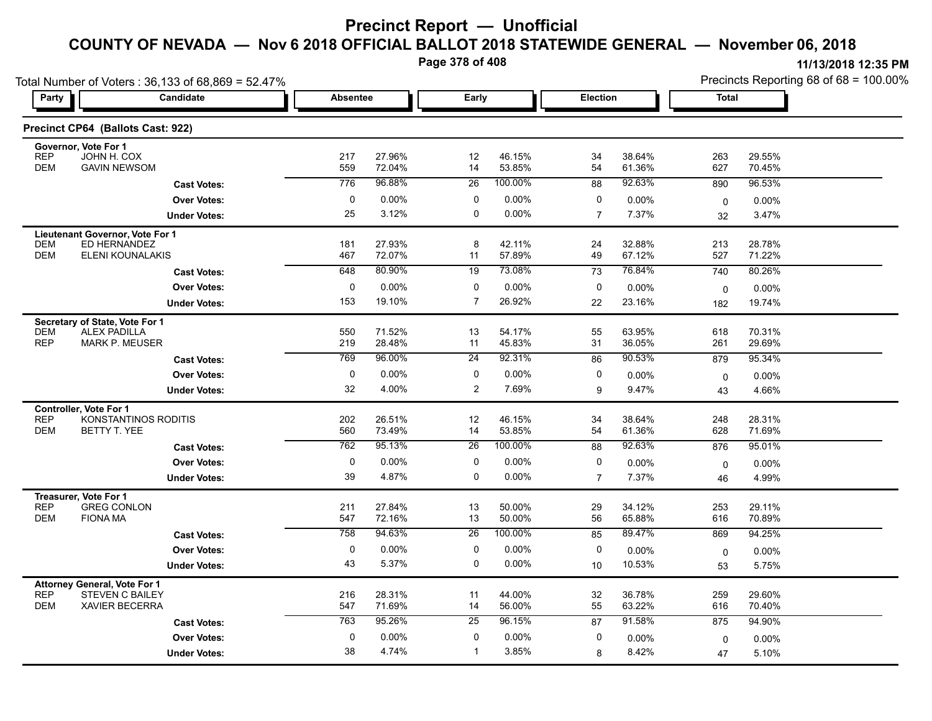**Page 378 of 408**

| Total Number of Voters: 36,133 of 68,869 = 52.47%                                 |                                          |                 |                  |                 |                  |                 |                  | Precincts Reporting 68 of 68 = 100.00% |                  |  |
|-----------------------------------------------------------------------------------|------------------------------------------|-----------------|------------------|-----------------|------------------|-----------------|------------------|----------------------------------------|------------------|--|
| <b>Party</b>                                                                      | Candidate                                | <b>Absentee</b> |                  | Early           |                  | <b>Election</b> |                  | <b>Total</b>                           |                  |  |
| Precinct CP64 (Ballots Cast: 922)                                                 |                                          |                 |                  |                 |                  |                 |                  |                                        |                  |  |
| Governor, Vote For 1<br><b>REP</b><br>JOHN H. COX<br><b>DEM</b>                   | <b>GAVIN NEWSOM</b>                      | 217<br>559      | 27.96%<br>72.04% | 12<br>14        | 46.15%<br>53.85% | 34<br>54        | 38.64%<br>61.36% | 263<br>627                             | 29.55%<br>70.45% |  |
|                                                                                   | <b>Cast Votes:</b>                       | 776             | 96.88%           | 26              | 100.00%          | 88              | 92.63%           | 890                                    | 96.53%           |  |
|                                                                                   | <b>Over Votes:</b>                       | $\pmb{0}$       | 0.00%            | 0               | 0.00%            | 0               | 0.00%            | $\mathbf 0$                            | 0.00%            |  |
|                                                                                   | <b>Under Votes:</b>                      | 25              | 3.12%            | $\mathbf 0$     | 0.00%            | $\overline{7}$  | 7.37%            | 32                                     | 3.47%            |  |
| Lieutenant Governor, Vote For 1<br><b>DEM</b><br><b>DEM</b>                       | ED HERNANDEZ<br>ELENI KOUNALAKIS         | 181<br>467      | 27 93%<br>72.07% | 8<br>11         | 42.11%<br>57.89% | 24<br>49        | 32.88%<br>67.12% | 213<br>527                             | 28.78%<br>71.22% |  |
|                                                                                   | <b>Cast Votes:</b>                       | 648             | 80.90%           | 19              | 73.08%           | 73              | 76.84%           | 740                                    | 80.26%           |  |
|                                                                                   | <b>Over Votes:</b>                       | 0               | 0.00%            | $\mathbf 0$     | 0.00%            | 0               | 0.00%            | $\mathbf 0$                            | 0.00%            |  |
|                                                                                   | <b>Under Votes:</b>                      | 153             | 19.10%           | $\overline{7}$  | 26.92%           | 22              | 23.16%           | 182                                    | 19.74%           |  |
| Secretary of State, Vote For 1<br><b>ALEX PADILLA</b><br><b>DEM</b><br><b>REP</b> | <b>MARK P. MEUSER</b>                    | 550<br>219      | 71.52%<br>28.48% | 13<br>11        | 54.17%<br>45.83% | 55<br>31        | 63.95%<br>36.05% | 618<br>261                             | 70.31%<br>29.69% |  |
|                                                                                   | <b>Cast Votes:</b>                       | 769             | 96.00%           | 24              | 92.31%           | 86              | 90.53%           | 879                                    | 95.34%           |  |
|                                                                                   | <b>Over Votes:</b>                       | $\pmb{0}$       | 0.00%            | $\mathbf 0$     | 0.00%            | 0               | $0.00\%$         | 0                                      | $0.00\%$         |  |
|                                                                                   | <b>Under Votes:</b>                      | 32              | 4.00%            | $\overline{2}$  | 7.69%            | 9               | 9.47%            | 43                                     | 4.66%            |  |
| <b>Controller, Vote For 1</b><br><b>REP</b><br><b>DEM</b><br>BETTY T. YEE         | KONSTANTINOS RODITIS                     | 202<br>560      | 26.51%<br>73.49% | 12<br>14        | 46.15%<br>53.85% | 34<br>54        | 38.64%<br>61.36% | 248<br>628                             | 28.31%<br>71.69% |  |
|                                                                                   | <b>Cast Votes:</b>                       | 762             | 95.13%           | 26              | 100.00%          | 88              | 92.63%           | 876                                    | 95.01%           |  |
|                                                                                   | <b>Over Votes:</b>                       | $\mathbf 0$     | 0.00%            | $\mathbf 0$     | 0.00%            | 0               | 0.00%            | $\mathbf 0$                            | $0.00\%$         |  |
|                                                                                   | <b>Under Votes:</b>                      | 39              | 4.87%            | $\mathbf 0$     | $0.00\%$         | $\overline{7}$  | 7.37%            | 46                                     | 4.99%            |  |
| Treasurer, Vote For 1<br><b>REP</b><br><b>DEM</b><br><b>FIONA MA</b>              | <b>GREG CONLON</b>                       | 211<br>547      | 27.84%<br>72.16% | 13<br>13        | 50.00%<br>50.00% | 29<br>56        | 34.12%<br>65.88% | 253<br>616                             | 29.11%<br>70.89% |  |
|                                                                                   | <b>Cast Votes:</b>                       | 758             | 94.63%           | $\overline{26}$ | 100.00%          | 85              | 89.47%           | 869                                    | 94.25%           |  |
|                                                                                   | <b>Over Votes:</b>                       | 0               | 0.00%            | 0               | 0.00%            | 0               | 0.00%            | 0                                      | $0.00\%$         |  |
|                                                                                   | <b>Under Votes:</b>                      | 43              | 5.37%            | $\mathbf 0$     | $0.00\%$         | 10              | 10.53%           | 53                                     | 5.75%            |  |
| <b>Attorney General, Vote For 1</b><br><b>REP</b><br><b>DEM</b>                   | STEVEN C BAILEY<br><b>XAVIER BECERRA</b> | 216<br>547      | 28.31%<br>71.69% | 11<br>14        | 44.00%<br>56.00% | 32<br>55        | 36.78%<br>63.22% | 259<br>616                             | 29.60%<br>70.40% |  |
|                                                                                   | <b>Cast Votes:</b>                       | 763             | 95.26%           | 25              | 96.15%           | 87              | 91.58%           | 875                                    | 94.90%           |  |
|                                                                                   | <b>Over Votes:</b>                       | 0               | 0.00%            | 0               | 0.00%            | $\mathbf 0$     | 0.00%            | 0                                      | 0.00%            |  |
|                                                                                   | <b>Under Votes:</b>                      | 38              | 4.74%            | $\mathbf{1}$    | 3.85%            | 8               | 8.42%            | 47                                     | 5.10%            |  |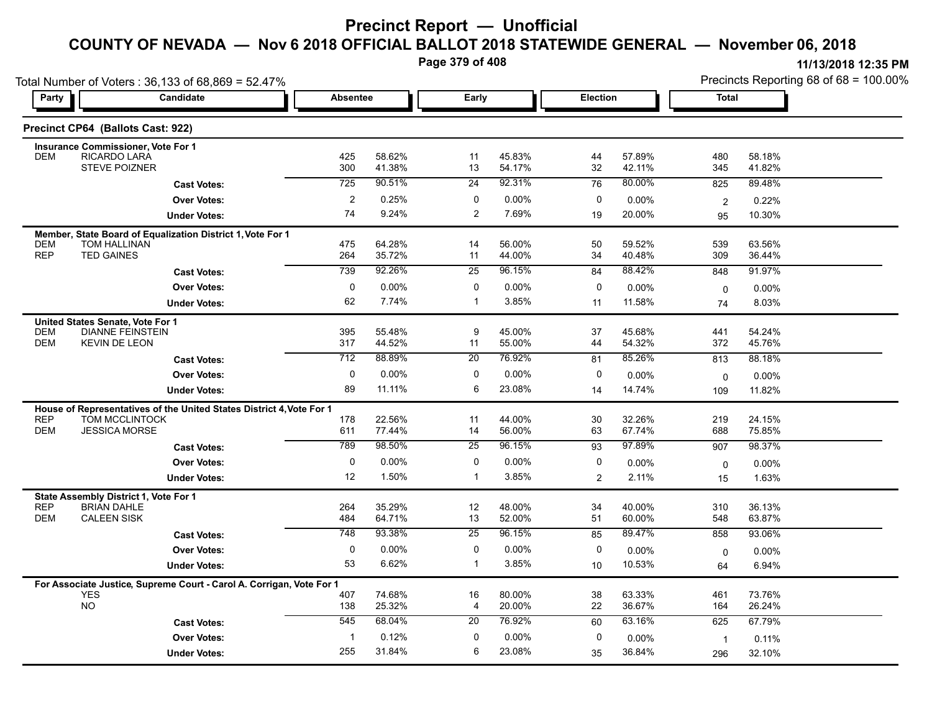**Page 379 of 408**

| Total Number of Voters: 36,133 of 68,869 = 52.47% |                                               |                                                                      |                  |                  |                      |                  |                 | Precincts Reporting 68 of 68 = 100.00% |                |                  |
|---------------------------------------------------|-----------------------------------------------|----------------------------------------------------------------------|------------------|------------------|----------------------|------------------|-----------------|----------------------------------------|----------------|------------------|
| Party                                             |                                               | Candidate                                                            | <b>Absentee</b>  |                  | Early                |                  | <b>Election</b> |                                        | <b>Total</b>   |                  |
|                                                   | Precinct CP64 (Ballots Cast: 922)             |                                                                      |                  |                  |                      |                  |                 |                                        |                |                  |
|                                                   | Insurance Commissioner, Vote For 1            |                                                                      |                  |                  |                      |                  |                 |                                        |                |                  |
| <b>DEM</b>                                        | RICARDO LARA<br><b>STEVE POIZNER</b>          |                                                                      | 425<br>300       | 58.62%<br>41.38% | 11<br>13             | 45.83%<br>54.17% | 44<br>32        | 57.89%<br>42.11%                       | 480<br>345     | 58.18%<br>41.82% |
|                                                   |                                               | <b>Cast Votes:</b>                                                   | 725              | 90.51%           | 24                   | 92.31%           | 76              | 80.00%                                 | 825            | 89.48%           |
|                                                   |                                               | <b>Over Votes:</b>                                                   | $\overline{c}$   | 0.25%            | 0                    | 0.00%            | 0               | 0.00%                                  | $\overline{2}$ | 0.22%            |
|                                                   |                                               | <b>Under Votes:</b>                                                  | 74               | 9.24%            | $\overline{c}$       | 7.69%            | 19              | 20.00%                                 | 95             | 10.30%           |
|                                                   |                                               | Member, State Board of Equalization District 1, Vote For 1           |                  |                  |                      |                  |                 |                                        |                |                  |
| <b>DEM</b><br><b>REP</b>                          | <b>TOM HALLINAN</b><br><b>TED GAINES</b>      |                                                                      | 475<br>264       | 64.28%<br>35.72% | 14<br>11             | 56.00%<br>44.00% | 50<br>34        | 59.52%<br>40.48%                       | 539<br>309     | 63.56%<br>36.44% |
|                                                   |                                               | <b>Cast Votes:</b>                                                   | 739              | 92.26%           | 25                   | 96.15%           | 84              | 88.42%                                 | 848            | 91.97%           |
|                                                   |                                               | <b>Over Votes:</b>                                                   | $\mathbf 0$      | 0.00%            | 0                    | 0.00%            | 0               | 0.00%                                  | $\mathbf 0$    | 0.00%            |
|                                                   |                                               | <b>Under Votes:</b>                                                  | 62               | 7.74%            | $\mathbf{1}$         | 3.85%            | 11              | 11.58%                                 | 74             | 8.03%            |
|                                                   | United States Senate, Vote For 1              |                                                                      |                  |                  |                      |                  |                 |                                        |                |                  |
| <b>DEM</b>                                        | <b>DIANNE FEINSTEIN</b>                       |                                                                      | 395              | 55.48%           | 9                    | 45.00%           | 37              | 45.68%                                 | 441            | 54.24%           |
| <b>DEM</b>                                        | KEVIN DE LEON                                 |                                                                      | 317              | 44.52%           | 11                   | 55.00%           | 44              | 54.32%                                 | 372            | 45.76%           |
|                                                   |                                               | <b>Cast Votes:</b>                                                   | $\overline{712}$ | 88.89%           | $\overline{20}$      | 76.92%           | 81              | 85.26%                                 | 813            | 88.18%           |
|                                                   |                                               | <b>Over Votes:</b>                                                   | $\pmb{0}$        | 0.00%            | $\mathbf 0$          | 0.00%            | 0               | 0.00%                                  | $\mathbf 0$    | 0.00%            |
|                                                   |                                               | <b>Under Votes:</b>                                                  | 89               | 11.11%           | 6                    | 23.08%           | 14              | 14.74%                                 | 109            | 11.82%           |
|                                                   |                                               | House of Representatives of the United States District 4, Vote For 1 |                  |                  |                      |                  |                 |                                        |                |                  |
| <b>REP</b><br><b>DEM</b>                          | <b>TOM MCCLINTOCK</b><br><b>JESSICA MORSE</b> |                                                                      | 178<br>611       | 22.56%<br>77.44% | 11<br>14             | 44.00%<br>56.00% | 30<br>63        | 32.26%<br>67.74%                       | 219<br>688     | 24.15%<br>75.85% |
|                                                   |                                               | <b>Cast Votes:</b>                                                   | 789              | 98.50%           | 25                   | 96.15%           | 93              | 97.89%                                 | 907            | 98.37%           |
|                                                   |                                               | <b>Over Votes:</b>                                                   | $\mathbf 0$      | 0.00%            | $\mathbf 0$          | 0.00%            | 0               | 0.00%                                  | $\mathbf 0$    | $0.00\%$         |
|                                                   |                                               | <b>Under Votes:</b>                                                  | 12               | 1.50%            | $\mathbf{1}$         | 3.85%            | 2               | 2.11%                                  | 15             | 1.63%            |
|                                                   | State Assembly District 1, Vote For 1         |                                                                      |                  |                  |                      |                  |                 |                                        |                |                  |
| <b>REP</b>                                        | <b>BRIAN DAHLE</b>                            |                                                                      | 264              | 35.29%           | 12                   | 48.00%           | 34              | 40.00%                                 | 310            | 36.13%           |
| <b>DEM</b>                                        | <b>CALEEN SISK</b>                            |                                                                      | 484              | 64.71%           | 13                   | 52.00%           | 51              | 60.00%                                 | 548            | 63.87%           |
|                                                   |                                               | <b>Cast Votes:</b>                                                   | 748              | 93.38%           | $\overline{25}$      | 96.15%           | 85              | 89.47%                                 | 858            | 93.06%           |
|                                                   |                                               | <b>Over Votes:</b>                                                   | 0                | 0.00%            | $\mathbf 0$          | 0.00%            | $\mathbf 0$     | 0.00%                                  | $\mathbf 0$    | $0.00\%$         |
|                                                   |                                               | <b>Under Votes:</b>                                                  | 53               | 6.62%            | $\mathbf{1}$         | 3.85%            | 10              | 10.53%                                 | 64             | 6.94%            |
|                                                   |                                               | For Associate Justice, Supreme Court - Carol A. Corrigan, Vote For 1 |                  |                  |                      |                  |                 |                                        |                |                  |
|                                                   | <b>YES</b><br><b>NO</b>                       |                                                                      | 407<br>138       | 74.68%<br>25.32% | 16<br>$\overline{4}$ | 80.00%<br>20.00% | 38<br>22        | 63.33%<br>36.67%                       | 461<br>164     | 73.76%<br>26.24% |
|                                                   |                                               | <b>Cast Votes:</b>                                                   | 545              | 68.04%           | 20                   | 76.92%           | 60              | 63.16%                                 | 625            | 67.79%           |
|                                                   |                                               | <b>Over Votes:</b>                                                   | $\mathbf 1$      | 0.12%            | 0                    | 0.00%            | 0               | 0.00%                                  | $\mathbf{1}$   | 0.11%            |
|                                                   |                                               | <b>Under Votes:</b>                                                  | 255              | 31.84%           | 6                    | 23.08%           | 35              | 36.84%                                 | 296            | 32.10%           |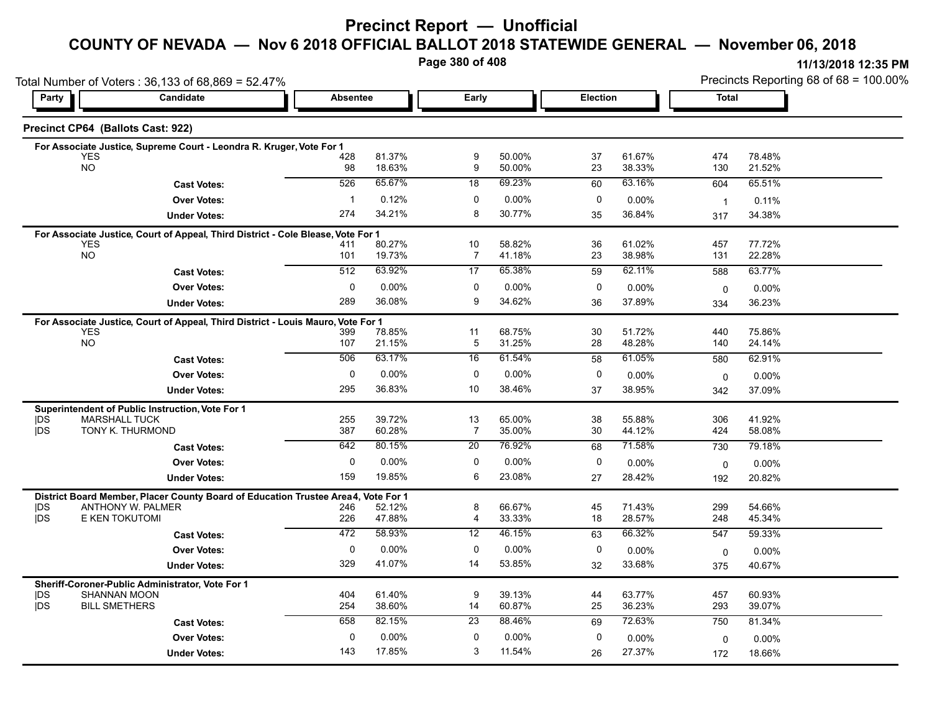### **Precinct Report — Unofficial**

## **COUNTY OF NEVADA — Nov 6 2018 OFFICIAL BALLOT 2018 STATEWIDE GENERAL — November 06, 2018**

**Page 380 of 408**

**11/13/2018 12:35 PM** Precincts Reporting 68 of 68 = 100.00%

|                          | Total Number of Voters: 36,133 of 68,869 = 52.47%                                              |             |                  |                     |                  |          |                  | Precincts Reporting 68 of 68 = 100.00% |                  |  |  |
|--------------------------|------------------------------------------------------------------------------------------------|-------------|------------------|---------------------|------------------|----------|------------------|----------------------------------------|------------------|--|--|
| Party                    | <b>Candidate</b>                                                                               |             | <b>Absentee</b>  |                     | Early            |          | Election         | <b>Total</b>                           |                  |  |  |
|                          | Precinct CP64 (Ballots Cast: 922)                                                              |             |                  |                     |                  |          |                  |                                        |                  |  |  |
|                          | For Associate Justice, Supreme Court - Leondra R. Kruger, Vote For 1                           |             |                  |                     |                  |          |                  |                                        |                  |  |  |
|                          | <b>YES</b><br><b>NO</b>                                                                        | 428<br>98   | 81.37%<br>18.63% | 9<br>9              | 50.00%<br>50.00% | 37<br>23 | 61.67%<br>38.33% | 474<br>130                             | 78.48%<br>21.52% |  |  |
|                          | <b>Cast Votes:</b>                                                                             | 526         | 65.67%           | 18                  | 69.23%           | 60       | 63.16%           | 604                                    | 65.51%           |  |  |
|                          | <b>Over Votes:</b>                                                                             | $\mathbf 1$ | 0.12%            | 0                   | 0.00%            | 0        | 0.00%            |                                        |                  |  |  |
|                          | <b>Under Votes:</b>                                                                            | 274         | 34.21%           | 8                   | 30.77%           | 35       | 36.84%           | $\mathbf{1}$<br>317                    | 0.11%<br>34.38%  |  |  |
|                          |                                                                                                |             |                  |                     |                  |          |                  |                                        |                  |  |  |
|                          | For Associate Justice, Court of Appeal, Third District - Cole Blease, Vote For 1<br><b>YES</b> | 411         | 80.27%           | 10                  | 58.82%           | 36       | 61.02%           | 457                                    | 77.72%           |  |  |
|                          | <b>NO</b>                                                                                      | 101         | 19.73%           | $\overline{7}$      | 41.18%           | 23       | 38.98%           | 131                                    | 22.28%           |  |  |
|                          | <b>Cast Votes:</b>                                                                             | 512         | 63.92%           | 17                  | 65.38%           | 59       | 62.11%           | 588                                    | 63.77%           |  |  |
|                          | <b>Over Votes:</b>                                                                             | 0           | 0.00%            | 0                   | 0.00%            | 0        | 0.00%            | 0                                      | $0.00\%$         |  |  |
|                          | <b>Under Votes:</b>                                                                            | 289         | 36.08%           | 9                   | 34.62%           | 36       | 37.89%           | 334                                    | 36.23%           |  |  |
|                          | For Associate Justice, Court of Appeal, Third District - Louis Mauro, Vote For 1               |             |                  |                     |                  |          |                  |                                        |                  |  |  |
|                          | <b>YES</b>                                                                                     | 399         | 78.85%           | 11                  | 68.75%           | 30       | 51.72%           | 440                                    | 75.86%           |  |  |
|                          | <b>NO</b>                                                                                      | 107         | 21.15%           | 5                   | 31.25%           | 28       | 48.28%           | 140                                    | 24.14%           |  |  |
|                          | <b>Cast Votes:</b>                                                                             | 506         | 63.17%           | 16                  | 61.54%           | 58       | 61.05%           | 580                                    | 62.91%           |  |  |
|                          | <b>Over Votes:</b>                                                                             | $\pmb{0}$   | 0.00%            | 0                   | 0.00%            | 0        | 0.00%            | $\mathbf 0$                            | $0.00\%$         |  |  |
|                          | <b>Under Votes:</b>                                                                            | 295         | 36.83%           | 10                  | 38.46%           | 37       | 38.95%           | 342                                    | 37.09%           |  |  |
|                          | Superintendent of Public Instruction, Vote For 1                                               |             |                  |                     |                  |          |                  |                                        |                  |  |  |
| <b>IDS</b><br><b>IDS</b> | <b>MARSHALL TUCK</b><br>TONY K. THURMOND                                                       | 255<br>387  | 39.72%<br>60.28% | 13<br>7             | 65.00%<br>35.00% | 38<br>30 | 55.88%<br>44.12% | 306<br>424                             | 41.92%<br>58.08% |  |  |
|                          |                                                                                                | 642         | 80.15%           | 20                  | 76.92%           | 68       | 71.58%           | 730                                    | 79.18%           |  |  |
|                          | <b>Cast Votes:</b>                                                                             |             | 0.00%            |                     |                  |          |                  |                                        |                  |  |  |
|                          | <b>Over Votes:</b>                                                                             | 0<br>159    | 19.85%           | 0<br>6              | 0.00%<br>23.08%  | 0        | 0.00%            | 0                                      | 0.00%            |  |  |
|                          | <b>Under Votes:</b>                                                                            |             |                  |                     |                  | 27       | 28.42%           | 192                                    | 20.82%           |  |  |
|                          | District Board Member, Placer County Board of Education Trustee Area4, Vote For 1              |             |                  |                     | 66.67%           |          | 71.43%           | 299                                    | 54.66%           |  |  |
| <b>IDS</b><br><b>jDS</b> | ANTHONY W. PALMER<br>E KEN TOKUTOMI                                                            | 246<br>226  | 52.12%<br>47.88% | 8<br>$\overline{4}$ | 33.33%           | 45<br>18 | 28.57%           | 248                                    | 45.34%           |  |  |
|                          | <b>Cast Votes:</b>                                                                             | 472         | 58.93%           | 12                  | 46.15%           | 63       | 66.32%           | 547                                    | 59.33%           |  |  |
|                          | <b>Over Votes:</b>                                                                             | 0           | 0.00%            | 0                   | 0.00%            | 0        | 0.00%            | $\mathbf 0$                            | 0.00%            |  |  |
|                          | <b>Under Votes:</b>                                                                            | 329         | 41.07%           | 14                  | 53.85%           | 32       | 33.68%           | 375                                    | 40.67%           |  |  |
|                          | Sheriff-Coroner-Public Administrator, Vote For 1                                               |             |                  |                     |                  |          |                  |                                        |                  |  |  |
| DS                       | <b>SHANNAN MOON</b>                                                                            | 404         | 61.40%           | 9                   | 39.13%           | 44       | 63.77%           | 457                                    | 60.93%           |  |  |
| <b>IDS</b>               | <b>BILL SMETHERS</b>                                                                           | 254         | 38.60%           | 14                  | 60.87%           | 25       | 36.23%           | 293                                    | 39.07%           |  |  |
|                          | <b>Cast Votes:</b>                                                                             | 658         | 82.15%           | 23                  | 88.46%           | 69       | 72.63%           | 750                                    | 81.34%           |  |  |
|                          | <b>Over Votes:</b>                                                                             | 0           | 0.00%            | $\mathbf 0$         | 0.00%            | 0        | 0.00%            | $\Omega$                               | 0.00%            |  |  |
|                          | <b>Under Votes:</b>                                                                            | 143         | 17.85%           | 3                   | 11.54%           | 26       | 27.37%           | 172                                    | 18.66%           |  |  |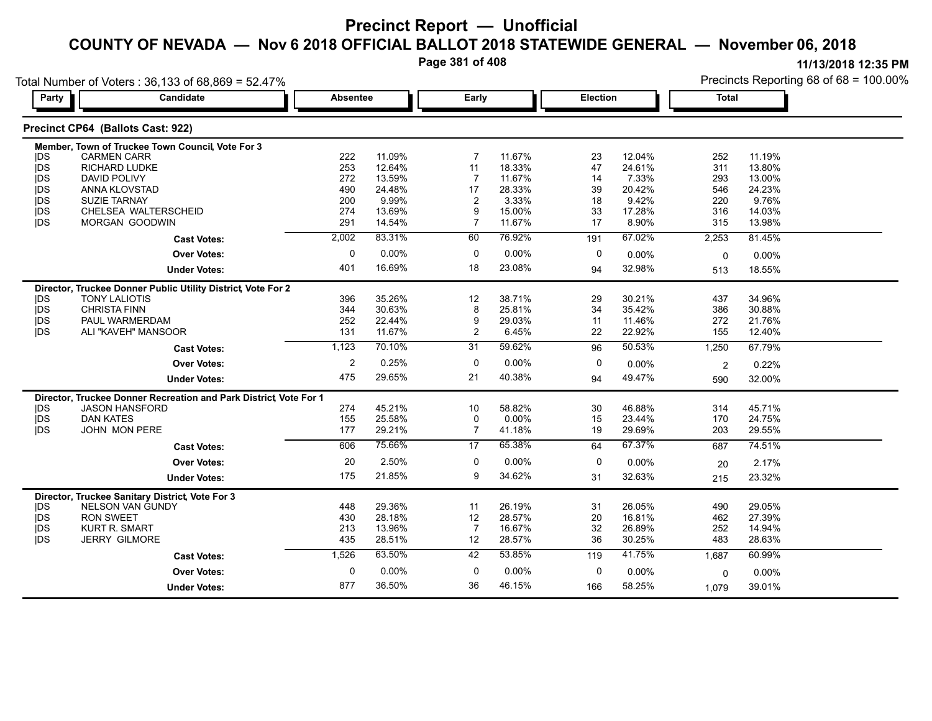**Page 381 of 408**

Precincts Reporting 68 of 68 = 100.00%

**11/13/2018 12:35 PM**

Total Number of Voters : 36,133 of 68,869 = 52.47%

| Party      | Candidate                                                         | <b>Absentee</b> |        | Early          |          | Election     |        | <b>Total</b>   |        |  |
|------------|-------------------------------------------------------------------|-----------------|--------|----------------|----------|--------------|--------|----------------|--------|--|
|            | Precinct CP64 (Ballots Cast: 922)                                 |                 |        |                |          |              |        |                |        |  |
|            | Member, Town of Truckee Town Council, Vote For 3                  |                 |        |                |          |              |        |                |        |  |
| <b>IDS</b> | <b>CARMEN CARR</b>                                                | 222             | 11.09% | 7              | 11.67%   | 23           | 12.04% | 252            | 11.19% |  |
| jDS        | <b>RICHARD LUDKE</b>                                              | 253             | 12.64% | 11             | 18.33%   | 47           | 24.61% | 311            | 13.80% |  |
| jDS        | <b>DAVID POLIVY</b>                                               | 272             | 13.59% | $\overline{7}$ | 11.67%   | 14           | 7.33%  | 293            | 13.00% |  |
| jDS        | ANNA KLOVSTAD                                                     | 490             | 24 48% | 17             | 28.33%   | 39           | 20.42% | 546            | 24.23% |  |
| <b>IDS</b> | <b>SUZIE TARNAY</b>                                               | 200             | 9.99%  | 2              | 3.33%    | 18           | 9.42%  | 220            | 9.76%  |  |
| DS         | CHELSEA WALTERSCHEID                                              | 274             | 13.69% | 9              | 15.00%   | 33           | 17.28% | 316            | 14.03% |  |
| <b>jDS</b> | <b>MORGAN GOODWIN</b>                                             | 291             | 14.54% | $\overline{7}$ | 11.67%   | 17           | 8.90%  | 315            | 13.98% |  |
|            | <b>Cast Votes:</b>                                                | 2,002           | 83.31% | 60             | 76.92%   | 191          | 67.02% | 2,253          | 81.45% |  |
|            | <b>Over Votes:</b>                                                | 0               | 0.00%  | 0              | 0.00%    | 0            | 0.00%  | $\mathbf 0$    | 0.00%  |  |
|            | <b>Under Votes:</b>                                               | 401             | 16.69% | 18             | 23.08%   | 94           | 32.98% | 513            | 18.55% |  |
|            | Director, Truckee Donner Public Utility District, Vote For 2      |                 |        |                |          |              |        |                |        |  |
| <b>IDS</b> | <b>TONY LALIOTIS</b>                                              | 396             | 35.26% | 12             | 38.71%   | 29           | 30.21% | 437            | 34.96% |  |
| jDS        | <b>CHRISTA FINN</b>                                               | 344             | 30.63% | 8              | 25.81%   | 34           | 35.42% | 386            | 30.88% |  |
| jDS        | PAUL WARMERDAM                                                    | 252             | 22.44% | 9              | 29.03%   | 11           | 11.46% | 272            | 21.76% |  |
| <b>IDS</b> | ALI "KAVEH" MANSOOR                                               | 131             | 11.67% | $\overline{c}$ | 6.45%    | 22           | 22.92% | 155            | 12.40% |  |
|            | <b>Cast Votes:</b>                                                | 1,123           | 70.10% | 31             | 59.62%   | 96           | 50.53% | 1,250          | 67.79% |  |
|            | <b>Over Votes:</b>                                                | $\overline{2}$  | 0.25%  | $\Omega$       | $0.00\%$ | $\mathbf{0}$ | 0.00%  | $\overline{2}$ | 0.22%  |  |
|            |                                                                   |                 |        |                |          |              |        |                |        |  |
|            | <b>Under Votes:</b>                                               | 475             | 29 65% | 21             | 40.38%   | 94           | 49.47% | 590            | 32.00% |  |
|            | Director, Truckee Donner Recreation and Park District, Vote For 1 |                 |        |                |          |              |        |                |        |  |
| DS         | <b>JASON HANSFORD</b>                                             | 274             | 45.21% | 10             | 58.82%   | 30           | 46.88% | 314            | 45.71% |  |
| jDS        | <b>DAN KATES</b>                                                  | 155             | 25.58% | 0              | $0.00\%$ | 15           | 23.44% | 170            | 24.75% |  |
| <b>IDS</b> | <b>JOHN MON PERE</b>                                              | 177             | 29.21% | $\overline{7}$ | 41.18%   | 19           | 29.69% | 203            | 29.55% |  |
|            | <b>Cast Votes:</b>                                                | 606             | 75.66% | 17             | 65.38%   | 64           | 67.37% | 687            | 74.51% |  |
|            | <b>Over Votes:</b>                                                | 20              | 2.50%  | 0              | 0.00%    | 0            | 0.00%  | 20             | 2.17%  |  |
|            | <b>Under Votes:</b>                                               | 175             | 21.85% | 9              | 34.62%   | 31           | 32.63% | 215            | 23.32% |  |
|            | Director, Truckee Sanitary District, Vote For 3                   |                 |        |                |          |              |        |                |        |  |
| <b>IDS</b> | NELSON VAN GUNDY                                                  | 448             | 29.36% | 11             | 26.19%   | 31           | 26.05% | 490            | 29.05% |  |
| jDS        | <b>RON SWEET</b>                                                  | 430             | 28.18% | 12             | 28.57%   | 20           | 16.81% | 462            | 27.39% |  |
| DS         | <b>KURT R. SMART</b>                                              | 213             | 13.96% | $\overline{7}$ | 16.67%   | 32           | 26.89% | 252            | 14.94% |  |
| <b>IDS</b> | <b>JERRY GILMORE</b>                                              | 435             | 28.51% | 12             | 28.57%   | 36           | 30.25% | 483            | 28.63% |  |
|            | <b>Cast Votes:</b>                                                | 1,526           | 63.50% | 42             | 53.85%   | 119          | 41.75% | 1,687          | 60.99% |  |
|            | <b>Over Votes:</b>                                                | $\Omega$        | 0.00%  | 0              | 0.00%    | 0            | 0.00%  | $\mathbf 0$    | 0.00%  |  |
|            | <b>Under Votes:</b>                                               | 877             | 36.50% | 36             | 46.15%   | 166          | 58.25% | 1,079          | 39.01% |  |
|            |                                                                   |                 |        |                |          |              |        |                |        |  |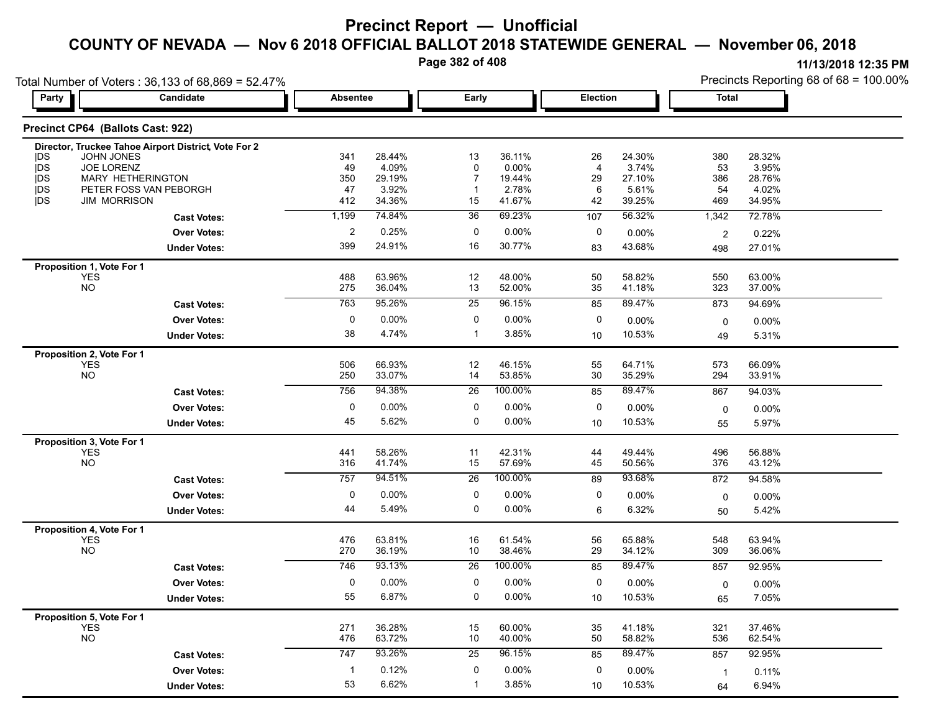**Page 382 of 408**

|                                        | Total Number of Voters: 36,133 of 68,869 = 52.47%    |                |                  |                 |                  |                 |                  | Precincts Reporting 68 of 68 = 100.00% |                  |  |
|----------------------------------------|------------------------------------------------------|----------------|------------------|-----------------|------------------|-----------------|------------------|----------------------------------------|------------------|--|
| Party                                  | Candidate                                            |                | <b>Absentee</b>  |                 | <b>Early</b>     | <b>Election</b> |                  | <b>Total</b>                           |                  |  |
| Precinct CP64 (Ballots Cast: 922)      |                                                      |                |                  |                 |                  |                 |                  |                                        |                  |  |
|                                        | Director, Truckee Tahoe Airport District, Vote For 2 |                |                  |                 |                  |                 |                  |                                        |                  |  |
| <b>IDS</b><br><b>JOHN JONES</b>        |                                                      | 341            | 28.44%           | 13              | 36.11%           | 26              | 24.30%           | 380                                    | 28.32%           |  |
| JOE LORENZ<br><b>IDS</b><br><b>IDS</b> | MARY HETHERINGTON                                    | 49<br>350      | 4.09%<br>29.19%  | 0               | 0.00%<br>19.44%  | 4<br>29         | 3.74%<br>27.10%  | 53<br>386                              | 3.95%<br>28.76%  |  |
| jDS                                    | PETER FOSS VAN PEBORGH                               | 47             | 3.92%            |                 | 2.78%            | 6               | 5.61%            | 54                                     | 4.02%            |  |
| <b>IDS</b><br><b>JIM MORRISON</b>      |                                                      | 412            | 34.36%           | 15              | 41.67%           | 42              | 39.25%           | 469                                    | 34.95%           |  |
|                                        | <b>Cast Votes:</b>                                   | 1,199          | 74.84%           | 36              | 69.23%           | 107             | 56.32%           | 1,342                                  | 72.78%           |  |
|                                        | <b>Over Votes:</b>                                   | $\overline{2}$ | 0.25%            | 0               | 0.00%            | 0               | 0.00%            | 2                                      | 0.22%            |  |
|                                        | <b>Under Votes:</b>                                  | 399            | 24.91%           | 16              | 30.77%           | 83              | 43.68%           | 498                                    | 27.01%           |  |
| Proposition 1, Vote For 1              |                                                      |                |                  |                 |                  |                 |                  |                                        |                  |  |
| <b>YES</b>                             |                                                      | 488            | 63.96%           | 12              | 48.00%           | 50              | 58.82%           | 550                                    | 63.00%           |  |
| <b>NO</b>                              |                                                      | 275            | 36.04%           | 13              | 52.00%           | 35              | 41.18%           | 323                                    | 37.00%           |  |
|                                        | <b>Cast Votes:</b>                                   | 763            | 95.26%           | 25              | 96.15%           | 85              | 89.47%           | 873                                    | 94.69%           |  |
|                                        | <b>Over Votes:</b>                                   | 0              | 0.00%            | 0               | 0.00%            | 0               | 0.00%            | 0                                      | 0.00%            |  |
|                                        | <b>Under Votes:</b>                                  | 38             | 4.74%            | -1              | 3.85%            | 10              | 10.53%           | 49                                     | 5.31%            |  |
| Proposition 2, Vote For 1              |                                                      |                |                  |                 |                  |                 |                  |                                        |                  |  |
| <b>YES</b>                             |                                                      | 506            | 66.93%           | 12              | 46.15%           | 55              | 64.71%           | 573                                    | 66.09%           |  |
| <b>NO</b>                              |                                                      | 250            | 33.07%           | 14              | 53.85%           | 30              | 35.29%           | 294                                    | 33.91%           |  |
|                                        | <b>Cast Votes:</b>                                   | 756            | 94.38%           | 26              | 100.00%          | 85              | 89.47%           | 867                                    | 94.03%           |  |
|                                        | <b>Over Votes:</b>                                   | 0              | 0.00%            | 0               | 0.00%            | 0               | 0.00%            | 0                                      | 0.00%            |  |
|                                        | <b>Under Votes:</b>                                  | 45             | 5.62%            | 0               | 0.00%            | 10              | 10.53%           | 55                                     | 5.97%            |  |
| Proposition 3, Vote For 1              |                                                      |                |                  |                 |                  |                 |                  |                                        |                  |  |
| <b>YES</b>                             |                                                      | 441            | 58.26%           | 11              | 42.31%           | 44              | 49.44%           | 496                                    | 56.88%           |  |
| <b>NO</b>                              |                                                      | 316            | 41.74%           | 15              | 57.69%           | 45              | 50.56%           | 376                                    | 43.12%           |  |
|                                        | <b>Cast Votes:</b>                                   | 757            | 94.51%           | 26              | 100.00%          | 89              | 93.68%           | 872                                    | 94.58%           |  |
|                                        | <b>Over Votes:</b>                                   | 0              | 0.00%            | 0               | 0.00%            | 0               | 0.00%            | 0                                      | 0.00%            |  |
|                                        | <b>Under Votes:</b>                                  | 44             | 5.49%            | 0               | $0.00\%$         | 6               | 6.32%            | 50                                     | 5.42%            |  |
| Proposition 4, Vote For 1              |                                                      |                |                  |                 |                  |                 |                  |                                        |                  |  |
| <b>YES</b><br><b>NO</b>                |                                                      | 476<br>270     | 63.81%<br>36.19% | 16<br>10        | 61.54%<br>38.46% | 56<br>29        | 65.88%<br>34.12% | 548<br>309                             | 63.94%<br>36.06% |  |
|                                        | <b>Cast Votes:</b>                                   | 746            | 93.13%           | $\overline{26}$ | 100.00%          | 85              | 89.47%           | 857                                    | 92.95%           |  |
|                                        |                                                      |                |                  |                 |                  |                 |                  |                                        |                  |  |
|                                        | <b>Over Votes:</b>                                   | 0              | 0.00%            | 0               | 0.00%            | 0               | 0.00%            | 0                                      | 0.00%            |  |
|                                        | <b>Under Votes:</b>                                  | 55             | 6.87%            | 0               | 0.00%            | 10              | 10.53%           | 65                                     | 7.05%            |  |
| Proposition 5, Vote For 1              |                                                      | 271            | 36.28%           |                 |                  |                 | 41.18%           |                                        |                  |  |
| <b>YES</b><br><b>NO</b>                |                                                      | 476            | 63.72%           | 15<br>10        | 60.00%<br>40.00% | 35<br>50        | 58.82%           | 321<br>536                             | 37.46%<br>62.54% |  |
|                                        | <b>Cast Votes:</b>                                   | 747            | 93.26%           | 25              | 96.15%           | 85              | 89.47%           | 857                                    | 92.95%           |  |
|                                        | <b>Over Votes:</b>                                   | $\mathbf{1}$   | 0.12%            | 0               | 0.00%            | 0               |                  |                                        |                  |  |
|                                        |                                                      |                |                  |                 |                  |                 | 0.00%            | $\mathbf{1}$                           | 0.11%            |  |
|                                        | <b>Under Votes:</b>                                  | 53             | 6.62%            |                 | 3.85%            | 10              | 10.53%           | 64                                     | 6.94%            |  |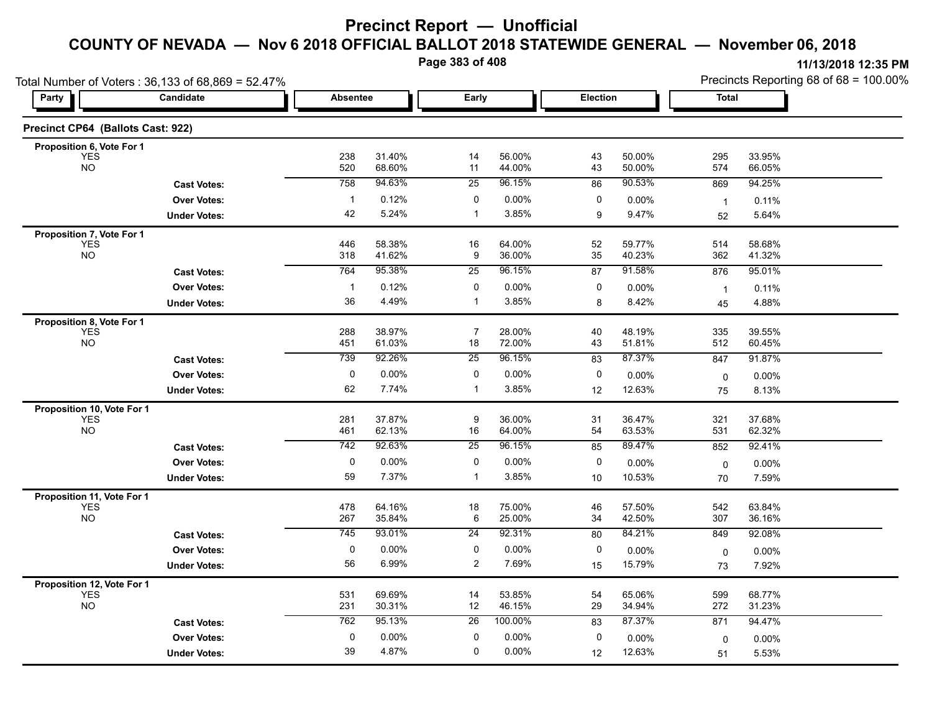**Page 383 of 408**

|                                          | Total Number of Voters: 36,133 of 68,869 = 52.47% |                 |                  |                 |                   |          |                  | Precincts Reporting 68 of 68 = 100.00% |                  |  |
|------------------------------------------|---------------------------------------------------|-----------------|------------------|-----------------|-------------------|----------|------------------|----------------------------------------|------------------|--|
| Party                                    | Candidate                                         | <b>Absentee</b> |                  | Early           |                   | Election |                  | Total                                  |                  |  |
| Precinct CP64 (Ballots Cast: 922)        |                                                   |                 |                  |                 |                   |          |                  |                                        |                  |  |
| Proposition 6, Vote For 1                |                                                   |                 |                  |                 |                   |          |                  |                                        |                  |  |
| <b>YES</b><br><b>NO</b>                  |                                                   | 238<br>520      | 31.40%<br>68.60% | 14<br>11        | 56.00%<br>44.00%  | 43<br>43 | 50.00%<br>50.00% | 295<br>574                             | 33.95%<br>66.05% |  |
|                                          | <b>Cast Votes:</b>                                | 758             | 94.63%           | 25              | 96.15%            | 86       | 90.53%           | 869                                    | 94.25%           |  |
|                                          | <b>Over Votes:</b>                                | $\mathbf{1}$    | 0.12%            | 0               | 0.00%             | 0        | 0.00%            | $\overline{1}$                         | 0.11%            |  |
|                                          | <b>Under Votes:</b>                               | 42              | 5.24%            | -1              | 3.85%             | 9        | 9.47%            | 52                                     | 5.64%            |  |
| Proposition 7, Vote For 1                |                                                   |                 |                  |                 |                   |          |                  |                                        |                  |  |
| <b>YES</b><br><b>NO</b>                  |                                                   | 446<br>318      | 58.38%<br>41.62% | 16<br>9         | 64.00%<br>36.00%  | 52<br>35 | 59.77%<br>40.23% | 514<br>362                             | 58.68%<br>41.32% |  |
|                                          | <b>Cast Votes:</b>                                | 764             | 95.38%           | 25              | 96.15%            | 87       | 91.58%           | 876                                    | 95.01%           |  |
|                                          | <b>Over Votes:</b>                                | $\mathbf{1}$    | 0.12%            | 0               | 0.00%             | 0        | 0.00%            |                                        | 0.11%            |  |
|                                          | <b>Under Votes:</b>                               | 36              | 4.49%            | $\mathbf{1}$    | 3.85%             | 8        | 8.42%            | $\overline{1}$<br>45                   | 4.88%            |  |
| Proposition 8, Vote For 1                |                                                   |                 |                  |                 |                   |          |                  |                                        |                  |  |
| <b>YES</b>                               |                                                   | 288             | 38.97%           | $\overline{7}$  | 28.00%            | 40       | 48.19%           | 335                                    | 39.55%           |  |
| <b>NO</b>                                |                                                   | 451             | 61.03%           | 18              | 72.00%            | 43       | 51.81%           | 512                                    | 60.45%           |  |
|                                          | <b>Cast Votes:</b>                                | 739             | 92.26%           | 25              | 96.15%            | 83       | 87.37%           | 847                                    | 91.87%           |  |
|                                          | <b>Over Votes:</b>                                | 0               | $0.00\%$         | 0               | 0.00%             | 0        | 0.00%            | 0                                      | 0.00%            |  |
|                                          | <b>Under Votes:</b>                               | 62              | 7.74%            | $\mathbf{1}$    | 3.85%             | 12       | 12.63%           | 75                                     | 8.13%            |  |
| Proposition 10, Vote For 1               |                                                   |                 |                  |                 |                   |          |                  |                                        |                  |  |
| <b>YES</b><br><b>NO</b>                  |                                                   | 281<br>461      | 37.87%<br>62.13% | 9<br>16         | 36.00%<br>64.00%  | 31<br>54 | 36.47%<br>63.53% | 321<br>531                             | 37.68%<br>62.32% |  |
|                                          | <b>Cast Votes:</b>                                | 742             | 92.63%           | $\overline{25}$ | 96.15%            | 85       | 89.47%           | 852                                    | 92.41%           |  |
|                                          |                                                   | 0               | $0.00\%$         | 0               | 0.00%             | 0        |                  |                                        |                  |  |
|                                          | <b>Over Votes:</b><br><b>Under Votes:</b>         | 59              | 7.37%            | $\mathbf{1}$    | 3.85%             | 10       | 0.00%<br>10.53%  | $\mathbf 0$<br>70                      | 0.00%<br>7.59%   |  |
|                                          |                                                   |                 |                  |                 |                   |          |                  |                                        |                  |  |
| Proposition 11, Vote For 1<br><b>YES</b> |                                                   | 478             | 64.16%           | 18              | 75.00%            | 46       | 57.50%           | 542                                    | 63.84%           |  |
| <b>NO</b>                                |                                                   | 267             | 35.84%           | 6               | 25.00%            | 34       | 42.50%           | 307                                    | 36.16%           |  |
|                                          | <b>Cast Votes:</b>                                | 745             | 93.01%           | $\overline{24}$ | 92.31%            | 80       | 84.21%           | 849                                    | 92.08%           |  |
|                                          | <b>Over Votes:</b>                                | 0               | 0.00%            | $\mathbf 0$     | $0.00\%$          | 0        | 0.00%            | 0                                      | $0.00\%$         |  |
|                                          | <b>Under Votes:</b>                               | 56              | 6.99%            | $\overline{c}$  | 7.69%             | 15       | 15.79%           | 73                                     | 7.92%            |  |
| Proposition 12, Vote For 1               |                                                   |                 |                  |                 |                   |          |                  |                                        |                  |  |
| <b>YES</b><br><b>NO</b>                  |                                                   | 531             | 69.69%           | 14              | 53.85%            | 54       | 65.06%           | 599                                    | 68.77%           |  |
|                                          |                                                   | 231             | 30.31%<br>95.13% | 12              | 46.15%<br>100.00% | 29       | 34.94%<br>87.37% | 272                                    | 31.23%           |  |
|                                          | <b>Cast Votes:</b>                                | 762             |                  | 26              |                   | 83       |                  | 871                                    | 94.47%           |  |
|                                          | <b>Over Votes:</b>                                | 0               | 0.00%            | $\mathbf 0$     | 0.00%             | 0        | 0.00%            | 0                                      | 0.00%            |  |
|                                          | <b>Under Votes:</b>                               | 39              | 4.87%            | 0               | 0.00%             | 12       | 12.63%           | 51                                     | 5.53%            |  |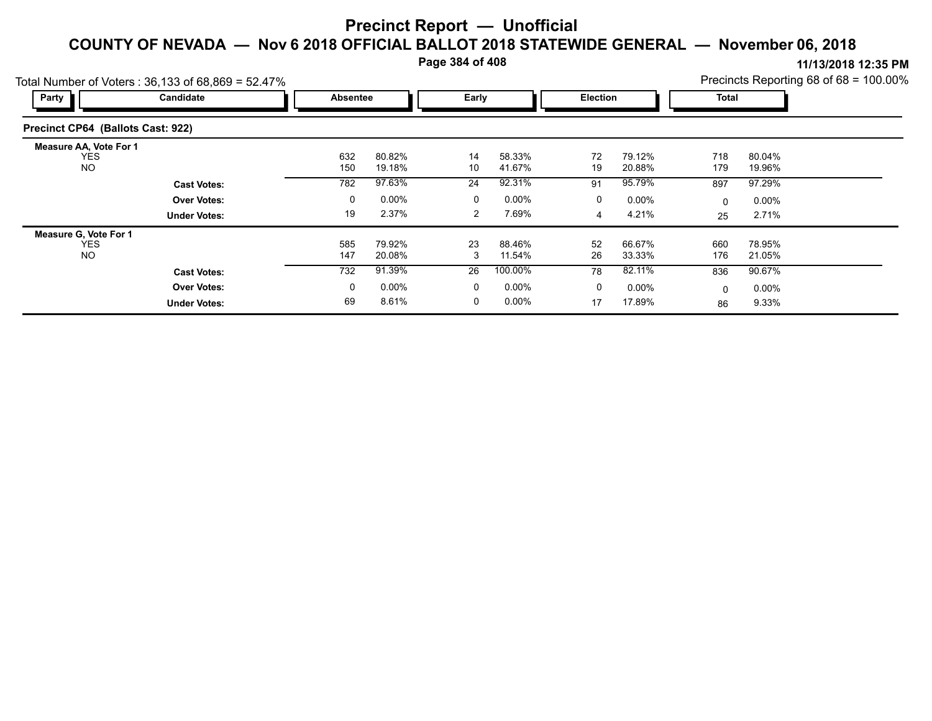**Page 384 of 408**

**11/13/2018 12:35 PM**

|                                      | otal Number of Voters: $36,133$ of $68,869 = 52.47\%$ |                 |                  | Precincts Reporting 68 of 68 = 100.00% |                  |                 |                  |            |                  |  |
|--------------------------------------|-------------------------------------------------------|-----------------|------------------|----------------------------------------|------------------|-----------------|------------------|------------|------------------|--|
| Party                                | Candidate                                             | <b>Absentee</b> |                  | Early                                  |                  | <b>Election</b> |                  | Total      |                  |  |
| Precinct CP64 (Ballots Cast: 922)    |                                                       |                 |                  |                                        |                  |                 |                  |            |                  |  |
| Measure AA, Vote For 1<br><b>YES</b> |                                                       | 632             | 80.82%           | 14                                     | 58.33%           | 72              | 79.12%           | 718        | 80.04%           |  |
| <b>NO</b>                            |                                                       | 150             | 19.18%           | 10                                     | 41.67%           | 19              | 20.88%           | 179        | 19.96%           |  |
|                                      | <b>Cast Votes:</b>                                    | 782             | 97.63%           | 24                                     | 92.31%           | 91              | 95.79%           | 897        | 97.29%           |  |
|                                      | <b>Over Votes:</b>                                    | 0               | $0.00\%$         | 0                                      | $0.00\%$         | 0               | $0.00\%$         | $\Omega$   | $0.00\%$         |  |
|                                      | <b>Under Votes:</b>                                   | 19              | 2.37%            | 2                                      | 7.69%            | 4               | 4.21%            | 25         | 2.71%            |  |
| <b>Measure G. Vote For 1</b>         |                                                       |                 |                  |                                        |                  |                 |                  |            |                  |  |
| <b>YES</b><br><b>NO</b>              |                                                       | 585<br>147      | 79.92%<br>20.08% | 23<br>3                                | 88.46%<br>11.54% | 52<br>26        | 66.67%<br>33.33% | 660<br>176 | 78.95%<br>21.05% |  |
|                                      | <b>Cast Votes:</b>                                    | 732             | 91.39%           | 26                                     | 100.00%          | 78              | 82.11%           | 836        | 90.67%           |  |
|                                      | <b>Over Votes:</b>                                    | 0               | $0.00\%$         | 0                                      | $0.00\%$         | 0               | $0.00\%$         | $\Omega$   | $0.00\%$         |  |
|                                      | <b>Under Votes:</b>                                   | 69              | 8.61%            | 0                                      | $0.00\%$         | 17              | 17.89%           | 86         | 9.33%            |  |

 $Total$  Number of Voters  $\cdot$  36, 133 of 68,869 = 50,470/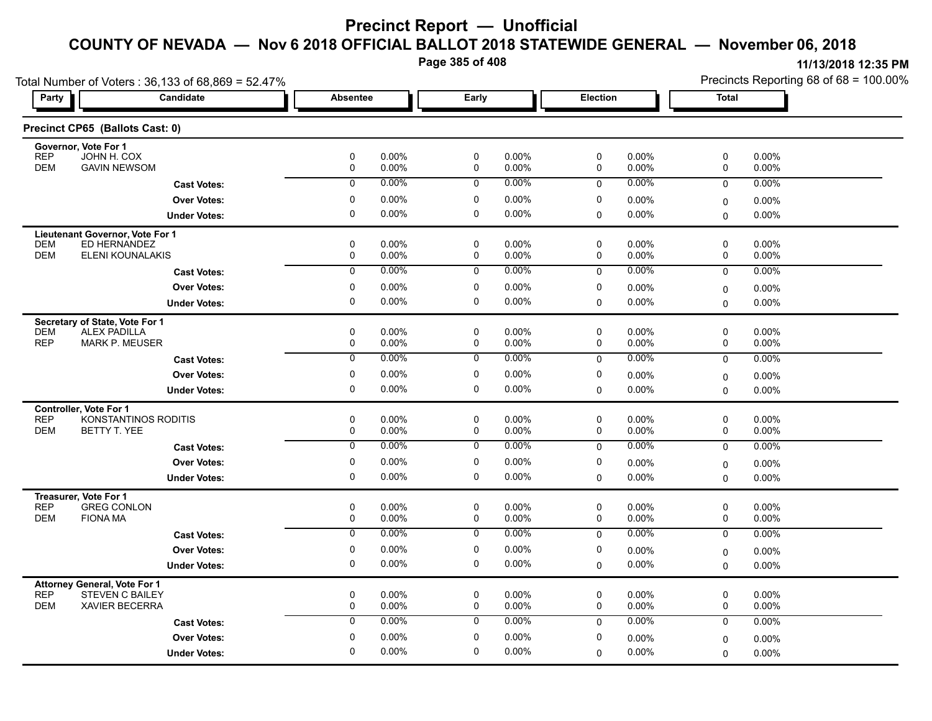**Page 385 of 408**

**11/13/2018 12:35 PM** Precincts Reporting 68 of 68 = 100.00%

| Total Number of Voters: 36,133 of 68,869 = 52.47%                   |                           |                           |                   | Precincts Reporting 68 of 68 = 100.00% |
|---------------------------------------------------------------------|---------------------------|---------------------------|-------------------|----------------------------------------|
| Candidate<br>Party                                                  | Absentee                  | Early                     | Election          | <b>Total</b>                           |
| Precinct CP65 (Ballots Cast: 0)                                     |                           |                           |                   |                                        |
| Governor, Vote For 1<br><b>REP</b><br>JOHN H. COX                   | $\pmb{0}$<br>0.00%        | $\pmb{0}$<br>0.00%        | 0<br>0.00%        | 0<br>0.00%                             |
| <b>DEM</b>                                                          | 0                         | 0                         | 0                 | 0                                      |
| <b>GAVIN NEWSOM</b>                                                 | 0.00%                     | $0.00\%$                  | 0.00%             | 0.00%                                  |
| <b>Cast Votes:</b>                                                  | 0.00%                     | $0.00\%$                  | 0.00%             | $\mathbf 0$                            |
|                                                                     | $\mathbf 0$               | $\mathbf 0$               | $\mathbf 0$       | 0.00%                                  |
| <b>Over Votes:</b>                                                  | 0                         | 0                         | 0                 | $0.00\%$                               |
|                                                                     | 0.00%                     | $0.00\%$                  | 0.00%             | 0                                      |
| <b>Under Votes:</b>                                                 | $\mathbf 0$               | $\mathbf 0$               | 0.00%             | $\mathbf 0$                            |
|                                                                     | 0.00%                     | $0.00\%$                  | 0                 | $0.00\%$                               |
| Lieutenant Governor, Vote For 1                                     |                           |                           |                   |                                        |
| <b>DEM</b>                                                          | 0                         | 0                         | 0.00%             | 0                                      |
| ED HERNANDEZ                                                        | 0.00%                     | 0.00%                     | 0                 | $0.00\%$                               |
| <b>DEM</b>                                                          | 0                         | 0                         | 0.00%             | 0                                      |
| ELENI KOUNALAKIS                                                    | 0.00%                     | 0.00%                     | 0                 | 0.00%                                  |
| <b>Cast Votes:</b>                                                  | 0.00%                     | $0.00\%$                  | 0.00%             | 0.00%                                  |
|                                                                     | $\overline{0}$            | $\overline{0}$            | $\mathbf 0$       | $\mathbf 0$                            |
| <b>Over Votes:</b>                                                  | 0<br>0.00%                | 0<br>$0.00\%$             | 0<br>0.00%        |                                        |
| <b>Under Votes:</b>                                                 | $\mathbf 0$<br>0.00%      | $\mathbf 0$<br>$0.00\%$   | 0.00%<br>$\Omega$ | 0.00%<br>0<br>$0.00\%$<br>$\mathbf 0$  |
|                                                                     |                           |                           |                   |                                        |
| Secretary of State, Vote For 1<br><b>ALEX PADILLA</b><br><b>DEM</b> | 0<br>0.00%                | 0<br>0.00%                | 0<br>$0.00\%$     | 0<br>$0.00\%$                          |
| <b>REP</b>                                                          | 0.00%                     | 0.00%                     | 0.00%             | 0.00%                                  |
| <b>MARK P. MEUSER</b>                                               | 0                         | 0                         | 0                 | 0                                      |
| <b>Cast Votes:</b>                                                  | $\overline{0}$            | 0.00%                     | 0.00%             | 0.00%                                  |
|                                                                     | 0.00%                     | 0                         | 0                 | 0                                      |
| <b>Over Votes:</b>                                                  | $\mathbf 0$               | 0                         | 0                 | 0.00%                                  |
|                                                                     | 0.00%                     | 0.00%                     | 0.00%             | 0                                      |
| <b>Under Votes:</b>                                                 | $\pmb{0}$                 | 0                         | 0.00%             | 0.00%                                  |
|                                                                     | 0.00%                     | $0.00\%$                  | 0                 | $\Omega$                               |
| Controller, Vote For 1                                              |                           |                           |                   |                                        |
| <b>REP</b>                                                          | 0                         | 0                         | 0                 | 0                                      |
| KONSTANTINOS RODITIS                                                | 0.00%                     | 0.00%                     | 0.00%             | $0.00\%$                               |
| <b>DEM</b>                                                          | 0.00%                     | 0.00%                     | 0.00%             | 0.00%                                  |
| BETTY T. YEE                                                        | 0                         | 0                         | 0                 | 0                                      |
|                                                                     | 0.00%<br>$\mathbf 0$      | $0.00\%$<br>$\mathbf 0$   | 0.00%             | 0.00%                                  |
| <b>Cast Votes:</b>                                                  |                           |                           | 0                 | 0                                      |
| <b>Over Votes:</b>                                                  | 0<br>0.00%<br>$\mathbf 0$ | 0<br>0.00%<br>$\mathbf 0$ | 0<br>0.00%        | $0.00\%$<br>0                          |
| <b>Under Votes:</b>                                                 | 0.00%                     | $0.00\%$                  | 0.00%<br>0        | 0.00%<br>$\Omega$                      |
| Treasurer, Vote For 1<br><b>REP</b><br><b>GREG CONLON</b>           | 0<br>0.00%                | 0<br>$0.00\%$             | 0<br>0.00%        | 0<br>0.00%                             |
| <b>DEM</b>                                                          | 0.00%                     | 0                         | 0                 | 0                                      |
| <b>FIONA MA</b>                                                     | 0                         | $0.00\%$                  | 0.00%             | $0.00\%$                               |
| <b>Cast Votes:</b>                                                  | 0.00%                     | 0.00%                     | 0.00%             | 0.00%                                  |
|                                                                     | $\overline{0}$            | 0                         | 0                 | $\mathbf 0$                            |
| <b>Over Votes:</b>                                                  | 0                         | 0                         | 0                 | $0.00\%$                               |
|                                                                     | 0.00%                     | $0.00\%$                  | 0.00%             | 0                                      |
| <b>Under Votes:</b>                                                 | $\mathbf 0$               | 0                         | 0.00%             | $0.00\%$                               |
|                                                                     | 0.00%                     | 0.00%                     | 0                 | $\mathbf 0$                            |
| <b>Attorney General, Vote For 1</b>                                 |                           |                           |                   |                                        |
| <b>REP</b>                                                          | $\pmb{0}$                 | $\pmb{0}$                 | 0                 | 0                                      |
| <b>STEVEN C BAILEY</b>                                              | 0.00%                     | $0.00\%$                  | 0.00%             | $0.00\%$                               |
| <b>DEM</b>                                                          | 0                         | $\mathbf 0$               | 0                 | 0                                      |
| <b>XAVIER BECERRA</b>                                               | 0.00%                     | 0.00%                     | 0.00%             | 0.00%                                  |
| <b>Cast Votes:</b>                                                  | 0.00%                     | $0.00\%$                  | 0.00%             | 0.00%                                  |
|                                                                     | $\mathbf 0$               | 0                         | $\mathbf 0$       | $\mathbf 0$                            |
| <b>Over Votes:</b>                                                  | 0.00%                     | 0                         | 0                 | $0.00\%$                               |
|                                                                     | 0                         | $0.00\%$                  | 0.00%             | $\mathbf 0$                            |
| <b>Under Votes:</b>                                                 | 0.00%                     | 0.00%                     | 0.00%             | $0.00\%$                               |
|                                                                     | $\mathbf 0$               | $\mathbf 0$               | $\Omega$          | $\Omega$                               |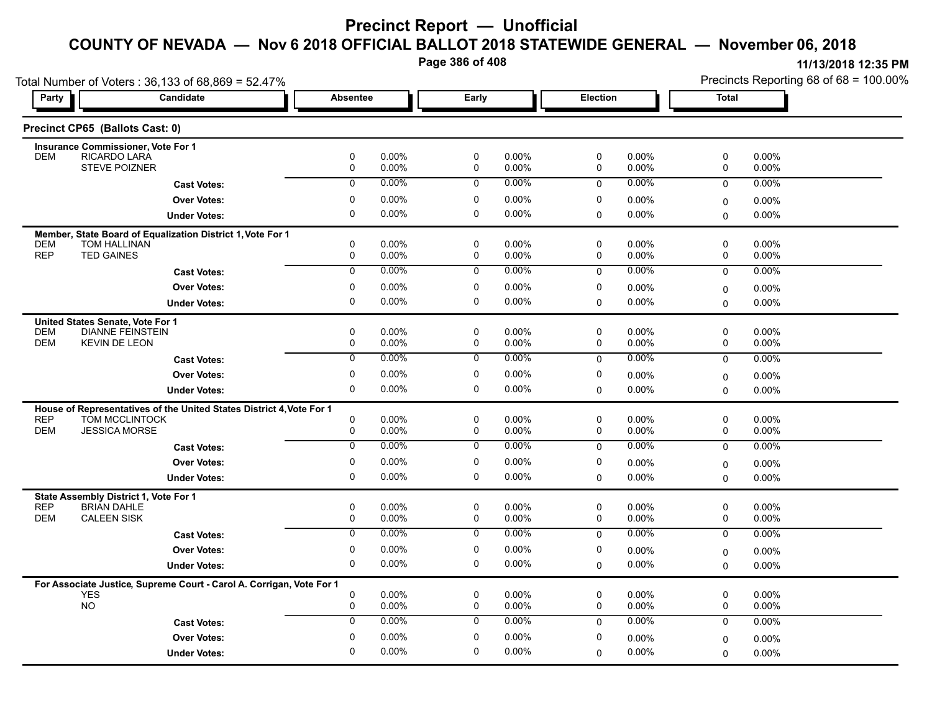**Page 386 of 408**

|                          | Total Number of Voters: 36,133 of 68,869 = 52.47%                                  |                  |                      |                  |                      |                            |                      | Precincts Reporting 68 of 68 = 100.00% |                   |  |
|--------------------------|------------------------------------------------------------------------------------|------------------|----------------------|------------------|----------------------|----------------------------|----------------------|----------------------------------------|-------------------|--|
| Party                    | <b>Candidate</b>                                                                   | <b>Absentee</b>  |                      | Early            |                      | Election                   |                      | <b>Total</b>                           |                   |  |
|                          | Precinct CP65 (Ballots Cast: 0)                                                    |                  |                      |                  |                      |                            |                      |                                        |                   |  |
|                          | <b>Insurance Commissioner, Vote For 1</b>                                          |                  |                      |                  |                      |                            |                      |                                        |                   |  |
| <b>DEM</b>               | RICARDO LARA<br><b>STEVE POIZNER</b>                                               | 0<br>0           | $0.00\%$<br>$0.00\%$ | 0<br>0           | $0.00\%$<br>$0.00\%$ | 0<br>0                     | $0.00\%$<br>$0.00\%$ | 0<br>0                                 | 0.00%<br>$0.00\%$ |  |
|                          | <b>Cast Votes:</b>                                                                 | 0                | $0.00\%$             | $\mathbf 0$      | $0.00\%$             | 0                          | $0.00\%$             | $\mathbf 0$                            | $0.00\%$          |  |
|                          | <b>Over Votes:</b>                                                                 | $\mathbf 0$      | $0.00\%$             | 0                | 0.00%                | $\mathbf 0$                | $0.00\%$             | $\mathbf 0$                            | 0.00%             |  |
|                          | <b>Under Votes:</b>                                                                | 0                | 0.00%                | 0                | $0.00\%$             | $\mathbf 0$                | 0.00%                | $\mathbf{0}$                           | 0.00%             |  |
|                          |                                                                                    |                  |                      |                  |                      |                            |                      |                                        |                   |  |
| <b>DEM</b>               | Member, State Board of Equalization District 1, Vote For 1<br>TOM HALLINAN         | 0                | 0.00%                | 0                | $0.00\%$             | $\mathbf 0$                | 0.00%                | $\mathsf 0$                            | 0.00%             |  |
| <b>REP</b>               | <b>TED GAINES</b>                                                                  | $\mathbf 0$      | $0.00\%$             | 0                | 0.00%                | $\mathbf 0$                | $0.00\%$             | $\mathbf 0$                            | 0.00%             |  |
|                          | <b>Cast Votes:</b>                                                                 | $\mathbf 0$      | $0.00\%$             | $\mathbf 0$      | $0.00\%$             | $\mathbf 0$                | $0.00\%$             | $\mathbf 0$                            | 0.00%             |  |
|                          | <b>Over Votes:</b>                                                                 | 0                | $0.00\%$             | 0                | $0.00\%$             | 0                          | $0.00\%$             | $\mathbf 0$                            | 0.00%             |  |
|                          | <b>Under Votes:</b>                                                                | $\mathbf 0$      | 0.00%                | 0                | $0.00\%$             | $\mathbf 0$                | $0.00\%$             | $\mathbf{0}$                           | 0.00%             |  |
|                          | United States Senate, Vote For 1                                                   |                  |                      |                  |                      |                            |                      |                                        |                   |  |
| <b>DEM</b>               | <b>DIANNE FEINSTEIN</b>                                                            | 0                | $0.00\%$             | 0                | $0.00\%$             | 0                          | 0.00%                | 0                                      | 0.00%             |  |
| <b>DEM</b>               | <b>KEVIN DE LEON</b>                                                               | 0                | $0.00\%$             | $\mathbf 0$      | 0.00%                | $\mathbf 0$                | $0.00\%$             | 0                                      | 0.00%             |  |
|                          | <b>Cast Votes:</b>                                                                 | $\overline{0}$   | 0.00%                | $\overline{0}$   | $0.00\%$             | $\pmb{0}$                  | 0.00%                | $\mathsf 0$                            | 0.00%             |  |
|                          | <b>Over Votes:</b>                                                                 | $\mathbf 0$      | $0.00\%$             | 0                | 0.00%                | $\mathbf 0$                | $0.00\%$             | $\mathbf 0$                            | 0.00%             |  |
|                          | <b>Under Votes:</b>                                                                | 0                | $0.00\%$             | 0                | $0.00\%$             | $\mathbf 0$                | $0.00\%$             | $\Omega$                               | 0.00%             |  |
|                          | House of Representatives of the United States District 4, Vote For 1               |                  |                      |                  |                      |                            |                      |                                        |                   |  |
| <b>REP</b><br><b>DEM</b> | <b>TOM MCCLINTOCK</b><br><b>JESSICA MORSE</b>                                      | 0<br>$\mathbf 0$ | $0.00\%$<br>$0.00\%$ | 0<br>$\mathbf 0$ | $0.00\%$<br>$0.00\%$ | $\mathbf 0$<br>$\mathbf 0$ | 0.00%<br>$0.00\%$    | $\mathbf 0$<br>$\mathbf 0$             | 0.00%<br>0.00%    |  |
|                          |                                                                                    | $\overline{0}$   | $0.00\%$             | $\overline{0}$   | $0.00\%$             |                            | $0.00\%$             |                                        |                   |  |
|                          | <b>Cast Votes:</b>                                                                 |                  |                      |                  |                      | $\mathbf 0$                |                      | $\mathbf 0$                            | 0.00%             |  |
|                          | <b>Over Votes:</b>                                                                 | 0                | $0.00\%$             | 0                | $0.00\%$             | 0                          | 0.00%                | $\mathbf 0$                            | 0.00%             |  |
|                          | <b>Under Votes:</b>                                                                | 0                | $0.00\%$             | 0                | $0.00\%$             | $\mathbf 0$                | $0.00\%$             | $\Omega$                               | 0.00%             |  |
|                          | State Assembly District 1, Vote For 1                                              |                  |                      |                  |                      |                            |                      |                                        |                   |  |
| <b>REP</b><br><b>DEM</b> | <b>BRIAN DAHLE</b><br><b>CALEEN SISK</b>                                           | 0<br>0           | 0.00%<br>0.00%       | 0<br>0           | $0.00\%$<br>0.00%    | 0<br>0                     | $0.00\%$<br>$0.00\%$ | 0<br>0                                 | 0.00%<br>0.00%    |  |
|                          | <b>Cast Votes:</b>                                                                 | $\overline{0}$   | 0.00%                | $\overline{0}$   | $0.00\%$             | $\Omega$                   | $0.00\%$             | $\Omega$                               | 0.00%             |  |
|                          | <b>Over Votes:</b>                                                                 | 0                | 0.00%                | 0                | 0.00%                | 0                          | 0.00%                | $\mathbf 0$                            | 0.00%             |  |
|                          | <b>Under Votes:</b>                                                                | 0                | $0.00\%$             | 0                | $0.00\%$             | $\mathbf 0$                | $0.00\%$             | $\mathbf{0}$                           | 0.00%             |  |
|                          |                                                                                    |                  |                      |                  |                      |                            |                      |                                        |                   |  |
|                          | For Associate Justice, Supreme Court - Carol A. Corrigan, Vote For 1<br><b>YES</b> | 0                | 0.00%                | 0                | 0.00%                | $\mathbf 0$                | 0.00%                | $\mathbf 0$                            | 0.00%             |  |
|                          | <b>NO</b>                                                                          | $\mathbf 0$      | 0.00%                | $\mathbf 0$      | $0.00\%$             | $\mathbf 0$                | 0.00%                | $\mathbf 0$                            | 0.00%             |  |
|                          | <b>Cast Votes:</b>                                                                 | $\mathbf 0$      | $0.00\%$             | $\mathbf 0$      | $0.00\%$             | $\Omega$                   | $0.00\%$             | $\mathbf 0$                            | 0.00%             |  |
|                          | <b>Over Votes:</b>                                                                 | 0                | $0.00\%$             | 0                | $0.00\%$             | 0                          | 0.00%                | $\Omega$                               | 0.00%             |  |
|                          | <b>Under Votes:</b>                                                                | $\Omega$         | $0.00\%$             | 0                | 0.00%                | 0                          | $0.00\%$             | $\mathbf 0$                            | 0.00%             |  |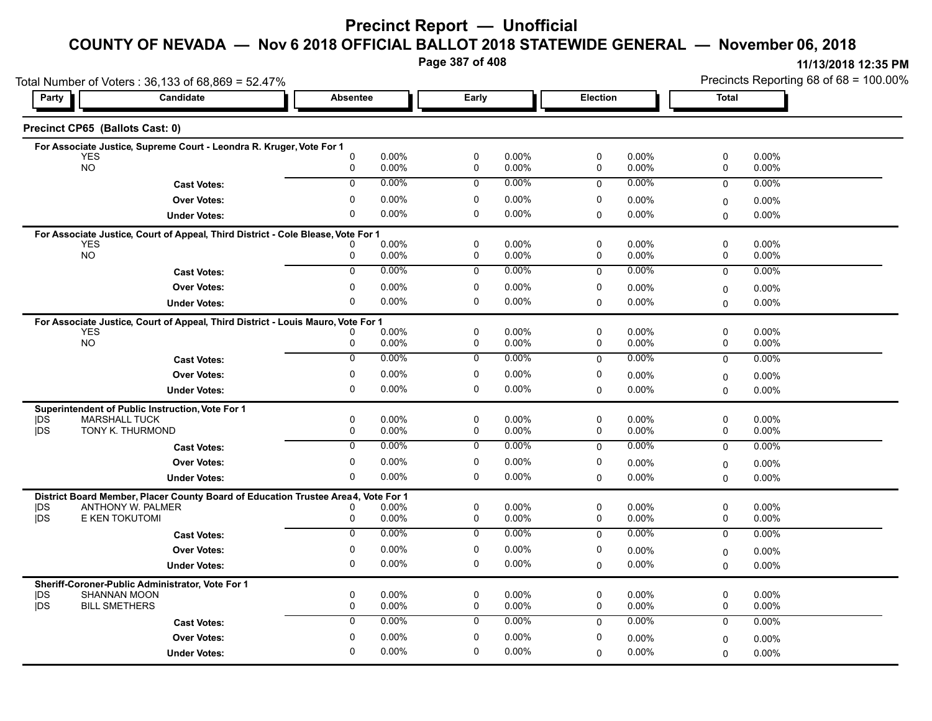### **Precinct Report — Unofficial**

### **COUNTY OF NEVADA — Nov 6 2018 OFFICIAL BALLOT 2018 STATEWIDE GENERAL — November 06, 2018**

**Page 387 of 408**

**11/13/2018 12:35 PM** Precincts Reporting 68 of 68 = 100.00%

|                         | Total Number of Voters: 36,133 of 68,869 = 52.47%                                 |                  |                |                |                |             |                |              | Precincts Reporting 68 of 68 = 100.00% |  |  |
|-------------------------|-----------------------------------------------------------------------------------|------------------|----------------|----------------|----------------|-------------|----------------|--------------|----------------------------------------|--|--|
| Party                   | Candidate                                                                         | <b>Absentee</b>  |                | Early          |                | Election    |                | <b>Total</b> |                                        |  |  |
|                         | Precinct CP65 (Ballots Cast: 0)                                                   |                  |                |                |                |             |                |              |                                        |  |  |
|                         | For Associate Justice, Supreme Court - Leondra R. Kruger, Vote For 1              |                  |                |                |                |             |                |              |                                        |  |  |
| <b>YES</b><br><b>NO</b> |                                                                                   | $\mathbf 0$<br>0 | 0.00%<br>0.00% | 0<br>0         | 0.00%<br>0.00% | 0<br>0      | 0.00%<br>0.00% | 0<br>0       | 0.00%<br>0.00%                         |  |  |
|                         | <b>Cast Votes:</b>                                                                | $\mathbf 0$      | 0.00%          | $\mathbf 0$    | 0.00%          | 0           | 0.00%          | $\mathbf 0$  | 0.00%                                  |  |  |
|                         | <b>Over Votes:</b>                                                                | 0                | 0.00%          | 0              | $0.00\%$       | 0           | 0.00%          | 0            | 0.00%                                  |  |  |
|                         | <b>Under Votes:</b>                                                               | $\mathbf 0$      | 0.00%          | $\mathbf 0$    | $0.00\%$       | $\Omega$    | 0.00%          | $\Omega$     | 0.00%                                  |  |  |
|                         | For Associate Justice, Court of Appeal, Third District - Cole Blease, Vote For 1  |                  |                |                |                |             |                |              |                                        |  |  |
| <b>YES</b>              |                                                                                   |                  | 0.00%          | 0              | $0.00\%$       | 0           | 0.00%          | 0            | 0.00%                                  |  |  |
| <b>NO</b>               |                                                                                   | 0                | 0.00%          | 0              | $0.00\%$       | 0           | 0.00%          | 0            | $0.00\%$                               |  |  |
|                         | <b>Cast Votes:</b>                                                                | $\overline{0}$   | 0.00%          | $\overline{0}$ | $0.00\%$       | $\mathbf 0$ | 0.00%          | $\mathbf 0$  | 0.00%                                  |  |  |
|                         | <b>Over Votes:</b>                                                                | 0                | 0.00%          | 0              | $0.00\%$       | 0           | 0.00%          | $\mathbf 0$  | $0.00\%$                               |  |  |
|                         | <b>Under Votes:</b>                                                               | $\mathbf 0$      | 0.00%          | $\mathbf 0$    | $0.00\%$       | $\Omega$    | 0.00%          | $\Omega$     | 0.00%                                  |  |  |
|                         | For Associate Justice, Court of Appeal, Third District - Louis Mauro, Vote For 1  |                  |                |                |                |             |                |              |                                        |  |  |
| <b>YES</b><br><b>NO</b> |                                                                                   |                  | 0.00%          | 0              | $0.00\%$       | 0           | 0.00%          | 0            | 0.00%                                  |  |  |
|                         |                                                                                   | 0                | 0.00%          | 0              | 0.00%          | 0           | 0.00%<br>0.00% | $\mathbf 0$  | 0.00%                                  |  |  |
|                         | <b>Cast Votes:</b>                                                                | 0                | 0.00%          | 0              | $0.00\%$       | 0           |                | 0            | $0.00\%$                               |  |  |
|                         | <b>Over Votes:</b>                                                                | 0                | 0.00%          | $\mathbf 0$    | 0.00%          | 0           | 0.00%          | $\mathbf 0$  | $0.00\%$                               |  |  |
|                         | <b>Under Votes:</b>                                                               | 0                | 0.00%          | 0              | $0.00\%$       | 0           | 0.00%          | $\Omega$     | $0.00\%$                               |  |  |
| <b>IDS</b>              | Superintendent of Public Instruction, Vote For 1<br><b>MARSHALL TUCK</b>          | $\mathbf 0$      | $0.00\%$       | $\mathbf 0$    | $0.00\%$       | 0           | $0.00\%$       | $\mathbf 0$  | $0.00\%$                               |  |  |
| <b>IDS</b>              | TONY K. THURMOND                                                                  | 0                | 0.00%          | 0              | 0.00%          | 0           | 0.00%          | $\mathbf 0$  | 0.00%                                  |  |  |
|                         | <b>Cast Votes:</b>                                                                | $\mathbf 0$      | 0.00%          | $\mathbf 0$    | 0.00%          | $\mathbf 0$ | 0.00%          | 0            | $0.00\%$                               |  |  |
|                         | <b>Over Votes:</b>                                                                | 0                | 0.00%          | 0              | $0.00\%$       | 0           | $0.00\%$       | $\Omega$     | $0.00\%$                               |  |  |
|                         | <b>Under Votes:</b>                                                               | 0                | 0.00%          | 0              | 0.00%          | $\Omega$    | $0.00\%$       | $\Omega$     | 0.00%                                  |  |  |
|                         | District Board Member, Placer County Board of Education Trustee Area4, Vote For 1 |                  |                |                |                |             |                |              |                                        |  |  |
| <b>IDS</b>              | <b>ANTHONY W. PALMER</b>                                                          |                  | 0.00%          | 0              | $0.00\%$       | 0           | 0.00%          | 0            | 0.00%                                  |  |  |
| jDS                     | E KEN TOKUTOMI                                                                    | 0                | 0.00%          | $\mathbf 0$    | $0.00\%$       | 0           | 0.00%          | 0            | $0.00\%$                               |  |  |
|                         | <b>Cast Votes:</b>                                                                | $\overline{0}$   | 0.00%          | $\overline{0}$ | 0.00%          | $\Omega$    | 0.00%          | $\mathbf 0$  | 0.00%                                  |  |  |
|                         | <b>Over Votes:</b>                                                                | $\mathbf 0$      | 0.00%          | $\mathbf 0$    | 0.00%          | 0           | 0.00%          | $\mathbf 0$  | 0.00%                                  |  |  |
|                         | <b>Under Votes:</b>                                                               | $\mathbf 0$      | 0.00%          | $\mathbf 0$    | $0.00\%$       | $\Omega$    | $0.00\%$       | $\mathbf 0$  | $0.00\%$                               |  |  |
|                         | Sheriff-Coroner-Public Administrator, Vote For 1                                  |                  |                |                |                |             |                |              |                                        |  |  |
| <b>IDS</b><br>jDS       | <b>SHANNAN MOON</b>                                                               | 0                | 0.00%          | 0              | $0.00\%$       | 0           | 0.00%          | 0            | $0.00\%$                               |  |  |
|                         | <b>BILL SMETHERS</b>                                                              | 0                | 0.00%          | 0              | $0.00\%$       | 0           | 0.00%          | 0            | $0.00\%$                               |  |  |
|                         | <b>Cast Votes:</b>                                                                | $\mathbf 0$      | $0.00\%$       | $\mathbf 0$    | 0.00%          | 0           | 0.00%          | $\mathbf 0$  | 0.00%                                  |  |  |
|                         | <b>Over Votes:</b>                                                                | $\mathbf 0$      | 0.00%          | 0              | 0.00%          | $\mathbf 0$ | 0.00%          | $\mathbf 0$  | 0.00%                                  |  |  |
|                         | <b>Under Votes:</b>                                                               | $\Omega$         | 0.00%          | $\mathbf 0$    | $0.00\%$       | $\Omega$    | 0.00%          | $\Omega$     | 0.00%                                  |  |  |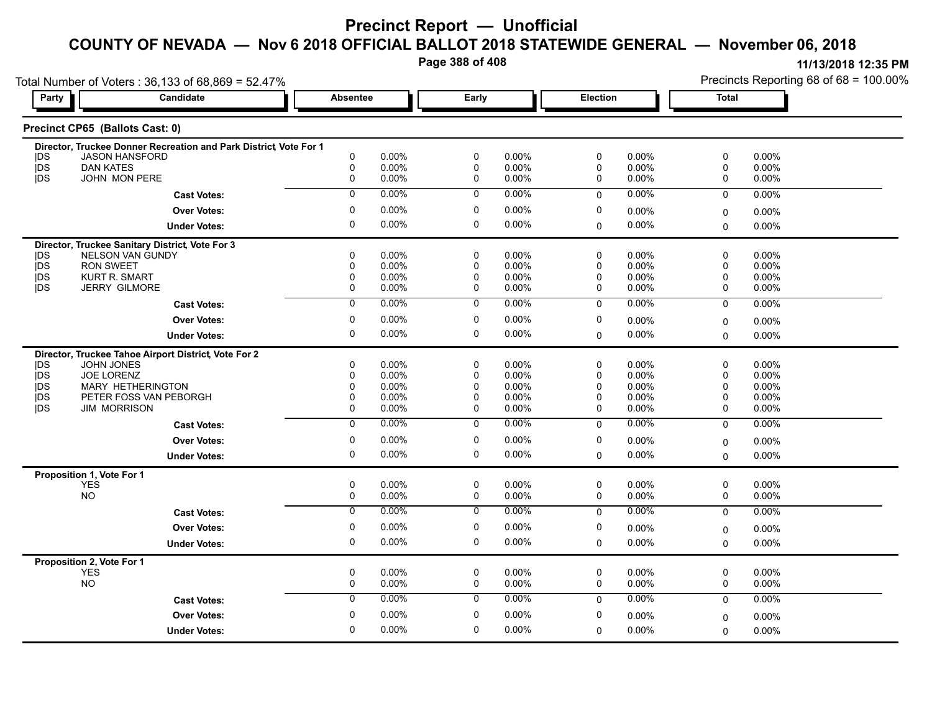**Page 388 of 408**

|                          | Total Number of Voters: 36,133 of 68,869 = 52.47%                   |                 |                |                  |                |             |                   |             | Precincts Reporting 68 of 68 = 100.00% |
|--------------------------|---------------------------------------------------------------------|-----------------|----------------|------------------|----------------|-------------|-------------------|-------------|----------------------------------------|
| Party                    | <b>Candidate</b>                                                    | <b>Absentee</b> |                | Early            |                |             | Election          |             | <b>Total</b>                           |
|                          | Precinct CP65 (Ballots Cast: 0)                                     |                 |                |                  |                |             |                   |             |                                        |
|                          | Director, Truckee Donner Recreation and Park District Vote For 1    |                 |                |                  |                |             |                   |             |                                        |
| <b>IDS</b><br><b>IDS</b> | <b>JASON HANSFORD</b><br><b>DAN KATES</b>                           | 0<br>0          | 0.00%<br>0.00% | $\mathbf 0$<br>0 | 0.00%<br>0.00% | 0<br>0      | 0.00%<br>$0.00\%$ | 0<br>0      | 0.00%<br>0.00%                         |
| <b>IDS</b>               | JOHN MON PERE                                                       | 0               | 0.00%          | 0                | 0.00%          | 0           | 0.00%             | 0           | 0.00%                                  |
|                          | <b>Cast Votes:</b>                                                  | $\mathbf 0$     | 0.00%          | 0                | 0.00%          | $\mathbf 0$ | $0.00\%$          | $\mathbf 0$ | 0.00%                                  |
|                          | <b>Over Votes:</b>                                                  | 0               | 0.00%          | 0                | 0.00%          | 0           | 0.00%             | 0           | 0.00%                                  |
|                          | <b>Under Votes:</b>                                                 | 0               | 0.00%          | 0                | 0.00%          | $\mathbf 0$ | 0.00%             | 0           | 0.00%                                  |
|                          |                                                                     |                 |                |                  |                |             |                   |             |                                        |
| DS                       | Director, Truckee Sanitary District, Vote For 3<br>NELSON VAN GUNDY | $\mathbf{0}$    | 0.00%          | 0                | 0.00%          | 0           | 0.00%             | 0           | 0.00%                                  |
| <b>IDS</b>               | <b>RON SWEET</b>                                                    | 0               | $0.00\%$       | 0                | 0.00%          | 0           | $0.00\%$          | 0           | 0.00%                                  |
| <b>IDS</b>               | <b>KURT R. SMART</b>                                                | 0               | $0.00\%$       | 0                | 0.00%          | 0           | 0.00%             | 0           | 0.00%                                  |
| <b>IDS</b>               | <b>JERRY GILMORE</b>                                                | 0               | 0.00%          | 0                | 0.00%          | 0           | 0.00%             | 0           | 0.00%                                  |
|                          | <b>Cast Votes:</b>                                                  | $\overline{0}$  | 0.00%          | $\overline{0}$   | 0.00%          | $\Omega$    | 0.00%             | $\mathbf 0$ | 0.00%                                  |
|                          | <b>Over Votes:</b>                                                  | 0               | 0.00%          | $\mathbf 0$      | 0.00%          | 0           | $0.00\%$          | 0           | 0.00%                                  |
|                          | <b>Under Votes:</b>                                                 | 0               | 0.00%          | $\mathbf 0$      | $0.00\%$       | $\Omega$    | $0.00\%$          | $\Omega$    | $0.00\%$                               |
|                          | Director, Truckee Tahoe Airport District, Vote For 2                |                 |                |                  |                |             |                   |             |                                        |
| DS                       | <b>JOHN JONES</b>                                                   | $\Omega$        | $0.00\%$       | 0                | 0.00%          | $\mathbf 0$ | 0.00%             | 0           | 0.00%                                  |
| <b>IDS</b>               | JOE LORENZ                                                          | $\Omega$        | $0.00\%$       | 0                | 0.00%          | 0           | 0.00%             | 0           | 0.00%                                  |
| <b>IDS</b>               | <b>MARY HETHERINGTON</b>                                            | $\Omega$        | 0.00%          | $\Omega$         | 0.00%          | 0           | $0.00\%$          | 0           | 0.00%                                  |
| <b>IDS</b>               | PETER FOSS VAN PEBORGH                                              | $\mathbf{0}$    | $0.00\%$       | 0                | 0.00%          | 0           | 0.00%             | 0           | 0.00%                                  |
| <b>IDS</b>               | <b>JIM MORRISON</b>                                                 | 0               | 0.00%          | 0                | 0.00%          | $\mathbf 0$ | $0.00\%$          | 0           | 0.00%                                  |
|                          | <b>Cast Votes:</b>                                                  | $\overline{0}$  | 0.00%          | $\overline{0}$   | $0.00\%$       | $\mathbf 0$ | 0.00%             | $\mathbf 0$ | 0.00%                                  |
|                          | <b>Over Votes:</b>                                                  | 0               | 0.00%          | $\mathbf 0$      | 0.00%          | $\mathbf 0$ | $0.00\%$          | 0           | 0.00%                                  |
|                          | <b>Under Votes:</b>                                                 | 0               | 0.00%          | $\mathbf 0$      | 0.00%          | $\Omega$    | $0.00\%$          | 0           | 0.00%                                  |
|                          | Proposition 1, Vote For 1                                           |                 |                |                  |                |             |                   |             |                                        |
|                          | <b>YES</b>                                                          | 0               | 0.00%          | $\mathbf 0$      | 0.00%          | 0           | $0.00\%$          | 0           | 0.00%                                  |
|                          | <b>NO</b>                                                           | 0               | 0.00%          | 0                | 0.00%          | 0           | 0.00%             | 0           | 0.00%                                  |
|                          | <b>Cast Votes:</b>                                                  | $\mathbf 0$     | 0.00%          | $\mathbf 0$      | 0.00%          | $\mathbf 0$ | $0.00\%$          | $\mathbf 0$ | 0.00%                                  |
|                          | <b>Over Votes:</b>                                                  | 0               | $0.00\%$       | 0                | 0.00%          | 0           | 0.00%             | 0           | 0.00%                                  |
|                          | <b>Under Votes:</b>                                                 | 0               | 0.00%          | 0                | 0.00%          | $\mathbf 0$ | $0.00\%$          | 0           | 0.00%                                  |
|                          | Proposition 2, Vote For 1                                           |                 |                |                  |                |             |                   |             |                                        |
|                          | <b>YES</b>                                                          | 0               | $0.00\%$       | $\mathbf 0$      | $0.00\%$       | 0           | $0.00\%$          | 0           | 0.00%                                  |
|                          | <b>NO</b>                                                           | $\mathbf 0$     | 0.00%          | $\mathbf 0$      | 0.00%          | $\mathbf 0$ | 0.00%             | 0           | $0.00\%$                               |
|                          | <b>Cast Votes:</b>                                                  | $\overline{0}$  | 0.00%          | $\overline{0}$   | 0.00%          | $\mathbf 0$ | 0.00%             | $\mathbf 0$ | $0.00\%$                               |
|                          | <b>Over Votes:</b>                                                  | 0               | 0.00%          | $\mathbf 0$      | 0.00%          | $\mathbf 0$ | $0.00\%$          | 0           | 0.00%                                  |
|                          | <b>Under Votes:</b>                                                 | $\Omega$        | 0.00%          | $\Omega$         | 0.00%          | $\mathbf 0$ | 0.00%             | 0           | 0.00%                                  |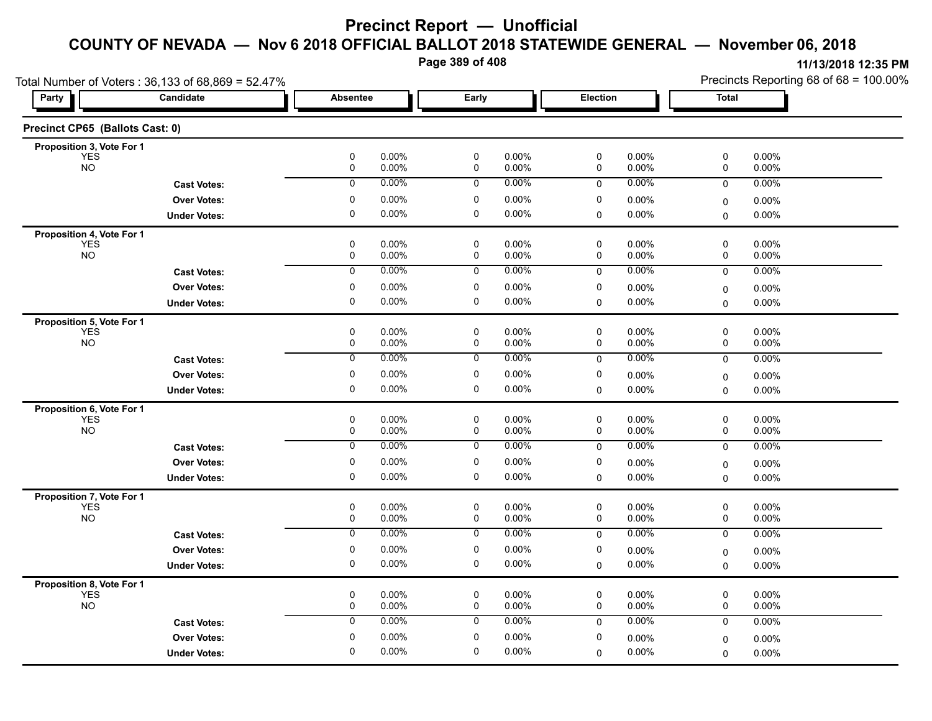**Page 389 of 408**

|                                         | Total Number of Voters: 36,133 of 68,869 = 52.47% |                  |                   |                          |                |             |                | Precincts Reporting 68 of 68 = 100.00% |                   |  |
|-----------------------------------------|---------------------------------------------------|------------------|-------------------|--------------------------|----------------|-------------|----------------|----------------------------------------|-------------------|--|
| Party                                   | Candidate                                         | <b>Absentee</b>  |                   | Early                    |                | Election    |                | Total                                  |                   |  |
| Precinct CP65 (Ballots Cast: 0)         |                                                   |                  |                   |                          |                |             |                |                                        |                   |  |
| Proposition 3, Vote For 1               |                                                   |                  |                   |                          |                |             |                |                                        |                   |  |
| <b>YES</b><br><b>NO</b>                 |                                                   | 0<br>$\mathbf 0$ | 0.00%<br>0.00%    | $\pmb{0}$<br>$\pmb{0}$   | 0.00%<br>0.00% | 0<br>0      | 0.00%<br>0.00% | 0<br>0                                 | 0.00%<br>0.00%    |  |
|                                         | <b>Cast Votes:</b>                                | $\mathbf 0$      | 0.00%             | $\mathbf 0$              | 0.00%          | $\mathbf 0$ | 0.00%          | 0                                      | 0.00%             |  |
|                                         | <b>Over Votes:</b>                                | 0                | $0.00\%$          | 0                        | 0.00%          | 0           | 0.00%          | 0                                      | $0.00\%$          |  |
|                                         | <b>Under Votes:</b>                               | 0                | $0.00\%$          | $\mathbf 0$              | $0.00\%$       | 0           | $0.00\%$       | 0                                      | $0.00\%$          |  |
| Proposition 4, Vote For 1               |                                                   |                  |                   |                          |                |             |                |                                        |                   |  |
| <b>YES</b><br><b>NO</b>                 |                                                   | 0<br>$\mathbf 0$ | $0.00\%$<br>0.00% | 0<br>$\mathbf 0$         | 0.00%<br>0.00% | 0<br>0      | 0.00%<br>0.00% | 0<br>0                                 | $0.00\%$<br>0.00% |  |
|                                         |                                                   | 0                | 0.00%             | 0                        | 0.00%          | $\mathbf 0$ | $0.00\%$       | $\mathbf 0$                            | 0.00%             |  |
|                                         | <b>Cast Votes:</b>                                |                  |                   |                          |                |             |                |                                        |                   |  |
|                                         | <b>Over Votes:</b>                                | 0<br>0           | $0.00\%$<br>0.00% | 0<br>$\mathbf 0$         | 0.00%<br>0.00% | 0           | $0.00\%$       | 0                                      | 0.00%             |  |
|                                         | <b>Under Votes:</b>                               |                  |                   |                          |                | $\mathbf 0$ | $0.00\%$       | 0                                      | 0.00%             |  |
| Proposition 5, Vote For 1<br><b>YES</b> |                                                   | 0                | 0.00%             | 0                        | 0.00%          | 0           | $0.00\%$       | 0                                      | 0.00%             |  |
| <b>NO</b>                               |                                                   | 0                | 0.00%             | $\mathbf 0$              | 0.00%          | 0           | $0.00\%$       | 0                                      | 0.00%             |  |
|                                         | <b>Cast Votes:</b>                                | 0                | 0.00%             | 0                        | 0.00%          | 0           | 0.00%          | 0                                      | 0.00%             |  |
|                                         | <b>Over Votes:</b>                                | 0                | $0.00\%$          | $\pmb{0}$                | 0.00%          | 0           | $0.00\%$       | 0                                      | 0.00%             |  |
|                                         | <b>Under Votes:</b>                               | 0                | $0.00\%$          | $\mathbf 0$              | $0.00\%$       | 0           | $0.00\%$       | 0                                      | $0.00\%$          |  |
| Proposition 6, Vote For 1               |                                                   |                  |                   |                          |                |             |                |                                        |                   |  |
| <b>YES</b>                              |                                                   | 0                | 0.00%             | $\mathbf 0$              | 0.00%          | 0           | $0.00\%$       | 0                                      | 0.00%             |  |
| <b>NO</b>                               |                                                   | $\mathbf 0$      | $0.00\%$          | $\mathbf 0$              | 0.00%          | 0           | $0.00\%$       | 0                                      | $0.00\%$          |  |
|                                         | <b>Cast Votes:</b>                                | 0                | 0.00%             | 0                        | 0.00%          | $\mathbf 0$ | 0.00%          | 0                                      | 0.00%             |  |
|                                         | <b>Over Votes:</b>                                | 0                | $0.00\%$          | 0                        | 0.00%          | 0           | $0.00\%$       | 0                                      | 0.00%             |  |
|                                         | <b>Under Votes:</b>                               | 0                | 0.00%             | $\mathbf 0$              | 0.00%          | $\Omega$    | $0.00\%$       | 0                                      | $0.00\%$          |  |
| Proposition 7, Vote For 1               |                                                   |                  |                   |                          |                |             |                |                                        |                   |  |
| <b>YES</b><br><b>NO</b>                 |                                                   | 0<br>$\mathbf 0$ | $0.00\%$<br>0.00% | $\pmb{0}$<br>$\mathbf 0$ | 0.00%<br>0.00% | 0<br>0      | 0.00%<br>0.00% | 0<br>0                                 | 0.00%<br>0.00%    |  |
|                                         | <b>Cast Votes:</b>                                | 0                | $0.00\%$          | 0                        | 0.00%          | $\mathbf 0$ | $0.00\%$       | 0                                      | 0.00%             |  |
|                                         | <b>Over Votes:</b>                                | 0                | $0.00\%$          | 0                        | 0.00%          | 0           | $0.00\%$       | 0                                      | 0.00%             |  |
|                                         | <b>Under Votes:</b>                               | $\mathbf 0$      | 0.00%             | $\mathbf 0$              | 0.00%          | 0           | $0.00\%$       | 0                                      | $0.00\%$          |  |
|                                         |                                                   |                  |                   |                          |                |             |                |                                        |                   |  |
| <b>Proposition 8, Vote For 1</b><br>YES |                                                   | 0                | 0.00%             | 0                        | 0.00%          | 0           | $0.00\%$       | 0                                      | 0.00%             |  |
| <b>NO</b>                               |                                                   | $\mathbf 0$      | 0.00%             | $\mathbf 0$              | 0.00%          | 0           | 0.00%          | 0                                      | 0.00%             |  |
|                                         | <b>Cast Votes:</b>                                | $\mathbf 0$      | 0.00%             | $\mathbf 0$              | 0.00%          | $\mathbf 0$ | 0.00%          | 0                                      | $0.00\%$          |  |
|                                         | <b>Over Votes:</b>                                | 0                | $0.00\%$          | $\mathbf 0$              | 0.00%          | 0           | $0.00\%$       | 0                                      | 0.00%             |  |
|                                         | <b>Under Votes:</b>                               | 0                | $0.00\%$          | 0                        | 0.00%          | $\Omega$    | 0.00%          | 0                                      | $0.00\%$          |  |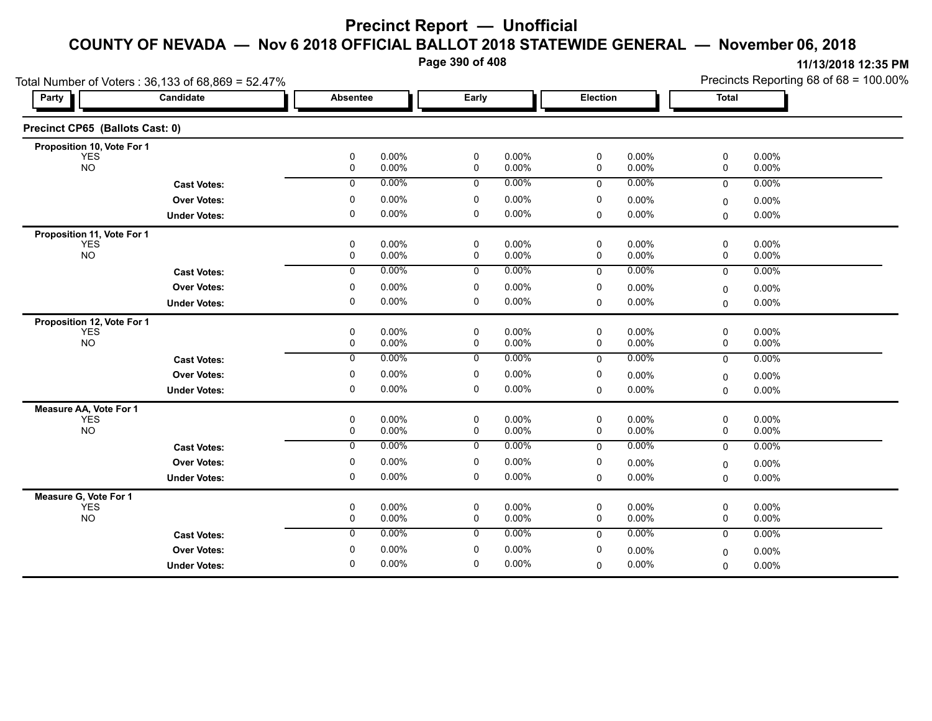**Page 390 of 408**

| Candidate<br>Early<br><b>Election</b><br><b>Total</b><br>Party<br><b>Absentee</b><br>$\pmb{0}$<br>0.00%<br>$\pmb{0}$<br>0.00%<br>0.00%<br>0<br>0.00%<br>0<br><b>YES</b><br><b>NO</b><br>$\mathbf 0$<br>0.00%<br>$\mathbf 0$<br>0.00%<br>$\mathbf 0$<br>0<br>0.00%<br>0.00%<br>0.00%<br>0.00%<br>0.00%<br>$\mathsf{O}$<br>$\mathsf{O}$<br>$\mathbf 0$<br>0.00%<br>$\mathbf 0$<br><b>Cast Votes:</b><br>$\mathbf 0$<br>0.00%<br>$\mathbf 0$<br>0.00%<br>$\mathbf 0$<br><b>Over Votes:</b><br>0.00%<br>0.00%<br>0<br>0.00%<br>0<br>0<br>0.00%<br>0.00%<br>0.00%<br>$\mathbf 0$<br><b>Under Votes:</b><br>0<br><b>YES</b><br>0.00%<br>0.00%<br>0.00%<br>0.00%<br>0<br>0<br>0<br>0<br>NO<br>$\mathbf 0$<br>0.00%<br>$\mathbf 0$<br>0.00%<br>$\mathbf 0$<br>0.00%<br>0<br>0.00%<br>0.00%<br>0<br>0.00%<br>0.00%<br>0<br>0.00%<br><b>Cast Votes:</b><br>$\mathbf 0$<br>$\mathbf 0$<br><b>Over Votes:</b><br>$\mathbf 0$<br>0.00%<br>$\mathbf 0$<br>0.00%<br>$\mathbf 0$<br>0.00%<br>0.00%<br>0<br>$\mathbf 0$<br>0.00%<br>0<br>0.00%<br>0.00%<br><b>Under Votes:</b><br>$\Omega$<br>0.00%<br>$\Omega$<br><b>YES</b><br>0<br>0.00%<br>0<br>0.00%<br>0<br>0.00%<br>0<br>0.00%<br><b>NO</b><br>0.00%<br>$\mathbf 0$<br>0<br>0<br>0.00%<br>0<br>0.00%<br>0.00%<br>$\overline{0}$<br>$\overline{0}$<br>0.00%<br>0.00%<br>0.00%<br>0.00%<br>$\mathbf 0$<br>$\mathbf 0$<br><b>Cast Votes:</b><br>0.00%<br>0.00%<br><b>Over Votes:</b><br>0<br>0<br>0<br>$0.00\%$<br>0.00%<br>0<br>0.00%<br>$\mathbf 0$<br>0.00%<br>$\mathbf 0$<br>0.00%<br>$\mathbf 0$<br>0.00%<br><b>Under Votes:</b><br>$\Omega$<br><b>YES</b><br>$\mathbf 0$<br>0.00%<br>$\mathsf 0$<br>0.00%<br>0<br>0<br>0.00%<br>0.00%<br><b>NO</b><br>$\mathbf 0$<br>0.00%<br>$\mathbf 0$<br>0.00%<br>$\mathbf 0$<br>$\mathbf 0$<br>0.00%<br>0.00%<br>0.00%<br>0.00%<br>$\mathbf 0$<br>0<br>0.00%<br>0<br>0.00%<br>$\mathbf 0$<br><b>Cast Votes:</b><br>0.00%<br>0<br>0.00%<br>0<br>0<br><b>Over Votes:</b><br>0.00%<br>0.00%<br>0<br>0.00%<br>0<br>0<br>0.00%<br>0.00%<br>$\mathbf 0$<br>0.00%<br><b>Under Votes:</b><br>0<br><b>YES</b><br>0<br>0.00%<br>0<br>0.00%<br>0<br>0.00%<br>0<br>0.00%<br><b>NO</b><br>$\mathsf{O}$<br>$\mathsf{O}$<br>$\mathbf 0$<br>0<br>0.00%<br>0.00%<br>0.00%<br>0.00%<br>0.00%<br>0.00%<br>0.00%<br>$\mathbf 0$<br>$\mathbf 0$<br>0.00%<br>$\mathbf{0}$<br>$\mathbf 0$<br><b>Cast Votes:</b><br>0.00%<br>0.00%<br><b>Over Votes:</b><br>0<br>0<br>0<br>0.00%<br>0.00%<br>$\Omega$ | Precincts Reporting 68 of 68 = 100.00% |
|-------------------------------------------------------------------------------------------------------------------------------------------------------------------------------------------------------------------------------------------------------------------------------------------------------------------------------------------------------------------------------------------------------------------------------------------------------------------------------------------------------------------------------------------------------------------------------------------------------------------------------------------------------------------------------------------------------------------------------------------------------------------------------------------------------------------------------------------------------------------------------------------------------------------------------------------------------------------------------------------------------------------------------------------------------------------------------------------------------------------------------------------------------------------------------------------------------------------------------------------------------------------------------------------------------------------------------------------------------------------------------------------------------------------------------------------------------------------------------------------------------------------------------------------------------------------------------------------------------------------------------------------------------------------------------------------------------------------------------------------------------------------------------------------------------------------------------------------------------------------------------------------------------------------------------------------------------------------------------------------------------------------------------------------------------------------------------------------------------------------------------------------------------------------------------------------------------------------------------------------------------------------------------------------------------------------------------------------------------------------------------------------------------------------------------------------------------------|----------------------------------------|
| Precinct CP65 (Ballots Cast: 0)<br>Proposition 10, Vote For 1                                                                                                                                                                                                                                                                                                                                                                                                                                                                                                                                                                                                                                                                                                                                                                                                                                                                                                                                                                                                                                                                                                                                                                                                                                                                                                                                                                                                                                                                                                                                                                                                                                                                                                                                                                                                                                                                                                                                                                                                                                                                                                                                                                                                                                                                                                                                                                                               |                                        |
|                                                                                                                                                                                                                                                                                                                                                                                                                                                                                                                                                                                                                                                                                                                                                                                                                                                                                                                                                                                                                                                                                                                                                                                                                                                                                                                                                                                                                                                                                                                                                                                                                                                                                                                                                                                                                                                                                                                                                                                                                                                                                                                                                                                                                                                                                                                                                                                                                                                             |                                        |
| Proposition 11, Vote For 1<br>Measure AA, Vote For 1<br>Measure G, Vote For 1                                                                                                                                                                                                                                                                                                                                                                                                                                                                                                                                                                                                                                                                                                                                                                                                                                                                                                                                                                                                                                                                                                                                                                                                                                                                                                                                                                                                                                                                                                                                                                                                                                                                                                                                                                                                                                                                                                                                                                                                                                                                                                                                                                                                                                                                                                                                                                               |                                        |
| Proposition 12, Vote For 1                                                                                                                                                                                                                                                                                                                                                                                                                                                                                                                                                                                                                                                                                                                                                                                                                                                                                                                                                                                                                                                                                                                                                                                                                                                                                                                                                                                                                                                                                                                                                                                                                                                                                                                                                                                                                                                                                                                                                                                                                                                                                                                                                                                                                                                                                                                                                                                                                                  |                                        |
|                                                                                                                                                                                                                                                                                                                                                                                                                                                                                                                                                                                                                                                                                                                                                                                                                                                                                                                                                                                                                                                                                                                                                                                                                                                                                                                                                                                                                                                                                                                                                                                                                                                                                                                                                                                                                                                                                                                                                                                                                                                                                                                                                                                                                                                                                                                                                                                                                                                             |                                        |
|                                                                                                                                                                                                                                                                                                                                                                                                                                                                                                                                                                                                                                                                                                                                                                                                                                                                                                                                                                                                                                                                                                                                                                                                                                                                                                                                                                                                                                                                                                                                                                                                                                                                                                                                                                                                                                                                                                                                                                                                                                                                                                                                                                                                                                                                                                                                                                                                                                                             |                                        |
|                                                                                                                                                                                                                                                                                                                                                                                                                                                                                                                                                                                                                                                                                                                                                                                                                                                                                                                                                                                                                                                                                                                                                                                                                                                                                                                                                                                                                                                                                                                                                                                                                                                                                                                                                                                                                                                                                                                                                                                                                                                                                                                                                                                                                                                                                                                                                                                                                                                             |                                        |
|                                                                                                                                                                                                                                                                                                                                                                                                                                                                                                                                                                                                                                                                                                                                                                                                                                                                                                                                                                                                                                                                                                                                                                                                                                                                                                                                                                                                                                                                                                                                                                                                                                                                                                                                                                                                                                                                                                                                                                                                                                                                                                                                                                                                                                                                                                                                                                                                                                                             |                                        |
|                                                                                                                                                                                                                                                                                                                                                                                                                                                                                                                                                                                                                                                                                                                                                                                                                                                                                                                                                                                                                                                                                                                                                                                                                                                                                                                                                                                                                                                                                                                                                                                                                                                                                                                                                                                                                                                                                                                                                                                                                                                                                                                                                                                                                                                                                                                                                                                                                                                             |                                        |
|                                                                                                                                                                                                                                                                                                                                                                                                                                                                                                                                                                                                                                                                                                                                                                                                                                                                                                                                                                                                                                                                                                                                                                                                                                                                                                                                                                                                                                                                                                                                                                                                                                                                                                                                                                                                                                                                                                                                                                                                                                                                                                                                                                                                                                                                                                                                                                                                                                                             |                                        |
|                                                                                                                                                                                                                                                                                                                                                                                                                                                                                                                                                                                                                                                                                                                                                                                                                                                                                                                                                                                                                                                                                                                                                                                                                                                                                                                                                                                                                                                                                                                                                                                                                                                                                                                                                                                                                                                                                                                                                                                                                                                                                                                                                                                                                                                                                                                                                                                                                                                             |                                        |
|                                                                                                                                                                                                                                                                                                                                                                                                                                                                                                                                                                                                                                                                                                                                                                                                                                                                                                                                                                                                                                                                                                                                                                                                                                                                                                                                                                                                                                                                                                                                                                                                                                                                                                                                                                                                                                                                                                                                                                                                                                                                                                                                                                                                                                                                                                                                                                                                                                                             |                                        |
|                                                                                                                                                                                                                                                                                                                                                                                                                                                                                                                                                                                                                                                                                                                                                                                                                                                                                                                                                                                                                                                                                                                                                                                                                                                                                                                                                                                                                                                                                                                                                                                                                                                                                                                                                                                                                                                                                                                                                                                                                                                                                                                                                                                                                                                                                                                                                                                                                                                             |                                        |
|                                                                                                                                                                                                                                                                                                                                                                                                                                                                                                                                                                                                                                                                                                                                                                                                                                                                                                                                                                                                                                                                                                                                                                                                                                                                                                                                                                                                                                                                                                                                                                                                                                                                                                                                                                                                                                                                                                                                                                                                                                                                                                                                                                                                                                                                                                                                                                                                                                                             |                                        |
|                                                                                                                                                                                                                                                                                                                                                                                                                                                                                                                                                                                                                                                                                                                                                                                                                                                                                                                                                                                                                                                                                                                                                                                                                                                                                                                                                                                                                                                                                                                                                                                                                                                                                                                                                                                                                                                                                                                                                                                                                                                                                                                                                                                                                                                                                                                                                                                                                                                             |                                        |
|                                                                                                                                                                                                                                                                                                                                                                                                                                                                                                                                                                                                                                                                                                                                                                                                                                                                                                                                                                                                                                                                                                                                                                                                                                                                                                                                                                                                                                                                                                                                                                                                                                                                                                                                                                                                                                                                                                                                                                                                                                                                                                                                                                                                                                                                                                                                                                                                                                                             |                                        |
|                                                                                                                                                                                                                                                                                                                                                                                                                                                                                                                                                                                                                                                                                                                                                                                                                                                                                                                                                                                                                                                                                                                                                                                                                                                                                                                                                                                                                                                                                                                                                                                                                                                                                                                                                                                                                                                                                                                                                                                                                                                                                                                                                                                                                                                                                                                                                                                                                                                             |                                        |
|                                                                                                                                                                                                                                                                                                                                                                                                                                                                                                                                                                                                                                                                                                                                                                                                                                                                                                                                                                                                                                                                                                                                                                                                                                                                                                                                                                                                                                                                                                                                                                                                                                                                                                                                                                                                                                                                                                                                                                                                                                                                                                                                                                                                                                                                                                                                                                                                                                                             |                                        |
|                                                                                                                                                                                                                                                                                                                                                                                                                                                                                                                                                                                                                                                                                                                                                                                                                                                                                                                                                                                                                                                                                                                                                                                                                                                                                                                                                                                                                                                                                                                                                                                                                                                                                                                                                                                                                                                                                                                                                                                                                                                                                                                                                                                                                                                                                                                                                                                                                                                             |                                        |
|                                                                                                                                                                                                                                                                                                                                                                                                                                                                                                                                                                                                                                                                                                                                                                                                                                                                                                                                                                                                                                                                                                                                                                                                                                                                                                                                                                                                                                                                                                                                                                                                                                                                                                                                                                                                                                                                                                                                                                                                                                                                                                                                                                                                                                                                                                                                                                                                                                                             |                                        |
|                                                                                                                                                                                                                                                                                                                                                                                                                                                                                                                                                                                                                                                                                                                                                                                                                                                                                                                                                                                                                                                                                                                                                                                                                                                                                                                                                                                                                                                                                                                                                                                                                                                                                                                                                                                                                                                                                                                                                                                                                                                                                                                                                                                                                                                                                                                                                                                                                                                             |                                        |
|                                                                                                                                                                                                                                                                                                                                                                                                                                                                                                                                                                                                                                                                                                                                                                                                                                                                                                                                                                                                                                                                                                                                                                                                                                                                                                                                                                                                                                                                                                                                                                                                                                                                                                                                                                                                                                                                                                                                                                                                                                                                                                                                                                                                                                                                                                                                                                                                                                                             |                                        |
|                                                                                                                                                                                                                                                                                                                                                                                                                                                                                                                                                                                                                                                                                                                                                                                                                                                                                                                                                                                                                                                                                                                                                                                                                                                                                                                                                                                                                                                                                                                                                                                                                                                                                                                                                                                                                                                                                                                                                                                                                                                                                                                                                                                                                                                                                                                                                                                                                                                             |                                        |
|                                                                                                                                                                                                                                                                                                                                                                                                                                                                                                                                                                                                                                                                                                                                                                                                                                                                                                                                                                                                                                                                                                                                                                                                                                                                                                                                                                                                                                                                                                                                                                                                                                                                                                                                                                                                                                                                                                                                                                                                                                                                                                                                                                                                                                                                                                                                                                                                                                                             |                                        |
|                                                                                                                                                                                                                                                                                                                                                                                                                                                                                                                                                                                                                                                                                                                                                                                                                                                                                                                                                                                                                                                                                                                                                                                                                                                                                                                                                                                                                                                                                                                                                                                                                                                                                                                                                                                                                                                                                                                                                                                                                                                                                                                                                                                                                                                                                                                                                                                                                                                             |                                        |
|                                                                                                                                                                                                                                                                                                                                                                                                                                                                                                                                                                                                                                                                                                                                                                                                                                                                                                                                                                                                                                                                                                                                                                                                                                                                                                                                                                                                                                                                                                                                                                                                                                                                                                                                                                                                                                                                                                                                                                                                                                                                                                                                                                                                                                                                                                                                                                                                                                                             |                                        |
|                                                                                                                                                                                                                                                                                                                                                                                                                                                                                                                                                                                                                                                                                                                                                                                                                                                                                                                                                                                                                                                                                                                                                                                                                                                                                                                                                                                                                                                                                                                                                                                                                                                                                                                                                                                                                                                                                                                                                                                                                                                                                                                                                                                                                                                                                                                                                                                                                                                             |                                        |
|                                                                                                                                                                                                                                                                                                                                                                                                                                                                                                                                                                                                                                                                                                                                                                                                                                                                                                                                                                                                                                                                                                                                                                                                                                                                                                                                                                                                                                                                                                                                                                                                                                                                                                                                                                                                                                                                                                                                                                                                                                                                                                                                                                                                                                                                                                                                                                                                                                                             |                                        |
|                                                                                                                                                                                                                                                                                                                                                                                                                                                                                                                                                                                                                                                                                                                                                                                                                                                                                                                                                                                                                                                                                                                                                                                                                                                                                                                                                                                                                                                                                                                                                                                                                                                                                                                                                                                                                                                                                                                                                                                                                                                                                                                                                                                                                                                                                                                                                                                                                                                             |                                        |
|                                                                                                                                                                                                                                                                                                                                                                                                                                                                                                                                                                                                                                                                                                                                                                                                                                                                                                                                                                                                                                                                                                                                                                                                                                                                                                                                                                                                                                                                                                                                                                                                                                                                                                                                                                                                                                                                                                                                                                                                                                                                                                                                                                                                                                                                                                                                                                                                                                                             |                                        |
| 0.00%<br>0.00%<br>0<br>0<br>0.00%<br><b>Under Votes:</b><br>0<br>0.00%<br>0                                                                                                                                                                                                                                                                                                                                                                                                                                                                                                                                                                                                                                                                                                                                                                                                                                                                                                                                                                                                                                                                                                                                                                                                                                                                                                                                                                                                                                                                                                                                                                                                                                                                                                                                                                                                                                                                                                                                                                                                                                                                                                                                                                                                                                                                                                                                                                                 |                                        |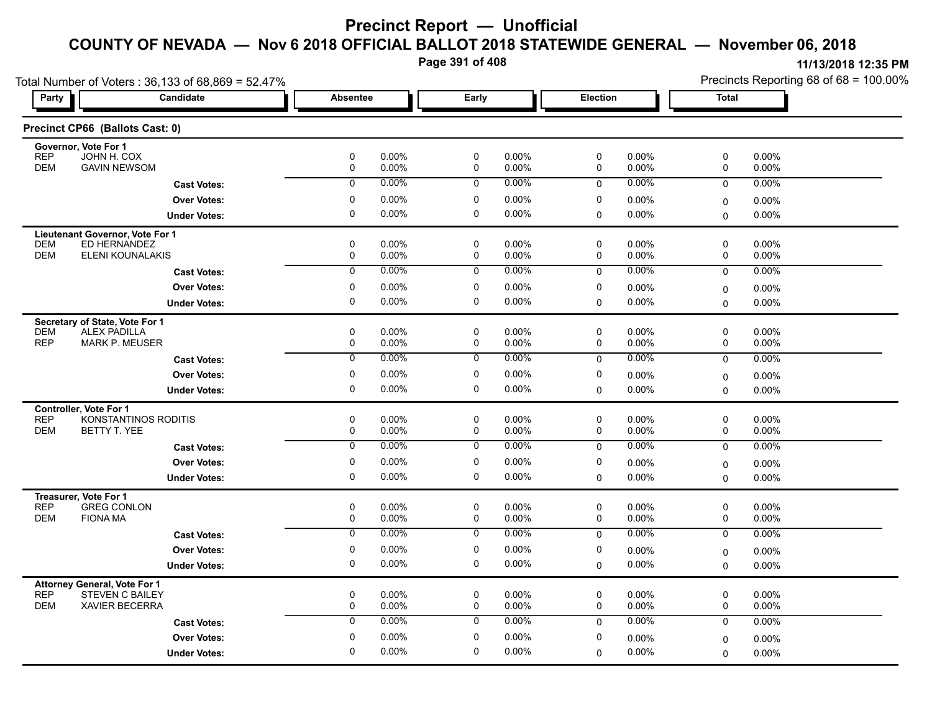**Page 391 of 408**

| Total Number of Voters: 36,133 of 68,869 = 52.47%                   |                     |                  |                |                            |                |              | Precincts Reporting 68 of 68 = 100.00% |               |                      |
|---------------------------------------------------------------------|---------------------|------------------|----------------|----------------------------|----------------|--------------|----------------------------------------|---------------|----------------------|
| Party                                                               | Candidate           | <b>Absentee</b>  |                | Early                      | Election       |              |                                        | <b>Total</b>  |                      |
| Precinct CP66 (Ballots Cast: 0)                                     |                     |                  |                |                            |                |              |                                        |               |                      |
| Governor, Vote For 1                                                |                     |                  |                |                            |                |              |                                        |               |                      |
| <b>REP</b><br>JOHN H. COX<br><b>GAVIN NEWSOM</b><br><b>DEM</b>      |                     | 0<br>$\mathbf 0$ | 0.00%<br>0.00% | 0<br>$\mathbf 0$           | 0.00%<br>0.00% | 0<br>0       | 0.00%<br>0.00%                         | 0<br>0        | 0.00%<br>0.00%       |
|                                                                     | <b>Cast Votes:</b>  | $\mathbf 0$      | 0.00%          | $\mathbf 0$                | 0.00%          | $\mathbf 0$  | 0.00%                                  | 0             | 0.00%                |
|                                                                     | <b>Over Votes:</b>  | 0                | $0.00\%$       | 0                          | 0.00%          | 0            | 0.00%                                  | 0             | 0.00%                |
|                                                                     | <b>Under Votes:</b> | 0                | 0.00%          | $\mathbf 0$                | 0.00%          | $\mathbf 0$  | 0.00%                                  | 0             | $0.00\%$             |
| Lieutenant Governor, Vote For 1                                     |                     |                  |                |                            |                |              |                                        |               |                      |
| ED HERNANDEZ<br><b>DEM</b>                                          |                     | 0                | $0.00\%$       | $\mathbf 0$                | 0.00%          | $\mathbf 0$  | 0.00%                                  | 0             | $0.00\%$             |
| <b>DEM</b><br>ELENI KOUNALAKIS                                      |                     | $\mathbf 0$      | 0.00%          | $\mathbf 0$                | 0.00%          | 0            | 0.00%                                  | 0             | 0.00%                |
|                                                                     | <b>Cast Votes:</b>  | 0                | 0.00%          | 0                          | 0.00%          | $\mathbf 0$  | $0.00\%$                               | $\mathbf 0$   | 0.00%                |
|                                                                     | <b>Over Votes:</b>  | 0                | $0.00\%$       | 0                          | 0.00%          | 0            | 0.00%                                  | 0             | 0.00%                |
|                                                                     | <b>Under Votes:</b> | 0                | 0.00%          | $\mathbf 0$                | 0.00%          | $\Omega$     | $0.00\%$                               | $\Omega$      | 0.00%                |
| Secretary of State, Vote For 1                                      |                     |                  |                |                            |                |              |                                        |               |                      |
| <b>DEM</b><br><b>ALEX PADILLA</b><br><b>REP</b>                     |                     | 0<br>0           | 0.00%<br>0.00% | $\mathbf 0$<br>$\mathbf 0$ | 0.00%<br>0.00% | $\mathbf 0$  | 0.00%<br>0.00%                         | $\mathbf 0$   | 0.00%                |
| <b>MARK P. MEUSER</b>                                               |                     |                  |                |                            |                | 0            |                                        | 0             | 0.00%                |
|                                                                     | <b>Cast Votes:</b>  | $\mathbf 0$      | $0.00\%$       | 0                          | 0.00%          | 0            | 0.00%                                  | 0             | $0.00\%$             |
|                                                                     | <b>Over Votes:</b>  | 0                | 0.00%          | $\mathbf 0$                | 0.00%          | 0            | 0.00%                                  | 0             | $0.00\%$             |
|                                                                     | <b>Under Votes:</b> | 0                | 0.00%          | 0                          | 0.00%          | 0            | 0.00%                                  | $\Omega$      | $0.00\%$             |
| <b>Controller, Vote For 1</b><br><b>REP</b><br>KONSTANTINOS RODITIS |                     | 0                | 0.00%          | $\mathbf 0$                | 0.00%          | 0            | 0.00%                                  | 0             | $0.00\%$             |
| <b>DEM</b><br>BETTY T. YEE                                          |                     | 0                | $0.00\%$       | 0                          | 0.00%          | 0            | $0.00\%$                               | 0             | $0.00\%$             |
|                                                                     | <b>Cast Votes:</b>  | 0                | 0.00%          | 0                          | $0.00\%$       | $\mathbf 0$  | 0.00%                                  | 0             | 0.00%                |
|                                                                     | <b>Over Votes:</b>  | 0                | 0.00%          | 0                          | 0.00%          | 0            | $0.00\%$                               |               |                      |
|                                                                     | <b>Under Votes:</b> | 0                | 0.00%          | 0                          | 0.00%          | $\mathbf 0$  | $0.00\%$                               | 0<br>$\Omega$ | $0.00\%$<br>$0.00\%$ |
|                                                                     |                     |                  |                |                            |                |              |                                        |               |                      |
| Treasurer, Vote For 1<br><b>REP</b><br><b>GREG CONLON</b>           |                     | 0                | 0.00%          | $\mathbf 0$                | 0.00%          | 0            | $0.00\%$                               | 0             | 0.00%                |
| <b>DEM</b><br><b>FIONA MA</b>                                       |                     | 0                | $0.00\%$       | $\pmb{0}$                  | 0.00%          | 0            | 0.00%                                  | 0             | 0.00%                |
|                                                                     | <b>Cast Votes:</b>  | $\overline{0}$   | 0.00%          | $\overline{0}$             | 0.00%          | $\mathbf 0$  | 0.00%                                  | $\mathbf 0$   | 0.00%                |
|                                                                     | <b>Over Votes:</b>  | 0                | 0.00%          | $\mathbf 0$                | 0.00%          | 0            | $0.00\%$                               | 0             | 0.00%                |
|                                                                     | <b>Under Votes:</b> | 0                | $0.00\%$       | 0                          | 0.00%          | $\mathbf 0$  | $0.00\%$                               | 0             | 0.00%                |
| <b>Attorney General, Vote For 1</b>                                 |                     |                  |                |                            |                |              |                                        |               |                      |
| <b>REP</b><br><b>STEVEN C BAILEY</b>                                |                     | 0                | 0.00%          | 0                          | 0.00%          | 0            | $0.00\%$                               | 0             | 0.00%                |
| <b>DEM</b><br><b>XAVIER BECERRA</b>                                 |                     | $\mathbf 0$      | $0.00\%$       | $\mathbf 0$                | 0.00%          | $\mathbf 0$  | 0.00%                                  | 0             | 0.00%                |
|                                                                     | <b>Cast Votes:</b>  | $\mathbf 0$      | 0.00%          | $\mathbf 0$                | $0.00\%$       | $\mathbf{0}$ | 0.00%                                  | $\mathbf 0$   | $0.00\%$             |
|                                                                     | <b>Over Votes:</b>  | 0                | $0.00\%$       | $\mathbf 0$                | 0.00%          | 0            | 0.00%                                  | 0             | $0.00\%$             |
|                                                                     | <b>Under Votes:</b> | $\Omega$         | $0.00\%$       | 0                          | 0.00%          | $\mathbf 0$  | 0.00%                                  | 0             | $0.00\%$             |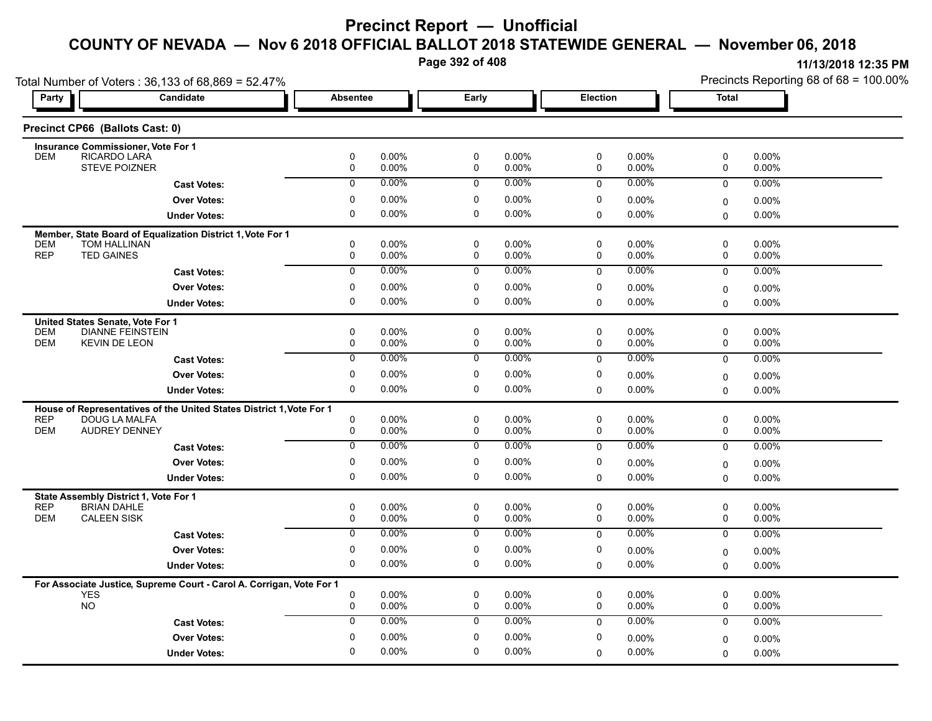**Page 392 of 408**

|                                                                          | Total Number of Voters: 36,133 of 68,869 = 52.47%                    |                  |                |                          |                   |              |                   | Precincts Reporting 68 of 68 = 100.00% |                |  |
|--------------------------------------------------------------------------|----------------------------------------------------------------------|------------------|----------------|--------------------------|-------------------|--------------|-------------------|----------------------------------------|----------------|--|
| Party                                                                    | <b>Candidate</b>                                                     | <b>Absentee</b>  |                | Early                    |                   | Election     |                   | <b>Total</b>                           |                |  |
| Precinct CP66 (Ballots Cast: 0)                                          |                                                                      |                  |                |                          |                   |              |                   |                                        |                |  |
| Insurance Commissioner, Vote For 1                                       |                                                                      |                  |                |                          |                   |              |                   |                                        |                |  |
| RICARDO LARA<br><b>DEM</b><br><b>STEVE POIZNER</b>                       |                                                                      | 0<br>0           | 0.00%<br>0.00% | $\pmb{0}$<br>$\mathbf 0$ | 0.00%<br>0.00%    | 0<br>0       | 0.00%<br>0.00%    | 0<br>0                                 | 0.00%<br>0.00% |  |
|                                                                          |                                                                      | $\mathbf 0$      | 0.00%          | 0                        | 0.00%             | $\mathbf 0$  | 0.00%             | $\mathbf 0$                            | 0.00%          |  |
|                                                                          | <b>Cast Votes:</b>                                                   |                  |                |                          |                   |              |                   |                                        |                |  |
|                                                                          | <b>Over Votes:</b>                                                   | 0<br>$\mathbf 0$ | 0.00%          | 0<br>0                   | 0.00%             | 0            | 0.00%             | 0                                      | 0.00%          |  |
|                                                                          | <b>Under Votes:</b>                                                  |                  | 0.00%          |                          | $0.00\%$          | 0            | 0.00%             | $\mathbf 0$                            | 0.00%          |  |
|                                                                          | Member, State Board of Equalization District 1, Vote For 1           |                  |                |                          |                   |              |                   |                                        |                |  |
| <b>TOM HALLINAN</b><br><b>DEM</b><br><b>REP</b><br><b>TED GAINES</b>     |                                                                      | 0<br>0           | 0.00%<br>0.00% | 0<br>0                   | 0.00%<br>0.00%    | 0<br>0       | 0.00%<br>0.00%    | 0<br>0                                 | 0.00%<br>0.00% |  |
|                                                                          | <b>Cast Votes:</b>                                                   | $\mathbf 0$      | 0.00%          | 0                        | 0.00%             | $\mathbf 0$  | 0.00%             | $\mathbf 0$                            | 0.00%          |  |
|                                                                          |                                                                      |                  |                |                          |                   |              |                   |                                        |                |  |
|                                                                          | <b>Over Votes:</b>                                                   | 0<br>$\Omega$    | 0.00%<br>0.00% | 0<br>$\mathbf 0$         | 0.00%<br>0.00%    | 0            | 0.00%             | $\mathbf 0$                            | 0.00%          |  |
|                                                                          | <b>Under Votes:</b>                                                  |                  |                |                          |                   | 0            | $0.00\%$          | $\Omega$                               | 0.00%          |  |
| United States Senate, Vote For 1                                         |                                                                      |                  |                |                          |                   |              |                   |                                        |                |  |
| <b>DEM</b><br><b>DEM</b><br><b>KEVIN DE LEON</b>                         | <b>DIANNE FEINSTEIN</b>                                              | 0<br>0           | 0.00%<br>0.00% | 0<br>0                   | $0.00\%$<br>0.00% | 0<br>0       | 0.00%<br>$0.00\%$ | 0<br>0                                 | 0.00%<br>0.00% |  |
|                                                                          |                                                                      | $\overline{0}$   | $0.00\%$       | $\overline{0}$           | 0.00%             | 0            | 0.00%             | 0                                      | 0.00%          |  |
|                                                                          | <b>Cast Votes:</b>                                                   |                  |                |                          |                   |              |                   |                                        |                |  |
|                                                                          | <b>Over Votes:</b>                                                   | $\pmb{0}$        | 0.00%          | $\mathbf 0$              | 0.00%             | 0            | 0.00%             | $\mathbf 0$                            | 0.00%          |  |
|                                                                          | <b>Under Votes:</b>                                                  | $\pmb{0}$        | 0.00%          | $\mathbf 0$              | 0.00%             | 0            | 0.00%             | $\Omega$                               | 0.00%          |  |
|                                                                          | House of Representatives of the United States District 1, Vote For 1 |                  |                |                          |                   |              |                   |                                        |                |  |
| <b>REP</b><br><b>DOUG LA MALFA</b><br><b>DEM</b><br><b>AUDREY DENNEY</b> |                                                                      | $\mathbf 0$<br>0 | 0.00%<br>0.00% | $\mathbf 0$<br>0         | $0.00\%$<br>0.00% | 0<br>0       | $0.00\%$<br>0.00% | 0<br>$\mathbf 0$                       | 0.00%<br>0.00% |  |
|                                                                          |                                                                      | $\mathbf 0$      | 0.00%          | $\mathbf 0$              | 0.00%             |              | 0.00%             |                                        |                |  |
|                                                                          | <b>Cast Votes:</b>                                                   |                  |                |                          |                   | $\mathbf 0$  |                   | $\mathbf 0$                            | 0.00%          |  |
|                                                                          | <b>Over Votes:</b>                                                   | 0                | 0.00%          | 0                        | 0.00%             | 0            | 0.00%             | 0                                      | 0.00%          |  |
|                                                                          | <b>Under Votes:</b>                                                  | $\Omega$         | 0.00%          | $\Omega$                 | 0.00%             | 0            | 0.00%             | $\Omega$                               | 0.00%          |  |
| State Assembly District 1, Vote For 1                                    |                                                                      |                  |                |                          |                   |              |                   |                                        |                |  |
| <b>REP</b><br><b>BRIAN DAHLE</b><br><b>CALEEN SISK</b>                   |                                                                      | $\pmb{0}$        | 0.00%          | 0                        | $0.00\%$          | 0            | 0.00%             | 0                                      | 0.00%          |  |
| <b>DEM</b>                                                               |                                                                      | 0                | 0.00%          | 0                        | $0.00\%$          | 0            | 0.00%             | 0                                      | 0.00%          |  |
|                                                                          | <b>Cast Votes:</b>                                                   | 0                | 0.00%          | 0                        | $0.00\%$          | 0            | 0.00%             | $\mathbf 0$                            | 0.00%          |  |
|                                                                          | <b>Over Votes:</b>                                                   | 0                | 0.00%          | 0                        | 0.00%             | 0            | 0.00%             | $\mathbf 0$                            | 0.00%          |  |
|                                                                          | <b>Under Votes:</b>                                                  | $\mathbf 0$      | 0.00%          | 0                        | $0.00\%$          | 0            | 0.00%             | $\mathbf 0$                            | $0.00\%$       |  |
|                                                                          | For Associate Justice, Supreme Court - Carol A. Corrigan, Vote For 1 |                  |                |                          |                   |              |                   |                                        |                |  |
| <b>YES</b>                                                               |                                                                      | 0                | 0.00%          | 0                        | 0.00%             | 0            | 0.00%             | 0                                      | 0.00%          |  |
| <b>NO</b>                                                                |                                                                      | 0                | 0.00%          | 0                        | $0.00\%$          | 0            | 0.00%             | 0                                      | 0.00%          |  |
|                                                                          | <b>Cast Votes:</b>                                                   | $\mathbf 0$      | $0.00\%$       | $\mathbf 0$              | $0.00\%$          | $\mathbf{0}$ | 0.00%             | $\mathbf 0$                            | 0.00%          |  |
|                                                                          | <b>Over Votes:</b>                                                   | $\mathbf 0$      | 0.00%          | 0                        | $0.00\%$          | 0            | 0.00%             | $\mathbf 0$                            | 0.00%          |  |
|                                                                          | <b>Under Votes:</b>                                                  | 0                | 0.00%          | $\mathbf 0$              | 0.00%             | 0            | 0.00%             | $\Omega$                               | 0.00%          |  |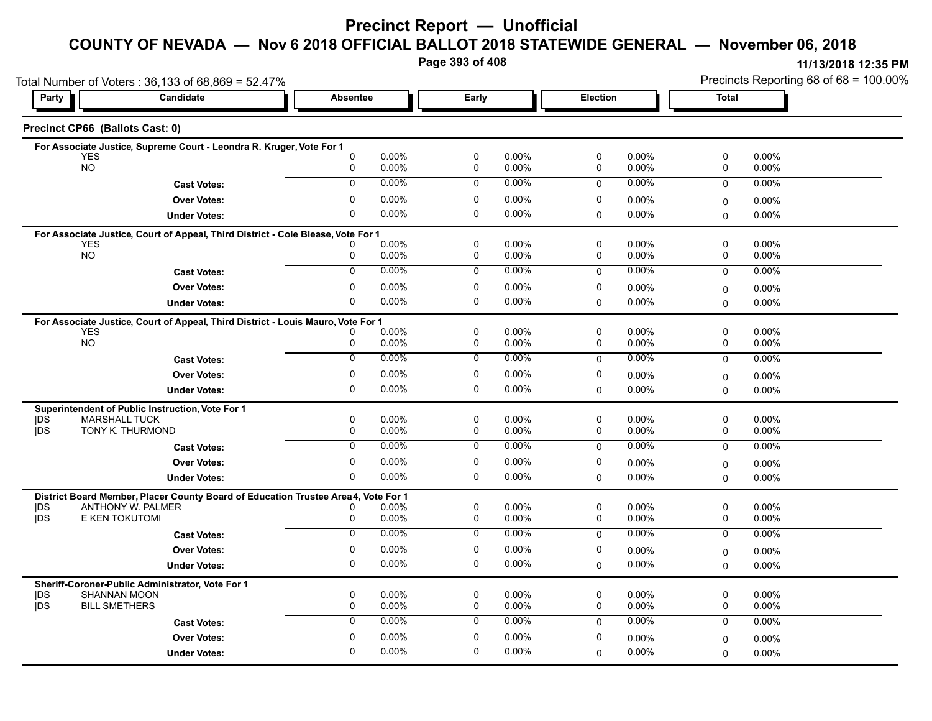# **Precinct Report — Unofficial**

### **COUNTY OF NEVADA — Nov 6 2018 OFFICIAL BALLOT 2018 STATEWIDE GENERAL — November 06, 2018**

**Page 393 of 408**

**11/13/2018 12:35 PM** Precincts Reporting 68 of 68 = 100.00%

|                  | Total Number of Voters: 36,133 of 68,869 = 52.47%                                                      |                  | Precincts Reporting 68 of 68 = 100.00% |                  |                      |             |                   |                         |                   |
|------------------|--------------------------------------------------------------------------------------------------------|------------------|----------------------------------------|------------------|----------------------|-------------|-------------------|-------------------------|-------------------|
| Party            | Candidate                                                                                              | <b>Absentee</b>  |                                        | Early            |                      | Election    |                   | <b>Total</b>            |                   |
|                  | Precinct CP66 (Ballots Cast: 0)                                                                        |                  |                                        |                  |                      |             |                   |                         |                   |
|                  | For Associate Justice, Supreme Court - Leondra R. Kruger, Vote For 1                                   |                  |                                        |                  |                      |             |                   |                         |                   |
|                  | <b>YES</b><br><b>NO</b>                                                                                | $\mathbf 0$<br>0 | 0.00%<br>0.00%                         | $\pmb{0}$<br>0   | 0.00%<br>0.00%       | 0<br>0      | 0.00%<br>0.00%    | $\pmb{0}$<br>0          | $0.00\%$<br>0.00% |
|                  | <b>Cast Votes:</b>                                                                                     | $\Omega$         | 0.00%                                  | $\mathbf 0$      | $0.00\%$             | $\Omega$    | 0.00%             | $\Omega$                | 0.00%             |
|                  | <b>Over Votes:</b>                                                                                     | $\mathbf 0$      | 0.00%                                  | 0                | 0.00%                | 0           | $0.00\%$          |                         | 0.00%             |
|                  | <b>Under Votes:</b>                                                                                    | $\Omega$         | 0.00%                                  | $\mathbf 0$      | $0.00\%$             | 0           | $0.00\%$          | 0<br>$\mathbf 0$        | $0.00\%$          |
|                  |                                                                                                        |                  |                                        |                  |                      |             |                   |                         |                   |
|                  | For Associate Justice, Court of Appeal, Third District - Cole Blease, Vote For 1<br><b>YES</b>         |                  | 0.00%                                  | 0                | 0.00%                | 0           | $0.00\%$          | 0                       | $0.00\%$          |
|                  | <b>NO</b>                                                                                              | 0                | 0.00%                                  | 0                | 0.00%                | 0           | 0.00%             | 0                       | 0.00%             |
|                  | <b>Cast Votes:</b>                                                                                     | $\overline{0}$   | $0.00\%$                               | $\mathbf 0$      | $0.00\%$             | $\mathbf 0$ | $0.00\%$          | 0                       | $0.00\%$          |
|                  | <b>Over Votes:</b>                                                                                     | 0                | 0.00%                                  | 0                | $0.00\%$             | 0           | 0.00%             | 0                       | $0.00\%$          |
|                  | <b>Under Votes:</b>                                                                                    | $\Omega$         | 0.00%                                  | $\mathbf{0}$     | $0.00\%$             | $\Omega$    | 0.00%             | $\Omega$                | $0.00\%$          |
|                  | For Associate Justice, Court of Appeal, Third District - Louis Mauro, Vote For 1                       |                  |                                        |                  |                      |             |                   |                         |                   |
|                  | <b>YES</b>                                                                                             |                  | 0.00%                                  | $\mathbf 0$      | $0.00\%$             | 0           | 0.00%             | $\mathbf 0$             | $0.00\%$          |
|                  | <b>NO</b>                                                                                              | 0                | 0.00%                                  | 0                | 0.00%                | 0           | 0.00%             | 0                       | 0.00%             |
|                  | <b>Cast Votes:</b>                                                                                     | $\mathbf 0$      | 0.00%                                  | $\mathbf 0$      | 0.00%                | 0           | 0.00%             | 0                       | 0.00%             |
|                  | <b>Over Votes:</b>                                                                                     | 0                | 0.00%                                  | $\mathbf 0$      | 0.00%                | 0           | $0.00\%$          | $\mathbf 0$             | 0.00%             |
|                  | <b>Under Votes:</b>                                                                                    | 0                | 0.00%                                  | 0                | 0.00%                | 0           | 0.00%             | $\mathbf 0$             | 0.00%             |
|                  | Superintendent of Public Instruction, Vote For 1                                                       |                  |                                        |                  |                      |             |                   |                         |                   |
| DŚ<br><b>IDS</b> | <b>MARSHALL TUCK</b><br>TONY K. THURMOND                                                               | $\mathbf 0$<br>0 | $0.00\%$<br>0.00%                      | $\mathbf 0$<br>0 | $0.00\%$<br>$0.00\%$ | 0<br>0      | $0.00\%$<br>0.00% | $\mathbf 0$<br>0        | 0.00%<br>$0.00\%$ |
|                  | <b>Cast Votes:</b>                                                                                     | $\mathbf{0}$     | 0.00%                                  | 0                | 0.00%                | $\mathbf 0$ | 0.00%             | $\mathbf 0$             | $0.00\%$          |
|                  | <b>Over Votes:</b>                                                                                     | $\mathbf 0$      | 0.00%                                  | 0                | $0.00\%$             | 0           | 0.00%             |                         | $0.00\%$          |
|                  | <b>Under Votes:</b>                                                                                    | 0                | 0.00%                                  | 0                | $0.00\%$             | 0           | 0.00%             | $\mathbf 0$<br>$\Omega$ | $0.00\%$          |
|                  |                                                                                                        |                  |                                        |                  |                      |             |                   |                         |                   |
| <b>IDS</b>       | District Board Member, Placer County Board of Education Trustee Area4, Vote For 1<br>ANTHONY W. PALMER | 0                | 0.00%                                  | 0                | $0.00\%$             | 0           | 0.00%             | 0                       | 0.00%             |
| jDS              | E KEN TOKUTOMI                                                                                         | 0                | 0.00%                                  | $\mathbf 0$      | 0.00%                | 0           | 0.00%             | $\mathbf 0$             | 0.00%             |
|                  | <b>Cast Votes:</b>                                                                                     | $\overline{0}$   | 0.00%                                  | 0                | $0.00\%$             | $\mathbf 0$ | 0.00%             | $\mathbf 0$             | 0.00%             |
|                  | <b>Over Votes:</b>                                                                                     | $\mathbf 0$      | 0.00%                                  | $\mathbf 0$      | 0.00%                | 0           | 0.00%             | $\mathbf 0$             | $0.00\%$          |
|                  | <b>Under Votes:</b>                                                                                    | 0                | 0.00%                                  | 0                | $0.00\%$             | 0           | 0.00%             | $\Omega$                | $0.00\%$          |
|                  | Sheriff-Coroner-Public Administrator, Vote For 1                                                       |                  |                                        |                  |                      |             |                   |                         |                   |
| DS               | <b>SHANNAN MOON</b>                                                                                    | 0                | 0.00%                                  | 0                | 0.00%                | 0           | 0.00%             | 0                       | $0.00\%$          |
| <b>IDS</b>       | <b>BILL SMETHERS</b>                                                                                   | $\mathbf 0$      | 0.00%                                  | $\mathbf 0$      | 0.00%                | 0           | 0.00%             | $\mathbf 0$             | 0.00%             |
|                  | <b>Cast Votes:</b>                                                                                     | $\mathbf 0$      | 0.00%                                  | $\mathbf 0$      | $0.00\%$             | $\mathbf 0$ | 0.00%             | $\mathbf 0$             | 0.00%             |
|                  | <b>Over Votes:</b>                                                                                     | $\mathbf 0$      | 0.00%                                  | $\mathbf 0$      | 0.00%                | 0           | 0.00%             | $\mathbf 0$             | $0.00\%$          |
|                  | <b>Under Votes:</b>                                                                                    | $\mathbf 0$      | 0.00%                                  | $\mathbf 0$      | $0.00\%$             | $\Omega$    | 0.00%             | $\Omega$                | 0.00%             |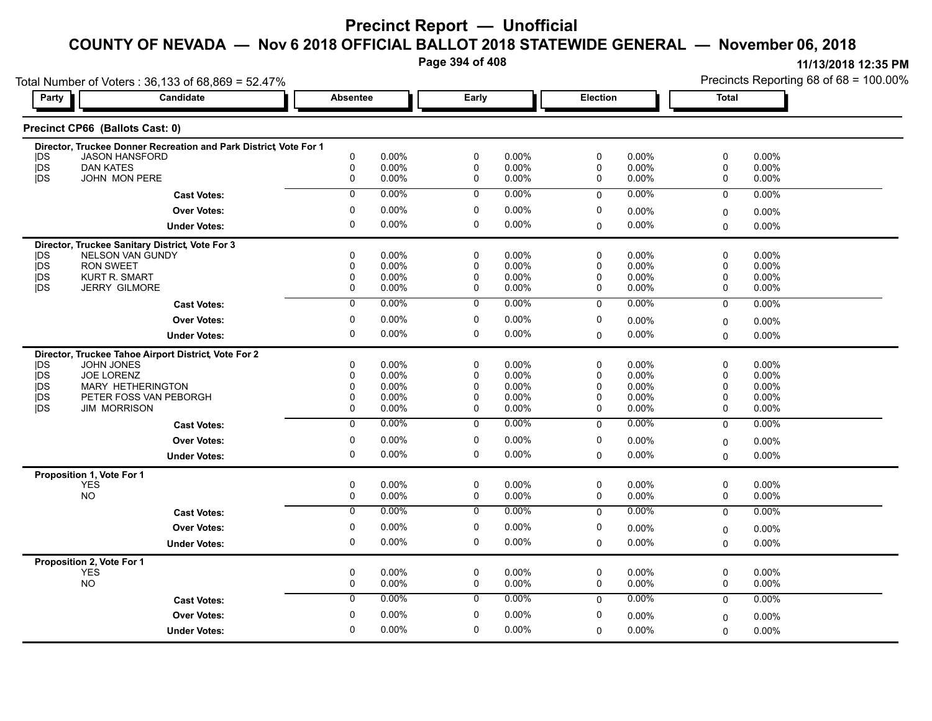**Page 394 of 408**

| Party                    | Total Number of Voters: 36,133 of 68,869 = 52.47%<br>Candidate      | <b>Absentee</b>            |                | Early                      |                      | Election                   |                      | <b>Total</b>     |                   |
|--------------------------|---------------------------------------------------------------------|----------------------------|----------------|----------------------------|----------------------|----------------------------|----------------------|------------------|-------------------|
|                          |                                                                     |                            |                |                            |                      |                            |                      |                  |                   |
|                          | Precinct CP66 (Ballots Cast: 0)                                     |                            |                |                            |                      |                            |                      |                  |                   |
|                          | Director, Truckee Donner Recreation and Park District Vote For 1    |                            |                |                            |                      |                            |                      |                  |                   |
| <b>IDS</b><br><b>IDS</b> | JASON HANSFORD<br><b>DAN KATES</b>                                  | $\pmb{0}$<br>$\mathbf 0$   | 0.00%<br>0.00% | $\mathbf 0$<br>$\mathbf 0$ | $0.00\%$<br>$0.00\%$ | $\pmb{0}$<br>$\mathbf 0$   | 0.00%<br>0.00%       | 0<br>0           | 0.00%<br>0.00%    |
| <b>IDS</b>               | <b>JOHN MON PERE</b>                                                | $\mathbf 0$                | 0.00%          | 0                          | $0.00\%$             | 0                          | $0.00\%$             | 0                | 0.00%             |
|                          | <b>Cast Votes:</b>                                                  | $\overline{0}$             | 0.00%          | $\overline{0}$             | 0.00%                | $\mathbf 0$                | 0.00%                | $\mathbf 0$      | 0.00%             |
|                          | <b>Over Votes:</b>                                                  | $\mathbf 0$                | 0.00%          | $\mathbf 0$                | $0.00\%$             | $\mathbf 0$                | $0.00\%$             |                  | 0.00%             |
|                          |                                                                     | $\mathbf 0$                | 0.00%          | $\mathbf 0$                | $0.00\%$             | $\mathbf 0$                | $0.00\%$             | 0                | 0.00%             |
|                          | <b>Under Votes:</b>                                                 |                            |                |                            |                      |                            |                      | $\mathbf 0$      |                   |
| DS                       | Director, Truckee Sanitary District, Vote For 3<br>NELSON VAN GUNDY | $\mathbf 0$                | 0.00%          | $\mathbf 0$                | 0.00%                | $\pmb{0}$                  | 0.00%                | $\pmb{0}$        | 0.00%             |
| <b>IDS</b>               | <b>RON SWEET</b>                                                    | $\mathbf 0$                | 0.00%          | $\mathbf 0$                | 0.00%                | $\mathbf 0$                | 0.00%                | 0                | 0.00%             |
| <b>IDS</b>               | <b>KURT R. SMART</b>                                                | $\mathbf 0$                | 0.00%          | $\mathbf 0$                | $0.00\%$             | $\mathbf 0$                | 0.00%                | 0                | 0.00%             |
| <b>jDS</b>               | <b>JERRY GILMORE</b>                                                | 0                          | 0.00%          | 0                          | $0.00\%$             | 0                          | $0.00\%$             | 0                | 0.00%             |
|                          | <b>Cast Votes:</b>                                                  | $\overline{0}$             | 0.00%          | $\overline{0}$             | 0.00%                | $\Omega$                   | 0.00%                | $\Omega$         | 0.00%             |
|                          | <b>Over Votes:</b>                                                  | 0                          | 0.00%          | 0                          | $0.00\%$             | 0                          | $0.00\%$             | 0                | 0.00%             |
|                          | <b>Under Votes:</b>                                                 | $\mathbf 0$                | 0.00%          | $\mathbf 0$                | $0.00\%$             | $\mathbf 0$                | 0.00%                | $\Omega$         | 0.00%             |
|                          | Director, Truckee Tahoe Airport District, Vote For 2                |                            |                |                            |                      |                            |                      |                  |                   |
| <b>IDS</b>               | <b>JOHN JONES</b>                                                   | $\mathbf 0$                | 0.00%          | $\mathbf 0$                | $0.00\%$             | $\mathbf 0$                | $0.00\%$             | $\mathbf 0$      | $0.00\%$          |
| <b>IDS</b>               | <b>JOE LORENZ</b>                                                   | $\mathbf 0$                | 0.00%          | $\mathbf 0$                | $0.00\%$             | 0                          | $0.00\%$             | 0                | 0.00%             |
| jDS                      | <b>MARY HETHERINGTON</b>                                            | 0                          | 0.00%          | 0                          | $0.00\%$             | 0                          | 0.00%                | 0                | 0.00%             |
| <b>IDS</b><br><b>IDS</b> | PETER FOSS VAN PEBORGH<br><b>JIM MORRISON</b>                       | $\mathbf 0$<br>$\mathbf 0$ | 0.00%<br>0.00% | $\mathbf 0$<br>$\mathbf 0$ | 0.00%<br>$0.00\%$    | $\mathbf 0$<br>$\mathbf 0$ | 0.00%<br>$0.00\%$    | 0<br>0           | 0.00%             |
|                          |                                                                     |                            |                |                            |                      |                            |                      |                  | 0.00%             |
|                          | <b>Cast Votes:</b>                                                  | $\overline{0}$             | 0.00%          | $\overline{0}$             | $0.00\%$             | $\mathbf{0}$               | 0.00%                | $\mathbf 0$      | 0.00%             |
|                          | <b>Over Votes:</b>                                                  | $\mathbf 0$                | 0.00%          | $\mathbf 0$                | 0.00%                | $\mathbf 0$                | $0.00\%$             | 0                | 0.00%             |
|                          | <b>Under Votes:</b>                                                 | $\mathbf 0$                | 0.00%          | $\mathbf 0$                | $0.00\%$             | $\Omega$                   | $0.00\%$             | $\Omega$         | $0.00\%$          |
|                          | Proposition 1, Vote For 1                                           |                            |                |                            |                      |                            |                      |                  |                   |
|                          | <b>YES</b><br><b>NO</b>                                             | 0<br>$\mathsf{O}$          | 0.00%<br>0.00% | 0<br>0                     | $0.00\%$<br>0.00%    | 0<br>$\mathbf 0$           | $0.00\%$<br>0.00%    | 0<br>0           | 0.00%<br>0.00%    |
|                          |                                                                     | $\overline{0}$             | 0.00%          | $\mathbf 0$                | $0.00\%$             | $\mathbf 0$                | $0.00\%$             | $\mathbf 0$      | 0.00%             |
|                          | <b>Cast Votes:</b>                                                  |                            |                |                            |                      |                            |                      |                  |                   |
|                          | <b>Over Votes:</b>                                                  | 0                          | 0.00%          | 0                          | 0.00%                | 0                          | $0.00\%$             | $\mathbf 0$      | 0.00%             |
|                          | <b>Under Votes:</b>                                                 | $\mathbf 0$                | 0.00%          | $\mathbf 0$                | $0.00\%$             | $\mathbf 0$                | 0.00%                | $\Omega$         | 0.00%             |
|                          | Proposition 2, Vote For 1                                           |                            |                |                            |                      |                            |                      |                  |                   |
|                          | <b>YES</b><br><b>NO</b>                                             | 0<br>0                     | 0.00%<br>0.00% | 0<br>$\mathbf 0$           | $0.00\%$<br>$0.00\%$ | 0<br>$\mathbf 0$           | $0.00\%$<br>$0.00\%$ | 0<br>$\mathbf 0$ | $0.00\%$<br>0.00% |
|                          |                                                                     | $\overline{0}$             | 0.00%          | $\overline{0}$             | $0.00\%$             |                            | $0.00\%$             |                  | 0.00%             |
|                          | <b>Cast Votes:</b>                                                  |                            |                |                            |                      | $\mathbf 0$                |                      | $\mathbf 0$      |                   |
|                          | <b>Over Votes:</b>                                                  | $\mathbf 0$                | $0.00\%$       | $\mathbf 0$                | 0.00%                | 0                          | $0.00\%$             | 0                | 0.00%             |
|                          | <b>Under Votes:</b>                                                 | $\mathbf 0$                | 0.00%          | $\Omega$                   | $0.00\%$             | $\mathbf 0$                | 0.00%                | $\Omega$         | 0.00%             |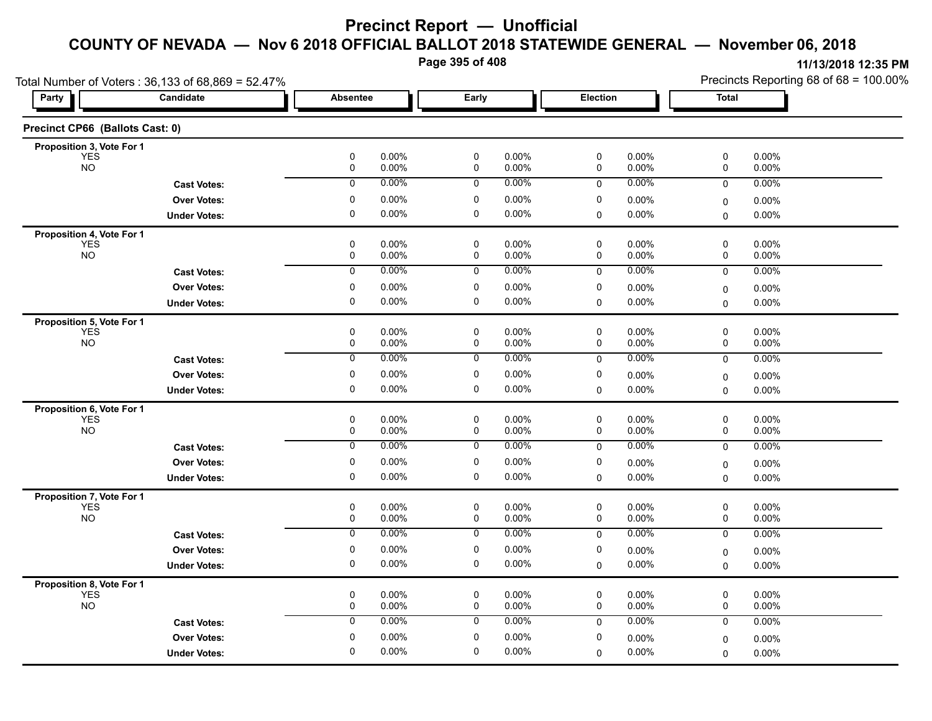**Page 395 of 408**

|                                         | Total Number of Voters: 36,133 of 68,869 = 52.47% |                 |                |                |                   |                |                | Precincts Reporting 68 of 68 = 100.00% |                   |  |
|-----------------------------------------|---------------------------------------------------|-----------------|----------------|----------------|-------------------|----------------|----------------|----------------------------------------|-------------------|--|
| <b>Party</b>                            | Candidate                                         | <b>Absentee</b> |                | Early          |                   | Election       |                | <b>Total</b>                           |                   |  |
| Precinct CP66 (Ballots Cast: 0)         |                                                   |                 |                |                |                   |                |                |                                        |                   |  |
| Proposition 3, Vote For 1               |                                                   |                 |                |                |                   |                |                |                                        |                   |  |
| <b>YES</b><br><b>NO</b>                 |                                                   | $\pmb{0}$<br>0  | 0.00%<br>0.00% | $\pmb{0}$<br>0 | 0.00%<br>0.00%    | $\pmb{0}$<br>0 | 0.00%<br>0.00% | $\pmb{0}$<br>0                         | 0.00%<br>0.00%    |  |
|                                         | <b>Cast Votes:</b>                                | $\mathbf 0$     | $0.00\%$       | 0              | $0.00\%$          | 0              | 0.00%          | 0                                      | 0.00%             |  |
|                                         | <b>Over Votes:</b>                                | 0               | 0.00%          | 0              | 0.00%             | 0              | 0.00%          | $\mathbf 0$                            | $0.00\%$          |  |
|                                         | <b>Under Votes:</b>                               | 0               | 0.00%          | 0              | $0.00\%$          | 0              | 0.00%          | 0                                      | 0.00%             |  |
| Proposition 4, Vote For 1               |                                                   |                 |                |                |                   |                |                |                                        |                   |  |
| <b>YES</b>                              |                                                   | 0               | 0.00%          | 0              | $0.00\%$          | 0              | 0.00%          | 0                                      | $0.00\%$          |  |
| <b>NO</b>                               |                                                   | $\pmb{0}$       | 0.00%          | $\pmb{0}$      | 0.00%             | 0              | 0.00%          | 0                                      | 0.00%             |  |
|                                         | <b>Cast Votes:</b>                                | $\overline{0}$  | 0.00%          | 0              | 0.00%             | 0              | 0.00%          | 0                                      | 0.00%             |  |
|                                         | <b>Over Votes:</b>                                | 0               | 0.00%          | 0              | 0.00%             | 0              | 0.00%          | 0                                      | $0.00\%$          |  |
|                                         | <b>Under Votes:</b>                               | $\mathbf 0$     | 0.00%          | $\mathbf 0$    | $0.00\%$          | $\Omega$       | 0.00%          | $\Omega$                               | 0.00%             |  |
| Proposition 5, Vote For 1               |                                                   |                 |                |                |                   |                |                |                                        |                   |  |
| <b>YES</b>                              |                                                   | 0               | 0.00%          | $\pmb{0}$      | $0.00\%$          | 0              | 0.00%          | 0                                      | 0.00%             |  |
| <b>NO</b>                               |                                                   | $\pmb{0}$       | 0.00%          | $\pmb{0}$      | 0.00%             | $\pmb{0}$      | 0.00%          | 0                                      | 0.00%             |  |
|                                         | <b>Cast Votes:</b>                                | 0               | 0.00%          | 0              | 0.00%             | $\mathbf 0$    | 0.00%          | 0                                      | 0.00%             |  |
|                                         | <b>Over Votes:</b>                                | 0               | 0.00%          | 0              | 0.00%             | 0              | 0.00%          | 0                                      | 0.00%             |  |
|                                         | <b>Under Votes:</b>                               | $\pmb{0}$       | 0.00%          | $\mathbf 0$    | $0.00\%$          | $\mathbf 0$    | 0.00%          | $\mathbf 0$                            | 0.00%             |  |
| Proposition 6, Vote For 1               |                                                   |                 |                |                |                   |                |                |                                        |                   |  |
| <b>YES</b><br><b>NO</b>                 |                                                   | 0<br>0          | 0.00%<br>0.00% | 0<br>0         | $0.00\%$<br>0.00% | 0<br>0         | 0.00%<br>0.00% | 0<br>0                                 | $0.00\%$<br>0.00% |  |
|                                         |                                                   | $\overline{0}$  | 0.00%          | 0              | 0.00%             | $\mathbf 0$    | 0.00%          | $\mathbf 0$                            | 0.00%             |  |
|                                         | <b>Cast Votes:</b>                                |                 |                |                |                   |                |                |                                        |                   |  |
|                                         | <b>Over Votes:</b>                                | 0               | 0.00%          | 0              | 0.00%             | 0              | 0.00%          | 0                                      | 0.00%             |  |
|                                         | <b>Under Votes:</b>                               | $\mathbf 0$     | 0.00%          | $\mathbf 0$    | $0.00\%$          | 0              | 0.00%          | $\Omega$                               | 0.00%             |  |
| Proposition 7, Vote For 1               |                                                   |                 |                |                |                   |                |                |                                        |                   |  |
| <b>YES</b><br><b>NO</b>                 |                                                   | 0<br>0          | 0.00%<br>0.00% | 0<br>0         | $0.00\%$<br>0.00% | 0<br>0         | 0.00%<br>0.00% | 0<br>0                                 | 0.00%<br>0.00%    |  |
|                                         | <b>Cast Votes:</b>                                | 0               | 0.00%          | 0              | 0.00%             | $\mathbf 0$    | 0.00%          | $\mathbf 0$                            | 0.00%             |  |
|                                         | <b>Over Votes:</b>                                | $\pmb{0}$       | 0.00%          | 0              | 0.00%             | 0              | 0.00%          |                                        | 0.00%             |  |
|                                         | <b>Under Votes:</b>                               | $\pmb{0}$       | 0.00%          | $\mathbf 0$    | $0.00\%$          | 0              | 0.00%          | 0<br>$\mathbf 0$                       | 0.00%             |  |
|                                         |                                                   |                 |                |                |                   |                |                |                                        |                   |  |
| Proposition 8, Vote For 1<br><b>YES</b> |                                                   | $\mathbf 0$     | 0.00%          | $\mathbf 0$    | 0.00%             | $\mathbf 0$    | 0.00%          | $\mathbf 0$                            | 0.00%             |  |
| <b>NO</b>                               |                                                   | 0               | 0.00%          | 0              | $0.00\%$          | 0              | 0.00%          | 0                                      | 0.00%             |  |
|                                         | <b>Cast Votes:</b>                                | 0               | 0.00%          | 0              | 0.00%             | 0              | 0.00%          | 0                                      | $0.00\%$          |  |
|                                         | <b>Over Votes:</b>                                | 0               | 0.00%          | 0              | $0.00\%$          | 0              | 0.00%          | 0                                      | 0.00%             |  |
|                                         | <b>Under Votes:</b>                               | 0               | 0.00%          | 0              | $0.00\%$          | 0              | 0.00%          | $\Omega$                               | 0.00%             |  |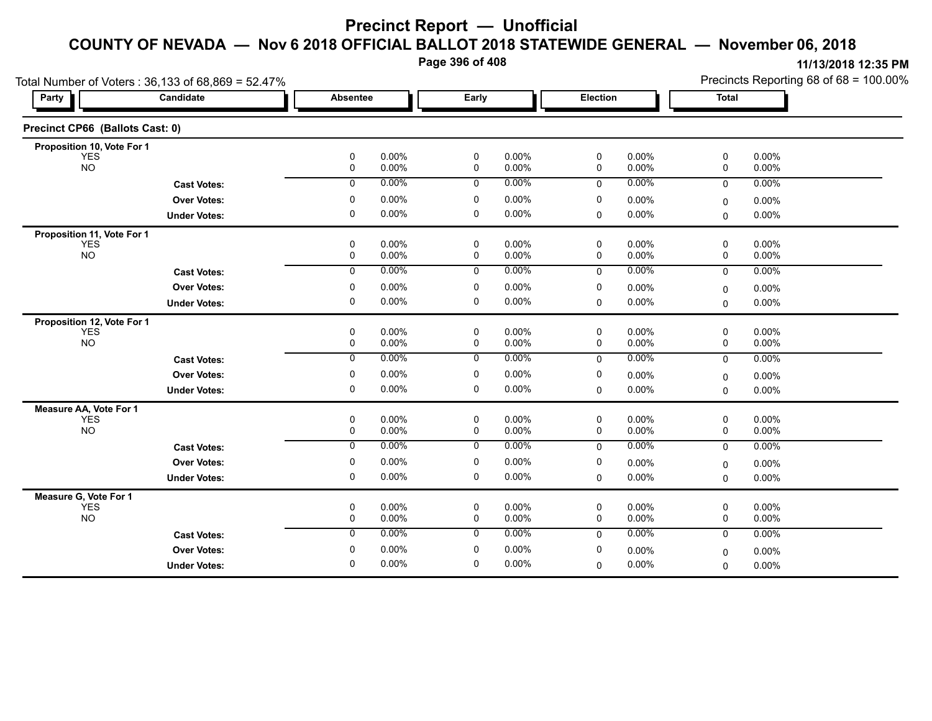**Page 396 of 408**

| Candidate<br>Party              |                     | <b>Absentee</b>  |                | Early          |                      | Election |                | <b>Total</b> |                | $\ddotsc$ |
|---------------------------------|---------------------|------------------|----------------|----------------|----------------------|----------|----------------|--------------|----------------|-----------|
| Precinct CP66 (Ballots Cast: 0) |                     |                  |                |                |                      |          |                |              |                |           |
| Proposition 10, Vote For 1      |                     |                  |                |                |                      |          |                |              |                |           |
| <b>YES</b><br><b>NO</b>         |                     | 0<br>0           | 0.00%<br>0.00% | 0<br>0         | $0.00\%$<br>$0.00\%$ | 0<br>0   | 0.00%<br>0.00% | 0<br>0       | 0.00%<br>0.00% |           |
|                                 | <b>Cast Votes:</b>  | $\mathbf 0$      | 0.00%          | $\mathbf 0$    | $0.00\%$             | 0        | 0.00%          | 0            | 0.00%          |           |
|                                 | <b>Over Votes:</b>  | $\Omega$         | 0.00%          | 0              | $0.00\%$             | 0        | 0.00%          | 0            | 0.00%          |           |
|                                 | <b>Under Votes:</b> | 0                | 0.00%          | 0              | $0.00\%$             | 0        | 0.00%          | $\mathbf 0$  | $0.00\%$       |           |
| Proposition 11, Vote For 1      |                     |                  |                |                |                      |          |                |              |                |           |
| <b>YES</b>                      |                     | 0                | 0.00%          | 0              | $0.00\%$             | 0        | 0.00%          | $\mathbf 0$  | 0.00%          |           |
| <b>NO</b>                       |                     | 0                | 0.00%          | 0              | $0.00\%$             | 0        | 0.00%          | 0            | 0.00%          |           |
|                                 | <b>Cast Votes:</b>  | $\mathbf 0$      | 0.00%          | 0              | 0.00%                | $\Omega$ | 0.00%          | $\mathbf{0}$ | $0.00\%$       |           |
|                                 | <b>Over Votes:</b>  | 0                | 0.00%          | 0              | $0.00\%$             | 0        | 0.00%          | $\Omega$     | 0.00%          |           |
|                                 | <b>Under Votes:</b> | 0                | 0.00%          | 0              | $0.00\%$             | 0        | 0.00%          | $\mathbf 0$  | 0.00%          |           |
| Proposition 12, Vote For 1      |                     |                  |                |                |                      |          |                |              |                |           |
| <b>YES</b>                      |                     | 0                | 0.00%          | 0              | $0.00\%$             | 0        | 0.00%          | 0            | 0.00%          |           |
| <b>NO</b>                       |                     | 0                | 0.00%          | 0              | $0.00\%$             | 0        | 0.00%          | 0            | 0.00%          |           |
|                                 | <b>Cast Votes:</b>  | 0                | 0.00%          | 0              | $0.00\%$             | 0        | 0.00%          | $\mathbf 0$  | $0.00\%$       |           |
|                                 | <b>Over Votes:</b>  | 0                | 0.00%          | 0              | $0.00\%$             | 0        | 0.00%          | 0            | 0.00%          |           |
|                                 | <b>Under Votes:</b> | 0                | 0.00%          | 0              | $0.00\%$             | 0        | $0.00\%$       | 0            | 0.00%          |           |
| Measure AA, Vote For 1          |                     |                  |                |                |                      |          |                |              |                |           |
| <b>YES</b><br><b>NO</b>         |                     | 0<br>$\mathbf 0$ | 0.00%<br>0.00% | 0<br>0         | $0.00\%$<br>$0.00\%$ | 0<br>0   | 0.00%<br>0.00% | 0<br>0       | 0.00%<br>0.00% |           |
|                                 | <b>Cast Votes:</b>  | $\overline{0}$   | 0.00%          | $\overline{0}$ | 0.00%                | 0        | 0.00%          | $\mathbf 0$  | 0.00%          |           |
|                                 |                     | 0                | 0.00%          | 0              | $0.00\%$             | 0        |                |              |                |           |
|                                 | <b>Over Votes:</b>  |                  |                |                |                      |          | 0.00%          | 0            | 0.00%          |           |
|                                 | <b>Under Votes:</b> | 0                | 0.00%          | 0              | $0.00\%$             | 0        | 0.00%          | $\mathbf 0$  | 0.00%          |           |
| Measure G, Vote For 1           |                     |                  | 0.00%          |                | $0.00\%$             |          | 0.00%          |              | 0.00%          |           |
| <b>YES</b><br><b>NO</b>         |                     | 0<br>0           | 0.00%          | 0<br>0         | $0.00\%$             | 0<br>0   | 0.00%          | 0<br>0       | 0.00%          |           |
|                                 | <b>Cast Votes:</b>  | $\mathbf{0}$     | 0.00%          | $\mathbf 0$    | $0.00\%$             | $\Omega$ | 0.00%          | $\mathbf 0$  | 0.00%          |           |
|                                 | <b>Over Votes:</b>  | $\Omega$         | 0.00%          | 0              | $0.00\%$             | 0        | 0.00%          | 0            | 0.00%          |           |
|                                 | <b>Under Votes:</b> | $\Omega$         | 0.00%          | 0              | $0.00\%$             | 0        | 0.00%          | $\Omega$     | 0.00%          |           |
|                                 |                     |                  |                |                |                      |          |                |              |                |           |

Total Number of Voters : 36,133 of 68,869 = 52,47%

**11/13/2018 12:35 PM** Precincts Reporting 68 of 68 = 100.00%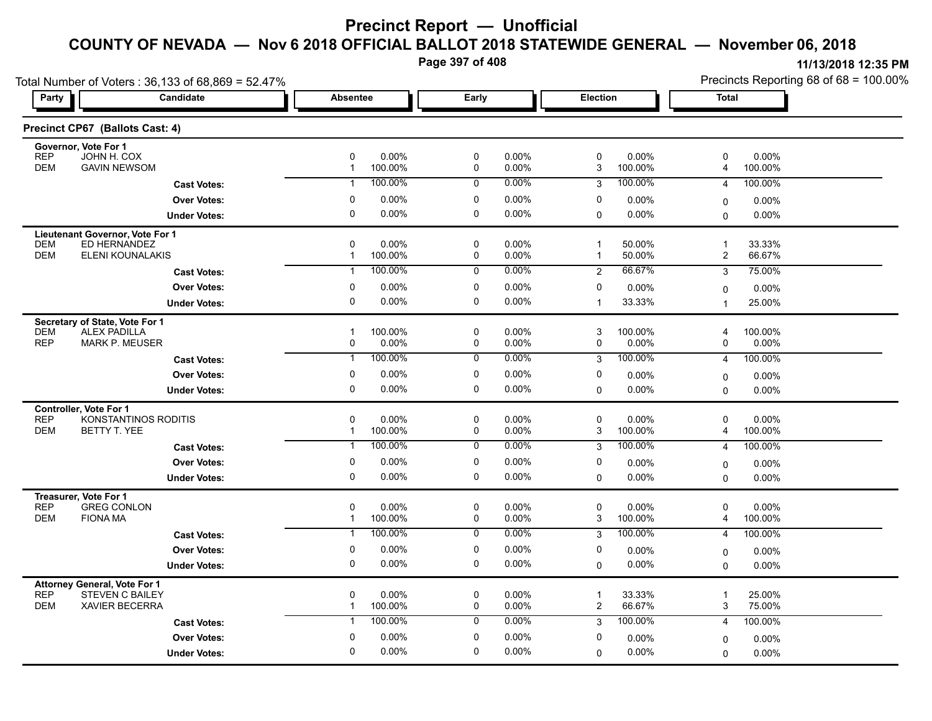**Page 397 of 408**

| Total Number of Voters: 36,133 of 68,869 = 52.47%                           |                         |                                                 |                                              |                                                      | Precincts Reporting 68 of 68 = 100.00%                      |  |  |
|-----------------------------------------------------------------------------|-------------------------|-------------------------------------------------|----------------------------------------------|------------------------------------------------------|-------------------------------------------------------------|--|--|
| Party                                                                       | Candidate               | <b>Absentee</b>                                 | Early                                        | Election                                             | Total                                                       |  |  |
| Precinct CP67 (Ballots Cast: 4)                                             |                         |                                                 |                                              |                                                      |                                                             |  |  |
| Governor, Vote For 1                                                        |                         |                                                 |                                              |                                                      |                                                             |  |  |
| <b>REP</b><br>JOHN H. COX<br><b>DEM</b><br><b>GAVIN NEWSOM</b>              |                         | $\pmb{0}$<br>0.00%<br>100.00%<br>$\mathbf{1}$   | $\pmb{0}$<br>0.00%<br>0.00%<br>0             | 0<br>0.00%<br>100.00%<br>3                           | 0<br>0.00%<br>100.00%<br>4                                  |  |  |
|                                                                             | <b>Cast Votes:</b>      | 100.00%<br>$\mathbf{1}$                         | 0.00%<br>0                                   | 100.00%<br>3                                         | 100.00%<br>4                                                |  |  |
|                                                                             | <b>Over Votes:</b>      | 0<br>0.00%                                      | 0<br>0.00%                                   | 0<br>0.00%                                           | $0.00\%$<br>0                                               |  |  |
|                                                                             | <b>Under Votes:</b>     | $\mathbf 0$<br>0.00%                            | 0<br>0.00%                                   | $0.00\%$<br>$\Omega$                                 | 0.00%<br>$\Omega$                                           |  |  |
| Lieutenant Governor, Vote For 1                                             |                         |                                                 |                                              |                                                      |                                                             |  |  |
| <b>DEM</b><br>ED HERNANDEZ<br><b>DEM</b>                                    | <b>ELENI KOUNALAKIS</b> | $\Omega$<br>0.00%<br>100.00%<br>$\mathbf{1}$    | $\mathbf 0$<br>0.00%<br>0<br>0.00%           | 50.00%<br>$\mathbf{1}$<br>50.00%<br>$\mathbf{1}$     | $\mathbf{1}$<br>33.33%<br>$\overline{\mathbf{c}}$<br>66.67% |  |  |
|                                                                             |                         | 100.00%<br>-1                                   | 0.00%<br>0                                   | 66.67%<br>2                                          | 75.00%<br>3                                                 |  |  |
|                                                                             | <b>Cast Votes:</b>      |                                                 | 0.00%                                        | 0                                                    |                                                             |  |  |
|                                                                             | <b>Over Votes:</b>      | 0.00%<br>0<br>0.00%<br>$\Omega$                 | 0<br>0<br>0.00%                              | $0.00\%$<br>33.33%<br>$\mathbf{1}$                   | 0.00%<br>0<br>1                                             |  |  |
|                                                                             | <b>Under Votes:</b>     |                                                 |                                              |                                                      | 25.00%                                                      |  |  |
| Secretary of State, Vote For 1<br><b>ALEX PADILLA</b><br><b>DEM</b>         |                         | 100.00%<br>$\overline{1}$                       | $\pmb{0}$<br>0.00%                           | 3<br>100.00%                                         | 100.00%<br>4                                                |  |  |
| <b>REP</b><br><b>MARK P. MEUSER</b>                                         |                         | 0.00%<br>0                                      | 0<br>0.00%                                   | 0.00%<br>0                                           | 0<br>$0.00\%$                                               |  |  |
|                                                                             | <b>Cast Votes:</b>      | 100.00%<br>$\mathbf{1}$                         | $0.00\%$<br>0                                | 100.00%<br>3                                         | 100.00%<br>$\overline{4}$                                   |  |  |
|                                                                             | <b>Over Votes:</b>      | 0.00%<br>0                                      | 0<br>0.00%                                   | 0<br>0.00%                                           | 0.00%<br>0                                                  |  |  |
|                                                                             | <b>Under Votes:</b>     | 0<br>0.00%                                      | 0<br>0.00%                                   | 0.00%<br>0                                           | $0.00\%$<br>$\Omega$                                        |  |  |
| <b>Controller. Vote For 1</b>                                               |                         |                                                 |                                              |                                                      |                                                             |  |  |
| <b>REP</b><br><b>DEM</b><br>BETTY T. YEE                                    | KONSTANTINOS RODITIS    | $\mathbf 0$<br>0.00%<br>100.00%<br>$\mathbf{1}$ | $\pmb{0}$<br>0.00%<br>0<br>0.00%             | 0<br>0.00%<br>3<br>100.00%                           | 0<br>0.00%<br>4<br>100.00%                                  |  |  |
|                                                                             | <b>Cast Votes:</b>      | 100.00%<br>$\mathbf{1}$                         | 0.00%<br>0                                   | 100.00%<br>3                                         | 100.00%<br>4                                                |  |  |
|                                                                             | <b>Over Votes:</b>      | $\mathbf 0$<br>0.00%                            | 0<br>0.00%                                   | 0<br>0.00%                                           |                                                             |  |  |
|                                                                             | <b>Under Votes:</b>     | 0.00%<br>0                                      | 0<br>0.00%                                   | 0.00%<br>0                                           | 0.00%<br>0<br>$\Omega$<br>$0.00\%$                          |  |  |
|                                                                             |                         |                                                 |                                              |                                                      |                                                             |  |  |
| Treasurer, Vote For 1<br><b>REP</b><br><b>GREG CONLON</b>                   |                         | $\mathbf 0$<br>0.00%                            | $\pmb{0}$<br>0.00%                           | $\mathbf 0$<br>$0.00\%$                              | 0<br>$0.00\%$                                               |  |  |
| <b>DEM</b><br><b>FIONA MA</b>                                               |                         | 100.00%<br>$\mathbf{1}$                         | 0<br>0.00%                                   | 3<br>100.00%                                         | 4<br>100.00%                                                |  |  |
|                                                                             | <b>Cast Votes:</b>      | 100.00%<br>$\mathbf{1}$                         | $0.00\%$<br>0                                | 100.00%<br>3                                         | 100.00%<br>4                                                |  |  |
|                                                                             | <b>Over Votes:</b>      | $\pmb{0}$<br>0.00%                              | 0<br>0.00%                                   | 0<br>$0.00\%$                                        | $0.00\%$<br>0                                               |  |  |
|                                                                             | <b>Under Votes:</b>     | 0.00%<br>0                                      | 0.00%<br>0                                   | $0.00\%$<br>$\Omega$                                 | $0.00\%$<br>$\Omega$                                        |  |  |
| <b>Attorney General, Vote For 1</b>                                         |                         |                                                 |                                              |                                                      |                                                             |  |  |
| <b>REP</b><br><b>STEVEN C BAILEY</b><br><b>DEM</b><br><b>XAVIER BECERRA</b> |                         | $\mathbf 0$<br>0.00%<br>100.00%<br>$\mathbf{1}$ | $\mathbf 0$<br>0.00%<br>$\mathbf 0$<br>0.00% | 33.33%<br>$\overline{1}$<br>$\overline{c}$<br>66.67% | 25.00%<br>$\overline{\mathbf{1}}$<br>3<br>75.00%            |  |  |
|                                                                             | <b>Cast Votes:</b>      | 100.00%<br>$\mathbf{1}$                         | 0.00%<br>0                                   | 100.00%<br>3                                         | 4<br>100.00%                                                |  |  |
|                                                                             |                         | $\mathbf 0$<br>0.00%                            | $\pmb{0}$<br>0.00%                           | 0                                                    |                                                             |  |  |
|                                                                             | <b>Over Votes:</b>      | 0.00%<br>$\mathbf 0$                            | $\mathbf 0$<br>0.00%                         | $0.00\%$<br>0.00%<br>$\Omega$                        | 0.00%<br>0<br>$0.00\%$                                      |  |  |
|                                                                             | <b>Under Votes:</b>     |                                                 |                                              |                                                      | 0                                                           |  |  |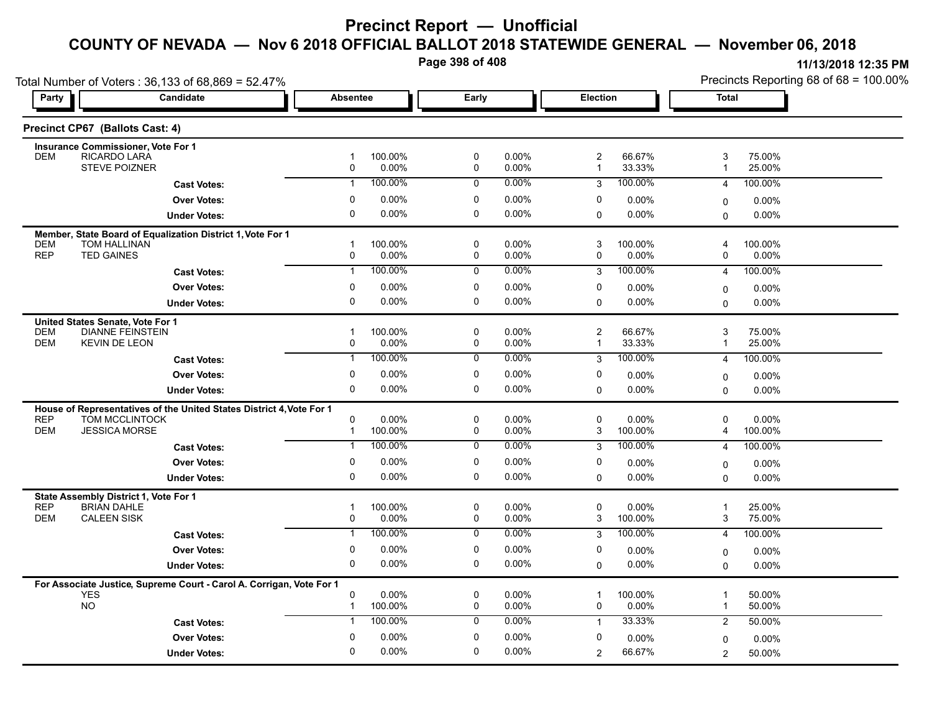**Page 398 of 408**

| Total Number of Voters: 36,133 of 68,869 = 52.47%                    |                                                                      |                                      |                |                |                                |                     | Precincts Reporting 68 of 68 = 100.00% |                     |  |
|----------------------------------------------------------------------|----------------------------------------------------------------------|--------------------------------------|----------------|----------------|--------------------------------|---------------------|----------------------------------------|---------------------|--|
| Party                                                                | Candidate                                                            | <b>Absentee</b>                      | Early          |                | Election                       |                     | <b>Total</b>                           |                     |  |
| Precinct CP67 (Ballots Cast: 4)                                      |                                                                      |                                      |                |                |                                |                     |                                        |                     |  |
| <b>Insurance Commissioner, Vote For 1</b>                            |                                                                      |                                      |                |                |                                |                     |                                        |                     |  |
| RICARDO LARA<br><b>DEM</b>                                           |                                                                      | 100.00%<br>$\mathbf{1}$<br>0.00%     | 0              | 0.00%          | $\overline{c}$<br>$\mathbf{1}$ | 66.67%              | 3<br>$\overline{1}$                    | 75.00%              |  |
|                                                                      | <b>STEVE POIZNER</b>                                                 | 0                                    | 0              | 0.00%          |                                | 33.33%              |                                        | 25.00%              |  |
|                                                                      | <b>Cast Votes:</b>                                                   | 100.00%<br>$\mathbf{1}$              | $\mathbf 0$    | 0.00%          | 3                              | 100.00%             | 4                                      | 100.00%             |  |
|                                                                      | <b>Over Votes:</b>                                                   | $0.00\%$<br>0                        | 0              | 0.00%          | 0                              | $0.00\%$            | 0                                      | 0.00%               |  |
|                                                                      | <b>Under Votes:</b>                                                  | 0<br>0.00%                           | 0              | 0.00%          | 0                              | 0.00%               | 0                                      | 0.00%               |  |
|                                                                      | Member, State Board of Equalization District 1, Vote For 1           |                                      |                |                |                                |                     |                                        |                     |  |
| <b>TOM HALLINAN</b><br><b>DEM</b><br><b>REP</b><br><b>TED GAINES</b> |                                                                      | 100.00%<br>$\mathbf 1$<br>0<br>0.00% | 0<br>0         | 0.00%<br>0.00% | 3<br>0                         | 100.00%<br>$0.00\%$ | 4<br>0                                 | 100.00%<br>$0.00\%$ |  |
|                                                                      |                                                                      | 100.00%                              |                | 0.00%          |                                | 100.00%             |                                        |                     |  |
|                                                                      | <b>Cast Votes:</b>                                                   | $\mathbf{1}$                         | $\mathbf 0$    |                | 3                              |                     | $\overline{4}$                         | 100.00%             |  |
|                                                                      | <b>Over Votes:</b>                                                   | $0.00\%$<br>0                        | 0              | 0.00%          | 0                              | $0.00\%$            | $\mathbf 0$                            | $0.00\%$            |  |
|                                                                      | <b>Under Votes:</b>                                                  | 0.00%<br>0                           | 0              | 0.00%          | 0                              | 0.00%               | $\Omega$                               | 0.00%               |  |
| United States Senate, Vote For 1                                     |                                                                      |                                      |                |                |                                |                     |                                        |                     |  |
| <b>DEM</b>                                                           | <b>DIANNE FEINSTEIN</b>                                              | 100.00%<br>$\overline{1}$            | 0              | 0.00%          | $\overline{\mathbf{c}}$        | 66.67%              | 3                                      | 75.00%              |  |
| <b>DEM</b><br><b>KEVIN DE LEON</b>                                   |                                                                      | 0<br>0.00%                           | 0              | 0.00%          | $\mathbf{1}$                   | 33.33%              | $\overline{1}$                         | 25.00%              |  |
|                                                                      | <b>Cast Votes:</b>                                                   | 100.00%<br>$\mathbf{1}$              | 0              | 0.00%          | 3                              | 100.00%             | $\overline{4}$                         | 100.00%             |  |
|                                                                      | <b>Over Votes:</b>                                                   | 0<br>$0.00\%$                        | 0              | 0.00%          | 0                              | 0.00%               | $\mathbf 0$                            | 0.00%               |  |
|                                                                      | <b>Under Votes:</b>                                                  | 0.00%<br>0                           | 0              | 0.00%          | 0                              | $0.00\%$            | $\Omega$                               | 0.00%               |  |
|                                                                      | House of Representatives of the United States District 4, Vote For 1 |                                      |                |                |                                |                     |                                        |                     |  |
| <b>REP</b>                                                           | TOM MCCLINTOCK                                                       | 0<br>0.00%                           | 0              | 0.00%          | 0                              | $0.00\%$            | 0                                      | 0.00%               |  |
| <b>DEM</b>                                                           | <b>JESSICA MORSE</b>                                                 | 100.00%<br>$\mathbf{1}$              | $\mathbf 0$    | 0.00%          | 3                              | 100.00%             | 4                                      | 100.00%             |  |
|                                                                      | <b>Cast Votes:</b>                                                   | 100.00%<br>$\mathbf{1}$              | $\mathbf 0$    | 0.00%          | 3                              | 100.00%             | $\overline{4}$                         | 100.00%             |  |
|                                                                      | <b>Over Votes:</b>                                                   | $\mathbf{0}$<br>$0.00\%$             | 0              | 0.00%          | 0                              | $0.00\%$            | $\mathbf 0$                            | 0.00%               |  |
|                                                                      | <b>Under Votes:</b>                                                  | 0.00%<br>$\Omega$                    | $\Omega$       | 0.00%          | 0                              | $0.00\%$            | $\Omega$                               | 0.00%               |  |
| State Assembly District 1, Vote For 1                                |                                                                      |                                      |                |                |                                |                     |                                        |                     |  |
| <b>REP</b><br><b>BRIAN DAHLE</b>                                     |                                                                      | 100.00%<br>$\mathbf 1$               | 0              | 0.00%          | 0                              | 0.00%               | $\overline{1}$                         | 25.00%              |  |
| <b>DEM</b><br><b>CALEEN SISK</b>                                     |                                                                      | 0.00%<br>$\mathbf 0$                 | $\mathbf 0$    | 0.00%          | 3                              | 100.00%             | 3                                      | 75.00%              |  |
|                                                                      | <b>Cast Votes:</b>                                                   | 100.00%<br>$\mathbf{1}$              | $\overline{0}$ | 0.00%          | 3                              | 100.00%             | $\overline{4}$                         | 100.00%             |  |
|                                                                      | <b>Over Votes:</b>                                                   | 0<br>$0.00\%$                        | 0              | 0.00%          | 0                              | 0.00%               | $\mathbf 0$                            | $0.00\%$            |  |
|                                                                      | <b>Under Votes:</b>                                                  | 0.00%<br>0                           | 0              | 0.00%          | $\mathbf 0$                    | $0.00\%$            | 0                                      | 0.00%               |  |
|                                                                      | For Associate Justice, Supreme Court - Carol A. Corrigan, Vote For 1 |                                      |                |                |                                |                     |                                        |                     |  |
| <b>YES</b>                                                           |                                                                      | 0<br>0.00%                           | 0              | 0.00%          | 1                              | 100.00%             | $\overline{1}$                         | 50.00%              |  |
| <b>NO</b>                                                            |                                                                      | 100.00%<br>$\mathbf{1}$              | 0              | 0.00%          | 0                              | 0.00%               | $\mathbf{1}$                           | 50.00%              |  |
|                                                                      | <b>Cast Votes:</b>                                                   | 100.00%<br>$\mathbf{1}$              | $\mathbf 0$    | $0.00\%$       | $\mathbf{1}$                   | 33.33%              | 2                                      | 50.00%              |  |
|                                                                      | <b>Over Votes:</b>                                                   | $\mathbf{0}$<br>$0.00\%$             | $\mathbf 0$    | 0.00%          | 0                              | 0.00%               | 0                                      | $0.00\%$            |  |
|                                                                      | <b>Under Votes:</b>                                                  | 0.00%<br>$\mathbf{0}$                | $\Omega$       | 0.00%          | 2                              | 66.67%              | $\overline{c}$                         | 50.00%              |  |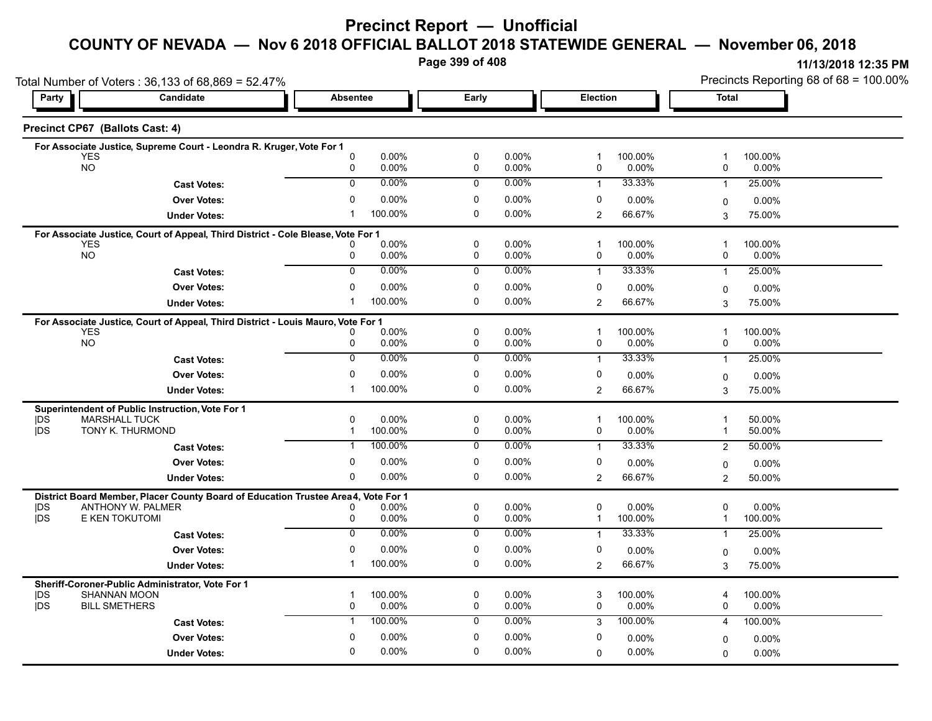# **Precinct Report — Unofficial**

# **COUNTY OF NEVADA — Nov 6 2018 OFFICIAL BALLOT 2018 STATEWIDE GENERAL — November 06, 2018**

**Page 399 of 408**

|                         | Total Number of Voters: 36,133 of 68,869 = 52.47%                                                      |                                              |                             |                                         |                                       | Precincts Reporting 68 of 68 = 100.00% |  |  |
|-------------------------|--------------------------------------------------------------------------------------------------------|----------------------------------------------|-----------------------------|-----------------------------------------|---------------------------------------|----------------------------------------|--|--|
| Party                   | <b>Candidate</b>                                                                                       | Absentee                                     | Early                       | Election                                | Total                                 |                                        |  |  |
|                         | Precinct CP67 (Ballots Cast: 4)                                                                        |                                              |                             |                                         |                                       |                                        |  |  |
|                         | For Associate Justice, Supreme Court - Leondra R. Kruger, Vote For 1                                   |                                              |                             |                                         |                                       |                                        |  |  |
| <b>YES</b><br><b>NO</b> |                                                                                                        | $\mathbf 0$<br>0.00%<br>0.00%<br>0           | 0<br>0.00%<br>0.00%<br>0    | 100.00%<br>1<br>0.00%<br>0              | 100.00%<br>-1<br>0<br>0.00%           |                                        |  |  |
|                         | <b>Cast Votes:</b>                                                                                     | 0.00%<br>$\Omega$                            | 0.00%<br>$\Omega$           | 33.33%<br>$\mathbf{1}$                  | 25.00%<br>$\mathbf{1}$                |                                        |  |  |
|                         | <b>Over Votes:</b>                                                                                     | $\mathbf 0$<br>0.00%                         | $\mathbf 0$<br>0.00%        | 0<br>$0.00\%$                           | $0.00\%$                              |                                        |  |  |
|                         | <b>Under Votes:</b>                                                                                    | 100.00%<br>-1                                | $\mathbf 0$<br>$0.00\%$     | $\mathbf{2}$<br>66.67%                  | 0<br>3<br>75.00%                      |                                        |  |  |
|                         |                                                                                                        |                                              |                             |                                         |                                       |                                        |  |  |
| <b>YES</b>              | For Associate Justice, Court of Appeal, Third District - Cole Blease, Vote For 1                       | 0.00%                                        | $\mathbf 0$<br>0.00%        | 100.00%<br>$\mathbf 1$                  | 100.00%<br>$\overline{\mathbf{1}}$    |                                        |  |  |
| <b>NO</b>               |                                                                                                        | 0.00%<br>0                                   | 0.00%<br>0                  | 0.00%<br>0                              | 0<br>$0.00\%$                         |                                        |  |  |
|                         | <b>Cast Votes:</b>                                                                                     | $\overline{0}$<br>0.00%                      | $0.00\%$<br>0               | 33.33%<br>$\mathbf{1}$                  | 25.00%<br>$\overline{1}$              |                                        |  |  |
|                         | <b>Over Votes:</b>                                                                                     | $\mathbf 0$<br>0.00%                         | 0<br>0.00%                  | 0<br>$0.00\%$                           | $0.00\%$<br>0                         |                                        |  |  |
|                         | <b>Under Votes:</b>                                                                                    | 100.00%<br>-1                                | $\Omega$<br>$0.00\%$        | 66.67%<br>$\overline{2}$                | 75.00%<br>3                           |                                        |  |  |
|                         | For Associate Justice, Court of Appeal, Third District - Louis Mauro, Vote For 1                       |                                              |                             |                                         |                                       |                                        |  |  |
| <b>YES</b>              |                                                                                                        | 0.00%<br>0                                   | $\mathbf 0$<br>0.00%        | $\mathbf{1}$<br>100.00%                 | $\overline{\mathbf{1}}$<br>100.00%    |                                        |  |  |
| <b>NO</b>               |                                                                                                        | 0<br>0.00%                                   | $\pmb{0}$<br>0.00%          | 0.00%<br>0                              | 0<br>$0.00\%$                         |                                        |  |  |
|                         | <b>Cast Votes:</b>                                                                                     | $\mathbf 0$<br>0.00%                         | 0<br>0.00%                  | 33.33%<br>$\mathbf{1}$                  | 25.00%<br>$\mathbf{1}$                |                                        |  |  |
|                         | <b>Over Votes:</b>                                                                                     | 0.00%<br>$\mathbf 0$                         | $\pmb{0}$<br>0.00%          | 0<br>$0.00\%$                           | $0.00\%$<br>0                         |                                        |  |  |
|                         | <b>Under Votes:</b>                                                                                    | 100.00%<br>$\mathbf 1$                       | 0<br>0.00%                  | 66.67%<br>$\mathbf{2}$                  | 75.00%<br>3                           |                                        |  |  |
|                         | Superintendent of Public Instruction, Vote For 1                                                       |                                              |                             |                                         |                                       |                                        |  |  |
| DŚ<br><b>IDS</b>        | <b>MARSHALL TUCK</b><br>TONY K. THURMOND                                                               | $\Omega$<br>0.00%<br>100.00%<br>$\mathbf{1}$ | 0<br>$0.00\%$<br>0<br>0.00% | 100.00%<br>$\mathbf 1$<br>0<br>$0.00\%$ | 50.00%<br>1<br>50.00%<br>$\mathbf{1}$ |                                        |  |  |
|                         | <b>Cast Votes:</b>                                                                                     | 100.00%<br>-1                                | 0.00%<br>0                  | 33.33%<br>$\mathbf{1}$                  | 50.00%<br>2                           |                                        |  |  |
|                         | <b>Over Votes:</b>                                                                                     | $\mathbf 0$<br>0.00%                         | $\mathbf 0$<br>0.00%        | 0<br>0.00%                              | $0.00\%$                              |                                        |  |  |
|                         | <b>Under Votes:</b>                                                                                    | 0.00%<br>0                                   | 0.00%<br>$\Omega$           | 66.67%<br>$\overline{2}$                | 0<br>$\overline{2}$<br>50.00%         |                                        |  |  |
|                         |                                                                                                        |                                              |                             |                                         |                                       |                                        |  |  |
| <b>IDS</b>              | District Board Member, Placer County Board of Education Trustee Area4, Vote For 1<br>ANTHONY W. PALMER | 0.00%<br>0                                   | 0<br>0.00%                  | 0<br>$0.00\%$                           | 0<br>$0.00\%$                         |                                        |  |  |
| <b>jDS</b>              | E KEN TOKUTOMI                                                                                         | 0.00%<br>0                                   | 0<br>0.00%                  | 100.00%<br>$\mathbf 1$                  | 100.00%<br>$\overline{1}$             |                                        |  |  |
|                         | <b>Cast Votes:</b>                                                                                     | 0.00%<br>$\Omega$                            | $0.00\%$<br>0               | 33.33%<br>$\mathbf{1}$                  | 25.00%<br>$\overline{1}$              |                                        |  |  |
|                         | <b>Over Votes:</b>                                                                                     | $\Omega$<br>0.00%                            | $\mathbf 0$<br>0.00%        | 0<br>$0.00\%$                           | 0.00%<br>0                            |                                        |  |  |
|                         | <b>Under Votes:</b>                                                                                    | 100.00%<br>-1                                | 0<br>$0.00\%$               | 2<br>66.67%                             | 3<br>75.00%                           |                                        |  |  |
|                         | Sheriff-Coroner-Public Administrator, Vote For 1                                                       |                                              |                             |                                         |                                       |                                        |  |  |
| DS                      | <b>SHANNAN MOON</b>                                                                                    | 100.00%<br>-1                                | 0<br>0.00%                  | 3<br>100.00%                            | 100.00%<br>4                          |                                        |  |  |
| <b>IDS</b>              | <b>BILL SMETHERS</b>                                                                                   | $\mathbf 0$<br>0.00%                         | $\mathbf 0$<br>0.00%        | $\mathbf 0$<br>0.00%                    | 0<br>0.00%                            |                                        |  |  |
|                         | <b>Cast Votes:</b>                                                                                     | 100.00%<br>$\mathbf{1}$                      | 0.00%<br>0                  | 100.00%<br>3                            | 100.00%<br>4                          |                                        |  |  |
|                         | <b>Over Votes:</b>                                                                                     | 0.00%<br>$\Omega$                            | $\mathbf 0$<br>0.00%        | 0<br>0.00%                              | $0.00\%$<br>0                         |                                        |  |  |
|                         | <b>Under Votes:</b>                                                                                    | 0.00%<br>$\Omega$                            | 0<br>0.00%                  | $0.00\%$<br>$\Omega$                    | 0.00%<br>$\Omega$                     |                                        |  |  |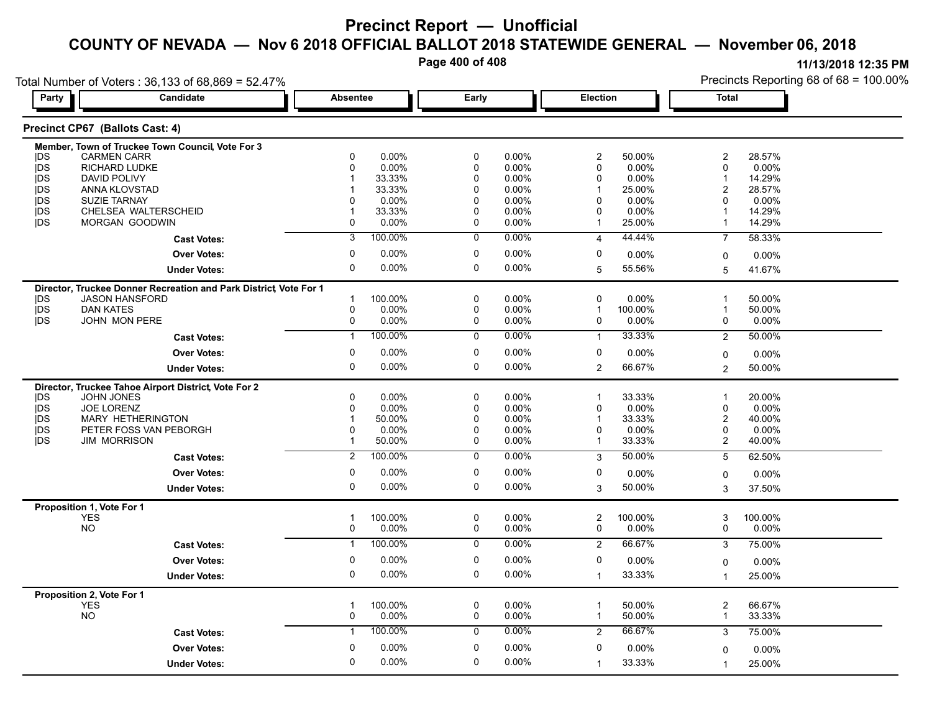**Page 400 of 408**

|            | Total Number of Voters: 36,133 of 68,869 = 52.47%                                  |                           |                                               |                             | Precincts Reporting 68 of 68 = 100.00% |
|------------|------------------------------------------------------------------------------------|---------------------------|-----------------------------------------------|-----------------------------|----------------------------------------|
| Party      | Candidate                                                                          | <b>Absentee</b>           | Early                                         | Election                    | <b>Total</b>                           |
|            | Precinct CP67 (Ballots Cast: 4)                                                    |                           |                                               |                             |                                        |
|            | Member, Town of Truckee Town Council, Vote For 3                                   |                           |                                               |                             |                                        |
| DS         | <b>CARMEN CARR</b>                                                                 | 0.00%<br>$\Omega$         | 0.00%<br>$\Omega$                             | 50.00%<br>$\overline{2}$    | 28.57%<br>$\overline{2}$               |
| <b>jDS</b> | <b>RICHARD LUDKE</b>                                                               | 0.00%                     | $0.00\%$<br>0                                 | 0.00%<br>$\Omega$           | 0.00%<br>$\Omega$                      |
| <b>IDS</b> | DAVID POLIVY                                                                       | 33.33%                    | $0.00\%$<br>$\Omega$                          | 0.00%<br>$\Omega$           | 14.29%                                 |
| jDS        | ANNA KLOVSTAD                                                                      | 33.33%                    | 0.00%<br>$\Omega$                             | 25.00%                      | 28.57%<br>$\overline{2}$               |
| jDS<br>jDS | <b>SUZIE TARNAY</b><br>CHELSEA WALTERSCHEID                                        | 0.00%<br>33.33%           | 0.00%<br>$\Omega$<br>$\mathbf{0}$<br>$0.00\%$ | 0.00%<br>0<br>$0.00\%$<br>O | 0.00%<br>0<br>14.29%                   |
| jDS        | <b>MORGAN GOODWIN</b>                                                              | $0.00\%$<br>$\Omega$      | 0.00%<br>0                                    | 25.00%                      | 14.29%<br>-1                           |
|            | <b>Cast Votes:</b>                                                                 | 100.00%<br>3              | 0.00%<br>0                                    | 44.44%<br>$\overline{4}$    | 58.33%<br>$\overline{7}$               |
|            | <b>Over Votes:</b>                                                                 | $0.00\%$<br>$\Omega$      | 0<br>$0.00\%$                                 | 0<br>0.00%                  | 0.00%<br>0                             |
|            | <b>Under Votes:</b>                                                                | $\Omega$<br>$0.00\%$      | 0<br>0.00%                                    | 55.56%<br>5                 | 41.67%<br>5                            |
|            |                                                                                    |                           |                                               |                             |                                        |
| DS         | Director, Truckee Donner Recreation and Park District Vote For 1<br>JASON HANSFORD | 100.00%                   | $0.00\%$<br>0                                 | $0.00\%$<br>$\Omega$        | 50.00%                                 |
| <b>jDS</b> | <b>DAN KATES</b>                                                                   | $\Omega$<br>0.00%         | $0.00\%$<br>0                                 | 100.00%<br>-1               | 50.00%                                 |
| <b>jDS</b> | JOHN MON PERE                                                                      | 0<br>0.00%                | 0.00%<br>0                                    | 0.00%<br>$\mathbf 0$        | 0.00%<br>0                             |
|            | <b>Cast Votes:</b>                                                                 | 100.00%<br>$\mathbf{1}$   | $0.00\%$<br>$\mathbf 0$                       | 33.33%                      | 50.00%<br>$\overline{2}$               |
|            | <b>Over Votes:</b>                                                                 | 0.00%<br>0                | $0.00\%$<br>0                                 | 0<br>0.00%                  | 0.00%<br>$\mathbf 0$                   |
|            | <b>Under Votes:</b>                                                                | 0.00%<br>0                | $\Omega$<br>$0.00\%$                          | 66.67%<br>2                 | 50.00%<br>$\overline{2}$               |
|            | Director, Truckee Tahoe Airport District, Vote For 2                               |                           |                                               |                             |                                        |
| DS         | <b>JOHN JONES</b>                                                                  | $0.00\%$<br>$\Omega$      | 0<br>0.00%                                    | 33.33%                      | 20.00%<br>-1                           |
| jDS        | <b>JOE LORENZ</b>                                                                  | $0.00\%$                  | $0.00\%$<br>0                                 | 0.00%<br>$\Omega$           | 0.00%<br>0                             |
| jDS        | MARY HETHERINGTON                                                                  | 50.00%                    | $0.00\%$<br>$\mathbf{0}$                      | 33.33%                      | 40.00%<br>$\overline{2}$               |
| jDS        | PETER FOSS VAN PEBORGH                                                             | 0.00%                     | $0.00\%$<br>$\mathbf{0}$                      | $0.00\%$<br>$\Omega$        | 0.00%<br>0                             |
| <b>IDS</b> | <b>JIM MORRISON</b>                                                                | 50.00%                    | $\Omega$<br>0.00%                             | 33.33%                      | 40.00%<br>$\overline{2}$               |
|            | <b>Cast Votes:</b>                                                                 | 100.00%<br>$\overline{2}$ | 0.00%<br>$\mathbf 0$                          | 50.00%<br>3                 | 62.50%<br>5                            |
|            | <b>Over Votes:</b>                                                                 | $0.00\%$<br>0             | 0.00%<br>0                                    | $\Omega$<br>0.00%           | 0.00%<br>0                             |
|            | <b>Under Votes:</b>                                                                | 0<br>$0.00\%$             | 0<br>0.00%                                    | 50.00%<br>3                 | 37.50%<br>3                            |
|            | Proposition 1, Vote For 1                                                          |                           |                                               |                             |                                        |
|            | <b>YES</b>                                                                         | 100.00%<br>$\mathbf 1$    | 0<br>0.00%                                    | 2<br>100.00%                | 3<br>100.00%                           |
|            | <b>NO</b>                                                                          | $0.00\%$<br>0             | $0.00\%$<br>0                                 | $\Omega$<br>$0.00\%$        | 0.00%<br>0                             |
|            | <b>Cast Votes:</b>                                                                 | 100.00%<br>-1             | $0.00\%$<br>$\mathbf 0$                       | 66.67%<br>$\overline{2}$    | 75.00%<br>3                            |
|            | <b>Over Votes:</b>                                                                 | $0.00\%$<br>0             | $0.00\%$<br>0                                 | $\Omega$<br>0.00%           | 0.00%<br>$\mathbf 0$                   |
|            | <b>Under Votes:</b>                                                                | 0.00%<br>$\Omega$         | 0.00%<br>$\Omega$                             | 33.33%<br>$\mathbf 1$       | 25.00%<br>$\mathbf{1}$                 |
|            | Proposition 2, Vote For 1                                                          |                           |                                               |                             |                                        |
|            | <b>YES</b>                                                                         | 100.00%                   | $\mathbf 0$<br>$0.00\%$                       | 50.00%<br>-1                | $\overline{2}$<br>66.67%               |
|            | <b>NO</b>                                                                          | $0.00\%$<br>0             | 0.00%<br>0                                    | 50.00%<br>$\mathbf{1}$      | 33.33%<br>$\mathbf{1}$                 |
|            | <b>Cast Votes:</b>                                                                 | 100.00%                   | 0.00%<br>0                                    | 66.67%<br>2                 | 75.00%<br>3                            |
|            | <b>Over Votes:</b>                                                                 | $0.00\%$<br>0             | 0.00%<br>0                                    | $\Omega$<br>0.00%           | 0.00%<br>$\Omega$                      |
|            | <b>Under Votes:</b>                                                                | 0.00%<br>$\Omega$         | $\Omega$<br>0.00%                             | 33.33%<br>-1                | 25.00%                                 |
|            |                                                                                    |                           |                                               |                             |                                        |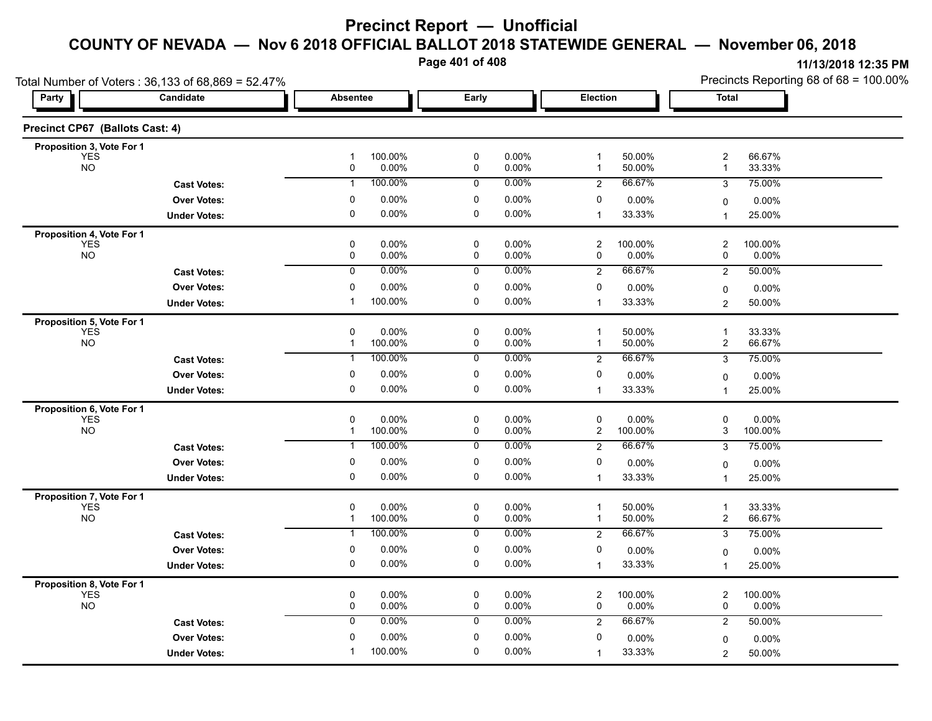**Page 401 of 408**

| Total Number of Voters: 36,133 of 68,869 = 52.47% |                     |                                                    |                                  |                                                  | Precincts Reporting 68 of 68 = 100.00%                        |  |  |
|---------------------------------------------------|---------------------|----------------------------------------------------|----------------------------------|--------------------------------------------------|---------------------------------------------------------------|--|--|
| Party                                             | Candidate           | <b>Absentee</b>                                    | Early                            | Election                                         | <b>Total</b>                                                  |  |  |
| Precinct CP67 (Ballots Cast: 4)                   |                     |                                                    |                                  |                                                  |                                                               |  |  |
| Proposition 3, Vote For 1                         |                     |                                                    |                                  |                                                  |                                                               |  |  |
| YES<br><b>NO</b>                                  |                     | 100.00%<br>$\mathbf{1}$<br>0.00%<br>0              | $\pmb{0}$<br>0.00%<br>0.00%<br>0 | 50.00%<br>$\mathbf{1}$<br>50.00%<br>$\mathbf{1}$ | $\overline{\mathbf{c}}$<br>66.67%<br>33.33%<br>$\overline{1}$ |  |  |
|                                                   | <b>Cast Votes:</b>  | 100.00%<br>$\mathbf{1}$                            | 0.00%<br>0                       | 66.67%<br>$\overline{2}$                         | 3<br>75.00%                                                   |  |  |
|                                                   | <b>Over Votes:</b>  | 0.00%<br>0                                         | 0<br>0.00%                       | 0<br>$0.00\%$                                    | 0.00%<br>0                                                    |  |  |
|                                                   | <b>Under Votes:</b> | $\mathbf 0$<br>0.00%                               | $\pmb{0}$<br>0.00%               | 33.33%<br>$\mathbf{1}$                           | 25.00%<br>$\overline{1}$                                      |  |  |
| Proposition 4, Vote For 1                         |                     |                                                    |                                  |                                                  |                                                               |  |  |
| <b>YES</b><br><b>NO</b>                           |                     | 0<br>$0.00\%$<br>0<br>0.00%                        | 0<br>0.00%<br>0<br>0.00%         | 100.00%<br>$\overline{2}$<br>0<br>0.00%          | 2<br>100.00%<br>0<br>0.00%                                    |  |  |
|                                                   | <b>Cast Votes:</b>  | 0.00%<br>$\overline{0}$                            | 0.00%<br>0                       | 66.67%<br>$\overline{2}$                         | $\overline{2}$<br>50.00%                                      |  |  |
|                                                   | <b>Over Votes:</b>  | 0.00%<br>0                                         | 0.00%<br>0                       | 0<br>$0.00\%$                                    | 0.00%<br>0                                                    |  |  |
|                                                   | <b>Under Votes:</b> | 100.00%<br>-1                                      | 0<br>0.00%                       | 33.33%<br>$\mathbf{1}$                           | 50.00%<br>2                                                   |  |  |
| Proposition 5, Vote For 1                         |                     |                                                    |                                  |                                                  |                                                               |  |  |
| <b>YES</b>                                        |                     | 0<br>0.00%                                         | 0<br>0.00%                       | $\mathbf{1}$<br>50.00%                           | $\overline{1}$<br>33.33%                                      |  |  |
| <b>NO</b>                                         |                     | 100.00%<br>$\mathbf{1}$                            | 0.00%<br>0                       | 50.00%<br>$\mathbf{1}$                           | $\overline{c}$<br>66.67%                                      |  |  |
|                                                   | <b>Cast Votes:</b>  | 100.00%<br>-1                                      | 0.00%<br>0                       | 66.67%<br>$\overline{2}$                         | 3<br>75.00%                                                   |  |  |
|                                                   | <b>Over Votes:</b>  | $\mathbf 0$<br>0.00%                               | 0<br>0.00%                       | 0<br>$0.00\%$                                    | 0.00%<br>0                                                    |  |  |
|                                                   | <b>Under Votes:</b> | 0<br>$0.00\%$                                      | 0<br>0.00%                       | 33.33%<br>$\mathbf{1}$                           | 25.00%<br>$\overline{1}$                                      |  |  |
| Proposition 6, Vote For 1<br><b>YES</b>           |                     | 0.00%<br>0                                         | 0<br>0.00%                       | 0<br>$0.00\%$                                    | 0<br>0.00%                                                    |  |  |
| <b>NO</b>                                         |                     | 100.00%<br>$\mathbf{1}$                            | 0<br>0.00%                       | $\overline{c}$<br>100.00%                        | 3<br>100.00%                                                  |  |  |
|                                                   | <b>Cast Votes:</b>  | 100.00%<br>$\mathbf{1}$                            | 0.00%<br>0                       | 66.67%<br>$\overline{2}$                         | 3<br>75.00%                                                   |  |  |
|                                                   | <b>Over Votes:</b>  | 0.00%<br>0                                         | 0.00%<br>0                       | 0<br>$0.00\%$                                    | $0.00\%$<br>0                                                 |  |  |
|                                                   | <b>Under Votes:</b> | 0<br>0.00%                                         | 0<br>0.00%                       | 33.33%<br>$\mathbf{1}$                           | 25.00%<br>1                                                   |  |  |
| Proposition 7, Vote For 1                         |                     |                                                    |                                  |                                                  |                                                               |  |  |
| <b>YES</b>                                        |                     | $\pmb{0}$<br>0.00%                                 | $\pmb{0}$<br>0.00%               | 50.00%<br>$\mathbf 1$                            | 33.33%<br>$\overline{1}$                                      |  |  |
| <b>NO</b>                                         | <b>Cast Votes:</b>  | $\mathbf{1}$<br>100.00%<br>100.00%<br>$\mathbf{1}$ | 0<br>0.00%<br>0.00%<br>0         | 50.00%<br>$\mathbf{1}$<br>66.67%                 | 2<br>66.67%<br>75.00%<br>3                                    |  |  |
|                                                   | <b>Over Votes:</b>  | 0.00%<br>0                                         | 0<br>0.00%                       | $\overline{2}$<br>0                              |                                                               |  |  |
|                                                   | <b>Under Votes:</b> | 0.00%<br>0                                         | 0<br>0.00%                       | $0.00\%$<br>33.33%<br>$\mathbf{1}$               | $\Omega$<br>$0.00\%$<br>25.00%<br>$\overline{1}$              |  |  |
|                                                   |                     |                                                    |                                  |                                                  |                                                               |  |  |
| Proposition 8, Vote For 1<br>YES                  |                     | 0<br>0.00%                                         | 0<br>0.00%                       | $\overline{c}$<br>100.00%                        | $\overline{c}$<br>100.00%                                     |  |  |
| <b>NO</b>                                         |                     | 0<br>0.00%                                         | 0<br>0.00%                       | 0<br>$0.00\%$                                    | 0<br>$0.00\%$                                                 |  |  |
|                                                   | <b>Cast Votes:</b>  | 0.00%<br>0                                         | 0.00%<br>0                       | 66.67%<br>$\overline{2}$                         | $\overline{2}$<br>50.00%                                      |  |  |
|                                                   | <b>Over Votes:</b>  | 0.00%<br>0                                         | 0<br>0.00%                       | 0<br>$0.00\%$                                    | $0.00\%$<br>0                                                 |  |  |
|                                                   | <b>Under Votes:</b> | 100.00%<br>$\mathbf 1$                             | 0.00%<br>$\Omega$                | 33.33%<br>$\mathbf{1}$                           | 50.00%<br>$\overline{c}$                                      |  |  |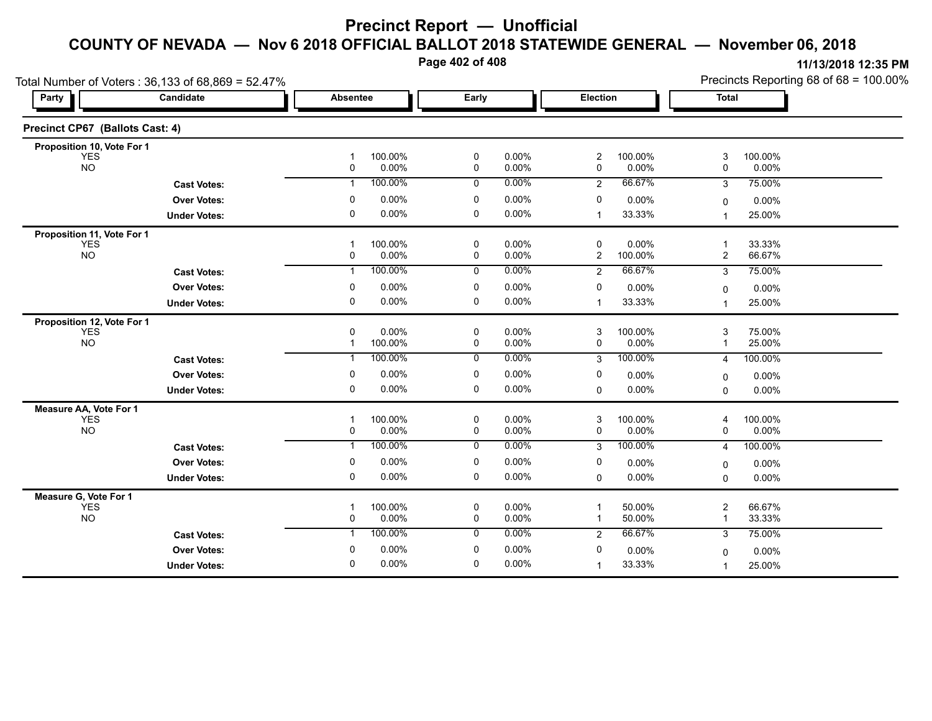# **Precinct Report — Unofficial**

#### **COUNTY OF NEVADA — Nov 6 2018 OFFICIAL BALLOT 2018 STATEWIDE GENERAL — November 06, 2018**

**Page 402 of 408**

|                                 | Total Number of Voters: 36,133 of 68,869 = 52.47% |                                      |                          |                                         | Precincts Reporting 68 of 68 = 100.00%   |
|---------------------------------|---------------------------------------------------|--------------------------------------|--------------------------|-----------------------------------------|------------------------------------------|
| Party                           | Candidate                                         | <b>Absentee</b>                      | Early                    | Election                                | <b>Total</b>                             |
| Precinct CP67 (Ballots Cast: 4) |                                                   |                                      |                          |                                         |                                          |
| Proposition 10, Vote For 1      |                                                   |                                      |                          |                                         |                                          |
| <b>YES</b><br><b>NO</b>         |                                                   | 100.00%<br>-1<br>0<br>0.00%          | 0.00%<br>0<br>0<br>0.00% | $\overline{c}$<br>100.00%<br>0<br>0.00% | 3<br>100.00%<br>0<br>0.00%               |
|                                 | <b>Cast Votes:</b>                                | 100.00%<br>$\mathbf{1}$              | 0.00%<br>0               | 66.67%<br>$\overline{2}$                | 3<br>75.00%                              |
|                                 | <b>Over Votes:</b>                                | 0.00%<br>0                           | 0<br>0.00%               | 0<br>0.00%                              | 0.00%<br>0                               |
|                                 | <b>Under Votes:</b>                               | 0.00%<br>0                           | 0<br>0.00%               | 33.33%<br>$\mathbf{1}$                  | 25.00%<br>1                              |
| Proposition 11, Vote For 1      |                                                   |                                      |                          |                                         |                                          |
| <b>YES</b><br><b>NO</b>         |                                                   | 100.00%<br>1<br>0.00%<br>0           | 0.00%<br>0<br>0.00%<br>0 | 0<br>0.00%<br>$\overline{2}$<br>100.00% | 33.33%<br>-1<br>$\overline{c}$<br>66.67% |
|                                 | <b>Cast Votes:</b>                                | 100.00%<br>$\mathbf{1}$              | 0.00%<br>0               | 66.67%<br>$\overline{2}$                | 75.00%<br>3                              |
|                                 | <b>Over Votes:</b>                                | 0.00%<br>0                           | 0<br>0.00%               | 0<br>$0.00\%$                           | 0.00%<br>$\Omega$                        |
|                                 | <b>Under Votes:</b>                               | 0<br>0.00%                           | 0<br>0.00%               | 33.33%<br>1                             | 25.00%<br>1                              |
| Proposition 12, Vote For 1      |                                                   |                                      |                          |                                         |                                          |
| <b>YES</b><br><b>NO</b>         |                                                   | 0.00%<br>0<br>100.00%<br>$\mathbf 1$ | 0<br>0.00%<br>0.00%<br>0 | 3<br>100.00%<br>0<br>0.00%              | 3<br>75.00%<br>25.00%<br>1               |
|                                 | <b>Cast Votes:</b>                                | 100.00%<br>$\mathbf 1$               | 0.00%<br>0               | 100.00%<br>3                            | 100.00%<br>4                             |
|                                 | <b>Over Votes:</b>                                | 0.00%<br>0                           | 0<br>0.00%               | 0<br>$0.00\%$                           | 0.00%<br>0                               |
|                                 | <b>Under Votes:</b>                               | 0<br>0.00%                           | 0<br>0.00%               | 0.00%<br>0                              | 0.00%<br>$\Omega$                        |
| Measure AA, Vote For 1          |                                                   |                                      |                          |                                         |                                          |
| <b>YES</b><br>NO                |                                                   | 100.00%<br>1<br>0.00%<br>0           | 0<br>0.00%<br>0.00%<br>0 | 3<br>100.00%<br>0.00%<br>0              | 100.00%<br>4<br>0.00%<br>0               |
|                                 | <b>Cast Votes:</b>                                | 100.00%<br>$\mathbf{1}$              | 0.00%<br>0               | 100.00%<br>3                            | 100.00%<br>4                             |
|                                 | <b>Over Votes:</b>                                | 0.00%<br>0                           | 0.00%<br>0               | 0<br>$0.00\%$                           | 0.00%<br>0                               |
|                                 | <b>Under Votes:</b>                               | 0<br>0.00%                           | 0<br>0.00%               | 0.00%<br>0                              | 0.00%<br>0                               |
| Measure G, Vote For 1           |                                                   |                                      |                          |                                         |                                          |
| <b>YES</b>                      |                                                   | 100.00%<br>-1                        | 0<br>0.00%               | 50.00%                                  | $\overline{c}$<br>66.67%                 |
| <b>NO</b>                       |                                                   | 0.00%<br>0                           | 0.00%<br>0               | 50.00%<br>1                             | 33.33%<br>-1                             |
|                                 | <b>Cast Votes:</b>                                | 100.00%<br>$\mathbf{1}$              | 0.00%<br>0               | 66.67%<br>2                             | 75.00%<br>3                              |
|                                 | <b>Over Votes:</b>                                | 0.00%<br>0                           | 0<br>0.00%               | 0<br>0.00%                              | 0.00%<br>$\Omega$                        |
|                                 | <b>Under Votes:</b>                               | 0.00%<br>0                           | 0<br>0.00%               | 33.33%<br>1                             | 25.00%                                   |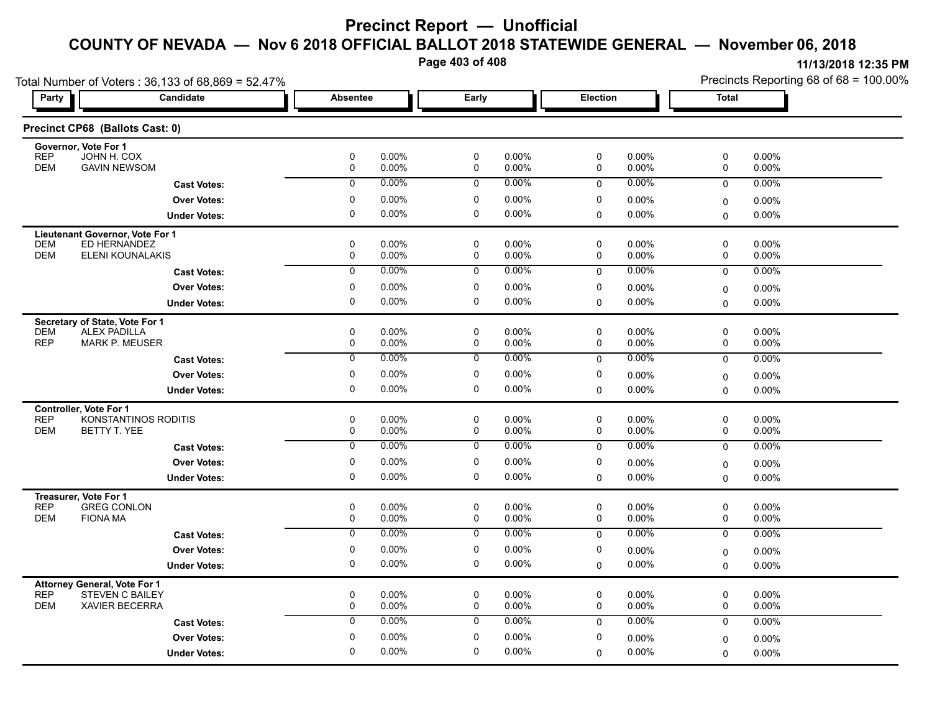**Page 403 of 408**

| Total Number of Voters: 36,133 of 68,869 = 52.47% |                                                               |                  |                      |                  |                      |                  |                      | Precincts Reporting 68 of 68 = 100.00% |                   |  |
|---------------------------------------------------|---------------------------------------------------------------|------------------|----------------------|------------------|----------------------|------------------|----------------------|----------------------------------------|-------------------|--|
| Party                                             | Candidate                                                     | <b>Absentee</b>  |                      | Early            |                      | Election         |                      | <b>Total</b>                           |                   |  |
|                                                   | Precinct CP68 (Ballots Cast: 0)                               |                  |                      |                  |                      |                  |                      |                                        |                   |  |
| <b>REP</b>                                        | Governor, Vote For 1<br>JOHN H. COX                           | $\mathbf 0$      | $0.00\%$             | 0                | $0.00\%$             | 0                | $0.00\%$             | 0                                      | 0.00%             |  |
| <b>DEM</b>                                        | <b>GAVIN NEWSOM</b>                                           | 0                | 0.00%                | 0                | $0.00\%$             | 0                | 0.00%                | 0                                      | 0.00%             |  |
|                                                   | <b>Cast Votes:</b>                                            | $\mathbf 0$      | $0.00\%$             | $\mathbf 0$      | $0.00\%$             | $\mathbf 0$      | $0.00\%$             | $\mathbf 0$                            | 0.00%             |  |
|                                                   | <b>Over Votes:</b>                                            | $\mathbf 0$      | 0.00%                | 0                | $0.00\%$             | 0                | $0.00\%$             | 0                                      | $0.00\%$          |  |
|                                                   | <b>Under Votes:</b>                                           | 0                | $0.00\%$             | 0                | 0.00%                | $\mathbf 0$      | $0.00\%$             | 0                                      | 0.00%             |  |
|                                                   | <b>Lieutenant Governor, Vote For 1</b>                        |                  |                      |                  |                      |                  |                      |                                        |                   |  |
| DEM                                               | ED HERNANDEZ                                                  | 0                | $0.00\%$             | 0                | $0.00\%$             | 0                | $0.00\%$             | $\mathbf 0$                            | 0.00%             |  |
| <b>DEM</b>                                        | ELENI KOUNALAKIS                                              | $\mathbf 0$      | 0.00%                | 0                | 0.00%                | $\mathbf 0$      | 0.00%                | $\mathbf 0$                            | 0.00%             |  |
|                                                   | <b>Cast Votes:</b>                                            | $\overline{0}$   | 0.00%                | $\overline{0}$   | $0.00\%$             | 0                | 0.00%                | $\mathbf 0$                            | 0.00%             |  |
|                                                   | <b>Over Votes:</b>                                            | 0                | $0.00\%$             | 0                | $0.00\%$             | 0                | 0.00%                | $\mathbf 0$                            | $0.00\%$          |  |
|                                                   | <b>Under Votes:</b>                                           | 0                | $0.00\%$             | 0                | 0.00%                | $\mathbf 0$      | 0.00%                | $\Omega$                               | 0.00%             |  |
|                                                   | Secretary of State, Vote For 1                                |                  |                      |                  |                      |                  |                      |                                        |                   |  |
| <b>DEM</b>                                        | <b>ALEX PADILLA</b>                                           | 0                | $0.00\%$             | 0                | $0.00\%$             | 0                | $0.00\%$             | 0                                      | 0.00%             |  |
| <b>REP</b>                                        | <b>MARK P. MEUSER</b>                                         | 0                | $0.00\%$             | 0                | 0.00%                | 0                | $0.00\%$             | 0                                      | 0.00%             |  |
|                                                   | <b>Cast Votes:</b>                                            | $\mathbf 0$      | $0.00\%$             | $\overline{0}$   | $0.00\%$             | $\mathbf 0$      | $0.00\%$             | $\mathbf 0$                            | 0.00%             |  |
|                                                   | <b>Over Votes:</b>                                            | 0                | $0.00\%$             | 0                | $0.00\%$             | 0                | $0.00\%$             | $\mathbf 0$                            | $0.00\%$          |  |
|                                                   | <b>Under Votes:</b>                                           | 0                | 0.00%                | 0                | 0.00%                | $\mathbf 0$      | $0.00\%$             | $\mathbf 0$                            | 0.00%             |  |
|                                                   | Controller, Vote For 1                                        |                  |                      |                  |                      |                  |                      |                                        |                   |  |
| <b>REP</b><br><b>DEM</b>                          | KONSTANTINOS RODITIS<br><b>BETTY T. YEE</b>                   | 0<br>$\mathbf 0$ | $0.00\%$<br>$0.00\%$ | 0<br>0           | $0.00\%$<br>$0.00\%$ | 0<br>$\mathbf 0$ | $0.00\%$<br>$0.00\%$ | $\mathsf 0$<br>$\mathbf 0$             | 0.00%<br>$0.00\%$ |  |
|                                                   |                                                               | $\overline{0}$   | 0.00%                | $\overline{0}$   | $0.00\%$             |                  | 0.00%                |                                        |                   |  |
|                                                   | <b>Cast Votes:</b>                                            |                  |                      |                  |                      | $\Omega$         |                      | $\mathbf 0$                            | 0.00%             |  |
|                                                   | <b>Over Votes:</b>                                            | 0                | $0.00\%$             | 0                | $0.00\%$             | 0                | $0.00\%$             | $\mathbf 0$                            | $0.00\%$          |  |
|                                                   | <b>Under Votes:</b>                                           | 0                | $0.00\%$             | 0                | $0.00\%$             | $\mathbf 0$      | $0.00\%$             | $\mathbf{0}$                           | 0.00%             |  |
|                                                   | Treasurer, Vote For 1                                         |                  |                      |                  |                      |                  |                      |                                        |                   |  |
| <b>REP</b><br><b>DEM</b>                          | <b>GREG CONLON</b><br><b>FIONA MA</b>                         | 0<br>$\mathbf 0$ | $0.00\%$<br>$0.00\%$ | 0<br>$\mathbf 0$ | $0.00\%$<br>$0.00\%$ | 0<br>$\mathbf 0$ | 0.00%<br>$0.00\%$    | 0<br>$\mathbf 0$                       | 0.00%<br>$0.00\%$ |  |
|                                                   | <b>Cast Votes:</b>                                            | $\overline{0}$   | $0.00\%$             | $\overline{0}$   | 0.00%                | $\mathbf 0$      | 0.00%                | $\mathbf 0$                            | 0.00%             |  |
|                                                   | <b>Over Votes:</b>                                            | 0                | 0.00%                | 0                | $0.00\%$             | 0                | 0.00%                |                                        |                   |  |
|                                                   | <b>Under Votes:</b>                                           | $\mathbf 0$      | $0.00\%$             | 0                | $0.00\%$             | $\mathbf 0$      | $0.00\%$             | $\mathbf 0$<br>$\mathbf 0$             | $0.00\%$<br>0.00% |  |
|                                                   |                                                               |                  |                      |                  |                      |                  |                      |                                        |                   |  |
| <b>REP</b>                                        | <b>Attorney General, Vote For 1</b><br><b>STEVEN C BAILEY</b> | $\mathbf 0$      | $0.00\%$             | 0                | $0.00\%$             | 0                | 0.00%                | 0                                      | 0.00%             |  |
| <b>DEM</b>                                        | <b>XAVIER BECERRA</b>                                         | $\mathbf 0$      | 0.00%                | $\mathbf 0$      | 0.00%                | $\mathbf 0$      | 0.00%                | $\mathbf 0$                            | 0.00%             |  |
|                                                   | <b>Cast Votes:</b>                                            | $\mathbf 0$      | 0.00%                | $\mathbf 0$      | $0.00\%$             | $\Omega$         | 0.00%                | $\mathbf 0$                            | 0.00%             |  |
|                                                   |                                                               |                  | $0.00\%$             | 0                | $0.00\%$             | 0                | 0.00%                | $\mathbf 0$                            | $0.00\%$          |  |
|                                                   | <b>Over Votes:</b>                                            | $\mathbf 0$      |                      |                  |                      |                  |                      |                                        |                   |  |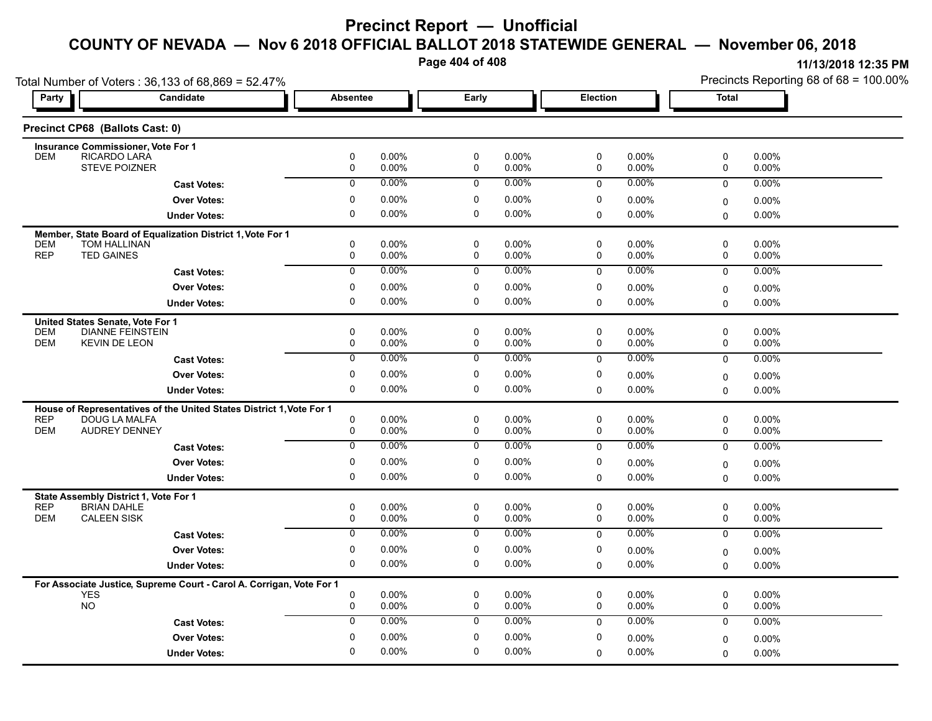**Page 404 of 408**

|                                                                      | Total Number of Voters: 36,133 of 68,869 = 52.47%                    |                  |                   |                  |                   |             |                   |                  | Precincts Reporting 68 of 68 = 100.00% |  |  |
|----------------------------------------------------------------------|----------------------------------------------------------------------|------------------|-------------------|------------------|-------------------|-------------|-------------------|------------------|----------------------------------------|--|--|
| <b>Party</b>                                                         | Candidate                                                            | <b>Absentee</b>  |                   | Early            |                   | Election    |                   | <b>Total</b>     |                                        |  |  |
| Precinct CP68 (Ballots Cast: 0)                                      |                                                                      |                  |                   |                  |                   |             |                   |                  |                                        |  |  |
| <b>Insurance Commissioner, Vote For 1</b>                            |                                                                      |                  |                   |                  |                   |             |                   |                  |                                        |  |  |
| RICARDO LARÁ<br><b>DEM</b>                                           | STEVE POIZNER                                                        | 0<br>0           | 0.00%<br>0.00%    | $\pmb{0}$<br>0   | 0.00%<br>0.00%    | 0<br>0      | 0.00%<br>0.00%    | 0<br>0           | 0.00%<br>0.00%                         |  |  |
|                                                                      | <b>Cast Votes:</b>                                                   | $\mathbf 0$      | 0.00%             | 0                | 0.00%             | 0           | 0.00%             | 0                | 0.00%                                  |  |  |
|                                                                      | <b>Over Votes:</b>                                                   | 0                | 0.00%             | 0                | 0.00%             | 0           | 0.00%             | 0                | 0.00%                                  |  |  |
|                                                                      | <b>Under Votes:</b>                                                  | $\mathbf 0$      | 0.00%             | $\mathbf 0$      | $0.00\%$          | $\Omega$    | 0.00%             | $\mathbf 0$      | $0.00\%$                               |  |  |
|                                                                      | Member, State Board of Equalization District 1, Vote For 1           |                  |                   |                  |                   |             |                   |                  |                                        |  |  |
| <b>TOM HALLINAN</b><br><b>DEM</b>                                    |                                                                      | 0                | 0.00%             | 0                | 0.00%             | 0           | 0.00%             | 0                | 0.00%                                  |  |  |
| <b>REP</b><br><b>TED GAINES</b>                                      |                                                                      | 0                | 0.00%             | 0                | 0.00%             | 0           | 0.00%             | 0                | 0.00%                                  |  |  |
|                                                                      | <b>Cast Votes:</b>                                                   | $\overline{0}$   | 0.00%             | $\overline{0}$   | $0.00\%$          | $\mathbf 0$ | $0.00\%$          | $\mathbf 0$      | 0.00%                                  |  |  |
|                                                                      | <b>Over Votes:</b>                                                   | 0<br>$\mathbf 0$ | 0.00%             | 0<br>$\mathbf 0$ | 0.00%             | 0           | 0.00%             | $\mathbf 0$      | $0.00\%$                               |  |  |
|                                                                      | <b>Under Votes:</b>                                                  |                  | 0.00%             |                  | $0.00\%$          | $\Omega$    | 0.00%             | 0                | $0.00\%$                               |  |  |
| United States Senate, Vote For 1<br><b>DEM</b>                       | <b>DIANNE FEINSTEIN</b>                                              | $\pmb{0}$        | 0.00%             | $\pmb{0}$        | 0.00%             | 0           | $0.00\%$          | $\mathsf 0$      | $0.00\%$                               |  |  |
| <b>DEM</b><br><b>KEVIN DE LEON</b>                                   |                                                                      | 0                | 0.00%             | 0                | 0.00%             | 0           | 0.00%             | 0                | 0.00%                                  |  |  |
|                                                                      | <b>Cast Votes:</b>                                                   | 0                | 0.00%             | 0                | 0.00%             | $\mathbf 0$ | 0.00%             | $\mathbf 0$      | $0.00\%$                               |  |  |
|                                                                      | <b>Over Votes:</b>                                                   | 0                | 0.00%             | 0                | 0.00%             | 0           | 0.00%             | $\mathbf 0$      | $0.00\%$                               |  |  |
|                                                                      | <b>Under Votes:</b>                                                  | $\pmb{0}$        | 0.00%             | 0                | 0.00%             | 0           | 0.00%             | 0                | 0.00%                                  |  |  |
|                                                                      | House of Representatives of the United States District 1, Vote For 1 |                  |                   |                  |                   |             |                   |                  |                                        |  |  |
| <b>REP</b>                                                           | DOUG LA MALFA                                                        | $\mathbf 0$      | 0.00%             | 0                | $0.00\%$          | 0           | 0.00%             | 0                | $0.00\%$                               |  |  |
| <b>DEM</b>                                                           | <b>AUDREY DENNEY</b>                                                 | 0                | 0.00%             | 0                | 0.00%             | 0           | 0.00%             | 0                | 0.00%                                  |  |  |
|                                                                      | <b>Cast Votes:</b>                                                   | $\overline{0}$   | 0.00%             | 0                | 0.00%             | 0           | 0.00%             | $\mathbf 0$      | 0.00%                                  |  |  |
|                                                                      | <b>Over Votes:</b>                                                   | $\pmb{0}$        | 0.00%             | 0                | 0.00%             | 0           | 0.00%             | $\mathbf 0$      | 0.00%                                  |  |  |
|                                                                      | <b>Under Votes:</b>                                                  | $\mathbf 0$      | 0.00%             | $\mathbf 0$      | 0.00%             | $\Omega$    | 0.00%             | $\Omega$         | 0.00%                                  |  |  |
| State Assembly District 1, Vote For 1                                |                                                                      |                  |                   |                  |                   |             |                   |                  |                                        |  |  |
| <b>REP</b><br><b>BRIAN DAHLE</b><br><b>DEM</b><br><b>CALEEN SISK</b> |                                                                      | $\pmb{0}$<br>0   | $0.00\%$<br>0.00% | $\pmb{0}$<br>0   | $0.00\%$<br>0.00% | 0<br>0      | $0.00\%$<br>0.00% | $\mathbf 0$<br>0 | $0.00\%$<br>0.00%                      |  |  |
|                                                                      | <b>Cast Votes:</b>                                                   | 0                | 0.00%             | 0                | $0.00\%$          | 0           | 0.00%             | 0                | 0.00%                                  |  |  |
|                                                                      |                                                                      |                  |                   |                  |                   |             |                   |                  |                                        |  |  |
|                                                                      | <b>Over Votes:</b>                                                   | 0<br>$\pmb{0}$   | 0.00%<br>0.00%    | 0<br>0           | 0.00%<br>$0.00\%$ | 0           | 0.00%<br>0.00%    | $\mathbf 0$      | 0.00%                                  |  |  |
|                                                                      | <b>Under Votes:</b>                                                  |                  |                   |                  |                   | 0           |                   | $\mathbf 0$      | $0.00\%$                               |  |  |
| <b>YES</b>                                                           | For Associate Justice, Supreme Court - Carol A. Corrigan, Vote For 1 | $\mathbf 0$      | 0.00%             | $\pmb{0}$        | $0.00\%$          | 0           | 0.00%             | $\mathsf 0$      | $0.00\%$                               |  |  |
| <b>NO</b>                                                            |                                                                      | 0                | 0.00%             | $\mathbf 0$      | $0.00\%$          | 0           | 0.00%             | $\mathbf 0$      | 0.00%                                  |  |  |
|                                                                      | <b>Cast Votes:</b>                                                   | $\mathbf 0$      | 0.00%             | 0                | $0.00\%$          | $\mathbf 0$ | 0.00%             | $\mathbf 0$      | 0.00%                                  |  |  |
|                                                                      | <b>Over Votes:</b>                                                   | 0                | 0.00%             | 0                | 0.00%             | 0           | 0.00%             | $\mathbf 0$      | $0.00\%$                               |  |  |
|                                                                      | <b>Under Votes:</b>                                                  | $\mathbf 0$      | 0.00%             | $\mathbf 0$      | 0.00%             | 0           | 0.00%             | $\Omega$         | 0.00%                                  |  |  |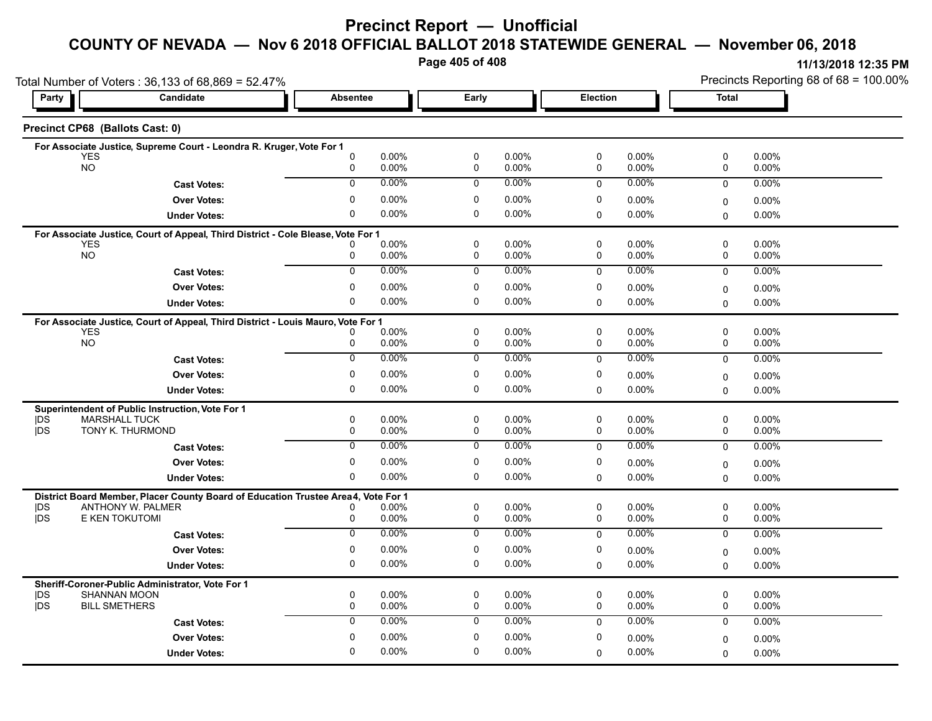# **Precinct Report — Unofficial**

# **COUNTY OF NEVADA — Nov 6 2018 OFFICIAL BALLOT 2018 STATEWIDE GENERAL — November 06, 2018**

**Page 405 of 408**

|                                    | Total Number of Voters: 36,133 of 68,869 = 52.47%                                 |                 | Precincts Reporting 68 of 68 = 100.00% |                  |                |              |                   |              |                      |
|------------------------------------|-----------------------------------------------------------------------------------|-----------------|----------------------------------------|------------------|----------------|--------------|-------------------|--------------|----------------------|
| Party                              | Candidate                                                                         | <b>Absentee</b> |                                        | Early            |                | Election     |                   | <b>Total</b> |                      |
| Precinct CP68 (Ballots Cast: 0)    |                                                                                   |                 |                                        |                  |                |              |                   |              |                      |
|                                    | For Associate Justice, Supreme Court - Leondra R. Kruger, Vote For 1              |                 |                                        |                  |                |              |                   |              |                      |
| <b>YES</b><br><b>NO</b>            |                                                                                   | 0<br>0          | $0.00\%$<br>0.00%                      | $\mathbf 0$<br>0 | 0.00%<br>0.00% | 0<br>0       | 0.00%<br>0.00%    | 0<br>0       | 0.00%<br>0.00%       |
|                                    | <b>Cast Votes:</b>                                                                | $\mathbf 0$     | 0.00%                                  | $\mathbf 0$      | $0.00\%$       | $\mathbf{0}$ | 0.00%             | $\mathbf 0$  | 0.00%                |
|                                    | <b>Over Votes:</b>                                                                | 0               | $0.00\%$                               | 0                | 0.00%          | 0            | 0.00%             | 0            | 0.00%                |
|                                    | <b>Under Votes:</b>                                                               | 0               | 0.00%                                  | $\mathbf 0$      | 0.00%          | $\Omega$     | 0.00%             | 0            | 0.00%                |
|                                    | For Associate Justice, Court of Appeal, Third District - Cole Blease, Vote For 1  |                 |                                        |                  |                |              |                   |              |                      |
| <b>YES</b>                         |                                                                                   |                 | 0.00%                                  | 0                | 0.00%          | $\mathbf 0$  | $0.00\%$          | 0            | $0.00\%$             |
| <b>NO</b>                          |                                                                                   | 0               | 0.00%                                  | $\mathbf 0$      | 0.00%          | 0            | 0.00%             | 0            | $0.00\%$             |
|                                    | <b>Cast Votes:</b>                                                                | $\overline{0}$  | 0.00%                                  | $\mathbf 0$      | $0.00\%$       | $\mathbf 0$  | 0.00%             | 0            | $0.00\%$             |
|                                    | <b>Over Votes:</b>                                                                | 0               | 0.00%                                  | 0                | 0.00%          | 0            | 0.00%             | 0            | $0.00\%$             |
|                                    | <b>Under Votes:</b>                                                               | 0               | $0.00\%$                               | 0                | $0.00\%$       | $\Omega$     | 0.00%             | $\Omega$     | 0.00%                |
|                                    | For Associate Justice, Court of Appeal, Third District - Louis Mauro, Vote For 1  |                 |                                        | $\mathbf 0$      | 0.00%          | 0            | $0.00\%$          | 0            | 0.00%                |
| <b>YES</b><br><b>NO</b>            |                                                                                   | 0               | $0.00\%$<br>0.00%                      | $\mathbf 0$      | 0.00%          | $\mathbf 0$  | 0.00%             | 0            | 0.00%                |
|                                    | <b>Cast Votes:</b>                                                                | 0               | 0.00%                                  | 0                | 0.00%          | $\mathbf 0$  | 0.00%             | $\mathbf 0$  | $0.00\%$             |
|                                    | <b>Over Votes:</b>                                                                | 0               | $0.00\%$                               | 0                | 0.00%          | 0            | 0.00%             | 0            | 0.00%                |
|                                    | <b>Under Votes:</b>                                                               | 0               | 0.00%                                  | 0                | 0.00%          | $\mathbf 0$  | $0.00\%$          | $\Omega$     | 0.00%                |
|                                    | Superintendent of Public Instruction, Vote For 1                                  |                 |                                        |                  |                |              |                   |              |                      |
| DS<br><b>MARSHALL TUCK</b>         |                                                                                   | 0               | 0.00%                                  | $\mathbf 0$      | 0.00%          | 0            | $0.00\%$          | 0            | 0.00%                |
| jDS                                | TONY K. THURMOND                                                                  | 0               | 0.00%                                  | $\mathbf 0$      | 0.00%          | 0            | $0.00\%$          | 0            | $0.00\%$             |
|                                    | <b>Cast Votes:</b>                                                                | $\overline{0}$  | 0.00%                                  | $\overline{0}$   | $0.00\%$       | $\Omega$     | $0.00\%$          | $\mathbf 0$  | 0.00%                |
|                                    | <b>Over Votes:</b>                                                                | 0               | $0.00\%$                               | $\mathbf 0$      | 0.00%          | 0            | $0.00\%$          | 0            | 0.00%                |
|                                    | <b>Under Votes:</b>                                                               | 0               | 0.00%                                  | 0                | 0.00%          | $\Omega$     | 0.00%             | $\Omega$     | $0.00\%$             |
|                                    | District Board Member, Placer County Board of Education Trustee Area4, Vote For 1 |                 |                                        |                  |                |              |                   |              |                      |
| DS<br><b>jDS</b>                   | <b>ANTHONY W. PALMER</b><br>E KEN TOKUTOMI                                        | 0               | 0.00%<br>0.00%                         | 0<br>0           | 0.00%<br>0.00% | 0<br>0       | $0.00\%$<br>0.00% | 0<br>0       | $0.00\%$<br>$0.00\%$ |
|                                    | <b>Cast Votes:</b>                                                                | $\overline{0}$  | 0.00%                                  | $\overline{0}$   | $0.00\%$       | $\mathbf 0$  | 0.00%             | $\mathbf 0$  | 0.00%                |
|                                    | <b>Over Votes:</b>                                                                | 0               | $0.00\%$                               | $\mathbf 0$      | 0.00%          | $\mathbf 0$  | $0.00\%$          | 0            | $0.00\%$             |
|                                    | <b>Under Votes:</b>                                                               | $\Omega$        | $0.00\%$                               | 0                | 0.00%          | $\mathbf 0$  | $0.00\%$          | $\Omega$     | $0.00\%$             |
|                                    |                                                                                   |                 |                                        |                  |                |              |                   |              |                      |
| <b>SHANNAN MOON</b><br> DS         | Sheriff-Coroner-Public Administrator, Vote For 1                                  | 0               | 0.00%                                  | 0                | 0.00%          | 0            | $0.00\%$          | 0            | $0.00\%$             |
| <b>IDS</b><br><b>BILL SMETHERS</b> |                                                                                   | 0               | 0.00%                                  | $\mathbf 0$      | 0.00%          | $\mathbf 0$  | 0.00%             | 0            | 0.00%                |
|                                    | <b>Cast Votes:</b>                                                                | 0               | 0.00%                                  | $\mathbf 0$      | 0.00%          | $\mathbf 0$  | 0.00%             | 0            | 0.00%                |
|                                    | <b>Over Votes:</b>                                                                | $\Omega$        | $0.00\%$                               | $\Omega$         | 0.00%          | 0            | $0.00\%$          | 0            | $0.00\%$             |
|                                    | <b>Under Votes:</b>                                                               | 0               | 0.00%                                  | 0                | 0.00%          | $\mathbf 0$  | 0.00%             | $\Omega$     | 0.00%                |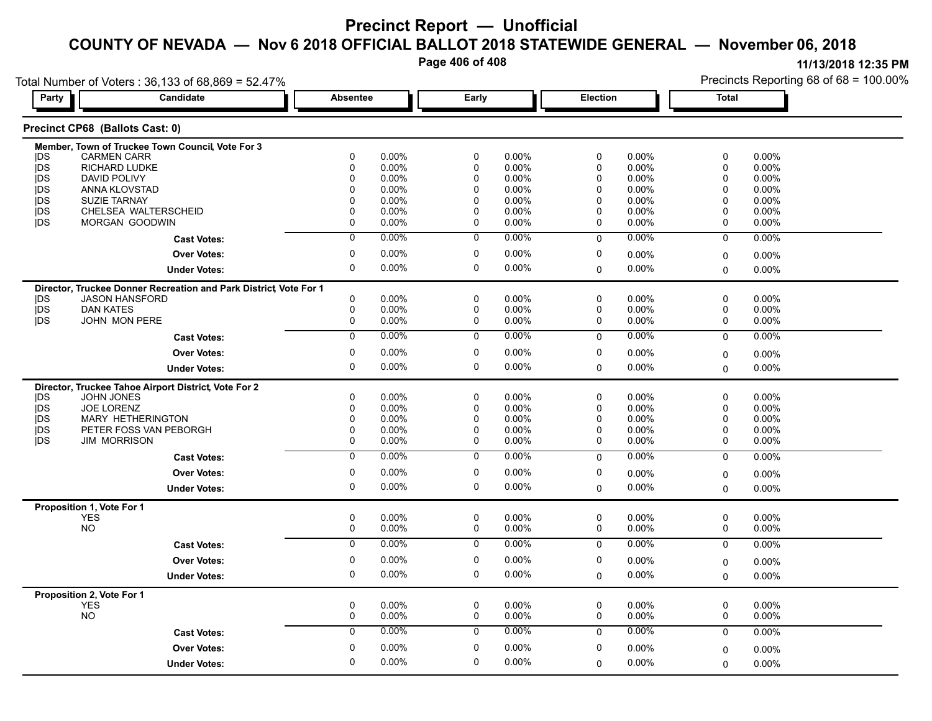**Page 406 of 408**

**11/13/2018 12:35 PM**

Precincts Reporting 68 of 68 = 100.00%

Total Number of Voters : 36,133 of 68,869 = 52.47%

| Party           | Candidate                                                                                 | <b>Absentee</b> |                      | Early                       |                | <b>Election</b>             |                | <b>Total</b>         |                   |  |
|-----------------|-------------------------------------------------------------------------------------------|-----------------|----------------------|-----------------------------|----------------|-----------------------------|----------------|----------------------|-------------------|--|
|                 | Precinct CP68 (Ballots Cast: 0)                                                           |                 |                      |                             |                |                             |                |                      |                   |  |
|                 | Member, Town of Truckee Town Council, Vote For 3                                          |                 |                      |                             |                |                             |                |                      |                   |  |
| <b>IDS</b>      | <b>CARMEN CARR</b>                                                                        | 0               | 0.00%                | 0                           | 0.00%          | 0                           | 0.00%          | 0                    | $0.00\%$          |  |
| <b>IDS</b>      | RICHARD LUDKE                                                                             | 0               | 0.00%                | 0                           | 0.00%          | $\pmb{0}$                   | 0.00%          | $\mathbf 0$          | 0.00%             |  |
| <b>IDS</b>      | <b>DAVID POLIVY</b>                                                                       | $\Omega$<br>0   | $0.00\%$             | $\mathbf 0$<br>$\mathbf{0}$ | 0.00%<br>0.00% | $\mathbf 0$<br>$\mathbf{0}$ | 0.00%<br>0.00% | $\Omega$<br>$\Omega$ | 0.00%<br>$0.00\%$ |  |
| jDS<br>jDS      | ANNA KLOVSTAD<br><b>SUZIE TARNAY</b>                                                      | 0               | $0.00\%$<br>$0.00\%$ | $\pmb{0}$                   | 0.00%          | 0                           | 0.00%          | $\Omega$             | 0.00%             |  |
| jDS             | CHELSEA WALTERSCHEID                                                                      | 0               | $0.00\%$             | $\mathbf 0$                 | 0.00%          | 0                           | 0.00%          | $\mathbf 0$          | 0.00%             |  |
| <b>IDS</b>      | MORGAN GOODWIN                                                                            | $\mathbf 0$     | $0.00\%$             | $\mathbf 0$                 | 0.00%          | 0                           | 0.00%          | $\mathbf{0}$         | 0.00%             |  |
|                 | <b>Cast Votes:</b>                                                                        | $\overline{0}$  | 0.00%                | $\overline{0}$              | 0.00%          | $\Omega$                    | 0.00%          | $\mathbf 0$          | 0.00%             |  |
|                 | <b>Over Votes:</b>                                                                        | 0               | 0.00%                | $\mathbf 0$                 | $0.00\%$       | 0                           | 0.00%          | $\mathbf 0$          | $0.00\%$          |  |
|                 | <b>Under Votes:</b>                                                                       | $\mathbf 0$     | $0.00\%$             | $\mathbf 0$                 | 0.00%          | $\Omega$                    | 0.00%          | $\mathbf 0$          | $0.00\%$          |  |
|                 |                                                                                           |                 |                      |                             |                |                             |                |                      |                   |  |
| <b>IDS</b>      | Director, Truckee Donner Recreation and Park District Vote For 1<br><b>JASON HANSFORD</b> | $\mathbf 0$     | 0.00%                | 0                           | 0.00%          | 0                           | 0.00%          | 0                    | 0.00%             |  |
| <b>IDS</b>      | <b>DAN KATES</b>                                                                          | $\mathbf 0$     | $0.00\%$             | $\mathbf 0$                 | 0.00%          | $\pmb{0}$                   | 0.00%          | 0                    | 0.00%             |  |
| j <sub>DS</sub> | <b>JOHN MON PERE</b>                                                                      | $\mathbf 0$     | $0.00\%$             | 0                           | 0.00%          | 0                           | 0.00%          | 0                    | 0.00%             |  |
|                 |                                                                                           | $\overline{0}$  | $0.00\%$             | 0                           | $0.00\%$       | $\mathsf 0$                 | 0.00%          | $\mathbf 0$          | 0.00%             |  |
|                 | <b>Cast Votes:</b>                                                                        |                 |                      |                             |                |                             |                |                      |                   |  |
|                 | <b>Over Votes:</b>                                                                        | 0               | $0.00\%$             | 0                           | 0.00%          | 0                           | 0.00%          | $\Omega$             | 0.00%             |  |
|                 | <b>Under Votes:</b>                                                                       | 0               | 0.00%                | 0                           | 0.00%          | 0                           | 0.00%          | $\Omega$             | 0.00%             |  |
|                 | Director, Truckee Tahoe Airport District, Vote For 2                                      |                 |                      |                             |                |                             |                |                      |                   |  |
| <b>IDS</b>      | JOHN JONES                                                                                | 0               | $0.00\%$             | 0                           | 0.00%          | 0                           | 0.00%          | $\mathbf 0$          | 0.00%             |  |
| jDS             | <b>JOE LORENZ</b>                                                                         | 0               | $0.00\%$             | $\mathbf 0$                 | 0.00%          | $\mathbf 0$                 | 0.00%          | $\mathbf 0$          | 0.00%             |  |
| jDS             | MARY HETHERINGTON                                                                         | 0               | $0.00\%$             | $\mathbf 0$                 | $0.00\%$       | 0                           | 0.00%          | 0                    | $0.00\%$          |  |
| <b>IDS</b>      | PETER FOSS VAN PEBORGH                                                                    | 0               | $0.00\%$             | 0                           | 0.00%          | 0                           | 0.00%          | $\mathbf 0$          | $0.00\%$          |  |
| <b>IDS</b>      | <b>JIM MORRISON</b>                                                                       | 0               | 0.00%                | $\mathbf 0$                 | 0.00%          | $\mathsf 0$                 | 0.00%          | $\mathbf 0$          | 0.00%             |  |
|                 | <b>Cast Votes:</b>                                                                        | $\overline{0}$  | $0.00\%$             | $\overline{0}$              | 0.00%          | $\Omega$                    | 0.00%          | $\mathbf{0}$         | 0.00%             |  |
|                 | <b>Over Votes:</b>                                                                        | $\mathbf 0$     | $0.00\%$             | 0                           | 0.00%          | $\mathbf 0$                 | 0.00%          | $\mathbf 0$          | $0.00\%$          |  |
|                 | <b>Under Votes:</b>                                                                       | $\Omega$        | $0.00\%$             | 0                           | 0.00%          | 0                           | $0.00\%$       | $\Omega$             | 0.00%             |  |
|                 | Proposition 1, Vote For 1                                                                 |                 |                      |                             |                |                             |                |                      |                   |  |
|                 | <b>YES</b>                                                                                | 0               | $0.00\%$             | $\mathbf 0$                 | 0.00%          | 0                           | 0.00%          | 0                    | 0.00%             |  |
|                 | <b>NO</b>                                                                                 | 0               | $0.00\%$             | 0                           | 0.00%          | $\mathbf 0$                 | $0.00\%$       | $\mathbf 0$          | $0.00\%$          |  |
|                 | <b>Cast Votes:</b>                                                                        | $\mathbf 0$     | 0.00%                | 0                           | 0.00%          | $\Omega$                    | 0.00%          | $\mathbf 0$          | 0.00%             |  |
|                 | <b>Over Votes:</b>                                                                        | 0               | $0.00\%$             | 0                           | 0.00%          | 0                           | 0.00%          | 0                    | $0.00\%$          |  |
|                 | <b>Under Votes:</b>                                                                       | $\Omega$        | $0.00\%$             | 0                           | $0.00\%$       | $\Omega$                    | $0.00\%$       | $\Omega$             | $0.00\%$          |  |
|                 |                                                                                           |                 |                      |                             |                |                             |                |                      |                   |  |
|                 | Proposition 2, Vote For 1<br><b>YES</b>                                                   | 0               | $0.00\%$             | 0                           | 0.00%          | 0                           | 0.00%          | 0                    | 0.00%             |  |
|                 | <b>NO</b>                                                                                 | 0               | $0.00\%$             | $\mathbf 0$                 | 0.00%          | 0                           | 0.00%          | 0                    | 0.00%             |  |
|                 | <b>Cast Votes:</b>                                                                        | $\mathbf 0$     | $0.00\%$             | 0                           | 0.00%          | $\mathbf 0$                 | 0.00%          | $\mathbf{0}$         | 0.00%             |  |
|                 |                                                                                           |                 |                      |                             |                |                             |                |                      |                   |  |
|                 | <b>Over Votes:</b>                                                                        | 0               | $0.00\%$             | 0                           | 0.00%          | 0                           | 0.00%          | $\Omega$             | 0.00%             |  |
|                 | <b>Under Votes:</b>                                                                       | $\Omega$        | 0.00%                | $\mathbf 0$                 | 0.00%          | $\Omega$                    | 0.00%          | $\mathbf{0}$         | 0.00%             |  |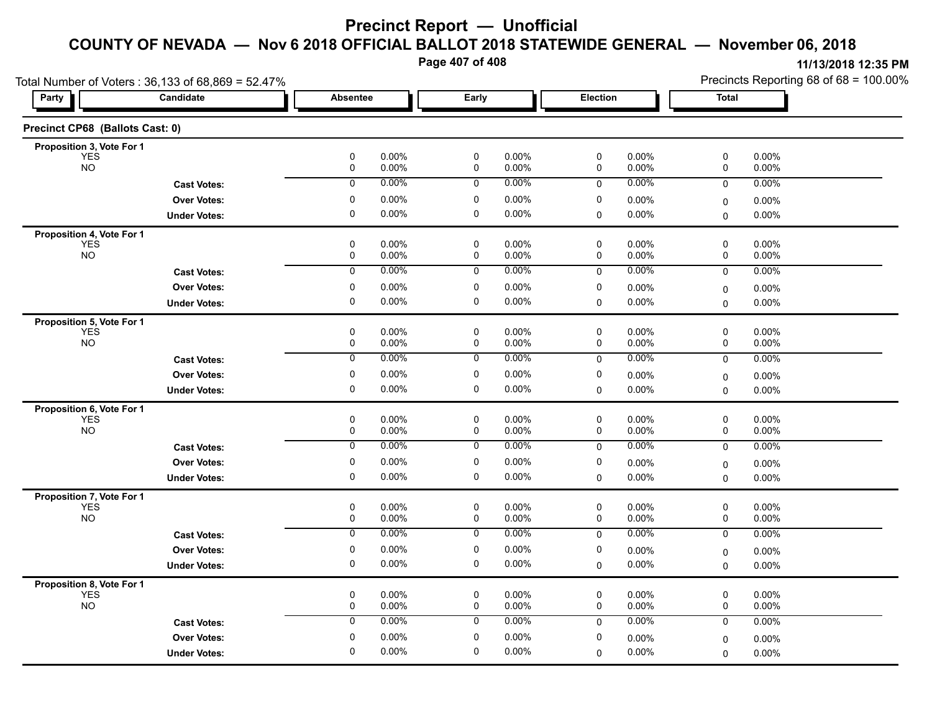**Page 407 of 408**

| Total Number of Voters: 36,133 of 68,869 = 52.47% |                     |                                  |                |                |                |                | Precincts Reporting 68 of 68 = 100.00% |                |  |
|---------------------------------------------------|---------------------|----------------------------------|----------------|----------------|----------------|----------------|----------------------------------------|----------------|--|
| <b>Party</b>                                      | Candidate           | <b>Absentee</b>                  | Early          |                | Election       |                | <b>Total</b>                           |                |  |
| Precinct CP68 (Ballots Cast: 0)                   |                     |                                  |                |                |                |                |                                        |                |  |
| Proposition 3, Vote For 1                         |                     |                                  |                |                |                |                |                                        |                |  |
| <b>YES</b><br><b>NO</b>                           |                     | $\pmb{0}$<br>0.00%<br>0.00%<br>0 | $\pmb{0}$<br>0 | 0.00%<br>0.00% | $\pmb{0}$<br>0 | 0.00%<br>0.00% | 0<br>0                                 | 0.00%<br>0.00% |  |
|                                                   | <b>Cast Votes:</b>  | 0.00%<br>0                       | 0              | $0.00\%$       | 0              | 0.00%          | 0                                      | 0.00%          |  |
|                                                   | <b>Over Votes:</b>  | 0.00%<br>0                       | 0              | 0.00%          | 0              | 0.00%          | $\mathbf 0$                            | $0.00\%$       |  |
|                                                   | <b>Under Votes:</b> | $\mathbf 0$<br>0.00%             | $\mathbf 0$    | $0.00\%$       | 0              | 0.00%          | $\mathbf 0$                            | $0.00\%$       |  |
| Proposition 4, Vote For 1                         |                     |                                  |                |                |                |                |                                        |                |  |
| <b>YES</b>                                        |                     | $\pmb{0}$<br>0.00%               | 0              | 0.00%          | 0              | 0.00%          | 0                                      | 0.00%          |  |
| <b>NO</b>                                         |                     | 0<br>0.00%                       | 0              | 0.00%          | 0              | 0.00%          | 0                                      | 0.00%          |  |
|                                                   | <b>Cast Votes:</b>  | 0.00%<br>0                       | 0              | 0.00%          | $\mathbf 0$    | 0.00%          | 0                                      | 0.00%          |  |
|                                                   | <b>Over Votes:</b>  | 0<br>0.00%                       | 0              | 0.00%          | 0              | 0.00%          | $\mathbf 0$                            | 0.00%          |  |
|                                                   | <b>Under Votes:</b> | $\mathbf 0$<br>0.00%             | $\mathbf 0$    | $0.00\%$       | 0              | 0.00%          | 0                                      | $0.00\%$       |  |
| Proposition 5, Vote For 1                         |                     |                                  |                |                |                |                |                                        |                |  |
| <b>YES</b><br><b>NO</b>                           |                     | 0<br>0.00%<br>0.00%              | 0              | 0.00%<br>0.00% | 0              | 0.00%<br>0.00% | 0                                      | 0.00%<br>0.00% |  |
|                                                   |                     | 0<br>0<br>0.00%                  | 0<br>0         | $0.00\%$       | 0              | 0.00%          | 0                                      |                |  |
|                                                   | <b>Cast Votes:</b>  |                                  |                |                | 0              |                | 0                                      | 0.00%          |  |
|                                                   | <b>Over Votes:</b>  | 0<br>0.00%                       | 0              | 0.00%          | 0              | 0.00%          | $\mathbf 0$                            | 0.00%          |  |
|                                                   | <b>Under Votes:</b> | $\pmb{0}$<br>0.00%               | $\pmb{0}$      | 0.00%          | 0              | 0.00%          | $\mathbf 0$                            | 0.00%          |  |
| Proposition 6, Vote For 1                         |                     |                                  | $\mathbf 0$    | 0.00%          | 0              | 0.00%          | 0                                      | 0.00%          |  |
| <b>YES</b><br><b>NO</b>                           |                     | 0<br>0.00%<br>0.00%<br>0         | 0              | 0.00%          | 0              | 0.00%          | 0                                      | 0.00%          |  |
|                                                   | <b>Cast Votes:</b>  | 0.00%<br>0                       | 0              | 0.00%          | 0              | 0.00%          | 0                                      | 0.00%          |  |
|                                                   | <b>Over Votes:</b>  | 0<br>0.00%                       | 0              | 0.00%          | 0              | 0.00%          |                                        | 0.00%          |  |
|                                                   | <b>Under Votes:</b> | $\mathbf 0$<br>0.00%             | $\mathbf 0$    | 0.00%          | 0              | 0.00%          | $\mathbf 0$<br>0                       | $0.00\%$       |  |
|                                                   |                     |                                  |                |                |                |                |                                        |                |  |
| Proposition 7, Vote For 1<br><b>YES</b>           |                     | 0<br>0.00%                       | 0              | $0.00\%$       | 0              | 0.00%          | 0                                      | 0.00%          |  |
| <b>NO</b>                                         |                     | 0.00%<br>0                       | 0              | 0.00%          | 0              | 0.00%          | 0                                      | 0.00%          |  |
|                                                   | <b>Cast Votes:</b>  | 0.00%<br>0                       | 0              | $0.00\%$       | 0              | 0.00%          | 0                                      | 0.00%          |  |
|                                                   | <b>Over Votes:</b>  | $\pmb{0}$<br>0.00%               | 0              | 0.00%          | 0              | 0.00%          | $\pmb{0}$                              | 0.00%          |  |
|                                                   | <b>Under Votes:</b> | $\pmb{0}$<br>$0.00\%$            | $\pmb{0}$      | 0.00%          | 0              | $0.00\%$       | $\mathbf 0$                            | 0.00%          |  |
| Proposition 8, Vote For 1                         |                     |                                  |                |                |                |                |                                        |                |  |
| <b>YES</b>                                        |                     | 0<br>0.00%                       | 0              | $0.00\%$       | 0              | 0.00%          | 0                                      | $0.00\%$       |  |
| <b>NO</b>                                         |                     | 0.00%<br>0                       | 0              | 0.00%          | 0              | 0.00%          | 0                                      | 0.00%          |  |
|                                                   | <b>Cast Votes:</b>  | 0.00%<br>0                       | 0              | $0.00\%$       | $\mathbf 0$    | 0.00%          | 0                                      | 0.00%          |  |
|                                                   | <b>Over Votes:</b>  | $\pmb{0}$<br>0.00%               | 0              | 0.00%          | 0              | 0.00%          | 0                                      | 0.00%          |  |
|                                                   | <b>Under Votes:</b> | 0<br>0.00%                       | 0              | $0.00\%$       | 0              | 0.00%          | 0                                      | 0.00%          |  |